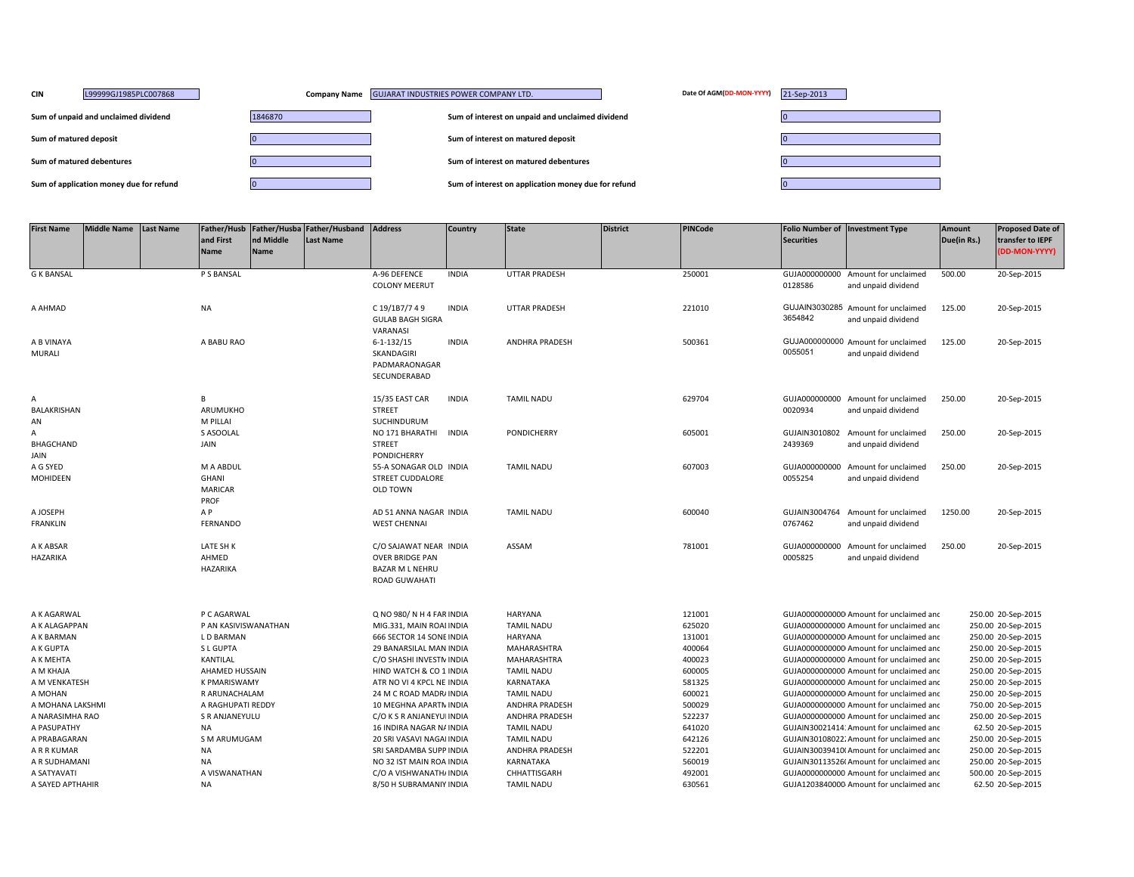| <b>CIN</b>             | L99999GJ1985PLC007868                   |         | Company Name GUJARAT INDUSTRIES POWER COMPANY LTD.  | Date Of AGM(DD-MON-YYYY)<br>21-Sep-2013 |
|------------------------|-----------------------------------------|---------|-----------------------------------------------------|-----------------------------------------|
|                        | Sum of unpaid and unclaimed dividend    | 1846870 | Sum of interest on unpaid and unclaimed dividend    |                                         |
| Sum of matured deposit |                                         |         | Sum of interest on matured deposit                  |                                         |
|                        | Sum of matured debentures               |         | Sum of interest on matured debentures               |                                         |
|                        | Sum of application money due for refund |         | Sum of interest on application money due for refund |                                         |

| <b>First Name</b>            | <b>Middle Name</b> | <b>Last Name</b> | Father/Husb<br>and First<br><b>Name</b>      | nd Middle<br><b>Name</b> | Father/Husba Father/Husband<br><b>Last Name</b> | <b>Address</b>                                                                              | <b>Country</b> | <b>State</b>                 | <b>District</b> | <b>PINCode</b>   | <b>Securities</b>        | <b>Folio Number of Investment Type</b>                                              | Amount<br>Due(in Rs.) | <b>Proposed Date of</b><br>transfer to IEPF<br>(DD-MON-YYYY) |
|------------------------------|--------------------|------------------|----------------------------------------------|--------------------------|-------------------------------------------------|---------------------------------------------------------------------------------------------|----------------|------------------------------|-----------------|------------------|--------------------------|-------------------------------------------------------------------------------------|-----------------------|--------------------------------------------------------------|
| <b>G K BANSAL</b>            |                    |                  | P S BANSAL                                   |                          |                                                 | A-96 DEFENCE<br><b>COLONY MEERUT</b>                                                        | <b>INDIA</b>   | <b>UTTAR PRADESH</b>         |                 | 250001           | 0128586                  | GUJA000000000 Amount for unclaimed<br>and unpaid dividend                           | 500.00                | 20-Sep-2015                                                  |
| A AHMAD                      |                    |                  | <b>NA</b>                                    |                          |                                                 | C 19/1B7/7 49<br><b>GULAB BAGH SIGRA</b><br>VARANASI                                        | <b>INDIA</b>   | <b>UTTAR PRADESH</b>         |                 | 221010           | 3654842                  | GUJAIN3030285 Amount for unclaimed<br>and unpaid dividend                           | 125.00                | 20-Sep-2015                                                  |
| A B VINAYA<br>MURALI         |                    |                  | A BABU RAO                                   |                          |                                                 | $6 - 1 - 132/15$<br>SKANDAGIRI<br>PADMARAONAGAR<br>SECUNDERABAD                             | <b>INDIA</b>   | <b>ANDHRA PRADESH</b>        |                 | 500361           | 0055051                  | GUJA000000000 Amount for unclaimed<br>and unpaid dividend                           | 125.00                | 20-Sep-2015                                                  |
| A<br>BALAKRISHAN<br>AN       |                    |                  | B<br>ARUMUKHO<br>M PILLAI                    |                          |                                                 | 15/35 EAST CAR<br><b>STREET</b><br><b>SUCHINDURUM</b>                                       | <b>INDIA</b>   | <b>TAMIL NADU</b>            |                 | 629704           | 0020934                  | GUJA000000000 Amount for unclaimed<br>and unpaid dividend                           | 250.00                | 20-Sep-2015                                                  |
| Α<br>BHAGCHAND<br>JAIN       |                    |                  | S ASOOLAL<br>JAIN                            |                          |                                                 | NO 171 BHARATHI<br><b>STREET</b><br>PONDICHERRY                                             | <b>INDIA</b>   | PONDICHERRY                  |                 | 605001           | GUJAIN3010802<br>2439369 | Amount for unclaimed<br>and unpaid dividend                                         | 250.00                | 20-Sep-2015                                                  |
| A G SYED<br>MOHIDEEN         |                    |                  | M A ABDUL<br>GHANI<br><b>MARICAR</b><br>PROF |                          |                                                 | 55-A SONAGAR OLD INDIA<br><b>STREET CUDDALORE</b><br><b>OLD TOWN</b>                        |                | <b>TAMIL NADU</b>            |                 | 607003           | GUJA000000000<br>0055254 | Amount for unclaimed<br>and unpaid dividend                                         | 250.00                | 20-Sep-2015                                                  |
| A JOSEPH<br><b>FRANKLIN</b>  |                    |                  | A P<br>FERNANDO                              |                          |                                                 | AD 51 ANNA NAGAR INDIA<br><b>WEST CHENNAI</b>                                               |                | <b>TAMIL NADU</b>            |                 | 600040           | GUJAIN3004764<br>0767462 | Amount for unclaimed<br>and unpaid dividend                                         | 1250.00               | 20-Sep-2015                                                  |
| A K ABSAR<br>HAZARIKA        |                    |                  | LATE SH K<br>AHMED<br>HAZARIKA               |                          |                                                 | C/O SAJAWAT NEAR INDIA<br><b>OVER BRIDGE PAN</b><br><b>BAZAR M L NEHRU</b><br>ROAD GUWAHATI |                | ASSAM                        |                 | 781001           | 0005825                  | GUJA000000000 Amount for unclaimed<br>and unpaid dividend                           | 250.00                | 20-Sep-2015                                                  |
| A K AGARWAL<br>A K ALAGAPPAN |                    |                  | P C AGARWAL<br>P AN KASIVISWANATHAN          |                          |                                                 | Q NO 980/N H 4 FAR INDIA<br>MIG.331, MAIN ROAI INDIA                                        |                | HARYANA<br><b>TAMIL NADU</b> |                 | 121001<br>625020 |                          | GUJA00000000000 Amount for unclaimed and<br>GUJA0000000000 Amount for unclaimed and |                       | 250.00 20-Sep-2015<br>250.00 20-Sep-2015                     |
| A K BARMAN                   |                    |                  | L D BARMAN                                   |                          |                                                 | 666 SECTOR 14 SONE INDIA                                                                    |                | HARYANA                      |                 | 131001           |                          | GUJA00000000000 Amount for unclaimed and                                            |                       | 250.00 20-Sep-2015                                           |
| A K GUPTA                    |                    |                  | S L GUPTA                                    |                          |                                                 | 29 BANARSILAL MAN INDIA                                                                     |                | MAHARASHTRA                  |                 | 400064           |                          | GUJA00000000000 Amount for unclaimed and                                            |                       | 250.00 20-Sep-2015                                           |
| A K MEHTA                    |                    |                  | KANTILAL                                     |                          |                                                 | C/O SHASHI INVESTN INDIA                                                                    |                | <b>MAHARASHTRA</b>           |                 | 400023           |                          | GUJA0000000000 Amount for unclaimed and                                             |                       | 250.00 20-Sep-2015                                           |
| A M KHAJA                    |                    |                  | AHAMED HUSSAIN                               |                          |                                                 | HIND WATCH & CO 1 INDIA                                                                     |                | <b>TAMIL NADU</b>            |                 | 600005           |                          | GUJA0000000000 Amount for unclaimed and                                             |                       | 250.00 20-Sep-2015                                           |
| A M VENKATESH                |                    |                  | <b>K PMARISWAMY</b>                          |                          |                                                 | ATR NO VI 4 KPCL NE INDIA                                                                   |                | <b>KARNATAKA</b>             |                 | 581325           |                          | GUJA0000000000 Amount for unclaimed and                                             |                       | 250.00 20-Sep-2015                                           |
| A MOHAN                      |                    |                  | R ARUNACHALAM                                |                          |                                                 | 24 M C ROAD MADR/ INDIA                                                                     |                | <b>TAMIL NADU</b>            |                 | 600021           |                          | GUJA00000000000 Amount for unclaimed and                                            |                       | 250.00 20-Sep-2015                                           |
| A MOHANA LAKSHMI             |                    |                  | A RAGHUPATI REDDY                            |                          |                                                 | 10 MEGHNA APARTN INDIA                                                                      |                | <b>ANDHRA PRADESH</b>        |                 | 500029           |                          | GUJA0000000000 Amount for unclaimed and                                             |                       | 750.00 20-Sep-2015                                           |
| A NARASIMHA RAO              |                    |                  | S R ANJANEYULU                               |                          |                                                 | C/O K S R ANJANEYUI INDIA                                                                   |                | ANDHRA PRADESH               |                 | 522237           |                          | GUJA0000000000 Amount for unclaimed and                                             |                       | 250.00 20-Sep-2015                                           |
| A PASUPATHY                  |                    |                  | NA                                           |                          |                                                 | 16 INDIRA NAGAR NA INDIA                                                                    |                | <b>TAMIL NADU</b>            |                 | 641020           |                          | GUJAIN30021414: Amount for unclaimed and                                            |                       | 62.50 20-Sep-2015                                            |
| A PRABAGARAN                 |                    |                  | S M ARUMUGAM                                 |                          |                                                 | 20 SRI VASAVI NAGAI INDIA                                                                   |                | <b>TAMIL NADU</b>            |                 | 642126           |                          | GUJAIN30108022. Amount for unclaimed and                                            |                       | 250.00 20-Sep-2015                                           |
| A R R KUMAR                  |                    |                  | <b>NA</b>                                    |                          |                                                 | SRI SARDAMBA SUPP INDIA                                                                     |                | ANDHRA PRADESH               |                 | 522201           |                          | GUJAIN30039410(Amount for unclaimed and                                             |                       | 250.00 20-Sep-2015                                           |
| A R SUDHAMANI                |                    |                  | <b>NA</b>                                    |                          |                                                 | NO 32 IST MAIN ROA INDIA                                                                    |                | KARNATAKA                    |                 | 560019           |                          | GUJAIN30113526(Amount for unclaimed and                                             |                       | 250.00 20-Sep-2015                                           |
| A SATYAVATI                  |                    |                  | A VISWANATHAN                                |                          |                                                 | C/O A VISHWANATH/ INDIA                                                                     |                | CHHATTISGARH                 |                 | 492001           |                          | GUJA0000000000 Amount for unclaimed and                                             |                       | 500.00 20-Sep-2015                                           |
| A SAYED APTHAHIR             |                    |                  | <b>NA</b>                                    |                          |                                                 | 8/50 H SUBRAMANIY INDIA                                                                     |                | <b>TAMIL NADU</b>            |                 | 630561           |                          | GUJA1203840000 Amount for unclaimed and                                             |                       | 62.50 20-Sep-2015                                            |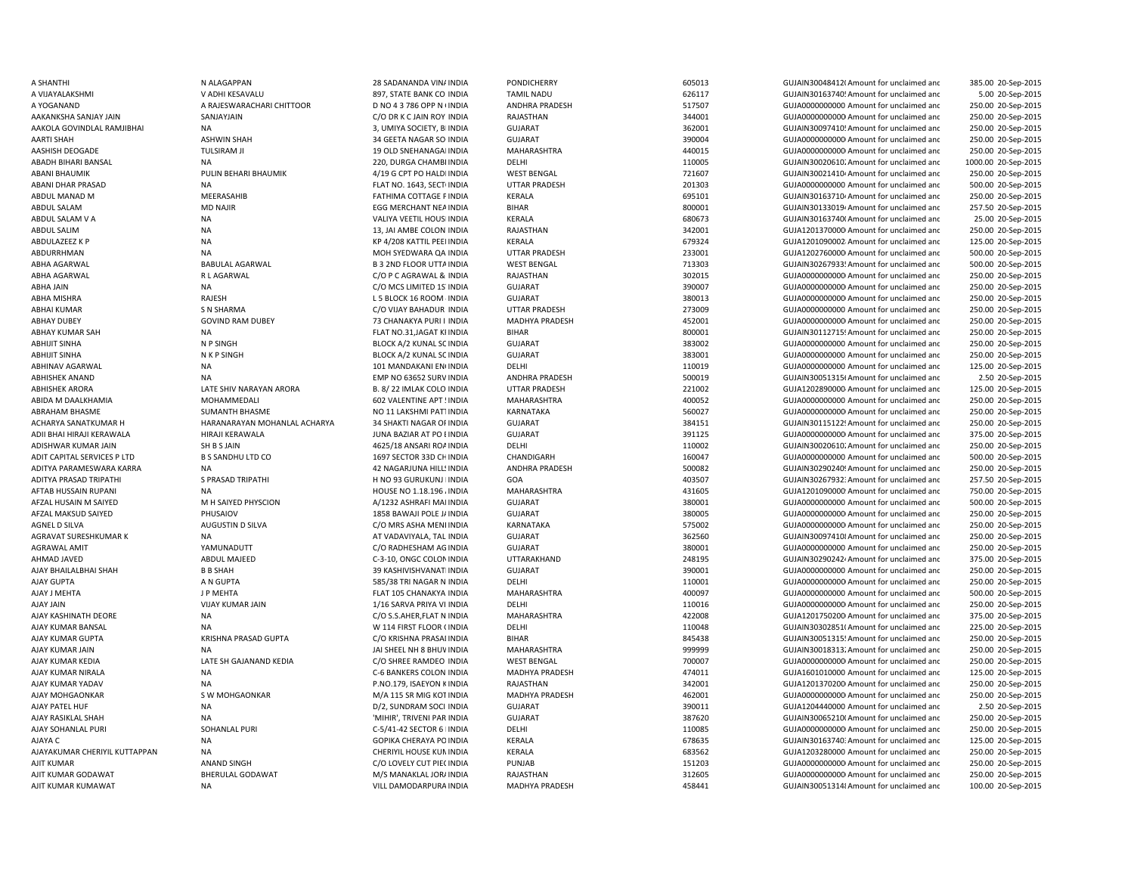ABHISHEK ANAND NA NA EMP NO 63652 SURV INDIA AJIT KUMAR KUMAWAT NA NA VILL DAMODARPURA INDIA

A SHANTHI NALAGAPPAN NALAGAPPAN 28 SADANANDA VINAINDIA PONDICHERRY GUJAIN GOSOTA GUJAIN300484120Amount for unclaimed and 385.00 20-Sep-2015 A VIJAYALAKSHMI VADHI KESAVALU 897, STATE BANK COLINDIA TAMIL NADU 626117 626117 GUJAIN30163740! Amount for unclaimed and 5.00 20-Sep-2015 A YOGANAND A RAJESWARACHARI CHITTOOR D NO 43 786 OPP N (INDIA ANDHRA PRADESH 517507 GUJA000000000000000000000000000000 Amount for unclaimed and 250.00 20-Sep-2015 AAKANKSHA SANJAY JAIN SANJAYJAIN C/O DR K C JAIN ROY INDIA RAJASTHAN 344001 GUJA00000000000Amount for unclaimed and 250.00 20-Sep-2015 AAKOLA GOVINDLAL RAMJIBHAI NA NA 250.00 20-Sep-2015 3, UMIYA SOCIETY, BI INDIA GUJARAT 362001 362001 GUJAIN30097410! Amount for unclaimed and 250.00 20-Sep-2015 AARTI SHAH ASHWIN SHAH 34 GEETA NAGAR SOCINDIA GUJARAT 390004 GUJA00000000000Amount for unclaimed and 250.00 20-Sep-2015 AASHISH DEOGADE TULSIRAM JI 19 OLD SNEHANAGARINDIA MAHARASHTRA 440015 GUJA00000000000Amount for unclaimed and 250.00 20-Sep-2015 ABADH BIHARI BANSAL NA 200.00 20-Sep-2015 220, DURGA CHAMBI INDIA DELHI DELHI 110005 GUJAIN30020610;Amount for unclaimed and 1000.00 20-Sep-2015 ABANI BHAUMIK PULIN BEHARI BHAUMIK 4/19 G CPT PO HALDIINDIA WEST BENGAL 721607 GUJAIN300214104Amount for unclaimed and 250.00 20-Sep-2015 ABANI DHAR PRASAD NA NA RANG NA FLAT NO. 1643, SECTUNDIA UTTAR PRADESH 201303 GUJA0000000000 Amount for unclaimed and 500.00 20-Sep-2015 ABDUL MANAD M MEERASAHIB MANAD M MEERASAHIB FATHIMA COTTAGE PINDIA KERALA 695101 695101 GUJAIN30163710<sup>,</sup> Amount for unclaimed and 250.00 20-Sep-2015 ABDUL SALAM **MD NAJIR MERCHANT NEAINDIA** EGG MERCHANT NEAINDIA BIHAR BIHAR 800001 6UJAIN30133019<sup>2</sup>Amount for unclaimed and 257.50 20-Sep-2015 ABDUL SALAM V A NA NA NA VALIYA VEETIL HOUSI INDIA KERALA 680673 630673 GUJAIN301637400Amount for unclaimed and 25.00 20-Sep-2015 ABDUL SALIM 13, JAI AMBE COLON INDIA RAJASTHAN 342001 GUJA1201370000 Amount for unclaimed and 250.00 20-Sep-2015 ABDULAZEEZ K P NA NA KPA/208 KATTIL PEEI INDIA KERALA 679324 GUJA1201090002:Amount for unclaimed and 125.00 20-Sep-2015 ABDURRHMAN NA MOH SYEDWARA QA INDIA UTTAR PRADESH 233001 GUJA1202760000 Amount for unclaimed and 500.00 20-Sep-2015 ABHA AGARWAL BABULAL AGARWAL B3 2ND FLOOR UTTAINDIA WEST BENGAL 713303 GUJAIN30267933: Amount for unclaimed and 500.00 20-Sep-2015 ABHA AGARWAL R L AGARWAL C/O P C AGRAWAL & INDIA RAJASTHAN 302015 GUJA00000000000Amount for unclaimed and 250.00 20-Sep-2015 ABHA JAIN NA C/O MCS LIMITED 1STINDIA GUJARAT 390007 GUJA00000000000Amount for unclaimed and 250.00 20-Sep-2015 ABHA MISHRA RAJESH L 5 BLOCK 16 ROOM 4INDIA GUJARAT 380013 GUJA00000000000Amount for unclaimed and 250.00 20-Sep-2015 ABHAI KUMAR SIN SARMA SARAMA CO VIJAY BAHADUR INDIA UTTAR PRADESH 273009 GUJA0000000000 Amount for unclaimed and 250.00 20-Sep-2015 ABHAY DUBEY GOVIND RAM DUBEY 73 CHANAKYA PURI I INDIA MADHYA PRADESH 452001 GUJA00000000000000000000 Amount for unclaimed and 250.00 20-Sep-2015 ABHAY KUMAR SAH NA NA RA FLAT NO.31,JAGAT KI INDIA BIHAR BIHAR 800001 SUJAIN30112715! Amount for unclaimed and 250.00 20-Sep-2015 ABHIJIT SINHA N P SINGH BLOCK A/2 KUNAL SOINDIA GUJARAT 383002 GUJA0000000000 Amount for unclaimed and 250.00 20-Sep-2015 ABHIJIT SINHA N K P SINGH BLOCK A/2 KUNAL SOINDIA GUJARAT 383001 GUJA0000000000 Amount for unclaimed and 250.00 20-Sep-2015 ABHINAV AGARWAL NA 101 MA 101 MANDAKANI ENINDIA DELHI DELHI 110019 110019 GUJA000000000000000000000 Amount for unclaimed and 125.00 20-Sep-2015 INDIA ANDHRA PRADESH 500019 GUJAIN300513156Amount for unclaimed and 2.50 20-Sep-2015 ABHISHEK ARORA LATE SHIV NARAYAN ARORA B. 8/ 22 IMLAK COLO INDIA UTTAR PRADESH 221002 GUJA1202890000 Amount for unclaimed and 125.00 20-Sep-2015 ABIDA M DAALKHAMIA MOHAMMEDALI 1992 VALENTINE APT!INDIA MAHARASHTRA 400052 400052 GUJA0000000000 Amount for unclaimed and 250.00 20-Sep-2015 ABRAHAM BHASME SUMANTH BHASME SUMANTH BHASME NO 11 LAKSHMI PATTINDIA KARNATAKA SARATAKA 560027 GUJA00000000000Amount for unclaimed and 250.00 20-Sep-2015 ACHARYA SANATKUMAR H HARANARAYAN MOHANLAL ACHARYA 34 SHAKTI NAGAR OFINDIA GUJARAT 384151 384151 GUJAIN301151224 Amount for unclaimed and 250.00 20-Sep-2015 ADII BHAI HIRAJI KERAWALA HIRAJI KERAWALA JUNA BAZIAR AT PO EINDIA GUJARAT GUJARAT 391125 GUJA000000000Amount for unclaimed and 375.00 20-Sep-2015 ADISHWAR KUMAR JAIN SH B SANDHULTD CO AND AGES AND AND AGES AND AGUSTAN DELHI DELHI SH B SANDHULTD CO AND AGES AND AGES AND AGES AND A CHANDIGARH CHANDIGARH AND A CHANDIGARH AND AGES AND A CHANDIGARH AND A CHANDIGARH AND A ADIT CAPITAL SERVICES P LTD B S SANDHU LTD CO 1697 SECTOR 33D CHINDIA CHANDIGARH 160047 GUJA0000000000 Amount for unclaimed and 500.00 20-Sep-2015 ADITYA PARAMESWARA KARRA NA 42 NA 42 NAGARJUNA HILLSINDIA ANDHRA PRADESH 500082 500082 GUJAIN302902409 Amount for unclaimed and 250.00 20-Sep-2015 ADITYA PRASAD TRIPATHI S PRASAD TRIPATHI H NO 93 GURUKUNJ IINDIA GOA 403507 403507 GUJAIN302679323Amount for unclaimed and 257.50 20-Sep-2015 AFTAB HUSSAIN RUPANI NA NA HOUSE NO 1.18.196 AINDIA MAHARASHTRA 431605 GUJA1201090000 Amount for unclaimed and 750.00 20-Sep-2015 AFZAL HUSAIN M SAIYED M H SAIYED PHYSCION A/1232 ASHRAFI MANINDIA GUJARAT 380001 GUJA0000000000 Amount for unclaimed and 500.00 20-Sep-2015 AFZAL MAKSUD SAIYED PHUSAIOV 1858 BAWAJI POLE JAINDIA GUJARAT 380005 GUJA00000000000Amount for unclaimed and 250.00 20-Sep-2015 AGNEL D SILVA AUGUSTIN D SILVA COMES ASHA MENI INDIA KARNATAKA 575002 SUJA0000000000Amount for unclaimed and 250.00 20-Sep-2015 AGRAVAT SURFSHKUMAR K NA NA AT VADAVIYALA, TAL INDIA GUJARAT SULARAT 362560 GUJAIN300974108Amount for unclaimed and 250.00 20-Sep-2015 AGRAWAL AMIT CONNONADUTT CONFESHAM AGINDIA GUJARAT 380001 GUJA0000000000 Amount for unclaimed and 250.00 20-Sep-2015 AHMAD JAVED ABDUL MAJEED C-3-10, ONGC COLON INDIA UTTARAKHAND 248195 GUJAIN302902424 Amount for unclaimed and 375.00 20-Sep-2015 AJAY BHAILALBHAI SHAH B B SHAH 39 KASHIVISHVANATHINDIA GUJARAT 390001 GUJA0000000000 Amount for unclaimed and 250.00 20-Sep-2015 AJAY GUPTA A N GUPTA A NGUPTA SESAR TRI NAGAR NINDIA DELHI DELHI 110001 CUJA0000000000Amount for unclaimed and 250.00 20-Sep-2015 AJAY J MEHTA J P MEHTA FLAT 105 CHANAKYA INDIA MAHARASHTRA 400097 GUJA0000000000 Amount for unclaimed and 500.00 20-Sep-2015 AJAY JAIN VIJAY KUMAR JAIN 1/16 SARVA PRIYA VI INDIA DELHI DELHI 110016 110016 GUJA000000000Amount for unclaimed and 250.00 20-Sep-2015 AJAY KASHINATH DEORE NA NA CHO S.S.AHER,FLAT N INDIA MAHARASHTRA 422008 GUJA12017502001Amount for unclaimed and 375.00 20-Sep-2015 AJAY KUMAR BANSAL NA NA WELLI NA WELLI NA WALLI HAST FLOOR (INDIA DELHI 110048 GUJAIN303028511Amount for unclaimed and 225.00 20-Sep-2015 AJAY KUMAR GUPTA KRISHNA PRASAD GUPTA C/O KRISHNA PRASADINDIA BIHAR 845438 GUJAIN300513155Amount for unclaimed and 250.00 20-Sep-2015 AJAY KUMAR JAIN NA JAI SHEEL NH 8 BHUWINDIA MAHARASHTRA 999999 GUJAIN300183132Amount for unclaimed and 250.00 20-Sep-2015 AJAY KUMAR KEDIA LATE SH GAJANAND KEDIA C/O SHREE RAMDEO INDIA WEST BENGAL 700007 GUJA00000000000Amount for unclaimed and 250.00 20-Sep-2015 AJAY KUMAR NIRALA NA NA NA C-6 BANKERS COLON INDIA MADHYA PRADESH 474011 GUJA1601010000 Amount for unclaimed and 125.00 20-Sep-2015 AJAY KUMAR YADAV NA P.NO.179, ISAEYON KINDIA RAJASTHAN 342001 GUJA12013702000Amount for unclaimed and 250.00 20-Sep-2015 AJAY MOHGAONKAR SW MOHGAONKAR M/A 115 SR MIG KOTINDIA MADHYA PRADESH 462001 GUJA000000000Amount for unclaimed and 250.00 20-Sep-2015 AJAY PATEL HUF **NA DIALAGE ADIT ACCESS AND A DIARAM SOCI INDIA** GUJARAT 390011 390011 GUJA1204440000 Amount for unclaimed and 2.50 20-Sep-2015 AJAY RASIKLAL SHAH NA NA NA SEPERDIA NA 'MIHIR', TRIVENI PAR INDIA GUJARAT SALAH SALAH SALAH SALAH SALAH SALAH SALAH SALAH SALAH SALAH SALAH SALAH SALAH SALAH SALAH SALAH SALAH SALAH SALAH SALAH SALAH SALAH SALAH SALAH SAL AJAY SOHANLAL PURI SOHANLAL PURI C-5/41-42 SECTOR 6 IINDIA DELHI DELHI 110085 GUJA000000000Amount for unclaimed and 250.00 20-Sep-2015 AJAYA C CORIKA CHERAYA POINDIA KERALA 678635 GUJIAIN301637403-2011 ANA GUJAIN301637403-2011 ANA GUJAIN GUJAIN GUJAIN GUJAIN GUJAIN GUJAIN GUJAIN GUJAIN GUJAIN GUJAIN GUJAIN GUJAIN GUJAIN GUJAIN GUJAIN GUJAIN GUJAIN GUJAIN 125.00 20-Sep-2015 AJAYAKUMAR CHERIYIL KUTTAPPAN NA CHERIYIL HOUSE KUMINDIA KERALA KERALA 683562 GUJA1203280000 Amount for unclaimed and 250.00 20-Sep-2015 AJIT KUMAR COLOVELY CUT PIECINDIA PUNJAB PUNJAB 151203 GUJA0000000000Amount for unclaimed and 250.00 20-Sep-2015 AJIT KUMAR GODAWAT BHERULAL GODAWAT M/S MANAKLAL JORAINDIA RAJASTHAN 312605 GUJA000000000Amount for unclaimed and 250.00 20-Sep-2015 MADHYA PRADESH 458441 458441 458441 GUJAIN300513148Amount for unclaimed and 100.00 20-Sep-2015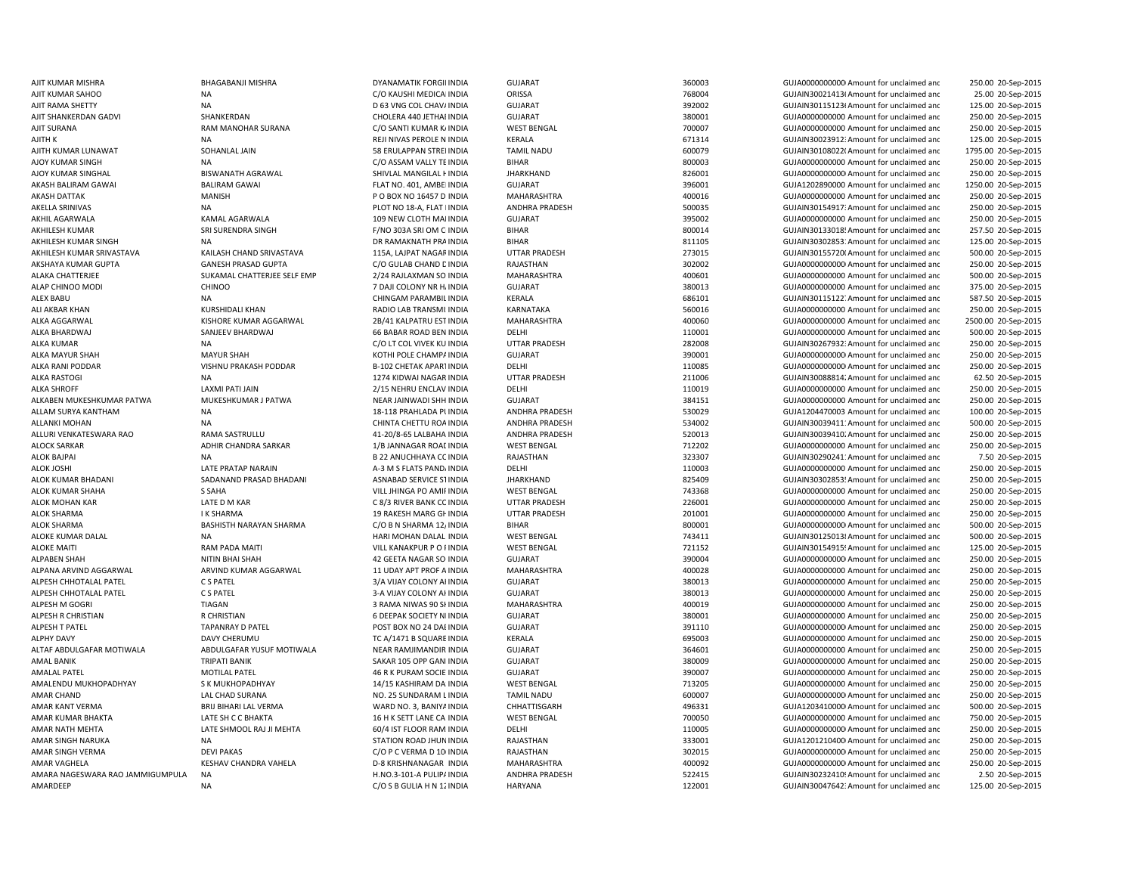ALEX BABU NA NA NA CHINGAM PARAMBIL INDIA ALKA RASTOGI NA 1274 KIDWAI NAGAR INDIA NA 1274 KIDWAI NAGAR INDIA ALPANA ARVIND AGGARWAL ARVIND KUMAR AGGARWAL 11 UDAY APT PROF A INDIA AMAR CHAND LAL CHAD SURANA NO. 25 SUNDARAM LINDIA

AJIT KUMAR MISHRA BHAGABANJI MISHRA DYANAMATIK FORGILINDIA GUJARAT 360003 360003 GUJA000000000000000000AMount for unclaimed and 250.00 20-Sep-2015 AJIT KUMAR SAHOO NA C/O KAUSHI MEDICALINDIA ORISSA 768004 GUJAIN300214136Amount for unclaimed and 25.00 20-Sep-2015 AJIT RAMA SHETTY NA D 63 VNG COL CHAVAINDIA GUJARAT 392002 GUJAIN301151236Amount for unclaimed and 125.00 20-Sep-2015 AJIT SHANKERDAN SHANKERDAN SHANKERDAN CHOLERA 440 JETHAI INDIA GUJARAT SHANKERDAN 380001 GUJA00000000000000000000000000000000000 Amount for unclaimed and 250.00 20-Sep-2015 AJIT SURANA RAM MANOHAR SURANA C/O SANTI KUMAR K/INDIA WEST BENGAL 700007 6UJA000000000 Amount for unclaimed and 250.00 20-Sep-2015 AJITH K NA REJI NIVAS PEROLE N INDIA KERALA 671314 671314 GUJAIN300239123: Amount for unclaimed and 125.00 20-Sep-2015 AJITH KUMAR LUNAWAT SOHANLAL JAIN 58 ERULAPPAN STREILINDIA TAMIL NADU 600079 600079 GUJAIN30108022(Amount for unclaimed and 1795.00 20-Sep-2015 AJOY KUMAR SINGH NA NA CHO ASSAM VALLY TEINDIA BIHAR BIHAR 800003 GUJA0000000000 Amount for unclaimed and 250.00 20-Sep-2015 AJOY KUMAR SINGHAL BISWANATH AGRAWAL SHIVLAL MANGILAL HINDIA JHARKHAND 826001 GUJA00000000000Amount for unclaimed and 250.00 20-Sep-2015 AKASH BALIRAM GAWAI BALIRAM GAWAI FLAT NO. 401. AMBEI INDIA GUJARAT SALIRAM SHOOL 396001 GUJA1202890000 Amount for unclaimed and 1250.00 20-Sep-2015 AKASH DATTAK **AKASH DATTAK MANISH MANISH P O BOX NO 16457 D INDIA** MAHARASHTRA 400016 400016 GUJA00000000000000000000000000000 Amount for unclaimed and 250.00 20-Sep-2015 AKELLA SRINIVAS NA NA PLOT NO 18-A, FLAT IINDIA ANDHRA PRADESH 500035 GUJAIN30154917: Amount for unclaimed anc 250.00 20-Sep-2015 AKHIL AGARWALA KAMAL AGARWALA 109 NEW CLOTH MAI INDIA GUJARAT 395002 GUJA0000000000 Amount for unclaimed and 250.00 20-Sep-2015 AKHILESH KUMAR SRI SURENDRA SINGH FAND SANGH FRO 303A SRI OM CINDIA BIHAR BIHAR 800014 800014 GUJAIN30133018! Amount for unclaimed and 257.50 20-Sep-2015 AKHILESH KUMAR SINGH NA NA NA DR RAMAKNATH PRAINDIA BIHAR BIHAR 811105 811105 GUJAIN30302853:Amount for unclaimed and 125.00 20-Sep-2015 AKHILESH KUMAR SRIVASTAVA KAILASH CHAND SRIVASTAVA 115A, LAJPAT NAGARINDIA UTTAR PRADESH 273015 GUJAIN301557200Amount for unclaimed and 500.00 20-Sep-2015 AKSHAYA KUMAR GUPTA GANESH PRASAD GUPTA C/O GULAB CHAND DINDIA RAJASTHAN 302002 GUJA00000000000Amount for unclaimed and 250.00 20-Sep-2015 ALAKA CHATTERJEE SALF SUKAMAL CHATTERJEE SELF EMP 2/24 RAJLAXMAN SO INDIA MAHARASHTRA 400601 400601 GUJA0000000000 Amount for unclaimed and 500.00 20-Sep-2015 ALAP CHINOO MODI CHINOO 7 DAJI COLONY NR HAINDIA GUJARAT 380013 GUJA0000000000 Amount for unclaimed and 375.00 20-Sep-2015 INDIA KERALA **INDIA KERALA** 686101 686101 GUJAIN301151227Amount for unclaimed and 587.50 20-Sep-2015 ALI AKBAR KHAN KURSHIDALI KHAN RADIO LAB TRANSMI: INDIA KARNATAKA SARATAKA 560016 GUJA0000000000 Amount for unclaimed and 250.00 20-Sep-2015 ALKA AGGARWAL KISHORE KUMAR AGGARWAL 2B/41 KALPATRU EST INDIA MAHARASHTRA 400060 GUJA0000000000 Amount for unclaimed and 2500.00 20-Sep-2015 ALKA BHARDWAJ SANJEEV BHARDWAJ 66 BABAR ROAD BEN INDIA DELHI 210001 110001 GUJA000000000000000 Amount for unclaimed and 500.00 20-Sep-2015 ALKA KUMAR NA NA NA COLO LT COL VIVEK KU INDIA UTTAR PRADESH 282008 GUJAIN30267932:Amount for unclaimed and 250.00 20-Sep-2015 ALKA MAYUR SHAH MAYUR SHAH KOTHI POLE CHAMPAINDIA GUJARAT 390001 GUJA00000000000Amount for unclaimed and 250.00 20-Sep-2015 ALKA RANI PODDAR VISHNU PRAKASH PODDAR B-102 CHETAK APARTINDIA DELHI 110085 GUJA00000000000Amount for unclaimed and 250.00 20-Sep-2015 INDIA UTTAR PRADESH 211006 GUJAIN300888142Amount for unclaimed and 62.50 20-Sep-2015 ALKA SHROFF LAXMI PATI JAIN 2/15 NEHRU ENCLAV INDIA DELHI 110019 GUJA0000000000 Amount for unclaimed and 250.00 20-Sep-2015 ALKABEN MUKESHKUMAR PATWA MUKESHKUMAR J PATWA NEAR JAINWADI SHH INDIA GUJARAT GUARAT 384151 GUJA0000000000000000000000000000000 Amount for unclaimed and 250.00 20-Sep-2015 ALLAM SURYA KANTHAM NA 18-118 PRAHLADA PUNDIA ANDHRA PRADESH 530029 GUJA1204470003 Amount for unclaimed and 100.00 20-Sep-2015 ALLANKI MOHAN NA NA CHINTA CHETTU ROAINDIA ANDHRA PRADESH 534002 GUJAIN300394111Amount for unclaimed and 500.00 20-Sep-2015 ALLURI VENKATESWARA RAO RAMA SASTRULLU 41-20/8-65 LALBAHA INDIA ANDHRA PRADESH 520013 GUJAIN300394102Amount for unclaimed and 250.00 20-Sep-2015 ALOCK SARKAR ADHIR CHANDRA SARKAR 1997 1/B JANNAGAR ROAL INDIA WEST BENGAL 712202 6UJA0000000000 Amount for unclaimed and 250.00 20-Sep-2015 ALOK BAJPAI NA NA REPORT OF A BAJANJI DAN BAJASTHAN RAJASTHAN SA SANAFINA SA SANAFINA SA SANAFINA SA SANAFINA DA SANAFINA SA SANAFINA SA SANAFINA SA SANAFINA SA SANAFINA SA SANAFINA SA SANAFINA SA SANAFINA SA SANAFINA SA S 7.50 20-Sep-2015 ALOK JOSHI NARAIN LATE PRATAP NARAIN A-3 M S FLATS PANDAINDIA DELHI DELHI 110003 110003 GUJA000000000000000000000 Amount for unclaimed and 250.00 20-Sep-2015 ALOK KUMAR BHADANI SADANAND PRASAD BHADANI ASNABAD SERVICE STINDIA JHARKHAND SERVICE STINDIA SADANIN SADANIN SOMAT GUJAIN30302853! Amount for unclaimed and 250.00 20-Sep-2015 ALOK KUMAR SHAHA S SAHA VILL JHINGA PO AMIRINDIA WEST BENGAL 743368 GUJA0000000000 Amount for unclaimed and 250.00 20-Sep-2015 ALOK MOHAN KAR LATE D M KAR CRESPAN COINDIA UTTAR PRADESH 226001 GUJA0000000000 Amount for unclaimed and 250.00 20-Sep-2015 ALOK SHARMA 19 RAKESH MARG GHINDIA 19 RAKESH MARG GHINDIA UTTAR PRADESH 201001 GUJA000000000000000000000000000000 Amount for unclaimed and 250.00 20-Sep-2015 ALOK SHARMA **BASHISTH NARAYAN SHARMA** C/O B N SHARMA 12<sub>/</sub> INDIA BIHAR 800001 800001 GUJA000000000Amount for unclaimed and 500.00 20-Sep-2015 ALOKE KUMAR DALAL NA HARI NOHAN DALAL INDIA WEST BENGAL THE TRENGAL 743411 GUJAIN301250138Amount for unclaimed and 500.00 20-Sep-2015 ALOKE MAITI RAM PADA MAITI SAM PADA MAITI VILL KANAKPUR PO FINDIA WEST BENGAL THE SAME TRADES ON THE SAME ON THE SAME OF UNCLAIMED AND SAME OF UNCLAIMED AND SAME OF UNCLAIMED AND SAME OF UNCLAIMED AND SAME OF UNCLAIMED AND 125.00 20-Sep-2015 ALPABEN SHAH NITIN BHAI SHAH 1999 ALPABEN SOCINDIA GUJARAT SHAH 390004 390004 GUJA000000000000000Amount for unclaimed and 250.00 20-Sep-2015 INDIA MAHARASHTRA 400028 GUJA0000000000 Amount for unclaimed and 250.00 20-Sep-2015 ALPESH CHHOTALAL PATEL C S PATEL 3/A VIJAY COLONY AHINDIA GUJARAT 380013 GUJA0000000000 Amount for unclaimed and 250.00 20-Sep-2015 ALPESH CHHOTALAL PATEL C S PATEL 3-A VIJAY COLONY AHINDIA GUJARAT 380013 GUJA0000000000 Amount for unclaimed and 250.00 20-Sep-2015 ALPESH M GOGRI **ALPESH M GOGRI** 3 RAMA NIWAS 90 SHINDIA MAHARASHTRA 400019 400019 GUJA00000000000 Amount for unclaimed and 250.00 20-Sep-2015 ALPESH R CHRISTIAN R CHRISTIAN 6 DEEPAK SOCIETY NEINDIA GUJARAT 380001 GUJA0000000000 Amount for unclaimed and 250.00 20-Sep-2015 ALPESH T PATEL TAPANRAY D PATEL TAPANRAY DIRECT CONNOCTED AND A POST BOX NO 24 DAEINDIA GUJARAT CHANG AND SULAND SULAND SULANDO AMOUNT OF unclaimed and 250.00 20-Sep-2015 ALPHY DAVY **EXALCU CHERUMU CHERUMU TC A/1471 B SQUARE INDIA** KERALA 695003 695003 GUJA0000000000 Amount for unclaimed and 250.00 20-Sep-2015 ALTAF ABDULGAFAR WOTIWALA ABDULGAFAR YUSUF MOTIWALA NEAR RAMJIMANDIR INDIA GUJARAT SUMARAT SAGGO1 SAGGO1 GUJA000000000000000000 Amount for unclaimed and 250.00 20-Sep-2015 AMAL BANIK TRIPATI BANIK SAKAR 105 OPP GANI INDIA GUJARAT 380009 380009 GUJA000000000 Amount for unclaimed and 250.00 20-Sep-2015 AMALAL PATEL **ATTEL MOTILAL PATEL 46 R K PURAM SOCIETINDIA** GUJARAT GUARAT 390007 GUJA0000000000 Amount for unclaimed and 250.00 20-Sep-2015 AMALENDU MUKHOPADHYAY S K MUKHOPADHYAY 14/15 KASHIRAM DASINDIA WEST BENGAL 713205 GUJA0000000000 Amount for unclaimed and 250.00 20-Sep-2015 TAMIL NADU **EXAMIL NADU** 600007 600007 GUJA00000000000000Amount for unclaimed and 250.00 20-Sep-2015 AMAR KANT VERMA BRIJ BIHARI LAL VERMA WARD NO. 3, BANIYA INDIA CHHATTISGARH 496331 GUJA1203410000 Amount for unclaimed and 500.00 20-Sep-2015 AMAR KUMAR BHAKTA LATE SH C C BHAKTA 16 H K SETT LANE CA INDIA WEST BENGAL 700050 700050 GUJA00000000000 Amount for unclaimed and 750.00 20-Sep-2015 AMAR NATH MEHTA LATE SHMOOL RAJ JI MEHTA 60/4 IST FLOOR RAM INDIA DELHI DELHI 110005 GUJA0000000000Amount for unclaimed and 250.00 20-Sep-2015 AMAR SINGH NARUKA NA STATION ROAD JHUNINDIA RAJASTHAN 233001 GUJA12012104000Amount for unclaimed and 250.00 20-Sep-2015 AMAR SINGH VERMA DEVI PAKAS C/O P C VERMA D 106INDIA RAJASTHAN 302015 GUJA00000000000Amount for unclaimed and 250.00 20-Sep-2015 AMAR VAGHELA KESHAV CHANDRA VAHELA D-8 KRISHNANAGAR INDIA MAHARASHTRA 400092 GUJA0000000000000000 Amount for unclaimed and 250.00 20-Sep-2015 AMARA NAGESWARA RAO JAMMIGUMPULA NA h.D.3 https://www.marchived.com/india/marchived/and/india/marchived/and/india/marchived/and/india/marchived/and/india/marchived/and/india/marchived/and/india/marchived/and/india/marchive 2.50 20-Sep-2015 AMARDEEP NA NA C/O S B GULIA H N 12INDIA HARYANA 122001 122001 GUJAIN30047642: Amount for unclaimed and 125.00 20-Sep-2015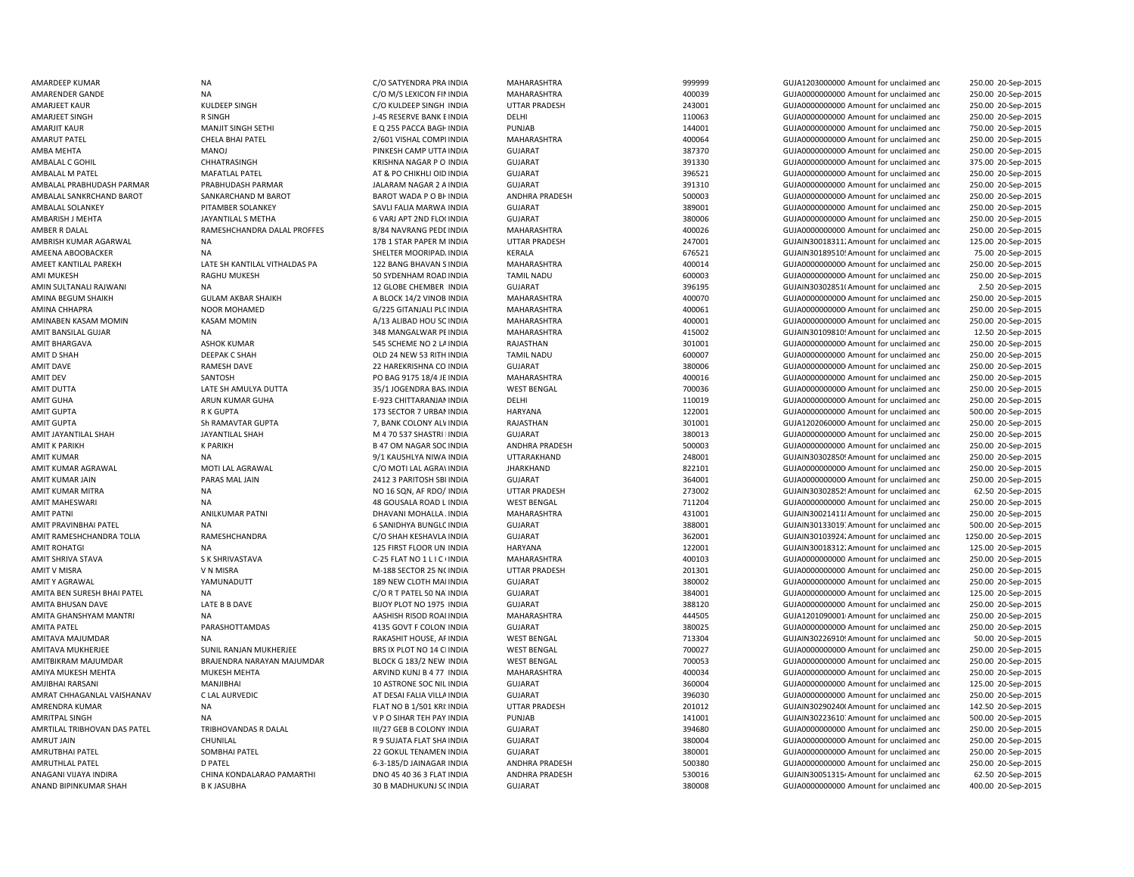AMBALAL M PATEL AT THE MAFATLAL PATEL AT A GOOD OF THE MATALOID IN THE MATHEMATIC OID IN THE MATEL AMBALAL PRABHUDASH PARMAR PRABHUDASH PARMAR PARMAR JALARAM NAGAR 2 A INDIA AMEET KANTILAL PAREKH LATE SH KANTILAL VITHALDAS PA 122 BANG BHAVAN SINDIA AMIT K PARIKH K PARIKH K PARIKH B 47 OM NAGAR SOC INDIA AMJIBHAI RARSANI MANJIBHAI 10 ASTRONE SOC NILANAGANI VIJAYA INDIRA CHINA KONDALARAO PAMARTHI DNO 45 40 36 3 FLAT

AMARDEEP KUMAR NA NA CHO SATYENDRA PRA INDIA MAHARASHTRA 999999 GUJA1203000000 Amount for unclaimed and 250.00 20-Sep-2015 AMARENDER GANDE NA NA NA SENICON FININDIA MAHARASHTRA 400039 GUJA00000000 Amount for unclaimed and 250.00 20-Sep-2015 AMARJEET KAUR CHAUR KULDEEP SINGH CONCLIDEEP SINGH CONCLIDEEP SINGH INDIA UTTAR PRADESH 243001 GUJA0000000000 Amount for unclaimed and 250.00 20-Sep-2015 AMARJEET SINGH R SINGH J-45 RESERVE BANK EINDIA DELHI 110063 GUJA0000000000 Amount for unclaimed and 250.00 20-Sep-2015 AMARJIT KAUR MANJIT SINGH SETHI SALAH SE Q 255 PACCA BAGHINDIA PUNJAB 144001 144001 GUJA000000000 Amount for unclaimed and 750.00 20-Sep-2015 AMARUT PATEL CHELA BHAI PATEL 2/601 VISHAL COMPLINDIA MAHARASHTRA 400064 GUJA00000000000Amount for unclaimed and 250.00 20-Sep-2015 AMBA MEHTA MANOJ MANOJ PINKESH CAMP UTTAINDIA GUJARAT SULARAT 387370 GUJA00000000Amount for unclaimed and 250.00 20-Sep-2015 AMBALAL C GOHIL CHHATRASINGH CHHATRASINGH KRISHNA NAGAR P O INDIA GUJARAT SHARAT 391330 GUJA00000000Amount for unclaimed and 375.00 20-Sep-2015 INDIA GUJARAT 396521 GUJA00000000000Amount for unclaimed and 250.00 20-Sep-2015 INDIA GUJARAT 391310 GUJA0000000000 Amount for unclaimed and 250.00 20-Sep-2015 AMBALAL SANKRCHAND BAROT SANKARCHAND M BAROT SANKARCHAND M BAROT WADA P O BHINDIA ANDHRA PRADESH SOO003 500003 GUJA0000000000000000000000000 Amount for unclaimed and 250.00 20-Sep-2015 AMBALAL SOLANKEY PITAMBER SOLANKEY SAVLI FALIA MARWA INDIA GUJARAT SAVLI FALIA MARWA INDIA SAVLI FALIA MARWA INDIA GUJARAT SAVLI FALIA MARWA INDIA SAVLI FALIA MARWA INDIA GUJANAT SAVLI FALIA MARWA INDIA SAVLI FALIA MARWA I 250.00 20-Sep-2015 AMBARISH J MEHTA JAYANTILAL S METHA 6 VARJ APT 2ND FLO(INDIA GUJARAT SUARAT 380006 GUJA0000000000000000000000 Amount for unclaimed and 250.00 20-Sep-2015 AMBER R DALAL CHANDRA DALAL PROFFES 8/84 NAVRANG PEDLINDIA MAHARASHTRA 400026 400026 GUJA0000000000 Amount for unclaimed and 250.00 20-Sep-2015 AMBRISH KUMAR AGARWAL NA 17B 1 STAR PAPER M INDIA UTTAR PRADESH 247001 GUJAIN300183112Amount for unclaimed and 125.00 20-Sep-2015 AMEENA ABOOBACKER NA NA SHELTER MOORIPAD, INDIA KERALA KERALA 676521 GUJAIN30189510'Amount for unclaimed and 75.00 20-Sep-2015 MAHARASHTRA 100014 400014 GUJA00000000000Amount for unclaimed and 250.00 20-Sep-2015 AMI MUKESH RAGHU MUKESH 50 SYDENHAM ROADINDIA TAMIL NADU 600003 GUJA00000000000Amount for unclaimed and 250.00 20-Sep-2015 AMIN SULTANALI RAJWANI NA 12 GLOBE CHEMBER INDIA GUJARAT GUJARAT 396195 GUJAIN303028511Amount for unclaimed and 2.50 20-Sep-2015 AMINA BEGUM SHAIKH GULAM AKBAR SHAIKH A BLOCK 14/2 VINOB INDIA MAHARASHTRA 400070 400070 GUJA000000000Amount for unclaimed and 250.00 20-Sep-2015 AMINA CHHAPRA CHAPRA NOOR MOHAMED G/225 GITANJALI PLC INDIA MAHARASHTRA 400061 400061 GUJA0000000000Amount for unclaimed and 250.00 20-Sep-2015 AMINABEN KASAM MOMIN KASAM MOMIN A/13 ALIBAD HOU SOINDIA MAHARASHTRA 400001 GUJA00000000000Amount for unclaimed and 250.00 20-Sep-2015 AMIT BANSILAL GUJAIN30109810! Amount for unclaimed and and the state of the state of the state of the state of the state of the state of the state of the state of the state of the state of the state of the state of the sta 12.50 20-Sep-2015 AMIT BHARGAVA **ASHOK KUMAR SALA SA ASHOK KUMAR** 545 SCHEME NO 2 LAINDIA RAJASTHAN 301001 301001 GUJA0000000000000000000000000 Amount for unclaimed and 250.00 20-Sep-2015 AMIT D SHAH DEEPAK C SHAH OLD 24 NEW 53 RITH INDIA TAMIL NADU SANG DANG GOOD GUJAOOOOOOOO Amount for unclaimed and 250.00 20-Sep-2015 AMIT DAVE RAMESH DAVE RAMESH DAVE 22 HAREKRISHNA CO INDIA GUJARAT SANG 380006 SANG GUJA00000000Amount for unclaimed and 250.00 20-Sep-2015 AMIT DFV SANTOSH SANTOSH PO BAG 9175 18/4 JF INDIA MAHARASHTRA 400016 400016 GUJA000000000 Amount for unclaimed and 250.00 20-Sep-2015 AMIT DUTTA LATE SH AMULYA DUTTA 35/1 JOGENDRA BASAINDIA WEST BENGAL 700036 GUJA00000000000Amount for unclaimed and 250.00 20-Sep-2015 AMIT GUHA ARUN KUMAR GUHA CHEAN E-923 CHITTARANJAN INDIA DELHI DELHI 110019 GUJA000000000000000000000000000000 AMOUNT Grunclaimed and 250.00 20-Sep-2015 AMIT GUPTA 173 SECTOR 7 URBANINDIA HARYANA 122001 122001 GUJA0000000000000000000000000000 Amount for unclaimed and 500.00 20-Sep-2015 AMIT GUPTA Sh RAMAVTAR GUPTA 7, BANK COLONY ALWINDIA RAJASTHAN 301001 GUJA12020600000Amount for unclaimed and 250.00 20-Sep-2015 AMIT JAYANTILAL SHAH JAYANTILAL SHAH M 4 70 537 SHASTRI NINDIA GUJARAT 380013 GUJA00000000000Amount for unclaimed and 250.00 20-Sep-2015 INDIA ANDHRA PRADESH 500003 GUJA0000000000 Amount for unclaimed and 250.00 20-Sep-2015 AMIT KUMAR NA 9/1 KAUSHLYA NIWA INDIA UTTARAKHAND 248001 GUJAIN30302850! Amount for unclaimed and 250.00 20-Sep-2015 AMIT KUMAR AGRAWAL MOTI LAL AGRAWAL C/O MOTI LAL AGRAWINDIA JHARKHAND 822101 GUJA00000000000Amount for unclaimed and 250.00 20-Sep-2015 AMIT KUMAR JAIN PARAS MAL JAIN 2412 3 PARITOSH SBI INDIA GUJARAT 364001 364001 GUJA00000000Amount for unclaimed and 250.00 20-Sep-2015 AMIT KUMAR MITRA NA NA NA NA NO 16 SQN, AF RDO/ INDIA UTTAR PRADESH 273002 CUJAIN30302852! Amount for unclaimed and 62.50 20-Sep-2015 AMIT MAHESWARI NA 48 GOUSALA ROAD L INDIA WEST BENGAL 711204 GUJA0000000000 Amount for unclaimed and 250.00 20-Sep-2015 AMIT PATNI ANILKUMAR PATNI DHAVANI MOHALLA AINDIA MAHARASHTRA 431001 431001 GUJAIN3002141118Amount for unclaimed and 250.00 20-Sep-2015 AMIT PRAVINBHAI PATEL NA NA SANIDHYA BUNGLOINDIA GUJARAT SANIDHYA BUNGLOINDIA GUJARAT SANIDHYA DHOGLOINDIA GUJAN SANIDHYA DHOGLOINDIA GUJANGLOINDIA GUJANGLOINDIA GUJANGLOINDIA GUJANGLOINDIA GUJANGLOINDIA GUJANGLOINDIA GUJA 500.00 20-Sep-2015 AMIT RAMESHCHANDRA TOLIA RAMESHCHANDRA C/O SHAH KESHAVLA INDIA GUJARAT 362001 GUJAIN301039242Amount for unclaimed and 1250.00 20-Sep-2015 AMIT ROHATGI NA 125 FIRST FLOOR UNIINDIA HARYANA 122001 123001 GUJAIN300183122Amount for unclaimed and 125.00 20-Sep-2015 AMIT SHRIVA STAVA S K SHRIVASTAVA C-25 FLAT NO 1 L I C CINDIA MAHARASHTRA 400103 GUJA0000000000 Amount for unclaimed and 250.00 20-Sep-2015 AMIT V MISRA V N MISRA V N MISRA M-188 SECTOR 25 NOINDIA UTTAR PRADESH 201301 201301 GUJA000000000 Amount for unclaimed and 250.00 20-Sep-2015 AMIT Y AGRAWAL THE MARING WARRAWAL THE VAMUNADUTT CHEMAT ARE SUNG A SULOTH MAIINDIA GUJARAT CHEMAT CHEMAT AND SULON AMOUND A GUJA000000000 Amount for unclaimed and 250.00 20-Sep-2015 AMITA BEN SURESH BHAI PATEL NA C/O R T PATEL 50 NAVINDIA GUJARAT 384001 GUJA00000000000Amount for unclaimed and 125.00 20-Sep-2015 AMITA BHUSAN DAVE **EXAM DAVE** LATE B B DAVE **BIJOY PLOT NO 1975 INDIA** GUJARAT GUJARAT 388120 GUJA0000000000 Amount for unclaimed and 250.00 20-Sep-2015 AMITA GHANSHYAM MANTRI NA NA AASHISH RISOD ROAI INDIA MAHARASHTRA 444505 GUJA1201090001 Amount for unclaimed and 250.00 20-Sep-2015 AMITA PATEL PARASHOTTAMDAS 4135 GOVT F COLONYINDIA GUJARAT 380025 GUJA00000000000Amount for unclaimed and 250.00 20-Sep-2015 AMITAVA MAJUMDAR NA RAKASHIT HOUSE, APINDIA WEST BENGAL 713304 GUJAIN30226910! Amount for unclaimed and 50.00 20-Sep-2015 AMITAVA MUKHERJEE SUNIL RANJAN MUKHERJEE BRS IX PLOT NO 14 CI INDIA WEST BENGAL 700027 GUJA0000000000000000000000000000000 Amount for unclaimed and 250.00 20-Sep-2015 AMITBIKRAM MAJUMDAR BRAJENDRA NARAYAN MAJUMDAR BLOCK G 183/2 NEW INDIA WEST BENGAL 700053 GUJA0000000000 Amount for unclaimed and 250.00 20-Sep-2015 AMIYA MUKESH MEHTA MUKESH MEHTA ARVIND KUNJ B 477 INDIA MAHARASHTRA 400034 GUJA0000000000000000000000000000000 Amount for unclaimed and 250.00 20-Sep-2015 INDIA GUJARAT 360004 GUJA0000000000 Amount for unclaimed and 125.00 20-Sep-2015 AMRAT CHHAGANLAL VAISHANAV CLAL AURVEDIC CONTRACT AT DESAI FALIA VILLA INDIA GUJARAT GUJARAT 396030 GUJA0000000000 Amount for unclaimed and 250.00 20-Sep-2015 AMRENDRA KUMAR NA NA NA REAL ROB 1/501 KRI: INDIA UTTAR PRADESH 201012 301012 GUJAIN30290240(Amount for unclaimed and 142.50 20-Sep-2015 AMRITPAL SINGH NA NA NA SALLA SERVERSION OF O SIHAR TEH PAY INDIA PUNJAB 141001 141001 GUJAIN302236107.Amount for unclaimed and 500.00 20-Sep-2015 AMRTILAL TRIBHOVAN DAS PATEL TRIBHOVANDAS R DALAL III/27 GEB B COLONY INDIA GUJARAT 394680 GUJA000000000 Amount for unclaimed and 250.00 20-Sep-2015 AMRUT JAIN CHUNILAL R 9 SUJATA FLAT SHAINDIA GUJARAT 380004 GUJA00000000000Amount for unclaimed and 250.00 20-Sep-2015 AMRUTBHAI PATEL SOMBHAI PATEL 22 GOKUL TENAMEN INDIA GUJARAT 380001 GUJA00000000000Amount for unclaimed and 250.00 20-Sep-2015 AMRUTHLAL PATEL **Example 2008 DEATEL 250.00 20-Sep-2015** 6-3-185/D JAINAGAR INDIA ANDHRA PRADESH 500380 500380 GUJA0000000000 Amount for unclaimed and 250.00 20-Sep-2015 ANDHRA PRADESH 530016 530016 GUJAIN30051315<sup>2</sup> Amount for unclaimed and 62.50 20-Sep-2015 ANAND BIPINKUMAR SHAH B K JASUBHA 30 B MADHUKUNJ SCINDIA GUJARAT GUJARAT 380008 GUJA0000000000000000000000000000000000 Amount for unclaimed and 400.00 20-Sep-2015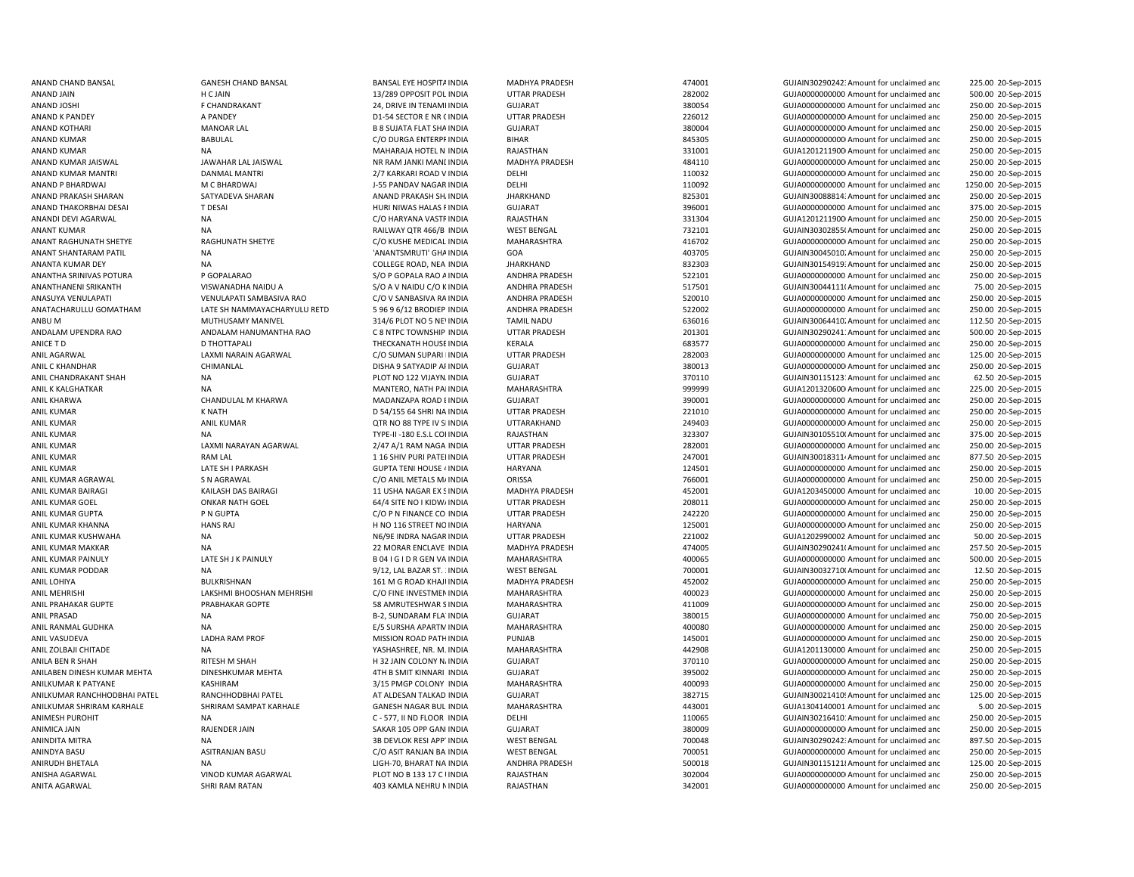ANAND P BHARDWAI M C BHARDWAI M C BHARDWAI J-55 PANDAV NAGAR INDIA ANIL KUMAR PAINULY LATE SH J K PAINULY ANIL KUMAR PAINULY BOAT GEN VA INDIA ANIL PRAHAKAR GUPTE PRABHAKAR GOPTE SAMRUTESHWAR SINDIA ANITA AGARWAL SHRI RAM RATAN 403 KAMLA NEHRU NINDIA RAJASTHAN 342001 GUJA0000000000000000000000 Amount for unclaimed and

ANAND CHAND BANSAL GANESH CHAND BANSAL BANSAL EYE HOSPITAINDIA MADHYA PRADESH 474001 GUJAIN302902423Amount for unclaimed and 225.00 20-Sep-2015 ANAND JAIN 13/289 OPPOSIT POL INDIA UTTAR PRADESH 282002 GUJA0000000000 Amount for unclaimed and 500.00 20-Sep-2015 ANAND JOSHI F CHANDRAKANT 24, DRIVE IN TENAMEINDIA GUJARAT 380054 GUJA0000000000 Amount for unclaimed and 250.00 20-Sep-2015 ANAND K PANDEY A PANDEY D1-54 SECTOR E NR GINDIA UTTAR PRADESH 226012 GUJA00000000000Amount for unclaimed and 250.00 20-Sep-2015 ANAND KOTHARI MANOAR LAL B 8 SUJATA FLAT SHAINDIA GUJARAT 380004 GUJA00000000000Amount for unclaimed and 250.00 20-Sep-2015 ANAND KUMAR BABULAL C/O DURGA ENTERPRINDIA BIHAR 845305 GUJA00000000000Amount for unclaimed and 250.00 20-Sep-2015 ANAND KUMAR NA NA MAHARAJA HOTEL NIINDIA RAJASTHAN 331001 331001 GUJA12012119000 Amount for unclaimed and 250.00 20-Sep-2015 ANAND KUMAR JAISWAL JAWAHAR LAL JAISWAL NR RAM JANKI MANDINDIA MADHYA PRADESH 484110 GUJA00000000000Amount for unclaimed and 250.00 20-Sep-2015 ANAND KUMAR MANTRI DANMAL MANTRI 2/7 KARKARI ROAD V INDIA DELHI 110032 GUJA00000000000Amount for unclaimed and 250.00 20-Sep-2015 INDIA DELHI 110092 GUJA0000000000 Amount for unclaimed and 1250.00 20-Sep-2015 ANAND PRAKASH SHARAN SATYADEVA SHARAN ANAND PRAKASH SHAINDIA JHARKHAND SATYADEVA SHARAN SHAINDIA SATYADEVA SHARAN ANAND PRAKASH SHAINDIA JHARKHAND SATYADEVA SHARAN SHAININ SHARAN SHAININ SHARAN SHAININ SHARAN SHAININ SHARA 250.00 20-Sep-2015 ANAND THAKORBHAI DESAI T DESAI HURI NIWAS HALAS RINDIA GUJARAT 396001 GUJA0000000000 Amount for unclaimed and 375.00 20-Sep-2015 ANANDI DEVI AGARWAL NA C/O HARYANA VASTRINDIA RAJASTHAN 331304 GUJA12012119000Amount for unclaimed and 250.00 20-Sep-2015 ANANT KUMAR NA RAILWAY QTR 466/B INDIA WEST BENGAL 732101 GUJAIN303028550Amount for unclaimed and 250.00 20-Sep-2015 ANANT RAGHUNATH SHETYE RAGHUNATH SHETYE C/O KUSHE MEDICAL INDIA MAHARASHTRA 416702 GUJA00000000000Amount for unclaimed and 250.00 20-Sep-2015 ANANT SHANTARAM PATIL NA 'ANANTSMRUTI' GHAINDIA GOA 403705 GUJAIN300450102Amount for unclaimed and 250.00 20-Sep-2015 ANANTA KUMAR DEY NA NA COLLEGE ROAD, NEA INDIA JHARKHAND 832303 GUJAIN30154919: Amount for unclaimed and 250.00 20-Sep-2015 ANANTHA SRINIVAS POTURA PSOPALARAO S/O P GOPALA RAO AINDIA ANDHRA PRADESH 522101 GUJA0000000000 Amount for unclaimed and 250.00 20-Sep-2015 ANANTHANENI SRIKANTH VISWANADHA NAIDU A S/O A V NAIDU C/O K INDIA ANDHRA PRADESH 517501 GUJAIN300441110Amount for unclaimed and 75.00 20-Sep-2015 ANASUYA VENULAPATI VENULAPATI SAMBASIVA RAO CO V SANBASIVA RA INDIA ANDHRA PRADESH 520010 520010 GUJA000000000 Amount for unclaimed and 250.00 20-Sep-2015 ANATACHARULLU GOMATHAM LATE SH NAMMAYACHARYULU RETD 5 96 9 6/12 BRODIEP INDIA ANDHRA PRADESH 522002 GUJA0000000000 Amount for unclaimed and 250.00 20-Sep-2015 ANBU M MUTHUSAMY MANIVEL 314/6 PLOT NO 5 NEVINDIA TAMIL NADU 636016 636016 GUJAIN300644102Amount for unclaimed and 112.50 20-Sep-2015 ANDALAM UPENDRA RAO ANDALAM HANUMANTHA RAO C 8 NTPC TOWNSHIP INDIA UTTAR PRADESH 201301 GUJAIN30290241:Amount for unclaimed and 500.00 20-Sep-2015 ANICE T D D THOTTAPALI THECKANATH HOUSEINDIA KERALA 683577 GUJA0000000000 Amount for unclaimed and 250.00 20-Sep-2015 ANIL AGARWAL LAXMI NARAIN AGARWAL C/O SUMAN SUPARI BINDIA UTTAR PRADESH 282003 GUJA0000000000 Amount for unclaimed and 125.00 20-Sep-2015 ANIL C KHANDHAR CHIMANLAL CHIMANLAL DISHA 9 SATYADIP AFINDIA GUJARAT GUARAT 380013 GUJA0000000000Amount for unclaimed and 250.00 20-Sep-2015 ANIL CHANDRAKANT SHAH NA NA PLOT NO 122 VIJAYNAINDIA GUJARAT SHAH 370110 GUJAIN301151231Amount for unclaimed and 62.50 20-Sep-2015 ANIL K KALGHATKAR NA MANTERO, NATH PAIINDIA MAHARASHTRA 999999 GUJA12013206000Amount for unclaimed and 225.00 20-Sep-2015 ANIL KHARWA CHANDULAL M KHARWA MADANZAPA ROAD BINDIA GUJARAT 390001 GUJA0000000000 Amount for unclaimed and 250.00 20-Sep-2015 ANIL KUMAR K NATH D 54/155 64 SHRI NA INDIA UTTAR PRADESH 221010 GUJA0000000000 Amount for unclaimed and 250.00 20-Sep-2015 ANIL KUMAR ANIL KUMAR ANIL KUMAR QTR NO 88 TYPE IV SIINDIA UTTARAKHAND 249403 GUJA000000000Amount for unclaimed and 250.00 20-Sep-2015 ANIL KUMAR COLINDIA NA NA TYPE-II -180 E.S.L COLINDIA RAJASTHAN 323307 CUJAIN301055100Amount for unclaimed and 375.00 20-Sep-2015 ANIL KUMAR CONDITIONED ANNI NARAYAN AGARWAL 2/47 A/1 RAM NAGA INDIA UTTAR PRADESH 282001 282001 GUJA000000000 Amount for unclaimed and 250.00 20-Sep-2015 ANIL KUMAR CHAM RAM LAL 1 16 SHIV PURI PATELINDIA UTTAR PRADESH 247001 GUJAIN300183114Amount for unclaimed and 877.50 20-Sep-2015 ANIL KUMAR CHATE SHI PARKASH GUPTA TENI HOUSE 4 INDIA HARYANA 124501 124501 GUJA0000000000000000000000 Amount for unclaimed and 250.00 20-Sep-2015 ANIL KUMAR AGRAWAL SIN AGRAWAL SA AGRAWAL CO ANIL METALS MAINDIA ORISSA CO ASSA 766001 GUJA0000000000 Amount for unclaimed and 250.00 20-Sep-2015 ANIL KUMAR BAIRAGI **KAILASH DAS BAIRAGI 11 USHA NAGAR EX SINDIA** MADHYA PRADESH 452001 GUJA1203450000 Amount for unclaimed and 10.00 20-Sep-2015 ANIL KUMAR GOEL ONKAR NATH GOEL 64/4 SITE NO I KIDWAINDIA UTTAR PRADESH 208011 GUJA00000000000Amount for unclaimed and 250.00 20-Sep-2015 ANIL KUMAR GUPTA PN GUPTA PROGUPTA C/O P N FINANCE CO INDIA UTTAR PRADESH 242220 GUJA0000000000 Amount for unclaimed and 250.00 20-Sep-2015 ANIL KUMAR KHANNA HANS RAJ H NO 116 STREET NOINDIA HARYANA 125001 GUJA00000000000Amount for unclaimed and 250.00 20-Sep-2015 ANIL KUMAR KUSHWAHA NA N6/9E INDRA NAGAR INDIA UTTAR PRADESH 221002 GUJA1202990002 Amount for unclaimed and 50.00 20-Sep-2015 ANIL KUMAR MAKKAR NA 22 MORAR ENCLAVE INDIA MADHYA PRADESH 474005 GUJAIN302902411Amount for unclaimed and 257.50 20-Sep-2015 INDIA MAHARASHTRA 400065 GUJA0000000000 Amount for unclaimed and 500.00 20-Sep-2015 ANIL KUMAR PODDAR NA 9/12, LAL BAZAR ST. 3INDIA WEST BENGAL 700001 GUJAIN300327100Amount for unclaimed and 12.50 20-Sep-2015 ANIL LOHIYA BULKRISHNAN 161 M G ROAD KHAJUINDIA MADHYA PRADESH 452002 GUJA00000000000Amount for unclaimed and 250.00 20-Sep-2015 ANIL MEHRISHI CHANGHAN MEHRISHI LAKSHMI BHOOSHAN MEHRISHI C/O FINE INVESTMENINDIA MAHARASHTRA 400023 GUJA000000000 Amount for unclaimed and 250.00 20-Sep-2015 MAHARASHTRA 411009 GUJA00000000000Amount for unclaimed and 250.00 20-Sep-2015 ANIL PRASAD NA B-2, SUNDARAM FLATINDIA GUJARAT 380015 GUJA0000000000 Amount for unclaimed and 750.00 20-Sep-2015 ANIL RANMAL GUDHKA NA NA SEPERTMINDIA E/5 SURSHA APARTMINDIA MAHARASHTRA 400080 400080 AMOUNT MOOD Amount for unclaimed and 250.00 20-Sep-2015 ANIL VASUDEVA LADHA RAM PROF MISSION ROAD PATHINDIA PUNJAB 145001 GUJA00000000000Amount for unclaimed and 250.00 20-Sep-2015 ANIL ZOLBAJI CHITADE NA NA NA NA SEPERTE, NR. M. INDIA MAHARASHTRA 442908 GUJA1201130000 Amount for unclaimed and 250.00 20-Sep-2015 ANILA BEN R SHAH RITESH M SHAH H 32 JAIN COLONY NAINDIA GUJARAT 370110 GUJA00000000000Amount for unclaimed and 250.00 20-Sep-2015 ANILABEN DINESH KUMAR MEHTA DINESHKUMAR MEHTA 4TH B SMIT KINNARI INDIA GUJARAT GUJARAT 395002 GUJA0000000000Amount for unclaimed and 250.00 20-Sep-2015 ANILKUMAR K PATYANE **Samua and ANILA KASHIRAM** 3/15 PMGP COLONY INDIA MAHARASHTRA 400093 400093 GUJA0000000000 Amount for unclaimed and 250.00 20-Sep-2015 ANILKUMAR RANCHHODBHAI PATEL RANCHHODBHAI PATEL AT ALDESAN TALKAD INDIA GUJARAT GUJARAT 382715 GUJAIN30021410! Amount for unclaimed and 125.00 20-Sep-2015 ANILKUMAR SHRIRAM KARHALE SHRIRAM SAMPAT KARHALE GANESH NAGAR BUL INDIA MAHARASHTRA 443001 443001 GUJA1304140001 Amount for unclaimed and 5.00 20-Sep-2015 ANIMESH PUROHIT NA NA C-577, II ND FLOOR INDIA DELHI 110065 110065 GUJAIN30216410: Amount for unclaimed and 250.00 20-Sep-2015 ANIMICA JAIN RAJENDER JAIN RAJENDER JAIN SAKAR 105 OPP GANI INDIA GUJARAT SAKAR 105 OPP GANI INDIA SAKAR 105 OPP GANI INDIA GUJARAT SAKAR 105 OPP GANI INDIA SAKAR 105 OPP GANI INDIA GUJAAT SAKAR 105 OPP GANI INDIA SAKAR 10 250.00 20-Sep-2015 ANINDITA MITRA NA 3B DEVLOK RESI APPTINDIA WEST BENGAL 700048 GUJAIN302902423Amount for unclaimed and 897.50 20-Sep-2015 ANINDYA BASU ASITRANJAN BASU C/O ASIT RANJAN BA'INDIA WEST BENGAL 700051 GUJA0000000000 Amount for unclaimed and 250.00 20-Sep-2015 ANIRUDH BHETALA **NA RIGH-70, BHARAT NA INDIA ANDHRA PRADESH 500018** 500018 GUJAIN301151218Amount for unclaimed anc 125.00 20-Sep-2015 ANISHA AGARWAL VINOD KUMAR AGARWAL PLOT NO B 133 17 C UNDIA RAJASTHAN 302004 GUJA0000000000000Amount for unclaimed and 250.00 20-Sep-2015 250.00 20-Sep-2015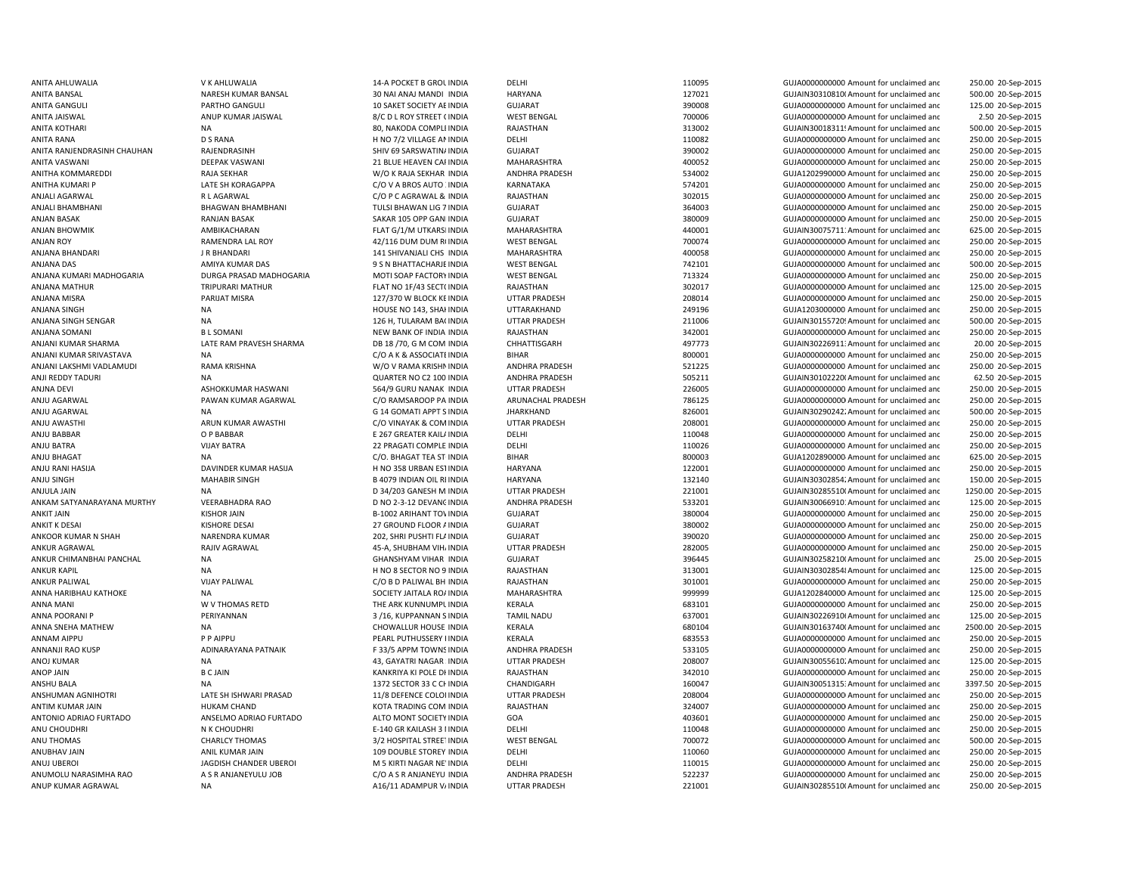ANJALI BHAMBHANI BHAGWAN BHAMBHANI TULSI BHAWAN LIG 7ANJU AGARWAL NA GARWAL NA GARAGA NA GARAGA NA GARAGA NA GARAGA NA GARAGA NA GARAGA A GOMATI APPT SINDIA ANTONIO ADRIAO FURTADO ANSELMO ADRIAO FURTADO ALTO MONT SOCIETY

ANITA AHLUWALIA V K AHLUWALIA 14-A POCKET B GROUINDIA DELHI 110095 GUJA0000000000 Amount for unclaimed and 250.00 20-Sep-2015 ANITA BANSAL NARESH KUMAR BANSAL 30 NAI ANAJ MANDI INDIA HARYANA 127021 127021 GUJAIN30310810(Amount for unclaimed and 500.00 20-Sep-2015 ANITA GANGULI PARTHO GANGULI 10 SAKET SOCIETY AEINDIA GUJARAT 390008 390008 GUJA0000000000000000 Amount for unclaimed and 125.00 20-Sep-2015 ANITA JAISWAL ANUP KUMAR JAISWAL 8/C D L ROY STREET (INDIA WEST BENGAL 700006 700006 GUJA0000000000Amount for unclaimed and 2.50 20-Sep-2015 ANITA KOTHARI NA 80, NAKODA COMPLEINDIA RAJASTHAN 313002 GUJAIN30018311!Amount for unclaimed and 500.00 20-Sep-2015 ANITA RANA D S RANA D D S RANA D D SANA H NO 7/2 VILLAGE AN INDIA DELHI DELHI DANA DANA DANA DANA DANA DANA DA<br>ANITA RANJENDRASINH CHAUHAN RAJENDRASINH SHORASING SHIV 69 SARSWATIN/INDIA GUJARAT SHORASING 390002 GUJA0000000 RAIFNDRASINH SHIV 69 SARSWATINAINDIA GUJARAT GUJARAT 390002 GUJA0000000000 Amount for unclaimed and 250.00 20-Sep-2015 ANITA VASWANI DEEPAK VASWANI 21 BLUE HEAVEN CARINDIA MAHARASHTRA 400052 GUJA0000000000000000AMount for unclaimed and 250.00 20-Sep-2015 ANITHA KOMMAREDDI RAJA SEKHAR W/O K RAJA SEKHAR INDIA ANDHRA PRADESH 534002 GUJA12029900000Amount for unclaimed and 250.00 20-Sep-2015 ANITHA KUMARI P CAN CHAGAPPA C/O V A BROS AUTO XINDIA KARNATAKA 574201 GUJA0000000000 Amount for unclaimed and 250.00 20-Sep-2015 ANJALI AGARWAL R L AGARWAL C/O P C AGRAWAL & INDIA RAJASTHAN 302015 GUJA00000000000Amount for unclaimed and 250.00 20-Sep-2015 GUJARAT GUJARAT 364003 364003 GUJA0000000000000Amount for unclaimed and 250.00 20-Sep-2015 ANJAN BASAK RANJAN BASAK SAKAR 105 OPP GANINDIA GUJARAT SAKAR 105 OPP GANINDIA SAKAR 105 OPP GANINDIA SAKAR 105 OPP GANINDIA SAKAR 105 OPP GANINDIA 250.00 20-Sep-2015 ANJAN BHOWMIK AMBIKACHARAN FLAT G/1/M UTKARSHINDIA MAHARASHTRA 440001 GUJAIN300757111Amount for unclaimed and 625.00 20-Sep-2015 ANJAN ROY RAMENDRA LAL ROY 42/116 DUM DUM ROINDIA WEST BENGAL 700074 GUJA00000000000Amount for unclaimed and 250.00 20-Sep-2015 ANJANA BHANDARI JR BHANDARI 141 SHIVANJALI CHS INDIA MAHARASHTRA 400058 400058 GUJA0000000000 Amount for unclaimed and 250.00 20-Sep-2015 ANJANA DAS AMIYA KUMAR DAS 9 S N BHATTACHARJEINDIA WEST BENGAL 742101 GUJA0000000000 Amount for unclaimed and 500.00 20-Sep-2015 ANJANA KUMARI MADHOGARIA DURGA PRASAD MADHOGARIA MOTI SOAP FACTORYINDIA WEST BENGAL 713324 GUJA000000000Amount for unclaimed and 250.00 20-Sep-2015 ANJANA MATHUR TRIPURARI MATHUR CONSERVERSION FLAT NO 1F/43 SECTOINDIA RAJASTHAN 302017 302017 GUJA0000000000Amount for unclaimed and 125.00 20-Sep-2015 ANJANA MISRA PARIJAT MISRA PARIJAT MISRA 127/370 W BLOCK KEINDIA UTTAR PRADESH 208014 208014 GUJA00000000000000000000000 Amount for unclaimed and 250.00 20-Sep-2015 ANJANA SINGH NA HOUSE NO 143, SHAHINDIA UTTARAKHAND 249196 GUJA1203000000 Amount for unclaimed and 250.00 20-Sep-2015 ANJANA SINGH SENGAR NA 126 MA 126 H, TULARAM BAGINDIA UTTAR PRADESH 211006 211006 GUJAIN30155720! Amount for unclaimed and 500.00 20-Sep-2015<br>ANJANA SOMANI BL SOMANI BL SOMANI NEW BANK OF INDIA INDIA RAIASTHAN RAIASTHAN 2 ANJANA SOMANI B L SOMANI NEW BANK OF INDIA INDIA RAJASTHAN 342001 GUJA00000000000Amount for unclaimed and 250.00 20-Sep-2015 ANJANI KUMAR SHARMA LATE RAM PRAVESH SHARMA DB 18 /70, G M COM INDIA CHHATTISGARH 497773 GUJAIN30226911: Amount for unclaimed and 20.00 20-Sep-2015 ANJANI KUMAR SRIVASTAVA NA NA NA SA SASOCIATEINDIA BIHAR BIHAR 800001 SOO001 GUJA000000000000000000000 Amount for unclaimed and 250.00 20-Sep-2015 ANJANI LAKSHMI VADLAMUDI RAMA KRISHNA W/O V RAMA KRISHNINDIA ANDHRA PRADESH 521225 GUJA0000000000 Amount for unclaimed and 250.00 20-Sep-2015 ANJI REDDY TADURI SANDURI NA NA SANDA ANDHRA ANDHRA PRADESH 505211 GUJAIN301022200 Amount for unclaimed and 62.50 20-Sep-2015 ANJNA DEVI ASHOKKUMAR HASWANI 564/9 GURU NANAK INDIA UTTAR PRADESH 226005 GUJA0000000000 Amount for unclaimed and 250.00 20-Sep-2015 ANJU AGARWAL PAWAN KUMAR AGARWAL C/O RAMSAROOP PA INDIA ARUNACHAL PRADESH 786125 GUJA00000000000Amount for unclaimed and 250.00 20-Sep-2015 JHARKHAND **826001** 826001 GUJAIN302902422Amount for unclaimed and 500.00 20-Sep-2015 ANJU AWASTHI ARUN KUMAR AWASTHI C/O VINAYAK & COMINDIA UTTAR PRADESH 208001 GUJA00000000000Amount for unclaimed and 250.00 20-Sep-2015 ANJU BABBAR O P BABBAR COREATER KAILAINDIA DELHI DELHI 110048 110048 GUJA000000000000000000000 Amount for unclaimed and 250.00 20-Sep-2015 ANJU BATRA VIJAY BATRA VIJAY BATRA 22 PRAGATI COMPLE INDIA DELHI 110026 110026 GUJA0000000000 Amount for unclaimed and 250.00 20-Sep-2015 ANJU BHAGAT NA NA CHAGAT TEA STUNDIA BIHAR BIHAR 800003 GUJA1202890000-Amount for unclaimed and 625.00 20-Sep-2015 ANJU RANI HASIJA DAVINDER KUMAR HASIJA H NO 358 URBAN ESTINDIA HARYANA 122001 122001 GUJA00000000000 Amount for unclaimed and 250.00 20-Sep-2015 ANJU SINGH MAHABIR SINGH B 4079 INDIAN OIL RIINDIA HARYANA HARYANA 132140 GUJAIN303028542Amount for unclaimed and 150.00 20-Sep-2015 ANJULA JAIN NA NA D 34/203 GANESH M.INDIA UTTAR PRADESH 221001 GUJAIN30285510(Amount for unclaimed and 1250.00 20-Sep-2015 ANKAM SATYANARAYANA MURTHY VEERABHADRA RAO D NO 2-3-12 DEVANGINDIA ANDHRA PRADESH 533201 GUJAIN30066910! Amount for unclaimed and 125.00 20-Sep-2015 ANKIT JAIN KISHOR JAIN B-1002 ARIHANT TOWINDIA GUJARAT 380004 GUJA0000000000 Amount for unclaimed and 250.00 20-Sep-2015 ANKIT K DESAI CHANG DESAI KISHORE DESAI 27 GROUND FLOOR AINDIA GUJARAT GUJARAT 380002 GUJA00000000000000000000000000000000 Amount for unclaimed and 250.00 20-Sep-2015 ANKOOR KUMAR N SHAH NARENDRA KUMAR 202, SHRI PUSHTI FLAINDIA GUJARAT 390020 390020 GUJA0000000000000000000000000000000 250.00 20-Sep-2015 ANKUR AGRAWAL 45-A, SHUBHAM VIHAINDIA UTTAR PRADESH 282005 GUJA0000000000Amount for unclaimed and 250.00 20-Sep-2015 ANKUR CHIMANBHAI PANCHAL NA NA SANA GHANSHYAM VIHAR INDIA GUJARAT GUJARAT 396445 GUJAIN302582100Amount for unclaimed and 25.00 20-Sep-2015 ANKUR KAPIL NA H NO 8 SECTOR NO 9 INDIA RAJASTHAN 2010 1213001 STANDALL SUJAIN303028548Amount for unclaimed and 125.00 20-Sep-2015 ANKUR PALIWAL VIJAY PALIWAL C/O B D PALIWAL BH INDIA RAJASTHAN 301001 GUJA00000000000Amount for unclaimed and 250.00 20-Sep-2015 ANNA HARIBHAU KATHOKE NA NA SOCIETY JAITALA ROAINDIA MAHARASHTRA 999999 GUJA1202840000 Amount for unclaimed and 125.00 20-Sep-2015 ANNA MANI CHANNA MANI W V THOMAS RETD THE ARK KUNNUMPL INDIA KERALA KERALA 683101 GUJA00000000000000000000000000000000000 Amount for unclaimed and 250.00 20-Sep-2015 ANNA POORANI P PERIYANNAN PERIYANNAN SANDER SANG PANGANG SANG PANGHANAN SINDIA TAMIL NADU 637001 6UJAIN302269106Amount for unclaimed and 125.00 20-Sep-2015 ANNA SNEHA MATHEW NA NA CHOWALLUR HOUSE INDIA KERALA 680104 680104 GUJAIN301637400Amount for unclaimed and 2500.00 20-Sep-2015 ANNAM AIPPU P P AIPPU PEARL PUTHUSSERY HINDIA KERALA 683553 GUJA0000000000 Amount for unclaimed and 250.00 20-Sep-2015 ANNANJI RAO KUSP **ADINARAYANA PATNAIK** F 33/5 APPM TOWNSINDIA ANDHRA PRADESH 533105 GUJA000000000Amount for unclaimed anc 250.00 20-Sep-2015 ANOJ KUMAR NA 125.00 20-Sep-2015 43, GAYATRI NAGAR INDIA UTTAR PRADESH 208007 208007 GUJAIN300556102Amount for unclaimed and 125.00 20-Sep-2015 ANOP JAIN B C JAIN KANKRIYA KI POLE DHINDIA RAJASTHAN 342010 GUJA00000000000Amount for unclaimed and 250.00 20-Sep-2015 ANSHU BALA 1372 SECTOR 33 C CHINDIA CHANDIGARH 160047 160047 GUJAIN300513153Amount for unclaimed and 3397.50 20-Sep-2015 ANSHUMAN AGNIHOTRI CHATE SH ISHWARI PRASAD 11/8 DEFENCE COLOI INDIA UTTAR PRADESH 208004 GUJA0000000000Amount for unclaimed and 250.00 20-Sep-2015 ANTIM KUMAR JAIN HUKAM CHAND KOTA TRADING COM INDIA RAJASTHAN 324007 GUJA00000000000Amount for unclaimed and 250.00 20-Sep-2015 INDIA GOA 403601 GUJA0000000000 Amount for unclaimed and 250.00 20-Sep-2015 ANU CHOUDHRI N K CHOUDHRI N K CHOUDHRI E-140 GR KAILASH 3 I INDIA DELHI CHI NA LOLLANDO AMOUNICHO GUJA00000000000 Amount for unclaimed and 250.00 20-Sep-2015 ANU THOMAS CHARLCY THOMAS 3/2 HOSPITAL STREETINDIA WEST BENGAL 700072 GUJA00000000000Amount for unclaimed and 500.00 20-Sep-2015 ANIL KUMAR JAIN ANIL KUMAR JAIN 109 DOUBLE STOREY INDIA DELHI DELHI 110060 SULA0000000000 Amount for unclaimed and 250.00 20-Sep-2015 ANUJ UBEROI MERROI JAGDISH CHANDER UBEROI M SKIRTI NAGAR NE'INDIA DELHI 110015 110015 GUJA00000000000000000000 Amount for unclaimed and 250.00 20-Sep-2015 ANUMOLU NARASIMHA RAO A S R ANJANEYULU JOB C/O A S R ANJANEYU INDIA ANDHRA PRADESH 522237 GUJA0000000000 Amount for unclaimed and 250.00 20-Sep-2015 ANUP KUMAR AGRAWAL NA A16/11 ADAMPUR VAINDIA UTTAR PRADESH 221001 GUJAIN302855100Amount for unclaimed and 250.00 20-Sep-2015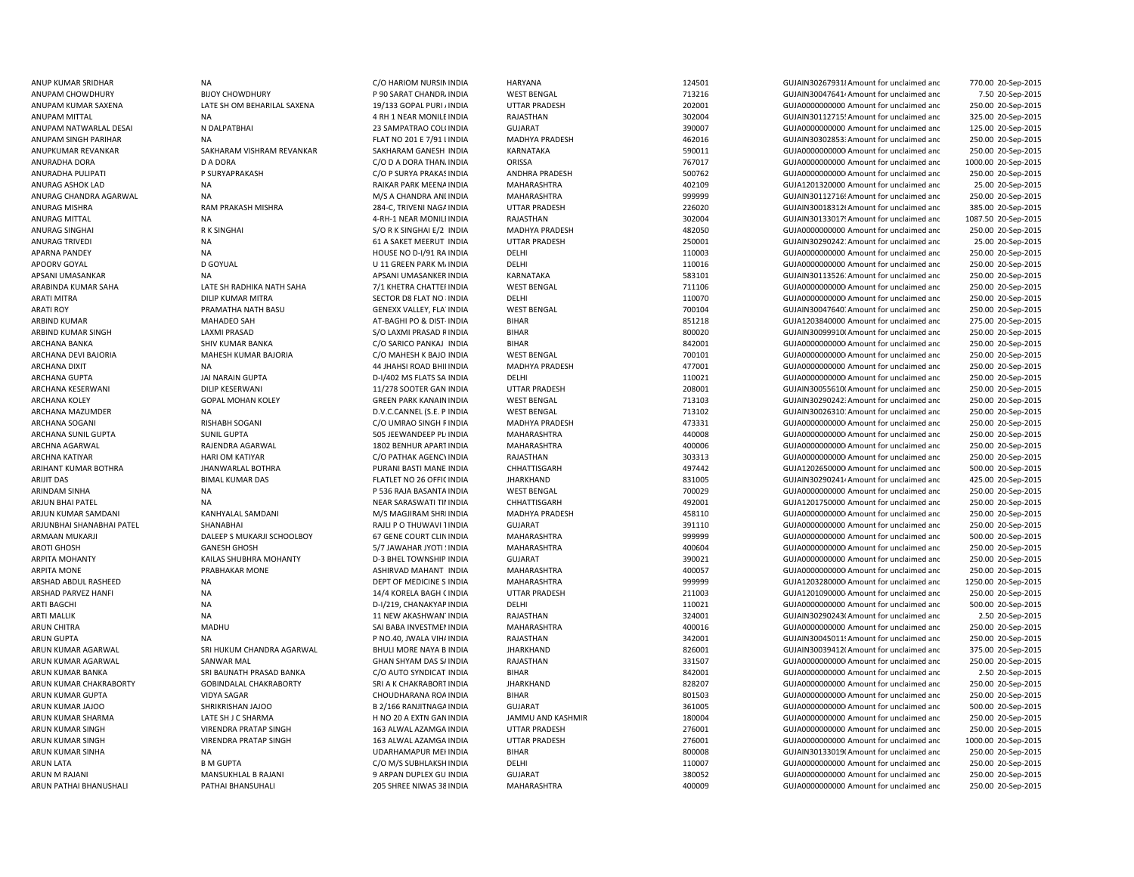APSANI UMASANKAR NA APSANI UMASANKER INDIA APSANI UMASANKER INDIA ARINDAM SINHA NA PERSENYA TANGGERAN DI SAMA NA PERSENYA PENGERANA PERSENYA INDIA ARUN KUMAR SINGH NAMBER OLI SHARI NG MAHARA SINGH 163 ALWAL AZAMGA INDIA ARUN KUMAR SINGH VIRENDRA PRATAP SINGH 163 ALWAL AZAMGAARUN PATHAI BHANUSHALI PATHAI BHANSUHALI 205 SHREE NIWAS 38 INDIA MAHARASHTRA 400009 GUJA00000000000000 Amount for unclaimed and

ANUP KUMAR SRIDHAR NA NA NA COMARIOM NURSININDIA HARYANA HARYANA 124501 GUJAIN302679318Amount for unclaimed anc 770.00 20-Sep-2015 ANUPAM CHOWDHURY BIJOY CHOWDHURY P 90 SARAT CHANDRAINDIA WEST BENGAL 713216 GUJAIN300476414Amount for unclaimed and 7.50 20-Sep-2015 ANUPAM KUMAR SAXENA LATE SH OM BEHARILAL SAXENA 19/133 GOPAL PURI AINDIA UTTAR PRADESH 202001 202001 GUJA000000000 Amount for unclaimed and 250.00 20-Sep-2015 ANUPAM MITTAL **ANUPAM MITTAL CHAR AND ANUPAM MEAN AND ANUPAM AND ANUPAM AND ANUPAM ANUPAM ANUPAM ANUPAM ANUPAM ANUPAM ANUPAM ANUPAM GUJAIN30112715! Amount for unclaimed and**  325.00 20-Sep-2015 ANUPAM NATWARLAL DESAI NEW NOALPATBHAI 23 SAMPATRAO COLOINDIA GUJARAT SUARAT 390007 GUJA000000000000000000000000000000000 Amount for unclaimed and 125.00 20-Sep-2015 ANUPAM SINGH PARIHAR NA RA NA FLAT NO 201 E 7/91 LINDIA MADHYA PRADESH 462016 462016 GUJAIN303028533Amount for unclaimed and 250.00 20-Sep-2015 ANUPKUMAR REVANKAR SAKHARAM VISHRAM REVANKAR SAKHARAM GANESH INDIA KARNATAKA SARATAKA SADA SACHARAM GANESH INDIA KARNATAKA SARATAKA SADA SACHARAM GANESH INDIA KARNATAKA SARATAKA SADA SACHARAM GANESH INDIA KARNATAKA SARATAK 250.00 20-Sep-2015 ANURADHA DORA D A DORA C/O D A DORA THANAINDIA ORISSA 767017 GUJA0000000000 Amount for unclaimed and 1000.00 20-Sep-2015 ANURADHA PULIPATI P SURYAPRAKASH C/O P SURYA PRAKASINDIA ANDHRA PRADESH 500762 GUJA00000000000Amount for unclaimed and 250.00 20-Sep-2015 ANURAG ASHOK LAD NA RAIKAR PARK MEENAINDIA MAHARASHTRA 402109 402109 GUJA1201320000 Amount for unclaimed and 25.00 20-Sep-2015 ANURAG CHANDRA AGARWAL NA MA MAHARA MINDIA MAHARASHTRA 999999 GUJAIN301127165Amount for unclaimed and 250.00 20-Sep-2015 ANURAG MISHRA RAM PRAKASH MISHRA 284-C, TRIVENI NAGAINDIA UTTAR PRADESH 226020 GUJAIN30018312f Amount for unclaimed and 385.00 20-Sep-2015 ANURAG MITTAL NA 1992 NA 4-RH-1 NEAR MONILI INDIA RAJASTHAN 302004 SUAIN30133017! Amount for unclaimed and 1087.50 20-Sep-2015 ANURAG SINGHAI R K SINGHAI S/O R K SINGHAI E/2 INDIA MADHYA PRADESH 482050 GUJA0000000000 Amount for unclaimed and 250.00 20-Sep-2015 ANURAG TRIVEDI NA NA REACTEMENT INDIA UTTAR PRADESH 250001 CUJAIN30290242:Amount for unclaimed and 25.00 20-Sep-2015 APARNA PANDEY **NA HOUSE NO D-I/91 RA INDIA** DELHI DELHI 110003 GUJA0000000000 Amount for unclaimed and 250.00 20-Sep-2015 APOORV GOYAL **D** GOYUAL DESTREN DELHI U 11 GREEN PARK MAINDIA DELHI 110016 110016 GUJA00000000000 Amount for unclaimed and 250.00 20-Sep-2015 INDIA KARNATAKA 583101 GUJAIN301135261Amount for unclaimed and 250.00 20-Sep-2015 ARABINDA KUMAR SAHA LATE SH RADHIKA NATH SAHA 7/1 KHETRA CHATTERINDIA WEST BENGAL 711106 GUJA00000000000Amount for unclaimed and 250.00 20-Sep-2015 ARATI MITRA DILIP KUMAR MITRA SECTOR D8 FLAT NO : INDIA DELHI 110070 SULA000000000000000000000000000000 Amount for unclaimed and 250.00 20-Sep-2015 ARATI ROY **EXAMATHA NATH BASU GENEXX VALLEY, FLA' INDIA** WEST BENGAL 700104 700104 GUJAIN30047640. Amount for unclaimed and 250.00 20-Sep-2015 ARBIND KUMAR **ARBIND ARBIND ARBIND AT-BAGHI PO & DIST-INDIA** BIHAR BIHAR 851218 GUJA1203840000 Amount for unclaimed and 275.00 20-Sep-2015 ARBIND KUMAR SINGH COLORGING THE LAXMI PRASAD SANGHAR SANG BIHAR SHAR SHAR SOOD SOLORGING SHAR SOOD SANGHAR SINGH SANGHAR SANGHAR SANGHAR SANGHAR SANGHAR SANGHAR SANGHAR SANGHAR SANGHAR SANGHAR SANGHAR SANGHAR SANGHAR SANG ARCHANA BANKA SHIV KUMAR BANKA COSARICO PANKAJ INDIA BIHAR SHALAR SAZOO1 GUJA000000000Amount for unclaimed and 250.00 20-Sep-2015 ARCHANA DEVI BAJORIA MAHESH KUMAR BAJORIA C/O MAHESH K BAJO INDIA WEST BENGAL 700101 GUJA00000000000Amount for unclaimed and 250.00 20-Sep-2015 ARCHANA DIXIT NA 44 JHAHSI ROAD BHININDIA MADHYA PRADESH 477001 GUJA0000000000 Amount for unclaimed and 250.00 20-Sep-2015 ARCHANA GUPTA JAI NARAIN GUPTA D-I/402 MS FLATS SA INDIA DELHI 110021 GUJA00000000000Amount for unclaimed and 250.00 20-Sep-2015 ARCHANA KESERWANI DILIP KESERWANI 19 11/278 SOOTER GAN INDIA UTTAR PRADESH 208001 GUJAIN30055610(Amount for unclaimed and 250.00 20-Sep-2015 ARCHANA KOLEY GOPAL MOHAN KOLEY GREEN PARK KANAININDIA WEST BENGAL 713103 GUJAIN302902423: Amount for unclaimed and 250.00 20-Sep-2015 ARCHANA MAZUMDER NA NA DER NA D.V.C.CANNEL (S.E. P INDIA WEST BENGAL 713102 GUJAIN30026310: Amount for unclaimed and 250.00 20-Sep-2015 ARCHANA SOGANI RISHABH SOGANI C/O UMRAO SINGH RINDIA MADHYA PRADESH 473331 GUJA00000000000Amount for unclaimed and 250.00 20-Sep-2015 ARCHANA SUNIL GUPTA SUNIL GUPTA SUNIL GUPTA 505 JEEWANDEEP PLI INDIA MAHARASHTRA 440008 GUJA000000000000000000 Amount for unclaimed and 250.00 20-Sep-2015 ARCHNA AGARWAL CHAJENDRA AGARWAL 1802 BENHUR APARTINDIA MAHARASHTRA 400006 400006 GUJA000000000Amount for unclaimed and 250.00 20-Sep-2015 ARCHNA KATIYAR HARI OM KATIYAR C/O PATHAK AGENCYINDIA RAJASTHAN 303313 GUJA00000000000Amount for unclaimed and 250.00 20-Sep-2015 ARIHANT KUMAR BOTHRA JHANWARLAL BOTHRA PURANI BASTI MANE INDIA CHHATTISGARH 497442 GUJA1202650000 Amount for unclaimed and 500.00 20-Sep-2015 ARIJIT DAS GUJAIN302902414Amount for unclaimed and server that the CHATLET NO 26 OFFIC INDIA HARKHAND STATES AND STATES AND STATES STATES STATES OF THE STATES OF THE STATES OF THE STATES OF THE STATES OF THE STATES OF THE 425.00 20-Sep-2015 INDIA WEST BENGAL 700029 GUJA0000000000 Amount for unclaimed and 250.00 20-Sep-2015 ARJUN BHAI PATEL NA NEAR SARASWATI TIMINDIA CHHATTISGARH 492001 GUJA1201750000 Amount for unclaimed and 250.00 20-Sep-2015 ARJUN KUMAR SAMDANI KANHYALAL SAMDANI M/S MAGJIRAM SHRIINDIA MADHYA PRADESH 458110 GUJA00000000000Amount for unclaimed and 250.00 20-Sep-2015 ARJUNBHAI SHANABHAI PATEL SHANABHAI SHANABHAI RAJLI PO THUWAVI TINDIA GUJARAT SHANABHAI RAJLI PO THUWAVI TINDIA 250.00 20-Sep-2015 ARMAAN MUKARJI SALEEP S MUKARJI SCHOOLBOY 67 GENE COURT CLININDIA MAHARASHTRA 999999 GUJA00000000000000000000000000000000 Amount for unclaimed and 500.00 20-Sep-2015 AROTI GHOSH GANESH GHOSH GANESH GHOSH 5/7 JAWAHAR JYOTI SINDIA MAHARASHTRA 400604 GUJA00000000000000000000000000000000 Amount for unclaimed and 250.00 20-Sep-2015 ARPITA MOHANTY **SHUBHRA MOHANTY** D-3 BHEL TOWNSHIP INDIA GUJARAT 390021 390021 GUJA000000000 Amount for unclaimed and 250.00 20-Sep-2015 ARPITA MONE **ASHIRVAD MAHANT INDIA MAHANT INDIA** MAHARASHTRA 400057 GUJA000000000000000000000000Amount for unclaimed and 250.00 20-Sep-2015 ARSHAD ABDUL RASHEED NA NA DEPT OF MEDICINE S INDIA MAHARASHTRA 999999 GUJA1203280000 Amount for unclaimed and 1250.00 20-Sep-2015 ARSHAD PARVEZ HANFI NA NA 250.00 20-Sep-2015 14/4 KORELA BAGH CINDIA UTTAR PRADESH 211003 GUJA1201090000-Amount for unclaimed and 250.00 20-Sep-2015 ARTI BAGCHI NA D-I/219, CHANAKYAP INDIA DELHI 110021 110021 GUJA0000000000 Amount for unclaimed and 500.00 20-Sep-2015 ARTI MALLIK NA 11 NA 11 NEW AKASHWANTINDIA RAJASTHAN RAJASTHAN 324001 GUJAIN30290243(Amount for unclaimed and 2.50 20-Sep-2015 ARUN CHITRA GUJA0000000000 MADHU MADHU SAI BABA INVESTMENINDIA MAHARASHTRA 400016 400016 GUJA000000000000 Amount for unclaimed and 250.00 20-Sep-2015 ARUN GUPTA NA P NO.40, JWALA VIH/INDIA RAJASTHAN 342001 GUJAIN30045011:Amount for unclaimed and 250.00 20-Sep-2015 ARUN KUMAR AGARWAL SRI HUKUM CHANDRA AGARWAL BHULI MORE NAYA B INDIA HARKHAND SANG BANDA SANG ANG SANG GUJAIN300394120Amount for unclaimed and 375.00 20-Sep-2015 ARUN KUMAR AGARWAL SANWAR MAL SANWAR MAL GHAN SHYAM DAS SAINDIA RAJASTHAN 331507 331507 GUJA000000000Amount for unclaimed and 250.00 20-Sep-2015 ARUN KUMAR BANKA SRI BAIJNATH PRASAD BANKA C/O AUTO SYNDICAT INDIA BIHAR SHAAR 842001 GUJA000000000 Amount for unclaimed and 2.50 20-Sep-2015 ARUN KUMAR CHAKRABORTY GOBINDALAL CHAKRABORTY SRI A K CHAKRABORT INDIA JHARKHAND 828207 GUJA00000000000 Amount for unclaimed and 250.00 20-Sep-2015 ARUN KUMAR GUPTA VIDYA SAGAR VIDYA SAGAR CHOUDHARANA ROAINDIA BIHAR BIHAR 801503 GUJA000000000Amount for unclaimed and 250.00 20-Sep-2015 ARUN KUMAR JAJOO SHRIKRISHAN JAJOO B 20-SEP-2015 B 2/166 RANJITNAGA INDIA GUJARAT 361005 361005 GUJA0000000000Amount for unclaimed and 500.00 20-Sep-2015 ARUN KUMAR SHARMA LATE SH J C SHARMA H NO 20 A EXTN GAN INDIA JAMMU AND KASHMIR 180004 GUJA00000000000000000 Amount for unclaimed and 250.00 20-Sep-2015 INDIA UTTAR PRADESH 276001 GUJA0000000000 Amount for unclaimed and 250.00 20-Sep-2015 INDIA UTTAR PRADESH 276001 GUJA0000000000 Amount for unclaimed and 1000.00 20-Sep-2015 ARUN KUMAR SINHA NA NA NA UDARHAMAPUR MEHINDIA BIHAR SINHA SOO SANOOS GUJAIN301330190Amount for unclaimed and 250.00 20-Sep-2015 ARUN LATA B M GUPTA B GUPTA C/O M/S SUBHLAKSH INDIA DELHI CHE 2000 ALLAH 2000 AMOUNT GUJA0000000000 Amount for unclaimed and 250.00 20-Sep-2015 ARUN M RAJANI MANSUKHLAL B RAJANI SARPAN DUPLEX GU INDIA GUJARAT GUJARAT SARPAN DUPLEX GU INDIA GUJARAT SARPAN DUPLEX GU INDIA GUJARAT SARPAN DUPLEX GU INDIA GUJARAT SARPAN DUPLEX GU INDIA GUJARAT SARPAN DUPLEX GU INDIA GU 250.00 20-Sep-2015 250.00 20-Sep-2015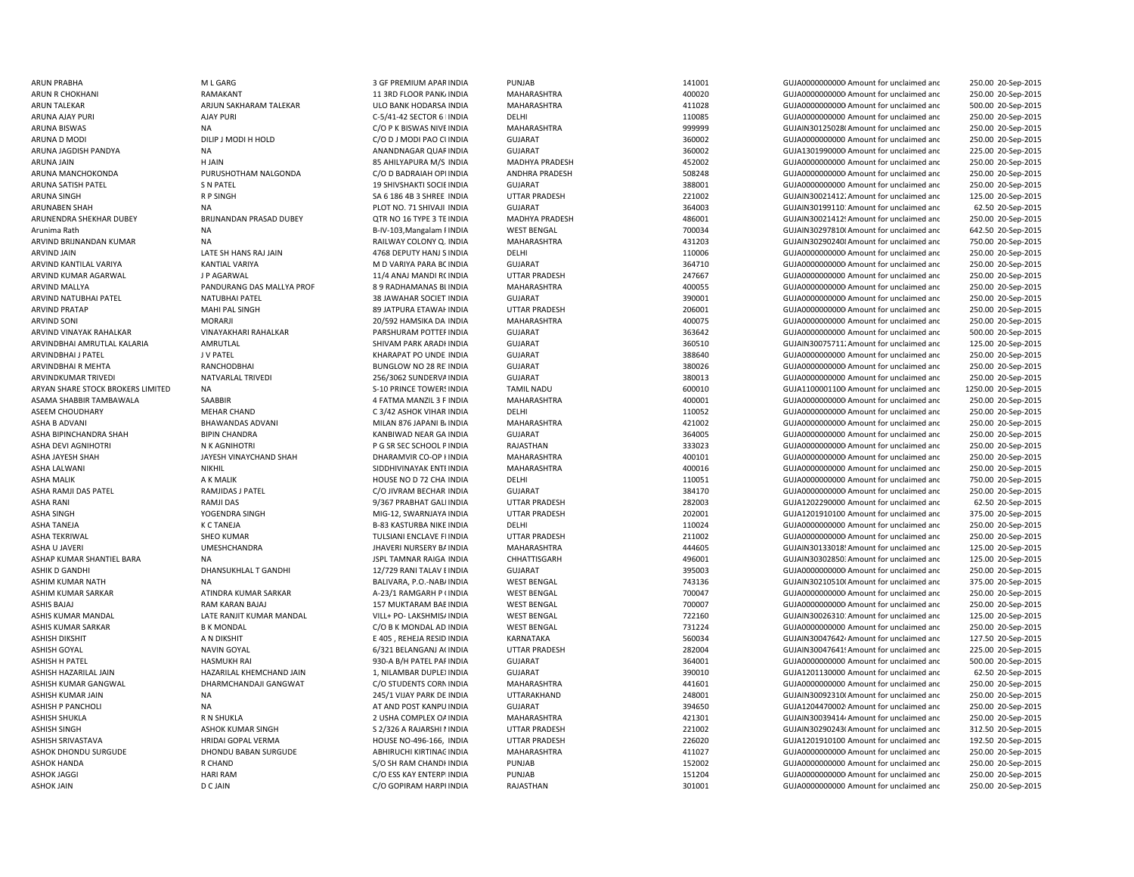ARVIND JAIN LATE SH HANS RAJ JAIN LATE SH HANG RAJ JAIN 4768 DEPUTY HANJ SINDIA ASHA BIPINCHANDRA SHAH BIPIN CHANDRA BIPIN CHANDRA KANBIWAD NEAR GA INDIA ASHA TANEJA K C TANEJA B-83 KASTURBA NIKE INDIA

ARUN PRABHA M L GARG 3 GF PREMIUM APARINDIA PUNJAB 141001 GUJA00000000000Amount for unclaimed and 250.00 20-Sep-2015 ARUN R CHOKHANI RAMAKANT RAMAKANT 11 3RD FLOOR PANKAINDIA MAHARASHTRA 400020 400020 GUJA00000000Amount for unclaimed and 250.00 20-Sep-2015 ARUN TALEKAR ARJUN SAKHARAM TALEKAR ULO BANK HODARSA INDIA MAHARASHTRA 411028 GUJA00000000000Amount for unclaimed and 500.00 20-Sep-2015 ARUNA AJAY PURI AJAY PURI AJAY PURI COMPURI COMPUTA CONFINITIVAL COMPUTATION DELHI DELHI COMPUTATION DELHI 20085 GUJA0000000000 Amount for unclaimed and 250.00 20-Sep-2015 ARUNA BISWAS **NA CHANA CHANA CHANA CHANA CHANA CHANA CHANA** MAHARASHTRA 999999 999999 GUJAIN30125028(Amount for unclaimed and 250.00 20-Sep-2015 ARUNA D MODI DILIP J MODI HOLD CO D J MODI PAO CUINDIA GUJARAT CHE CO DANG ANO AMODI PAO CUINDO A GUJA0000000000 Amount for unclaimed and 250.00 20-Sep-2015 ARUNA JAGDISH PANDYA NA NA NA ANANDNAGAR QUARINDIA GUJARAT 360002 360002 GUJA1301990000Amount for unclaimed and 225.00 20-Sep-2015 ARUNA JAIN H JAIN 85 AHILYAPURA M/S INDIA MADHYA PRADESH 452002 GUJA0000000000 Amount for unclaimed and 250.00 20-Sep-2015 ARUNA MANCHOKONDA PURUSHOTHAM NALGONDA C/O D BADRAIAH OPI INDIA ANDHRA PRADESH 508248 GUJA0000000000M mount for unclaimed and 250.00 20-Sep-2015 ARUNA SATISH PATEL S N PATEL 19 SHIVSHAKTI SOCIEINDIA GUJARAT 388001 GUJA0000000000 Amount for unclaimed and 250.00 20-Sep-2015 ARUNA SINGH RINGH R P SINGH SA 6 186 4B 3 SHREE INDIA UTTAR PRADESH 221002 GUJAIN300214122Amount for unclaimed and 125.00 20-Sep-2015 ARUNABEN SHAH NA NA PLOT NO. 71 SHIVAJI INDIA GUJARAT SALAH SALAH SALAH SALAH SALAH SALAH SALAH SALAH SALAH SALAH SALAH SALAH SALAH SALAH SALAH SALAH SALAH SALAH SALAH SALAH SALAH SALAH SALAH SALAH SALAH SALAH SALAH SALAH 62.50 20-Sep-2015 ARUNENDRA SHEKHAR DUBEY BRIJNANDAN PRASAD DUBEY QTR NO 16 TYPE 3 TE INDIA MADHYA PRADESH 486001 GUJAIN30021412! Amount for unclaimed and 250.00 20-Sep-2015 Arunima Rath NA NA B-IV-103,Mangalam PINDIA WEST BENGAL 700034 GUJAIN30297810(Amount for unclaimed and 642.50 20-Sep-2015 ARVIND BRIJNANDAN KUMAR NA RAILWAY COLONY Q. INDIA MAHARASHTRA 431203 GUJAIN302902408Amount for unclaimed and 750.00 20-Sep-2015 INDIA DELHI 110006 GUJA00000000000Amount for unclaimed and 250.00 20-Sep-2015 ARVIND KANTILAL VARIYA KANTIAL VARIYA M MEMBERAL MARIYA PARA BOINDIA GUJARAT SUMARAT SALIYAL SALIYAL SALIYAL DA GUJA0000000000000Amount for unclaimed and 250.00 20-Sep-2015 ARVIND KUMAR AGARWAL JP AGARWAL 11/4 ANAJ MANDI ROINDIA UTTAR PRADESH 247667 GUJA0000000000 Amount for unclaimed and 250.00 20-Sep-2015 ARVIND MALLYA **PANDURANG DAS MALLYA PROF 8 9 RADHAMANAS BLINDIA** MAHARASHTRA 400055 GUJA00000000000000000000000000000000000 Amount for unclaimed and 250.00 20-Sep-2015 ARVIND NATUBHAI PATEL NATUBHAI PATEL SANATUBHAI PATEL 38 JAWAHAR SOCIET INDIA GUJARAT SULANG 390001 SULA0000000000000000000000000000000 Amount for unclaimed and 250.00 20-Sep-2015 ARVIND PRATAP MAHI PAL SINGH 89 JATPURA ETAWAHINDIA UTTAR PRADESH 206001 GUJA00000000000Amount for unclaimed and 250.00 20-Sep-2015 ARVIND SONI CONI MORARJI MORARJI 20/592 HAMSIKA DAIINDIA MAHARASHTRA 400075 400075 GUJA000000000 Amount for unclaimed and 250.00 20-Sep-2015 ARVIND VINAYAK RAHALKAR VINAYAKHARI RAHALKAR PARSHURAM POTTEFINDIA GUJARAT SULARAT 363642 GUJA0000000000 Amount for unclaimed and 500.00 20-Sep-2015 ARVINDBHAI AMRUTLAL KALARIA AMRUTLAL AMRUTLAL SHIVAM PARK ARADHINDIA GUJARAT SHIVAM PARK ARADHINDIA AMADHINDIA 125.00 20-Sep-2015 ARVINDBHAI LEARTH ARVIND AND THE LAND OF THE CONTRACT CHARAPAT PO UNDE INDIA GUIARAT CHARAPAT CHARAPAT SARGAN GUIARAT CHARAPAT CHARAPAT CHARAPAT CHARAPAT CHARAPAT CHARAPAT CHARAPAT CHARAPAT CHARAPAT CHARAPAT CHARAPAT CHARA 250.00 20-Sep-2015 ARVINDBHAI R MEHTA RANCHODBHAI BUNGLOW NO 28 REUNGLOW NO 28 REVINDIA GUJARAT 380026 380026 GUJA00000000Amount for unclaimed and 250.00 20-Sep-2015 ARVINDKUMAR TRIVEDI NATVARLAL TRIVEDI 256/3062 SUNDERVAINDIA GUJARAT 380013 GUJA0000000000 Amount for unclaimed and 250.00 20-Sep-2015 ARYAN SHARE STOCK BROKERS LIMITED NA S-10 PRINCE TOWERS INDIA TAMIL NADU 600010 600010 GUJA11000011000Amount for unclaimed and 1250.00 20-Sep-2015 ASAMA SHABBIR TAMBAWALA SAABBIR SAABBIR AND SAABBIR A SAMA ARANGIL 3 FINDIA MAHARASHTRA 400001 400001 GUJA0000000000000000000000 Amount for unclaimed and 250.00 20-Sep-2015 ASEEM CHOUDHARY CHAND MEHAR CHAND C 3/42 ASHOK VIHAR INDIA DELHI DELHI 110052 GUJA000000000Amount for unclaimed and 250.00 20-Sep-2015 ASHA B ADVANI BHAWANDAS ADVANI MILAN 876 JAPANI BAINDIA MAHARASHTRA 421002 GUJA000000000000000000Amount for unclaimed and 250.00 20-Sep-2015 INDIA GUJARAT 364005 GUJA0000000000 Amount for unclaimed and 250.00 20-Sep-2015 ASHA DEVI AGNIHOTRI N K AGNIHOTRI P G SR SEC SCHOOL PINDIA RAJASTHAN 333023 GUJA00000000000Amount for unclaimed and 250.00 20-Sep-2015 ASHA JAYESH SHAH JAYESH VINAYCHAND SHAH DHARAMVIR CO-OP HINDIA MAHARASHTRA 400101 GUJA00000000000Amount for unclaimed and 250.00 20-Sep-2015 ASHA LALWANI NIKHIL NIKHIL SIDDHIVINAYAK ENTEINDIA MAHARASHTRA 400016 400016 GUJA0000000000 Amount for unclaimed and 250.00 20-Sep-2015 ASHA MALIK A K MALIK A K MALIK A K ALIK HOUSE NO D 72 CHA INDIA DELHI 110051 110051 GUJA00000000000000000000000000000000 Amount for unclaimed and 750.00 20-Sep-2015 ASHA RAMJI DAS PATEL RAMJIDAS J PATEL COLLINAM BECHAR INDIA GUJARAT GUJADA COLLINAT 384170 GUJA000000000Amount for unclaimed and 250.00 20-Sep-2015 ASHA RANI NEW RAMJI DAS 20-Sep-2015 9/367 PRABHAT GALI INDIA UTTAR PRADESH 282003 GUJA1202290000 Amount for unclaimed and 62.50 20-Sep-2015 ASHA SINGH YOGENDRA SINGH MIG-12, SWARNJAYA INDIA UTTAR PRADESH 202001 GUJA1201910100 Amount for unclaimed and 375.00 20-Sep-2015 INDIA DELHI 110024 GUJA0000000000 Amount for unclaimed and 250.00 20-Sep-2015 ASHA TEKRIWAL SHEO KUMAR TULSIANI ENCLAVE FLINDIA UTTAR PRADESH 211002 GUJA00000000000Amount for unclaimed and 250.00 20-Sep-2015 ASHA U JAVERI NURSHCHANDRA UMESHCHANDRA JHAVERI NURSERY BAINDIA MAHARASHTRA 444605 GUJAIN30133018:Amount for unclaimed and 125.00 20-Sep-2015 ASHAP KUMAR SHANTIEL BARA NA NA NA JABA SHANTIGA INDIA CHHATTISGARH CHHATTISGARH 496001 GUJAIN30302850:Amount for unclaimed and 125.00 20-Sep-2015 ASHIK D GANDHI 2012 DHANSUKHLAL T GANDHI 21/729 RANI TALAV EINDIA GUJARAT 395003 GUJA000000000Amount for unclaimed and 250.00 20-Sep-2015 ASHIM KUMAR NATH NA NA DIA BALIVARA, P.O.-NABAINDIA WEST BENGAL 743136 GUJAIN30210510(Amount for unclaimed and 375.00 20-Sep-2015 ASHIM KUMAR SARKAR ATINDRA KUMAR SARKAR A-23/1 RAMGARH P OINDIA WEST BENGAL 700047 GUJA00000000000Amount for unclaimed and 250.00 20-Sep-2015 ASHIS BAJAJ RAM KARAN BAJAJ 157 MUKTARAM BABINDIA WEST BENGAL 700007 700007 GUJA00000000000000000 Amount for unclaimed and 250.00 20-Sep-2015 ASHIS KUMAR MANDAL LATE RANJIT KUMAR MANDAL VILL+ PO- LAKSHMIS/INDIA WEST BENGAL 722160 722160 GUJAIN30026310: Amount for unclaimed and 125.00 20-Sep-2015 ASHIS KUMAR SARKAR B K MONDAL C/O B K MONDAL AD INDIA WEST BENGAL 731224 GUJA0000000000 Amount for unclaimed and 250.00 20-Sep-2015 ASHISH DIKSHIT AN DIKSHIT A NOTHA THE SANG A NASHIT A NASHIGA SA SHIGA A NASHIGA A NASHIGA A NASHIGA SA SHIGA SHIGA SHIGA SHIGA SHIGA SHIGA SHIGA SHIGA SHIGA SHIGA SHIGA SHIGA SHIGA SHIGA SHIGA SHIGA SHIGA SHIGA SHIGA SHIG ASHISH GOYAL NAVIN GOYAL NAVIN GOYAL 6/321 BELANGANJ A(INDIA UTTAR PRADESH 282004 282004 GUJAIN30047641! Amount for unclaimed and 225.00 20-Sep-2015 ASHISH H PATEL HASMUKH RAI 930-A B/H PATEL PARINDIA GUJARAT 364001 GUJA0000000000 Amount for unclaimed and 500.00 20-Sep-2015 ASHISH HAZARILAL AIN 1, NILAMBAR DUPLEXINDIA GUJARAT 390010 GUJA1201130000 Amount for unclaimed and 62.50 20-Sep-2015 ASHISH KUMAR GANGWAL CHARMCHANDAJI GANGWAT CORNINDIA CORNINDIA MAHARASHTRA 441601 GUJA0000000000 Amount for unclaimed and 250.00 20-Sep-2015 ASHISH KUMAR JAIN NA 250.00 20-Sep-2015 245/1 VIJAY PARK DE INDIA UTTARAKHAND 248001 248001 GUJAIN30092310(Amount for unclaimed and 250.00 20-Sep-2015 ASHISH P PANCHOLI NA NA REAL AT AND POST KANPUINDIA GUIARAT 394650 394650 GUILA12044700021Amount for unclaimed and 250.00 20-Sep-2015 ASHISH SHUKLA R N SHUKLA R N SHUKLA 2 USHA COMPLEX OA INDIA MAHARASHTRA 421301 421301 GUJAIN300394144 Amount for unclaimed and 250.00 20-Sep-2015 ASHISH SINGH ASHOK KUMAR SINGH SARIARSHI NINDIA UTTAR PRADESH 221002 GUJAIN30290243(Amount for unclaimed and 312.50 20-Sep-2015 ASHISH SRIVASTAVA HRIDAI GOPAL VERMA HOUSE NO-496-166, INDIA UTTAR PRADESH 226020 GUJA1201910100 Amount for unclaimed and 192.50 20-Sep-2015 ASHOK DHONDU SURGUDE DHONDU BABAN SURGUDE ABHIRUCHI KIRTINAG INDIA MAHARASHTRA 411027 411027 GUJA00000000000000000000000 Amount for unclaimed and 250.00 20-Sep-2015 ASHOK HANDA R CHAND R CHAND S/O SH RAM CHANDHINDIA PUNJAB PUNJAB 152002 GUJA0000000000 Amount for unclaimed and 250.00 20-Sep-2015 ASHOK JAGGI NAGI HARI RAM CONTERPINDIA PUNJAB PUNJAB 151204 GUJA0000000000Amount for unclaimed and 250.00 20-Sep-2015 ASHOK JAIN D C JAIN D CAIN CO GOPIRAM HARPHINDIA RAJASTHAN RAJASTHAN 301001 GUJA0000000000 Amount for unclaimed and 250.00 20-Sep-2015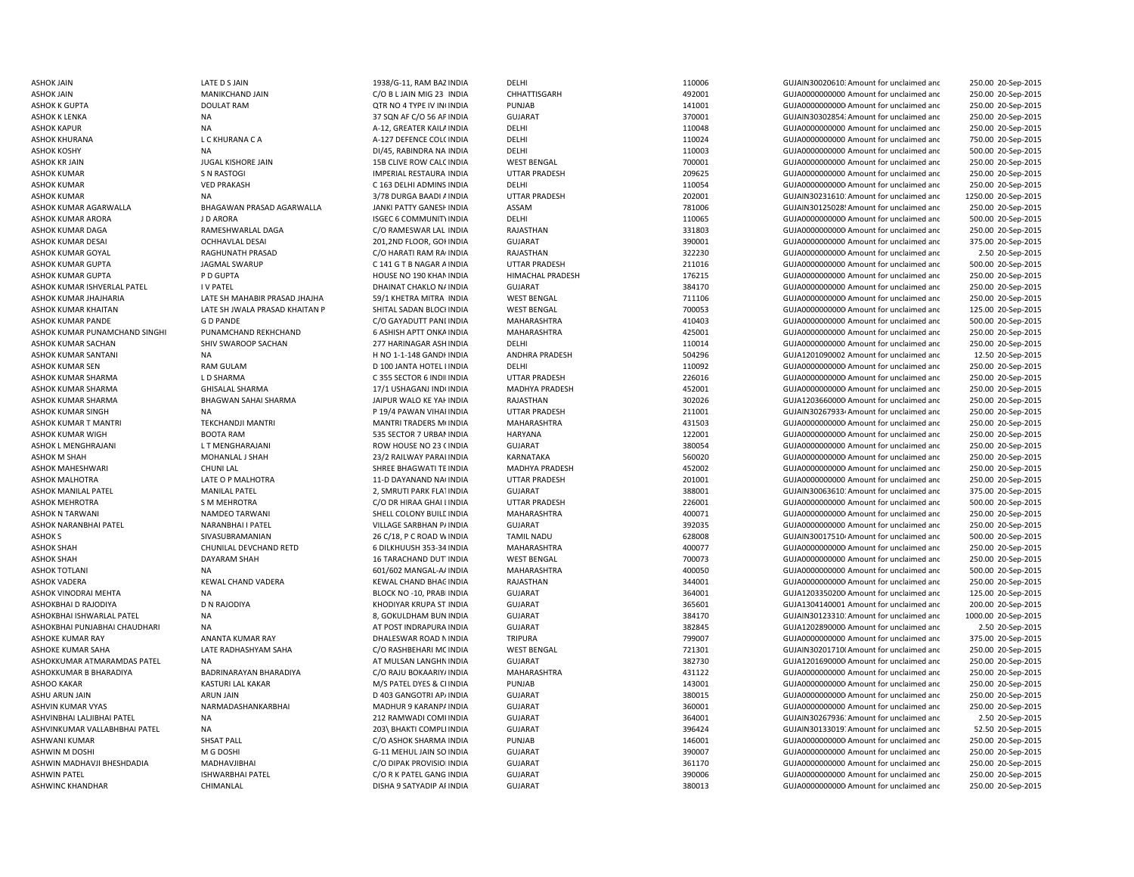ASHOK MAHESHWARI CHUNI LAI CHUNI LAI SHREE BHAGWATI TE INDIA ASHOK SHAH CHUNILAL DEVCHAND RETD 6 DILKHUUSH 353-34ASHOKBHAI PUNJABHAI CHAUDHARI NA NA AT POST INDRAPURA INDIA ASHWIN M DOSHI M G DOSHI G-11 MEHUL JAIN SO

ASHOK JAIN 1938/G-11, RAM BAZ INDIA DELHI 110006 GUJAIN30020610: Amount for unclaimed and 250.00 20-Sep-2015 ASHOK JAIN MANIKCHAND JAIN CHO B LIAIN MIG 23 INDIA CHHATTISGARH 492001 GUJA0000000000 Amount for unclaimed and 250.00 20-Sep-2015 ASHOK K GUPTA DOULAT RAM DOULAT RAM QTR NO 4 TYPE IV INCINDIA PUNJAB PUNJAB 141001 GUJA000000000Amount for unclaimed and 250.00 20-Sep-2015 ASHOK K LENKA NA 250.00 20-Sep-2015 37 SQN AF C/O 56 APINDIA GUJARAT 370001 370001 GUJAIN30302854? Amount for unclaimed and 250.00 20-Sep-2015 ASHOK KAPUR NA NA A-12, GREATER KAILA INDIA DELHI 110048 110048 GUJA0000000000 Amount for unclaimed and 250.00 20-Sep-2015 ASHOK KHURANA L C KHURANA C A A-127 DEFENCE COLOINDIA DELHI 110024 GUJA0000000000 Amount for unclaimed and 750.00 20-Sep-2015 ASHOK KOSHY NA DIA DI/45, RABINDRA NA INDIA DELHI 110003 GUJA000000000 Amount for unclaimed and 500.00 20-Sep-2015 ASHOK KR JAIN GUJA0000000000 Amount for unclaimed and and the CHIVE ASS CLIVE ROW CALC INDIA WEST BENGAL THE MANUSCRIP COLLECT THE COMPOST OF UNCLAIMED AND THE GUJA0000000000 Amount for unclaimed and 250.00 20-Sep-2015 ASHOK KUMAR S N RASTOGI IMPERIAL RESTAURA INDIA UTTAR PRADESH 209625 GUJA0000000000 Amount for unclaimed and 250.00 20-Sep-2015 ASHOK KUMAR VED PRAKASH C 163 DELHI ADMINS INDIA DELHI 110054 GUJA00000000000Amount for unclaimed and 250.00 20-Sep-2015 ASHOK KUMAR NA 250.00 20-Sep-2015 3/78 DURGA BAADI AINDIA UTTAR PRADESH 202001 202001 GUJAIN30231610: Amount for unclaimed and 1250.00 20-Sep-2015 ASHOK KUMAR AGARWALLA BHAGAWAN PRASAD AGARWALLA JANKI PATTY GANESHINDIA ASSAM 781006 781006 GUJAIN30125028! Amount for unclaimed and 250.00 20-Sep-2015 ASHOK KUMAR ARORA JD ARORA JUDARORA ISGEC 6 COMMUNITY INDIA DELHI 110065 110065 GUJA000000000000000 Amount for unclaimed and 500.00 20-Sep-2015 ASHOK KUMAR DAGA RAMESHWARLAL DAGA C/O RAMESWAR LAL INDIA RAJASTHAN 331803 GUJA00000000000Amount for unclaimed and 250.00 20-Sep-2015 ASHOK KUMAR DESAI 201,2ND FLOOR, GONINDIA GUJARAT 390001 GUJA0000000000 Amount for unclaimed and 375.00 20-Sep-2015 ASHOK KUMAR GOYAL RAGHUNATH PRASAD C/O HARATI RAM RAGINDIA RAJASTHAN 322230 GUJA00000000000Amount for unclaimed and 2.50 20-Sep-2015 ASHOK KUMAR GUPTA **ARGMAL SWARUP CELL STAR AT A CHANGAR AIN**DIA UTTAR PRADESH 211016 211016 GUJA000000000000000000000000000000 Amount for unclaimed and 500.00 20-Sep-2015 ASHOK KUMAR GUPTA P D GUPTA HOUSE NO 190 KHANINDIA HIMACHAL PRADESH 176215 GUJA0000000000 Amount for unclaimed and 250.00 20-Sep-2015 ASHOK KUMAR ISHVERLAL PATEL I V PATEL DHAINAT CHAKLO NAINDIA GUJARAT 384170 GUJA0000000000 Amount for unclaimed and 250.00 20-Sep-2015 ASHOK KUMAR JHAJHARIA CHATE SH MAHABIR PRASAD JHAJHA 59/1 KHETRA MITRA INDIA WEST BENGAL 711106 711106 GUJA000000000Amount for unclaimed and 250.00 20-Sep-2015 ASHOK KUMAR KHAITAN CHAITAN LATE SH JWALA PRASAD KHAITAN P SHITAL SADAN BLOCI INDIA WEST BENGAL THE SHITAL SADAN BLOCH INDIA DESTRENGAL THE SHITAL SADAN BLOCH INDIA WEST BENGAL THE SHITAL SADAN BLOCH INDIA WEST BENGAL THE 125.00 20-Sep-2015 ASHOK KUMAR PANDE G D PANDE G DE ANDE CO GAYADUTT PANLINDIA MAHARASHTRA 410403 GUJA0000000000 Amount for unclaimed and 500.00 20-Sep-2015 ASHOK KUMAR PUNAMCHAND SINGHI PUNAMCHAND REKHCHAND 6 ASHISH APTT ONKAINDIA MAHARASHTRA 425001 4425001 GUJA000000000000000 Amount for unclaimed and 250.00 20-Sep-2015 ASHOK KUMAR SACHAN SHIV SWAROOP SACHAN 277 HARINAGAR ASHINDIA DELHI 110014 110014 GUJA0000000000 Amount for unclaimed and 250.00 20-Sep-2015 ASHOK KUMAR SANTANI NA H NA H NO 1-1-148 GANDHINDIA ANDHRA PRADESH 504296 SOLO SANG GUJA1201090002 Amount for unclaimed and 12.50 20-Sep-2015 ASHOK KUMAR SEN RAM GULAM D 100 JANTA HOTEL LINDIA DELHI 110092 GUJA00000000000Amount for unclaimed and 250.00 20-Sep-2015 ASHOK KUMAR SHARMA L D SHARMA L D SHARMA C 355 SECTOR 6 INDILINDIA UTTAR PRADESH 226016 226016 GUJA00000000Amount for unclaimed and 250.00 20-Sep-2015 ASHOK KUMAR SHARMA GHISALAL SHARMA 17/1 USHAGANJ INDOINDIA MADHYA PRADESH 452001 GUJA0000000000Amount for unclaimed and 250.00 20-Sep-2015 ASHOK KUMAR SHARMA BHAGWAN SAHAI SHARMA JAIPUR WALO KE YAHINDIA RAJASTHAN 302026 SUJA1203660000 Amount for unclaimed and 250.00 20-Sep-2015 ASHOK KUMAR SINGH NA PRADESH PERMAN VIHARINDIA UTTAR PRADESH 211001 GUJAIN302679334Amount for unclaimed and 250.00 20-Sep-2015 ASHOK KUMAR T MANTRI TEKCHANDJI MANTRI MANTRI TRADERS MOINDIA MAHARASHTRA 431503 GUJA00000000000Amount for unclaimed and 250.00 20-Sep-2015 ASHOK KUMAR WIGH BOOTA RAM 636 SECTOR 7 URBANINDIA HARYANA 122001 122001 GUJA000000000000000Amount for unclaimed and 250.00 20-Sep-2015 ASHOK L MENGHRAJANI LT MENGHARAJANI CHA CHOW HOUSE NO 23 (INDIA GUJARAT CHA SHOOSE NO 230054 GUJA0000000000 Amount for unclaimed and 250.00 20-Sep-2015 ASHOK M SHAH MOHANLAL J SHAH 23/2 RAILWAY PARALINDIA KARNATAKA 560020 GUJA00000000000Amount for unclaimed and 250.00 20-Sep-2015 INDIA MADHYA PRADESH 452002 GUJA00000000000Amount for unclaimed and 250.00 20-Sep-2015 ASHOK MALHOTRA LATE O P MALHOTRA 11-D DAYANAND NAGINDIA UTTAR PRADESH 201001 201001 GUJA000000000 Amount for unclaimed and 250.00 20-Sep-2015 ASHOK MANILAL PATEL MANILAL PATEL 2, SMRUTI PARK FLATINDIA GUJARAT 388001 GUJAIN30063610: Amount for unclaimed and 375.00 20-Sep-2015 ASHOK MEHROTRA SM MEHROTRA C/O DR HIRAA GHAI LINDIA UTTAR PRADESH 226001 GUJA0000000000 Amount for unclaimed and 500.00 20-Sep-2015 ASHOK N TARWANI NAMDEO TARWANI SHELL COLONY BUILL INDIA MAHARASHTRA 400071 400071 GUJA00000000000000000000 Amount for unclaimed and 250.00 20-Sep-2015 ASHOK NARANBHAI PATEL NARANBHAI I PATEL VILLAGE SARBHAN PAINDIA GUJARAT SARANG SARBHAN PATEL SARBHAN PATEL SARBHAN PATEL SARANG SARBHAN PATEL SARANG SARANG SARBHAN PATEL SARANG SARANG SARANG SARANG SARANG SARANG SARANG SAR 250.00 20-Sep-2015 ASHOK S SIVASUBRAMANIAN 26 C/18, P C ROAD WINDIA TAMIL NADU 628008 GUJAIN30017510/Amount for unclaimed and 500.00 20-Sep-2015 INDIA MAHARASHTRA 400077 GUJA00000000000Amount for unclaimed and 250.00 20-Sep-2015 ASHOK SHAH DAYARAM SHAH 16 TARACHAND DUT INDIA WEST BENGAL 700073 GUJA0000000000 Amount for unclaimed and 250.00 20-Sep-2015 ASHOK TOTLANI NA 601/602 MANGAL-AAINDIA MAHARASHTRA 400050 GUJA0000000000 Amount for unclaimed and 500.00 20-Sep-2015 ASHOK VADERA KEWAL CHAND VADERA KEWAL CHAND BHAGINDIA RAJASTHAN RAJASTHAN 344001 GUJA000000000000000000 Amount for unclaimed and 250.00 20-Sep-2015 ASHOK VINODRAI MEHTA NA NA REGIONAL DELOCK NO -10, PRABI INDIA GUJARAT 364001 364001 GUJA1203350200 Amount for unclaimed and 125.00 20-Sep-2015 ASHOKBHAI D RAJODIYA D N RAJODIYA CHODIYA KHODIYAR KRUPA ST INDIA GUJARAT SASA SASA SASA SASA GUJA1304140001 Amount for unclaimed and 200.00 20-Sep-2015 ASHOKBHAI ISHWARLAL PATEL NA 8, GOKULDHAM BUN INDIA GUJARAT 384170 GUJAIN301233101Amount for unclaimed and 1000.00 20-Sep-2015 GUJARAT 382845 GUJA1202890000-Amount for unclaimed and 2.50 20-Sep-2015 ASHOKE KUMAR RAY ANANTA KUMAR RAY DHALESWAR ROAD NINDIA TRIPURA 799007 799007 GUJA00000000000 Amount for unclaimed and 375.00 20-Sep-2015 ASHOKE KUMAR SAHA LATE RADHASHYAM SAHA CO RASHBEHARI MCINDIA WEST BENGAL 721301 GUJAIN30201710(Amount for unclaimed and 250.00 20-Sep-2015 ASHOKKUMAR ATMARAMDAS PATEL NA CHANGHAN AT MULSAN LANGHNINDIA GUJARAT GUZARAT 382730 GUJA1201690000 Amount for unclaimed and 250.00 20-Sep-2015 ASHOKKUMAR B BHARADIYA BADRINARAYAN BHARADIYA C/O RAJU BOKAARIY/INDIA MAHARASHTRA 431122 GUJA0000000000 Amount for unclaimed and 250.00 20-Sep-2015 ASHOO KAKAR KASTURI LAL KAKAR M/S PATEL DYES & CIINDIA PUNJAB 143001 143001 GUJA000000000Amount for unclaimed and 250.00 20-Sep-2015 ASHU ARUN JAIN ARUN JAIN ARUN JAIN D 403 GANGOTRI AP/INDIA GUJARAT GUJARAT 380015 GUJA000000000Amount for unclaimed and 250.00 20-Sep-2015 ASHVIN KUMAR VYAS NARMADASHANKARBHAI MADHUR 9 KARANPAINDIA GUJARAT 360001 360001 GUJA00000000000 Amount for unclaimed and 250.00 20-Sep-2015 ASHVINBHAI LALJIBHAI PATEL NA 212 RAMWADI COMPINDIA GUJARAT GUARAT 364001 GUAN 302679361Amount for unclaimed and 2.50 20-Sep-2015 ASHVINKUMAR VALLABHBHAI PATEL NA 203\ BHAKTI COMPLEINDIA GUJARAT 396424 GUJAIN301330197Amount for unclaimed and 52.50 20-Sep-2015 ASHWANI KUMAR SHSAT PALL C/O ASHOK SHARMA INDIA PUNJAB 146001 GUJA00000000000Amount for unclaimed and 250.00 20-Sep-2015 INDIA GUJARAT 390007 GUJA0000000000 Amount for unclaimed and 250.00 20-Sep-2015 ASHWIN MADHAVJI BHESHDADIA MADHAVJIBHAI MADHAVJIBHAI COM CODIPAK PROVISIOI INDIA GUJARAT 361170 361170 GUJA0000000000 Amount for unclaimed and 250.00 20-Sep-2015 ASHWIN PATEL ISHWARBHAI PATEL C/O R K PATEL GANG INDIA GUJARAT 390006 GUJA0000000000 Amount for unclaimed and 250.00 20-Sep-2015 ASHWINC KHANDHAR CHIMANLAL DISHA 9 SATYADIP APINDIA GUJARAT 380013 GUJA00000000000Amount for unclaimed and250.00 20-Sep-2015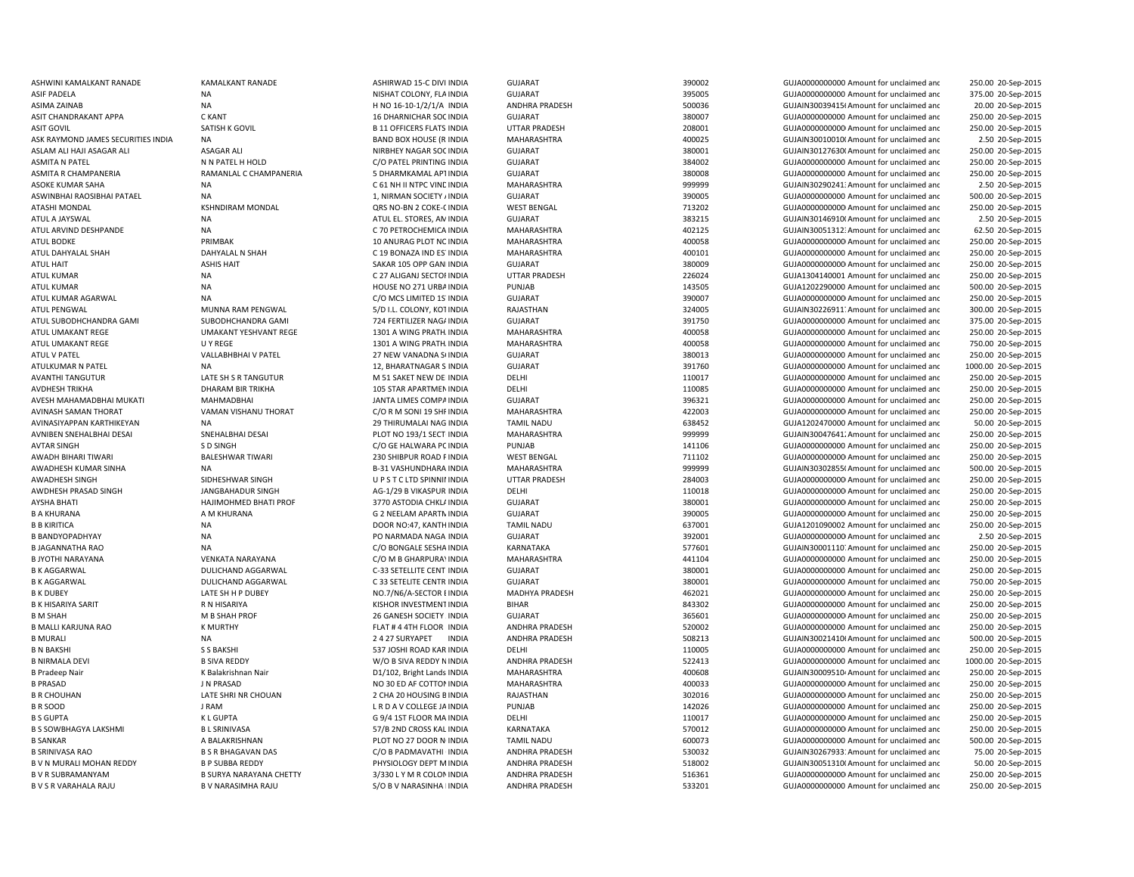| ASHWINI KAMALKANT RANADE           | <b>KAMALKANT RANADE</b>        | ASHIRWAD 15-C DIVI INDIA         | <b>GUJARAT</b>        | 390002 | GUJA0000000000 Amount for unclaimed and  | 250.00 20-Sep-2015  |
|------------------------------------|--------------------------------|----------------------------------|-----------------------|--------|------------------------------------------|---------------------|
| ASIF PADELA                        | <b>NA</b>                      | NISHAT COLONY, FLA INDIA         | <b>GUJARAT</b>        | 395005 | GUJA0000000000 Amount for unclaimed and  | 375.00 20-Sep-2015  |
| ASIMA ZAINAB                       | <b>NA</b>                      | H NO 16-10-1/2/1/A INDIA         | <b>ANDHRA PRADESH</b> | 500036 | GUJAIN30039415(Amount for unclaimed and  | 20.00 20-Sep-2015   |
| ASIT CHANDRAKANT APPA              | C KANT                         | 16 DHARNICHAR SOC INDIA          | <b>GUJARAT</b>        | 380007 | GUJA0000000000 Amount for unclaimed and  | 250.00 20-Sep-2015  |
| <b>ASIT GOVIL</b>                  | SATISH K GOVIL                 | <b>B 11 OFFICERS FLATS INDIA</b> | <b>UTTAR PRADESH</b>  | 208001 | GUJA0000000000 Amount for unclaimed and  | 250.00 20-Sep-2015  |
| ASK RAYMOND JAMES SECURITIES INDIA | NA                             | <b>BAND BOX HOUSE (R INDIA</b>   | MAHARASHTRA           | 400025 | GUJAIN30010010(Amount for unclaimed and  | 2.50 20-Sep-2015    |
| ASLAM ALI HAJI ASAGAR ALI          | <b>ASAGAR ALI</b>              | NIRBHEY NAGAR SOC INDIA          | <b>GUJARAT</b>        | 380001 | GUJAIN30127630(Amount for unclaimed and  | 250.00 20-Sep-2015  |
| <b>ASMITA N PATEL</b>              | N N PATEL H HOLD               | C/O PATEL PRINTING INDIA         | <b>GUJARAT</b>        | 384002 | GUJA0000000000 Amount for unclaimed and  | 250.00 20-Sep-2015  |
| ASMITA R CHAMPANERIA               | RAMANLAL C CHAMPANERIA         | 5 DHARMKAMAL APTINDIA            | <b>GUJARAT</b>        | 380008 | GUJA0000000000 Amount for unclaimed and  | 250.00 20-Sep-2015  |
| ASOKE KUMAR SAHA                   | <b>NA</b>                      | C 61 NH II NTPC VINE INDIA       | MAHARASHTRA           | 999999 | GUJAIN30290241: Amount for unclaimed and | 2.50 20-Sep-2015    |
| ASWINBHAI RAOSIBHAI PATAEL         | NA                             | 1, NIRMAN SOCIETY / INDIA        | <b>GUJARAT</b>        | 390005 | GUJA0000000000 Amount for unclaimed and  | 500.00 20-Sep-2015  |
| ATASHI MONDAL                      | <b>KSHNDIRAM MONDAL</b>        | QRS NO-BN 2 COKE-CINDIA          | <b>WEST BENGAL</b>    | 713202 | GUJA0000000000 Amount for unclaimed and  | 250.00 20-Sep-2015  |
| ATUL A JAYSWAL                     | <b>NA</b>                      |                                  | <b>GUJARAT</b>        | 383215 |                                          |                     |
|                                    |                                | ATUL EL. STORES, AN INDIA        |                       |        | GUJAIN30146910(Amount for unclaimed and  | 2.50 20-Sep-2015    |
| ATUL ARVIND DESHPANDE              | NA                             | C 70 PETROCHEMICA INDIA          | MAHARASHTRA           | 402125 | GUJAIN30051312: Amount for unclaimed and | 62.50 20-Sep-2015   |
| ATUL BODKE                         | PRIMBAK                        | 10 ANURAG PLOT NC INDIA          | MAHARASHTRA           | 400058 | GUJA00000000000 Amount for unclaimed and | 250.00 20-Sep-2015  |
| ATUL DAHYALAL SHAH                 | DAHYALAL N SHAH                | C 19 BONAZA IND ES' INDIA        | MAHARASHTRA           | 400101 | GUJA0000000000 Amount for unclaimed and  | 250.00 20-Sep-2015  |
| <b>ATUL HAIT</b>                   | <b>ASHIS HAIT</b>              | SAKAR 105 OPP GAN INDIA          | <b>GUJARAT</b>        | 380009 | GUJA0000000000 Amount for unclaimed and  | 250.00 20-Sep-2015  |
| ATUL KUMAR                         | <b>NA</b>                      | C 27 ALIGANJ SECTOF INDIA        | <b>UTTAR PRADESH</b>  | 226024 | GUJA1304140001 Amount for unclaimed and  | 250.00 20-Sep-2015  |
| <b>ATUL KUMAR</b>                  | <b>NA</b>                      | HOUSE NO 271 URBA INDIA          | PUNJAB                | 143505 | GUJA1202290000 Amount for unclaimed and  | 500.00 20-Sep-2015  |
| ATUL KUMAR AGARWAL                 | <b>NA</b>                      | C/O MCS LIMITED 1S INDIA         | <b>GUJARAT</b>        | 390007 | GUJA0000000000 Amount for unclaimed and  | 250.00 20-Sep-2015  |
| <b>ATUL PENGWAL</b>                | MUNNA RAM PENGWAL              | 5/D I.L. COLONY, KOT INDIA       | RAJASTHAN             | 324005 | GUJAIN30226911. Amount for unclaimed and | 300.00 20-Sep-2015  |
| ATUL SUBODHCHANDRA GAMI            | SUBODHCHANDRA GAMI             | 724 FERTILIZER NAG/ INDIA        | <b>GUJARAT</b>        | 391750 | GUJA0000000000 Amount for unclaimed and  | 375.00 20-Sep-2015  |
| ATUL UMAKANT REGE                  | <b>UMAKANT YESHVANT REGE</b>   | 1301 A WING PRATH INDIA          | MAHARASHTRA           | 400058 | GUJA0000000000 Amount for unclaimed and  | 250.00 20-Sep-2015  |
| ATUL UMAKANT REGE                  | U Y REGE                       | 1301 A WING PRATH INDIA          | <b>MAHARASHTRA</b>    | 400058 | GUJA0000000000 Amount for unclaimed and  | 750.00 20-Sep-2015  |
| <b>ATUL V PATEL</b>                | VALLABHBHAI V PATEL            | 27 NEW VANADNA SUNDIA            | <b>GUJARAT</b>        | 380013 | GUJA0000000000 Amount for unclaimed and  | 250.00 20-Sep-2015  |
| ATULKUMAR N PATEL                  | <b>NA</b>                      | 12, BHARATNAGAR S INDIA          | <b>GUJARAT</b>        | 391760 | GUJA0000000000 Amount for unclaimed and  | 1000.00 20-Sep-2015 |
| <b>AVANTHI TANGUTUR</b>            | LATE SH S R TANGUTUR           | M 51 SAKET NEW DEHNDIA           | DELHI                 | 110017 | GUJA0000000000 Amount for unclaimed and  | 250.00 20-Sep-2015  |
| <b>AVDHESH TRIKHA</b>              | <b>DHARAM BIR TRIKHA</b>       | 105 STAR APARTMEN INDIA          | DELHI                 | 110085 | GUJA0000000000 Amount for unclaimed and  | 250.00 20-Sep-2015  |
| AVESH MAHAMADBHAI MUKATI           | <b>MAHMADBHAI</b>              | JANTA LIMES COMPAINDIA           | <b>GUJARAT</b>        | 396321 | GUJA0000000000 Amount for unclaimed and  | 250.00 20-Sep-2015  |
| AVINASH SAMAN THORAT               | VAMAN VISHANU THORAT           | C/O R M SONI 19 SHF INDIA        | MAHARASHTRA           | 422003 | GUJA00000000000 Amount for unclaimed and | 250.00 20-Sep-2015  |
| AVINASIYAPPAN KARTHIKEYAN          | NA                             | 29 THIRUMALAI NAG INDIA          | <b>TAMIL NADU</b>     | 638452 | GUJA1202470000 Amount for unclaimed and  | 50.00 20-Sep-2015   |
| AVNIBEN SNEHALBHAI DESAI           | SNEHALBHAI DESAI               | PLOT NO 193/1 SECT INDIA         | MAHARASHTRA           | 999999 | GUJAIN30047641. Amount for unclaimed and | 250.00 20-Sep-2015  |
| <b>AVTAR SINGH</b>                 | S D SINGH                      | C/O GE HALWARA PC INDIA          | PUNJAB                | 141106 | GUJA0000000000 Amount for unclaimed and  | 250.00 20-Sep-2015  |
| AWADH BIHARI TIWARI                | <b>BALESHWAR TIWARI</b>        | 230 SHIBPUR ROAD FINDIA          | <b>WEST BENGAL</b>    | 711102 | GUJA0000000000 Amount for unclaimed and  | 250.00 20-Sep-2015  |
| AWADHESH KUMAR SINHA               | NA                             | <b>B-31 VASHUNDHARA INDIA</b>    | MAHARASHTRA           | 999999 | GUJAIN30302855(Amount for unclaimed and  | 500.00 20-Sep-2015  |
| AWADHESH SINGH                     | SIDHESHWAR SINGH               | UPSTCLTD SPINNII INDIA           | <b>UTTAR PRADESH</b>  | 284003 | GUJA0000000000 Amount for unclaimed and  | 250.00 20-Sep-2015  |
| AWDHESH PRASAD SINGH               | <b>JANGBAHADUR SINGH</b>       | AG-1/29 B VIKASPUR INDIA         | DELHI                 | 110018 | GUJA0000000000 Amount for unclaimed and  |                     |
|                                    |                                |                                  |                       |        |                                          | 250.00 20-Sep-2015  |
| <b>AYSHA BHATI</b>                 | HAJIMOHMED BHATI PROF          | 3770 ASTODIA CHKLI INDIA         | <b>GUJARAT</b>        | 380001 | GUJA0000000000 Amount for unclaimed and  | 250.00 20-Sep-2015  |
| <b>B A KHURANA</b>                 | A M KHURANA                    | G 2 NEELAM APARTN INDIA          | <b>GUJARAT</b>        | 390005 | GUJA0000000000 Amount for unclaimed and  | 250.00 20-Sep-2015  |
| <b>B B KIRITICA</b>                | <b>NA</b>                      | DOOR NO:47, KANTH INDIA          | <b>TAMIL NADU</b>     | 637001 | GUJA1201090002 Amount for unclaimed and  | 250.00 20-Sep-2015  |
| <b>B BANDYOPADHYAY</b>             | NA                             | PO NARMADA NAGA INDIA            | <b>GUJARAT</b>        | 392001 | GUJA0000000000 Amount for unclaimed and  | 2.50 20-Sep-2015    |
| <b>B JAGANNATHA RAO</b>            | <b>NA</b>                      | C/O BONGALE SESHA INDIA          | <b>KARNATAKA</b>      | 577601 | GUJAIN30001110. Amount for unclaimed and | 250.00 20-Sep-2015  |
| <b>B JYOTHI NARAYANA</b>           | <b>VENKATA NARAYANA</b>        | C/O M B GHARPURA\ INDIA          | MAHARASHTRA           | 441104 | GUJA0000000000 Amount for unclaimed and  | 250.00 20-Sep-2015  |
| <b>B K AGGARWAL</b>                | DULICHAND AGGARWAL             | C-33 SETELLITE CENT INDIA        | <b>GUJARAT</b>        | 380001 | GUJA0000000000 Amount for unclaimed and  | 250.00 20-Sep-2015  |
| <b>B K AGGARWAL</b>                | DULICHAND AGGARWAL             | C 33 SETELITE CENTR INDIA        | <b>GUJARAT</b>        | 380001 | GUJA0000000000 Amount for unclaimed and  | 750.00 20-Sep-2015  |
| <b>B K DUBEY</b>                   | LATE SH H P DUBEY              | NO.7/N6/A-SECTOR EINDIA          | <b>MADHYA PRADESH</b> | 462021 | GUJA0000000000 Amount for unclaimed and  | 250.00 20-Sep-2015  |
| <b>B K HISARIYA SARIT</b>          | R N HISARIYA                   | KISHOR INVESTMENT INDIA          | <b>BIHAR</b>          | 843302 | GUJA0000000000 Amount for unclaimed and  | 250.00 20-Sep-2015  |
| <b>B M SHAH</b>                    | M B SHAH PROF                  | 26 GANESH SOCIETY . INDIA        | <b>GUJARAT</b>        | 365601 | GUJA00000000000 Amount for unclaimed and | 250.00 20-Sep-2015  |
| <b>B MALLI KARJUNA RAO</b>         | K MURTHY                       | FLAT # 4 4TH FLOOR INDIA         | ANDHRA PRADESH        | 520002 | GUJA0000000000 Amount for unclaimed and  | 250.00 20-Sep-2015  |
| <b>B MURALI</b>                    | <b>NA</b>                      | 2 4 27 SURYAPET<br><b>INDIA</b>  | ANDHRA PRADESH        | 508213 | GUJAIN30021410(Amount for unclaimed and  | 500.00 20-Sep-2015  |
| <b>B N BAKSHI</b>                  | <b>S S BAKSHI</b>              | 537 JOSHI ROAD KAR INDIA         | DELHI                 | 110005 | GUJA0000000000 Amount for unclaimed and  | 250.00 20-Sep-2015  |
| <b>B NIRMALA DEVI</b>              | <b>B SIVA REDDY</b>            | W/O B SIVA REDDY N INDIA         | ANDHRA PRADESH        | 522413 | GUJA0000000000 Amount for unclaimed and  | 1000.00 20-Sep-2015 |
| <b>B Pradeep Nair</b>              | K Balakrishnan Nair            | D1/102, Bright Lands INDIA       | MAHARASHTRA           | 400608 | GUJAIN300095104 Amount for unclaimed and | 250.00 20-Sep-2015  |
| <b>B PRASAD</b>                    | J N PRASAD                     | NO 30 ED AF COTTON INDIA         | MAHARASHTRA           | 400033 | GUJA0000000000 Amount for unclaimed and  | 250.00 20-Sep-2015  |
| <b>B R CHOUHAN</b>                 | LATE SHRI NR CHOUAN            | 2 CHA 20 HOUSING B INDIA         | RAJASTHAN             | 302016 | GUJA0000000000 Amount for unclaimed and  | 250.00 20-Sep-2015  |
| <b>BR SOOD</b>                     | J RAM                          | L R D A V COLLEGE JA INDIA       | PUNJAB                | 142026 | GUJA0000000000 Amount for unclaimed and  | 250.00 20-Sep-2015  |
| <b>B S GUPTA</b>                   | <b>KLGUPTA</b>                 | G 9/4 1ST FLOOR MA INDIA         | DELHI                 | 110017 | GUJA00000000000 Amount for unclaimed and | 250.00 20-Sep-2015  |
| <b>B S SOWBHAGYA LAKSHMI</b>       | <b>BL SRINIVASA</b>            | 57/B 2ND CROSS KAL INDIA         | KARNATAKA             | 570012 | GUJA0000000000 Amount for unclaimed and  | 250.00 20-Sep-2015  |
| <b>B SANKAR</b>                    | A BALAKRISHNAN                 | PLOT NO 27 DOOR N INDIA          | <b>TAMIL NADU</b>     | 600073 | GUJA0000000000 Amount for unclaimed and  | 500.00 20-Sep-2015  |
| <b>B SRINIVASA RAO</b>             | <b>B S R BHAGAVAN DAS</b>      | C/O B PADMAVATHI INDIA           | <b>ANDHRA PRADESH</b> | 530032 | GUJAIN302679331Amount for unclaimed and  | 75.00 20-Sep-2015   |
| B V N MURALI MOHAN REDDY           | <b>B P SUBBA REDDY</b>         | PHYSIOLOGY DEPT M INDIA          | ANDHRA PRADESH        | 518002 | GUJAIN30051310(Amount for unclaimed and  | 50.00 20-Sep-2015   |
| <b>BVR SUBRAMANYAM</b>             | <b>B SURYA NARAYANA CHETTY</b> | 3/330 L Y M R COLON INDIA        | <b>ANDHRA PRADESH</b> | 516361 | GUJA00000000000 Amount for unclaimed and | 250.00 20-Sep-2015  |
| B V S R VARAHALA RAJU              | <b>B V NARASIMHA RAJU</b>      | S/O B V NARASINHA I INDIA        | <b>ANDHRA PRADESH</b> | 533201 | GUJA0000000000 Amount for unclaimed and  | 250.00 20-Sep-2015  |
|                                    |                                |                                  |                       |        |                                          |                     |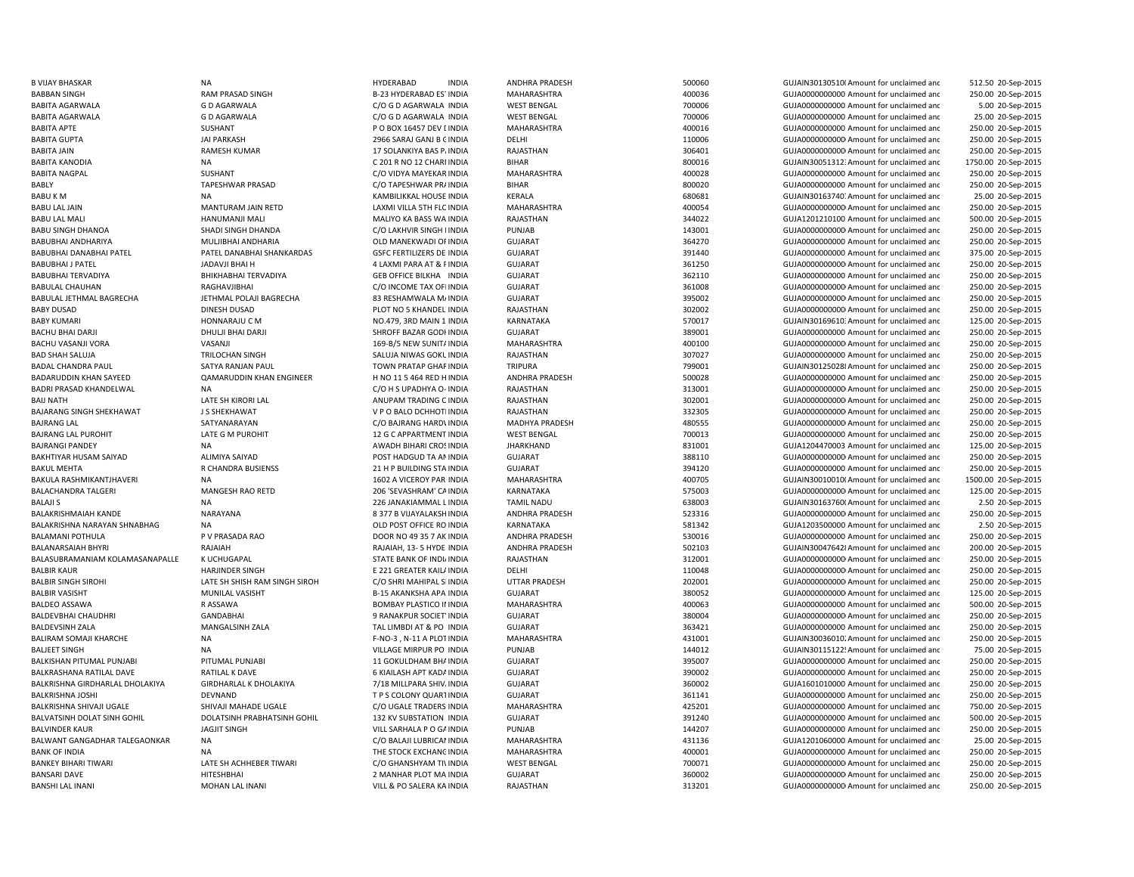BABU LAL MALI HANDO HANUMANJI MALI MALI MALI MALIYO KA BASS WA INDIA BABY DUSAD DINESH DUSAD DINESH DUSAD PLOT NO 5 KHANDEL INDIA BAIJ NATH **LATE SH KIRORI LAL CHEAD ANUPAM TRADING CINDIA** BAJRANG LAL SATYANARAYAN SATYANARAYAN C/O BAJRANG HARD\ INDIA BAJRANG LAL PUROHIT LATE G M PUROHIT LATE G M PUROHIT 12 G C APPARTMENT INDIA BAKUL MEHTA RELATION RELATIONS RELATIONS RELATIONS RELATIONS AND RELATIONS RELATIONS OF A RELATIONS OF A RELATIONS OF A RELATIONS OF A RELATIONS OF A RELATIONS OF A RELATIONS OF A RELATIONS OF A RELATIONS OF A RELATIONS OF BALAJI S NA 226 JANAKIAMMAL LBALAMANI POTHULA 
P V PRASADA RAO 
P PRASADA RAO DOOR NO 49 35 7 AK INDIA BANKEY BIHARI TIWARI LATE SH ACHHEBER TIWARI LATE SH ACHHEBER TIWARI C/O GHANSHYAM TIVINDIA BANSHI LAL INANI MOHAN LAL INANI VILL & PO SALERA KA

B VIJAY BHASKAR NA NA HYDERABAD INDIA ANDHRA PRADESH 500060 SOONG GUJAIN301305100Amount for unclaimed and 512.50 20-Sep-2015 BABBAN SINGH RAM PRASAD SINGH B-23 HYDERABAD ESTINDIA MAHARASHTRA 400036 400036 GUJA000000000 Amount for unclaimed and 250.00 20-Sep-2015 BABITA AGARWALA GARWALA CO DAGARWALA CO G DAGARWALA INDIA WEST BENGAL 700006 700006 GUJA0000000000 Amount for unclaimed and 5.00 20-Sep-2015 BABITA AGARWALA GARWALA GO DAGARWALA CO G DAGARWALA INDIA WEST BENGAL 700006 700006 GUJA0000000000 Amount for unclaimed and 25.00 20-Sep-2015 BABITA APTE SUSHANT SUSHANT P O BOX 16457 DEV LINDIA MAHARASHTRA 400016 400016 GUJA00000000000 Amount for unclaimed and 250.00 20-Sep-2015 BABITA GUPTA JAI PARKASH JAI PARKASH 2966 SARAJ GANJ B GINDIA DELHI DELHI 110006 110006 GUJA00000000000Amount for unclaimed and 250.00 20-Sep-2015 BABITA JAIN RAMESH KUMAR 17 SOLANKIYA BAS PAINDIA RAJASTHAN 306401 GUJA00000000000Amount for unclaimed and 250.00 20-Sep-2015 BABITA KANODIA NA NA NA C 201 R NO 12 CHARMINDIA BIHAR BIHAR 800016 SOO016 GUJAIN300513123:Amount for unclaimed and 1750.00 20-Sep-2015 BABITA NAGPAL SUSHANT C/O VIDYA MAYEKAR INDIA MAHARASHTRA 400028 GUJA0000000000 Amount for unclaimed and 250.00 20-Sep-2015 BABLY COTAPESHWAR PRASAD COTAPESHWAR PRAINDIA BIHAR BIHAR 800020 SOO020 GUJA0000000000 Amount for unclaimed and 250.00 20-Sep-2015 BABU K M NA NA KAMBILIKKAL HOUSE INDIA KERALA KERALA 680681 GUJAIN30163740. Amount for unclaimed and 25.00 20-Sep-2015 BABU LAL JAIN MANTURAM JAIN RETD LAXMI VILLA 5TH FLC INDIA MAHARASHTRA 400054 400054 GUJA000000000000000000000 Amount for unclaimed and 250.00 20-Sep-2015 RAJASTHAN 344022 344022 344022 GUJA1201210100 Amount for unclaimed and 500.00 20-Sep-2015 BABU SINGH DHANOA SHADI SINGH DHANDA CO LAKHVIR SINGH I INDIA PUNJAB 143001 143001 GUJA000000000Amount for unclaimed and 250.00 20-Sep-2015 BABUBHAI ANDHARIYA **MULIBHAI ANDHARIA** OLD MANEKWADI OFINDIA GUJARAT 364270 SUJA0000000000 Amount for unclaimed and 250.00 20-Sep-2015 BABUBHAI DANABHAI PATEL PATEL DANABHAI SHANKARDAS GSFC FERTILIZERS DE INDIA GUJARAT 391440 GUJA0000000000 Amount for unclaimed and 375.00 20-Sep-2015 BABUBHAI J PATEL JADAVJI BHAI H 4 LAXMI PARA AT & PINDIA GUJARAT 361250 GUJA00000000000Amount for unclaimed and 250.00 20-Sep-2015 BABUBHAI TERVADIYA **BHIKHABHAI TERVADIYA** GEB OFFICE BILKHA INDIA GUJARAT 362110 362110 GUJA0000000000 Amount for unclaimed and 250.00 20-Sep-2015 BABULAL CHAUHAN RAGHAVJIBHAI CO INCOME TAX OFIINDIA GUJARAT 361008 GUJA0000000000000000000000000000 Amount for unclaimed and 250.00 20-Sep-2015 BABULAL JETHMAL BAGRECHA JETHMAL POLAJI BAGRECHA 83 RESHAMWALA MAINDIA GUJARAT 395002 GUJA00000000000Amount for unclaimed and 250.00 20-Sep-2015 WINDIA RAJASTHAN 302002 GUJA00000000000Amount for unclaimed and 250.00 20-Sep-2015 BABY KUMARI SARAJU C M HONNARAJU C M NO.479, 3RD MAIN 1 INDIA KARNATAKA 570017 570017 GUJAIN30169610: Amount for unclaimed and 125.00 20-Sep-2015 BACHU BHAI DARJI DHULJI BHAI DARJI SHROFF BAZAR GODI INDIA GUJARAT GUTARAT 389001 GUJA0000000000 Amount for unclaimed and 250.00 20-Sep-2015 BACHU VASANJI VORA VASANJI VORA VASANJI VORA VASANJI 169-B/5 NEW SUNITAINDIA MAHARASHTRA 400100 400100 GUJA000000000Amount for unclaimed and 250.00 20-Sep-2015 BAD SHAH SALUJA TRILOCHAN SINGH SALUJA NIWAS GOKUINDIA RAJASTHAN SALUJA NI SALUJA SATOT SALUJANOODOODOODO Amount for unclaimed and 250.00 20-Sep-2015 BADAL CHANDRA PAUL SATYA RANJAN PAUL SATYA RANJAN PAUL SATYA RANJAN PAUL TOWN PRATAP GHARINDIA TRIPURA TRIPURA 250.00 20-Sep-2015 BADARUDDIN KHAN SAYEED QAMARUDDIN KHAN ENGINEER H NO 11 5 464 RED H INDIA ANDHRA PRADESH 500028 GUJA000000000 Amount for unclaimed and 250.00 20-Sep-2015 BADRI PRASAD KHANDELWAL NA NA CHO H SUPADHYA O- INDIA RAJASTHAN 2013001 313001 GUJA0000000000Amount for unclaimed and 250.00 20-Sep-2015 INDIA RAJASTHAN 302001 GUJA00000000000Amount for unclaimed and 250.00 20-Sep-2015 BAJARANG SINGH SHEKHAWAT J S SHEKHAWAT V P O BALO DCHHOTIINDIA RAJASTHAN 332305 GUJA00000000000Amount for unclaimed and 250.00 20-Sep-2015 WINDIA MADHYA PRADESH 480555 GUJA00000000000Amount for unclaimed and 250.00 20-Sep-2015 INDIA WEST BENGAL 700013 GUJA0000000000 Amount for unclaimed and 250.00 20-Sep-2015 BAJRANGI PANDEY **NA SANG AWADH BIHARI CROSINDIA** JHARKHAND 331001 831001 GUJA1204470003 Amount for unclaimed and 125.00 20-Sep-2015 BAKHTIYAR HUSAM SAIYAD ALIMIYA SAIYAD POST HADGUD TA ANINDIA GUJARAT 388110 GUJA00000000000Amount for unclaimed and 250.00 20-Sep-2015 INDIA GUJARAT 394120 GUJA0000000000 Amount for unclaimed and 250.00 20-Sep-2015 BAKULA RASHMIKANTJHAVERI NA 1602 A 2002 A VICEROY PAR INDIA MAHARASHTRA 400705 400705 GUJAIN30010010(Amount for unclaimed and 1500.00 20-Sep-2015 BALACHANDRA TALGERI MANGESH RAO RETD 206 'SEVASHRAM' CAINDIA KARNATAKA 575003 GUJA000000000000000000000 Amount for unclaimed and 125.00 20-Sep-2015 TAMIL NADU **12 COVID-20 COVID-20 COVID-20 COVID-20 COVID-20 COVID-20 COVID-20 COVID-20 COVID-20 COVID-20 COVID-20 COVID-20 COVID-20 COVID-20 COVID-20 COVID-20 COVID-20 COVID-20 COVID-20 COVID-20 COVID-20 COVID-20 COVID-20**  2.50 20-Sep-2015 BALAKRISHMAIAH KANDE NARAYANA 8 377 B VIJAYALAKSHINDIA ANDHRA PRADESH 523316 GUJA00000000000Amount for unclaimed and 250.00 20-Sep-2015 BALAKRISHNA NARAYAN SHNABHAG NA OLD NA OLD POST OFFICE RO INDIA KARNATAKA 581342 GUJA1203500000 Amount for unclaimed and 2.50 20-Sep-2015 INDIA ANDHRA PRADESH 530016 GUJA0000000000 Amount for unclaimed and 250.00 20-Sep-2015 BALANARSAIAH BHYRI RAJAIAH RAJAIAH RAJAIAH RAJAIAH, 13-5 HYDE INDIA ANDHRA PRADESH 502103 GUJAIN300476428Amount for unclaimed and 200.00 20-Sep-2015 BALASUBRAMANIAM KOLAMASANAPALLE K UCHUGAPAL STATE SANK OF INDIA STATE BANK OF INDIA RAJASTHAN SANASTHAN SANASTHAN SANASTHAN SANASTHAN SANASTHAN SANASTHAN SANASTHAN SANASTHAN SANASTHAN SANASTHAN SANASTHAN SANASTHAN SANASTHA 250.00 20-Sep-2015 BALBIR KAUR HARJINDER SINGH E 221 GREATER KAILAINDIA DELHI 110048 GUJA00000000000Amount for unclaimed and 250.00 20-Sep-2015 BALBIR SINGH SIROHI CHATE SH SHISH RAM SINGH SIROH C/O SHRI MAHIPAL SIINDIA UTTAR PRADESH 202001 20-SUJA000000000Amount for unclaimed and 250.00 20-Sep-2015 BALBIR VASISHT MUNILAL VASISHT B-15 AKANKSHA APA INDIA GUJARAT 380052 GUJA00000000000Amount for unclaimed and 125.00 20-Sep-2015 BALDEO ASSAWA RASSAWA RESAWA BOMBAY PLASTICO II INDIA MAHARASHTRA 400063 GUJA00000000000000 Amount for unclaimed and 500.00 20-Sep-2015 BALDEVBHAI CHAUDHRI GANDABHAI 9 RANAKPUR SOCIETYINDIA GUJARAT 380004 GUJA00000000000Amount for unclaimed and 250.00 20-Sep-2015 BALDEVSINH ZALA MANGALSINH ZALA TAL LIMBDI AT & PO INDIA GUJARAT 363421 GUJA0000000000 Amount for unclaimed and 250.00 20-Sep-2015 BALIRAM SOMAJI KHARCHE NA NA CHO-3 , N-11 A PLOTINDIA MAHARASHTRA 431001 431001 GUJAIN30036010. Amount for unclaimed and 250.00 20-Sep-2015 BALJEET SINGH NA NA NA SALJEET SINGH NA NA VILLAGE MIRPUR PO INDIA PUNJAB PUNJAB 144012 144012 GUJAIN301151225Amount for unclaimed and 75.00 20-Sep-2015 BALKISHAN PITUMAL PUNJABI PITUMAL PUNJABI 11 GOKULDHAM BHAINDIA GUJARAT 395007 SUJA0000000000 Amount for unclaimed and 250.00 20-Sep-2015 BALKRASHANA RATILAL DAVE RATILAL K DAVE 6 KIAILASH APT KADAINDIA GUJARAT GUZARAT 390002 GUJA0000000000 Amount for unclaimed and 250.00 20-Sep-2015 BALKRISHNA GIRDHARLAL DHOLAKIYA GIRDHARLAL K DHOLAKIYA 7/18 MILLPARA SHIV، INDIA GUJARAT 360002 360002 GUJA1601010000 Amount for unclaimed and 250.00 20-Sep-2015 BALKRISHNA JOSHI DEVNAND DEVNAND T P S COLONY QUARTINDIA GUJARAT 361141 GUJA0000000000 Amount for unclaimed and 250.00 20-Sep-2015 BALKRISHNA SHIVAJI UGALE SHIVAJI MAHADE UGALE COMPORTE CON UGALE TRADERS INDIA MAHARASHTRA 425201 425201 GUJA000000000 Amount for unclaimed and 750.00 20-Sep-2015 BALVATSINH DOLAT SINH GOHIL DOLATSINH PRABHATSINH GOHIL 132 KV SUBSTATION INDIA GUJARAT 391240 GUJA0000000000 Amount for unclaimed and 500.00 20-Sep-2015 BALVINDER KAUR SARHALA PO GAINDIA PUNJAB PUNJAB 144207 GUJA0000000000000000000000000000000 Amount for unclaimed and 250.00 20-Sep-2015 BALWANT GANGADHAR TALEGAONKAR NA C/O BALAJI LUBRICANINDIA MAHARASHTRA 431136 GUJA1201060000 Amount for unclaimed and 25.00 20-Sep-2015 BANK OF INDIA SANG OF THE STOCK EXCHANGINDIA MAHARASHTRA AND ANO AMOUNT AND CULLANDONONON Amount for unclaimed and 250.00 20-Sep-2015 WEST BENGAL **1.1 COLLUMER 200071** 700071 GUJA00000000000000Amount for unclaimed and 250.00 20-Sep-2015 BANSARI DAVE HITESHBHAI 2 MANHAR PLOT MA INDIA GUJARAT 360002 GUJA00000000000Amount for unclaimed and 250.00 20-Sep-2015 INDIA RAJASTHAN 313201 GUJA00000000000Amount for unclaimed and 250.00 20-Sep-2015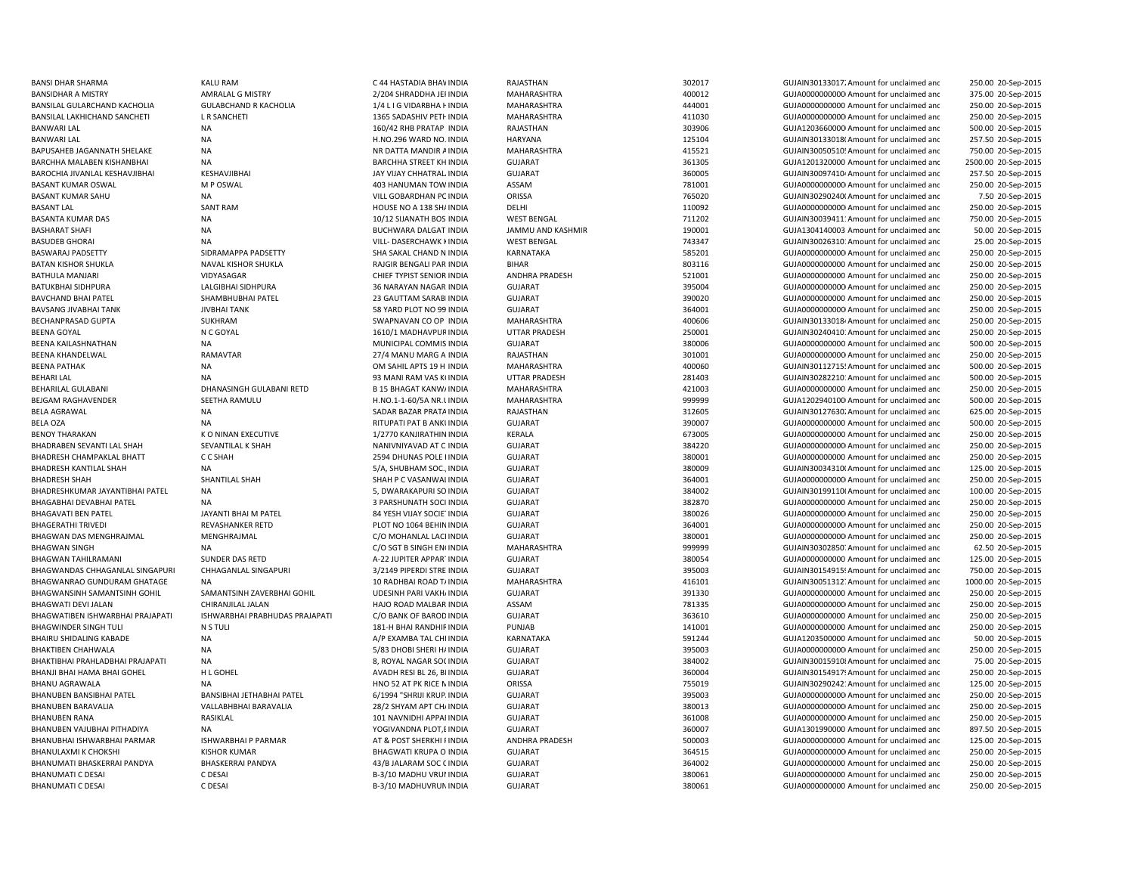BANWARI LAL NA H.NO.296 WARD NO. INDIA BASANT KUMAR OSWAL M P OSWAL M P OSWAL 403 HANUMAN TOW INDIA

BANSI DHAR SHARMA KALU RAM C 44 HASTADIA BHAWINDIA RAJASTHAN 302017 GUJAIN301330172Amount for unclaimed and 250.00 20-Sep-2015 BANSIDHAR A MISTRY AMRALAL G MISTRY 2/204 SHRADDHA JERINDIA MAHARASHTRA 400012 GUJA00000000000Amount for unclaimed and 375.00 20-Sep-2015 BANSILAL GULARCHAND KACHOLIA GULABCHAND R KACHOLIA 1/4 L I G VIDARBHA F INDIA MAHARASHTRA 444001 GUJA000000000 Amount for unclaimed and 250.00 20-Sep-2015 BANSILAL LAKHICHAND SANCHETI L R SANCHETI 1365 SADASHIV PETHINDIA MAHARASHTRA 411030 GUJA00000000000Amount for unclaimed and 250.00 20-Sep-2015 BANWARI LAL 160/42 RHB PRATAP INDIA RAJASTHAN 303906 GUJA1203660000 Amount for unclaimed and 500.00 20-Sep-2015 HARYANA **125104** GUJAIN30133018(Amount for unclaimed and 257.50 20-Sep-2015 BAPUSAHEB JAGANNATH SHELAKE NA NR DATTA MANDIR AINDIA MAHARASHTRA 415521 GUJAIN300505105Amount for unclaimed and 750.00 20-Sep-2015 BARCHHA MALABEN KISHANBHAI NA NA SANGHA STREET KH INDIA GUJARAT SANGHA SANGHA SANGHA SANGHA SANGHA SANGHA SANGHA SANGHA SANGHA SANGHA SANGHA SANGHA SANGHA SANGHA SANGHA SANGHA SANGHA SANGHA SANGHA SANGHA SANGHA SANGHA SANG 2500.00 20-Sep-2015 BAROCHIA JIVANLAL KESHAVJIBHAI KESHAVJIBHAI KESHAVJIBHAI SALAINDIA JAY VIJAY CHHATRALINDIA GUJARAT SALAINDIA SADOOS SALAIN SALAINDIA SADOOS SALAIN SADOOS SALAIN SADOO SALAIN SADOO SALAIN SADA SADA SADA SADA SADA SADA SADA 257.50 20-Sep-2015 INDIA ASSAM 781001 GUJA00000000000Amount for unclaimed and 250.00 20-Sep-2015 BASANT KUMAR SAHU NA NA VILL GOBARDHAN PCINDIA ORISSA CHESSA 765020 765020 GUJAIN302902400 Amount for unclaimed and 7.50 20-Sep-2015 BASANT LAL SANT RAM SANT RAM HOUSE NO A 138 SHAINDIA DELHI DELHI 110092 GUJA0000000000000000000000000000 Amount for unclaimed and 250.00 20-Sep-2015 BASANTA KUMAR DAS NA 10/12 SUANATH BOS INDIA WEST BENGAL 711202 GUJAIN30039411:Amount for unclaimed and 750.00 20-Sep-2015 BASHARAT SHAFI NA NA DIGHWARA DALGAT INDIA JAMMU AND KASHMIR 190001 GUJA1304140003 Amount for unclaimed and 50.00 20-Sep-2015 BASUDEB GHORAI **NA SUBASIDE SA NA VILL- DASERCHAWK KINDIA** WEST BENGAL 743347 GUJAIN300263101Amount for unclaimed and 25.00 20-Sep-2015 BASWARAJ PADSETTY SIDRAMAPPA PADSETTY SHA SAKAL CHAND N INDIA KARNATAKA 585201 GUJA00000000000Amount for unclaimed and 250.00 20-Sep-2015 BATAN KISHOR SHUKLA NAVAL KISHOR SHUKLA RAJGIR BENGALI PAR INDIA BIHAR BIHAR 803116 GUJA00000000000000 Amount for unclaimed and 250.00 20-Sep-2015 BATHULA MANJARI VIDYASAGAR VIDYASAGAR CHIEF TYPIST SENIOR INDIA ANDHRA PRADESH 521001 GUJA00000000000000000000000000000000000 Amount for unclaimed and 250.00 20-Sep-2015 BATUKBHAI SIDHPURA LALGIBHAI SIDHPURA 36 NARAYAN NAGAR INDIA GUJARAT 395004 GUJA00000000000Amount for unclaimed and 250.00 20-Sep-2015 BAVCHAND BHAI PATEL SHAMBHUBHAI PATEL 23 GAUTTAM SARABI INDIA GUJARAT GUARAT 390020 GUJA0000000000 Amount for unclaimed and 250.00 20-Sep-2015 BAVSANG JIVABHAI TANK JIVBHAI TANK SANG DERINI TANG SEBAGI TANG DERINI SEBAGI SEBAGI SEBAGI DELENGANG DERINI DE<br>BAVSANG JIVABHAI TANK SANG DERINI DERINI DERINI DERINI DERINI DERINI DERINI DERINI DERINI DELENGAN DERINI DERI 250.00 20-Sep-2015 BECHANPRASAD GUPTA SUKHRAM SUKHRAM SWAPNAVAN CO OP INDIA MAHARASHTRA 400606 400606 GUJAIN30133018/Amount for unclaimed and 250.00 20-Sep-2015 BEENA GOYAL 1610/1 MADHAVPURINDIA UTTAR PRADESH 250001 GUJAIN30240410: Amount for unclaimed and 250.00 20-Sep-2015 BEENA KAILASHNATHAN **NA MUNICIPAL COMMIS INDIA GUJARAT** GUJARAT 380006 GUJA000000000000000000000 Amount for unclaimed and 500.00 20-Sep-2015 BEENA KHANDELWAL RAMAVTAR 27/4 MANU MARG A INDIA RAJASTHAN 301001 GUJA00000000000Amount for unclaimed and 250.00 20-Sep-2015 BEENA PATHAK NA NA DIA SAHIL APTS 19 H INDIA MAHARASHTRA 400060 400060 GUJAIN30112715! Amount for unclaimed and 500.00 20-Sep-2015 BEHARI LAL NA NA 2002 DEL NA 93 MANI RAM VAS KUNDIA UTTAR PRADESH 281403 281403 GUJAIN302822101'Amount for unclaimed and 500.00 20-Sep-2015 BEHARILAL GULABANI **DHANASINGH GULABANI RETD** B 15 BHAGAT KANW/INDIA MAHARASHTRA 421003 GUJA000000000000000000000000 Amount for unclaimed and 250.00 20-Sep-2015 BEJGAM RAGHAVENDER SEETHA RAMULU H.NO.1-1-60/5A NR.UINDIA MAHARASHTRA 999999 GUJA1202940100 Amount for unclaimed and 500.00 20-Sep-2015 BELA AGRAWAL **SADAR BAZAR PRATAINDIA SADAR BAZAR PRATAINDIA** RAJASTHAN 312605 GUJAIN301276302Amount for unclaimed and 625.00 20-Sep-2015 BELA OZA NA RITUPATI PAT B ANKUINDIA GUJARAT 390007 GUJA0000000000 Amount for unclaimed and 500.00 20-Sep-2015 BENOY THARAKAN K O NINAN EXECUTIVE 1/2770 KANJIRATHIN INDIA KERALA 673005 GUJA0000000000 Amount for unclaimed and 250.00 20-Sep-2015 BHADRABEN SEVANTI LAL SHAH SEVANTILAL K SHAH NANIVNIYAVAD AT C INDIA GUJARAT SHADRAT SANIVALLED AN SANIVALLED SEVANTILAL K SHAH SANIVALLED ANG NANIVNIYAVAD AT C INDIA GUJARAT SANIVALLED SANIVALLED ANG SANIVALLED ANG SANIVA 250.00 20-Sep-2015 BHADRESH CHAMPAKLAL BHATT C C C SHAH 2594 DHUNAS POLE INDIA GUJARAT GUJARAT 380001 380001 GUJA000000000 Amount for unclaimed and 250.00 20-Sep-2015 BHADRESH KANTILAL SHAH NA NA SA SHUBHAM SOC., INDIA GUJARAT SHADRESH NA 380009 GUJAIN30034310(Amount for unclaimed and 125.00 20-Sep-2015 BHADRESH SHAH SHANTILAL SHAH SHAH SHAH SHAH P C VASANWALINDIA GUJARAT 364001 364001 GUJA000000000Amount for unclaimed and 250.00 20-Sep-2015 BHADRESHKUMAR JAYANTIBHAI PATEL NA 5, DWARAKAPURI SO INDIA GUJARAT 384002 GUJAIN301991106Amount for unclaimed and 100.00 20-Sep-2015 BHAGABHAI DEVABHAI PATEL NA NA SA DEVA SA SARSHUNATH SOCI INDIA GUJARAT GUARAT SA SARSHUNATH SOCI INDIA GUJARAT 250.00 20-Sep-2015 BHAGAVATI BEN PATEL JAYANTI BHAI M PATEL SA YESH VIJAY SOCIETINDIA GUJARAT SA SA YESH GUJADO GUJAOOOOOOOOOOOOOOOOOOOOOOOOOOOOOOOO Amount for unclaimed and 250.00 20-Sep-2015 BHAGERATHI TRIVEDI **REVASHANKER RETD** PLOT NO 1064 BEHININDIA GUJARAT 364001 364001 GUJA000000000000000000 BEHININDIA 250.00 20-Sep-2015 BHAGWAN DAS MENGHRAJMAL MENGHRAJMAL CO MOHANLAL LACHINDIA GUJARAT 380001 380001 GUJA000000000000000000000000000000 250.00 20-Sep-2015 BHAGWAN SINGH NA NA NA C/O SGT B SINGH EN(INDIA MAHARASHTRA 999999 GUJAIN30302850;Amount for unclaimed and 62.50 20-Sep-2015 BHAGWAN TAHILRAMANI SUNDER DAS RETD A-22 JUPITER APPARTINDIA GUJARAT 380054 GUJA000000000 Amount for unclaimed and 125.00 20-Sep-2015 BHAGWANDAS CHHAGANLAL SINGAPURI CHHAGANLAL SINGAPURI 3/2149 PIPERDI STRE INDIA GUJARAT 395003 395003 GUJAIN30154915491540mount for unclaimed and 750.00 20-Sep-2015 BHAGWANRAO GUNDURAM GHATAGE NA 10 RA 10 RADHBAI ROAD TAINDIA MAHARASHTRA 416101 416101 GUJAIN30051312. Amount for unclaimed and 1000.00 20-Sep-2015 BHAGWANSINH SAMANTSINH GOHIL SAMANTSINH ZAVERBHAI GOHIL UDESINH PARI VAKHAINDIA GUJARAT SULAT SENGHALI SAMANTSINH GOHIL SAMANTSINH ZAVERBHAI GOHIL UDESINH PARI VAKHAINDIA GUJARAT SULAT SAMANTSINH GOHIL SAMANTSINH GOHIL SAM 250.00 20-Sep-2015 BHAGWATI DEVI JALAN CHIRANJILAL JALAN HAJO ROAD MALBAR INDIA ASSAM 781335 GUJA00000000000Amount for unclaimed and 250.00 20-Sep-2015 BHAGWATIBEN ISHWARBHAI PRAJAPATI ISHWARBHAI PRABHUDAS PRAJAPATI C/O BANK OF BAROD INDIA GUJARAT 363610 363610 GUJA000000000 Amount for unclaimed and 250.00 20-Sep-2015 BHAGWINDER SINGH TULI NETULI NETULI NETULI 281-H BHAI RANDHIFINDIA PUNJAB PUNJAB 141001 GUJA0000000000000000000000000000000 amount for unclaimed and 250.00 20-Sep-2015 BHAIRU SHIDALING KABADE NA NA CHI INDIA A/P EXAMBA TAL CHI INDIA KARNATAKA 591244 591244 GUJA1203500000 Amount for unclaimed and 50.00 20-Sep-2015 BHAKTIBEN CHAHWALA NA 5/83 DHOBI SHERI HAINDIA GUJARAT 395003 GUJA00000000000Amount for unclaimed and 250.00 20-Sep-2015 BHAKTIBHAI PRAHLADBHAI PRAJAPATI NA SANGA SANG BANGAR SOCINDIA GUJARAT SANG SANG SOLINDIA SANG SOLINDIA SANG SOLINDIA SANG SOLINDIA SANG SOLINDIA SANG SOLINDIA SANG SOLINDIA SANG SOLINDIA SANG SOLINDIA SANG SOLINDIA SANG S BHANJI BHAI HAMA BHAI GOHEL H L GOHEL THU GOHEL ANADH RESI BL 26, BI INDIA GUJARAT GUJARAT 360004 360004 GUJAIN30154917! Amount for unclaimed and 250.00 20-Sep-2015 BHANU AGRAWALA NA NA NA REACH ORISSA ORISSA ORISSA ORISSA 755019 GUJAIN30290242: Amount for unclaimed and 125.00 20-Sep-2015 BHANUBEN BANSIBHAI PATEL BANSIBHAI JETHABHAI PATEL 6/1994 "SHRIJI KRUP.INDIA GUJARAT 395003 GUJA000000000Amount for unclaimed and 250.00 20-Sep-2015 BHANUBEN BARAVALIA VALLABHBHAI BARAVALIA 28/2 SHYAM APT CHI/INDIA GUJARAT 380013 GUJA000000000Amount for unclaimed and 250.00 20-Sep-2015 BHANUBEN RANA RASIKLAL 101 NAVNIDHI APPARINDIA GUJARAT 361008 GUJA00000000000Amount for unclaimed and 250.00 20-Sep-2015 BHANUBEN VAJUBHAI PITHADIYA NA YOGIVANDNA PLOT,BINDIA GUJARAT 360007 GUJA1301990000 Amount for unclaimed and 897.50 20-Sep-2015 BHANUBHAI ISHWARBHAI PARMAR ISHWARBHAI P PARMAR AT ANDHRA PRADESH ANDHRA PRADESH SANDHRA PRADESH SANDHRA PRADESH SANDHRA PRADESH SANDHRA PRADESH SANDHRA PRADESH SANDHRA PRADESH SANDHRA PRADESH SANDHRA PRADESH SANDHRA PRADE 125.00 20-Sep-2015 BHANULAXMI K CHOKSHI KISHOR KUMAR SHAGWATI KRUPA O INDIA GUJARAT SHAGWATI KRUPA O INDIA GUJANA GUJADA GUJADA GUJADA GUJADA GUJADA GUJADA GUJADA GUJADA GUJADA GUJADA GUJADA GUJADA GUJADA GUJADA GUJADA GUJADA GUJADA GUJADA G 250.00 20-Sep-2015 BHANUMATI BHASKERRAI PANDYA BHASKERRAI PANDYA 43/B JALARAM SOC (INDIA GUJARAT 364002 GUJA0000000000 Amount for unclaimed and 250.00 20-Sep-2015 BHANUMATI C DESAI C DESAI COMPOSITION B-3/10 MADHU VRUI INDIA GUJARAT 380061 380061 GUJA0000000000 Amount for unclaimed and 250.00 20-Sep-2015 BHANUMATI C DESAI C DESAI COMPOSITION DESAI B-3/10 MADHUVRUN INDIA GUJARAT SAN SEPERANG AMONO AMONO AMOUNT OF UNCLOSED 2015 EP-2015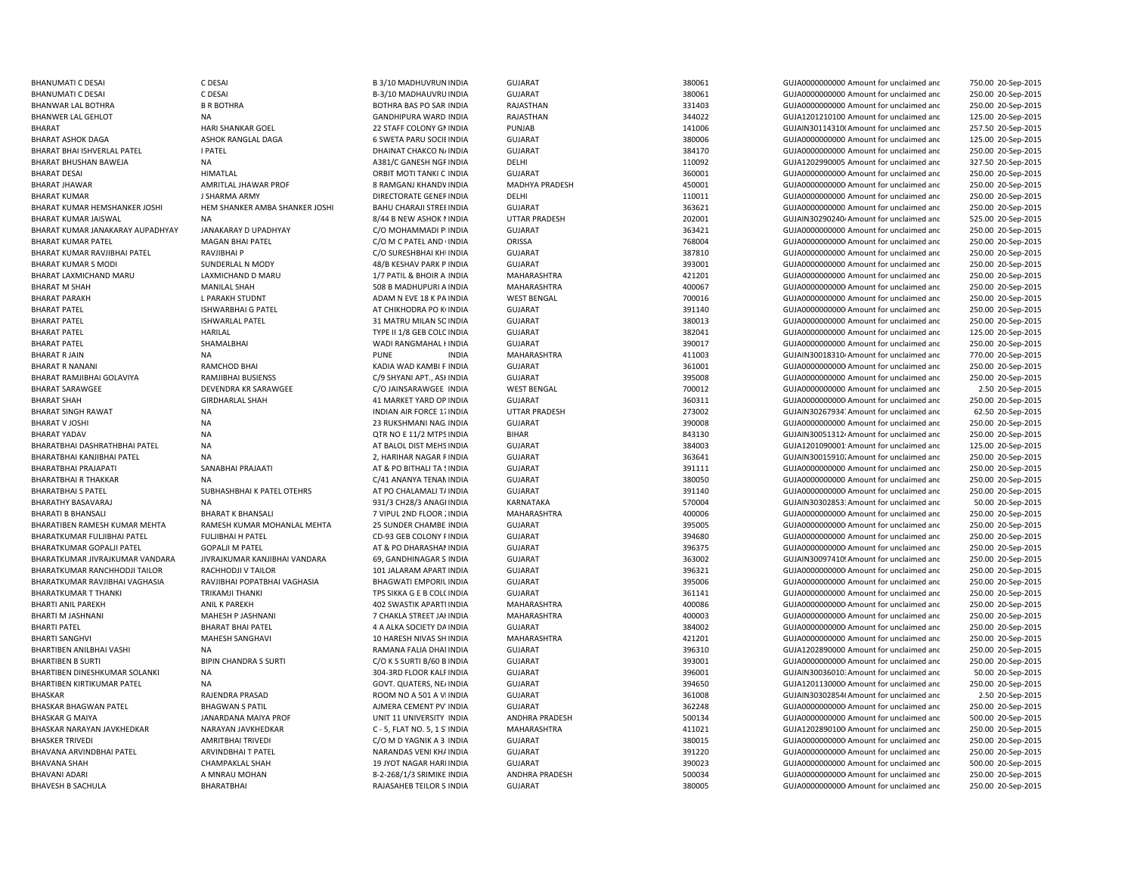| BHANUMATI C DESAI                | C DESAI                        | B 3/10 MADHUVRUN INDIA           | <b>GUJARAT</b>       | 380061 | GUJA0000000000 Amount for unclaimed and              | 750.00 20-Sep-2015 |
|----------------------------------|--------------------------------|----------------------------------|----------------------|--------|------------------------------------------------------|--------------------|
| BHANUMATI C DESAI                | C DESAI                        | B-3/10 MADHAUVRU INDIA           | <b>GUJARAT</b>       | 380061 | GUJA0000000000 Amount for unclaimed and              | 250.00 20-Sep-2019 |
| BHANWAR LAL BOTHRA               | <b>B R BOTHRA</b>              | BOTHRA BAS PO SAR INDIA          | RAJASTHAN            | 331403 | GUJA0000000000 Amount for unclaimed and              | 250.00 20-Sep-2015 |
| BHANWER LAL GEHLOT               | NA                             | <b>GANDHIPURA WARD INDIA</b>     | RAJASTHAN            | 344022 | GUJA1201210100 Amount for unclaimed and              | 125.00 20-Sep-2015 |
| BHARAT                           | <b>HARI SHANKAR GOEL</b>       | 22 STAFF COLONY GN INDIA         | PUNJAB               | 141006 | GUJAIN30114310(Amount for unclaimed and              | 257.50 20-Sep-2015 |
| BHARAT ASHOK DAGA                | ASHOK RANGLAL DAGA             | <b>6 SWETA PARU SOCIE INDIA</b>  | <b>GUJARAT</b>       | 380006 | GUJA0000000000 Amount for unclaimed and              | 125.00 20-Sep-2015 |
| BHARAT BHAI ISHVERLAL PATEL      | I PATEL                        | DHAINAT CHAKCO N/ INDIA          | <b>GUJARAT</b>       | 384170 | GUJA0000000000 Amount for unclaimed and              | 250.00 20-Sep-2015 |
| BHARAT BHUSHAN BAWEJA            | <b>NA</b>                      | A381/C GANESH NGF INDIA          | DELHI                | 110092 | GUJA1202990005 Amount for unclaimed and              | 327.50 20-Sep-2015 |
| BHARAT DESAI                     | <b>HIMATLAL</b>                | ORBIT MOTI TANKI C INDIA         | <b>GUJARAT</b>       | 360001 | GUJA0000000000 Amount for unclaimed and              | 250.00 20-Sep-2015 |
|                                  |                                |                                  |                      |        |                                                      |                    |
| BHARAT JHAWAR                    | AMRITLAL JHAWAR PROF           | 8 RAMGANJ KHANDV INDIA           | MADHYA PRADESH       | 450001 | GUJA0000000000 Amount for unclaimed and              | 250.00 20-Sep-2015 |
| BHARAT KUMAR                     | J SHARMA ARMY                  | DIRECTORATE GENER INDIA          | DELHI                | 110011 | GUJA0000000000 Amount for unclaimed and              | 250.00 20-Sep-2015 |
| BHARAT KUMAR HEMSHANKER JOSHI    | HEM SHANKER AMBA SHANKER JOSHI | <b>BAHU CHARAJI STREE INDIA</b>  | <b>GUJARAT</b>       | 363621 | GUJA0000000000 Amount for unclaimed and              | 250.00 20-Sep-2015 |
| BHARAT KUMAR JAISWAL             | NA                             | 8/44 B NEW ASHOK NINDIA          | <b>UTTAR PRADESH</b> | 202001 | GUJAIN30290240 <sup>,</sup> Amount for unclaimed and | 525.00 20-Sep-2015 |
| BHARAT KUMAR JANAKARAY AUPADHYAY | JANAKARAY D UPADHYAY           | C/O MOHAMMADI PI INDIA           | <b>GUJARAT</b>       | 363421 | GUJA0000000000 Amount for unclaimed and              | 250.00 20-Sep-2015 |
| BHARAT KUMAR PATEL               | <b>MAGAN BHAI PATEL</b>        | C/O M C PATEL AND (INDIA         | ORISSA               | 768004 | GUJA0000000000 Amount for unclaimed and              | 250.00 20-Sep-2015 |
| BHARAT KUMAR RAVJIBHAI PATEL     | RAVJIBHAI P                    | C/O SURESHBHAI KHI INDIA         | <b>GUJARAT</b>       | 387810 | GUJA0000000000 Amount for unclaimed and              | 250.00 20-Sep-2015 |
| BHARAT KUMAR S MODI              | SUNDERLAL N MODY               | 48/B KESHAV PARK P INDIA         | <b>GUJARAT</b>       | 393001 | GUJA0000000000 Amount for unclaimed and              | 250.00 20-Sep-2015 |
| BHARAT LAXMICHAND MARU           | LAXMICHAND D MARU              | 1/7 PATIL & BHOIR A INDIA        | MAHARASHTRA          | 421201 | GUJA0000000000 Amount for unclaimed and              | 250.00 20-Sep-2015 |
| BHARAT M SHAH                    | <b>MANILAL SHAH</b>            | 508 B MADHUPURI A INDIA          | MAHARASHTRA          | 400067 | GUJA0000000000 Amount for unclaimed and              | 250.00 20-Sep-2015 |
| BHARAT PARAKH                    | L PARAKH STUDNT                | ADAM N EVE 18 K PA INDIA         | <b>WEST BENGAL</b>   | 700016 | GUJA0000000000 Amount for unclaimed and              | 250.00 20-Sep-2015 |
| BHARAT PATEL                     | <b>ISHWARBHAI G PATEL</b>      | AT CHIKHODRA PO K(INDIA          | <b>GUJARAT</b>       | 391140 | GUJA0000000000 Amount for unclaimed and              | 250.00 20-Sep-2015 |
| BHARAT PATEL                     | <b>ISHWARLAL PATEL</b>         | 31 MATRU MILAN SO INDIA          | <b>GUJARAT</b>       | 380013 | GUJA0000000000 Amount for unclaimed and              | 250.00 20-Sep-2015 |
| <b>BHARAT PATEL</b>              | <b>HARILAL</b>                 | TYPE II 1/8 GEB COLC INDIA       | <b>GUJARAT</b>       | 382041 | GUJA0000000000 Amount for unclaimed and              | 125.00 20-Sep-2015 |
|                                  |                                |                                  |                      | 390017 |                                                      |                    |
| BHARAT PATEL                     | SHAMALBHAI                     | WADI RANGMAHAL I INDIA           | <b>GUJARAT</b>       |        | GUJA0000000000 Amount for unclaimed and              | 250.00 20-Sep-2015 |
| BHARAT R JAIN                    | <b>NA</b>                      | <b>PUNE</b><br><b>INDIA</b>      | MAHARASHTRA          | 411003 | GUJAIN30018310/Amount for unclaimed and              | 770.00 20-Sep-2015 |
| BHARAT R NANANI                  | RAMCHOD BHAI                   | KADIA WAD KAMBI F INDIA          | <b>GUJARAT</b>       | 361001 | GUJA0000000000 Amount for unclaimed and              | 250.00 20-Sep-2015 |
| BHARAT RAMJIBHAI GOLAVIYA        | RAMJIBHAI BUSIENSS             | C/9 SHYANI APT., ASI INDIA       | <b>GUJARAT</b>       | 395008 | GUJA0000000000 Amount for unclaimed and              | 250.00 20-Sep-2015 |
| BHARAT SARAWGEE                  | DEVENDRA KR SARAWGEE           | C/O JAINSARAWGEE INDIA           | <b>WEST BENGAL</b>   | 700012 | GUJA0000000000 Amount for unclaimed and              | 2.50 20-Sep-201    |
| BHARAT SHAH                      | <b>GIRDHARLAL SHAH</b>         | 41 MARKET YARD OP INDIA          | <b>GUJARAT</b>       | 360311 | GUJA00000000000 Amount for unclaimed and             | 250.00 20-Sep-2015 |
| BHARAT SINGH RAWAT               | <b>NA</b>                      | <b>INDIAN AIR FORCE 17 INDIA</b> | <b>UTTAR PRADESH</b> | 273002 | GUJAIN30267934. Amount for unclaimed and             | 62.50 20-Sep-2015  |
| BHARAT V JOSHI                   | <b>NA</b>                      | 23 RUKSHMANI NAG. INDIA          | <b>GUJARAT</b>       | 390008 | GUJA0000000000 Amount for unclaimed and              | 250.00 20-Sep-2015 |
| BHARAT YADAV                     | <b>NA</b>                      | QTR NO E 11/2 MTPS INDIA         | <b>BIHAR</b>         | 843130 | GUJAIN300513124 Amount for unclaimed and             | 250.00 20-Sep-2015 |
| BHARATBHAI DASHRATHBHAI PATEL    | <b>NA</b>                      | AT BALOL DIST MEHS INDIA         | <b>GUJARAT</b>       | 384003 | GUJA1201090001 Amount for unclaimed and              | 125.00 20-Sep-2015 |
| BHARATBHAI KANJIBHAI PATEL       | <b>NA</b>                      | 2, HARIHAR NAGAR FINDIA          | <b>GUJARAT</b>       | 363641 | GUJAIN30015910. Amount for unclaimed and             | 250.00 20-Sep-2015 |
| BHARATBHAI PRAJAPATI             | SANABHAI PRAJAATI              | AT & PO BITHALI TA SINDIA        | <b>GUJARAT</b>       | 391111 | GUJA0000000000 Amount for unclaimed and              | 250.00 20-Sep-2015 |
| BHARATBHAI R THAKKAR             | <b>NA</b>                      | C/41 ANANYA TENAN INDIA          | <b>GUJARAT</b>       | 380050 | GUJA0000000000 Amount for unclaimed and              | 250.00 20-Sep-2015 |
| BHARATBHAI S PATEL               | SUBHASHBHAI K PATEL OTEHRS     | AT PO CHALAMALI T/ INDIA         | GUJARAT              | 391140 | GUJA00000000000 Amount for unclaimed and             | 250.00 20-Sep-2015 |
| BHARATHY BASAVARAJ               | <b>NA</b>                      | 931/3 CH28/3 ANAGHNDIA           | KARNATAKA            | 570004 | GUJAIN30302853: Amount for unclaimed and             | 50.00 20-Sep-2015  |
| BHARATI B BHANSALI               | <b>BHARAT K BHANSALI</b>       | 7 VIPUL 2ND FLOOR : INDIA        | MAHARASHTRA          | 400006 | GUJA00000000000 Amount for unclaimed and             | 250.00 20-Sep-2015 |
| BHARATIBEN RAMESH KUMAR MEHTA    | RAMESH KUMAR MOHANLAL MEHTA    | 25 SUNDER CHAMBE INDIA           | <b>GUJARAT</b>       | 395005 | GUJA00000000000 Amount for unclaimed and             | 250.00 20-Sep-2015 |
|                                  |                                |                                  |                      |        |                                                      |                    |
| BHARATKUMAR FULJIBHAI PATEL      | <b>FULJIBHAI H PATEL</b>       | CD-93 GEB COLONY FINDIA          | <b>GUJARAT</b>       | 394680 | GUJA0000000000 Amount for unclaimed and              | 250.00 20-Sep-2015 |
| BHARATKUMAR GOPALJI PATEL        | <b>GOPALJI M PATEL</b>         | AT & PO DHARASHAMINDIA           | <b>GUJARAT</b>       | 396375 | GUJA0000000000 Amount for unclaimed and              | 250.00 20-Sep-2015 |
| BHARATKUMAR JIVRAJKUMAR VANDARA  | JIVRAJKUMAR KANJIBHAI VANDARA  | 69, GANDHINAGAR S INDIA          | <b>GUJARAT</b>       | 363002 | GUJAIN30097410! Amount for unclaimed and             | 250.00 20-Sep-2015 |
| BHARATKUMAR RANCHHODJI TAILOR    | RACHHODJI V TAILOR             | 101 JALARAM APART INDIA          | <b>GUJARAT</b>       | 396321 | GUJA00000000000 Amount for unclaimed and             | 250.00 20-Sep-2015 |
| BHARATKUMAR RAVJIBHAI VAGHASIA   | RAVJIBHAI POPATBHAI VAGHASIA   | <b>BHAGWATI EMPORIL INDIA</b>    | <b>GUJARAT</b>       | 395006 | GUJA0000000000 Amount for unclaimed and              | 250.00 20-Sep-2015 |
| BHARATKUMAR T THANKI             | <b>TRIKAMJI THANKI</b>         | TPS SIKKA G E B COLC INDIA       | <b>GUJARAT</b>       | 361141 | GUJA0000000000 Amount for unclaimed and              | 250.00 20-Sep-2015 |
| BHARTI ANIL PAREKH               | ANIL K PAREKH                  | 402 SWASTIK APARTI INDIA         | MAHARASHTRA          | 400086 | GUJA00000000000 Amount for unclaimed and             | 250.00 20-Sep-2015 |
| BHARTI M JASHNANI                | MAHESH P JASHNANI              | 7 CHAKLA STREET JAI INDIA        | MAHARASHTRA          | 400003 | GUJA0000000000 Amount for unclaimed and              | 250.00 20-Sep-2015 |
| BHARTI PATEL                     | <b>BHARAT BHAI PATEL</b>       | 4 A ALKA SOCIETY DA INDIA        | <b>GUJARAT</b>       | 384002 | GUJA0000000000 Amount for unclaimed and              | 250.00 20-Sep-2015 |
| BHARTI SANGHVI                   | MAHESH SANGHAVI                | 10 HARESH NIVAS SH INDIA         | MAHARASHTRA          | 421201 | GUJA0000000000 Amount for unclaimed and              | 250.00 20-Sep-2015 |
| BHARTIBEN ANILBHAI VASHI         | <b>NA</b>                      | RAMANA FALIA DHAI INDIA          | <b>GUJARAT</b>       | 396310 | GUJA1202890000 Amount for unclaimed and              | 250.00 20-Sep-2015 |
| <b>BHARTIBEN B SURTI</b>         | <b>BIPIN CHANDRA S SURTI</b>   | C/O K S SURTI B/60 B INDIA       | <b>GUJARAT</b>       | 393001 | GUJA0000000000 Amount for unclaimed and              | 250.00 20-Sep-2015 |
| BHARTIBEN DINESHKUMAR SOLANKI    | <b>NA</b>                      | 304-3RD FLOOR KALF INDIA         | <b>GUJARAT</b>       | 396001 | GUJAIN30036010: Amount for unclaimed and             | 50.00 20-Sep-2015  |
| BHARTIBEN KIRTIKUMAR PATEL       | <b>NA</b>                      | GOVT. QUATERS, NE/ INDIA         | <b>GUJARAT</b>       | 394650 | GUJA1201130000 Amount for unclaimed and              | 250.00 20-Sep-2015 |
| BHASKAR                          | RAJENDRA PRASAD                | ROOM NO A 501 A VIINDIA          | GUJARAT              | 361008 | GUJAIN30302854(Amount for unclaimed and              | 2.50 20-Sep-2015   |
|                                  |                                |                                  |                      | 362248 |                                                      |                    |
| BHASKAR BHAGWAN PATEL            | <b>BHAGWAN S PATIL</b>         | AJMERA CEMENT PV INDIA           | <b>GUJARAT</b>       |        | GUJA00000000000 Amount for unclaimed and             | 250.00 20-Sep-2015 |
| BHASKAR G MAIYA                  | JANARDANA MAIYA PROF           | UNIT 11 UNIVERSITY INDIA         | ANDHRA PRADESH       | 500134 | GUJA0000000000 Amount for unclaimed and              | 500.00 20-Sep-2015 |
| BHASKAR NARAYAN JAVKHEDKAR       | NARAYAN JAVKHEDKAR             | C - 5, FLAT NO. 5, 1 S' INDIA    | MAHARASHTRA          | 411021 | GUJA1202890100 Amount for unclaimed and              | 250.00 20-Sep-2015 |
| BHASKER TRIVEDI                  | AMRITBHAI TRIVEDI              | C/O M D YAGNIK A 3 INDIA         | <b>GUJARAT</b>       | 380015 | GUJA0000000000 Amount for unclaimed and              | 250.00 20-Sep-2015 |
| BHAVANA ARVINDBHAI PATEL         | ARVINDBHAI T PATEL             | NARANDAS VENI KHA INDIA          | <b>GUJARAT</b>       | 391220 | GUJA0000000000 Amount for unclaimed and              | 250.00 20-Sep-2015 |
| BHAVANA SHAH                     | <b>CHAMPAKLAL SHAH</b>         | 19 JYOT NAGAR HARI INDIA         | <b>GUJARAT</b>       | 390023 | GUJA0000000000 Amount for unclaimed and              | 500.00 20-Sep-2015 |
| BHAVANI ADARI                    | A MNRAU MOHAN                  | 8-2-268/1/3 SRIMIKE INDIA        | ANDHRA PRADESH       | 500034 | GUJA0000000000 Amount for unclaimed and              | 250.00 20-Sep-2015 |
| BHAVESH B SACHULA                | <b>BHARATBHAI</b>              | RAJASAHEB TEILOR S INDIA         | <b>GUJARAT</b>       | 380005 | GUJA0000000000 Amount for unclaimed and              | 250.00 20-Sep-2015 |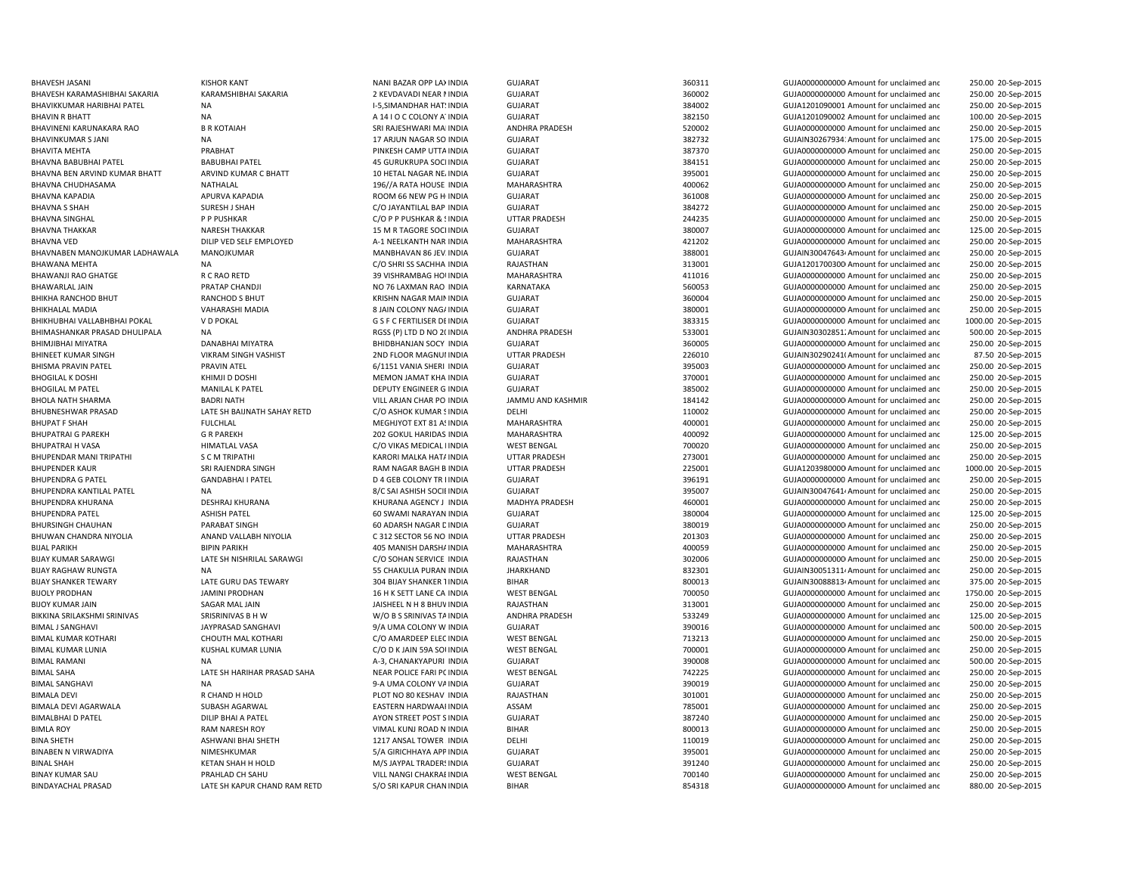BHAVNA BABUBHAI PATEL AND BABUBHAI PATEL DESCRIPTION OF THE BABUBHAI PATEL ASSESSED AND A SOCI INDIA BHAVNA THAKKAR NARESH THAKKAR 15 M R TAGORE SOCI INDIA BIMALBHAI D PATEL DILIP BHAI A PATEL DILIP BHAI A PATEL AYON STREET POST SINDIA

BHAVESH JASANI NANI BAZAR OPP LAXINDIA GUJARAT SANT SANG SANG SANG GUJADANI GUJADANI GUJADANI GUJADANI GUJADA GUJADANI GUJADA DA GUJADA GUJADA DA GUJADA DA GUJADA DA GUJADA DA GUJADA DA GUJADA DA GUJADA DA GUJADA DA GUJADA 250.00 20-Sep-2015 BHAVESH KARAMASHIBHAI SAKARIA KARAMSHIBHAI SAKARIA 2 KEVDAVADI NEAR MINDIA GUJARAT 360002 360002 GUJA000000000 Amount for unclaimed and 250.00 20-Sep-2015 BHAVIKKUMAR HARIBHAI PATEL NA I-5,SIMANDHAR HATSINDIA GUJARAT 384002 GUJA1201090001 Amount for unclaimed and 250.00 20-Sep-2015 BHAVIN R BHATT **EXAMPLE A 14 I O COLONY ATINDIA** GUJARAT GUJARAT 382150 GUJA1201090002 Amount for unclaimed and 100.00 20-Sep-2015 BHAVINENI KARUNAKARA RAO BR KOTAIAH SRI RAO SAN ASANG SA ANDHRA PRADESH ANDHRA PRADESH SANDHRA PRADESH SANDHRA PRADESH SANDHRA PRADESH SANDHRA PRADESH SANDHRA PRADESH SANDHRA PRADESH SANDHRA PRADESH SANDHRA PRADESH SANDHRA 250.00 20-Sep-2015 BHAVINKUMAR SJANI NA 17 ARJUN NAGAR SO INDIA GUJARAT SUMARAT 382732 GUJAIN302679341Amount for unclaimed and 175.00 20-Sep-2015 BHAVITA MEHTA PRABHAT PINKESH CAMP UTTAINDIA GUJARAT 387370 GUJA00000000000Amount for unclaimed and 250.00 20-Sep-2015 INDIA GUJARAT 384151 GUJA0000000000 Amount for unclaimed and 250.00 20-Sep-2015 BHAVNA BEN ARVIND KUMAR BHATT ARVIND KUMAR C BHATT 10 HETAL NAGAR NEAINDIA GUJARAT 395001 GUJA00000000000Amount for unclaimed and 250.00 20-Sep-2015 BHAVNA CHUDHASAMA NATHALAL NATHALAL 196//A RATA HOUSE INDIA MAHARASHTRA 400062 400062 GUJA000000000Amount for unclaimed and 250.00 20-Sep-2015 BHAVNA KAPADIA APURVA KAPADIA ROOM 66 NEW PG HOINDIA GUJARAT 361008 GUJA00000000000Amount for unclaimed and 250.00 20-Sep-2015 BHAVNA S SHAH SURESH J SHAH SURESH J SHAH CO JAYANTILAL BAP INDIA GUJARAT SUNARAT 384272 GUJA000000000Amount for unclaimed and 250.00 20-Sep-2015 BHAVNA SINGHAL PP PUSHKAR PROSHKAR COD P PUSHKAR & SINDIA UTTAR PRADESH 244235 GUJA0000000000 Amount for unclaimed and 250.00 20-Sep-2015 INDIA GUJARAT 380007 GUJA0000000000 Amount for unclaimed and 125.00 20-Sep-2015 BHAVNA VED DILIP VED SELF EMPLOYED A-1 NEELKANTH NAR INDIA MAHARASHTRA 421202 GUJA0000000000 Amount for unclaimed and 250.00 20-Sep-2015 BHAVNABEN MANOJKUMAR LADHAWALA MANOJKUMAR MANOJKUMAR MANBHAVAN 86 JEV. INDIA GUJARAT SUMARAT 388001 SUJAIN300476434Amount for unclaimed and 250.00 20-Sep-2015 BHAWANA MEHTA NA NA NA COSHRI SS SACHHA INDIA RAJASTHAN 313001 GUJA12017003001Amount for unclaimed and 250.00 20-Sep-2015 BHAWANJI RAO GHATGE CRAO RETD 39 VISHRAMBAG HOUINDIA MAHARASHTRA 411016 411016 GUJA0000000000 Amount for unclaimed and 250.00 20-Sep-2015 BHAWARLAL JAIN PRATAP CHANDJI PRATAP CHANDJI NO 76 LAXMAN RAO INDIA KARNATAKA 560053 SOOS3 GUJA0000000000 Amount for unclaimed and 250.00 20-Sep-2015 BHIKHA RANCHOD BHUT RANCHOD S BHUT **CHORIT CHORIGA ART CHORIGA CHORIGA CHORIGA** COUARAT CHORIGAN CONTROLLED AND RESERVE TO A SCHOOL SERVER AND RESERVE TO A SCHOOL SERVER AND RESERVE TO A SCHOOL SERVER AND RESERVED AND RESE 250.00 20-Sep-2015 BHIKHALAL MADIA VAHARASHI MADIA VAHARASHI MADIA 8 JAIN COLONY NAGAINDIA GUJARAT GU SHOODOODOOD SANOUNDOODOOD Amount for unclaimed and 250.00 20-Sep-2015 BHIKHUBHAI VALLABHBHAI POKAL V D POKAL G S F C FERTILISER DEINDIA GUJARAT 383315 GUJA0000000000 Amount for unclaimed and 1000.00 20-Sep-2015 BHIMASHANKAR PRASAD DHULIPALA NA COLOGO 20-Sep-2015 RGSS (P) LTD D NO 2(INDIA ANDHRA PRADESH 533001 533001 GUJAIN303028512Amount for unclaimed and 500.00 20-Sep-2015 BHIMJIBHAI MIYATRA DANABHAI MIYATRA BHIDBHANJAN SOCY INDIA GUJARAT 360005 360005 GUJA0000000000000000 Amount for unclaimed and 250.00 20-Sep-2015 BHINEET KUMAR SINGH VIKRAM SINGH VASHIST 2ND FLOOR MAGNUMINDIA UTTAR PRADESH 226010 GUJAIN302902410Amount for unclaimed and 87.50 20-Sep-2015 BHISMA PRAVIN PATEL PRAVIN ATEL CHANG HERI PRAVIN ATEL SUNG SERI AND SUNG SUNG SUNG AND SUNG AND SUNG AND SUNG AND SUNG AND A SUNG AND A SUNG AND A SUNG AND A SUNG A 250.00 20-Sep-2015 BHOGILAL K DOSHI KHIMJI D DOSHI MEMON JAMAT KHA INDIA GUJARAT SHI SHOGO AMOUNT ANG GUJA000000000 Amount for unclaimed and 250.00 20-Sep-2015 BHOGILAL M PATEL MANILAL K PATEL DEPUTY ENGINEER G INDIA GUJARAT 385002 GUJA0000000000 Amount for unclaimed and 250.00 20-Sep-2015 BHOLA NATH SHARMA BADRI NATH VILL ARJAN CHAR PO INDIA JAMMU AND KASHMIR 184142 GUJA00000000000Amount for unclaimed and 250.00 20-Sep-2015 BHUBNESHWAR PRASAD LATE SH BAIJNATH SAHAY RETD C/O ASHOK KUMAR SINDIA DELHI DELHI 110002 GUJA0000000000 Amount for unclaimed and 250.00 20-Sep-2015 BHUPAT F SHAH FULCHLAL FULCHLAL THE SHAH MEGHJYOT EXT 81 ASINDIA MAHARASHTRA 400001 400001 GUJA0000000000000000000000 Amount for unclaimed and 250.00 20-Sep-2015 BHUPATRAI G PAREKH GR PAREKH CROSS GOKUL HARIDAS INDIA MAHARASHTRA 400092 GUJA0000000000 Amount for unclaimed and 125.00 20-Sep-2015 BHUPATRAI H VASA HIMATLAL VASA CONTRAS MEDICAL IINDIA WEST BENGAL 700020 700020 GUJA0000000000 Amount for unclaimed and 250.00 20-Sep-2015 BHUPENDAR MANI TRIPATHI S C M TRIPATHI SARORI MALKA HATAINDIA UTTAR PRADESH 273001 CUJA0000000000 Amount for unclaimed and 250.00 20-Sep-2015 BHUPENDER KAUR SRI RAJENDRA SINGH RAM NAGAR BAGH B INDIA UTTAR PRADESH 225001 GUJA1203980000Amount for unclaimed and 1000.00 20-Sep-2015 BHUPENDRA G PATEL GANDABHAI I PATEL COLONY TR INDIA GUJARAT GUJARAT 396191 GUJA000000000 Amount for unclaimed and 250.00 20-Sep-2015 BHUPENDRA KANTILAL PATEL NA NA SEPERTEMBRA SA SAHISH SOCIEINDIA GUJARAT SAHISH SOCIEINDIA SAHISH SOCIEINDIA SAHISH SOCIEINDIA SAHISH SOCIEINDIA SAHISH SOCIEINDIA SAHISH SOCIEINDIA SAHISH SOCIEINDIA SAHISH SOCIEINDIA SAHISH BHUPENDRA KHURANA DESHRAJ KHURANA KHURANA KHURANA AGENCY J INDIA MADHYA PRADESH 460001 460001 GUJA00000000000 Amount for unclaimed and 250.00 20-Sep-2015 BHUPENDRA PATEL ASHISH PATEL 60 SWAMI NARAYAN INDIA GUJARAT 380004 GUJA00000000000Amount for unclaimed and 125.00 20-Sep-2015 BHURSINGH CHAUHAN PARABAT SINGH 60 ADARSH NAGAR DINDIA GUJARAT 380019 GUJA00000000000Amount for unclaimed and 250.00 20-Sep-2015 BHUWAN CHANDRA NIYOLIA ANAND VALLABH NIYOLIA C 312 SECTOR 56 NO INDIA UTTAR PRADESH 201303 GUJA000000000 Amount for unclaimed and 250.00 20-Sep-2015 BIJAL PARIKH BIPIN PARIKH BIPIN PARIKH AND BIPIN PARIKH AND BIPIN PARIKH MAHARASHITRA MAHARASHTRA MAHARASHTRA MAHARASHTRA 400059 GUJA0000000000 Amount for unclaimed and 250.00 20-Sep-2015 BIJAY KUMAR SARAWGI LATE SH NISHRILAL SARAWGI CO SOHAN SERVICE INDIA RAJASTHAN 302006 SUJA00000000000000000000000000Amount for unclaimed and 250.00 20-Sep-2015 BIJAY RAGHAW RUNGTA NA NA SECHAKULIA PURAN INDIA HARKHAND HARKHAND SA SA SANG GUJAIN GUJAIN GUJAIN GUJAIN GUJAIN GUJAIN GUJAIN GUJAIN GUJAIN GUJAIN GUJAIN GUJAIN GUJAIN GUJAIN GUJAIN GUJAIN GUJAIN GUJAIN GUJAIN GUJAIN GUJA 250.00 20-Sep-2015 BIJAY SHANKER TEWARY LATE GURU DAS TEWARY 304 BIJAY SHANKER TINDIA BIHAR BIHAR 800013 GUJAIN300888134Amount for unclaimed and 375.00 20-Sep-2015 BIJOLY PRODHAN JAMINI PRODHAN 16 H K SETT LANE CA INDIA WEST BENGAL 700050 700050 GUJA000000000000000000 Amount for unclaimed and 1750.00 20-Sep-2015 BIJOY KUMAR JAIN SAGAR MAL JAIN JAISHEEL N H 8 BHUWINDIA RAJASTHAN 313001 GUJA0000000000 Amount for unclaimed and 250.00 20-Sep-2015 BIKKINA SRILAKSHMI SRINIVAS SANIS AND SRISRINIVAS B H W WA WARD MAGA SANINAS TAINDIA ANDHRA PRADESH SANIS AND SANIS AND SANIS AND SANIS AND SANIS AND SANIS AND SANIS AND SANIS AND SANIS AND SANIS AND SANIS AND SANIS AND SA BIMAL J SANGHAVI JAYPRASAD SANGHAVI 9/A UMA COLONY W INDIA GUJARAT 390016 GUJA0000000000 Amount for unclaimed and 500.00 20-Sep-2015 BIMAL KUMAR KOTHARI CHOUTH MAL KOTHARI C/O AMARDEEP ELECINDIA WEST BENGAL 713213 GUJA00000000000Amount for unclaimed and 250.00 20-Sep-2015 BIMAL KUMAR LUNIA KUSHAL KUMAR LUNIA C/O D K JAIN 59A SOUINDIA WEST BENGAL 700001 GUJA00000000000Amount for unclaimed and 250.00 20-Sep-2015 BIMAL RAMANI NA NA RAMA A-3, CHANAKYAPURI INDIA GUJARAT 390008 GUJA0000000000 Amount for unclaimed and 500.00 20-Sep-2015 BIMAL SAHA LATE SH HARIHAR PRASAD SAHA NEAR POLICE FARI POINDIA WEST BENGAL 742225 GUJA0000000000 Amount for unclaimed and 250.00 20-Sep-2015 BIMAL SANGHAVI NA 9-A UMA COLONY VAINDIA GUJARAT 390019 GUJA00000000000Amount for unclaimed and 250.00 20-Sep-2015 BIMALA DEVI **REGALA DEVI REGALA DEVIT A PLOT NO 80 KESHAV INDIA** RAJASTHAN **301001** 301001 GUJA000000000000000000000000000000 Amount for unclaimed and 250.00 20-Sep-2015 BIMALA DEVI AGARWALA SUBASH AGARWAL EASTERN HARDWAARINDIA ASSAM 785001 GUJA0000000000 Amount for unclaimed and 250.00 20-Sep-2015 INDIA GUJARAT 387240 GUJA0000000000 Amount for unclaimed and 250.00 20-Sep-2015 BIMLA ROY **RAM NARESH ROY CONTABRATESH AND ARRAM NARESH ROY CONTABRATESH AND ARRAM BIHAR BIHAR** BIHAR BOOT BOOT BOOT AND A GUJA0000000000000000000000000 Amount for unclaimed and 250.00 20-Sep-2015 BINA SHETH ASHWANI BHAI SHETH 1217 ANSAL TOWER 3INDIA DELHI 110019 GUJA00000000000Amount for unclaimed and 250.00 20-Sep-2015 BINABEN N VIRWADIYA NIMESHKUMAR NEW SA GIRICHHAYA APPINDIA GUJARAT 395001 GUJA0000000000 Amount for unclaimed and 250.00 20-Sep-2015 BINAL SHAH SHAH KETAN SHAH HOLD M/S JAYPAL TRADERSINDIA GUJARAT 391240 GUJA0000000000 Amount for unclaimed and 250.00 20-Sep-2015 BINAY KUMAR SAU PRAHLAD CH SAHU VILL NANGI CHAKRABINDIA WEST BENGAL 700140 GUJA0000000000 Amount for unclaimed and 250.00 20-Sep-2015 BINDAYACHAL PRASAD LATE SH KAPUR CHAND RAM RETD S/O SRI KAPUR CHAN INDIA BIHAR SHATAR 854318 GUJA000000000Amount for unclaimed and 880.00 20-Sep-2015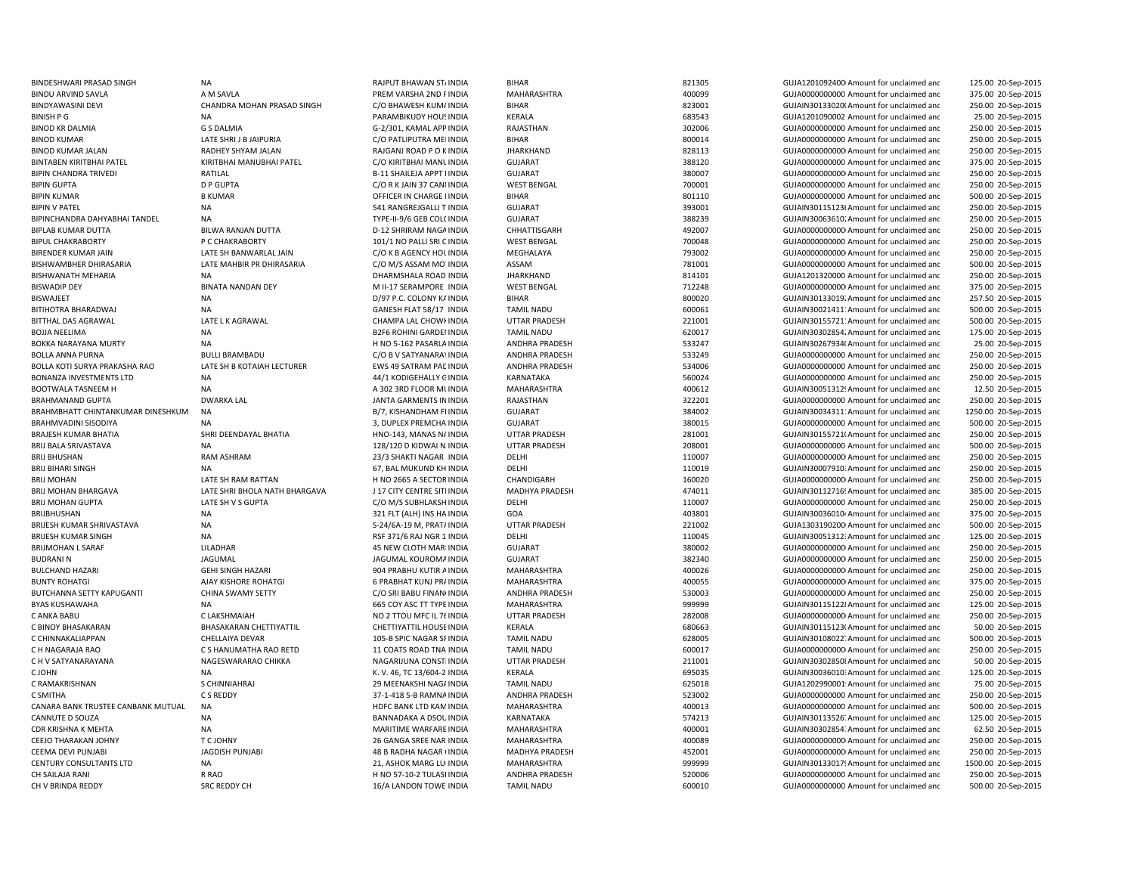| BINDESHWARI PRASAD SINGH           | <b>NA</b>                     | RAJPUT BHAWAN ST/INDIA            | <b>BIHAR</b>          | 821305 | GUJA1201092400 Amount for unclaimed and              | 125.00 20-Sep-2015  |
|------------------------------------|-------------------------------|-----------------------------------|-----------------------|--------|------------------------------------------------------|---------------------|
| <b>BINDU ARVIND SAVLA</b>          | A M SAVLA                     | PREM VARSHA 2ND FINDIA            | MAHARASHTRA           | 400099 | GUJA0000000000 Amount for unclaimed and              | 375.00 20-Sep-2015  |
| <b>BINDYAWASINI DEVI</b>           | CHANDRA MOHAN PRASAD SINGH    | C/O BHAWESH KUM/ INDIA            | BIHAR                 | 823001 | GUJAIN30133020(Amount for unclaimed and              | 250.00 20-Sep-2015  |
| <b>BINISH P G</b>                  | <b>NA</b>                     | PARAMBIKUDY HOUS INDIA            | <b>KERALA</b>         | 683543 | GUJA1201090002 Amount for unclaimed and              | 25.00 20-Sep-2015   |
| <b>BINOD KR DALMIA</b>             | <b>G S DALMIA</b>             | G-2/301, KAMAL APP INDIA          | RAJASTHAN             | 302006 | GUJA0000000000 Amount for unclaimed and              | 250.00 20-Sep-2015  |
| <b>BINOD KUMAR</b>                 | LATE SHRIJ B JAIPURIA         | C/O PATLIPUTRA MEI INDIA          | BIHAR                 | 800014 | GUJA0000000000 Amount for unclaimed and              | 250.00 20-Sep-2015  |
| <b>BINOD KUMAR JALAN</b>           | RADHEY SHYAM JALAN            | RAJGANJ ROAD P O KINDIA           | <b>JHARKHAND</b>      | 828113 | GUJA00000000000 Amount for unclaimed and             | 250.00 20-Sep-2015  |
| <b>BINTABEN KIRITBHAI PATEL</b>    | KIRITBHAI MANUBHAI PATEL      | C/O KIRITBHAI MANLINDIA           | <b>GUJARAT</b>        | 388120 | GUJA0000000000 Amount for unclaimed and              | 375.00 20-Sep-2015  |
| <b>BIPIN CHANDRA TRIVEDI</b>       | RATILAL                       | <b>B-11 SHAILEJA APPT I INDIA</b> | <b>GUJARAT</b>        | 380007 | GUJA0000000000 Amount for unclaimed and              | 250.00 20-Sep-2015  |
| <b>BIPIN GUPTA</b>                 | <b>D P GUPTA</b>              | C/O R K JAIN 37 CANI INDIA        | <b>WEST BENGAL</b>    | 700001 | GUJA0000000000 Amount for unclaimed and              | 250.00 20-Sep-2015  |
| <b>BIPIN KUMAR</b>                 | <b>B KUMAR</b>                | OFFICER IN CHARGE I INDIA         | <b>BIHAR</b>          | 801110 | GUJA0000000000 Amount for unclaimed and              | 500.00 20-Sep-2015  |
| <b>BIPIN V PATEL</b>               | <b>NA</b>                     | 541 RANGREJGALLI T INDIA          | <b>GUJARAT</b>        | 393001 | GUJAIN30115123t Amount for unclaimed and             | 250.00 20-Sep-2015  |
|                                    |                               |                                   |                       | 388239 |                                                      |                     |
| BIPINCHANDRA DAHYABHAI TANDEL      | <b>NA</b>                     | TYPE-II-9/6 GEB COL( INDIA        | GUJARAT               |        | GUJAIN30063610. Amount for unclaimed and             | 250.00 20-Sep-2015  |
| <b>BIPLAB KUMAR DUTTA</b>          | <b>BILWA RANJAN DUTTA</b>     | D-12 SHRIRAM NAGA INDIA           | CHHATTISGARH          | 492007 | GUJA00000000000 Amount for unclaimed and             | 250.00 20-Sep-2015  |
| <b>BIPUL CHAKRABORTY</b>           | P C CHAKRABORTY               | 101/1 NO PALLI SRI CINDIA         | <b>WEST BENGAL</b>    | 700048 | GUJA0000000000 Amount for unclaimed and              | 250.00 20-Sep-2015  |
| <b>BIRENDER KUMAR JAIN</b>         | LATE SH BANWARLAL JAIN        | C/O K B AGENCY HOL INDIA          | MEGHALAYA             | 793002 | GUJA00000000000 Amount for unclaimed and             | 250.00 20-Sep-2015  |
| BISHWAMBHER DHIRASARIA             | LATE MAHBIR PR DHIRASARIA     | C/O M/S ASSAM MO INDIA            | ASSAM                 | 781001 | GUJA0000000000 Amount for unclaimed and              | 500.00 20-Sep-2015  |
| <b>BISHWANATH MEHARIA</b>          | <b>NA</b>                     | DHARMSHALA ROAD INDIA             | <b>JHARKHAND</b>      | 814101 | GUJA1201320000 Amount for unclaimed and              | 250.00 20-Sep-2015  |
| <b>BISWADIP DEY</b>                | <b>BINATA NANDAN DEY</b>      | M II-17 SERAMPORE INDIA           | <b>WEST BENGAL</b>    | 712248 | GUJA00000000000 Amount for unclaimed and             | 375.00 20-Sep-2015  |
| <b>BISWAJEET</b>                   | <b>NA</b>                     | D/97 P.C. COLONY KA INDIA         | <b>BIHAR</b>          | 800020 | GUJAIN30133019. Amount for unclaimed and             | 257.50 20-Sep-2015  |
| BITIHOTRA BHARADWAJ                | <b>NA</b>                     | GANESH FLAT 58/17 INDIA           | <b>TAMIL NADU</b>     | 600061 | GUJAIN30021411: Amount for unclaimed and             | 500.00 20-Sep-2015  |
| <b>BITTHAL DAS AGRAWAL</b>         | LATE L K AGRAWAL              | CHAMPA LAL CHOWI INDIA            | <b>UTTAR PRADESH</b>  | 221001 | GUJAIN30155721: Amount for unclaimed and             | 500.00 20-Sep-2015  |
| <b>BOJJA NEELIMA</b>               | <b>NA</b>                     | <b>B2F6 ROHINI GARDEI INDIA</b>   | <b>TAMIL NADU</b>     | 620017 | GUJAIN30302854. Amount for unclaimed and             | 175.00 20-Sep-2015  |
| BOKKA NARAYANA MURTY               | <b>NA</b>                     | H NO 5-162 PASARLA INDIA          | ANDHRA PRADESH        | 533247 | GUJAIN30267934(Amount for unclaimed and              | 25.00 20-Sep-2015   |
| <b>BOLLA ANNA PURNA</b>            | <b>BULLI BRAMBADU</b>         | C/O B V SATYANARA\ INDIA          | ANDHRA PRADESH        | 533249 | GUJA0000000000 Amount for unclaimed and              | 250.00 20-Sep-2015  |
| BOLLA KOTI SURYA PRAKASHA RAO      | LATE SH B KOTAIAH LECTURER    | EWS 49 SATRAM PAC INDIA           | <b>ANDHRA PRADESH</b> | 534006 | GUJA0000000000 Amount for unclaimed and              | 250.00 20-Sep-2015  |
| <b>BONANZA INVESTMENTS LTD</b>     | <b>NA</b>                     | 44/1 KODIGEHALLY GINDIA           | KARNATAKA             | 560024 | GUJA0000000000 Amount for unclaimed and              | 250.00 20-Sep-2015  |
| <b>BOOTWALA TASNEEM H</b>          | <b>NA</b>                     | A 302 3RD FLOOR MUNDIA            | MAHARASHTRA           | 400612 | GUJAIN30051312! Amount for unclaimed and             | 12.50 20-Sep-2015   |
| <b>BRAHMANAND GUPTA</b>            | <b>DWARKA LAL</b>             | JANTA GARMENTS IN INDIA           | RAJASTHAN             | 322201 | GUJA0000000000 Amount for unclaimed and              | 250.00 20-Sep-2015  |
| BRAHMBHATT CHINTANKUMAR DINESHKUM  | NA                            | B/7, KISHANDHAM FI INDIA          | <b>GUJARAT</b>        | 384002 | GUJAIN30034311: Amount for unclaimed and             | 1250.00 20-Sep-2015 |
| <b>BRAHMVADINI SISODIYA</b>        | <b>NA</b>                     | 3, DUPLEX PREMCHA INDIA           | <b>GUJARAT</b>        | 380015 | GUJA0000000000 Amount for unclaimed and              | 500.00 20-Sep-2015  |
| <b>BRAJESH KUMAR BHATIA</b>        | SHRI DEENDAYAL BHATIA         | HNO-143, MANAS N/ INDIA           | <b>UTTAR PRADESH</b>  | 281001 | GUJAIN30155721(Amount for unclaimed and              | 250.00 20-Sep-2015  |
| <b>BRIJ BALA SRIVASTAVA</b>        | <b>NA</b>                     | 128/120 D KIDWAI N. INDIA         | <b>UTTAR PRADESH</b>  | 208001 | GUJA0000000000 Amount for unclaimed and              | 500.00 20-Sep-2015  |
| <b>BRIJ BHUSHAN</b>                | RAM ASHRAM                    | 23/3 SHAKTI NAGAR INDIA           | DELHI                 | 110007 | GUJA00000000000 Amount for unclaimed and             | 250.00 20-Sep-2015  |
| <b>BRIJ BIHARI SINGH</b>           | <b>NA</b>                     | 67, BAL MUKUND KH INDIA           | DELHI                 | 110019 | GUJAIN30007910: Amount for unclaimed and             | 250.00 20-Sep-2015  |
| <b>BRIJ MOHAN</b>                  | LATE SH RAM RATTAN            | H NO 2665 A SECTOR INDIA          | CHANDIGARH            | 160020 | GUJA00000000000 Amount for unclaimed and             | 250.00 20-Sep-2015  |
|                                    | LATE SHRI BHOLA NATH BHARGAVA | J 17 CITY CENTRE SITHNDIA         | MADHYA PRADESH        | 474011 |                                                      | 385.00 20-Sep-2015  |
| BRIJ MOHAN BHARGAVA                |                               |                                   |                       |        | GUJAIN30112716! Amount for unclaimed and             |                     |
| <b>BRIJ MOHAN GUPTA</b>            | LATE SH V S GUPTA             | C/O M/S SUBHLAKSH INDIA           | DELHI                 | 110007 | GUJA0000000000 Amount for unclaimed and              | 250.00 20-Sep-2015  |
| BRIJBHUSHAN                        | <b>NA</b>                     | 321 FLT (ALH) INS HA INDIA        | GOA                   | 403801 | GUJAIN30036010 <sup>4</sup> Amount for unclaimed and | 375.00 20-Sep-2015  |
| BRIJESH KUMAR SHRIVASTAVA          | <b>NA</b>                     | S-24/6A-19 M, PRAT/ INDIA         | <b>UTTAR PRADESH</b>  | 221002 | GUJA1303190200 Amount for unclaimed and              | 500.00 20-Sep-2015  |
| <b>BRIJESH KUMAR SINGH</b>         | <b>NA</b>                     | RSF 371/6 RAJ NGR 1 INDIA         | DELHI                 | 110045 | GUJAIN30051312: Amount for unclaimed and             | 125.00 20-Sep-2015  |
| <b>BRIJMOHAN L SARAF</b>           | LILADHAR                      | 45 NEW CLOTH MARI INDIA           | <b>GUJARAT</b>        | 380002 | GUJA0000000000 Amount for unclaimed and              | 250.00 20-Sep-2015  |
| <b>BUDRANIN</b>                    | JAGUMAL                       | JAGUMAL KOUROMA INDIA             | <b>GUJARAT</b>        | 382340 | GUJA0000000000 Amount for unclaimed and              | 250.00 20-Sep-2015  |
| <b>BULCHAND HAZARI</b>             | <b>GEHI SINGH HAZARI</b>      | 904 PRABHU KUTIR A INDIA          | MAHARASHTRA           | 400026 | GUJA00000000000 Amount for unclaimed and             | 250.00 20-Sep-2015  |
| <b>BUNTY ROHATGI</b>               | AJAY KISHORE ROHATGI          | <b>6 PRABHAT KUNJ PRAINDIA</b>    | <b>MAHARASHTRA</b>    | 400055 | GUJA00000000000 Amount for unclaimed and             | 375.00 20-Sep-2015  |
| BUTCHANNA SETTY KAPUGANTI          | CHINA SWAMY SETTY             | C/O SRI BABU FINAN INDIA          | ANDHRA PRADESH        | 530003 | GUJA00000000000 Amount for unclaimed and             | 250.00 20-Sep-2015  |
| <b>BYAS KUSHAWAHA</b>              | <b>NA</b>                     | 665 COY ASC TT TYPE INDIA         | MAHARASHTRA           | 999999 | GUJAIN301151228 Amount for unclaimed and             | 125.00 20-Sep-2015  |
| C ANKA BABU                        | C LAKSHMAIAH                  | NO 2 TTOU MFC IL 76 INDIA         | <b>UTTAR PRADESH</b>  | 282008 | GUJA00000000000 Amount for unclaimed and             | 250.00 20-Sep-2015  |
| C BINOY BHASAKARAN                 | BHASAKARAN CHETTIYATTIL       | CHETTIYATTIL HOUSE INDIA          | KERALA                | 680663 | GUJAIN30115123(Amount for unclaimed and              | 50.00 20-Sep-2015   |
| C CHINNAKALIAPPAN                  | CHELLAIYA DEVAR               | 105-B SPIC NAGAR SF INDIA         | <b>TAMIL NADU</b>     | 628005 | GUJAIN30108022. Amount for unclaimed and             | 500.00 20-Sep-2015  |
| C H NAGARAJA RAO                   | C S HANUMATHA RAO RETD        | 11 COATS ROAD TNA INDIA           | <b>TAMIL NADU</b>     | 600017 | GUJA00000000000 Amount for unclaimed and             | 250.00 20-Sep-2015  |
| C H V SATYANARAYANA                | NAGESWARARAO CHIKKA           | NAGARIJUNA CONSTI INDIA           | <b>UTTAR PRADESH</b>  | 211001 | GUJAIN303028508 Amount for unclaimed and             | 50.00 20-Sep-2015   |
| C JOHN                             | <b>NA</b>                     | K. V. 46, TC 13/604-2 INDIA       | <b>KERALA</b>         | 695035 | GUJAIN30036010: Amount for unclaimed and             | 125.00 20-Sep-2015  |
| C RAMAKRISHNAN                     | S CHINNIAHRAJ                 | 29 MEENAKSHI NAG/ INDIA           | <b>TAMIL NADU</b>     | 625018 | GUJA1202990001 Amount for unclaimed and              | 75.00 20-Sep-2015   |
| C SMITHA                           | C S REDDY                     | 37-1-418 5-B RAMNA INDIA          | ANDHRA PRADESH        | 523002 | GUJA0000000000 Amount for unclaimed and              | 250.00 20-Sep-2015  |
| CANARA BANK TRUSTEE CANBANK MUTUAL | <b>NA</b>                     | HDFC BANK LTD KAM INDIA           | MAHARASHTRA           | 400013 | GUJA0000000000 Amount for unclaimed and              | 500.00 20-Sep-2015  |
| CANNUTE D SOUZA                    | <b>NA</b>                     | BANNADAKA A DSOU INDIA            | KARNATAKA             | 574213 | GUJAIN30113526. Amount for unclaimed and             | 125.00 20-Sep-2015  |
| CDR KRISHNA K MEHTA                | <b>NA</b>                     | MARITIME WARFARE INDIA            | MAHARASHTRA           | 400001 | GUJAIN30302854. Amount for unclaimed and             | 62.50 20-Sep-2015   |
| CEEJO THARAKAN JOHNY               | <b>T C JOHNY</b>              | 26 GANGA SREE NAR INDIA           | MAHARASHTRA           | 400089 | GUJA00000000000 Amount for unclaimed and             | 250.00 20-Sep-2015  |
| CEEMA DEVI PUNJABI                 | JAGDISH PUNJABI               | 48 B RADHA NAGAR (INDIA           | MADHYA PRADESH        | 452001 | GUJA00000000000 Amount for unclaimed and             | 250.00 20-Sep-2015  |
| CENTURY CONSULTANTS LTD            | <b>NA</b>                     | 21, ASHOK MARG LU INDIA           | MAHARASHTRA           | 999999 | GUJAIN30133017! Amount for unclaimed and             | 1500.00 20-Sep-2015 |
| CH SAILAJA RANI                    | R RAO                         | H NO 57-10-2 TULASI INDIA         | ANDHRA PRADESH        | 520006 | GUJA0000000000 Amount for unclaimed and              | 250.00 20-Sep-2015  |
| CH V BRINDA REDDY                  | SRC REDDY CH                  | 16/A LANDON TOWE INDIA            | <b>TAMIL NADU</b>     | 600010 | GUJA0000000000 Amount for unclaimed and              | 500.00 20-Sep-2015  |
|                                    |                               |                                   |                       |        |                                                      |                     |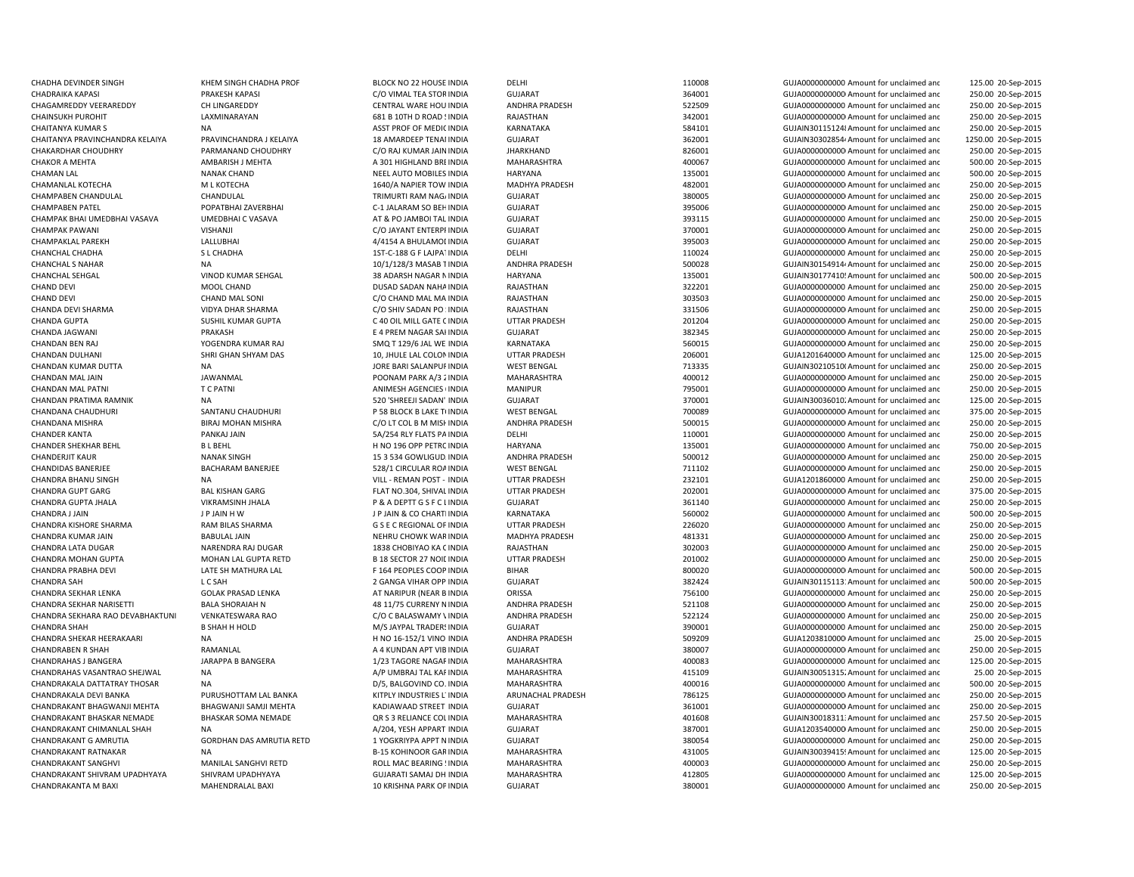CHADHA DEVINDER SINGH KHEM SINGH CHADHA PROF BLOCK NO 22 HOUSE INDIA DELHI 110008 GUJA0000000000 Amount for unclaimed andCHAGAMREDDY VEERAREDDY CH LINGAREDDY CENTRAL WARE HOU INDIA ANDHRA PRADESH 522509 GUJA0000000000 Amount for unclaimed andCHAINSUKH PUROHIT LAXMINARAYAN 681 B 10TH D ROAD SINDIA RAJASTHAN 342001 GUJA00000000000Amount for unclaimed andCHAITANYA KUMAR S CHAITANYA KUMAR S NA ASST PROF OF MEDICINDIA KARNATAKA SANATAKA SANATAKA SANATAKA SANATAKA SANATAKA SANATAKA SANATAKA SANATAKA SANATAKA SANATAKA SANATAKA SANATAKA SANATAKA SANATAKA SANATAKA SANATAKA SANAT CHAITANYA PRAVINCHANDRA KELAIYA PRAVINCHANDRA J KELAIYA 18 AMARDEEP TENAMINDIA GUJARAT 362001 362001 GUJAIN30302854/Amount for unclaimed and CHAKOR A MEHTA AMBARISH J MEHTA A 301 HIGHLAND BREINDIA MAHARASHTRA 400067 GUJA0000000000 Amount for unclaimed and CHAMAN LAL NANAK CHAND NEEL AUTO MOBILES INDIA HARYANA 135001 GUJA0000000000 Amount for unclaimed andCHAMPABEN CHANDULAL CHANDULAL CHANDULAL TRIMURTI RAM NAGAINDIA GUJARAT 380005 SUJA000000000Amount for unclaimed and CHAMPABEN PATEL POPATBHAI ZAVERBHAI C-1 JALARAM SO BEHINDIA GUJARAT 395006 GUJA00000000000Amount for unclaimed andCHAMPAK BHAI UMEDBHAI VASAVA UMEDBHAI C VASAVA AT & PO JAMBOI TAL INDIA GUJARAT SUJARAT 393115 GUJA0000000000 Amount for unclaimed and CHANCHAL CHADHA S L CHADHA 1ST-C-188 G F LAJPATINDIA DELHI 110024 GUJA0000000000 Amount for unclaimed andCHANCHAL SEHGAL VINOD KUMAR SEHGAL 135001 38 ADARSH NAGAR NINDIA HARYANA 135001 135001 GUJAIN301774105Amount for unclaimed and CHAND DEVI DUSAD SADAN NAHAINDIA RAJASTHAN 322201 GUJA00000000000 Amount for unclaimed and CHANDA GUPTA SUSHIL KUMAR GUPTA C 40 OIL MILL GATE CINDIA UTTAR PRADESH 201204 GUJA0000000000000000000 Amount for unclaimed and CHANDA JAGWANI PRAKASH E 4 PREM NAGAR SAHINDIA GUJARAT 382345 GUJA00000000000Amount for unclaimed andCHANDAN KUMAR DUTTA NA NA DUTTA NA DESTRENGIAL ON DESTRENGAL WEST BENGAL THE SALANPUR DUST AND THE SALAND DESTRENGAL THE SALAND DESTRENGAL THE SALAND DESTRENGIAL ON THE SALAND DESTRENGIAL OF UNCLOSED AND DESTRENGIAL OF UNC CHANDAN MAL PATNI T C PATNI T C PATNI CHANDAN MANIPUR ANIMESH AGENCIES (INDIA MANIPUR 795001 795001 GUJA00000000000000000000000000000000000 Amount for unclaimed and CHANDAN PRATIMA RAMNIK NA NA 200 SHREEJI SADAN' INDIA GUJARAT GUJARAT 370001 GUJAIN300360102Amount for unclaimed and CHANDANA CHAUDHURI SANTANU CHAUDHURI P 58 BLOCK B LAKE TUNDIA WEST BENGAL 700089 GUJA00000000000000000AMount for unclaimed and CHANDER SHEKHAR BEHL BL BEHL BLEEHL THIND 196 OPP PETRC INDIA HARYANA HARYANA 135001 GUJA000000000 Amount for unclaimed and CHANDERJIT KAUR NANAK SINGH 15 3 534 GOWLIGUDAINDIA ANDHRA PRADESH 500012 GUJA00000000000Amount for unclaimed andCHANDRA BHANU SINGH NA NA VILL - REMAN POST - INDIA UTTAR PRADESH 232101 CHANDRA GUJA1201860000 Amount for unclaimed and CHANDRA GUPTA JHALA VIKRAMSINH JHALA P & A DEPTT G S F C LINDIA GUJARAT 361140 GUJA0000000000 Amount for unclaimed andCHANDRA J JAIN JAIN THAN A LOT AND A LOT AND A LOT AND A LOT AND A LOT AND SANDOLO SAND HOLD ON SANDOLO CHARTEINDIA KARNATAKA SANDOLO SAND SANDOLO SANDOLO SANDOLO AMOUNT FOR UNCLEARANT AND SANDOLO SAND HOLD AND A LOT AND A CHANDRA KISHORE SHARMA **RAM BILAS SHARMA** G S E C REGIONAL OF INDIA CHANDRA KUMAR JAIN BABULAL JAIN NEHRU CHOWK WARINDIA MADHYA PRADESH 481331 GUJA00000000000Amount for unclaimed andCHANDRA LATA DUGAR NARENDRA RAJ DUGAR 1838 CHOBIYAO KA CINDIA RAJASTHAN 302003 GUJA000000000Amount for unclaimed and CHANDRA MOHAN GUPTA MOHAN LAL GUPTA RETD B 18 SECTOR 27 NOIL INDIA UTTAR PRADESH 201002 GUJA000000000Amount for unclaimed and CHANDRA PRABHA DEVI CHANDRA LATE SH MATHURA LAL CHANDRA PROPIES COOP INDIA CHANDRA SAH L C SAH L C SAH 2 GANGA VIHAR OPP INDIA GUJARAT 382424 382424 GUJAIN30115113'Amount for unclaimed and CHANDRABEN R SHAH RAMANLAL RAMANLAL RAMANLAL A 4 KUNDAN APT VIB INDIA CHANDRAKALA DEVI BANKA PURUSHOTTAM LAL BANKA KITPLY INDUSTRIES L'INDIA ARUNACHAL PRADESH 786125 GUJA000000000Amount for unclaimed and CHANDRAKANT BHAGWANJI MEHTA BHAGWANJI SAMJI MEHTA KADIAWAAD STREET INDIA GUJARAT 361001 GUJA00000000000Amount for unclaimed andCHANDRAKANT G AMRUTIA GORDHAN DAS AMRUTIA RETD 1 YOGKRIYPA APPT NINDIA GUJARAT 380054 380054 GUJA00000000000 Amount for unclaimed and CHANDRAKANT RATNAKAR NA NA B-15 KOHINOOR GARINDIA MAHARASHTRA 431005 GUJAIN300394154Amount for unclaimed and CHANDRAKANT SANGHVI MANILAL SANGHVI RETD ROLL MAC BEARING 5INDIA MAHARASHTRA 400003 GUJA00000000000Amount for unclaimed andCHANDRAKANT SHIVRAM UPADHYAYA SHIVRAM UPADHYAYA GUJARATI SAMAJ DH INDIA MAHARASHTRA 412805 GUJA0000000000 Amount for unclaimed andCHANDRAKANTA M BAXI MAHENDRALAL BAXI 10 KRISHNA PARK OPINDIA GUJARAT 380001 380001 GUJA0000000000 Amount for unclaimed and

 125.00 20-Sep-2015 CHADRAIKA KAPASI PRAKESH KAPASI C/O VIMAL TEA STORINDIA GUJARAT 364001 GUJA00000000000Amount for unclaimed and 250.00 20-Sep-2015 250.00 20-Sep-2015 250.00 20-Sep-2015 250.00 20-Sep-2015 1250.00 20-Sep-2015 CHAKARDHAR CHOUDHRY PARMANAND CHOUDHRY C/O RAJ KUMAR JAININDIA JHARKHAND 826001 GUJA00000000000Amount for unclaimed and 250.00 20-Sep-2015 500.00 20-Sep-2015 500.00 20-Sep-2015 CHAMANLAL KOTECHA M L KOTECHA 1640/A NAPIER TOW INDIA MADHYA PRADESH 482001 GUJA00000000000Amount for unclaimed and 250.00 20-Sep-2015 250.00 20-Sep-2015 250.00 20-Sep-2015 250.00 20-Sep-2015 CHAMPAK PAWANI VISHANJI C/O JAYANT ENTERPRINDIA GUJARAT 370001 GUJA00000000000Amount for unclaimed and 250.00 20-Sep-2015 CHAMPAKLAL PAREKH CHAREKH LALLUBHAI 1992015 4/4154 A BHULAMOLINDIA GUJARAT 395003 GUJA00000000000Amount for unclaimed and 250.00 20-Sep-2015 250.00 20-Sep-2015 CHANCHAL S NA 10/1/128/3 MASAB TINDIA ANDHRA PRADESH 500028 GUJAIN30154914/Amount for unclaimed and 250.00 20-Sep-2015 500.00 20-Sep-2015 250.00 20-Sep-2015 CHAND DEVI CHAND MAL SONI CO CHAND MAL MA INDIA RAJASTHAN 303503 GUJA0000000000 Amount for unclaimed and 250.00 20-Sep-2015 CHANDA DEVI SHARMA VIDYA DHAR SHARMA C/O SHIV SADAN PO MOLA RAJASTHAN 331506 GUJA000000000Amount for unclaimed and 250.00 20-Sep-2015 250.00 20-Sep-2015 250.00 20-Sep-2015 CHANDAN BEN RAJ YOGENDRA KUMAR RAJ SMQ T 129/6 JAL WE INDIA KARNATAKA 560015 GUJA000000000Amount for unclaimed and 250.00 20-Sep-2015 CHANDAN DULHANI SHRI GHAN SHYAM DAS 10, JHULE LAL COLONINDIA UTTAR PRADESH 206001 GUJA12016400000Amount for unclaimed and 125.00 20-Sep-2015 250.00 20-Sep-2015 CHANDAN MAL JAIN JAWANMAL MAL AN POONAM PARK A/3 2 INDIA MAHARASHTRA 400012 GUJA00000000000Amount for unclaimed and 250.00 20-Sep-2015 250.00 20-Sep-2015 125.00 20-Sep-2015 375.00 20-Sep-2015 CHANDANA MISHRA BIRAJ MOHAN MISHRA C/O LT COL B M MISH INDIA ANDHRA PRADESH 500015 GUJA0000000000Amount for unclaimed and 250.00 20-Sep-2015 CHANDER KANTA PANKAJ JAIN 5A/254 RLY FLATS PAINDIA DELHI 110001 GUJA0000000000 Amount for unclaimed and 250.00 20-Sep-2015 750.00 20-Sep-2015 250.00 20-Sep-2015 CHANDIDAS BANERJEE BACHARAM BANERJEE 528/1 CIRCULAR ROAINDIA WEST BENGAL 711102 6UJA000000000Amount for unclaimed and 250.00 20-Sep-2015 250.00 20-Sep-2015 CHANDRA GUPT GARG BAL KISHAN GARG FLAT NO.304, SHIVAL INDIA UTTAR PRADESH 202001 GUJA000000000Amount for unclaimed and 375.00 20-Sep-2015 250.00 20-Sep-2015 500.00 20-Sep-2015 UTTAR PRADESH 226020 GUJA000000000000000 Amount for unclaimed and 250.00 20-Sep-2015 250.00 20-Sep-2015 250.00 20-Sep-2015 250.00 20-Sep-2015 INDIA BIHAR 800020 GUJA00000000000Amount for unclaimed and 500.00 20-Sep-2015 500.00 20-Sep-2015 CHANDRA SEKHAR LENKA GOLAK PRASAD LENKA AT NARIPUR (NEAR B INDIA ORISSA 756100 756100 GUJA0000000000 Amount for unclaimed and 250.00 20-Sep-2015 CHANDRA SEKHAR NARISETTI BALA SHORAIAH N 48 11/75 CURRENY NINDIA ANDHRA PRADESH 521108 GUJA000000000Amount for unclaimed and 250.00 20-Sep-2015 CHANDRA SEKHARA RAO DEVABHAKTUNI VENKATESWARA RAO C/O C BALASWAMY VINDIA ANDHRA PRADESH 522124 GUJA0000000000 Amount for unclaimed and 250.00 20-Sep-2015 CHANDRA SHAH B SHAH H HOLD M/S JAYPAL TRADERSINDIA GUJARAT 390001 GUJA0000000000 Amount for unclaimed and 250.00 20-Sep-2015 CHANDRA SHEKAR HEERAKAARI NA NA NA H NO 16-152/1 VINO INDIA ANDHRA PRADESH 509209 509209 GUJA1203810000 Amount for unclaimed and 25.00 20-Sep-2015 GUJARAT 380007 380007 380007 GUJA00000000000000000000 Amount for unclaimed and 250.00 20-Sep-2015 CHANDRAHASJ BANGERA JARAPPA B BANGERA 1/23 TAGORE NAGARINDIA MAHARASHTRA 400083 GUJA0000000000 Amount for unclaimed and 125.00 20-Sep-2015 CHANDRAHAS VASANTRAO SHEJWAL NA CHANDRA NA AMA AMA AY UMBRAJ TAL KAFINDIA MAHARASHTRA 415109 GUJAIN300513152Amount for unclaimed and 25.00 20-Sep-2015 CHANDRAKALA DATTATRAY THOSAR NA CHANDRAKA NA DISA DISA DISA DISA DISA DISANG DINA MAHARASHTRA 400016 400016 GUJA0000000000 Amount for unclaimed and 500.00 20-Sep-2015 250.00 20-Sep-2015 250.00 20-Sep-2015 CHANDRAKANT BHASKAR NEMADE BHASKAR SOMA NEMADE QR S 3 RELIANCE COL INDIA MAHARASHTRA 401608 GUJAIN300183113Amount for unclaimed and 257.50 20-Sep-2015 CHANDRAKANT CHIMANLAL SHAH NA A/204, YESH APPART INDIA GUJARAT 387001 GUJA12035400000Amount for unclaimed and 250.00 20-Sep-2015 250.00 20-Sep-2015 125.00 20-Sep-2015 250.00 20-Sep-2015 125.00 20-Sep-2015 250.00 20-Sep-2015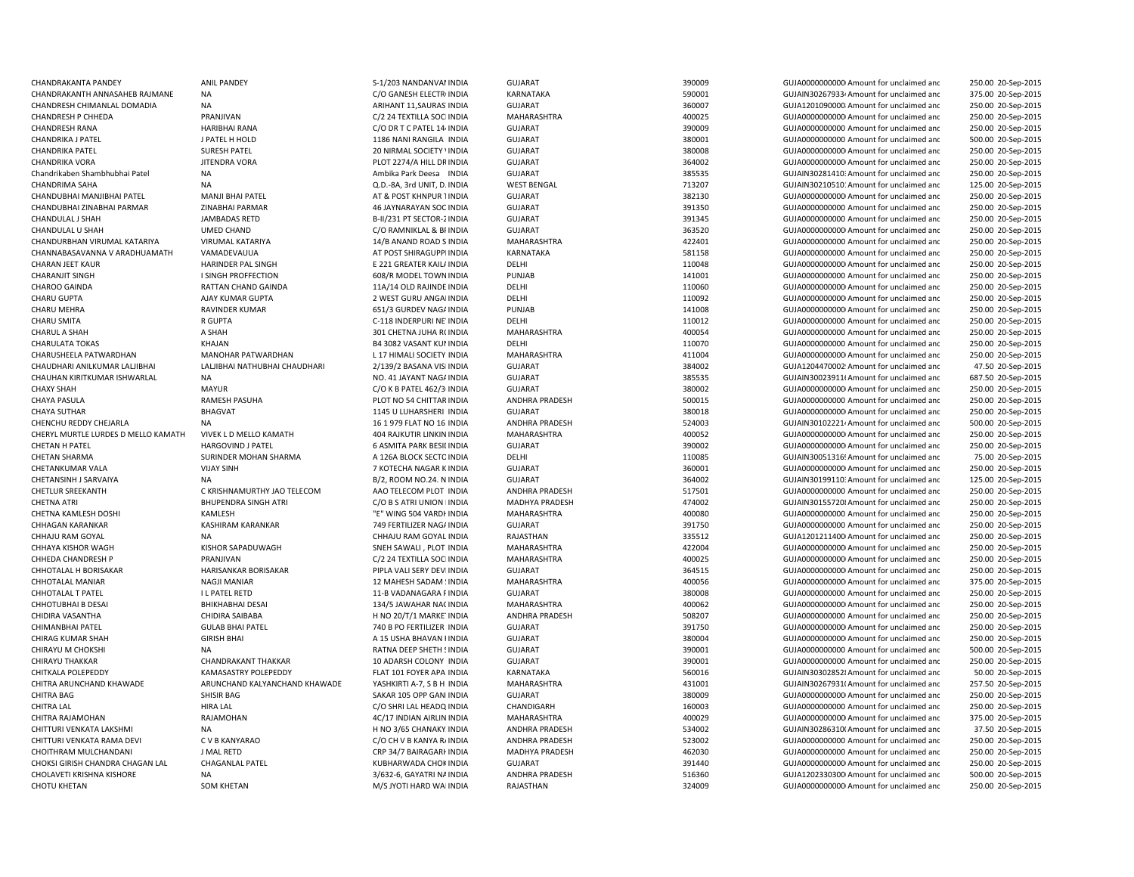| CHANDRAKANTA PANDEY                 | <b>ANIL PANDEY</b>            | S-1/203 NANDANVAI INDIA         | <b>GUJARAT</b>        | 390009 | GUJA0000000000 Amount for unclaimed and              | 250.00 20-Sep-2015 |
|-------------------------------------|-------------------------------|---------------------------------|-----------------------|--------|------------------------------------------------------|--------------------|
| CHANDRAKANTH ANNASAHEB RAJMANE      | <b>NA</b>                     | C/O GANESH ELECTRI INDIA        | KARNATAKA             | 590001 | GUJAIN30267933 <sup>,</sup> Amount for unclaimed and | 375.00 20-Sep-2015 |
| CHANDRESH CHIMANLAL DOMADIA         | <b>NA</b>                     | ARIHANT 11, SAURAS INDIA        | <b>GUJARAT</b>        | 360007 | GUJA1201090000 Amount for unclaimed and              | 250.00 20-Sep-2015 |
| CHANDRESH P CHHEDA                  | PRANJIVAN                     | C/2 24 TEXTILLA SOCHNDIA        | MAHARASHTRA           | 400025 | GUJA0000000000 Amount for unclaimed and              | 250.00 20-Sep-2015 |
| <b>CHANDRESH RANA</b>               | <b>HARIBHAI RANA</b>          | C/O DR T C PATEL 14 INDIA       | <b>GUJARAT</b>        | 390009 | GUJA0000000000 Amount for unclaimed and              | 250.00 20-Sep-2015 |
| CHANDRIKA J PATEL                   | J PATEL H HOLD                | 1186 NANI RANGILA INDIA         | <b>GUJARAT</b>        | 380001 | GUJA0000000000 Amount for unclaimed and              | 500.00 20-Sep-2015 |
| <b>CHANDRIKA PATEL</b>              | <b>SURESH PATEL</b>           | 20 NIRMAL SOCIETY \ INDIA       | <b>GUJARAT</b>        | 380008 | GUJA00000000000 Amount for unclaimed and             | 250.00 20-Sep-2015 |
| CHANDRIKA VORA                      | JITENDRA VORA                 | PLOT 2274/A HILL DR INDIA       | <b>GUJARAT</b>        | 364002 | GUJA00000000000 Amount for unclaimed and             | 250.00 20-Sep-2015 |
|                                     |                               |                                 |                       |        |                                                      |                    |
| Chandrikaben Shambhubhai Patel      | <b>NA</b>                     | Ambika Park Deesa INDIA         | GUJARAT               | 385535 | GUJAIN30281410: Amount for unclaimed and             | 250.00 20-Sep-2015 |
| CHANDRIMA SAHA                      | NA                            | Q.D.-8A, 3rd UNIT, D. INDIA     | <b>WEST BENGAL</b>    | 713207 | GUJAIN30210510: Amount for unclaimed and             | 125.00 20-Sep-2015 |
| CHANDUBHAI MANJIBHAI PATEL          | <b>MANJI BHAI PATEL</b>       | AT & POST KHNPUR 1INDIA         | <b>GUJARAT</b>        | 382130 | GUJA00000000000 Amount for unclaimed and             | 250.00 20-Sep-2015 |
| CHANDUBHAI ZINABHAI PARMAR          | ZINABHAI PARMAR               | 46 JAYNARAYAN SOC INDIA         | <b>GUJARAT</b>        | 391350 | GUJA0000000000 Amount for unclaimed and              | 250.00 20-Sep-2015 |
| CHANDULAL J SHAH                    | JAMBADAS RETD                 | B-II/231 PT SECTOR-2 INDIA      | <b>GUJARAT</b>        | 391345 | GUJA0000000000 Amount for unclaimed and              | 250.00 20-Sep-2015 |
| CHANDULAL U SHAH                    | <b>UMED CHAND</b>             | C/O RAMNIKLAL & BI INDIA        | <b>GUJARAT</b>        | 363520 | GUJA00000000000 Amount for unclaimed and             | 250.00 20-Sep-2015 |
| CHANDURBHAN VIRUMAL KATARIYA        | VIRUMAL KATARIYA              | 14/B ANAND ROAD S INDIA         | MAHARASHTRA           | 422401 | GUJA0000000000 Amount for unclaimed and              | 250.00 20-Sep-2015 |
| CHANNABASAVANNA V ARADHUAMATH       | VAMADEVAUUA                   | AT POST SHIRAGUPPI INDIA        | KARNATAKA             | 581158 | GUJA0000000000 Amount for unclaimed and              | 250.00 20-Sep-2015 |
| CHARAN JEET KAUR                    | HARINDER PAL SINGH            | E 221 GREATER KAIL/ INDIA       | DELHI                 | 110048 | GUJA00000000000 Amount for unclaimed and             | 250.00 20-Sep-2015 |
| <b>CHARANJIT SINGH</b>              | I SINGH PROFFECTION           | 608/R MODEL TOWN INDIA          | PUNJAB                | 141001 | GUJA0000000000 Amount for unclaimed and              | 250.00 20-Sep-2015 |
| CHAROO GAINDA                       | RATTAN CHAND GAINDA           | 11A/14 OLD RAJINDE INDIA        | DELHI                 | 110060 | GUJA00000000000 Amount for unclaimed and             | 250.00 20-Sep-2015 |
| CHARU GUPTA                         | AJAY KUMAR GUPTA              | 2 WEST GURU ANGAI INDIA         | DELHI                 | 110092 | GUJA00000000000 Amount for unclaimed and             | 250.00 20-Sep-2015 |
| <b>CHARU MEHRA</b>                  | <b>RAVINDER KUMAR</b>         | 651/3 GURDEV NAG/ INDIA         | PUNJAB                | 141008 | GUJA00000000000 Amount for unclaimed and             | 250.00 20-Sep-2015 |
|                                     |                               |                                 |                       |        |                                                      |                    |
| <b>CHARU SMITA</b>                  | R GUPTA                       | C-118 INDERPURI NE' INDIA       | DELHI                 | 110012 | GUJA0000000000 Amount for unclaimed and              | 250.00 20-Sep-2015 |
| <b>CHARUL A SHAH</b>                | A SHAH                        | 301 CHETNA JUHA R(INDIA         | MAHARASHTRA           | 400054 | GUJA0000000000 Amount for unclaimed and              | 250.00 20-Sep-2015 |
| <b>CHARULATA TOKAS</b>              | KHAJAN                        | <b>B4 3082 VASANT KUI INDIA</b> | DELHI                 | 110070 | GUJA0000000000 Amount for unclaimed and              | 250.00 20-Sep-2015 |
| CHARUSHEELA PATWARDHAN              | MANOHAR PATWARDHAN            | L 17 HIMALI SOCIETY INDIA       | MAHARASHTRA           | 411004 | GUJA00000000000 Amount for unclaimed and             | 250.00 20-Sep-2015 |
| CHAUDHARI ANILKUMAR LALJIBHAI       | LALJIBHAI NATHUBHAI CHAUDHARI | 2/139/2 BASANA VISHNDIA         | <b>GUJARAT</b>        | 384002 | GUJA1204470002! Amount for unclaimed and             | 47.50 20-Sep-2015  |
| CHAUHAN KIRITKUMAR ISHWARLAL        | <b>NA</b>                     | NO. 41 JAYANT NAGA INDIA        | <b>GUJARAT</b>        | 385535 | GUJAIN30023911(Amount for unclaimed and              | 687.50 20-Sep-2015 |
| <b>CHAXY SHAH</b>                   | <b>MAYUR</b>                  | C/O K B PATEL 462/3 INDIA       | <b>GUJARAT</b>        | 380002 | GUJA00000000000 Amount for unclaimed and             | 250.00 20-Sep-2015 |
| <b>CHAYA PASULA</b>                 | <b>RAMESH PASUHA</b>          | PLOT NO 54 CHITTAR INDIA        | <b>ANDHRA PRADESH</b> | 500015 | GUJA0000000000 Amount for unclaimed and              | 250.00 20-Sep-2015 |
| <b>CHAYA SUTHAR</b>                 | <b>BHAGVAT</b>                | 1145 U LUHARSHERI INDIA         | <b>GUJARAT</b>        | 380018 | GUJA00000000000 Amount for unclaimed and             | 250.00 20-Sep-2015 |
| CHENCHU REDDY CHEJARLA              | <b>NA</b>                     | 16 1 979 FLAT NO 16 INDIA       | <b>ANDHRA PRADESH</b> | 524003 | GUJAIN30102221/Amount for unclaimed and              | 500.00 20-Sep-2015 |
| CHERYL MURTLE LURDES D MELLO KAMATH | VIVEK L D MELLO KAMATH        | 404 RAJKUTIR LINKIN INDIA       | MAHARASHTRA           | 400052 | GUJA00000000000 Amount for unclaimed and             | 250.00 20-Sep-2015 |
| CHETAN H PATEL                      | <b>HARGOVIND J PATEL</b>      | 6 ASMITA PARK BESILINDIA        | GUJARAT               | 390002 | GUJA00000000000 Amount for unclaimed and             | 250.00 20-Sep-2015 |
|                                     |                               |                                 |                       |        |                                                      |                    |
| <b>CHETAN SHARMA</b>                | SURINDER MOHAN SHARMA         | A 126A BLOCK SECTO INDIA        | DELHI                 | 110085 | GUJAIN30051316! Amount for unclaimed and             | 75.00 20-Sep-2015  |
| CHETANKUMAR VALA                    | <b>VIJAY SINH</b>             | 7 KOTECHA NAGAR K INDIA         | <b>GUJARAT</b>        | 360001 | GUJA0000000000 Amount for unclaimed and              | 250.00 20-Sep-2015 |
| CHETANSINH J SARVAIYA               | NA                            | B/2, ROOM NO.24. N INDIA        | <b>GUJARAT</b>        | 364002 | GUJAIN30199110: Amount for unclaimed and             | 125.00 20-Sep-2015 |
| <b>CHETLUR SREEKANTH</b>            | C KRISHNAMURTHY JAO TELECOM   | AAO TELECOM PLOT INDIA          | <b>ANDHRA PRADESH</b> | 517501 | GUJA0000000000 Amount for unclaimed and              | 250.00 20-Sep-2015 |
| <b>CHETNA ATRI</b>                  | <b>BHUPENDRA SINGH ATRI</b>   | C/O B S ATRI UNION I INDIA      | MADHYA PRADESH        | 474002 | GUJAIN30155720 &Amount for unclaimed and             | 250.00 20-Sep-2015 |
| CHETNA KAMLESH DOSHI                | KAMLESH                       | "E" WING 504 VARDI INDIA        | MAHARASHTRA           | 400080 | GUJA0000000000 Amount for unclaimed and              | 250.00 20-Sep-2015 |
| <b>CHHAGAN KARANKAR</b>             | KASHIRAM KARANKAR             | 749 FERTILIZER NAG/ INDIA       | <b>GUJARAT</b>        | 391750 | GUJA0000000000 Amount for unclaimed and              | 250.00 20-Sep-2015 |
| CHHAJU RAM GOYAL                    | <b>NA</b>                     | CHHAJU RAM GOYAL INDIA          | RAJASTHAN             | 335512 | GUJA1201211400 Amount for unclaimed and              | 250.00 20-Sep-2015 |
| CHHAYA KISHOR WAGH                  | KISHOR SAPADUWAGH             | SNEH SAWALI, PLOT INDIA         | MAHARASHTRA           | 422004 | GUJA0000000000 Amount for unclaimed and              | 250.00 20-Sep-2015 |
| CHHEDA CHANDRESH P                  | PRANJIVAN                     | C/2 24 TEXTILLA SOCHNDIA        | MAHARASHTRA           | 400025 | GUJA0000000000 Amount for unclaimed and              | 250.00 20-Sep-2015 |
| CHHOTALAL H BORISAKAR               | HARISANKAR BORISAKAR          | PIPLA VALI SERY DEVI INDIA      | GUJARAT               | 364515 | GUJA00000000000 Amount for unclaimed and             | 250.00 20-Sep-2015 |
| CHHOTALAL MANIAR                    | <b>NAGJI MANIAR</b>           | 12 MAHESH SADAM ! INDIA         | MAHARASHTRA           | 400056 | GUJA00000000000 Amount for unclaimed and             | 375.00 20-Sep-2015 |
| CHHOTALAL T PATEL                   | I L PATEL RETD                | 11-B VADANAGARA FINDIA          | <b>GUJARAT</b>        | 380008 | GUJA0000000000 Amount for unclaimed and              | 250.00 20-Sep-2015 |
|                                     |                               |                                 |                       |        |                                                      |                    |
| CHHOTUBHAI B DESAI                  | <b>BHIKHABHAI DESAI</b>       | 134/5 JAWAHAR NACINDIA          | MAHARASHTRA           | 400062 | GUJA00000000000 Amount for unclaimed and             | 250.00 20-Sep-2015 |
| CHIDIRA VASANTHA                    | CHIDIRA SAIBABA               | H NO 20/T/1 MARKE INDIA         | <b>ANDHRA PRADESH</b> | 508207 | GUJA0000000000 Amount for unclaimed and              | 250.00 20-Sep-2015 |
| CHIMANBHAI PATEL                    | <b>GULAB BHAI PATEL</b>       | 740 B PO FERTILIZER INDIA       | <b>GUJARAT</b>        | 391750 | GUJA00000000000 Amount for unclaimed and             | 250.00 20-Sep-2015 |
| <b>CHIRAG KUMAR SHAH</b>            | <b>GIRISH BHAI</b>            | A 15 USHA BHAVAN I INDIA        | GUJARAT               | 380004 | GUJA00000000000 Amount for unclaimed and             | 250.00 20-Sep-2015 |
| CHIRAYU M CHOKSHI                   | <b>NA</b>                     | RATNA DEEP SHETH SINDIA         | <b>GUJARAT</b>        | 390001 | GUJA0000000000 Amount for unclaimed and              | 500.00 20-Sep-2015 |
| <b>CHIRAYU THAKKAR</b>              | <b>CHANDRAKANT THAKKAR</b>    | 10 ADARSH COLONY INDIA          | <b>GUJARAT</b>        | 390001 | GUJA0000000000 Amount for unclaimed and              | 250.00 20-Sep-2015 |
| CHITKALA POLEPEDDY                  | KAMASASTRY POLEPEDDY          | FLAT 101 FOYER APA INDIA        | KARNATAKA             | 560016 | GUJAIN303028528 Amount for unclaimed and             | 50.00 20-Sep-2015  |
| CHITRA ARUNCHAND KHAWADE            | ARUNCHAND KALYANCHAND KHAWADE | YASHKIRTI A-7, S B H INDIA      | MAHARASHTRA           | 431001 | GUJAIN30267931(Amount for unclaimed and              | 257.50 20-Sep-2015 |
| <b>CHITRA BAG</b>                   | SHISIR BAG                    | SAKAR 105 OPP GANHNDIA          | <b>GUJARAT</b>        | 380009 | GUJA0000000000 Amount for unclaimed and              | 250.00 20-Sep-2015 |
| <b>CHITRA LAL</b>                   | <b>HIRA LAL</b>               | C/O SHRI LAL HEADQ INDIA        | CHANDIGARH            | 160003 | GUJA0000000000 Amount for unclaimed and              | 250.00 20-Sep-2015 |
| CHITRA RAJAMOHAN                    | RAJAMOHAN                     | 4C/17 INDIAN AIRLIN INDIA       | MAHARASHTRA           | 400029 | GUJA00000000000 Amount for unclaimed and             | 375.00 20-Sep-2015 |
|                                     |                               |                                 |                       |        |                                                      |                    |
| CHITTURI VENKATA LAKSHMI            | <b>NA</b>                     | H NO 3/65 CHANAKY INDIA         | ANDHRA PRADESH        | 534002 | GUJAIN30286310(Amount for unclaimed and              | 37.50 20-Sep-2015  |
| CHITTURI VENKATA RAMA DEVI          | C V B KANYARAO                | C/O CH V B KANYA R/ INDIA       | <b>ANDHRA PRADESH</b> | 523002 | GUJA0000000000 Amount for unclaimed and              | 250.00 20-Sep-2015 |
| CHOITHRAM MULCHANDANI               | J MAL RETD                    | CRP 34/7 BAIRAGARI INDIA        | MADHYA PRADESH        | 462030 | GUJA0000000000 Amount for unclaimed and              | 250.00 20-Sep-2015 |
| CHOKSI GIRISH CHANDRA CHAGAN LAL    | <b>CHAGANLAL PATEL</b>        | KUBHARWADA CHOK INDIA           | <b>GUJARAT</b>        | 391440 | GUJA0000000000 Amount for unclaimed and              | 250.00 20-Sep-2015 |
| CHOLAVETI KRISHNA KISHORE           | <b>NA</b>                     | 3/632-6, GAYATRI NA INDIA       | ANDHRA PRADESH        | 516360 | GUJA1202330300 Amount for unclaimed and              | 500.00 20-Sep-2015 |
| <b>CHOTU KHETAN</b>                 | <b>SOM KHETAN</b>             | M/S JYOTI HARD WALINDIA         | RAJASTHAN             | 324009 | GUJA00000000000 Amount for unclaimed and             | 250.00 20-Sep-2015 |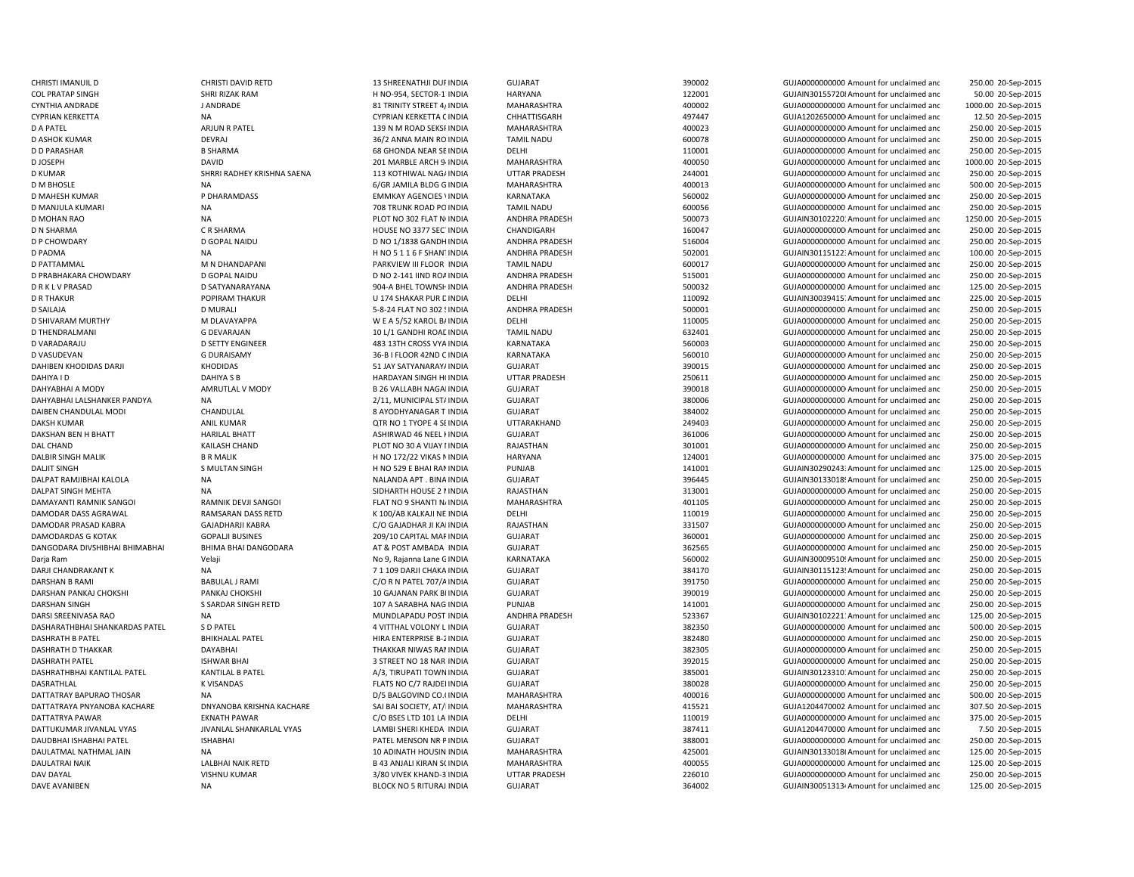D VARADARAJU DE SETTY ENGINEER ASSETS A 483 13TH CROSS VYA INDIA D VASUDEVAN G DURAISAMY 36-B I FLOOR 42ND CDALPAT RAMJIBHAI KALOLA NA NALANDA APT . BINADARJI CHANDRAKANT K NA NA 1999 DARJI CHAKA INDIA

CHRISTI IMANUIL D CHRISTI DAVID RETD 13 SHREENATHJI DUPINDIA GUJARAT 390002 GUJA0000000000 Amount for unclaimed and 250.00 20-Sep-2015 COL PRATAP SINGH SHRI RIZAK RAM H NO-954, SECTOR-17INDIA HARYANA 122001 122001 GUJAIN301557208Amount for unclaimed and 50.00 20-Sep-2015 CYNTHIA ANDRADE JANDRADE JANDRADE SERINITY STREET 4/INDIA MAHARASHTRA 400002 400000 AGUJA0000000000 Amount for unclaimed and 1000.00 20-Sep-2015 CYPRIAN KERKETTA NA NA CYPRIAN KERKETTA CINDIA CHHATTISGARH 497447 GUJA1202650000 Amount for unclaimed and 12.50 20-Sep-2015 D A PATEL ARJUN R PATEL 139 N M ROAD SEKSRINDIA MAHARASHTRA 400023 GUJA00000000000Amount for unclaimed and 250.00 20-Sep-2015 D ASHOK KUMAR DEVRAJ 36/2 ANNA MAIN RO INDIA TAMIL NADU 600078 GUJA00000000000Amount for unclaimed and 250.00 20-Sep-2015 D D PARASHAR B DO PARASHAR B SHARMA GUJAOOOOOOOO Amount for unclaimed and GUJAOOOOOOOOOO Amount for unclaimed and 250.00 20-Sep-2015 D JOSEPH COMPOSITION DAVID DAVID 201 MARBLE ARCH 94INDIA MAHARASHTRA 400050 400050 GUJA00000000000 Amount for unclaimed and 1000.00 20-Sep-2015 D KUMAR SHRRI RADHEY KRISHNA SAENA 113 KOTHIWAL NAGAINDIA UTTAR PRADESH 244001 GUJA00000000000Amount for unclaimed and 250.00 20-Sep-2015 D M BHOSLE NA 6/GR JAMILA BLDG G INDIA MAHARASHTRA 400013 GUJA0000000000Amount for unclaimed and 500.00 20-Sep-2015 D MAHESH KUMAR **EMMAR PERSON BERGENCIES AND A SECULA CONTRANTAKA** SARNATAKA THESS AND SECULA SECULA SECULA DO SUJA0000000000000000000 Amount for unclaimed and 250.00 20-Sep-2015 D MANJULA KUMARI NA NA 2002 TRUNK ROAD POINDIA TAMIL NADU 600056 600056 GUJA000000000000000000 Amount for unclaimed and 250.00 20-Sep-2015 D MOHAN RAO NA NA PLOT NO 302 FLAT NUNDIA ANDHRA PRADESH 500073 GUJAIN301022201Amount for unclaimed and 1250.00 20-Sep-2015 D N SHARMA CR SHARMA C R SHARMA CHANDIGARH CHANDIGARH CHANDIGARH 160047 CHANDIGARH SHARMA CHANDIGARH SHARMA CHANDIGARH 250.00 20-Sep-2015 D P CHOWDARY D GOPAL NAIDU CORPORATION D NO 1/1838 GANDH INDIA ANDHRA PRADESH 516004 516004 GUJA0000000000 Amount for unclaimed and 250.00 20-Sep-2015 D PADMA NA NA NA H NO 511 6 F SHANTINDIA ANDHRA PRADESH S02001 S02001 GUJAIN30115122: Amount for unclaimed and 100.00 20-Sep-2015 D PATTAMMAL M NOHANDAPANI PARKVIEW III FLOOR INDIA TAMIL NADU 600017 600017 GUJA00000000000000000000000 Amount for unclaimed and 250.00 20-Sep-2015 D PRABHAKARA CHOWDARY D GOPAL NAIDU D ON D NO 2-141 IIND ROAINDIA ANDHRA PRADESH 515001 GUJA00000000000000000000000000000 Amount for unclaimed and 250.00 20-Sep-2015 D R K L V PRASAD D SATYANARAYANA D 904-A BHEL TOWNSHINDIA ANDHRA PRADESH 500032 GUJA000000000000000000 Amount for unclaimed and 125.00 20-Sep-2015 D R THAKUR POPIRAM THAKUR U 174 SHAKAR PUR DINDIA DELHI 110092 GUJAIN300394157Amount for unclaimed and 225.00 20-Sep-2015 D SAILAJA D MURALI D MURALI S-8-24 FLAT NO 302 SINDIA ANDHRA PRADESH 500001 SOMETHO GUJA0000000000 Amount for unclaimed and 250.00 20-Sep-2015 D SHIVARAM MURTHY M DLAVAYAPPA M WE A 5/52 KAROL BAINDIA DELHI DELHI 110005 GUJA000000000 Amount for unclaimed anc 250.00 20-Sep-2015 D THENDRALMANI COEVARAJAN G DEVARAJAN 10 L/1 GANDHI ROAC INDIA TAMIL NADU 632401 6UJA0000000000 Amount for unclaimed and 250.00 20-Sep-2015 INDIA KARNATAKA 560003 GUJA0000000000 Amount for unclaimed and 250.00 20-Sep-2015 INDIA KARNATAKA 560010 GUJA00000000000Amount for unclaimed and 250.00 20-Sep-2015 DAHIBEN KHODIDAS DARJI KHODIDAS KHODIDAS 51 JAY SATYANARAY/INDIA GUJARAT SUMARAT 390015 GUJA0000000000 Amount for unclaimed and 250.00 20-Sep-2015 DAHIYA I D DAHIYA S B HARDAYAN SINGH HOINDIA UTTAR PRADESH 250611 GUJA00000000000Amount for unclaimed and 250.00 20-Sep-2015 DAHYABHAI A MODY AMRUTLAL V MODY B 26 VALLABH NAGARINDIA GUJARAT 390018 GUJA00000000000Amount for unclaimed and 250.00 20-Sep-2015 DAHYABHAI LALSHANKER PANDYA NA 250.00 20-Sep-2015 2/11, MUNICIPAL STAINDIA GUJARAT 380006 380006 GUJA0000000000 Amount for unclaimed and 250.00 20-Sep-2015 DAIBEN CHANDULAL MODI CHANDULAL 8 AYODHYANAGAR T INDIA GUJARAT 384002 GUJA00000000000Amount for unclaimed and 250.00 20-Sep-2015 DAKSH KUMAR ANIL KUMAR QTR NO 1 TYOPE 4 SEINDIA UTTARAKHAND 249403 GUJA00000000000Amount for unclaimed and 250.00 20-Sep-2015 DAKSHAN BEN H BHATT HARILAL BHATT ASHIRWAD 46 NEEL KINDIA GUJARAT 361006 GUJA00000000000Amount for unclaimed and 250.00 20-Sep-2015 DAL CHAND KAILASH CHAND CONTROLLED BELOT NO 30 A VIJAY I INDIA RAJASTHAN 301001 301001 GUJA000000000Amount for unclaimed and 250.00 20-Sep-2015 DALBIR SINGH MALIK BR MALIK BR MALIK H NO 172/22 VIKAS NINDIA HARYANA HARYANA 124001 GUJA0000000000 Amount for unclaimed and 375.00 20-Sep-2015 DALJIT SINGH S MULTAN SINGH S MULTAN SINGH H NO 529 E BHAI RANINDIA PUNJAB PUNJAB 141001 GUJAIN30290243: Amount for unclaimed and 125.00 20-Sep-2015 GUJARAT 396445 396445 GUJAIN301330189Amount for unclaimed and 250.00 20-Sep-2015 DALPAT SINGH MEHTA NA NA SIDHARTH HOUSE 2 MINDIA RAJASTHAN 313001 SUHARTH GUJA0000000000000000000000 Amount for unclaimed and 250.00 20-Sep-2015 DAMAYANTI RAMNIK SANGOI RAMNIK DEVJI SANGOI FLAT NO 9 SHANTI N/INDIA MAHARASHTRA 401105 401105 GUJA00000000000 Amount for unclaimed and 250.00 20-Sep-2015 DAMODAR DASS AGRAWAL RAMSARAN DASS RETD K 100/AB KALKAJI NE INDIA DELHI 110019 GUJA0000000000 Amount for unclaimed and 250.00 20-Sep-2015 DAMODAR PRASAD KABRA GAJADHARJI KABRA C/O GAJADHAR JI KAIINDIA RAJASTHAN 331507 GUJA0000000000Amount for unclaimed and 250.00 20-Sep-2015 DAMODARDAS G KOTAK GOPALJI BUSINES 209/20 CAPITAL MARINDIA GUJARAT 360001 360001 GUJA00000000000000000000000000 Amount for unclaimed and 250.00 20-Sep-2015 DANGODARA DIVSHIBHAI BHIMABHAI BHIMA BHAI DANGODARA AT & POST AMBADA INDIA GUJARAT SUJARAT 362565 GUJA0000000000 Amount for unclaimed and 250.00 20-Sep-2015 Darja Ram Velaji Velaji No 9, Rajanna Lane GINDIA KARNATAKA 560002 560002 GUJAIN30009510! Amount for unclaimed anc 250.00 20-Sep-2015 GUJARAT GUJARAT 384170 384170 GUJAIN30115123! Amount for unclaimed and 250.00 20-Sep-2015 DARSHAN B RAMI BABULAL J RAMI C/O R N PATEL 707/AINDIA GUJARAT 391750 GUJA0000000000 Amount for unclaimed and 250.00 20-Sep-2015 DARSHAN PANKAJ CHOKSHI PANKAJ CHOKSHI 10 GAJANAN PARK BIINDIA GUJARAT SUJARAT 390019 GUJA0000000000 Amount for unclaimed and 250.00 20-Sep-2015 DARSHAN SINGH SARDAR SINGH RETD 107 A SARABHA NAG INDIA PUNJAB 141001 141001 GUJA0000000000 Amount for unclaimed and 250.00 20-Sep-2015 DARSI SREENIVASA RAO NA NA MUNDLAPADU POST INDIA ANDHRA PRADESH 523367 GUJAIN30102221: Amount for unclaimed and 125.00 20-Sep-2015 DASHARATHBHAI SHANKARDAS PATEL S D PATEL 4 VITTHAL VOLONY L INDIA GUJARAT 382350 GUJA0000000000 Amount for unclaimed and 500.00 20-Sep-2015 DASHRATH B PATEL BHIKHALAL PATEL HIRA ENTERPRISE B-2INDIA GUJARAT 382480 GUJA0000000000 Amount for unclaimed and 250.00 20-Sep-2015 DASHRATH D THAKKAR DAYABHAI THAKKAR NIWAS RAMINDIA GUJARAT 382305 GUJA00000000000Amount for unclaimed and 250.00 20-Sep-2015 DASHRATH PATEL ISHWAR BHAI 3 STREET NO 18 NAR INDIA GUJARAT 392015 GUJA0000000000 Amount for unclaimed and 250.00 20-Sep-2015 DASHRATHBHAI KANTILAL PATEL CHO KANTILAL B PATEL CHO AND ANNIVER AND ANNIVERAL CHOWNINDIA GUJARAT CHO SANTO ANNO 385001 GUJAIN30123310: Amount for unclaimed and 250.00 20-Sep-2015 DASRATHLAL CHARRATHLAL K VISANDAS K VISANDAS FLATS NO C/7 RAJDEI INDIA GUJARAT GUJAON SEPANDA 380028 GUJA0000000000Amount for unclaimed and 250.00 20-Sep-2015 DATTATRAY BAPURAO THOSAR NA NA 2002-Sep-2015 D/5 BALGOVIND CO.(INDIA MAHARASHTRA 400016 400016 GUJA0000000000 Amount for unclaimed and 500.00 20-Sep-2015 DATTATRAYA PNYANOBA KACHARE DNYANOBA KRISHNA KACHARE SAI BAI SOCIETY, AT/IINDIA MAHARASHTRA 415521 415521 GUJA1204470002 Amount for unclaimed anc 307.50 20-Sep-2015 DATTATRYA PAWAR EKNATH PAWAR C/O BSES LTD 101 LA INDIA DELHI 110019 GUJA00000000000Amount for unclaimed and 375.00 20-Sep-2015 DATTUKUMAR JIVANLAL VYAS JIVANLAL SHANKARLAL VYAS LAMBI SHERI KHEDA INDIA GUJARAT SHANKARLAL VYAS LAMBI SHERI MEDA INDIA GUJARAT SHANKARLAL VYAS 7.50 20-Sep-2015 DAUDBHAI ISHABHAI PATEL ISHABHAI PATEL MENSON NR PINDIA GUJARAT 388001 GUJA0000000000 Amount for unclaimed and 250.00 20-Sep-2015 DAULATMAL JAIN NATHMAL JAIN NA 25 NA 25 ADINATH HOUSIN INDIA MAHARASHTRA 425001 ALAMATH GUJAIN301330186Amount for unclaimed and 125.00 20-Sep-2015 DAULATRAI NAIK LALBHAI NAIK RETD B 43 ANJALI KIRAN SOINDIA MAHARASHTRA 400055 GUJA0000000000 Amount for unclaimed and 125.00 20-Sep-2015 DAV DAYAL SANDAR SAND AND THE SAND-3 ON DAVE AND A SAND AND A SAND AND A SAND AND A SAND AND AND A SAND AND AN<br>DAVID A SAND AND AND A SAND AND AND A SAND AND AND A SAND AND A SAND A SAND AND A SAND AND AND A SAND AND A SA DAVE AVANIBEN NA NA REACK NO 5 RITURAJ INDIA GUJARAT GUJARAT 364002 GUJAIN30051313/Amount for unclaimed and 125.00 20-Sep-2015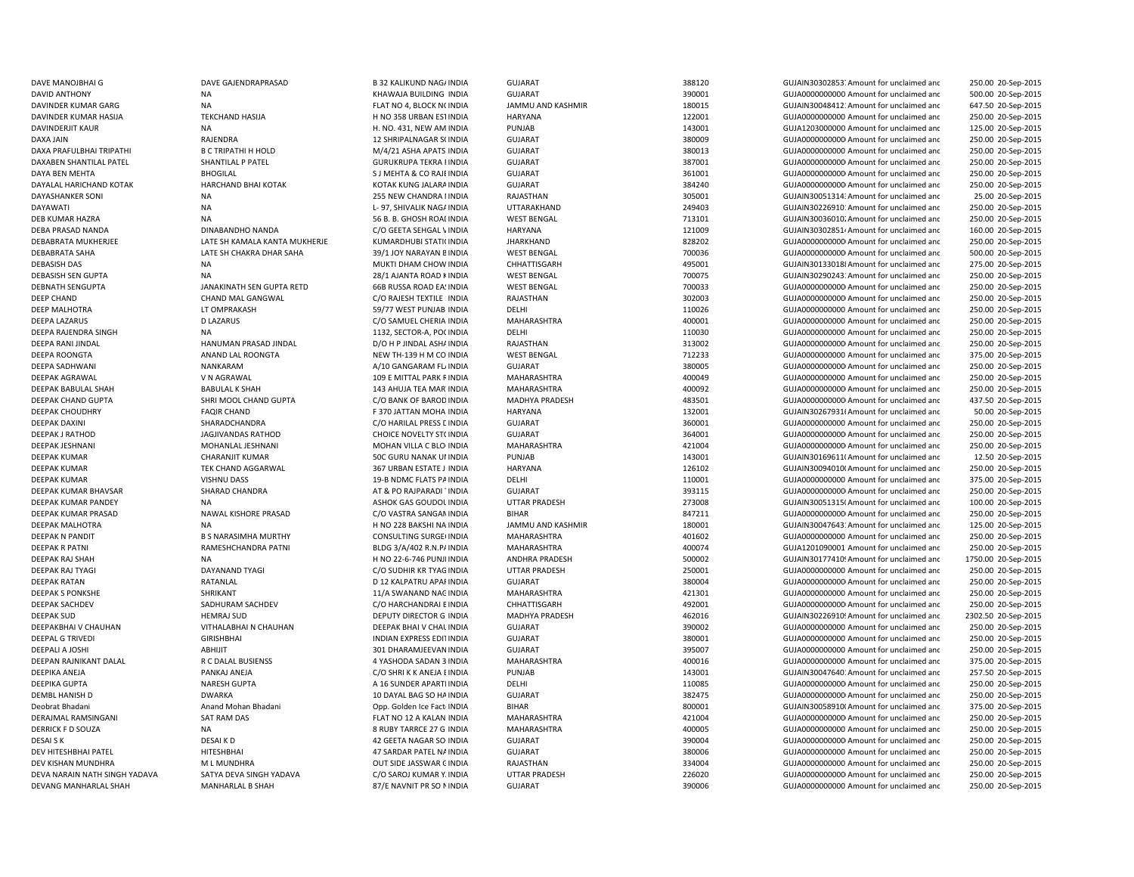DEBASISH DAS NA MANA MUKTI DHAM CHOW INDIA NA MUKTI DHAM CHOW INDIA DEEPAK MALHOTRA NA H NO 228 BAKSHI NA INDIA NA H NO 228 BAKSHI NA INDIA

DAVE MANOJBHAI G COMPOUND THE GAJENDRAPRASAD B 32 KALIKUND NAGAINDIA GUJARAT 388120 SASSEN SANOJBHAI GUJAIN303028537Amount for unclaimed and 250.00 20-Sep-2015 DAVID ANTHONY NA NA REALLY AND SERVER AND SERVER AND SERVER AND SERVER AND SERVER AND SERVER AND SERVER AND SERVER AND SERVER AND SERVER AND SERVER AND SERVER AND SERVER AND SERVER AND SERVER AND SERVER AND SERVER AND SERV 500.00 20-Sep-2015 DAVINDER KUMAR GARG NA NA NA SEPERT SAN FLAT NO 4, BLOCK NOINDIA JAMMU AND KASHMIR 180015 GUJAIN30048412: Amount for unclaimed and 647.50 20-Sep-2015 DAVINDER KUMAR HASIJA TEKCHAND HASIJA H NO 358 URBAN ESTINDIA HARYANA 122001 122001 GUJA000000000000 Amount for unclaimed and 250.00 20-Sep-2015 DAVINDERJIT KAUR NA H. NO. 431, NEW AM INDIA PUNJAB 143001 143001 GUJA1203000000 Amount for unclaimed and 125.00 20-Sep-2015 DAXA JAIN RAJENDRA 20 25HRIPALNAGAR S(INDIA GUJARAT GUJARAT 380009 GUJA00000000000000000000000000Amount for unclaimed and 250.00 20-Sep-2015 DAXA PRAFULBHAI TRIPATHI B B C TRIPATHI HOLD M/4/21 ASHA APATS INDIA GUJARAT 380013 380013 GUJA000000000 Amount for unclaimed and 250.00 20-Sep-2015 DAXABEN SHANTILAL PATEL SHANTILAL P PATEL GURUKRUPA TEKRA FINDIA GUJARAT 387001 GUJA00000000000Amount for unclaimed and 250.00 20-Sep-2015 DAYA BEN MEHTA BHOGILAL S J MEHTA & CO RAJEINDIA GUJARAT 361001 GUJA00000000000Amount for unclaimed and 250.00 20-Sep-2015 DAYALAL HARICHAND KOTAK HARCHAND BHAI KOTAK KOTAK KOTAK KUNG JALARAINDIA GUJARAT GUJAOR SANG SANG SANG SANG GUJA0000000000Amount for unclaimed and 250.00 20-Sep-2015 DAYASHANKER SONI NA 255 NEW CHANDRA IINDIA RAJASTHAN 255 NEW CHANDRA IINDIA RAJASTHAN 305001 GUJAIN30051314:Amount for unclaimed and 25.00 20-Sep-2015 DAYAWATI NA NA REPORT DEL 197, SHIVALIK NAGAINDIA UTTARAKHAND 249403 GUJAIN30226910: Amount for unclaimed and 250.00 20-Sep-2015 DEB KUMAR HAZRA **NA 56 B. B. GHOSH ROADINDIA** WEST BENGAL 713101 GUJAIN300360102Amount for unclaimed and 250.00 20-Sep-2015 DEBA PRASAD NANDA DINABANDHO NANDA C/O GEETA SEHGAL VINDIA HARYANA 121009 GUJAIN303028514Amount for unclaimed and 160.00 20-Sep-2015 DEBABRATA MUKHERJEE CHAMALA KANTA MUKHERJE KUMARDHUBI STATI(INDIA JHARKHAND 828202 GUJA000000000000000000000000000000000 Amount for unclaimed and 250.00 20-Sep-2015 DEBABRATA SAHA LATE SH CHAKRA DHAR SAHA 39/1 JOY NARAYAN BINDIA WEST BENGAL 700036 GUJA00000000000Amount for unclaimed and 500.00 20-Sep-2015 CHHATTISGARH 495001 495001 495001 GUJAIN301330188Amount for unclaimed and 275.00 20-Sep-2015 DEBASISH SEN GUPTA NA 28/1 AJANTA ROAD KINDIA WEST BENGAL 700075 GUJAIN302902431Amount for unclaimed and 250.00 20-Sep-2015 DEBNATH SENGUPTA JANAKINATH SEN GUPTA RETD 66B RUSSA ROAD EASINDIA WEST BENGAL 700033 GUJA00000000000Amount for unclaimed and 250.00 20-Sep-2015 DEEP CHAND CHAND MAL GANGWAL C/O RAJESH TEXTILE 1INDIA RAJASTHAN 302003 GUJA00000000000Amount for unclaimed and 250.00 20-Sep-2015 DEEP MALHOTRA CHARAGSH 17 OMPRAKASH 59/77 WEST PUNJABIINDIA DELHI DELHI 110026 SUJA0000000000 Amount for unclaimed and 250.00 20-Sep-2015 DEEPA LAZARUS DLAZARUS DUAZARUS C/O SAMUEL CHERIA INDIA MAHARASHTRA 400001 4000001 GUJA0000000000 Amount for unclaimed and 250.00 20-Sep-2015 DEEPA RAJENDRA SINGH NA 1132, SECTOR-A, POCINDIA DELHI 110030 GUJA0000000000 Amount for unclaimed and 250.00 20-Sep-2015 DEEPA RANI JINDAL **DEEPA RANI DINDAL HANUMAN PRASAD JINDAL** D/O HP JINDAL ASHAINDIA RAJASTHAN 313002 313002 GUJA000000000Amount for unclaimed and 250.00 20-Sep-2015 DEEPA ROONGTA ANAND LAL ROONGTA NEW TH-139 H M CO INDIA WEST BENGAL 712233 GUJA0000000000 Amount for unclaimed and 375.00 20-Sep-2015 DEEPA SADHWANI NANKARAM A/10 GANGARAM FLAINDIA GUJARAT 380005 GUJA00000000000Amount for unclaimed and 250.00 20-Sep-2015 DEEPAK AGRAWAL V N AGRAWAL V NAGRAWAL 109 E MITTAL PARK RINDIA MAHARASHTRA 4000049 400049 GUJA000000000 Amount for unclaimed and 250.00 20-Sep-2015 DEEPAK BABULAL SHAH BABULAL K SHAH 143 AHUJA TEA MARTINDIA MAHARASHTRA 400092 GUJA00000000000Amount for unclaimed and 250.00 20-Sep-2015 DEEPAK CHAND GUPTA SHRI MOOL CHAND GUPTA C/O BANK OF BAROD INDIA MADHYA PRADESH 483501 GUJA000000000Amount for unclaimed and 437.50 20-Sep-2015 DEEPAK CHOUDHRY **FAQIR CHAND** FAQIR CHAND F 370 JATTAN MOHA INDIA HARYANA 132001 GUJAIN302679314 Amount for unclaimed and 50.00 20-Sep-2015 DEEPAK DAXINI SHARADCHANDRA C/O HARILAL PRESS LINDIA GUJARAT 360001 GUJA0000000000 Amount for unclaimed and 250.00 20-Sep-2015 DEEPAK J RATHOD JAGJIVANDAS RATHOD CHOICE NOVELTY ST(INDIA GUJARAT SUMAND 364001 3656001 GUJA00000000000000000000000000000000000 Amount for unclaimed and 250.00 20-Sep-2015 DEEPAK JESHNANI MOHANLAL JESHNANI MOHAN MOHAN VILLA C BLO INDIA MAHARASHTRA 421004 421004 GUJA000000000Amount for unclaimed and 250.00 20-Sep-2015 DEEPAK KUMAR CHARANJIT KUMAR 50C GURU NANAK UNINDIA PUNJAB 143001 143001 GUJAIN30169611(Amount for unclaimed and 12.50 20-Sep-2015 DEEPAK KUMAR TEK CHAND AGGARWAL 367 URBAN ESTATE J INDIA HARYANA 126102 126102 GUJAIN300940100 Amount for unclaimed and 250.00 20-Sep-2015 DEEPAK KUMAR VISHNU DASS 19-B NDMC FLATS PAINDIA DELHI 110001 GUJA0000000000 Amount for unclaimed and 375.00 20-Sep-2015 DEEPAK KUMAR BHAVSAR SHARAD CHANDRA AT & PO RAJPARADI TINDIA GUJARAT 393115 GUJA00000000000Amount for unclaimed and 250.00 20-Sep-2015 DEEPAK KUMAR PANDEY NA NA REASH DEEPAK KUMAR PANDESH 273008 GUJAIN30051315(Amount for unclaimed and 100.00 20-Sep-2015 DEEPAK KUMAR PRASAD NAWAL KISHORE PRASAD C/O VASTRA SANGAMINDIA BIHAR BHAR 847211 BIHAR GUJA0000000000Amount for unclaimed and 250.00 20-Sep-2015 JAMMU AND KASHMIR 180001 180001 GUJAIN300476431Amount for unclaimed and 125.00 20-Sep-2015 DEEPAK N PANDIT B S NARASIMHA MURTHY CONSULTING SURGE(INDIA MAHARASHTRA 401602 401602 GUJA00000000000 Amount for unclaimed and 250.00 20-Sep-2015 DEEPAK R PATNI RAMESHCHANDRA PATNI BLDG 3/A/402 R.N.PAINDIA MAHARASHTRA 400074 GUJA1201090001 Amount for unclaimed and 250.00 20-Sep-2015 DEEPAK RAJ SHAH NA NA NA H NO 22-6-746 PUNJI INDIA ANDHRA PRADESH 500002 500002 GUJAIN30177410! Amount for unclaimed and 1750.00 20-Sep-2015 DEEPAK RAJ TYAGI DAYANAND TYAGI CO SUDHIR KR TYAGINDIA UTTAR PRADESH 250001 GUJA0000000000 Amount for unclaimed and 250.00 20-Sep-2015 DEEPAK RATAN CHARRATAN RATANLAL CHARRAT DEL SENGERAT COLLARAT GUJARAT SENGERAT SENGERAT SENGERAT SENGERAT SENGERAT SENGERAT SENGERAT SENGERAT SENGERAT SENGERAT SENGERAT SENGERAT SENGERAT SENGERAT SENGERAT SENGERAT SENGERAT 250.00 20-Sep-2015 DEEPAK S PONKSHE SHRIKANT SHRIKANT SANAH SANAHAN SANAHAN MAHARASHTRA SANAHARASHTRA SANAHARASHTRA SANAHARASHTRA SANAHARASHTRA SANAHARASHTRA SANAHARASHTRA SANAHARASHTRA SANAHARASHTRA SANAHARASHTRA SANAHARASHTRA SANAHARASHTRA DEEPAK SACHDEV SADHURAM SACHDEV C/O HARCHANDRAI BINDIA CHHATTISGARH 492001 GUJA00000000000Amount for unclaimed and 250.00 20-Sep-2015 DEEPAK SUD HEMRAJ SUD HEMRAJ SUD DEPUTY DIRECTOR G INDIA MADHYA PRADESH 462016 462016 GUJAIN30226910! Amount for unclaimed and 2302.50 20-Sep-2015 DEEPAKBHAI V CHAUHAN VITHALABHAI N CHAUHAN DEEPAK BHAI V CHAL INDIA GUJARAT SUMAT 390002 GUJA0000000000 Amount for unclaimed and 250.00 20-Sep-2015 DEEPAL G TRIVEDI GIRISHBHAI INDIAN EXPRESS EDITINDIA GUJARAT 380001 GUJA0000000000 Amount for unclaimed and 250.00 20-Sep-2015 DEEPALI A JOSHI ABHIJIT 301 DHARAMJEEVANINDIA GUJARAT 395007 GUJA0000000000 Amount for unclaimed and 250.00 20-Sep-2015 DEEPAN RAJNIKANT DALAL AND ALAL BUSIENSS AND A YASHODA SADAN 3 INDIA MAHARASHTRA 400016 400016 GUJA000000000 Amount for unclaimed and 375.00 20-Sep-2015 DEEPIKA ANEJA PANKAJ ANEJA C/O SHRI K K ANEJA BINDIA PUNJAB 143001 GUJAIN300476401Amount for unclaimed and 257.50 20-Sep-2015 DEEPIKA GUPTA NARESH GUPTA A 16 SUNDER APARTMINDIA DELHI 110085 GUJA00000000000Amount for unclaimed and 250.00 20-Sep-2015 DEMBL HANISH D DANISH D DWARKA D DAYAL BAG SO HAINDIA GUJARAT GUJARAT 382475 GUJA000000000Amount for unclaimed and 250.00 20-Sep-2015 Deobrat Bhadani **Anand Mohan Bhadani** Opp. Golden Ice Fact: INDIA BIHAR 800001 800001 GUJAIN30058910(Amount for unclaimed and 375.00 20-Sep-2015 DERAJMAL RAMSINGANI SAT RAM DAS SATRAM DAS FLAT NO 12 A KALAN INDIA MAHARASHTRA 421004 421004 GUJA0000000000000000000000000000000 Amount for unclaimed and 250.00 20-Sep-2015 DERRICK F D SOUZA **NA 8 8 RUBY TARRCE 27 G INDIA MAHARASHTRA** 400005 4000005 GUJA0000000000000000 Amount for unclaimed and 250.00 20-Sep-2015 DESAI K DESAI K DESAI SENGERAL DESAI K DESAI K DESAI K DESAI DESAI DESAI DESAI DESAI DESAI DESAI DESAI DESAI D<br>DESAI SENGERAL DESAI K DESAI DESAI DESAI DESAI DESAI DESAI DESAI DESAI DESAI DESAI DESAI DESAI DESAI DESAI DES 250.00 20-Sep-2015 DEV HITESHBHAI PATEL HITESHBHAI 47 SARDAR PATEL NAINDIA GUJARAT 380006 380006 GUJA000000000 Amount for unclaimed and 250.00 20-Sep-2015 DEV KISHAN MUNDHRA M L MUNDHRA M L MUNDHRA OUT SIDE JASSWAR CINDIA RAJASTHAN 334004 334004 GUJA00000000000 Amount for unclaimed and 250.00 20-Sep-2015 DEVA NARAIN NATH SINGH YADAVA SATYA DEVA SINGH YADAVA C/O SAROJ KUMAR YAINDIA UTTAR PRADESH 226020 GUJA00000000000Amount for unclaimed and 250.00 20-Sep-2015 DEVANG MANHARLAL SHAH MANHARLAL B SHAH 87/E NAVNIT PR SO NINDIA GUJARAT 390006 390006 GUJA000000000 Amount for unclaimed and 250.00 20-Sep-2015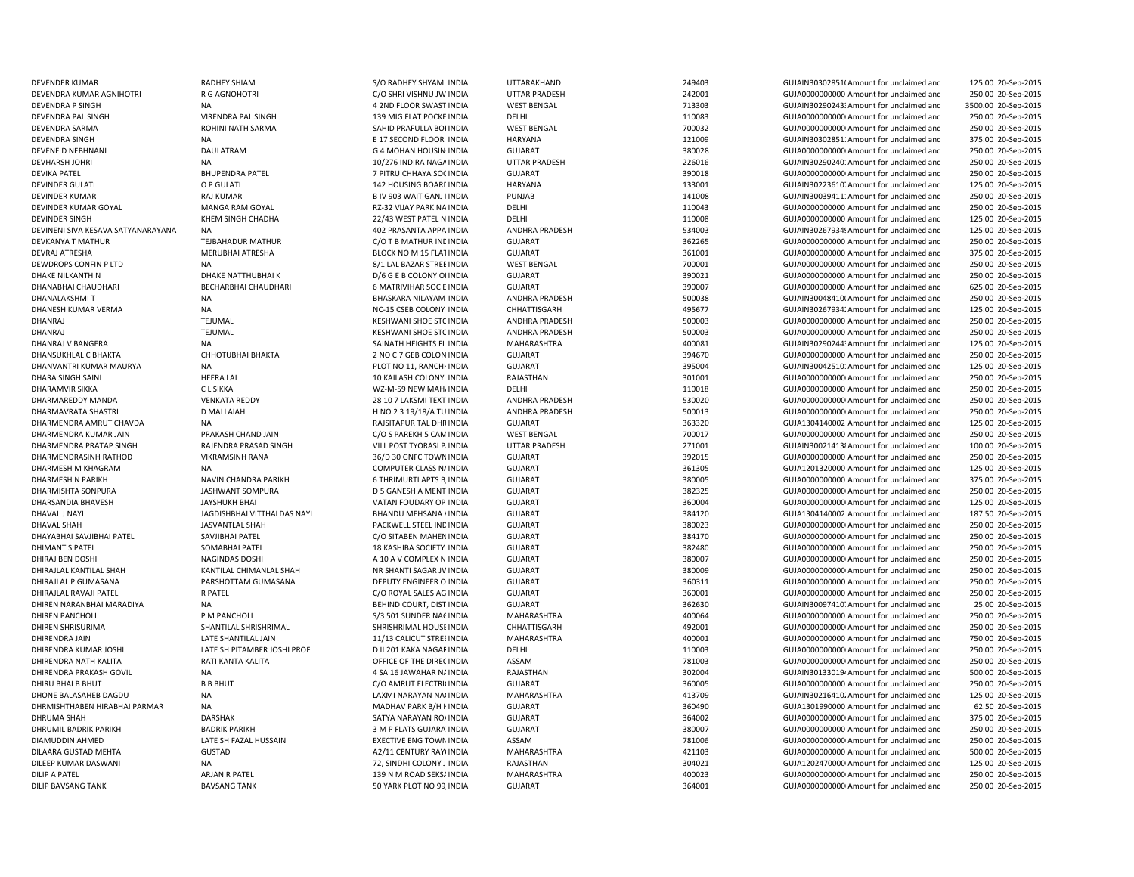DEVENDRA P SINGH NA 4 2ND FLOOR SWAST INDIA DEVENDRA PAL SINGH VIRENDRA PAL SINGH VIRENDRA PAL SINGH 139 MIG FLAT POCKE INDIA DEVINDER KUMAR GOYAL MANGA RAM GOYAL MANGA RAM GOYAL RZ-32 VIJAY PARK NA INDIA DEVINENI SIVA KESAVA SATYANARAYANA NA 402 PRASANTA APPA INDIA DHANABHAI CHAUDHARI BECHARBHAI CHAUDHARI 6 MATRIVIHAR SOC EDHIRAJI AL KANTILAL SHAH KANTILAL KANTILAL CHIMANLAL SHAH NA SHANTI SAGAR IVINDIA

DEVENDER KUMAR RADHEY SHIAM S/O RADHEY SHYAM INDIA UTTARAKHAND 249403 GUJAIN303028510Amount for unclaimed and 125.00 20-Sep-2015 DEVENDRA KUMAR AGNIHOTRI R G AGNOHOTRI CONTRINISHNU JW INDIA UTTAR PRADESH 242001 COUJA000000000 Amount for unclaimed and 250.00 20-Sep-2015 INDIA WEST BENGAL 713303 GUJAIN302902433Amount for unclaimed and 3500.00 20-Sep-2015 INDIA DELHI 110083 GUJA00000000000Amount for unclaimed and 250.00 20-Sep-2015 DEVENDRA SARMA ROHINI NATH SARMA SAHID PRAFULLA BOI INDIA WEST BENGAL 700032 700032 GUJA00000000000000000000 Amount for unclaimed and 250.00 20-Sep-2015 DEVENDRA SINGH NA NA REACTES AND LOOR INDIA HARYANA HARYANA 121009 GUJAIN30302851:Amount for unclaimed and 375.00 20-Sep-2015 DEVENE D NEBHNANI DAULATRAM G 4 MOHAN HOUSINGINDIA GUJARAT 380028 GUJA00000000000Amount for unclaimed and 250.00 20-Sep-2015 DEVHARSH JOHRI NA 10/276 INDIRA NAGAINDIA UTTAR PRADESH 226016 GUJAIN302902401Amount for unclaimed and 250.00 20-Sep-2015 DEVIKA PATEL SHUPENDRA PATEL SHUPENDRA PATEL THE SUITRU CHHAYA SOCINDIA GUJARAT SHUADHA SOCINDIA GUJARAT SHUADHOODOOD AMOUNT OF UNClaimed and 250.00 20-Sep-2015 DEVINDER GULATI OP GULATI O POLATI DEVISION DEVISION DEVISION DEVISION DEVISION DEVISION DEVISION DEVISION DEVISION DEVISION DEVISION DEVISION DEVISION DEVISION DEVISION DEVISION DEVISION DEVISION DEVISION DEVISION DEVISIO 125.00 20-Sep-2015 DEVINDER KUMAR RAJ KUMAR RAJ KUMAR B IV 903 WAIT GANJ LINDIA PUNJAB 141008 141008 GUJAIN30039411:Amount for unclaimed and 250.00 20-Sep-2015 INDIA DELHI 110043 GUJA0000000000 Amount for unclaimed and 250.00 20-Sep-2015 DEVINDER SINGH KHEM SINGH CHADHA 22/43 WEST PATEL N INDIA DELHI 110008 GUJA0000000000 Amount for unclaimed and 125.00 20-Sep-2015 INDIA ANDHRA PRADESH 534003 GUJAIN302679349Amount for unclaimed and 125.00 20-Sep-2015 DEVKANYA T MATHUR TEJBAHADUR MATHUR CO T B MATHUR INDIA GUJARAT 362265 GUJA0000000000 Amount for unclaimed and 250.00 20-Sep-2015 DEVRAJ ATRESHA MERUBHAI ATRESHA BLOCK NO M 15 FLATINDIA GUJARAT SUNG SELOCK NO M 15 FLATINDIA GUJARAT SELOCK NO M 15 FLATINDIA GUJARAT SELOCK NO M 15 FLATINDIA GUJARAT SELOCK NO M 15 FLATINDIA GUJARAT SELOCK NO M 15 FLATIN 375.00 20-Sep-2015 DEWDROPS CONFIN P LTD NA NA SALL BAZAR STREEINDIA WEST BENGAL 700001 700001 GUJA0000000000 Amount for unclaimed and 250.00 20-Sep-2015 DHAKE NILKANTH N DHAKE NATTHUBHAI K D/6 G E B COLONY OI INDIA GUJARAT 390021 GUJA0000000000 Amount for unclaimed and 250.00 20-Sep-2015 INDIA GUJARAT 390007 GUJA0000000000 Amount for unclaimed and 625.00 20-Sep-2015 DHANALAKSHMI T NA NA SHASKARA NILAYAM INDIA ANDHRA PRADESH 500038 GUJAIN30048410(Amount for unclaimed and 250.00 20-Sep-2015 DHANESH KUMAR VERMA NA NA NA NG-15 CSEB COLONY INDIA CHHATTISGARH 495677 495677 GUJAIN302679342Amount for unclaimed and 125.00 20-Sep-2015 DHANRAJ CHANRAJ TEJUMAL TEMBEL SESHWANI SHOE STOINDIA ANDHRA PRADESH 500003 500003 GUJA000000000000000 Amount for unclaimed and 250.00 20-Sep-2015 DHANRAJ CHANRAJ TEJUMAL TEJUMAL STEJ STONDA KESHWANI SHOE STOINDIA ANDHRA PRADESH 500003 GUJA0000000000000000000000000000 Amount for unclaimed and 250.00 20-Sep-2015 DHANRAJ V BANGERA NA NA SAINATH HEIGHTS FL INDIA MAHARASHTRA 400081 400081 GUJAIN302902443Amount for unclaimed and 125.00 20-Sep-2015 DHANSUKHLAL C BHAKTA CHHOTUBHAI BHAKTA 2 NO C 7 GEB COLON INDIA GUJARAT 394670 GUJA0000000000 Amount for unclaimed and 250.00 20-Sep-2015 DHANVANTRI KUMAR MAURYA NA NA PLOT NO 11, RANCHHINDIA GUJARAT 395004 GUJAIN30042510: Amount for unclaimed and 125.00 20-Sep-2015 DHARA SINGH SAINI **HEERA LAL** 10 KAILASH COLONY INDIA RAJASTHAN 301001 301001 GUJA0000000000000000000000 Amount for unclaimed and 250.00 20-Sep-2015 DHARAMVIR SIKKA C L SIKKA C L SIKKA WZ-M-59 NEW MAHJINDIA DELHI 110018 110018 GUJA0000000000 Amount for unclaimed and 250.00 20-Sep-2015 DHARMAREDDY MANDA VENKATA REDDY VENTATA REDDY 28 10 7 LAKSMI TEXT INDIA ANDHRA PRADESH 530020 GUJA00000000000000000000000000000 Amount for unclaimed and 250.00 20-Sep-2015 DHARMAVRATA SHASTRI DIMALLAIAH DIMALLAIAH H NO 2 3 19/18/A TU INDIA ANDHRA PRADESH 500013 GUJA0000000000Amount for unclaimed and 250.00 20-Sep-2015 DHARMENDRA AMRUT CHAVDA NA NA RAJSITAPUR TAL DHRINDIA GUJARAT GUJARAT 363320 GUJA1304140002 Amount for unclaimed and 125.00 20-Sep-2015 DHARMENDRA KUMAR JAIN PRAKASH CHAND JAIN CO SPAREKH 5 CAMINDIA WEST BENGAL 700017 700017 GUJA0000000000 Amount for unclaimed and 250.00 20-Sep-2015 DHARMENDRA PRATAP SINGH RAJENDRA PRASAD SINGH VILL POST TYORASI P. INDIA UTTAR PRADESH 271001 GUJAIN300214138Amount for unclaimed and 100.00 20-Sep-2015 DHARMENDRASINH RATHOD VIKRAMSINH RANA 36/D 30 GNFC TOWNINDIA GUJARAT 392015 GUJA0000000000 Amount for unclaimed and 250.00 20-Sep-2015 DHARMESH M KHAGRAM NA NA NA COMPUTER CLASS NAINDIA GUJARAT SULARAT 361305 GUJA1201320000 Amount for unclaimed and 125.00 20-Sep-2015 DHARMESH N PARIKH NAVIN CHANDRA PARIKH 6 GUHARAT GUJARAT GUJARAT 380005 GUJA000000000 Amount for unclaimed and 375.00 20-Sep-2015 DHARMISHTA SONPURA JASHWANT SOMPURA D 5 GANESH A MENT INDIA GUJARAT 382325 GUJA00000000000Amount for unclaimed and 250.00 20-Sep-2015 DHARSANDIA BHAVESH JAYSHUKH BHAI VATAN FOUDARY OP INDIA GUJARAT 360004 GUJA00000000000Amount for unclaimed and 125.00 20-Sep-2015 DHAVAL J NAYI JAGDISHBHAI VITTHALDAS NAYI BHANDU MEHSANA VINDIA GUJARAT SALAMAT SALAMA 284120 GUJA1304140002 Amount for unclaimed and 187.50 20-Sep-2015 DHAVAL SHAH JASVANTLAL SHAH PACKWELL STEEL INDINDIA GUJARAT 380023 GUJA00000000000Amount for unclaimed and 250.00 20-Sep-2015 DHAYABHAI SAVJIBHAI PATEL SAVJIBHAI PATEL C/O SITABEN MAHENINDIA GUJARAT 384170 GUJA00000000000Amount for unclaimed and 250.00 20-Sep-2015 DHIMANT S PATEL SOMABHAI PATEL SOMABHAI PATEL 2 AND SASHIBA SOCIETY INDIA GUJARAT GUJARAT 382480 GUJA00000000000 Amount for unclaimed and 250.00 20-Sep-2015 DHIRAJ BEN DOSHI NAGINDAS DOSHI NAGINDAS DOSHI A 10 A V COMPLEX N INDIA GUJARAT GUANT 380007 GUJA000000000000Amount for unclaimed and 250.00 20-Sep-2015 GUJARAT GUIARAT 380009 380009 GUJA0000000000000000000000 Amount for unclaimed and 250.00 20-Sep-2015 DHIRAJLAL P GUMASANA PARSHOTTAM GUMASANA DEPUTY ENGINEER O INDIA GUJARAT SENGINEER O INDIA SENGINE O UNCLOSED A SENGINEER O INDIA SENGINEER O INDIA SENGINEER O INDIA SENGINEER O INDIA SENGINEER O INDIA SENGINEER O INDIA SE 250.00 20-Sep-2015 DHIRAJLAL RAVAJI PATEL R PATEL C/O ROYAL SALES AG INDIA GUJARAT 360001 GUJA0000000000 Amount for unclaimed and 250.00 20-Sep-2015 DHIREN NARANBHAI MARADIYA NA BEHIND COURT, DIST INDIA GUJARAT 362630 GUJAIN300974107Amount for unclaimed and 25.00 20-Sep-2015 DHIREN PANCHOLI PM PANCHOLI PUM PANCHOLI S/3 501 SUNDER NACINDIA MAHARASHTRA 400064 400064 GUJA0000000000000 Amount for unclaimed and 250.00 20-Sep-2015 DHIREN SHRISURIMA SHANTILAL SHRISHRIMAL SHRISHRIMAL HOUSEINDIA CHHATTISGARH 492001 GUJA00000000000Amount for unclaimed and 250.00 20-Sep-2015 DHIRENDRA JAIN 11/13 CALICUT STREEINDIA MAHARASHTRA 400001 GUJA0000000000000000000000000000 Amount for unclaimed and 750.00 20-Sep-2015 DHIRENDRA KUMAR JOSHI LATE SH PITAMBER JOSHI PROF DII 201 KAKA NAGAR INDIA DELHI DELHI 110003 GUJA0000000000000000000000000000000 Amount for unclaimed and 250.00 20-Sep-2015 DHIRENDRA NATH KALITA RATI KANTA KALITA OFFICE OF THE DIRECINDIA ASSAM 781003 781003 GUJA00000000000000000000 Amount for unclaimed and 250.00 20-Sep-2015 DHIRENDRA PRAKASH GOVIL NA NA 2 SA 16 JAWAHAR NAINDIA RAJASTHAN 302004 502004 GUJAIN301330194Amount for unclaimed and 500.00 20-Sep-2015 DHIRU BHAI B BHUT B B BHUT C/O AMRUT ELECTRICINDIA GUJARAT 360005 GUJA0000000000 Amount for unclaimed and 250.00 20-Sep-2015 DHONE BALASAHEB DAGDU NA NA LAXMI NARAYAN NAGINDIA MAHARASHTRA 413709 GUJAIN302164102Amount for unclaimed and 125.00 20-Sep-2015 DHRMISHTHABEN HIRABHAI PARMAR NA MADHAV PARK B/H HINDIA GUJARAT 360490 GUJA1301990000 Amount for unclaimed and 62.50 20-Sep-2015 DHRUMA SHAH DARSHAK SATYA NARAYAN ROAINDIA GUJARAT 364002 GUJA00000000000Amount for unclaimed and 375.00 20-Sep-2015 DHRUMIL BADRIK PARIKH BADRIK PARIKH 3 M P FLATS GUJARATINDIA GUJARAT 380007 GUJA0000000000 Amount for unclaimed and 250.00 20-Sep-2015 DIAMUDDIN AHMED LATE SH FAZAL HUSSAIN EXECTIVE ENG TOWNINDIA ASSAM 781006 GUJA00000000000Amount for unclaimed and 250.00 20-Sep-2015 DILAARA GUSTAD MEHTA GUSTAD GUSTAD COMPONED A2/11 CENTURY RAYIINDIA MAHARASHTRA 421103 421103 GUJA0000000000 Amount for unclaimed and 500.00 20-Sep-2015 DILEEP KUMAR DASWANI NA NA 225.00 20-Sep-2015 72, SINDHI COLONY J INDIA RAJASTHAN 304021 GUJA1202470000 Amount for unclaimed and 125.00 20-Sep-2015 DILIP A PATEL ARJAN R PATEL COMPATEL 2000 ARJAN R PATEL 139 N M ROAD SEKSAINDIA MAHARASHTRA 400023 GUJA0000000000000000000000000000000 Amount for unclaimed and 250.00 20-Sep-2015 DILIP BAVSANG TANK BAVSANG TANK SAVSANG TANK SALAH SAVSANG PARK PLOT NO 99, INDIA GUJARAT SALAH SAVSANG SALAH SAVSANG TANK SALAH SAVSANG TANK SALAH SAVSANG TANK SALAH SAVSANG TANK SALAH SAVSANG TANK SALAH SALAH SALAH SALAH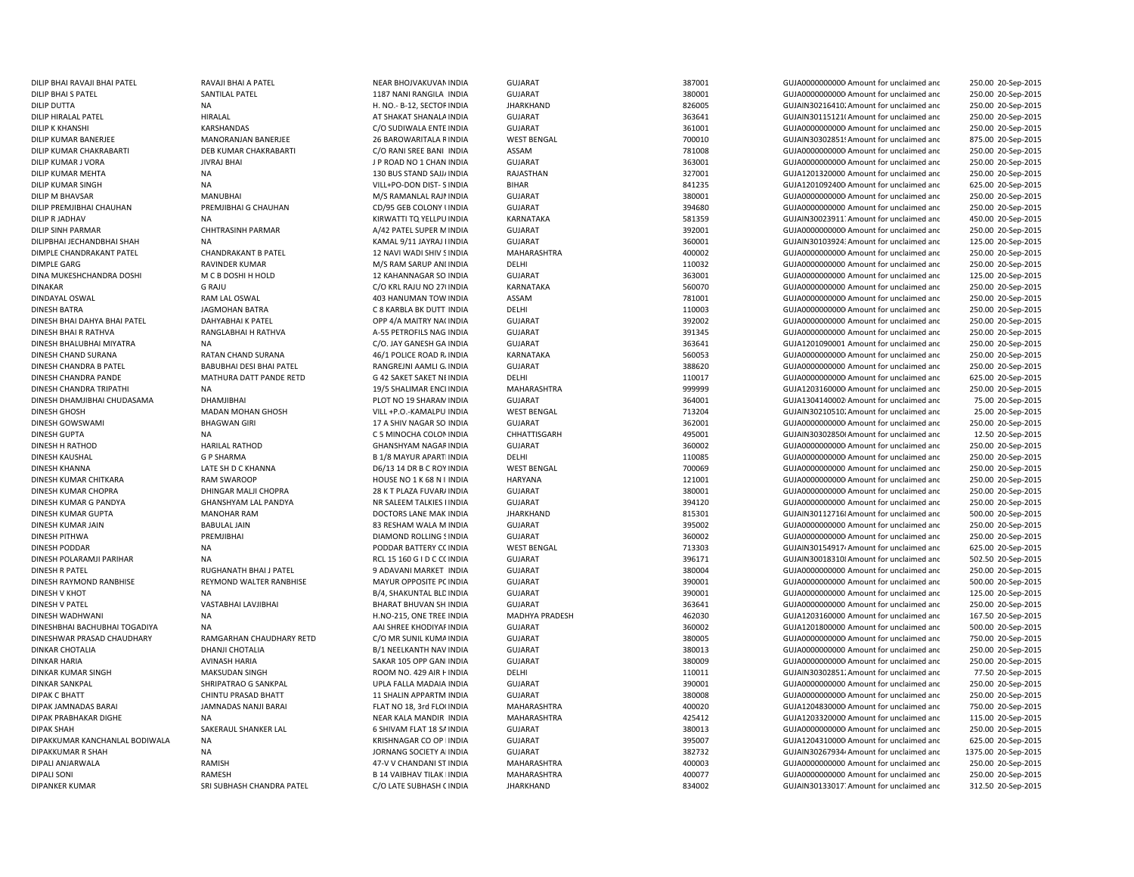DILIP KUMAR SINGH NA VILL+PO-DON DIST- SDINDAYAL OSWAL GAM AND RAM LAL OSWAL GAM AND HANUMAN TOW INDIA DIPALI ANJARWALA RAMISH ARMISH 47-V V CHANDANI ST INDIA

DILIP BHAI RAVAJI BHAI PATEL RAVAJI BHAI A PATEL NEAR BHOJVAKUVANINDIA GUJARAT 387001 GUJA00000000000Amount for unclaimed and 250.00 20-Sep-2015 DILIP BHAI S PATEL SANTILAL PATEL SANTILAL PATEL 1187 NANI RANGILA INDIA GUJARAT 380001 380001 GUJA00000000Amount for unclaimed and 250.00 20-Sep-2015 DILIP DUTTA NA NA H. NO.- B-12, SECTORINDIA JHARKHAND 826005 GUJAIN302164102Amount for unclaimed and 250.00 20-Sep-2015 DILIP HIRALAL PATEL CONTROLL HIRALAL SHARALAINDIA SUJARAT SHANALAINDIA SUJARAT SHANALAINDIA SUJARAT SHANALAINDIA SUJARAT SHANALAIN SHARAT SHANALAINDIA SUJARAT SHANALAINDIA SHARAT SHANALAINDIA SHARAT SHANALAINDIA SHARAT SHA 250.00 20-Sep-2015 DILIP K KHANSHI CHANSHANDAS KARSHANDAS COSUDIWALA ENTE INDIA GUJARAT 361001 GUJA000000000Amount for unclaimed and 250.00 20-Sep-2015 DILIP KUMAR BANERJEE MANORANJAN BANERJEE 26 BAROWARITALA RINDIA WEST BENGAL 700010 700010 GUJAIN303028511Amount for unclaimed and 875.00 20-Sep-2015 DILIP KUMAR CHAKRABARTI DEB KUMAR CHAKRABARTI CO RANI SREE BANI INDIA ASSAM 781008 781008 GUJA0000000000000000000000 Amount for unclaimed and 250.00 20-Sep-2015 DILIP KUMAR J VORA DILIP KUMAR JIVRAJ BHAI JIROAD NO 1 CHAN INDIA GUJARAT SUMARAT SAN SANG 1999 SANG SANG GUJA0000000000000000000AMount for unclaimed and 250.00 20-Sep-2015 DILIP KUMAR MEHTA NA 2002 NA 2003 STAND SALIJAINDIA RAJASTHAN 2003 2003 327001 GUJA1201320000 Amount for unclaimed and 250.00 20-Sep-2015 BIHAR **INDIA BIHAR** 841235 BIHAR 841235 **GUJA12010924000** Amount for unclaimed and 625.00 20-Sep-2015 DILIP M BHAVSAR MANUBHAI M/S RAMANLAL RAJMINDIA GUJARAT 380001 GUJA00000000000Amount for unclaimed and 250.00 20-Sep-2015 DILIP PREMJIBHAI CHAUHAN PREMJIBHAI G CHAUHAN CD/95 GEB COLONY UNDIA GUJARAT 394680 GUJA000000000 Amount for unclaimed and 250.00 20-Sep-2015 DILIP R JADHAV NA NA KIRWATTI TQ YELLPU INDIA KARNATAKA 581359 GUJAIN30023911. Amount for unclaimed and 450.00 20-Sep-2015 DILIP SINH PARMAR CHHTRASINH PARMAR A/42 PATEL SUPER MINDIA GUJARAT 392001 GUJA00000000000Amount for unclaimed and 250.00 20-Sep-2015 DILIPBHAI JECHANDBHAI SHAH NA KAMAL 9/11 JAYRAJ PINDIA GUJARAT 360001 GUJAIN301039243Amount for unclaimed and 125.00 20-Sep-2015 DIMPLE CHANDRAKANT PATEL CHANDRAKANT B PATEL 12 NAVI WADI SHIV SINDIA MAHARASHTRA 400002 400002 GUJA0000000Amount for unclaimed and 250.00 20-Sep-2015 DIMPLE GARG COMPUTER MINDER KUMAR M/S RAM SARUP ANIINDIA DELHI DELHI 110032 GUJA0000000000 Amount for unclaimed and 250.00 20-Sep-2015 DINA MUKESHCHANDRA DOSHI M C B DOSHI H HOLD 12 KAHANNAGAR SO INDIA GUJARAT 363001 363001 GUJA0000000000 Amount for unclaimed and 125.00 20-Sep-2015 DINAKAR G RAJU C/O KRL RAJU NO 270INDIA KARNATAKA 560070 GUJA0000000000 Amount for unclaimed and 250.00 20-Sep-2015 INDIA ASSAM 781001 GUJA00000000000Amount for unclaimed and 250.00 20-Sep-2015 DINESH BATRA JAGMOHAN BATRA C 8 KARBLA BK DUTT INDIA DELHI 110003 GUJA00000000000Amount for unclaimed and 250.00 20-Sep-2015 DINESH BHAI DAHYA BHAI PATEL DAHYABHAI K PATEL OPP 4/A MAITRY NA(INDIA GUJARAT SALLANDA 392002 GUJA000000000 Amount for unclaimed and 250.00 20-Sep-2015 DINESH BHAI R RATHVA RANGLABHAI H RATHVA A-55 PETROFILS NAG INDIA GUJARAT GUARAT 391345 GUJA0000000000 Amount for unclaimed and 250.00 20-Sep-2015 DINESH BHALUBHAI MIYATRA NA C/O. JAY GANESH GA INDIA GUJARAT 363641 GUJA1201090001 Amount for unclaimed and 250.00 20-Sep-2015 DINESH CHAND SURANA RATAN CHAND SURANA 46/1 POLICE ROAD RAINDIA KARNATAKA 560053 GUJA00000000000Amount for unclaimed and 250.00 20-Sep-2015 DINESH CHANDRA B PATEL BABUBHAI DESI BHAI PATEL RANGREJNI AAMLI GAINDIA GUJARAT 388620 GUJA0000000000 Amount for unclaimed and 250.00 20-Sep-2015 DINESH CHANDRA PANDE MATHURA DATT PANDE RETD G 42 SAKET SAKET NI INDIA DELHI 110017 GUJA00000000AMOUNT for unclaimed and 625.00 20-Sep-2015 DINESH CHANDRA TRIPATHI NA 19/5 SHALIMAR ENCLINDIA MAHARASHTRA 999999 GUJA12031600000Amount for unclaimed and 250.00 20-Sep-2015 DINESH DHAMJIBHAI CHUDASAMA DHAMJIBHAI DHAMJIBHAI PLOT NO 19 SHARAM INDIA GUJARAT SUMATHAN 364001 GUJA13041400021Amount for unclaimed and 75.00 20-Sep-2015 DINESH GHOSH MADAN MOHAN GHOSH VILL +P.O.-KAMALPU INDIA WEST BENGAL 713204 GUJAIN302105102Amount for unclaimed and 25.00 20-Sep-2015 DINESH GOWSWAMI BHAGWAN GIRI 17 A SHIV NAGAR SO INDIA GUJARAT 362001 3632001 GUJA000000000000000Amount for unclaimed and 250.00 20-Sep-2015 DINESH GUPTA **STARBER SEE A COLONING A COLONINDIA** CHEATTISGARH 495001 495001 GUJAIN303028506Amount for unclaimed and 12.50 20-Sep-2015 DINESH H RATHOD HARILAL RATHOD GHANSHYAM NAGAR INDIA GUJARAT SULARAT 360002 GUJA000000000Amount for unclaimed and 250.00 20-Sep-2015 DINESH KAUSHAL G P SHARMA B 1/8 MAYUR APARTMINDIA DELHI 110085 GUJA00000000000Amount for unclaimed and 250.00 20-Sep-2015 DINESH KHANNA LATE SH D C KHANNA D6/13 14 DR B C ROY INDIA WEST BENGAL 700069 GUJA0000000000 Amount for unclaimed and 250.00 20-Sep-2015 DINESH KUMAR CHITKARA RAM SWAROOP HOUSE NO 1 K 68 N I INDIA HARYANA 121001 GUJA00000000000Amount for unclaimed and 250.00 20-Sep-2015 DINESH KUMAR CHOPRA DHINGAR MALJI CHOPRA 28 K T PLAZA FUVARAINDIA GUJARAT SAN SANGONI 380001 GUJA000000000000000000000000 Amount for unclaimed and 250.00 20-Sep-2015 DINESH KUMAR G PANDYA GHANSHYAM LAL PANDYA NR SALEEM TALKIES IINDIA GUJARAT GUTARAT 394120 GUJA0000000000 Amount for unclaimed and 250.00 20-Sep-2015 DINESH KUMAR GUPTA MANOHAR RAM DOCTORS LANE MAKINDIA JHARKHAND 815301 GUJAIN301127168Amount for unclaimed and 500.00 20-Sep-2015 DINESH KUMAR JAIN BABULAL JAIN BABULAL JAIN 33 RESHAM WALA M INDIA GUJARAT SUSARAT SERIMA 295002 GUJA00000000000000000000000000000000 Amount for unclaimed and 250.00 20-Sep-2015 DINESH PITHWA PREMJIBHAI DIAMOND ROLLING SINDIA GUJARAT 360002 GUJA00000000000Amount for unclaimed and 250.00 20-Sep-2015 DINESH PODDAR NA PODDAR BATTERY COINDIA WEST BENGAL 713303 GUJAIN301549174Amount for unclaimed and 625.00 20-Sep-2015 DINESH POLARAMJI PARIHAR NA NA RCL 150 G I D C CL 15 160 G I D C CC INDIA GUJARAT 396171 GUJAIN300183108Amount for unclaimed and 502.50 20-Sep-2015 DINESH R PATEL RUGHANATH BHAI J PATEL 9 ADAVANI MARKET INDIA GUJARAT 380004 GUJA0000000000 Amount for unclaimed and 250.00 20-Sep-2015 DINESH RAYMOND RANBHISE RAND WALTER RANBHISE MAYUR OPPOSITE PC INDIA GUJARAT GUJARAT 390001 GUJA000000000 Amount for unclaimed and 500.00 20-Sep-2015 DINESH V KHOT NA B/4, SHAKUNTAL BLDINDIA GUJARAT 390001 GUJA0000000000 Amount for unclaimed and 125.00 20-Sep-2015 DINESH V PATEL VASTABHAI LAVJIBHAI BHARAT BHUVAN SHAINDIA GUJARAT 363641 GUJA0000000000 Amount for unclaimed and 250.00 20-Sep-2015 DINESH WADHWANI NA H.NO-215, ONE TREE INDIA MADHYA PRADESH 462030 GUJA1203160000 Amount for unclaimed and 167.50 20-Sep-2015 DINESHBHAI BACHUBHAI TOGADIYA NA NA SHREE KHODIYAFINDIA GUJARAT SUJARAT 360002 GUJA1201800000 Amount for unclaimed and 500.00 20-Sep-2015 DINESHWAR PRASAD CHAUDHARY RAMGARHAN CHAUDHARY RETD C/O MR SUNIL KUMAINDIA GUJARAT 380005 380005 GUJA000000000Amount for unclaimed and 750.00 20-Sep-2015 DINKAR CHOTALIA DHANJI CHOTALIA B/1 NEELKANTH NAV INDIA GUJARAT 380013 GUJA0000000000 Amount for unclaimed and 250.00 20-Sep-2015 DINKAR HARIA AVINASH HARIA SAKAR 105 OPP GANINDIA GUJARAT 380009 380009 GUJA000000000000000000000000 DINGLAImed and 250.00 20-Sep-2015 DINKAR KUMAR SINGH MAKSUDAN SINGH ROOM NO. 429 AIR HINDIA DELHI 110011 110011 GUJAIN30302851.Amount for unclaimed and 77.50 20-Sep-2015 DINKAR SANKPAL SHRIPATRAO G SANKPAL UPLA FALLA MADAIA INDIA GUJARAT GUARAT 390001 GUJA0000000000 Amount for unclaimed and 250.00 20-Sep-2015 DIPAK C BHATT CHINTU PRASAD BHATT 11 SHALIN APPARTM INDIA GUJARAT GUJARAT 380008 GUJA000000000Amount for unclaimed and 250.00 20-Sep-2015 DIPAK JAMNADAS NANJI BARAI PLAT NO 18, 3rd FLOOINDIA MAHARASHTRA 400020 GUJA1204830000 Amount for unclaimed and 750.00 20-Sep-2015 DIPAK PRABHAKAR DIGHE NA NA NEAR KALA MANDIR INDIA MAHARASHTRA 425412 425412 GUJA1203320000. Amount for unclaimed and 115.00 20-Sep-2015 DIPAK SHAH SAKERAUL SHANKER LAL 6 SHIVAM FLAT 18 SAINDIA GUJARAT 380013 GUJA00000000000Amount for unclaimed and 250.00 20-Sep-2015 DIPAKKUMAR KANCHANLAL BODIWALA NA KRISHNAGAR CO OP HINDIA GUJARAT 395007 GUJA12043100000Amount for unclaimed and 625.00 20-Sep-2015 DIPAKKUMAR R SHAH NA JORNANG SOCIETY AMINDIA GUJARAT 382732 GUJAIN302679344Amount for unclaimed and 1375.00 20-Sep-2015 INDIA MAHARASHTRA 400003 GUJA0000000000 Amount for unclaimed and 250.00 20-Sep-2015 DIPALI SONI CONINGH B 14 VAIBHAV TILAK IINDIA MAHARASHTRA 400077 400077 GUJA000000000000000 Amount for unclaimed and 250.00 20-Sep-2015 DIPANKER KUMAR SRI SUBHASH CHANDRA PATEL COLATE SUBHASH CINDIA JHARKHAND 834002 GUJAIN30133017.Amount for unclaimed and 312.50 20-Sep-2015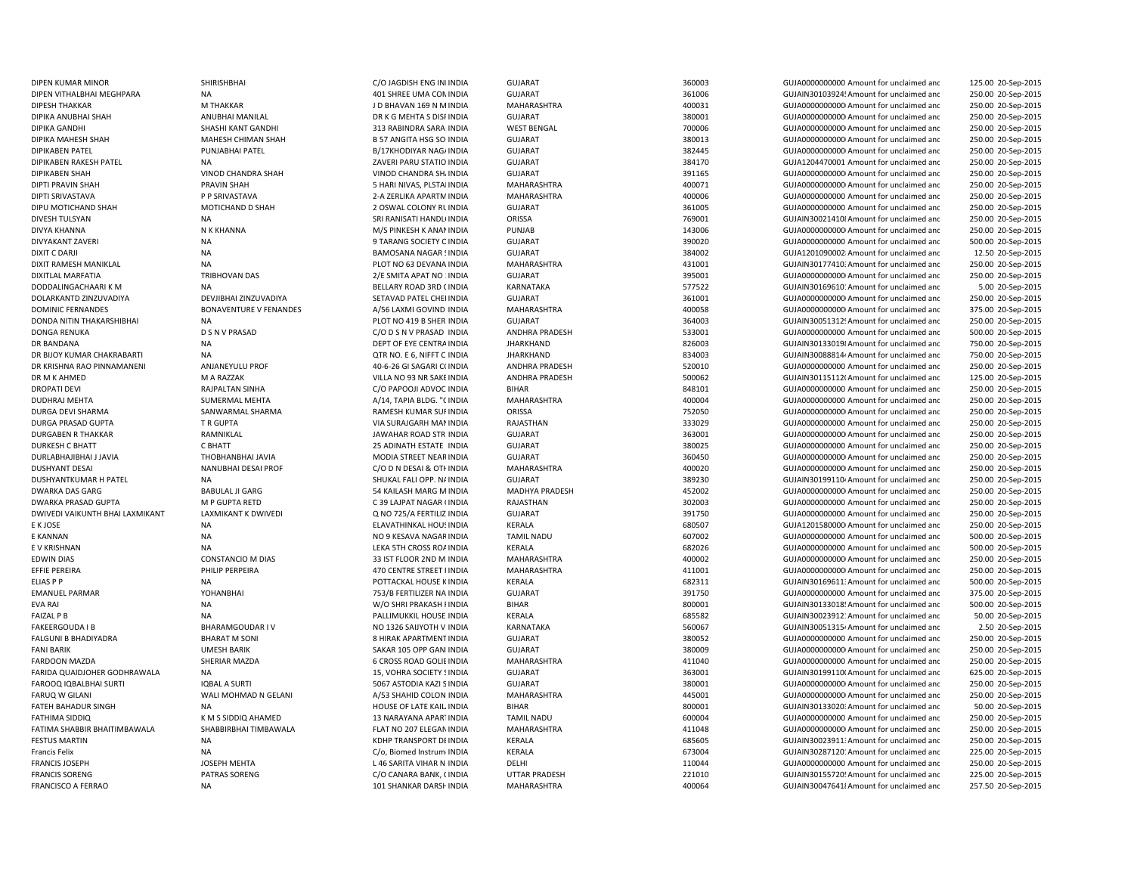DIXIT RAMESH MANIKLAL NA PLOT NO 63 DEVANA INDIA DURLABHAJIBHAI J JAVIA THOBHANBHAI JAVIA MODIA STREET NEAR

DIPEN KUMAR MINOR SHIRISHBHAI C/O JAGDISH ENG INDINDIA GUJARAT 360003 GUJA0000000000 Amount for unclaimed and 125.00 20-Sep-2015 DIPEN VITHALBHAI MEGHPARA NA NA 201 SHREE UMA COMINDIA GUJARAT GUJARAT 361006 361006 GUJAIN301039245Amount for unclaimed and 250.00 20-Sep-2015 DIPESH THAKKAR M THAKKAR J D BHAVAN 169 N MINDIA MAHARASHTRA 400031 GUJA00000000000Amount for unclaimed and 250.00 20-Sep-2015 DIPIKA ANUBHAI SHAH ANUBHAI MANILAL DR K G MEHTA S DISPINDIA GUJARAT 380001 GUJA00000000000Amount for unclaimed and 250.00 20-Sep-2015 DIPIKA GANDHI SHASHI KANT GANDHI 313 RABINDRA SARANINDIA WEST BENGAL 700006 700006 GUJA00000000000000000 Amount for unclaimed and 250.00 20-Sep-2015 DIPIKA MAHESH SHAH MAHESH CHIMAN SHAH B 57 ANGITA HSG SO INDIA GUJARAT SANGITA SHAH B 380013 GUJA0000000000Amount for unclaimed and 250.00 20-Sep-2015 DIPIKABEN PATEL PUNJABHAI PATEL B/17KHODIYAR NAGAINDIA GUJARAT 382445 GUJA00000000000Amount for unclaimed and 250.00 20-Sep-2015 DIPIKABEN RAKESH PATEL NA NA ZAVERI PARU STATIO INDIA GUJARAT GUJARAT 384170 384170 GUJA1204470001 Amount for unclaimed and 250.00 20-Sep-2015 DIPIKABEN SHAH VINOD CHANDRA SHAH VINOD CHANDRA SHAINDIA GUJARAT 391165 GUJA00000000000Amount for unclaimed and 250.00 20-Sep-2015 DIPTI PRAVIN SHAH PRAVIN SHAH SHAH SHARI NIVAS, PLSTALINDIA MAHARASHTRA 400071 400071 GUJA000000000Amount for unclaimed and 250.00 20-Sep-2015 DIPTI SRIVASTAVA PP SRIVASTAVA 2-A ZERLIKA APARTMINDIA MAHARASHTRA 400006 400006 GUJA00000000000 Amount for unclaimed and 250.00 20-Sep-2015 DIPU MOTICHAND SHAH MOTICHAND D SHAH 2 OSWAL COLONY RUINDIA GUJARAT 361005 GUJA0000000000 Amount for unclaimed and 250.00 20-Sep-2015 DIVESH TULSYAN NA NA SRI RANISATI HANDLOINDIA ORISSA THIS TO THE 769001 THE GUJAIN300214108Amount for unclaimed and 250.00 20-Sep-2015 DIVYA KHANNA N K KHANNA M/S PINKESH K ANANINDIA PUNJAB 143006 GUJA00000000000Amount for unclaimed and 250.00 20-Sep-2015 DIVYAKANT ZAVERI NA 9 TARANG SOCIETY OINDIA GUJARAT 390020 GUJA0000000000 Amount for unclaimed and 500.00 20-Sep-2015 DIXIT C DARJI NA BAMOSANA NAGAR SINDIA GUJARAT GUJARAT 384002 384002 GUJA1201090002: Amount for unclaimed and 12.50 20-Sep-2015 INDIA MAHARASHTRA 431001 GUJAIN301774103Amount for unclaimed and 250.00 20-Sep-2015 DIXITLAL MARFATIA TRIBHOVAN DAS 2/E SMITA APAT NO 1INDIA GUJARAT 395001 GUJA00000000000Amount for unclaimed and 250.00 20-Sep-2015 DODDALINGACHAARI K M NA NA BELLARY ROAD 3RD CINDIA KARNATAKA 577522 GUJAIN301696101Amount for unclaimed and 5.00 20-Sep-2015 DOLARKANTD ZINZUVADIYA DEVJIBHAI ZINZUVADIYA SETAVAD PATEL CHEI INDIA GUJARAT SUMARAT 361001 GUJA00000000000000000000000000000000000 Amount for unclaimed and 250.00 20-Sep-2015 DOMINIC FERNANDES BONAVENTURE V FENANDES A/56 LAXMI GOVIND INDIA MAHARASHTRA 400058 GUJA0000000000Amount for unclaimed and 375.00 20-Sep-2015 DONDA NITIN THAKARSHIBHAI NA PLOT NO 419 B SHER INDIA GUJARAT 364003 GUJAIN300513129Amount for unclaimed and 250.00 20-Sep-2015 DONGA RENUKA D S N V PRASAD C/O D S N V PRASAD CO D S N V PRASAD INDIA ANDHRA PRADESH 533001 SUJA0000000000 Amount for unclaimed and 500.00 20-Sep-2015 DR BANDANA **NA DEPT OF EYE CENTRAINDIA JHARKHAND** BEAN BANDA SEGOO3 GUJAIN301330198Amount for unclaimed and 750.00 20-Sep-2015 DR BIJOY KUMAR CHAKRABARTI NA NA CHA DA SANG TANG E 6, NIFFT C INDIA JHARKHAND 834003 GUJAIN300888144Amount for unclaimed and 750.00 20-Sep-2015 DR KRISHNA RAO PINNAMANENI ANJANEYULU PROF 40-6-26 GI SAGARI C(INDIA ANDHRA PRADESH 520010 520010 GUJA000000000000 Amount for unclaimed and 250.00 20-Sep-2015 DR M K AHMED M A RAZZAK MEDIA M A RAZZAK VILLA NO 93 NR SAKEINDIA ANDHRA PRADESH 500062 GUJAIN301151120Amount for unclaimed and 125.00 20-Sep-2015 DROPATI DEVI RAJPALTAN SINHA C/O PAPOOJI ADVOCINDIA BIHAR BIHAR 848101 GUJA0000000000 Amount for unclaimed and 250.00 20-Sep-2015 DUDHRAJ MEHTA SUMERMAL MEHTA A/14, TAPIA BLDG. "CINDIA MAHARASHTRA 400004 GUJA0000000000 Amount for unclaimed and 250.00 20-Sep-2015 DURGA DEVI SHARMA SANWARMAL SHARMA SHARMA RAMESH KUMAR SUFINDIA ORISSA ORISSA 752050 GUJA00000000000000000000 Amount for unclaimed and 250.00 20-Sep-2015 DURGA PRASAD GUPTA T R GUPTA T ROUTH TRIM SURAJGARH MANINDIA RAJASTHAN 333029 GUJA00000000000 Amount for unclaimed and 250.00 20-Sep-2015 DURGABEN R THAKKAR CULLARAR RAMNIKLAL SAMMIKLAL SUNAHAR ROAD STR INDIA GUJARAT SEGU SAMMIKLAL SAGOOD SAMMIKLAL SAGOOD AMOUNT FOR UNCLAIMED AND 250.00 20-Sep-2015 DURKESH C BHATT C BHATT 25 ADINATH ESTATE INDIA GUJARAT 380025 GUJA0000000000 Amount for unclaimed and 250.00 20-Sep-2015 INDIA GUJARAT 360450 GUJA00000000000Amount for unclaimed and 250.00 20-Sep-2015 DUSHYANT DESAI NANUBHAI DESAI PROF CO D N DESAI & OTHINDIA MAHARASHTRA 400020 400020 GUJA0000000000Amount for unclaimed and 250.00 20-Sep-2015 DUSHYANTKUMAR HPATEL NA NA SHUKAL FALI OPP. NA SHUKAL FALI OPP. NAINDIA GUJARAT SHUKAL TALI OPP. NA SHUKAL FALI OPP. NA 250.00 20-Sep-2015 DWARKA DAS GARG SARG BABULAL JI GARG SARG SARG ANALASH MARG M INDIA MADHYA PRADESH 452002 452002 GUJA00000000000000000000 Amount for unclaimed and 250.00 20-Sep-2015 DWARKA PRASAD GUPTA M AND MONTA RETD C 39 LAJPAT NAGAR (INDIA RAJASTHAN 302003 GUJA00000000000000000000000000000000000 Amount for unclaimed and 250.00 20-Sep-2015 DWIVEDI VAIKUNTH BHAI LAXMIKANT LAXMIKANT K DWIVEDI CON 20-Sep-2015 Q NO 725/A FERTILIZ INDIA GUJARAT 391750 GUJA0000000000 Amount for unclaimed and 250.00 20-Sep-2015 E K JOSE NA ELAVATHINKAL HOUSINDIA KERALA 680507 630507 GUJA1201580000 Amount for unclaimed and 250.00 20-Sep-2015 E KANNAN NA NA NA NA NA NA NA NA NA NAGARINDIA TAMIL NADU 607002 607002 GUJA000000000000000000000000 Amount for unclaimed and 500.00 20-Sep-2015 E V KRISHNAN NA REALA LEKA 5TH CROSS ROAINDIA KERALA KERALA 682026 682026 GUJA0000000000000000000000 Amount for unclaimed and 500.00 20-Sep-2015 EDWIN DIAS CONSTANCIO M DIAS 33 IST FLOOR 2ND M.INDIA MAHARASHTRA 400002 GUJA0000000000000000000000000000000 Amount for unclaimed and 250.00 20-Sep-2015 EFFIE PEREIRA PHILIP PERPEIRA 270 CENTRE STREET INDIA MAHARASHTRA 411001 411001 GUJA00000000Amount for unclaimed and 250.00 20-Sep-2015 ELIAS P P CONTROL BUJAIN SUIT A POTTACKAL HOUSE KINDIA KERALA GERALA 682311 GUJAIN30169611: Amount for unclaimed and 500.00 20-Sep-2015 EMANUEL PARMAR YOHANBHAI 753/B FERTILIZER NA INDIA GUJARAT 391750 GUJA0000000000 Amount for unclaimed and 375.00 20-Sep-2015 EVA RAI NA NA NA W/O SHRI PRAKASH I INDIA BIHAR 800001 800001 GUJAIN30133018! Amount for unclaimed and 500.00 20-Sep-2015 FAIZAL P B GUJAIN30023912: Amount for unclaimed and the PALLIMUKKIL HOUSE INDIA KERALA 685582 665582 GUJAIN30023912: Amount for unclaimed and 50.00 20-Sep-2015 FAKEERGOUDA I BHARAMGOUDAR IV NO 1326 SAIJYOTH V INDIA KARNATAKA 560067 SENGO BUJAIN300513154Amount for unclaimed and 2.50 20-Sep-2015 FALGUNI B BHADIYADRA BHARAT M SONI SHURAK APARTMENTINDIA GUJARAT GUJARAT SHURAK APARTMENTINDIA GUJAOO SHURAK APARTMENTINDIA 250.00 20-Sep-2015 FANI BARIK TANI BARIK SAKAR 105 OPP GANI INDIA GUJARAT SAKAR 105 OPP GANDINDIA GUJARAT SAKAR 105 OPP GANDINDIA GUJARAT SAKAR 105 OPP GANDINDIA GUJARAT SAKAR 105 OPP GANDINDIA GUJARAT SAKAR 105 OPP GANDINDIA GUJARAT SAKAR 1 250.00 20-Sep-2015 FARDOON MAZDA SHERIAR MAZDA 6 CROSS ROAD GOLIE INDIA MAHARASHTRA 411040 411040 GUJA000000000000000000 Amount for unclaimed and 250.00 20-Sep-2015 FARIDA QUAIDJOHER GODHRAWALA NA 15, VOHRA SOCIETY SINDIA GUJARAT 363001 GUJAIN301991100Amount for unclaimed and 625.00 20-Sep-2015 FAROOQ IQBALBHAI SURTI SURTI SURTI SURTI SURTI SURTI SURTI SURTI SURTI SURTI SURTI SURTI SURTI SURTI SURTI SURTI SURTI SURTI SURTI SURTI SURTI SURTI SURTI SURTI SURTI SURTI SURTI SURTI SURTI SURTI SURTI SURTI SURTI SURTI S FARUQ W GILANI WALI MOHMAD N GELANI A/53 SHAHID COLON INDIA MAHARASHTRA 445001 GUJA00000000000Amount for unclaimed and 250.00 20-Sep-2015 FATEH BAHADUR SINGH NA NA NA HOUSE OF LATE KAILINDIA BIHAR BIHAR 800001 SOLO BUJAIN301330203Amount for unclaimed and 50.00 20-Sep-2015 FATHIMA SIDDIQ 13 NARAYANA APARTINDIA TAMIL NADU 600004 GUJA0000000000 Amount for unclaimed and 250.00 20-Sep-2015 FATIMA SHABBIR BHAITIMBAWALA SHABBIRBHAI TIMBAWALA FLAT NO 207 ELEGAN INDIA MAHARASHTRA 411048 411048 GUJA0000000000000 Amount for unclaimed and 250.00 20-Sep-2015 FESTUS MARTIN NA KDHP TRANSPORT DEINDIA KERALA 685605 GUJAIN300239113Amount for unclaimed and 250.00 20-Sep-2015 Francis Felix **NA CALA CRALA CRALA CRALA CRALA 673004** GUJAIN30287120: Amount for unclaimed and 225.00 20-Sep-2015 FRANCIS JOSEPH JOSEPH MEHTA L 46 SARITA VIHAR N INDIA DELHI 110044 GUJA0000000000 Amount for unclaimed and 250.00 20-Sep-2015 FRANCIS SORENG PATRAS SORENG C/O CANARA BANK, CINDIA UTTAR PRADESH 221010 GUJAIN301557205Amount for unclaimed and 225.00 20-Sep-2015 FRANCISCO A FERRAO **NA 101 SHANKAR DARSHINDIA MAHARASHTRA** MAHARASHTRA 400064 GUJAIN300476418Amount for unclaimed and 257.50 20-Sep-2015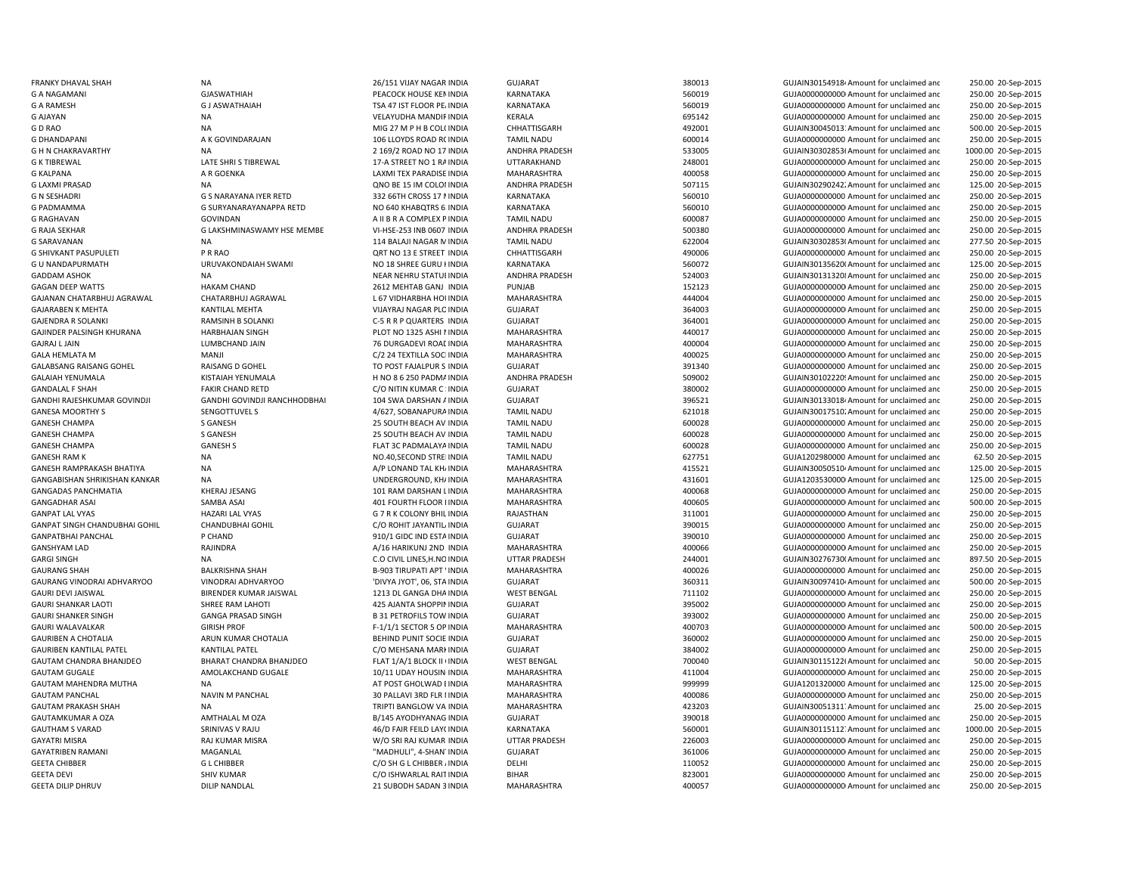GAURI SHANKER SINGH GANGA PRASAD SINGH

G KALPANA **AR GOENKA** A ROOM A RAGOENE A LAXMI TEX PARADISE INDIA G RAGHAVAN GOVINDAN GOVINDAN A II B R A COMPLEX P INDIA GANGADAS PANCHMATIA KHERAJ JESANG 101 RAM DARSHAN LGANPAT LAL VYAS GANDAT LAL VYAS G 7 R K COLONY BHIL INDIA GAURANG SHAH BALKRISHNA SHAH BALKRISHNA SHAH B-903 TIRUPATI APT INDIA GEETA DILIP DHRUV DILIP NANDLAL 21 SUBODH SADAN 3

**B 31 PETROFILS TOW INDIA** 

FRANKY DHAVAL SHAH NA 26/151 VIJAY NAGAR INDIA GUJARAT 380013 GUJAIN301549184Amount for unclaimed and 250.00 20-Sep-2015 G A NAGAMANI GUASWATHIAH GUASWATHIAH PEACOCK HOUSE KEMINDIA KARNATAKA 560019 560019 GUJA000000000Amount for unclaimed and 250.00 20-Sep-2015 G A RAMESH G JASWATHAIAH G JASWATHAIAH TSA 47 IST FLOOR PEAINDIA KARNATAKA SANATAKA SANATAGA SEGOO19 GUJA0000000000000000000000000000 Amount for unclaimed and 250.00 20-Sep-2015 G AJAYAN NA NA SALAYUDHA MANDIFINDIA KERALA KERALA 695142 695142 GUJA0000000000000000000000000000000 Amount for unclaimed and 250.00 20-Sep-2015 G D RAO NA NA NA MIG 27 M P H B COL(INDIA CHHATTISGARH 492001 492001 GUJAIN30045013:Amount for unclaimed and 500.00 20-Sep-2015 G DHANDAPANI **A K GOVINDARAJAN 106 LLOYDS ROAD R(INDIA** TAMIL NADU 600014 600014 GUJA0000000000 Amount for unclaimed and 250.00 20-Sep-2015 G H N CHAKRAVARTHY NA NA 2015-2015 2016/2 2020 20:5892-2015 ANDHRA PRADESH 533005 GUJAIN303028536Amount for unclaimed and 1000.00 20-Sep-2015 G K TIBREWAL CHE SHRI STIBREWAL 17-A STREET NO 1 RAINDIA UTTARAKHAND 248001 248001 GUJA00000000000000000000000 Amount for unclaimed and 250.00 20-Sep-2015 INDIA MAHARASHTRA 400058 GUJA00000000000Amount for unclaimed and 250.00 20-Sep-2015 G LAXMI PRASAD NA NA COLONINDIA ANDHRA PRADESH 507115 GUJAIN302902422Amount for unclaimed and 125.00 20-Sep-2015 G N SESHADRI G S NARAYANA IYER RETD 332 66TH CROSS 17 NINDIA KARNATAKA 560010 560010 GUJA0000000000000000 Amount for unclaimed and 250.00 20-Sep-2015 G PADMAMMA G SURYANARAYANAPPA RETD NO 640 KHABQTRS 6: INDIA KARNATAKA 560010 560010 GUJA000000000Amount for unclaimed and 250.00 20-Sep-2015 TAMIL NADU 600087 600087 GUJA00000000000000 Amount for unclaimed and 250.00 20-Sep-2015 G RAJA SEKHAR G LAKSHMINASWAMY HSE MEMBE VI-HSE-253 INB 0607 INDIA ANDHRA PRADESH 500380 500380 GUJA0000000000 Amount for unclaimed and 250.00 20-Sep-2015 G SARAVANAN 1992 CONTRACT SARAVANAN NA 114 BALAJI NAGAR MINDIA TAMIL NADU 622004 622004 GUJAIN30302853(Amount for unclaimed and 277.50 20-Sep-2015 G SHIVKANT PASUPULETI PRRAO PRAO CHHATTISGARH CHHATTISGARH 490006 400006 GUJA0000000000000000000000 Amount for unclaimed and 250.00 20-Sep-2015 G U NANDAPURMATH CHUNAKONDAIAH SWAMI NO 18 SHREE GURU KUNDIA KARNATAKA 560072 GUJAIN301356200Amount for unclaimed and 125.00 20-Sep-2015 GADDAM ASHOK NA NA NEAR NEAR NEHRU STATUEINDIA ANDHRA PRADESH 524003 GUJAIN301313208Amount for unclaimed and 250.00 20-Sep-2015 GAGAN DEEP WATTS HAKAM CHAND 2612 MEHTAB GANJ INDIA PUNJAB 152123 GUJA00000000000Amount for unclaimed and 250.00 20-Sep-2015 GAJANAN CHATARBHUJ AGRAWAL CHATARBHUJ AGRAWAL L 67 VIDHARBHA HOUINDIA MAHARASHTRA 444004 444004 GUJA0000000000 Amount for unclaimed and 250.00 20-Sep-2015 GAJARABEN K MEHTA KANTILAL MEHTA KANTILAL MEHTA VIJAYRAJ NAGAR PLOINDIA GUJARAT SUMATA 364003 GUJA000000000Amount for unclaimed and 250.00 20-Sep-2015 GAJENDRA R SOLANKI RAMSINH B SOLANKI COLORIZERS INDIA GUJARAT GUJAO GUJAO GUJAO GOJAO GOJAO GOJAO GOJAO GOJAO AMO GUJAO GOJAO GOJAO GOJAO GOJAO GOJAO GOJAO GOJAO GOJAO GOJAO GOJAO GOJAO GOJAO GOJAO GOJAO GOJAO GOJAO GOJAO GAJINDER PALSINGH KHURANA HARBHAJAN SINGH PLOT NO 1325 ASHI INDIA MAHARASHTRA 440017 GUJA000000000000 Amount for unclaimed and 250.00 20-Sep-2015 GAJRAJ LJAIN LUMBCHAND JAIN 1999 16 DURGADEVI ROADINDIA MAHARASHTRA 400004 400004 GUJA0000000000000000000000 Amount for unclaimed and 250.00 20-Sep-2015 GALA HEMLATA M MANJI C/2 24 TEXTILLA SOCIINDIA MAHARASHTRA 400025 GUJA00000000000Amount for unclaimed and 250.00 20-Sep-2015 GALABSANG RAISANG GOHEL RAISANG D GOHEL TO POST FAJALPUR S INDIA GUJARAT GUGARAT SALABSANG RAISANG GOHEL RAISANG D GOHEL RAISANG D GOHEL TO POST FAJALPUR S INDIA GUJARAT SALABSANG RAISANG GOHEL RAISANG D GUJAROOOOOOOO Amou 250.00 20-Sep-2015 GALAIAH YENUMALA KISTAIAH YENUMALA H NO 86 250 PADMAINDIA ANDHRA PRADESH 509002 GUJAIN30102220! Amount for unclaimed and 250.00 20-Sep-2015 GANDALAL F SHAH FAKIR CHAND RETD C/O NITIN KUMAR C : INDIA GUJARAT 380002 GUJA000000000Amount for unclaimed and 250.00 20-Sep-2015 GANDHI RAJESHKUMAR GOVINDJI GANDHI GOVINDJI RANCHHODBHAI 104 SWA DARSHAN A'INDIA GUJARAT 396521 396521 GUJAIN301330184Amount for unclaimed and 250.00 20-Sep-2015 GANESA MOORTHY S SENGOTTUVEL S 4/627, SOBANAPURAINDIA TAMIL NADU 621018 GUJAIN300175102Amount for unclaimed and 250.00 20-Sep-2015 GANESH CHAMPA S GANESH 25 SOUTH BEACH AV INDIA TAMIL NADU 600028 GUJA0000000000 Amount for unclaimed and 250.00 20-Sep-2015 GANESH CHAMPA S GANESH 25 SOUTH BEACH AV INDIA TAMIL NADU 600028 GUJA0000000000 Amount for unclaimed and 250.00 20-Sep-2015 GANESH CHAMPA GANESH S GANESH S GANESH S FLAT 3C PADMALAYA INDIA TAMIL NADU 600028 GUJA000000000 Amount for unclaimed and 250.00 20-Sep-2015 GANESH RAM K NA NA NA NA NO.40,SECOND STREINDIA TAMIL NADU 627751 GUJA1202980000 Amount for unclaimed and 62.50 20-Sep-2015 GANESH RAMPRAKASH BHATIYA NA A/P LONAND TAL KHAINDIA MAHARASHTRA 415521 GUJAIN300505104Amount for unclaimed and 125.00 20-Sep-2015 GANGABISHAN SHRIKISHAN KANKAR NA UNDERGROUND, KHAINDIA MAHARASHTRA 431601 GUJA12035300000Amount for unclaimed and 125.00 20-Sep-2015 INDIA MAHARASHTRA 400068 GUJA00000000000Amount for unclaimed and 250.00 20-Sep-2015 GANGADHAR ASAI SAMBA ASAI 401 FOURTH FLOOR KINDIA MAHARASHTRA 400605 GUJA00000000000Amount for unclaimed and 500.00 20-Sep-2015 RAJASTHAN **EXAMPLE 2008** 311001 GUJA00000000000Amount for unclaimed and 250.00 20-Sep-2015 GANPAT SINGH CHANDUBHAI GOHIL CHANDUBHAI GOHIL C/O ROHIT JAYANTILAINDIA GUJARAT 390015 GUJA0000000000 Amount for unclaimed and 250.00 20-Sep-2015 GANPATBHAI PANCHAL P CHAND P CHAND 910/1 GIDC IND ESTAINDIA GUJARAT 390010 390010 GUJA0000000000000000000000000000 Amount for unclaimed and 250.00 20-Sep-2015 GANSHYAM LAD RAJINDRA A/16 HARIKUNJ 2ND INDIA MAHARASHTRA 400066 GUJA00000000000Amount for unclaimed and 250.00 20-Sep-2015 GARGI SINGH NA NA C.O CIVIL LINES,H.NO INDIA UTTAR PRADESH 244001 GUJAIN30276730(Amount for unclaimed and 897.50 20-Sep-2015 WINDIA MAHARASHTRA 400026 GUJA0000000000 Amount for unclaimed and 250.00 20-Sep-2015 GAURANG VINODRAI ADHVARYOO VINODRAI ADHVARYOO 'DIVYA JYOT', 06, STA INDIA GUJARAT SULLARAT 360311 GUJAIN300974104 Amount for unclaimed ant 500.00 20-Sep-2015 GAURI DEVI JAISWAL **EXAMENT DE SENA DE SENA DE SANGA DE SANGA DHAINDIA** MEST BENGAL TERSAL TIME TO TITIO2 GUJA00000000000000000000 Amount for unclaimed and 250.00 20-Sep-2015 GAURI SHANKAR LAOTI SHREE RAM LAHOTI 425 AJANTA SHOPPININDIA GUJARAT 395002 GUJA00000000000Amount for unclaimed and 250.00 20-Sep-2015 INDIA GUJARAT 393002 GUJA0000000000 Amount for unclaimed and 250.00 20-Sep-2015 GAURI WALAVALKAR CHAURI GIRISH PROF CHAURI PROF F-1/1/1 SECTOR 5 OP INDIA MAHARASHTRA 400703 GUJA0000000000000Amount for unclaimed and 500.00 20-Sep-2015 GAURIBEN A CHOTALIA **ARUN KUMAR CHOTALIA** BEHIND PUNIT SOCIE INDIA GUJARAT SALIARAT SALIAROOD 360002 GUJA000000000000000000000000000000 Amount for unclaimed and 250.00 20-Sep-2015 GAURIBEN KANTILAL PATEL KANTILAL PATEL COMEHSANA MARKINDIA GUJARAT 384002 GUJA0000000000Amount for unclaimed and 250.00 20-Sep-2015 GAUTAM CHANDRA BHANJDEO BHARAT CHANDRA BHANJDEO FLAT 1/A/1 BLOCK II IINDIA WEST BENGAL 700040 700040 GUJAIN30115122f Amount for unclaimed and 50.00 20-Sep-2015 GAUTAM GUGALE AMOLAKCHAND GUGALE 10/11 UDAY HOUSINGINDIA MAHARASHTRA 411004 GUJA00000000000Amount for unclaimed and 250.00 20-Sep-2015 GAUTAM MAHENDRA MUTHA NA NA REPOST GHOLWAD EINDIA MAHARASHTRA MAHARASHTRA 999999 GUJA1201320000 Amount for unclaimed and 125.00 20-Sep-2015 GAUTAM PANCHAL NAVIN M PANCHAL 1999 COLLAVI 3RD FLR I INDIA MAHARASHTRA 400086 400086 GUJA000000000000Amount for unclaimed and 250.00 20-Sep-2015 GAUTAM PRAKASH SHAH NA NA NA TRIPTI BANGLOW VA INDIA MAHARASHTRA 423203 GUJAIN30051311. Amount for unclaimed and 25.00 20-Sep-2015 GAUTAMKUMAR A OZA AMTHALAL M OZA B/145 AYODHYANAG INDIA GUJARAT 390018 GUJA0000000000 Amount for unclaimed and 250.00 20-Sep-2015 GAUTHAM S VARAD SRINIVAS V RAJU 46/D FAIR FEILD LAY(INDIA KARNATAKA 560001 560001 GUJAIN30115112. Amount for unclaimed and 1000.00 20-Sep-2015 GAYATRI MISRA RAJ KUMAR MISRA W/O SRI RAJ KUMAR INDIA UTTAR PRADESH 226003 GUJA00000000000Amount for unclaimed and 250.00 20-Sep-2015 GAYATRIBEN RAMANI MAGANLAL MAGANLAL "MADHULI", 4-SHAN'INDIA GUJARAT 361006 GUJA0000000000Amount for unclaimed and 250.00 20-Sep-2015 GEETA CHIBBER GL CHIBBER GL CHIBBER C/O SH G L CHIBBER AINDIA DELHI DELHI 110052 GUJA0000000000 Amount for unclaimed and 250.00 20-Sep-2015 GEETA DEVI SHIV KUMAR CALL RATINDIA BIHAR BIHAR 823001 GUJA0000000000 Amount for unclaimed and 250.00 20-Sep-2015 INDIA MAHARASHTRA 400057 GUJA00000000000Amount for unclaimed and250.00 20-Sep-2015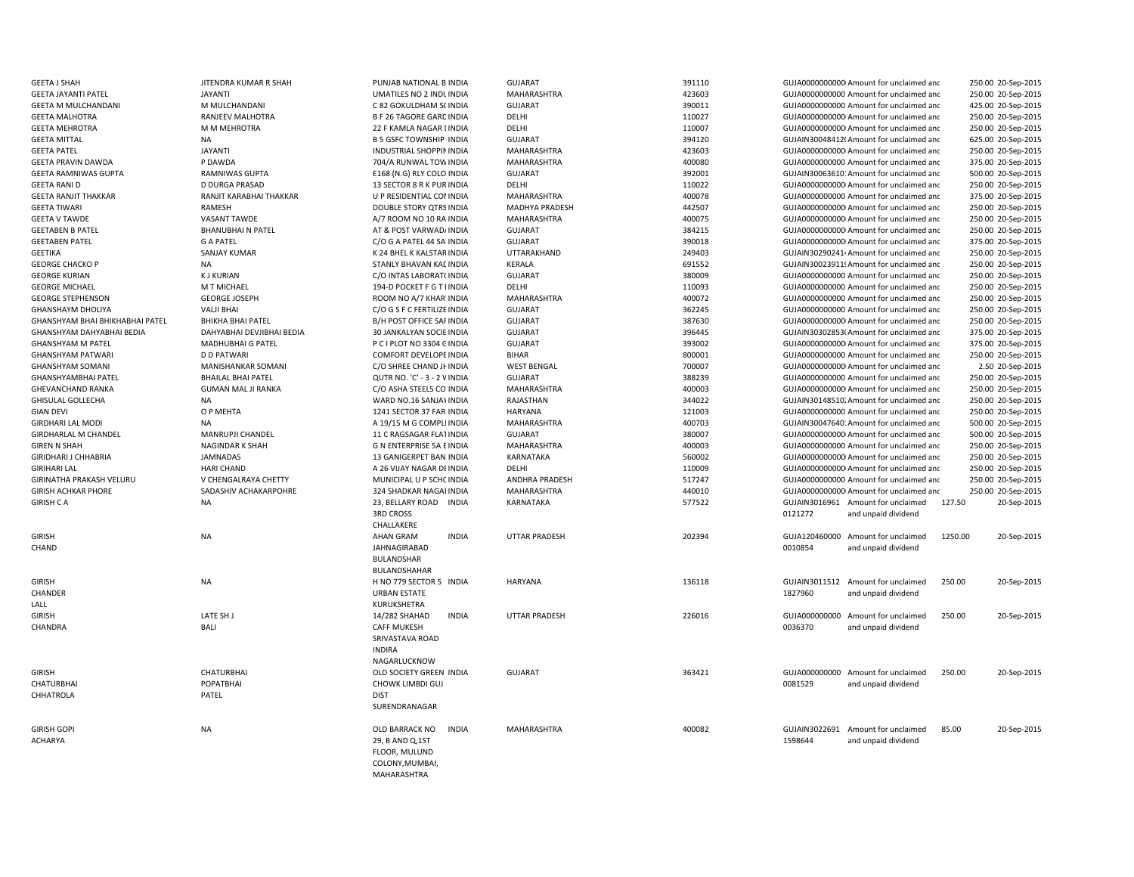| <b>GEETA J SHAH</b>             | JITENDRA KUMAR R SHAH     | PUNJAB NATIONAL B INDIA          | GUJARAT              | 391110 |               | GUJA0000000000 Amount for unclaimed and  |         | 250.00 20-Sep-2015 |
|---------------------------------|---------------------------|----------------------------------|----------------------|--------|---------------|------------------------------------------|---------|--------------------|
| <b>GEETA JAYANTI PATEL</b>      | <b>JAYANTI</b>            | UMATILES NO 2 INDUNDIA           | MAHARASHTRA          | 423603 |               | GUJA0000000000 Amount for unclaimed and  |         | 250.00 20-Sep-2015 |
| <b>GEETA M MULCHANDANI</b>      | M MULCHANDANI             | C 82 GOKULDHAM S( INDIA          | <b>GUJARAT</b>       | 390011 |               | GUJA0000000000 Amount for unclaimed and  |         | 425.00 20-Sep-2015 |
| <b>GEETA MALHOTRA</b>           | RANJEEV MALHOTRA          | <b>B F 26 TAGORE GARD INDIA</b>  | DELHI                | 110027 |               | GUJA0000000000 Amount for unclaimed and  |         | 250.00 20-Sep-2015 |
| <b>GEETA MEHROTRA</b>           | M M MEHROTRA              | 22 F KAMLA NAGAR I INDIA         | DELHI                | 110007 |               | GUJA00000000000 Amount for unclaimed and |         | 250.00 20-Sep-2015 |
| <b>GEETA MITTAL</b>             | <b>NA</b>                 | <b>B 5 GSFC TOWNSHIP INDIA</b>   | <b>GUJARAT</b>       | 394120 |               | GUJAIN30048412(Amount for unclaimed and  |         | 625.00 20-Sep-2015 |
| <b>GEETA PATEL</b>              | <b>JAYANTI</b>            | <b>INDUSTRIAL SHOPPIN INDIA</b>  | MAHARASHTRA          | 423603 |               | GUJA00000000000 Amount for unclaimed and |         | 250.00 20-Sep-2015 |
| <b>GEETA PRAVIN DAWDA</b>       | P DAWDA                   | 704/A RUNWAL TOW INDIA           | <b>MAHARASHTRA</b>   | 400080 |               | GUJA0000000000 Amount for unclaimed and  |         | 375.00 20-Sep-2015 |
| <b>GEETA RAMNIWAS GUPTA</b>     | <b>RAMNIWAS GUPTA</b>     | E168 (N.G) RLY COLO INDIA        | <b>GUJARAT</b>       | 392001 |               | GUJAIN30063610: Amount for unclaimed and |         | 500.00 20-Sep-2015 |
| <b>GEETA RANI D</b>             | <b>D DURGA PRASAD</b>     | 13 SECTOR 8 R K PUR INDIA        | DELHI                | 110022 |               | GUJA00000000000 Amount for unclaimed and |         | 250.00 20-Sep-2015 |
| <b>GEETA RANJIT THAKKAR</b>     | RANJIT KARABHAI THAKKAR   | U P RESIDENTIAL CONINDIA         | MAHARASHTRA          | 400078 |               | GUJA0000000000 Amount for unclaimed and  |         | 375.00 20-Sep-2015 |
| <b>GEETA TIWARI</b>             | RAMESH                    | <b>DOUBLE STORY QTRS INDIA</b>   | MADHYA PRADESH       | 442507 |               | GUJA00000000000 Amount for unclaimed and |         | 250.00 20-Sep-2015 |
| <b>GEETA V TAWDE</b>            | <b>VASANT TAWDE</b>       | A/7 ROOM NO 10 RA INDIA          | MAHARASHTRA          | 400075 |               | GUJA0000000000 Amount for unclaimed and  |         | 250.00 20-Sep-2015 |
| <b>GEETABEN B PATEL</b>         | <b>BHANUBHAI N PATEL</b>  | AT & POST VARWAD/ INDIA          | GUJARAT              | 384215 |               | GUJA00000000000 Amount for unclaimed and |         | 250.00 20-Sep-2015 |
| <b>GEETABEN PATEL</b>           | <b>G A PATEL</b>          | C/O G A PATEL 44 SA INDIA        | <b>GUJARAT</b>       | 390018 |               | GUJA0000000000 Amount for unclaimed and  |         | 375.00 20-Sep-2015 |
| <b>GEETIKA</b>                  | <b>SANJAY KUMAR</b>       | K 24 BHEL K KALSTAR INDIA        | UTTARAKHAND          | 249403 |               | GUJAIN30290241/Amount for unclaimed and  |         | 250.00 20-Sep-2015 |
| <b>GEORGE CHACKO P</b>          | NA                        | STANLY BHAVAN KAL INDIA          | KERALA               | 691552 |               | GUJAIN30023911! Amount for unclaimed and |         | 250.00 20-Sep-2015 |
|                                 | <b>KJ KURIAN</b>          |                                  | <b>GUJARAT</b>       | 380009 |               |                                          |         | 250.00 20-Sep-2015 |
| <b>GEORGE KURIAN</b>            | M T MICHAEL               | C/O INTAS LABORAT( INDIA         | DELHI                |        |               | GUJA0000000000 Amount for unclaimed and  |         |                    |
| <b>GEORGE MICHAEL</b>           |                           | 194-D POCKET F G T I INDIA       |                      | 110093 |               | GUJA0000000000 Amount for unclaimed and  |         | 250.00 20-Sep-2015 |
| <b>GEORGE STEPHENSON</b>        | <b>GEORGE JOSEPH</b>      | ROOM NO A/7 KHAR' INDIA          | MAHARASHTRA          | 400072 |               | GUJA0000000000 Amount for unclaimed and  |         | 250.00 20-Sep-2015 |
| <b>GHANSHAYM DHOLIYA</b>        | <b>VALJI BHAI</b>         | C/O G S F C FERTILIZE INDIA      | <b>GUJARAT</b>       | 362245 |               | GUJA0000000000 Amount for unclaimed and  |         | 250.00 20-Sep-2015 |
| GHANSHYAM BHAI BHIKHABHAI PATEL | <b>BHIKHA BHAI PATEL</b>  | <b>B/H POST OFFICE SAFINDIA</b>  | <b>GUJARAT</b>       | 387630 |               | GUJA0000000000 Amount for unclaimed and  |         | 250.00 20-Sep-2015 |
| GHANSHYAM DAHYABHAI BEDIA       | DAHYABHAI DEVJIBHAI BEDIA | 30 JANKALYAN SOCIE INDIA         | <b>GUJARAT</b>       | 396445 |               | GUJAIN30302853(Amount for unclaimed and  |         | 375.00 20-Sep-2015 |
| <b>GHANSHYAM M PATEL</b>        | <b>MADHUBHAI G PATEL</b>  | P C I PLOT NO 3304 CINDIA        | <b>GUJARAT</b>       | 393002 |               | GUJA0000000000 Amount for unclaimed and  |         | 375.00 20-Sep-2015 |
| <b>GHANSHYAM PATWARI</b>        | <b>D D PATWARI</b>        | COMFORT DEVELOPE INDIA           | <b>BIHAR</b>         | 800001 |               | GUJA0000000000 Amount for unclaimed and  |         | 250.00 20-Sep-2015 |
| <b>GHANSHYAM SOMANI</b>         | MANISHANKAR SOMANI        | C/O SHREE CHAND JI INDIA         | <b>WEST BENGAL</b>   | 700007 |               | GUJA00000000000 Amount for unclaimed and |         | 2.50 20-Sep-2015   |
| <b>GHANSHYAMBHAI PATEL</b>      | <b>BHAILAL BHAI PATEL</b> | QUTR NO. 'C' - 3 - 2 V INDIA     | <b>GUJARAT</b>       | 388239 |               | GUJA0000000000 Amount for unclaimed and  |         | 250.00 20-Sep-2015 |
| <b>GHEVANCHAND RANKA</b>        | <b>GUMAN MAL JI RANKA</b> | C/O ASHA STEELS CO INDIA         | MAHARASHTRA          | 400003 |               | GUJA0000000000 Amount for unclaimed and  |         | 250.00 20-Sep-2015 |
| <b>GHISULAL GOLLECHA</b>        | NA                        | WARD NO.16 SANJAY INDIA          | RAJASTHAN            | 344022 |               | GUJAIN30148510. Amount for unclaimed and |         | 250.00 20-Sep-2015 |
| <b>GIAN DEVI</b>                | O P MEHTA                 | 1241 SECTOR 37 FAR INDIA         | <b>HARYANA</b>       | 121003 |               | GUJA0000000000 Amount for unclaimed and  |         | 250.00 20-Sep-2015 |
| <b>GIRDHARI LAL MODI</b>        | <b>NA</b>                 | A 19/15 M G COMPLI INDIA         | MAHARASHTRA          | 400703 |               | GUJAIN30047640: Amount for unclaimed and |         | 500.00 20-Sep-2015 |
| <b>GIRDHARLAL M CHANDEL</b>     | MANRUPJI CHANDEL          | 11 C RAGSAGAR FLATINDIA          | <b>GUJARAT</b>       | 380007 |               | GUJA00000000000 Amount for unclaimed and |         | 500.00 20-Sep-2015 |
| <b>GIREN N SHAH</b>             | NAGINDAR K SHAH           | G N ENTERPRISE 5A E INDIA        | MAHARASHTRA          | 400003 |               | GUJA0000000000 Amount for unclaimed and  |         | 250.00 20-Sep-2015 |
| GIRIDHARI J CHHABRIA            | <b>JAMNADAS</b>           | 13 GANIGERPET BAN INDIA          | <b>KARNATAKA</b>     | 560002 |               | GUJA0000000000 Amount for unclaimed and  |         | 250.00 20-Sep-2015 |
| <b>GIRIHARI LAL</b>             | <b>HARI CHAND</b>         | A 26 VIJAY NAGAR DI INDIA        | DELHI                | 110009 |               | GUJA0000000000 Amount for unclaimed and  |         | 250.00 20-Sep-2015 |
| GIRINATHA PRAKASH VELURU        | V CHENGALRAYA CHETTY      | MUNICIPAL U P SCHC INDIA         | ANDHRA PRADESH       | 517247 |               | GUJA0000000000 Amount for unclaimed and  |         | 250.00 20-Sep-2015 |
| <b>GIRISH ACHKAR PHORE</b>      | SADASHIV ACHAKARPOHRE     | 324 SHADKAR NAGAI INDIA          | MAHARASHTRA          | 440010 |               | GUJA0000000000 Amount for unclaimed and  |         | 250.00 20-Sep-2015 |
| <b>GIRISH CA</b>                | <b>NA</b>                 | 23, BELLARY ROAD INDIA           | KARNATAKA            | 577522 |               | GUJAIN3016961 Amount for unclaimed       | 127.50  | 20-Sep-2015        |
|                                 |                           | <b>3RD CROSS</b><br>CHALLAKERE   |                      |        | 0121272       | and unpaid dividend                      |         |                    |
| <b>GIRISH</b>                   | <b>NA</b>                 | <b>INDIA</b><br><b>AHAN GRAM</b> | <b>UTTAR PRADESH</b> | 202394 |               | GUJA120460000 Amount for unclaimed       | 1250.00 | 20-Sep-2015        |
| CHAND                           |                           | JAHNAGIRABAD                     |                      |        | 0010854       | and unpaid dividend                      |         |                    |
|                                 |                           | <b>BULANDSHAR</b>                |                      |        |               |                                          |         |                    |
|                                 |                           | BULANDSHAHAR                     |                      |        |               |                                          |         |                    |
| <b>GIRISH</b>                   | <b>NA</b>                 | H NO 779 SECTOR 5 INDIA          | <b>HARYANA</b>       | 136118 |               | GUJAIN3011512 Amount for unclaimed       | 250.00  | 20-Sep-2015        |
| CHANDER                         |                           | <b>URBAN ESTATE</b>              |                      |        | 1827960       | and unpaid dividend                      |         |                    |
|                                 |                           |                                  |                      |        |               |                                          |         |                    |
| LALL                            |                           | KURUKSHETRA                      |                      |        |               |                                          |         |                    |
| <b>GIRISH</b>                   | LATE SH J                 | <b>INDIA</b><br>14/282 SHAHAD    | <b>UTTAR PRADESH</b> | 226016 |               | GUJA000000000 Amount for unclaimed       | 250.00  | 20-Sep-2015        |
| CHANDRA                         | <b>BALI</b>               | <b>CAFF MUKESH</b>               |                      |        | 0036370       | and unpaid dividend                      |         |                    |
|                                 |                           | SRIVASTAVA ROAD                  |                      |        |               |                                          |         |                    |
|                                 |                           | <b>INDIRA</b>                    |                      |        |               |                                          |         |                    |
|                                 |                           | NAGARLUCKNOW                     |                      |        |               |                                          |         |                    |
| <b>GIRISH</b>                   | <b>CHATURBHAI</b>         | OLD SOCIETY GREEN INDIA          | <b>GUJARAT</b>       | 363421 |               | GUJA000000000 Amount for unclaimed       | 250.00  | 20-Sep-2015        |
| <b>CHATURBHAI</b>               | POPATBHAI                 | CHOWK LIMBDI GUJ                 |                      |        | 0081529       | and unpaid dividend                      |         |                    |
| CHHATROLA                       | PATEL                     | <b>DIST</b>                      |                      |        |               |                                          |         |                    |
|                                 |                           | SURENDRANAGAR                    |                      |        |               |                                          |         |                    |
| <b>GIRISH GOPI</b>              | <b>NA</b>                 | OLD BARRACK NO<br><b>INDIA</b>   | MAHARASHTRA          | 400082 | GUJAIN3022691 | Amount for unclaimed                     | 85.00   | 20-Sep-2015        |
| <b>ACHARYA</b>                  |                           | 29, B AND Q, 1ST                 |                      |        | 1598644       | and unpaid dividend                      |         |                    |
|                                 |                           | FLOOR, MULUND                    |                      |        |               |                                          |         |                    |
|                                 |                           | COLONY, MUMBAI,                  |                      |        |               |                                          |         |                    |
|                                 |                           | MAHARASHTRA                      |                      |        |               |                                          |         |                    |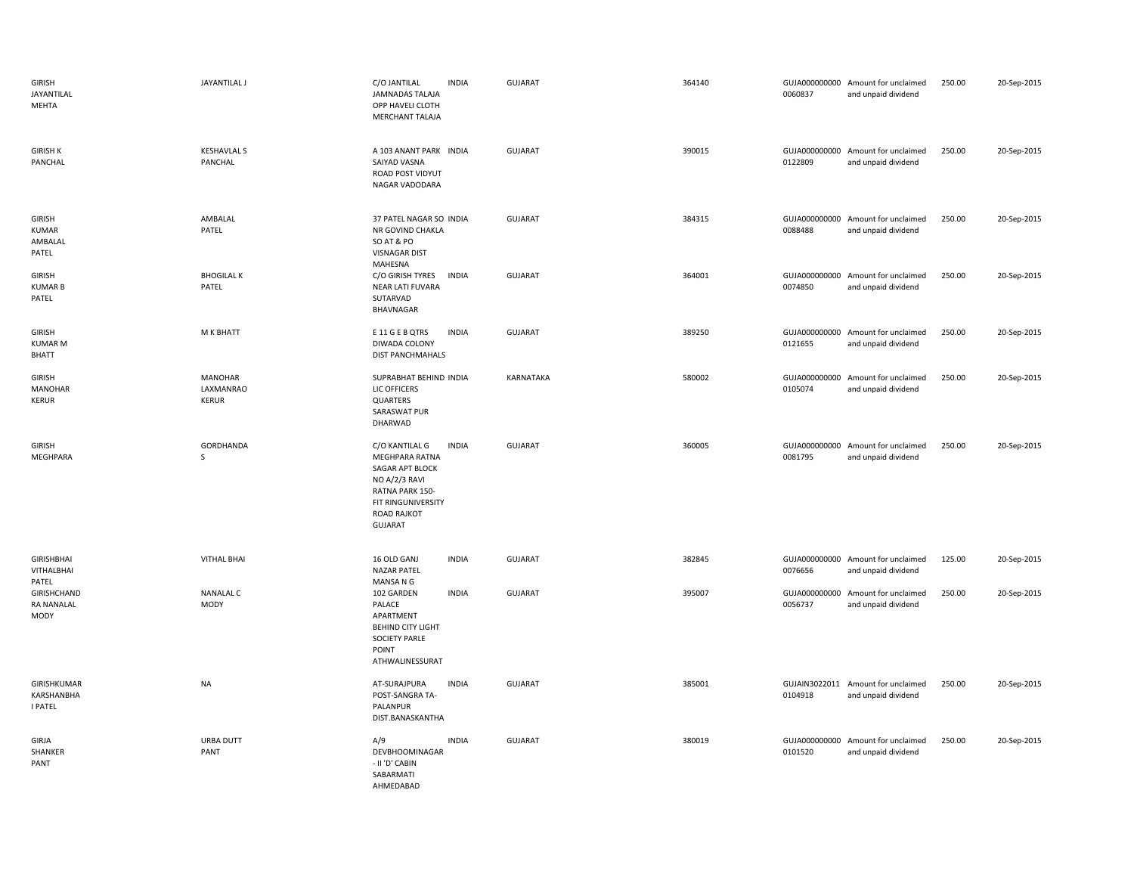| GIRISH<br>JAYANTILAL<br>MEHTA                   | <b>JAYANTILAL J</b>                  | C/O JANTILAL<br><b>INDIA</b><br><b>JAMNADAS TALAJA</b><br>OPP HAVELI CLOTH<br>MERCHANT TALAJA                                                                                | <b>GUJARAT</b> | 364140 | 0060837 | GUJA000000000 Amount for unclaimed<br>and unpaid dividend | 250.00 | 20-Sep-2015 |
|-------------------------------------------------|--------------------------------------|------------------------------------------------------------------------------------------------------------------------------------------------------------------------------|----------------|--------|---------|-----------------------------------------------------------|--------|-------------|
| <b>GIRISH K</b><br>PANCHAL                      | <b>KESHAVLAL S</b><br>PANCHAL        | A 103 ANANT PARK INDIA<br>SAIYAD VASNA<br>ROAD POST VIDYUT<br>NAGAR VADODARA                                                                                                 | <b>GUJARAT</b> | 390015 | 0122809 | GUJA000000000 Amount for unclaimed<br>and unpaid dividend | 250.00 | 20-Sep-2015 |
| GIRISH<br>KUMAR<br>AMBALAL<br>PATEL             | AMBALAL<br>PATEL                     | 37 PATEL NAGAR SO INDIA<br>NR GOVIND CHAKLA<br>SO AT & PO<br><b>VISNAGAR DIST</b><br>MAHESNA                                                                                 | <b>GUJARAT</b> | 384315 | 0088488 | GUJA000000000 Amount for unclaimed<br>and unpaid dividend | 250.00 | 20-Sep-2015 |
| <b>GIRISH</b><br><b>KUMARB</b><br>PATEL         | <b>BHOGILAL K</b><br>PATEL           | <b>INDIA</b><br>C/O GIRISH TYRES<br>NEAR LATI FUVARA<br>SUTARVAD<br>BHAVNAGAR                                                                                                | <b>GUJARAT</b> | 364001 | 0074850 | GUJA000000000 Amount for unclaimed<br>and unpaid dividend | 250.00 | 20-Sep-2015 |
| GIRISH<br><b>KUMAR M</b><br><b>BHATT</b>        | M K BHATT                            | E 11 G E B QTRS<br><b>INDIA</b><br>DIWADA COLONY<br><b>DIST PANCHMAHALS</b>                                                                                                  | GUJARAT        | 389250 | 0121655 | GUJA000000000 Amount for unclaimed<br>and unpaid dividend | 250.00 | 20-Sep-2015 |
| <b>GIRISH</b><br><b>MANOHAR</b><br><b>KERUR</b> | MANOHAR<br>LAXMANRAO<br><b>KERUR</b> | SUPRABHAT BEHIND INDIA<br>LIC OFFICERS<br>QUARTERS<br>SARASWAT PUR<br>DHARWAD                                                                                                | KARNATAKA      | 580002 | 0105074 | GUJA000000000 Amount for unclaimed<br>and unpaid dividend | 250.00 | 20-Sep-2015 |
| <b>GIRISH</b><br>MEGHPARA                       | GORDHANDA<br>S                       | C/O KANTILAL G<br><b>INDIA</b><br><b>MEGHPARA RATNA</b><br>SAGAR APT BLOCK<br>NO A/2/3 RAVI<br>RATNA PARK 150-<br>FIT RINGUNIVERSITY<br><b>ROAD RAJKOT</b><br><b>GUJARAT</b> | <b>GUJARAT</b> | 360005 | 0081795 | GUJA000000000 Amount for unclaimed<br>and unpaid dividend | 250.00 | 20-Sep-2015 |
| <b>GIRISHBHAI</b><br>VITHALBHAI<br>PATEL        | <b>VITHAL BHAI</b>                   | 16 OLD GANJ<br><b>INDIA</b><br><b>NAZAR PATEL</b><br>MANSA N G                                                                                                               | <b>GUJARAT</b> | 382845 | 0076656 | GUJA000000000 Amount for unclaimed<br>and unpaid dividend | 125.00 | 20-Sep-2015 |
| GIRISHCHAND<br><b>RA NANALAL</b><br>MODY        | <b>NANALAL C</b><br>MODY             | 102 GARDEN<br><b>INDIA</b><br>PALACE<br>APARTMENT<br><b>BEHIND CITY LIGHT</b><br><b>SOCIETY PARLE</b><br>POINT<br>ATHWALINESSURAT                                            | <b>GUJARAT</b> | 395007 | 0056737 | GUJA000000000 Amount for unclaimed<br>and unpaid dividend | 250.00 | 20-Sep-2015 |
| GIRISHKUMAR<br>KARSHANBHA<br>I PATEL            | <b>NA</b>                            | AT-SURAJPURA<br><b>INDIA</b><br>POST-SANGRA TA-<br>PALANPUR<br>DIST.BANASKANTHA                                                                                              | <b>GUJARAT</b> | 385001 | 0104918 | GUJAIN3022011 Amount for unclaimed<br>and unpaid dividend | 250.00 | 20-Sep-2015 |
| GIRJA<br>SHANKER<br>PANT                        | URBA DUTT<br>PANT                    | A/9<br><b>INDIA</b><br>DEVBHOOMINAGAR<br>- II 'D' CABIN<br>SABARMATI                                                                                                         | <b>GUJARAT</b> | 380019 | 0101520 | GUJA000000000 Amount for unclaimed<br>and unpaid dividend | 250.00 | 20-Sep-2015 |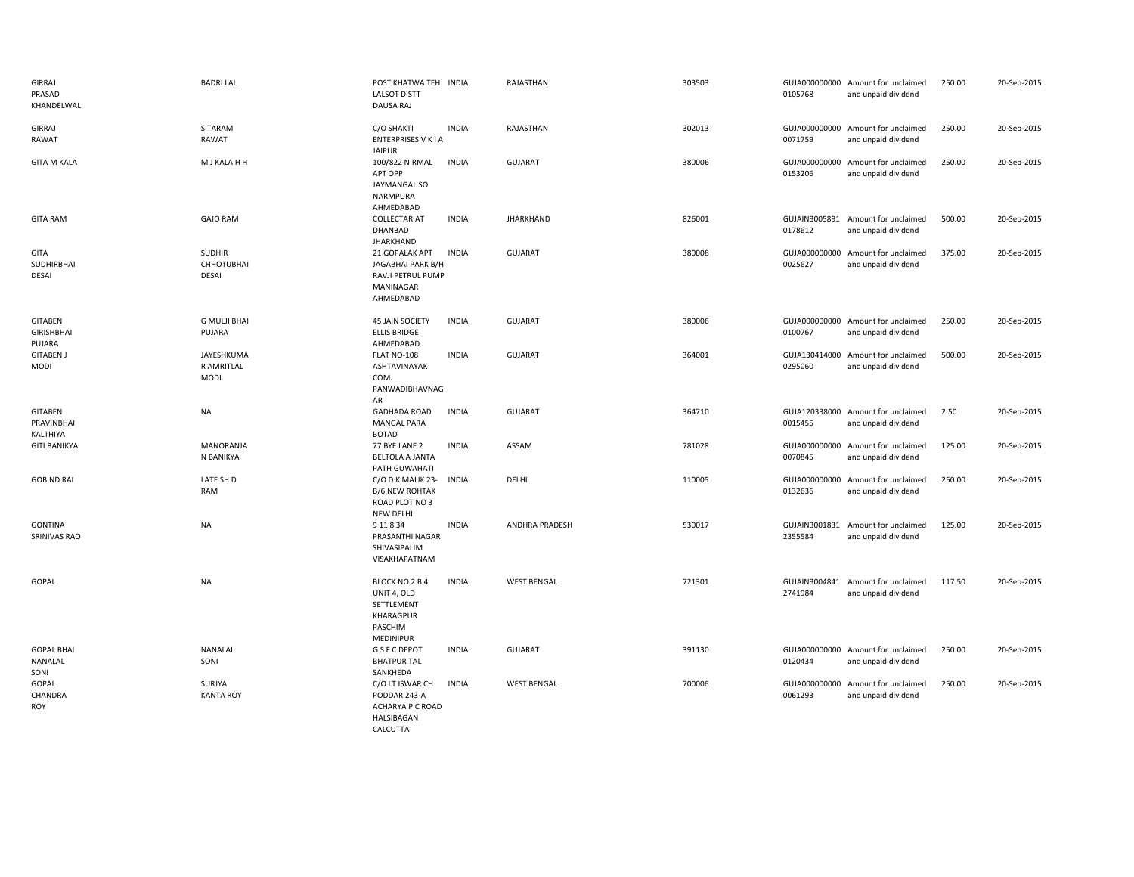| <b>GIRRAJ</b><br>PRASAD<br>KHANDELWAL         | <b>BADRI LAL</b>                            | POST KHATWA TEH INDIA<br><b>LALSOT DISTT</b><br>DAUSA RAJ                               |              | RAJASTHAN          | 303503 | 0105768                  | GUJA000000000 Amount for unclaimed<br>and unpaid dividend | 250.00 | 20-Sep-2015 |
|-----------------------------------------------|---------------------------------------------|-----------------------------------------------------------------------------------------|--------------|--------------------|--------|--------------------------|-----------------------------------------------------------|--------|-------------|
| <b>GIRRAJ</b><br>RAWAT                        | SITARAM<br>RAWAT                            | C/O SHAKTI<br><b>ENTERPRISES V K I A</b><br><b>JAIPUR</b>                               | <b>INDIA</b> | RAJASTHAN          | 302013 | 0071759                  | GUJA000000000 Amount for unclaimed<br>and unpaid dividend | 250.00 | 20-Sep-2015 |
| <b>GITA M KALA</b>                            | M J KALA H H                                | 100/822 NIRMAL<br>APT OPP<br><b>JAYMANGAL SO</b><br>NARMPURA<br>AHMEDABAD               | <b>INDIA</b> | <b>GUJARAT</b>     | 380006 | GUJA000000000<br>0153206 | Amount for unclaimed<br>and unpaid dividend               | 250.00 | 20-Sep-2015 |
| <b>GITA RAM</b>                               | <b>GAJO RAM</b>                             | COLLECTARIAT<br>DHANBAD<br><b>JHARKHAND</b>                                             | <b>INDIA</b> | <b>JHARKHAND</b>   | 826001 | 0178612                  | GUJAIN3005891 Amount for unclaimed<br>and unpaid dividend | 500.00 | 20-Sep-2015 |
| GITA<br>SUDHIRBHAI<br><b>DESAI</b>            | <b>SUDHIR</b><br><b>CHHOTUBHAI</b><br>DESAI | 21 GOPALAK APT<br>JAGABHAI PARK B/H<br>RAVJI PETRUL PUMP<br>MANINAGAR<br>AHMEDABAD      | <b>INDIA</b> | <b>GUJARAT</b>     | 380008 | 0025627                  | GUJA000000000 Amount for unclaimed<br>and unpaid dividend | 375.00 | 20-Sep-2015 |
| <b>GITABEN</b><br><b>GIRISHBHAI</b><br>PUJARA | <b>G MULJI BHAI</b><br>PUJARA               | <b>45 JAIN SOCIETY</b><br><b>ELLIS BRIDGE</b><br>AHMEDABAD                              | <b>INDIA</b> | <b>GUJARAT</b>     | 380006 | 0100767                  | GUJA000000000 Amount for unclaimed<br>and unpaid dividend | 250.00 | 20-Sep-2015 |
| <b>GITABEN J</b><br>MODI                      | JAYESHKUMA<br>R AMRITLAL<br><b>MODI</b>     | FLAT NO-108<br>ASHTAVINAYAK<br>COM.<br>PANWADIBHAVNAG<br>AR                             | <b>INDIA</b> | <b>GUJARAT</b>     | 364001 | GUJA130414000<br>0295060 | Amount for unclaimed<br>and unpaid dividend               | 500.00 | 20-Sep-2015 |
| <b>GITABEN</b><br>PRAVINBHAI<br>KALTHIYA      | <b>NA</b>                                   | <b>GADHADA ROAD</b><br><b>MANGAL PARA</b><br><b>BOTAD</b>                               | <b>INDIA</b> | <b>GUJARAT</b>     | 364710 | 0015455                  | GUJA120338000 Amount for unclaimed<br>and unpaid dividend | 2.50   | 20-Sep-2015 |
| <b>GITI BANIKYA</b>                           | <b>MANORANJA</b><br>N BANIKYA               | 77 BYE LANE 2<br><b>BELTOLA A JANTA</b><br>PATH GUWAHATI                                | <b>INDIA</b> | ASSAM              | 781028 | 0070845                  | GUJA000000000 Amount for unclaimed<br>and unpaid dividend | 125.00 | 20-Sep-2015 |
| <b>GOBIND RAI</b>                             | LATE SH D<br>RAM                            | C/O D K MALIK 23-<br><b>B/6 NEW ROHTAK</b><br>ROAD PLOT NO 3<br><b>NEW DELHI</b>        | <b>INDIA</b> | DELHI              | 110005 | GUJA000000000<br>0132636 | Amount for unclaimed<br>and unpaid dividend               | 250.00 | 20-Sep-2015 |
| <b>GONTINA</b><br>SRINIVAS RAO                | <b>NA</b>                                   | 9 11 8 34<br>PRASANTHI NAGAR<br>SHIVASIPALIM<br>VISAKHAPATNAM                           | <b>INDIA</b> | ANDHRA PRADESH     | 530017 | 2355584                  | GUJAIN3001831 Amount for unclaimed<br>and unpaid dividend | 125.00 | 20-Sep-2015 |
| GOPAL                                         | <b>NA</b>                                   | BLOCK NO 2 B 4<br>UNIT 4, OLD<br>SETTLEMENT<br>KHARAGPUR<br>PASCHIM<br><b>MEDINIPUR</b> | <b>INDIA</b> | <b>WEST BENGAL</b> | 721301 | 2741984                  | GUJAIN3004841 Amount for unclaimed<br>and unpaid dividend | 117.50 | 20-Sep-2015 |
| <b>GOPAL BHAI</b><br>NANALAL<br>SONI          | NANALAL<br>SONI                             | <b>G S F C DEPOT</b><br><b>BHATPUR TAL</b><br>SANKHEDA                                  | <b>INDIA</b> | <b>GUJARAT</b>     | 391130 | 0120434                  | GUJA000000000 Amount for unclaimed<br>and unpaid dividend | 250.00 | 20-Sep-2015 |
| GOPAL<br>CHANDRA<br>ROY                       | SURJYA<br><b>KANTA ROY</b>                  | C/O LT ISWAR CH<br>PODDAR 243-A<br>ACHARYA P C ROAD<br>HALSIBAGAN<br>CALCUTTA           | <b>INDIA</b> | <b>WEST BENGAL</b> | 700006 | 0061293                  | GUJA000000000 Amount for unclaimed<br>and unpaid dividend | 250.00 | 20-Sep-2015 |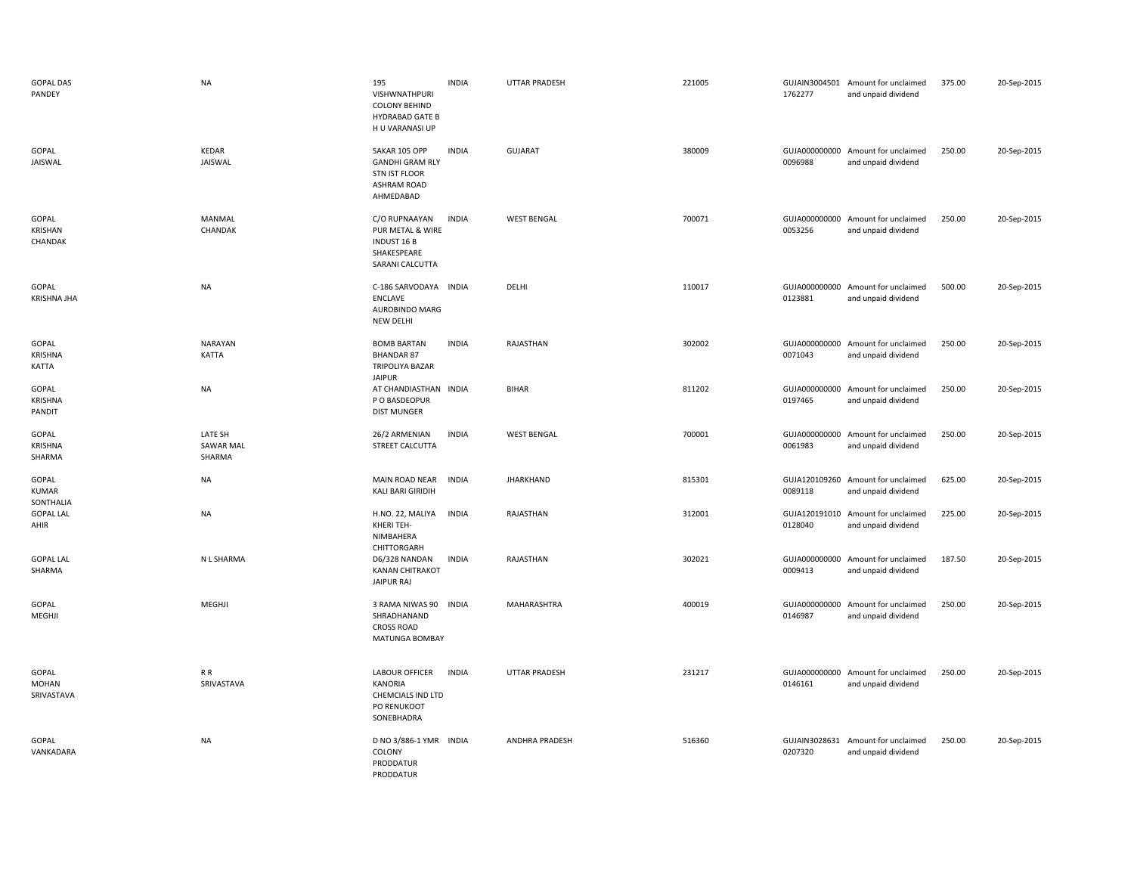| <b>GOPAL DAS</b><br>PANDEY          | <b>NA</b>                             | 195<br>VISHWNATHPURI<br><b>COLONY BEHIND</b><br>HYDRABAD GATE B<br>H U VARANASI UP          | <b>INDIA</b> | UTTAR PRADESH         | 221005 | 1762277                  | GUJAIN3004501 Amount for unclaimed<br>and unpaid dividend | 375.00 | 20-Sep-2015 |
|-------------------------------------|---------------------------------------|---------------------------------------------------------------------------------------------|--------------|-----------------------|--------|--------------------------|-----------------------------------------------------------|--------|-------------|
| GOPAL<br>JAISWAL                    | KEDAR<br>JAISWAL                      | SAKAR 105 OPP<br><b>GANDHI GRAM RLY</b><br><b>STN IST FLOOR</b><br>ASHRAM ROAD<br>AHMEDABAD | <b>INDIA</b> | <b>GUJARAT</b>        | 380009 | GUJA000000000<br>0096988 | Amount for unclaimed<br>and unpaid dividend               | 250.00 | 20-Sep-2015 |
| GOPAL<br>KRISHAN<br>CHANDAK         | MANMAL<br>CHANDAK                     | C/O RUPNAAYAN<br>PUR METAL & WIRE<br><b>INDUST 16 B</b><br>SHAKESPEARE<br>SARANI CALCUTTA   | <b>INDIA</b> | <b>WEST BENGAL</b>    | 700071 | 0053256                  | GUJA000000000 Amount for unclaimed<br>and unpaid dividend | 250.00 | 20-Sep-2015 |
| GOPAL<br>KRISHNA JHA                | <b>NA</b>                             | C-186 SARVODAYA INDIA<br><b>ENCLAVE</b><br>AUROBINDO MARG<br>NEW DELHI                      |              | DELHI                 | 110017 | 0123881                  | GUJA000000000 Amount for unclaimed<br>and unpaid dividend | 500.00 | 20-Sep-2015 |
| GOPAL<br><b>KRISHNA</b><br>KATTA    | <b>NARAYAN</b><br><b>KATTA</b>        | <b>BOMB BARTAN</b><br><b>BHANDAR 87</b><br><b>TRIPOLIYA BAZAR</b><br>JAIPUR                 | <b>INDIA</b> | RAJASTHAN             | 302002 | 0071043                  | GUJA000000000 Amount for unclaimed<br>and unpaid dividend | 250.00 | 20-Sep-2015 |
| GOPAL<br>KRISHNA<br>PANDIT          | <b>NA</b>                             | AT CHANDIASTHAN INDIA<br>P O BASDEOPUR<br><b>DIST MUNGER</b>                                |              | <b>BIHAR</b>          | 811202 | 0197465                  | GUJA000000000 Amount for unclaimed<br>and unpaid dividend | 250.00 | 20-Sep-2015 |
| GOPAL<br>KRISHNA<br>SHARMA          | LATE SH<br><b>SAWAR MAL</b><br>SHARMA | 26/2 ARMENIAN<br>STREET CALCUTTA                                                            | <b>INDIA</b> | <b>WEST BENGAL</b>    | 700001 | GUJA000000000<br>0061983 | Amount for unclaimed<br>and unpaid dividend               | 250.00 | 20-Sep-2015 |
| GOPAL<br>KUMAR<br>SONTHALIA         | <b>NA</b>                             | MAIN ROAD NEAR<br>KALI BARI GIRIDIH                                                         | <b>INDIA</b> | <b>JHARKHAND</b>      | 815301 | GUJA120109260<br>0089118 | Amount for unclaimed<br>and unpaid dividend               | 625.00 | 20-Sep-2015 |
| <b>GOPAL LAL</b><br>AHIR            | <b>NA</b>                             | H.NO. 22, MALIYA<br>KHERI TEH-<br>NIMBAHERA<br>CHITTORGARH                                  | <b>INDIA</b> | RAJASTHAN             | 312001 | 0128040                  | GUJA120191010 Amount for unclaimed<br>and unpaid dividend | 225.00 | 20-Sep-2015 |
| <b>GOPAL LAL</b><br>SHARMA          | N L SHARMA                            | D6/328 NANDAN<br><b>KANAN CHITRAKOT</b><br>JAIPUR RAJ                                       | <b>INDIA</b> | RAJASTHAN             | 302021 | 0009413                  | GUJA000000000 Amount for unclaimed<br>and unpaid dividend | 187.50 | 20-Sep-2015 |
| GOPAL<br>MEGHJI                     | MEGHJI                                | 3 RAMA NIWAS 90<br>SHRADHANAND<br><b>CROSS ROAD</b><br>MATUNGA BOMBAY                       | <b>INDIA</b> | MAHARASHTRA           | 400019 | GUJA000000000<br>0146987 | Amount for unclaimed<br>and unpaid dividend               | 250.00 | 20-Sep-2015 |
| GOPAL<br><b>MOHAN</b><br>SRIVASTAVA | R R<br>SRIVASTAVA                     | LABOUR OFFICER<br>KANORIA<br>CHEMCIALS IND LTD<br>PO RENUKOOT<br>SONEBHADRA                 | <b>INDIA</b> | <b>UTTAR PRADESH</b>  | 231217 | 0146161                  | GUJA000000000 Amount for unclaimed<br>and unpaid dividend | 250.00 | 20-Sep-2015 |
| GOPAL<br>VANKADARA                  | <b>NA</b>                             | D NO 3/886-1 YMR INDIA<br>COLONY<br>PRODDATUR<br>PRODDATUR                                  |              | <b>ANDHRA PRADESH</b> | 516360 | 0207320                  | GUJAIN3028631 Amount for unclaimed<br>and unpaid dividend | 250.00 | 20-Sep-2015 |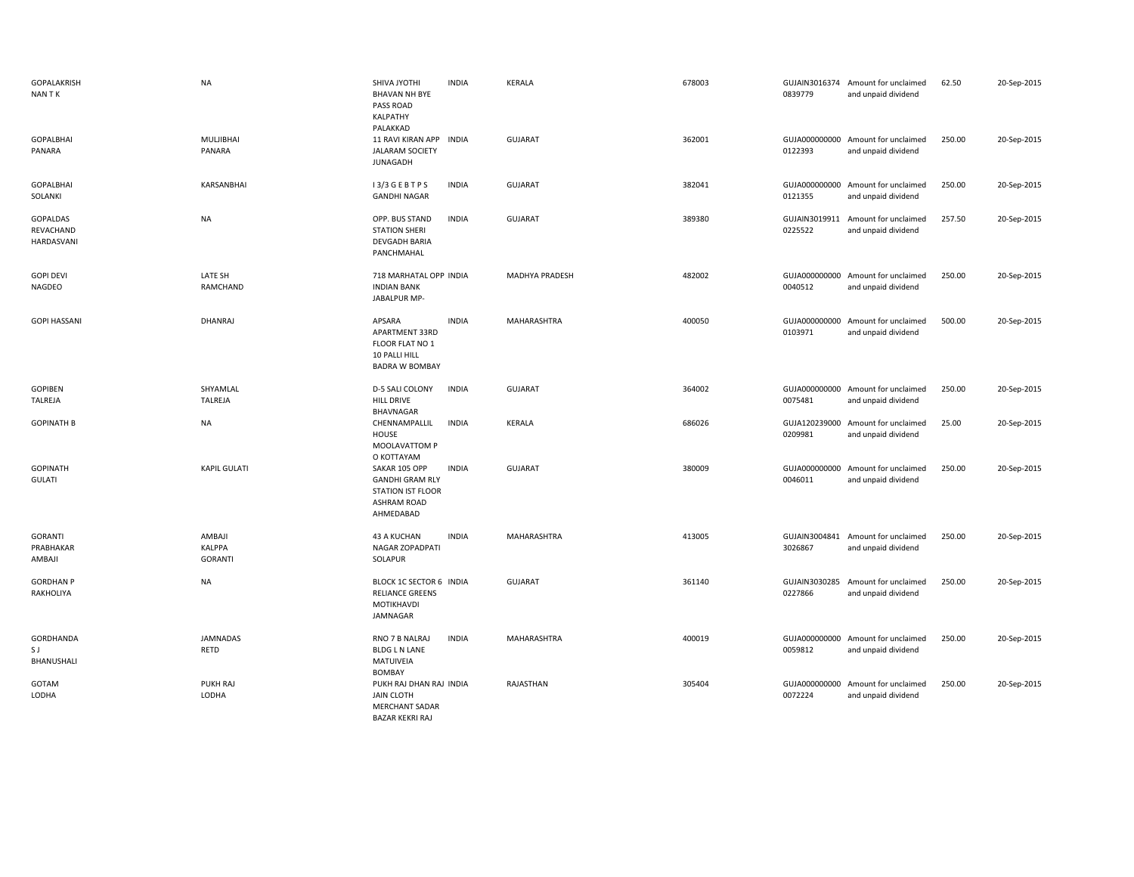| <b>GOPALAKRISH</b><br>NAN T K              | <b>NA</b>                                 | SHIVA JYOTHI<br><b>INDIA</b><br><b>BHAVAN NH BYE</b><br>PASS ROAD<br>KALPATHY<br>PALAKKAD                              | <b>KERALA</b>  | 678003 | 0839779                  | GUJAIN3016374 Amount for unclaimed<br>and unpaid dividend | 62.50  | 20-Sep-2015 |
|--------------------------------------------|-------------------------------------------|------------------------------------------------------------------------------------------------------------------------|----------------|--------|--------------------------|-----------------------------------------------------------|--------|-------------|
| <b>GOPALBHAI</b><br>PANARA                 | <b>MULJIBHAI</b><br>PANARA                | 11 RAVI KIRAN APP INDIA<br><b>JALARAM SOCIETY</b><br><b>JUNAGADH</b>                                                   | <b>GUJARAT</b> | 362001 | 0122393                  | GUJA000000000 Amount for unclaimed<br>and unpaid dividend | 250.00 | 20-Sep-2015 |
| <b>GOPALBHAI</b><br>SOLANKI                | KARSANBHAI                                | I3/3 GEBTPS<br><b>INDIA</b><br><b>GANDHI NAGAR</b>                                                                     | <b>GUJARAT</b> | 382041 | GUJA000000000<br>0121355 | Amount for unclaimed<br>and unpaid dividend               | 250.00 | 20-Sep-2015 |
| <b>GOPALDAS</b><br>REVACHAND<br>HARDASVANI | <b>NA</b>                                 | OPP. BUS STAND<br><b>INDIA</b><br><b>STATION SHERI</b><br>DEVGADH BARIA<br>PANCHMAHAL                                  | <b>GUJARAT</b> | 389380 | 0225522                  | GUJAIN3019911 Amount for unclaimed<br>and unpaid dividend | 257.50 | 20-Sep-2015 |
| <b>GOPI DEVI</b><br>NAGDEO                 | LATE SH<br>RAMCHAND                       | 718 MARHATAL OPP INDIA<br><b>INDIAN BANK</b><br>JABALPUR MP-                                                           | MADHYA PRADESH | 482002 | 0040512                  | GUJA000000000 Amount for unclaimed<br>and unpaid dividend | 250.00 | 20-Sep-2015 |
| <b>GOPI HASSANI</b>                        | DHANRAJ                                   | APSARA<br><b>INDIA</b><br>APARTMENT 33RD<br>FLOOR FLAT NO 1<br>10 PALLI HILL<br><b>BADRA W BOMBAY</b>                  | MAHARASHTRA    | 400050 | GUJA000000000<br>0103971 | Amount for unclaimed<br>and unpaid dividend               | 500.00 | 20-Sep-2015 |
| GOPIBEN<br>TALREJA                         | SHYAMLAL<br>TALREJA                       | D-5 SALI COLONY<br><b>INDIA</b><br>HILL DRIVE<br>BHAVNAGAR                                                             | <b>GUJARAT</b> | 364002 | 0075481                  | GUJA000000000 Amount for unclaimed<br>and unpaid dividend | 250.00 | 20-Sep-2015 |
| <b>GOPINATH B</b>                          | <b>NA</b>                                 | CHENNAMPALLIL<br><b>INDIA</b><br>HOUSE<br>MOOLAVATTOM P<br>O KOTTAYAM                                                  | KERALA         | 686026 | GUJA120239000<br>0209981 | Amount for unclaimed<br>and unpaid dividend               | 25.00  | 20-Sep-2015 |
| <b>GOPINATH</b><br><b>GULATI</b>           | <b>KAPIL GULATI</b>                       | <b>INDIA</b><br>SAKAR 105 OPP<br><b>GANDHI GRAM RLY</b><br><b>STATION IST FLOOR</b><br><b>ASHRAM ROAD</b><br>AHMEDABAD | <b>GUJARAT</b> | 380009 | GUJA000000000<br>0046011 | Amount for unclaimed<br>and unpaid dividend               | 250.00 | 20-Sep-2015 |
| <b>GORANTI</b><br>PRABHAKAR<br>AMBAJI      | AMBAJI<br><b>KALPPA</b><br><b>GORANTI</b> | 43 A KUCHAN<br><b>INDIA</b><br>NAGAR ZOPADPATI<br>SOLAPUR                                                              | MAHARASHTRA    | 413005 | 3026867                  | GUJAIN3004841 Amount for unclaimed<br>and unpaid dividend | 250.00 | 20-Sep-2015 |
| <b>GORDHAN P</b><br>RAKHOLIYA              | NA                                        | BLOCK 1C SECTOR 6 INDIA<br><b>RELIANCE GREENS</b><br>MOTIKHAVDI<br>JAMNAGAR                                            | <b>GUJARAT</b> | 361140 | GUJAIN3030285<br>0227866 | Amount for unclaimed<br>and unpaid dividend               | 250.00 | 20-Sep-2015 |
| GORDHANDA<br>S J<br>BHANUSHALI             | JAMNADAS<br>RETD                          | RNO 7 B NALRAJ<br><b>INDIA</b><br><b>BLDG L N LANE</b><br>MATUIVEIA<br><b>BOMBAY</b>                                   | MAHARASHTRA    | 400019 | 0059812                  | GUJA000000000 Amount for unclaimed<br>and unpaid dividend | 250.00 | 20-Sep-2015 |
| GOTAM<br>LODHA                             | PUKH RAJ<br>LODHA                         | PUKH RAJ DHAN RAJ INDIA<br><b>JAIN CLOTH</b><br><b>MERCHANT SADAR</b><br><b>BAZAR KEKRI RAJ</b>                        | RAJASTHAN      | 305404 | 0072224                  | GUJA000000000 Amount for unclaimed<br>and unpaid dividend | 250.00 | 20-Sep-2015 |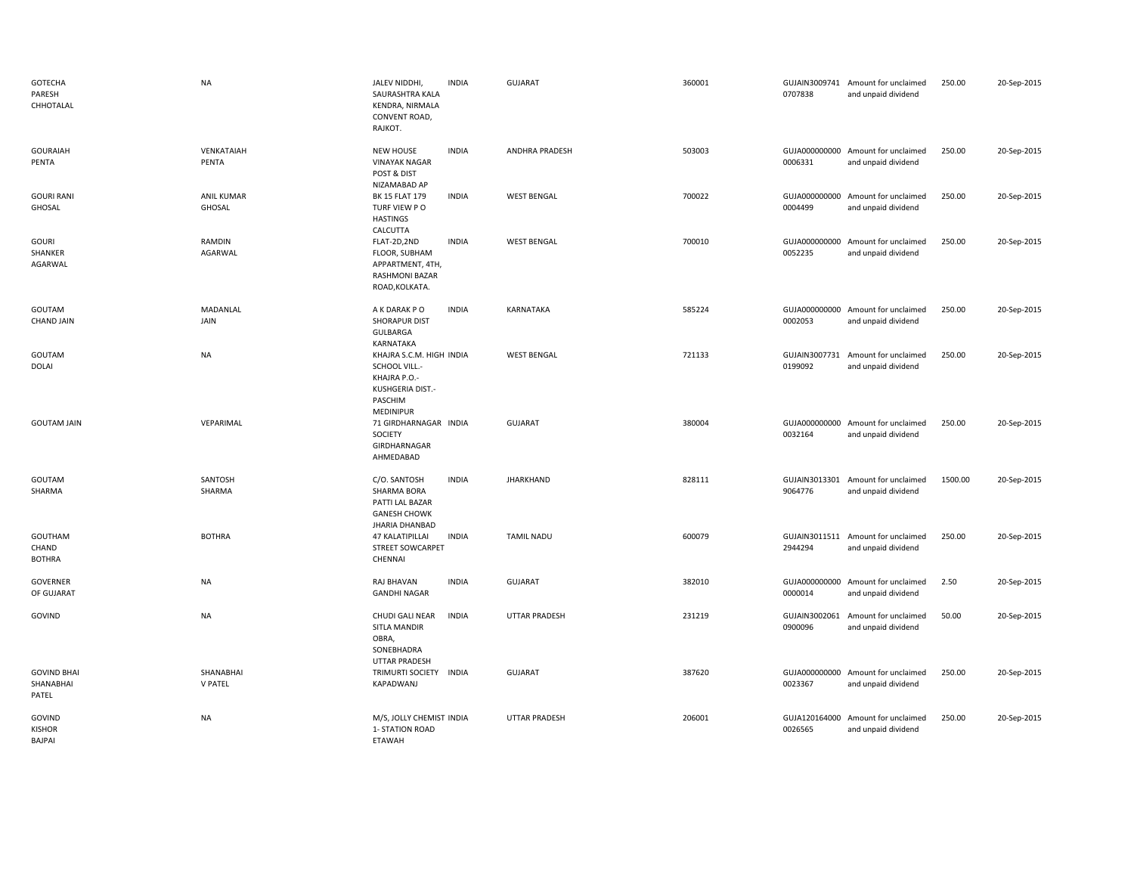| GOTECHA<br>PARESH<br>CHHOTALAL           | <b>NA</b>                   | JALEV NIDDHI,<br><b>INDIA</b><br>SAURASHTRA KALA<br>KENDRA, NIRMALA<br>CONVENT ROAD,<br>RAJKOT.                | <b>GUJARAT</b>     |                       | 360001 | 0707838 | GUJAIN3009741 Amount for unclaimed<br>and unpaid dividend | 250.00  | 20-Sep-2015 |
|------------------------------------------|-----------------------------|----------------------------------------------------------------------------------------------------------------|--------------------|-----------------------|--------|---------|-----------------------------------------------------------|---------|-------------|
| <b>GOURAIAH</b><br>PENTA                 | VENKATAIAH<br>PENTA         | <b>NEW HOUSE</b><br><b>INDIA</b><br><b>VINAYAK NAGAR</b><br>POST & DIST<br>NIZAMABAD AP                        |                    | <b>ANDHRA PRADESH</b> | 503003 | 0006331 | GUJA000000000 Amount for unclaimed<br>and unpaid dividend | 250.00  | 20-Sep-2015 |
| <b>GOURI RANI</b><br>GHOSAL              | <b>ANIL KUMAR</b><br>GHOSAL | BK 15 FLAT 179<br><b>INDIA</b><br>TURF VIEW PO<br><b>HASTINGS</b><br>CALCUTTA                                  | <b>WEST BENGAL</b> |                       | 700022 | 0004499 | GUJA000000000 Amount for unclaimed<br>and unpaid dividend | 250.00  | 20-Sep-2015 |
| GOURI<br>SHANKER<br>AGARWAL              | RAMDIN<br>AGARWAL           | <b>INDIA</b><br>FLAT-2D,2ND<br>FLOOR, SUBHAM<br>APPARTMENT, 4TH,<br>RASHMONI BAZAR<br>ROAD, KOLKATA.           | <b>WEST BENGAL</b> |                       | 700010 | 0052235 | GUJA000000000 Amount for unclaimed<br>and unpaid dividend | 250.00  | 20-Sep-2015 |
| GOUTAM<br><b>CHAND JAIN</b>              | MADANLAL<br>JAIN            | <b>INDIA</b><br>A K DARAK P O<br>SHORAPUR DIST<br>GULBARGA<br>KARNATAKA                                        | KARNATAKA          |                       | 585224 | 0002053 | GUJA000000000 Amount for unclaimed<br>and unpaid dividend | 250.00  | 20-Sep-2015 |
| GOUTAM<br><b>DOLAI</b>                   | <b>NA</b>                   | KHAJRA S.C.M. HIGH INDIA<br>SCHOOL VILL.-<br>KHAJRA P.O.-<br>KUSHGERIA DIST.-<br>PASCHIM<br>MEDINIPUR          | <b>WEST BENGAL</b> |                       | 721133 | 0199092 | GUJAIN3007731 Amount for unclaimed<br>and unpaid dividend | 250.00  | 20-Sep-2015 |
| <b>GOUTAM JAIN</b>                       | VEPARIMAL                   | 71 GIRDHARNAGAR INDIA<br>SOCIETY<br>GIRDHARNAGAR<br>AHMEDABAD                                                  | <b>GUJARAT</b>     |                       | 380004 | 0032164 | GUJA000000000 Amount for unclaimed<br>and unpaid dividend | 250.00  | 20-Sep-2015 |
| GOUTAM<br>SHARMA                         | SANTOSH<br>SHARMA           | <b>INDIA</b><br>C/O. SANTOSH<br>SHARMA BORA<br>PATTI LAL BAZAR<br><b>GANESH CHOWK</b><br><b>JHARIA DHANBAD</b> | <b>JHARKHAND</b>   |                       | 828111 | 9064776 | GUJAIN3013301 Amount for unclaimed<br>and unpaid dividend | 1500.00 | 20-Sep-2015 |
| GOUTHAM<br>CHAND<br><b>BOTHRA</b>        | <b>BOTHRA</b>               | 47 KALATIPILLAI<br><b>INDIA</b><br><b>STREET SOWCARPET</b><br>CHENNAI                                          | <b>TAMIL NADU</b>  |                       | 600079 | 2944294 | GUJAIN3011511 Amount for unclaimed<br>and unpaid dividend | 250.00  | 20-Sep-2015 |
| GOVERNER<br>OF GUJARAT                   | <b>NA</b>                   | RAJ BHAVAN<br><b>INDIA</b><br><b>GANDHI NAGAR</b>                                                              | <b>GUJARAT</b>     |                       | 382010 | 0000014 | GUJA000000000 Amount for unclaimed<br>and unpaid dividend | 2.50    | 20-Sep-2015 |
| GOVIND                                   | <b>NA</b>                   | CHUDI GALI NEAR<br><b>INDIA</b><br>SITLA MANDIR<br>OBRA,<br>SONEBHADRA<br>UTTAR PRADESH                        |                    | <b>UTTAR PRADESH</b>  | 231219 | 0900096 | GUJAIN3002061 Amount for unclaimed<br>and unpaid dividend | 50.00   | 20-Sep-2015 |
| <b>GOVIND BHAI</b><br>SHANABHAI<br>PATEL | SHANABHAI<br>V PATEL        | TRIMURTI SOCIETY<br><b>INDIA</b><br>KAPADWANJ                                                                  | <b>GUJARAT</b>     |                       | 387620 | 0023367 | GUJA000000000 Amount for unclaimed<br>and unpaid dividend | 250.00  | 20-Sep-2015 |
| GOVIND<br><b>KISHOR</b><br><b>BAJPAI</b> | <b>NA</b>                   | M/S, JOLLY CHEMIST INDIA<br>1- STATION ROAD<br>ETAWAH                                                          |                    | <b>UTTAR PRADESH</b>  | 206001 | 0026565 | GUJA120164000 Amount for unclaimed<br>and unpaid dividend | 250.00  | 20-Sep-2015 |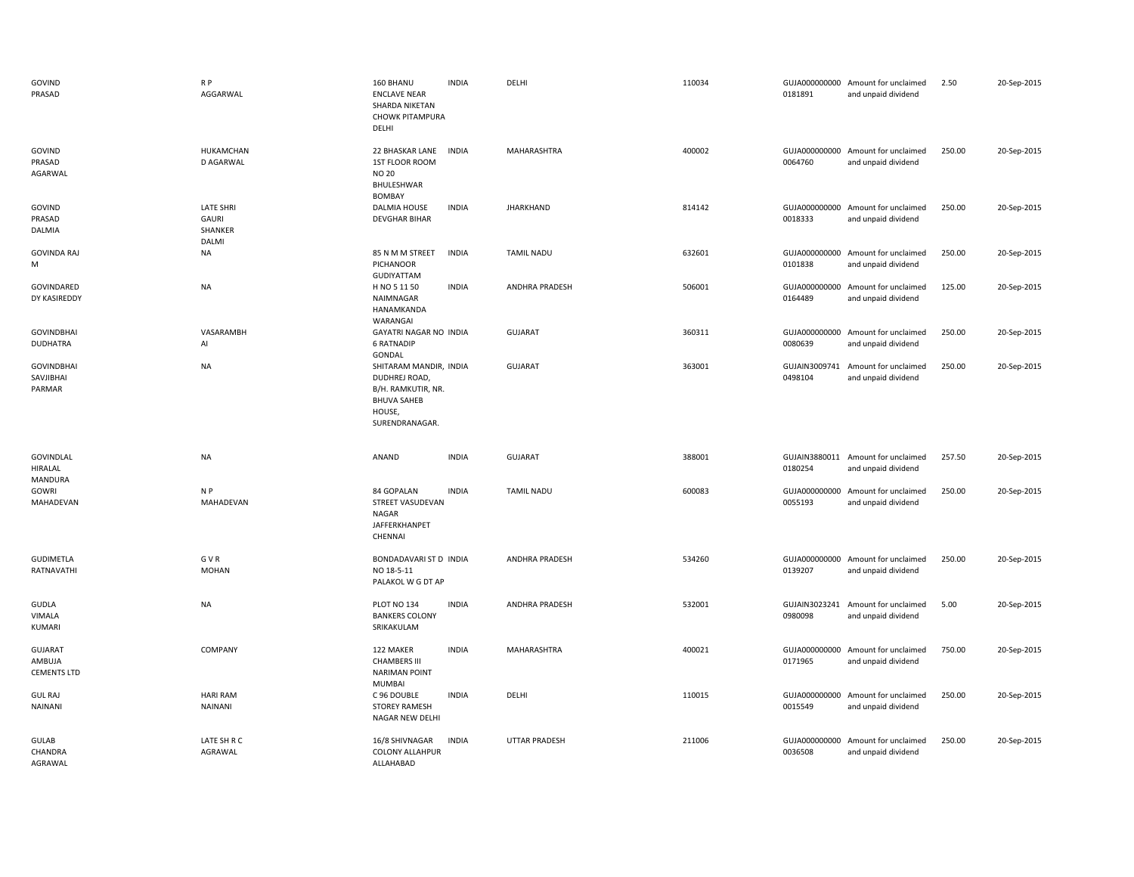| GOVIND<br>PRASAD                               | R <sub>P</sub><br>AGGARWAL                    | 160 BHANU<br><b>ENCLAVE NEAR</b><br>SHARDA NIKETAN<br><b>CHOWK PITAMPURA</b><br>DELHI                           | <b>INDIA</b> | DELHI                 | 110034 | 0181891                  | GUJA000000000 Amount for unclaimed<br>and unpaid dividend | 2.50   | 20-Sep-2015 |
|------------------------------------------------|-----------------------------------------------|-----------------------------------------------------------------------------------------------------------------|--------------|-----------------------|--------|--------------------------|-----------------------------------------------------------|--------|-------------|
| GOVIND<br>PRASAD<br>AGARWAL                    | HUKAMCHAN<br>D AGARWAL                        | 22 BHASKAR LANE<br>1ST FLOOR ROOM<br><b>NO 20</b><br>BHULESHWAR<br>BOMBAY                                       | <b>INDIA</b> | MAHARASHTRA           | 400002 | 0064760                  | GUJA000000000 Amount for unclaimed<br>and unpaid dividend | 250.00 | 20-Sep-2015 |
| GOVIND<br>PRASAD<br>DALMIA                     | <b>LATE SHRI</b><br>GAURI<br>SHANKER<br>DALMI | <b>DALMIA HOUSE</b><br><b>DEVGHAR BIHAR</b>                                                                     | <b>INDIA</b> | <b>JHARKHAND</b>      | 814142 | 0018333                  | GUJA000000000 Amount for unclaimed<br>and unpaid dividend | 250.00 | 20-Sep-2015 |
| <b>GOVINDA RAJ</b><br>M                        | <b>NA</b>                                     | 85 N M M STREET<br>PICHANOOR<br><b>GUDIYATTAM</b>                                                               | <b>INDIA</b> | <b>TAMIL NADU</b>     | 632601 | 0101838                  | GUJA000000000 Amount for unclaimed<br>and unpaid dividend | 250.00 | 20-Sep-2015 |
| GOVINDARED<br>DY KASIREDDY                     | <b>NA</b>                                     | H NO 5 11 50<br>NAIMNAGAR<br>HANAMKANDA<br>WARANGAI                                                             | <b>INDIA</b> | <b>ANDHRA PRADESH</b> | 506001 | 0164489                  | GUJA000000000 Amount for unclaimed<br>and unpaid dividend | 125.00 | 20-Sep-2015 |
| <b>GOVINDBHAI</b><br><b>DUDHATRA</b>           | VASARAMBH<br>Al                               | GAYATRI NAGAR NO INDIA<br><b>6 RATNADIP</b><br>GONDAL                                                           |              | <b>GUJARAT</b>        | 360311 | GUJA000000000<br>0080639 | Amount for unclaimed<br>and unpaid dividend               | 250.00 | 20-Sep-2015 |
| <b>GOVINDBHAI</b><br>SAVJIBHAI<br>PARMAR       | <b>NA</b>                                     | SHITARAM MANDIR, INDIA<br>DUDHREJ ROAD,<br>B/H. RAMKUTIR, NR.<br><b>BHUVA SAHEB</b><br>HOUSE,<br>SURENDRANAGAR. |              | GUJARAT               | 363001 | GUJAIN3009741<br>0498104 | Amount for unclaimed<br>and unpaid dividend               | 250.00 | 20-Sep-2015 |
| <b>GOVINDLAL</b><br>HIRALAL<br>MANDURA         | <b>NA</b>                                     | ANAND                                                                                                           | <b>INDIA</b> | <b>GUJARAT</b>        | 388001 | 0180254                  | GUJAIN3880011 Amount for unclaimed<br>and unpaid dividend | 257.50 | 20-Sep-2015 |
| GOWRI<br>MAHADEVAN                             | N P<br>MAHADEVAN                              | 84 GOPALAN<br>STREET VASUDEVAN<br>NAGAR<br>JAFFERKHANPET<br>CHENNAI                                             | <b>INDIA</b> | <b>TAMIL NADU</b>     | 600083 | 0055193                  | GUJA000000000 Amount for unclaimed<br>and unpaid dividend | 250.00 | 20-Sep-2015 |
| GUDIMETLA<br>RATNAVATHI                        | G V R<br><b>MOHAN</b>                         | BONDADAVARI ST D INDIA<br>NO 18-5-11<br>PALAKOL W G DT AP                                                       |              | <b>ANDHRA PRADESH</b> | 534260 | 0139207                  | GUJA000000000 Amount for unclaimed<br>and unpaid dividend | 250.00 | 20-Sep-2015 |
| GUDLA<br>VIMALA<br>KUMARI                      | <b>NA</b>                                     | PLOT NO 134<br><b>BANKERS COLONY</b><br>SRIKAKULAM                                                              | <b>INDIA</b> | ANDHRA PRADESH        | 532001 | 0980098                  | GUJAIN3023241 Amount for unclaimed<br>and unpaid dividend | 5.00   | 20-Sep-2015 |
| <b>GUJARAT</b><br>AMBUJA<br><b>CEMENTS LTD</b> | COMPANY                                       | 122 MAKER<br><b>CHAMBERS III</b><br><b>NARIMAN POINT</b><br>MUMBAI                                              | <b>INDIA</b> | MAHARASHTRA           | 400021 | 0171965                  | GUJA000000000 Amount for unclaimed<br>and unpaid dividend | 750.00 | 20-Sep-2015 |
| <b>GUL RAJ</b><br><b>NAINANI</b>               | <b>HARI RAM</b><br><b>NAINANI</b>             | C 96 DOUBLE<br><b>STOREY RAMESH</b><br>NAGAR NEW DELHI                                                          | <b>INDIA</b> | DELHI                 | 110015 | 0015549                  | GUJA000000000 Amount for unclaimed<br>and unpaid dividend | 250.00 | 20-Sep-2015 |
| <b>GULAB</b><br>CHANDRA<br>AGRAWAL             | LATE SH R C<br>AGRAWAL                        | 16/8 SHIVNAGAR<br><b>COLONY ALLAHPUR</b><br>ALLAHABAD                                                           | <b>INDIA</b> | <b>UTTAR PRADESH</b>  | 211006 | GUJA000000000<br>0036508 | Amount for unclaimed<br>and unpaid dividend               | 250.00 | 20-Sep-2015 |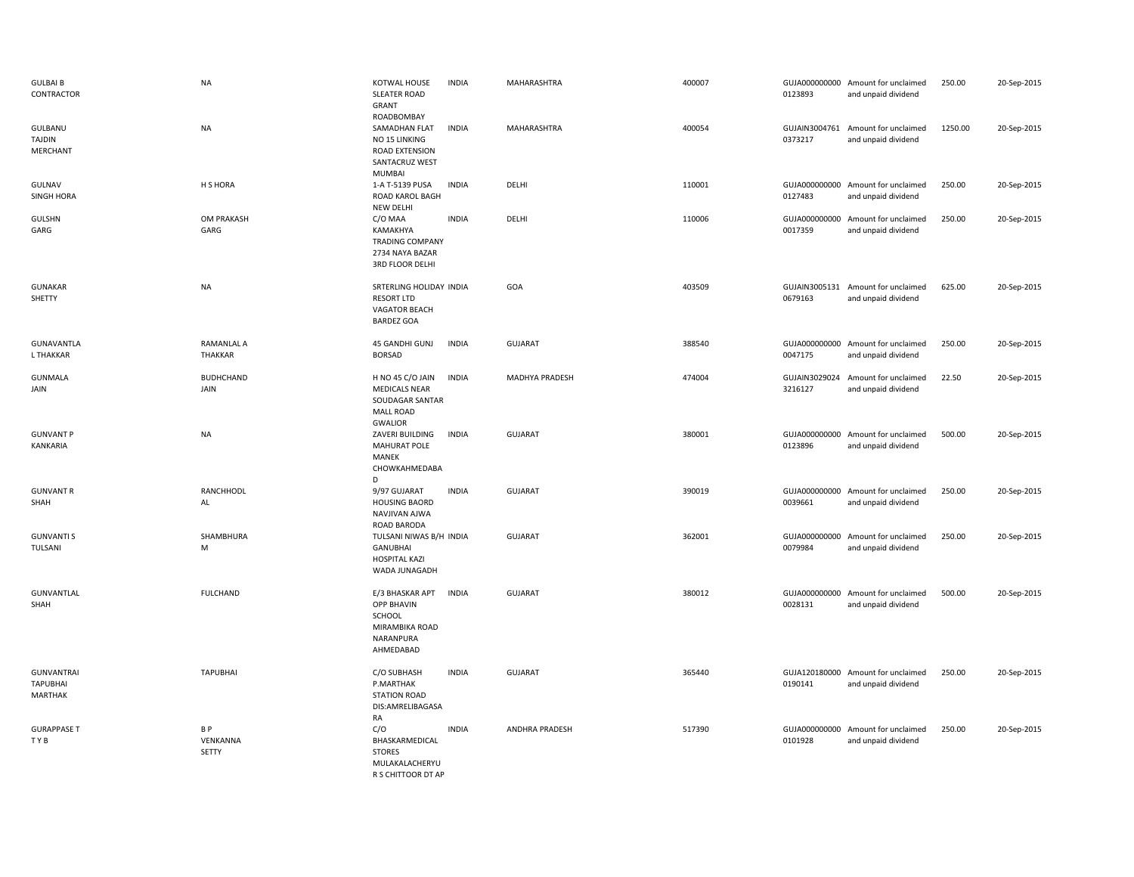| <b>GULBAI B</b><br>CONTRACTOR                          | <b>NA</b>                    | KOTWAL HOUSE<br><b>SLEATER ROAD</b><br>GRANT<br>ROADBOMBAY                                        | <b>INDIA</b> | MAHARASHTRA    | 400007 | 0123893                  | GUJA000000000 Amount for unclaimed<br>and unpaid dividend | 250.00  | 20-Sep-2015 |
|--------------------------------------------------------|------------------------------|---------------------------------------------------------------------------------------------------|--------------|----------------|--------|--------------------------|-----------------------------------------------------------|---------|-------------|
| GULBANU<br><b>TAJDIN</b><br><b>MERCHANT</b>            | <b>NA</b>                    | SAMADHAN FLAT<br>NO 15 LINKING<br>ROAD EXTENSION<br>SANTACRUZ WEST<br><b>MUMBAI</b>               | <b>INDIA</b> | MAHARASHTRA    | 400054 | GUJAIN3004761<br>0373217 | Amount for unclaimed<br>and unpaid dividend               | 1250.00 | 20-Sep-2015 |
| GULNAV<br><b>SINGH HORA</b>                            | H S HORA                     | 1-A T-5139 PUSA<br>ROAD KAROL BAGH<br>NEW DELHI                                                   | <b>INDIA</b> | DELHI          | 110001 | GUJA000000000<br>0127483 | Amount for unclaimed<br>and unpaid dividend               | 250.00  | 20-Sep-2015 |
| <b>GULSHN</b><br>GARG                                  | OM PRAKASH<br>GARG           | C/O MAA<br>KAMAKHYA<br><b>TRADING COMPANY</b><br>2734 NAYA BAZAR<br>3RD FLOOR DELHI               | <b>INDIA</b> | DELHI          | 110006 | 0017359                  | GUJA000000000 Amount for unclaimed<br>and unpaid dividend | 250.00  | 20-Sep-2015 |
| <b>GUNAKAR</b><br>SHETTY                               | <b>NA</b>                    | SRTERLING HOLIDAY INDIA<br><b>RESORT LTD</b><br>VAGATOR BEACH<br><b>BARDEZ GOA</b>                |              | GOA            | 403509 | 0679163                  | GUJAIN3005131 Amount for unclaimed<br>and unpaid dividend | 625.00  | 20-Sep-2015 |
| <b>GUNAVANTLA</b><br>L THAKKAR                         | RAMANLAL A<br><b>THAKKAR</b> | 45 GANDHI GUNJ<br><b>BORSAD</b>                                                                   | <b>INDIA</b> | GUJARAT        | 388540 | 0047175                  | GUJA000000000 Amount for unclaimed<br>and unpaid dividend | 250.00  | 20-Sep-2015 |
| <b>GUNMALA</b><br>JAIN                                 | <b>BUDHCHAND</b><br>JAIN     | H NO 45 C/O JAIN<br><b>MEDICALS NEAR</b><br>SOUDAGAR SANTAR<br><b>MALL ROAD</b><br><b>GWALIOR</b> | <b>INDIA</b> | MADHYA PRADESH | 474004 | 3216127                  | GUJAIN3029024 Amount for unclaimed<br>and unpaid dividend | 22.50   | 20-Sep-2015 |
| <b>GUNVANT P</b><br>KANKARIA                           | <b>NA</b>                    | ZAVERI BUILDING<br><b>MAHURAT POLE</b><br>MANEK<br>CHOWKAHMEDABA<br>D                             | <b>INDIA</b> | <b>GUJARAT</b> | 380001 | 0123896                  | GUJA000000000 Amount for unclaimed<br>and unpaid dividend | 500.00  | 20-Sep-2015 |
| <b>GUNVANT R</b><br>SHAH                               | RANCHHODL<br>AL              | 9/97 GUJARAT<br><b>HOUSING BAORD</b><br>NAVJIVAN AJWA<br>ROAD BARODA                              | <b>INDIA</b> | GUJARAT        | 390019 | 0039661                  | GUJA000000000 Amount for unclaimed<br>and unpaid dividend | 250.00  | 20-Sep-2015 |
| <b>GUNVANTI S</b><br>TULSANI                           | SHAMBHURA<br>M               | TULSANI NIWAS B/H INDIA<br><b>GANUBHAI</b><br><b>HOSPITAL KAZI</b><br>WADA JUNAGADH               |              | GUJARAT        | 362001 | 0079984                  | GUJA000000000 Amount for unclaimed<br>and unpaid dividend | 250.00  | 20-Sep-2015 |
| GUNVANTLAL<br>SHAH                                     | <b>FULCHAND</b>              | E/3 BHASKAR APT<br><b>OPP BHAVIN</b><br>SCHOOL<br>MIRAMBIKA ROAD<br>NARANPURA<br>AHMEDABAD        | <b>INDIA</b> | <b>GUJARAT</b> | 380012 | 0028131                  | GUJA000000000 Amount for unclaimed<br>and unpaid dividend | 500.00  | 20-Sep-2015 |
| <b>GUNVANTRAI</b><br><b>TAPUBHAI</b><br><b>MARTHAK</b> | <b>TAPUBHAI</b>              | C/O SUBHASH<br>P.MARTHAK<br><b>STATION ROAD</b><br>DIS:AMRELIBAGASA<br>RA                         | <b>INDIA</b> | <b>GUJARAT</b> | 365440 | 0190141                  | GUJA120180000 Amount for unclaimed<br>and unpaid dividend | 250.00  | 20-Sep-2015 |
| <b>GURAPPASE T</b><br>TYB                              | B P<br>VENKANNA<br>SETTY     | C/O<br>BHASKARMEDICAL<br><b>STORES</b><br>MULAKALACHERYU<br>R S CHITTOOR DT AP                    | <b>INDIA</b> | ANDHRA PRADESH | 517390 | GUJA000000000<br>0101928 | Amount for unclaimed<br>and unpaid dividend               | 250.00  | 20-Sep-2015 |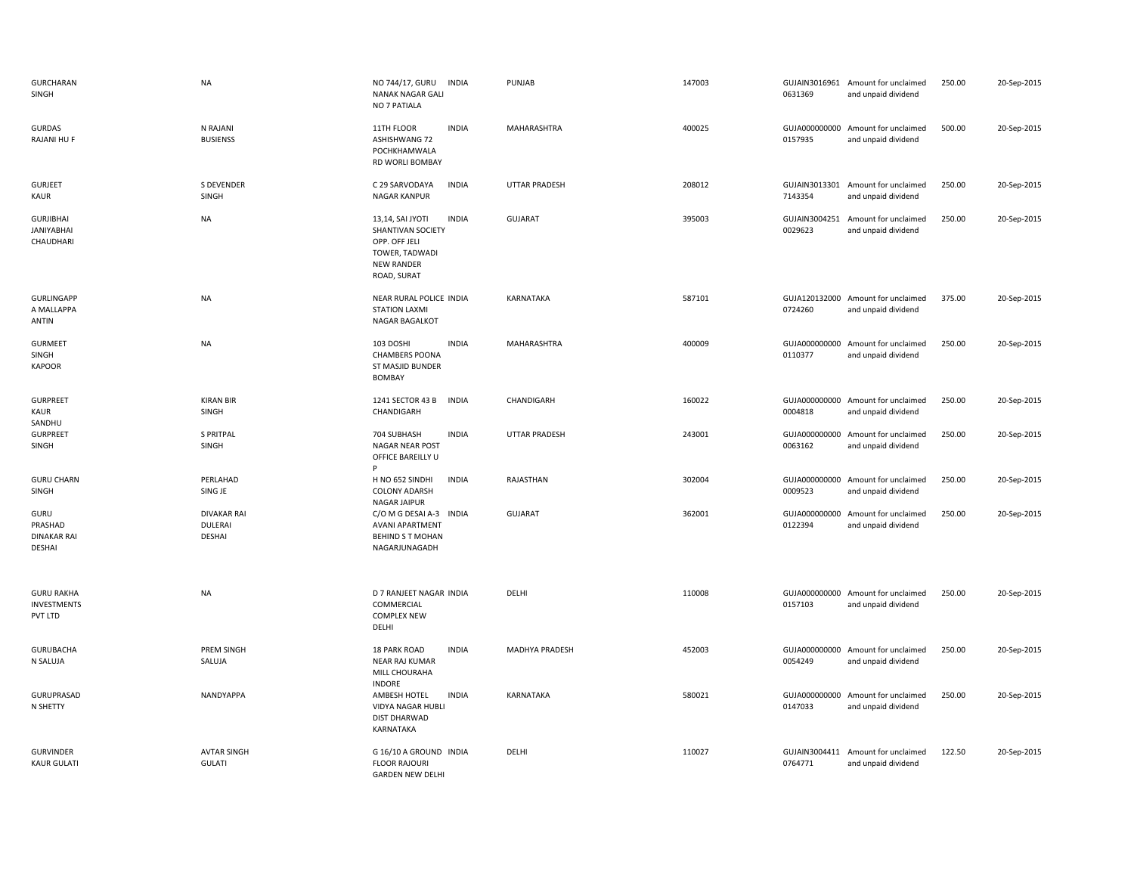| <b>GURCHARAN</b><br>SINGH                          | <b>NA</b>                                             | NO 744/17, GURU<br>INDIA<br>NANAK NAGAR GALI<br>NO 7 PATIALA                                                                 | PUNJAB               | 147003 | 0631369                  | GUJAIN3016961 Amount for unclaimed<br>and unpaid dividend | 250.00 | 20-Sep-2015 |
|----------------------------------------------------|-------------------------------------------------------|------------------------------------------------------------------------------------------------------------------------------|----------------------|--------|--------------------------|-----------------------------------------------------------|--------|-------------|
| <b>GURDAS</b><br>RAJANI HU F                       | N RAJANI<br><b>BUSIENSS</b>                           | 11TH FLOOR<br><b>INDIA</b><br><b>ASHISHWANG 72</b><br>POCHKHAMWALA<br>RD WORLI BOMBAY                                        | MAHARASHTRA          | 400025 | 0157935                  | GUJA000000000 Amount for unclaimed<br>and unpaid dividend | 500.00 | 20-Sep-2015 |
| <b>GURJEET</b><br>KAUR                             | <b>S DEVENDER</b><br>SINGH                            | C 29 SARVODAYA<br><b>INDIA</b><br>NAGAR KANPUR                                                                               | <b>UTTAR PRADESH</b> | 208012 | GUJAIN3013301<br>7143354 | Amount for unclaimed<br>and unpaid dividend               | 250.00 | 20-Sep-2015 |
| <b>GURJIBHAI</b><br><b>JANIYABHAI</b><br>CHAUDHARI | <b>NA</b>                                             | <b>INDIA</b><br>13,14, SAI JYOTI<br>SHANTIVAN SOCIETY<br>OPP. OFF JELI<br>TOWER, TADWADI<br><b>NEW RANDER</b><br>ROAD, SURAT | <b>GUJARAT</b>       | 395003 | GUJAIN3004251<br>0029623 | Amount for unclaimed<br>and unpaid dividend               | 250.00 | 20-Sep-2015 |
| <b>GURLINGAPP</b><br>A MALLAPPA<br>ANTIN           | <b>NA</b>                                             | NEAR RURAL POLICE INDIA<br><b>STATION LAXMI</b><br>NAGAR BAGALKOT                                                            | KARNATAKA            | 587101 | 0724260                  | GUJA120132000 Amount for unclaimed<br>and unpaid dividend | 375.00 | 20-Sep-2015 |
| <b>GURMEET</b><br>SINGH<br>KAPOOR                  | <b>NA</b>                                             | 103 DOSHI<br><b>INDIA</b><br><b>CHAMBERS POONA</b><br>ST MASJID BUNDER<br><b>BOMBAY</b>                                      | MAHARASHTRA          | 400009 | 0110377                  | GUJA000000000 Amount for unclaimed<br>and unpaid dividend | 250.00 | 20-Sep-2015 |
| <b>GURPREET</b><br>KAUR<br>SANDHU                  | <b>KIRAN BIR</b><br>SINGH                             | 1241 SECTOR 43 B<br><b>INDIA</b><br>CHANDIGARH                                                                               | CHANDIGARH           | 160022 | 0004818                  | GUJA000000000 Amount for unclaimed<br>and unpaid dividend | 250.00 | 20-Sep-2015 |
| <b>GURPREET</b><br>SINGH                           | <b>S PRITPAL</b><br>SINGH                             | 704 SUBHASH<br><b>INDIA</b><br>NAGAR NEAR POST<br>OFFICE BAREILLY U                                                          | <b>UTTAR PRADESH</b> | 243001 | 0063162                  | GUJA000000000 Amount for unclaimed<br>and unpaid dividend | 250.00 | 20-Sep-2015 |
| <b>GURU CHARN</b><br>SINGH                         | PERLAHAD<br>SING JE                                   | H NO 652 SINDHI<br><b>INDIA</b><br><b>COLONY ADARSH</b><br><b>NAGAR JAIPUR</b>                                               | RAJASTHAN            | 302004 | 0009523                  | GUJA000000000 Amount for unclaimed<br>and unpaid dividend | 250.00 | 20-Sep-2015 |
| GURU<br>PRASHAD<br><b>DINAKAR RAI</b><br>DESHAI    | <b>DIVAKAR RAI</b><br><b>DULERAI</b><br><b>DESHAI</b> | C/O M G DESAI A-3 INDIA<br><b>AVANI APARTMENT</b><br><b>BEHIND S T MOHAN</b><br>NAGARJUNAGADH                                | <b>GUJARAT</b>       | 362001 | 0122394                  | GUJA000000000 Amount for unclaimed<br>and unpaid dividend | 250.00 | 20-Sep-2015 |
| <b>GURU RAKHA</b><br><b>INVESTMENTS</b><br>PVT LTD | <b>NA</b>                                             | D 7 RANJEET NAGAR INDIA<br>COMMERCIAL<br><b>COMPLEX NEW</b><br>DELHI                                                         | DELHI                | 110008 | 0157103                  | GUJA000000000 Amount for unclaimed<br>and unpaid dividend | 250.00 | 20-Sep-2015 |
| <b>GURUBACHA</b><br>N SALUJA                       | PREM SINGH<br>SALUJA                                  | <b>18 PARK ROAD</b><br><b>INDIA</b><br><b>NEAR RAJ KUMAR</b><br>MILL CHOURAHA                                                | MADHYA PRADESH       | 452003 | 0054249                  | GUJA000000000 Amount for unclaimed<br>and unpaid dividend | 250.00 | 20-Sep-2015 |
| GURUPRASAD<br>N SHETTY                             | NANDYAPPA                                             | <b>INDORE</b><br><b>INDIA</b><br>AMBESH HOTEL<br>VIDYA NAGAR HUBLI<br><b>DIST DHARWAD</b><br>KARNATAKA                       | KARNATAKA            | 580021 | GUJA000000000<br>0147033 | Amount for unclaimed<br>and unpaid dividend               | 250.00 | 20-Sep-2015 |
| <b>GURVINDER</b><br><b>KAUR GULATI</b>             | <b>AVTAR SINGH</b><br><b>GULATI</b>                   | G 16/10 A GROUND INDIA<br><b>FLOOR RAJOURI</b><br><b>GARDEN NEW DELHI</b>                                                    | DELHI                | 110027 | 0764771                  | GUJAIN3004411 Amount for unclaimed<br>and unpaid dividend | 122.50 | 20-Sep-2015 |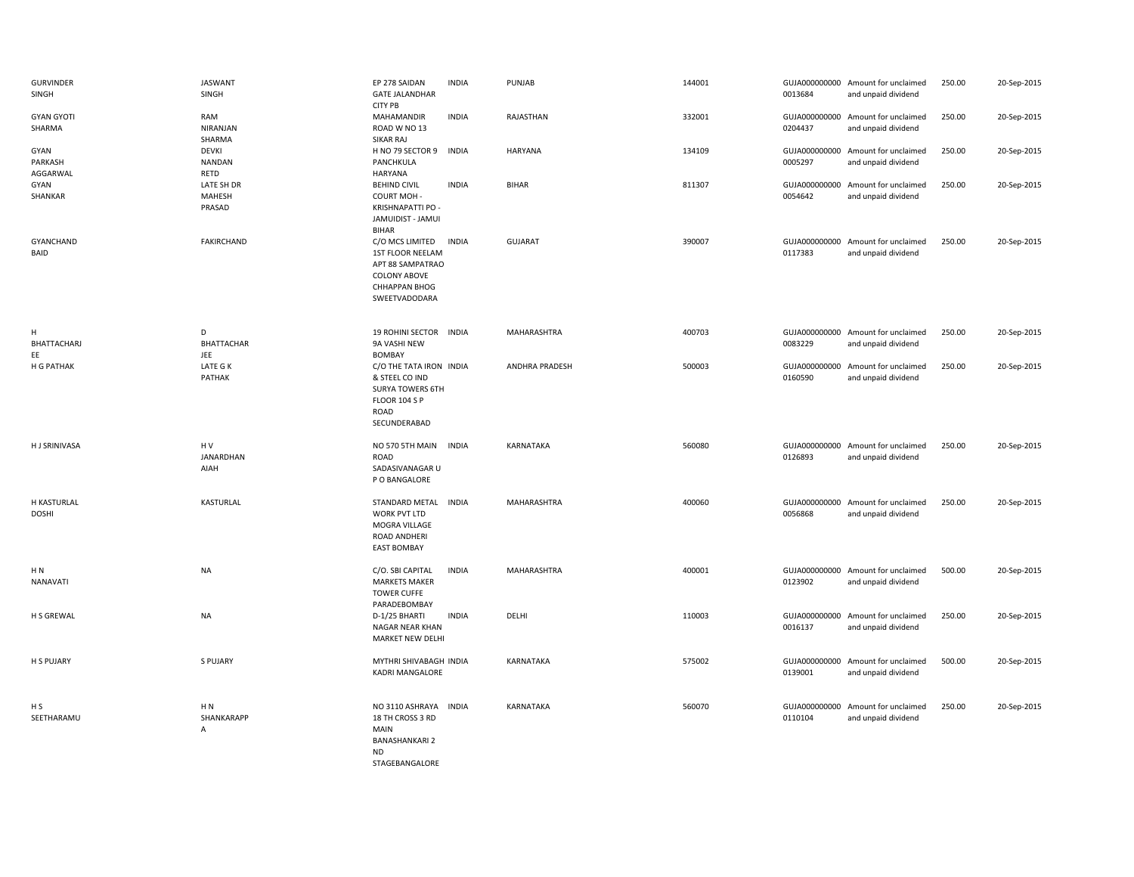| <b>GURVINDER</b><br>SINGH   | <b>JASWANT</b><br>SINGH           | EP 278 SAIDAN<br><b>GATE JALANDHAR</b><br><b>CITY PB</b>                                                                       | <b>INDIA</b> | PUNJAB         | 144001 | 0013684                  | GUJA000000000 Amount for unclaimed<br>and unpaid dividend | 250.00 | 20-Sep-2015 |
|-----------------------------|-----------------------------------|--------------------------------------------------------------------------------------------------------------------------------|--------------|----------------|--------|--------------------------|-----------------------------------------------------------|--------|-------------|
| <b>GYAN GYOTI</b><br>SHARMA | RAM<br>NIRANJAN<br>SHARMA         | MAHAMANDIR<br>ROAD W NO 13<br>SIKAR RAJ                                                                                        | <b>INDIA</b> | RAJASTHAN      | 332001 | 0204437                  | GUJA000000000 Amount for unclaimed<br>and unpaid dividend | 250.00 | 20-Sep-2015 |
| GYAN<br>PARKASH<br>AGGARWAL | DEVKI<br><b>NANDAN</b><br>RETD    | H NO 79 SECTOR 9<br>PANCHKULA<br>HARYANA                                                                                       | <b>INDIA</b> | <b>HARYANA</b> | 134109 | 0005297                  | GUJA000000000 Amount for unclaimed<br>and unpaid dividend | 250.00 | 20-Sep-2015 |
| GYAN<br>SHANKAR             | LATE SH DR<br>MAHESH<br>PRASAD    | <b>BEHIND CIVIL</b><br><b>COURT MOH-</b><br>KRISHNAPATTI PO -<br>JAMUIDIST - JAMUI<br><b>BIHAR</b>                             | <b>INDIA</b> | <b>BIHAR</b>   | 811307 | GUJA000000000<br>0054642 | Amount for unclaimed<br>and unpaid dividend               | 250.00 | 20-Sep-2015 |
| GYANCHAND<br>BAID           | FAKIRCHAND                        | C/O MCS LIMITED<br><b>1ST FLOOR NEELAM</b><br>APT 88 SAMPATRAO<br><b>COLONY ABOVE</b><br><b>CHHAPPAN BHOG</b><br>SWEETVADODARA | <b>INDIA</b> | <b>GUJARAT</b> | 390007 | 0117383                  | GUJA000000000 Amount for unclaimed<br>and unpaid dividend | 250.00 | 20-Sep-2015 |
| H<br>BHATTACHARJ<br>EE      | D<br>BHATTACHAR<br>JEE            | 19 ROHINI SECTOR INDIA<br>9A VASHI NEW<br><b>BOMBAY</b>                                                                        |              | MAHARASHTRA    | 400703 | 0083229                  | GUJA000000000 Amount for unclaimed<br>and unpaid dividend | 250.00 | 20-Sep-2015 |
| H G PATHAK                  | LATE G K<br>PATHAK                | C/O THE TATA IRON INDIA<br>& STEEL CO IND<br><b>SURYA TOWERS 6TH</b><br><b>FLOOR 104 S P</b><br><b>ROAD</b><br>SECUNDERABAD    |              | ANDHRA PRADESH | 500003 | 0160590                  | GUJA000000000 Amount for unclaimed<br>and unpaid dividend | 250.00 | 20-Sep-2015 |
| <b>HJ SRINIVASA</b>         | HV<br>JANARDHAN<br>AIAH           | NO 570 5TH MAIN<br>ROAD<br>SADASIVANAGAR U<br>P O BANGALORE                                                                    | <b>INDIA</b> | KARNATAKA      | 560080 | 0126893                  | GUJA000000000 Amount for unclaimed<br>and unpaid dividend | 250.00 | 20-Sep-2015 |
| H KASTURLAL<br><b>DOSHI</b> | KASTURLAL                         | STANDARD METAL<br>WORK PVT LTD<br>MOGRA VILLAGE<br>ROAD ANDHERI<br><b>EAST BOMBAY</b>                                          | <b>INDIA</b> | MAHARASHTRA    | 400060 | 0056868                  | GUJA000000000 Amount for unclaimed<br>and unpaid dividend | 250.00 | 20-Sep-2015 |
| HN.<br>NANAVATI             | NA                                | C/O. SBI CAPITAL<br><b>MARKETS MAKER</b><br><b>TOWER CUFFE</b><br>PARADEBOMBAY                                                 | <b>INDIA</b> | MAHARASHTRA    | 400001 | 0123902                  | GUJA000000000 Amount for unclaimed<br>and unpaid dividend | 500.00 | 20-Sep-2015 |
| H S GREWAL                  | <b>NA</b>                         | D-1/25 BHARTI<br>NAGAR NEAR KHAN<br>MARKET NEW DELHI                                                                           | <b>INDIA</b> | DELHI          | 110003 | 0016137                  | GUJA000000000 Amount for unclaimed<br>and unpaid dividend | 250.00 | 20-Sep-2015 |
| H S PUJARY                  | S PUJARY                          | MYTHRI SHIVABAGH INDIA<br><b>KADRI MANGALORE</b>                                                                               |              | KARNATAKA      | 575002 | 0139001                  | GUJA000000000 Amount for unclaimed<br>and unpaid dividend | 500.00 | 20-Sep-2015 |
| H S<br>SEETHARAMU           | H <sub>N</sub><br>SHANKARAPP<br>A | NO 3110 ASHRAYA INDIA<br>18 TH CROSS 3 RD<br>MAIN<br><b>BANASHANKARI 2</b><br><b>ND</b><br>STAGEBANGALORE                      |              | KARNATAKA      | 560070 | 0110104                  | GUJA000000000 Amount for unclaimed<br>and unpaid dividend | 250.00 | 20-Sep-2015 |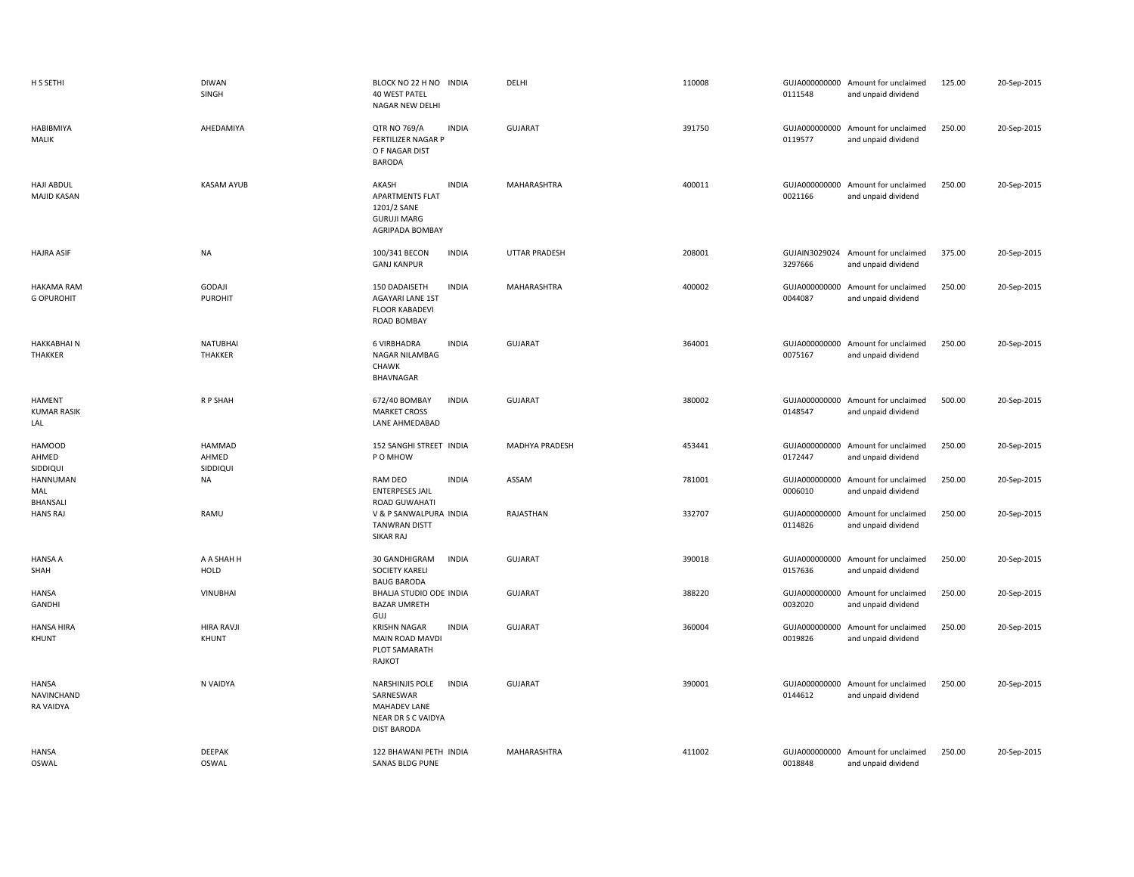| H S SETHI                                  | <b>DIWAN</b><br>SINGH              | BLOCK NO 22 H NO INDIA<br>40 WEST PATEL<br>NAGAR NEW DELHI                                               | DELHI                | 110008 | 0111548 | GUJA000000000 Amount for unclaimed<br>and unpaid dividend | 125.00 | 20-Sep-2015 |
|--------------------------------------------|------------------------------------|----------------------------------------------------------------------------------------------------------|----------------------|--------|---------|-----------------------------------------------------------|--------|-------------|
| HABIBMIYA<br>MALIK                         | AHEDAMIYA                          | <b>INDIA</b><br><b>QTR NO 769/A</b><br><b>FERTILIZER NAGAR P</b><br>O F NAGAR DIST<br><b>BARODA</b>      | <b>GUJARAT</b>       | 391750 | 0119577 | GUJA000000000 Amount for unclaimed<br>and unpaid dividend | 250.00 | 20-Sep-2015 |
| <b>HAJI ABDUL</b><br><b>MAJID KASAN</b>    | <b>KASAM AYUB</b>                  | <b>INDIA</b><br>AKASH<br>APARTMENTS FLAT<br>1201/2 SANE<br><b>GURUJI MARG</b><br>AGRIPADA BOMBAY         | MAHARASHTRA          | 400011 | 0021166 | GUJA000000000 Amount for unclaimed<br>and unpaid dividend | 250.00 | 20-Sep-2015 |
| <b>HAJRA ASIF</b>                          | <b>NA</b>                          | 100/341 BECON<br><b>INDIA</b><br><b>GANJ KANPUR</b>                                                      | <b>UTTAR PRADESH</b> | 208001 | 3297666 | GUJAIN3029024 Amount for unclaimed<br>and unpaid dividend | 375.00 | 20-Sep-2015 |
| <b>HAKAMA RAM</b><br><b>G OPUROHIT</b>     | GODAJI<br>PUROHIT                  | 150 DADAISETH<br><b>INDIA</b><br>AGAYARI LANE 1ST<br><b>FLOOR KABADEVI</b><br>ROAD BOMBAY                | MAHARASHTRA          | 400002 | 0044087 | GUJA000000000 Amount for unclaimed<br>and unpaid dividend | 250.00 | 20-Sep-2015 |
| <b>HAKKABHAIN</b><br>THAKKER               | <b>NATUBHAI</b><br><b>THAKKER</b>  | <b>6 VIRBHADRA</b><br><b>INDIA</b><br>NAGAR NILAMBAG<br><b>CHAWK</b><br>BHAVNAGAR                        | <b>GUJARAT</b>       | 364001 | 0075167 | GUJA000000000 Amount for unclaimed<br>and unpaid dividend | 250.00 | 20-Sep-2015 |
| <b>HAMENT</b><br><b>KUMAR RASIK</b><br>LAL | R P SHAH                           | <b>INDIA</b><br>672/40 BOMBAY<br><b>MARKET CROSS</b><br>LANE AHMEDABAD                                   | <b>GUJARAT</b>       | 380002 | 0148547 | GUJA000000000 Amount for unclaimed<br>and unpaid dividend | 500.00 | 20-Sep-2015 |
| <b>HAMOOD</b><br>AHMED<br>SIDDIQUI         | <b>HAMMAD</b><br>AHMED<br>SIDDIQUI | 152 SANGHI STREET INDIA<br>P O MHOW                                                                      | MADHYA PRADESH       | 453441 | 0172447 | GUJA000000000 Amount for unclaimed<br>and unpaid dividend | 250.00 | 20-Sep-2015 |
| HANNUMAN<br>MAL<br>BHANSALI                | <b>NA</b>                          | RAM DEO<br><b>INDIA</b><br><b>ENTERPESES JAIL</b><br><b>ROAD GUWAHATI</b>                                | ASSAM                | 781001 | 0006010 | GUJA000000000 Amount for unclaimed<br>and unpaid dividend | 250.00 | 20-Sep-2015 |
| <b>HANS RAJ</b>                            | RAMU                               | V & P SANWALPURA INDIA<br><b>TANWRAN DISTT</b><br>SIKAR RAJ                                              | RAJASTHAN            | 332707 | 0114826 | GUJA000000000 Amount for unclaimed<br>and unpaid dividend | 250.00 | 20-Sep-2015 |
| <b>HANSA A</b><br>SHAH                     | A A SHAH H<br><b>HOLD</b>          | 30 GANDHIGRAM<br><b>INDIA</b><br><b>SOCIETY KARELI</b><br><b>BAUG BARODA</b>                             | GUJARAT              | 390018 | 0157636 | GUJA000000000 Amount for unclaimed<br>and unpaid dividend | 250.00 | 20-Sep-2015 |
| HANSA<br>GANDHI                            | <b>VINUBHAI</b>                    | BHALJA STUDIO ODE INDIA<br><b>BAZAR UMRETH</b><br>GUJ                                                    | <b>GUJARAT</b>       | 388220 | 0032020 | GUJA000000000 Amount for unclaimed<br>and unpaid dividend | 250.00 | 20-Sep-2015 |
| <b>HANSA HIRA</b><br>KHUNT                 | <b>HIRA RAVJI</b><br>KHUNT         | <b>INDIA</b><br><b>KRISHN NAGAR</b><br>MAIN ROAD MAVDI<br>PLOT SAMARATH<br>RAJKOT                        | <b>GUJARAT</b>       | 360004 | 0019826 | GUJA000000000 Amount for unclaimed<br>and unpaid dividend | 250.00 | 20-Sep-2015 |
| <b>HANSA</b><br>NAVINCHAND<br>RA VAIDYA    | N VAIDYA                           | NARSHINJIS POLE<br><b>INDIA</b><br>SARNESWAR<br>MAHADEV LANE<br>NEAR DR S C VAIDYA<br><b>DIST BARODA</b> | <b>GUJARAT</b>       | 390001 | 0144612 | GUJA000000000 Amount for unclaimed<br>and unpaid dividend | 250.00 | 20-Sep-2015 |
| <b>HANSA</b><br><b>OSWAL</b>               | <b>DEEPAK</b><br><b>OSWAL</b>      | 122 BHAWANI PETH INDIA<br>SANAS BLDG PUNE                                                                | <b>MAHARASHTRA</b>   | 411002 | 0018848 | GUJA000000000 Amount for unclaimed<br>and unpaid dividend | 250.00 | 20-Sep-2015 |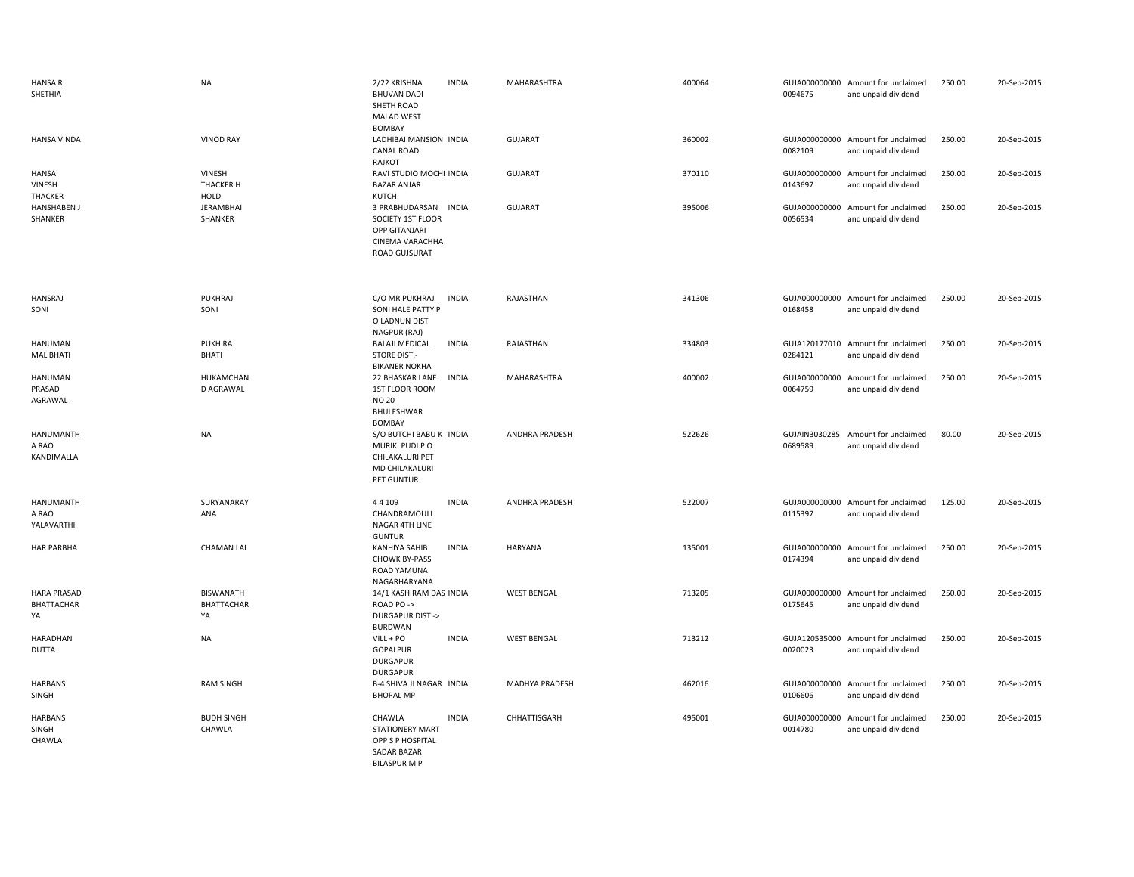| <b>HANSA R</b><br>SHETHIA                     | <b>NA</b>                                   | 2/22 KRISHNA<br><b>BHUVAN DADI</b><br>SHETH ROAD<br><b>MALAD WEST</b><br>BOMBAY                              | <b>INDIA</b> | MAHARASHTRA        | 400064 | 0094675                  | GUJA000000000 Amount for unclaimed<br>and unpaid dividend | 250.00 | 20-Sep-2015 |
|-----------------------------------------------|---------------------------------------------|--------------------------------------------------------------------------------------------------------------|--------------|--------------------|--------|--------------------------|-----------------------------------------------------------|--------|-------------|
| <b>HANSA VINDA</b>                            | <b>VINOD RAY</b>                            | LADHIBAI MANSION INDIA<br>CANAL ROAD<br>RAJKOT                                                               |              | <b>GUJARAT</b>     | 360002 | 0082109                  | GUJA000000000 Amount for unclaimed<br>and unpaid dividend | 250.00 | 20-Sep-2015 |
| <b>HANSA</b><br>VINESH<br>THACKER             | VINESH<br>THACKER H<br><b>HOLD</b>          | RAVI STUDIO MOCHI INDIA<br><b>BAZAR ANJAR</b><br>KUTCH                                                       |              | <b>GUJARAT</b>     | 370110 | 0143697                  | GUJA000000000 Amount for unclaimed<br>and unpaid dividend | 250.00 | 20-Sep-2015 |
| <b>HANSHABEN J</b><br>SHANKER                 | <b>JERAMBHAI</b><br><b>SHANKER</b>          | 3 PRABHUDARSAN INDIA<br>SOCIETY 1ST FLOOR<br><b>OPP GITANJARI</b><br><b>CINEMA VARACHHA</b><br>ROAD GUJSURAT |              | GUJARAT            | 395006 | 0056534                  | GUJA000000000 Amount for unclaimed<br>and unpaid dividend | 250.00 | 20-Sep-2015 |
| <b>HANSRAJ</b><br>SONI                        | PUKHRAJ<br>SONI                             | C/O MR PUKHRAJ<br>SONI HALE PATTY P<br>O LADNUN DIST<br>NAGPUR (RAJ)                                         | <b>INDIA</b> | RAJASTHAN          | 341306 | 0168458                  | GUJA000000000 Amount for unclaimed<br>and unpaid dividend | 250.00 | 20-Sep-2015 |
| <b>HANUMAN</b><br><b>MAL BHATI</b>            | PUKH RAJ<br>BHATI                           | <b>BALAJI MEDICAL</b><br><b>STORE DIST.-</b><br><b>BIKANER NOKHA</b>                                         | <b>INDIA</b> | RAJASTHAN          | 334803 | 0284121                  | GUJA120177010 Amount for unclaimed<br>and unpaid dividend | 250.00 | 20-Sep-2015 |
| <b>HANUMAN</b><br>PRASAD<br>AGRAWAL           | <b>HUKAMCHAN</b><br>D AGRAWAL               | 22 BHASKAR LANE<br>1ST FLOOR ROOM<br><b>NO 20</b><br>BHULESHWAR<br><b>BOMBAY</b>                             | <b>INDIA</b> | MAHARASHTRA        | 400002 | 0064759                  | GUJA000000000 Amount for unclaimed<br>and unpaid dividend | 250.00 | 20-Sep-2015 |
| <b>HANUMANTH</b><br>A RAO<br>KANDIMALLA       | <b>NA</b>                                   | S/O BUTCHI BABU K INDIA<br>MURIKI PUDI PO<br>CHILAKALURI PET<br>MD CHILAKALURI<br>PET GUNTUR                 |              | ANDHRA PRADESH     | 522626 | 0689589                  | GUJAIN3030285 Amount for unclaimed<br>and unpaid dividend | 80.00  | 20-Sep-2015 |
| <b>HANUMANTH</b><br>A RAO<br>YALAVARTHI       | SURYANARAY<br>ANA                           | 44109<br>CHANDRAMOULI<br>NAGAR 4TH LINE<br><b>GUNTUR</b>                                                     | <b>INDIA</b> | ANDHRA PRADESH     | 522007 | 0115397                  | GUJA000000000 Amount for unclaimed<br>and unpaid dividend | 125.00 | 20-Sep-2015 |
| <b>HAR PARBHA</b>                             | <b>CHAMAN LAL</b>                           | KANHIYA SAHIB<br><b>CHOWK BY-PASS</b><br>ROAD YAMUNA<br>NAGARHARYANA                                         | <b>INDIA</b> | <b>HARYANA</b>     | 135001 | 0174394                  | GUJA000000000 Amount for unclaimed<br>and unpaid dividend | 250.00 | 20-Sep-2015 |
| <b>HARA PRASAD</b><br><b>BHATTACHAR</b><br>YA | <b>BISWANATH</b><br><b>BHATTACHAR</b><br>YA | 14/1 KASHIRAM DAS INDIA<br>ROAD PO-><br><b>DURGAPUR DIST-&gt;</b><br>BURDWAN                                 |              | <b>WEST BENGAL</b> | 713205 | GUJA000000000<br>0175645 | Amount for unclaimed<br>and unpaid dividend               | 250.00 | 20-Sep-2015 |
| HARADHAN<br><b>DUTTA</b>                      | <b>NA</b>                                   | $VILL + PO$<br><b>GOPALPUR</b><br><b>DURGAPUR</b><br><b>DURGAPUR</b>                                         | <b>INDIA</b> | <b>WEST BENGAL</b> | 713212 | 0020023                  | GUJA120535000 Amount for unclaimed<br>and unpaid dividend | 250.00 | 20-Sep-2015 |
| <b>HARBANS</b><br>SINGH                       | <b>RAM SINGH</b>                            | <b>B-4 SHIVA JI NAGAR INDIA</b><br><b>BHOPAL MP</b>                                                          |              | MADHYA PRADESH     | 462016 | GUJA000000000<br>0106606 | Amount for unclaimed<br>and unpaid dividend               | 250.00 | 20-Sep-2015 |
| HARBANS<br>SINGH<br>CHAWLA                    | <b>BUDH SINGH</b><br>CHAWLA                 | CHAWLA<br><b>STATIONERY MART</b><br>OPP S P HOSPITAL<br><b>SADAR BAZAR</b><br><b>BILASPURMP</b>              | <b>INDIA</b> | CHHATTISGARH       | 495001 | GUJA000000000<br>0014780 | Amount for unclaimed<br>and unpaid dividend               | 250.00 | 20-Sep-2015 |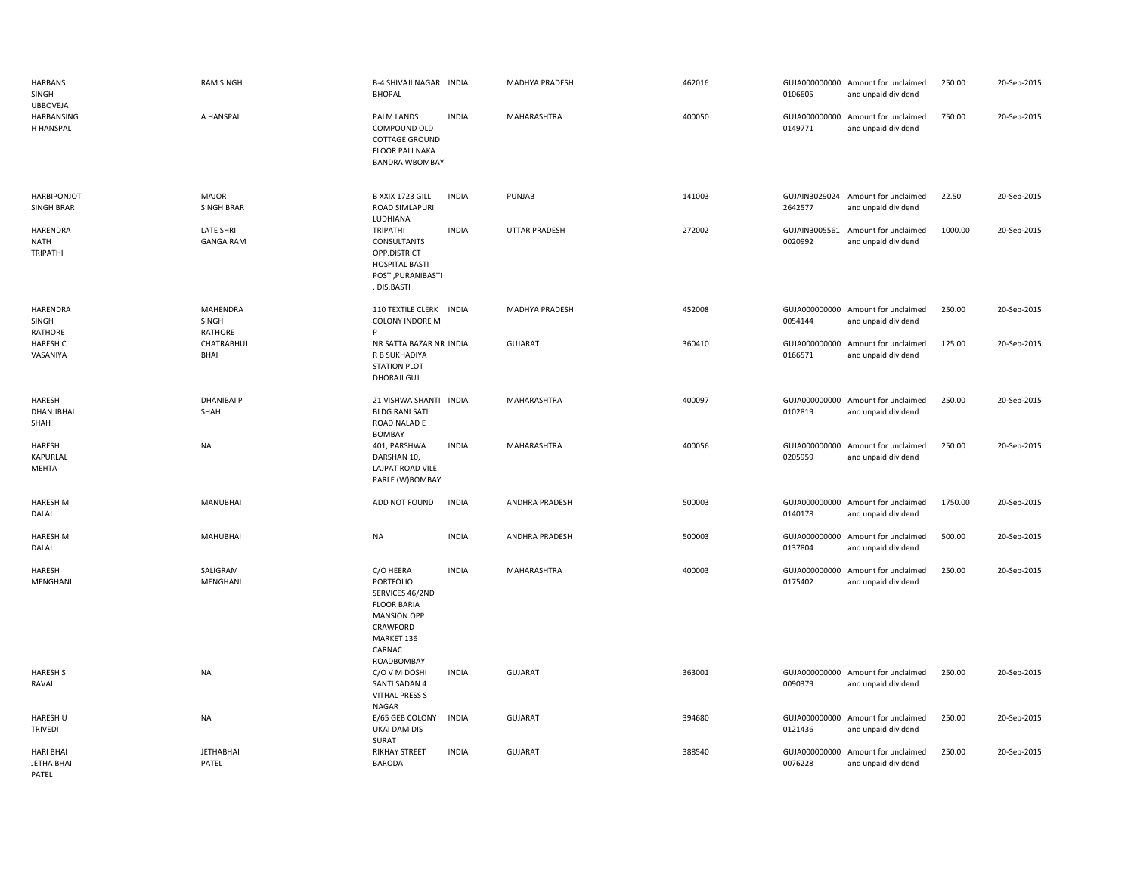| <b>HARBANS</b><br>SINGH<br><b>UBBOVEJA</b>     | <b>RAM SINGH</b>                     | B-4 SHIVAJI NAGAR INDIA<br><b>BHOPAL</b>                                                                                                |              | MADHYA PRADESH       | 462016 | 0106605                  | GUJA000000000 Amount for unclaimed<br>and unpaid dividend | 250.00  | 20-Sep-2015 |
|------------------------------------------------|--------------------------------------|-----------------------------------------------------------------------------------------------------------------------------------------|--------------|----------------------|--------|--------------------------|-----------------------------------------------------------|---------|-------------|
| <b>HARBANSING</b><br>H HANSPAL                 | A HANSPAL                            | PALM LANDS<br>COMPOUND OLD<br>COTTAGE GROUND<br><b>FLOOR PALI NAKA</b><br><b>BANDRA WBOMBAY</b>                                         | <b>INDIA</b> | MAHARASHTRA          | 400050 | 0149771                  | GUJA000000000 Amount for unclaimed<br>and unpaid dividend | 750.00  | 20-Sep-2015 |
| <b>HARBIPONJOT</b><br><b>SINGH BRAR</b>        | <b>MAJOR</b><br><b>SINGH BRAR</b>    | B XXIX 1723 GILL<br>ROAD SIMLAPURI<br>LUDHIANA                                                                                          | <b>INDIA</b> | PUNJAB               | 141003 | 2642577                  | GUJAIN3029024 Amount for unclaimed<br>and unpaid dividend | 22.50   | 20-Sep-2015 |
| <b>HARENDRA</b><br>NATH<br>TRIPATHI            | <b>LATE SHRI</b><br><b>GANGA RAM</b> | TRIPATHI<br>CONSULTANTS<br>OPP.DISTRICT<br><b>HOSPITAL BASTI</b><br>POST, PURANIBASTI<br>. DIS.BASTI                                    | <b>INDIA</b> | <b>UTTAR PRADESH</b> | 272002 | 0020992                  | GUJAIN3005561 Amount for unclaimed<br>and unpaid dividend | 1000.00 | 20-Sep-2015 |
| HARENDRA<br>SINGH<br>RATHORE                   | MAHENDRA<br>SINGH<br>RATHORE         | 110 TEXTILE CLERK INDIA<br><b>COLONY INDORE M</b><br>P                                                                                  |              | MADHYA PRADESH       | 452008 | 0054144                  | GUJA000000000 Amount for unclaimed<br>and unpaid dividend | 250.00  | 20-Sep-2015 |
| <b>HARESH C</b><br>VASANIYA                    | CHATRABHUJ<br><b>BHAI</b>            | NR SATTA BAZAR NR INDIA<br>R B SUKHADIYA<br><b>STATION PLOT</b><br>DHORAJI GUJ                                                          |              | <b>GUJARAT</b>       | 360410 | 0166571                  | GUJA000000000 Amount for unclaimed<br>and unpaid dividend | 125.00  | 20-Sep-2015 |
| HARESH<br>DHANJIBHAI<br>SHAH                   | <b>DHANIBAI P</b><br>SHAH            | 21 VISHWA SHANTI INDIA<br><b>BLDG RANI SATI</b><br>ROAD NALAD E<br><b>BOMBAY</b>                                                        |              | MAHARASHTRA          | 400097 | 0102819                  | GUJA000000000 Amount for unclaimed<br>and unpaid dividend | 250.00  | 20-Sep-2015 |
| HARESH<br>KAPURLAL<br>MEHTA                    | <b>NA</b>                            | 401, PARSHWA<br>DARSHAN 10,<br>LAJPAT ROAD VILE<br>PARLE (W)BOMBAY                                                                      | <b>INDIA</b> | MAHARASHTRA          | 400056 | 0205959                  | GUJA000000000 Amount for unclaimed<br>and unpaid dividend | 250.00  | 20-Sep-2015 |
| <b>HARESH M</b><br>DALAL                       | MANUBHAI                             | ADD NOT FOUND                                                                                                                           | <b>INDIA</b> | ANDHRA PRADESH       | 500003 | 0140178                  | GUJA000000000 Amount for unclaimed<br>and unpaid dividend | 1750.00 | 20-Sep-2015 |
| <b>HARESH M</b><br>DALAL                       | <b>MAHUBHAI</b>                      | <b>NA</b>                                                                                                                               | <b>INDIA</b> | ANDHRA PRADESH       | 500003 | GUJA000000000<br>0137804 | Amount for unclaimed<br>and unpaid dividend               | 500.00  | 20-Sep-2015 |
| <b>HARESH</b><br>MENGHANI                      | SALIGRAM<br>MENGHANI                 | C/O HEERA<br>PORTFOLIO<br>SERVICES 46/2ND<br><b>FLOOR BARIA</b><br><b>MANSION OPP</b><br>CRAWFORD<br>MARKET 136<br>CARNAC<br>ROADBOMBAY | <b>INDIA</b> | MAHARASHTRA          | 400003 | 0175402                  | GUJA000000000 Amount for unclaimed<br>and unpaid dividend | 250.00  | 20-Sep-2015 |
| <b>HARESH S</b><br>RAVAL                       | <b>NA</b>                            | C/O V M DOSHI<br>SANTI SADAN 4<br>VITHAL PRESS S<br>NAGAR                                                                               | <b>INDIA</b> | <b>GUJARAT</b>       | 363001 | 0090379                  | GUJA000000000 Amount for unclaimed<br>and unpaid dividend | 250.00  | 20-Sep-2015 |
| <b>HARESH U</b><br><b>TRIVEDI</b>              | <b>NA</b>                            | E/65 GEB COLONY<br>UKAI DAM DIS<br>SURAT                                                                                                | <b>INDIA</b> | <b>GUJARAT</b>       | 394680 | 0121436                  | GUJA000000000 Amount for unclaimed<br>and unpaid dividend | 250.00  | 20-Sep-2015 |
| <b>HARI BHAI</b><br><b>JETHA BHAI</b><br>PATEL | <b>JETHABHAI</b><br>PATEL            | <b>RIKHAY STREET</b><br><b>BARODA</b>                                                                                                   | <b>INDIA</b> | <b>GUJARAT</b>       | 388540 | GUJA000000000<br>0076228 | Amount for unclaimed<br>and unpaid dividend               | 250.00  | 20-Sep-2015 |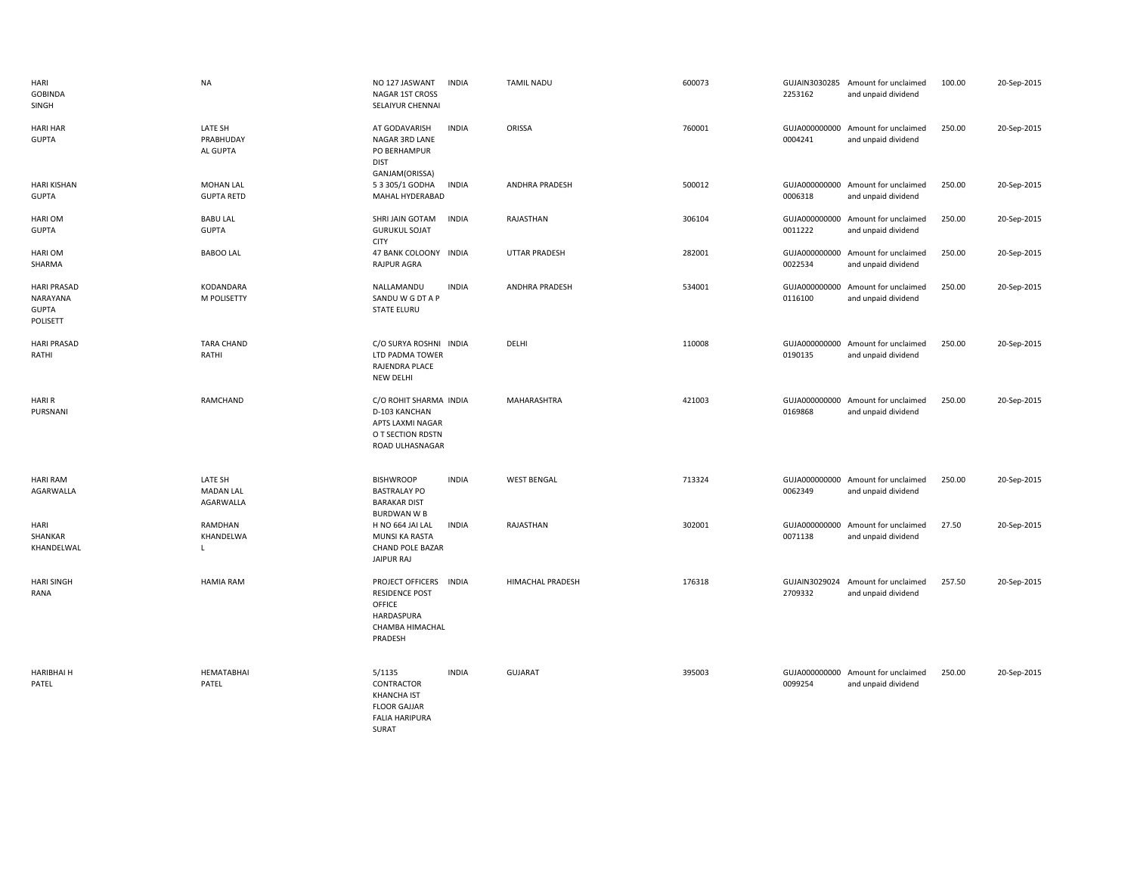| HARI<br><b>GOBINDA</b><br>SINGH                            | <b>NA</b>                                | NO 127 JASWANT<br><b>INDIA</b><br>NAGAR 1ST CROSS<br>SELAIYUR CHENNAI                                               | <b>TAMIL NADU</b>     | 600073 | 2253162                  | GUJAIN3030285 Amount for unclaimed<br>and unpaid dividend | 100.00 | 20-Sep-2015 |
|------------------------------------------------------------|------------------------------------------|---------------------------------------------------------------------------------------------------------------------|-----------------------|--------|--------------------------|-----------------------------------------------------------|--------|-------------|
| <b>HARI HAR</b><br><b>GUPTA</b>                            | LATE SH<br>PRABHUDAY<br>AL GUPTA         | <b>INDIA</b><br>AT GODAVARISH<br>NAGAR 3RD LANE<br>PO BERHAMPUR<br><b>DIST</b>                                      | ORISSA                | 760001 | 0004241                  | GUJA000000000 Amount for unclaimed<br>and unpaid dividend | 250.00 | 20-Sep-2015 |
| <b>HARI KISHAN</b><br><b>GUPTA</b>                         | <b>MOHAN LAL</b><br><b>GUPTA RETD</b>    | GANJAM(ORISSA)<br>53305/1 GODHA<br><b>INDIA</b><br>MAHAL HYDERABAD                                                  | <b>ANDHRA PRADESH</b> | 500012 | 0006318                  | GUJA000000000 Amount for unclaimed<br>and unpaid dividend | 250.00 | 20-Sep-2015 |
| HARI OM<br><b>GUPTA</b>                                    | <b>BABU LAL</b><br><b>GUPTA</b>          | SHRI JAIN GOTAM<br><b>INDIA</b><br><b>GURUKUL SOJAT</b><br><b>CITY</b>                                              | RAJASTHAN             | 306104 | 0011222                  | GUJA000000000 Amount for unclaimed<br>and unpaid dividend | 250.00 | 20-Sep-2015 |
| HARI OM<br>SHARMA                                          | <b>BABOO LAL</b>                         | 47 BANK COLOONY INDIA<br>RAJPUR AGRA                                                                                | <b>UTTAR PRADESH</b>  | 282001 | 0022534                  | GUJA000000000 Amount for unclaimed<br>and unpaid dividend | 250.00 | 20-Sep-2015 |
| <b>HARI PRASAD</b><br>NARAYANA<br><b>GUPTA</b><br>POLISETT | KODANDARA<br>M POLISETTY                 | NALLAMANDU<br><b>INDIA</b><br>SANDU W G DT A P<br><b>STATE ELURU</b>                                                | <b>ANDHRA PRADESH</b> | 534001 | GUJA000000000<br>0116100 | Amount for unclaimed<br>and unpaid dividend               | 250.00 | 20-Sep-2015 |
| <b>HARI PRASAD</b><br>RATHI                                | <b>TARA CHAND</b><br>RATHI               | C/O SURYA ROSHNI INDIA<br>LTD PADMA TOWER<br>RAJENDRA PLACE<br>NEW DELHI                                            | DELHI                 | 110008 | 0190135                  | GUJA000000000 Amount for unclaimed<br>and unpaid dividend | 250.00 | 20-Sep-2015 |
| <b>HARIR</b><br>PURSNANI                                   | RAMCHAND                                 | C/O ROHIT SHARMA INDIA<br>D-103 KANCHAN<br>APTS LAXMI NAGAR<br>O T SECTION RDSTN<br>ROAD ULHASNAGAR                 | MAHARASHTRA           | 421003 | 0169868                  | GUJA000000000 Amount for unclaimed<br>and unpaid dividend | 250.00 | 20-Sep-2015 |
| <b>HARI RAM</b><br>AGARWALLA                               | LATE SH<br><b>MADAN LAL</b><br>AGARWALLA | <b>BISHWROOP</b><br><b>INDIA</b><br><b>BASTRALAY PO</b><br><b>BARAKAR DIST</b><br><b>BURDWAN W B</b>                | <b>WEST BENGAL</b>    | 713324 | GUJA000000000<br>0062349 | Amount for unclaimed<br>and unpaid dividend               | 250.00 | 20-Sep-2015 |
| HARI<br>SHANKAR<br>KHANDELWAL                              | RAMDHAN<br>KHANDELWA<br>$\mathbf{I}$     | H NO 664 JAI LAL<br><b>INDIA</b><br>MUNSI KA RASTA<br><b>CHAND POLE BAZAR</b><br><b>JAIPUR RAJ</b>                  | RAJASTHAN             | 302001 | 0071138                  | GUJA000000000 Amount for unclaimed<br>and unpaid dividend | 27.50  | 20-Sep-2015 |
| <b>HARI SINGH</b><br>RANA                                  | <b>HAMIA RAM</b>                         | PROJECT OFFICERS INDIA<br><b>RESIDENCE POST</b><br>OFFICE<br>HARDASPURA<br>CHAMBA HIMACHAL<br>PRADESH               | HIMACHAL PRADESH      | 176318 | GUJAIN3029024<br>2709332 | Amount for unclaimed<br>and unpaid dividend               | 257.50 | 20-Sep-2015 |
| <b>HARIBHAI H</b><br>PATEL                                 | <b>HEMATABHAI</b><br>PATEL               | 5/1135<br><b>INDIA</b><br>CONTRACTOR<br><b>KHANCHA IST</b><br><b>FLOOR GAJJAR</b><br><b>FALIA HARIPURA</b><br>SURAT | <b>GUJARAT</b>        | 395003 | GUJA000000000<br>0099254 | Amount for unclaimed<br>and unpaid dividend               | 250.00 | 20-Sep-2015 |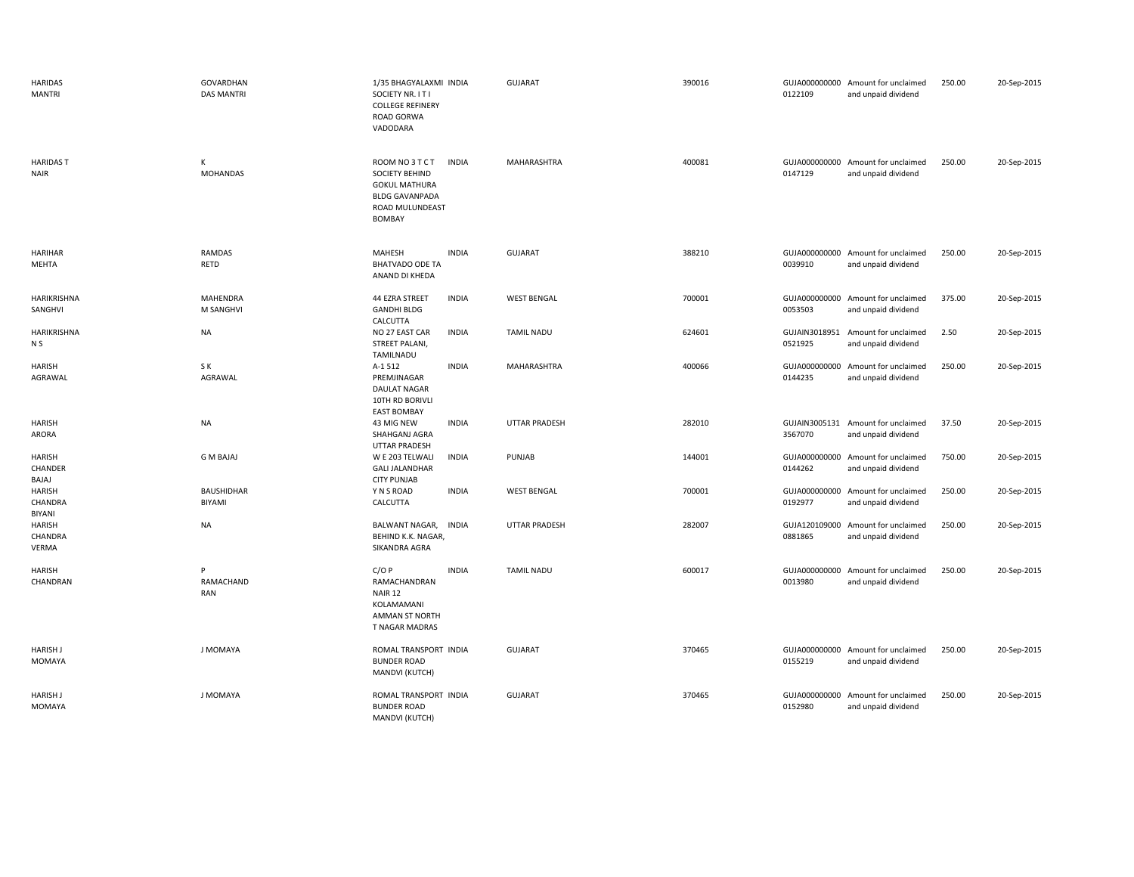| <b>HARIDAS</b><br><b>MANTRI</b>  | GOVARDHAN<br><b>DAS MANTRI</b> | 1/35 BHAGYALAXMI INDIA<br>SOCIETY NR. IT I<br><b>COLLEGE REFINERY</b><br>ROAD GORWA<br>VADODARA                                        | <b>GUJARAT</b>       | 390016 | 0122109                  | GUJA000000000 Amount for unclaimed<br>and unpaid dividend | 250.00 | 20-Sep-2015 |
|----------------------------------|--------------------------------|----------------------------------------------------------------------------------------------------------------------------------------|----------------------|--------|--------------------------|-----------------------------------------------------------|--------|-------------|
| <b>HARIDAST</b><br><b>NAIR</b>   | K<br>MOHANDAS                  | ROOM NO 3 T C T<br><b>INDIA</b><br>SOCIETY BEHIND<br><b>GOKUL MATHURA</b><br><b>BLDG GAVANPADA</b><br>ROAD MULUNDEAST<br><b>BOMBAY</b> | MAHARASHTRA          | 400081 | 0147129                  | GUJA000000000 Amount for unclaimed<br>and unpaid dividend | 250.00 | 20-Sep-2015 |
| <b>HARIHAR</b><br>MEHTA          | <b>RAMDAS</b><br>RETD          | MAHESH<br><b>INDIA</b><br><b>BHATVADO ODE TA</b><br>ANAND DI KHEDA                                                                     | <b>GUJARAT</b>       | 388210 | 0039910                  | GUJA000000000 Amount for unclaimed<br>and unpaid dividend | 250.00 | 20-Sep-2015 |
| HARIKRISHNA<br>SANGHVI           | <b>MAHENDRA</b><br>M SANGHVI   | <b>INDIA</b><br>44 EZRA STREET<br><b>GANDHI BLDG</b><br>CALCUTTA                                                                       | <b>WEST BENGAL</b>   | 700001 | 0053503                  | GUJA000000000 Amount for unclaimed<br>and unpaid dividend | 375.00 | 20-Sep-2015 |
| HARIKRISHNA<br>N S               | <b>NA</b>                      | NO 27 EAST CAR<br><b>INDIA</b><br>STREET PALANI,<br>TAMILNADU                                                                          | <b>TAMIL NADU</b>    | 624601 | GUJAIN3018951<br>0521925 | Amount for unclaimed<br>and unpaid dividend               | 2.50   | 20-Sep-2015 |
| HARISH<br>AGRAWAL                | S K<br>AGRAWAL                 | <b>INDIA</b><br>A-1 512<br>PREMJINAGAR<br>DAULAT NAGAR<br>10TH RD BORIVLI<br><b>EAST BOMBAY</b>                                        | MAHARASHTRA          | 400066 | GUJA000000000<br>0144235 | Amount for unclaimed<br>and unpaid dividend               | 250.00 | 20-Sep-2015 |
| HARISH<br>ARORA                  | NA                             | 43 MIG NEW<br><b>INDIA</b><br>SHAHGANJ AGRA<br><b>UTTAR PRADESH</b>                                                                    | <b>UTTAR PRADESH</b> | 282010 | 3567070                  | GUJAIN3005131 Amount for unclaimed<br>and unpaid dividend | 37.50  | 20-Sep-2015 |
| HARISH<br>CHANDER<br>BAJAJ       | <b>GMBAJAJ</b>                 | W E 203 TELWALI<br><b>INDIA</b><br><b>GALI JALANDHAR</b><br><b>CITY PUNJAB</b>                                                         | PUNJAB               | 144001 | GUJA000000000<br>0144262 | Amount for unclaimed<br>and unpaid dividend               | 750.00 | 20-Sep-2015 |
| HARISH<br>CHANDRA<br>BIYANI      | BAUSHIDHAR<br>BIYAMI           | Y N S ROAD<br><b>INDIA</b><br>CALCUTTA                                                                                                 | <b>WEST BENGAL</b>   | 700001 | GUJA000000000<br>0192977 | Amount for unclaimed<br>and unpaid dividend               | 250.00 | 20-Sep-2015 |
| HARISH<br>CHANDRA<br>VERMA       | NA                             | INDIA<br>BALWANT NAGAR,<br>BEHIND K.K. NAGAR,<br>SIKANDRA AGRA                                                                         | UTTAR PRADESH        | 282007 | GUJA120109000<br>0881865 | Amount for unclaimed<br>and unpaid dividend               | 250.00 | 20-Sep-2015 |
| HARISH<br>CHANDRAN               | P<br>RAMACHAND<br>RAN          | C/OP<br><b>INDIA</b><br>RAMACHANDRAN<br>NAIR 12<br>KOLAMAMANI<br>AMMAN ST NORTH<br>T NAGAR MADRAS                                      | <b>TAMIL NADU</b>    | 600017 | GUJA000000000<br>0013980 | Amount for unclaimed<br>and unpaid dividend               | 250.00 | 20-Sep-2015 |
| <b>HARISH J</b><br><b>MOMAYA</b> | J MOMAYA                       | ROMAL TRANSPORT INDIA<br><b>BUNDER ROAD</b><br>MANDVI (KUTCH)                                                                          | <b>GUJARAT</b>       | 370465 | 0155219                  | GUJA000000000 Amount for unclaimed<br>and unpaid dividend | 250.00 | 20-Sep-2015 |
| <b>HARISH J</b><br><b>MOMAYA</b> | J MOMAYA                       | ROMAL TRANSPORT INDIA<br><b>BUNDER ROAD</b><br>MANDVI (KUTCH)                                                                          | <b>GUJARAT</b>       | 370465 | 0152980                  | GUJA000000000 Amount for unclaimed<br>and unpaid dividend | 250.00 | 20-Sep-2015 |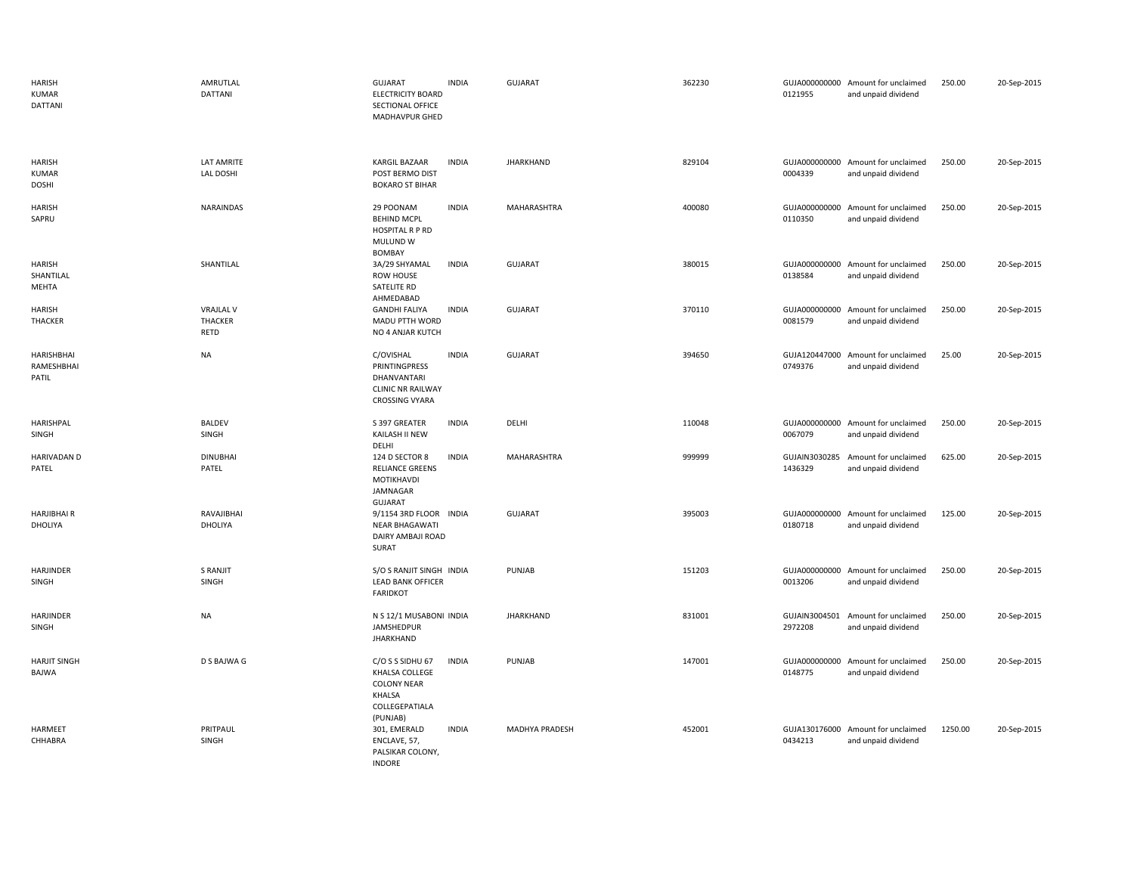| <b>HARISH</b><br><b>KUMAR</b><br>DATTANI      | AMRUTLAL<br>DATTANI                 | <b>GUJARAT</b><br><b>INDIA</b><br><b>ELECTRICITY BOARD</b><br>SECTIONAL OFFICE<br>MADHAVPUR GHED                 |        | <b>GUJARAT</b>   | 362230 | 0121955                  | GUJA000000000 Amount for unclaimed<br>and unpaid dividend | 250.00  | 20-Sep-2015 |
|-----------------------------------------------|-------------------------------------|------------------------------------------------------------------------------------------------------------------|--------|------------------|--------|--------------------------|-----------------------------------------------------------|---------|-------------|
| <b>HARISH</b><br><b>KUMAR</b><br><b>DOSHI</b> | LAT AMRITE<br>LAL DOSHI             | <b>INDIA</b><br><b>KARGIL BAZAAR</b><br>POST BERMO DIST<br><b>BOKARO ST BIHAR</b>                                |        | <b>JHARKHAND</b> | 829104 | 0004339                  | GUJA000000000 Amount for unclaimed<br>and unpaid dividend | 250.00  | 20-Sep-2015 |
| <b>HARISH</b><br>SAPRU                        | <b>NARAINDAS</b>                    | 29 POONAM<br><b>INDIA</b><br><b>BEHIND MCPL</b><br>HOSPITAL R P RD<br><b>MULUND W</b><br><b>BOMBAY</b>           |        | MAHARASHTRA      | 400080 | GUJA000000000<br>0110350 | Amount for unclaimed<br>and unpaid dividend               | 250.00  | 20-Sep-2015 |
| <b>HARISH</b><br>SHANTILAL<br>MEHTA           | SHANTILAL                           | <b>INDIA</b><br>3A/29 SHYAMAL<br>ROW HOUSE<br>SATELITE RD<br>AHMEDABAD                                           |        | <b>GUJARAT</b>   | 380015 | 0138584                  | GUJA000000000 Amount for unclaimed<br>and unpaid dividend | 250.00  | 20-Sep-2015 |
| <b>HARISH</b><br>THACKER                      | <b>VRAJLAL V</b><br>THACKER<br>RETD | <b>INDIA</b><br><b>GANDHI FALIYA</b><br>MADU PTTH WORD<br>NO 4 ANJAR KUTCH                                       |        | <b>GUJARAT</b>   | 370110 | 0081579                  | GUJA000000000 Amount for unclaimed<br>and unpaid dividend | 250.00  | 20-Sep-2015 |
| HARISHBHAI<br>RAMESHBHAI<br>PATIL             | <b>NA</b>                           | <b>INDIA</b><br>C/OVISHAL<br>PRINTINGPRESS<br>DHANVANTARI<br><b>CLINIC NR RAILWAY</b><br><b>CROSSING VYARA</b>   |        | GUJARAT          | 394650 | GUJA120447000<br>0749376 | Amount for unclaimed<br>and unpaid dividend               | 25.00   | 20-Sep-2015 |
| HARISHPAL<br>SINGH                            | <b>BALDEV</b><br>SINGH              | <b>INDIA</b><br>S 397 GREATER<br>KAILASH II NEW<br>DELHI                                                         | DELHI  |                  | 110048 | 0067079                  | GUJA000000000 Amount for unclaimed<br>and unpaid dividend | 250.00  | 20-Sep-2015 |
| <b>HARIVADAN D</b><br>PATEL                   | <b>DINUBHAI</b><br>PATEL            | 124 D SECTOR 8<br><b>INDIA</b><br><b>RELIANCE GREENS</b><br>MOTIKHAVDI<br>JAMNAGAR<br>GUJARAT                    |        | MAHARASHTRA      | 999999 | GUJAIN3030285<br>1436329 | Amount for unclaimed<br>and unpaid dividend               | 625.00  | 20-Sep-2015 |
| <b>HARJIBHAIR</b><br>DHOLIYA                  | RAVAJIBHAI<br>DHOLIYA               | 9/1154 3RD FLOOR INDIA<br>NEAR BHAGAWATI<br>DAIRY AMBAJI ROAD<br>SURAT                                           |        | <b>GUJARAT</b>   | 395003 | 0180718                  | GUJA000000000 Amount for unclaimed<br>and unpaid dividend | 125.00  | 20-Sep-2015 |
| HARJINDER<br>SINGH                            | S RANJIT<br>SINGH                   | S/O S RANJIT SINGH INDIA<br><b>LEAD BANK OFFICER</b><br><b>FARIDKOT</b>                                          | PUNJAB |                  | 151203 | 0013206                  | GUJA000000000 Amount for unclaimed<br>and unpaid dividend | 250.00  | 20-Sep-2015 |
| HARJINDER<br>SINGH                            | <b>NA</b>                           | N S 12/1 MUSABONI INDIA<br>JAMSHEDPUR<br><b>JHARKHAND</b>                                                        |        | <b>JHARKHAND</b> | 831001 | 2972208                  | GUJAIN3004501 Amount for unclaimed<br>and unpaid dividend | 250.00  | 20-Sep-2015 |
| <b>HARJIT SINGH</b><br>BAJWA                  | D S BAJWA G                         | C/O S S SIDHU 67<br><b>INDIA</b><br>KHALSA COLLEGE<br><b>COLONY NEAR</b><br>KHALSA<br>COLLEGEPATIALA<br>(PUNJAB) | PUNJAB |                  | 147001 | GUJA000000000<br>0148775 | Amount for unclaimed<br>and unpaid dividend               | 250.00  | 20-Sep-2015 |
| HARMEET<br>CHHABRA                            | PRITPAUL<br>SINGH                   | <b>INDIA</b><br>301, EMERALD<br>ENCLAVE, 57,<br>PALSIKAR COLONY,<br><b>INDORE</b>                                |        | MADHYA PRADESH   | 452001 | 0434213                  | GUJA130176000 Amount for unclaimed<br>and unpaid dividend | 1250.00 | 20-Sep-2015 |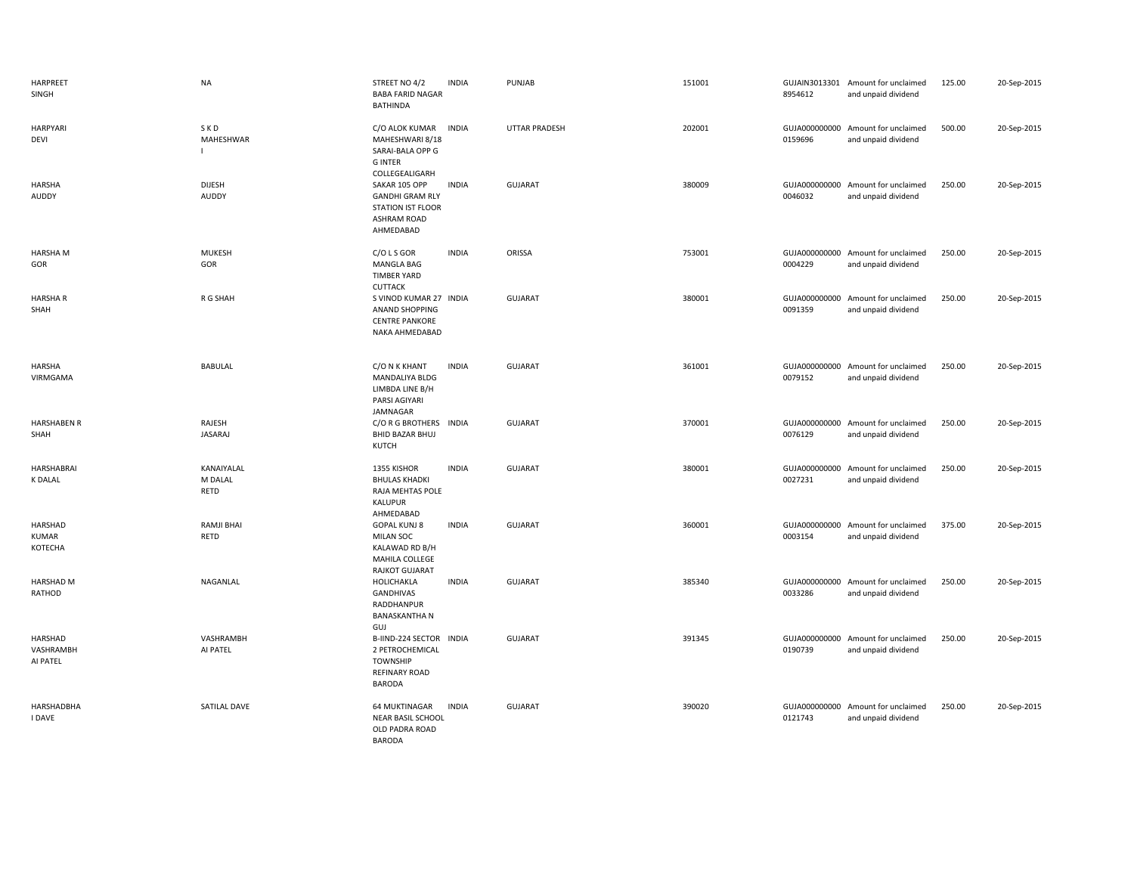| HARPREET<br>SINGH                         | <b>NA</b>                     | STREET NO 4/2<br><b>INDIA</b><br><b>BABA FARID NAGAR</b><br><b>BATHINDA</b>                                            | PUNJAB               | 151001 | 8954612                  | GUJAIN3013301 Amount for unclaimed<br>and unpaid dividend | 125.00 | 20-Sep-2015 |
|-------------------------------------------|-------------------------------|------------------------------------------------------------------------------------------------------------------------|----------------------|--------|--------------------------|-----------------------------------------------------------|--------|-------------|
| <b>HARPYARI</b><br>DEVI                   | SKD<br>MAHESHWAR              | C/O ALOK KUMAR<br><b>INDIA</b><br>MAHESHWARI 8/18<br>SARAI-BALA OPP G<br><b>GINTER</b><br>COLLEGEALIGARH               | <b>UTTAR PRADESH</b> | 202001 | GUJA000000000<br>0159696 | Amount for unclaimed<br>and unpaid dividend               | 500.00 | 20-Sep-2015 |
| <b>HARSHA</b><br>AUDDY                    | <b>DIJESH</b><br>AUDDY        | SAKAR 105 OPP<br><b>INDIA</b><br><b>GANDHI GRAM RLY</b><br><b>STATION IST FLOOR</b><br><b>ASHRAM ROAD</b><br>AHMEDABAD | <b>GUJARAT</b>       | 380009 | 0046032                  | GUJA000000000 Amount for unclaimed<br>and unpaid dividend | 250.00 | 20-Sep-2015 |
| <b>HARSHA M</b><br>GOR                    | <b>MUKESH</b><br>GOR          | $C/O$ L S GOR<br><b>INDIA</b><br>MANGLA BAG<br><b>TIMBER YARD</b><br><b>CUTTACK</b>                                    | ORISSA               | 753001 | GUJA000000000<br>0004229 | Amount for unclaimed<br>and unpaid dividend               | 250.00 | 20-Sep-2015 |
| <b>HARSHAR</b><br>SHAH                    | R G SHAH                      | S VINOD KUMAR 27 INDIA<br>ANAND SHOPPING<br><b>CENTRE PANKORE</b><br>NAKA AHMEDABAD                                    | <b>GUJARAT</b>       | 380001 | GUJA000000000<br>0091359 | Amount for unclaimed<br>and unpaid dividend               | 250.00 | 20-Sep-2015 |
| <b>HARSHA</b><br>VIRMGAMA                 | <b>BABULAL</b>                | C/O N K KHANT<br><b>INDIA</b><br>MANDALIYA BLDG<br>LIMBDA LINE B/H<br>PARSI AGIYARI<br>JAMNAGAR                        | <b>GUJARAT</b>       | 361001 | 0079152                  | GUJA000000000 Amount for unclaimed<br>and unpaid dividend | 250.00 | 20-Sep-2015 |
| <b>HARSHABEN R</b><br>SHAH                | RAJESH<br><b>JASARAJ</b>      | C/O R G BROTHERS INDIA<br><b>BHID BAZAR BHUJ</b><br><b>KUTCH</b>                                                       | <b>GUJARAT</b>       | 370001 | 0076129                  | GUJA000000000 Amount for unclaimed<br>and unpaid dividend | 250.00 | 20-Sep-2015 |
| HARSHABRAI<br><b>K DALAL</b>              | KANAIYALAL<br>M DALAL<br>RETD | 1355 KISHOR<br><b>INDIA</b><br><b>BHULAS KHADKI</b><br>RAJA MEHTAS POLE<br>KALUPUR<br>AHMEDABAD                        | <b>GUJARAT</b>       | 380001 | GUJA000000000<br>0027231 | Amount for unclaimed<br>and unpaid dividend               | 250.00 | 20-Sep-2015 |
| <b>HARSHAD</b><br><b>KUMAR</b><br>KOTECHA | RAMJI BHAI<br><b>RETD</b>     | <b>GOPAL KUNJ 8</b><br><b>INDIA</b><br><b>MILAN SOC</b><br>KALAWAD RD B/H<br>MAHILA COLLEGE<br>RAJKOT GUJARAT          | <b>GUJARAT</b>       | 360001 | 0003154                  | GUJA000000000 Amount for unclaimed<br>and unpaid dividend | 375.00 | 20-Sep-2015 |
| HARSHAD M<br>RATHOD                       | NAGANLAL                      | HOLICHAKLA<br><b>INDIA</b><br>GANDHIVAS<br>RADDHANPUR<br><b>BANASKANTHA N</b><br><b>GUJ</b>                            | <b>GUJARAT</b>       | 385340 | 0033286                  | GUJA000000000 Amount for unclaimed<br>and unpaid dividend | 250.00 | 20-Sep-2015 |
| HARSHAD<br>VASHRAMBH<br>AI PATEL          | VASHRAMBH<br>AI PATEL         | B-IIND-224 SECTOR INDIA<br>2 PETROCHEMICAL<br><b>TOWNSHIP</b><br>REFINARY ROAD<br><b>BARODA</b>                        | <b>GUJARAT</b>       | 391345 | GUJA000000000<br>0190739 | Amount for unclaimed<br>and unpaid dividend               | 250.00 | 20-Sep-2015 |
| HARSHADBHA<br><b>I DAVE</b>               | SATILAL DAVE                  | 64 MUKTINAGAR<br><b>INDIA</b><br>NEAR BASIL SCHOOL<br>OLD PADRA ROAD<br><b>BARODA</b>                                  | <b>GUJARAT</b>       | 390020 | 0121743                  | GUJA000000000 Amount for unclaimed<br>and unpaid dividend | 250.00 | 20-Sep-2015 |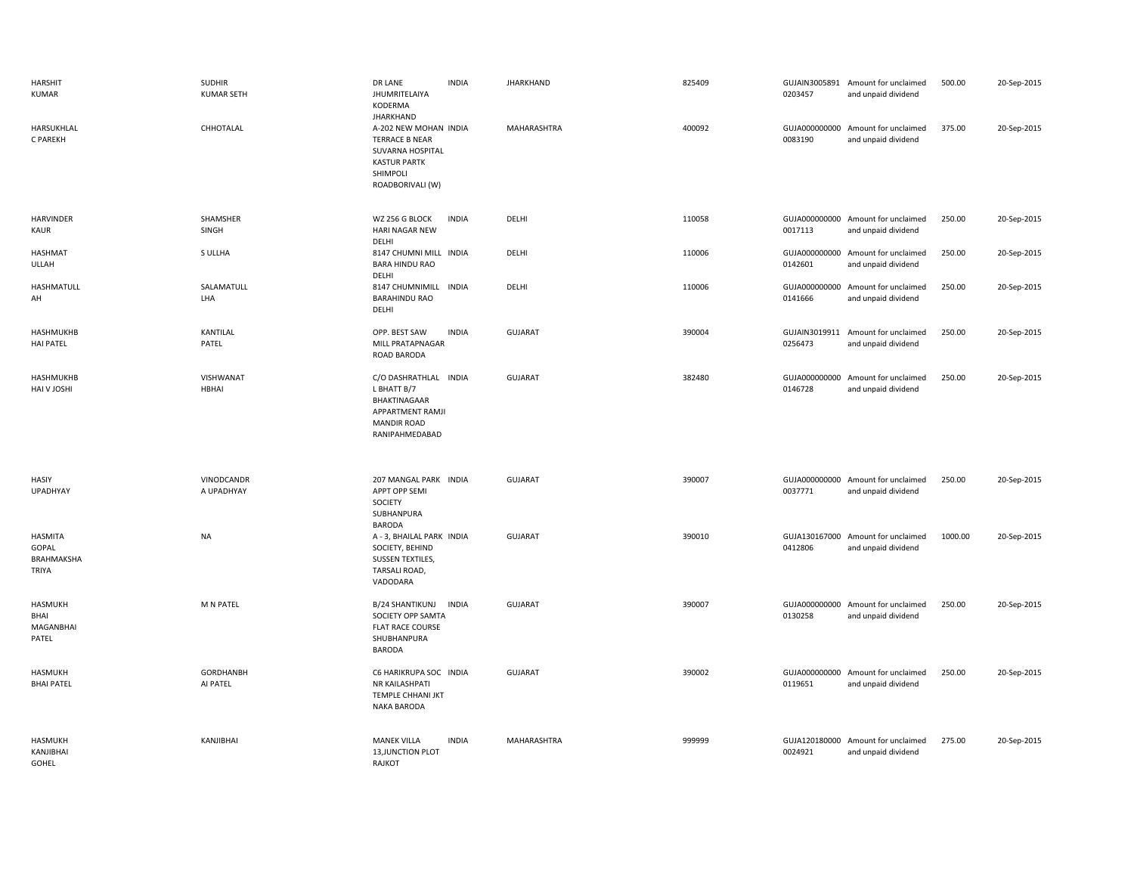| <b>HARSHIT</b><br><b>KUMAR</b>                 | <b>SUDHIR</b><br><b>KUMAR SETH</b> | DR LANE<br><b>INDIA</b><br>JHUMRITELAIYA<br>KODERMA                                                                                           | <b>JHARKHAND</b>   | 825409 | 0203457                  | GUJAIN3005891 Amount for unclaimed<br>and unpaid dividend | 500.00  | 20-Sep-2015 |
|------------------------------------------------|------------------------------------|-----------------------------------------------------------------------------------------------------------------------------------------------|--------------------|--------|--------------------------|-----------------------------------------------------------|---------|-------------|
| HARSUKHLAL<br>C PAREKH                         | CHHOTALAL                          | <b>JHARKHAND</b><br>A-202 NEW MOHAN INDIA<br><b>TERRACE B NEAR</b><br>SUVARNA HOSPITAL<br><b>KASTUR PARTK</b><br>SHIMPOLI<br>ROADBORIVALI (W) | <b>MAHARASHTRA</b> | 400092 | GUJA000000000<br>0083190 | Amount for unclaimed<br>and unpaid dividend               | 375.00  | 20-Sep-2015 |
| HARVINDER<br>KAUR                              | SHAMSHER<br>SINGH                  | WZ 256 G BLOCK<br><b>INDIA</b><br>HARI NAGAR NEW<br>DELHI                                                                                     | DELHI              | 110058 | 0017113                  | GUJA000000000 Amount for unclaimed<br>and unpaid dividend | 250.00  | 20-Sep-2015 |
| <b>HASHMAT</b><br><b>ULLAH</b>                 | S ULLHA                            | 8147 CHUMNI MILL INDIA<br><b>BARA HINDU RAO</b><br>DELHI                                                                                      | DELHI              | 110006 | 0142601                  | GUJA000000000 Amount for unclaimed<br>and unpaid dividend | 250.00  | 20-Sep-2015 |
| HASHMATULL<br>AH                               | SALAMATULL<br>LHA                  | 8147 CHUMNIMILL INDIA<br><b>BARAHINDU RAO</b><br>DELHI                                                                                        | DELHI              | 110006 | 0141666                  | GUJA000000000 Amount for unclaimed<br>and unpaid dividend | 250.00  | 20-Sep-2015 |
| HASHMUKHB<br><b>HAI PATEL</b>                  | KANTILAL<br>PATEL                  | OPP. BEST SAW<br><b>INDIA</b><br><b>MILL PRATAPNAGAR</b><br>ROAD BARODA                                                                       | <b>GUJARAT</b>     | 390004 | GUJAIN3019911<br>0256473 | Amount for unclaimed<br>and unpaid dividend               | 250.00  | 20-Sep-2015 |
| HASHMUKHB<br>HAI V JOSHI                       | VISHWANAT<br>HBHAI                 | C/O DASHRATHLAL INDIA<br>L BHATT B/7<br>BHAKTINAGAAR<br>APPARTMENT RAMJI<br><b>MANDIR ROAD</b><br>RANIPAHMEDABAD                              | <b>GUJARAT</b>     | 382480 | 0146728                  | GUJA000000000 Amount for unclaimed<br>and unpaid dividend | 250.00  | 20-Sep-2015 |
| HASIY<br>UPADHYAY                              | VINODCANDR<br>A UPADHYAY           | 207 MANGAL PARK INDIA<br>APPT OPP SEMI<br>SOCIETY<br>SUBHANPURA<br><b>BARODA</b>                                                              | <b>GUJARAT</b>     | 390007 | 0037771                  | GUJA000000000 Amount for unclaimed<br>and unpaid dividend | 250.00  | 20-Sep-2015 |
| <b>HASMITA</b><br>GOPAL<br>BRAHMAKSHA<br>TRIYA | <b>NA</b>                          | A - 3, BHAILAL PARK INDIA<br>SOCIETY, BEHIND<br>SUSSEN TEXTILES,<br>TARSALI ROAD,<br>VADODARA                                                 | <b>GUJARAT</b>     | 390010 | 0412806                  | GUJA130167000 Amount for unclaimed<br>and unpaid dividend | 1000.00 | 20-Sep-2015 |
| HASMUKH<br>BHAI<br>MAGANBHAI<br>PATEL          | M N PATEL                          | B/24 SHANTIKUNJ<br><b>INDIA</b><br>SOCIETY OPP SAMTA<br><b>FLAT RACE COURSE</b><br>SHUBHANPURA<br>BARODA                                      | GUJARAT            | 390007 | 0130258                  | GUJA000000000 Amount for unclaimed<br>and unpaid dividend | 250.00  | 20-Sep-2015 |
| <b>HASMUKH</b><br><b>BHAI PATEL</b>            | <b>GORDHANBH</b><br>AI PATEL       | C6 HARIKRUPA SOC INDIA<br>NR KAILASHPATI<br>TEMPLE CHHANI JKT<br><b>NAKA BARODA</b>                                                           | <b>GUJARAT</b>     | 390002 | 0119651                  | GUJA000000000 Amount for unclaimed<br>and unpaid dividend | 250.00  | 20-Sep-2015 |
| <b>HASMUKH</b><br>KANJIBHAI<br>GOHEL           | KANJIBHAI                          | <b>MANEK VILLA</b><br><b>INDIA</b><br>13, JUNCTION PLOT<br>RAJKOT                                                                             | MAHARASHTRA        | 999999 | 0024921                  | GUJA120180000 Amount for unclaimed<br>and unpaid dividend | 275.00  | 20-Sep-2015 |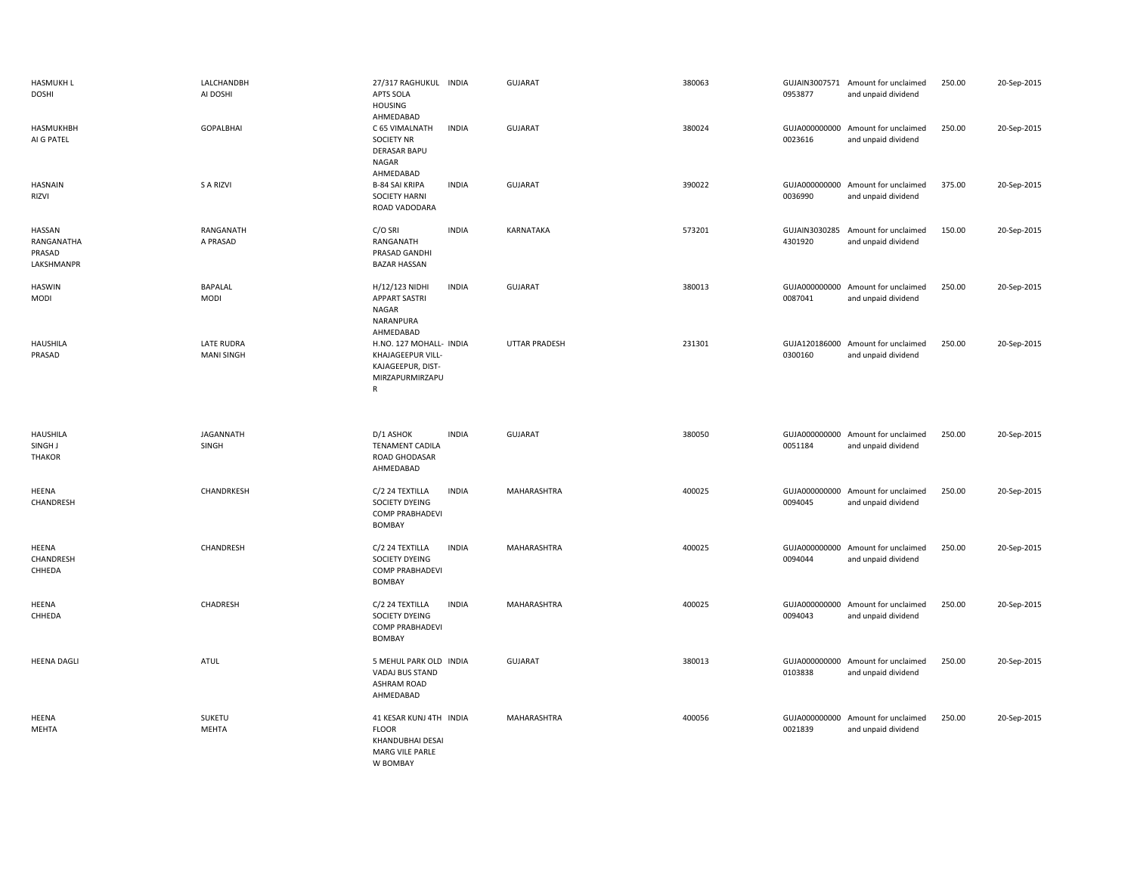| <b>HASMUKH L</b><br>DOSHI                    | LALCHANDBH<br>AI DOSHI                 | 27/317 RAGHUKUL INDIA<br>APTS SOLA<br><b>HOUSING</b><br>AHMEDABAD                                       | GUJARAT              | 380063 | 0953877 | GUJAIN3007571 Amount for unclaimed<br>and unpaid dividend | 250.00 | 20-Sep-2015 |
|----------------------------------------------|----------------------------------------|---------------------------------------------------------------------------------------------------------|----------------------|--------|---------|-----------------------------------------------------------|--------|-------------|
| <b>HASMUKHBH</b><br>AI G PATEL               | <b>GOPALBHAI</b>                       | <b>INDIA</b><br>C 65 VIMALNATH<br><b>SOCIETY NR</b><br><b>DERASAR BAPU</b><br><b>NAGAR</b><br>AHMEDABAD | <b>GUJARAT</b>       | 380024 | 0023616 | GUJA000000000 Amount for unclaimed<br>and unpaid dividend | 250.00 | 20-Sep-2015 |
| <b>HASNAIN</b><br>RIZVI                      | S A RIZVI                              | <b>B-84 SAI KRIPA</b><br><b>INDIA</b><br><b>SOCIETY HARNI</b><br>ROAD VADODARA                          | GUJARAT              | 390022 | 0036990 | GUJA000000000 Amount for unclaimed<br>and unpaid dividend | 375.00 | 20-Sep-2015 |
| HASSAN<br>RANGANATHA<br>PRASAD<br>LAKSHMANPR | RANGANATH<br>A PRASAD                  | C/O SRI<br><b>INDIA</b><br>RANGANATH<br>PRASAD GANDHI<br><b>BAZAR HASSAN</b>                            | <b>KARNATAKA</b>     | 573201 | 4301920 | GUJAIN3030285 Amount for unclaimed<br>and unpaid dividend | 150.00 | 20-Sep-2015 |
| <b>HASWIN</b><br>MODI                        | BAPALAL<br><b>MODI</b>                 | H/12/123 NIDHI<br><b>INDIA</b><br><b>APPART SASTRI</b><br>NAGAR<br>NARANPURA<br>AHMEDABAD               | GUJARAT              | 380013 | 0087041 | GUJA000000000 Amount for unclaimed<br>and unpaid dividend | 250.00 | 20-Sep-2015 |
| <b>HAUSHILA</b><br>PRASAD                    | <b>LATE RUDRA</b><br><b>MANI SINGH</b> | H.NO. 127 MOHALL- INDIA<br>KHAJAGEEPUR VILL-<br>KAJAGEEPUR, DIST-<br>MIRZAPURMIRZAPU<br>$\mathsf{R}$    | <b>UTTAR PRADESH</b> | 231301 | 0300160 | GUJA120186000 Amount for unclaimed<br>and unpaid dividend | 250.00 | 20-Sep-2015 |
| <b>HAUSHILA</b><br>SINGH J<br><b>THAKOR</b>  | <b>JAGANNATH</b><br>SINGH              | D/1 ASHOK<br><b>INDIA</b><br><b>TENAMENT CADILA</b><br>ROAD GHODASAR<br>AHMEDABAD                       | GUJARAT              | 380050 | 0051184 | GUJA000000000 Amount for unclaimed<br>and unpaid dividend | 250.00 | 20-Sep-2015 |
| HEENA<br>CHANDRESH                           | CHANDRKESH                             | C/2 24 TEXTILLA<br><b>INDIA</b><br>SOCIETY DYEING<br>COMP PRABHADEVI<br><b>BOMBAY</b>                   | MAHARASHTRA          | 400025 | 0094045 | GUJA000000000 Amount for unclaimed<br>and unpaid dividend | 250.00 | 20-Sep-2015 |
| HEENA<br>CHANDRESH<br>CHHEDA                 | CHANDRESH                              | C/2 24 TEXTILLA<br><b>INDIA</b><br>SOCIETY DYEING<br>COMP PRABHADEVI<br>BOMBAY                          | MAHARASHTRA          | 400025 | 0094044 | GUJA000000000 Amount for unclaimed<br>and unpaid dividend | 250.00 | 20-Sep-2015 |
| HEENA<br>CHHEDA                              | CHADRESH                               | C/2 24 TEXTILLA<br><b>INDIA</b><br>SOCIETY DYEING<br><b>COMP PRABHADEVI</b><br>BOMBAY                   | MAHARASHTRA          | 400025 | 0094043 | GUJA000000000 Amount for unclaimed<br>and unpaid dividend | 250.00 | 20-Sep-2015 |
| <b>HEENA DAGLI</b>                           | <b>ATUL</b>                            | 5 MEHUL PARK OLD INDIA<br>VADAJ BUS STAND<br><b>ASHRAM ROAD</b><br>AHMEDABAD                            | <b>GUJARAT</b>       | 380013 | 0103838 | GUJA000000000 Amount for unclaimed<br>and unpaid dividend | 250.00 | 20-Sep-2015 |
| HEENA<br>MEHTA                               | SUKETU<br><b>MEHTA</b>                 | 41 KESAR KUNJ 4TH INDIA<br><b>FLOOR</b><br>KHANDUBHAI DESAI<br><b>MARG VILE PARLE</b><br>W BOMBAY       | MAHARASHTRA          | 400056 | 0021839 | GUJA000000000 Amount for unclaimed<br>and unpaid dividend | 250.00 | 20-Sep-2015 |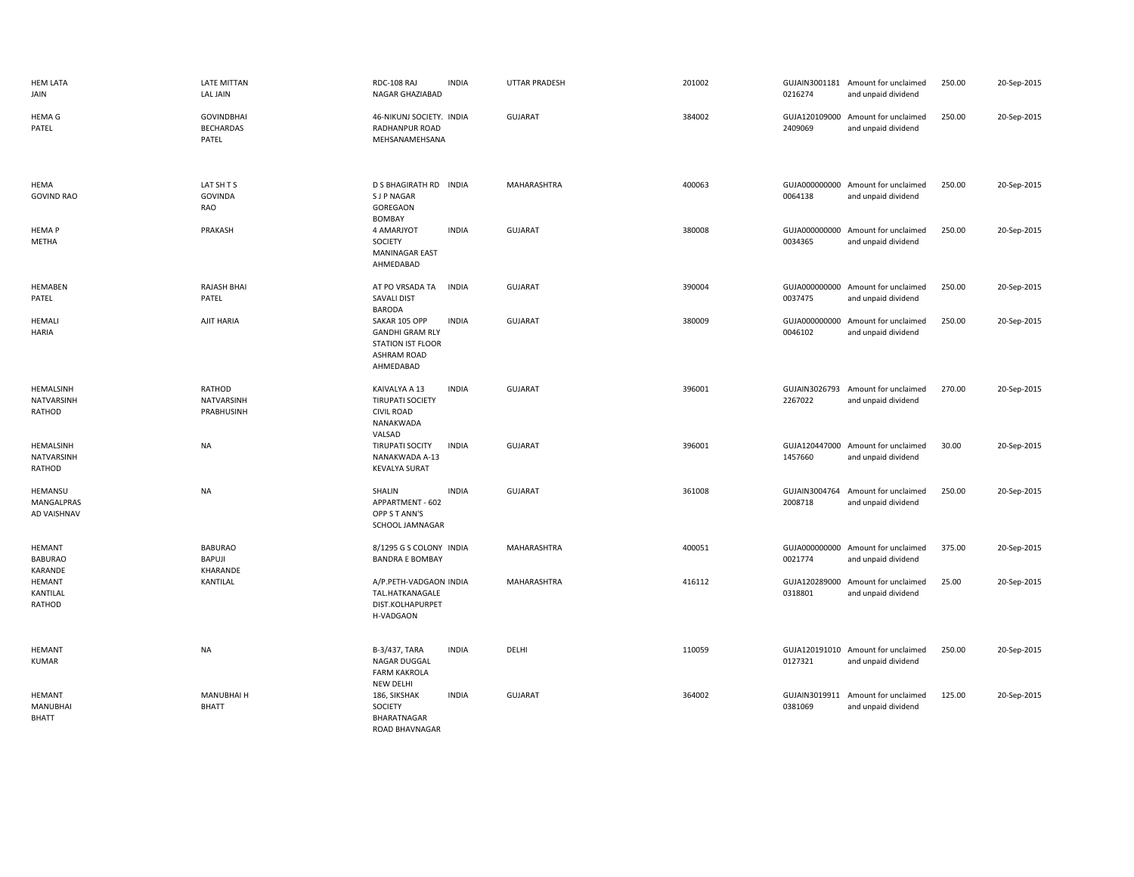| <b>HEM LATA</b><br>JAIN                     | <b>LATE MITTAN</b><br><b>LAL JAIN</b>          | RDC-108 RAJ<br>NAGAR GHAZIABAD                                                                  | <b>INDIA</b> | <b>UTTAR PRADESH</b> | 201002 | 0216274                  | GUJAIN3001181 Amount for unclaimed<br>and unpaid dividend | 250.00 | 20-Sep-2015 |
|---------------------------------------------|------------------------------------------------|-------------------------------------------------------------------------------------------------|--------------|----------------------|--------|--------------------------|-----------------------------------------------------------|--------|-------------|
| <b>HEMAG</b><br>PATEL                       | <b>GOVINDBHAI</b><br><b>BECHARDAS</b><br>PATEL | 46-NIKUNJ SOCIETY. INDIA<br>RADHANPUR ROAD<br>MEHSANAMEHSANA                                    |              | <b>GUJARAT</b>       | 384002 | 2409069                  | GUJA120109000 Amount for unclaimed<br>and unpaid dividend | 250.00 | 20-Sep-2015 |
| HEMA<br><b>GOVIND RAO</b>                   | LAT SH T S<br><b>GOVINDA</b><br>RAO            | D S BHAGIRATH RD INDIA<br><b>SJP NAGAR</b><br>GOREGAON<br><b>BOMBAY</b>                         |              | <b>MAHARASHTRA</b>   | 400063 | 0064138                  | GUJA000000000 Amount for unclaimed<br>and unpaid dividend | 250.00 | 20-Sep-2015 |
| <b>HEMAP</b><br>METHA                       | PRAKASH                                        | 4 AMARJYOT<br>SOCIETY<br><b>MANINAGAR EAST</b><br>AHMEDABAD                                     | <b>INDIA</b> | <b>GUJARAT</b>       | 380008 | 0034365                  | GUJA000000000 Amount for unclaimed<br>and unpaid dividend | 250.00 | 20-Sep-2015 |
| HEMABEN<br>PATEL                            | <b>RAJASH BHAI</b><br>PATEL                    | AT PO VRSADA TA<br><b>SAVALI DIST</b><br><b>BARODA</b>                                          | <b>INDIA</b> | GUJARAT              | 390004 | 0037475                  | GUJA000000000 Amount for unclaimed<br>and unpaid dividend | 250.00 | 20-Sep-2015 |
| <b>HEMALI</b><br><b>HARIA</b>               | AJIT HARIA                                     | SAKAR 105 OPP<br><b>GANDHI GRAM RLY</b><br>STATION IST FLOOR<br><b>ASHRAM ROAD</b><br>AHMEDABAD | <b>INDIA</b> | <b>GUJARAT</b>       | 380009 | 0046102                  | GUJA000000000 Amount for unclaimed<br>and unpaid dividend | 250.00 | 20-Sep-2015 |
| HEMALSINH<br>NATVARSINH<br>RATHOD           | RATHOD<br>NATVARSINH<br>PRABHUSINH             | KAIVALYA A 13<br><b>TIRUPATI SOCIETY</b><br><b>CIVIL ROAD</b><br>NANAKWADA<br>VALSAD            | <b>INDIA</b> | <b>GUJARAT</b>       | 396001 | GUJAIN3026793<br>2267022 | Amount for unclaimed<br>and unpaid dividend               | 270.00 | 20-Sep-2015 |
| HEMALSINH<br>NATVARSINH<br>RATHOD           | <b>NA</b>                                      | <b>TIRUPATI SOCITY</b><br>NANAKWADA A-13<br><b>KEVALYA SURAT</b>                                | <b>INDIA</b> | GUJARAT              | 396001 | 1457660                  | GUJA120447000 Amount for unclaimed<br>and unpaid dividend | 30.00  | 20-Sep-2015 |
| HEMANSU<br>MANGALPRAS<br><b>AD VAISHNAV</b> | <b>NA</b>                                      | SHALIN<br>APPARTMENT - 602<br>OPP S T ANN'S<br>SCHOOL JAMNAGAR                                  | <b>INDIA</b> | <b>GUJARAT</b>       | 361008 | 2008718                  | GUJAIN3004764 Amount for unclaimed<br>and unpaid dividend | 250.00 | 20-Sep-2015 |
| <b>HEMANT</b><br><b>BABURAO</b><br>KARANDE  | <b>BABURAO</b><br>BAPUJI<br>KHARANDE           | 8/1295 G S COLONY INDIA<br><b>BANDRA E BOMBAY</b>                                               |              | MAHARASHTRA          | 400051 | 0021774                  | GUJA000000000 Amount for unclaimed<br>and unpaid dividend | 375.00 | 20-Sep-2015 |
| <b>HEMANT</b><br>KANTILAL<br>RATHOD         | KANTILAL                                       | A/P.PETH-VADGAON INDIA<br>TAL.HATKANAGALE<br>DIST.KOLHAPURPET<br>H-VADGAON                      |              | MAHARASHTRA          | 416112 | 0318801                  | GUJA120289000 Amount for unclaimed<br>and unpaid dividend | 25.00  | 20-Sep-2015 |
| <b>HEMANT</b><br><b>KUMAR</b>               | <b>NA</b>                                      | B-3/437, TARA<br>NAGAR DUGGAL<br><b>FARM KAKROLA</b><br>NEW DELHI                               | <b>INDIA</b> | DELHI                | 110059 | 0127321                  | GUJA120191010 Amount for unclaimed<br>and unpaid dividend | 250.00 | 20-Sep-2015 |
| HEMANT<br><b>MANUBHAI</b><br><b>BHATT</b>   | <b>MANUBHAI H</b><br><b>BHATT</b>              | 186, SIKSHAK<br>SOCIETY<br>BHARATNAGAR<br>ROAD BHAVNAGAR                                        | <b>INDIA</b> | <b>GUJARAT</b>       | 364002 | 0381069                  | GUJAIN3019911 Amount for unclaimed<br>and unpaid dividend | 125.00 | 20-Sep-2015 |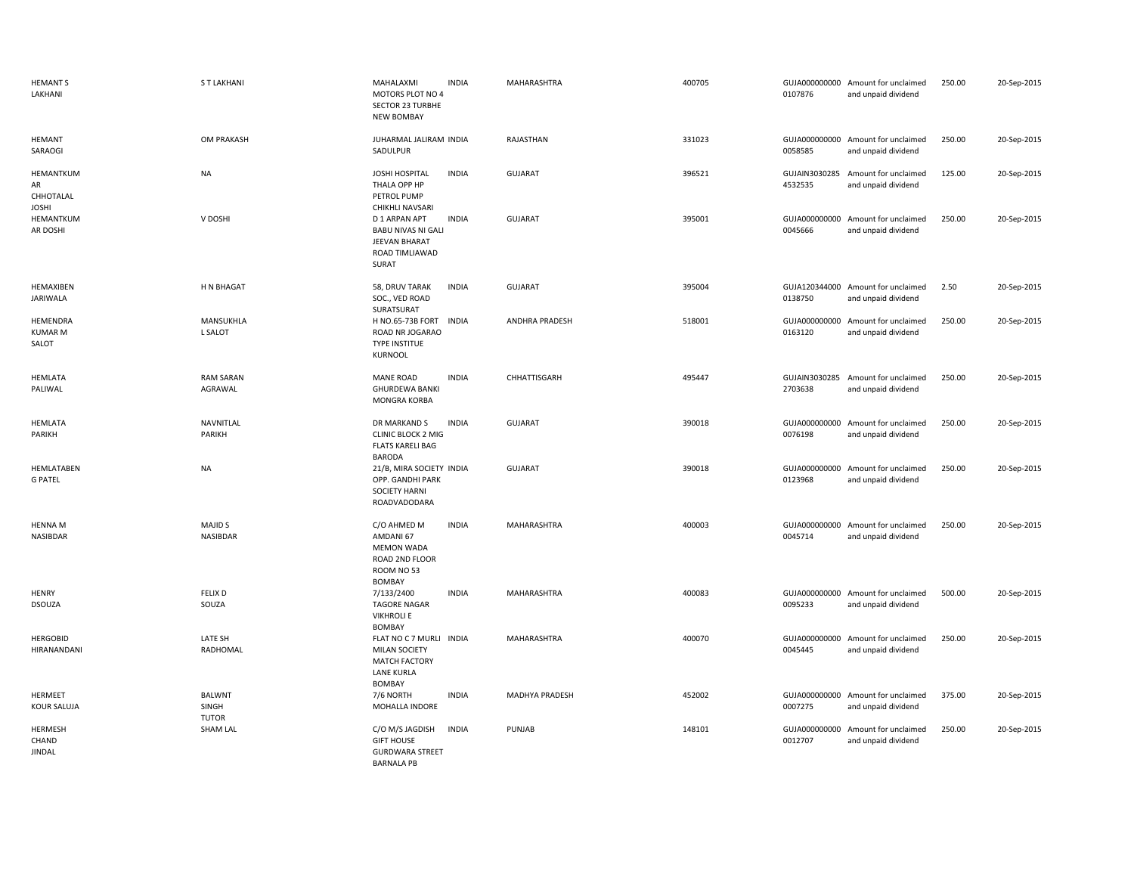| <b>HEMANT S</b><br>LAKHANI                   | <b>ST LAKHANI</b>                      | MAHALAXMI<br><b>INDIA</b><br>MOTORS PLOT NO 4<br><b>SECTOR 23 TURBHE</b><br><b>NEW BOMBAY</b>                  | MAHARASHTRA           | 400705 | 0107876                  | GUJA000000000 Amount for unclaimed<br>and unpaid dividend | 250.00 | 20-Sep-2015 |
|----------------------------------------------|----------------------------------------|----------------------------------------------------------------------------------------------------------------|-----------------------|--------|--------------------------|-----------------------------------------------------------|--------|-------------|
| <b>HEMANT</b><br>SARAOGI                     | OM PRAKASH                             | JUHARMAL JALIRAM INDIA<br>SADULPUR                                                                             | RAJASTHAN             | 331023 | 0058585                  | GUJA000000000 Amount for unclaimed<br>and unpaid dividend | 250.00 | 20-Sep-2015 |
| HEMANTKUM<br>AR<br>CHHOTALAL<br><b>JOSHI</b> | <b>NA</b>                              | JOSHI HOSPITAL<br><b>INDIA</b><br>THALA OPP HP<br>PETROL PUMP<br>CHIKHLI NAVSARI                               | <b>GUJARAT</b>        | 396521 | 4532535                  | GUJAIN3030285 Amount for unclaimed<br>and unpaid dividend | 125.00 | 20-Sep-2015 |
| HEMANTKUM<br>AR DOSHI                        | V DOSHI                                | D 1 ARPAN APT<br><b>INDIA</b><br><b>BABU NIVAS NI GALI</b><br>JEEVAN BHARAT<br>ROAD TIMLIAWAD<br>SURAT         | GUJARAT               | 395001 | GUJA000000000<br>0045666 | Amount for unclaimed<br>and unpaid dividend               | 250.00 | 20-Sep-2015 |
| HEMAXIBEN<br>JARIWALA                        | H N BHAGAT                             | 58, DRUV TARAK<br><b>INDIA</b><br>SOC., VED ROAD<br>SURATSURAT                                                 | GUJARAT               | 395004 | 0138750                  | GUJA120344000 Amount for unclaimed<br>and unpaid dividend | 2.50   | 20-Sep-2015 |
| HEMENDRA<br>KUMAR M<br>SALOT                 | MANSUKHLA<br>L SALOT                   | H NO.65-73B FORT INDIA<br>ROAD NR JOGARAO<br><b>TYPE INSTITUE</b><br>KURNOOL                                   | <b>ANDHRA PRADESH</b> | 518001 | 0163120                  | GUJA000000000 Amount for unclaimed<br>and unpaid dividend | 250.00 | 20-Sep-2015 |
| <b>HEMLATA</b><br>PALIWAL                    | <b>RAM SARAN</b><br>AGRAWAL            | <b>MANE ROAD</b><br><b>INDIA</b><br><b>GHURDEWA BANKI</b><br>MONGRA KORBA                                      | CHHATTISGARH          | 495447 | 2703638                  | GUJAIN3030285 Amount for unclaimed<br>and unpaid dividend | 250.00 | 20-Sep-2015 |
| <b>HEMLATA</b><br>PARIKH                     | NAVNITLAL<br>PARIKH                    | DR MARKAND S<br><b>INDIA</b><br><b>CLINIC BLOCK 2 MIG</b><br><b>FLATS KARELI BAG</b><br><b>BARODA</b>          | <b>GUJARAT</b>        | 390018 | GUJA000000000<br>0076198 | Amount for unclaimed<br>and unpaid dividend               | 250.00 | 20-Sep-2015 |
| HEMLATABEN<br><b>G PATEL</b>                 | <b>NA</b>                              | 21/B, MIRA SOCIETY INDIA<br>OPP. GANDHI PARK<br><b>SOCIETY HARNI</b><br>ROADVADODARA                           | <b>GUJARAT</b>        | 390018 | 0123968                  | GUJA000000000 Amount for unclaimed<br>and unpaid dividend | 250.00 | 20-Sep-2015 |
| <b>HENNA M</b><br>NASIBDAR                   | <b>MAJID S</b><br>NASIBDAR             | <b>INDIA</b><br>C/O AHMED M<br>AMDANI 67<br><b>MEMON WADA</b><br>ROAD 2ND FLOOR<br>ROOM NO 53<br><b>BOMBAY</b> | MAHARASHTRA           | 400003 | 0045714                  | GUJA000000000 Amount for unclaimed<br>and unpaid dividend | 250.00 | 20-Sep-2015 |
| <b>HENRY</b><br><b>DSOUZA</b>                | <b>FELIX D</b><br>SOUZA                | 7/133/2400<br><b>INDIA</b><br><b>TAGORE NAGAR</b><br><b>VIKHROLIE</b><br><b>BOMBAY</b>                         | MAHARASHTRA           | 400083 | GUJA000000000<br>0095233 | Amount for unclaimed<br>and unpaid dividend               | 500.00 | 20-Sep-2015 |
| <b>HERGOBID</b><br>HIRANANDANI               | LATE SH<br>RADHOMAL                    | FLAT NO C 7 MURLI INDIA<br>MILAN SOCIETY<br>MATCH FACTORY<br><b>LANE KURLA</b><br><b>BOMBAY</b>                | MAHARASHTRA           | 400070 | GUJA000000000<br>0045445 | Amount for unclaimed<br>and unpaid dividend               | 250.00 | 20-Sep-2015 |
| HERMEET<br><b>KOUR SALUJA</b>                | <b>BALWNT</b><br>SINGH<br><b>TUTOR</b> | 7/6 NORTH<br><b>INDIA</b><br>MOHALLA INDORE                                                                    | MADHYA PRADESH        | 452002 | 0007275                  | GUJA000000000 Amount for unclaimed<br>and unpaid dividend | 375.00 | 20-Sep-2015 |
| <b>HERMESH</b><br>CHAND<br><b>JINDAL</b>     | <b>SHAM LAL</b>                        | C/O M/S JAGDISH<br><b>INDIA</b><br><b>GIFT HOUSE</b><br><b>GURDWARA STREET</b><br><b>BARNALA PB</b>            | PUNJAB                | 148101 | GUJA000000000<br>0012707 | Amount for unclaimed<br>and unpaid dividend               | 250.00 | 20-Sep-2015 |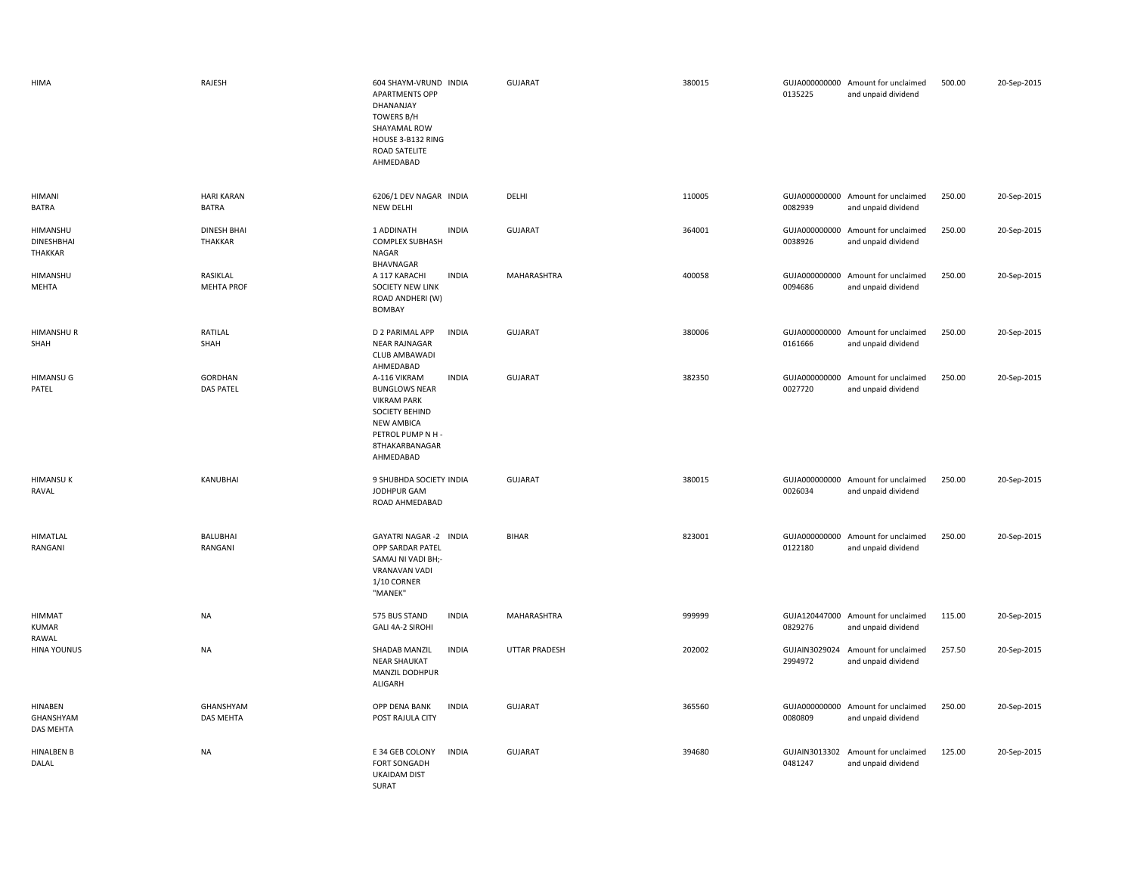| HIMA                                     | RAJESH                               | 604 SHAYM-VRUND INDIA<br><b>APARTMENTS OPP</b><br>DHANANJAY<br><b>TOWERS B/H</b><br>SHAYAMAL ROW<br>HOUSE 3-B132 RING<br>ROAD SATELITE<br>AHMEDABAD                   | <b>GUJARAT</b>       | 380015 | 0135225 | GUJA000000000 Amount for unclaimed<br>and unpaid dividend | 500.00 | 20-Sep-2015 |
|------------------------------------------|--------------------------------------|-----------------------------------------------------------------------------------------------------------------------------------------------------------------------|----------------------|--------|---------|-----------------------------------------------------------|--------|-------------|
| <b>HIMANI</b><br><b>BATRA</b>            | <b>HARI KARAN</b><br><b>BATRA</b>    | 6206/1 DEV NAGAR INDIA<br>NEW DELHI                                                                                                                                   | DELHI                | 110005 | 0082939 | GUJA000000000 Amount for unclaimed<br>and unpaid dividend | 250.00 | 20-Sep-2015 |
| HIMANSHU<br><b>DINESHBHAI</b><br>THAKKAR | <b>DINESH BHAI</b><br><b>THAKKAR</b> | 1 ADDINATH<br><b>INDIA</b><br><b>COMPLEX SUBHASH</b><br>NAGAR<br>BHAVNAGAR                                                                                            | <b>GUJARAT</b>       | 364001 | 0038926 | GUJA000000000 Amount for unclaimed<br>and unpaid dividend | 250.00 | 20-Sep-2015 |
| HIMANSHU<br>MEHTA                        | RASIKLAL<br><b>MEHTA PROF</b>        | <b>INDIA</b><br>A 117 KARACHI<br>SOCIETY NEW LINK<br>ROAD ANDHERI (W)<br><b>BOMBAY</b>                                                                                | MAHARASHTRA          | 400058 | 0094686 | GUJA000000000 Amount for unclaimed<br>and unpaid dividend | 250.00 | 20-Sep-2015 |
| <b>HIMANSHUR</b><br>SHAH                 | RATILAL<br>SHAH                      | D 2 PARIMAL APP<br><b>INDIA</b><br><b>NEAR RAJNAGAR</b><br>CLUB AMBAWADI<br>AHMEDABAD                                                                                 | GUJARAT              | 380006 | 0161666 | GUJA000000000 Amount for unclaimed<br>and unpaid dividend | 250.00 | 20-Sep-2015 |
| <b>HIMANSU G</b><br>PATEL                | <b>GORDHAN</b><br><b>DAS PATEL</b>   | A-116 VIKRAM<br><b>INDIA</b><br><b>BUNGLOWS NEAR</b><br><b>VIKRAM PARK</b><br>SOCIETY BEHIND<br><b>NEW AMBICA</b><br>PETROL PUMP N H -<br>8THAKARBANAGAR<br>AHMEDABAD | GUJARAT              | 382350 | 0027720 | GUJA000000000 Amount for unclaimed<br>and unpaid dividend | 250.00 | 20-Sep-2015 |
| <b>HIMANSUK</b><br>RAVAL                 | KANUBHAI                             | 9 SHUBHDA SOCIETY INDIA<br>JODHPUR GAM<br>ROAD AHMEDABAD                                                                                                              | <b>GUJARAT</b>       | 380015 | 0026034 | GUJA000000000 Amount for unclaimed<br>and unpaid dividend | 250.00 | 20-Sep-2015 |
| HIMATLAL<br>RANGANI                      | BALUBHAI<br>RANGANI                  | GAYATRI NAGAR -2 INDIA<br>OPP SARDAR PATEL<br>SAMAJ NI VADI BH;-<br>VRANAVAN VADI<br>1/10 CORNER<br>"MANEK"                                                           | <b>BIHAR</b>         | 823001 | 0122180 | GUJA000000000 Amount for unclaimed<br>and unpaid dividend | 250.00 | 20-Sep-2015 |
| <b>HIMMAT</b><br><b>KUMAR</b><br>RAWAL   | <b>NA</b>                            | 575 BUS STAND<br><b>INDIA</b><br>GALI 4A-2 SIROHI                                                                                                                     | MAHARASHTRA          | 999999 | 0829276 | GUJA120447000 Amount for unclaimed<br>and unpaid dividend | 115.00 | 20-Sep-2015 |
| <b>HINA YOUNUS</b>                       | <b>NA</b>                            | SHADAB MANZIL<br><b>INDIA</b><br><b>NEAR SHAUKAT</b><br>MANZIL DODHPUR<br>ALIGARH                                                                                     | <b>UTTAR PRADESH</b> | 202002 | 2994972 | GUJAIN3029024 Amount for unclaimed<br>and unpaid dividend | 257.50 | 20-Sep-2015 |
| HINABEN<br>GHANSHYAM<br>DAS MEHTA        | GHANSHYAM<br>DAS MEHTA               | OPP DENA BANK<br><b>INDIA</b><br>POST RAJULA CITY                                                                                                                     | <b>GUJARAT</b>       | 365560 | 0080809 | GUJA000000000 Amount for unclaimed<br>and unpaid dividend | 250.00 | 20-Sep-2015 |
| <b>HINALBEN B</b><br>DALAL               | NA                                   | E 34 GEB COLONY<br><b>INDIA</b><br>FORT SONGADH<br><b>UKAIDAM DIST</b><br>SURAT                                                                                       | <b>GUJARAT</b>       | 394680 | 0481247 | GUJAIN3013302 Amount for unclaimed<br>and unpaid dividend | 125.00 | 20-Sep-2015 |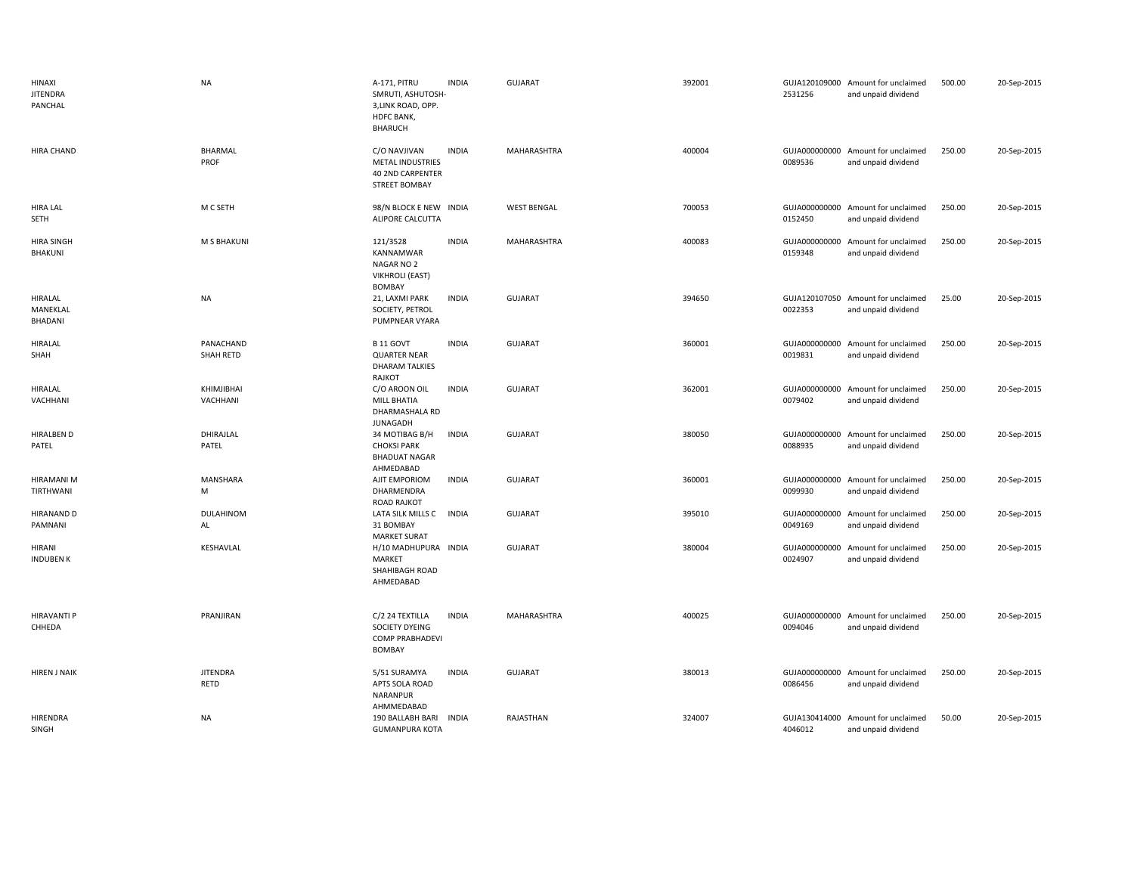| HINAXI<br><b>JITENDRA</b><br>PANCHAL  | <b>NA</b>               | A-171, PITRU<br>SMRUTI, ASHUTOSH-<br>3,LINK ROAD, OPP.<br>HDFC BANK,<br><b>BHARUCH</b> | <b>INDIA</b> | <b>GUJARAT</b>     | 392001 | 2531256                  | GUJA120109000 Amount for unclaimed<br>and unpaid dividend | 500.00 | 20-Sep-2015 |
|---------------------------------------|-------------------------|----------------------------------------------------------------------------------------|--------------|--------------------|--------|--------------------------|-----------------------------------------------------------|--------|-------------|
| <b>HIRA CHAND</b>                     | <b>BHARMAL</b><br>PROF  | C/O NAVJIVAN<br>METAL INDUSTRIES<br>40 2ND CARPENTER<br><b>STREET BOMBAY</b>           | <b>INDIA</b> | MAHARASHTRA        | 400004 | 0089536                  | GUJA000000000 Amount for unclaimed<br>and unpaid dividend | 250.00 | 20-Sep-2015 |
| <b>HIRA LAL</b><br>SETH               | M C SETH                | 98/N BLOCK E NEW INDIA<br>ALIPORE CALCUTTA                                             |              | <b>WEST BENGAL</b> | 700053 | 0152450                  | GUJA000000000 Amount for unclaimed<br>and unpaid dividend | 250.00 | 20-Sep-2015 |
| <b>HIRA SINGH</b><br>BHAKUNI          | M S BHAKUNI             | 121/3528<br>KANNAMWAR<br>NAGAR NO 2<br><b>VIKHROLI (EAST)</b><br>BOMBAY                | <b>INDIA</b> | MAHARASHTRA        | 400083 | 0159348                  | GUJA000000000 Amount for unclaimed<br>and unpaid dividend | 250.00 | 20-Sep-2015 |
| <b>HIRALAL</b><br>MANEKLAL<br>BHADANI | <b>NA</b>               | 21, LAXMI PARK<br>SOCIETY, PETROL<br>PUMPNEAR VYARA                                    | <b>INDIA</b> | <b>GUJARAT</b>     | 394650 | 0022353                  | GUJA120107050 Amount for unclaimed<br>and unpaid dividend | 25.00  | 20-Sep-2015 |
| HIRALAL<br>SHAH                       | PANACHAND<br>SHAH RETD  | B 11 GOVT<br><b>QUARTER NEAR</b><br><b>DHARAM TALKIES</b><br>RAJKOT                    | <b>INDIA</b> | <b>GUJARAT</b>     | 360001 | 0019831                  | GUJA000000000 Amount for unclaimed<br>and unpaid dividend | 250.00 | 20-Sep-2015 |
| <b>HIRALAL</b><br>VACHHANI            | KHIMJIBHAI<br>VACHHANI  | C/O AROON OIL<br>MILL BHATIA<br>DHARMASHALA RD<br><b>JUNAGADH</b>                      | <b>INDIA</b> | <b>GUJARAT</b>     | 362001 | 0079402                  | GUJA000000000 Amount for unclaimed<br>and unpaid dividend | 250.00 | 20-Sep-2015 |
| <b>HIRALBEN D</b><br>PATEL            | DHIRAJLAL<br>PATEL      | 34 MOTIBAG B/H<br><b>CHOKSI PARK</b><br><b>BHADUAT NAGAR</b><br>AHMEDABAD              | <b>INDIA</b> | <b>GUJARAT</b>     | 380050 | 0088935                  | GUJA000000000 Amount for unclaimed<br>and unpaid dividend | 250.00 | 20-Sep-2015 |
| <b>HIRAMANI M</b><br>TIRTHWANI        | <b>MANSHARA</b><br>M    | AJIT EMPORIOM<br>DHARMENDRA<br><b>ROAD RAJKOT</b>                                      | <b>INDIA</b> | <b>GUJARAT</b>     | 360001 | GUJA000000000<br>0099930 | Amount for unclaimed<br>and unpaid dividend               | 250.00 | 20-Sep-2015 |
| <b>HIRANAND D</b><br>PAMNANI          | DULAHINOM<br>AL         | LATA SILK MILLS C<br>31 BOMBAY<br><b>MARKET SURAT</b>                                  | <b>INDIA</b> | <b>GUJARAT</b>     | 395010 | GUJA000000000<br>0049169 | Amount for unclaimed<br>and unpaid dividend               | 250.00 | 20-Sep-2015 |
| HIRANI<br><b>INDUBEN K</b>            | KESHAVLAL               | H/10 MADHUPURA INDIA<br>MARKET<br>SHAHIBAGH ROAD<br>AHMEDABAD                          |              | <b>GUJARAT</b>     | 380004 | GUJA000000000<br>0024907 | Amount for unclaimed<br>and unpaid dividend               | 250.00 | 20-Sep-2015 |
| <b>HIRAVANTI P</b><br>CHHEDA          | PRANJIRAN               | C/2 24 TEXTILLA<br>SOCIETY DYEING<br><b>COMP PRABHADEVI</b><br>BOMBAY                  | <b>INDIA</b> | MAHARASHTRA        | 400025 | 0094046                  | GUJA000000000 Amount for unclaimed<br>and unpaid dividend | 250.00 | 20-Sep-2015 |
| <b>HIREN J NAIK</b>                   | <b>JITENDRA</b><br>RETD | 5/51 SURAMYA<br>APTS SOLA ROAD<br>NARANPUR<br>AHMMEDABAD                               | <b>INDIA</b> | <b>GUJARAT</b>     | 380013 | 0086456                  | GUJA000000000 Amount for unclaimed<br>and unpaid dividend | 250.00 | 20-Sep-2015 |
| HIRENDRA<br>SINGH                     | <b>NA</b>               | 190 BALLABH BARI<br><b>GUMANPURA KOTA</b>                                              | <b>INDIA</b> | RAJASTHAN          | 324007 | 4046012                  | GUJA130414000 Amount for unclaimed<br>and unpaid dividend | 50.00  | 20-Sep-2015 |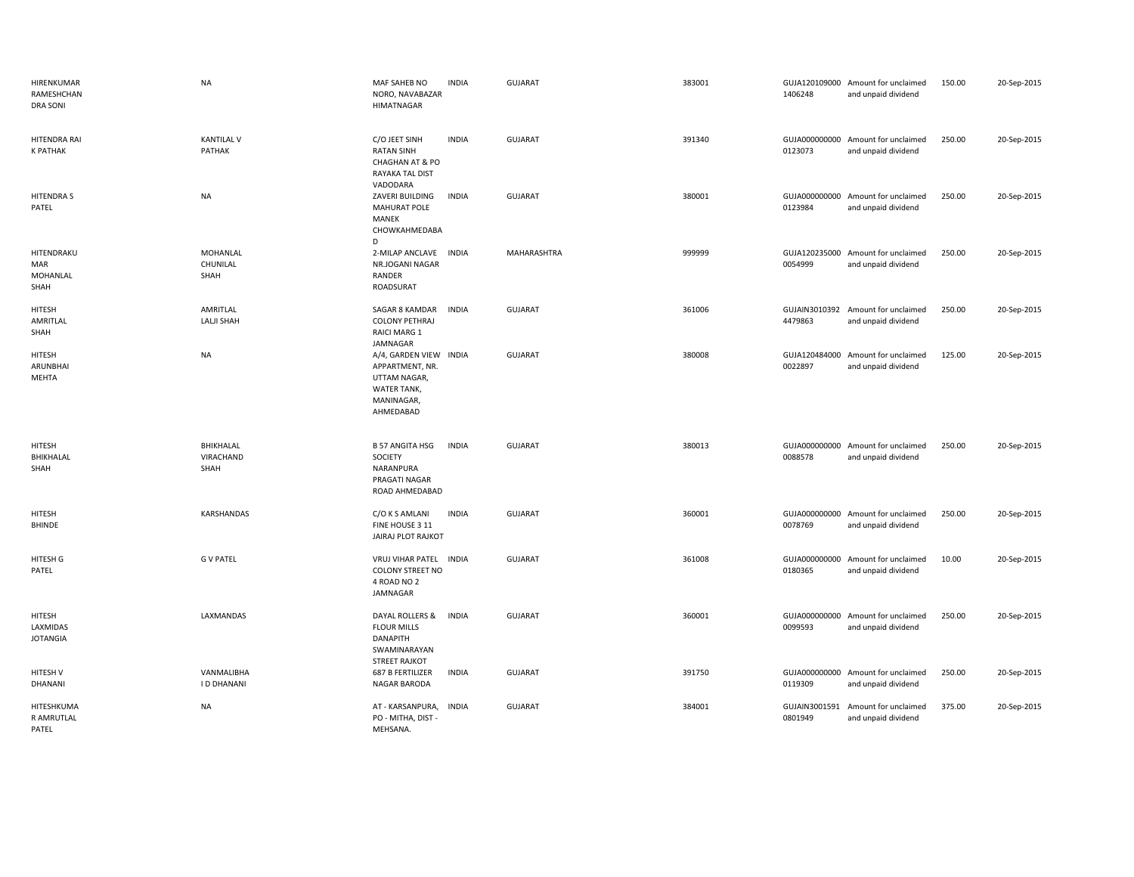| HIRENKUMAR<br>RAMESHCHAN<br><b>DRA SONI</b> | <b>NA</b>                           | MAF SAHEB NO<br>NORO, NAVABAZAR<br><b>HIMATNAGAR</b>                                                | <b>INDIA</b> | GUJARAT        | 383001 | 1406248                  | GUJA120109000 Amount for unclaimed<br>and unpaid dividend | 150.00 | 20-Sep-2015 |
|---------------------------------------------|-------------------------------------|-----------------------------------------------------------------------------------------------------|--------------|----------------|--------|--------------------------|-----------------------------------------------------------|--------|-------------|
| HITENDRA RAI<br><b>K PATHAK</b>             | <b>KANTILAL V</b><br>PATHAK         | C/O JEET SINH<br><b>RATAN SINH</b><br>CHAGHAN AT & PO<br><b>RAYAKA TAL DIST</b><br>VADODARA         | <b>INDIA</b> | <b>GUJARAT</b> | 391340 | 0123073                  | GUJA000000000 Amount for unclaimed<br>and unpaid dividend | 250.00 | 20-Sep-2015 |
| <b>HITENDRAS</b><br>PATEL                   | <b>NA</b>                           | ZAVERI BUILDING<br><b>MAHURAT POLE</b><br>MANEK<br>CHOWKAHMEDABA<br>D                               | <b>INDIA</b> | <b>GUJARAT</b> | 380001 | GUJA000000000<br>0123984 | Amount for unclaimed<br>and unpaid dividend               | 250.00 | 20-Sep-2015 |
| HITENDRAKU<br>MAR<br>MOHANLAL<br>SHAH       | <b>MOHANLAL</b><br>CHUNILAL<br>SHAH | 2-MILAP ANCLAVE<br>NR.JOGANI NAGAR<br>RANDER<br>ROADSURAT                                           | <b>INDIA</b> | MAHARASHTRA    | 999999 | 0054999                  | GUJA120235000 Amount for unclaimed<br>and unpaid dividend | 250.00 | 20-Sep-2015 |
| HITESH<br>AMRITLAL<br>SHAH                  | AMRITLAL<br>LALJI SHAH              | SAGAR 8 KAMDAR<br><b>COLONY PETHRAJ</b><br>RAICI MARG 1<br>JAMNAGAR                                 | <b>INDIA</b> | <b>GUJARAT</b> | 361006 | 4479863                  | GUJAIN3010392 Amount for unclaimed<br>and unpaid dividend | 250.00 | 20-Sep-2015 |
| HITESH<br>ARUNBHAI<br>MEHTA                 | <b>NA</b>                           | A/4, GARDEN VIEW INDIA<br>APPARTMENT, NR.<br>UTTAM NAGAR,<br>WATER TANK,<br>MANINAGAR,<br>AHMEDABAD |              | <b>GUJARAT</b> | 380008 | GUJA120484000<br>0022897 | Amount for unclaimed<br>and unpaid dividend               | 125.00 | 20-Sep-2015 |
| HITESH<br>BHIKHALAL<br>SHAH                 | BHIKHALAL<br>VIRACHAND<br>SHAH      | <b>B 57 ANGITA HSG</b><br>SOCIETY<br>NARANPURA<br>PRAGATI NAGAR<br>ROAD AHMEDABAD                   | <b>INDIA</b> | GUJARAT        | 380013 | GUJA000000000<br>0088578 | Amount for unclaimed<br>and unpaid dividend               | 250.00 | 20-Sep-2015 |
| HITESH<br>BHINDE                            | <b>KARSHANDAS</b>                   | C/O K S AMLANI<br>FINE HOUSE 3 11<br>JAIRAJ PLOT RAJKOT                                             | <b>INDIA</b> | <b>GUJARAT</b> | 360001 | GUJA000000000<br>0078769 | Amount for unclaimed<br>and unpaid dividend               | 250.00 | 20-Sep-2015 |
| <b>HITESH G</b><br>PATEL                    | <b>G V PATEL</b>                    | VRUJ VIHAR PATEL INDIA<br><b>COLONY STREET NO</b><br>4 ROAD NO 2<br>JAMNAGAR                        |              | <b>GUJARAT</b> | 361008 | GUJA000000000<br>0180365 | Amount for unclaimed<br>and unpaid dividend               | 10.00  | 20-Sep-2015 |
| HITESH<br>LAXMIDAS<br><b>JOTANGIA</b>       | LAXMANDAS                           | DAYAL ROLLERS &<br><b>FLOUR MILLS</b><br><b>DANAPITH</b><br>SWAMINARAYAN<br><b>STREET RAJKOT</b>    | <b>INDIA</b> | GUJARAT        | 360001 | GUJA000000000<br>0099593 | Amount for unclaimed<br>and unpaid dividend               | 250.00 | 20-Sep-2015 |
| HITESH V<br>DHANANI                         | VANMALIBHA<br>I D DHANANI           | 687 B FERTILIZER<br>NAGAR BARODA                                                                    | <b>INDIA</b> | <b>GUJARAT</b> | 391750 | GUJA000000000<br>0119309 | Amount for unclaimed<br>and unpaid dividend               | 250.00 | 20-Sep-2015 |
| HITESHKUMA<br>R AMRUTLAL<br>PATEL           | <b>NA</b>                           | AT - KARSANPURA,<br>PO - MITHA, DIST -<br>MEHSANA.                                                  | <b>INDIA</b> | <b>GUJARAT</b> | 384001 | GUJAIN3001591<br>0801949 | Amount for unclaimed<br>and unpaid dividend               | 375.00 | 20-Sep-2015 |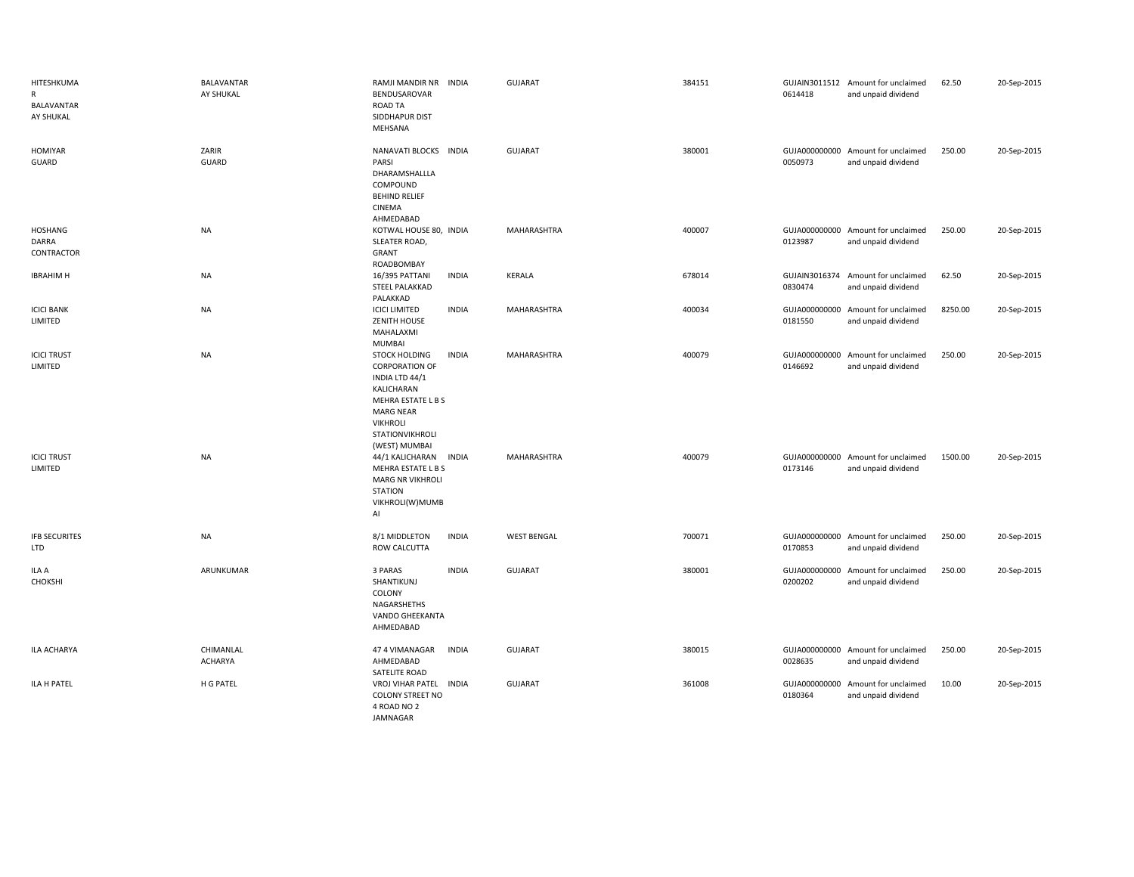| HITESHKUMA<br>$\mathsf{R}$<br><b>BALAVANTAR</b><br>AY SHUKAL | BALAVANTAR<br>AY SHUKAL | RAMJI MANDIR NR INDIA<br>BENDUSAROVAR<br>ROAD TA<br>SIDDHAPUR DIST<br>MEHSANA                                                                                                                  | GUJARAT            | 384151 | 0614418 | GUJAIN3011512 Amount for unclaimed<br>and unpaid dividend | 62.50   | 20-Sep-2015 |
|--------------------------------------------------------------|-------------------------|------------------------------------------------------------------------------------------------------------------------------------------------------------------------------------------------|--------------------|--------|---------|-----------------------------------------------------------|---------|-------------|
| <b>HOMIYAR</b><br>GUARD                                      | ZARIR<br><b>GUARD</b>   | NANAVATI BLOCKS INDIA<br>PARSI<br>DHARAMSHALLLA<br>COMPOUND<br><b>BEHIND RELIEF</b><br>CINEMA<br>AHMEDABAD                                                                                     | <b>GUJARAT</b>     | 380001 | 0050973 | GUJA000000000 Amount for unclaimed<br>and unpaid dividend | 250.00  | 20-Sep-2015 |
| HOSHANG<br>DARRA<br>CONTRACTOR                               | NA                      | KOTWAL HOUSE 80, INDIA<br>SLEATER ROAD,<br>GRANT<br>ROADBOMBAY                                                                                                                                 | MAHARASHTRA        | 400007 | 0123987 | GUJA000000000 Amount for unclaimed<br>and unpaid dividend | 250.00  | 20-Sep-2015 |
| <b>IBRAHIM H</b>                                             | NA                      | 16/395 PATTANI<br><b>INDIA</b><br>STEEL PALAKKAD<br>PALAKKAD                                                                                                                                   | KERALA             | 678014 | 0830474 | GUJAIN3016374 Amount for unclaimed<br>and unpaid dividend | 62.50   | 20-Sep-2015 |
| <b>ICICI BANK</b><br>LIMITED                                 | <b>NA</b>               | <b>ICICI LIMITED</b><br><b>INDIA</b><br>ZENITH HOUSE<br>MAHALAXMI<br>MUMBAI                                                                                                                    | MAHARASHTRA        | 400034 | 0181550 | GUJA000000000 Amount for unclaimed<br>and unpaid dividend | 8250.00 | 20-Sep-2015 |
| <b>ICICI TRUST</b><br>LIMITED                                | <b>NA</b>               | <b>STOCK HOLDING</b><br><b>INDIA</b><br><b>CORPORATION OF</b><br>INDIA LTD 44/1<br>KALICHARAN<br>MEHRA ESTATE L B S<br><b>MARG NEAR</b><br><b>VIKHROLI</b><br>STATIONVIKHROLI<br>(WEST) MUMBAI | MAHARASHTRA        | 400079 | 0146692 | GUJA000000000 Amount for unclaimed<br>and unpaid dividend | 250.00  | 20-Sep-2015 |
| <b>ICICI TRUST</b><br>LIMITED                                | <b>NA</b>               | 44/1 KALICHARAN<br><b>INDIA</b><br>MEHRA ESTATE L B S<br><b>MARG NR VIKHROLI</b><br><b>STATION</b><br>VIKHROLI(W)MUMB<br>Al                                                                    | MAHARASHTRA        | 400079 | 0173146 | GUJA000000000 Amount for unclaimed<br>and unpaid dividend | 1500.00 | 20-Sep-2015 |
| <b>IFB SECURITES</b><br><b>LTD</b>                           | NA                      | 8/1 MIDDLETON<br><b>INDIA</b><br>ROW CALCUTTA                                                                                                                                                  | <b>WEST BENGAL</b> | 700071 | 0170853 | GUJA000000000 Amount for unclaimed<br>and unpaid dividend | 250.00  | 20-Sep-2015 |
| ILA A<br>CHOKSHI                                             | ARUNKUMAR               | 3 PARAS<br><b>INDIA</b><br>SHANTIKUNJ<br>COLONY<br>NAGARSHETHS<br>VANDO GHEEKANTA<br>AHMEDABAD                                                                                                 | <b>GUJARAT</b>     | 380001 | 0200202 | GUJA000000000 Amount for unclaimed<br>and unpaid dividend | 250.00  | 20-Sep-2015 |
| ILA ACHARYA                                                  | CHIMANLAL<br>ACHARYA    | <b>INDIA</b><br>47 4 VIMANAGAR<br>AHMEDABAD<br>SATELITE ROAD                                                                                                                                   | <b>GUJARAT</b>     | 380015 | 0028635 | GUJA000000000 Amount for unclaimed<br>and unpaid dividend | 250.00  | 20-Sep-2015 |
| ILA H PATEL                                                  | H G PATEL               | VROJ VIHAR PATEL INDIA<br><b>COLONY STREET NO</b><br>4 ROAD NO 2<br>JAMNAGAR                                                                                                                   | <b>GUJARAT</b>     | 361008 | 0180364 | GUJA000000000 Amount for unclaimed<br>and unpaid dividend | 10.00   | 20-Sep-2015 |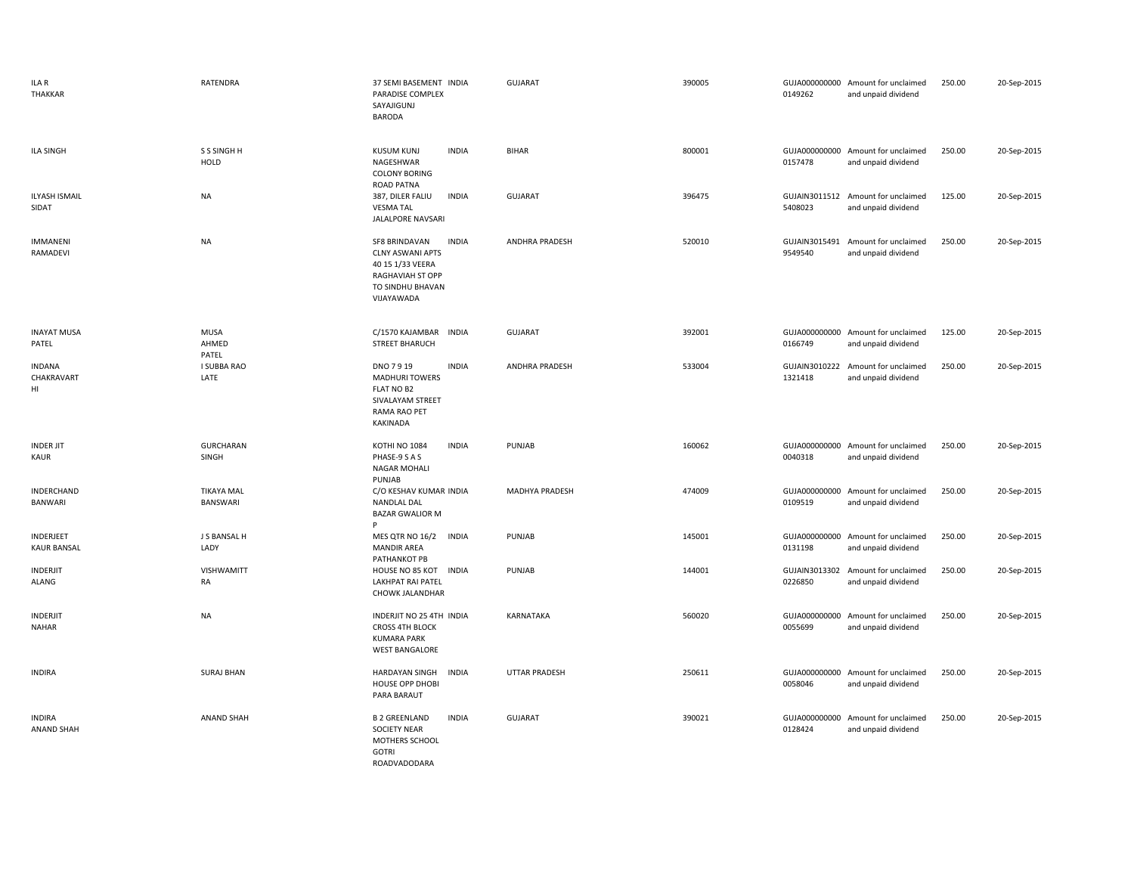| ILA R<br><b>THAKKAR</b>            | RATENDRA                      | 37 SEMI BASEMENT INDIA<br>PARADISE COMPLEX<br>SAYAJIGUNJ<br><b>BARODA</b>                                                          | <b>GUJARAT</b>        | 390005 | 0149262 | GUJA000000000 Amount for unclaimed<br>and unpaid dividend | 250.00 | 20-Sep-2015 |
|------------------------------------|-------------------------------|------------------------------------------------------------------------------------------------------------------------------------|-----------------------|--------|---------|-----------------------------------------------------------|--------|-------------|
| <b>ILA SINGH</b>                   | S S SINGH H<br>HOLD           | <b>KUSUM KUNJ</b><br><b>INDIA</b><br>NAGESHWAR<br><b>COLONY BORING</b><br>ROAD PATNA                                               | <b>BIHAR</b>          | 800001 | 0157478 | GUJA000000000 Amount for unclaimed<br>and unpaid dividend | 250.00 | 20-Sep-2015 |
| <b>ILYASH ISMAIL</b><br>SIDAT      | <b>NA</b>                     | 387, DILER FALIU<br><b>INDIA</b><br><b>VESMA TAL</b><br>JALALPORE NAVSARI                                                          | <b>GUJARAT</b>        | 396475 | 5408023 | GUJAIN3011512 Amount for unclaimed<br>and unpaid dividend | 125.00 | 20-Sep-2015 |
| <b>IMMANENI</b><br>RAMADEVI        | <b>NA</b>                     | <b>INDIA</b><br>SF8 BRINDAVAN<br><b>CLNY ASWANI APTS</b><br>40 15 1/33 VEERA<br>RAGHAVIAH ST OPP<br>TO SINDHU BHAVAN<br>VIJAYAWADA | ANDHRA PRADESH        | 520010 | 9549540 | GUJAIN3015491 Amount for unclaimed<br>and unpaid dividend | 250.00 | 20-Sep-2015 |
| <b>INAYAT MUSA</b><br>PATEL        | <b>MUSA</b><br>AHMED<br>PATEL | C/1570 KAJAMBAR<br><b>INDIA</b><br><b>STREET BHARUCH</b>                                                                           | <b>GUJARAT</b>        | 392001 | 0166749 | GUJA000000000 Amount for unclaimed<br>and unpaid dividend | 125.00 | 20-Sep-2015 |
| <b>INDANA</b><br>CHAKRAVART<br>HI  | I SUBBA RAO<br>LATE           | DNO 7919<br><b>INDIA</b><br><b>MADHURI TOWERS</b><br>FLAT NO B2<br>SIVALAYAM STREET<br>RAMA RAO PET<br>KAKINADA                    | <b>ANDHRA PRADESH</b> | 533004 | 1321418 | GUJAIN3010222 Amount for unclaimed<br>and unpaid dividend | 250.00 | 20-Sep-2015 |
| <b>INDER JIT</b><br>KAUR           | <b>GURCHARAN</b><br>SINGH     | KOTHI NO 1084<br><b>INDIA</b><br>PHASE-9 S A S<br>NAGAR MOHALI<br>PUNJAB                                                           | PUNJAB                | 160062 | 0040318 | GUJA000000000 Amount for unclaimed<br>and unpaid dividend | 250.00 | 20-Sep-2015 |
| INDERCHAND<br><b>BANWARI</b>       | <b>TIKAYA MAL</b><br>BANSWARI | C/O KESHAV KUMAR INDIA<br>NANDLAL DAL<br><b>BAZAR GWALIOR M</b><br>Þ                                                               | MADHYA PRADESH        | 474009 | 0109519 | GUJA000000000 Amount for unclaimed<br>and unpaid dividend | 250.00 | 20-Sep-2015 |
| INDERJEET<br><b>KAUR BANSAL</b>    | J S BANSAL H<br>LADY          | <b>MES QTR NO 16/2</b><br><b>INDIA</b><br><b>MANDIR AREA</b><br>PATHANKOT PB                                                       | PUNJAB                | 145001 | 0131198 | GUJA000000000 Amount for unclaimed<br>and unpaid dividend | 250.00 | 20-Sep-2015 |
| INDERJIT<br>ALANG                  | VISHWAMITT<br>RA              | HOUSE NO 85 KOT INDIA<br>LAKHPAT RAI PATEL<br>CHOWK JALANDHAR                                                                      | PUNJAB                | 144001 | 0226850 | GUJAIN3013302 Amount for unclaimed<br>and unpaid dividend | 250.00 | 20-Sep-2015 |
| <b>INDERJIT</b><br><b>NAHAR</b>    | <b>NA</b>                     | INDERJIT NO 25 4TH INDIA<br><b>CROSS 4TH BLOCK</b><br><b>KUMARA PARK</b><br><b>WEST BANGALORE</b>                                  | KARNATAKA             | 560020 | 0055699 | GUJA000000000 Amount for unclaimed<br>and unpaid dividend | 250.00 | 20-Sep-2015 |
| <b>INDIRA</b>                      | <b>SURAJ BHAN</b>             | <b>INDIA</b><br>HARDAYAN SINGH<br>HOUSE OPP DHOBI<br>PARA BARAUT                                                                   | <b>UTTAR PRADESH</b>  | 250611 | 0058046 | GUJA000000000 Amount for unclaimed<br>and unpaid dividend | 250.00 | 20-Sep-2015 |
| <b>INDIRA</b><br><b>ANAND SHAH</b> | <b>ANAND SHAH</b>             | <b>B 2 GREENLAND</b><br><b>INDIA</b><br><b>SOCIETY NEAR</b><br>MOTHERS SCHOOL<br><b>GOTRI</b><br>ROADVADODARA                      | <b>GUJARAT</b>        | 390021 | 0128424 | GUJA000000000 Amount for unclaimed<br>and unpaid dividend | 250.00 | 20-Sep-2015 |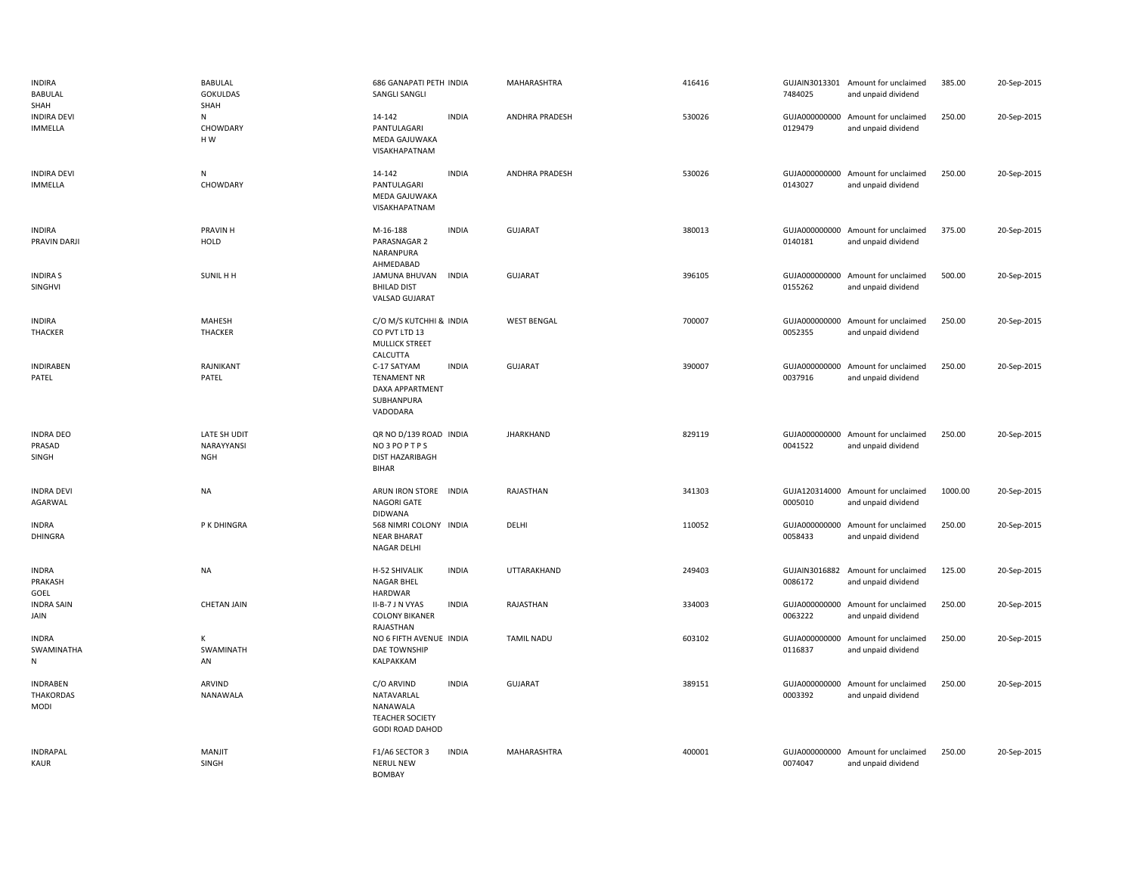| <b>INDIRA</b><br><b>BABULAL</b><br>SHAH            | BABULAL<br><b>GOKULDAS</b><br>SHAH       | 686 GANAPATI PETH INDIA<br>SANGLI SANGLI                                                        |              | MAHARASHTRA           | 416416 | 7484025                  | GUJAIN3013301 Amount for unclaimed<br>and unpaid dividend | 385.00  | 20-Sep-2015 |
|----------------------------------------------------|------------------------------------------|-------------------------------------------------------------------------------------------------|--------------|-----------------------|--------|--------------------------|-----------------------------------------------------------|---------|-------------|
| <b>INDIRA DEVI</b><br>IMMELLA                      | N<br>CHOWDARY<br>HW                      | 14-142<br>PANTULAGARI<br>MEDA GAJUWAKA<br>VISAKHAPATNAM                                         | <b>INDIA</b> | <b>ANDHRA PRADESH</b> | 530026 | 0129479                  | GUJA000000000 Amount for unclaimed<br>and unpaid dividend | 250.00  | 20-Sep-2015 |
| <b>INDIRA DEVI</b><br>IMMELLA                      | N<br>CHOWDARY                            | 14-142<br>PANTULAGARI<br>MEDA GAJUWAKA<br>VISAKHAPATNAM                                         | <b>INDIA</b> | <b>ANDHRA PRADESH</b> | 530026 | 0143027                  | GUJA000000000 Amount for unclaimed<br>and unpaid dividend | 250.00  | 20-Sep-2015 |
| <b>INDIRA</b><br>PRAVIN DARJI                      | <b>PRAVIN H</b><br>HOLD                  | M-16-188<br>PARASNAGAR 2<br>NARANPURA<br>AHMEDABAD                                              | <b>INDIA</b> | <b>GUJARAT</b>        | 380013 | 0140181                  | GUJA000000000 Amount for unclaimed<br>and unpaid dividend | 375.00  | 20-Sep-2015 |
| <b>INDIRA S</b><br>SINGHVI                         | SUNIL H H                                | JAMUNA BHUVAN INDIA<br><b>BHILAD DIST</b><br>VALSAD GUJARAT                                     |              | GUJARAT               | 396105 | 0155262                  | GUJA000000000 Amount for unclaimed<br>and unpaid dividend | 500.00  | 20-Sep-2015 |
| <b>INDIRA</b><br>THACKER                           | MAHESH<br>THACKER                        | C/O M/S KUTCHHI & INDIA<br>CO PVT LTD 13<br><b>MULLICK STREET</b><br>CALCUTTA                   |              | <b>WEST BENGAL</b>    | 700007 | 0052355                  | GUJA000000000 Amount for unclaimed<br>and unpaid dividend | 250.00  | 20-Sep-2015 |
| <b>INDIRABEN</b><br>PATEL                          | RAJNIKANT<br>PATEL                       | C-17 SATYAM<br><b>TENAMENT NR</b><br>DAXA APPARTMENT<br>SUBHANPURA<br>VADODARA                  | <b>INDIA</b> | <b>GUJARAT</b>        | 390007 | 0037916                  | GUJA000000000 Amount for unclaimed<br>and unpaid dividend | 250.00  | 20-Sep-2015 |
| <b>INDRA DEO</b><br>PRASAD<br>SINGH                | LATE SH UDIT<br>NARAYYANSI<br><b>NGH</b> | QR NO D/139 ROAD INDIA<br>NO3POPTPS<br><b>DIST HAZARIBAGH</b><br><b>BIHAR</b>                   |              | <b>JHARKHAND</b>      | 829119 | 0041522                  | GUJA000000000 Amount for unclaimed<br>and unpaid dividend | 250.00  | 20-Sep-2015 |
| <b>INDRA DEVI</b><br>AGARWAL                       | NA                                       | ARUN IRON STORE INDIA<br><b>NAGORI GATE</b><br><b>DIDWANA</b>                                   |              | RAJASTHAN             | 341303 | 0005010                  | GUJA120314000 Amount for unclaimed<br>and unpaid dividend | 1000.00 | 20-Sep-2015 |
| <b>INDRA</b><br>DHINGRA                            | P K DHINGRA                              | 568 NIMRI COLONY INDIA<br><b>NEAR BHARAT</b><br>NAGAR DELHI                                     |              | DELHI                 | 110052 | GUJA000000000<br>0058433 | Amount for unclaimed<br>and unpaid dividend               | 250.00  | 20-Sep-2015 |
| <b>INDRA</b><br>PRAKASH<br>GOEL                    | NA                                       | H-52 SHIVALIK<br>NAGAR BHEL<br><b>HARDWAR</b>                                                   | <b>INDIA</b> | UTTARAKHAND           | 249403 | GUJAIN3016882<br>0086172 | Amount for unclaimed<br>and unpaid dividend               | 125.00  | 20-Sep-2015 |
| <b>INDRA SAIN</b><br>JAIN                          | <b>CHETAN JAIN</b>                       | II-B-7 J N VYAS<br><b>COLONY BIKANER</b><br>RAJASTHAN                                           | <b>INDIA</b> | RAJASTHAN             | 334003 | 0063222                  | GUJA000000000 Amount for unclaimed<br>and unpaid dividend | 250.00  | 20-Sep-2015 |
| <b>INDRA</b><br>SWAMINATHA<br>N                    | К<br>SWAMINATH<br>AN                     | NO 6 FIFTH AVENUE INDIA<br><b>DAE TOWNSHIP</b><br>KALPAKKAM                                     |              | <b>TAMIL NADU</b>     | 603102 | GUJA000000000<br>0116837 | Amount for unclaimed<br>and unpaid dividend               | 250.00  | 20-Sep-2015 |
| <b>INDRABEN</b><br><b>THAKORDAS</b><br><b>MODI</b> | ARVIND<br>NANAWALA                       | C/O ARVIND<br>NATAVARLAL<br><b>NANAWALA</b><br><b>TEACHER SOCIETY</b><br><b>GODI ROAD DAHOD</b> | <b>INDIA</b> | <b>GUJARAT</b>        | 389151 | 0003392                  | GUJA000000000 Amount for unclaimed<br>and unpaid dividend | 250.00  | 20-Sep-2015 |
| <b>INDRAPAL</b><br>KAUR                            | <b>MANJIT</b><br>SINGH                   | F1/A6 SECTOR 3<br><b>NERUL NEW</b><br><b>BOMBAY</b>                                             | <b>INDIA</b> | MAHARASHTRA           | 400001 | GUJA000000000<br>0074047 | Amount for unclaimed<br>and unpaid dividend               | 250.00  | 20-Sep-2015 |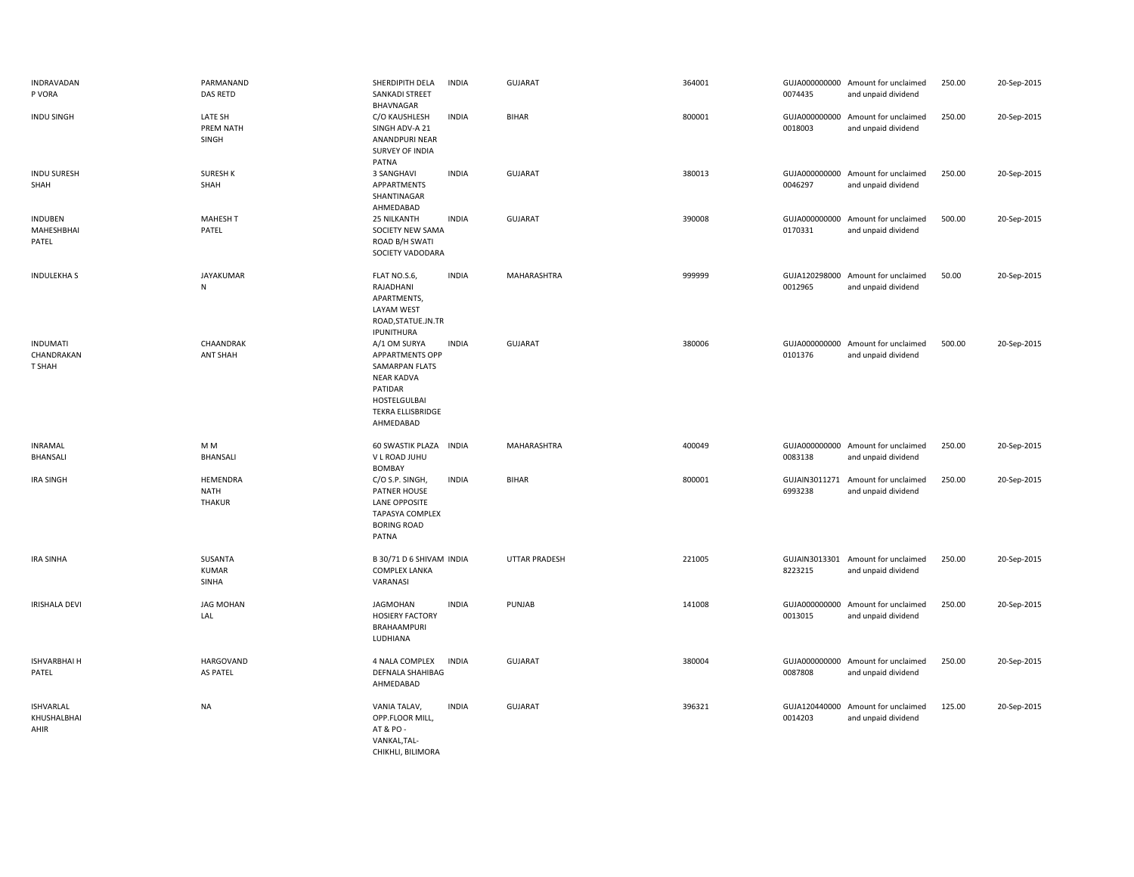| INDRAVADAN<br>P VORA                    | PARMANAND<br>DAS RETD                    | SHERDIPITH DELA<br>SANKADI STREET<br>BHAVNAGAR                                                                                                    | <b>INDIA</b> | <b>GUJARAT</b>       | 364001 | 0074435 | GUJA000000000 Amount for unclaimed<br>and unpaid dividend | 250.00 | 20-Sep-2015 |
|-----------------------------------------|------------------------------------------|---------------------------------------------------------------------------------------------------------------------------------------------------|--------------|----------------------|--------|---------|-----------------------------------------------------------|--------|-------------|
| <b>INDU SINGH</b>                       | LATE SH<br>PREM NATH<br>SINGH            | C/O KAUSHLESH<br>SINGH ADV-A 21<br>ANANDPURI NEAR<br>SURVEY OF INDIA<br>PATNA                                                                     | <b>INDIA</b> | <b>BIHAR</b>         | 800001 | 0018003 | GUJA000000000 Amount for unclaimed<br>and unpaid dividend | 250.00 | 20-Sep-2015 |
| <b>INDU SURESH</b><br>SHAH              | <b>SURESH K</b><br>SHAH                  | 3 SANGHAVI<br>APPARTMENTS<br>SHANTINAGAR<br>AHMEDABAD                                                                                             | <b>INDIA</b> | <b>GUJARAT</b>       | 380013 | 0046297 | GUJA000000000 Amount for unclaimed<br>and unpaid dividend | 250.00 | 20-Sep-2015 |
| <b>INDUBEN</b><br>MAHESHBHAI<br>PATEL   | <b>MAHESH T</b><br>PATEL                 | 25 NILKANTH<br>SOCIETY NEW SAMA<br>ROAD B/H SWATI<br>SOCIETY VADODARA                                                                             | <b>INDIA</b> | <b>GUJARAT</b>       | 390008 | 0170331 | GUJA000000000 Amount for unclaimed<br>and unpaid dividend | 500.00 | 20-Sep-2015 |
| <b>INDULEKHA S</b>                      | <b>JAYAKUMAR</b><br>N                    | FLAT NO.S.6,<br>RAJADHANI<br>APARTMENTS,<br>LAYAM WEST<br>ROAD, STATUE.JN.TR<br>IPUNITHURA                                                        | <b>INDIA</b> | MAHARASHTRA          | 999999 | 0012965 | GUJA120298000 Amount for unclaimed<br>and unpaid dividend | 50.00  | 20-Sep-2015 |
| <b>INDUMATI</b><br>CHANDRAKAN<br>T SHAH | CHAANDRAK<br><b>ANT SHAH</b>             | A/1 OM SURYA<br><b>APPARTMENTS OPP</b><br>SAMARPAN FLATS<br><b>NEAR KADVA</b><br>PATIDAR<br>HOSTELGULBAI<br><b>TEKRA ELLISBRIDGE</b><br>AHMEDABAD | <b>INDIA</b> | <b>GUJARAT</b>       | 380006 | 0101376 | GUJA000000000 Amount for unclaimed<br>and unpaid dividend | 500.00 | 20-Sep-2015 |
| <b>INRAMAL</b><br>BHANSALI              | M <sub>M</sub><br><b>BHANSALI</b>        | <b>60 SWASTIK PLAZA</b><br>V L ROAD JUHU<br>BOMBAY                                                                                                | <b>INDIA</b> | MAHARASHTRA          | 400049 | 0083138 | GUJA000000000 Amount for unclaimed<br>and unpaid dividend | 250.00 | 20-Sep-2015 |
| <b>IRA SINGH</b>                        | HEMENDRA<br><b>NATH</b><br><b>THAKUR</b> | C/O S.P. SINGH,<br>PATNER HOUSE<br><b>LANE OPPOSITE</b><br>TAPASYA COMPLEX<br><b>BORING ROAD</b><br>PATNA                                         | <b>INDIA</b> | <b>BIHAR</b>         | 800001 | 6993238 | GUJAIN3011271 Amount for unclaimed<br>and unpaid dividend | 250.00 | 20-Sep-2015 |
| <b>IRA SINHA</b>                        | SUSANTA<br><b>KUMAR</b><br>SINHA         | B 30/71 D 6 SHIVAM INDIA<br><b>COMPLEX LANKA</b><br>VARANASI                                                                                      |              | <b>UTTAR PRADESH</b> | 221005 | 8223215 | GUJAIN3013301 Amount for unclaimed<br>and unpaid dividend | 250.00 | 20-Sep-2015 |
| <b>IRISHALA DEVI</b>                    | <b>JAG MOHAN</b><br>LAL                  | <b>JAGMOHAN</b><br><b>HOSIERY FACTORY</b><br>BRAHAAMPURI<br>LUDHIANA                                                                              | <b>INDIA</b> | PUNJAB               | 141008 | 0013015 | GUJA000000000 Amount for unclaimed<br>and unpaid dividend | 250.00 | 20-Sep-2015 |
| <b>ISHVARBHAI H</b><br>PATEL            | <b>HARGOVAND</b><br><b>AS PATEL</b>      | 4 NALA COMPLEX<br><b>DEFNALA SHAHIBAG</b><br>AHMEDABAD                                                                                            | <b>INDIA</b> | <b>GUJARAT</b>       | 380004 | 0087808 | GUJA000000000 Amount for unclaimed<br>and unpaid dividend | 250.00 | 20-Sep-2015 |
| <b>ISHVARLAL</b><br>KHUSHALBHAI<br>AHIR | <b>NA</b>                                | VANIA TALAV,<br>OPP.FLOOR MILL,<br>AT & PO -<br>VANKAL, TAL-<br>CHIKHLI, BILIMORA                                                                 | <b>INDIA</b> | <b>GUJARAT</b>       | 396321 | 0014203 | GUJA120440000 Amount for unclaimed<br>and unpaid dividend | 125.00 | 20-Sep-2015 |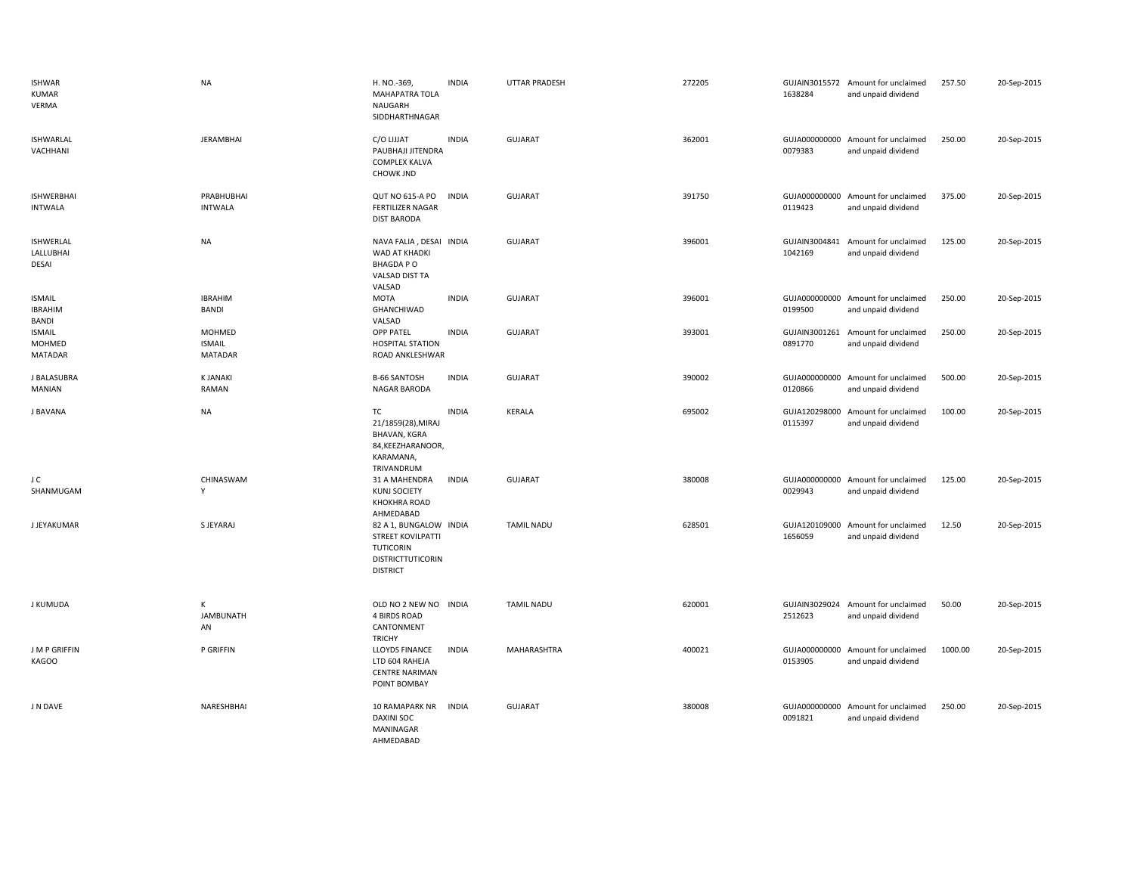| <b>ISHWAR</b><br><b>KUMAR</b><br><b>VERMA</b> | <b>NA</b>                                 | H. NO.-369,<br><b>MAHAPATRA TOLA</b><br>NAUGARH<br>SIDDHARTHNAGAR                                              | <b>INDIA</b> | UTTAR PRADESH     | 272205 | 1638284                  | GUJAIN3015572 Amount for unclaimed<br>and unpaid dividend | 257.50  | 20-Sep-2015 |
|-----------------------------------------------|-------------------------------------------|----------------------------------------------------------------------------------------------------------------|--------------|-------------------|--------|--------------------------|-----------------------------------------------------------|---------|-------------|
| <b>ISHWARLAL</b><br>VACHHANI                  | <b>JERAMBHAI</b>                          | C/O LIJJAT<br>PAUBHAJI JITENDRA<br><b>COMPLEX KALVA</b><br><b>CHOWK JND</b>                                    | <b>INDIA</b> | <b>GUJARAT</b>    | 362001 | 0079383                  | GUJA000000000 Amount for unclaimed<br>and unpaid dividend | 250.00  | 20-Sep-2015 |
| <b>ISHWERBHAI</b><br><b>INTWALA</b>           | PRABHUBHAI<br><b>INTWALA</b>              | <b>QUT NO 615-A PO</b><br><b>FERTILIZER NAGAR</b><br><b>DIST BARODA</b>                                        | <b>INDIA</b> | <b>GUJARAT</b>    | 391750 | GUJA000000000<br>0119423 | Amount for unclaimed<br>and unpaid dividend               | 375.00  | 20-Sep-2015 |
| <b>ISHWERLAL</b><br>LALLUBHAI<br>DESAI        | <b>NA</b>                                 | NAVA FALIA, DESAI INDIA<br>WAD AT KHADKI<br><b>BHAGDAPO</b><br>VALSAD DIST TA<br>VALSAD                        |              | GUJARAT           | 396001 | GUJAIN3004841<br>1042169 | Amount for unclaimed<br>and unpaid dividend               | 125.00  | 20-Sep-2015 |
| <b>ISMAIL</b><br><b>IBRAHIM</b><br>BANDI      | <b>IBRAHIM</b><br>BANDI                   | <b>MOTA</b><br>GHANCHIWAD<br>VALSAD                                                                            | <b>INDIA</b> | GUJARAT           | 396001 | 0199500                  | GUJA000000000 Amount for unclaimed<br>and unpaid dividend | 250.00  | 20-Sep-2015 |
| <b>ISMAIL</b><br>MOHMED<br><b>MATADAR</b>     | MOHMED<br><b>ISMAIL</b><br><b>MATADAR</b> | <b>OPP PATEL</b><br><b>HOSPITAL STATION</b><br>ROAD ANKLESHWAR                                                 | <b>INDIA</b> | <b>GUJARAT</b>    | 393001 | GUJAIN3001261<br>0891770 | Amount for unclaimed<br>and unpaid dividend               | 250.00  | 20-Sep-2015 |
| J BALASUBRA<br>MANIAN                         | <b>K JANAKI</b><br>RAMAN                  | <b>B-66 SANTOSH</b><br>NAGAR BARODA                                                                            | <b>INDIA</b> | <b>GUJARAT</b>    | 390002 | GUJA000000000<br>0120866 | Amount for unclaimed<br>and unpaid dividend               | 500.00  | 20-Sep-2015 |
| J BAVANA                                      | <b>NA</b>                                 | TC<br>21/1859(28), MIRAJ<br><b>BHAVAN, KGRA</b><br>84, KEEZHARANOOR,<br>KARAMANA,<br>TRIVANDRUM                | <b>INDIA</b> | <b>KERALA</b>     | 695002 | GUJA120298000<br>0115397 | Amount for unclaimed<br>and unpaid dividend               | 100.00  | 20-Sep-2015 |
| J C<br>SHANMUGAM                              | CHINASWAM<br>Υ                            | 31 A MAHENDRA<br>KUNJ SOCIETY<br>KHOKHRA ROAD<br>AHMEDABAD                                                     | <b>INDIA</b> | <b>GUJARAT</b>    | 380008 | 0029943                  | GUJA000000000 Amount for unclaimed<br>and unpaid dividend | 125.00  | 20-Sep-2015 |
| <b>J JEYAKUMAR</b>                            | S JEYARAJ                                 | 82 A 1, BUNGALOW INDIA<br><b>STREET KOVILPATTI</b><br><b>TUTICORIN</b><br>DISTRICTTUTICORIN<br><b>DISTRICT</b> |              | <b>TAMIL NADU</b> | 628501 | 1656059                  | GUJA120109000 Amount for unclaimed<br>and unpaid dividend | 12.50   | 20-Sep-2015 |
| J KUMUDA                                      | K<br><b>JAMBUNATH</b><br>AN               | OLD NO 2 NEW NO INDIA<br><b>4 BIRDS ROAD</b><br>CANTONMENT<br><b>TRICHY</b>                                    |              | <b>TAMIL NADU</b> | 620001 | 2512623                  | GUJAIN3029024 Amount for unclaimed<br>and unpaid dividend | 50.00   | 20-Sep-2015 |
| J M P GRIFFIN<br>KAGOO                        | P GRIFFIN                                 | LLOYDS FINANCE<br>LTD 604 RAHEJA<br><b>CENTRE NARIMAN</b><br>POINT BOMBAY                                      | <b>INDIA</b> | MAHARASHTRA       | 400021 | GUJA000000000<br>0153905 | Amount for unclaimed<br>and unpaid dividend               | 1000.00 | 20-Sep-2015 |
| J N DAVE                                      | NARESHBHAI                                | 10 RAMAPARK NR<br><b>DAXINI SOC</b><br>MANINAGAR<br>AHMEDABAD                                                  | <b>INDIA</b> | <b>GUJARAT</b>    | 380008 | 0091821                  | GUJA000000000 Amount for unclaimed<br>and unpaid dividend | 250.00  | 20-Sep-2015 |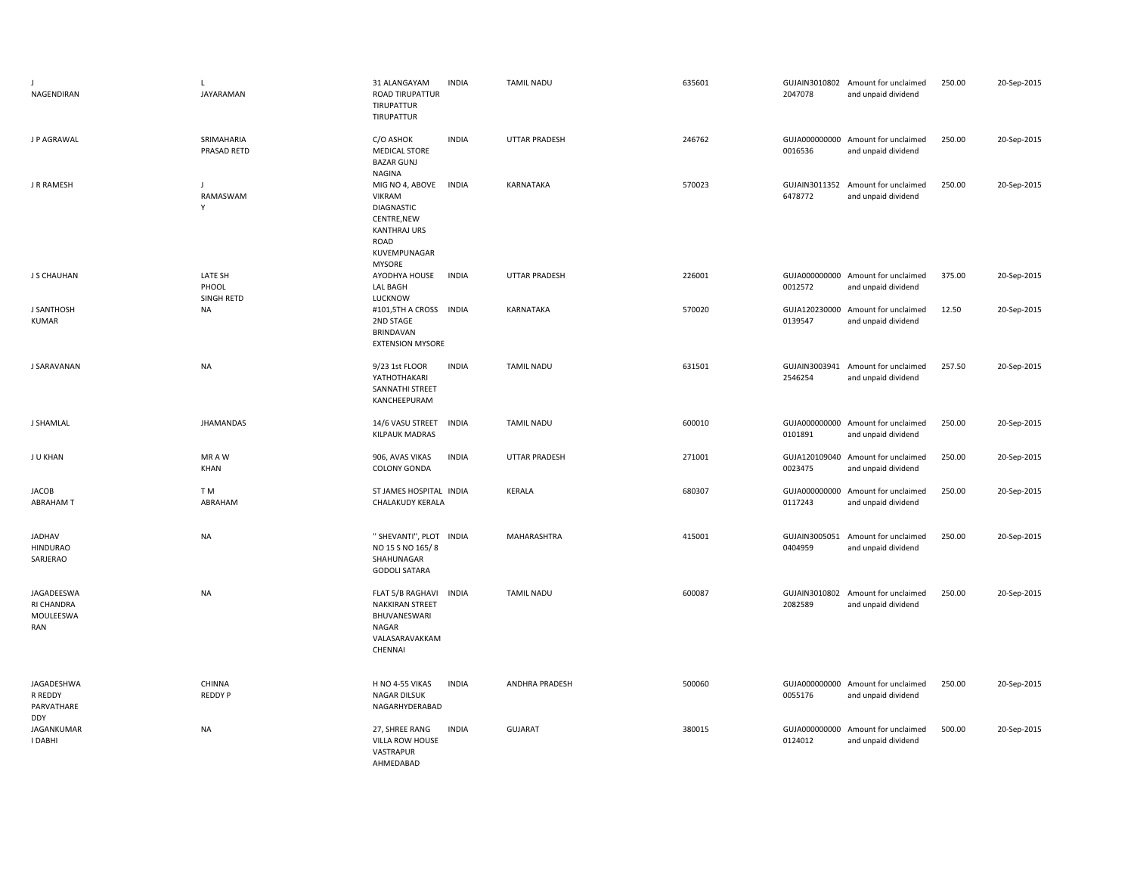| J.<br>NAGENDIRAN                                  | L<br>JAYARAMAN                 | <b>INDIA</b><br>31 ALANGAYAM<br><b>ROAD TIRUPATTUR</b><br>TIRUPATTUR<br><b>TIRUPATTUR</b>                                                     | <b>TAMIL NADU</b>    | 635601 | 2047078                  | GUJAIN3010802 Amount for unclaimed<br>and unpaid dividend | 250.00 | 20-Sep-2015 |
|---------------------------------------------------|--------------------------------|-----------------------------------------------------------------------------------------------------------------------------------------------|----------------------|--------|--------------------------|-----------------------------------------------------------|--------|-------------|
| J P AGRAWAL                                       | SRIMAHARIA<br>PRASAD RETD      | <b>INDIA</b><br>C/O ASHOK<br><b>MEDICAL STORE</b><br><b>BAZAR GUNJ</b><br><b>NAGINA</b>                                                       | <b>UTTAR PRADESH</b> | 246762 | 0016536                  | GUJA000000000 Amount for unclaimed<br>and unpaid dividend | 250.00 | 20-Sep-2015 |
| J R RAMESH                                        | J<br>RAMASWAM<br>Y             | MIG NO 4, ABOVE<br><b>INDIA</b><br>VIKRAM<br><b>DIAGNASTIC</b><br>CENTRE, NEW<br><b>KANTHRAJ URS</b><br>ROAD<br>KUVEMPUNAGAR<br><b>MYSORE</b> | KARNATAKA            | 570023 | GUJAIN3011352<br>6478772 | Amount for unclaimed<br>and unpaid dividend               | 250.00 | 20-Sep-2015 |
| J S CHAUHAN                                       | LATE SH<br>PHOOL<br>SINGH RETD | AYODHYA HOUSE<br><b>INDIA</b><br><b>LAL BAGH</b><br>LUCKNOW                                                                                   | UTTAR PRADESH        | 226001 | 0012572                  | GUJA000000000 Amount for unclaimed<br>and unpaid dividend | 375.00 | 20-Sep-2015 |
| <b>J SANTHOSH</b><br><b>KUMAR</b>                 | <b>NA</b>                      | #101,5TH A CROSS INDIA<br>2ND STAGE<br><b>BRINDAVAN</b><br><b>EXTENSION MYSORE</b>                                                            | <b>KARNATAKA</b>     | 570020 | 0139547                  | GUJA120230000 Amount for unclaimed<br>and unpaid dividend | 12.50  | 20-Sep-2015 |
| J SARAVANAN                                       | <b>NA</b>                      | <b>INDIA</b><br>9/23 1st FLOOR<br>YATHOTHAKARI<br>SANNATHI STREET<br>KANCHEEPURAM                                                             | <b>TAMIL NADU</b>    | 631501 | 2546254                  | GUJAIN3003941 Amount for unclaimed<br>and unpaid dividend | 257.50 | 20-Sep-2015 |
| J SHAMLAL                                         | <b>JHAMANDAS</b>               | 14/6 VASU STREET<br><b>INDIA</b><br><b>KILPAUK MADRAS</b>                                                                                     | <b>TAMIL NADU</b>    | 600010 | GUJA000000000<br>0101891 | Amount for unclaimed<br>and unpaid dividend               | 250.00 | 20-Sep-2015 |
| J U KHAN                                          | MR A W<br>KHAN                 | 906, AVAS VIKAS<br><b>INDIA</b><br>COLONY GONDA                                                                                               | <b>UTTAR PRADESH</b> | 271001 | 0023475                  | GUJA120109040 Amount for unclaimed<br>and unpaid dividend | 250.00 | 20-Sep-2015 |
| <b>JACOB</b><br><b>ABRAHAM T</b>                  | T M<br>ABRAHAM                 | ST JAMES HOSPITAL INDIA<br>CHALAKUDY KERALA                                                                                                   | KERALA               | 680307 | GUJA000000000<br>0117243 | Amount for unclaimed<br>and unpaid dividend               | 250.00 | 20-Sep-2015 |
| <b>JADHAV</b><br><b>HINDURAO</b><br>SARJERAO      | <b>NA</b>                      | " SHEVANTI", PLOT INDIA<br>NO 15 S NO 165/8<br>SHAHUNAGAR<br><b>GODOLI SATARA</b>                                                             | MAHARASHTRA          | 415001 | GUJAIN3005051<br>0404959 | Amount for unclaimed<br>and unpaid dividend               | 250.00 | 20-Sep-2015 |
| JAGADEESWA<br>RI CHANDRA<br>MOULEESWA<br>RAN      | <b>NA</b>                      | FLAT 5/B RAGHAVI<br><b>INDIA</b><br><b>NAKKIRAN STREET</b><br>BHUVANESWARI<br>NAGAR<br>VALASARAVAKKAM<br>CHENNAI                              | <b>TAMIL NADU</b>    | 600087 | GUJAIN3010802<br>2082589 | Amount for unclaimed<br>and unpaid dividend               | 250.00 | 20-Sep-2015 |
| JAGADESHWA<br>R REDDY<br>PARVATHARE<br><b>DDY</b> | CHINNA<br><b>REDDYP</b>        | H NO 4-55 VIKAS<br><b>INDIA</b><br>NAGAR DILSUK<br>NAGARHYDERABAD                                                                             | ANDHRA PRADESH       | 500060 | GUJA000000000<br>0055176 | Amount for unclaimed<br>and unpaid dividend               | 250.00 | 20-Sep-2015 |
| JAGANKUMAR<br>I DABHI                             | <b>NA</b>                      | 27, SHREE RANG<br><b>INDIA</b><br>VILLA ROW HOUSE<br>VASTRAPUR<br>AHMEDABAD                                                                   | <b>GUJARAT</b>       | 380015 | 0124012                  | GUJA000000000 Amount for unclaimed<br>and unpaid dividend | 500.00 | 20-Sep-2015 |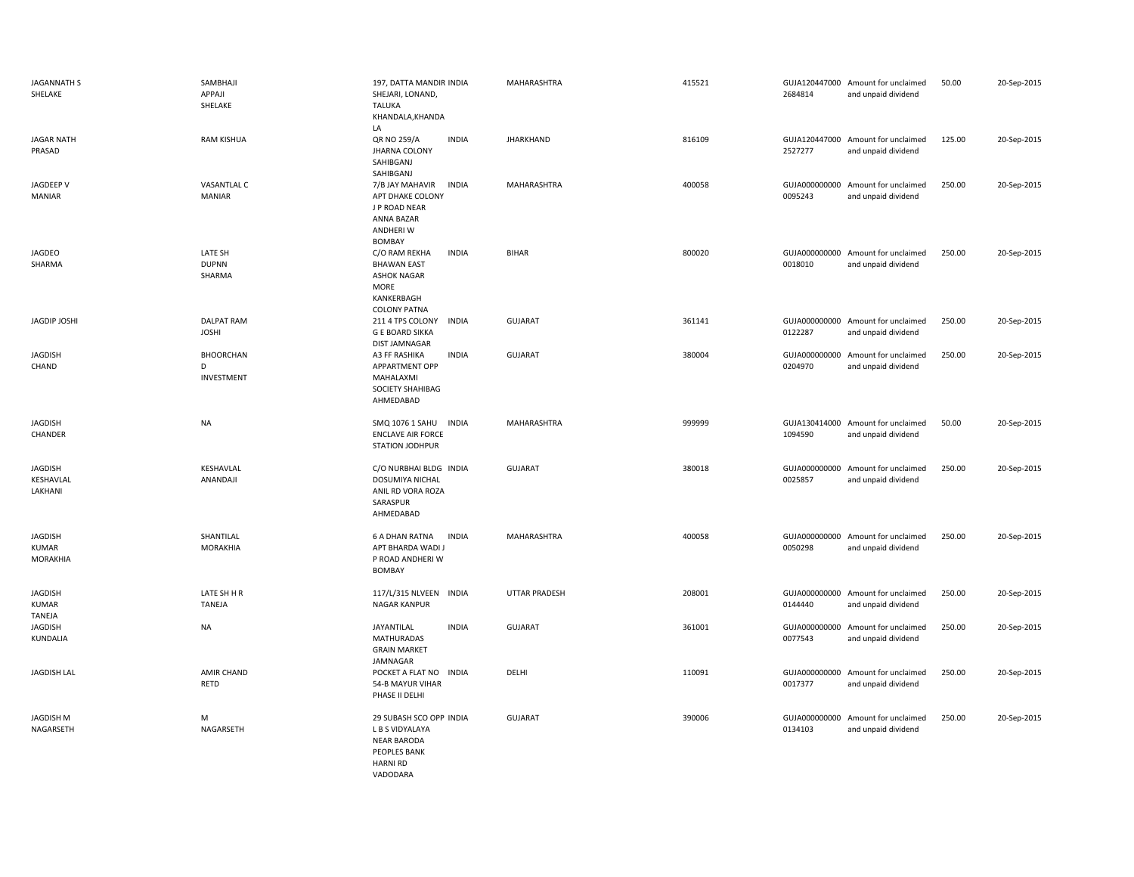| <b>JAGANNATH S</b><br>SHELAKE              | SAMBHAJI<br>APPAJI<br>SHELAKE       | 197, DATTA MANDIR INDIA<br>SHEJARI, LONAND,<br><b>TALUKA</b><br>KHANDALA, KHANDA<br>LA                                        | MAHARASHTRA          | 415521 | 2684814                  | GUJA120447000 Amount for unclaimed<br>and unpaid dividend | 50.00  | 20-Sep-2015 |
|--------------------------------------------|-------------------------------------|-------------------------------------------------------------------------------------------------------------------------------|----------------------|--------|--------------------------|-----------------------------------------------------------|--------|-------------|
| <b>JAGAR NATH</b><br>PRASAD                | <b>RAM KISHUA</b>                   | QR NO 259/A<br><b>INDIA</b><br><b>JHARNA COLONY</b><br>SAHIBGANJ<br>SAHIBGANJ                                                 | <b>JHARKHAND</b>     | 816109 | 2527277                  | GUJA120447000 Amount for unclaimed<br>and unpaid dividend | 125.00 | 20-Sep-2015 |
| JAGDEEP V<br><b>MANIAR</b>                 | <b>VASANTLAL C</b><br>MANIAR        | 7/B JAY MAHAVIR<br><b>INDIA</b><br>APT DHAKE COLONY<br>J P ROAD NEAR<br>ANNA BAZAR<br>ANDHERI W<br>BOMBAY                     | MAHARASHTRA          | 400058 | GUJA000000000<br>0095243 | Amount for unclaimed<br>and unpaid dividend               | 250.00 | 20-Sep-2015 |
| JAGDEO<br>SHARMA                           | LATE SH<br><b>DUPNN</b><br>SHARMA   | C/O RAM REKHA<br><b>INDIA</b><br><b>BHAWAN EAST</b><br><b>ASHOK NAGAR</b><br><b>MORE</b><br>KANKERBAGH<br><b>COLONY PATNA</b> | <b>BIHAR</b>         | 800020 | 0018010                  | GUJA000000000 Amount for unclaimed<br>and unpaid dividend | 250.00 | 20-Sep-2015 |
| JAGDIP JOSHI                               | <b>DALPAT RAM</b><br><b>JOSHI</b>   | 211 4 TPS COLONY<br><b>INDIA</b><br><b>G E BOARD SIKKA</b><br>DIST JAMNAGAR                                                   | <b>GUJARAT</b>       | 361141 | 0122287                  | GUJA000000000 Amount for unclaimed<br>and unpaid dividend | 250.00 | 20-Sep-2015 |
| <b>JAGDISH</b><br>CHAND                    | <b>BHOORCHAN</b><br>D<br>INVESTMENT | A3 FF RASHIKA<br><b>INDIA</b><br>APPARTMENT OPP<br>MAHALAXMI<br>SOCIETY SHAHIBAG<br>AHMEDABAD                                 | <b>GUJARAT</b>       | 380004 | GUJA000000000<br>0204970 | Amount for unclaimed<br>and unpaid dividend               | 250.00 | 20-Sep-2015 |
| <b>JAGDISH</b><br>CHANDER                  | <b>NA</b>                           | SMQ 1076 1 SAHU INDIA<br><b>ENCLAVE AIR FORCE</b><br>STATION JODHPUR                                                          | MAHARASHTRA          | 999999 | 1094590                  | GUJA130414000 Amount for unclaimed<br>and unpaid dividend | 50.00  | 20-Sep-2015 |
| <b>JAGDISH</b><br>KESHAVLAL<br>LAKHANI     | KESHAVLAL<br>ANANDAJI               | C/O NURBHAI BLDG INDIA<br>DOSUMIYA NICHAL<br>ANIL RD VORA ROZA<br>SARASPUR<br>AHMEDABAD                                       | <b>GUJARAT</b>       | 380018 | GUJA000000000<br>0025857 | Amount for unclaimed<br>and unpaid dividend               | 250.00 | 20-Sep-2015 |
| JAGDISH<br><b>KUMAR</b><br><b>MORAKHIA</b> | SHANTILAL<br><b>MORAKHIA</b>        | <b>6 A DHAN RATNA</b><br><b>INDIA</b><br>APT BHARDA WADI J<br>P ROAD ANDHERI W<br><b>BOMBAY</b>                               | MAHARASHTRA          | 400058 | 0050298                  | GUJA000000000 Amount for unclaimed<br>and unpaid dividend | 250.00 | 20-Sep-2015 |
| JAGDISH<br><b>KUMAR</b><br>TANEJA          | LATE SH H R<br>TANEJA               | 117/L/315 NLVEEN INDIA<br><b>NAGAR KANPUR</b>                                                                                 | <b>UTTAR PRADESH</b> | 208001 | 0144440                  | GUJA000000000 Amount for unclaimed<br>and unpaid dividend | 250.00 | 20-Sep-2015 |
| <b>JAGDISH</b><br>KUNDALIA                 | <b>NA</b>                           | JAYANTILAL<br><b>INDIA</b><br><b>MATHURADAS</b><br><b>GRAIN MARKET</b><br>JAMNAGAR                                            | <b>GUJARAT</b>       | 361001 | GUJA000000000<br>0077543 | Amount for unclaimed<br>and unpaid dividend               | 250.00 | 20-Sep-2015 |
| <b>JAGDISH LAL</b>                         | AMIR CHAND<br>RETD                  | POCKET A FLAT NO INDIA<br>54-B MAYUR VIHAR<br>PHASE II DELHI                                                                  | DELHI                | 110091 | 0017377                  | GUJA000000000 Amount for unclaimed<br>and unpaid dividend | 250.00 | 20-Sep-2015 |
| JAGDISH M<br>NAGARSETH                     | М<br>NAGARSETH                      | 29 SUBASH SCO OPP INDIA<br>L B S VIDYALAYA<br><b>NEAR BARODA</b><br>PEOPLES BANK<br><b>HARNI RD</b><br>VADODARA               | <b>GUJARAT</b>       | 390006 | GUJA000000000<br>0134103 | Amount for unclaimed<br>and unpaid dividend               | 250.00 | 20-Sep-2015 |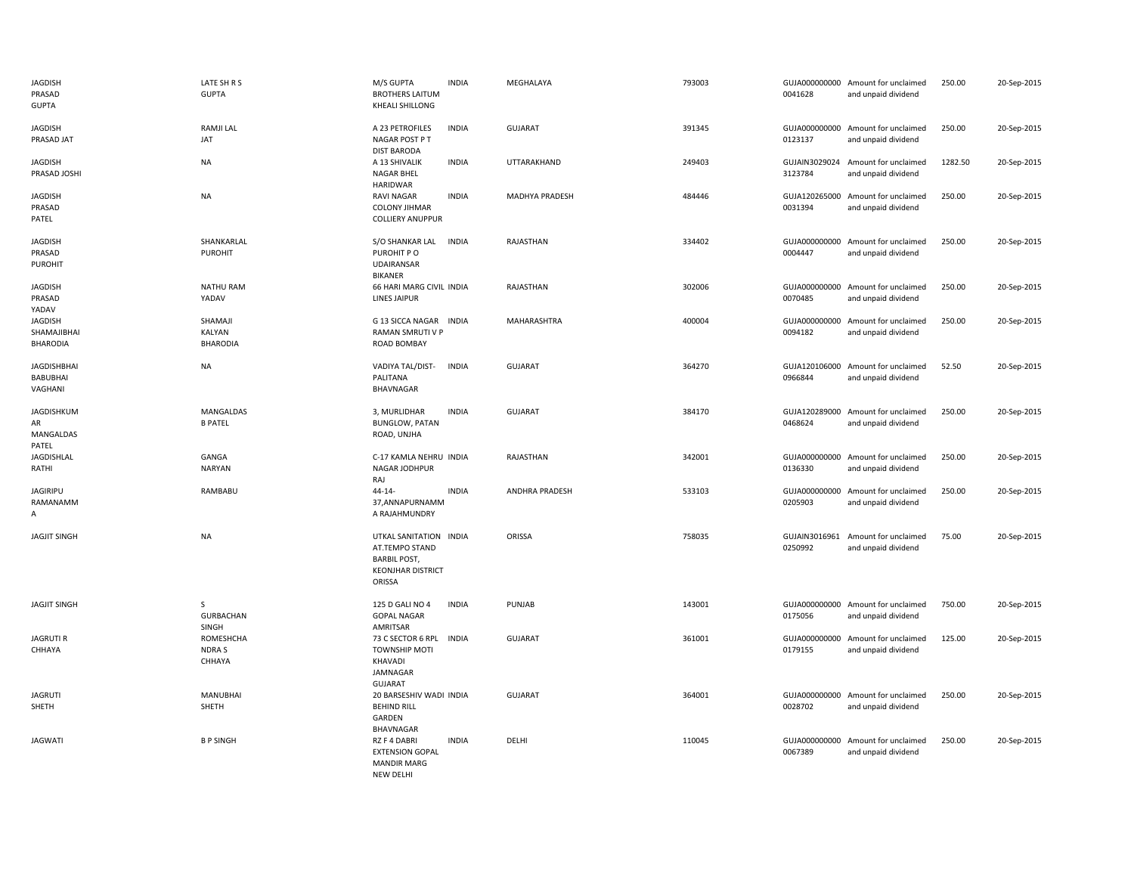| <b>JAGDISH</b><br>PRASAD<br><b>GUPTA</b>         | LATE SH R S<br><b>GUPTA</b>               | M/S GUPTA<br><b>BROTHERS LAITUM</b><br><b>KHEALI SHILLONG</b>                                         | <b>INDIA</b> | MEGHALAYA      | 793003 | 0041628                  | GUJA000000000 Amount for unclaimed<br>and unpaid dividend | 250.00  | 20-Sep-2015 |
|--------------------------------------------------|-------------------------------------------|-------------------------------------------------------------------------------------------------------|--------------|----------------|--------|--------------------------|-----------------------------------------------------------|---------|-------------|
| <b>JAGDISH</b><br>PRASAD JAT                     | <b>RAMJI LAL</b><br>JAT                   | A 23 PETROFILES<br>NAGAR POST P T<br><b>DIST BARODA</b>                                               | <b>INDIA</b> | <b>GUJARAT</b> | 391345 | 0123137                  | GUJA000000000 Amount for unclaimed<br>and unpaid dividend | 250.00  | 20-Sep-2015 |
| <b>JAGDISH</b><br>PRASAD JOSHI                   | <b>NA</b>                                 | A 13 SHIVALIK<br><b>NAGAR BHEL</b><br><b>HARIDWAR</b>                                                 | <b>INDIA</b> | UTTARAKHAND    | 249403 | 3123784                  | GUJAIN3029024 Amount for unclaimed<br>and unpaid dividend | 1282.50 | 20-Sep-2015 |
| <b>JAGDISH</b><br>PRASAD<br>PATEL                | <b>NA</b>                                 | <b>RAVI NAGAR</b><br><b>COLONY JIHMAR</b><br><b>COLLIERY ANUPPUR</b>                                  | <b>INDIA</b> | MADHYA PRADESH | 484446 | 0031394                  | GUJA120265000 Amount for unclaimed<br>and unpaid dividend | 250.00  | 20-Sep-2015 |
| <b>JAGDISH</b><br>PRASAD<br><b>PUROHIT</b>       | SHANKARLAL<br>PUROHIT                     | S/O SHANKAR LAL<br>PUROHIT PO<br><b>UDAIRANSAR</b><br><b>BIKANER</b>                                  | <b>INDIA</b> | RAJASTHAN      | 334402 | 0004447                  | GUJA000000000 Amount for unclaimed<br>and unpaid dividend | 250.00  | 20-Sep-2015 |
| <b>JAGDISH</b><br>PRASAD<br>YADAV                | <b>NATHU RAM</b><br>YADAV                 | 66 HARI MARG CIVIL INDIA<br>LINES JAIPUR                                                              |              | RAJASTHAN      | 302006 | 0070485                  | GUJA000000000 Amount for unclaimed<br>and unpaid dividend | 250.00  | 20-Sep-2015 |
| <b>JAGDISH</b><br>SHAMAJIBHAI<br><b>BHARODIA</b> | SHAMAJI<br>KALYAN<br><b>BHARODIA</b>      | G 13 SICCA NAGAR INDIA<br>RAMAN SMRUTI V P<br>ROAD BOMBAY                                             |              | MAHARASHTRA    | 400004 | 0094182                  | GUJA000000000 Amount for unclaimed<br>and unpaid dividend | 250.00  | 20-Sep-2015 |
| <b>JAGDISHBHAI</b><br><b>BABUBHAI</b><br>VAGHANI | <b>NA</b>                                 | VADIYA TAL/DIST-<br>PALITANA<br>BHAVNAGAR                                                             | <b>INDIA</b> | <b>GUJARAT</b> | 364270 | 0966844                  | GUJA120106000 Amount for unclaimed<br>and unpaid dividend | 52.50   | 20-Sep-2015 |
| <b>JAGDISHKUM</b><br>AR<br>MANGALDAS<br>PATEL    | MANGALDAS<br><b>B PATEL</b>               | 3, MURLIDHAR<br><b>BUNGLOW, PATAN</b><br>ROAD, UNJHA                                                  | <b>INDIA</b> | <b>GUJARAT</b> | 384170 | 0468624                  | GUJA120289000 Amount for unclaimed<br>and unpaid dividend | 250.00  | 20-Sep-2015 |
| <b>JAGDISHLAL</b><br>RATHI                       | GANGA<br><b>NARYAN</b>                    | C-17 KAMLA NEHRU INDIA<br>NAGAR JODHPUR<br>RAJ                                                        |              | RAJASTHAN      | 342001 | 0136330                  | GUJA000000000 Amount for unclaimed<br>and unpaid dividend | 250.00  | 20-Sep-2015 |
| JAGIRIPU<br>RAMANAMM<br>А                        | RAMBABU                                   | $44 - 14 -$<br>37, ANNAPURNAMM<br>A RAJAHMUNDRY                                                       | <b>INDIA</b> | ANDHRA PRADESH | 533103 | 0205903                  | GUJA000000000 Amount for unclaimed<br>and unpaid dividend | 250.00  | 20-Sep-2015 |
| <b>JAGJIT SINGH</b>                              | <b>NA</b>                                 | UTKAL SANITATION INDIA<br>AT.TEMPO STAND<br><b>BARBIL POST,</b><br><b>KEONJHAR DISTRICT</b><br>ORISSA |              | ORISSA         | 758035 | 0250992                  | GUJAIN3016961 Amount for unclaimed<br>and unpaid dividend | 75.00   | 20-Sep-2015 |
| <b>JAGJIT SINGH</b>                              | $\mathsf{S}$<br><b>GURBACHAN</b><br>SINGH | 125 D GALI NO 4<br><b>GOPAL NAGAR</b><br>AMRITSAR                                                     | <b>INDIA</b> | <b>PUNJAB</b>  | 143001 | 0175056                  | GUJA000000000 Amount for unclaimed<br>and unpaid dividend | 750.00  | 20-Sep-2015 |
| <b>JAGRUTI R</b><br>CHHAYA                       | <b>ROMESHCHA</b><br>NDRA S<br>CHHAYA      | 73 C SECTOR 6 RPL<br>TOWNSHIP MOTI<br>KHAVADI<br>JAMNAGAR<br>GUJARAT                                  | <b>INDIA</b> | <b>GUJARAT</b> | 361001 | GUJA000000000<br>0179155 | Amount for unclaimed<br>and unpaid dividend               | 125.00  | 20-Sep-2015 |
| <b>JAGRUTI</b><br>SHETH                          | MANUBHAI<br>SHETH                         | 20 BARSESHIV WADI INDIA<br><b>BEHIND RILL</b><br>GARDEN<br><b>BHAVNAGAR</b>                           |              | <b>GUJARAT</b> | 364001 | 0028702                  | GUJA000000000 Amount for unclaimed<br>and unpaid dividend | 250.00  | 20-Sep-2015 |
| <b>JAGWATI</b>                                   | <b>BPSINGH</b>                            | RZ F 4 DABRI<br><b>EXTENSION GOPAL</b><br><b>MANDIR MARG</b><br><b>NEW DELHI</b>                      | <b>INDIA</b> | DELHI          | 110045 | 0067389                  | GUJA000000000 Amount for unclaimed<br>and unpaid dividend | 250.00  | 20-Sep-2015 |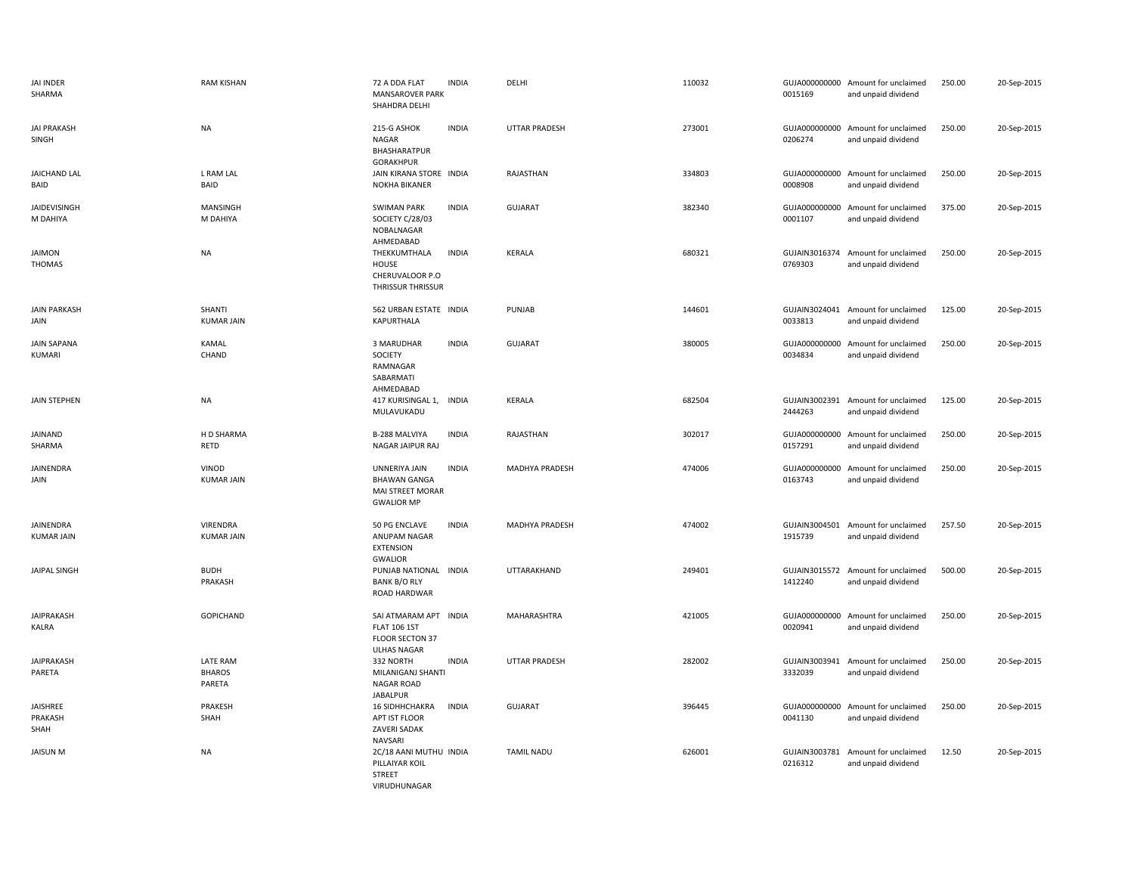| <b>JAI INDER</b><br>SHARMA          | <b>RAM KISHAN</b>                   | 72 A DDA FLAT<br><b>MANSAROVER PARK</b><br>SHAHDRA DELHI                                     | <b>INDIA</b> | DELHI                | 110032 | 0015169                  | GUJA000000000 Amount for unclaimed<br>and unpaid dividend | 250.00 | 20-Sep-2015 |
|-------------------------------------|-------------------------------------|----------------------------------------------------------------------------------------------|--------------|----------------------|--------|--------------------------|-----------------------------------------------------------|--------|-------------|
| <b>JAI PRAKASH</b><br>SINGH         | <b>NA</b>                           | 215-G ASHOK<br><b>NAGAR</b><br>BHASHARATPUR<br><b>GORAKHPUR</b>                              | <b>INDIA</b> | <b>UTTAR PRADESH</b> | 273001 | 0206274                  | GUJA000000000 Amount for unclaimed<br>and unpaid dividend | 250.00 | 20-Sep-2015 |
| <b>JAICHAND LAL</b><br>BAID         | L RAM LAL<br>BAID                   | JAIN KIRANA STORE INDIA<br><b>NOKHA BIKANER</b>                                              |              | RAJASTHAN            | 334803 | 0008908                  | GUJA000000000 Amount for unclaimed<br>and unpaid dividend | 250.00 | 20-Sep-2015 |
| JAIDEVISINGH<br>M DAHIYA            | MANSINGH<br>M DAHIYA                | <b>SWIMAN PARK</b><br>SOCIETY C/28/03<br>NOBALNAGAR<br>AHMEDABAD                             | <b>INDIA</b> | <b>GUJARAT</b>       | 382340 | GUJA000000000<br>0001107 | Amount for unclaimed<br>and unpaid dividend               | 375.00 | 20-Sep-2015 |
| <b>JAIMON</b><br><b>THOMAS</b>      | <b>NA</b>                           | THEKKUMTHALA<br>HOUSE<br>CHERUVALOOR P.O<br>THRISSUR THRISSUR                                | <b>INDIA</b> | KERALA               | 680321 | 0769303                  | GUJAIN3016374 Amount for unclaimed<br>and unpaid dividend | 250.00 | 20-Sep-2015 |
| <b>JAIN PARKASH</b><br>JAIN         | SHANTI<br><b>KUMAR JAIN</b>         | 562 URBAN ESTATE INDIA<br>KAPURTHALA                                                         |              | PUNJAB               | 144601 | 0033813                  | GUJAIN3024041 Amount for unclaimed<br>and unpaid dividend | 125.00 | 20-Sep-2015 |
| <b>JAIN SAPANA</b><br><b>KUMARI</b> | <b>KAMAL</b><br>CHAND               | 3 MARUDHAR<br>SOCIETY<br>RAMNAGAR<br>SABARMATI<br>AHMEDABAD                                  | <b>INDIA</b> | <b>GUJARAT</b>       | 380005 | 0034834                  | GUJA000000000 Amount for unclaimed<br>and unpaid dividend | 250.00 | 20-Sep-2015 |
| JAIN STEPHEN                        | <b>NA</b>                           | 417 KURISINGAL 1, INDIA<br>MULAVUKADU                                                        |              | <b>KERALA</b>        | 682504 | 2444263                  | GUJAIN3002391 Amount for unclaimed<br>and unpaid dividend | 125.00 | 20-Sep-2015 |
| JAINAND<br>SHARMA                   | H D SHARMA<br><b>RETD</b>           | <b>B-288 MALVIYA</b><br>NAGAR JAIPUR RAJ                                                     | <b>INDIA</b> | RAJASTHAN            | 302017 | 0157291                  | GUJA000000000 Amount for unclaimed<br>and unpaid dividend | 250.00 | 20-Sep-2015 |
| JAINENDRA<br>JAIN                   | VINOD<br><b>KUMAR JAIN</b>          | UNNERIYA JAIN<br><b>BHAWAN GANGA</b><br>MAI STREET MORAR<br><b>GWALIOR MP</b>                | <b>INDIA</b> | MADHYA PRADESH       | 474006 | 0163743                  | GUJA000000000 Amount for unclaimed<br>and unpaid dividend | 250.00 | 20-Sep-2015 |
| JAINENDRA<br><b>KUMAR JAIN</b>      | VIRENDRA<br><b>KUMAR JAIN</b>       | 50 PG ENCLAVE<br>ANUPAM NAGAR<br><b>EXTENSION</b><br><b>GWALIOR</b>                          | <b>INDIA</b> | MADHYA PRADESH       | 474002 | 1915739                  | GUJAIN3004501 Amount for unclaimed<br>and unpaid dividend | 257.50 | 20-Sep-2015 |
| JAIPAL SINGH                        | <b>BUDH</b><br>PRAKASH              | PUNJAB NATIONAL INDIA<br><b>BANK B/O RLY</b><br>ROAD HARDWAR                                 |              | UTTARAKHAND          | 249401 | 1412240                  | GUJAIN3015572 Amount for unclaimed<br>and unpaid dividend | 500.00 | 20-Sep-2015 |
| <b>JAIPRAKASH</b><br>KALRA          | GOPICHAND                           | SAI ATMARAM APT INDIA<br><b>FLAT 106 1ST</b><br><b>FLOOR SECTON 37</b><br><b>ULHAS NAGAR</b> |              | MAHARASHTRA          | 421005 | 0020941                  | GUJA000000000 Amount for unclaimed<br>and unpaid dividend | 250.00 | 20-Sep-2015 |
| <b>JAIPRAKASH</b><br>PARETA         | LATE RAM<br><b>BHAROS</b><br>PARETA | 332 NORTH<br>MILANIGANJ SHANTI<br><b>NAGAR ROAD</b><br><b>JABALPUR</b>                       | <b>INDIA</b> | <b>UTTAR PRADESH</b> | 282002 | 3332039                  | GUJAIN3003941 Amount for unclaimed<br>and unpaid dividend | 250.00 | 20-Sep-2015 |
| JAISHREE<br>PRAKASH<br>SHAH         | PRAKESH<br>SHAH                     | <b>16 SIDHHCHAKRA</b><br>APT IST FLOOR<br><b>ZAVERI SADAK</b><br>NAVSARI                     | <b>INDIA</b> | <b>GUJARAT</b>       | 396445 | 0041130                  | GUJA000000000 Amount for unclaimed<br>and unpaid dividend | 250.00 | 20-Sep-2015 |
| <b>JAISUN M</b>                     | <b>NA</b>                           | 2C/18 AANI MUTHU INDIA<br>PILLAIYAR KOIL<br><b>STREET</b><br>VIRUDHUNAGAR                    |              | <b>TAMIL NADU</b>    | 626001 | 0216312                  | GUJAIN3003781 Amount for unclaimed<br>and unpaid dividend | 12.50  | 20-Sep-2015 |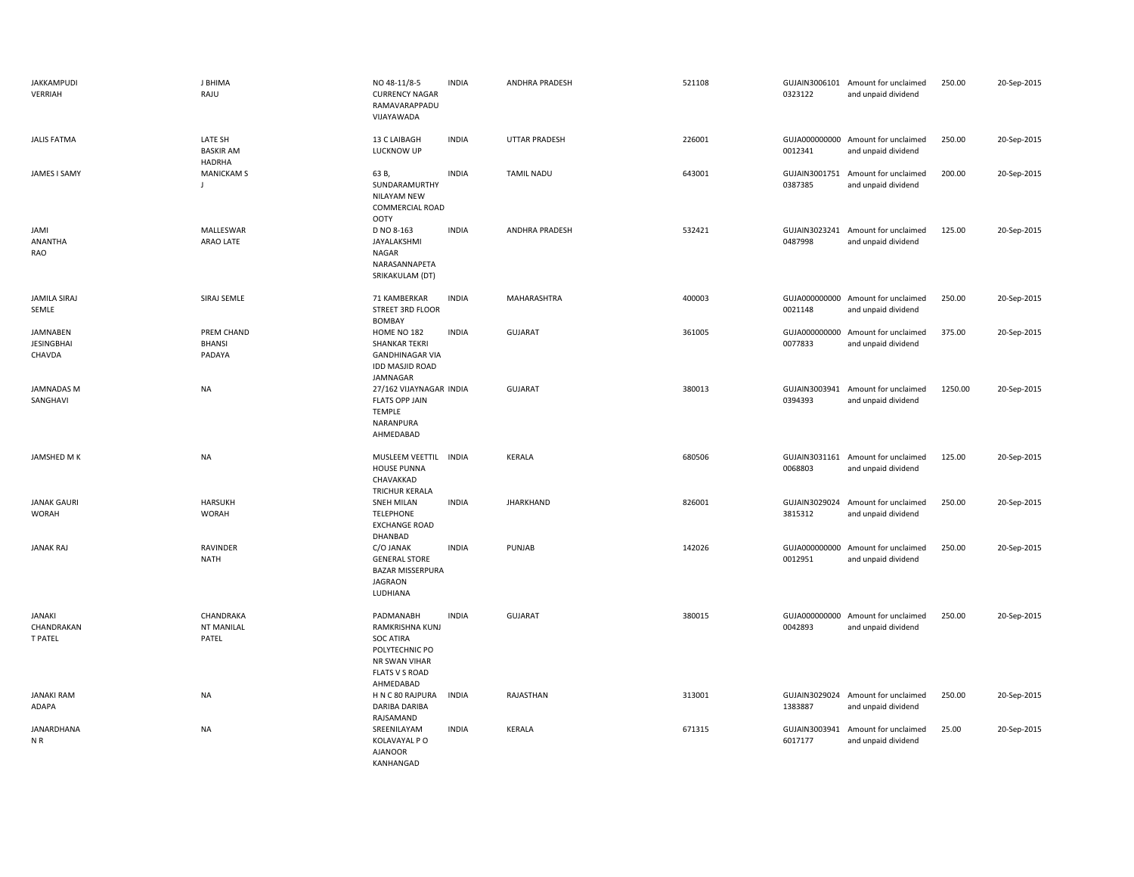| <b>JAKKAMPUDI</b><br>VERRIAH                   | <b>J BHIMA</b><br>RAJU                       | NO 48-11/8-5<br><b>CURRENCY NAGAR</b><br>RAMAVARAPPADU<br>VIJAYAWADA                                                      | <b>INDIA</b> | <b>ANDHRA PRADESH</b> | 521108 | 0323122                  | GUJAIN3006101 Amount for unclaimed<br>and unpaid dividend | 250.00  | 20-Sep-2015 |
|------------------------------------------------|----------------------------------------------|---------------------------------------------------------------------------------------------------------------------------|--------------|-----------------------|--------|--------------------------|-----------------------------------------------------------|---------|-------------|
| <b>JALIS FATMA</b>                             | LATE SH<br><b>BASKIR AM</b><br><b>HADRHA</b> | 13 C LAIBAGH<br>LUCKNOW UP                                                                                                | <b>INDIA</b> | UTTAR PRADESH         | 226001 | 0012341                  | GUJA000000000 Amount for unclaimed<br>and unpaid dividend | 250.00  | 20-Sep-2015 |
| JAMES I SAMY                                   | <b>MANICKAM S</b><br>$\blacksquare$          | 63 B,<br>SUNDARAMURTHY<br>NILAYAM NEW<br>COMMERCIAL ROAD<br><b>OOTY</b>                                                   | <b>INDIA</b> | <b>TAMIL NADU</b>     | 643001 | 0387385                  | GUJAIN3001751 Amount for unclaimed<br>and unpaid dividend | 200.00  | 20-Sep-2015 |
| JAMI<br><b>ANANTHA</b><br>RAO                  | MALLESWAR<br>ARAO LATE                       | D NO 8-163<br>JAYALAKSHMI<br>NAGAR<br>NARASANNAPETA<br>SRIKAKULAM (DT)                                                    | <b>INDIA</b> | <b>ANDHRA PRADESH</b> | 532421 | GUJAIN3023241<br>0487998 | Amount for unclaimed<br>and unpaid dividend               | 125.00  | 20-Sep-2015 |
| <b>JAMILA SIRAJ</b><br>SEMLE                   | SIRAJ SEMLE                                  | 71 KAMBERKAR<br>STREET 3RD FLOOR<br><b>BOMBAY</b>                                                                         | <b>INDIA</b> | MAHARASHTRA           | 400003 | 0021148                  | GUJA000000000 Amount for unclaimed<br>and unpaid dividend | 250.00  | 20-Sep-2015 |
| <b>JAMNABEN</b><br><b>JESINGBHAI</b><br>CHAVDA | PREM CHAND<br><b>BHANSI</b><br>PADAYA        | HOME NO 182<br><b>SHANKAR TEKRI</b><br><b>GANDHINAGAR VIA</b><br><b>IDD MASJID ROAD</b><br>JAMNAGAR                       | <b>INDIA</b> | <b>GUJARAT</b>        | 361005 | GUJA000000000<br>0077833 | Amount for unclaimed<br>and unpaid dividend               | 375.00  | 20-Sep-2015 |
| <b>JAMNADAS M</b><br>SANGHAVI                  | <b>NA</b>                                    | 27/162 VIJAYNAGAR INDIA<br><b>FLATS OPP JAIN</b><br>TEMPLE<br>NARANPURA<br>AHMEDABAD                                      |              | <b>GUJARAT</b>        | 380013 | GUJAIN3003941<br>0394393 | Amount for unclaimed<br>and unpaid dividend               | 1250.00 | 20-Sep-2015 |
| JAMSHED M K                                    | <b>NA</b>                                    | MUSLEEM VEETTIL INDIA<br><b>HOUSE PUNNA</b><br>CHAVAKKAD<br>TRICHUR KERALA                                                |              | KERALA                | 680506 | 0068803                  | GUJAIN3031161 Amount for unclaimed<br>and unpaid dividend | 125.00  | 20-Sep-2015 |
| <b>JANAK GAURI</b><br><b>WORAH</b>             | <b>HARSUKH</b><br><b>WORAH</b>               | <b>SNEH MILAN</b><br><b>TELEPHONE</b><br><b>EXCHANGE ROAD</b><br>DHANBAD                                                  | <b>INDIA</b> | <b>JHARKHAND</b>      | 826001 | GUJAIN3029024<br>3815312 | Amount for unclaimed<br>and unpaid dividend               | 250.00  | 20-Sep-2015 |
| <b>JANAK RAJ</b>                               | RAVINDER<br><b>NATH</b>                      | C/O JANAK<br><b>GENERAL STORE</b><br><b>BAZAR MISSERPURA</b><br><b>JAGRAON</b><br>LUDHIANA                                | <b>INDIA</b> | PUNJAB                | 142026 | GUJA000000000<br>0012951 | Amount for unclaimed<br>and unpaid dividend               | 250.00  | 20-Sep-2015 |
| <b>JANAKI</b><br>CHANDRAKAN<br>T PATEL         | CHANDRAKA<br><b>NT MANILAL</b><br>PATEL      | PADMANABH<br>RAMKRISHNA KUNJ<br><b>SOC ATIRA</b><br>POLYTECHNIC PO<br>NR SWAN VIHAR<br><b>FLATS V S ROAD</b><br>AHMEDABAD | <b>INDIA</b> | <b>GUJARAT</b>        | 380015 | 0042893                  | GUJA000000000 Amount for unclaimed<br>and unpaid dividend | 250.00  | 20-Sep-2015 |
| <b>JANAKI RAM</b><br>ADAPA                     | <b>NA</b>                                    | H N C 80 RAJPURA<br><b>DARIBA DARIBA</b><br>RAJSAMAND                                                                     | <b>INDIA</b> | RAJASTHAN             | 313001 | 1383887                  | GUJAIN3029024 Amount for unclaimed<br>and unpaid dividend | 250.00  | 20-Sep-2015 |
| <b>JANARDHANA</b><br>NR                        | <b>NA</b>                                    | SREENILAYAM<br>KOLAVAYAL P O<br><b>AJANOOR</b><br>KANHANGAD                                                               | <b>INDIA</b> | KERALA                | 671315 | 6017177                  | GUJAIN3003941 Amount for unclaimed<br>and unpaid dividend | 25.00   | 20-Sep-2015 |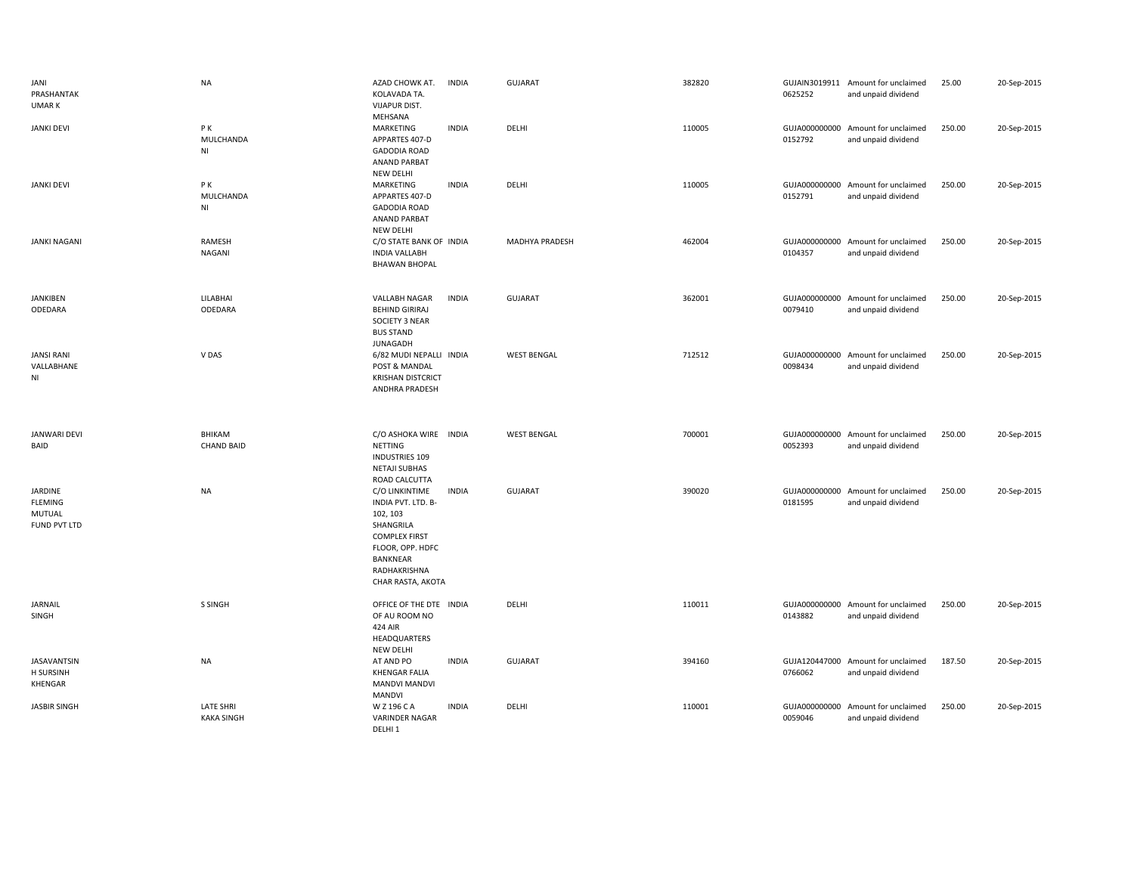| JANI<br>PRASHANTAK<br><b>UMARK</b>                         | <b>NA</b>                                 | AZAD CHOWK AT.<br>KOLAVADA TA.<br><b>VIJAPUR DIST.</b>                                                                                                     | <b>INDIA</b> | <b>GUJARAT</b>     | 382820 | 0625252                  | GUJAIN3019911 Amount for unclaimed<br>and unpaid dividend | 25.00  | 20-Sep-2015 |
|------------------------------------------------------------|-------------------------------------------|------------------------------------------------------------------------------------------------------------------------------------------------------------|--------------|--------------------|--------|--------------------------|-----------------------------------------------------------|--------|-------------|
| <b>JANKI DEVI</b>                                          | PК<br>MULCHANDA<br>N <sub>l</sub>         | MEHSANA<br>MARKETING<br>APPARTES 407-D<br><b>GADODIA ROAD</b><br>ANAND PARBAT<br><b>NEW DELHI</b>                                                          | <b>INDIA</b> | DELHI              | 110005 | GUJA000000000<br>0152792 | Amount for unclaimed<br>and unpaid dividend               | 250.00 | 20-Sep-2015 |
| <b>JANKI DEVI</b>                                          | PK<br>MULCHANDA<br>$\mathsf{N}\mathsf{I}$ | MARKETING<br>APPARTES 407-D<br><b>GADODIA ROAD</b><br>ANAND PARBAT<br><b>NEW DELHI</b>                                                                     | <b>INDIA</b> | DELHI              | 110005 | 0152791                  | GUJA000000000 Amount for unclaimed<br>and unpaid dividend | 250.00 | 20-Sep-2015 |
| <b>JANKI NAGANI</b>                                        | <b>RAMESH</b><br><b>NAGANI</b>            | C/O STATE BANK OF INDIA<br><b>INDIA VALLABH</b><br><b>BHAWAN BHOPAL</b>                                                                                    |              | MADHYA PRADESH     | 462004 | 0104357                  | GUJA000000000 Amount for unclaimed<br>and unpaid dividend | 250.00 | 20-Sep-2015 |
| <b>JANKIBEN</b><br>ODEDARA                                 | LILABHAI<br>ODEDARA                       | VALLABH NAGAR<br><b>BEHIND GIRIRAJ</b><br>SOCIETY 3 NEAR<br><b>BUS STAND</b><br><b>JUNAGADH</b>                                                            | <b>INDIA</b> | <b>GUJARAT</b>     | 362001 | GUJA000000000<br>0079410 | Amount for unclaimed<br>and unpaid dividend               | 250.00 | 20-Sep-2015 |
| <b>JANSI RANI</b><br>VALLABHANE<br>NI                      | V DAS                                     | 6/82 MUDI NEPALLI INDIA<br>POST & MANDAL<br><b>KRISHAN DISTCRICT</b><br>ANDHRA PRADESH                                                                     |              | <b>WEST BENGAL</b> | 712512 | GUJA000000000<br>0098434 | Amount for unclaimed<br>and unpaid dividend               | 250.00 | 20-Sep-2015 |
|                                                            |                                           |                                                                                                                                                            |              |                    |        |                          |                                                           |        |             |
| <b>JANWARI DEVI</b><br>BAID                                | BHIKAM<br><b>CHAND BAID</b>               | C/O ASHOKA WIRE INDIA<br>NETTING<br><b>INDUSTRIES 109</b><br><b>NETAJI SUBHAS</b><br>ROAD CALCUTTA                                                         |              | <b>WEST BENGAL</b> | 700001 | 0052393                  | GUJA000000000 Amount for unclaimed<br>and unpaid dividend | 250.00 | 20-Sep-2015 |
| <b>JARDINE</b><br><b>FLEMING</b><br>MUTUAL<br>FUND PVT LTD | <b>NA</b>                                 | C/O LINKINTIME<br>INDIA PVT. LTD. B-<br>102, 103<br>SHANGRILA<br><b>COMPLEX FIRST</b><br>FLOOR, OPP. HDFC<br>BANKNEAR<br>RADHAKRISHNA<br>CHAR RASTA, AKOTA | <b>INDIA</b> | <b>GUJARAT</b>     | 390020 | 0181595                  | GUJA000000000 Amount for unclaimed<br>and unpaid dividend | 250.00 | 20-Sep-2015 |
| <b>JARNAIL</b><br>SINGH                                    | S SINGH                                   | OFFICE OF THE DTE INDIA<br>OF AU ROOM NO<br>424 AIR<br>HEADQUARTERS<br><b>NEW DELHI</b>                                                                    |              | DELHI              | 110011 | GUJA000000000<br>0143882 | Amount for unclaimed<br>and unpaid dividend               | 250.00 | 20-Sep-2015 |
| <b>JASAVANTSIN</b><br>H SURSINH<br>KHENGAR                 | <b>NA</b>                                 | AT AND PO<br><b>KHENGAR FALIA</b><br><b>MANDVI MANDVI</b><br><b>MANDVI</b>                                                                                 | <b>INDIA</b> | <b>GUJARAT</b>     | 394160 | 0766062                  | GUJA120447000 Amount for unclaimed<br>and unpaid dividend | 187.50 | 20-Sep-2015 |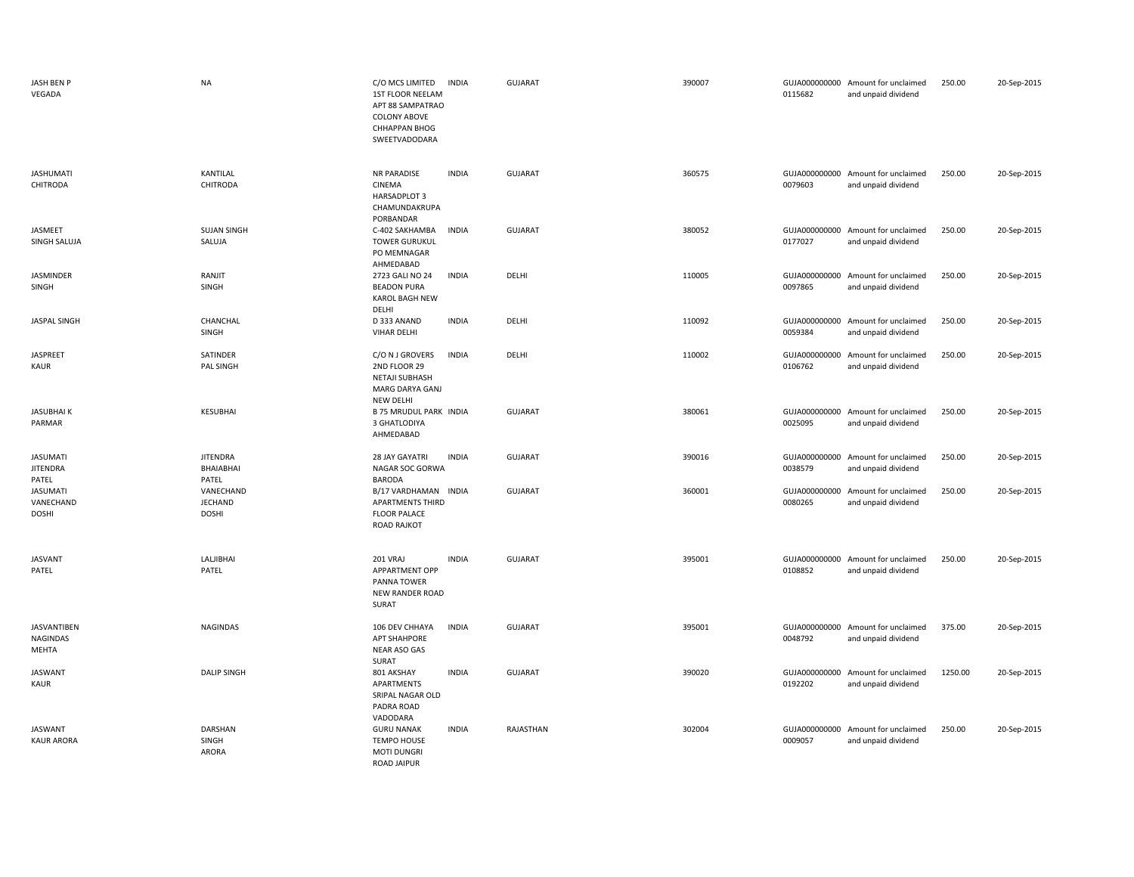| JASH BEN P<br>VEGADA                        | <b>NA</b>                                   | C/O MCS LIMITED<br>1ST FLOOR NEELAM<br>APT 88 SAMPATRAO<br><b>COLONY ABOVE</b><br>CHHAPPAN BHOG<br>SWEETVADODARA | <b>INDIA</b> | <b>GUJARAT</b> | 390007 | 0115682                  | GUJA000000000 Amount for unclaimed<br>and unpaid dividend | 250.00  | 20-Sep-2015 |
|---------------------------------------------|---------------------------------------------|------------------------------------------------------------------------------------------------------------------|--------------|----------------|--------|--------------------------|-----------------------------------------------------------|---------|-------------|
| <b>JASHUMATI</b><br><b>CHITRODA</b>         | KANTILAL<br><b>CHITRODA</b>                 | <b>NR PARADISE</b><br>CINEMA<br>HARSADPLOT 3<br>CHAMUNDAKRUPA<br>PORBANDAR                                       | <b>INDIA</b> | GUJARAT        | 360575 | 0079603                  | GUJA000000000 Amount for unclaimed<br>and unpaid dividend | 250.00  | 20-Sep-2015 |
| JASMEET<br>SINGH SALUJA                     | <b>SUJAN SINGH</b><br>SALUJA                | C-402 SAKHAMBA<br><b>TOWER GURUKUL</b><br>PO MEMNAGAR<br>AHMEDABAD                                               | <b>INDIA</b> | <b>GUJARAT</b> | 380052 | 0177027                  | GUJA000000000 Amount for unclaimed<br>and unpaid dividend | 250.00  | 20-Sep-2015 |
| JASMINDER<br>SINGH                          | RANJIT<br>SINGH                             | 2723 GALI NO 24<br><b>BEADON PURA</b><br><b>KAROL BAGH NEW</b><br>DELHI                                          | <b>INDIA</b> | DELHI          | 110005 | GUJA000000000<br>0097865 | Amount for unclaimed<br>and unpaid dividend               | 250.00  | 20-Sep-2015 |
| <b>JASPAL SINGH</b>                         | CHANCHAL<br>SINGH                           | D 333 ANAND<br>VIHAR DELHI                                                                                       | <b>INDIA</b> | DELHI          | 110092 | GUJA000000000<br>0059384 | Amount for unclaimed<br>and unpaid dividend               | 250.00  | 20-Sep-2015 |
| <b>JASPREET</b><br>KAUR                     | SATINDER<br>PAL SINGH                       | C/O N J GROVERS<br>2ND FLOOR 29<br><b>NETAJI SUBHASH</b><br>MARG DARYA GANJ<br><b>NEW DELHI</b>                  | <b>INDIA</b> | DELHI          | 110002 | 0106762                  | GUJA000000000 Amount for unclaimed<br>and unpaid dividend | 250.00  | 20-Sep-2015 |
| <b>JASUBHAIK</b><br>PARMAR                  | <b>KESUBHAI</b>                             | <b>B 75 MRUDUL PARK INDIA</b><br>3 GHATLODIYA<br>AHMEDABAD                                                       |              | <b>GUJARAT</b> | 380061 | 0025095                  | GUJA000000000 Amount for unclaimed<br>and unpaid dividend | 250.00  | 20-Sep-2015 |
| <b>JASUMATI</b><br><b>JITENDRA</b><br>PATEL | <b>JITENDRA</b><br>BHAIABHAI<br>PATEL       | 28 JAY GAYATRI<br>NAGAR SOC GORWA<br><b>BARODA</b>                                                               | <b>INDIA</b> | <b>GUJARAT</b> | 390016 | 0038579                  | GUJA000000000 Amount for unclaimed<br>and unpaid dividend | 250.00  | 20-Sep-2015 |
| <b>JASUMATI</b><br>VANECHAND<br>DOSHI       | VANECHAND<br><b>JECHAND</b><br><b>DOSHI</b> | B/17 VARDHAMAN INDIA<br><b>APARTMENTS THIRD</b><br><b>FLOOR PALACE</b><br><b>ROAD RAJKOT</b>                     |              | GUJARAT        | 360001 | GUJA000000000<br>0080265 | Amount for unclaimed<br>and unpaid dividend               | 250.00  | 20-Sep-2015 |
| <b>JASVANT</b><br>PATEL                     | LALJIBHAI<br>PATEL                          | 201 VRAJ<br>APPARTMENT OPP<br>PANNA TOWER<br><b>NEW RANDER ROAD</b><br>SURAT                                     | <b>INDIA</b> | GUJARAT        | 395001 | 0108852                  | GUJA000000000 Amount for unclaimed<br>and unpaid dividend | 250.00  | 20-Sep-2015 |
| <b>JASVANTIBEN</b><br>NAGINDAS<br>MEHTA     | <b>NAGINDAS</b>                             | 106 DEV CHHAYA<br><b>APT SHAHPORE</b><br>NEAR ASO GAS<br>SURAT                                                   | <b>INDIA</b> | <b>GUJARAT</b> | 395001 | GUJA000000000<br>0048792 | Amount for unclaimed<br>and unpaid dividend               | 375.00  | 20-Sep-2015 |
| <b>JASWANT</b><br>KAUR                      | <b>DALIP SINGH</b>                          | 801 AKSHAY<br>APARTMENTS<br>SRIPAL NAGAR OLD<br>PADRA ROAD<br>VADODARA                                           | <b>INDIA</b> | GUJARAT        | 390020 | 0192202                  | GUJA000000000 Amount for unclaimed<br>and unpaid dividend | 1250.00 | 20-Sep-2015 |
| <b>JASWANT</b><br><b>KAUR ARORA</b>         | <b>DARSHAN</b><br>SINGH<br>ARORA            | <b>GURU NANAK</b><br><b>TEMPO HOUSE</b><br><b>MOTI DUNGRI</b><br><b>ROAD JAIPUR</b>                              | <b>INDIA</b> | RAJASTHAN      | 302004 | 0009057                  | GUJA000000000 Amount for unclaimed<br>and unpaid dividend | 250.00  | 20-Sep-2015 |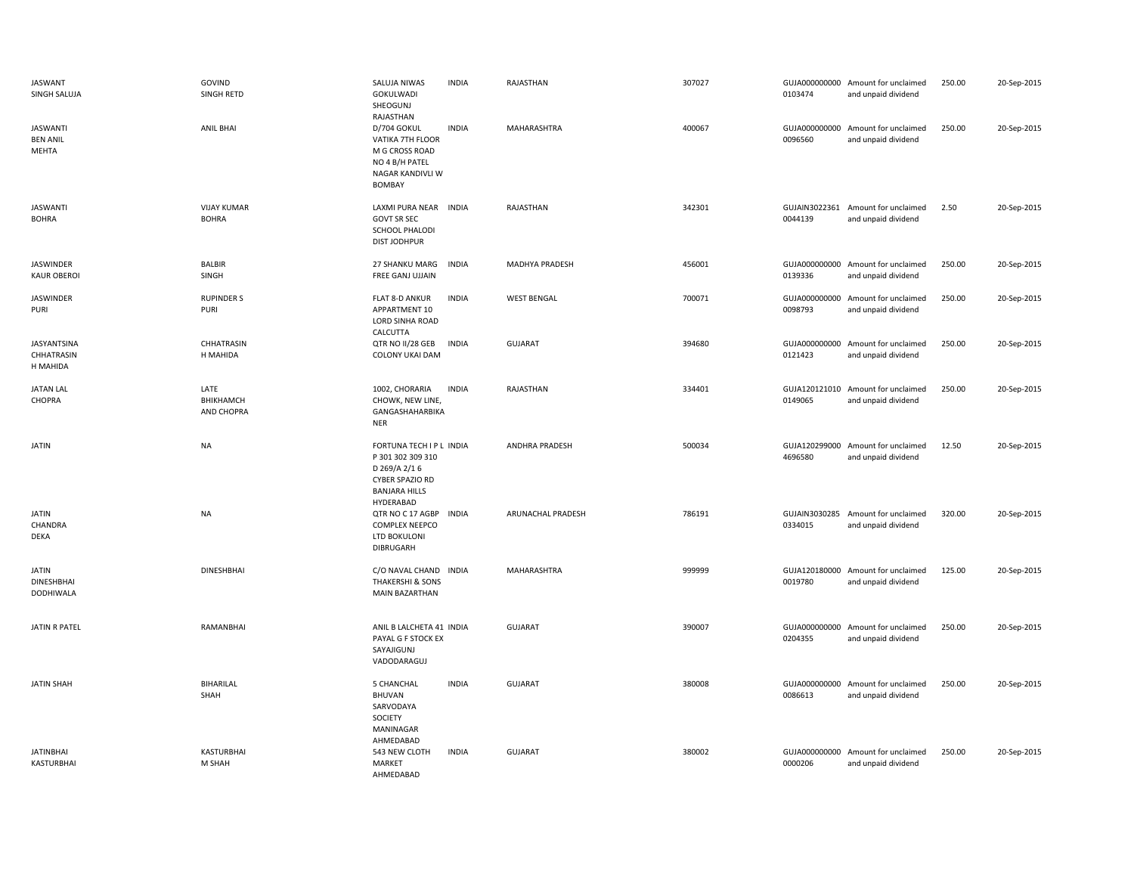| JASWANT<br>SINGH SALUJA                     | GOVIND<br>SINGH RETD               | SALUJA NIWAS<br>GOKULWADI<br>SHEOGUNJ<br>RAJASTHAN                                                                    | <b>INDIA</b> | RAJASTHAN             | 307027 | 0103474                  | GUJA000000000 Amount for unclaimed<br>and unpaid dividend | 250.00 | 20-Sep-2015 |
|---------------------------------------------|------------------------------------|-----------------------------------------------------------------------------------------------------------------------|--------------|-----------------------|--------|--------------------------|-----------------------------------------------------------|--------|-------------|
| <b>JASWANTI</b><br><b>BEN ANIL</b><br>MEHTA | <b>ANIL BHAI</b>                   | D/704 GOKUL<br>VATIKA 7TH FLOOR<br>M G CROSS ROAD<br>NO 4 B/H PATEL<br>NAGAR KANDIVLI W<br><b>BOMBAY</b>              | <b>INDIA</b> | MAHARASHTRA           | 400067 | GUJA000000000<br>0096560 | Amount for unclaimed<br>and unpaid dividend               | 250.00 | 20-Sep-2015 |
| <b>JASWANTI</b><br><b>BOHRA</b>             | <b>VIJAY KUMAR</b><br><b>BOHRA</b> | LAXMI PURA NEAR INDIA<br><b>GOVT SR SEC</b><br>SCHOOL PHALODI<br><b>DIST JODHPUR</b>                                  |              | RAJASTHAN             | 342301 | 0044139                  | GUJAIN3022361 Amount for unclaimed<br>and unpaid dividend | 2.50   | 20-Sep-2015 |
| JASWINDER<br><b>KAUR OBEROI</b>             | <b>BALBIR</b><br>SINGH             | 27 SHANKU MARG<br>FREE GANJ UJJAIN                                                                                    | <b>INDIA</b> | MADHYA PRADESH        | 456001 | 0139336                  | GUJA000000000 Amount for unclaimed<br>and unpaid dividend | 250.00 | 20-Sep-2015 |
| JASWINDER<br>PURI                           | <b>RUPINDER S</b><br>PURI          | FLAT 8-D ANKUR<br>APPARTMENT 10<br><b>LORD SINHA ROAD</b><br>CALCUTTA                                                 | <b>INDIA</b> | <b>WEST BENGAL</b>    | 700071 | GUJA000000000<br>0098793 | Amount for unclaimed<br>and unpaid dividend               | 250.00 | 20-Sep-2015 |
| JASYANTSINA<br>CHHATRASIN<br>H MAHIDA       | CHHATRASIN<br>H MAHIDA             | QTR NO II/28 GEB<br><b>COLONY UKAI DAM</b>                                                                            | <b>INDIA</b> | <b>GUJARAT</b>        | 394680 | 0121423                  | GUJA000000000 Amount for unclaimed<br>and unpaid dividend | 250.00 | 20-Sep-2015 |
| <b>JATAN LAL</b><br>CHOPRA                  | LATE<br>BHIKHAMCH<br>AND CHOPRA    | 1002, CHORARIA<br>CHOWK, NEW LINE,<br>GANGASHAHARBIKA<br><b>NER</b>                                                   | <b>INDIA</b> | RAJASTHAN             | 334401 | 0149065                  | GUJA120121010 Amount for unclaimed<br>and unpaid dividend | 250.00 | 20-Sep-2015 |
| JATIN                                       | <b>NA</b>                          | FORTUNA TECH I P L INDIA<br>P 301 302 309 310<br>D 269/A 2/16<br>CYBER SPAZIO RD<br><b>BANJARA HILLS</b><br>HYDERABAD |              | <b>ANDHRA PRADESH</b> | 500034 | GUJA120299000<br>4696580 | Amount for unclaimed<br>and unpaid dividend               | 12.50  | 20-Sep-2015 |
| <b>JATIN</b><br>CHANDRA<br>DEKA             | <b>NA</b>                          | QTR NO C 17 AGBP<br><b>COMPLEX NEEPCO</b><br>LTD BOKULONI<br><b>DIBRUGARH</b>                                         | INDIA        | ARUNACHAL PRADESH     | 786191 | 0334015                  | GUJAIN3030285 Amount for unclaimed<br>and unpaid dividend | 320.00 | 20-Sep-2015 |
| <b>JATIN</b><br>DINESHBHAI<br>DODHIWALA     | <b>DINESHBHAI</b>                  | C/O NAVAL CHAND INDIA<br><b>THAKERSHI &amp; SONS</b><br><b>MAIN BAZARTHAN</b>                                         |              | MAHARASHTRA           | 999999 | 0019780                  | GUJA120180000 Amount for unclaimed<br>and unpaid dividend | 125.00 | 20-Sep-2015 |
| <b>JATIN R PATEL</b>                        | RAMANBHAI                          | ANIL B LALCHETA 41 INDIA<br>PAYAL G F STOCK EX<br>SAYAJIGUNJ<br>VADODARAGUJ                                           |              | <b>GUJARAT</b>        | 390007 | 0204355                  | GUJA000000000 Amount for unclaimed<br>and unpaid dividend | 250.00 | 20-Sep-2015 |
| <b>JATIN SHAH</b>                           | <b>BIHARILAL</b><br>SHAH           | 5 CHANCHAL<br><b>BHUVAN</b><br>SARVODAYA<br>SOCIETY<br>MANINAGAR<br>AHMEDABAD                                         | <b>INDIA</b> | <b>GUJARAT</b>        | 380008 | 0086613                  | GUJA000000000 Amount for unclaimed<br>and unpaid dividend | 250.00 | 20-Sep-2015 |
| <b>JATINBHAI</b><br><b>KASTURBHAI</b>       | KASTURBHAI<br>M SHAH               | 543 NEW CLOTH<br>MARKET<br>AHMEDARAD                                                                                  | <b>INDIA</b> | <b>GUJARAT</b>        | 380002 | 0000206                  | GUJA000000000 Amount for unclaimed<br>and unpaid dividend | 250.00 | 20-Sep-2015 |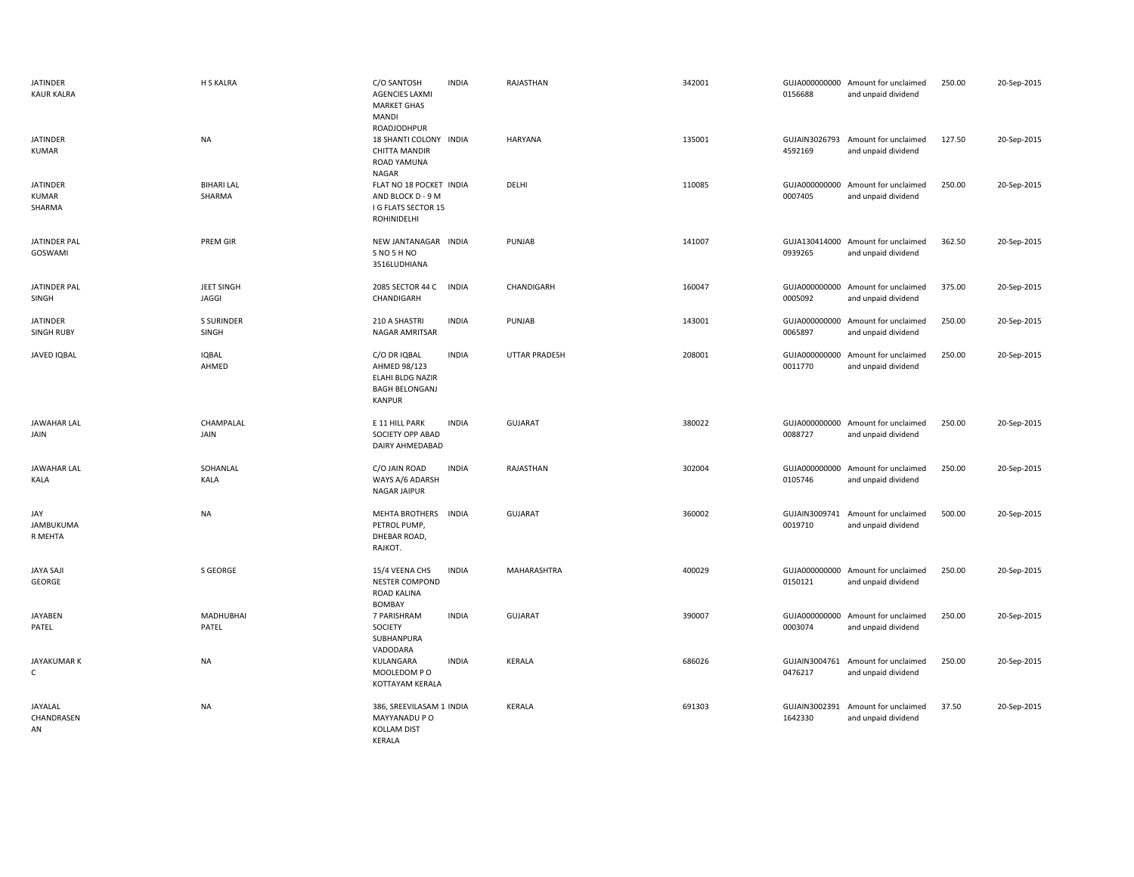| JATINDER<br><b>KAUR KALRA</b>             | H S KALRA                   | C/O SANTOSH<br><b>INDIA</b><br><b>AGENCIES LAXMI</b><br><b>MARKET GHAS</b><br>MANDI<br>ROADJODHPUR                | RAJASTHAN      | 342001 | GUJA000000000 Amount for unclaimed<br>0156688<br>and unpaid dividend | 250.00                                                | 20-Sep-2015 |
|-------------------------------------------|-----------------------------|-------------------------------------------------------------------------------------------------------------------|----------------|--------|----------------------------------------------------------------------|-------------------------------------------------------|-------------|
| <b>JATINDER</b><br>KUMAR                  | <b>NA</b>                   | 18 SHANTI COLONY INDIA<br>CHITTA MANDIR<br>ROAD YAMUNA<br>NAGAR                                                   | <b>HARYANA</b> | 135001 | GUJAIN3026793 Amount for unclaimed<br>4592169<br>and unpaid dividend | 127.50                                                | 20-Sep-2015 |
| <b>JATINDER</b><br><b>KUMAR</b><br>SHARMA | <b>BIHARI LAL</b><br>SHARMA | FLAT NO 18 POCKET INDIA<br>AND BLOCK D - 9 M<br><b>I G FLATS SECTOR 15</b><br>ROHINIDELHI                         | DELHI          | 110085 | GUJA000000000<br>0007405<br>and unpaid dividend                      | 250.00<br>Amount for unclaimed                        | 20-Sep-2015 |
| <b>JATINDER PAL</b><br>GOSWAMI            | <b>PREM GIR</b>             | NEW JANTANAGAR INDIA<br>SNO 5 HNO<br>3516LUDHIANA                                                                 | PUNJAB         | 141007 | GUJA130414000 Amount for unclaimed<br>0939265<br>and unpaid dividend | 362.50                                                | 20-Sep-2015 |
| JATINDER PAL<br>SINGH                     | JEET SINGH<br>JAGGI         | 2085 SECTOR 44 C<br><b>INDIA</b><br>CHANDIGARH                                                                    | CHANDIGARH     | 160047 | GUJA000000000<br>0005092<br>and unpaid dividend                      | Amount for unclaimed<br>375.00                        | 20-Sep-2015 |
| <b>JATINDER</b><br><b>SINGH RUBY</b>      | <b>S SURINDER</b><br>SINGH  | 210 A SHASTRI<br><b>INDIA</b><br>NAGAR AMRITSAR                                                                   | PUNJAB         | 143001 | GUJA000000000<br>0065897                                             | Amount for unclaimed<br>250.00<br>and unpaid dividend | 20-Sep-2015 |
| JAVED IQBAL                               | <b>IQBAL</b><br>AHMED       | <b>INDIA</b><br>C/O DR IQBAL<br>AHMED 98/123<br><b>ELAHI BLDG NAZIR</b><br><b>BAGH BELONGANJ</b><br><b>KANPUR</b> | UTTAR PRADESH  | 208001 | GUJA000000000<br>0011770                                             | Amount for unclaimed<br>250.00<br>and unpaid dividend | 20-Sep-2015 |
| <b>JAWAHAR LAL</b><br>JAIN                | CHAMPALAL<br>JAIN           | E 11 HILL PARK<br><b>INDIA</b><br>SOCIETY OPP ABAD<br>DAIRY AHMEDABAD                                             | <b>GUJARAT</b> | 380022 | GUJA000000000 Amount for unclaimed<br>0088727<br>and unpaid dividend | 250.00                                                | 20-Sep-2015 |
| <b>JAWAHAR LAL</b><br>KALA                | SOHANLAL<br>KALA            | C/O JAIN ROAD<br><b>INDIA</b><br>WAYS A/6 ADARSH<br>NAGAR JAIPUR                                                  | RAJASTHAN      | 302004 | GUJA000000000<br>0105746<br>and unpaid dividend                      | Amount for unclaimed<br>250.00                        | 20-Sep-2015 |
| JAY<br>JAMBUKUMA<br>R MEHTA               | <b>NA</b>                   | MEHTA BROTHERS<br><b>INDIA</b><br>PETROL PUMP,<br>DHEBAR ROAD,<br>RAJKOT.                                         | GUJARAT        | 360002 | GUJAIN3009741<br>0019710                                             | Amount for unclaimed<br>500.00<br>and unpaid dividend | 20-Sep-2015 |
| JAYA SAJI<br>GEORGE                       | S GEORGE                    | 15/4 VEENA CHS<br><b>INDIA</b><br><b>NESTER COMPOND</b><br>ROAD KALINA<br><b>BOMBAY</b>                           | MAHARASHTRA    | 400029 | GUJA000000000 Amount for unclaimed<br>and unpaid dividend<br>0150121 | 250.00                                                | 20-Sep-2015 |
| <b>JAYABEN</b><br>PATEL                   | MADHUBHAI<br>PATEL          | <b>INDIA</b><br>7 PARISHRAM<br>SOCIETY<br>SUBHANPURA<br>VADODARA                                                  | <b>GUJARAT</b> | 390007 | GUJA000000000 Amount for unclaimed<br>0003074<br>and unpaid dividend | 250.00                                                | 20-Sep-2015 |
| JAYAKUMAR K<br>C                          | <b>NA</b>                   | KULANGARA<br><b>INDIA</b><br>MOOLEDOM PO<br>KOTTAYAM KERALA                                                       | KERALA         | 686026 | GUJAIN3004761 Amount for unclaimed<br>0476217<br>and unpaid dividend | 250.00                                                | 20-Sep-2015 |
| JAYALAL<br>CHANDRASEN<br>AN               | <b>NA</b>                   | 386, SREEVILASAM 1 INDIA<br>MAYYANADU P O<br><b>KOLLAM DIST</b><br>KERALA                                         | KERALA         | 691303 | GUJAIN3002391<br>1642330<br>and unpaid dividend                      | Amount for unclaimed<br>37.50                         | 20-Sep-2015 |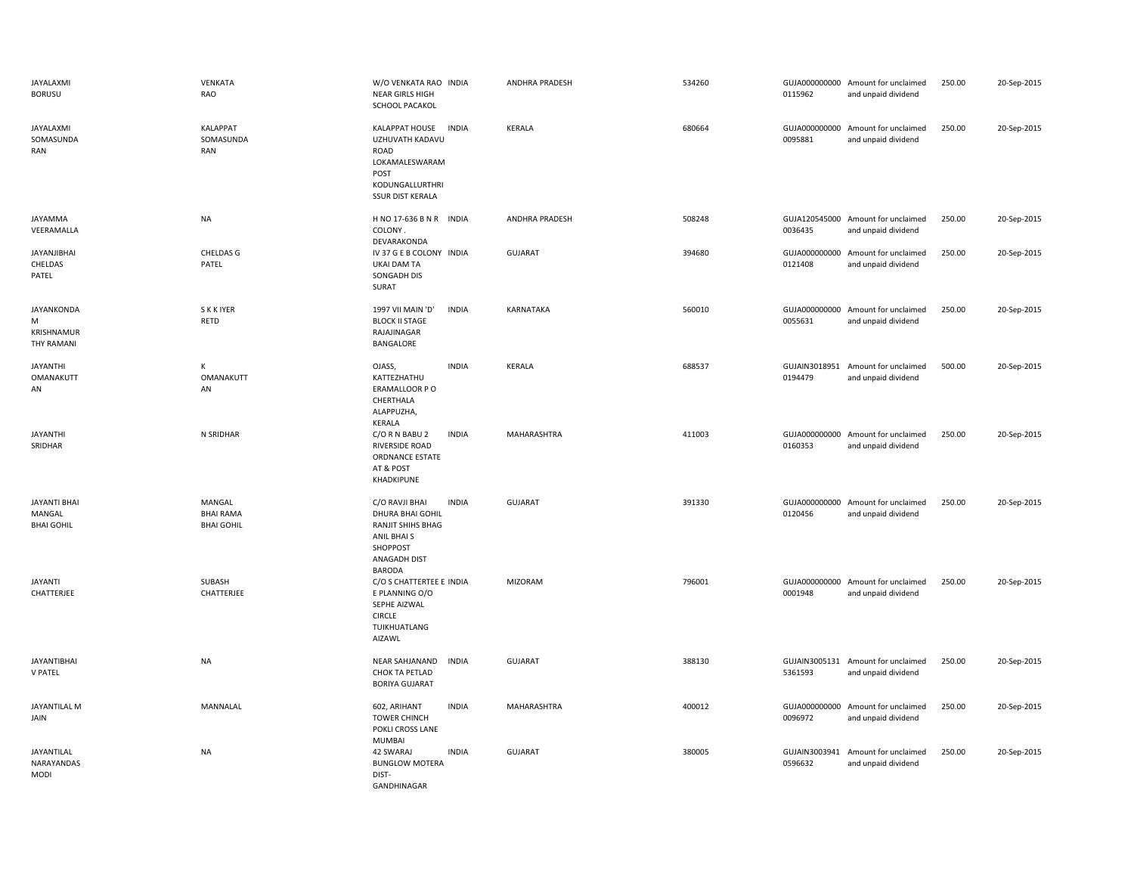| JAYALAXMI<br><b>BORUSU</b>                         | VENKATA<br>RAO                                  | W/O VENKATA RAO INDIA<br><b>NEAR GIRLS HIGH</b><br>SCHOOL PACAKOL                                                                   | <b>ANDHRA PRADESH</b> | 534260 | 0115962                  | GUJA000000000 Amount for unclaimed<br>and unpaid dividend | 250.00 | 20-Sep-2015 |
|----------------------------------------------------|-------------------------------------------------|-------------------------------------------------------------------------------------------------------------------------------------|-----------------------|--------|--------------------------|-----------------------------------------------------------|--------|-------------|
| JAYALAXMI<br>SOMASUNDA<br>RAN                      | <b>KALAPPAT</b><br>SOMASUNDA<br>RAN             | KALAPPAT HOUSE<br><b>INDIA</b><br>UZHUVATH KADAVU<br>ROAD<br>LOKAMALESWARAM<br>POST<br>KODUNGALLURTHRI<br><b>SSUR DIST KERALA</b>   | KERALA                | 680664 | GUJA000000000<br>0095881 | Amount for unclaimed<br>and unpaid dividend               | 250.00 | 20-Sep-2015 |
| JAYAMMA<br>VEERAMALLA                              | <b>NA</b>                                       | H NO 17-636 B N R INDIA<br>COLONY.<br>DEVARAKONDA                                                                                   | <b>ANDHRA PRADESH</b> | 508248 | 0036435                  | GUJA120545000 Amount for unclaimed<br>and unpaid dividend | 250.00 | 20-Sep-2015 |
| <b>JAYANJIBHAI</b><br>CHELDAS<br>PATEL             | CHELDAS G<br>PATEL                              | IV 37 G E B COLONY INDIA<br><b>UKAI DAM TA</b><br>SONGADH DIS<br>SURAT                                                              | GUJARAT               | 394680 | 0121408                  | GUJA000000000 Amount for unclaimed<br>and unpaid dividend | 250.00 | 20-Sep-2015 |
| <b>JAYANKONDA</b><br>M<br>KRISHNAMUR<br>THY RAMANI | <b>SKKIYER</b><br><b>RETD</b>                   | 1997 VII MAIN 'D'<br><b>INDIA</b><br><b>BLOCK II STAGE</b><br>RAJAJINAGAR<br>BANGALORE                                              | <b>KARNATAKA</b>      | 560010 | 0055631                  | GUJA000000000 Amount for unclaimed<br>and unpaid dividend | 250.00 | 20-Sep-2015 |
| <b>JAYANTHI</b><br>OMANAKUTT<br>AN                 | К<br>OMANAKUTT<br>AN                            | OJASS,<br><b>INDIA</b><br>KATTEZHATHU<br>ERAMALLOOR PO<br>CHERTHALA<br>ALAPPUZHA,<br>KERALA                                         | KERALA                | 688537 | 0194479                  | GUJAIN3018951 Amount for unclaimed<br>and unpaid dividend | 500.00 | 20-Sep-2015 |
| <b>JAYANTHI</b><br>SRIDHAR                         | N SRIDHAR                                       | C/O R N BABU 2<br><b>INDIA</b><br><b>RIVERSIDE ROAD</b><br>ORDNANCE ESTATE<br>AT & POST<br>KHADKIPUNE                               | MAHARASHTRA           | 411003 | GUJA000000000<br>0160353 | Amount for unclaimed<br>and unpaid dividend               | 250.00 | 20-Sep-2015 |
| <b>JAYANTI BHAI</b><br>MANGAL<br><b>BHAI GOHIL</b> | MANGAL<br><b>BHAI RAMA</b><br><b>BHAI GOHIL</b> | <b>INDIA</b><br>C/O RAVJI BHAI<br>DHURA BHAI GOHIL<br>RANJIT SHIHS BHAG<br>ANIL BHAI S<br>SHOPPOST<br>ANAGADH DIST<br><b>BARODA</b> | <b>GUJARAT</b>        | 391330 | 0120456                  | GUJA000000000 Amount for unclaimed<br>and unpaid dividend | 250.00 | 20-Sep-2015 |
| <b>JAYANTI</b><br>CHATTERJEE                       | SUBASH<br>CHATTERJEE                            | C/O S CHATTERTEE E INDIA<br>E PLANNING O/O<br>SEPHE AIZWAL<br><b>CIRCLE</b><br>TUIKHUATLANG<br>AIZAWL                               | <b>MIZORAM</b>        | 796001 | 0001948                  | GUJA000000000 Amount for unclaimed<br>and unpaid dividend | 250.00 | 20-Sep-2015 |
| <b>JAYANTIBHAI</b><br><b>V PATEL</b>               | <b>NA</b>                                       | NEAR SAHJANAND<br><b>INDIA</b><br>CHOK TA PETLAD<br><b>BORIYA GUJARAT</b>                                                           | <b>GUJARAT</b>        | 388130 | 5361593                  | GUJAIN3005131 Amount for unclaimed<br>and unpaid dividend | 250.00 | 20-Sep-2015 |
| <b>JAYANTILAL M</b><br>JAIN                        | MANNALAL                                        | <b>INDIA</b><br>602, ARIHANT<br><b>TOWER CHINCH</b><br>POKLI CROSS LANE<br><b>MUMBAI</b>                                            | MAHARASHTRA           | 400012 | GUJA000000000<br>0096972 | Amount for unclaimed<br>and unpaid dividend               | 250.00 | 20-Sep-2015 |
| JAYANTILAL<br>NARAYANDAS<br><b>MODI</b>            | <b>NA</b>                                       | 42 SWARAJ<br><b>INDIA</b><br><b>BUNGLOW MOTERA</b><br>DIST-<br>GANDHINAGAR                                                          | <b>GUJARAT</b>        | 380005 | GUJAIN3003941<br>0596632 | Amount for unclaimed<br>and unpaid dividend               | 250.00 | 20-Sep-2015 |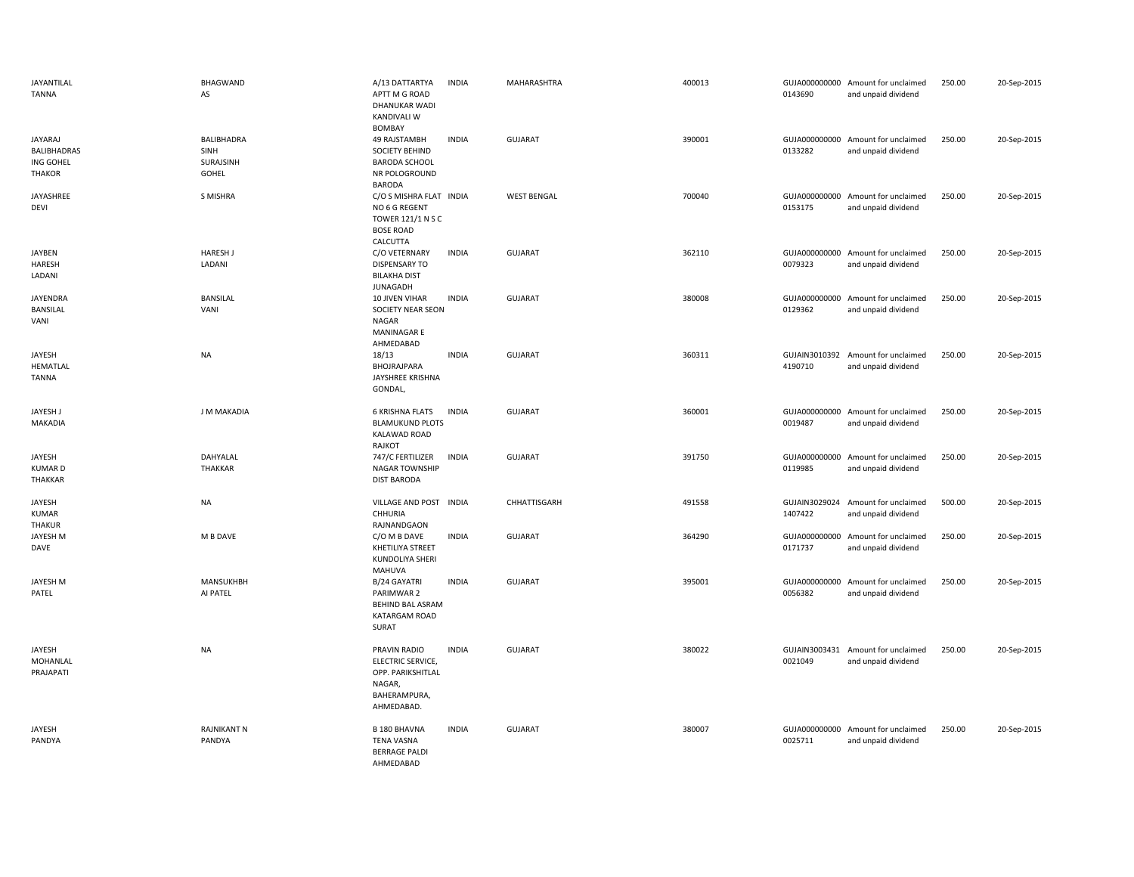| JAYANTILAL<br><b>TANNA</b>                           | <b>BHAGWAND</b><br>AS                    | A/13 DATTARTYA<br>APTT M G ROAD<br><b>DHANUKAR WADI</b><br>KANDIVALI W<br><b>BOMBAY</b>        | <b>INDIA</b> | MAHARASHTRA        | 400013 | 0143690                  | GUJA000000000 Amount for unclaimed<br>and unpaid dividend | 250.00 | 20-Sep-2015 |
|------------------------------------------------------|------------------------------------------|------------------------------------------------------------------------------------------------|--------------|--------------------|--------|--------------------------|-----------------------------------------------------------|--------|-------------|
| JAYARAJ<br>BALIBHADRAS<br>ING GOHEL<br><b>THAKOR</b> | BALIBHADRA<br>SINH<br>SURAJSINH<br>GOHEL | 49 RAJSTAMBH<br>SOCIETY BEHIND<br><b>BARODA SCHOOL</b><br>NR POLOGROUND<br><b>BARODA</b>       | <b>INDIA</b> | GUJARAT            | 390001 | 0133282                  | GUJA000000000 Amount for unclaimed<br>and unpaid dividend | 250.00 | 20-Sep-2015 |
| JAYASHREE<br>DEVI                                    | S MISHRA                                 | C/O S MISHRA FLAT INDIA<br>NO 6 G REGENT<br>TOWER 121/1 N S C<br><b>BOSE ROAD</b><br>CALCUTTA  |              | <b>WEST BENGAL</b> | 700040 | 0153175                  | GUJA000000000 Amount for unclaimed<br>and unpaid dividend | 250.00 | 20-Sep-2015 |
| JAYBEN<br><b>HARESH</b><br>LADANI                    | <b>HARESH J</b><br>LADANI                | C/O VETERNARY<br><b>DISPENSARY TO</b><br><b>BILAKHA DIST</b><br>JUNAGADH                       | <b>INDIA</b> | GUJARAT            | 362110 | 0079323                  | GUJA000000000 Amount for unclaimed<br>and unpaid dividend | 250.00 | 20-Sep-2015 |
| JAYENDRA<br>BANSILAL<br>VANI                         | BANSILAL<br>VANI                         | 10 JIVEN VIHAR<br>SOCIETY NEAR SEON<br>NAGAR<br><b>MANINAGARE</b><br>AHMEDABAD                 | <b>INDIA</b> | GUJARAT            | 380008 | GUJA000000000<br>0129362 | Amount for unclaimed<br>and unpaid dividend               | 250.00 | 20-Sep-2015 |
| JAYESH<br>HEMATLAL<br><b>TANNA</b>                   | <b>NA</b>                                | 18/13<br>BHOJRAJPARA<br>JAYSHREE KRISHNA<br>GONDAL,                                            | <b>INDIA</b> | GUJARAT            | 360311 | 4190710                  | GUJAIN3010392 Amount for unclaimed<br>and unpaid dividend | 250.00 | 20-Sep-2015 |
| JAYESH J<br><b>MAKADIA</b>                           | J M MAKADIA                              | <b>6 KRISHNA FLATS</b><br><b>BLAMUKUND PLOTS</b><br>KALAWAD ROAD<br>RAJKOT                     | <b>INDIA</b> | <b>GUJARAT</b>     | 360001 | 0019487                  | GUJA000000000 Amount for unclaimed<br>and unpaid dividend | 250.00 | 20-Sep-2015 |
| JAYESH<br><b>KUMARD</b><br>THAKKAR                   | DAHYALAL<br>THAKKAR                      | 747/C FERTILIZER<br>NAGAR TOWNSHIP<br><b>DIST BARODA</b>                                       | <b>INDIA</b> | <b>GUJARAT</b>     | 391750 | 0119985                  | GUJA000000000 Amount for unclaimed<br>and unpaid dividend | 250.00 | 20-Sep-2015 |
| JAYESH<br><b>KUMAR</b><br>THAKUR                     | <b>NA</b>                                | VILLAGE AND POST INDIA<br>CHHURIA<br>RAJNANDGAON                                               |              | CHHATTISGARH       | 491558 | GUJAIN3029024<br>1407422 | Amount for unclaimed<br>and unpaid dividend               | 500.00 | 20-Sep-2015 |
| <b>JAYESH M</b><br>DAVE                              | M B DAVE                                 | C/O M B DAVE<br>KHETILIYA STREET<br>KUNDOLIYA SHERI<br>MAHUVA                                  | <b>INDIA</b> | <b>GUJARAT</b>     | 364290 | GUJA000000000<br>0171737 | Amount for unclaimed<br>and unpaid dividend               | 250.00 | 20-Sep-2015 |
| <b>JAYESH M</b><br>PATEL                             | MANSUKHBH<br>AI PATEL                    | B/24 GAYATRI<br>PARIMWAR 2<br>BEHIND BAL ASRAM<br>KATARGAM ROAD<br><b>SURAT</b>                | <b>INDIA</b> | <b>GUJARAT</b>     | 395001 | 0056382                  | GUJA000000000 Amount for unclaimed<br>and unpaid dividend | 250.00 | 20-Sep-2015 |
| JAYESH<br>MOHANLAL<br>PRAJAPATI                      | <b>NA</b>                                | PRAVIN RADIO<br>ELECTRIC SERVICE,<br>OPP. PARIKSHITLAL<br>NAGAR,<br>BAHERAMPURA,<br>AHMEDABAD. | <b>INDIA</b> | GUJARAT            | 380022 | GUJAIN3003431<br>0021049 | Amount for unclaimed<br>and unpaid dividend               | 250.00 | 20-Sep-2015 |
| JAYESH<br>PANDYA                                     | <b>RAJNIKANT N</b><br>PANDYA             | <b>B 180 BHAVNA</b><br><b>TENA VASNA</b><br><b>BERRAGE PALDI</b><br>AHMEDABAD                  | <b>INDIA</b> | <b>GUJARAT</b>     | 380007 | 0025711                  | GUJA000000000 Amount for unclaimed<br>and unpaid dividend | 250.00 | 20-Sep-2015 |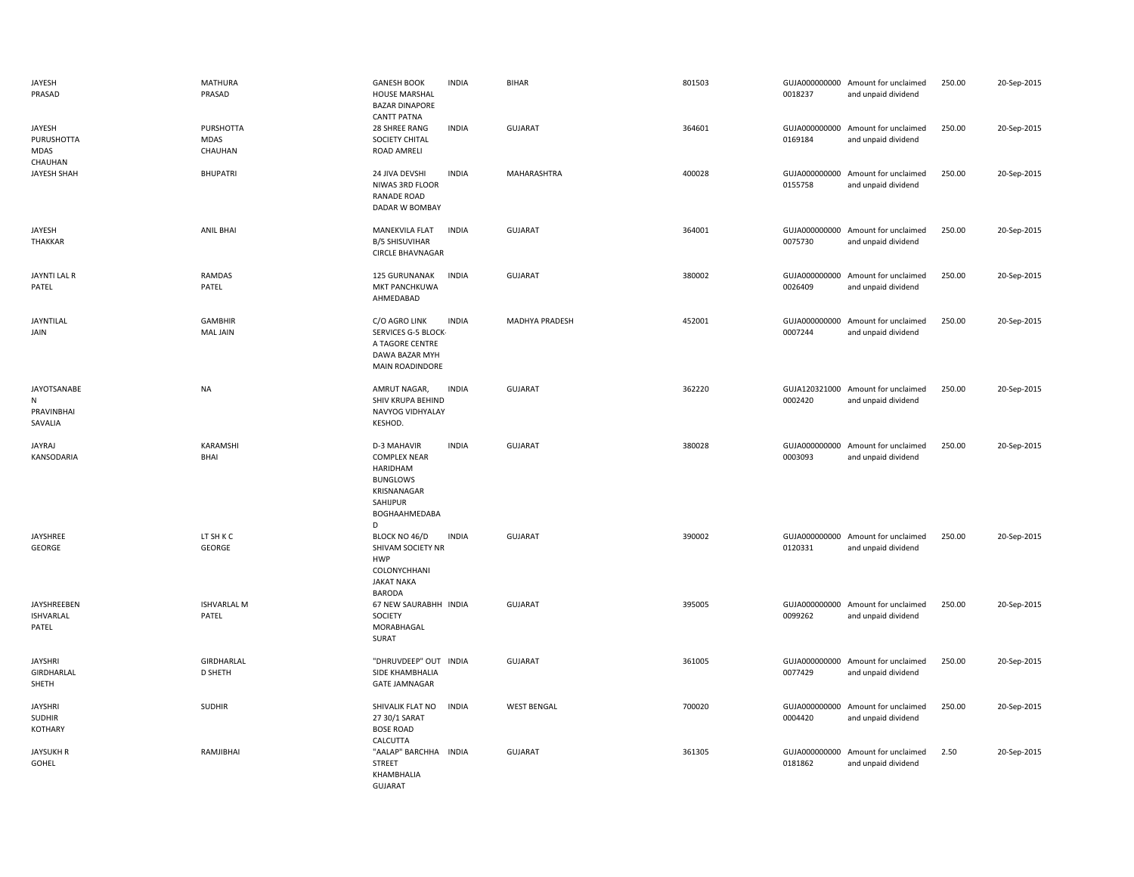| JAYESH<br>PRASAD                           | MATHURA<br>PRASAD                 | <b>GANESH BOOK</b><br>HOUSE MARSHAL<br><b>BAZAR DINAPORE</b><br><b>CANTT PATNA</b>                                        | <b>INDIA</b> | <b>BIHAR</b>       | 801503 | 0018237                  | GUJA000000000 Amount for unclaimed<br>and unpaid dividend | 250.00 | 20-Sep-2015 |
|--------------------------------------------|-----------------------------------|---------------------------------------------------------------------------------------------------------------------------|--------------|--------------------|--------|--------------------------|-----------------------------------------------------------|--------|-------------|
| JAYESH<br>PURUSHOTTA<br>MDAS<br>CHAUHAN    | PURSHOTTA<br>MDAS<br>CHAUHAN      | 28 SHREE RANG<br>SOCIETY CHITAL<br>ROAD AMRELI                                                                            | <b>INDIA</b> | <b>GUJARAT</b>     | 364601 | 0169184                  | GUJA000000000 Amount for unclaimed<br>and unpaid dividend | 250.00 | 20-Sep-2015 |
| JAYESH SHAH                                | <b>BHUPATRI</b>                   | 24 JIVA DEVSHI<br>NIWAS 3RD FLOOR<br>RANADE ROAD<br>DADAR W BOMBAY                                                        | <b>INDIA</b> | MAHARASHTRA        | 400028 | 0155758                  | GUJA000000000 Amount for unclaimed<br>and unpaid dividend | 250.00 | 20-Sep-2015 |
| JAYESH<br>THAKKAR                          | <b>ANIL BHAI</b>                  | MANEKVILA FLAT<br><b>B/5 SHISUVIHAR</b><br><b>CIRCLE BHAVNAGAR</b>                                                        | <b>INDIA</b> | <b>GUJARAT</b>     | 364001 | 0075730                  | GUJA000000000 Amount for unclaimed<br>and unpaid dividend | 250.00 | 20-Sep-2015 |
| JAYNTI LAL R<br>PATEL                      | <b>RAMDAS</b><br>PATEL            | 125 GURUNANAK<br>MKT PANCHKUWA<br>AHMEDABAD                                                                               | <b>INDIA</b> | <b>GUJARAT</b>     | 380002 | 0026409                  | GUJA000000000 Amount for unclaimed<br>and unpaid dividend | 250.00 | 20-Sep-2015 |
| JAYNTILAL<br>JAIN                          | <b>GAMBHIR</b><br><b>MAL JAIN</b> | C/O AGRO LINK<br>SERVICES G-5 BLOCK-<br>A TAGORE CENTRE<br>DAWA BAZAR MYH<br>MAIN ROADINDORE                              | <b>INDIA</b> | MADHYA PRADESH     | 452001 | GUJA000000000<br>0007244 | Amount for unclaimed<br>and unpaid dividend               | 250.00 | 20-Sep-2015 |
| JAYOTSANABE<br>N<br>PRAVINBHAI<br>SAVALIA  | <b>NA</b>                         | AMRUT NAGAR,<br>SHIV KRUPA BEHIND<br>NAVYOG VIDHYALAY<br>KESHOD.                                                          | <b>INDIA</b> | <b>GUJARAT</b>     | 362220 | 0002420                  | GUJA120321000 Amount for unclaimed<br>and unpaid dividend | 250.00 | 20-Sep-2015 |
| <b>JAYRAJ</b><br>KANSODARIA                | KARAMSHI<br><b>BHAI</b>           | <b>D-3 MAHAVIR</b><br><b>COMPLEX NEAR</b><br>HARIDHAM<br><b>BUNGLOWS</b><br>KRISNANAGAR<br>SAHIJPUR<br>BOGHAAHMEDABA<br>D | <b>INDIA</b> | <b>GUJARAT</b>     | 380028 | 0003093                  | GUJA000000000 Amount for unclaimed<br>and unpaid dividend | 250.00 | 20-Sep-2015 |
| JAYSHREE<br>GEORGE                         | LT SH K C<br>GEORGE               | BLOCK NO 46/D<br>SHIVAM SOCIETY NR<br><b>HWP</b><br>COLONYCHHANI<br><b>JAKAT NAKA</b><br>BARODA                           | <b>INDIA</b> | GUJARAT            | 390002 | 0120331                  | GUJA000000000 Amount for unclaimed<br>and unpaid dividend | 250.00 | 20-Sep-2015 |
| JAYSHREEBEN<br><b>ISHVARLAL</b><br>PATEL   | <b>ISHVARLAL M</b><br>PATEL       | 67 NEW SAURABHH INDIA<br>SOCIETY<br>MORABHAGAL<br>SURAT                                                                   |              | <b>GUJARAT</b>     | 395005 | 0099262                  | GUJA000000000 Amount for unclaimed<br>and unpaid dividend | 250.00 | 20-Sep-2015 |
| <b>JAYSHRI</b><br>GIRDHARLAL<br>SHETH      | GIRDHARLAL<br>D SHETH             | "DHRUVDEEP" OUT INDIA<br>SIDE KHAMBHALIA<br><b>GATE JAMNAGAR</b>                                                          |              | GUJARAT            | 361005 | 0077429                  | GUJA000000000 Amount for unclaimed<br>and unpaid dividend | 250.00 | 20-Sep-2015 |
| <b>JAYSHRI</b><br><b>SUDHIR</b><br>KOTHARY | <b>SUDHIR</b>                     | SHIVALIK FLAT NO<br>27 30/1 SARAT<br><b>BOSE ROAD</b><br>CALCUTTA                                                         | <b>INDIA</b> | <b>WEST BENGAL</b> | 700020 | GUJA000000000<br>0004420 | Amount for unclaimed<br>and unpaid dividend               | 250.00 | 20-Sep-2015 |
| <b>JAYSUKH R</b><br>GOHEL                  | RAMJIBHAI                         | "AALAP" BARCHHA<br><b>STREET</b>                                                                                          | INDIA        | <b>GUJARAT</b>     | 361305 | 0181862                  | GUJA000000000 Amount for unclaimed<br>and unpaid dividend | 2.50   | 20-Sep-2015 |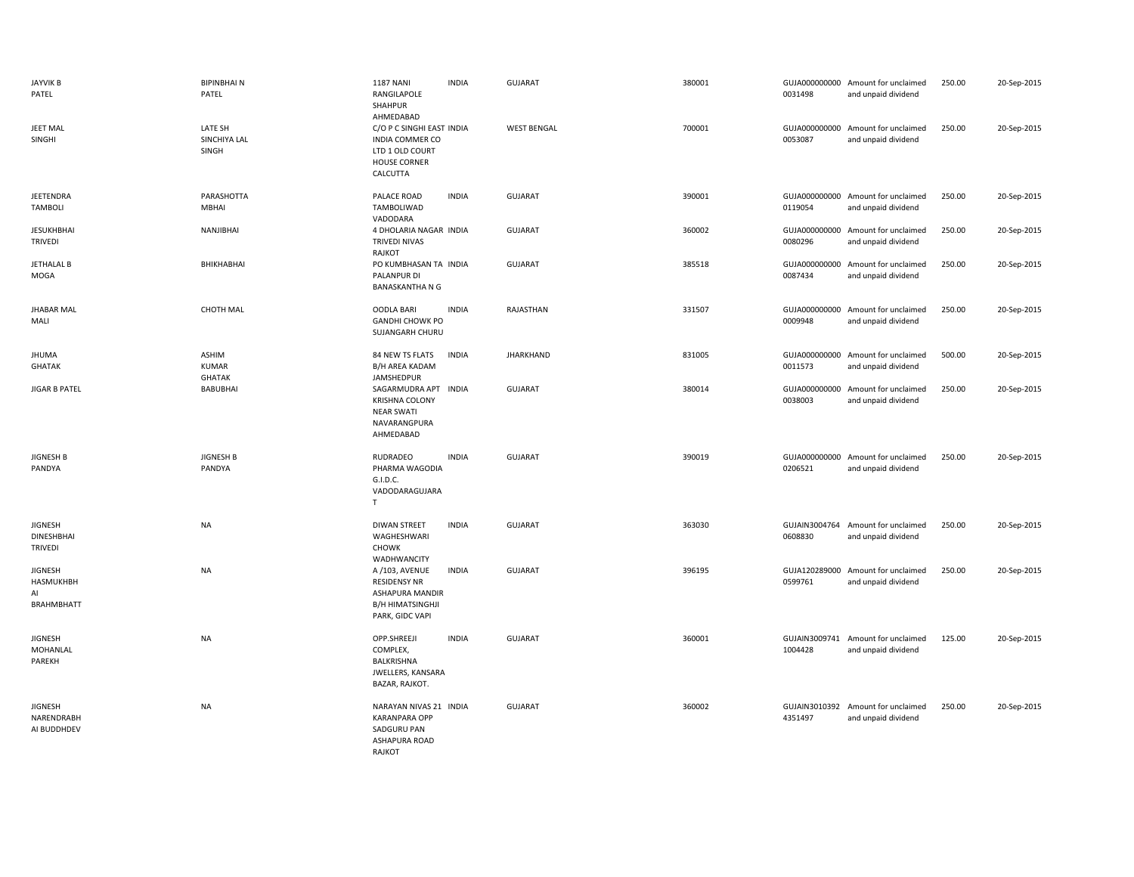| <b>JAYVIK B</b><br>PATEL                               | <b>BIPINBHAIN</b><br>PATEL       | <b>1187 NANI</b><br>RANGILAPOLE<br>SHAHPUR<br>AHMEDABAD                                                   | <b>INDIA</b> | <b>GUJARAT</b>     | 380001 | 0031498                  | GUJA000000000 Amount for unclaimed<br>and unpaid dividend | 250.00 | 20-Sep-2015 |
|--------------------------------------------------------|----------------------------------|-----------------------------------------------------------------------------------------------------------|--------------|--------------------|--------|--------------------------|-----------------------------------------------------------|--------|-------------|
| JEET MAL<br>SINGHI                                     | LATE SH<br>SINCHIYA LAL<br>SINGH | C/O P C SINGHI EAST INDIA<br><b>INDIA COMMER CO</b><br>LTD 1 OLD COURT<br><b>HOUSE CORNER</b><br>CALCUTTA |              | <b>WEST BENGAL</b> | 700001 | GUJA000000000<br>0053087 | Amount for unclaimed<br>and unpaid dividend               | 250.00 | 20-Sep-2015 |
| JEETENDRA<br><b>TAMBOLI</b>                            | PARASHOTTA<br>MBHAI              | PALACE ROAD<br>TAMBOLIWAD<br>VADODARA                                                                     | <b>INDIA</b> | <b>GUJARAT</b>     | 390001 | 0119054                  | GUJA000000000 Amount for unclaimed<br>and unpaid dividend | 250.00 | 20-Sep-2015 |
| <b>JESUKHBHAI</b><br><b>TRIVEDI</b>                    | NANJIBHAI                        | 4 DHOLARIA NAGAR INDIA<br><b>TRIVEDI NIVAS</b><br>RAJKOT                                                  |              | <b>GUJARAT</b>     | 360002 | 0080296                  | GUJA000000000 Amount for unclaimed<br>and unpaid dividend | 250.00 | 20-Sep-2015 |
| JETHALAL B<br>MOGA                                     | BHIKHABHAI                       | PO KUMBHASAN TA INDIA<br>PALANPUR DI<br><b>BANASKANTHA N G</b>                                            |              | <b>GUJARAT</b>     | 385518 | 0087434                  | GUJA000000000 Amount for unclaimed<br>and unpaid dividend | 250.00 | 20-Sep-2015 |
| <b>JHABAR MAL</b><br>MALI                              | <b>CHOTH MAL</b>                 | <b>OODLA BARI</b><br><b>GANDHI CHOWK PO</b><br>SUJANGARH CHURU                                            | <b>INDIA</b> | RAJASTHAN          | 331507 | GUJA000000000<br>0009948 | Amount for unclaimed<br>and unpaid dividend               | 250.00 | 20-Sep-2015 |
| <b>JHUMA</b><br><b>GHATAK</b>                          | ASHIM<br>KUMAR<br><b>GHATAK</b>  | 84 NEW TS FLATS<br>B/H AREA KADAM<br>JAMSHEDPUR                                                           | <b>INDIA</b> | <b>JHARKHAND</b>   | 831005 | 0011573                  | GUJA000000000 Amount for unclaimed<br>and unpaid dividend | 500.00 | 20-Sep-2015 |
| <b>JIGAR B PATEL</b>                                   | <b>BABUBHAI</b>                  | SAGARMUDRA APT INDIA<br><b>KRISHNA COLONY</b><br><b>NEAR SWATI</b><br>NAVARANGPURA<br>AHMEDABAD           |              | <b>GUJARAT</b>     | 380014 | GUJA000000000<br>0038003 | Amount for unclaimed<br>and unpaid dividend               | 250.00 | 20-Sep-2015 |
| <b>JIGNESH B</b><br>PANDYA                             | <b>JIGNESH B</b><br>PANDYA       | RUDRADEO<br>PHARMA WAGODIA<br>G.I.D.C.<br>VADODARAGUJARA<br>T                                             | <b>INDIA</b> | <b>GUJARAT</b>     | 390019 | 0206521                  | GUJA000000000 Amount for unclaimed<br>and unpaid dividend | 250.00 | 20-Sep-2015 |
| <b>JIGNESH</b><br>DINESHBHAI<br><b>TRIVEDI</b>         | <b>NA</b>                        | <b>DIWAN STREET</b><br>WAGHESHWARI<br><b>CHOWK</b><br>WADHWANCITY                                         | <b>INDIA</b> | <b>GUJARAT</b>     | 363030 | GUJAIN3004764<br>0608830 | Amount for unclaimed<br>and unpaid dividend               | 250.00 | 20-Sep-2015 |
| <b>JIGNESH</b><br>HASMUKHBH<br>AI<br><b>BRAHMBHATT</b> | <b>NA</b>                        | A/103, AVENUE<br><b>RESIDENSY NR</b><br>ASHAPURA MANDIR<br><b>B/H HIMATSINGHJI</b><br>PARK, GIDC VAPI     | <b>INDIA</b> | <b>GUJARAT</b>     | 396195 | GUJA120289000<br>0599761 | Amount for unclaimed<br>and unpaid dividend               | 250.00 | 20-Sep-2015 |
| <b>JIGNESH</b><br>MOHANLAL<br>PAREKH                   | <b>NA</b>                        | OPP.SHREEJI<br>COMPLEX,<br><b>BALKRISHNA</b><br>JWELLERS, KANSARA<br>BAZAR, RAJKOT.                       | <b>INDIA</b> | <b>GUJARAT</b>     | 360001 | 1004428                  | GUJAIN3009741 Amount for unclaimed<br>and unpaid dividend | 125.00 | 20-Sep-2015 |
| <b>JIGNESH</b><br>NARENDRABH<br>AI BUDDHDEV            | <b>NA</b>                        | NARAYAN NIVAS 21 INDIA<br><b>KARANPARA OPP</b><br>SADGURU PAN<br>ASHAPURA ROAD                            |              | <b>GUJARAT</b>     | 360002 | 4351497                  | GUJAIN3010392 Amount for unclaimed<br>and unpaid dividend | 250.00 | 20-Sep-2015 |

RAJKOT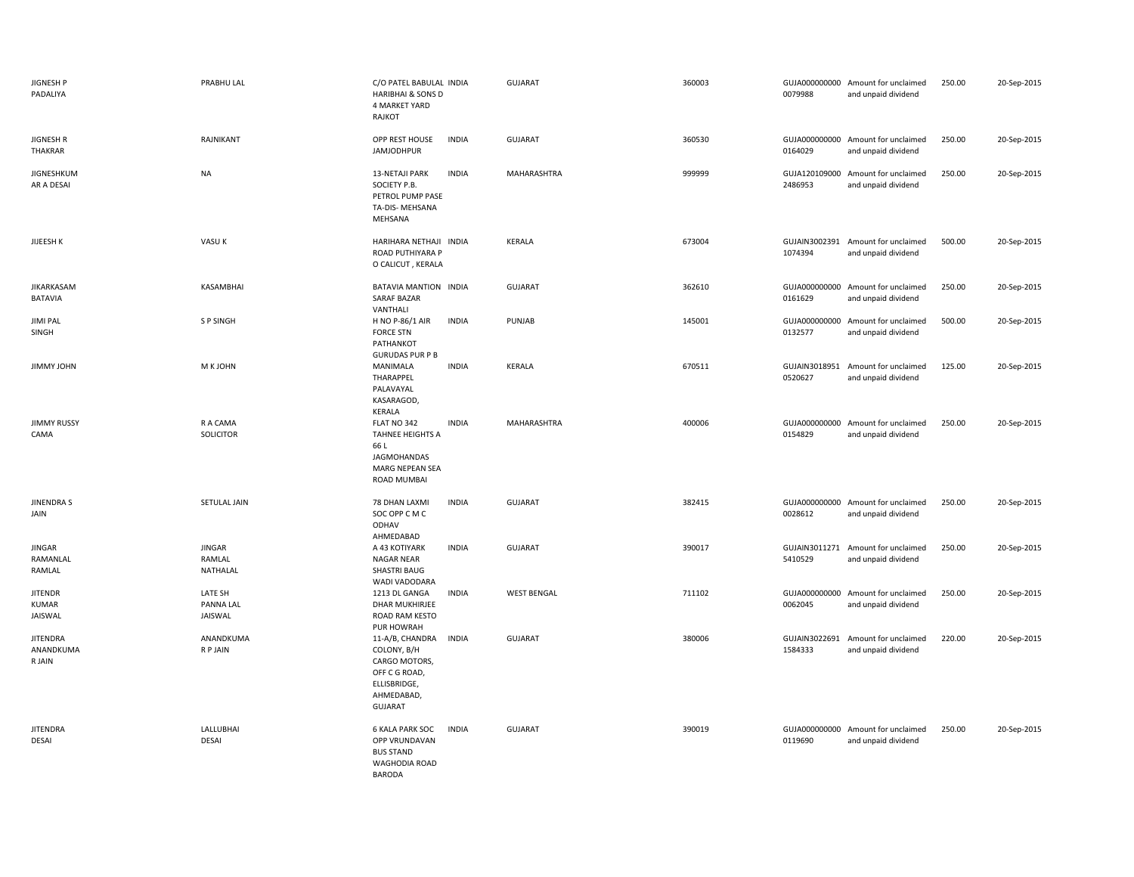| JIGNESH P<br>PADALIYA                     | PRABHU LAL                      | C/O PATEL BABULAL INDIA<br><b>HARIBHAI &amp; SONS D</b><br>4 MARKET YARD<br>RAJKOT                                               | <b>GUJARAT</b>     | 360003 | 0079988                  | GUJA000000000 Amount for unclaimed<br>and unpaid dividend | 250.00 | 20-Sep-2015 |
|-------------------------------------------|---------------------------------|----------------------------------------------------------------------------------------------------------------------------------|--------------------|--------|--------------------------|-----------------------------------------------------------|--------|-------------|
| JIGNESH R<br><b>THAKRAR</b>               | RAJNIKANT                       | OPP REST HOUSE<br><b>INDIA</b><br><b>JAMJODHPUR</b>                                                                              | GUJARAT            | 360530 | 0164029                  | GUJA000000000 Amount for unclaimed<br>and unpaid dividend | 250.00 | 20-Sep-2015 |
| <b>JIGNESHKUM</b><br>AR A DESAI           | <b>NA</b>                       | <b>INDIA</b><br><b>13-NETAJI PARK</b><br>SOCIETY P.B.<br>PETROL PUMP PASE<br>TA-DIS- MEHSANA<br>MEHSANA                          | MAHARASHTRA        | 999999 | 2486953                  | GUJA120109000 Amount for unclaimed<br>and unpaid dividend | 250.00 | 20-Sep-2015 |
| JIJEESH K                                 | VASU K                          | HARIHARA NETHAJI INDIA<br>ROAD PUTHIYARA P<br>O CALICUT, KERALA                                                                  | KERALA             | 673004 | 1074394                  | GUJAIN3002391 Amount for unclaimed<br>and unpaid dividend | 500.00 | 20-Sep-2015 |
| <b>JIKARKASAM</b><br><b>BATAVIA</b>       | KASAMBHAI                       | BATAVIA MANTION INDIA<br><b>SARAF BAZAR</b><br>VANTHALI                                                                          | <b>GUJARAT</b>     | 362610 | 0161629                  | GUJA000000000 Amount for unclaimed<br>and unpaid dividend | 250.00 | 20-Sep-2015 |
| <b>JIMI PAL</b><br>SINGH                  | S P SINGH                       | <b>INDIA</b><br>H NO P-86/1 AIR<br><b>FORCE STN</b><br>PATHANKOT<br><b>GURUDAS PUR P B</b>                                       | PUNJAB             | 145001 | 0132577                  | GUJA000000000 Amount for unclaimed<br>and unpaid dividend | 500.00 | 20-Sep-2015 |
| JIMMY JOHN                                | M K JOHN                        | <b>INDIA</b><br>MANIMALA<br>THARAPPEL<br>PALAVAYAL<br>KASARAGOD,<br>KERALA                                                       | KERALA             | 670511 | GUJAIN3018951<br>0520627 | Amount for unclaimed<br>and unpaid dividend               | 125.00 | 20-Sep-2015 |
| <b>JIMMY RUSSY</b><br>CAMA                | R A CAMA<br>SOLICITOR           | FLAT NO 342<br><b>INDIA</b><br><b>TAHNEE HEIGHTS A</b><br>66 L<br><b>JAGMOHANDAS</b><br><b>MARG NEPEAN SEA</b><br>ROAD MUMBAI    | MAHARASHTRA        | 400006 | 0154829                  | GUJA000000000 Amount for unclaimed<br>and unpaid dividend | 250.00 | 20-Sep-2015 |
| <b>JINENDRAS</b><br>JAIN                  | SETULAL JAIN                    | 78 DHAN LAXMI<br><b>INDIA</b><br>SOC OPP C M C<br>ODHAV<br>AHMEDABAD                                                             | <b>GUJARAT</b>     | 382415 | 0028612                  | GUJA000000000 Amount for unclaimed<br>and unpaid dividend | 250.00 | 20-Sep-2015 |
| JINGAR<br>RAMANLAL<br>RAMLAL              | JINGAR<br>RAMLAL<br>NATHALAL    | <b>INDIA</b><br>A 43 KOTIYARK<br><b>NAGAR NEAR</b><br>SHASTRI BAUG<br>WADI VADODARA                                              | <b>GUJARAT</b>     | 390017 | GUJAIN3011271<br>5410529 | Amount for unclaimed<br>and unpaid dividend               | 250.00 | 20-Sep-2015 |
| <b>JITENDR</b><br><b>KUMAR</b><br>JAISWAL | LATE SH<br>PANNA LAL<br>JAISWAL | 1213 DL GANGA<br><b>INDIA</b><br><b>DHAR MUKHIRJEE</b><br>ROAD RAM KESTO<br>PUR HOWRAH                                           | <b>WEST BENGAL</b> | 711102 | 0062045                  | GUJA000000000 Amount for unclaimed<br>and unpaid dividend | 250.00 | 20-Sep-2015 |
| <b>JITENDRA</b><br>ANANDKUMA<br>R JAIN    | ANANDKUMA<br><b>RPJAIN</b>      | 11-A/B, CHANDRA<br><b>INDIA</b><br>COLONY, B/H<br>CARGO MOTORS,<br>OFF C G ROAD,<br>ELLISBRIDGE,<br>AHMEDABAD,<br><b>GUJARAT</b> | <b>GUJARAT</b>     | 380006 | GUJAIN3022691<br>1584333 | Amount for unclaimed<br>and unpaid dividend               | 220.00 | 20-Sep-2015 |
| <b>JITENDRA</b><br>DESAI                  | LALLUBHAI<br>DESAI              | <b>6 KALA PARK SOC</b><br><b>INDIA</b><br>OPP VRUNDAVAN<br><b>BUS STAND</b><br>WAGHODIA ROAD<br><b>BARODA</b>                    | <b>GUJARAT</b>     | 390019 | 0119690                  | GUJA000000000 Amount for unclaimed<br>and unpaid dividend | 250.00 | 20-Sep-2015 |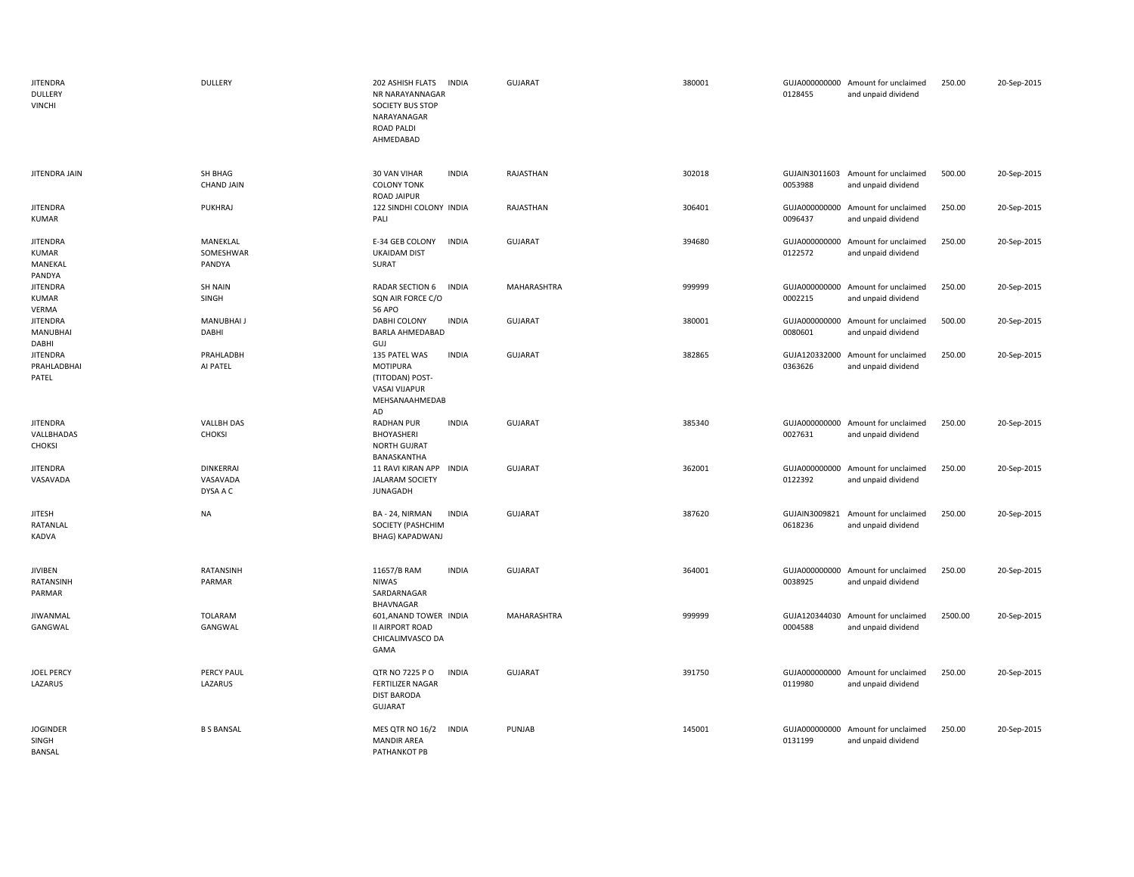| <b>JITENDRA</b><br><b>DULLERY</b><br><b>VINCHI</b> | <b>DULLERY</b>                           | 202 ASHISH FLATS<br><b>INDIA</b><br>NR NARAYANNAGAR<br><b>SOCIETY BUS STOP</b><br>NARAYANAGAR<br>ROAD PALDI<br>AHMEDABAD | <b>GUJARAT</b> | 380001 | 0128455                  | GUJA000000000 Amount for unclaimed<br>and unpaid dividend | 250.00  | 20-Sep-2015 |
|----------------------------------------------------|------------------------------------------|--------------------------------------------------------------------------------------------------------------------------|----------------|--------|--------------------------|-----------------------------------------------------------|---------|-------------|
| JITENDRA JAIN                                      | SH BHAG<br><b>CHAND JAIN</b>             | 30 VAN VIHAR<br><b>INDIA</b><br><b>COLONY TONK</b><br>ROAD JAIPUR                                                        | RAJASTHAN      | 302018 | 0053988                  | GUJAIN3011603 Amount for unclaimed<br>and unpaid dividend | 500.00  | 20-Sep-2015 |
| <b>JITENDRA</b><br><b>KUMAR</b>                    | PUKHRAJ                                  | 122 SINDHI COLONY INDIA<br>PALI                                                                                          | RAJASTHAN      | 306401 | 0096437                  | GUJA000000000 Amount for unclaimed<br>and unpaid dividend | 250.00  | 20-Sep-2015 |
| <b>JITENDRA</b><br>KUMAR<br>MANEKAL<br>PANDYA      | MANEKLAL<br>SOMESHWAR<br>PANDYA          | E-34 GEB COLONY<br><b>INDIA</b><br><b>UKAIDAM DIST</b><br>SURAT                                                          | GUJARAT        | 394680 | 0122572                  | GUJA000000000 Amount for unclaimed<br>and unpaid dividend | 250.00  | 20-Sep-2015 |
| <b>JITENDRA</b><br><b>KUMAR</b><br>VERMA           | <b>SH NAIN</b><br>SINGH                  | RADAR SECTION 6<br><b>INDIA</b><br>SQN AIR FORCE C/O<br><b>56 APO</b>                                                    | MAHARASHTRA    | 999999 | 0002215                  | GUJA000000000 Amount for unclaimed<br>and unpaid dividend | 250.00  | 20-Sep-2015 |
| <b>JITENDRA</b><br>MANUBHAI<br>DABHI               | <b>MANUBHAI J</b><br>DABHI               | <b>INDIA</b><br>DABHI COLONY<br>BARLA AHMEDABAD<br>GUJ                                                                   | GUJARAT        | 380001 | GUJA000000000<br>0080601 | Amount for unclaimed<br>and unpaid dividend               | 500.00  | 20-Sep-2015 |
| <b>JITENDRA</b><br>PRAHLADBHAI<br>PATEL            | PRAHLADBH<br>AI PATEL                    | <b>INDIA</b><br>135 PATEL WAS<br>MOTIPURA<br>(TITODAN) POST-<br>VASAI VIJAPUR<br>MEHSANAAHMEDAB<br><b>AD</b>             | GUJARAT        | 382865 | 0363626                  | GUJA120332000 Amount for unclaimed<br>and unpaid dividend | 250.00  | 20-Sep-2015 |
| <b>JITENDRA</b><br>VALLBHADAS<br><b>CHOKSI</b>     | <b>VALLBH DAS</b><br><b>CHOKSI</b>       | <b>RADHAN PUR</b><br><b>INDIA</b><br>BHOYASHERI<br><b>NORTH GUJRAT</b><br>BANASKANTHA                                    | <b>GUJARAT</b> | 385340 | 0027631                  | GUJA000000000 Amount for unclaimed<br>and unpaid dividend | 250.00  | 20-Sep-2015 |
| <b>JITENDRA</b><br>VASAVADA                        | <b>DINKERRAI</b><br>VASAVADA<br>DYSA A C | 11 RAVI KIRAN APP INDIA<br><b>JALARAM SOCIETY</b><br><b>JUNAGADH</b>                                                     | GUJARAT        | 362001 | 0122392                  | GUJA000000000 Amount for unclaimed<br>and unpaid dividend | 250.00  | 20-Sep-2015 |
| <b>JITESH</b><br>RATANLAL<br>KADVA                 | <b>NA</b>                                | BA - 24, NIRMAN<br><b>INDIA</b><br>SOCIETY (PASHCHIM<br>BHAG) KAPADWANJ                                                  | GUJARAT        | 387620 | GUJAIN3009821<br>0618236 | Amount for unclaimed<br>and unpaid dividend               | 250.00  | 20-Sep-2015 |
| <b>JIVIBEN</b><br>RATANSINH<br>PARMAR              | RATANSINH<br>PARMAR                      | 11657/B RAM<br><b>INDIA</b><br><b>NIWAS</b><br>SARDARNAGAR<br>BHAVNAGAR                                                  | <b>GUJARAT</b> | 364001 | 0038925                  | GUJA000000000 Amount for unclaimed<br>and unpaid dividend | 250.00  | 20-Sep-2015 |
| JIWANMAL<br>GANGWAL                                | <b>TOLARAM</b><br>GANGWAL                | 601, ANAND TOWER INDIA<br><b>II AIRPORT ROAD</b><br>CHICALIMVASCO DA<br>GAMA                                             | MAHARASHTRA    | 999999 | 0004588                  | GUJA120344030 Amount for unclaimed<br>and unpaid dividend | 2500.00 | 20-Sep-2015 |
| <b>JOEL PERCY</b><br>LAZARUS                       | PERCY PAUL<br>LAZARUS                    | QTR NO 7225 P O<br><b>INDIA</b><br><b>FERTILIZER NAGAR</b><br><b>DIST BARODA</b><br><b>GUJARAT</b>                       | <b>GUJARAT</b> | 391750 | 0119980                  | GUJA000000000 Amount for unclaimed<br>and unpaid dividend | 250.00  | 20-Sep-2015 |
| <b>JOGINDER</b><br>SINGH<br>BANSAL                 | <b>B S BANSAL</b>                        | MES QTR NO 16/2<br><b>INDIA</b><br><b>MANDIR AREA</b><br>PATHANKOT PB                                                    | PUNJAB         | 145001 | GUJA000000000<br>0131199 | Amount for unclaimed<br>and unpaid dividend               | 250.00  | 20-Sep-2015 |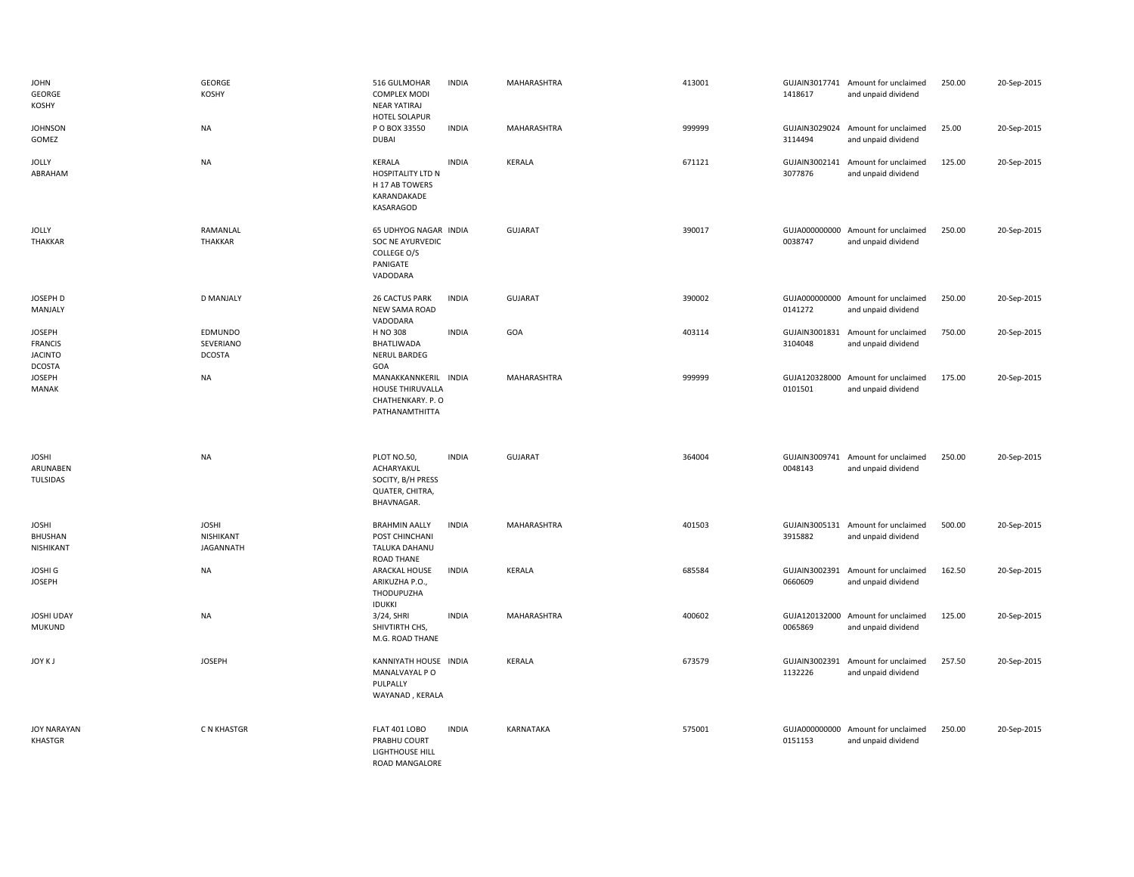| <b>JOHN</b><br>GEORGE<br>KOSHY                                     | GEORGE<br>KOSHY                               | 516 GULMOHAR<br><b>COMPLEX MODI</b><br>NEAR YATIRAJ<br>HOTEL SOLAPUR             | <b>INDIA</b> | MAHARASHTRA    | 413001 | 1418617                  | GUJAIN3017741 Amount for unclaimed<br>and unpaid dividend | 250.00 | 20-Sep-2015 |
|--------------------------------------------------------------------|-----------------------------------------------|----------------------------------------------------------------------------------|--------------|----------------|--------|--------------------------|-----------------------------------------------------------|--------|-------------|
| <b>JOHNSON</b><br>GOMEZ                                            | <b>NA</b>                                     | P O BOX 33550<br><b>DUBAI</b>                                                    | <b>INDIA</b> | MAHARASHTRA    | 999999 | GUJAIN3029024<br>3114494 | Amount for unclaimed<br>and unpaid dividend               | 25.00  | 20-Sep-2015 |
| <b>JOLLY</b><br>ABRAHAM                                            | <b>NA</b>                                     | KERALA<br>HOSPITALITY LTD N<br>H 17 AB TOWERS<br>KARANDAKADE<br>KASARAGOD        | <b>INDIA</b> | KERALA         | 671121 | GUJAIN3002141<br>3077876 | Amount for unclaimed<br>and unpaid dividend               | 125.00 | 20-Sep-2015 |
| <b>JOLLY</b><br><b>THAKKAR</b>                                     | RAMANLAL<br><b>THAKKAR</b>                    | 65 UDHYOG NAGAR INDIA<br>SOC NE AYURVEDIC<br>COLLEGE O/S<br>PANIGATE<br>VADODARA |              | <b>GUJARAT</b> | 390017 | GUJA000000000<br>0038747 | Amount for unclaimed<br>and unpaid dividend               | 250.00 | 20-Sep-2015 |
| JOSEPH D<br>MANJALY                                                | <b>D MANJALY</b>                              | 26 CACTUS PARK<br>NEW SAMA ROAD<br>VADODARA                                      | <b>INDIA</b> | GUJARAT        | 390002 | GUJA000000000<br>0141272 | Amount for unclaimed<br>and unpaid dividend               | 250.00 | 20-Sep-2015 |
| <b>JOSEPH</b><br><b>FRANCIS</b><br><b>JACINTO</b><br><b>DCOSTA</b> | EDMUNDO<br>SEVERIANO<br><b>DCOSTA</b>         | H NO 308<br>BHATLIWADA<br>NERUL BARDEG<br>GOA                                    | <b>INDIA</b> | GOA            | 403114 | GUJAIN3001831<br>3104048 | Amount for unclaimed<br>and unpaid dividend               | 750.00 | 20-Sep-2015 |
| <b>JOSEPH</b><br>MANAK                                             | <b>NA</b>                                     | MANAKKANNKERIL INDIA<br>HOUSE THIRUVALLA<br>CHATHENKARY. P. O<br>PATHANAMTHITTA  |              | MAHARASHTRA    | 999999 | GUJA120328000<br>0101501 | Amount for unclaimed<br>and unpaid dividend               | 175.00 | 20-Sep-2015 |
|                                                                    |                                               |                                                                                  |              |                |        |                          |                                                           |        |             |
| <b>JOSHI</b><br>ARUNABEN<br><b>TULSIDAS</b>                        | <b>NA</b>                                     | PLOT NO.50,<br>ACHARYAKUL<br>SOCITY, B/H PRESS<br>QUATER, CHITRA,<br>BHAVNAGAR.  | <b>INDIA</b> | <b>GUJARAT</b> | 364004 | 0048143                  | GUJAIN3009741 Amount for unclaimed<br>and unpaid dividend | 250.00 | 20-Sep-2015 |
| <b>JOSHI</b><br>BHUSHAN<br>NISHIKANT                               | <b>JOSHI</b><br>NISHIKANT<br><b>JAGANNATH</b> | <b>BRAHMIN AALLY</b><br>POST CHINCHANI<br>TALUKA DAHANU                          | <b>INDIA</b> | MAHARASHTRA    | 401503 | 3915882                  | GUJAIN3005131 Amount for unclaimed<br>and unpaid dividend | 500.00 | 20-Sep-2015 |
| <b>JOSHI G</b><br><b>JOSEPH</b>                                    | <b>NA</b>                                     | <b>ROAD THANE</b><br>ARACKAL HOUSE<br>ARIKUZHA P.O.,<br>THODUPUZHA               | <b>INDIA</b> | KERALA         | 685584 | GUJAIN3002391<br>0660609 | Amount for unclaimed<br>and unpaid dividend               | 162.50 | 20-Sep-2015 |
| JOSHI UDAY<br><b>MUKUND</b>                                        | <b>NA</b>                                     | <b>IDUKKI</b><br>3/24, SHRI<br>SHIVTIRTH CHS,<br>M.G. ROAD THANE                 | <b>INDIA</b> | MAHARASHTRA    | 400602 | 0065869                  | GUJA120132000 Amount for unclaimed<br>and unpaid dividend | 125.00 | 20-Sep-2015 |
| JOY KJ                                                             | <b>JOSEPH</b>                                 | KANNIYATH HOUSE INDIA<br>MANALVAYAL P O<br>PULPALLY<br>WAYANAD, KERALA           |              | KERALA         | 673579 | GUJAIN3002391<br>1132226 | Amount for unclaimed<br>and unpaid dividend               | 257.50 | 20-Sep-2015 |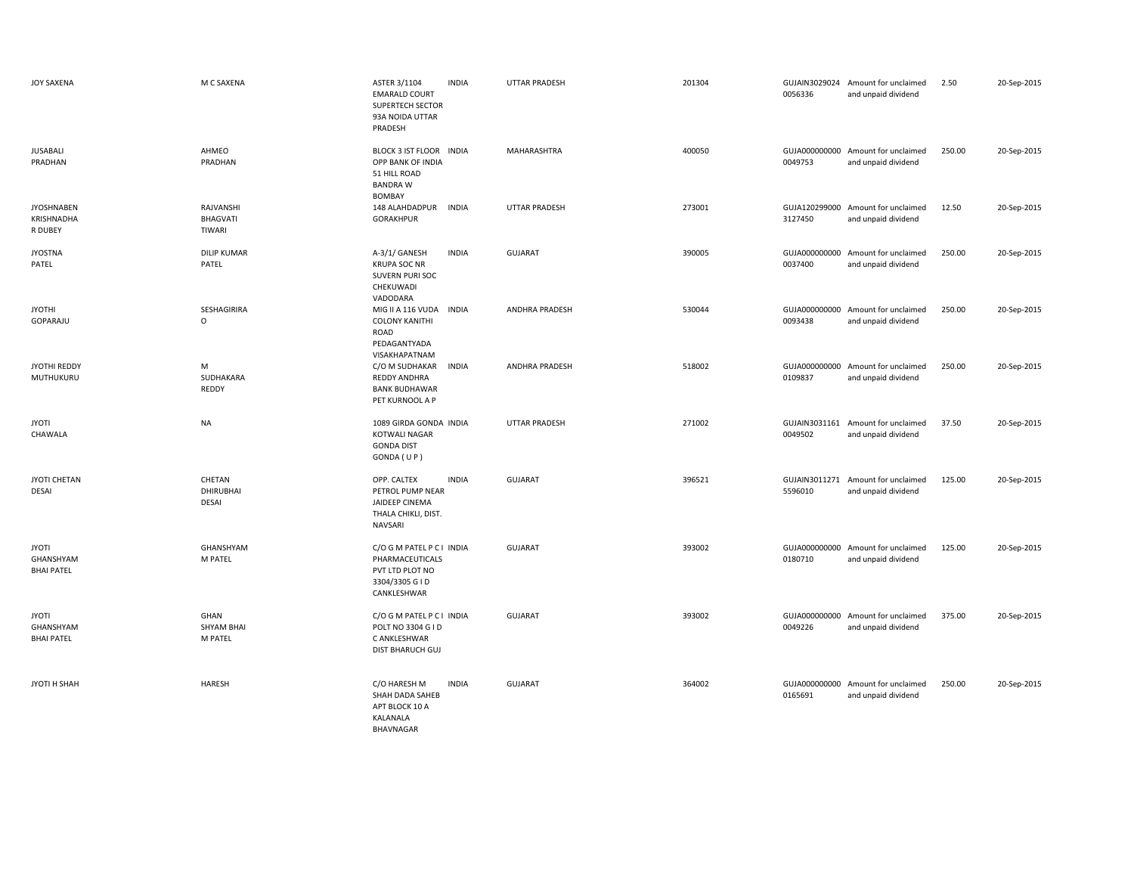| JOY SAXENA                                     | M C SAXENA                                  | ASTER 3/1104<br><b>INDIA</b><br><b>EMARALD COURT</b><br><b>SUPERTECH SECTOR</b><br>93A NOIDA UTTAR<br>PRADESH | UTTAR PRADESH         | 201304 | 0056336                  | GUJAIN3029024 Amount for unclaimed<br>and unpaid dividend | 2.50   | 20-Sep-2015 |
|------------------------------------------------|---------------------------------------------|---------------------------------------------------------------------------------------------------------------|-----------------------|--------|--------------------------|-----------------------------------------------------------|--------|-------------|
| <b>JUSABALI</b><br>PRADHAN                     | AHMEO<br>PRADHAN                            | BLOCK 3 IST FLOOR INDIA<br>OPP BANK OF INDIA<br>51 HILL ROAD<br><b>BANDRA W</b><br><b>BOMBAY</b>              | MAHARASHTRA           | 400050 | 0049753                  | GUJA000000000 Amount for unclaimed<br>and unpaid dividend | 250.00 | 20-Sep-2015 |
| <b>JYOSHNABEN</b><br>KRISHNADHA<br>R DUBEY     | RAJVANSHI<br>BHAGVATI<br>TIWARI             | 148 ALAHDADPUR INDIA<br><b>GORAKHPUR</b>                                                                      | <b>UTTAR PRADESH</b>  | 273001 | 3127450                  | GUJA120299000 Amount for unclaimed<br>and unpaid dividend | 12.50  | 20-Sep-2015 |
| <b>JYOSTNA</b><br>PATEL                        | <b>DILIP KUMAR</b><br>PATEL                 | <b>INDIA</b><br>A-3/1/ GANESH<br><b>KRUPA SOC NR</b><br>SUVERN PURI SOC<br>CHEKUWADI<br>VADODARA              | <b>GUJARAT</b>        | 390005 | 0037400                  | GUJA000000000 Amount for unclaimed<br>and unpaid dividend | 250.00 | 20-Sep-2015 |
| <b>JYOTHI</b><br>GOPARAJU                      | SESHAGIRIRA<br>$\circ$                      | MIG II A 116 VUDA INDIA<br><b>COLONY KANITHI</b><br>ROAD<br>PEDAGANTYADA<br>VISAKHAPATNAM                     | <b>ANDHRA PRADESH</b> | 530044 | 0093438                  | GUJA000000000 Amount for unclaimed<br>and unpaid dividend | 250.00 | 20-Sep-2015 |
| JYOTHI REDDY<br>MUTHUKURU                      | M<br>SUDHAKARA<br><b>REDDY</b>              | C/O M SUDHAKAR<br><b>INDIA</b><br>REDDY ANDHRA<br><b>BANK BUDHAWAR</b><br>PET KURNOOL A P                     | <b>ANDHRA PRADESH</b> | 518002 | 0109837                  | GUJA000000000 Amount for unclaimed<br>and unpaid dividend | 250.00 | 20-Sep-2015 |
| <b>JYOTI</b><br>CHAWALA                        | <b>NA</b>                                   | 1089 GIRDA GONDA INDIA<br><b>KOTWALI NAGAR</b><br><b>GONDA DIST</b><br>GONDA (UP)                             | UTTAR PRADESH         | 271002 | 0049502                  | GUJAIN3031161 Amount for unclaimed<br>and unpaid dividend | 37.50  | 20-Sep-2015 |
| JYOTI CHETAN<br><b>DESAI</b>                   | CHETAN<br><b>DHIRUBHAI</b><br>DESAI         | OPP. CALTEX<br><b>INDIA</b><br>PETROL PUMP NEAR<br>JAIDEEP CINEMA<br>THALA CHIKLI, DIST.<br>NAVSARI           | <b>GUJARAT</b>        | 396521 | 5596010                  | GUJAIN3011271 Amount for unclaimed<br>and unpaid dividend | 125.00 | 20-Sep-2015 |
| <b>JYOTI</b><br>GHANSHYAM<br><b>BHAI PATEL</b> | GHANSHYAM<br>M PATEL                        | C/O G M PATEL P C I INDIA<br>PHARMACEUTICALS<br>PVT LTD PLOT NO<br>3304/3305 G I D<br>CANKLESHWAR             | <b>GUJARAT</b>        | 393002 | GUJA000000000<br>0180710 | Amount for unclaimed<br>and unpaid dividend               | 125.00 | 20-Sep-2015 |
| <b>JYOTI</b><br>GHANSHYAM<br><b>BHAI PATEL</b> | <b>GHAN</b><br><b>SHYAM BHAI</b><br>M PATEL | C/O G M PATEL P C I INDIA<br>POLT NO 3304 G I D<br>C ANKLESHWAR<br>DIST BHARUCH GUJ                           | <b>GUJARAT</b>        | 393002 | 0049226                  | GUJA000000000 Amount for unclaimed<br>and unpaid dividend | 375.00 | 20-Sep-2015 |
| JYOTI H SHAH                                   | <b>HARESH</b>                               | C/O HARESH M<br><b>INDIA</b><br>SHAH DADA SAHEB<br>APT BLOCK 10 A<br>KALANALA<br>BHAVNAGAR                    | <b>GUJARAT</b>        | 364002 | 0165691                  | GUJA000000000 Amount for unclaimed<br>and unpaid dividend | 250.00 | 20-Sep-2015 |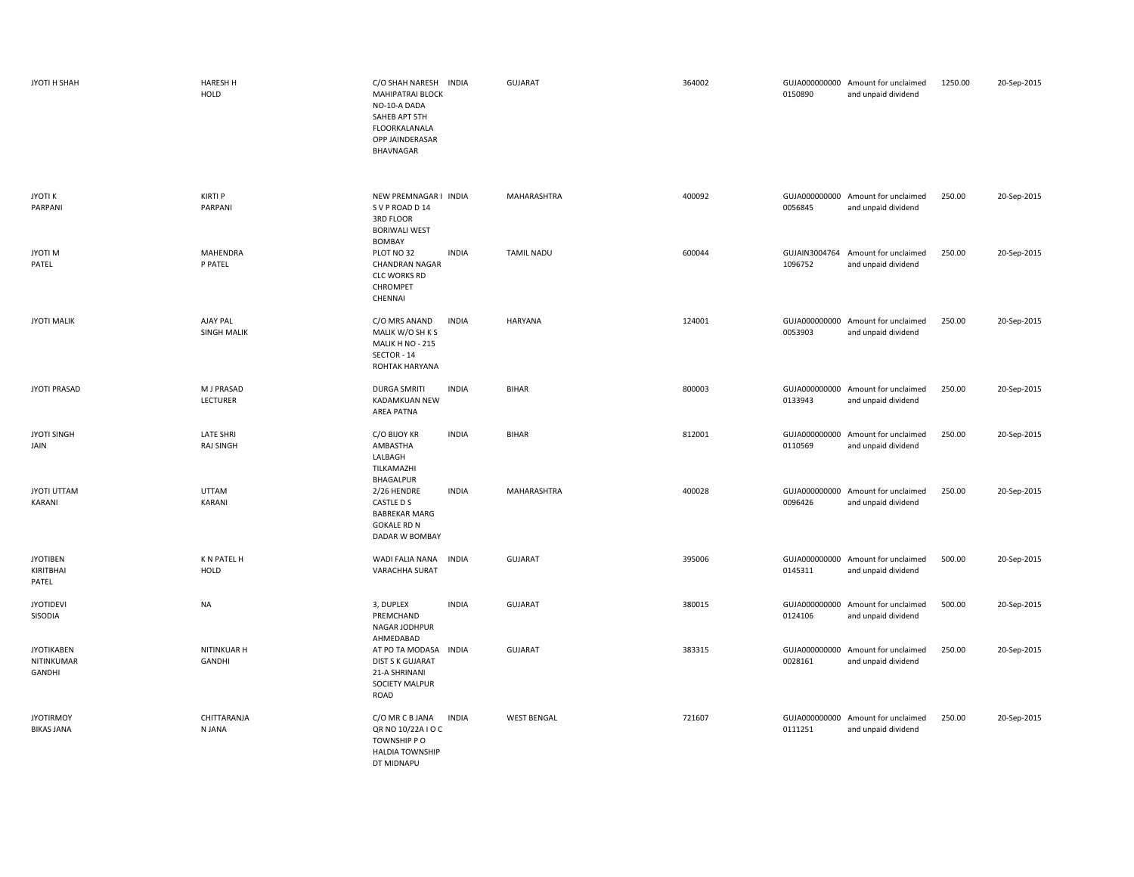| JYOTI H SHAH                              | HARESH H<br>HOLD                     | C/O SHAH NARESH INDIA<br><b>MAHIPATRAI BLOCK</b><br>NO-10-A DADA<br>SAHEB APT 5TH<br>FLOORKALANALA<br>OPP JAINDERASAR<br>BHAVNAGAR | GUJARAT            | 364002 | 0150890 | GUJA000000000 Amount for unclaimed<br>and unpaid dividend | 1250.00 | 20-Sep-2015 |
|-------------------------------------------|--------------------------------------|------------------------------------------------------------------------------------------------------------------------------------|--------------------|--------|---------|-----------------------------------------------------------|---------|-------------|
| <b>JYOTI K</b><br>PARPANI                 | <b>KIRTI P</b><br>PARPANI            | NEW PREMNAGAR I INDIA<br>SVP ROAD D 14<br>3RD FLOOR<br><b>BORIWALI WEST</b><br>BOMBAY                                              | MAHARASHTRA        | 400092 | 0056845 | GUJA000000000 Amount for unclaimed<br>and unpaid dividend | 250.00  | 20-Sep-2015 |
| <b>JYOTIM</b><br>PATEL                    | MAHENDRA<br>P PATEL                  | <b>INDIA</b><br>PLOT NO 32<br><b>CHANDRAN NAGAR</b><br><b>CLC WORKS RD</b><br>CHROMPET<br>CHENNAI                                  | TAMIL NADU         | 600044 | 1096752 | GUJAIN3004764 Amount for unclaimed<br>and unpaid dividend | 250.00  | 20-Sep-2015 |
| <b>JYOTI MALIK</b>                        | AJAY PAL<br><b>SINGH MALIK</b>       | C/O MRS ANAND<br><b>INDIA</b><br>MALIK W/O SH K S<br>MALIK H NO - 215<br>SECTOR - 14<br>ROHTAK HARYANA                             | HARYANA            | 124001 | 0053903 | GUJA000000000 Amount for unclaimed<br>and unpaid dividend | 250.00  | 20-Sep-2015 |
| <b>JYOTI PRASAD</b>                       | M J PRASAD<br>LECTURER               | <b>INDIA</b><br><b>DURGA SMRITI</b><br>KADAMKUAN NEW<br>AREA PATNA                                                                 | <b>BIHAR</b>       | 800003 | 0133943 | GUJA000000000 Amount for unclaimed<br>and unpaid dividend | 250.00  | 20-Sep-2015 |
| <b>JYOTI SINGH</b><br>JAIN                | <b>LATE SHRI</b><br><b>RAJ SINGH</b> | C/O BIJOY KR<br><b>INDIA</b><br>AMBASTHA<br>LALBAGH<br>TILKAMAZHI<br>BHAGALPUR                                                     | <b>BIHAR</b>       | 812001 | 0110569 | GUJA000000000 Amount for unclaimed<br>and unpaid dividend | 250.00  | 20-Sep-2015 |
| <b>JYOTI UTTAM</b><br>KARANI              | <b>UTTAM</b><br>KARANI               | <b>INDIA</b><br>2/26 HENDRE<br>CASTLE D S<br><b>BABREKAR MARG</b><br><b>GOKALE RD N</b><br>DADAR W BOMBAY                          | MAHARASHTRA        | 400028 | 0096426 | GUJA000000000 Amount for unclaimed<br>and unpaid dividend | 250.00  | 20-Sep-2015 |
| <b>JYOTIBEN</b><br>KIRITBHAI<br>PATEL     | K N PATEL H<br><b>HOLD</b>           | <b>INDIA</b><br>WADI FALIA NANA<br><b>VARACHHA SURAT</b>                                                                           | GUJARAT            | 395006 | 0145311 | GUJA000000000 Amount for unclaimed<br>and unpaid dividend | 500.00  | 20-Sep-2015 |
| <b>JYOTIDEVI</b><br>SISODIA               | <b>NA</b>                            | 3, DUPLEX<br><b>INDIA</b><br>PREMCHAND<br>NAGAR JODHPUR<br>AHMEDABAD                                                               | GUJARAT            | 380015 | 0124106 | GUJA000000000 Amount for unclaimed<br>and unpaid dividend | 500.00  | 20-Sep-2015 |
| <b>JYOTIKABEN</b><br>NITINKUMAR<br>GANDHI | NITINKUAR H<br>GANDHI                | AT PO TA MODASA INDIA<br><b>DIST S K GUJARAT</b><br>21-A SHRINANI<br>SOCIETY MALPUR<br>ROAD                                        | GUJARAT            | 383315 | 0028161 | GUJA000000000 Amount for unclaimed<br>and unpaid dividend | 250.00  | 20-Sep-2015 |
| <b>JYOTIRMOY</b><br><b>BIKAS JANA</b>     | CHITTARANJA<br>N JANA                | <b>INDIA</b><br>C/O MR C B JANA<br>QR NO 10/22A I O C<br>TOWNSHIP PO<br><b>HALDIA TOWNSHIP</b><br>DT MIDNAPU                       | <b>WEST BENGAL</b> | 721607 | 0111251 | GUJA000000000 Amount for unclaimed<br>and unpaid dividend | 250.00  | 20-Sep-2015 |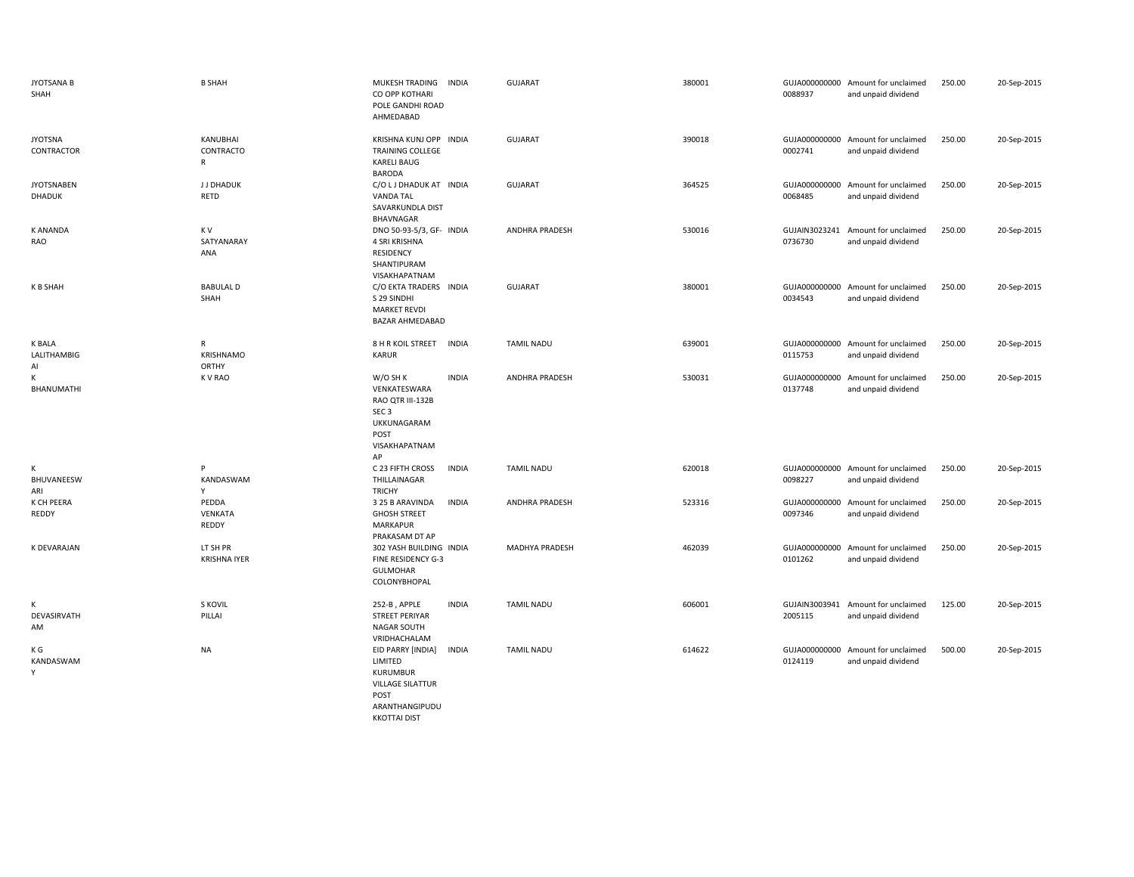| <b>JYOTSANA B</b><br>SHAH          | <b>B SHAH</b>                   | MUKESH TRADING<br><b>INDIA</b><br>CO OPP KOTHARI<br>POLE GANDHI ROAD<br>AHMEDABAD                                              | <b>GUJARAT</b>        | 380001 | 0088937                  | GUJA000000000 Amount for unclaimed<br>and unpaid dividend | 250.00 | 20-Sep-2015 |
|------------------------------------|---------------------------------|--------------------------------------------------------------------------------------------------------------------------------|-----------------------|--------|--------------------------|-----------------------------------------------------------|--------|-------------|
| <b>JYOTSNA</b><br>CONTRACTOR       | KANUBHAI<br>CONTRACTO<br>R      | KRISHNA KUNJ OPP INDIA<br><b>TRAINING COLLEGE</b><br><b>KARELI BAUG</b><br><b>BARODA</b>                                       | <b>GUJARAT</b>        | 390018 | 0002741                  | GUJA000000000 Amount for unclaimed<br>and unpaid dividend | 250.00 | 20-Sep-2015 |
| <b>JYOTSNABEN</b><br><b>DHADUK</b> | <b>JJDHADUK</b><br>RETD         | C/O L J DHADUK AT INDIA<br><b>VANDA TAL</b><br>SAVARKUNDLA DIST<br>BHAVNAGAR                                                   | GUJARAT               | 364525 | GUJA000000000<br>0068485 | Amount for unclaimed<br>and unpaid dividend               | 250.00 | 20-Sep-2015 |
| <b>K ANANDA</b><br>RAO             | K V<br>SATYANARAY<br>ANA        | DNO 50-93-5/3, GF- INDIA<br>4 SRI KRISHNA<br><b>RESIDENCY</b><br>SHANTIPURAM<br>VISAKHAPATNAM                                  | ANDHRA PRADESH        | 530016 | GUJAIN3023241<br>0736730 | Amount for unclaimed<br>and unpaid dividend               | 250.00 | 20-Sep-2015 |
| K B SHAH                           | <b>BABULAL D</b><br>SHAH        | C/O EKTA TRADERS INDIA<br>S 29 SINDHI<br><b>MARKET REVDI</b><br>BAZAR AHMEDABAD                                                | <b>GUJARAT</b>        | 380001 | 0034543                  | GUJA000000000 Amount for unclaimed<br>and unpaid dividend | 250.00 | 20-Sep-2015 |
| <b>K BALA</b><br>LALITHAMBIG<br>Al | R<br><b>KRISHNAMO</b><br>ORTHY  | 8 H R KOIL STREET<br><b>INDIA</b><br>KARUR                                                                                     | <b>TAMIL NADU</b>     | 639001 | 0115753                  | GUJA000000000 Amount for unclaimed<br>and unpaid dividend | 250.00 | 20-Sep-2015 |
| К<br>BHANUMATHI                    | K V RAO                         | W/O SH K<br><b>INDIA</b><br>VENKATESWARA<br>RAO QTR III-132B<br>SEC <sub>3</sub><br>UKKUNAGARAM<br>POST<br>VISAKHAPATNAM<br>AP | <b>ANDHRA PRADESH</b> | 530031 | GUJA000000000<br>0137748 | Amount for unclaimed<br>and unpaid dividend               | 250.00 | 20-Sep-2015 |
| К<br>BHUVANEESW<br>ARI             | P<br>KANDASWAM<br>Y             | C 23 FIFTH CROSS<br><b>INDIA</b><br>THILLAINAGAR<br><b>TRICHY</b>                                                              | <b>TAMIL NADU</b>     | 620018 | 0098227                  | GUJA000000000 Amount for unclaimed<br>and unpaid dividend | 250.00 | 20-Sep-2015 |
| K CH PEERA<br>REDDY                | PEDDA<br>VENKATA<br>REDDY       | 3 25 B ARAVINDA<br><b>INDIA</b><br><b>GHOSH STREET</b><br><b>MARKAPUR</b><br>PRAKASAM DT AP                                    | <b>ANDHRA PRADESH</b> | 523316 | GUJA000000000<br>0097346 | Amount for unclaimed<br>and unpaid dividend               | 250.00 | 20-Sep-2015 |
| K DEVARAJAN                        | LT SH PR<br><b>KRISHNA IYER</b> | 302 YASH BUILDING INDIA<br><b>FINE RESIDENCY G-3</b><br><b>GULMOHAR</b><br>COLONYBHOPAL                                        | MADHYA PRADESH        | 462039 | GUJA000000000<br>0101262 | Amount for unclaimed<br>and unpaid dividend               | 250.00 | 20-Sep-2015 |
| К<br>DEVASIRVATH<br>AM             | S KOVIL<br>PILLAI               | <b>INDIA</b><br>252-B, APPLE<br><b>STREET PERIYAR</b><br><b>NAGAR SOUTH</b><br>VRIDHACHALAM                                    | <b>TAMIL NADU</b>     | 606001 | 2005115                  | GUJAIN3003941 Amount for unclaimed<br>and unpaid dividend | 125.00 | 20-Sep-2015 |
| K G<br>KANDASWAM<br>Y              | NA                              | EID PARRY [INDIA]<br><b>INDIA</b><br>LIMITED<br><b>KURUMBUR</b><br><b>VILLAGE SILATTUR</b><br>POST<br>ARANTHANGIPUDU           | <b>TAMIL NADU</b>     | 614622 | 0124119                  | GUJA000000000 Amount for unclaimed<br>and unpaid dividend | 500.00 | 20-Sep-2015 |

KKOTTAI DIST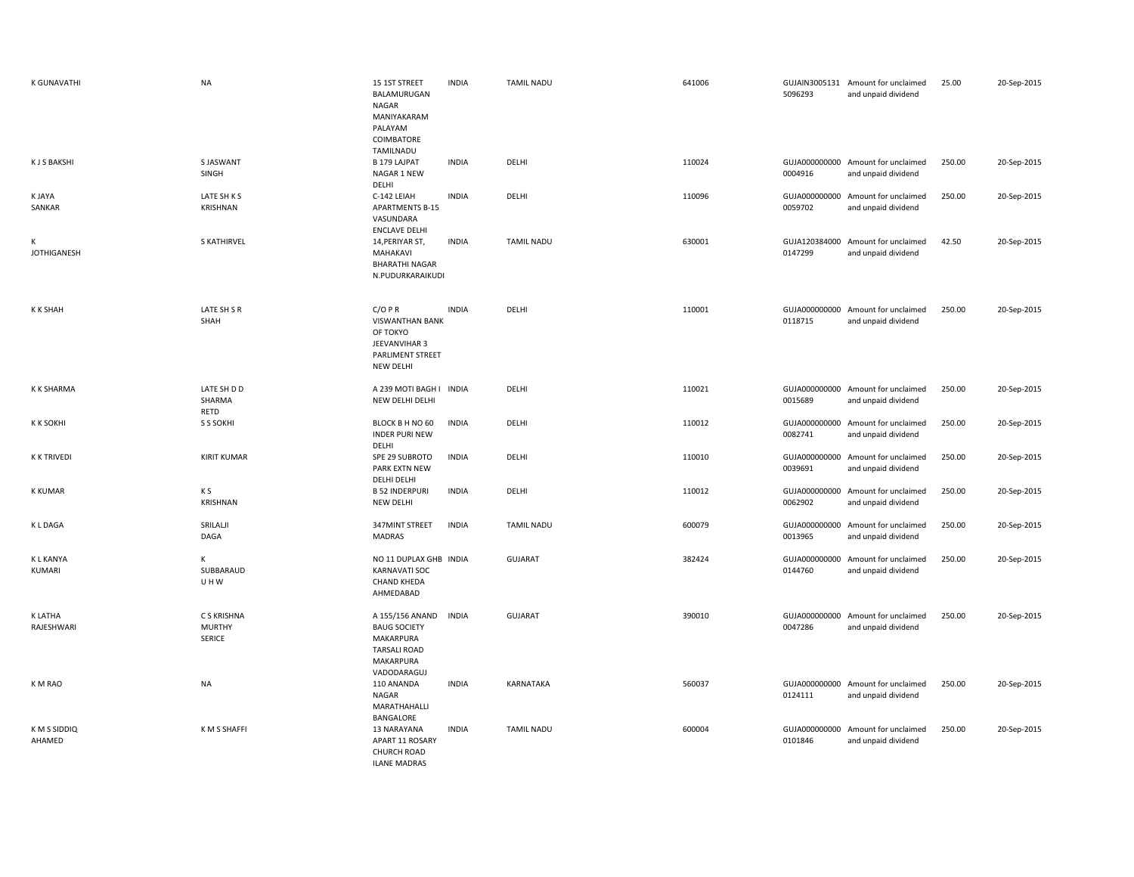| <b>K GUNAVATHI</b>          | <b>NA</b>                                     | 15 1ST STREET<br>BALAMURUGAN<br>NAGAR<br>MANIYAKARAM<br>PALAYAM<br>COIMBATORE<br>TAMILNADU                    | <b>INDIA</b> | <b>TAMIL NADU</b> | 641006 | 5096293                  | GUJAIN3005131 Amount for unclaimed<br>and unpaid dividend | 25.00  | 20-Sep-2015 |
|-----------------------------|-----------------------------------------------|---------------------------------------------------------------------------------------------------------------|--------------|-------------------|--------|--------------------------|-----------------------------------------------------------|--------|-------------|
| <b>KJSBAKSHI</b>            | S JASWANT<br>SINGH                            | B 179 LAJPAT<br>NAGAR 1 NEW<br>DELHI                                                                          | <b>INDIA</b> | DELHI             | 110024 | 0004916                  | GUJA000000000 Amount for unclaimed<br>and unpaid dividend | 250.00 | 20-Sep-2015 |
| <b>K JAYA</b><br>SANKAR     | LATE SH K S<br>KRISHNAN                       | C-142 LEIAH<br><b>APARTMENTS B-15</b><br>VASUNDARA<br><b>ENCLAVE DELHI</b>                                    | <b>INDIA</b> | DELHI             | 110096 | 0059702                  | GUJA000000000 Amount for unclaimed<br>and unpaid dividend | 250.00 | 20-Sep-2015 |
| К<br><b>JOTHIGANESH</b>     | <b>S KATHIRVEL</b>                            | 14, PERIYAR ST,<br>MAHAKAVI<br><b>BHARATHI NAGAR</b><br>N.PUDURKARAIKUDI                                      | <b>INDIA</b> | <b>TAMIL NADU</b> | 630001 | GUJA120384000<br>0147299 | Amount for unclaimed<br>and unpaid dividend               | 42.50  | 20-Sep-2015 |
| <b>KK SHAH</b>              | LATE SH S R<br>SHAH                           | C/OPR<br><b>VISWANTHAN BANK</b><br>OF TOKYO<br>JEEVANVIHAR 3<br>PARLIMENT STREET<br><b>NEW DELHI</b>          | <b>INDIA</b> | DELHI             | 110001 | 0118715                  | GUJA000000000 Amount for unclaimed<br>and unpaid dividend | 250.00 | 20-Sep-2015 |
| K K SHARMA                  | LATE SH D D<br>SHARMA<br>RETD                 | A 239 MOTI BAGH I INDIA<br>NEW DELHI DELHI                                                                    |              | DELHI             | 110021 | GUJA000000000<br>0015689 | Amount for unclaimed<br>and unpaid dividend               | 250.00 | 20-Sep-2015 |
| <b>KK SOKHI</b>             | S S SOKHI                                     | BLOCK B H NO 60<br><b>INDER PURI NEW</b><br>DELHI                                                             | <b>INDIA</b> | DELHI             | 110012 | GUJA000000000<br>0082741 | Amount for unclaimed<br>and unpaid dividend               | 250.00 | 20-Sep-2015 |
| <b>K K TRIVEDI</b>          | <b>KIRIT KUMAR</b>                            | SPE 29 SUBROTO<br>PARK EXTN NEW<br>DELHI DELHI                                                                | <b>INDIA</b> | DELHI             | 110010 | 0039691                  | GUJA000000000 Amount for unclaimed<br>and unpaid dividend | 250.00 | 20-Sep-2015 |
| <b>K KUMAR</b>              | K S<br>KRISHNAN                               | <b>B 52 INDERPURI</b><br>NEW DELHI                                                                            | <b>INDIA</b> | DELHI             | 110012 | GUJA000000000<br>0062902 | Amount for unclaimed<br>and unpaid dividend               | 250.00 | 20-Sep-2015 |
| K L DAGA                    | SRILALI<br>DAGA                               | 347MINT STREET<br>MADRAS                                                                                      | <b>INDIA</b> | <b>TAMIL NADU</b> | 600079 | 0013965                  | GUJA000000000 Amount for unclaimed<br>and unpaid dividend | 250.00 | 20-Sep-2015 |
| <b>KLKANYA</b><br>KUMARI    | K<br>SUBBARAUD<br>UHW                         | NO 11 DUPLAX GHB INDIA<br><b>KARNAVATI SOC</b><br><b>CHAND KHEDA</b><br>AHMEDABAD                             |              | GUJARAT           | 382424 | 0144760                  | GUJA000000000 Amount for unclaimed<br>and unpaid dividend | 250.00 | 20-Sep-2015 |
| <b>KLATHA</b><br>RAJESHWARI | C S KRISHNA<br><b>MURTHY</b><br><b>SERICE</b> | A 155/156 ANAND<br><b>BAUG SOCIETY</b><br><b>MAKARPURA</b><br><b>TARSALI ROAD</b><br>MAKARPURA<br>VADODARAGUJ | <b>INDIA</b> | GUJARAT           | 390010 | 0047286                  | GUJA000000000 Amount for unclaimed<br>and unpaid dividend | 250.00 | 20-Sep-2015 |
| K M RAO                     | <b>NA</b>                                     | 110 ANANDA<br>NAGAR<br>MARATHAHALLI<br>BANGALORE                                                              | <b>INDIA</b> | KARNATAKA         | 560037 | 0124111                  | GUJA000000000 Amount for unclaimed<br>and unpaid dividend | 250.00 | 20-Sep-2015 |
| K M S SIDDIQ<br>AHAMED      | K M S SHAFFI                                  | 13 NARAYANA<br>APART 11 ROSARY<br><b>CHURCH ROAD</b><br><b>ILANE MADRAS</b>                                   | <b>INDIA</b> | <b>TAMIL NADU</b> | 600004 | 0101846                  | GUJA000000000 Amount for unclaimed<br>and unpaid dividend | 250.00 | 20-Sep-2015 |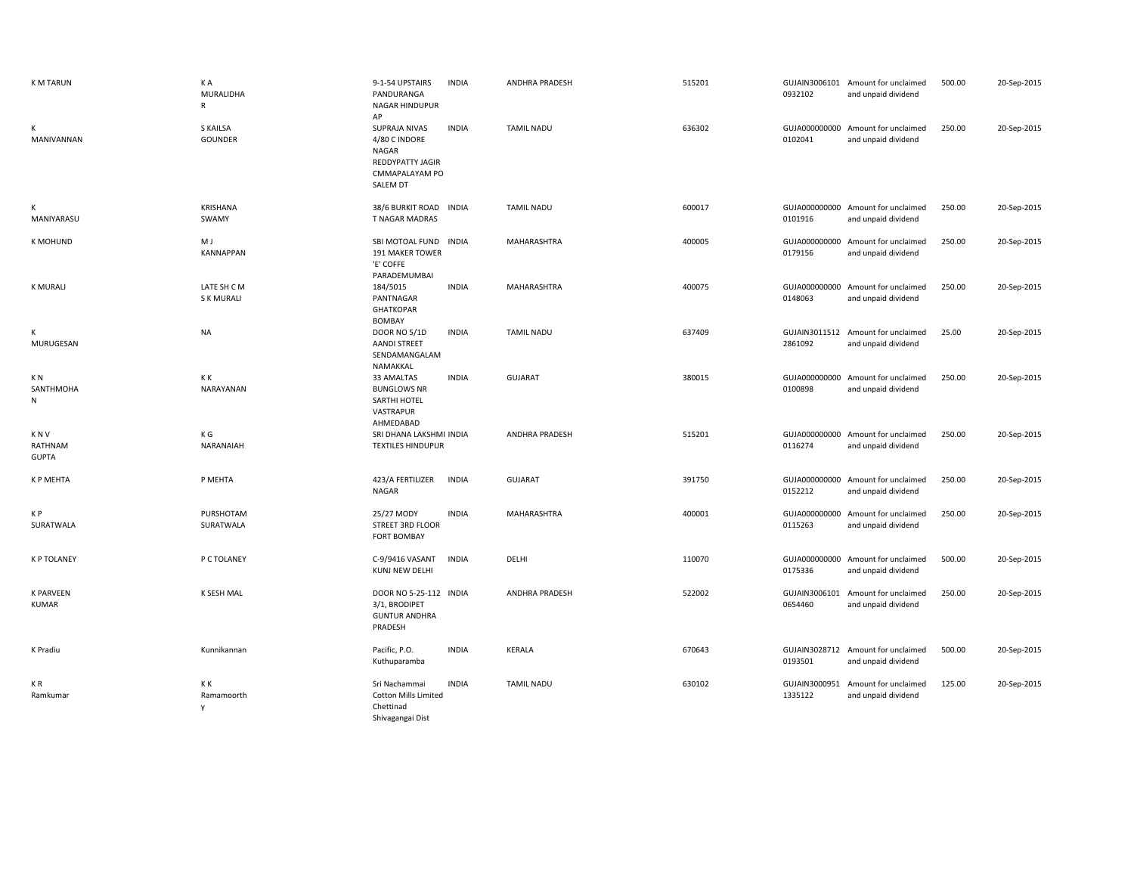| <b>K M TARUN</b>                      | K A<br><b>MURALIDHA</b><br>$\mathsf{R}$ | 9-1-54 UPSTAIRS<br>PANDURANGA<br>NAGAR HINDUPUR<br>AP                                                   | <b>INDIA</b> | ANDHRA PRADESH        | 515201 | 0932102                  | GUJAIN3006101 Amount for unclaimed<br>and unpaid dividend | 500.00 | 20-Sep-2015 |
|---------------------------------------|-----------------------------------------|---------------------------------------------------------------------------------------------------------|--------------|-----------------------|--------|--------------------------|-----------------------------------------------------------|--------|-------------|
| К<br>MANIVANNAN                       | S KAILSA<br>GOUNDER                     | <b>SUPRAJA NIVAS</b><br>4/80 C INDORE<br>NAGAR<br><b>REDDYPATTY JAGIR</b><br>CMMAPALAYAM PO<br>SALEM DT | <b>INDIA</b> | <b>TAMIL NADU</b>     | 636302 | 0102041                  | GUJA000000000 Amount for unclaimed<br>and unpaid dividend | 250.00 | 20-Sep-2015 |
| К<br>MANIYARASU                       | KRISHANA<br>SWAMY                       | 38/6 BURKIT ROAD INDIA<br>T NAGAR MADRAS                                                                |              | <b>TAMIL NADU</b>     | 600017 | 0101916                  | GUJA000000000 Amount for unclaimed<br>and unpaid dividend | 250.00 | 20-Sep-2015 |
| <b>K MOHUND</b>                       | M J<br><b>KANNAPPAN</b>                 | SBI MOTOAL FUND INDIA<br>191 MAKER TOWER<br>'E' COFFE<br>PARADEMUMBAI                                   |              | MAHARASHTRA           | 400005 | 0179156                  | GUJA000000000 Amount for unclaimed<br>and unpaid dividend | 250.00 | 20-Sep-2015 |
| <b>K MURALI</b>                       | LATE SH C M<br><b>SK MURALI</b>         | 184/5015<br>PANTNAGAR<br><b>GHATKOPAR</b><br><b>BOMBAY</b>                                              | <b>INDIA</b> | MAHARASHTRA           | 400075 | 0148063                  | GUJA000000000 Amount for unclaimed<br>and unpaid dividend | 250.00 | 20-Sep-2015 |
| К<br>MURUGESAN                        | <b>NA</b>                               | <b>DOOR NO 5/1D</b><br><b>AANDI STREET</b><br>SENDAMANGALAM<br>NAMAKKAL                                 | <b>INDIA</b> | <b>TAMIL NADU</b>     | 637409 | 2861092                  | GUJAIN3011512 Amount for unclaimed<br>and unpaid dividend | 25.00  | 20-Sep-2015 |
| K <sub>N</sub><br>SANTHMOHA<br>N      | K K<br>NARAYANAN                        | 33 AMALTAS<br><b>BUNGLOWS NR</b><br>SARTHI HOTEL<br>VASTRAPUR<br>AHMEDABAD                              | <b>INDIA</b> | <b>GUJARAT</b>        | 380015 | 0100898                  | GUJA000000000 Amount for unclaimed<br>and unpaid dividend | 250.00 | 20-Sep-2015 |
| <b>KNV</b><br>RATHNAM<br><b>GUPTA</b> | K G<br>NARANAIAH                        | SRI DHANA LAKSHMI INDIA<br><b>TEXTILES HINDUPUR</b>                                                     |              | <b>ANDHRA PRADESH</b> | 515201 | 0116274                  | GUJA000000000 Amount for unclaimed<br>and unpaid dividend | 250.00 | 20-Sep-2015 |
| K P MEHTA                             | P MEHTA                                 | 423/A FERTILIZER<br>NAGAR                                                                               | <b>INDIA</b> | <b>GUJARAT</b>        | 391750 | 0152212                  | GUJA000000000 Amount for unclaimed<br>and unpaid dividend | 250.00 | 20-Sep-2015 |
| K P<br>SURATWALA                      | PURSHOTAM<br>SURATWALA                  | 25/27 MODY<br>STREET 3RD FLOOR<br><b>FORT BOMBAY</b>                                                    | <b>INDIA</b> | MAHARASHTRA           | 400001 | 0115263                  | GUJA000000000 Amount for unclaimed<br>and unpaid dividend | 250.00 | 20-Sep-2015 |
| <b>K P TOLANEY</b>                    | P C TOLANEY                             | C-9/9416 VASANT<br>KUNJ NEW DELHI                                                                       | <b>INDIA</b> | DELHI                 | 110070 | 0175336                  | GUJA000000000 Amount for unclaimed<br>and unpaid dividend | 500.00 | 20-Sep-2015 |
| <b>K PARVEEN</b><br><b>KUMAR</b>      | K SESH MAL                              | DOOR NO 5-25-112 INDIA<br>3/1, BRODIPET<br><b>GUNTUR ANDHRA</b><br>PRADESH                              |              | <b>ANDHRA PRADESH</b> | 522002 | 0654460                  | GUJAIN3006101 Amount for unclaimed<br>and unpaid dividend | 250.00 | 20-Sep-2015 |
| K Pradiu                              | Kunnikannan                             | Pacific, P.O.<br>Kuthuparamba                                                                           | <b>INDIA</b> | KERALA                | 670643 | 0193501                  | GUJAIN3028712 Amount for unclaimed<br>and unpaid dividend | 500.00 | 20-Sep-2015 |
| KR.<br>Ramkumar                       | КK<br>Ramamoorth<br>$\mathsf{v}$        | Sri Nachammai<br><b>Cotton Mills Limited</b><br>Chettinad<br>Shivagangai Dist                           | <b>INDIA</b> | <b>TAMIL NADU</b>     | 630102 | GUJAIN3000951<br>1335122 | Amount for unclaimed<br>and unpaid dividend               | 125.00 | 20-Sep-2015 |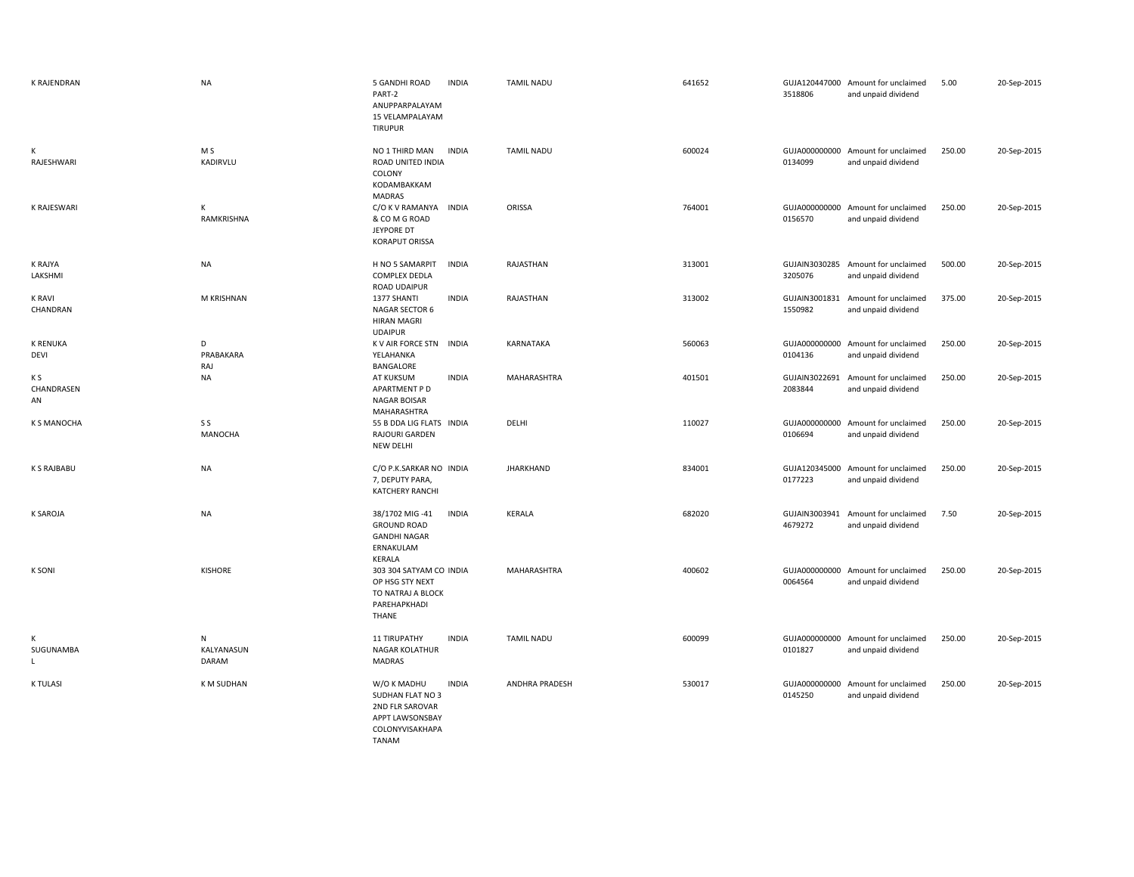| K RAJENDRAN               | <b>NA</b>                | 5 GANDHI ROAD<br><b>INDIA</b><br>PART-2<br>ANUPPARPALAYAM<br>15 VELAMPALAYAM<br><b>TIRUPUR</b>                    | <b>TAMIL NADU</b>     | 641652 | 3518806                  | GUJA120447000 Amount for unclaimed<br>and unpaid dividend | 5.00   | 20-Sep-2015 |
|---------------------------|--------------------------|-------------------------------------------------------------------------------------------------------------------|-----------------------|--------|--------------------------|-----------------------------------------------------------|--------|-------------|
| К<br>RAJESHWARI           | M S<br>KADIRVLU          | <b>INDIA</b><br>NO 1 THIRD MAN<br>ROAD UNITED INDIA<br>COLONY<br>KODAMBAKKAM<br><b>MADRAS</b>                     | <b>TAMIL NADU</b>     | 600024 | 0134099                  | GUJA000000000 Amount for unclaimed<br>and unpaid dividend | 250.00 | 20-Sep-2015 |
| K RAJESWARI               | К<br>RAMKRISHNA          | <b>INDIA</b><br>C/O K V RAMANYA<br>& CO M G ROAD<br>JEYPORE DT<br><b>KORAPUT ORISSA</b>                           | ORISSA                | 764001 | 0156570                  | GUJA000000000 Amount for unclaimed<br>and unpaid dividend | 250.00 | 20-Sep-2015 |
| K RAJYA<br>LAKSHMI        | <b>NA</b>                | H NO 5 SAMARPIT<br><b>INDIA</b><br>COMPLEX DEDLA<br>ROAD UDAIPUR                                                  | RAJASTHAN             | 313001 | 3205076                  | GUJAIN3030285 Amount for unclaimed<br>and unpaid dividend | 500.00 | 20-Sep-2015 |
| <b>K RAVI</b><br>CHANDRAN | M KRISHNAN               | 1377 SHANTI<br><b>INDIA</b><br>NAGAR SECTOR 6<br><b>HIRAN MAGRI</b><br><b>UDAIPUR</b>                             | RAJASTHAN             | 313002 | GUJAIN3001831<br>1550982 | Amount for unclaimed<br>and unpaid dividend               | 375.00 | 20-Sep-2015 |
| <b>K RENUKA</b><br>DEVI   | D<br>PRABAKARA<br>RAJ    | K V AIR FORCE STN INDIA<br>YELAHANKA<br>BANGALORE                                                                 | KARNATAKA             | 560063 | GUJA000000000<br>0104136 | Amount for unclaimed<br>and unpaid dividend               | 250.00 | 20-Sep-2015 |
| K S<br>CHANDRASEN<br>AN   | <b>NA</b>                | AT KUKSUM<br><b>INDIA</b><br>APARTMENT P D<br><b>NAGAR BOISAR</b><br>MAHARASHTRA                                  | MAHARASHTRA           | 401501 | GUJAIN3022691<br>2083844 | Amount for unclaimed<br>and unpaid dividend               | 250.00 | 20-Sep-2015 |
| <b>K S MANOCHA</b>        | S S<br>MANOCHA           | 55 B DDA LIG FLATS INDIA<br>RAJOURI GARDEN<br><b>NEW DELHI</b>                                                    | DELHI                 | 110027 | GUJA000000000<br>0106694 | Amount for unclaimed<br>and unpaid dividend               | 250.00 | 20-Sep-2015 |
| K S RAJBABU               | <b>NA</b>                | C/O P.K.SARKAR NO INDIA<br>7, DEPUTY PARA,<br><b>KATCHERY RANCHI</b>                                              | <b>JHARKHAND</b>      | 834001 | GUJA120345000<br>0177223 | Amount for unclaimed<br>and unpaid dividend               | 250.00 | 20-Sep-2015 |
| <b>K SAROJA</b>           | <b>NA</b>                | <b>INDIA</b><br>38/1702 MIG-41<br><b>GROUND ROAD</b><br><b>GANDHI NAGAR</b><br>ERNAKULAM<br>KERALA                | KERALA                | 682020 | GUJAIN3003941<br>4679272 | Amount for unclaimed<br>and unpaid dividend               | 7.50   | 20-Sep-2015 |
| <b>K SONI</b>             | <b>KISHORE</b>           | 303 304 SATYAM CO INDIA<br>OP HSG STY NEXT<br>TO NATRAJ A BLOCK<br>PAREHAPKHADI<br>THANE                          | MAHARASHTRA           | 400602 | 0064564                  | GUJA000000000 Amount for unclaimed<br>and unpaid dividend | 250.00 | 20-Sep-2015 |
| К<br>SUGUNAMBA<br>L.      | N<br>KALYANASUN<br>DARAM | <b>11 TIRUPATHY</b><br><b>INDIA</b><br><b>NAGAR KOLATHUR</b><br>MADRAS                                            | <b>TAMIL NADU</b>     | 600099 | 0101827                  | GUJA000000000 Amount for unclaimed<br>and unpaid dividend | 250.00 | 20-Sep-2015 |
| <b>K TULASI</b>           | K M SUDHAN               | W/O K MADHU<br><b>INDIA</b><br>SUDHAN FLAT NO 3<br>2ND FLR SAROVAR<br>APPT LAWSONSBAY<br>COLONYVISAKHAPA<br>TANAM | <b>ANDHRA PRADESH</b> | 530017 | GUJA000000000<br>0145250 | Amount for unclaimed<br>and unpaid dividend               | 250.00 | 20-Sep-2015 |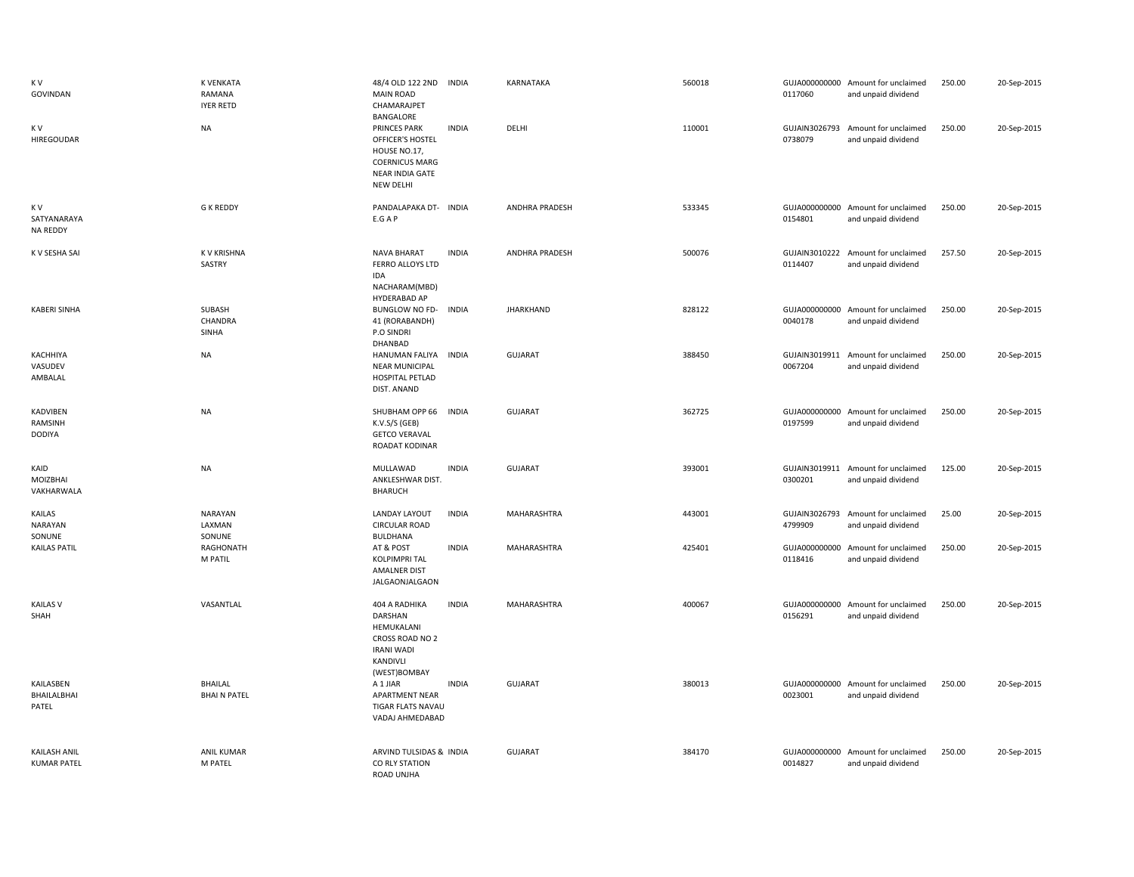| K V<br>GOVINDAN                           | K VENKATA<br>RAMANA<br><b>IYER RETD</b> | 48/4 OLD 122 2ND INDIA<br><b>MAIN ROAD</b><br>CHAMARAJPET<br>BANGALORE                                           |              | KARNATAKA             | 560018 | 0117060                  | GUJA000000000 Amount for unclaimed<br>and unpaid dividend | 250.00 | 20-Sep-2015 |
|-------------------------------------------|-----------------------------------------|------------------------------------------------------------------------------------------------------------------|--------------|-----------------------|--------|--------------------------|-----------------------------------------------------------|--------|-------------|
| K V<br>HIREGOUDAR                         | <b>NA</b>                               | <b>PRINCES PARK</b><br>OFFICER'S HOSTEL<br>HOUSE NO.17,<br><b>COERNICUS MARG</b><br>NEAR INDIA GATE<br>NEW DELHI | <b>INDIA</b> | DELHI                 | 110001 | GUJAIN3026793<br>0738079 | Amount for unclaimed<br>and unpaid dividend               | 250.00 | 20-Sep-2015 |
| K V<br>SATYANARAYA<br><b>NA REDDY</b>     | <b>G K REDDY</b>                        | PANDALAPAKA DT- INDIA<br>E.G A P                                                                                 |              | ANDHRA PRADESH        | 533345 | 0154801                  | GUJA000000000 Amount for unclaimed<br>and unpaid dividend | 250.00 | 20-Sep-2015 |
| K V SESHA SAI                             | <b>KV KRISHNA</b><br>SASTRY             | <b>NAVA BHARAT</b><br>FERRO ALLOYS LTD<br>IDA<br>NACHARAM(MBD)                                                   | <b>INDIA</b> | <b>ANDHRA PRADESH</b> | 500076 | 0114407                  | GUJAIN3010222 Amount for unclaimed<br>and unpaid dividend | 257.50 | 20-Sep-2015 |
| <b>KABERI SINHA</b>                       | SUBASH<br>CHANDRA<br>SINHA              | HYDERABAD AP<br><b>BUNGLOW NO FD-</b><br>41 (RORABANDH)<br>P.O SINDRI                                            | <b>INDIA</b> | <b>JHARKHAND</b>      | 828122 | 0040178                  | GUJA000000000 Amount for unclaimed<br>and unpaid dividend | 250.00 | 20-Sep-2015 |
| KACHHIYA<br>VASUDEV<br>AMBALAL            | <b>NA</b>                               | DHANBAD<br>HANUMAN FALIYA<br><b>NEAR MUNICIPAL</b><br>HOSPITAL PETLAD<br>DIST. ANAND                             | <b>INDIA</b> | GUJARAT               | 388450 | GUJAIN3019911<br>0067204 | Amount for unclaimed<br>and unpaid dividend               | 250.00 | 20-Sep-2015 |
| KADVIBEN<br>RAMSINH<br>DODIYA             | <b>NA</b>                               | SHUBHAM OPP 66<br>K.V.S/S (GEB)<br><b>GETCO VERAVAL</b><br>ROADAT KODINAR                                        | <b>INDIA</b> | GUJARAT               | 362725 | GUJA000000000<br>0197599 | Amount for unclaimed<br>and unpaid dividend               | 250.00 | 20-Sep-2015 |
| KAID<br>MOIZBHAI<br>VAKHARWALA            | <b>NA</b>                               | MULLAWAD<br>ANKLESHWAR DIST.<br><b>BHARUCH</b>                                                                   | <b>INDIA</b> | GUJARAT               | 393001 | 0300201                  | GUJAIN3019911 Amount for unclaimed<br>and unpaid dividend | 125.00 | 20-Sep-2015 |
| KAILAS<br><b>NARAYAN</b><br>SONUNE        | NARAYAN<br>LAXMAN<br>SONUNE             | <b>LANDAY LAYOUT</b><br><b>CIRCULAR ROAD</b><br>BULDHANA                                                         | <b>INDIA</b> | MAHARASHTRA           | 443001 | GUJAIN3026793<br>4799909 | Amount for unclaimed<br>and unpaid dividend               | 25.00  | 20-Sep-2015 |
| <b>KAILAS PATIL</b>                       | RAGHONATH<br>M PATIL                    | AT & POST<br><b>KOLPIMPRI TAL</b><br>AMALNER DIST<br>JALGAONJALGAON                                              | <b>INDIA</b> | MAHARASHTRA           | 425401 | 0118416                  | GUJA000000000 Amount for unclaimed<br>and unpaid dividend | 250.00 | 20-Sep-2015 |
| <b>KAILAS V</b><br>SHAH                   | VASANTLAL                               | 404 A RADHIKA<br>DARSHAN<br>HEMUKALANI<br>CROSS ROAD NO 2<br><b>IRANI WADI</b><br>KANDIVLI                       | <b>INDIA</b> | MAHARASHTRA           | 400067 | 0156291                  | GUJA000000000 Amount for unclaimed<br>and unpaid dividend | 250.00 | 20-Sep-2015 |
| KAILASBEN<br>BHAILALBHAI<br>PATEL         | <b>BHAILAL</b><br><b>BHAIN PATEL</b>    | (WEST)BOMBAY<br>A 1 JIAR<br>APARTMENT NEAR<br>TIGAR FLATS NAVAU<br>VADAJ AHMEDABAD                               | <b>INDIA</b> | <b>GUJARAT</b>        | 380013 | 0023001                  | GUJA000000000 Amount for unclaimed<br>and unpaid dividend | 250.00 | 20-Sep-2015 |
| <b>KAILASH ANIL</b><br><b>KUMAR PATEL</b> | <b>ANIL KUMAR</b><br>M PATEL            | ARVIND TULSIDAS & INDIA<br>CO RLY STATION<br>ROAD UNIHA                                                          |              | <b>GUJARAT</b>        | 384170 | GUJA000000000<br>0014827 | Amount for unclaimed<br>and unpaid dividend               | 250.00 | 20-Sep-2015 |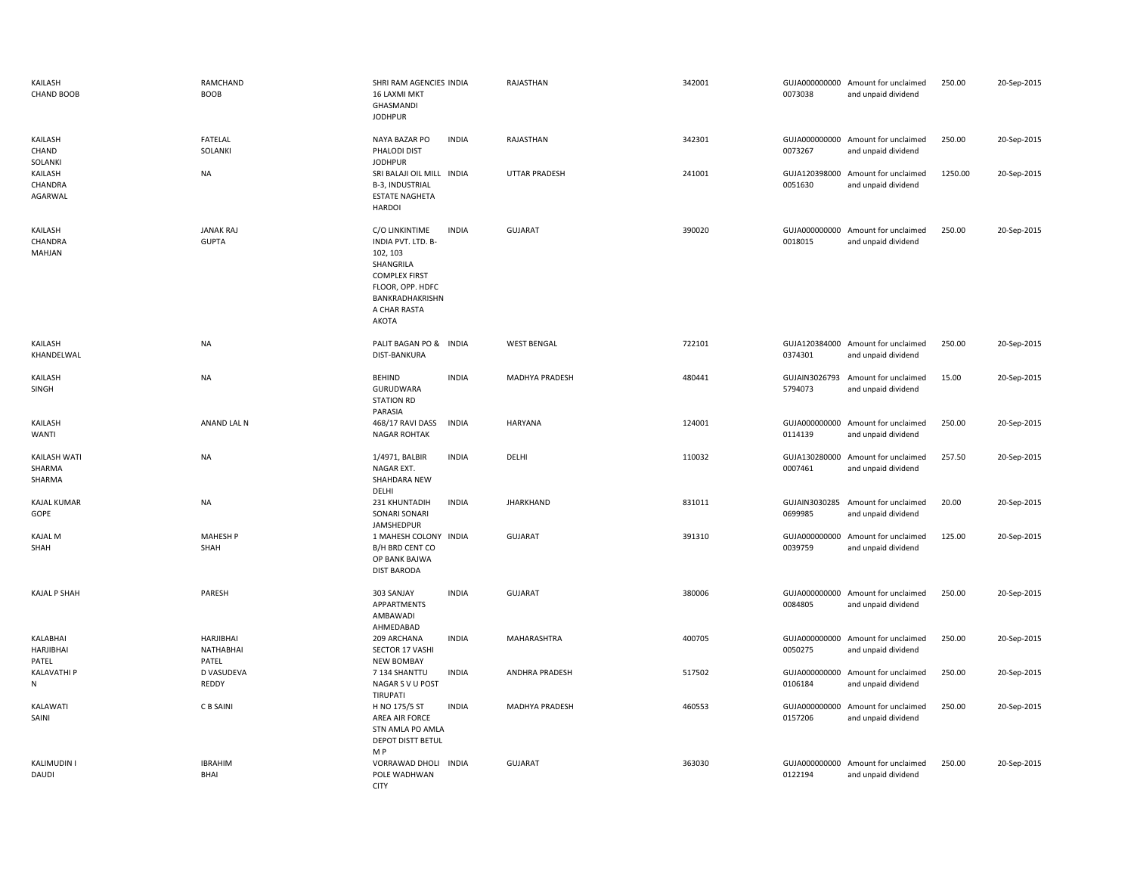| KAILASH<br><b>CHAND BOOB</b>     | RAMCHAND<br><b>BOOB</b>                | SHRI RAM AGENCIES INDIA<br><b>16 LAXMI MKT</b><br>GHASMANDI<br><b>JODHPUR</b>                                                                         |              | RAJASTHAN            | 342001 | 0073038                  | GUJA000000000 Amount for unclaimed<br>and unpaid dividend | 250.00  | 20-Sep-2015 |
|----------------------------------|----------------------------------------|-------------------------------------------------------------------------------------------------------------------------------------------------------|--------------|----------------------|--------|--------------------------|-----------------------------------------------------------|---------|-------------|
| KAILASH<br>CHAND<br>SOLANKI      | <b>FATELAL</b><br>SOLANKI              | NAYA BAZAR PO<br>PHALODI DIST<br><b>JODHPUR</b>                                                                                                       | <b>INDIA</b> | RAJASTHAN            | 342301 | 0073267                  | GUJA000000000 Amount for unclaimed<br>and unpaid dividend | 250.00  | 20-Sep-2015 |
| KAILASH<br>CHANDRA<br>AGARWAL    | <b>NA</b>                              | SRI BALAJI OIL MILL INDIA<br>B-3, INDUSTRIAL<br><b>ESTATE NAGHETA</b><br><b>HARDOI</b>                                                                |              | <b>UTTAR PRADESH</b> | 241001 | 0051630                  | GUJA120398000 Amount for unclaimed<br>and unpaid dividend | 1250.00 | 20-Sep-2015 |
| KAILASH<br>CHANDRA<br>MAHJAN     | <b>JANAK RAJ</b><br><b>GUPTA</b>       | C/O LINKINTIME<br>INDIA PVT. LTD. B-<br>102, 103<br>SHANGRILA<br><b>COMPLEX FIRST</b><br>FLOOR, OPP. HDFC<br>BANKRADHAKRISHN<br>A CHAR RASTA<br>AKOTA | <b>INDIA</b> | GUJARAT              | 390020 | 0018015                  | GUJA000000000 Amount for unclaimed<br>and unpaid dividend | 250.00  | 20-Sep-2015 |
| KAILASH<br>KHANDELWAL            | NA                                     | PALIT BAGAN PO & INDIA<br>DIST-BANKURA                                                                                                                |              | <b>WEST BENGAL</b>   | 722101 | 0374301                  | GUJA120384000 Amount for unclaimed<br>and unpaid dividend | 250.00  | 20-Sep-2015 |
| KAILASH<br>SINGH                 | <b>NA</b>                              | <b>BEHIND</b><br>GURUDWARA<br><b>STATION RD</b><br>PARASIA                                                                                            | <b>INDIA</b> | MADHYA PRADESH       | 480441 | GUJAIN3026793<br>5794073 | Amount for unclaimed<br>and unpaid dividend               | 15.00   | 20-Sep-2015 |
| KAILASH<br>WANTI                 | ANAND LAL N                            | 468/17 RAVI DASS<br><b>NAGAR ROHTAK</b>                                                                                                               | <b>INDIA</b> | HARYANA              | 124001 | 0114139                  | GUJA000000000 Amount for unclaimed<br>and unpaid dividend | 250.00  | 20-Sep-2015 |
| KAILASH WATI<br>SHARMA<br>SHARMA | <b>NA</b>                              | 1/4971, BALBIR<br>NAGAR EXT.<br>SHAHDARA NEW<br>DELHI                                                                                                 | <b>INDIA</b> | DELHI                | 110032 | 0007461                  | GUJA130280000 Amount for unclaimed<br>and unpaid dividend | 257.50  | 20-Sep-2015 |
| KAJAL KUMAR<br>GOPE              | <b>NA</b>                              | 231 KHUNTADIH<br>SONARI SONARI<br>JAMSHEDPUR                                                                                                          | <b>INDIA</b> | <b>JHARKHAND</b>     | 831011 | 0699985                  | GUJAIN3030285 Amount for unclaimed<br>and unpaid dividend | 20.00   | 20-Sep-2015 |
| <b>KAJAL M</b><br>SHAH           | <b>MAHESH P</b><br>SHAH                | 1 MAHESH COLONY INDIA<br>B/H BRD CENT CO<br>OP BANK BAJWA<br><b>DIST BARODA</b>                                                                       |              | <b>GUJARAT</b>       | 391310 | 0039759                  | GUJA000000000 Amount for unclaimed<br>and unpaid dividend | 125.00  | 20-Sep-2015 |
| KAJAL P SHAH                     | PARESH                                 | 303 SANJAY<br>APPARTMENTS<br>AMBAWADI<br>AHMEDABAD                                                                                                    | <b>INDIA</b> | GUJARAT              | 380006 | 0084805                  | GUJA000000000 Amount for unclaimed<br>and unpaid dividend | 250.00  | 20-Sep-2015 |
| KALABHAI<br>HARJIBHAI<br>PATEL   | <b>HARJIBHAI</b><br>NATHABHAI<br>PATEL | 209 ARCHANA<br>SECTOR 17 VASHI<br><b>NEW BOMBAY</b>                                                                                                   | <b>INDIA</b> | MAHARASHTRA          | 400705 | GUJA000000000<br>0050275 | Amount for unclaimed<br>and unpaid dividend               | 250.00  | 20-Sep-2015 |
| KALAVATHI P<br>${\sf N}$         | D VASUDEVA<br>REDDY                    | 7 134 SHANTTU<br>NAGAR S V U POST<br>TIRUPATI                                                                                                         | <b>INDIA</b> | ANDHRA PRADESH       | 517502 | 0106184                  | GUJA000000000 Amount for unclaimed<br>and unpaid dividend | 250.00  | 20-Sep-2015 |
| KALAWATI<br>SAINI                | C B SAINI                              | H NO 175/5 ST<br>AREA AIR FORCE<br>STN AMLA PO AMLA<br>DEPOT DISTT BETUL<br>M P                                                                       | <b>INDIA</b> | MADHYA PRADESH       | 460553 | GUJA000000000<br>0157206 | Amount for unclaimed<br>and unpaid dividend               | 250.00  | 20-Sep-2015 |
| KALIMUDIN I<br>DAUDI             | <b>IBRAHIM</b><br>BHAI                 | VORRAWAD DHOLI<br>POLE WADHWAN<br><b>CITY</b>                                                                                                         | <b>INDIA</b> | <b>GUJARAT</b>       | 363030 | GUJA000000000<br>0122194 | Amount for unclaimed<br>and unpaid dividend               | 250.00  | 20-Sep-2015 |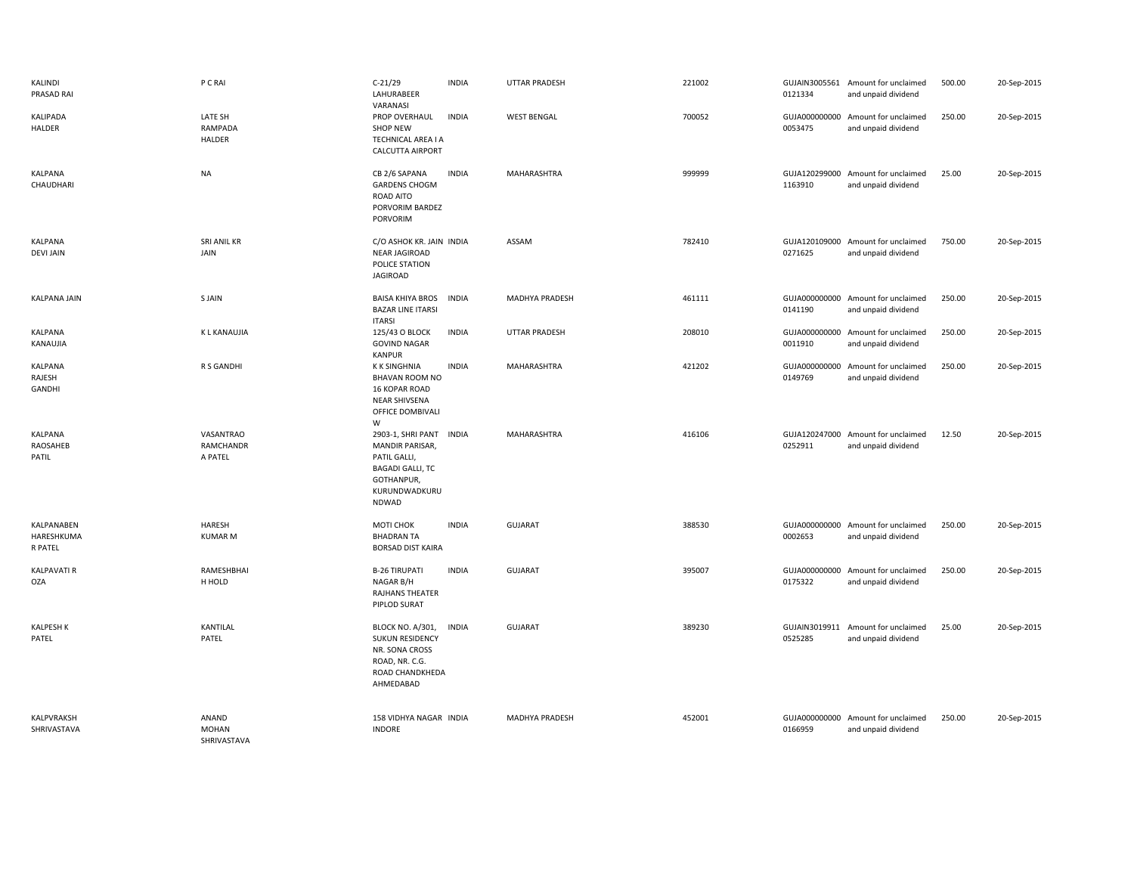| KALINDI<br>PRASAD RAI               | P C RAI                              | $C-21/29$<br>LAHURABEER<br>VARANASI                                                                                                  | <b>INDIA</b> | UTTAR PRADESH        | 221002 | 0121334                  | GUJAIN3005561 Amount for unclaimed<br>and unpaid dividend | 500.00 | 20-Sep-2015 |
|-------------------------------------|--------------------------------------|--------------------------------------------------------------------------------------------------------------------------------------|--------------|----------------------|--------|--------------------------|-----------------------------------------------------------|--------|-------------|
| KALIPADA<br>HALDER                  | LATE SH<br>RAMPADA<br><b>HALDER</b>  | PROP OVERHAUL<br><b>SHOP NEW</b><br>TECHNICAL AREA I A<br><b>CALCUTTA AIRPORT</b>                                                    | <b>INDIA</b> | <b>WEST BENGAL</b>   | 700052 | 0053475                  | GUJA000000000 Amount for unclaimed<br>and unpaid dividend | 250.00 | 20-Sep-2015 |
| KALPANA<br>CHAUDHARI                | <b>NA</b>                            | CB 2/6 SAPANA<br><b>GARDENS CHOGM</b><br>ROAD AITO<br>PORVORIM BARDEZ<br>PORVORIM                                                    | <b>INDIA</b> | MAHARASHTRA          | 999999 | 1163910                  | GUJA120299000 Amount for unclaimed<br>and unpaid dividend | 25.00  | 20-Sep-2015 |
| KALPANA<br><b>DEVI JAIN</b>         | SRI ANIL KR<br>JAIN                  | C/O ASHOK KR. JAIN INDIA<br><b>NEAR JAGIROAD</b><br>POLICE STATION<br><b>JAGIROAD</b>                                                |              | ASSAM                | 782410 | 0271625                  | GUJA120109000 Amount for unclaimed<br>and unpaid dividend | 750.00 | 20-Sep-2015 |
| KALPANA JAIN                        | S JAIN                               | <b>BAISA KHIYA BROS</b><br><b>BAZAR LINE ITARSI</b><br><b>ITARSI</b>                                                                 | <b>INDIA</b> | MADHYA PRADESH       | 461111 | 0141190                  | GUJA000000000 Amount for unclaimed<br>and unpaid dividend | 250.00 | 20-Sep-2015 |
| KALPANA<br>KANAUJIA                 | K L KANAUJIA                         | 125/43 O BLOCK<br><b>GOVIND NAGAR</b><br><b>KANPUR</b>                                                                               | <b>INDIA</b> | <b>UTTAR PRADESH</b> | 208010 | 0011910                  | GUJA000000000 Amount for unclaimed<br>and unpaid dividend | 250.00 | 20-Sep-2015 |
| KALPANA<br>RAJESH<br>GANDHI         | R S GANDHI                           | <b>K K SINGHNIA</b><br><b>BHAVAN ROOM NO</b><br>16 KOPAR ROAD<br>NEAR SHIVSENA<br>OFFICE DOMBIVALI<br>W                              | <b>INDIA</b> | MAHARASHTRA          | 421202 | 0149769                  | GUJA000000000 Amount for unclaimed<br>and unpaid dividend | 250.00 | 20-Sep-2015 |
| KALPANA<br>RAOSAHEB<br>PATIL        | VASANTRAO<br>RAMCHANDR<br>A PATEL    | 2903-1, SHRI PANT INDIA<br><b>MANDIR PARISAR,</b><br>PATIL GALLI,<br><b>BAGADI GALLI, TC</b><br>GOTHANPUR,<br>KURUNDWADKURU<br>NDWAD |              | MAHARASHTRA          | 416106 | 0252911                  | GUJA120247000 Amount for unclaimed<br>and unpaid dividend | 12.50  | 20-Sep-2015 |
| KALPANABEN<br>HARESHKUMA<br>R PATEL | <b>HARESH</b><br><b>KUMAR M</b>      | MOTI CHOK<br><b>BHADRAN TA</b><br><b>BORSAD DIST KAIRA</b>                                                                           | <b>INDIA</b> | <b>GUJARAT</b>       | 388530 | 0002653                  | GUJA000000000 Amount for unclaimed<br>and unpaid dividend | 250.00 | 20-Sep-2015 |
| <b>KALPAVATI R</b><br><b>OZA</b>    | RAMESHBHAI<br>H HOLD                 | <b>B-26 TIRUPATI</b><br>NAGAR B/H<br>RAJHANS THEATER<br>PIPLOD SURAT                                                                 | <b>INDIA</b> | <b>GUJARAT</b>       | 395007 | 0175322                  | GUJA000000000 Amount for unclaimed<br>and unpaid dividend | 250.00 | 20-Sep-2015 |
| <b>KALPESH K</b><br>PATEL           | KANTILAL<br>PATEL                    | <b>BLOCK NO. A/301,</b><br><b>SUKUN RESIDENCY</b><br>NR. SONA CROSS<br>ROAD, NR. C.G.<br>ROAD CHANDKHEDA<br>AHMEDABAD                | <b>INDIA</b> | <b>GUJARAT</b>       | 389230 | GUJAIN3019911<br>0525285 | Amount for unclaimed<br>and unpaid dividend               | 25.00  | 20-Sep-2015 |
| KALPVRAKSH<br>SHRIVASTAVA           | ANAND<br><b>MOHAN</b><br>SHRIVASTAVA | 158 VIDHYA NAGAR INDIA<br><b>INDORE</b>                                                                                              |              | MADHYA PRADESH       | 452001 | GUJA000000000<br>0166959 | Amount for unclaimed<br>and unpaid dividend               | 250.00 | 20-Sep-2015 |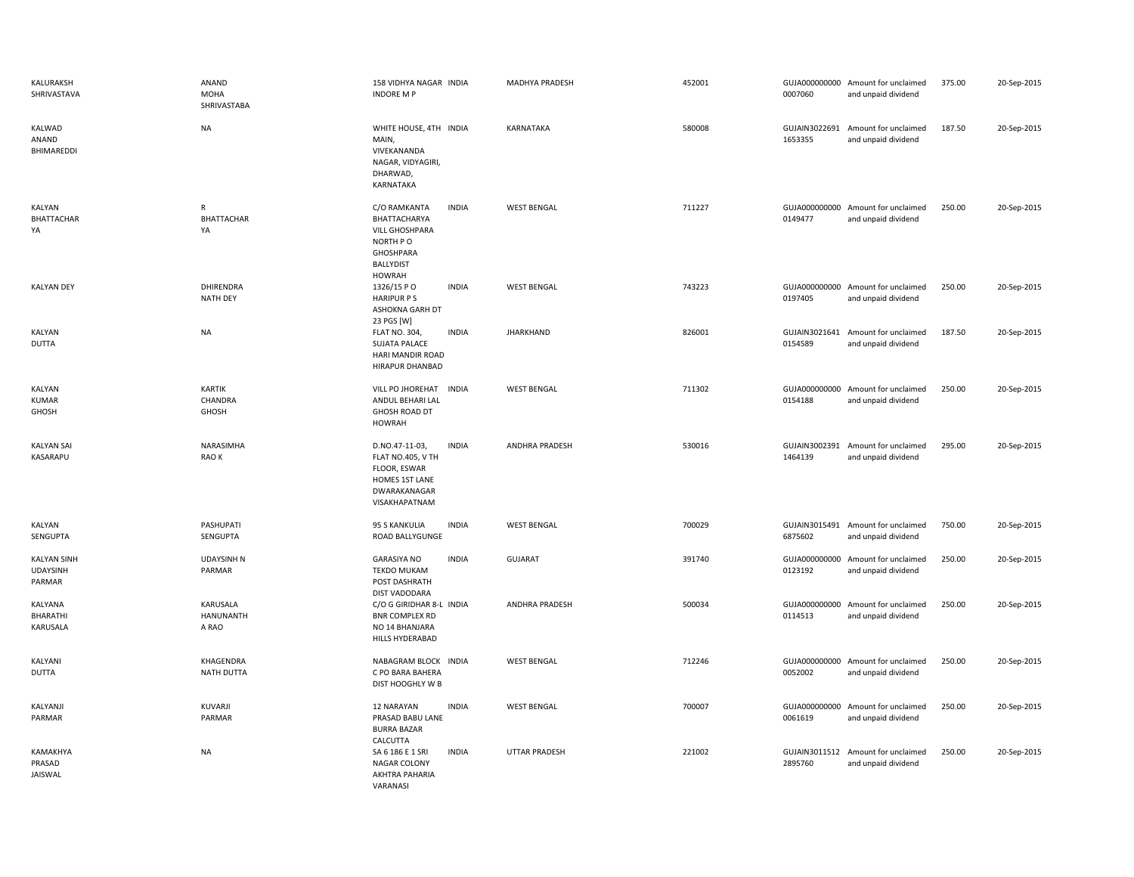| KALURAKSH<br>SHRIVASTAVA                        | ANAND<br>MOHA<br>SHRIVASTABA          | 158 VIDHYA NAGAR INDIA<br><b>INDORE M P</b>                                                                                         | MADHYA PRADESH        | 452001 | 0007060                  | GUJA000000000 Amount for unclaimed<br>and unpaid dividend | 375.00 | 20-Sep-2015 |
|-------------------------------------------------|---------------------------------------|-------------------------------------------------------------------------------------------------------------------------------------|-----------------------|--------|--------------------------|-----------------------------------------------------------|--------|-------------|
| KALWAD<br>ANAND<br>BHIMAREDDI                   | <b>NA</b>                             | WHITE HOUSE, 4TH INDIA<br>MAIN,<br>VIVEKANANDA<br>NAGAR, VIDYAGIRI,<br>DHARWAD,<br>KARNATAKA                                        | KARNATAKA             | 580008 | 1653355                  | GUJAIN3022691 Amount for unclaimed<br>and unpaid dividend | 187.50 | 20-Sep-2015 |
| KALYAN<br>BHATTACHAR<br>YA                      | ${\sf R}$<br><b>BHATTACHAR</b><br>YA  | C/O RAMKANTA<br><b>INDIA</b><br>BHATTACHARYA<br><b>VILL GHOSHPARA</b><br>NORTH PO<br>GHOSHPARA<br><b>BALLYDIST</b><br><b>HOWRAH</b> | <b>WEST BENGAL</b>    | 711227 | 0149477                  | GUJA000000000 Amount for unclaimed<br>and unpaid dividend | 250.00 | 20-Sep-2015 |
| <b>KALYAN DEY</b>                               | DHIRENDRA<br><b>NATH DEY</b>          | 1326/15 PO<br><b>INDIA</b><br><b>HARIPUR PS</b><br>ASHOKNA GARH DT<br>23 PGS [W]                                                    | <b>WEST BENGAL</b>    | 743223 | 0197405                  | GUJA000000000 Amount for unclaimed<br>and unpaid dividend | 250.00 | 20-Sep-2015 |
| <b>KALYAN</b><br><b>DUTTA</b>                   | <b>NA</b>                             | <b>FLAT NO. 304,</b><br><b>INDIA</b><br><b>SUJATA PALACE</b><br>HARI MANDIR ROAD<br>HIRAPUR DHANBAD                                 | <b>JHARKHAND</b>      | 826001 | 0154589                  | GUJAIN3021641 Amount for unclaimed<br>and unpaid dividend | 187.50 | 20-Sep-2015 |
| KALYAN<br><b>KUMAR</b><br>GHOSH                 | <b>KARTIK</b><br>CHANDRA<br>GHOSH     | VILL PO JHOREHAT<br><b>INDIA</b><br>ANDUL BEHARI LAL<br>GHOSH ROAD DT<br><b>HOWRAH</b>                                              | <b>WEST BENGAL</b>    | 711302 | 0154188                  | GUJA000000000 Amount for unclaimed<br>and unpaid dividend | 250.00 | 20-Sep-2015 |
| <b>KALYAN SAI</b><br><b>KASARAPU</b>            | NARASIMHA<br>RAO K                    | <b>INDIA</b><br>D.NO.47-11-03,<br>FLAT NO.405, V TH<br>FLOOR, ESWAR<br>HOMES 1ST LANE<br>DWARAKANAGAR<br>VISAKHAPATNAM              | <b>ANDHRA PRADESH</b> | 530016 | 1464139                  | GUJAIN3002391 Amount for unclaimed<br>and unpaid dividend | 295.00 | 20-Sep-2015 |
| KALYAN<br>SENGUPTA                              | PASHUPATI<br>SENGUPTA                 | 95 S KANKULIA<br><b>INDIA</b><br>ROAD BALLYGUNGE                                                                                    | <b>WEST BENGAL</b>    | 700029 | 6875602                  | GUJAIN3015491 Amount for unclaimed<br>and unpaid dividend | 750.00 | 20-Sep-2015 |
| <b>KALYAN SINH</b><br><b>UDAYSINH</b><br>PARMAR | <b>UDAYSINH N</b><br>PARMAR           | <b>GARASIYA NO</b><br><b>INDIA</b><br><b>TEKDO MUKAM</b><br>POST DASHRATH<br>DIST VADODARA                                          | <b>GUJARAT</b>        | 391740 | 0123192                  | GUJA000000000 Amount for unclaimed<br>and unpaid dividend | 250.00 | 20-Sep-2015 |
| KALYANA<br>BHARATHI<br>KARUSALA                 | KARUSALA<br><b>HANUNANTH</b><br>A RAO | C/O G GIRIDHAR 8-L INDIA<br><b>BNR COMPLEX RD</b><br>NO 14 BHANJARA<br><b>HILLS HYDERABAD</b>                                       | ANDHRA PRADESH        | 500034 | 0114513                  | GUJA000000000 Amount for unclaimed<br>and unpaid dividend | 250.00 | 20-Sep-2015 |
| KALYANI<br><b>DUTTA</b>                         | KHAGENDRA<br>NATH DUTTA               | NABAGRAM BLOCK INDIA<br>C PO BARA BAHERA<br>DIST HOOGHLY W B                                                                        | <b>WEST BENGAL</b>    | 712246 | 0052002                  | GUJA000000000 Amount for unclaimed<br>and unpaid dividend | 250.00 | 20-Sep-2015 |
| KALYANJI<br>PARMAR                              | KUVARJI<br>PARMAR                     | <b>INDIA</b><br>12 NARAYAN<br>PRASAD BABU LANE<br><b>BURRA BAZAR</b><br>CALCUTTA                                                    | <b>WEST BENGAL</b>    | 700007 | GUJA000000000<br>0061619 | Amount for unclaimed<br>and unpaid dividend               | 250.00 | 20-Sep-2015 |
| KAMAKHYA<br>PRASAD<br>JAISWAL                   | <b>NA</b>                             | <b>INDIA</b><br>SA 6 186 E 1 SRI<br>NAGAR COLONY<br>AKHTRA PAHARIA<br>VARANASI                                                      | UTTAR PRADESH         | 221002 | 2895760                  | GUJAIN3011512 Amount for unclaimed<br>and unpaid dividend | 250.00 | 20-Sep-2015 |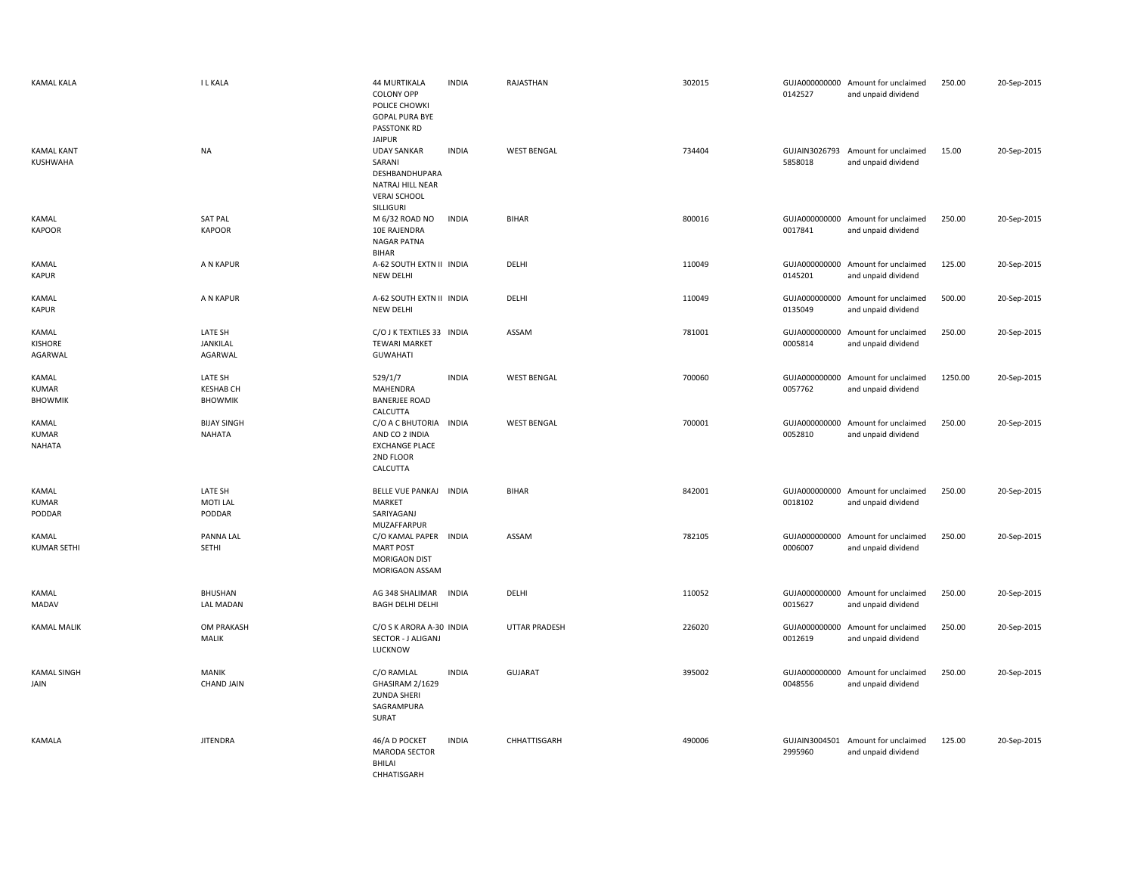| <b>KAMAL KALA</b>                       | <b>ILKALA</b>                                 | <b>44 MURTIKALA</b><br><b>COLONY OPP</b><br>POLICE CHOWKI<br><b>GOPAL PURA BYE</b><br>PASSTONK RD          | <b>INDIA</b> | RAJASTHAN            | 302015 | 0142527                  | GUJA000000000 Amount for unclaimed<br>and unpaid dividend | 250.00  | 20-Sep-2015 |
|-----------------------------------------|-----------------------------------------------|------------------------------------------------------------------------------------------------------------|--------------|----------------------|--------|--------------------------|-----------------------------------------------------------|---------|-------------|
| <b>KAMAL KANT</b><br>KUSHWAHA           | <b>NA</b>                                     | <b>JAIPUR</b><br><b>UDAY SANKAR</b><br>SARANI<br>DESHBANDHUPARA<br>NATRAJ HILL NEAR<br><b>VERAI SCHOOL</b> | <b>INDIA</b> | <b>WEST BENGAL</b>   | 734404 | GUJAIN3026793<br>5858018 | Amount for unclaimed<br>and unpaid dividend               | 15.00   | 20-Sep-2015 |
| KAMAL<br><b>KAPOOR</b>                  | <b>SAT PAL</b><br><b>KAPOOR</b>               | SILLIGURI<br>M 6/32 ROAD NO<br>10E RAJENDRA<br>NAGAR PATNA<br><b>BIHAR</b>                                 | <b>INDIA</b> | <b>BIHAR</b>         | 800016 | 0017841                  | GUJA000000000 Amount for unclaimed<br>and unpaid dividend | 250.00  | 20-Sep-2015 |
| KAMAL<br><b>KAPUR</b>                   | A N KAPUR                                     | A-62 SOUTH EXTN II INDIA<br><b>NEW DELHI</b>                                                               |              | DELHI                | 110049 | GUJA000000000<br>0145201 | Amount for unclaimed<br>and unpaid dividend               | 125.00  | 20-Sep-2015 |
| KAMAL<br>KAPUR                          | A N KAPUR                                     | A-62 SOUTH EXTN II INDIA<br><b>NEW DELHI</b>                                                               |              | DELHI                | 110049 | GUJA000000000<br>0135049 | Amount for unclaimed<br>and unpaid dividend               | 500.00  | 20-Sep-2015 |
| KAMAL<br><b>KISHORE</b><br>AGARWAL      | LATE SH<br>JANKILAL<br>AGARWAL                | C/O J K TEXTILES 33 INDIA<br><b>TEWARI MARKET</b><br><b>GUWAHATI</b>                                       |              | ASSAM                | 781001 | GUJA000000000<br>0005814 | Amount for unclaimed<br>and unpaid dividend               | 250.00  | 20-Sep-2015 |
| KAMAL<br><b>KUMAR</b><br><b>BHOWMIK</b> | LATE SH<br><b>KESHAB CH</b><br><b>BHOWMIK</b> | 529/1/7<br><b>MAHENDRA</b><br><b>BANERJEE ROAD</b><br>CALCUTTA                                             | <b>INDIA</b> | <b>WEST BENGAL</b>   | 700060 | GUJA000000000<br>0057762 | Amount for unclaimed<br>and unpaid dividend               | 1250.00 | 20-Sep-2015 |
| KAMAL<br><b>KUMAR</b><br><b>NAHATA</b>  | <b>BIJAY SINGH</b><br>NAHATA                  | C/O A C BHUTORIA INDIA<br>AND CO 2 INDIA<br><b>EXCHANGE PLACE</b><br>2ND FLOOR<br>CALCUTTA                 |              | <b>WEST BENGAL</b>   | 700001 | GUJA000000000<br>0052810 | Amount for unclaimed<br>and unpaid dividend               | 250.00  | 20-Sep-2015 |
| KAMAL<br><b>KUMAR</b><br>PODDAR         | LATE SH<br><b>MOTI LAL</b><br>PODDAR          | BELLE VUE PANKAJ INDIA<br>MARKET<br>SARIYAGANJ<br>MUZAFFARPUR                                              |              | <b>BIHAR</b>         | 842001 | GUJA000000000<br>0018102 | Amount for unclaimed<br>and unpaid dividend               | 250.00  | 20-Sep-2015 |
| KAMAL<br><b>KUMAR SETHI</b>             | PANNA LAL<br>SETHI                            | C/O KAMAL PAPER INDIA<br><b>MART POST</b><br><b>MORIGAON DIST</b><br>MORIGAON ASSAM                        |              | ASSAM                | 782105 | 0006007                  | GUJA000000000 Amount for unclaimed<br>and unpaid dividend | 250.00  | 20-Sep-2015 |
| KAMAL<br><b>MADAV</b>                   | BHUSHAN<br><b>LAL MADAN</b>                   | AG 348 SHALIMAR<br>BAGH DELHI DELHI                                                                        | <b>INDIA</b> | DELHI                | 110052 | 0015627                  | GUJA000000000 Amount for unclaimed<br>and unpaid dividend | 250.00  | 20-Sep-2015 |
| <b>KAMAL MALIK</b>                      | <b>OM PRAKASH</b><br>MALIK                    | C/O S K ARORA A-30 INDIA<br>SECTOR - J ALIGANJ<br>LUCKNOW                                                  |              | <b>UTTAR PRADESH</b> | 226020 | 0012619                  | GUJA000000000 Amount for unclaimed<br>and unpaid dividend | 250.00  | 20-Sep-2015 |
| <b>KAMAL SINGH</b><br>JAIN              | <b>MANIK</b><br><b>CHAND JAIN</b>             | C/O RAMLAL<br>GHASIRAM 2/1629<br><b>ZUNDA SHERI</b><br>SAGRAMPURA<br>SURAT                                 | <b>INDIA</b> | <b>GUJARAT</b>       | 395002 | 0048556                  | GUJA000000000 Amount for unclaimed<br>and unpaid dividend | 250.00  | 20-Sep-2015 |
| <b>KAMALA</b>                           | <b>JITENDRA</b>                               | 46/A D POCKET<br><b>MARODA SECTOR</b><br><b>BHILAI</b><br>CHHATISGARH                                      | <b>INDIA</b> | CHHATTISGARH         | 490006 | 2995960                  | GUJAIN3004501 Amount for unclaimed<br>and unpaid dividend | 125.00  | 20-Sep-2015 |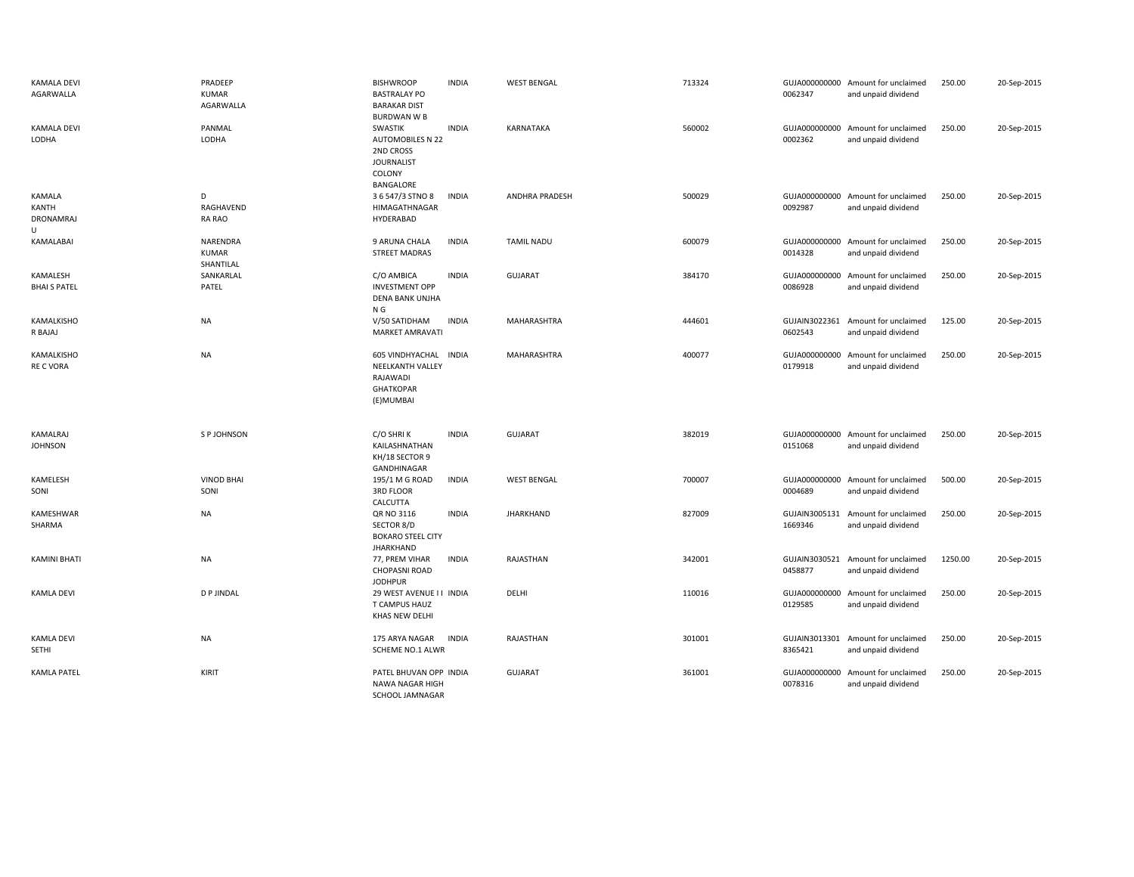| <b>KAMALA DEVI</b><br>AGARWALLA              | PRADEEP<br><b>KUMAR</b><br>AGARWALLA  | <b>BISHWROOP</b><br><b>BASTRALAY PO</b><br><b>BARAKAR DIST</b><br><b>BURDWAN W B</b>               | <b>INDIA</b> | <b>WEST BENGAL</b>    | 713324 | 0062347                  | GUJA000000000 Amount for unclaimed<br>and unpaid dividend | 250.00  | 20-Sep-2015 |
|----------------------------------------------|---------------------------------------|----------------------------------------------------------------------------------------------------|--------------|-----------------------|--------|--------------------------|-----------------------------------------------------------|---------|-------------|
| <b>KAMALA DEVI</b><br>LODHA                  | PANMAL<br>LODHA                       | SWASTIK<br><b>AUTOMOBILES N 22</b><br>2ND CROSS<br><b>JOURNALIST</b><br><b>COLONY</b><br>BANGALORE | <b>INDIA</b> | KARNATAKA             | 560002 | 0002362                  | GUJA000000000 Amount for unclaimed<br>and unpaid dividend | 250.00  | 20-Sep-2015 |
| KAMALA<br>KANTH<br>DRONAMRAJ<br>$\mathbf{U}$ | D<br>RAGHAVEND<br>RA RAO              | 3 6 547/3 STNO 8<br>HIMAGATHNAGAR<br>HYDERABAD                                                     | <b>INDIA</b> | <b>ANDHRA PRADESH</b> | 500029 | 0092987                  | GUJA000000000 Amount for unclaimed<br>and unpaid dividend | 250.00  | 20-Sep-2015 |
| KAMALABAI                                    | NARENDRA<br><b>KUMAR</b><br>SHANTILAL | 9 ARUNA CHALA<br><b>STREET MADRAS</b>                                                              | <b>INDIA</b> | <b>TAMIL NADU</b>     | 600079 | 0014328                  | GUJA000000000 Amount for unclaimed<br>and unpaid dividend | 250.00  | 20-Sep-2015 |
| KAMALESH<br><b>BHAI S PATEL</b>              | SANKARLAL<br>PATEL                    | C/O AMBICA<br><b>INVESTMENT OPP</b><br><b>DENA BANK UNJHA</b><br>N G                               | <b>INDIA</b> | <b>GUJARAT</b>        | 384170 | 0086928                  | GUJA000000000 Amount for unclaimed<br>and unpaid dividend | 250.00  | 20-Sep-2015 |
| KAMALKISHO<br>R BAJAJ                        | <b>NA</b>                             | <b>INDIA</b><br>V/50 SATIDHAM<br><b>MARKET AMRAVATI</b>                                            |              | MAHARASHTRA           | 444601 | 0602543                  | GUJAIN3022361 Amount for unclaimed<br>and unpaid dividend | 125.00  | 20-Sep-2015 |
| KAMALKISHO<br><b>RE C VORA</b>               | <b>NA</b>                             | 605 VINDHYACHAL INDIA<br><b>NEELKANTH VALLEY</b><br>RAJAWADI<br><b>GHATKOPAR</b><br>(E)MUMBAI      |              | MAHARASHTRA           | 400077 | 0179918                  | GUJA000000000 Amount for unclaimed<br>and unpaid dividend | 250.00  | 20-Sep-2015 |
| KAMALRAJ<br><b>JOHNSON</b>                   | S P JOHNSON                           | C/O SHRIK<br>KAILASHNATHAN<br>KH/18 SECTOR 9<br>GANDHINAGAR                                        | <b>INDIA</b> | <b>GUJARAT</b>        | 382019 | 0151068                  | GUJA000000000 Amount for unclaimed<br>and unpaid dividend | 250.00  | 20-Sep-2015 |
| KAMELESH<br>SONI                             | <b>VINOD BHAI</b><br>SONI             | 195/1 M G ROAD<br>3RD FLOOR<br>CALCUTTA                                                            | <b>INDIA</b> | <b>WEST BENGAL</b>    | 700007 | 0004689                  | GUJA000000000 Amount for unclaimed<br>and unpaid dividend | 500.00  | 20-Sep-2015 |
| KAMESHWAR<br>SHARMA                          | <b>NA</b>                             | QR NO 3116<br>SECTOR 8/D<br><b>BOKARO STEEL CITY</b><br><b>JHARKHAND</b>                           | <b>INDIA</b> | <b>JHARKHAND</b>      | 827009 | 1669346                  | GUJAIN3005131 Amount for unclaimed<br>and unpaid dividend | 250.00  | 20-Sep-2015 |
| KAMINI BHATI                                 | <b>NA</b>                             | 77, PREM VIHAR<br><b>CHOPASNI ROAD</b><br><b>JODHPUR</b>                                           | <b>INDIA</b> | RAJASTHAN             | 342001 | GUJAIN3030521<br>0458877 | Amount for unclaimed<br>and unpaid dividend               | 1250.00 | 20-Sep-2015 |
| <b>KAMLA DEVI</b>                            | <b>DP JINDAL</b>                      | 29 WEST AVENUE I I INDIA<br>T CAMPUS HAUZ<br>KHAS NEW DELHI                                        |              | DELHI                 | 110016 | GUJA000000000<br>0129585 | Amount for unclaimed<br>and unpaid dividend               | 250.00  | 20-Sep-2015 |
| <b>KAMLA DEVI</b><br>SETHI                   | <b>NA</b>                             | 175 ARYA NAGAR<br><b>INDIA</b><br>SCHEME NO.1 ALWR                                                 |              | RAJASTHAN             | 301001 | 8365421                  | GUJAIN3013301 Amount for unclaimed<br>and unpaid dividend | 250.00  | 20-Sep-2015 |
| <b>KAMLA PATEL</b>                           | KIRIT                                 | PATEL BHUVAN OPP INDIA<br>NAWA NAGAR HIGH<br>SCHOOL JAMNAGAR                                       |              | GUJARAT               | 361001 | 0078316                  | GUJA000000000 Amount for unclaimed<br>and unpaid dividend | 250.00  | 20-Sep-2015 |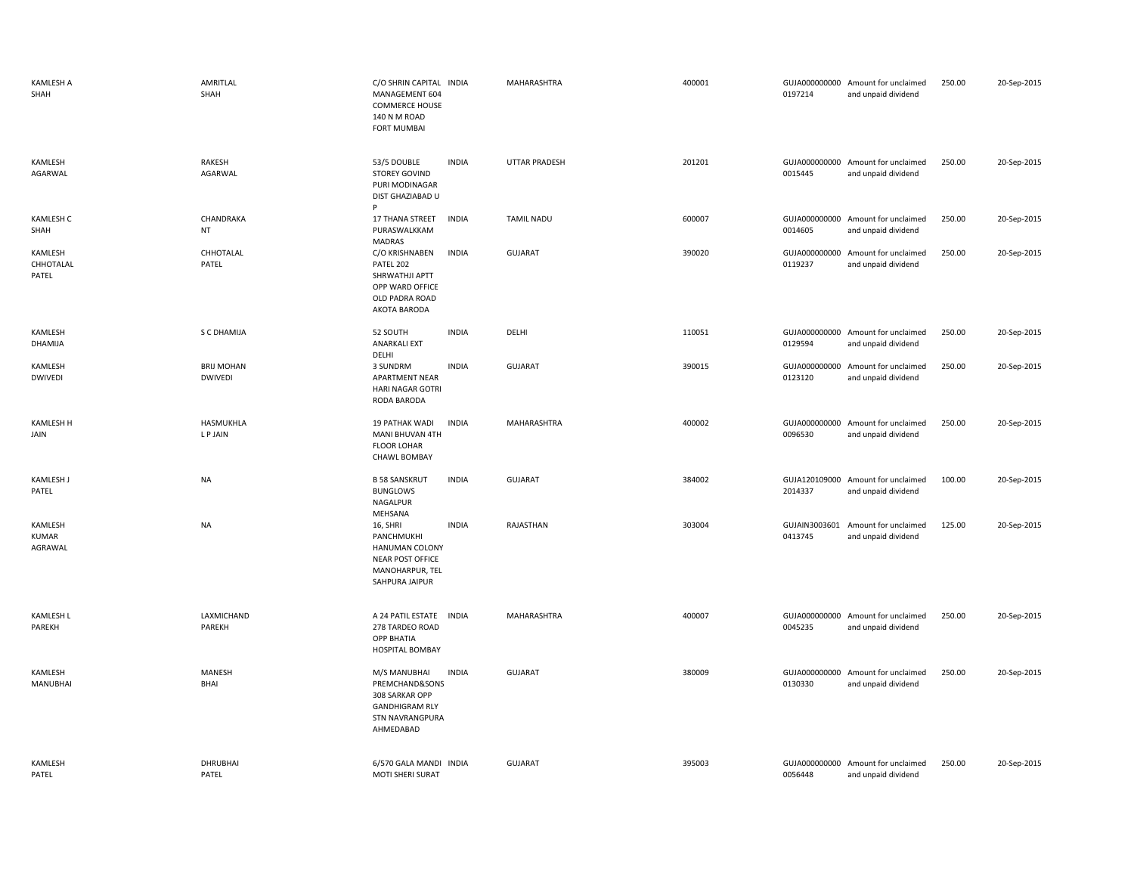| KAMLESH A<br>SHAH             | AMRITLAL<br>SHAH                    | C/O SHRIN CAPITAL INDIA<br>MANAGEMENT 604<br><b>COMMERCE HOUSE</b><br>140 N M ROAD<br><b>FORT MUMBAI</b>  |              | MAHARASHTRA          | 400001 | 0197214                  | GUJA000000000 Amount for unclaimed<br>and unpaid dividend | 250.00 | 20-Sep-2015 |
|-------------------------------|-------------------------------------|-----------------------------------------------------------------------------------------------------------|--------------|----------------------|--------|--------------------------|-----------------------------------------------------------|--------|-------------|
| KAMLESH<br>AGARWAL            | RAKESH<br>AGARWAL                   | 53/5 DOUBLE<br>STOREY GOVIND<br>PURI MODINAGAR<br>DIST GHAZIABAD U<br>P                                   | <b>INDIA</b> | <b>UTTAR PRADESH</b> | 201201 | 0015445                  | GUJA000000000 Amount for unclaimed<br>and unpaid dividend | 250.00 | 20-Sep-2015 |
| <b>KAMLESH C</b><br>SHAH      | CHANDRAKA<br><b>NT</b>              | 17 THANA STREET<br>PURASWALKKAM<br>MADRAS                                                                 | <b>INDIA</b> | <b>TAMIL NADU</b>    | 600007 | 0014605                  | GUJA000000000 Amount for unclaimed<br>and unpaid dividend | 250.00 | 20-Sep-2015 |
| KAMLESH<br>CHHOTALAL<br>PATEL | CHHOTALAL<br>PATEL                  | C/O KRISHNABEN<br>PATEL 202<br>SHRWATHJI APTT<br>OPP WARD OFFICE<br>OLD PADRA ROAD<br>AKOTA BARODA        | <b>INDIA</b> | GUJARAT              | 390020 | 0119237                  | GUJA000000000 Amount for unclaimed<br>and unpaid dividend | 250.00 | 20-Sep-2015 |
| KAMLESH<br>DHAMIJA            | S C DHAMIJA                         | 52 SOUTH<br><b>ANARKALI EXT</b><br>DELHI                                                                  | <b>INDIA</b> | DELHI                | 110051 | 0129594                  | GUJA000000000 Amount for unclaimed<br>and unpaid dividend | 250.00 | 20-Sep-2015 |
| KAMLESH<br><b>DWIVEDI</b>     | <b>BRIJ MOHAN</b><br><b>DWIVEDI</b> | 3 SUNDRM<br>APARTMENT NEAR<br>HARI NAGAR GOTRI<br>RODA BARODA                                             | <b>INDIA</b> | GUJARAT              | 390015 | 0123120                  | GUJA000000000 Amount for unclaimed<br>and unpaid dividend | 250.00 | 20-Sep-2015 |
| <b>KAMLESH H</b><br>JAIN      | HASMUKHLA<br>L P JAIN               | 19 PATHAK WADI<br>MANI BHUVAN 4TH<br><b>FLOOR LOHAR</b><br><b>CHAWL BOMBAY</b>                            | <b>INDIA</b> | MAHARASHTRA          | 400002 | 0096530                  | GUJA000000000 Amount for unclaimed<br>and unpaid dividend | 250.00 | 20-Sep-2015 |
| <b>KAMLESH J</b><br>PATEL     | <b>NA</b>                           | <b>B 58 SANSKRUT</b><br><b>BUNGLOWS</b><br>NAGALPUR<br>MEHSANA                                            | <b>INDIA</b> | <b>GUJARAT</b>       | 384002 | 2014337                  | GUJA120109000 Amount for unclaimed<br>and unpaid dividend | 100.00 | 20-Sep-2015 |
| KAMLESH<br>KUMAR<br>AGRAWAL   | <b>NA</b>                           | 16, SHRI<br>PANCHMUKHI<br><b>HANUMAN COLONY</b><br>NEAR POST OFFICE<br>MANOHARPUR, TEL<br>SAHPURA JAIPUR  | <b>INDIA</b> | RAJASTHAN            | 303004 | GUJAIN3003601<br>0413745 | Amount for unclaimed<br>and unpaid dividend               | 125.00 | 20-Sep-2015 |
| <b>KAMLESH L</b><br>PAREKH    | LAXMICHAND<br>PAREKH                | A 24 PATIL ESTATE INDIA<br>278 TARDEO ROAD<br>OPP BHATIA<br><b>HOSPITAL BOMBAY</b>                        |              | MAHARASHTRA          | 400007 | 0045235                  | GUJA000000000 Amount for unclaimed<br>and unpaid dividend | 250.00 | 20-Sep-2015 |
| KAMLESH<br>MANUBHAI           | <b>MANESH</b><br>BHAI               | M/S MANUBHAI<br>PREMCHAND&SONS<br>308 SARKAR OPP<br><b>GANDHIGRAM RLY</b><br>STN NAVRANGPURA<br>AHMEDABAD | <b>INDIA</b> | GUJARAT              | 380009 | 0130330                  | GUJA000000000 Amount for unclaimed<br>and unpaid dividend | 250.00 | 20-Sep-2015 |
| KAMLESH<br>PATEL              | <b>DHRUBHAI</b><br>PATEL            | 6/570 GALA MANDI INDIA<br><b>MOTI SHERI SURAT</b>                                                         |              | <b>GUJARAT</b>       | 395003 | 0056448                  | GUJA000000000 Amount for unclaimed<br>and unpaid dividend | 250.00 | 20-Sep-2015 |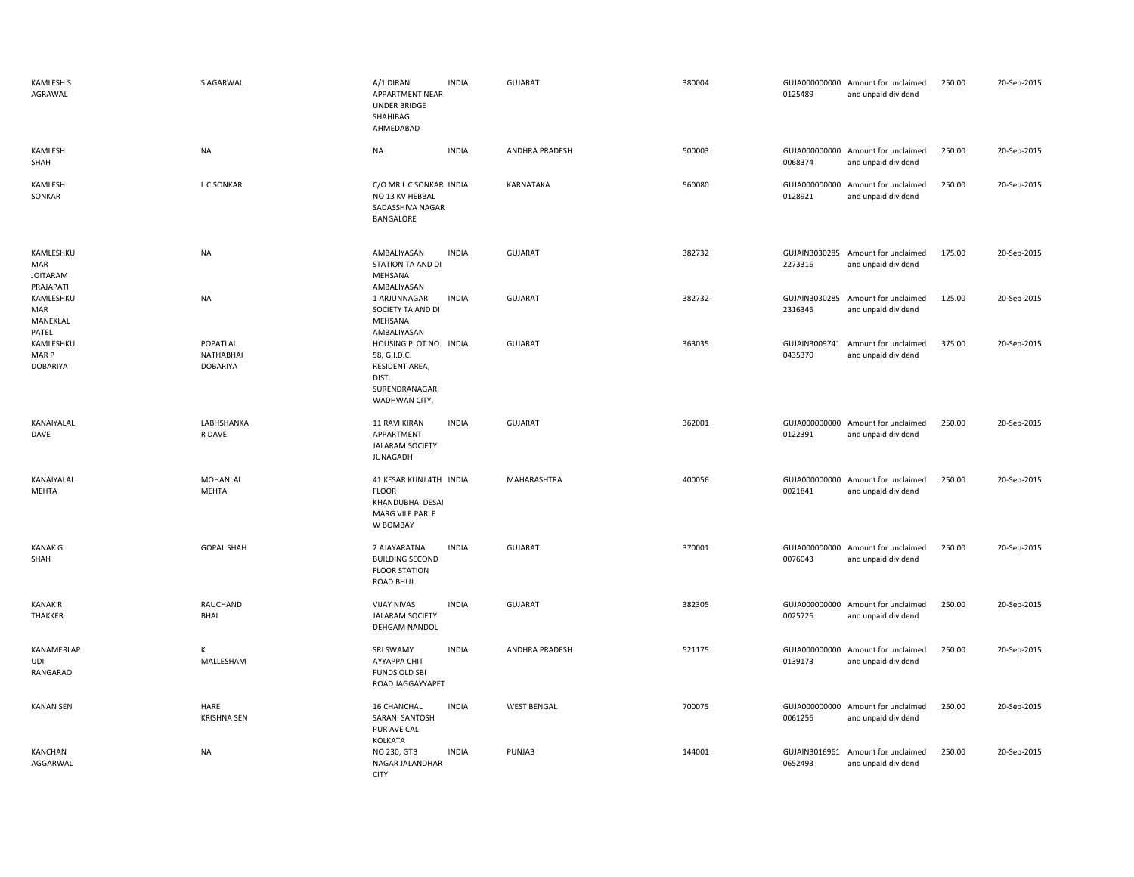| <b>KAMLESH S</b><br>AGRAWAL                        | S AGARWAL                                       | A/1 DIRAN<br>APPARTMENT NEAR<br><b>UNDER BRIDGE</b><br>SHAHIBAG<br>AHMEDABAD                         | <b>INDIA</b> | GUJARAT               | 380004 | 0125489                  | GUJA000000000 Amount for unclaimed<br>and unpaid dividend | 250.00 | 20-Sep-2015 |
|----------------------------------------------------|-------------------------------------------------|------------------------------------------------------------------------------------------------------|--------------|-----------------------|--------|--------------------------|-----------------------------------------------------------|--------|-------------|
| KAMLESH<br>SHAH                                    | <b>NA</b>                                       | <b>NA</b>                                                                                            | <b>INDIA</b> | ANDHRA PRADESH        | 500003 | 0068374                  | GUJA000000000 Amount for unclaimed<br>and unpaid dividend | 250.00 | 20-Sep-2015 |
| KAMLESH<br>SONKAR                                  | L C SONKAR                                      | C/O MR L C SONKAR INDIA<br>NO 13 KV HEBBAL<br>SADASSHIVA NAGAR<br>BANGALORE                          |              | KARNATAKA             | 560080 | GUJA000000000<br>0128921 | Amount for unclaimed<br>and unpaid dividend               | 250.00 | 20-Sep-2015 |
| KAMLESHKU<br>MAR<br><b>JOITARAM</b>                | <b>NA</b>                                       | AMBALIYASAN<br>STATION TA AND DI<br>MEHSANA                                                          | <b>INDIA</b> | GUJARAT               | 382732 | 2273316                  | GUJAIN3030285 Amount for unclaimed<br>and unpaid dividend | 175.00 | 20-Sep-2015 |
| PRAJAPATI<br>KAMLESHKU<br>MAR<br>MANEKLAL<br>PATEL | <b>NA</b>                                       | AMBALIYASAN<br>1 ARJUNNAGAR<br>SOCIETY TA AND DI<br>MEHSANA<br>AMBALIYASAN                           | <b>INDIA</b> | GUJARAT               | 382732 | GUJAIN3030285<br>2316346 | Amount for unclaimed<br>and unpaid dividend               | 125.00 | 20-Sep-2015 |
| KAMLESHKU<br>MAR P<br><b>DOBARIYA</b>              | POPATLAL<br><b>NATHABHAI</b><br><b>DOBARIYA</b> | HOUSING PLOT NO. INDIA<br>58, G.I.D.C.<br>RESIDENT AREA,<br>DIST.<br>SURENDRANAGAR,<br>WADHWAN CITY. |              | <b>GUJARAT</b>        | 363035 | 0435370                  | GUJAIN3009741 Amount for unclaimed<br>and unpaid dividend | 375.00 | 20-Sep-2015 |
| KANAIYALAL<br>DAVE                                 | LABHSHANKA<br>R DAVE                            | <b>11 RAVI KIRAN</b><br>APPARTMENT<br><b>JALARAM SOCIETY</b><br><b>JUNAGADH</b>                      | <b>INDIA</b> | <b>GUJARAT</b>        | 362001 | 0122391                  | GUJA000000000 Amount for unclaimed<br>and unpaid dividend | 250.00 | 20-Sep-2015 |
| KANAIYALAL<br>MEHTA                                | MOHANLAL<br>MEHTA                               | 41 KESAR KUNJ 4TH INDIA<br><b>FLOOR</b><br>KHANDUBHAI DESAI<br>MARG VILE PARLE<br>W BOMBAY           |              | MAHARASHTRA           | 400056 | 0021841                  | GUJA000000000 Amount for unclaimed<br>and unpaid dividend | 250.00 | 20-Sep-2015 |
| <b>KANAK G</b><br>SHAH                             | <b>GOPAL SHAH</b>                               | 2 AJAYARATNA<br><b>BUILDING SECOND</b><br><b>FLOOR STATION</b><br>ROAD BHUJ                          | <b>INDIA</b> | <b>GUJARAT</b>        | 370001 | 0076043                  | GUJA000000000 Amount for unclaimed<br>and unpaid dividend | 250.00 | 20-Sep-2015 |
| <b>KANAK R</b><br>THAKKER                          | RAUCHAND<br><b>BHAI</b>                         | <b>VIJAY NIVAS</b><br><b>JALARAM SOCIETY</b><br>DEHGAM NANDOL                                        | <b>INDIA</b> | <b>GUJARAT</b>        | 382305 | 0025726                  | GUJA000000000 Amount for unclaimed<br>and unpaid dividend | 250.00 | 20-Sep-2015 |
| KANAMERLAP<br>UDI<br>RANGARAO                      | K<br>MALLESHAM                                  | <b>SRI SWAMY</b><br>AYYAPPA CHIT<br><b>FUNDS OLD SBI</b><br>ROAD JAGGAYYAPET                         | <b>INDIA</b> | <b>ANDHRA PRADESH</b> | 521175 | 0139173                  | GUJA000000000 Amount for unclaimed<br>and unpaid dividend | 250.00 | 20-Sep-2015 |
| <b>KANAN SEN</b>                                   | HARE<br><b>KRISHNA SEN</b>                      | 16 CHANCHAL<br><b>SARANI SANTOSH</b><br>PUR AVE CAL<br>KOLKATA                                       | <b>INDIA</b> | <b>WEST BENGAL</b>    | 700075 | 0061256                  | GUJA000000000 Amount for unclaimed<br>and unpaid dividend | 250.00 | 20-Sep-2015 |
| KANCHAN<br>AGGARWAL                                | <b>NA</b>                                       | NO 230, GTB<br>NAGAR JALANDHAR<br><b>CITY</b>                                                        | <b>INDIA</b> | PUNJAB                | 144001 | 0652493                  | GUJAIN3016961 Amount for unclaimed<br>and unpaid dividend | 250.00 | 20-Sep-2015 |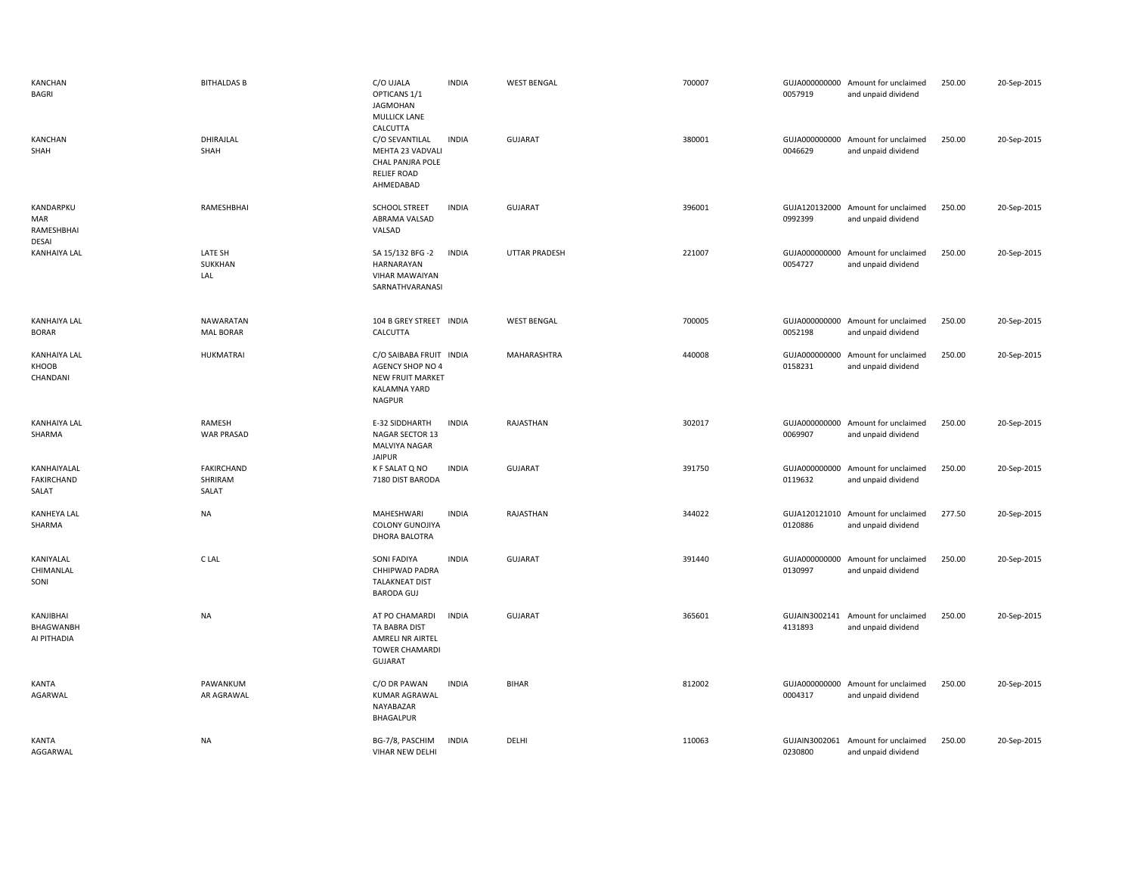| KANCHAN<br>BAGRI                         | <b>BITHALDAS B</b>                   | C/O UJALA<br>OPTICANS 1/1<br><b>JAGMOHAN</b><br><b>MULLICK LANE</b><br>CALCUTTA                         | <b>INDIA</b> | <b>WEST BENGAL</b>   | 700007 | 0057919                  | GUJA000000000 Amount for unclaimed<br>and unpaid dividend | 250.00 | 20-Sep-2015 |
|------------------------------------------|--------------------------------------|---------------------------------------------------------------------------------------------------------|--------------|----------------------|--------|--------------------------|-----------------------------------------------------------|--------|-------------|
| <b>KANCHAN</b><br>SHAH                   | DHIRAJLAL<br>SHAH                    | C/O SEVANTILAL<br>MEHTA 23 VADVALI<br>CHAL PANJRA POLE<br><b>RELIEF ROAD</b><br>AHMEDABAD               | <b>INDIA</b> | <b>GUJARAT</b>       | 380001 | 0046629                  | GUJA000000000 Amount for unclaimed<br>and unpaid dividend | 250.00 | 20-Sep-2015 |
| KANDARPKU<br>MAR<br>RAMESHBHAI<br>DESAI  | RAMESHBHAI                           | <b>SCHOOL STREET</b><br>ABRAMA VALSAD<br>VALSAD                                                         | <b>INDIA</b> | <b>GUJARAT</b>       | 396001 | 0992399                  | GUJA120132000 Amount for unclaimed<br>and unpaid dividend | 250.00 | 20-Sep-2015 |
| <b>KANHAIYA LAL</b>                      | LATE SH<br>SUKKHAN<br>LAL            | SA 15/132 BFG -2<br>HARNARAYAN<br>VIHAR MAWAIYAN<br>SARNATHVARANASI                                     | <b>INDIA</b> | <b>UTTAR PRADESH</b> | 221007 | GUJA000000000<br>0054727 | Amount for unclaimed<br>and unpaid dividend               | 250.00 | 20-Sep-2015 |
| <b>KANHAIYA LAL</b><br><b>BORAR</b>      | <b>NAWARATAN</b><br><b>MAL BORAR</b> | 104 B GREY STREET INDIA<br>CALCUTTA                                                                     |              | <b>WEST BENGAL</b>   | 700005 | 0052198                  | GUJA000000000 Amount for unclaimed<br>and unpaid dividend | 250.00 | 20-Sep-2015 |
| <b>KANHAIYA LAL</b><br>KHOOB<br>CHANDANI | <b>HUKMATRAI</b>                     | C/O SAIBABA FRUIT INDIA<br>AGENCY SHOP NO 4<br>NEW FRUIT MARKET<br><b>KALAMNA YARD</b><br><b>NAGPUR</b> |              | MAHARASHTRA          | 440008 | GUJA000000000<br>0158231 | Amount for unclaimed<br>and unpaid dividend               | 250.00 | 20-Sep-2015 |
| <b>KANHAIYA LAL</b><br>SHARMA            | RAMESH<br><b>WAR PRASAD</b>          | E-32 SIDDHARTH<br>NAGAR SECTOR 13<br>MALVIYA NAGAR<br><b>JAIPUR</b>                                     | <b>INDIA</b> | RAJASTHAN            | 302017 | 0069907                  | GUJA000000000 Amount for unclaimed<br>and unpaid dividend | 250.00 | 20-Sep-2015 |
|                                          |                                      | K F SALAT Q NO                                                                                          | <b>INDIA</b> | GUJARAT              | 391750 |                          | GUJA000000000 Amount for unclaimed                        | 250.00 | 20-Sep-2015 |
| KANHAIYALAL<br>FAKIRCHAND<br>SALAT       | FAKIRCHAND<br>SHRIRAM<br>SALAT       | 7180 DIST BARODA                                                                                        |              |                      |        | 0119632                  | and unpaid dividend                                       |        |             |
| <b>KANHEYA LAL</b><br>SHARMA             | <b>NA</b>                            | MAHESHWARI<br>COLONY GUNOJIYA<br><b>DHORA BALOTRA</b>                                                   | <b>INDIA</b> | RAJASTHAN            | 344022 | GUJA120121010<br>0120886 | Amount for unclaimed<br>and unpaid dividend               | 277.50 | 20-Sep-2015 |
| KANIYALAL<br>CHIMANLAL<br>SONI           | C LAL                                | SONI FADIYA<br>CHHIPWAD PADRA<br><b>TALAKNEAT DIST</b><br><b>BARODA GUJ</b>                             | <b>INDIA</b> | GUJARAT              | 391440 | 0130997                  | GUJA000000000 Amount for unclaimed<br>and unpaid dividend | 250.00 | 20-Sep-2015 |
| KANJIBHAI<br>BHAGWANBH<br>AI PITHADIA    | <b>NA</b>                            | AT PO CHAMARDI<br>TA BABRA DIST<br>AMRELI NR AIRTEL<br><b>TOWER CHAMARDI</b><br><b>GUJARAT</b>          | <b>INDIA</b> | <b>GUJARAT</b>       | 365601 | GUJAIN3002141<br>4131893 | Amount for unclaimed<br>and unpaid dividend               | 250.00 | 20-Sep-2015 |
| KANTA<br>AGARWAL                         | PAWANKUM<br>AR AGRAWAL               | C/O DR PAWAN<br>KUMAR AGRAWAL<br>NAYABAZAR<br>BHAGALPUR                                                 | <b>INDIA</b> | <b>BIHAR</b>         | 812002 | 0004317                  | GUJA000000000 Amount for unclaimed<br>and unpaid dividend | 250.00 | 20-Sep-2015 |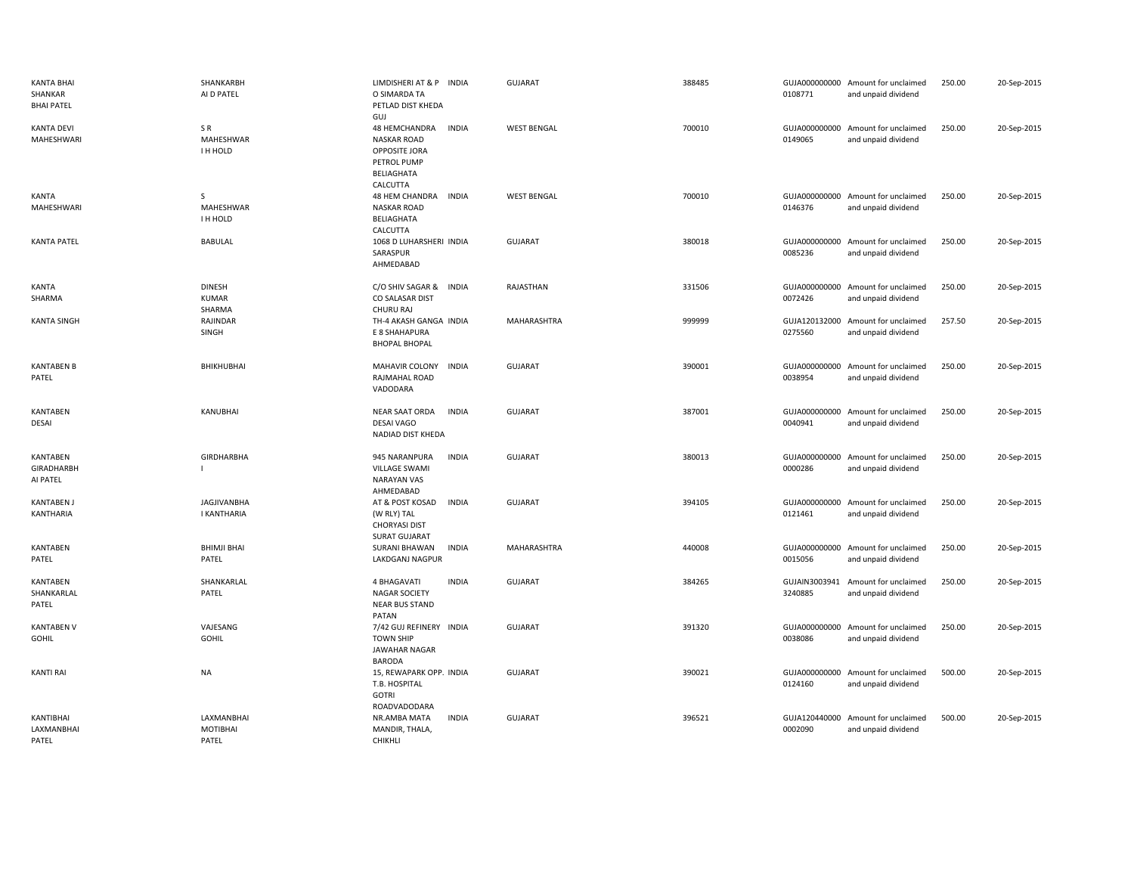| <b>KANTA BHAI</b><br>SHANKAR<br><b>BHAI PATEL</b> | SHANKARBH<br>AI D PATEL                  | LIMDISHERI AT & P INDIA<br>O SIMARDA TA<br>PETLAD DIST KHEDA<br>GUJ                                           | <b>GUJARAT</b>     | 388485 | 0108771 | GUJA000000000 Amount for unclaimed<br>and unpaid dividend | 250.00 | 20-Sep-2015 |
|---------------------------------------------------|------------------------------------------|---------------------------------------------------------------------------------------------------------------|--------------------|--------|---------|-----------------------------------------------------------|--------|-------------|
| <b>KANTA DEVI</b><br>MAHESHWARI                   | SR<br>MAHESHWAR<br>I H HOLD              | 48 HEMCHANDRA<br><b>INDIA</b><br><b>NASKAR ROAD</b><br>OPPOSITE JORA<br>PETROL PUMP<br>BELIAGHATA<br>CALCUTTA | <b>WEST BENGAL</b> | 700010 | 0149065 | GUJA000000000 Amount for unclaimed<br>and unpaid dividend | 250.00 | 20-Sep-2015 |
| KANTA<br>MAHESHWARI                               | S<br>MAHESHWAR<br>I H HOLD               | 48 HEM CHANDRA<br>INDIA<br><b>NASKAR ROAD</b><br><b>BELIAGHATA</b><br>CALCUTTA                                | <b>WEST BENGAL</b> | 700010 | 0146376 | GUJA000000000 Amount for unclaimed<br>and unpaid dividend | 250.00 | 20-Sep-2015 |
| <b>KANTA PATEL</b>                                | <b>BABULAL</b>                           | 1068 D LUHARSHERI INDIA<br>SARASPUR<br>AHMEDABAD                                                              | <b>GUJARAT</b>     | 380018 | 0085236 | GUJA000000000 Amount for unclaimed<br>and unpaid dividend | 250.00 | 20-Sep-2015 |
| <b>KANTA</b><br>SHARMA                            | <b>DINESH</b><br><b>KUMAR</b><br>SHARMA  | C/O SHIV SAGAR &<br><b>INDIA</b><br>CO SALASAR DIST<br>CHURU RAJ                                              | RAJASTHAN          | 331506 | 0072426 | GUJA000000000 Amount for unclaimed<br>and unpaid dividend | 250.00 | 20-Sep-2015 |
| <b>KANTA SINGH</b>                                | RAJINDAR<br>SINGH                        | TH-4 AKASH GANGA INDIA<br>E 8 SHAHAPURA<br><b>BHOPAL BHOPAL</b>                                               | MAHARASHTRA        | 999999 | 0275560 | GUJA120132000 Amount for unclaimed<br>and unpaid dividend | 257.50 | 20-Sep-2015 |
| <b>KANTABEN B</b><br>PATEL                        | BHIKHUBHAI                               | <b>MAHAVIR COLONY</b><br><b>INDIA</b><br>RAJMAHAL ROAD<br>VADODARA                                            | <b>GUJARAT</b>     | 390001 | 0038954 | GUJA000000000 Amount for unclaimed<br>and unpaid dividend | 250.00 | 20-Sep-2015 |
| <b>KANTABEN</b><br>DESAI                          | KANUBHAI                                 | <b>NEAR SAAT ORDA</b><br><b>INDIA</b><br><b>DESAI VAGO</b><br>NADIAD DIST KHEDA                               | <b>GUJARAT</b>     | 387001 | 0040941 | GUJA000000000 Amount for unclaimed<br>and unpaid dividend | 250.00 | 20-Sep-2015 |
| <b>KANTABEN</b><br>GIRADHARBH<br>AI PATEL         | <b>GIRDHARBHA</b>                        | 945 NARANPURA<br><b>INDIA</b><br><b>VILLAGE SWAMI</b><br><b>NARAYAN VAS</b><br>AHMEDABAD                      | <b>GUJARAT</b>     | 380013 | 0000286 | GUJA000000000 Amount for unclaimed<br>and unpaid dividend | 250.00 | 20-Sep-2015 |
| <b>KANTABEN J</b><br>KANTHARIA                    | <b>JAGJIVANBHA</b><br><b>I KANTHARIA</b> | AT & POST KOSAD<br><b>INDIA</b><br>(W RLY) TAL<br><b>CHORYASI DIST</b><br><b>SURAT GUJARAT</b>                | <b>GUJARAT</b>     | 394105 | 0121461 | GUJA000000000 Amount for unclaimed<br>and unpaid dividend | 250.00 | 20-Sep-2015 |
| <b>KANTABEN</b><br>PATEL                          | <b>BHIMJI BHAI</b><br>PATEL              | <b>INDIA</b><br><b>SURANI BHAWAN</b><br>LAKDGANJ NAGPUR                                                       | MAHARASHTRA        | 440008 | 0015056 | GUJA000000000 Amount for unclaimed<br>and unpaid dividend | 250.00 | 20-Sep-2015 |
| KANTABEN<br>SHANKARLAL<br>PATEL                   | SHANKARLAL<br>PATEL                      | <b>INDIA</b><br>4 BHAGAVATI<br><b>NAGAR SOCIETY</b><br><b>NEAR BUS STAND</b><br>PATAN                         | <b>GUJARAT</b>     | 384265 | 3240885 | GUJAIN3003941 Amount for unclaimed<br>and unpaid dividend | 250.00 | 20-Sep-2015 |
| <b>KANTABEN V</b><br><b>GOHIL</b>                 | VAJESANG<br><b>GOHIL</b>                 | 7/42 GUJ REFINERY INDIA<br><b>TOWN SHIP</b><br><b>JAWAHAR NAGAR</b><br><b>BARODA</b>                          | <b>GUJARAT</b>     | 391320 | 0038086 | GUJA000000000 Amount for unclaimed<br>and unpaid dividend | 250.00 | 20-Sep-2015 |
| <b>KANTI RAI</b>                                  | NA                                       | 15, REWAPARK OPP. INDIA<br>T.B. HOSPITAL<br><b>GOTRI</b><br>ROADVADODARA                                      | <b>GUJARAT</b>     | 390021 | 0124160 | GUJA000000000 Amount for unclaimed<br>and unpaid dividend | 500.00 | 20-Sep-2015 |
| KANTIBHAI<br>LAXMANBHAI<br>PATEL                  | LAXMANBHAI<br>MOTIBHAI<br>PATEL          | <b>INDIA</b><br>NR.AMBA MATA<br>MANDIR, THALA,<br>CHIKHLI                                                     | <b>GUJARAT</b>     | 396521 | 0002090 | GUJA120440000 Amount for unclaimed<br>and unpaid dividend | 500.00 | 20-Sep-2015 |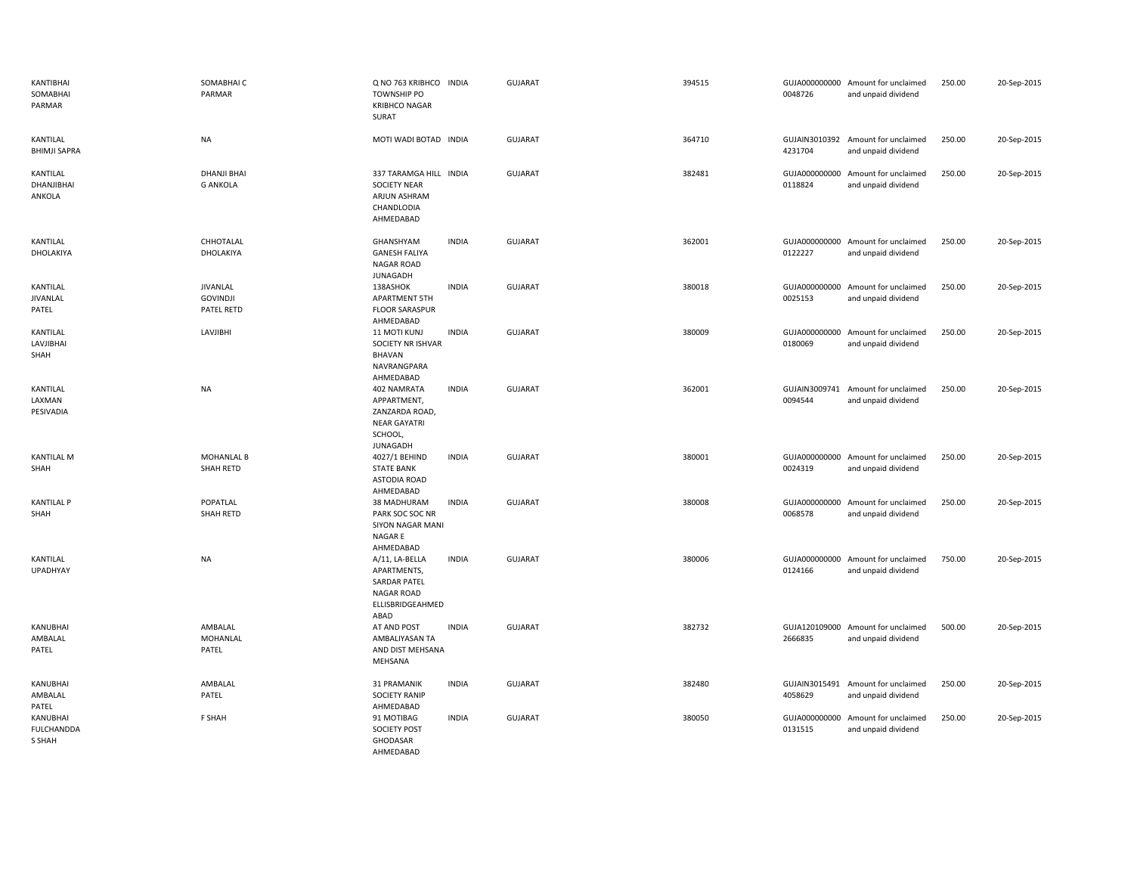| KANTIBHAI<br>SOMABHAI<br>PARMAR         | SOMABHAI C<br>PARMAR                             | Q NO 763 KRIBHCO INDIA<br><b>TOWNSHIP PO</b><br><b>KRIBHCO NAGAR</b><br><b>SURAT</b>           |              | <b>GUJARAT</b> | 394515 | 0048726                  | GUJA000000000 Amount for unclaimed<br>and unpaid dividend | 250.00 | 20-Sep-2015 |
|-----------------------------------------|--------------------------------------------------|------------------------------------------------------------------------------------------------|--------------|----------------|--------|--------------------------|-----------------------------------------------------------|--------|-------------|
| KANTILAL<br><b>BHIMJI SAPRA</b>         | <b>NA</b>                                        | MOTI WADI BOTAD INDIA                                                                          |              | <b>GUJARAT</b> | 364710 | 4231704                  | GUJAIN3010392 Amount for unclaimed<br>and unpaid dividend | 250.00 | 20-Sep-2015 |
| KANTILAL<br>DHANJIBHAI<br>ANKOLA        | <b>DHANJI BHAI</b><br><b>G ANKOLA</b>            | 337 TARAMGA HILL INDIA<br><b>SOCIETY NEAR</b><br>ARJUN ASHRAM<br>CHANDLODIA<br>AHMEDABAD       |              | <b>GUJARAT</b> | 382481 | GUJA000000000<br>0118824 | Amount for unclaimed<br>and unpaid dividend               | 250.00 | 20-Sep-2015 |
| KANTILAL<br>DHOLAKIYA                   | CHHOTALAL<br>DHOLAKIYA                           | GHANSHYAM<br><b>GANESH FALIYA</b><br><b>NAGAR ROAD</b><br><b>JUNAGADH</b>                      | <b>INDIA</b> | <b>GUJARAT</b> | 362001 | 0122227                  | GUJA000000000 Amount for unclaimed<br>and unpaid dividend | 250.00 | 20-Sep-2015 |
| KANTILAL<br>JIVANLAL<br>PATEL           | JIVANLAL<br><b>GOVINDJI</b><br><b>PATEL RETD</b> | 138ASHOK<br>APARTMENT 5TH<br><b>FLOOR SARASPUR</b><br>AHMEDABAD                                | <b>INDIA</b> | <b>GUJARAT</b> | 380018 | 0025153                  | GUJA000000000 Amount for unclaimed<br>and unpaid dividend | 250.00 | 20-Sep-2015 |
| KANTILAL<br>LAVJIBHAI<br>SHAH           | <b>LAVJIBHI</b>                                  | 11 MOTI KUNJ<br>SOCIETY NR ISHVAR<br>BHAVAN<br>NAVRANGPARA                                     | <b>INDIA</b> | <b>GUJARAT</b> | 380009 | GUJA000000000<br>0180069 | Amount for unclaimed<br>and unpaid dividend               | 250.00 | 20-Sep-2015 |
| KANTILAL<br>LAXMAN<br>PESIVADIA         | <b>NA</b>                                        | AHMEDABAD<br>402 NAMRATA<br>APPARTMENT,<br>ZANZARDA ROAD,<br><b>NEAR GAYATRI</b><br>SCHOOL,    | <b>INDIA</b> | <b>GUJARAT</b> | 362001 | 0094544                  | GUJAIN3009741 Amount for unclaimed<br>and unpaid dividend | 250.00 | 20-Sep-2015 |
| <b>KANTILAL M</b><br>SHAH               | <b>MOHANLAL B</b><br>SHAH RETD                   | <b>JUNAGADH</b><br>4027/1 BEHIND<br><b>STATE BANK</b><br>ASTODIA ROAD<br>AHMEDABAD             | <b>INDIA</b> | <b>GUJARAT</b> | 380001 | GUJA000000000<br>0024319 | Amount for unclaimed<br>and unpaid dividend               | 250.00 | 20-Sep-2015 |
| <b>KANTILAL P</b><br>SHAH               | POPATLAL<br>SHAH RETD                            | 38 MADHURAM<br>PARK SOC SOC NR<br><b>SIYON NAGAR MANI</b><br>NAGAR E<br>AHMEDABAD              | <b>INDIA</b> | <b>GUJARAT</b> | 380008 | 0068578                  | GUJA000000000 Amount for unclaimed<br>and unpaid dividend | 250.00 | 20-Sep-2015 |
| KANTILAL<br>UPADHYAY                    | <b>NA</b>                                        | A/11, LA-BELLA<br>APARTMENTS,<br><b>SARDAR PATEL</b><br>NAGAR ROAD<br>ELLISBRIDGEAHMED<br>ABAD | <b>INDIA</b> | <b>GUJARAT</b> | 380006 | 0124166                  | GUJA000000000 Amount for unclaimed<br>and unpaid dividend | 750.00 | 20-Sep-2015 |
| KANUBHAI<br>AMBALAL<br>PATEL            | AMBALAL<br>MOHANLAL<br>PATEL                     | AT AND POST<br>AMBALIYASAN TA<br>AND DIST MEHSANA<br>MEHSANA                                   | <b>INDIA</b> | <b>GUJARAT</b> | 382732 | 2666835                  | GUJA120109000 Amount for unclaimed<br>and unpaid dividend | 500.00 | 20-Sep-2015 |
| KANUBHAI<br>AMBALAL<br>PATEL            | AMBALAL<br>PATEL                                 | 31 PRAMANIK<br><b>SOCIETY RANIP</b><br>AHMEDABAD                                               | <b>INDIA</b> | <b>GUJARAT</b> | 382480 | 4058629                  | GUJAIN3015491 Amount for unclaimed<br>and unpaid dividend | 250.00 | 20-Sep-2015 |
| KANUBHAI<br><b>FULCHANDDA</b><br>S SHAH | F SHAH                                           | 91 MOTIBAG<br><b>SOCIETY POST</b><br>GHODASAR<br>AHMEDABAD                                     | <b>INDIA</b> | <b>GUJARAT</b> | 380050 | 0131515                  | GUJA000000000 Amount for unclaimed<br>and unpaid dividend | 250.00 | 20-Sep-2015 |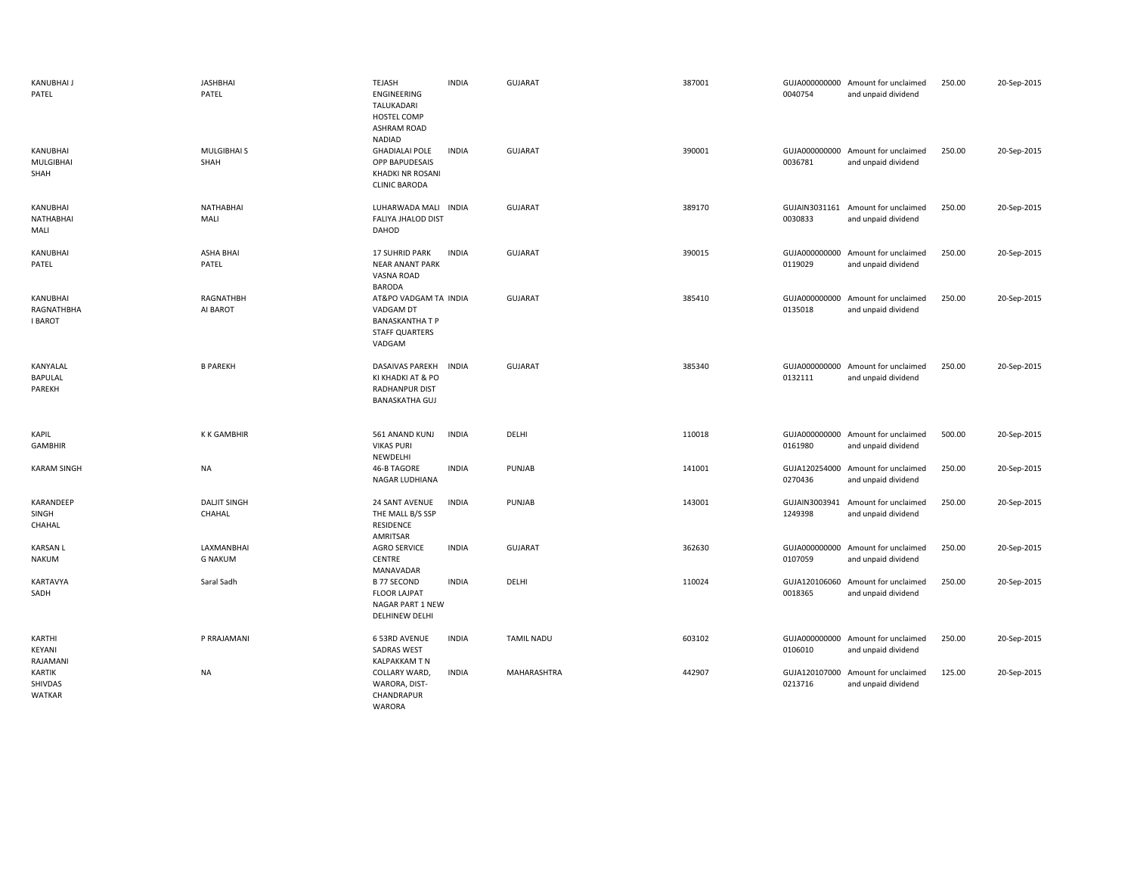| KANUBHAI J<br>PATEL                      | <b>JASHBHAI</b><br>PATEL      | TEJASH<br>ENGINEERING<br>TALUKADARI<br>HOSTEL COMP<br><b>ASHRAM ROAD</b>                        | <b>INDIA</b> | <b>GUJARAT</b>    | 387001 | 0040754                  | GUJA000000000 Amount for unclaimed<br>and unpaid dividend | 250.00 | 20-Sep-2015 |
|------------------------------------------|-------------------------------|-------------------------------------------------------------------------------------------------|--------------|-------------------|--------|--------------------------|-----------------------------------------------------------|--------|-------------|
| KANUBHAI<br>MULGIBHAI<br>SHAH            | MULGIBHAI S<br>SHAH           | NADIAD<br><b>GHADIALAI POLE</b><br>OPP BAPUDESAIS<br>KHADKI NR ROSANI<br><b>CLINIC BARODA</b>   | <b>INDIA</b> | <b>GUJARAT</b>    | 390001 | 0036781                  | GUJA000000000 Amount for unclaimed<br>and unpaid dividend | 250.00 | 20-Sep-2015 |
| KANUBHAI<br>NATHABHAI<br>MALI            | <b>NATHABHAI</b><br>MALI      | LUHARWADA MALI INDIA<br><b>FALIYA JHALOD DIST</b><br>DAHOD                                      |              | <b>GUJARAT</b>    | 389170 | 0030833                  | GUJAIN3031161 Amount for unclaimed<br>and unpaid dividend | 250.00 | 20-Sep-2015 |
| KANUBHAI<br>PATEL                        | <b>ASHA BHAI</b><br>PATEL     | <b>17 SUHRID PARK</b><br><b>NEAR ANANT PARK</b><br>VASNA ROAD<br>BARODA                         | <b>INDIA</b> | GUJARAT           | 390015 | 0119029                  | GUJA000000000 Amount for unclaimed<br>and unpaid dividend | 250.00 | 20-Sep-2015 |
| KANUBHAI<br>RAGNATHBHA<br><b>I BAROT</b> | RAGNATHBH<br>AI BAROT         | AT&PO VADGAM TA INDIA<br>VADGAM DT<br><b>BANASKANTHA T P</b><br><b>STAFF QUARTERS</b><br>VADGAM |              | <b>GUJARAT</b>    | 385410 | 0135018                  | GUJA000000000 Amount for unclaimed<br>and unpaid dividend | 250.00 | 20-Sep-2015 |
| KANYALAL<br>BAPULAL<br>PAREKH            | <b>B PAREKH</b>               | <b>DASAIVAS PAREKH</b><br>KI KHADKI AT & PO<br><b>RADHANPUR DIST</b><br><b>BANASKATHA GUJ</b>   | <b>INDIA</b> | <b>GUJARAT</b>    | 385340 | 0132111                  | GUJA000000000 Amount for unclaimed<br>and unpaid dividend | 250.00 | 20-Sep-2015 |
| <b>KAPIL</b><br>GAMBHIR                  | <b>KKGAMBHIR</b>              | 561 ANAND KUNJ<br><b>VIKAS PURI</b><br>NEWDELHI                                                 | <b>INDIA</b> | DELHI             | 110018 | 0161980                  | GUJA000000000 Amount for unclaimed<br>and unpaid dividend | 500.00 | 20-Sep-2015 |
| <b>KARAM SINGH</b>                       | <b>NA</b>                     | 46-B TAGORE<br>NAGAR LUDHIANA                                                                   | <b>INDIA</b> | PUNJAB            | 141001 | 0270436                  | GUJA120254000 Amount for unclaimed<br>and unpaid dividend | 250.00 | 20-Sep-2015 |
| KARANDEEP<br>SINGH<br>CHAHAL             | <b>DALJIT SINGH</b><br>CHAHAL | 24 SANT AVENUE<br>THE MALL B/S SSP<br><b>RESIDENCE</b><br>AMRITSAR                              | <b>INDIA</b> | PUNJAB            | 143001 | GUJAIN3003941<br>1249398 | Amount for unclaimed<br>and unpaid dividend               | 250.00 | 20-Sep-2015 |
| <b>KARSAN L</b><br><b>NAKUM</b>          | LAXMANBHAI<br><b>G NAKUM</b>  | <b>AGRO SERVICE</b><br>CENTRE<br>MANAVADAR                                                      | <b>INDIA</b> | <b>GUJARAT</b>    | 362630 | 0107059                  | GUJA000000000 Amount for unclaimed<br>and unpaid dividend | 250.00 | 20-Sep-2015 |
| KARTAVYA<br>SADH                         | Saral Sadh                    | <b>B 77 SECOND</b><br><b>FLOOR LAJPAT</b><br>NAGAR PART 1 NEW<br>DELHINEW DELHI                 | <b>INDIA</b> | DELHI             | 110024 | 0018365                  | GUJA120106060 Amount for unclaimed<br>and unpaid dividend | 250.00 | 20-Sep-2015 |
| KARTHI<br>KEYANI<br>RAJAMANI             | P RRAJAMANI                   | 6 53RD AVENUE<br><b>SADRAS WEST</b><br>KALPAKKAM T N                                            | <b>INDIA</b> | <b>TAMIL NADU</b> | 603102 | 0106010                  | GUJA000000000 Amount for unclaimed<br>and unpaid dividend | 250.00 | 20-Sep-2015 |
| KARTIK<br>SHIVDAS<br>WATKAR              | <b>NA</b>                     | COLLARY WARD,<br>WARORA, DIST-<br>CHANDRAPUR<br><b>WARORA</b>                                   | <b>INDIA</b> | MAHARASHTRA       | 442907 | 0213716                  | GUJA120107000 Amount for unclaimed<br>and unpaid dividend | 125.00 | 20-Sep-2015 |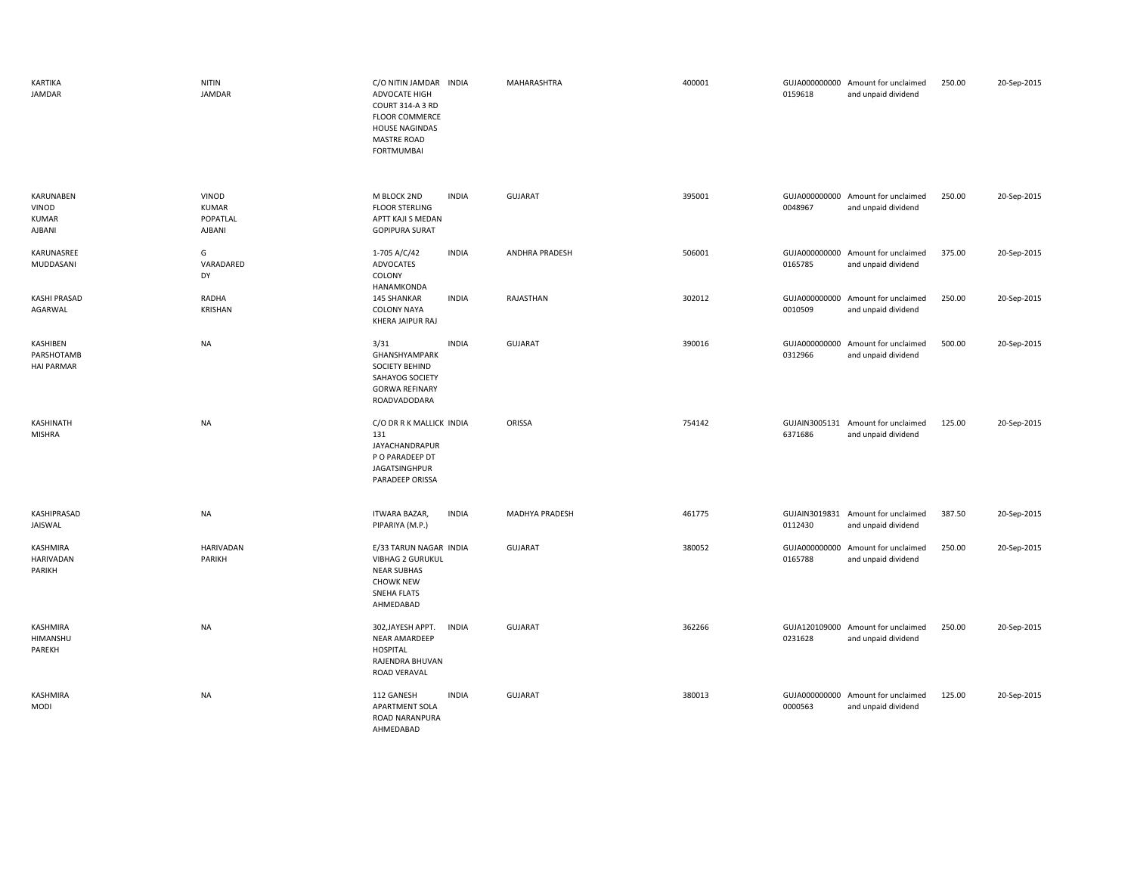| KARTIKA<br>JAMDAR                            | <b>NITIN</b><br><b>JAMDAR</b>               | C/O NITIN JAMDAR INDIA<br>ADVOCATE HIGH<br><b>COURT 314-A 3 RD</b><br><b>FLOOR COMMERCE</b><br><b>HOUSE NAGINDAS</b><br>MASTRE ROAD<br><b>FORTMUMBAI</b> | MAHARASHTRA           | 400001 | 0159618                  | GUJA000000000 Amount for unclaimed<br>and unpaid dividend | 250.00 | 20-Sep-2015 |
|----------------------------------------------|---------------------------------------------|----------------------------------------------------------------------------------------------------------------------------------------------------------|-----------------------|--------|--------------------------|-----------------------------------------------------------|--------|-------------|
| KARUNABEN<br>VINOD<br><b>KUMAR</b><br>AJBANI | VINOD<br><b>KUMAR</b><br>POPATLAL<br>AJBANI | <b>INDIA</b><br>M BLOCK 2ND<br><b>FLOOR STERLING</b><br>APTT KAJI S MEDAN<br><b>GOPIPURA SURAT</b>                                                       | GUJARAT               | 395001 | GUJA000000000<br>0048967 | Amount for unclaimed<br>and unpaid dividend               | 250.00 | 20-Sep-2015 |
| KARUNASREE<br>MUDDASANI                      | G<br>VARADARED<br>DY                        | <b>INDIA</b><br>1-705 A/C/42<br>ADVOCATES<br>COLONY<br>HANAMKONDA                                                                                        | <b>ANDHRA PRADESH</b> | 506001 | 0165785                  | GUJA000000000 Amount for unclaimed<br>and unpaid dividend | 375.00 | 20-Sep-2015 |
| <b>KASHI PRASAD</b><br>AGARWAL               | RADHA<br><b>KRISHAN</b>                     | 145 SHANKAR<br><b>INDIA</b><br><b>COLONY NAYA</b><br><b>KHERA JAIPUR RAJ</b>                                                                             | RAJASTHAN             | 302012 | 0010509                  | GUJA000000000 Amount for unclaimed<br>and unpaid dividend | 250.00 | 20-Sep-2015 |
| KASHIBEN<br>PARSHOTAMB<br><b>HAI PARMAR</b>  | <b>NA</b>                                   | <b>INDIA</b><br>3/31<br>GHANSHYAMPARK<br>SOCIETY BEHIND<br>SAHAYOG SOCIETY<br><b>GORWA REFINARY</b><br>ROADVADODARA                                      | GUJARAT               | 390016 | GUJA000000000<br>0312966 | Amount for unclaimed<br>and unpaid dividend               | 500.00 | 20-Sep-2015 |
| KASHINATH<br><b>MISHRA</b>                   | <b>NA</b>                                   | C/O DR R K MALLICK INDIA<br>131<br><b>JAYACHANDRAPUR</b><br>P O PARADEEP DT<br>JAGATSINGHPUR<br>PARADEEP ORISSA                                          | ORISSA                | 754142 | 6371686                  | GUJAIN3005131 Amount for unclaimed<br>and unpaid dividend | 125.00 | 20-Sep-2015 |
| KASHIPRASAD<br>JAISWAL                       | <b>NA</b>                                   | <b>ITWARA BAZAR,</b><br><b>INDIA</b><br>PIPARIYA (M.P.)                                                                                                  | <b>MADHYA PRADESH</b> | 461775 | GUJAIN3019831<br>0112430 | Amount for unclaimed<br>and unpaid dividend               | 387.50 | 20-Sep-2015 |
| KASHMIRA<br><b>HARIVADAN</b><br>PARIKH       | <b>HARIVADAN</b><br>PARIKH                  | E/33 TARUN NAGAR INDIA<br><b>VIBHAG 2 GURUKUL</b><br><b>NEAR SUBHAS</b><br><b>CHOWK NEW</b><br><b>SNEHA FLATS</b><br>AHMEDABAD                           | GUJARAT               | 380052 | GUJA000000000<br>0165788 | Amount for unclaimed<br>and unpaid dividend               | 250.00 | 20-Sep-2015 |
| KASHMIRA<br>HIMANSHU<br>PAREKH               | <b>NA</b>                                   | 302, JAYESH APPT.<br><b>INDIA</b><br><b>NEAR AMARDEEP</b><br><b>HOSPITAL</b><br>RAJENDRA BHUVAN<br>ROAD VERAVAL                                          | GUJARAT               | 362266 | 0231628                  | GUJA120109000 Amount for unclaimed<br>and unpaid dividend | 250.00 | 20-Sep-2015 |
| KASHMIRA<br><b>MODI</b>                      | <b>NA</b>                                   | 112 GANESH<br><b>INDIA</b><br>APARTMENT SOLA<br>ROAD NARANPURA<br>AHMEDABAD                                                                              | GUJARAT               | 380013 | 0000563                  | GUJA000000000 Amount for unclaimed<br>and unpaid dividend | 125.00 | 20-Sep-2015 |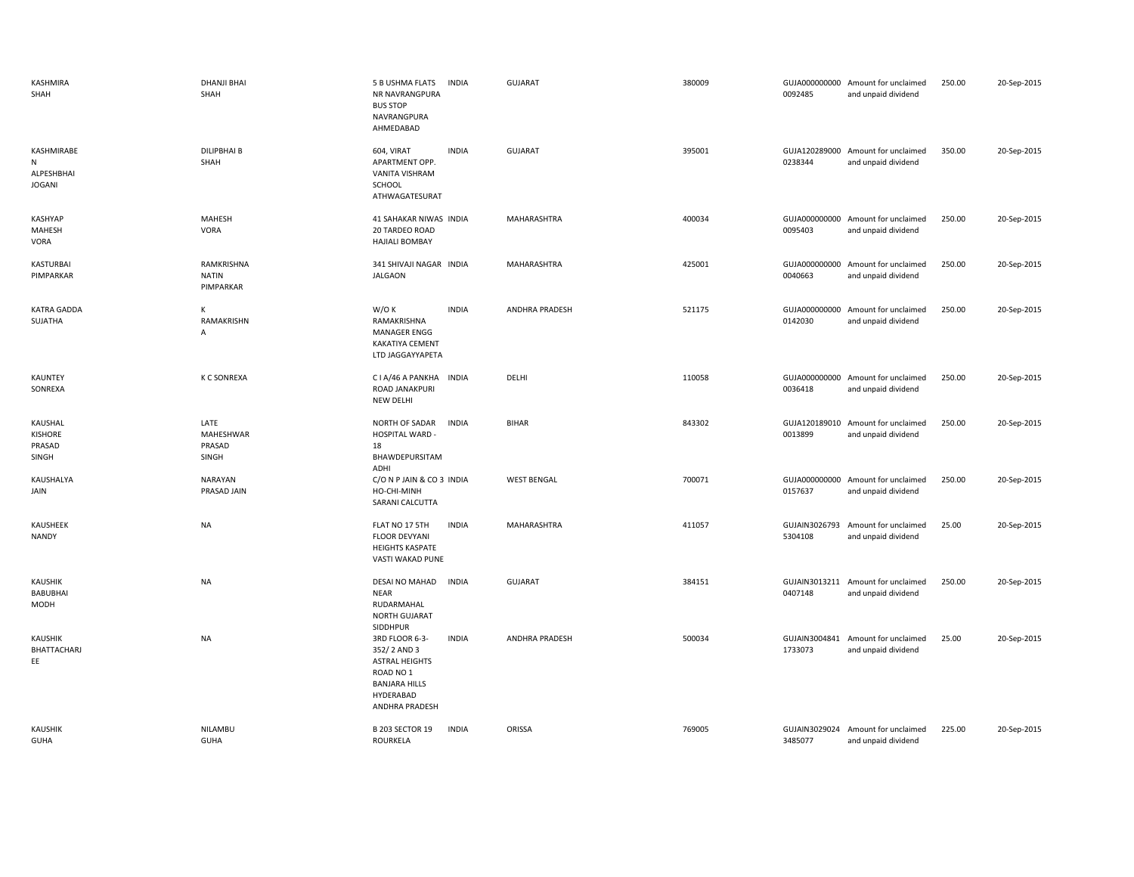| KASHMIRA<br>SHAH                               | <b>DHANJI BHAI</b><br>SHAH              | 5 B USHMA FLATS<br><b>INDIA</b><br>NR NAVRANGPURA<br><b>BUS STOP</b><br>NAVRANGPURA<br>AHMEDABAD                                                       |              | GUJARAT               | 380009 | 0092485                  | GUJA000000000 Amount for unclaimed<br>and unpaid dividend | 250.00 | 20-Sep-2015 |
|------------------------------------------------|-----------------------------------------|--------------------------------------------------------------------------------------------------------------------------------------------------------|--------------|-----------------------|--------|--------------------------|-----------------------------------------------------------|--------|-------------|
| KASHMIRABE<br>N<br>ALPESHBHAI<br><b>JOGANI</b> | <b>DILIPBHAI B</b><br>SHAH              | 604, VIRAT<br><b>INDIA</b><br>APARTMENT OPP.<br>VANITA VISHRAM<br>SCHOOL<br>ATHWAGATESURAT                                                             |              | <b>GUJARAT</b>        | 395001 | 0238344                  | GUJA120289000 Amount for unclaimed<br>and unpaid dividend | 350.00 | 20-Sep-2015 |
| KASHYAP<br>MAHESH<br>VORA                      | MAHESH<br>VORA                          | 41 SAHAKAR NIWAS INDIA<br>20 TARDEO ROAD<br><b>HAJIALI BOMBAY</b>                                                                                      |              | MAHARASHTRA           | 400034 | 0095403                  | GUJA000000000 Amount for unclaimed<br>and unpaid dividend | 250.00 | 20-Sep-2015 |
| KASTURBAI<br>PIMPARKAR                         | RAMKRISHNA<br><b>NATIN</b><br>PIMPARKAR | 341 SHIVAJI NAGAR INDIA<br><b>JALGAON</b>                                                                                                              |              | MAHARASHTRA           | 425001 | 0040663                  | GUJA000000000 Amount for unclaimed<br>and unpaid dividend | 250.00 | 20-Sep-2015 |
| <b>KATRA GADDA</b><br>SUJATHA                  | K<br>RAMAKRISHN<br>A                    | W/O K<br><b>INDIA</b><br>RAMAKRISHNA<br><b>MANAGER ENGG</b><br><b>KAKATIYA CEMENT</b><br>LTD JAGGAYYAPETA                                              |              | <b>ANDHRA PRADESH</b> | 521175 | GUJA000000000<br>0142030 | Amount for unclaimed<br>and unpaid dividend               | 250.00 | 20-Sep-2015 |
| KAUNTEY<br>SONREXA                             | K C SONREXA                             | CIA/46 A PANKHA<br><b>INDIA</b><br>ROAD JANAKPURI<br>NEW DELHI                                                                                         |              | DELHI                 | 110058 | GUJA000000000<br>0036418 | Amount for unclaimed<br>and unpaid dividend               | 250.00 | 20-Sep-2015 |
| KAUSHAL<br>KISHORE<br>PRASAD<br>SINGH          | LATE<br>MAHESHWAR<br>PRASAD<br>SINGH    | NORTH OF SADAR<br><b>INDIA</b><br>HOSPITAL WARD -<br>18<br>BHAWDEPURSITAM<br>ADHI                                                                      |              | <b>BIHAR</b>          | 843302 | GUJA120189010<br>0013899 | Amount for unclaimed<br>and unpaid dividend               | 250.00 | 20-Sep-2015 |
| KAUSHALYA<br>JAIN                              | <b>NARAYAN</b><br>PRASAD JAIN           | C/O N P JAIN & CO 3 INDIA<br>HO-CHI-MINH<br>SARANI CALCUTTA                                                                                            |              | <b>WEST BENGAL</b>    | 700071 | 0157637                  | GUJA000000000 Amount for unclaimed<br>and unpaid dividend | 250.00 | 20-Sep-2015 |
| KAUSHEEK<br>NANDY                              | <b>NA</b>                               | FLAT NO 17 5TH<br><b>FLOOR DEVYANI</b><br><b>HEIGHTS KASPATE</b><br>VASTI WAKAD PUNE                                                                   | <b>INDIA</b> | MAHARASHTRA           | 411057 | GUJAIN3026793<br>5304108 | Amount for unclaimed<br>and unpaid dividend               | 25.00  | 20-Sep-2015 |
| <b>KAUSHIK</b><br>BABUBHAI<br>MODH             | <b>NA</b>                               | DESAI NO MAHAD<br><b>INDIA</b><br><b>NEAR</b><br>RUDARMAHAL<br>NORTH GUJARAT                                                                           |              | GUJARAT               | 384151 | 0407148                  | GUJAIN3013211 Amount for unclaimed<br>and unpaid dividend | 250.00 | 20-Sep-2015 |
| KAUSHIK<br>BHATTACHARJ<br>EE                   | <b>NA</b>                               | SIDDHPUR<br>3RD FLOOR 6-3-<br><b>INDIA</b><br>352/2 AND 3<br><b>ASTRAL HEIGHTS</b><br>ROAD NO 1<br><b>BANJARA HILLS</b><br>HYDERABAD<br>ANDHRA PRADESH |              | <b>ANDHRA PRADESH</b> | 500034 | GUJAIN3004841<br>1733073 | Amount for unclaimed<br>and unpaid dividend               | 25.00  | 20-Sep-2015 |
| <b>KAUSHIK</b><br><b>GUHA</b>                  | NILAMBU<br><b>GUHA</b>                  | <b>B 203 SECTOR 19</b><br><b>INDIA</b><br>ROURKELA                                                                                                     |              | ORISSA                | 769005 | 3485077                  | GUJAIN3029024 Amount for unclaimed<br>and unpaid dividend | 225.00 | 20-Sep-2015 |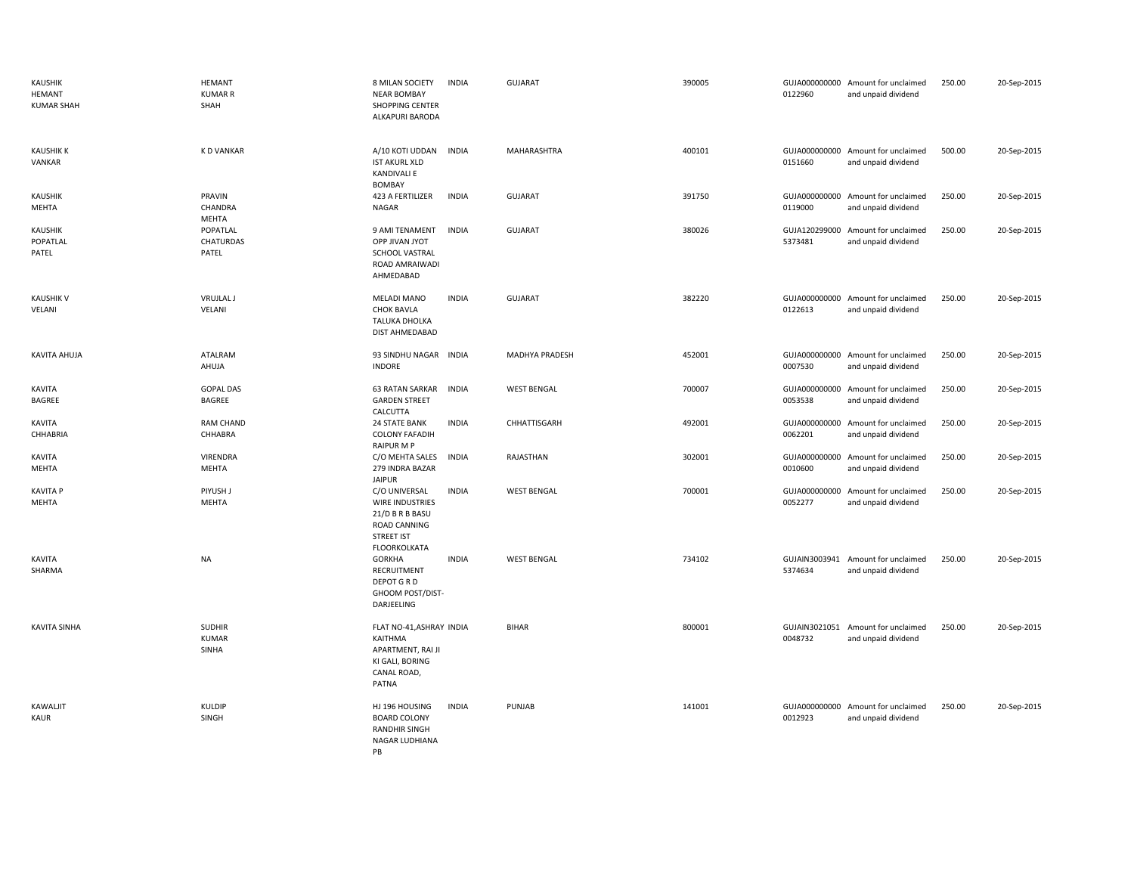| KAUSHIK<br>HEMANT<br><b>KUMAR SHAH</b> | <b>HEMANT</b><br><b>KUMAR R</b><br>SHAH | 8 MILAN SOCIETY<br><b>NEAR BOMBAY</b><br>SHOPPING CENTER<br>ALKAPURI BARODA                                     | <b>INDIA</b> | GUJARAT            | 390005 | 0122960                  | GUJA000000000 Amount for unclaimed<br>and unpaid dividend | 250.00 | 20-Sep-2015 |
|----------------------------------------|-----------------------------------------|-----------------------------------------------------------------------------------------------------------------|--------------|--------------------|--------|--------------------------|-----------------------------------------------------------|--------|-------------|
| <b>KAUSHIK K</b><br>VANKAR             | <b>KD VANKAR</b>                        | A/10 KOTI UDDAN<br><b>IST AKURL XLD</b><br><b>KANDIVALI E</b><br><b>BOMBAY</b>                                  | <b>INDIA</b> | MAHARASHTRA        | 400101 | 0151660                  | GUJA000000000 Amount for unclaimed<br>and unpaid dividend | 500.00 | 20-Sep-2015 |
| <b>KAUSHIK</b><br>MEHTA                | PRAVIN<br>CHANDRA<br>MEHTA              | 423 A FERTILIZER<br><b>NAGAR</b>                                                                                | <b>INDIA</b> | GUJARAT            | 391750 | 0119000                  | GUJA000000000 Amount for unclaimed<br>and unpaid dividend | 250.00 | 20-Sep-2015 |
| KAUSHIK<br>POPATLAL<br>PATEL           | POPATLAL<br>CHATURDAS<br>PATEL          | 9 AMI TENAMENT<br><b>OPP JIVAN JYOT</b><br>SCHOOL VASTRAL<br>ROAD AMRAIWADI<br>AHMEDABAD                        | <b>INDIA</b> | GUJARAT            | 380026 | GUJA120299000<br>5373481 | Amount for unclaimed<br>and unpaid dividend               | 250.00 | 20-Sep-2015 |
| <b>KAUSHIK V</b><br>VELANI             | <b>VRUJLAL J</b><br>VELANI              | <b>MELADI MANO</b><br><b>CHOK BAVLA</b><br>TALUKA DHOLKA<br>DIST AHMEDABAD                                      | <b>INDIA</b> | <b>GUJARAT</b>     | 382220 | 0122613                  | GUJA000000000 Amount for unclaimed<br>and unpaid dividend | 250.00 | 20-Sep-2015 |
| KAVITA AHUJA                           | ATALRAM<br>AHUJA                        | 93 SINDHU NAGAR INDIA<br><b>INDORE</b>                                                                          |              | MADHYA PRADESH     | 452001 | 0007530                  | GUJA000000000 Amount for unclaimed<br>and unpaid dividend | 250.00 | 20-Sep-2015 |
| KAVITA<br>BAGREE                       | <b>GOPAL DAS</b><br>BAGREE              | 63 RATAN SARKAR<br><b>GARDEN STREET</b><br>CALCUTTA                                                             | <b>INDIA</b> | <b>WEST BENGAL</b> | 700007 | GUJA000000000<br>0053538 | Amount for unclaimed<br>and unpaid dividend               | 250.00 | 20-Sep-2015 |
| KAVITA<br>CHHABRIA                     | <b>RAM CHAND</b><br>CHHABRA             | <b>24 STATE BANK</b><br><b>COLONY FAFADIH</b><br>RAIPUR M P                                                     | <b>INDIA</b> | CHHATTISGARH       | 492001 | GUJA000000000<br>0062201 | Amount for unclaimed<br>and unpaid dividend               | 250.00 | 20-Sep-2015 |
| KAVITA<br>MEHTA                        | VIRENDRA<br>MEHTA                       | C/O MEHTA SALES<br>279 INDRA BAZAR<br><b>JAIPUR</b>                                                             | INDIA        | RAJASTHAN          | 302001 | 0010600                  | GUJA000000000 Amount for unclaimed<br>and unpaid dividend | 250.00 | 20-Sep-2015 |
| <b>KAVITA P</b><br>MEHTA               | PIYUSH J<br><b>MEHTA</b>                | C/O UNIVERSAL<br><b>WIRE INDUSTRIES</b><br>21/D B R B BASU<br>ROAD CANNING<br><b>STREET IST</b><br>FLOORKOLKATA | <b>INDIA</b> | <b>WEST BENGAL</b> | 700001 | 0052277                  | GUJA000000000 Amount for unclaimed<br>and unpaid dividend | 250.00 | 20-Sep-2015 |
| KAVITA<br>SHARMA                       | <b>NA</b>                               | <b>GORKHA</b><br>RECRUITMENT<br>DEPOT G R D<br>GHOOM POST/DIST-<br>DARJEELING                                   | <b>INDIA</b> | <b>WEST BENGAL</b> | 734102 | GUJAIN3003941<br>5374634 | Amount for unclaimed<br>and unpaid dividend               | 250.00 | 20-Sep-2015 |
| <b>KAVITA SINHA</b>                    | <b>SUDHIR</b><br><b>KUMAR</b><br>SINHA  | FLAT NO-41, ASHRAY INDIA<br>KAITHMA<br>APARTMENT, RAI JI<br>KI GALI, BORING<br>CANAL ROAD,<br>PATNA             |              | <b>BIHAR</b>       | 800001 | GUJAIN3021051<br>0048732 | Amount for unclaimed<br>and unpaid dividend               | 250.00 | 20-Sep-2015 |
| KAWALJIT<br>KAUR                       | <b>KULDIP</b><br>SINGH                  | HJ 196 HOUSING<br><b>BOARD COLONY</b><br><b>RANDHIR SINGH</b><br>NAGAR LUDHIANA                                 | <b>INDIA</b> | PUNJAB             | 141001 | 0012923                  | GUJA000000000 Amount for unclaimed<br>and unpaid dividend | 250.00 | 20-Sep-2015 |

PB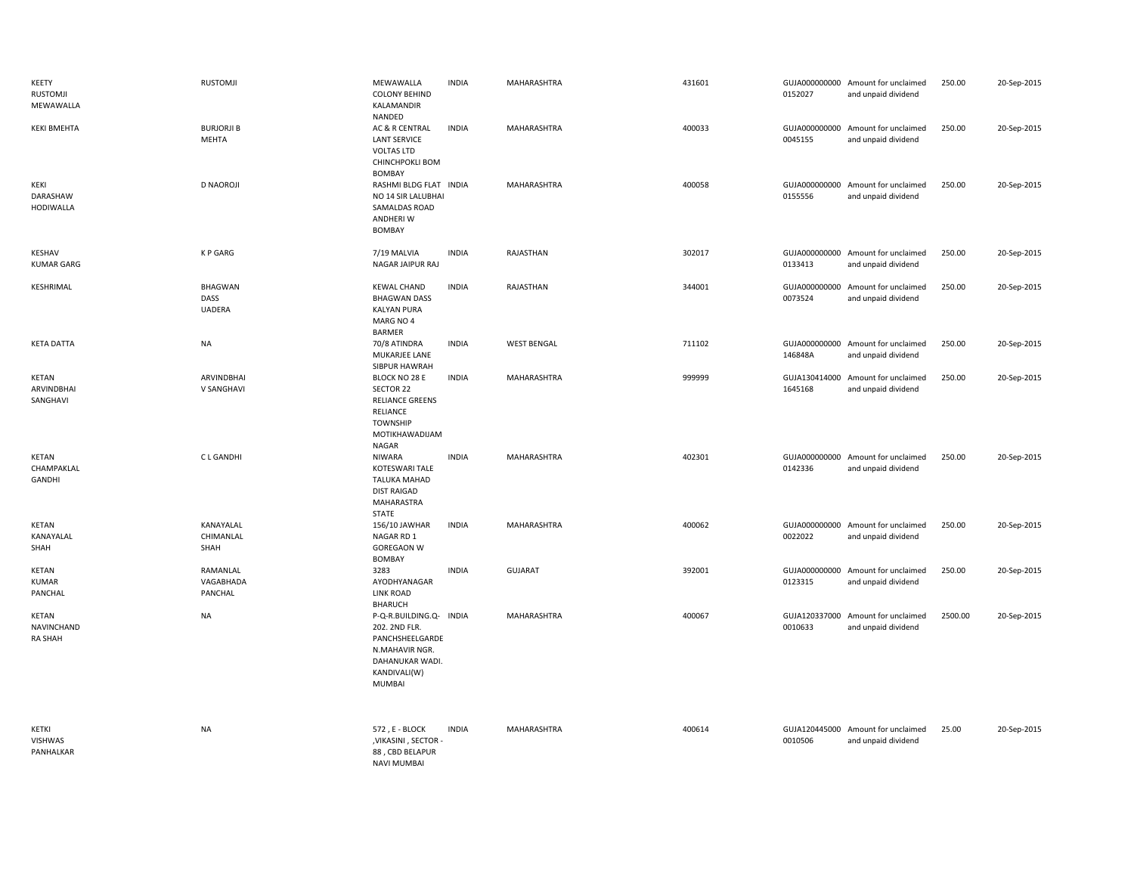| KEETY<br>RUSTOMJI<br>MEWAWALLA         | <b>RUSTOMJI</b>                         | MEWAWALLA<br><b>COLONY BEHIND</b><br>KALAMANDIR<br>NANDED                                                                  | <b>INDIA</b> | MAHARASHTRA        | 431601 | 0152027                  | GUJA000000000 Amount for unclaimed<br>and unpaid dividend | 250.00  | 20-Sep-2015 |
|----------------------------------------|-----------------------------------------|----------------------------------------------------------------------------------------------------------------------------|--------------|--------------------|--------|--------------------------|-----------------------------------------------------------|---------|-------------|
| <b>KEKI BMEHTA</b>                     | <b>BURJORJI B</b><br><b>MEHTA</b>       | AC & R CENTRAL<br><b>LANT SERVICE</b><br><b>VOLTAS LTD</b><br>CHINCHPOKLI BOM<br><b>BOMBAY</b>                             | <b>INDIA</b> | MAHARASHTRA        | 400033 | GUJA000000000<br>0045155 | Amount for unclaimed<br>and unpaid dividend               | 250.00  | 20-Sep-2015 |
| KEKI<br>DARASHAW<br><b>HODIWALLA</b>   | <b>D NAOROJI</b>                        | RASHMI BLDG FLAT INDIA<br>NO 14 SIR LALUBHAI<br>SAMALDAS ROAD<br>ANDHERI W<br>BOMBAY                                       |              | MAHARASHTRA        | 400058 | GUJA000000000<br>0155556 | Amount for unclaimed<br>and unpaid dividend               | 250.00  | 20-Sep-2015 |
| KESHAV<br><b>KUMAR GARG</b>            | K P GARG                                | 7/19 MALVIA<br>NAGAR JAIPUR RAJ                                                                                            | <b>INDIA</b> | RAJASTHAN          | 302017 | 0133413                  | GUJA000000000 Amount for unclaimed<br>and unpaid dividend | 250.00  | 20-Sep-2015 |
| KESHRIMAL                              | <b>BHAGWAN</b><br>DASS<br><b>UADERA</b> | <b>KEWAL CHAND</b><br><b>BHAGWAN DASS</b><br><b>KALYAN PURA</b><br>MARG NO 4<br><b>BARMER</b>                              | <b>INDIA</b> | RAJASTHAN          | 344001 | 0073524                  | GUJA000000000 Amount for unclaimed<br>and unpaid dividend | 250.00  | 20-Sep-2015 |
| <b>KETA DATTA</b>                      | <b>NA</b>                               | 70/8 ATINDRA<br>MUKARJEE LANE<br>SIBPUR HAWRAH                                                                             | <b>INDIA</b> | <b>WEST BENGAL</b> | 711102 | 146848A                  | GUJA000000000 Amount for unclaimed<br>and unpaid dividend | 250.00  | 20-Sep-2015 |
| <b>KETAN</b><br>ARVINDBHAI<br>SANGHAVI | ARVINDBHAI<br>V SANGHAVI                | BLOCK NO 28 E<br>SECTOR 22<br><b>RELIANCE GREENS</b><br>RELIANCE<br><b>TOWNSHIP</b><br>MOTIKHAWADIJAM<br>NAGAR             | <b>INDIA</b> | MAHARASHTRA        | 999999 | GUJA130414000<br>1645168 | Amount for unclaimed<br>and unpaid dividend               | 250.00  | 20-Sep-2015 |
| <b>KETAN</b><br>CHAMPAKLAL<br>GANDHI   | C L GANDHI                              | <b>NIWARA</b><br>KOTESWARI TALE<br>TALUKA MAHAD<br><b>DIST RAIGAD</b><br>MAHARASTRA<br>STATE                               | <b>INDIA</b> | MAHARASHTRA        | 402301 | 0142336                  | GUJA000000000 Amount for unclaimed<br>and unpaid dividend | 250.00  | 20-Sep-2015 |
| <b>KETAN</b><br>KANAYALAL<br>SHAH      | KANAYALAL<br>CHIMANLAL<br>SHAH          | 156/10 JAWHAR<br>NAGAR RD 1<br><b>GOREGAON W</b><br><b>BOMBAY</b>                                                          | <b>INDIA</b> | MAHARASHTRA        | 400062 | 0022022                  | GUJA000000000 Amount for unclaimed<br>and unpaid dividend | 250.00  | 20-Sep-2015 |
| KETAN<br><b>KUMAR</b><br>PANCHAL       | RAMANLAL<br>VAGABHADA<br>PANCHAL        | 3283<br>AYODHYANAGAR<br><b>LINK ROAD</b><br><b>BHARUCH</b>                                                                 | <b>INDIA</b> | GUJARAT            | 392001 | 0123315                  | GUJA000000000 Amount for unclaimed<br>and unpaid dividend | 250.00  | 20-Sep-2015 |
| KETAN<br>NAVINCHAND<br><b>RA SHAH</b>  | NA                                      | P-Q-R.BUILDING.Q- INDIA<br>202. 2ND FLR.<br>PANCHSHEELGARDE<br>N.MAHAVIR NGR.<br>DAHANUKAR WADI.<br>KANDIVALI(W)<br>MUMBAI |              | MAHARASHTRA        | 400067 | 0010633                  | GUJA120337000 Amount for unclaimed<br>and unpaid dividend | 2500.00 | 20-Sep-2015 |
| KETKI<br><b>VISHWAS</b><br>PANHALKAR   | <b>NA</b>                               | 572, E - BLOCK<br>, VIKASINI, SECTOR<br>88, CBD BELAPUR<br><b>NAVI MUMBAI</b>                                              | <b>INDIA</b> | MAHARASHTRA        | 400614 | 0010506                  | GUJA120445000 Amount for unclaimed<br>and unpaid dividend | 25.00   | 20-Sep-2015 |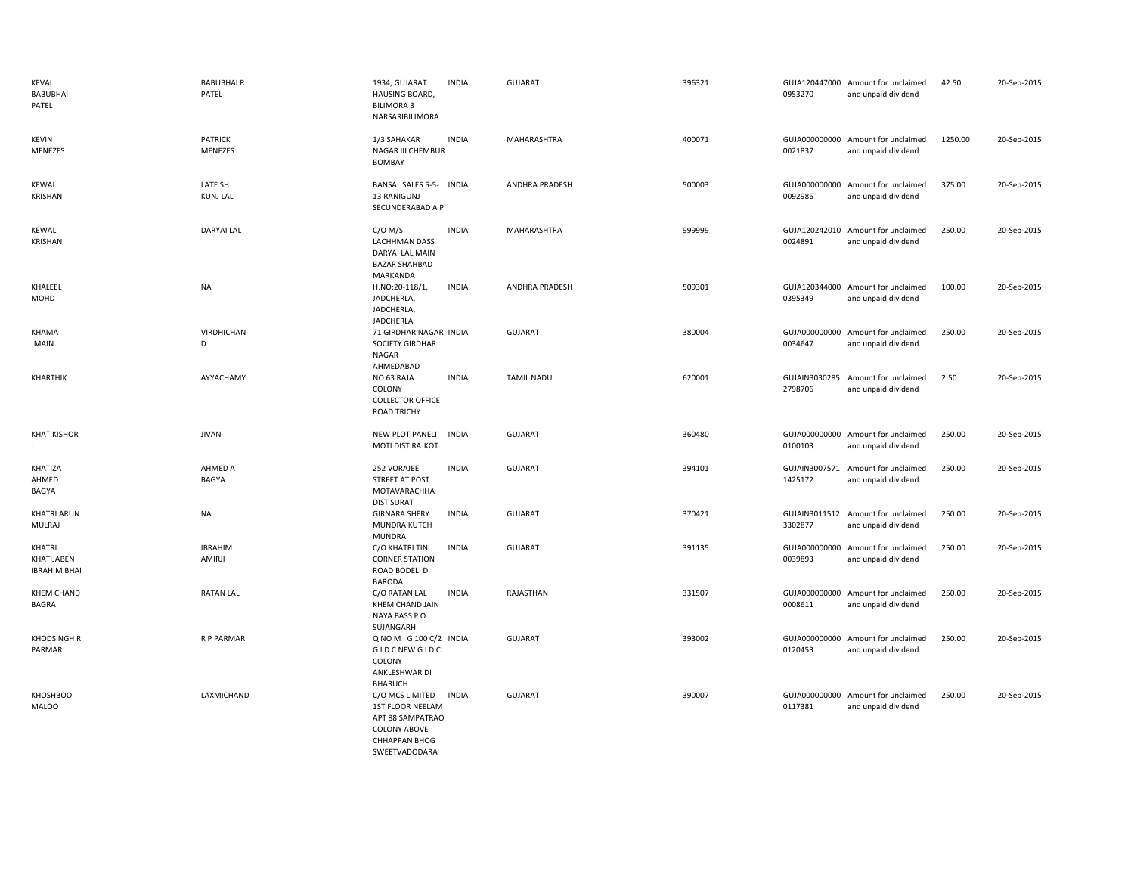| <b>KEVAL</b><br><b>BABUBHAI</b><br>PATEL    | <b>BABUBHAIR</b><br>PATEL  | 1934, GUJARAT<br>HAUSING BOARD,<br><b>BILIMORA 3</b><br>NARSARIBILIMORA                                                 | <b>INDIA</b> | GUJARAT               | 396321 | 0953270                  | GUJA120447000 Amount for unclaimed<br>and unpaid dividend | 42.50   | 20-Sep-2015 |
|---------------------------------------------|----------------------------|-------------------------------------------------------------------------------------------------------------------------|--------------|-----------------------|--------|--------------------------|-----------------------------------------------------------|---------|-------------|
| <b>KEVIN</b><br>MENEZES                     | <b>PATRICK</b><br>MENEZES  | 1/3 SAHAKAR<br>NAGAR III CHEMBUR<br><b>BOMBAY</b>                                                                       | <b>INDIA</b> | MAHARASHTRA           | 400071 | 0021837                  | GUJA000000000 Amount for unclaimed<br>and unpaid dividend | 1250.00 | 20-Sep-2015 |
| <b>KEWAL</b><br>KRISHAN                     | LATE SH<br><b>KUNJ LAL</b> | BANSAL SALES 5-5- INDIA<br>13 RANIGUNJ<br>SECUNDERABAD A P                                                              |              | <b>ANDHRA PRADESH</b> | 500003 | GUJA000000000<br>0092986 | Amount for unclaimed<br>and unpaid dividend               | 375.00  | 20-Sep-2015 |
| <b>KEWAL</b><br>KRISHAN                     | <b>DARYAI LAL</b>          | $C/O$ M/S<br><b>LACHHMAN DASS</b><br>DARYAI LAL MAIN<br><b>BAZAR SHAHBAD</b><br>MARKANDA                                | <b>INDIA</b> | MAHARASHTRA           | 999999 | 0024891                  | GUJA120242010 Amount for unclaimed<br>and unpaid dividend | 250.00  | 20-Sep-2015 |
| KHALEEL<br>MOHD                             | NA                         | H.NO:20-118/1,<br>JADCHERLA,<br>JADCHERLA,<br><b>JADCHERLA</b>                                                          | <b>INDIA</b> | ANDHRA PRADESH        | 509301 | 0395349                  | GUJA120344000 Amount for unclaimed<br>and unpaid dividend | 100.00  | 20-Sep-2015 |
| KHAMA<br><b>JMAIN</b>                       | VIRDHICHAN<br>D            | 71 GIRDHAR NAGAR INDIA<br>SOCIETY GIRDHAR<br>NAGAR<br>AHMEDABAD                                                         |              | GUJARAT               | 380004 | 0034647                  | GUJA000000000 Amount for unclaimed<br>and unpaid dividend | 250.00  | 20-Sep-2015 |
| KHARTHIK                                    | AYYACHAMY                  | NO 63 RAJA<br>COLONY<br><b>COLLECTOR OFFICE</b><br><b>ROAD TRICHY</b>                                                   | <b>INDIA</b> | <b>TAMIL NADU</b>     | 620001 | 2798706                  | GUJAIN3030285 Amount for unclaimed<br>and unpaid dividend | 2.50    | 20-Sep-2015 |
| <b>KHAT KISHOR</b><br>$\mathbf{I}$          | <b>JIVAN</b>               | NEW PLOT PANELI<br>MOTI DIST RAJKOT                                                                                     | <b>INDIA</b> | <b>GUJARAT</b>        | 360480 | 0100103                  | GUJA000000000 Amount for unclaimed<br>and unpaid dividend | 250.00  | 20-Sep-2015 |
| KHATIZA<br>AHMED<br>BAGYA                   | AHMED A<br>BAGYA           | 252 VORAJEE<br>STREET AT POST<br>MOTAVARACHHA<br><b>DIST SURAT</b>                                                      | <b>INDIA</b> | <b>GUJARAT</b>        | 394101 | 1425172                  | GUJAIN3007571 Amount for unclaimed<br>and unpaid dividend | 250.00  | 20-Sep-2015 |
| <b>KHATRI ARUN</b><br><b>MULRAJ</b>         | <b>NA</b>                  | <b>GIRNARA SHERY</b><br>MUNDRA KUTCH<br><b>MUNDRA</b>                                                                   | <b>INDIA</b> | <b>GUJARAT</b>        | 370421 | 3302877                  | GUJAIN3011512 Amount for unclaimed<br>and unpaid dividend | 250.00  | 20-Sep-2015 |
| KHATRI<br>KHATIJABEN<br><b>IBRAHIM BHAI</b> | <b>IBRAHIM</b><br>AMIRJI   | C/O KHATRI TIN<br><b>CORNER STATION</b><br>ROAD BODELI D<br><b>BARODA</b>                                               | <b>INDIA</b> | GUJARAT               | 391135 | GUJA000000000<br>0039893 | Amount for unclaimed<br>and unpaid dividend               | 250.00  | 20-Sep-2015 |
| <b>KHEM CHAND</b><br>BAGRA                  | <b>RATAN LAL</b>           | C/O RATAN LAL<br>KHEM CHAND JAIN<br>NAYA BASS PO<br>SUJANGARH                                                           | <b>INDIA</b> | RAJASTHAN             | 331507 | 0008611                  | GUJA000000000 Amount for unclaimed<br>and unpaid dividend | 250.00  | 20-Sep-2015 |
| <b>KHODSINGH R</b><br>PARMAR                | R P PARMAR                 | Q NO M I G 100 C/2 INDIA<br>GIDCNEW GIDC<br>COLONY<br>ANKLESHWAR DI<br><b>BHARUCH</b>                                   |              | <b>GUJARAT</b>        | 393002 | GUJA000000000<br>0120453 | Amount for unclaimed<br>and unpaid dividend               | 250.00  | 20-Sep-2015 |
| <b>KHOSHBOO</b><br><b>MALOO</b>             | LAXMICHAND                 | C/O MCS LIMITED<br>1ST FLOOR NEELAM<br>APT 88 SAMPATRAO<br><b>COLONY ABOVE</b><br><b>CHHAPPAN BHOG</b><br>SWEETVADODARA | INDIA        | <b>GUJARAT</b>        | 390007 | GUJA000000000<br>0117381 | Amount for unclaimed<br>and unpaid dividend               | 250.00  | 20-Sep-2015 |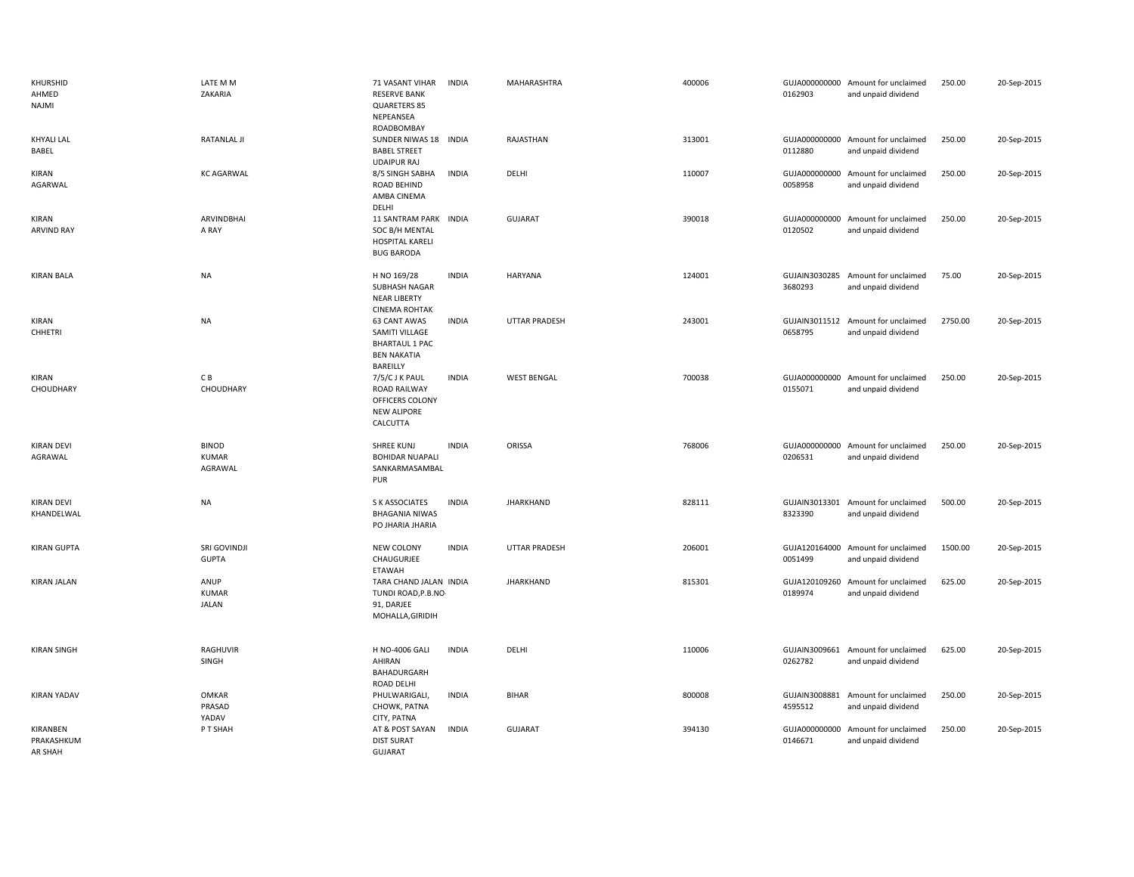| KHURSHID<br>AHMED<br>NAJMI        | LATE M M<br>ZAKARIA                  | 71 VASANT VIHAR<br><b>RESERVE BANK</b><br>QUARETERS 85<br>NEPEANSEA<br>ROADBOMBAY         | <b>INDIA</b> | MAHARASHTRA          | 400006 | 0162903                  | GUJA000000000 Amount for unclaimed<br>and unpaid dividend | 250.00  | 20-Sep-2015 |
|-----------------------------------|--------------------------------------|-------------------------------------------------------------------------------------------|--------------|----------------------|--------|--------------------------|-----------------------------------------------------------|---------|-------------|
| <b>KHYALI LAL</b><br>BABEL        | <b>RATANLAL JI</b>                   | SUNDER NIWAS 18 INDIA<br><b>BABEL STREET</b><br><b>UDAIPUR RAJ</b>                        |              | RAJASTHAN            | 313001 | 0112880                  | GUJA000000000 Amount for unclaimed<br>and unpaid dividend | 250.00  | 20-Sep-2015 |
| KIRAN<br>AGARWAL                  | <b>KC AGARWAL</b>                    | 8/5 SINGH SABHA<br>ROAD BEHIND<br>AMBA CINEMA<br>DELHI                                    | <b>INDIA</b> | DELHI                | 110007 | 0058958                  | GUJA000000000 Amount for unclaimed<br>and unpaid dividend | 250.00  | 20-Sep-2015 |
| KIRAN<br><b>ARVIND RAY</b>        | ARVINDBHAI<br>A RAY                  | <b>11 SANTRAM PARK</b><br>SOC B/H MENTAL<br>HOSPITAL KARELI<br><b>BUG BARODA</b>          | <b>INDIA</b> | <b>GUJARAT</b>       | 390018 | 0120502                  | GUJA000000000 Amount for unclaimed<br>and unpaid dividend | 250.00  | 20-Sep-2015 |
| <b>KIRAN BALA</b>                 | NA                                   | H NO 169/28<br>SUBHASH NAGAR<br><b>NEAR LIBERTY</b><br><b>CINEMA ROHTAK</b>               | <b>INDIA</b> | <b>HARYANA</b>       | 124001 | 3680293                  | GUJAIN3030285 Amount for unclaimed<br>and unpaid dividend | 75.00   | 20-Sep-2015 |
| <b>KIRAN</b><br>CHHETRI           | NA                                   | 63 CANT AWAS<br>SAMITI VILLAGE<br><b>BHARTAUL 1 PAC</b><br><b>BEN NAKATIA</b><br>BAREILLY | <b>INDIA</b> | <b>UTTAR PRADESH</b> | 243001 | 0658795                  | GUJAIN3011512 Amount for unclaimed<br>and unpaid dividend | 2750.00 | 20-Sep-2015 |
| <b>KIRAN</b><br>CHOUDHARY         | СB<br>CHOUDHARY                      | 7/5/CJKPAUL<br>ROAD RAILWAY<br>OFFICERS COLONY<br><b>NEW ALIPORE</b><br>CALCUTTA          | <b>INDIA</b> | <b>WEST BENGAL</b>   | 700038 | 0155071                  | GUJA000000000 Amount for unclaimed<br>and unpaid dividend | 250.00  | 20-Sep-2015 |
| <b>KIRAN DEVI</b><br>AGRAWAL      | <b>BINOD</b><br>KUMAR<br>AGRAWAL     | SHREE KUNJ<br><b>BOHIDAR NUAPALI</b><br>SANKARMASAMBAL<br>PUR                             | <b>INDIA</b> | ORISSA               | 768006 | 0206531                  | GUJA000000000 Amount for unclaimed<br>and unpaid dividend | 250.00  | 20-Sep-2015 |
| <b>KIRAN DEVI</b><br>KHANDELWAL   | NA                                   | S K ASSOCIATES<br><b>BHAGANIA NIWAS</b><br>PO JHARIA JHARIA                               | <b>INDIA</b> | <b>JHARKHAND</b>     | 828111 | 8323390                  | GUJAIN3013301 Amount for unclaimed<br>and unpaid dividend | 500.00  | 20-Sep-2015 |
| <b>KIRAN GUPTA</b>                | SRI GOVINDJI<br><b>GUPTA</b>         | NEW COLONY<br>CHAUGURJEE<br>ETAWAH                                                        | <b>INDIA</b> | <b>UTTAR PRADESH</b> | 206001 | 0051499                  | GUJA120164000 Amount for unclaimed<br>and unpaid dividend | 1500.00 | 20-Sep-2015 |
| <b>KIRAN JALAN</b>                | ANUP<br><b>KUMAR</b><br><b>JALAN</b> | TARA CHAND JALAN INDIA<br>TUNDI ROAD, P.B.NO-<br>91, DARJEE<br>MOHALLA, GIRIDIH           |              | <b>JHARKHAND</b>     | 815301 | 0189974                  | GUJA120109260 Amount for unclaimed<br>and unpaid dividend | 625.00  | 20-Sep-2015 |
| <b>KIRAN SINGH</b>                | RAGHUVIR<br>SINGH                    | <b>H NO-4006 GALI</b><br>AHIRAN<br>BAHADURGARH<br>ROAD DELHI                              | <b>INDIA</b> | DELHI                | 110006 | 0262782                  | GUJAIN3009661 Amount for unclaimed<br>and unpaid dividend | 625.00  | 20-Sep-2015 |
| <b>KIRAN YADAV</b>                | <b>OMKAR</b><br>PRASAD<br>YADAV      | PHULWARIGALI,<br>CHOWK, PATNA<br>CITY, PATNA                                              | <b>INDIA</b> | <b>BIHAR</b>         | 800008 | GUJAIN3008881<br>4595512 | Amount for unclaimed<br>and unpaid dividend               | 250.00  | 20-Sep-2015 |
| KIRANBEN<br>PRAKASHKUM<br>AR SHAH | P T SHAH                             | AT & POST SAYAN<br><b>DIST SURAT</b><br><b>GUJARAT</b>                                    | <b>INDIA</b> | <b>GUJARAT</b>       | 394130 | GUJA000000000<br>0146671 | Amount for unclaimed<br>and unpaid dividend               | 250.00  | 20-Sep-2015 |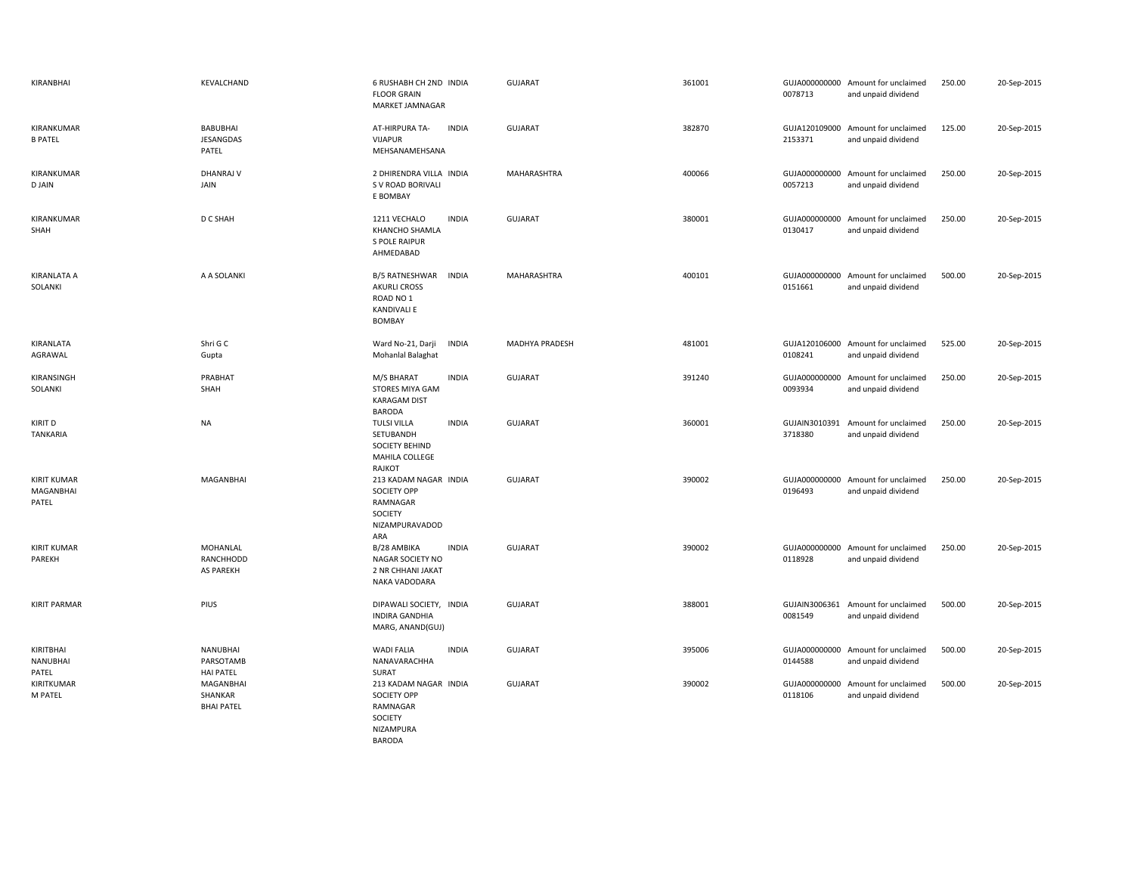| KIRANBHAI                                | KEVALCHAND                                       | 6 RUSHABH CH 2ND INDIA<br><b>FLOOR GRAIN</b><br><b>MARKET JAMNAGAR</b>                               |              | <b>GUJARAT</b> | 361001 | 0078713                  | GUJA000000000 Amount for unclaimed<br>and unpaid dividend | 250.00 | 20-Sep-2015 |
|------------------------------------------|--------------------------------------------------|------------------------------------------------------------------------------------------------------|--------------|----------------|--------|--------------------------|-----------------------------------------------------------|--------|-------------|
| KIRANKUMAR<br><b>B PATEL</b>             | <b>BABUBHAI</b><br>JESANGDAS<br>PATEL            | AT-HIRPURA TA-<br>VIJAPUR<br>MEHSANAMEHSANA                                                          | <b>INDIA</b> | <b>GUJARAT</b> | 382870 | 2153371                  | GUJA120109000 Amount for unclaimed<br>and unpaid dividend | 125.00 | 20-Sep-2015 |
| KIRANKUMAR<br>D JAIN                     | <b>DHANRAJ V</b><br>JAIN                         | 2 DHIRENDRA VILLA INDIA<br>S V ROAD BORIVALI<br>E BOMBAY                                             |              | MAHARASHTRA    | 400066 | 0057213                  | GUJA000000000 Amount for unclaimed<br>and unpaid dividend | 250.00 | 20-Sep-2015 |
| KIRANKUMAR<br>SHAH                       | D C SHAH                                         | 1211 VECHALO<br>KHANCHO SHAMLA<br>S POLE RAIPUR<br>AHMEDABAD                                         | <b>INDIA</b> | <b>GUJARAT</b> | 380001 | 0130417                  | GUJA000000000 Amount for unclaimed<br>and unpaid dividend | 250.00 | 20-Sep-2015 |
| KIRANLATA A<br>SOLANKI                   | A A SOLANKI                                      | B/5 RATNESHWAR<br><b>AKURLI CROSS</b><br>ROAD NO <sub>1</sub><br><b>KANDIVALI E</b><br><b>BOMBAY</b> | <b>INDIA</b> | MAHARASHTRA    | 400101 | 0151661                  | GUJA000000000 Amount for unclaimed<br>and unpaid dividend | 500.00 | 20-Sep-2015 |
| KIRANLATA<br>AGRAWAL                     | Shri G C<br>Gupta                                | Ward No-21, Darji<br>Mohanlal Balaghat                                                               | <b>INDIA</b> | MADHYA PRADESH | 481001 | 0108241                  | GUJA120106000 Amount for unclaimed<br>and unpaid dividend | 525.00 | 20-Sep-2015 |
| KIRANSINGH<br>SOLANKI                    | PRABHAT<br>SHAH                                  | M/S BHARAT<br>STORES MIYA GAM<br><b>KARAGAM DIST</b><br>BARODA                                       | <b>INDIA</b> | <b>GUJARAT</b> | 391240 | GUJA000000000<br>0093934 | Amount for unclaimed<br>and unpaid dividend               | 250.00 | 20-Sep-2015 |
| <b>KIRIT D</b><br><b>TANKARIA</b>        | <b>NA</b>                                        | <b>TULSI VILLA</b><br>SETUBANDH<br>SOCIETY BEHIND<br>MAHILA COLLEGE<br>RAJKOT                        | <b>INDIA</b> | <b>GUJARAT</b> | 360001 | 3718380                  | GUJAIN3010391 Amount for unclaimed<br>and unpaid dividend | 250.00 | 20-Sep-2015 |
| <b>KIRIT KUMAR</b><br>MAGANBHAI<br>PATEL | <b>MAGANBHAI</b>                                 | 213 KADAM NAGAR INDIA<br><b>SOCIETY OPP</b><br>RAMNAGAR<br>SOCIETY<br>NIZAMPURAVADOD<br>ARA          |              | <b>GUJARAT</b> | 390002 | 0196493                  | GUJA000000000 Amount for unclaimed<br>and unpaid dividend | 250.00 | 20-Sep-2015 |
| <b>KIRIT KUMAR</b><br>PAREKH             | MOHANLAL<br>RANCHHODD<br>AS PAREKH               | B/28 AMBIKA<br>NAGAR SOCIETY NO<br>2 NR CHHANI JAKAT<br>NAKA VADODARA                                | <b>INDIA</b> | <b>GUJARAT</b> | 390002 | 0118928                  | GUJA000000000 Amount for unclaimed<br>and unpaid dividend | 250.00 | 20-Sep-2015 |
| <b>KIRIT PARMAR</b>                      | PIUS                                             | DIPAWALI SOCIETY, INDIA<br><b>INDIRA GANDHIA</b><br>MARG, ANAND(GUJ)                                 |              | <b>GUJARAT</b> | 388001 | 0081549                  | GUJAIN3006361 Amount for unclaimed<br>and unpaid dividend | 500.00 | 20-Sep-2015 |
| KIRITBHAI<br><b>NANUBHAI</b><br>PATEL    | <b>NANUBHAI</b><br>PARSOTAMB<br><b>HAI PATEL</b> | <b>WADI FALIA</b><br>NANAVARACHHA<br>SURAT                                                           | <b>INDIA</b> | <b>GUJARAT</b> | 395006 | 0144588                  | GUJA000000000 Amount for unclaimed<br>and unpaid dividend | 500.00 | 20-Sep-2015 |
| KIRITKUMAR<br>M PATEL                    | MAGANBHAI<br>SHANKAR<br><b>BHAI PATEL</b>        | 213 KADAM NAGAR INDIA<br><b>SOCIETY OPP</b><br>RAMNAGAR<br>SOCIETY<br>NIZAMPURA<br><b>BARODA</b>     |              | <b>GUJARAT</b> | 390002 | 0118106                  | GUJA000000000 Amount for unclaimed<br>and unpaid dividend | 500.00 | 20-Sep-2015 |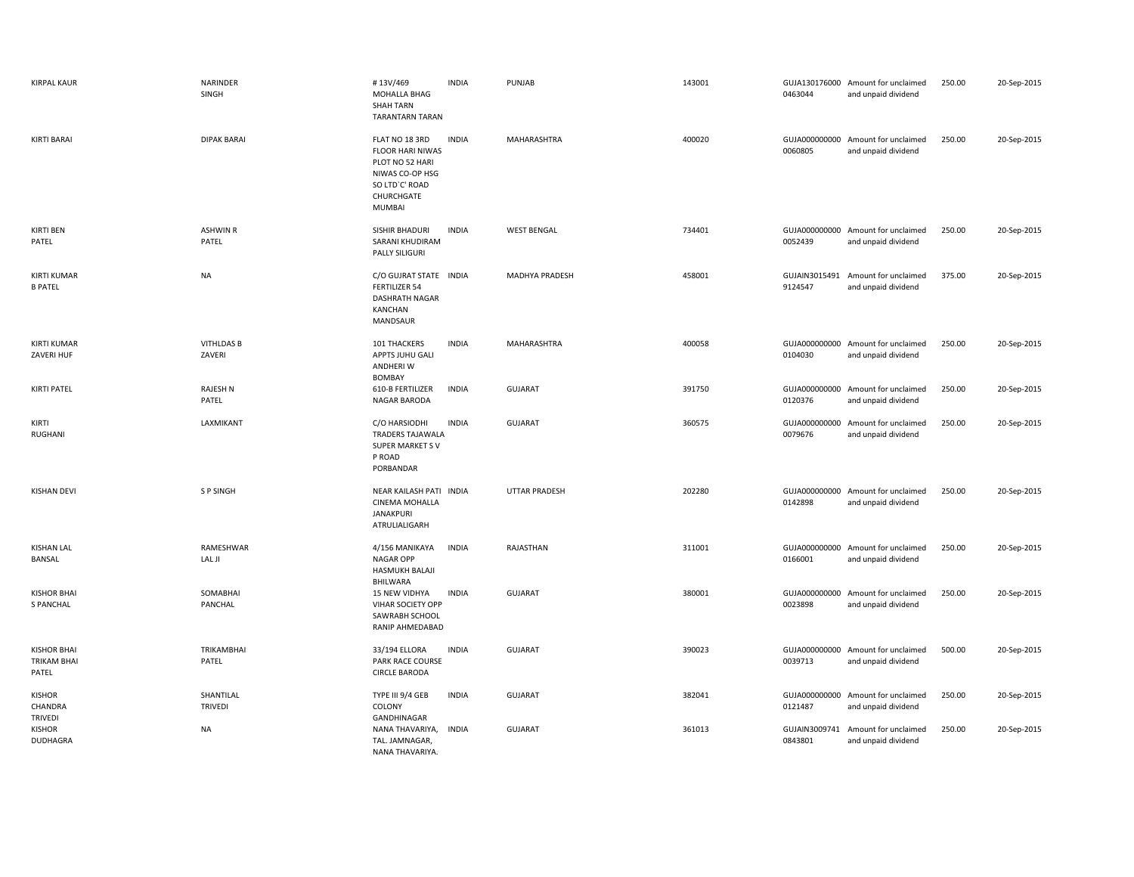| <b>KIRPAL KAUR</b>                                | NARINDER<br>SINGH           | #13V/469<br>MOHALLA BHAG<br><b>SHAH TARN</b><br><b>TARANTARN TARAN</b>                                             | <b>INDIA</b> | PUNJAB               | 143001 | 0463044                  | GUJA130176000 Amount for unclaimed<br>and unpaid dividend | 250.00 | 20-Sep-2015 |
|---------------------------------------------------|-----------------------------|--------------------------------------------------------------------------------------------------------------------|--------------|----------------------|--------|--------------------------|-----------------------------------------------------------|--------|-------------|
| KIRTI BARAI                                       | <b>DIPAK BARAI</b>          | FLAT NO 18 3RD<br>FLOOR HARI NIWAS<br>PLOT NO 52 HARI<br>NIWAS CO-OP HSG<br>SO LTD'C' ROAD<br>CHURCHGATE<br>MUMBAI | <b>INDIA</b> | MAHARASHTRA          | 400020 | 0060805                  | GUJA000000000 Amount for unclaimed<br>and unpaid dividend | 250.00 | 20-Sep-2015 |
| <b>KIRTI BEN</b><br>PATEL                         | <b>ASHWIN R</b><br>PATEL    | SISHIR BHADURI<br>SARANI KHUDIRAM<br>PALLY SILIGURI                                                                | <b>INDIA</b> | <b>WEST BENGAL</b>   | 734401 | 0052439                  | GUJA000000000 Amount for unclaimed<br>and unpaid dividend | 250.00 | 20-Sep-2015 |
| <b>KIRTI KUMAR</b><br><b>B PATEL</b>              | <b>NA</b>                   | C/O GUJRAT STATE INDIA<br><b>FERTILIZER 54</b><br><b>DASHRATH NAGAR</b><br>KANCHAN<br>MANDSAUR                     |              | MADHYA PRADESH       | 458001 | GUJAIN3015491<br>9124547 | Amount for unclaimed<br>and unpaid dividend               | 375.00 | 20-Sep-2015 |
| <b>KIRTI KUMAR</b><br>ZAVERI HUF                  | <b>VITHLDAS B</b><br>ZAVERI | 101 THACKERS<br>APPTS JUHU GALI<br>ANDHERI W<br><b>BOMBAY</b>                                                      | <b>INDIA</b> | MAHARASHTRA          | 400058 | 0104030                  | GUJA000000000 Amount for unclaimed<br>and unpaid dividend | 250.00 | 20-Sep-2015 |
| KIRTI PATEL                                       | <b>RAJESH N</b><br>PATEL    | 610-B FERTILIZER<br>NAGAR BARODA                                                                                   | <b>INDIA</b> | <b>GUJARAT</b>       | 391750 | GUJA000000000<br>0120376 | Amount for unclaimed<br>and unpaid dividend               | 250.00 | 20-Sep-2015 |
| KIRTI<br>RUGHANI                                  | LAXMIKANT                   | C/O HARSIODHI<br>TRADERS TAJAWALA<br>SUPER MARKET SV<br>P ROAD<br>PORBANDAR                                        | <b>INDIA</b> | <b>GUJARAT</b>       | 360575 | 0079676                  | GUJA000000000 Amount for unclaimed<br>and unpaid dividend | 250.00 | 20-Sep-2015 |
| <b>KISHAN DEVI</b>                                | <b>SP SINGH</b>             | NEAR KAILASH PATI INDIA<br>CINEMA MOHALLA<br>JANAKPURI<br>ATRULIALIGARH                                            |              | <b>UTTAR PRADESH</b> | 202280 | GUJA000000000<br>0142898 | Amount for unclaimed<br>and unpaid dividend               | 250.00 | 20-Sep-2015 |
| <b>KISHAN LAL</b><br>BANSAL                       | RAMESHWAR<br>LAL JI         | 4/156 MANIKAYA<br><b>NAGAR OPP</b><br><b>HASMUKH BALAJI</b><br>BHILWARA                                            | <b>INDIA</b> | RAJASTHAN            | 311001 | GUJA000000000<br>0166001 | Amount for unclaimed<br>and unpaid dividend               | 250.00 | 20-Sep-2015 |
| <b>KISHOR BHAI</b><br><b>S PANCHAL</b>            | SOMABHAI<br>PANCHAL         | 15 NEW VIDHYA<br>VIHAR SOCIETY OPP<br>SAWRABH SCHOOL<br>RANIP AHMEDABAD                                            | <b>INDIA</b> | <b>GUJARAT</b>       | 380001 | 0023898                  | GUJA000000000 Amount for unclaimed<br>and unpaid dividend | 250.00 | 20-Sep-2015 |
| <b>KISHOR BHAI</b><br><b>TRIKAM BHAI</b><br>PATEL | TRIKAMBHAI<br>PATEL         | 33/194 ELLORA<br><b>PARK RACE COURSE</b><br><b>CIRCLE BARODA</b>                                                   | <b>INDIA</b> | <b>GUJARAT</b>       | 390023 | 0039713                  | GUJA000000000 Amount for unclaimed<br>and unpaid dividend | 500.00 | 20-Sep-2015 |
| <b>KISHOR</b><br>CHANDRA<br>TRIVEDI               | SHANTILAL<br><b>TRIVEDI</b> | TYPE III 9/4 GEB<br>COLONY<br>GANDHINAGAR                                                                          | <b>INDIA</b> | <b>GUJARAT</b>       | 382041 | 0121487                  | GUJA000000000 Amount for unclaimed<br>and unpaid dividend | 250.00 | 20-Sep-2015 |
| <b>KISHOR</b><br>DUDHAGRA                         | NA                          | NANA THAVARIYA, INDIA<br>TAL. JAMNAGAR,<br>NANA THAVARIYA                                                          |              | <b>GUJARAT</b>       | 361013 | GUJAIN3009741<br>0843801 | Amount for unclaimed<br>and unpaid dividend               | 250.00 | 20-Sep-2015 |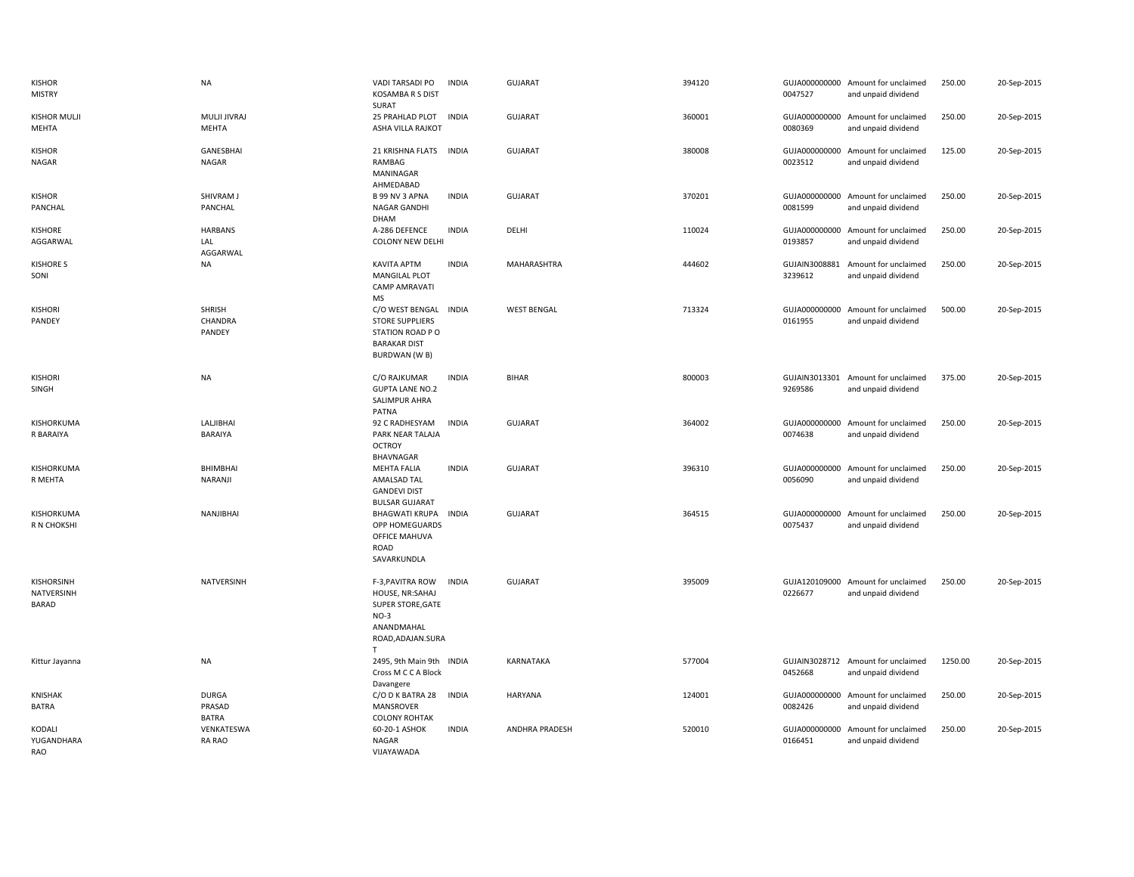| KISHOR<br><b>MISTRY</b>           | <b>NA</b>                              | VADI TARSADI PO<br><b>KOSAMBA R S DIST</b><br>SURAT                                                         | <b>INDIA</b> | <b>GUJARAT</b>     | 394120 | 0047527                  | GUJA000000000 Amount for unclaimed<br>and unpaid dividend | 250.00  | 20-Sep-2015 |
|-----------------------------------|----------------------------------------|-------------------------------------------------------------------------------------------------------------|--------------|--------------------|--------|--------------------------|-----------------------------------------------------------|---------|-------------|
| <b>KISHOR MULJI</b><br>MEHTA      | MULJI JIVRAJ<br>MEHTA                  | 25 PRAHLAD PLOT<br>ASHA VILLA RAJKOT                                                                        | INDIA        | <b>GUJARAT</b>     | 360001 | 0080369                  | GUJA000000000 Amount for unclaimed<br>and unpaid dividend | 250.00  | 20-Sep-2015 |
| KISHOR<br>NAGAR                   | GANESBHAI<br><b>NAGAR</b>              | 21 KRISHNA FLATS INDIA<br>RAMBAG<br>MANINAGAR<br>AHMEDABAD                                                  |              | <b>GUJARAT</b>     | 380008 | 0023512                  | GUJA000000000 Amount for unclaimed<br>and unpaid dividend | 125.00  | 20-Sep-2015 |
| <b>KISHOR</b><br>PANCHAL          | SHIVRAM J<br>PANCHAL                   | B 99 NV 3 APNA<br><b>NAGAR GANDHI</b><br>DHAM                                                               | <b>INDIA</b> | <b>GUJARAT</b>     | 370201 | 0081599                  | GUJA000000000 Amount for unclaimed<br>and unpaid dividend | 250.00  | 20-Sep-2015 |
| <b>KISHORE</b><br>AGGARWAL        | <b>HARBANS</b><br>LAL<br>AGGARWAL      | A-286 DEFENCE<br><b>COLONY NEW DELHI</b>                                                                    | <b>INDIA</b> | DELHI              | 110024 | 0193857                  | GUJA000000000 Amount for unclaimed<br>and unpaid dividend | 250.00  | 20-Sep-2015 |
| <b>KISHORE S</b><br>SONI          | <b>NA</b>                              | <b>KAVITA APTM</b><br><b>MANGILAL PLOT</b><br><b>CAMP AMRAVATI</b><br>MS                                    | <b>INDIA</b> | MAHARASHTRA        | 444602 | GUJAIN3008881<br>3239612 | Amount for unclaimed<br>and unpaid dividend               | 250.00  | 20-Sep-2015 |
| <b>KISHORI</b><br>PANDEY          | SHRISH<br>CHANDRA<br>PANDEY            | C/O WEST BENGAL<br><b>STORE SUPPLIERS</b><br>STATION ROAD PO<br><b>BARAKAR DIST</b><br><b>BURDWAN (W B)</b> | <b>INDIA</b> | <b>WEST BENGAL</b> | 713324 | 0161955                  | GUJA000000000 Amount for unclaimed<br>and unpaid dividend | 500.00  | 20-Sep-2015 |
| <b>KISHORI</b><br>SINGH           | <b>NA</b>                              | C/O RAJKUMAR<br><b>GUPTA LANE NO.2</b><br>SALIMPUR AHRA<br>PATNA                                            | <b>INDIA</b> | <b>BIHAR</b>       | 800003 | 9269586                  | GUJAIN3013301 Amount for unclaimed<br>and unpaid dividend | 375.00  | 20-Sep-2015 |
| KISHORKUMA<br>R BARAIYA           | LALJIBHAI<br>BARAIYA                   | 92 C RADHESYAM<br>PARK NEAR TALAJA<br><b>OCTROY</b><br><b>BHAVNAGAR</b>                                     | <b>INDIA</b> | GUJARAT            | 364002 | 0074638                  | GUJA000000000 Amount for unclaimed<br>and unpaid dividend | 250.00  | 20-Sep-2015 |
| KISHORKUMA<br>R MEHTA             | BHIMBHAI<br>NARANJI                    | <b>MEHTA FALIA</b><br>AMALSAD TAL<br><b>GANDEVI DIST</b><br><b>BULSAR GUJARAT</b>                           | <b>INDIA</b> | GUJARAT            | 396310 | 0056090                  | GUJA000000000 Amount for unclaimed<br>and unpaid dividend | 250.00  | 20-Sep-2015 |
| KISHORKUMA<br>R N CHOKSHI         | NANJIBHAI                              | <b>BHAGWATI KRUPA</b><br>OPP HOMEGUARDS<br>OFFICE MAHUVA<br>ROAD<br>SAVARKUNDLA                             | INDIA        | <b>GUJARAT</b>     | 364515 | 0075437                  | GUJA000000000 Amount for unclaimed<br>and unpaid dividend | 250.00  | 20-Sep-2015 |
| KISHORSINH<br>NATVERSINH<br>BARAD | <b>NATVERSINH</b>                      | F-3, PAVITRA ROW<br>HOUSE, NR:SAHAJ<br>SUPER STORE, GATE<br>$NO-3$<br>ANANDMAHAL<br>ROAD, ADAJAN. SURA<br>T | <b>INDIA</b> | <b>GUJARAT</b>     | 395009 | 0226677                  | GUJA120109000 Amount for unclaimed<br>and unpaid dividend | 250.00  | 20-Sep-2015 |
| Kittur Jayanna                    | <b>NA</b>                              | 2495, 9th Main 9th INDIA<br>Cross M C C A Block<br>Davangere                                                |              | KARNATAKA          | 577004 | 0452668                  | GUJAIN3028712 Amount for unclaimed<br>and unpaid dividend | 1250.00 | 20-Sep-2015 |
| <b>KNISHAK</b><br>BATRA           | <b>DURGA</b><br>PRASAD<br><b>BATRA</b> | C/O D K BATRA 28<br><b>MANSROVER</b><br><b>COLONY ROHTAK</b>                                                | INDIA        | <b>HARYANA</b>     | 124001 | 0082426                  | GUJA000000000 Amount for unclaimed<br>and unpaid dividend | 250.00  | 20-Sep-2015 |
| KODALI<br>YUGANDHARA<br>RAO       | VENKATESWA<br>RA RAO                   | 60-20-1 ASHOK<br>NAGAR<br>VIJAYAWADA                                                                        | <b>INDIA</b> | ANDHRA PRADESH     | 520010 | GUJA000000000<br>0166451 | Amount for unclaimed<br>and unpaid dividend               | 250.00  | 20-Sep-2015 |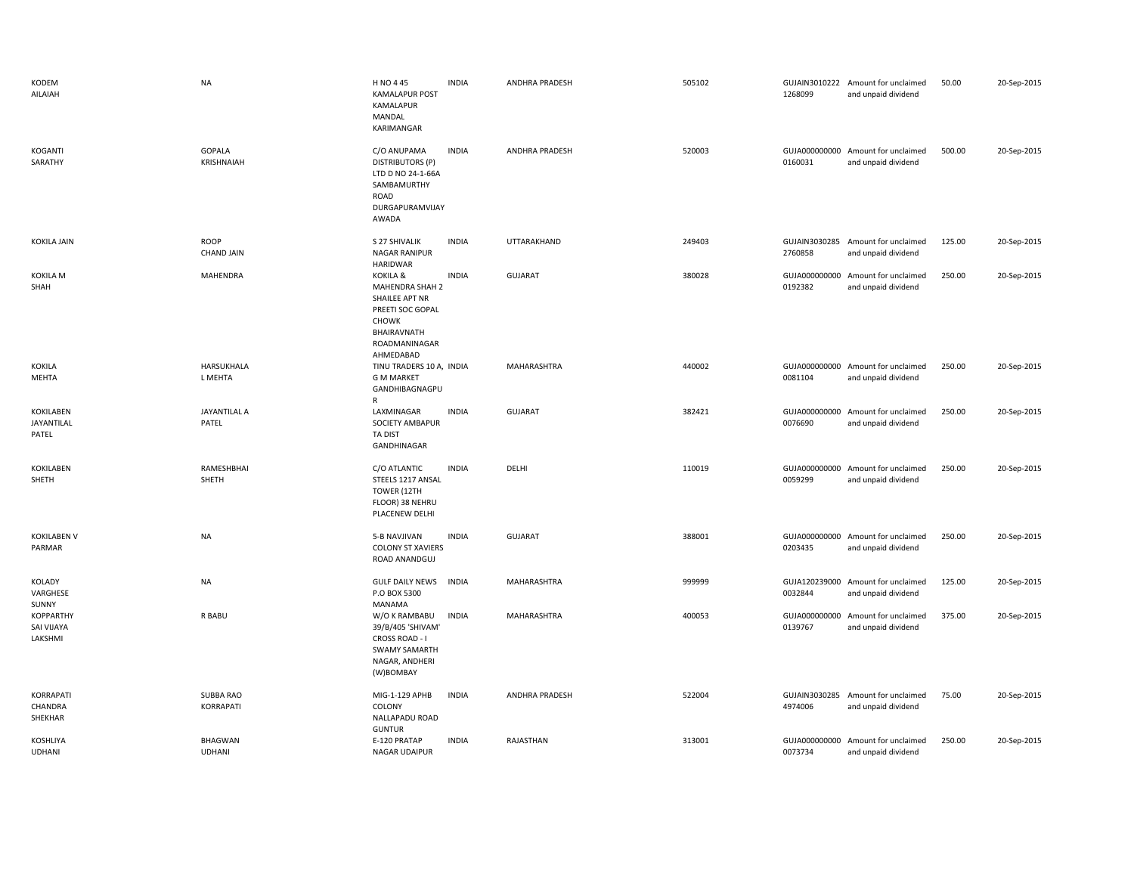| KODEM<br>AILAIAH                          | <b>NA</b>                       | H NO 445<br><b>KAMALAPUR POST</b><br><b>KAMALAPUR</b><br>MANDAL<br>KARIMANGAR                                                  | <b>INDIA</b> | ANDHRA PRADESH        | 505102 | 1268099                  | GUJAIN3010222 Amount for unclaimed<br>and unpaid dividend | 50.00  | 20-Sep-2015 |
|-------------------------------------------|---------------------------------|--------------------------------------------------------------------------------------------------------------------------------|--------------|-----------------------|--------|--------------------------|-----------------------------------------------------------|--------|-------------|
| <b>KOGANTI</b><br>SARATHY                 | GOPALA<br>KRISHNAIAH            | C/O ANUPAMA<br><b>DISTRIBUTORS (P)</b><br>LTD D NO 24-1-66A<br>SAMBAMURTHY<br>ROAD<br>DURGAPURAMVIJAY<br><b>AWADA</b>          | <b>INDIA</b> | <b>ANDHRA PRADESH</b> | 520003 | 0160031                  | GUJA000000000 Amount for unclaimed<br>and unpaid dividend | 500.00 | 20-Sep-2015 |
| <b>KOKILA JAIN</b>                        | ROOP<br><b>CHAND JAIN</b>       | S 27 SHIVALIK<br><b>NAGAR RANIPUR</b><br><b>HARIDWAR</b>                                                                       | <b>INDIA</b> | UTTARAKHAND           | 249403 | 2760858                  | GUJAIN3030285 Amount for unclaimed<br>and unpaid dividend | 125.00 | 20-Sep-2015 |
| KOKILA M<br>SHAH                          | MAHENDRA                        | KOKILA &<br>MAHENDRA SHAH 2<br>SHAILEE APT NR<br>PREETI SOC GOPAL<br><b>CHOWK</b><br>BHAIRAVNATH<br>ROADMANINAGAR<br>AHMEDABAD | <b>INDIA</b> | <b>GUJARAT</b>        | 380028 | GUJA000000000<br>0192382 | Amount for unclaimed<br>and unpaid dividend               | 250.00 | 20-Sep-2015 |
| <b>KOKILA</b><br>MEHTA                    | HARSUKHALA<br>L MEHTA           | TINU TRADERS 10 A, INDIA<br><b>G M MARKET</b><br>GANDHIBAGNAGPU<br>R                                                           |              | MAHARASHTRA           | 440002 | 0081104                  | GUJA000000000 Amount for unclaimed<br>and unpaid dividend | 250.00 | 20-Sep-2015 |
| KOKILABEN<br>JAYANTILAL<br>PATEL          | JAYANTILAL A<br>PATEL           | LAXMINAGAR<br>SOCIETY AMBAPUR<br>TA DIST<br>GANDHINAGAR                                                                        | <b>INDIA</b> | <b>GUJARAT</b>        | 382421 | GUJA000000000<br>0076690 | Amount for unclaimed<br>and unpaid dividend               | 250.00 | 20-Sep-2015 |
| KOKILABEN<br>SHETH                        | RAMESHBHAI<br>SHETH             | C/O ATLANTIC<br>STEELS 1217 ANSAL<br>TOWER (12TH<br>FLOOR) 38 NEHRU<br>PLACENEW DELHI                                          | <b>INDIA</b> | DELHI                 | 110019 | 0059299                  | GUJA000000000 Amount for unclaimed<br>and unpaid dividend | 250.00 | 20-Sep-2015 |
| <b>KOKILABEN V</b><br>PARMAR              | <b>NA</b>                       | 5-B NAVJIVAN<br><b>COLONY ST XAVIERS</b><br>ROAD ANANDGUJ                                                                      | <b>INDIA</b> | <b>GUJARAT</b>        | 388001 | 0203435                  | GUJA000000000 Amount for unclaimed<br>and unpaid dividend | 250.00 | 20-Sep-2015 |
| KOLADY<br>VARGHESE<br>SUNNY               | NA                              | <b>GULF DAILY NEWS</b><br>P.O BOX 5300<br>MANAMA                                                                               | <b>INDIA</b> | MAHARASHTRA           | 999999 | 0032844                  | GUJA120239000 Amount for unclaimed<br>and unpaid dividend | 125.00 | 20-Sep-2015 |
| <b>KOPPARTHY</b><br>SAI VIJAYA<br>LAKSHMI | R BABU                          | W/O K RAMBABU<br>39/B/405 'SHIVAM'<br>CROSS ROAD - I<br><b>SWAMY SAMARTH</b><br>NAGAR, ANDHERI<br>(W)BOMBAY                    | <b>INDIA</b> | MAHARASHTRA           | 400053 | GUJA000000000<br>0139767 | Amount for unclaimed<br>and unpaid dividend               | 375.00 | 20-Sep-2015 |
| KORRAPATI<br>CHANDRA<br>SHEKHAR           | SUBBA RAO<br>KORRAPATI          | MIG-1-129 APHB<br>COLONY<br>NALLAPADU ROAD<br><b>GUNTUR</b>                                                                    | <b>INDIA</b> | <b>ANDHRA PRADESH</b> | 522004 | GUJAIN3030285<br>4974006 | Amount for unclaimed<br>and unpaid dividend               | 75.00  | 20-Sep-2015 |
| <b>KOSHLIYA</b><br><b>UDHANI</b>          | <b>BHAGWAN</b><br><b>UDHANI</b> | E-120 PRATAP<br>NAGAR UDAIPUR                                                                                                  | <b>INDIA</b> | RAJASTHAN             | 313001 | 0073734                  | GUJA000000000 Amount for unclaimed<br>and unpaid dividend | 250.00 | 20-Sep-2015 |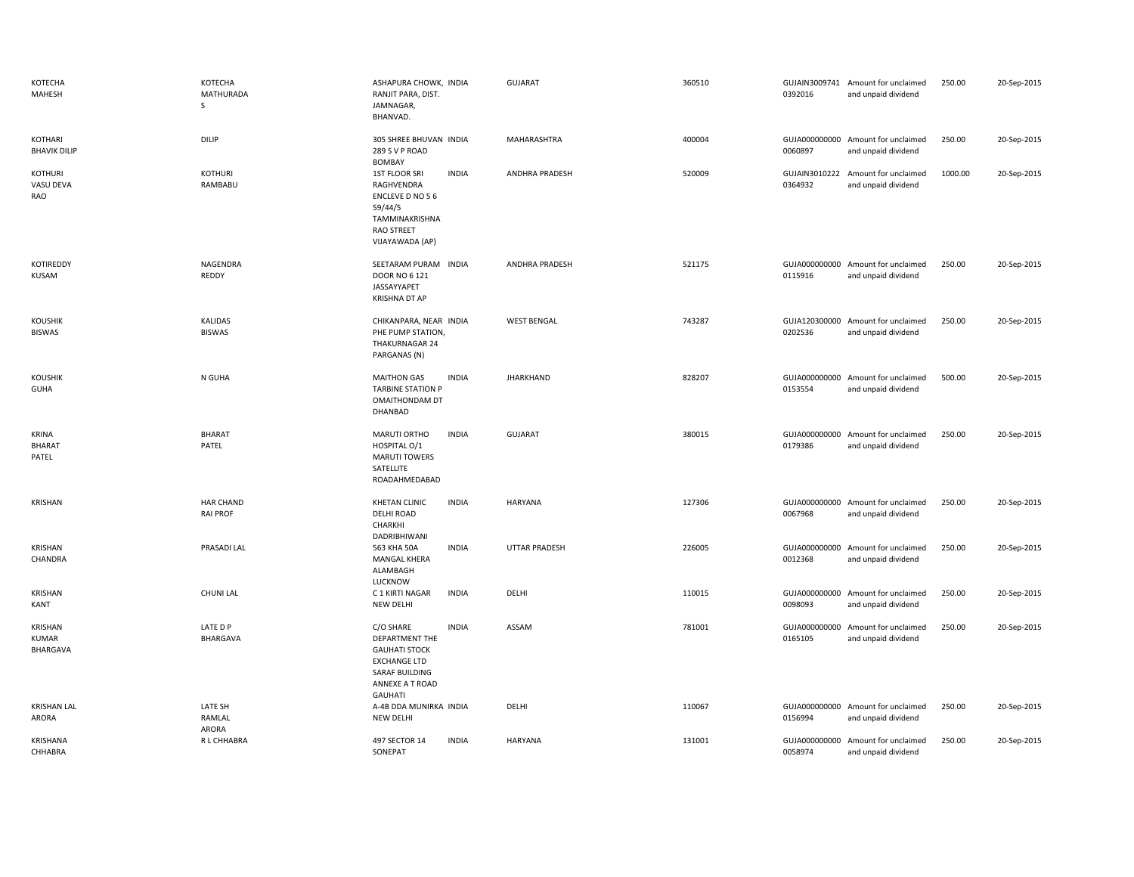| KOTECHA<br>MAHESH                      | KOTECHA<br>MATHURADA<br>S           | ASHAPURA CHOWK, INDIA<br>RANJIT PARA, DIST.<br>JAMNAGAR,<br>BHANVAD.                                                                              | <b>GUJARAT</b>        | 360510 | 0392016                  | GUJAIN3009741 Amount for unclaimed<br>and unpaid dividend | 250.00  | 20-Sep-2015 |
|----------------------------------------|-------------------------------------|---------------------------------------------------------------------------------------------------------------------------------------------------|-----------------------|--------|--------------------------|-----------------------------------------------------------|---------|-------------|
| KOTHARI<br><b>BHAVIK DILIP</b>         | DILIP                               | 305 SHREE BHUVAN INDIA<br>289 S V P ROAD<br><b>BOMBAY</b>                                                                                         | MAHARASHTRA           | 400004 | 0060897                  | GUJA000000000 Amount for unclaimed<br>and unpaid dividend | 250.00  | 20-Sep-2015 |
| KOTHURI<br>VASU DEVA<br>RAO            | <b>KOTHURI</b><br>RAMBABU           | <b>1ST FLOOR SRI</b><br><b>INDIA</b><br>RAGHVENDRA<br>ENCLEVE D NO 56<br>59/44/5<br>TAMMINAKRISHNA<br><b>RAO STREET</b><br>VIJAYAWADA (AP)        | <b>ANDHRA PRADESH</b> | 520009 | GUJAIN3010222<br>0364932 | Amount for unclaimed<br>and unpaid dividend               | 1000.00 | 20-Sep-2015 |
| KOTIREDDY<br>KUSAM                     | NAGENDRA<br>REDDY                   | SEETARAM PURAM INDIA<br><b>DOOR NO 6 121</b><br>JASSAYYAPET<br><b>KRISHNA DT AP</b>                                                               | <b>ANDHRA PRADESH</b> | 521175 | 0115916                  | GUJA000000000 Amount for unclaimed<br>and unpaid dividend | 250.00  | 20-Sep-2015 |
| <b>KOUSHIK</b><br><b>BISWAS</b>        | <b>KALIDAS</b><br><b>BISWAS</b>     | CHIKANPARA, NEAR INDIA<br>PHE PUMP STATION,<br>THAKURNAGAR 24<br>PARGANAS (N)                                                                     | <b>WEST BENGAL</b>    | 743287 | 0202536                  | GUJA120300000 Amount for unclaimed<br>and unpaid dividend | 250.00  | 20-Sep-2015 |
| <b>KOUSHIK</b><br><b>GUHA</b>          | N GUHA                              | <b>MAITHON GAS</b><br><b>INDIA</b><br><b>TARBINE STATION P</b><br>OMAITHONDAM DT<br>DHANBAD                                                       | <b>JHARKHAND</b>      | 828207 | 0153554                  | GUJA000000000 Amount for unclaimed<br>and unpaid dividend | 500.00  | 20-Sep-2015 |
| <b>KRINA</b><br><b>BHARAT</b><br>PATEL | <b>BHARAT</b><br>PATEL              | MARUTI ORTHO<br><b>INDIA</b><br>HOSPITAL O/1<br><b>MARUTI TOWERS</b><br>SATELLITE<br>ROADAHMEDABAD                                                | <b>GUJARAT</b>        | 380015 | 0179386                  | GUJA000000000 Amount for unclaimed<br>and unpaid dividend | 250.00  | 20-Sep-2015 |
| KRISHAN                                | <b>HAR CHAND</b><br><b>RAI PROF</b> | <b>KHETAN CLINIC</b><br><b>INDIA</b><br>DELHI ROAD<br>CHARKHI<br>DADRIBHIWANI                                                                     | <b>HARYANA</b>        | 127306 | 0067968                  | GUJA000000000 Amount for unclaimed<br>and unpaid dividend | 250.00  | 20-Sep-2015 |
| KRISHAN<br>CHANDRA                     | PRASADI LAL                         | <b>INDIA</b><br>563 KHA 50A<br><b>MANGAL KHERA</b><br>ALAMBAGH<br>LUCKNOW                                                                         | UTTAR PRADESH         | 226005 | GUJA000000000<br>0012368 | Amount for unclaimed<br>and unpaid dividend               | 250.00  | 20-Sep-2015 |
| KRISHAN<br>KANT                        | <b>CHUNI LAL</b>                    | <b>INDIA</b><br>C 1 KIRTI NAGAR<br><b>NEW DELHI</b>                                                                                               | DELHI                 | 110015 | GUJA000000000<br>0098093 | Amount for unclaimed<br>and unpaid dividend               | 250.00  | 20-Sep-2015 |
| KRISHAN<br>KUMAR<br>BHARGAVA           | LATE D P<br>BHARGAVA                | C/O SHARE<br><b>INDIA</b><br>DEPARTMENT THE<br><b>GAUHATI STOCK</b><br><b>EXCHANGE LTD</b><br>SARAF BUILDING<br>ANNEXE A T ROAD<br><b>GAUHATI</b> | ASSAM                 | 781001 | 0165105                  | GUJA000000000 Amount for unclaimed<br>and unpaid dividend | 250.00  | 20-Sep-2015 |
| <b>KRISHAN LAL</b><br>ARORA            | LATE SH<br>RAMLAL<br><b>ARORA</b>   | A-4B DDA MUNIRKA INDIA<br>NEW DELHI                                                                                                               | DELHI                 | 110067 | 0156994                  | GUJA000000000 Amount for unclaimed<br>and unpaid dividend | 250.00  | 20-Sep-2015 |
| KRISHANA<br>CHHABRA                    | R L CHHABRA                         | 497 SECTOR 14<br><b>INDIA</b><br>SONEPAT                                                                                                          | HARYANA               | 131001 | GUJA000000000<br>0058974 | Amount for unclaimed<br>and unpaid dividend               | 250.00  | 20-Sep-2015 |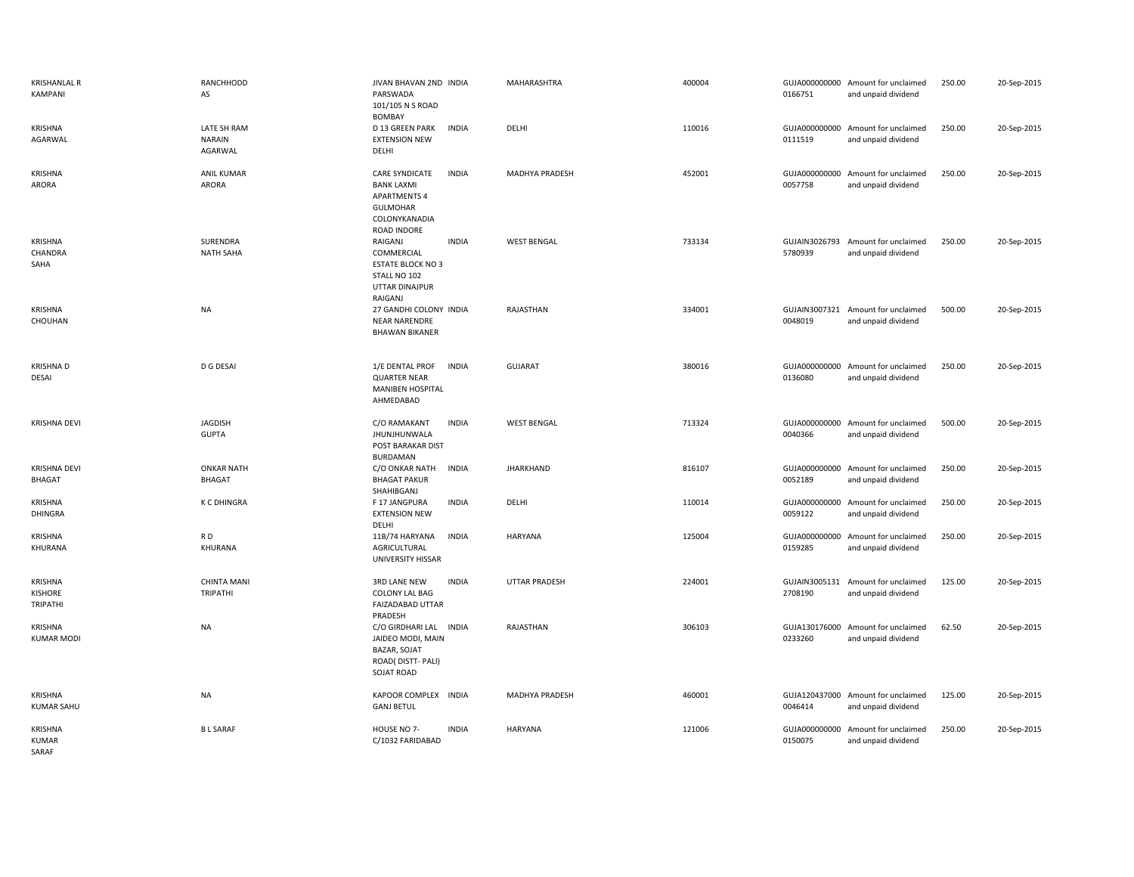| <b>KRISHANLAL R</b><br>KAMPANI        | RANCHHODD<br>AS                         | JIVAN BHAVAN 2ND INDIA<br>PARSWADA<br>101/105 N S ROAD<br><b>BOMBAY</b>                                                              | MAHARASHTRA          | 400004 | 0166751                  | GUJA000000000 Amount for unclaimed<br>and unpaid dividend | 250.00 | 20-Sep-2015 |
|---------------------------------------|-----------------------------------------|--------------------------------------------------------------------------------------------------------------------------------------|----------------------|--------|--------------------------|-----------------------------------------------------------|--------|-------------|
| KRISHNA<br>AGARWAL                    | LATE SH RAM<br><b>NARAIN</b><br>AGARWAL | D 13 GREEN PARK<br><b>INDIA</b><br><b>EXTENSION NEW</b><br>DELHI                                                                     | DELHI                | 110016 | 0111519                  | GUJA000000000 Amount for unclaimed<br>and unpaid dividend | 250.00 | 20-Sep-2015 |
| KRISHNA<br>ARORA                      | ANIL KUMAR<br>ARORA                     | <b>CARE SYNDICATE</b><br><b>INDIA</b><br><b>BANK LAXMI</b><br><b>APARTMENTS 4</b><br><b>GULMOHAR</b><br>COLONYKANADIA<br>ROAD INDORE | MADHYA PRADESH       | 452001 | 0057758                  | GUJA000000000 Amount for unclaimed<br>and unpaid dividend | 250.00 | 20-Sep-2015 |
| KRISHNA<br>CHANDRA<br>SAHA            | SURENDRA<br><b>NATH SAHA</b>            | RAIGANJ<br><b>INDIA</b><br>COMMERCIAL<br><b>ESTATE BLOCK NO 3</b><br>STALL NO 102<br>UTTAR DINAJPUR<br>RAIGANJ                       | <b>WEST BENGAL</b>   | 733134 | 5780939                  | GUJAIN3026793 Amount for unclaimed<br>and unpaid dividend | 250.00 | 20-Sep-2015 |
| KRISHNA<br>CHOUHAN                    | <b>NA</b>                               | 27 GANDHI COLONY INDIA<br><b>NEAR NARENDRE</b><br><b>BHAWAN BIKANER</b>                                                              | RAJASTHAN            | 334001 | 0048019                  | GUJAIN3007321 Amount for unclaimed<br>and unpaid dividend | 500.00 | 20-Sep-2015 |
| <b>KRISHNAD</b><br>DESAI              | D G DESAI                               | 1/E DENTAL PROF<br><b>INDIA</b><br><b>QUARTER NEAR</b><br>MANIBEN HOSPITAL<br>AHMEDABAD                                              | <b>GUJARAT</b>       | 380016 | 0136080                  | GUJA000000000 Amount for unclaimed<br>and unpaid dividend | 250.00 | 20-Sep-2015 |
| <b>KRISHNA DEVI</b>                   | <b>JAGDISH</b><br><b>GUPTA</b>          | <b>INDIA</b><br>C/O RAMAKANT<br>JHUNJHUNWALA<br>POST BARAKAR DIST<br>BURDAMAN                                                        | <b>WEST BENGAL</b>   | 713324 | 0040366                  | GUJA000000000 Amount for unclaimed<br>and unpaid dividend | 500.00 | 20-Sep-2015 |
| <b>KRISHNA DEVI</b><br><b>BHAGAT</b>  | <b>ONKAR NATH</b><br><b>BHAGAT</b>      | <b>INDIA</b><br>C/O ONKAR NATH<br><b>BHAGAT PAKUR</b><br>SHAHIBGANJ                                                                  | <b>JHARKHAND</b>     | 816107 | 0052189                  | GUJA000000000 Amount for unclaimed<br>and unpaid dividend | 250.00 | 20-Sep-2015 |
| KRISHNA<br>DHINGRA                    | <b>K C DHINGRA</b>                      | <b>INDIA</b><br>F 17 JANGPURA<br><b>EXTENSION NEW</b><br>DELHI                                                                       | DELHI                | 110014 | 0059122                  | GUJA000000000 Amount for unclaimed<br>and unpaid dividend | 250.00 | 20-Sep-2015 |
| KRISHNA<br>KHURANA                    | RD<br>KHURANA                           | <b>INDIA</b><br>11B/74 HARYANA<br>AGRICULTURAL<br>UNIVERSITY HISSAR                                                                  | <b>HARYANA</b>       | 125004 | 0159285                  | GUJA000000000 Amount for unclaimed<br>and unpaid dividend | 250.00 | 20-Sep-2015 |
| KRISHNA<br><b>KISHORE</b><br>TRIPATHI | <b>CHINTA MANI</b><br>TRIPATHI          | <b>INDIA</b><br><b>3RD LANE NEW</b><br>COLONY LAL BAG<br>FAIZADABAD UTTAR<br>PRADESH                                                 | <b>UTTAR PRADESH</b> | 224001 | GUJAIN3005131<br>2708190 | Amount for unclaimed<br>and unpaid dividend               | 125.00 | 20-Sep-2015 |
| KRISHNA<br><b>KUMAR MODI</b>          | <b>NA</b>                               | C/O GIRDHARI LAL INDIA<br>JAIDEO MODI, MAIN<br><b>BAZAR, SOJAT</b><br>ROAD(DISTT-PALI)<br>SOJAT ROAD                                 | RAJASTHAN            | 306103 | 0233260                  | GUJA130176000 Amount for unclaimed<br>and unpaid dividend | 62.50  | 20-Sep-2015 |
| KRISHNA<br><b>KUMAR SAHU</b>          | <b>NA</b>                               | KAPOOR COMPLEX INDIA<br><b>GANJ BETUL</b>                                                                                            | MADHYA PRADESH       | 460001 | 0046414                  | GUJA120437000 Amount for unclaimed<br>and unpaid dividend | 125.00 | 20-Sep-2015 |
| KRISHNA<br><b>KUMAR</b><br>SARAF      | <b>BL SARAF</b>                         | HOUSE NO 7-<br><b>INDIA</b><br>C/1032 FARIDABAD                                                                                      | <b>HARYANA</b>       | 121006 | GUJA000000000<br>0150075 | Amount for unclaimed<br>and unpaid dividend               | 250.00 | 20-Sep-2015 |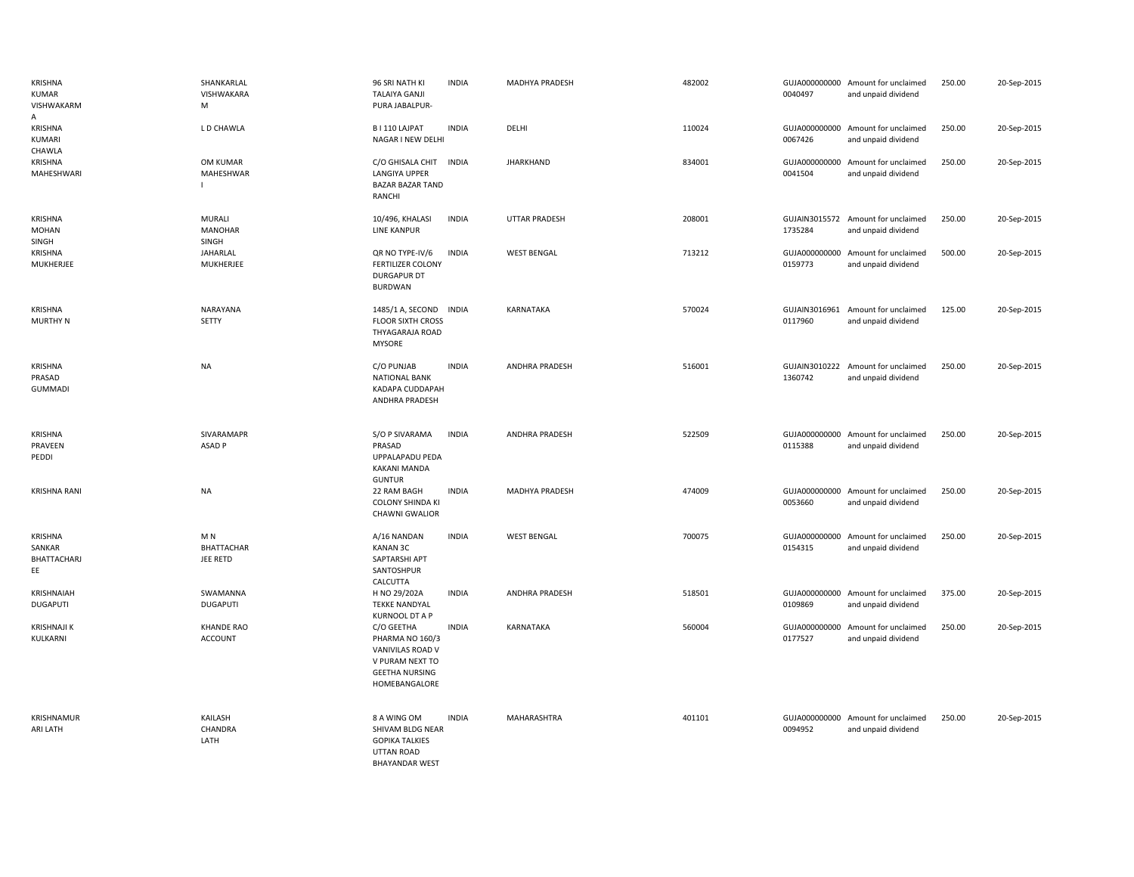| <b>KRISHNA</b><br><b>KUMAR</b><br><b>VISHWAKARM</b><br>A | SHANKARLAL<br>VISHWAKARA<br>M                   | 96 SRI NATH KI<br><b>INDIA</b><br><b>TALAIYA GANJI</b><br>PURA JABALPUR-                                                       | MADHYA PRADESH        | 482002 | 0040497                  | GUJA000000000 Amount for unclaimed<br>and unpaid dividend | 250.00 | 20-Sep-2015 |
|----------------------------------------------------------|-------------------------------------------------|--------------------------------------------------------------------------------------------------------------------------------|-----------------------|--------|--------------------------|-----------------------------------------------------------|--------|-------------|
| KRISHNA<br>KUMARI<br>CHAWLA                              | L D CHAWLA                                      | B I 110 LAJPAT<br><b>INDIA</b><br>NAGAR I NEW DELHI                                                                            | DELHI                 | 110024 | GUJA000000000<br>0067426 | Amount for unclaimed<br>and unpaid dividend               | 250.00 | 20-Sep-2015 |
| <b>KRISHNA</b><br>MAHESHWARI                             | OM KUMAR<br>MAHESHWAR                           | C/O GHISALA CHIT<br><b>INDIA</b><br>LANGIYA UPPER<br><b>BAZAR BAZAR TAND</b><br>RANCHI                                         | <b>JHARKHAND</b>      | 834001 | GUJA000000000<br>0041504 | Amount for unclaimed<br>and unpaid dividend               | 250.00 | 20-Sep-2015 |
| <b>KRISHNA</b><br><b>MOHAN</b><br>SINGH                  | MURALI<br><b>MANOHAR</b><br>SINGH               | <b>INDIA</b><br>10/496, KHALASI<br><b>LINE KANPUR</b>                                                                          | <b>UTTAR PRADESH</b>  | 208001 | 1735284                  | GUJAIN3015572 Amount for unclaimed<br>and unpaid dividend | 250.00 | 20-Sep-2015 |
| KRISHNA<br>MUKHERJEE                                     | JAHARLAL<br>MUKHERJEE                           | QR NO TYPE-IV/6<br><b>INDIA</b><br><b>FERTILIZER COLONY</b><br><b>DURGAPUR DT</b><br><b>BURDWAN</b>                            | <b>WEST BENGAL</b>    | 713212 | 0159773                  | GUJA000000000 Amount for unclaimed<br>and unpaid dividend | 500.00 | 20-Sep-2015 |
| KRISHNA<br>MURTHY N                                      | NARAYANA<br>SETTY                               | 1485/1 A, SECOND INDIA<br><b>FLOOR SIXTH CROSS</b><br>THYAGARAJA ROAD<br><b>MYSORE</b>                                         | <b>KARNATAKA</b>      | 570024 | 0117960                  | GUJAIN3016961 Amount for unclaimed<br>and unpaid dividend | 125.00 | 20-Sep-2015 |
| <b>KRISHNA</b><br>PRASAD<br><b>GUMMADI</b>               | <b>NA</b>                                       | C/O PUNJAB<br><b>INDIA</b><br><b>NATIONAL BANK</b><br>KADAPA CUDDAPAH<br>ANDHRA PRADESH                                        | <b>ANDHRA PRADESH</b> | 516001 | GUJAIN3010222<br>1360742 | Amount for unclaimed<br>and unpaid dividend               | 250.00 | 20-Sep-2015 |
| KRISHNA<br>PRAVEEN<br>PEDDI                              | SIVARAMAPR<br>ASAD <sub>P</sub>                 | S/O P SIVARAMA<br><b>INDIA</b><br>PRASAD<br>UPPALAPADU PEDA<br><b>KAKANI MANDA</b><br><b>GUNTUR</b>                            | <b>ANDHRA PRADESH</b> | 522509 | 0115388                  | GUJA000000000 Amount for unclaimed<br>and unpaid dividend | 250.00 | 20-Sep-2015 |
| <b>KRISHNA RANI</b>                                      | <b>NA</b>                                       | <b>INDIA</b><br>22 RAM BAGH<br><b>COLONY SHINDA KI</b><br><b>CHAWNI GWALIOR</b>                                                | MADHYA PRADESH        | 474009 | 0053660                  | GUJA000000000 Amount for unclaimed<br>and unpaid dividend | 250.00 | 20-Sep-2015 |
| <b>KRISHNA</b><br>SANKAR<br>BHATTACHARJ<br>EE            | M <sub>N</sub><br><b>BHATTACHAR</b><br>JEE RETD | A/16 NANDAN<br><b>INDIA</b><br><b>KANAN 3C</b><br>SAPTARSHI APT<br>SANTOSHPUR<br>CALCUTTA                                      | <b>WEST BENGAL</b>    | 700075 | GUJA000000000<br>0154315 | Amount for unclaimed<br>and unpaid dividend               | 250.00 | 20-Sep-2015 |
| KRISHNAIAH<br><b>DUGAPUTI</b>                            | SWAMANNA<br><b>DUGAPUTI</b>                     | H NO 29/202A<br><b>INDIA</b><br><b>TEKKE NANDYAL</b><br>KURNOOL DT A P                                                         | <b>ANDHRA PRADESH</b> | 518501 | GUJA000000000<br>0109869 | Amount for unclaimed<br>and unpaid dividend               | 375.00 | 20-Sep-2015 |
| <b>KRISHNAJI K</b><br>KULKARNI                           | <b>KHANDE RAO</b><br><b>ACCOUNT</b>             | C/O GEETHA<br><b>INDIA</b><br>PHARMA NO 160/3<br>VANIVILAS ROAD V<br>V PURAM NEXT TO<br><b>GEETHA NURSING</b><br>HOMEBANGALORE | <b>KARNATAKA</b>      | 560004 | GUJA000000000<br>0177527 | Amount for unclaimed<br>and unpaid dividend               | 250.00 | 20-Sep-2015 |
| KRISHNAMUR<br>ARI LATH                                   | KAILASH<br>CHANDRA<br>LATH                      | <b>INDIA</b><br>8 A WING OM<br>SHIVAM BLDG NEAR<br><b>GOPIKA TALKIES</b><br><b>UTTAN ROAD</b><br><b>BHAYANDAR WEST</b>         | MAHARASHTRA           | 401101 | 0094952                  | GUJA000000000 Amount for unclaimed<br>and unpaid dividend | 250.00 | 20-Sep-2015 |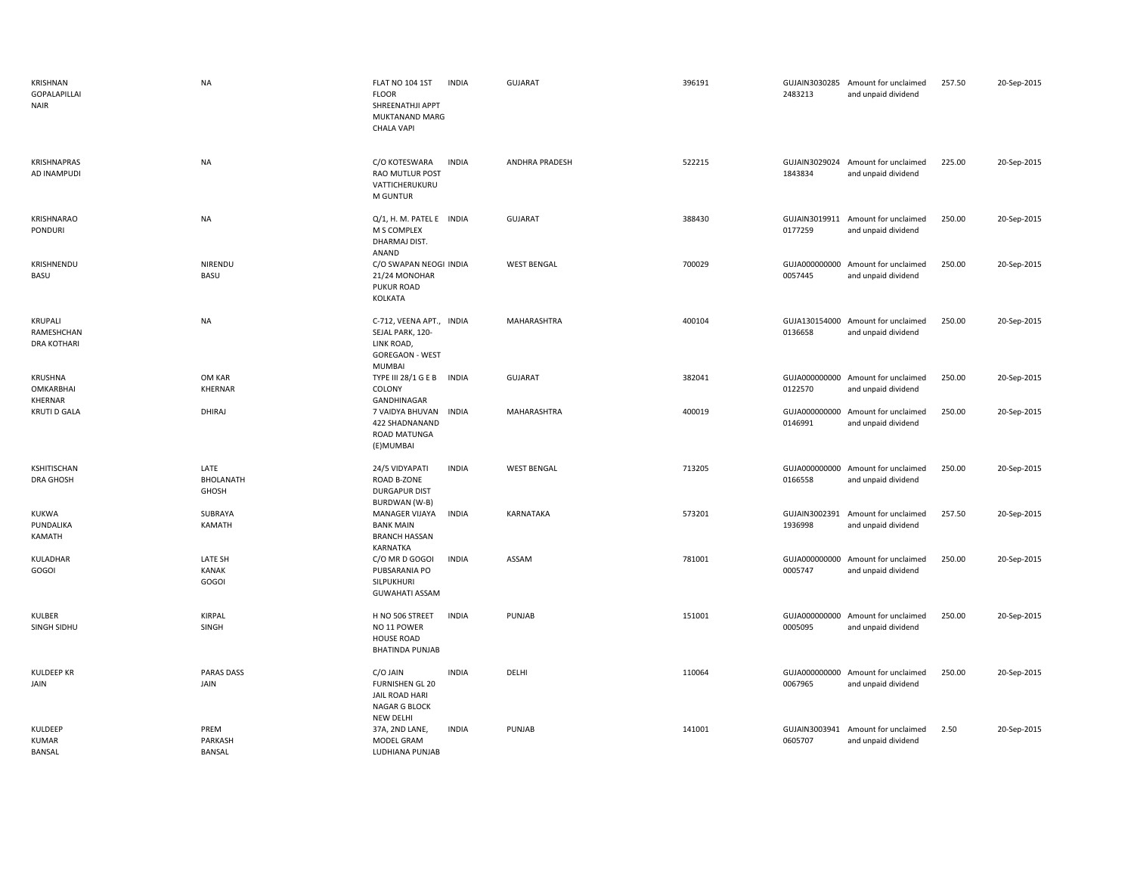| KRISHNAN<br><b>GOPALAPILLAI</b><br><b>NAIR</b> | <b>NA</b>                        | <b>FLAT NO 104 1ST</b><br><b>INDIA</b><br><b>FLOOR</b><br>SHREENATHJI APPT<br><b>MUKTANAND MARG</b><br>CHALA VAPI | <b>GUJARAT</b>        | 396191 | 2483213                  | GUJAIN3030285 Amount for unclaimed<br>and unpaid dividend | 257.50 | 20-Sep-2015 |
|------------------------------------------------|----------------------------------|-------------------------------------------------------------------------------------------------------------------|-----------------------|--------|--------------------------|-----------------------------------------------------------|--------|-------------|
| <b>KRISHNAPRAS</b><br>AD INAMPUDI              | <b>NA</b>                        | C/O KOTESWARA<br><b>INDIA</b><br><b>RAO MUTLUR POST</b><br>VATTICHERUKURU<br>M GUNTUR                             | <b>ANDHRA PRADESH</b> | 522215 | 1843834                  | GUJAIN3029024 Amount for unclaimed<br>and unpaid dividend | 225.00 | 20-Sep-2015 |
| KRISHNARAO<br>PONDURI                          | <b>NA</b>                        | Q/1, H. M. PATEL E INDIA<br>M S COMPLEX<br>DHARMAJ DIST.<br>ANAND                                                 | <b>GUJARAT</b>        | 388430 | GUJAIN3019911<br>0177259 | Amount for unclaimed<br>and unpaid dividend               | 250.00 | 20-Sep-2015 |
| KRISHNENDU<br>BASU                             | NIRENDU<br>BASU                  | C/O SWAPAN NEOGI INDIA<br>21/24 MONOHAR<br>PUKUR ROAD<br>KOLKATA                                                  | <b>WEST BENGAL</b>    | 700029 | 0057445                  | GUJA000000000 Amount for unclaimed<br>and unpaid dividend | 250.00 | 20-Sep-2015 |
| KRUPALI<br>RAMESHCHAN<br><b>DRA KOTHARI</b>    | <b>NA</b>                        | C-712, VEENA APT., INDIA<br>SEJAL PARK, 120-<br>LINK ROAD,<br><b>GOREGAON - WEST</b><br><b>MUMBAI</b>             | MAHARASHTRA           | 400104 | 0136658                  | GUJA130154000 Amount for unclaimed<br>and unpaid dividend | 250.00 | 20-Sep-2015 |
| <b>KRUSHNA</b><br>OMKARBHAI<br>KHERNAR         | OM KAR<br>KHERNAR                | TYPE III 28/1 G E B INDIA<br>COLONY<br>GANDHINAGAR                                                                | <b>GUJARAT</b>        | 382041 | 0122570                  | GUJA000000000 Amount for unclaimed<br>and unpaid dividend | 250.00 | 20-Sep-2015 |
| <b>KRUTI D GALA</b>                            | DHIRAJ                           | 7 VAIDYA BHUVAN<br><b>INDIA</b><br>422 SHADNANAND<br><b>ROAD MATUNGA</b><br>(E)MUMBAI                             | MAHARASHTRA           | 400019 | GUJA000000000<br>0146991 | Amount for unclaimed<br>and unpaid dividend               | 250.00 | 20-Sep-2015 |
| KSHITISCHAN<br><b>DRA GHOSH</b>                | LATE<br>BHOLANATH<br>GHOSH       | 24/5 VIDYAPATI<br><b>INDIA</b><br>ROAD B-ZONE<br><b>DURGAPUR DIST</b><br><b>BURDWAN</b> (W-B)                     | <b>WEST BENGAL</b>    | 713205 | 0166558                  | GUJA000000000 Amount for unclaimed<br>and unpaid dividend | 250.00 | 20-Sep-2015 |
| KUKWA<br>PUNDALIKA<br>KAMATH                   | SUBRAYA<br><b>KAMATH</b>         | <b>INDIA</b><br>MANAGER VIJAYA<br><b>BANK MAIN</b><br><b>BRANCH HASSAN</b><br>KARNATKA                            | KARNATAKA             | 573201 | GUJAIN3002391<br>1936998 | Amount for unclaimed<br>and unpaid dividend               | 257.50 | 20-Sep-2015 |
| KULADHAR<br>GOGOI                              | LATE SH<br><b>KANAK</b><br>GOGOI | <b>INDIA</b><br>C/O MR D GOGOI<br>PUBSARANIA PO<br>SILPUKHURI<br><b>GUWAHATI ASSAM</b>                            | ASSAM                 | 781001 | 0005747                  | GUJA000000000 Amount for unclaimed<br>and unpaid dividend | 250.00 | 20-Sep-2015 |
| KULBER<br>SINGH SIDHU                          | <b>KIRPAL</b><br>SINGH           | <b>INDIA</b><br>H NO 506 STREET<br>NO 11 POWER<br><b>HOUSE ROAD</b><br><b>BHATINDA PUNJAB</b>                     | PUNJAB                | 151001 | 0005095                  | GUJA000000000 Amount for unclaimed<br>and unpaid dividend | 250.00 | 20-Sep-2015 |
| <b>KULDEEP KR</b><br>JAIN                      | <b>PARAS DASS</b><br>JAIN        | C/O JAIN<br><b>INDIA</b><br><b>FURNISHEN GL 20</b><br>JAIL ROAD HARI<br>NAGAR G BLOCK                             | DELHI                 | 110064 | GUJA000000000<br>0067965 | Amount for unclaimed<br>and unpaid dividend               | 250.00 | 20-Sep-2015 |
| KULDEEP<br><b>KUMAR</b><br>BANSAL              | PREM<br>PARKASH<br><b>BANSAL</b> | <b>NEW DELHI</b><br>37A, 2ND LANE,<br><b>INDIA</b><br>MODEL GRAM<br>LUDHIANA PUNJAB                               | PUNJAB                | 141001 | GUJAIN3003941<br>0605707 | Amount for unclaimed<br>and unpaid dividend               | 2.50   | 20-Sep-2015 |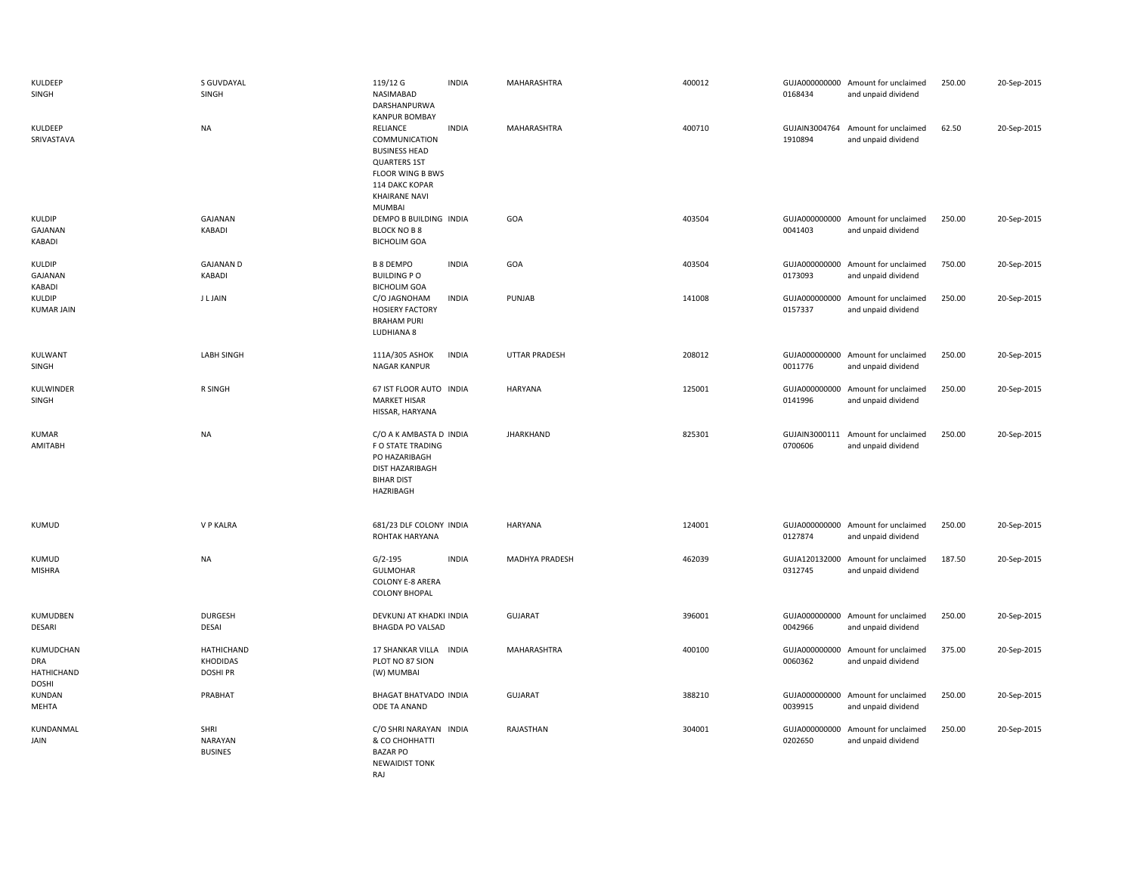| KULDEEP<br>SINGH                               | S GUVDAYAL<br>SINGH                             | 119/12 G<br><b>INDIA</b><br>NASIMABAD<br>DARSHANPURWA<br><b>KANPUR BOMBAY</b>                                                                                    | MAHARASHTRA           | 400012 | 0168434                  | GUJA000000000 Amount for unclaimed<br>and unpaid dividend | 250.00 | 20-Sep-2015 |
|------------------------------------------------|-------------------------------------------------|------------------------------------------------------------------------------------------------------------------------------------------------------------------|-----------------------|--------|--------------------------|-----------------------------------------------------------|--------|-------------|
| KULDEEP<br>SRIVASTAVA                          | <b>NA</b>                                       | RELIANCE<br><b>INDIA</b><br>COMMUNICATION<br><b>BUSINESS HEAD</b><br><b>QUARTERS 1ST</b><br>FLOOR WING B BWS<br>114 DAKC KOPAR<br><b>KHAIRANE NAVI</b><br>MUMBAI | MAHARASHTRA           | 400710 | 1910894                  | GUJAIN3004764 Amount for unclaimed<br>and unpaid dividend | 62.50  | 20-Sep-2015 |
| KULDIP<br>GAJANAN<br>KABADI                    | GAJANAN<br>KABADI                               | DEMPO B BUILDING INDIA<br><b>BLOCK NO B 8</b><br><b>BICHOLIM GOA</b>                                                                                             | GOA                   | 403504 | 0041403                  | GUJA000000000 Amount for unclaimed<br>and unpaid dividend | 250.00 | 20-Sep-2015 |
| <b>KULDIP</b><br>GAJANAN<br>KABADI             | <b>GAJANAN D</b><br><b>KABADI</b>               | <b>B 8 DEMPO</b><br><b>INDIA</b><br><b>BUILDING PO</b><br><b>BICHOLIM GOA</b>                                                                                    | GOA                   | 403504 | GUJA000000000<br>0173093 | Amount for unclaimed<br>and unpaid dividend               | 750.00 | 20-Sep-2015 |
| KULDIP<br><b>KUMAR JAIN</b>                    | <b>JLJAIN</b>                                   | C/O JAGNOHAM<br><b>INDIA</b><br><b>HOSIERY FACTORY</b><br><b>BRAHAM PURI</b><br>LUDHIANA 8                                                                       | PUNJAB                | 141008 | GUJA000000000<br>0157337 | Amount for unclaimed<br>and unpaid dividend               | 250.00 | 20-Sep-2015 |
| KULWANT<br>SINGH                               | <b>LABH SINGH</b>                               | 111A/305 ASHOK<br><b>INDIA</b><br><b>NAGAR KANPUR</b>                                                                                                            | <b>UTTAR PRADESH</b>  | 208012 | GUJA000000000<br>0011776 | Amount for unclaimed<br>and unpaid dividend               | 250.00 | 20-Sep-2015 |
| KULWINDER<br>SINGH                             | R SINGH                                         | 67 IST FLOOR AUTO INDIA<br><b>MARKET HISAR</b><br>HISSAR, HARYANA                                                                                                | <b>HARYANA</b>        | 125001 | 0141996                  | GUJA000000000 Amount for unclaimed<br>and unpaid dividend | 250.00 | 20-Sep-2015 |
| <b>KUMAR</b><br>AMITABH                        | <b>NA</b>                                       | C/O A K AMBASTA D INDIA<br>F O STATE TRADING<br>PO HAZARIBAGH<br><b>DIST HAZARIBAGH</b><br><b>BIHAR DIST</b><br>HAZRIBAGH                                        | <b>JHARKHAND</b>      | 825301 | GUJAIN3000111<br>0700606 | Amount for unclaimed<br>and unpaid dividend               | 250.00 | 20-Sep-2015 |
| <b>KUMUD</b>                                   | <b>V P KALRA</b>                                | 681/23 DLF COLONY INDIA<br>ROHTAK HARYANA                                                                                                                        | <b>HARYANA</b>        | 124001 | 0127874                  | GUJA000000000 Amount for unclaimed<br>and unpaid dividend | 250.00 | 20-Sep-2015 |
| KUMUD<br><b>MISHRA</b>                         | <b>NA</b>                                       | <b>INDIA</b><br>$G/2 - 195$<br><b>GULMOHAR</b><br><b>COLONY E-8 ARERA</b><br><b>COLONY BHOPAL</b>                                                                | <b>MADHYA PRADESH</b> | 462039 | GUJA120132000<br>0312745 | Amount for unclaimed<br>and unpaid dividend               | 187.50 | 20-Sep-2015 |
| KUMUDBEN<br><b>DESARI</b>                      | <b>DURGESH</b><br><b>DESAI</b>                  | DEVKUNJ AT KHADKI INDIA<br><b>BHAGDA PO VALSAD</b>                                                                                                               | <b>GUJARAT</b>        | 396001 | 0042966                  | GUJA000000000 Amount for unclaimed<br>and unpaid dividend | 250.00 | 20-Sep-2015 |
| KUMUDCHAN<br>DRA<br>HATHICHAND<br><b>DOSHI</b> | <b>HATHICHAND</b><br>KHODIDAS<br><b>DOSHIPR</b> | 17 SHANKAR VILLA INDIA<br>PLOT NO 87 SION<br>(W) MUMBAI                                                                                                          | MAHARASHTRA           | 400100 | GUJA000000000<br>0060362 | Amount for unclaimed<br>and unpaid dividend               | 375.00 | 20-Sep-2015 |
| KUNDAN<br>MEHTA                                | PRABHAT                                         | <b>BHAGAT BHATVADO INDIA</b><br>ODE TA ANAND                                                                                                                     | <b>GUJARAT</b>        | 388210 | GUJA000000000<br>0039915 | Amount for unclaimed<br>and unpaid dividend               | 250.00 | 20-Sep-2015 |
| KUNDANMAL<br>JAIN                              | SHRI<br>NARAYAN<br><b>BUSINES</b>               | C/O SHRI NARAYAN INDIA<br>& CO CHOHHATTI<br><b>BAZAR PO</b><br><b>NEWAIDIST TONK</b><br>RAJ                                                                      | RAJASTHAN             | 304001 | GUJA000000000<br>0202650 | Amount for unclaimed<br>and unpaid dividend               | 250.00 | 20-Sep-2015 |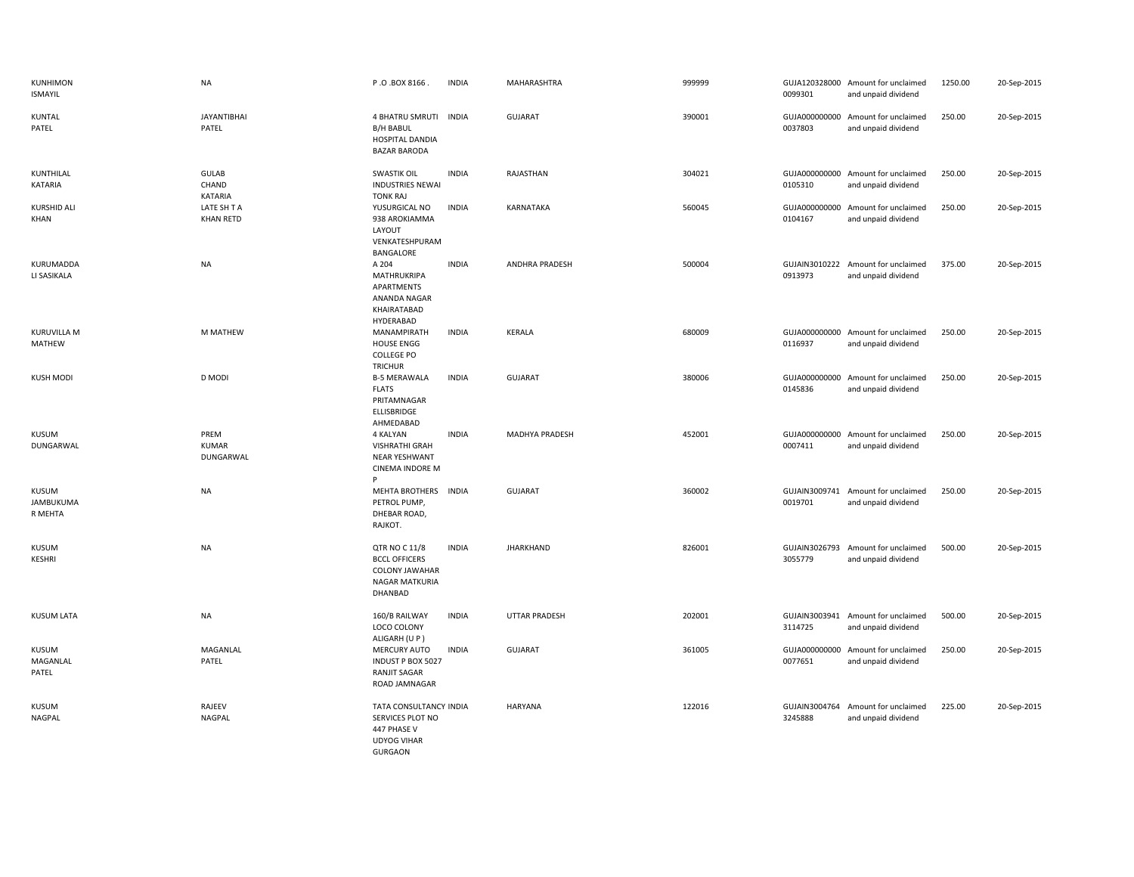| KUNHIMON<br><b>ISMAYIL</b>        | <b>NA</b>                         | P.O.BOX 8166.                                                                                      | <b>INDIA</b> | MAHARASHTRA           | 999999 | 0099301                  | GUJA120328000 Amount for unclaimed<br>and unpaid dividend | 1250.00 | 20-Sep-2015 |
|-----------------------------------|-----------------------------------|----------------------------------------------------------------------------------------------------|--------------|-----------------------|--------|--------------------------|-----------------------------------------------------------|---------|-------------|
| KUNTAL<br>PATEL                   | <b>JAYANTIBHAI</b><br>PATEL       | 4 BHATRU SMRUTI INDIA<br><b>B/H BABUL</b><br>HOSPITAL DANDIA<br><b>BAZAR BARODA</b>                |              | GUJARAT               | 390001 | 0037803                  | GUJA000000000 Amount for unclaimed<br>and unpaid dividend | 250.00  | 20-Sep-2015 |
| KUNTHILAL<br>KATARIA              | <b>GULAB</b><br>CHAND<br>KATARIA  | <b>SWASTIK OIL</b><br><b>INDUSTRIES NEWAI</b><br><b>TONK RAJ</b>                                   | <b>INDIA</b> | RAJASTHAN             | 304021 | 0105310                  | GUJA000000000 Amount for unclaimed<br>and unpaid dividend | 250.00  | 20-Sep-2015 |
| <b>KURSHID ALI</b><br>KHAN        | LATE SH T A<br><b>KHAN RETD</b>   | YUSURGICAL NO<br>938 AROKIAMMA<br>LAYOUT<br>VENKATESHPURAM<br>BANGALORE                            | <b>INDIA</b> | KARNATAKA             | 560045 | 0104167                  | GUJA000000000 Amount for unclaimed<br>and unpaid dividend | 250.00  | 20-Sep-2015 |
| KURUMADDA<br>LI SASIKALA          | <b>NA</b>                         | A 204<br>MATHRUKRIPA<br>APARTMENTS<br>ANANDA NAGAR<br>KHAIRATABAD<br>HYDERABAD                     | <b>INDIA</b> | ANDHRA PRADESH        | 500004 | 0913973                  | GUJAIN3010222 Amount for unclaimed<br>and unpaid dividend | 375.00  | 20-Sep-2015 |
| KURUVILLA M<br>MATHEW             | M MATHEW                          | MANAMPIRATH<br><b>HOUSE ENGG</b><br><b>COLLEGE PO</b><br><b>TRICHUR</b>                            | <b>INDIA</b> | KERALA                | 680009 | 0116937                  | GUJA000000000 Amount for unclaimed<br>and unpaid dividend | 250.00  | 20-Sep-2015 |
| <b>KUSH MODI</b>                  | D MODI                            | <b>B-5 MERAWALA</b><br><b>FLATS</b><br>PRITAMNAGAR<br>ELLISBRIDGE<br>AHMEDABAD                     | <b>INDIA</b> | <b>GUJARAT</b>        | 380006 | 0145836                  | GUJA000000000 Amount for unclaimed<br>and unpaid dividend | 250.00  | 20-Sep-2015 |
| <b>KUSUM</b><br>DUNGARWAL         | PREM<br><b>KUMAR</b><br>DUNGARWAL | 4 KALYAN<br><b>VISHRATHI GRAH</b><br>NEAR YESHWANT<br><b>CINEMA INDORE M</b><br>Þ                  | <b>INDIA</b> | <b>MADHYA PRADESH</b> | 452001 | 0007411                  | GUJA000000000 Amount for unclaimed<br>and unpaid dividend | 250.00  | 20-Sep-2015 |
| KUSUM<br>JAMBUKUMA<br>R MEHTA     | <b>NA</b>                         | <b>MEHTA BROTHERS</b><br>PETROL PUMP,<br>DHEBAR ROAD,<br>RAJKOT.                                   | <b>INDIA</b> | <b>GUJARAT</b>        | 360002 | 0019701                  | GUJAIN3009741 Amount for unclaimed<br>and unpaid dividend | 250.00  | 20-Sep-2015 |
| <b>KUSUM</b><br><b>KESHRI</b>     | <b>NA</b>                         | QTR NO C 11/8<br><b>BCCL OFFICERS</b><br><b>COLONY JAWAHAR</b><br><b>NAGAR MATKURIA</b><br>DHANBAD | <b>INDIA</b> | <b>JHARKHAND</b>      | 826001 | GUJAIN3026793<br>3055779 | Amount for unclaimed<br>and unpaid dividend               | 500.00  | 20-Sep-2015 |
| <b>KUSUM LATA</b>                 | <b>NA</b>                         | 160/B RAILWAY<br>LOCO COLONY<br>ALIGARH (U P)                                                      | <b>INDIA</b> | <b>UTTAR PRADESH</b>  | 202001 | 3114725                  | GUJAIN3003941 Amount for unclaimed<br>and unpaid dividend | 500.00  | 20-Sep-2015 |
| <b>KUSUM</b><br>MAGANLAL<br>PATEL | MAGANLAL<br>PATEL                 | MERCURY AUTO<br><b>INDUST P BOX 5027</b><br><b>RANJIT SAGAR</b><br>ROAD JAMNAGAR                   | <b>INDIA</b> | <b>GUJARAT</b>        | 361005 | 0077651                  | GUJA000000000 Amount for unclaimed<br>and unpaid dividend | 250.00  | 20-Sep-2015 |
| <b>KUSUM</b><br>NAGPAL            | RAJEEV<br><b>NAGPAL</b>           | TATA CONSULTANCY INDIA<br>SERVICES PLOT NO<br>447 PHASE V<br><b>UDYOG VIHAR</b><br><b>GURGAON</b>  |              | <b>HARYANA</b>        | 122016 | 3245888                  | GUJAIN3004764 Amount for unclaimed<br>and unpaid dividend | 225.00  | 20-Sep-2015 |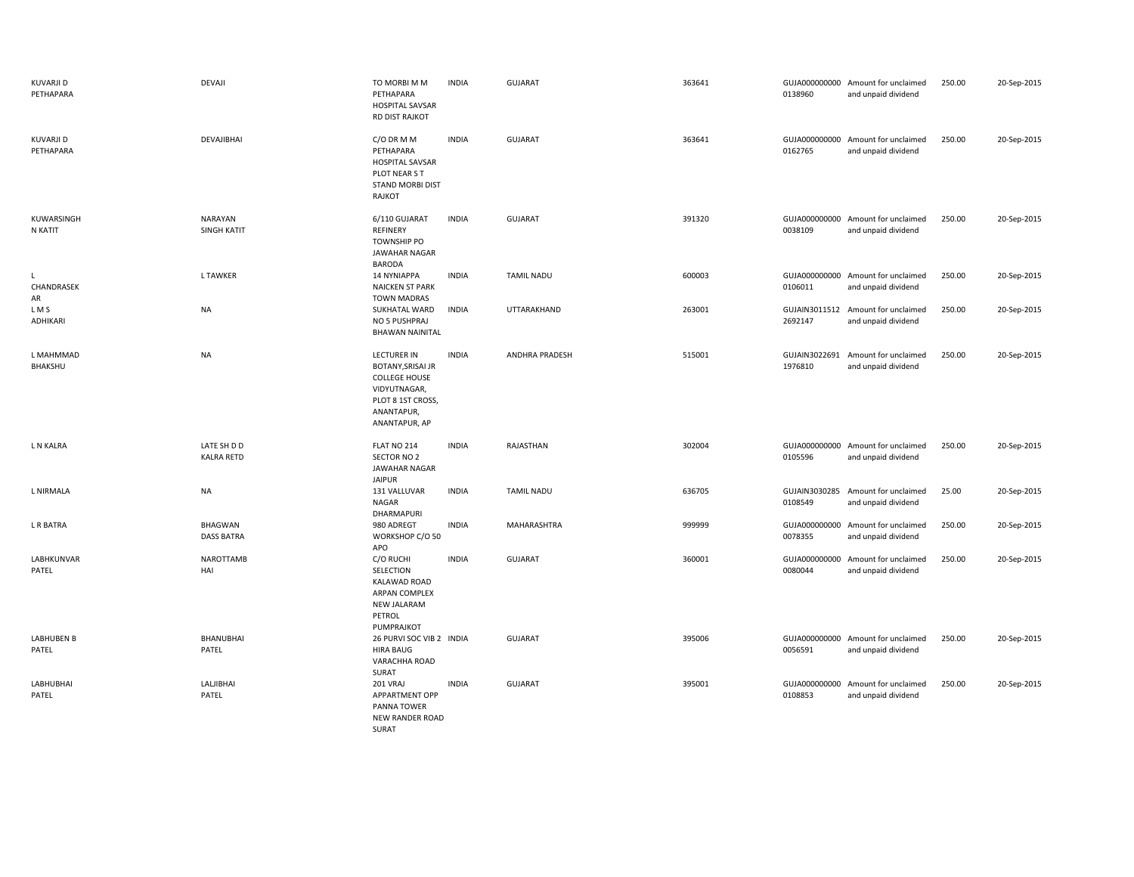| <b>KUVARJI D</b><br>PETHAPARA | DEVAJI                           | TO MORBI M M<br>PETHAPARA<br><b>HOSPITAL SAVSAR</b><br>RD DIST RAJKOT                                                                      | <b>INDIA</b> | GUJARAT               | 363641 | 0138960                  | GUJA000000000 Amount for unclaimed<br>and unpaid dividend | 250.00 | 20-Sep-2015 |
|-------------------------------|----------------------------------|--------------------------------------------------------------------------------------------------------------------------------------------|--------------|-----------------------|--------|--------------------------|-----------------------------------------------------------|--------|-------------|
| <b>KUVARJI D</b><br>PETHAPARA | DEVAJIBHAI                       | C/O DR M M<br>PETHAPARA<br><b>HOSPITAL SAVSAR</b><br>PLOT NEAR S T<br>STAND MORBI DIST<br>RAJKOT                                           | <b>INDIA</b> | <b>GUJARAT</b>        | 363641 | 0162765                  | GUJA000000000 Amount for unclaimed<br>and unpaid dividend | 250.00 | 20-Sep-2015 |
| KUWARSINGH<br>N KATIT         | NARAYAN<br>SINGH KATIT           | 6/110 GUJARAT<br>REFINERY<br><b>TOWNSHIP PO</b><br><b>JAWAHAR NAGAR</b><br><b>BARODA</b>                                                   | <b>INDIA</b> | GUJARAT               | 391320 | 0038109                  | GUJA000000000 Amount for unclaimed<br>and unpaid dividend | 250.00 | 20-Sep-2015 |
| L<br>CHANDRASEK<br>AR         | <b>LTAWKER</b>                   | <b>14 NYNIAPPA</b><br><b>NAICKEN ST PARK</b><br><b>TOWN MADRAS</b>                                                                         | <b>INDIA</b> | <b>TAMIL NADU</b>     | 600003 | 0106011                  | GUJA000000000 Amount for unclaimed<br>and unpaid dividend | 250.00 | 20-Sep-2015 |
| LMS<br>ADHIKARI               | <b>NA</b>                        | SUKHATAL WARD<br>NO 5 PUSHPRAJ<br><b>BHAWAN NAINITAL</b>                                                                                   | <b>INDIA</b> | UTTARAKHAND           | 263001 | 2692147                  | GUJAIN3011512 Amount for unclaimed<br>and unpaid dividend | 250.00 | 20-Sep-2015 |
| L MAHMMAD<br>BHAKSHU          | <b>NA</b>                        | <b>LECTURER IN</b><br><b>BOTANY, SRISAI JR</b><br><b>COLLEGE HOUSE</b><br>VIDYUTNAGAR,<br>PLOT 8 1ST CROSS,<br>ANANTAPUR,<br>ANANTAPUR, AP | <b>INDIA</b> | <b>ANDHRA PRADESH</b> | 515001 | GUJAIN3022691<br>1976810 | Amount for unclaimed<br>and unpaid dividend               | 250.00 | 20-Sep-2015 |
| L N KALRA                     | LATE SH D D<br><b>KALRA RETD</b> | FLAT NO 214<br>SECTOR NO 2<br>JAWAHAR NAGAR<br><b>JAIPUR</b>                                                                               | <b>INDIA</b> | RAJASTHAN             | 302004 | 0105596                  | GUJA000000000 Amount for unclaimed<br>and unpaid dividend | 250.00 | 20-Sep-2015 |
| L NIRMALA                     | <b>NA</b>                        | 131 VALLUVAR<br>NAGAR<br>DHARMAPURI                                                                                                        | <b>INDIA</b> | <b>TAMIL NADU</b>     | 636705 | 0108549                  | GUJAIN3030285 Amount for unclaimed<br>and unpaid dividend | 25.00  | 20-Sep-2015 |
| L R BATRA                     | BHAGWAN<br><b>DASS BATRA</b>     | 980 ADREGT<br>WORKSHOP C/O 50<br>APO                                                                                                       | <b>INDIA</b> | MAHARASHTRA           | 999999 | 0078355                  | GUJA000000000 Amount for unclaimed<br>and unpaid dividend | 250.00 | 20-Sep-2015 |
| LABHKUNVAR<br>PATEL           | NAROTTAMB<br>HAI                 | C/O RUCHI<br>SELECTION<br>KALAWAD ROAD<br>ARPAN COMPLEX<br>NEW JALARAM<br>PETROL<br>PUMPRAJKOT                                             | <b>INDIA</b> | <b>GUJARAT</b>        | 360001 | GUJA000000000<br>0080044 | Amount for unclaimed<br>and unpaid dividend               | 250.00 | 20-Sep-2015 |
| LABHUBEN B<br>PATEL           | BHANUBHAI<br>PATEL               | 26 PURVI SOC VIB 2 INDIA<br><b>HIRA BAUG</b><br>VARACHHA ROAD<br>SURAT                                                                     |              | GUJARAT               | 395006 | 0056591                  | GUJA000000000 Amount for unclaimed<br>and unpaid dividend | 250.00 | 20-Sep-2015 |
| LABHUBHAI<br>PATEL            | <b>LALJIBHAI</b><br>PATEL        | 201 VRAJ<br>APPARTMENT OPP<br>PANNA TOWER<br>NEW RANDER ROAD<br>SURAT                                                                      | <b>INDIA</b> | <b>GUJARAT</b>        | 395001 | 0108853                  | GUJA000000000 Amount for unclaimed<br>and unpaid dividend | 250.00 | 20-Sep-2015 |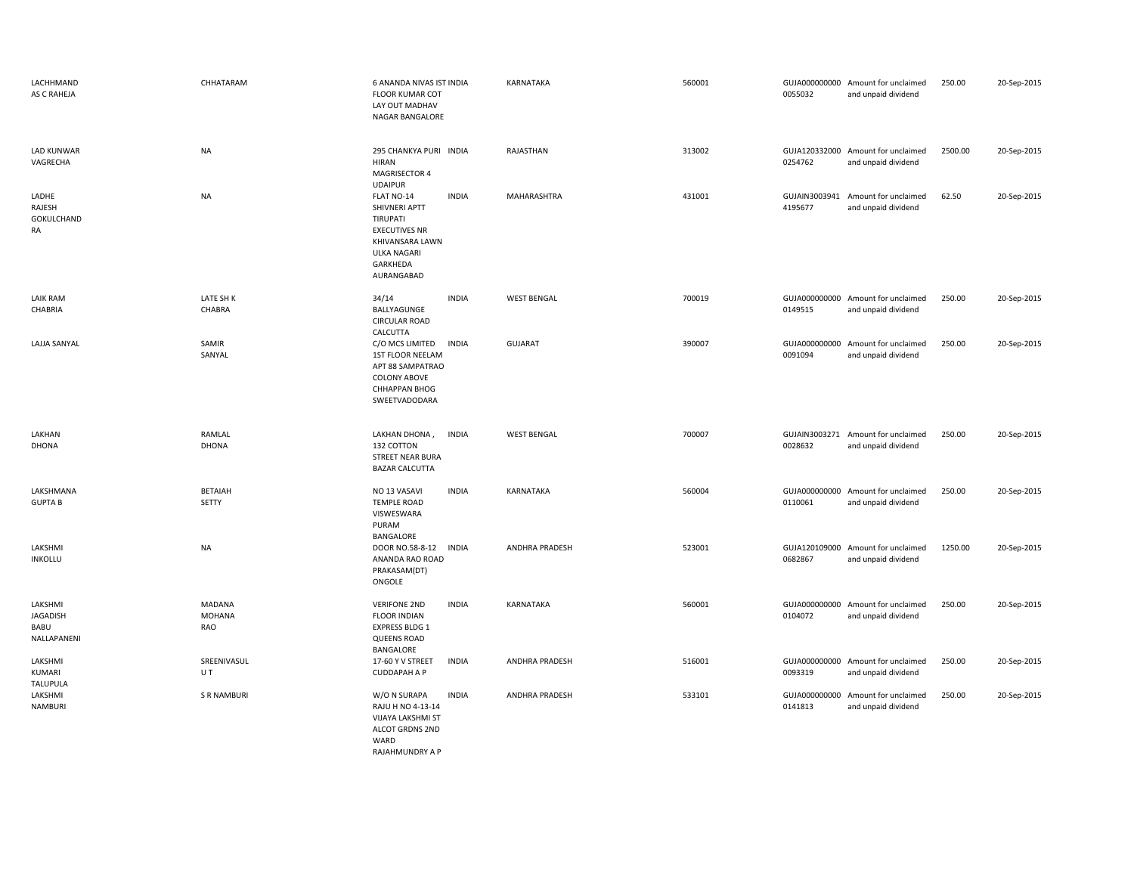| LACHHMAND<br>AS C RAHEJA                   | CHHATARAM                      | 6 ANANDA NIVAS IST INDIA<br><b>FLOOR KUMAR COT</b><br>LAY OUT MADHAV<br>NAGAR BANGALORE                                                            | <b>KARNATAKA</b>   | 560001 | 0055032                  | GUJA000000000 Amount for unclaimed<br>and unpaid dividend | 250.00  | 20-Sep-2015 |
|--------------------------------------------|--------------------------------|----------------------------------------------------------------------------------------------------------------------------------------------------|--------------------|--------|--------------------------|-----------------------------------------------------------|---------|-------------|
| <b>LAD KUNWAR</b><br>VAGRECHA              | <b>NA</b>                      | 295 CHANKYA PURI INDIA<br><b>HIRAN</b><br>MAGRISECTOR 4<br><b>UDAIPUR</b>                                                                          | RAJASTHAN          | 313002 | 0254762                  | GUJA120332000 Amount for unclaimed<br>and unpaid dividend | 2500.00 | 20-Sep-2015 |
| LADHE<br>RAJESH<br>GOKULCHAND<br>RA        | <b>NA</b>                      | <b>INDIA</b><br>FLAT NO-14<br>SHIVNERI APTT<br>TIRUPATI<br><b>EXECUTIVES NR</b><br>KHIVANSARA LAWN<br><b>ULKA NAGARI</b><br>GARKHEDA<br>AURANGABAD | MAHARASHTRA        | 431001 | 4195677                  | GUJAIN3003941 Amount for unclaimed<br>and unpaid dividend | 62.50   | 20-Sep-2015 |
| <b>LAIK RAM</b><br>CHABRIA                 | LATE SH K<br>CHABRA            | <b>INDIA</b><br>34/14<br>BALLYAGUNGE<br><b>CIRCULAR ROAD</b><br>CALCUTTA                                                                           | <b>WEST BENGAL</b> | 700019 | 0149515                  | GUJA000000000 Amount for unclaimed<br>and unpaid dividend | 250.00  | 20-Sep-2015 |
| LAJJA SANYAL                               | SAMIR<br>SANYAL                | C/O MCS LIMITED<br>INDIA<br>1ST FLOOR NEELAM<br>APT 88 SAMPATRAO<br><b>COLONY ABOVE</b><br><b>CHHAPPAN BHOG</b><br>SWEETVADODARA                   | GUJARAT            | 390007 | GUJA000000000<br>0091094 | Amount for unclaimed<br>and unpaid dividend               | 250.00  | 20-Sep-2015 |
| LAKHAN                                     | RAMLAL                         | LAKHAN DHONA,<br>INDIA                                                                                                                             | <b>WEST BENGAL</b> | 700007 |                          | GUJAIN3003271 Amount for unclaimed                        | 250.00  | 20-Sep-2015 |
| DHONA                                      | <b>DHONA</b>                   | 132 COTTON<br>STREET NEAR BURA<br><b>BAZAR CALCUTTA</b>                                                                                            |                    |        | 0028632                  | and unpaid dividend                                       |         |             |
| LAKSHMANA<br><b>GUPTAB</b>                 | <b>BETAIAH</b><br>SETTY        | <b>INDIA</b><br>NO 13 VASAVI<br><b>TEMPLE ROAD</b><br>VISWESWARA<br>PURAM<br>BANGALORE                                                             | KARNATAKA          | 560004 | GUJA000000000<br>0110061 | Amount for unclaimed<br>and unpaid dividend               | 250.00  | 20-Sep-2015 |
| LAKSHMI<br><b>INKOLLU</b>                  | <b>NA</b>                      | DOOR NO.58-8-12<br>INDIA<br>ANANDA RAO ROAD<br>PRAKASAM(DT)<br>ONGOLE                                                                              | ANDHRA PRADESH     | 523001 | GUJA120109000<br>0682867 | Amount for unclaimed<br>and unpaid dividend               | 1250.00 | 20-Sep-2015 |
| LAKSHMI<br>JAGADISH<br>BABU<br>NALLAPANENI | MADANA<br><b>MOHANA</b><br>RAO | <b>INDIA</b><br><b>VERIFONE 2ND</b><br><b>FLOOR INDIAN</b><br>EXPRESS BLDG 1<br><b>QUEENS ROAD</b><br>BANGALORE                                    | KARNATAKA          | 560001 | GUJA000000000<br>0104072 | Amount for unclaimed<br>and unpaid dividend               | 250.00  | 20-Sep-2015 |
| LAKSHMI<br><b>KUMARI</b><br>TALUPULA       | SREENIVASUL<br>UT              | 17-60 Y V STREET<br><b>INDIA</b><br><b>CUDDAPAH A P</b>                                                                                            | ANDHRA PRADESH     | 516001 | 0093319                  | GUJA000000000 Amount for unclaimed<br>and unpaid dividend | 250.00  | 20-Sep-2015 |
| LAKSHMI<br>NAMBURI                         | <b>S R NAMBURI</b>             | <b>INDIA</b><br>W/O N SURAPA<br>RAJU H NO 4-13-14<br><b>VIJAYA LAKSHMI ST</b><br>ALCOT GRDNS 2ND<br>WARD<br>RAJAHMUNDRY A P                        | ANDHRA PRADESH     | 533101 | GUJA000000000<br>0141813 | Amount for unclaimed<br>and unpaid dividend               | 250.00  | 20-Sep-2015 |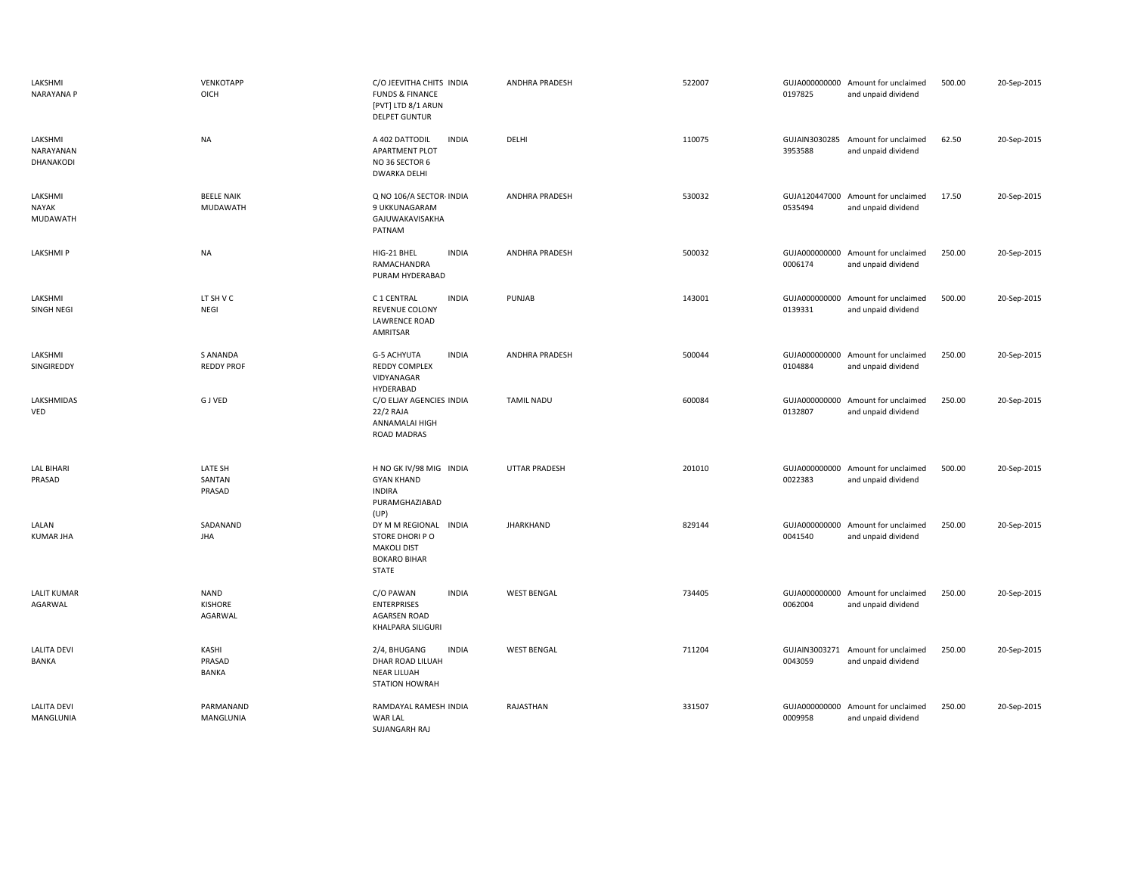| LAKSHMI<br>NARAYANA P               | VENKOTAPP<br>OICH                    | C/O JEEVITHA CHITS INDIA<br><b>FUNDS &amp; FINANCE</b><br>[PVT] LTD 8/1 ARUN<br><b>DELPET GUNTUR</b> | <b>ANDHRA PRADESH</b> | 522007 | 0197825                  | GUJA000000000 Amount for unclaimed<br>and unpaid dividend | 500.00 | 20-Sep-2015 |
|-------------------------------------|--------------------------------------|------------------------------------------------------------------------------------------------------|-----------------------|--------|--------------------------|-----------------------------------------------------------|--------|-------------|
| LAKSHMI<br>NARAYANAN<br>DHANAKODI   | <b>NA</b>                            | A 402 DATTODIL<br><b>INDIA</b><br><b>APARTMENT PLOT</b><br>NO 36 SECTOR 6<br><b>DWARKA DELHI</b>     | DELHI                 | 110075 | 3953588                  | GUJAIN3030285 Amount for unclaimed<br>and unpaid dividend | 62.50  | 20-Sep-2015 |
| LAKSHMI<br><b>NAYAK</b><br>MUDAWATH | <b>BEELE NAIK</b><br><b>MUDAWATH</b> | Q NO 106/A SECTOR- INDIA<br>9 UKKUNAGARAM<br>GAJUWAKAVISAKHA<br>PATNAM                               | <b>ANDHRA PRADESH</b> | 530032 | GUJA120447000<br>0535494 | Amount for unclaimed<br>and unpaid dividend               | 17.50  | 20-Sep-2015 |
| <b>LAKSHMIP</b>                     | <b>NA</b>                            | HIG-21 BHEL<br><b>INDIA</b><br>RAMACHANDRA<br>PURAM HYDERABAD                                        | <b>ANDHRA PRADESH</b> | 500032 | 0006174                  | GUJA000000000 Amount for unclaimed<br>and unpaid dividend | 250.00 | 20-Sep-2015 |
| LAKSHMI<br>SINGH NEGI               | LT SH V C<br>NEGI                    | <b>INDIA</b><br>C 1 CENTRAL<br>REVENUE COLONY<br><b>LAWRENCE ROAD</b><br>AMRITSAR                    | PUNJAB                | 143001 | 0139331                  | GUJA000000000 Amount for unclaimed<br>and unpaid dividend | 500.00 | 20-Sep-2015 |
| LAKSHMI<br>SINGIREDDY               | S ANANDA<br><b>REDDY PROF</b>        | G-5 ACHYUTA<br><b>INDIA</b><br><b>REDDY COMPLEX</b><br>VIDYANAGAR<br>HYDERABAD                       | <b>ANDHRA PRADESH</b> | 500044 | GUJA000000000<br>0104884 | Amount for unclaimed<br>and unpaid dividend               | 250.00 | 20-Sep-2015 |
| LAKSHMIDAS<br>VED                   | <b>GJVED</b>                         | C/O ELJAY AGENCIES INDIA<br>22/2 RAJA<br>ANNAMALAI HIGH<br>ROAD MADRAS                               | <b>TAMIL NADU</b>     | 600084 | GUJA000000000<br>0132807 | Amount for unclaimed<br>and unpaid dividend               | 250.00 | 20-Sep-2015 |
| <b>LAL BIHARI</b><br>PRASAD         | LATE SH<br>SANTAN<br>PRASAD          | H NO GK IV/98 MIG INDIA<br><b>GYAN KHAND</b><br><b>INDIRA</b><br>PURAMGHAZIABAD<br>(UP)              | <b>UTTAR PRADESH</b>  | 201010 | 0022383                  | GUJA000000000 Amount for unclaimed<br>and unpaid dividend | 500.00 | 20-Sep-2015 |
| LALAN<br><b>KUMAR JHA</b>           | SADANAND<br><b>JHA</b>               | DY M M REGIONAL INDIA<br>STORE DHORI PO<br><b>MAKOLI DIST</b><br><b>BOKARO BIHAR</b><br>STATE        | <b>JHARKHAND</b>      | 829144 | 0041540                  | GUJA000000000 Amount for unclaimed<br>and unpaid dividend | 250.00 | 20-Sep-2015 |
| <b>LALIT KUMAR</b><br>AGARWAL       | <b>NAND</b><br>KISHORE<br>AGARWAL    | C/O PAWAN<br><b>INDIA</b><br><b>ENTERPRISES</b><br><b>AGARSEN ROAD</b><br>KHALPARA SILIGURI          | <b>WEST BENGAL</b>    | 734405 | 0062004                  | GUJA000000000 Amount for unclaimed<br>and unpaid dividend | 250.00 | 20-Sep-2015 |
| <b>LALITA DEVI</b><br>BANKA         | KASHI<br>PRASAD<br><b>BANKA</b>      | <b>INDIA</b><br>2/4, BHUGANG<br>DHAR ROAD LILUAH<br><b>NEAR LILUAH</b><br>STATION HOWRAH             | <b>WEST BENGAL</b>    | 711204 | 0043059                  | GUJAIN3003271 Amount for unclaimed<br>and unpaid dividend | 250.00 | 20-Sep-2015 |
| <b>LALITA DEVI</b><br>MANGLUNIA     | PARMANAND<br>MANGLUNIA               | RAMDAYAL RAMESH INDIA<br>WAR LAL<br><b>SUJANGARH RAJ</b>                                             | RAJASTHAN             | 331507 | GUJA000000000<br>0009958 | Amount for unclaimed<br>and unpaid dividend               | 250.00 | 20-Sep-2015 |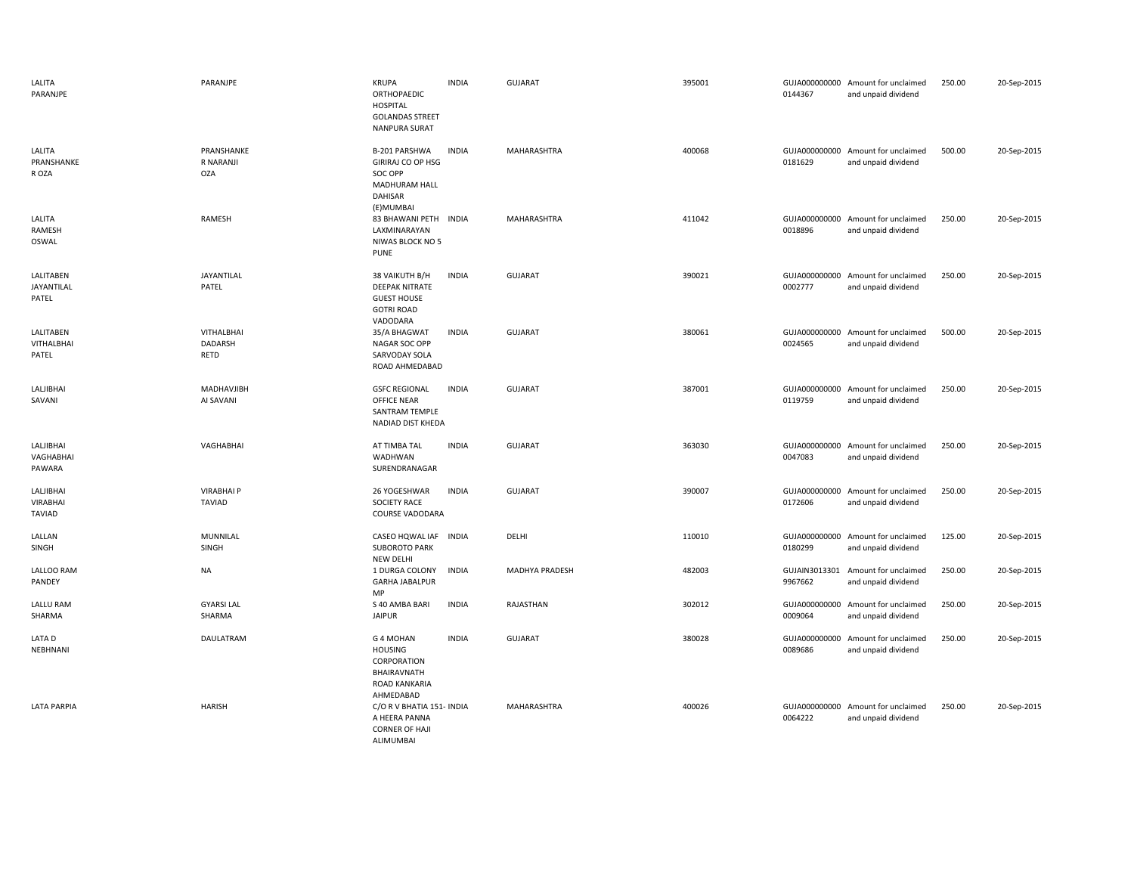| LALITA<br>PARANJPE                      | PARANJPE                              | <b>KRUPA</b><br>ORTHOPAEDIC<br><b>HOSPITAL</b><br><b>GOLANDAS STREET</b><br><b>NANPURA SURAT</b> | <b>INDIA</b> | <b>GUJARAT</b>        | 395001 | 0144367                  | GUJA000000000 Amount for unclaimed<br>and unpaid dividend | 250.00 | 20-Sep-2015 |
|-----------------------------------------|---------------------------------------|--------------------------------------------------------------------------------------------------|--------------|-----------------------|--------|--------------------------|-----------------------------------------------------------|--------|-------------|
| LALITA<br>PRANSHANKE<br>R OZA           | PRANSHANKE<br>R NARANJI<br><b>OZA</b> | B-201 PARSHWA<br>GIRIRAJ CO OP HSG<br>SOC OPP<br>MADHURAM HALL<br>DAHISAR                        | <b>INDIA</b> | MAHARASHTRA           | 400068 | 0181629                  | GUJA000000000 Amount for unclaimed<br>and unpaid dividend | 500.00 | 20-Sep-2015 |
| LALITA<br>RAMESH<br>OSWAL               | RAMESH                                | (E)MUMBAI<br>83 BHAWANI PETH INDIA<br>LAXMINARAYAN<br>NIWAS BLOCK NO 5<br><b>PUNE</b>            |              | MAHARASHTRA           | 411042 | GUJA000000000<br>0018896 | Amount for unclaimed<br>and unpaid dividend               | 250.00 | 20-Sep-2015 |
| LALITABEN<br>JAYANTILAL<br>PATEL        | JAYANTILAL<br>PATEL                   | 38 VAIKUTH B/H<br><b>DEEPAK NITRATE</b><br><b>GUEST HOUSE</b><br><b>GOTRI ROAD</b><br>VADODARA   | <b>INDIA</b> | GUJARAT               | 390021 | 0002777                  | GUJA000000000 Amount for unclaimed<br>and unpaid dividend | 250.00 | 20-Sep-2015 |
| LALITABEN<br><b>VITHALBHAI</b><br>PATEL | <b>VITHALBHAI</b><br>DADARSH<br>RETD  | 35/A BHAGWAT<br>NAGAR SOC OPP<br>SARVODAY SOLA<br>ROAD AHMEDABAD                                 | <b>INDIA</b> | GUJARAT               | 380061 | 0024565                  | GUJA000000000 Amount for unclaimed<br>and unpaid dividend | 500.00 | 20-Sep-2015 |
| <b>LALJIBHAI</b><br>SAVANI              | MADHAVJIBH<br>AI SAVANI               | <b>GSFC REGIONAL</b><br>OFFICE NEAR<br>SANTRAM TEMPLE<br>NADIAD DIST KHEDA                       | <b>INDIA</b> | <b>GUJARAT</b>        | 387001 | 0119759                  | GUJA000000000 Amount for unclaimed<br>and unpaid dividend | 250.00 | 20-Sep-2015 |
| LALJIBHAI<br>VAGHABHAI<br>PAWARA        | VAGHABHAI                             | AT TIMBA TAL<br>WADHWAN<br>SURENDRANAGAR                                                         | <b>INDIA</b> | GUJARAT               | 363030 | 0047083                  | GUJA000000000 Amount for unclaimed<br>and unpaid dividend | 250.00 | 20-Sep-2015 |
| LALJIBHAI<br>VIRABHAI<br>TAVIAD         | <b>VIRABHAI P</b><br>TAVIAD           | 26 YOGESHWAR<br><b>SOCIETY RACE</b><br><b>COURSE VADODARA</b>                                    | <b>INDIA</b> | <b>GUJARAT</b>        | 390007 | 0172606                  | GUJA000000000 Amount for unclaimed<br>and unpaid dividend | 250.00 | 20-Sep-2015 |
| LALLAN<br>SINGH                         | <b>MUNNILAL</b><br>SINGH              | CASEO HQWAL IAF<br><b>SUBOROTO PARK</b><br><b>NEW DELHI</b>                                      | <b>INDIA</b> | DELHI                 | 110010 | GUJA000000000<br>0180299 | Amount for unclaimed<br>and unpaid dividend               | 125.00 | 20-Sep-2015 |
| LALLOO RAM<br>PANDEY                    | <b>NA</b>                             | 1 DURGA COLONY<br><b>GARHA JABALPUR</b><br>MP                                                    | <b>INDIA</b> | <b>MADHYA PRADESH</b> | 482003 | GUJAIN3013301<br>9967662 | Amount for unclaimed<br>and unpaid dividend               | 250.00 | 20-Sep-2015 |
| <b>LALLU RAM</b><br>SHARMA              | <b>GYARSI LAL</b><br>SHARMA           | S 40 AMBA BARI<br><b>JAIPUR</b>                                                                  | <b>INDIA</b> | RAJASTHAN             | 302012 | GUJA000000000<br>0009064 | Amount for unclaimed<br>and unpaid dividend               | 250.00 | 20-Sep-2015 |
| LATA D<br>NEBHNANI                      | DAULATRAM                             | G 4 MOHAN<br><b>HOUSING</b><br>CORPORATION<br>BHAIRAVNATH<br>ROAD KANKARIA<br>AHMEDABAD          | <b>INDIA</b> | GUJARAT               | 380028 | GUJA000000000<br>0089686 | Amount for unclaimed<br>and unpaid dividend               | 250.00 | 20-Sep-2015 |
| <b>LATA PARPIA</b>                      | <b>HARISH</b>                         | C/O R V BHATIA 151- INDIA<br>A HEERA PANNA<br><b>CORNER OF HAJI</b><br>ALIMUMBAI                 |              | MAHARASHTRA           | 400026 | 0064222                  | GUJA000000000 Amount for unclaimed<br>and unpaid dividend | 250.00 | 20-Sep-2015 |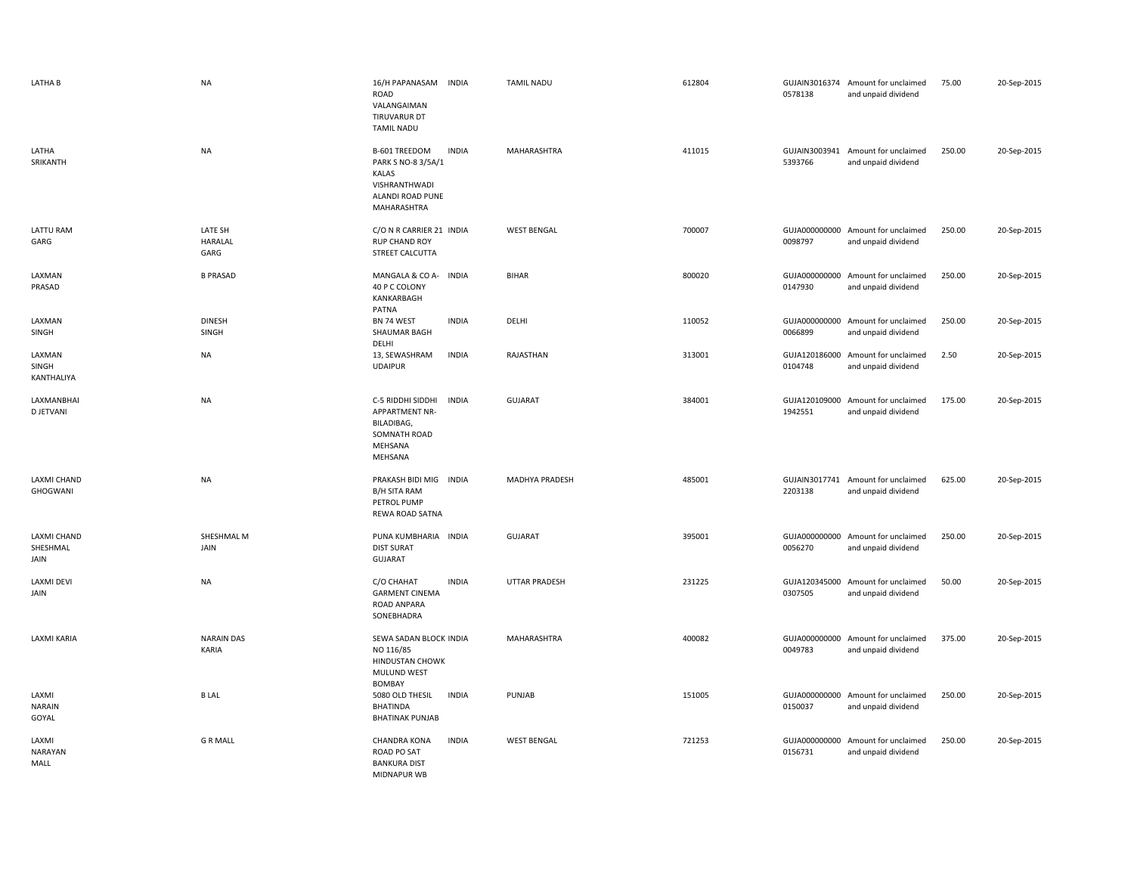| LATHA B                                | <b>NA</b>                         | 16/H PAPANASAM<br><b>INDIA</b><br>ROAD<br>VALANGAIMAN<br>TIRUVARUR DT<br><b>TAMIL NADU</b>                              | <b>TAMIL NADU</b>    | 612804 | 0578138                  | GUJAIN3016374 Amount for unclaimed<br>and unpaid dividend | 75.00  | 20-Sep-2015 |
|----------------------------------------|-----------------------------------|-------------------------------------------------------------------------------------------------------------------------|----------------------|--------|--------------------------|-----------------------------------------------------------|--------|-------------|
| LATHA<br>SRIKANTH                      | <b>NA</b>                         | <b>INDIA</b><br>B-601 TREEDOM<br>PARK S NO-8 3/5A/1<br><b>KALAS</b><br>VISHRANTHWADI<br>ALANDI ROAD PUNE<br>MAHARASHTRA | MAHARASHTRA          | 411015 | 5393766                  | GUJAIN3003941 Amount for unclaimed<br>and unpaid dividend | 250.00 | 20-Sep-2015 |
| <b>LATTU RAM</b><br>GARG               | LATE SH<br><b>HARALAL</b><br>GARG | C/O N R CARRIER 21 INDIA<br><b>RUP CHAND ROY</b><br>STREET CALCUTTA                                                     | <b>WEST BENGAL</b>   | 700007 | 0098797                  | GUJA000000000 Amount for unclaimed<br>and unpaid dividend | 250.00 | 20-Sep-2015 |
| LAXMAN<br>PRASAD                       | <b>B PRASAD</b>                   | MANGALA & CO A- INDIA<br>40 P C COLONY<br>KANKARBAGH<br>PATNA                                                           | <b>BIHAR</b>         | 800020 | 0147930                  | GUJA000000000 Amount for unclaimed<br>and unpaid dividend | 250.00 | 20-Sep-2015 |
| LAXMAN<br>SINGH                        | <b>DINESH</b><br>SINGH            | BN 74 WEST<br><b>INDIA</b><br>SHAUMAR BAGH<br>DELHI                                                                     | DELHI                | 110052 | 0066899                  | GUJA000000000 Amount for unclaimed<br>and unpaid dividend | 250.00 | 20-Sep-2015 |
| LAXMAN<br>SINGH<br>KANTHALIYA          | <b>NA</b>                         | 13, SEWASHRAM<br><b>INDIA</b><br><b>UDAIPUR</b>                                                                         | RAJASTHAN            | 313001 | GUJA120186000<br>0104748 | Amount for unclaimed<br>and unpaid dividend               | 2.50   | 20-Sep-2015 |
| LAXMANBHAI<br><b>D JETVANI</b>         | <b>NA</b>                         | C-5 RIDDHI SIDDHI<br><b>INDIA</b><br>APPARTMENT NR-<br>BILADIBAG,<br>SOMNATH ROAD<br>MEHSANA<br>MEHSANA                 | <b>GUJARAT</b>       | 384001 | 1942551                  | GUJA120109000 Amount for unclaimed<br>and unpaid dividend | 175.00 | 20-Sep-2015 |
| LAXMI CHAND<br>GHOGWANI                | <b>NA</b>                         | PRAKASH BIDI MIG INDIA<br>B/H SITA RAM<br>PETROL PUMP<br>REWA ROAD SATNA                                                | MADHYA PRADESH       | 485001 | 2203138                  | GUJAIN3017741 Amount for unclaimed<br>and unpaid dividend | 625.00 | 20-Sep-2015 |
| <b>LAXMI CHAND</b><br>SHESHMAL<br>JAIN | SHESHMAL M<br>JAIN                | PUNA KUMBHARIA INDIA<br><b>DIST SURAT</b><br><b>GUJARAT</b>                                                             | <b>GUJARAT</b>       | 395001 | 0056270                  | GUJA000000000 Amount for unclaimed<br>and unpaid dividend | 250.00 | 20-Sep-2015 |
| LAXMI DEVI<br>JAIN                     | <b>NA</b>                         | C/O CHAHAT<br><b>INDIA</b><br><b>GARMENT CINEMA</b><br>ROAD ANPARA<br>SONEBHADRA                                        | <b>UTTAR PRADESH</b> | 231225 | GUJA120345000<br>0307505 | Amount for unclaimed<br>and unpaid dividend               | 50.00  | 20-Sep-2015 |
| LAXMI KARIA                            | <b>NARAIN DAS</b><br>KARIA        | SEWA SADAN BLOCK INDIA<br>NO 116/85<br><b>HINDUSTAN CHOWK</b><br>MULUND WEST<br>BOMBAY                                  | MAHARASHTRA          | 400082 | 0049783                  | GUJA000000000 Amount for unclaimed<br>and unpaid dividend | 375.00 | 20-Sep-2015 |
| LAXMI<br><b>NARAIN</b><br>GOYAL        | <b>BLAL</b>                       | 5080 OLD THESIL<br><b>INDIA</b><br><b>BHATINDA</b><br><b>BHATINAK PUNJAB</b>                                            | PUNJAB               | 151005 | 0150037                  | GUJA000000000 Amount for unclaimed<br>and unpaid dividend | 250.00 | 20-Sep-2015 |
| LAXMI<br><b>NARAYAN</b><br>MALL        | <b>G R MALL</b>                   | <b>INDIA</b><br><b>CHANDRA KONA</b><br>ROAD PO SAT<br><b>BANKURA DIST</b><br><b>MIDNAPUR WB</b>                         | <b>WEST BENGAL</b>   | 721253 | 0156731                  | GUJA000000000 Amount for unclaimed<br>and unpaid dividend | 250.00 | 20-Sep-2015 |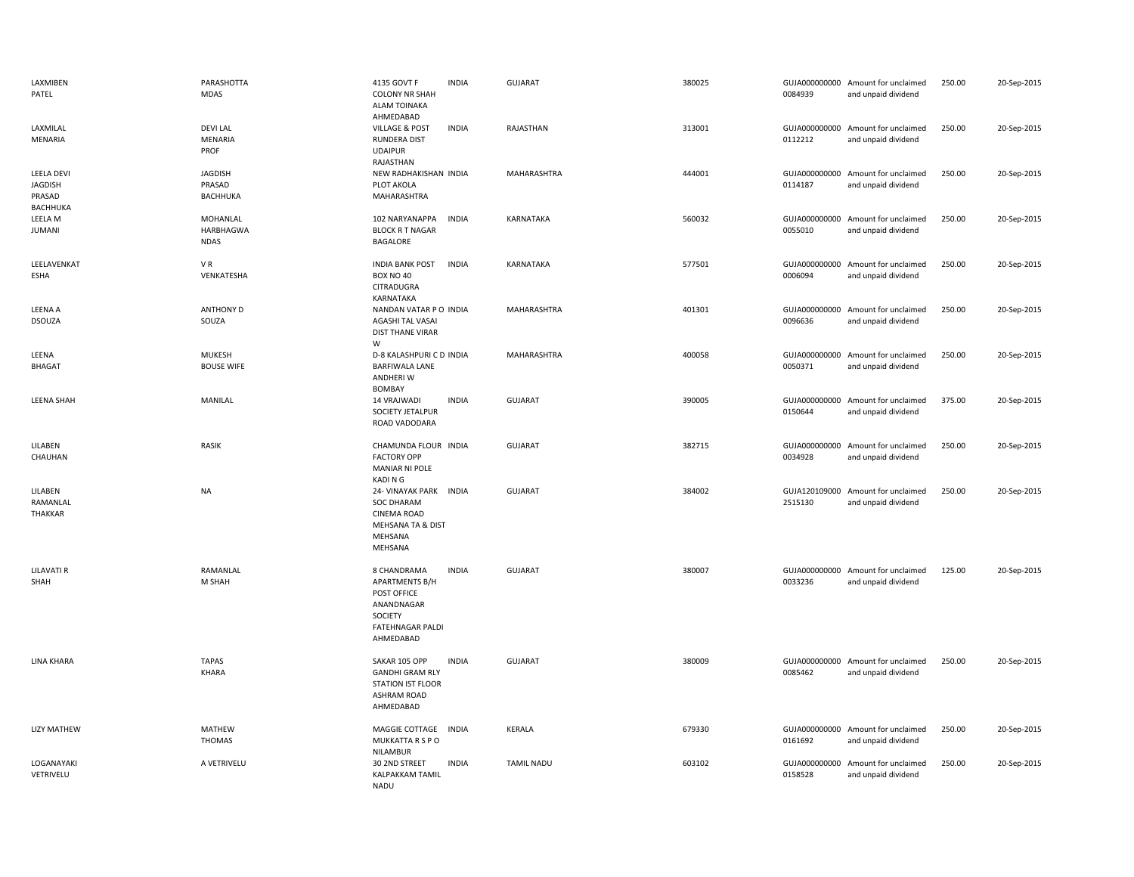| LAXMIBEN<br>PATEL                                         | PARASHOTTA<br><b>MDAS</b>            | 4135 GOVT F<br><b>INDIA</b><br><b>COLONY NR SHAH</b><br><b>ALAM TOINAKA</b><br>AHMEDABAD                                      | <b>GUJARAT</b>     | 380025 | 0084939 | GUJA000000000 Amount for unclaimed<br>and unpaid dividend | 250.00 | 20-Sep-2015 |
|-----------------------------------------------------------|--------------------------------------|-------------------------------------------------------------------------------------------------------------------------------|--------------------|--------|---------|-----------------------------------------------------------|--------|-------------|
| LAXMILAL<br>MENARIA                                       | <b>DEVILAL</b><br>MENARIA<br>PROF    | <b>VILLAGE &amp; POST</b><br><b>INDIA</b><br><b>RUNDERA DIST</b><br><b>UDAIPUR</b><br>RAJASTHAN                               | RAJASTHAN          | 313001 | 0112212 | GUJA000000000 Amount for unclaimed<br>and unpaid dividend | 250.00 | 20-Sep-2015 |
| <b>LEELA DEVI</b><br><b>JAGDISH</b><br>PRASAD<br>BACHHUKA | <b>JAGDISH</b><br>PRASAD<br>BACHHUKA | NEW RADHAKISHAN INDIA<br>PLOT AKOLA<br>MAHARASHTRA                                                                            | <b>MAHARASHTRA</b> | 444001 | 0114187 | GUJA000000000 Amount for unclaimed<br>and unpaid dividend | 250.00 | 20-Sep-2015 |
| LEELA M<br><b>JUMANI</b>                                  | MOHANLAL<br>HARBHAGWA<br><b>NDAS</b> | 102 NARYANAPPA<br><b>INDIA</b><br><b>BLOCK R T NAGAR</b><br>BAGALORE                                                          | KARNATAKA          | 560032 | 0055010 | GUJA000000000 Amount for unclaimed<br>and unpaid dividend | 250.00 | 20-Sep-2015 |
| LEELAVENKAT<br><b>ESHA</b>                                | VR<br>VENKATESHA                     | <b>INDIA BANK POST</b><br><b>INDIA</b><br><b>BOX NO 40</b><br>CITRADUGRA<br>KARNATAKA                                         | KARNATAKA          | 577501 | 0006094 | GUJA000000000 Amount for unclaimed<br>and unpaid dividend | 250.00 | 20-Sep-2015 |
| LEENA A<br><b>DSOUZA</b>                                  | <b>ANTHONY D</b><br>SOUZA            | NANDAN VATAR PO INDIA<br>AGASHI TAL VASAI<br><b>DIST THANE VIRAR</b><br>W                                                     | MAHARASHTRA        | 401301 | 0096636 | GUJA000000000 Amount for unclaimed<br>and unpaid dividend | 250.00 | 20-Sep-2015 |
| LEENA<br><b>BHAGAT</b>                                    | MUKESH<br><b>BOUSE WIFE</b>          | D-8 KALASHPURI C D INDIA<br><b>BARFIWALA LANE</b><br>ANDHERI W<br><b>BOMBAY</b>                                               | MAHARASHTRA        | 400058 | 0050371 | GUJA000000000 Amount for unclaimed<br>and unpaid dividend | 250.00 | 20-Sep-2015 |
| LEENA SHAH                                                | MANILAL                              | 14 VRAJWADI<br><b>INDIA</b><br>SOCIETY JETALPUR<br>ROAD VADODARA                                                              | <b>GUJARAT</b>     | 390005 | 0150644 | GUJA000000000 Amount for unclaimed<br>and unpaid dividend | 375.00 | 20-Sep-2015 |
| LILABEN<br>CHAUHAN                                        | RASIK                                | CHAMUNDA FLOUR INDIA<br><b>FACTORY OPP</b><br><b>MANIAR NI POLE</b><br>KADI N G                                               | <b>GUJARAT</b>     | 382715 | 0034928 | GUJA000000000 Amount for unclaimed<br>and unpaid dividend | 250.00 | 20-Sep-2015 |
| LILABEN<br>RAMANLAL<br>THAKKAR                            | NA                                   | 24- VINAYAK PARK INDIA<br><b>SOC DHARAM</b><br><b>CINEMA ROAD</b><br>MEHSANA TA & DIST<br>MEHSANA<br>MEHSANA                  | <b>GUJARAT</b>     | 384002 | 2515130 | GUJA120109000 Amount for unclaimed<br>and unpaid dividend | 250.00 | 20-Sep-2015 |
| <b>LILAVATI R</b><br>SHAH                                 | RAMANLAL<br>M SHAH                   | 8 CHANDRAMA<br><b>INDIA</b><br><b>APARTMENTS B/H</b><br>POST OFFICE<br>ANANDNAGAR<br>SOCIETY<br>FATEHNAGAR PALDI<br>AHMEDABAD | <b>GUJARAT</b>     | 380007 | 0033236 | GUJA000000000 Amount for unclaimed<br>and unpaid dividend | 125.00 | 20-Sep-2015 |
| LINA KHARA                                                | <b>TAPAS</b><br>KHARA                | SAKAR 105 OPP<br><b>INDIA</b><br><b>GANDHI GRAM RLY</b><br><b>STATION IST FLOOR</b><br><b>ASHRAM ROAD</b><br>AHMEDABAD        | <b>GUJARAT</b>     | 380009 | 0085462 | GUJA000000000 Amount for unclaimed<br>and unpaid dividend | 250.00 | 20-Sep-2015 |
| <b>LIZY MATHEW</b>                                        | MATHEW<br><b>THOMAS</b>              | <b>INDIA</b><br>MAGGIE COTTAGE<br>MUKKATTA R S P O<br>NILAMBUR                                                                | <b>KERALA</b>      | 679330 | 0161692 | GUJA000000000 Amount for unclaimed<br>and unpaid dividend | 250.00 | 20-Sep-2015 |
| LOGANAYAKI<br>VETRIVELU                                   | A VETRIVELU                          | 30 2ND STREET<br><b>INDIA</b><br><b>KALPAKKAM TAMIL</b><br><b>NADU</b>                                                        | <b>TAMIL NADU</b>  | 603102 | 0158528 | GUJA000000000 Amount for unclaimed<br>and unpaid dividend | 250.00 | 20-Sep-2015 |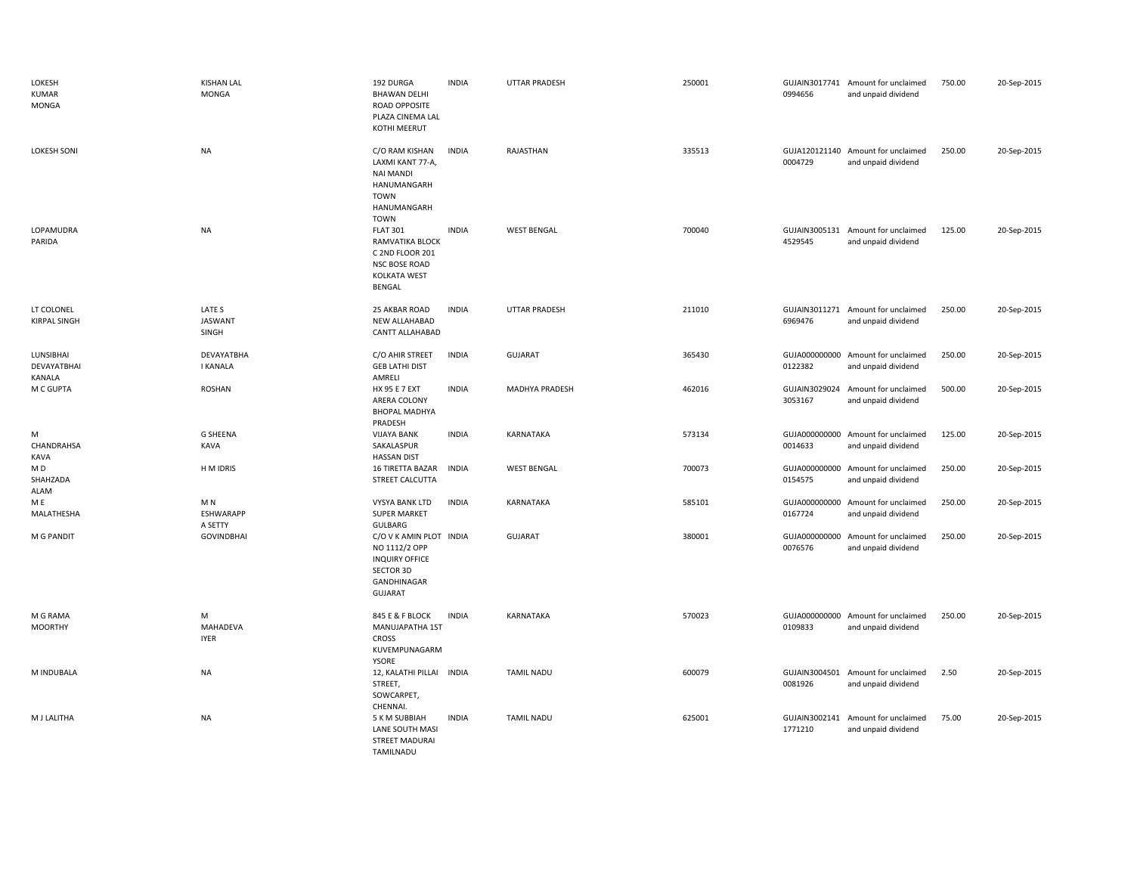| LOKESH<br><b>KUMAR</b><br>MONGA    | <b>KISHAN LAL</b><br><b>MONGA</b>             | 192 DURGA<br><b>BHAWAN DELHI</b><br>ROAD OPPOSITE<br>PLAZA CINEMA LAL<br>KOTHI MEERUT                                  | <b>INDIA</b> | <b>UTTAR PRADESH</b> | 250001 | 0994656                  | GUJAIN3017741 Amount for unclaimed<br>and unpaid dividend | 750.00 | 20-Sep-2015 |
|------------------------------------|-----------------------------------------------|------------------------------------------------------------------------------------------------------------------------|--------------|----------------------|--------|--------------------------|-----------------------------------------------------------|--------|-------------|
| <b>LOKESH SONI</b>                 | <b>NA</b>                                     | C/O RAM KISHAN<br>LAXMI KANT 77-A,<br><b>NAI MANDI</b><br>HANUMANGARH<br>TOWN<br>HANUMANGARH<br>TOWN                   | <b>INDIA</b> | RAJASTHAN            | 335513 | 0004729                  | GUJA120121140 Amount for unclaimed<br>and unpaid dividend | 250.00 | 20-Sep-2015 |
| LOPAMUDRA<br>PARIDA                | <b>NA</b>                                     | <b>FLAT 301</b><br>RAMVATIKA BLOCK<br>C 2ND FLOOR 201<br><b>NSC BOSE ROAD</b><br><b>KOLKATA WEST</b><br><b>BENGAL</b>  | <b>INDIA</b> | <b>WEST BENGAL</b>   | 700040 | 4529545                  | GUJAIN3005131 Amount for unclaimed<br>and unpaid dividend | 125.00 | 20-Sep-2015 |
| LT COLONEL<br><b>KIRPAL SINGH</b>  | LATE S<br><b>JASWANT</b><br>SINGH             | 25 AKBAR ROAD<br><b>NEW ALLAHABAD</b><br>CANTT ALLAHABAD                                                               | <b>INDIA</b> | UTTAR PRADESH        | 211010 | GUJAIN3011271<br>6969476 | Amount for unclaimed<br>and unpaid dividend               | 250.00 | 20-Sep-2015 |
| LUNSIBHAI<br>DEVAYATBHAI<br>KANALA | DEVAYATBHA<br><b>I KANALA</b>                 | C/O AHIR STREET<br><b>GEB LATHI DIST</b><br>AMRELI                                                                     | <b>INDIA</b> | <b>GUJARAT</b>       | 365430 | GUJA000000000<br>0122382 | Amount for unclaimed<br>and unpaid dividend               | 250.00 | 20-Sep-2015 |
| M C GUPTA                          | <b>ROSHAN</b>                                 | HX 95 E 7 EXT<br>ARERA COLONY<br><b>BHOPAL MADHYA</b><br>PRADESH                                                       | <b>INDIA</b> | MADHYA PRADESH       | 462016 | 3053167                  | GUJAIN3029024 Amount for unclaimed<br>and unpaid dividend | 500.00 | 20-Sep-2015 |
| М<br>CHANDRAHSA<br><b>KAVA</b>     | <b>G SHEENA</b><br>KAVA                       | <b>VIJAYA BANK</b><br>SAKALASPUR<br><b>HASSAN DIST</b>                                                                 | <b>INDIA</b> | KARNATAKA            | 573134 | 0014633                  | GUJA000000000 Amount for unclaimed<br>and unpaid dividend | 125.00 | 20-Sep-2015 |
| M D<br>SHAHZADA<br><b>ALAM</b>     | H M IDRIS                                     | 16 TIRETTA BAZAR INDIA<br>STREET CALCUTTA                                                                              |              | <b>WEST BENGAL</b>   | 700073 | 0154575                  | GUJA000000000 Amount for unclaimed<br>and unpaid dividend | 250.00 | 20-Sep-2015 |
| M E<br>MALATHESHA                  | M <sub>N</sub><br><b>ESHWARAPP</b><br>A SETTY | <b>VYSYA BANK LTD</b><br><b>SUPER MARKET</b><br>GULBARG                                                                | <b>INDIA</b> | KARNATAKA            | 585101 | GUJA000000000<br>0167724 | Amount for unclaimed<br>and unpaid dividend               | 250.00 | 20-Sep-2015 |
| M G PANDIT                         | <b>GOVINDBHAI</b>                             | C/O V K AMIN PLOT INDIA<br>NO 1112/2 OPP<br><b>INQUIRY OFFICE</b><br><b>SECTOR 3D</b><br>GANDHINAGAR<br><b>GUJARAT</b> |              | GUJARAT              | 380001 | 0076576                  | GUJA000000000 Amount for unclaimed<br>and unpaid dividend | 250.00 | 20-Sep-2015 |
| M G RAMA<br><b>MOORTHY</b>         | M<br>MAHADEVA<br><b>IYER</b>                  | 845 E & F BLOCK<br>MANUJAPATHA 1ST<br><b>CROSS</b><br>KUVEMPUNAGARM<br>YSORE                                           | <b>INDIA</b> | KARNATAKA            | 570023 | 0109833                  | GUJA000000000 Amount for unclaimed<br>and unpaid dividend | 250.00 | 20-Sep-2015 |
| M INDUBALA                         | <b>NA</b>                                     | 12, KALATHI PILLAI INDIA<br>STREET,<br>SOWCARPET,                                                                      |              | <b>TAMIL NADU</b>    | 600079 | 0081926                  | GUJAIN3004501 Amount for unclaimed<br>and unpaid dividend | 2.50   | 20-Sep-2015 |
| M J LALITHA                        | <b>NA</b>                                     | CHENNAI.<br>5 K M SUBBIAH<br>LANE SOUTH MASI<br><b>STREET MADURAI</b><br>TAMILNADU                                     | <b>INDIA</b> | <b>TAMIL NADU</b>    | 625001 | 1771210                  | GUJAIN3002141 Amount for unclaimed<br>and unpaid dividend | 75.00  | 20-Sep-2015 |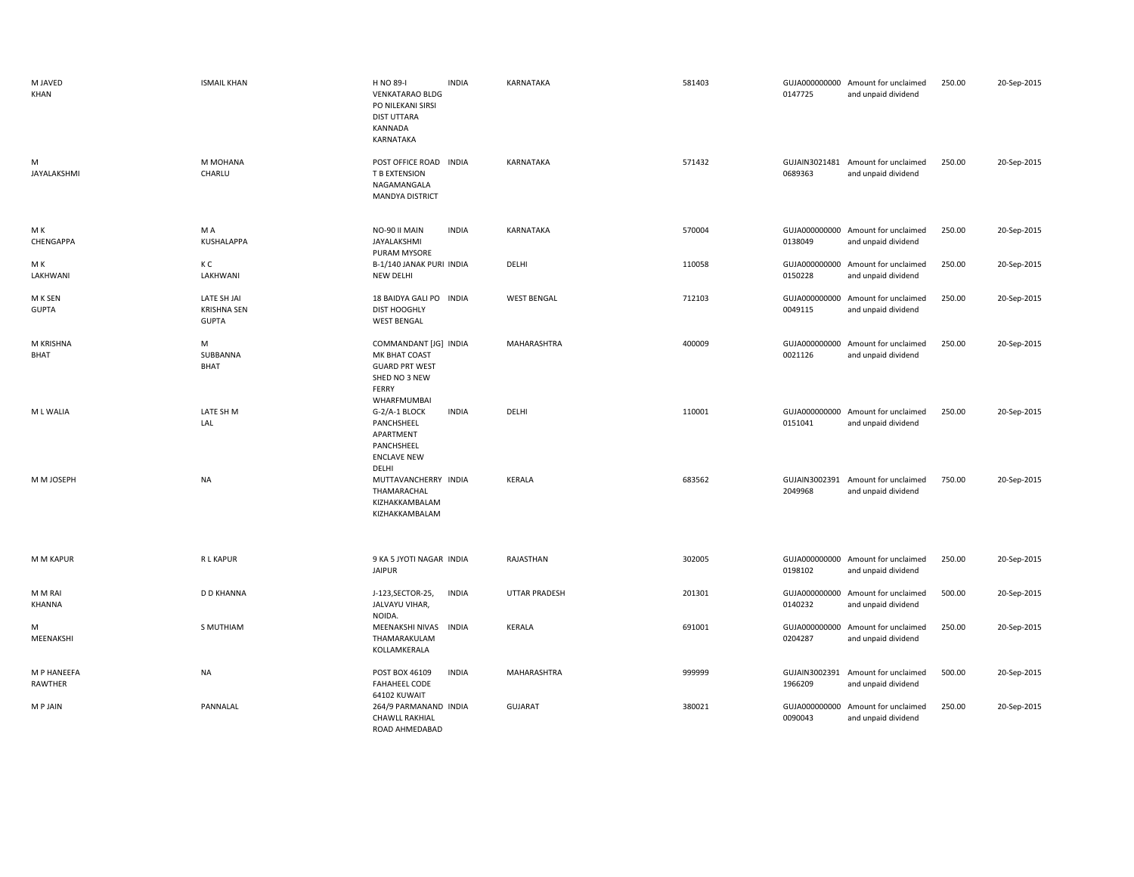| M JAVED<br>KHAN         | <b>ISMAIL KHAN</b>                                | H NO 89-I<br><b>INDIA</b><br><b>VENKATARAO BLDG</b><br>PO NILEKANI SIRSI<br><b>DIST UTTARA</b><br>KANNADA<br>KARNATAKA | KARNATAKA            | 581403 | 0147725                  | GUJA000000000 Amount for unclaimed<br>and unpaid dividend | 250.00 | 20-Sep-2015 |
|-------------------------|---------------------------------------------------|------------------------------------------------------------------------------------------------------------------------|----------------------|--------|--------------------------|-----------------------------------------------------------|--------|-------------|
| м<br>JAYALAKSHMI        | M MOHANA<br>CHARLU                                | POST OFFICE ROAD INDIA<br>T B EXTENSION<br>NAGAMANGALA<br><b>MANDYA DISTRICT</b>                                       | KARNATAKA            | 571432 | 0689363                  | GUJAIN3021481 Amount for unclaimed<br>and unpaid dividend | 250.00 | 20-Sep-2015 |
| M K<br>CHENGAPPA        | M A<br>KUSHALAPPA                                 | <b>INDIA</b><br>NO-90 II MAIN<br>JAYALAKSHMI<br>PURAM MYSORE                                                           | KARNATAKA            | 570004 | 0138049                  | GUJA000000000 Amount for unclaimed<br>and unpaid dividend | 250.00 | 20-Sep-2015 |
| MК<br>LAKHWANI          | КC<br>LAKHWANI                                    | B-1/140 JANAK PURI INDIA<br>NEW DELHI                                                                                  | DELHI                | 110058 | GUJA000000000<br>0150228 | Amount for unclaimed<br>and unpaid dividend               | 250.00 | 20-Sep-2015 |
| M K SEN<br><b>GUPTA</b> | LATE SH JAI<br><b>KRISHNA SEN</b><br><b>GUPTA</b> | 18 BAIDYA GALI PO INDIA<br><b>DIST HOOGHLY</b><br><b>WEST BENGAL</b>                                                   | <b>WEST BENGAL</b>   | 712103 | 0049115                  | GUJA000000000 Amount for unclaimed<br>and unpaid dividend | 250.00 | 20-Sep-2015 |
| M KRISHNA<br>BHAT       | M<br>SUBBANNA<br><b>BHAT</b>                      | COMMANDANT [JG] INDIA<br>MK BHAT COAST<br><b>GUARD PRT WEST</b><br>SHED NO 3 NEW<br>FERRY<br>WHARFMUMBAI               | MAHARASHTRA          | 400009 | 0021126                  | GUJA000000000 Amount for unclaimed<br>and unpaid dividend | 250.00 | 20-Sep-2015 |
| M L WALIA               | LATE SH M<br>LAL                                  | <b>INDIA</b><br>G-2/A-1 BLOCK<br>PANCHSHEEL<br>APARTMENT<br>PANCHSHEEL<br><b>ENCLAVE NEW</b><br>DELHI                  | DELHI                | 110001 | 0151041                  | GUJA000000000 Amount for unclaimed<br>and unpaid dividend | 250.00 | 20-Sep-2015 |
| M M JOSEPH              | <b>NA</b>                                         | MUTTAVANCHERRY INDIA<br>THAMARACHAL<br>KIZHAKKAMBALAM<br>KIZHAKKAMBALAM                                                | KERALA               | 683562 | GUJAIN3002391<br>2049968 | Amount for unclaimed<br>and unpaid dividend               | 750.00 | 20-Sep-2015 |
| M M KAPUR               | R L KAPUR                                         | 9 KA 5 JYOTI NAGAR INDIA<br><b>JAIPUR</b>                                                                              | RAJASTHAN            | 302005 | 0198102                  | GUJA000000000 Amount for unclaimed<br>and unpaid dividend | 250.00 | 20-Sep-2015 |
| M M RAI<br>KHANNA       | <b>D D KHANNA</b>                                 | J-123, SECTOR-25,<br>INDIA<br>JALVAYU VIHAR,<br>NOIDA.                                                                 | <b>UTTAR PRADESH</b> | 201301 | 0140232                  | GUJA000000000 Amount for unclaimed<br>and unpaid dividend | 500.00 | 20-Sep-2015 |
| м<br>MEENAKSHI          | S MUTHIAM                                         | MEENAKSHI NIVAS<br><b>INDIA</b><br>THAMARAKULAM<br>KOLLAMKERALA                                                        | KERALA               | 691001 | 0204287                  | GUJA000000000 Amount for unclaimed<br>and unpaid dividend | 250.00 | 20-Sep-2015 |
| M P HANEEFA<br>RAWTHER  | <b>NA</b>                                         | <b>INDIA</b><br>POST BOX 46109<br><b>FAHAHEEL CODE</b><br>64102 KUWAIT                                                 | MAHARASHTRA          | 999999 | GUJAIN3002391<br>1966209 | Amount for unclaimed<br>and unpaid dividend               | 500.00 | 20-Sep-2015 |
| M P JAIN                | PANNALAL                                          | 264/9 PARMANAND INDIA<br><b>CHAWLL RAKHIAL</b><br>ROAD AHMEDABAD                                                       | <b>GUJARAT</b>       | 380021 | GUJA000000000<br>0090043 | Amount for unclaimed<br>and unpaid dividend               | 250.00 | 20-Sep-2015 |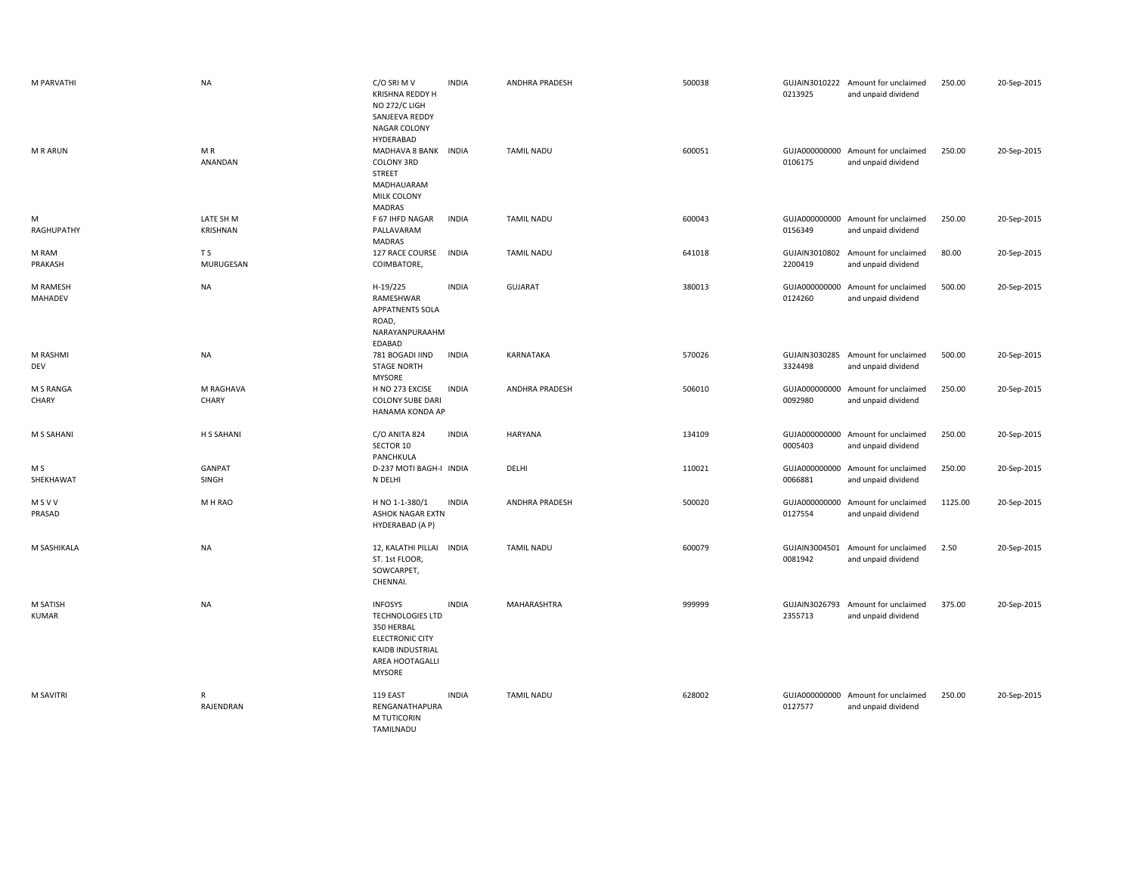| M PARVATHI               | <b>NA</b>                   | C/O SRI M V<br>KRISHNA REDDY H<br>NO 272/C LIGH<br>SANJEEVA REDDY<br><b>NAGAR COLONY</b><br>HYDERABAD                              | <b>INDIA</b> | <b>ANDHRA PRADESH</b> | 500038 | 0213925                  | GUJAIN3010222 Amount for unclaimed<br>and unpaid dividend | 250.00  | 20-Sep-2015 |
|--------------------------|-----------------------------|------------------------------------------------------------------------------------------------------------------------------------|--------------|-----------------------|--------|--------------------------|-----------------------------------------------------------|---------|-------------|
| <b>MRARUN</b>            | MR<br>ANANDAN               | MADHAVA 8 BANK INDIA<br><b>COLONY 3RD</b><br>STREET<br>MADHAUARAM<br>MILK COLONY<br><b>MADRAS</b>                                  |              | <b>TAMIL NADU</b>     | 600051 | 0106175                  | GUJA000000000 Amount for unclaimed<br>and unpaid dividend | 250.00  | 20-Sep-2015 |
| M<br>RAGHUPATHY          | LATE SH M<br>KRISHNAN       | F 67 IHFD NAGAR<br>PALLAVARAM<br><b>MADRAS</b>                                                                                     | <b>INDIA</b> | <b>TAMIL NADU</b>     | 600043 | 0156349                  | GUJA000000000 Amount for unclaimed<br>and unpaid dividend | 250.00  | 20-Sep-2015 |
| M RAM<br>PRAKASH         | T <sub>S</sub><br>MURUGESAN | 127 RACE COURSE<br>COIMBATORE,                                                                                                     | <b>INDIA</b> | <b>TAMIL NADU</b>     | 641018 | 2200419                  | GUJAIN3010802 Amount for unclaimed<br>and unpaid dividend | 80.00   | 20-Sep-2015 |
| M RAMESH<br>MAHADEV      | <b>NA</b>                   | H-19/225<br>RAMESHWAR<br>APPATNENTS SOLA<br>ROAD,<br>NARAYANPURAAHM<br>EDABAD                                                      | <b>INDIA</b> | <b>GUJARAT</b>        | 380013 | GUJA000000000<br>0124260 | Amount for unclaimed<br>and unpaid dividend               | 500.00  | 20-Sep-2015 |
| M RASHMI<br>DEV          | <b>NA</b>                   | 781 BOGADI IIND<br><b>STAGE NORTH</b><br><b>MYSORE</b>                                                                             | <b>INDIA</b> | <b>KARNATAKA</b>      | 570026 | GUJAIN3030285<br>3324498 | Amount for unclaimed<br>and unpaid dividend               | 500.00  | 20-Sep-2015 |
| M S RANGA<br>CHARY       | M RAGHAVA<br>CHARY          | H NO 273 EXCISE<br><b>COLONY SUBE DARI</b><br>HANAMA KONDA AP                                                                      | <b>INDIA</b> | <b>ANDHRA PRADESH</b> | 506010 | GUJA000000000<br>0092980 | Amount for unclaimed<br>and unpaid dividend               | 250.00  | 20-Sep-2015 |
| <b>M S SAHANI</b>        | H S SAHANI                  | C/O ANITA 824<br>SECTOR 10<br>PANCHKULA                                                                                            | <b>INDIA</b> | HARYANA               | 134109 | GUJA000000000<br>0005403 | Amount for unclaimed<br>and unpaid dividend               | 250.00  | 20-Sep-2015 |
| M S<br>SHEKHAWAT         | GANPAT<br>SINGH             | D-237 MOTI BAGH-I INDIA<br>N DELHI                                                                                                 |              | DELHI                 | 110021 | 0066881                  | GUJA000000000 Amount for unclaimed<br>and unpaid dividend | 250.00  | 20-Sep-2015 |
| MSVV<br>PRASAD           | M H RAO                     | H NO 1-1-380/1<br><b>ASHOK NAGAR EXTN</b><br>HYDERABAD (A P)                                                                       | <b>INDIA</b> | <b>ANDHRA PRADESH</b> | 500020 | 0127554                  | GUJA000000000 Amount for unclaimed<br>and unpaid dividend | 1125.00 | 20-Sep-2015 |
| M SASHIKALA              | <b>NA</b>                   | 12, KALATHI PILLAI<br>ST. 1st FLOOR,<br>SOWCARPET,<br>CHENNAI.                                                                     | <b>INDIA</b> | <b>TAMIL NADU</b>     | 600079 | GUJAIN3004501<br>0081942 | Amount for unclaimed<br>and unpaid dividend               | 2.50    | 20-Sep-2015 |
| M SATISH<br><b>KUMAR</b> | <b>NA</b>                   | <b>INFOSYS</b><br><b>TECHNOLOGIES LTD</b><br>350 HERBAL<br><b>ELECTRONIC CITY</b><br>KAIDB INDUSTRIAL<br>AREA HOOTAGALLI<br>MYSORE | <b>INDIA</b> | MAHARASHTRA           | 999999 | GUJAIN3026793<br>2355713 | Amount for unclaimed<br>and unpaid dividend               | 375.00  | 20-Sep-2015 |
| M SAVITRI                | $\mathsf{R}$<br>RAJENDRAN   | 119 EAST<br>RENGANATHAPURA<br>M TUTICORIN<br>TAMILNADU                                                                             | <b>INDIA</b> | <b>TAMIL NADU</b>     | 628002 | 0127577                  | GUJA000000000 Amount for unclaimed<br>and unpaid dividend | 250.00  | 20-Sep-2015 |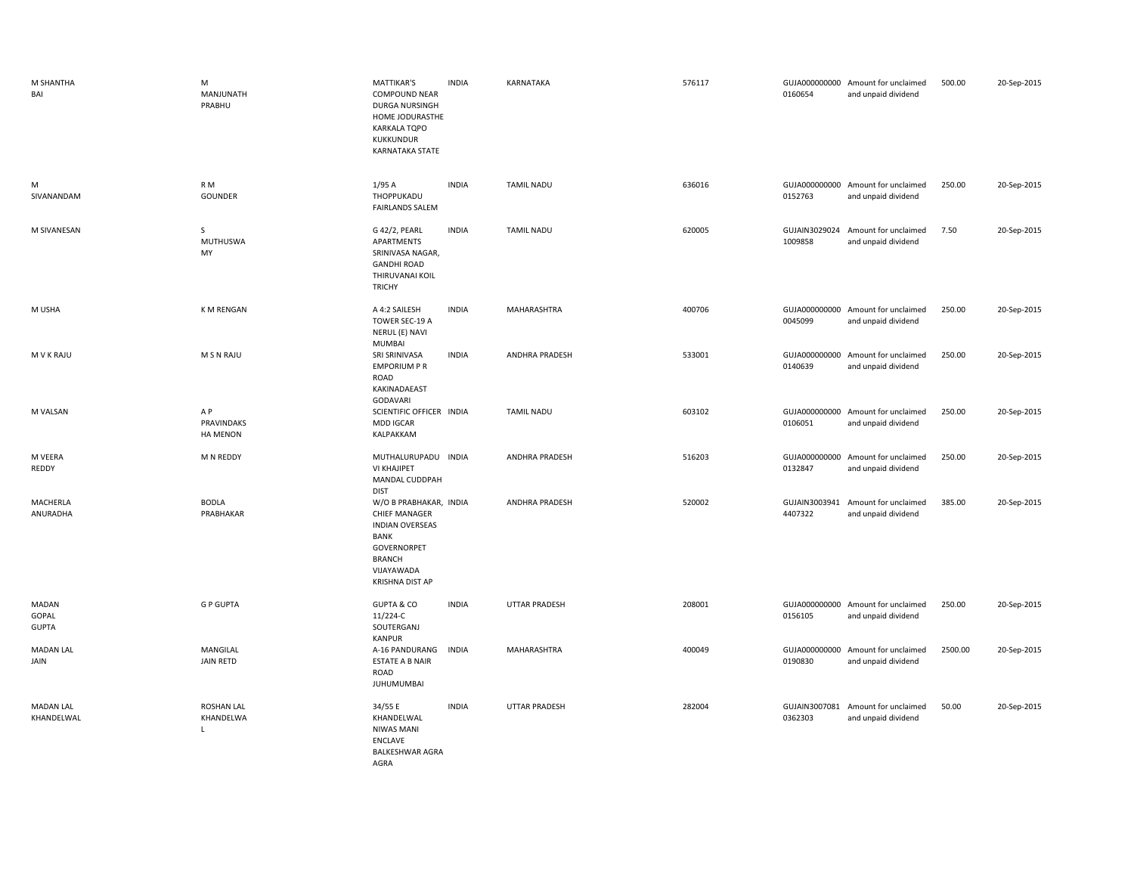| M SHANTHA<br>BAI               | M<br>MANJUNATH<br>PRABHU                       | <b>MATTIKAR'S</b><br><b>COMPOUND NEAR</b><br>DURGA NURSINGH<br>HOME JODURASTHE<br><b>KARKALA TQPO</b><br><b>KUKKUNDUR</b><br>KARNATAKA STATE                    | <b>INDIA</b> | KARNATAKA             | 576117 | 0160654                  | GUJA000000000 Amount for unclaimed<br>and unpaid dividend | 500.00  | 20-Sep-2015 |
|--------------------------------|------------------------------------------------|-----------------------------------------------------------------------------------------------------------------------------------------------------------------|--------------|-----------------------|--------|--------------------------|-----------------------------------------------------------|---------|-------------|
| м<br>SIVANANDAM                | R <sub>M</sub><br>GOUNDER                      | 1/95A<br>THOPPUKADU<br><b>FAIRLANDS SALEM</b>                                                                                                                   | <b>INDIA</b> | <b>TAMIL NADU</b>     | 636016 | 0152763                  | GUJA000000000 Amount for unclaimed<br>and unpaid dividend | 250.00  | 20-Sep-2015 |
| M SIVANESAN                    | S<br><b>MUTHUSWA</b><br>MY                     | G 42/2, PEARL<br>APARTMENTS<br>SRINIVASA NAGAR,<br><b>GANDHI ROAD</b><br>THIRUVANAI KOIL<br><b>TRICHY</b>                                                       | <b>INDIA</b> | <b>TAMIL NADU</b>     | 620005 | 1009858                  | GUJAIN3029024 Amount for unclaimed<br>and unpaid dividend | 7.50    | 20-Sep-2015 |
| M USHA                         | <b>K M RENGAN</b>                              | A 4:2 SAILESH<br>TOWER SEC-19 A<br>NERUL (E) NAVI<br><b>MUMBAI</b>                                                                                              | <b>INDIA</b> | MAHARASHTRA           | 400706 | 0045099                  | GUJA000000000 Amount for unclaimed<br>and unpaid dividend | 250.00  | 20-Sep-2015 |
| M V K RAJU                     | M S N RAJU                                     | SRI SRINIVASA<br><b>EMPORIUM P R</b><br>ROAD<br>KAKINADAEAST<br>GODAVARI                                                                                        | <b>INDIA</b> | <b>ANDHRA PRADESH</b> | 533001 | GUJA000000000<br>0140639 | Amount for unclaimed<br>and unpaid dividend               | 250.00  | 20-Sep-2015 |
| M VALSAN                       | A P<br><b>PRAVINDAKS</b><br><b>HA MENON</b>    | SCIENTIFIC OFFICER INDIA<br>MDD IGCAR<br>KALPAKKAM                                                                                                              |              | <b>TAMIL NADU</b>     | 603102 | 0106051                  | GUJA000000000 Amount for unclaimed<br>and unpaid dividend | 250.00  | 20-Sep-2015 |
| M VEERA<br>REDDY               | M N REDDY                                      | MUTHALURUPADU INDIA<br>VI KHAJIPET<br>MANDAL CUDDPAH<br><b>DIST</b>                                                                                             |              | <b>ANDHRA PRADESH</b> | 516203 | 0132847                  | GUJA000000000 Amount for unclaimed<br>and unpaid dividend | 250.00  | 20-Sep-2015 |
| MACHERLA<br>ANURADHA           | <b>BODLA</b><br>PRABHAKAR                      | W/O B PRABHAKAR, INDIA<br><b>CHIEF MANAGER</b><br><b>INDIAN OVERSEAS</b><br><b>BANK</b><br>GOVERNORPET<br><b>BRANCH</b><br>VIJAYAWADA<br><b>KRISHNA DIST AP</b> |              | ANDHRA PRADESH        | 520002 | GUJAIN3003941<br>4407322 | Amount for unclaimed<br>and unpaid dividend               | 385.00  | 20-Sep-2015 |
| MADAN<br>GOPAL<br><b>GUPTA</b> | <b>GP GUPTA</b>                                | <b>GUPTA &amp; CO</b><br>11/224-C<br>SOUTERGANJ<br><b>KANPUR</b>                                                                                                | <b>INDIA</b> | UTTAR PRADESH         | 208001 | 0156105                  | GUJA000000000 Amount for unclaimed<br>and unpaid dividend | 250.00  | 20-Sep-2015 |
| <b>MADAN LAL</b><br>JAIN       | MANGILAL<br><b>JAIN RETD</b>                   | A-16 PANDURANG<br><b>ESTATE A B NAIR</b><br>ROAD<br><b>JUHUMUMBAI</b>                                                                                           | <b>INDIA</b> | MAHARASHTRA           | 400049 | GUJA000000000<br>0190830 | Amount for unclaimed<br>and unpaid dividend               | 2500.00 | 20-Sep-2015 |
| <b>MADAN LAL</b><br>KHANDELWAL | <b>ROSHAN LAL</b><br>KHANDELWA<br>$\mathbf{L}$ | 34/55 E<br>KHANDELWAL<br>NIWAS MANI<br>ENCLAVE<br><b>BALKESHWAR AGRA</b><br>AGRA                                                                                | <b>INDIA</b> | UTTAR PRADESH         | 282004 | GUJAIN3007081<br>0362303 | Amount for unclaimed<br>and unpaid dividend               | 50.00   | 20-Sep-2015 |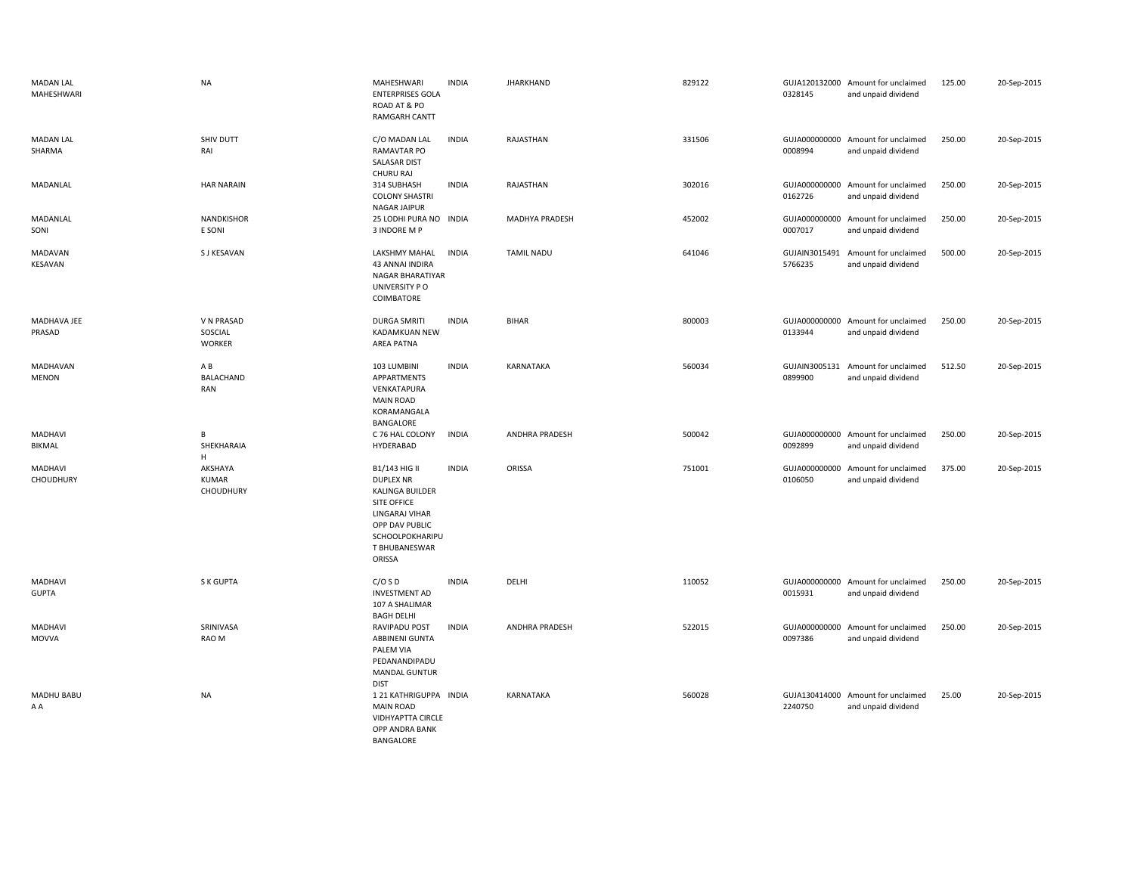| <b>MADAN LAL</b><br>MAHESHWARI | <b>NA</b>                            | MAHESHWARI<br><b>ENTERPRISES GOLA</b><br>ROAD AT & PO<br><b>RAMGARH CANTT</b>                                                                         | <b>INDIA</b> | <b>JHARKHAND</b>      | 829122 | 0328145                  | GUJA120132000 Amount for unclaimed<br>and unpaid dividend | 125.00 | 20-Sep-2015 |
|--------------------------------|--------------------------------------|-------------------------------------------------------------------------------------------------------------------------------------------------------|--------------|-----------------------|--------|--------------------------|-----------------------------------------------------------|--------|-------------|
| <b>MADAN LAL</b><br>SHARMA     | SHIV DUTT<br>RAI                     | C/O MADAN LAL<br>RAMAVTAR PO<br><b>SALASAR DIST</b><br>CHURU RAJ                                                                                      | <b>INDIA</b> | RAJASTHAN             | 331506 | 0008994                  | GUJA000000000 Amount for unclaimed<br>and unpaid dividend | 250.00 | 20-Sep-2015 |
| MADANLAL                       | <b>HAR NARAIN</b>                    | 314 SUBHASH<br><b>COLONY SHASTRI</b><br><b>NAGAR JAIPUR</b>                                                                                           | <b>INDIA</b> | RAJASTHAN             | 302016 | 0162726                  | GUJA000000000 Amount for unclaimed<br>and unpaid dividend | 250.00 | 20-Sep-2015 |
| MADANLAL<br>SONI               | <b>NANDKISHOR</b><br>E SONI          | 25 LODHI PURA NO INDIA<br>3 INDORE M P                                                                                                                |              | MADHYA PRADESH        | 452002 | GUJA000000000<br>0007017 | Amount for unclaimed<br>and unpaid dividend               | 250.00 | 20-Sep-2015 |
| MADAVAN<br>KESAVAN             | S J KESAVAN                          | LAKSHMY MAHAL<br>43 ANNAI INDIRA<br>NAGAR BHARATIYAR<br>UNIVERSITY PO<br>COIMBATORE                                                                   | <b>INDIA</b> | <b>TAMIL NADU</b>     | 641046 | GUJAIN3015491<br>5766235 | Amount for unclaimed<br>and unpaid dividend               | 500.00 | 20-Sep-2015 |
| MADHAVA JEE<br>PRASAD          | V N PRASAD<br>SOSCIAL<br>WORKER      | <b>DURGA SMRITI</b><br>KADAMKUAN NEW<br>AREA PATNA                                                                                                    | <b>INDIA</b> | <b>BIHAR</b>          | 800003 | 0133944                  | GUJA000000000 Amount for unclaimed<br>and unpaid dividend | 250.00 | 20-Sep-2015 |
| MADHAVAN<br><b>MENON</b>       | ΑB<br>BALACHAND<br><b>RAN</b>        | 103 LUMBINI<br>APPARTMENTS<br>VENKATAPURA<br><b>MAIN ROAD</b><br>KORAMANGALA<br>BANGALORE                                                             | <b>INDIA</b> | KARNATAKA             | 560034 | 0899900                  | GUJAIN3005131 Amount for unclaimed<br>and unpaid dividend | 512.50 | 20-Sep-2015 |
| <b>MADHAVI</b><br>BIKMAL       | В<br>SHEKHARAIA<br>Н.                | C 76 HAL COLONY<br>HYDERABAD                                                                                                                          | <b>INDIA</b> | <b>ANDHRA PRADESH</b> | 500042 | 0092899                  | GUJA000000000 Amount for unclaimed<br>and unpaid dividend | 250.00 | 20-Sep-2015 |
| MADHAVI<br>CHOUDHURY           | AKSHAYA<br><b>KUMAR</b><br>CHOUDHURY | B1/143 HIG II<br><b>DUPLEX NR</b><br>KALINGA BUILDER<br>SITE OFFICE<br>LINGARAJ VIHAR<br>OPP DAV PUBLIC<br>SCHOOLPOKHARIPU<br>T BHUBANESWAR<br>ORISSA | <b>INDIA</b> | ORISSA                | 751001 | GUJA000000000<br>0106050 | Amount for unclaimed<br>and unpaid dividend               | 375.00 | 20-Sep-2015 |
| <b>MADHAVI</b><br><b>GUPTA</b> | S K GUPTA                            | C/OSD<br><b>INVESTMENT AD</b><br>107 A SHALIMAR<br><b>BAGH DELHI</b>                                                                                  | <b>INDIA</b> | DELHI                 | 110052 | 0015931                  | GUJA000000000 Amount for unclaimed<br>and unpaid dividend | 250.00 | 20-Sep-2015 |
| <b>MADHAVI</b><br><b>MOVVA</b> | SRINIVASA<br>RAO M                   | RAVIPADU POST<br>ABBINENI GUNTA<br>PALEM VIA<br>PEDANANDIPADU<br>MANDAL GUNTUR<br><b>DIST</b>                                                         | <b>INDIA</b> | <b>ANDHRA PRADESH</b> | 522015 | GUJA000000000<br>0097386 | Amount for unclaimed<br>and unpaid dividend               | 250.00 | 20-Sep-2015 |
| MADHU BABU<br>A A              | <b>NA</b>                            | 1 21 KATHRIGUPPA INDIA<br><b>MAIN ROAD</b><br>VIDHYAPTTA CIRCLE<br>OPP ANDRA BANK<br>BANGALORE                                                        |              | <b>KARNATAKA</b>      | 560028 | 2240750                  | GUJA130414000 Amount for unclaimed<br>and unpaid dividend | 25.00  | 20-Sep-2015 |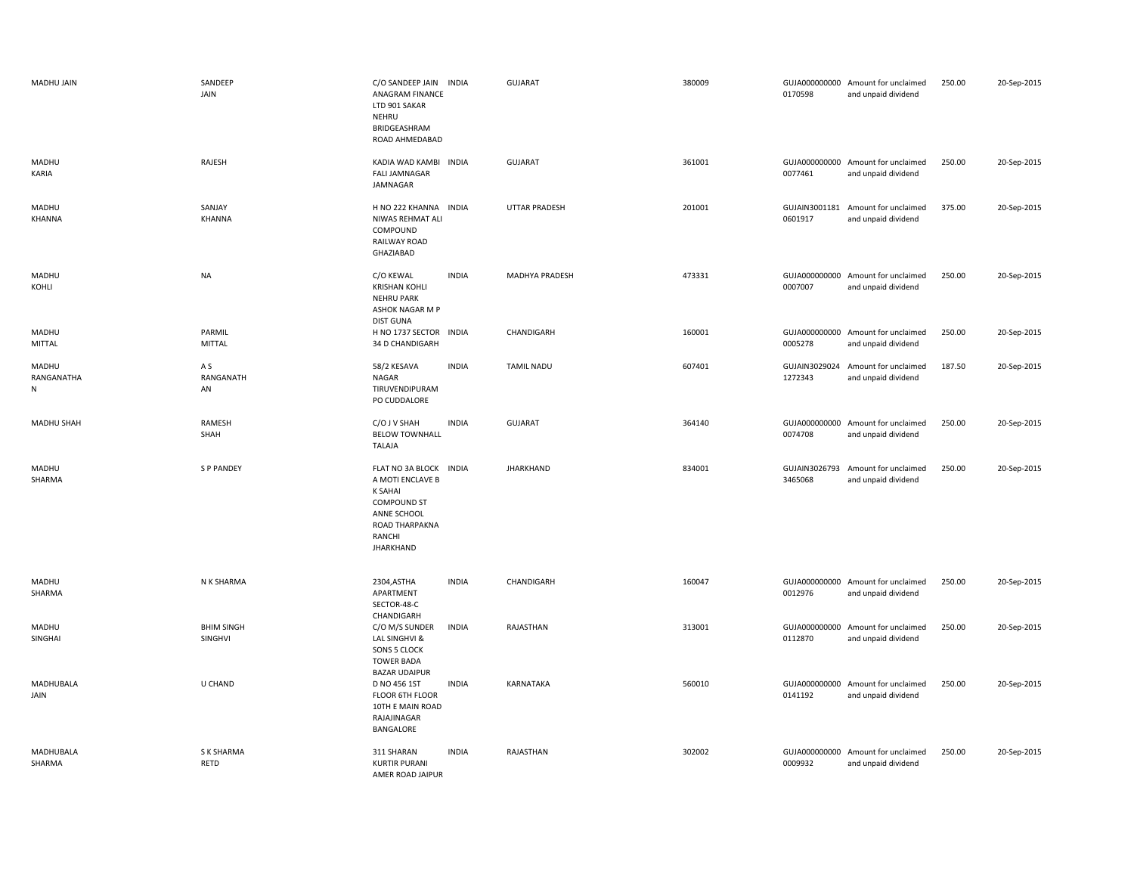| MADHU JAIN                       | SANDEEP<br>JAIN              | C/O SANDEEP JAIN INDIA<br>ANAGRAM FINANCE<br>LTD 901 SAKAR<br>NEHRU<br>BRIDGEASHRAM<br>ROAD AHMEDABAD                                             |              | GUJARAT              | 380009 | 0170598                  | GUJA000000000 Amount for unclaimed<br>and unpaid dividend | 250.00 | 20-Sep-2015 |
|----------------------------------|------------------------------|---------------------------------------------------------------------------------------------------------------------------------------------------|--------------|----------------------|--------|--------------------------|-----------------------------------------------------------|--------|-------------|
| MADHU<br>KARIA                   | RAJESH                       | KADIA WAD KAMBI INDIA<br><b>FALI JAMNAGAR</b><br>JAMNAGAR                                                                                         |              | GUJARAT              | 361001 | 0077461                  | GUJA000000000 Amount for unclaimed<br>and unpaid dividend | 250.00 | 20-Sep-2015 |
| MADHU<br>KHANNA                  | SANJAY<br><b>KHANNA</b>      | H NO 222 KHANNA INDIA<br>NIWAS REHMAT ALI<br>COMPOUND<br>RAILWAY ROAD<br>GHAZIABAD                                                                |              | <b>UTTAR PRADESH</b> | 201001 | GUJAIN3001181<br>0601917 | Amount for unclaimed<br>and unpaid dividend               | 375.00 | 20-Sep-2015 |
| MADHU<br>KOHLI                   | <b>NA</b>                    | C/O KEWAL<br><b>KRISHAN KOHLI</b><br><b>NEHRU PARK</b><br>ASHOK NAGAR M P<br><b>DIST GUNA</b>                                                     | <b>INDIA</b> | MADHYA PRADESH       | 473331 | 0007007                  | GUJA000000000 Amount for unclaimed<br>and unpaid dividend | 250.00 | 20-Sep-2015 |
| MADHU<br>MITTAL                  | PARMIL<br><b>MITTAL</b>      | H NO 1737 SECTOR INDIA<br>34 D CHANDIGARH                                                                                                         |              | CHANDIGARH           | 160001 | 0005278                  | GUJA000000000 Amount for unclaimed<br>and unpaid dividend | 250.00 | 20-Sep-2015 |
| MADHU<br>RANGANATHA<br>${\sf N}$ | A S<br>RANGANATH<br>AN       | 58/2 KESAVA<br>NAGAR<br>TIRUVENDIPURAM<br>PO CUDDALORE                                                                                            | <b>INDIA</b> | <b>TAMIL NADU</b>    | 607401 | GUJAIN3029024<br>1272343 | Amount for unclaimed<br>and unpaid dividend               | 187.50 | 20-Sep-2015 |
| <b>MADHU SHAH</b>                | RAMESH<br>SHAH               | C/O J V SHAH<br><b>BELOW TOWNHALL</b><br>TALAJA                                                                                                   | <b>INDIA</b> | GUJARAT              | 364140 | 0074708                  | GUJA000000000 Amount for unclaimed<br>and unpaid dividend | 250.00 | 20-Sep-2015 |
| MADHU<br>SHARMA                  | <b>SP PANDEY</b>             | FLAT NO 3A BLOCK INDIA<br>A MOTI ENCLAVE B<br><b>K SAHAI</b><br><b>COMPOUND ST</b><br>ANNE SCHOOL<br>ROAD THARPAKNA<br>RANCHI<br><b>JHARKHAND</b> |              | <b>JHARKHAND</b>     | 834001 | GUJAIN3026793<br>3465068 | Amount for unclaimed<br>and unpaid dividend               | 250.00 | 20-Sep-2015 |
| MADHU<br>SHARMA                  | N K SHARMA                   | 2304, ASTHA<br>APARTMENT<br>SECTOR-48-C<br>CHANDIGARH                                                                                             | <b>INDIA</b> | CHANDIGARH           | 160047 | 0012976                  | GUJA000000000 Amount for unclaimed<br>and unpaid dividend | 250.00 | 20-Sep-2015 |
| MADHU<br>SINGHAI                 | <b>BHIM SINGH</b><br>SINGHVI | C/O M/S SUNDER<br>LAL SINGHVI &<br><b>SONS 5 CLOCK</b><br><b>TOWER BADA</b><br><b>BAZAR UDAIPUR</b>                                               | <b>INDIA</b> | RAJASTHAN            | 313001 | 0112870                  | GUJA000000000 Amount for unclaimed<br>and unpaid dividend | 250.00 | 20-Sep-2015 |
| MADHUBALA<br>JAIN                | U CHAND                      | D NO 456 1ST<br>FLOOR 6TH FLOOR<br>10TH E MAIN ROAD<br>RAJAJINAGAR<br>BANGALORE                                                                   | <b>INDIA</b> | KARNATAKA            | 560010 | 0141192                  | GUJA000000000 Amount for unclaimed<br>and unpaid dividend | 250.00 | 20-Sep-2015 |
| MADHUBALA<br>SHARMA              | S K SHARMA<br>RETD           | 311 SHARAN<br><b>KURTIR PURANI</b><br>AMER ROAD JAIPUR                                                                                            | <b>INDIA</b> | RAJASTHAN            | 302002 | 0009932                  | GUJA000000000 Amount for unclaimed<br>and unpaid dividend | 250.00 | 20-Sep-2015 |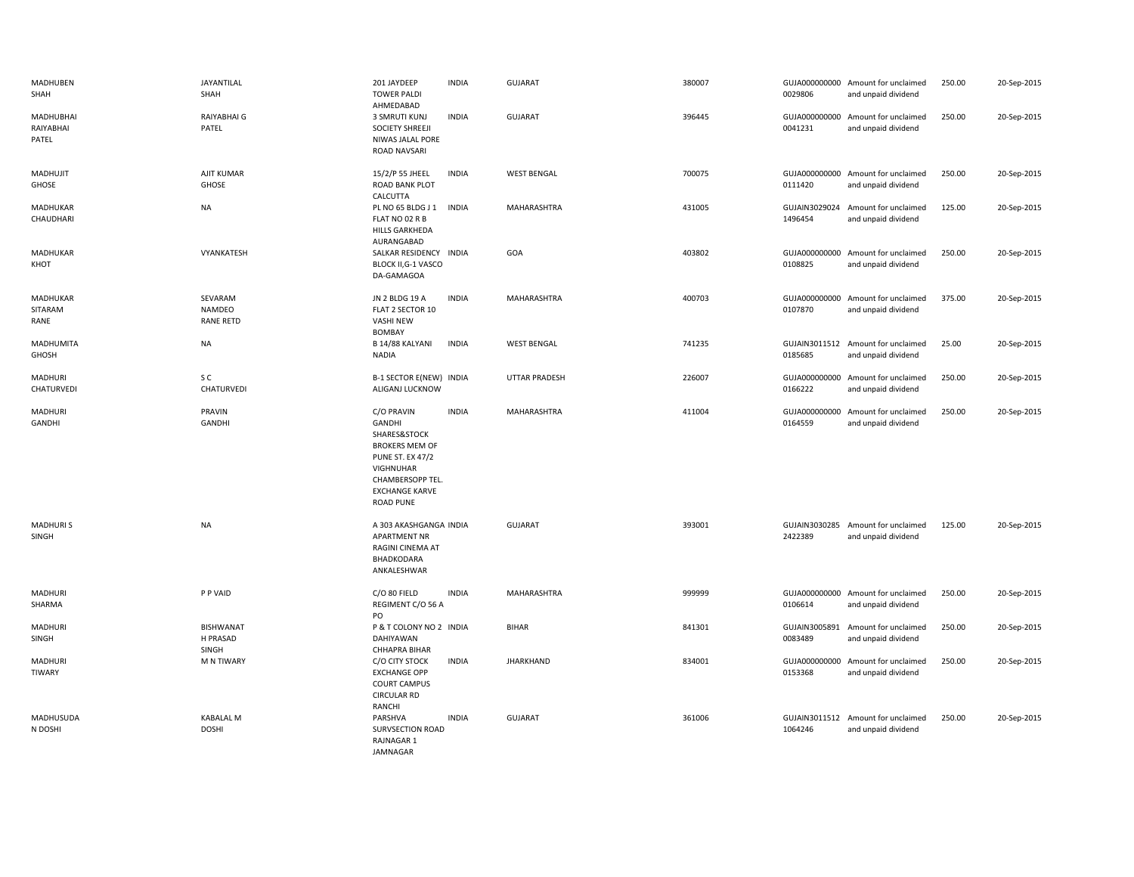| MADHUBEN<br>SHAH                | JAYANTILAL<br>SHAH                    | 201 JAYDEEP<br><b>TOWER PALDI</b><br>AHMEDABAD                                                                                                                                | <b>INDIA</b> | <b>GUJARAT</b>       | 380007 | 0029806                  | GUJA000000000 Amount for unclaimed<br>and unpaid dividend | 250.00 | 20-Sep-2015 |
|---------------------------------|---------------------------------------|-------------------------------------------------------------------------------------------------------------------------------------------------------------------------------|--------------|----------------------|--------|--------------------------|-----------------------------------------------------------|--------|-------------|
| MADHUBHAI<br>RAIYABHAI<br>PATEL | RAIYABHAI G<br>PATEL                  | 3 SMRUTI KUNJ<br><b>SOCIETY SHREEJI</b><br>NIWAS JALAL PORE<br>ROAD NAVSARI                                                                                                   | <b>INDIA</b> | <b>GUJARAT</b>       | 396445 | 0041231                  | GUJA000000000 Amount for unclaimed<br>and unpaid dividend | 250.00 | 20-Sep-2015 |
| MADHUJIT<br>GHOSE               | AJIT KUMAR<br>GHOSE                   | 15/2/P 55 JHEEL<br>ROAD BANK PLOT<br>CALCUTTA                                                                                                                                 | <b>INDIA</b> | <b>WEST BENGAL</b>   | 700075 | 0111420                  | GUJA000000000 Amount for unclaimed<br>and unpaid dividend | 250.00 | 20-Sep-2015 |
| MADHUKAR<br>CHAUDHARI           | <b>NA</b>                             | PL NO 65 BLDG J 1<br>FLAT NO 02 R B<br>HILLS GARKHEDA<br>AURANGABAD                                                                                                           | <b>INDIA</b> | MAHARASHTRA          | 431005 | 1496454                  | GUJAIN3029024 Amount for unclaimed<br>and unpaid dividend | 125.00 | 20-Sep-2015 |
| MADHUKAR<br>KHOT                | VYANKATESH                            | SALKAR RESIDENCY INDIA<br><b>BLOCK II, G-1 VASCO</b><br>DA-GAMAGOA                                                                                                            |              | GOA                  | 403802 | 0108825                  | GUJA000000000 Amount for unclaimed<br>and unpaid dividend | 250.00 | 20-Sep-2015 |
| MADHUKAR<br>SITARAM<br>RANE     | SEVARAM<br>NAMDEO<br><b>RANE RETD</b> | JN 2 BLDG 19 A<br>FLAT 2 SECTOR 10<br><b>VASHI NEW</b><br><b>BOMBAY</b>                                                                                                       | <b>INDIA</b> | MAHARASHTRA          | 400703 | 0107870                  | GUJA000000000 Amount for unclaimed<br>and unpaid dividend | 375.00 | 20-Sep-2015 |
| MADHUMITA<br>GHOSH              | <b>NA</b>                             | B 14/88 KALYANI<br><b>NADIA</b>                                                                                                                                               | <b>INDIA</b> | <b>WEST BENGAL</b>   | 741235 | 0185685                  | GUJAIN3011512 Amount for unclaimed<br>and unpaid dividend | 25.00  | 20-Sep-2015 |
| MADHURI<br>CHATURVEDI           | s c<br>CHATURVEDI                     | B-1 SECTOR E(NEW) INDIA<br>ALIGANJ LUCKNOW                                                                                                                                    |              | <b>UTTAR PRADESH</b> | 226007 | 0166222                  | GUJA000000000 Amount for unclaimed<br>and unpaid dividend | 250.00 | 20-Sep-2015 |
| MADHURI<br>GANDHI               | PRAVIN<br>GANDHI                      | C/O PRAVIN<br><b>GANDHI</b><br>SHARES&STOCK<br><b>BROKERS MEM OF</b><br><b>PUNE ST. EX 47/2</b><br>VIGHNUHAR<br>CHAMBERSOPP TEL.<br><b>EXCHANGE KARVE</b><br><b>ROAD PUNE</b> | <b>INDIA</b> | MAHARASHTRA          | 411004 | GUJA000000000<br>0164559 | Amount for unclaimed<br>and unpaid dividend               | 250.00 | 20-Sep-2015 |
| <b>MADHURIS</b><br>SINGH        | <b>NA</b>                             | A 303 AKASHGANGA INDIA<br><b>APARTMENT NR</b><br>RAGINI CINEMA AT<br>BHADKODARA<br>ANKALESHWAR                                                                                |              | <b>GUJARAT</b>       | 393001 | 2422389                  | GUJAIN3030285 Amount for unclaimed<br>and unpaid dividend | 125.00 | 20-Sep-2015 |
| MADHURI<br>SHARMA               | P P VAID                              | C/O 80 FIELD<br>REGIMENT C/O 56 A<br>PO                                                                                                                                       | <b>INDIA</b> | <b>MAHARASHTRA</b>   | 999999 | 0106614                  | GUJA000000000 Amount for unclaimed<br>and unpaid dividend | 250.00 | 20-Sep-2015 |
| MADHURI<br>SINGH                | <b>BISHWANAT</b><br>H PRASAD<br>SINGH | P & T COLONY NO 2 INDIA<br>DAHIYAWAN<br>CHHAPRA BIHAR                                                                                                                         |              | <b>BIHAR</b>         | 841301 | 0083489                  | GUJAIN3005891 Amount for unclaimed<br>and unpaid dividend | 250.00 | 20-Sep-2015 |
| MADHURI<br><b>TIWARY</b>        | <b>M N TIWARY</b>                     | C/O CITY STOCK<br><b>EXCHANGE OPP</b><br><b>COURT CAMPUS</b><br><b>CIRCULAR RD</b><br>RANCHI                                                                                  | <b>INDIA</b> | <b>JHARKHAND</b>     | 834001 | 0153368                  | GUJA000000000 Amount for unclaimed<br>and unpaid dividend | 250.00 | 20-Sep-2015 |
| MADHUSUDA<br>N DOSHI            | <b>KABALAL M</b><br><b>DOSHI</b>      | PARSHVA<br><b>SURVSECTION ROAD</b><br>RAJNAGAR 1<br>JAMNAGAR                                                                                                                  | <b>INDIA</b> | <b>GUJARAT</b>       | 361006 | 1064246                  | GUJAIN3011512 Amount for unclaimed<br>and unpaid dividend | 250.00 | 20-Sep-2015 |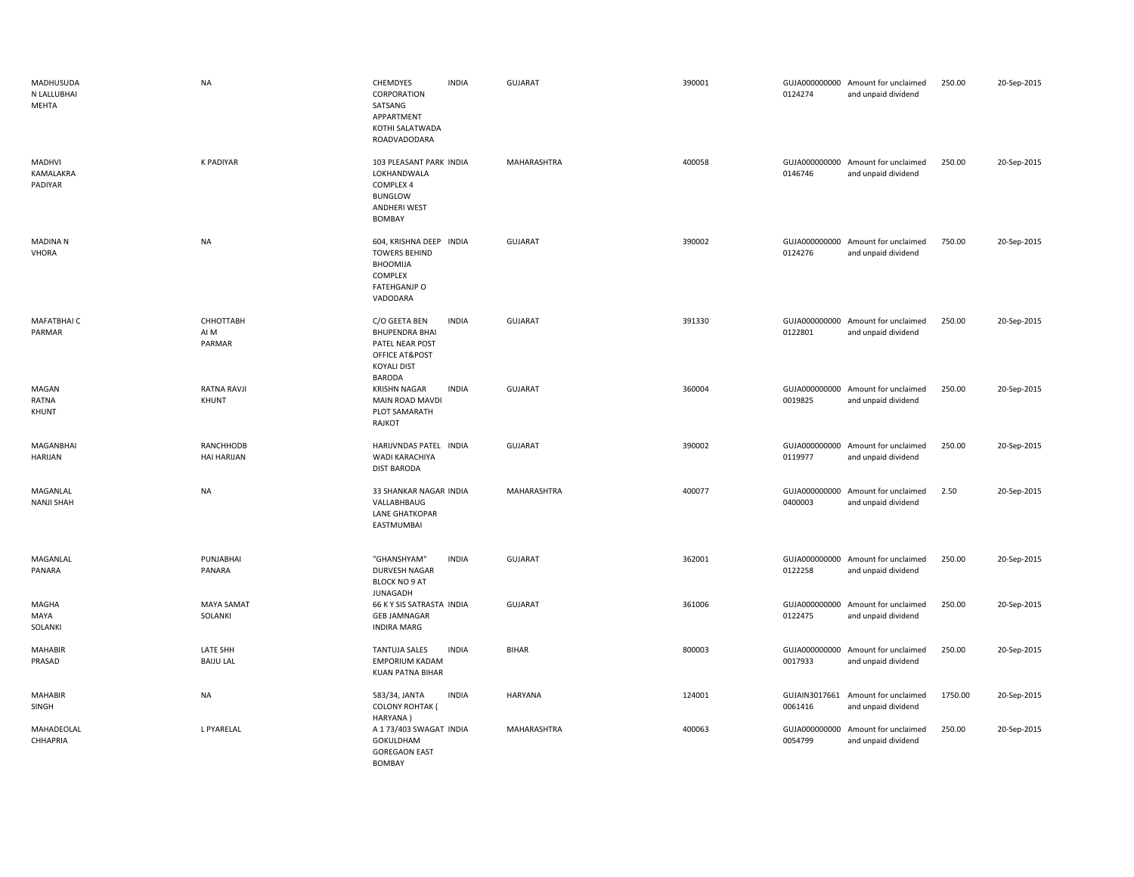| MADHUSUDA<br>N LALLUBHAI<br>MEHTA | <b>NA</b>                    | CHEMDYES<br>INDIA<br>CORPORATION<br>SATSANG<br>APPARTMENT<br>KOTHI SALATWADA<br>ROADVADODARA                                | <b>GUJARAT</b> | 390001 | 0124274                  | GUJA000000000 Amount for unclaimed<br>and unpaid dividend | 250.00  | 20-Sep-2015 |
|-----------------------------------|------------------------------|-----------------------------------------------------------------------------------------------------------------------------|----------------|--------|--------------------------|-----------------------------------------------------------|---------|-------------|
| MADHVI<br>KAMALAKRA<br>PADIYAR    | <b>K PADIYAR</b>             | 103 PLEASANT PARK INDIA<br>LOKHANDWALA<br>COMPLEX 4<br><b>BUNGLOW</b><br>ANDHERI WEST<br><b>BOMBAY</b>                      | MAHARASHTRA    | 400058 | 0146746                  | GUJA000000000 Amount for unclaimed<br>and unpaid dividend | 250.00  | 20-Sep-2015 |
| <b>MADINAN</b><br><b>VHORA</b>    | <b>NA</b>                    | 604, KRISHNA DEEP INDIA<br><b>TOWERS BEHIND</b><br>BHOOMIJA<br>COMPLEX<br><b>FATEHGANJP O</b><br>VADODARA                   | GUJARAT        | 390002 | 0124276                  | GUJA000000000 Amount for unclaimed<br>and unpaid dividend | 750.00  | 20-Sep-2015 |
| MAFATBHAI C<br>PARMAR             | СННОТТАВН<br>AI M<br>PARMAR  | <b>INDIA</b><br>C/O GEETA BEN<br><b>BHUPENDRA BHAI</b><br>PATEL NEAR POST<br>OFFICE AT&POST<br><b>KOYALI DIST</b><br>BARODA | GUJARAT        | 391330 | 0122801                  | GUJA000000000 Amount for unclaimed<br>and unpaid dividend | 250.00  | 20-Sep-2015 |
| MAGAN<br>RATNA<br>KHUNT           | RATNA RAVJI<br>KHUNT         | <b>INDIA</b><br><b>KRISHN NAGAR</b><br>MAIN ROAD MAVDI<br>PLOT SAMARATH<br>RAJKOT                                           | GUJARAT        | 360004 | 0019825                  | GUJA000000000 Amount for unclaimed<br>and unpaid dividend | 250.00  | 20-Sep-2015 |
| MAGANBHAI<br><b>HARIJAN</b>       | RANCHHODB<br>HAI HARIJAN     | HARIJVNDAS PATEL INDIA<br>WADI KARACHIYA<br><b>DIST BARODA</b>                                                              | <b>GUJARAT</b> | 390002 | GUJA000000000<br>0119977 | Amount for unclaimed<br>and unpaid dividend               | 250.00  | 20-Sep-2015 |
| MAGANLAL<br><b>NANJI SHAH</b>     | <b>NA</b>                    | 33 SHANKAR NAGAR INDIA<br>VALLABHBAUG<br>LANE GHATKOPAR<br>EASTMUMBAI                                                       | MAHARASHTRA    | 400077 | 0400003                  | GUJA000000000 Amount for unclaimed<br>and unpaid dividend | 2.50    | 20-Sep-2015 |
| MAGANLAL<br>PANARA                | PUNJABHAI<br>PANARA          | "GHANSHYAM"<br><b>INDIA</b><br>DURVESH NAGAR<br><b>BLOCK NO 9 AT</b><br>JUNAGADH                                            | <b>GUJARAT</b> | 362001 | 0122258                  | GUJA000000000 Amount for unclaimed<br>and unpaid dividend | 250.00  | 20-Sep-2015 |
| MAGHA<br>MAYA<br>SOLANKI          | <b>MAYA SAMAT</b><br>SOLANKI | 66 K Y SIS SATRASTA INDIA<br><b>GEB JAMNAGAR</b><br><b>INDIRA MARG</b>                                                      | GUJARAT        | 361006 | 0122475                  | GUJA000000000 Amount for unclaimed<br>and unpaid dividend | 250.00  | 20-Sep-2015 |
| <b>MAHABIR</b><br>PRASAD          | LATE SHH<br><b>BAIJU LAL</b> | TANTUJA SALES<br><b>INDIA</b><br><b>EMPORIUM KADAM</b><br>KUAN PATNA BIHAR                                                  | <b>BIHAR</b>   | 800003 | GUJA000000000<br>0017933 | Amount for unclaimed<br>and unpaid dividend               | 250.00  | 20-Sep-2015 |
| <b>MAHABIR</b><br>SINGH           | <b>NA</b>                    | <b>INDIA</b><br>583/34, JANTA<br><b>COLONY ROHTAK (</b><br>HARYANA)                                                         | HARYANA        | 124001 | GUJAIN3017661<br>0061416 | Amount for unclaimed<br>and unpaid dividend               | 1750.00 | 20-Sep-2015 |
| MAHADEOLAL<br>CHHAPRIA            | L PYARELAL                   | A 1 73/403 SWAGAT INDIA<br>GOKULDHAM<br><b>GOREGAON EAST</b><br>BOMBAY                                                      | MAHARASHTRA    | 400063 | 0054799                  | GUJA000000000 Amount for unclaimed<br>and unpaid dividend | 250.00  | 20-Sep-2015 |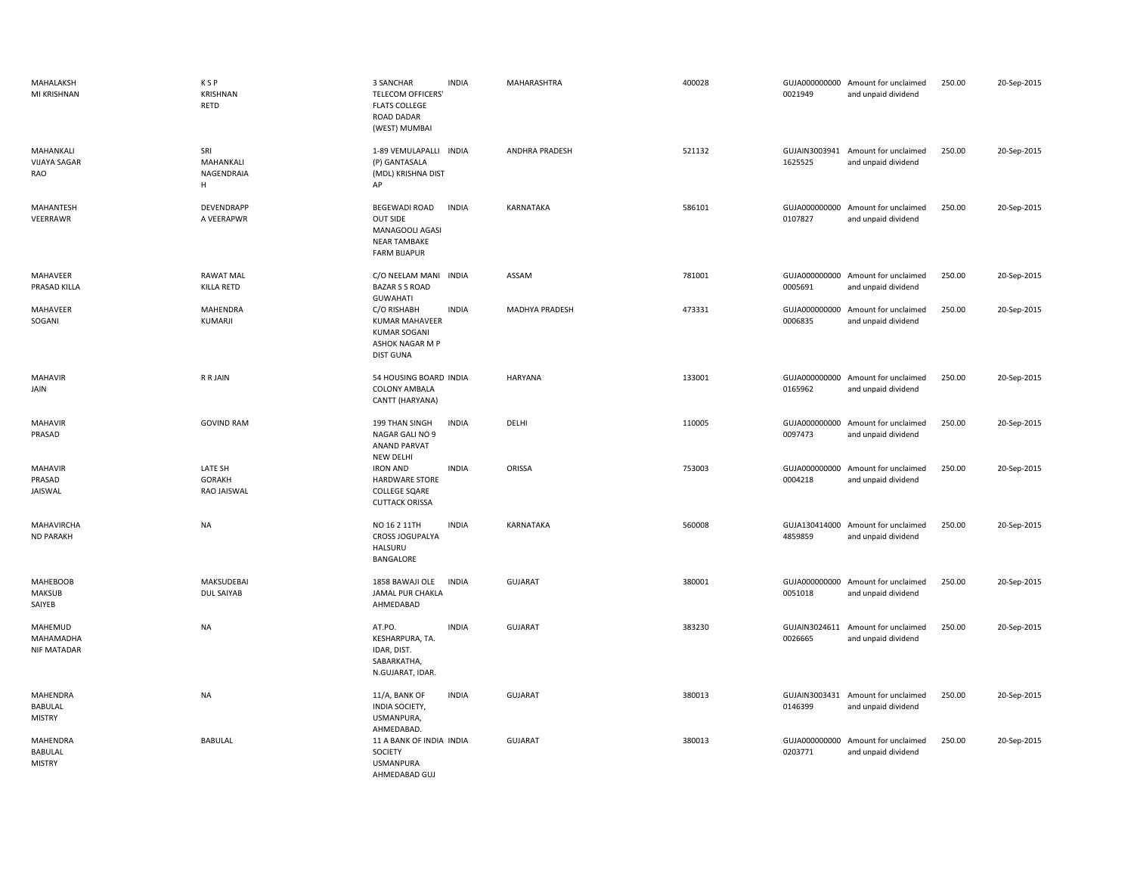| MAHALAKSH<br>MI KRISHNAN                    | <b>KSP</b><br>KRISHNAN<br><b>RETD</b>   | 3 SANCHAR<br><b>INDIA</b><br><b>TELECOM OFFICERS'</b><br><b>FLATS COLLEGE</b><br><b>ROAD DADAR</b><br>(WEST) MUMBAI      | MAHARASHTRA      | 400028 | 0021949                  | GUJA000000000 Amount for unclaimed<br>and unpaid dividend | 250.00 | 20-Sep-2015 |
|---------------------------------------------|-----------------------------------------|--------------------------------------------------------------------------------------------------------------------------|------------------|--------|--------------------------|-----------------------------------------------------------|--------|-------------|
| MAHANKALI<br><b>VIJAYA SAGAR</b><br>RAO     | SRI<br>MAHANKALI<br>NAGENDRAIA<br>н     | 1-89 VEMULAPALLI INDIA<br>(P) GANTASALA<br>(MDL) KRISHNA DIST<br>AP                                                      | ANDHRA PRADESH   | 521132 | GUJAIN3003941<br>1625525 | Amount for unclaimed<br>and unpaid dividend               | 250.00 | 20-Sep-2015 |
| <b>MAHANTESH</b><br>VEERRAWR                | DEVENDRAPP<br>A VEERAPWR                | <b>BEGEWADI ROAD</b><br><b>INDIA</b><br><b>OUT SIDE</b><br>MANAGOOLI AGASI<br><b>NEAR TAMBAKE</b><br><b>FARM BIJAPUR</b> | <b>KARNATAKA</b> | 586101 | GUJA000000000<br>0107827 | Amount for unclaimed<br>and unpaid dividend               | 250.00 | 20-Sep-2015 |
| MAHAVEER<br>PRASAD KILLA                    | <b>RAWAT MAL</b><br><b>KILLA RETD</b>   | C/O NEELAM MANI INDIA<br><b>BAZAR S S ROAD</b><br><b>GUWAHATI</b>                                                        | ASSAM            | 781001 | 0005691                  | GUJA000000000 Amount for unclaimed<br>and unpaid dividend | 250.00 | 20-Sep-2015 |
| MAHAVEER<br>SOGANI                          | MAHENDRA<br>KUMARJI                     | C/O RISHABH<br><b>INDIA</b><br><b>KUMAR MAHAVEER</b><br><b>KUMAR SOGANI</b><br>ASHOK NAGAR M P<br><b>DIST GUNA</b>       | MADHYA PRADESH   | 473331 | GUJA000000000<br>0006835 | Amount for unclaimed<br>and unpaid dividend               | 250.00 | 20-Sep-2015 |
| <b>MAHAVIR</b><br>JAIN                      | R R JAIN                                | 54 HOUSING BOARD INDIA<br>COLONY AMBALA<br>CANTT (HARYANA)                                                               | <b>HARYANA</b>   | 133001 | 0165962                  | GUJA000000000 Amount for unclaimed<br>and unpaid dividend | 250.00 | 20-Sep-2015 |
| <b>MAHAVIR</b><br>PRASAD                    | <b>GOVIND RAM</b>                       | 199 THAN SINGH<br><b>INDIA</b><br>NAGAR GALI NO 9<br><b>ANAND PARVAT</b><br>NEW DELHI                                    | DELHI            | 110005 | 0097473                  | GUJA000000000 Amount for unclaimed<br>and unpaid dividend | 250.00 | 20-Sep-2015 |
| <b>MAHAVIR</b><br>PRASAD<br>JAISWAL         | LATE SH<br><b>GORAKH</b><br>RAO JAISWAL | <b>IRON AND</b><br><b>INDIA</b><br><b>HARDWARE STORE</b><br><b>COLLEGE SQARE</b><br><b>CUTTACK ORISSA</b>                | ORISSA           | 753003 | GUJA000000000<br>0004218 | Amount for unclaimed<br>and unpaid dividend               | 250.00 | 20-Sep-2015 |
| MAHAVIRCHA<br><b>ND PARAKH</b>              | <b>NA</b>                               | NO 16 2 11TH<br><b>INDIA</b><br>CROSS JOGUPALYA<br><b>HALSURU</b><br>BANGALORE                                           | KARNATAKA        | 560008 | GUJA130414000<br>4859859 | Amount for unclaimed<br>and unpaid dividend               | 250.00 | 20-Sep-2015 |
| <b>MAHEBOOB</b><br><b>MAKSUB</b><br>SAIYEB  | MAKSUDEBAI<br><b>DUL SAIYAB</b>         | 1858 BAWAJI OLE<br><b>INDIA</b><br>JAMAL PUR CHAKLA<br>AHMEDABAD                                                         | GUJARAT          | 380001 | GUJA000000000<br>0051018 | Amount for unclaimed<br>and unpaid dividend               | 250.00 | 20-Sep-2015 |
| MAHEMUD<br>MAHAMADHA<br><b>NIF MATADAR</b>  | <b>NA</b>                               | <b>INDIA</b><br>AT.PO.<br>KESHARPURA, TA.<br>IDAR, DIST.<br>SABARKATHA,<br>N.GUJARAT, IDAR.                              | <b>GUJARAT</b>   | 383230 | 0026665                  | GUJAIN3024611 Amount for unclaimed<br>and unpaid dividend | 250.00 | 20-Sep-2015 |
| MAHENDRA<br><b>BABULAL</b><br><b>MISTRY</b> | <b>NA</b>                               | <b>INDIA</b><br>11/A, BANK OF<br>INDIA SOCIETY,<br>USMANPURA,<br>AHMEDABAD.                                              | <b>GUJARAT</b>   | 380013 | GUJAIN3003431<br>0146399 | Amount for unclaimed<br>and unpaid dividend               | 250.00 | 20-Sep-2015 |
| MAHENDRA<br>BABULAL<br><b>MISTRY</b>        | <b>BABULAL</b>                          | 11 A BANK OF INDIA INDIA<br>SOCIETY<br><b>USMANPURA</b><br>AHMEDABAD GUJ                                                 | GUJARAT          | 380013 | GUJA000000000<br>0203771 | Amount for unclaimed<br>and unpaid dividend               | 250.00 | 20-Sep-2015 |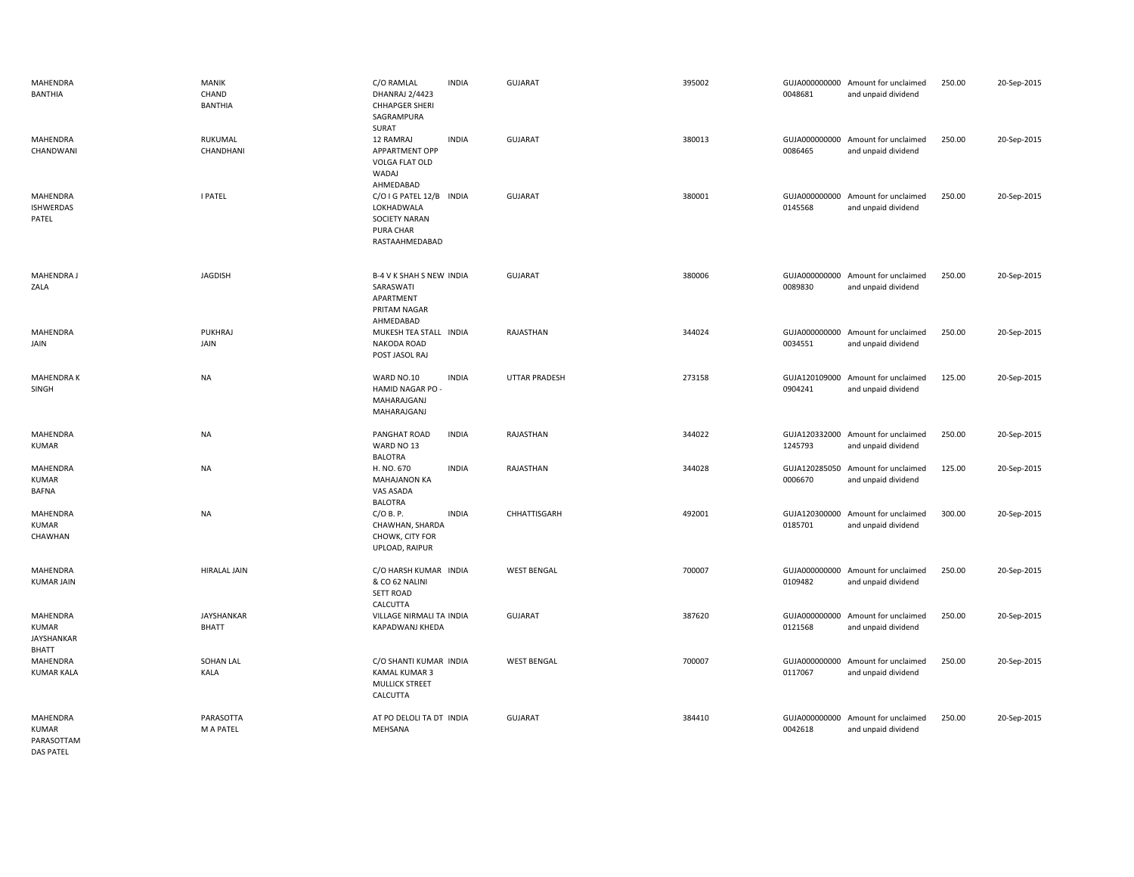| MAHENDRA<br>BANTHIA                             | <b>MANIK</b><br>CHAND<br><b>BANTHIA</b> | C/O RAMLAL<br><b>INDIA</b><br>DHANRAJ 2/4423<br><b>CHHAPGER SHERI</b><br>SAGRAMPURA<br>SURAT | <b>GUJARAT</b>     | 395002 | GUJA000000000 Amount for unclaimed<br>0048681<br>and unpaid dividend    | 250.00 | 20-Sep-2015 |
|-------------------------------------------------|-----------------------------------------|----------------------------------------------------------------------------------------------|--------------------|--------|-------------------------------------------------------------------------|--------|-------------|
| MAHENDRA<br>CHANDWANI                           | RUKUMAL<br>CHANDHANI                    | <b>INDIA</b><br>12 RAMRAJ<br>APPARTMENT OPP<br>VOLGA FLAT OLD<br>WADAJ<br>AHMEDABAD          | <b>GUJARAT</b>     | 380013 | GUJA000000000<br>Amount for unclaimed<br>0086465<br>and unpaid dividend | 250.00 | 20-Sep-2015 |
| MAHENDRA<br><b>ISHWERDAS</b><br>PATEL           | <b>I PATEL</b>                          | C/O I G PATEL 12/B INDIA<br>LOKHADWALA<br>SOCIETY NARAN<br>PURA CHAR<br>RASTAAHMEDABAD       | <b>GUJARAT</b>     | 380001 | GUJA000000000<br>Amount for unclaimed<br>0145568<br>and unpaid dividend | 250.00 | 20-Sep-2015 |
| <b>MAHENDRA J</b><br>ZALA                       | <b>JAGDISH</b>                          | <b>B-4 V K SHAH S NEW INDIA</b><br>SARASWATI<br>APARTMENT<br>PRITAM NAGAR<br>AHMEDABAD       | <b>GUJARAT</b>     | 380006 | GUJA000000000 Amount for unclaimed<br>0089830<br>and unpaid dividend    | 250.00 | 20-Sep-2015 |
| MAHENDRA<br>JAIN                                | <b>PUKHRAJ</b><br>JAIN                  | MUKESH TEA STALL INDIA<br>NAKODA ROAD<br>POST JASOL RAJ                                      | RAJASTHAN          | 344024 | GUJA000000000 Amount for unclaimed<br>0034551<br>and unpaid dividend    | 250.00 | 20-Sep-2015 |
| MAHENDRA K<br>SINGH                             | <b>NA</b>                               | WARD NO.10<br><b>INDIA</b><br>HAMID NAGAR PO -<br>MAHARAJGANJ<br>MAHARAJGANJ                 | UTTAR PRADESH      | 273158 | GUJA120109000<br>Amount for unclaimed<br>0904241<br>and unpaid dividend | 125.00 | 20-Sep-2015 |
| MAHENDRA<br><b>KUMAR</b>                        | <b>NA</b>                               | PANGHAT ROAD<br><b>INDIA</b><br>WARD NO 13<br><b>BALOTRA</b>                                 | RAJASTHAN          | 344022 | GUJA120332000 Amount for unclaimed<br>1245793<br>and unpaid dividend    | 250.00 | 20-Sep-2015 |
| MAHENDRA<br><b>KUMAR</b><br><b>BAFNA</b>        | <b>NA</b>                               | H. NO. 670<br><b>INDIA</b><br><b>MAHAJANON KA</b><br>VAS ASADA<br><b>BALOTRA</b>             | RAJASTHAN          | 344028 | GUJA120285050<br>Amount for unclaimed<br>0006670<br>and unpaid dividend | 125.00 | 20-Sep-2015 |
| MAHENDRA<br>KUMAR<br>CHAWHAN                    | <b>NA</b>                               | C/OB. P.<br><b>INDIA</b><br>CHAWHAN, SHARDA<br>CHOWK, CITY FOR<br>UPLOAD, RAIPUR             | CHHATTISGARH       | 492001 | GUJA120300000<br>Amount for unclaimed<br>0185701<br>and unpaid dividend | 300.00 | 20-Sep-2015 |
| MAHENDRA<br><b>KUMAR JAIN</b>                   | <b>HIRALAL JAIN</b>                     | C/O HARSH KUMAR INDIA<br>& CO 62 NALINI<br><b>SETT ROAD</b><br>CALCUTTA                      | <b>WEST BENGAL</b> | 700007 | GUJA000000000 Amount for unclaimed<br>0109482<br>and unpaid dividend    | 250.00 | 20-Sep-2015 |
| MAHENDRA<br><b>KUMAR</b><br>JAYSHANKAR<br>BHATT | <b>JAYSHANKAR</b><br><b>BHATT</b>       | VILLAGE NIRMALI TA INDIA<br><b>KAPADWANJ KHEDA</b>                                           | <b>GUJARAT</b>     | 387620 | GUJA000000000 Amount for unclaimed<br>0121568<br>and unpaid dividend    | 250.00 | 20-Sep-2015 |
| MAHENDRA<br><b>KUMAR KALA</b>                   | SOHAN LAL<br>KALA                       | C/O SHANTI KUMAR INDIA<br>KAMAL KUMAR 3<br><b>MULLICK STREET</b><br>CALCUTTA                 | <b>WEST BENGAL</b> | 700007 | GUJA000000000<br>Amount for unclaimed<br>0117067<br>and unpaid dividend | 250.00 | 20-Sep-2015 |
| MAHENDRA<br><b>KUMAR</b><br>PARASOTTAM          | PARASOTTA<br>M A PATEL                  | AT PO DELOLI TA DT INDIA<br>MEHSANA                                                          | <b>GUJARAT</b>     | 384410 | GUJA000000000<br>Amount for unclaimed<br>0042618<br>and unpaid dividend | 250.00 | 20-Sep-2015 |

DAS PATEL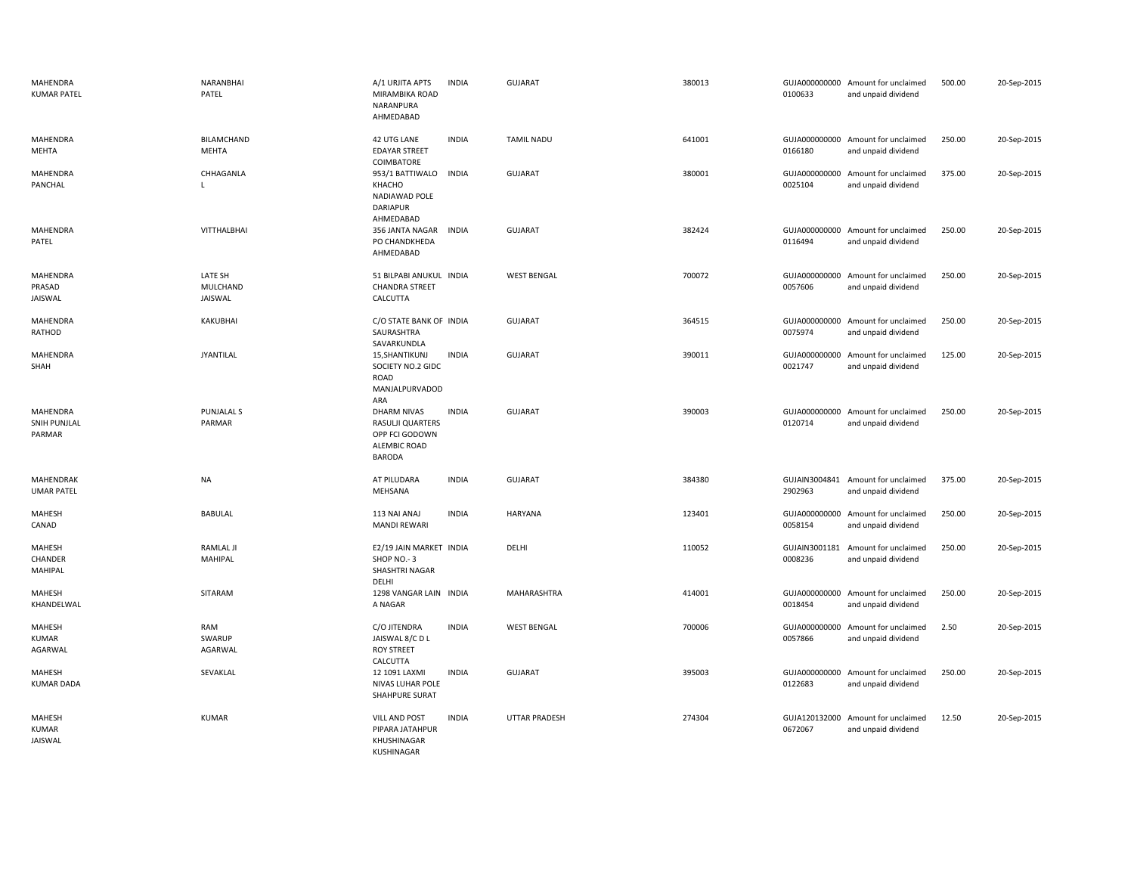| MAHENDRA<br><b>KUMAR PATEL</b>     | NARANBHAI<br>PATEL             | A/1 URJITA APTS<br>MIRAMBIKA ROAD<br>NARANPURA<br>AHMEDABAD                        | <b>INDIA</b> | <b>GUJARAT</b>       | 380013 | 0100633                  | GUJA000000000 Amount for unclaimed<br>and unpaid dividend | 500.00 | 20-Sep-2015 |
|------------------------------------|--------------------------------|------------------------------------------------------------------------------------|--------------|----------------------|--------|--------------------------|-----------------------------------------------------------|--------|-------------|
| MAHENDRA<br>MEHTA                  | <b>BILAMCHAND</b><br>MEHTA     | 42 UTG LANE<br><b>EDAYAR STREET</b><br>COIMBATORE                                  | <b>INDIA</b> | <b>TAMIL NADU</b>    | 641001 | 0166180                  | GUJA000000000 Amount for unclaimed<br>and unpaid dividend | 250.00 | 20-Sep-2015 |
| MAHENDRA<br>PANCHAL                | CHHAGANLA                      | 953/1 BATTIWALO<br>KHACHO<br>NADIAWAD POLE<br><b>DARIAPUR</b><br>AHMEDABAD         | <b>INDIA</b> | <b>GUJARAT</b>       | 380001 | GUJA000000000<br>0025104 | Amount for unclaimed<br>and unpaid dividend               | 375.00 | 20-Sep-2015 |
| MAHENDRA<br>PATEL                  | VITTHALBHAI                    | 356 JANTA NAGAR<br>PO CHANDKHEDA<br>AHMEDABAD                                      | <b>INDIA</b> | <b>GUJARAT</b>       | 382424 | 0116494                  | GUJA000000000 Amount for unclaimed<br>and unpaid dividend | 250.00 | 20-Sep-2015 |
| MAHENDRA<br>PRASAD<br>JAISWAL      | LATE SH<br>MULCHAND<br>JAISWAL | 51 BILPABI ANUKUL INDIA<br><b>CHANDRA STREET</b><br>CALCUTTA                       |              | <b>WEST BENGAL</b>   | 700072 | GUJA000000000<br>0057606 | Amount for unclaimed<br>and unpaid dividend               | 250.00 | 20-Sep-2015 |
| MAHENDRA<br>RATHOD                 | KAKUBHAI                       | C/O STATE BANK OF INDIA<br>SAURASHTRA<br>SAVARKUNDLA                               |              | <b>GUJARAT</b>       | 364515 | GUJA000000000<br>0075974 | Amount for unclaimed<br>and unpaid dividend               | 250.00 | 20-Sep-2015 |
| MAHENDRA<br>SHAH                   | <b>JYANTILAL</b>               | 15, SHANTIKUNJ<br>SOCIETY NO.2 GIDC<br><b>ROAD</b><br>MANJALPURVADOD<br>ARA        | <b>INDIA</b> | <b>GUJARAT</b>       | 390011 | GUJA000000000<br>0021747 | Amount for unclaimed<br>and unpaid dividend               | 125.00 | 20-Sep-2015 |
| MAHENDRA<br>SNIH PUNJLAL<br>PARMAR | <b>PUNJALAL S</b><br>PARMAR    | DHARM NIVAS<br>RASULJI QUARTERS<br>OPP FCI GODOWN<br>ALEMBIC ROAD<br><b>BARODA</b> | <b>INDIA</b> | <b>GUJARAT</b>       | 390003 | 0120714                  | GUJA000000000 Amount for unclaimed<br>and unpaid dividend | 250.00 | 20-Sep-2015 |
| MAHENDRAK<br><b>UMAR PATEL</b>     | NA                             | AT PILUDARA<br>MEHSANA                                                             | <b>INDIA</b> | GUJARAT              | 384380 | 2902963                  | GUJAIN3004841 Amount for unclaimed<br>and unpaid dividend | 375.00 | 20-Sep-2015 |
| MAHESH<br>CANAD                    | <b>BABULAL</b>                 | 113 NAI ANAJ<br><b>MANDI REWARI</b>                                                | <b>INDIA</b> | <b>HARYANA</b>       | 123401 | GUJA000000000<br>0058154 | Amount for unclaimed<br>and unpaid dividend               | 250.00 | 20-Sep-2015 |
| MAHESH<br>CHANDER<br>MAHIPAL       | RAMLAL JI<br>MAHIPAL           | E2/19 JAIN MARKET INDIA<br>SHOP NO.-3<br>SHASHTRI NAGAR<br>DELHI                   |              | DELHI                | 110052 | GUJAIN3001181<br>0008236 | Amount for unclaimed<br>and unpaid dividend               | 250.00 | 20-Sep-2015 |
| MAHESH<br>KHANDELWAL               | SITARAM                        | 1298 VANGAR LAIN INDIA<br>A NAGAR                                                  |              | MAHARASHTRA          | 414001 | 0018454                  | GUJA000000000 Amount for unclaimed<br>and unpaid dividend | 250.00 | 20-Sep-2015 |
| MAHESH<br>KUMAR<br>AGARWAL         | RAM<br>SWARUP<br>AGARWAL       | C/O JITENDRA<br>JAISWAL 8/C D L<br><b>ROY STREET</b><br>CALCUTTA                   | <b>INDIA</b> | <b>WEST BENGAL</b>   | 700006 | 0057866                  | GUJA000000000 Amount for unclaimed<br>and unpaid dividend | 2.50   | 20-Sep-2015 |
| MAHESH<br><b>KUMAR DADA</b>        | SEVAKLAL                       | 12 1091 LAXMI<br>NIVAS LUHAR POLE<br>SHAHPURE SURAT                                | <b>INDIA</b> | <b>GUJARAT</b>       | 395003 | GUJA000000000<br>0122683 | Amount for unclaimed<br>and unpaid dividend               | 250.00 | 20-Sep-2015 |
| MAHESH<br>KUMAR<br>JAISWAL         | <b>KUMAR</b>                   | <b>VILL AND POST</b><br>PIPARA JATAHPUR<br>KHUSHINAGAR<br>KUSHINAGAR               | <b>INDIA</b> | <b>UTTAR PRADESH</b> | 274304 | 0672067                  | GUJA120132000 Amount for unclaimed<br>and unpaid dividend | 12.50  | 20-Sep-2015 |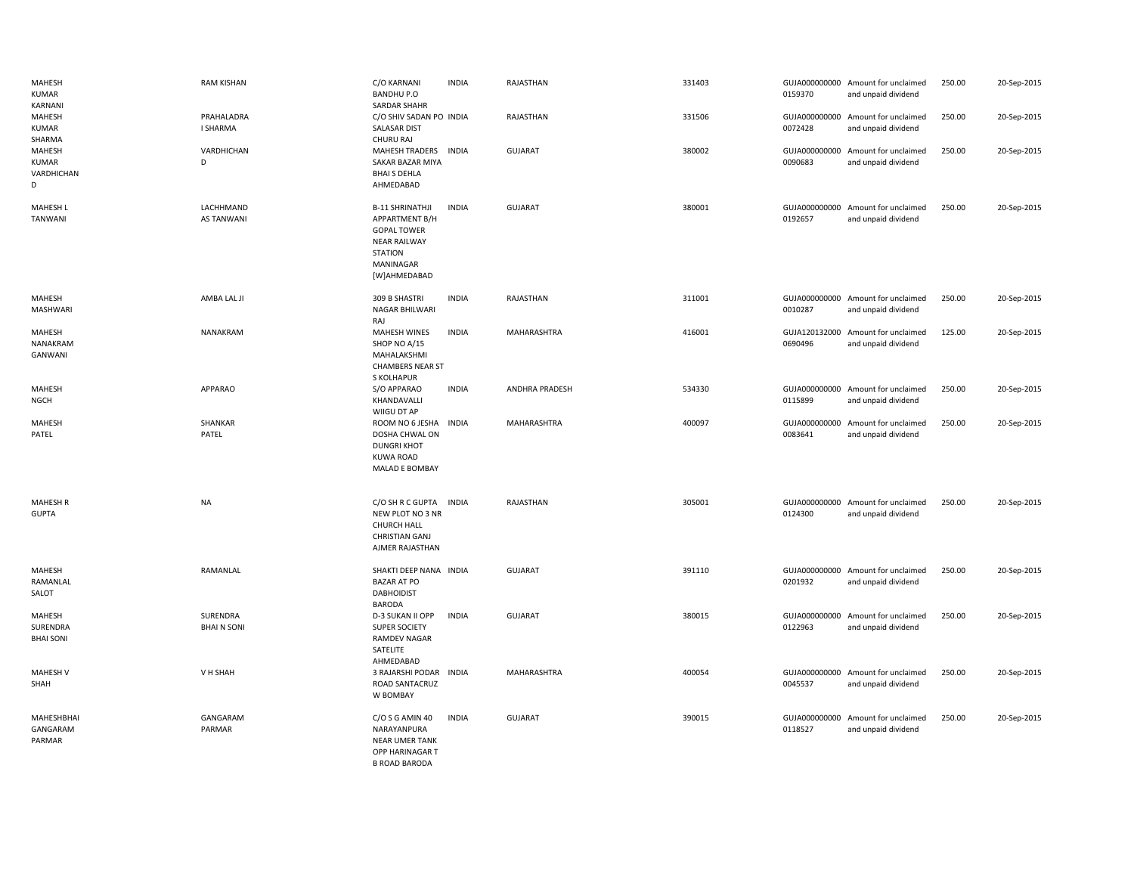| MAHESH<br>KUMAR<br>KARNANI                | <b>RAM KISHAN</b>              | C/O KARNANI<br><b>BANDHU P.O</b><br>SARDAR SHAHR                                                                                     | <b>INDIA</b> | RAJASTHAN             | 331403 | 0159370                  | GUJA000000000 Amount for unclaimed<br>and unpaid dividend | 250.00 | 20-Sep-2015 |
|-------------------------------------------|--------------------------------|--------------------------------------------------------------------------------------------------------------------------------------|--------------|-----------------------|--------|--------------------------|-----------------------------------------------------------|--------|-------------|
| MAHESH<br>KUMAR<br>SHARMA                 | PRAHALADRA<br>I SHARMA         | C/O SHIV SADAN PO INDIA<br>SALASAR DIST<br>CHURU RAJ                                                                                 |              | RAJASTHAN             | 331506 | 0072428                  | GUJA000000000 Amount for unclaimed<br>and unpaid dividend | 250.00 | 20-Sep-2015 |
| MAHESH<br><b>KUMAR</b><br>VARDHICHAN<br>D | VARDHICHAN<br>D                | MAHESH TRADERS INDIA<br>SAKAR BAZAR MIYA<br><b>BHAI S DEHLA</b><br>AHMEDABAD                                                         |              | GUJARAT               | 380002 | 0090683                  | GUJA000000000 Amount for unclaimed<br>and unpaid dividend | 250.00 | 20-Sep-2015 |
| <b>MAHESH L</b><br><b>TANWANI</b>         | LACHHMAND<br><b>AS TANWANI</b> | <b>B-11 SHRINATHJI</b><br>APPARTMENT B/H<br><b>GOPAL TOWER</b><br><b>NEAR RAILWAY</b><br><b>STATION</b><br>MANINAGAR<br>[W]AHMEDABAD | <b>INDIA</b> | GUJARAT               | 380001 | 0192657                  | GUJA000000000 Amount for unclaimed<br>and unpaid dividend | 250.00 | 20-Sep-2015 |
| MAHESH<br>MASHWARI                        | AMBA LAL JI                    | 309 B SHASTRI<br>NAGAR BHILWARI<br>RAJ                                                                                               | <b>INDIA</b> | RAJASTHAN             | 311001 | GUJA000000000<br>0010287 | Amount for unclaimed<br>and unpaid dividend               | 250.00 | 20-Sep-2015 |
| MAHESH<br>NANAKRAM<br>GANWANI             | NANAKRAM                       | <b>MAHESH WINES</b><br>SHOP NO A/15<br>MAHALAKSHMI<br><b>CHAMBERS NEAR ST</b><br>S KOLHAPUR                                          | <b>INDIA</b> | MAHARASHTRA           | 416001 | GUJA120132000<br>0690496 | Amount for unclaimed<br>and unpaid dividend               | 125.00 | 20-Sep-2015 |
| MAHESH<br><b>NGCH</b>                     | APPARAO                        | S/O APPARAO<br>KHANDAVALLI<br>WIIGU DT AP                                                                                            | <b>INDIA</b> | <b>ANDHRA PRADESH</b> | 534330 | GUJA000000000<br>0115899 | Amount for unclaimed<br>and unpaid dividend               | 250.00 | 20-Sep-2015 |
| <b>MAHESH</b><br>PATEL                    | SHANKAR<br>PATEL               | ROOM NO 6 JESHA INDIA<br>DOSHA CHWAL ON<br><b>DUNGRI KHOT</b><br><b>KUWA ROAD</b><br>MALAD E BOMBAY                                  |              | MAHARASHTRA           | 400097 | GUJA000000000<br>0083641 | Amount for unclaimed<br>and unpaid dividend               | 250.00 | 20-Sep-2015 |
| <b>MAHESH R</b><br><b>GUPTA</b>           | <b>NA</b>                      | C/O SH R C GUPTA<br>NEW PLOT NO 3 NR<br><b>CHURCH HALL</b><br><b>CHRISTIAN GANJ</b><br>AJMER RAJASTHAN                               | <b>INDIA</b> | RAJASTHAN             | 305001 | GUJA000000000<br>0124300 | Amount for unclaimed<br>and unpaid dividend               | 250.00 | 20-Sep-2015 |
| MAHESH<br>RAMANLAL<br>SALOT               | RAMANLAL                       | SHAKTI DEEP NANA INDIA<br><b>BAZAR AT PO</b><br><b>DABHOIDIST</b><br><b>BARODA</b>                                                   |              | <b>GUJARAT</b>        | 391110 | 0201932                  | GUJA000000000 Amount for unclaimed<br>and unpaid dividend | 250.00 | 20-Sep-2015 |
| MAHESH<br>SURENDRA<br><b>BHAI SONI</b>    | SURENDRA<br><b>BHAIN SONI</b>  | D-3 SUKAN II OPP<br>SUPER SOCIETY<br><b>RAMDEV NAGAR</b><br>SATELITE<br>AHMEDABAD                                                    | <b>INDIA</b> | <b>GUJARAT</b>        | 380015 | 0122963                  | GUJA000000000 Amount for unclaimed<br>and unpaid dividend | 250.00 | 20-Sep-2015 |
| <b>MAHESH V</b><br>SHAH                   | V H SHAH                       | 3 RAJARSHI PODAR INDIA<br>ROAD SANTACRUZ<br>W BOMBAY                                                                                 |              | MAHARASHTRA           | 400054 | 0045537                  | GUJA000000000 Amount for unclaimed<br>and unpaid dividend | 250.00 | 20-Sep-2015 |
| MAHESHBHAI<br>GANGARAM<br>PARMAR          | GANGARAM<br>PARMAR             | C/O S G AMIN 40<br>NARAYANPURA<br><b>NEAR UMER TANK</b><br>OPP HARINAGAR T<br><b>B ROAD BARODA</b>                                   | <b>INDIA</b> | <b>GUJARAT</b>        | 390015 | GUJA000000000<br>0118527 | Amount for unclaimed<br>and unpaid dividend               | 250.00 | 20-Sep-2015 |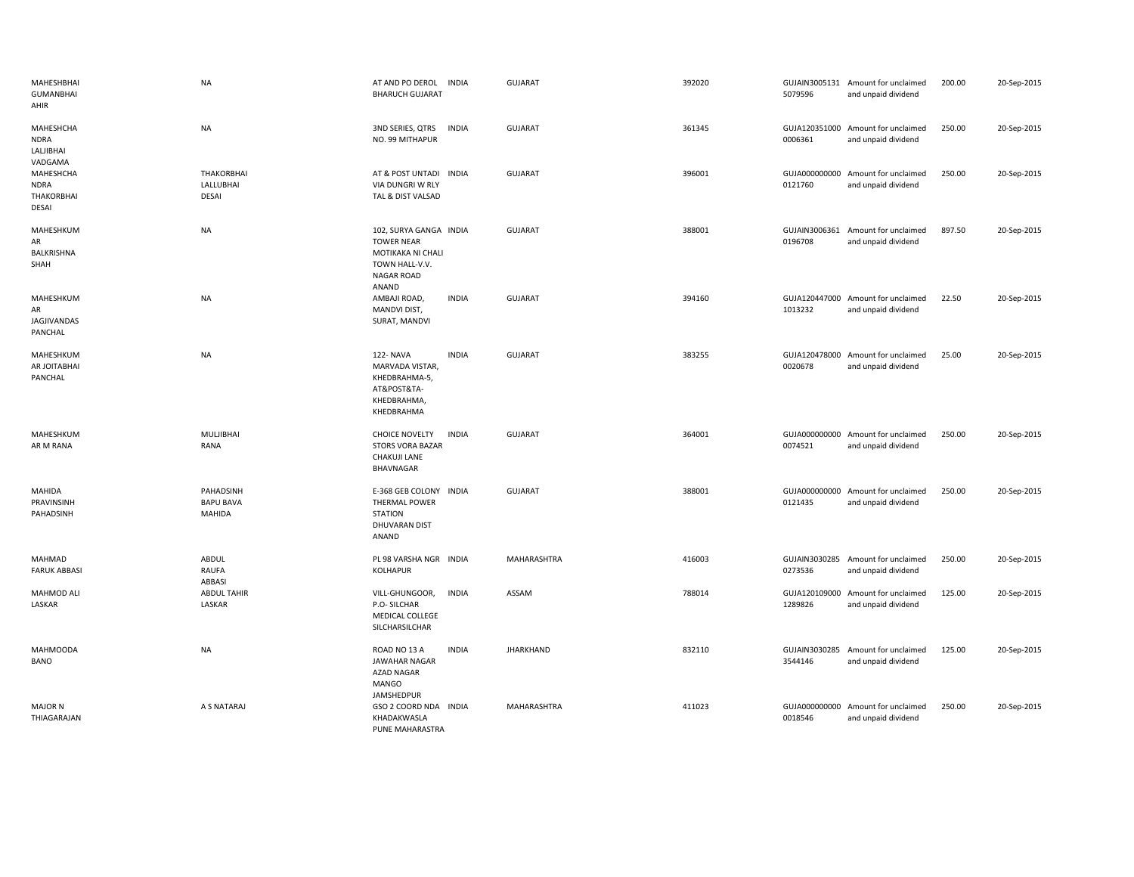| MAHESHBHAI<br><b>GUMANBHAI</b><br>AHIR           | NA                                             | AT AND PO DEROL<br><b>INDIA</b><br><b>BHARUCH GUJARAT</b>                                                        | GUJARAT          | 392020 | 5079596                  | GUJAIN3005131 Amount for unclaimed<br>and unpaid dividend | 200.00 | 20-Sep-2015 |
|--------------------------------------------------|------------------------------------------------|------------------------------------------------------------------------------------------------------------------|------------------|--------|--------------------------|-----------------------------------------------------------|--------|-------------|
| MAHESHCHA<br><b>NDRA</b><br>LALJIBHAI<br>VADGAMA | <b>NA</b>                                      | 3ND SERIES, QTRS<br>INDIA<br>NO. 99 MITHAPUR                                                                     | <b>GUJARAT</b>   | 361345 | 0006361                  | GUJA120351000 Amount for unclaimed<br>and unpaid dividend | 250.00 | 20-Sep-2015 |
| MAHESHCHA<br><b>NDRA</b><br>THAKORBHAI<br>DESAI  | <b>THAKORBHAI</b><br>LALLUBHAI<br><b>DESAI</b> | AT & POST UNTADI INDIA<br>VIA DUNGRI W RLY<br>TAL & DIST VALSAD                                                  | <b>GUJARAT</b>   | 396001 | 0121760                  | GUJA000000000 Amount for unclaimed<br>and unpaid dividend | 250.00 | 20-Sep-2015 |
| MAHESHKUM<br>AR<br>BALKRISHNA<br>SHAH            | <b>NA</b>                                      | 102, SURYA GANGA INDIA<br><b>TOWER NEAR</b><br>MOTIKAKA NI CHALI<br>TOWN HALL-V.V.<br><b>NAGAR ROAD</b><br>ANAND | GUJARAT          | 388001 | GUJAIN3006361<br>0196708 | Amount for unclaimed<br>and unpaid dividend               | 897.50 | 20-Sep-2015 |
| MAHESHKUM<br>AR<br>JAGJIVANDAS<br>PANCHAL        | <b>NA</b>                                      | AMBAJI ROAD,<br><b>INDIA</b><br>MANDVI DIST,<br>SURAT, MANDVI                                                    | <b>GUJARAT</b>   | 394160 | 1013232                  | GUJA120447000 Amount for unclaimed<br>and unpaid dividend | 22.50  | 20-Sep-2015 |
| MAHESHKUM<br>AR JOITABHAI<br>PANCHAL             | NA                                             | <b>INDIA</b><br>122- NAVA<br>MARVADA VISTAR,<br>KHEDBRAHMA-5,<br>AT&POST&TA-<br>KHEDBRAHMA,<br>KHEDBRAHMA        | <b>GUJARAT</b>   | 383255 | GUJA120478000<br>0020678 | Amount for unclaimed<br>and unpaid dividend               | 25.00  | 20-Sep-2015 |
| MAHESHKUM<br>AR M RANA                           | MULJIBHAI<br>RANA                              | <b>INDIA</b><br><b>CHOICE NOVELTY</b><br><b>STORS VORA BAZAR</b><br>CHAKUJI LANE<br>BHAVNAGAR                    | <b>GUJARAT</b>   | 364001 | 0074521                  | GUJA000000000 Amount for unclaimed<br>and unpaid dividend | 250.00 | 20-Sep-2015 |
| MAHIDA<br>PRAVINSINH<br>PAHADSINH                | PAHADSINH<br><b>BAPU BAVA</b><br>MAHIDA        | E-368 GEB COLONY INDIA<br>THERMAL POWER<br><b>STATION</b><br>DHUVARAN DIST<br>ANAND                              | <b>GUJARAT</b>   | 388001 | 0121435                  | GUJA000000000 Amount for unclaimed<br>and unpaid dividend | 250.00 | 20-Sep-2015 |
| MAHMAD<br><b>FARUK ABBASI</b>                    | ABDUL<br>RAUFA<br>ABBASI                       | PL 98 VARSHA NGR INDIA<br><b>KOLHAPUR</b>                                                                        | MAHARASHTRA      | 416003 | 0273536                  | GUJAIN3030285 Amount for unclaimed<br>and unpaid dividend | 250.00 | 20-Sep-2015 |
| <b>MAHMOD ALI</b><br>LASKAR                      | <b>ABDUL TAHIR</b><br>LASKAR                   | <b>INDIA</b><br>VILL-GHUNGOOR,<br>P.O- SILCHAR<br>MEDICAL COLLEGE<br>SILCHARSILCHAR                              | ASSAM            | 788014 | 1289826                  | GUJA120109000 Amount for unclaimed<br>and unpaid dividend | 125.00 | 20-Sep-2015 |
| <b>MAHMOODA</b><br><b>BANO</b>                   | NA                                             | <b>INDIA</b><br>ROAD NO 13 A<br><b>JAWAHAR NAGAR</b><br>AZAD NAGAR<br><b>MANGO</b><br>JAMSHEDPUR                 | <b>JHARKHAND</b> | 832110 | 3544146                  | GUJAIN3030285 Amount for unclaimed<br>and unpaid dividend | 125.00 | 20-Sep-2015 |
| <b>MAJOR N</b><br>THIAGARAJAN                    | A S NATARAJ                                    | GSO 2 COORD NDA INDIA<br>KHADAKWASLA<br>PUNE MAHARASTRA                                                          | MAHARASHTRA      | 411023 | 0018546                  | GUJA000000000 Amount for unclaimed<br>and unpaid dividend | 250.00 | 20-Sep-2015 |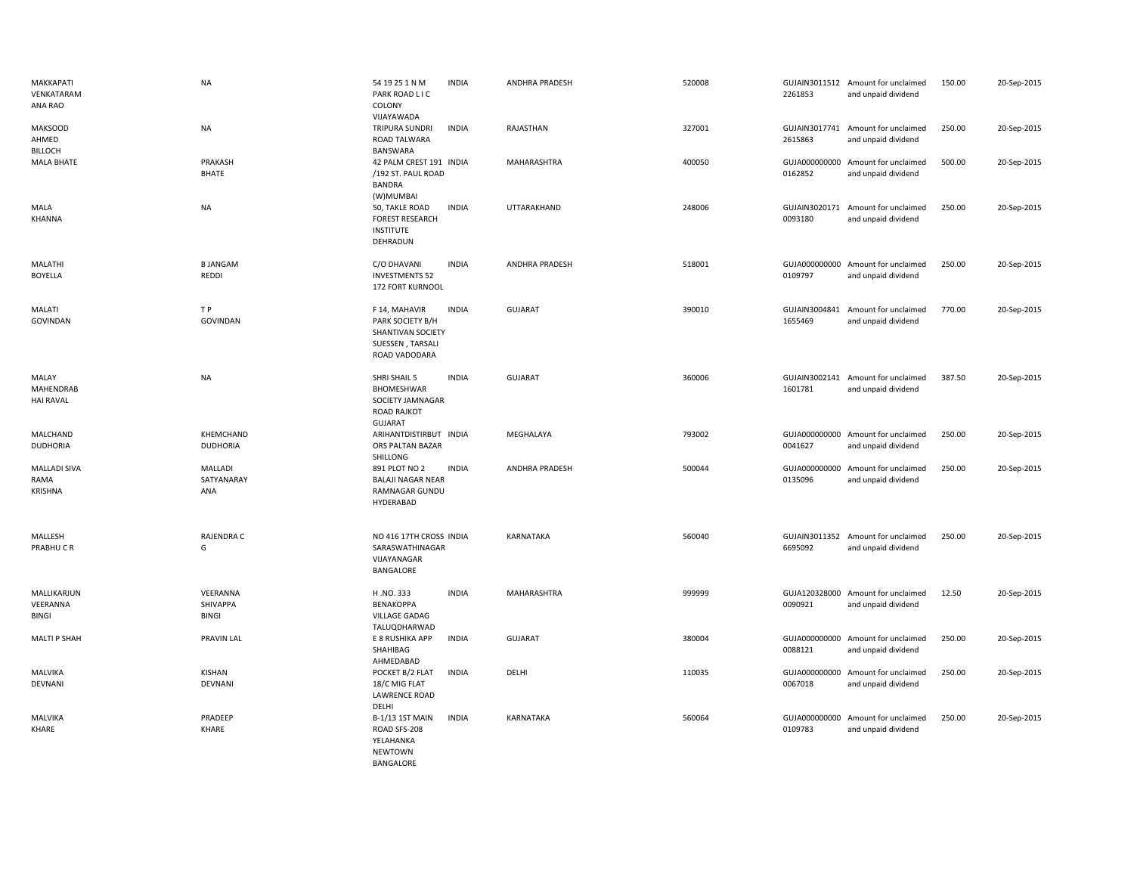| MAKKAPATI<br>VENKATARAM<br>ANA RAO        | <b>NA</b>                            | 54 19 25 1 N M<br><b>INDIA</b><br>PARK ROAD LIC<br>COLONY                                                   | ANDHRA PRADESH | 520008 | 2261853 | GUJAIN3011512 Amount for unclaimed<br>and unpaid dividend | 150.00 | 20-Sep-2015 |
|-------------------------------------------|--------------------------------------|-------------------------------------------------------------------------------------------------------------|----------------|--------|---------|-----------------------------------------------------------|--------|-------------|
| <b>MAKSOOD</b><br>AHMED<br><b>BILLOCH</b> | <b>NA</b>                            | VIJAYAWADA<br>TRIPURA SUNDRI<br><b>INDIA</b><br>ROAD TALWARA<br>BANSWARA                                    | RAJASTHAN      | 327001 | 2615863 | GUJAIN3017741 Amount for unclaimed<br>and unpaid dividend | 250.00 | 20-Sep-2015 |
| <b>MALA BHATE</b>                         | PRAKASH<br><b>BHATE</b>              | 42 PALM CREST 191 INDIA<br>/192 ST. PAUL ROAD<br><b>BANDRA</b><br>(W)MUMBAI                                 | MAHARASHTRA    | 400050 | 0162852 | GUJA000000000 Amount for unclaimed<br>and unpaid dividend | 500.00 | 20-Sep-2015 |
| MALA<br>KHANNA                            | <b>NA</b>                            | 50, TAKLE ROAD<br><b>INDIA</b><br><b>FOREST RESEARCH</b><br><b>INSTITUTE</b><br>DEHRADUN                    | UTTARAKHAND    | 248006 | 0093180 | GUJAIN3020171 Amount for unclaimed<br>and unpaid dividend | 250.00 | 20-Sep-2015 |
| MALATHI<br><b>BOYELLA</b>                 | <b>B JANGAM</b><br>REDDI             | C/O DHAVANI<br><b>INDIA</b><br><b>INVESTMENTS 52</b><br>172 FORT KURNOOL                                    | ANDHRA PRADESH | 518001 | 0109797 | GUJA000000000 Amount for unclaimed<br>and unpaid dividend | 250.00 | 20-Sep-2015 |
| MALATI<br><b>GOVINDAN</b>                 | T P<br><b>GOVINDAN</b>               | F 14, MAHAVIR<br><b>INDIA</b><br>PARK SOCIETY B/H<br>SHANTIVAN SOCIETY<br>SUESSEN, TARSALI<br>ROAD VADODARA | <b>GUJARAT</b> | 390010 | 1655469 | GUJAIN3004841 Amount for unclaimed<br>and unpaid dividend | 770.00 | 20-Sep-2015 |
| MALAY<br>MAHENDRAB<br><b>HAI RAVAL</b>    | <b>NA</b>                            | SHRI SHAIL 5<br><b>INDIA</b><br>BHOMESHWAR<br>SOCIETY JAMNAGAR<br><b>ROAD RAJKOT</b><br>GUJARAT             | <b>GUJARAT</b> | 360006 | 1601781 | GUJAIN3002141 Amount for unclaimed<br>and unpaid dividend | 387.50 | 20-Sep-2015 |
| MALCHAND<br><b>DUDHORIA</b>               | KHEMCHAND<br><b>DUDHORIA</b>         | ARIHANTDISTIRBUT INDIA<br>ORS PALTAN BAZAR<br>SHILLONG                                                      | MEGHALAYA      | 793002 | 0041627 | GUJA000000000 Amount for unclaimed<br>and unpaid dividend | 250.00 | 20-Sep-2015 |
| <b>MALLADI SIVA</b><br>RAMA<br>KRISHNA    | <b>MALLADI</b><br>SATYANARAY<br>ANA  | <b>INDIA</b><br>891 PLOT NO 2<br><b>BALAJI NAGAR NEAR</b><br>RAMNAGAR GUNDU<br>HYDERABAD                    | ANDHRA PRADESH | 500044 | 0135096 | GUJA000000000 Amount for unclaimed<br>and unpaid dividend | 250.00 | 20-Sep-2015 |
| MALLESH<br>PRABHUCR                       | RAJENDRA C<br>G                      | NO 416 17TH CROSS INDIA<br>SARASWATHINAGAR<br>VIJAYANAGAR<br>BANGALORE                                      | KARNATAKA      | 560040 | 6695092 | GUJAIN3011352 Amount for unclaimed<br>and unpaid dividend | 250.00 | 20-Sep-2015 |
| MALLIKARJUN<br>VEERANNA<br>BINGI          | VEERANNA<br>SHIVAPPA<br><b>BINGI</b> | H.NO.333<br><b>INDIA</b><br>BENAKOPPA<br><b>VILLAGE GADAG</b><br>TALUQDHARWAD                               | MAHARASHTRA    | 999999 | 0090921 | GUJA120328000 Amount for unclaimed<br>and unpaid dividend | 12.50  | 20-Sep-2015 |
| MALTI P SHAH                              | <b>PRAVIN LAL</b>                    | E 8 RUSHIKA APP<br><b>INDIA</b><br>SHAHIBAG<br>AHMEDABAD                                                    | <b>GUJARAT</b> | 380004 | 0088121 | GUJA000000000 Amount for unclaimed<br>and unpaid dividend | 250.00 | 20-Sep-2015 |
| MALVIKA<br>DEVNANI                        | KISHAN<br>DEVNANI                    | POCKET B/2 FLAT<br><b>INDIA</b><br>18/C MIG FLAT<br><b>LAWRENCE ROAD</b><br>DELHI                           | DELHI          | 110035 | 0067018 | GUJA000000000 Amount for unclaimed<br>and unpaid dividend | 250.00 | 20-Sep-2015 |
| MALVIKA<br>KHARE                          | PRADEEP<br>KHARE                     | B-1/13 1ST MAIN<br><b>INDIA</b><br>ROAD SFS-208<br>YELAHANKA<br><b>NEWTOWN</b><br><b>BANGALORE</b>          | KARNATAKA      | 560064 | 0109783 | GUJA000000000 Amount for unclaimed<br>and unpaid dividend | 250.00 | 20-Sep-2015 |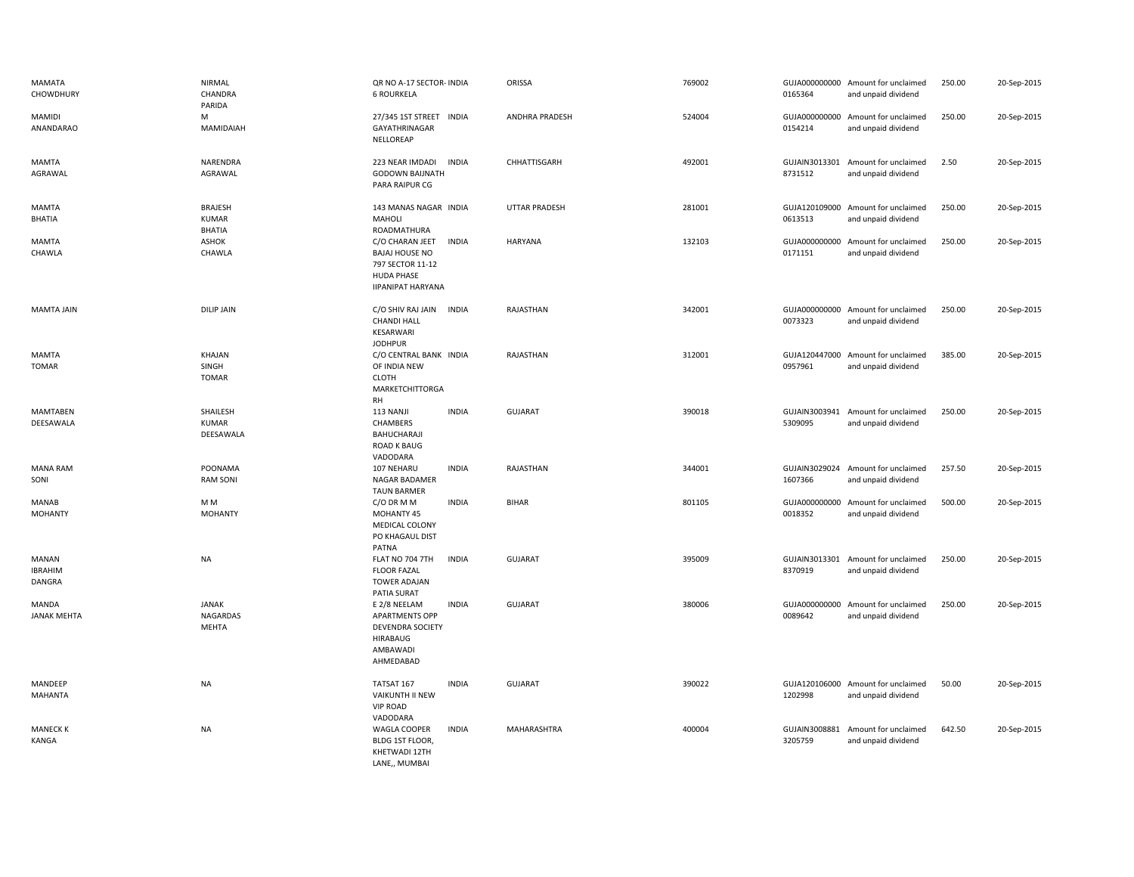| MAMATA<br>CHOWDHURY                      | NIRMAL<br>CHANDRA<br>PARIDA                     | QR NO A-17 SECTOR- INDIA<br><b>6 ROURKELA</b>                                                                                 | ORISSA               | 769002 | 0165364                  | GUJA000000000 Amount for unclaimed<br>and unpaid dividend | 250.00 | 20-Sep-2015 |
|------------------------------------------|-------------------------------------------------|-------------------------------------------------------------------------------------------------------------------------------|----------------------|--------|--------------------------|-----------------------------------------------------------|--------|-------------|
| <b>MAMIDI</b><br>ANANDARAO               | M<br>MAMIDAIAH                                  | 27/345 1ST STREET INDIA<br>GAYATHRINAGAR<br>NELLOREAP                                                                         | ANDHRA PRADESH       | 524004 | 0154214                  | GUJA000000000 Amount for unclaimed<br>and unpaid dividend | 250.00 | 20-Sep-2015 |
| <b>MAMTA</b><br>AGRAWAL                  | NARENDRA<br>AGRAWAL                             | 223 NEAR IMDADI<br><b>INDIA</b><br><b>GODOWN BAIJNATH</b><br>PARA RAIPUR CG                                                   | CHHATTISGARH         | 492001 | 8731512                  | GUJAIN3013301 Amount for unclaimed<br>and unpaid dividend | 2.50   | 20-Sep-2015 |
| MAMTA<br>BHATIA                          | <b>BRAJESH</b><br><b>KUMAR</b><br><b>BHATIA</b> | 143 MANAS NAGAR INDIA<br>MAHOLI<br>ROADMATHURA                                                                                | <b>UTTAR PRADESH</b> | 281001 | 0613513                  | GUJA120109000 Amount for unclaimed<br>and unpaid dividend | 250.00 | 20-Sep-2015 |
| MAMTA<br>CHAWLA                          | ASHOK<br>CHAWLA                                 | C/O CHARAN JEET<br><b>INDIA</b><br><b>BAJAJ HOUSE NO</b><br>797 SECTOR 11-12<br><b>HUDA PHASE</b><br><b>IIPANIPAT HARYANA</b> | <b>HARYANA</b>       | 132103 | GUJA000000000<br>0171151 | Amount for unclaimed<br>and unpaid dividend               | 250.00 | 20-Sep-2015 |
| <b>MAMTA JAIN</b>                        | <b>DILIP JAIN</b>                               | C/O SHIV RAJ JAIN INDIA<br><b>CHANDI HALL</b><br>KESARWARI<br><b>JODHPUR</b>                                                  | RAJASTHAN            | 342001 | 0073323                  | GUJA000000000 Amount for unclaimed<br>and unpaid dividend | 250.00 | 20-Sep-2015 |
| <b>MAMTA</b><br><b>TOMAR</b>             | KHAJAN<br>SINGH<br><b>TOMAR</b>                 | C/O CENTRAL BANK INDIA<br>OF INDIA NEW<br><b>CLOTH</b><br>MARKETCHITTORGA<br>RH                                               | RAJASTHAN            | 312001 | 0957961                  | GUJA120447000 Amount for unclaimed<br>and unpaid dividend | 385.00 | 20-Sep-2015 |
| <b>MAMTABEN</b><br>DEESAWALA             | SHAILESH<br><b>KUMAR</b><br>DEESAWALA           | <b>INDIA</b><br>113 NANJI<br>CHAMBERS<br>BAHUCHARAJI<br><b>ROAD K BAUG</b><br>VADODARA                                        | <b>GUJARAT</b>       | 390018 | GUJAIN3003941<br>5309095 | Amount for unclaimed<br>and unpaid dividend               | 250.00 | 20-Sep-2015 |
| <b>MANA RAM</b><br>SONI                  | POONAMA<br><b>RAM SONI</b>                      | <b>INDIA</b><br>107 NEHARU<br>NAGAR BADAMER<br><b>TAUN BARMER</b>                                                             | RAJASTHAN            | 344001 | 1607366                  | GUJAIN3029024 Amount for unclaimed<br>and unpaid dividend | 257.50 | 20-Sep-2015 |
| MANAB<br><b>MOHANTY</b>                  | M M<br><b>MOHANTY</b>                           | <b>INDIA</b><br>C/O DR M M<br>MOHANTY 45<br>MEDICAL COLONY<br>PO KHAGAUL DIST<br>PATNA                                        | <b>BIHAR</b>         | 801105 | 0018352                  | GUJA000000000 Amount for unclaimed<br>and unpaid dividend | 500.00 | 20-Sep-2015 |
| <b>MANAN</b><br><b>IBRAHIM</b><br>DANGRA | <b>NA</b>                                       | <b>INDIA</b><br>FLAT NO 704 7TH<br><b>FLOOR FAZAL</b><br><b>TOWER ADAJAN</b><br>PATIA SURAT                                   | <b>GUJARAT</b>       | 395009 | 8370919                  | GUJAIN3013301 Amount for unclaimed<br>and unpaid dividend | 250.00 | 20-Sep-2015 |
| MANDA<br><b>JANAK MEHTA</b>              | <b>JANAK</b><br>NAGARDAS<br><b>MEHTA</b>        | E 2/8 NEELAM<br><b>INDIA</b><br><b>APARTMENTS OPP</b><br><b>DEVENDRA SOCIETY</b><br><b>HIRABAUG</b><br>AMBAWADI<br>AHMEDABAD  | <b>GUJARAT</b>       | 380006 | 0089642                  | GUJA000000000 Amount for unclaimed<br>and unpaid dividend | 250.00 | 20-Sep-2015 |
| MANDEEP<br><b>MAHANTA</b>                | <b>NA</b>                                       | TATSAT 167<br><b>INDIA</b><br>VAIKUNTH II NEW<br><b>VIP ROAD</b><br>VADODARA                                                  | <b>GUJARAT</b>       | 390022 | 1202998                  | GUJA120106000 Amount for unclaimed<br>and unpaid dividend | 50.00  | 20-Sep-2015 |
| <b>MANECK K</b><br>KANGA                 | NA                                              | <b>INDIA</b><br><b>WAGLA COOPER</b><br>BLDG 1ST FLOOR,<br>KHETWADI 12TH<br>LANE,, MUMBAI                                      | MAHARASHTRA          | 400004 | GUJAIN3008881<br>3205759 | Amount for unclaimed<br>and unpaid dividend               | 642.50 | 20-Sep-2015 |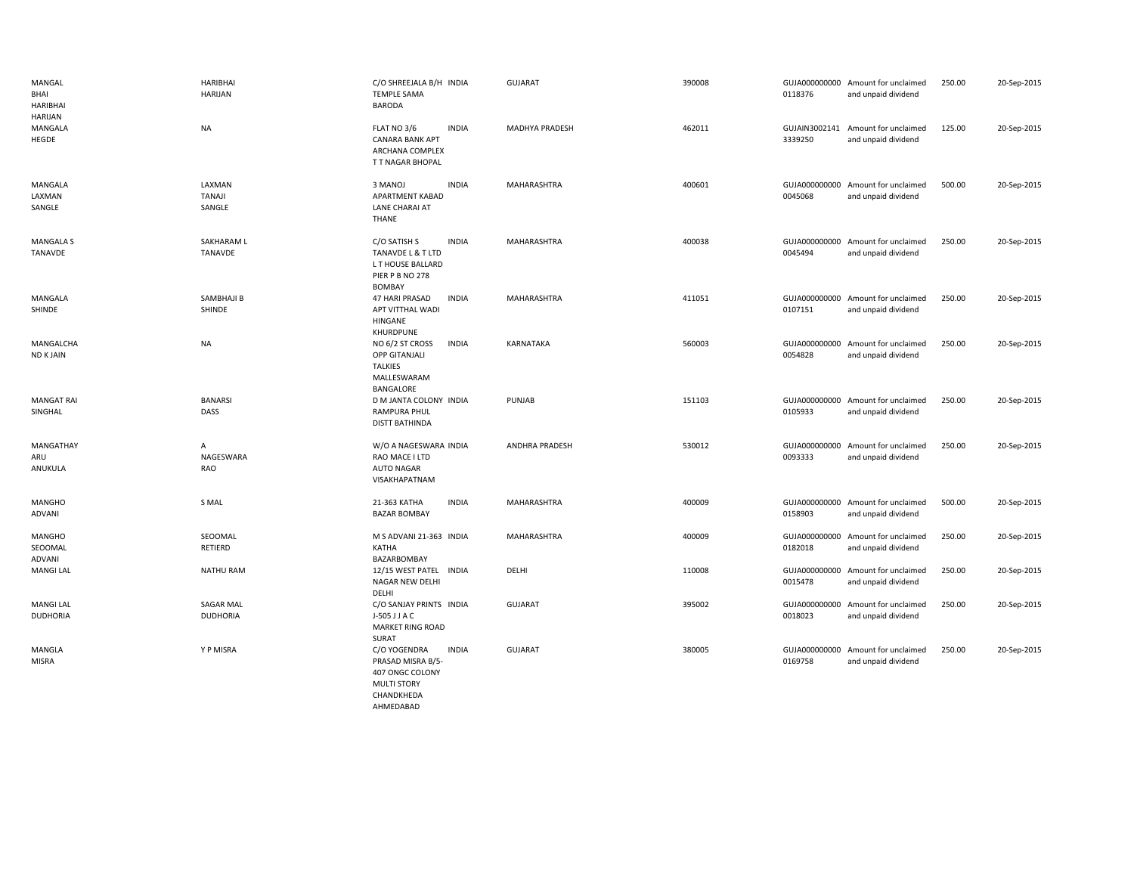| MANGAL<br>BHAI<br><b>HARIBHAI</b><br>HARIJAN | <b>HARIBHAI</b><br><b>HARIJAN</b>   | C/O SHREEJALA B/H INDIA<br><b>TEMPLE SAMA</b><br><b>BARODA</b>                                                        | <b>GUJARAT</b>        | 390008 | 0118376 | GUJA000000000 Amount for unclaimed<br>and unpaid dividend | 250.00 | 20-Sep-2015 |
|----------------------------------------------|-------------------------------------|-----------------------------------------------------------------------------------------------------------------------|-----------------------|--------|---------|-----------------------------------------------------------|--------|-------------|
| MANGALA<br>HEGDE                             | <b>NA</b>                           | FLAT NO 3/6<br><b>INDIA</b><br><b>CANARA BANK APT</b><br>ARCHANA COMPLEX<br>T T NAGAR BHOPAL                          | MADHYA PRADESH        | 462011 | 3339250 | GUJAIN3002141 Amount for unclaimed<br>and unpaid dividend | 125.00 | 20-Sep-2015 |
| MANGALA<br>LAXMAN<br>SANGLE                  | LAXMAN<br><b>TANAJI</b><br>SANGLE   | 3 MANOJ<br><b>INDIA</b><br>APARTMENT KABAD<br>LANE CHARAI AT<br>THANE                                                 | MAHARASHTRA           | 400601 | 0045068 | GUJA000000000 Amount for unclaimed<br>and unpaid dividend | 500.00 | 20-Sep-2015 |
| <b>MANGALA S</b><br>TANAVDE                  | SAKHARAM L<br>TANAVDE               | C/O SATISH S<br><b>INDIA</b><br><b>TANAVDE L &amp; T LTD</b><br>L T HOUSE BALLARD<br>PIER P B NO 278<br><b>BOMBAY</b> | MAHARASHTRA           | 400038 | 0045494 | GUJA000000000 Amount for unclaimed<br>and unpaid dividend | 250.00 | 20-Sep-2015 |
| MANGALA<br>SHINDE                            | SAMBHAJI B<br>SHINDE                | 47 HARI PRASAD<br><b>INDIA</b><br>APT VITTHAL WADI<br>HINGANE<br>KHURDPUNE                                            | <b>MAHARASHTRA</b>    | 411051 | 0107151 | GUJA000000000 Amount for unclaimed<br>and unpaid dividend | 250.00 | 20-Sep-2015 |
| MANGALCHA<br><b>ND KJAIN</b>                 | <b>NA</b>                           | NO 6/2 ST CROSS<br><b>INDIA</b><br><b>OPP GITANJALI</b><br><b>TALKIES</b><br>MALLESWARAM<br>BANGALORE                 | KARNATAKA             | 560003 | 0054828 | GUJA000000000 Amount for unclaimed<br>and unpaid dividend | 250.00 | 20-Sep-2015 |
| <b>MANGAT RAI</b><br>SINGHAL                 | <b>BANARSI</b><br>DASS              | D M JANTA COLONY INDIA<br>RAMPURA PHUL<br><b>DISTT BATHINDA</b>                                                       | PUNJAB                | 151103 | 0105933 | GUJA000000000 Amount for unclaimed<br>and unpaid dividend | 250.00 | 20-Sep-2015 |
| MANGATHAY<br>ARU<br>ANUKULA                  | A<br>NAGESWARA<br>RAO               | W/O A NAGESWARA INDIA<br>RAO MACE I LTD<br><b>AUTO NAGAR</b><br>VISAKHAPATNAM                                         | <b>ANDHRA PRADESH</b> | 530012 | 0093333 | GUJA000000000 Amount for unclaimed<br>and unpaid dividend | 250.00 | 20-Sep-2015 |
| <b>MANGHO</b><br>ADVANI                      | S MAL                               | <b>INDIA</b><br>21-363 KATHA<br><b>BAZAR BOMBAY</b>                                                                   | MAHARASHTRA           | 400009 | 0158903 | GUJA000000000 Amount for unclaimed<br>and unpaid dividend | 500.00 | 20-Sep-2015 |
| <b>MANGHO</b><br>SEOOMAL<br>ADVANI           | SEOOMAL<br>RETIERD                  | M S ADVANI 21-363 INDIA<br>KATHA<br>BAZARBOMBAY                                                                       | MAHARASHTRA           | 400009 | 0182018 | GUJA000000000 Amount for unclaimed<br>and unpaid dividend | 250.00 | 20-Sep-2015 |
| <b>MANGI LAL</b>                             | <b>NATHU RAM</b>                    | 12/15 WEST PATEL INDIA<br>NAGAR NEW DELHI<br>DELHI                                                                    | DELHI                 | 110008 | 0015478 | GUJA000000000 Amount for unclaimed<br>and unpaid dividend | 250.00 | 20-Sep-2015 |
| <b>MANGI LAL</b><br><b>DUDHORIA</b>          | <b>SAGAR MAL</b><br><b>DUDHORIA</b> | C/O SANJAY PRINTS INDIA<br>J-505 J J A C<br>MARKET RING ROAD<br>SURAT                                                 | <b>GUJARAT</b>        | 395002 | 0018023 | GUJA000000000 Amount for unclaimed<br>and unpaid dividend | 250.00 | 20-Sep-2015 |
| MANGLA<br><b>MISRA</b>                       | Y P MISRA                           | C/O YOGENDRA<br><b>INDIA</b><br>PRASAD MISRA B/5-<br>407 ONGC COLONY<br><b>MULTI STORY</b><br>CHANDKHEDA<br>AHMEDABAD | <b>GUJARAT</b>        | 380005 | 0169758 | GUJA000000000 Amount for unclaimed<br>and unpaid dividend | 250.00 | 20-Sep-2015 |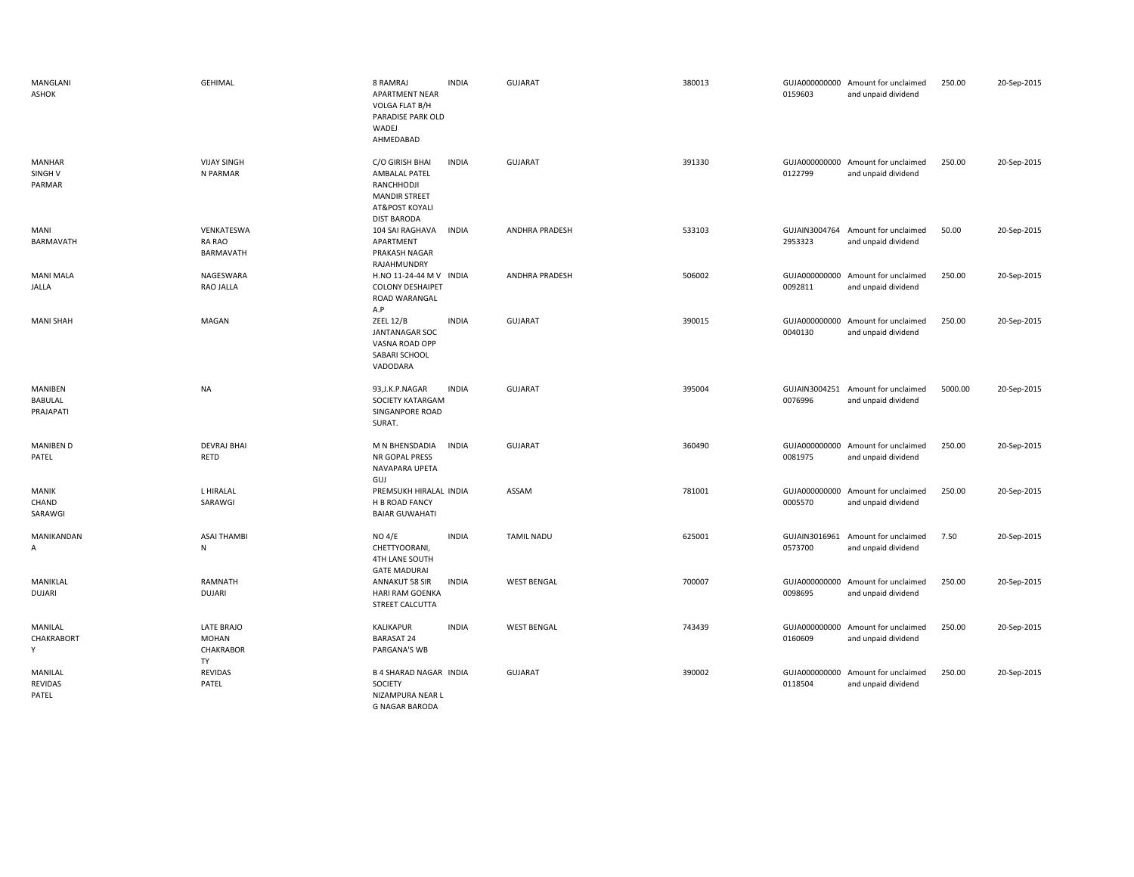| MANGLANI<br>ASHOK                             | <b>GEHIMAL</b>                                | 8 RAMRAJ<br><b>APARTMENT NEAR</b><br>VOLGA FLAT B/H<br>PARADISE PARK OLD<br>WADEJ<br>AHMEDABAD                 | <b>INDIA</b> | <b>GUJARAT</b>        | 380013 | 0159603                  | GUJA000000000 Amount for unclaimed<br>and unpaid dividend | 250.00  | 20-Sep-2015 |
|-----------------------------------------------|-----------------------------------------------|----------------------------------------------------------------------------------------------------------------|--------------|-----------------------|--------|--------------------------|-----------------------------------------------------------|---------|-------------|
| <b>MANHAR</b><br>SINGH <sub>V</sub><br>PARMAR | <b>VIJAY SINGH</b><br>N PARMAR                | C/O GIRISH BHAI<br>AMBALAL PATEL<br>RANCHHODJI<br><b>MANDIR STREET</b><br>AT&POST KOYALI<br><b>DIST BARODA</b> | <b>INDIA</b> | <b>GUJARAT</b>        | 391330 | 0122799                  | GUJA000000000 Amount for unclaimed<br>and unpaid dividend | 250.00  | 20-Sep-2015 |
| MANI<br>BARMAVATH                             | VENKATESWA<br>RA RAO<br>BARMAVATH             | 104 SAI RAGHAVA<br>APARTMENT<br>PRAKASH NAGAR<br>RAJAHMUNDRY                                                   | INDIA        | ANDHRA PRADESH        | 533103 | 2953323                  | GUJAIN3004764 Amount for unclaimed<br>and unpaid dividend | 50.00   | 20-Sep-2015 |
| <b>MANI MALA</b><br>JALLA                     | NAGESWARA<br>RAO JALLA                        | H.NO 11-24-44 M V INDIA<br><b>COLONY DESHAIPET</b><br>ROAD WARANGAL<br>A.P                                     |              | <b>ANDHRA PRADESH</b> | 506002 | GUJA000000000<br>0092811 | Amount for unclaimed<br>and unpaid dividend               | 250.00  | 20-Sep-2015 |
| <b>MANI SHAH</b>                              | MAGAN                                         | <b>ZEEL 12/B</b><br><b>JANTANAGAR SOC</b><br>VASNA ROAD OPP<br>SABARI SCHOOL<br>VADODARA                       | <b>INDIA</b> | <b>GUJARAT</b>        | 390015 | GUJA000000000<br>0040130 | Amount for unclaimed<br>and unpaid dividend               | 250.00  | 20-Sep-2015 |
| MANIBEN<br>BABULAL<br>PRAJAPATI               | <b>NA</b>                                     | 93, J.K.P. NAGAR<br>SOCIETY KATARGAM<br>SINGANPORE ROAD<br>SURAT.                                              | <b>INDIA</b> | GUJARAT               | 395004 | 0076996                  | GUJAIN3004251 Amount for unclaimed<br>and unpaid dividend | 5000.00 | 20-Sep-2015 |
| <b>MANIBEN D</b><br>PATEL                     | <b>DEVRAJ BHAI</b><br>RETD                    | M N BHENSDADIA<br>NR GOPAL PRESS<br>NAVAPARA UPETA<br>GUJ                                                      | <b>INDIA</b> | <b>GUJARAT</b>        | 360490 | GUJA000000000<br>0081975 | Amount for unclaimed<br>and unpaid dividend               | 250.00  | 20-Sep-2015 |
| MANIK<br>CHAND<br>SARAWGI                     | L HIRALAL<br>SARAWGI                          | PREMSUKH HIRALAL INDIA<br>H B ROAD FANCY<br><b>BAIAR GUWAHATI</b>                                              |              | ASSAM                 | 781001 | GUJA000000000<br>0005570 | Amount for unclaimed<br>and unpaid dividend               | 250.00  | 20-Sep-2015 |
| MANIKANDAN<br>A                               | <b>ASAI THAMBI</b><br>N                       | NO 4/E<br>CHETTYOORANI,<br>4TH LANE SOUTH<br><b>GATE MADURAI</b>                                               | <b>INDIA</b> | <b>TAMIL NADU</b>     | 625001 | 0573700                  | GUJAIN3016961 Amount for unclaimed<br>and unpaid dividend | 7.50    | 20-Sep-2015 |
| MANIKLAL<br><b>DUJARI</b>                     | RAMNATH<br><b>DUJARI</b>                      | ANNAKUT 58 SIR<br><b>HARI RAM GOENKA</b><br>STREET CALCUTTA                                                    | <b>INDIA</b> | <b>WEST BENGAL</b>    | 700007 | GUJA000000000<br>0098695 | Amount for unclaimed<br>and unpaid dividend               | 250.00  | 20-Sep-2015 |
| MANILAL<br>CHAKRABORT<br>Υ                    | LATE BRAJO<br><b>MOHAN</b><br>CHAKRABOR<br>TY | KALIKAPUR<br><b>BARASAT 24</b><br>PARGANA'S WB                                                                 | <b>INDIA</b> | <b>WEST BENGAL</b>    | 743439 | GUJA000000000<br>0160609 | Amount for unclaimed<br>and unpaid dividend               | 250.00  | 20-Sep-2015 |
| MANILAL<br><b>REVIDAS</b><br>PATEL            | <b>REVIDAS</b><br>PATEL                       | <b>B 4 SHARAD NAGAR INDIA</b><br>SOCIETY<br>NIZAMPURA NEAR L<br><b>G NAGAR BARODA</b>                          |              | GUJARAT               | 390002 | 0118504                  | GUJA000000000 Amount for unclaimed<br>and unpaid dividend | 250.00  | 20-Sep-2015 |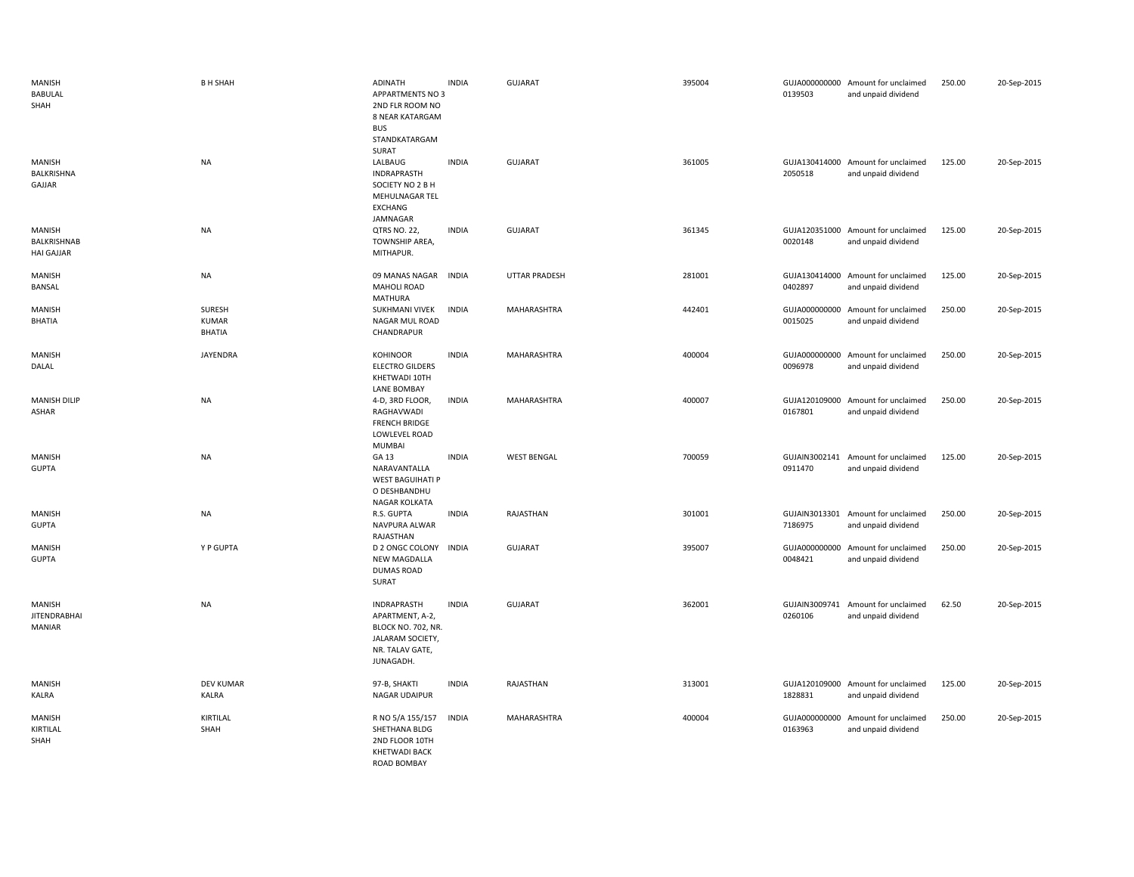| <b>MANISH</b><br>BABULAL<br>SHAH           | <b>B H SHAH</b>                  | <b>ADINATH</b><br><b>APPARTMENTS NO 3</b><br>2ND FLR ROOM NO<br>8 NEAR KATARGAM<br><b>BUS</b><br>STANDKATARGAM | <b>INDIA</b> | <b>GUJARAT</b>       | 395004 | 0139503                  | GUJA000000000 Amount for unclaimed<br>and unpaid dividend | 250.00 | 20-Sep-2015 |
|--------------------------------------------|----------------------------------|----------------------------------------------------------------------------------------------------------------|--------------|----------------------|--------|--------------------------|-----------------------------------------------------------|--------|-------------|
| MANISH<br>BALKRISHNA<br>GAJJAR             | <b>NA</b>                        | SURAT<br>LALBAUG<br><b>INDRAPRASTH</b><br>SOCIETY NO 2 B H<br>MEHULNAGAR TEL<br>EXCHANG<br>JAMNAGAR            | <b>INDIA</b> | <b>GUJARAT</b>       | 361005 | 2050518                  | GUJA130414000 Amount for unclaimed<br>and unpaid dividend | 125.00 | 20-Sep-2015 |
| MANISH<br>BALKRISHNAB<br><b>HAI GAJJAR</b> | <b>NA</b>                        | QTRS NO. 22,<br>TOWNSHIP AREA,<br>MITHAPUR.                                                                    | <b>INDIA</b> | GUJARAT              | 361345 | 0020148                  | GUJA120351000 Amount for unclaimed<br>and unpaid dividend | 125.00 | 20-Sep-2015 |
| <b>MANISH</b><br>BANSAL                    | <b>NA</b>                        | 09 MANAS NAGAR<br><b>MAHOLI ROAD</b><br><b>MATHURA</b>                                                         | <b>INDIA</b> | <b>UTTAR PRADESH</b> | 281001 | 0402897                  | GUJA130414000 Amount for unclaimed<br>and unpaid dividend | 125.00 | 20-Sep-2015 |
| <b>MANISH</b><br><b>BHATIA</b>             | SURESH<br><b>KUMAR</b><br>BHATIA | SUKHMANI VIVEK<br>NAGAR MUL ROAD<br>CHANDRAPUR                                                                 | <b>INDIA</b> | MAHARASHTRA          | 442401 | 0015025                  | GUJA000000000 Amount for unclaimed<br>and unpaid dividend | 250.00 | 20-Sep-2015 |
| MANISH<br>DALAL                            | JAYENDRA                         | KOHINOOR<br><b>ELECTRO GILDERS</b><br>KHETWADI 10TH<br><b>LANE BOMBAY</b>                                      | <b>INDIA</b> | MAHARASHTRA          | 400004 | 0096978                  | GUJA000000000 Amount for unclaimed<br>and unpaid dividend | 250.00 | 20-Sep-2015 |
| <b>MANISH DILIP</b><br>ASHAR               | <b>NA</b>                        | 4-D, 3RD FLOOR,<br>RAGHAVWADI<br><b>FRENCH BRIDGE</b><br>LOWLEVEL ROAD<br><b>MUMBAI</b>                        | <b>INDIA</b> | MAHARASHTRA          | 400007 | 0167801                  | GUJA120109000 Amount for unclaimed<br>and unpaid dividend | 250.00 | 20-Sep-2015 |
| <b>MANISH</b><br><b>GUPTA</b>              | <b>NA</b>                        | GA 13<br>NARAVANTALLA<br><b>WEST BAGUIHATI P</b><br>O DESHBANDHU<br><b>NAGAR KOLKATA</b>                       | <b>INDIA</b> | <b>WEST BENGAL</b>   | 700059 | 0911470                  | GUJAIN3002141 Amount for unclaimed<br>and unpaid dividend | 125.00 | 20-Sep-2015 |
| <b>MANISH</b><br><b>GUPTA</b>              | <b>NA</b>                        | R.S. GUPTA<br>NAVPURA ALWAR<br>RAJASTHAN                                                                       | <b>INDIA</b> | RAJASTHAN            | 301001 | 7186975                  | GUJAIN3013301 Amount for unclaimed<br>and unpaid dividend | 250.00 | 20-Sep-2015 |
| <b>MANISH</b><br><b>GUPTA</b>              | Y P GUPTA                        | D 2 ONGC COLONY INDIA<br>NEW MAGDALLA<br><b>DUMAS ROAD</b><br>SURAT                                            |              | <b>GUJARAT</b>       | 395007 | GUJA000000000<br>0048421 | Amount for unclaimed<br>and unpaid dividend               | 250.00 | 20-Sep-2015 |
| MANISH<br><b>JITENDRABHAI</b><br>MANIAR    | <b>NA</b>                        | INDRAPRASTH<br>APARTMENT, A-2,<br>BLOCK NO. 702, NR.<br>JALARAM SOCIETY,<br>NR. TALAV GATE,<br>JUNAGADH.       | <b>INDIA</b> | <b>GUJARAT</b>       | 362001 | 0260106                  | GUJAIN3009741 Amount for unclaimed<br>and unpaid dividend | 62.50  | 20-Sep-2015 |
| MANISH<br>KALRA                            | <b>DEV KUMAR</b><br>KALRA        | 97-B, SHAKTI<br><b>NAGAR UDAIPUR</b>                                                                           | <b>INDIA</b> | RAJASTHAN            | 313001 | GUJA120109000<br>1828831 | Amount for unclaimed<br>and unpaid dividend               | 125.00 | 20-Sep-2015 |
| MANISH<br>KIRTILAL<br>SHAH                 | KIRTILAL<br>SHAH                 | R NO 5/A 155/157<br>SHETHANA BLDG<br>2ND FLOOR 10TH<br><b>KHETWADI BACK</b><br><b>ROAD BOMBAY</b>              | <b>INDIA</b> | MAHARASHTRA          | 400004 | GUJA000000000<br>0163963 | Amount for unclaimed<br>and unpaid dividend               | 250.00 | 20-Sep-2015 |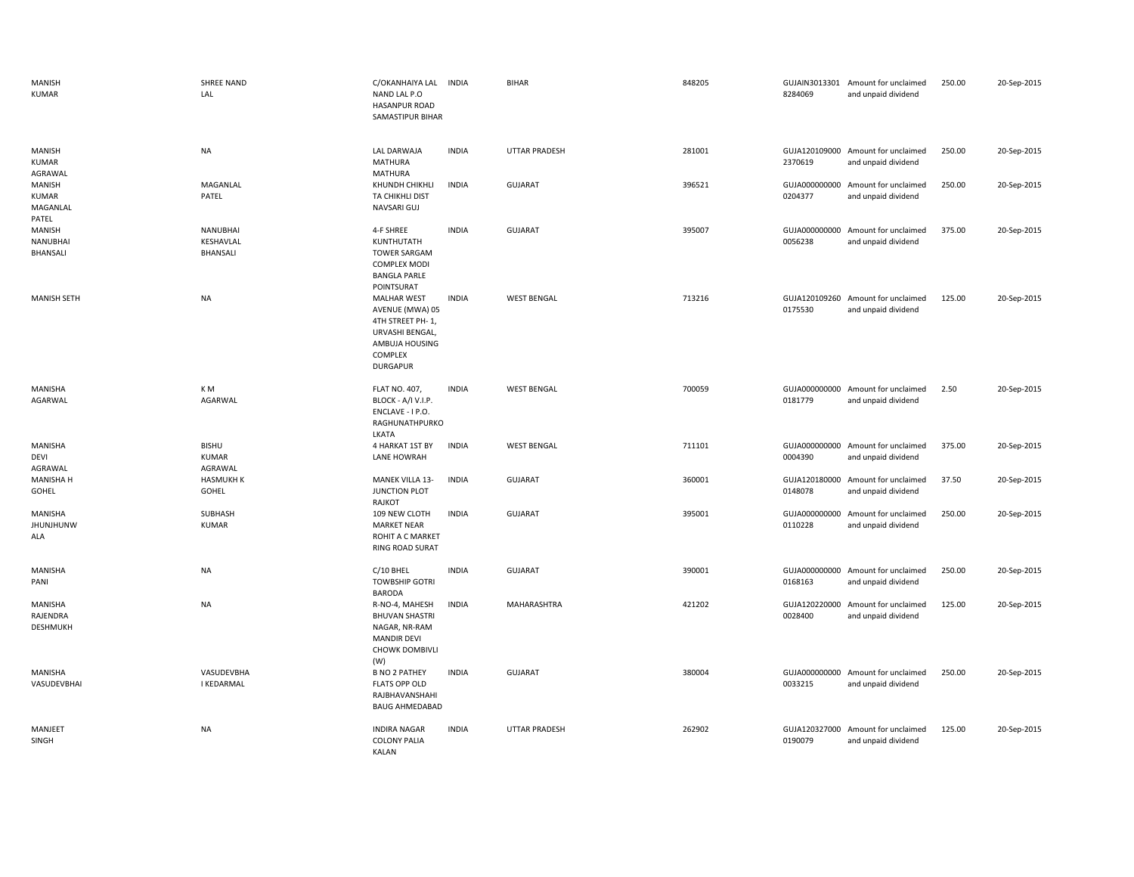| <b>MANISH</b><br><b>KUMAR</b>               | SHREE NAND<br>LAL                        | C/OKANHAIYA LAL INDIA<br>NAND LAL P.O<br>HASANPUR ROAD<br>SAMASTIPUR BIHAR                                                   |              | <b>BIHAR</b>         | 848205 | 8284069                  | GUJAIN3013301 Amount for unclaimed<br>and unpaid dividend | 250.00 | 20-Sep-2015 |
|---------------------------------------------|------------------------------------------|------------------------------------------------------------------------------------------------------------------------------|--------------|----------------------|--------|--------------------------|-----------------------------------------------------------|--------|-------------|
| MANISH<br><b>KUMAR</b><br>AGRAWAL           | <b>NA</b>                                | <b>LAL DARWAJA</b><br><b>MATHURA</b><br>MATHURA                                                                              | <b>INDIA</b> | <b>UTTAR PRADESH</b> | 281001 | 2370619                  | GUJA120109000 Amount for unclaimed<br>and unpaid dividend | 250.00 | 20-Sep-2015 |
| MANISH<br><b>KUMAR</b><br>MAGANLAL<br>PATEL | MAGANLAL<br>PATEL                        | KHUNDH CHIKHLI<br>TA CHIKHLI DIST<br>NAVSARI GUJ                                                                             | <b>INDIA</b> | <b>GUJARAT</b>       | 396521 | GUJA000000000<br>0204377 | Amount for unclaimed<br>and unpaid dividend               | 250.00 | 20-Sep-2015 |
| MANISH<br>NANUBHAI<br>BHANSALI              | <b>NANUBHAI</b><br>KESHAVLAL<br>BHANSALI | 4-F SHREE<br>KUNTHUTATH<br><b>TOWER SARGAM</b><br><b>COMPLEX MODI</b><br><b>BANGLA PARLE</b><br>POINTSURAT                   | <b>INDIA</b> | <b>GUJARAT</b>       | 395007 | 0056238                  | GUJA000000000 Amount for unclaimed<br>and unpaid dividend | 375.00 | 20-Sep-2015 |
| <b>MANISH SETH</b>                          | <b>NA</b>                                | <b>MALHAR WEST</b><br>AVENUE (MWA) 05<br>4TH STREET PH-1,<br>URVASHI BENGAL,<br>AMBUJA HOUSING<br>COMPLEX<br><b>DURGAPUR</b> | <b>INDIA</b> | <b>WEST BENGAL</b>   | 713216 | 0175530                  | GUJA120109260 Amount for unclaimed<br>and unpaid dividend | 125.00 | 20-Sep-2015 |
| MANISHA<br>AGARWAL                          | K M<br>AGARWAL                           | <b>FLAT NO. 407,</b><br>BLOCK - A/I V.I.P.<br>ENCLAVE - I P.O.<br>RAGHUNATHPURKO<br>LKATA                                    | <b>INDIA</b> | <b>WEST BENGAL</b>   | 700059 | 0181779                  | GUJA000000000 Amount for unclaimed<br>and unpaid dividend | 2.50   | 20-Sep-2015 |
| MANISHA<br>DEVI<br>AGRAWAL                  | <b>BISHU</b><br><b>KUMAR</b><br>AGRAWAL  | 4 HARKAT 1ST BY<br>LANE HOWRAH                                                                                               | <b>INDIA</b> | <b>WEST BENGAL</b>   | 711101 | 0004390                  | GUJA000000000 Amount for unclaimed<br>and unpaid dividend | 375.00 | 20-Sep-2015 |
| <b>MANISHA H</b><br>GOHEL                   | <b>HASMUKH K</b><br>GOHEL                | MANEK VILLA 13-<br>JUNCTION PLOT<br>RAJKOT                                                                                   | <b>INDIA</b> | GUJARAT              | 360001 | 0148078                  | GUJA120180000 Amount for unclaimed<br>and unpaid dividend | 37.50  | 20-Sep-2015 |
| MANISHA<br><b>JHUNJHUNW</b><br>ALA          | SUBHASH<br><b>KUMAR</b>                  | 109 NEW CLOTH<br><b>MARKET NEAR</b><br>ROHIT A C MARKET<br>RING ROAD SURAT                                                   | <b>INDIA</b> | <b>GUJARAT</b>       | 395001 | GUJA000000000<br>0110228 | Amount for unclaimed<br>and unpaid dividend               | 250.00 | 20-Sep-2015 |
| MANISHA<br>PANI                             | <b>NA</b>                                | C/10 BHEL<br><b>TOWBSHIP GOTRI</b><br><b>BARODA</b>                                                                          | <b>INDIA</b> | <b>GUJARAT</b>       | 390001 | 0168163                  | GUJA000000000 Amount for unclaimed<br>and unpaid dividend | 250.00 | 20-Sep-2015 |
| MANISHA<br>RAJENDRA<br>DESHMUKH             | <b>NA</b>                                | R-NO-4, MAHESH<br><b>BHUVAN SHASTRI</b><br>NAGAR, NR-RAM<br><b>MANDIR DEVI</b><br><b>CHOWK DOMBIVLI</b><br>(W)               | <b>INDIA</b> | MAHARASHTRA          | 421202 | 0028400                  | GUJA120220000 Amount for unclaimed<br>and unpaid dividend | 125.00 | 20-Sep-2015 |
| MANISHA<br>VASUDEVBHAI                      | VASUDEVBHA<br><b>I KEDARMAL</b>          | <b>B NO 2 PATHEY</b><br><b>FLATS OPP OLD</b><br>RAJBHAVANSHAHI<br><b>BAUG AHMEDABAD</b>                                      | <b>INDIA</b> | <b>GUJARAT</b>       | 380004 | 0033215                  | GUJA000000000 Amount for unclaimed<br>and unpaid dividend | 250.00 | 20-Sep-2015 |
| MANJEET<br>SINGH                            | <b>NA</b>                                | <b>INDIRA NAGAR</b><br><b>COLONY PALIA</b><br>KALAN                                                                          | <b>INDIA</b> | UTTAR PRADESH        | 262902 | GUJA120327000<br>0190079 | Amount for unclaimed<br>and unpaid dividend               | 125.00 | 20-Sep-2015 |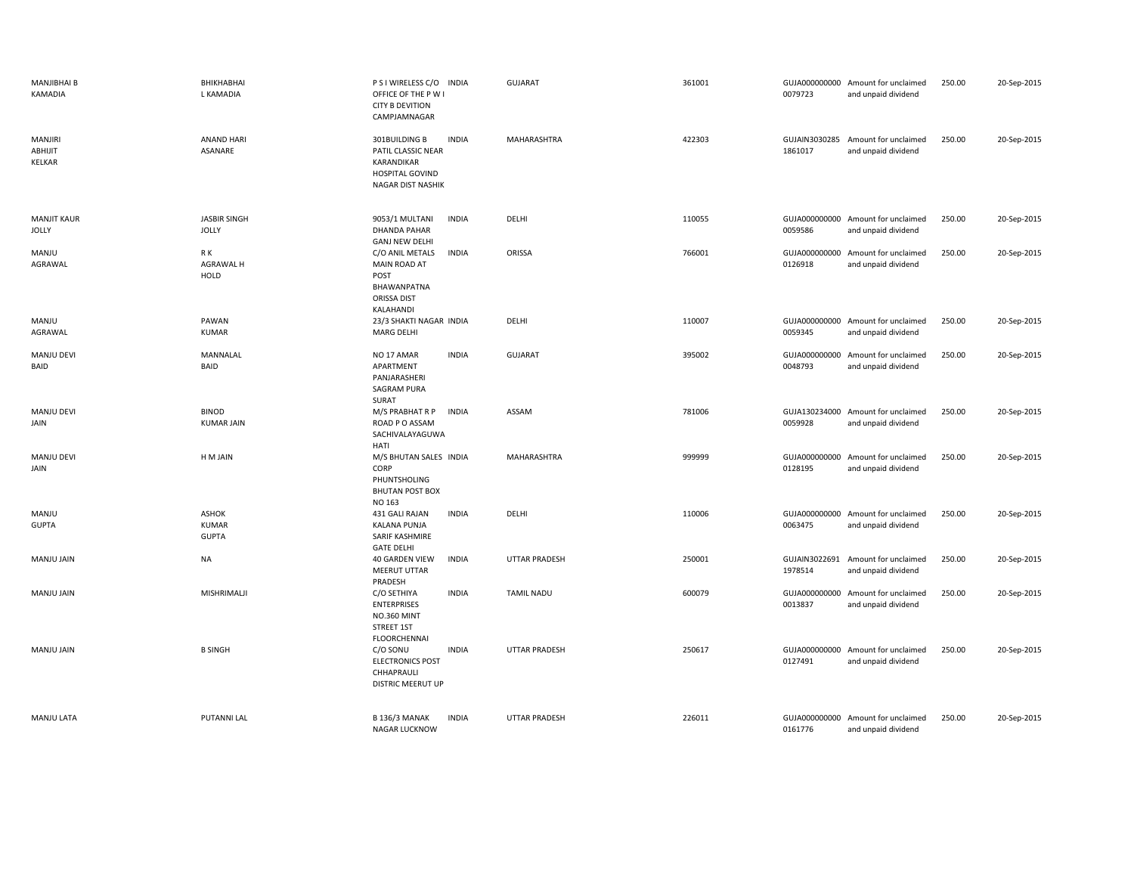| <b>MANJIBHAI B</b><br>KAMADIA              | BHIKHABHAI<br>L KAMADIA                      | P S I WIRELESS C/O INDIA<br>OFFICE OF THE P W I<br><b>CITY B DEVITION</b><br>CAMPJAMNAGAR                        | <b>GUJARAT</b>       | 361001 | 0079723                  | GUJA000000000 Amount for unclaimed<br>and unpaid dividend | 250.00 | 20-Sep-2015 |
|--------------------------------------------|----------------------------------------------|------------------------------------------------------------------------------------------------------------------|----------------------|--------|--------------------------|-----------------------------------------------------------|--------|-------------|
| <b>MANJIRI</b><br>ABHIJIT<br><b>KELKAR</b> | <b>ANAND HARI</b><br>ASANARE                 | <b>INDIA</b><br>301BUILDING B<br>PATIL CLASSIC NEAR<br>KARANDIKAR<br>HOSPITAL GOVIND<br><b>NAGAR DIST NASHIK</b> | MAHARASHTRA          | 422303 | GUJAIN3030285<br>1861017 | Amount for unclaimed<br>and unpaid dividend               | 250.00 | 20-Sep-2015 |
| <b>MANJIT KAUR</b><br><b>JOLLY</b>         | <b>JASBIR SINGH</b><br><b>JOLLY</b>          | 9053/1 MULTANI<br><b>INDIA</b><br><b>DHANDA PAHAR</b><br><b>GANJ NEW DELHI</b>                                   | DELHI                | 110055 | 0059586                  | GUJA000000000 Amount for unclaimed<br>and unpaid dividend | 250.00 | 20-Sep-2015 |
| MANJU<br>AGRAWAL                           | R K<br>AGRAWAL H<br>HOLD                     | C/O ANIL METALS<br><b>INDIA</b><br>MAIN ROAD AT<br>POST<br>BHAWANPATNA<br>ORISSA DIST<br>KALAHANDI               | ORISSA               | 766001 | 0126918                  | GUJA000000000 Amount for unclaimed<br>and unpaid dividend | 250.00 | 20-Sep-2015 |
| MANJU<br>AGRAWAL                           | PAWAN<br><b>KUMAR</b>                        | 23/3 SHAKTI NAGAR INDIA<br><b>MARG DELHI</b>                                                                     | DELHI                | 110007 | GUJA000000000<br>0059345 | Amount for unclaimed<br>and unpaid dividend               | 250.00 | 20-Sep-2015 |
| MANJU DEVI<br>BAID                         | MANNALAL<br>BAID                             | <b>INDIA</b><br>NO <sub>17</sub> AMAR<br>APARTMENT<br>PANJARASHERI<br>SAGRAM PURA<br>SURAT                       | <b>GUJARAT</b>       | 395002 | GUJA000000000<br>0048793 | Amount for unclaimed<br>and unpaid dividend               | 250.00 | 20-Sep-2015 |
| <b>MANJU DEVI</b><br>JAIN                  | <b>BINOD</b><br><b>KUMAR JAIN</b>            | M/S PRABHAT R P<br><b>INDIA</b><br>ROAD P O ASSAM<br>SACHIVALAYAGUWA<br>HATI                                     | ASSAM                | 781006 | 0059928                  | GUJA130234000 Amount for unclaimed<br>and unpaid dividend | 250.00 | 20-Sep-2015 |
| MANJU DEVI<br>JAIN                         | H M JAIN                                     | M/S BHUTAN SALES INDIA<br>CORP<br>PHUNTSHOLING<br><b>BHUTAN POST BOX</b><br>NO 163                               | MAHARASHTRA          | 999999 | GUJA000000000<br>0128195 | Amount for unclaimed<br>and unpaid dividend               | 250.00 | 20-Sep-2015 |
| MANJU<br><b>GUPTA</b>                      | <b>ASHOK</b><br><b>KUMAR</b><br><b>GUPTA</b> | 431 GALI RAJAN<br><b>INDIA</b><br><b>KALANA PUNJA</b><br>SARIF KASHMIRE<br><b>GATE DELHI</b>                     | DELHI                | 110006 | GUJA000000000<br>0063475 | Amount for unclaimed<br>and unpaid dividend               | 250.00 | 20-Sep-2015 |
| MANJU JAIN                                 | NA                                           | <b>INDIA</b><br><b>40 GARDEN VIEW</b><br>MEERUT UTTAR<br>PRADESH                                                 | <b>UTTAR PRADESH</b> | 250001 | GUJAIN3022691<br>1978514 | Amount for unclaimed<br>and unpaid dividend               | 250.00 | 20-Sep-2015 |
| MANJU JAIN                                 | MISHRIMALJI                                  | C/O SETHIYA<br><b>INDIA</b><br><b>ENTERPRISES</b><br><b>NO.360 MINT</b><br>STREET 1ST<br><b>FLOORCHENNAI</b>     | <b>TAMIL NADU</b>    | 600079 | GUJA000000000<br>0013837 | Amount for unclaimed<br>and unpaid dividend               | 250.00 | 20-Sep-2015 |
| MANJU JAIN                                 | <b>B SINGH</b>                               | C/O SONU<br><b>INDIA</b><br><b>ELECTRONICS POST</b><br>CHHAPRAULI<br>DISTRIC MEERUT UP                           | UTTAR PRADESH        | 250617 | 0127491                  | GUJA000000000 Amount for unclaimed<br>and unpaid dividend | 250.00 | 20-Sep-2015 |
| <b>MANJU LATA</b>                          | PUTANNI LAL                                  | <b>B 136/3 MANAK</b><br><b>INDIA</b><br><b>NAGAR LUCKNOW</b>                                                     | <b>UTTAR PRADESH</b> | 226011 | 0161776                  | GUJA000000000 Amount for unclaimed<br>and unpaid dividend | 250.00 | 20-Sep-2015 |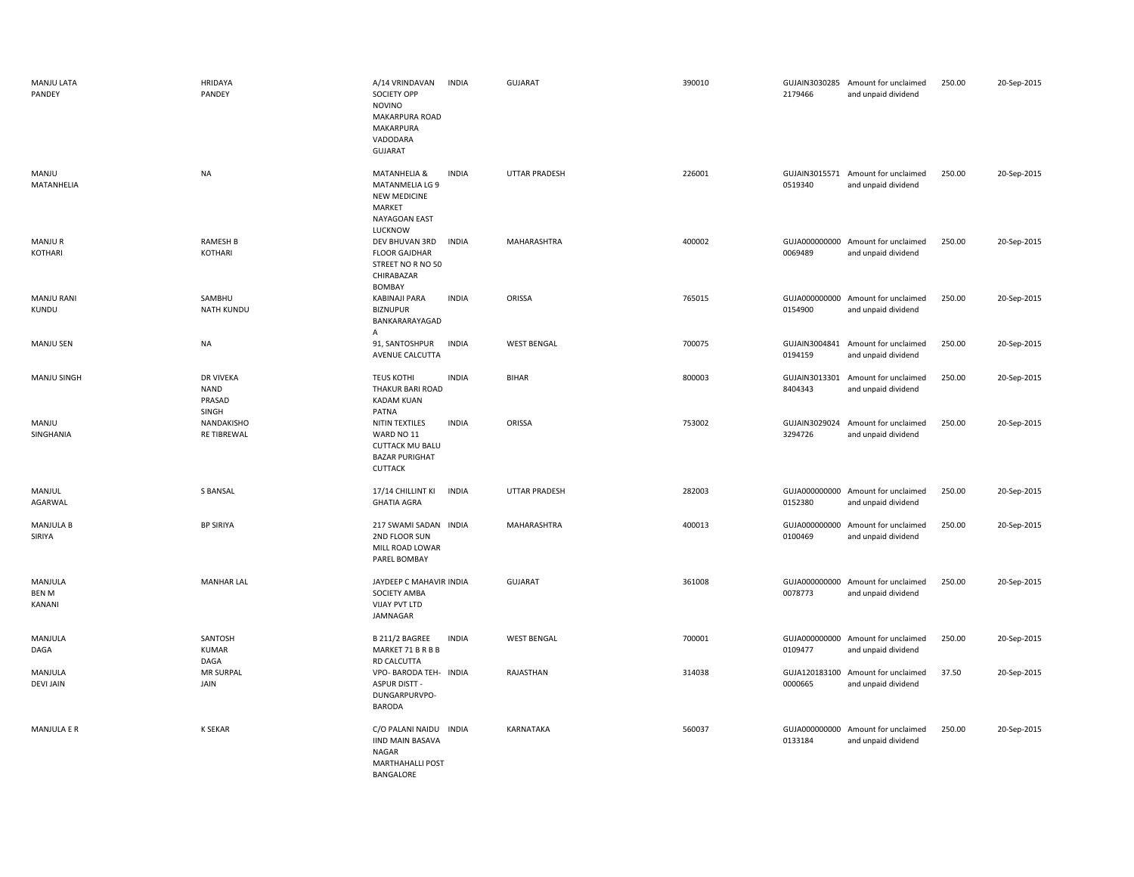| MANJU LATA<br>PANDEY              | HRIDAYA<br>PANDEY                                  | A/14 VRINDAVAN<br><b>INDIA</b><br><b>SOCIETY OPP</b><br><b>NOVINO</b><br>MAKARPURA ROAD<br><b>MAKARPURA</b><br>VADODARA<br><b>GUJARAT</b> | <b>GUJARAT</b>     | 390010 | 2179466                  | GUJAIN3030285 Amount for unclaimed<br>and unpaid dividend | 250.00 | 20-Sep-2015 |
|-----------------------------------|----------------------------------------------------|-------------------------------------------------------------------------------------------------------------------------------------------|--------------------|--------|--------------------------|-----------------------------------------------------------|--------|-------------|
| MANJU<br>MATANHELIA               | <b>NA</b>                                          | <b>INDIA</b><br>MATANHELIA &<br>MATANMELIA LG 9<br><b>NEW MEDICINE</b><br>MARKET<br>NAYAGOAN EAST<br>LUCKNOW                              | UTTAR PRADESH      | 226001 | 0519340                  | GUJAIN3015571 Amount for unclaimed<br>and unpaid dividend | 250.00 | 20-Sep-2015 |
| <b>MANJUR</b><br>KOTHARI          | <b>RAMESH B</b><br>KOTHARI                         | <b>INDIA</b><br>DEV BHUVAN 3RD<br><b>FLOOR GAJDHAR</b><br>STREET NO R NO 50<br>CHIRABAZAR<br><b>BOMBAY</b>                                | MAHARASHTRA        | 400002 | 0069489                  | GUJA000000000 Amount for unclaimed<br>and unpaid dividend | 250.00 | 20-Sep-2015 |
| <b>MANJU RANI</b><br>KUNDU        | SAMBHU<br><b>NATH KUNDU</b>                        | <b>INDIA</b><br>KABINAJI PARA<br><b>BIZNUPUR</b><br>BANKARARAYAGAD<br>Α                                                                   | ORISSA             | 765015 | 0154900                  | GUJA000000000 Amount for unclaimed<br>and unpaid dividend | 250.00 | 20-Sep-2015 |
| <b>MANJU SEN</b>                  | NA                                                 | 91, SANTOSHPUR<br><b>INDIA</b><br>AVENUE CALCUTTA                                                                                         | <b>WEST BENGAL</b> | 700075 | 0194159                  | GUJAIN3004841 Amount for unclaimed<br>and unpaid dividend | 250.00 | 20-Sep-2015 |
| MANJU SINGH                       | <b>DR VIVEKA</b><br><b>NAND</b><br>PRASAD<br>SINGH | <b>TEUS KOTHI</b><br><b>INDIA</b><br>THAKUR BARI ROAD<br><b>KADAM KUAN</b><br>PATNA                                                       | <b>BIHAR</b>       | 800003 | 8404343                  | GUJAIN3013301 Amount for unclaimed<br>and unpaid dividend | 250.00 | 20-Sep-2015 |
| MANJU<br>SINGHANIA                | NANDAKISHO<br><b>RE TIBREWAL</b>                   | <b>INDIA</b><br>NITIN TEXTILES<br>WARD NO 11<br><b>CUTTACK MU BALU</b><br><b>BAZAR PURIGHAT</b><br><b>CUTTACK</b>                         | ORISSA             | 753002 | 3294726                  | GUJAIN3029024 Amount for unclaimed<br>and unpaid dividend | 250.00 | 20-Sep-2015 |
| MANJUL<br>AGARWAL                 | S BANSAL                                           | 17/14 CHILLINT KI<br><b>INDIA</b><br><b>GHATIA AGRA</b>                                                                                   | UTTAR PRADESH      | 282003 | 0152380                  | GUJA000000000 Amount for unclaimed<br>and unpaid dividend | 250.00 | 20-Sep-2015 |
| <b>MANJULA B</b><br>SIRIYA        | <b>BP SIRIYA</b>                                   | 217 SWAMI SADAN INDIA<br>2ND FLOOR SUN<br>MILL ROAD LOWAR<br>PAREL BOMBAY                                                                 | <b>MAHARASHTRA</b> | 400013 | GUJA000000000<br>0100469 | Amount for unclaimed<br>and unpaid dividend               | 250.00 | 20-Sep-2015 |
| MANJULA<br><b>BEN M</b><br>KANANI | <b>MANHAR LAL</b>                                  | JAYDEEP C MAHAVIR INDIA<br>SOCIETY AMBA<br><b>VIJAY PVT LTD</b><br>JAMNAGAR                                                               | <b>GUJARAT</b>     | 361008 | GUJA000000000<br>0078773 | Amount for unclaimed<br>and unpaid dividend               | 250.00 | 20-Sep-2015 |
| MANJULA<br>DAGA                   | SANTOSH<br><b>KUMAR</b><br>DAGA                    | <b>INDIA</b><br>B 211/2 BAGREE<br>MARKET 71 B R B B<br>RD CALCUTTA                                                                        | <b>WEST BENGAL</b> | 700001 | GUJA000000000<br>0109477 | Amount for unclaimed<br>and unpaid dividend               | 250.00 | 20-Sep-2015 |
| MANJULA<br><b>DEVI JAIN</b>       | <b>MR SURPAL</b><br>JAIN                           | VPO- BARODA TEH- INDIA<br><b>ASPUR DISTT -</b><br>DUNGARPURVPO-<br>BARODA                                                                 | RAJASTHAN          | 314038 | 0000665                  | GUJA120183100 Amount for unclaimed<br>and unpaid dividend | 37.50  | 20-Sep-2015 |
| <b>MANJULA E R</b>                | K SEKAR                                            | C/O PALANI NAIDU INDIA<br><b>IIND MAIN BASAVA</b><br><b>NAGAR</b><br><b>MARTHAHALLI POST</b><br>BANGALORE                                 | KARNATAKA          | 560037 | 0133184                  | GUJA000000000 Amount for unclaimed<br>and unpaid dividend | 250.00 | 20-Sep-2015 |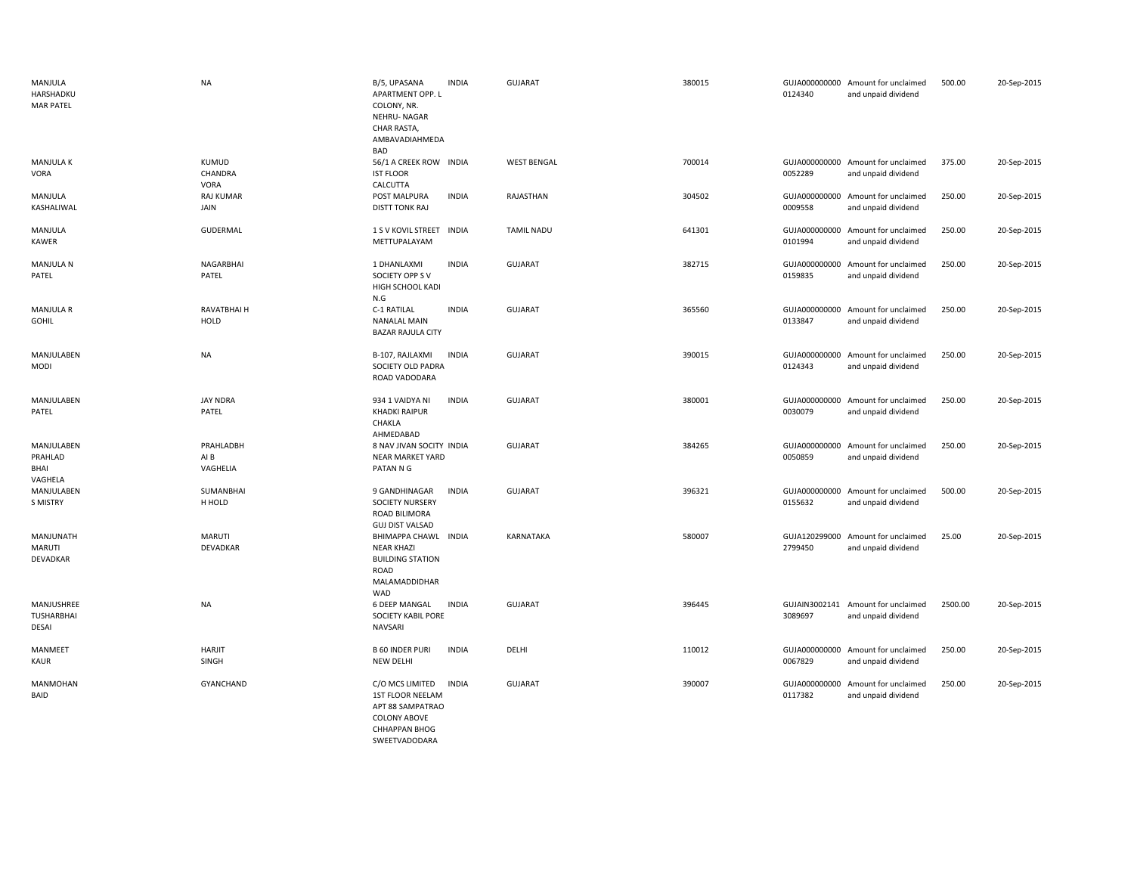| MANJULA<br>HARSHADKU<br><b>MAR PATEL</b> | NA                            | B/5, UPASANA<br><b>INDIA</b><br>APARTMENT OPP. L<br>COLONY, NR.<br><b>NEHRU-NAGAR</b><br>CHAR RASTA,<br>AMBAVADIAHMEDA<br><b>BAD</b>    | <b>GUJARAT</b>     | 380015 | 0124340                  | GUJA000000000 Amount for unclaimed<br>and unpaid dividend | 500.00  | 20-Sep-2015 |
|------------------------------------------|-------------------------------|-----------------------------------------------------------------------------------------------------------------------------------------|--------------------|--------|--------------------------|-----------------------------------------------------------|---------|-------------|
| <b>MANJULA K</b><br>VORA                 | KUMUD<br>CHANDRA<br>VORA      | 56/1 A CREEK ROW INDIA<br><b>IST FLOOR</b><br>CALCUTTA                                                                                  | <b>WEST BENGAL</b> | 700014 | 0052289                  | GUJA000000000 Amount for unclaimed<br>and unpaid dividend | 375.00  | 20-Sep-2015 |
| MANJULA<br>KASHALIWAL                    | RAJ KUMAR<br>JAIN             | <b>INDIA</b><br>POST MALPURA<br><b>DISTT TONK RAJ</b>                                                                                   | RAJASTHAN          | 304502 | 0009558                  | GUJA000000000 Amount for unclaimed<br>and unpaid dividend | 250.00  | 20-Sep-2015 |
| MANJULA<br>KAWER                         | GUDERMAL                      | 1 S V KOVIL STREET INDIA<br>METTUPALAYAM                                                                                                | <b>TAMIL NADU</b>  | 641301 | 0101994                  | GUJA000000000 Amount for unclaimed<br>and unpaid dividend | 250.00  | 20-Sep-2015 |
| <b>MANJULA N</b><br>PATEL                | NAGARBHAI<br>PATEL            | 1 DHANLAXMI<br><b>INDIA</b><br>SOCIETY OPP S V<br>HIGH SCHOOL KADI<br>N.G                                                               | <b>GUJARAT</b>     | 382715 | 0159835                  | GUJA000000000 Amount for unclaimed<br>and unpaid dividend | 250.00  | 20-Sep-2015 |
| <b>MANJULA R</b><br>GOHIL                | RAVATBHAI H<br><b>HOLD</b>    | C-1 RATILAL<br><b>INDIA</b><br><b>NANALAL MAIN</b><br><b>BAZAR RAJULA CITY</b>                                                          | <b>GUJARAT</b>     | 365560 | 0133847                  | GUJA000000000 Amount for unclaimed<br>and unpaid dividend | 250.00  | 20-Sep-2015 |
| MANJULABEN<br><b>MODI</b>                | <b>NA</b>                     | <b>INDIA</b><br>B-107, RAJLAXMI<br>SOCIETY OLD PADRA<br>ROAD VADODARA                                                                   | <b>GUJARAT</b>     | 390015 | 0124343                  | GUJA000000000 Amount for unclaimed<br>and unpaid dividend | 250.00  | 20-Sep-2015 |
| MANJULABEN<br>PATEL                      | <b>JAY NDRA</b><br>PATEL      | <b>INDIA</b><br>934 1 VAIDYA NI<br><b>KHADKI RAIPUR</b><br>CHAKLA<br>AHMEDABAD                                                          | <b>GUJARAT</b>     | 380001 | 0030079                  | GUJA000000000 Amount for unclaimed<br>and unpaid dividend | 250.00  | 20-Sep-2015 |
| MANJULABEN<br>PRAHLAD<br>BHAI<br>VAGHELA | PRAHLADBH<br>AI B<br>VAGHELIA | 8 NAV JIVAN SOCITY INDIA<br><b>NEAR MARKET YARD</b><br>PATAN N G                                                                        | <b>GUJARAT</b>     | 384265 | 0050859                  | GUJA000000000 Amount for unclaimed<br>and unpaid dividend | 250.00  | 20-Sep-2015 |
| MANJULABEN<br>S MISTRY                   | SUMANBHAI<br>H HOLD           | 9 GANDHINAGAR<br><b>INDIA</b><br>SOCIETY NURSERY<br>ROAD BILIMORA<br><b>GUJ DIST VALSAD</b>                                             | <b>GUJARAT</b>     | 396321 | 0155632                  | GUJA000000000 Amount for unclaimed<br>and unpaid dividend | 500.00  | 20-Sep-2015 |
| MANJUNATH<br>MARUTI<br>DEVADKAR          | MARUTI<br>DEVADKAR            | BHIMAPPA CHAWL INDIA<br><b>NEAR KHAZI</b><br><b>BUILDING STATION</b><br>ROAD<br>MALAMADDIDHAR<br><b>WAD</b>                             | KARNATAKA          | 580007 | 2799450                  | GUJA120299000 Amount for unclaimed<br>and unpaid dividend | 25.00   | 20-Sep-2015 |
| MANJUSHREE<br><b>TUSHARBHAI</b><br>DESAI | NA                            | <b>6 DEEP MANGAL</b><br>INDIA<br><b>SOCIETY KABIL PORE</b><br>NAVSARI                                                                   | <b>GUJARAT</b>     | 396445 | 3089697                  | GUJAIN3002141 Amount for unclaimed<br>and unpaid dividend | 2500.00 | 20-Sep-2015 |
| MANMEET<br>KAUR                          | <b>HARJIT</b><br>SINGH        | <b>B 60 INDER PURI</b><br><b>INDIA</b><br>NEW DELHI                                                                                     | DELHI              | 110012 | 0067829                  | GUJA000000000 Amount for unclaimed<br>and unpaid dividend | 250.00  | 20-Sep-2015 |
| MANMOHAN<br>BAID                         | GYANCHAND                     | C/O MCS LIMITED<br><b>INDIA</b><br>1ST FLOOR NEELAM<br>APT 88 SAMPATRAO<br><b>COLONY ABOVE</b><br><b>CHHAPPAN BHOG</b><br>SWEETVADODARA | <b>GUJARAT</b>     | 390007 | GUJA000000000<br>0117382 | Amount for unclaimed<br>and unpaid dividend               | 250.00  | 20-Sep-2015 |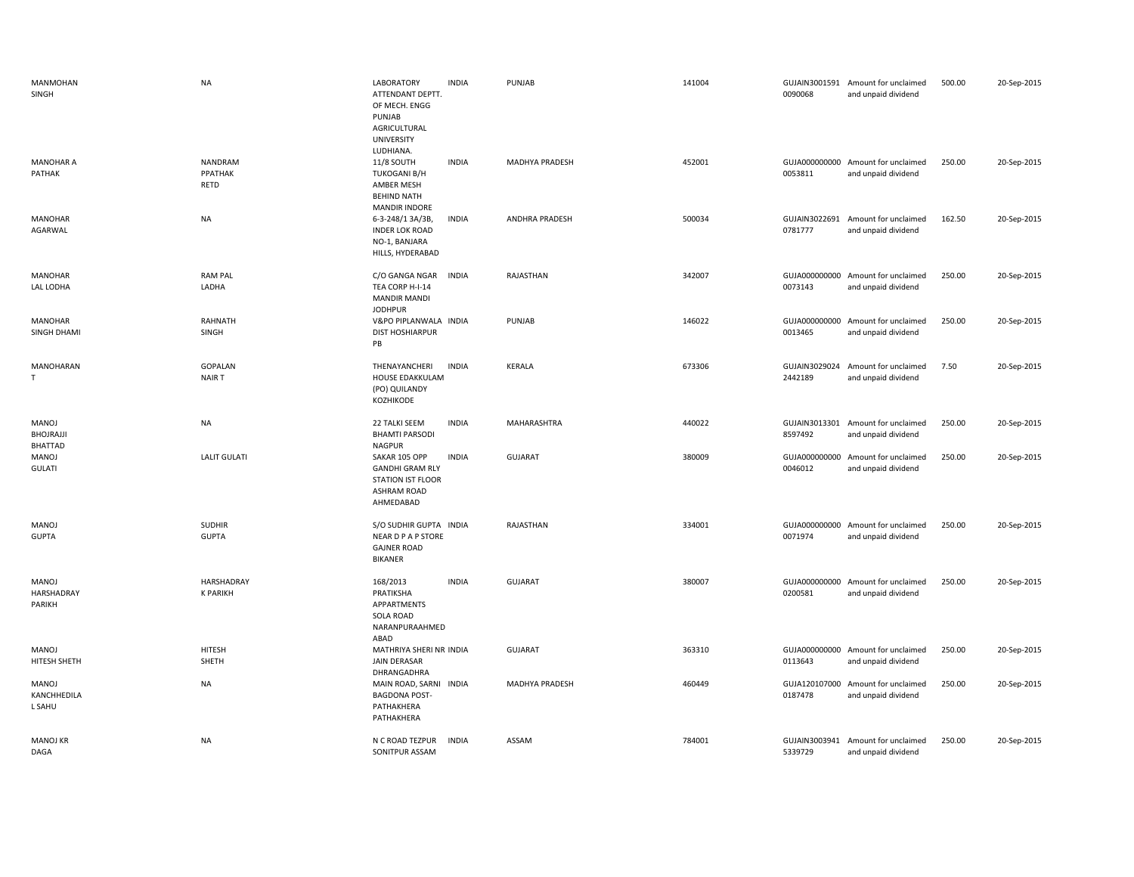| <b>MANMOHAN</b><br>SINGH                    | <b>NA</b>                     | LABORATORY<br>ATTENDANT DEPTT.<br>OF MECH. ENGG<br>PUNJAB<br>AGRICULTURAL<br><b>UNIVERSITY</b><br>LUDHIANA. | <b>INDIA</b> | PUNJAB         | 141004 | 0090068                  | GUJAIN3001591 Amount for unclaimed<br>and unpaid dividend | 500.00 | 20-Sep-2015 |
|---------------------------------------------|-------------------------------|-------------------------------------------------------------------------------------------------------------|--------------|----------------|--------|--------------------------|-----------------------------------------------------------|--------|-------------|
| <b>MANOHAR A</b><br>PATHAK                  | NANDRAM<br>PPATHAK<br>RETD    | 11/8 SOUTH<br><b>TUKOGANI B/H</b><br>AMBER MESH<br><b>BEHIND NATH</b><br><b>MANDIR INDORE</b>               | <b>INDIA</b> | MADHYA PRADESH | 452001 | 0053811                  | GUJA000000000 Amount for unclaimed<br>and unpaid dividend | 250.00 | 20-Sep-2015 |
| <b>MANOHAR</b><br>AGARWAL                   | <b>NA</b>                     | 6-3-248/1 3A/3B,<br><b>INDER LOK ROAD</b><br>NO-1, BANJARA<br>HILLS, HYDERABAD                              | <b>INDIA</b> | ANDHRA PRADESH | 500034 | GUJAIN3022691<br>0781777 | Amount for unclaimed<br>and unpaid dividend               | 162.50 | 20-Sep-2015 |
| <b>MANOHAR</b><br>LAL LODHA                 | <b>RAM PAL</b><br>LADHA       | C/O GANGA NGAR<br>TEA CORP H-I-14<br><b>MANDIR MANDI</b><br><b>JODHPUR</b>                                  | <b>INDIA</b> | RAJASTHAN      | 342007 | GUJA000000000<br>0073143 | Amount for unclaimed<br>and unpaid dividend               | 250.00 | 20-Sep-2015 |
| <b>MANOHAR</b><br>SINGH DHAMI               | RAHNATH<br>SINGH              | V&PO PIPLANWALA INDIA<br><b>DIST HOSHIARPUR</b><br>PB                                                       |              | PUNJAB         | 146022 | 0013465                  | GUJA000000000 Amount for unclaimed<br>and unpaid dividend | 250.00 | 20-Sep-2015 |
| MANOHARAN<br>$\mathsf{T}$                   | GOPALAN<br>NAIR T             | THENAYANCHERI<br>HOUSE EDAKKULAM<br>(PO) QUILANDY<br>KOZHIKODE                                              | <b>INDIA</b> | KERALA         | 673306 | GUJAIN3029024<br>2442189 | Amount for unclaimed<br>and unpaid dividend               | 7.50   | 20-Sep-2015 |
| <b>MANOJ</b><br>BHOJRAJJI<br><b>BHATTAD</b> | <b>NA</b>                     | 22 TALKI SEEM<br><b>BHAMTI PARSODI</b><br><b>NAGPUR</b>                                                     | <b>INDIA</b> | MAHARASHTRA    | 440022 | GUJAIN3013301<br>8597492 | Amount for unclaimed<br>and unpaid dividend               | 250.00 | 20-Sep-2015 |
| MANOJ<br><b>GULATI</b>                      | <b>LALIT GULATI</b>           | SAKAR 105 OPP<br><b>GANDHI GRAM RLY</b><br><b>STATION IST FLOOR</b>                                         | <b>INDIA</b> | <b>GUJARAT</b> | 380009 | GUJA000000000<br>0046012 | Amount for unclaimed<br>and unpaid dividend               | 250.00 | 20-Sep-2015 |
|                                             |                               | <b>ASHRAM ROAD</b><br>AHMEDABAD                                                                             |              |                |        |                          |                                                           |        |             |
| <b>MANOJ</b><br><b>GUPTA</b>                | <b>SUDHIR</b><br><b>GUPTA</b> | S/O SUDHIR GUPTA INDIA<br><b>NEAR D P A P STORE</b><br><b>GAJNER ROAD</b><br><b>BIKANER</b>                 |              | RAJASTHAN      | 334001 | 0071974                  | GUJA000000000 Amount for unclaimed<br>and unpaid dividend | 250.00 | 20-Sep-2015 |
| MANOJ<br>HARSHADRAY<br>PARIKH               | HARSHADRAY<br><b>K PARIKH</b> | 168/2013<br>PRATIKSHA<br>APPARTMENTS<br><b>SOLA ROAD</b><br>NARANPURAAHMED<br>ABAD                          | <b>INDIA</b> | <b>GUJARAT</b> | 380007 | GUJA000000000<br>0200581 | Amount for unclaimed<br>and unpaid dividend               | 250.00 | 20-Sep-2015 |
| MANOJ<br>HITESH SHETH                       | <b>HITESH</b><br>SHETH        | MATHRIYA SHERI NR INDIA<br><b>JAIN DERASAR</b>                                                              |              | GUJARAT        | 363310 | 0113643                  | GUJA000000000 Amount for unclaimed<br>and unpaid dividend | 250.00 | 20-Sep-2015 |
| MANOJ<br>KANCHHEDILA<br>L SAHU              | <b>NA</b>                     | DHRANGADHRA<br>MAIN ROAD, SARNI INDIA<br><b>BAGDONA POST-</b><br>PATHAKHERA<br>PATHAKHERA                   |              | MADHYA PRADESH | 460449 | 0187478                  | GUJA120107000 Amount for unclaimed<br>and unpaid dividend | 250.00 | 20-Sep-2015 |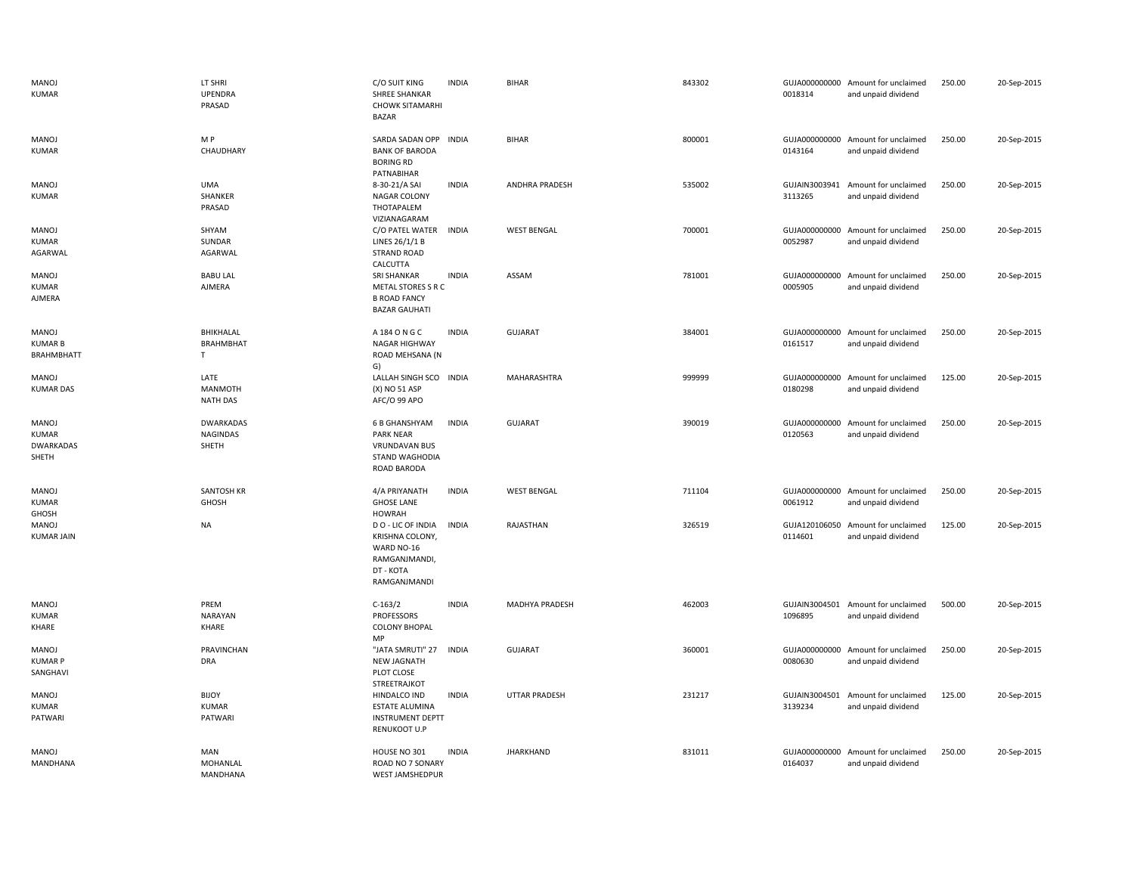| MANOJ<br><b>KUMAR</b>                              | LT SHRI<br>UPENDRA<br>PRASAD                 | C/O SUIT KING<br><b>SHREE SHANKAR</b><br><b>CHOWK SITAMARHI</b><br><b>BAZAR</b>                   | <b>INDIA</b> | <b>BIHAR</b>       | 843302 | 0018314                  | GUJA000000000 Amount for unclaimed<br>and unpaid dividend | 250.00 | 20-Sep-2015 |
|----------------------------------------------------|----------------------------------------------|---------------------------------------------------------------------------------------------------|--------------|--------------------|--------|--------------------------|-----------------------------------------------------------|--------|-------------|
| MANOJ<br><b>KUMAR</b>                              | M P<br>CHAUDHARY                             | SARDA SADAN OPP INDIA<br><b>BANK OF BARODA</b><br><b>BORING RD</b><br>PATNABIHAR                  |              | <b>BIHAR</b>       | 800001 | 0143164                  | GUJA000000000 Amount for unclaimed<br>and unpaid dividend | 250.00 | 20-Sep-2015 |
| MANOJ<br><b>KUMAR</b>                              | <b>UMA</b><br>SHANKER<br>PRASAD              | 8-30-21/A SAI<br>NAGAR COLONY<br>THOTAPALEM<br>VIZIANAGARAM                                       | <b>INDIA</b> | ANDHRA PRADESH     | 535002 | GUJAIN3003941<br>3113265 | Amount for unclaimed<br>and unpaid dividend               | 250.00 | 20-Sep-2015 |
| MANOJ<br><b>KUMAR</b><br>AGARWAL                   | SHYAM<br>SUNDAR<br>AGARWAL                   | C/O PATEL WATER<br>LINES 26/1/1 B<br><b>STRAND ROAD</b><br>CALCUTTA                               | <b>INDIA</b> | <b>WEST BENGAL</b> | 700001 | 0052987                  | GUJA000000000 Amount for unclaimed<br>and unpaid dividend | 250.00 | 20-Sep-2015 |
| MANOJ<br><b>KUMAR</b><br>AJMERA                    | <b>BABU LAL</b><br><b>AJMERA</b>             | <b>SRI SHANKAR</b><br>METAL STORES S R C<br><b>B ROAD FANCY</b><br><b>BAZAR GAUHATI</b>           | <b>INDIA</b> | ASSAM              | 781001 | 0005905                  | GUJA000000000 Amount for unclaimed<br>and unpaid dividend | 250.00 | 20-Sep-2015 |
| MANOJ<br><b>KUMARB</b><br><b>BRAHMBHATT</b>        | <b>BHIKHALAL</b><br><b>BRAHMBHAT</b><br>T.   | A 184 O N G C<br>NAGAR HIGHWAY<br>ROAD MEHSANA (N<br>G)                                           | <b>INDIA</b> | <b>GUJARAT</b>     | 384001 | 0161517                  | GUJA000000000 Amount for unclaimed<br>and unpaid dividend | 250.00 | 20-Sep-2015 |
| MANOJ<br><b>KUMAR DAS</b>                          | LATE<br><b>MANMOTH</b><br><b>NATH DAS</b>    | LALLAH SINGH SCO INDIA<br>(X) NO 51 ASP<br>AFC/O 99 APO                                           |              | MAHARASHTRA        | 999999 | GUJA000000000<br>0180298 | Amount for unclaimed<br>and unpaid dividend               | 125.00 | 20-Sep-2015 |
| MANOJ<br><b>KUMAR</b><br><b>DWARKADAS</b><br>SHETH | <b>DWARKADAS</b><br><b>NAGINDAS</b><br>SHETH | 6 B GHANSHYAM<br><b>PARK NEAR</b><br><b>VRUNDAVAN BUS</b><br><b>STAND WAGHODIA</b><br>ROAD BARODA | INDIA        | <b>GUJARAT</b>     | 390019 | GUJA000000000<br>0120563 | Amount for unclaimed<br>and unpaid dividend               | 250.00 | 20-Sep-2015 |
| MANOJ<br><b>KUMAR</b><br>GHOSH                     | SANTOSH KR<br><b>GHOSH</b>                   | 4/A PRIYANATH<br><b>GHOSE LANE</b><br><b>HOWRAH</b>                                               | <b>INDIA</b> | <b>WEST BENGAL</b> | 711104 | GUJA000000000<br>0061912 | Amount for unclaimed<br>and unpaid dividend               | 250.00 | 20-Sep-2015 |
| MANOJ<br><b>KUMAR JAIN</b>                         | <b>NA</b>                                    | DO - LIC OF INDIA<br>KRISHNA COLONY,<br>WARD NO-16<br>RAMGANJMANDI,<br>DT - KOTA<br>RAMGANJMANDI  | <b>INDIA</b> | RAJASTHAN          | 326519 | GUJA120106050<br>0114601 | Amount for unclaimed<br>and unpaid dividend               | 125.00 | 20-Sep-2015 |
| MANOJ<br><b>KUMAR</b><br>KHARE                     | PREM<br><b>NARAYAN</b><br>KHARE              | $C-163/2$<br><b>PROFESSORS</b><br><b>COLONY BHOPAL</b><br>MP                                      | <b>INDIA</b> | MADHYA PRADESH     | 462003 | 1096895                  | GUJAIN3004501 Amount for unclaimed<br>and unpaid dividend | 500.00 | 20-Sep-2015 |
| MANOJ<br><b>KUMAR P</b><br>SANGHAVI                | PRAVINCHAN<br><b>DRA</b>                     | "JATA SMRUTI" 27<br><b>NEW JAGNATH</b><br>PLOT CLOSE<br><b>STREETRAJKOT</b>                       | <b>INDIA</b> | <b>GUJARAT</b>     | 360001 | 0080630                  | GUJA000000000 Amount for unclaimed<br>and unpaid dividend | 250.00 | 20-Sep-2015 |
| MANOJ<br><b>KUMAR</b><br>PATWARI                   | <b>BIJOY</b><br><b>KUMAR</b><br>PATWARI      | HINDALCO IND<br><b>ESTATE ALUMINA</b><br><b>INSTRUMENT DEPTT</b><br>RENUKOOT U.P                  | <b>INDIA</b> | UTTAR PRADESH      | 231217 | GUJAIN3004501<br>3139234 | Amount for unclaimed<br>and unpaid dividend               | 125.00 | 20-Sep-2015 |
| MANOJ<br><b>MANDHANA</b>                           | MAN<br>MOHANLAL<br>MANDHANA                  | HOUSE NO 301<br>ROAD NO 7 SONARY<br><b>WEST JAMSHEDPUR</b>                                        | <b>INDIA</b> | <b>JHARKHAND</b>   | 831011 | GUJA000000000<br>0164037 | Amount for unclaimed<br>and unpaid dividend               | 250.00 | 20-Sep-2015 |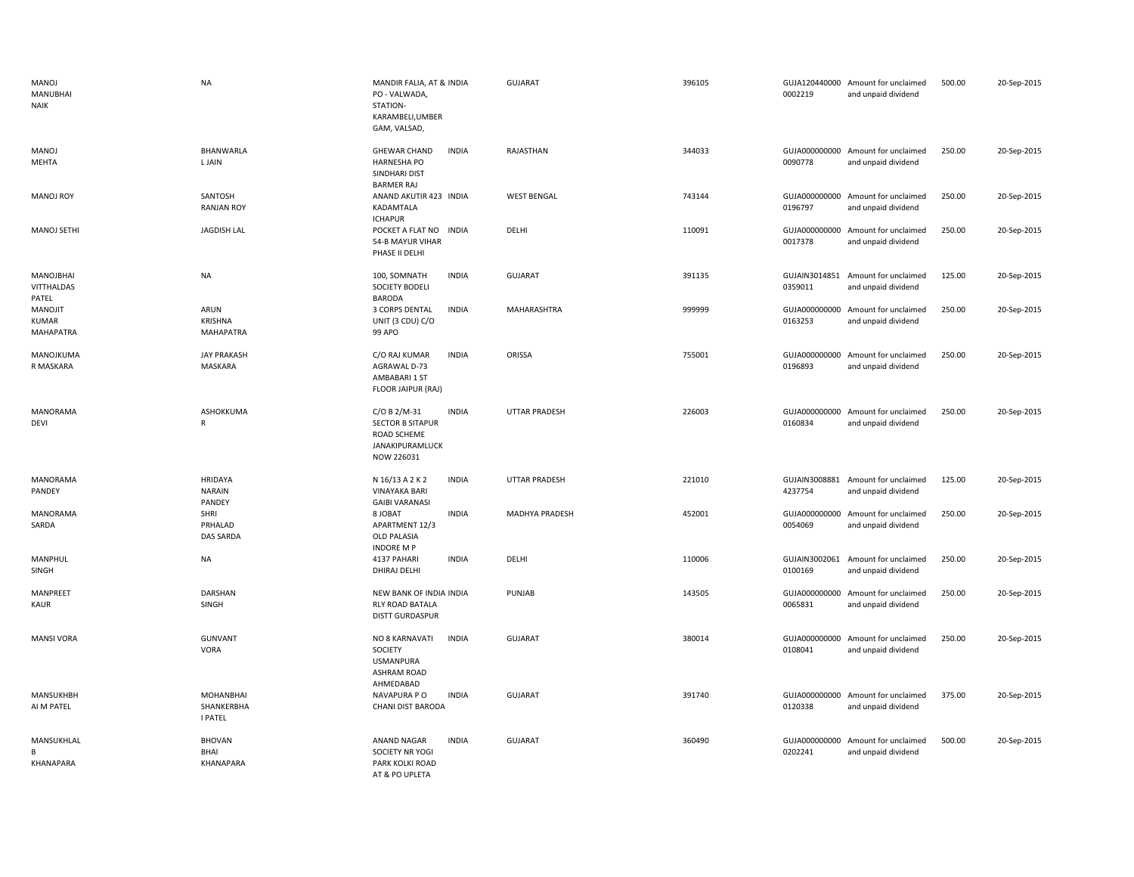| MANOJ<br><b>MANUBHAI</b><br><b>NAIK</b>     | <b>NA</b>                                        | MANDIR FALIA, AT & INDIA<br>PO - VALWADA,<br>STATION-<br>KARAMBELI, UMBER<br>GAM, VALSAD,                      | <b>GUJARAT</b>       | 396105 | 0002219                  | GUJA120440000 Amount for unclaimed<br>and unpaid dividend | 500.00 | 20-Sep-2015 |
|---------------------------------------------|--------------------------------------------------|----------------------------------------------------------------------------------------------------------------|----------------------|--------|--------------------------|-----------------------------------------------------------|--------|-------------|
| MANOJ<br>MEHTA                              | <b>BHANWARLA</b><br>L JAIN                       | <b>GHEWAR CHAND</b><br><b>INDIA</b><br><b>HARNESHA PO</b><br>SINDHARI DIST<br><b>BARMER RAJ</b>                | RAJASTHAN            | 344033 | 0090778                  | GUJA000000000 Amount for unclaimed<br>and unpaid dividend | 250.00 | 20-Sep-2015 |
| MANOJ ROY                                   | SANTOSH<br><b>RANJAN ROY</b>                     | ANAND AKUTIR 423 INDIA<br>KADAMTALA<br><b>ICHAPUR</b>                                                          | <b>WEST BENGAL</b>   | 743144 | 0196797                  | GUJA000000000 Amount for unclaimed<br>and unpaid dividend | 250.00 | 20-Sep-2015 |
| <b>MANOJ SETHI</b>                          | <b>JAGDISH LAL</b>                               | POCKET A FLAT NO<br><b>INDIA</b><br>54-B MAYUR VIHAR<br>PHASE II DELHI                                         | DELHI                | 110091 | 0017378                  | GUJA000000000 Amount for unclaimed<br>and unpaid dividend | 250.00 | 20-Sep-2015 |
| MANOJBHAI<br>VITTHALDAS<br>PATEL            | <b>NA</b>                                        | 100, SOMNATH<br><b>INDIA</b><br>SOCIETY BODELI<br><b>BARODA</b>                                                | <b>GUJARAT</b>       | 391135 | 0359011                  | GUJAIN3014851 Amount for unclaimed<br>and unpaid dividend | 125.00 | 20-Sep-2015 |
| <b>MANOJIT</b><br>KUMAR<br><b>MAHAPATRA</b> | ARUN<br>KRISHNA<br><b>MAHAPATRA</b>              | 3 CORPS DENTAL<br><b>INDIA</b><br>UNIT (3 CDU) C/O<br>99 APO                                                   | MAHARASHTRA          | 999999 | 0163253                  | GUJA000000000 Amount for unclaimed<br>and unpaid dividend | 250.00 | 20-Sep-2015 |
| MANOJKUMA<br>R MASKARA                      | <b>JAY PRAKASH</b><br>MASKARA                    | C/O RAJ KUMAR<br><b>INDIA</b><br>AGRAWAL D-73<br>AMBABARI 1 ST<br>FLOOR JAIPUR (RAJ)                           | ORISSA               | 755001 | GUJA000000000<br>0196893 | Amount for unclaimed<br>and unpaid dividend               | 250.00 | 20-Sep-2015 |
| MANORAMA<br>DEVI                            | ASHOKKUMA<br>R                                   | C/O B 2/M-31<br><b>INDIA</b><br><b>SECTOR B SITAPUR</b><br>ROAD SCHEME<br><b>JANAKIPURAMLUCK</b><br>NOW 226031 | <b>UTTAR PRADESH</b> | 226003 | GUJA000000000<br>0160834 | Amount for unclaimed<br>and unpaid dividend               | 250.00 | 20-Sep-2015 |
| <b>MANORAMA</b><br>PANDEY                   | HRIDAYA<br><b>NARAIN</b><br>PANDEY               | N 16/13 A 2 K 2<br><b>INDIA</b><br><b>VINAYAKA BARI</b><br><b>GAIBI VARANASI</b>                               | <b>UTTAR PRADESH</b> | 221010 | 4237754                  | GUJAIN3008881 Amount for unclaimed<br>and unpaid dividend | 125.00 | 20-Sep-2015 |
| MANORAMA<br>SARDA                           | SHRI<br>PRHALAD<br>DAS SARDA                     | <b>INDIA</b><br>8 JOBAT<br>APARTMENT 12/3<br><b>OLD PALASIA</b><br><b>INDORE M P</b>                           | MADHYA PRADESH       | 452001 | 0054069                  | GUJA000000000 Amount for unclaimed<br>and unpaid dividend | 250.00 | 20-Sep-2015 |
| MANPHUL<br>SINGH                            | <b>NA</b>                                        | 4137 PAHARI<br><b>INDIA</b><br>DHIRAJ DELHI                                                                    | DELHI                | 110006 | 0100169                  | GUJAIN3002061 Amount for unclaimed<br>and unpaid dividend | 250.00 | 20-Sep-2015 |
| MANPREET<br>KAUR                            | DARSHAN<br>SINGH                                 | NEW BANK OF INDIA INDIA<br>RLY ROAD BATALA<br><b>DISTT GURDASPUR</b>                                           | PUNJAB               | 143505 | 0065831                  | GUJA000000000 Amount for unclaimed<br>and unpaid dividend | 250.00 | 20-Sep-2015 |
| <b>MANSI VORA</b>                           | <b>GUNVANT</b><br>VORA                           | NO 8 KARNAVATI<br><b>INDIA</b><br>SOCIETY<br><b>USMANPURA</b><br><b>ASHRAM ROAD</b><br>AHMEDABAD               | <b>GUJARAT</b>       | 380014 | GUJA000000000<br>0108041 | Amount for unclaimed<br>and unpaid dividend               | 250.00 | 20-Sep-2015 |
| MANSUKHBH<br>AI M PATEL                     | <b>MOHANBHAI</b><br>SHANKERBHA<br><b>I PATEL</b> | NAVAPURA P O<br><b>INDIA</b><br>CHANI DIST BARODA                                                              | <b>GUJARAT</b>       | 391740 | 0120338                  | GUJA000000000 Amount for unclaimed<br>and unpaid dividend | 375.00 | 20-Sep-2015 |
| MANSUKHLAL<br>B<br>KHANAPARA                | <b>BHOVAN</b><br>BHAI<br>KHANAPARA               | <b>INDIA</b><br>ANAND NAGAR<br>SOCIETY NR YOGI<br>PARK KOLKI ROAD<br>AT & PO UPLFTA                            | <b>GUJARAT</b>       | 360490 | 0202241                  | GUJA000000000 Amount for unclaimed<br>and unpaid dividend | 500.00 | 20-Sep-2015 |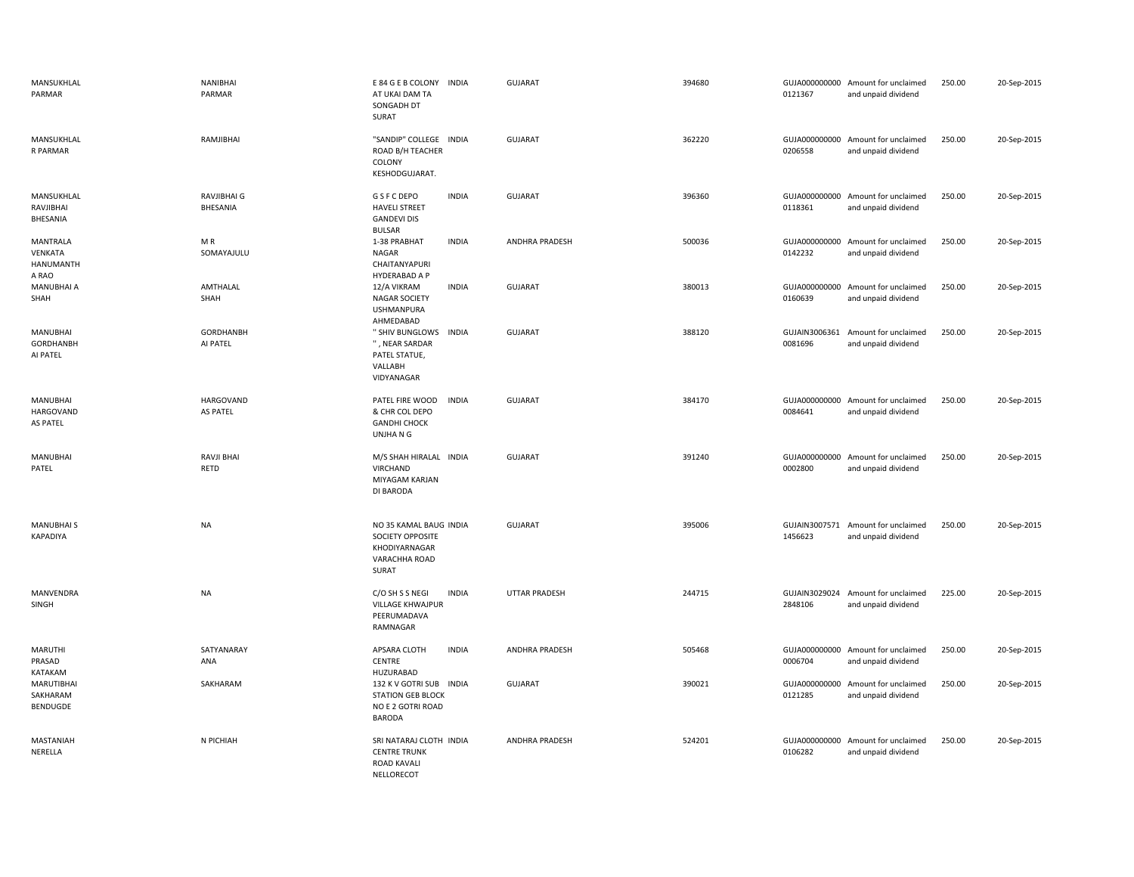| MANSUKHLAL<br>PARMAR                            | NANIBHAI<br>PARMAR           | E 84 G E B COLONY INDIA<br>AT UKAI DAM TA<br>SONGADH DT<br>SURAT                            | GUJARAT               | 394680 | 0121367                  | GUJA000000000 Amount for unclaimed<br>and unpaid dividend | 250.00 | 20-Sep-2015 |
|-------------------------------------------------|------------------------------|---------------------------------------------------------------------------------------------|-----------------------|--------|--------------------------|-----------------------------------------------------------|--------|-------------|
| MANSUKHLAL<br>R PARMAR                          | RAMJIBHAI                    | "SANDIP" COLLEGE INDIA<br>ROAD B/H TEACHER<br>COLONY<br>KESHODGUJARAT.                      | <b>GUJARAT</b>        | 362220 | 0206558                  | GUJA000000000 Amount for unclaimed<br>and unpaid dividend | 250.00 | 20-Sep-2015 |
| MANSUKHLAL<br>RAVJIBHAI<br>BHESANIA             | RAVJIBHAI G<br>BHESANIA      | <b>INDIA</b><br>G S F C DEPO<br><b>HAVELI STREET</b><br><b>GANDEVI DIS</b><br><b>BULSAR</b> | <b>GUJARAT</b>        | 396360 | 0118361                  | GUJA000000000 Amount for unclaimed<br>and unpaid dividend | 250.00 | 20-Sep-2015 |
| MANTRALA<br>VENKATA<br>HANUMANTH<br>A RAO       | MR<br>SOMAYAJULU             | 1-38 PRABHAT<br><b>INDIA</b><br>NAGAR<br>CHAITANYAPURI<br>HYDERABAD A P                     | <b>ANDHRA PRADESH</b> | 500036 | GUJA000000000<br>0142232 | Amount for unclaimed<br>and unpaid dividend               | 250.00 | 20-Sep-2015 |
| MANUBHAI A<br>SHAH                              | AMTHALAL<br>SHAH             | <b>INDIA</b><br>12/A VIKRAM<br><b>NAGAR SOCIETY</b><br><b>USHMANPURA</b><br>AHMEDABAD       | <b>GUJARAT</b>        | 380013 | GUJA000000000<br>0160639 | Amount for unclaimed<br>and unpaid dividend               | 250.00 | 20-Sep-2015 |
| <b>MANUBHAI</b><br><b>GORDHANBH</b><br>AI PATEL | <b>GORDHANBH</b><br>AI PATEL | " SHIV BUNGLOWS INDIA<br>", NEAR SARDAR<br>PATEL STATUE,<br>VALLABH<br>VIDYANAGAR           | <b>GUJARAT</b>        | 388120 | GUJAIN3006361<br>0081696 | Amount for unclaimed<br>and unpaid dividend               | 250.00 | 20-Sep-2015 |
| MANUBHAI<br><b>HARGOVAND</b><br><b>AS PATEL</b> | HARGOVAND<br>AS PATEL        | PATEL FIRE WOOD<br><b>INDIA</b><br>& CHR COL DEPO<br><b>GANDHI CHOCK</b><br>UNJHANG         | <b>GUJARAT</b>        | 384170 | 0084641                  | GUJA000000000 Amount for unclaimed<br>and unpaid dividend | 250.00 | 20-Sep-2015 |
| <b>MANUBHAI</b><br>PATEL                        | RAVJI BHAI<br>RETD           | M/S SHAH HIRALAL INDIA<br>VIRCHAND<br>MIYAGAM KARJAN<br><b>DI BARODA</b>                    | <b>GUJARAT</b>        | 391240 | 0002800                  | GUJA000000000 Amount for unclaimed<br>and unpaid dividend | 250.00 | 20-Sep-2015 |
| <b>MANUBHAI S</b><br><b>KAPADIYA</b>            | <b>NA</b>                    | NO 35 KAMAL BAUG INDIA<br>SOCIETY OPPOSITE<br>KHODIYARNAGAR<br>VARACHHA ROAD<br>SURAT       | GUJARAT               | 395006 | GUJAIN3007571<br>1456623 | Amount for unclaimed<br>and unpaid dividend               | 250.00 | 20-Sep-2015 |
| MANVENDRA<br>SINGH                              | <b>NA</b>                    | C/O SH S S NEGI<br><b>INDIA</b><br><b>VILLAGE KHWAJPUR</b><br>PEERUMADAVA<br>RAMNAGAR       | UTTAR PRADESH         | 244715 | GUJAIN3029024<br>2848106 | Amount for unclaimed<br>and unpaid dividend               | 225.00 | 20-Sep-2015 |
| <b>MARUTHI</b><br>PRASAD<br>KATAKAM             | SATYANARAY<br>ANA            | APSARA CLOTH<br><b>INDIA</b><br><b>CENTRE</b><br>HUZURABAD                                  | ANDHRA PRADESH        | 505468 | 0006704                  | GUJA000000000 Amount for unclaimed<br>and unpaid dividend | 250.00 | 20-Sep-2015 |
| <b>MARUTIBHAI</b><br>SAKHARAM<br>BENDUGDE       | SAKHARAM                     | 132 K V GOTRI SUB INDIA<br><b>STATION GEB BLOCK</b><br>NO E 2 GOTRI ROAD<br><b>BARODA</b>   | <b>GUJARAT</b>        | 390021 | 0121285                  | GUJA000000000 Amount for unclaimed<br>and unpaid dividend | 250.00 | 20-Sep-2015 |
| <b>MASTANIAH</b><br>NERELLA                     | N PICHIAH                    | SRI NATARAJ CLOTH INDIA<br><b>CENTRE TRUNK</b><br><b>ROAD KAVALI</b><br>NELLORECOT          | <b>ANDHRA PRADESH</b> | 524201 | 0106282                  | GUJA000000000 Amount for unclaimed<br>and unpaid dividend | 250.00 | 20-Sep-2015 |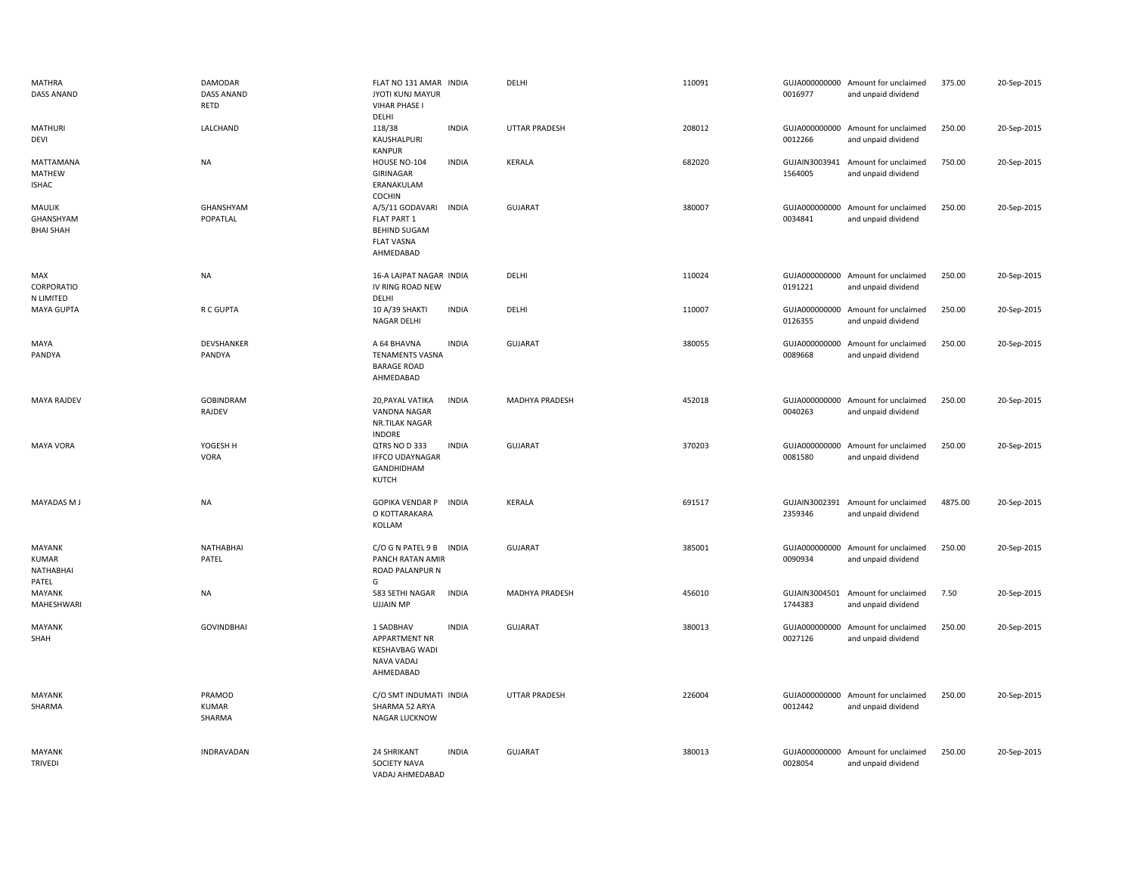| MATHRA<br>DASS ANAND                                | DAMODAR<br>DASS ANAND<br>RETD    | FLAT NO 131 AMAR INDIA<br>JYOTI KUNJ MAYUR<br><b>VIHAR PHASE I</b><br>DELHI                             | DELHI                | 110091 | 0016977                  | GUJA000000000 Amount for unclaimed<br>and unpaid dividend | 375.00  | 20-Sep-2015 |
|-----------------------------------------------------|----------------------------------|---------------------------------------------------------------------------------------------------------|----------------------|--------|--------------------------|-----------------------------------------------------------|---------|-------------|
| <b>MATHURI</b><br><b>DEVI</b>                       | LALCHAND                         | 118/38<br><b>INDIA</b><br>KAUSHALPURI<br><b>KANPUR</b>                                                  | <b>UTTAR PRADESH</b> | 208012 | 0012266                  | GUJA000000000 Amount for unclaimed<br>and unpaid dividend | 250.00  | 20-Sep-2015 |
| MATTAMANA<br>MATHEW<br><b>ISHAC</b>                 | <b>NA</b>                        | <b>INDIA</b><br>HOUSE NO-104<br>GIRINAGAR<br>ERANAKULAM<br><b>COCHIN</b>                                | <b>KERALA</b>        | 682020 | GUJAIN3003941<br>1564005 | Amount for unclaimed<br>and unpaid dividend               | 750.00  | 20-Sep-2015 |
| MAULIK<br>GHANSHYAM<br><b>BHAI SHAH</b>             | GHANSHYAM<br>POPATLAL            | A/5/11 GODAVARI<br><b>INDIA</b><br>FLAT PART 1<br><b>BEHIND SUGAM</b><br><b>FLAT VASNA</b><br>AHMEDABAD | <b>GUJARAT</b>       | 380007 | 0034841                  | GUJA000000000 Amount for unclaimed<br>and unpaid dividend | 250.00  | 20-Sep-2015 |
| MAX<br>CORPORATIO<br>N LIMITED                      | <b>NA</b>                        | 16-A LAJPAT NAGAR INDIA<br>IV RING ROAD NEW<br>DELHI                                                    | DELHI                | 110024 | 0191221                  | GUJA000000000 Amount for unclaimed<br>and unpaid dividend | 250.00  | 20-Sep-2015 |
| <b>MAYA GUPTA</b>                                   | R C GUPTA                        | 10 A/39 SHAKTI<br><b>INDIA</b><br>NAGAR DELHI                                                           | DELHI                | 110007 | 0126355                  | GUJA000000000 Amount for unclaimed<br>and unpaid dividend | 250.00  | 20-Sep-2015 |
| MAYA<br>PANDYA                                      | DEVSHANKER<br>PANDYA             | <b>INDIA</b><br>A 64 BHAVNA<br><b>TENAMENTS VASNA</b><br><b>BARAGE ROAD</b><br>AHMEDABAD                | <b>GUJARAT</b>       | 380055 | 0089668                  | GUJA000000000 Amount for unclaimed<br>and unpaid dividend | 250.00  | 20-Sep-2015 |
| MAYA RAJDEV                                         | GOBINDRAM<br>RAJDEV              | 20, PAYAL VATIKA<br><b>INDIA</b><br><b>VANDNA NAGAR</b><br>NR.TILAK NAGAR<br><b>INDORE</b>              | MADHYA PRADESH       | 452018 | 0040263                  | GUJA000000000 Amount for unclaimed<br>and unpaid dividend | 250.00  | 20-Sep-2015 |
| <b>MAYA VORA</b>                                    | YOGESH H<br>VORA                 | QTRS NO D 333<br><b>INDIA</b><br><b>IFFCO UDAYNAGAR</b><br>GANDHIDHAM<br><b>KUTCH</b>                   | <b>GUJARAT</b>       | 370203 | 0081580                  | GUJA000000000 Amount for unclaimed<br>and unpaid dividend | 250.00  | 20-Sep-2015 |
| MAYADAS M J                                         | <b>NA</b>                        | <b>GOPIKA VENDAR P</b><br><b>INDIA</b><br>O KOTTARAKARA<br>KOLLAM                                       | KERALA               | 691517 | 2359346                  | GUJAIN3002391 Amount for unclaimed<br>and unpaid dividend | 4875.00 | 20-Sep-2015 |
| MAYANK<br><b>KUMAR</b><br><b>NATHABHAI</b><br>PATEL | NATHABHAI<br>PATEL               | C/O G N PATEL 9 B<br><b>INDIA</b><br><b>PANCH RATAN AMIR</b><br>ROAD PALANPUR N<br>G                    | <b>GUJARAT</b>       | 385001 | 0090934                  | GUJA000000000 Amount for unclaimed<br>and unpaid dividend | 250.00  | 20-Sep-2015 |
| MAYANK<br>MAHESHWARI                                | <b>NA</b>                        | <b>INDIA</b><br>583 SETHI NAGAR<br><b>UJJAIN MP</b>                                                     | MADHYA PRADESH       | 456010 | 1744383                  | GUJAIN3004501 Amount for unclaimed<br>and unpaid dividend | 7.50    | 20-Sep-2015 |
| MAYANK<br>SHAH                                      | <b>GOVINDBHAI</b>                | 1 SADBHAV<br><b>INDIA</b><br><b>APPARTMENT NR</b><br><b>KESHAVBAG WADI</b><br>NAVA VADAJ<br>AHMEDABAD   | <b>GUJARAT</b>       | 380013 | 0027126                  | GUJA000000000 Amount for unclaimed<br>and unpaid dividend | 250.00  | 20-Sep-2015 |
| MAYANK<br>SHARMA                                    | PRAMOD<br><b>KUMAR</b><br>SHARMA | C/O SMT INDUMATI INDIA<br>SHARMA 52 ARYA<br>NAGAR LUCKNOW                                               | UTTAR PRADESH        | 226004 | 0012442                  | GUJA000000000 Amount for unclaimed<br>and unpaid dividend | 250.00  | 20-Sep-2015 |
| <b>MAYANK</b><br><b>TRIVEDI</b>                     | INDRAVADAN                       | <b>24 SHRIKANT</b><br><b>INDIA</b><br><b>SOCIETY NAVA</b><br>VADAJ AHMFDABAD                            | <b>GUJARAT</b>       | 380013 | 0028054                  | GUJA000000000 Amount for unclaimed<br>and unpaid dividend | 250.00  | 20-Sep-2015 |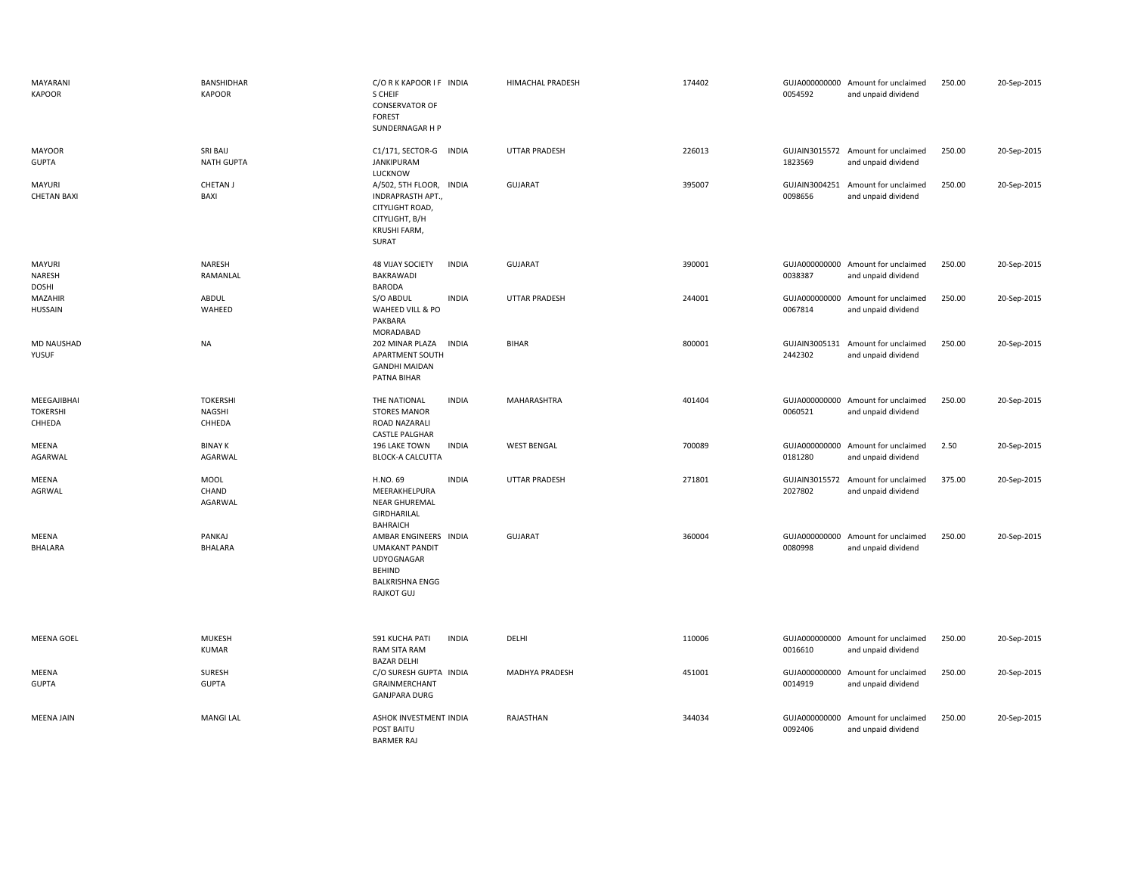| MAYARANI<br><b>KAPOOR</b>                | BANSHIDHAR<br><b>KAPOOR</b>         | C/ORKKAPOOR IF INDIA<br>S CHEIF<br><b>CONSERVATOR OF</b><br><b>FOREST</b><br>SUNDERNAGAR H P                                        | HIMACHAL PRADESH     | 174402 | 0054592                  | GUJA000000000 Amount for unclaimed<br>and unpaid dividend | 250.00 | 20-Sep-2015 |
|------------------------------------------|-------------------------------------|-------------------------------------------------------------------------------------------------------------------------------------|----------------------|--------|--------------------------|-----------------------------------------------------------|--------|-------------|
| <b>MAYOOR</b><br><b>GUPTA</b>            | SRI BAIJ<br><b>NATH GUPTA</b>       | C1/171, SECTOR-G INDIA<br><b>JANKIPURAM</b><br>LUCKNOW                                                                              | <b>UTTAR PRADESH</b> | 226013 | 1823569                  | GUJAIN3015572 Amount for unclaimed<br>and unpaid dividend | 250.00 | 20-Sep-2015 |
| MAYURI<br><b>CHETAN BAXI</b>             | CHETAN J<br>BAXI                    | A/502, 5TH FLOOR, INDIA<br><b>INDRAPRASTH APT.</b><br>CITYLIGHT ROAD,<br>CITYLIGHT, B/H<br>KRUSHI FARM,<br>SURAT                    | <b>GUJARAT</b>       | 395007 | 0098656                  | GUJAIN3004251 Amount for unclaimed<br>and unpaid dividend | 250.00 | 20-Sep-2015 |
| MAYURI<br>NARESH<br>DOSHI                | <b>NARESH</b><br>RAMANLAL           | <b>48 VIJAY SOCIETY</b><br><b>INDIA</b><br><b>BAKRAWADI</b><br><b>BARODA</b>                                                        | <b>GUJARAT</b>       | 390001 | 0038387                  | GUJA000000000 Amount for unclaimed<br>and unpaid dividend | 250.00 | 20-Sep-2015 |
| MAZAHIR<br>HUSSAIN                       | <b>ABDUL</b><br>WAHEED              | S/O ABDUL<br><b>INDIA</b><br>WAHEED VILL & PO<br>PAKBARA<br>MORADABAD                                                               | <b>UTTAR PRADESH</b> | 244001 | 0067814                  | GUJA000000000 Amount for unclaimed<br>and unpaid dividend | 250.00 | 20-Sep-2015 |
| MD NAUSHAD<br>YUSUF                      | <b>NA</b>                           | 202 MINAR PLAZA<br><b>INDIA</b><br>APARTMENT SOUTH<br><b>GANDHI MAIDAN</b><br>PATNA BIHAR                                           | <b>BIHAR</b>         | 800001 | GUJAIN3005131<br>2442302 | Amount for unclaimed<br>and unpaid dividend               | 250.00 | 20-Sep-2015 |
| MEEGAJIBHAI<br><b>TOKERSHI</b><br>CHHEDA | <b>TOKERSHI</b><br>NAGSHI<br>CHHEDA | THE NATIONAL<br><b>INDIA</b><br><b>STORES MANOR</b><br>ROAD NAZARALI<br><b>CASTLE PALGHAR</b>                                       | MAHARASHTRA          | 401404 | 0060521                  | GUJA000000000 Amount for unclaimed<br>and unpaid dividend | 250.00 | 20-Sep-2015 |
| MEENA<br>AGARWAL                         | <b>BINAY K</b><br>AGARWAL           | <b>INDIA</b><br>196 LAKE TOWN<br><b>BLOCK-A CALCUTTA</b>                                                                            | <b>WEST BENGAL</b>   | 700089 | 0181280                  | GUJA000000000 Amount for unclaimed<br>and unpaid dividend | 2.50   | 20-Sep-2015 |
| MEENA<br>AGRWAL                          | MOOL<br>CHAND<br>AGARWAL            | <b>INDIA</b><br>H.NO. 69<br>MEERAKHELPURA<br><b>NEAR GHUREMAL</b><br>GIRDHARILAL<br><b>BAHRAICH</b>                                 | <b>UTTAR PRADESH</b> | 271801 | GUJAIN3015572<br>2027802 | Amount for unclaimed<br>and unpaid dividend               | 375.00 | 20-Sep-2015 |
| MEENA<br>BHALARA                         | PANKAJ<br>BHALARA                   | AMBAR ENGINEERS INDIA<br><b>UMAKANT PANDIT</b><br><b>UDYOGNAGAR</b><br><b>BEHIND</b><br><b>BALKRISHNA ENGG</b><br><b>RAJKOT GUJ</b> | <b>GUJARAT</b>       | 360004 | GUJA000000000<br>0080998 | Amount for unclaimed<br>and unpaid dividend               | 250.00 | 20-Sep-2015 |
| MEENA GOEL                               | <b>MUKESH</b><br><b>KUMAR</b>       | 591 KUCHA PATI<br><b>INDIA</b><br>RAM SITA RAM<br><b>BAZAR DELHI</b>                                                                | DELHI                | 110006 | 0016610                  | GUJA000000000 Amount for unclaimed<br>and unpaid dividend | 250.00 | 20-Sep-2015 |
| MEENA<br><b>GUPTA</b>                    | SURESH<br><b>GUPTA</b>              | C/O SURESH GUPTA INDIA<br>GRAINMERCHANT<br><b>GANJPARA DURG</b>                                                                     | MADHYA PRADESH       | 451001 | 0014919                  | GUJA000000000 Amount for unclaimed<br>and unpaid dividend | 250.00 | 20-Sep-2015 |
| <b>MEENA JAIN</b>                        | <b>MANGI LAL</b>                    | ASHOK INVESTMENT INDIA<br>POST BAITU<br><b>BARMER RAJ</b>                                                                           | RAJASTHAN            | 344034 | GUJA000000000<br>0092406 | Amount for unclaimed<br>and unpaid dividend               | 250.00 | 20-Sep-2015 |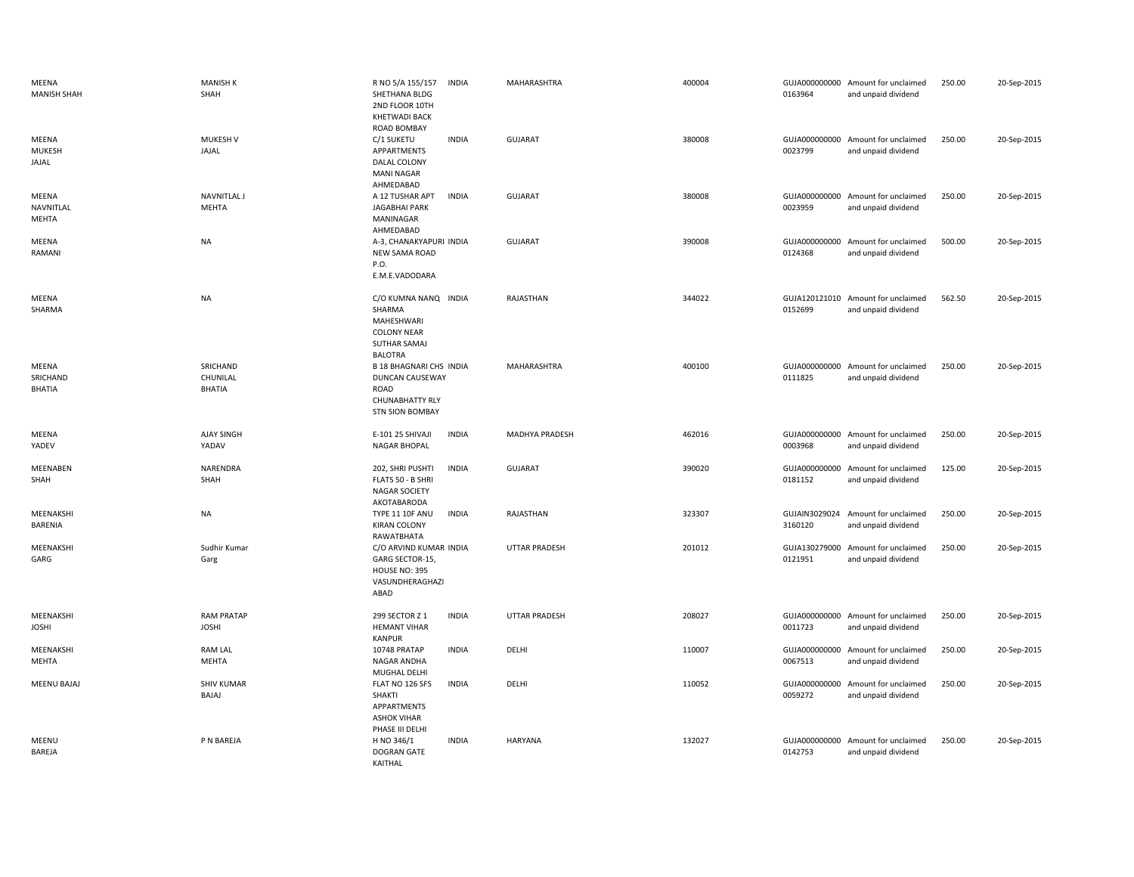| MEENA<br><b>MANISH SHAH</b>        | <b>MANISH K</b><br>SHAH               | R NO 5/A 155/157<br><b>INDIA</b><br>SHETHANA BLDG<br>2ND FLOOR 10TH<br><b>KHETWADI BACK</b><br>ROAD BOMBAY           | MAHARASHTRA          | 400004 | 0163964                  | GUJA000000000 Amount for unclaimed<br>and unpaid dividend | 250.00 | 20-Sep-2015 |
|------------------------------------|---------------------------------------|----------------------------------------------------------------------------------------------------------------------|----------------------|--------|--------------------------|-----------------------------------------------------------|--------|-------------|
| MEENA<br>MUKESH<br>JAJAL           | <b>MUKESH V</b><br>JAJAL              | C/1 SUKETU<br><b>INDIA</b><br>APPARTMENTS<br>DALAL COLONY<br><b>MANI NAGAR</b><br>AHMEDABAD                          | <b>GUJARAT</b>       | 380008 | 0023799                  | GUJA000000000 Amount for unclaimed<br>and unpaid dividend | 250.00 | 20-Sep-2015 |
| MEENA<br>NAVNITLAL<br>MEHTA        | <b>NAVNITLAL J</b><br>MEHTA           | <b>INDIA</b><br>A 12 TUSHAR APT<br><b>JAGABHAI PARK</b><br>MANINAGAR<br>AHMEDABAD                                    | <b>GUJARAT</b>       | 380008 | 0023959                  | GUJA000000000 Amount for unclaimed<br>and unpaid dividend | 250.00 | 20-Sep-2015 |
| MEENA<br>RAMANI                    | <b>NA</b>                             | A-3, CHANAKYAPURI INDIA<br>NEW SAMA ROAD<br>P.O.<br>E.M.E.VADODARA                                                   | <b>GUJARAT</b>       | 390008 | GUJA000000000<br>0124368 | Amount for unclaimed<br>and unpaid dividend               | 500.00 | 20-Sep-2015 |
| MEENA<br>SHARMA                    | <b>NA</b>                             | C/O KUMNA NANQ INDIA<br>SHARMA<br>MAHESHWARI<br><b>COLONY NEAR</b><br><b>SUTHAR SAMAJ</b><br><b>BALOTRA</b>          | RAJASTHAN            | 344022 | 0152699                  | GUJA120121010 Amount for unclaimed<br>and unpaid dividend | 562.50 | 20-Sep-2015 |
| MEENA<br>SRICHAND<br><b>BHATIA</b> | SRICHAND<br>CHUNILAL<br><b>BHATIA</b> | <b>B 18 BHAGNARI CHS INDIA</b><br>DUNCAN CAUSEWAY<br><b>ROAD</b><br><b>CHUNABHATTY RLY</b><br><b>STN SION BOMBAY</b> | MAHARASHTRA          | 400100 | 0111825                  | GUJA000000000 Amount for unclaimed<br>and unpaid dividend | 250.00 | 20-Sep-2015 |
| MEENA<br>YADEV                     | <b>AJAY SINGH</b><br>YADAV            | E-101 25 SHIVAJI<br><b>INDIA</b><br><b>NAGAR BHOPAL</b>                                                              | MADHYA PRADESH       | 462016 | 0003968                  | GUJA000000000 Amount for unclaimed<br>and unpaid dividend | 250.00 | 20-Sep-2015 |
| MEENABEN<br>SHAH                   | NARENDRA<br>SHAH                      | 202, SHRI PUSHTI<br><b>INDIA</b><br>FLATS 50 - B SHRI<br><b>NAGAR SOCIETY</b><br>AKOTABARODA                         | <b>GUJARAT</b>       | 390020 | 0181152                  | GUJA000000000 Amount for unclaimed<br>and unpaid dividend | 125.00 | 20-Sep-2015 |
| MEENAKSHI<br><b>BARENIA</b>        | <b>NA</b>                             | <b>INDIA</b><br><b>TYPE 11 10F ANU</b><br><b>KIRAN COLONY</b><br>RAWATBHATA                                          | RAJASTHAN            | 323307 | GUJAIN3029024<br>3160120 | Amount for unclaimed<br>and unpaid dividend               | 250.00 | 20-Sep-2015 |
| MEENAKSHI<br>GARG                  | Sudhir Kumar<br>Garg                  | C/O ARVIND KUMAR INDIA<br>GARG SECTOR-15,<br><b>HOUSE NO: 395</b><br>VASUNDHERAGHAZI<br>ABAD                         | <b>UTTAR PRADESH</b> | 201012 | 0121951                  | GUJA130279000 Amount for unclaimed<br>and unpaid dividend | 250.00 | 20-Sep-2015 |
| MEENAKSHI<br><b>JOSHI</b>          | <b>RAM PRATAP</b><br><b>JOSHI</b>     | <b>INDIA</b><br>299 SECTOR Z 1<br><b>HEMANT VIHAR</b><br><b>KANPUR</b>                                               | <b>UTTAR PRADESH</b> | 208027 | 0011723                  | GUJA000000000 Amount for unclaimed<br>and unpaid dividend | 250.00 | 20-Sep-2015 |
| MEENAKSHI<br>MEHTA                 | <b>RAM LAL</b><br><b>MEHTA</b>        | <b>INDIA</b><br>10748 PRATAP<br>NAGAR ANDHA<br>MUGHAL DELHI                                                          | DELHI                | 110007 | GUJA000000000<br>0067513 | Amount for unclaimed<br>and unpaid dividend               | 250.00 | 20-Sep-2015 |
| <b>MEENU BAJAJ</b>                 | <b>SHIV KUMAR</b><br>BAJAJ            | FLAT NO 126 SFS<br><b>INDIA</b><br>SHAKTI<br>APPARTMENTS<br><b>ASHOK VIHAR</b><br>PHASE III DELHI                    | DELHI                | 110052 | GUJA000000000<br>0059272 | Amount for unclaimed<br>and unpaid dividend               | 250.00 | 20-Sep-2015 |
| MEENU<br>BAREJA                    | P N BAREJA                            | H NO 346/1<br><b>INDIA</b><br>DOGRAN GATE<br>KAITHAL                                                                 | <b>HARYANA</b>       | 132027 | GUJA000000000<br>0142753 | Amount for unclaimed<br>and unpaid dividend               | 250.00 | 20-Sep-2015 |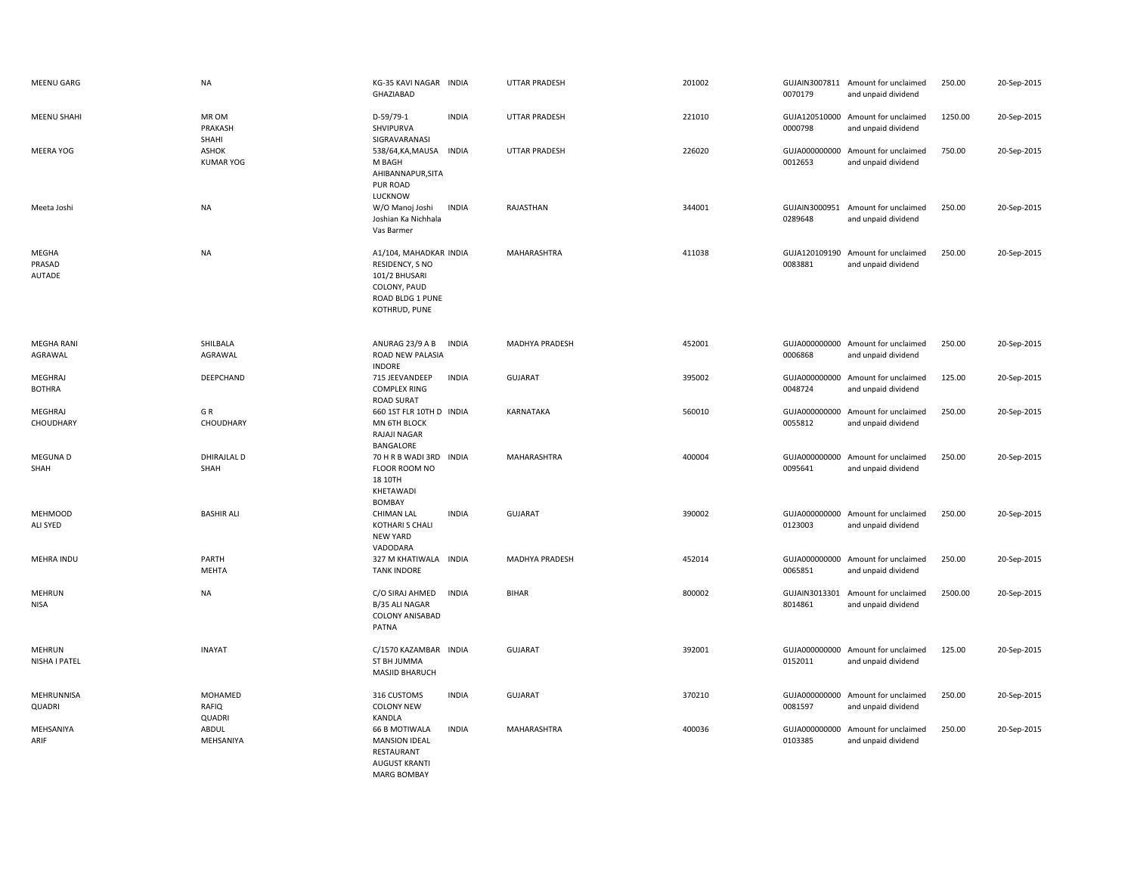| <b>MEENU GARG</b>                | <b>NA</b>                        | KG-35 KAVI NAGAR INDIA<br>GHAZIABAD                                                                                      | UTTAR PRADESH        | 201002 | 0070179                  | GUJAIN3007811 Amount for unclaimed<br>and unpaid dividend | 250.00  | 20-Sep-2015 |
|----------------------------------|----------------------------------|--------------------------------------------------------------------------------------------------------------------------|----------------------|--------|--------------------------|-----------------------------------------------------------|---------|-------------|
| <b>MEENU SHAHI</b>               | MR OM<br>PRAKASH<br>SHAHI        | D-59/79-1<br><b>INDIA</b><br>SHVIPURVA<br>SIGRAVARANASI                                                                  | UTTAR PRADESH        | 221010 | 0000798                  | GUJA120510000 Amount for unclaimed<br>and unpaid dividend | 1250.00 | 20-Sep-2015 |
| MEERA YOG                        | <b>ASHOK</b><br><b>KUMAR YOG</b> | 538/64, KA, MAUSA INDIA<br>M BAGH<br>AHIBANNAPUR, SITA<br>PUR ROAD<br>LUCKNOW                                            | <b>UTTAR PRADESH</b> | 226020 | GUJA000000000<br>0012653 | Amount for unclaimed<br>and unpaid dividend               | 750.00  | 20-Sep-2015 |
| Meeta Joshi                      | <b>NA</b>                        | <b>INDIA</b><br>W/O Manoj Joshi<br>Joshian Ka Nichhala<br>Vas Barmer                                                     | RAJASTHAN            | 344001 | 0289648                  | GUJAIN3000951 Amount for unclaimed<br>and unpaid dividend | 250.00  | 20-Sep-2015 |
| MEGHA<br>PRASAD<br><b>AUTADE</b> | <b>NA</b>                        | A1/104, MAHADKAR INDIA<br>RESIDENCY, S NO<br>101/2 BHUSARI<br>COLONY, PAUD<br>ROAD BLDG 1 PUNE<br>KOTHRUD, PUNE          | MAHARASHTRA          | 411038 | 0083881                  | GUJA120109190 Amount for unclaimed<br>and unpaid dividend | 250.00  | 20-Sep-2015 |
| <b>MEGHA RANI</b><br>AGRAWAL     | SHILBALA<br>AGRAWAL              | ANURAG 23/9 A B<br><b>INDIA</b><br>ROAD NEW PALASIA<br><b>INDORE</b>                                                     | MADHYA PRADESH       | 452001 | 0006868                  | GUJA000000000 Amount for unclaimed<br>and unpaid dividend | 250.00  | 20-Sep-2015 |
| MEGHRAJ<br><b>BOTHRA</b>         | DEEPCHAND                        | <b>INDIA</b><br>715 JEEVANDEEP<br><b>COMPLEX RING</b><br><b>ROAD SURAT</b>                                               | <b>GUJARAT</b>       | 395002 | 0048724                  | GUJA000000000 Amount for unclaimed<br>and unpaid dividend | 125.00  | 20-Sep-2015 |
| MEGHRAJ<br>CHOUDHARY             | GR<br>CHOUDHARY                  | 660 1ST FLR 10TH D INDIA<br>MN 6TH BLOCK<br>RAJAJI NAGAR<br>BANGALORE                                                    | KARNATAKA            | 560010 | GUJA000000000<br>0055812 | Amount for unclaimed<br>and unpaid dividend               | 250.00  | 20-Sep-2015 |
| MEGUNA D<br>SHAH                 | <b>DHIRAJLAL D</b><br>SHAH       | 70 H R B WADI 3RD INDIA<br>FLOOR ROOM NO<br>18 10TH<br>KHETAWADI<br>BOMBAY                                               | MAHARASHTRA          | 400004 | 0095641                  | GUJA000000000 Amount for unclaimed<br>and unpaid dividend | 250.00  | 20-Sep-2015 |
| <b>MEHMOOD</b><br>ALI SYED       | <b>BASHIR ALI</b>                | <b>CHIMAN LAL</b><br><b>INDIA</b><br><b>KOTHARI S CHALI</b><br><b>NEW YARD</b><br>VADODARA                               | <b>GUJARAT</b>       | 390002 | 0123003                  | GUJA000000000 Amount for unclaimed<br>and unpaid dividend | 250.00  | 20-Sep-2015 |
| MEHRA INDU                       | PARTH<br>MEHTA                   | 327 M KHATIWALA INDIA<br><b>TANK INDORE</b>                                                                              | MADHYA PRADESH       | 452014 | 0065851                  | GUJA000000000 Amount for unclaimed<br>and unpaid dividend | 250.00  | 20-Sep-2015 |
| MEHRUN<br><b>NISA</b>            | <b>NA</b>                        | C/O SIRAJ AHMED<br><b>INDIA</b><br>B/35 ALI NAGAR<br>COLONY ANISABAD<br>PATNA                                            | <b>BIHAR</b>         | 800002 | 8014861                  | GUJAIN3013301 Amount for unclaimed<br>and unpaid dividend | 2500.00 | 20-Sep-2015 |
| <b>MEHRUN</b><br>NISHA I PATEL   | <b>INAYAT</b>                    | C/1570 KAZAMBAR INDIA<br>ST BH JUMMA<br>MASJID BHARUCH                                                                   | <b>GUJARAT</b>       | 392001 | 0152011                  | GUJA000000000 Amount for unclaimed<br>and unpaid dividend | 125.00  | 20-Sep-2015 |
| MEHRUNNISA<br>QUADRI             | MOHAMED<br>RAFIQ<br>QUADRI       | <b>INDIA</b><br>316 CUSTOMS<br><b>COLONY NEW</b><br>KANDLA                                                               | <b>GUJARAT</b>       | 370210 | GUJA000000000<br>0081597 | Amount for unclaimed<br>and unpaid dividend               | 250.00  | 20-Sep-2015 |
| MEHSANIYA<br>ARIF                | ABDUL<br>MEHSANIYA               | <b>INDIA</b><br><b>66 B MOTIWALA</b><br><b>MANSION IDEAL</b><br>RESTAURANT<br><b>AUGUST KRANTI</b><br><b>MARG BOMBAY</b> | MAHARASHTRA          | 400036 | GUJA000000000<br>0103385 | Amount for unclaimed<br>and unpaid dividend               | 250.00  | 20-Sep-2015 |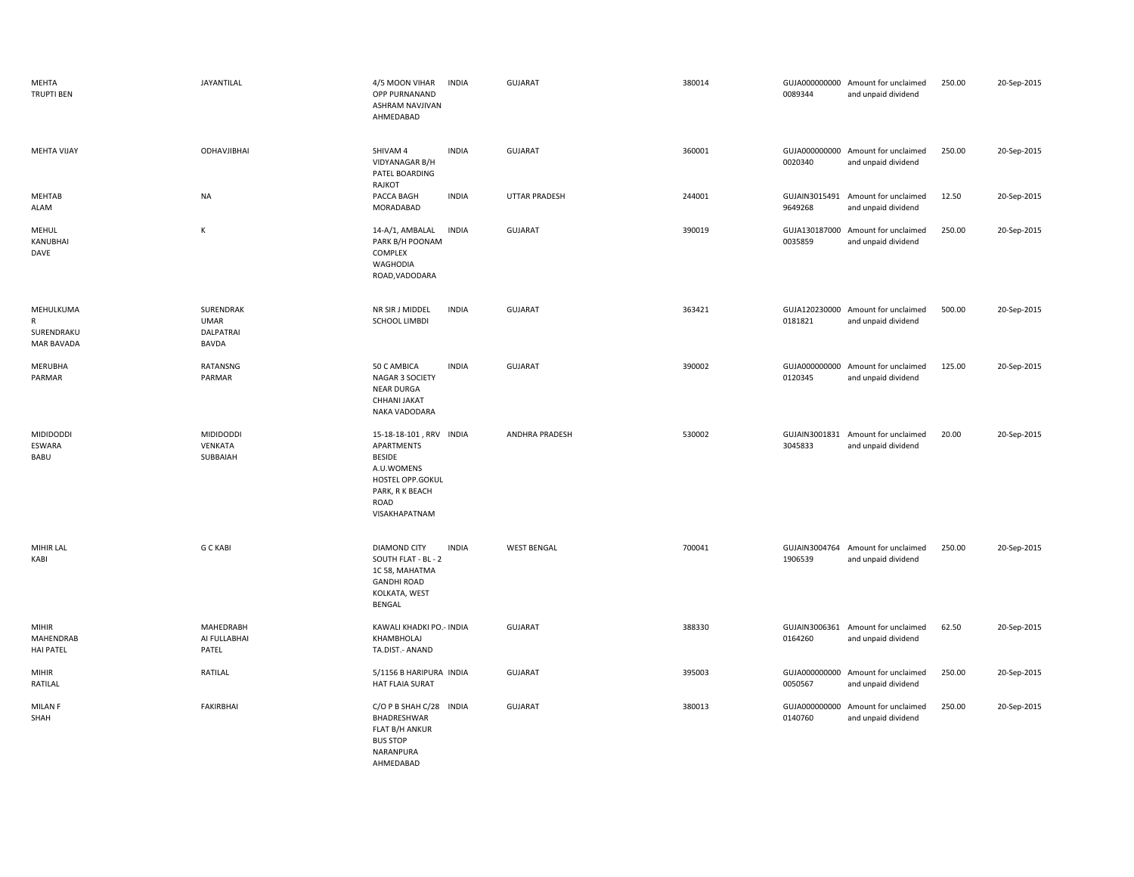| MEHTA<br><b>TRUPTI BEN</b>                           | JAYANTILAL                                            | 4/5 MOON VIHAR<br>OPP PURNANAND<br>ASHRAM NAVJIVAN<br>AHMEDABAD                                                                             | <b>INDIA</b> | <b>GUJARAT</b>     | 380014 | 0089344                  | GUJA000000000 Amount for unclaimed<br>and unpaid dividend | 250.00 | 20-Sep-2015 |
|------------------------------------------------------|-------------------------------------------------------|---------------------------------------------------------------------------------------------------------------------------------------------|--------------|--------------------|--------|--------------------------|-----------------------------------------------------------|--------|-------------|
| MEHTA VIJAY                                          | ODHAVJIBHAI                                           | SHIVAM 4<br>VIDYANAGAR B/H<br>PATEL BOARDING<br>RAJKOT                                                                                      | <b>INDIA</b> | <b>GUJARAT</b>     | 360001 | 0020340                  | GUJA000000000 Amount for unclaimed<br>and unpaid dividend | 250.00 | 20-Sep-2015 |
| MEHTAB<br>ALAM                                       | <b>NA</b>                                             | PACCA BAGH<br>MORADABAD                                                                                                                     | <b>INDIA</b> | UTTAR PRADESH      | 244001 | 9649268                  | GUJAIN3015491 Amount for unclaimed<br>and unpaid dividend | 12.50  | 20-Sep-2015 |
| MEHUL<br>KANUBHAI<br>DAVE                            | K                                                     | 14-A/1, AMBALAL<br>PARK B/H POONAM<br>COMPLEX<br><b>WAGHODIA</b><br>ROAD, VADODARA                                                          | <b>INDIA</b> | <b>GUJARAT</b>     | 390019 | 0035859                  | GUJA130187000 Amount for unclaimed<br>and unpaid dividend | 250.00 | 20-Sep-2015 |
| MEHULKUMA<br>R<br>SURENDRAKU<br><b>MAR BAVADA</b>    | SURENDRAK<br><b>UMAR</b><br><b>DALPATRAI</b><br>BAVDA | NR SIR J MIDDEL<br><b>SCHOOL LIMBDI</b>                                                                                                     | <b>INDIA</b> | <b>GUJARAT</b>     | 363421 | 0181821                  | GUJA120230000 Amount for unclaimed<br>and unpaid dividend | 500.00 | 20-Sep-2015 |
| MERUBHA<br>PARMAR                                    | RATANSNG<br>PARMAR                                    | 50 C AMBICA<br>NAGAR 3 SOCIETY<br><b>NEAR DURGA</b><br>CHHANI JAKAT<br>NAKA VADODARA                                                        | <b>INDIA</b> | <b>GUJARAT</b>     | 390002 | 0120345                  | GUJA000000000 Amount for unclaimed<br>and unpaid dividend | 125.00 | 20-Sep-2015 |
| <b>MIDIDODDI</b><br>ESWARA<br>BABU                   | MIDIDODDI<br>VENKATA<br>SUBBAIAH                      | 15-18-18-101, RRV INDIA<br>APARTMENTS<br><b>BESIDE</b><br>A.U.WOMENS<br>HOSTEL OPP.GOKUL<br>PARK, R K BEACH<br><b>ROAD</b><br>VISAKHAPATNAM |              | ANDHRA PRADESH     | 530002 | 3045833                  | GUJAIN3001831 Amount for unclaimed<br>and unpaid dividend | 20.00  | 20-Sep-2015 |
| MIHIR LAL<br>KABI                                    | <b>G C KABI</b>                                       | DIAMOND CITY<br>SOUTH FLAT - BL - 2<br>1C 58, MAHATMA<br><b>GANDHI ROAD</b><br>KOLKATA, WEST<br>BENGAL                                      | <b>INDIA</b> | <b>WEST BENGAL</b> | 700041 | 1906539                  | GUJAIN3004764 Amount for unclaimed<br>and unpaid dividend | 250.00 | 20-Sep-2015 |
| <b>MIHIR</b><br><b>MAHENDRAB</b><br><b>HAI PATEL</b> | MAHEDRABH<br>AI FULLABHAI<br>PATEL                    | KAWALI KHADKI PO .- INDIA<br>KHAMBHOLAJ<br>TA.DIST.- ANAND                                                                                  |              | <b>GUJARAT</b>     | 388330 | 0164260                  | GUJAIN3006361 Amount for unclaimed<br>and unpaid dividend | 62.50  | 20-Sep-2015 |
| <b>MIHIR</b><br>RATILAL                              | RATILAL                                               | 5/1156 B HARIPURA INDIA<br>HAT FLAIA SURAT                                                                                                  |              | <b>GUJARAT</b>     | 395003 | 0050567                  | GUJA000000000 Amount for unclaimed<br>and unpaid dividend | 250.00 | 20-Sep-2015 |
| <b>MILAN F</b><br>SHAH                               | <b>FAKIRBHAI</b>                                      | C/O P B SHAH C/28 INDIA<br>BHADRESHWAR<br>FLAT B/H ANKUR<br><b>BUS STOP</b><br>NARANPURA<br>AHMEDABAD                                       |              | <b>GUJARAT</b>     | 380013 | GUJA000000000<br>0140760 | Amount for unclaimed<br>and unpaid dividend               | 250.00 | 20-Sep-2015 |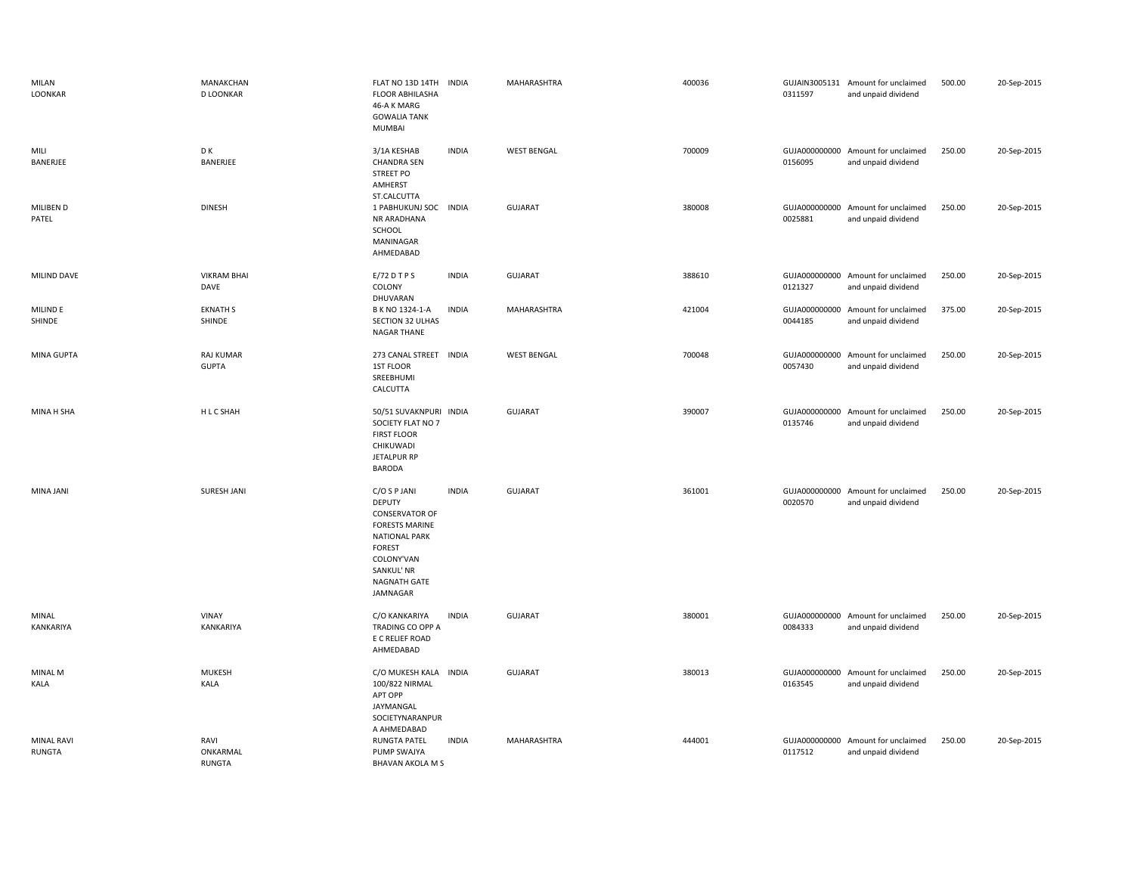| MILAN<br>LOONKAR            | MANAKCHAN<br><b>D LOONKAR</b>     | FLAT NO 13D 14TH<br><b>FLOOR ABHILASHA</b><br>46-A K MARG<br><b>GOWALIA TANK</b><br>MUMBAI                                                                                       | <b>INDIA</b> | MAHARASHTRA        | 400036 | 0311597                  | GUJAIN3005131 Amount for unclaimed<br>and unpaid dividend | 500.00 | 20-Sep-2015 |
|-----------------------------|-----------------------------------|----------------------------------------------------------------------------------------------------------------------------------------------------------------------------------|--------------|--------------------|--------|--------------------------|-----------------------------------------------------------|--------|-------------|
| MILI<br>BANERJEE            | D K<br>BANERJEE                   | 3/1A KESHAB<br><b>CHANDRA SEN</b><br><b>STREET PO</b><br>AMHERST<br>ST.CALCUTTA                                                                                                  | <b>INDIA</b> | <b>WEST BENGAL</b> | 700009 | 0156095                  | GUJA000000000 Amount for unclaimed<br>and unpaid dividend | 250.00 | 20-Sep-2015 |
| MILIBEN D<br>PATEL          | <b>DINESH</b>                     | 1 PABHUKUNJ SOC INDIA<br>NR ARADHANA<br>SCHOOL<br>MANINAGAR<br>AHMEDABAD                                                                                                         |              | GUJARAT            | 380008 | 0025881                  | GUJA000000000 Amount for unclaimed<br>and unpaid dividend | 250.00 | 20-Sep-2015 |
| MILIND DAVE                 | <b>VIKRAM BHAI</b><br>DAVE        | E/72DTPS<br>COLONY<br>DHUVARAN                                                                                                                                                   | <b>INDIA</b> | GUJARAT            | 388610 | 0121327                  | GUJA000000000 Amount for unclaimed<br>and unpaid dividend | 250.00 | 20-Sep-2015 |
| MILIND E<br>SHINDE          | <b>EKNATH S</b><br>SHINDE         | B K NO 1324-1-A<br>SECTION 32 ULHAS<br><b>NAGAR THANE</b>                                                                                                                        | <b>INDIA</b> | MAHARASHTRA        | 421004 | 0044185                  | GUJA000000000 Amount for unclaimed<br>and unpaid dividend | 375.00 | 20-Sep-2015 |
| MINA GUPTA                  | <b>RAJ KUMAR</b><br><b>GUPTA</b>  | 273 CANAL STREET INDIA<br>1ST FLOOR<br>SREEBHUMI<br>CALCUTTA                                                                                                                     |              | <b>WEST BENGAL</b> | 700048 | GUJA000000000<br>0057430 | Amount for unclaimed<br>and unpaid dividend               | 250.00 | 20-Sep-2015 |
| MINA H SHA                  | H L C SHAH                        | 50/51 SUVAKNPURI INDIA<br>SOCIETY FLAT NO 7<br><b>FIRST FLOOR</b><br>CHIKUWADI<br>JETALPUR RP<br><b>BARODA</b>                                                                   |              | <b>GUJARAT</b>     | 390007 | 0135746                  | GUJA000000000 Amount for unclaimed<br>and unpaid dividend | 250.00 | 20-Sep-2015 |
| MINA JANI                   | SURESH JANI                       | C/O S P JANI<br><b>DEPUTY</b><br><b>CONSERVATOR OF</b><br><b>FORESTS MARINE</b><br><b>NATIONAL PARK</b><br><b>FOREST</b><br>COLONY'VAN<br>SANKUL' NR<br>NAGNATH GATE<br>JAMNAGAR | <b>INDIA</b> | GUJARAT            | 361001 | 0020570                  | GUJA000000000 Amount for unclaimed<br>and unpaid dividend | 250.00 | 20-Sep-2015 |
| MINAL<br>KANKARIYA          | VINAY<br>KANKARIYA                | C/O KANKARIYA<br>TRADING CO OPP A<br>E C RELIEF ROAD<br>AHMEDABAD                                                                                                                | <b>INDIA</b> | GUJARAT            | 380001 | 0084333                  | GUJA000000000 Amount for unclaimed<br>and unpaid dividend | 250.00 | 20-Sep-2015 |
| MINAL M<br>KALA             | <b>MUKESH</b><br>KALA             | C/O MUKESH KALA INDIA<br>100/822 NIRMAL<br>APT OPP<br>JAYMANGAL<br>SOCIETYNARANPUR<br>A AHMEDABAD                                                                                |              | GUJARAT            | 380013 | 0163545                  | GUJA000000000 Amount for unclaimed<br>and unpaid dividend | 250.00 | 20-Sep-2015 |
| <b>MINAL RAVI</b><br>RUNGTA | RAVI<br>ONKARMAL<br><b>RUNGTA</b> | <b>RUNGTA PATEL</b><br>PUMP SWAJYA<br><b>BHAVAN AKOLA M S</b>                                                                                                                    | <b>INDIA</b> | MAHARASHTRA        | 444001 | GUJA000000000<br>0117512 | Amount for unclaimed<br>and unpaid dividend               | 250.00 | 20-Sep-2015 |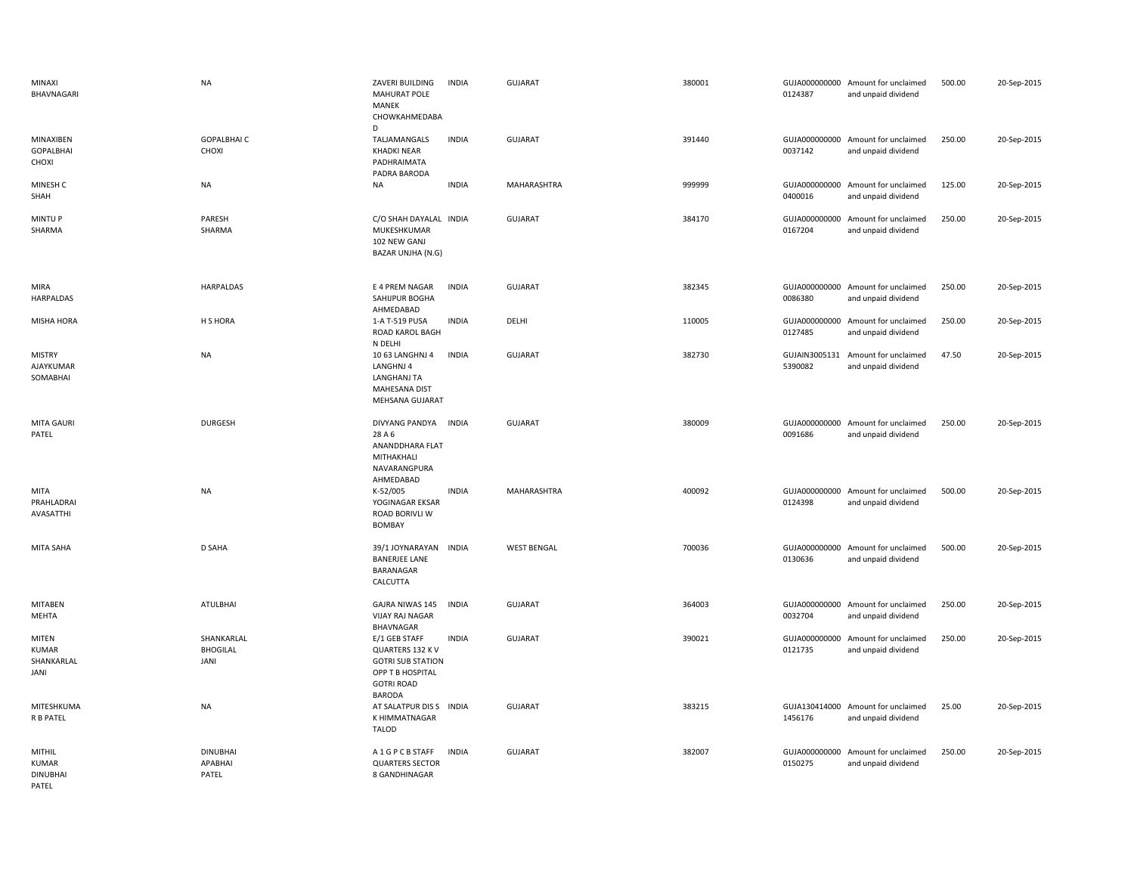| MINAXI<br>BHAVNAGARI                               | <b>NA</b>                                    | ZAVERI BUILDING<br><b>MAHURAT POLE</b><br><b>MANEK</b><br>CHOWKAHMEDABA                                                 | <b>INDIA</b> | <b>GUJARAT</b>     | 380001 | 0124387                  | GUJA000000000 Amount for unclaimed<br>and unpaid dividend | 500.00 | 20-Sep-2015 |
|----------------------------------------------------|----------------------------------------------|-------------------------------------------------------------------------------------------------------------------------|--------------|--------------------|--------|--------------------------|-----------------------------------------------------------|--------|-------------|
| MINAXIBEN<br><b>GOPALBHAI</b><br>CHOXI             | <b>GOPALBHAIC</b><br>CHOXI                   | D<br>TALJAMANGALS<br><b>KHADKI NEAR</b><br>PADHRAIMATA<br>PADRA BARODA                                                  | <b>INDIA</b> | <b>GUJARAT</b>     | 391440 | 0037142                  | GUJA000000000 Amount for unclaimed<br>and unpaid dividend | 250.00 | 20-Sep-2015 |
| MINESH C<br>SHAH                                   | NA                                           | <b>NA</b>                                                                                                               | <b>INDIA</b> | MAHARASHTRA        | 999999 | 0400016                  | GUJA000000000 Amount for unclaimed<br>and unpaid dividend | 125.00 | 20-Sep-2015 |
| <b>MINTUP</b><br>SHARMA                            | PARESH<br>SHARMA                             | C/O SHAH DAYALAL INDIA<br>MUKESHKUMAR<br>102 NEW GANJ<br>BAZAR UNJHA (N.G)                                              |              | <b>GUJARAT</b>     | 384170 | GUJA000000000<br>0167204 | Amount for unclaimed<br>and unpaid dividend               | 250.00 | 20-Sep-2015 |
| <b>MIRA</b><br>HARPALDAS                           | HARPALDAS                                    | E 4 PREM NAGAR<br>SAHIJPUR BOGHA<br>AHMEDABAD                                                                           | <b>INDIA</b> | <b>GUJARAT</b>     | 382345 | 0086380                  | GUJA000000000 Amount for unclaimed<br>and unpaid dividend | 250.00 | 20-Sep-2015 |
| MISHA HORA                                         | H S HORA                                     | 1-A T-519 PUSA<br>ROAD KAROL BAGH<br>N DELHI                                                                            | <b>INDIA</b> | DELHI              | 110005 | GUJA000000000<br>0127485 | Amount for unclaimed<br>and unpaid dividend               | 250.00 | 20-Sep-2015 |
| <b>MISTRY</b><br>AJAYKUMAR<br>SOMABHAI             | <b>NA</b>                                    | 10 63 LANGHNJ 4<br>LANGHNJ 4<br>LANGHANJ TA<br><b>MAHESANA DIST</b><br>MEHSANA GUJARAT                                  | <b>INDIA</b> | <b>GUJARAT</b>     | 382730 | GUJAIN3005131<br>5390082 | Amount for unclaimed<br>and unpaid dividend               | 47.50  | 20-Sep-2015 |
| MITA GAURI<br>PATEL                                | <b>DURGESH</b>                               | DIVYANG PANDYA INDIA<br>28 A 6<br>ANANDDHARA FLAT<br>MITHAKHALI<br>NAVARANGPURA<br>AHMEDABAD                            |              | <b>GUJARAT</b>     | 380009 | 0091686                  | GUJA000000000 Amount for unclaimed<br>and unpaid dividend | 250.00 | 20-Sep-2015 |
| MITA<br>PRAHLADRAI<br>AVASATTHI                    | NA                                           | K-52/005<br>YOGINAGAR EKSAR<br>ROAD BORIVLI W<br>BOMBAY                                                                 | <b>INDIA</b> | MAHARASHTRA        | 400092 | 0124398                  | GUJA000000000 Amount for unclaimed<br>and unpaid dividend | 500.00 | 20-Sep-2015 |
| MITA SAHA                                          | <b>D SAHA</b>                                | 39/1 JOYNARAYAN INDIA<br><b>BANERJEE LANE</b><br>BARANAGAR<br>CALCUTTA                                                  |              | <b>WEST BENGAL</b> | 700036 | 0130636                  | GUJA000000000 Amount for unclaimed<br>and unpaid dividend | 500.00 | 20-Sep-2015 |
| <b>MITABEN</b><br>MEHTA                            | ATULBHAI                                     | GAJRA NIWAS 145<br><b>VIJAY RAJ NAGAR</b><br>BHAVNAGAR                                                                  | <b>INDIA</b> | <b>GUJARAT</b>     | 364003 | 0032704                  | GUJA000000000 Amount for unclaimed<br>and unpaid dividend | 250.00 | 20-Sep-2015 |
| MITEN<br><b>KUMAR</b><br>SHANKARLAL<br>JANI        | SHANKARLAL<br><b>BHOGILAL</b><br><b>JANI</b> | E/1 GEB STAFF<br>QUARTERS 132 K V<br><b>GOTRI SUB STATION</b><br>OPP T B HOSPITAL<br><b>GOTRI ROAD</b><br><b>BARODA</b> | <b>INDIA</b> | <b>GUJARAT</b>     | 390021 | GUJA000000000<br>0121735 | Amount for unclaimed<br>and unpaid dividend               | 250.00 | 20-Sep-2015 |
| MITESHKUMA<br><b>R B PATEL</b>                     | <b>NA</b>                                    | AT SALATPUR DIS S INDIA<br>K HIMMATNAGAR<br><b>TALOD</b>                                                                |              | <b>GUJARAT</b>     | 383215 | 1456176                  | GUJA130414000 Amount for unclaimed<br>and unpaid dividend | 25.00  | 20-Sep-2015 |
| MITHIL<br><b>KUMAR</b><br><b>DINUBHAI</b><br>PATEL | <b>DINUBHAI</b><br>APABHAI<br>PATEL          | A 1 G P C B STAFF<br><b>QUARTERS SECTOR</b><br>8 GANDHINAGAR                                                            | INDIA        | <b>GUJARAT</b>     | 382007 | GUJA000000000<br>0150275 | Amount for unclaimed<br>and unpaid dividend               | 250.00 | 20-Sep-2015 |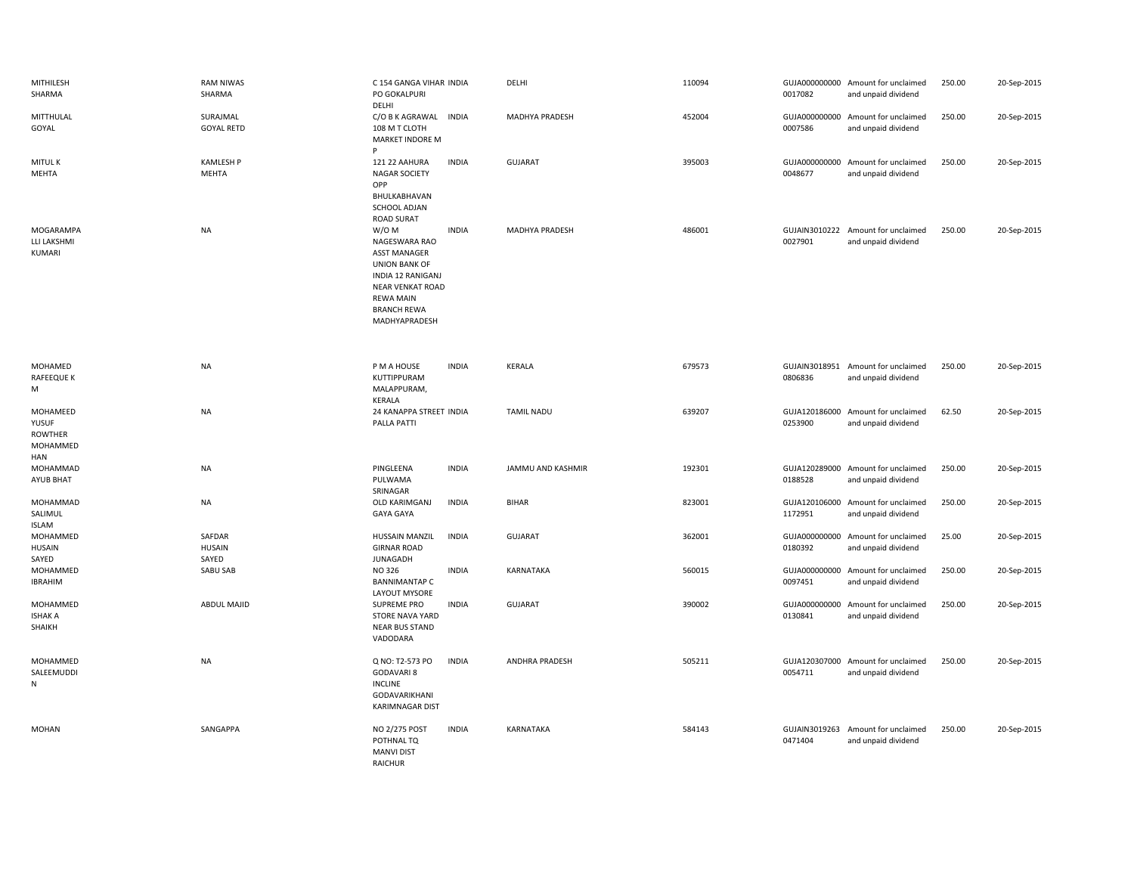| MITHILESH<br>SHARMA                             | <b>RAM NIWAS</b><br>SHARMA       | C 154 GANGA VIHAR INDIA<br>PO GOKALPURI<br>DELHI                                                                                                                                                                      |              | DELHI             | 110094 | 0017082                  | GUJA000000000 Amount for unclaimed<br>and unpaid dividend | 250.00 | 20-Sep-2015 |
|-------------------------------------------------|----------------------------------|-----------------------------------------------------------------------------------------------------------------------------------------------------------------------------------------------------------------------|--------------|-------------------|--------|--------------------------|-----------------------------------------------------------|--------|-------------|
| MITTHULAL<br>GOYAL                              | SURAJMAL<br><b>GOYAL RETD</b>    | C/O B K AGRAWAL<br>108 M T CLOTH<br>MARKET INDORE M<br>P                                                                                                                                                              | <b>INDIA</b> | MADHYA PRADESH    | 452004 | 0007586                  | GUJA000000000 Amount for unclaimed<br>and unpaid dividend | 250.00 | 20-Sep-2015 |
| <b>MITULK</b><br>MEHTA                          | <b>KAMLESH P</b><br>MEHTA        | 121 22 AAHURA<br><b>NAGAR SOCIETY</b><br>OPP<br>BHULKABHAVAN                                                                                                                                                          | <b>INDIA</b> | <b>GUJARAT</b>    | 395003 | GUJA000000000<br>0048677 | Amount for unclaimed<br>and unpaid dividend               | 250.00 | 20-Sep-2015 |
| MOGARAMPA<br>LLI LAKSHMI<br>KUMARI              | <b>NA</b>                        | SCHOOL ADJAN<br><b>ROAD SURAT</b><br>W/O M<br>NAGESWARA RAO<br><b>ASST MANAGER</b><br><b>UNION BANK OF</b><br>INDIA 12 RANIGANJ<br><b>NEAR VENKAT ROAD</b><br><b>REWA MAIN</b><br><b>BRANCH REWA</b><br>MADHYAPRADESH | <b>INDIA</b> | MADHYA PRADESH    | 486001 | 0027901                  | GUJAIN3010222 Amount for unclaimed<br>and unpaid dividend | 250.00 | 20-Sep-2015 |
| MOHAMED                                         | <b>NA</b>                        | P M A HOUSE                                                                                                                                                                                                           | <b>INDIA</b> | KERALA            | 679573 |                          | GUJAIN3018951 Amount for unclaimed                        | 250.00 | 20-Sep-2015 |
| RAFEEQUE K<br>м                                 |                                  | KUTTIPPURAM<br>MALAPPURAM,<br>KERALA                                                                                                                                                                                  |              |                   |        | 0806836                  | and unpaid dividend                                       |        |             |
| MOHAMEED<br>YUSUF<br><b>ROWTHER</b><br>MOHAMMED | <b>NA</b>                        | 24 KANAPPA STREET INDIA<br>PALLA PATTI                                                                                                                                                                                |              | <b>TAMIL NADU</b> | 639207 | 0253900                  | GUJA120186000 Amount for unclaimed<br>and unpaid dividend | 62.50  | 20-Sep-2015 |
| HAN<br>MOHAMMAD<br>AYUB BHAT                    | <b>NA</b>                        | PINGLEENA<br>PULWAMA<br>SRINAGAR                                                                                                                                                                                      | <b>INDIA</b> | JAMMU AND KASHMIR | 192301 | 0188528                  | GUJA120289000 Amount for unclaimed<br>and unpaid dividend | 250.00 | 20-Sep-2015 |
| MOHAMMAD<br>SALIMUL<br><b>ISLAM</b>             | <b>NA</b>                        | OLD KARIMGANJ<br><b>GAYA GAYA</b>                                                                                                                                                                                     | <b>INDIA</b> | <b>BIHAR</b>      | 823001 | GUJA120106000<br>1172951 | Amount for unclaimed<br>and unpaid dividend               | 250.00 | 20-Sep-2015 |
| MOHAMMED<br><b>HUSAIN</b><br>SAYED              | SAFDAR<br><b>HUSAIN</b><br>SAYED | <b>HUSSAIN MANZIL</b><br><b>GIRNAR ROAD</b><br>JUNAGADH                                                                                                                                                               | <b>INDIA</b> | <b>GUJARAT</b>    | 362001 | GUJA000000000<br>0180392 | Amount for unclaimed<br>and unpaid dividend               | 25.00  | 20-Sep-2015 |
| MOHAMMED<br><b>IBRAHIM</b>                      | SABU SAB                         | NO 326<br><b>BANNIMANTAP C</b><br>LAYOUT MYSORE                                                                                                                                                                       | <b>INDIA</b> | KARNATAKA         | 560015 | GUJA000000000<br>0097451 | Amount for unclaimed<br>and unpaid dividend               | 250.00 | 20-Sep-2015 |
| MOHAMMED<br><b>ISHAK A</b><br>SHAIKH            | ABDUL MAJID                      | SUPREME PRO<br>STORE NAVA YARD<br><b>NEAR BUS STAND</b><br>VADODARA                                                                                                                                                   | <b>INDIA</b> | <b>GUJARAT</b>    | 390002 | GUJA000000000<br>0130841 | Amount for unclaimed<br>and unpaid dividend               | 250.00 | 20-Sep-2015 |
| MOHAMMED<br>SALEEMUDDI<br>${\sf N}$             | <b>NA</b>                        | Q NO: T2-573 PO<br><b>GODAVARI 8</b><br><b>INCLINE</b><br>GODAVARIKHANI<br>KARIMNAGAR DIST                                                                                                                            | <b>INDIA</b> | ANDHRA PRADESH    | 505211 | 0054711                  | GUJA120307000 Amount for unclaimed<br>and unpaid dividend | 250.00 | 20-Sep-2015 |
| MOHAN                                           | SANGAPPA                         | NO 2/275 POST<br>POTHNAL TQ<br><b>MANVI DIST</b><br><b>RAICHUR</b>                                                                                                                                                    | <b>INDIA</b> | <b>KARNATAKA</b>  | 584143 | 0471404                  | GUJAIN3019263 Amount for unclaimed<br>and unpaid dividend | 250.00 | 20-Sep-2015 |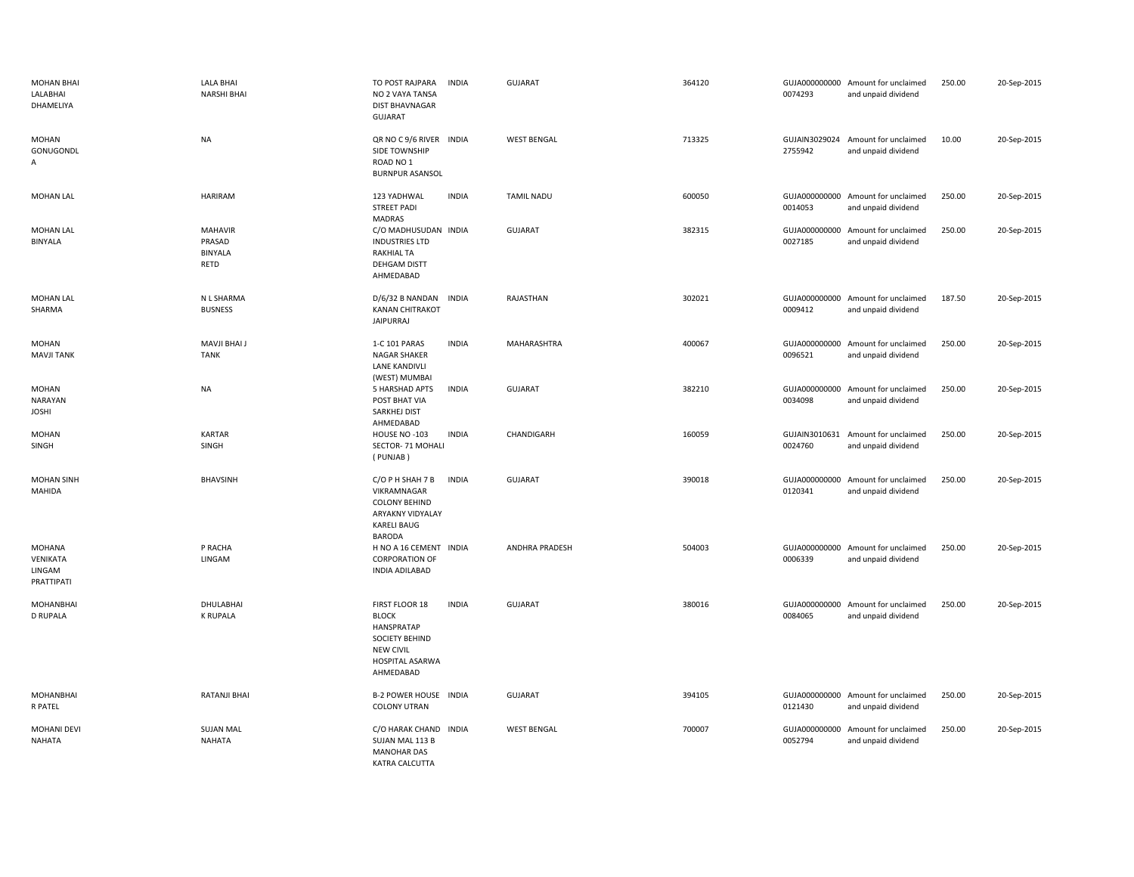| <b>MOHAN BHAI</b><br>LALABHAI<br>DHAMELIYA        | LALA BHAI<br><b>NARSHI BHAI</b>                    | TO POST RAJPARA<br><b>INDIA</b><br>NO 2 VAYA TANSA<br><b>DIST BHAVNAGAR</b><br>GUJARAT                                             | <b>GUJARAT</b>        | 364120 | 0074293                  | GUJA000000000 Amount for unclaimed<br>and unpaid dividend | 250.00 | 20-Sep-2015 |
|---------------------------------------------------|----------------------------------------------------|------------------------------------------------------------------------------------------------------------------------------------|-----------------------|--------|--------------------------|-----------------------------------------------------------|--------|-------------|
| MOHAN<br>GONUGONDL<br>Α                           | <b>NA</b>                                          | QR NO C 9/6 RIVER INDIA<br>SIDE TOWNSHIP<br>ROAD NO <sub>1</sub><br><b>BURNPUR ASANSOL</b>                                         | <b>WEST BENGAL</b>    | 713325 | 2755942                  | GUJAIN3029024 Amount for unclaimed<br>and unpaid dividend | 10.00  | 20-Sep-2015 |
| MOHAN LAL                                         | <b>HARIRAM</b>                                     | 123 YADHWAL<br><b>INDIA</b><br><b>STREET PADI</b><br>MADRAS                                                                        | <b>TAMIL NADU</b>     | 600050 | 0014053                  | GUJA000000000 Amount for unclaimed<br>and unpaid dividend | 250.00 | 20-Sep-2015 |
| <b>MOHAN LAL</b><br><b>BINYALA</b>                | <b>MAHAVIR</b><br>PRASAD<br><b>BINYALA</b><br>RETD | C/O MADHUSUDAN INDIA<br><b>INDUSTRIES LTD</b><br><b>RAKHIAL TA</b><br>DEHGAM DISTT<br>AHMEDABAD                                    | <b>GUJARAT</b>        | 382315 | GUJA000000000<br>0027185 | Amount for unclaimed<br>and unpaid dividend               | 250.00 | 20-Sep-2015 |
| <b>MOHAN LAL</b><br>SHARMA                        | N L SHARMA<br><b>BUSNESS</b>                       | D/6/32 B NANDAN INDIA<br><b>KANAN CHITRAKOT</b><br><b>JAIPURRAJ</b>                                                                | RAJASTHAN             | 302021 | 0009412                  | GUJA000000000 Amount for unclaimed<br>and unpaid dividend | 187.50 | 20-Sep-2015 |
| MOHAN<br><b>MAVJI TANK</b>                        | MAVJI BHAI J<br><b>TANK</b>                        | 1-C 101 PARAS<br><b>INDIA</b><br><b>NAGAR SHAKER</b><br><b>LANE KANDIVLI</b><br>(WEST) MUMBAI                                      | MAHARASHTRA           | 400067 | 0096521                  | GUJA000000000 Amount for unclaimed<br>and unpaid dividend | 250.00 | 20-Sep-2015 |
| <b>MOHAN</b><br><b>NARAYAN</b><br><b>JOSHI</b>    | <b>NA</b>                                          | 5 HARSHAD APTS<br><b>INDIA</b><br>POST BHAT VIA<br>SARKHEJ DIST<br>AHMEDABAD                                                       | <b>GUJARAT</b>        | 382210 | GUJA000000000<br>0034098 | Amount for unclaimed<br>and unpaid dividend               | 250.00 | 20-Sep-2015 |
| <b>MOHAN</b><br>SINGH                             | <b>KARTAR</b><br>SINGH                             | HOUSE NO -103<br><b>INDIA</b><br>SECTOR- 71 MOHALI<br>(PUNJAB)                                                                     | CHANDIGARH            | 160059 | 0024760                  | GUJAIN3010631 Amount for unclaimed<br>and unpaid dividend | 250.00 | 20-Sep-2015 |
| <b>MOHAN SINH</b><br>MAHIDA                       | <b>BHAVSINH</b>                                    | C/O P H SHAH 7 B<br><b>INDIA</b><br>VIKRAMNAGAR<br><b>COLONY BEHIND</b><br>ARYAKNY VIDYALAY<br><b>KARELI BAUG</b><br><b>BARODA</b> | <b>GUJARAT</b>        | 390018 | GUJA000000000<br>0120341 | Amount for unclaimed<br>and unpaid dividend               | 250.00 | 20-Sep-2015 |
| <b>MOHANA</b><br>VENIKATA<br>LINGAM<br>PRATTIPATI | P RACHA<br>LINGAM                                  | H NO A 16 CEMENT INDIA<br><b>CORPORATION OF</b><br>INDIA ADILABAD                                                                  | <b>ANDHRA PRADESH</b> | 504003 | 0006339                  | GUJA000000000 Amount for unclaimed<br>and unpaid dividend | 250.00 | 20-Sep-2015 |
| <b>MOHANBHAI</b><br><b>D RUPALA</b>               | DHULABHAI<br><b>K RUPALA</b>                       | FIRST FLOOR 18<br><b>INDIA</b><br><b>BLOCK</b><br>HANSPRATAP<br>SOCIETY BEHIND<br><b>NEW CIVIL</b><br>HOSPITAL ASARWA<br>AHMEDABAD | <b>GUJARAT</b>        | 380016 | 0084065                  | GUJA000000000 Amount for unclaimed<br>and unpaid dividend | 250.00 | 20-Sep-2015 |
| MOHANBHAI<br><b>R PATEL</b>                       | <b>RATANJI BHAI</b>                                | <b>B-2 POWER HOUSE INDIA</b><br><b>COLONY UTRAN</b>                                                                                | <b>GUJARAT</b>        | 394105 | 0121430                  | GUJA000000000 Amount for unclaimed<br>and unpaid dividend | 250.00 | 20-Sep-2015 |
| MOHANI DEVI<br><b>NAHATA</b>                      | <b>SUJAN MAL</b><br>NAHATA                         | C/O HARAK CHAND INDIA<br>SUJAN MAL 113 B<br><b>MANOHAR DAS</b><br>KATRA CALCUTTA                                                   | <b>WEST BENGAL</b>    | 700007 | 0052794                  | GUJA000000000 Amount for unclaimed<br>and unpaid dividend | 250.00 | 20-Sep-2015 |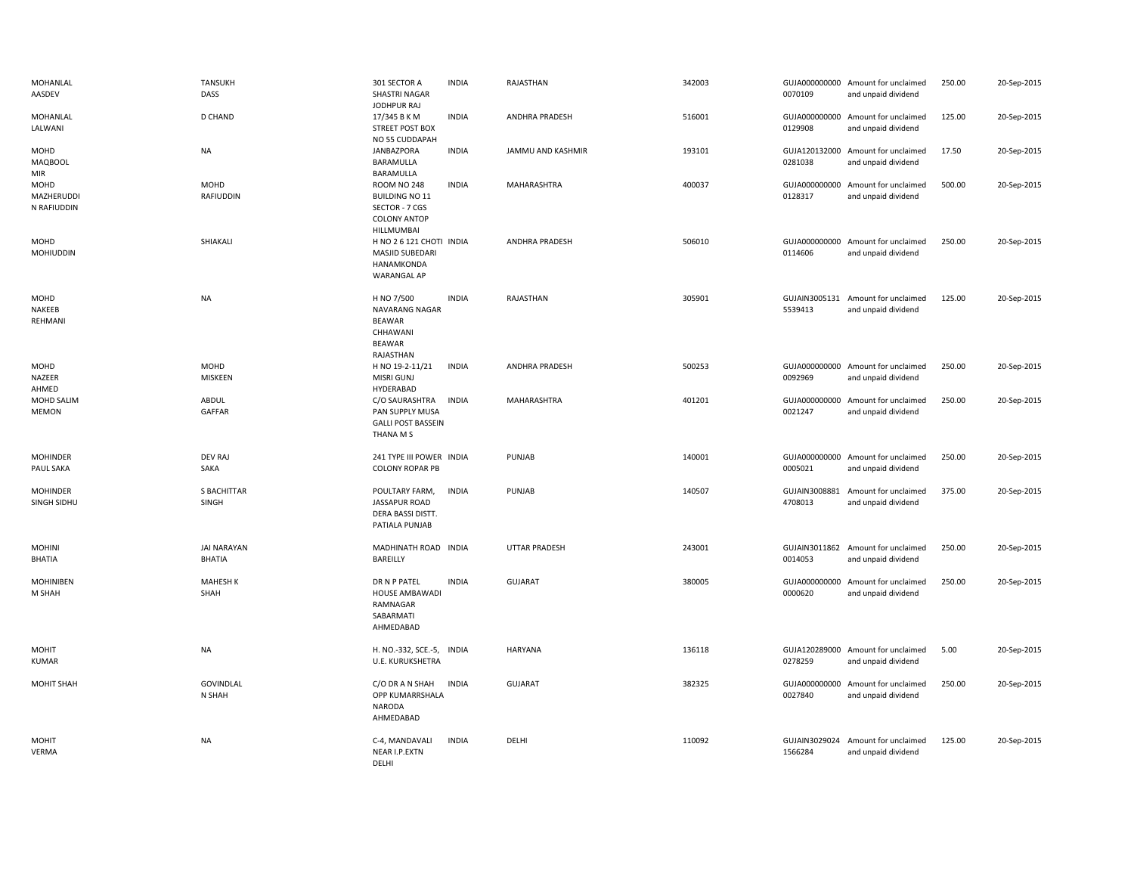| MOHANLAL<br>AASDEV                  | <b>TANSUKH</b><br>DASS              | 301 SECTOR A<br>SHASTRI NAGAR<br>JODHPUR RAJ                                                | <b>INDIA</b> | RAJASTHAN            | 342003 | 0070109                  | GUJA000000000 Amount for unclaimed<br>and unpaid dividend | 250.00 | 20-Sep-2015 |
|-------------------------------------|-------------------------------------|---------------------------------------------------------------------------------------------|--------------|----------------------|--------|--------------------------|-----------------------------------------------------------|--------|-------------|
| MOHANLAL<br>LALWANI                 | D CHAND                             | 17/345 B K M<br><b>STREET POST BOX</b><br>NO 55 CUDDAPAH                                    | <b>INDIA</b> | ANDHRA PRADESH       | 516001 | 0129908                  | GUJA000000000 Amount for unclaimed<br>and unpaid dividend | 125.00 | 20-Sep-2015 |
| MOHD<br><b>MAQBOOL</b><br>MIR       | NA                                  | JANBAZPORA<br>BARAMULLA<br>BARAMULLA                                                        | <b>INDIA</b> | JAMMU AND KASHMIR    | 193101 | 0281038                  | GUJA120132000 Amount for unclaimed<br>and unpaid dividend | 17.50  | 20-Sep-2015 |
| MOHD<br>MAZHERUDDI<br>N RAFIUDDIN   | MOHD<br>RAFIUDDIN                   | ROOM NO 248<br><b>BUILDING NO 11</b><br>SECTOR - 7 CGS<br><b>COLONY ANTOP</b><br>HILLMUMBAI | <b>INDIA</b> | MAHARASHTRA          | 400037 | GUJA000000000<br>0128317 | Amount for unclaimed<br>and unpaid dividend               | 500.00 | 20-Sep-2015 |
| MOHD<br><b>MOHIUDDIN</b>            | SHIAKALI                            | H NO 2 6 121 CHOTI INDIA<br>MASJID SUBEDARI<br>HANAMKONDA<br><b>WARANGAL AP</b>             |              | ANDHRA PRADESH       | 506010 | 0114606                  | GUJA000000000 Amount for unclaimed<br>and unpaid dividend | 250.00 | 20-Sep-2015 |
| MOHD<br>NAKEEB<br>REHMANI           | <b>NA</b>                           | H NO 7/500<br>NAVARANG NAGAR<br><b>BEAWAR</b><br>CHHAWANI<br><b>BEAWAR</b><br>RAJASTHAN     | <b>INDIA</b> | RAJASTHAN            | 305901 | 5539413                  | GUJAIN3005131 Amount for unclaimed<br>and unpaid dividend | 125.00 | 20-Sep-2015 |
| MOHD<br>NAZEER<br>AHMED             | MOHD<br>MISKEEN                     | H NO 19-2-11/21<br><b>MISRI GUNJ</b><br>HYDERABAD                                           | <b>INDIA</b> | ANDHRA PRADESH       | 500253 | 0092969                  | GUJA000000000 Amount for unclaimed<br>and unpaid dividend | 250.00 | 20-Sep-2015 |
| MOHD SALIM<br><b>MEMON</b>          | ABDUL<br>GAFFAR                     | C/O SAURASHTRA<br>PAN SUPPLY MUSA<br><b>GALLI POST BASSEIN</b><br>THANA M S                 | <b>INDIA</b> | MAHARASHTRA          | 401201 | 0021247                  | GUJA000000000 Amount for unclaimed<br>and unpaid dividend | 250.00 | 20-Sep-2015 |
| <b>MOHINDER</b><br><b>PAUL SAKA</b> | <b>DEV RAJ</b><br>SAKA              | 241 TYPE III POWER INDIA<br><b>COLONY ROPAR PB</b>                                          |              | PUNJAB               | 140001 | 0005021                  | GUJA000000000 Amount for unclaimed<br>and unpaid dividend | 250.00 | 20-Sep-2015 |
| <b>MOHINDER</b><br>SINGH SIDHU      | S BACHITTAR<br>SINGH                | POULTARY FARM,<br><b>JASSAPUR ROAD</b><br>DERA BASSI DISTT.<br>PATIALA PUNJAB               | <b>INDIA</b> | PUNJAB               | 140507 | GUJAIN3008881<br>4708013 | Amount for unclaimed<br>and unpaid dividend               | 375.00 | 20-Sep-2015 |
| <b>MOHINI</b><br>BHATIA             | <b>JAI NARAYAN</b><br><b>BHATIA</b> | MADHINATH ROAD INDIA<br>BAREILLY                                                            |              | <b>UTTAR PRADESH</b> | 243001 | 0014053                  | GUJAIN3011862 Amount for unclaimed<br>and unpaid dividend | 250.00 | 20-Sep-2015 |
| <b>MOHINIBEN</b><br>M SHAH          | <b>MAHESH K</b><br>SHAH             | DR N P PATEL<br>HOUSE AMBAWADI<br>RAMNAGAR<br>SABARMATI<br>AHMEDABAD                        | <b>INDIA</b> | <b>GUJARAT</b>       | 380005 | 0000620                  | GUJA000000000 Amount for unclaimed<br>and unpaid dividend | 250.00 | 20-Sep-2015 |
| <b>MOHIT</b><br>KUMAR               | <b>NA</b>                           | H. NO.-332, SCE.-5, INDIA<br>U.E. KURUKSHETRA                                               |              | <b>HARYANA</b>       | 136118 | 0278259                  | GUJA120289000 Amount for unclaimed<br>and unpaid dividend | 5.00   | 20-Sep-2015 |
| <b>MOHIT SHAH</b>                   | GOVINDLAL<br>N SHAH                 | C/O DR A N SHAH<br>OPP KUMARRSHALA<br>NARODA<br>AHMEDABAD                                   | <b>INDIA</b> | <b>GUJARAT</b>       | 382325 | GUJA000000000<br>0027840 | Amount for unclaimed<br>and unpaid dividend               | 250.00 | 20-Sep-2015 |
| <b>MOHIT</b><br><b>VERMA</b>        | <b>NA</b>                           | C-4, MANDAVALI<br>NEAR I.P.EXTN<br><b>DELHI</b>                                             | <b>INDIA</b> | DELHI                | 110092 | GUJAIN3029024<br>1566284 | Amount for unclaimed<br>and unpaid dividend               | 125.00 | 20-Sep-2015 |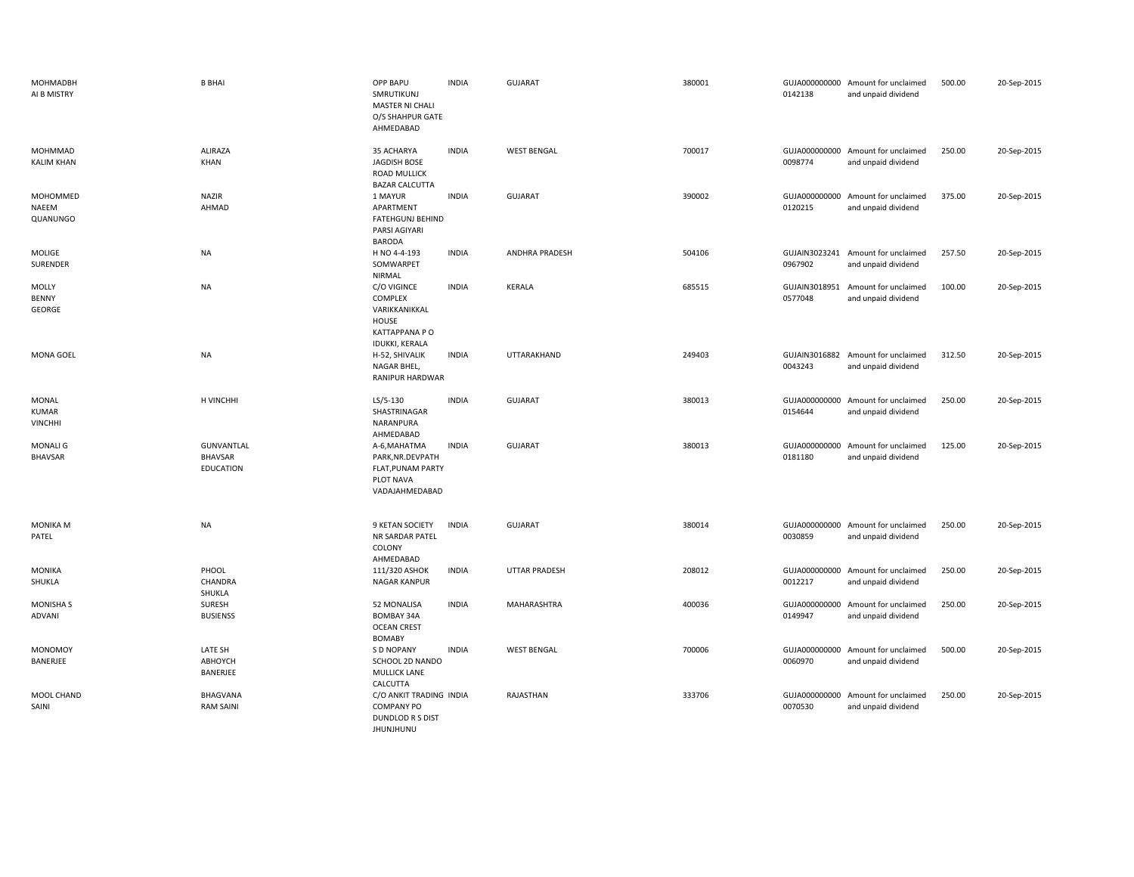| <b>MOHMADBH</b><br>AI B MISTRY                 | <b>B BHAI</b>                             | OPP BAPU<br>SMRUTIKUNJ<br>MASTER NI CHALI<br>O/S SHAHPUR GATE<br>AHMEDABAD                         | <b>INDIA</b> | <b>GUJARAT</b>       | 380001 | 0142138                  | GUJA000000000 Amount for unclaimed<br>and unpaid dividend | 500.00 | 20-Sep-2015 |
|------------------------------------------------|-------------------------------------------|----------------------------------------------------------------------------------------------------|--------------|----------------------|--------|--------------------------|-----------------------------------------------------------|--------|-------------|
| MOHMMAD<br><b>KALIM KHAN</b>                   | <b>ALIRAZA</b><br>KHAN                    | 35 ACHARYA<br>JAGDISH BOSE<br>ROAD MULLICK<br><b>BAZAR CALCUTTA</b>                                | <b>INDIA</b> | <b>WEST BENGAL</b>   | 700017 | 0098774                  | GUJA000000000 Amount for unclaimed<br>and unpaid dividend | 250.00 | 20-Sep-2015 |
| MOHOMMED<br>NAEEM<br>QUANUNGO                  | <b>NAZIR</b><br>AHMAD                     | 1 MAYUR<br>APARTMENT<br><b>FATEHGUNJ BEHIND</b><br>PARSI AGIYARI<br><b>BARODA</b>                  | <b>INDIA</b> | <b>GUJARAT</b>       | 390002 | 0120215                  | GUJA000000000 Amount for unclaimed<br>and unpaid dividend | 375.00 | 20-Sep-2015 |
| MOLIGE<br>SURENDER                             | <b>NA</b>                                 | H NO 4-4-193<br>SOMWARPET<br>NIRMAL                                                                | <b>INDIA</b> | ANDHRA PRADESH       | 504106 | 0967902                  | GUJAIN3023241 Amount for unclaimed<br>and unpaid dividend | 257.50 | 20-Sep-2015 |
| MOLLY<br>BENNY<br>GEORGE                       | <b>NA</b>                                 | C/O VIGINCE<br><b>COMPLEX</b><br>VARIKKANIKKAL<br>HOUSE<br>KATTAPPANA P O<br><b>IDUKKI, KERALA</b> | <b>INDIA</b> | KERALA               | 685515 | GUJAIN3018951<br>0577048 | Amount for unclaimed<br>and unpaid dividend               | 100.00 | 20-Sep-2015 |
| MONA GOEL                                      | <b>NA</b>                                 | H-52, SHIVALIK<br>NAGAR BHEL,<br>RANIPUR HARDWAR                                                   | <b>INDIA</b> | UTTARAKHAND          | 249403 | 0043243                  | GUJAIN3016882 Amount for unclaimed<br>and unpaid dividend | 312.50 | 20-Sep-2015 |
| <b>MONAL</b><br><b>KUMAR</b><br><b>VINCHHI</b> | H VINCHHI                                 | $LS/5-130$<br>SHASTRINAGAR<br>NARANPURA<br>AHMEDABAD                                               | <b>INDIA</b> | GUJARAT              | 380013 | 0154644                  | GUJA000000000 Amount for unclaimed<br>and unpaid dividend | 250.00 | 20-Sep-2015 |
| <b>MONALI G</b><br><b>BHAVSAR</b>              | GUNVANTLAL<br>BHAVSAR<br><b>EDUCATION</b> | A-6, MAHATMA<br>PARK, NR. DEVPATH<br>FLAT, PUNAM PARTY<br>PLOT NAVA<br>VADAJAHMEDABAD              | <b>INDIA</b> | <b>GUJARAT</b>       | 380013 | 0181180                  | GUJA000000000 Amount for unclaimed<br>and unpaid dividend | 125.00 | 20-Sep-2015 |
| <b>MONIKA M</b><br>PATEL                       | <b>NA</b>                                 | 9 KETAN SOCIETY<br>NR SARDAR PATEL<br>COLONY<br>AHMEDABAD                                          | <b>INDIA</b> | <b>GUJARAT</b>       | 380014 | 0030859                  | GUJA000000000 Amount for unclaimed<br>and unpaid dividend | 250.00 | 20-Sep-2015 |
| <b>MONIKA</b><br>SHUKLA                        | PHOOL<br>CHANDRA<br>SHUKLA                | 111/320 ASHOK<br>NAGAR KANPUR                                                                      | <b>INDIA</b> | <b>UTTAR PRADESH</b> | 208012 | 0012217                  | GUJA000000000 Amount for unclaimed<br>and unpaid dividend | 250.00 | 20-Sep-2015 |
| <b>MONISHA S</b><br><b>ADVANI</b>              | SURESH<br><b>BUSIENSS</b>                 | 52 MONALISA<br><b>BOMBAY 34A</b><br><b>OCEAN CREST</b><br><b>BOMABY</b>                            | <b>INDIA</b> | MAHARASHTRA          | 400036 | 0149947                  | GUJA000000000 Amount for unclaimed<br>and unpaid dividend | 250.00 | 20-Sep-2015 |
| <b>MONOMOY</b><br>BANERJEE                     | LATE SH<br>ABHOYCH<br>BANERJEE            | S D NOPANY<br>SCHOOL 2D NANDO<br><b>MULLICK LANE</b><br>CALCUTTA                                   | <b>INDIA</b> | <b>WEST BENGAL</b>   | 700006 | 0060970                  | GUJA000000000 Amount for unclaimed<br>and unpaid dividend | 500.00 | 20-Sep-2015 |
| MOOL CHAND<br>SAINI                            | BHAGVANA<br><b>RAM SAINI</b>              | C/O ANKIT TRADING INDIA<br><b>COMPANY PO</b><br><b>DUNDLOD R S DIST</b><br><b>JHUNJHUNU</b>        |              | RAJASTHAN            | 333706 | 0070530                  | GUJA000000000 Amount for unclaimed<br>and unpaid dividend | 250.00 | 20-Sep-2015 |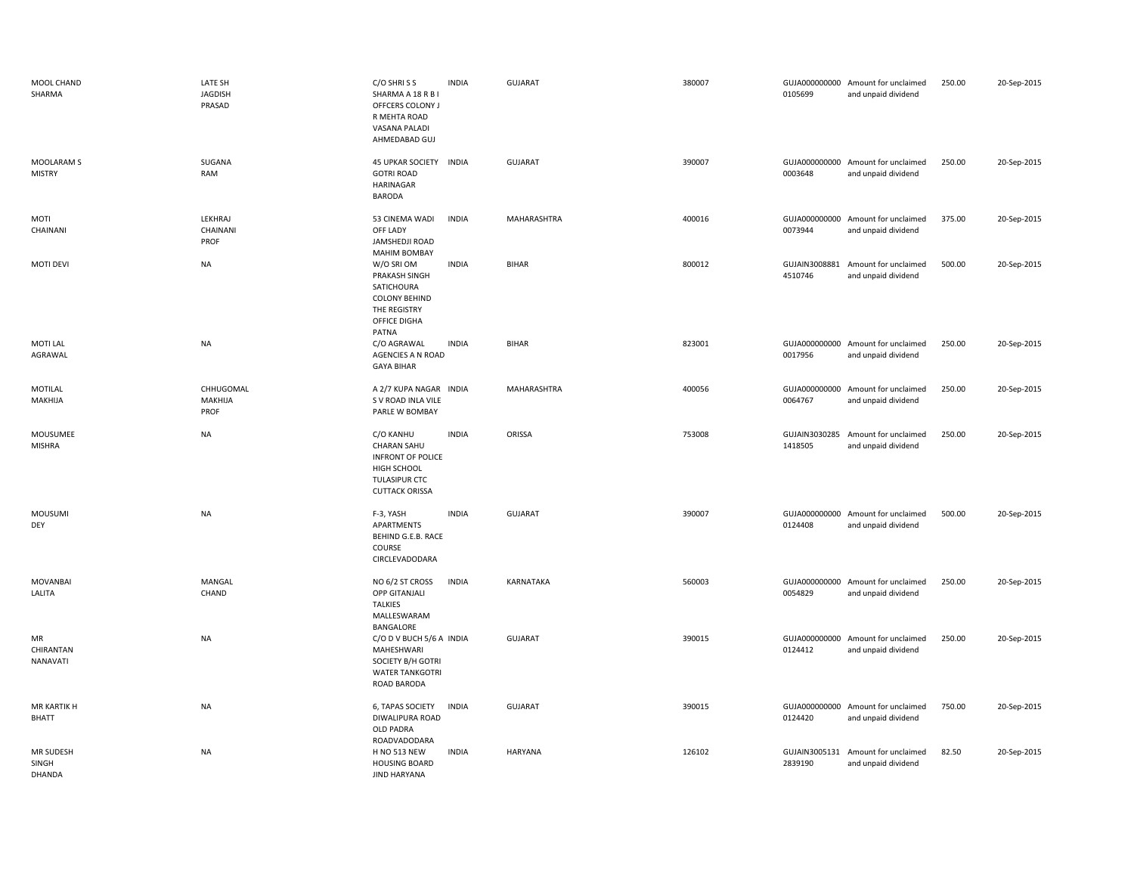| MOOL CHAND<br>SHARMA                | LATE SH<br>JAGDISH<br>PRASAD | C/O SHRISS<br>SHARMA A 18 R B I<br>OFFCERS COLONY J<br>R MEHTA ROAD<br>VASANA PALADI<br>AHMEDABAD GUJ         | <b>INDIA</b> | GUJARAT            | 380007 | 0105699                  | GUJA000000000 Amount for unclaimed<br>and unpaid dividend | 250.00 | 20-Sep-2015 |
|-------------------------------------|------------------------------|---------------------------------------------------------------------------------------------------------------|--------------|--------------------|--------|--------------------------|-----------------------------------------------------------|--------|-------------|
| <b>MOOLARAM S</b><br><b>MISTRY</b>  | SUGANA<br>RAM                | 45 UPKAR SOCIETY INDIA<br><b>GOTRI ROAD</b><br>HARINAGAR<br><b>BARODA</b>                                     |              | <b>GUJARAT</b>     | 390007 | 0003648                  | GUJA000000000 Amount for unclaimed<br>and unpaid dividend | 250.00 | 20-Sep-2015 |
| MOTI<br>CHAINANI                    | LEKHRAJ<br>CHAINANI<br>PROF  | 53 CINEMA WADI<br>OFF LADY<br>JAMSHEDJI ROAD<br><b>MAHIM BOMBAY</b>                                           | <b>INDIA</b> | <b>MAHARASHTRA</b> | 400016 | 0073944                  | GUJA000000000 Amount for unclaimed<br>and unpaid dividend | 375.00 | 20-Sep-2015 |
| <b>MOTI DEVI</b>                    | <b>NA</b>                    | W/O SRI OM<br>PRAKASH SINGH<br>SATICHOURA<br><b>COLONY BEHIND</b><br>THE REGISTRY<br>OFFICE DIGHA<br>PATNA    | <b>INDIA</b> | <b>BIHAR</b>       | 800012 | GUJAIN3008881<br>4510746 | Amount for unclaimed<br>and unpaid dividend               | 500.00 | 20-Sep-2015 |
| MOTI LAL<br>AGRAWAL                 | NA                           | C/O AGRAWAL<br>AGENCIES A N ROAD<br><b>GAYA BIHAR</b>                                                         | <b>INDIA</b> | <b>BIHAR</b>       | 823001 | 0017956                  | GUJA000000000 Amount for unclaimed<br>and unpaid dividend | 250.00 | 20-Sep-2015 |
| MOTILAL<br>MAKHIJA                  | CHHUGOMAL<br>MAKHIJA<br>PROF | A 2/7 KUPA NAGAR INDIA<br>S V ROAD INLA VILE<br>PARLE W BOMBAY                                                |              | MAHARASHTRA        | 400056 | 0064767                  | GUJA000000000 Amount for unclaimed<br>and unpaid dividend | 250.00 | 20-Sep-2015 |
| MOUSUMEE<br><b>MISHRA</b>           | <b>NA</b>                    | C/O KANHU<br>CHARAN SAHU<br><b>INFRONT OF POLICE</b><br>HIGH SCHOOL<br>TULASIPUR CTC<br><b>CUTTACK ORISSA</b> | <b>INDIA</b> | ORISSA             | 753008 | GUJAIN3030285<br>1418505 | Amount for unclaimed<br>and unpaid dividend               | 250.00 | 20-Sep-2015 |
| MOUSUMI<br>DEY                      | <b>NA</b>                    | F-3, YASH<br>APARTMENTS<br>BEHIND G.E.B. RACE<br>COURSE<br>CIRCLEVADODARA                                     | <b>INDIA</b> | GUJARAT            | 390007 | 0124408                  | GUJA000000000 Amount for unclaimed<br>and unpaid dividend | 500.00 | 20-Sep-2015 |
| <b>MOVANBAI</b><br>LALITA           | MANGAL<br>CHAND              | NO 6/2 ST CROSS<br>OPP GITANJALI<br><b>TALKIES</b><br>MALLESWARAM<br>BANGALORE                                | <b>INDIA</b> | KARNATAKA          | 560003 | GUJA000000000<br>0054829 | Amount for unclaimed<br>and unpaid dividend               | 250.00 | 20-Sep-2015 |
| <b>MR</b><br>CHIRANTAN<br>NANAVATI  | <b>NA</b>                    | C/O D V BUCH 5/6 A INDIA<br>MAHESHWARI<br>SOCIETY B/H GOTRI<br><b>WATER TANKGOTRI</b><br><b>ROAD BARODA</b>   |              | <b>GUJARAT</b>     | 390015 | GUJA000000000<br>0124412 | Amount for unclaimed<br>and unpaid dividend               | 250.00 | 20-Sep-2015 |
| <b>MR KARTIK H</b><br><b>BHATT</b>  | <b>NA</b>                    | 6, TAPAS SOCIETY<br>DIWALIPURA ROAD<br>OLD PADRA<br>ROADVADODARA                                              | <b>INDIA</b> | <b>GUJARAT</b>     | 390015 | 0124420                  | GUJA000000000 Amount for unclaimed<br>and unpaid dividend | 750.00 | 20-Sep-2015 |
| MR SUDESH<br>SINGH<br><b>DHANDA</b> | <b>NA</b>                    | <b>H NO 513 NEW</b><br><b>HOUSING BOARD</b><br><b>JIND HARYANA</b>                                            | <b>INDIA</b> | <b>HARYANA</b>     | 126102 | GUJAIN3005131<br>2839190 | Amount for unclaimed<br>and unpaid dividend               | 82.50  | 20-Sep-2015 |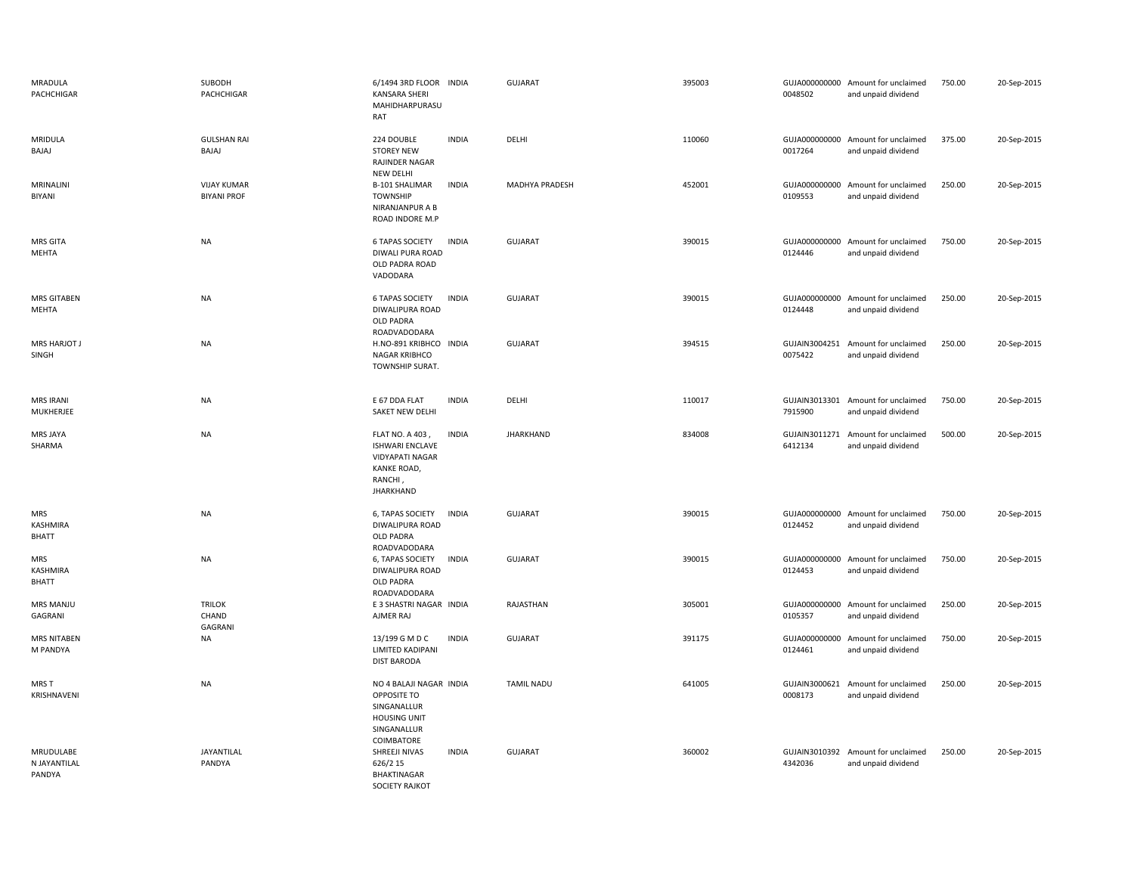| MRADULA<br>PACHCHIGAR                  | SUBODH<br>PACHCHIGAR                     | 6/1494 3RD FLOOR INDIA<br><b>KANSARA SHERI</b><br>MAHIDHARPURASU<br>RAT                                                           | <b>GUJARAT</b>    | 395003 | 0048502                  | GUJA000000000 Amount for unclaimed<br>and unpaid dividend | 750.00 | 20-Sep-2015 |
|----------------------------------------|------------------------------------------|-----------------------------------------------------------------------------------------------------------------------------------|-------------------|--------|--------------------------|-----------------------------------------------------------|--------|-------------|
| MRIDULA<br>BAJAJ                       | <b>GULSHAN RAI</b><br>BAJAJ              | 224 DOUBLE<br><b>INDIA</b><br><b>STOREY NEW</b><br>RAJINDER NAGAR<br><b>NEW DELHI</b>                                             | DELHI             | 110060 | 0017264                  | GUJA000000000 Amount for unclaimed<br>and unpaid dividend | 375.00 | 20-Sep-2015 |
| MRINALINI<br><b>BIYANI</b>             | <b>VIJAY KUMAR</b><br><b>BIYANI PROF</b> | B-101 SHALIMAR<br><b>INDIA</b><br><b>TOWNSHIP</b><br>NIRANJANPUR A B<br>ROAD INDORE M.P                                           | MADHYA PRADESH    | 452001 | 0109553                  | GUJA000000000 Amount for unclaimed<br>and unpaid dividend | 250.00 | 20-Sep-2015 |
| <b>MRS GITA</b><br>MEHTA               | NA                                       | <b>6 TAPAS SOCIETY</b><br><b>INDIA</b><br>DIWALI PURA ROAD<br>OLD PADRA ROAD<br>VADODARA                                          | <b>GUJARAT</b>    | 390015 | GUJA000000000<br>0124446 | Amount for unclaimed<br>and unpaid dividend               | 750.00 | 20-Sep-2015 |
| <b>MRS GITABEN</b><br>MEHTA            | <b>NA</b>                                | <b>INDIA</b><br><b>6 TAPAS SOCIETY</b><br>DIWALIPURA ROAD<br>OLD PADRA                                                            | <b>GUJARAT</b>    | 390015 | 0124448                  | GUJA000000000 Amount for unclaimed<br>and unpaid dividend | 250.00 | 20-Sep-2015 |
| MRS HARJOT J<br>SINGH                  | <b>NA</b>                                | ROADVADODARA<br>H.NO-891 KRIBHCO INDIA<br>NAGAR KRIBHCO<br>TOWNSHIP SURAT.                                                        | <b>GUJARAT</b>    | 394515 | 0075422                  | GUJAIN3004251 Amount for unclaimed<br>and unpaid dividend | 250.00 | 20-Sep-2015 |
| <b>MRS IRANI</b><br>MUKHERJEE          | <b>NA</b>                                | E 67 DDA FLAT<br><b>INDIA</b><br>SAKET NEW DELHI                                                                                  | DELHI             | 110017 | 7915900                  | GUJAIN3013301 Amount for unclaimed<br>and unpaid dividend | 750.00 | 20-Sep-2015 |
| MRS JAYA<br>SHARMA                     | <b>NA</b>                                | <b>INDIA</b><br>FLAT NO. A 403,<br><b>ISHWARI ENCLAVE</b><br><b>VIDYAPATI NAGAR</b><br>KANKE ROAD,<br>RANCHI,<br><b>JHARKHAND</b> | <b>JHARKHAND</b>  | 834008 | GUJAIN3011271<br>6412134 | Amount for unclaimed<br>and unpaid dividend               | 500.00 | 20-Sep-2015 |
| <b>MRS</b><br>KASHMIRA<br>BHATT        | <b>NA</b>                                | 6, TAPAS SOCIETY<br><b>INDIA</b><br>DIWALIPURA ROAD<br><b>OLD PADRA</b><br>ROADVADODARA                                           | <b>GUJARAT</b>    | 390015 | GUJA000000000<br>0124452 | Amount for unclaimed<br>and unpaid dividend               | 750.00 | 20-Sep-2015 |
| <b>MRS</b><br>KASHMIRA<br><b>BHATT</b> | NA                                       | 6, TAPAS SOCIETY<br><b>INDIA</b><br>DIWALIPURA ROAD<br><b>OLD PADRA</b><br>ROADVADODARA                                           | <b>GUJARAT</b>    | 390015 | 0124453                  | GUJA000000000 Amount for unclaimed<br>and unpaid dividend | 750.00 | 20-Sep-2015 |
| MRS MANJU<br>GAGRANI                   | <b>TRILOK</b><br>CHAND<br>GAGRANI        | E 3 SHASTRI NAGAR INDIA<br>AJMER RAJ                                                                                              | RAJASTHAN         | 305001 | 0105357                  | GUJA000000000 Amount for unclaimed<br>and unpaid dividend | 250.00 | 20-Sep-2015 |
| <b>MRS NITABEN</b><br>M PANDYA         | NA                                       | 13/199 G M D C<br><b>INDIA</b><br><b>LIMITED KADIPANI</b><br><b>DIST BARODA</b>                                                   | <b>GUJARAT</b>    | 391175 | GUJA000000000<br>0124461 | Amount for unclaimed<br>and unpaid dividend               | 750.00 | 20-Sep-2015 |
| MRS T<br>KRISHNAVENI                   | <b>NA</b>                                | NO 4 BALAJI NAGAR INDIA<br>OPPOSITE TO<br>SINGANALLUR<br><b>HOUSING UNIT</b><br>SINGANALLUR<br>COIMBATORE                         | <b>TAMIL NADU</b> | 641005 | GUJAIN3000621<br>0008173 | Amount for unclaimed<br>and unpaid dividend               | 250.00 | 20-Sep-2015 |
| MRUDULABE<br>N JAYANTILAL<br>PANDYA    | JAYANTILAL<br>PANDYA                     | <b>INDIA</b><br>SHREEJI NIVAS<br>626/2 15<br><b>BHAKTINAGAR</b><br><b>SOCIETY RAJKOT</b>                                          | <b>GUJARAT</b>    | 360002 | 4342036                  | GUJAIN3010392 Amount for unclaimed<br>and unpaid dividend | 250.00 | 20-Sep-2015 |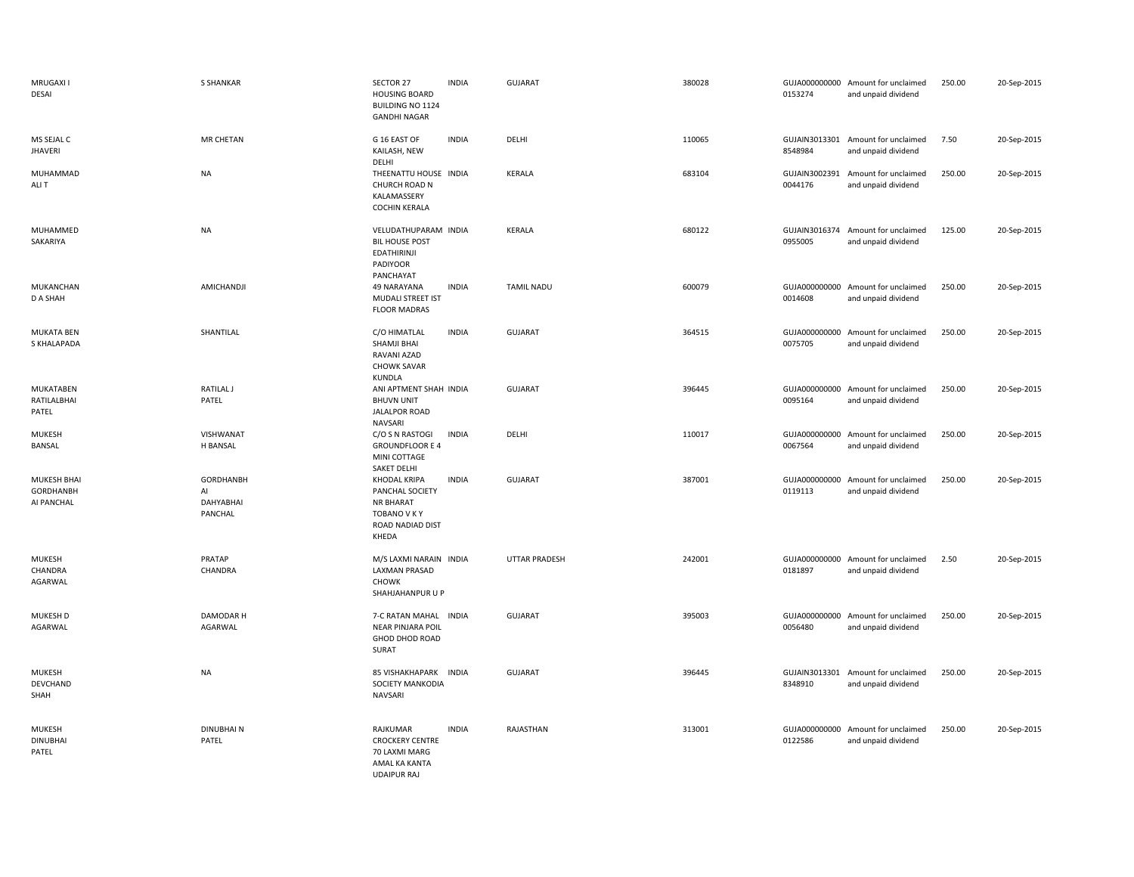| MRUGAXI I<br>DESAI                            | S SHANKAR                               | SECTOR 27<br><b>HOUSING BOARD</b><br><b>BUILDING NO 1124</b><br><b>GANDHI NAGAR</b>                     | <b>INDIA</b> | <b>GUJARAT</b>       | 380028 | 0153274                  | GUJA000000000 Amount for unclaimed<br>and unpaid dividend | 250.00 | 20-Sep-2015 |
|-----------------------------------------------|-----------------------------------------|---------------------------------------------------------------------------------------------------------|--------------|----------------------|--------|--------------------------|-----------------------------------------------------------|--------|-------------|
| MS SEJAL C<br><b>JHAVERI</b>                  | <b>MR CHETAN</b>                        | G 16 EAST OF<br>KAILASH, NEW<br>DELHI                                                                   | <b>INDIA</b> | DELHI                | 110065 | 8548984                  | GUJAIN3013301 Amount for unclaimed<br>and unpaid dividend | 7.50   | 20-Sep-2015 |
| MUHAMMAD<br>ALI T                             | <b>NA</b>                               | THEENATTU HOUSE INDIA<br>CHURCH ROAD N<br>KALAMASSERY<br><b>COCHIN KERALA</b>                           |              | KERALA               | 683104 | 0044176                  | GUJAIN3002391 Amount for unclaimed<br>and unpaid dividend | 250.00 | 20-Sep-2015 |
| MUHAMMED<br>SAKARIYA                          | <b>NA</b>                               | VELUDATHUPARAM INDIA<br><b>BIL HOUSE POST</b><br><b>EDATHIRINJI</b><br>PADIYOOR<br>PANCHAYAT            |              | KERALA               | 680122 | 0955005                  | GUJAIN3016374 Amount for unclaimed<br>and unpaid dividend | 125.00 | 20-Sep-2015 |
| MUKANCHAN<br>D A SHAH                         | AMICHANDJI                              | 49 NARAYANA<br>MUDALI STREET IST<br><b>FLOOR MADRAS</b>                                                 | <b>INDIA</b> | <b>TAMIL NADU</b>    | 600079 | 0014608                  | GUJA000000000 Amount for unclaimed<br>and unpaid dividend | 250.00 | 20-Sep-2015 |
| <b>MUKATA BEN</b><br>S KHALAPADA              | SHANTILAL                               | C/O HIMATLAL<br>SHAMJI BHAI<br>RAVANI AZAD<br><b>CHOWK SAVAR</b><br><b>KUNDLA</b>                       | <b>INDIA</b> | <b>GUJARAT</b>       | 364515 | 0075705                  | GUJA000000000 Amount for unclaimed<br>and unpaid dividend | 250.00 | 20-Sep-2015 |
| MUKATABEN<br>RATILALBHAI<br>PATEL             | RATILAL J<br>PATEL                      | ANI APTMENT SHAH INDIA<br><b>BHUVN UNIT</b><br><b>JALALPOR ROAD</b><br>NAVSARI                          |              | <b>GUJARAT</b>       | 396445 | 0095164                  | GUJA000000000 Amount for unclaimed<br>and unpaid dividend | 250.00 | 20-Sep-2015 |
| <b>MUKESH</b><br>BANSAL                       | VISHWANAT<br>H BANSAL                   | C/O S N RASTOGI<br><b>GROUNDFLOOR E 4</b><br>MINI COTTAGE<br><b>SAKET DELHI</b>                         | <b>INDIA</b> | DELHI                | 110017 | GUJA000000000<br>0067564 | Amount for unclaimed<br>and unpaid dividend               | 250.00 | 20-Sep-2015 |
| MUKESH BHAI<br><b>GORDHANBH</b><br>AI PANCHAL | GORDHANBH<br>Al<br>DAHYABHAI<br>PANCHAL | <b>KHODAL KRIPA</b><br>PANCHAL SOCIETY<br><b>NR BHARAT</b><br>TOBANO V K Y<br>ROAD NADIAD DIST<br>KHEDA | <b>INDIA</b> | <b>GUJARAT</b>       | 387001 | GUJA000000000<br>0119113 | Amount for unclaimed<br>and unpaid dividend               | 250.00 | 20-Sep-2015 |
| MUKESH<br>CHANDRA<br>AGARWAL                  | PRATAP<br>CHANDRA                       | M/S LAXMI NARAIN INDIA<br><b>LAXMAN PRASAD</b><br><b>CHOWK</b><br>SHAHJAHANPUR U P                      |              | <b>UTTAR PRADESH</b> | 242001 | 0181897                  | GUJA000000000 Amount for unclaimed<br>and unpaid dividend | 2.50   | 20-Sep-2015 |
| MUKESH D<br>AGARWAL                           | DAMODAR H<br>AGARWAL                    | 7-C RATAN MAHAL INDIA<br><b>NEAR PINJARA POIL</b><br>GHOD DHOD ROAD<br>SURAT                            |              | <b>GUJARAT</b>       | 395003 | GUJA000000000<br>0056480 | Amount for unclaimed<br>and unpaid dividend               | 250.00 | 20-Sep-2015 |
| MUKESH<br>DEVCHAND<br>SHAH                    | <b>NA</b>                               | 85 VISHAKHAPARK INDIA<br>SOCIETY MANKODIA<br><b>NAVSARI</b>                                             |              | <b>GUJARAT</b>       | 396445 | 8348910                  | GUJAIN3013301 Amount for unclaimed<br>and unpaid dividend | 250.00 | 20-Sep-2015 |
| <b>MUKESH</b><br><b>DINUBHAI</b><br>PATEL     | <b>DINUBHAIN</b><br>PATEL               | RAJKUMAR<br><b>CROCKERY CENTRE</b><br>70 LAXMI MARG<br>AMAL KA KANTA<br><b>UDAIPUR RAJ</b>              | <b>INDIA</b> | RAJASTHAN            | 313001 | GUJA000000000<br>0122586 | Amount for unclaimed<br>and unpaid dividend               | 250.00 | 20-Sep-2015 |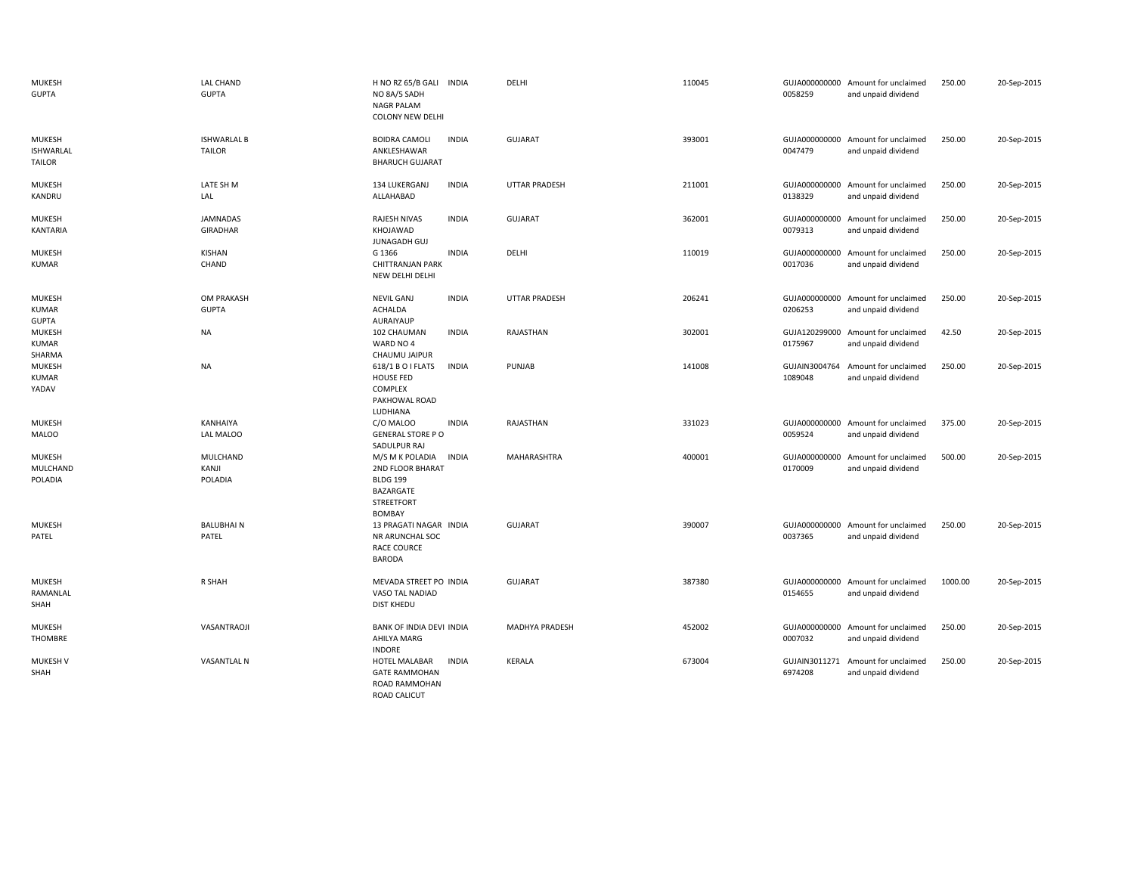| <b>MUKESH</b><br><b>GUPTA</b>                 | LAL CHAND<br><b>GUPTA</b>           | H NO RZ 65/B GALI INDIA<br>NO 8A/5 SADH<br><b>NAGR PALAM</b><br><b>COLONY NEW DELHI</b>                                   | DELHI                | 110045 | 0058259                  | GUJA000000000 Amount for unclaimed<br>and unpaid dividend | 250.00  | 20-Sep-2015 |
|-----------------------------------------------|-------------------------------------|---------------------------------------------------------------------------------------------------------------------------|----------------------|--------|--------------------------|-----------------------------------------------------------|---------|-------------|
| MUKESH<br><b>ISHWARLAL</b><br><b>TAILOR</b>   | <b>ISHWARLAL B</b><br><b>TAILOR</b> | <b>INDIA</b><br><b>BOIDRA CAMOLI</b><br>ANKLESHAWAR<br><b>BHARUCH GUJARAT</b>                                             | GUJARAT              | 393001 | GUJA000000000<br>0047479 | Amount for unclaimed<br>and unpaid dividend               | 250.00  | 20-Sep-2015 |
| <b>MUKESH</b><br>KANDRU                       | LATE SH M<br>LAL                    | <b>INDIA</b><br>134 LUKERGANJ<br>ALLAHABAD                                                                                | UTTAR PRADESH        | 211001 | GUJA000000000<br>0138329 | Amount for unclaimed<br>and unpaid dividend               | 250.00  | 20-Sep-2015 |
| <b>MUKESH</b><br>KANTARIA                     | <b>JAMNADAS</b><br><b>GIRADHAR</b>  | RAJESH NIVAS<br><b>INDIA</b><br>KHOJAWAD<br>JUNAGADH GUJ                                                                  | GUJARAT              | 362001 | 0079313                  | GUJA000000000 Amount for unclaimed<br>and unpaid dividend | 250.00  | 20-Sep-2015 |
| <b>MUKESH</b><br><b>KUMAR</b>                 | KISHAN<br>CHAND                     | G 1366<br><b>INDIA</b><br><b>CHITTRANJAN PARK</b><br>NEW DELHI DELHI                                                      | DELHI                | 110019 | 0017036                  | GUJA000000000 Amount for unclaimed<br>and unpaid dividend | 250.00  | 20-Sep-2015 |
| <b>MUKESH</b><br><b>KUMAR</b><br><b>GUPTA</b> | OM PRAKASH<br><b>GUPTA</b>          | <b>INDIA</b><br><b>NEVIL GANJ</b><br><b>ACHALDA</b><br>AURAIYAUP                                                          | <b>UTTAR PRADESH</b> | 206241 | 0206253                  | GUJA000000000 Amount for unclaimed<br>and unpaid dividend | 250.00  | 20-Sep-2015 |
| MUKESH<br>KUMAR<br>SHARMA                     | <b>NA</b>                           | <b>INDIA</b><br>102 CHAUMAN<br>WARD NO 4<br>CHAUMU JAIPUR                                                                 | RAJASTHAN            | 302001 | GUJA120299000<br>0175967 | Amount for unclaimed<br>and unpaid dividend               | 42.50   | 20-Sep-2015 |
| <b>MUKESH</b><br><b>KUMAR</b><br>YADAV        | <b>NA</b>                           | 618/1 B O I FLATS<br><b>INDIA</b><br><b>HOUSE FED</b><br>COMPLEX<br>PAKHOWAL ROAD<br>LUDHIANA                             | PUNJAB               | 141008 | GUJAIN3004764<br>1089048 | Amount for unclaimed<br>and unpaid dividend               | 250.00  | 20-Sep-2015 |
| <b>MUKESH</b><br><b>MALOO</b>                 | KANHAIYA<br>LAL MALOO               | <b>INDIA</b><br>C/O MALOO<br><b>GENERAL STORE PO</b><br>SADULPUR RAJ                                                      | RAJASTHAN            | 331023 | GUJA000000000<br>0059524 | Amount for unclaimed<br>and unpaid dividend               | 375.00  | 20-Sep-2015 |
| MUKESH<br>MULCHAND<br>POLADIA                 | MULCHAND<br>KANJI<br>POLADIA        | M/S M K POLADIA<br><b>INDIA</b><br>2ND FLOOR BHARAT<br><b>BLDG 199</b><br>BAZARGATE<br><b>STREETFORT</b><br><b>BOMBAY</b> | MAHARASHTRA          | 400001 | GUJA000000000<br>0170009 | Amount for unclaimed<br>and unpaid dividend               | 500.00  | 20-Sep-2015 |
| <b>MUKESH</b><br>PATEL                        | <b>BALUBHAIN</b><br>PATEL           | 13 PRAGATI NAGAR INDIA<br>NR ARUNCHAL SOC<br><b>RACE COURCE</b><br><b>BARODA</b>                                          | <b>GUJARAT</b>       | 390007 | GUJA000000000<br>0037365 | Amount for unclaimed<br>and unpaid dividend               | 250.00  | 20-Sep-2015 |
| MUKESH<br>RAMANLAL<br>SHAH                    | R SHAH                              | MEVADA STREET PO INDIA<br>VASO TAL NADIAD<br>DIST KHEDU                                                                   | GUJARAT              | 387380 | 0154655                  | GUJA000000000 Amount for unclaimed<br>and unpaid dividend | 1000.00 | 20-Sep-2015 |
| <b>MUKESH</b><br>THOMBRE                      | VASANTRAOJI                         | <b>BANK OF INDIA DEVI INDIA</b><br>AHILYA MARG<br><b>INDORE</b>                                                           | MADHYA PRADESH       | 452002 | GUJA000000000<br>0007032 | Amount for unclaimed<br>and unpaid dividend               | 250.00  | 20-Sep-2015 |
| <b>MUKESH V</b><br>SHAH                       | <b>VASANTLAL N</b>                  | HOTEL MALABAR<br><b>INDIA</b><br><b>GATE RAMMOHAN</b><br><b>ROAD RAMMOHAN</b><br>ROAD CALICUT                             | KERALA               | 673004 | GUJAIN3011271<br>6974208 | Amount for unclaimed<br>and unpaid dividend               | 250.00  | 20-Sep-2015 |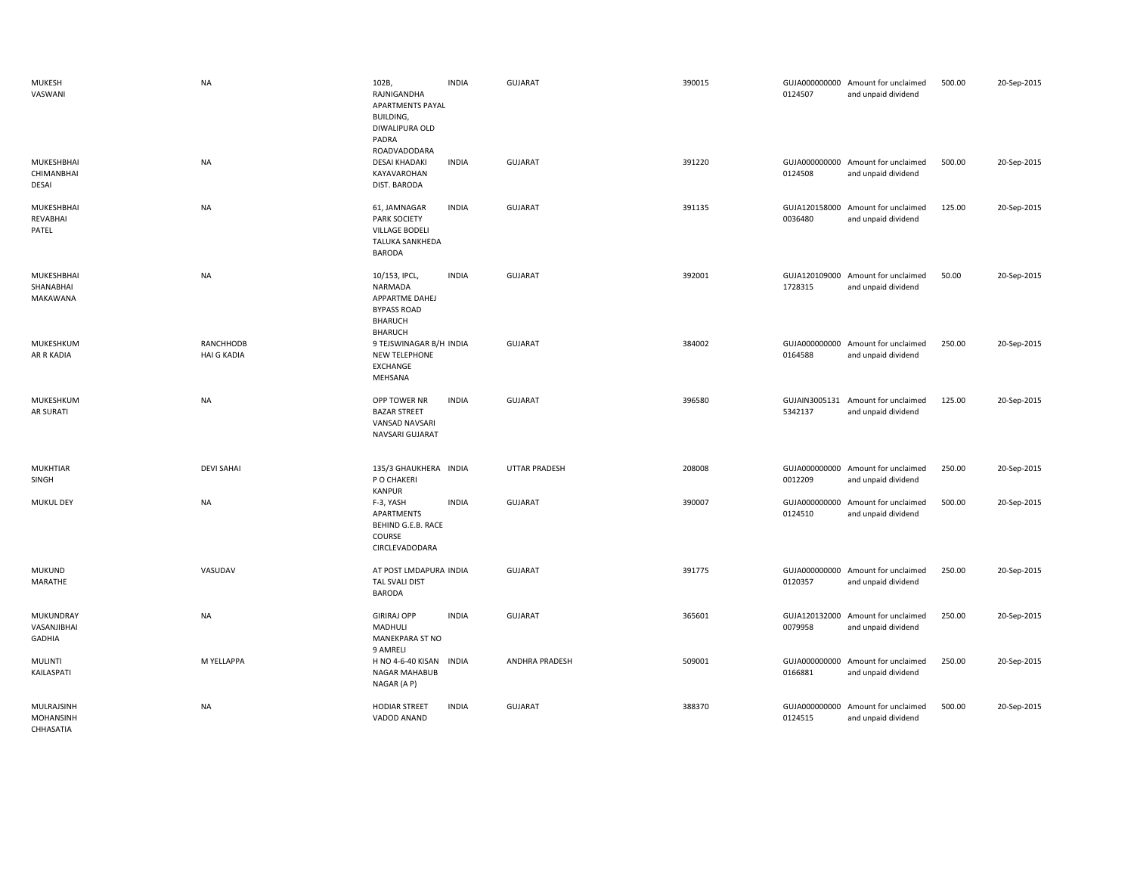| MUKESH<br>VASWANI                           | <b>NA</b>                              | 102B,<br>RAJNIGANDHA<br><b>APARTMENTS PAYAL</b><br><b>BUILDING,</b><br>DIWALIPURA OLD<br>PADRA<br>ROADVADODARA | <b>INDIA</b> | <b>GUJARAT</b> | 390015 | 0124507                  | GUJA000000000 Amount for unclaimed<br>and unpaid dividend | 500.00 | 20-Sep-2015 |
|---------------------------------------------|----------------------------------------|----------------------------------------------------------------------------------------------------------------|--------------|----------------|--------|--------------------------|-----------------------------------------------------------|--------|-------------|
| MUKESHBHAI<br>CHIMANBHAI<br>DESAI           | <b>NA</b>                              | <b>DESAI KHADAKI</b><br>KAYAVAROHAN<br>DIST. BARODA                                                            | <b>INDIA</b> | GUJARAT        | 391220 | 0124508                  | GUJA000000000 Amount for unclaimed<br>and unpaid dividend | 500.00 | 20-Sep-2015 |
| MUKESHBHAI<br>REVABHAI<br>PATEL             | <b>NA</b>                              | 61, JAMNAGAR<br>PARK SOCIETY<br>VILLAGE BODELI<br>TALUKA SANKHEDA<br><b>BARODA</b>                             | <b>INDIA</b> | <b>GUJARAT</b> | 391135 | 0036480                  | GUJA120158000 Amount for unclaimed<br>and unpaid dividend | 125.00 | 20-Sep-2015 |
| MUKESHBHAI<br>SHANABHAI<br><b>MAKAWANA</b>  | <b>NA</b>                              | 10/153, IPCL,<br>NARMADA<br>APPARTME DAHEJ<br><b>BYPASS ROAD</b><br><b>BHARUCH</b><br><b>BHARUCH</b>           | <b>INDIA</b> | <b>GUJARAT</b> | 392001 | 1728315                  | GUJA120109000 Amount for unclaimed<br>and unpaid dividend | 50.00  | 20-Sep-2015 |
| MUKESHKUM<br>AR R KADIA                     | <b>RANCHHODB</b><br><b>HAI G KADIA</b> | 9 TEJSWINAGAR B/H INDIA<br><b>NEW TELEPHONE</b><br>EXCHANGE<br>MEHSANA                                         |              | <b>GUJARAT</b> | 384002 | 0164588                  | GUJA000000000 Amount for unclaimed<br>and unpaid dividend | 250.00 | 20-Sep-2015 |
| MUKESHKUM<br>AR SURATI                      | <b>NA</b>                              | OPP TOWER NR<br><b>BAZAR STREET</b><br>VANSAD NAVSARI<br>NAVSARI GUJARAT                                       | <b>INDIA</b> | GUJARAT        | 396580 | 5342137                  | GUJAIN3005131 Amount for unclaimed<br>and unpaid dividend | 125.00 | 20-Sep-2015 |
| <b>MUKHTIAR</b><br>SINGH                    | <b>DEVI SAHAI</b>                      | 135/3 GHAUKHERA INDIA<br>P O CHAKERI<br><b>KANPUR</b>                                                          |              | UTTAR PRADESH  | 208008 | 0012209                  | GUJA000000000 Amount for unclaimed<br>and unpaid dividend | 250.00 | 20-Sep-2015 |
| <b>MUKUL DEY</b>                            | <b>NA</b>                              | F-3, YASH<br>APARTMENTS<br>BEHIND G.E.B. RACE<br>COURSE<br>CIRCLEVADODARA                                      | <b>INDIA</b> | GUJARAT        | 390007 | 0124510                  | GUJA000000000 Amount for unclaimed<br>and unpaid dividend | 500.00 | 20-Sep-2015 |
| <b>MUKUND</b><br>MARATHE                    | VASUDAV                                | AT POST LMDAPURA INDIA<br>TAL SVALI DIST<br><b>BARODA</b>                                                      |              | GUJARAT        | 391775 | 0120357                  | GUJA000000000 Amount for unclaimed<br>and unpaid dividend | 250.00 | 20-Sep-2015 |
| MUKUNDRAY<br>VASANJIBHAI<br>GADHIA          | <b>NA</b>                              | <b>GIRIRAJ OPP</b><br>MADHULI<br>MANEKPARA ST NO<br>9 AMRELI                                                   | <b>INDIA</b> | GUJARAT        | 365601 | 0079958                  | GUJA120132000 Amount for unclaimed<br>and unpaid dividend | 250.00 | 20-Sep-2015 |
| <b>MULINTI</b><br>KAILASPATI                | M YELLAPPA                             | H NO 4-6-40 KISAN<br>NAGAR MAHABUB<br>NAGAR (A P)                                                              | <b>INDIA</b> | ANDHRA PRADESH | 509001 | 0166881                  | GUJA000000000 Amount for unclaimed<br>and unpaid dividend | 250.00 | 20-Sep-2015 |
| MULRAJSINH<br><b>MOHANSINH</b><br>CHHASATIA | <b>NA</b>                              | <b>HODIAR STREET</b><br>VADOD ANAND                                                                            | <b>INDIA</b> | <b>GUJARAT</b> | 388370 | GUJA000000000<br>0124515 | Amount for unclaimed<br>and unpaid dividend               | 500.00 | 20-Sep-2015 |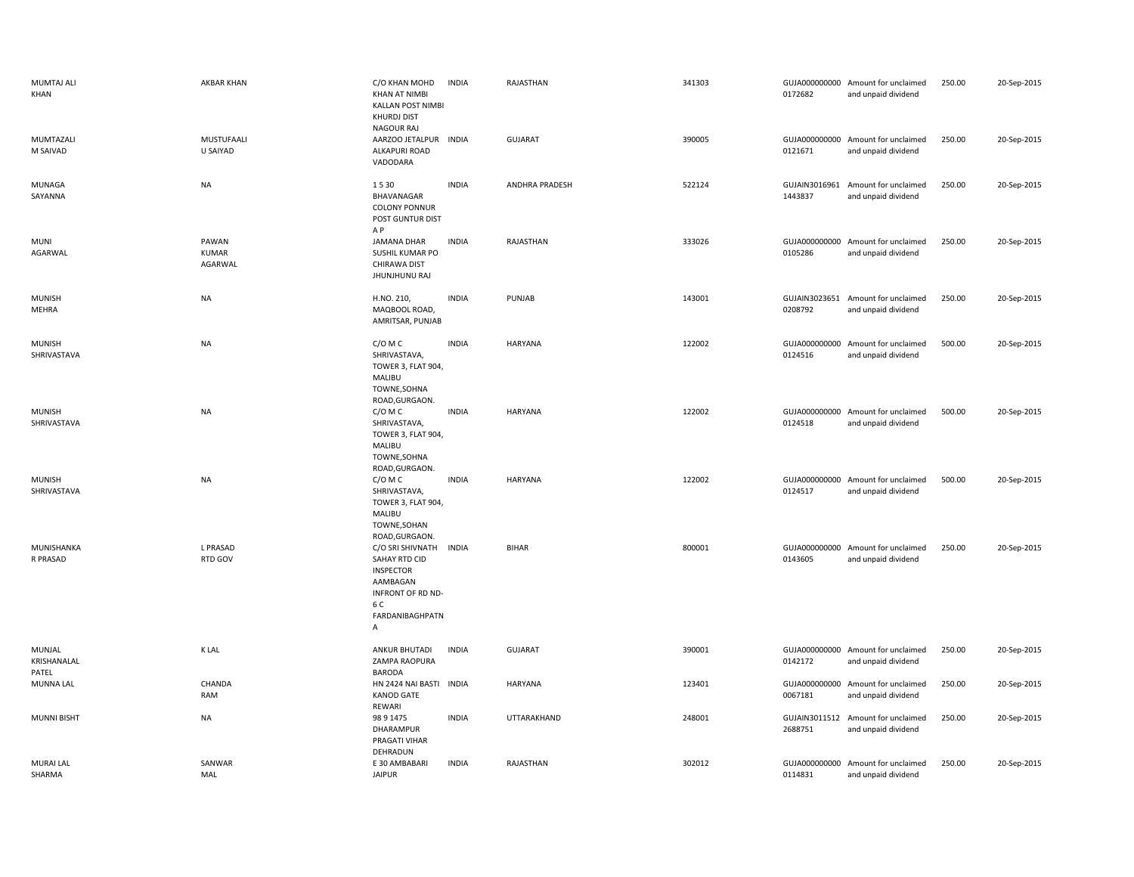| MUMTAJ ALI<br>KHAN             | AKBAR KHAN                       | C/O KHAN MOHD<br><b>KHAN AT NIMBI</b><br>KALLAN POST NIMBI<br><b>KHURDJ DIST</b><br>NAGOUR RAJ                        | <b>INDIA</b> | RAJASTHAN             | 341303 | 0172682                  | GUJA000000000 Amount for unclaimed<br>and unpaid dividend | 250.00 | 20-Sep-2015 |
|--------------------------------|----------------------------------|-----------------------------------------------------------------------------------------------------------------------|--------------|-----------------------|--------|--------------------------|-----------------------------------------------------------|--------|-------------|
| MUMTAZALI<br>M SAIVAD          | MUSTUFAALI<br>U SAIYAD           | AARZOO JETALPUR INDIA<br>ALKAPURI ROAD<br>VADODARA                                                                    |              | <b>GUJARAT</b>        | 390005 | 0121671                  | GUJA000000000 Amount for unclaimed<br>and unpaid dividend | 250.00 | 20-Sep-2015 |
| MUNAGA<br>SAYANNA              | <b>NA</b>                        | 1530<br>BHAVANAGAR<br><b>COLONY PONNUR</b><br>POST GUNTUR DIST<br>A P                                                 | <b>INDIA</b> | <b>ANDHRA PRADESH</b> | 522124 | 1443837                  | GUJAIN3016961 Amount for unclaimed<br>and unpaid dividend | 250.00 | 20-Sep-2015 |
| <b>MUNI</b><br>AGARWAL         | PAWAN<br><b>KUMAR</b><br>AGARWAL | JAMANA DHAR<br>SUSHIL KUMAR PO<br><b>CHIRAWA DIST</b><br>JHUNJHUNU RAJ                                                | <b>INDIA</b> | RAJASTHAN             | 333026 | GUJA000000000<br>0105286 | Amount for unclaimed<br>and unpaid dividend               | 250.00 | 20-Sep-2015 |
| <b>MUNISH</b><br>MEHRA         | NA                               | H.NO. 210,<br>MAQBOOL ROAD,<br>AMRITSAR, PUNJAB                                                                       | <b>INDIA</b> | PUNJAB                | 143001 | 0208792                  | GUJAIN3023651 Amount for unclaimed<br>and unpaid dividend | 250.00 | 20-Sep-2015 |
| <b>MUNISH</b><br>SHRIVASTAVA   | <b>NA</b>                        | C/O M C<br>SHRIVASTAVA,<br>TOWER 3, FLAT 904,<br>MALIBU<br>TOWNE, SOHNA                                               | <b>INDIA</b> | HARYANA               | 122002 | 0124516                  | GUJA000000000 Amount for unclaimed<br>and unpaid dividend | 500.00 | 20-Sep-2015 |
| <b>MUNISH</b><br>SHRIVASTAVA   | <b>NA</b>                        | ROAD, GURGAON.<br>C/O M C<br>SHRIVASTAVA,<br>TOWER 3, FLAT 904,<br>MALIBU<br>TOWNE, SOHNA<br>ROAD, GURGAON.           | <b>INDIA</b> | HARYANA               | 122002 | 0124518                  | GUJA000000000 Amount for unclaimed<br>and unpaid dividend | 500.00 | 20-Sep-2015 |
| <b>MUNISH</b><br>SHRIVASTAVA   | <b>NA</b>                        | C/O M C<br>SHRIVASTAVA,<br>TOWER 3, FLAT 904,<br>MALIBU<br>TOWNE, SOHAN<br>ROAD, GURGAON.                             | <b>INDIA</b> | HARYANA               | 122002 | 0124517                  | GUJA000000000 Amount for unclaimed<br>and unpaid dividend | 500.00 | 20-Sep-2015 |
| MUNISHANKA<br>R PRASAD         | L PRASAD<br>RTD GOV              | C/O SRI SHIVNATH<br>SAHAY RTD CID<br><b>INSPECTOR</b><br>AAMBAGAN<br>INFRONT OF RD ND-<br>6 C<br>FARDANIBAGHPATN<br>Α | <b>INDIA</b> | <b>BIHAR</b>          | 800001 | 0143605                  | GUJA000000000 Amount for unclaimed<br>and unpaid dividend | 250.00 | 20-Sep-2015 |
| MUNJAL<br>KRISHANALAL<br>PATEL | <b>K LAL</b>                     | ANKUR BHUTADI<br>ZAMPA RAOPURA<br><b>BARODA</b>                                                                       | <b>INDIA</b> | <b>GUJARAT</b>        | 390001 | 0142172                  | GUJA000000000 Amount for unclaimed<br>and unpaid dividend | 250.00 | 20-Sep-2015 |
| MUNNA LAL                      | CHANDA<br>RAM                    | HN 2424 NAI BASTI INDIA<br><b>KANOD GATE</b><br><b>REWARI</b>                                                         |              | HARYANA               | 123401 | 0067181                  | GUJA000000000 Amount for unclaimed<br>and unpaid dividend | 250.00 | 20-Sep-2015 |
| <b>MUNNI BISHT</b>             | NA                               | 98 9 1 4 7 5<br>DHARAMPUR<br>PRAGATI VIHAR<br>DEHRADUN                                                                | <b>INDIA</b> | UTTARAKHAND           | 248001 | 2688751                  | GUJAIN3011512 Amount for unclaimed<br>and unpaid dividend | 250.00 | 20-Sep-2015 |
| <b>MURAI LAL</b><br>SHARMA     | SANWAR<br>MAL                    | E 30 AMBABARI<br><b>JAIPUR</b>                                                                                        | <b>INDIA</b> | RAJASTHAN             | 302012 | 0114831                  | GUJA000000000 Amount for unclaimed<br>and unpaid dividend | 250.00 | 20-Sep-2015 |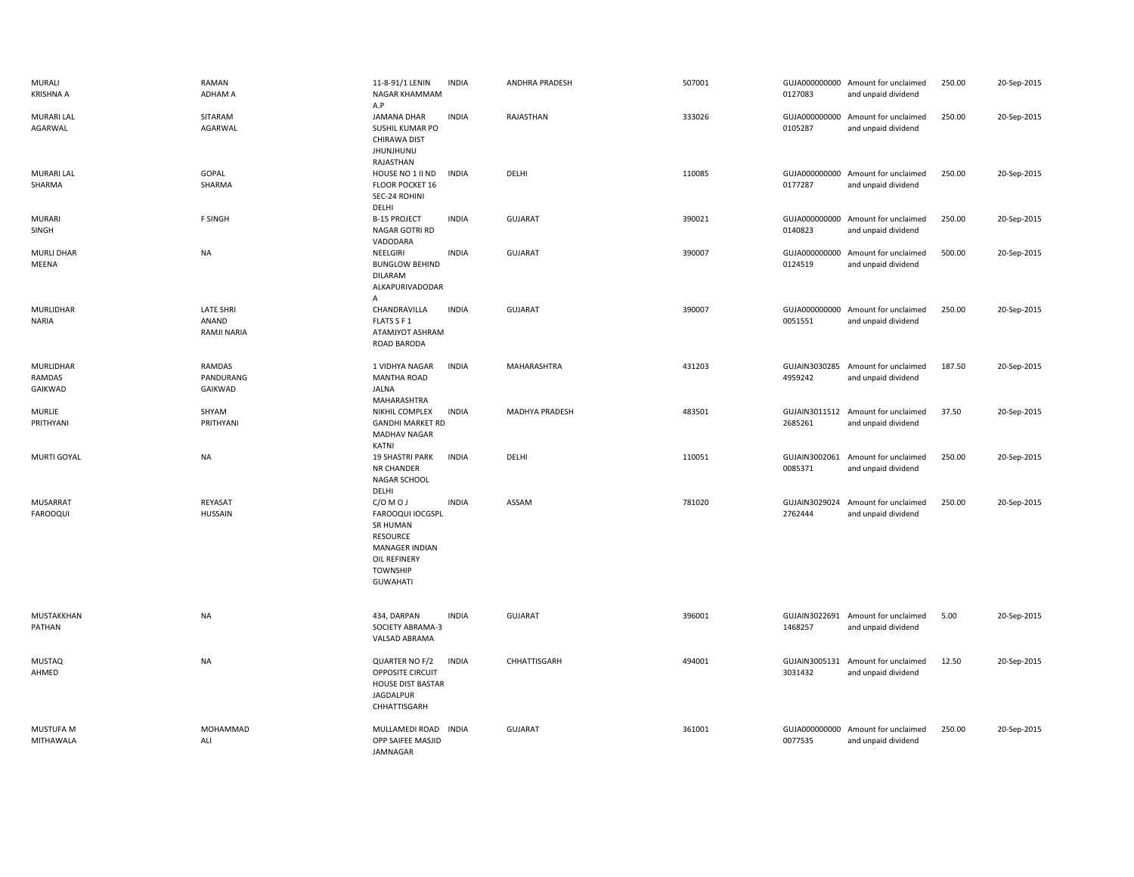| MURALI<br><b>KRISHNA A</b>     | RAMAN<br>ADHAM A                         | 11-8-91/1 LENIN<br>NAGAR KHAMMAM<br>A.P                                                                                                         | <b>INDIA</b> | ANDHRA PRADESH     | 507001 | 0127083                  | GUJA000000000 Amount for unclaimed<br>and unpaid dividend | 250.00 | 20-Sep-2015 |
|--------------------------------|------------------------------------------|-------------------------------------------------------------------------------------------------------------------------------------------------|--------------|--------------------|--------|--------------------------|-----------------------------------------------------------|--------|-------------|
| <b>MURARI LAL</b><br>AGARWAL   | SITARAM<br>AGARWAL                       | JAMANA DHAR<br>SUSHIL KUMAR PO<br>CHIRAWA DIST<br>JHUNJHUNU<br>RAJASTHAN                                                                        | <b>INDIA</b> | RAJASTHAN          | 333026 | 0105287                  | GUJA000000000 Amount for unclaimed<br>and unpaid dividend | 250.00 | 20-Sep-2015 |
| <b>MURARI LAL</b><br>SHARMA    | GOPAL<br>SHARMA                          | HOUSE NO 1 II ND<br>FLOOR POCKET 16<br>SEC-24 ROHINI<br>DELHI                                                                                   | <b>INDIA</b> | DELHI              | 110085 | 0177287                  | GUJA000000000 Amount for unclaimed<br>and unpaid dividend | 250.00 | 20-Sep-2015 |
| <b>MURARI</b><br>SINGH         | F SINGH                                  | <b>B-15 PROJECT</b><br>NAGAR GOTRI RD<br>VADODARA                                                                                               | <b>INDIA</b> | <b>GUJARAT</b>     | 390021 | GUJA000000000<br>0140823 | Amount for unclaimed<br>and unpaid dividend               | 250.00 | 20-Sep-2015 |
| <b>MURLI DHAR</b><br>MEENA     | <b>NA</b>                                | NEELGIRI<br><b>BUNGLOW BEHIND</b><br><b>DILARAM</b><br>ALKAPURIVADODAR<br>A                                                                     | <b>INDIA</b> | <b>GUJARAT</b>     | 390007 | GUJA000000000<br>0124519 | Amount for unclaimed<br>and unpaid dividend               | 500.00 | 20-Sep-2015 |
| MURLIDHAR<br><b>NARIA</b>      | LATE SHRI<br>ANAND<br><b>RAMJI NARIA</b> | CHANDRAVILLA<br>FLATS S F 1<br>ATAMJYOT ASHRAM<br>ROAD BARODA                                                                                   | <b>INDIA</b> | <b>GUJARAT</b>     | 390007 | GUJA000000000<br>0051551 | Amount for unclaimed<br>and unpaid dividend               | 250.00 | 20-Sep-2015 |
| MURLIDHAR<br>RAMDAS<br>GAIKWAD | <b>RAMDAS</b><br>PANDURANG<br>GAIKWAD    | 1 VIDHYA NAGAR<br><b>MANTHA ROAD</b><br>JALNA<br>MAHARASHTRA                                                                                    | <b>INDIA</b> | <b>MAHARASHTRA</b> | 431203 | GUJAIN3030285<br>4959242 | Amount for unclaimed<br>and unpaid dividend               | 187.50 | 20-Sep-2015 |
| <b>MURLIE</b><br>PRITHYANI     | SHYAM<br>PRITHYANI                       | NIKHIL COMPLEX<br><b>GANDHI MARKET RD</b><br><b>MADHAV NAGAR</b><br>KATNI                                                                       | <b>INDIA</b> | MADHYA PRADESH     | 483501 | 2685261                  | GUJAIN3011512 Amount for unclaimed<br>and unpaid dividend | 37.50  | 20-Sep-2015 |
| MURTI GOYAL                    | <b>NA</b>                                | <b>19 SHASTRI PARK</b><br>NR CHANDER<br><b>NAGAR SCHOOL</b><br>DELHI                                                                            | <b>INDIA</b> | DELHI              | 110051 | GUJAIN3002061<br>0085371 | Amount for unclaimed<br>and unpaid dividend               | 250.00 | 20-Sep-2015 |
| MUSARRAT<br><b>FAROOQUI</b>    | REYASAT<br><b>HUSSAIN</b>                | C/OMOJ<br>FAROOQUI IOCGSPL<br><b>SR HUMAN</b><br><b>RESOURCE</b><br><b>MANAGER INDIAN</b><br>OIL REFINERY<br><b>TOWNSHIP</b><br><b>GUWAHATI</b> | <b>INDIA</b> | ASSAM              | 781020 | GUJAIN3029024<br>2762444 | Amount for unclaimed<br>and unpaid dividend               | 250.00 | 20-Sep-2015 |
| MUSTAKKHAN<br>PATHAN           | <b>NA</b>                                | 434, DARPAN<br>SOCIETY ABRAMA-3<br>VALSAD ABRAMA                                                                                                | <b>INDIA</b> | <b>GUJARAT</b>     | 396001 | 1468257                  | GUJAIN3022691 Amount for unclaimed<br>and unpaid dividend | 5.00   | 20-Sep-2015 |
| <b>MUSTAQ</b><br>AHMED         | <b>NA</b>                                | QUARTER NO F/2<br>OPPOSITE CIRCUIT<br><b>HOUSE DIST BASTAR</b><br>JAGDALPUR<br>CHHATTISGARH                                                     | <b>INDIA</b> | CHHATTISGARH       | 494001 | 3031432                  | GUJAIN3005131 Amount for unclaimed<br>and unpaid dividend | 12.50  | 20-Sep-2015 |
| MUSTUFA M<br>MITHAWALA         | MOHAMMAD<br>ALI                          | MULLAMEDI ROAD<br>OPP SAIFEE MASJID<br><b>JAMNAGAR</b>                                                                                          | <b>INDIA</b> | <b>GUJARAT</b>     | 361001 | GUJA000000000<br>0077535 | Amount for unclaimed<br>and unpaid dividend               | 250.00 | 20-Sep-2015 |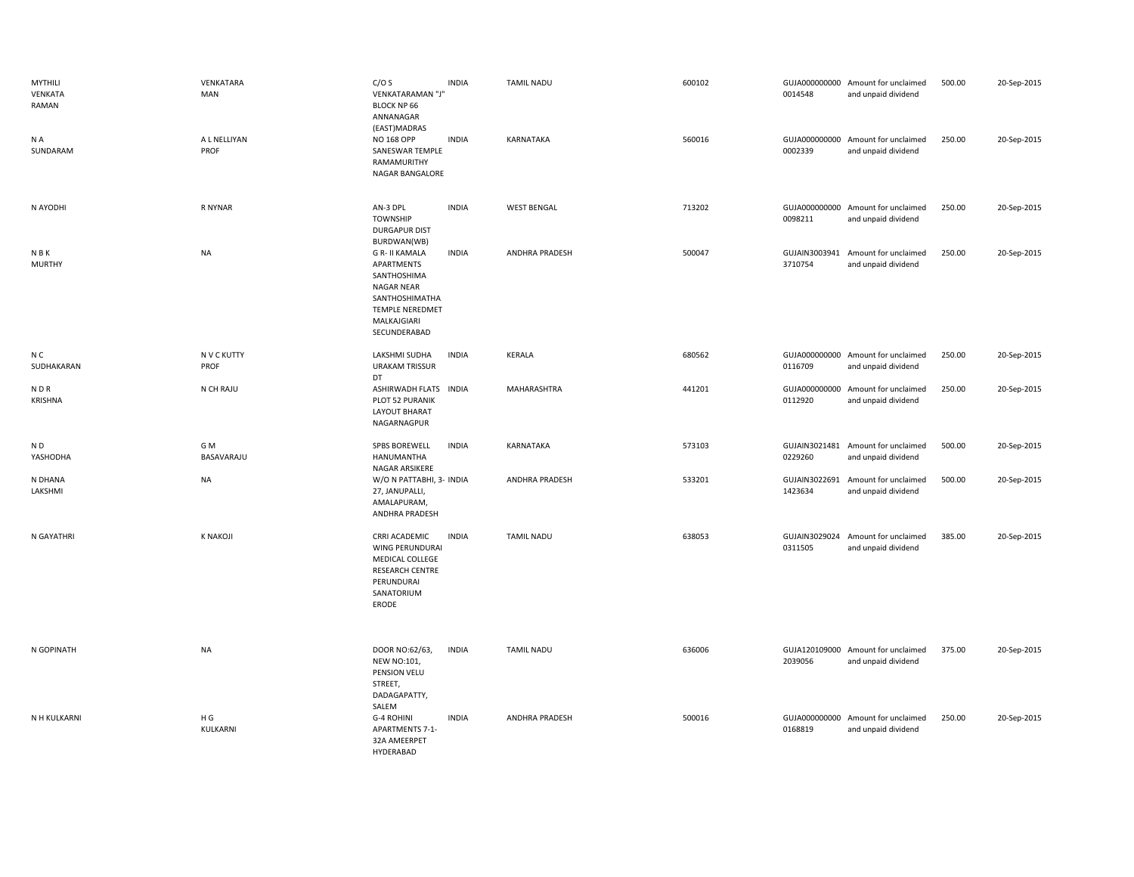| <b>MYTHILI</b><br>VENKATA<br>RAMAN<br>N A<br>SUNDARAM | VENKATARA<br>MAN<br>A L NELLIYAN<br>PROF | C/OS<br>VENKATARAMAN "J'<br><b>BLOCK NP 66</b><br>ANNANAGAR<br>(EAST)MADRAS<br>NO 168 OPP<br>SANESWAR TEMPLE<br>RAMAMURITHY<br>NAGAR BANGALORE             | <b>INDIA</b><br><b>INDIA</b> | <b>TAMIL NADU</b><br>KARNATAKA | 600102<br>560016 | 0014548<br>0002339       | GUJA000000000 Amount for unclaimed<br>and unpaid dividend<br>GUJA000000000 Amount for unclaimed<br>and unpaid dividend | 500.00<br>250.00 | 20-Sep-2015<br>20-Sep-2015 |
|-------------------------------------------------------|------------------------------------------|------------------------------------------------------------------------------------------------------------------------------------------------------------|------------------------------|--------------------------------|------------------|--------------------------|------------------------------------------------------------------------------------------------------------------------|------------------|----------------------------|
| N AYODHI                                              | R NYNAR                                  | AN-3 DPL<br><b>TOWNSHIP</b><br><b>DURGAPUR DIST</b>                                                                                                        | <b>INDIA</b>                 | <b>WEST BENGAL</b>             | 713202           | 0098211                  | GUJA000000000 Amount for unclaimed<br>and unpaid dividend                                                              | 250.00           | 20-Sep-2015                |
| <b>NBK</b><br><b>MURTHY</b>                           | <b>NA</b>                                | BURDWAN(WB)<br><b>G R- II KAMALA</b><br>APARTMENTS<br>SANTHOSHIMA<br><b>NAGAR NEAR</b><br>SANTHOSHIMATHA<br>TEMPLE NEREDMET<br>MALKAJGIARI<br>SECUNDERABAD | <b>INDIA</b>                 | ANDHRA PRADESH                 | 500047           | GUJAIN3003941<br>3710754 | Amount for unclaimed<br>and unpaid dividend                                                                            | 250.00           | 20-Sep-2015                |
| N C<br>SUDHAKARAN                                     | N V C KUTTY<br>PROF                      | LAKSHMI SUDHA<br><b>URAKAM TRISSUR</b><br>DT                                                                                                               | <b>INDIA</b>                 | KERALA                         | 680562           | 0116709                  | GUJA000000000 Amount for unclaimed<br>and unpaid dividend                                                              | 250.00           | 20-Sep-2015                |
| <b>NDR</b><br><b>KRISHNA</b>                          | N CH RAJU                                | ASHIRWADH FLATS INDIA<br>PLOT 52 PURANIK<br><b>LAYOUT BHARAT</b><br>NAGARNAGPUR                                                                            |                              | MAHARASHTRA                    | 441201           | 0112920                  | GUJA000000000 Amount for unclaimed<br>and unpaid dividend                                                              | 250.00           | 20-Sep-2015                |
| N <sub>D</sub><br>YASHODHA                            | G M<br>BASAVARAJU                        | SPBS BOREWELL<br>HANUMANTHA<br>NAGAR ARSIKERE                                                                                                              | <b>INDIA</b>                 | KARNATAKA                      | 573103           | 0229260                  | GUJAIN3021481 Amount for unclaimed<br>and unpaid dividend                                                              | 500.00           | 20-Sep-2015                |
| N DHANA<br>LAKSHMI                                    | <b>NA</b>                                | W/O N PATTABHI, 3- INDIA<br>27, JANUPALLI,<br>AMALAPURAM,<br>ANDHRA PRADESH                                                                                |                              | <b>ANDHRA PRADESH</b>          | 533201           | 1423634                  | GUJAIN3022691 Amount for unclaimed<br>and unpaid dividend                                                              | 500.00           | 20-Sep-2015                |
| N GAYATHRI                                            | <b>K NAKOJI</b>                          | CRRI ACADEMIC<br>WING PERUNDURAI<br>MEDICAL COLLEGE<br><b>RESEARCH CENTRE</b><br>PERUNDURAI<br>SANATORIUM<br>ERODE                                         | <b>INDIA</b>                 | <b>TAMIL NADU</b>              | 638053           | GUJAIN3029024<br>0311505 | Amount for unclaimed<br>and unpaid dividend                                                                            | 385.00           | 20-Sep-2015                |
| N GOPINATH                                            | <b>NA</b>                                | DOOR NO:62/63,<br><b>NEW NO:101,</b><br>PENSION VELU<br>STREET,<br>DADAGAPATTY,                                                                            | <b>INDIA</b>                 | <b>TAMIL NADU</b>              | 636006           | 2039056                  | GUJA120109000 Amount for unclaimed<br>and unpaid dividend                                                              | 375.00           | 20-Sep-2015                |
| N H KULKARNI                                          | H G<br>KULKARNI                          | SALEM<br>G-4 ROHINI<br><b>APARTMENTS 7-1-</b><br>32A AMEERPET<br>HYDFRABAD                                                                                 | <b>INDIA</b>                 | ANDHRA PRADESH                 | 500016           | 0168819                  | GUJA000000000 Amount for unclaimed<br>and unpaid dividend                                                              | 250.00           | 20-Sep-2015                |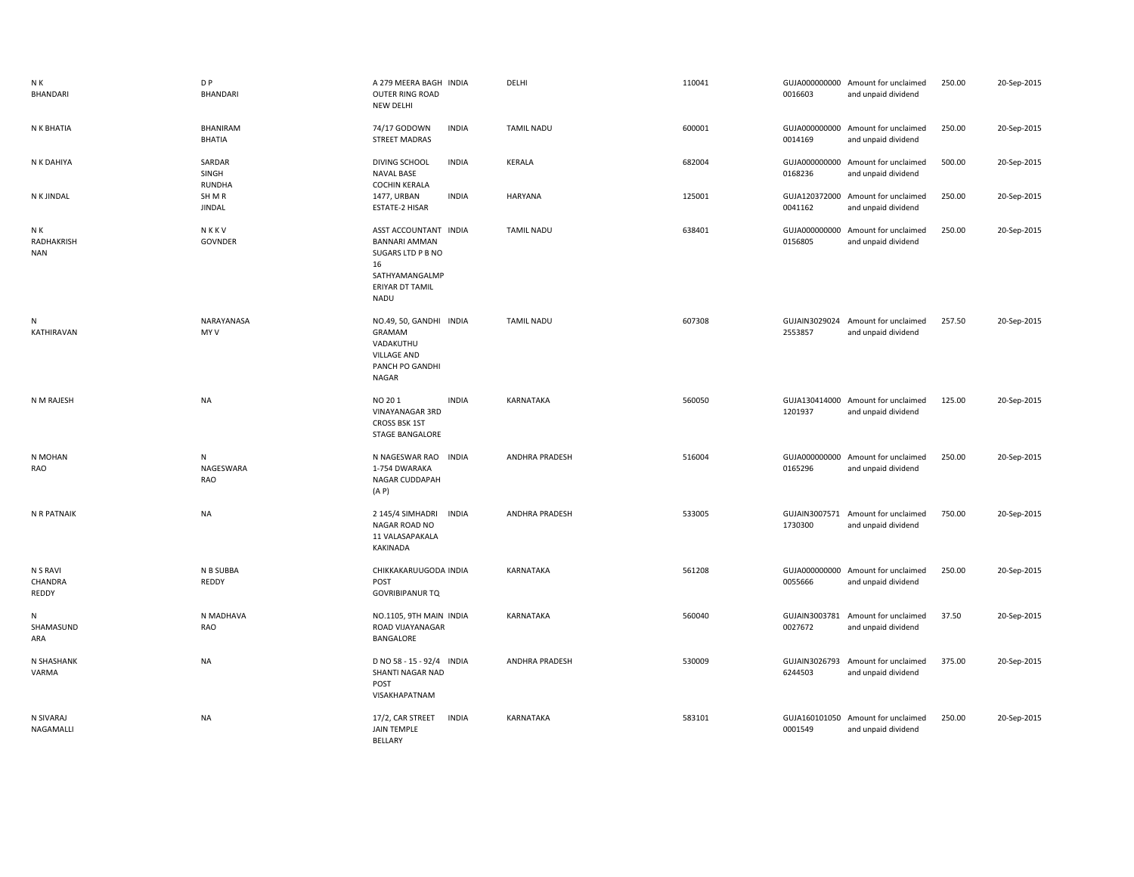| N K<br>BHANDARI                 | D <sub>P</sub><br><b>BHANDARI</b> | A 279 MEERA BAGH INDIA<br>OUTER RING ROAD<br>NEW DELHI                                                                       | DELHI                 | 110041 | 0016603                  | GUJA000000000 Amount for unclaimed<br>and unpaid dividend | 250.00 | 20-Sep-2015 |
|---------------------------------|-----------------------------------|------------------------------------------------------------------------------------------------------------------------------|-----------------------|--------|--------------------------|-----------------------------------------------------------|--------|-------------|
| N K BHATIA                      | BHANIRAM<br><b>BHATIA</b>         | 74/17 GODOWN<br><b>INDIA</b><br><b>STREET MADRAS</b>                                                                         | <b>TAMIL NADU</b>     | 600001 | GUJA000000000<br>0014169 | Amount for unclaimed<br>and unpaid dividend               | 250.00 | 20-Sep-2015 |
| N K DAHIYA                      | SARDAR<br>SINGH<br><b>RUNDHA</b>  | <b>DIVING SCHOOL</b><br><b>INDIA</b><br><b>NAVAL BASE</b><br><b>COCHIN KERALA</b>                                            | <b>KERALA</b>         | 682004 | GUJA000000000<br>0168236 | Amount for unclaimed<br>and unpaid dividend               | 500.00 | 20-Sep-2015 |
| N K JINDAL                      | SH M R<br><b>JINDAL</b>           | <b>INDIA</b><br>1477, URBAN<br>ESTATE-2 HISAR                                                                                | <b>HARYANA</b>        | 125001 | GUJA120372000<br>0041162 | Amount for unclaimed<br>and unpaid dividend               | 250.00 | 20-Sep-2015 |
| N K<br>RADHAKRISH<br><b>NAN</b> | NKKV<br><b>GOVNDER</b>            | ASST ACCOUNTANT INDIA<br><b>BANNARI AMMAN</b><br>SUGARS LTD P B NO<br>16<br>SATHYAMANGALMP<br>ERIYAR DT TAMIL<br><b>NADU</b> | <b>TAMIL NADU</b>     | 638401 | GUJA000000000<br>0156805 | Amount for unclaimed<br>and unpaid dividend               | 250.00 | 20-Sep-2015 |
| N<br>KATHIRAVAN                 | NARAYANASA<br>MY V                | NO.49, 50, GANDHI INDIA<br>GRAMAM<br>VADAKUTHU<br><b>VILLAGE AND</b><br>PANCH PO GANDHI<br>NAGAR                             | <b>TAMIL NADU</b>     | 607308 | 2553857                  | GUJAIN3029024 Amount for unclaimed<br>and unpaid dividend | 257.50 | 20-Sep-2015 |
| N M RAJESH                      | <b>NA</b>                         | NO 201<br><b>INDIA</b><br><b>VINAYANAGAR 3RD</b><br><b>CROSS BSK 1ST</b><br><b>STAGE BANGALORE</b>                           | KARNATAKA             | 560050 | 1201937                  | GUJA130414000 Amount for unclaimed<br>and unpaid dividend | 125.00 | 20-Sep-2015 |
| N MOHAN<br>RAO                  | N<br>NAGESWARA<br><b>RAO</b>      | N NAGESWAR RAO<br><b>INDIA</b><br>1-754 DWARAKA<br>NAGAR CUDDAPAH<br>(A P)                                                   | <b>ANDHRA PRADESH</b> | 516004 | 0165296                  | GUJA000000000 Amount for unclaimed<br>and unpaid dividend | 250.00 | 20-Sep-2015 |
| N R PATNAIK                     | <b>NA</b>                         | 2 145/4 SIMHADRI<br><b>INDIA</b><br>NAGAR ROAD NO<br>11 VALASAPAKALA<br>KAKINADA                                             | ANDHRA PRADESH        | 533005 | 1730300                  | GUJAIN3007571 Amount for unclaimed<br>and unpaid dividend | 750.00 | 20-Sep-2015 |
| N S RAVI<br>CHANDRA<br>REDDY    | N B SUBBA<br>REDDY                | CHIKKAKARUUGODA INDIA<br>POST<br><b>GOVRIBIPANUR TQ</b>                                                                      | KARNATAKA             | 561208 | 0055666                  | GUJA000000000 Amount for unclaimed<br>and unpaid dividend | 250.00 | 20-Sep-2015 |
| N<br>SHAMASUND<br>ARA           | N MADHAVA<br>RAO                  | NO.1105, 9TH MAIN INDIA<br>ROAD VIJAYANAGAR<br>BANGALORE                                                                     | <b>KARNATAKA</b>      | 560040 | 0027672                  | GUJAIN3003781 Amount for unclaimed<br>and unpaid dividend | 37.50  | 20-Sep-2015 |
| N SHASHANK<br>VARMA             | <b>NA</b>                         | D NO 58 - 15 - 92/4 INDIA<br>SHANTI NAGAR NAD<br>POST<br>VISAKHAPATNAM                                                       | ANDHRA PRADESH        | 530009 | GUJAIN3026793<br>6244503 | Amount for unclaimed<br>and unpaid dividend               | 375.00 | 20-Sep-2015 |
| N SIVARAJ<br>NAGAMALLI          | <b>NA</b>                         | 17/2, CAR STREET<br><b>INDIA</b><br>JAIN TEMPLE<br><b>RELLARY</b>                                                            | KARNATAKA             | 583101 | 0001549                  | GUJA160101050 Amount for unclaimed<br>and unpaid dividend | 250.00 | 20-Sep-2015 |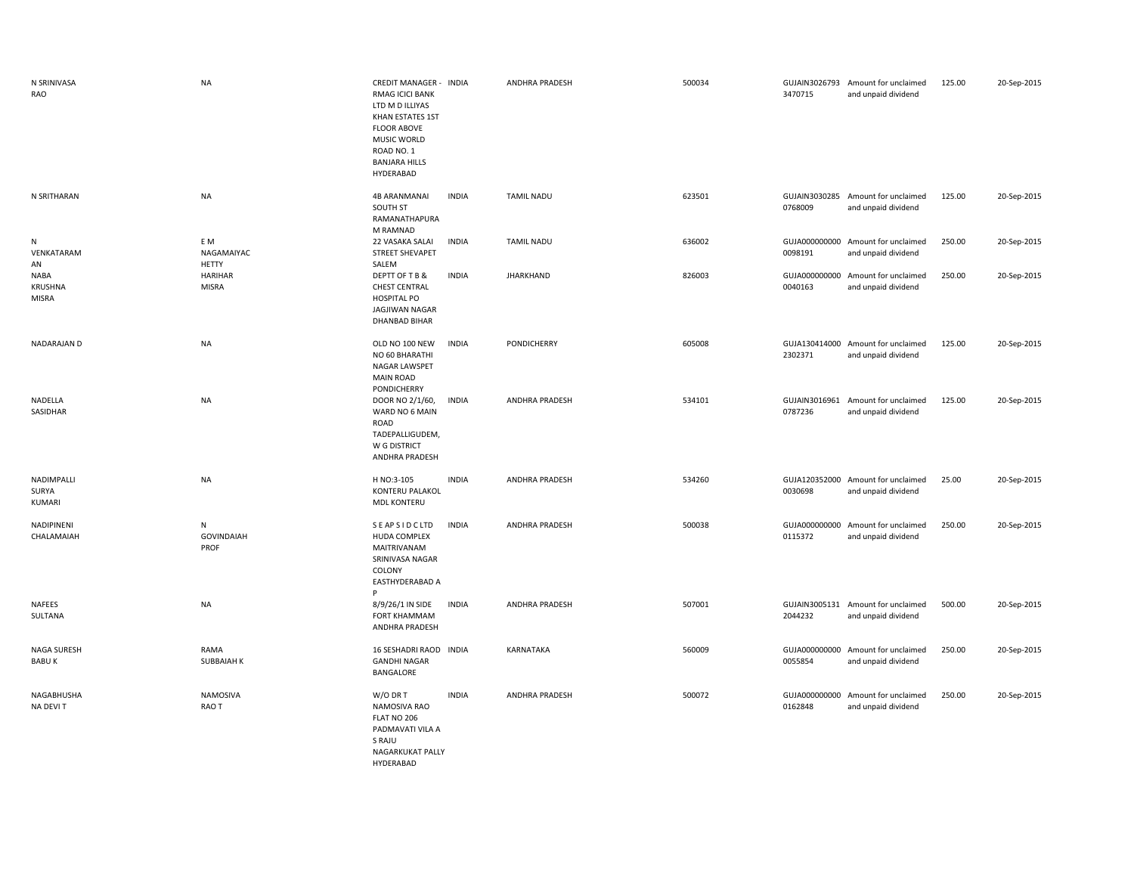| N SRINIVASA<br><b>RAO</b>       | <b>NA</b>                         | CREDIT MANAGER - INDIA<br><b>RMAG ICICI BANK</b><br>LTD M D ILLIYAS<br>KHAN ESTATES 1ST<br><b>FLOOR ABOVE</b><br>MUSIC WORLD<br>ROAD NO. 1<br><b>BANJARA HILLS</b><br>HYDERABAD |              | ANDHRA PRADESH        | 500034 | 3470715                  | GUJAIN3026793 Amount for unclaimed<br>and unpaid dividend | 125.00 | 20-Sep-2015 |
|---------------------------------|-----------------------------------|---------------------------------------------------------------------------------------------------------------------------------------------------------------------------------|--------------|-----------------------|--------|--------------------------|-----------------------------------------------------------|--------|-------------|
| N SRITHARAN                     | <b>NA</b>                         | <b>4B ARANMANAI</b><br>SOUTH ST<br>RAMANATHAPURA<br>M RAMNAD                                                                                                                    | <b>INDIA</b> | <b>TAMIL NADU</b>     | 623501 | 0768009                  | GUJAIN3030285 Amount for unclaimed<br>and unpaid dividend | 125.00 | 20-Sep-2015 |
| N<br>VENKATARAM<br>AN           | E M<br>NAGAMAIYAC<br><b>HETTY</b> | 22 VASAKA SALAI<br>STREET SHEVAPET<br>SALEM                                                                                                                                     | <b>INDIA</b> | <b>TAMIL NADU</b>     | 636002 | GUJA000000000<br>0098191 | Amount for unclaimed<br>and unpaid dividend               | 250.00 | 20-Sep-2015 |
| NABA<br>KRUSHNA<br><b>MISRA</b> | HARIHAR<br><b>MISRA</b>           | DEPTT OF T B &<br><b>CHEST CENTRAL</b><br><b>HOSPITAL PO</b><br>JAGJIWAN NAGAR<br><b>DHANBAD BIHAR</b>                                                                          | <b>INDIA</b> | <b>JHARKHAND</b>      | 826003 | GUJA000000000<br>0040163 | Amount for unclaimed<br>and unpaid dividend               | 250.00 | 20-Sep-2015 |
| NADARAJAN D                     | <b>NA</b>                         | OLD NO 100 NEW<br>NO 60 BHARATHI<br><b>NAGAR LAWSPET</b><br><b>MAIN ROAD</b><br>PONDICHERRY                                                                                     | <b>INDIA</b> | PONDICHERRY           | 605008 | 2302371                  | GUJA130414000 Amount for unclaimed<br>and unpaid dividend | 125.00 | 20-Sep-2015 |
| NADELLA<br>SASIDHAR             | <b>NA</b>                         | DOOR NO 2/1/60,<br>WARD NO 6 MAIN<br>ROAD<br>TADEPALLIGUDEM,<br>W G DISTRICT<br>ANDHRA PRADESH                                                                                  | <b>INDIA</b> | ANDHRA PRADESH        | 534101 | GUJAIN3016961<br>0787236 | Amount for unclaimed<br>and unpaid dividend               | 125.00 | 20-Sep-2015 |
| NADIMPALLI<br>SURYA<br>KUMARI   | <b>NA</b>                         | H NO:3-105<br>KONTERU PALAKOL<br><b>MDL KONTERU</b>                                                                                                                             | <b>INDIA</b> | <b>ANDHRA PRADESH</b> | 534260 | 0030698                  | GUJA120352000 Amount for unclaimed<br>and unpaid dividend | 25.00  | 20-Sep-2015 |
| NADIPINENI<br>CHALAMAIAH        | N<br><b>GOVINDAIAH</b><br>PROF    | SEAPSIDCLTD<br>HUDA COMPLEX<br>MAITRIVANAM<br>SRINIVASA NAGAR<br>COLONY<br>EASTHYDERABAD A<br>P                                                                                 | <b>INDIA</b> | <b>ANDHRA PRADESH</b> | 500038 | 0115372                  | GUJA000000000 Amount for unclaimed<br>and unpaid dividend | 250.00 | 20-Sep-2015 |
| NAFEES<br>SULTANA               | <b>NA</b>                         | 8/9/26/1 IN SIDE<br><b>FORT KHAMMAM</b><br>ANDHRA PRADESH                                                                                                                       | <b>INDIA</b> | <b>ANDHRA PRADESH</b> | 507001 | GUJAIN3005131<br>2044232 | Amount for unclaimed<br>and unpaid dividend               | 500.00 | 20-Sep-2015 |
| NAGA SURESH<br><b>BABUK</b>     | RAMA<br><b>SUBBAIAH K</b>         | 16 SESHADRI RAOD INDIA<br><b>GANDHI NAGAR</b><br>BANGALORE                                                                                                                      |              | KARNATAKA             | 560009 | 0055854                  | GUJA000000000 Amount for unclaimed<br>and unpaid dividend | 250.00 | 20-Sep-2015 |
| NAGABHUSHA<br>NA DEVI T         | NAMOSIVA<br>RAO T                 | W/O DR T<br>NAMOSIVA RAO<br>FLAT NO 206<br>PADMAVATI VILA A<br>S RAJU<br>NAGARKUKAT PALLY                                                                                       | <b>INDIA</b> | <b>ANDHRA PRADESH</b> | 500072 | GUJA000000000<br>0162848 | Amount for unclaimed<br>and unpaid dividend               | 250.00 | 20-Sep-2015 |

HYDERABAD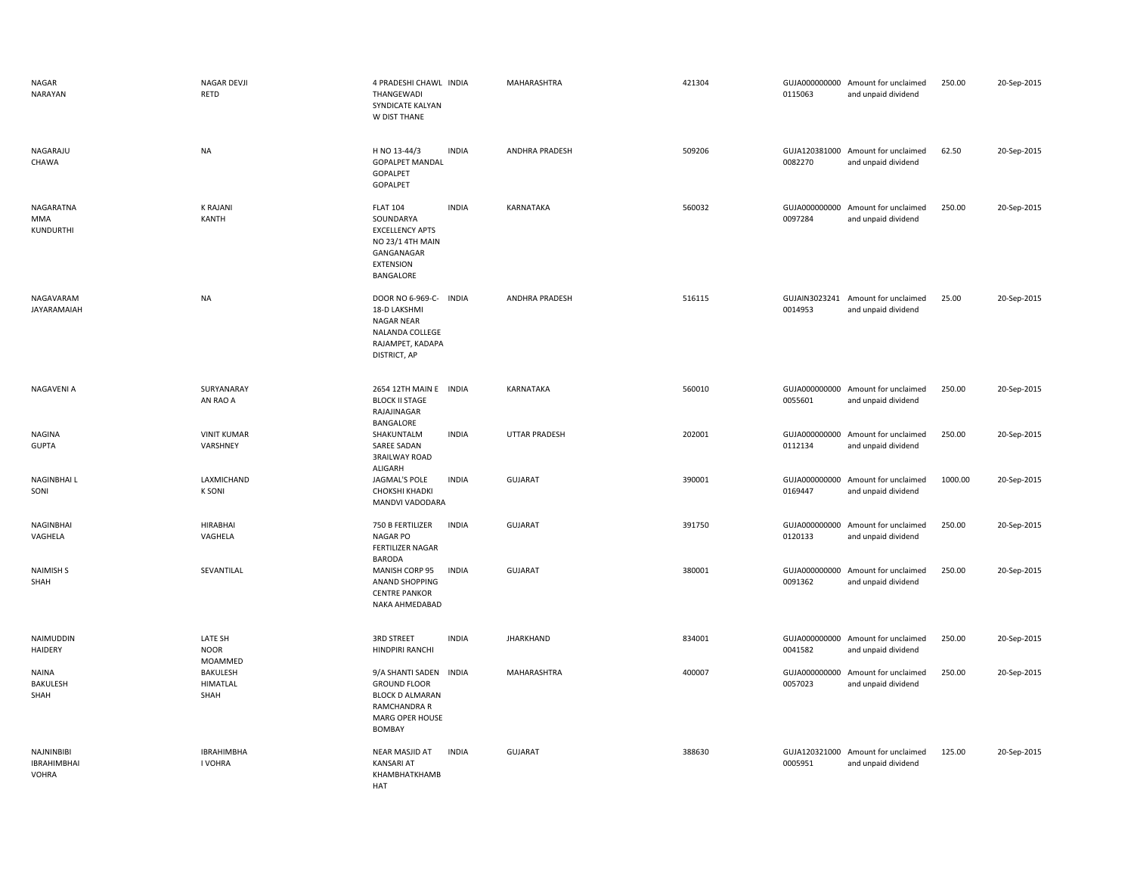| NAGAR<br>NARAYAN                                        | NAGAR DEVJI<br>RETD                 | 4 PRADESHI CHAWL INDIA<br>THANGEWADI<br>SYNDICATE KALYAN<br>W DIST THANE                                                    |              | MAHARASHTRA          | 421304 | 0115063                  | GUJA000000000 Amount for unclaimed<br>and unpaid dividend | 250.00  | 20-Sep-2015 |
|---------------------------------------------------------|-------------------------------------|-----------------------------------------------------------------------------------------------------------------------------|--------------|----------------------|--------|--------------------------|-----------------------------------------------------------|---------|-------------|
| NAGARAJU<br>CHAWA                                       | <b>NA</b>                           | H NO 13-44/3<br><b>GOPALPET MANDAL</b><br>GOPALPET<br>GOPALPET                                                              | <b>INDIA</b> | ANDHRA PRADESH       | 509206 | 0082270                  | GUJA120381000 Amount for unclaimed<br>and unpaid dividend | 62.50   | 20-Sep-2015 |
| NAGARATNA<br>MMA<br>KUNDURTHI                           | <b>K RAJANI</b><br><b>KANTH</b>     | <b>FLAT 104</b><br>SOUNDARYA<br><b>EXCELLENCY APTS</b><br>NO 23/1 4TH MAIN<br>GANGANAGAR<br><b>EXTENSION</b><br>BANGALORE   | <b>INDIA</b> | KARNATAKA            | 560032 | 0097284                  | GUJA000000000 Amount for unclaimed<br>and unpaid dividend | 250.00  | 20-Sep-2015 |
| NAGAVARAM<br>JAYARAMAIAH                                | <b>NA</b>                           | DOOR NO 6-969-C- INDIA<br>18-D LAKSHMI<br><b>NAGAR NEAR</b><br>NALANDA COLLEGE<br>RAJAMPET, KADAPA<br>DISTRICT, AP          |              | ANDHRA PRADESH       | 516115 | 0014953                  | GUJAIN3023241 Amount for unclaimed<br>and unpaid dividend | 25.00   | 20-Sep-2015 |
| NAGAVENI A                                              | SURYANARAY<br>AN RAO A              | 2654 12TH MAIN E INDIA<br><b>BLOCK II STAGE</b><br>RAJAJINAGAR                                                              |              | <b>KARNATAKA</b>     | 560010 | 0055601                  | GUJA000000000 Amount for unclaimed<br>and unpaid dividend | 250.00  | 20-Sep-2015 |
| NAGINA<br><b>GUPTA</b>                                  | <b>VINIT KUMAR</b><br>VARSHNEY      | BANGALORE<br>SHAKUNTALM<br>SAREE SADAN<br><b>3RAILWAY ROAD</b>                                                              | <b>INDIA</b> | <b>UTTAR PRADESH</b> | 202001 | 0112134                  | GUJA000000000 Amount for unclaimed<br>and unpaid dividend | 250.00  | 20-Sep-2015 |
| NAGINBHAI L<br>SONI                                     | LAXMICHAND<br><b>K SONI</b>         | ALIGARH<br>JAGMAL'S POLE<br><b>CHOKSHI KHADKI</b><br>MANDVI VADODARA                                                        | <b>INDIA</b> | <b>GUJARAT</b>       | 390001 | 0169447                  | GUJA000000000 Amount for unclaimed<br>and unpaid dividend | 1000.00 | 20-Sep-2015 |
| NAGINBHAI<br>VAGHELA                                    | <b>HIRABHAI</b><br>VAGHELA          | 750 B FERTILIZER<br><b>NAGAR PO</b><br>FERTILIZER NAGAR<br>BARODA                                                           | <b>INDIA</b> | <b>GUJARAT</b>       | 391750 | 0120133                  | GUJA000000000 Amount for unclaimed<br>and unpaid dividend | 250.00  | 20-Sep-2015 |
| <b>NAIMISH S</b><br>SHAH                                | SEVANTILAL                          | MANISH CORP 95<br><b>ANAND SHOPPING</b><br><b>CENTRE PANKOR</b><br>NAKA AHMEDABAD                                           | <b>INDIA</b> | <b>GUJARAT</b>       | 380001 | GUJA000000000<br>0091362 | Amount for unclaimed<br>and unpaid dividend               | 250.00  | 20-Sep-2015 |
| NAIMUDDIN<br><b>HAIDERY</b>                             | LATE SH<br><b>NOOR</b><br>MOAMMED   | <b>3RD STREET</b><br>HINDPIRI RANCHI                                                                                        | <b>INDIA</b> | <b>JHARKHAND</b>     | 834001 | 0041582                  | GUJA000000000 Amount for unclaimed<br>and unpaid dividend | 250.00  | 20-Sep-2015 |
| <b>NAINA</b><br>BAKULESH<br>SHAH                        | BAKULESH<br><b>HIMATLAL</b><br>SHAH | 9/A SHANTI SADEN INDIA<br><b>GROUND FLOOR</b><br><b>BLOCK D ALMARAN</b><br>RAMCHANDRA R<br>MARG OPER HOUSE<br><b>BOMBAY</b> |              | MAHARASHTRA          | 400007 | 0057023                  | GUJA000000000 Amount for unclaimed<br>and unpaid dividend | 250.00  | 20-Sep-2015 |
| <b>NAJNINBIBI</b><br><b>IBRAHIMBHAI</b><br><b>VOHRA</b> | <b>IBRAHIMBHA</b><br>I VOHRA        | NEAR MASJID AT<br><b>KANSARI AT</b><br>KHAMBHATKHAMB<br>HAT                                                                 | <b>INDIA</b> | GUJARAT              | 388630 | 0005951                  | GUJA120321000 Amount for unclaimed<br>and unpaid dividend | 125.00  | 20-Sep-2015 |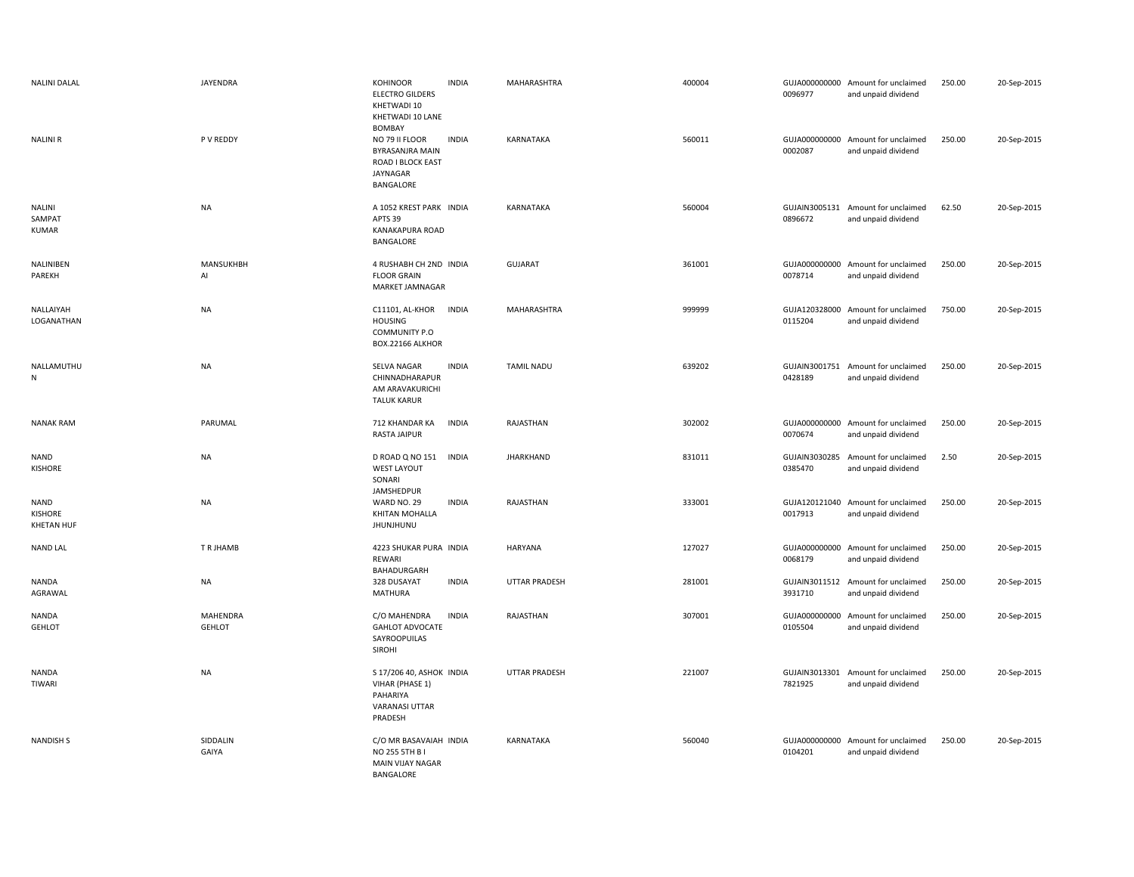| <b>NALINI DALAL</b>                                | JAYENDRA                  | KOHINOOR<br><b>ELECTRO GILDERS</b><br>KHETWADI 10<br>KHETWADI 10 LANE<br>BOMBAY             | <b>INDIA</b> | MAHARASHTRA       | 400004 | 0096977                  | GUJA000000000 Amount for unclaimed<br>and unpaid dividend | 250.00 | 20-Sep-2015 |
|----------------------------------------------------|---------------------------|---------------------------------------------------------------------------------------------|--------------|-------------------|--------|--------------------------|-----------------------------------------------------------|--------|-------------|
| <b>NALINIR</b>                                     | P V REDDY                 | NO 79 II FLOOR<br>BYRASANJRA MAIN<br>ROAD I BLOCK EAST<br>JAYNAGAR<br>BANGALORE             | <b>INDIA</b> | KARNATAKA         | 560011 | 0002087                  | GUJA000000000 Amount for unclaimed<br>and unpaid dividend | 250.00 | 20-Sep-2015 |
| <b>NALINI</b><br>SAMPAT<br><b>KUMAR</b>            | <b>NA</b>                 | A 1052 KREST PARK INDIA<br>APTS 39<br>KANAKAPURA ROAD<br>BANGALORE                          |              | <b>KARNATAKA</b>  | 560004 | 0896672                  | GUJAIN3005131 Amount for unclaimed<br>and unpaid dividend | 62.50  | 20-Sep-2015 |
| NALINIBEN<br>PAREKH                                | MANSUKHBH<br>Al           | 4 RUSHABH CH 2ND INDIA<br><b>FLOOR GRAIN</b><br>MARKET JAMNAGAR                             |              | <b>GUJARAT</b>    | 361001 | 0078714                  | GUJA000000000 Amount for unclaimed<br>and unpaid dividend | 250.00 | 20-Sep-2015 |
| NALLAIYAH<br>LOGANATHAN                            | NA                        | C11101, AL-KHOR<br><b>HOUSING</b><br>COMMUNITY P.O<br>BOX.22166 ALKHOR                      | <b>INDIA</b> | MAHARASHTRA       | 999999 | 0115204                  | GUJA120328000 Amount for unclaimed<br>and unpaid dividend | 750.00 | 20-Sep-2015 |
| NALLAMUTHU<br>${\sf N}$                            | <b>NA</b>                 | SELVA NAGAR<br>CHINNADHARAPUR<br>AM ARAVAKURICHI<br><b>TALUK KARUR</b>                      | <b>INDIA</b> | <b>TAMIL NADU</b> | 639202 | 0428189                  | GUJAIN3001751 Amount for unclaimed<br>and unpaid dividend | 250.00 | 20-Sep-2015 |
| <b>NANAK RAM</b>                                   | PARUMAL                   | 712 KHANDAR KA<br>RASTA JAIPUR                                                              | <b>INDIA</b> | RAJASTHAN         | 302002 | 0070674                  | GUJA000000000 Amount for unclaimed<br>and unpaid dividend | 250.00 | 20-Sep-2015 |
| <b>NAND</b><br><b>KISHORE</b>                      | <b>NA</b>                 | D ROAD Q NO 151<br><b>WEST LAYOUT</b><br>SONARI<br>JAMSHEDPUR                               | <b>INDIA</b> | <b>JHARKHAND</b>  | 831011 | 0385470                  | GUJAIN3030285 Amount for unclaimed<br>and unpaid dividend | 2.50   | 20-Sep-2015 |
| <b>NAND</b><br><b>KISHORE</b><br><b>KHETAN HUF</b> | <b>NA</b>                 | WARD NO. 29<br>KHITAN MOHALLA<br>JHUNJHUNU                                                  | <b>INDIA</b> | RAJASTHAN         | 333001 | 0017913                  | GUJA120121040 Amount for unclaimed<br>and unpaid dividend | 250.00 | 20-Sep-2015 |
| <b>NAND LAL</b>                                    | T R JHAMB                 | 4223 SHUKAR PURA INDIA<br>REWARI<br>BAHADURGARH                                             |              | HARYANA           | 127027 | 0068179                  | GUJA000000000 Amount for unclaimed<br>and unpaid dividend | 250.00 | 20-Sep-2015 |
| NANDA<br>AGRAWAL                                   | <b>NA</b>                 | 328 DUSAYAT<br>MATHURA                                                                      | <b>INDIA</b> | UTTAR PRADESH     | 281001 | GUJAIN3011512<br>3931710 | Amount for unclaimed<br>and unpaid dividend               | 250.00 | 20-Sep-2015 |
| <b>NANDA</b><br>GEHLOT                             | MAHENDRA<br><b>GEHLOT</b> | C/O MAHENDRA<br><b>GAHLOT ADVOCATE</b><br>SAYROOPUILAS<br><b>SIROHI</b>                     | <b>INDIA</b> | RAJASTHAN         | 307001 | GUJA000000000<br>0105504 | Amount for unclaimed<br>and unpaid dividend               | 250.00 | 20-Sep-2015 |
| NANDA<br>TIWARI                                    | NA                        | S 17/206 40, ASHOK INDIA<br>VIHAR (PHASE 1)<br>PAHARIYA<br><b>VARANASI UTTAR</b><br>PRADESH |              | UTTAR PRADESH     | 221007 | GUJAIN3013301<br>7821925 | Amount for unclaimed<br>and unpaid dividend               | 250.00 | 20-Sep-2015 |
| <b>NANDISH S</b>                                   | SIDDALIN<br>GAIYA         | C/O MR BASAVAIAH INDIA<br>NO 255 5TH B I<br>MAIN VIJAY NAGAR<br>BANGALORE                   |              | KARNATAKA         | 560040 | 0104201                  | GUJA000000000 Amount for unclaimed<br>and unpaid dividend | 250.00 | 20-Sep-2015 |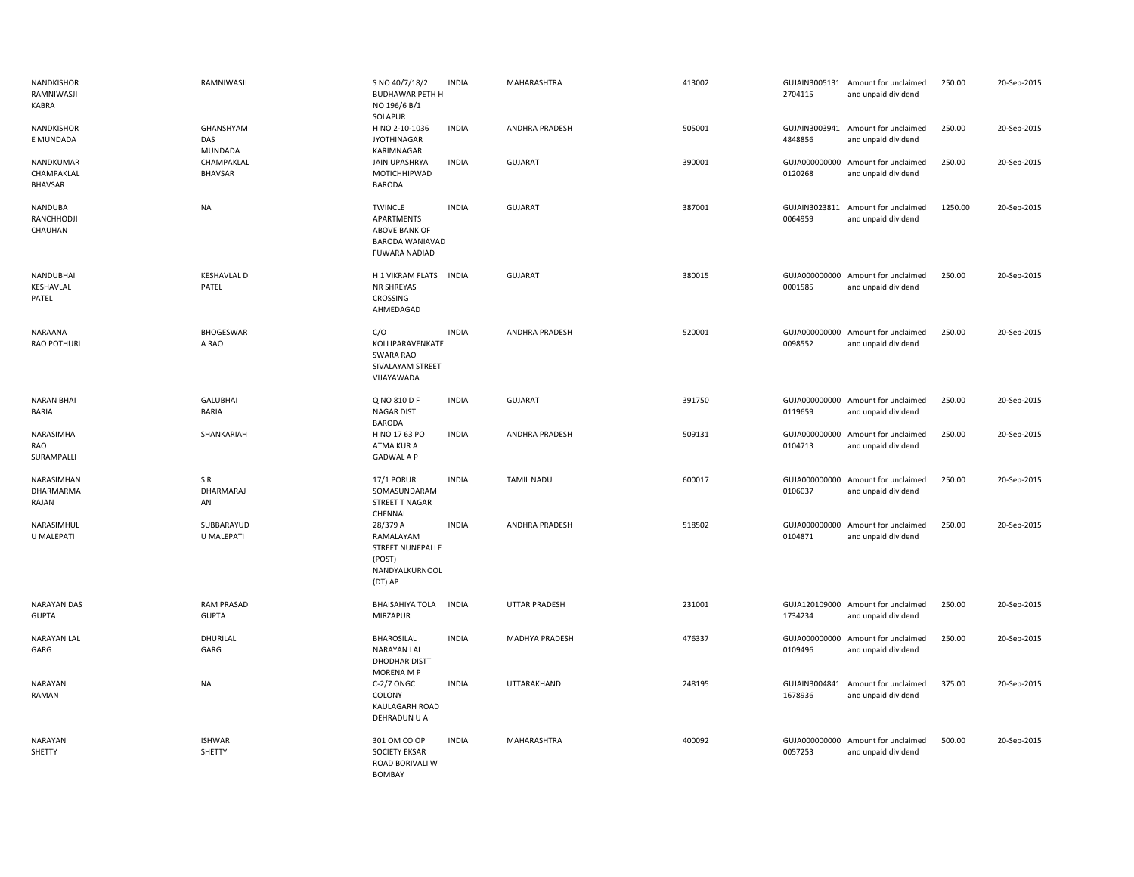| NANDKISHOR<br>RAMNIWASJI<br>KABRA       | RAMNIWASJI                         | S NO 40/7/18/2<br><b>BUDHAWAR PETH H</b><br>NO 196/6 B/1<br>SOLAPUR                             | <b>INDIA</b> | MAHARASHTRA           | 413002 | 2704115                  | GUJAIN3005131 Amount for unclaimed<br>and unpaid dividend | 250.00  | 20-Sep-2015 |
|-----------------------------------------|------------------------------------|-------------------------------------------------------------------------------------------------|--------------|-----------------------|--------|--------------------------|-----------------------------------------------------------|---------|-------------|
| NANDKISHOR<br>E MUNDADA                 | GHANSHYAM<br>DAS<br><b>MUNDADA</b> | H NO 2-10-1036<br><b>JYOTHINAGAR</b><br>KARIMNAGAR                                              | <b>INDIA</b> | ANDHRA PRADESH        | 505001 | GUJAIN3003941<br>4848856 | Amount for unclaimed<br>and unpaid dividend               | 250.00  | 20-Sep-2015 |
| NANDKUMAR<br>CHAMPAKLAL<br>BHAVSAR      | CHAMPAKLAL<br><b>BHAVSAR</b>       | <b>JAIN UPASHRYA</b><br>MOTICHHIPWAD<br><b>BARODA</b>                                           | <b>INDIA</b> | GUJARAT               | 390001 | 0120268                  | GUJA000000000 Amount for unclaimed<br>and unpaid dividend | 250.00  | 20-Sep-2015 |
| NANDUBA<br>RANCHHODJI<br>CHAUHAN        | <b>NA</b>                          | <b>TWINCLE</b><br>APARTMENTS<br>ABOVE BANK OF<br><b>BARODA WANIAVAD</b><br><b>FUWARA NADIAD</b> | <b>INDIA</b> | <b>GUJARAT</b>        | 387001 | 0064959                  | GUJAIN3023811 Amount for unclaimed<br>and unpaid dividend | 1250.00 | 20-Sep-2015 |
| NANDUBHAI<br>KESHAVLAL<br>PATEL         | <b>KESHAVLAL D</b><br>PATEL        | H 1 VIKRAM FLATS INDIA<br>NR SHREYAS<br>CROSSING<br>AHMEDAGAD                                   |              | <b>GUJARAT</b>        | 380015 | 0001585                  | GUJA000000000 Amount for unclaimed<br>and unpaid dividend | 250.00  | 20-Sep-2015 |
| NARAANA<br>RAO POTHURI                  | <b>BHOGESWAR</b><br>A RAO          | C/O<br>KOLLIPARAVENKATE<br>SWARA RAO<br>SIVALAYAM STREET<br>VIJAYAWADA                          | <b>INDIA</b> | <b>ANDHRA PRADESH</b> | 520001 | 0098552                  | GUJA000000000 Amount for unclaimed<br>and unpaid dividend | 250.00  | 20-Sep-2015 |
| <b>NARAN BHAI</b><br><b>BARIA</b>       | <b>GALUBHAI</b><br><b>BARIA</b>    | Q NO 810 D F<br>NAGAR DIST<br><b>BARODA</b>                                                     | <b>INDIA</b> | GUJARAT               | 391750 | 0119659                  | GUJA000000000 Amount for unclaimed<br>and unpaid dividend | 250.00  | 20-Sep-2015 |
| NARASIMHA<br>RAO<br>SURAMPALLI          | SHANKARIAH                         | H NO 17 63 PO<br>ATMA KUR A<br><b>GADWAL A P</b>                                                | <b>INDIA</b> | <b>ANDHRA PRADESH</b> | 509131 | 0104713                  | GUJA000000000 Amount for unclaimed<br>and unpaid dividend | 250.00  | 20-Sep-2015 |
| NARASIMHAN<br><b>DHARMARMA</b><br>RAJAN | SR<br>DHARMARAJ<br>AN              | 17/1 PORUR<br>SOMASUNDARAM<br>STREET T NAGAR<br>CHENNAI                                         | <b>INDIA</b> | <b>TAMIL NADU</b>     | 600017 | 0106037                  | GUJA000000000 Amount for unclaimed<br>and unpaid dividend | 250.00  | 20-Sep-2015 |
| NARASIMHUL<br>U MALEPATI                | SUBBARAYUD<br>U MALEPATI           | 28/379 A<br>RAMALAYAM<br><b>STREET NUNEPALLE</b><br>(POST)<br>NANDYALKURNOOL<br>(DT) AP         | <b>INDIA</b> | <b>ANDHRA PRADESH</b> | 518502 | 0104871                  | GUJA000000000 Amount for unclaimed<br>and unpaid dividend | 250.00  | 20-Sep-2015 |
| <b>NARAYAN DAS</b><br><b>GUPTA</b>      | <b>RAM PRASAD</b><br><b>GUPTA</b>  | <b>BHAISAHIYA TOLA</b><br>MIRZAPUR                                                              | <b>INDIA</b> | <b>UTTAR PRADESH</b>  | 231001 | 1734234                  | GUJA120109000 Amount for unclaimed<br>and unpaid dividend | 250.00  | 20-Sep-2015 |
| <b>NARAYAN LAL</b><br>GARG              | DHURILAL<br>GARG                   | <b>BHAROSILAL</b><br><b>NARAYAN LAL</b><br>DHODHAR DISTT<br>MORENA M P                          | <b>INDIA</b> | MADHYA PRADESH        | 476337 | 0109496                  | GUJA000000000 Amount for unclaimed<br>and unpaid dividend | 250.00  | 20-Sep-2015 |
| <b>NARAYAN</b><br>RAMAN                 | <b>NA</b>                          | C-2/7 ONGC<br>COLONY<br>KAULAGARH ROAD<br>DEHRADUN U A                                          | <b>INDIA</b> | UTTARAKHAND           | 248195 | 1678936                  | GUJAIN3004841 Amount for unclaimed<br>and unpaid dividend | 375.00  | 20-Sep-2015 |
| <b>NARAYAN</b><br>SHETTY                | <b>ISHWAR</b><br>SHETTY            | 301 OM CO OP<br>SOCIETY EKSAR<br>ROAD BORIVALI W<br><b>BOMBAY</b>                               | <b>INDIA</b> | MAHARASHTRA           | 400092 | 0057253                  | GUJA000000000 Amount for unclaimed<br>and unpaid dividend | 500.00  | 20-Sep-2015 |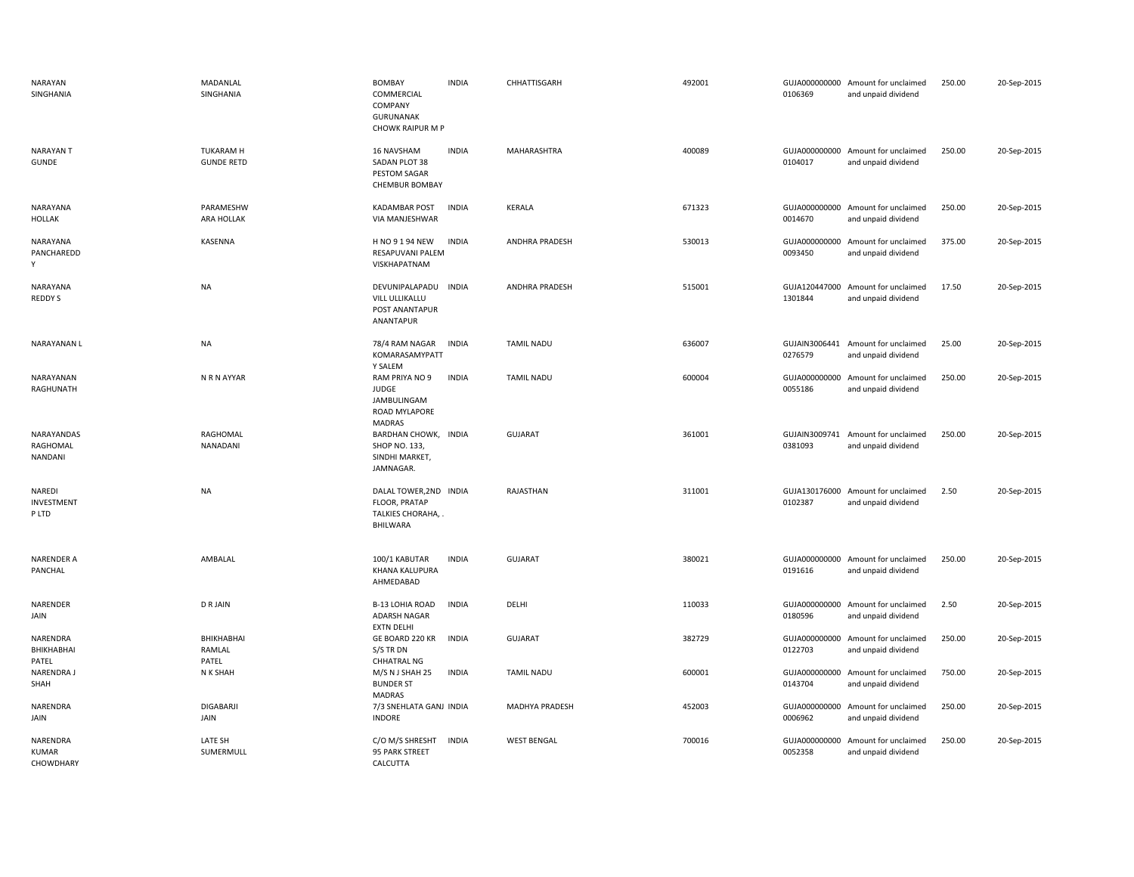| NARAYAN<br>SINGHANIA                  | MADANLAL<br>SINGHANIA                 | <b>BOMBAY</b><br>COMMERCIAL<br>COMPANY<br><b>GURUNANAK</b><br>CHOWK RAIPUR M P  | <b>INDIA</b> | CHHATTISGARH          | 492001 | 0106369                  | GUJA000000000 Amount for unclaimed<br>and unpaid dividend | 250.00 | 20-Sep-2015 |
|---------------------------------------|---------------------------------------|---------------------------------------------------------------------------------|--------------|-----------------------|--------|--------------------------|-----------------------------------------------------------|--------|-------------|
| <b>NARAYANT</b><br><b>GUNDE</b>       | <b>TUKARAM H</b><br><b>GUNDE RETD</b> | 16 NAVSHAM<br>SADAN PLOT 38<br>PESTOM SAGAR<br><b>CHEMBUR BOMBAY</b>            | <b>INDIA</b> | MAHARASHTRA           | 400089 | 0104017                  | GUJA000000000 Amount for unclaimed<br>and unpaid dividend | 250.00 | 20-Sep-2015 |
| NARAYANA<br><b>HOLLAK</b>             | PARAMESHW<br>ARA HOLLAK               | <b>KADAMBAR POST</b><br>VIA MANJESHWAR                                          | <b>INDIA</b> | <b>KERALA</b>         | 671323 | 0014670                  | GUJA000000000 Amount for unclaimed<br>and unpaid dividend | 250.00 | 20-Sep-2015 |
| NARAYANA<br>PANCHAREDD<br>Y           | KASENNA                               | H NO 9 1 94 NEW<br>RESAPUVANI PALEM<br>VISKHAPATNAM                             | <b>INDIA</b> | ANDHRA PRADESH        | 530013 | 0093450                  | GUJA000000000 Amount for unclaimed<br>and unpaid dividend | 375.00 | 20-Sep-2015 |
| NARAYANA<br>REDDY S                   | <b>NA</b>                             | DEVUNIPALAPADU INDIA<br>VILL ULLIKALLU<br>POST ANANTAPUR<br>ANANTAPUR           |              | <b>ANDHRA PRADESH</b> | 515001 | 1301844                  | GUJA120447000 Amount for unclaimed<br>and unpaid dividend | 17.50  | 20-Sep-2015 |
| NARAYANAN L                           | <b>NA</b>                             | 78/4 RAM NAGAR<br>KOMARASAMYPATT<br>Y SALEM                                     | <b>INDIA</b> | <b>TAMIL NADU</b>     | 636007 | 0276579                  | GUJAIN3006441 Amount for unclaimed<br>and unpaid dividend | 25.00  | 20-Sep-2015 |
| NARAYANAN<br>RAGHUNATH                | N R N AYYAR                           | RAM PRIYA NO 9<br><b>JUDGE</b><br>JAMBULINGAM<br>ROAD MYLAPORE<br><b>MADRAS</b> | <b>INDIA</b> | <b>TAMIL NADU</b>     | 600004 | 0055186                  | GUJA000000000 Amount for unclaimed<br>and unpaid dividend | 250.00 | 20-Sep-2015 |
| NARAYANDAS<br>RAGHOMAL<br>NANDANI     | RAGHOMAL<br>NANADANI                  | BARDHAN CHOWK, INDIA<br><b>SHOP NO. 133,</b><br>SINDHI MARKET,<br>JAMNAGAR.     |              | GUJARAT               | 361001 | 0381093                  | GUJAIN3009741 Amount for unclaimed<br>and unpaid dividend | 250.00 | 20-Sep-2015 |
| NAREDI<br>INVESTMENT<br>P LTD         | <b>NA</b>                             | DALAL TOWER, 2ND INDIA<br>FLOOR, PRATAP<br>TALKIES CHORAHA, .<br>BHILWARA       |              | RAJASTHAN             | 311001 | 0102387                  | GUJA130176000 Amount for unclaimed<br>and unpaid dividend | 2.50   | 20-Sep-2015 |
| NARENDER A<br>PANCHAL                 | AMBALAL                               | 100/1 KABUTAR<br><b>KHANA KALUPURA</b><br>AHMEDABAD                             | <b>INDIA</b> | <b>GUJARAT</b>        | 380021 | 0191616                  | GUJA000000000 Amount for unclaimed<br>and unpaid dividend | 250.00 | 20-Sep-2015 |
| NARENDER<br>JAIN                      | <b>DRJAIN</b>                         | <b>B-13 LOHIA ROAD</b><br><b>ADARSH NAGAR</b><br><b>EXTN DELHI</b>              | <b>INDIA</b> | DELHI                 | 110033 | 0180596                  | GUJA000000000 Amount for unclaimed<br>and unpaid dividend | 2.50   | 20-Sep-2015 |
| NARENDRA<br>BHIKHABHAI<br>PATEL       | BHIKHABHAI<br>RAMLAL<br>PATEL         | GE BOARD 220 KR<br>S/S TR DN<br><b>CHHATRAL NG</b>                              | <b>INDIA</b> | <b>GUJARAT</b>        | 382729 | 0122703                  | GUJA000000000 Amount for unclaimed<br>and unpaid dividend | 250.00 | 20-Sep-2015 |
| NARENDRA J<br>SHAH                    | N K SHAH                              | M/S N J SHAH 25<br><b>BUNDER ST</b><br><b>MADRAS</b>                            | <b>INDIA</b> | <b>TAMIL NADU</b>     | 600001 | 0143704                  | GUJA000000000 Amount for unclaimed<br>and unpaid dividend | 750.00 | 20-Sep-2015 |
| NARENDRA<br>JAIN                      | DIGABARJI<br>JAIN                     | 7/3 SNEHLATA GANJ INDIA<br><b>INDORE</b>                                        |              | MADHYA PRADESH        | 452003 | 0006962                  | GUJA000000000 Amount for unclaimed<br>and unpaid dividend | 250.00 | 20-Sep-2015 |
| NARENDRA<br><b>KUMAR</b><br>CHOWDHARY | LATE SH<br>SUMERMULL                  | C/O M/S SHRESHT<br>95 PARK STREET<br>CALCUTTA                                   | <b>INDIA</b> | <b>WEST BENGAL</b>    | 700016 | GUJA000000000<br>0052358 | Amount for unclaimed<br>and unpaid dividend               | 250.00 | 20-Sep-2015 |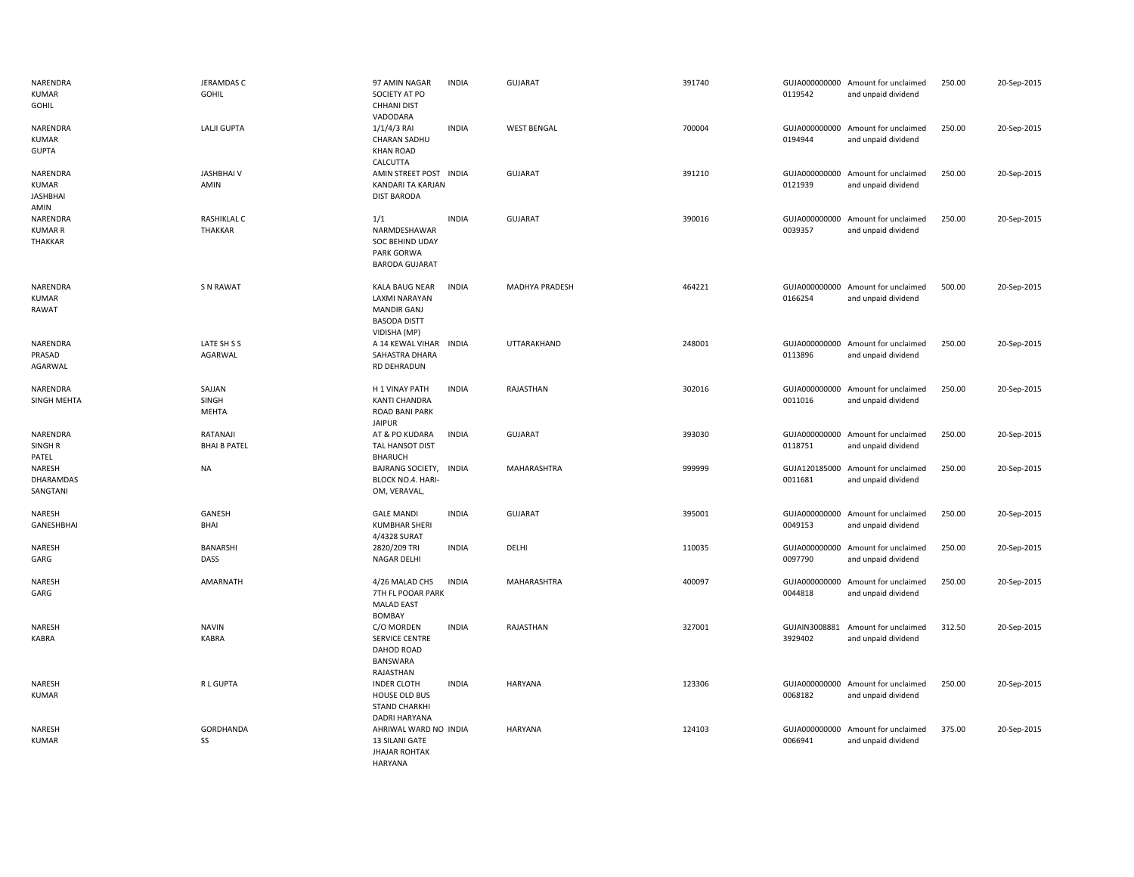| NARENDRA<br><b>KUMAR</b><br>GOHIL            | <b>JERAMDAS C</b><br>GOHIL      | 97 AMIN NAGAR<br>SOCIETY AT PO<br><b>CHHANI DIST</b><br>VADODARA                                    | <b>INDIA</b> | <b>GUJARAT</b>     | 391740 | 0119542                  | GUJA000000000 Amount for unclaimed<br>and unpaid dividend | 250.00 | 20-Sep-2015 |
|----------------------------------------------|---------------------------------|-----------------------------------------------------------------------------------------------------|--------------|--------------------|--------|--------------------------|-----------------------------------------------------------|--------|-------------|
| NARENDRA<br><b>KUMAR</b><br><b>GUPTA</b>     | LALJI GUPTA                     | $1/1/4/3$ RAI<br>CHARAN SADHU<br><b>KHAN ROAD</b><br>CALCUTTA                                       | <b>INDIA</b> | <b>WEST BENGAL</b> | 700004 | 0194944                  | GUJA000000000 Amount for unclaimed<br>and unpaid dividend | 250.00 | 20-Sep-2015 |
| NARENDRA<br>KUMAR<br><b>JASHBHAI</b><br>AMIN | <b>JASHBHAIV</b><br>AMIN        | AMIN STREET POST INDIA<br>KANDARI TA KARJAN<br><b>DIST BARODA</b>                                   |              | GUJARAT            | 391210 | 0121939                  | GUJA000000000 Amount for unclaimed<br>and unpaid dividend | 250.00 | 20-Sep-2015 |
| NARENDRA<br><b>KUMAR R</b><br>THAKKAR        | RASHIKLAL C<br><b>THAKKAR</b>   | 1/1<br>NARMDESHAWAR<br>SOC BEHIND UDAY<br>PARK GORWA<br><b>BARODA GUJARAT</b>                       | <b>INDIA</b> | <b>GUJARAT</b>     | 390016 | 0039357                  | GUJA000000000 Amount for unclaimed<br>and unpaid dividend | 250.00 | 20-Sep-2015 |
| NARENDRA<br><b>KUMAR</b><br>RAWAT            | <b>SN RAWAT</b>                 | KALA BAUG NEAR<br><b>LAXMI NARAYAN</b><br><b>MANDIR GANJ</b><br><b>BASODA DISTT</b><br>VIDISHA (MP) | <b>INDIA</b> | MADHYA PRADESH     | 464221 | 0166254                  | GUJA000000000 Amount for unclaimed<br>and unpaid dividend | 500.00 | 20-Sep-2015 |
| NARENDRA<br>PRASAD<br>AGARWAL                | LATE SH S S<br>AGARWAL          | A 14 KEWAL VIHAR INDIA<br>SAHASTRA DHARA<br>RD DEHRADUN                                             |              | UTTARAKHAND        | 248001 | 0113896                  | GUJA000000000 Amount for unclaimed<br>and unpaid dividend | 250.00 | 20-Sep-2015 |
| NARENDRA<br>SINGH MEHTA                      | SAJJAN<br>SINGH<br>MEHTA        | H 1 VINAY PATH<br><b>KANTI CHANDRA</b><br>ROAD BANI PARK<br><b>JAIPUR</b>                           | <b>INDIA</b> | RAJASTHAN          | 302016 | 0011016                  | GUJA000000000 Amount for unclaimed<br>and unpaid dividend | 250.00 | 20-Sep-2015 |
| NARENDRA<br>SINGH <sub>R</sub><br>PATEL      | RATANAJI<br><b>BHAI B PATEL</b> | AT & PO KUDARA<br>TAL HANSOT DIST<br><b>BHARUCH</b>                                                 | <b>INDIA</b> | <b>GUJARAT</b>     | 393030 | 0118751                  | GUJA000000000 Amount for unclaimed<br>and unpaid dividend | 250.00 | 20-Sep-2015 |
| NARESH<br>DHARAMDAS<br>SANGTANI              | <b>NA</b>                       | BAJRANG SOCIETY, INDIA<br>BLOCK NO.4. HARI-<br>OM, VERAVAL,                                         |              | MAHARASHTRA        | 999999 | 0011681                  | GUJA120185000 Amount for unclaimed<br>and unpaid dividend | 250.00 | 20-Sep-2015 |
| NARESH<br>GANESHBHAI                         | GANESH<br><b>BHAI</b>           | <b>GALE MANDI</b><br><b>KUMBHAR SHERI</b><br>4/4328 SURAT                                           | <b>INDIA</b> | GUJARAT            | 395001 | 0049153                  | GUJA000000000 Amount for unclaimed<br>and unpaid dividend | 250.00 | 20-Sep-2015 |
| NARESH<br>GARG                               | <b>BANARSHI</b><br>DASS         | 2820/209 TRI<br><b>NAGAR DELHI</b>                                                                  | <b>INDIA</b> | DELHI              | 110035 | 0097790                  | GUJA000000000 Amount for unclaimed<br>and unpaid dividend | 250.00 | 20-Sep-2015 |
| NARESH<br>GARG                               | AMARNATH                        | 4/26 MALAD CHS<br>7TH FL POOAR PARK<br><b>MALAD EAST</b><br><b>BOMBAY</b>                           | <b>INDIA</b> | MAHARASHTRA        | 400097 | 0044818                  | GUJA000000000 Amount for unclaimed<br>and unpaid dividend | 250.00 | 20-Sep-2015 |
| NARESH<br><b>KABRA</b>                       | <b>NAVIN</b><br><b>KABRA</b>    | C/O MORDEN<br>SERVICE CENTRE<br>DAHOD ROAD<br>BANSWARA<br>RAJASTHAN                                 | <b>INDIA</b> | RAJASTHAN          | 327001 | GUJAIN3008881<br>3929402 | Amount for unclaimed<br>and unpaid dividend               | 312.50 | 20-Sep-2015 |
| NARESH<br><b>KUMAR</b>                       | R L GUPTA                       | <b>INDER CLOTH</b><br>HOUSE OLD BUS<br><b>STAND CHARKHI</b><br><b>DADRI HARYANA</b>                 | <b>INDIA</b> | <b>HARYANA</b>     | 123306 | 0068182                  | GUJA000000000 Amount for unclaimed<br>and unpaid dividend | 250.00 | 20-Sep-2015 |
| NARESH<br><b>KUMAR</b>                       | GORDHANDA<br>SS                 | AHRIWAL WARD NO INDIA<br>13 SILANI GATE<br><b>JHAJAR ROHTAK</b><br><b>HARYANA</b>                   |              | <b>HARYANA</b>     | 124103 | 0066941                  | GUJA000000000 Amount for unclaimed<br>and unpaid dividend | 375.00 | 20-Sep-2015 |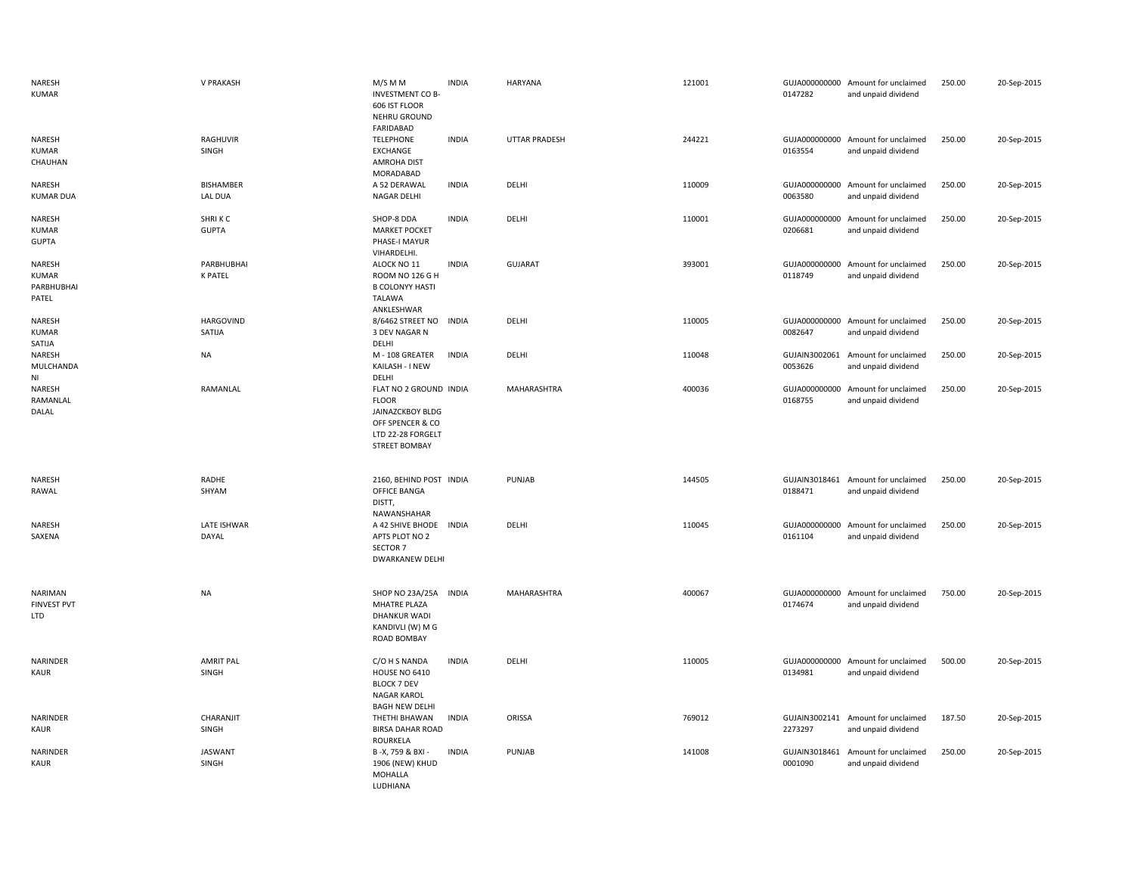| NARESH<br><b>KUMAR</b>                        | V PRAKASH                    | M/S M M<br><b>INVESTMENT CO B-</b><br>606 IST FLOOR<br>NEHRU GROUND                                                         | <b>INDIA</b> | HARYANA        | 121001 | 0147282                  | GUJA000000000 Amount for unclaimed<br>and unpaid dividend | 250.00 | 20-Sep-2015 |
|-----------------------------------------------|------------------------------|-----------------------------------------------------------------------------------------------------------------------------|--------------|----------------|--------|--------------------------|-----------------------------------------------------------|--------|-------------|
| NARESH<br><b>KUMAR</b><br>CHAUHAN             | RAGHUVIR<br>SINGH            | FARIDABAD<br><b>TELEPHONE</b><br>EXCHANGE<br><b>AMROHA DIST</b><br>MORADABAD                                                | <b>INDIA</b> | UTTAR PRADESH  | 244221 | 0163554                  | GUJA000000000 Amount for unclaimed<br>and unpaid dividend | 250.00 | 20-Sep-2015 |
| NARESH<br><b>KUMAR DUA</b>                    | <b>BISHAMBER</b><br>LAL DUA  | A 52 DERAWAL<br>NAGAR DELHI                                                                                                 | <b>INDIA</b> | DELHI          | 110009 | 0063580                  | GUJA000000000 Amount for unclaimed<br>and unpaid dividend | 250.00 | 20-Sep-2015 |
| NARESH<br><b>KUMAR</b><br><b>GUPTA</b>        | SHRIKC<br><b>GUPTA</b>       | SHOP-8 DDA<br><b>MARKET POCKET</b><br>PHASE-I MAYUR<br>VIHARDELHI.                                                          | <b>INDIA</b> | DELHI          | 110001 | GUJA000000000<br>0206681 | Amount for unclaimed<br>and unpaid dividend               | 250.00 | 20-Sep-2015 |
| NARESH<br><b>KUMAR</b><br>PARBHUBHAI<br>PATEL | PARBHUBHAI<br><b>K PATEL</b> | ALOCK NO 11<br>ROOM NO 126 G H<br><b>B COLONYY HASTI</b><br>TALAWA<br>ANKLESHWAR                                            | <b>INDIA</b> | <b>GUJARAT</b> | 393001 | GUJA000000000<br>0118749 | Amount for unclaimed<br>and unpaid dividend               | 250.00 | 20-Sep-2015 |
| NARESH<br><b>KUMAR</b><br>SATIJA              | <b>HARGOVIND</b><br>SATIJA   | 8/6462 STREET NO<br>3 DEV NAGAR N<br>DELHI                                                                                  | <b>INDIA</b> | DELHI          | 110005 | GUJA000000000<br>0082647 | Amount for unclaimed<br>and unpaid dividend               | 250.00 | 20-Sep-2015 |
| NARESH<br>MULCHANDA<br>N <sub>1</sub>         | <b>NA</b>                    | M - 108 GREATER<br>KAILASH - I NEW<br>DELHI                                                                                 | <b>INDIA</b> | DELHI          | 110048 | GUJAIN3002061<br>0053626 | Amount for unclaimed<br>and unpaid dividend               | 250.00 | 20-Sep-2015 |
| NARESH<br>RAMANLAL<br>DALAL                   | RAMANLAL                     | FLAT NO 2 GROUND INDIA<br><b>FLOOR</b><br>JAINAZCKBOY BLDG<br>OFF SPENCER & CO<br>LTD 22-28 FORGELT<br><b>STREET BOMBAY</b> |              | MAHARASHTRA    | 400036 | GUJA000000000<br>0168755 | Amount for unclaimed<br>and unpaid dividend               | 250.00 | 20-Sep-2015 |
| NARESH<br>RAWAL                               | RADHE<br>SHYAM               | 2160, BEHIND POST INDIA<br>OFFICE BANGA<br>DISTT,                                                                           |              | PUNJAB         | 144505 | 0188471                  | GUJAIN3018461 Amount for unclaimed<br>and unpaid dividend | 250.00 | 20-Sep-2015 |
| NARESH<br>SAXENA                              | LATE ISHWAR<br>DAYAL         | NAWANSHAHAR<br>A 42 SHIVE BHODE INDIA<br>APTS PLOT NO 2<br>SECTOR 7<br><b>DWARKANEW DELHI</b>                               |              | DELHI          | 110045 | 0161104                  | GUJA000000000 Amount for unclaimed<br>and unpaid dividend | 250.00 | 20-Sep-2015 |
| NARIMAN<br><b>FINVEST PVT</b><br><b>LTD</b>   | <b>NA</b>                    | SHOP NO 23A/25A INDIA<br><b>MHATRE PLAZA</b><br><b>DHANKUR WADI</b><br>KANDIVLI (W) M G<br><b>ROAD BOMBAY</b>               |              | MAHARASHTRA    | 400067 | GUJA000000000<br>0174674 | Amount for unclaimed<br>and unpaid dividend               | 750.00 | 20-Sep-2015 |
| NARINDER<br><b>KAUR</b>                       | <b>AMRIT PAL</b><br>SINGH    | C/O H S NANDA<br><b>HOUSE NO 6410</b><br><b>BLOCK 7 DEV</b><br><b>NAGAR KAROL</b><br><b>BAGH NEW DELHI</b>                  | <b>INDIA</b> | DELHI          | 110005 | 0134981                  | GUJA000000000 Amount for unclaimed<br>and unpaid dividend | 500.00 | 20-Sep-2015 |
| NARINDER<br>KAUR                              | CHARANJIT<br>SINGH           | THETHI BHAWAN<br><b>BIRSA DAHAR ROAD</b><br><b>ROURKELA</b>                                                                 | <b>INDIA</b> | ORISSA         | 769012 | 2273297                  | GUJAIN3002141 Amount for unclaimed<br>and unpaid dividend | 187.50 | 20-Sep-2015 |
| NARINDER<br>KAUR                              | <b>JASWANT</b><br>SINGH      | B-X, 759 & BXI -<br>1906 (NEW) KHUD<br>MOHALLA<br>LUDHIANA                                                                  | <b>INDIA</b> | PUNJAB         | 141008 | GUJAIN3018461<br>0001090 | Amount for unclaimed<br>and unpaid dividend               | 250.00 | 20-Sep-2015 |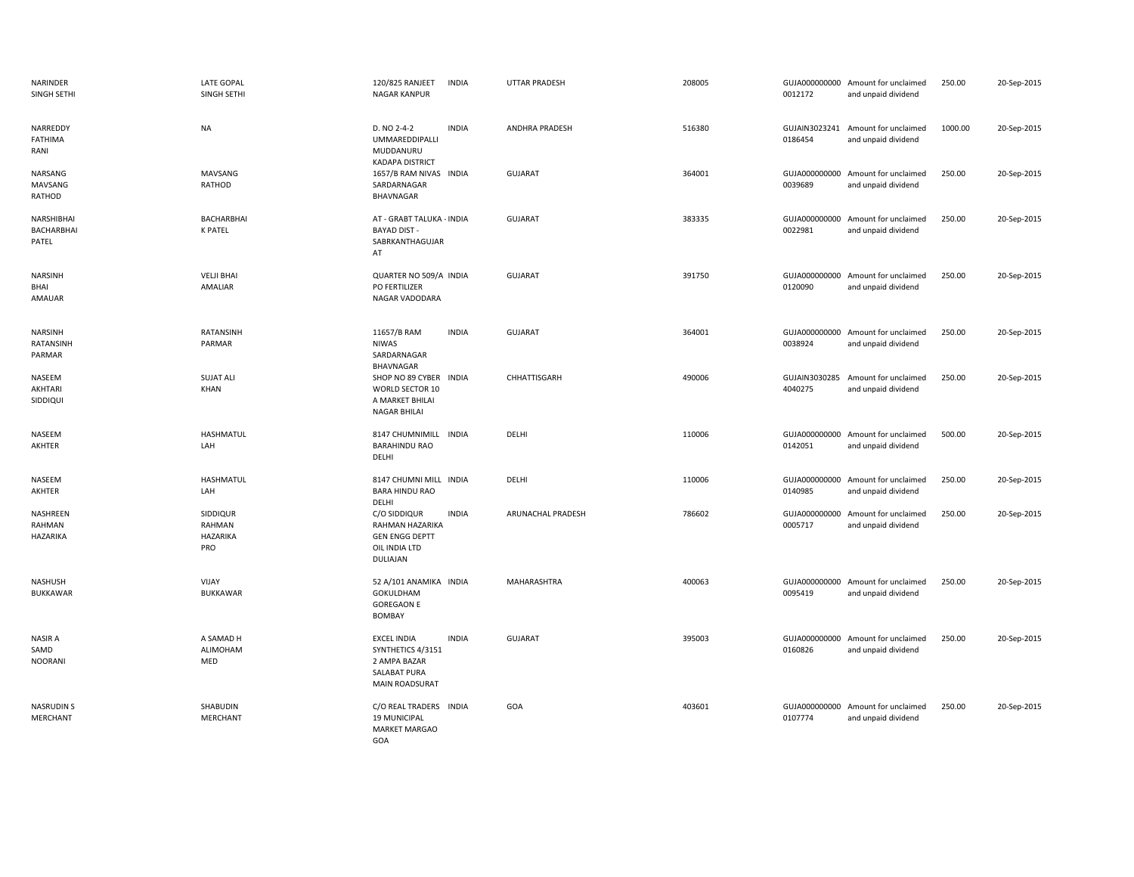| <b>NARINDER</b><br>SINGH SETHI           | <b>LATE GOPAL</b><br>SINGH SETHI             | 120/825 RANJEET<br><b>INDIA</b><br><b>NAGAR KANPUR</b>                                                           | <b>UTTAR PRADESH</b> | 208005 | 0012172                  | GUJA000000000 Amount for unclaimed<br>and unpaid dividend | 250.00  | 20-Sep-2015 |
|------------------------------------------|----------------------------------------------|------------------------------------------------------------------------------------------------------------------|----------------------|--------|--------------------------|-----------------------------------------------------------|---------|-------------|
| NARREDDY<br>FATHIMA<br>RANI              | <b>NA</b>                                    | D. NO 2-4-2<br><b>INDIA</b><br>UMMAREDDIPALLI<br>MUDDANURU<br><b>KADAPA DISTRICT</b>                             | ANDHRA PRADESH       | 516380 | 0186454                  | GUJAIN3023241 Amount for unclaimed<br>and unpaid dividend | 1000.00 | 20-Sep-2015 |
| NARSANG<br>MAVSANG<br>RATHOD             | MAVSANG<br>RATHOD                            | 1657/B RAM NIVAS INDIA<br>SARDARNAGAR<br>BHAVNAGAR                                                               | <b>GUJARAT</b>       | 364001 | 0039689                  | GUJA000000000 Amount for unclaimed<br>and unpaid dividend | 250.00  | 20-Sep-2015 |
| NARSHIBHAI<br>BACHARBHAI<br>PATEL        | BACHARBHAI<br><b>K PATEL</b>                 | AT - GRABT TALUKA - INDIA<br><b>BAYAD DIST -</b><br>SABRKANTHAGUJAR<br>AT                                        | GUJARAT              | 383335 | GUJA000000000<br>0022981 | Amount for unclaimed<br>and unpaid dividend               | 250.00  | 20-Sep-2015 |
| <b>NARSINH</b><br>BHAI<br>AMAUAR         | <b>VELJI BHAI</b><br>AMALIAR                 | QUARTER NO 509/A INDIA<br>PO FERTILIZER<br>NAGAR VADODARA                                                        | <b>GUJARAT</b>       | 391750 | 0120090                  | GUJA000000000 Amount for unclaimed<br>and unpaid dividend | 250.00  | 20-Sep-2015 |
| <b>NARSINH</b><br>RATANSINH<br>PARMAR    | RATANSINH<br>PARMAR                          | <b>INDIA</b><br>11657/B RAM<br><b>NIWAS</b><br>SARDARNAGAR<br>BHAVNAGAR                                          | <b>GUJARAT</b>       | 364001 | 0038924                  | GUJA000000000 Amount for unclaimed<br>and unpaid dividend | 250.00  | 20-Sep-2015 |
| NASEEM<br>AKHTARI<br>SIDDIQUI            | <b>SUJAT ALI</b><br>KHAN                     | SHOP NO 89 CYBER<br><b>INDIA</b><br>WORLD SECTOR 10<br>A MARKET BHILAI<br><b>NAGAR BHILAI</b>                    | CHHATTISGARH         | 490006 | GUJAIN3030285<br>4040275 | Amount for unclaimed<br>and unpaid dividend               | 250.00  | 20-Sep-2015 |
| NASEEM<br>AKHTER                         | <b>HASHMATUL</b><br>LAH                      | 8147 CHUMNIMILL INDIA<br><b>BARAHINDU RAO</b><br>DELHI                                                           | DELHI                | 110006 | GUJA000000000<br>0142051 | Amount for unclaimed<br>and unpaid dividend               | 500.00  | 20-Sep-2015 |
| NASEEM<br>AKHTER                         | <b>HASHMATUL</b><br>LAH                      | 8147 CHUMNI MILL INDIA<br><b>BARA HINDU RAO</b><br>DELHI                                                         | DELHI                | 110006 | 0140985                  | GUJA000000000 Amount for unclaimed<br>and unpaid dividend | 250.00  | 20-Sep-2015 |
| NASHREEN<br>RAHMAN<br>HAZARIKA           | SIDDIQUR<br>RAHMAN<br><b>HAZARIKA</b><br>PRO | C/O SIDDIQUR<br><b>INDIA</b><br>RAHMAN HAZARIKA<br><b>GEN ENGG DEPTT</b><br>OIL INDIA LTD<br>DULIAJAN            | ARUNACHAL PRADESH    | 786602 | 0005717                  | GUJA000000000 Amount for unclaimed<br>and unpaid dividend | 250.00  | 20-Sep-2015 |
| <b>NASHUSH</b><br><b>BUKKAWAR</b>        | VIJAY<br><b>BUKKAWAR</b>                     | 52 A/101 ANAMIKA INDIA<br>GOKULDHAM<br><b>GOREGAON E</b><br><b>BOMBAY</b>                                        | MAHARASHTRA          | 400063 | 0095419                  | GUJA000000000 Amount for unclaimed<br>and unpaid dividend | 250.00  | 20-Sep-2015 |
| <b>NASIR A</b><br>SAMD<br><b>NOORANI</b> | A SAMAD H<br>ALIMOHAM<br>MED                 | <b>EXCEL INDIA</b><br><b>INDIA</b><br>SYNTHETICS 4/3151<br>2 AMPA BAZAR<br>SALABAT PURA<br><b>MAIN ROADSURAT</b> | <b>GUJARAT</b>       | 395003 | 0160826                  | GUJA000000000 Amount for unclaimed<br>and unpaid dividend | 250.00  | 20-Sep-2015 |
| <b>NASRUDINS</b><br>MERCHANT             | SHABUDIN<br>MERCHANT                         | C/O REAL TRADERS INDIA<br>19 MUNICIPAL<br><b>MARKET MARGAO</b><br>GOA                                            | GOA                  | 403601 | 0107774                  | GUJA000000000 Amount for unclaimed<br>and unpaid dividend | 250.00  | 20-Sep-2015 |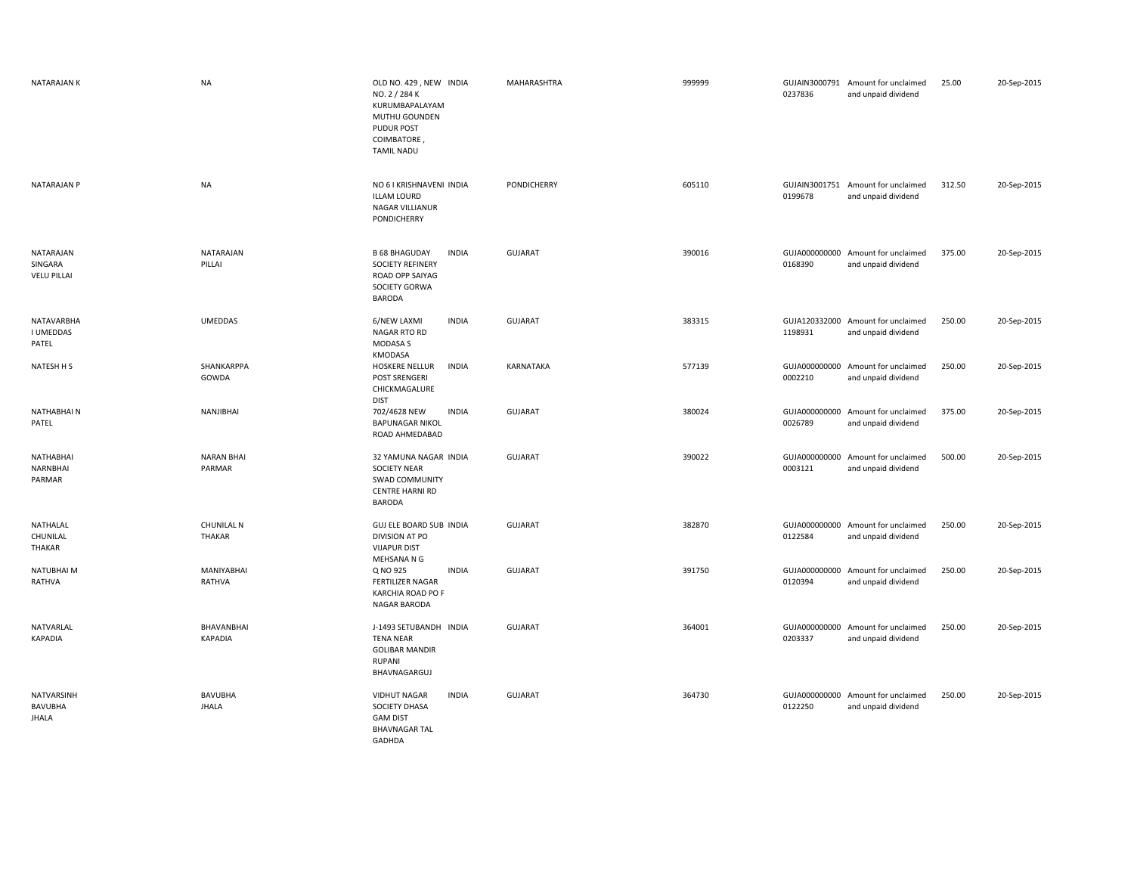| <b>NATARAJAN K</b>                         | <b>NA</b>                      | OLD NO. 429, NEW INDIA<br>NO. 2 / 284 K<br>KURUMBAPALAYAM<br>MUTHU GOUNDEN<br>PUDUR POST<br>COIMBATORE<br><b>TAMIL NADU</b> | MAHARASHTRA      | 999999 | 0237836                  | GUJAIN3000791 Amount for unclaimed<br>and unpaid dividend | 25.00  | 20-Sep-2015 |
|--------------------------------------------|--------------------------------|-----------------------------------------------------------------------------------------------------------------------------|------------------|--------|--------------------------|-----------------------------------------------------------|--------|-------------|
| NATARAJAN P                                | <b>NA</b>                      | NO 6 I KRISHNAVENI INDIA<br><b>ILLAM LOURD</b><br>NAGAR VILLIANUR<br>PONDICHERRY                                            | PONDICHERRY      | 605110 | 0199678                  | GUJAIN3001751 Amount for unclaimed<br>and unpaid dividend | 312.50 | 20-Sep-2015 |
| NATARAJAN<br>SINGARA<br><b>VELU PILLAI</b> | NATARAJAN<br>PILLAI            | <b>B 68 BHAGUDAY</b><br><b>INDIA</b><br><b>SOCIETY REFINERY</b><br>ROAD OPP SAIYAG<br>SOCIETY GORWA<br>BARODA               | <b>GUJARAT</b>   | 390016 | 0168390                  | GUJA000000000 Amount for unclaimed<br>and unpaid dividend | 375.00 | 20-Sep-2015 |
| <b>NATAVARBHA</b><br>I UMEDDAS<br>PATEL    | <b>UMEDDAS</b>                 | 6/NEW LAXMI<br><b>INDIA</b><br><b>NAGAR RTO RD</b><br><b>MODASA S</b><br>KMODASA                                            | <b>GUJARAT</b>   | 383315 | GUJA120332000<br>1198931 | Amount for unclaimed<br>and unpaid dividend               | 250.00 | 20-Sep-2015 |
| NATESH H S                                 | SHANKARPPA<br>GOWDA            | HOSKERE NELLUR<br><b>INDIA</b><br>POST SRENGERI<br>CHICKMAGALURE<br><b>DIST</b>                                             | <b>KARNATAKA</b> | 577139 | 0002210                  | GUJA000000000 Amount for unclaimed<br>and unpaid dividend | 250.00 | 20-Sep-2015 |
| NATHABHAIN<br>PATEL                        | NANJIBHAI                      | <b>INDIA</b><br>702/4628 NEW<br><b>BAPUNAGAR NIKOL</b><br>ROAD AHMEDABAD                                                    | <b>GUJARAT</b>   | 380024 | GUJA000000000<br>0026789 | Amount for unclaimed<br>and unpaid dividend               | 375.00 | 20-Sep-2015 |
| NATHABHAI<br>NARNBHAI<br>PARMAR            | <b>NARAN BHAI</b><br>PARMAR    | 32 YAMUNA NAGAR INDIA<br><b>SOCIETY NEAR</b><br><b>SWAD COMMUNITY</b><br><b>CENTRE HARNI RD</b><br>BARODA                   | <b>GUJARAT</b>   | 390022 | GUJA000000000<br>0003121 | Amount for unclaimed<br>and unpaid dividend               | 500.00 | 20-Sep-2015 |
| NATHALAL<br>CHUNILAL<br>THAKAR             | <b>CHUNILAL N</b><br>THAKAR    | GUJ ELE BOARD SUB INDIA<br>DIVISION AT PO<br><b>VIJAPUR DIST</b><br>MEHSANA N G                                             | <b>GUJARAT</b>   | 382870 | 0122584                  | GUJA000000000 Amount for unclaimed<br>and unpaid dividend | 250.00 | 20-Sep-2015 |
| NATUBHAI M<br>RATHVA                       | MANIYABHAI<br>RATHVA           | Q NO 925<br><b>INDIA</b><br>FERTILIZER NAGAR<br>KARCHIA ROAD PO F<br>NAGAR BARODA                                           | <b>GUJARAT</b>   | 391750 | GUJA000000000<br>0120394 | Amount for unclaimed<br>and unpaid dividend               | 250.00 | 20-Sep-2015 |
| NATVARLAL<br><b>KAPADIA</b>                | BHAVANBHAI<br>KAPADIA          | J-1493 SETUBANDH INDIA<br><b>TENA NEAR</b><br><b>GOLIBAR MANDIR</b><br><b>RUPANI</b><br>BHAVNAGARGUJ                        | <b>GUJARAT</b>   | 364001 | 0203337                  | GUJA000000000 Amount for unclaimed<br>and unpaid dividend | 250.00 | 20-Sep-2015 |
| NATVARSINH<br>BAVUBHA<br><b>JHALA</b>      | <b>BAVUBHA</b><br><b>JHALA</b> | <b>VIDHUT NAGAR</b><br><b>INDIA</b><br>SOCIETY DHASA<br><b>GAM DIST</b><br><b>BHAVNAGAR TAL</b>                             | <b>GUJARAT</b>   | 364730 | 0122250                  | GUJA000000000 Amount for unclaimed<br>and unpaid dividend | 250.00 | 20-Sep-2015 |

GADHDA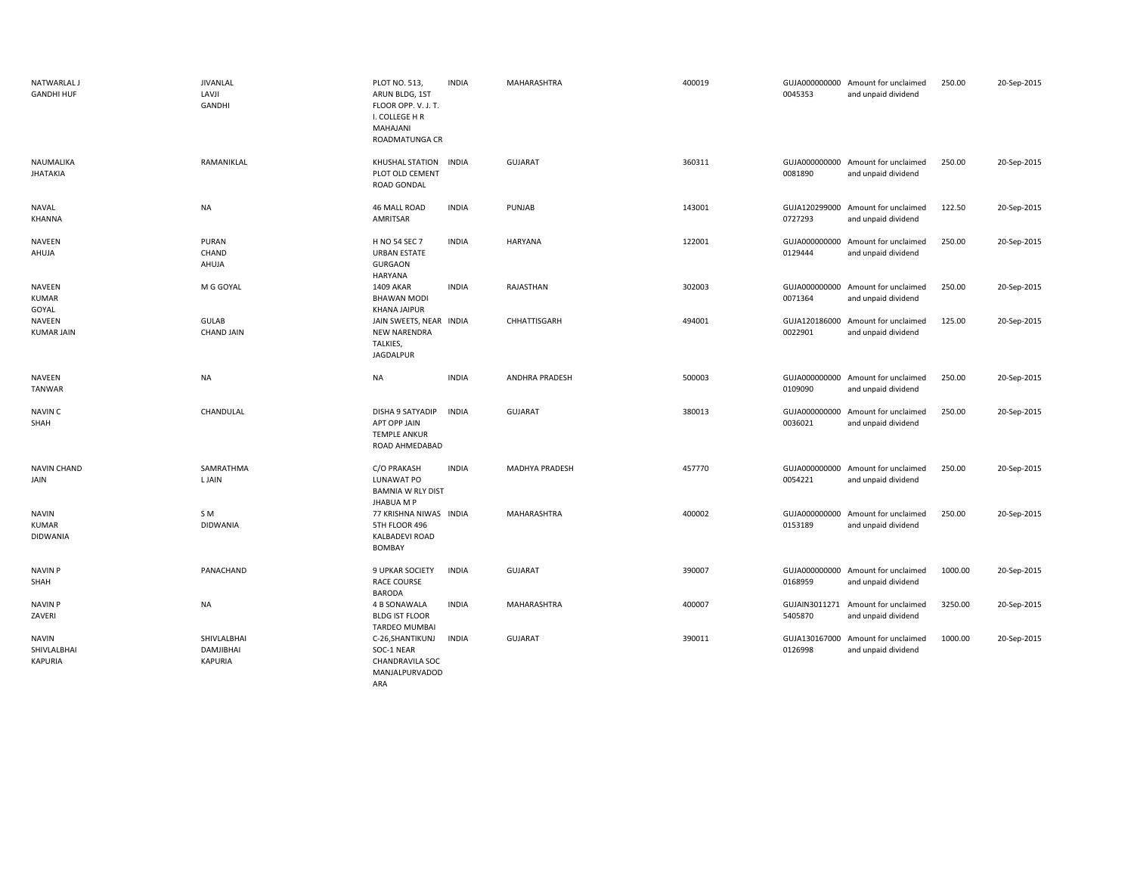| <b>NATWARLAL J</b><br><b>GANDHI HUF</b>       | JIVANLAL<br>LAVJI<br><b>GANDHI</b>         | PLOT NO. 513,<br>ARUN BLDG, 1ST<br>FLOOR OPP. V. J. T.<br>I. COLLEGE H R<br>MAHAJANI<br>ROADMATUNGA CR | <b>INDIA</b> | MAHARASHTRA           | 400019 | 0045353                  | GUJA000000000 Amount for unclaimed<br>and unpaid dividend | 250.00  | 20-Sep-2015 |
|-----------------------------------------------|--------------------------------------------|--------------------------------------------------------------------------------------------------------|--------------|-----------------------|--------|--------------------------|-----------------------------------------------------------|---------|-------------|
| NAUMALIKA<br><b>JHATAKIA</b>                  | RAMANIKLAL                                 | KHUSHAL STATION INDIA<br>PLOT OLD CEMENT<br>ROAD GONDAL                                                |              | <b>GUJARAT</b>        | 360311 | 0081890                  | GUJA000000000 Amount for unclaimed<br>and unpaid dividend | 250.00  | 20-Sep-2015 |
| NAVAL<br>KHANNA                               | <b>NA</b>                                  | 46 MALL ROAD<br>AMRITSAR                                                                               | <b>INDIA</b> | PUNJAB                | 143001 | GUJA120299000<br>0727293 | Amount for unclaimed<br>and unpaid dividend               | 122.50  | 20-Sep-2015 |
| NAVEEN<br>AHUJA                               | PURAN<br>CHAND<br>AHUJA                    | H NO 54 SEC 7<br><b>URBAN ESTATE</b><br><b>GURGAON</b><br>HARYANA                                      | <b>INDIA</b> | <b>HARYANA</b>        | 122001 | GUJA000000000<br>0129444 | Amount for unclaimed<br>and unpaid dividend               | 250.00  | 20-Sep-2015 |
| NAVEEN<br><b>KUMAR</b><br>GOYAL               | M G GOYAL                                  | 1409 AKAR<br><b>BHAWAN MODI</b><br><b>KHANA JAIPUR</b>                                                 | <b>INDIA</b> | RAJASTHAN             | 302003 | GUJA000000000<br>0071364 | Amount for unclaimed<br>and unpaid dividend               | 250.00  | 20-Sep-2015 |
| <b>NAVEEN</b><br><b>KUMAR JAIN</b>            | <b>GULAB</b><br><b>CHAND JAIN</b>          | JAIN SWEETS, NEAR INDIA<br><b>NEW NARENDRA</b><br>TALKIES,<br>JAGDALPUR                                |              | CHHATTISGARH          | 494001 | GUJA120186000<br>0022901 | Amount for unclaimed<br>and unpaid dividend               | 125.00  | 20-Sep-2015 |
| NAVEEN<br>TANWAR                              | <b>NA</b>                                  | <b>NA</b>                                                                                              | <b>INDIA</b> | <b>ANDHRA PRADESH</b> | 500003 | 0109090                  | GUJA000000000 Amount for unclaimed<br>and unpaid dividend | 250.00  | 20-Sep-2015 |
| <b>NAVIN C</b><br>SHAH                        | CHANDULAL                                  | DISHA 9 SATYADIP<br>APT OPP JAIN<br><b>TEMPLE ANKUR</b><br>ROAD AHMEDABAD                              | <b>INDIA</b> | <b>GUJARAT</b>        | 380013 | GUJA000000000<br>0036021 | Amount for unclaimed<br>and unpaid dividend               | 250.00  | 20-Sep-2015 |
| <b>NAVIN CHAND</b><br>JAIN                    | SAMRATHMA<br>L JAIN                        | C/O PRAKASH<br>LUNAWAT PO<br><b>BAMNIA W RLY DIST</b><br><b>JHABUA M P</b>                             | <b>INDIA</b> | MADHYA PRADESH        | 457770 | GUJA000000000<br>0054221 | Amount for unclaimed<br>and unpaid dividend               | 250.00  | 20-Sep-2015 |
| <b>NAVIN</b><br><b>KUMAR</b><br>DIDWANIA      | SM.<br><b>DIDWANIA</b>                     | 77 KRISHNA NIWAS INDIA<br>5TH FLOOR 496<br>KALBADEVI ROAD<br><b>BOMBAY</b>                             |              | MAHARASHTRA           | 400002 | GUJA000000000<br>0153189 | Amount for unclaimed<br>and unpaid dividend               | 250.00  | 20-Sep-2015 |
| <b>NAVIN P</b><br>SHAH                        | PANACHAND                                  | 9 UPKAR SOCIETY<br><b>RACE COURSE</b><br><b>BARODA</b>                                                 | <b>INDIA</b> | <b>GUJARAT</b>        | 390007 | 0168959                  | GUJA000000000 Amount for unclaimed<br>and unpaid dividend | 1000.00 | 20-Sep-2015 |
| <b>NAVIN P</b><br>ZAVERI                      | <b>NA</b>                                  | 4 B SONAWALA<br><b>BLDG IST FLOOR</b><br><b>TARDEO MUMBAI</b>                                          | <b>INDIA</b> | MAHARASHTRA           | 400007 | GUJAIN3011271<br>5405870 | Amount for unclaimed<br>and unpaid dividend               | 3250.00 | 20-Sep-2015 |
| <b>NAVIN</b><br>SHIVLALBHAI<br><b>KAPURIA</b> | SHIVLALBHAI<br>DAMJIBHAI<br><b>KAPURIA</b> | C-26, SHANTIKUNJ<br>SOC-1 NEAR<br>CHANDRAVILA SOC<br>MANJALPURVADOD<br>ARA                             | <b>INDIA</b> | <b>GUJARAT</b>        | 390011 | 0126998                  | GUJA130167000 Amount for unclaimed<br>and unpaid dividend | 1000.00 | 20-Sep-2015 |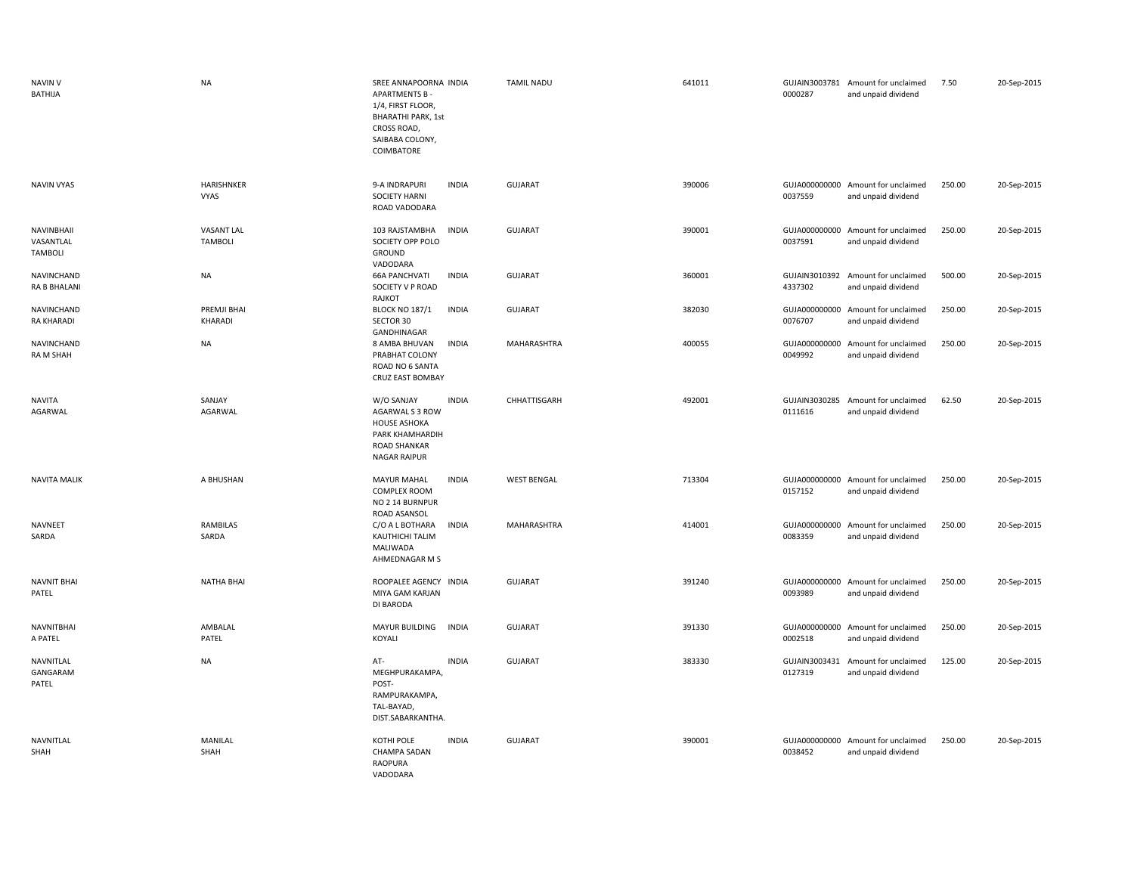| <b>NAVIN V</b><br>BATHIJA                 | <b>NA</b>                           | SREE ANNAPOORNA INDIA<br><b>APARTMENTS B-</b><br>1/4, FIRST FLOOR,<br><b>BHARATHI PARK, 1st</b><br>CROSS ROAD,<br>SAIBABA COLONY,<br>COIMBATORE | <b>TAMIL NADU</b>  | 641011 | 0000287                  | GUJAIN3003781 Amount for unclaimed<br>and unpaid dividend | 7.50   | 20-Sep-2015 |
|-------------------------------------------|-------------------------------------|-------------------------------------------------------------------------------------------------------------------------------------------------|--------------------|--------|--------------------------|-----------------------------------------------------------|--------|-------------|
| <b>NAVIN VYAS</b>                         | HARISHNKER<br><b>VYAS</b>           | 9-A INDRAPURI<br><b>INDIA</b><br><b>SOCIETY HARNI</b><br>ROAD VADODARA                                                                          | GUJARAT            | 390006 | 0037559                  | GUJA000000000 Amount for unclaimed<br>and unpaid dividend | 250.00 | 20-Sep-2015 |
| <b>NAVINBHAII</b><br>VASANTLAL<br>TAMBOLI | <b>VASANT LAL</b><br><b>TAMBOLI</b> | 103 RAJSTAMBHA<br><b>INDIA</b><br>SOCIETY OPP POLO<br>GROUND<br>VADODARA                                                                        | <b>GUJARAT</b>     | 390001 | 0037591                  | GUJA000000000 Amount for unclaimed<br>and unpaid dividend | 250.00 | 20-Sep-2015 |
| NAVINCHAND<br><b>RA B BHALANI</b>         | <b>NA</b>                           | <b>66A PANCHVATI</b><br><b>INDIA</b><br>SOCIETY V P ROAD<br>RAJKOT                                                                              | GUJARAT            | 360001 | 4337302                  | GUJAIN3010392 Amount for unclaimed<br>and unpaid dividend | 500.00 | 20-Sep-2015 |
| NAVINCHAND<br><b>RA KHARADI</b>           | PREMJI BHAI<br>KHARADI              | <b>BLOCK NO 187/1</b><br><b>INDIA</b><br>SECTOR 30<br>GANDHINAGAR                                                                               | GUJARAT            | 382030 | GUJA000000000<br>0076707 | Amount for unclaimed<br>and unpaid dividend               | 250.00 | 20-Sep-2015 |
| NAVINCHAND<br>RA M SHAH                   | <b>NA</b>                           | <b>INDIA</b><br>8 AMBA BHUVAN<br>PRABHAT COLONY<br>ROAD NO 6 SANTA<br>CRUZ EAST BOMBAY                                                          | MAHARASHTRA        | 400055 | 0049992                  | GUJA000000000 Amount for unclaimed<br>and unpaid dividend | 250.00 | 20-Sep-2015 |
| <b>NAVITA</b><br>AGARWAL                  | SANJAY<br>AGARWAL                   | W/O SANJAY<br><b>INDIA</b><br>AGARWAL S 3 ROW<br><b>HOUSE ASHOKA</b><br>PARK KHAMHARDIH<br>ROAD SHANKAR<br><b>NAGAR RAIPUR</b>                  | CHHATTISGARH       | 492001 | 0111616                  | GUJAIN3030285 Amount for unclaimed<br>and unpaid dividend | 62.50  | 20-Sep-2015 |
| <b>NAVITA MALIK</b>                       | A BHUSHAN                           | <b>INDIA</b><br><b>MAYUR MAHAL</b><br><b>COMPLEX ROOM</b><br>NO 2 14 BURNPUR<br>ROAD ASANSOL                                                    | <b>WEST BENGAL</b> | 713304 | 0157152                  | GUJA000000000 Amount for unclaimed<br>and unpaid dividend | 250.00 | 20-Sep-2015 |
| <b>NAVNEET</b><br>SARDA                   | RAMBILAS<br>SARDA                   | C/O A L BOTHARA<br><b>INDIA</b><br><b>KAUTHICHI TALIM</b><br>MALIWADA<br>AHMEDNAGAR M S                                                         | MAHARASHTRA        | 414001 | GUJA000000000<br>0083359 | Amount for unclaimed<br>and unpaid dividend               | 250.00 | 20-Sep-2015 |
| <b>NAVNIT BHAI</b><br>PATEL               | <b>NATHA BHAI</b>                   | ROOPALEE AGENCY INDIA<br>MIYA GAM KARJAN<br>DI BARODA                                                                                           | <b>GUJARAT</b>     | 391240 | GUJA000000000<br>0093989 | Amount for unclaimed<br>and unpaid dividend               | 250.00 | 20-Sep-2015 |
| <b>NAVNITBHAI</b><br>A PATEL              | AMBALAL<br>PATEL                    | MAYUR BUILDING<br><b>INDIA</b><br>KOYALI                                                                                                        | <b>GUJARAT</b>     | 391330 | 0002518                  | GUJA000000000 Amount for unclaimed<br>and unpaid dividend | 250.00 | 20-Sep-2015 |
| NAVNITLAL<br>GANGARAM<br>PATEL            | <b>NA</b>                           | AT-<br><b>INDIA</b><br>MEGHPURAKAMPA,<br>POST-<br>RAMPURAKAMPA,<br>TAL-BAYAD,<br>DIST.SABARKANTHA.                                              | <b>GUJARAT</b>     | 383330 | GUJAIN3003431<br>0127319 | Amount for unclaimed<br>and unpaid dividend               | 125.00 | 20-Sep-2015 |
| NAVNITLAL<br>SHAH                         | MANILAL<br>SHAH                     | <b>INDIA</b><br>KOTHI POLE<br><b>CHAMPA SADAN</b><br><b>RAOPURA</b><br>VADODARA                                                                 | <b>GUJARAT</b>     | 390001 | 0038452                  | GUJA000000000 Amount for unclaimed<br>and unpaid dividend | 250.00 | 20-Sep-2015 |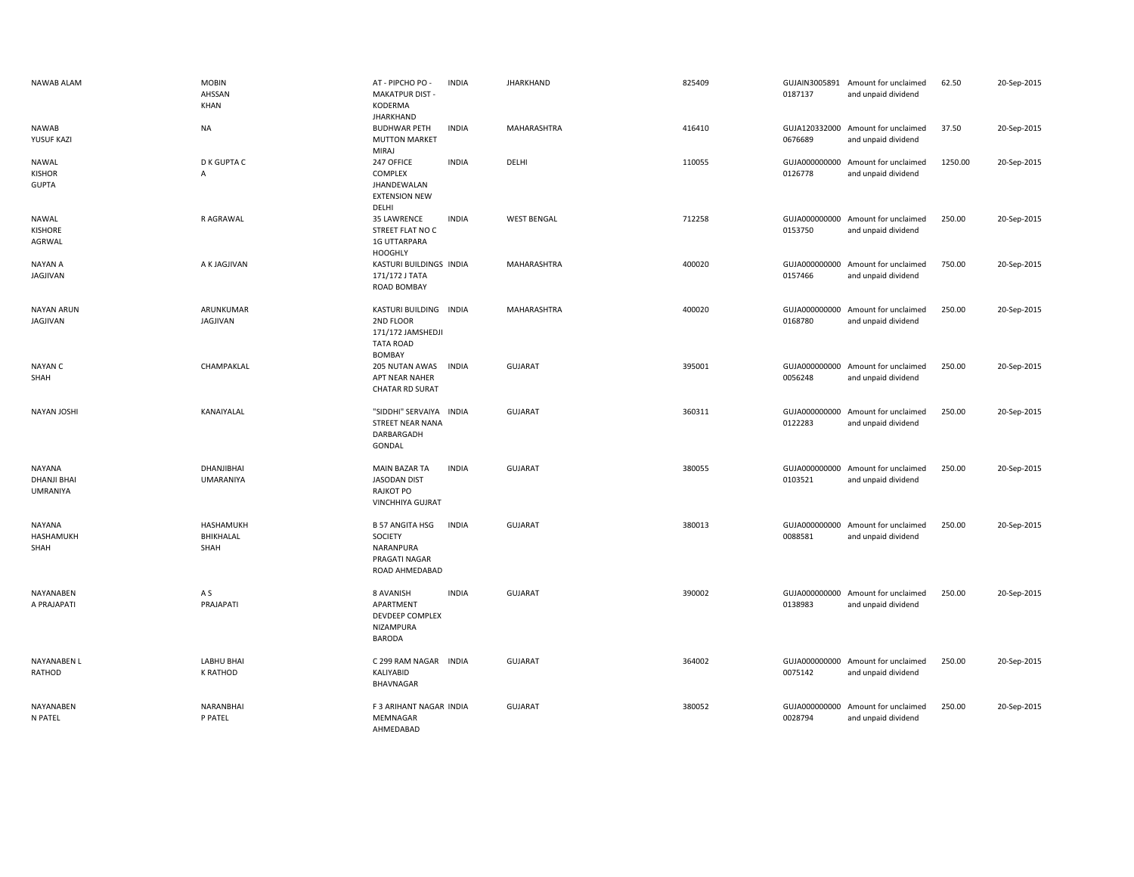| <b>NAWAB ALAM</b>                               | <b>MOBIN</b><br>AHSSAN<br>KHAN | AT - PIPCHO PO -<br><b>MAKATPUR DIST-</b><br>KODERMA<br><b>JHARKHAND</b>                      | <b>INDIA</b> | <b>JHARKHAND</b>   | 825409 | 0187137                  | GUJAIN3005891 Amount for unclaimed<br>and unpaid dividend | 62.50   | 20-Sep-2015 |
|-------------------------------------------------|--------------------------------|-----------------------------------------------------------------------------------------------|--------------|--------------------|--------|--------------------------|-----------------------------------------------------------|---------|-------------|
| <b>NAWAB</b><br>YUSUF KAZI                      | <b>NA</b>                      | <b>BUDHWAR PETH</b><br><b>MUTTON MARKET</b><br>MIRAJ                                          | <b>INDIA</b> | MAHARASHTRA        | 416410 | 0676689                  | GUJA120332000 Amount for unclaimed<br>and unpaid dividend | 37.50   | 20-Sep-2015 |
| NAWAL<br><b>KISHOR</b><br><b>GUPTA</b>          | D K GUPTA C<br>Α               | 247 OFFICE<br>COMPLEX<br>JHANDEWALAN<br><b>EXTENSION NEW</b><br>DELHI                         | <b>INDIA</b> | DELHI              | 110055 | GUJA000000000<br>0126778 | Amount for unclaimed<br>and unpaid dividend               | 1250.00 | 20-Sep-2015 |
| <b>NAWAL</b><br><b>KISHORE</b><br>AGRWAL        | R AGRAWAL                      | 35 LAWRENCE<br>STREET FLAT NO C<br><b>1G UTTARPARA</b><br><b>HOOGHLY</b>                      | <b>INDIA</b> | <b>WEST BENGAL</b> | 712258 | 0153750                  | GUJA000000000 Amount for unclaimed<br>and unpaid dividend | 250.00  | 20-Sep-2015 |
| NAYAN A<br>JAGJIVAN                             | A K JAGJIVAN                   | KASTURI BUILDINGS INDIA<br>171/172 J TATA<br>ROAD BOMBAY                                      |              | MAHARASHTRA        | 400020 | GUJA000000000<br>0157466 | Amount for unclaimed<br>and unpaid dividend               | 750.00  | 20-Sep-2015 |
| <b>NAYAN ARUN</b><br>JAGJIVAN                   | ARUNKUMAR<br>JAGJIVAN          | KASTURI BUILDING INDIA<br>2ND FLOOR<br>171/172 JAMSHEDJI<br><b>TATA ROAD</b><br><b>BOMBAY</b> |              | MAHARASHTRA        | 400020 | 0168780                  | GUJA000000000 Amount for unclaimed<br>and unpaid dividend | 250.00  | 20-Sep-2015 |
| NAYAN C<br>SHAH                                 | CHAMPAKLAL                     | 205 NUTAN AWAS<br>APT NEAR NAHER<br><b>CHATAR RD SURAT</b>                                    | INDIA        | <b>GUJARAT</b>     | 395001 | 0056248                  | GUJA000000000 Amount for unclaimed<br>and unpaid dividend | 250.00  | 20-Sep-2015 |
| NAYAN JOSHI                                     | KANAIYALAL                     | "SIDDHI" SERVAIYA INDIA<br><b>STREET NEAR NANA</b><br>DARBARGADH<br>GONDAL                    |              | <b>GUJARAT</b>     | 360311 | 0122283                  | GUJA000000000 Amount for unclaimed<br>and unpaid dividend | 250.00  | 20-Sep-2015 |
| <b>NAYANA</b><br><b>DHANJI BHAI</b><br>UMRANIYA | DHANJIBHAI<br><b>UMARANIYA</b> | <b>MAIN BAZAR TA</b><br><b>JASODAN DIST</b><br>RAJKOT PO<br><b>VINCHHIYA GUJRAT</b>           | <b>INDIA</b> | <b>GUJARAT</b>     | 380055 | 0103521                  | GUJA000000000 Amount for unclaimed<br>and unpaid dividend | 250.00  | 20-Sep-2015 |
| NAYANA<br>HASHAMUKH<br>SHAH                     | HASHAMUKH<br>BHIKHALAL<br>SHAH | <b>B 57 ANGITA HSG</b><br>SOCIETY<br>NARANPURA<br>PRAGATI NAGAR<br>ROAD AHMEDABAD             | <b>INDIA</b> | <b>GUJARAT</b>     | 380013 | 0088581                  | GUJA000000000 Amount for unclaimed<br>and unpaid dividend | 250.00  | 20-Sep-2015 |
| NAYANABEN<br>A PRAJAPATI                        | A S<br>PRAJAPATI               | 8 AVANISH<br>APARTMENT<br>DEVDEEP COMPLEX<br>NIZAMPURA<br><b>BARODA</b>                       | <b>INDIA</b> | <b>GUJARAT</b>     | 390002 | 0138983                  | GUJA000000000 Amount for unclaimed<br>and unpaid dividend | 250.00  | 20-Sep-2015 |
| <b>NAYANABEN L</b><br>RATHOD                    | LABHU BHAI<br>K RATHOD         | C 299 RAM NAGAR INDIA<br>KALIYABID<br>BHAVNAGAR                                               |              | <b>GUJARAT</b>     | 364002 | 0075142                  | GUJA000000000 Amount for unclaimed<br>and unpaid dividend | 250.00  | 20-Sep-2015 |
| NAYANABEN<br>N PATEL                            | NARANBHAI<br>P PATEL           | F 3 ARIHANT NAGAR INDIA<br>MEMNAGAR<br>AHMEDABAD                                              |              | <b>GUJARAT</b>     | 380052 | GUJA000000000<br>0028794 | Amount for unclaimed<br>and unpaid dividend               | 250.00  | 20-Sep-2015 |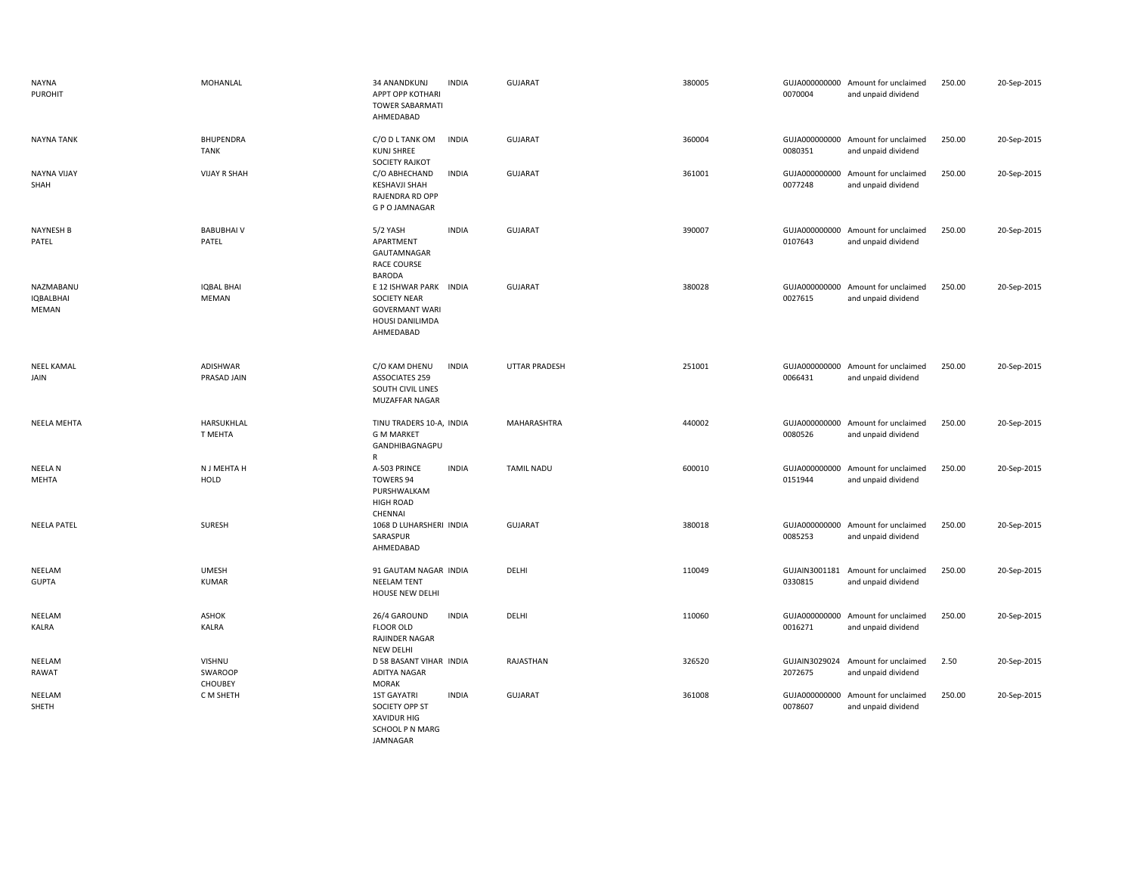| <b>NAYNA</b><br><b>PUROHIT</b>         | MOHANLAL                            | <b>INDIA</b><br>34 ANANDKUNJ<br>APPT OPP KOTHARI<br><b>TOWER SABARMATI</b><br>AHMEDABAD                          | <b>GUJARAT</b>       | 380005 | 0070004                  | GUJA000000000 Amount for unclaimed<br>and unpaid dividend | 250.00 | 20-Sep-2015 |
|----------------------------------------|-------------------------------------|------------------------------------------------------------------------------------------------------------------|----------------------|--------|--------------------------|-----------------------------------------------------------|--------|-------------|
| <b>NAYNA TANK</b>                      | BHUPENDRA<br><b>TANK</b>            | <b>INDIA</b><br>C/O D L TANK OM<br><b>KUNJ SHREE</b><br><b>SOCIETY RAJKOT</b>                                    | <b>GUJARAT</b>       | 360004 | 0080351                  | GUJA000000000 Amount for unclaimed<br>and unpaid dividend | 250.00 | 20-Sep-2015 |
| <b>NAYNA VIJAY</b><br>SHAH             | <b>VIJAY R SHAH</b>                 | C/O ABHECHAND<br><b>INDIA</b><br><b>KESHAVJI SHAH</b><br>RAJENDRA RD OPP<br><b>G P O JAMNAGAR</b>                | <b>GUJARAT</b>       | 361001 | 0077248                  | GUJA000000000 Amount for unclaimed<br>and unpaid dividend | 250.00 | 20-Sep-2015 |
| NAYNESH B<br>PATEL                     | <b>BABUBHAIV</b><br>PATEL           | 5/2 YASH<br><b>INDIA</b><br>APARTMENT<br>GAUTAMNAGAR<br><b>RACE COURSE</b><br><b>BARODA</b>                      | <b>GUJARAT</b>       | 390007 | 0107643                  | GUJA000000000 Amount for unclaimed<br>and unpaid dividend | 250.00 | 20-Sep-2015 |
| NAZMABANU<br><b>IQBALBHAI</b><br>MEMAN | <b>IQBAL BHAI</b><br><b>MEMAN</b>   | E 12 ISHWAR PARK INDIA<br><b>SOCIETY NEAR</b><br><b>GOVERMANT WARI</b><br>HOUSI DANILIMDA<br>AHMEDABAD           | GUJARAT              | 380028 | GUJA000000000<br>0027615 | Amount for unclaimed<br>and unpaid dividend               | 250.00 | 20-Sep-2015 |
| <b>NEEL KAMAL</b><br>JAIN              | ADISHWAR<br>PRASAD JAIN             | C/O KAM DHENU<br><b>INDIA</b><br><b>ASSOCIATES 259</b><br>SOUTH CIVIL LINES<br>MUZAFFAR NAGAR                    | <b>UTTAR PRADESH</b> | 251001 | 0066431                  | GUJA000000000 Amount for unclaimed<br>and unpaid dividend | 250.00 | 20-Sep-2015 |
| NEELA MEHTA                            | HARSUKHLAL<br>T MEHTA               | TINU TRADERS 10-A, INDIA<br><b>G M MARKET</b><br>GANDHIBAGNAGPU<br>R                                             | MAHARASHTRA          | 440002 | 0080526                  | GUJA000000000 Amount for unclaimed<br>and unpaid dividend | 250.00 | 20-Sep-2015 |
| <b>NEELAN</b><br>MEHTA                 | N J MEHTA H<br>HOLD                 | A-503 PRINCE<br><b>INDIA</b><br><b>TOWERS 94</b><br>PURSHWALKAM<br><b>HIGH ROAD</b><br>CHENNAI                   | <b>TAMIL NADU</b>    | 600010 | GUJA000000000<br>0151944 | Amount for unclaimed<br>and unpaid dividend               | 250.00 | 20-Sep-2015 |
| <b>NEELA PATEL</b>                     | SURESH                              | 1068 D LUHARSHERI INDIA<br>SARASPUR<br>AHMEDABAD                                                                 | <b>GUJARAT</b>       | 380018 | 0085253                  | GUJA000000000 Amount for unclaimed<br>and unpaid dividend | 250.00 | 20-Sep-2015 |
| NEELAM<br><b>GUPTA</b>                 | <b>UMESH</b><br><b>KUMAR</b>        | 91 GAUTAM NAGAR INDIA<br><b>NEELAM TENT</b><br>HOUSE NEW DELHI                                                   | DELHI                | 110049 | 0330815                  | GUJAIN3001181 Amount for unclaimed<br>and unpaid dividend | 250.00 | 20-Sep-2015 |
| NEELAM<br>KALRA                        | <b>ASHOK</b><br><b>KALRA</b>        | <b>INDIA</b><br>26/4 GAROUND<br><b>FLOOR OLD</b><br>RAJINDER NAGAR<br><b>NEW DELHI</b>                           | DELHI                | 110060 | 0016271                  | GUJA000000000 Amount for unclaimed<br>and unpaid dividend | 250.00 | 20-Sep-2015 |
| NEELAM<br>RAWAT                        | VISHNU<br>SWAROOP<br><b>CHOUBEY</b> | D 58 BASANT VIHAR INDIA<br>ADITYA NAGAR<br><b>MORAK</b>                                                          | RAJASTHAN            | 326520 | 2072675                  | GUJAIN3029024 Amount for unclaimed<br>and unpaid dividend | 2.50   | 20-Sep-2015 |
| NEELAM<br>SHETH                        | C M SHETH                           | <b>1ST GAYATRI</b><br><b>INDIA</b><br>SOCIETY OPP ST<br><b>XAVIDUR HIG</b><br>SCHOOL P N MARG<br><b>JAMNAGAR</b> | <b>GUJARAT</b>       | 361008 | 0078607                  | GUJA000000000 Amount for unclaimed<br>and unpaid dividend | 250.00 | 20-Sep-2015 |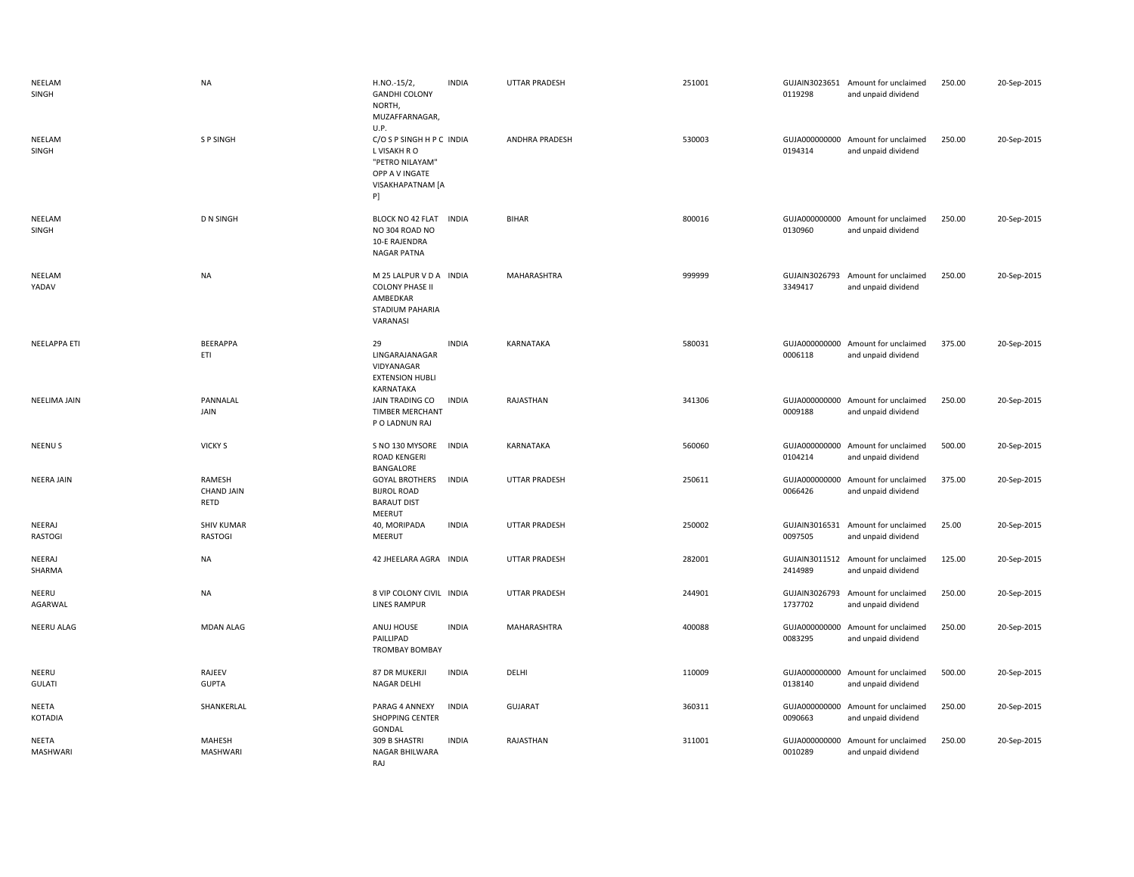| NEELAM<br>SINGH          | <b>NA</b>                           | H.NO.-15/2,<br><b>GANDHI COLONY</b><br>NORTH,<br>MUZAFFARNAGAR,<br>U.P.                                  | <b>INDIA</b> | UTTAR PRADESH         | 251001 | 0119298                  | GUJAIN3023651 Amount for unclaimed<br>and unpaid dividend | 250.00 | 20-Sep-2015 |
|--------------------------|-------------------------------------|----------------------------------------------------------------------------------------------------------|--------------|-----------------------|--------|--------------------------|-----------------------------------------------------------|--------|-------------|
| NEELAM<br>SINGH          | <b>SP SINGH</b>                     | C/O S P SINGH H P C INDIA<br>L VISAKH R O<br>"PETRO NILAYAM"<br>OPP A V INGATE<br>VISAKHAPATNAM [A<br>P] |              | <b>ANDHRA PRADESH</b> | 530003 | 0194314                  | GUJA000000000 Amount for unclaimed<br>and unpaid dividend | 250.00 | 20-Sep-2015 |
| NEELAM<br>SINGH          | <b>D N SINGH</b>                    | BLOCK NO 42 FLAT INDIA<br>NO 304 ROAD NO<br>10-E RAJENDRA<br>NAGAR PATNA                                 |              | <b>BIHAR</b>          | 800016 | 0130960                  | GUJA000000000 Amount for unclaimed<br>and unpaid dividend | 250.00 | 20-Sep-2015 |
| NEELAM<br>YADAV          | <b>NA</b>                           | M 25 LALPUR V D A INDIA<br><b>COLONY PHASE II</b><br>AMBEDKAR<br>STADIUM PAHARIA<br>VARANASI             |              | MAHARASHTRA           | 999999 | GUJAIN3026793<br>3349417 | Amount for unclaimed<br>and unpaid dividend               | 250.00 | 20-Sep-2015 |
| <b>NEELAPPA ETI</b>      | <b>BEERAPPA</b><br>ETI              | 29<br>LINGARAJANAGAR<br>VIDYANAGAR<br><b>EXTENSION HUBLI</b><br>KARNATAKA                                | <b>INDIA</b> | <b>KARNATAKA</b>      | 580031 | 0006118                  | GUJA000000000 Amount for unclaimed<br>and unpaid dividend | 375.00 | 20-Sep-2015 |
| <b>NEELIMA JAIN</b>      | PANNALAL<br>JAIN                    | JAIN TRADING CO<br><b>TIMBER MERCHANT</b><br>P O LADNUN RAJ                                              | <b>INDIA</b> | RAJASTHAN             | 341306 | 0009188                  | GUJA000000000 Amount for unclaimed<br>and unpaid dividend | 250.00 | 20-Sep-2015 |
| <b>NEENUS</b>            | <b>VICKY S</b>                      | S NO 130 MYSORE<br>ROAD KENGERI<br>BANGALORE                                                             | <b>INDIA</b> | KARNATAKA             | 560060 | GUJA000000000<br>0104214 | Amount for unclaimed<br>and unpaid dividend               | 500.00 | 20-Sep-2015 |
| <b>NEERA JAIN</b>        | RAMESH<br><b>CHAND JAIN</b><br>RETD | <b>GOYAL BROTHERS</b><br><b>BIJROL ROAD</b><br><b>BARAUT DIST</b><br>MEERUT                              | <b>INDIA</b> | <b>UTTAR PRADESH</b>  | 250611 | GUJA000000000<br>0066426 | Amount for unclaimed<br>and unpaid dividend               | 375.00 | 20-Sep-2015 |
| NEERAJ<br><b>RASTOGI</b> | <b>SHIV KUMAR</b><br><b>RASTOGI</b> | 40, MORIPADA<br>MEERUT                                                                                   | <b>INDIA</b> | <b>UTTAR PRADESH</b>  | 250002 | GUJAIN3016531<br>0097505 | Amount for unclaimed<br>and unpaid dividend               | 25.00  | 20-Sep-2015 |
| NEERAJ<br>SHARMA         | <b>NA</b>                           | 42 JHEELARA AGRA INDIA                                                                                   |              | UTTAR PRADESH         | 282001 | 2414989                  | GUJAIN3011512 Amount for unclaimed<br>and unpaid dividend | 125.00 | 20-Sep-2015 |
| NEERU<br>AGARWAL         | <b>NA</b>                           | 8 VIP COLONY CIVIL INDIA<br><b>LINES RAMPUR</b>                                                          |              | UTTAR PRADESH         | 244901 | GUJAIN3026793<br>1737702 | Amount for unclaimed<br>and unpaid dividend               | 250.00 | 20-Sep-2015 |
| NEERU ALAG               | <b>MDAN ALAG</b>                    | ANUJ HOUSE<br>PAILLIPAD<br><b>TROMBAY BOMBAY</b>                                                         | <b>INDIA</b> | MAHARASHTRA           | 400088 | GUJA000000000<br>0083295 | Amount for unclaimed<br>and unpaid dividend               | 250.00 | 20-Sep-2015 |
| NEERU<br><b>GULATI</b>   | RAJEEV<br><b>GUPTA</b>              | 87 DR MUKERJI<br><b>NAGAR DELHI</b>                                                                      | <b>INDIA</b> | DELHI                 | 110009 | GUJA000000000<br>0138140 | Amount for unclaimed<br>and unpaid dividend               | 500.00 | 20-Sep-2015 |
| NEETA<br>KOTADIA         | SHANKERLAL                          | PARAG 4 ANNEXY<br><b>SHOPPING CENTER</b><br>GONDAL                                                       | <b>INDIA</b> | <b>GUJARAT</b>        | 360311 | GUJA000000000<br>0090663 | Amount for unclaimed<br>and unpaid dividend               | 250.00 | 20-Sep-2015 |
| NEETA<br><b>MASHWARI</b> | <b>MAHESH</b><br><b>MASHWARI</b>    | 309 B SHASTRI<br>NAGAR BHILWARA<br>RAJ                                                                   | <b>INDIA</b> | RAJASTHAN             | 311001 | GUJA000000000<br>0010289 | Amount for unclaimed<br>and unpaid dividend               | 250.00 | 20-Sep-2015 |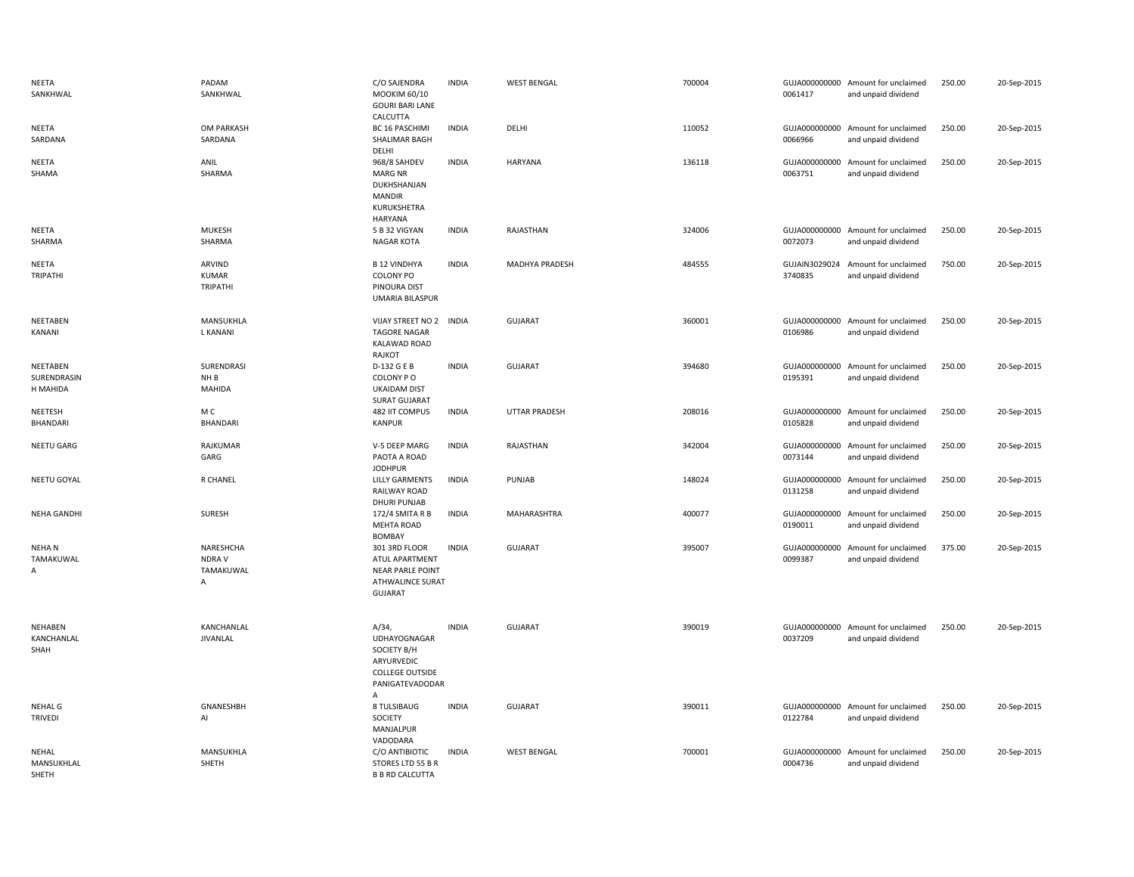| NEETA<br>SANKHWAL                   | PADAM<br>SANKHWAL                         | C/O SAJENDRA<br>MOOKIM 60/10<br><b>GOURI BARI LANE</b>                                                         | <b>INDIA</b> | <b>WEST BENGAL</b>   | 700004 | 0061417 | GUJA000000000 Amount for unclaimed<br>and unpaid dividend | 250.00 | 20-Sep-2015 |
|-------------------------------------|-------------------------------------------|----------------------------------------------------------------------------------------------------------------|--------------|----------------------|--------|---------|-----------------------------------------------------------|--------|-------------|
| NEETA<br>SARDANA                    | OM PARKASH<br>SARDANA                     | CALCUTTA<br>BC 16 PASCHIMI<br>SHALIMAR BAGH<br>DELHI                                                           | <b>INDIA</b> | DELHI                | 110052 | 0066966 | GUJA000000000 Amount for unclaimed<br>and unpaid dividend | 250.00 | 20-Sep-2015 |
| NEETA<br>SHAMA                      | ANIL<br>SHARMA                            | 968/8 SAHDEV<br><b>MARG NR</b><br>DUKHSHANJAN<br><b>MANDIR</b><br>KURUKSHETRA<br><b>HARYANA</b>                | <b>INDIA</b> | <b>HARYANA</b>       | 136118 | 0063751 | GUJA000000000 Amount for unclaimed<br>and unpaid dividend | 250.00 | 20-Sep-2015 |
| NEETA<br>SHARMA                     | <b>MUKESH</b><br>SHARMA                   | 5 B 32 VIGYAN<br><b>NAGAR KOTA</b>                                                                             | <b>INDIA</b> | RAJASTHAN            | 324006 | 0072073 | GUJA000000000 Amount for unclaimed<br>and unpaid dividend | 250.00 | 20-Sep-2015 |
| NEETA<br>TRIPATHI                   | ARVIND<br><b>KUMAR</b><br><b>TRIPATHI</b> | <b>B 12 VINDHYA</b><br><b>COLONY PO</b><br>PINOURA DIST<br><b>UMARIA BILASPUR</b>                              | <b>INDIA</b> | MADHYA PRADESH       | 484555 | 3740835 | GUJAIN3029024 Amount for unclaimed<br>and unpaid dividend | 750.00 | 20-Sep-2015 |
| NEETABEN<br>KANANI                  | MANSUKHLA<br>L KANANI                     | VIJAY STREET NO 2 INDIA<br><b>TAGORE NAGAR</b><br><b>KALAWAD ROAD</b><br>RAJKOT                                |              | <b>GUJARAT</b>       | 360001 | 0106986 | GUJA000000000 Amount for unclaimed<br>and unpaid dividend | 250.00 | 20-Sep-2015 |
| NEETABEN<br>SURENDRASIN<br>H MAHIDA | SURENDRASI<br>NH B<br><b>MAHIDA</b>       | D-132 G E B<br>COLONY PO<br><b>UKAIDAM DIST</b><br><b>SURAT GUJARAT</b>                                        | <b>INDIA</b> | <b>GUJARAT</b>       | 394680 | 0195391 | GUJA000000000 Amount for unclaimed<br>and unpaid dividend | 250.00 | 20-Sep-2015 |
| NEETESH<br>BHANDARI                 | M C<br><b>BHANDARI</b>                    | 482 IIT COMPUS<br><b>KANPUR</b>                                                                                | <b>INDIA</b> | <b>UTTAR PRADESH</b> | 208016 | 0105828 | GUJA000000000 Amount for unclaimed<br>and unpaid dividend | 250.00 | 20-Sep-2015 |
| <b>NEETU GARG</b>                   | RAJKUMAR<br>GARG                          | V-5 DEEP MARG<br>PAOTA A ROAD<br><b>JODHPUR</b>                                                                | <b>INDIA</b> | RAJASTHAN            | 342004 | 0073144 | GUJA000000000 Amount for unclaimed<br>and unpaid dividend | 250.00 | 20-Sep-2015 |
| NEETU GOYAL                         | R CHANEL                                  | <b>LILLY GARMENTS</b><br>RAILWAY ROAD<br><b>DHURI PUNJAB</b>                                                   | <b>INDIA</b> | PUNJAB               | 148024 | 0131258 | GUJA000000000 Amount for unclaimed<br>and unpaid dividend | 250.00 | 20-Sep-2015 |
| <b>NEHA GANDHI</b>                  | <b>SURESH</b>                             | 172/4 SMITA R B<br>MEHTA ROAD<br><b>BOMBAY</b>                                                                 | <b>INDIA</b> | MAHARASHTRA          | 400077 | 0190011 | GUJA000000000 Amount for unclaimed<br>and unpaid dividend | 250.00 | 20-Sep-2015 |
| <b>NEHAN</b><br>TAMAKUWAL<br>Α      | NARESHCHA<br>NDRA V<br>TAMAKUWAL<br>Α     | 301 3RD FLOOR<br>ATUL APARTMENT<br><b>NEAR PARLE POINT</b><br><b>ATHWALINCE SURAT</b><br><b>GUJARAT</b>        | <b>INDIA</b> | <b>GUJARAT</b>       | 395007 | 0099387 | GUJA000000000 Amount for unclaimed<br>and unpaid dividend | 375.00 | 20-Sep-2015 |
| NEHABEN<br>KANCHANLAL<br>SHAH       | KANCHANLAL<br><b>JIVANLAL</b>             | $A/34$ ,<br><b>UDHAYOGNAGAR</b><br>SOCIETY B/H<br>ARYURVEDIC<br><b>COLLEGE OUTSIDE</b><br>PANIGATEVADODAR<br>A | <b>INDIA</b> | <b>GUJARAT</b>       | 390019 | 0037209 | GUJA000000000 Amount for unclaimed<br>and unpaid dividend | 250.00 | 20-Sep-2015 |
| <b>NEHAL G</b><br><b>TRIVEDI</b>    | GNANESHBH<br>Al                           | 8 TULSIBAUG<br>SOCIETY<br>MANJALPUR<br>VADODARA                                                                | <b>INDIA</b> | <b>GUJARAT</b>       | 390011 | 0122784 | GUJA000000000 Amount for unclaimed<br>and unpaid dividend | 250.00 | 20-Sep-2015 |
| NEHAL<br>MANSUKHLAL<br><b>SHETH</b> | MANSUKHLA<br>SHETH                        | C/O ANTIBIOTIC<br>STORES LTD 55 B R<br><b>B B RD CALCUTTA</b>                                                  | INDIA        | <b>WEST BENGAL</b>   | 700001 | 0004736 | GUJA000000000 Amount for unclaimed<br>and unpaid dividend | 250.00 | 20-Sep-2015 |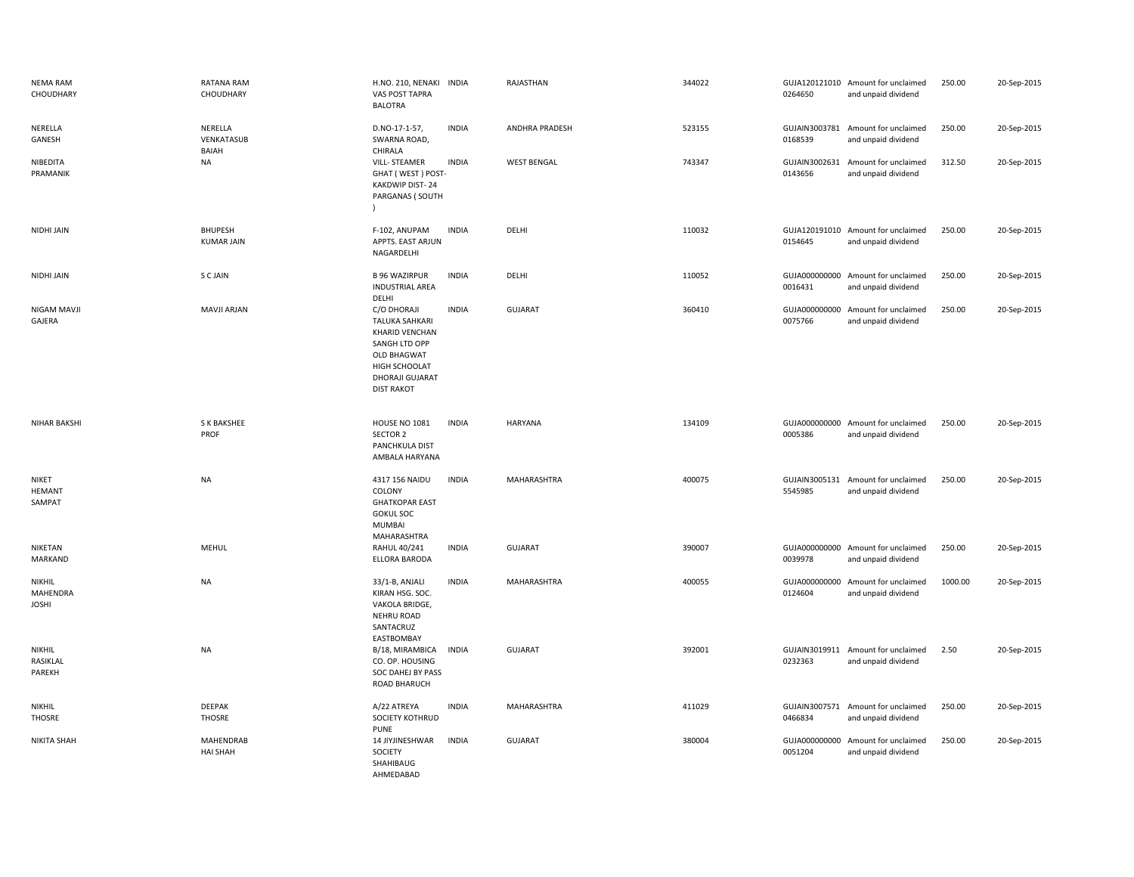| <b>NEMA RAM</b><br>CHOUDHARY        | <b>RATANA RAM</b><br>CHOUDHARY        | H.NO. 210, NENAKI<br>VAS POST TAPRA<br><b>BALOTRA</b>                                                                                           | <b>INDIA</b> | RAJASTHAN          | 344022 | 0264650                  | GUJA120121010 Amount for unclaimed<br>and unpaid dividend | 250.00  | 20-Sep-2015 |
|-------------------------------------|---------------------------------------|-------------------------------------------------------------------------------------------------------------------------------------------------|--------------|--------------------|--------|--------------------------|-----------------------------------------------------------|---------|-------------|
| NERELLA<br>GANESH                   | NERELLA<br>VENKATASUB<br><b>BAIAH</b> | D.NO-17-1-57,<br>SWARNA ROAD,<br>CHIRALA                                                                                                        | <b>INDIA</b> | ANDHRA PRADESH     | 523155 | 0168539                  | GUJAIN3003781 Amount for unclaimed<br>and unpaid dividend | 250.00  | 20-Sep-2015 |
| NIBEDITA<br>PRAMANIK                | <b>NA</b>                             | <b>VILL-STEAMER</b><br>GHAT (WEST) POST-<br>KAKDWIP DIST-24<br>PARGANAS ( SOUTH                                                                 | <b>INDIA</b> | <b>WEST BENGAL</b> | 743347 | GUJAIN3002631<br>0143656 | Amount for unclaimed<br>and unpaid dividend               | 312.50  | 20-Sep-2015 |
| NIDHI JAIN                          | <b>BHUPESH</b><br><b>KUMAR JAIN</b>   | F-102, ANUPAM<br>APPTS. EAST ARJUN<br>NAGARDELHI                                                                                                | <b>INDIA</b> | DELHI              | 110032 | 0154645                  | GUJA120191010 Amount for unclaimed<br>and unpaid dividend | 250.00  | 20-Sep-2015 |
| NIDHI JAIN                          | S C JAIN                              | <b>B 96 WAZIRPUR</b><br><b>INDUSTRIAL AREA</b><br>DELHI                                                                                         | <b>INDIA</b> | DELHI              | 110052 | 0016431                  | GUJA000000000 Amount for unclaimed<br>and unpaid dividend | 250.00  | 20-Sep-2015 |
| NIGAM MAVJI<br>GAJERA               | <b>MAVJI ARJAN</b>                    | C/O DHORAJI<br>TALUKA SAHKARI<br>KHARID VENCHAN<br>SANGH LTD OPP<br><b>OLD BHAGWAT</b><br>HIGH SCHOOLAT<br>DHORAJI GUJARAT<br><b>DIST RAKOT</b> | <b>INDIA</b> | <b>GUJARAT</b>     | 360410 | GUJA000000000<br>0075766 | Amount for unclaimed<br>and unpaid dividend               | 250.00  | 20-Sep-2015 |
| <b>NIHAR BAKSHI</b>                 | S K BAKSHEE<br>PROF                   | <b>HOUSE NO 1081</b><br>SECTOR 2<br>PANCHKULA DIST<br>AMBALA HARYANA                                                                            | <b>INDIA</b> | <b>HARYANA</b>     | 134109 | 0005386                  | GUJA000000000 Amount for unclaimed<br>and unpaid dividend | 250.00  | 20-Sep-2015 |
| NIKET<br><b>HEMANT</b><br>SAMPAT    | <b>NA</b>                             | 4317 156 NAIDU<br>COLONY<br><b>GHATKOPAR EAST</b><br><b>GOKUL SOC</b><br><b>MUMBAI</b><br>MAHARASHTRA                                           | <b>INDIA</b> | MAHARASHTRA        | 400075 | 5545985                  | GUJAIN3005131 Amount for unclaimed<br>and unpaid dividend | 250.00  | 20-Sep-2015 |
| NIKETAN<br>MARKAND                  | MEHUL                                 | <b>RAHUL 40/241</b><br>ELLORA BARODA                                                                                                            | <b>INDIA</b> | <b>GUJARAT</b>     | 390007 | 0039978                  | GUJA000000000 Amount for unclaimed<br>and unpaid dividend | 250.00  | 20-Sep-2015 |
| NIKHIL<br>MAHENDRA<br><b>JOSHI</b>  | <b>NA</b>                             | 33/1-B, ANJALI<br>KIRAN HSG. SOC.<br>VAKOLA BRIDGE,<br><b>NEHRU ROAD</b><br>SANTACRUZ<br>EASTBOMBAY                                             | <b>INDIA</b> | MAHARASHTRA        | 400055 | GUJA000000000<br>0124604 | Amount for unclaimed<br>and unpaid dividend               | 1000.00 | 20-Sep-2015 |
| <b>NIKHIL</b><br>RASIKLAL<br>PAREKH | <b>NA</b>                             | B/18, MIRAMBICA<br>CO. OP. HOUSING<br>SOC DAHEJ BY PASS<br>ROAD BHARUCH                                                                         | <b>INDIA</b> | <b>GUJARAT</b>     | 392001 | 0232363                  | GUJAIN3019911 Amount for unclaimed<br>and unpaid dividend | 2.50    | 20-Sep-2015 |
| <b>NIKHIL</b><br>THOSRE             | DEEPAK<br><b>THOSRE</b>               | A/22 ATREYA<br>SOCIETY KOTHRUD<br><b>PUNE</b>                                                                                                   | <b>INDIA</b> | MAHARASHTRA        | 411029 | 0466834                  | GUJAIN3007571 Amount for unclaimed<br>and unpaid dividend | 250.00  | 20-Sep-2015 |
| <b>NIKITA SHAH</b>                  | <b>MAHENDRAB</b><br><b>HAI SHAH</b>   | 14 JIYJINESHWAR<br>SOCIETY<br>SHAHIBAUG<br>AHMEDABAD                                                                                            | <b>INDIA</b> | <b>GUJARAT</b>     | 380004 | GUJA000000000<br>0051204 | Amount for unclaimed<br>and unpaid dividend               | 250.00  | 20-Sep-2015 |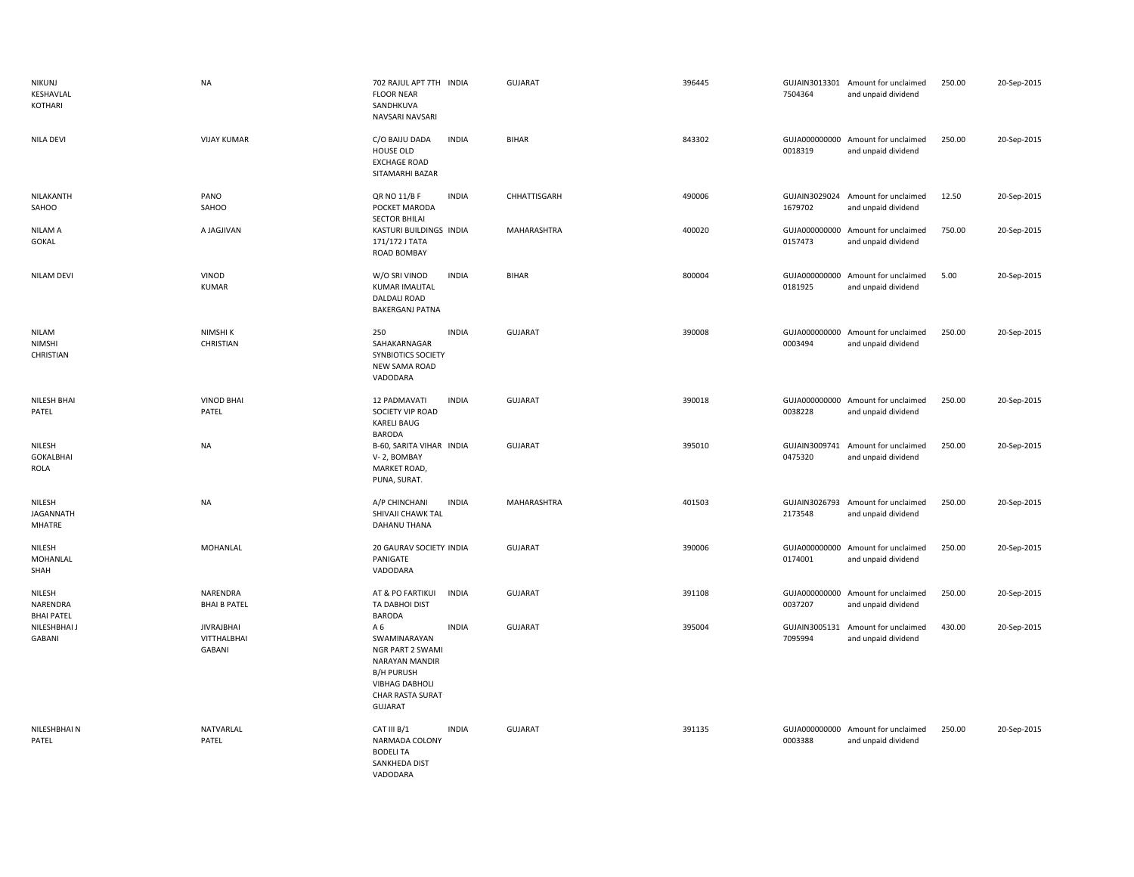| <b>NIKUNJ</b><br>KESHAVLAL<br><b>KOTHARI</b> | <b>NA</b>                                                | 702 RAJUL APT 7TH INDIA<br><b>FLOOR NEAR</b><br>SANDHKUVA<br>NAVSARI NAVSARI                                                                                                | GUJARAT        | 396445 | 7504364                  | GUJAIN3013301 Amount for unclaimed<br>and unpaid dividend | 250.00 | 20-Sep-2015 |
|----------------------------------------------|----------------------------------------------------------|-----------------------------------------------------------------------------------------------------------------------------------------------------------------------------|----------------|--------|--------------------------|-----------------------------------------------------------|--------|-------------|
| <b>NILA DEVI</b>                             | <b>VIJAY KUMAR</b>                                       | <b>INDIA</b><br>C/O BAIJU DADA<br>HOUSE OLD<br><b>EXCHAGE ROAD</b><br>SITAMARHI BAZAR                                                                                       | <b>BIHAR</b>   | 843302 | 0018319                  | GUJA000000000 Amount for unclaimed<br>and unpaid dividend | 250.00 | 20-Sep-2015 |
| NILAKANTH<br>SAHOO                           | PANO<br>SAHOO                                            | QR NO 11/B F<br><b>INDIA</b><br>POCKET MARODA<br><b>SECTOR BHILAI</b>                                                                                                       | CHHATTISGARH   | 490006 | GUJAIN3029024<br>1679702 | Amount for unclaimed<br>and unpaid dividend               | 12.50  | 20-Sep-2015 |
| NILAM A<br>GOKAL                             | A JAGJIVAN                                               | KASTURI BUILDINGS INDIA<br>171/172 J TATA<br>ROAD BOMBAY                                                                                                                    | MAHARASHTRA    | 400020 | 0157473                  | GUJA000000000 Amount for unclaimed<br>and unpaid dividend | 750.00 | 20-Sep-2015 |
| <b>NILAM DEVI</b>                            | VINOD<br><b>KUMAR</b>                                    | W/O SRI VINOD<br><b>INDIA</b><br><b>KUMAR IMALITAL</b><br><b>DALDALI ROAD</b><br><b>BAKERGANJ PATNA</b>                                                                     | <b>BIHAR</b>   | 800004 | 0181925                  | GUJA000000000 Amount for unclaimed<br>and unpaid dividend | 5.00   | 20-Sep-2015 |
| <b>NILAM</b><br><b>NIMSHI</b><br>CHRISTIAN   | NIMSHI K<br>CHRISTIAN                                    | <b>INDIA</b><br>250<br>SAHAKARNAGAR<br>SYNBIOTICS SOCIETY<br>NEW SAMA ROAD<br>VADODARA                                                                                      | <b>GUJARAT</b> | 390008 | 0003494                  | GUJA000000000 Amount for unclaimed<br>and unpaid dividend | 250.00 | 20-Sep-2015 |
| NILESH BHAI<br>PATEL                         | <b>VINOD BHAI</b><br>PATEL                               | <b>INDIA</b><br>12 PADMAVATI<br>SOCIETY VIP ROAD<br><b>KARELI BAUG</b><br><b>BARODA</b>                                                                                     | <b>GUJARAT</b> | 390018 | 0038228                  | GUJA000000000 Amount for unclaimed<br>and unpaid dividend | 250.00 | 20-Sep-2015 |
| NILESH<br><b>GOKALBHAI</b><br>ROLA           | <b>NA</b>                                                | B-60, SARITA VIHAR INDIA<br>V-2, BOMBAY<br>MARKET ROAD,<br>PUNA, SURAT.                                                                                                     | <b>GUJARAT</b> | 395010 | 0475320                  | GUJAIN3009741 Amount for unclaimed<br>and unpaid dividend | 250.00 | 20-Sep-2015 |
| NILESH<br>JAGANNATH<br>MHATRE                | <b>NA</b>                                                | A/P CHINCHANI<br><b>INDIA</b><br>SHIVAJI CHAWK TAL<br>DAHANU THANA                                                                                                          | MAHARASHTRA    | 401503 | GUJAIN3026793<br>2173548 | Amount for unclaimed<br>and unpaid dividend               | 250.00 | 20-Sep-2015 |
| NILESH<br>MOHANLAL<br>SHAH                   | <b>MOHANLAL</b>                                          | 20 GAURAV SOCIETY INDIA<br>PANIGATE<br>VADODARA                                                                                                                             | <b>GUJARAT</b> | 390006 | 0174001                  | GUJA000000000 Amount for unclaimed<br>and unpaid dividend | 250.00 | 20-Sep-2015 |
| NILESH<br>NARENDRA<br><b>BHAI PATEL</b>      | NARENDRA<br><b>BHAI B PATEL</b>                          | AT & PO FARTIKUI<br><b>INDIA</b><br>TA DABHOI DIST<br><b>BARODA</b>                                                                                                         | <b>GUJARAT</b> | 391108 | 0037207                  | GUJA000000000 Amount for unclaimed<br>and unpaid dividend | 250.00 | 20-Sep-2015 |
| NILESHBHAI J<br>GABANI                       | <b>JIVRAJBHAI</b><br><b>VITTHALBHAI</b><br><b>GABANI</b> | <b>INDIA</b><br>A 6<br>SWAMINARAYAN<br><b>NGR PART 2 SWAMI</b><br>NARAYAN MANDIR<br><b>B/H PURUSH</b><br><b>VIBHAG DABHOLI</b><br><b>CHAR RASTA SURAT</b><br><b>GUJARAT</b> | <b>GUJARAT</b> | 395004 | GUJAIN3005131<br>7095994 | Amount for unclaimed<br>and unpaid dividend               | 430.00 | 20-Sep-2015 |
| NILESHBHAI N<br>PATEL                        | NATVARLAL<br>PATEL                                       | CAT III B/1<br><b>INDIA</b><br>NARMADA COLONY<br><b>BODELI TA</b><br>SANKHEDA DIST<br>VADODARA                                                                              | <b>GUJARAT</b> | 391135 | 0003388                  | GUJA000000000 Amount for unclaimed<br>and unpaid dividend | 250.00 | 20-Sep-2015 |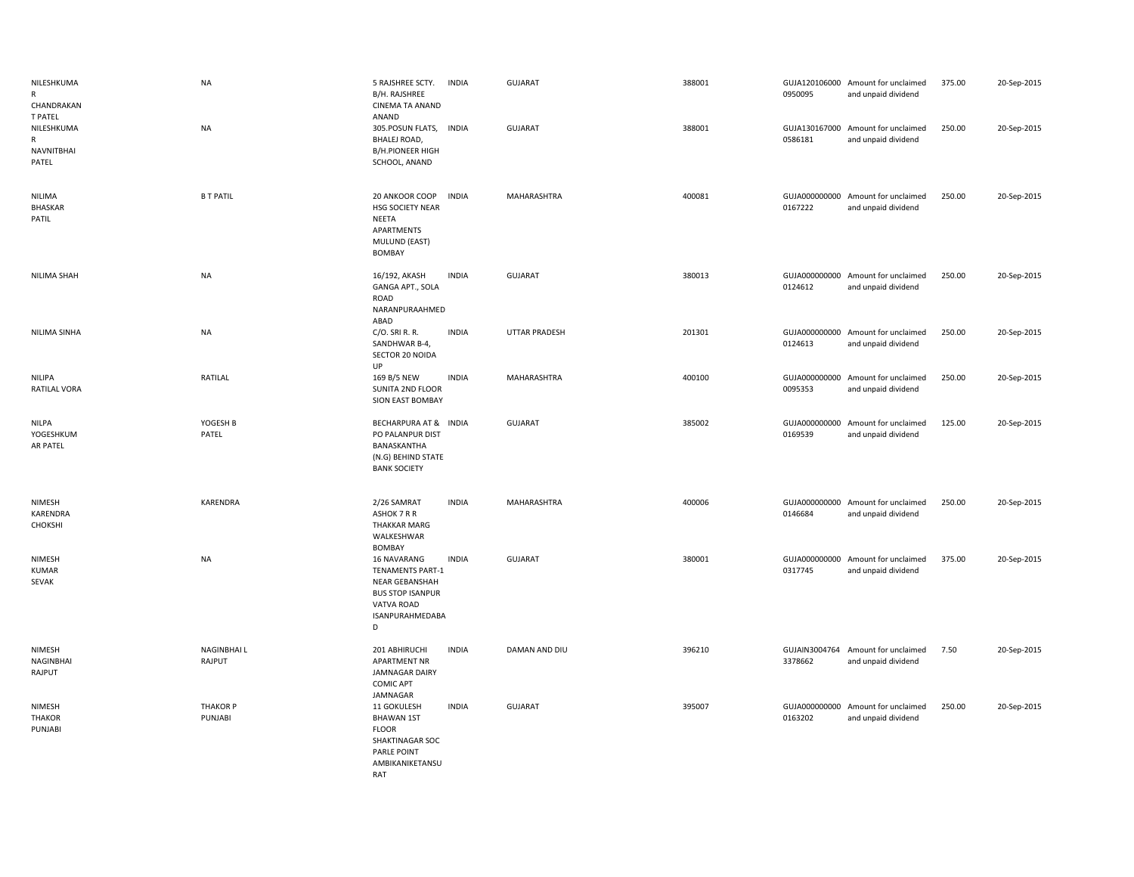| NILESHKUMA<br>R<br>CHANDRAKAN<br><b>T PATEL</b> | <b>NA</b>                   | 5 RAJSHREE SCTY.<br>B/H. RAJSHREE<br>CINEMA TA ANAND<br>ANAND                                                             | <b>INDIA</b> | <b>GUJARAT</b> | 388001 | 0950095                  | GUJA120106000 Amount for unclaimed<br>and unpaid dividend | 375.00 | 20-Sep-2015 |
|-------------------------------------------------|-----------------------------|---------------------------------------------------------------------------------------------------------------------------|--------------|----------------|--------|--------------------------|-----------------------------------------------------------|--------|-------------|
| NILESHKUMA<br>R<br><b>NAVNITBHAI</b><br>PATEL   | <b>NA</b>                   | 305.POSUN FLATS, INDIA<br><b>BHALEJ ROAD,</b><br><b>B/H.PIONEER HIGH</b><br>SCHOOL, ANAND                                 |              | <b>GUJARAT</b> | 388001 | 0586181                  | GUJA130167000 Amount for unclaimed<br>and unpaid dividend | 250.00 | 20-Sep-2015 |
| <b>NILIMA</b><br><b>BHASKAR</b><br>PATIL        | <b>B T PATIL</b>            | 20 ANKOOR COOP<br>HSG SOCIETY NEAR<br>NEETA<br>APARTMENTS<br>MULUND (EAST)<br><b>BOMBAY</b>                               | <b>INDIA</b> | MAHARASHTRA    | 400081 | 0167222                  | GUJA000000000 Amount for unclaimed<br>and unpaid dividend | 250.00 | 20-Sep-2015 |
| NILIMA SHAH                                     | <b>NA</b>                   | 16/192, AKASH<br>GANGA APT., SOLA<br>ROAD<br>NARANPURAAHMED<br>ABAD                                                       | <b>INDIA</b> | <b>GUJARAT</b> | 380013 | 0124612                  | GUJA000000000 Amount for unclaimed<br>and unpaid dividend | 250.00 | 20-Sep-2015 |
| NILIMA SINHA                                    | NA                          | $C/O$ . SRI R. R.<br>SANDHWAR B-4,<br>SECTOR 20 NOIDA<br>UP                                                               | <b>INDIA</b> | UTTAR PRADESH  | 201301 | 0124613                  | GUJA000000000 Amount for unclaimed<br>and unpaid dividend | 250.00 | 20-Sep-2015 |
| NILIPA<br>RATILAL VORA                          | RATILAL                     | 169 B/5 NEW<br>SUNITA 2ND FLOOR<br><b>SION EAST BOMBAY</b>                                                                | <b>INDIA</b> | MAHARASHTRA    | 400100 | GUJA000000000<br>0095353 | Amount for unclaimed<br>and unpaid dividend               | 250.00 | 20-Sep-2015 |
| <b>NILPA</b><br>YOGESHKUM<br>AR PATEL           | YOGESH B<br>PATEL           | BECHARPURA AT & INDIA<br>PO PALANPUR DIST<br>BANASKANTHA<br>(N.G) BEHIND STATE<br><b>BANK SOCIETY</b>                     |              | <b>GUJARAT</b> | 385002 | 0169539                  | GUJA000000000 Amount for unclaimed<br>and unpaid dividend | 125.00 | 20-Sep-2015 |
| NIMESH<br>KARENDRA<br>CHOKSHI                   | KARENDRA                    | 2/26 SAMRAT<br>ASHOK 7 R R<br><b>THAKKAR MARG</b><br>WALKESHWAR<br><b>BOMBAY</b>                                          | <b>INDIA</b> | MAHARASHTRA    | 400006 | 0146684                  | GUJA000000000 Amount for unclaimed<br>and unpaid dividend | 250.00 | 20-Sep-2015 |
| NIMESH<br><b>KUMAR</b><br>SEVAK                 | <b>NA</b>                   | 16 NAVARANG<br><b>TENAMENTS PART-1</b><br>NEAR GEBANSHAH<br><b>BUS STOP ISANPUR</b><br>VATVA ROAD<br>ISANPURAHMEDABA<br>D | <b>INDIA</b> | <b>GUJARAT</b> | 380001 | GUJA000000000<br>0317745 | Amount for unclaimed<br>and unpaid dividend               | 375.00 | 20-Sep-2015 |
| NIMESH<br>NAGINBHAI<br>RAJPUT                   | <b>NAGINBHAIL</b><br>RAJPUT | 201 ABHIRUCHI<br>APARTMENT NR<br>JAMNAGAR DAIRY<br><b>COMIC APT</b><br>JAMNAGAR                                           | <b>INDIA</b> | DAMAN AND DIU  | 396210 | 3378662                  | GUJAIN3004764 Amount for unclaimed<br>and unpaid dividend | 7.50   | 20-Sep-2015 |
| NIMESH<br><b>THAKOR</b><br>PUNJABI              | <b>THAKOR P</b><br>PUNJABI  | 11 GOKULESH<br><b>BHAWAN 1ST</b><br><b>FLOOR</b><br>SHAKTINAGAR SOC<br>PARLE POINT<br>AMBIKANIKETANSU<br>RAT              | <b>INDIA</b> | <b>GUJARAT</b> | 395007 | 0163202                  | GUJA000000000 Amount for unclaimed<br>and unpaid dividend | 250.00 | 20-Sep-2015 |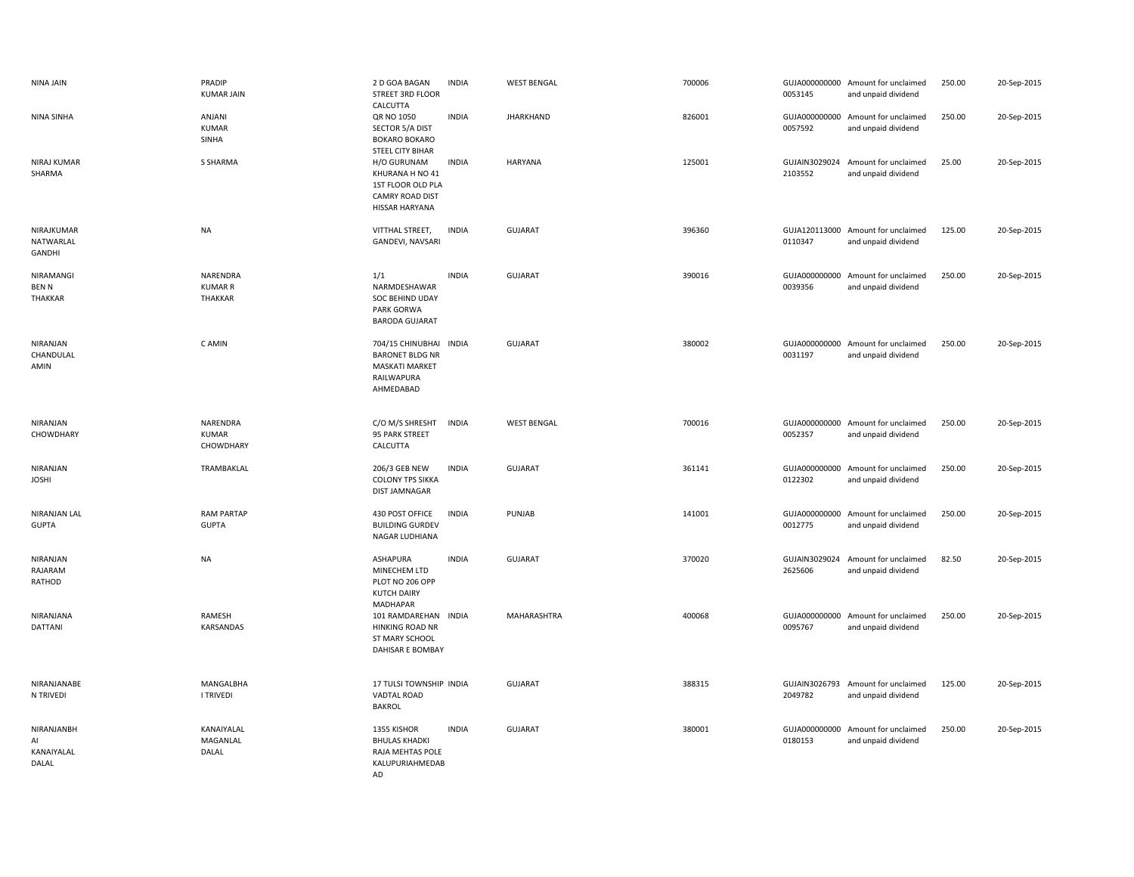| NINA JAIN                                  | PRADIP<br><b>KUMAR JAIN</b>           | 2 D GOA BAGAN<br>STREET 3RD FLOOR<br>CALCUTTA                                                        | <b>INDIA</b> | <b>WEST BENGAL</b> | 700006 | 0053145                  | GUJA000000000 Amount for unclaimed<br>and unpaid dividend | 250.00 | 20-Sep-2015 |
|--------------------------------------------|---------------------------------------|------------------------------------------------------------------------------------------------------|--------------|--------------------|--------|--------------------------|-----------------------------------------------------------|--------|-------------|
| NINA SINHA                                 | ANJANI<br><b>KUMAR</b><br>SINHA       | QR NO 1050<br>SECTOR 5/A DIST<br><b>BOKARO BOKARO</b><br>STEEL CITY BIHAR                            | <b>INDIA</b> | <b>JHARKHAND</b>   | 826001 | 0057592                  | GUJA000000000 Amount for unclaimed<br>and unpaid dividend | 250.00 | 20-Sep-2015 |
| NIRAJ KUMAR<br>SHARMA                      | S SHARMA                              | H/O GURUNAM<br>KHURANA H NO 41<br>1ST FLOOR OLD PLA<br><b>CAMRY ROAD DIST</b><br>HISSAR HARYANA      | <b>INDIA</b> | HARYANA            | 125001 | 2103552                  | GUJAIN3029024 Amount for unclaimed<br>and unpaid dividend | 25.00  | 20-Sep-2015 |
| NIRAJKUMAR<br>NATWARLAL<br>GANDHI          | <b>NA</b>                             | VITTHAL STREET,<br>GANDEVI, NAVSARI                                                                  | <b>INDIA</b> | <b>GUJARAT</b>     | 396360 | 0110347                  | GUJA120113000 Amount for unclaimed<br>and unpaid dividend | 125.00 | 20-Sep-2015 |
| NIRAMANGI<br><b>BENN</b><br><b>THAKKAR</b> | NARENDRA<br><b>KUMAR R</b><br>THAKKAR | 1/1<br>NARMDESHAWAR<br>SOC BEHIND UDAY<br>PARK GORWA<br><b>BARODA GUJARAT</b>                        | <b>INDIA</b> | <b>GUJARAT</b>     | 390016 | 0039356                  | GUJA000000000 Amount for unclaimed<br>and unpaid dividend | 250.00 | 20-Sep-2015 |
| NIRANJAN<br>CHANDULAL<br>AMIN              | C AMIN                                | 704/15 CHINUBHAI INDIA<br><b>BARONET BLDG NR</b><br><b>MASKATI MARKET</b><br>RAILWAPURA<br>AHMEDABAD |              | <b>GUJARAT</b>     | 380002 | 0031197                  | GUJA000000000 Amount for unclaimed<br>and unpaid dividend | 250.00 | 20-Sep-2015 |
| NIRANJAN<br>CHOWDHARY                      | NARENDRA<br><b>KUMAR</b><br>CHOWDHARY | C/O M/S SHRESHT<br>95 PARK STREET<br>CALCUTTA                                                        | <b>INDIA</b> | <b>WEST BENGAL</b> | 700016 | 0052357                  | GUJA000000000 Amount for unclaimed<br>and unpaid dividend | 250.00 | 20-Sep-2015 |
| NIRANJAN<br><b>JOSHI</b>                   | TRAMBAKLAL                            | 206/3 GEB NEW<br><b>COLONY TPS SIKKA</b><br><b>DIST JAMNAGAR</b>                                     | <b>INDIA</b> | <b>GUJARAT</b>     | 361141 | GUJA000000000<br>0122302 | Amount for unclaimed<br>and unpaid dividend               | 250.00 | 20-Sep-2015 |
| NIRANJAN LAL<br><b>GUPTA</b>               | <b>RAM PARTAP</b><br><b>GUPTA</b>     | 430 POST OFFICE<br><b>BUILDING GURDEV</b><br>NAGAR LUDHIANA                                          | <b>INDIA</b> | PUNJAB             | 141001 | 0012775                  | GUJA000000000 Amount for unclaimed<br>and unpaid dividend | 250.00 | 20-Sep-2015 |
| NIRANJAN<br>RAJARAM<br>RATHOD              | <b>NA</b>                             | <b>ASHAPURA</b><br>MINECHEM LTD<br>PLOT NO 206 OPP<br><b>KUTCH DAIRY</b><br><b>MADHAPAR</b>          | <b>INDIA</b> | <b>GUJARAT</b>     | 370020 | GUJAIN3029024<br>2625606 | Amount for unclaimed<br>and unpaid dividend               | 82.50  | 20-Sep-2015 |
| NIRANJANA<br><b>DATTANI</b>                | RAMESH<br>KARSANDAS                   | 101 RAMDAREHAN INDIA<br><b>HINKING ROAD NR</b><br>ST MARY SCHOOL<br>DAHISAR E BOMBAY                 |              | MAHARASHTRA        | 400068 | GUJA000000000<br>0095767 | Amount for unclaimed<br>and unpaid dividend               | 250.00 | 20-Sep-2015 |
| NIRANJANABE<br>N TRIVEDI                   | MANGALBHA<br><b>I TRIVEDI</b>         | 17 TULSI TOWNSHIP INDIA<br><b>VADTAL ROAD</b><br><b>BAKROL</b>                                       |              | <b>GUJARAT</b>     | 388315 | 2049782                  | GUJAIN3026793 Amount for unclaimed<br>and unpaid dividend | 125.00 | 20-Sep-2015 |
| NIRANJANBH<br>AI<br>KANAIYALAL<br>DALAL    | KANAIYALAL<br>MAGANLAL<br>DALAL       | 1355 KISHOR<br><b>BHULAS KHADKI</b><br>RAJA MEHTAS POLE<br>KALUPURIAHMEDAB<br>AD.                    | <b>INDIA</b> | <b>GUJARAT</b>     | 380001 | GUJA000000000<br>0180153 | Amount for unclaimed<br>and unpaid dividend               | 250.00 | 20-Sep-2015 |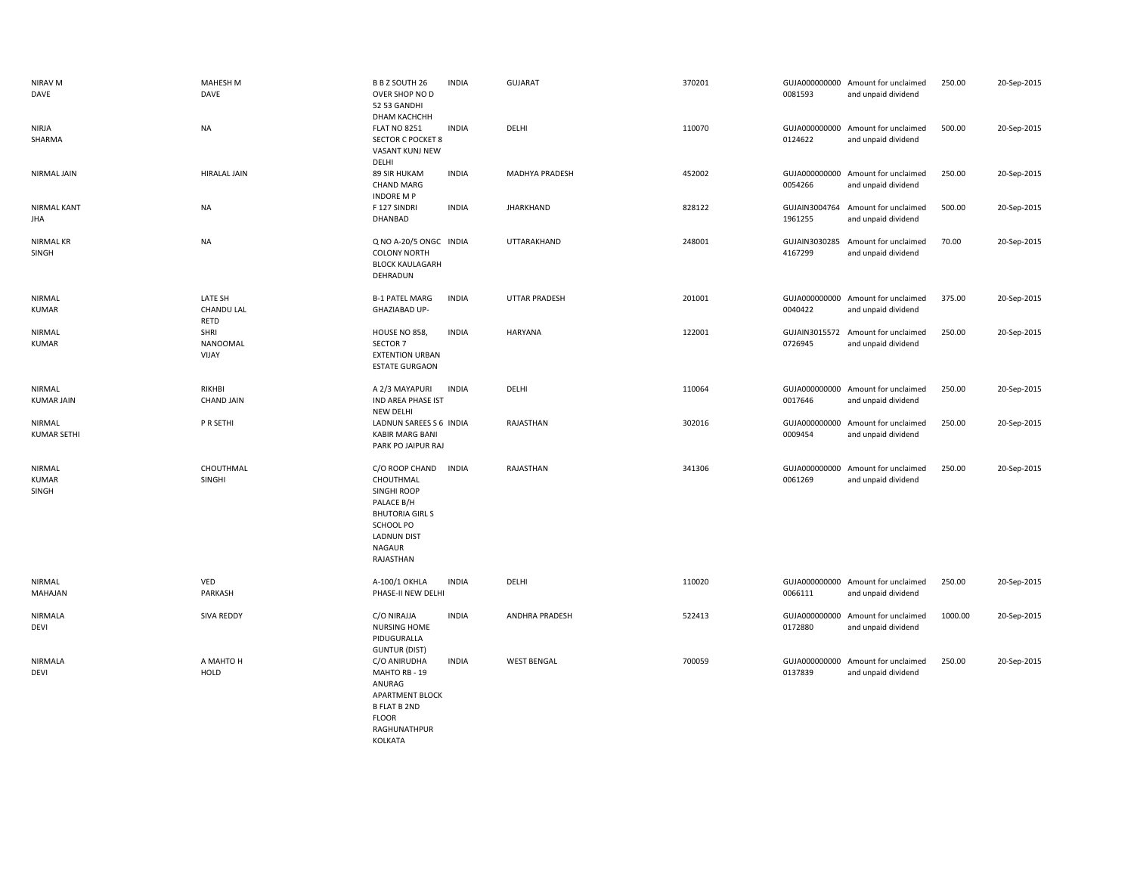| NIRAV M<br>DAVE                 | MAHESH M<br>DAVE                     | B B Z SOUTH 26<br>OVER SHOP NO D<br>52 53 GANDHI<br><b><i>DHAM КАСНСНН</i></b>                                                                      | <b>INDIA</b> | GUJARAT              | 370201 | 0081593                  | GUJA000000000 Amount for unclaimed<br>and unpaid dividend | 250.00  | 20-Sep-2015 |
|---------------------------------|--------------------------------------|-----------------------------------------------------------------------------------------------------------------------------------------------------|--------------|----------------------|--------|--------------------------|-----------------------------------------------------------|---------|-------------|
| <b>NIRJA</b><br>SHARMA          | <b>NA</b>                            | <b>FLAT NO 8251</b><br><b>SECTOR C POCKET 8</b><br>VASANT KUNJ NEW<br>DELHI                                                                         | <b>INDIA</b> | DELHI                | 110070 | GUJA000000000<br>0124622 | Amount for unclaimed<br>and unpaid dividend               | 500.00  | 20-Sep-2015 |
| NIRMAL JAIN                     | <b>HIRALAL JAIN</b>                  | 89 SIR HUKAM<br><b>CHAND MARG</b><br><b>INDORE M P</b>                                                                                              | <b>INDIA</b> | MADHYA PRADESH       | 452002 | 0054266                  | GUJA000000000 Amount for unclaimed<br>and unpaid dividend | 250.00  | 20-Sep-2015 |
| <b>NIRMAL KANT</b><br>JHA       | <b>NA</b>                            | F 127 SINDRI<br>DHANBAD                                                                                                                             | <b>INDIA</b> | <b>JHARKHAND</b>     | 828122 | GUJAIN3004764<br>1961255 | Amount for unclaimed<br>and unpaid dividend               | 500.00  | 20-Sep-2015 |
| <b>NIRMAL KR</b><br>SINGH       | <b>NA</b>                            | Q NO A-20/5 ONGC INDIA<br><b>COLONY NORTH</b><br><b>BLOCK KAULAGARH</b><br>DEHRADUN                                                                 |              | UTTARAKHAND          | 248001 | 4167299                  | GUJAIN3030285 Amount for unclaimed<br>and unpaid dividend | 70.00   | 20-Sep-2015 |
| NIRMAL<br><b>KUMAR</b>          | LATE SH<br><b>CHANDU LAL</b><br>RETD | <b>B-1 PATEL MARG</b><br>GHAZIABAD UP-                                                                                                              | <b>INDIA</b> | <b>UTTAR PRADESH</b> | 201001 | 0040422                  | GUJA000000000 Amount for unclaimed<br>and unpaid dividend | 375.00  | 20-Sep-2015 |
| NIRMAL<br><b>KUMAR</b>          | SHRI<br>NANOOMAL<br>VIJAY            | HOUSE NO 858,<br>SECTOR 7<br><b>EXTENTION URBAN</b><br><b>ESTATE GURGAON</b>                                                                        | <b>INDIA</b> | <b>HARYANA</b>       | 122001 | 0726945                  | GUJAIN3015572 Amount for unclaimed<br>and unpaid dividend | 250.00  | 20-Sep-2015 |
| NIRMAL<br><b>KUMAR JAIN</b>     | RIKHBI<br><b>CHAND JAIN</b>          | A 2/3 MAYAPURI<br>IND AREA PHASE IST<br>NEW DELHI                                                                                                   | <b>INDIA</b> | DELHI                | 110064 | 0017646                  | GUJA000000000 Amount for unclaimed<br>and unpaid dividend | 250.00  | 20-Sep-2015 |
| NIRMAL<br><b>KUMAR SETHI</b>    | P R SETHI                            | LADNUN SAREES S 6 INDIA<br><b>KABIR MARG BANI</b><br>PARK PO JAIPUR RAJ                                                                             |              | RAJASTHAN            | 302016 | 0009454                  | GUJA000000000 Amount for unclaimed<br>and unpaid dividend | 250.00  | 20-Sep-2015 |
| NIRMAL<br><b>KUMAR</b><br>SINGH | CHOUTHMAL<br>SINGHI                  | C/O ROOP CHAND<br>CHOUTHMAL<br>SINGHI ROOP<br>PALACE B/H<br><b>BHUTORIA GIRL S</b><br>SCHOOL PO<br><b>LADNUN DIST</b><br><b>NAGAUR</b><br>RAJASTHAN | <b>INDIA</b> | RAJASTHAN            | 341306 | GUJA000000000<br>0061269 | Amount for unclaimed<br>and unpaid dividend               | 250.00  | 20-Sep-2015 |
| NIRMAL<br>MAHAJAN               | VED<br>PARKASH                       | A-100/1 OKHLA<br>PHASE-II NEW DELHI                                                                                                                 | <b>INDIA</b> | DELHI                | 110020 | 0066111                  | GUJA000000000 Amount for unclaimed<br>and unpaid dividend | 250.00  | 20-Sep-2015 |
| NIRMALA<br>DEVI                 | <b>SIVA REDDY</b>                    | C/O NIRAJJA<br>NURSING HOME<br>PIDUGURALLA<br><b>GUNTUR (DIST)</b>                                                                                  | <b>INDIA</b> | ANDHRA PRADESH       | 522413 | 0172880                  | GUJA000000000 Amount for unclaimed<br>and unpaid dividend | 1000.00 | 20-Sep-2015 |
| NIRMALA<br>DEVI                 | A MAHTO H<br>HOLD                    | C/O ANIRUDHA<br>MAHTO RB - 19<br>ANURAG<br>APARTMENT BLOCK<br><b>B FLAT B 2ND</b><br><b>FLOOR</b><br>RAGHUNATHPUR<br>KOLKATA                        | <b>INDIA</b> | <b>WEST BENGAL</b>   | 700059 | 0137839                  | GUJA000000000 Amount for unclaimed<br>and unpaid dividend | 250.00  | 20-Sep-2015 |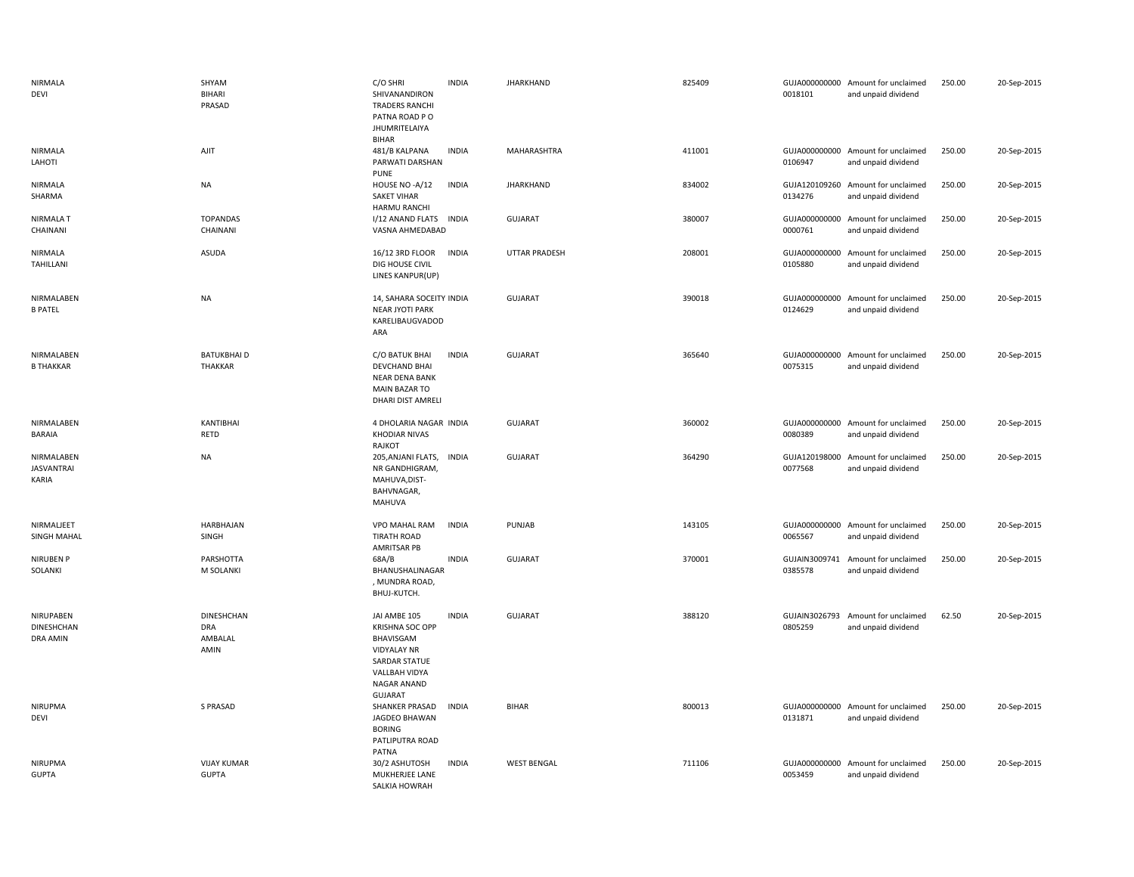| NIRMALA<br>DEVI                          | SHYAM<br><b>BIHARI</b><br>PRASAD                   | C/O SHRI<br>SHIVANANDIRON<br><b>TRADERS RANCHI</b><br>PATNA ROAD PO<br>JHUMRITELAIYA<br>BIHAR                                                | <b>INDIA</b> | <b>JHARKHAND</b>     | 825409 | 0018101                  | GUJA000000000 Amount for unclaimed<br>and unpaid dividend | 250.00 | 20-Sep-2015 |
|------------------------------------------|----------------------------------------------------|----------------------------------------------------------------------------------------------------------------------------------------------|--------------|----------------------|--------|--------------------------|-----------------------------------------------------------|--------|-------------|
| NIRMALA<br>LAHOTI                        | AJIT                                               | 481/B KALPANA<br>PARWATI DARSHAN<br><b>PUNE</b>                                                                                              | <b>INDIA</b> | MAHARASHTRA          | 411001 | 0106947                  | GUJA000000000 Amount for unclaimed<br>and unpaid dividend | 250.00 | 20-Sep-2015 |
| NIRMALA<br>SHARMA                        | NA                                                 | HOUSE NO -A/12<br><b>SAKET VIHAR</b><br>HARMU RANCHI                                                                                         | <b>INDIA</b> | <b>JHARKHAND</b>     | 834002 | 0134276                  | GUJA120109260 Amount for unclaimed<br>and unpaid dividend | 250.00 | 20-Sep-2015 |
| NIRMALA T<br>CHAINANI                    | <b>TOPANDAS</b><br>CHAINANI                        | I/12 ANAND FLATS INDIA<br>VASNA AHMEDABAD                                                                                                    |              | <b>GUJARAT</b>       | 380007 | 0000761                  | GUJA000000000 Amount for unclaimed<br>and unpaid dividend | 250.00 | 20-Sep-2015 |
| NIRMALA<br>TAHILLANI                     | ASUDA                                              | 16/12 3RD FLOOR<br>DIG HOUSE CIVIL<br>LINES KANPUR(UP)                                                                                       | <b>INDIA</b> | <b>UTTAR PRADESH</b> | 208001 | 0105880                  | GUJA000000000 Amount for unclaimed<br>and unpaid dividend | 250.00 | 20-Sep-2015 |
| NIRMALABEN<br><b>B PATEL</b>             | <b>NA</b>                                          | 14, SAHARA SOCEITY INDIA<br><b>NEAR JYOTI PARK</b><br>KARELIBAUGVADOD<br>ARA                                                                 |              | <b>GUJARAT</b>       | 390018 | 0124629                  | GUJA000000000 Amount for unclaimed<br>and unpaid dividend | 250.00 | 20-Sep-2015 |
| NIRMALABEN<br><b>B THAKKAR</b>           | <b>BATUKBHAID</b><br>THAKKAR                       | C/O BATUK BHAI<br>DEVCHAND BHAI<br><b>NEAR DENA BANK</b><br><b>MAIN BAZAR TO</b><br>DHARI DIST AMRELI                                        | <b>INDIA</b> | <b>GUJARAT</b>       | 365640 | 0075315                  | GUJA000000000 Amount for unclaimed<br>and unpaid dividend | 250.00 | 20-Sep-2015 |
| NIRMALABEN<br><b>BARAIA</b>              | KANTIBHAI<br><b>RETD</b>                           | 4 DHOLARIA NAGAR INDIA<br><b>KHODIAR NIVAS</b><br>RAJKOT                                                                                     |              | <b>GUJARAT</b>       | 360002 | 0080389                  | GUJA000000000 Amount for unclaimed<br>and unpaid dividend | 250.00 | 20-Sep-2015 |
| NIRMALABEN<br><b>JASVANTRAI</b><br>KARIA | <b>NA</b>                                          | 205, ANJANI FLATS,<br>NR GANDHIGRAM,<br>MAHUVA, DIST-<br>BAHVNAGAR,<br>MAHUVA                                                                | <b>INDIA</b> | <b>GUJARAT</b>       | 364290 | GUJA120198000<br>0077568 | Amount for unclaimed<br>and unpaid dividend               | 250.00 | 20-Sep-2015 |
| NIRMALJEET<br>SINGH MAHAL                | HARBHAJAN<br>SINGH                                 | VPO MAHAL RAM<br><b>TIRATH ROAD</b><br>AMRITSAR PB                                                                                           | <b>INDIA</b> | PUNJAB               | 143105 | 0065567                  | GUJA000000000 Amount for unclaimed<br>and unpaid dividend | 250.00 | 20-Sep-2015 |
| <b>NIRUBEN P</b><br>SOLANKI              | PARSHOTTA<br>M SOLANKI                             | 68A/B<br>BHANUSHALINAGAR<br>, MUNDRA ROAD,<br>BHUJ-KUTCH.                                                                                    | <b>INDIA</b> | <b>GUJARAT</b>       | 370001 | 0385578                  | GUJAIN3009741 Amount for unclaimed<br>and unpaid dividend | 250.00 | 20-Sep-2015 |
| NIRUPABEN<br>DINESHCHAN<br>DRA AMIN      | <b>DINESHCHAN</b><br><b>DRA</b><br>AMBALAL<br>AMIN | JAI AMBE 105<br><b>KRISHNA SOC OPP</b><br>BHAVISGAM<br><b>VIDYALAY NR</b><br>SARDAR STATUE<br>VALLBAH VIDYA<br>NAGAR ANAND<br><b>GUJARAT</b> | <b>INDIA</b> | <b>GUJARAT</b>       | 388120 | GUJAIN3026793<br>0805259 | Amount for unclaimed<br>and unpaid dividend               | 62.50  | 20-Sep-2015 |
| <b>NIRUPMA</b><br>DEVI                   | S PRASAD                                           | SHANKER PRASAD<br>JAGDEO BHAWAN<br><b>BORING</b><br>PATLIPUTRA ROAD<br>PATNA                                                                 | <b>INDIA</b> | BIHAR                | 800013 | 0131871                  | GUJA000000000 Amount for unclaimed<br>and unpaid dividend | 250.00 | 20-Sep-2015 |
| <b>NIRUPMA</b><br><b>GUPTA</b>           | <b>VIJAY KUMAR</b><br><b>GUPTA</b>                 | 30/2 ASHUTOSH<br>MUKHERJEE LANE<br>SALKIA HOWRAH                                                                                             | <b>INDIA</b> | <b>WEST BENGAL</b>   | 711106 | GUJA000000000<br>0053459 | Amount for unclaimed<br>and unpaid dividend               | 250.00 | 20-Sep-2015 |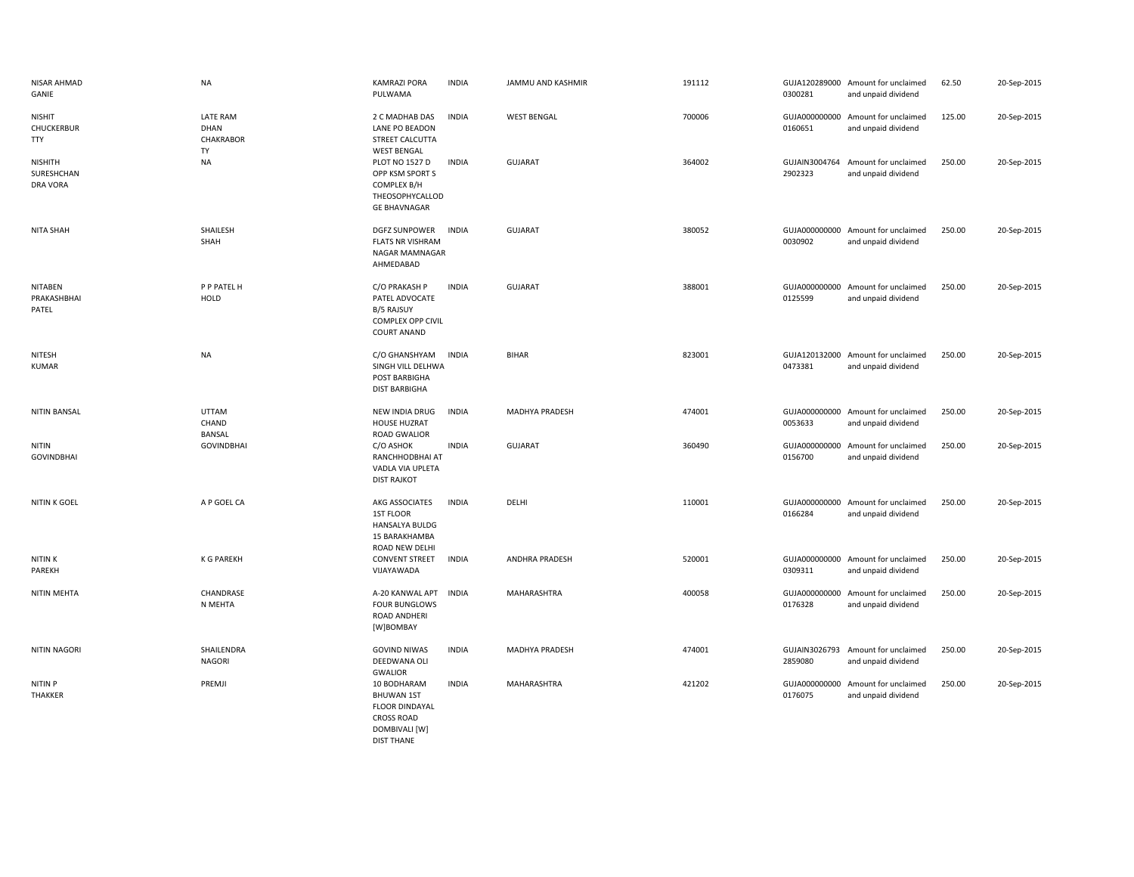| NISAR AHMAD<br>GANIE                      | <b>NA</b>                              | KAMRAZI PORA<br>PULWAMA                                                                                              | <b>INDIA</b> | JAMMU AND KASHMIR     | 191112 | 0300281                  | GUJA120289000 Amount for unclaimed<br>and unpaid dividend | 62.50  | 20-Sep-2015 |
|-------------------------------------------|----------------------------------------|----------------------------------------------------------------------------------------------------------------------|--------------|-----------------------|--------|--------------------------|-----------------------------------------------------------|--------|-------------|
| <b>NISHIT</b><br>CHUCKERBUR<br><b>TTY</b> | LATE RAM<br>DHAN<br>CHAKRABOR<br>TY    | 2 C MADHAB DAS<br>LANE PO BEADON<br>STREET CALCUTTA<br><b>WEST BENGAL</b>                                            | <b>INDIA</b> | <b>WEST BENGAL</b>    | 700006 | 0160651                  | GUJA000000000 Amount for unclaimed<br>and unpaid dividend | 125.00 | 20-Sep-2015 |
| NISHITH<br>SURESHCHAN<br><b>DRA VORA</b>  | <b>NA</b>                              | PLOT NO 1527 D<br>OPP KSM SPORT S<br>COMPLEX B/H<br>THEOSOPHYCALLOD<br><b>GE BHAVNAGAR</b>                           | <b>INDIA</b> | <b>GUJARAT</b>        | 364002 | 2902323                  | GUJAIN3004764 Amount for unclaimed<br>and unpaid dividend | 250.00 | 20-Sep-2015 |
| <b>NITA SHAH</b>                          | SHAILESH<br>SHAH                       | <b>DGFZ SUNPOWER</b><br><b>FLATS NR VISHRAM</b><br>NAGAR MAMNAGAR<br>AHMEDABAD                                       | <b>INDIA</b> | <b>GUJARAT</b>        | 380052 | 0030902                  | GUJA000000000 Amount for unclaimed<br>and unpaid dividend | 250.00 | 20-Sep-2015 |
| <b>NITABEN</b><br>PRAKASHBHAI<br>PATEL    | P P PATEL H<br><b>HOLD</b>             | C/O PRAKASH P<br>PATEL ADVOCATE<br>B/5 RAJSUY<br>COMPLEX OPP CIVIL<br><b>COURT ANAND</b>                             | <b>INDIA</b> | <b>GUJARAT</b>        | 388001 | 0125599                  | GUJA000000000 Amount for unclaimed<br>and unpaid dividend | 250.00 | 20-Sep-2015 |
| NITESH<br>KUMAR                           | <b>NA</b>                              | C/O GHANSHYAM<br>SINGH VILL DELHWA<br>POST BARBIGHA<br><b>DIST BARBIGHA</b>                                          | <b>INDIA</b> | <b>BIHAR</b>          | 823001 | 0473381                  | GUJA120132000 Amount for unclaimed<br>and unpaid dividend | 250.00 | 20-Sep-2015 |
| <b>NITIN BANSAL</b>                       | <b>UTTAM</b><br>CHAND<br><b>BANSAL</b> | NEW INDIA DRUG<br><b>HOUSE HUZRAT</b><br>ROAD GWALIOR                                                                | <b>INDIA</b> | MADHYA PRADESH        | 474001 | 0053633                  | GUJA000000000 Amount for unclaimed<br>and unpaid dividend | 250.00 | 20-Sep-2015 |
| <b>NITIN</b><br><b>GOVINDBHAI</b>         | <b>GOVINDBHAI</b>                      | C/O ASHOK<br>RANCHHODBHAI AT<br>VADLA VIA UPLETA<br><b>DIST RAJKOT</b>                                               | <b>INDIA</b> | <b>GUJARAT</b>        | 360490 | 0156700                  | GUJA000000000 Amount for unclaimed<br>and unpaid dividend | 250.00 | 20-Sep-2015 |
| NITIN K GOEL                              | A P GOEL CA                            | AKG ASSOCIATES<br>1ST FLOOR<br><b>HANSALYA BULDG</b><br>15 BARAKHAMBA<br>ROAD NEW DELHI                              | <b>INDIA</b> | DELHI                 | 110001 | 0166284                  | GUJA000000000 Amount for unclaimed<br>and unpaid dividend | 250.00 | 20-Sep-2015 |
| <b>NITINK</b><br>PAREKH                   | <b>K G PAREKH</b>                      | <b>CONVENT STREET</b><br>VIJAYAWADA                                                                                  | <b>INDIA</b> | ANDHRA PRADESH        | 520001 | 0309311                  | GUJA000000000 Amount for unclaimed<br>and unpaid dividend | 250.00 | 20-Sep-2015 |
| NITIN MEHTA                               | CHANDRASE<br>N MEHTA                   | A-20 KANWAL APT<br><b>FOUR BUNGLOWS</b><br>ROAD ANDHERI<br>[W]BOMBAY                                                 | <b>INDIA</b> | MAHARASHTRA           | 400058 | GUJA000000000<br>0176328 | Amount for unclaimed<br>and unpaid dividend               | 250.00 | 20-Sep-2015 |
| <b>NITIN NAGORI</b>                       | SHAILENDRA<br><b>NAGORI</b>            | <b>GOVIND NIWAS</b><br>DEEDWANA OLI<br><b>GWALIOR</b>                                                                | <b>INDIA</b> | <b>MADHYA PRADESH</b> | 474001 | 2859080                  | GUJAIN3026793 Amount for unclaimed<br>and unpaid dividend | 250.00 | 20-Sep-2015 |
| <b>NITIN P</b><br>THAKKER                 | PREMJI                                 | 10 BODHARAM<br><b>BHUWAN 1ST</b><br><b>FLOOR DINDAYAL</b><br><b>CROSS ROAD</b><br>DOMBIVALI [W]<br><b>DIST THANE</b> | <b>INDIA</b> | MAHARASHTRA           | 421202 | GUJA000000000<br>0176075 | Amount for unclaimed<br>and unpaid dividend               | 250.00 | 20-Sep-2015 |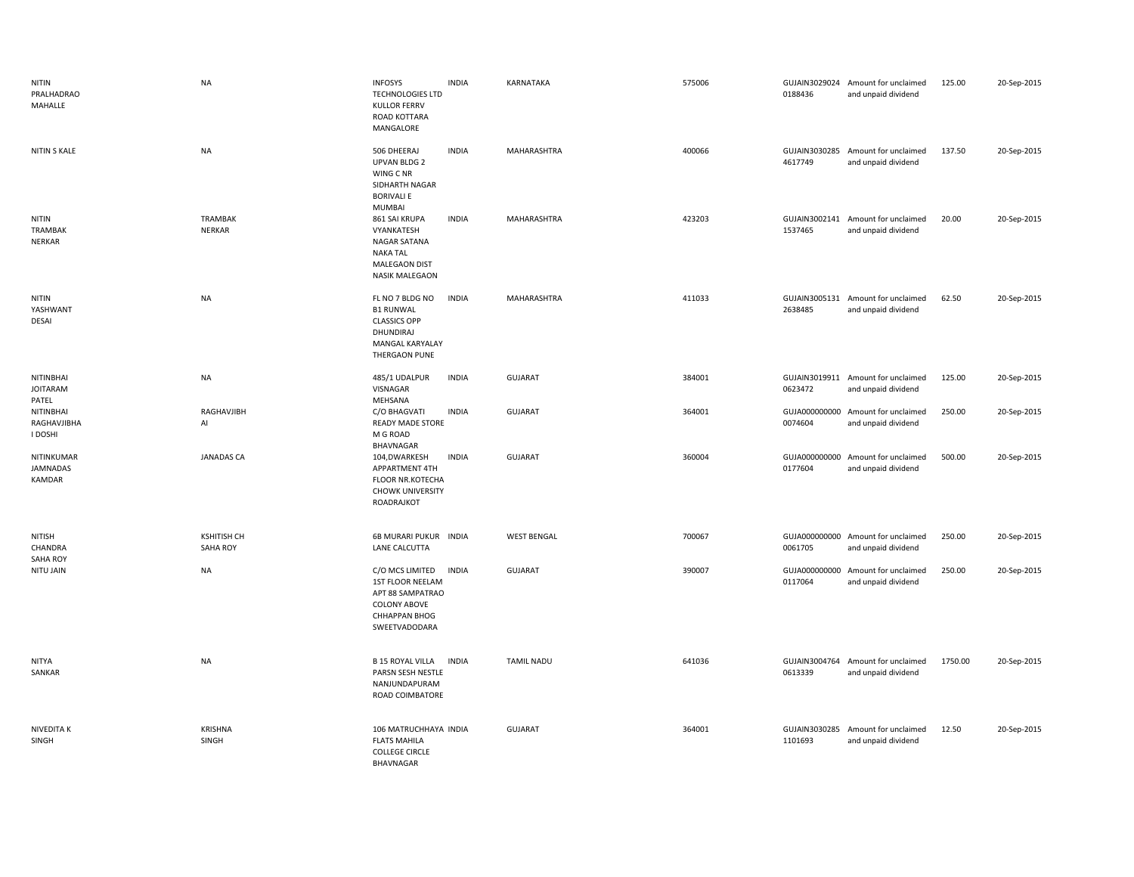| NITIN<br>PRALHADRAO<br>MAHALLE          | <b>NA</b>                             | <b>INFOSYS</b><br><b>TECHNOLOGIES LTD</b><br><b>KULLOR FERRV</b><br>ROAD KOTTARA<br>MANGALORE                           | <b>INDIA</b> | KARNATAKA          | 575006 | 0188436                  | GUJAIN3029024 Amount for unclaimed<br>and unpaid dividend | 125.00  | 20-Sep-2015 |
|-----------------------------------------|---------------------------------------|-------------------------------------------------------------------------------------------------------------------------|--------------|--------------------|--------|--------------------------|-----------------------------------------------------------|---------|-------------|
| NITIN S KALE                            | <b>NA</b>                             | 506 DHEERAJ<br><b>UPVAN BLDG 2</b><br>WING C NR<br>SIDHARTH NAGAR<br><b>BORIVALI E</b><br>MUMBAI                        | <b>INDIA</b> | MAHARASHTRA        | 400066 | 4617749                  | GUJAIN3030285 Amount for unclaimed<br>and unpaid dividend | 137.50  | 20-Sep-2015 |
| <b>NITIN</b><br>TRAMBAK<br>NERKAR       | TRAMBAK<br><b>NERKAR</b>              | 861 SAI KRUPA<br>VYANKATESH<br>NAGAR SATANA<br><b>NAKA TAL</b><br><b>MALEGAON DIST</b><br><b>NASIK MALEGAON</b>         | <b>INDIA</b> | MAHARASHTRA        | 423203 | 1537465                  | GUJAIN3002141 Amount for unclaimed<br>and unpaid dividend | 20.00   | 20-Sep-2015 |
| <b>NITIN</b><br>YASHWANT<br>DESAI       | <b>NA</b>                             | FL NO 7 BLDG NO<br><b>B1 RUNWAL</b><br><b>CLASSICS OPP</b><br>DHUNDIRAJ<br>MANGAL KARYALAY<br>THERGAON PUNE             | <b>INDIA</b> | MAHARASHTRA        | 411033 | 2638485                  | GUJAIN3005131 Amount for unclaimed<br>and unpaid dividend | 62.50   | 20-Sep-2015 |
| NITINBHAI<br><b>JOITARAM</b><br>PATEL   | NA                                    | 485/1 UDALPUR<br>VISNAGAR<br>MEHSANA                                                                                    | <b>INDIA</b> | <b>GUJARAT</b>     | 384001 | 0623472                  | GUJAIN3019911 Amount for unclaimed<br>and unpaid dividend | 125.00  | 20-Sep-2015 |
| NITINBHAI<br>RAGHAVJIBHA<br>I DOSHI     | RAGHAVJIBH<br>Al                      | C/O BHAGVATI<br>READY MADE STORE<br>M G ROAD<br>BHAVNAGAR                                                               | <b>INDIA</b> | <b>GUJARAT</b>     | 364001 | 0074604                  | GUJA000000000 Amount for unclaimed<br>and unpaid dividend | 250.00  | 20-Sep-2015 |
| NITINKUMAR<br><b>JAMNADAS</b><br>KAMDAR | <b>JANADAS CA</b>                     | 104,DWARKESH<br>APPARTMENT 4TH<br>FLOOR NR.KOTECHA<br><b>CHOWK UNIVERSITY</b><br>ROADRAJKOT                             | <b>INDIA</b> | <b>GUJARAT</b>     | 360004 | 0177604                  | GUJA000000000 Amount for unclaimed<br>and unpaid dividend | 500.00  | 20-Sep-2015 |
| NITISH<br>CHANDRA<br><b>SAHA ROY</b>    | <b>KSHITISH CH</b><br><b>SAHA ROY</b> | 6B MURARI PUKUR INDIA<br>LANE CALCUTTA                                                                                  |              | <b>WEST BENGAL</b> | 700067 | 0061705                  | GUJA000000000 Amount for unclaimed<br>and unpaid dividend | 250.00  | 20-Sep-2015 |
| NITU JAIN                               | NA                                    | C/O MCS LIMITED<br><b>1ST FLOOR NEELAM</b><br>APT 88 SAMPATRAO<br><b>COLONY ABOVE</b><br>CHHAPPAN BHOG<br>SWEETVADODARA | <b>INDIA</b> | <b>GUJARAT</b>     | 390007 | GUJA000000000<br>0117064 | Amount for unclaimed<br>and unpaid dividend               | 250.00  | 20-Sep-2015 |
| <b>NITYA</b><br>SANKAR                  | NA                                    | <b>B 15 ROYAL VILLA</b><br>PARSN SESH NESTLE<br>NANJUNDAPURAM<br>ROAD COIMBATORE                                        | <b>INDIA</b> | <b>TAMIL NADU</b>  | 641036 | 0613339                  | GUJAIN3004764 Amount for unclaimed<br>and unpaid dividend | 1750.00 | 20-Sep-2015 |
| NIVEDITA K<br>SINGH                     | <b>KRISHNA</b><br>SINGH               | 106 MATRUCHHAYA INDIA<br><b>FLATS MAHILA</b><br><b>COLLEGE CIRCLE</b><br>BHAVNAGAR                                      |              | GUJARAT            | 364001 | 1101693                  | GUJAIN3030285 Amount for unclaimed<br>and unpaid dividend | 12.50   | 20-Sep-2015 |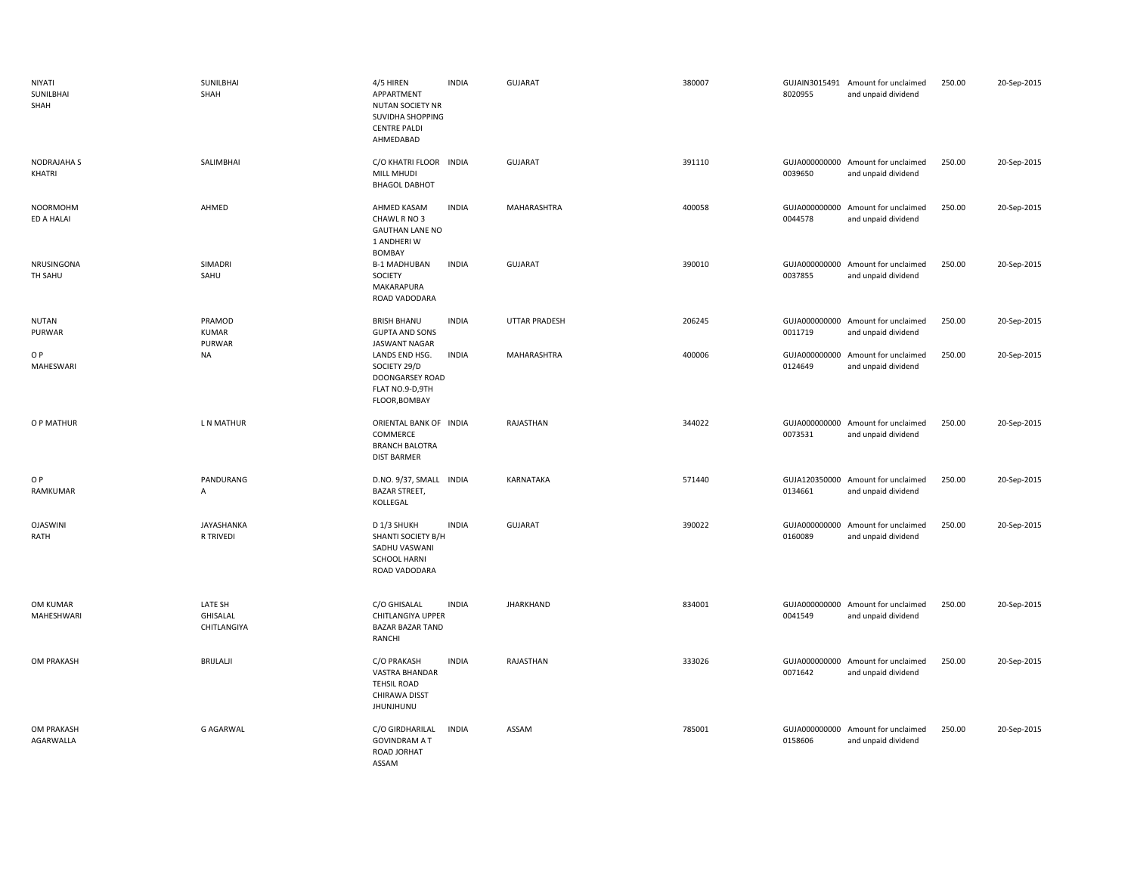| NIYATI<br>SUNILBHAI<br>SHAH   | SUNILBHAI<br>SHAH                         | 4/5 HIREN<br>APPARTMENT<br><b>NUTAN SOCIETY NR</b><br>SUVIDHA SHOPPING<br><b>CENTRE PALDI</b><br>AHMEDABAD | <b>INDIA</b> | <b>GUJARAT</b>       | 380007 | 8020955                  | GUJAIN3015491 Amount for unclaimed<br>and unpaid dividend | 250.00 | 20-Sep-2015 |
|-------------------------------|-------------------------------------------|------------------------------------------------------------------------------------------------------------|--------------|----------------------|--------|--------------------------|-----------------------------------------------------------|--------|-------------|
| <b>NODRAJAHA S</b><br>KHATRI  | SALIMBHAI                                 | C/O KHATRI FLOOR INDIA<br>MILL MHUDI<br><b>BHAGOL DABHOT</b>                                               |              | GUJARAT              | 391110 | 0039650                  | GUJA000000000 Amount for unclaimed<br>and unpaid dividend | 250.00 | 20-Sep-2015 |
| <b>NOORMOHM</b><br>ED A HALAI | AHMED                                     | AHMED KASAM<br>CHAWL R NO 3<br><b>GAUTHAN LANE NO</b><br>1 ANDHERI W<br>BOMBAY                             | <b>INDIA</b> | MAHARASHTRA          | 400058 | 0044578                  | GUJA000000000 Amount for unclaimed<br>and unpaid dividend | 250.00 | 20-Sep-2015 |
| NRUSINGONA<br>TH SAHU         | SIMADRI<br>SAHU                           | <b>B-1 MADHUBAN</b><br>SOCIETY<br>MAKARAPURA<br>ROAD VADODARA                                              | <b>INDIA</b> | <b>GUJARAT</b>       | 390010 | 0037855                  | GUJA000000000 Amount for unclaimed<br>and unpaid dividend | 250.00 | 20-Sep-2015 |
| <b>NUTAN</b><br>PURWAR        | PRAMOD<br><b>KUMAR</b><br>PURWAR          | <b>BRISH BHANU</b><br><b>GUPTA AND SONS</b><br>JASWANT NAGAR                                               | <b>INDIA</b> | <b>UTTAR PRADESH</b> | 206245 | 0011719                  | GUJA000000000 Amount for unclaimed<br>and unpaid dividend | 250.00 | 20-Sep-2015 |
| O P<br>MAHESWARI              | NA                                        | LANDS END HSG.<br>SOCIETY 29/D<br>DOONGARSEY ROAD<br>FLAT NO.9-D,9TH<br>FLOOR, BOMBAY                      | INDIA        | MAHARASHTRA          | 400006 | 0124649                  | GUJA000000000 Amount for unclaimed<br>and unpaid dividend | 250.00 | 20-Sep-2015 |
| O P MATHUR                    | L N MATHUR                                | ORIENTAL BANK OF INDIA<br>COMMERCE<br><b>BRANCH BALOTRA</b><br><b>DIST BARMER</b>                          |              | RAJASTHAN            | 344022 | 0073531                  | GUJA000000000 Amount for unclaimed<br>and unpaid dividend | 250.00 | 20-Sep-2015 |
| O P<br>RAMKUMAR               | PANDURANG<br>A                            | D.NO. 9/37, SMALL<br><b>BAZAR STREET,</b><br>KOLLEGAL                                                      | <b>INDIA</b> | KARNATAKA            | 571440 | GUJA120350000<br>0134661 | Amount for unclaimed<br>and unpaid dividend               | 250.00 | 20-Sep-2015 |
| <b>OJASWINI</b><br>RATH       | JAYASHANKA<br>R TRIVEDI                   | D 1/3 SHUKH<br>SHANTI SOCIETY B/H<br>SADHU VASWANI<br><b>SCHOOL HARNI</b><br>ROAD VADODARA                 | <b>INDIA</b> | <b>GUJARAT</b>       | 390022 | 0160089                  | GUJA000000000 Amount for unclaimed<br>and unpaid dividend | 250.00 | 20-Sep-2015 |
| OM KUMAR<br>MAHESHWARI        | LATE SH<br><b>GHISALAL</b><br>CHITLANGIYA | C/O GHISALAL<br>CHITLANGIYA UPPER<br><b>BAZAR BAZAR TAND</b><br>RANCHI                                     | <b>INDIA</b> | JHARKHAND            | 834001 | 0041549                  | GUJA000000000 Amount for unclaimed<br>and unpaid dividend | 250.00 | 20-Sep-2015 |
| OM PRAKASH                    | <b>BRIJLALJI</b>                          | C/O PRAKASH<br>VASTRA BHANDAR<br><b>TEHSIL ROAD</b><br>CHIRAWA DISST<br><b>JHUNJHUNU</b>                   | <b>INDIA</b> | RAJASTHAN            | 333026 | 0071642                  | GUJA000000000 Amount for unclaimed<br>and unpaid dividend | 250.00 | 20-Sep-2015 |
| OM PRAKASH<br>AGARWALLA       | <b>G AGARWAL</b>                          | C/O GIRDHARILAL<br><b>GOVINDRAM A T</b><br>ROAD JORHAT<br>ASSAM                                            | <b>INDIA</b> | ASSAM                | 785001 | 0158606                  | GUJA000000000 Amount for unclaimed<br>and unpaid dividend | 250.00 | 20-Sep-2015 |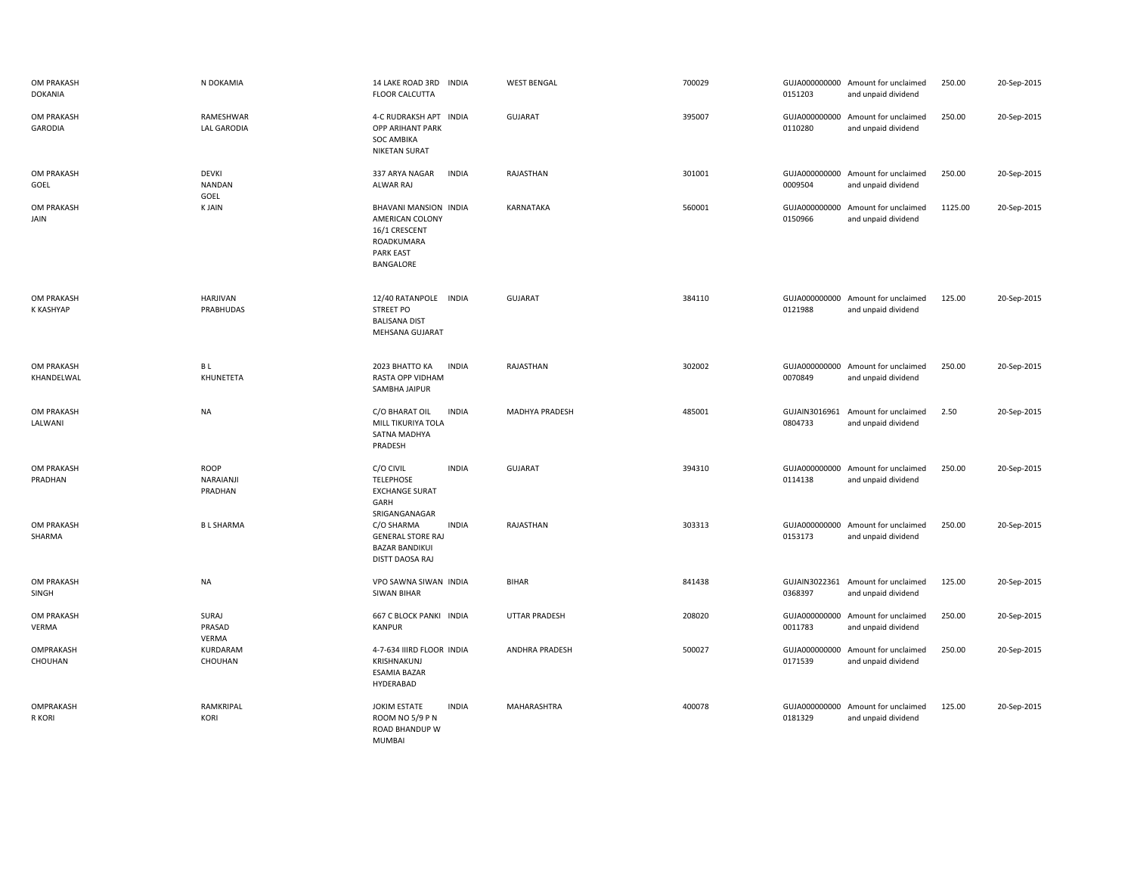| OM PRAKASH<br><b>DOKANIA</b> | N DOKAMIA                             | 14 LAKE ROAD 3RD INDIA<br><b>FLOOR CALCUTTA</b>                                                                     | <b>WEST BENGAL</b>    | 700029 | 0151203                  | GUJA000000000 Amount for unclaimed<br>and unpaid dividend | 250.00  | 20-Sep-2015 |
|------------------------------|---------------------------------------|---------------------------------------------------------------------------------------------------------------------|-----------------------|--------|--------------------------|-----------------------------------------------------------|---------|-------------|
| OM PRAKASH<br>GARODIA        | RAMESHWAR<br><b>LAL GARODIA</b>       | 4-C RUDRAKSH APT INDIA<br>OPP ARIHANT PARK<br><b>SOC AMBIKA</b><br><b>NIKETAN SURAT</b>                             | <b>GUJARAT</b>        | 395007 | 0110280                  | GUJA000000000 Amount for unclaimed<br>and unpaid dividend | 250.00  | 20-Sep-2015 |
| OM PRAKASH<br>GOEL           | <b>DEVKI</b><br><b>NANDAN</b><br>GOEL | 337 ARYA NAGAR<br><b>INDIA</b><br>ALWAR RAJ                                                                         | RAJASTHAN             | 301001 | 0009504                  | GUJA000000000 Amount for unclaimed<br>and unpaid dividend | 250.00  | 20-Sep-2015 |
| OM PRAKASH<br>JAIN           | <b>KJAIN</b>                          | BHAVANI MANSION INDIA<br>AMERICAN COLONY<br>16/1 CRESCENT<br>ROADKUMARA<br><b>PARK EAST</b><br>BANGALORE            | KARNATAKA             | 560001 | GUJA000000000<br>0150966 | Amount for unclaimed<br>and unpaid dividend               | 1125.00 | 20-Sep-2015 |
| OM PRAKASH<br>K KASHYAP      | HARJIVAN<br>PRABHUDAS                 | 12/40 RATANPOLE<br><b>INDIA</b><br><b>STREET PO</b><br><b>BALISANA DIST</b><br><b>MEHSANA GUJARAT</b>               | <b>GUJARAT</b>        | 384110 | 0121988                  | GUJA000000000 Amount for unclaimed<br>and unpaid dividend | 125.00  | 20-Sep-2015 |
| OM PRAKASH<br>KHANDELWAL     | B L<br>KHUNETETA                      | 2023 BHATTO KA<br><b>INDIA</b><br>RASTA OPP VIDHAM<br>SAMBHA JAIPUR                                                 | RAJASTHAN             | 302002 | 0070849                  | GUJA000000000 Amount for unclaimed<br>and unpaid dividend | 250.00  | 20-Sep-2015 |
| <b>OM PRAKASH</b><br>LALWANI | <b>NA</b>                             | C/O BHARAT OIL<br><b>INDIA</b><br>MILL TIKURIYA TOLA<br>SATNA MADHYA<br>PRADESH                                     | <b>MADHYA PRADESH</b> | 485001 | 0804733                  | GUJAIN3016961 Amount for unclaimed<br>and unpaid dividend | 2.50    | 20-Sep-2015 |
| OM PRAKASH<br>PRADHAN        | <b>ROOP</b><br>NARAIANJI<br>PRADHAN   | C/O CIVIL<br><b>INDIA</b><br><b>TELEPHOSE</b><br><b>EXCHANGE SURAT</b><br>GARH                                      | <b>GUJARAT</b>        | 394310 | GUJA000000000<br>0114138 | Amount for unclaimed<br>and unpaid dividend               | 250.00  | 20-Sep-2015 |
| <b>OM PRAKASH</b><br>SHARMA  | <b>BL SHARMA</b>                      | SRIGANGANAGAR<br><b>INDIA</b><br>C/O SHARMA<br><b>GENERAL STORE RAJ</b><br><b>BAZAR BANDIKUI</b><br>DISTT DAOSA RAJ | RAJASTHAN             | 303313 | 0153173                  | GUJA000000000 Amount for unclaimed<br>and unpaid dividend | 250.00  | 20-Sep-2015 |
| <b>OM PRAKASH</b><br>SINGH   | <b>NA</b>                             | VPO SAWNA SIWAN INDIA<br><b>SIWAN BIHAR</b>                                                                         | <b>BIHAR</b>          | 841438 | 0368397                  | GUJAIN3022361 Amount for unclaimed<br>and unpaid dividend | 125.00  | 20-Sep-2015 |
| OM PRAKASH<br>VERMA          | SURAJ<br>PRASAD<br>VERMA              | 667 C BLOCK PANKI INDIA<br>KANPUR                                                                                   | <b>UTTAR PRADESH</b>  | 208020 | 0011783                  | GUJA000000000 Amount for unclaimed<br>and unpaid dividend | 250.00  | 20-Sep-2015 |
| OMPRAKASH<br>CHOUHAN         | KURDARAM<br>CHOUHAN                   | 4-7-634 IIIRD FLOOR INDIA<br>KRISHNAKUNJ<br><b>ESAMIA BAZAR</b><br>HYDERABAD                                        | ANDHRA PRADESH        | 500027 | GUJA000000000<br>0171539 | Amount for unclaimed<br>and unpaid dividend               | 250.00  | 20-Sep-2015 |
| OMPRAKASH<br>R KORI          | RAMKRIPAL<br><b>KORI</b>              | JOKIM ESTATE<br><b>INDIA</b><br>ROOM NO 5/9 P N<br>ROAD BHANDUP W<br><b>MUMBAI</b>                                  | MAHARASHTRA           | 400078 | 0181329                  | GUJA000000000 Amount for unclaimed<br>and unpaid dividend | 125.00  | 20-Sep-2015 |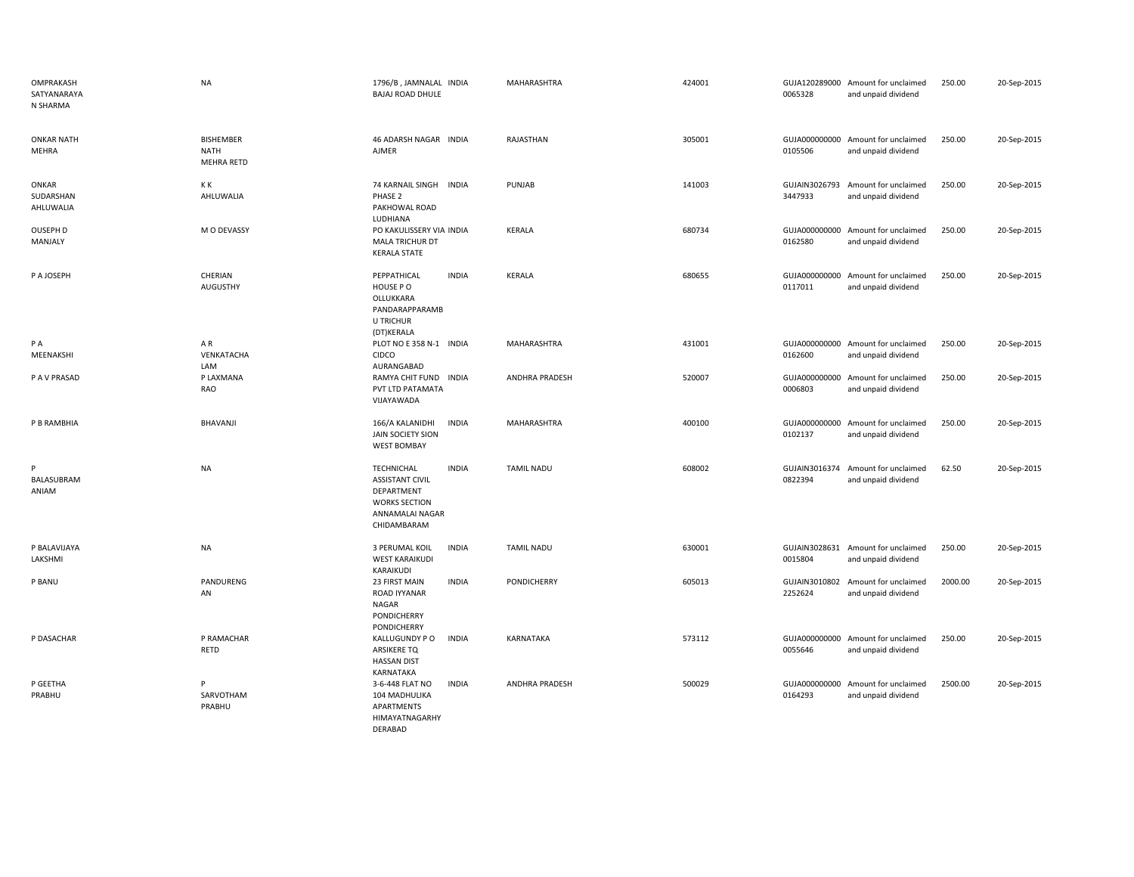| OMPRAKASH<br>SATYANARAYA<br>N SHARMA | <b>NA</b>                                            | 1796/B, JAMNALAL INDIA<br><b>BAJAJ ROAD DHULE</b>                                                                            | MAHARASHTRA           | 424001 | 0065328                  | GUJA120289000 Amount for unclaimed<br>and unpaid dividend | 250.00  | 20-Sep-2015 |
|--------------------------------------|------------------------------------------------------|------------------------------------------------------------------------------------------------------------------------------|-----------------------|--------|--------------------------|-----------------------------------------------------------|---------|-------------|
| <b>ONKAR NATH</b><br>MEHRA           | <b>BISHEMBER</b><br><b>NATH</b><br><b>MEHRA RETD</b> | 46 ADARSH NAGAR INDIA<br><b>AJMER</b>                                                                                        | RAJASTHAN             | 305001 | 0105506                  | GUJA000000000 Amount for unclaimed<br>and unpaid dividend | 250.00  | 20-Sep-2015 |
| ONKAR<br>SUDARSHAN<br>AHLUWALIA      | КK<br>AHLUWALIA                                      | 74 KARNAIL SINGH INDIA<br>PHASE 2<br>PAKHOWAL ROAD<br>LUDHIANA                                                               | PUNJAB                | 141003 | GUJAIN3026793<br>3447933 | Amount for unclaimed<br>and unpaid dividend               | 250.00  | 20-Sep-2015 |
| OUSEPH D<br>MANJALY                  | M O DEVASSY                                          | PO KAKULISSERY VIA INDIA<br>MALA TRICHUR DT<br><b>KERALA STATE</b>                                                           | KERALA                | 680734 | GUJA000000000<br>0162580 | Amount for unclaimed<br>and unpaid dividend               | 250.00  | 20-Sep-2015 |
| P A JOSEPH                           | CHERIAN<br>AUGUSTHY                                  | PEPPATHICAL<br><b>INDIA</b><br>HOUSE PO<br>OLLUKKARA<br>PANDARAPPARAMB<br>U TRICHUR<br>(DT)KERALA                            | <b>KERALA</b>         | 680655 | 0117011                  | GUJA000000000 Amount for unclaimed<br>and unpaid dividend | 250.00  | 20-Sep-2015 |
| P A<br>MEENAKSHI                     | AR<br>VENKATACHA<br>LAM                              | PLOT NO E 358 N-1 INDIA<br><b>CIDCO</b><br>AURANGABAD                                                                        | MAHARASHTRA           | 431001 | 0162600                  | GUJA000000000 Amount for unclaimed<br>and unpaid dividend | 250.00  | 20-Sep-2015 |
| P A V PRASAD                         | P LAXMANA<br><b>RAO</b>                              | RAMYA CHIT FUND INDIA<br>PVT LTD PATAMATA<br>VIJAYAWADA                                                                      | <b>ANDHRA PRADESH</b> | 520007 | 0006803                  | GUJA000000000 Amount for unclaimed<br>and unpaid dividend | 250.00  | 20-Sep-2015 |
| P B RAMBHIA                          | <b>BHAVANJI</b>                                      | <b>INDIA</b><br>166/A KALANIDHI<br><b>JAIN SOCIETY SION</b><br><b>WEST BOMBAY</b>                                            | MAHARASHTRA           | 400100 | GUJA000000000<br>0102137 | Amount for unclaimed<br>and unpaid dividend               | 250.00  | 20-Sep-2015 |
| P<br>BALASUBRAM<br>ANIAM             | <b>NA</b>                                            | TECHNICHAL<br><b>INDIA</b><br><b>ASSISTANT CIVIL</b><br>DEPARTMENT<br><b>WORKS SECTION</b><br>ANNAMALAI NAGAR<br>CHIDAMBARAM | <b>TAMIL NADU</b>     | 608002 | 0822394                  | GUJAIN3016374 Amount for unclaimed<br>and unpaid dividend | 62.50   | 20-Sep-2015 |
| P BALAVIJAYA<br>LAKSHMI              | NA                                                   | 3 PERUMAL KOIL<br><b>INDIA</b><br><b>WEST KARAIKUDI</b><br>KARAIKUDI                                                         | <b>TAMIL NADU</b>     | 630001 | GUJAIN3028631<br>0015804 | Amount for unclaimed<br>and unpaid dividend               | 250.00  | 20-Sep-2015 |
| P BANU                               | PANDURENG<br>AN                                      | 23 FIRST MAIN<br><b>INDIA</b><br>ROAD IYYANAR<br>NAGAR<br>PONDICHERRY<br>PONDICHERRY                                         | PONDICHERRY           | 605013 | GUJAIN3010802<br>2252624 | Amount for unclaimed<br>and unpaid dividend               | 2000.00 | 20-Sep-2015 |
| P DASACHAR                           | P RAMACHAR<br>RETD                                   | KALLUGUNDY P O<br><b>INDIA</b><br>ARSIKERE TQ<br><b>HASSAN DIST</b><br>KARNATAKA                                             | KARNATAKA             | 573112 | GUJA000000000<br>0055646 | Amount for unclaimed<br>and unpaid dividend               | 250.00  | 20-Sep-2015 |
| P GEETHA<br>PRABHU                   | P<br>SARVOTHAM<br>PRABHU                             | 3-6-448 FLAT NO<br><b>INDIA</b><br>104 MADHULIKA<br>APARTMENTS<br>HIMAYATNAGARHY<br>DERABAD                                  | <b>ANDHRA PRADESH</b> | 500029 | GUJA000000000<br>0164293 | Amount for unclaimed<br>and unpaid dividend               | 2500.00 | 20-Sep-2015 |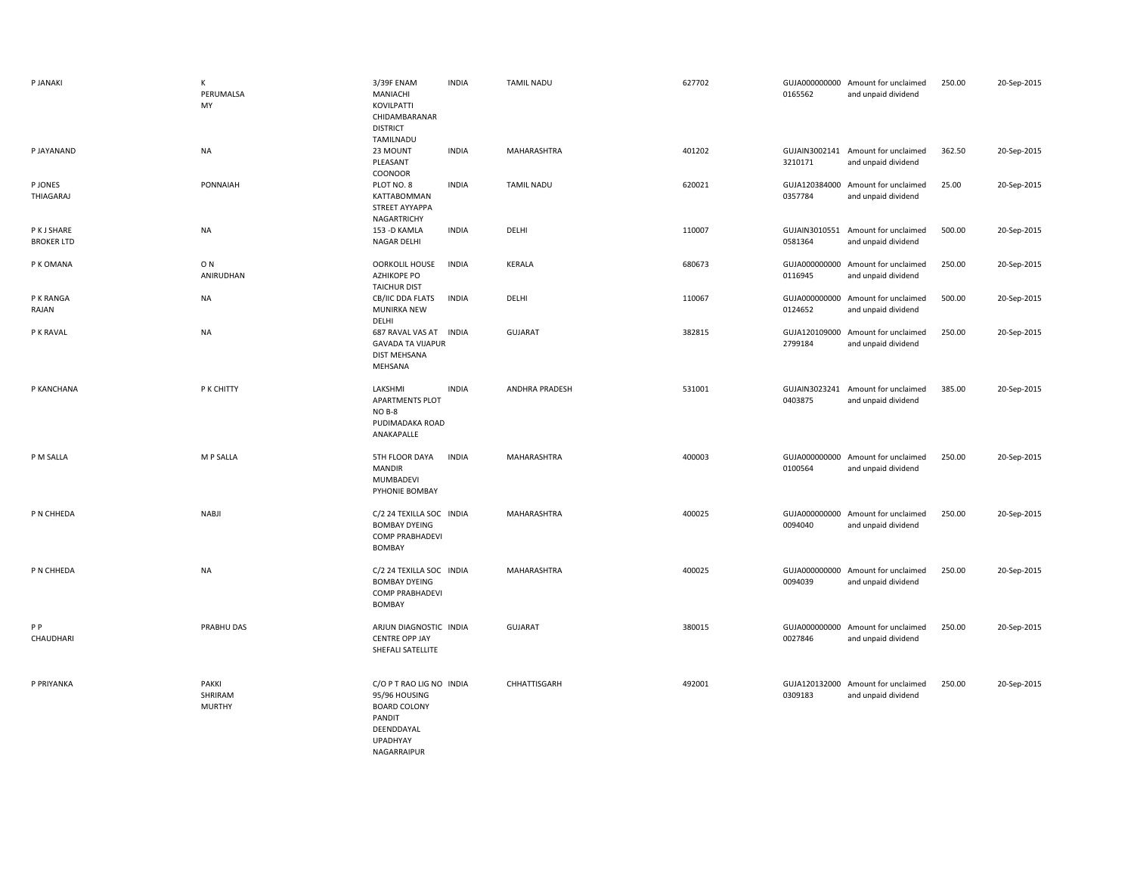| P JANAKI                         | К<br>PERUMALSA<br>MY              | 3/39F ENAM<br>MANIACHI<br>KOVILPATTI<br>CHIDAMBARANAR<br><b>DISTRICT</b>                                            | <b>INDIA</b> | <b>TAMIL NADU</b> | 627702 | 0165562                  | GUJA000000000 Amount for unclaimed<br>and unpaid dividend | 250.00 | 20-Sep-2015 |
|----------------------------------|-----------------------------------|---------------------------------------------------------------------------------------------------------------------|--------------|-------------------|--------|--------------------------|-----------------------------------------------------------|--------|-------------|
| P JAYANAND                       | <b>NA</b>                         | TAMILNADU<br>23 MOUNT<br>PLEASANT<br>COONOOR                                                                        | <b>INDIA</b> | MAHARASHTRA       | 401202 | 3210171                  | GUJAIN3002141 Amount for unclaimed<br>and unpaid dividend | 362.50 | 20-Sep-2015 |
| P JONES<br>THIAGARAJ             | PONNAIAH                          | PLOT NO. 8<br>KATTABOMMAN<br>STREET AYYAPPA<br>NAGARTRICHY                                                          | <b>INDIA</b> | <b>TAMIL NADU</b> | 620021 | GUJA120384000<br>0357784 | Amount for unclaimed<br>and unpaid dividend               | 25.00  | 20-Sep-2015 |
| P K J SHARE<br><b>BROKER LTD</b> | <b>NA</b>                         | 153 - D KAMLA<br><b>NAGAR DELHI</b>                                                                                 | <b>INDIA</b> | DELHI             | 110007 | 0581364                  | GUJAIN3010551 Amount for unclaimed<br>and unpaid dividend | 500.00 | 20-Sep-2015 |
| P K OMANA                        | O <sub>N</sub><br>ANIRUDHAN       | <b>OORKOLIL HOUSE</b><br><b>AZHIKOPE PO</b><br><b>TAICHUR DIST</b>                                                  | <b>INDIA</b> | KERALA            | 680673 | 0116945                  | GUJA000000000 Amount for unclaimed<br>and unpaid dividend | 250.00 | 20-Sep-2015 |
| P K RANGA<br>RAJAN               | <b>NA</b>                         | CB/IIC DDA FLATS<br>MUNIRKA NEW<br>DELHI                                                                            | <b>INDIA</b> | DELHI             | 110067 | 0124652                  | GUJA000000000 Amount for unclaimed<br>and unpaid dividend | 500.00 | 20-Sep-2015 |
| P K RAVAL                        | <b>NA</b>                         | 687 RAVAL VAS AT<br><b>GAVADA TA VIJAPUR</b><br><b>DIST MEHSANA</b><br>MEHSANA                                      | <b>INDIA</b> | GUJARAT           | 382815 | 2799184                  | GUJA120109000 Amount for unclaimed<br>and unpaid dividend | 250.00 | 20-Sep-2015 |
| P KANCHANA                       | P K CHITTY                        | LAKSHMI<br><b>APARTMENTS PLOT</b><br>NO B-8<br>PUDIMADAKA ROAD<br>ANAKAPALLE                                        | <b>INDIA</b> | ANDHRA PRADESH    | 531001 | 0403875                  | GUJAIN3023241 Amount for unclaimed<br>and unpaid dividend | 385.00 | 20-Sep-2015 |
| P M SALLA                        | M P SALLA                         | 5TH FLOOR DAYA<br><b>MANDIR</b><br>MUMBADEVI<br>PYHONIE BOMBAY                                                      | <b>INDIA</b> | MAHARASHTRA       | 400003 | GUJA000000000<br>0100564 | Amount for unclaimed<br>and unpaid dividend               | 250.00 | 20-Sep-2015 |
| P N CHHEDA                       | <b>NABJI</b>                      | C/2 24 TEXILLA SOC INDIA<br><b>BOMBAY DYEING</b><br><b>COMP PRABHADEVI</b><br>BOMBAY                                |              | MAHARASHTRA       | 400025 | GUJA000000000<br>0094040 | Amount for unclaimed<br>and unpaid dividend               | 250.00 | 20-Sep-2015 |
| P N CHHEDA                       | <b>NA</b>                         | C/2 24 TEXILLA SOC INDIA<br><b>BOMBAY DYEING</b><br><b>COMP PRABHADEVI</b><br>BOMBAY                                |              | MAHARASHTRA       | 400025 | 0094039                  | GUJA000000000 Amount for unclaimed<br>and unpaid dividend | 250.00 | 20-Sep-2015 |
| P <sub>P</sub><br>CHAUDHARI      | PRABHU DAS                        | ARJUN DIAGNOSTIC INDIA<br><b>CENTRE OPP JAY</b><br>SHEFALI SATELLITE                                                |              | <b>GUJARAT</b>    | 380015 | 0027846                  | GUJA000000000 Amount for unclaimed<br>and unpaid dividend | 250.00 | 20-Sep-2015 |
| P PRIYANKA                       | PAKKI<br>SHRIRAM<br><b>MURTHY</b> | C/O P T RAO LIG NO INDIA<br>95/96 HOUSING<br><b>BOARD COLONY</b><br>PANDIT<br>DEENDDAYAL<br>UPADHYAY<br>NAGARRAIPUR |              | CHHATTISGARH      | 492001 | 0309183                  | GUJA120132000 Amount for unclaimed<br>and unpaid dividend | 250.00 | 20-Sep-2015 |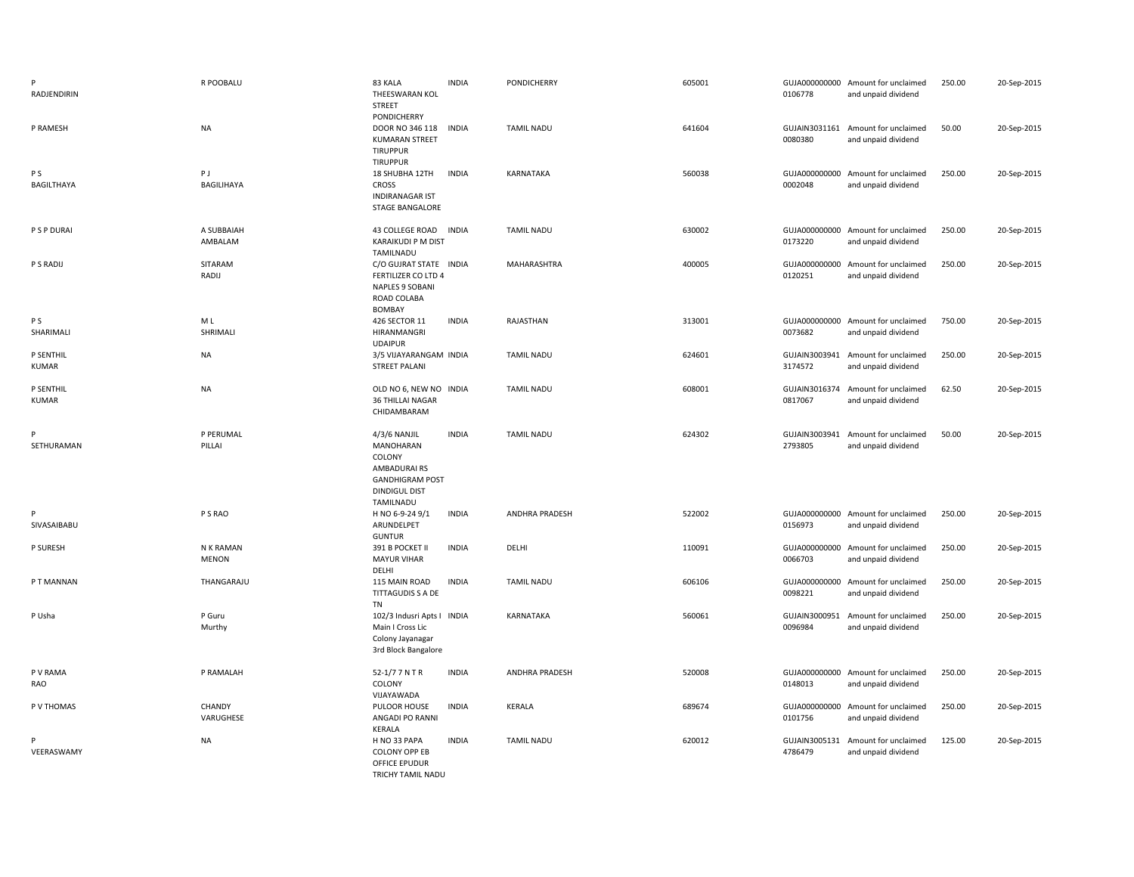| RADJENDIRIN                  | R POOBALU                 | 83 KALA<br>THEESWARAN KOL<br><b>STREET</b>                                                                        | <b>INDIA</b> | PONDICHERRY           | 605001 | 0106778                  | GUJA000000000 Amount for unclaimed<br>and unpaid dividend | 250.00 | 20-Sep-2015 |
|------------------------------|---------------------------|-------------------------------------------------------------------------------------------------------------------|--------------|-----------------------|--------|--------------------------|-----------------------------------------------------------|--------|-------------|
| P RAMESH                     | <b>NA</b>                 | PONDICHERRY<br>DOOR NO 346 118<br><b>KUMARAN STREET</b><br><b>TIRUPPUR</b><br><b>TIRUPPUR</b>                     | <b>INDIA</b> | <b>TAMIL NADU</b>     | 641604 | 0080380                  | GUJAIN3031161 Amount for unclaimed<br>and unpaid dividend | 50.00  | 20-Sep-2015 |
| P <sub>S</sub><br>BAGILTHAYA | PJ<br>BAGILIHAYA          | 18 SHUBHA 12TH<br><b>CROSS</b><br><b>INDIRANAGAR IST</b><br><b>STAGE BANGALORE</b>                                | <b>INDIA</b> | KARNATAKA             | 560038 | 0002048                  | GUJA000000000 Amount for unclaimed<br>and unpaid dividend | 250.00 | 20-Sep-2015 |
| P S P DURAI                  | A SUBBAIAH<br>AMBALAM     | 43 COLLEGE ROAD<br>KARAIKUDI P M DIST<br>TAMILNADU                                                                | <b>INDIA</b> | <b>TAMIL NADU</b>     | 630002 | 0173220                  | GUJA000000000 Amount for unclaimed<br>and unpaid dividend | 250.00 | 20-Sep-2015 |
| P S RADIJ                    | SITARAM<br>RADIJ          | C/O GUJRAT STATE INDIA<br><b>FERTILIZER CO LTD 4</b><br><b>NAPLES 9 SOBANI</b><br>ROAD COLABA<br>BOMBAY           |              | <b>MAHARASHTRA</b>    | 400005 | 0120251                  | GUJA000000000 Amount for unclaimed<br>and unpaid dividend | 250.00 | 20-Sep-2015 |
| P S<br>SHARIMALI             | M L<br>SHRIMALI           | 426 SECTOR 11<br>HIRANMANGRI<br><b>UDAIPUR</b>                                                                    | <b>INDIA</b> | RAJASTHAN             | 313001 | 0073682                  | GUJA000000000 Amount for unclaimed<br>and unpaid dividend | 750.00 | 20-Sep-2015 |
| P SENTHIL<br><b>KUMAR</b>    | <b>NA</b>                 | 3/5 VIJAYARANGAM INDIA<br><b>STREET PALANI</b>                                                                    |              | <b>TAMIL NADU</b>     | 624601 | GUJAIN3003941<br>3174572 | Amount for unclaimed<br>and unpaid dividend               | 250.00 | 20-Sep-2015 |
| P SENTHIL<br><b>KUMAR</b>    | <b>NA</b>                 | OLD NO 6, NEW NO INDIA<br>36 THILLAI NAGAR<br>CHIDAMBARAM                                                         |              | <b>TAMIL NADU</b>     | 608001 | 0817067                  | GUJAIN3016374 Amount for unclaimed<br>and unpaid dividend | 62.50  | 20-Sep-2015 |
| SETHURAMAN                   | P PERUMAL<br>PILLAI       | 4/3/6 NANJIL<br>MANOHARAN<br>COLONY<br>AMBADURAIRS<br><b>GANDHIGRAM POST</b><br><b>DINDIGUL DIST</b><br>TAMILNADU | <b>INDIA</b> | <b>TAMIL NADU</b>     | 624302 | GUJAIN3003941<br>2793805 | Amount for unclaimed<br>and unpaid dividend               | 50.00  | 20-Sep-2015 |
| P<br>SIVASAIBABU             | P S RAO                   | H NO 6-9-24 9/1<br>ARUNDELPET<br><b>GUNTUR</b>                                                                    | <b>INDIA</b> | <b>ANDHRA PRADESH</b> | 522002 | 0156973                  | GUJA000000000 Amount for unclaimed<br>and unpaid dividend | 250.00 | 20-Sep-2015 |
| P SURESH                     | N K RAMAN<br><b>MENON</b> | 391 B POCKET II<br><b>MAYUR VIHAR</b><br>DELHI                                                                    | <b>INDIA</b> | DELHI                 | 110091 | 0066703                  | GUJA000000000 Amount for unclaimed<br>and unpaid dividend | 250.00 | 20-Sep-2015 |
| P T MANNAN                   | THANGARAJU                | 115 MAIN ROAD<br>TITTAGUDIS S A DE                                                                                | <b>INDIA</b> | <b>TAMIL NADU</b>     | 606106 | 0098221                  | GUJA000000000 Amount for unclaimed<br>and unpaid dividend | 250.00 | 20-Sep-2015 |
| P Usha                       |                           |                                                                                                                   |              |                       |        |                          |                                                           |        |             |
|                              | P Guru<br>Murthy          | TN<br>102/3 Indusri Apts I INDIA<br>Main I Cross Lic<br>Colony Jayanagar<br>3rd Block Bangalore                   |              | KARNATAKA             | 560061 | GUJAIN3000951<br>0096984 | Amount for unclaimed<br>and unpaid dividend               | 250.00 | 20-Sep-2015 |
| P V RAMA<br>RAO              | P RAMALAH                 | 52-1/7 7 N T R<br>COLONY<br>VIJAYAWADA                                                                            | <b>INDIA</b> | <b>ANDHRA PRADESH</b> | 520008 | 0148013                  | GUJA000000000 Amount for unclaimed<br>and unpaid dividend | 250.00 | 20-Sep-2015 |
| P V THOMAS                   | CHANDY<br>VARUGHESE       | PULOOR HOUSE<br>ANGADI PO RANNI<br>KERALA                                                                         | <b>INDIA</b> | <b>KERALA</b>         | 689674 | 0101756                  | GUJA000000000 Amount for unclaimed<br>and unpaid dividend | 250.00 | 20-Sep-2015 |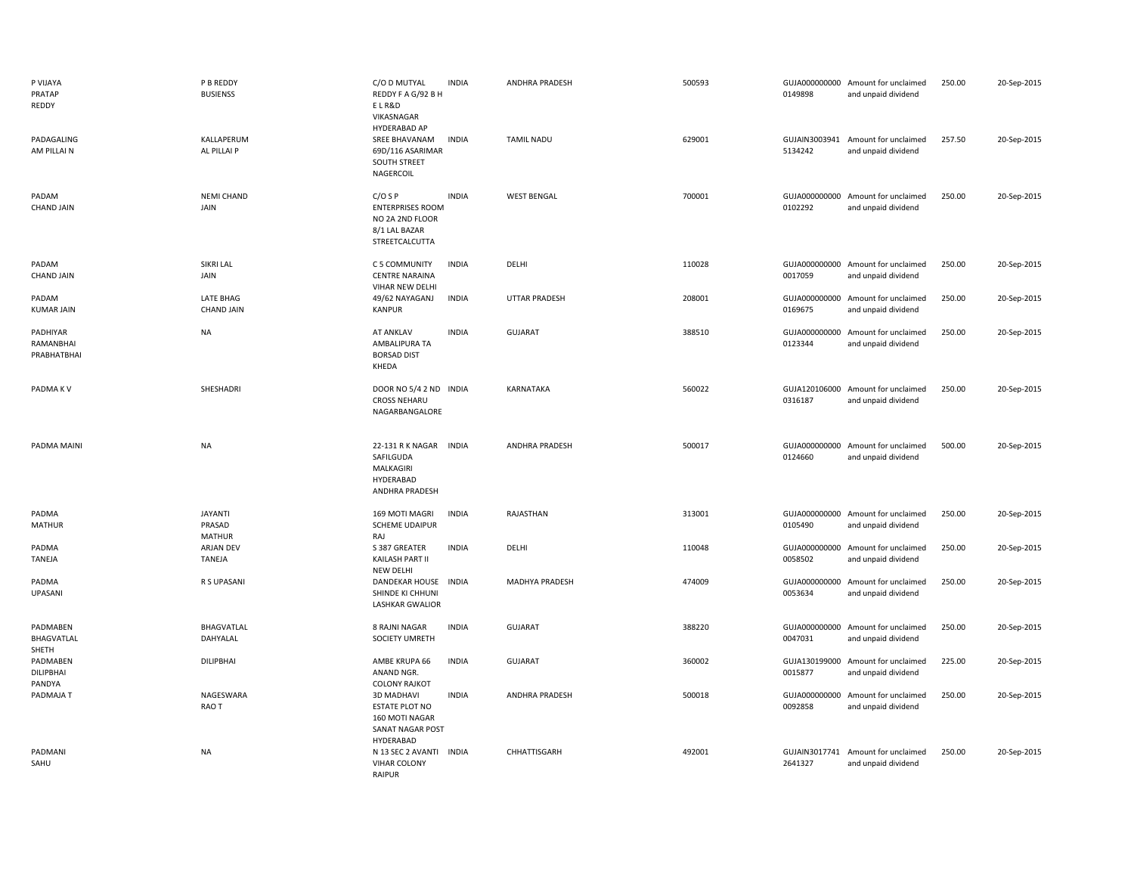| P VIJAYA<br>PRATAP<br>REDDY          | P B REDDY<br><b>BUSIENSS</b>         | C/O D MUTYAL<br>REDDY F A G/92 B H<br>ELR&D<br>VIKASNAGAR<br>HYDERABAD AP                                      | <b>INDIA</b> | ANDHRA PRADESH        | 500593 | 0149898                  | GUJA000000000 Amount for unclaimed<br>and unpaid dividend | 250.00 | 20-Sep-2015 |
|--------------------------------------|--------------------------------------|----------------------------------------------------------------------------------------------------------------|--------------|-----------------------|--------|--------------------------|-----------------------------------------------------------|--------|-------------|
| PADAGALING<br>AM PILLAI N            | KALLAPERUM<br>AL PILLAI P            | SREE BHAVANAM<br>69D/116 ASARIMAR<br>SOUTH STREET<br>NAGERCOIL                                                 | <b>INDIA</b> | <b>TAMIL NADU</b>     | 629001 | 5134242                  | GUJAIN3003941 Amount for unclaimed<br>and unpaid dividend | 257.50 | 20-Sep-2015 |
| PADAM<br><b>CHAND JAIN</b>           | <b>NEMI CHAND</b><br>JAIN            | $C/O$ S P<br><b>ENTERPRISES ROOM</b><br>NO 2A 2ND FLOOR<br>8/1 LAL BAZAR<br>STREETCALCUTTA                     | <b>INDIA</b> | <b>WEST BENGAL</b>    | 700001 | 0102292                  | GUJA000000000 Amount for unclaimed<br>and unpaid dividend | 250.00 | 20-Sep-2015 |
| PADAM<br><b>CHAND JAIN</b>           | SIKRI LAL<br>JAIN                    | C 5 COMMUNITY<br><b>CENTRE NARAINA</b><br>VIHAR NEW DELHI                                                      | <b>INDIA</b> | DELHI                 | 110028 | 0017059                  | GUJA000000000 Amount for unclaimed<br>and unpaid dividend | 250.00 | 20-Sep-2015 |
| PADAM<br><b>KUMAR JAIN</b>           | LATE BHAG<br><b>CHAND JAIN</b>       | 49/62 NAYAGANJ<br><b>KANPUR</b>                                                                                | <b>INDIA</b> | UTTAR PRADESH         | 208001 | GUJA000000000<br>0169675 | Amount for unclaimed<br>and unpaid dividend               | 250.00 | 20-Sep-2015 |
| PADHIYAR<br>RAMANBHAI<br>PRABHATBHAI | <b>NA</b>                            | AT ANKLAV<br>AMBALIPURA TA<br><b>BORSAD DIST</b><br>KHEDA                                                      | <b>INDIA</b> | <b>GUJARAT</b>        | 388510 | GUJA000000000<br>0123344 | Amount for unclaimed<br>and unpaid dividend               | 250.00 | 20-Sep-2015 |
| PADMA KV                             | SHESHADRI                            | DOOR NO 5/4 2 ND INDIA<br><b>CROSS NEHARU</b><br>NAGARBANGALORE                                                |              | KARNATAKA             | 560022 | 0316187                  | GUJA120106000 Amount for unclaimed<br>and unpaid dividend | 250.00 | 20-Sep-2015 |
|                                      |                                      |                                                                                                                |              |                       |        |                          |                                                           |        |             |
| PADMA MAINI                          | <b>NA</b>                            | 22-131 R K NAGAR INDIA<br>SAFILGUDA<br>MALKAGIRI<br>HYDERABAD<br>ANDHRA PRADESH                                |              | <b>ANDHRA PRADESH</b> | 500017 | GUJA000000000<br>0124660 | Amount for unclaimed<br>and unpaid dividend               | 500.00 | 20-Sep-2015 |
| PADMA<br><b>MATHUR</b>               | <b>JAYANTI</b><br>PRASAD             | 169 MOTI MAGRI<br><b>SCHEME UDAIPUR</b>                                                                        | <b>INDIA</b> | RAJASTHAN             | 313001 | 0105490                  | GUJA000000000 Amount for unclaimed<br>and unpaid dividend | 250.00 | 20-Sep-2015 |
| PADMA<br><b>TANEJA</b>               | <b>MATHUR</b><br>ARJAN DEV<br>TANEJA | RAJ<br>S 387 GREATER<br>KAILASH PART II                                                                        | <b>INDIA</b> | DELHI                 | 110048 | 0058502                  | GUJA000000000 Amount for unclaimed<br>and unpaid dividend | 250.00 | 20-Sep-2015 |
| PADMA<br>UPASANI                     | R S UPASANI                          | NEW DELHI<br><b>DANDEKAR HOUSE</b><br>SHINDE KI CHHUNI<br><b>LASHKAR GWALIOR</b>                               | <b>INDIA</b> | <b>MADHYA PRADESH</b> | 474009 | GUJA000000000<br>0053634 | Amount for unclaimed<br>and unpaid dividend               | 250.00 | 20-Sep-2015 |
| PADMABEN<br>BHAGVATLAL               | BHAGVATLAL<br>DAHYALAL               | 8 RAJNI NAGAR<br>SOCIETY UMRETH                                                                                | <b>INDIA</b> | <b>GUJARAT</b>        | 388220 | GUJA000000000<br>0047031 | Amount for unclaimed<br>and unpaid dividend               | 250.00 | 20-Sep-2015 |
| SHETH<br>PADMABEN<br>DILIPBHAI       | <b>DILIPBHAI</b>                     | AMBE KRUPA 66<br>ANAND NGR.                                                                                    | <b>INDIA</b> | <b>GUJARAT</b>        | 360002 | GUJA130199000<br>0015877 | Amount for unclaimed<br>and unpaid dividend               | 225.00 | 20-Sep-2015 |
| PANDYA<br>PADMAJA T                  | NAGESWARA<br>RAO T                   | <b>COLONY RAJKOT</b><br><b>3D MADHAVI</b><br>ESTATE PLOT NO<br>160 MOTI NAGAR<br>SANAT NAGAR POST<br>HYDERABAD | <b>INDIA</b> | <b>ANDHRA PRADESH</b> | 500018 | GUJA000000000<br>0092858 | Amount for unclaimed<br>and unpaid dividend               | 250.00 | 20-Sep-2015 |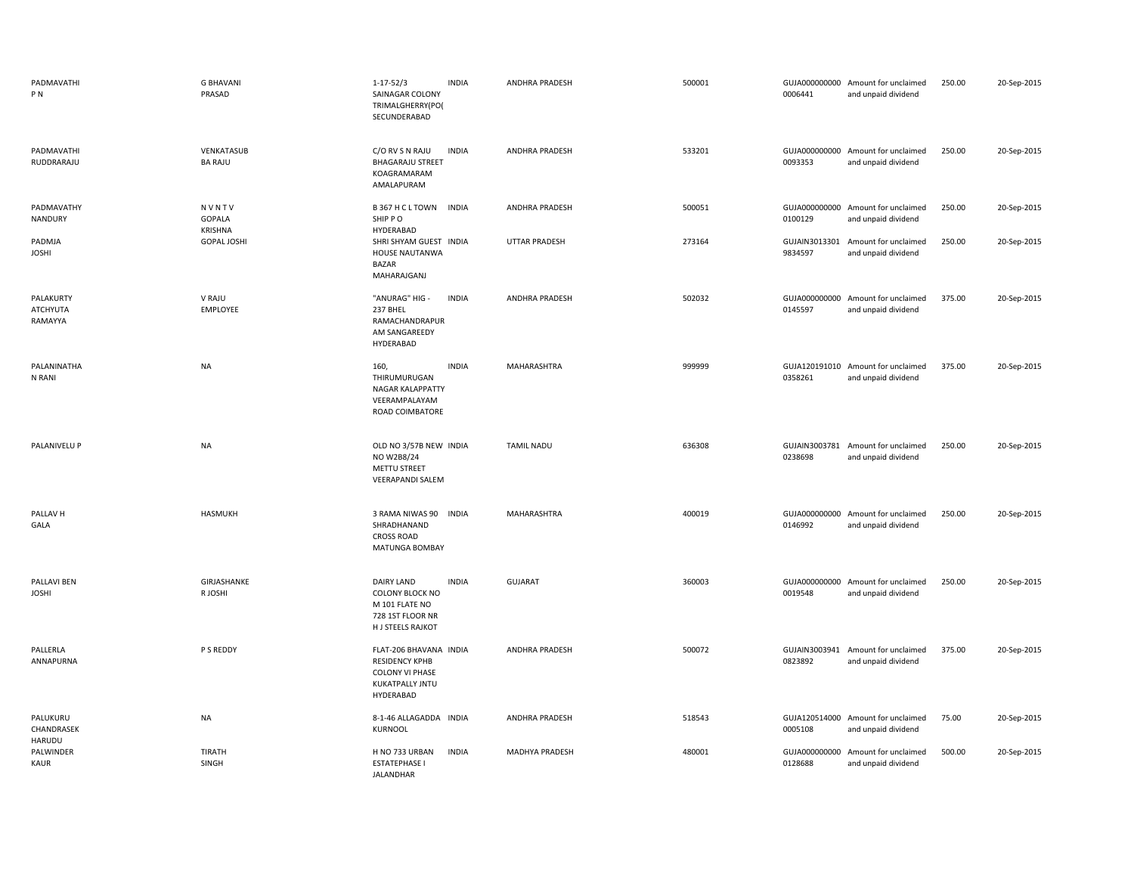| PADMAVATHI<br>PN                 | <b>G BHAVANI</b><br>PRASAD        | $1 - 17 - 52/3$<br>SAINAGAR COLONY<br>TRIMALGHERRY(PO)<br>SECUNDERABAD                                    | <b>INDIA</b> | ANDHRA PRADESH        | 500001 | 0006441                  | GUJA000000000 Amount for unclaimed<br>and unpaid dividend | 250.00 | 20-Sep-2015 |
|----------------------------------|-----------------------------------|-----------------------------------------------------------------------------------------------------------|--------------|-----------------------|--------|--------------------------|-----------------------------------------------------------|--------|-------------|
| PADMAVATHI<br>RUDDRARAJU         | VENKATASUB<br><b>BA RAJU</b>      | C/O RV S N RAJU<br><b>BHAGARAJU STREET</b><br>KOAGRAMARAM<br>AMALAPURAM                                   | <b>INDIA</b> | ANDHRA PRADESH        | 533201 | 0093353                  | GUJA000000000 Amount for unclaimed<br>and unpaid dividend | 250.00 | 20-Sep-2015 |
| PADMAVATHY<br>NANDURY            | NVNTV<br>GOPALA<br><b>KRISHNA</b> | B 367 H C L TOWN INDIA<br>SHIP PO<br>HYDERABAD                                                            |              | <b>ANDHRA PRADESH</b> | 500051 | 0100129                  | GUJA000000000 Amount for unclaimed<br>and unpaid dividend | 250.00 | 20-Sep-2015 |
| PADMJA<br><b>JOSHI</b>           | <b>GOPAL JOSHI</b>                | SHRI SHYAM GUEST INDIA<br>HOUSE NAUTANWA<br><b>BAZAR</b><br>MAHARAJGANJ                                   |              | UTTAR PRADESH         | 273164 | GUJAIN3013301<br>9834597 | Amount for unclaimed<br>and unpaid dividend               | 250.00 | 20-Sep-2015 |
| PALAKURTY<br>ATCHYUTA<br>RAMAYYA | V RAJU<br>EMPLOYEE                | "ANURAG" HIG -<br>237 BHEL<br>RAMACHANDRAPUR<br>AM SANGAREEDY<br>HYDERABAD                                | <b>INDIA</b> | <b>ANDHRA PRADESH</b> | 502032 | GUJA000000000<br>0145597 | Amount for unclaimed<br>and unpaid dividend               | 375.00 | 20-Sep-2015 |
| PALANINATHA<br>N RANI            | <b>NA</b>                         | 160,<br>THIRUMURUGAN<br><b>NAGAR KALAPPATTY</b><br>VEERAMPALAYAM<br>ROAD COIMBATORE                       | <b>INDIA</b> | MAHARASHTRA           | 999999 | 0358261                  | GUJA120191010 Amount for unclaimed<br>and unpaid dividend | 375.00 | 20-Sep-2015 |
| PALANIVELU P                     | <b>NA</b>                         | OLD NO 3/57B NEW INDIA<br>NO W2B8/24<br>METTU STREET<br><b>VEERAPANDI SALEM</b>                           |              | <b>TAMIL NADU</b>     | 636308 | 0238698                  | GUJAIN3003781 Amount for unclaimed<br>and unpaid dividend | 250.00 | 20-Sep-2015 |
| PALLAV <sub>H</sub><br>GALA      | <b>HASMUKH</b>                    | 3 RAMA NIWAS 90<br>SHRADHANAND<br><b>CROSS ROAD</b><br>MATUNGA BOMBAY                                     | <b>INDIA</b> | MAHARASHTRA           | 400019 | 0146992                  | GUJA000000000 Amount for unclaimed<br>and unpaid dividend | 250.00 | 20-Sep-2015 |
| PALLAVI BEN<br><b>JOSHI</b>      | GIRJASHANKE<br>R JOSHI            | DAIRY LAND<br><b>COLONY BLOCK NO</b><br>M 101 FLATE NO<br>728 1ST FLOOR NR<br>H J STEELS RAJKOT           | <b>INDIA</b> | GUJARAT               | 360003 | GUJA000000000<br>0019548 | Amount for unclaimed<br>and unpaid dividend               | 250.00 | 20-Sep-2015 |
| PALLERLA<br>ANNAPURNA            | P S REDDY                         | FLAT-206 BHAVANA INDIA<br><b>RESIDENCY KPHB</b><br><b>COLONY VI PHASE</b><br>KUKATPALLY JNTU<br>HYDERABAD |              | ANDHRA PRADESH        | 500072 | 0823892                  | GUJAIN3003941 Amount for unclaimed<br>and unpaid dividend | 375.00 | 20-Sep-2015 |
| PALUKURU<br>CHANDRASEK<br>HARUDU | <b>NA</b>                         | 8-1-46 ALLAGADDA INDIA<br>KURNOOL                                                                         |              | ANDHRA PRADESH        | 518543 | 0005108                  | GUJA120514000 Amount for unclaimed<br>and unpaid dividend | 75.00  | 20-Sep-2015 |
| PALWINDER<br><b>KAUR</b>         | <b>TIRATH</b><br>SINGH            | H NO 733 URBAN<br><b>ESTATEPHASE I</b><br>JALANDHAR                                                       | <b>INDIA</b> | MADHYA PRADESH        | 480001 | GUJA000000000<br>0128688 | Amount for unclaimed<br>and unpaid dividend               | 500.00 | 20-Sep-2015 |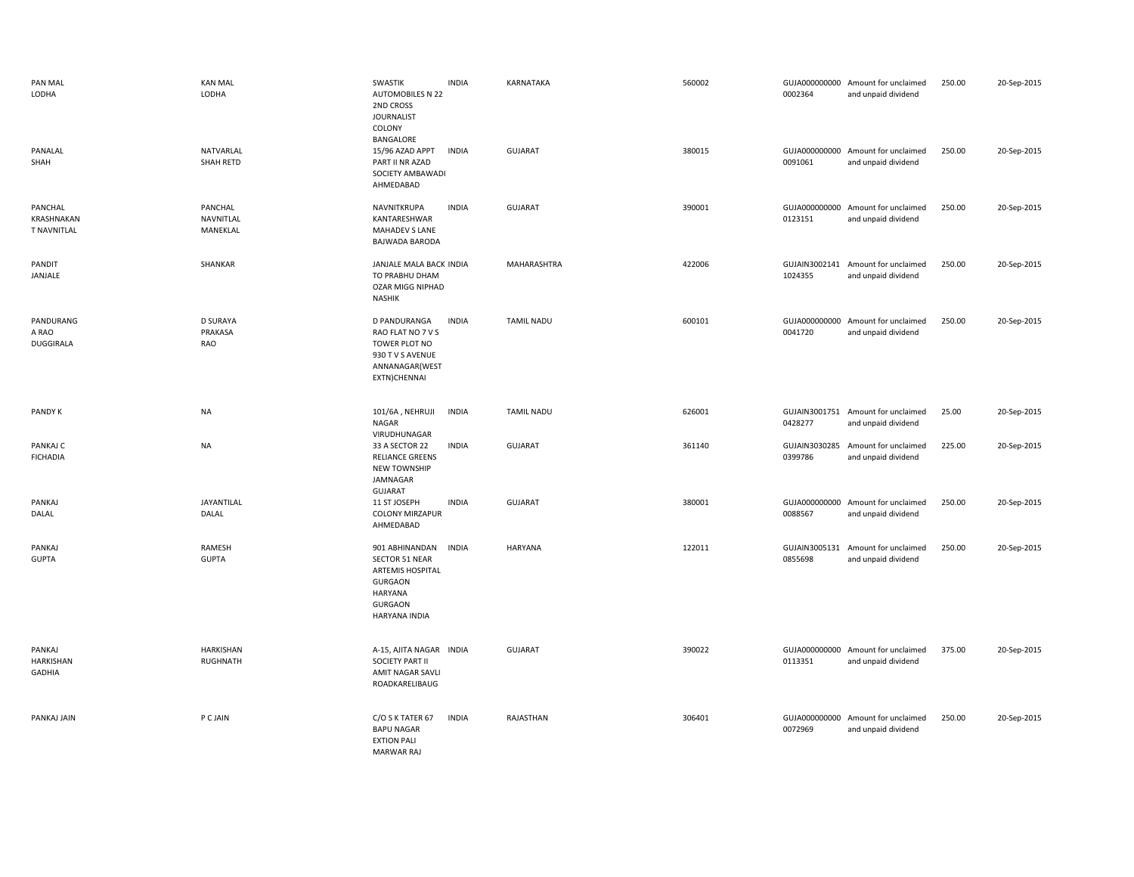| PAN MAL<br>LODHA                            | <b>KAN MAL</b><br>LODHA             | SWASTIK<br><b>INDIA</b><br><b>AUTOMOBILES N 22</b><br>2ND CROSS<br><b>JOURNALIST</b><br>COLONY<br>BANGALORE                                 | KARNATAKA         | 560002 | 0002364                  | GUJA000000000 Amount for unclaimed<br>and unpaid dividend | 250.00 | 20-Sep-2015 |
|---------------------------------------------|-------------------------------------|---------------------------------------------------------------------------------------------------------------------------------------------|-------------------|--------|--------------------------|-----------------------------------------------------------|--------|-------------|
| PANALAL<br>SHAH                             | NATVARLAL<br>SHAH RETD              | 15/96 AZAD APPT<br><b>INDIA</b><br>PART II NR AZAD<br>SOCIETY AMBAWADI<br>AHMEDABAD                                                         | <b>GUJARAT</b>    | 380015 | 0091061                  | GUJA000000000 Amount for unclaimed<br>and unpaid dividend | 250.00 | 20-Sep-2015 |
| PANCHAL<br>KRASHNAKAN<br><b>T NAVNITLAL</b> | PANCHAL<br>NAVNITLAL<br>MANEKLAL    | NAVNITKRUPA<br><b>INDIA</b><br>KANTARESHWAR<br><b>MAHADEV S LANE</b><br><b>BAJWADA BARODA</b>                                               | <b>GUJARAT</b>    | 390001 | 0123151                  | GUJA000000000 Amount for unclaimed<br>and unpaid dividend | 250.00 | 20-Sep-2015 |
| PANDIT<br>JANJALE                           | SHANKAR                             | JANJALE MALA BACK INDIA<br>TO PRABHU DHAM<br><b>OZAR MIGG NIPHAD</b><br><b>NASHIK</b>                                                       | MAHARASHTRA       | 422006 | 1024355                  | GUJAIN3002141 Amount for unclaimed<br>and unpaid dividend | 250.00 | 20-Sep-2015 |
| PANDURANG<br>A RAO<br>DUGGIRALA             | <b>D SURAYA</b><br>PRAKASA<br>RAO   | D PANDURANGA<br><b>INDIA</b><br>RAO FLAT NO 7 V S<br>TOWER PLOT NO<br>930 T V S AVENUE<br>ANNANAGAR(WEST<br>EXTN)CHENNAI                    | <b>TAMIL NADU</b> | 600101 | 0041720                  | GUJA000000000 Amount for unclaimed<br>and unpaid dividend | 250.00 | 20-Sep-2015 |
| <b>PANDY K</b>                              | <b>NA</b>                           | <b>INDIA</b><br>101/6A, NEHRUJI<br>NAGAR<br>VIRUDHUNAGAR                                                                                    | <b>TAMIL NADU</b> | 626001 | 0428277                  | GUJAIN3001751 Amount for unclaimed<br>and unpaid dividend | 25.00  | 20-Sep-2015 |
| PANKAJ C<br><b>FICHADIA</b>                 | <b>NA</b>                           | <b>INDIA</b><br>33 A SECTOR 22<br><b>RELIANCE GREENS</b><br><b>NEW TOWNSHIP</b><br>JAMNAGAR<br>GUJARAT                                      | GUJARAT           | 361140 | GUJAIN3030285<br>0399786 | Amount for unclaimed<br>and unpaid dividend               | 225.00 | 20-Sep-2015 |
| PANKAJ<br>DALAL                             | JAYANTILAL<br>DALAL                 | 11 ST JOSEPH<br><b>INDIA</b><br><b>COLONY MIRZAPUR</b><br>AHMEDABAD                                                                         | <b>GUJARAT</b>    | 380001 | 0088567                  | GUJA000000000 Amount for unclaimed<br>and unpaid dividend | 250.00 | 20-Sep-2015 |
| PANKAJ<br><b>GUPTA</b>                      | RAMESH<br><b>GUPTA</b>              | 901 ABHINANDAN<br><b>INDIA</b><br><b>SECTOR 51 NEAR</b><br>ARTEMIS HOSPITAL<br><b>GURGAON</b><br>HARYANA<br><b>GURGAON</b><br>HARYANA INDIA | HARYANA           | 122011 | GUJAIN3005131<br>0855698 | Amount for unclaimed<br>and unpaid dividend               | 250.00 | 20-Sep-2015 |
| PANKAJ<br>HARKISHAN<br><b>GADHIA</b>        | <b>HARKISHAN</b><br><b>RUGHNATH</b> | A-15, AJITA NAGAR INDIA<br>SOCIETY PART II<br>AMIT NAGAR SAVLI<br>ROADKARELIBAUG                                                            | <b>GUJARAT</b>    | 390022 | 0113351                  | GUJA000000000 Amount for unclaimed<br>and unpaid dividend | 375.00 | 20-Sep-2015 |
| PANKAJ JAIN                                 | P C JAIN                            | C/O S K TATER 67<br><b>INDIA</b><br><b>BAPU NAGAR</b><br><b>EXTION PALI</b><br><b>MARWAR RAJ</b>                                            | RAJASTHAN         | 306401 | 0072969                  | GUJA000000000 Amount for unclaimed<br>and unpaid dividend | 250.00 | 20-Sep-2015 |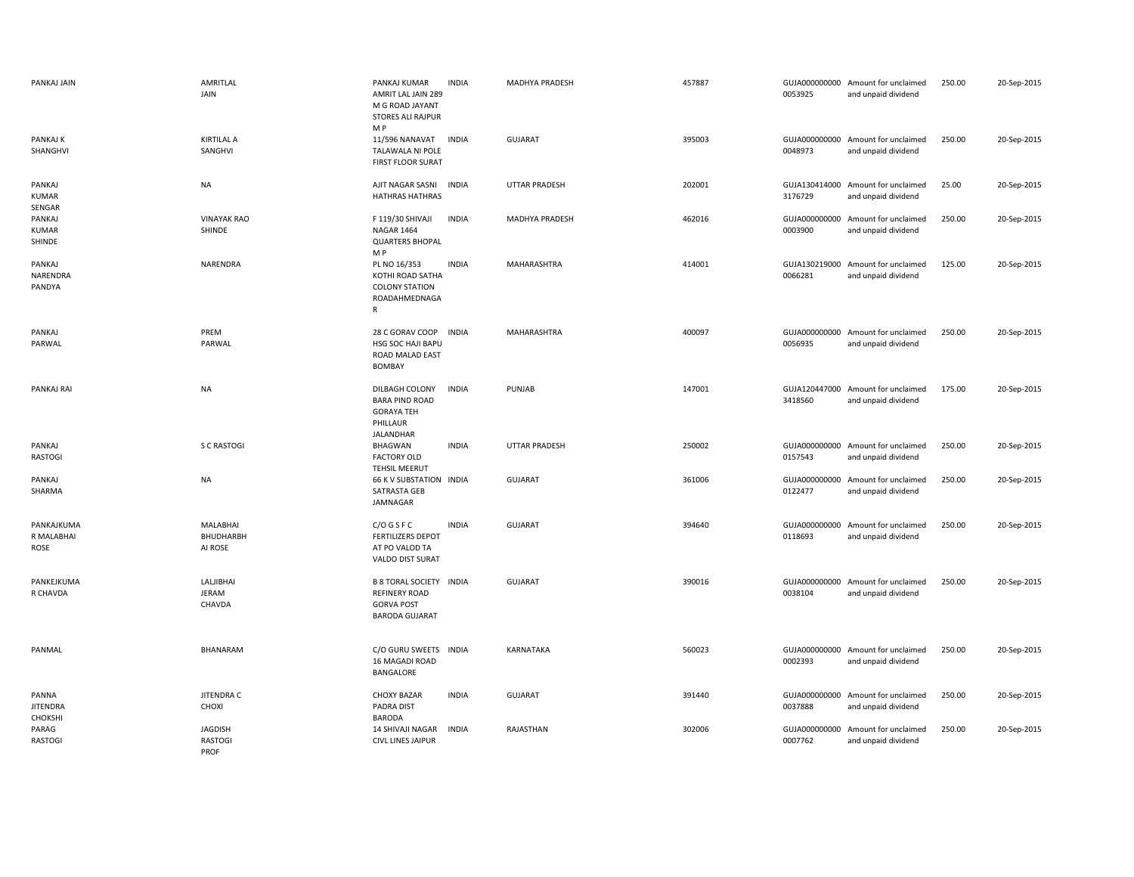| PANKAJ JAIN                         | AMRITLAL<br>JAIN                         | PANKAJ KUMAR<br>AMRIT LAL JAIN 289<br>M G ROAD JAYANT<br><b>STORES ALI RAJPUR</b><br>M P             | <b>INDIA</b> | MADHYA PRADESH       | 457887 | 0053925                  | GUJA000000000 Amount for unclaimed<br>and unpaid dividend | 250.00 | 20-Sep-2015 |
|-------------------------------------|------------------------------------------|------------------------------------------------------------------------------------------------------|--------------|----------------------|--------|--------------------------|-----------------------------------------------------------|--------|-------------|
| PANKAJ K<br>SHANGHVI                | <b>KIRTILAL A</b><br>SANGHVI             | 11/596 NANAVAT<br>TALAWALA NI POLE<br>FIRST FLOOR SURAT                                              | <b>INDIA</b> | <b>GUJARAT</b>       | 395003 | 0048973                  | GUJA000000000 Amount for unclaimed<br>and unpaid dividend | 250.00 | 20-Sep-2015 |
| PANKAJ<br><b>KUMAR</b><br>SENGAR    | <b>NA</b>                                | AJIT NAGAR SASNI<br><b>HATHRAS HATHRAS</b>                                                           | <b>INDIA</b> | <b>UTTAR PRADESH</b> | 202001 | GUJA130414000<br>3176729 | Amount for unclaimed<br>and unpaid dividend               | 25.00  | 20-Sep-2015 |
| PANKAJ<br><b>KUMAR</b><br>SHINDE    | <b>VINAYAK RAO</b><br>SHINDE             | F 119/30 SHIVAJI<br><b>NAGAR 1464</b><br><b>QUARTERS BHOPAL</b><br>M P                               | <b>INDIA</b> | MADHYA PRADESH       | 462016 | GUJA000000000<br>0003900 | Amount for unclaimed<br>and unpaid dividend               | 250.00 | 20-Sep-2015 |
| PANKAJ<br>NARENDRA<br>PANDYA        | NARENDRA                                 | PL NO 16/353<br>KOTHI ROAD SATHA<br><b>COLONY STATION</b><br>ROADAHMEDNAGA<br>$\mathsf{R}$           | <b>INDIA</b> | MAHARASHTRA          | 414001 | GUJA130219000<br>0066281 | Amount for unclaimed<br>and unpaid dividend               | 125.00 | 20-Sep-2015 |
| PANKAJ<br>PARWAL                    | PREM<br>PARWAL                           | 28 C GORAV COOP<br>HSG SOC HAJI BAPU<br>ROAD MALAD EAST<br><b>BOMBAY</b>                             | <b>INDIA</b> | MAHARASHTRA          | 400097 | 0056935                  | GUJA000000000 Amount for unclaimed<br>and unpaid dividend | 250.00 | 20-Sep-2015 |
| PANKAJ RAI                          | <b>NA</b>                                | DILBAGH COLONY<br><b>BARA PIND ROAD</b><br><b>GORAYA TEH</b><br>PHILLAUR<br>JALANDHAR                | <b>INDIA</b> | PUNJAB               | 147001 | 3418560                  | GUJA120447000 Amount for unclaimed<br>and unpaid dividend | 175.00 | 20-Sep-2015 |
| PANKAJ<br><b>RASTOGI</b>            | S C RASTOGI                              | BHAGWAN<br><b>FACTORY OLD</b><br><b>TEHSIL MEERUT</b>                                                | <b>INDIA</b> | UTTAR PRADESH        | 250002 | 0157543                  | GUJA000000000 Amount for unclaimed<br>and unpaid dividend | 250.00 | 20-Sep-2015 |
| PANKAJ<br>SHARMA                    | <b>NA</b>                                | 66 K V SUBSTATION INDIA<br>SATRASTA GEB<br>JAMNAGAR                                                  |              | GUJARAT              | 361006 | 0122477                  | GUJA000000000 Amount for unclaimed<br>and unpaid dividend | 250.00 | 20-Sep-2015 |
| PANKAJKUMA<br>R MALABHAI<br>ROSE    | <b>MALABHAI</b><br>BHUDHARBH<br>AI ROSE  | C/O G S F C<br><b>FERTILIZERS DEPOT</b><br>AT PO VALOD TA<br>VALDO DIST SURAT                        | <b>INDIA</b> | <b>GUJARAT</b>       | 394640 | 0118693                  | GUJA000000000 Amount for unclaimed<br>and unpaid dividend | 250.00 | 20-Sep-2015 |
| PANKEJKUMA<br>R CHAVDA              | LALJIBHAI<br><b>JERAM</b><br>CHAVDA      | <b>B 8 TORAL SOCIETY INDIA</b><br><b>REFINERY ROAD</b><br><b>GORVA POST</b><br><b>BARODA GUJARAT</b> |              | <b>GUJARAT</b>       | 390016 | GUJA000000000<br>0038104 | Amount for unclaimed<br>and unpaid dividend               | 250.00 | 20-Sep-2015 |
| PANMAL                              | <b>BHANARAM</b>                          | C/O GURU SWEETS INDIA<br>16 MAGADI ROAD<br>BANGALORE                                                 |              | <b>KARNATAKA</b>     | 560023 | 0002393                  | GUJA000000000 Amount for unclaimed<br>and unpaid dividend | 250.00 | 20-Sep-2015 |
| PANNA<br><b>JITENDRA</b><br>CHOKSHI | JITENDRA C<br>CHOXI                      | <b>CHOXY BAZAR</b><br>PADRA DIST<br><b>BARODA</b>                                                    | <b>INDIA</b> | <b>GUJARAT</b>       | 391440 | GUJA000000000<br>0037888 | Amount for unclaimed<br>and unpaid dividend               | 250.00 | 20-Sep-2015 |
| PARAG<br><b>RASTOGI</b>             | <b>JAGDISH</b><br><b>RASTOGI</b><br>PROF | <b>14 SHIVAJI NAGAR</b><br><b>CIVL LINES JAIPUR</b>                                                  | <b>INDIA</b> | RAJASTHAN            | 302006 | GUJA000000000<br>0007762 | Amount for unclaimed<br>and unpaid dividend               | 250.00 | 20-Sep-2015 |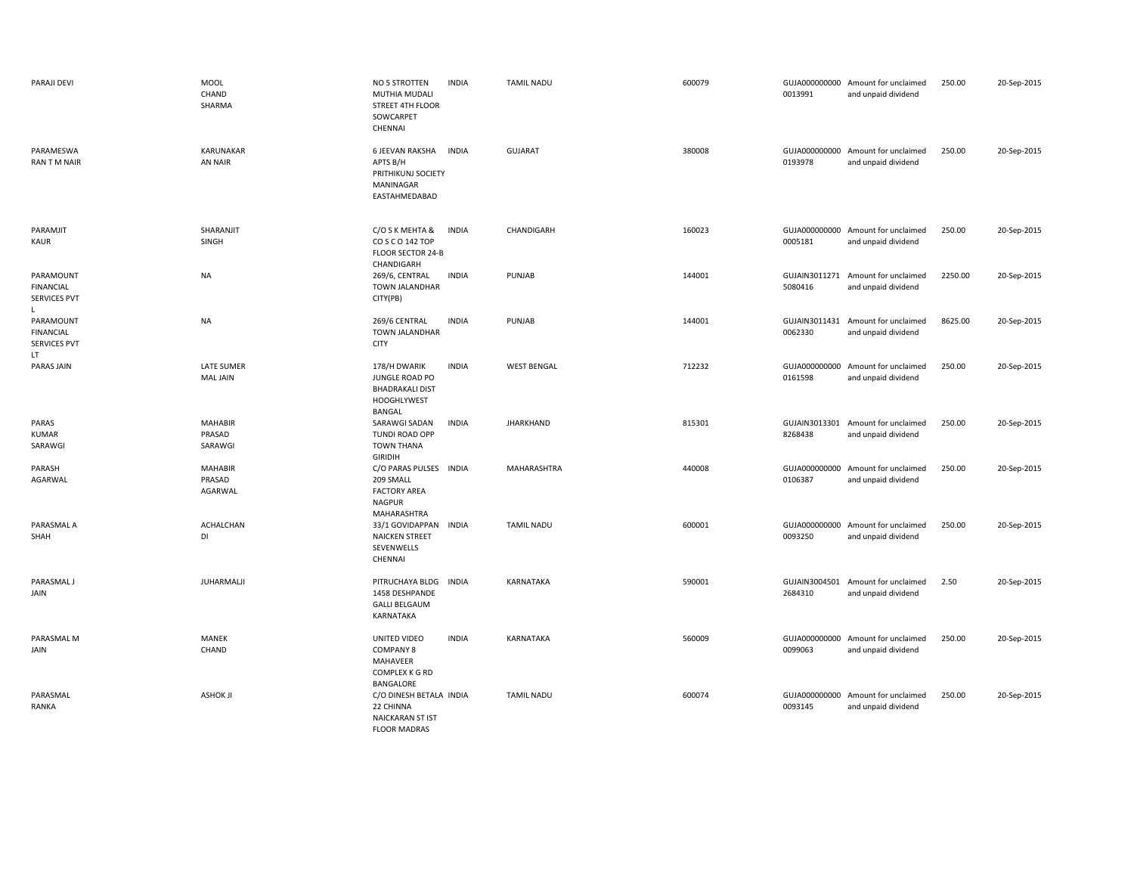| PARAJI DEVI                                                 | <b>MOOL</b><br>CHAND<br>SHARMA       | NO 5 STROTTEN<br>MUTHIA MUDALI<br>STREET 4TH FLOOR<br>SOWCARPET<br>CHENNAI               | <b>INDIA</b> | <b>TAMIL NADU</b>  | 600079 | 0013991                  | GUJA000000000 Amount for unclaimed<br>and unpaid dividend | 250.00  | 20-Sep-2015 |
|-------------------------------------------------------------|--------------------------------------|------------------------------------------------------------------------------------------|--------------|--------------------|--------|--------------------------|-----------------------------------------------------------|---------|-------------|
| PARAMESWA<br><b>RAN TM NAIR</b>                             | KARUNAKAR<br>AN NAIR                 | <b>6 JEEVAN RAKSHA</b><br>APTS B/H<br>PRITHIKUNJ SOCIETY<br>MANINAGAR<br>EASTAHMEDABAD   | <b>INDIA</b> | <b>GUJARAT</b>     | 380008 | 0193978                  | GUJA000000000 Amount for unclaimed<br>and unpaid dividend | 250.00  | 20-Sep-2015 |
| PARAMJIT<br>KAUR                                            | SHARANJIT<br>SINGH                   | C/O S K MEHTA &<br>CO S C O 142 TOP<br><b>FLOOR SECTOR 24-B</b><br>CHANDIGARH            | <b>INDIA</b> | CHANDIGARH         | 160023 | GUJA000000000<br>0005181 | Amount for unclaimed<br>and unpaid dividend               | 250.00  | 20-Sep-2015 |
| PARAMOUNT<br><b>FINANCIAL</b><br><b>SERVICES PVT</b><br>L.  | <b>NA</b>                            | 269/6, CENTRAL<br>TOWN JALANDHAR<br>CITY(PB)                                             | <b>INDIA</b> | PUNJAB             | 144001 | GUJAIN3011271<br>5080416 | Amount for unclaimed<br>and unpaid dividend               | 2250.00 | 20-Sep-2015 |
| PARAMOUNT<br><b>FINANCIAL</b><br><b>SERVICES PVT</b><br>LT. | <b>NA</b>                            | 269/6 CENTRAL<br><b>TOWN JALANDHAR</b><br><b>CITY</b>                                    | <b>INDIA</b> | PUNJAB             | 144001 | GUJAIN3011431<br>0062330 | Amount for unclaimed<br>and unpaid dividend               | 8625.00 | 20-Sep-2015 |
| PARAS JAIN                                                  | <b>LATE SUMER</b><br><b>MAL JAIN</b> | 178/H DWARIK<br>JUNGLE ROAD PO<br><b>BHADRAKALI DIST</b><br><b>HOOGHLYWEST</b><br>BANGAL | <b>INDIA</b> | <b>WEST BENGAL</b> | 712232 | GUJA000000000<br>0161598 | Amount for unclaimed<br>and unpaid dividend               | 250.00  | 20-Sep-2015 |
| PARAS<br><b>KUMAR</b><br>SARAWGI                            | <b>MAHABIR</b><br>PRASAD<br>SARAWGI  | SARAWGI SADAN<br><b>TUNDI ROAD OPP</b><br><b>TOWN THANA</b><br><b>GIRIDIH</b>            | <b>INDIA</b> | <b>JHARKHAND</b>   | 815301 | GUJAIN3013301<br>8268438 | Amount for unclaimed<br>and unpaid dividend               | 250.00  | 20-Sep-2015 |
| PARASH<br>AGARWAL                                           | <b>MAHABIR</b><br>PRASAD<br>AGARWAL  | C/O PARAS PULSES<br>209 SMALL<br><b>FACTORY AREA</b><br><b>NAGPUR</b><br>MAHARASHTRA     | <b>INDIA</b> | MAHARASHTRA        | 440008 | 0106387                  | GUJA000000000 Amount for unclaimed<br>and unpaid dividend | 250.00  | 20-Sep-2015 |
| PARASMAL A<br>SHAH                                          | ACHALCHAN<br>DI                      | 33/1 GOVIDAPPAN INDIA<br><b>NAICKEN STREET</b><br>SEVENWELLS<br>CHENNAI                  |              | <b>TAMIL NADU</b>  | 600001 | 0093250                  | GUJA000000000 Amount for unclaimed<br>and unpaid dividend | 250.00  | 20-Sep-2015 |
| PARASMAL J<br>JAIN                                          | JUHARMALJI                           | PITRUCHAYA BLDG<br>1458 DESHPANDE<br><b>GALLI BELGAUM</b><br>KARNATAKA                   | INDIA        | KARNATAKA          | 590001 | GUJAIN3004501<br>2684310 | Amount for unclaimed<br>and unpaid dividend               | 2.50    | 20-Sep-2015 |
| PARASMAL M<br>JAIN                                          | MANEK<br>CHAND                       | UNITED VIDEO<br><b>COMPANY 8</b><br>MAHAVEER<br><b>COMPLEX K G RD</b><br>BANGALORE       | <b>INDIA</b> | KARNATAKA          | 560009 | GUJA000000000<br>0099063 | Amount for unclaimed<br>and unpaid dividend               | 250.00  | 20-Sep-2015 |
| PARASMAL<br>RANKA                                           | <b>ASHOK JI</b>                      | C/O DINESH BETALA INDIA<br>22 CHINNA<br><b>NAICKARAN ST IST</b><br><b>FLOOR MADRAS</b>   |              | <b>TAMIL NADU</b>  | 600074 | 0093145                  | GUJA000000000 Amount for unclaimed<br>and unpaid dividend | 250.00  | 20-Sep-2015 |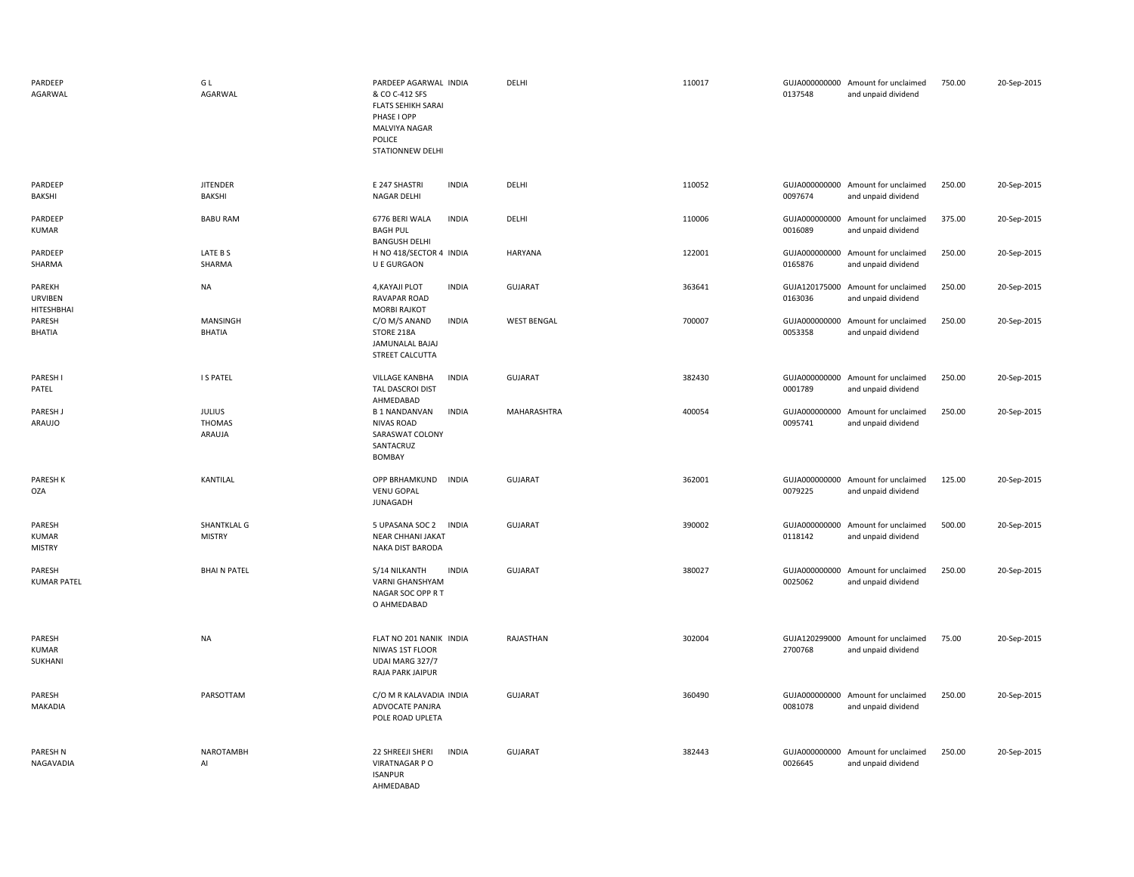| PARDEEP<br>AGARWAL                      | GL<br>AGARWAL                     | PARDEEP AGARWAL INDIA<br>& CO C-412 SFS<br><b>FLATS SEHIKH SARAI</b><br>PHASE I OPP<br>MALVIYA NAGAR<br>POLICE<br>STATIONNEW DELHI | DELHI              | 110017 | 0137548                  | GUJA000000000 Amount for unclaimed<br>and unpaid dividend | 750.00 | 20-Sep-2015 |
|-----------------------------------------|-----------------------------------|------------------------------------------------------------------------------------------------------------------------------------|--------------------|--------|--------------------------|-----------------------------------------------------------|--------|-------------|
| PARDEEP<br>BAKSHI                       | <b>JITENDER</b><br>BAKSHI         | <b>INDIA</b><br>E 247 SHASTRI<br><b>NAGAR DELHI</b>                                                                                | DELHI              | 110052 | 0097674                  | GUJA000000000 Amount for unclaimed<br>and unpaid dividend | 250.00 | 20-Sep-2015 |
| PARDEEP<br>KUMAR                        | <b>BABU RAM</b>                   | 6776 BERI WALA<br><b>INDIA</b><br><b>BAGH PUL</b><br><b>BANGUSH DELHI</b>                                                          | DELHI              | 110006 | GUJA000000000<br>0016089 | Amount for unclaimed<br>and unpaid dividend               | 375.00 | 20-Sep-2015 |
| PARDEEP<br>SHARMA                       | LATE B S<br>SHARMA                | H NO 418/SECTOR 4 INDIA<br>U E GURGAON                                                                                             | <b>HARYANA</b>     | 122001 | 0165876                  | GUJA000000000 Amount for unclaimed<br>and unpaid dividend | 250.00 | 20-Sep-2015 |
| PAREKH<br><b>URVIBEN</b><br>HITESHBHAI  | <b>NA</b>                         | 4, KAYAJI PLOT<br><b>INDIA</b><br>RAVAPAR ROAD<br><b>MORBI RAJKOT</b>                                                              | <b>GUJARAT</b>     | 363641 | 0163036                  | GUJA120175000 Amount for unclaimed<br>and unpaid dividend | 250.00 | 20-Sep-2015 |
| PARESH<br><b>BHATIA</b>                 | MANSINGH<br><b>BHATIA</b>         | <b>INDIA</b><br>C/O M/S ANAND<br>STORE 218A<br>JAMUNALAL BAJAJ<br>STREET CALCUTTA                                                  | <b>WEST BENGAL</b> | 700007 | GUJA000000000<br>0053358 | Amount for unclaimed<br>and unpaid dividend               | 250.00 | 20-Sep-2015 |
| PARESH I<br>PATEL                       | <b>I S PATEL</b>                  | <b>VILLAGE KANBHA</b><br><b>INDIA</b><br>TAL DASCROI DIST<br>AHMEDABAD                                                             | <b>GUJARAT</b>     | 382430 | GUJA000000000<br>0001789 | Amount for unclaimed<br>and unpaid dividend               | 250.00 | 20-Sep-2015 |
| PARESH J<br>ARAUJO                      | <b>JULIUS</b><br>THOMAS<br>ARAUJA | <b>INDIA</b><br><b>B1 NANDANVAN</b><br><b>NIVAS ROAD</b><br>SARASWAT COLONY<br>SANTACRUZ<br>BOMBAY                                 | MAHARASHTRA        | 400054 | GUJA000000000<br>0095741 | Amount for unclaimed<br>and unpaid dividend               | 250.00 | 20-Sep-2015 |
| PARESH K<br>OZA                         | KANTILAL                          | OPP BRHAMKUND<br><b>INDIA</b><br><b>VENU GOPAL</b><br>JUNAGADH                                                                     | <b>GUJARAT</b>     | 362001 | 0079225                  | GUJA000000000 Amount for unclaimed<br>and unpaid dividend | 125.00 | 20-Sep-2015 |
| PARESH<br><b>KUMAR</b><br><b>MISTRY</b> | SHANTKLAL G<br><b>MISTRY</b>      | 5 UPASANA SOC 2 INDIA<br>NEAR CHHANI JAKAT<br>NAKA DIST BARODA                                                                     | <b>GUJARAT</b>     | 390002 | 0118142                  | GUJA000000000 Amount for unclaimed<br>and unpaid dividend | 500.00 | 20-Sep-2015 |
| PARESH<br><b>KUMAR PATEL</b>            | <b>BHAIN PATEL</b>                | S/14 NILKANTH<br><b>INDIA</b><br>VARNI GHANSHYAM<br>NAGAR SOC OPP R T<br>O AHMEDABAD                                               | <b>GUJARAT</b>     | 380027 | GUJA000000000<br>0025062 | Amount for unclaimed<br>and unpaid dividend               | 250.00 | 20-Sep-2015 |
| PARESH<br><b>KUMAR</b><br>SUKHANI       | <b>NA</b>                         | FLAT NO 201 NANIK INDIA<br>NIWAS 1ST FLOOR<br>UDAI MARG 327/7<br>RAJA PARK JAIPUR                                                  | RAJASTHAN          | 302004 | 2700768                  | GUJA120299000 Amount for unclaimed<br>and unpaid dividend | 75.00  | 20-Sep-2015 |
| PARESH<br>MAKADIA                       | PARSOTTAM                         | C/O M R KALAVADIA INDIA<br>ADVOCATE PANJRA<br>POLE ROAD UPLETA                                                                     | <b>GUJARAT</b>     | 360490 | 0081078                  | GUJA000000000 Amount for unclaimed<br>and unpaid dividend | 250.00 | 20-Sep-2015 |
| PARESH N<br>NAGAVADIA                   | <b>NAROTAMBH</b><br>AI            | <b>INDIA</b><br>22 SHREEJI SHERI<br>VIRATNAGAR P O<br><b>ISANPUR</b><br>AHMEDABAD                                                  | <b>GUJARAT</b>     | 382443 | 0026645                  | GUJA000000000 Amount for unclaimed<br>and unpaid dividend | 250.00 | 20-Sep-2015 |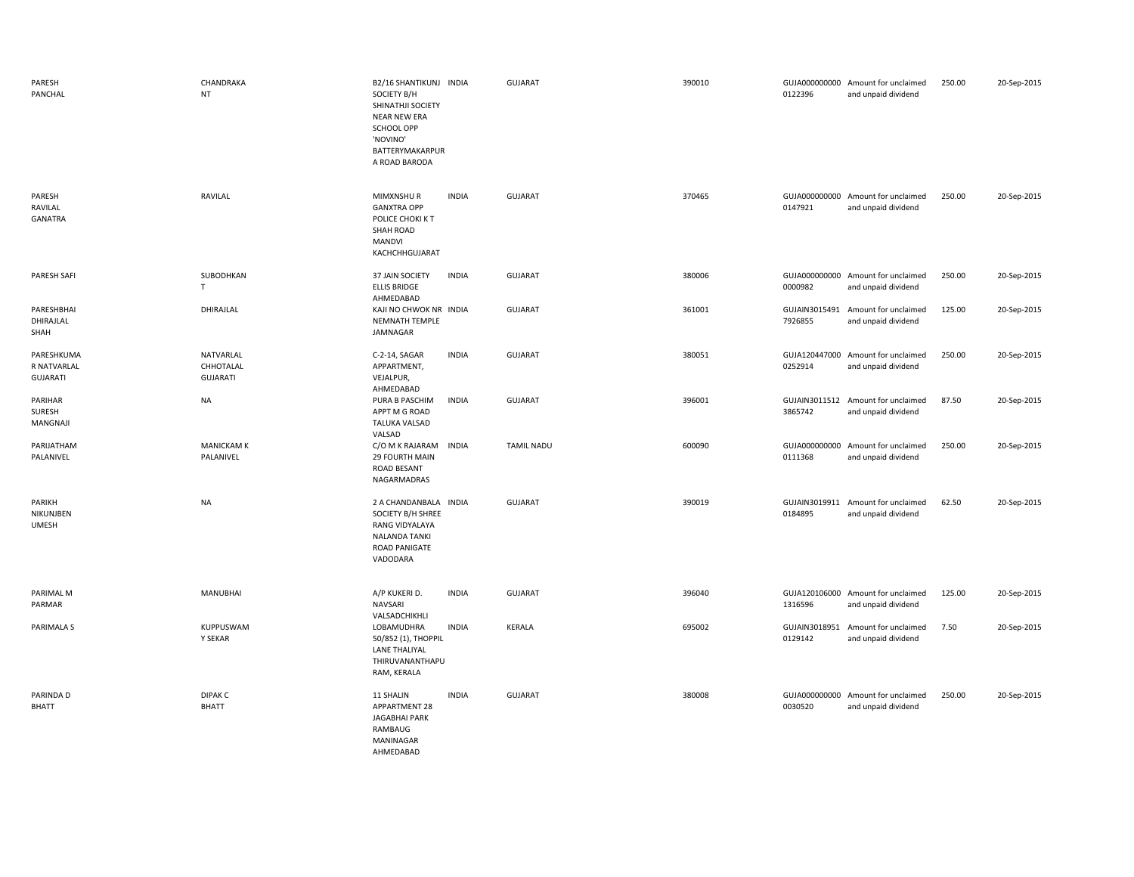| PARESH<br>PANCHAL                     | CHANDRAKA<br><b>NT</b>                    | B2/16 SHANTIKUNJ INDIA<br>SOCIETY B/H<br>SHINATHJI SOCIETY<br><b>NEAR NEW ERA</b><br>SCHOOL OPP<br>'NOVINO'<br>BATTERYMAKARPUR<br>A ROAD BARODA |              | <b>GUJARAT</b>    | 390010 | 0122396                  | GUJA000000000 Amount for unclaimed<br>and unpaid dividend | 250.00 | 20-Sep-2015 |
|---------------------------------------|-------------------------------------------|-------------------------------------------------------------------------------------------------------------------------------------------------|--------------|-------------------|--------|--------------------------|-----------------------------------------------------------|--------|-------------|
| PARESH<br>RAVILAL<br><b>GANATRA</b>   | RAVILAL                                   | MIMXNSHUR<br><b>GANXTRA OPP</b><br>POLICE CHOKI KT<br>SHAH ROAD<br><b>MANDVI</b><br>KACHCHHGUJARAT                                              | <b>INDIA</b> | <b>GUJARAT</b>    | 370465 | 0147921                  | GUJA000000000 Amount for unclaimed<br>and unpaid dividend | 250.00 | 20-Sep-2015 |
| PARESH SAFI                           | SUBODHKAN<br>$\mathsf T$                  | 37 JAIN SOCIETY<br><b>ELLIS BRIDGE</b><br>AHMEDABAD                                                                                             | <b>INDIA</b> | GUJARAT           | 380006 | 0000982                  | GUJA000000000 Amount for unclaimed<br>and unpaid dividend | 250.00 | 20-Sep-2015 |
| PARESHBHAI<br>DHIRAJLAL<br>SHAH       | DHIRAJLAL                                 | KAJI NO CHWOK NR INDIA<br>NEMNATH TEMPLE<br>JAMNAGAR                                                                                            |              | <b>GUJARAT</b>    | 361001 | GUJAIN3015491<br>7926855 | Amount for unclaimed<br>and unpaid dividend               | 125.00 | 20-Sep-2015 |
| PARESHKUMA<br>R NATVARLAL<br>GUJARATI | NATVARLAL<br>CHHOTALAL<br><b>GUJARATI</b> | C-2-14, SAGAR<br>APPARTMENT,<br>VEJALPUR,<br>AHMEDABAD                                                                                          | <b>INDIA</b> | GUJARAT           | 380051 | 0252914                  | GUJA120447000 Amount for unclaimed<br>and unpaid dividend | 250.00 | 20-Sep-2015 |
| PARIHAR<br>SURESH<br>MANGNAJI         | <b>NA</b>                                 | PURA B PASCHIM<br>APPT M G ROAD<br><b>TALUKA VALSAD</b><br>VALSAD                                                                               | <b>INDIA</b> | <b>GUJARAT</b>    | 396001 | GUJAIN3011512<br>3865742 | Amount for unclaimed<br>and unpaid dividend               | 87.50  | 20-Sep-2015 |
| PARIJATHAM<br>PALANIVEL               | <b>MANICKAM K</b><br>PALANIVEL            | C/O M K RAJARAM<br>29 FOURTH MAIN<br>ROAD BESANT<br>NAGARMADRAS                                                                                 | <b>INDIA</b> | <b>TAMIL NADU</b> | 600090 | 0111368                  | GUJA000000000 Amount for unclaimed<br>and unpaid dividend | 250.00 | 20-Sep-2015 |
| PARIKH<br>NIKUNJBEN<br><b>UMESH</b>   | <b>NA</b>                                 | 2 A CHANDANBALA INDIA<br>SOCIETY B/H SHREE<br><b>RANG VIDYALAYA</b><br>NALANDA TANKI<br>ROAD PANIGATE<br>VADODARA                               |              | <b>GUJARAT</b>    | 390019 | 0184895                  | GUJAIN3019911 Amount for unclaimed<br>and unpaid dividend | 62.50  | 20-Sep-2015 |
| PARIMAL M<br>PARMAR                   | <b>MANUBHAI</b>                           | A/P KUKERI D.<br>NAVSARI<br>VALSADCHIKHLI                                                                                                       | <b>INDIA</b> | <b>GUJARAT</b>    | 396040 | 1316596                  | GUJA120106000 Amount for unclaimed<br>and unpaid dividend | 125.00 | 20-Sep-2015 |
| <b>PARIMALA S</b>                     | KUPPUSWAM<br>Y SEKAR                      | LOBAMUDHRA<br>50/852 (1), THOPPIL<br><b>LANE THALIYAL</b><br>THIRUVANANTHAPU<br>RAM, KERALA                                                     | <b>INDIA</b> | KERALA            | 695002 | 0129142                  | GUJAIN3018951 Amount for unclaimed<br>and unpaid dividend | 7.50   | 20-Sep-2015 |
| PARINDA D<br>BHATT                    | <b>DIPAK C</b><br><b>BHATT</b>            | 11 SHALIN<br>APPARTMENT 28<br>JAGABHAI PARK<br>RAMBAUG<br>MANINAGAR<br>AHMEDABAD                                                                | <b>INDIA</b> | <b>GUJARAT</b>    | 380008 | GUJA000000000<br>0030520 | Amount for unclaimed<br>and unpaid dividend               | 250.00 | 20-Sep-2015 |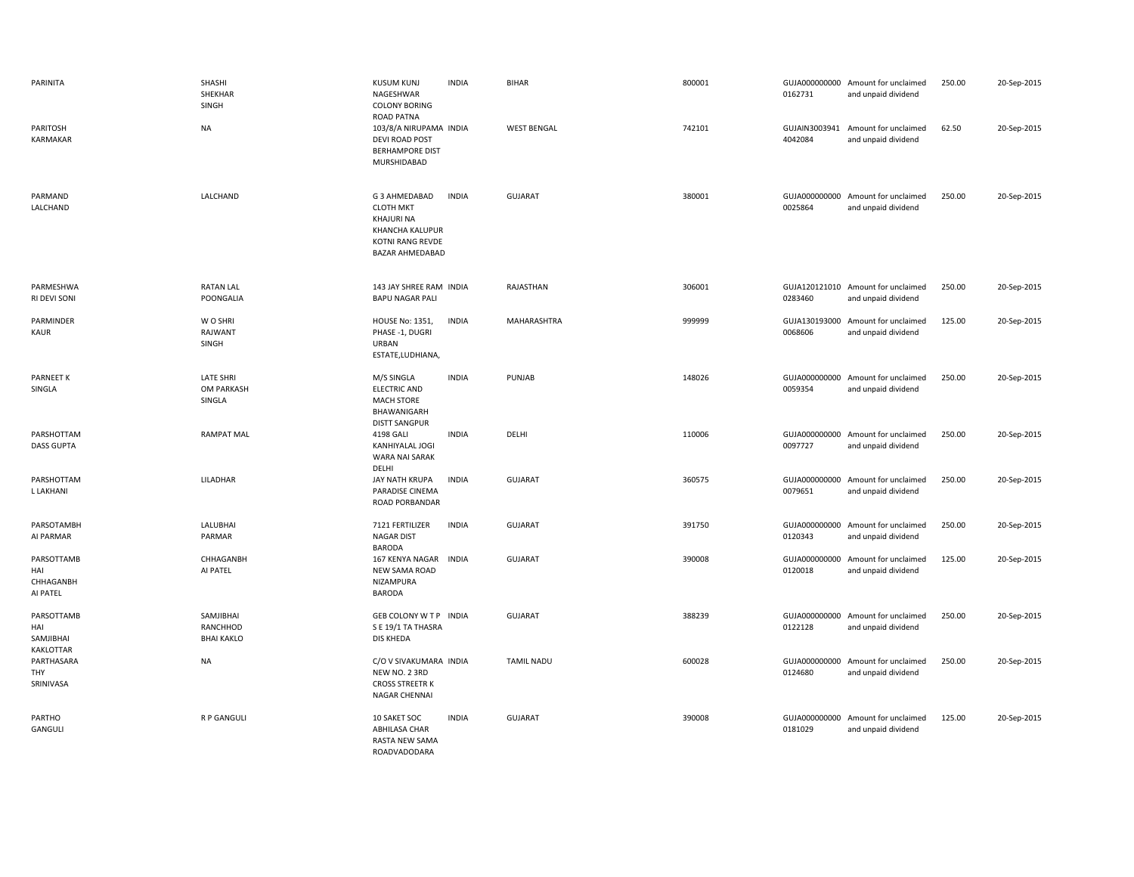| PARINITA                                           | SHASHI<br>SHEKHAR<br>SINGH                 | <b>KUSUM KUNJ</b><br>NAGESHWAR<br><b>COLONY BORING</b><br><b>ROAD PATNA</b>                               | <b>INDIA</b> | <b>BIHAR</b>       | 800001 | 0162731                  | GUJA000000000 Amount for unclaimed<br>and unpaid dividend | 250.00 | 20-Sep-2015 |
|----------------------------------------------------|--------------------------------------------|-----------------------------------------------------------------------------------------------------------|--------------|--------------------|--------|--------------------------|-----------------------------------------------------------|--------|-------------|
| PARITOSH<br>KARMAKAR                               | <b>NA</b>                                  | 103/8/A NIRUPAMA INDIA<br>DEVI ROAD POST<br><b>BERHAMPORE DIST</b><br>MURSHIDABAD                         |              | <b>WEST BENGAL</b> | 742101 | GUJAIN3003941<br>4042084 | Amount for unclaimed<br>and unpaid dividend               | 62.50  | 20-Sep-2015 |
| PARMAND<br>LALCHAND                                | LALCHAND                                   | G 3 AHMEDABAD<br><b>CLOTH MKT</b><br>KHAJURI NA<br>KHANCHA KALUPUR<br>KOTNI RANG REVDE<br>BAZAR AHMEDABAD | <b>INDIA</b> | GUJARAT            | 380001 | 0025864                  | GUJA000000000 Amount for unclaimed<br>and unpaid dividend | 250.00 | 20-Sep-2015 |
| PARMESHWA<br>RI DEVI SONI                          | <b>RATAN LAL</b><br>POONGALIA              | 143 JAY SHREE RAM INDIA<br><b>BAPU NAGAR PALI</b>                                                         |              | RAJASTHAN          | 306001 | 0283460                  | GUJA120121010 Amount for unclaimed<br>and unpaid dividend | 250.00 | 20-Sep-2015 |
| PARMINDER<br>KAUR                                  | W O SHRI<br>RAJWANT<br><b>SINGH</b>        | <b>HOUSE No: 1351,</b><br>PHASE -1, DUGRI<br><b>URBAN</b><br>ESTATE, LUDHIANA,                            | <b>INDIA</b> | MAHARASHTRA        | 999999 | GUJA130193000<br>0068606 | Amount for unclaimed<br>and unpaid dividend               | 125.00 | 20-Sep-2015 |
| <b>PARNEET K</b><br>SINGLA                         | <b>LATE SHRI</b><br>OM PARKASH<br>SINGLA   | M/S SINGLA<br><b>ELECTRIC AND</b><br><b>MACH STORE</b><br>BHAWANIGARH<br><b>DISTT SANGPUR</b>             | <b>INDIA</b> | PUNJAB             | 148026 | 0059354                  | GUJA000000000 Amount for unclaimed<br>and unpaid dividend | 250.00 | 20-Sep-2015 |
| PARSHOTTAM<br><b>DASS GUPTA</b>                    | <b>RAMPAT MAL</b>                          | 4198 GALI<br>KANHIYALAL JOGI<br><b>WARA NAI SARAK</b><br>DELHI                                            | <b>INDIA</b> | DELHI              | 110006 | 0097727                  | GUJA000000000 Amount for unclaimed<br>and unpaid dividend | 250.00 | 20-Sep-2015 |
| PARSHOTTAM<br>L LAKHANI                            | LILADHAR                                   | JAY NATH KRUPA<br>PARADISE CINEMA<br>ROAD PORBANDAR                                                       | <b>INDIA</b> | GUJARAT            | 360575 | 0079651                  | GUJA000000000 Amount for unclaimed<br>and unpaid dividend | 250.00 | 20-Sep-2015 |
| PARSOTAMBH<br>AI PARMAR                            | LALUBHAI<br>PARMAR                         | 7121 FERTILIZER<br><b>NAGAR DIST</b><br><b>BARODA</b>                                                     | <b>INDIA</b> | GUJARAT            | 391750 | GUJA000000000<br>0120343 | Amount for unclaimed<br>and unpaid dividend               | 250.00 | 20-Sep-2015 |
| PARSOTTAMB<br>HAI<br>CHHAGANBH<br>AI PATEL         | CHHAGANBH<br>AI PATEL                      | 167 KENYA NAGAR INDIA<br>NEW SAMA ROAD<br>NIZAMPURA<br><b>BARODA</b>                                      |              | GUJARAT            | 390008 | GUJA000000000<br>0120018 | Amount for unclaimed<br>and unpaid dividend               | 125.00 | 20-Sep-2015 |
| PARSOTTAMB<br>HAI<br>SAMJIBHAI<br><b>KAKLOTTAR</b> | SAMJIBHAI<br>RANCHHOD<br><b>BHAI KAKLO</b> | GEB COLONY W T P INDIA<br>S E 19/1 TA THASRA<br>DIS KHEDA                                                 |              | GUJARAT            | 388239 | 0122128                  | GUJA000000000 Amount for unclaimed<br>and unpaid dividend | 250.00 | 20-Sep-2015 |
| PARTHASARA<br><b>THY</b><br>SRINIVASA              | <b>NA</b>                                  | C/O V SIVAKUMARA INDIA<br>NEW NO. 2 3RD<br><b>CROSS STREETR K</b><br>NAGAR CHENNAI                        |              | <b>TAMIL NADU</b>  | 600028 | 0124680                  | GUJA000000000 Amount for unclaimed<br>and unpaid dividend | 250.00 | 20-Sep-2015 |
| PARTHO<br>GANGULI                                  | R P GANGULI                                | 10 SAKET SOC<br>ABHILASA CHAR<br>RASTA NEW SAMA<br>ROADVADODARA                                           | <b>INDIA</b> | <b>GUJARAT</b>     | 390008 | 0181029                  | GUJA000000000 Amount for unclaimed<br>and unpaid dividend | 125.00 | 20-Sep-2015 |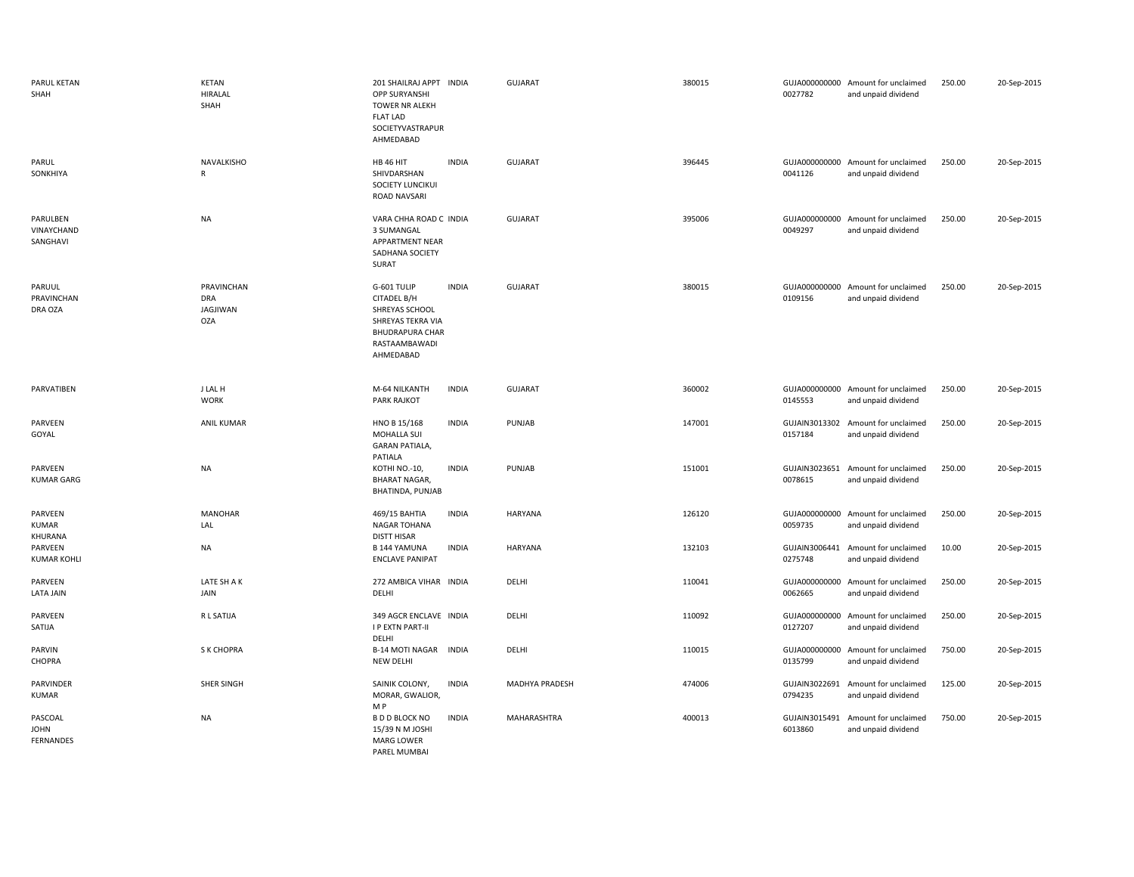| PARUL KETAN<br>SHAH                        | <b>KETAN</b><br><b>HIRALAL</b><br>SHAH                    | 201 SHAILRAJ APPT INDIA<br><b>OPP SURYANSHI</b><br>TOWER NR ALEKH<br><b>FLAT LAD</b><br>SOCIETYVASTRAPUR<br>AHMEDABAD                     | <b>GUJARAT</b>        | 380015 | 0027782                  | GUJA000000000 Amount for unclaimed<br>and unpaid dividend | 250.00 | 20-Sep-2015 |
|--------------------------------------------|-----------------------------------------------------------|-------------------------------------------------------------------------------------------------------------------------------------------|-----------------------|--------|--------------------------|-----------------------------------------------------------|--------|-------------|
| PARUL<br>SONKHIYA                          | NAVALKISHO<br>$\mathsf{R}$                                | <b>INDIA</b><br><b>HB 46 HIT</b><br>SHIVDARSHAN<br>SOCIETY LUNCIKUI<br>ROAD NAVSARI                                                       | GUJARAT               | 396445 | 0041126                  | GUJA000000000 Amount for unclaimed<br>and unpaid dividend | 250.00 | 20-Sep-2015 |
| PARULBEN<br>VINAYCHAND<br>SANGHAVI         | <b>NA</b>                                                 | VARA CHHA ROAD C INDIA<br>3 SUMANGAL<br>APPARTMENT NEAR<br>SADHANA SOCIETY<br>SURAT                                                       | <b>GUJARAT</b>        | 395006 | GUJA000000000<br>0049297 | Amount for unclaimed<br>and unpaid dividend               | 250.00 | 20-Sep-2015 |
| PARUUL<br>PRAVINCHAN<br>DRA OZA            | <b>PRAVINCHAN</b><br><b>DRA</b><br>JAGJIWAN<br><b>OZA</b> | G-601 TULIP<br><b>INDIA</b><br>CITADEL B/H<br>SHREYAS SCHOOL<br>SHREYAS TEKRA VIA<br><b>BHUDRAPURA CHAR</b><br>RASTAAMBAWADI<br>AHMEDABAD | GUJARAT               | 380015 | 0109156                  | GUJA000000000 Amount for unclaimed<br>and unpaid dividend | 250.00 | 20-Sep-2015 |
| PARVATIBEN                                 | J LAL H<br><b>WORK</b>                                    | M-64 NILKANTH<br><b>INDIA</b><br><b>PARK RAJKOT</b>                                                                                       | <b>GUJARAT</b>        | 360002 | 0145553                  | GUJA000000000 Amount for unclaimed<br>and unpaid dividend | 250.00 | 20-Sep-2015 |
| PARVEEN<br>GOYAL                           | <b>ANIL KUMAR</b>                                         | HNO B 15/168<br><b>INDIA</b><br>MOHALLA SUI<br><b>GARAN PATIALA,</b><br>PATIALA                                                           | PUNJAB                | 147001 | 0157184                  | GUJAIN3013302 Amount for unclaimed<br>and unpaid dividend | 250.00 | 20-Sep-2015 |
| PARVEEN<br><b>KUMAR GARG</b>               | <b>NA</b>                                                 | <b>INDIA</b><br>KOTHI NO.-10,<br><b>BHARAT NAGAR,</b><br>BHATINDA, PUNJAB                                                                 | PUNJAB                | 151001 | 0078615                  | GUJAIN3023651 Amount for unclaimed<br>and unpaid dividend | 250.00 | 20-Sep-2015 |
| PARVEEN<br>KUMAR<br>KHURANA                | <b>MANOHAR</b><br>LAL                                     | <b>INDIA</b><br>469/15 BAHTIA<br>NAGAR TOHANA<br><b>DISTT HISAR</b>                                                                       | HARYANA               | 126120 | 0059735                  | GUJA000000000 Amount for unclaimed<br>and unpaid dividend | 250.00 | 20-Sep-2015 |
| PARVEEN<br><b>KUMAR KOHLI</b>              | <b>NA</b>                                                 | <b>INDIA</b><br><b>B144 YAMUNA</b><br><b>ENCLAVE PANIPAT</b>                                                                              | HARYANA               | 132103 | GUJAIN3006441<br>0275748 | Amount for unclaimed<br>and unpaid dividend               | 10.00  | 20-Sep-2015 |
| PARVEEN<br><b>LATA JAIN</b>                | LATE SH A K<br>JAIN                                       | 272 AMBICA VIHAR INDIA<br>DELHI                                                                                                           | DELHI                 | 110041 | GUJA000000000<br>0062665 | Amount for unclaimed<br>and unpaid dividend               | 250.00 | 20-Sep-2015 |
| PARVEEN<br>SATIJA                          | R L SATIJA                                                | 349 AGCR ENCLAVE INDIA<br><b>I P EXTN PART-II</b><br>DELHI                                                                                | DELHI                 | 110092 | GUJA000000000<br>0127207 | Amount for unclaimed<br>and unpaid dividend               | 250.00 | 20-Sep-2015 |
| <b>PARVIN</b><br>CHOPRA                    | S K CHOPRA                                                | B-14 MOTI NAGAR INDIA<br>NEW DELHI                                                                                                        | DELHI                 | 110015 | 0135799                  | GUJA000000000 Amount for unclaimed<br>and unpaid dividend | 750.00 | 20-Sep-2015 |
| PARVINDER<br><b>KUMAR</b>                  | SHER SINGH                                                | SAINIK COLONY,<br><b>INDIA</b><br>MORAR, GWALIOR,<br>M P                                                                                  | <b>MADHYA PRADESH</b> | 474006 | GUJAIN3022691<br>0794235 | Amount for unclaimed<br>and unpaid dividend               | 125.00 | 20-Sep-2015 |
| PASCOAL<br><b>JOHN</b><br><b>FERNANDES</b> | <b>NA</b>                                                 | <b>INDIA</b><br><b>B D D BLOCK NO</b><br>15/39 N M JOSHI<br><b>MARG LOWER</b><br>PAREL MUMBAI                                             | MAHARASHTRA           | 400013 | 6013860                  | GUJAIN3015491 Amount for unclaimed<br>and unpaid dividend | 750.00 | 20-Sep-2015 |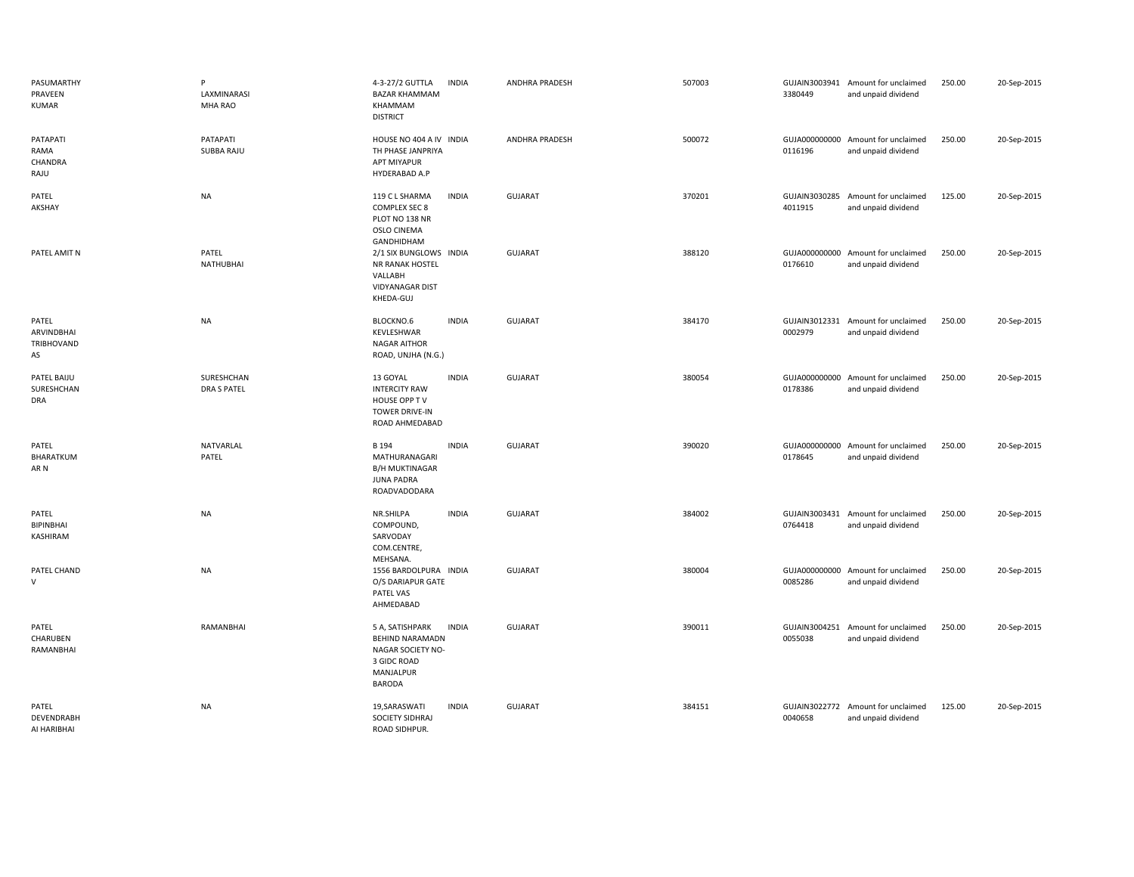| PASUMARTHY<br>PRAVEEN<br><b>KUMAR</b>   | P<br>LAXMINARASI<br>MHA RAO      | 4-3-27/2 GUTTLA<br><b>BAZAR KHAMMAM</b><br>KHAMMAM<br><b>DISTRICT</b>                                       | <b>INDIA</b> | <b>ANDHRA PRADESH</b> | 507003 | 3380449                  | GUJAIN3003941 Amount for unclaimed<br>and unpaid dividend | 250.00 | 20-Sep-2015 |
|-----------------------------------------|----------------------------------|-------------------------------------------------------------------------------------------------------------|--------------|-----------------------|--------|--------------------------|-----------------------------------------------------------|--------|-------------|
| PATAPATI<br>RAMA<br>CHANDRA<br>RAJU     | PATAPATI<br>SUBBA RAJU           | HOUSE NO 404 A IV INDIA<br>TH PHASE JANPRIYA<br>APT MIYAPUR<br>HYDERABAD A.P                                |              | <b>ANDHRA PRADESH</b> | 500072 | 0116196                  | GUJA000000000 Amount for unclaimed<br>and unpaid dividend | 250.00 | 20-Sep-2015 |
| PATEL<br>AKSHAY                         | <b>NA</b>                        | 119 C L SHARMA<br><b>COMPLEX SEC 8</b><br>PLOT NO 138 NR<br>OSLO CINEMA<br>GANDHIDHAM                       | <b>INDIA</b> | <b>GUJARAT</b>        | 370201 | GUJAIN3030285<br>4011915 | Amount for unclaimed<br>and unpaid dividend               | 125.00 | 20-Sep-2015 |
| PATEL AMIT N                            | PATEL<br><b>NATHUBHAI</b>        | 2/1 SIX BUNGLOWS INDIA<br>NR RANAK HOSTEL<br>VALLABH<br><b>VIDYANAGAR DIST</b><br>KHEDA-GUJ                 |              | <b>GUJARAT</b>        | 388120 | 0176610                  | GUJA000000000 Amount for unclaimed<br>and unpaid dividend | 250.00 | 20-Sep-2015 |
| PATEL<br>ARVINDBHAI<br>TRIBHOVAND<br>AS | <b>NA</b>                        | BLOCKNO.6<br>KEVLESHWAR<br><b>NAGAR AITHOR</b><br>ROAD, UNJHA (N.G.)                                        | <b>INDIA</b> | <b>GUJARAT</b>        | 384170 | 0002979                  | GUJAIN3012331 Amount for unclaimed<br>and unpaid dividend | 250.00 | 20-Sep-2015 |
| PATEL BAIJU<br>SURESHCHAN<br>DRA        | SURESHCHAN<br><b>DRA S PATEL</b> | 13 GOYAL<br><b>INTERCITY RAW</b><br>HOUSE OPP TV<br>TOWER DRIVE-IN<br>ROAD AHMEDABAD                        | <b>INDIA</b> | <b>GUJARAT</b>        | 380054 | 0178386                  | GUJA000000000 Amount for unclaimed<br>and unpaid dividend | 250.00 | 20-Sep-2015 |
| PATEL<br>BHARATKUM<br>AR N              | NATVARLAL<br>PATEL               | B 194<br>MATHURANAGARI<br><b>B/H MUKTINAGAR</b><br><b>JUNA PADRA</b><br>ROADVADODARA                        | <b>INDIA</b> | <b>GUJARAT</b>        | 390020 | 0178645                  | GUJA000000000 Amount for unclaimed<br>and unpaid dividend | 250.00 | 20-Sep-2015 |
| PATEL<br>BIPINBHAI<br>KASHIRAM          | <b>NA</b>                        | NR.SHILPA<br>COMPOUND,<br>SARVODAY<br>COM.CENTRE,<br>MEHSANA.                                               | <b>INDIA</b> | <b>GUJARAT</b>        | 384002 | GUJAIN3003431<br>0764418 | Amount for unclaimed<br>and unpaid dividend               | 250.00 | 20-Sep-2015 |
| PATEL CHAND<br>v                        | <b>NA</b>                        | 1556 BARDOLPURA INDIA<br>O/S DARIAPUR GATE<br>PATEL VAS<br>AHMEDABAD                                        |              | GUJARAT               | 380004 | 0085286                  | GUJA000000000 Amount for unclaimed<br>and unpaid dividend | 250.00 | 20-Sep-2015 |
| PATEL<br>CHARUBEN<br>RAMANBHAI          | RAMANBHAI                        | 5 A, SATISHPARK<br><b>BEHIND NARAMADN</b><br>NAGAR SOCIETY NO-<br>3 GIDC ROAD<br>MANJALPUR<br><b>BARODA</b> | <b>INDIA</b> | <b>GUJARAT</b>        | 390011 | 0055038                  | GUJAIN3004251 Amount for unclaimed<br>and unpaid dividend | 250.00 | 20-Sep-2015 |
| PATEL<br>DEVENDRABH<br>AI HARIBHAI      | <b>NA</b>                        | 19, SARAS WATI<br>SOCIETY SIDHRAJ<br>ROAD SIDHPUR.                                                          | <b>INDIA</b> | <b>GUJARAT</b>        | 384151 | 0040658                  | GUJAIN3022772 Amount for unclaimed<br>and unpaid dividend | 125.00 | 20-Sep-2015 |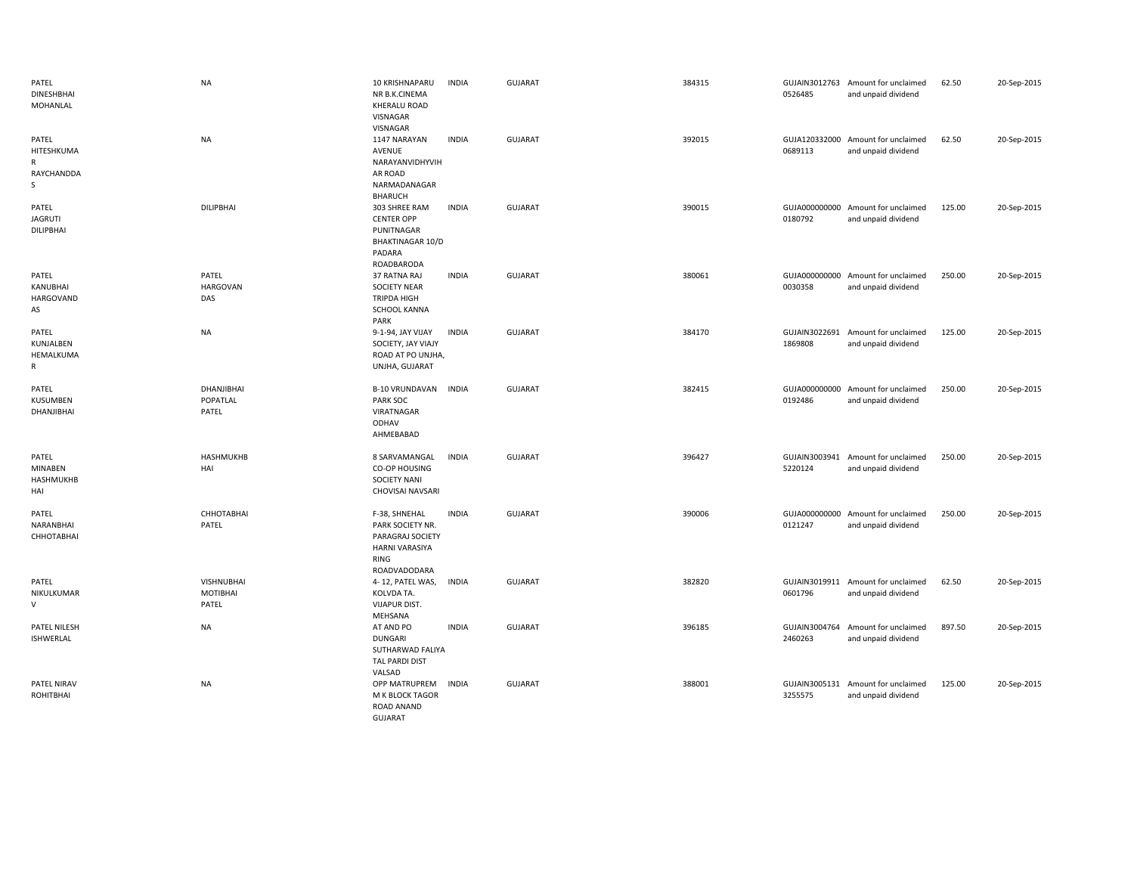| PATEL<br><b>DINESHBHAI</b><br>MOHANLAL          | <b>NA</b>                                     | 10 KRISHNAPARU<br>NR B.K.CINEMA<br>KHERALU ROAD<br>VISNAGAR<br>VISNAGAR                                | <b>INDIA</b> | <b>GUJARAT</b> | 384315 | 0526485                  | GUJAIN3012763 Amount for unclaimed<br>and unpaid dividend | 62.50  | 20-Sep-2015 |
|-------------------------------------------------|-----------------------------------------------|--------------------------------------------------------------------------------------------------------|--------------|----------------|--------|--------------------------|-----------------------------------------------------------|--------|-------------|
| PATEL<br>HITESHKUMA<br>R<br>RAYCHANDDA<br>S     | <b>NA</b>                                     | 1147 NARAYAN<br>AVENUE<br>NARAYANVIDHYVIH<br>AR ROAD<br>NARMADANAGAR<br><b>BHARUCH</b>                 | <b>INDIA</b> | GUJARAT        | 392015 | 0689113                  | GUJA120332000 Amount for unclaimed<br>and unpaid dividend | 62.50  | 20-Sep-2015 |
| PATEL<br><b>JAGRUTI</b><br><b>DILIPBHAI</b>     | <b>DILIPBHAI</b>                              | 303 SHREE RAM<br><b>CENTER OPP</b><br>PUNITNAGAR<br><b>BHAKTINAGAR 10/D</b><br>PADARA<br>ROADBARODA    | <b>INDIA</b> | <b>GUJARAT</b> | 390015 | 0180792                  | GUJA000000000 Amount for unclaimed<br>and unpaid dividend | 125.00 | 20-Sep-2015 |
| PATEL<br>KANUBHAI<br>HARGOVAND<br>AS            | PATEL<br><b>HARGOVAN</b><br>DAS               | 37 RATNA RAJ<br><b>SOCIETY NEAR</b><br><b>TRIPDA HIGH</b><br>SCHOOL KANNA<br>PARK                      | <b>INDIA</b> | <b>GUJARAT</b> | 380061 | 0030358                  | GUJA000000000 Amount for unclaimed<br>and unpaid dividend | 250.00 | 20-Sep-2015 |
| PATEL<br>KUNJALBEN<br>HEMALKUMA<br>$\mathsf{R}$ | <b>NA</b>                                     | 9-1-94, JAY VIJAY<br>SOCIETY, JAY VIAJY<br>ROAD AT PO UNJHA,<br>UNJHA, GUJARAT                         | <b>INDIA</b> | <b>GUJARAT</b> | 384170 | GUJAIN3022691<br>1869808 | Amount for unclaimed<br>and unpaid dividend               | 125.00 | 20-Sep-2015 |
| PATEL<br>KUSUMBEN<br>DHANJIBHAI                 | DHANJIBHAI<br>POPATLAL<br>PATEL               | <b>B-10 VRUNDAVAN</b><br>PARK SOC<br>VIRATNAGAR<br>ODHAV<br>AHMEBABAD                                  | <b>INDIA</b> | <b>GUJARAT</b> | 382415 | GUJA000000000<br>0192486 | Amount for unclaimed<br>and unpaid dividend               | 250.00 | 20-Sep-2015 |
| PATEL<br>MINABEN<br><b>HASHMUKHB</b><br>HAI     | HASHMUKHB<br>HAI                              | 8 SARVAMANGAL<br>CO-OP HOUSING<br><b>SOCIETY NANI</b><br>CHOVISAI NAVSARI                              | <b>INDIA</b> | GUJARAT        | 396427 | GUJAIN3003941<br>5220124 | Amount for unclaimed<br>and unpaid dividend               | 250.00 | 20-Sep-2015 |
| PATEL<br>NARANBHAI<br>СННОТАВНАІ                | СННОТАВНАІ<br>PATEL                           | F-38, SHNEHAL<br>PARK SOCIETY NR.<br>PARAGRAJ SOCIETY<br><b>HARNI VARASIYA</b><br>RING<br>ROADVADODARA | <b>INDIA</b> | GUJARAT        | 390006 | 0121247                  | GUJA000000000 Amount for unclaimed<br>and unpaid dividend | 250.00 | 20-Sep-2015 |
| PATEL<br>NIKULKUMAR<br>$\vee$                   | <b>VISHNUBHAI</b><br><b>MOTIBHAI</b><br>PATEL | 4-12, PATEL WAS,<br>KOLVDA TA.<br><b>VIJAPUR DIST.</b><br>MEHSANA                                      | <b>INDIA</b> | <b>GUJARAT</b> | 382820 | 0601796                  | GUJAIN3019911 Amount for unclaimed<br>and unpaid dividend | 62.50  | 20-Sep-2015 |
| PATEL NILESH<br><b>ISHWERLAL</b>                | <b>NA</b>                                     | AT AND PO<br><b>DUNGARI</b><br>SUTHARWAD FALIYA<br><b>TAL PARDI DIST</b><br>VALSAD                     | <b>INDIA</b> | <b>GUJARAT</b> | 396185 | GUJAIN3004764<br>2460263 | Amount for unclaimed<br>and unpaid dividend               | 897.50 | 20-Sep-2015 |
| PATEL NIRAV<br>ROHITBHAI                        | <b>NA</b>                                     | OPP MATRUPREM<br>M K BLOCK TAGOR<br>ROAD ANAND<br><b>GUJARAT</b>                                       | INDIA        | <b>GUJARAT</b> | 388001 | 3255575                  | GUJAIN3005131 Amount for unclaimed<br>and unpaid dividend | 125.00 | 20-Sep-2015 |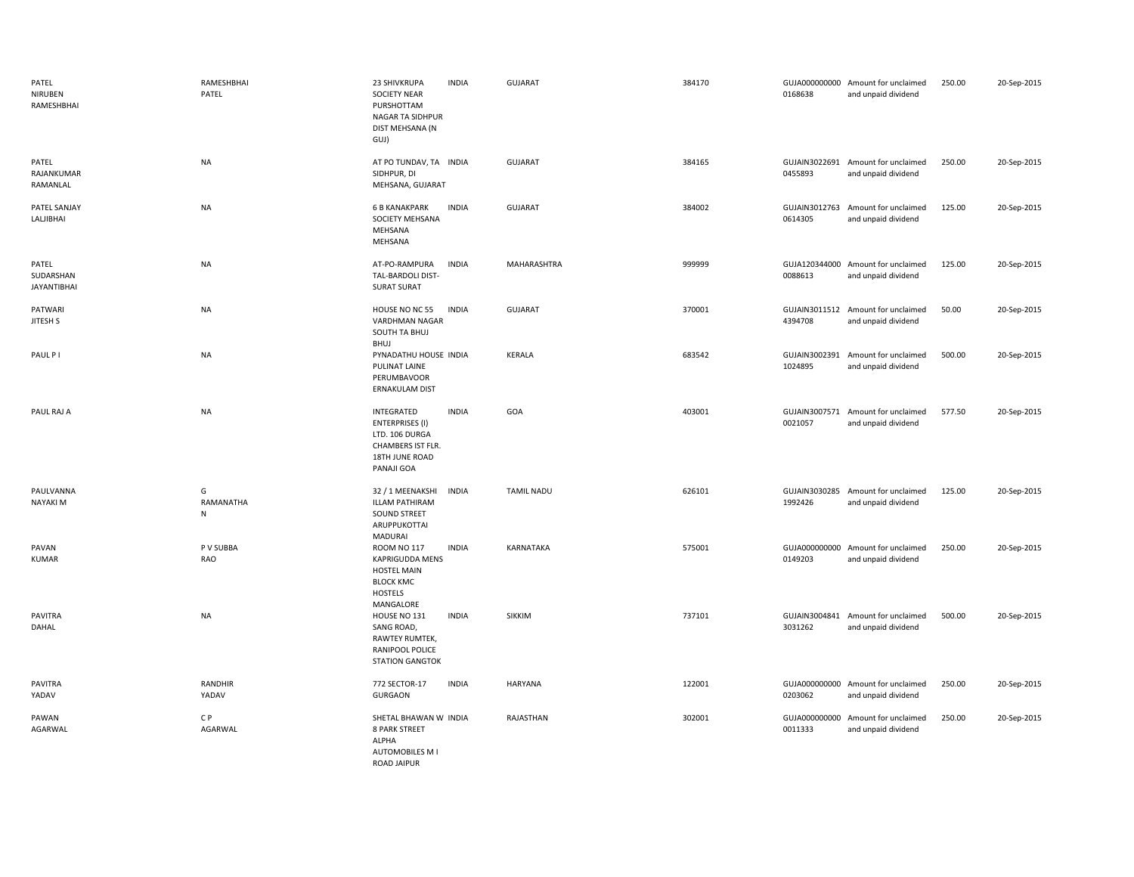| PATEL<br>NIRUBEN<br>RAMESHBHAI           | RAMESHBHAI<br>PATEL | 23 SHIVKRUPA<br><b>INDIA</b><br><b>SOCIETY NEAR</b><br>PURSHOTTAM<br>NAGAR TA SIDHPUR<br>DIST MEHSANA (N<br>GUJ)                      | <b>GUJARAT</b>    | 384170 | 0168638                  | GUJA000000000 Amount for unclaimed<br>and unpaid dividend | 250.00 | 20-Sep-2015 |
|------------------------------------------|---------------------|---------------------------------------------------------------------------------------------------------------------------------------|-------------------|--------|--------------------------|-----------------------------------------------------------|--------|-------------|
| PATEL<br>RAJANKUMAR<br>RAMANLAL          | <b>NA</b>           | AT PO TUNDAV, TA INDIA<br>SIDHPUR, DI<br>MEHSANA, GUJARAT                                                                             | <b>GUJARAT</b>    | 384165 | 0455893                  | GUJAIN3022691 Amount for unclaimed<br>and unpaid dividend | 250.00 | 20-Sep-2015 |
| PATEL SANJAY<br>LALJIBHAI                | <b>NA</b>           | <b>6 B KANAKPARK</b><br><b>INDIA</b><br>SOCIETY MEHSANA<br>MEHSANA<br>MEHSANA                                                         | GUJARAT           | 384002 | GUJAIN3012763<br>0614305 | Amount for unclaimed<br>and unpaid dividend               | 125.00 | 20-Sep-2015 |
| PATEL<br>SUDARSHAN<br><b>JAYANTIBHAI</b> | <b>NA</b>           | <b>INDIA</b><br>AT-PO-RAMPURA<br>TAL-BARDOLI DIST-<br><b>SURAT SURAT</b>                                                              | MAHARASHTRA       | 999999 | 0088613                  | GUJA120344000 Amount for unclaimed<br>and unpaid dividend | 125.00 | 20-Sep-2015 |
| PATWARI<br>JITESH S                      | <b>NA</b>           | HOUSE NO NC 55<br><b>INDIA</b><br>VARDHMAN NAGAR<br>SOUTH TA BHUJ<br>BHUJ                                                             | GUJARAT           | 370001 | 4394708                  | GUJAIN3011512 Amount for unclaimed<br>and unpaid dividend | 50.00  | 20-Sep-2015 |
| PAUL P I                                 | <b>NA</b>           | PYNADATHU HOUSE INDIA<br>PULINAT LAINE<br>PERUMBAVOOR<br>ERNAKULAM DIST                                                               | KERALA            | 683542 | GUJAIN3002391<br>1024895 | Amount for unclaimed<br>and unpaid dividend               | 500.00 | 20-Sep-2015 |
| PAUL RAJ A                               | <b>NA</b>           | INTEGRATED<br><b>INDIA</b><br><b>ENTERPRISES (I)</b><br>LTD. 106 DURGA<br>CHAMBERS IST FLR.<br>18TH JUNE ROAD<br>PANAJI GOA           | GOA               | 403001 | GUJAIN3007571<br>0021057 | Amount for unclaimed<br>and unpaid dividend               | 577.50 | 20-Sep-2015 |
| PAULVANNA<br>NAYAKI M                    | G<br>RAMANATHA<br>N | 32 / 1 MEENAKSHI<br><b>INDIA</b><br><b>ILLAM PATHIRAM</b><br>SOUND STREET<br>ARUPPUKOTTAI<br>MADURAI                                  | <b>TAMIL NADU</b> | 626101 | 1992426                  | GUJAIN3030285 Amount for unclaimed<br>and unpaid dividend | 125.00 | 20-Sep-2015 |
| PAVAN<br><b>KUMAR</b>                    | P V SUBBA<br>RAO    | <b>ROOM NO 117</b><br><b>INDIA</b><br><b>KAPRIGUDDA MENS</b><br><b>HOSTEL MAIN</b><br><b>BLOCK KMC</b><br><b>HOSTELS</b><br>MANGALORE | KARNATAKA         | 575001 | 0149203                  | GUJA000000000 Amount for unclaimed<br>and unpaid dividend | 250.00 | 20-Sep-2015 |
| <b>PAVITRA</b><br>DAHAL                  | <b>NA</b>           | HOUSE NO 131<br><b>INDIA</b><br>SANG ROAD,<br>RAWTEY RUMTEK,<br>RANIPOOL POLICE<br><b>STATION GANGTOK</b>                             | SIKKIM            | 737101 | 3031262                  | GUJAIN3004841 Amount for unclaimed<br>and unpaid dividend | 500.00 | 20-Sep-2015 |
| PAVITRA<br>YADAV                         | RANDHIR<br>YADAV    | <b>INDIA</b><br>772 SECTOR-17<br><b>GURGAON</b>                                                                                       | HARYANA           | 122001 | GUJA000000000<br>0203062 | Amount for unclaimed<br>and unpaid dividend               | 250.00 | 20-Sep-2015 |
| PAWAN<br>AGARWAL                         | C P<br>AGARWAL      | SHETAL BHAWAN W INDIA<br><b>8 PARK STREET</b><br><b>ALPHA</b><br>AUTOMOBILES M I<br><b>ROAD JAIPUR</b>                                | RAJASTHAN         | 302001 | GUJA000000000<br>0011333 | Amount for unclaimed<br>and unpaid dividend               | 250.00 | 20-Sep-2015 |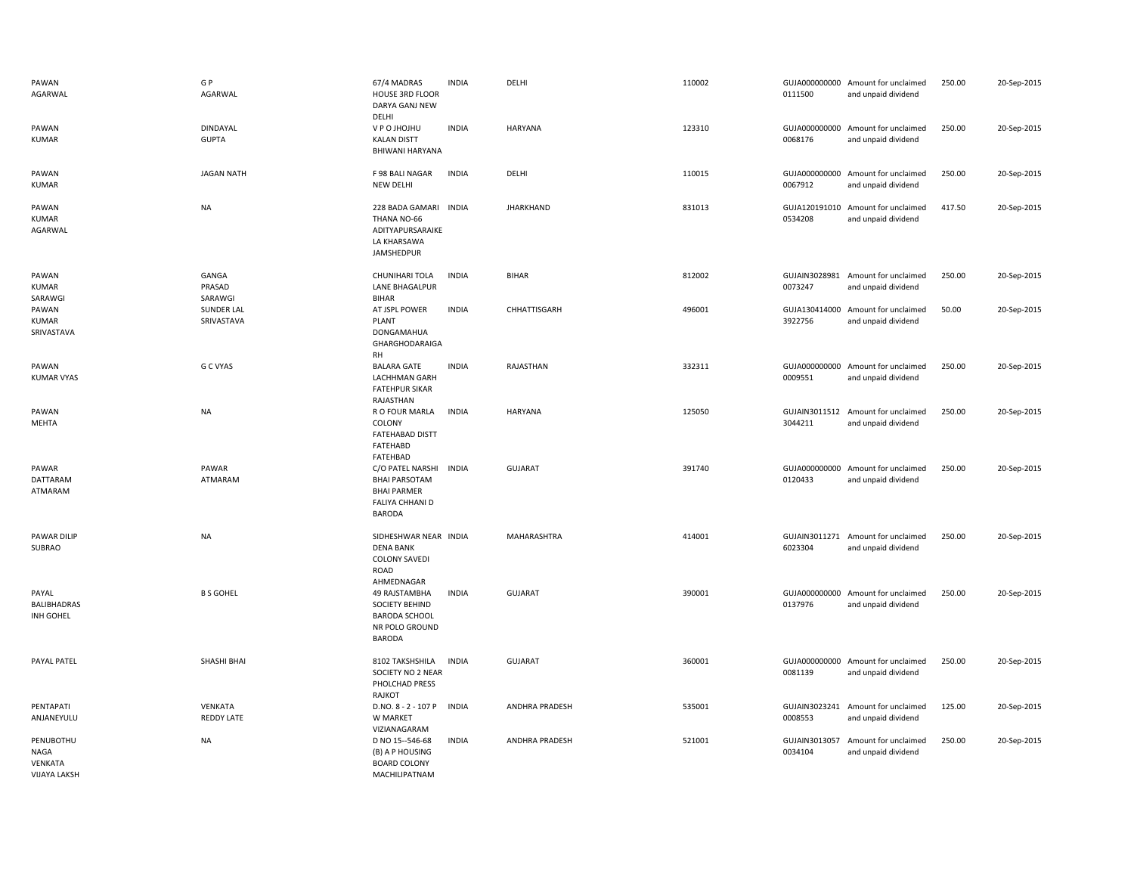| PAWAN<br>AGARWAL                                           | G P<br>AGARWAL                  | 67/4 MADRAS<br>HOUSE 3RD FLOOR<br>DARYA GANJ NEW<br>DELHI                                          | <b>INDIA</b> | DELHI                 | 110002 | 0111500                  | GUJA000000000 Amount for unclaimed<br>and unpaid dividend | 250.00 | 20-Sep-2015 |
|------------------------------------------------------------|---------------------------------|----------------------------------------------------------------------------------------------------|--------------|-----------------------|--------|--------------------------|-----------------------------------------------------------|--------|-------------|
| PAWAN<br><b>KUMAR</b>                                      | <b>DINDAYAL</b><br><b>GUPTA</b> | U P O JHOJHU<br><b>KALAN DISTT</b><br>BHIWANI HARYANA                                              | <b>INDIA</b> | HARYANA               | 123310 | 0068176                  | GUJA000000000 Amount for unclaimed<br>and unpaid dividend | 250.00 | 20-Sep-2015 |
| PAWAN<br><b>KUMAR</b>                                      | <b>JAGAN NATH</b>               | F 98 BALI NAGAR<br>NEW DELHI                                                                       | <b>INDIA</b> | DELHI                 | 110015 | GUJA000000000<br>0067912 | Amount for unclaimed<br>and unpaid dividend               | 250.00 | 20-Sep-2015 |
| PAWAN<br><b>KUMAR</b><br>AGARWAL                           | <b>NA</b>                       | 228 BADA GAMARI INDIA<br>THANA NO-66<br>ADITYAPURSARAIKE<br>LA KHARSAWA<br>JAMSHEDPUR              |              | <b>JHARKHAND</b>      | 831013 | GUJA120191010<br>0534208 | Amount for unclaimed<br>and unpaid dividend               | 417.50 | 20-Sep-2015 |
| PAWAN<br><b>KUMAR</b><br>SARAWGI                           | GANGA<br>PRASAD<br>SARAWGI      | CHUNIHARI TOLA<br>LANE BHAGALPUR<br><b>BIHAR</b>                                                   | <b>INDIA</b> | <b>BIHAR</b>          | 812002 | 0073247                  | GUJAIN3028981 Amount for unclaimed<br>and unpaid dividend | 250.00 | 20-Sep-2015 |
| PAWAN<br><b>KUMAR</b><br>SRIVASTAVA                        | <b>SUNDER LAL</b><br>SRIVASTAVA | AT JSPL POWER<br>PLANT<br>DONGAMAHUA<br>GHARGHODARAIGA<br><b>RH</b>                                | <b>INDIA</b> | CHHATTISGARH          | 496001 | GUJA130414000<br>3922756 | Amount for unclaimed<br>and unpaid dividend               | 50.00  | 20-Sep-2015 |
| PAWAN<br><b>KUMAR VYAS</b>                                 | G C VYAS                        | <b>BALARA GATE</b><br>LACHHMAN GARH<br><b>FATEHPUR SIKAR</b><br>RAJASTHAN                          | <b>INDIA</b> | RAJASTHAN             | 332311 | 0009551                  | GUJA000000000 Amount for unclaimed<br>and unpaid dividend | 250.00 | 20-Sep-2015 |
| PAWAN<br>MEHTA                                             | <b>NA</b>                       | R O FOUR MARLA<br>COLONY<br><b>FATEHABAD DISTT</b><br>FATEHABD<br>FATEHBAD                         | <b>INDIA</b> | HARYANA               | 125050 | 3044211                  | GUJAIN3011512 Amount for unclaimed<br>and unpaid dividend | 250.00 | 20-Sep-2015 |
| PAWAR<br>DATTARAM<br>ATMARAM                               | PAWAR<br>ATMARAM                | C/O PATEL NARSHI<br><b>BHAI PARSOTAM</b><br><b>BHAI PARMER</b><br>FALIYA CHHANI D<br><b>BARODA</b> | <b>INDIA</b> | <b>GUJARAT</b>        | 391740 | GUJA000000000<br>0120433 | Amount for unclaimed<br>and unpaid dividend               | 250.00 | 20-Sep-2015 |
| PAWAR DILIP<br>SUBRAO                                      | <b>NA</b>                       | SIDHESHWAR NEAR INDIA<br><b>DENA BANK</b><br><b>COLONY SAVEDI</b><br><b>ROAD</b><br>AHMEDNAGAR     |              | MAHARASHTRA           | 414001 | 6023304                  | GUJAIN3011271 Amount for unclaimed<br>and unpaid dividend | 250.00 | 20-Sep-2015 |
| PAYAL<br>BALIBHADRAS<br>INH GOHEL                          | <b>B S GOHEL</b>                | 49 RAJSTAMBHA<br>SOCIETY BEHIND<br><b>BARODA SCHOOL</b><br>NR POLO GROUND<br><b>BARODA</b>         | <b>INDIA</b> | <b>GUJARAT</b>        | 390001 | 0137976                  | GUJA000000000 Amount for unclaimed<br>and unpaid dividend | 250.00 | 20-Sep-2015 |
| PAYAL PATEL                                                | SHASHI BHAI                     | 8102 TAKSHSHILA<br>SOCIETY NO 2 NEAR<br>PHOLCHAD PRESS<br>RAJKOT                                   | <b>INDIA</b> | <b>GUJARAT</b>        | 360001 | GUJA000000000<br>0081139 | Amount for unclaimed<br>and unpaid dividend               | 250.00 | 20-Sep-2015 |
| PENTAPATI<br>ANJANEYULU                                    | VENKATA<br><b>REDDY LATE</b>    | D.NO. 8 - 2 - 107 P<br>W MARKET<br>VIZIANAGARAM                                                    | <b>INDIA</b> | <b>ANDHRA PRADESH</b> | 535001 | GUJAIN3023241<br>0008553 | Amount for unclaimed<br>and unpaid dividend               | 125.00 | 20-Sep-2015 |
| PENUBOTHU<br><b>NAGA</b><br>VENKATA<br><b>VIJAYA LAKSH</b> | <b>NA</b>                       | D NO 15--546-68<br>(B) A P HOUSING<br><b>BOARD COLONY</b><br>MACHILIPATNAM                         | <b>INDIA</b> | <b>ANDHRA PRADESH</b> | 521001 | 0034104                  | GUJAIN3013057 Amount for unclaimed<br>and unpaid dividend | 250.00 | 20-Sep-2015 |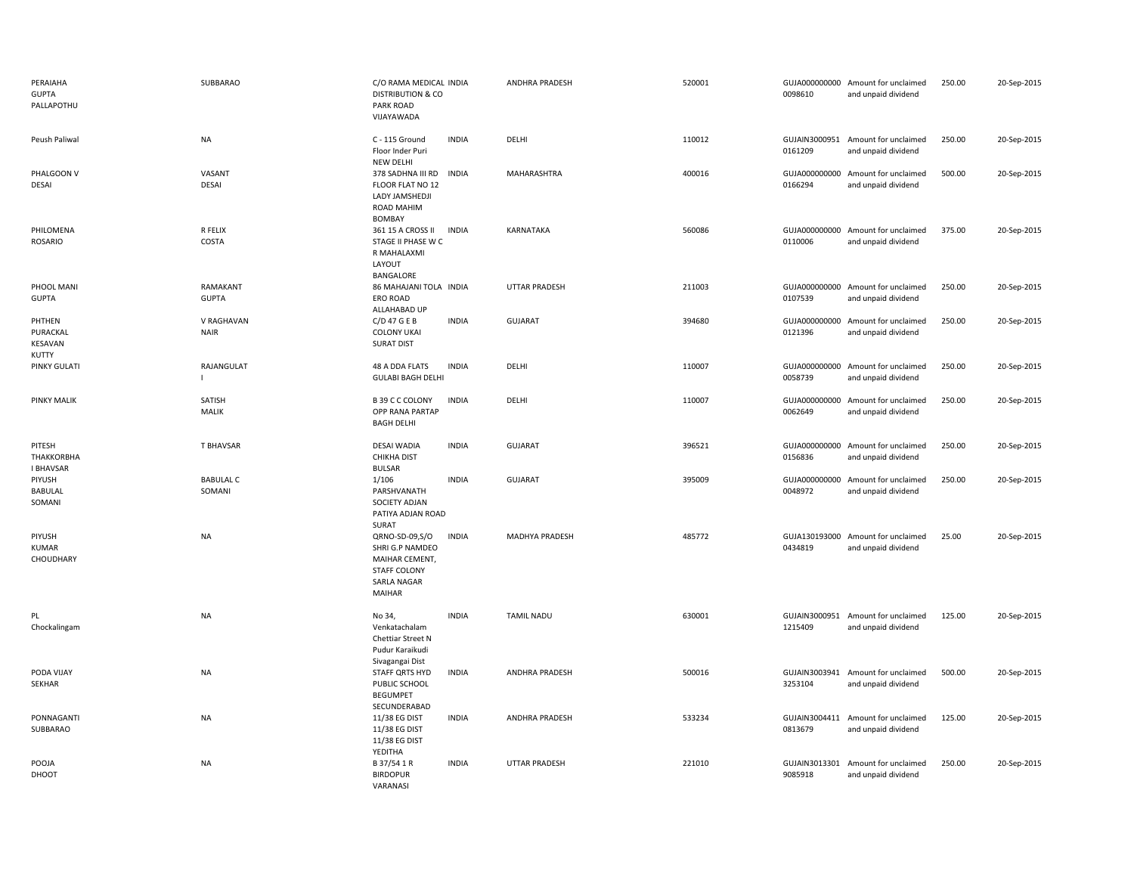| PERAIAHA<br><b>GUPTA</b><br>PALLAPOTHU   | SUBBARAO                   | C/O RAMA MEDICAL INDIA<br><b>DISTRIBUTION &amp; CO</b><br>PARK ROAD<br>VIJAYAWADA                   |              | <b>ANDHRA PRADESH</b> | 520001 | 0098610                  | GUJA000000000 Amount for unclaimed<br>and unpaid dividend | 250.00 | 20-Sep-2015 |
|------------------------------------------|----------------------------|-----------------------------------------------------------------------------------------------------|--------------|-----------------------|--------|--------------------------|-----------------------------------------------------------|--------|-------------|
| Peush Paliwal                            | <b>NA</b>                  | C - 115 Ground<br>Floor Inder Puri<br><b>NEW DELHI</b>                                              | <b>INDIA</b> | DELHI                 | 110012 | 0161209                  | GUJAIN3000951 Amount for unclaimed<br>and unpaid dividend | 250.00 | 20-Sep-2015 |
| PHALGOON V<br>DESAI                      | VASANT<br>DESAI            | 378 SADHNA III RD<br>FLOOR FLAT NO 12<br>LADY JAMSHEDJI<br>ROAD MAHIM<br><b>BOMBAY</b>              | <b>INDIA</b> | MAHARASHTRA           | 400016 | 0166294                  | GUJA000000000 Amount for unclaimed<br>and unpaid dividend | 500.00 | 20-Sep-2015 |
| PHILOMENA<br>ROSARIO                     | R FELIX<br>COSTA           | 361 15 A CROSS II<br>STAGE II PHASE W C<br>R MAHALAXMI<br>LAYOUT<br>BANGALORE                       | <b>INDIA</b> | KARNATAKA             | 560086 | GUJA000000000<br>0110006 | Amount for unclaimed<br>and unpaid dividend               | 375.00 | 20-Sep-2015 |
| PHOOL MANI<br><b>GUPTA</b>               | RAMAKANT<br><b>GUPTA</b>   | 86 MAHAJANI TOLA INDIA<br>ERO ROAD<br>ALLAHABAD UP                                                  |              | <b>UTTAR PRADESH</b>  | 211003 | GUJA000000000<br>0107539 | Amount for unclaimed<br>and unpaid dividend               | 250.00 | 20-Sep-2015 |
| PHTHEN<br>PURACKAL<br>KESAVAN<br>KUTTY   | V RAGHAVAN<br><b>NAIR</b>  | $C/D$ 47 G E B<br><b>COLONY UKAI</b><br><b>SURAT DIST</b>                                           | <b>INDIA</b> | GUJARAT               | 394680 | GUJA000000000<br>0121396 | Amount for unclaimed<br>and unpaid dividend               | 250.00 | 20-Sep-2015 |
| PINKY GULATI                             | RAJANGULAT                 | 48 A DDA FLATS<br><b>GULABI BAGH DELHI</b>                                                          | <b>INDIA</b> | DELHI                 | 110007 | GUJA000000000<br>0058739 | Amount for unclaimed<br>and unpaid dividend               | 250.00 | 20-Sep-2015 |
| <b>PINKY MALIK</b>                       | SATISH<br><b>MALIK</b>     | B 39 C C COLONY<br>OPP RANA PARTAP<br><b>BAGH DELHI</b>                                             | <b>INDIA</b> | DELHI                 | 110007 | GUJA000000000<br>0062649 | Amount for unclaimed<br>and unpaid dividend               | 250.00 | 20-Sep-2015 |
| PITESH<br>THAKKORBHA<br><b>I BHAVSAR</b> | T BHAVSAR                  | <b>DESAI WADIA</b><br>CHIKHA DIST<br><b>BULSAR</b>                                                  | <b>INDIA</b> | <b>GUJARAT</b>        | 396521 | 0156836                  | GUJA000000000 Amount for unclaimed<br>and unpaid dividend | 250.00 | 20-Sep-2015 |
| PIYUSH<br>BABULAL<br>SOMANI              | <b>BABULAL C</b><br>SOMANI | 1/106<br>PARSHVANATH<br>SOCIETY ADJAN<br>PATIYA ADJAN ROAD<br>SURAT                                 | <b>INDIA</b> | <b>GUJARAT</b>        | 395009 | 0048972                  | GUJA000000000 Amount for unclaimed<br>and unpaid dividend | 250.00 | 20-Sep-2015 |
| PIYUSH<br><b>KUMAR</b><br>CHOUDHARY      | <b>NA</b>                  | QRNO-SD-09,S/O<br>SHRI G.P NAMDEO<br>MAIHAR CEMENT,<br><b>STAFF COLONY</b><br>SARLA NAGAR<br>MAIHAR | <b>INDIA</b> | MADHYA PRADESH        | 485772 | 0434819                  | GUJA130193000 Amount for unclaimed<br>and unpaid dividend | 25.00  | 20-Sep-2015 |
| PL<br>Chockalingam                       | <b>NA</b>                  | No 34,<br>Venkatachalam<br>Chettiar Street N<br>Pudur Karaikudi<br>Sivagangai Dist                  | <b>INDIA</b> | <b>TAMIL NADU</b>     | 630001 | 1215409                  | GUJAIN3000951 Amount for unclaimed<br>and unpaid dividend | 125.00 | 20-Sep-2015 |
| PODA VIJAY<br>SEKHAR                     | <b>NA</b>                  | STAFF QRTS HYD<br>PUBLIC SCHOOL<br><b>BEGUMPET</b><br>SECUNDERABAD                                  | <b>INDIA</b> | <b>ANDHRA PRADESH</b> | 500016 | 3253104                  | GUJAIN3003941 Amount for unclaimed<br>and unpaid dividend | 500.00 | 20-Sep-2015 |
| PONNAGANTI<br>SUBBARAO                   | <b>NA</b>                  | 11/38 EG DIST<br>11/38 EG DIST<br>11/38 EG DIST<br>YEDITHA                                          | <b>INDIA</b> | <b>ANDHRA PRADESH</b> | 533234 | 0813679                  | GUJAIN3004411 Amount for unclaimed<br>and unpaid dividend | 125.00 | 20-Sep-2015 |
| POOJA<br>DHOOT                           | <b>NA</b>                  | B 37/54 1 R<br><b>BIRDOPUR</b><br>VARANASI                                                          | <b>INDIA</b> | <b>UTTAR PRADESH</b>  | 221010 | GUJAIN3013301<br>9085918 | Amount for unclaimed<br>and unpaid dividend               | 250.00 | 20-Sep-2015 |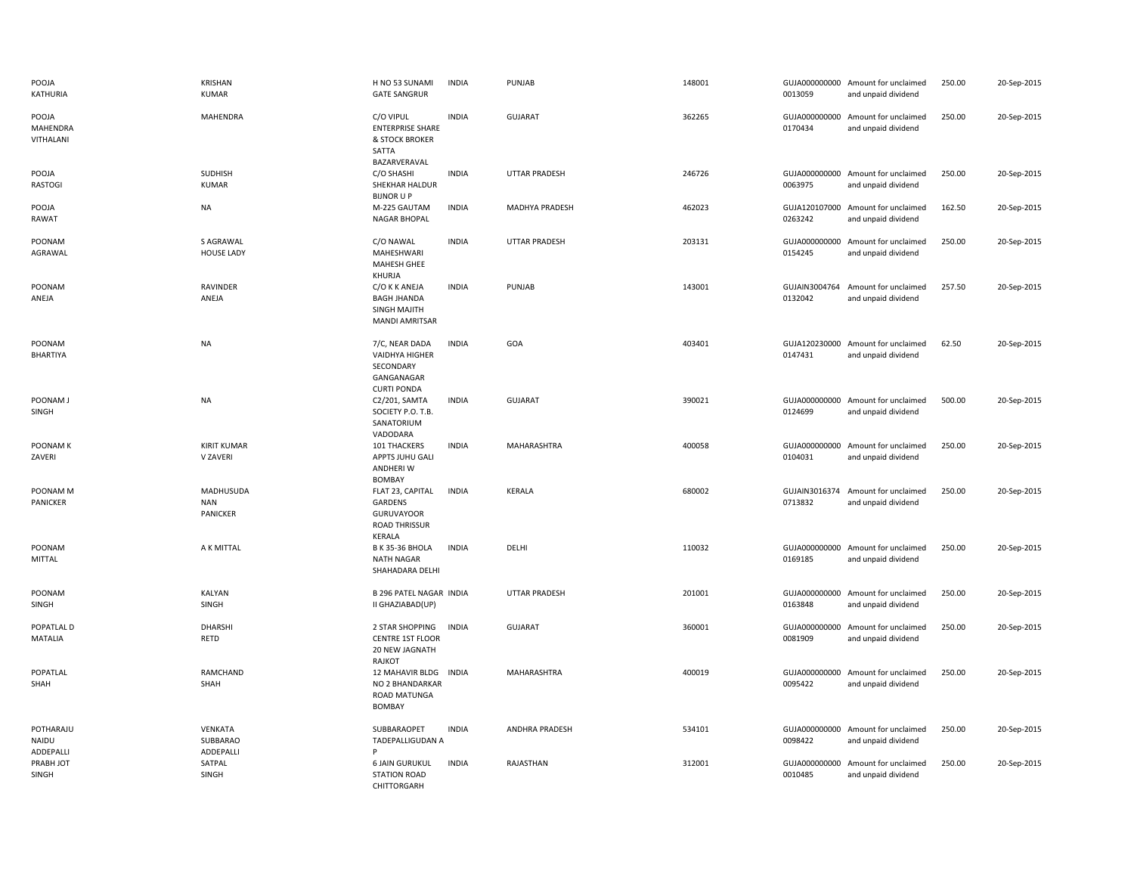| POOJA<br>KATHURIA               | <b>KRISHAN</b><br><b>KUMAR</b>      | H NO 53 SUNAMI<br><b>GATE SANGRUR</b>                                               | <b>INDIA</b> | PUNJAB               | 148001 | 0013059                  | GUJA000000000 Amount for unclaimed<br>and unpaid dividend | 250.00 | 20-Sep-2015 |
|---------------------------------|-------------------------------------|-------------------------------------------------------------------------------------|--------------|----------------------|--------|--------------------------|-----------------------------------------------------------|--------|-------------|
| POOJA<br>MAHENDRA<br>VITHALANI  | <b>MAHENDRA</b>                     | C/O VIPUL<br><b>ENTERPRISE SHARE</b><br>& STOCK BROKER<br>SATTA<br>BAZARVERAVAL     | <b>INDIA</b> | <b>GUJARAT</b>       | 362265 | 0170434                  | GUJA000000000 Amount for unclaimed<br>and unpaid dividend | 250.00 | 20-Sep-2015 |
| POOJA<br>RASTOGI                | SUDHISH<br><b>KUMAR</b>             | C/O SHASHI<br>SHEKHAR HALDUR<br><b>BIJNOR U P</b>                                   | <b>INDIA</b> | UTTAR PRADESH        | 246726 | 0063975                  | GUJA000000000 Amount for unclaimed<br>and unpaid dividend | 250.00 | 20-Sep-2015 |
| POOJA<br>RAWAT                  | NA                                  | M-225 GAUTAM<br><b>NAGAR BHOPAL</b>                                                 | <b>INDIA</b> | MADHYA PRADESH       | 462023 | 0263242                  | GUJA120107000 Amount for unclaimed<br>and unpaid dividend | 162.50 | 20-Sep-2015 |
| POONAM<br>AGRAWAL               | S AGRAWAL<br><b>HOUSE LADY</b>      | C/O NAWAL<br><b>MAHESHWARI</b><br>MAHESH GHEE<br>KHURJA                             | <b>INDIA</b> | <b>UTTAR PRADESH</b> | 203131 | 0154245                  | GUJA000000000 Amount for unclaimed<br>and unpaid dividend | 250.00 | 20-Sep-2015 |
| POONAM<br>ANEJA                 | <b>RAVINDER</b><br>ANEJA            | C/O K K ANEJA<br><b>BAGH JHANDA</b><br><b>SINGH MAJITH</b><br><b>MANDI AMRITSAR</b> | <b>INDIA</b> | PUNJAB               | 143001 | 0132042                  | GUJAIN3004764 Amount for unclaimed<br>and unpaid dividend | 257.50 | 20-Sep-2015 |
| POONAM<br>BHARTIYA              | <b>NA</b>                           | 7/C, NEAR DADA<br>VAIDHYA HIGHER<br>SECONDARY<br>GANGANAGAR<br><b>CURTI PONDA</b>   | <b>INDIA</b> | GOA                  | 403401 | 0147431                  | GUJA120230000 Amount for unclaimed<br>and unpaid dividend | 62.50  | 20-Sep-2015 |
| POONAM J<br>SINGH               | <b>NA</b>                           | C2/201, SAMTA<br>SOCIETY P.O. T.B.<br>SANATORIUM<br>VADODARA                        | <b>INDIA</b> | <b>GUJARAT</b>       | 390021 | GUJA000000000<br>0124699 | Amount for unclaimed<br>and unpaid dividend               | 500.00 | 20-Sep-2015 |
| POONAM K<br>ZAVERI              | <b>KIRIT KUMAR</b><br>V ZAVERI      | 101 THACKERS<br>APPTS JUHU GALI<br>ANDHERI W<br><b>BOMBAY</b>                       | <b>INDIA</b> | MAHARASHTRA          | 400058 | 0104031                  | GUJA000000000 Amount for unclaimed<br>and unpaid dividend | 250.00 | 20-Sep-2015 |
| POONAM M<br>PANICKER            | MADHUSUDA<br><b>NAN</b><br>PANICKER | FLAT 23, CAPITAL<br>GARDENS<br><b>GURUVAYOOR</b><br><b>ROAD THRISSUR</b><br>KERALA  | <b>INDIA</b> | KERALA               | 680002 | 0713832                  | GUJAIN3016374 Amount for unclaimed<br>and unpaid dividend | 250.00 | 20-Sep-2015 |
| POONAM<br>MITTAL                | A K MITTAL                          | <b>B K 35-36 BHOLA</b><br><b>NATH NAGAR</b><br>SHAHADARA DELHI                      | <b>INDIA</b> | DELHI                | 110032 | 0169185                  | GUJA000000000 Amount for unclaimed<br>and unpaid dividend | 250.00 | 20-Sep-2015 |
| POONAM<br>SINGH                 | KALYAN<br>SINGH                     | <b>B 296 PATEL NAGAR INDIA</b><br>II GHAZIABAD(UP)                                  |              | UTTAR PRADESH        | 201001 | 0163848                  | GUJA000000000 Amount for unclaimed<br>and unpaid dividend | 250.00 | 20-Sep-2015 |
| POPATLAL D<br>MATALIA           | <b>DHARSHI</b><br>RETD              | 2 STAR SHOPPING<br><b>CENTRE 1ST FLOOR</b><br>20 NEW JAGNATH<br>RAJKOT              | <b>INDIA</b> | GUJARAT              | 360001 | 0081909                  | GUJA000000000 Amount for unclaimed<br>and unpaid dividend | 250.00 | 20-Sep-2015 |
| POPATLAL<br>SHAH                | RAMCHAND<br>SHAH                    | 12 MAHAVIR BLDG<br>NO 2 BHANDARKAR<br>ROAD MATUNGA<br><b>BOMBAY</b>                 | INDIA        | MAHARASHTRA          | 400019 | 0095422                  | GUJA000000000 Amount for unclaimed<br>and unpaid dividend | 250.00 | 20-Sep-2015 |
| POTHARAJU<br>NAIDU<br>ADDEPALLI | VENKATA<br>SUBBARAO<br>ADDEPALLI    | SUBBARAOPET<br>TADEPALLIGUDAN A<br>Þ                                                | <b>INDIA</b> | ANDHRA PRADESH       | 534101 | 0098422                  | GUJA000000000 Amount for unclaimed<br>and unpaid dividend | 250.00 | 20-Sep-2015 |
| PRABH JOT<br>SINGH              | SATPAL<br>SINGH                     | <b>6 JAIN GURUKUL</b><br><b>STATION ROAD</b><br>CHITTORGARH                         | <b>INDIA</b> | RAJASTHAN            | 312001 | GUJA000000000<br>0010485 | Amount for unclaimed<br>and unpaid dividend               | 250.00 | 20-Sep-2015 |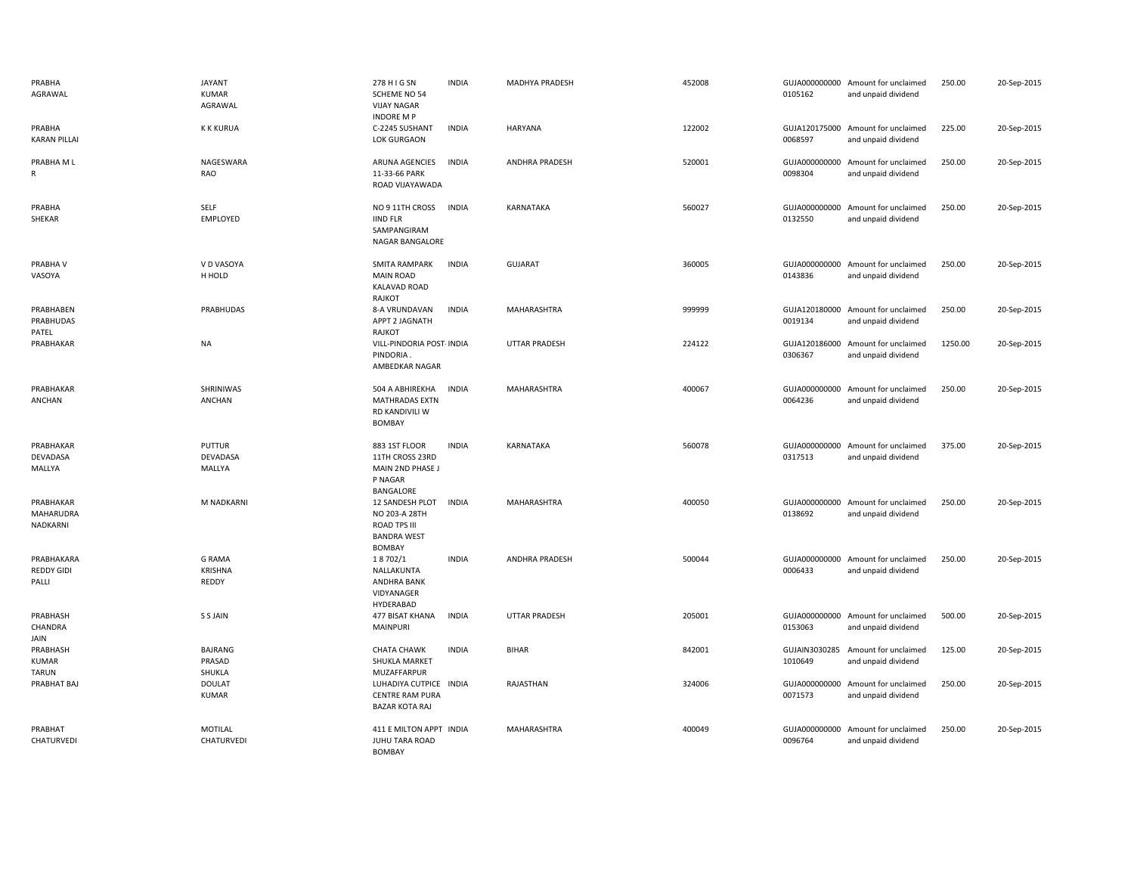| PRABHA<br>AGRAWAL                        | <b>JAYANT</b><br><b>KUMAR</b><br>AGRAWAL | 278 H I G SN<br>SCHEME NO 54<br><b>VIJAY NAGAR</b><br><b>INDORE M P</b>                        | <b>INDIA</b> | MADHYA PRADESH        | 452008 | 0105162                  | GUJA000000000 Amount for unclaimed<br>and unpaid dividend | 250.00  | 20-Sep-2015 |
|------------------------------------------|------------------------------------------|------------------------------------------------------------------------------------------------|--------------|-----------------------|--------|--------------------------|-----------------------------------------------------------|---------|-------------|
| PRABHA<br><b>KARAN PILLAI</b>            | <b>K K KURUA</b>                         | C-2245 SUSHANT<br>LOK GURGAON                                                                  | <b>INDIA</b> | HARYANA               | 122002 | 0068597                  | GUJA120175000 Amount for unclaimed<br>and unpaid dividend | 225.00  | 20-Sep-2015 |
| PRABHA M L<br>R                          | NAGESWARA<br>RAO                         | ARUNA AGENCIES<br>11-33-66 PARK<br>ROAD VIJAYAWADA                                             | <b>INDIA</b> | <b>ANDHRA PRADESH</b> | 520001 | GUJA000000000<br>0098304 | Amount for unclaimed<br>and unpaid dividend               | 250.00  | 20-Sep-2015 |
| PRABHA<br>SHEKAR                         | SELF<br>EMPLOYED                         | NO 9 11TH CROSS<br><b>IIND FLR</b><br>SAMPANGIRAM<br>NAGAR BANGALORE                           | <b>INDIA</b> | KARNATAKA             | 560027 | 0132550                  | GUJA000000000 Amount for unclaimed<br>and unpaid dividend | 250.00  | 20-Sep-2015 |
| PRABHA V<br>VASOYA                       | V D VASOYA<br>H HOLD                     | <b>SMITA RAMPARK</b><br><b>MAIN ROAD</b><br>KALAVAD ROAD<br>RAJKOT                             | <b>INDIA</b> | <b>GUJARAT</b>        | 360005 | 0143836                  | GUJA000000000 Amount for unclaimed<br>and unpaid dividend | 250.00  | 20-Sep-2015 |
| PRABHABEN<br>PRABHUDAS<br>PATEL          | PRABHUDAS                                | 8-A VRUNDAVAN<br><b>APPT 2 JAGNATH</b><br>RAJKOT                                               | <b>INDIA</b> | MAHARASHTRA           | 999999 | 0019134                  | GUJA120180000 Amount for unclaimed<br>and unpaid dividend | 250.00  | 20-Sep-2015 |
| PRABHAKAR                                | NA                                       | VILL-PINDORIA POST- INDIA<br>PINDORIA.<br>AMBEDKAR NAGAR                                       |              | <b>UTTAR PRADESH</b>  | 224122 | 0306367                  | GUJA120186000 Amount for unclaimed<br>and unpaid dividend | 1250.00 | 20-Sep-2015 |
| PRABHAKAR<br>ANCHAN                      | SHRINIWAS<br>ANCHAN                      | 504 A ABHIREKHA<br><b>MATHRADAS EXTN</b><br>RD KANDIVILI W<br><b>BOMBAY</b>                    | <b>INDIA</b> | MAHARASHTRA           | 400067 | 0064236                  | GUJA000000000 Amount for unclaimed<br>and unpaid dividend | 250.00  | 20-Sep-2015 |
| PRABHAKAR<br>DEVADASA<br>MALLYA          | PUTTUR<br>DEVADASA<br>MALLYA             | 883 1ST FLOOR<br>11TH CROSS 23RD<br>MAIN 2ND PHASE J<br>P NAGAR<br>BANGALORE                   | <b>INDIA</b> | KARNATAKA             | 560078 | 0317513                  | GUJA000000000 Amount for unclaimed<br>and unpaid dividend | 375.00  | 20-Sep-2015 |
| PRABHAKAR<br>MAHARUDRA<br>NADKARNI       | M NADKARNI                               | 12 SANDESH PLOT<br>NO 203-A 28TH<br><b>ROAD TPS III</b><br><b>BANDRA WEST</b><br><b>BOMBAY</b> | <b>INDIA</b> | MAHARASHTRA           | 400050 | 0138692                  | GUJA000000000 Amount for unclaimed<br>and unpaid dividend | 250.00  | 20-Sep-2015 |
| PRABHAKARA<br>REDDY GIDI<br>PALLI        | <b>G RAMA</b><br><b>KRISHNA</b><br>REDDY | 18702/1<br>NALLAKUNTA<br>ANDHRA BANK<br>VIDYANAGER<br>HYDERABAD                                | <b>INDIA</b> | <b>ANDHRA PRADESH</b> | 500044 | 0006433                  | GUJA000000000 Amount for unclaimed<br>and unpaid dividend | 250.00  | 20-Sep-2015 |
| PRABHASH<br>CHANDRA<br>JAIN              | S S JAIN                                 | 477 BISAT KHANA<br>MAINPURI                                                                    | <b>INDIA</b> | <b>UTTAR PRADESH</b>  | 205001 | 0153063                  | GUJA000000000 Amount for unclaimed<br>and unpaid dividend | 500.00  | 20-Sep-2015 |
| PRABHASH<br><b>KUMAR</b><br><b>TARUN</b> | <b>BAJRANG</b><br>PRASAD<br>SHUKLA       | <b>CHATA CHAWK</b><br>SHUKLA MARKET<br>MUZAFFARPUR                                             | <b>INDIA</b> | <b>BIHAR</b>          | 842001 | 1010649                  | GUJAIN3030285 Amount for unclaimed<br>and unpaid dividend | 125.00  | 20-Sep-2015 |
| PRABHAT BAJ                              | <b>DOULAT</b><br><b>KUMAR</b>            | LUHADIYA CUTPICE INDIA<br>CENTRE RAM PURA<br><b>BAZAR KOTA RAJ</b>                             |              | RAJASTHAN             | 324006 | 0071573                  | GUJA000000000 Amount for unclaimed<br>and unpaid dividend | 250.00  | 20-Sep-2015 |
| PRABHAT<br>CHATURVEDI                    | MOTILAL<br>CHATURVEDI                    | 411 E MILTON APPT INDIA<br>JUHU TARA ROAD<br><b>BOMBAY</b>                                     |              | MAHARASHTRA           | 400049 | GUJA000000000<br>0096764 | Amount for unclaimed<br>and unpaid dividend               | 250.00  | 20-Sep-2015 |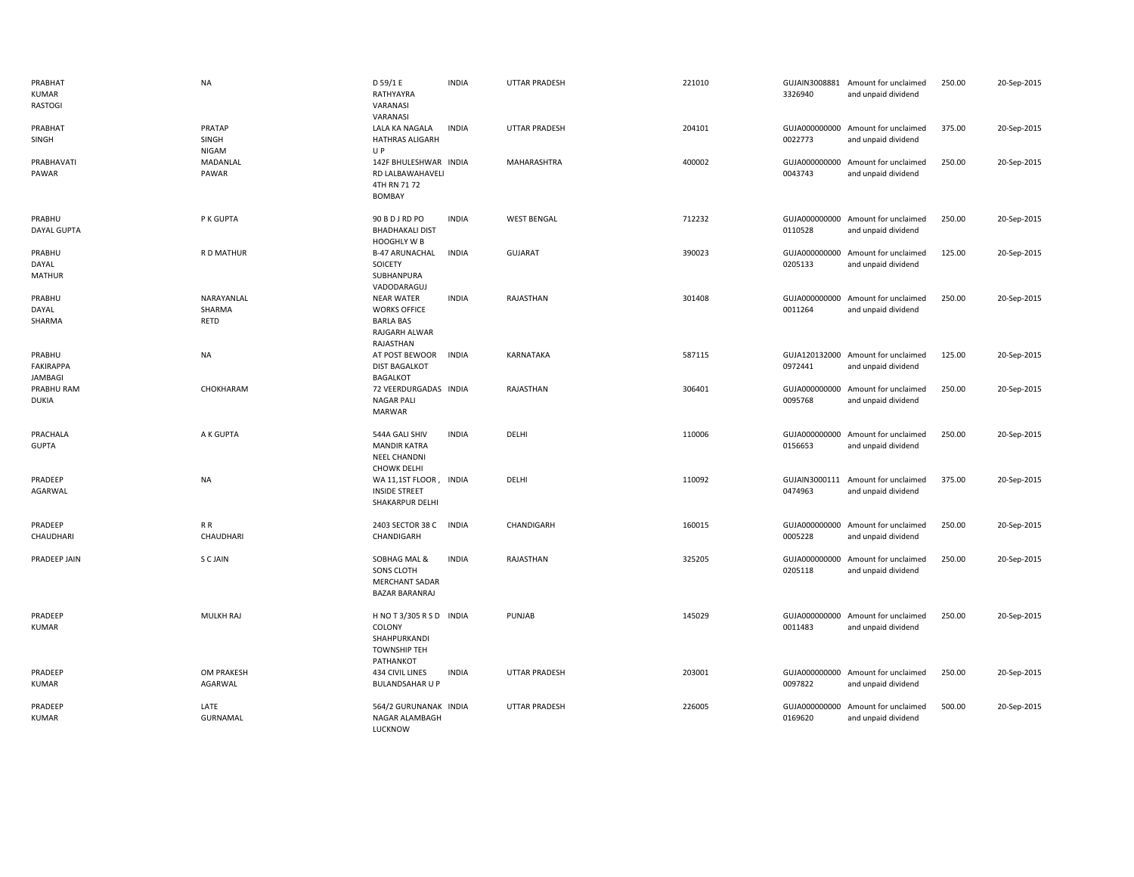| PRABHAT<br>KUMAR<br>RASTOGI           | <b>NA</b>                    | D 59/1 E<br>RATHYAYRA<br>VARANASI<br>VARANASI                                              | <b>INDIA</b> | <b>UTTAR PRADESH</b> | 221010 | 3326940                  | GUJAIN3008881 Amount for unclaimed<br>and unpaid dividend | 250.00 | 20-Sep-2015 |
|---------------------------------------|------------------------------|--------------------------------------------------------------------------------------------|--------------|----------------------|--------|--------------------------|-----------------------------------------------------------|--------|-------------|
| PRABHAT<br>SINGH                      | PRATAP<br>SINGH<br>NIGAM     | LALA KA NAGALA<br><b>HATHRAS ALIGARH</b><br>UP                                             | <b>INDIA</b> | UTTAR PRADESH        | 204101 | 0022773                  | GUJA000000000 Amount for unclaimed<br>and unpaid dividend | 375.00 | 20-Sep-2015 |
| PRABHAVATI<br>PAWAR                   | MADANLAL<br>PAWAR            | 142F BHULESHWAR INDIA<br>RD LALBAWAHAVELI<br>4TH RN 71 72<br><b>BOMBAY</b>                 |              | MAHARASHTRA          | 400002 | GUJA000000000<br>0043743 | Amount for unclaimed<br>and unpaid dividend               | 250.00 | 20-Sep-2015 |
| PRABHU<br><b>DAYAL GUPTA</b>          | P K GUPTA                    | 90 B D J RD PO<br><b>BHADHAKALI DIST</b><br>HOOGHLY W B                                    | <b>INDIA</b> | <b>WEST BENGAL</b>   | 712232 | 0110528                  | GUJA000000000 Amount for unclaimed<br>and unpaid dividend | 250.00 | 20-Sep-2015 |
| PRABHU<br>DAYAL<br><b>MATHUR</b>      | R D MATHUR                   | <b>B-47 ARUNACHAL</b><br>SOICETY<br>SUBHANPURA<br>VADODARAGUJ                              | <b>INDIA</b> | <b>GUJARAT</b>       | 390023 | 0205133                  | GUJA000000000 Amount for unclaimed<br>and unpaid dividend | 125.00 | 20-Sep-2015 |
| PRABHU<br>DAYAL<br>SHARMA             | NARAYANLAL<br>SHARMA<br>RETD | <b>NEAR WATER</b><br><b>WORKS OFFICE</b><br><b>BARLA BAS</b><br>RAJGARH ALWAR<br>RAJASTHAN | <b>INDIA</b> | RAJASTHAN            | 301408 | 0011264                  | GUJA000000000 Amount for unclaimed<br>and unpaid dividend | 250.00 | 20-Sep-2015 |
| PRABHU<br>FAKIRAPPA<br><b>JAMBAGI</b> | NA                           | AT POST BEWOOR<br><b>DIST BAGALKOT</b><br><b>BAGALKOT</b>                                  | <b>INDIA</b> | KARNATAKA            | 587115 | 0972441                  | GUJA120132000 Amount for unclaimed<br>and unpaid dividend | 125.00 | 20-Sep-2015 |
| PRABHU RAM<br><b>DUKIA</b>            | CHOKHARAM                    | 72 VEERDURGADAS INDIA<br><b>NAGAR PALI</b><br><b>MARWAR</b>                                |              | RAJASTHAN            | 306401 | 0095768                  | GUJA000000000 Amount for unclaimed<br>and unpaid dividend | 250.00 | 20-Sep-2015 |
| PRACHALA<br><b>GUPTA</b>              | A K GUPTA                    | 544A GALI SHIV<br><b>MANDIR KATRA</b><br><b>NEEL CHANDNI</b><br><b>CHOWK DELHI</b>         | <b>INDIA</b> | DELHI                | 110006 | 0156653                  | GUJA000000000 Amount for unclaimed<br>and unpaid dividend | 250.00 | 20-Sep-2015 |
| PRADEEP<br>AGARWAL                    | <b>NA</b>                    | WA 11,1ST FLOOR, INDIA<br><b>INSIDE STREET</b><br>SHAKARPUR DELHI                          |              | DELHI                | 110092 | GUJAIN3000111<br>0474963 | Amount for unclaimed<br>and unpaid dividend               | 375.00 | 20-Sep-2015 |
| PRADEEP<br>CHAUDHARI                  | R R<br>CHAUDHARI             | 2403 SECTOR 38 C<br>CHANDIGARH                                                             | <b>INDIA</b> | CHANDIGARH           | 160015 | 0005228                  | GUJA000000000 Amount for unclaimed<br>and unpaid dividend | 250.00 | 20-Sep-2015 |
| PRADEEP JAIN                          | S C JAIN                     | SOBHAG MAL &<br>SONS CLOTH<br><b>MERCHANT SADAR</b><br><b>BAZAR BARANRAJ</b>               | <b>INDIA</b> | RAJASTHAN            | 325205 | 0205118                  | GUJA000000000 Amount for unclaimed<br>and unpaid dividend | 250.00 | 20-Sep-2015 |
| PRADEEP<br>KUMAR                      | <b>MULKH RAJ</b>             | HNOT3/305 RSD INDIA<br>COLONY<br>SHAHPURKANDI<br><b>TOWNSHIP TEH</b><br>PATHANKOT          |              | PUNJAB               | 145029 | 0011483                  | GUJA000000000 Amount for unclaimed<br>and unpaid dividend | 250.00 | 20-Sep-2015 |
| PRADEEP<br><b>KUMAR</b>               | OM PRAKESH<br>AGARWAL        | 434 CIVIL LINES<br><b>BULANDSAHAR U P</b>                                                  | <b>INDIA</b> | <b>UTTAR PRADESH</b> | 203001 | 0097822                  | GUJA000000000 Amount for unclaimed<br>and unpaid dividend | 250.00 | 20-Sep-2015 |
| PRADEEP<br>KUMAR                      | LATE<br>GURNAMAL             | 564/2 GURUNANAK INDIA<br>NAGAR ALAMBAGH<br>LUCKNOW                                         |              | <b>UTTAR PRADESH</b> | 226005 | GUJA000000000<br>0169620 | Amount for unclaimed<br>and unpaid dividend               | 500.00 | 20-Sep-2015 |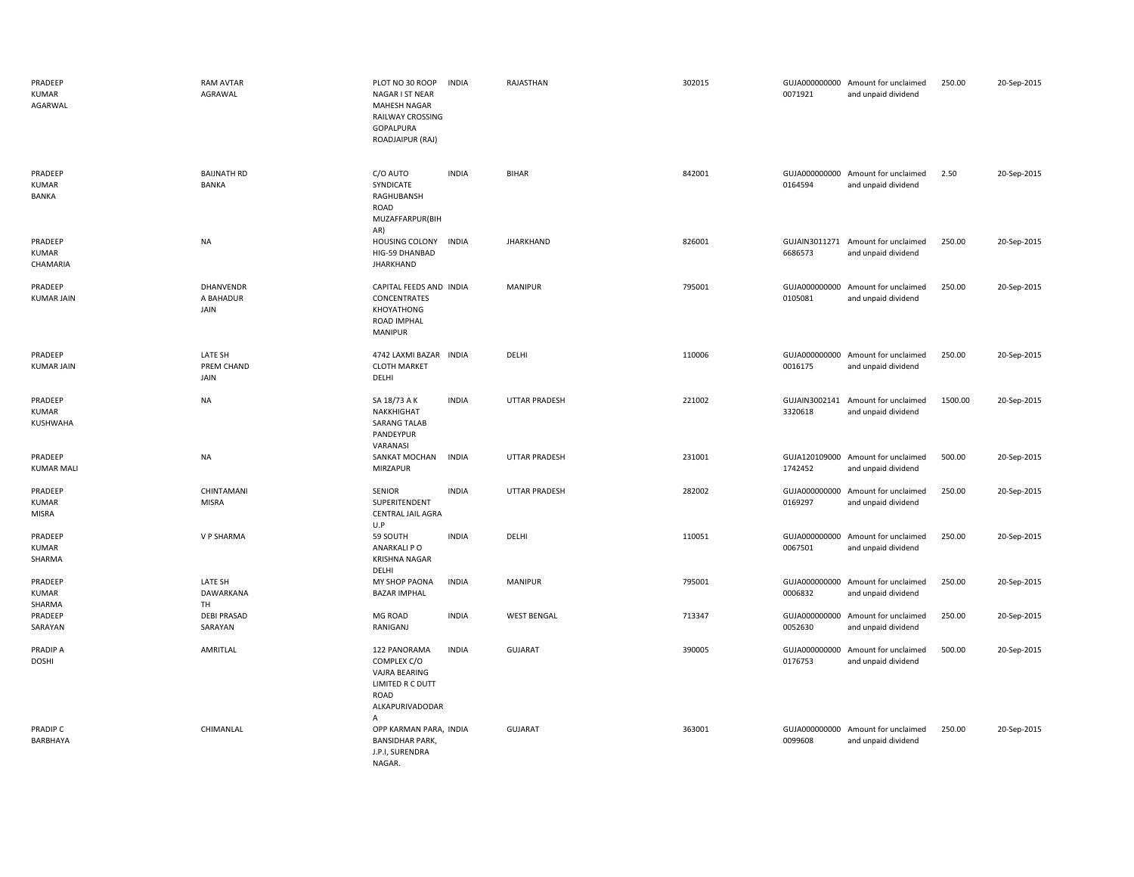| PRADEEP<br>KUMAR<br>AGARWAL             | <b>RAM AVTAR</b><br>AGRAWAL        | PLOT NO 30 ROOP<br>NAGAR I ST NEAR<br>MAHESH NAGAR<br>RAILWAY CROSSING<br>GOPALPURA<br>ROADJAIPUR (RAJ) | <b>INDIA</b> | RAJASTHAN          | 302015 | 0071921                  | GUJA000000000 Amount for unclaimed<br>and unpaid dividend | 250.00  | 20-Sep-2015 |
|-----------------------------------------|------------------------------------|---------------------------------------------------------------------------------------------------------|--------------|--------------------|--------|--------------------------|-----------------------------------------------------------|---------|-------------|
| PRADEEP<br><b>KUMAR</b><br>BANKA        | <b>BAIJNATH RD</b><br><b>BANKA</b> | C/O AUTO<br>SYNDICATE<br>RAGHUBANSH<br>ROAD<br>MUZAFFARPUR(BIH<br>AR)                                   | <b>INDIA</b> | <b>BIHAR</b>       | 842001 | 0164594                  | GUJA000000000 Amount for unclaimed<br>and unpaid dividend | 2.50    | 20-Sep-2015 |
| PRADEEP<br><b>KUMAR</b><br>CHAMARIA     | <b>NA</b>                          | HOUSING COLONY INDIA<br>HIG-59 DHANBAD<br><b>JHARKHAND</b>                                              |              | <b>JHARKHAND</b>   | 826001 | 6686573                  | GUJAIN3011271 Amount for unclaimed<br>and unpaid dividend | 250.00  | 20-Sep-2015 |
| PRADEEP<br><b>KUMAR JAIN</b>            | DHANVENDR<br>A BAHADUR<br>JAIN     | CAPITAL FEEDS AND INDIA<br>CONCENTRATES<br>KHOYATHONG<br>ROAD IMPHAL<br>MANIPUR                         |              | MANIPUR            | 795001 | 0105081                  | GUJA000000000 Amount for unclaimed<br>and unpaid dividend | 250.00  | 20-Sep-2015 |
| PRADEEP<br><b>KUMAR JAIN</b>            | LATE SH<br>PREM CHAND<br>JAIN      | 4742 LAXMI BAZAR INDIA<br><b>CLOTH MARKET</b><br>DELHI                                                  |              | DELHI              | 110006 | 0016175                  | GUJA000000000 Amount for unclaimed<br>and unpaid dividend | 250.00  | 20-Sep-2015 |
| PRADEEP<br>KUMAR<br>KUSHWAHA            | <b>NA</b>                          | SA 18/73 A K<br>NAKKHIGHAT<br><b>SARANG TALAB</b><br>PANDEYPUR<br>VARANASI                              | <b>INDIA</b> | UTTAR PRADESH      | 221002 | 3320618                  | GUJAIN3002141 Amount for unclaimed<br>and unpaid dividend | 1500.00 | 20-Sep-2015 |
| PRADEEP<br><b>KUMAR MALI</b>            | <b>NA</b>                          | SANKAT MOCHAN<br>MIRZAPUR                                                                               | <b>INDIA</b> | UTTAR PRADESH      | 231001 | 1742452                  | GUJA120109000 Amount for unclaimed<br>and unpaid dividend | 500.00  | 20-Sep-2015 |
| PRADEEP<br><b>KUMAR</b><br><b>MISRA</b> | CHINTAMANI<br><b>MISRA</b>         | SENIOR<br>SUPERITENDENT<br>CENTRAL JAIL AGRA<br>U.P                                                     | <b>INDIA</b> | UTTAR PRADESH      | 282002 | 0169297                  | GUJA000000000 Amount for unclaimed<br>and unpaid dividend | 250.00  | 20-Sep-2015 |
| PRADEEP<br>KUMAR<br>SHARMA              | V P SHARMA                         | 59 SOUTH<br>ANARKALI P O<br><b>KRISHNA NAGAR</b><br>DELHI                                               | <b>INDIA</b> | DELHI              | 110051 | GUJA000000000<br>0067501 | Amount for unclaimed<br>and unpaid dividend               | 250.00  | 20-Sep-2015 |
| PRADEEP<br>KUMAR<br>SHARMA              | LATE SH<br>DAWARKANA<br>TH         | MY SHOP PAONA<br><b>BAZAR IMPHAL</b>                                                                    | <b>INDIA</b> | <b>MANIPUR</b>     | 795001 | 0006832                  | GUJA000000000 Amount for unclaimed<br>and unpaid dividend | 250.00  | 20-Sep-2015 |
| PRADEEP<br>SARAYAN                      | <b>DEBI PRASAD</b><br>SARAYAN      | MG ROAD<br>RANIGANJ                                                                                     | <b>INDIA</b> | <b>WEST BENGAL</b> | 713347 | 0052630                  | GUJA000000000 Amount for unclaimed<br>and unpaid dividend | 250.00  | 20-Sep-2015 |
| PRADIP A<br><b>DOSHI</b>                | AMRITLAL                           | 122 PANORAMA<br>COMPLEX C/O<br>VAJRA BEARING<br>LIMITED R C DUTT<br>ROAD<br>ALKAPURIVADODAR<br>Α        | <b>INDIA</b> | GUJARAT            | 390005 | GUJA000000000<br>0176753 | Amount for unclaimed<br>and unpaid dividend               | 500.00  | 20-Sep-2015 |
| PRADIP C<br>BARBHAYA                    | CHIMANLAL                          | OPP KARMAN PARA, INDIA<br><b>BANSIDHAR PARK,</b><br>J.P.I, SURENDRA<br>NAGAR.                           |              | GUJARAT            | 363001 | 0099608                  | GUJA000000000 Amount for unclaimed<br>and unpaid dividend | 250.00  | 20-Sep-2015 |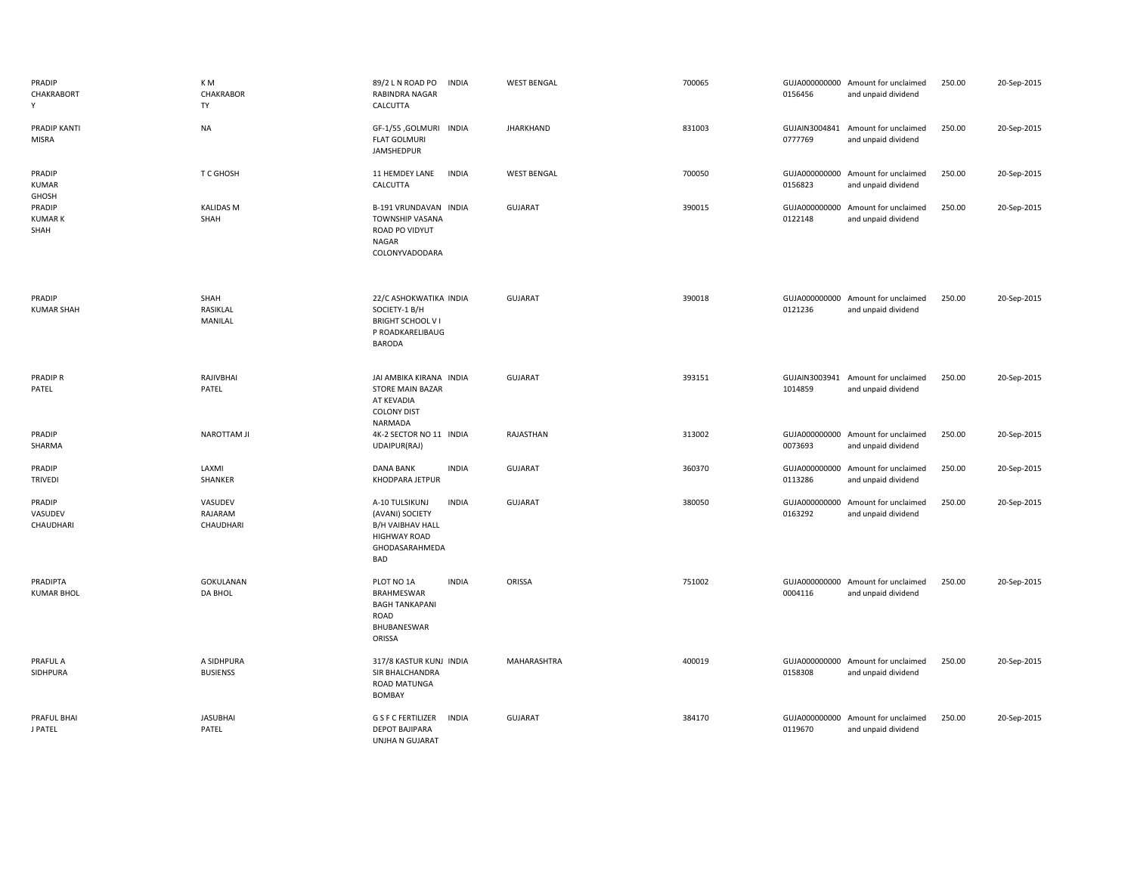| PRADIP<br>CHAKRABORT<br>Y       | K M<br><b>CHAKRABOR</b><br>TY   | 89/2 L N ROAD PO<br><b>INDIA</b><br>RABINDRA NAGAR<br>CALCUTTA                                                               | <b>WEST BENGAL</b> | 700065 | 0156456                  | GUJA000000000 Amount for unclaimed<br>and unpaid dividend | 250.00 | 20-Sep-2015 |
|---------------------------------|---------------------------------|------------------------------------------------------------------------------------------------------------------------------|--------------------|--------|--------------------------|-----------------------------------------------------------|--------|-------------|
| PRADIP KANTI<br><b>MISRA</b>    | <b>NA</b>                       | GF-1/55 ,GOLMURI INDIA<br><b>FLAT GOLMURI</b><br>JAMSHEDPUR                                                                  | <b>JHARKHAND</b>   | 831003 | GUJAIN3004841<br>0777769 | Amount for unclaimed<br>and unpaid dividend               | 250.00 | 20-Sep-2015 |
| PRADIP<br>KUMAR<br>GHOSH        | T C GHOSH                       | 11 HEMDEY LANE<br><b>INDIA</b><br>CALCUTTA                                                                                   | <b>WEST BENGAL</b> | 700050 | 0156823                  | GUJA000000000 Amount for unclaimed<br>and unpaid dividend | 250.00 | 20-Sep-2015 |
| PRADIP<br><b>KUMARK</b><br>SHAH | <b>KALIDAS M</b><br>SHAH        | B-191 VRUNDAVAN INDIA<br><b>TOWNSHIP VASANA</b><br>ROAD PO VIDYUT<br><b>NAGAR</b><br>COLONYVADODARA                          | <b>GUJARAT</b>     | 390015 | GUJA000000000<br>0122148 | Amount for unclaimed<br>and unpaid dividend               | 250.00 | 20-Sep-2015 |
| PRADIP<br><b>KUMAR SHAH</b>     | SHAH<br>RASIKLAL<br>MANILAL     | 22/C ASHOKWATIKA INDIA<br>SOCIETY-1 B/H<br><b>BRIGHT SCHOOL VI</b><br>P ROADKARELIBAUG<br>BARODA                             | <b>GUJARAT</b>     | 390018 | 0121236                  | GUJA000000000 Amount for unclaimed<br>and unpaid dividend | 250.00 | 20-Sep-2015 |
| <b>PRADIPR</b><br>PATEL         | RAJIVBHAI<br>PATEL              | JAI AMBIKA KIRANA INDIA<br><b>STORE MAIN BAZAR</b><br>AT KEVADIA<br><b>COLONY DIST</b><br>NARMADA                            | <b>GUJARAT</b>     | 393151 | GUJAIN3003941<br>1014859 | Amount for unclaimed<br>and unpaid dividend               | 250.00 | 20-Sep-2015 |
| PRADIP<br>SHARMA                | <b>NAROTTAM JI</b>              | 4K-2 SECTOR NO 11 INDIA<br>UDAIPUR(RAJ)                                                                                      | RAJASTHAN          | 313002 | GUJA000000000<br>0073693 | Amount for unclaimed<br>and unpaid dividend               | 250.00 | 20-Sep-2015 |
| PRADIP<br><b>TRIVEDI</b>        | LAXMI<br>SHANKER                | <b>DANA BANK</b><br><b>INDIA</b><br>KHODPARA JETPUR                                                                          | <b>GUJARAT</b>     | 360370 | GUJA000000000<br>0113286 | Amount for unclaimed<br>and unpaid dividend               | 250.00 | 20-Sep-2015 |
| PRADIP<br>VASUDEV<br>CHAUDHARI  | VASUDEV<br>RAJARAM<br>CHAUDHARI | <b>INDIA</b><br>A-10 TULSIKUNJ<br>(AVANI) SOCIETY<br><b>B/H VAIBHAV HALL</b><br><b>HIGHWAY ROAD</b><br>GHODASARAHMEDA<br>BAD | GUJARAT            | 380050 | GUJA000000000<br>0163292 | Amount for unclaimed<br>and unpaid dividend               | 250.00 | 20-Sep-2015 |
| PRADIPTA<br><b>KUMAR BHOL</b>   | <b>GOKULANAN</b><br>DA BHOL     | PLOT NO 1A<br><b>INDIA</b><br>BRAHMESWAR<br><b>BAGH TANKAPANI</b><br>ROAD<br>BHUBANESWAR<br>ORISSA                           | ORISSA             | 751002 | 0004116                  | GUJA000000000 Amount for unclaimed<br>and unpaid dividend | 250.00 | 20-Sep-2015 |
| PRAFUL A<br>SIDHPURA            | A SIDHPURA<br><b>BUSIENSS</b>   | 317/8 KASTUR KUNJ INDIA<br>SIR BHALCHANDRA<br>ROAD MATUNGA<br>BOMBAY                                                         | MAHARASHTRA        | 400019 | 0158308                  | GUJA000000000 Amount for unclaimed<br>and unpaid dividend | 250.00 | 20-Sep-2015 |
| PRAFUL BHAI<br>J PATEL          | <b>JASUBHAI</b><br>PATEL        | <b>G S F C FERTILIZER</b><br><b>INDIA</b><br>DEPOT BAJIPARA<br>UNJHA N GUJARAT                                               | <b>GUJARAT</b>     | 384170 | GUJA000000000<br>0119670 | Amount for unclaimed<br>and unpaid dividend               | 250.00 | 20-Sep-2015 |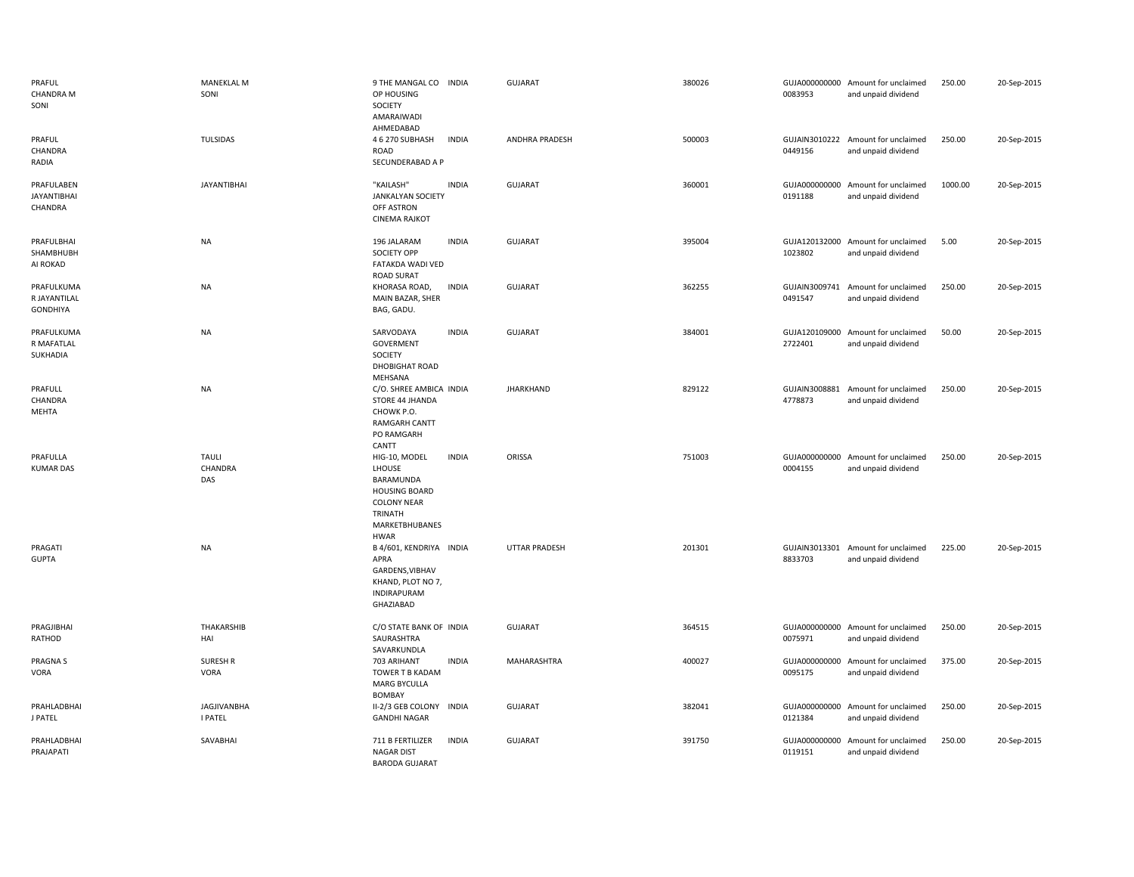| PRAFUL<br>CHANDRA M<br>SONI                   | <b>MANEKLAL M</b><br>SONI      | 9 THE MANGAL CO INDIA<br>OP HOUSING<br>SOCIETY<br>AMARAIWADI<br>AHMEDABAD                                                                      | <b>GUJARAT</b>       | 380026 | 0083953                  | GUJA000000000 Amount for unclaimed<br>and unpaid dividend | 250.00  | 20-Sep-2015 |
|-----------------------------------------------|--------------------------------|------------------------------------------------------------------------------------------------------------------------------------------------|----------------------|--------|--------------------------|-----------------------------------------------------------|---------|-------------|
| PRAFUL<br>CHANDRA<br>RADIA                    | TULSIDAS                       | 4 6 270 SUBHASH<br><b>INDIA</b><br>ROAD<br>SECUNDERABAD A P                                                                                    | ANDHRA PRADESH       | 500003 | 0449156                  | GUJAIN3010222 Amount for unclaimed<br>and unpaid dividend | 250.00  | 20-Sep-2015 |
| PRAFULABEN<br><b>JAYANTIBHAI</b><br>CHANDRA   | <b>JAYANTIBHAI</b>             | "KAILASH"<br><b>INDIA</b><br><b>JANKALYAN SOCIETY</b><br>OFF ASTRON<br><b>CINEMA RAJKOT</b>                                                    | <b>GUJARAT</b>       | 360001 | GUJA000000000<br>0191188 | Amount for unclaimed<br>and unpaid dividend               | 1000.00 | 20-Sep-2015 |
| PRAFULBHAI<br>SHAMBHUBH<br>AI ROKAD           | <b>NA</b>                      | <b>INDIA</b><br>196 JALARAM<br>SOCIETY OPP<br>FATAKDA WADI VED<br><b>ROAD SURAT</b>                                                            | GUJARAT              | 395004 | 1023802                  | GUJA120132000 Amount for unclaimed<br>and unpaid dividend | 5.00    | 20-Sep-2015 |
| PRAFULKUMA<br>R JAYANTILAL<br><b>GONDHIYA</b> | <b>NA</b>                      | <b>INDIA</b><br>KHORASA ROAD,<br>MAIN BAZAR, SHER<br>BAG, GADU.                                                                                | <b>GUJARAT</b>       | 362255 | 0491547                  | GUJAIN3009741 Amount for unclaimed<br>and unpaid dividend | 250.00  | 20-Sep-2015 |
| PRAFULKUMA<br>R MAFATLAL<br>SUKHADIA          | <b>NA</b>                      | SARVODAYA<br><b>INDIA</b><br>GOVERMENT<br>SOCIETY<br>DHOBIGHAT ROAD<br>MEHSANA                                                                 | <b>GUJARAT</b>       | 384001 | GUJA120109000<br>2722401 | Amount for unclaimed<br>and unpaid dividend               | 50.00   | 20-Sep-2015 |
| PRAFULL<br>CHANDRA<br>MEHTA                   | <b>NA</b>                      | C/O. SHREE AMBICA INDIA<br>STORE 44 JHANDA<br>CHOWK P.O.<br><b>RAMGARH CANTT</b><br>PO RAMGARH<br>CANTT                                        | JHARKHAND            | 829122 | GUJAIN3008881<br>4778873 | Amount for unclaimed<br>and unpaid dividend               | 250.00  | 20-Sep-2015 |
| PRAFULLA<br><b>KUMAR DAS</b>                  | <b>TAULI</b><br>CHANDRA<br>DAS | HIG-10, MODEL<br><b>INDIA</b><br>LHOUSE<br>BARAMUNDA<br><b>HOUSING BOARD</b><br><b>COLONY NEAR</b><br>TRINATH<br>MARKETBHUBANES<br><b>HWAR</b> | ORISSA               | 751003 | 0004155                  | GUJA000000000 Amount for unclaimed<br>and unpaid dividend | 250.00  | 20-Sep-2015 |
| PRAGATI<br><b>GUPTA</b>                       | <b>NA</b>                      | B 4/601, KENDRIYA INDIA<br>APRA<br>GARDENS, VIBHAV<br>KHAND, PLOT NO 7,<br><b>INDIRAPURAM</b><br>GHAZIABAD                                     | <b>UTTAR PRADESH</b> | 201301 | 8833703                  | GUJAIN3013301 Amount for unclaimed<br>and unpaid dividend | 225.00  | 20-Sep-2015 |
| PRAGJIBHAI<br>RATHOD                          | THAKARSHIB<br>HAI              | C/O STATE BANK OF INDIA<br>SAURASHTRA<br>SAVARKUNDLA                                                                                           | <b>GUJARAT</b>       | 364515 | 0075971                  | GUJA000000000 Amount for unclaimed<br>and unpaid dividend | 250.00  | 20-Sep-2015 |
| <b>PRAGNAS</b><br>VORA                        | <b>SURESH R</b><br><b>VORA</b> | <b>INDIA</b><br>703 ARIHANT<br>TOWER T B KADAM<br><b>MARG BYCULLA</b><br>BOMBAY                                                                | MAHARASHTRA          | 400027 | 0095175                  | GUJA000000000 Amount for unclaimed<br>and unpaid dividend | 375.00  | 20-Sep-2015 |
| PRAHLADBHAI<br>J PATEL                        | <b>JAGJIVANBHA</b><br>I PATEL  | II-2/3 GEB COLONY INDIA<br><b>GANDHI NAGAR</b>                                                                                                 | GUJARAT              | 382041 | GUJA000000000<br>0121384 | Amount for unclaimed<br>and unpaid dividend               | 250.00  | 20-Sep-2015 |
| PRAHLADBHAI<br>PRAJAPATI                      | SAVABHAI                       | 711 B FERTILIZER<br><b>INDIA</b><br><b>NAGAR DIST</b><br><b>BARODA GUJARAT</b>                                                                 | <b>GUJARAT</b>       | 391750 | GUJA000000000<br>0119151 | Amount for unclaimed<br>and unpaid dividend               | 250.00  | 20-Sep-2015 |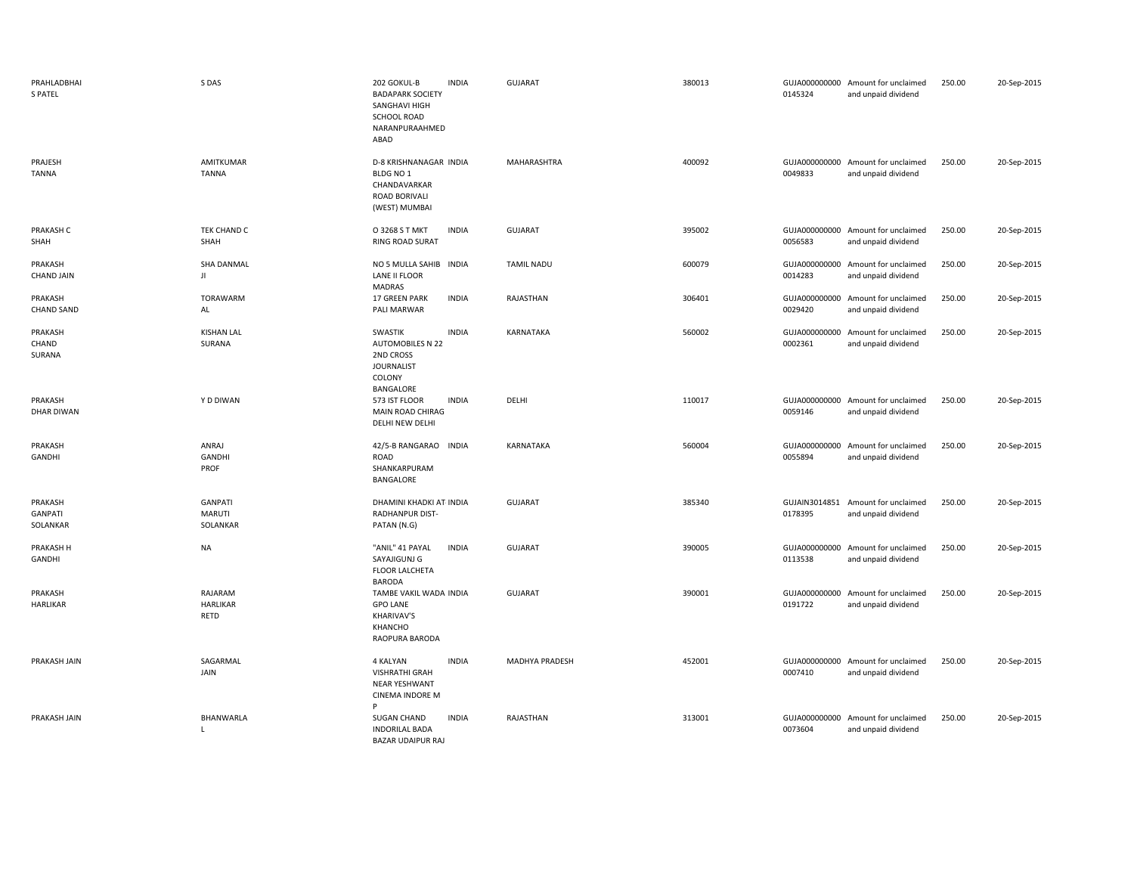| PRAHLADBHAI<br><b>S PATEL</b>         | S DAS                                       | 202 GOKUL-B<br><b>INDIA</b><br><b>BADAPARK SOCIETY</b><br>SANGHAVI HIGH<br><b>SCHOOL ROAD</b><br>NARANPURAAHMED<br>ABAD | <b>GUJARAT</b>    | 380013 | 0145324                  | GUJA000000000 Amount for unclaimed<br>and unpaid dividend | 250.00 | 20-Sep-2015 |
|---------------------------------------|---------------------------------------------|-------------------------------------------------------------------------------------------------------------------------|-------------------|--------|--------------------------|-----------------------------------------------------------|--------|-------------|
| PRAJESH<br><b>TANNA</b>               | AMITKUMAR<br><b>TANNA</b>                   | D-8 KRISHNANAGAR INDIA<br>BLDG NO 1<br>CHANDAVARKAR<br>ROAD BORIVALI<br>(WEST) MUMBAI                                   | MAHARASHTRA       | 400092 | 0049833                  | GUJA000000000 Amount for unclaimed<br>and unpaid dividend | 250.00 | 20-Sep-2015 |
| PRAKASH C<br>SHAH                     | TEK CHAND C<br>SHAH                         | <b>INDIA</b><br>O 3268 S T MKT<br><b>RING ROAD SURAT</b>                                                                | <b>GUJARAT</b>    | 395002 | 0056583                  | GUJA000000000 Amount for unclaimed<br>and unpaid dividend | 250.00 | 20-Sep-2015 |
| PRAKASH<br><b>CHAND JAIN</b>          | <b>SHA DANMAL</b><br>JI                     | NO 5 MULLA SAHIB INDIA<br>LANE II FLOOR<br>MADRAS                                                                       | <b>TAMIL NADU</b> | 600079 | 0014283                  | GUJA000000000 Amount for unclaimed<br>and unpaid dividend | 250.00 | 20-Sep-2015 |
| PRAKASH<br><b>CHAND SAND</b>          | TORAWARM<br>AL                              | 17 GREEN PARK<br><b>INDIA</b><br>PALI MARWAR                                                                            | RAJASTHAN         | 306401 | GUJA000000000<br>0029420 | Amount for unclaimed<br>and unpaid dividend               | 250.00 | 20-Sep-2015 |
| PRAKASH<br>CHAND<br>SURANA            | <b>KISHAN LAL</b><br>SURANA                 | <b>INDIA</b><br>SWASTIK<br><b>AUTOMOBILES N 22</b><br>2ND CROSS<br><b>JOURNALIST</b><br>COLONY<br>BANGALORE             | KARNATAKA         | 560002 | 0002361                  | GUJA000000000 Amount for unclaimed<br>and unpaid dividend | 250.00 | 20-Sep-2015 |
| PRAKASH<br><b>DHAR DIWAN</b>          | Y D DIWAN                                   | 573 IST FLOOR<br><b>INDIA</b><br>MAIN ROAD CHIRAG<br>DELHI NEW DELHI                                                    | DELHI             | 110017 | 0059146                  | GUJA000000000 Amount for unclaimed<br>and unpaid dividend | 250.00 | 20-Sep-2015 |
| PRAKASH<br>GANDHI                     | ANRAJ<br>GANDHI<br>PROF                     | 42/5-B RANGARAO INDIA<br>ROAD<br>SHANKARPURAM<br>BANGALORE                                                              | KARNATAKA         | 560004 | 0055894                  | GUJA000000000 Amount for unclaimed<br>and unpaid dividend | 250.00 | 20-Sep-2015 |
| PRAKASH<br><b>GANPATI</b><br>SOLANKAR | <b>GANPATI</b><br><b>MARUTI</b><br>SOLANKAR | DHAMINI KHADKI AT INDIA<br>RADHANPUR DIST-<br>PATAN (N.G)                                                               | <b>GUJARAT</b>    | 385340 | 0178395                  | GUJAIN3014851 Amount for unclaimed<br>and unpaid dividend | 250.00 | 20-Sep-2015 |
| PRAKASH H<br>GANDHI                   | <b>NA</b>                                   | "ANIL" 41 PAYAL<br><b>INDIA</b><br>SAYAJIGUNJ G<br>FLOOR LALCHETA<br><b>BARODA</b>                                      | <b>GUJARAT</b>    | 390005 | 0113538                  | GUJA000000000 Amount for unclaimed<br>and unpaid dividend | 250.00 | 20-Sep-2015 |
| PRAKASH<br><b>HARLIKAR</b>            | RAJARAM<br><b>HARLIKAR</b><br>RETD          | TAMBE VAKIL WADA INDIA<br><b>GPO LANE</b><br>KHARIVAV'S<br>KHANCHO<br>RAOPURA BARODA                                    | <b>GUJARAT</b>    | 390001 | GUJA000000000<br>0191722 | Amount for unclaimed<br>and unpaid dividend               | 250.00 | 20-Sep-2015 |
| PRAKASH JAIN                          | SAGARMAL<br>JAIN                            | <b>INDIA</b><br>4 KALYAN<br><b>VISHRATHI GRAH</b><br><b>NEAR YESHWANT</b><br><b>CINEMA INDORE M</b><br>P                | MADHYA PRADESH    | 452001 | 0007410                  | GUJA000000000 Amount for unclaimed<br>and unpaid dividend | 250.00 | 20-Sep-2015 |
| PRAKASH JAIN                          | BHANWARLA<br>L                              | <b>SUGAN CHAND</b><br><b>INDIA</b><br><b>INDORILAL BADA</b><br><b>BAZAR UDAIPUR RAJ</b>                                 | RAJASTHAN         | 313001 | GUJA000000000<br>0073604 | Amount for unclaimed<br>and unpaid dividend               | 250.00 | 20-Sep-2015 |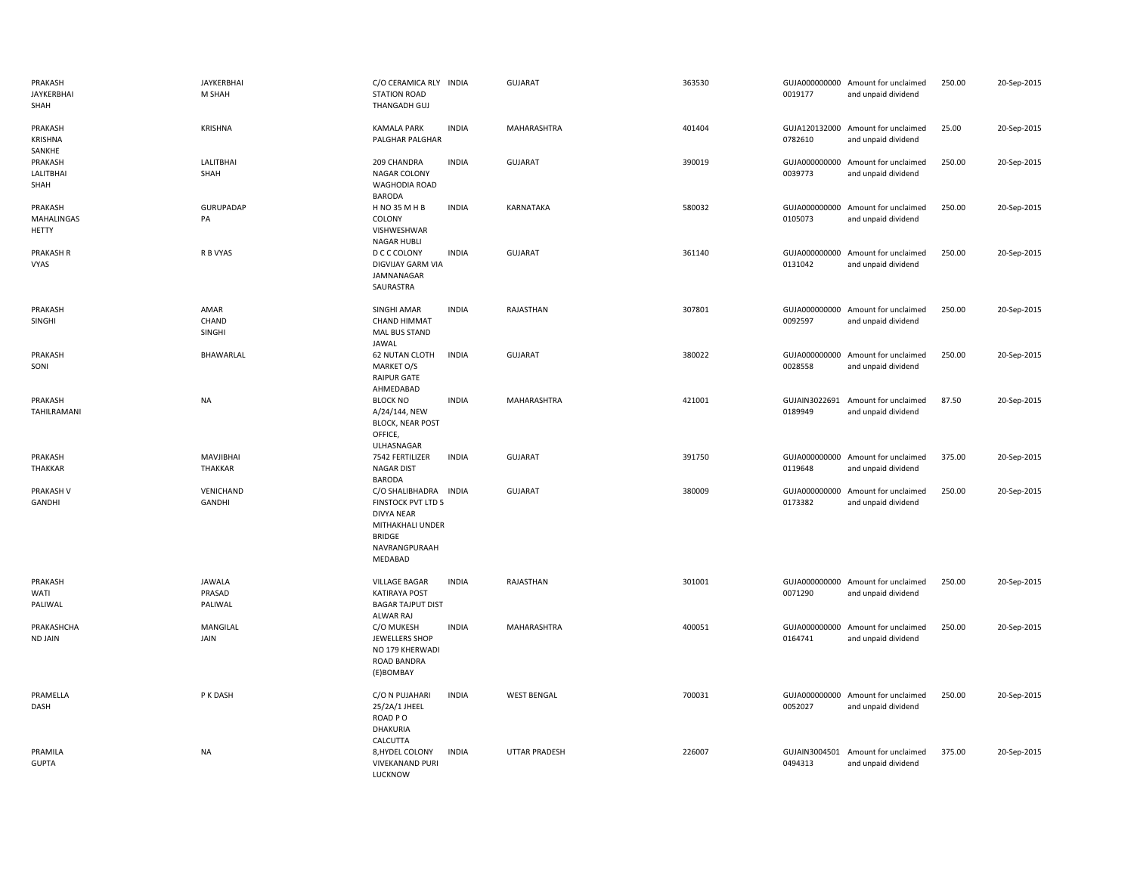| PRAKASH<br>JAYKERBHAI<br>SHAH         | JAYKERBHAI<br>M SHAH               | C/O CERAMICA RLY INDIA<br><b>STATION ROAD</b><br>THANGADH GUJ                                                                     |              | <b>GUJARAT</b>       | 363530 | 0019177                  | GUJA000000000 Amount for unclaimed<br>and unpaid dividend | 250.00 | 20-Sep-2015 |
|---------------------------------------|------------------------------------|-----------------------------------------------------------------------------------------------------------------------------------|--------------|----------------------|--------|--------------------------|-----------------------------------------------------------|--------|-------------|
| PRAKASH<br>KRISHNA<br>SANKHE          | <b>KRISHNA</b>                     | <b>KAMALA PARK</b><br>PALGHAR PALGHAR                                                                                             | <b>INDIA</b> | MAHARASHTRA          | 401404 | 0782610                  | GUJA120132000 Amount for unclaimed<br>and unpaid dividend | 25.00  | 20-Sep-2015 |
| PRAKASH<br><b>LALITBHAI</b><br>SHAH   | <b>LALITBHAI</b><br>SHAH           | 209 CHANDRA<br>NAGAR COLONY<br>WAGHODIA ROAD<br><b>BARODA</b>                                                                     | <b>INDIA</b> | GUJARAT              | 390019 | 0039773                  | GUJA000000000 Amount for unclaimed<br>and unpaid dividend | 250.00 | 20-Sep-2015 |
| PRAKASH<br>MAHALINGAS<br><b>HETTY</b> | <b>GURUPADAP</b><br>PA             | H NO 35 M H B<br>COLONY<br>VISHWESHWAR<br><b>NAGAR HUBLI</b>                                                                      | <b>INDIA</b> | KARNATAKA            | 580032 | 0105073                  | GUJA000000000 Amount for unclaimed<br>and unpaid dividend | 250.00 | 20-Sep-2015 |
| PRAKASH R<br>VYAS                     | R B VYAS                           | D C C COLONY<br>DIGVIJAY GARM VIA<br>JAMNANAGAR<br>SAURASTRA                                                                      | <b>INDIA</b> | GUJARAT              | 361140 | 0131042                  | GUJA000000000 Amount for unclaimed<br>and unpaid dividend | 250.00 | 20-Sep-2015 |
| PRAKASH<br>SINGHI                     | AMAR<br>CHAND<br>SINGHI            | <b>SINGHI AMAR</b><br><b>CHAND HIMMAT</b><br>MAL BUS STAND<br><b>JAWAL</b>                                                        | <b>INDIA</b> | RAJASTHAN            | 307801 | 0092597                  | GUJA000000000 Amount for unclaimed<br>and unpaid dividend | 250.00 | 20-Sep-2015 |
| PRAKASH<br>SONI                       | BHAWARLAL                          | <b>62 NUTAN CLOTH</b><br>MARKET O/S<br><b>RAIPUR GATE</b><br>AHMEDABAD                                                            | <b>INDIA</b> | <b>GUJARAT</b>       | 380022 | 0028558                  | GUJA000000000 Amount for unclaimed<br>and unpaid dividend | 250.00 | 20-Sep-2015 |
| PRAKASH<br>TAHILRAMANI                | <b>NA</b>                          | <b>BLOCK NO</b><br>A/24/144, NEW<br><b>BLOCK, NEAR POST</b><br>OFFICE,<br>ULHASNAGAR                                              | <b>INDIA</b> | <b>MAHARASHTRA</b>   | 421001 | 0189949                  | GUJAIN3022691 Amount for unclaimed<br>and unpaid dividend | 87.50  | 20-Sep-2015 |
| PRAKASH<br>THAKKAR                    | MAVJIBHAI<br>THAKKAR               | 7542 FERTILIZER<br><b>NAGAR DIST</b><br><b>BARODA</b>                                                                             | <b>INDIA</b> | <b>GUJARAT</b>       | 391750 | 0119648                  | GUJA000000000 Amount for unclaimed<br>and unpaid dividend | 375.00 | 20-Sep-2015 |
| PRAKASH V<br>GANDHI                   | VENICHAND<br>GANDHI                | C/O SHALIBHADRA INDIA<br>FINSTOCK PVT LTD 5<br><b>DIVYA NEAR</b><br>MITHAKHALI UNDER<br><b>BRIDGE</b><br>NAVRANGPURAAH<br>MEDABAD |              | <b>GUJARAT</b>       | 380009 | 0173382                  | GUJA000000000 Amount for unclaimed<br>and unpaid dividend | 250.00 | 20-Sep-2015 |
| PRAKASH<br>WATI<br>PALIWAL            | <b>JAWALA</b><br>PRASAD<br>PALIWAL | <b>VILLAGE BAGAR</b><br><b>KATIRAYA POST</b><br><b>BAGAR TAJPUT DIST</b><br>ALWAR RAJ                                             | <b>INDIA</b> | RAJASTHAN            | 301001 | 0071290                  | GUJA000000000 Amount for unclaimed<br>and unpaid dividend | 250.00 | 20-Sep-2015 |
| PRAKASHCHA<br><b>ND JAIN</b>          | MANGILAL<br>JAIN                   | C/O MUKESH<br>JEWELLERS SHOP<br>NO 179 KHERWADI<br><b>ROAD BANDRA</b><br>(E)BOMBAY                                                | <b>INDIA</b> | MAHARASHTRA          | 400051 | 0164741                  | GUJA000000000 Amount for unclaimed<br>and unpaid dividend | 250.00 | 20-Sep-2015 |
| PRAMELLA<br>DASH                      | P K DASH                           | C/O N PUJAHARI<br>25/2A/1 JHEEL<br>ROAD PO<br><b>DHAKURIA</b><br>CALCUTTA                                                         | <b>INDIA</b> | <b>WEST BENGAL</b>   | 700031 | 0052027                  | GUJA000000000 Amount for unclaimed<br>and unpaid dividend | 250.00 | 20-Sep-2015 |
| PRAMILA<br><b>GUPTA</b>               | NA                                 | 8, HYDEL COLONY<br><b>VIVEKANAND PURI</b><br>LUCKNOW                                                                              | <b>INDIA</b> | <b>UTTAR PRADESH</b> | 226007 | GUJAIN3004501<br>0494313 | Amount for unclaimed<br>and unpaid dividend               | 375.00 | 20-Sep-2015 |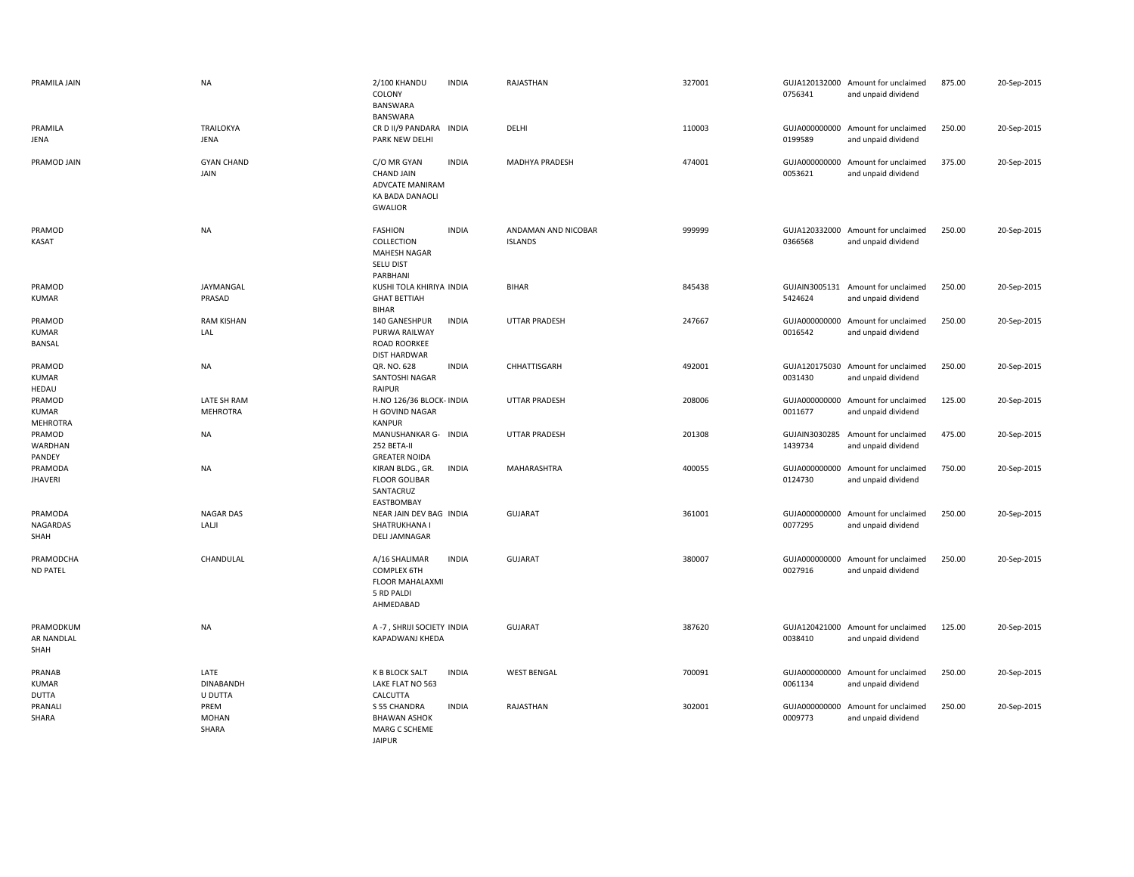| PRAMILA JAIN                              | <b>NA</b>                      | 2/100 KHANDU<br>COLONY<br>BANSWARA<br>BANSWARA                                           | <b>INDIA</b> | RAJASTHAN                             | 327001 | 0756341                  | GUJA120132000 Amount for unclaimed<br>and unpaid dividend | 875.00 | 20-Sep-2015 |
|-------------------------------------------|--------------------------------|------------------------------------------------------------------------------------------|--------------|---------------------------------------|--------|--------------------------|-----------------------------------------------------------|--------|-------------|
| PRAMILA<br>JENA                           | <b>TRAILOKYA</b><br>JENA       | CR D II/9 PANDARA INDIA<br>PARK NEW DELHI                                                |              | DELHI                                 | 110003 | GUJA000000000<br>0199589 | Amount for unclaimed<br>and unpaid dividend               | 250.00 | 20-Sep-2015 |
| PRAMOD JAIN                               | <b>GYAN CHAND</b><br>JAIN      | C/O MR GYAN<br><b>CHAND JAIN</b><br>ADVCATE MANIRAM<br>KA BADA DANAOLI<br><b>GWALIOR</b> | <b>INDIA</b> | MADHYA PRADESH                        | 474001 | GUJA000000000<br>0053621 | Amount for unclaimed<br>and unpaid dividend               | 375.00 | 20-Sep-2015 |
| PRAMOD<br>KASAT                           | <b>NA</b>                      | <b>FASHION</b><br>COLLECTION<br><b>MAHESH NAGAR</b><br>SELU DIST<br>PARBHANI             | <b>INDIA</b> | ANDAMAN AND NICOBAR<br><b>ISLANDS</b> | 999999 | 0366568                  | GUJA120332000 Amount for unclaimed<br>and unpaid dividend | 250.00 | 20-Sep-2015 |
| PRAMOD<br><b>KUMAR</b>                    | JAYMANGAL<br>PRASAD            | KUSHI TOLA KHIRIYA INDIA<br><b>GHAT BETTIAH</b><br>BIHAR                                 |              | BIHAR                                 | 845438 | 5424624                  | GUJAIN3005131 Amount for unclaimed<br>and unpaid dividend | 250.00 | 20-Sep-2015 |
| PRAMOD<br><b>KUMAR</b><br>BANSAL          | <b>RAM KISHAN</b><br>LAL       | 140 GANESHPUR<br>PURWA RAILWAY<br>ROAD ROORKEE<br><b>DIST HARDWAR</b>                    | <b>INDIA</b> | <b>UTTAR PRADESH</b>                  | 247667 | GUJA000000000<br>0016542 | Amount for unclaimed<br>and unpaid dividend               | 250.00 | 20-Sep-2015 |
| PRAMOD<br><b>KUMAR</b><br>HEDAU           | NA                             | QR. NO. 628<br>SANTOSHI NAGAR<br><b>RAIPUR</b>                                           | <b>INDIA</b> | CHHATTISGARH                          | 492001 | 0031430                  | GUJA120175030 Amount for unclaimed<br>and unpaid dividend | 250.00 | 20-Sep-2015 |
| PRAMOD<br><b>KUMAR</b><br><b>MEHROTRA</b> | LATE SH RAM<br><b>MEHROTRA</b> | H.NO 126/36 BLOCK- INDIA<br>H GOVIND NAGAR<br><b>KANPUR</b>                              |              | UTTAR PRADESH                         | 208006 | 0011677                  | GUJA000000000 Amount for unclaimed<br>and unpaid dividend | 125.00 | 20-Sep-2015 |
| PRAMOD<br>WARDHAN<br>PANDEY               | <b>NA</b>                      | MANUSHANKAR G- INDIA<br>252 BETA-II<br><b>GREATER NOIDA</b>                              |              | <b>UTTAR PRADESH</b>                  | 201308 | 1439734                  | GUJAIN3030285 Amount for unclaimed<br>and unpaid dividend | 475.00 | 20-Sep-2015 |
| PRAMODA<br><b>JHAVERI</b>                 | <b>NA</b>                      | KIRAN BLDG., GR.<br><b>FLOOR GOLIBAR</b><br>SANTACRUZ<br>EASTBOMBAY                      | <b>INDIA</b> | MAHARASHTRA                           | 400055 | 0124730                  | GUJA000000000 Amount for unclaimed<br>and unpaid dividend | 750.00 | 20-Sep-2015 |
| PRAMODA<br>NAGARDAS<br>SHAH               | <b>NAGAR DAS</b><br>LALJI      | NEAR JAIN DEV BAG INDIA<br>SHATRUKHANA I<br><b>DELI JAMNAGAR</b>                         |              | <b>GUJARAT</b>                        | 361001 | 0077295                  | GUJA000000000 Amount for unclaimed<br>and unpaid dividend | 250.00 | 20-Sep-2015 |
| PRAMODCHA<br><b>ND PATEL</b>              | CHANDULAL                      | A/16 SHALIMAR<br>COMPLEX 6TH<br>FLOOR MAHALAXMI<br>5 RD PALDI<br>AHMEDABAD               | <b>INDIA</b> | GUJARAT                               | 380007 | 0027916                  | GUJA000000000 Amount for unclaimed<br>and unpaid dividend | 250.00 | 20-Sep-2015 |
| PRAMODKUM<br>AR NANDLAL<br>SHAH           | <b>NA</b>                      | A-7, SHRIJI SOCIETY INDIA<br>KAPADWANJ KHEDA                                             |              | <b>GUJARAT</b>                        | 387620 | 0038410                  | GUJA120421000 Amount for unclaimed<br>and unpaid dividend | 125.00 | 20-Sep-2015 |
| PRANAB<br><b>KUMAR</b><br><b>DUTTA</b>    | LATE<br>DINABANDH<br>U DUTTA   | K B BLOCK SALT<br>LAKE FLAT NO 563<br>CALCUTTA                                           | <b>INDIA</b> | <b>WEST BENGAL</b>                    | 700091 | 0061134                  | GUJA000000000 Amount for unclaimed<br>and unpaid dividend | 250.00 | 20-Sep-2015 |
| PRANALI<br>SHARA                          | PREM<br><b>MOHAN</b><br>SHARA  | S 55 CHANDRA<br><b>BHAWAN ASHOK</b><br>MARG C SCHEME                                     | <b>INDIA</b> | RAJASTHAN                             | 302001 | GUJA000000000<br>0009773 | Amount for unclaimed<br>and unpaid dividend               | 250.00 | 20-Sep-2015 |

JAIPUR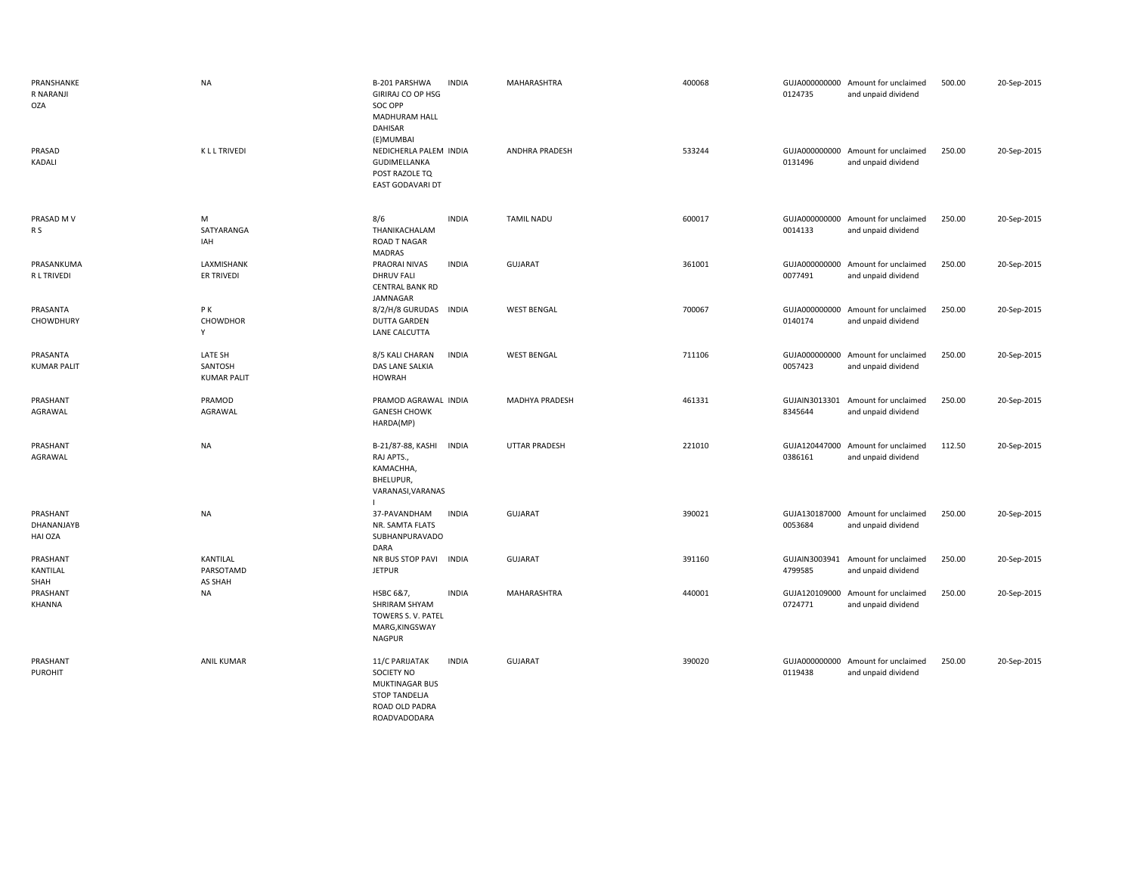| PRANSHANKE<br>R NARANJI<br>OZA    | <b>NA</b>                                | B-201 PARSHWA<br><b>INDIA</b><br><b>GIRIRAJ CO OP HSG</b><br>SOC OPP<br>MADHURAM HALL<br>DAHISAR<br>(E)MUMBAI   | MAHARASHTRA           | 400068 | 0124735                  | GUJA000000000 Amount for unclaimed<br>and unpaid dividend | 500.00 | 20-Sep-2015 |
|-----------------------------------|------------------------------------------|-----------------------------------------------------------------------------------------------------------------|-----------------------|--------|--------------------------|-----------------------------------------------------------|--------|-------------|
| PRASAD<br>KADALI                  | K L L TRIVEDI                            | NEDICHERLA PALEM INDIA<br>GUDIMELLANKA<br>POST RAZOLE TQ<br><b>EAST GODAVARI DT</b>                             | <b>ANDHRA PRADESH</b> | 533244 | 0131496                  | GUJA000000000 Amount for unclaimed<br>and unpaid dividend | 250.00 | 20-Sep-2015 |
| PRASAD M V<br>R S                 | M<br>SATYARANGA<br>IAH                   | 8/6<br><b>INDIA</b><br>THANIKACHALAM<br><b>ROAD T NAGAR</b><br>MADRAS                                           | <b>TAMIL NADU</b>     | 600017 | 0014133                  | GUJA000000000 Amount for unclaimed<br>and unpaid dividend | 250.00 | 20-Sep-2015 |
| PRASANKUMA<br>R L TRIVEDI         | LAXMISHANK<br>ER TRIVEDI                 | <b>INDIA</b><br>PRAORAI NIVAS<br><b>DHRUV FALI</b><br><b>CENTRAL BANK RD</b><br>JAMNAGAR                        | <b>GUJARAT</b>        | 361001 | 0077491                  | GUJA000000000 Amount for unclaimed<br>and unpaid dividend | 250.00 | 20-Sep-2015 |
| PRASANTA<br>CHOWDHURY             | PК<br>CHOWDHOR<br>Y                      | 8/2/H/8 GURUDAS INDIA<br><b>DUTTA GARDEN</b><br>LANE CALCUTTA                                                   | <b>WEST BENGAL</b>    | 700067 | 0140174                  | GUJA000000000 Amount for unclaimed<br>and unpaid dividend | 250.00 | 20-Sep-2015 |
| PRASANTA<br><b>KUMAR PALIT</b>    | LATE SH<br>SANTOSH<br><b>KUMAR PALIT</b> | 8/5 KALI CHARAN<br><b>INDIA</b><br>DAS LANE SALKIA<br><b>HOWRAH</b>                                             | <b>WEST BENGAL</b>    | 711106 | GUJA000000000<br>0057423 | Amount for unclaimed<br>and unpaid dividend               | 250.00 | 20-Sep-2015 |
| PRASHANT<br>AGRAWAL               | PRAMOD<br>AGRAWAL                        | PRAMOD AGRAWAL INDIA<br><b>GANESH CHOWK</b><br>HARDA(MP)                                                        | MADHYA PRADESH        | 461331 | 8345644                  | GUJAIN3013301 Amount for unclaimed<br>and unpaid dividend | 250.00 | 20-Sep-2015 |
| PRASHANT<br>AGRAWAL               | <b>NA</b>                                | B-21/87-88, KASHI<br><b>INDIA</b><br>RAJ APTS.,<br>КАМАСННА,<br>BHELUPUR,<br>VARANASI, VARANAS                  | <b>UTTAR PRADESH</b>  | 221010 | GUJA120447000<br>0386161 | Amount for unclaimed<br>and unpaid dividend               | 112.50 | 20-Sep-2015 |
| PRASHANT<br>DHANANJAYB<br>HAI OZA | <b>NA</b>                                | 37-PAVANDHAM<br><b>INDIA</b><br>NR. SAMTA FLATS<br>SUBHANPURAVADO<br>DARA                                       | <b>GUJARAT</b>        | 390021 | 0053684                  | GUJA130187000 Amount for unclaimed<br>and unpaid dividend | 250.00 | 20-Sep-2015 |
| PRASHANT<br>KANTILAL<br>SHAH      | KANTILAL<br>PARSOTAMD<br>AS SHAH         | NR BUS STOP PAVI<br><b>INDIA</b><br><b>JETPUR</b>                                                               | <b>GUJARAT</b>        | 391160 | 4799585                  | GUJAIN3003941 Amount for unclaimed<br>and unpaid dividend | 250.00 | 20-Sep-2015 |
| PRASHANT<br><b>KHANNA</b>         | NA                                       | HSBC 6&7,<br><b>INDIA</b><br><b>SHRIRAM SHYAM</b><br>TOWERS S. V. PATEL<br>MARG, KINGSWAY<br><b>NAGPUR</b>      | MAHARASHTRA           | 440001 | 0724771                  | GUJA120109000 Amount for unclaimed<br>and unpaid dividend | 250.00 | 20-Sep-2015 |
| PRASHANT<br><b>PUROHIT</b>        | ANIL KUMAR                               | 11/C PARIJATAK<br><b>INDIA</b><br>SOCIETY NO<br><b>MUKTINAGAR BUS</b><br><b>STOP TANDELJA</b><br>ROAD OLD PADRA | <b>GUJARAT</b>        | 390020 | 0119438                  | GUJA000000000 Amount for unclaimed<br>and unpaid dividend | 250.00 | 20-Sep-2015 |

ROADVADODARA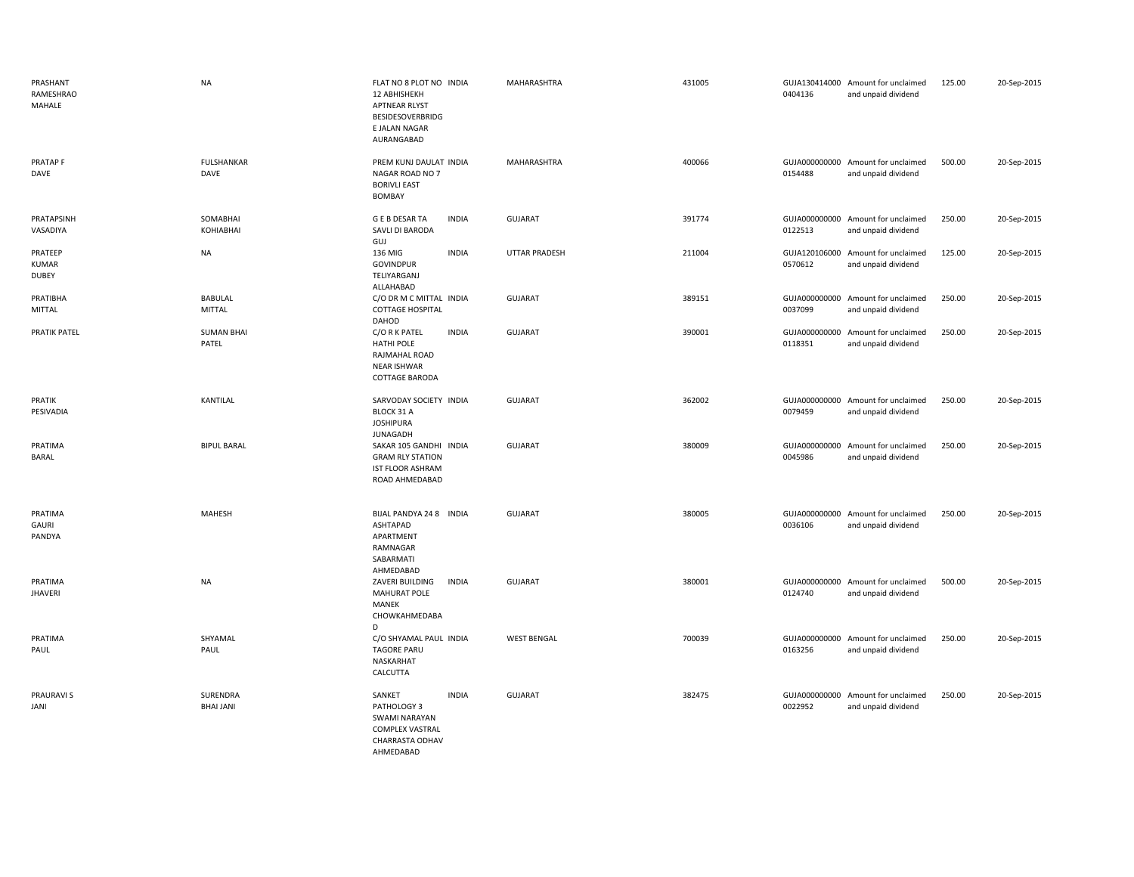| PRASHANT<br>RAMESHRAO<br>MAHALE         | <b>NA</b>                       | FLAT NO 8 PLOT NO INDIA<br>12 ABHISHEKH<br><b>APTNEAR RLYST</b><br><b>BESIDESOVERBRIDG</b><br>E JALAN NAGAR<br>AURANGABAD | MAHARASHTRA          | 431005 | 0404136                  | GUJA130414000 Amount for unclaimed<br>and unpaid dividend | 125.00 | 20-Sep-2015 |
|-----------------------------------------|---------------------------------|---------------------------------------------------------------------------------------------------------------------------|----------------------|--------|--------------------------|-----------------------------------------------------------|--------|-------------|
| PRATAP F<br>DAVE                        | <b>FULSHANKAR</b><br>DAVE       | PREM KUNJ DAULAT INDIA<br>NAGAR ROAD NO 7<br><b>BORIVLI EAST</b><br>BOMBAY                                                | MAHARASHTRA          | 400066 | GUJA000000000<br>0154488 | Amount for unclaimed<br>and unpaid dividend               | 500.00 | 20-Sep-2015 |
| PRATAPSINH<br>VASADIYA                  | SOMABHAI<br>KOHIABHAI           | <b>GEBDESARTA</b><br><b>INDIA</b><br>SAVLI DI BARODA<br>GUJ                                                               | GUJARAT              | 391774 | GUJA000000000<br>0122513 | Amount for unclaimed<br>and unpaid dividend               | 250.00 | 20-Sep-2015 |
| PRATEEP<br><b>KUMAR</b><br><b>DUBEY</b> | <b>NA</b>                       | 136 MIG<br><b>INDIA</b><br><b>GOVINDPUR</b><br>TELIYARGANJ<br>ALLAHABAD                                                   | <b>UTTAR PRADESH</b> | 211004 | GUJA120106000<br>0570612 | Amount for unclaimed<br>and unpaid dividend               | 125.00 | 20-Sep-2015 |
| PRATIBHA<br>MITTAL                      | <b>BABULAL</b><br><b>MITTAL</b> | C/O DR M C MITTAL INDIA<br><b>COTTAGE HOSPITAL</b><br>DAHOD                                                               | <b>GUJARAT</b>       | 389151 | GUJA000000000<br>0037099 | Amount for unclaimed<br>and unpaid dividend               | 250.00 | 20-Sep-2015 |
| <b>PRATIK PATEL</b>                     | <b>SUMAN BHAI</b><br>PATEL      | <b>INDIA</b><br>C/O R K PATEL<br>HATHI POLE<br>RAJMAHAL ROAD<br><b>NEAR ISHWAR</b><br>COTTAGE BARODA                      | GUJARAT              | 390001 | 0118351                  | GUJA000000000 Amount for unclaimed<br>and unpaid dividend | 250.00 | 20-Sep-2015 |
| PRATIK<br>PESIVADIA                     | KANTILAL                        | SARVODAY SOCIETY INDIA<br>BLOCK 31 A<br><b>JOSHIPURA</b><br><b>JUNAGADH</b>                                               | GUJARAT              | 362002 | GUJA000000000<br>0079459 | Amount for unclaimed<br>and unpaid dividend               | 250.00 | 20-Sep-2015 |
| PRATIMA<br>BARAL                        | <b>BIPUL BARAL</b>              | SAKAR 105 GANDHI INDIA<br><b>GRAM RLY STATION</b><br><b>IST FLOOR ASHRAM</b><br>ROAD AHMEDABAD                            | <b>GUJARAT</b>       | 380009 | GUJA000000000<br>0045986 | Amount for unclaimed<br>and unpaid dividend               | 250.00 | 20-Sep-2015 |
| PRATIMA<br>GAURI<br>PANDYA              | <b>MAHESH</b>                   | BIJAL PANDYA 24 8 INDIA<br>ASHTAPAD<br>APARTMENT<br>RAMNAGAR<br>SABARMATI<br>AHMEDABAD                                    | GUJARAT              | 380005 | 0036106                  | GUJA000000000 Amount for unclaimed<br>and unpaid dividend | 250.00 | 20-Sep-2015 |
| PRATIMA<br><b>JHAVERI</b>               | <b>NA</b>                       | ZAVERI BUILDING<br><b>INDIA</b><br><b>MAHURAT POLE</b><br>MANEK<br>CHOWKAHMEDABA<br>D                                     | <b>GUJARAT</b>       | 380001 | 0124740                  | GUJA000000000 Amount for unclaimed<br>and unpaid dividend | 500.00 | 20-Sep-2015 |
| PRATIMA<br>PAUL                         | SHYAMAL<br>PAUL                 | C/O SHYAMAL PAUL INDIA<br><b>TAGORE PARU</b><br>NASKARHAT<br>CALCUTTA                                                     | <b>WEST BENGAL</b>   | 700039 | 0163256                  | GUJA000000000 Amount for unclaimed<br>and unpaid dividend | 250.00 | 20-Sep-2015 |
| <b>PRAURAVIS</b><br>JANI                | SURENDRA<br><b>BHAI JANI</b>    | SANKET<br><b>INDIA</b><br>PATHOLOGY 3<br><b>SWAMI NARAYAN</b><br><b>COMPLEX VASTRAL</b><br>CHARRASTA ODHAV                | GUJARAT              | 382475 | 0022952                  | GUJA000000000 Amount for unclaimed<br>and unpaid dividend | 250.00 | 20-Sep-2015 |

AHMEDABAD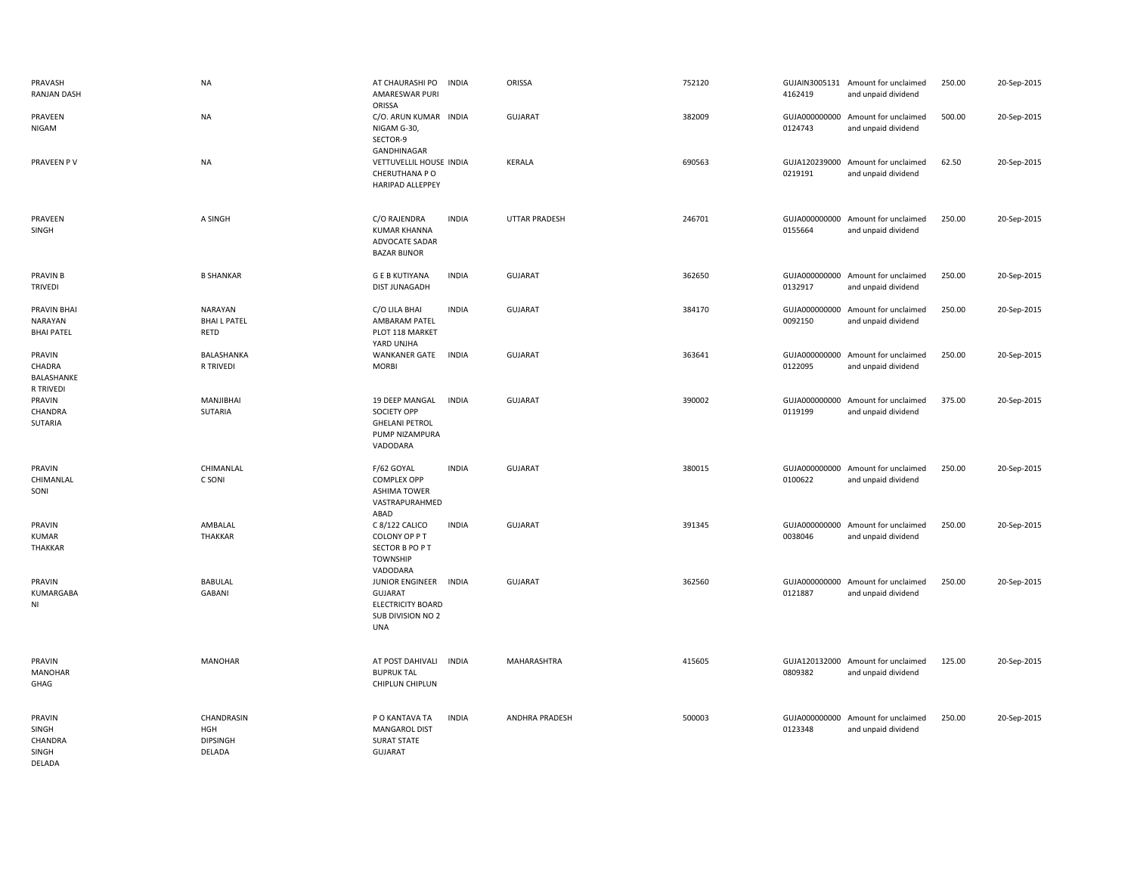| PRAVASH<br>RANJAN DASH                             | <b>NA</b>                                      | AT CHAURASHI PO<br>AMARESWAR PURI                                                                | <b>INDIA</b> | ORISSA         | 752120 | 4162419 | GUJAIN3005131 Amount for unclaimed<br>and unpaid dividend | 250.00 | 20-Sep-2015 |
|----------------------------------------------------|------------------------------------------------|--------------------------------------------------------------------------------------------------|--------------|----------------|--------|---------|-----------------------------------------------------------|--------|-------------|
| PRAVEEN<br>NIGAM                                   | <b>NA</b>                                      | ORISSA<br>C/O. ARUN KUMAR INDIA<br>NIGAM G-30,                                                   |              | GUJARAT        | 382009 | 0124743 | GUJA000000000 Amount for unclaimed<br>and unpaid dividend | 500.00 | 20-Sep-2015 |
| PRAVEEN PV                                         | <b>NA</b>                                      | SECTOR-9<br>GANDHINAGAR<br>VETTUVELLIL HOUSE INDIA<br>CHERUTHANA P O<br>HARIPAD ALLEPPEY         |              | KERALA         | 690563 | 0219191 | GUJA120239000 Amount for unclaimed<br>and unpaid dividend | 62.50  | 20-Sep-2015 |
| PRAVEEN<br>SINGH                                   | A SINGH                                        | C/O RAJENDRA<br><b>KUMAR KHANNA</b><br>ADVOCATE SADAR<br><b>BAZAR BIJNOR</b>                     | <b>INDIA</b> | UTTAR PRADESH  | 246701 | 0155664 | GUJA000000000 Amount for unclaimed<br>and unpaid dividend | 250.00 | 20-Sep-2015 |
| <b>PRAVIN B</b><br><b>TRIVEDI</b>                  | <b>B SHANKAR</b>                               | <b>GEB KUTIYANA</b><br>DIST JUNAGADH                                                             | <b>INDIA</b> | <b>GUJARAT</b> | 362650 | 0132917 | GUJA000000000 Amount for unclaimed<br>and unpaid dividend | 250.00 | 20-Sep-2015 |
| <b>PRAVIN BHAI</b><br>NARAYAN<br><b>BHAI PATEL</b> | NARAYAN<br><b>BHAIL PATEL</b><br>RETD          | C/O LILA BHAI<br>AMBARAM PATEL<br>PLOT 118 MARKET<br>YARD UNJHA                                  | <b>INDIA</b> | <b>GUJARAT</b> | 384170 | 0092150 | GUJA000000000 Amount for unclaimed<br>and unpaid dividend | 250.00 | 20-Sep-2015 |
| PRAVIN<br>CHADRA<br>BALASHANKE<br>R TRIVEDI        | BALASHANKA<br>R TRIVEDI                        | WANKANER GATE<br><b>MORBI</b>                                                                    | <b>INDIA</b> | GUJARAT        | 363641 | 0122095 | GUJA000000000 Amount for unclaimed<br>and unpaid dividend | 250.00 | 20-Sep-2015 |
| PRAVIN<br>CHANDRA<br>SUTARIA                       | MANJIBHAI<br>SUTARIA                           | 19 DEEP MANGAL<br>SOCIETY OPP<br><b>GHELANI PETROL</b><br>PUMP NIZAMPURA<br>VADODARA             | <b>INDIA</b> | <b>GUJARAT</b> | 390002 | 0119199 | GUJA000000000 Amount for unclaimed<br>and unpaid dividend | 375.00 | 20-Sep-2015 |
| PRAVIN<br>CHIMANLAL<br>SONI                        | CHIMANLAL<br>C SONI                            | F/62 GOYAL<br><b>COMPLEX OPP</b><br><b>ASHIMA TOWER</b><br>VASTRAPURAHMED<br>ABAD                | <b>INDIA</b> | <b>GUJARAT</b> | 380015 | 0100622 | GUJA000000000 Amount for unclaimed<br>and unpaid dividend | 250.00 | 20-Sep-2015 |
| PRAVIN<br><b>KUMAR</b><br><b>THAKKAR</b>           | AMBALAL<br>THAKKAR                             | C 8/122 CALICO<br>COLONY OP PT<br>SECTOR B PO P T<br><b>TOWNSHIP</b><br>VADODARA                 | <b>INDIA</b> | <b>GUJARAT</b> | 391345 | 0038046 | GUJA000000000 Amount for unclaimed<br>and unpaid dividend | 250.00 | 20-Sep-2015 |
| PRAVIN<br>KUMARGABA<br>NI                          | <b>BABULAL</b><br><b>GABANI</b>                | JUNIOR ENGINEER<br><b>GUJARAT</b><br><b>ELECTRICITY BOARD</b><br>SUB DIVISION NO 2<br><b>UNA</b> | <b>INDIA</b> | <b>GUJARAT</b> | 362560 | 0121887 | GUJA000000000 Amount for unclaimed<br>and unpaid dividend | 250.00 | 20-Sep-2015 |
| PRAVIN<br><b>MANOHAR</b><br>GHAG                   | <b>MANOHAR</b>                                 | AT POST DAHIVALI INDIA<br><b>BUPRUK TAL</b><br>CHIPLUN CHIPLUN                                   |              | MAHARASHTRA    | 415605 | 0809382 | GUJA120132000 Amount for unclaimed<br>and unpaid dividend | 125.00 | 20-Sep-2015 |
| PRAVIN<br>SINGH<br>CHANDRA<br>SINGH<br>DELADA      | CHANDRASIN<br>HGH<br><b>DIPSINGH</b><br>DELADA | P O KANTAVA TA<br><b>MANGAROL DIST</b><br><b>SURAT STATE</b><br><b>GUJARAT</b>                   | <b>INDIA</b> | ANDHRA PRADESH | 500003 | 0123348 | GUJA000000000 Amount for unclaimed<br>and unpaid dividend | 250.00 | 20-Sep-2015 |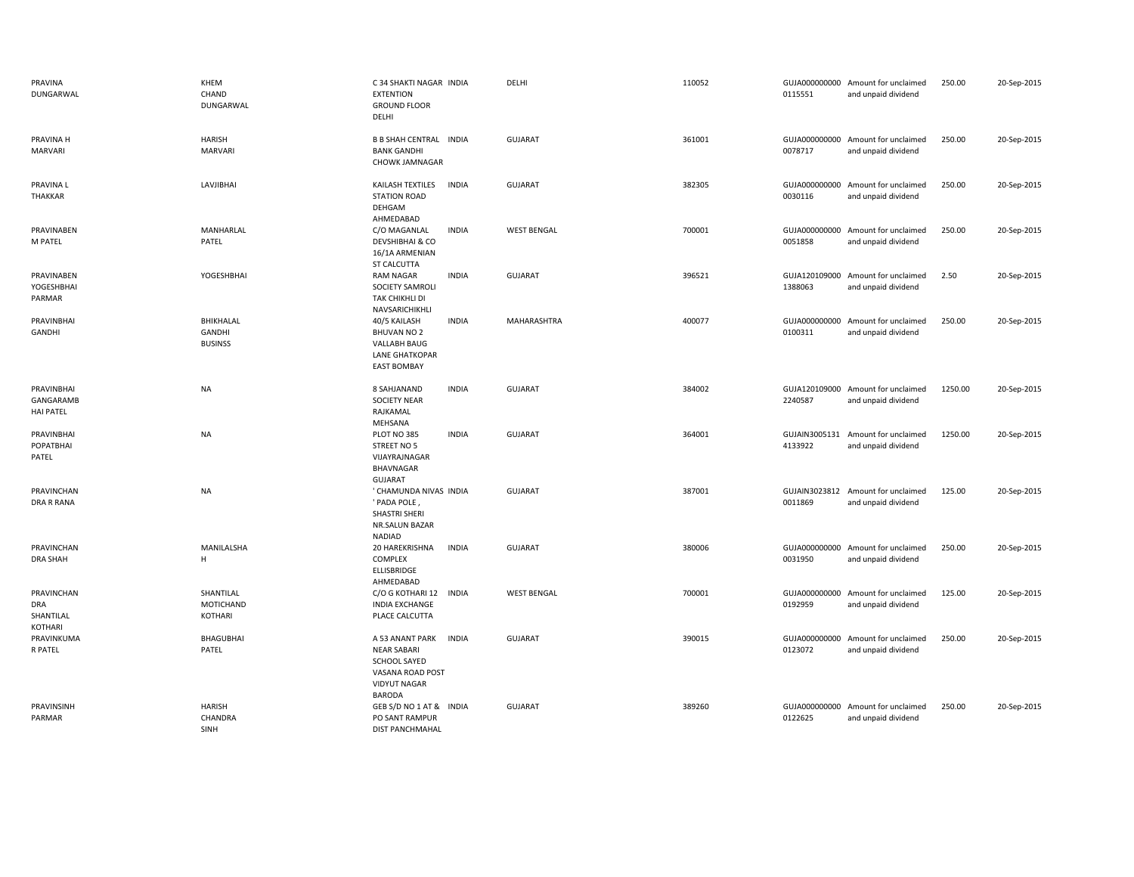| PRAVINA<br>DUNGARWAL                             | KHEM<br>CHAND<br>DUNGARWAL                      | C 34 SHAKTI NAGAR INDIA<br><b>EXTENTION</b><br><b>GROUND FLOOR</b><br>DELHI                                                              | DELHI              | 110052 | 0115551                  | GUJA000000000 Amount for unclaimed<br>and unpaid dividend | 250.00  | 20-Sep-2015 |
|--------------------------------------------------|-------------------------------------------------|------------------------------------------------------------------------------------------------------------------------------------------|--------------------|--------|--------------------------|-----------------------------------------------------------|---------|-------------|
| PRAVINA H<br><b>MARVARI</b>                      | <b>HARISH</b><br><b>MARVARI</b>                 | <b>B B SHAH CENTRAL INDIA</b><br><b>BANK GANDHI</b><br>CHOWK JAMNAGAR                                                                    | <b>GUJARAT</b>     | 361001 | 0078717                  | GUJA000000000 Amount for unclaimed<br>and unpaid dividend | 250.00  | 20-Sep-2015 |
| PRAVINA L<br>THAKKAR                             | LAVJIBHAI                                       | KAILASH TEXTILES<br><b>INDIA</b><br><b>STATION ROAD</b><br>DEHGAM<br>AHMEDABAD                                                           | GUJARAT            | 382305 | GUJA000000000<br>0030116 | Amount for unclaimed<br>and unpaid dividend               | 250.00  | 20-Sep-2015 |
| PRAVINABEN<br>M PATEL                            | MANHARLAL<br>PATEL                              | C/O MAGANLAL<br><b>INDIA</b><br>DEVSHIBHAI & CO<br>16/1A ARMENIAN<br>ST CALCUTTA                                                         | <b>WEST BENGAL</b> | 700001 | GUJA000000000<br>0051858 | Amount for unclaimed<br>and unpaid dividend               | 250.00  | 20-Sep-2015 |
| PRAVINABEN<br>YOGESHBHAI<br>PARMAR               | YOGESHBHAI                                      | <b>INDIA</b><br><b>RAM NAGAR</b><br>SOCIETY SAMROLI<br>TAK CHIKHLI DI<br>NAVSARICHIKHLI                                                  | GUJARAT            | 396521 | 1388063                  | GUJA120109000 Amount for unclaimed<br>and unpaid dividend | 2.50    | 20-Sep-2015 |
| PRAVINBHAI<br>GANDHI                             | BHIKHALAL<br>GANDHI<br><b>BUSINSS</b>           | 40/5 KAILASH<br><b>INDIA</b><br><b>BHUVAN NO 2</b><br>VALLABH BAUG<br><b>LANE GHATKOPAR</b><br><b>EAST BOMBAY</b>                        | MAHARASHTRA        | 400077 | GUJA000000000<br>0100311 | Amount for unclaimed<br>and unpaid dividend               | 250.00  | 20-Sep-2015 |
| PRAVINBHAI<br>GANGARAMB<br><b>HAI PATEL</b>      | <b>NA</b>                                       | 8 SAHJANAND<br><b>INDIA</b><br><b>SOCIETY NEAR</b><br>RAJKAMAL<br>MEHSANA                                                                | GUJARAT            | 384002 | 2240587                  | GUJA120109000 Amount for unclaimed<br>and unpaid dividend | 1250.00 | 20-Sep-2015 |
| PRAVINBHAI<br>POPATBHAI<br>PATEL                 | <b>NA</b>                                       | <b>INDIA</b><br>PLOT NO 385<br>STREET NO 5<br>VIJAYRAJNAGAR<br>BHAVNAGAR<br><b>GUJARAT</b>                                               | <b>GUJARAT</b>     | 364001 | GUJAIN3005131<br>4133922 | Amount for unclaimed<br>and unpaid dividend               | 1250.00 | 20-Sep-2015 |
| PRAVINCHAN<br><b>DRA R RANA</b>                  | <b>NA</b>                                       | ' CHAMUNDA NIVAS INDIA<br>' PADA POLE,<br>SHASTRI SHERI<br>NR.SALUN BAZAR<br>NADIAD                                                      | <b>GUJARAT</b>     | 387001 | 0011869                  | GUJAIN3023812 Amount for unclaimed<br>and unpaid dividend | 125.00  | 20-Sep-2015 |
| PRAVINCHAN<br><b>DRA SHAH</b>                    | MANILALSHA<br>H                                 | 20 HAREKRISHNA<br><b>INDIA</b><br>COMPLEX<br>ELLISBRIDGE<br>AHMEDABAD                                                                    | GUJARAT            | 380006 | GUJA000000000<br>0031950 | Amount for unclaimed<br>and unpaid dividend               | 250.00  | 20-Sep-2015 |
| PRAVINCHAN<br><b>DRA</b><br>SHANTILAL<br>KOTHARI | SHANTILAL<br><b>MOTICHAND</b><br><b>KOTHARI</b> | C/O G KOTHARI 12<br><b>INDIA</b><br><b>INDIA EXCHANGE</b><br>PLACE CALCUTTA                                                              | <b>WEST BENGAL</b> | 700001 | GUJA000000000<br>0192959 | Amount for unclaimed<br>and unpaid dividend               | 125.00  | 20-Sep-2015 |
| PRAVINKUMA<br>R PATEL                            | <b>BHAGUBHAI</b><br>PATEL                       | A 53 ANANT PARK<br><b>INDIA</b><br><b>NEAR SABARI</b><br><b>SCHOOL SAYED</b><br>VASANA ROAD POST<br><b>VIDYUT NAGAR</b><br><b>BARODA</b> | GUJARAT            | 390015 | GUJA000000000<br>0123072 | Amount for unclaimed<br>and unpaid dividend               | 250.00  | 20-Sep-2015 |
| PRAVINSINH<br>PARMAR                             | <b>HARISH</b><br>CHANDRA<br>SINH                | GEB S/D NO 1 AT & INDIA<br>PO SANT RAMPUR<br><b>DIST PANCHMAHAL</b>                                                                      | <b>GUJARAT</b>     | 389260 | GUJA000000000<br>0122625 | Amount for unclaimed<br>and unpaid dividend               | 250.00  | 20-Sep-2015 |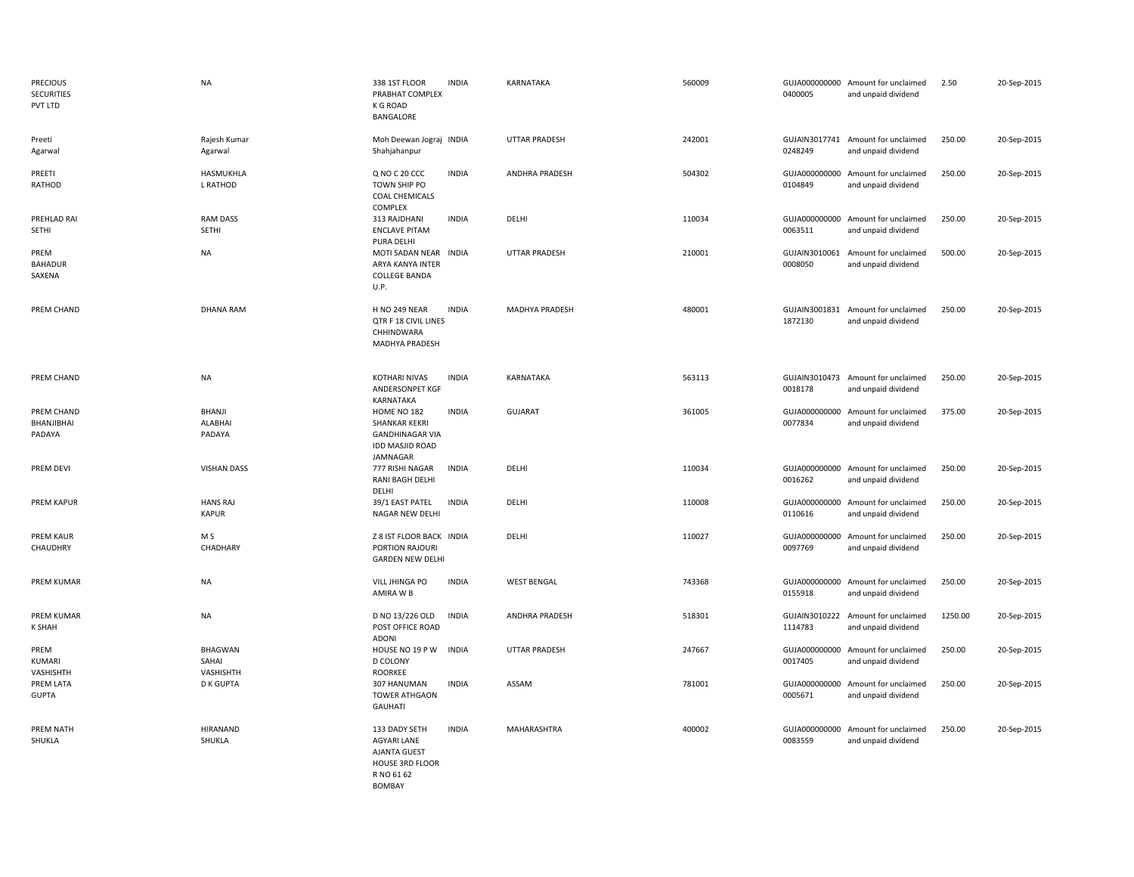| <b>PRECIOUS</b><br><b>SECURITIES</b><br>PVT LTD | <b>NA</b>                            | 338 1ST FLOOR<br><b>INDIA</b><br>PRABHAT COMPLEX<br><b>K G ROAD</b><br>BANGALORE                                                    | KARNATAKA            | 560009 | 0400005                  | GUJA000000000 Amount for unclaimed<br>and unpaid dividend | 2.50    | 20-Sep-2015 |
|-------------------------------------------------|--------------------------------------|-------------------------------------------------------------------------------------------------------------------------------------|----------------------|--------|--------------------------|-----------------------------------------------------------|---------|-------------|
| Preeti<br>Agarwal                               | Rajesh Kumar<br>Agarwal              | Moh Deewan Jograj INDIA<br>Shahjahanpur                                                                                             | <b>UTTAR PRADESH</b> | 242001 | 0248249                  | GUJAIN3017741 Amount for unclaimed<br>and unpaid dividend | 250.00  | 20-Sep-2015 |
| PREETI<br>RATHOD                                | HASMUKHLA<br>L RATHOD                | Q NO C 20 CCC<br><b>INDIA</b><br>TOWN SHIP PO<br>COAL CHEMICALS<br><b>COMPLEX</b>                                                   | ANDHRA PRADESH       | 504302 | 0104849                  | GUJA000000000 Amount for unclaimed<br>and unpaid dividend | 250.00  | 20-Sep-2015 |
| PREHLAD RAI<br>SETHI                            | <b>RAM DASS</b><br>SETHI             | 313 RAJDHANI<br><b>INDIA</b><br><b>ENCLAVE PITAM</b><br>PURA DELHI                                                                  | DELHI                | 110034 | 0063511                  | GUJA000000000 Amount for unclaimed<br>and unpaid dividend | 250.00  | 20-Sep-2015 |
| PREM<br><b>BAHADUR</b><br>SAXENA                | <b>NA</b>                            | MOTI SADAN NEAR INDIA<br>ARYA KANYA INTER<br><b>COLLEGE BANDA</b><br>U.P.                                                           | <b>UTTAR PRADESH</b> | 210001 | 0008050                  | GUJAIN3010061 Amount for unclaimed<br>and unpaid dividend | 500.00  | 20-Sep-2015 |
| PREM CHAND                                      | <b>DHANA RAM</b>                     | H NO 249 NEAR<br><b>INDIA</b><br>QTR F 18 CIVIL LINES<br>CHHINDWARA<br>MADHYA PRADESH                                               | MADHYA PRADESH       | 480001 | 1872130                  | GUJAIN3001831 Amount for unclaimed<br>and unpaid dividend | 250.00  | 20-Sep-2015 |
| PREM CHAND                                      | <b>NA</b>                            | <b>KOTHARI NIVAS</b><br><b>INDIA</b><br>ANDERSONPET KGF<br>KARNATAKA                                                                | <b>KARNATAKA</b>     | 563113 | GUJAIN3010473<br>0018178 | Amount for unclaimed<br>and unpaid dividend               | 250.00  | 20-Sep-2015 |
| PREM CHAND<br>BHANJIBHAI<br>PADAYA              | BHANJI<br>ALABHAI<br>PADAYA          | HOME NO 182<br><b>INDIA</b><br>SHANKAR KEKRI<br><b>GANDHINAGAR VIA</b><br><b>IDD MASJID ROAD</b><br>JAMNAGAR                        | <b>GUJARAT</b>       | 361005 | 0077834                  | GUJA000000000 Amount for unclaimed<br>and unpaid dividend | 375.00  | 20-Sep-2015 |
| PREM DEVI                                       | <b>VISHAN DASS</b>                   | 777 RISHI NAGAR<br><b>INDIA</b><br>RANI BAGH DELHI<br>DELHI                                                                         | DELHI                | 110034 | 0016262                  | GUJA000000000 Amount for unclaimed<br>and unpaid dividend | 250.00  | 20-Sep-2015 |
| PREM KAPUR                                      | <b>HANS RAJ</b><br><b>KAPUR</b>      | 39/1 EAST PATEL<br><b>INDIA</b><br>NAGAR NEW DELHI                                                                                  | DELHI                | 110008 | 0110616                  | GUJA000000000 Amount for unclaimed<br>and unpaid dividend | 250.00  | 20-Sep-2015 |
| <b>PREM KAUR</b><br>CHAUDHRY                    | M S<br>CHADHARY                      | Z 8 IST FLOOR BACK INDIA<br>PORTION RAJOURI<br><b>GARDEN NEW DELHI</b>                                                              | DELHI                | 110027 | 0097769                  | GUJA000000000 Amount for unclaimed<br>and unpaid dividend | 250.00  | 20-Sep-2015 |
| <b>PREM KUMAR</b>                               | <b>NA</b>                            | <b>INDIA</b><br>VILL JHINGA PO<br>AMIRA W B                                                                                         | <b>WEST BENGAL</b>   | 743368 | GUJA000000000<br>0155918 | Amount for unclaimed<br>and unpaid dividend               | 250.00  | 20-Sep-2015 |
| <b>PREM KUMAR</b><br><b>K SHAH</b>              | <b>NA</b>                            | D NO 13/226 OLD<br><b>INDIA</b><br>POST OFFICE ROAD<br><b>ADONI</b>                                                                 | ANDHRA PRADESH       | 518301 | 1114783                  | GUJAIN3010222 Amount for unclaimed<br>and unpaid dividend | 1250.00 | 20-Sep-2015 |
| PREM<br>KUMARI<br>VASHISHTH                     | <b>BHAGWAN</b><br>SAHAI<br>VASHISHTH | HOUSE NO 19 P W<br><b>INDIA</b><br><b>D COLONY</b><br>ROORKEE                                                                       | <b>UTTAR PRADESH</b> | 247667 | GUJA000000000<br>0017405 | Amount for unclaimed<br>and unpaid dividend               | 250.00  | 20-Sep-2015 |
| PREM LATA<br><b>GUPTA</b>                       | <b>D K GUPTA</b>                     | 307 HANUMAN<br><b>INDIA</b><br><b>TOWER ATHGAON</b><br><b>GAUHATI</b>                                                               | ASSAM                | 781001 | GUJA000000000<br>0005671 | Amount for unclaimed<br>and unpaid dividend               | 250.00  | 20-Sep-2015 |
| PREM NATH<br>SHUKLA                             | <b>HIRANAND</b><br>SHUKLA            | 133 DADY SETH<br><b>INDIA</b><br><b>AGYARI LANE</b><br><b>AJANTA GUEST</b><br><b>HOUSE 3RD FLOOR</b><br>R NO 61 62<br><b>BOMBAY</b> | MAHARASHTRA          | 400002 | GUJA000000000<br>0083559 | Amount for unclaimed<br>and unpaid dividend               | 250.00  | 20-Sep-2015 |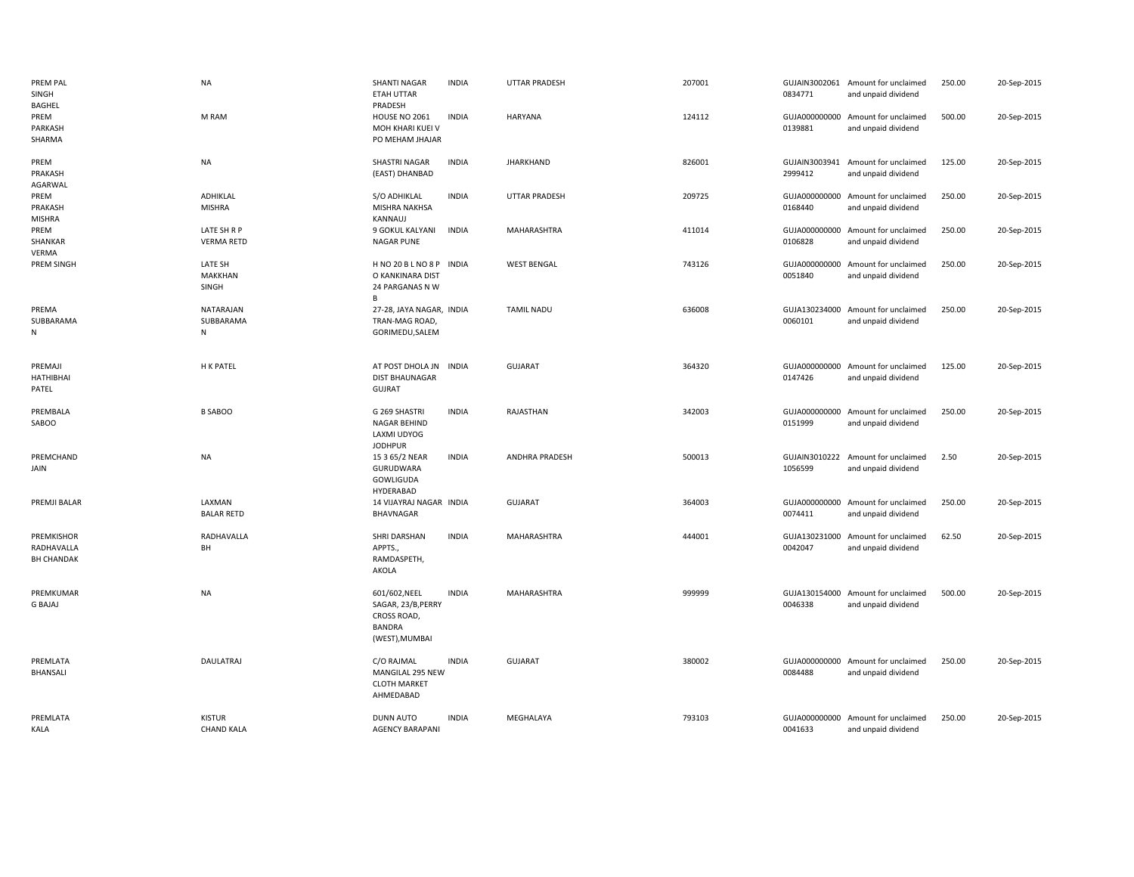| PREM PAL<br>SINGH<br>BAGHEL                   | NA                                 | <b>SHANTI NAGAR</b><br>ETAH UTTAR<br>PRADESH                                   | <b>INDIA</b> | <b>UTTAR PRADESH</b> | 207001 | 0834771                  | GUJAIN3002061 Amount for unclaimed<br>and unpaid dividend | 250.00 | 20-Sep-2015 |
|-----------------------------------------------|------------------------------------|--------------------------------------------------------------------------------|--------------|----------------------|--------|--------------------------|-----------------------------------------------------------|--------|-------------|
| PREM<br>PARKASH<br>SHARMA                     | M RAM                              | <b>HOUSE NO 2061</b><br>MOH KHARI KUEI V<br>PO MEHAM JHAJAR                    | <b>INDIA</b> | <b>HARYANA</b>       | 124112 | 0139881                  | GUJA000000000 Amount for unclaimed<br>and unpaid dividend | 500.00 | 20-Sep-2015 |
| PREM<br>PRAKASH<br>AGARWAL                    | NA                                 | SHASTRI NAGAR<br>(EAST) DHANBAD                                                | <b>INDIA</b> | <b>JHARKHAND</b>     | 826001 | 2999412                  | GUJAIN3003941 Amount for unclaimed<br>and unpaid dividend | 125.00 | 20-Sep-2015 |
| PREM<br>PRAKASH<br><b>MISHRA</b>              | ADHIKLAL<br><b>MISHRA</b>          | S/O ADHIKLAL<br>MISHRA NAKHSA<br>KANNAUJ                                       | <b>INDIA</b> | <b>UTTAR PRADESH</b> | 209725 | GUJA000000000<br>0168440 | Amount for unclaimed<br>and unpaid dividend               | 250.00 | 20-Sep-2015 |
| PREM<br>SHANKAR<br>VERMA                      | LATE SH R P<br><b>VERMA RETD</b>   | 9 GOKUL KALYANI<br><b>NAGAR PUNE</b>                                           | <b>INDIA</b> | MAHARASHTRA          | 411014 | 0106828                  | GUJA000000000 Amount for unclaimed<br>and unpaid dividend | 250.00 | 20-Sep-2015 |
| PREM SINGH                                    | LATE SH<br>MAKKHAN<br>SINGH        | H NO 20 B L NO 8 P INDIA<br>O KANKINARA DIST<br>24 PARGANAS N W<br>B           |              | <b>WEST BENGAL</b>   | 743126 | 0051840                  | GUJA000000000 Amount for unclaimed<br>and unpaid dividend | 250.00 | 20-Sep-2015 |
| PREMA<br>SUBBARAMA<br>N                       | NATARAJAN<br>SUBBARAMA<br>N        | 27-28, JAYA NAGAR, INDIA<br>TRAN-MAG ROAD,<br>GORIMEDU, SALEM                  |              | <b>TAMIL NADU</b>    | 636008 | 0060101                  | GUJA130234000 Amount for unclaimed<br>and unpaid dividend | 250.00 | 20-Sep-2015 |
| PREMAJI<br>HATHIBHAI<br>PATEL                 | H K PATEL                          | AT POST DHOLA JN INDIA<br><b>DIST BHAUNAGAR</b><br><b>GUJRAT</b>               |              | <b>GUJARAT</b>       | 364320 | 0147426                  | GUJA000000000 Amount for unclaimed<br>and unpaid dividend | 125.00 | 20-Sep-2015 |
| PREMBALA<br>SABOO                             | <b>B SABOO</b>                     | G 269 SHASTRI<br>NAGAR BEHIND<br>LAXMI UDYOG<br><b>JODHPUR</b>                 | <b>INDIA</b> | RAJASTHAN            | 342003 | 0151999                  | GUJA000000000 Amount for unclaimed<br>and unpaid dividend | 250.00 | 20-Sep-2015 |
| PREMCHAND<br>JAIN                             | NA                                 | 15 3 65/2 NEAR<br>GURUDWARA<br>GOWLIGUDA<br>HYDERABAD                          | <b>INDIA</b> | ANDHRA PRADESH       | 500013 | 1056599                  | GUJAIN3010222 Amount for unclaimed<br>and unpaid dividend | 2.50   | 20-Sep-2015 |
| PREMJI BALAR                                  | LAXMAN<br><b>BALAR RETD</b>        | 14 VIJAYRAJ NAGAR INDIA<br><b>BHAVNAGAR</b>                                    |              | <b>GUJARAT</b>       | 364003 | 0074411                  | GUJA000000000 Amount for unclaimed<br>and unpaid dividend | 250.00 | 20-Sep-2015 |
| PREMKISHOR<br>RADHAVALLA<br><b>BH CHANDAK</b> | RADHAVALLA<br>BH                   | SHRI DARSHAN<br>APPTS.,<br>RAMDASPETH,<br>AKOLA                                | <b>INDIA</b> | MAHARASHTRA          | 444001 | 0042047                  | GUJA130231000 Amount for unclaimed<br>and unpaid dividend | 62.50  | 20-Sep-2015 |
| PREMKUMAR<br><b>G BAJAJ</b>                   | <b>NA</b>                          | 601/602, NEEL<br>SAGAR, 23/B, PERRY<br>CROSS ROAD,<br>BANDRA<br>(WEST), MUMBAI | <b>INDIA</b> | MAHARASHTRA          | 999999 | 0046338                  | GUJA130154000 Amount for unclaimed<br>and unpaid dividend | 500.00 | 20-Sep-2015 |
| PREMLATA<br>BHANSALI                          | DAULATRAJ                          | C/O RAJMAL<br>MANGILAL 295 NEW<br><b>CLOTH MARKET</b><br>AHMEDABAD             | <b>INDIA</b> | <b>GUJARAT</b>       | 380002 | 0084488                  | GUJA000000000 Amount for unclaimed<br>and unpaid dividend | 250.00 | 20-Sep-2015 |
| PREMLATA<br><b>KALA</b>                       | <b>KISTUR</b><br><b>CHAND KALA</b> | DUNN AUTO<br><b>AGENCY BARAPANI</b>                                            | <b>INDIA</b> | MEGHALAYA            | 793103 | 0041633                  | GUJA000000000 Amount for unclaimed<br>and unpaid dividend | 250.00 | 20-Sep-2015 |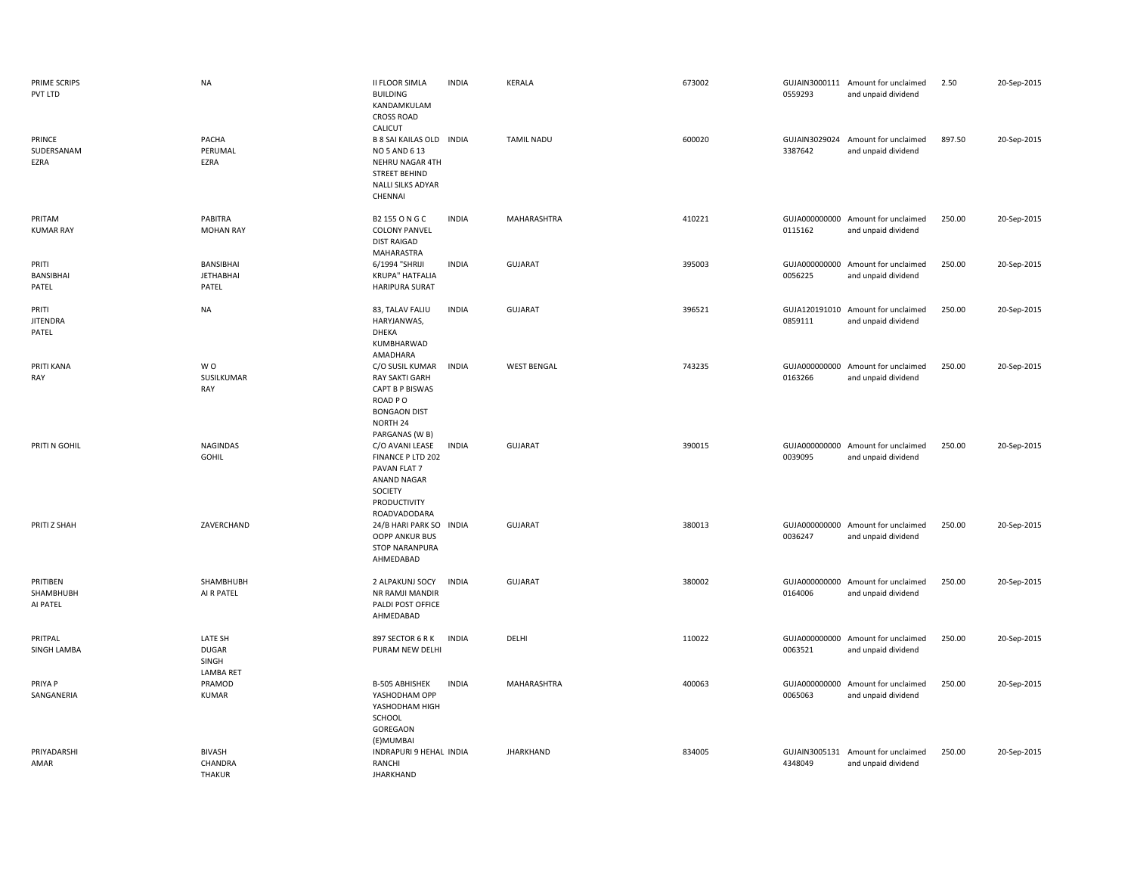| PRIME SCRIPS<br>PVT LTD           | <b>NA</b>                                            | <b>II FLOOR SIMLA</b><br><b>BUILDING</b><br>KANDAMKULAM<br><b>CROSS ROAD</b><br>CALICUT                                                 | <b>INDIA</b> | KERALA             | 673002 | 0559293                  | GUJAIN3000111 Amount for unclaimed<br>and unpaid dividend | 2.50   | 20-Sep-2015 |
|-----------------------------------|------------------------------------------------------|-----------------------------------------------------------------------------------------------------------------------------------------|--------------|--------------------|--------|--------------------------|-----------------------------------------------------------|--------|-------------|
| PRINCE<br>SUDERSANAM<br>EZRA      | PACHA<br>PERUMAL<br>EZRA                             | B 8 SAI KAILAS OLD INDIA<br>NO 5 AND 6 13<br>NEHRU NAGAR 4TH<br><b>STREET BEHIND</b><br>NALLI SILKS ADYAR<br>CHENNAI                    |              | <b>TAMIL NADU</b>  | 600020 | GUJAIN3029024<br>3387642 | Amount for unclaimed<br>and unpaid dividend               | 897.50 | 20-Sep-2015 |
| PRITAM<br><b>KUMAR RAY</b>        | PABITRA<br><b>MOHAN RAY</b>                          | B2 155 O N G C<br><b>COLONY PANVEL</b><br><b>DIST RAIGAD</b><br>MAHARASTRA                                                              | <b>INDIA</b> | MAHARASHTRA        | 410221 | 0115162                  | GUJA000000000 Amount for unclaimed<br>and unpaid dividend | 250.00 | 20-Sep-2015 |
| PRITI<br>BANSIBHAI<br>PATEL       | BANSIBHAI<br><b>JETHABHAI</b><br>PATEL               | 6/1994 "SHRIJI<br><b>KRUPA" HATFALIA</b><br><b>HARIPURA SURAT</b>                                                                       | <b>INDIA</b> | GUJARAT            | 395003 | GUJA000000000<br>0056225 | Amount for unclaimed<br>and unpaid dividend               | 250.00 | 20-Sep-2015 |
| PRITI<br><b>JITENDRA</b><br>PATEL | <b>NA</b>                                            | 83, TALAV FALIU<br>HARYJANWAS,<br>DHEKA<br>KUMBHARWAD                                                                                   | <b>INDIA</b> | GUJARAT            | 396521 | 0859111                  | GUJA120191010 Amount for unclaimed<br>and unpaid dividend | 250.00 | 20-Sep-2015 |
| PRITI KANA<br>RAY                 | WO.<br>SUSILKUMAR<br>RAY                             | AMADHARA<br>C/O SUSIL KUMAR<br><b>RAY SAKTI GARH</b><br><b>CAPT B P BISWAS</b><br>ROAD PO<br><b>BONGAON DIST</b><br>NORTH 24            | <b>INDIA</b> | <b>WEST BENGAL</b> | 743235 | 0163266                  | GUJA000000000 Amount for unclaimed<br>and unpaid dividend | 250.00 | 20-Sep-2015 |
| PRITI N GOHIL                     | <b>NAGINDAS</b><br><b>GOHIL</b>                      | PARGANAS (W B)<br>C/O AVANI LEASE<br>FINANCE P LTD 202<br>PAVAN FLAT 7<br><b>ANAND NAGAR</b><br>SOCIETY<br>PRODUCTIVITY<br>ROADVADODARA | <b>INDIA</b> | <b>GUJARAT</b>     | 390015 | 0039095                  | GUJA000000000 Amount for unclaimed<br>and unpaid dividend | 250.00 | 20-Sep-2015 |
| PRITI Z SHAH                      | ZAVERCHAND                                           | 24/B HARI PARK SO INDIA<br><b>OOPP ANKUR BUS</b><br><b>STOP NARANPURA</b><br>AHMEDABAD                                                  |              | <b>GUJARAT</b>     | 380013 | 0036247                  | GUJA000000000 Amount for unclaimed<br>and unpaid dividend | 250.00 | 20-Sep-2015 |
| PRITIBEN<br>SHAMBHUBH<br>AI PATEL | SHAMBHUBH<br>AI R PATEL                              | 2 ALPAKUNJ SOCY<br>NR RAMJI MANDIR<br>PALDI POST OFFICE<br>AHMEDABAD                                                                    | <b>INDIA</b> | <b>GUJARAT</b>     | 380002 | GUJA000000000<br>0164006 | Amount for unclaimed<br>and unpaid dividend               | 250.00 | 20-Sep-2015 |
| PRITPAL<br>SINGH LAMBA            | LATE SH<br><b>DUGAR</b><br>SINGH<br><b>LAMBA RET</b> | 897 SECTOR 6 R K<br>PURAM NEW DELHI                                                                                                     | <b>INDIA</b> | DELHI              | 110022 | GUJA000000000<br>0063521 | Amount for unclaimed<br>and unpaid dividend               | 250.00 | 20-Sep-2015 |
| PRIYA P<br>SANGANERIA             | PRAMOD<br><b>KUMAR</b>                               | B-505 ABHISHEK<br>YASHODHAM OPP<br>YASHODHAM HIGH<br>SCHOOL<br>GOREGAON<br>(E)MUMBAI                                                    | <b>INDIA</b> | MAHARASHTRA        | 400063 | 0065063                  | GUJA000000000 Amount for unclaimed<br>and unpaid dividend | 250.00 | 20-Sep-2015 |
| PRIYADARSHI<br>AMAR               | <b>BIVASH</b><br>CHANDRA<br><b>THAKUR</b>            | INDRAPURI 9 HEHAL INDIA<br>RANCHI<br><b>JHARKHAND</b>                                                                                   |              | <b>JHARKHAND</b>   | 834005 | GUJAIN3005131<br>4348049 | Amount for unclaimed<br>and unpaid dividend               | 250.00 | 20-Sep-2015 |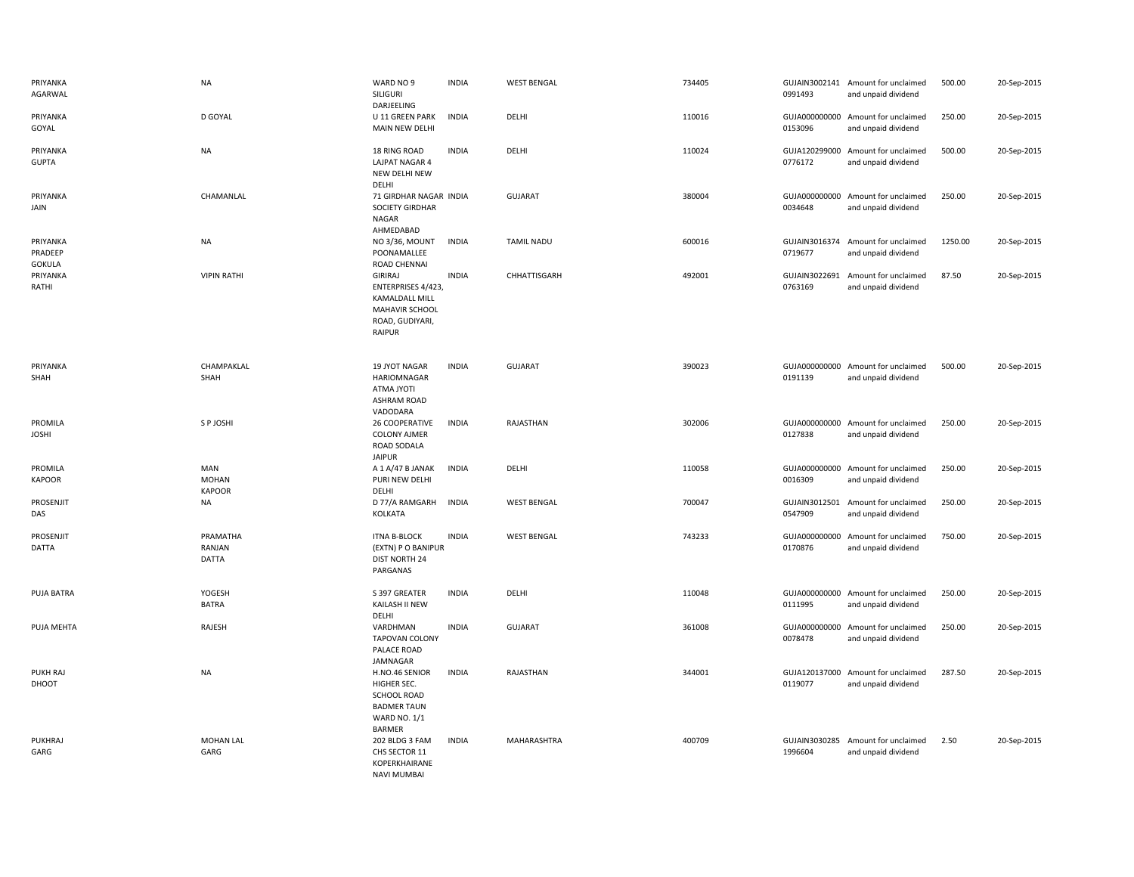| PRIYANKA<br>AGARWAL                  | <b>NA</b>                            | WARD NO 9<br>SILIGURI<br>DARJEELING                                                                                 | <b>INDIA</b> | <b>WEST BENGAL</b> | 734405 | 0991493                  | GUJAIN3002141 Amount for unclaimed<br>and unpaid dividend | 500.00  | 20-Sep-2015 |
|--------------------------------------|--------------------------------------|---------------------------------------------------------------------------------------------------------------------|--------------|--------------------|--------|--------------------------|-----------------------------------------------------------|---------|-------------|
| PRIYANKA<br>GOYAL                    | D GOYAL                              | U 11 GREEN PARK<br>MAIN NEW DELHI                                                                                   | <b>INDIA</b> | DELHI              | 110016 | 0153096                  | GUJA000000000 Amount for unclaimed<br>and unpaid dividend | 250.00  | 20-Sep-2015 |
| PRIYANKA<br><b>GUPTA</b>             | <b>NA</b>                            | 18 RING ROAD<br>LAJPAT NAGAR 4<br>NEW DELHI NEW<br>DELHI                                                            | <b>INDIA</b> | DELHI              | 110024 | GUJA120299000<br>0776172 | Amount for unclaimed<br>and unpaid dividend               | 500.00  | 20-Sep-2015 |
| PRIYANKA<br>JAIN                     | CHAMANLAL                            | 71 GIRDHAR NAGAR INDIA<br><b>SOCIETY GIRDHAR</b><br>NAGAR<br>AHMEDABAD                                              |              | <b>GUJARAT</b>     | 380004 | GUJA000000000<br>0034648 | Amount for unclaimed<br>and unpaid dividend               | 250.00  | 20-Sep-2015 |
| PRIYANKA<br>PRADEEP<br><b>GOKULA</b> | <b>NA</b>                            | NO 3/36, MOUNT<br>POONAMALLEE<br>ROAD CHENNAI                                                                       | <b>INDIA</b> | <b>TAMIL NADU</b>  | 600016 | GUJAIN3016374<br>0719677 | Amount for unclaimed<br>and unpaid dividend               | 1250.00 | 20-Sep-2015 |
| PRIYANKA<br>RATHI                    | <b>VIPIN RATHI</b>                   | <b>GIRIRAJ</b><br>ENTERPRISES 4/423,<br><b>KAMALDALL MILL</b><br>MAHAVIR SCHOOL<br>ROAD, GUDIYARI,<br><b>RAIPUR</b> | <b>INDIA</b> | CHHATTISGARH       | 492001 | GUJAIN3022691<br>0763169 | Amount for unclaimed<br>and unpaid dividend               | 87.50   | 20-Sep-2015 |
| PRIYANKA<br>SHAH                     | CHAMPAKLAL<br>SHAH                   | 19 JYOT NAGAR<br>HARIOMNAGAR<br>ITOYL ANTA<br><b>ASHRAM ROAD</b><br>VADODARA                                        | <b>INDIA</b> | <b>GUJARAT</b>     | 390023 | 0191139                  | GUJA000000000 Amount for unclaimed<br>and unpaid dividend | 500.00  | 20-Sep-2015 |
| PROMILA<br><b>JOSHI</b>              | S P JOSHI                            | 26 COOPERATIVE<br><b>COLONY AJMER</b><br>ROAD SODALA<br><b>JAIPUR</b>                                               | <b>INDIA</b> | RAJASTHAN          | 302006 | 0127838                  | GUJA000000000 Amount for unclaimed<br>and unpaid dividend | 250.00  | 20-Sep-2015 |
| PROMILA<br><b>KAPOOR</b>             | MAN<br><b>MOHAN</b><br><b>KAPOOR</b> | A 1 A/47 B JANAK<br>PURI NEW DELHI<br>DELHI                                                                         | <b>INDIA</b> | DELHI              | 110058 | GUJA000000000<br>0016309 | Amount for unclaimed<br>and unpaid dividend               | 250.00  | 20-Sep-2015 |
| PROSENJIT<br>DAS                     | <b>NA</b>                            | D 77/A RAMGARH<br>KOLKATA                                                                                           | <b>INDIA</b> | <b>WEST BENGAL</b> | 700047 | 0547909                  | GUJAIN3012501 Amount for unclaimed<br>and unpaid dividend | 250.00  | 20-Sep-2015 |
| PROSENJIT<br>DATTA                   | PRAMATHA<br>RANJAN<br><b>DATTA</b>   | <b>ITNA B-BLOCK</b><br>(EXTN) P O BANIPUR<br>DIST NORTH 24<br>PARGANAS                                              | <b>INDIA</b> | <b>WEST BENGAL</b> | 743233 | GUJA000000000<br>0170876 | Amount for unclaimed<br>and unpaid dividend               | 750.00  | 20-Sep-2015 |
| PUJA BATRA                           | YOGESH<br><b>BATRA</b>               | S 397 GREATER<br>KAILASH II NEW<br>DELHI                                                                            | <b>INDIA</b> | DELHI              | 110048 | 0111995                  | GUJA000000000 Amount for unclaimed<br>and unpaid dividend | 250.00  | 20-Sep-2015 |
| PUJA MEHTA                           | RAJESH                               | VARDHMAN<br><b>TAPOVAN COLONY</b><br>PALACE ROAD<br>JAMNAGAR                                                        | <b>INDIA</b> | <b>GUJARAT</b>     | 361008 | 0078478                  | GUJA000000000 Amount for unclaimed<br>and unpaid dividend | 250.00  | 20-Sep-2015 |
| <b>PUKH RAJ</b><br>DHOOT             | <b>NA</b>                            | H.NO.46 SENIOR<br>HIGHER SEC.<br><b>SCHOOL ROAD</b><br><b>BADMER TAUN</b><br><b>WARD NO. 1/1</b><br><b>BARMER</b>   | <b>INDIA</b> | RAJASTHAN          | 344001 | GUJA120137000<br>0119077 | Amount for unclaimed<br>and unpaid dividend               | 287.50  | 20-Sep-2015 |
| PUKHRAJ<br>GARG                      | <b>MOHAN LAL</b><br>GARG             | 202 BLDG 3 FAM<br>CHS SECTOR 11<br>KOPERKHAIRANE<br><b>NAVI MUMBAI</b>                                              | <b>INDIA</b> | MAHARASHTRA        | 400709 | 1996604                  | GUJAIN3030285 Amount for unclaimed<br>and unpaid dividend | 2.50    | 20-Sep-2015 |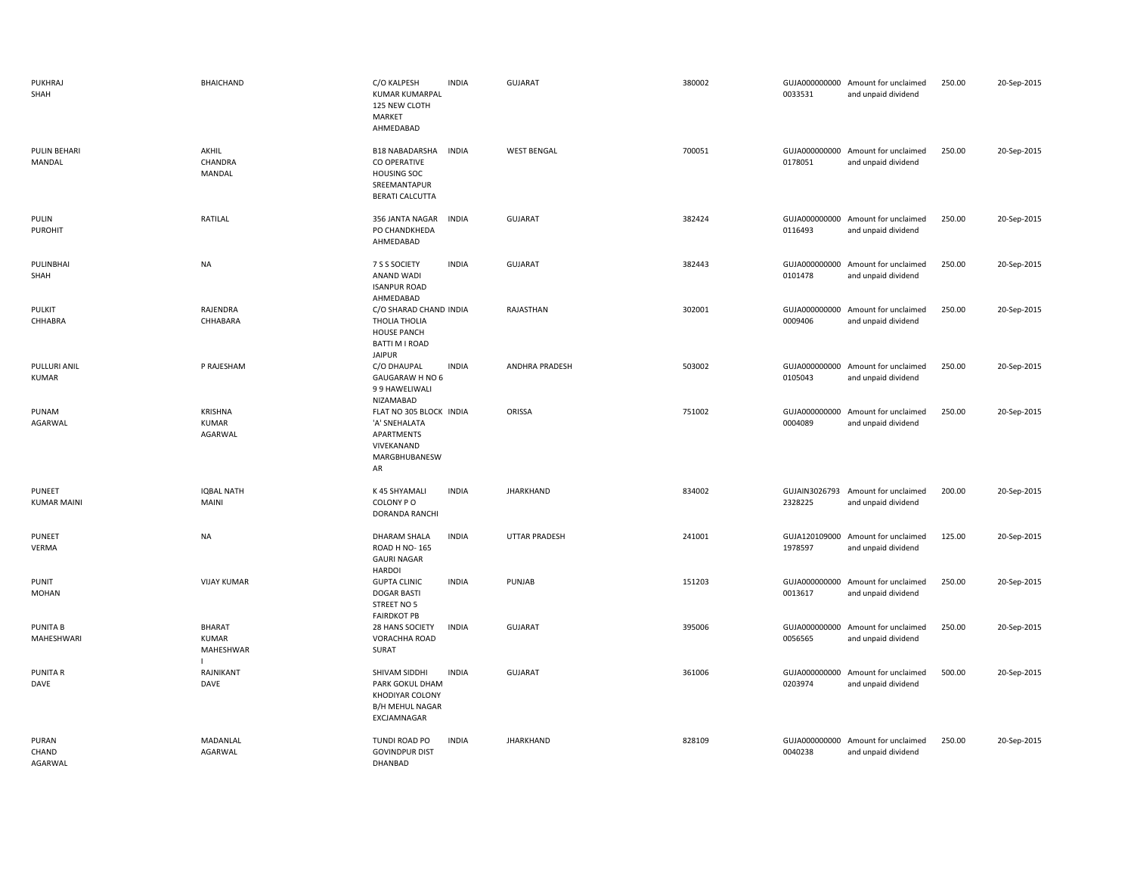| PUKHRAJ<br>SHAH                  | <b>BHAICHAND</b>                          | C/O KALPESH<br><b>KUMAR KUMARPAL</b><br>125 NEW CLOTH<br>MARKET<br>AHMEDABAD                                          | <b>INDIA</b> | <b>GUJARAT</b>       | 380002 | 0033531                  | GUJA000000000 Amount for unclaimed<br>and unpaid dividend | 250.00 | 20-Sep-2015 |
|----------------------------------|-------------------------------------------|-----------------------------------------------------------------------------------------------------------------------|--------------|----------------------|--------|--------------------------|-----------------------------------------------------------|--------|-------------|
| PULIN BEHARI<br>MANDAL           | AKHIL<br>CHANDRA<br>MANDAL                | <b>B18 NABADARSHA</b><br><b>INDIA</b><br>CO OPERATIVE<br><b>HOUSING SOC</b><br>SREEMANTAPUR<br><b>BERATI CALCUTTA</b> |              | <b>WEST BENGAL</b>   | 700051 | 0178051                  | GUJA000000000 Amount for unclaimed<br>and unpaid dividend | 250.00 | 20-Sep-2015 |
| PULIN<br>PUROHIT                 | RATILAL                                   | 356 JANTA NAGAR<br><b>INDIA</b><br>PO CHANDKHEDA<br>AHMEDABAD                                                         |              | <b>GUJARAT</b>       | 382424 | 0116493                  | GUJA000000000 Amount for unclaimed<br>and unpaid dividend | 250.00 | 20-Sep-2015 |
| PULINBHAI<br>SHAH                | <b>NA</b>                                 | 7 S S SOCIETY<br><b>ANAND WADI</b><br><b>ISANPUR ROAD</b><br>AHMEDABAD                                                | <b>INDIA</b> | <b>GUJARAT</b>       | 382443 | GUJA000000000<br>0101478 | Amount for unclaimed<br>and unpaid dividend               | 250.00 | 20-Sep-2015 |
| PULKIT<br>CHHABRA                | RAJENDRA<br>CHHABARA                      | C/O SHARAD CHAND INDIA<br>THOLIA THOLIA<br><b>HOUSE PANCH</b><br><b>BATTI M I ROAD</b><br><b>JAIPUR</b>               |              | RAJASTHAN            | 302001 | 0009406                  | GUJA000000000 Amount for unclaimed<br>and unpaid dividend | 250.00 | 20-Sep-2015 |
| PULLURI ANIL<br><b>KUMAR</b>     | P RAJESHAM                                | C/O DHAUPAL<br>GAUGARAW H NO 6<br>99 HAWELIWALI<br>NIZAMABAD                                                          | <b>INDIA</b> | ANDHRA PRADESH       | 503002 | GUJA000000000<br>0105043 | Amount for unclaimed<br>and unpaid dividend               | 250.00 | 20-Sep-2015 |
| PUNAM<br>AGARWAL                 | <b>KRISHNA</b><br><b>KUMAR</b><br>AGARWAL | FLAT NO 305 BLOCK INDIA<br>'A' SNEHALATA<br>APARTMENTS<br>VIVEKANAND<br>MARGBHUBANESW<br>AR                           |              | ORISSA               | 751002 | 0004089                  | GUJA000000000 Amount for unclaimed<br>and unpaid dividend | 250.00 | 20-Sep-2015 |
| PUNEET<br><b>KUMAR MAINI</b>     | <b>IQBAL NATH</b><br>MAINI                | K 45 SHYAMALI<br><b>INDIA</b><br>COLONY PO<br>DORANDA RANCHI                                                          |              | <b>JHARKHAND</b>     | 834002 | 2328225                  | GUJAIN3026793 Amount for unclaimed<br>and unpaid dividend | 200.00 | 20-Sep-2015 |
| PUNEET<br>VERMA                  | <b>NA</b>                                 | <b>DHARAM SHALA</b><br>ROAD H NO-165<br><b>GAURI NAGAR</b><br><b>HARDOI</b>                                           | <b>INDIA</b> | <b>UTTAR PRADESH</b> | 241001 | GUJA120109000<br>1978597 | Amount for unclaimed<br>and unpaid dividend               | 125.00 | 20-Sep-2015 |
| <b>PUNIT</b><br><b>MOHAN</b>     | <b>VIJAY KUMAR</b>                        | <b>INDIA</b><br><b>GUPTA CLINIC</b><br><b>DOGAR BASTI</b><br>STREET NO 5<br><b>FAIRDKOT PB</b>                        |              | PUNJAB               | 151203 | 0013617                  | GUJA000000000 Amount for unclaimed<br>and unpaid dividend | 250.00 | 20-Sep-2015 |
| <b>PUNITA B</b><br>MAHESHWARI    | BHARAT<br><b>KUMAR</b><br>MAHESHWAR       | 28 HANS SOCIETY<br><b>INDIA</b><br>VORACHHA ROAD<br><b>SURAT</b>                                                      |              | GUJARAT              | 395006 | GUJA000000000<br>0056565 | Amount for unclaimed<br>and unpaid dividend               | 250.00 | 20-Sep-2015 |
| <b>PUNITA R</b><br>DAVE          | RAJNIKANT<br>DAVE                         | SHIVAM SIDDHI<br><b>INDIA</b><br>PARK GOKUL DHAM<br>KHODIYAR COLONY<br><b>B/H MEHUL NAGAR</b><br>EXCJAMNAGAR          |              | GUJARAT              | 361006 | GUJA000000000<br>0203974 | Amount for unclaimed<br>and unpaid dividend               | 500.00 | 20-Sep-2015 |
| <b>PURAN</b><br>CHAND<br>AGARWAL | MADANLAL<br>AGARWAL                       | TUNDI ROAD PO<br><b>GOVINDPUR DIST</b><br>DHANBAD                                                                     | <b>INDIA</b> | <b>JHARKHAND</b>     | 828109 | GUJA000000000<br>0040238 | Amount for unclaimed<br>and unpaid dividend               | 250.00 | 20-Sep-2015 |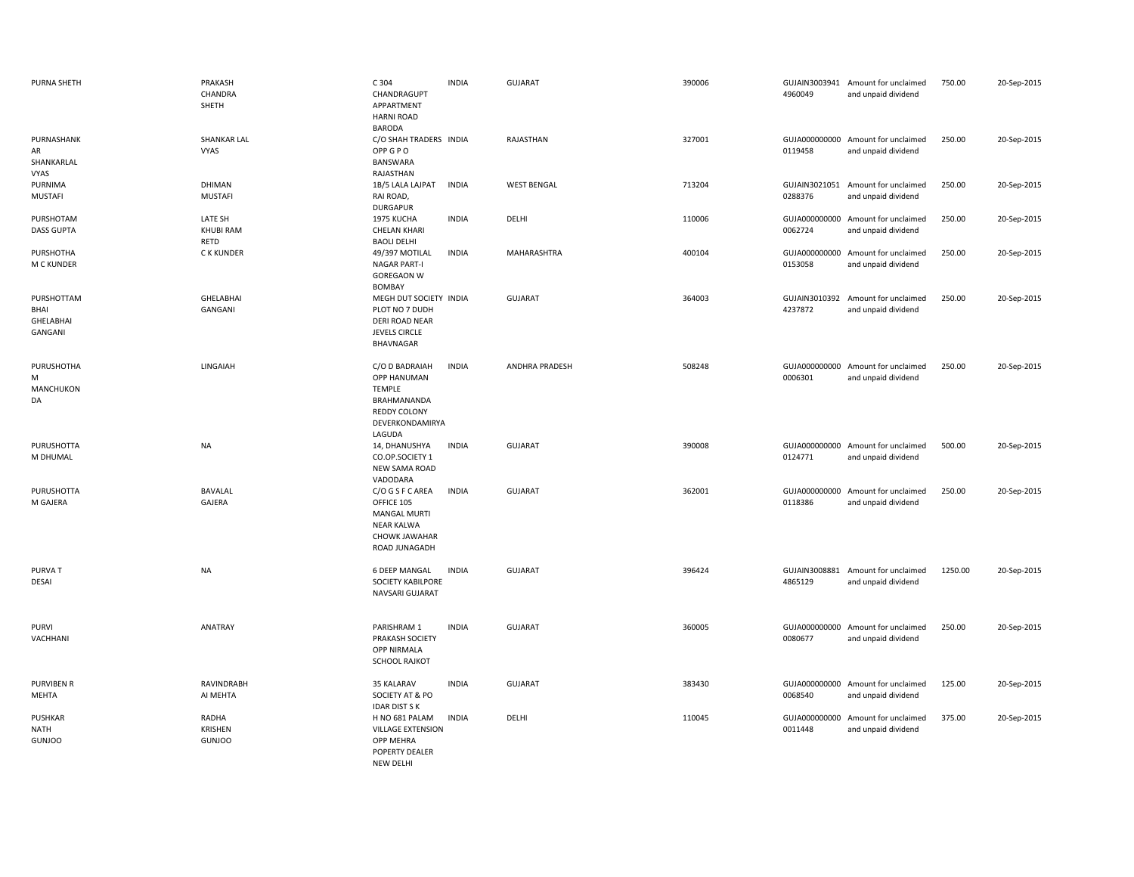| <b>PURNA SHETH</b>                         | PRAKASH<br>CHANDRA<br>SHETH       | C 304<br>CHANDRAGUPT<br>APPARTMENT<br><b>HARNI ROAD</b><br><b>BARODA</b>                                     | <b>INDIA</b> | <b>GUJARAT</b>        | 390006 | 4960049                  | GUJAIN3003941 Amount for unclaimed<br>and unpaid dividend | 750.00  | 20-Sep-2015 |
|--------------------------------------------|-----------------------------------|--------------------------------------------------------------------------------------------------------------|--------------|-----------------------|--------|--------------------------|-----------------------------------------------------------|---------|-------------|
| PURNASHANK<br>AR<br>SHANKARLAL<br>VYAS     | <b>SHANKAR LAL</b><br>VYAS        | C/O SHAH TRADERS INDIA<br>OPP G P O<br>BANSWARA<br>RAJASTHAN                                                 |              | RAJASTHAN             | 327001 | 0119458                  | GUJA000000000 Amount for unclaimed<br>and unpaid dividend | 250.00  | 20-Sep-2015 |
| PURNIMA<br><b>MUSTAFI</b>                  | DHIMAN<br><b>MUSTAFI</b>          | 1B/5 LALA LAJPAT<br>RAI ROAD,<br><b>DURGAPUR</b>                                                             | <b>INDIA</b> | <b>WEST BENGAL</b>    | 713204 | 0288376                  | GUJAIN3021051 Amount for unclaimed<br>and unpaid dividend | 250.00  | 20-Sep-2015 |
| PURSHOTAM<br><b>DASS GUPTA</b>             | LATE SH<br>KHUBI RAM<br>RETD      | 1975 KUCHA<br><b>CHELAN KHARI</b><br><b>BAOLI DELHI</b>                                                      | <b>INDIA</b> | DELHI                 | 110006 | 0062724                  | GUJA000000000 Amount for unclaimed<br>and unpaid dividend | 250.00  | 20-Sep-2015 |
| PURSHOTHA<br>M C KUNDER                    | C K KUNDER                        | 49/397 MOTILAL<br><b>NAGAR PART-I</b><br><b>GOREGAON W</b><br>BOMBAY                                         | <b>INDIA</b> | MAHARASHTRA           | 400104 | 0153058                  | GUJA000000000 Amount for unclaimed<br>and unpaid dividend | 250.00  | 20-Sep-2015 |
| PURSHOTTAM<br>BHAI<br>GHELABHAI<br>GANGANI | <b>GHELABHAI</b><br>GANGANI       | MEGH DUT SOCIETY INDIA<br>PLOT NO 7 DUDH<br>DERI ROAD NEAR<br><b>JEVELS CIRCLE</b><br>BHAVNAGAR              |              | GUJARAT               | 364003 | 4237872                  | GUJAIN3010392 Amount for unclaimed<br>and unpaid dividend | 250.00  | 20-Sep-2015 |
| PURUSHOTHA<br>M<br>MANCHUKON<br>DA         | LINGAIAH                          | C/O D BADRAIAH<br>OPP HANUMAN<br><b>TEMPLE</b><br>BRAHMANANDA<br>REDDY COLONY<br>DEVERKONDAMIRYA<br>LAGUDA   | <b>INDIA</b> | <b>ANDHRA PRADESH</b> | 508248 | 0006301                  | GUJA000000000 Amount for unclaimed<br>and unpaid dividend | 250.00  | 20-Sep-2015 |
| PURUSHOTTA<br>M DHUMAL                     | <b>NA</b>                         | 14, DHANUSHYA<br>CO.OP.SOCIETY 1<br><b>NEW SAMA ROAD</b><br>VADODARA                                         | <b>INDIA</b> | <b>GUJARAT</b>        | 390008 | 0124771                  | GUJA000000000 Amount for unclaimed<br>and unpaid dividend | 500.00  | 20-Sep-2015 |
| PURUSHOTTA<br>M GAJERA                     | BAVALAL<br>GAJERA                 | C/O G S F C AREA<br>OFFICE 105<br><b>MANGAL MURTI</b><br><b>NEAR KALWA</b><br>CHOWK JAWAHAR<br>ROAD JUNAGADH | <b>INDIA</b> | GUJARAT               | 362001 | 0118386                  | GUJA000000000 Amount for unclaimed<br>and unpaid dividend | 250.00  | 20-Sep-2015 |
| <b>PURVAT</b><br>DESAI                     | <b>NA</b>                         | 6 DEEP MANGAL<br><b>SOCIETY KABILPORE</b><br>NAVSARI GUJARAT                                                 | <b>INDIA</b> | <b>GUJARAT</b>        | 396424 | GUJAIN3008881<br>4865129 | Amount for unclaimed<br>and unpaid dividend               | 1250.00 | 20-Sep-2015 |
| <b>PURVI</b><br>VACHHANI                   | ANATRAY                           | PARISHRAM 1<br>PRAKASH SOCIETY<br>OPP NIRMALA<br><b>SCHOOL RAJKOT</b>                                        | <b>INDIA</b> | GUJARAT               | 360005 | 0080677                  | GUJA000000000 Amount for unclaimed<br>and unpaid dividend | 250.00  | 20-Sep-2015 |
| <b>PURVIBEN R</b><br>MEHTA                 | RAVINDRABH<br>AI MEHTA            | 35 KALARAV<br>SOCIETY AT & PO<br><b>IDAR DIST S K</b>                                                        | <b>INDIA</b> | <b>GUJARAT</b>        | 383430 | 0068540                  | GUJA000000000 Amount for unclaimed<br>and unpaid dividend | 125.00  | 20-Sep-2015 |
| PUSHKAR<br><b>NATH</b><br><b>GUNJOO</b>    | RADHA<br>KRISHEN<br><b>GUNJOO</b> | H NO 681 PALAM<br><b>VILLAGE EXTENSION</b><br>OPP MEHRA<br>POPERTY DEALER<br><b>NFW DFLHI</b>                | <b>INDIA</b> | DELHI                 | 110045 | 0011448                  | GUJA000000000 Amount for unclaimed<br>and unpaid dividend | 375.00  | 20-Sep-2015 |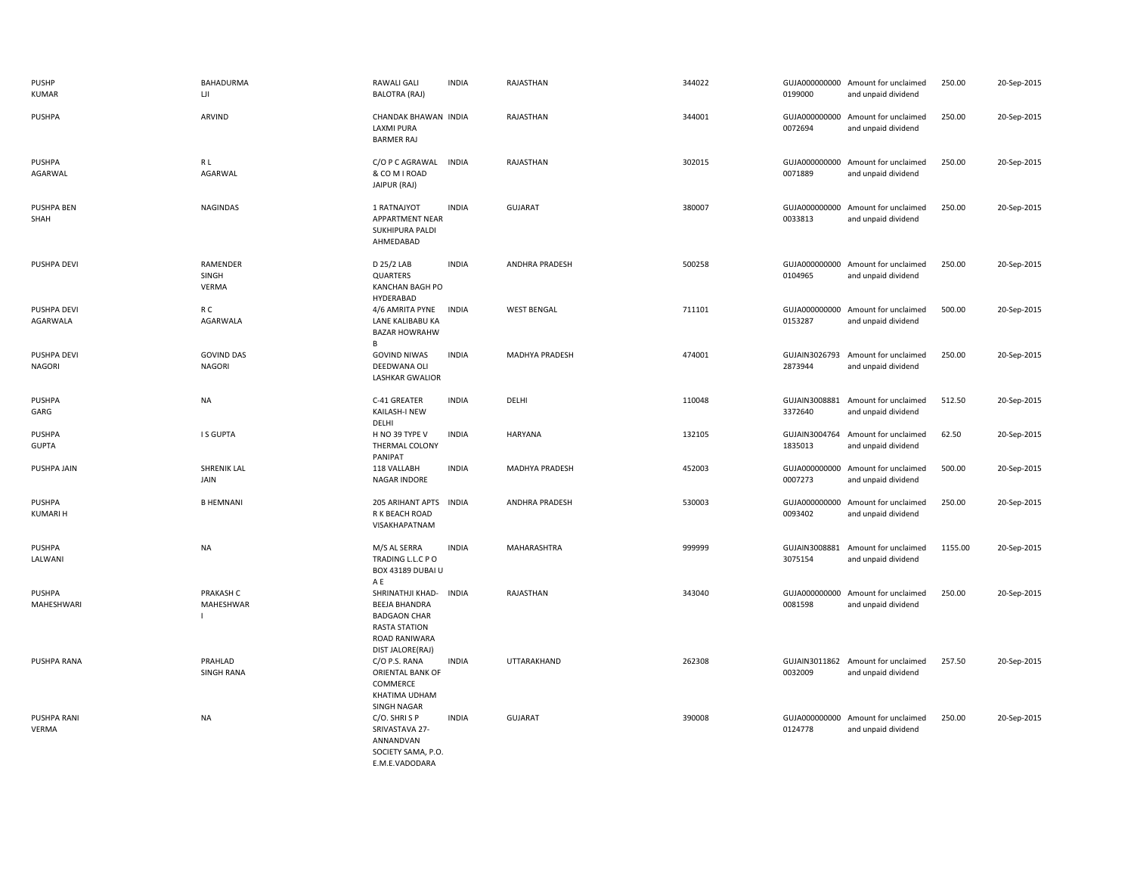| PUSHP<br><b>KUMAR</b>         | BAHADURMA<br>Ш                     | <b>RAWALI GALI</b><br><b>BALOTRA (RAJ)</b>                                                                                   | <b>INDIA</b> | RAJASTHAN          | 344022 | 0199000                  | GUJA000000000 Amount for unclaimed<br>and unpaid dividend | 250.00  | 20-Sep-2015 |
|-------------------------------|------------------------------------|------------------------------------------------------------------------------------------------------------------------------|--------------|--------------------|--------|--------------------------|-----------------------------------------------------------|---------|-------------|
| PUSHPA                        | ARVIND                             | CHANDAK BHAWAN INDIA<br><b>LAXMI PURA</b><br><b>BARMER RAJ</b>                                                               |              | RAJASTHAN          | 344001 | 0072694                  | GUJA000000000 Amount for unclaimed<br>and unpaid dividend | 250.00  | 20-Sep-2015 |
| PUSHPA<br>AGARWAL             | R L<br>AGARWAL                     | C/O P C AGRAWAL<br>& COM I ROAD<br>JAIPUR (RAJ)                                                                              | <b>INDIA</b> | RAJASTHAN          | 302015 | 0071889                  | GUJA000000000 Amount for unclaimed<br>and unpaid dividend | 250.00  | 20-Sep-2015 |
| PUSHPA BEN<br>SHAH            | <b>NAGINDAS</b>                    | 1 RATNAJYOT<br>APPARTMENT NEAR<br><b>SUKHIPURA PALDI</b><br>AHMEDABAD                                                        | <b>INDIA</b> | <b>GUJARAT</b>     | 380007 | 0033813                  | GUJA000000000 Amount for unclaimed<br>and unpaid dividend | 250.00  | 20-Sep-2015 |
| PUSHPA DEVI                   | RAMENDER<br>SINGH<br><b>VERMA</b>  | D 25/2 LAB<br>QUARTERS<br>KANCHAN BAGH PO<br><b>HYDERABAD</b>                                                                | <b>INDIA</b> | ANDHRA PRADESH     | 500258 | 0104965                  | GUJA000000000 Amount for unclaimed<br>and unpaid dividend | 250.00  | 20-Sep-2015 |
| PUSHPA DEVI<br>AGARWALA       | R C<br>AGARWALA                    | 4/6 AMRITA PYNE<br>LANE KALIBABU KA<br><b>BAZAR HOWRAHW</b>                                                                  | <b>INDIA</b> | <b>WEST BENGAL</b> | 711101 | 0153287                  | GUJA000000000 Amount for unclaimed<br>and unpaid dividend | 500.00  | 20-Sep-2015 |
| PUSHPA DEVI<br><b>NAGORI</b>  | <b>GOVIND DAS</b><br><b>NAGORI</b> | B<br><b>GOVIND NIWAS</b><br>DEEDWANA OLI<br><b>LASHKAR GWALIOR</b>                                                           | <b>INDIA</b> | MADHYA PRADESH     | 474001 | GUJAIN3026793<br>2873944 | Amount for unclaimed<br>and unpaid dividend               | 250.00  | 20-Sep-2015 |
| <b>PUSHPA</b><br>GARG         | <b>NA</b>                          | C-41 GREATER<br>KAILASH-I NEW<br>DELHI                                                                                       | <b>INDIA</b> | DELHI              | 110048 | 3372640                  | GUJAIN3008881 Amount for unclaimed<br>and unpaid dividend | 512.50  | 20-Sep-2015 |
| <b>PUSHPA</b><br><b>GUPTA</b> | I S GUPTA                          | H NO 39 TYPE V<br>THERMAL COLONY<br>PANIPAT                                                                                  | <b>INDIA</b> | <b>HARYANA</b>     | 132105 | GUJAIN3004764<br>1835013 | Amount for unclaimed<br>and unpaid dividend               | 62.50   | 20-Sep-2015 |
| PUSHPA JAIN                   | <b>SHRENIK LAL</b><br>JAIN         | 118 VALLABH<br>NAGAR INDORE                                                                                                  | <b>INDIA</b> | MADHYA PRADESH     | 452003 | 0007273                  | GUJA000000000 Amount for unclaimed<br>and unpaid dividend | 500.00  | 20-Sep-2015 |
| PUSHPA<br><b>KUMARI H</b>     | <b>B HEMNANI</b>                   | 205 ARIHANT APTS<br>R K BEACH ROAD<br>VISAKHAPATNAM                                                                          | <b>INDIA</b> | ANDHRA PRADESH     | 530003 | 0093402                  | GUJA000000000 Amount for unclaimed<br>and unpaid dividend | 250.00  | 20-Sep-2015 |
| <b>PUSHPA</b><br>LALWANI      | NA                                 | M/S AL SERRA<br>TRADING L.L.C PO<br>BOX 43189 DUBAI U<br>A E                                                                 | <b>INDIA</b> | MAHARASHTRA        | 999999 | 3075154                  | GUJAIN3008881 Amount for unclaimed<br>and unpaid dividend | 1155.00 | 20-Sep-2015 |
| <b>PUSHPA</b><br>MAHESHWARI   | PRAKASH C<br>MAHESHWAR             | SHRINATHJI KHAD-<br><b>BEEJA BHANDRA</b><br><b>BADGAON CHAR</b><br><b>RASTA STATION</b><br>ROAD RANIWARA<br>DIST JALORE(RAJ) | <b>INDIA</b> | RAJASTHAN          | 343040 | GUJA000000000<br>0081598 | Amount for unclaimed<br>and unpaid dividend               | 250.00  | 20-Sep-2015 |
| PUSHPA RANA                   | PRAHLAD<br><b>SINGH RANA</b>       | C/O P.S. RANA<br>ORIENTAL BANK OF<br>COMMERCE<br>KHATIMA UDHAM<br>SINGH NAGAR                                                | <b>INDIA</b> | UTTARAKHAND        | 262308 | 0032009                  | GUJAIN3011862 Amount for unclaimed<br>and unpaid dividend | 257.50  | 20-Sep-2015 |
| PUSHPA RANI<br>VERMA          | <b>NA</b>                          | C/O. SHRISP<br>SRIVASTAVA 27-<br>ANNANDVAN<br>SOCIETY SAMA, P.O.<br>E.M.E.VADODARA                                           | <b>INDIA</b> | <b>GUJARAT</b>     | 390008 | 0124778                  | GUJA000000000 Amount for unclaimed<br>and unpaid dividend | 250.00  | 20-Sep-2015 |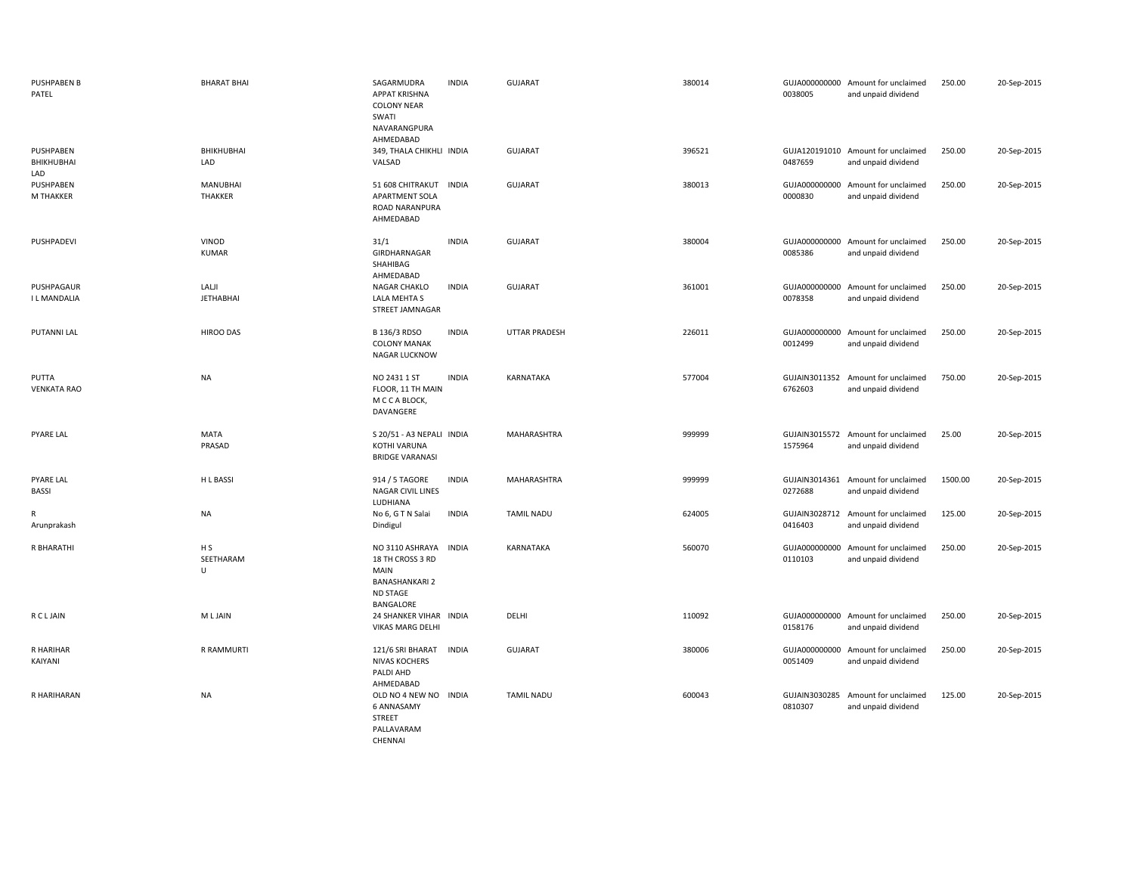| <b>PUSHPABEN B</b><br>PATEL    | <b>BHARAT BHAI</b>               | SAGARMUDRA<br><b>APPAT KRISHNA</b><br><b>COLONY NEAR</b><br>SWATI<br>NAVARANGPURA<br>AHMEDABAD                       | <b>INDIA</b> | <b>GUJARAT</b>       | 380014 | 0038005                  | GUJA000000000 Amount for unclaimed<br>and unpaid dividend | 250.00  | 20-Sep-2015 |
|--------------------------------|----------------------------------|----------------------------------------------------------------------------------------------------------------------|--------------|----------------------|--------|--------------------------|-----------------------------------------------------------|---------|-------------|
| PUSHPABEN<br>BHIKHUBHAI<br>LAD | BHIKHUBHAI<br>LAD                | 349, THALA CHIKHLI INDIA<br>VALSAD                                                                                   |              | <b>GUJARAT</b>       | 396521 | 0487659                  | GUJA120191010 Amount for unclaimed<br>and unpaid dividend | 250.00  | 20-Sep-2015 |
| PUSHPABEN<br>M THAKKER         | <b>MANUBHAI</b><br>THAKKER       | 51 608 CHITRAKUT INDIA<br>APARTMENT SOLA<br>ROAD NARANPURA<br>AHMEDABAD                                              |              | <b>GUJARAT</b>       | 380013 | 0000830                  | GUJA000000000 Amount for unclaimed<br>and unpaid dividend | 250.00  | 20-Sep-2015 |
| PUSHPADEVI                     | VINOD<br><b>KUMAR</b>            | 31/1<br>GIRDHARNAGAR<br>SHAHIBAG<br>AHMEDABAD                                                                        | <b>INDIA</b> | <b>GUJARAT</b>       | 380004 | 0085386                  | GUJA000000000 Amount for unclaimed<br>and unpaid dividend | 250.00  | 20-Sep-2015 |
| PUSHPAGAUR<br>I L MANDALIA     | LALJI<br><b>JETHABHAI</b>        | NAGAR CHAKLO<br>LALA MEHTA S<br>STREET JAMNAGAR                                                                      | <b>INDIA</b> | <b>GUJARAT</b>       | 361001 | 0078358                  | GUJA000000000 Amount for unclaimed<br>and unpaid dividend | 250.00  | 20-Sep-2015 |
| PUTANNI LAL                    | HIROO DAS                        | B 136/3 RDSO<br><b>COLONY MANAK</b><br>NAGAR LUCKNOW                                                                 | <b>INDIA</b> | <b>UTTAR PRADESH</b> | 226011 | 0012499                  | GUJA000000000 Amount for unclaimed<br>and unpaid dividend | 250.00  | 20-Sep-2015 |
| PUTTA<br><b>VENKATA RAO</b>    | <b>NA</b>                        | NO 2431 1 ST<br>FLOOR, 11 TH MAIN<br>M C C A BLOCK,<br>DAVANGERE                                                     | <b>INDIA</b> | KARNATAKA            | 577004 | 6762603                  | GUJAIN3011352 Amount for unclaimed<br>and unpaid dividend | 750.00  | 20-Sep-2015 |
| <b>PYARE LAL</b>               | <b>MATA</b><br>PRASAD            | S 20/51 - A3 NEPALI INDIA<br>KOTHI VARUNA<br><b>BRIDGE VARANASI</b>                                                  |              | MAHARASHTRA          | 999999 | 1575964                  | GUJAIN3015572 Amount for unclaimed<br>and unpaid dividend | 25.00   | 20-Sep-2015 |
| <b>PYARE LAL</b><br>BASSI      | H L BASSI                        | 914 / 5 TAGORE<br><b>NAGAR CIVIL LINES</b><br>LUDHIANA                                                               | <b>INDIA</b> | MAHARASHTRA          | 999999 | GUJAIN3014361<br>0272688 | Amount for unclaimed<br>and unpaid dividend               | 1500.00 | 20-Sep-2015 |
| R<br>Arunprakash               | <b>NA</b>                        | No 6, G T N Salai<br>Dindigul                                                                                        | <b>INDIA</b> | <b>TAMIL NADU</b>    | 624005 | 0416403                  | GUJAIN3028712 Amount for unclaimed<br>and unpaid dividend | 125.00  | 20-Sep-2015 |
| R BHARATHI                     | H <sub>S</sub><br>SEETHARAM<br>U | NO 3110 ASHRAYA<br><b>INDIA</b><br>18 TH CROSS 3 RD<br><b>MAIN</b><br><b>BANASHANKARI 2</b><br>ND STAGE<br>BANGALORE |              | KARNATAKA            | 560070 | 0110103                  | GUJA000000000 Amount for unclaimed<br>and unpaid dividend | 250.00  | 20-Sep-2015 |
| <b>RCLJAIN</b>                 | M L JAIN                         | 24 SHANKER VIHAR INDIA<br>VIKAS MARG DELHI                                                                           |              | DELHI                | 110092 | 0158176                  | GUJA000000000 Amount for unclaimed<br>and unpaid dividend | 250.00  | 20-Sep-2015 |
| R HARIHAR<br>KAIYANI           | R RAMMURTI                       | 121/6 SRI BHARAT<br><b>NIVAS KOCHERS</b><br>PALDI AHD<br>AHMEDABAD                                                   | <b>INDIA</b> | <b>GUJARAT</b>       | 380006 | 0051409                  | GUJA000000000 Amount for unclaimed<br>and unpaid dividend | 250.00  | 20-Sep-2015 |
| R HARIHARAN                    | <b>NA</b>                        | OLD NO 4 NEW NO INDIA<br><b>6 ANNASAMY</b><br><b>STREET</b><br>PALLAVARAM                                            |              | <b>TAMIL NADU</b>    | 600043 | GUJAIN3030285<br>0810307 | Amount for unclaimed<br>and unpaid dividend               | 125.00  | 20-Sep-2015 |

CHENNAI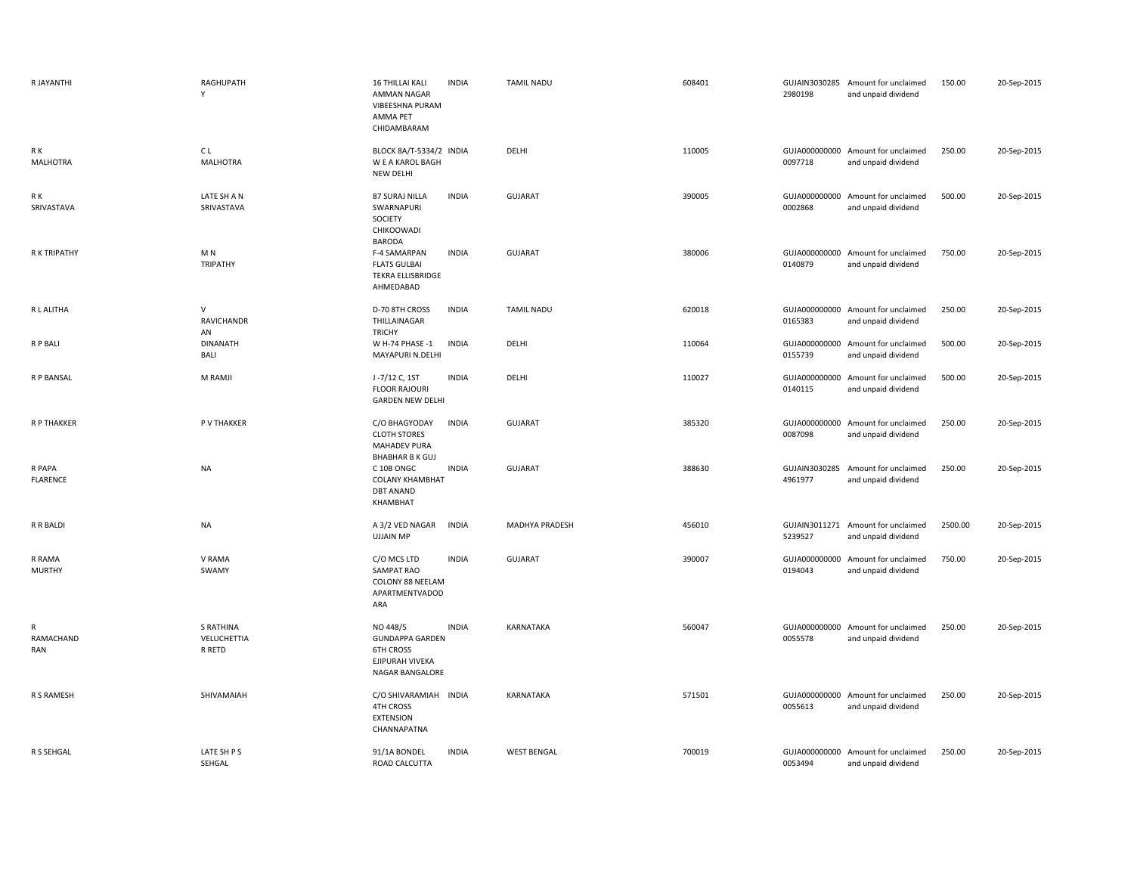| R JAYANTHI              | RAGHUPATH<br>Y                     | 16 THILLAI KALI<br><b>INDIA</b><br>AMMAN NAGAR<br>VIBEESHNA PURAM<br>AMMA PET<br>CHIDAMBARAM                   | <b>TAMIL NADU</b>  | 608401 | 2980198 | GUJAIN3030285 Amount for unclaimed<br>and unpaid dividend | 150.00  | 20-Sep-2015 |
|-------------------------|------------------------------------|----------------------------------------------------------------------------------------------------------------|--------------------|--------|---------|-----------------------------------------------------------|---------|-------------|
| R K<br><b>MALHOTRA</b>  | C L<br><b>MALHOTRA</b>             | BLOCK 8A/T-5334/2 INDIA<br>W E A KAROL BAGH<br>NEW DELHI                                                       | DELHI              | 110005 | 0097718 | GUJA000000000 Amount for unclaimed<br>and unpaid dividend | 250.00  | 20-Sep-2015 |
| R K<br>SRIVASTAVA       | LATE SH A N<br>SRIVASTAVA          | <b>INDIA</b><br>87 SURAJ NILLA<br>SWARNAPURI<br>SOCIETY<br>CHIKOOWADI<br><b>BARODA</b>                         | <b>GUJARAT</b>     | 390005 | 0002868 | GUJA000000000 Amount for unclaimed<br>and unpaid dividend | 500.00  | 20-Sep-2015 |
| R K TRIPATHY            | M N<br><b>TRIPATHY</b>             | F-4 SAMARPAN<br><b>INDIA</b><br><b>FLATS GULBAI</b><br>TEKRA ELLISBRIDGE<br>AHMEDABAD                          | <b>GUJARAT</b>     | 380006 | 0140879 | GUJA000000000 Amount for unclaimed<br>and unpaid dividend | 750.00  | 20-Sep-2015 |
| R L ALITHA              | V<br>RAVICHANDR<br>AN              | D-70 8TH CROSS<br><b>INDIA</b><br>THILLAINAGAR<br><b>TRICHY</b>                                                | <b>TAMIL NADU</b>  | 620018 | 0165383 | GUJA000000000 Amount for unclaimed<br>and unpaid dividend | 250.00  | 20-Sep-2015 |
| R P BALI                | <b>DINANATH</b><br><b>BALI</b>     | W H-74 PHASE -1<br><b>INDIA</b><br>MAYAPURI N.DELHI                                                            | DELHI              | 110064 | 0155739 | GUJA000000000 Amount for unclaimed<br>and unpaid dividend | 500.00  | 20-Sep-2015 |
| R P BANSAL              | M RAMJI                            | J-7/12 C, 1ST<br><b>INDIA</b><br><b>FLOOR RAJOURI</b><br><b>GARDEN NEW DELHI</b>                               | DELHI              | 110027 | 0140115 | GUJA000000000 Amount for unclaimed<br>and unpaid dividend | 500.00  | 20-Sep-2015 |
| R P THAKKER             | P V THAKKER                        | <b>INDIA</b><br>C/O BHAGYODAY<br><b>CLOTH STORES</b><br><b>MAHADEV PURA</b>                                    | GUJARAT            | 385320 | 0087098 | GUJA000000000 Amount for unclaimed<br>and unpaid dividend | 250.00  | 20-Sep-2015 |
| R PAPA<br>FLARENCE      | <b>NA</b>                          | <b>BHABHAR B K GUJ</b><br>C 10B ONGC<br><b>INDIA</b><br><b>COLANY KHAMBHAT</b><br><b>DBT ANAND</b><br>KHAMBHAT | <b>GUJARAT</b>     | 388630 | 4961977 | GUJAIN3030285 Amount for unclaimed<br>and unpaid dividend | 250.00  | 20-Sep-2015 |
| R R BALDI               | <b>NA</b>                          | <b>INDIA</b><br>A 3/2 VED NAGAR<br><b>UJJAIN MP</b>                                                            | MADHYA PRADESH     | 456010 | 5239527 | GUJAIN3011271 Amount for unclaimed<br>and unpaid dividend | 2500.00 | 20-Sep-2015 |
| R RAMA<br><b>MURTHY</b> | V RAMA<br>SWAMY                    | C/O MCS LTD<br><b>INDIA</b><br><b>SAMPAT RAO</b><br>COLONY 88 NEELAM<br>APARTMENTVADOD<br>ARA                  | GUJARAT            | 390007 | 0194043 | GUJA000000000 Amount for unclaimed<br>and unpaid dividend | 750.00  | 20-Sep-2015 |
| R<br>RAMACHAND<br>RAN   | S RATHINA<br>VELUCHETTIA<br>R RETD | <b>INDIA</b><br>NO 448/5<br><b>GUNDAPPA GARDEN</b><br><b>6TH CROSS</b><br>EJIPURAH VIVEKA<br>NAGAR BANGALORE   | <b>KARNATAKA</b>   | 560047 | 0055578 | GUJA000000000 Amount for unclaimed<br>and unpaid dividend | 250.00  | 20-Sep-2015 |
| R S RAMESH              | SHIVAMAIAH                         | C/O SHIVARAMIAH INDIA<br><b>4TH CROSS</b><br><b>EXTENSION</b><br>CHANNAPATNA                                   | KARNATAKA          | 571501 | 0055613 | GUJA000000000 Amount for unclaimed<br>and unpaid dividend | 250.00  | 20-Sep-2015 |
| R S SEHGAL              | LATE SH P S<br>SEHGAL              | <b>INDIA</b><br>91/1A BONDEL<br>ROAD CALCUTTA                                                                  | <b>WEST BENGAL</b> | 700019 | 0053494 | GUJA000000000 Amount for unclaimed<br>and unpaid dividend | 250.00  | 20-Sep-2015 |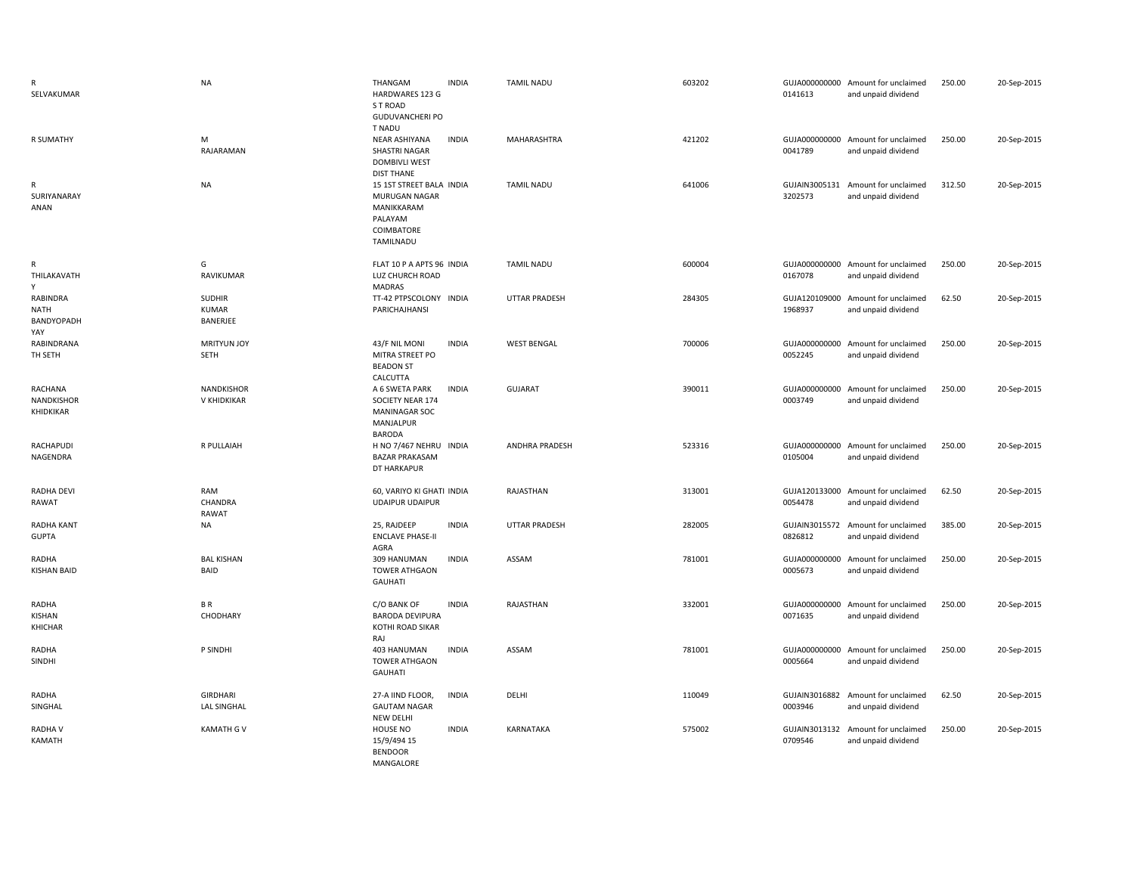| R<br>SELVAKUMAR                              | <b>NA</b>                                        | THANGAM<br>HARDWARES 123 G<br>S T ROAD<br><b>GUDUVANCHERI PO</b><br>T NADU                    | <b>INDIA</b> | <b>TAMIL NADU</b>     | 603202 | 0141613                  | GUJA000000000 Amount for unclaimed<br>and unpaid dividend | 250.00 | 20-Sep-2015 |
|----------------------------------------------|--------------------------------------------------|-----------------------------------------------------------------------------------------------|--------------|-----------------------|--------|--------------------------|-----------------------------------------------------------|--------|-------------|
| R SUMATHY                                    | M<br>RAJARAMAN                                   | NEAR ASHIYANA<br>SHASTRI NAGAR<br><b>DOMBIVLI WEST</b><br><b>DIST THANE</b>                   | <b>INDIA</b> | <b>MAHARASHTRA</b>    | 421202 | 0041789                  | GUJA000000000 Amount for unclaimed<br>and unpaid dividend | 250.00 | 20-Sep-2015 |
| R<br>SURIYANARAY<br>ANAN                     | <b>NA</b>                                        | 15 1ST STREET BALA INDIA<br>MURUGAN NAGAR<br>MANIKKARAM<br>PALAYAM<br>COIMBATORE<br>TAMILNADU |              | <b>TAMIL NADU</b>     | 641006 | GUJAIN3005131<br>3202573 | Amount for unclaimed<br>and unpaid dividend               | 312.50 | 20-Sep-2015 |
| R<br>THILAKAVATH                             | G<br>RAVIKUMAR                                   | FLAT 10 P A APTS 96 INDIA<br>LUZ CHURCH ROAD<br>MADRAS                                        |              | <b>TAMIL NADU</b>     | 600004 | 0167078                  | GUJA000000000 Amount for unclaimed<br>and unpaid dividend | 250.00 | 20-Sep-2015 |
| RABINDRA<br><b>NATH</b><br>BANDYOPADH<br>YAY | <b>SUDHIR</b><br><b>KUMAR</b><br><b>BANERJEE</b> | TT-42 PTPSCOLONY INDIA<br>PARICHAJHANSI                                                       |              | <b>UTTAR PRADESH</b>  | 284305 | 1968937                  | GUJA120109000 Amount for unclaimed<br>and unpaid dividend | 62.50  | 20-Sep-2015 |
| RABINDRANA<br>TH SETH                        | <b>MRITYUN JOY</b><br>SETH                       | 43/F NIL MONI<br>MITRA STREET PO<br><b>BEADON ST</b><br>CALCUTTA                              | <b>INDIA</b> | <b>WEST BENGAL</b>    | 700006 | 0052245                  | GUJA000000000 Amount for unclaimed<br>and unpaid dividend | 250.00 | 20-Sep-2015 |
| RACHANA<br>NANDKISHOR<br>KHIDKIKAR           | NANDKISHOR<br>V KHIDKIKAR                        | A 6 SWETA PARK<br>SOCIETY NEAR 174<br><b>MANINAGAR SOC</b><br>MANJALPUR<br><b>BARODA</b>      | <b>INDIA</b> | GUJARAT               | 390011 | 0003749                  | GUJA000000000 Amount for unclaimed<br>and unpaid dividend | 250.00 | 20-Sep-2015 |
| <b>RACHAPUDI</b><br>NAGENDRA                 | R PULLAIAH                                       | H NO 7/467 NEHRU INDIA<br><b>BAZAR PRAKASAM</b><br>DT HARKAPUR                                |              | <b>ANDHRA PRADESH</b> | 523316 | 0105004                  | GUJA000000000 Amount for unclaimed<br>and unpaid dividend | 250.00 | 20-Sep-2015 |
| RADHA DEVI<br>RAWAT                          | RAM<br>CHANDRA<br>RAWAT                          | 60, VARIYO KI GHATI INDIA<br><b>UDAIPUR UDAIPUR</b>                                           |              | RAJASTHAN             | 313001 | 0054478                  | GUJA120133000 Amount for unclaimed<br>and unpaid dividend | 62.50  | 20-Sep-2015 |
| RADHA KANT<br><b>GUPTA</b>                   | NA                                               | 25, RAJDEEP<br><b>ENCLAVE PHASE-II</b><br>AGRA                                                | <b>INDIA</b> | <b>UTTAR PRADESH</b>  | 282005 | 0826812                  | GUJAIN3015572 Amount for unclaimed<br>and unpaid dividend | 385.00 | 20-Sep-2015 |
| RADHA<br>KISHAN BAID                         | <b>BAL KISHAN</b><br>BAID                        | 309 HANUMAN<br><b>TOWER ATHGAON</b><br><b>GAUHATI</b>                                         | <b>INDIA</b> | ASSAM                 | 781001 | 0005673                  | GUJA000000000 Amount for unclaimed<br>and unpaid dividend | 250.00 | 20-Sep-2015 |
| RADHA<br>KISHAN<br>KHICHAR                   | BR<br>CHODHARY                                   | C/O BANK OF<br><b>BARODA DEVIPURA</b><br>KOTHI ROAD SIKAR<br>RAJ                              | <b>INDIA</b> | RAJASTHAN             | 332001 | 0071635                  | GUJA000000000 Amount for unclaimed<br>and unpaid dividend | 250.00 | 20-Sep-2015 |
| RADHA<br>SINDHI                              | P SINDHI                                         | 403 HANUMAN<br><b>TOWER ATHGAON</b><br><b>GAUHATI</b>                                         | <b>INDIA</b> | ASSAM                 | 781001 | 0005664                  | GUJA000000000 Amount for unclaimed<br>and unpaid dividend | 250.00 | 20-Sep-2015 |
| RADHA<br>SINGHAL                             | <b>GIRDHARI</b><br><b>LAL SINGHAL</b>            | 27-A IIND FLOOR,<br><b>GAUTAM NAGAR</b><br>NEW DELHI                                          | <b>INDIA</b> | DELHI                 | 110049 | 0003946                  | GUJAIN3016882 Amount for unclaimed<br>and unpaid dividend | 62.50  | 20-Sep-2015 |
| <b>RADHAV</b><br>KAMATH                      | <b>KAMATH G V</b>                                | HOUSE NO<br>15/9/494 15<br><b>BENDOOR</b><br>MANGALORE                                        | <b>INDIA</b> | KARNATAKA             | 575002 | 0709546                  | GUJAIN3013132 Amount for unclaimed<br>and unpaid dividend | 250.00 | 20-Sep-2015 |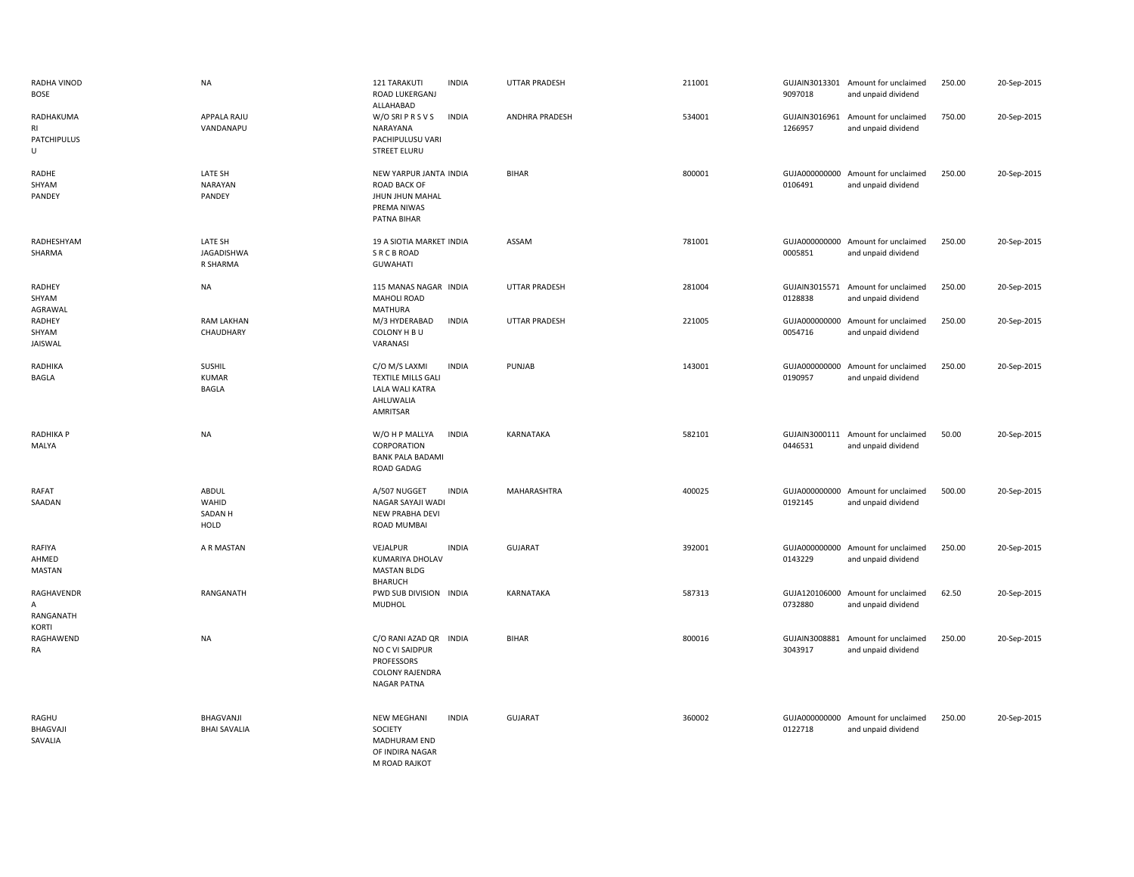| RADHA VINOD<br><b>BOSE</b>                 | <b>NA</b>                                | 121 TARAKUTI<br><b>INDIA</b><br>ROAD LUKERGANJ<br>ALLAHABAD                                                    | <b>UTTAR PRADESH</b>  | 211001 | 9097018                  | GUJAIN3013301 Amount for unclaimed<br>and unpaid dividend | 250.00 | 20-Sep-2015 |
|--------------------------------------------|------------------------------------------|----------------------------------------------------------------------------------------------------------------|-----------------------|--------|--------------------------|-----------------------------------------------------------|--------|-------------|
| RADHAKUMA<br>R1<br><b>PATCHIPULUS</b><br>U | APPALA RAJU<br>VANDANAPU                 | W/O SRIPRS V S<br><b>INDIA</b><br>NARAYANA<br>PACHIPULUSU VARI<br><b>STREET ELURU</b>                          | <b>ANDHRA PRADESH</b> | 534001 | 1266957                  | GUJAIN3016961 Amount for unclaimed<br>and unpaid dividend | 750.00 | 20-Sep-2015 |
| RADHE<br>SHYAM<br>PANDEY                   | LATE SH<br>NARAYAN<br>PANDEY             | NEW YARPUR JANTA INDIA<br><b>ROAD BACK OF</b><br>JHUN JHUN MAHAL<br>PREMA NIWAS<br>PATNA BIHAR                 | <b>BIHAR</b>          | 800001 | 0106491                  | GUJA000000000 Amount for unclaimed<br>and unpaid dividend | 250.00 | 20-Sep-2015 |
| RADHESHYAM<br>SHARMA                       | LATE SH<br>JAGADISHWA<br>R SHARMA        | 19 A SIOTIA MARKET INDIA<br><b>SRCBROAD</b><br><b>GUWAHATI</b>                                                 | ASSAM                 | 781001 | GUJA000000000<br>0005851 | Amount for unclaimed<br>and unpaid dividend               | 250.00 | 20-Sep-2015 |
| <b>RADHEY</b><br>SHYAM<br>AGRAWAL          | <b>NA</b>                                | 115 MANAS NAGAR INDIA<br><b>MAHOLI ROAD</b><br><b>MATHURA</b>                                                  | <b>UTTAR PRADESH</b>  | 281004 | 0128838                  | GUJAIN3015571 Amount for unclaimed<br>and unpaid dividend | 250.00 | 20-Sep-2015 |
| <b>RADHEY</b><br>SHYAM<br>JAISWAL          | <b>RAM LAKHAN</b><br>CHAUDHARY           | <b>INDIA</b><br>M/3 HYDERABAD<br>COLONY H B U<br>VARANASI                                                      | <b>UTTAR PRADESH</b>  | 221005 | 0054716                  | GUJA000000000 Amount for unclaimed<br>and unpaid dividend | 250.00 | 20-Sep-2015 |
| RADHIKA<br>BAGLA                           | SUSHIL<br><b>KUMAR</b><br><b>BAGLA</b>   | <b>INDIA</b><br>C/O M/S LAXMI<br><b>TEXTILE MILLS GALI</b><br><b>LALA WALI KATRA</b><br>AHLUWALIA<br>AMRITSAR  | PUNJAB                | 143001 | GUJA000000000<br>0190957 | Amount for unclaimed<br>and unpaid dividend               | 250.00 | 20-Sep-2015 |
| <b>RADHIKA P</b><br>MALYA                  | <b>NA</b>                                | W/O H P MALLYA<br><b>INDIA</b><br>CORPORATION<br><b>BANK PALA BADAMI</b><br>ROAD GADAG                         | <b>KARNATAKA</b>      | 582101 | 0446531                  | GUJAIN3000111 Amount for unclaimed<br>and unpaid dividend | 50.00  | 20-Sep-2015 |
| RAFAT<br>SAADAN                            | ABDUL<br>WAHID<br><b>SADAN H</b><br>HOLD | A/507 NUGGET<br><b>INDIA</b><br>NAGAR SAYAJI WADI<br>NEW PRABHA DEVI<br>ROAD MUMBAI                            | MAHARASHTRA           | 400025 | GUJA000000000<br>0192145 | Amount for unclaimed<br>and unpaid dividend               | 500.00 | 20-Sep-2015 |
| RAFIYA<br>AHMED<br>MASTAN                  | A R MASTAN                               | VEJALPUR<br><b>INDIA</b><br>KUMARIYA DHOLAV<br><b>MASTAN BLDG</b><br><b>BHARUCH</b>                            | <b>GUJARAT</b>        | 392001 | 0143229                  | GUJA000000000 Amount for unclaimed<br>and unpaid dividend | 250.00 | 20-Sep-2015 |
| RAGHAVENDR<br>А<br>RANGANATH               | RANGANATH                                | PWD SUB DIVISION INDIA<br><b>MUDHOL</b>                                                                        | <b>KARNATAKA</b>      | 587313 | GUJA120106000<br>0732880 | Amount for unclaimed<br>and unpaid dividend               | 62.50  | 20-Sep-2015 |
| KORTI<br>RAGHAWEND<br>RA                   | <b>NA</b>                                | C/O RANI AZAD QR INDIA<br>NO C VI SAIDPUR<br><b>PROFESSORS</b><br><b>COLONY RAJENDRA</b><br><b>NAGAR PATNA</b> | <b>BIHAR</b>          | 800016 | GUJAIN3008881<br>3043917 | Amount for unclaimed<br>and unpaid dividend               | 250.00 | 20-Sep-2015 |
| RAGHU<br>BHAGVAJI<br>SAVALIA               | BHAGVANJI<br><b>BHAI SAVALIA</b>         | <b>NEW MEGHANI</b><br><b>INDIA</b><br>SOCIETY<br>MADHURAM END<br>OF INDIRA NAGAR<br>M ROAD RAJKOT              | <b>GUJARAT</b>        | 360002 | GUJA000000000<br>0122718 | Amount for unclaimed<br>and unpaid dividend               | 250.00 | 20-Sep-2015 |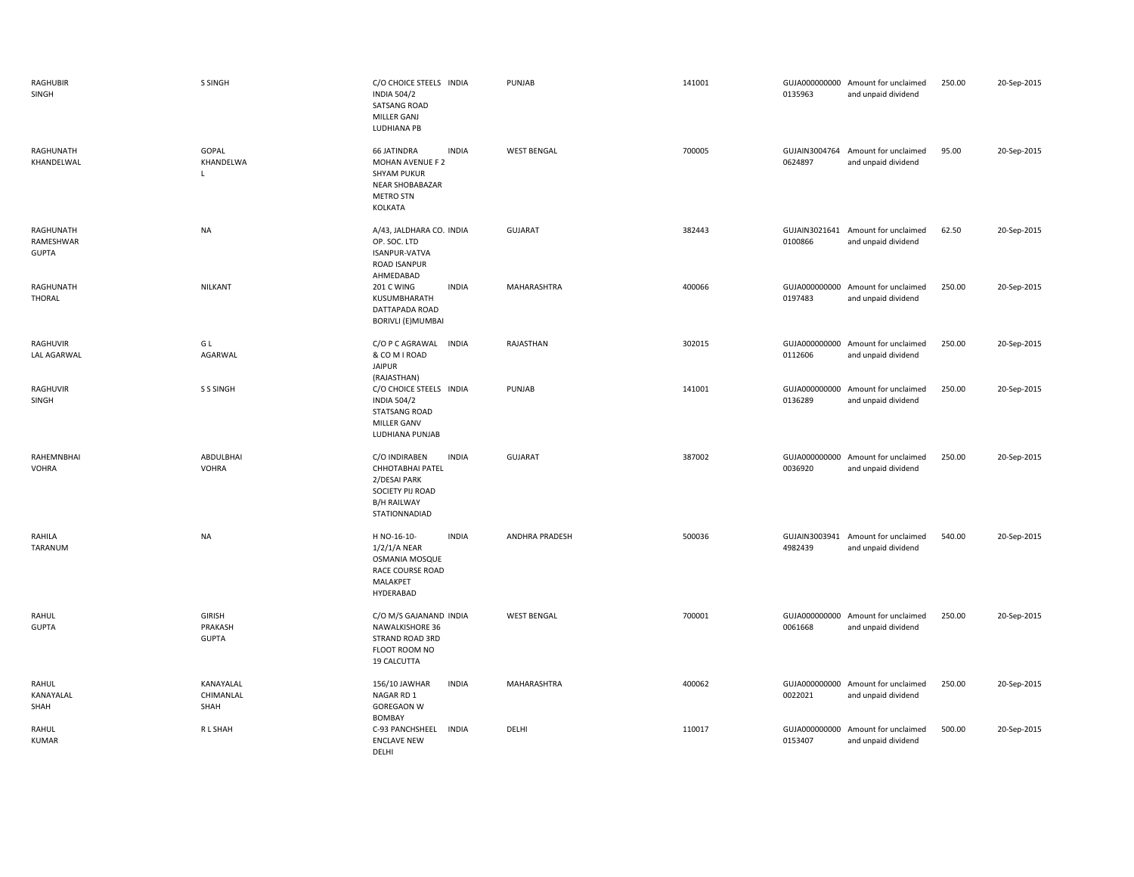| RAGHUBIR<br>SINGH                      | S SINGH                                  | C/O CHOICE STEELS INDIA<br><b>INDIA 504/2</b><br><b>SATSANG ROAD</b><br>MILLER GANJ<br>LUDHIANA PB                             | PUNJAB             | 141001 | 0135963                  | GUJA000000000 Amount for unclaimed<br>and unpaid dividend | 250.00 | 20-Sep-2015 |
|----------------------------------------|------------------------------------------|--------------------------------------------------------------------------------------------------------------------------------|--------------------|--------|--------------------------|-----------------------------------------------------------|--------|-------------|
| RAGHUNATH<br>KHANDELWAL                | GOPAL<br>KHANDELWA<br>L                  | <b>66 JATINDRA</b><br><b>INDIA</b><br>MOHAN AVENUE F 2<br><b>SHYAM PUKUR</b><br>NEAR SHOBABAZAR<br><b>METRO STN</b><br>KOLKATA | <b>WEST BENGAL</b> | 700005 | GUJAIN3004764<br>0624897 | Amount for unclaimed<br>and unpaid dividend               | 95.00  | 20-Sep-2015 |
| RAGHUNATH<br>RAMESHWAR<br><b>GUPTA</b> | <b>NA</b>                                | A/43, JALDHARA CO. INDIA<br>OP. SOC. LTD<br>ISANPUR-VATVA<br>ROAD ISANPUR<br>AHMEDABAD                                         | GUJARAT            | 382443 | 0100866                  | GUJAIN3021641 Amount for unclaimed<br>and unpaid dividend | 62.50  | 20-Sep-2015 |
| RAGHUNATH<br><b>THORAL</b>             | NILKANT                                  | <b>INDIA</b><br>201 C WING<br>KUSUMBHARATH<br>DATTAPADA ROAD<br><b>BORIVLI (E)MUMBAI</b>                                       | MAHARASHTRA        | 400066 | 0197483                  | GUJA000000000 Amount for unclaimed<br>and unpaid dividend | 250.00 | 20-Sep-2015 |
| RAGHUVIR<br><b>LAL AGARWAL</b>         | G L<br>AGARWAL                           | C/O P C AGRAWAL<br><b>INDIA</b><br>& COM I ROAD<br><b>JAIPUR</b><br>(RAJASTHAN)                                                | RAJASTHAN          | 302015 | GUJA000000000<br>0112606 | Amount for unclaimed<br>and unpaid dividend               | 250.00 | 20-Sep-2015 |
| RAGHUVIR<br>SINGH                      | <b>S S SINGH</b>                         | C/O CHOICE STEELS INDIA<br><b>INDIA 504/2</b><br><b>STATSANG ROAD</b><br><b>MILLER GANV</b><br>LUDHIANA PUNJAB                 | PUNJAB             | 141001 | 0136289                  | GUJA000000000 Amount for unclaimed<br>and unpaid dividend | 250.00 | 20-Sep-2015 |
| RAHEMNBHAI<br><b>VOHRA</b>             | ABDULBHAI<br><b>VOHRA</b>                | C/O INDIRABEN<br><b>INDIA</b><br>CHHOTABHAI PATEL<br>2/DESAI PARK<br>SOCIETY PIJ ROAD<br><b>B/H RAILWAY</b><br>STATIONNADIAD   | GUJARAT            | 387002 | GUJA000000000<br>0036920 | Amount for unclaimed<br>and unpaid dividend               | 250.00 | 20-Sep-2015 |
| RAHILA<br>TARANUM                      | <b>NA</b>                                | H NO-16-10-<br><b>INDIA</b><br>$1/2/1/A$ NEAR<br>OSMANIA MOSQUE<br>RACE COURSE ROAD<br>MALAKPET<br>HYDERABAD                   | ANDHRA PRADESH     | 500036 | 4982439                  | GUJAIN3003941 Amount for unclaimed<br>and unpaid dividend | 540.00 | 20-Sep-2015 |
| RAHUL<br><b>GUPTA</b>                  | <b>GIRISH</b><br>PRAKASH<br><b>GUPTA</b> | C/O M/S GAJANAND INDIA<br><b>NAWALKISHORE 36</b><br>STRAND ROAD 3RD<br>FLOOT ROOM NO<br>19 CALCUTTA                            | <b>WEST BENGAL</b> | 700001 | GUJA000000000<br>0061668 | Amount for unclaimed<br>and unpaid dividend               | 250.00 | 20-Sep-2015 |
| RAHUL<br>KANAYALAL<br>SHAH             | KANAYALAL<br>CHIMANLAL<br>SHAH           | <b>INDIA</b><br>156/10 JAWHAR<br>NAGAR RD 1<br><b>GOREGAON W</b><br><b>BOMBAY</b>                                              | MAHARASHTRA        | 400062 | 0022021                  | GUJA000000000 Amount for unclaimed<br>and unpaid dividend | 250.00 | 20-Sep-2015 |
| RAHUL<br><b>KUMAR</b>                  | R L SHAH                                 | C-93 PANCHSHEEL<br>INDIA<br><b>ENCLAVE NEW</b><br><b>DELHI</b>                                                                 | DELHI              | 110017 | GUJA000000000<br>0153407 | Amount for unclaimed<br>and unpaid dividend               | 500.00 | 20-Sep-2015 |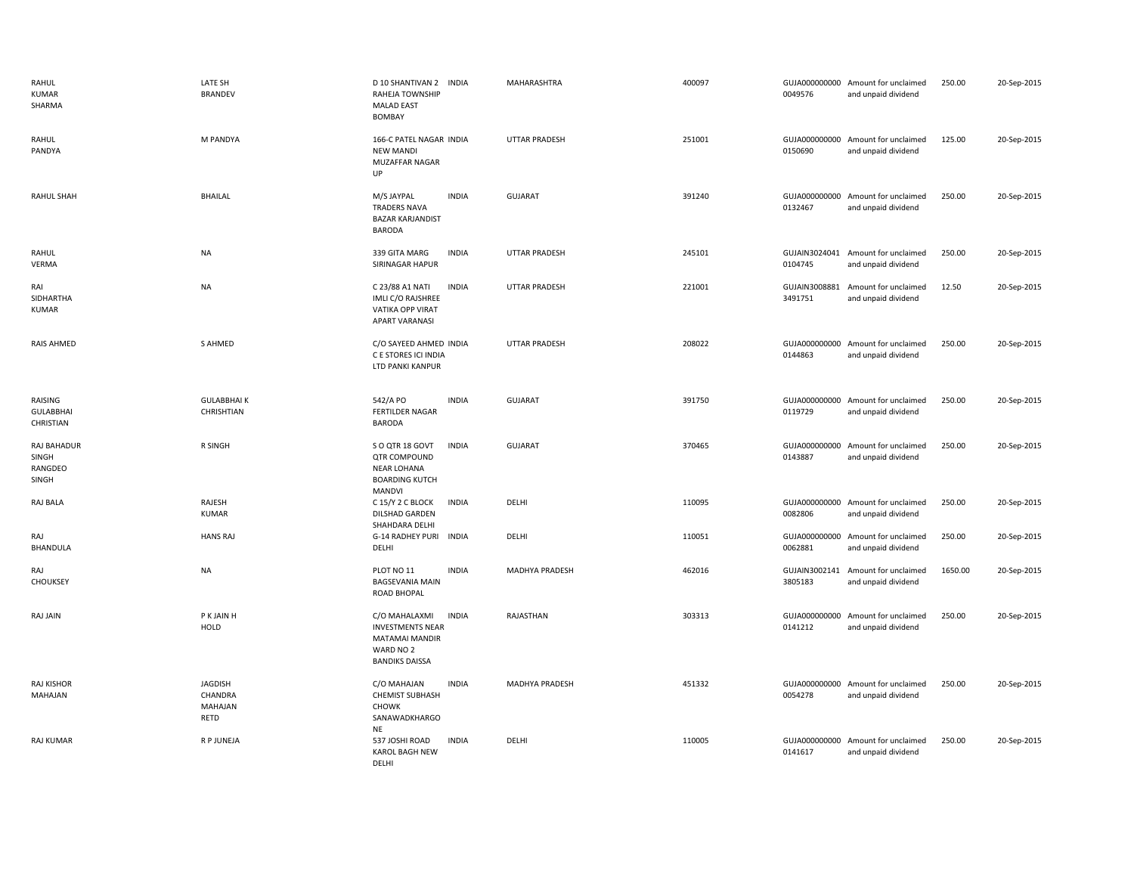| RAHUL<br><b>KUMAR</b><br>SHARMA          | LATE SH<br><b>BRANDEV</b>                    | D 10 SHANTIVAN 2 INDIA<br>RAHEJA TOWNSHIP<br><b>MALAD EAST</b><br>BOMBAY                                                | MAHARASHTRA          | 400097 | 0049576                  | GUJA000000000 Amount for unclaimed<br>and unpaid dividend | 250.00  | 20-Sep-2015 |
|------------------------------------------|----------------------------------------------|-------------------------------------------------------------------------------------------------------------------------|----------------------|--------|--------------------------|-----------------------------------------------------------|---------|-------------|
| RAHUL<br>PANDYA                          | M PANDYA                                     | 166-C PATEL NAGAR INDIA<br><b>NEW MANDI</b><br>MUZAFFAR NAGAR<br>UP                                                     | <b>UTTAR PRADESH</b> | 251001 | 0150690                  | GUJA000000000 Amount for unclaimed<br>and unpaid dividend | 125.00  | 20-Sep-2015 |
| RAHUL SHAH                               | <b>BHAILAL</b>                               | <b>INDIA</b><br>M/S JAYPAL<br><b>TRADERS NAVA</b><br><b>BAZAR KARJANDIST</b><br><b>BARODA</b>                           | <b>GUJARAT</b>       | 391240 | 0132467                  | GUJA000000000 Amount for unclaimed<br>and unpaid dividend | 250.00  | 20-Sep-2015 |
| RAHUL<br>VERMA                           | <b>NA</b>                                    | <b>INDIA</b><br>339 GITA MARG<br>SIRINAGAR HAPUR                                                                        | <b>UTTAR PRADESH</b> | 245101 | 0104745                  | GUJAIN3024041 Amount for unclaimed<br>and unpaid dividend | 250.00  | 20-Sep-2015 |
| RAI<br>SIDHARTHA<br><b>KUMAR</b>         | <b>NA</b>                                    | C 23/88 A1 NATI<br><b>INDIA</b><br>IMLI C/O RAJSHREE<br>VATIKA OPP VIRAT<br><b>APART VARANASI</b>                       | UTTAR PRADESH        | 221001 | GUJAIN3008881<br>3491751 | Amount for unclaimed<br>and unpaid dividend               | 12.50   | 20-Sep-2015 |
| <b>RAIS AHMED</b>                        | S AHMED                                      | C/O SAYEED AHMED INDIA<br>C E STORES ICI INDIA<br>LTD PANKI KANPUR                                                      | <b>UTTAR PRADESH</b> | 208022 | 0144863                  | GUJA000000000 Amount for unclaimed<br>and unpaid dividend | 250.00  | 20-Sep-2015 |
| RAISING<br><b>GULABBHAI</b><br>CHRISTIAN | <b>GULABBHAIK</b><br>CHRISHTIAN              | 542/A PO<br><b>INDIA</b><br><b>FERTILDER NAGAR</b><br><b>BARODA</b>                                                     | <b>GUJARAT</b>       | 391750 | 0119729                  | GUJA000000000 Amount for unclaimed<br>and unpaid dividend | 250.00  | 20-Sep-2015 |
| RAJ BAHADUR<br>SINGH<br>RANGDEO<br>SINGH | R SINGH                                      | <b>INDIA</b><br>SO QTR 18 GOVT<br>QTR COMPOUND<br><b>NEAR LOHANA</b><br><b>BOARDING KUTCH</b><br><b>MANDVI</b>          | GUJARAT              | 370465 | GUJA000000000<br>0143887 | Amount for unclaimed<br>and unpaid dividend               | 250.00  | 20-Sep-2015 |
| RAJ BALA                                 | RAJESH<br><b>KUMAR</b>                       | <b>INDIA</b><br>C 15/Y 2 C BLOCK<br>DILSHAD GARDEN<br>SHAHDARA DELHI                                                    | DELHI                | 110095 | 0082806                  | GUJA000000000 Amount for unclaimed<br>and unpaid dividend | 250.00  | 20-Sep-2015 |
| RAJ<br><b>BHANDULA</b>                   | <b>HANS RAJ</b>                              | G-14 RADHEY PURI INDIA<br>DELHI                                                                                         | DELHI                | 110051 | GUJA000000000<br>0062881 | Amount for unclaimed<br>and unpaid dividend               | 250.00  | 20-Sep-2015 |
| RAJ<br>CHOUKSEY                          | <b>NA</b>                                    | <b>INDIA</b><br>PLOT NO 11<br><b>BAGSEVANIA MAIN</b><br>ROAD BHOPAL                                                     | MADHYA PRADESH       | 462016 | GUJAIN3002141<br>3805183 | Amount for unclaimed<br>and unpaid dividend               | 1650.00 | 20-Sep-2015 |
| RAJ JAIN                                 | P K JAIN H<br><b>HOLD</b>                    | C/O MAHALAXMI<br><b>INDIA</b><br><b>INVESTMENTS NEAR</b><br><b>MATAMAI MANDIR</b><br>WARD NO 2<br><b>BANDIKS DAISSA</b> | RAJASTHAN            | 303313 | 0141212                  | GUJA000000000 Amount for unclaimed<br>and unpaid dividend | 250.00  | 20-Sep-2015 |
| <b>RAJ KISHOR</b><br>MAHAJAN             | <b>JAGDISH</b><br>CHANDRA<br>MAHAJAN<br>RETD | <b>INDIA</b><br>C/O MAHAJAN<br><b>CHEMIST SUBHASH</b><br><b>CHOWK</b><br>SANAWADKHARGO<br>NE                            | MADHYA PRADESH       | 451332 | GUJA000000000<br>0054278 | Amount for unclaimed<br>and unpaid dividend               | 250.00  | 20-Sep-2015 |
| <b>RAJ KUMAR</b>                         | R P JUNEJA                                   | <b>INDIA</b><br>537 JOSHI ROAD<br>KAROL BAGH NEW<br>DFLHI                                                               | DELHI                | 110005 | GUJA000000000<br>0141617 | Amount for unclaimed<br>and unpaid dividend               | 250.00  | 20-Sep-2015 |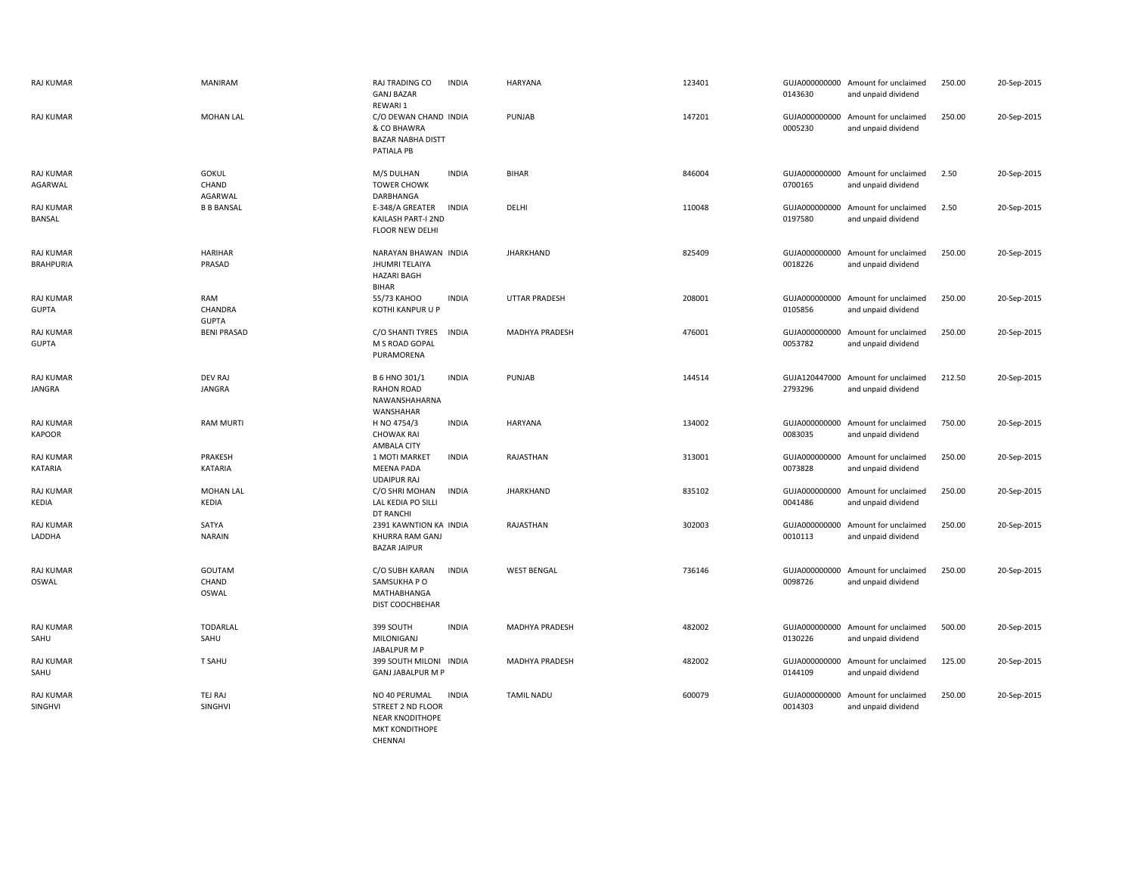| <b>RAJ KUMAR</b>                     | <b>MANIRAM</b>                   | RAJ TRADING CO<br><b>GANJ BAZAR</b><br>REWARI 1                                           | <b>INDIA</b> | <b>HARYANA</b>       | 123401 | 0143630 | GUJA000000000 Amount for unclaimed<br>and unpaid dividend | 250.00 | 20-Sep-2015 |
|--------------------------------------|----------------------------------|-------------------------------------------------------------------------------------------|--------------|----------------------|--------|---------|-----------------------------------------------------------|--------|-------------|
| <b>RAJ KUMAR</b>                     | <b>MOHAN LAL</b>                 | C/O DEWAN CHAND INDIA<br>& CO BHAWRA<br><b>BAZAR NABHA DISTT</b><br>PATIALA PB            |              | PUNJAB               | 147201 | 0005230 | GUJA000000000 Amount for unclaimed<br>and unpaid dividend | 250.00 | 20-Sep-2015 |
| <b>RAJ KUMAR</b><br>AGARWAL          | <b>GOKUL</b><br>CHAND<br>AGARWAL | M/S DULHAN<br><b>TOWER CHOWK</b><br>DARBHANGA                                             | <b>INDIA</b> | <b>BIHAR</b>         | 846004 | 0700165 | GUJA000000000 Amount for unclaimed<br>and unpaid dividend | 2.50   | 20-Sep-2015 |
| <b>RAJ KUMAR</b><br>BANSAL           | <b>B B BANSAL</b>                | E-348/A GREATER<br>KAILASH PART-I 2ND<br><b>FLOOR NEW DELHI</b>                           | <b>INDIA</b> | DELHI                | 110048 | 0197580 | GUJA000000000 Amount for unclaimed<br>and unpaid dividend | 2.50   | 20-Sep-2015 |
| <b>RAJ KUMAR</b><br><b>BRAHPURIA</b> | <b>HARIHAR</b><br>PRASAD         | NARAYAN BHAWAN INDIA<br><b>JHUMRI TELAIYA</b><br><b>HAZARI BAGH</b><br><b>BIHAR</b>       |              | <b>JHARKHAND</b>     | 825409 | 0018226 | GUJA000000000 Amount for unclaimed<br>and unpaid dividend | 250.00 | 20-Sep-2015 |
| RAJ KUMAR<br><b>GUPTA</b>            | RAM<br>CHANDRA<br><b>GUPTA</b>   | 55/73 KAHOO<br>KOTHI KANPUR U P                                                           | <b>INDIA</b> | <b>UTTAR PRADESH</b> | 208001 | 0105856 | GUJA000000000 Amount for unclaimed<br>and unpaid dividend | 250.00 | 20-Sep-2015 |
| <b>RAJ KUMAR</b><br><b>GUPTA</b>     | <b>BENI PRASAD</b>               | C/O SHANTI TYRES<br>M S ROAD GOPAL<br>PURAMORENA                                          | <b>INDIA</b> | MADHYA PRADESH       | 476001 | 0053782 | GUJA000000000 Amount for unclaimed<br>and unpaid dividend | 250.00 | 20-Sep-2015 |
| <b>RAJ KUMAR</b><br><b>JANGRA</b>    | <b>DEV RAJ</b><br><b>JANGRA</b>  | B 6 HNO 301/1<br><b>RAHON ROAD</b><br>NAWANSHAHARNA<br>WANSHAHAR                          | <b>INDIA</b> | <b>PUNJAB</b>        | 144514 | 2793296 | GUJA120447000 Amount for unclaimed<br>and unpaid dividend | 212.50 | 20-Sep-2015 |
| <b>RAJ KUMAR</b><br><b>KAPOOR</b>    | <b>RAM MURTI</b>                 | H NO 4754/3<br><b>CHOWAK RAI</b><br>AMBALA CITY                                           | <b>INDIA</b> | <b>HARYANA</b>       | 134002 | 0083035 | GUJA000000000 Amount for unclaimed<br>and unpaid dividend | 750.00 | 20-Sep-2015 |
| <b>RAJ KUMAR</b><br>KATARIA          | PRAKESH<br>KATARIA               | 1 MOTI MARKET<br><b>MEENA PADA</b><br><b>UDAIPUR RAJ</b>                                  | <b>INDIA</b> | RAJASTHAN            | 313001 | 0073828 | GUJA000000000 Amount for unclaimed<br>and unpaid dividend | 250.00 | 20-Sep-2015 |
| RAJ KUMAR<br>KEDIA                   | <b>MOHAN LAL</b><br>KEDIA        | C/O SHRI MOHAN<br>LAL KEDIA PO SILLI<br>DT RANCHI                                         | <b>INDIA</b> | JHARKHAND            | 835102 | 0041486 | GUJA000000000 Amount for unclaimed<br>and unpaid dividend | 250.00 | 20-Sep-2015 |
| <b>RAJ KUMAR</b><br>LADDHA           | SATYA<br><b>NARAIN</b>           | 2391 KAWNTION KA INDIA<br><b>KHURRA RAM GANJ</b><br><b>BAZAR JAIPUR</b>                   |              | RAJASTHAN            | 302003 | 0010113 | GUJA000000000 Amount for unclaimed<br>and unpaid dividend | 250.00 | 20-Sep-2015 |
| RAJ KUMAR<br>OSWAL                   | GOUTAM<br>CHAND<br>OSWAL         | C/O SUBH KARAN<br>SAMSUKHA P O<br><b>MATHABHANGA</b><br>DIST COOCHBEHAR                   | <b>INDIA</b> | <b>WEST BENGAL</b>   | 736146 | 0098726 | GUJA000000000 Amount for unclaimed<br>and unpaid dividend | 250.00 | 20-Sep-2015 |
| RAJ KUMAR<br>SAHU                    | <b>TODARLAL</b><br>SAHU          | 399 SOUTH<br>MILONIGANJ<br>JABALPUR M P                                                   | <b>INDIA</b> | MADHYA PRADESH       | 482002 | 0130226 | GUJA000000000 Amount for unclaimed<br>and unpaid dividend | 500.00 | 20-Sep-2015 |
| RAJ KUMAR<br>SAHU                    | T SAHU                           | 399 SOUTH MILONI INDIA<br><b>GANJ JABALPUR M P</b>                                        |              | MADHYA PRADESH       | 482002 | 0144109 | GUJA000000000 Amount for unclaimed<br>and unpaid dividend | 125.00 | 20-Sep-2015 |
| <b>RAJ KUMAR</b><br>SINGHVI          | TEJ RAJ<br>SINGHVI               | NO 40 PERUMAL<br>STREET 2 ND FLOOR<br><b>NEAR KNODITHOPE</b><br>MKT KONDITHOPE<br>CHENNAI | <b>INDIA</b> | <b>TAMIL NADU</b>    | 600079 | 0014303 | GUJA000000000 Amount for unclaimed<br>and unpaid dividend | 250.00 | 20-Sep-2015 |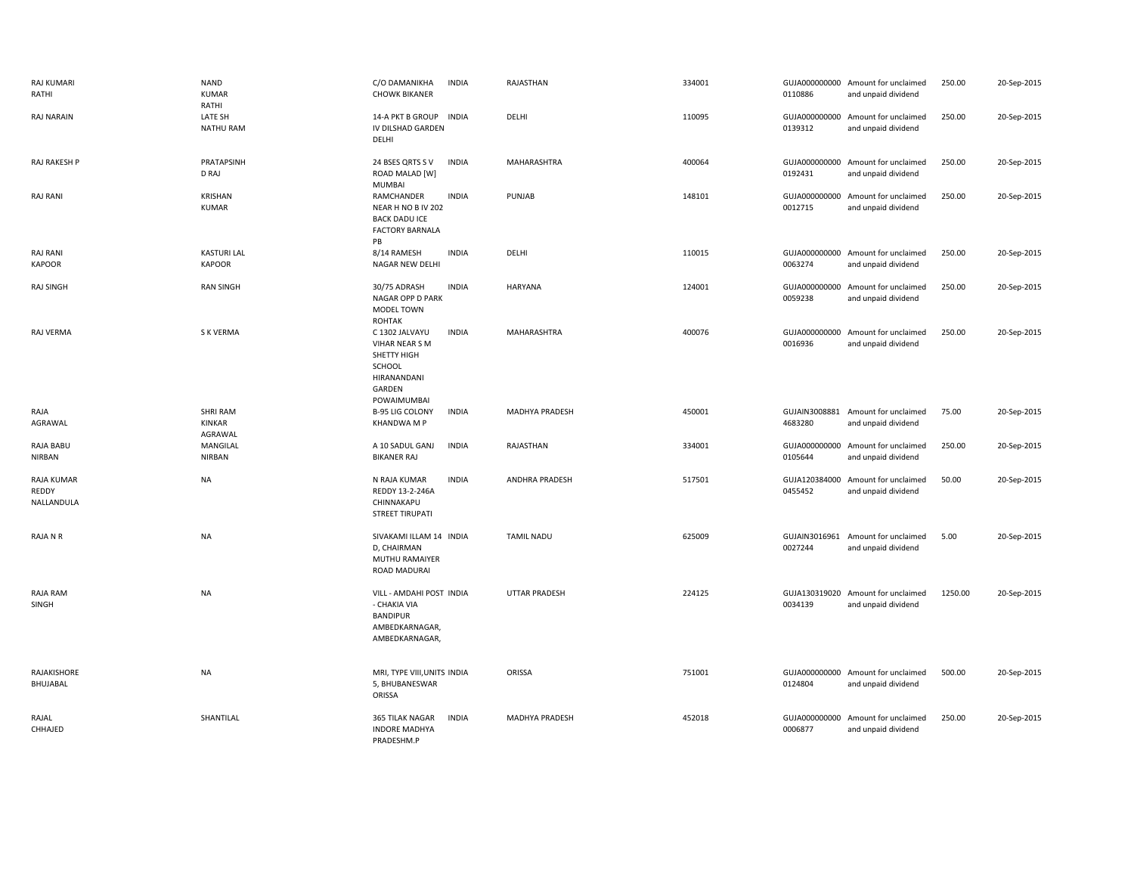| RAJ KUMARI<br>RATHI               | <b>NAND</b><br><b>KUMAR</b><br>RATHI | C/O DAMANIKHA<br><b>INDIA</b><br><b>CHOWK BIKANER</b>                                                             | RAJASTHAN             | 334001 | 0110886 | GUJA000000000 Amount for unclaimed<br>and unpaid dividend | 250.00  | 20-Sep-2015 |
|-----------------------------------|--------------------------------------|-------------------------------------------------------------------------------------------------------------------|-----------------------|--------|---------|-----------------------------------------------------------|---------|-------------|
| <b>RAJ NARAIN</b>                 | LATE SH<br><b>NATHU RAM</b>          | 14-A PKT B GROUP<br><b>INDIA</b><br>IV DILSHAD GARDEN<br>DELHI                                                    | DELHI                 | 110095 | 0139312 | GUJA000000000 Amount for unclaimed<br>and unpaid dividend | 250.00  | 20-Sep-2015 |
| RAJ RAKESH P                      | PRATAPSINH<br>D RAJ                  | <b>INDIA</b><br>24 BSES QRTS SV<br>ROAD MALAD [W]<br><b>MUMBAI</b>                                                | MAHARASHTRA           | 400064 | 0192431 | GUJA000000000 Amount for unclaimed<br>and unpaid dividend | 250.00  | 20-Sep-2015 |
| <b>RAJ RANI</b>                   | KRISHAN<br><b>KUMAR</b>              | <b>INDIA</b><br>RAMCHANDER<br>NEAR H NO B IV 202<br><b>BACK DADU ICE</b><br><b>FACTORY BARNALA</b><br>PB          | PUNJAB                | 148101 | 0012715 | GUJA000000000 Amount for unclaimed<br>and unpaid dividend | 250.00  | 20-Sep-2015 |
| <b>RAJ RANI</b><br><b>KAPOOR</b>  | <b>KASTURI LAL</b><br><b>KAPOOR</b>  | 8/14 RAMESH<br><b>INDIA</b><br>NAGAR NEW DELHI                                                                    | DELHI                 | 110015 | 0063274 | GUJA000000000 Amount for unclaimed<br>and unpaid dividend | 250.00  | 20-Sep-2015 |
| RAJ SINGH                         | <b>RAN SINGH</b>                     | 30/75 ADRASH<br><b>INDIA</b><br>NAGAR OPP D PARK<br>MODEL TOWN<br><b>ROHTAK</b>                                   | <b>HARYANA</b>        | 124001 | 0059238 | GUJA000000000 Amount for unclaimed<br>and unpaid dividend | 250.00  | 20-Sep-2015 |
| RAJ VERMA                         | S K VERMA                            | <b>INDIA</b><br>C 1302 JALVAYU<br>VIHAR NEAR S M<br>SHETTY HIGH<br>SCHOOL<br>HIRANANDANI<br>GARDEN<br>POWAIMUMBAI | MAHARASHTRA           | 400076 | 0016936 | GUJA000000000 Amount for unclaimed<br>and unpaid dividend | 250.00  | 20-Sep-2015 |
| RAJA<br>AGRAWAL                   | <b>SHRI RAM</b><br>KINKAR<br>AGRAWAL | <b>B-95 LIG COLONY</b><br><b>INDIA</b><br><b>KHANDWA M P</b>                                                      | MADHYA PRADESH        | 450001 | 4683280 | GUJAIN3008881 Amount for unclaimed<br>and unpaid dividend | 75.00   | 20-Sep-2015 |
| RAJA BABU<br><b>NIRBAN</b>        | MANGILAL<br><b>NIRBAN</b>            | <b>INDIA</b><br>A 10 SADUL GANJ<br><b>BIKANER RAJ</b>                                                             | RAJASTHAN             | 334001 | 0105644 | GUJA000000000 Amount for unclaimed<br>and unpaid dividend | 250.00  | 20-Sep-2015 |
| RAJA KUMAR<br>REDDY<br>NALLANDULA | <b>NA</b>                            | N RAJA KUMAR<br><b>INDIA</b><br>REDDY 13-2-246A<br>CHINNAKAPU<br><b>STREET TIRUPATI</b>                           | <b>ANDHRA PRADESH</b> | 517501 | 0455452 | GUJA120384000 Amount for unclaimed<br>and unpaid dividend | 50.00   | 20-Sep-2015 |
| RAJA N R                          | <b>NA</b>                            | SIVAKAMI ILLAM 14 INDIA<br>D, CHAIRMAN<br>MUTHU RAMAIYER<br>ROAD MADURAI                                          | <b>TAMIL NADU</b>     | 625009 | 0027244 | GUJAIN3016961 Amount for unclaimed<br>and unpaid dividend | 5.00    | 20-Sep-2015 |
| RAJA RAM<br>SINGH                 | <b>NA</b>                            | VILL - AMDAHI POST INDIA<br>- CHAKIA VIA<br><b>BANDIPUR</b><br>AMBEDKARNAGAR,<br>AMBEDKARNAGAR,                   | <b>UTTAR PRADESH</b>  | 224125 | 0034139 | GUJA130319020 Amount for unclaimed<br>and unpaid dividend | 1250.00 | 20-Sep-2015 |
| RAJAKISHORE<br>BHUJABAL           | <b>NA</b>                            | MRI, TYPE VIII, UNITS INDIA<br>5, BHUBANESWAR<br>ORISSA                                                           | ORISSA                | 751001 | 0124804 | GUJA000000000 Amount for unclaimed<br>and unpaid dividend | 500.00  | 20-Sep-2015 |
| RAJAL<br>CHHAJED                  | SHANTILAL                            | 365 TILAK NAGAR<br><b>INDIA</b><br><b>INDORE MADHYA</b><br>PRADESHM.P                                             | MADHYA PRADESH        | 452018 | 0006877 | GUJA000000000 Amount for unclaimed<br>and unpaid dividend | 250.00  | 20-Sep-2015 |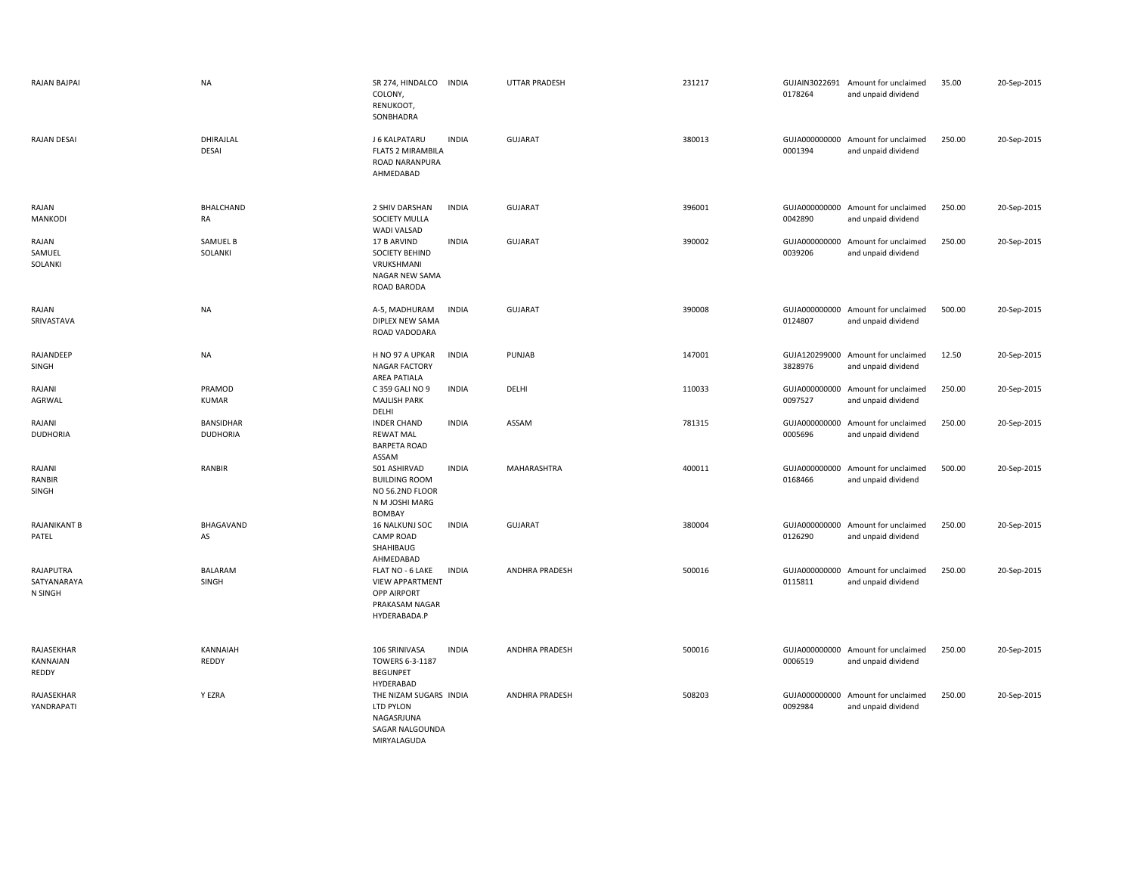| RAJAN BAJPAI                        | <b>NA</b>                    | SR 274, HINDALCO INDIA<br>COLONY,<br>RENUKOOT,<br>SONBHADRA                                        |              | <b>UTTAR PRADESH</b>  | 231217 | 0178264 | GUJAIN3022691 Amount for unclaimed<br>and unpaid dividend | 35.00  | 20-Sep-2015 |
|-------------------------------------|------------------------------|----------------------------------------------------------------------------------------------------|--------------|-----------------------|--------|---------|-----------------------------------------------------------|--------|-------------|
| <b>RAJAN DESAI</b>                  | DHIRAJLAL<br>DESAI           | J 6 KALPATARU<br><b>FLATS 2 MIRAMBILA</b><br>ROAD NARANPURA<br>AHMEDABAD                           | <b>INDIA</b> | <b>GUJARAT</b>        | 380013 | 0001394 | GUJA000000000 Amount for unclaimed<br>and unpaid dividend | 250.00 | 20-Sep-2015 |
| RAJAN<br>MANKODI                    | <b>BHALCHAND</b><br>RA       | 2 SHIV DARSHAN<br>SOCIETY MULLA<br>WADI VALSAD                                                     | <b>INDIA</b> | <b>GUJARAT</b>        | 396001 | 0042890 | GUJA000000000 Amount for unclaimed<br>and unpaid dividend | 250.00 | 20-Sep-2015 |
| RAJAN<br>SAMUEL<br>SOLANKI          | SAMUEL B<br>SOLANKI          | 17 B ARVIND<br><b>SOCIETY BEHIND</b><br>VRUKSHMANI<br>NAGAR NEW SAMA<br>ROAD BARODA                | <b>INDIA</b> | <b>GUJARAT</b>        | 390002 | 0039206 | GUJA000000000 Amount for unclaimed<br>and unpaid dividend | 250.00 | 20-Sep-2015 |
| RAJAN<br>SRIVASTAVA                 | <b>NA</b>                    | A-5, MADHURAM<br>DIPLEX NEW SAMA<br>ROAD VADODARA                                                  | <b>INDIA</b> | <b>GUJARAT</b>        | 390008 | 0124807 | GUJA000000000 Amount for unclaimed<br>and unpaid dividend | 500.00 | 20-Sep-2015 |
| RAJANDEEP<br>SINGH                  | <b>NA</b>                    | H NO 97 A UPKAR<br><b>NAGAR FACTORY</b><br>AREA PATIALA                                            | <b>INDIA</b> | PUNJAB                | 147001 | 3828976 | GUJA120299000 Amount for unclaimed<br>and unpaid dividend | 12.50  | 20-Sep-2015 |
| RAJANI<br>AGRWAL                    | PRAMOD<br><b>KUMAR</b>       | C 359 GALI NO 9<br><b>MAJLISH PARK</b><br>DELHI                                                    | <b>INDIA</b> | DELHI                 | 110033 | 0097527 | GUJA000000000 Amount for unclaimed<br>and unpaid dividend | 250.00 | 20-Sep-2015 |
| RAJANI<br><b>DUDHORIA</b>           | BANSIDHAR<br><b>DUDHORIA</b> | <b>INDER CHAND</b><br><b>REWAT MAL</b><br><b>BARPETA ROAD</b><br>ASSAM                             | <b>INDIA</b> | ASSAM                 | 781315 | 0005696 | GUJA000000000 Amount for unclaimed<br>and unpaid dividend | 250.00 | 20-Sep-2015 |
| RAJANI<br>RANBIR<br>SINGH           | RANBIR                       | 501 ASHIRVAD<br><b>BUILDING ROOM</b><br>NO 56.2ND FLOOR<br>N M JOSHI MARG<br><b>BOMBAY</b>         | <b>INDIA</b> | MAHARASHTRA           | 400011 | 0168466 | GUJA000000000 Amount for unclaimed<br>and unpaid dividend | 500.00 | 20-Sep-2015 |
| RAJANIKANT B<br>PATEL               | BHAGAVAND<br>AS              | 16 NALKUNJ SOC<br><b>CAMP ROAD</b><br>SHAHIBAUG<br>AHMEDABAD                                       | <b>INDIA</b> | <b>GUJARAT</b>        | 380004 | 0126290 | GUJA000000000 Amount for unclaimed<br>and unpaid dividend | 250.00 | 20-Sep-2015 |
| RAJAPUTRA<br>SATYANARAYA<br>N SINGH | <b>BALARAM</b><br>SINGH      | FLAT NO - 6 LAKE<br><b>VIEW APPARTMENT</b><br><b>OPP AIRPORT</b><br>PRAKASAM NAGAR<br>HYDERABADA.P | <b>INDIA</b> | ANDHRA PRADESH        | 500016 | 0115811 | GUJA000000000 Amount for unclaimed<br>and unpaid dividend | 250.00 | 20-Sep-2015 |
| RAJASEKHAR<br>KANNAIAN<br>REDDY     | KANNAIAH<br>REDDY            | 106 SRINIVASA<br>TOWERS 6-3-1187<br><b>BEGUNPET</b><br>HYDERABAD                                   | <b>INDIA</b> | <b>ANDHRA PRADESH</b> | 500016 | 0006519 | GUJA000000000 Amount for unclaimed<br>and unpaid dividend | 250.00 | 20-Sep-2015 |
| RAJASEKHAR<br>YANDRAPATI            | Y EZRA                       | THE NIZAM SUGARS INDIA<br>LTD PYLON<br>NAGASRJUNA<br>SAGAR NALGOUNDA<br>MIRYALAGUDA                |              | ANDHRA PRADESH        | 508203 | 0092984 | GUJA000000000 Amount for unclaimed<br>and unpaid dividend | 250.00 | 20-Sep-2015 |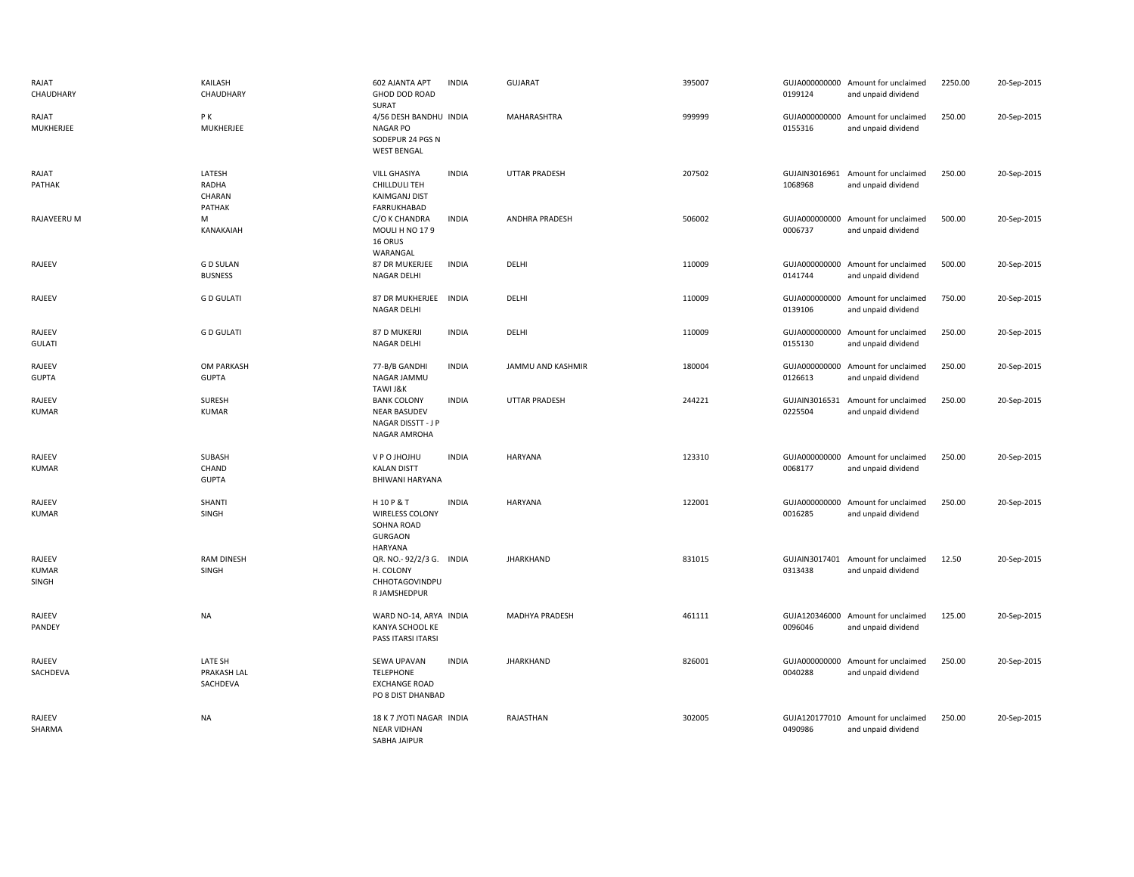| RAJAT<br>CHAUDHARY                     | KAILASH<br>CHAUDHARY                | 602 AJANTA APT<br><b>GHOD DOD ROAD</b><br>SURAT                                 | <b>INDIA</b> | <b>GUJARAT</b>       | 395007 | 0199124 | GUJA000000000 Amount for unclaimed<br>and unpaid dividend | 2250.00 | 20-Sep-2015 |
|----------------------------------------|-------------------------------------|---------------------------------------------------------------------------------|--------------|----------------------|--------|---------|-----------------------------------------------------------|---------|-------------|
| RAJAT<br>MUKHERJEE                     | P K<br>MUKHERJEE                    | 4/56 DESH BANDHU INDIA<br>NAGAR PO<br>SODEPUR 24 PGS N<br><b>WEST BENGAL</b>    |              | MAHARASHTRA          | 999999 | 0155316 | GUJA000000000 Amount for unclaimed<br>and unpaid dividend | 250.00  | 20-Sep-2015 |
| RAJAT<br>PATHAK                        | LATESH<br>RADHA<br>CHARAN<br>PATHAK | VILL GHASIYA<br>CHILLDULI TEH<br><b>KAIMGANJ DIST</b><br>FARRUKHABAD            | <b>INDIA</b> | <b>UTTAR PRADESH</b> | 207502 | 1068968 | GUJAIN3016961 Amount for unclaimed<br>and unpaid dividend | 250.00  | 20-Sep-2015 |
| RAJAVEERU M                            | M<br>KANAKAIAH                      | C/O K CHANDRA<br>MOULI H NO 179<br>16 ORUS<br>WARANGAL                          | <b>INDIA</b> | ANDHRA PRADESH       | 506002 | 0006737 | GUJA000000000 Amount for unclaimed<br>and unpaid dividend | 500.00  | 20-Sep-2015 |
| RAJEEV                                 | <b>GD SULAN</b><br><b>BUSNESS</b>   | 87 DR MUKERJEE<br>NAGAR DELHI                                                   | <b>INDIA</b> | DELHI                | 110009 | 0141744 | GUJA000000000 Amount for unclaimed<br>and unpaid dividend | 500.00  | 20-Sep-2015 |
| RAJEEV                                 | <b>GD GULATI</b>                    | 87 DR MUKHERJEE<br><b>NAGAR DELHI</b>                                           | <b>INDIA</b> | DELHI                | 110009 | 0139106 | GUJA000000000 Amount for unclaimed<br>and unpaid dividend | 750.00  | 20-Sep-2015 |
| RAJEEV<br><b>GULATI</b>                | <b>GD GULATI</b>                    | 87 D MUKERJI<br>NAGAR DELHI                                                     | <b>INDIA</b> | DELHI                | 110009 | 0155130 | GUJA000000000 Amount for unclaimed<br>and unpaid dividend | 250.00  | 20-Sep-2015 |
| RAJEEV<br><b>GUPTA</b>                 | OM PARKASH<br><b>GUPTA</b>          | 77-B/B GANDHI<br>NAGAR JAMMU<br>TAWI J&K                                        | <b>INDIA</b> | JAMMU AND KASHMIR    | 180004 | 0126613 | GUJA000000000 Amount for unclaimed<br>and unpaid dividend | 250.00  | 20-Sep-2015 |
| RAJEEV<br><b>KUMAR</b>                 | <b>SURESH</b><br><b>KUMAR</b>       | <b>BANK COLONY</b><br><b>NEAR BASUDEV</b><br>NAGAR DISSTT - J P<br>NAGAR AMROHA | <b>INDIA</b> | UTTAR PRADESH        | 244221 | 0225504 | GUJAIN3016531 Amount for unclaimed<br>and unpaid dividend | 250.00  | 20-Sep-2015 |
| RAJEEV<br><b>KUMAR</b>                 | SUBASH<br>CHAND<br><b>GUPTA</b>     | V P O JHOJHU<br><b>KALAN DISTT</b><br><b>BHIWANI HARYANA</b>                    | <b>INDIA</b> | <b>HARYANA</b>       | 123310 | 0068177 | GUJA000000000 Amount for unclaimed<br>and unpaid dividend | 250.00  | 20-Sep-2015 |
| RAJEEV<br><b>KUMAR</b>                 | SHANTI<br>SINGH                     | H10P&T<br><b>WIRELESS COLONY</b><br>SOHNA ROAD<br><b>GURGAON</b><br>HARYANA     | <b>INDIA</b> | <b>HARYANA</b>       | 122001 | 0016285 | GUJA000000000 Amount for unclaimed<br>and unpaid dividend | 250.00  | 20-Sep-2015 |
| RAJEEV<br><b>KUMAR</b><br><b>SINGH</b> | <b>RAM DINESH</b><br>SINGH          | QR. NO.-92/2/3 G. INDIA<br>H. COLONY<br>CHHOTAGOVINDPU<br>R JAMSHEDPUR          |              | <b>JHARKHAND</b>     | 831015 | 0313438 | GUJAIN3017401 Amount for unclaimed<br>and unpaid dividend | 12.50   | 20-Sep-2015 |
| RAJEEV<br>PANDEY                       | <b>NA</b>                           | WARD NO-14, ARYA INDIA<br>KANYA SCHOOL KE<br>PASS ITARSI ITARSI                 |              | MADHYA PRADESH       | 461111 | 0096046 | GUJA120346000 Amount for unclaimed<br>and unpaid dividend | 125.00  | 20-Sep-2015 |
| RAJEEV<br>SACHDEVA                     | LATE SH<br>PRAKASH LAL<br>SACHDEVA  | SEWA UPAVAN<br><b>TELEPHONE</b><br><b>EXCHANGE ROAD</b><br>PO 8 DIST DHANBAD    | <b>INDIA</b> | <b>JHARKHAND</b>     | 826001 | 0040288 | GUJA000000000 Amount for unclaimed<br>and unpaid dividend | 250.00  | 20-Sep-2015 |
| RAJEEV<br>SHARMA                       | <b>NA</b>                           | 18 K 7 JYOTI NAGAR INDIA<br><b>NEAR VIDHAN</b><br>SABHA JAIPUR                  |              | RAJASTHAN            | 302005 | 0490986 | GUJA120177010 Amount for unclaimed<br>and unpaid dividend | 250.00  | 20-Sep-2015 |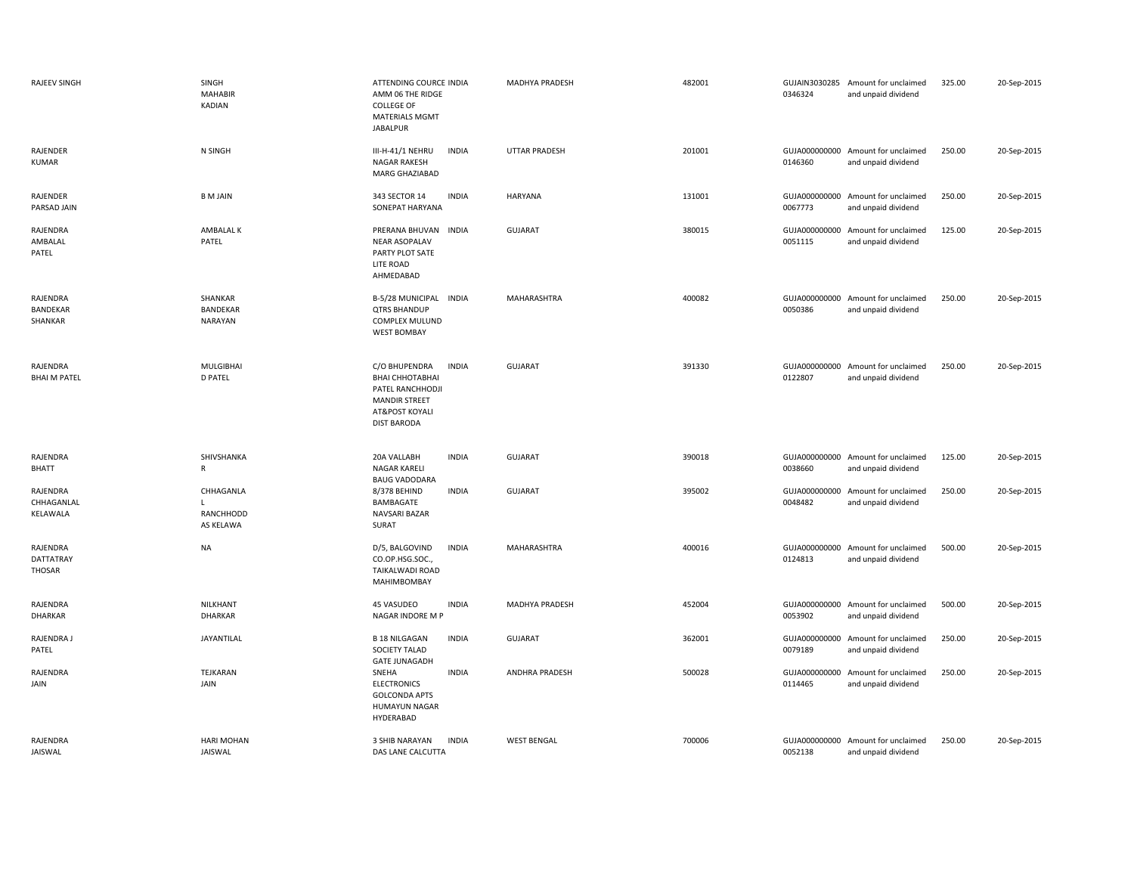| <b>RAJEEV SINGH</b>                | SINGH<br><b>MAHABIR</b><br>KADIAN        | ATTENDING COURCE INDIA<br>AMM 06 THE RIDGE<br><b>COLLEGE OF</b><br>MATERIALS MGMT<br><b>JABALPUR</b>                                 | MADHYA PRADESH        | 482001 | 0346324                  | GUJAIN3030285 Amount for unclaimed<br>and unpaid dividend | 325.00 | 20-Sep-2015 |
|------------------------------------|------------------------------------------|--------------------------------------------------------------------------------------------------------------------------------------|-----------------------|--------|--------------------------|-----------------------------------------------------------|--------|-------------|
| RAJENDER<br><b>KUMAR</b>           | N SINGH                                  | III-H-41/1 NEHRU<br><b>INDIA</b><br><b>NAGAR RAKESH</b><br>MARG GHAZIABAD                                                            | <b>UTTAR PRADESH</b>  | 201001 | 0146360                  | GUJA000000000 Amount for unclaimed<br>and unpaid dividend | 250.00 | 20-Sep-2015 |
| RAJENDER<br>PARSAD JAIN            | <b>BM JAIN</b>                           | 343 SECTOR 14<br><b>INDIA</b><br>SONEPAT HARYANA                                                                                     | HARYANA               | 131001 | 0067773                  | GUJA000000000 Amount for unclaimed<br>and unpaid dividend | 250.00 | 20-Sep-2015 |
| RAJENDRA<br>AMBALAL<br>PATEL       | AMBALAL K<br>PATEL                       | PRERANA BHUVAN INDIA<br><b>NEAR ASOPALAV</b><br>PARTY PLOT SATE<br>LITE ROAD<br>AHMEDABAD                                            | <b>GUJARAT</b>        | 380015 | 0051115                  | GUJA000000000 Amount for unclaimed<br>and unpaid dividend | 125.00 | 20-Sep-2015 |
| RAJENDRA<br>BANDEKAR<br>SHANKAR    | SHANKAR<br>BANDEKAR<br><b>NARAYAN</b>    | B-5/28 MUNICIPAL INDIA<br><b>QTRS BHANDUP</b><br><b>COMPLEX MULUND</b><br><b>WEST BOMBAY</b>                                         | MAHARASHTRA           | 400082 | 0050386                  | GUJA000000000 Amount for unclaimed<br>and unpaid dividend | 250.00 | 20-Sep-2015 |
| RAJENDRA<br><b>BHAI M PATEL</b>    | <b>MULGIBHAI</b><br><b>D PATEL</b>       | C/O BHUPENDRA<br><b>INDIA</b><br>ВНАІ СННОТАВНАІ<br>PATEL RANCHHODJI<br><b>MANDIR STREET</b><br>AT&POST KOYALI<br><b>DIST BARODA</b> | <b>GUJARAT</b>        | 391330 | 0122807                  | GUJA000000000 Amount for unclaimed<br>and unpaid dividend | 250.00 | 20-Sep-2015 |
| RAJENDRA<br><b>BHATT</b>           | SHIVSHANKA<br>R                          | 20A VALLABH<br><b>INDIA</b><br><b>NAGAR KARELI</b><br><b>BAUG VADODARA</b>                                                           | <b>GUJARAT</b>        | 390018 | 0038660                  | GUJA000000000 Amount for unclaimed<br>and unpaid dividend | 125.00 | 20-Sep-2015 |
| RAJENDRA<br>CHHAGANLAL<br>KELAWALA | CHHAGANLA<br>L<br>RANCHHODD<br>AS KELAWA | <b>INDIA</b><br>8/378 BEHIND<br>BAMBAGATE<br>NAVSARI BAZAR<br>SURAT                                                                  | <b>GUJARAT</b>        | 395002 | 0048482                  | GUJA000000000 Amount for unclaimed<br>and unpaid dividend | 250.00 | 20-Sep-2015 |
| RAJENDRA<br>DATTATRAY<br>THOSAR    | <b>NA</b>                                | <b>INDIA</b><br>D/5, BALGOVIND<br>CO.OP.HSG.SOC.,<br>TAIKALWADI ROAD<br>MAHIMBOMBAY                                                  | MAHARASHTRA           | 400016 | 0124813                  | GUJA000000000 Amount for unclaimed<br>and unpaid dividend | 500.00 | 20-Sep-2015 |
| RAJENDRA<br>DHARKAR                | NILKHANT<br>DHARKAR                      | 45 VASUDEO<br><b>INDIA</b><br>NAGAR INDORE M P                                                                                       | MADHYA PRADESH        | 452004 | 0053902                  | GUJA000000000 Amount for unclaimed<br>and unpaid dividend | 500.00 | 20-Sep-2015 |
| RAJENDRA J<br>PATEL                | JAYANTILAL                               | <b>INDIA</b><br><b>B 18 NILGAGAN</b><br>SOCIETY TALAD<br><b>GATE JUNAGADH</b>                                                        | <b>GUJARAT</b>        | 362001 | GUJA000000000<br>0079189 | Amount for unclaimed<br>and unpaid dividend               | 250.00 | 20-Sep-2015 |
| RAJENDRA<br>JAIN                   | TEJKARAN<br><b>JAIN</b>                  | SNEHA<br><b>INDIA</b><br><b>ELECTRONICS</b><br><b>GOLCONDA APTS</b><br>HUMAYUN NAGAR<br>HYDERABAD                                    | <b>ANDHRA PRADESH</b> | 500028 | 0114465                  | GUJA000000000 Amount for unclaimed<br>and unpaid dividend | 250.00 | 20-Sep-2015 |
| RAJENDRA<br>JAISWAL                | <b>HARI MOHAN</b><br>JAISWAL             | 3 SHIB NARAYAN<br><b>INDIA</b><br>DAS LANE CALCUTTA                                                                                  | <b>WEST BENGAL</b>    | 700006 | 0052138                  | GUJA000000000 Amount for unclaimed<br>and unpaid dividend | 250.00 | 20-Sep-2015 |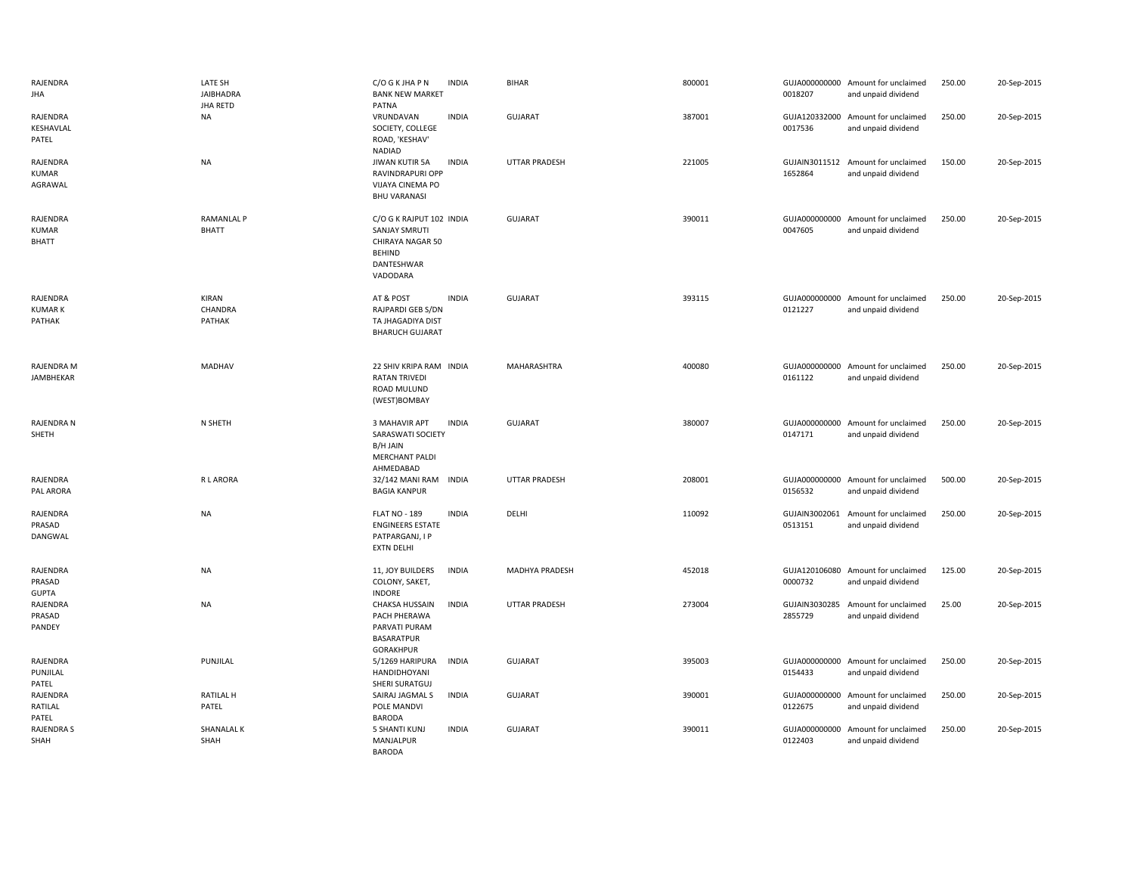| RAJENDRA<br><b>JHA</b>              | LATE SH<br><b>JAIBHADRA</b><br>JHA RETD | C/O G K JHA P N<br><b>INDIA</b><br><b>BANK NEW MARKET</b><br>PATNA                                              | <b>BIHAR</b>         | 800001 | 0018207                  | GUJA000000000 Amount for unclaimed<br>and unpaid dividend | 250.00 | 20-Sep-2015 |
|-------------------------------------|-----------------------------------------|-----------------------------------------------------------------------------------------------------------------|----------------------|--------|--------------------------|-----------------------------------------------------------|--------|-------------|
| RAJENDRA<br>KESHAVLAL<br>PATEL      | <b>NA</b>                               | VRUNDAVAN<br><b>INDIA</b><br>SOCIETY, COLLEGE<br>ROAD, 'KESHAV'<br>NADIAD                                       | <b>GUJARAT</b>       | 387001 | 0017536                  | GUJA120332000 Amount for unclaimed<br>and unpaid dividend | 250.00 | 20-Sep-2015 |
| RAJENDRA<br><b>KUMAR</b><br>AGRAWAL | <b>NA</b>                               | <b>INDIA</b><br>JIWAN KUTIR 5A<br>RAVINDRAPURI OPP<br>VIJAYA CINEMA PO<br><b>BHU VARANASI</b>                   | <b>UTTAR PRADESH</b> | 221005 | 1652864                  | GUJAIN3011512 Amount for unclaimed<br>and unpaid dividend | 150.00 | 20-Sep-2015 |
| RAJENDRA<br><b>KUMAR</b><br>BHATT   | <b>RAMANLAL P</b><br>BHATT              | C/O G K RAJPUT 102 INDIA<br><b>SANJAY SMRUTI</b><br>CHIRAYA NAGAR 50<br><b>BEHIND</b><br>DANTESHWAR<br>VADODARA | <b>GUJARAT</b>       | 390011 | 0047605                  | GUJA000000000 Amount for unclaimed<br>and unpaid dividend | 250.00 | 20-Sep-2015 |
| RAJENDRA<br><b>KUMARK</b><br>PATHAK | KIRAN<br>CHANDRA<br>PATHAK              | AT & POST<br><b>INDIA</b><br>RAJPARDI GEB S/DN<br>TA JHAGADIYA DIST<br><b>BHARUCH GUJARAT</b>                   | <b>GUJARAT</b>       | 393115 | 0121227                  | GUJA000000000 Amount for unclaimed<br>and unpaid dividend | 250.00 | 20-Sep-2015 |
| RAJENDRA M<br>JAMBHEKAR             | MADHAV                                  | 22 SHIV KRIPA RAM INDIA<br><b>RATAN TRIVEDI</b><br>ROAD MULUND<br>(WEST)BOMBAY                                  | MAHARASHTRA          | 400080 | 0161122                  | GUJA000000000 Amount for unclaimed<br>and unpaid dividend | 250.00 | 20-Sep-2015 |
| RAJENDRA N<br>SHETH                 | N SHETH                                 | <b>INDIA</b><br>3 MAHAVIR APT<br>SARASWATI SOCIETY<br>B/H JAIN<br><b>MERCHANT PALDI</b><br>AHMEDABAD            | <b>GUJARAT</b>       | 380007 | 0147171                  | GUJA000000000 Amount for unclaimed<br>and unpaid dividend | 250.00 | 20-Sep-2015 |
| RAJENDRA<br>PAL ARORA               | <b>RLARORA</b>                          | 32/142 MANI RAM INDIA<br><b>BAGIA KANPUR</b>                                                                    | <b>UTTAR PRADESH</b> | 208001 | 0156532                  | GUJA000000000 Amount for unclaimed<br>and unpaid dividend | 500.00 | 20-Sep-2015 |
| RAJENDRA<br>PRASAD<br>DANGWAL       | <b>NA</b>                               | <b>FLAT NO - 189</b><br><b>INDIA</b><br><b>ENGINEERS ESTATE</b><br>PATPARGANJ, I P<br><b>EXTN DELHI</b>         | DELHI                | 110092 | GUJAIN3002061<br>0513151 | Amount for unclaimed<br>and unpaid dividend               | 250.00 | 20-Sep-2015 |
| RAJENDRA<br>PRASAD<br><b>GUPTA</b>  | <b>NA</b>                               | 11, JOY BUILDERS<br><b>INDIA</b><br>COLONY, SAKET,<br><b>INDORE</b>                                             | MADHYA PRADESH       | 452018 | 0000732                  | GUJA120106080 Amount for unclaimed<br>and unpaid dividend | 125.00 | 20-Sep-2015 |
| RAJENDRA<br>PRASAD<br>PANDEY        | <b>NA</b>                               | <b>CHAKSA HUSSAIN</b><br><b>INDIA</b><br>PACH PHERAWA<br>PARVATI PURAM<br><b>BASARATPUR</b><br><b>GORAKHPUR</b> | <b>UTTAR PRADESH</b> | 273004 | GUJAIN3030285<br>2855729 | Amount for unclaimed<br>and unpaid dividend               | 25.00  | 20-Sep-2015 |
| RAJENDRA<br>PUNJILAL<br>PATEL       | PUNJILAL                                | 5/1269 HARIPURA<br><b>INDIA</b><br>HANDIDHOYANI<br>SHERI SURATGUJ                                               | <b>GUJARAT</b>       | 395003 | 0154433                  | GUJA000000000 Amount for unclaimed<br>and unpaid dividend | 250.00 | 20-Sep-2015 |
| RAJENDRA<br>RATILAL<br>PATEL        | <b>RATILAL H</b><br>PATEL               | <b>INDIA</b><br>SAIRAJ JAGMAL S<br>POLE MANDVI<br><b>BARODA</b>                                                 | <b>GUJARAT</b>       | 390001 | 0122675                  | GUJA000000000 Amount for unclaimed<br>and unpaid dividend | 250.00 | 20-Sep-2015 |
| <b>RAJENDRA S</b><br>SHAH           | SHANALAL K<br>SHAH                      | <b>5 SHANTI KUNJ</b><br><b>INDIA</b><br>MANJALPUR<br><b>BARODA</b>                                              | <b>GUJARAT</b>       | 390011 | GUJA000000000<br>0122403 | Amount for unclaimed<br>and unpaid dividend               | 250.00 | 20-Sep-2015 |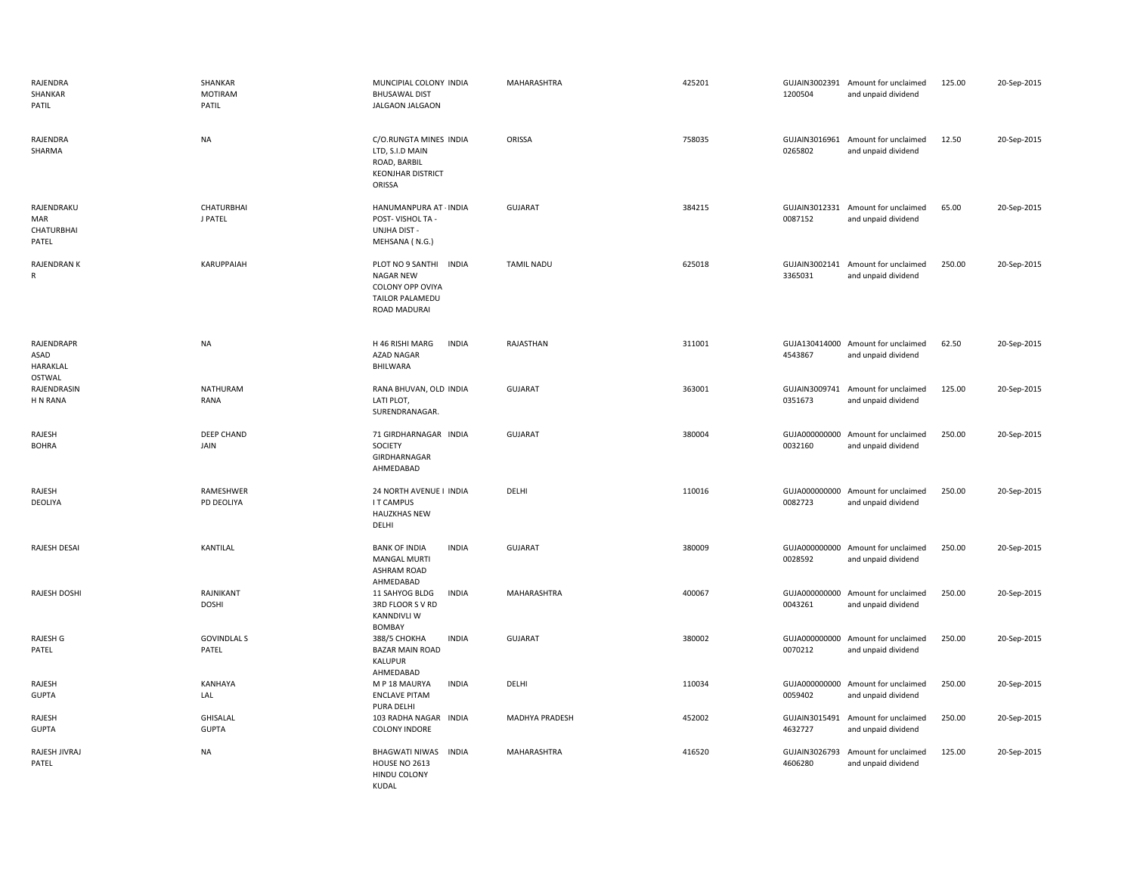| RAJENDRA<br>SHANKAR<br>PATIL                    | SHANKAR<br><b>MOTIRAM</b><br>PATIL | MUNCIPIAL COLONY INDIA<br><b>BHUSAWAL DIST</b><br>JALGAON JALGAON                                 | MAHARASHTRA       | 425201 | 1200504                  | GUJAIN3002391 Amount for unclaimed<br>and unpaid dividend | 125.00 | 20-Sep-2015 |
|-------------------------------------------------|------------------------------------|---------------------------------------------------------------------------------------------------|-------------------|--------|--------------------------|-----------------------------------------------------------|--------|-------------|
| RAJENDRA<br>SHARMA                              | <b>NA</b>                          | C/O.RUNGTA MINES INDIA<br>LTD, S.I.D MAIN<br>ROAD, BARBIL<br><b>KEONJHAR DISTRICT</b><br>ORISSA   | ORISSA            | 758035 | 0265802                  | GUJAIN3016961 Amount for unclaimed<br>and unpaid dividend | 12.50  | 20-Sep-2015 |
| RAJENDRAKU<br>MAR<br><b>CHATURBHAI</b><br>PATEL | <b>CHATURBHAI</b><br>J PATEL       | HANUMANPURA AT - INDIA<br>POST-VISHOL TA -<br><b>UNJHA DIST -</b><br>MEHSANA (N.G.)               | <b>GUJARAT</b>    | 384215 | GUJAIN3012331<br>0087152 | Amount for unclaimed<br>and unpaid dividend               | 65.00  | 20-Sep-2015 |
| RAJENDRAN K<br>R                                | KARUPPAIAH                         | PLOT NO 9 SANTHI INDIA<br><b>NAGAR NEW</b><br>COLONY OPP OVIYA<br>TAILOR PALAMEDU<br>ROAD MADURAI | <b>TAMIL NADU</b> | 625018 | GUJAIN3002141<br>3365031 | Amount for unclaimed<br>and unpaid dividend               | 250.00 | 20-Sep-2015 |
| RAJENDRAPR<br>ASAD<br>HARAKLAL<br><b>OSTWAL</b> | <b>NA</b>                          | H 46 RISHI MARG<br><b>INDIA</b><br><b>AZAD NAGAR</b><br>BHILWARA                                  | RAJASTHAN         | 311001 | 4543867                  | GUJA130414000 Amount for unclaimed<br>and unpaid dividend | 62.50  | 20-Sep-2015 |
| RAJENDRASIN<br>H N RANA                         | <b>NATHURAM</b><br>RANA            | RANA BHUVAN, OLD INDIA<br>LATI PLOT,<br>SURENDRANAGAR.                                            | <b>GUJARAT</b>    | 363001 | 0351673                  | GUJAIN3009741 Amount for unclaimed<br>and unpaid dividend | 125.00 | 20-Sep-2015 |
| RAJESH<br><b>BOHRA</b>                          | <b>DEEP CHAND</b><br>JAIN          | 71 GIRDHARNAGAR INDIA<br>SOCIETY<br>GIRDHARNAGAR<br>AHMEDABAD                                     | <b>GUJARAT</b>    | 380004 | GUJA000000000<br>0032160 | Amount for unclaimed<br>and unpaid dividend               | 250.00 | 20-Sep-2015 |
| RAJESH<br>DEOLIYA                               | RAMESHWER<br>PD DEOLIYA            | 24 NORTH AVENUE I INDIA<br>I T CAMPUS<br><b>HAUZKHAS NEW</b><br>DELHI                             | DELHI             | 110016 | GUJA000000000<br>0082723 | Amount for unclaimed<br>and unpaid dividend               | 250.00 | 20-Sep-2015 |
| RAJESH DESAI                                    | KANTILAL                           | <b>BANK OF INDIA</b><br><b>INDIA</b><br><b>MANGAL MURTI</b><br><b>ASHRAM ROAD</b><br>AHMEDABAD    | <b>GUJARAT</b>    | 380009 | 0028592                  | GUJA000000000 Amount for unclaimed<br>and unpaid dividend | 250.00 | 20-Sep-2015 |
| RAJESH DOSHI                                    | RAJNIKANT<br><b>DOSHI</b>          | <b>INDIA</b><br>11 SAHYOG BLDG<br>3RD FLOOR SVRD<br><b>KANNDIVLI W</b><br><b>BOMBAY</b>           | MAHARASHTRA       | 400067 | GUJA000000000<br>0043261 | Amount for unclaimed<br>and unpaid dividend               | 250.00 | 20-Sep-2015 |
| RAJESH G<br>PATEL                               | <b>GOVINDLAL S</b><br>PATEL        | <b>INDIA</b><br>388/5 CHOKHA<br><b>BAZAR MAIN ROAD</b><br>KALUPUR<br>AHMEDABAD                    | GUJARAT           | 380002 | GUJA000000000<br>0070212 | Amount for unclaimed<br>and unpaid dividend               | 250.00 | 20-Sep-2015 |
| RAJESH<br><b>GUPTA</b>                          | KANHAYA<br>LAL                     | M P 18 MAURYA<br><b>INDIA</b><br><b>ENCLAVE PITAM</b><br>PURA DELHI                               | DELHI             | 110034 | GUJA000000000<br>0059402 | Amount for unclaimed<br>and unpaid dividend               | 250.00 | 20-Sep-2015 |
| RAJESH<br>GUPTA                                 | <b>GHISALAL</b><br><b>GUPTA</b>    | 103 RADHA NAGAR INDIA<br><b>COLONY INDORE</b>                                                     | MADHYA PRADESH    | 452002 | GUJAIN3015491<br>4632727 | Amount for unclaimed<br>and unpaid dividend               | 250.00 | 20-Sep-2015 |
| RAJESH JIVRAJ<br>PATEL                          | <b>NA</b>                          | <b>BHAGWATI NIWAS</b><br>INDIA<br><b>HOUSE NO 2613</b><br><b>HINDU COLONY</b><br>KUDAL            | MAHARASHTRA       | 416520 | GUJAIN3026793<br>4606280 | Amount for unclaimed<br>and unpaid dividend               | 125.00 | 20-Sep-2015 |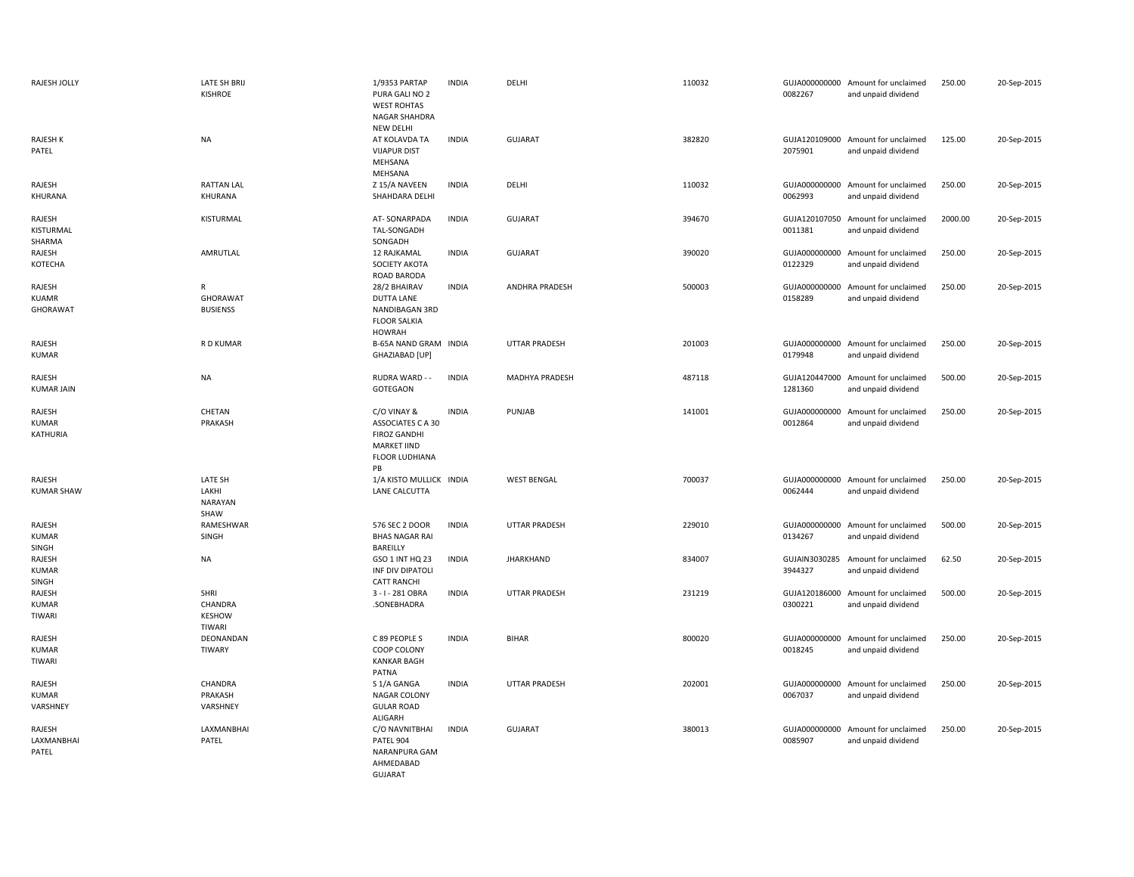| RAJESH JOLLY                       | LATE SH BRIJ<br><b>KISHROE</b>             | 1/9353 PARTAP<br>PURA GALI NO 2<br><b>WEST ROHTAS</b><br>NAGAR SHAHDRA<br><b>NEW DELHI</b>                   | <b>INDIA</b> | DELHI                | 110032 | 0082267                  | GUJA000000000 Amount for unclaimed<br>and unpaid dividend | 250.00  | 20-Sep-2015 |
|------------------------------------|--------------------------------------------|--------------------------------------------------------------------------------------------------------------|--------------|----------------------|--------|--------------------------|-----------------------------------------------------------|---------|-------------|
| <b>RAJESH K</b><br>PATEL           | <b>NA</b>                                  | AT KOLAVDA TA<br><b>VIJAPUR DIST</b><br>MEHSANA<br>MEHSANA                                                   | <b>INDIA</b> | <b>GUJARAT</b>       | 382820 | 2075901                  | GUJA120109000 Amount for unclaimed<br>and unpaid dividend | 125.00  | 20-Sep-2015 |
| RAJESH<br>KHURANA                  | <b>RATTAN LAL</b><br>KHURANA               | Z 15/A NAVEEN<br>SHAHDARA DELHI                                                                              | <b>INDIA</b> | DELHI                | 110032 | GUJA000000000<br>0062993 | Amount for unclaimed<br>and unpaid dividend               | 250.00  | 20-Sep-2015 |
| RAJESH<br>KISTURMAL<br>SHARMA      | KISTURMAL                                  | AT-SONARPADA<br>TAL-SONGADH<br>SONGADH                                                                       | <b>INDIA</b> | GUJARAT              | 394670 | 0011381                  | GUJA120107050 Amount for unclaimed<br>and unpaid dividend | 2000.00 | 20-Sep-2015 |
| RAJESH<br>KOTECHA                  | AMRUTLAL                                   | 12 RAJKAMAL<br>SOCIETY AKOTA<br>ROAD BARODA                                                                  | <b>INDIA</b> | <b>GUJARAT</b>       | 390020 | GUJA000000000<br>0122329 | Amount for unclaimed<br>and unpaid dividend               | 250.00  | 20-Sep-2015 |
| RAJESH<br><b>KUAMR</b><br>GHORAWAT | R<br>GHORAWAT<br><b>BUSIENSS</b>           | 28/2 BHAIRAV<br><b>DUTTA LANE</b><br>NANDIBAGAN 3RD<br><b>FLOOR SALKIA</b><br><b>HOWRAH</b>                  | <b>INDIA</b> | ANDHRA PRADESH       | 500003 | 0158289                  | GUJA000000000 Amount for unclaimed<br>and unpaid dividend | 250.00  | 20-Sep-2015 |
| RAJESH<br><b>KUMAR</b>             | R D KUMAR                                  | B-65A NAND GRAM INDIA<br>GHAZIABAD [UP]                                                                      |              | <b>UTTAR PRADESH</b> | 201003 | 0179948                  | GUJA000000000 Amount for unclaimed<br>and unpaid dividend | 250.00  | 20-Sep-2015 |
| RAJESH<br><b>KUMAR JAIN</b>        | <b>NA</b>                                  | RUDRA WARD - -<br>GOTEGAON                                                                                   | <b>INDIA</b> | MADHYA PRADESH       | 487118 | GUJA120447000<br>1281360 | Amount for unclaimed<br>and unpaid dividend               | 500.00  | 20-Sep-2015 |
| RAJESH<br><b>KUMAR</b><br>KATHURIA | CHETAN<br>PRAKASH                          | C/O VINAY &<br>ASSOCIATES C A 30<br><b>FIROZ GANDHI</b><br><b>MARKET IIND</b><br><b>FLOOR LUDHIANA</b><br>PB | <b>INDIA</b> | PUNJAB               | 141001 | GUJA000000000<br>0012864 | Amount for unclaimed<br>and unpaid dividend               | 250.00  | 20-Sep-2015 |
| RAJESH<br><b>KUMAR SHAW</b>        | LATE SH<br>LAKHI<br><b>NARAYAN</b><br>SHAW | 1/A KISTO MULLICK INDIA<br>LANE CALCUTTA                                                                     |              | <b>WEST BENGAL</b>   | 700037 | 0062444                  | GUJA000000000 Amount for unclaimed<br>and unpaid dividend | 250.00  | 20-Sep-2015 |
| RAJESH<br><b>KUMAR</b><br>SINGH    | RAMESHWAR<br>SINGH                         | 576 SEC 2 DOOR<br><b>BHAS NAGAR RAI</b><br>BAREILLY                                                          | <b>INDIA</b> | <b>UTTAR PRADESH</b> | 229010 | GUJA000000000<br>0134267 | Amount for unclaimed<br>and unpaid dividend               | 500.00  | 20-Sep-2015 |
| RAJESH<br><b>KUMAR</b><br>SINGH    | <b>NA</b>                                  | GSO 1 INT HQ 23<br>INF DIV DIPATOLI<br><b>CATT RANCHI</b>                                                    | <b>INDIA</b> | <b>JHARKHAND</b>     | 834007 | GUJAIN3030285<br>3944327 | Amount for unclaimed<br>and unpaid dividend               | 62.50   | 20-Sep-2015 |
| RAJESH<br><b>KUMAR</b><br>TIWARI   | SHRI<br>CHANDRA<br><b>KESHOW</b><br>TIWARI | 3 - I - 281 OBRA<br>.SONEBHADRA                                                                              | <b>INDIA</b> | <b>UTTAR PRADESH</b> | 231219 | GUJA120186000<br>0300221 | Amount for unclaimed<br>and unpaid dividend               | 500.00  | 20-Sep-2015 |
| RAJESH<br><b>KUMAR</b><br>TIWARI   | DEONANDAN<br>TIWARY                        | C 89 PEOPLE S<br>COOP COLONY<br><b>KANKAR BAGH</b><br>PATNA                                                  | <b>INDIA</b> | <b>BIHAR</b>         | 800020 | GUJA000000000<br>0018245 | Amount for unclaimed<br>and unpaid dividend               | 250.00  | 20-Sep-2015 |
| RAJESH<br><b>KUMAR</b><br>VARSHNEY | CHANDRA<br>PRAKASH<br>VARSHNEY             | S 1/A GANGA<br>NAGAR COLONY<br><b>GULAR ROAD</b><br>ALIGARH                                                  | <b>INDIA</b> | <b>UTTAR PRADESH</b> | 202001 | 0067037                  | GUJA000000000 Amount for unclaimed<br>and unpaid dividend | 250.00  | 20-Sep-2015 |
| RAJESH<br>LAXMANBHAI<br>PATEL      | LAXMANBHAI<br>PATEL                        | C/O NAVNITBHAI<br>PATEL 904<br>NARANPURA GAM<br>AHMEDABAD<br><b>GUJARAT</b>                                  | <b>INDIA</b> | <b>GUJARAT</b>       | 380013 | GUJA000000000<br>0085907 | Amount for unclaimed<br>and unpaid dividend               | 250.00  | 20-Sep-2015 |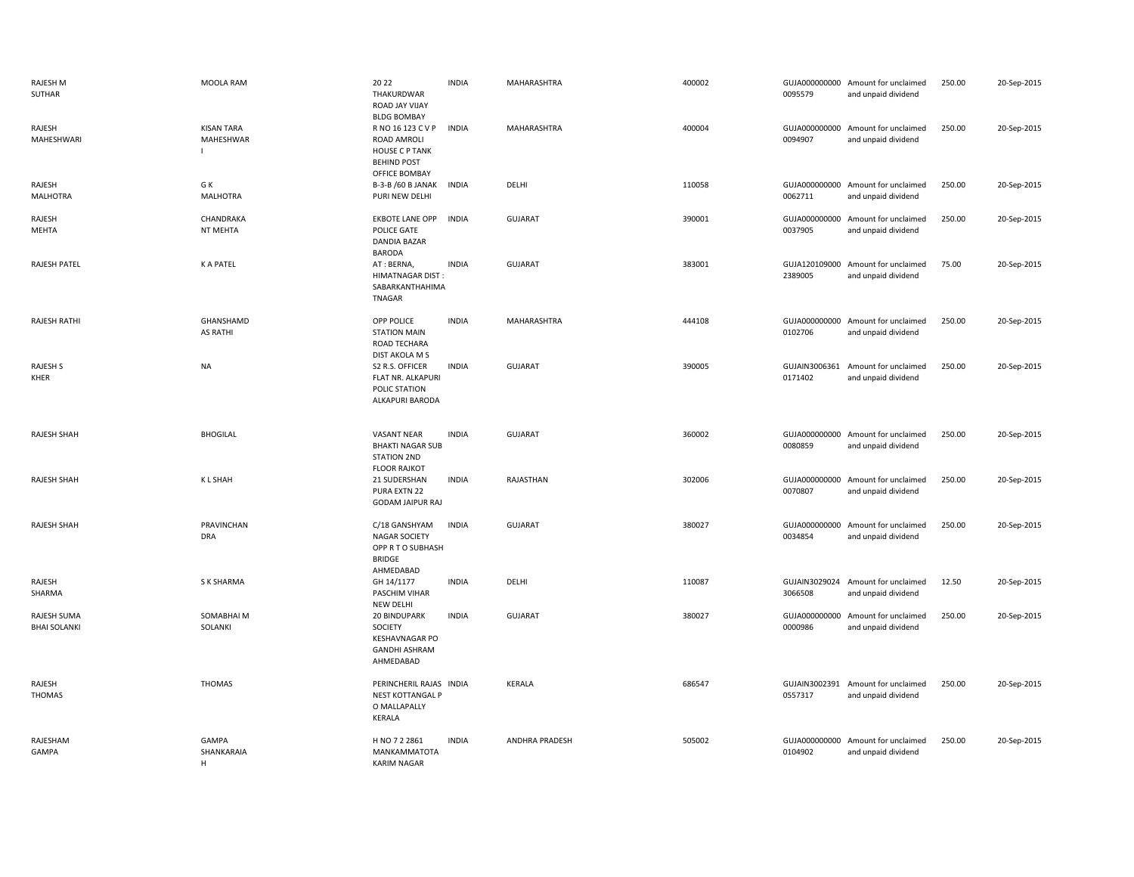| <b>RAJESH M</b><br>SUTHAR          | MOOLA RAM                                        | 20 22<br>THAKURDWAR<br>ROAD JAY VIJAY<br><b>BLDG BOMBAY</b>                                      | <b>INDIA</b> | MAHARASHTRA    | 400002 | 0095579                  | GUJA000000000 Amount for unclaimed<br>and unpaid dividend | 250.00 | 20-Sep-2015 |
|------------------------------------|--------------------------------------------------|--------------------------------------------------------------------------------------------------|--------------|----------------|--------|--------------------------|-----------------------------------------------------------|--------|-------------|
| RAJESH<br>MAHESHWARI               | <b>KISAN TARA</b><br>MAHESHWAR<br>$\blacksquare$ | R NO 16 123 C V P<br>ROAD AMROLI<br><b>HOUSE C P TANK</b><br><b>BEHIND POST</b><br>OFFICE BOMBAY | <b>INDIA</b> | MAHARASHTRA    | 400004 | 0094907                  | GUJA000000000 Amount for unclaimed<br>and unpaid dividend | 250.00 | 20-Sep-2015 |
| RAJESH<br><b>MALHOTRA</b>          | G K<br><b>MALHOTRA</b>                           | B-3-B /60 B JANAK<br>PURI NEW DELHI                                                              | <b>INDIA</b> | DELHI          | 110058 | 0062711                  | GUJA000000000 Amount for unclaimed<br>and unpaid dividend | 250.00 | 20-Sep-2015 |
| RAJESH<br>MEHTA                    | CHANDRAKA<br>NT MEHTA                            | <b>EKBOTE LANE OPP</b><br>POLICE GATE<br>DANDIA BAZAR<br><b>BARODA</b>                           | <b>INDIA</b> | <b>GUJARAT</b> | 390001 | 0037905                  | GUJA000000000 Amount for unclaimed<br>and unpaid dividend | 250.00 | 20-Sep-2015 |
| RAJESH PATEL                       | <b>KAPATEL</b>                                   | AT: BERNA,<br><b>HIMATNAGAR DIST:</b><br>SABARKANTHAHIMA<br>TNAGAR                               | <b>INDIA</b> | <b>GUJARAT</b> | 383001 | 2389005                  | GUJA120109000 Amount for unclaimed<br>and unpaid dividend | 75.00  | 20-Sep-2015 |
| RAJESH RATHI                       | GHANSHAMD<br><b>AS RATHI</b>                     | OPP POLICE<br><b>STATION MAIN</b><br>ROAD TECHARA<br>DIST AKOLA M S                              | <b>INDIA</b> | MAHARASHTRA    | 444108 | 0102706                  | GUJA000000000 Amount for unclaimed<br>and unpaid dividend | 250.00 | 20-Sep-2015 |
| RAJESH S<br>KHER                   | <b>NA</b>                                        | S2 R.S. OFFICER<br>FLAT NR. ALKAPURI<br>POLIC STATION<br>ALKAPURI BARODA                         | <b>INDIA</b> | <b>GUJARAT</b> | 390005 | GUJAIN3006361<br>0171402 | Amount for unclaimed<br>and unpaid dividend               | 250.00 | 20-Sep-2015 |
| <b>RAJESH SHAH</b>                 | <b>BHOGILAL</b>                                  | <b>VASANT NEAR</b><br><b>BHAKTI NAGAR SUB</b><br><b>STATION 2ND</b><br><b>FLOOR RAJKOT</b>       | <b>INDIA</b> | <b>GUJARAT</b> | 360002 | 0080859                  | GUJA000000000 Amount for unclaimed<br>and unpaid dividend | 250.00 | 20-Sep-2015 |
| RAJESH SHAH                        | <b>KLSHAH</b>                                    | 21 SUDERSHAN<br>PURA EXTN 22<br><b>GODAM JAIPUR RAJ</b>                                          | <b>INDIA</b> | RAJASTHAN      | 302006 | 0070807                  | GUJA000000000 Amount for unclaimed<br>and unpaid dividend | 250.00 | 20-Sep-2015 |
| <b>RAJESH SHAH</b>                 | PRAVINCHAN<br><b>DRA</b>                         | C/18 GANSHYAM<br><b>NAGAR SOCIETY</b><br>OPP R T O SUBHASH<br><b>BRIDGE</b><br>AHMEDABAD         | <b>INDIA</b> | <b>GUJARAT</b> | 380027 | 0034854                  | GUJA000000000 Amount for unclaimed<br>and unpaid dividend | 250.00 | 20-Sep-2015 |
| RAJESH<br>SHARMA                   | S K SHARMA                                       | GH 14/1177<br>PASCHIM VIHAR<br>NEW DELHI                                                         | <b>INDIA</b> | DELHI          | 110087 | 3066508                  | GUJAIN3029024 Amount for unclaimed<br>and unpaid dividend | 12.50  | 20-Sep-2015 |
| RAJESH SUMA<br><b>BHAI SOLANKI</b> | SOMABHAI M<br>SOLANKI                            | 20 BINDUPARK<br>SOCIETY<br><b>KESHAVNAGAR PO</b><br><b>GANDHI ASHRAM</b><br>AHMEDABAD            | <b>INDIA</b> | <b>GUJARAT</b> | 380027 | 0000986                  | GUJA000000000 Amount for unclaimed<br>and unpaid dividend | 250.00 | 20-Sep-2015 |
| RAJESH<br><b>THOMAS</b>            | <b>THOMAS</b>                                    | PERINCHERIL RAJAS INDIA<br><b>NEST KOTTANGAL P</b><br>O MALLAPALLY<br>KERALA                     |              | <b>KERALA</b>  | 686547 | 0557317                  | GUJAIN3002391 Amount for unclaimed<br>and unpaid dividend | 250.00 | 20-Sep-2015 |
| RAJESHAM<br>GAMPA                  | GAMPA<br>SHANKARAIA<br>H                         | H NO 7 2 2861<br>MANKAMMATOTA<br><b>KARIM NAGAR</b>                                              | <b>INDIA</b> | ANDHRA PRADESH | 505002 | 0104902                  | GUJA000000000 Amount for unclaimed<br>and unpaid dividend | 250.00 | 20-Sep-2015 |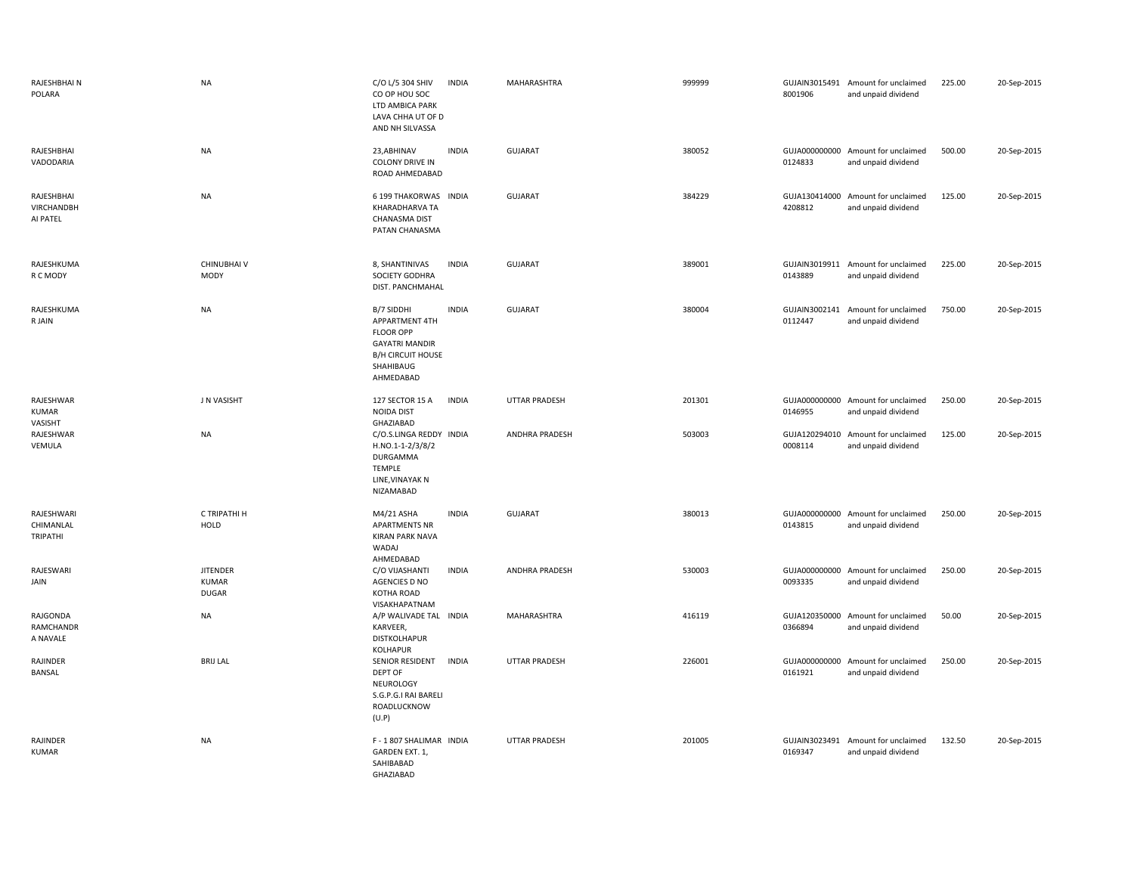| RAJESHBHAI N<br>POLARA               | <b>NA</b>                                       | C/O L/5 304 SHIV<br>CO OP HOU SOC<br>LTD AMBICA PARK<br>LAVA CHHA UT OF D<br>AND NH SILVASSA                                    | <b>INDIA</b> | MAHARASHTRA           | 999999 | 8001906                  | GUJAIN3015491 Amount for unclaimed<br>and unpaid dividend | 225.00 | 20-Sep-2015 |
|--------------------------------------|-------------------------------------------------|---------------------------------------------------------------------------------------------------------------------------------|--------------|-----------------------|--------|--------------------------|-----------------------------------------------------------|--------|-------------|
| RAJESHBHAI<br>VADODARIA              | <b>NA</b>                                       | 23, ABHINAV<br><b>COLONY DRIVE IN</b><br>ROAD AHMEDABAD                                                                         | <b>INDIA</b> | <b>GUJARAT</b>        | 380052 | GUJA000000000<br>0124833 | Amount for unclaimed<br>and unpaid dividend               | 500.00 | 20-Sep-2015 |
| RAJESHBHAI<br>VIRCHANDBH<br>AI PATEL | <b>NA</b>                                       | 6 199 THAKORWAS INDIA<br>KHARADHARVA TA<br>CHANASMA DIST<br>PATAN CHANASMA                                                      |              | GUJARAT               | 384229 | GUJA130414000<br>4208812 | Amount for unclaimed<br>and unpaid dividend               | 125.00 | 20-Sep-2015 |
| RAJESHKUMA<br>R C MODY               | <b>CHINUBHAIV</b><br><b>MODY</b>                | 8, SHANTINIVAS<br>SOCIETY GODHRA<br>DIST. PANCHMAHAL                                                                            | <b>INDIA</b> | GUJARAT               | 389001 | GUJAIN3019911<br>0143889 | Amount for unclaimed<br>and unpaid dividend               | 225.00 | 20-Sep-2015 |
| RAJESHKUMA<br>R JAIN                 | <b>NA</b>                                       | B/7 SIDDHI<br>APPARTMENT 4TH<br><b>FLOOR OPP</b><br><b>GAYATRI MANDIR</b><br><b>B/H CIRCUIT HOUSE</b><br>SHAHIBAUG<br>AHMEDABAD | <b>INDIA</b> | GUJARAT               | 380004 | GUJAIN3002141<br>0112447 | Amount for unclaimed<br>and unpaid dividend               | 750.00 | 20-Sep-2015 |
| RAJESHWAR<br><b>KUMAR</b><br>VASISHT | J N VASISHT                                     | 127 SECTOR 15 A<br><b>NOIDA DIST</b><br>GHAZIABAD                                                                               | <b>INDIA</b> | <b>UTTAR PRADESH</b>  | 201301 | 0146955                  | GUJA000000000 Amount for unclaimed<br>and unpaid dividend | 250.00 | 20-Sep-2015 |
| RAJESHWAR<br>VEMULA                  | <b>NA</b>                                       | C/O.S.LINGA REDDY INDIA<br>H.NO.1-1-2/3/8/2<br>DURGAMMA<br>TEMPLE<br>LINE, VINAYAK N<br>NIZAMABAD                               |              | ANDHRA PRADESH        | 503003 | GUJA120294010<br>0008114 | Amount for unclaimed<br>and unpaid dividend               | 125.00 | 20-Sep-2015 |
| RAJESHWARI<br>CHIMANLAL<br>TRIPATHI  | C TRIPATHI H<br><b>HOLD</b>                     | M4/21 ASHA<br><b>APARTMENTS NR</b><br><b>KIRAN PARK NAVA</b><br>WADAJ<br>AHMEDABAD                                              | <b>INDIA</b> | <b>GUJARAT</b>        | 380013 | 0143815                  | GUJA000000000 Amount for unclaimed<br>and unpaid dividend | 250.00 | 20-Sep-2015 |
| RAJESWARI<br>JAIN                    | <b>JITENDER</b><br><b>KUMAR</b><br><b>DUGAR</b> | C/O VIJASHANTI<br>AGENCIES D NO<br>KOTHA ROAD<br>VISAKHAPATNAM                                                                  | <b>INDIA</b> | <b>ANDHRA PRADESH</b> | 530003 | 0093335                  | GUJA000000000 Amount for unclaimed<br>and unpaid dividend | 250.00 | 20-Sep-2015 |
| RAJGONDA<br>RAMCHANDR<br>A NAVALE    | <b>NA</b>                                       | A/P WALIVADE TAL INDIA<br>KARVEER,<br><b>DISTKOLHAPUR</b><br><b>KOLHAPUR</b>                                                    |              | MAHARASHTRA           | 416119 | 0366894                  | GUJA120350000 Amount for unclaimed<br>and unpaid dividend | 50.00  | 20-Sep-2015 |
| RAJINDER<br>BANSAL                   | <b>BRIJ LAL</b>                                 | SENIOR RESIDENT<br>DEPT OF<br>NEUROLOGY<br>S.G.P.G.I RAI BARELI<br>ROADLUCKNOW<br>(U.P)                                         | <b>INDIA</b> | <b>UTTAR PRADESH</b>  | 226001 | GUJA000000000<br>0161921 | Amount for unclaimed<br>and unpaid dividend               | 250.00 | 20-Sep-2015 |
| RAJINDER<br><b>KUMAR</b>             | <b>NA</b>                                       | F-1807 SHALIMAR INDIA<br>GARDEN EXT. 1,<br>SAHIBABAD<br>GHAZIABAD                                                               |              | <b>UTTAR PRADESH</b>  | 201005 | 0169347                  | GUJAIN3023491 Amount for unclaimed<br>and unpaid dividend | 132.50 | 20-Sep-2015 |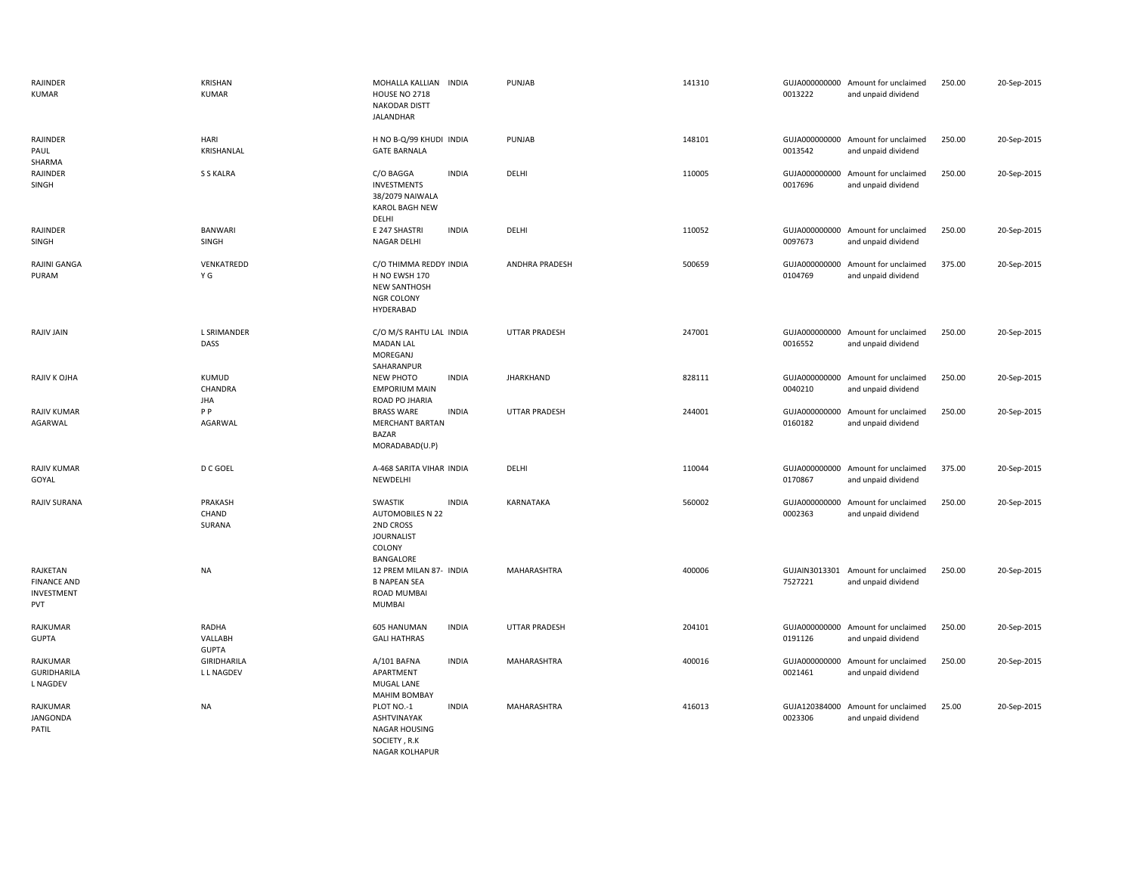| RAJINDER<br><b>KUMAR</b>                                   | <b>KRISHAN</b><br><b>KUMAR</b>   | MOHALLA KALLIAN INDIA<br><b>HOUSE NO 2718</b><br><b>NAKODAR DISTT</b><br>JALANDHAR                          | PUNJAB                | 141310 | 0013222                  | GUJA000000000 Amount for unclaimed<br>and unpaid dividend | 250.00 | 20-Sep-2015 |
|------------------------------------------------------------|----------------------------------|-------------------------------------------------------------------------------------------------------------|-----------------------|--------|--------------------------|-----------------------------------------------------------|--------|-------------|
| RAJINDER<br>PAUL<br>SHARMA                                 | HARI<br>KRISHANLAL               | H NO B-Q/99 KHUDI INDIA<br><b>GATE BARNALA</b>                                                              | PUNJAB                | 148101 | 0013542                  | GUJA000000000 Amount for unclaimed<br>and unpaid dividend | 250.00 | 20-Sep-2015 |
| RAJINDER<br>SINGH                                          | S S KALRA                        | C/O BAGGA<br><b>INDIA</b><br><b>INVESTMENTS</b><br>38/2079 NAIWALA<br><b>KAROL BAGH NEW</b><br>DELHI        | DELHI                 | 110005 | GUJA000000000<br>0017696 | Amount for unclaimed<br>and unpaid dividend               | 250.00 | 20-Sep-2015 |
| RAJINDER<br>SINGH                                          | <b>BANWARI</b><br>SINGH          | E 247 SHASTRI<br><b>INDIA</b><br>NAGAR DELHI                                                                | DELHI                 | 110052 | 0097673                  | GUJA000000000 Amount for unclaimed<br>and unpaid dividend | 250.00 | 20-Sep-2015 |
| RAJINI GANGA<br>PURAM                                      | VENKATREDD<br>ΥG                 | C/O THIMMA REDDY INDIA<br>H NO EWSH 170<br><b>NEW SANTHOSH</b><br>NGR COLONY<br>HYDERABAD                   | <b>ANDHRA PRADESH</b> | 500659 | 0104769                  | GUJA000000000 Amount for unclaimed<br>and unpaid dividend | 375.00 | 20-Sep-2015 |
| <b>RAJIV JAIN</b>                                          | <b>L SRIMANDER</b><br>DASS       | C/O M/S RAHTU LAL INDIA<br><b>MADAN LAL</b><br>MOREGANJ<br>SAHARANPUR                                       | UTTAR PRADESH         | 247001 | 0016552                  | GUJA000000000 Amount for unclaimed<br>and unpaid dividend | 250.00 | 20-Sep-2015 |
| RAJIV K OJHA                                               | KUMUD<br>CHANDRA<br><b>JHA</b>   | NEW PHOTO<br><b>INDIA</b><br><b>EMPORIUM MAIN</b><br>ROAD PO JHARIA                                         | <b>JHARKHAND</b>      | 828111 | 0040210                  | GUJA000000000 Amount for unclaimed<br>and unpaid dividend | 250.00 | 20-Sep-2015 |
| <b>RAJIV KUMAR</b><br>AGARWAL                              | P P<br>AGARWAL                   | <b>BRASS WARE</b><br><b>INDIA</b><br><b>MERCHANT BARTAN</b><br><b>BAZAR</b><br>MORADABAD(U.P)               | UTTAR PRADESH         | 244001 | GUJA000000000<br>0160182 | Amount for unclaimed<br>and unpaid dividend               | 250.00 | 20-Sep-2015 |
| <b>RAJIV KUMAR</b><br>GOYAL                                | D C GOEL                         | A-468 SARITA VIHAR INDIA<br>NEWDELHI                                                                        | DELHI                 | 110044 | GUJA000000000<br>0170867 | Amount for unclaimed<br>and unpaid dividend               | 375.00 | 20-Sep-2015 |
| RAJIV SURANA                                               | PRAKASH<br>CHAND<br>SURANA       | <b>INDIA</b><br>SWASTIK<br>AUTOMOBILES N 22<br>2ND CROSS<br><b>JOURNALIST</b><br>COLONY<br><b>BANGALORE</b> | <b>KARNATAKA</b>      | 560002 | GUJA000000000<br>0002363 | Amount for unclaimed<br>and unpaid dividend               | 250.00 | 20-Sep-2015 |
| RAJKETAN<br><b>FINANCE AND</b><br>INVESTMENT<br><b>PVT</b> | <b>NA</b>                        | 12 PREM MILAN 87- INDIA<br><b>B NAPEAN SEA</b><br>ROAD MUMBAI<br>MUMBAI                                     | MAHARASHTRA           | 400006 | 7527221                  | GUJAIN3013301 Amount for unclaimed<br>and unpaid dividend | 250.00 | 20-Sep-2015 |
| RAJKUMAR<br><b>GUPTA</b>                                   | RADHA<br>VALLABH<br><b>GUPTA</b> | 605 HANUMAN<br><b>INDIA</b><br><b>GALI HATHRAS</b>                                                          | <b>UTTAR PRADESH</b>  | 204101 | 0191126                  | GUJA000000000 Amount for unclaimed<br>and unpaid dividend | 250.00 | 20-Sep-2015 |
| RAJKUMAR<br><b>GURIDHARILA</b><br><b>L NAGDEV</b>          | GIRIDHARILA<br><b>LL NAGDEV</b>  | A/101 BAFNA<br><b>INDIA</b><br>APARTMENT<br>MUGAL LANE<br><b>MAHIM BOMBAY</b>                               | MAHARASHTRA           | 400016 | GUJA000000000<br>0021461 | Amount for unclaimed<br>and unpaid dividend               | 250.00 | 20-Sep-2015 |
| RAJKUMAR<br>JANGONDA<br>PATIL                              | <b>NA</b>                        | <b>INDIA</b><br>PLOT NO.-1<br>ASHTVINAYAK<br><b>NAGAR HOUSING</b><br>SOCIETY, R.K                           | MAHARASHTRA           | 416013 | 0023306                  | GUJA120384000 Amount for unclaimed<br>and unpaid dividend | 25.00  | 20-Sep-2015 |

NAGAR KOLHAPUR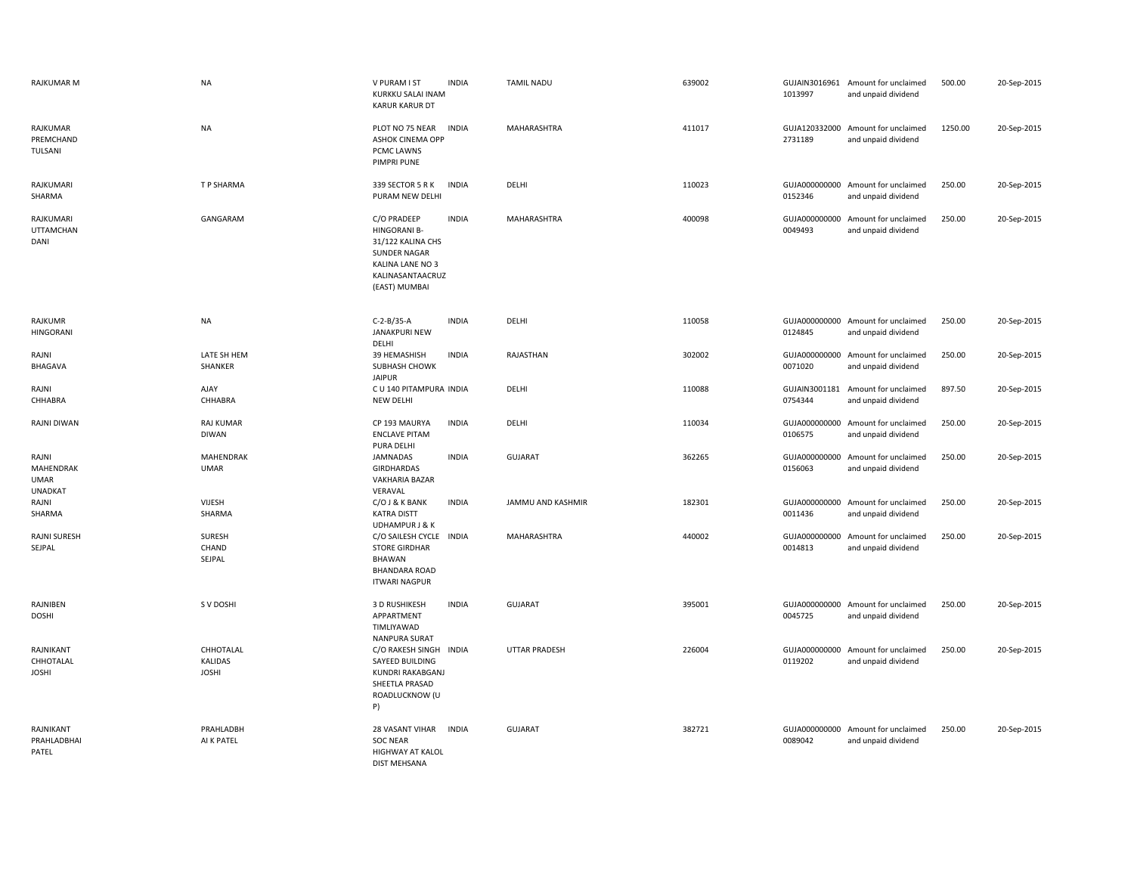| RAJKUMAR M                                                 | <b>NA</b>                                   | V PURAM I ST<br><b>INDIA</b><br>KURKKU SALAI INAM<br><b>KARUR KARUR DT</b>                                                                              | <b>TAMIL NADU</b>    | 639002 | 1013997                  | GUJAIN3016961 Amount for unclaimed<br>and unpaid dividend | 500.00  | 20-Sep-2015 |
|------------------------------------------------------------|---------------------------------------------|---------------------------------------------------------------------------------------------------------------------------------------------------------|----------------------|--------|--------------------------|-----------------------------------------------------------|---------|-------------|
| RAJKUMAR<br>PREMCHAND<br>TULSANI                           | <b>NA</b>                                   | PLOT NO 75 NEAR<br><b>INDIA</b><br>ASHOK CINEMA OPP<br>PCMC LAWNS<br>PIMPRI PUNE                                                                        | MAHARASHTRA          | 411017 | GUJA120332000<br>2731189 | Amount for unclaimed<br>and unpaid dividend               | 1250.00 | 20-Sep-2015 |
| RAJKUMARI<br>SHARMA                                        | T P SHARMA                                  | 339 SECTOR 5 R K<br><b>INDIA</b><br>PURAM NEW DELHI                                                                                                     | DELHI                | 110023 | 0152346                  | GUJA000000000 Amount for unclaimed<br>and unpaid dividend | 250.00  | 20-Sep-2015 |
| RAJKUMARI<br><b>UTTAMCHAN</b><br>DANI                      | GANGARAM                                    | C/O PRADEEP<br><b>INDIA</b><br><b>HINGORANI B-</b><br>31/122 KALINA CHS<br><b>SUNDER NAGAR</b><br>KALINA LANE NO 3<br>KALINASANTAACRUZ<br>(EAST) MUMBAI | <b>MAHARASHTRA</b>   | 400098 | GUJA000000000<br>0049493 | Amount for unclaimed<br>and unpaid dividend               | 250.00  | 20-Sep-2015 |
| <b>RAJKUMR</b><br><b>HINGORANI</b>                         | <b>NA</b>                                   | $C-2-B/35-A$<br><b>INDIA</b><br>JANAKPURI NEW<br>DELHI                                                                                                  | DELHI                | 110058 | 0124845                  | GUJA000000000 Amount for unclaimed<br>and unpaid dividend | 250.00  | 20-Sep-2015 |
| RAJNI<br>BHAGAVA                                           | LATE SH HEM<br>SHANKER                      | 39 HEMASHISH<br><b>INDIA</b><br>SUBHASH CHOWK<br><b>JAIPUR</b>                                                                                          | RAJASTHAN            | 302002 | 0071020                  | GUJA000000000 Amount for unclaimed<br>and unpaid dividend | 250.00  | 20-Sep-2015 |
| RAJNI<br>CHHABRA                                           | AJAY<br>CHHABRA                             | C U 140 PITAMPURA INDIA<br><b>NEW DELHI</b>                                                                                                             | DELHI                | 110088 | GUJAIN3001181<br>0754344 | Amount for unclaimed<br>and unpaid dividend               | 897.50  | 20-Sep-2015 |
| <b>RAJNI DIWAN</b>                                         | <b>RAJ KUMAR</b><br><b>DIWAN</b>            | CP 193 MAURYA<br><b>INDIA</b><br><b>ENCLAVE PITAM</b><br>PURA DELHI                                                                                     | DELHI                | 110034 | GUJA000000000<br>0106575 | Amount for unclaimed<br>and unpaid dividend               | 250.00  | 20-Sep-2015 |
| RAJNI<br><b>MAHENDRAK</b><br><b>UMAR</b><br><b>UNADKAT</b> | MAHENDRAK<br><b>UMAR</b>                    | <b>JAMNADAS</b><br><b>INDIA</b><br>GIRDHARDAS<br>VAKHARIA BAZAR<br>VERAVAL                                                                              | <b>GUJARAT</b>       | 362265 | 0156063                  | GUJA000000000 Amount for unclaimed<br>and unpaid dividend | 250.00  | 20-Sep-2015 |
| RAJNI<br>SHARMA                                            | VIJESH<br>SHARMA                            | C/O J & K BANK<br><b>INDIA</b><br><b>KATRA DISTT</b><br><b>UDHAMPUR J &amp; K</b>                                                                       | JAMMU AND KASHMIR    | 182301 | GUJA000000000<br>0011436 | Amount for unclaimed<br>and unpaid dividend               | 250.00  | 20-Sep-2015 |
| <b>RAJNI SURESH</b><br>SEJPAL                              | SURESH<br>CHAND<br>SEJPAL                   | C/O SAILESH CYCLE INDIA<br><b>STORE GIRDHAR</b><br>BHAWAN<br><b>BHANDARA ROAD</b><br><b>ITWARI NAGPUR</b>                                               | <b>MAHARASHTRA</b>   | 440002 | GUJA000000000<br>0014813 | Amount for unclaimed<br>and unpaid dividend               | 250.00  | 20-Sep-2015 |
| RAJNIBEN<br><b>DOSHI</b>                                   | S V DOSHI                                   | <b>INDIA</b><br>3 D RUSHIKESH<br>APPARTMENT<br>TIMLIYAWAD<br><b>NANPURA SURAT</b>                                                                       | <b>GUJARAT</b>       | 395001 | 0045725                  | GUJA000000000 Amount for unclaimed<br>and unpaid dividend | 250.00  | 20-Sep-2015 |
| RAJNIKANT<br>CHHOTALAL<br><b>JOSHI</b>                     | CHHOTALAL<br><b>KALIDAS</b><br><b>JOSHI</b> | C/O RAKESH SINGH INDIA<br>SAYEED BUILDING<br>KUNDRI RAKABGANJ<br>SHEETLA PRASAD<br>ROADLUCKNOW (U<br>P)                                                 | <b>UTTAR PRADESH</b> | 226004 | GUJA000000000<br>0119202 | Amount for unclaimed<br>and unpaid dividend               | 250.00  | 20-Sep-2015 |
| RAJNIKANT<br>PRAHLADBHAI<br>PATEL                          | PRAHLADBH<br>AI K PATEL                     | <b>28 VASANT VIHAR</b><br><b>INDIA</b><br><b>SOC NEAR</b><br><b>HIGHWAY AT KALOL</b><br><b>DIST MEHSANA</b>                                             | <b>GUJARAT</b>       | 382721 | 0089042                  | GUJA000000000 Amount for unclaimed<br>and unpaid dividend | 250.00  | 20-Sep-2015 |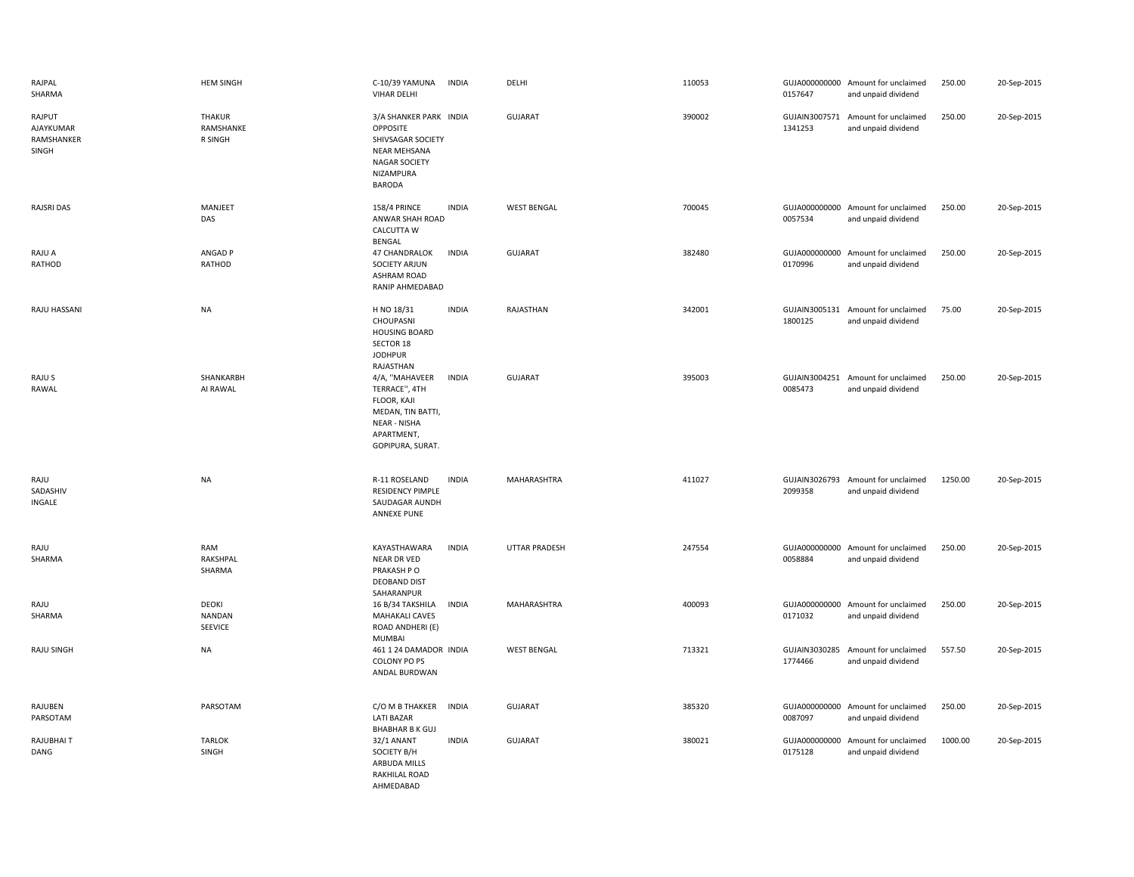| RAJPAL<br>SHARMA                           | <b>HEM SINGH</b>                      | C-10/39 YAMUNA<br><b>INDIA</b><br><b>VIHAR DELHI</b>                                                                                         | DELHI              | 110053 | 0157647                  | GUJA000000000 Amount for unclaimed<br>and unpaid dividend | 250.00  | 20-Sep-2015 |
|--------------------------------------------|---------------------------------------|----------------------------------------------------------------------------------------------------------------------------------------------|--------------------|--------|--------------------------|-----------------------------------------------------------|---------|-------------|
| RAJPUT<br>AJAYKUMAR<br>RAMSHANKER<br>SINGH | <b>THAKUR</b><br>RAMSHANKE<br>R SINGH | 3/A SHANKER PARK INDIA<br>OPPOSITE<br>SHIVSAGAR SOCIETY<br><b>NEAR MEHSANA</b><br>NAGAR SOCIETY<br>NIZAMPURA<br><b>BARODA</b>                | <b>GUJARAT</b>     | 390002 | 1341253                  | GUJAIN3007571 Amount for unclaimed<br>and unpaid dividend | 250.00  | 20-Sep-2015 |
| <b>RAJSRI DAS</b>                          | MANJEET<br>DAS                        | <b>158/4 PRINCE</b><br><b>INDIA</b><br>ANWAR SHAH ROAD<br>CALCUTTA W<br>BENGAL                                                               | <b>WEST BENGAL</b> | 700045 | 0057534                  | GUJA000000000 Amount for unclaimed<br>and unpaid dividend | 250.00  | 20-Sep-2015 |
| RAJU A<br>RATHOD                           | ANGAD P<br>RATHOD                     | 47 CHANDRALOK<br><b>INDIA</b><br><b>SOCIETY ARJUN</b><br><b>ASHRAM ROAD</b><br>RANIP AHMEDABAD                                               | <b>GUJARAT</b>     | 382480 | 0170996                  | GUJA000000000 Amount for unclaimed<br>and unpaid dividend | 250.00  | 20-Sep-2015 |
| RAJU HASSANI                               | <b>NA</b>                             | H NO 18/31<br><b>INDIA</b><br>CHOUPASNI<br><b>HOUSING BOARD</b><br>SECTOR 18<br><b>JODHPUR</b><br>RAJASTHAN                                  | RAJASTHAN          | 342001 | 1800125                  | GUJAIN3005131 Amount for unclaimed<br>and unpaid dividend | 75.00   | 20-Sep-2015 |
| RAJU S<br>RAWAL                            | SHANKARBH<br>AI RAWAL                 | 4/A, "MAHAVEER<br><b>INDIA</b><br>TERRACE", 4TH<br>FLOOR, KAJI<br>MEDAN, TIN BATTI,<br><b>NEAR - NISHA</b><br>APARTMENT,<br>GOPIPURA, SURAT. | <b>GUJARAT</b>     | 395003 | GUJAIN3004251<br>0085473 | Amount for unclaimed<br>and unpaid dividend               | 250.00  | 20-Sep-2015 |
| RAJU<br>SADASHIV<br>INGALE                 | <b>NA</b>                             | R-11 ROSELAND<br><b>INDIA</b><br><b>RESIDENCY PIMPLE</b><br>SAUDAGAR AUNDH<br><b>ANNEXE PUNE</b>                                             | MAHARASHTRA        | 411027 | 2099358                  | GUJAIN3026793 Amount for unclaimed<br>and unpaid dividend | 1250.00 | 20-Sep-2015 |
| RAJU<br>SHARMA                             | RAM<br>RAKSHPAL<br>SHARMA             | KAYASTHAWARA<br><b>INDIA</b><br>NEAR DR VED<br>PRAKASH P O<br><b>DEOBAND DIST</b><br>SAHARANPUR                                              | UTTAR PRADESH      | 247554 | 0058884                  | GUJA000000000 Amount for unclaimed<br>and unpaid dividend | 250.00  | 20-Sep-2015 |
| RAJU<br>SHARMA                             | DEOKI<br><b>NANDAN</b><br>SEEVICE     | <b>INDIA</b><br>16 B/34 TAKSHILA<br><b>MAHAKALI CAVES</b><br>ROAD ANDHERI (E)<br>MUMBAI                                                      | MAHARASHTRA        | 400093 | 0171032                  | GUJA000000000 Amount for unclaimed<br>and unpaid dividend | 250.00  | 20-Sep-2015 |
| RAJU SINGH                                 | NA                                    | 461 1 24 DAMADOR INDIA<br>COLONY PO PS<br>ANDAL BURDWAN                                                                                      | <b>WEST BENGAL</b> | 713321 | GUJAIN3030285<br>1774466 | Amount for unclaimed<br>and unpaid dividend               | 557.50  | 20-Sep-2015 |
| RAJUBEN<br>PARSOTAM                        | PARSOTAM                              | C/O M B THAKKER INDIA<br><b>LATI BAZAR</b><br><b>BHABHAR B K GUJ</b>                                                                         | <b>GUJARAT</b>     | 385320 | GUJA000000000<br>0087097 | Amount for unclaimed<br>and unpaid dividend               | 250.00  | 20-Sep-2015 |
| RAJUBHAI T<br>DANG                         | <b>TARLOK</b><br><b>SINGH</b>         | 32/1 ANANT<br><b>INDIA</b><br>SOCIETY B/H<br>ARBUDA MILLS<br>RAKHILAL ROAD<br>AHMEDABAD                                                      | <b>GUJARAT</b>     | 380021 | GUJA000000000<br>0175128 | Amount for unclaimed<br>and unpaid dividend               | 1000.00 | 20-Sep-2015 |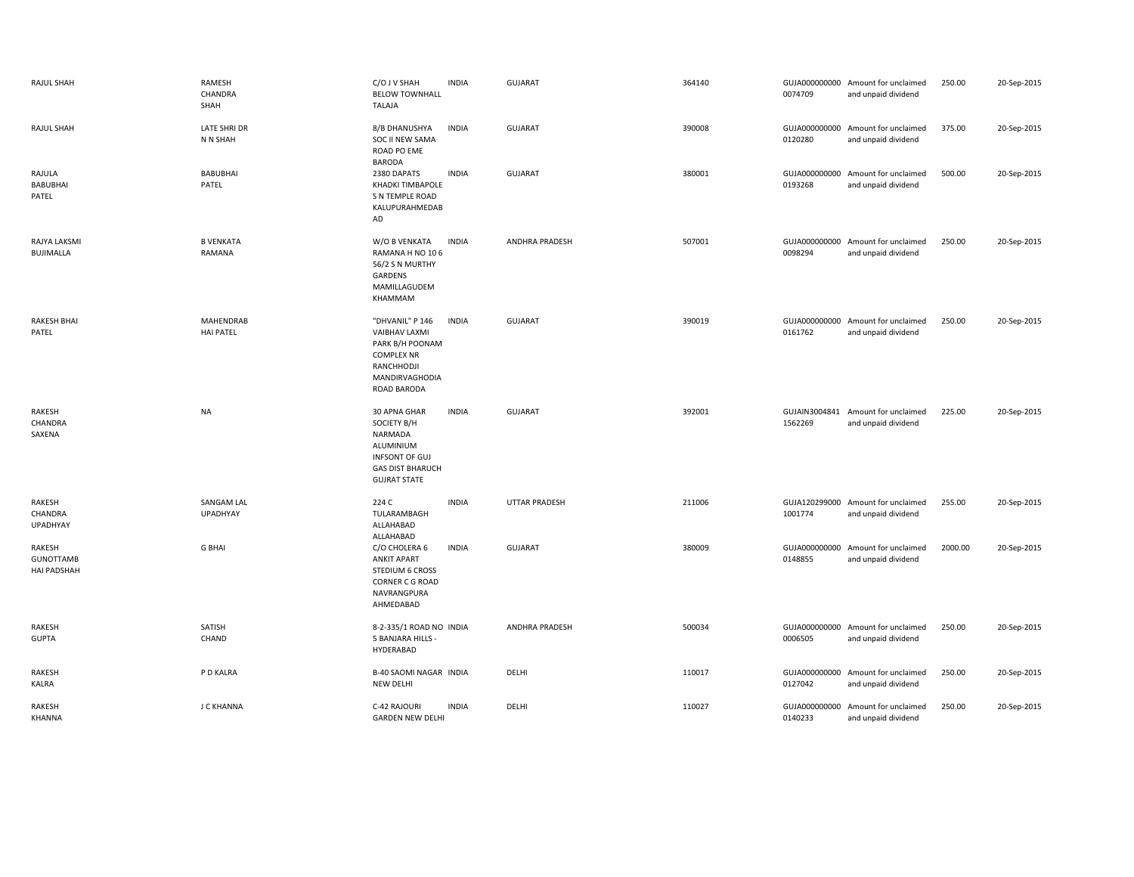|       | <b>RAJUL SHAH</b>                                | <b>RAMESH</b><br>CHANDRA<br>SHAH     | C/O J V SHAH<br><b>BELOW TOWNHALL</b><br>TALAJA                                                                                       | <b>INDIA</b> | <b>GUJARAT</b>        | 364140 | 0074709                  | GUJA000000000 Amount for unclaimed<br>and unpaid dividend | 250.00  | 20-Sep-2015 |
|-------|--------------------------------------------------|--------------------------------------|---------------------------------------------------------------------------------------------------------------------------------------|--------------|-----------------------|--------|--------------------------|-----------------------------------------------------------|---------|-------------|
|       | <b>RAJUL SHAH</b>                                | <b>LATE SHRI DR</b><br>N N SHAH      | 8/B DHANUSHYA<br>SOC II NEW SAMA<br>ROAD PO EME<br><b>BARODA</b>                                                                      | <b>INDIA</b> | <b>GUJARAT</b>        | 390008 | 0120280                  | GUJA000000000 Amount for unclaimed<br>and unpaid dividend | 375.00  | 20-Sep-2015 |
| PATEL | RAJULA<br>BABUBHAI                               | <b>BABUBHAI</b><br>PATEL             | 2380 DAPATS<br>KHADKI TIMBAPOLE<br>S N TEMPLE ROAD<br>KALUPURAHMEDAB<br>AD                                                            | <b>INDIA</b> | <b>GUJARAT</b>        | 380001 | GUJA000000000<br>0193268 | Amount for unclaimed<br>and unpaid dividend               | 500.00  | 20-Sep-2015 |
|       | RAJYA LAKSMI<br><b>BUJIMALLA</b>                 | <b>B VENKATA</b><br>RAMANA           | W/O B VENKATA<br>RAMANA H NO 106<br>56/2 S N MURTHY<br>GARDENS<br>MAMILLAGUDEM<br>KHAMMAM                                             | <b>INDIA</b> | <b>ANDHRA PRADESH</b> | 507001 | 0098294                  | GUJA000000000 Amount for unclaimed<br>and unpaid dividend | 250.00  | 20-Sep-2015 |
| PATEL | <b>RAKESH BHAI</b>                               | <b>MAHENDRAB</b><br><b>HAI PATEL</b> | "DHVANIL" P 146<br><b>VAIBHAV LAXMI</b><br>PARK B/H POONAM<br><b>COMPLEX NR</b><br>RANCHHODJI<br>MANDIRVAGHODIA<br><b>ROAD BARODA</b> | <b>INDIA</b> | <b>GUJARAT</b>        | 390019 | 0161762                  | GUJA000000000 Amount for unclaimed<br>and unpaid dividend | 250.00  | 20-Sep-2015 |
|       | RAKESH<br>CHANDRA<br>SAXENA                      | <b>NA</b>                            | 30 APNA GHAR<br>SOCIETY B/H<br>NARMADA<br>ALUMINIUM<br>INFSONT OF GUJ<br><b>GAS DIST BHARUCH</b><br><b>GUJRAT STATE</b>               | <b>INDIA</b> | GUJARAT               | 392001 | 1562269                  | GUJAIN3004841 Amount for unclaimed<br>and unpaid dividend | 225.00  | 20-Sep-2015 |
|       | RAKESH<br>CHANDRA<br><b>UPADHYAY</b>             | SANGAM LAL<br>UPADHYAY               | 224 C<br>TULARAMBAGH<br>ALLAHABAD<br>ALLAHABAD                                                                                        | <b>INDIA</b> | UTTAR PRADESH         | 211006 | 1001774                  | GUJA120299000 Amount for unclaimed<br>and unpaid dividend | 255.00  | 20-Sep-2015 |
|       | RAKESH<br><b>GUNOTTAMB</b><br><b>HAI PADSHAH</b> | <b>G BHAI</b>                        | C/O CHOLERA 6<br><b>ANKIT APART</b><br><b>STEDIUM 6 CROSS</b><br>CORNER C G ROAD<br>NAVRANGPURA<br>AHMEDABAD                          | <b>INDIA</b> | <b>GUJARAT</b>        | 380009 | 0148855                  | GUJA000000000 Amount for unclaimed<br>and unpaid dividend | 2000.00 | 20-Sep-2015 |
|       | RAKESH<br><b>GUPTA</b>                           | SATISH<br>CHAND                      | 8-2-335/1 ROAD NO INDIA<br>5 BANJARA HILLS -<br>HYDERABAD                                                                             |              | <b>ANDHRA PRADESH</b> | 500034 | GUJA000000000<br>0006505 | Amount for unclaimed<br>and unpaid dividend               | 250.00  | 20-Sep-2015 |
| KALRA | RAKESH                                           | P D KALRA                            | B-40 SAOMI NAGAR INDIA<br><b>NEW DELHI</b>                                                                                            |              | DELHI                 | 110017 | GUJA000000000<br>0127042 | Amount for unclaimed<br>and unpaid dividend               | 250.00  | 20-Sep-2015 |
|       | RAKESH<br>KHANNA                                 | J C KHANNA                           | C-42 RAJOURI<br><b>GARDEN NEW DELHI</b>                                                                                               | <b>INDIA</b> | DELHI                 | 110027 | 0140233                  | GUJA000000000 Amount for unclaimed<br>and unpaid dividend | 250.00  | 20-Sep-2015 |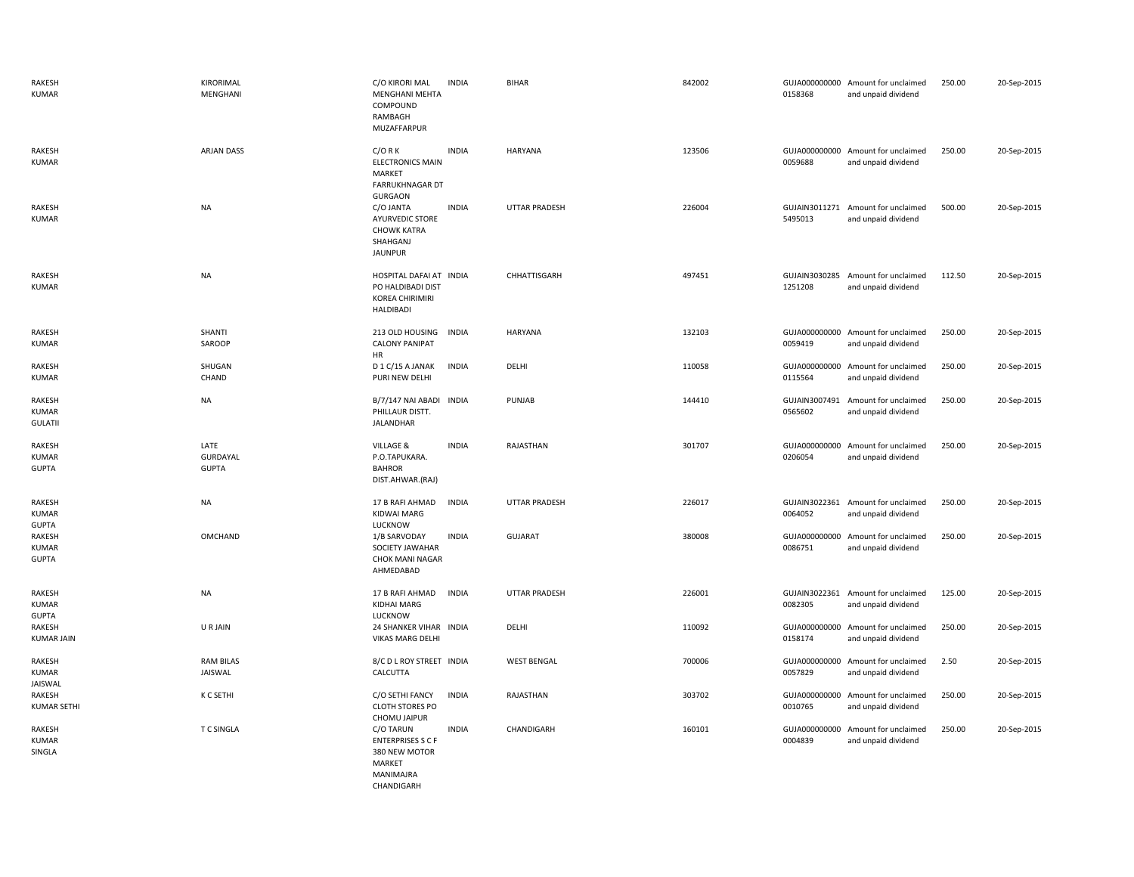| RAKESH<br><b>KUMAR</b>                 | KIRORIMAL<br>MENGHANI                   | C/O KIRORI MAL<br><b>INDIA</b><br><b>MENGHANI MEHTA</b><br>COMPOUND<br>RAMBAGH<br><b>MUZAFFARPUR</b>               | <b>BIHAR</b>         | 842002 | 0158368                  | GUJA000000000 Amount for unclaimed<br>and unpaid dividend | 250.00 | 20-Sep-2015 |
|----------------------------------------|-----------------------------------------|--------------------------------------------------------------------------------------------------------------------|----------------------|--------|--------------------------|-----------------------------------------------------------|--------|-------------|
| RAKESH<br>KUMAR                        | ARJAN DASS                              | $C/O$ R K<br><b>INDIA</b><br><b>ELECTRONICS MAIN</b><br>MARKET<br><b>FARRUKHNAGAR DT</b>                           | <b>HARYANA</b>       | 123506 | 0059688                  | GUJA000000000 Amount for unclaimed<br>and unpaid dividend | 250.00 | 20-Sep-2015 |
| RAKESH<br><b>KUMAR</b>                 | <b>NA</b>                               | <b>GURGAON</b><br><b>INDIA</b><br>C/O JANTA<br>AYURVEDIC STORE<br><b>CHOWK KATRA</b><br>SHAHGANJ<br><b>JAUNPUR</b> | <b>UTTAR PRADESH</b> | 226004 | 5495013                  | GUJAIN3011271 Amount for unclaimed<br>and unpaid dividend | 500.00 | 20-Sep-2015 |
| RAKESH<br>KUMAR                        | <b>NA</b>                               | HOSPITAL DAFAI AT INDIA<br>PO HALDIBADI DIST<br>KOREA CHIRIMIRI<br><b>HALDIBADI</b>                                | CHHATTISGARH         | 497451 | 1251208                  | GUJAIN3030285 Amount for unclaimed<br>and unpaid dividend | 112.50 | 20-Sep-2015 |
| RAKESH<br>KUMAR                        | SHANTI<br>SAROOP                        | 213 OLD HOUSING<br><b>INDIA</b><br><b>CALONY PANIPAT</b><br>HR                                                     | HARYANA              | 132103 | 0059419                  | GUJA000000000 Amount for unclaimed<br>and unpaid dividend | 250.00 | 20-Sep-2015 |
| RAKESH<br>KUMAR                        | SHUGAN<br>CHAND                         | <b>INDIA</b><br>D 1 C/15 A JANAK<br>PURI NEW DELHI                                                                 | DELHI                | 110058 | 0115564                  | GUJA000000000 Amount for unclaimed<br>and unpaid dividend | 250.00 | 20-Sep-2015 |
| RAKESH<br>KUMAR<br><b>GULATII</b>      | <b>NA</b>                               | B/7/147 NAI ABADI INDIA<br>PHILLAUR DISTT.<br>JALANDHAR                                                            | PUNJAB               | 144410 | 0565602                  | GUJAIN3007491 Amount for unclaimed<br>and unpaid dividend | 250.00 | 20-Sep-2015 |
| RAKESH<br><b>KUMAR</b><br><b>GUPTA</b> | LATE<br><b>GURDAYAL</b><br><b>GUPTA</b> | VILLAGE &<br><b>INDIA</b><br>P.O.TAPUKARA.<br><b>BAHROR</b><br>DIST.AHWAR.(RAJ)                                    | RAJASTHAN            | 301707 | 0206054                  | GUJA000000000 Amount for unclaimed<br>and unpaid dividend | 250.00 | 20-Sep-2015 |
| RAKESH<br>KUMAR<br><b>GUPTA</b>        | <b>NA</b>                               | <b>INDIA</b><br>17 B RAFI AHMAD<br><b>KIDWAI MARG</b><br>LUCKNOW                                                   | <b>UTTAR PRADESH</b> | 226017 | 0064052                  | GUJAIN3022361 Amount for unclaimed<br>and unpaid dividend | 250.00 | 20-Sep-2015 |
| RAKESH<br>KUMAR<br><b>GUPTA</b>        | OMCHAND                                 | <b>INDIA</b><br>1/B SARVODAY<br>SOCIETY JAWAHAR<br><b>CHOK MANI NAGAR</b><br>AHMEDABAD                             | <b>GUJARAT</b>       | 380008 | 0086751                  | GUJA000000000 Amount for unclaimed<br>and unpaid dividend | 250.00 | 20-Sep-2015 |
| RAKESH<br><b>KUMAR</b><br><b>GUPTA</b> | <b>NA</b>                               | 17 B RAFI AHMAD<br><b>INDIA</b><br>KIDHAI MARG<br>LUCKNOW                                                          | <b>UTTAR PRADESH</b> | 226001 | 0082305                  | GUJAIN3022361 Amount for unclaimed<br>and unpaid dividend | 125.00 | 20-Sep-2015 |
| RAKESH<br><b>KUMAR JAIN</b>            | U R JAIN                                | 24 SHANKER VIHAR INDIA<br>VIKAS MARG DELHI                                                                         | DELHI                | 110092 | GUJA000000000<br>0158174 | Amount for unclaimed<br>and unpaid dividend               | 250.00 | 20-Sep-2015 |
| RAKESH<br><b>KUMAR</b><br>JAISWAL      | <b>RAM BILAS</b><br>JAISWAL             | 8/C D L ROY STREET INDIA<br>CALCUTTA                                                                               | <b>WEST BENGAL</b>   | 700006 | 0057829                  | GUJA000000000 Amount for unclaimed<br>and unpaid dividend | 2.50   | 20-Sep-2015 |
| RAKESH<br><b>KUMAR SETHI</b>           | K C SETHI                               | C/O SETHI FANCY<br><b>INDIA</b><br><b>CLOTH STORES PO</b><br>CHOMU JAIPUR                                          | RAJASTHAN            | 303702 | 0010765                  | GUJA000000000 Amount for unclaimed<br>and unpaid dividend | 250.00 | 20-Sep-2015 |
| RAKESH<br><b>KUMAR</b><br>SINGLA       | <b>TC SINGLA</b>                        | <b>INDIA</b><br>C/O TARUN<br><b>ENTERPRISES S C F</b><br>380 NEW MOTOR<br>MARKET<br>MANIMAJRA<br>CHANDIGARH        | CHANDIGARH           | 160101 | 0004839                  | GUJA000000000 Amount for unclaimed<br>and unpaid dividend | 250.00 | 20-Sep-2015 |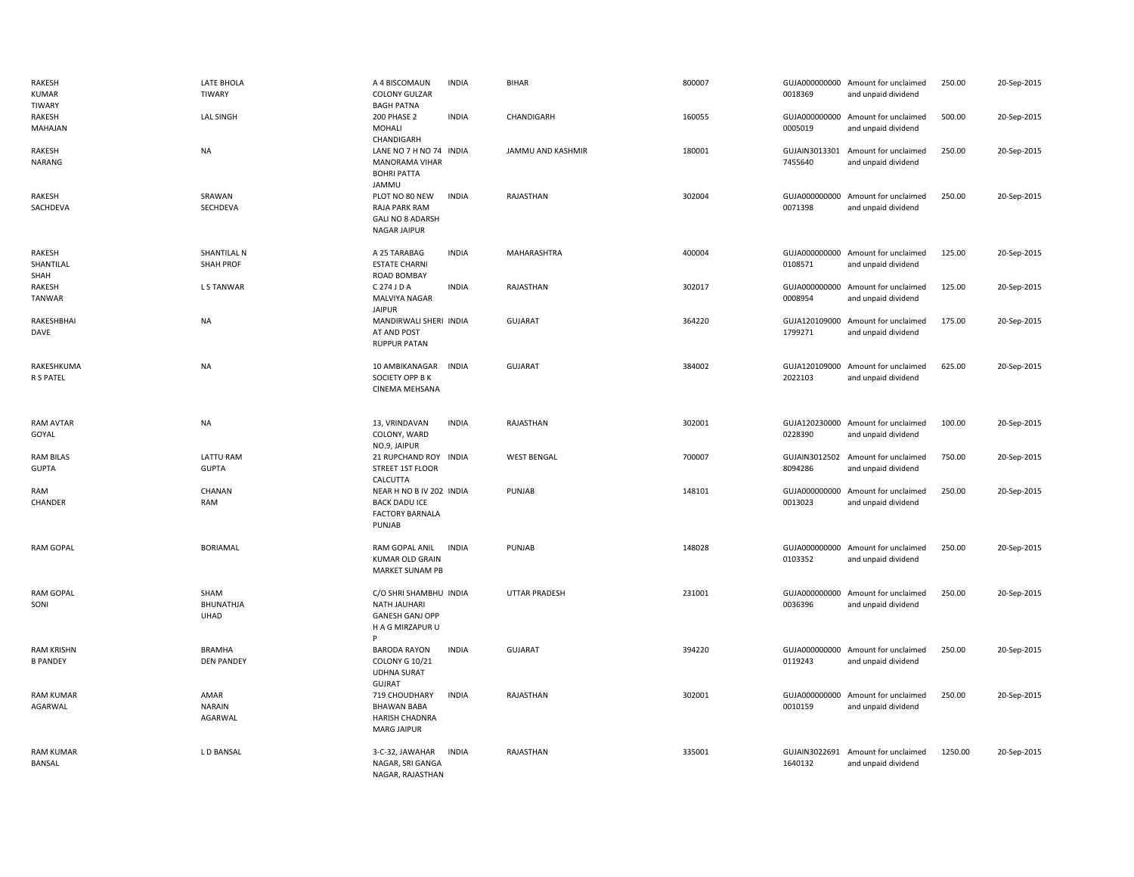| RAKESH<br>KUMAR<br><b>TIWARY</b>     | LATE BHOLA<br>TIWARY               | A 4 BISCOMAUN<br><b>COLONY GULZAR</b><br><b>BAGH PATNA</b>                           | <b>INDIA</b> | <b>BIHAR</b>         | 800007 | 0018369                  | GUJA000000000 Amount for unclaimed<br>and unpaid dividend | 250.00  | 20-Sep-2015 |
|--------------------------------------|------------------------------------|--------------------------------------------------------------------------------------|--------------|----------------------|--------|--------------------------|-----------------------------------------------------------|---------|-------------|
| RAKESH<br>MAHAJAN                    | <b>LAL SINGH</b>                   | <b>200 PHASE 2</b><br>MOHALI<br>CHANDIGARH                                           | <b>INDIA</b> | CHANDIGARH           | 160055 | 0005019                  | GUJA000000000 Amount for unclaimed<br>and unpaid dividend | 500.00  | 20-Sep-2015 |
| RAKESH<br>NARANG                     | NA                                 | LANE NO 7 H NO 74 INDIA<br>MANORAMA VIHAR<br><b>BOHRI PATTA</b><br>JAMMU             |              | JAMMU AND KASHMIR    | 180001 | GUJAIN3013301<br>7455640 | Amount for unclaimed<br>and unpaid dividend               | 250.00  | 20-Sep-2015 |
| RAKESH<br>SACHDEVA                   | SRAWAN<br>SECHDEVA                 | PLOT NO 80 NEW<br>RAJA PARK RAM<br><b>GALI NO 8 ADARSH</b><br>NAGAR JAIPUR           | <b>INDIA</b> | RAJASTHAN            | 302004 | 0071398                  | GUJA000000000 Amount for unclaimed<br>and unpaid dividend | 250.00  | 20-Sep-2015 |
| RAKESH<br>SHANTILAL<br>SHAH          | SHANTILAL N<br><b>SHAH PROF</b>    | A 25 TARABAG<br><b>ESTATE CHARNI</b><br>ROAD BOMBAY                                  | <b>INDIA</b> | MAHARASHTRA          | 400004 | 0108571                  | GUJA000000000 Amount for unclaimed<br>and unpaid dividend | 125.00  | 20-Sep-2015 |
| RAKESH<br>TANWAR                     | L S TANWAR                         | C 274 J D A<br>MALVIYA NAGAR<br><b>JAIPUR</b>                                        | <b>INDIA</b> | RAJASTHAN            | 302017 | 0008954                  | GUJA000000000 Amount for unclaimed<br>and unpaid dividend | 125.00  | 20-Sep-2015 |
| RAKESHBHAI<br>DAVE                   | NA                                 | MANDIRWALI SHERI INDIA<br>AT AND POST<br><b>RUPPUR PATAN</b>                         |              | <b>GUJARAT</b>       | 364220 | 1799271                  | GUJA120109000 Amount for unclaimed<br>and unpaid dividend | 175.00  | 20-Sep-2015 |
| RAKESHKUMA<br>R S PATEL              | <b>NA</b>                          | 10 AMBIKANAGAR<br>SOCIETY OPP B K<br>CINEMA MEHSANA                                  | <b>INDIA</b> | <b>GUJARAT</b>       | 384002 | 2022103                  | GUJA120109000 Amount for unclaimed<br>and unpaid dividend | 625.00  | 20-Sep-2015 |
| RAM AVTAR<br>GOYAL                   | <b>NA</b>                          | 13, VRINDAVAN<br>COLONY, WARD<br>NO.9, JAIPUR                                        | <b>INDIA</b> | RAJASTHAN            | 302001 | 0228390                  | GUJA120230000 Amount for unclaimed<br>and unpaid dividend | 100.00  | 20-Sep-2015 |
| <b>RAM BILAS</b><br><b>GUPTA</b>     | LATTU RAM<br><b>GUPTA</b>          | 21 RUPCHAND ROY INDIA<br>STREET 1ST FLOOR<br>CALCUTTA                                |              | <b>WEST BENGAL</b>   | 700007 | 8094286                  | GUJAIN3012502 Amount for unclaimed<br>and unpaid dividend | 750.00  | 20-Sep-2015 |
| RAM<br>CHANDER                       | CHANAN<br>RAM                      | NEAR H NO B IV 202 INDIA<br><b>BACK DADU ICE</b><br><b>FACTORY BARNALA</b><br>PUNJAB |              | PUNJAB               | 148101 | GUJA000000000<br>0013023 | Amount for unclaimed<br>and unpaid dividend               | 250.00  | 20-Sep-2015 |
| <b>RAM GOPAL</b>                     | <b>BORIAMAL</b>                    | RAM GOPAL ANIL<br>KUMAR OLD GRAIN<br>MARKET SUNAM PB                                 | <b>INDIA</b> | PUNJAB               | 148028 | 0103352                  | GUJA000000000 Amount for unclaimed<br>and unpaid dividend | 250.00  | 20-Sep-2015 |
| <b>RAM GOPAL</b><br>SONI             | SHAM<br><b>BHUNATHJA</b><br>UHAD   | C/O SHRI SHAMBHU INDIA<br>NATH JAUHARI<br><b>GANESH GANJ OPP</b><br>H A G MIRZAPUR U |              | <b>UTTAR PRADESH</b> | 231001 | 0036396                  | GUJA000000000 Amount for unclaimed<br>and unpaid dividend | 250.00  | 20-Sep-2015 |
| <b>RAM KRISHN</b><br><b>B PANDEY</b> | <b>BRAMHA</b><br><b>DEN PANDEY</b> | <b>BARODA RAYON</b><br><b>COLONY G 10/21</b><br><b>UDHNA SURAT</b><br><b>GUJRAT</b>  | <b>INDIA</b> | <b>GUJARAT</b>       | 394220 | 0119243                  | GUJA000000000 Amount for unclaimed<br>and unpaid dividend | 250.00  | 20-Sep-2015 |
| <b>RAM KUMAR</b><br>AGARWAL          | AMAR<br><b>NARAIN</b><br>AGARWAL   | 719 CHOUDHARY<br><b>BHAWAN BABA</b><br>HARISH CHADNRA<br><b>MARG JAIPUR</b>          | <b>INDIA</b> | RAJASTHAN            | 302001 | 0010159                  | GUJA000000000 Amount for unclaimed<br>and unpaid dividend | 250.00  | 20-Sep-2015 |
| <b>RAM KUMAR</b><br>BANSAL           | <b>LD BANSAL</b>                   | 3-C-32, JAWAHAR<br>NAGAR, SRI GANGA<br>NAGAR, RAJASTHAN                              | <b>INDIA</b> | RAJASTHAN            | 335001 | 1640132                  | GUJAIN3022691 Amount for unclaimed<br>and unpaid dividend | 1250.00 | 20-Sep-2015 |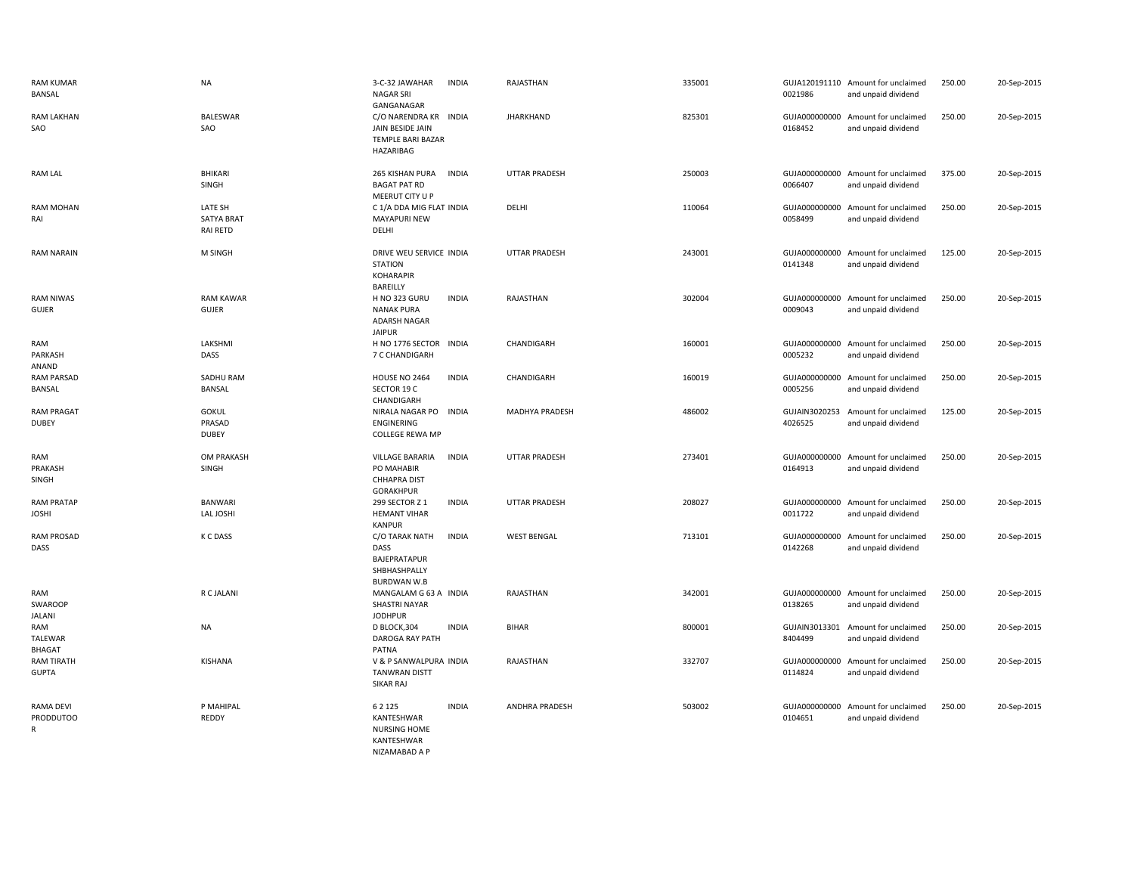| <b>RAM KUMAR</b><br>BANSAL             | <b>NA</b>                                       | 3-C-32 JAWAHAR<br><b>INDIA</b><br><b>NAGAR SRI</b><br>GANGANAGAR                                    | RAJASTHAN             | 335001 | 0021986                  | GUJA120191110 Amount for unclaimed<br>and unpaid dividend | 250.00 | 20-Sep-2015 |
|----------------------------------------|-------------------------------------------------|-----------------------------------------------------------------------------------------------------|-----------------------|--------|--------------------------|-----------------------------------------------------------|--------|-------------|
| RAM LAKHAN<br>SAO                      | <b>BALESWAR</b><br>SAO                          | C/O NARENDRA KR INDIA<br>JAIN BESIDE JAIN<br>TEMPLE BARI BAZAR<br>HAZARIBAG                         | <b>JHARKHAND</b>      | 825301 | 0168452                  | GUJA000000000 Amount for unclaimed<br>and unpaid dividend | 250.00 | 20-Sep-2015 |
| <b>RAM LAL</b>                         | <b>BHIKARI</b><br>SINGH                         | 265 KISHAN PURA<br><b>INDIA</b><br><b>BAGAT PAT RD</b><br>MEERUT CITY U P                           | <b>UTTAR PRADESH</b>  | 250003 | 0066407                  | GUJA000000000 Amount for unclaimed<br>and unpaid dividend | 375.00 | 20-Sep-2015 |
| <b>RAM MOHAN</b><br>RAI                | LATE SH<br><b>SATYA BRAT</b><br><b>RAI RETD</b> | C 1/A DDA MIG FLAT INDIA<br><b>MAYAPURI NEW</b><br>DELHI                                            | DELHI                 | 110064 | 0058499                  | GUJA000000000 Amount for unclaimed<br>and unpaid dividend | 250.00 | 20-Sep-2015 |
| <b>RAM NARAIN</b>                      | M SINGH                                         | DRIVE WEU SERVICE INDIA<br><b>STATION</b><br><b>KOHARAPIR</b><br>BAREILLY                           | <b>UTTAR PRADESH</b>  | 243001 | 0141348                  | GUJA000000000 Amount for unclaimed<br>and unpaid dividend | 125.00 | 20-Sep-2015 |
| <b>RAM NIWAS</b><br>GUJER              | <b>RAM KAWAR</b><br>GUJER                       | <b>H NO 323 GURU</b><br><b>INDIA</b><br><b>NANAK PURA</b><br>ADARSH NAGAR<br><b>JAIPUR</b>          | RAJASTHAN             | 302004 | GUJA000000000<br>0009043 | Amount for unclaimed<br>and unpaid dividend               | 250.00 | 20-Sep-2015 |
| RAM<br>PARKASH<br>ANAND                | LAKSHMI<br>DASS                                 | H NO 1776 SECTOR<br><b>INDIA</b><br>7 C CHANDIGARH                                                  | CHANDIGARH            | 160001 | 0005232                  | GUJA000000000 Amount for unclaimed<br>and unpaid dividend | 250.00 | 20-Sep-2015 |
| RAM PARSAD<br>BANSAL                   | SADHU RAM<br><b>BANSAL</b>                      | <b>INDIA</b><br>HOUSE NO 2464<br>SECTOR 19 C<br>CHANDIGARH                                          | CHANDIGARH            | 160019 | 0005256                  | GUJA000000000 Amount for unclaimed<br>and unpaid dividend | 250.00 | 20-Sep-2015 |
| <b>RAM PRAGAT</b><br><b>DUBEY</b>      | <b>GOKUL</b><br>PRASAD<br><b>DUBEY</b>          | NIRALA NAGAR PO INDIA<br><b>ENGINERING</b><br><b>COLLEGE REWA MP</b>                                | MADHYA PRADESH        | 486002 | 4026525                  | GUJAIN3020253 Amount for unclaimed<br>and unpaid dividend | 125.00 | 20-Sep-2015 |
| RAM<br>PRAKASH<br>SINGH                | OM PRAKASH<br>SINGH                             | <b>VILLAGE BARARIA</b><br><b>INDIA</b><br>PO MAHABIR<br>CHHAPRA DIST<br><b>GORAKHPUR</b>            | <b>UTTAR PRADESH</b>  | 273401 | GUJA000000000<br>0164913 | Amount for unclaimed<br>and unpaid dividend               | 250.00 | 20-Sep-2015 |
| <b>RAM PRATAP</b><br><b>JOSHI</b>      | <b>BANWARI</b><br>LAL JOSHI                     | 299 SECTOR Z 1<br><b>INDIA</b><br><b>HEMANT VIHAR</b><br><b>KANPUR</b>                              | <b>UTTAR PRADESH</b>  | 208027 | GUJA000000000<br>0011722 | Amount for unclaimed<br>and unpaid dividend               | 250.00 | 20-Sep-2015 |
| <b>RAM PROSAD</b><br>DASS              | K C DASS                                        | C/O TARAK NATH<br><b>INDIA</b><br><b>DASS</b><br>BAJEPRATAPUR<br>SHBHASHPALLY<br><b>BURDWAN W.B</b> | <b>WEST BENGAL</b>    | 713101 | 0142268                  | GUJA000000000 Amount for unclaimed<br>and unpaid dividend | 250.00 | 20-Sep-2015 |
| RAM<br>SWAROOP<br><b>JALANI</b>        | R C JALANI                                      | MANGALAM G 63 A INDIA<br><b>SHASTRI NAYAR</b><br><b>JODHPUR</b>                                     | RAJASTHAN             | 342001 | 0138265                  | GUJA000000000 Amount for unclaimed<br>and unpaid dividend | 250.00 | 20-Sep-2015 |
| RAM<br><b>TALEWAR</b><br><b>BHAGAT</b> | <b>NA</b>                                       | <b>INDIA</b><br>D BLOCK, 304<br>DAROGA RAY PATH<br>PATNA                                            | <b>BIHAR</b>          | 800001 | 8404499                  | GUJAIN3013301 Amount for unclaimed<br>and unpaid dividend | 250.00 | 20-Sep-2015 |
| <b>RAM TIRATH</b><br><b>GUPTA</b>      | KISHANA                                         | V & P SANWALPURA INDIA<br><b>TANWRAN DISTT</b><br><b>SIKAR RAJ</b>                                  | RAJASTHAN             | 332707 | 0114824                  | GUJA000000000 Amount for unclaimed<br>and unpaid dividend | 250.00 | 20-Sep-2015 |
| RAMA DEVI<br><b>PRODDUTOO</b><br>R     | P MAHIPAL<br>REDDY                              | 6 2 1 2 5<br><b>INDIA</b><br>KANTESHWAR<br><b>NURSING HOME</b><br>KANTESHWAR<br>NIZAMABAD A P       | <b>ANDHRA PRADESH</b> | 503002 | 0104651                  | GUJA000000000 Amount for unclaimed<br>and unpaid dividend | 250.00 | 20-Sep-2015 |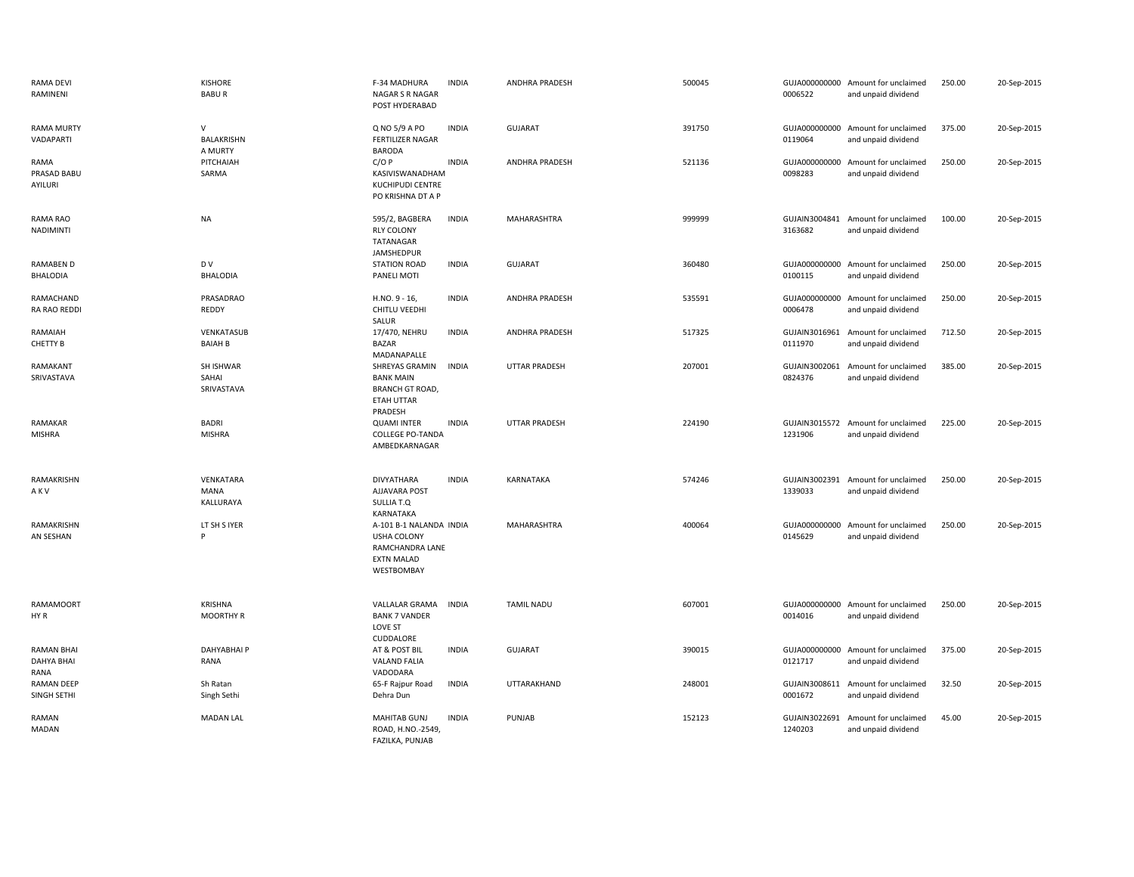| <b>RAMA DEVI</b><br>RAMINENI                   | <b>KISHORE</b><br><b>BABUR</b>         | F-34 MADHURA<br>NAGAR S R NAGAR<br>POST HYDERABAD                                                   | <b>INDIA</b> | <b>ANDHRA PRADESH</b> | 500045 | 0006522                  | GUJA000000000 Amount for unclaimed<br>and unpaid dividend | 250.00 | 20-Sep-2015 |
|------------------------------------------------|----------------------------------------|-----------------------------------------------------------------------------------------------------|--------------|-----------------------|--------|--------------------------|-----------------------------------------------------------|--------|-------------|
| <b>RAMA MURTY</b><br>VADAPARTI                 | $\vee$<br><b>BALAKRISHN</b><br>A MURTY | Q NO 5/9 A PO<br>FERTILIZER NAGAR<br><b>BARODA</b>                                                  | <b>INDIA</b> | <b>GUJARAT</b>        | 391750 | 0119064                  | GUJA000000000 Amount for unclaimed<br>and unpaid dividend | 375.00 | 20-Sep-2015 |
| RAMA<br>PRASAD BABU<br>AYILURI                 | PITCHAIAH<br>SARMA                     | C/OP<br>KASIVISWANADHAM<br><b>KUCHIPUDI CENTRE</b><br>PO KRISHNA DT A P                             | <b>INDIA</b> | ANDHRA PRADESH        | 521136 | GUJA000000000<br>0098283 | Amount for unclaimed<br>and unpaid dividend               | 250.00 | 20-Sep-2015 |
| RAMA RAO<br><b>NADIMINTI</b>                   | NA                                     | 595/2, BAGBERA<br><b>RLY COLONY</b><br>TATANAGAR<br>JAMSHEDPUR                                      | <b>INDIA</b> | MAHARASHTRA           | 999999 | 3163682                  | GUJAIN3004841 Amount for unclaimed<br>and unpaid dividend | 100.00 | 20-Sep-2015 |
| RAMABEN D<br><b>BHALODIA</b>                   | D V<br><b>BHALODIA</b>                 | <b>STATION ROAD</b><br>PANELI MOTI                                                                  | <b>INDIA</b> | <b>GUJARAT</b>        | 360480 | 0100115                  | GUJA000000000 Amount for unclaimed<br>and unpaid dividend | 250.00 | 20-Sep-2015 |
| RAMACHAND<br>RA RAO REDDI                      | PRASADRAO<br>REDDY                     | $H.NO. 9 - 16$<br>CHITLU VEEDHI<br>SALUR                                                            | <b>INDIA</b> | ANDHRA PRADESH        | 535591 | 0006478                  | GUJA000000000 Amount for unclaimed<br>and unpaid dividend | 250.00 | 20-Sep-2015 |
| RAMAIAH<br>CHETTY B                            | VENKATASUB<br><b>BAIAH B</b>           | 17/470, NEHRU<br><b>BAZAR</b><br>MADANAPALLE                                                        | <b>INDIA</b> | ANDHRA PRADESH        | 517325 | GUJAIN3016961<br>0111970 | Amount for unclaimed<br>and unpaid dividend               | 712.50 | 20-Sep-2015 |
| RAMAKANT<br>SRIVASTAVA                         | SH ISHWAR<br>SAHAI<br>SRIVASTAVA       | SHREYAS GRAMIN<br><b>BANK MAIN</b><br><b>BRANCH GT ROAD,</b><br><b>ETAH UTTAR</b><br>PRADESH        | <b>INDIA</b> | <b>UTTAR PRADESH</b>  | 207001 | 0824376                  | GUJAIN3002061 Amount for unclaimed<br>and unpaid dividend | 385.00 | 20-Sep-2015 |
| RAMAKAR<br><b>MISHRA</b>                       | <b>BADRI</b><br><b>MISHRA</b>          | <b>QUAMI INTER</b><br><b>COLLEGE PO-TANDA</b><br>AMBEDKARNAGAR                                      | <b>INDIA</b> | <b>UTTAR PRADESH</b>  | 224190 | 1231906                  | GUJAIN3015572 Amount for unclaimed<br>and unpaid dividend | 225.00 | 20-Sep-2015 |
| RAMAKRISHN<br>AKV                              | <b>VENKATARA</b><br>MANA<br>KALLURAYA  | <b>DIVYATHARA</b><br>AJJAVARA POST<br>SULLIA T.Q<br>KARNATAKA                                       | <b>INDIA</b> | KARNATAKA             | 574246 | 1339033                  | GUJAIN3002391 Amount for unclaimed<br>and unpaid dividend | 250.00 | 20-Sep-2015 |
| RAMAKRISHN<br>AN SESHAN                        | LT SH S IYER                           | A-101 B-1 NALANDA INDIA<br><b>USHA COLONY</b><br>RAMCHANDRA LANE<br><b>EXTN MALAD</b><br>WESTBOMBAY |              | MAHARASHTRA           | 400064 | 0145629                  | GUJA000000000 Amount for unclaimed<br>and unpaid dividend | 250.00 | 20-Sep-2015 |
| <b>RAMAMOORT</b><br>HY R                       | KRISHNA<br><b>MOORTHY R</b>            | VALLALAR GRAMA<br><b>BANK 7 VANDER</b><br><b>LOVE ST</b><br>CUDDALORE                               | <b>INDIA</b> | <b>TAMIL NADU</b>     | 607001 | 0014016                  | GUJA000000000 Amount for unclaimed<br>and unpaid dividend | 250.00 | 20-Sep-2015 |
| <b>RAMAN BHAI</b><br><b>DAHYA BHAI</b><br>RANA | DAHYABHAI P<br>RANA                    | AT & POST BIL<br><b>VALAND FALIA</b><br>VADODARA                                                    | <b>INDIA</b> | <b>GUJARAT</b>        | 390015 | 0121717                  | GUJA000000000 Amount for unclaimed<br>and unpaid dividend | 375.00 | 20-Sep-2015 |
| <b>RAMAN DEEP</b><br>SINGH SETHI               | Sh Ratan<br>Singh Sethi                | 65-F Rajpur Road<br>Dehra Dun                                                                       | <b>INDIA</b> | UTTARAKHAND           | 248001 | GUJAIN3008611<br>0001672 | Amount for unclaimed<br>and unpaid dividend               | 32.50  | 20-Sep-2015 |
| RAMAN<br><b>MADAN</b>                          | <b>MADAN LAL</b>                       | <b>MAHITAB GUNJ</b><br>ROAD, H.NO.-2549,<br>FAZILKA, PUNJAB                                         | <b>INDIA</b> | PUNJAB                | 152123 | GUJAIN3022691<br>1240203 | Amount for unclaimed<br>and unpaid dividend               | 45.00  | 20-Sep-2015 |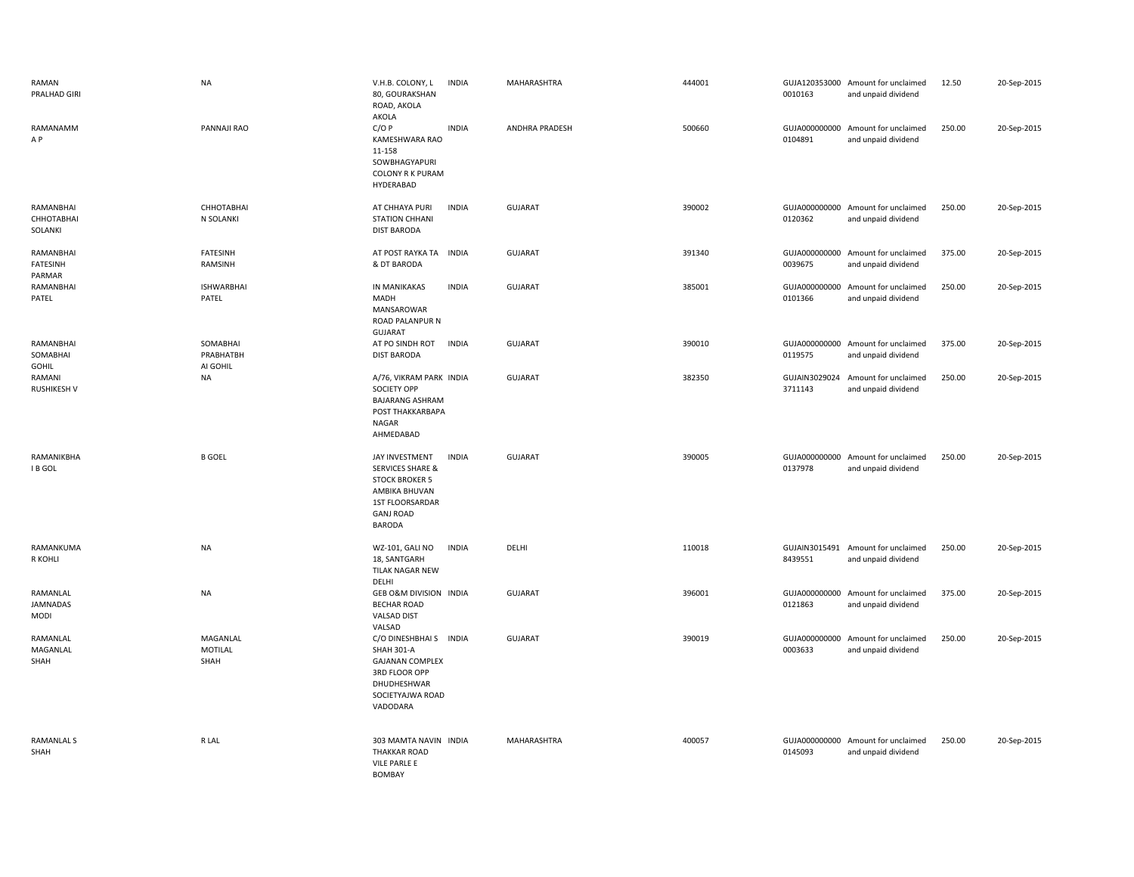| RAMAN<br>PRALHAD GIRI                  | <b>NA</b>                         | V.H.B. COLONY, L<br><b>INDIA</b><br>80, GOURAKSHAN<br>ROAD, AKOLA<br>AKOLA                                                                               | MAHARASHTRA    | 444001 | 0010163                  | GUJA120353000 Amount for unclaimed<br>and unpaid dividend | 12.50  | 20-Sep-2015 |
|----------------------------------------|-----------------------------------|----------------------------------------------------------------------------------------------------------------------------------------------------------|----------------|--------|--------------------------|-----------------------------------------------------------|--------|-------------|
| RAMANAMM<br>A P                        | PANNAJI RAO                       | C/OP<br><b>INDIA</b><br>KAMESHWARA RAO<br>11-158<br>SOWBHAGYAPURI<br><b>COLONY R K PURAM</b><br>HYDERABAD                                                | ANDHRA PRADESH | 500660 | 0104891                  | GUJA000000000 Amount for unclaimed<br>and unpaid dividend | 250.00 | 20-Sep-2015 |
| RAMANBHAI<br>СННОТАВНАІ<br>SOLANKI     | СННОТАВНАІ<br>N SOLANKI           | AT CHHAYA PURI<br><b>INDIA</b><br><b>STATION CHHANI</b><br><b>DIST BARODA</b>                                                                            | <b>GUJARAT</b> | 390002 | 0120362                  | GUJA000000000 Amount for unclaimed<br>and unpaid dividend | 250.00 | 20-Sep-2015 |
| RAMANBHAI<br><b>FATESINH</b><br>PARMAR | <b>FATESINH</b><br>RAMSINH        | AT POST RAYKA TA INDIA<br>& DT BARODA                                                                                                                    | <b>GUJARAT</b> | 391340 | 0039675                  | GUJA000000000 Amount for unclaimed<br>and unpaid dividend | 375.00 | 20-Sep-2015 |
| RAMANBHAI<br>PATEL                     | <b>ISHWARBHAI</b><br>PATEL        | <b>INDIA</b><br>IN MANIKAKAS<br>MADH<br>MANSAROWAR<br>ROAD PALANPUR N<br>GUJARAT                                                                         | GUJARAT        | 385001 | 0101366                  | GUJA000000000 Amount for unclaimed<br>and unpaid dividend | 250.00 | 20-Sep-2015 |
| RAMANBHAI<br>SOMABHAI<br>GOHIL         | SOMABHAI<br>PRABHATBH<br>AI GOHIL | <b>INDIA</b><br>AT PO SINDH ROT<br><b>DIST BARODA</b>                                                                                                    | <b>GUJARAT</b> | 390010 | 0119575                  | GUJA000000000 Amount for unclaimed<br>and unpaid dividend | 375.00 | 20-Sep-2015 |
| RAMANI<br><b>RUSHIKESH V</b>           | <b>NA</b>                         | A/76, VIKRAM PARK INDIA<br>SOCIETY OPP<br><b>BAJARANG ASHRAM</b><br>POST THAKKARBAPA<br><b>NAGAR</b><br>AHMEDABAD                                        | GUJARAT        | 382350 | GUJAIN3029024<br>3711143 | Amount for unclaimed<br>and unpaid dividend               | 250.00 | 20-Sep-2015 |
| RAMANIKBHA<br>I B GOL                  | <b>B GOEL</b>                     | <b>INDIA</b><br>JAY INVESTMENT<br><b>SERVICES SHARE &amp;</b><br><b>STOCK BROKER 5</b><br>AMBIKA BHUVAN<br>1ST FLOORSARDAR<br><b>GANJ ROAD</b><br>BARODA | <b>GUJARAT</b> | 390005 | 0137978                  | GUJA000000000 Amount for unclaimed<br>and unpaid dividend | 250.00 | 20-Sep-2015 |
| RAMANKUMA<br>R KOHLI                   | <b>NA</b>                         | WZ-101, GALI NO<br><b>INDIA</b><br>18, SANTGARH<br>TILAK NAGAR NEW<br>DELHI                                                                              | DELHI          | 110018 | 8439551                  | GUJAIN3015491 Amount for unclaimed<br>and unpaid dividend | 250.00 | 20-Sep-2015 |
| RAMANLAL<br><b>JAMNADAS</b><br>MODI    | <b>NA</b>                         | GEB O&M DIVISION INDIA<br><b>BECHAR ROAD</b><br>VALSAD DIST<br>VALSAD                                                                                    | GUJARAT        | 396001 | 0121863                  | GUJA000000000 Amount for unclaimed<br>and unpaid dividend | 375.00 | 20-Sep-2015 |
| RAMANLAL<br>MAGANLAL<br>SHAH           | MAGANLAL<br>MOTILAL<br>SHAH       | C/O DINESHBHAI S INDIA<br><b>SHAH 301-A</b><br><b>GAJANAN COMPLEX</b><br>3RD FLOOR OPP<br>DHUDHESHWAR<br>SOCIETYAJWA ROAD<br>VADODARA                    | <b>GUJARAT</b> | 390019 | 0003633                  | GUJA000000000 Amount for unclaimed<br>and unpaid dividend | 250.00 | 20-Sep-2015 |
| RAMANLAL S<br>SHAH                     | R LAL                             | 303 MAMTA NAVIN INDIA<br><b>THAKKAR ROAD</b><br>VILE PARLE E<br><b>BOMBAY</b>                                                                            | MAHARASHTRA    | 400057 | 0145093                  | GUJA000000000 Amount for unclaimed<br>and unpaid dividend | 250.00 | 20-Sep-2015 |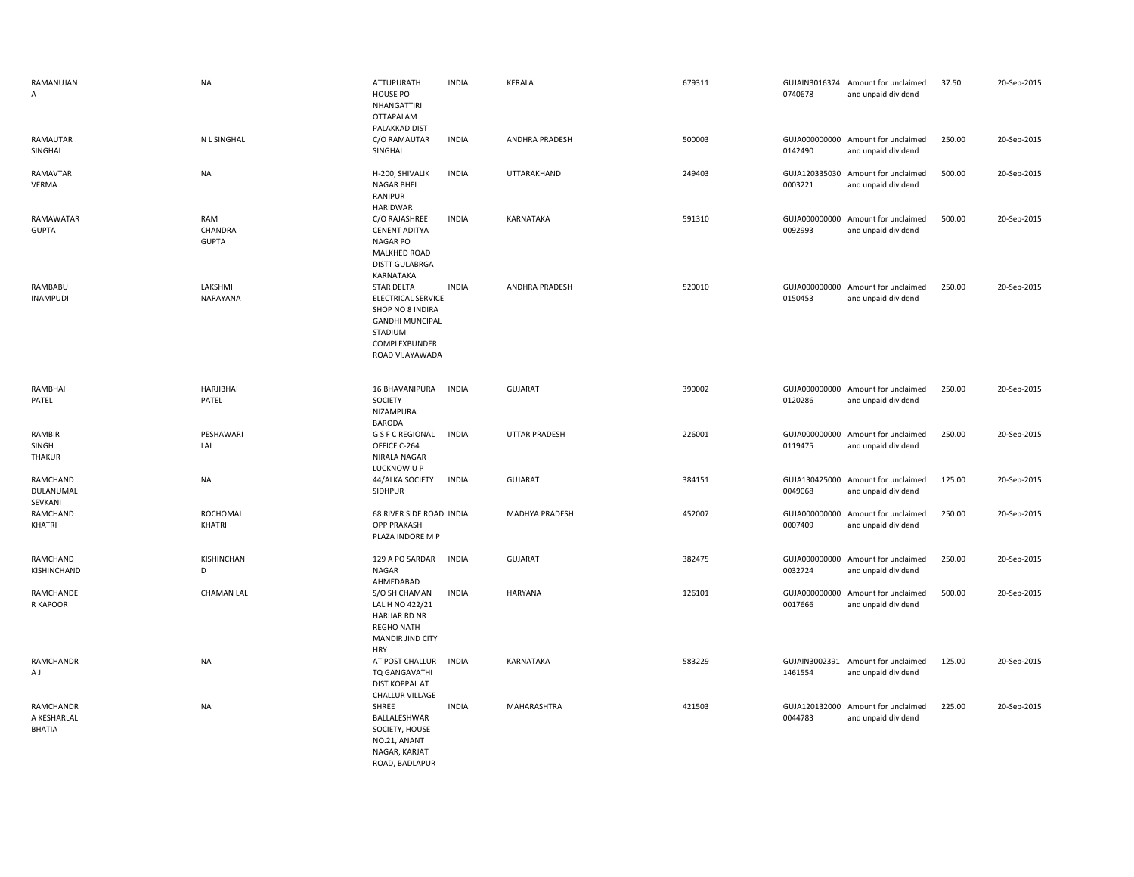| RAMANUJAN<br>A                     | <b>NA</b>                      | ATTUPURATH<br>HOUSE PO<br>NHANGATTIRI<br>OTTAPALAM<br>PALAKKAD DIST                                                                  | <b>INDIA</b> | <b>KERALA</b>         | 679311 | 0740678                  | GUJAIN3016374 Amount for unclaimed<br>and unpaid dividend | 37.50  | 20-Sep-2015 |
|------------------------------------|--------------------------------|--------------------------------------------------------------------------------------------------------------------------------------|--------------|-----------------------|--------|--------------------------|-----------------------------------------------------------|--------|-------------|
| RAMAUTAR<br>SINGHAL                | N L SINGHAL                    | C/O RAMAUTAR<br>SINGHAL                                                                                                              | <b>INDIA</b> | ANDHRA PRADESH        | 500003 | 0142490                  | GUJA000000000 Amount for unclaimed<br>and unpaid dividend | 250.00 | 20-Sep-2015 |
| RAMAVTAR<br>VERMA                  | <b>NA</b>                      | H-200, SHIVALIK<br>NAGAR BHEL<br>RANIPUR<br>HARIDWAR                                                                                 | <b>INDIA</b> | UTTARAKHAND           | 249403 | 0003221                  | GUJA120335030 Amount for unclaimed<br>and unpaid dividend | 500.00 | 20-Sep-2015 |
| <b>RAMAWATAR</b><br><b>GUPTA</b>   | RAM<br>CHANDRA<br><b>GUPTA</b> | C/O RAJASHREE<br><b>CENENT ADITYA</b><br><b>NAGAR PO</b><br><b>MALKHED ROAD</b><br><b>DISTT GULABRGA</b><br>KARNATAKA                | <b>INDIA</b> | <b>KARNATAKA</b>      | 591310 | GUJA000000000<br>0092993 | Amount for unclaimed<br>and unpaid dividend               | 500.00 | 20-Sep-2015 |
| RAMBABU<br><b>INAMPUDI</b>         | LAKSHMI<br>NARAYANA            | <b>STAR DELTA</b><br>ELECTRICAL SERVICE<br>SHOP NO 8 INDIRA<br><b>GANDHI MUNCIPAL</b><br>STADIUM<br>COMPLEXBUNDER<br>ROAD VIJAYAWADA | <b>INDIA</b> | ANDHRA PRADESH        | 520010 | GUJA000000000<br>0150453 | Amount for unclaimed<br>and unpaid dividend               | 250.00 | 20-Sep-2015 |
| RAMBHAI<br>PATEL                   | <b>HARJIBHAI</b><br>PATEL      | 16 BHAVANIPURA<br>SOCIETY<br>NIZAMPURA<br><b>BARODA</b>                                                                              | <b>INDIA</b> | GUJARAT               | 390002 | GUJA000000000<br>0120286 | Amount for unclaimed<br>and unpaid dividend               | 250.00 | 20-Sep-2015 |
| RAMBIR<br>SINGH<br>THAKUR          | PESHAWARI<br>LAL               | G S F C REGIONAL<br>OFFICE C-264<br>NIRALA NAGAR<br>LUCKNOW U P                                                                      | <b>INDIA</b> | <b>UTTAR PRADESH</b>  | 226001 | 0119475                  | GUJA000000000 Amount for unclaimed<br>and unpaid dividend | 250.00 | 20-Sep-2015 |
| RAMCHAND<br>DULANUMAL<br>SEVKANI   | <b>NA</b>                      | 44/ALKA SOCIETY<br>SIDHPUR                                                                                                           | <b>INDIA</b> | GUJARAT               | 384151 | GUJA130425000<br>0049068 | Amount for unclaimed<br>and unpaid dividend               | 125.00 | 20-Sep-2015 |
| RAMCHAND<br>KHATRI                 | ROCHOMAL<br>KHATRI             | 68 RIVER SIDE ROAD INDIA<br><b>OPP PRAKASH</b><br>PLAZA INDORE M P                                                                   |              | <b>MADHYA PRADESH</b> | 452007 | GUJA000000000<br>0007409 | Amount for unclaimed<br>and unpaid dividend               | 250.00 | 20-Sep-2015 |
| RAMCHAND<br>KISHINCHAND            | KISHINCHAN<br>D                | 129 A PO SARDAR<br>NAGAR<br>AHMEDABAD                                                                                                | <b>INDIA</b> | <b>GUJARAT</b>        | 382475 | GUJA000000000<br>0032724 | Amount for unclaimed<br>and unpaid dividend               | 250.00 | 20-Sep-2015 |
| RAMCHANDE<br>R KAPOOR              | <b>CHAMAN LAL</b>              | S/O SH CHAMAN<br>LAL H NO 422/21<br>HARIJAR RD NR<br><b>REGHO NATH</b><br><b>MANDIR JIND CITY</b><br><b>HRY</b>                      | <b>INDIA</b> | <b>HARYANA</b>        | 126101 | GUJA000000000<br>0017666 | Amount for unclaimed<br>and unpaid dividend               | 500.00 | 20-Sep-2015 |
| RAMCHANDR<br>A J                   | <b>NA</b>                      | AT POST CHALLUR<br>TQ GANGAVATHI<br>DIST KOPPAL AT<br><b>CHALLUR VILLAGE</b>                                                         | <b>INDIA</b> | KARNATAKA             | 583229 | 1461554                  | GUJAIN3002391 Amount for unclaimed<br>and unpaid dividend | 125.00 | 20-Sep-2015 |
| RAMCHANDR<br>A KESHARLAL<br>BHATIA | <b>NA</b>                      | SHREE<br>BALLALESHWAR<br>SOCIETY, HOUSE<br>NO.21, ANANT<br>NAGAR, KARJAT<br>ROAD, BADLAPUR                                           | <b>INDIA</b> | MAHARASHTRA           | 421503 | GUJA120132000<br>0044783 | Amount for unclaimed<br>and unpaid dividend               | 225.00 | 20-Sep-2015 |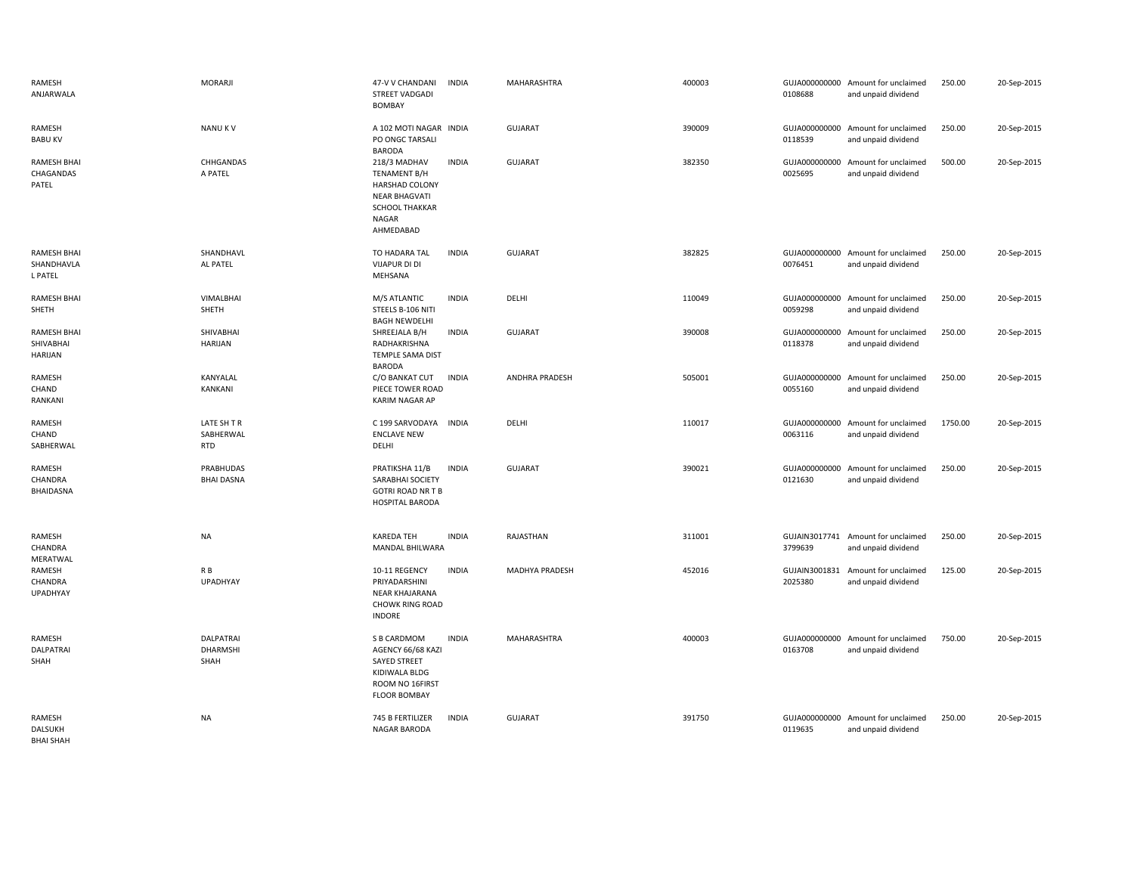| RAMESH<br>ANJARWALA                         | <b>MORARJI</b>                         | 47-V V CHANDANI<br><b>STREET VADGADI</b><br><b>BOMBAY</b>                                                                           | <b>INDIA</b> | <b>MAHARASHTRA</b>    | 400003 | 0108688                  | GUJA000000000 Amount for unclaimed<br>and unpaid dividend | 250.00  | 20-Sep-2015 |
|---------------------------------------------|----------------------------------------|-------------------------------------------------------------------------------------------------------------------------------------|--------------|-----------------------|--------|--------------------------|-----------------------------------------------------------|---------|-------------|
| RAMESH<br><b>BABU KV</b>                    | <b>NANUKV</b>                          | A 102 MOTI NAGAR INDIA<br>PO ONGC TARSALI<br><b>BARODA</b>                                                                          |              | GUJARAT               | 390009 | GUJA000000000<br>0118539 | Amount for unclaimed<br>and unpaid dividend               | 250.00  | 20-Sep-2015 |
| <b>RAMESH BHAI</b><br>CHAGANDAS<br>PATEL    | CHHGANDAS<br>A PATEL                   | 218/3 MADHAV<br><b>TENAMENT B/H</b><br><b>HARSHAD COLONY</b><br><b>NEAR BHAGVATI</b><br><b>SCHOOL THAKKAR</b><br>NAGAR<br>AHMEDABAD | <b>INDIA</b> | <b>GUJARAT</b>        | 382350 | GUJA000000000<br>0025695 | Amount for unclaimed<br>and unpaid dividend               | 500.00  | 20-Sep-2015 |
| <b>RAMESH BHAI</b><br>SHANDHAVLA<br>L PATEL | SHANDHAVL<br>AL PATEL                  | TO HADARA TAL<br><b>VIJAPUR DI DI</b><br>MEHSANA                                                                                    | <b>INDIA</b> | <b>GUJARAT</b>        | 382825 | 0076451                  | GUJA000000000 Amount for unclaimed<br>and unpaid dividend | 250.00  | 20-Sep-2015 |
| <b>RAMESH BHAI</b><br>SHETH                 | VIMALBHAI<br>SHETH                     | M/S ATLANTIC<br>STEELS B-106 NITI<br><b>BAGH NEWDELHI</b>                                                                           | <b>INDIA</b> | DELHI                 | 110049 | 0059298                  | GUJA000000000 Amount for unclaimed<br>and unpaid dividend | 250.00  | 20-Sep-2015 |
| <b>RAMESH BHAI</b><br>SHIVABHAI<br>HARIJAN  | SHIVABHAI<br><b>HARIJAN</b>            | SHREEJALA B/H<br>RADHAKRISHNA<br>TEMPLE SAMA DIST<br><b>BARODA</b>                                                                  | <b>INDIA</b> | <b>GUJARAT</b>        | 390008 | 0118378                  | GUJA000000000 Amount for unclaimed<br>and unpaid dividend | 250.00  | 20-Sep-2015 |
| RAMESH<br>CHAND<br>RANKANI                  | KANYALAL<br>KANKANI                    | C/O BANKAT CUT<br>PIECE TOWER ROAD<br>KARIM NAGAR AP                                                                                | <b>INDIA</b> | <b>ANDHRA PRADESH</b> | 505001 | GUJA000000000<br>0055160 | Amount for unclaimed<br>and unpaid dividend               | 250.00  | 20-Sep-2015 |
| RAMESH<br>CHAND<br>SABHERWAL                | LATE SH T R<br>SABHERWAL<br><b>RTD</b> | C 199 SARVODAYA<br><b>ENCLAVE NEW</b><br>DELHI                                                                                      | <b>INDIA</b> | DELHI                 | 110017 | 0063116                  | GUJA000000000 Amount for unclaimed<br>and unpaid dividend | 1750.00 | 20-Sep-2015 |
| RAMESH<br>CHANDRA<br>BHAIDASNA              | PRABHUDAS<br><b>BHAI DASNA</b>         | PRATIKSHA 11/B<br>SARABHAI SOCIETY<br><b>GOTRI ROAD NR T B</b><br>HOSPITAL BARODA                                                   | <b>INDIA</b> | <b>GUJARAT</b>        | 390021 | GUJA000000000<br>0121630 | Amount for unclaimed<br>and unpaid dividend               | 250.00  | 20-Sep-2015 |
| RAMESH<br>CHANDRA<br>MERATWAL               | NA                                     | KAREDA TEH<br>MANDAL BHILWARA                                                                                                       | <b>INDIA</b> | RAJASTHAN             | 311001 | 3799639                  | GUJAIN3017741 Amount for unclaimed<br>and unpaid dividend | 250.00  | 20-Sep-2015 |
| RAMESH<br>CHANDRA<br><b>UPADHYAY</b>        | R B<br>UPADHYAY                        | 10-11 REGENCY<br>PRIYADARSHINI<br><b>NEAR KHAJARANA</b><br><b>CHOWK RING ROAD</b><br><b>INDORE</b>                                  | <b>INDIA</b> | MADHYA PRADESH        | 452016 | GUJAIN3001831<br>2025380 | Amount for unclaimed<br>and unpaid dividend               | 125.00  | 20-Sep-2015 |
| RAMESH<br>DALPATRAI<br>SHAH                 | <b>DALPATRAI</b><br>DHARMSHI<br>SHAH   | S B CARDMOM<br>AGENCY 66/68 KAZI<br><b>SAYED STREET</b><br>KIDIWALA BLDG<br>ROOM NO 16FIRST<br><b>FLOOR BOMBAY</b>                  | <b>INDIA</b> | <b>MAHARASHTRA</b>    | 400003 | 0163708                  | GUJA000000000 Amount for unclaimed<br>and unpaid dividend | 750.00  | 20-Sep-2015 |
| RAMESH<br>DALSUKH<br><b>BHAI SHAH</b>       | NA                                     | 745 B FERTILIZER<br>NAGAR BARODA                                                                                                    | <b>INDIA</b> | <b>GUJARAT</b>        | 391750 | 0119635                  | GUJA000000000 Amount for unclaimed<br>and unpaid dividend | 250.00  | 20-Sep-2015 |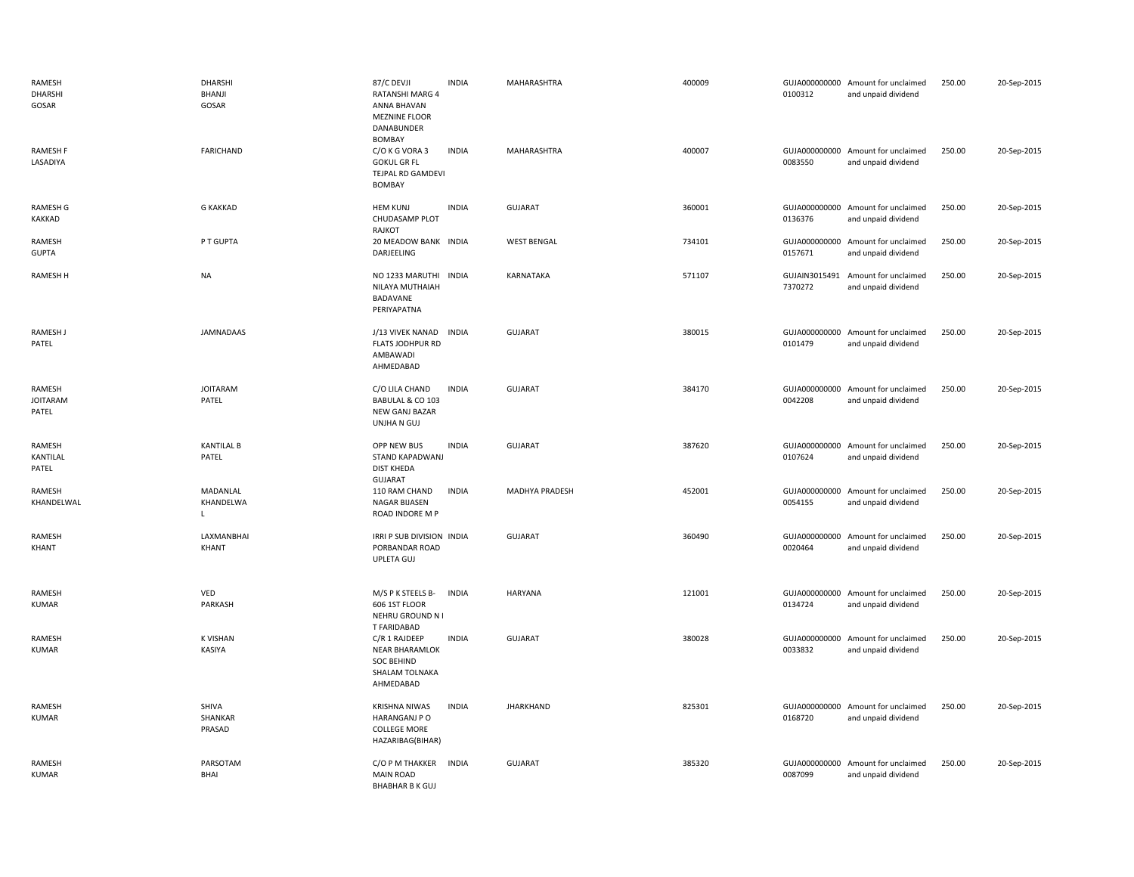| RAMESH<br><b>DHARSHI</b><br>GOSAR  | <b>DHARSHI</b><br>BHANJI<br>GOSAR     | 87/C DEVJI<br><b>RATANSHI MARG 4</b><br>ANNA BHAVAN<br><b>MEZNINE FLOOR</b><br>DANABUNDER<br><b>BOMBAY</b> | <b>INDIA</b> | MAHARASHTRA        | 400009 | 0100312                  | GUJA000000000 Amount for unclaimed<br>and unpaid dividend | 250.00 | 20-Sep-2015 |
|------------------------------------|---------------------------------------|------------------------------------------------------------------------------------------------------------|--------------|--------------------|--------|--------------------------|-----------------------------------------------------------|--------|-------------|
| RAMESH F<br>LASADIYA               | <b>FARICHAND</b>                      | C/O K G VORA 3<br><b>GOKUL GR FL</b><br>TEJPAL RD GAMDEVI<br><b>BOMBAY</b>                                 | <b>INDIA</b> | MAHARASHTRA        | 400007 | 0083550                  | GUJA000000000 Amount for unclaimed<br>and unpaid dividend | 250.00 | 20-Sep-2015 |
| <b>RAMESH G</b><br>KAKKAD          | <b>G KAKKAD</b>                       | <b>HEM KUNJ</b><br>CHUDASAMP PLOT<br>RAJKOT                                                                | <b>INDIA</b> | <b>GUJARAT</b>     | 360001 | GUJA000000000<br>0136376 | Amount for unclaimed<br>and unpaid dividend               | 250.00 | 20-Sep-2015 |
| RAMESH<br><b>GUPTA</b>             | P T GUPTA                             | 20 MEADOW BANK INDIA<br>DARJEELING                                                                         |              | <b>WEST BENGAL</b> | 734101 | GUJA000000000<br>0157671 | Amount for unclaimed<br>and unpaid dividend               | 250.00 | 20-Sep-2015 |
| RAMESH H                           | <b>NA</b>                             | NO 1233 MARUTHI INDIA<br>NILAYA MUTHAIAH<br>BADAVANE<br>PERIYAPATNA                                        |              | KARNATAKA          | 571107 | GUJAIN3015491<br>7370272 | Amount for unclaimed<br>and unpaid dividend               | 250.00 | 20-Sep-2015 |
| <b>RAMESH J</b><br>PATEL           | JAMNADAAS                             | J/13 VIVEK NANAD<br>FLATS JODHPUR RD<br>AMBAWADI<br>AHMEDABAD                                              | <b>INDIA</b> | <b>GUJARAT</b>     | 380015 | 0101479                  | GUJA000000000 Amount for unclaimed<br>and unpaid dividend | 250.00 | 20-Sep-2015 |
| RAMESH<br><b>JOITARAM</b><br>PATEL | <b>JOITARAM</b><br>PATEL              | C/O LILA CHAND<br>BABULAL & CO 103<br>NEW GANJ BAZAR<br>UNJHA N GUJ                                        | <b>INDIA</b> | <b>GUJARAT</b>     | 384170 | 0042208                  | GUJA000000000 Amount for unclaimed<br>and unpaid dividend | 250.00 | 20-Sep-2015 |
| RAMESH<br>KANTILAL<br>PATEL        | <b>KANTILAL B</b><br>PATEL            | OPP NEW BUS<br>STAND KAPADWANJ<br><b>DIST KHEDA</b><br><b>GUJARAT</b>                                      | <b>INDIA</b> | <b>GUJARAT</b>     | 387620 | 0107624                  | GUJA000000000 Amount for unclaimed<br>and unpaid dividend | 250.00 | 20-Sep-2015 |
| RAMESH<br>KHANDELWAL               | MADANLAL<br>KHANDELWA<br>$\mathsf{L}$ | 110 RAM CHAND<br>NAGAR BIJASEN<br>ROAD INDORE M P                                                          | <b>INDIA</b> | MADHYA PRADESH     | 452001 | 0054155                  | GUJA000000000 Amount for unclaimed<br>and unpaid dividend | 250.00 | 20-Sep-2015 |
| RAMESH<br>KHANT                    | LAXMANBHAI<br>KHANT                   | IRRI P SUB DIVISION INDIA<br>PORBANDAR ROAD<br>UPLETA GUJ                                                  |              | <b>GUJARAT</b>     | 360490 | 0020464                  | GUJA000000000 Amount for unclaimed<br>and unpaid dividend | 250.00 | 20-Sep-2015 |
| RAMESH<br>KUMAR                    | VED<br>PARKASH                        | M/S P K STEELS B-<br>606 1ST FLOOR<br>NEHRU GROUND N I<br><b>T FARIDABAD</b>                               | <b>INDIA</b> | HARYANA            | 121001 | 0134724                  | GUJA000000000 Amount for unclaimed<br>and unpaid dividend | 250.00 | 20-Sep-2015 |
| RAMESH<br><b>KUMAR</b>             | <b>K VISHAN</b><br>KASIYA             | C/R 1 RAJDEEP<br>NEAR BHARAMLOK<br><b>SOC BEHIND</b><br>SHALAM TOLNAKA<br>AHMEDABAD                        | <b>INDIA</b> | GUJARAT            | 380028 | 0033832                  | GUJA000000000 Amount for unclaimed<br>and unpaid dividend | 250.00 | 20-Sep-2015 |
| RAMESH<br><b>KUMAR</b>             | SHIVA<br>SHANKAR<br>PRASAD            | <b>KRISHNA NIWAS</b><br>HARANGANJ P O<br><b>COLLEGE MORE</b><br>HAZARIBAG(BIHAR)                           | <b>INDIA</b> | <b>JHARKHAND</b>   | 825301 | 0168720                  | GUJA000000000 Amount for unclaimed<br>and unpaid dividend | 250.00 | 20-Sep-2015 |
| RAMESH<br><b>KUMAR</b>             | PARSOTAM<br>BHAI                      | C/O P M THAKKER<br><b>MAIN ROAD</b><br><b>BHABHAR B K GUJ</b>                                              | <b>INDIA</b> | <b>GUJARAT</b>     | 385320 | GUJA000000000<br>0087099 | Amount for unclaimed<br>and unpaid dividend               | 250.00 | 20-Sep-2015 |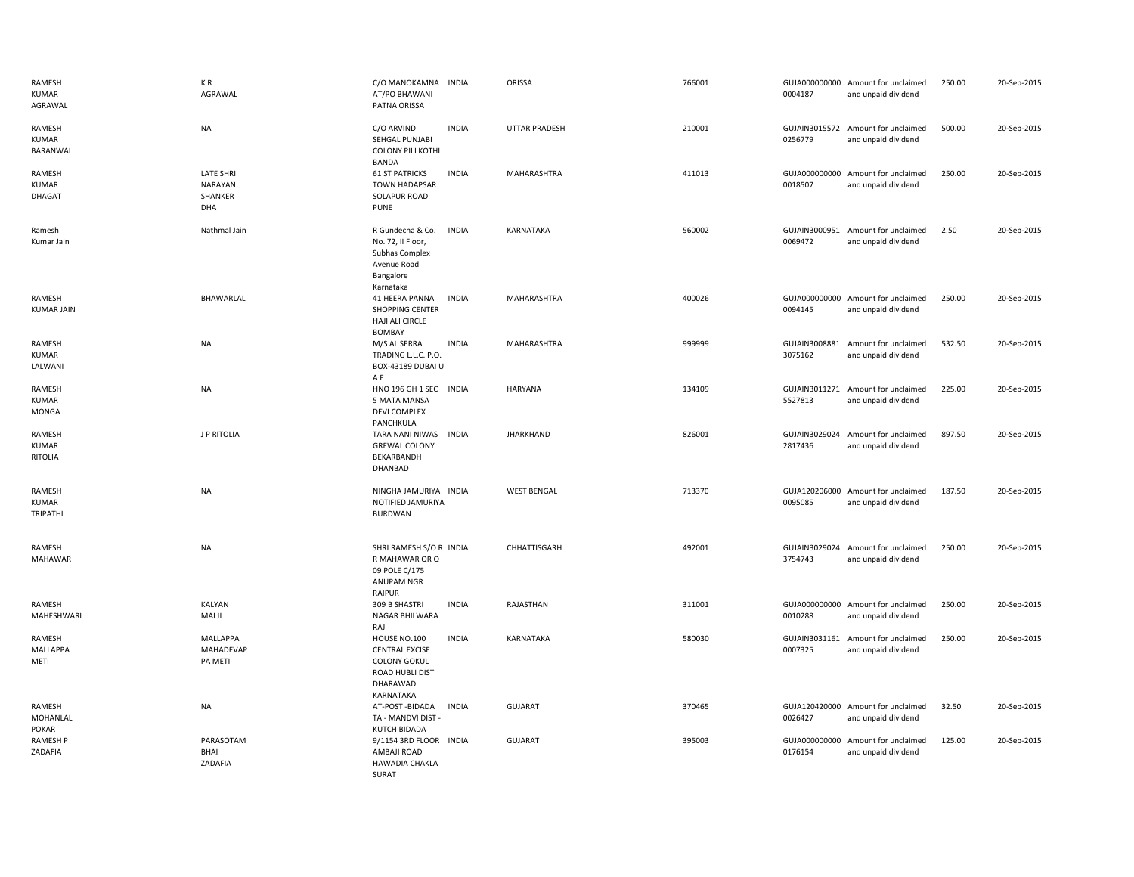| RAMESH<br><b>KUMAR</b><br>AGRAWAL         | KR<br>AGRAWAL                                        | C/O MANOKAMNA INDIA<br>AT/PO BHAWANI<br>PATNA ORISSA                                                     |              | ORISSA               | 766001 | 0004187                  | GUJA000000000 Amount for unclaimed<br>and unpaid dividend | 250.00 | 20-Sep-2015 |
|-------------------------------------------|------------------------------------------------------|----------------------------------------------------------------------------------------------------------|--------------|----------------------|--------|--------------------------|-----------------------------------------------------------|--------|-------------|
| RAMESH<br><b>KUMAR</b><br>BARANWAL        | <b>NA</b>                                            | C/O ARVIND<br>SEHGAL PUNJABI<br><b>COLONY PILI KOTHI</b><br>BANDA                                        | <b>INDIA</b> | <b>UTTAR PRADESH</b> | 210001 | 0256779                  | GUJAIN3015572 Amount for unclaimed<br>and unpaid dividend | 500.00 | 20-Sep-2015 |
| RAMESH<br><b>KUMAR</b><br><b>DHAGAT</b>   | <b>LATE SHRI</b><br><b>NARAYAN</b><br>SHANKER<br>DHA | <b>61 ST PATRICKS</b><br><b>TOWN HADAPSAR</b><br>SOLAPUR ROAD<br><b>PUNE</b>                             | <b>INDIA</b> | MAHARASHTRA          | 411013 | 0018507                  | GUJA000000000 Amount for unclaimed<br>and unpaid dividend | 250.00 | 20-Sep-2015 |
| Ramesh<br>Kumar Jain                      | Nathmal Jain                                         | R Gundecha & Co.<br>No. 72, II Floor,<br>Subhas Complex<br>Avenue Road<br>Bangalore<br>Karnataka         | INDIA        | KARNATAKA            | 560002 | GUJAIN3000951<br>0069472 | Amount for unclaimed<br>and unpaid dividend               | 2.50   | 20-Sep-2015 |
| RAMESH<br><b>KUMAR JAIN</b>               | BHAWARLAL                                            | 41 HEERA PANNA<br><b>SHOPPING CENTER</b><br>HAJI ALI CIRCLE<br><b>BOMBAY</b>                             | <b>INDIA</b> | MAHARASHTRA          | 400026 | GUJA000000000<br>0094145 | Amount for unclaimed<br>and unpaid dividend               | 250.00 | 20-Sep-2015 |
| RAMESH<br><b>KUMAR</b><br>LALWANI         | <b>NA</b>                                            | M/S AL SERRA<br>TRADING L.L.C. P.O.<br>BOX-43189 DUBAI U<br>A E                                          | <b>INDIA</b> | MAHARASHTRA          | 999999 | GUJAIN3008881<br>3075162 | Amount for unclaimed<br>and unpaid dividend               | 532.50 | 20-Sep-2015 |
| RAMESH<br><b>KUMAR</b><br>MONGA           | <b>NA</b>                                            | HNO 196 GH 1 SEC INDIA<br>5 MATA MANSA<br>DEVI COMPLEX<br>PANCHKULA                                      |              | HARYANA              | 134109 | 5527813                  | GUJAIN3011271 Amount for unclaimed<br>and unpaid dividend | 225.00 | 20-Sep-2015 |
| RAMESH<br><b>KUMAR</b><br><b>RITOLIA</b>  | J P RITOLIA                                          | TARA NANI NIWAS INDIA<br><b>GREWAL COLONY</b><br>BEKARBANDH<br>DHANBAD                                   |              | <b>JHARKHAND</b>     | 826001 | GUJAIN3029024<br>2817436 | Amount for unclaimed<br>and unpaid dividend               | 897.50 | 20-Sep-2015 |
| RAMESH<br><b>KUMAR</b><br><b>TRIPATHI</b> | <b>NA</b>                                            | NINGHA JAMURIYA INDIA<br>NOTIFIED JAMURIYA<br><b>BURDWAN</b>                                             |              | <b>WEST BENGAL</b>   | 713370 | GUJA120206000<br>0095085 | Amount for unclaimed<br>and unpaid dividend               | 187.50 | 20-Sep-2015 |
| RAMESH<br><b>MAHAWAR</b>                  | <b>NA</b>                                            | SHRI RAMESH S/O R INDIA<br>R MAHAWAR QR Q<br>09 POLE C/175<br>ANUPAM NGR<br>RAIPUR                       |              | CHHATTISGARH         | 492001 | GUJAIN3029024<br>3754743 | Amount for unclaimed<br>and unpaid dividend               | 250.00 | 20-Sep-2015 |
| RAMESH<br>MAHESHWARI                      | <b>KALYAN</b><br>MALJI                               | 309 B SHASTRI<br>NAGAR BHILWARA<br>RAJ                                                                   | <b>INDIA</b> | RAJASTHAN            | 311001 | GUJA000000000<br>0010288 | Amount for unclaimed<br>and unpaid dividend               | 250.00 | 20-Sep-2015 |
| RAMESH<br>MALLAPPA<br>METI                | <b>MALLAPPA</b><br>MAHADEVAP<br>PA METI              | HOUSE NO.100<br><b>CENTRAL EXCISE</b><br><b>COLONY GOKUL</b><br>ROAD HUBLI DIST<br>DHARAWAD<br>KARNATAKA | <b>INDIA</b> | KARNATAKA            | 580030 | GUJAIN3031161<br>0007325 | Amount for unclaimed<br>and unpaid dividend               | 250.00 | 20-Sep-2015 |
| RAMESH<br>MOHANLAL<br>POKAR               | <b>NA</b>                                            | AT-POST-BIDADA<br>TA - MANDVI DIST -<br>KUTCH BIDADA                                                     | <b>INDIA</b> | <b>GUJARAT</b>       | 370465 | 0026427                  | GUJA120420000 Amount for unclaimed<br>and unpaid dividend | 32.50  | 20-Sep-2015 |
| <b>RAMESH P</b><br>ZADAFIA                | PARASOTAM<br><b>BHAI</b><br>ZADAFIA                  | 9/1154 3RD FLOOR INDIA<br>AMBAJI ROAD<br><b>HAWADIA CHAKLA</b><br>SURAT                                  |              | <b>GUJARAT</b>       | 395003 | 0176154                  | GUJA000000000 Amount for unclaimed<br>and unpaid dividend | 125.00 | 20-Sep-2015 |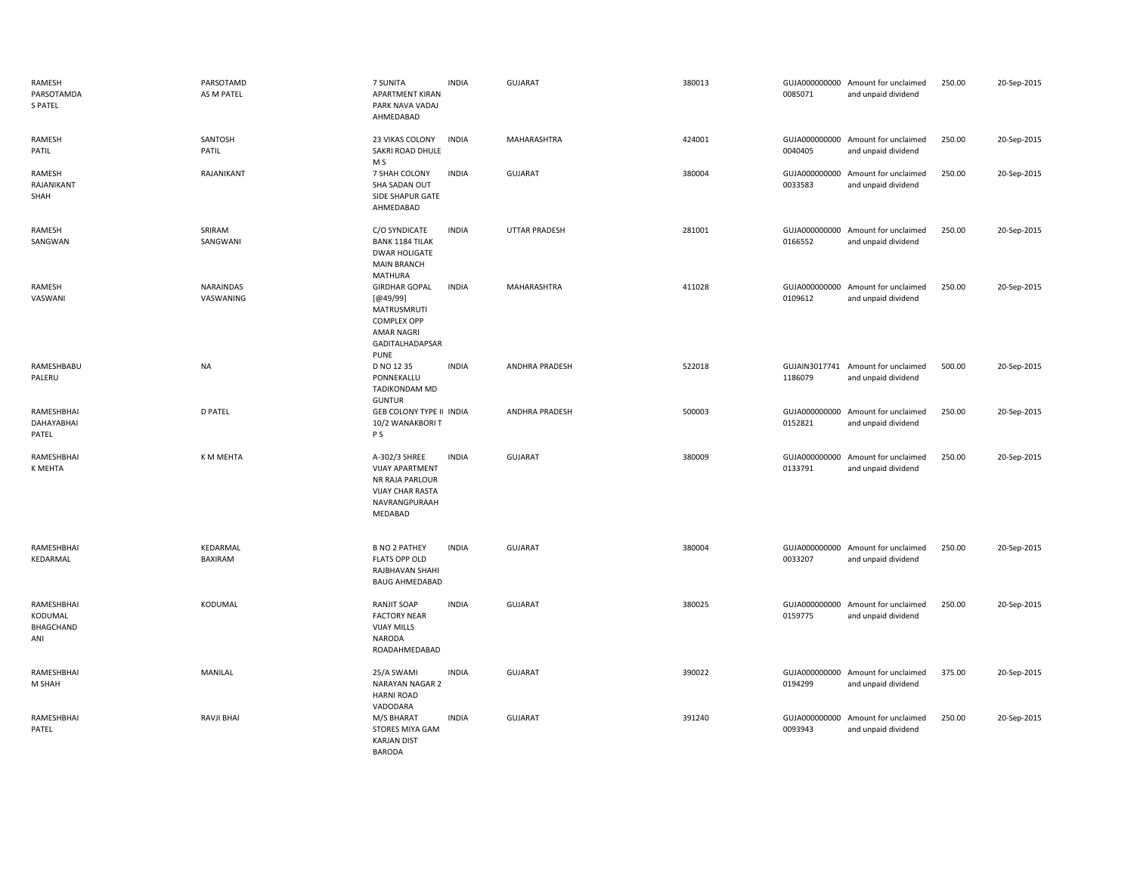| RAMESH<br>PARSOTAMDA<br><b>S PATEL</b>    | PARSOTAMD<br>AS M PATEL | 7 SUNITA<br><b>APARTMENT KIRAN</b><br>PARK NAVA VADAJ<br>AHMEDABAD                                                           | <b>INDIA</b> | <b>GUJARAT</b>        | 380013 | 0085071                  | GUJA000000000 Amount for unclaimed<br>and unpaid dividend | 250.00 | 20-Sep-2015 |
|-------------------------------------------|-------------------------|------------------------------------------------------------------------------------------------------------------------------|--------------|-----------------------|--------|--------------------------|-----------------------------------------------------------|--------|-------------|
| RAMESH<br>PATIL                           | SANTOSH<br>PATIL        | 23 VIKAS COLONY<br>SAKRI ROAD DHULE<br>M <sub>S</sub>                                                                        | <b>INDIA</b> | MAHARASHTRA           | 424001 | 0040405                  | GUJA000000000 Amount for unclaimed<br>and unpaid dividend | 250.00 | 20-Sep-2015 |
| RAMESH<br>RAJANIKANT<br>SHAH              | RAJANIKANT              | 7 SHAH COLONY<br>SHA SADAN OUT<br>SIDE SHAPUR GATE<br>AHMEDABAD                                                              | <b>INDIA</b> | <b>GUJARAT</b>        | 380004 | 0033583                  | GUJA000000000 Amount for unclaimed<br>and unpaid dividend | 250.00 | 20-Sep-2015 |
| RAMESH<br>SANGWAN                         | SRIRAM<br>SANGWANI      | C/O SYNDICATE<br><b>BANK 1184 TILAK</b><br><b>DWAR HOLIGATE</b><br><b>MAIN BRANCH</b><br><b>MATHURA</b>                      | <b>INDIA</b> | <b>UTTAR PRADESH</b>  | 281001 | 0166552                  | GUJA000000000 Amount for unclaimed<br>and unpaid dividend | 250.00 | 20-Sep-2015 |
| RAMESH<br>VASWANI                         | NARAINDAS<br>VASWANING  | <b>GIRDHAR GOPAL</b><br>[@49/99]<br>MATRUSMRUTI<br><b>COMPLEX OPP</b><br>AMAR NAGRI<br><b>GADITALHADAPSAR</b><br><b>PUNE</b> | <b>INDIA</b> | MAHARASHTRA           | 411028 | 0109612                  | GUJA000000000 Amount for unclaimed<br>and unpaid dividend | 250.00 | 20-Sep-2015 |
| RAMESHBABU<br>PALERU                      | NA                      | D NO 12 35<br>PONNEKALLU<br>TADIKONDAM MD<br><b>GUNTUR</b>                                                                   | <b>INDIA</b> | <b>ANDHRA PRADESH</b> | 522018 | 1186079                  | GUJAIN3017741 Amount for unclaimed<br>and unpaid dividend | 500.00 | 20-Sep-2015 |
| RAMESHBHAI<br>DAHAYABHAI<br>PATEL         | <b>D PATEL</b>          | GEB COLONY TYPE II INDIA<br>10/2 WANAKBORI T<br>P <sub>S</sub>                                                               |              | <b>ANDHRA PRADESH</b> | 500003 | GUJA000000000<br>0152821 | Amount for unclaimed<br>and unpaid dividend               | 250.00 | 20-Sep-2015 |
| RAMESHBHAI<br>K MEHTA                     | K M MEHTA               | A-302/3 SHREE<br><b>VIJAY APARTMENT</b><br>NR RAJA PARLOUR<br><b>VIJAY CHAR RASTA</b><br>NAVRANGPURAAH<br>MEDABAD            | <b>INDIA</b> | <b>GUJARAT</b>        | 380009 | GUJA000000000<br>0133791 | Amount for unclaimed<br>and unpaid dividend               | 250.00 | 20-Sep-2015 |
| RAMESHBHAI<br>KEDARMAL                    | KEDARMAL<br>BAXIRAM     | <b>B NO 2 PATHEY</b><br><b>FLATS OPP OLD</b><br>RAJBHAVAN SHAHI<br><b>BAUG AHMEDABAD</b>                                     | <b>INDIA</b> | <b>GUJARAT</b>        | 380004 | GUJA000000000<br>0033207 | Amount for unclaimed<br>and unpaid dividend               | 250.00 | 20-Sep-2015 |
| RAMESHBHAI<br>KODUMAL<br>BHAGCHAND<br>ANI | KODUMAL                 | <b>RANJIT SOAP</b><br><b>FACTORY NEAR</b><br><b>VIJAY MILLS</b><br>NARODA<br>ROADAHMEDABAD                                   | <b>INDIA</b> | <b>GUJARAT</b>        | 380025 | GUJA000000000<br>0159775 | Amount for unclaimed<br>and unpaid dividend               | 250.00 | 20-Sep-2015 |
| RAMESHBHAI<br>M SHAH                      | MANILAL                 | 25/A SWAMI<br><b>NARAYAN NAGAR 2</b><br><b>HARNI ROAD</b><br>VADODARA                                                        | <b>INDIA</b> | <b>GUJARAT</b>        | 390022 | 0194299                  | GUJA000000000 Amount for unclaimed<br>and unpaid dividend | 375.00 | 20-Sep-2015 |
| RAMESHBHAI<br>PATEL                       | <b>RAVJI BHAI</b>       | M/S BHARAT<br>STORES MIYA GAM<br><b>KARJAN DIST</b><br><b>BARODA</b>                                                         | <b>INDIA</b> | <b>GUJARAT</b>        | 391240 | 0093943                  | GUJA000000000 Amount for unclaimed<br>and unpaid dividend | 250.00 | 20-Sep-2015 |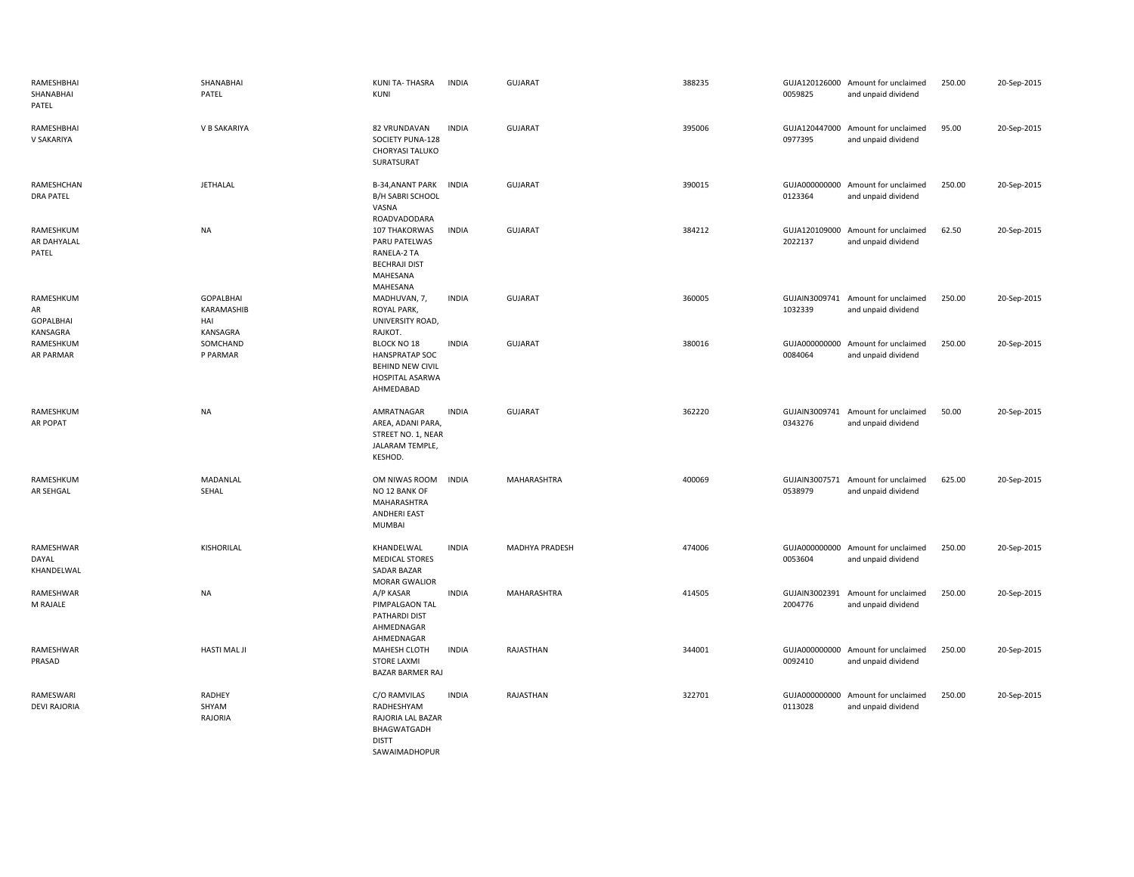| RAMESHBHAI<br>SHANABHAI<br>PATEL                | SHANABHAI<br>PATEL                                | KUNI TA-THASRA<br>KUNI                                                                                        | <b>INDIA</b> | <b>GUJARAT</b> | 388235 | 0059825                  | GUJA120126000 Amount for unclaimed<br>and unpaid dividend | 250.00 | 20-Sep-2015 |
|-------------------------------------------------|---------------------------------------------------|---------------------------------------------------------------------------------------------------------------|--------------|----------------|--------|--------------------------|-----------------------------------------------------------|--------|-------------|
| RAMESHBHAI<br>V SAKARIYA                        | V B SAKARIYA                                      | 82 VRUNDAVAN<br>SOCIETY PUNA-128<br>CHORYASI TALUKO<br>SURATSURAT                                             | <b>INDIA</b> | GUJARAT        | 395006 | GUJA120447000<br>0977395 | Amount for unclaimed<br>and unpaid dividend               | 95.00  | 20-Sep-2015 |
| RAMESHCHAN<br><b>DRA PATEL</b>                  | <b>JETHALAL</b>                                   | B-34, ANANT PARK<br><b>B/H SABRI SCHOOL</b><br>VASNA<br>ROADVADODARA                                          | <b>INDIA</b> | <b>GUJARAT</b> | 390015 | GUJA000000000<br>0123364 | Amount for unclaimed<br>and unpaid dividend               | 250.00 | 20-Sep-2015 |
| RAMESHKUM<br>AR DAHYALAL<br>PATEL               | <b>NA</b>                                         | 107 THAKORWAS<br>PARU PATELWAS<br>RANELA-2 TA<br><b>BECHRAJI DIST</b><br>MAHESANA<br>MAHESANA                 | <b>INDIA</b> | <b>GUJARAT</b> | 384212 | 2022137                  | GUJA120109000 Amount for unclaimed<br>and unpaid dividend | 62.50  | 20-Sep-2015 |
| RAMESHKUM<br>AR<br><b>GOPALBHAI</b><br>KANSAGRA | <b>GOPALBHAI</b><br>KARAMASHIB<br>HAI<br>KANSAGRA | MADHUVAN, 7,<br>ROYAL PARK,<br>UNIVERSITY ROAD,<br>RAJKOT.                                                    | <b>INDIA</b> | <b>GUJARAT</b> | 360005 | 1032339                  | GUJAIN3009741 Amount for unclaimed<br>and unpaid dividend | 250.00 | 20-Sep-2015 |
| RAMESHKUM<br>AR PARMAR                          | SOMCHAND<br>P PARMAR                              | <b>BLOCK NO 18</b><br><b>HANSPRATAP SOC</b><br><b>BEHIND NEW CIVIL</b><br><b>HOSPITAL ASARWA</b><br>AHMEDABAD | <b>INDIA</b> | GUJARAT        | 380016 | 0084064                  | GUJA000000000 Amount for unclaimed<br>and unpaid dividend | 250.00 | 20-Sep-2015 |
| RAMESHKUM<br>AR POPAT                           | <b>NA</b>                                         | AMRATNAGAR<br>AREA, ADANI PARA,<br>STREET NO. 1, NEAR<br>JALARAM TEMPLE,<br>KESHOD.                           | <b>INDIA</b> | <b>GUJARAT</b> | 362220 | 0343276                  | GUJAIN3009741 Amount for unclaimed<br>and unpaid dividend | 50.00  | 20-Sep-2015 |
| RAMESHKUM<br>AR SEHGAL                          | MADANLAL<br>SEHAL                                 | OM NIWAS ROOM<br>NO 12 BANK OF<br>MAHARASHTRA<br>ANDHERI EAST<br><b>MUMBAI</b>                                | <b>INDIA</b> | MAHARASHTRA    | 400069 | 0538979                  | GUJAIN3007571 Amount for unclaimed<br>and unpaid dividend | 625.00 | 20-Sep-2015 |
| RAMESHWAR<br>DAYAL<br>KHANDELWAL                | KISHORILAL                                        | KHANDELWAL<br><b>MEDICAL STORES</b><br>SADAR BAZAR<br><b>MORAR GWALIOR</b>                                    | <b>INDIA</b> | MADHYA PRADESH | 474006 | GUJA000000000<br>0053604 | Amount for unclaimed<br>and unpaid dividend               | 250.00 | 20-Sep-2015 |
| RAMESHWAR<br>M RAJALE                           | <b>NA</b>                                         | A/P KASAR<br>PIMPALGAON TAL<br>PATHARDI DIST<br>AHMEDNAGAR<br>AHMEDNAGAR                                      | <b>INDIA</b> | MAHARASHTRA    | 414505 | 2004776                  | GUJAIN3002391 Amount for unclaimed<br>and unpaid dividend | 250.00 | 20-Sep-2015 |
| RAMESHWAR<br>PRASAD                             | <b>HASTI MAL JI</b>                               | MAHESH CLOTH<br><b>STORE LAXMI</b><br>BAZAR BARMER RAJ                                                        | <b>INDIA</b> | RAJASTHAN      | 344001 | 0092410                  | GUJA000000000 Amount for unclaimed<br>and unpaid dividend | 250.00 | 20-Sep-2015 |
| RAMESWARI<br><b>DEVI RAJORIA</b>                | RADHEY<br>SHYAM<br>RAJORIA                        | C/O RAMVILAS<br>RADHESHYAM<br>RAJORIA LAL BAZAR<br>BHAGWATGADH<br><b>DISTT</b><br>SAWAIMADHOPUR               | <b>INDIA</b> | RAJASTHAN      | 322701 | GUJA000000000<br>0113028 | Amount for unclaimed<br>and unpaid dividend               | 250.00 | 20-Sep-2015 |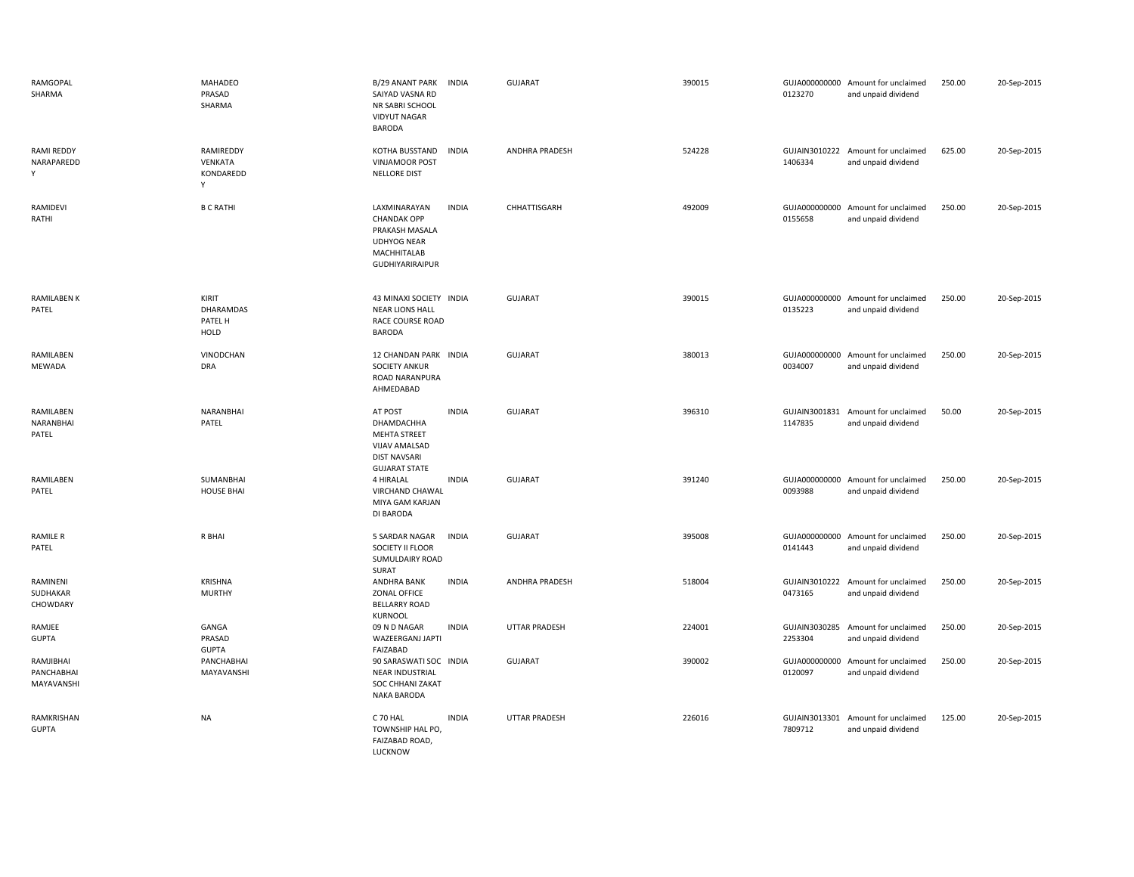| RAMGOPAL<br>SHARMA                    | MAHADEO<br>PRASAD<br>SHARMA                  | B/29 ANANT PARK<br>SAIYAD VASNA RD<br>NR SABRI SCHOOL<br><b>VIDYUT NAGAR</b><br><b>BARODA</b>                       | <b>INDIA</b> | <b>GUJARAT</b>        | 390015 | 0123270 | GUJA000000000 Amount for unclaimed<br>and unpaid dividend | 250.00 | 20-Sep-2015 |
|---------------------------------------|----------------------------------------------|---------------------------------------------------------------------------------------------------------------------|--------------|-----------------------|--------|---------|-----------------------------------------------------------|--------|-------------|
| RAMI REDDY<br>NARAPAREDD<br>Υ         | RAMIREDDY<br>VENKATA<br>KONDAREDD<br>Y       | KOTHA BUSSTAND<br><b>VINJAMOOR POST</b><br><b>NELLORE DIST</b>                                                      | <b>INDIA</b> | ANDHRA PRADESH        | 524228 | 1406334 | GUJAIN3010222 Amount for unclaimed<br>and unpaid dividend | 625.00 | 20-Sep-2015 |
| RAMIDEVI<br>RATHI                     | <b>B C RATHI</b>                             | LAXMINARAYAN<br><b>CHANDAK OPP</b><br>PRAKASH MASALA<br><b>UDHYOG NEAR</b><br>MACHHITALAB<br><b>GUDHIYARIRAIPUR</b> | <b>INDIA</b> | CHHATTISGARH          | 492009 | 0155658 | GUJA000000000 Amount for unclaimed<br>and unpaid dividend | 250.00 | 20-Sep-2015 |
| <b>RAMILABEN K</b><br>PATEL           | KIRIT<br>DHARAMDAS<br>PATEL H<br><b>HOLD</b> | 43 MINAXI SOCIETY INDIA<br><b>NEAR LIONS HALL</b><br>RACE COURSE ROAD<br><b>BARODA</b>                              |              | <b>GUJARAT</b>        | 390015 | 0135223 | GUJA000000000 Amount for unclaimed<br>and unpaid dividend | 250.00 | 20-Sep-2015 |
| RAMILABEN<br>MEWADA                   | VINODCHAN<br><b>DRA</b>                      | 12 CHANDAN PARK INDIA<br><b>SOCIETY ANKUR</b><br>ROAD NARANPURA<br>AHMEDABAD                                        |              | <b>GUJARAT</b>        | 380013 | 0034007 | GUJA000000000 Amount for unclaimed<br>and unpaid dividend | 250.00 | 20-Sep-2015 |
| RAMILABEN<br>NARANBHAI<br>PATEL       | NARANBHAI<br>PATEL                           | AT POST<br>DHAMDACHHA<br>MEHTA STREET<br>VIJAV AMALSAD<br><b>DIST NAVSARI</b><br><b>GUJARAT STATE</b>               | <b>INDIA</b> | <b>GUJARAT</b>        | 396310 | 1147835 | GUJAIN3001831 Amount for unclaimed<br>and unpaid dividend | 50.00  | 20-Sep-2015 |
| RAMILABEN<br>PATEL                    | SUMANBHAI<br><b>HOUSE BHAI</b>               | 4 HIRALAL<br><b>VIRCHAND CHAWAL</b><br>MIYA GAM KARJAN<br>DI BARODA                                                 | <b>INDIA</b> | <b>GUJARAT</b>        | 391240 | 0093988 | GUJA000000000 Amount for unclaimed<br>and unpaid dividend | 250.00 | 20-Sep-2015 |
| <b>RAMILE R</b><br>PATEL              | R BHAI                                       | 5 SARDAR NAGAR<br>SOCIETY II FLOOR<br>SUMULDAIRY ROAD<br>SURAT                                                      | <b>INDIA</b> | <b>GUJARAT</b>        | 395008 | 0141443 | GUJA000000000 Amount for unclaimed<br>and unpaid dividend | 250.00 | 20-Sep-2015 |
| RAMINENI<br>SUDHAKAR<br>CHOWDARY      | <b>KRISHNA</b><br><b>MURTHY</b>              | ANDHRA BANK<br>ZONAL OFFICE<br><b>BELLARRY ROAD</b><br><b>KURNOOL</b>                                               | <b>INDIA</b> | <b>ANDHRA PRADESH</b> | 518004 | 0473165 | GUJAIN3010222 Amount for unclaimed<br>and unpaid dividend | 250.00 | 20-Sep-2015 |
| RAMJEE<br><b>GUPTA</b>                | GANGA<br>PRASAD<br><b>GUPTA</b>              | 09 N D NAGAR<br>WAZEERGANJ JAPTI<br>FAIZABAD                                                                        | <b>INDIA</b> | <b>UTTAR PRADESH</b>  | 224001 | 2253304 | GUJAIN3030285 Amount for unclaimed<br>and unpaid dividend | 250.00 | 20-Sep-2015 |
| RAMJIBHAI<br>PANCHABHAI<br>MAYAVANSHI | PANCHABHAI<br>MAYAVANSHI                     | 90 SARASWATI SOC INDIA<br><b>NEAR INDUSTRIAL</b><br>SOC CHHANI ZAKAT<br>NAKA BARODA                                 |              | <b>GUJARAT</b>        | 390002 | 0120097 | GUJA000000000 Amount for unclaimed<br>and unpaid dividend | 250.00 | 20-Sep-2015 |
| RAMKRISHAN<br><b>GUPTA</b>            | NA                                           | C 70 HAL<br>TOWNSHIP HAL PO,<br>FAIZABAD ROAD,<br>LUCKNOW                                                           | <b>INDIA</b> | UTTAR PRADESH         | 226016 | 7809712 | GUJAIN3013301 Amount for unclaimed<br>and unpaid dividend | 125.00 | 20-Sep-2015 |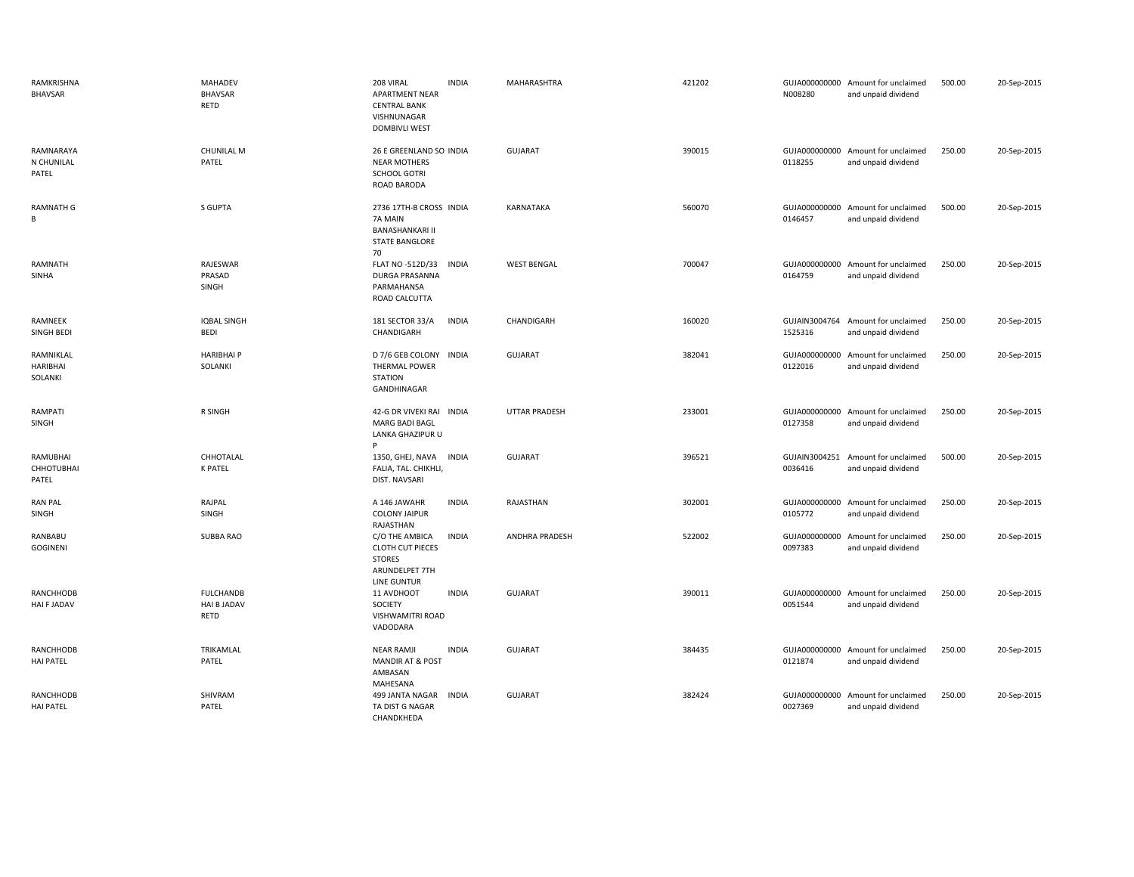| RAMKRISHNA<br>BHAVSAR                  | <b>MAHADEV</b><br>BHAVSAR<br>RETD                     | 208 VIRAL<br><b>INDIA</b><br><b>APARTMENT NEAR</b><br><b>CENTRAL BANK</b><br>VISHNUNAGAR<br><b>DOMBIVLI WEST</b>   | MAHARASHTRA           | 421202 | N008280                  | GUJA000000000 Amount for unclaimed<br>and unpaid dividend | 500.00 | 20-Sep-2015 |
|----------------------------------------|-------------------------------------------------------|--------------------------------------------------------------------------------------------------------------------|-----------------------|--------|--------------------------|-----------------------------------------------------------|--------|-------------|
| RAMNARAYA<br>N CHUNILAL<br>PATEL       | <b>CHUNILAL M</b><br>PATEL                            | 26 E GREENLAND SO INDIA<br><b>NEAR MOTHERS</b><br><b>SCHOOL GOTRI</b><br>ROAD BARODA                               | <b>GUJARAT</b>        | 390015 | 0118255                  | GUJA000000000 Amount for unclaimed<br>and unpaid dividend | 250.00 | 20-Sep-2015 |
| <b>RAMNATH G</b><br>В                  | S GUPTA                                               | 2736 17TH-B CROSS INDIA<br>7A MAIN<br><b>BANASHANKARI II</b><br><b>STATE BANGLORE</b><br>70                        | KARNATAKA             | 560070 | 0146457                  | GUJA000000000 Amount for unclaimed<br>and unpaid dividend | 500.00 | 20-Sep-2015 |
| RAMNATH<br>SINHA                       | RAJESWAR<br>PRASAD<br>SINGH                           | FLAT NO -512D/33<br><b>INDIA</b><br><b>DURGA PRASANNA</b><br>PARMAHANSA<br>ROAD CALCUTTA                           | <b>WEST BENGAL</b>    | 700047 | GUJA000000000<br>0164759 | Amount for unclaimed<br>and unpaid dividend               | 250.00 | 20-Sep-2015 |
| RAMNEEK<br>SINGH BEDI                  | <b>IQBAL SINGH</b><br><b>BEDI</b>                     | <b>INDIA</b><br>181 SECTOR 33/A<br>CHANDIGARH                                                                      | CHANDIGARH            | 160020 | 1525316                  | GUJAIN3004764 Amount for unclaimed<br>and unpaid dividend | 250.00 | 20-Sep-2015 |
| RAMNIKLAL<br>HARIBHAI<br>SOLANKI       | <b>HARIBHAIP</b><br>SOLANKI                           | D 7/6 GEB COLONY INDIA<br><b>THERMAL POWER</b><br><b>STATION</b><br>GANDHINAGAR                                    | <b>GUJARAT</b>        | 382041 | 0122016                  | GUJA000000000 Amount for unclaimed<br>and unpaid dividend | 250.00 | 20-Sep-2015 |
| RAMPATI<br>SINGH                       | R SINGH                                               | 42-G DR VIVEKI RAI INDIA<br><b>MARG BADI BAGL</b><br>LANKA GHAZIPUR U                                              | <b>UTTAR PRADESH</b>  | 233001 | 0127358                  | GUJA000000000 Amount for unclaimed<br>and unpaid dividend | 250.00 | 20-Sep-2015 |
| RAMUBHAI<br><b>CHHOTUBHAI</b><br>PATEL | CHHOTALAL<br><b>K PATEL</b>                           | 1350, GHEJ, NAVA<br>INDIA<br>FALIA, TAL. CHIKHLI,<br>DIST. NAVSARI                                                 | GUJARAT               | 396521 | GUJAIN3004251<br>0036416 | Amount for unclaimed<br>and unpaid dividend               | 500.00 | 20-Sep-2015 |
| <b>RAN PAL</b><br>SINGH                | RAJPAL<br>SINGH                                       | A 146 JAWAHR<br><b>INDIA</b><br><b>COLONY JAIPUR</b><br>RAJASTHAN                                                  | RAJASTHAN             | 302001 | 0105772                  | GUJA000000000 Amount for unclaimed<br>and unpaid dividend | 250.00 | 20-Sep-2015 |
| RANBABU<br>GOGINENI                    | <b>SUBBA RAO</b>                                      | C/O THE AMBICA<br><b>INDIA</b><br><b>CLOTH CUT PIECES</b><br><b>STORES</b><br>ARUNDELPET 7TH<br><b>LINE GUNTUR</b> | <b>ANDHRA PRADESH</b> | 522002 | 0097383                  | GUJA000000000 Amount for unclaimed<br>and unpaid dividend | 250.00 | 20-Sep-2015 |
| <b>RANCHHODB</b><br>HAI F JADAV        | <b>FULCHANDB</b><br><b>HAI B JADAV</b><br><b>RETD</b> | 11 AVDHOOT<br><b>INDIA</b><br>SOCIETY<br>VISHWAMITRI ROAD<br>VADODARA                                              | <b>GUJARAT</b>        | 390011 | GUJA000000000<br>0051544 | Amount for unclaimed<br>and unpaid dividend               | 250.00 | 20-Sep-2015 |
| RANCHHODB<br><b>HAI PATEL</b>          | TRIKAMLAL<br>PATEL                                    | <b>INDIA</b><br><b>NEAR RAMJI</b><br><b>MANDIR AT &amp; POST</b><br>AMBASAN<br>MAHESANA                            | <b>GUJARAT</b>        | 384435 | 0121874                  | GUJA000000000 Amount for unclaimed<br>and unpaid dividend | 250.00 | 20-Sep-2015 |
| <b>RANCHHODB</b><br><b>HAI PATEL</b>   | SHIVRAM<br>PATEL                                      | 499 JANTA NAGAR<br>INDIA<br>TA DIST G NAGAR<br>CHANDKHEDA                                                          | <b>GUJARAT</b>        | 382424 | 0027369                  | GUJA000000000 Amount for unclaimed<br>and unpaid dividend | 250.00 | 20-Sep-2015 |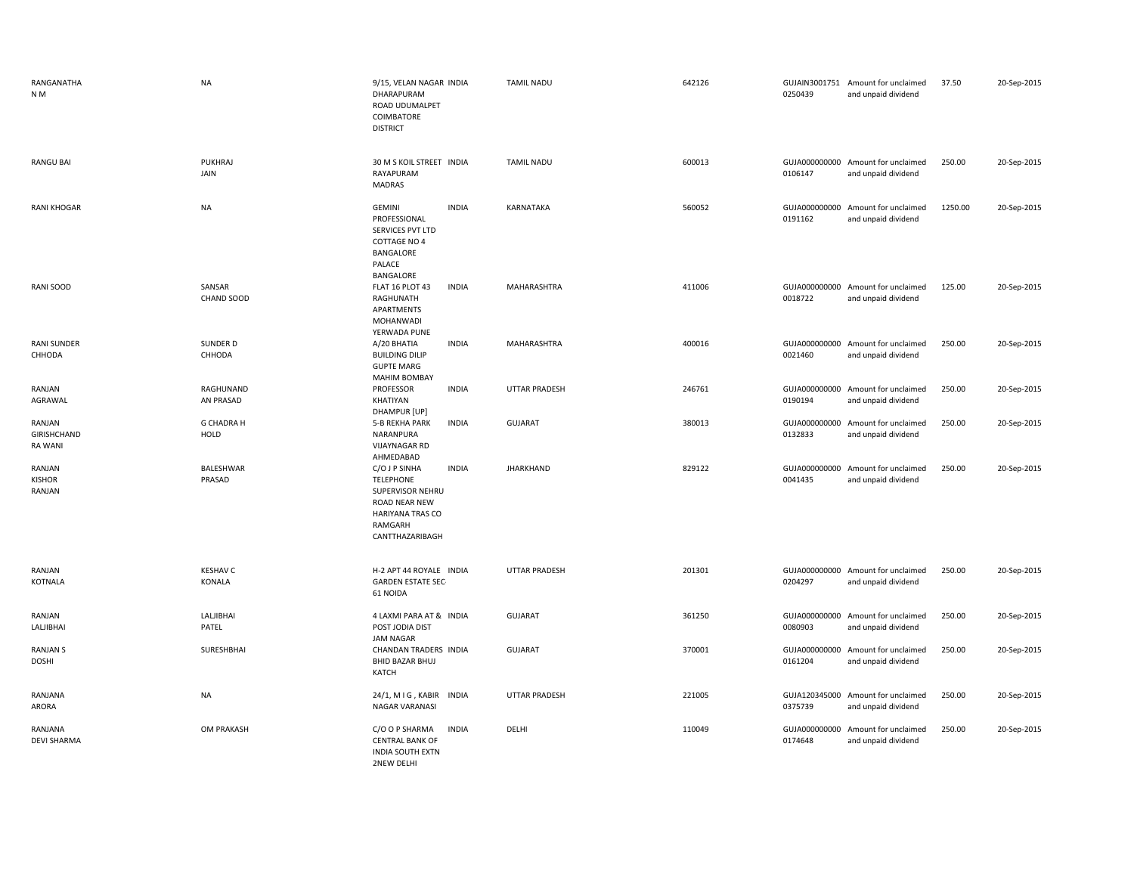| RANGANATHA<br>N M                              | <b>NA</b>                   | 9/15, VELAN NAGAR INDIA<br>DHARAPURAM<br>ROAD UDUMALPET<br>COIMBATORE<br><b>DISTRICT</b>                                                 | <b>TAMIL NADU</b>    | 642126 | 0250439                  | GUJAIN3001751 Amount for unclaimed<br>and unpaid dividend | 37.50   | 20-Sep-2015 |
|------------------------------------------------|-----------------------------|------------------------------------------------------------------------------------------------------------------------------------------|----------------------|--------|--------------------------|-----------------------------------------------------------|---------|-------------|
| <b>RANGU BAI</b>                               | PUKHRAJ<br>JAIN             | 30 M S KOIL STREET INDIA<br>RAYAPURAM<br>MADRAS                                                                                          | <b>TAMIL NADU</b>    | 600013 | 0106147                  | GUJA000000000 Amount for unclaimed<br>and unpaid dividend | 250.00  | 20-Sep-2015 |
| <b>RANI KHOGAR</b>                             | <b>NA</b>                   | <b>GEMINI</b><br><b>INDIA</b><br>PROFESSIONAL<br>SERVICES PVT LTD<br><b>COTTAGE NO 4</b><br>BANGALORE<br>PALACE<br>BANGALORE             | <b>KARNATAKA</b>     | 560052 | GUJA000000000<br>0191162 | Amount for unclaimed<br>and unpaid dividend               | 1250.00 | 20-Sep-2015 |
| RANI SOOD                                      | SANSAR<br><b>CHAND SOOD</b> | FLAT 16 PLOT 43<br><b>INDIA</b><br>RAGHUNATH<br>APARTMENTS<br>MOHANWADI<br>YERWADA PUNE                                                  | MAHARASHTRA          | 411006 | 0018722                  | GUJA000000000 Amount for unclaimed<br>and unpaid dividend | 125.00  | 20-Sep-2015 |
| <b>RANI SUNDER</b><br>CHHODA                   | SUNDER D<br>CHHODA          | A/20 BHATIA<br><b>INDIA</b><br><b>BUILDING DILIP</b><br><b>GUPTE MARG</b><br><b>MAHIM BOMBAY</b>                                         | MAHARASHTRA          | 400016 | 0021460                  | GUJA000000000 Amount for unclaimed<br>and unpaid dividend | 250.00  | 20-Sep-2015 |
| RANJAN<br>AGRAWAL                              | RAGHUNAND<br>AN PRASAD      | PROFESSOR<br><b>INDIA</b><br>KHATIYAN<br>DHAMPUR [UP]                                                                                    | <b>UTTAR PRADESH</b> | 246761 | GUJA000000000<br>0190194 | Amount for unclaimed<br>and unpaid dividend               | 250.00  | 20-Sep-2015 |
| RANJAN<br><b>GIRISHCHAND</b><br><b>RA WANI</b> | <b>G CHADRA H</b><br>HOLD   | <b>INDIA</b><br>5-B REKHA PARK<br>NARANPURA<br><b>VIJAYNAGAR RD</b><br>AHMEDABAD                                                         | GUJARAT              | 380013 | GUJA000000000<br>0132833 | Amount for unclaimed<br>and unpaid dividend               | 250.00  | 20-Sep-2015 |
| RANJAN<br><b>KISHOR</b><br>RANJAN              | BALESHWAR<br>PRASAD         | C/O J P SINHA<br><b>INDIA</b><br><b>TELEPHONE</b><br>SUPERVISOR NEHRU<br>ROAD NEAR NEW<br>HARIYANA TRAS CO<br>RAMGARH<br>CANTTHAZARIBAGH | <b>JHARKHAND</b>     | 829122 | GUJA000000000<br>0041435 | Amount for unclaimed<br>and unpaid dividend               | 250.00  | 20-Sep-2015 |
| RANJAN<br>KOTNALA                              | <b>KESHAV C</b><br>KONALA   | H-2 APT 44 ROYALE INDIA<br><b>GARDEN ESTATE SEC-</b><br>61 NOIDA                                                                         | <b>UTTAR PRADESH</b> | 201301 | 0204297                  | GUJA000000000 Amount for unclaimed<br>and unpaid dividend | 250.00  | 20-Sep-2015 |
| RANJAN<br>LALJIBHAI                            | LALJIBHAI<br>PATEL          | 4 LAXMI PARA AT & INDIA<br>POST JODIA DIST<br><b>JAM NAGAR</b>                                                                           | <b>GUJARAT</b>       | 361250 | 0080903                  | GUJA000000000 Amount for unclaimed<br>and unpaid dividend | 250.00  | 20-Sep-2015 |
| <b>RANJAN S</b><br><b>DOSHI</b>                | SURESHBHAI                  | CHANDAN TRADERS INDIA<br><b>BHID BAZAR BHUJ</b><br>KATCH                                                                                 | <b>GUJARAT</b>       | 370001 | GUJA000000000<br>0161204 | Amount for unclaimed<br>and unpaid dividend               | 250.00  | 20-Sep-2015 |
| RANJANA<br>ARORA                               | <b>NA</b>                   | 24/1, MIG, KABIR INDIA<br>NAGAR VARANASI                                                                                                 | <b>UTTAR PRADESH</b> | 221005 | GUJA120345000<br>0375739 | Amount for unclaimed<br>and unpaid dividend               | 250.00  | 20-Sep-2015 |
| RANJANA<br><b>DEVI SHARMA</b>                  | <b>OM PRAKASH</b>           | <b>INDIA</b><br>C/O O P SHARMA<br><b>CENTRAL BANK OF</b><br><b>INDIA SOUTH EXTN</b><br>2NEW DELHI                                        | DELHI                | 110049 | 0174648                  | GUJA000000000 Amount for unclaimed<br>and unpaid dividend | 250.00  | 20-Sep-2015 |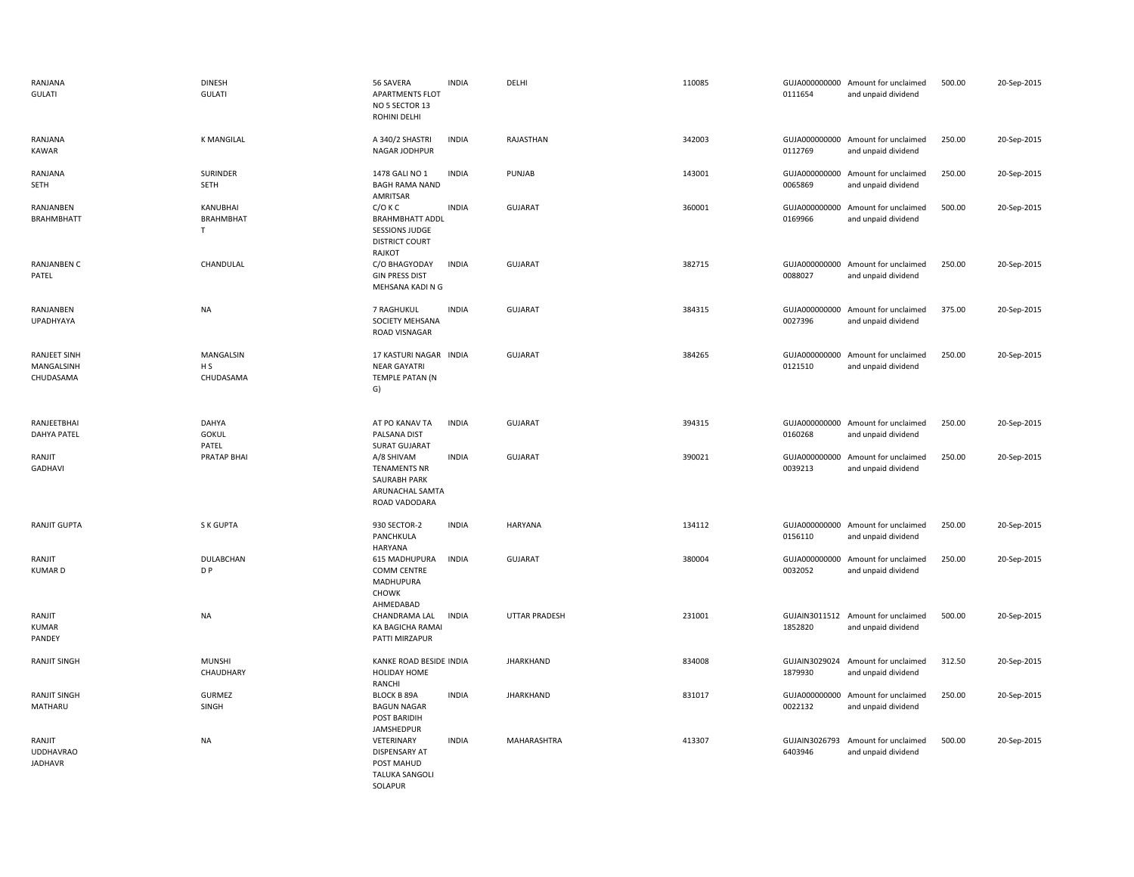| RANJANA<br><b>GULATI</b>                       | <b>DINESH</b><br><b>GULATI</b>           | 56 SAVERA<br><b>APARTMENTS FLOT</b><br>NO 5 SECTOR 13<br>ROHINI DELHI                                  | <b>INDIA</b> | DELHI            | 110085 | 0111654                  | GUJA000000000 Amount for unclaimed<br>and unpaid dividend | 500.00 | 20-Sep-2015 |
|------------------------------------------------|------------------------------------------|--------------------------------------------------------------------------------------------------------|--------------|------------------|--------|--------------------------|-----------------------------------------------------------|--------|-------------|
| RANJANA<br>KAWAR                               | <b>K MANGILAL</b>                        | A 340/2 SHASTRI<br>NAGAR JODHPUR                                                                       | <b>INDIA</b> | RAJASTHAN        | 342003 | 0112769                  | GUJA000000000 Amount for unclaimed<br>and unpaid dividend | 250.00 | 20-Sep-2015 |
| RANJANA<br>SETH                                | SURINDER<br>SETH                         | 1478 GALI NO 1<br><b>BAGH RAMA NAND</b><br>AMRITSAR                                                    | <b>INDIA</b> | PUNJAB           | 143001 | 0065869                  | GUJA000000000 Amount for unclaimed<br>and unpaid dividend | 250.00 | 20-Sep-2015 |
| RANJANBEN<br><b>BRAHMBHATT</b>                 | KANUBHAI<br>BRAHMBHAT<br>$\mathsf{T}$    | $C/O$ K C<br><b>BRAHMBHATT ADDL</b><br><b>SESSIONS JUDGE</b><br><b>DISTRICT COURT</b><br><b>RAJKOT</b> | <b>INDIA</b> | <b>GUJARAT</b>   | 360001 | GUJA000000000<br>0169966 | Amount for unclaimed<br>and unpaid dividend               | 500.00 | 20-Sep-2015 |
| RANJANBEN C<br>PATEL                           | CHANDULAL                                | C/O BHAGYODAY<br><b>GIN PRESS DIST</b><br>MEHSANA KADI N G                                             | <b>INDIA</b> | <b>GUJARAT</b>   | 382715 | GUJA000000000<br>0088027 | Amount for unclaimed<br>and unpaid dividend               | 250.00 | 20-Sep-2015 |
| RANJANBEN<br>UPADHYAYA                         | NA                                       | 7 RAGHUKUL<br>SOCIETY MEHSANA<br>ROAD VISNAGAR                                                         | <b>INDIA</b> | GUJARAT          | 384315 | 0027396                  | GUJA000000000 Amount for unclaimed<br>and unpaid dividend | 375.00 | 20-Sep-2015 |
| <b>RANJEET SINH</b><br>MANGALSINH<br>CHUDASAMA | MANGALSIN<br>H <sub>S</sub><br>CHUDASAMA | 17 KASTURI NAGAR INDIA<br><b>NEAR GAYATRI</b><br>TEMPLE PATAN (N<br>G)                                 |              | <b>GUJARAT</b>   | 384265 | 0121510                  | GUJA000000000 Amount for unclaimed<br>and unpaid dividend | 250.00 | 20-Sep-2015 |
| RANJEETBHAI<br><b>DAHYA PATEL</b>              | DAHYA<br><b>GOKUL</b><br>PATEL           | AT PO KANAV TA<br>PALSANA DIST<br><b>SURAT GUJARAT</b>                                                 | <b>INDIA</b> | <b>GUJARAT</b>   | 394315 | 0160268                  | GUJA000000000 Amount for unclaimed<br>and unpaid dividend | 250.00 | 20-Sep-2015 |
| RANJIT<br>GADHAVI                              | <b>PRATAP BHAI</b>                       | A/8 SHIVAM<br><b>TENAMENTS NR</b><br>SAURABH PARK<br>ARUNACHAL SAMTA<br>ROAD VADODARA                  | <b>INDIA</b> | <b>GUJARAT</b>   | 390021 | GUJA000000000<br>0039213 | Amount for unclaimed<br>and unpaid dividend               | 250.00 | 20-Sep-2015 |
| <b>RANJIT GUPTA</b>                            | S K GUPTA                                | 930 SECTOR-2<br>PANCHKULA<br><b>HARYANA</b>                                                            | <b>INDIA</b> | <b>HARYANA</b>   | 134112 | 0156110                  | GUJA000000000 Amount for unclaimed<br>and unpaid dividend | 250.00 | 20-Sep-2015 |
| RANJIT<br><b>KUMARD</b>                        | DULABCHAN<br>D P                         | 615 MADHUPURA<br><b>COMM CENTRE</b><br><b>MADHUPURA</b><br><b>CHOWK</b><br>AHMEDABAD                   | <b>INDIA</b> | <b>GUJARAT</b>   | 380004 | 0032052                  | GUJA000000000 Amount for unclaimed<br>and unpaid dividend | 250.00 | 20-Sep-2015 |
| RANJIT<br>KUMAR<br>PANDEY                      | NA                                       | CHANDRAMA LAL<br>KA BAGICHA RAMAI<br>PATTI MIRZAPUR                                                    | <b>INDIA</b> | UTTAR PRADESH    | 231001 | 1852820                  | GUJAIN3011512 Amount for unclaimed<br>and unpaid dividend | 500.00 | 20-Sep-2015 |
| <b>RANJIT SINGH</b>                            | <b>MUNSHI</b><br>CHAUDHARY               | KANKE ROAD BESIDE INDIA<br><b>HOLIDAY HOME</b><br><b>RANCHI</b>                                        |              | <b>JHARKHAND</b> | 834008 | 1879930                  | GUJAIN3029024 Amount for unclaimed<br>and unpaid dividend | 312.50 | 20-Sep-2015 |
| RANJIT SINGH<br>MATHARU                        | <b>GURMEZ</b><br>SINGH                   | <b>BLOCK B 89A</b><br><b>BAGUN NAGAR</b><br>POST BARIDIH<br>JAMSHEDPUR                                 | <b>INDIA</b> | <b>JHARKHAND</b> | 831017 | 0022132                  | GUJA000000000 Amount for unclaimed<br>and unpaid dividend | 250.00 | 20-Sep-2015 |
| RANJIT<br><b>UDDHAVRAO</b><br><b>JADHAVR</b>   | NA                                       | VETERINARY<br>DISPENSARY AT<br>POST MAHUD<br><b>TALUKA SANGOLI</b><br>SOLAPUR                          | <b>INDIA</b> | MAHARASHTRA      | 413307 | GUJAIN3026793<br>6403946 | Amount for unclaimed<br>and unpaid dividend               | 500.00 | 20-Sep-2015 |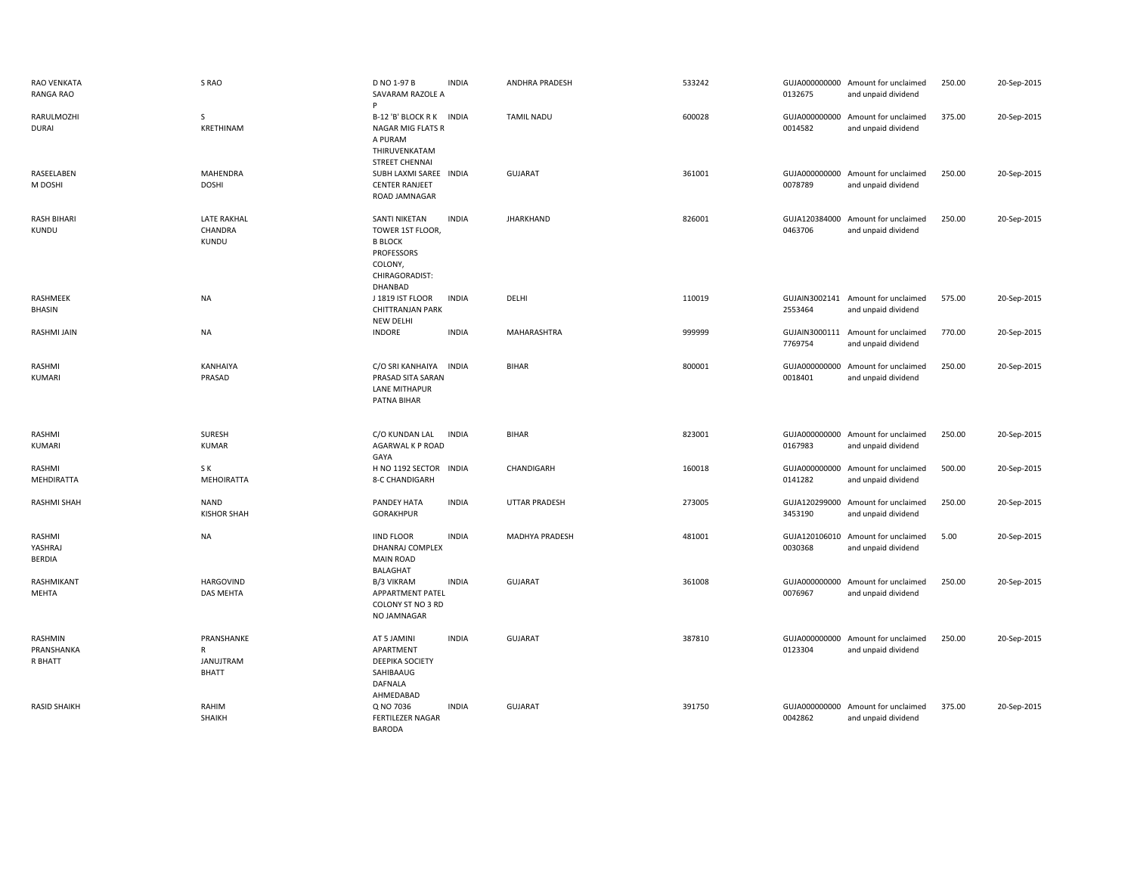| <b>RAO VENKATA</b><br>RANGA RAO    | S RAO                                        | D NO 1-97 B<br>SAVARAM RAZOLE A                                                                           | <b>INDIA</b> | ANDHRA PRADESH       | 533242 | 0132675                  | GUJA000000000 Amount for unclaimed<br>and unpaid dividend | 250.00 | 20-Sep-2015 |
|------------------------------------|----------------------------------------------|-----------------------------------------------------------------------------------------------------------|--------------|----------------------|--------|--------------------------|-----------------------------------------------------------|--------|-------------|
| RARULMOZHI<br><b>DURAI</b>         | S<br>KRETHINAM                               | B-12 'B' BLOCK R K INDIA<br>NAGAR MIG FLATS R<br>A PURAM<br>THIRUVENKATAM<br><b>STREET CHENNAI</b>        |              | <b>TAMIL NADU</b>    | 600028 | 0014582                  | GUJA000000000 Amount for unclaimed<br>and unpaid dividend | 375.00 | 20-Sep-2015 |
| RASEELABEN<br>M DOSHI              | <b>MAHENDRA</b><br><b>DOSHI</b>              | SUBH LAXMI SAREE INDIA<br><b>CENTER RANJEET</b><br>ROAD JAMNAGAR                                          |              | <b>GUJARAT</b>       | 361001 | 0078789                  | GUJA000000000 Amount for unclaimed<br>and unpaid dividend | 250.00 | 20-Sep-2015 |
| <b>RASH BIHARI</b><br>KUNDU        | <b>LATE RAKHAL</b><br>CHANDRA<br>KUNDU       | SANTI NIKETAN<br>TOWER 1ST FLOOR,<br><b>B BLOCK</b><br>PROFESSORS<br>COLONY,<br>CHIRAGORADIST:<br>DHANBAD | <b>INDIA</b> | <b>JHARKHAND</b>     | 826001 | 0463706                  | GUJA120384000 Amount for unclaimed<br>and unpaid dividend | 250.00 | 20-Sep-2015 |
| RASHMEEK<br>BHASIN                 | NA                                           | J 1819 IST FLOOR<br><b>CHITTRANJAN PARK</b><br>NEW DELHI                                                  | <b>INDIA</b> | DELHI                | 110019 | 2553464                  | GUJAIN3002141 Amount for unclaimed<br>and unpaid dividend | 575.00 | 20-Sep-2015 |
| RASHMI JAIN                        | <b>NA</b>                                    | <b>INDORE</b>                                                                                             | <b>INDIA</b> | MAHARASHTRA          | 999999 | 7769754                  | GUJAIN3000111 Amount for unclaimed<br>and unpaid dividend | 770.00 | 20-Sep-2015 |
| RASHMI<br>KUMARI                   | KANHAIYA<br>PRASAD                           | C/O SRI KANHAIYA<br>PRASAD SITA SARAN<br><b>LANE MITHAPUR</b><br>PATNA BIHAR                              | <b>INDIA</b> | <b>BIHAR</b>         | 800001 | GUJA000000000<br>0018401 | Amount for unclaimed<br>and unpaid dividend               | 250.00 | 20-Sep-2015 |
| RASHMI<br><b>KUMARI</b>            | SURESH<br><b>KUMAR</b>                       | C/O KUNDAN LAL<br>AGARWAL K P ROAD<br>GAYA                                                                | <b>INDIA</b> | <b>BIHAR</b>         | 823001 | 0167983                  | GUJA000000000 Amount for unclaimed<br>and unpaid dividend | 250.00 | 20-Sep-2015 |
| RASHMI<br>MEHDIRATTA               | S K<br><b>MEHOIRATTA</b>                     | H NO 1192 SECTOR INDIA<br>8-C CHANDIGARH                                                                  |              | CHANDIGARH           | 160018 | 0141282                  | GUJA000000000 Amount for unclaimed<br>and unpaid dividend | 500.00 | 20-Sep-2015 |
| <b>RASHMI SHAH</b>                 | <b>NAND</b>                                  |                                                                                                           |              |                      |        |                          |                                                           |        |             |
|                                    | <b>KISHOR SHAH</b>                           | PANDEY HATA<br>GORAKHPUR                                                                                  | <b>INDIA</b> | <b>UTTAR PRADESH</b> | 273005 | 3453190                  | GUJA120299000 Amount for unclaimed<br>and unpaid dividend | 250.00 | 20-Sep-2015 |
| RASHMI<br>YASHRAJ<br><b>BERDIA</b> | <b>NA</b>                                    | <b>IIND FLOOR</b><br>DHANRAJ COMPLEX<br><b>MAIN ROAD</b><br><b>BALAGHAT</b>                               | <b>INDIA</b> | MADHYA PRADESH       | 481001 | 0030368                  | GUJA120106010 Amount for unclaimed<br>and unpaid dividend | 5.00   | 20-Sep-2015 |
| RASHMIKANT<br>MEHTA                | <b>HARGOVIND</b><br><b>DAS MEHTA</b>         | B/3 VIKRAM<br>APPARTMENT PATEL<br>COLONY ST NO 3 RD<br>NO JAMNAGAR                                        | <b>INDIA</b> | <b>GUJARAT</b>       | 361008 | GUJA000000000<br>0076967 | Amount for unclaimed<br>and unpaid dividend               | 250.00 | 20-Sep-2015 |
| RASHMIN<br>PRANSHANKA<br>R BHATT   | PRANSHANKE<br>R<br>JANUJTRAM<br><b>BHATT</b> | AT 5 JAMINI<br>APARTMENT<br>DEEPIKA SOCIETY<br>SAHIBAAUG<br>DAFNALA<br>AHMEDABAD                          | <b>INDIA</b> | <b>GUJARAT</b>       | 387810 | GUJA000000000<br>0123304 | Amount for unclaimed<br>and unpaid dividend               | 250.00 | 20-Sep-2015 |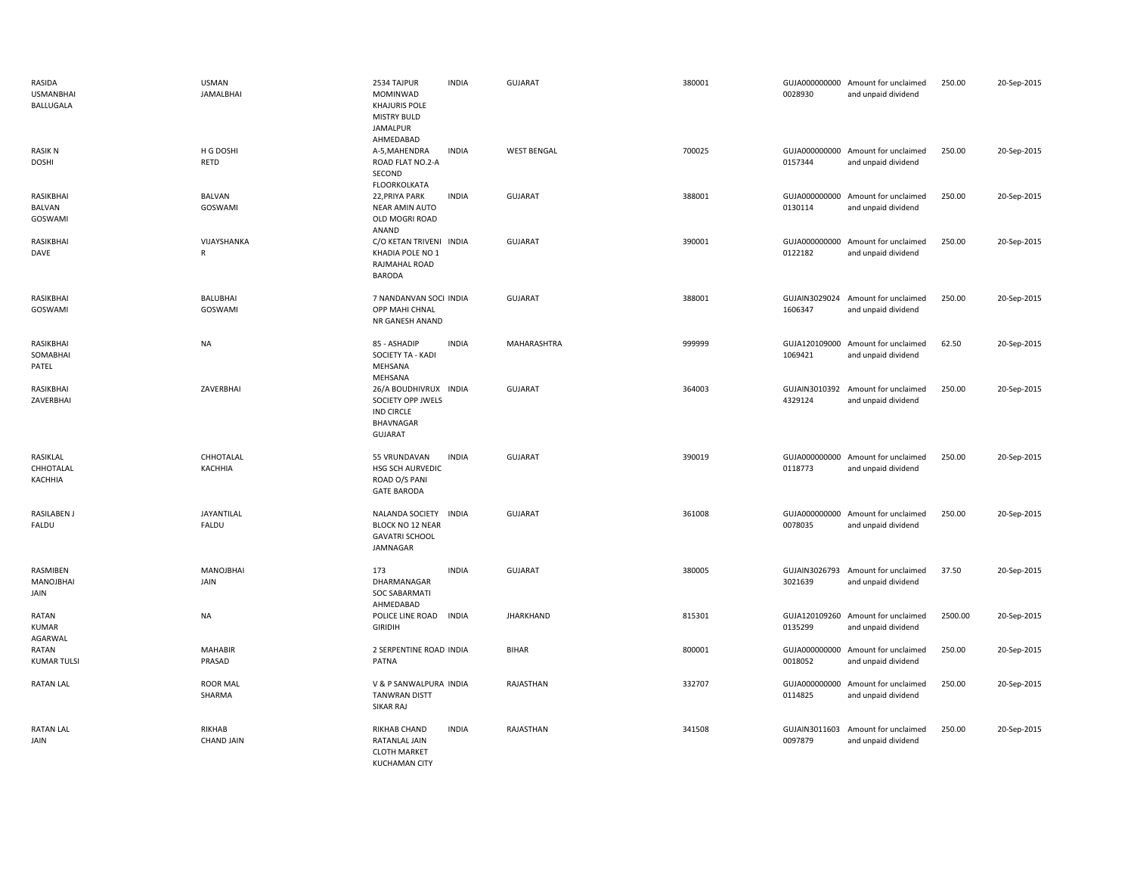| RASIDA<br><b>USMANBHAI</b><br><b>BALLUGALA</b> | <b>USMAN</b><br><b>JAMALBHAI</b> | 2534 TAJPUR<br>MOMINWAD<br><b>KHAJURIS POLE</b><br><b>MISTRY BULD</b><br>JAMALPUR<br>AHMEDABAD | <b>INDIA</b> | <b>GUJARAT</b>     | 380001 | 0028930                  | GUJA000000000 Amount for unclaimed<br>and unpaid dividend | 250.00  | 20-Sep-2015 |
|------------------------------------------------|----------------------------------|------------------------------------------------------------------------------------------------|--------------|--------------------|--------|--------------------------|-----------------------------------------------------------|---------|-------------|
| <b>RASIK N</b><br><b>DOSHI</b>                 | H G DOSHI<br>RETD                | A-5, MAHENDRA<br>ROAD FLAT NO.2-A<br>SECOND<br><b>FLOORKOLKATA</b>                             | <b>INDIA</b> | <b>WEST BENGAL</b> | 700025 | 0157344                  | GUJA000000000 Amount for unclaimed<br>and unpaid dividend | 250.00  | 20-Sep-2015 |
| RASIKBHAI<br>BALVAN<br>GOSWAMI                 | <b>BALVAN</b><br>GOSWAMI         | 22, PRIYA PARK<br>NEAR AMIN AUTO<br>OLD MOGRI ROAD<br>ANAND                                    | <b>INDIA</b> | <b>GUJARAT</b>     | 388001 | 0130114                  | GUJA000000000 Amount for unclaimed<br>and unpaid dividend | 250.00  | 20-Sep-2015 |
| RASIKBHAI<br>DAVE                              | VIJAYSHANKA<br>$\mathsf{R}$      | C/O KETAN TRIVENI INDIA<br>KHADIA POLE NO 1<br>RAJMAHAL ROAD<br><b>BARODA</b>                  |              | <b>GUJARAT</b>     | 390001 | GUJA000000000<br>0122182 | Amount for unclaimed<br>and unpaid dividend               | 250.00  | 20-Sep-2015 |
| RASIKBHAI<br>GOSWAMI                           | <b>BALUBHAI</b><br>GOSWAMI       | 7 NANDANVAN SOCI INDIA<br>OPP MAHI CHNAL<br>NR GANESH ANAND                                    |              | <b>GUJARAT</b>     | 388001 | GUJAIN3029024<br>1606347 | Amount for unclaimed<br>and unpaid dividend               | 250.00  | 20-Sep-2015 |
| RASIKBHAI<br>SOMABHAI<br>PATEL                 | <b>NA</b>                        | 85 - ASHADIP<br>SOCIETY TA - KADI<br>MEHSANA<br>MEHSANA                                        | <b>INDIA</b> | MAHARASHTRA        | 999999 | 1069421                  | GUJA120109000 Amount for unclaimed<br>and unpaid dividend | 62.50   | 20-Sep-2015 |
| RASIKBHAI<br>ZAVERBHAI                         | ZAVERBHAI                        | 26/A BOUDHIVRUX INDIA<br>SOCIETY OPP JWELS<br>IND CIRCLE<br>BHAVNAGAR<br><b>GUJARAT</b>        |              | <b>GUJARAT</b>     | 364003 | 4329124                  | GUJAIN3010392 Amount for unclaimed<br>and unpaid dividend | 250.00  | 20-Sep-2015 |
| RASIKLAL<br>CHHOTALAL<br>KACHHIA               | CHHOTALAL<br>KACHHIA             | 55 VRUNDAVAN<br>HSG SCH AURVEDIC<br>ROAD O/S PANI<br><b>GATE BARODA</b>                        | <b>INDIA</b> | <b>GUJARAT</b>     | 390019 | 0118773                  | GUJA000000000 Amount for unclaimed<br>and unpaid dividend | 250.00  | 20-Sep-2015 |
| RASILABEN J<br>FALDU                           | JAYANTILAL<br>FALDU              | NALANDA SOCIETY INDIA<br><b>BLOCK NO 12 NEAR</b><br><b>GAVATRI SCHOOL</b><br>JAMNAGAR          |              | <b>GUJARAT</b>     | 361008 | 0078035                  | GUJA000000000 Amount for unclaimed<br>and unpaid dividend | 250.00  | 20-Sep-2015 |
| RASMIBEN<br>MANOJBHAI<br>JAIN                  | <b>MANOJBHAI</b><br>JAIN         | 173<br>DHARMANAGAR<br><b>SOC SABARMATI</b><br>AHMEDABAD                                        | <b>INDIA</b> | <b>GUJARAT</b>     | 380005 | GUJAIN3026793<br>3021639 | Amount for unclaimed<br>and unpaid dividend               | 37.50   | 20-Sep-2015 |
| RATAN<br><b>KUMAR</b><br>AGARWAL               | <b>NA</b>                        | POLICE LINE ROAD INDIA<br><b>GIRIDIH</b>                                                       |              | <b>JHARKHAND</b>   | 815301 | 0135299                  | GUJA120109260 Amount for unclaimed<br>and unpaid dividend | 2500.00 | 20-Sep-2015 |
| RATAN<br><b>KUMAR TULSI</b>                    | <b>MAHABIR</b><br>PRASAD         | 2 SERPENTINE ROAD INDIA<br>PATNA                                                               |              | <b>BIHAR</b>       | 800001 | GUJA000000000<br>0018052 | Amount for unclaimed<br>and unpaid dividend               | 250.00  | 20-Sep-2015 |
| RATAN LAL                                      | <b>ROOR MAL</b><br>SHARMA        | V & P SANWALPURA INDIA<br><b>TANWRAN DISTT</b><br><b>SIKAR RAJ</b>                             |              | RAJASTHAN          | 332707 | GUJA000000000<br>0114825 | Amount for unclaimed<br>and unpaid dividend               | 250.00  | 20-Sep-2015 |
| RATAN LAL<br>JAIN                              | RIKHAB<br><b>CHAND JAIN</b>      | RIKHAB CHAND<br>RATANLAL JAIN<br><b>CLOTH MARKET</b><br><b>KUCHAMAN CITY</b>                   | <b>INDIA</b> | RAJASTHAN          | 341508 | 0097879                  | GUJAIN3011603 Amount for unclaimed<br>and unpaid dividend | 250.00  | 20-Sep-2015 |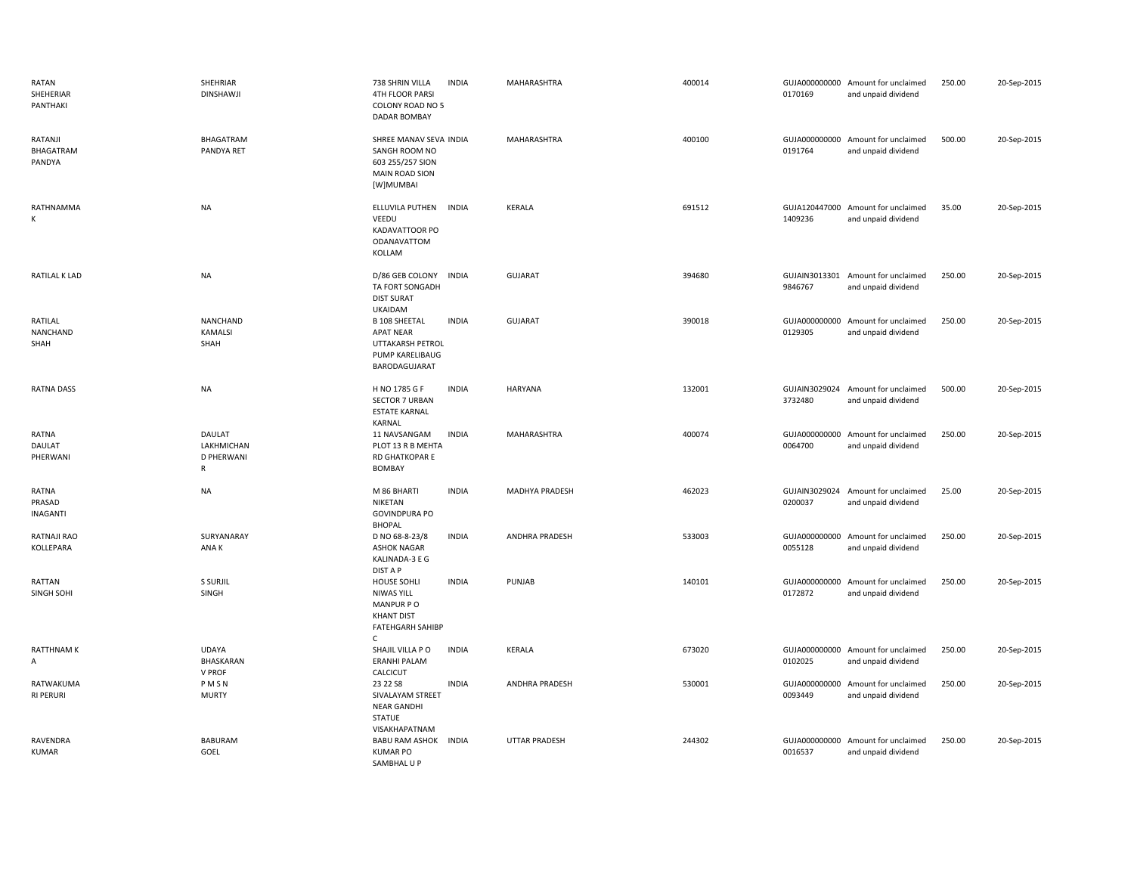| RATAN<br>SHEHERIAR<br>PANTHAKI     | SHEHRIAR<br><b>DINSHAWJI</b>                       | 738 SHRIN VILLA<br><b>INDIA</b><br>4TH FLOOR PARSI<br>COLONY ROAD NO 5<br>DADAR BOMBAY                             | MAHARASHTRA           | 400014 | 0170169                  | GUJA000000000 Amount for unclaimed<br>and unpaid dividend | 250.00 | 20-Sep-2015 |
|------------------------------------|----------------------------------------------------|--------------------------------------------------------------------------------------------------------------------|-----------------------|--------|--------------------------|-----------------------------------------------------------|--------|-------------|
| RATANJI<br>BHAGATRAM<br>PANDYA     | BHAGATRAM<br>PANDYA RET                            | SHREE MANAV SEVA INDIA<br>SANGH ROOM NO<br>603 255/257 SION<br><b>MAIN ROAD SION</b><br>[W]MUMBAI                  | MAHARASHTRA           | 400100 | 0191764                  | GUJA000000000 Amount for unclaimed<br>and unpaid dividend | 500.00 | 20-Sep-2015 |
| RATHNAMMA<br>К                     | <b>NA</b>                                          | ELLUVILA PUTHEN INDIA<br>VEEDU<br>KADAVATTOOR PO<br><b>ODANAVATTOM</b><br>KOLLAM                                   | KERALA                | 691512 | 1409236                  | GUJA120447000 Amount for unclaimed<br>and unpaid dividend | 35.00  | 20-Sep-2015 |
| RATILAL K LAD                      | <b>NA</b>                                          | D/86 GEB COLONY<br><b>INDIA</b><br>TA FORT SONGADH<br><b>DIST SURAT</b><br><b>UKAIDAM</b>                          | <b>GUJARAT</b>        | 394680 | GUJAIN3013301<br>9846767 | Amount for unclaimed<br>and unpaid dividend               | 250.00 | 20-Sep-2015 |
| RATILAL<br>NANCHAND<br>SHAH        | <b>NANCHAND</b><br><b>KAMALSI</b><br>SHAH          | <b>INDIA</b><br><b>B 108 SHEETAL</b><br><b>APAT NEAR</b><br>UTTAKARSH PETROL<br>PUMP KARELIBAUG<br>BARODAGUJARAT   | GUJARAT               | 390018 | GUJA000000000<br>0129305 | Amount for unclaimed<br>and unpaid dividend               | 250.00 | 20-Sep-2015 |
| <b>RATNA DASS</b>                  | <b>NA</b>                                          | H NO 1785 G F<br><b>INDIA</b><br><b>SECTOR 7 URBAN</b><br><b>ESTATE KARNAL</b><br>KARNAL                           | <b>HARYANA</b>        | 132001 | GUJAIN3029024<br>3732480 | Amount for unclaimed<br>and unpaid dividend               | 500.00 | 20-Sep-2015 |
| RATNA<br>DAULAT<br>PHERWANI        | DAULAT<br>LAKHMICHAN<br>D PHERWANI<br>$\mathsf{R}$ | <b>INDIA</b><br>11 NAVSANGAM<br>PLOT 13 R B MEHTA<br>RD GHATKOPAR E<br><b>BOMBAY</b>                               | MAHARASHTRA           | 400074 | GUJA000000000<br>0064700 | Amount for unclaimed<br>and unpaid dividend               | 250.00 | 20-Sep-2015 |
| RATNA<br>PRASAD<br><b>INAGANTI</b> | <b>NA</b>                                          | <b>INDIA</b><br>M 86 BHARTI<br>NIKETAN<br><b>GOVINDPURA PO</b><br><b>BHOPAL</b>                                    | <b>MADHYA PRADESH</b> | 462023 | 0200037                  | GUJAIN3029024 Amount for unclaimed<br>and unpaid dividend | 25.00  | 20-Sep-2015 |
| RATNAJI RAO<br>KOLLEPARA           | SURYANARAY<br>ANA K                                | <b>INDIA</b><br>D NO 68-8-23/8<br><b>ASHOK NAGAR</b><br>KALINADA-3 E G<br>DIST A P                                 | ANDHRA PRADESH        | 533003 | GUJA000000000<br>0055128 | Amount for unclaimed<br>and unpaid dividend               | 250.00 | 20-Sep-2015 |
| RATTAN<br>SINGH SOHI               | S SURJIL<br>SINGH                                  | <b>INDIA</b><br><b>HOUSE SOHLI</b><br>NIWAS YILL<br>MANPUR PO<br><b>KHANT DIST</b><br><b>FATEHGARH SAHIBP</b><br>C | PUNJAB                | 140101 | 0172872                  | GUJA000000000 Amount for unclaimed<br>and unpaid dividend | 250.00 | 20-Sep-2015 |
| <b>RATTHNAMK</b><br>А              | UDAYA<br>BHASKARAN<br>V PROF                       | SHAJIL VILLA PO<br><b>INDIA</b><br><b>ERANHI PALAM</b><br>CALCICUT                                                 | KERALA                | 673020 | GUJA000000000<br>0102025 | Amount for unclaimed<br>and unpaid dividend               | 250.00 | 20-Sep-2015 |
| RATWAKUMA<br><b>RI PERURI</b>      | PMSN<br><b>MURTY</b>                               | 23 22 S8<br><b>INDIA</b><br>SIVALAYAM STREET<br><b>NEAR GANDHI</b><br><b>STATUE</b><br>VISAKHAPATNAM               | <b>ANDHRA PRADESH</b> | 530001 | GUJA000000000<br>0093449 | Amount for unclaimed<br>and unpaid dividend               | 250.00 | 20-Sep-2015 |
| RAVENDRA<br><b>KUMAR</b>           | BABURAM<br>GOEL                                    | BABU RAM ASHOK INDIA<br><b>KUMAR PO</b><br>SAMBHAL U P                                                             | <b>UTTAR PRADESH</b>  | 244302 | GUJA000000000<br>0016537 | Amount for unclaimed<br>and unpaid dividend               | 250.00 | 20-Sep-2015 |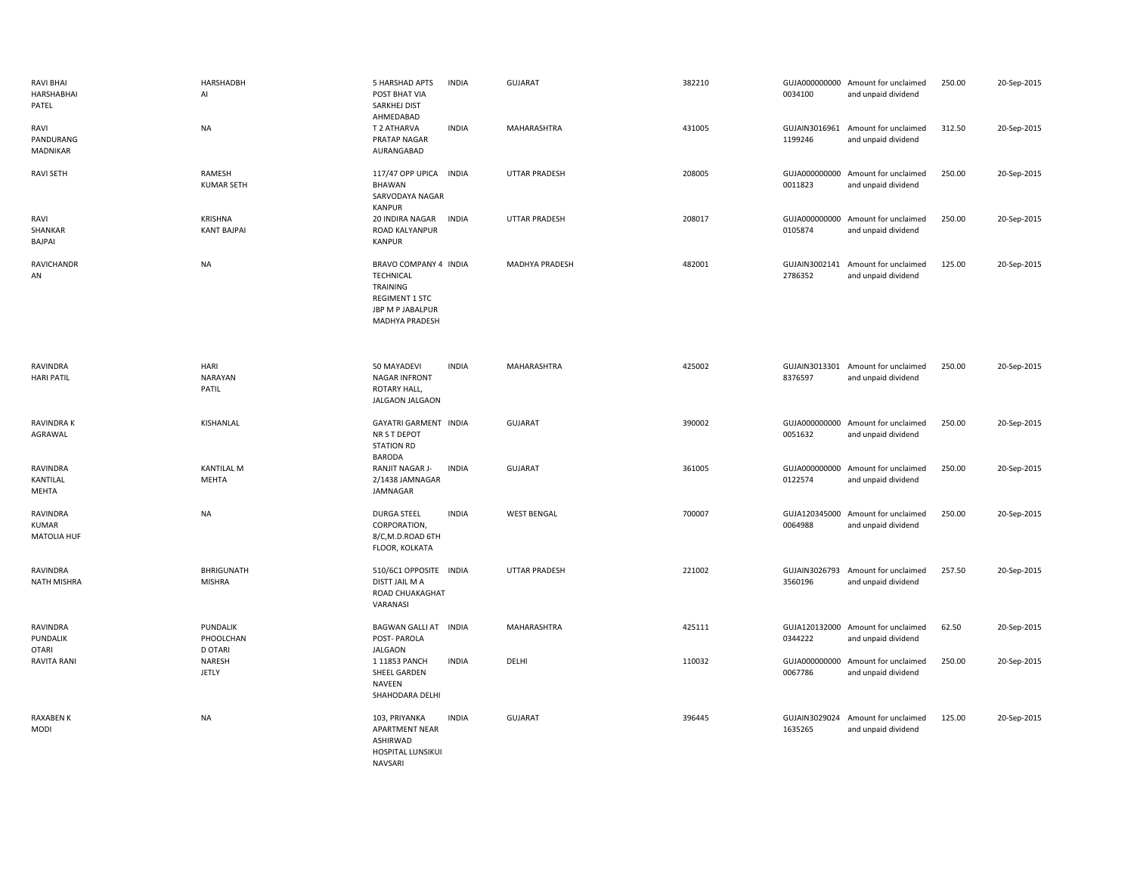| <b>RAVI BHAI</b><br>HARSHABHAI<br>PATEL | HARSHADBH<br>Al                         | 5 HARSHAD APTS<br>POST BHAT VIA<br>SARKHEJ DIST<br>AHMEDABAD                                                  | <b>INDIA</b> | <b>GUJARAT</b>       | 382210 | 0034100                  | GUJA000000000 Amount for unclaimed<br>and unpaid dividend | 250.00 | 20-Sep-2015 |
|-----------------------------------------|-----------------------------------------|---------------------------------------------------------------------------------------------------------------|--------------|----------------------|--------|--------------------------|-----------------------------------------------------------|--------|-------------|
| RAVI<br>PANDURANG<br>MADNIKAR           | <b>NA</b>                               | T 2 ATHARVA<br>PRATAP NAGAR<br>AURANGABAD                                                                     | <b>INDIA</b> | MAHARASHTRA          | 431005 | 1199246                  | GUJAIN3016961 Amount for unclaimed<br>and unpaid dividend | 312.50 | 20-Sep-2015 |
| <b>RAVI SETH</b>                        | RAMESH<br><b>KUMAR SETH</b>             | 117/47 OPP UPICA<br>BHAWAN<br>SARVODAYA NAGAR<br><b>KANPUR</b>                                                | <b>INDIA</b> | <b>UTTAR PRADESH</b> | 208005 | 0011823                  | GUJA000000000 Amount for unclaimed<br>and unpaid dividend | 250.00 | 20-Sep-2015 |
| RAVI<br>SHANKAR<br>BAJPAI               | <b>KRISHNA</b><br><b>KANT BAJPAI</b>    | 20 INDIRA NAGAR<br>ROAD KALYANPUR<br><b>KANPUR</b>                                                            | <b>INDIA</b> | <b>UTTAR PRADESH</b> | 208017 | 0105874                  | GUJA000000000 Amount for unclaimed<br>and unpaid dividend | 250.00 | 20-Sep-2015 |
| RAVICHANDR<br>AN                        | NA                                      | BRAVO COMPANY 4 INDIA<br><b>TECHNICAL</b><br>TRAINING<br>REGIMENT 1 STC<br>JBP M P JABALPUR<br>MADHYA PRADESH |              | MADHYA PRADESH       | 482001 | 2786352                  | GUJAIN3002141 Amount for unclaimed<br>and unpaid dividend | 125.00 | 20-Sep-2015 |
| RAVINDRA<br><b>HARI PATIL</b>           | HARI<br>NARAYAN<br>PATIL                | 50 MAYADEVI<br><b>NAGAR INFRONT</b><br>ROTARY HALL,<br>JALGAON JALGAON                                        | <b>INDIA</b> | MAHARASHTRA          | 425002 | 8376597                  | GUJAIN3013301 Amount for unclaimed<br>and unpaid dividend | 250.00 | 20-Sep-2015 |
| <b>RAVINDRAK</b><br>AGRAWAL             | KISHANLAL                               | GAYATRI GARMENT INDIA<br>NR S T DEPOT<br><b>STATION RD</b><br><b>BARODA</b>                                   |              | <b>GUJARAT</b>       | 390002 | 0051632                  | GUJA000000000 Amount for unclaimed<br>and unpaid dividend | 250.00 | 20-Sep-2015 |
| RAVINDRA<br>KANTILAL<br>MEHTA           | <b>KANTILAL M</b><br><b>MEHTA</b>       | RANJIT NAGAR J-<br>2/1438 JAMNAGAR<br>JAMNAGAR                                                                | <b>INDIA</b> | GUJARAT              | 361005 | 0122574                  | GUJA000000000 Amount for unclaimed<br>and unpaid dividend | 250.00 | 20-Sep-2015 |
| RAVINDRA<br>KUMAR<br><b>MATOLIA HUF</b> | <b>NA</b>                               | DURGA STEEL<br>CORPORATION,<br>8/C,M.D.ROAD 6TH<br>FLOOR, KOLKATA                                             | <b>INDIA</b> | <b>WEST BENGAL</b>   | 700007 | 0064988                  | GUJA120345000 Amount for unclaimed<br>and unpaid dividend | 250.00 | 20-Sep-2015 |
| RAVINDRA<br><b>NATH MISHRA</b>          | BHRIGUNATH<br><b>MISHRA</b>             | 510/6C1 OPPOSITE INDIA<br>DISTT JAIL M A<br>ROAD CHUAKAGHAT<br>VARANASI                                       |              | <b>UTTAR PRADESH</b> | 221002 | GUJAIN3026793<br>3560196 | Amount for unclaimed<br>and unpaid dividend               | 257.50 | 20-Sep-2015 |
| RAVINDRA<br>PUNDALIK<br><b>OTARI</b>    | PUNDALIK<br>PHOOLCHAN<br><b>D OTARI</b> | BAGWAN GALLI AT INDIA<br>POST-PAROLA<br><b>JALGAON</b>                                                        |              | MAHARASHTRA          | 425111 | 0344222                  | GUJA120132000 Amount for unclaimed<br>and unpaid dividend | 62.50  | 20-Sep-2015 |
| <b>RAVITA RANI</b>                      | NARESH<br><b>JETLY</b>                  | 1 11853 PANCH<br>SHEEL GARDEN<br><b>NAVEEN</b><br>SHAHODARA DELHI                                             | <b>INDIA</b> | DELHI                | 110032 | GUJA000000000<br>0067786 | Amount for unclaimed<br>and unpaid dividend               | 250.00 | 20-Sep-2015 |
| <b>RAXABEN K</b><br><b>MODI</b>         | <b>NA</b>                               | 103, PRIYANKA<br>APARTMENT NEAR<br><b>ASHIRWAD</b><br>HOSPITAL LUNSIKUI<br><b>NAVSARI</b>                     | <b>INDIA</b> | <b>GUJARAT</b>       | 396445 | GUJAIN3029024<br>1635265 | Amount for unclaimed<br>and unpaid dividend               | 125.00 | 20-Sep-2015 |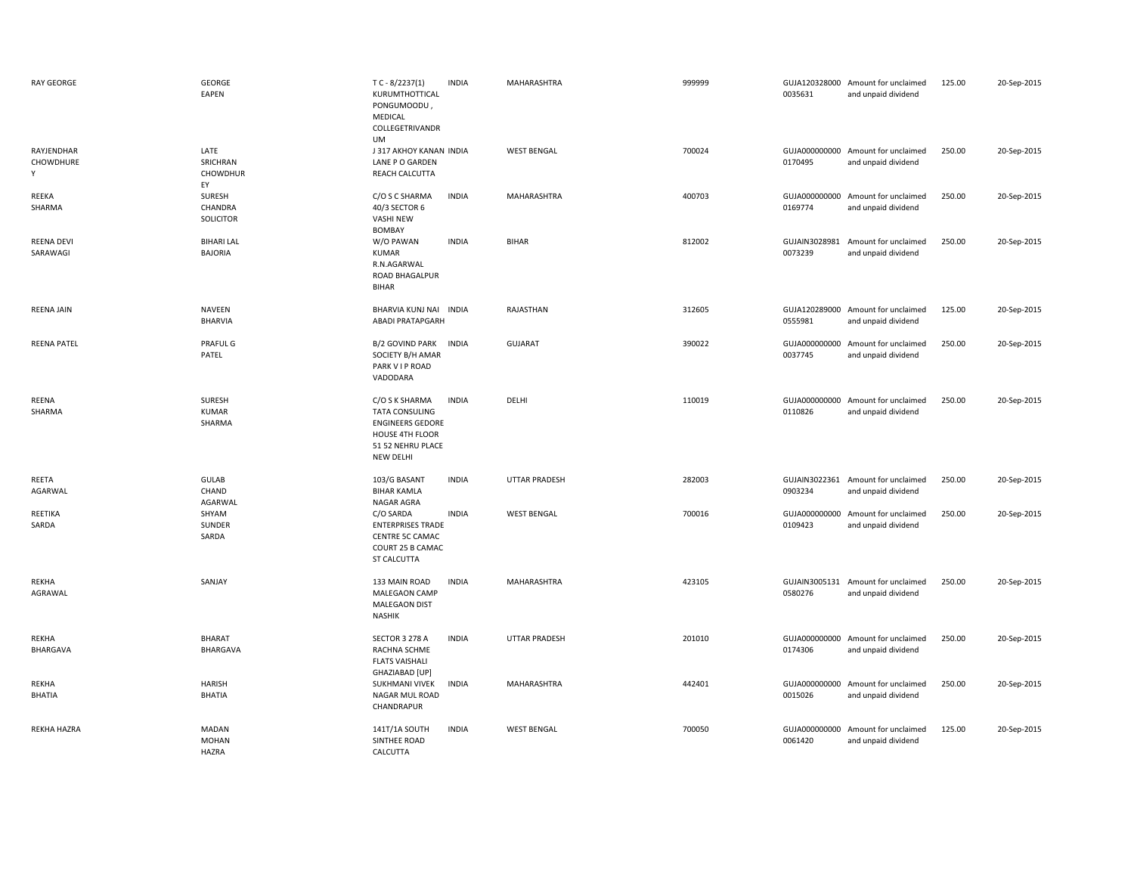| RAY GEORGE                    | <b>GEORGE</b><br>EAPEN                       | $TC - 8/2237(1)$<br><b>INDIA</b><br>KURUMTHOTTICAL<br>PONGUMOODU,<br>MEDICAL<br>COLLEGETRIVANDR<br>UM                                   | MAHARASHTRA          | 999999 | GUJA120328000 Amount for unclaimed<br>0035631<br>and unpaid dividend    | 20-Sep-2015<br>125.00 |  |
|-------------------------------|----------------------------------------------|-----------------------------------------------------------------------------------------------------------------------------------------|----------------------|--------|-------------------------------------------------------------------------|-----------------------|--|
| RAYJENDHAR<br>CHOWDHURE<br>Y  | LATE<br>SRICHRAN<br><b>CHOWDHUR</b><br>EY    | J 317 AKHOY KANAN INDIA<br>LANE P O GARDEN<br>REACH CALCUTTA                                                                            | <b>WEST BENGAL</b>   | 700024 | GUJA000000000 Amount for unclaimed<br>0170495<br>and unpaid dividend    | 250.00<br>20-Sep-2015 |  |
| REEKA<br>SHARMA               | SURESH<br>CHANDRA<br><b>SOLICITOR</b>        | <b>INDIA</b><br>C/O S C SHARMA<br>40/3 SECTOR 6<br><b>VASHI NEW</b><br><b>BOMBAY</b>                                                    | MAHARASHTRA          | 400703 | GUJA000000000 Amount for unclaimed<br>0169774<br>and unpaid dividend    | 250.00<br>20-Sep-2015 |  |
| <b>REENA DEVI</b><br>SARAWAGI | <b>BIHARI LAL</b><br><b>BAJORIA</b>          | W/O PAWAN<br><b>INDIA</b><br><b>KUMAR</b><br>R.N.AGARWAL<br>ROAD BHAGALPUR<br><b>BIHAR</b>                                              | <b>BIHAR</b>         | 812002 | GUJAIN3028981 Amount for unclaimed<br>0073239<br>and unpaid dividend    | 250.00<br>20-Sep-2015 |  |
| <b>REENA JAIN</b>             | <b>NAVEEN</b><br><b>BHARVIA</b>              | BHARVIA KUNJ NAI INDIA<br><b>ABADI PRATAPGARH</b>                                                                                       | RAJASTHAN            | 312605 | GUJA120289000<br>Amount for unclaimed<br>0555981<br>and unpaid dividend | 125.00<br>20-Sep-2015 |  |
| <b>REENA PATEL</b>            | <b>PRAFUL G</b><br>PATEL                     | <b>B/2 GOVIND PARK</b><br><b>INDIA</b><br>SOCIETY B/H AMAR<br>PARK VIP ROAD<br>VADODARA                                                 | <b>GUJARAT</b>       | 390022 | GUJA000000000<br>Amount for unclaimed<br>0037745<br>and unpaid dividend | 250.00<br>20-Sep-2015 |  |
| REENA<br>SHARMA               | SURESH<br><b>KUMAR</b><br>SHARMA             | C/O S K SHARMA<br><b>INDIA</b><br><b>TATA CONSULING</b><br><b>ENGINEERS GEDORE</b><br>HOUSE 4TH FLOOR<br>51 52 NEHRU PLACE<br>NEW DELHI | DELHI                | 110019 | GUJA000000000<br>Amount for unclaimed<br>0110826<br>and unpaid dividend | 250.00<br>20-Sep-2015 |  |
| REETA<br>AGARWAL              | <b>GULAB</b><br>CHAND<br>AGARWAL             | <b>INDIA</b><br>103/G BASANT<br><b>BIHAR KAMLA</b><br>NAGAR AGRA                                                                        | <b>UTTAR PRADESH</b> | 282003 | GUJAIN3022361 Amount for unclaimed<br>0903234<br>and unpaid dividend    | 250.00<br>20-Sep-2015 |  |
| REETIKA<br>SARDA              | SHYAM<br>SUNDER<br>SARDA                     | C/O SARDA<br><b>INDIA</b><br><b>ENTERPRISES TRADE</b><br>CENTRE 5C CAMAC<br>COURT 25 B CAMAC<br>ST CALCUTTA                             | <b>WEST BENGAL</b>   | 700016 | GUJA000000000 Amount for unclaimed<br>0109423<br>and unpaid dividend    | 250.00<br>20-Sep-2015 |  |
| REKHA<br>AGRAWAL              | SANJAY                                       | 133 MAIN ROAD<br><b>INDIA</b><br>MALEGAON CAMP<br><b>MALEGAON DIST</b><br><b>NASHIK</b>                                                 | MAHARASHTRA          | 423105 | GUJAIN3005131<br>Amount for unclaimed<br>0580276<br>and unpaid dividend | 250.00<br>20-Sep-2015 |  |
| REKHA<br>BHARGAVA             | <b>BHARAT</b><br>BHARGAVA                    | SECTOR 3 278 A<br><b>INDIA</b><br>RACHNA SCHME<br><b>FLATS VAISHALI</b><br>GHAZIABAD [UP]                                               | UTTAR PRADESH        | 201010 | GUJA000000000<br>Amount for unclaimed<br>0174306<br>and unpaid dividend | 250.00<br>20-Sep-2015 |  |
| REKHA<br><b>BHATIA</b>        | <b>HARISH</b><br><b>BHATIA</b>               | SUKHMANI VIVEK<br><b>INDIA</b><br>NAGAR MUL ROAD<br>CHANDRAPUR                                                                          | MAHARASHTRA          | 442401 | GUJA000000000<br>Amount for unclaimed<br>0015026<br>and unpaid dividend | 250.00<br>20-Sep-2015 |  |
| REKHA HAZRA                   | <b>MADAN</b><br><b>MOHAN</b><br><b>HAZRA</b> | <b>INDIA</b><br>141T/1A SOUTH<br>SINTHEE ROAD<br>CALCUTTA                                                                               | <b>WEST BENGAL</b>   | 700050 | GUJA000000000<br>Amount for unclaimed<br>0061420<br>and unpaid dividend | 125.00<br>20-Sep-2015 |  |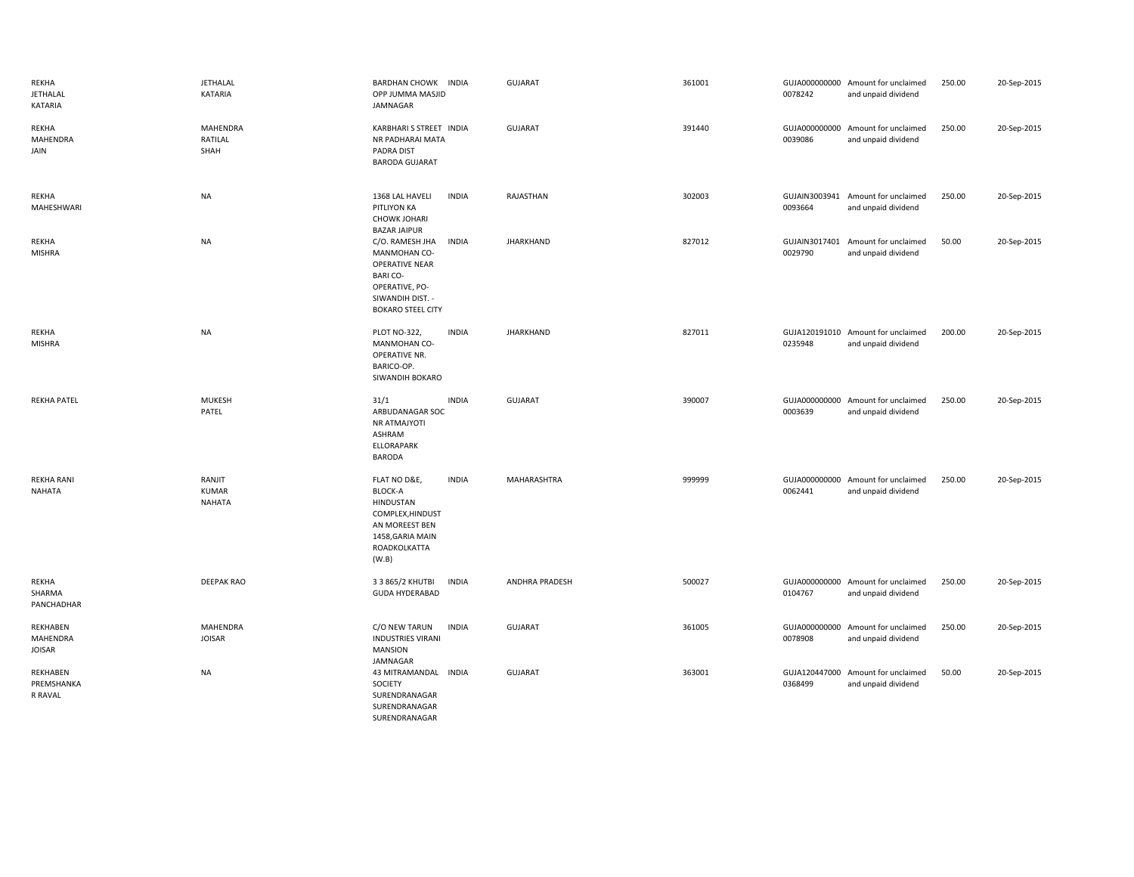| REKHA<br><b>JETHALAL</b><br><b>KATARIA</b> | <b>JETHALAL</b><br>KATARIA              | BARDHAN CHOWK INDIA<br>OPP JUMMA MASJID<br>JAMNAGAR                                                                                          |              | GUJARAT               | 361001 | 0078242                  | GUJA000000000 Amount for unclaimed<br>and unpaid dividend | 250.00 | 20-Sep-2015 |
|--------------------------------------------|-----------------------------------------|----------------------------------------------------------------------------------------------------------------------------------------------|--------------|-----------------------|--------|--------------------------|-----------------------------------------------------------|--------|-------------|
| REKHA<br>MAHENDRA<br>JAIN                  | <b>MAHENDRA</b><br>RATILAL<br>SHAH      | KARBHARI S STREET INDIA<br>NR PADHARAI MATA<br>PADRA DIST<br><b>BARODA GUJARAT</b>                                                           |              | GUJARAT               | 391440 | 0039086                  | GUJA000000000 Amount for unclaimed<br>and unpaid dividend | 250.00 | 20-Sep-2015 |
| REKHA<br>MAHESHWARI                        | <b>NA</b>                               | 1368 LAL HAVELI<br>PITLIYON KA<br><b>CHOWK JOHARI</b><br><b>BAZAR JAIPUR</b>                                                                 | <b>INDIA</b> | RAJASTHAN             | 302003 | 0093664                  | GUJAIN3003941 Amount for unclaimed<br>and unpaid dividend | 250.00 | 20-Sep-2015 |
| REKHA<br><b>MISHRA</b>                     | <b>NA</b>                               | C/O. RAMESH JHA<br>MANMOHAN CO-<br><b>OPERATIVE NEAR</b><br><b>BARICO-</b><br>OPERATIVE, PO-<br>SIWANDIH DIST. -<br><b>BOKARO STEEL CITY</b> | <b>INDIA</b> | <b>JHARKHAND</b>      | 827012 | GUJAIN3017401<br>0029790 | Amount for unclaimed<br>and unpaid dividend               | 50.00  | 20-Sep-2015 |
| REKHA<br><b>MISHRA</b>                     | <b>NA</b>                               | PLOT NO-322,<br>MANMOHAN CO-<br>OPERATIVE NR.<br>BARICO-OP.<br>SIWANDIH BOKARO                                                               | <b>INDIA</b> | <b>JHARKHAND</b>      | 827011 | 0235948                  | GUJA120191010 Amount for unclaimed<br>and unpaid dividend | 200.00 | 20-Sep-2015 |
| <b>REKHA PATEL</b>                         | <b>MUKESH</b><br>PATEL                  | 31/1<br>ARBUDANAGAR SOC<br>NR ATMAJYOTI<br>ASHRAM<br><b>ELLORAPARK</b><br><b>BARODA</b>                                                      | <b>INDIA</b> | <b>GUJARAT</b>        | 390007 | 0003639                  | GUJA000000000 Amount for unclaimed<br>and unpaid dividend | 250.00 | 20-Sep-2015 |
| <b>REKHA RANI</b><br><b>NAHATA</b>         | RANJIT<br><b>KUMAR</b><br><b>NAHATA</b> | FLAT NO D&E,<br><b>BLOCK-A</b><br>HINDUSTAN<br>COMPLEX, HINDUST<br>AN MOREEST BEN<br>1458, GARIA MAIN<br>ROADKOLKATTA<br>(W.B)               | <b>INDIA</b> | MAHARASHTRA           | 999999 | 0062441                  | GUJA000000000 Amount for unclaimed<br>and unpaid dividend | 250.00 | 20-Sep-2015 |
| REKHA<br>SHARMA<br>PANCHADHAR              | <b>DEEPAK RAO</b>                       | 3 3 865/2 KHUTBI<br><b>GUDA HYDERABAD</b>                                                                                                    | <b>INDIA</b> | <b>ANDHRA PRADESH</b> | 500027 | 0104767                  | GUJA000000000 Amount for unclaimed<br>and unpaid dividend | 250.00 | 20-Sep-2015 |
| REKHABEN<br>MAHENDRA<br><b>JOISAR</b>      | MAHENDRA<br><b>JOISAR</b>               | C/O NEW TARUN<br><b>INDUSTRIES VIRANI</b><br><b>MANSION</b><br>JAMNAGAR                                                                      | <b>INDIA</b> | GUJARAT               | 361005 | 0078908                  | GUJA000000000 Amount for unclaimed<br>and unpaid dividend | 250.00 | 20-Sep-2015 |
| REKHABEN<br>PREMSHANKA<br>R RAVAL          | <b>NA</b>                               | 43 MITRAMANDAL INDIA<br>SOCIETY<br>SURENDRANAGAR<br>SURENDRANAGAR                                                                            |              | GUJARAT               | 363001 | GUJA120447000<br>0368499 | Amount for unclaimed<br>and unpaid dividend               | 50.00  | 20-Sep-2015 |

SURENDRANAGAR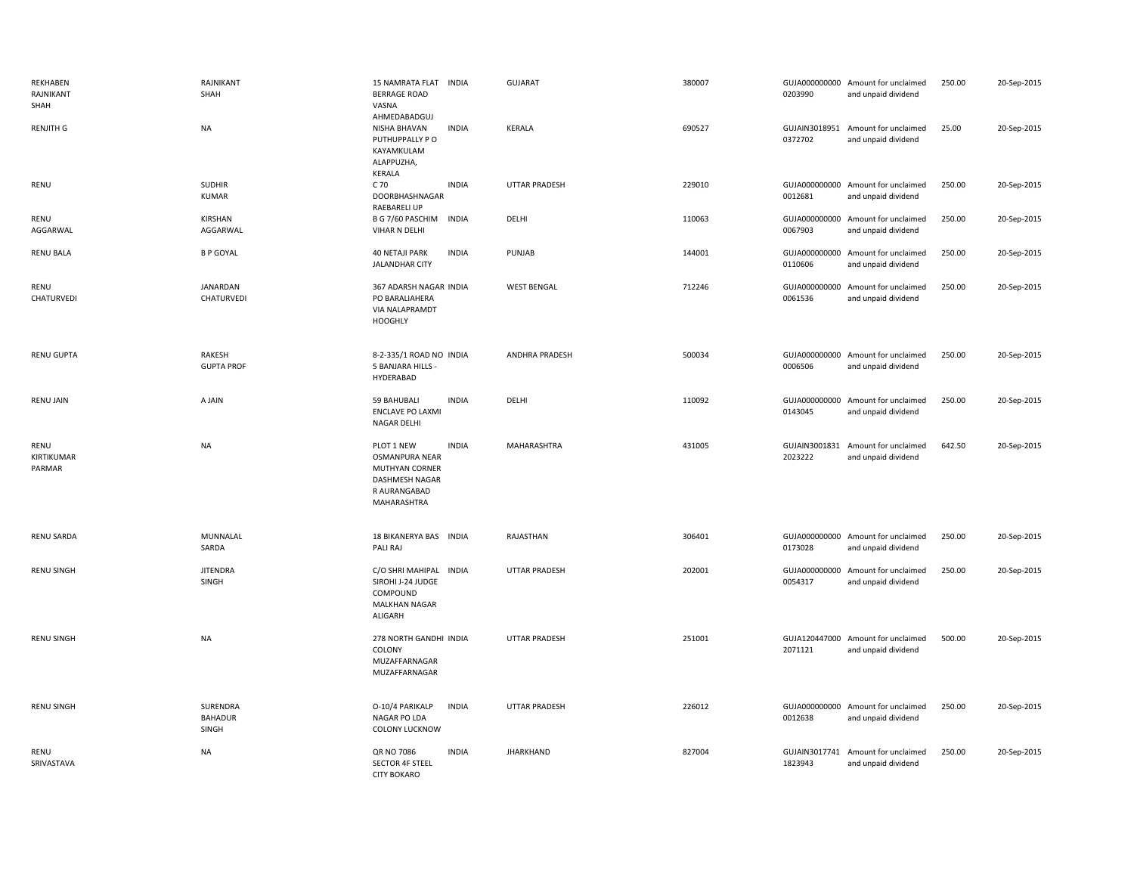| REKHABEN<br>RAJNIKANT<br>SHAH | RAJNIKANT<br>SHAH                   | 15 NAMRATA FLAT INDIA<br><b>BERRAGE ROAD</b><br>VASNA<br>AHMEDABADGUJ                                                                | <b>GUJARAT</b>        | 380007 | 0203990                  | GUJA000000000 Amount for unclaimed<br>and unpaid dividend | 250.00 | 20-Sep-2015 |
|-------------------------------|-------------------------------------|--------------------------------------------------------------------------------------------------------------------------------------|-----------------------|--------|--------------------------|-----------------------------------------------------------|--------|-------------|
| <b>RENJITH G</b>              | <b>NA</b>                           | NISHA BHAVAN<br><b>INDIA</b><br>PUTHUPPALLY PO<br>KAYAMKULAM<br>ALAPPUZHA,<br>KERALA                                                 | <b>KERALA</b>         | 690527 | 0372702                  | GUJAIN3018951 Amount for unclaimed<br>and unpaid dividend | 25.00  | 20-Sep-2015 |
| RENU                          | <b>SUDHIR</b><br>KUMAR              | <b>INDIA</b><br>C 70<br>DOORBHASHNAGAR<br><b>RAEBARELI UP</b>                                                                        | <b>UTTAR PRADESH</b>  | 229010 | GUJA000000000<br>0012681 | Amount for unclaimed<br>and unpaid dividend               | 250.00 | 20-Sep-2015 |
| RENU<br>AGGARWAL              | KIRSHAN<br>AGGARWAL                 | B G 7/60 PASCHIM INDIA<br><b>VIHAR N DELHI</b>                                                                                       | DELHI                 | 110063 | 0067903                  | GUJA000000000 Amount for unclaimed<br>and unpaid dividend | 250.00 | 20-Sep-2015 |
| <b>RENU BALA</b>              | <b>B P GOYAL</b>                    | <b>40 NETAJI PARK</b><br><b>INDIA</b><br><b>JALANDHAR CITY</b>                                                                       | PUNJAB                | 144001 | GUJA000000000<br>0110606 | Amount for unclaimed<br>and unpaid dividend               | 250.00 | 20-Sep-2015 |
| RENU<br>CHATURVEDI            | <b>JANARDAN</b><br>CHATURVEDI       | 367 ADARSH NAGAR INDIA<br>PO BARALIAHERA<br><b>VIA NALAPRAMDT</b><br><b>HOOGHLY</b>                                                  | <b>WEST BENGAL</b>    | 712246 | 0061536                  | GUJA000000000 Amount for unclaimed<br>and unpaid dividend | 250.00 | 20-Sep-2015 |
| <b>RENU GUPTA</b>             | RAKESH<br><b>GUPTA PROF</b>         | 8-2-335/1 ROAD NO INDIA<br>5 BANJARA HILLS -<br>HYDERABAD                                                                            | <b>ANDHRA PRADESH</b> | 500034 | 0006506                  | GUJA000000000 Amount for unclaimed<br>and unpaid dividend | 250.00 | 20-Sep-2015 |
| <b>RENU JAIN</b>              | A JAIN                              | 59 BAHUBALI<br><b>INDIA</b><br><b>ENCLAVE PO LAXMI</b><br><b>NAGAR DELHI</b>                                                         | DELHI                 | 110092 | 0143045                  | GUJA000000000 Amount for unclaimed<br>and unpaid dividend | 250.00 | 20-Sep-2015 |
| RENU<br>KIRTIKUMAR<br>PARMAR  | <b>NA</b>                           | PLOT 1 NEW<br><b>INDIA</b><br><b>OSMANPURA NEAR</b><br><b>MUTHYAN CORNER</b><br><b>DASHMESH NAGAR</b><br>R AURANGABAD<br>MAHARASHTRA | <b>MAHARASHTRA</b>    | 431005 | 2023222                  | GUJAIN3001831 Amount for unclaimed<br>and unpaid dividend | 642.50 | 20-Sep-2015 |
| <b>RENU SARDA</b>             | MUNNALAL<br>SARDA                   | 18 BIKANERYA BAS INDIA<br>PALI RAJ                                                                                                   | RAJASTHAN             | 306401 | 0173028                  | GUJA000000000 Amount for unclaimed<br>and unpaid dividend | 250.00 | 20-Sep-2015 |
| <b>RENU SINGH</b>             | <b>JITENDRA</b><br>SINGH            | C/O SHRI MAHIPAL<br><b>INDIA</b><br>SIROHI J-24 JUDGE<br>COMPOUND<br>MALKHAN NAGAR<br>ALIGARH                                        | <b>UTTAR PRADESH</b>  | 202001 | 0054317                  | GUJA000000000 Amount for unclaimed<br>and unpaid dividend | 250.00 | 20-Sep-2015 |
| <b>RENU SINGH</b>             | <b>NA</b>                           | 278 NORTH GANDHI INDIA<br>COLONY<br>MUZAFFARNAGAR<br>MUZAFFARNAGAR                                                                   | <b>UTTAR PRADESH</b>  | 251001 | GUJA120447000<br>2071121 | Amount for unclaimed<br>and unpaid dividend               | 500.00 | 20-Sep-2015 |
| <b>RENU SINGH</b>             | SURENDRA<br><b>BAHADUR</b><br>SINGH | O-10/4 PARIKALP<br><b>INDIA</b><br>NAGAR PO LDA<br><b>COLONY LUCKNOW</b>                                                             | <b>UTTAR PRADESH</b>  | 226012 | 0012638                  | GUJA000000000 Amount for unclaimed<br>and unpaid dividend | 250.00 | 20-Sep-2015 |
| RENU<br>SRIVASTAVA            | <b>NA</b>                           | <b>QR NO 7086</b><br><b>INDIA</b><br><b>SECTOR 4F STEEL</b><br><b>CITY BOKARO</b>                                                    | <b>JHARKHAND</b>      | 827004 | GUJAIN3017741<br>1823943 | Amount for unclaimed<br>and unpaid dividend               | 250.00 | 20-Sep-2015 |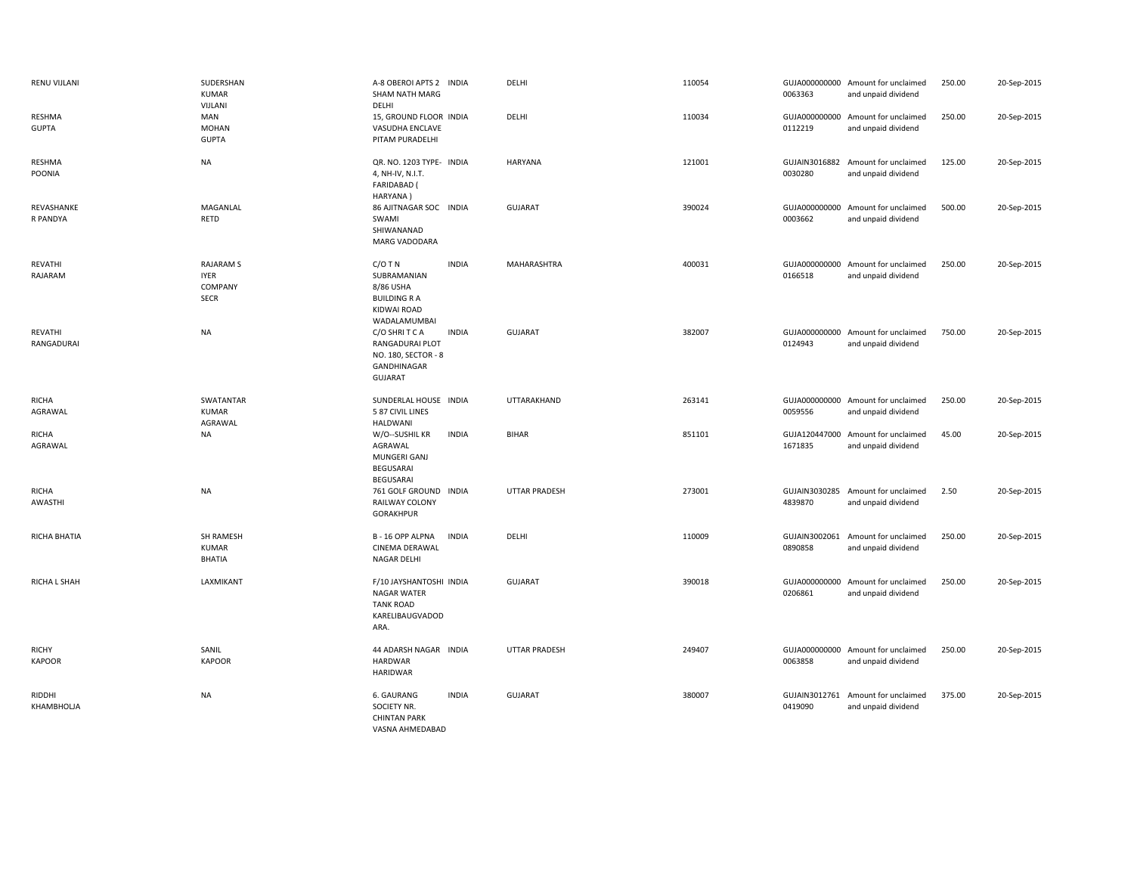| RENU VIJLANI                  | SUDERSHAN<br><b>KUMAR</b><br>VIJLANI                      | A-8 OBEROI APTS 2 INDIA<br>SHAM NATH MARG<br>DELHI                                                          | DELHI                | 110054 | 0063363 | GUJA000000000 Amount for unclaimed<br>and unpaid dividend | 250.00 | 20-Sep-2015 |
|-------------------------------|-----------------------------------------------------------|-------------------------------------------------------------------------------------------------------------|----------------------|--------|---------|-----------------------------------------------------------|--------|-------------|
| RESHMA<br><b>GUPTA</b>        | MAN<br><b>MOHAN</b><br><b>GUPTA</b>                       | 15, GROUND FLOOR INDIA<br>VASUDHA ENCLAVE<br>PITAM PURADELHI                                                | DELHI                | 110034 | 0112219 | GUJA000000000 Amount for unclaimed<br>and unpaid dividend | 250.00 | 20-Sep-2015 |
| RESHMA<br>POONIA              | <b>NA</b>                                                 | QR. NO. 1203 TYPE- INDIA<br>4, NH-IV, N.I.T.<br><b>FARIDABAD</b> (<br>HARYANA)                              | HARYANA              | 121001 | 0030280 | GUJAIN3016882 Amount for unclaimed<br>and unpaid dividend | 125.00 | 20-Sep-2015 |
| REVASHANKE<br>R PANDYA        | MAGANLAL<br>RETD                                          | 86 AJITNAGAR SOC INDIA<br>SWAMI<br>SHIWANANAD<br>MARG VADODARA                                              | <b>GUJARAT</b>       | 390024 | 0003662 | GUJA000000000 Amount for unclaimed<br>and unpaid dividend | 500.00 | 20-Sep-2015 |
| REVATHI<br>RAJARAM            | <b>RAJARAM S</b><br><b>IYER</b><br>COMPANY<br><b>SECR</b> | $C/O$ T N<br><b>INDIA</b><br>SUBRAMANIAN<br>8/86 USHA<br><b>BUILDING R A</b><br>KIDWAI ROAD<br>WADALAMUMBAI | MAHARASHTRA          | 400031 | 0166518 | GUJA000000000 Amount for unclaimed<br>and unpaid dividend | 250.00 | 20-Sep-2015 |
| REVATHI<br>RANGADURAI         | <b>NA</b>                                                 | C/O SHRITCA<br><b>INDIA</b><br>RANGADURAI PLOT<br>NO. 180, SECTOR - 8<br>GANDHINAGAR<br><b>GUJARAT</b>      | <b>GUJARAT</b>       | 382007 | 0124943 | GUJA000000000 Amount for unclaimed<br>and unpaid dividend | 750.00 | 20-Sep-2015 |
| <b>RICHA</b><br>AGRAWAL       | SWATANTAR<br><b>KUMAR</b><br>AGRAWAL                      | SUNDERLAL HOUSE INDIA<br>5 87 CIVIL LINES<br>HALDWANI                                                       | UTTARAKHAND          | 263141 | 0059556 | GUJA000000000 Amount for unclaimed<br>and unpaid dividend | 250.00 | 20-Sep-2015 |
| <b>RICHA</b><br>AGRAWAL       | <b>NA</b>                                                 | W/O--SUSHIL KR<br><b>INDIA</b><br>AGRAWAL<br>MUNGERI GANJ<br><b>BEGUSARAI</b><br>BEGUSARAI                  | <b>BIHAR</b>         | 851101 | 1671835 | GUJA120447000 Amount for unclaimed<br>and unpaid dividend | 45.00  | 20-Sep-2015 |
| <b>RICHA</b><br>AWASTHI       | <b>NA</b>                                                 | 761 GOLF GROUND INDIA<br>RAILWAY COLONY<br>GORAKHPUR                                                        | <b>UTTAR PRADESH</b> | 273001 | 4839870 | GUJAIN3030285 Amount for unclaimed<br>and unpaid dividend | 2.50   | 20-Sep-2015 |
| RICHA BHATIA                  | SH RAMESH<br><b>KUMAR</b><br><b>BHATIA</b>                | B-16 OPP ALPNA<br><b>INDIA</b><br>CINEMA DERAWAL<br><b>NAGAR DELHI</b>                                      | DELHI                | 110009 | 0890858 | GUJAIN3002061 Amount for unclaimed<br>and unpaid dividend | 250.00 | 20-Sep-2015 |
| RICHA L SHAH                  | LAXMIKANT                                                 | F/10 JAYSHANTOSHI INDIA<br>NAGAR WATER<br><b>TANK ROAD</b><br>KARELIBAUGVADOD<br>ARA.                       | GUJARAT              | 390018 | 0206861 | GUJA000000000 Amount for unclaimed<br>and unpaid dividend | 250.00 | 20-Sep-2015 |
| <b>RICHY</b><br><b>KAPOOR</b> | SANIL<br><b>KAPOOR</b>                                    | 44 ADARSH NAGAR INDIA<br><b>HARDWAR</b><br><b>HARIDWAR</b>                                                  | <b>UTTAR PRADESH</b> | 249407 | 0063858 | GUJA000000000 Amount for unclaimed<br>and unpaid dividend | 250.00 | 20-Sep-2015 |
| RIDDHI<br>KHAMBHOLJA          | <b>NA</b>                                                 | 6. GAURANG<br><b>INDIA</b><br>SOCIETY NR.<br><b>CHINTAN PARK</b><br>VASNA AHMEDABAD                         | <b>GUJARAT</b>       | 380007 | 0419090 | GUJAIN3012761 Amount for unclaimed<br>and unpaid dividend | 375.00 | 20-Sep-2015 |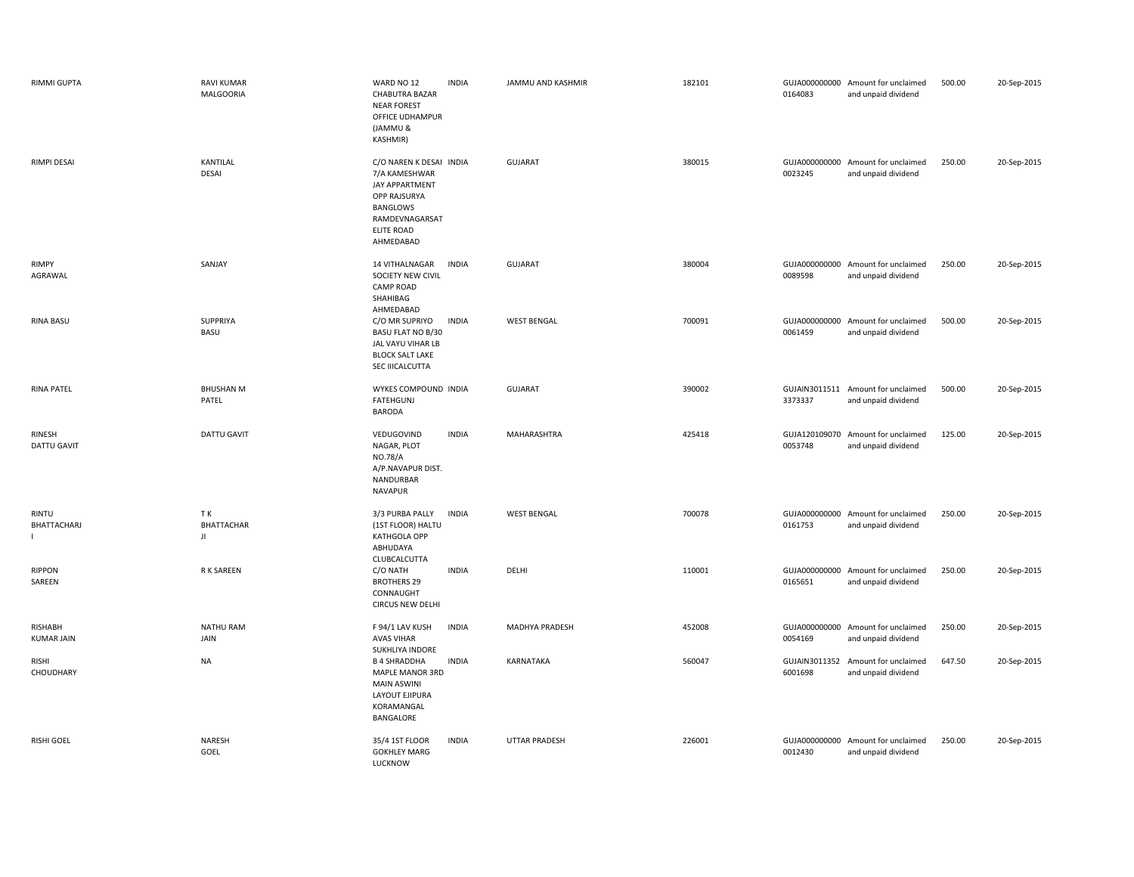| <b>RIMMI GUPTA</b>           | <b>RAVI KUMAR</b><br><b>MALGOORIA</b> | WARD NO 12<br><b>INDIA</b><br><b>CHABUTRA BAZAR</b><br><b>NEAR FOREST</b><br>OFFICE UDHAMPUR<br>(JAMMU &<br>KASHMIR)                | JAMMU AND KASHMIR    | 182101 | 0164083                  | GUJA000000000 Amount for unclaimed<br>and unpaid dividend | 500.00 | 20-Sep-2015 |
|------------------------------|---------------------------------------|-------------------------------------------------------------------------------------------------------------------------------------|----------------------|--------|--------------------------|-----------------------------------------------------------|--------|-------------|
| <b>RIMPI DESAI</b>           | KANTILAL<br><b>DESAI</b>              | C/O NAREN K DESAI INDIA<br>7/A KAMESHWAR<br>JAY APPARTMENT<br>OPP RAJSURYA<br>BANGLOWS<br>RAMDEVNAGARSAT<br>ELITE ROAD<br>AHMEDABAD | <b>GUJARAT</b>       | 380015 | 0023245                  | GUJA000000000 Amount for unclaimed<br>and unpaid dividend | 250.00 | 20-Sep-2015 |
| <b>RIMPY</b><br>AGRAWAL      | SANJAY                                | 14 VITHALNAGAR<br><b>INDIA</b><br>SOCIETY NEW CIVIL<br><b>CAMP ROAD</b><br>SHAHIBAG<br>AHMEDABAD                                    | <b>GUJARAT</b>       | 380004 | 0089598                  | GUJA000000000 Amount for unclaimed<br>and unpaid dividend | 250.00 | 20-Sep-2015 |
| <b>RINA BASU</b>             | <b>SUPPRIYA</b><br>BASU               | C/O MR SUPRIYO<br><b>INDIA</b><br>BASU FLAT NO B/30<br>JAL VAYU VIHAR LB<br><b>BLOCK SALT LAKE</b><br>SEC IIICALCUTTA               | <b>WEST BENGAL</b>   | 700091 | 0061459                  | GUJA000000000 Amount for unclaimed<br>and unpaid dividend | 500.00 | 20-Sep-2015 |
| <b>RINA PATEL</b>            | <b>BHUSHAN M</b><br>PATEL             | WYKES COMPOUND INDIA<br>FATEHGUNJ<br><b>BARODA</b>                                                                                  | <b>GUJARAT</b>       | 390002 | 3373337                  | GUJAIN3011511 Amount for unclaimed<br>and unpaid dividend | 500.00 | 20-Sep-2015 |
| RINESH<br><b>DATTU GAVIT</b> | DATTU GAVIT                           | VEDUGOVIND<br><b>INDIA</b><br>NAGAR, PLOT<br>NO.78/A<br>A/P.NAVAPUR DIST.<br>NANDURBAR<br><b>NAVAPUR</b>                            | MAHARASHTRA          | 425418 | 0053748                  | GUJA120109070 Amount for unclaimed<br>and unpaid dividend | 125.00 | 20-Sep-2015 |
| <b>RINTU</b><br>BHATTACHARJ  | TK.<br><b>BHATTACHAR</b><br>JI        | 3/3 PURBA PALLY<br><b>INDIA</b><br>(1ST FLOOR) HALTU<br>KATHGOLA OPP<br>ABHUDAYA<br>CLUBCALCUTTA                                    | <b>WEST BENGAL</b>   | 700078 | 0161753                  | GUJA000000000 Amount for unclaimed<br>and unpaid dividend | 250.00 | 20-Sep-2015 |
| <b>RIPPON</b><br>SAREEN      | R K SAREEN                            | C/O NATH<br><b>INDIA</b><br><b>BROTHERS 29</b><br>CONNAUGHT<br><b>CIRCUS NEW DELHI</b>                                              | DELHI                | 110001 | GUJA000000000<br>0165651 | Amount for unclaimed<br>and unpaid dividend               | 250.00 | 20-Sep-2015 |
| RISHABH<br><b>KUMAR JAIN</b> | <b>NATHU RAM</b><br>JAIN              | F 94/1 LAV KUSH<br><b>INDIA</b><br><b>AVAS VIHAR</b><br>SUKHLIYA INDORE                                                             | MADHYA PRADESH       | 452008 | 0054169                  | GUJA000000000 Amount for unclaimed<br>and unpaid dividend | 250.00 | 20-Sep-2015 |
| <b>RISHI</b><br>CHOUDHARY    | <b>NA</b>                             | <b>INDIA</b><br><b>B 4 SHRADDHA</b><br>MAPLE MANOR 3RD<br><b>MAIN ASWINI</b><br>LAYOUT EJIPURA<br>KORAMANGAL<br>BANGALORE           | KARNATAKA            | 560047 | GUJAIN3011352<br>6001698 | Amount for unclaimed<br>and unpaid dividend               | 647.50 | 20-Sep-2015 |
| <b>RISHI GOEL</b>            | NARESH<br>GOEL                        | <b>INDIA</b><br>35/4 1ST FLOOR<br><b>GOKHLEY MARG</b><br><b>LUCKNOW</b>                                                             | <b>UTTAR PRADESH</b> | 226001 | 0012430                  | GUJA000000000 Amount for unclaimed<br>and unpaid dividend | 250.00 | 20-Sep-2015 |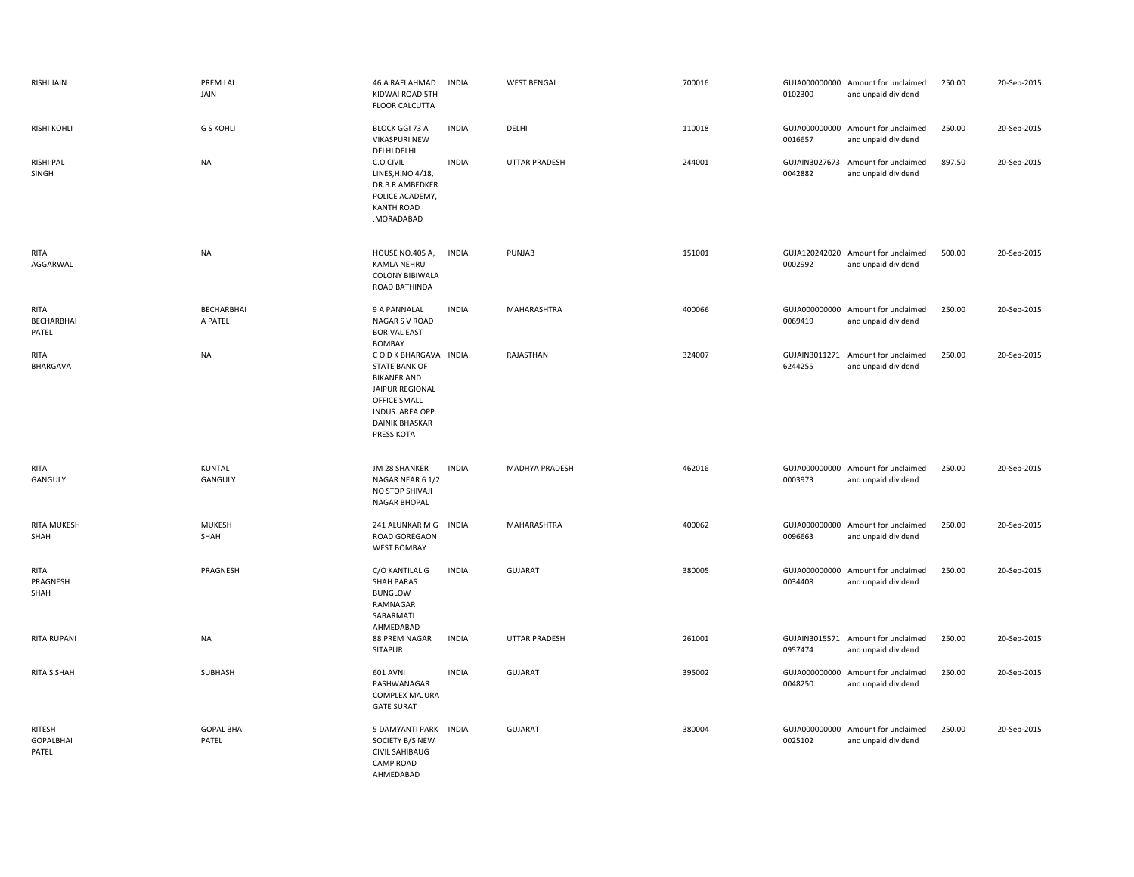| RISHI JAIN                          | PREM LAL<br>JAIN           | 46 A RAFI AHMAD<br>KIDWAI ROAD 5TH<br>FLOOR CALCUTTA                                                                                                           | <b>INDIA</b> | <b>WEST BENGAL</b>   | 700016 | 0102300                  | GUJA000000000 Amount for unclaimed<br>and unpaid dividend | 250.00 | 20-Sep-2015 |
|-------------------------------------|----------------------------|----------------------------------------------------------------------------------------------------------------------------------------------------------------|--------------|----------------------|--------|--------------------------|-----------------------------------------------------------|--------|-------------|
| <b>RISHI KOHLI</b>                  | <b>G S KOHLI</b>           | <b>BLOCK GGI 73 A</b><br><b>VIKASPURI NEW</b><br>DELHI DELHI                                                                                                   | <b>INDIA</b> | DELHI                | 110018 | GUJA000000000<br>0016657 | Amount for unclaimed<br>and unpaid dividend               | 250.00 | 20-Sep-2015 |
| <b>RISHI PAL</b><br>SINGH           | <b>NA</b>                  | C.O CIVIL<br>LINES, H.NO 4/18,<br>DR.B.R AMBEDKER<br>POLICE ACADEMY,<br><b>KANTH ROAD</b><br>,MORADABAD                                                        | <b>INDIA</b> | <b>UTTAR PRADESH</b> | 244001 | GUJAIN3027673<br>0042882 | Amount for unclaimed<br>and unpaid dividend               | 897.50 | 20-Sep-2015 |
| <b>RITA</b><br>AGGARWAL             | <b>NA</b>                  | HOUSE NO.405 A,<br><b>KAMLA NEHRU</b><br>COLONY BIBIWALA<br><b>ROAD BATHINDA</b>                                                                               | <b>INDIA</b> | PUNJAB               | 151001 | 0002992                  | GUJA120242020 Amount for unclaimed<br>and unpaid dividend | 500.00 | 20-Sep-2015 |
| RITA<br>BECHARBHAI<br>PATEL         | BECHARBHAI<br>A PATEL      | 9 A PANNALAL<br>NAGAR S V ROAD<br><b>BORIVAL EAST</b><br>BOMBAY                                                                                                | <b>INDIA</b> | MAHARASHTRA          | 400066 | 0069419                  | GUJA000000000 Amount for unclaimed<br>and unpaid dividend | 250.00 | 20-Sep-2015 |
| <b>RITA</b><br>BHARGAVA             | <b>NA</b>                  | CODKBHARGAVA INDIA<br><b>STATE BANK OF</b><br><b>BIKANER AND</b><br>JAIPUR REGIONAL<br>OFFICE SMALL<br>INDUS. AREA OPP.<br><b>DAINIK BHASKAR</b><br>PRESS KOTA |              | RAJASTHAN            | 324007 | GUJAIN3011271<br>6244255 | Amount for unclaimed<br>and unpaid dividend               | 250.00 | 20-Sep-2015 |
| RITA<br>GANGULY                     | KUNTAL<br>GANGULY          | JM 28 SHANKER<br>NAGAR NEAR 6 1/2<br>NO STOP SHIVAJI<br>NAGAR BHOPAL                                                                                           | <b>INDIA</b> | MADHYA PRADESH       | 462016 | 0003973                  | GUJA000000000 Amount for unclaimed<br>and unpaid dividend | 250.00 | 20-Sep-2015 |
| RITA MUKESH<br>SHAH                 | <b>MUKESH</b><br>SHAH      | 241 ALUNKAR M G<br><b>ROAD GOREGAON</b><br><b>WEST BOMBAY</b>                                                                                                  | <b>INDIA</b> | MAHARASHTRA          | 400062 | GUJA000000000<br>0096663 | Amount for unclaimed<br>and unpaid dividend               | 250.00 | 20-Sep-2015 |
| <b>RITA</b><br>PRAGNESH<br>SHAH     | PRAGNESH                   | C/O KANTILAL G<br><b>SHAH PARAS</b><br><b>BUNGLOW</b><br>RAMNAGAR<br>SABARMATI<br>AHMEDABAD                                                                    | <b>INDIA</b> | GUJARAT              | 380005 | 0034408                  | GUJA000000000 Amount for unclaimed<br>and unpaid dividend | 250.00 | 20-Sep-2015 |
| <b>RITA RUPANI</b>                  | <b>NA</b>                  | 88 PREM NAGAR<br><b>SITAPUR</b>                                                                                                                                | <b>INDIA</b> | <b>UTTAR PRADESH</b> | 261001 | GUJAIN3015571<br>0957474 | Amount for unclaimed<br>and unpaid dividend               | 250.00 | 20-Sep-2015 |
| <b>RITA S SHAH</b>                  | SUBHASH                    | <b>601 AVNI</b><br>PASHWANAGAR<br><b>COMPLEX MAJURA</b><br><b>GATE SURAT</b>                                                                                   | <b>INDIA</b> | GUJARAT              | 395002 | GUJA000000000<br>0048250 | Amount for unclaimed<br>and unpaid dividend               | 250.00 | 20-Sep-2015 |
| RITESH<br><b>GOPALBHAI</b><br>PATEL | <b>GOPAL BHAI</b><br>PATEL | 5 DAMYANTI PARK<br>SOCIETY B/S NEW<br><b>CIVIL SAHIBAUG</b><br><b>CAMP ROAD</b><br>AHMEDABAD                                                                   | <b>INDIA</b> | GUJARAT              | 380004 | GUJA000000000<br>0025102 | Amount for unclaimed<br>and unpaid dividend               | 250.00 | 20-Sep-2015 |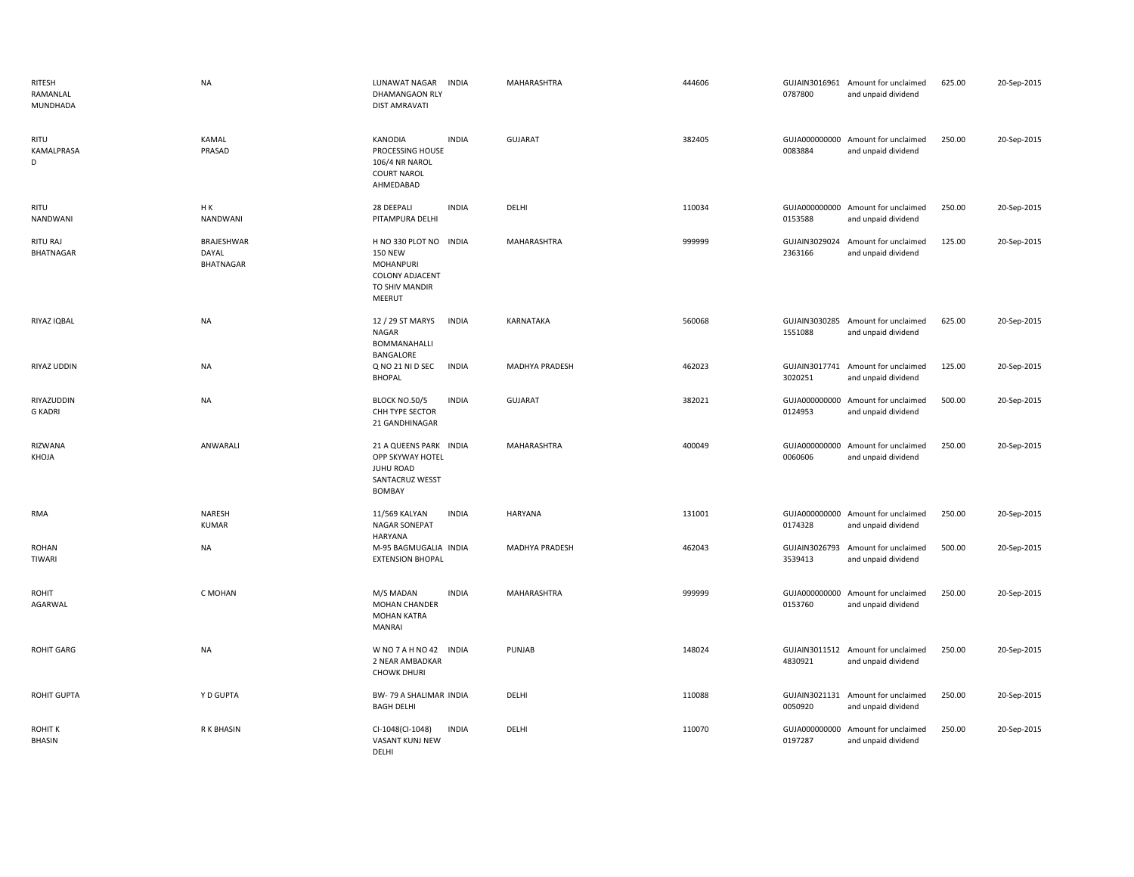| RITESH<br>RAMANLAL<br>MUNDHADA  | <b>NA</b>                               | LUNAWAT NAGAR<br><b>INDIA</b><br>DHAMANGAON RLY<br><b>DIST AMRAVATI</b>                                     | MAHARASHTRA           | 444606 | 0787800                  | GUJAIN3016961 Amount for unclaimed<br>and unpaid dividend | 625.00 | 20-Sep-2015 |
|---------------------------------|-----------------------------------------|-------------------------------------------------------------------------------------------------------------|-----------------------|--------|--------------------------|-----------------------------------------------------------|--------|-------------|
| RITU<br>KAMALPRASA<br>D         | <b>KAMAL</b><br>PRASAD                  | KANODIA<br><b>INDIA</b><br>PROCESSING HOUSE<br>106/4 NR NAROL<br><b>COURT NAROL</b><br>AHMEDABAD            | <b>GUJARAT</b>        | 382405 | 0083884                  | GUJA000000000 Amount for unclaimed<br>and unpaid dividend | 250.00 | 20-Sep-2015 |
| RITU<br>NANDWANI                | HK<br>NANDWANI                          | 28 DEEPALI<br><b>INDIA</b><br>PITAMPURA DELHI                                                               | DELHI                 | 110034 | 0153588                  | GUJA000000000 Amount for unclaimed<br>and unpaid dividend | 250.00 | 20-Sep-2015 |
| RITU RAJ<br>BHATNAGAR           | BRAJESHWAR<br>DAYAL<br><b>BHATNAGAR</b> | H NO 330 PLOT NO INDIA<br><b>150 NEW</b><br>MOHANPURI<br><b>COLONY ADJACENT</b><br>TO SHIV MANDIR<br>MEERUT | MAHARASHTRA           | 999999 | 2363166                  | GUJAIN3029024 Amount for unclaimed<br>and unpaid dividend | 125.00 | 20-Sep-2015 |
| RIYAZ IQBAL                     | <b>NA</b>                               | 12 / 29 ST MARYS<br><b>INDIA</b><br>NAGAR<br>BOMMANAHALLI<br>BANGALORE                                      | KARNATAKA             | 560068 | 1551088                  | GUJAIN3030285 Amount for unclaimed<br>and unpaid dividend | 625.00 | 20-Sep-2015 |
| RIYAZ UDDIN                     | <b>NA</b>                               | Q NO 21 NI D SEC<br><b>INDIA</b><br><b>BHOPAL</b>                                                           | <b>MADHYA PRADESH</b> | 462023 | 3020251                  | GUJAIN3017741 Amount for unclaimed<br>and unpaid dividend | 125.00 | 20-Sep-2015 |
| RIYAZUDDIN<br><b>G KADRI</b>    | <b>NA</b>                               | BLOCK NO.50/5<br><b>INDIA</b><br>CHH TYPE SECTOR<br>21 GANDHINAGAR                                          | <b>GUJARAT</b>        | 382021 | GUJA000000000<br>0124953 | Amount for unclaimed<br>and unpaid dividend               | 500.00 | 20-Sep-2015 |
| RIZWANA<br>KHOJA                | ANWARALI                                | 21 A QUEENS PARK INDIA<br>OPP SKYWAY HOTEL<br>JUHU ROAD<br>SANTACRUZ WESST<br><b>BOMBAY</b>                 | MAHARASHTRA           | 400049 | GUJA000000000<br>0060606 | Amount for unclaimed<br>and unpaid dividend               | 250.00 | 20-Sep-2015 |
| RMA                             | <b>NARESH</b><br><b>KUMAR</b>           | 11/569 KALYAN<br><b>INDIA</b><br><b>NAGAR SONEPAT</b><br>HARYANA                                            | HARYANA               | 131001 | 0174328                  | GUJA000000000 Amount for unclaimed<br>and unpaid dividend | 250.00 | 20-Sep-2015 |
| <b>ROHAN</b><br>TIWARI          | <b>NA</b>                               | M-95 BAGMUGALIA INDIA<br><b>EXTENSION BHOPAL</b>                                                            | MADHYA PRADESH        | 462043 | GUJAIN3026793<br>3539413 | Amount for unclaimed<br>and unpaid dividend               | 500.00 | 20-Sep-2015 |
| <b>ROHIT</b><br>AGARWAL         | C MOHAN                                 | <b>INDIA</b><br>M/S MADAN<br><b>MOHAN CHANDER</b><br><b>MOHAN KATRA</b><br><b>MANRAI</b>                    | MAHARASHTRA           | 999999 | 0153760                  | GUJA000000000 Amount for unclaimed<br>and unpaid dividend | 250.00 | 20-Sep-2015 |
| <b>ROHIT GARG</b>               | <b>NA</b>                               | WNO7AHNO42 INDIA<br>2 NEAR AMBADKAR<br><b>CHOWK DHURI</b>                                                   | PUNJAB                | 148024 | 4830921                  | GUJAIN3011512 Amount for unclaimed<br>and unpaid dividend | 250.00 | 20-Sep-2015 |
| ROHIT GUPTA                     | Y D GUPTA                               | BW-79 A SHALIMAR INDIA<br><b>BAGH DELHI</b>                                                                 | DELHI                 | 110088 | 0050920                  | GUJAIN3021131 Amount for unclaimed<br>and unpaid dividend | 250.00 | 20-Sep-2015 |
| <b>ROHIT K</b><br><b>BHASIN</b> | R K BHASIN                              | <b>INDIA</b><br>CI-1048(CI-1048)<br>VASANT KUNJ NEW<br>DFLHI                                                | DELHI                 | 110070 | GUJA000000000<br>0197287 | Amount for unclaimed<br>and unpaid dividend               | 250.00 | 20-Sep-2015 |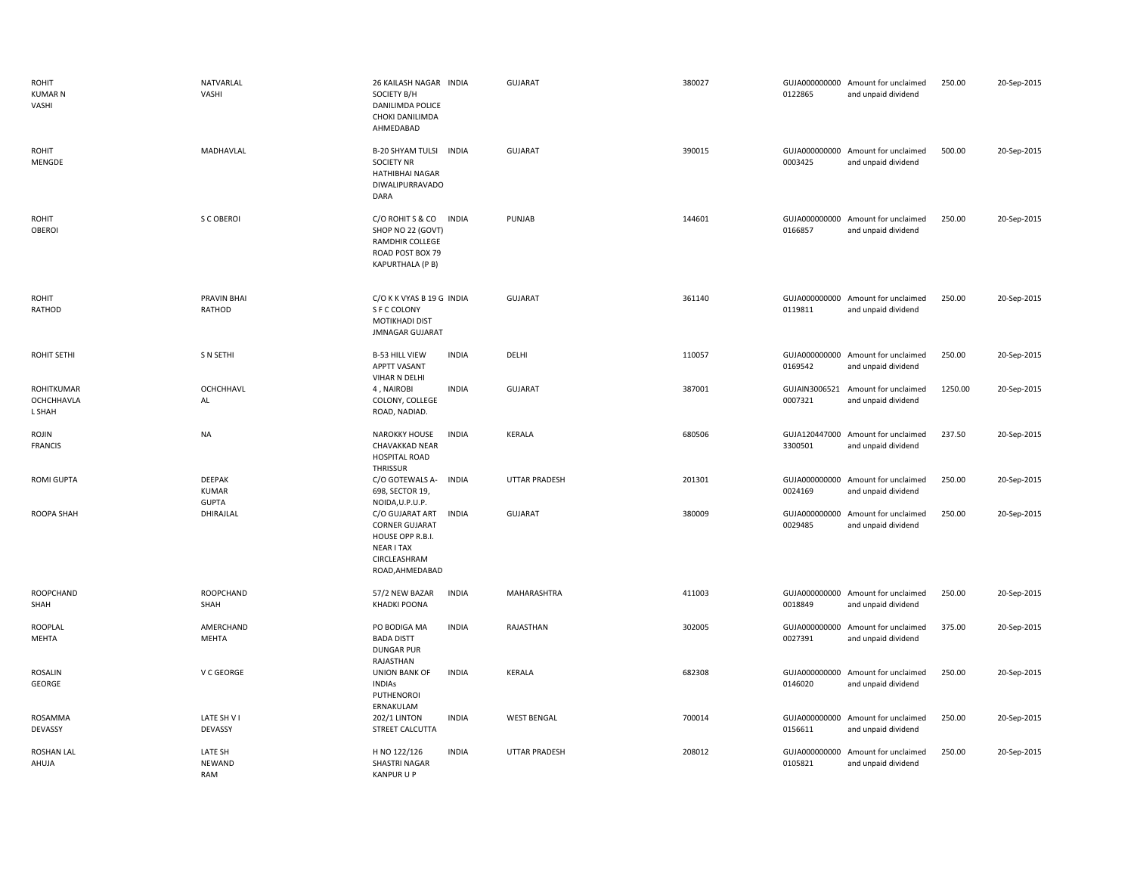| <b>ROHIT</b><br><b>KUMAR N</b><br>VASHI   | NATVARLAL<br>VASHI            | 26 KAILASH NAGAR INDIA<br>SOCIETY B/H<br>DANILIMDA POLICE<br>CHOKI DANILIMDA<br>AHMEDABAD                                                        | GUJARAT              | 380027 | 0122865                  | GUJA000000000 Amount for unclaimed<br>and unpaid dividend | 250.00  | 20-Sep-2015 |
|-------------------------------------------|-------------------------------|--------------------------------------------------------------------------------------------------------------------------------------------------|----------------------|--------|--------------------------|-----------------------------------------------------------|---------|-------------|
| <b>ROHIT</b><br>MENGDE                    | MADHAVLAL                     | B-20 SHYAM TULSI INDIA<br><b>SOCIETY NR</b><br>HATHIBHAI NAGAR<br><b>DIWALIPURRAVADO</b><br>DARA                                                 | <b>GUJARAT</b>       | 390015 | 0003425                  | GUJA000000000 Amount for unclaimed<br>and unpaid dividend | 500.00  | 20-Sep-2015 |
| <b>ROHIT</b><br>OBEROI                    | S C OBEROI                    | C/O ROHIT S & CO<br><b>INDIA</b><br>SHOP NO 22 (GOVT)<br>RAMDHIR COLLEGE<br>ROAD POST BOX 79<br>KAPURTHALA (P B)                                 | PUNJAB               | 144601 | 0166857                  | GUJA000000000 Amount for unclaimed<br>and unpaid dividend | 250.00  | 20-Sep-2015 |
| <b>ROHIT</b><br>RATHOD                    | <b>PRAVIN BHAI</b><br>RATHOD  | C/O K K VYAS B 19 G INDIA<br>S F C COLONY<br><b>MOTIKHADI DIST</b><br><b>JMNAGAR GUJARAT</b>                                                     | <b>GUJARAT</b>       | 361140 | 0119811                  | GUJA000000000 Amount for unclaimed<br>and unpaid dividend | 250.00  | 20-Sep-2015 |
| <b>ROHIT SETHI</b>                        | S N SETHI                     | <b>INDIA</b><br><b>B-53 HILL VIEW</b><br><b>APPTT VASANT</b><br>VIHAR N DELHI                                                                    | DELHI                | 110057 | 0169542                  | GUJA000000000 Amount for unclaimed<br>and unpaid dividend | 250.00  | 20-Sep-2015 |
| ROHITKUMAR<br><b>OCHCHHAVLA</b><br>L SHAH | <b>OCHCHHAVL</b><br>AL        | 4, NAIROBI<br><b>INDIA</b><br>COLONY, COLLEGE<br>ROAD, NADIAD.                                                                                   | <b>GUJARAT</b>       | 387001 | GUJAIN3006521<br>0007321 | Amount for unclaimed<br>and unpaid dividend               | 1250.00 | 20-Sep-2015 |
| ROJIN<br><b>FRANCIS</b>                   | <b>NA</b>                     | <b>NAROKKY HOUSE</b><br><b>INDIA</b><br>CHAVAKKAD NEAR                                                                                           | <b>KERALA</b>        | 680506 |                          | GUJA120447000 Amount for unclaimed<br>and unpaid dividend | 237.50  | 20-Sep-2015 |
|                                           |                               | <b>HOSPITAL ROAD</b>                                                                                                                             |                      |        | 3300501                  |                                                           |         |             |
| <b>ROMI GUPTA</b>                         | <b>DEEPAK</b><br><b>KUMAR</b> | THRISSUR<br>C/O GOTEWALS A-<br><b>INDIA</b><br>698, SECTOR 19,                                                                                   | <b>UTTAR PRADESH</b> | 201301 | 0024169                  | GUJA000000000 Amount for unclaimed<br>and unpaid dividend | 250.00  | 20-Sep-2015 |
| ROOPA SHAH                                | <b>GUPTA</b><br>DHIRAJLAL     | NOIDA, U.P.U.P.<br>C/O GUJARAT ART<br><b>INDIA</b><br><b>CORNER GUJARAT</b><br>HOUSE OPP R.B.I.<br>NEAR I TAX<br>CIRCLEASHRAM<br>ROAD, AHMEDABAD | GUJARAT              | 380009 | 0029485                  | GUJA000000000 Amount for unclaimed<br>and unpaid dividend | 250.00  | 20-Sep-2015 |
| ROOPCHAND<br>SHAH                         | <b>ROOPCHAND</b><br>SHAH      | <b>INDIA</b><br>57/2 NEW BAZAR<br><b>KHADKI POONA</b>                                                                                            | MAHARASHTRA          | 411003 | 0018849                  | GUJA000000000 Amount for unclaimed<br>and unpaid dividend | 250.00  | 20-Sep-2015 |
| ROOPLAL<br>MEHTA                          | AMERCHAND<br><b>MEHTA</b>     | <b>INDIA</b><br>PO BODIGA MA<br><b>BADA DISTT</b><br><b>DUNGAR PUR</b>                                                                           | RAJASTHAN            | 302005 | 0027391                  | GUJA000000000 Amount for unclaimed<br>and unpaid dividend | 375.00  | 20-Sep-2015 |
| <b>ROSALIN</b><br>GEORGE                  | V C GEORGE                    | RAJASTHAN<br><b>UNION BANK OF</b><br><b>INDIA</b><br><b>INDIAS</b><br>PUTHENOROI                                                                 | KERALA               | 682308 | 0146020                  | GUJA000000000 Amount for unclaimed<br>and unpaid dividend | 250.00  | 20-Sep-2015 |
| ROSAMMA<br>DEVASSY                        | LATE SH V I<br>DEVASSY        | ERNAKULAM<br><b>202/1 LINTON</b><br><b>INDIA</b><br><b>STREET CALCUTTA</b>                                                                       | <b>WEST BENGAL</b>   | 700014 | 0156611                  | GUJA000000000 Amount for unclaimed<br>and unpaid dividend | 250.00  | 20-Sep-2015 |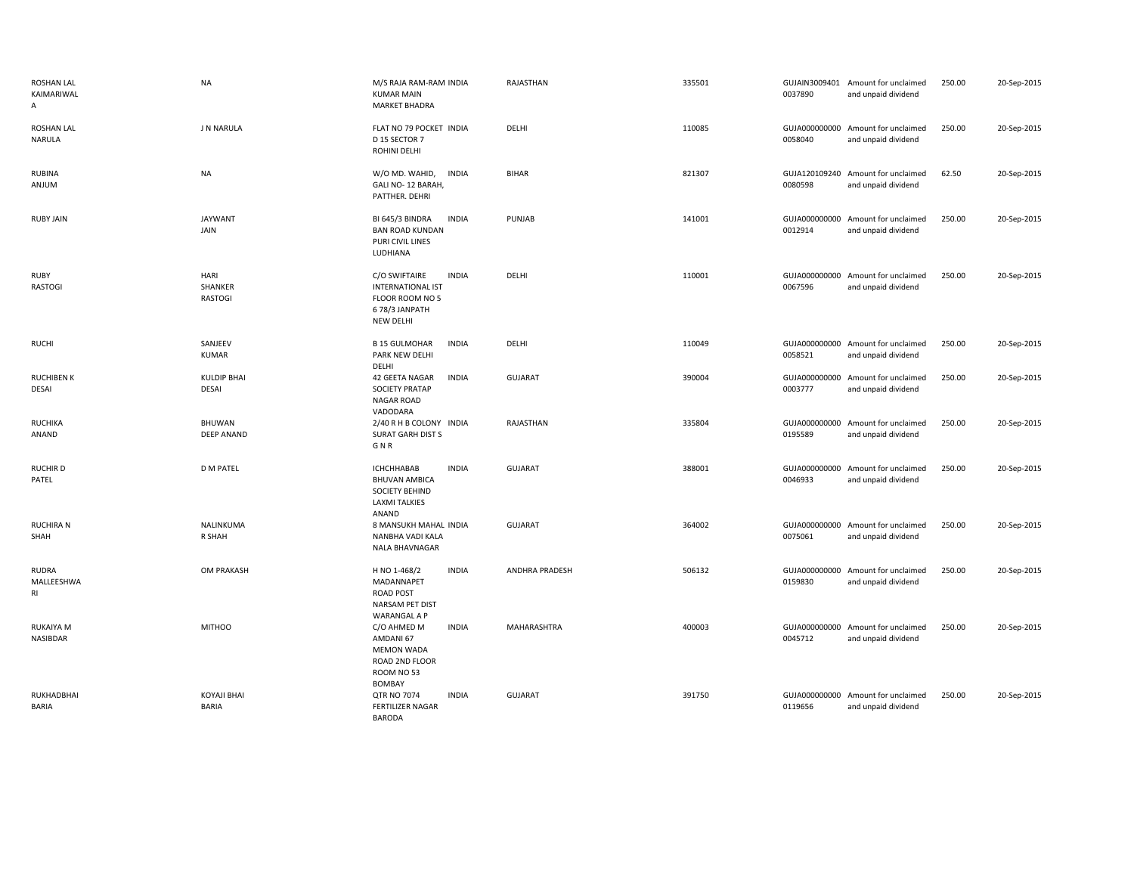| <b>ROSHAN LAL</b><br>KAIMARIWAL<br>А | <b>NA</b>                          | M/S RAJA RAM-RAM INDIA<br><b>KUMAR MAIN</b><br><b>MARKET BHADRA</b>                                                 | RAJASTHAN      | 335501 | 0037890                  | GUJAIN3009401 Amount for unclaimed<br>and unpaid dividend | 250.00 | 20-Sep-2015 |
|--------------------------------------|------------------------------------|---------------------------------------------------------------------------------------------------------------------|----------------|--------|--------------------------|-----------------------------------------------------------|--------|-------------|
| <b>ROSHAN LAL</b><br><b>NARULA</b>   | J N NARULA                         | FLAT NO 79 POCKET INDIA<br>D 15 SECTOR 7<br>ROHINI DELHI                                                            | DELHI          | 110085 | 0058040                  | GUJA000000000 Amount for unclaimed<br>and unpaid dividend | 250.00 | 20-Sep-2015 |
| <b>RUBINA</b><br>ANJUM               | NA                                 | W/O MD. WAHID,<br><b>INDIA</b><br>GALI NO-12 BARAH,<br>PATTHER. DEHRI                                               | <b>BIHAR</b>   | 821307 | 0080598                  | GUJA120109240 Amount for unclaimed<br>and unpaid dividend | 62.50  | 20-Sep-2015 |
| <b>RUBY JAIN</b>                     | <b>JAYWANT</b><br>JAIN             | <b>INDIA</b><br>BI 645/3 BINDRA<br><b>BAN ROAD KUNDAN</b><br>PURI CIVIL LINES<br>LUDHIANA                           | PUNJAB         | 141001 | 0012914                  | GUJA000000000 Amount for unclaimed<br>and unpaid dividend | 250.00 | 20-Sep-2015 |
| <b>RUBY</b><br><b>RASTOGI</b>        | HARI<br>SHANKER<br><b>RASTOGI</b>  | C/O SWIFTAIRE<br><b>INDIA</b><br><b>INTERNATIONAL IST</b><br>FLOOR ROOM NO 5<br>678/3 JANPATH<br><b>NEW DELHI</b>   | DELHI          | 110001 | 0067596                  | GUJA000000000 Amount for unclaimed<br>and unpaid dividend | 250.00 | 20-Sep-2015 |
| <b>RUCHI</b>                         | SANJEEV<br><b>KUMAR</b>            | <b>B 15 GULMOHAR</b><br><b>INDIA</b><br>PARK NEW DELHI<br>DELHI                                                     | DELHI          | 110049 | 0058521                  | GUJA000000000 Amount for unclaimed<br>and unpaid dividend | 250.00 | 20-Sep-2015 |
| <b>RUCHIBEN K</b><br>DESAI           | <b>KULDIP BHAI</b><br>DESAI        | 42 GEETA NAGAR<br><b>INDIA</b><br><b>SOCIETY PRATAP</b><br><b>NAGAR ROAD</b><br>VADODARA                            | <b>GUJARAT</b> | 390004 | 0003777                  | GUJA000000000 Amount for unclaimed<br>and unpaid dividend | 250.00 | 20-Sep-2015 |
| <b>RUCHIKA</b><br>ANAND              | <b>BHUWAN</b><br><b>DEEP ANAND</b> | 2/40 R H B COLONY INDIA<br><b>SURAT GARH DIST S</b><br>G N R                                                        | RAJASTHAN      | 335804 | 0195589                  | GUJA000000000 Amount for unclaimed<br>and unpaid dividend | 250.00 | 20-Sep-2015 |
| <b>RUCHIRD</b><br>PATEL              | <b>D M PATEL</b>                   | <b>INDIA</b><br><b>ICHCHHABAB</b><br><b>BHUVAN AMBICA</b><br><b>SOCIETY BEHIND</b><br><b>LAXMI TALKIES</b><br>ANAND | <b>GUJARAT</b> | 388001 | 0046933                  | GUJA000000000 Amount for unclaimed<br>and unpaid dividend | 250.00 | 20-Sep-2015 |
| <b>RUCHIRA N</b><br>SHAH             | NALINKUMA<br>R SHAH                | 8 MANSUKH MAHAL INDIA<br>NANBHA VADI KALA<br>NALA BHAVNAGAR                                                         | <b>GUJARAT</b> | 364002 | 0075061                  | GUJA000000000 Amount for unclaimed<br>and unpaid dividend | 250.00 | 20-Sep-2015 |
| RUDRA<br>MALLEESHWA<br>RI            | OM PRAKASH                         | H NO 1-468/2<br><b>INDIA</b><br>MADANNAPET<br><b>ROAD POST</b><br>NARSAM PET DIST<br><b>WARANGAL A P</b>            | ANDHRA PRADESH | 506132 | 0159830                  | GUJA000000000 Amount for unclaimed<br>and unpaid dividend | 250.00 | 20-Sep-2015 |
| <b>RUKAIYA M</b><br>NASIBDAR         | <b>MITHOO</b>                      | C/O AHMED M<br><b>INDIA</b><br>AMDANI 67<br><b>MEMON WADA</b><br>ROAD 2ND FLOOR<br>ROOM NO 53<br><b>BOMBAY</b>      | MAHARASHTRA    | 400003 | GUJA000000000<br>0045712 | Amount for unclaimed<br>and unpaid dividend               | 250.00 | 20-Sep-2015 |
| RUKHADBHAI<br><b>BARIA</b>           | <b>KOYAJI BHAI</b><br><b>BARIA</b> | <b>QTR NO 7074</b><br><b>INDIA</b><br><b>FERTILIZER NAGAR</b><br><b>BARODA</b>                                      | <b>GUJARAT</b> | 391750 | GUJA000000000<br>0119656 | Amount for unclaimed<br>and unpaid dividend               | 250.00 | 20-Sep-2015 |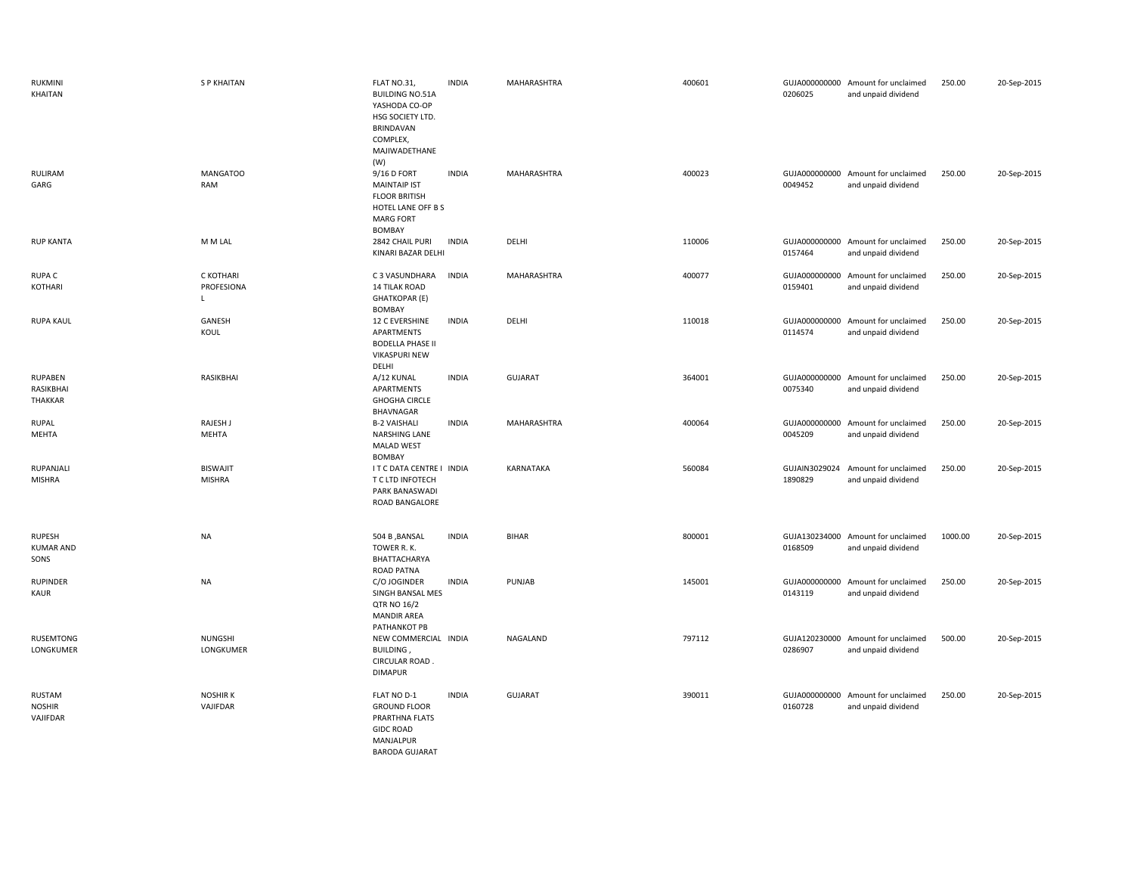| RUKMINI<br>KHAITAN                         | <b>SP KHAITAN</b>                | FLAT NO.31,<br><b>BUILDING NO.51A</b><br>YASHODA CO-OP<br>HSG SOCIETY LTD.<br><b>BRINDAVAN</b><br>COMPLEX,<br>MAJIWADETHANE  | <b>INDIA</b> | MAHARASHTRA      | 400601 | 0206025                  | GUJA000000000 Amount for unclaimed<br>and unpaid dividend | 250.00  | 20-Sep-2015 |
|--------------------------------------------|----------------------------------|------------------------------------------------------------------------------------------------------------------------------|--------------|------------------|--------|--------------------------|-----------------------------------------------------------|---------|-------------|
| RULIRAM<br>GARG                            | <b>MANGATOO</b><br>RAM           | (W)<br>9/16 D FORT<br><b>MAINTAIP IST</b><br><b>FLOOR BRITISH</b><br>HOTEL LANE OFF B S<br><b>MARG FORT</b><br><b>BOMBAY</b> | <b>INDIA</b> | MAHARASHTRA      | 400023 | 0049452                  | GUJA000000000 Amount for unclaimed<br>and unpaid dividend | 250.00  | 20-Sep-2015 |
| <b>RUP KANTA</b>                           | M M LAL                          | 2842 CHAIL PURI<br>KINARI BAZAR DELHI                                                                                        | <b>INDIA</b> | DELHI            | 110006 | 0157464                  | GUJA000000000 Amount for unclaimed<br>and unpaid dividend | 250.00  | 20-Sep-2015 |
| <b>RUPAC</b><br>KOTHARI                    | C KOTHARI<br>PROFESIONA<br>L     | C 3 VASUNDHARA<br><b>14 TILAK ROAD</b><br><b>GHATKOPAR (E)</b><br>BOMBAY                                                     | <b>INDIA</b> | MAHARASHTRA      | 400077 | GUJA000000000<br>0159401 | Amount for unclaimed<br>and unpaid dividend               | 250.00  | 20-Sep-2015 |
| <b>RUPA KAUL</b>                           | GANESH<br>KOUL                   | <b>12 C EVERSHINE</b><br>APARTMENTS<br><b>BODELLA PHASE II</b><br><b>VIKASPURI NEW</b><br>DELHI                              | <b>INDIA</b> | DELHI            | 110018 | GUJA000000000<br>0114574 | Amount for unclaimed<br>and unpaid dividend               | 250.00  | 20-Sep-2015 |
| <b>RUPABEN</b><br>RASIKBHAI<br>THAKKAR     | RASIKBHAI                        | A/12 KUNAL<br>APARTMENTS<br><b>GHOGHA CIRCLE</b><br>BHAVNAGAR                                                                | <b>INDIA</b> | GUJARAT          | 364001 | 0075340                  | GUJA000000000 Amount for unclaimed<br>and unpaid dividend | 250.00  | 20-Sep-2015 |
| <b>RUPAL</b><br>MEHTA                      | RAJESH J<br><b>MEHTA</b>         | <b>B-2 VAISHALI</b><br>NARSHING LANE<br><b>MALAD WEST</b><br>BOMBAY                                                          | <b>INDIA</b> | MAHARASHTRA      | 400064 | GUJA000000000<br>0045209 | Amount for unclaimed<br>and unpaid dividend               | 250.00  | 20-Sep-2015 |
| RUPANJALI<br><b>MISHRA</b>                 | <b>BISWAJIT</b><br><b>MISHRA</b> | IT C DATA CENTRE I INDIA<br>T C LTD INFOTECH<br>PARK BANASWADI<br>ROAD BANGALORE                                             |              | <b>KARNATAKA</b> | 560084 | GUJAIN3029024<br>1890829 | Amount for unclaimed<br>and unpaid dividend               | 250.00  | 20-Sep-2015 |
| <b>RUPESH</b><br><b>KUMAR AND</b><br>SONS  | <b>NA</b>                        | 504 B , BANSAL<br>TOWER R. K.<br>BHATTACHARYA<br><b>ROAD PATNA</b>                                                           | <b>INDIA</b> | <b>BIHAR</b>     | 800001 | 0168509                  | GUJA130234000 Amount for unclaimed<br>and unpaid dividend | 1000.00 | 20-Sep-2015 |
| <b>RUPINDER</b><br>KAUR                    | <b>NA</b>                        | C/O JOGINDER<br>SINGH BANSAL MES<br>QTR NO 16/2<br><b>MANDIR AREA</b><br>PATHANKOT PB                                        | <b>INDIA</b> | PUNJAB           | 145001 | GUJA000000000<br>0143119 | Amount for unclaimed<br>and unpaid dividend               | 250.00  | 20-Sep-2015 |
| <b>RUSEMTONG</b><br>LONGKUMER              | NUNGSHI<br>LONGKUMER             | NEW COMMERCIAL INDIA<br>BUILDING,<br>CIRCULAR ROAD.<br><b>DIMAPUR</b>                                                        |              | NAGALAND         | 797112 | GUJA120230000<br>0286907 | Amount for unclaimed<br>and unpaid dividend               | 500.00  | 20-Sep-2015 |
| <b>RUSTAM</b><br><b>NOSHIR</b><br>VAJIFDAR | <b>NOSHIRK</b><br>VAJIFDAR       | FLAT NO D-1<br><b>GROUND FLOOR</b><br>PRARTHNA FLATS<br><b>GIDC ROAD</b><br>MANJALPUR<br><b>BARODA GUJARAT</b>               | <b>INDIA</b> | <b>GUJARAT</b>   | 390011 | GUJA000000000<br>0160728 | Amount for unclaimed<br>and unpaid dividend               | 250.00  | 20-Sep-2015 |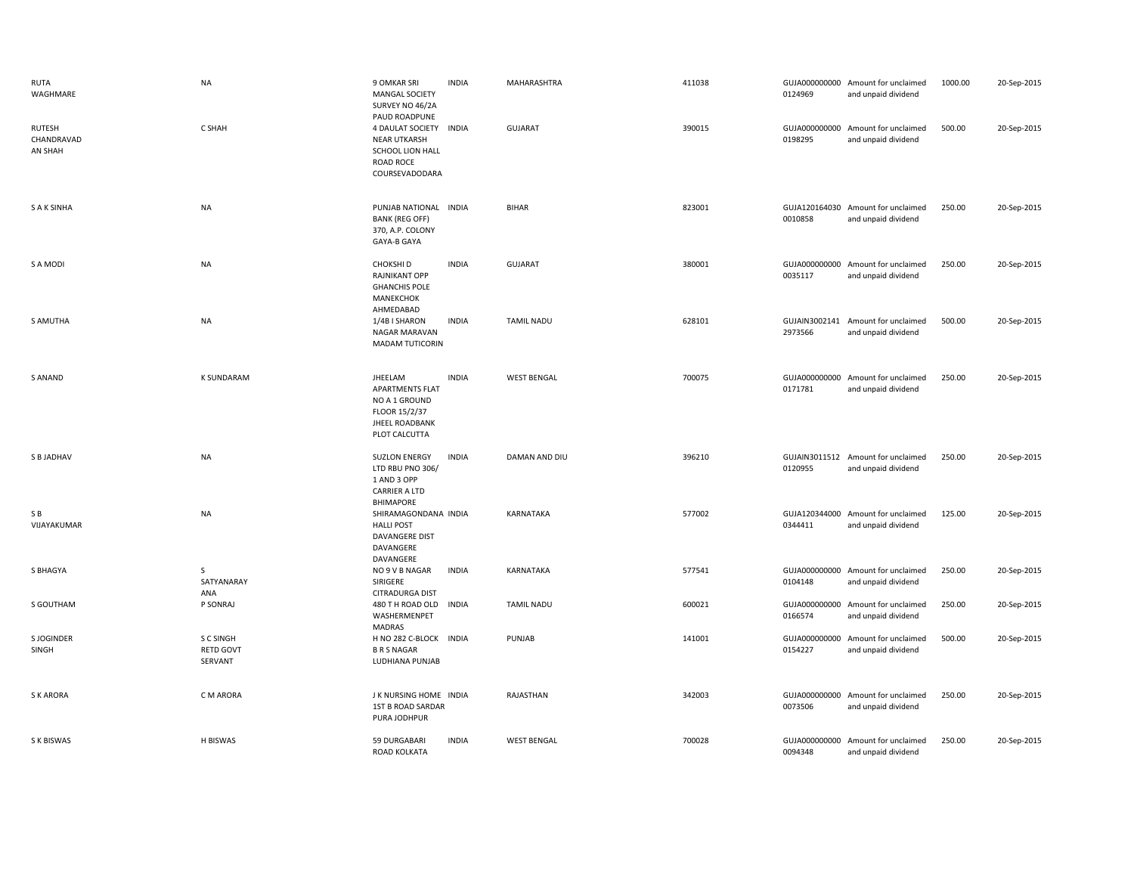| <b>RUTA</b><br>WAGHMARE                | <b>NA</b>                                | 9 OMKAR SRI<br><b>MANGAL SOCIETY</b><br>SURVEY NO 46/2A<br>PAUD ROADPUNE                                      | <b>INDIA</b> | MAHARASHTRA        | 411038 | 0124969                  | GUJA000000000 Amount for unclaimed<br>and unpaid dividend | 1000.00 | 20-Sep-2015 |
|----------------------------------------|------------------------------------------|---------------------------------------------------------------------------------------------------------------|--------------|--------------------|--------|--------------------------|-----------------------------------------------------------|---------|-------------|
| <b>RUTESH</b><br>CHANDRAVAD<br>AN SHAH | C SHAH                                   | 4 DAULAT SOCIETY<br><b>NEAR UTKARSH</b><br>SCHOOL LION HALL<br>ROAD ROCE<br>COURSEVADODARA                    | <b>INDIA</b> | <b>GUJARAT</b>     | 390015 | 0198295                  | GUJA000000000 Amount for unclaimed<br>and unpaid dividend | 500.00  | 20-Sep-2015 |
| <b>SAKSINHA</b>                        | <b>NA</b>                                | PUNJAB NATIONAL INDIA<br><b>BANK (REG OFF)</b><br>370, A.P. COLONY<br>GAYA-B GAYA                             |              | <b>BIHAR</b>       | 823001 | 0010858                  | GUJA120164030 Amount for unclaimed<br>and unpaid dividend | 250.00  | 20-Sep-2015 |
| S A MODI                               | <b>NA</b>                                | CHOKSHI D<br>RAJNIKANT OPP<br><b>GHANCHIS POLE</b><br>MANEKCHOK<br>AHMEDABAD                                  | <b>INDIA</b> | <b>GUJARAT</b>     | 380001 | 0035117                  | GUJA000000000 Amount for unclaimed<br>and unpaid dividend | 250.00  | 20-Sep-2015 |
| S AMUTHA                               | NA                                       | 1/4B I SHARON<br>NAGAR MARAVAN<br><b>MADAM TUTICORIN</b>                                                      | <b>INDIA</b> | <b>TAMIL NADU</b>  | 628101 | 2973566                  | GUJAIN3002141 Amount for unclaimed<br>and unpaid dividend | 500.00  | 20-Sep-2015 |
| S ANAND                                | <b>K SUNDARAM</b>                        | JHEELAM<br><b>APARTMENTS FLAT</b><br>NO A 1 GROUND<br>FLOOR 15/2/37<br><b>JHEEL ROADBANK</b><br>PLOT CALCUTTA | <b>INDIA</b> | <b>WEST BENGAL</b> | 700075 | 0171781                  | GUJA000000000 Amount for unclaimed<br>and unpaid dividend | 250.00  | 20-Sep-2015 |
| S B JADHAV                             | <b>NA</b>                                | <b>SUZLON ENERGY</b><br>LTD RBU PNO 306/<br>1 AND 3 OPP<br><b>CARRIER A LTD</b><br><b>BHIMAPORE</b>           | <b>INDIA</b> | DAMAN AND DIU      | 396210 | 0120955                  | GUJAIN3011512 Amount for unclaimed<br>and unpaid dividend | 250.00  | 20-Sep-2015 |
| S B<br>VIJAYAKUMAR                     | <b>NA</b>                                | SHIRAMAGONDANA INDIA<br><b>HALLI POST</b><br>DAVANGERE DIST<br>DAVANGERE<br>DAVANGERE                         |              | KARNATAKA          | 577002 | 0344411                  | GUJA120344000 Amount for unclaimed<br>and unpaid dividend | 125.00  | 20-Sep-2015 |
| S BHAGYA                               | $\mathsf{S}$<br>SATYANARAY<br>ANA        | NO 9 V B NAGAR<br>SIRIGERE<br>CITRADURGA DIST                                                                 | <b>INDIA</b> | KARNATAKA          | 577541 | 0104148                  | GUJA000000000 Amount for unclaimed<br>and unpaid dividend | 250.00  | 20-Sep-2015 |
| S GOUTHAM                              | P SONRAJ                                 | 480 T H ROAD OLD<br>WASHERMENPET<br>MADRAS                                                                    | <b>INDIA</b> | <b>TAMIL NADU</b>  | 600021 | 0166574                  | GUJA000000000 Amount for unclaimed<br>and unpaid dividend | 250.00  | 20-Sep-2015 |
| S JOGINDER<br>SINGH                    | S C SINGH<br><b>RETD GOVT</b><br>SERVANT | H NO 282 C-BLOCK INDIA<br><b>B R S NAGAR</b><br>LUDHIANA PUNJAB                                               |              | PUNJAB             | 141001 | GUJA000000000<br>0154227 | Amount for unclaimed<br>and unpaid dividend               | 500.00  | 20-Sep-2015 |
| <b>SK ARORA</b>                        | C M ARORA                                | J K NURSING HOME INDIA<br><b>1ST B ROAD SARDAR</b><br>PURA JODHPUR                                            |              | RAJASTHAN          | 342003 | 0073506                  | GUJA000000000 Amount for unclaimed<br>and unpaid dividend | 250.00  | 20-Sep-2015 |
| S K BISWAS                             | H BISWAS                                 | 59 DURGABARI<br>ROAD KOLKATA                                                                                  | <b>INDIA</b> | <b>WEST BENGAL</b> | 700028 | 0094348                  | GUJA000000000 Amount for unclaimed<br>and unpaid dividend | 250.00  | 20-Sep-2015 |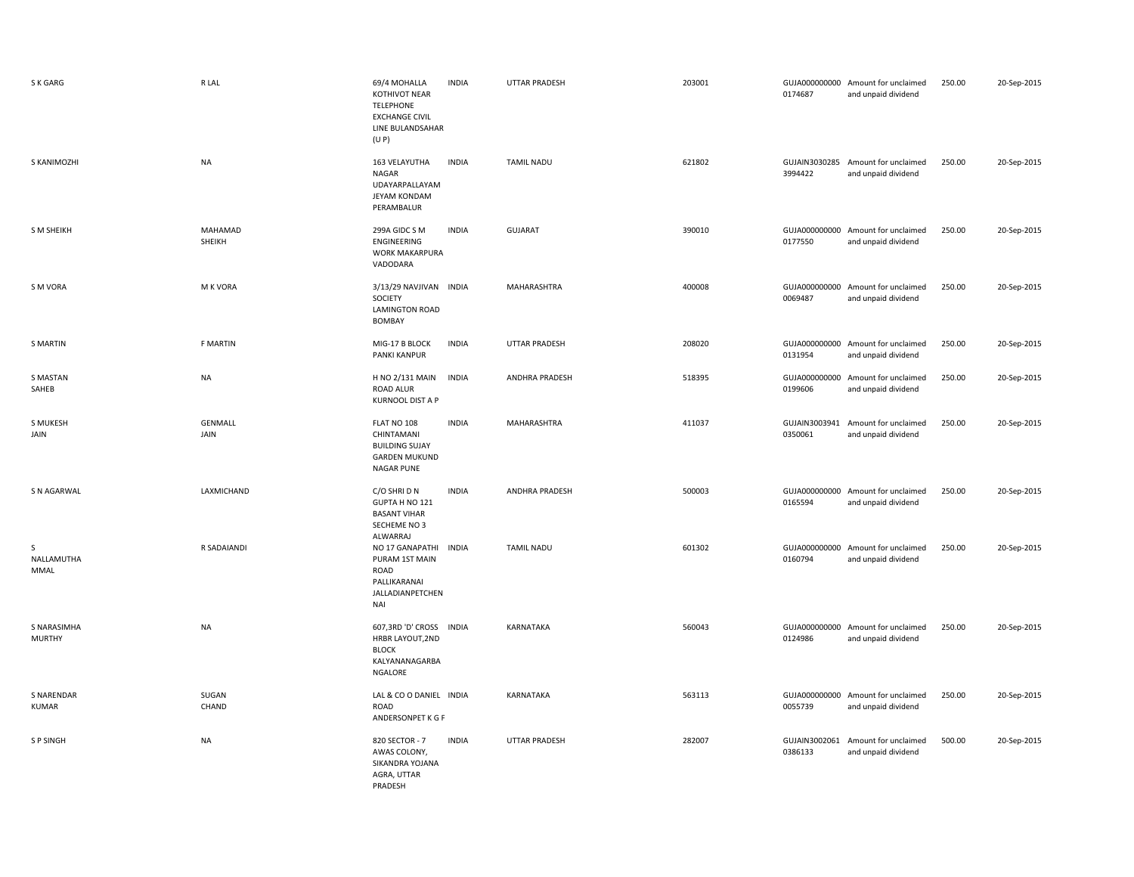| S K GARG                          | R LAL             | 69/4 MOHALLA<br><b>KOTHIVOT NEAR</b><br>TELEPHONE<br><b>EXCHANGE CIVIL</b><br>LINE BULANDSAHAR<br>(U P)  | <b>INDIA</b> | <b>UTTAR PRADESH</b> | 203001 | 0174687                  | GUJA000000000 Amount for unclaimed<br>and unpaid dividend | 250.00 | 20-Sep-2015 |
|-----------------------------------|-------------------|----------------------------------------------------------------------------------------------------------|--------------|----------------------|--------|--------------------------|-----------------------------------------------------------|--------|-------------|
| S KANIMOZHI                       | <b>NA</b>         | 163 VELAYUTHA<br><b>NAGAR</b><br>UDAYARPALLAYAM<br>JEYAM KONDAM<br>PERAMBALUR                            | <b>INDIA</b> | <b>TAMIL NADU</b>    | 621802 | 3994422                  | GUJAIN3030285 Amount for unclaimed<br>and unpaid dividend | 250.00 | 20-Sep-2015 |
| <b>S M SHEIKH</b>                 | MAHAMAD<br>SHEIKH | 299A GIDC S M<br>ENGINEERING<br><b>WORK MAKARPURA</b><br>VADODARA                                        | <b>INDIA</b> | GUJARAT              | 390010 | 0177550                  | GUJA000000000 Amount for unclaimed<br>and unpaid dividend | 250.00 | 20-Sep-2015 |
| S M VORA                          | M K VORA          | 3/13/29 NAVJIVAN INDIA<br>SOCIETY<br><b>LAMINGTON ROAD</b><br><b>BOMBAY</b>                              |              | MAHARASHTRA          | 400008 | 0069487                  | GUJA000000000 Amount for unclaimed<br>and unpaid dividend | 250.00 | 20-Sep-2015 |
| <b>S MARTIN</b>                   | F MARTIN          | MIG-17 B BLOCK<br>PANKI KANPUR                                                                           | <b>INDIA</b> | <b>UTTAR PRADESH</b> | 208020 | GUJA000000000<br>0131954 | Amount for unclaimed<br>and unpaid dividend               | 250.00 | 20-Sep-2015 |
| S MASTAN<br>SAHEB                 | <b>NA</b>         | H NO 2/131 MAIN<br><b>ROAD ALUR</b><br><b>KURNOOL DIST A P</b>                                           | <b>INDIA</b> | ANDHRA PRADESH       | 518395 | GUJA000000000<br>0199606 | Amount for unclaimed<br>and unpaid dividend               | 250.00 | 20-Sep-2015 |
| S MUKESH<br>JAIN                  | GENMALL<br>JAIN   | FLAT NO 108<br>CHINTAMANI<br><b>BUILDING SUJAY</b><br><b>GARDEN MUKUND</b><br><b>NAGAR PUNE</b>          | <b>INDIA</b> | MAHARASHTRA          | 411037 | GUJAIN3003941<br>0350061 | Amount for unclaimed<br>and unpaid dividend               | 250.00 | 20-Sep-2015 |
| S N AGARWAL                       | LAXMICHAND        | C/O SHRI D N<br>GUPTA H NO 121<br><b>BASANT VIHAR</b><br>SECHEME NO 3<br>ALWARRAJ                        | <b>INDIA</b> | ANDHRA PRADESH       | 500003 | 0165594                  | GUJA000000000 Amount for unclaimed<br>and unpaid dividend | 250.00 | 20-Sep-2015 |
| S<br>NALLAMUTHA<br>MMAL           | R SADAIANDI       | NO 17 GANAPATHI INDIA<br>PURAM 1ST MAIN<br><b>ROAD</b><br>PALLIKARANAI<br>JALLADIANPETCHEN<br><b>NAI</b> |              | <b>TAMIL NADU</b>    | 601302 | 0160794                  | GUJA000000000 Amount for unclaimed<br>and unpaid dividend | 250.00 | 20-Sep-2015 |
| S NARASIMHA<br><b>MURTHY</b>      | NA                | 607,3RD 'D' CROSS INDIA<br>HRBR LAYOUT, 2ND<br><b>BLOCK</b><br>KALYANANAGARBA<br>NGALORE                 |              | KARNATAKA            | 560043 | 0124986                  | GUJA000000000 Amount for unclaimed<br>and unpaid dividend | 250.00 | 20-Sep-2015 |
| <b>S NARENDAR</b><br><b>KUMAR</b> | SUGAN<br>CHAND    | LAL & CO O DANIEL INDIA<br>ROAD<br>ANDERSONPET K G F                                                     |              | KARNATAKA            | 563113 | 0055739                  | GUJA000000000 Amount for unclaimed<br>and unpaid dividend | 250.00 | 20-Sep-2015 |
| S P SINGH                         | <b>NA</b>         | 820 SECTOR - 7<br>AWAS COLONY,<br>SIKANDRA YOJANA<br>AGRA, UTTAR<br>PRADESH                              | <b>INDIA</b> | <b>UTTAR PRADESH</b> | 282007 | 0386133                  | GUJAIN3002061 Amount for unclaimed<br>and unpaid dividend | 500.00 | 20-Sep-2015 |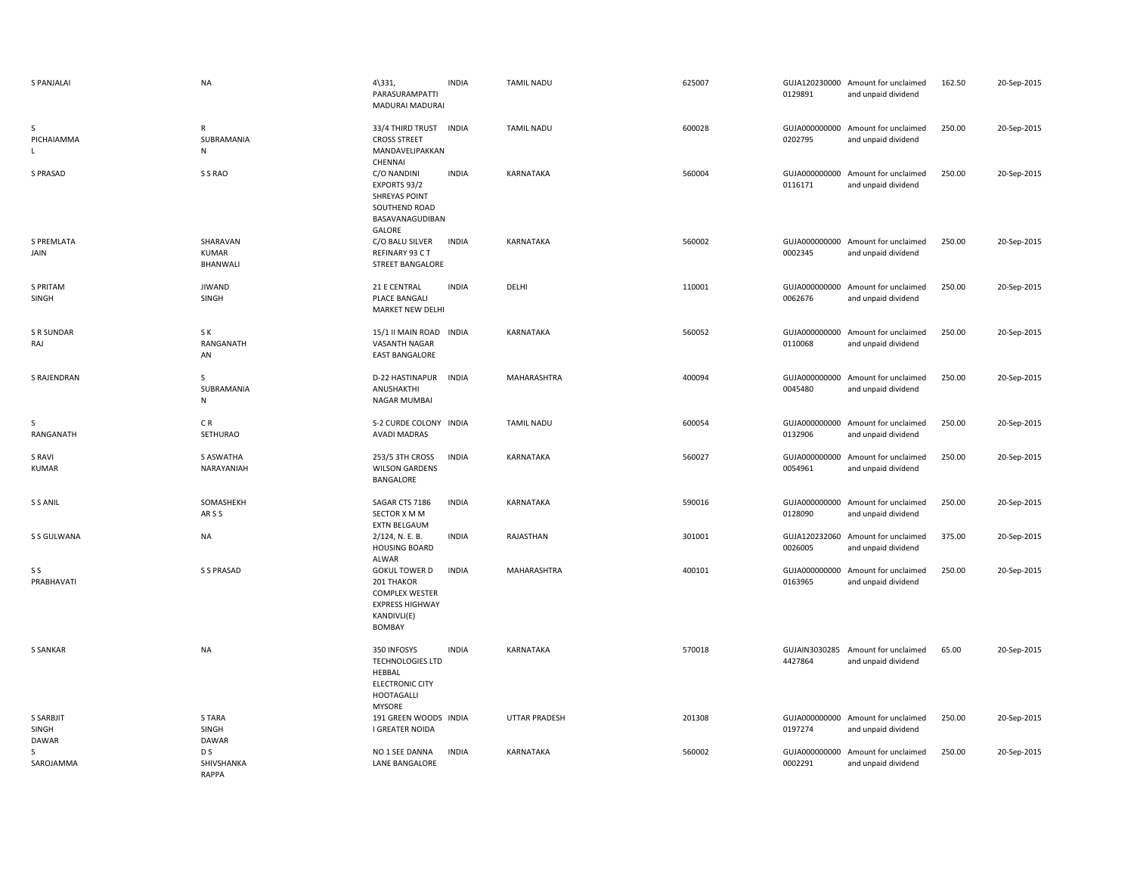| <b>S PANJALAI</b>                         | <b>NA</b>                             | $4\overline{331}$ ,<br>PARASURAMPATTI<br>MADURAI MADURAI                                                         | <b>INDIA</b> | <b>TAMIL NADU</b>    | 625007 | 0129891                  | GUJA120230000 Amount for unclaimed<br>and unpaid dividend | 162.50 | 20-Sep-2015 |
|-------------------------------------------|---------------------------------------|------------------------------------------------------------------------------------------------------------------|--------------|----------------------|--------|--------------------------|-----------------------------------------------------------|--------|-------------|
| S<br>PICHAIAMMA<br>L.                     | $\mathsf{R}$<br>SUBRAMANIA<br>N       | 33/4 THIRD TRUST INDIA<br><b>CROSS STREET</b><br>MANDAVELIPAKKAN<br>CHENNAI                                      |              | <b>TAMIL NADU</b>    | 600028 | 0202795                  | GUJA000000000 Amount for unclaimed<br>and unpaid dividend | 250.00 | 20-Sep-2015 |
| <b>S PRASAD</b>                           | S S RAO                               | C/O NANDINI<br>EXPORTS 93/2<br><b>SHREYAS POINT</b><br>SOUTHEND ROAD<br>BASAVANAGUDIBAN<br>GALORE                | <b>INDIA</b> | KARNATAKA            | 560004 | 0116171                  | GUJA000000000 Amount for unclaimed<br>and unpaid dividend | 250.00 | 20-Sep-2015 |
| S PREMLATA<br>JAIN                        | SHARAVAN<br>KUMAR<br>BHANWALI         | C/O BALU SILVER<br>REFINARY 93 CT<br><b>STREET BANGALORE</b>                                                     | <b>INDIA</b> | KARNATAKA            | 560002 | 0002345                  | GUJA000000000 Amount for unclaimed<br>and unpaid dividend | 250.00 | 20-Sep-2015 |
| S PRITAM<br>SINGH                         | <b>JIWAND</b><br>SINGH                | 21 E CENTRAL<br>PLACE BANGALI<br><b>MARKET NEW DELHI</b>                                                         | <b>INDIA</b> | DELHI                | 110001 | 0062676                  | GUJA000000000 Amount for unclaimed<br>and unpaid dividend | 250.00 | 20-Sep-2015 |
| <b>S R SUNDAR</b><br>RAJ                  | S K<br>RANGANATH<br>AN                | 15/1 II MAIN ROAD INDIA<br>VASANTH NAGAR<br><b>EAST BANGALORE</b>                                                |              | KARNATAKA            | 560052 | 0110068                  | GUJA000000000 Amount for unclaimed<br>and unpaid dividend | 250.00 | 20-Sep-2015 |
| S RAJENDRAN                               | $\mathsf{S}$<br>SUBRAMANIA<br>N       | D-22 HASTINAPUR<br>ANUSHAKTHI<br>NAGAR MUMBAI                                                                    | <b>INDIA</b> | <b>MAHARASHTRA</b>   | 400094 | 0045480                  | GUJA000000000 Amount for unclaimed<br>and unpaid dividend | 250.00 | 20-Sep-2015 |
| S<br>RANGANATH                            | CR.<br>SETHURAO                       | S-2 CURDE COLONY INDIA<br><b>AVADI MADRAS</b>                                                                    |              | <b>TAMIL NADU</b>    | 600054 | 0132906                  | GUJA000000000 Amount for unclaimed<br>and unpaid dividend | 250.00 | 20-Sep-2015 |
| S RAVI<br><b>KUMAR</b>                    | <b>S ASWATHA</b><br>NARAYANIAH        | 253/5 3TH CROSS<br><b>WILSON GARDENS</b><br>BANGALORE                                                            | <b>INDIA</b> | KARNATAKA            | 560027 | 0054961                  | GUJA000000000 Amount for unclaimed<br>and unpaid dividend | 250.00 | 20-Sep-2015 |
| S S ANIL                                  | SOMASHEKH<br>ARSS                     | SAGAR CTS 7186<br>SECTOR X M M<br><b>EXTN BELGAUM</b>                                                            | <b>INDIA</b> | KARNATAKA            | 590016 | 0128090                  | GUJA000000000 Amount for unclaimed<br>and unpaid dividend | 250.00 | 20-Sep-2015 |
| S S GULWANA                               | <b>NA</b>                             | 2/124, N. E. B.<br><b>HOUSING BOARD</b><br>ALWAR                                                                 | <b>INDIA</b> | RAJASTHAN            | 301001 | 0026005                  | GUJA120232060 Amount for unclaimed<br>and unpaid dividend | 375.00 | 20-Sep-2015 |
| S S<br>PRABHAVATI                         | S S PRASAD                            | <b>GOKUL TOWER D</b><br>201 THAKOR<br><b>COMPLEX WESTER</b><br><b>EXPRESS HIGHWAY</b><br>KANDIVLI(E)<br>BOMBAY   | <b>INDIA</b> | <b>MAHARASHTRA</b>   | 400101 | 0163965                  | GUJA000000000 Amount for unclaimed<br>and unpaid dividend | 250.00 | 20-Sep-2015 |
| S SANKAR                                  | <b>NA</b>                             | 350 INFOSYS<br><b>TECHNOLOGIES LTD</b><br>HEBBAL<br><b>ELECTRONIC CITY</b><br><b>HOOTAGALLI</b><br><b>MYSORE</b> | <b>INDIA</b> | KARNATAKA            | 570018 | 4427864                  | GUJAIN3030285 Amount for unclaimed<br>and unpaid dividend | 65.00  | 20-Sep-2015 |
| <b>S SARBJIT</b><br>SINGH<br><b>DAWAR</b> | S TARA<br>SINGH<br><b>DAWAR</b>       | 191 GREEN WOODS INDIA<br>I GREATER NOIDA                                                                         |              | <b>UTTAR PRADESH</b> | 201308 | 0197274                  | GUJA000000000 Amount for unclaimed<br>and unpaid dividend | 250.00 | 20-Sep-2015 |
| $\varsigma$<br>SAROJAMMA                  | D <sub>S</sub><br>SHIVSHANKA<br>RAPPA | NO 1 SEE DANNA<br>LANE BANGALORE                                                                                 | <b>INDIA</b> | KARNATAKA            | 560002 | GUJA000000000<br>0002291 | Amount for unclaimed<br>and unpaid dividend               | 250.00 | 20-Sep-2015 |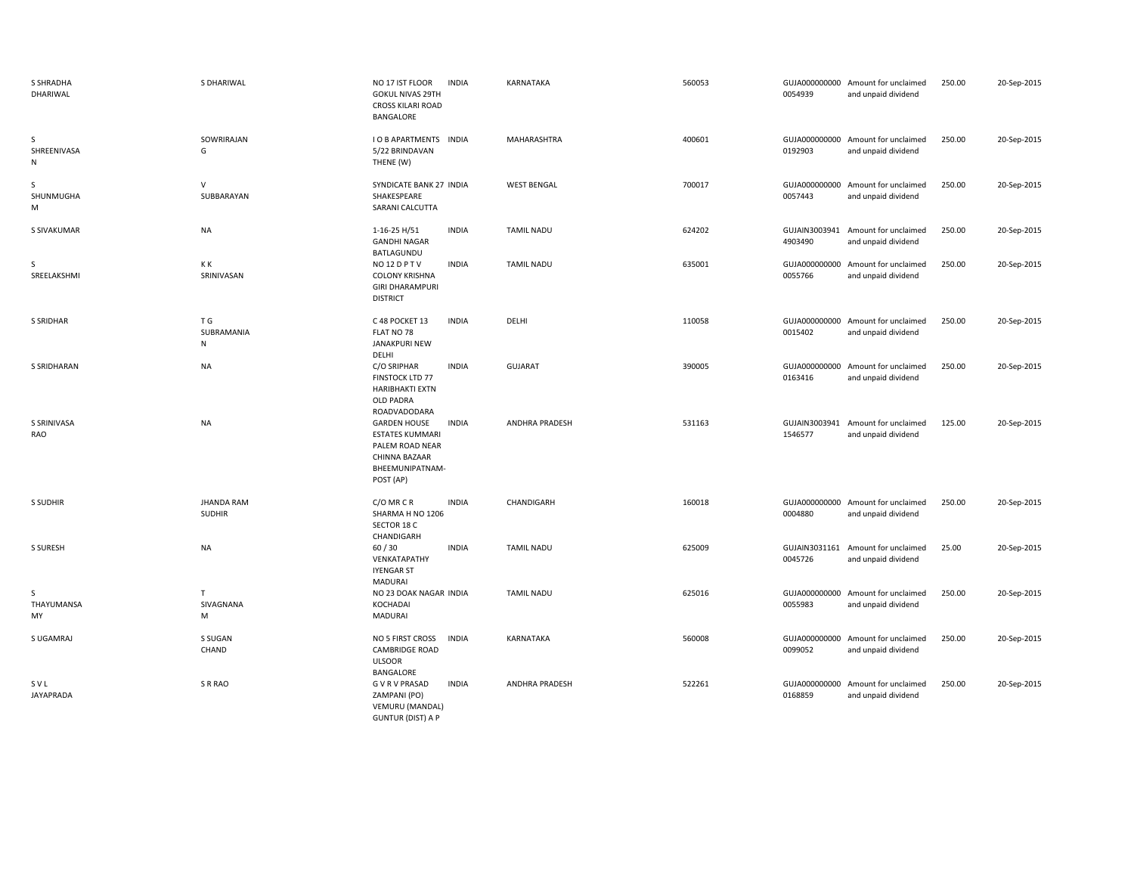| S SHRADHA<br>DHARIWAL   | S DHARIWAL                         | NO 17 IST FLOOR<br><b>INDIA</b><br><b>GOKUL NIVAS 29TH</b><br><b>CROSS KILARI ROAD</b><br>BANGALORE                               | KARNATAKA             | 560053 | 0054939                  | GUJA000000000 Amount for unclaimed<br>and unpaid dividend | 250.00 | 20-Sep-2015 |
|-------------------------|------------------------------------|-----------------------------------------------------------------------------------------------------------------------------------|-----------------------|--------|--------------------------|-----------------------------------------------------------|--------|-------------|
| S<br>SHREENIVASA<br>N   | SOWRIRAJAN<br>G                    | <b>I O B APARTMENTS INDIA</b><br>5/22 BRINDAVAN<br>THENE (W)                                                                      | MAHARASHTRA           | 400601 | 0192903                  | GUJA000000000 Amount for unclaimed<br>and unpaid dividend | 250.00 | 20-Sep-2015 |
| S<br>SHUNMUGHA<br>M     | $\vee$<br>SUBBARAYAN               | SYNDICATE BANK 27 INDIA<br>SHAKESPEARE<br>SARANI CALCUTTA                                                                         | <b>WEST BENGAL</b>    | 700017 | GUJA000000000<br>0057443 | Amount for unclaimed<br>and unpaid dividend               | 250.00 | 20-Sep-2015 |
| S SIVAKUMAR             | <b>NA</b>                          | <b>INDIA</b><br>1-16-25 H/51<br><b>GANDHI NAGAR</b><br>BATLAGUNDU                                                                 | <b>TAMIL NADU</b>     | 624202 | GUJAIN3003941<br>4903490 | Amount for unclaimed<br>and unpaid dividend               | 250.00 | 20-Sep-2015 |
| S<br>SREELAKSHMI        | КK<br>SRINIVASAN                   | NO <sub>12</sub> DPTV<br><b>INDIA</b><br><b>COLONY KRISHNA</b><br><b>GIRI DHARAMPURI</b><br><b>DISTRICT</b>                       | <b>TAMIL NADU</b>     | 635001 | GUJA000000000<br>0055766 | Amount for unclaimed<br>and unpaid dividend               | 250.00 | 20-Sep-2015 |
| S SRIDHAR               | T G<br>SUBRAMANIA<br>N             | C 48 POCKET 13<br><b>INDIA</b><br>FLAT NO 78<br><b>JANAKPURI NEW</b><br>DELHI                                                     | DELHI                 | 110058 | GUJA000000000<br>0015402 | Amount for unclaimed<br>and unpaid dividend               | 250.00 | 20-Sep-2015 |
| S SRIDHARAN             | <b>NA</b>                          | <b>INDIA</b><br>C/O SRIPHAR<br>FINSTOCK LTD 77<br><b>HARIBHAKTI EXTN</b><br><b>OLD PADRA</b><br>ROADVADODARA                      | GUJARAT               | 390005 | GUJA000000000<br>0163416 | Amount for unclaimed<br>and unpaid dividend               | 250.00 | 20-Sep-2015 |
| S SRINIVASA<br>RAO      | <b>NA</b>                          | <b>GARDEN HOUSE</b><br><b>INDIA</b><br><b>ESTATES KUMMARI</b><br>PALEM ROAD NEAR<br>CHINNA BAZAAR<br>BHEEMUNIPATNAM-<br>POST (AP) | ANDHRA PRADESH        | 531163 | GUJAIN3003941<br>1546577 | Amount for unclaimed<br>and unpaid dividend               | 125.00 | 20-Sep-2015 |
| S SUDHIR                | <b>JHANDA RAM</b><br><b>SUDHIR</b> | C/O MR C R<br><b>INDIA</b><br>SHARMA H NO 1206<br>SECTOR 18 C<br>CHANDIGARH                                                       | CHANDIGARH            | 160018 | 0004880                  | GUJA000000000 Amount for unclaimed<br>and unpaid dividend | 250.00 | 20-Sep-2015 |
| S SURESH                | <b>NA</b>                          | <b>INDIA</b><br>60/30<br>VENKATAPATHY<br><b>IYENGAR ST</b><br><b>MADURAI</b>                                                      | <b>TAMIL NADU</b>     | 625009 | 0045726                  | GUJAIN3031161 Amount for unclaimed<br>and unpaid dividend | 25.00  | 20-Sep-2015 |
| S<br>THAYUMANSA<br>MY   | T<br>SIVAGNANA<br>М                | NO 23 DOAK NAGAR INDIA<br>KOCHADAI<br><b>MADURAI</b>                                                                              | <b>TAMIL NADU</b>     | 625016 | GUJA000000000<br>0055983 | Amount for unclaimed<br>and unpaid dividend               | 250.00 | 20-Sep-2015 |
| S UGAMRAJ               | S SUGAN<br>CHAND                   | NO 5 FIRST CROSS<br><b>INDIA</b><br><b>CAMBRIDGE ROAD</b><br><b>ULSOOR</b><br><b>BANGALORE</b>                                    | KARNATAKA             | 560008 | GUJA000000000<br>0099052 | Amount for unclaimed<br>and unpaid dividend               | 250.00 | 20-Sep-2015 |
| SVL<br><b>JAYAPRADA</b> | S R RAO                            | <b>GVRVPRASAD</b><br><b>INDIA</b><br>ZAMPANI (PO)<br>VEMURU (MANDAL)<br><b>GUNTUR (DIST) A P</b>                                  | <b>ANDHRA PRADESH</b> | 522261 | 0168859                  | GUJA000000000 Amount for unclaimed<br>and unpaid dividend | 250.00 | 20-Sep-2015 |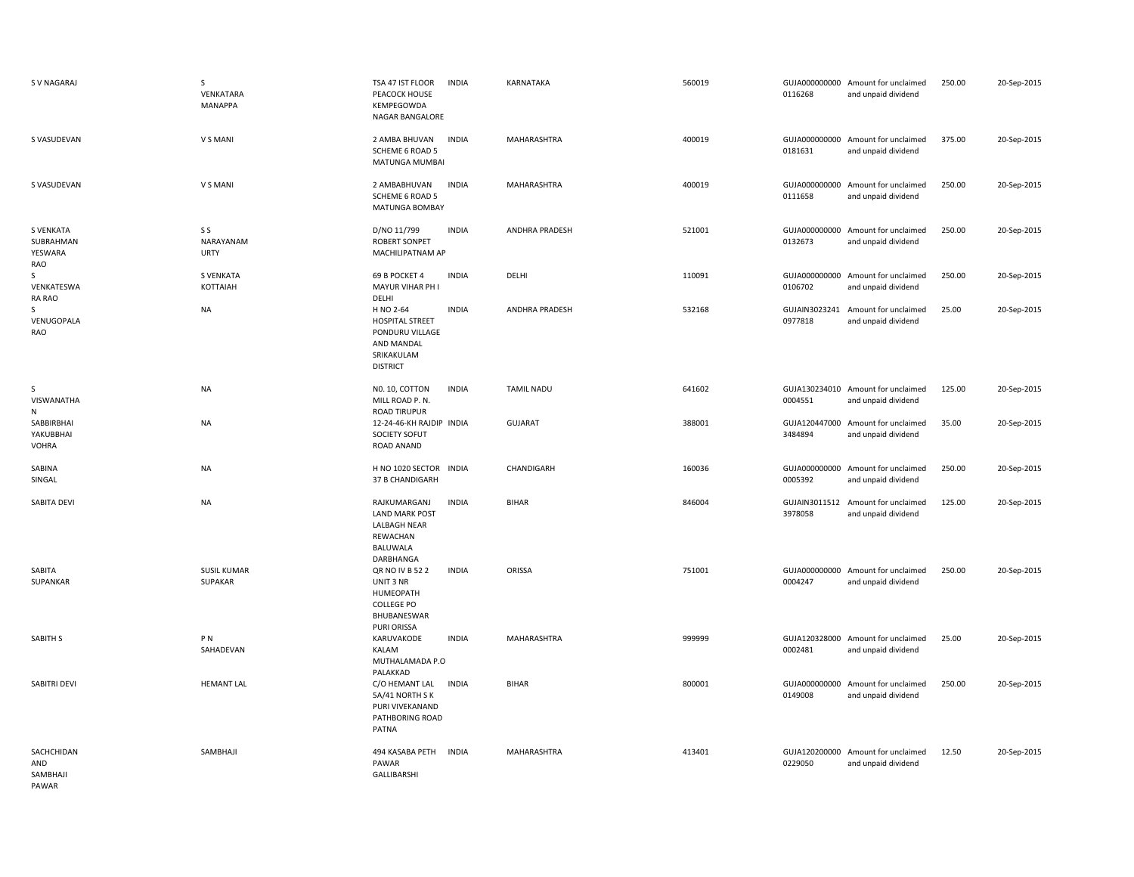| S V NAGARAJ                                     | S<br>VENKATARA<br>MANAPPA       | TSA 47 IST FLOOR<br>PEACOCK HOUSE<br>KEMPEGOWDA<br>NAGAR BANGALORE                                    | <b>INDIA</b> | KARNATAKA         | 560019 | 0116268                  | GUJA000000000 Amount for unclaimed<br>and unpaid dividend | 250.00 | 20-Sep-2015 |
|-------------------------------------------------|---------------------------------|-------------------------------------------------------------------------------------------------------|--------------|-------------------|--------|--------------------------|-----------------------------------------------------------|--------|-------------|
| S VASUDEVAN                                     | V S MANI                        | 2 AMBA BHUVAN<br><b>SCHEME 6 ROAD 5</b><br>MATUNGA MUMBAI                                             | <b>INDIA</b> | MAHARASHTRA       | 400019 | 0181631                  | GUJA000000000 Amount for unclaimed<br>and unpaid dividend | 375.00 | 20-Sep-2015 |
| S VASUDEVAN                                     | V S MANI                        | 2 AMBABHUVAN<br>SCHEME 6 ROAD 5<br>MATUNGA BOMBAY                                                     | <b>INDIA</b> | MAHARASHTRA       | 400019 | 0111658                  | GUJA000000000 Amount for unclaimed<br>and unpaid dividend | 250.00 | 20-Sep-2015 |
| <b>S VENKATA</b><br>SUBRAHMAN<br>YESWARA<br>RAO | S S<br>NARAYANAM<br><b>URTY</b> | D/NO 11/799<br><b>ROBERT SONPET</b><br>MACHILIPATNAM AP                                               | <b>INDIA</b> | ANDHRA PRADESH    | 521001 | GUJA000000000<br>0132673 | Amount for unclaimed<br>and unpaid dividend               | 250.00 | 20-Sep-2015 |
| S<br>VENKATESWA<br>RA RAO                       | <b>S VENKATA</b><br>KOTTAIAH    | 69 B POCKET 4<br>MAYUR VIHAR PH I<br>DELHI                                                            | <b>INDIA</b> | DELHI             | 110091 | 0106702                  | GUJA000000000 Amount for unclaimed<br>and unpaid dividend | 250.00 | 20-Sep-2015 |
| S<br>VENUGOPALA<br>RAO                          | <b>NA</b>                       | H NO 2-64<br><b>HOSPITAL STREET</b><br>PONDURU VILLAGE<br>AND MANDAL<br>SRIKAKULAM<br><b>DISTRICT</b> | <b>INDIA</b> | ANDHRA PRADESH    | 532168 | 0977818                  | GUJAIN3023241 Amount for unclaimed<br>and unpaid dividend | 25.00  | 20-Sep-2015 |
| S<br>VISWANATHA<br>N                            | <b>NA</b>                       | NO. 10, COTTON<br>MILL ROAD P. N.<br><b>ROAD TIRUPUR</b>                                              | <b>INDIA</b> | <b>TAMIL NADU</b> | 641602 | 0004551                  | GUJA130234010 Amount for unclaimed<br>and unpaid dividend | 125.00 | 20-Sep-2015 |
| SABBIRBHAI<br>YAKUBBHAI<br>VOHRA                | <b>NA</b>                       | 12-24-46-KH RAJDIP INDIA<br>SOCIETY SOFUT<br>ROAD ANAND                                               |              | GUJARAT           | 388001 | 3484894                  | GUJA120447000 Amount for unclaimed<br>and unpaid dividend | 35.00  | 20-Sep-2015 |
| SABINA<br>SINGAL                                | <b>NA</b>                       | H NO 1020 SECTOR INDIA<br>37 B CHANDIGARH                                                             |              | CHANDIGARH        | 160036 | 0005392                  | GUJA000000000 Amount for unclaimed<br>and unpaid dividend | 250.00 | 20-Sep-2015 |
| SABITA DEVI                                     | <b>NA</b>                       | RAJKUMARGANJ<br><b>LAND MARK POST</b><br><b>LALBAGH NEAR</b><br>REWACHAN<br>BALUWALA<br>DARBHANGA     | <b>INDIA</b> | <b>BIHAR</b>      | 846004 | 3978058                  | GUJAIN3011512 Amount for unclaimed<br>and unpaid dividend | 125.00 | 20-Sep-2015 |
| SABITA<br>SUPANKAR                              | <b>SUSIL KUMAR</b><br>SUPAKAR   | QR NO IV B 52 2<br>UNIT 3 NR<br>HUMEOPATH<br><b>COLLEGE PO</b><br>BHUBANESWAR<br>PURI ORISSA          | <b>INDIA</b> | ORISSA            | 751001 | GUJA000000000<br>0004247 | Amount for unclaimed<br>and unpaid dividend               | 250.00 | 20-Sep-2015 |
| SABITH S                                        | P <sub>N</sub><br>SAHADEVAN     | KARUVAKODE<br>KALAM<br>MUTHALAMADA P.O<br>PALAKKAD                                                    | <b>INDIA</b> | MAHARASHTRA       | 999999 | 0002481                  | GUJA120328000 Amount for unclaimed<br>and unpaid dividend | 25.00  | 20-Sep-2015 |
| SABITRI DEVI                                    | <b>HEMANT LAL</b>               | C/O HEMANT LAL<br>5A/41 NORTH SK<br>PURI VIVEKANAND<br>PATHBORING ROAD<br>PATNA                       | <b>INDIA</b> | <b>BIHAR</b>      | 800001 | GUJA000000000<br>0149008 | Amount for unclaimed<br>and unpaid dividend               | 250.00 | 20-Sep-2015 |
| SACHCHIDAN<br>AND<br>SAMBHAJI<br>PAWAR          | SAMBHAJI                        | 494 KASABA PETH<br>PAWAR<br>GALLIBARSHI                                                               | <b>INDIA</b> | MAHARASHTRA       | 413401 | 0229050                  | GUJA120200000 Amount for unclaimed<br>and unpaid dividend | 12.50  | 20-Sep-2015 |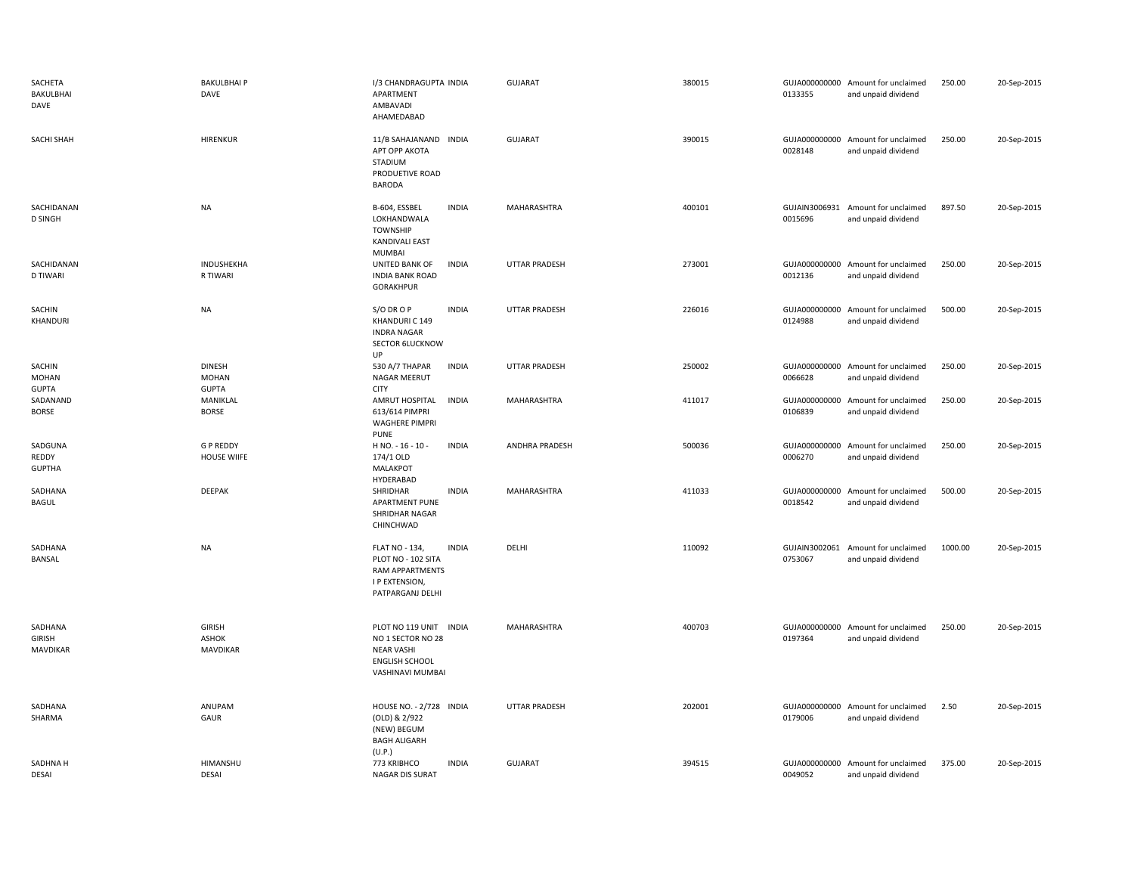| SACHETA<br>BAKULBHAI<br>DAVE           | <b>BAKULBHAI P</b><br>DAVE                       | I/3 CHANDRAGUPTA INDIA<br>APARTMENT<br>AMBAVADI<br>AHAMEDABAD                                                 |              | <b>GUJARAT</b>       | 380015 | 0133355                  | GUJA000000000 Amount for unclaimed<br>and unpaid dividend | 250.00  | 20-Sep-2015 |
|----------------------------------------|--------------------------------------------------|---------------------------------------------------------------------------------------------------------------|--------------|----------------------|--------|--------------------------|-----------------------------------------------------------|---------|-------------|
| SACHI SHAH                             | <b>HIRENKUR</b>                                  | 11/B SAHAJANAND INDIA<br>АРТ ОРР АКОТА<br>STADIUM<br>PRODUETIVE ROAD<br><b>BARODA</b>                         |              | GUJARAT              | 390015 | 0028148                  | GUJA000000000 Amount for unclaimed<br>and unpaid dividend | 250.00  | 20-Sep-2015 |
| SACHIDANAN<br><b>D SINGH</b>           | <b>NA</b>                                        | B-604, ESSBEL<br>LOKHANDWALA<br><b>TOWNSHIP</b><br><b>KANDIVALI EAST</b><br><b>MUMBAI</b>                     | <b>INDIA</b> | MAHARASHTRA          | 400101 | 0015696                  | GUJAIN3006931 Amount for unclaimed<br>and unpaid dividend | 897.50  | 20-Sep-2015 |
| SACHIDANAN<br>D TIWARI                 | INDUSHEKHA<br>R TIWARI                           | UNITED BANK OF<br><b>INDIA BANK ROAD</b><br>GORAKHPUR                                                         | <b>INDIA</b> | UTTAR PRADESH        | 273001 | 0012136                  | GUJA000000000 Amount for unclaimed<br>and unpaid dividend | 250.00  | 20-Sep-2015 |
| SACHIN<br>KHANDURI                     | <b>NA</b>                                        | S/O DR O P<br>KHANDURI C 149<br><b>INDRA NAGAR</b><br><b>SECTOR 6LUCKNOW</b><br>UP                            | <b>INDIA</b> | <b>UTTAR PRADESH</b> | 226016 | GUJA000000000<br>0124988 | Amount for unclaimed<br>and unpaid dividend               | 500.00  | 20-Sep-2015 |
| SACHIN<br><b>MOHAN</b><br><b>GUPTA</b> | <b>DINESH</b><br><b>MOHAN</b><br><b>GUPTA</b>    | 530 A/7 THAPAR<br>NAGAR MEERUT<br><b>CITY</b>                                                                 | <b>INDIA</b> | UTTAR PRADESH        | 250002 | 0066628                  | GUJA000000000 Amount for unclaimed<br>and unpaid dividend | 250.00  | 20-Sep-2015 |
| SADANAND<br><b>BORSE</b>               | MANIKLAL<br><b>BORSE</b>                         | AMRUT HOSPITAL<br>613/614 PIMPRI<br><b>WAGHERE PIMPRI</b><br><b>PUNE</b>                                      | <b>INDIA</b> | MAHARASHTRA          | 411017 | 0106839                  | GUJA000000000 Amount for unclaimed<br>and unpaid dividend | 250.00  | 20-Sep-2015 |
| SADGUNA<br>REDDY<br><b>GUPTHA</b>      | <b>GP REDDY</b><br><b>HOUSE WIIFE</b>            | H NO. - 16 - 10 -<br>174/1 OLD<br><b>MALAKPOT</b><br>HYDERABAD                                                | <b>INDIA</b> | ANDHRA PRADESH       | 500036 | 0006270                  | GUJA000000000 Amount for unclaimed<br>and unpaid dividend | 250.00  | 20-Sep-2015 |
| SADHANA<br>BAGUL                       | <b>DEEPAK</b>                                    | SHRIDHAR<br>APARTMENT PUNE<br>SHRIDHAR NAGAR<br>CHINCHWAD                                                     | <b>INDIA</b> | MAHARASHTRA          | 411033 | GUJA000000000<br>0018542 | Amount for unclaimed<br>and unpaid dividend               | 500.00  | 20-Sep-2015 |
| SADHANA<br>BANSAL                      | <b>NA</b>                                        | <b>FLAT NO - 134,</b><br>PLOT NO - 102 SITA<br>RAM APPARTMENTS<br>I P EXTENSION,<br>PATPARGANJ DELHI          | <b>INDIA</b> | DELHI                | 110092 | GUJAIN3002061<br>0753067 | Amount for unclaimed<br>and unpaid dividend               | 1000.00 | 20-Sep-2015 |
| SADHANA<br>GIRISH<br>MAVDIKAR          | <b>GIRISH</b><br><b>ASHOK</b><br><b>MAVDIKAR</b> | PLOT NO 119 UNIT INDIA<br>NO 1 SECTOR NO 28<br><b>NEAR VASHI</b><br><b>ENGLISH SCHOOL</b><br>VASHINAVI MUMBAI |              | MAHARASHTRA          | 400703 | 0197364                  | GUJA000000000 Amount for unclaimed<br>and unpaid dividend | 250.00  | 20-Sep-2015 |
| SADHANA<br>SHARMA                      | ANUPAM<br>GAUR                                   | HOUSE NO. - 2/728 INDIA<br>(OLD) & 2/922<br>(NEW) BEGUM<br><b>BAGH ALIGARH</b><br>(U.P.)                      |              | <b>UTTAR PRADESH</b> | 202001 | 0179006                  | GUJA000000000 Amount for unclaimed<br>and unpaid dividend | 2.50    | 20-Sep-2015 |
| SADHNA H<br><b>DESAI</b>               | <b>HIMANSHU</b><br><b>DESAI</b>                  | 773 KRIBHCO<br><b>NAGAR DIS SURAT</b>                                                                         | <b>INDIA</b> | <b>GUJARAT</b>       | 394515 | 0049052                  | GUJA000000000 Amount for unclaimed<br>and unpaid dividend | 375.00  | 20-Sep-2015 |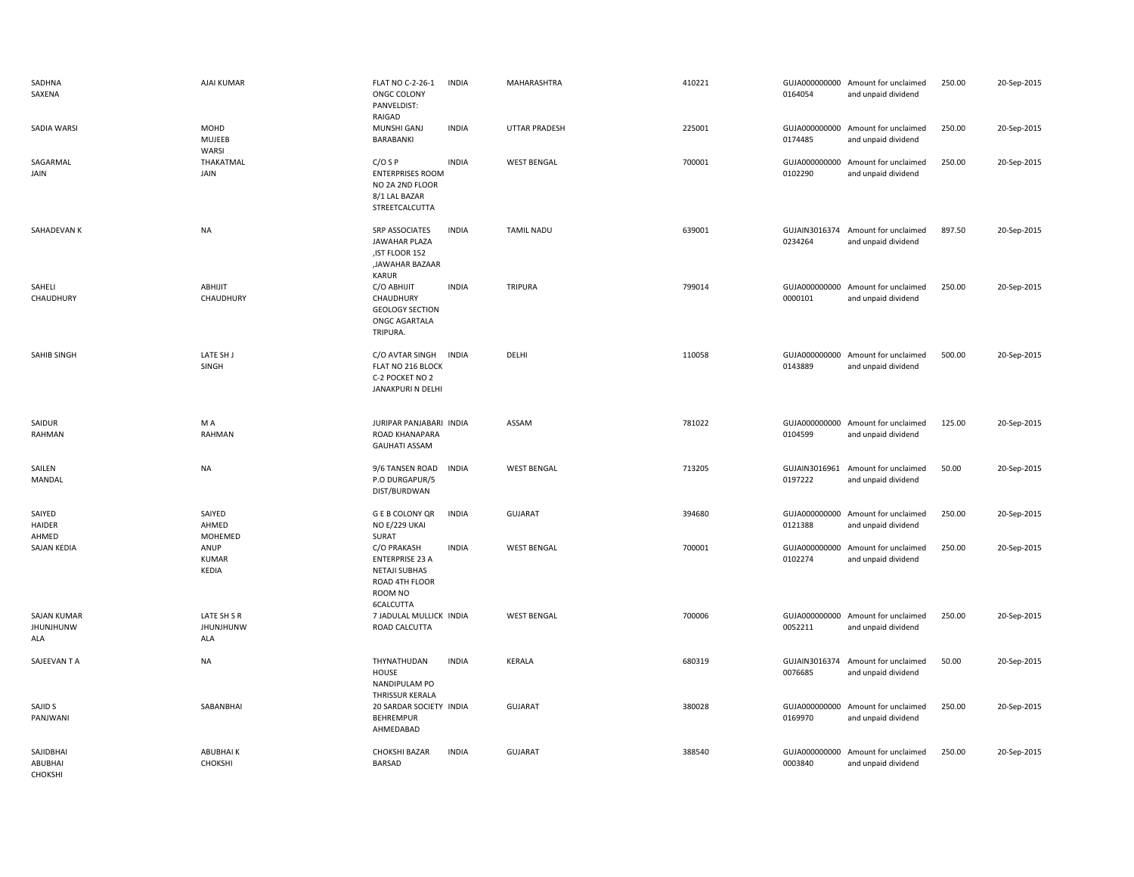| SADHNA<br>SAXENA                              | <b>AJAI KUMAR</b>                      | <b>FLAT NO C-2-26-1</b><br>ONGC COLONY<br>PANVELDIST:<br>RAIGAD                                         | <b>INDIA</b> | MAHARASHTRA          | 410221 | 0164054                  | GUJA000000000 Amount for unclaimed<br>and unpaid dividend | 250.00 | 20-Sep-2015 |
|-----------------------------------------------|----------------------------------------|---------------------------------------------------------------------------------------------------------|--------------|----------------------|--------|--------------------------|-----------------------------------------------------------|--------|-------------|
| <b>SADIA WARSI</b>                            | <b>MOHD</b><br>MUJEEB<br>WARSI         | MUNSHI GANJ<br>BARABANKI                                                                                | <b>INDIA</b> | <b>UTTAR PRADESH</b> | 225001 | 0174485                  | GUJA000000000 Amount for unclaimed<br>and unpaid dividend | 250.00 | 20-Sep-2015 |
| SAGARMAL<br>JAIN                              | THAKATMAL<br>JAIN                      | $C/O$ S P<br><b>ENTERPRISES ROOM</b><br>NO 2A 2ND FLOOR<br>8/1 LAL BAZAR<br>STREETCALCUTTA              | <b>INDIA</b> | <b>WEST BENGAL</b>   | 700001 | 0102290                  | GUJA000000000 Amount for unclaimed<br>and unpaid dividend | 250.00 | 20-Sep-2015 |
| SAHADEVAN K                                   | NA                                     | SRP ASSOCIATES<br>JAWAHAR PLAZA<br>, IST FLOOR 152<br><b>JAWAHAR BAZAAR</b><br><b>KARUR</b>             | <b>INDIA</b> | <b>TAMIL NADU</b>    | 639001 | 0234264                  | GUJAIN3016374 Amount for unclaimed<br>and unpaid dividend | 897.50 | 20-Sep-2015 |
| SAHELI<br>CHAUDHURY                           | ABHIJIT<br>CHAUDHURY                   | C/O ABHIJIT<br>CHAUDHURY<br><b>GEOLOGY SECTION</b><br>ONGC AGARTALA<br>TRIPURA.                         | <b>INDIA</b> | <b>TRIPURA</b>       | 799014 | 0000101                  | GUJA000000000 Amount for unclaimed<br>and unpaid dividend | 250.00 | 20-Sep-2015 |
| SAHIB SINGH                                   | LATE SH J<br>SINGH                     | C/O AVTAR SINGH<br>FLAT NO 216 BLOCK<br>C-2 POCKET NO 2<br>JANAKPURI N DELHI                            | <b>INDIA</b> | DELHI                | 110058 | 0143889                  | GUJA000000000 Amount for unclaimed<br>and unpaid dividend | 500.00 | 20-Sep-2015 |
| SAIDUR<br>RAHMAN                              | M A<br>RAHMAN                          | JURIPAR PANJABARI INDIA<br>ROAD KHANAPARA<br><b>GAUHATI ASSAM</b>                                       |              | ASSAM                | 781022 | 0104599                  | GUJA000000000 Amount for unclaimed<br>and unpaid dividend | 125.00 | 20-Sep-2015 |
| SAILEN<br>MANDAL                              | NA                                     | 9/6 TANSEN ROAD<br>P.O DURGAPUR/5<br>DIST/BURDWAN                                                       | <b>INDIA</b> | <b>WEST BENGAL</b>   | 713205 | GUJAIN3016961<br>0197222 | Amount for unclaimed<br>and unpaid dividend               | 50.00  | 20-Sep-2015 |
| SAIYED<br>HAIDER<br>AHMED                     | SAIYED<br>AHMED<br>MOHEMED             | <b>GEB COLONY QR</b><br>NO E/229 UKAI<br>SURAT                                                          | <b>INDIA</b> | <b>GUJARAT</b>       | 394680 | 0121388                  | GUJA000000000 Amount for unclaimed<br>and unpaid dividend | 250.00 | 20-Sep-2015 |
| SAJAN KEDIA                                   | ANUP<br><b>KUMAR</b><br>KEDIA          | C/O PRAKASH<br><b>ENTERPRISE 23 A</b><br><b>NETAJI SUBHAS</b><br>ROAD 4TH FLOOR<br>ROOM NO<br>6CALCUTTA | <b>INDIA</b> | <b>WEST BENGAL</b>   | 700001 | 0102274                  | GUJA000000000 Amount for unclaimed<br>and unpaid dividend | 250.00 | 20-Sep-2015 |
| <b>SAJAN KUMAR</b><br><b>JHUNJHUNW</b><br>ALA | LATE SH S R<br><b>JHUNJHUNW</b><br>ALA | 7 JADULAL MULLICK INDIA<br>ROAD CALCUTTA                                                                |              | <b>WEST BENGAL</b>   | 700006 | 0052211                  | GUJA000000000 Amount for unclaimed<br>and unpaid dividend | 250.00 | 20-Sep-2015 |
| SAJEEVAN T A                                  | NA                                     | THYNATHUDAN<br>HOUSE<br>NANDIPULAM PO<br><b>THRISSUR KERALA</b>                                         | <b>INDIA</b> | KERALA               | 680319 | 0076685                  | GUJAIN3016374 Amount for unclaimed<br>and unpaid dividend | 50.00  | 20-Sep-2015 |
| SAJID S<br>PANJWANI                           | SABANBHAI                              | 20 SARDAR SOCIETY INDIA<br><b>BEHREMPUR</b><br>AHMEDABAD                                                |              | <b>GUJARAT</b>       | 380028 | 0169970                  | GUJA000000000 Amount for unclaimed<br>and unpaid dividend | 250.00 | 20-Sep-2015 |
| SAJIDBHAI<br>ABUBHAI<br>CHOKSHI               | <b>ABUBHAIK</b><br>CHOKSHI             | <b>CHOKSHI BAZAR</b><br><b>BARSAD</b>                                                                   | <b>INDIA</b> | <b>GUJARAT</b>       | 388540 | GUJA000000000<br>0003840 | Amount for unclaimed<br>and unpaid dividend               | 250.00 | 20-Sep-2015 |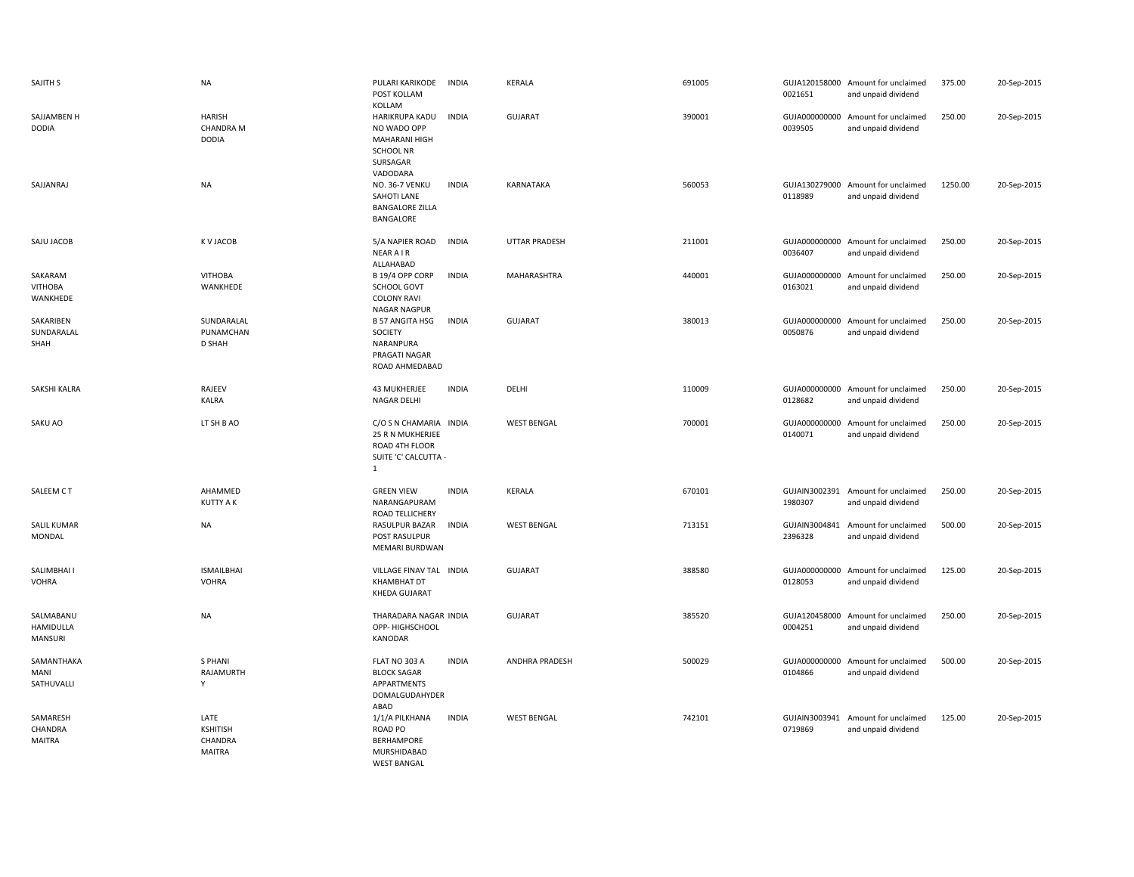| SAJITH S                              | <b>NA</b>                                         | PULARI KARIKODE<br><b>INDIA</b><br>POST KOLLAM<br>KOLLAM                                                   | <b>KERALA</b>         | 691005 | 0021651                  | GUJA120158000 Amount for unclaimed<br>and unpaid dividend | 375.00  | 20-Sep-2015 |
|---------------------------------------|---------------------------------------------------|------------------------------------------------------------------------------------------------------------|-----------------------|--------|--------------------------|-----------------------------------------------------------|---------|-------------|
| SAJJAMBEN H<br><b>DODIA</b>           | <b>HARISH</b><br><b>CHANDRA M</b><br><b>DODIA</b> | HARIKRUPA KADU<br><b>INDIA</b><br>NO WADO OPP<br>MAHARANI HIGH<br><b>SCHOOL NR</b><br>SURSAGAR<br>VADODARA | <b>GUJARAT</b>        | 390001 | 0039505                  | GUJA000000000 Amount for unclaimed<br>and unpaid dividend | 250.00  | 20-Sep-2015 |
| SAJJANRAJ                             | <b>NA</b>                                         | NO. 36-7 VENKU<br><b>INDIA</b><br>SAHOTI LANE<br><b>BANGALORE ZILLA</b><br>BANGALORE                       | KARNATAKA             | 560053 | GUJA130279000<br>0118989 | Amount for unclaimed<br>and unpaid dividend               | 1250.00 | 20-Sep-2015 |
| SAJU JACOB                            | K V JACOB                                         | 5/A NAPIER ROAD<br><b>INDIA</b><br><b>NEAR AIR</b><br>ALLAHABAD                                            | <b>UTTAR PRADESH</b>  | 211001 | GUJA000000000<br>0036407 | Amount for unclaimed<br>and unpaid dividend               | 250.00  | 20-Sep-2015 |
| SAKARAM<br><b>VITHOBA</b><br>WANKHEDE | <b>VITHOBA</b><br>WANKHEDE                        | B 19/4 OPP CORP<br><b>INDIA</b><br>SCHOOL GOVT<br><b>COLONY RAVI</b><br><b>NAGAR NAGPUR</b>                | MAHARASHTRA           | 440001 | GUJA000000000<br>0163021 | Amount for unclaimed<br>and unpaid dividend               | 250.00  | 20-Sep-2015 |
| SAKARIBEN<br>SUNDARALAL<br>SHAH       | SUNDARALAL<br>PUNAMCHAN<br><b>D SHAH</b>          | <b>B 57 ANGITA HSG</b><br><b>INDIA</b><br>SOCIETY<br>NARANPURA<br>PRAGATI NAGAR<br>ROAD AHMEDABAD          | <b>GUJARAT</b>        | 380013 | GUJA000000000<br>0050876 | Amount for unclaimed<br>and unpaid dividend               | 250.00  | 20-Sep-2015 |
| SAKSHI KALRA                          | RAJEEV<br><b>KALRA</b>                            | <b>43 MUKHERJEE</b><br><b>INDIA</b><br><b>NAGAR DELHI</b>                                                  | DELHI                 | 110009 | GUJA000000000<br>0128682 | Amount for unclaimed<br>and unpaid dividend               | 250.00  | 20-Sep-2015 |
| SAKU AO                               | LT SH B AO                                        | C/O S N CHAMARIA INDIA<br>25 R N MUKHERJEE<br>ROAD 4TH FLOOR<br>SUITE 'C' CALCUTTA -<br>$\mathbf{1}$       | <b>WEST BENGAL</b>    | 700001 | GUJA000000000<br>0140071 | Amount for unclaimed<br>and unpaid dividend               | 250.00  | 20-Sep-2015 |
| SALEEM CT                             | AHAMMED<br><b>KUTTY A K</b>                       | <b>INDIA</b><br><b>GREEN VIEW</b><br>NARANGAPURAM<br>ROAD TELLICHERY                                       | <b>KERALA</b>         | 670101 | 1980307                  | GUJAIN3002391 Amount for unclaimed<br>and unpaid dividend | 250.00  | 20-Sep-2015 |
| SALIL KUMAR<br>MONDAL                 | NA                                                | RASULPUR BAZAR<br><b>INDIA</b><br>POST RASULPUR<br>MEMARI BURDWAN                                          | <b>WEST BENGAL</b>    | 713151 | 2396328                  | GUJAIN3004841 Amount for unclaimed<br>and unpaid dividend | 500.00  | 20-Sep-2015 |
| SALIMBHAI I<br><b>VOHRA</b>           | <b>ISMAILBHAI</b><br><b>VOHRA</b>                 | VILLAGE FINAV TAL INDIA<br><b>KHAMBHAT DT</b><br><b>KHEDA GUJARAT</b>                                      | GUJARAT               | 388580 | 0128053                  | GUJA000000000 Amount for unclaimed<br>and unpaid dividend | 125.00  | 20-Sep-2015 |
| SALMABANU<br>HAMIDULLA<br>MANSURI     | <b>NA</b>                                         | THARADARA NAGAR INDIA<br>OPP- HIGHSCHOOL<br>KANODAR                                                        | <b>GUJARAT</b>        | 385520 | 0004251                  | GUJA120458000 Amount for unclaimed<br>and unpaid dividend | 250.00  | 20-Sep-2015 |
| SAMANTHAKA<br>MANI<br>SATHUVALLI      | S PHANI<br>RAJAMURTH<br>Y                         | FLAT NO 303 A<br><b>INDIA</b><br><b>BLOCK SAGAR</b><br>APPARTMENTS<br>DOMALGUDAHYDER<br>ABAD               | <b>ANDHRA PRADESH</b> | 500029 | 0104866                  | GUJA000000000 Amount for unclaimed<br>and unpaid dividend | 500.00  | 20-Sep-2015 |
| SAMARESH<br>CHANDRA<br><b>MAITRA</b>  | LATE<br>KSHITISH<br>CHANDRA<br><b>MAITRA</b>      | 1/1/A PILKHANA<br><b>INDIA</b><br>ROAD PO<br><b>BERHAMPORE</b><br>MURSHIDABAD<br><b>WEST BANGAL</b>        | <b>WEST BENGAL</b>    | 742101 | GUJAIN3003941<br>0719869 | Amount for unclaimed<br>and unpaid dividend               | 125.00  | 20-Sep-2015 |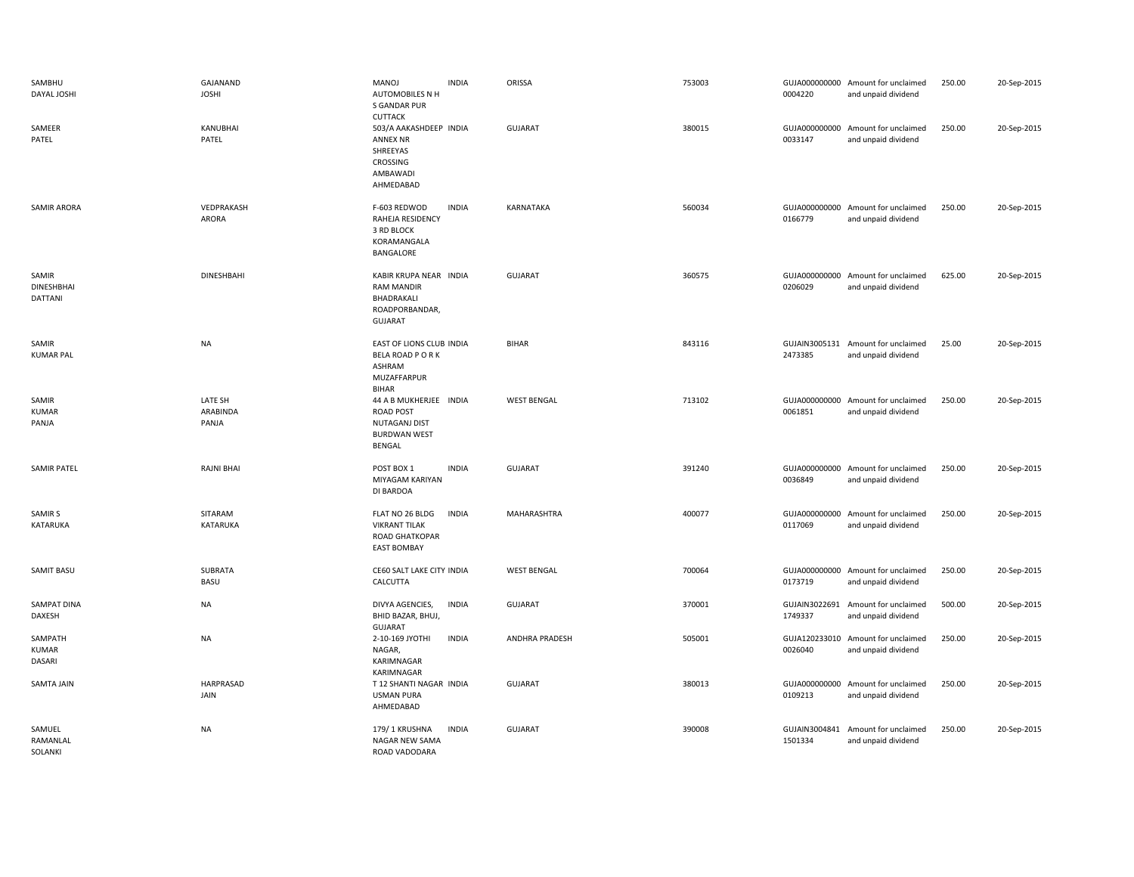| SAMBHU<br>DAYAL JOSHI                 | GAJANAND<br><b>JOSHI</b>     | <b>INDIA</b><br><b>MANOJ</b><br>AUTOMOBILES N H<br>S GANDAR PUR<br><b>CUTTACK</b>               | ORISSA             | 753003 | 0004220                  | GUJA000000000 Amount for unclaimed<br>and unpaid dividend | 250.00 | 20-Sep-2015 |
|---------------------------------------|------------------------------|-------------------------------------------------------------------------------------------------|--------------------|--------|--------------------------|-----------------------------------------------------------|--------|-------------|
| SAMEER<br>PATEL                       | KANUBHAI<br>PATEL            | 503/A AAKASHDEEP INDIA<br><b>ANNEX NR</b><br>SHREEYAS<br>CROSSING<br>AMBAWADI<br>AHMEDABAD      | GUJARAT            | 380015 | GUJA000000000<br>0033147 | Amount for unclaimed<br>and unpaid dividend               | 250.00 | 20-Sep-2015 |
| SAMIR ARORA                           | VEDPRAKASH<br>ARORA          | <b>INDIA</b><br>F-603 REDWOD<br>RAHEJA RESIDENCY<br>3 RD BLOCK<br>KORAMANGALA<br>BANGALORE      | KARNATAKA          | 560034 | 0166779                  | GUJA000000000 Amount for unclaimed<br>and unpaid dividend | 250.00 | 20-Sep-2015 |
| SAMIR<br><b>DINESHBHAI</b><br>DATTANI | <b>DINESHBAHI</b>            | KABIR KRUPA NEAR INDIA<br><b>RAM MANDIR</b><br>BHADRAKALI<br>ROADPORBANDAR,<br><b>GUJARAT</b>   | GUJARAT            | 360575 | GUJA000000000<br>0206029 | Amount for unclaimed<br>and unpaid dividend               | 625.00 | 20-Sep-2015 |
| SAMIR<br><b>KUMAR PAL</b>             | <b>NA</b>                    | EAST OF LIONS CLUB INDIA<br><b>BELA ROAD PORK</b><br>ASHRAM<br>MUZAFFARPUR<br><b>BIHAR</b>      | <b>BIHAR</b>       | 843116 | 2473385                  | GUJAIN3005131 Amount for unclaimed<br>and unpaid dividend | 25.00  | 20-Sep-2015 |
| SAMIR<br><b>KUMAR</b><br>PANJA        | LATE SH<br>ARABINDA<br>PANJA | 44 A B MUKHERJEE INDIA<br><b>ROAD POST</b><br>NUTAGANJ DIST<br><b>BURDWAN WEST</b><br>BENGAL    | <b>WEST BENGAL</b> | 713102 | GUJA000000000<br>0061851 | Amount for unclaimed<br>and unpaid dividend               | 250.00 | 20-Sep-2015 |
| <b>SAMIR PATEL</b>                    | <b>RAJNI BHAI</b>            | POST BOX 1<br><b>INDIA</b><br>MIYAGAM KARIYAN<br>DI BARDOA                                      | <b>GUJARAT</b>     | 391240 | 0036849                  | GUJA000000000 Amount for unclaimed<br>and unpaid dividend | 250.00 | 20-Sep-2015 |
| SAMIR <sub>S</sub><br>KATARUKA        | SITARAM<br>KATARUKA          | <b>INDIA</b><br>FLAT NO 26 BLDG<br><b>VIKRANT TILAK</b><br>ROAD GHATKOPAR<br><b>EAST BOMBAY</b> | MAHARASHTRA        | 400077 | 0117069                  | GUJA000000000 Amount for unclaimed<br>and unpaid dividend | 250.00 | 20-Sep-2015 |
| SAMIT BASU                            | SUBRATA<br>BASU              | CE60 SALT LAKE CITY INDIA<br>CALCUTTA                                                           | <b>WEST BENGAL</b> | 700064 | 0173719                  | GUJA000000000 Amount for unclaimed<br>and unpaid dividend | 250.00 | 20-Sep-2015 |
| SAMPAT DINA<br>DAXESH                 | <b>NA</b>                    | <b>INDIA</b><br>DIVYA AGENCIES,<br>BHID BAZAR, BHUJ,<br><b>GUJARAT</b>                          | GUJARAT            | 370001 | GUJAIN3022691<br>1749337 | Amount for unclaimed<br>and unpaid dividend               | 500.00 | 20-Sep-2015 |
| SAMPATH<br><b>KUMAR</b><br>DASARI     | <b>NA</b>                    | <b>INDIA</b><br>2-10-169 JYOTHI<br>NAGAR,<br>KARIMNAGAR<br>KARIMNAGAR                           | ANDHRA PRADESH     | 505001 | GUJA120233010<br>0026040 | Amount for unclaimed<br>and unpaid dividend               | 250.00 | 20-Sep-2015 |
| SAMTA JAIN                            | HARPRASAD<br>JAIN            | T 12 SHANTI NAGAR INDIA<br><b>USMAN PURA</b><br>AHMEDABAD                                       | <b>GUJARAT</b>     | 380013 | GUJA000000000<br>0109213 | Amount for unclaimed<br>and unpaid dividend               | 250.00 | 20-Sep-2015 |
| SAMUEL<br>RAMANLAL<br>SOLANKI         | <b>NA</b>                    | <b>INDIA</b><br>179/1 KRUSHNA<br>NAGAR NEW SAMA<br>ROAD VADODARA                                | <b>GUJARAT</b>     | 390008 | GUJAIN3004841<br>1501334 | Amount for unclaimed<br>and unpaid dividend               | 250.00 | 20-Sep-2015 |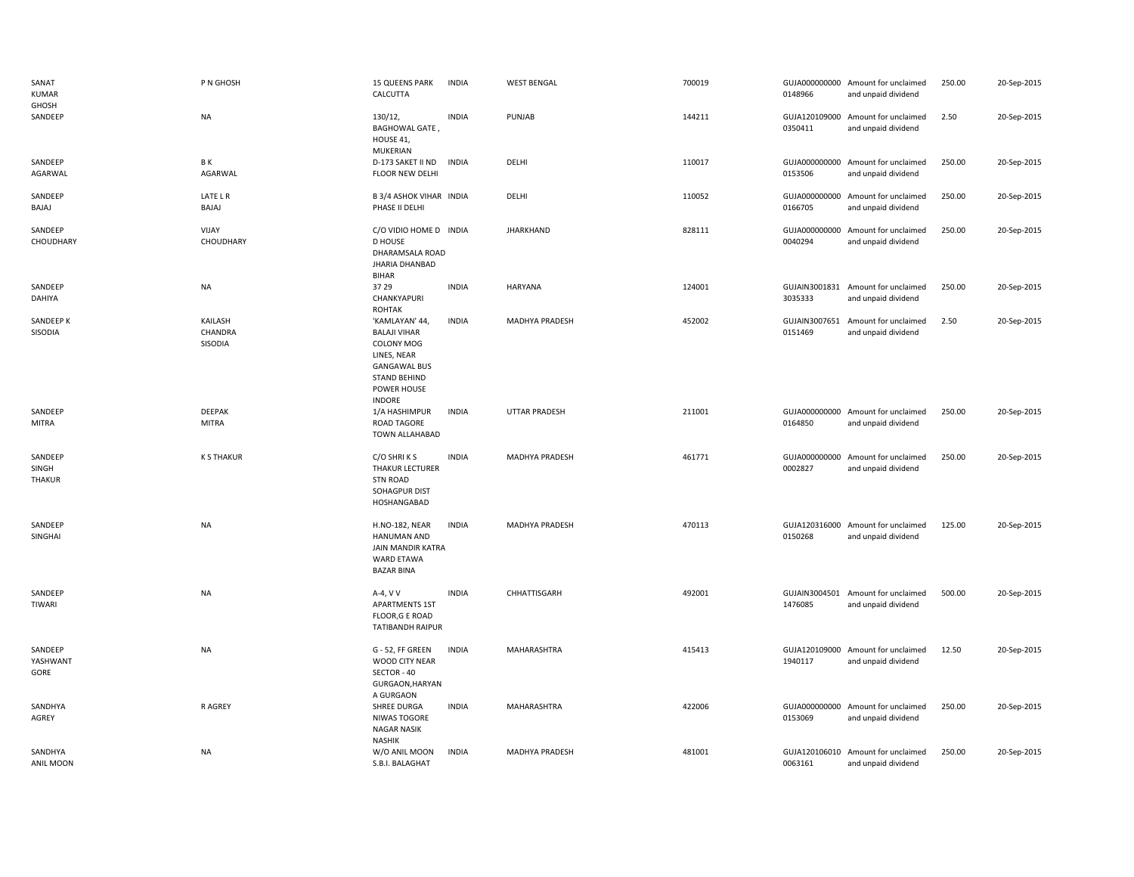| SANAT<br><b>KUMAR</b><br>GHOSH    | P N GHOSH                     | 15 QUEENS PARK<br>CALCUTTA                                                                                                                      | <b>INDIA</b> | <b>WEST BENGAL</b>   | 700019 | 0148966                  | GUJA000000000 Amount for unclaimed<br>and unpaid dividend | 250.00 | 20-Sep-2015 |
|-----------------------------------|-------------------------------|-------------------------------------------------------------------------------------------------------------------------------------------------|--------------|----------------------|--------|--------------------------|-----------------------------------------------------------|--------|-------------|
| SANDEEP                           | <b>NA</b>                     | 130/12,<br><b>BAGHOWAL GATE,</b><br>HOUSE 41,<br>MUKERIAN                                                                                       | <b>INDIA</b> | PUNJAB               | 144211 | 0350411                  | GUJA120109000 Amount for unclaimed<br>and unpaid dividend | 2.50   | 20-Sep-2015 |
| SANDEEP<br>AGARWAL                | ΒK<br>AGARWAL                 | D-173 SAKET II ND<br>FLOOR NEW DELHI                                                                                                            | <b>INDIA</b> | DELHI                | 110017 | 0153506                  | GUJA000000000 Amount for unclaimed<br>and unpaid dividend | 250.00 | 20-Sep-2015 |
| SANDEEP<br>BAJAJ                  | LATE L R<br>BAJAJ             | B 3/4 ASHOK VIHAR INDIA<br>PHASE II DELHI                                                                                                       |              | DELHI                | 110052 | GUJA000000000<br>0166705 | Amount for unclaimed<br>and unpaid dividend               | 250.00 | 20-Sep-2015 |
| SANDEEP<br>CHOUDHARY              | VIJAY<br>CHOUDHARY            | C/O VIDIO HOME D INDIA<br><b>D HOUSE</b><br>DHARAMSALA ROAD<br>JHARIA DHANBAD<br><b>BIHAR</b>                                                   |              | <b>JHARKHAND</b>     | 828111 | 0040294                  | GUJA000000000 Amount for unclaimed<br>and unpaid dividend | 250.00 | 20-Sep-2015 |
| SANDEEP<br>DAHIYA                 | NA                            | 37 29<br>CHANKYAPURI<br><b>ROHTAK</b>                                                                                                           | <b>INDIA</b> | <b>HARYANA</b>       | 124001 | 3035333                  | GUJAIN3001831 Amount for unclaimed<br>and unpaid dividend | 250.00 | 20-Sep-2015 |
| SANDEEP K<br>SISODIA              | KAILASH<br>CHANDRA<br>SISODIA | 'KAMLAYAN' 44<br><b>BALAJI VIHAR</b><br>COLONY MOG<br>LINES, NEAR<br><b>GANGAWAL BUS</b><br><b>STAND BEHIND</b><br>POWER HOUSE<br><b>INDORE</b> | <b>INDIA</b> | MADHYA PRADESH       | 452002 | 0151469                  | GUJAIN3007651 Amount for unclaimed<br>and unpaid dividend | 2.50   | 20-Sep-2015 |
| SANDEEP<br>MITRA                  | <b>DEEPAK</b><br><b>MITRA</b> | 1/A HASHIMPUR<br><b>ROAD TAGORE</b><br>TOWN ALLAHABAD                                                                                           | <b>INDIA</b> | <b>UTTAR PRADESH</b> | 211001 | 0164850                  | GUJA000000000 Amount for unclaimed<br>and unpaid dividend | 250.00 | 20-Sep-2015 |
| SANDEEP<br>SINGH<br><b>THAKUR</b> | <b>K S THAKUR</b>             | C/O SHRIKS<br>THAKUR LECTURER<br><b>STN ROAD</b><br>SOHAGPUR DIST<br>HOSHANGABAD                                                                | <b>INDIA</b> | MADHYA PRADESH       | 461771 | 0002827                  | GUJA000000000 Amount for unclaimed<br>and unpaid dividend | 250.00 | 20-Sep-2015 |
| SANDEEP<br>SINGHAI                | NA                            | <b>H.NO-182, NEAR</b><br>HANUMAN AND<br>JAIN MANDIR KATRA<br><b>WARD ETAWA</b><br><b>BAZAR BINA</b>                                             | <b>INDIA</b> | MADHYA PRADESH       | 470113 | 0150268                  | GUJA120316000 Amount for unclaimed<br>and unpaid dividend | 125.00 | 20-Sep-2015 |
| SANDEEP<br>TIWARI                 | <b>NA</b>                     | A-4, V V<br><b>APARTMENTS 1ST</b><br>FLOOR, G E ROAD<br><b>TATIBANDH RAIPUR</b>                                                                 | <b>INDIA</b> | CHHATTISGARH         | 492001 | GUJAIN3004501<br>1476085 | Amount for unclaimed<br>and unpaid dividend               | 500.00 | 20-Sep-2015 |
| SANDEEP<br>YASHWANT<br>GORE       | <b>NA</b>                     | G - 52, FF GREEN<br>WOOD CITY NEAR<br>SECTOR - 40<br>GURGAON, HARYAN<br>A GURGAON                                                               | <b>INDIA</b> | MAHARASHTRA          | 415413 | GUJA120109000<br>1940117 | Amount for unclaimed<br>and unpaid dividend               | 12.50  | 20-Sep-2015 |
| SANDHYA<br>AGREY                  | <b>RAGREY</b>                 | <b>SHREE DURGA</b><br>NIWAS TOGORE<br><b>NAGAR NASIK</b><br><b>NASHIK</b>                                                                       | <b>INDIA</b> | MAHARASHTRA          | 422006 | GUJA000000000<br>0153069 | Amount for unclaimed<br>and unpaid dividend               | 250.00 | 20-Sep-2015 |
| SANDHYA<br>ANIL MOON              | <b>NA</b>                     | W/O ANIL MOON<br>S.B.I. BALAGHAT                                                                                                                | <b>INDIA</b> | MADHYA PRADESH       | 481001 | 0063161                  | GUJA120106010 Amount for unclaimed<br>and unpaid dividend | 250.00 | 20-Sep-2015 |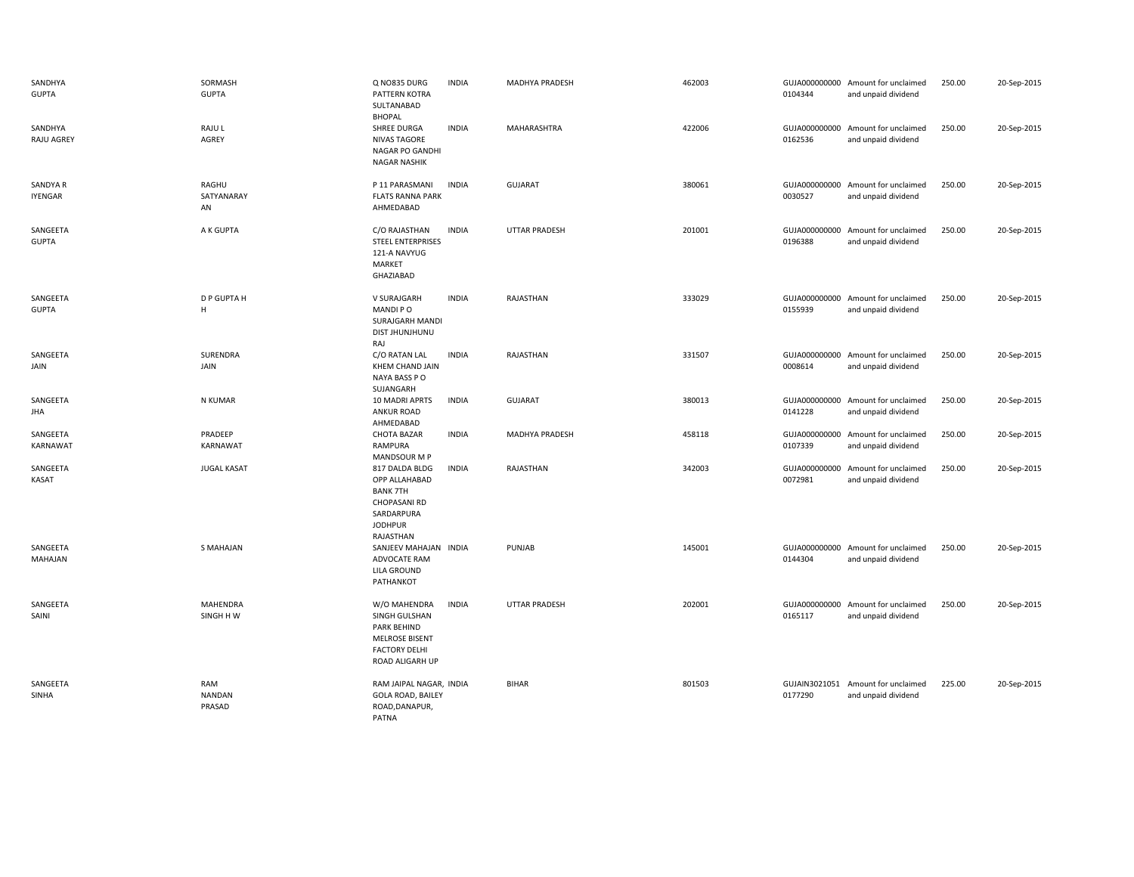| SANDHYA<br><b>GUPTA</b>      | SORMASH<br><b>GUPTA</b>        | Q NO835 DURG<br>PATTERN KOTRA<br>SULTANABAD                                                                            | <b>INDIA</b> | MADHYA PRADESH       | 462003 | 0104344                  | GUJA000000000 Amount for unclaimed<br>and unpaid dividend | 250.00 | 20-Sep-2015 |
|------------------------------|--------------------------------|------------------------------------------------------------------------------------------------------------------------|--------------|----------------------|--------|--------------------------|-----------------------------------------------------------|--------|-------------|
| SANDHYA<br><b>RAJU AGREY</b> | RAJU L<br>AGREY                | <b>BHOPAL</b><br>SHREE DURGA<br><b>NIVAS TAGORE</b><br>NAGAR PO GANDHI<br><b>NAGAR NASHIK</b>                          | <b>INDIA</b> | MAHARASHTRA          | 422006 | 0162536                  | GUJA000000000 Amount for unclaimed<br>and unpaid dividend | 250.00 | 20-Sep-2015 |
| SANDYA R<br><b>IYENGAR</b>   | RAGHU<br>SATYANARAY<br>AN      | P 11 PARASMANI<br><b>FLATS RANNA PARK</b><br>AHMEDABAD                                                                 | <b>INDIA</b> | <b>GUJARAT</b>       | 380061 | 0030527                  | GUJA000000000 Amount for unclaimed<br>and unpaid dividend | 250.00 | 20-Sep-2015 |
| SANGEETA<br><b>GUPTA</b>     | A K GUPTA                      | C/O RAJASTHAN<br><b>STEEL ENTERPRISES</b><br>121-A NAVYUG<br><b>MARKET</b><br>GHAZIABAD                                | <b>INDIA</b> | UTTAR PRADESH        | 201001 | GUJA000000000<br>0196388 | Amount for unclaimed<br>and unpaid dividend               | 250.00 | 20-Sep-2015 |
| SANGEETA<br><b>GUPTA</b>     | D P GUPTA H<br>H               | V SURAJGARH<br>MANDI PO<br>SURAJGARH MANDI<br><b>DIST JHUNJHUNU</b><br>RAJ                                             | <b>INDIA</b> | RAJASTHAN            | 333029 | GUJA000000000<br>0155939 | Amount for unclaimed<br>and unpaid dividend               | 250.00 | 20-Sep-2015 |
| SANGEETA<br>JAIN             | SURENDRA<br>JAIN               | C/O RATAN LAL<br>KHEM CHAND JAIN<br>NAYA BASS PO<br>SUJANGARH                                                          | <b>INDIA</b> | RAJASTHAN            | 331507 | 0008614                  | GUJA000000000 Amount for unclaimed<br>and unpaid dividend | 250.00 | 20-Sep-2015 |
| SANGEETA<br><b>JHA</b>       | N KUMAR                        | 10 MADRI APRTS<br><b>ANKUR ROAD</b><br>AHMEDABAD                                                                       | <b>INDIA</b> | <b>GUJARAT</b>       | 380013 | GUJA000000000<br>0141228 | Amount for unclaimed<br>and unpaid dividend               | 250.00 | 20-Sep-2015 |
| SANGEETA<br>KARNAWAT         | PRADEEP<br>KARNAWAT            | <b>CHOTA BAZAR</b><br>RAMPURA<br>MANDSOUR M P                                                                          | <b>INDIA</b> | MADHYA PRADESH       | 458118 | GUJA000000000<br>0107339 | Amount for unclaimed<br>and unpaid dividend               | 250.00 | 20-Sep-2015 |
| SANGEETA<br>KASAT            | <b>JUGAL KASAT</b>             | 817 DALDA BLDG<br>OPP ALLAHABAD<br><b>BANK 7TH</b><br><b>CHOPASANI RD</b><br>SARDARPURA<br><b>JODHPUR</b><br>RAJASTHAN | <b>INDIA</b> | RAJASTHAN            | 342003 | GUJA000000000<br>0072981 | Amount for unclaimed<br>and unpaid dividend               | 250.00 | 20-Sep-2015 |
| SANGEETA<br>MAHAJAN          | <b>S MAHAJAN</b>               | SANJEEV MAHAJAN INDIA<br>ADVOCATE RAM<br>LILA GROUND<br>PATHANKOT                                                      |              | PUNJAB               | 145001 | 0144304                  | GUJA000000000 Amount for unclaimed<br>and unpaid dividend | 250.00 | 20-Sep-2015 |
| SANGEETA<br>SAINI            | <b>MAHENDRA</b><br>SINGH H W   | W/O MAHENDRA<br>SINGH GULSHAN<br>PARK BEHIND<br><b>MELROSE BISENT</b><br><b>FACTORY DELHI</b><br>ROAD ALIGARH UP       | <b>INDIA</b> | <b>UTTAR PRADESH</b> | 202001 | 0165117                  | GUJA000000000 Amount for unclaimed<br>and unpaid dividend | 250.00 | 20-Sep-2015 |
| SANGEETA<br>SINHA            | RAM<br><b>NANDAN</b><br>PRASAD | RAM JAIPAL NAGAR, INDIA<br><b>GOLA ROAD, BAILEY</b><br>ROAD, DANAPUR,<br>PATNA                                         |              | <b>BIHAR</b>         | 801503 | 0177290                  | GUJAIN3021051 Amount for unclaimed<br>and unpaid dividend | 225.00 | 20-Sep-2015 |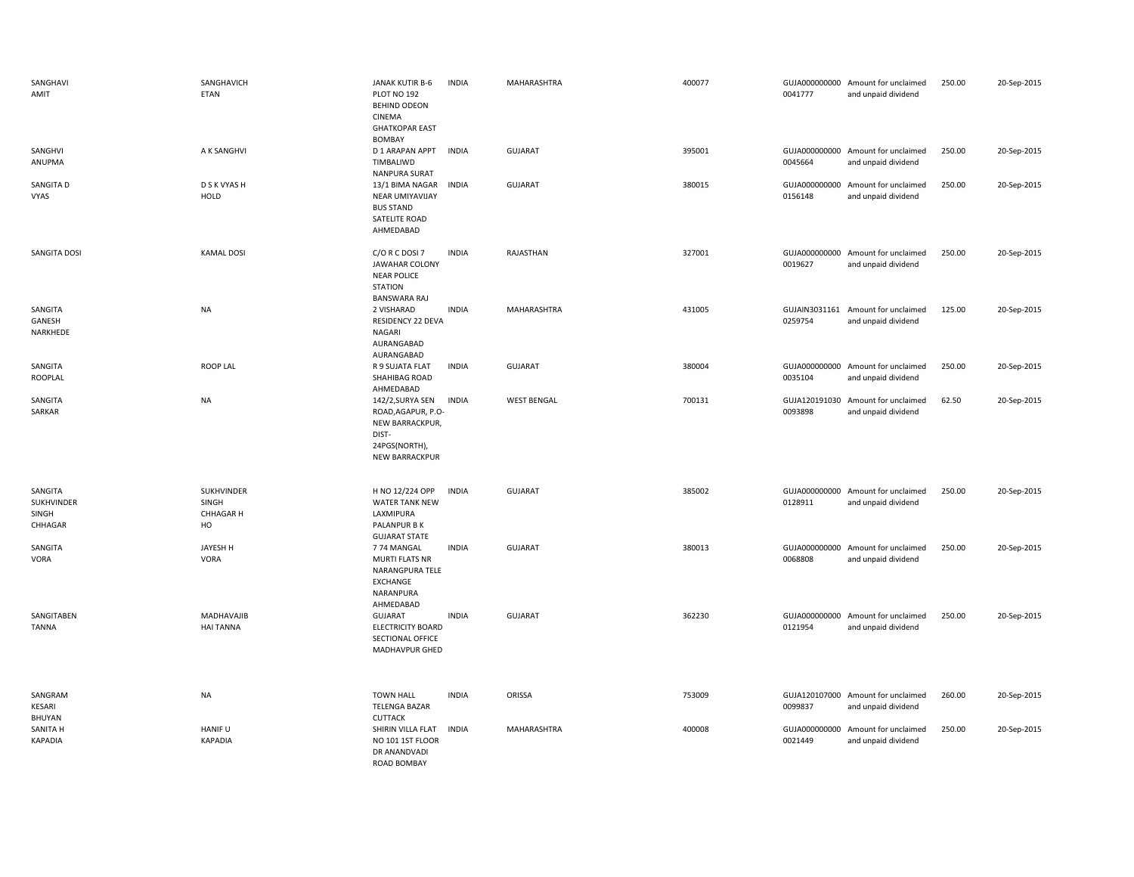| SANGHAVI<br>AMIT                          | SANGHAVICH<br>ETAN                            | JANAK KUTIR B-6<br>PLOT NO 192<br>BEHIND ODEON<br>CINEMA<br><b>GHATKOPAR EAST</b><br>BOMBAY           | INDIA        | MAHARASHTRA        | 400077 | 0041777                  | GUJA000000000 Amount for unclaimed<br>and unpaid dividend | 250.00 | 20-Sep-2015 |
|-------------------------------------------|-----------------------------------------------|-------------------------------------------------------------------------------------------------------|--------------|--------------------|--------|--------------------------|-----------------------------------------------------------|--------|-------------|
| SANGHVI<br>ANUPMA                         | A K SANGHVI                                   | D 1 ARAPAN APPT<br>TIMBALIWD<br><b>NANPURA SURAT</b>                                                  | <b>INDIA</b> | <b>GUJARAT</b>     | 395001 | 0045664                  | GUJA000000000 Amount for unclaimed<br>and unpaid dividend | 250.00 | 20-Sep-2015 |
| SANGITA D<br>VYAS                         | D S K VYAS H<br><b>HOLD</b>                   | 13/1 BIMA NAGAR<br>NEAR UMIYAVIJAY<br><b>BUS STAND</b><br>SATELITE ROAD<br>AHMEDABAD                  | <b>INDIA</b> | <b>GUJARAT</b>     | 380015 | GUJA000000000<br>0156148 | Amount for unclaimed<br>and unpaid dividend               | 250.00 | 20-Sep-2015 |
| SANGITA DOSI                              | <b>KAMAL DOSI</b>                             | C/O R C DOSI 7<br><b>JAWAHAR COLONY</b><br><b>NEAR POLICE</b><br><b>STATION</b><br>BANSWARA RAJ       | <b>INDIA</b> | RAJASTHAN          | 327001 | 0019627                  | GUJA000000000 Amount for unclaimed<br>and unpaid dividend | 250.00 | 20-Sep-2015 |
| SANGITA<br>GANESH<br>NARKHEDE             | <b>NA</b>                                     | 2 VISHARAD<br>RESIDENCY 22 DEVA<br><b>NAGARI</b><br>AURANGABAD<br>AURANGABAD                          | <b>INDIA</b> | MAHARASHTRA        | 431005 | 0259754                  | GUJAIN3031161 Amount for unclaimed<br>and unpaid dividend | 125.00 | 20-Sep-2015 |
| SANGITA<br>ROOPLAL                        | <b>ROOP LAL</b>                               | R 9 SUJATA FLAT<br>SHAHIBAG ROAD<br>AHMEDABAD                                                         | <b>INDIA</b> | <b>GUJARAT</b>     | 380004 | 0035104                  | GUJA000000000 Amount for unclaimed<br>and unpaid dividend | 250.00 | 20-Sep-2015 |
| SANGITA<br>SARKAR                         | <b>NA</b>                                     | 142/2, SURYA SEN<br>ROAD, AGAPUR, P.O-<br>NEW BARRACKPUR,<br>DIST-<br>24PGS(NORTH),<br>NEW BARRACKPUR | <b>INDIA</b> | <b>WEST BENGAL</b> | 700131 | GUJA120191030<br>0093898 | Amount for unclaimed<br>and unpaid dividend               | 62.50  | 20-Sep-2015 |
| SANGITA<br>SUKHVINDER<br>SINGH<br>CHHAGAR | SUKHVINDER<br>SINGH<br><b>CHHAGAR H</b><br>HO | H NO 12/224 OPP<br>WATER TANK NEW<br>LAXMIPURA<br>PALANPUR B K<br><b>GUJARAT STATE</b>                | <b>INDIA</b> | <b>GUJARAT</b>     | 385002 | 0128911                  | GUJA000000000 Amount for unclaimed<br>and unpaid dividend | 250.00 | 20-Sep-2015 |
| SANGITA<br>VORA                           | JAYESH H<br>VORA                              | 774 MANGAL<br><b>MURTI FLATS NR</b><br>NARANGPURA TELE<br>EXCHANGE<br>NARANPURA<br>AHMEDABAD          | <b>INDIA</b> | <b>GUJARAT</b>     | 380013 | 0068808                  | GUJA000000000 Amount for unclaimed<br>and unpaid dividend | 250.00 | 20-Sep-2015 |
| SANGITABEN<br><b>TANNA</b>                | MADHAVAJIB<br><b>HAI TANNA</b>                | <b>GUJARAT</b><br><b>ELECTRICITY BOARD</b><br>SECTIONAL OFFICE<br>MADHAVPUR GHED                      | <b>INDIA</b> | <b>GUJARAT</b>     | 362230 | 0121954                  | GUJA000000000 Amount for unclaimed<br>and unpaid dividend | 250.00 | 20-Sep-2015 |
| SANGRAM<br>KESARI<br>BHUYAN               | NA                                            | <b>TOWN HALL</b><br><b>TELENGA BAZAR</b><br><b>CUTTACK</b>                                            | <b>INDIA</b> | ORISSA             | 753009 | 0099837                  | GUJA120107000 Amount for unclaimed<br>and unpaid dividend | 260.00 | 20-Sep-2015 |
| SANITA H<br>KAPADIA                       | HANIF U<br><b>KAPADIA</b>                     | SHIRIN VILLA FLAT<br>NO 101 1ST FLOOR<br>DR ANANDVADI<br><b>ROAD BOMBAY</b>                           | <b>INDIA</b> | MAHARASHTRA        | 400008 | 0021449                  | GUJA000000000 Amount for unclaimed<br>and unpaid dividend | 250.00 | 20-Sep-2015 |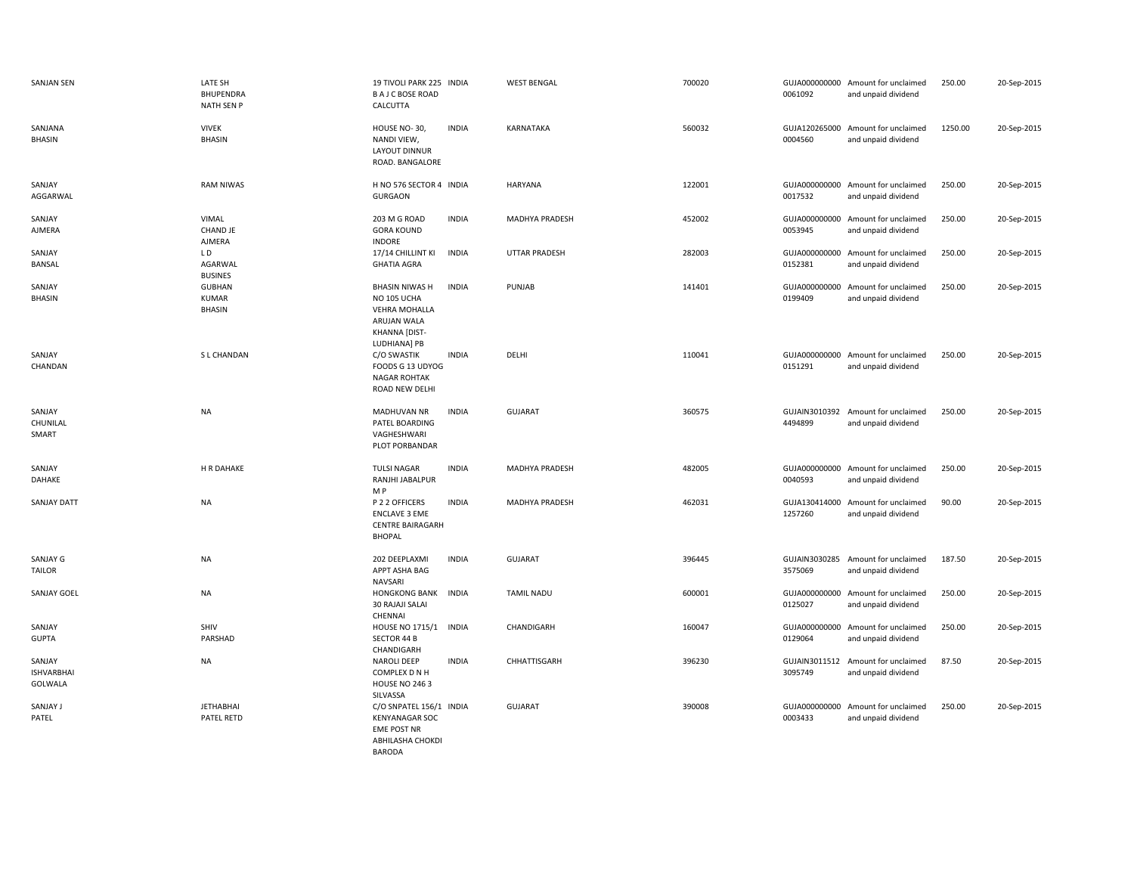| <b>SANJAN SEN</b>                      | LATE SH<br><b>BHUPENDRA</b><br><b>NATH SEN P</b>  | 19 TIVOLI PARK 225 INDIA<br><b>BAJCBOSE ROAD</b><br>CALCUTTA                                 |              | <b>WEST BENGAL</b>   | 700020 | 0061092                  | GUJA000000000 Amount for unclaimed<br>and unpaid dividend | 250.00  | 20-Sep-2015 |
|----------------------------------------|---------------------------------------------------|----------------------------------------------------------------------------------------------|--------------|----------------------|--------|--------------------------|-----------------------------------------------------------|---------|-------------|
| SANJANA<br><b>BHASIN</b>               | <b>VIVEK</b><br><b>BHASIN</b>                     | HOUSE NO-30,<br>NANDI VIEW,<br>LAYOUT DINNUR<br>ROAD. BANGALORE                              | <b>INDIA</b> | KARNATAKA            | 560032 | GUJA120265000<br>0004560 | Amount for unclaimed<br>and unpaid dividend               | 1250.00 | 20-Sep-2015 |
| SANJAY<br>AGGARWAL                     | <b>RAM NIWAS</b>                                  | H NO 576 SECTOR 4 INDIA<br><b>GURGAON</b>                                                    |              | <b>HARYANA</b>       | 122001 | 0017532                  | GUJA000000000 Amount for unclaimed<br>and unpaid dividend | 250.00  | 20-Sep-2015 |
| SANJAY<br>AJMERA                       | VIMAL<br>CHAND JE                                 | 203 M G ROAD<br><b>GORA KOUND</b>                                                            | <b>INDIA</b> | MADHYA PRADESH       | 452002 | GUJA000000000<br>0053945 | Amount for unclaimed<br>and unpaid dividend               | 250.00  | 20-Sep-2015 |
| SANJAY<br>BANSAL                       | <b>AJMERA</b><br>LD.<br>AGARWAL<br><b>BUSINES</b> | <b>INDORE</b><br>17/14 CHILLINT KI<br><b>GHATIA AGRA</b>                                     | <b>INDIA</b> | <b>UTTAR PRADESH</b> | 282003 | GUJA000000000<br>0152381 | Amount for unclaimed<br>and unpaid dividend               | 250.00  | 20-Sep-2015 |
| SANJAY<br><b>BHASIN</b>                | <b>GUBHAN</b><br><b>KUMAR</b><br><b>BHASIN</b>    | <b>BHASIN NIWAS H</b><br>NO 105 UCHA<br><b>VEHRA MOHALLA</b><br>ARUJAN WALA<br>KHANNA [DIST- | <b>INDIA</b> | PUNJAB               | 141401 | GUJA000000000<br>0199409 | Amount for unclaimed<br>and unpaid dividend               | 250.00  | 20-Sep-2015 |
| SANJAY<br>CHANDAN                      | S L CHANDAN                                       | LUDHIANA] PB<br>C/O SWASTIK<br>FOODS G 13 UDYOG<br><b>NAGAR ROHTAK</b><br>ROAD NEW DELHI     | <b>INDIA</b> | DELHI                | 110041 | 0151291                  | GUJA000000000 Amount for unclaimed<br>and unpaid dividend | 250.00  | 20-Sep-2015 |
| SANJAY<br>CHUNILAL<br>SMART            | <b>NA</b>                                         | MADHUVAN NR<br>PATEL BOARDING<br>VAGHESHWARI<br>PLOT PORBANDAR                               | <b>INDIA</b> | <b>GUJARAT</b>       | 360575 | 4494899                  | GUJAIN3010392 Amount for unclaimed<br>and unpaid dividend | 250.00  | 20-Sep-2015 |
| SANJAY<br>DAHAKE                       | H R DAHAKE                                        | <b>TULSI NAGAR</b><br>RANJHI JABALPUR<br>M P                                                 | <b>INDIA</b> | MADHYA PRADESH       | 482005 | GUJA000000000<br>0040593 | Amount for unclaimed<br>and unpaid dividend               | 250.00  | 20-Sep-2015 |
| SANJAY DATT                            | <b>NA</b>                                         | P 2 2 OFFICERS<br><b>ENCLAVE 3 EME</b><br><b>CENTRE BAIRAGARH</b><br><b>BHOPAL</b>           | <b>INDIA</b> | MADHYA PRADESH       | 462031 | GUJA130414000<br>1257260 | Amount for unclaimed<br>and unpaid dividend               | 90.00   | 20-Sep-2015 |
| SANJAY G<br><b>TAILOR</b>              | <b>NA</b>                                         | 202 DEEPLAXMI<br>APPT ASHA BAG<br><b>NAVSARI</b>                                             | <b>INDIA</b> | <b>GUJARAT</b>       | 396445 | GUJAIN3030285<br>3575069 | Amount for unclaimed<br>and unpaid dividend               | 187.50  | 20-Sep-2015 |
| SANJAY GOEL                            | <b>NA</b>                                         | <b>HONGKONG BANK</b><br><b>30 RAJAJI SALAI</b><br>CHENNAI                                    | <b>INDIA</b> | <b>TAMIL NADU</b>    | 600001 | GUJA000000000<br>0125027 | Amount for unclaimed<br>and unpaid dividend               | 250.00  | 20-Sep-2015 |
| SANJAY<br><b>GUPTA</b>                 | SHIV<br>PARSHAD                                   | HOUSE NO 1715/1<br><b>SECTOR 44 B</b><br>CHANDIGARH                                          | <b>INDIA</b> | CHANDIGARH           | 160047 | GUJA000000000<br>0129064 | Amount for unclaimed<br>and unpaid dividend               | 250.00  | 20-Sep-2015 |
| SANJAY<br><b>ISHVARBHAI</b><br>GOLWALA | <b>NA</b>                                         | <b>NAROLI DEEP</b><br>COMPLEX D N H<br><b>HOUSE NO 2463</b><br>SILVASSA                      | <b>INDIA</b> | CHHATTISGARH         | 396230 | GUJAIN3011512<br>3095749 | Amount for unclaimed<br>and unpaid dividend               | 87.50   | 20-Sep-2015 |
| SANJAY J<br>PATEL                      | <b>JETHABHAI</b><br>PATEL RETD                    | C/O SNPATEL 156/1 INDIA<br><b>KENYANAGAR SOC</b><br><b>EME POST NR</b><br>ABHILASHA CHOKDI   |              | <b>GUJARAT</b>       | 390008 | 0003433                  | GUJA000000000 Amount for unclaimed<br>and unpaid dividend | 250.00  | 20-Sep-2015 |

BARODA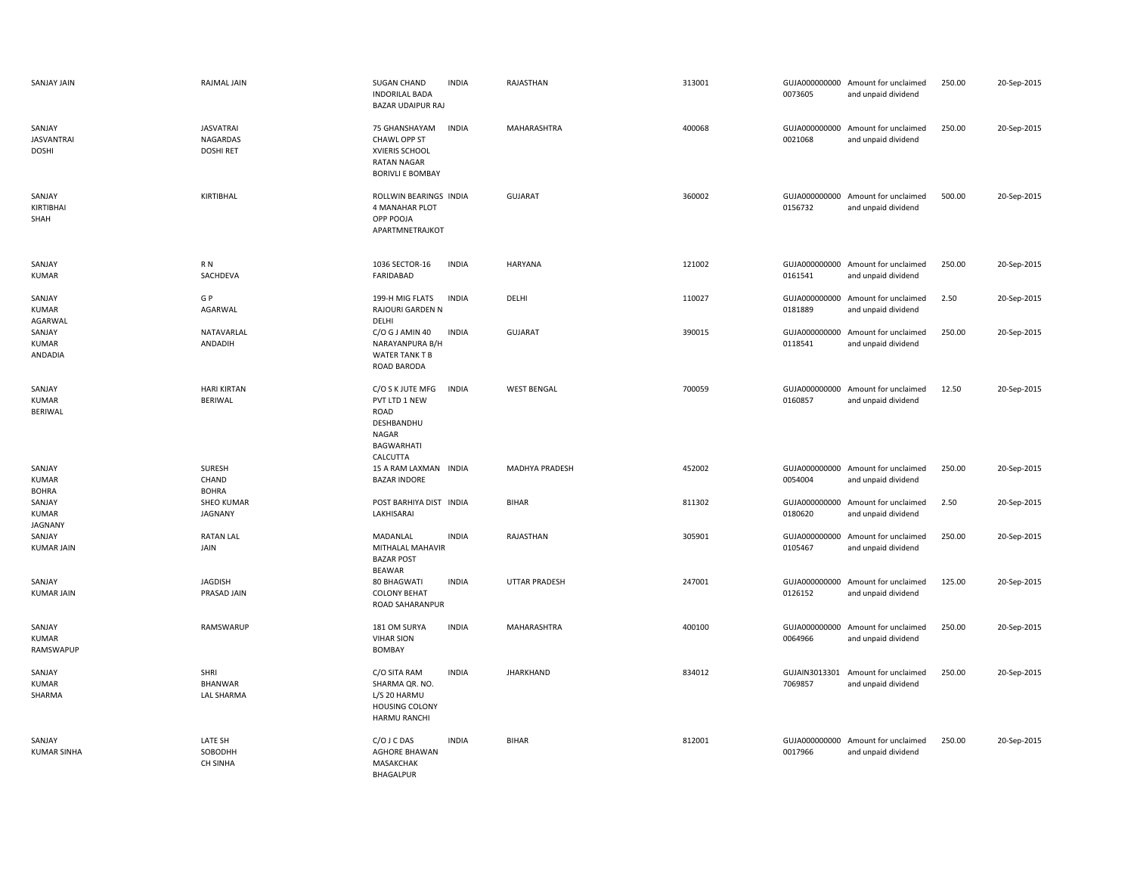| <b>SANJAY JAIN</b>                          | RAJMAL JAIN                                      | SUGAN CHAND<br><b>INDORILAL BADA</b><br><b>BAZAR UDAIPUR RAJ</b>                                         | <b>INDIA</b> | RAJASTHAN            | 313001 | 0073605                  | GUJA000000000 Amount for unclaimed<br>and unpaid dividend | 250.00 | 20-Sep-2015 |
|---------------------------------------------|--------------------------------------------------|----------------------------------------------------------------------------------------------------------|--------------|----------------------|--------|--------------------------|-----------------------------------------------------------|--------|-------------|
| SANJAY<br><b>JASVANTRAI</b><br><b>DOSHI</b> | <b>JASVATRAI</b><br>NAGARDAS<br><b>DOSHI RET</b> | 75 GHANSHAYAM<br>CHAWL OPP ST<br>XVIERIS SCHOOL<br><b>RATAN NAGAR</b><br><b>BORIVLI E BOMBAY</b>         | <b>INDIA</b> | MAHARASHTRA          | 400068 | GUJA000000000<br>0021068 | Amount for unclaimed<br>and unpaid dividend               | 250.00 | 20-Sep-2015 |
| SANJAY<br>KIRTIBHAI<br>SHAH                 | KIRTIBHAL                                        | ROLLWIN BEARINGS INDIA<br>4 MANAHAR PLOT<br>OPP POOJA<br>APARTMNETRAJKOT                                 |              | <b>GUJARAT</b>       | 360002 | 0156732                  | GUJA000000000 Amount for unclaimed<br>and unpaid dividend | 500.00 | 20-Sep-2015 |
| SANJAY<br>KUMAR                             | R N<br>SACHDEVA                                  | 1036 SECTOR-16<br>FARIDABAD                                                                              | <b>INDIA</b> | HARYANA              | 121002 | 0161541                  | GUJA000000000 Amount for unclaimed<br>and unpaid dividend | 250.00 | 20-Sep-2015 |
| SANJAY<br><b>KUMAR</b><br>AGARWAL           | G P<br>AGARWAL                                   | 199-H MIG FLATS<br>RAJOURI GARDEN N<br>DELHI                                                             | <b>INDIA</b> | DELHI                | 110027 | GUJA000000000<br>0181889 | Amount for unclaimed<br>and unpaid dividend               | 2.50   | 20-Sep-2015 |
| SANJAY<br><b>KUMAR</b><br>ANDADIA           | NATAVARLAL<br>ANDADIH                            | C/O G J AMIN 40<br>NARAYANPURA B/H<br><b>WATER TANK T B</b><br>ROAD BARODA                               | <b>INDIA</b> | <b>GUJARAT</b>       | 390015 | GUJA000000000<br>0118541 | Amount for unclaimed<br>and unpaid dividend               | 250.00 | 20-Sep-2015 |
| SANJAY<br><b>KUMAR</b><br>BERIWAL           | <b>HARI KIRTAN</b><br>BERIWAL                    | C/O S K JUTE MFG<br>PVT LTD 1 NEW<br>ROAD<br>DESHBANDHU<br><b>NAGAR</b><br><b>BAGWARHATI</b><br>CALCUTTA | <b>INDIA</b> | <b>WEST BENGAL</b>   | 700059 | GUJA000000000<br>0160857 | Amount for unclaimed<br>and unpaid dividend               | 12.50  | 20-Sep-2015 |
| SANJAY<br><b>KUMAR</b><br><b>BOHRA</b>      | SURESH<br>CHAND<br><b>BOHRA</b>                  | 15 A RAM LAXMAN INDIA<br><b>BAZAR INDORE</b>                                                             |              | MADHYA PRADESH       | 452002 | GUJA000000000<br>0054004 | Amount for unclaimed<br>and unpaid dividend               | 250.00 | 20-Sep-2015 |
| SANJAY<br><b>KUMAR</b><br><b>JAGNANY</b>    | SHEO KUMAR<br>JAGNANY                            | POST BARHIYA DIST INDIA<br>LAKHISARAI                                                                    |              | <b>BIHAR</b>         | 811302 | GUJA000000000<br>0180620 | Amount for unclaimed<br>and unpaid dividend               | 2.50   | 20-Sep-2015 |
| SANJAY<br><b>KUMAR JAIN</b>                 | <b>RATAN LAL</b><br>JAIN                         | MADANLAL<br>MITHALAL MAHAVIR<br><b>BAZAR POST</b><br>BEAWAR                                              | <b>INDIA</b> | RAJASTHAN            | 305901 | 0105467                  | GUJA000000000 Amount for unclaimed<br>and unpaid dividend | 250.00 | 20-Sep-2015 |
| SANJAY<br><b>KUMAR JAIN</b>                 | <b>JAGDISH</b><br>PRASAD JAIN                    | 80 BHAGWATI<br><b>COLONY BEHAT</b><br>ROAD SAHARANPUR                                                    | <b>INDIA</b> | <b>UTTAR PRADESH</b> | 247001 | GUJA000000000<br>0126152 | Amount for unclaimed<br>and unpaid dividend               | 125.00 | 20-Sep-2015 |
| SANJAY<br><b>KUMAR</b><br>RAMSWAPUP         | RAMSWARUP                                        | 181 OM SURYA<br><b>VIHAR SION</b><br><b>BOMBAY</b>                                                       | <b>INDIA</b> | MAHARASHTRA          | 400100 | 0064966                  | GUJA000000000 Amount for unclaimed<br>and unpaid dividend | 250.00 | 20-Sep-2015 |
| SANJAY<br><b>KUMAR</b><br>SHARMA            | SHRI<br><b>BHANWAR</b><br><b>LAL SHARMA</b>      | C/O SITA RAM<br>SHARMA QR. NO.<br>L/S 20 HARMU<br><b>HOUSING COLONY</b><br><b>HARMU RANCHI</b>           | <b>INDIA</b> | JHARKHAND            | 834012 | 7069857                  | GUJAIN3013301 Amount for unclaimed<br>and unpaid dividend | 250.00 | 20-Sep-2015 |
| SANJAY<br><b>KUMAR SINHA</b>                | LATE SH<br>SOBODHH<br>CH SINHA                   | C/O J C DAS<br><b>AGHORE BHAWAN</b><br><b>MASAKCHAK</b><br><b>BHAGALPUR</b>                              | <b>INDIA</b> | <b>BIHAR</b>         | 812001 | GUJA000000000<br>0017966 | Amount for unclaimed<br>and unpaid dividend               | 250.00 | 20-Sep-2015 |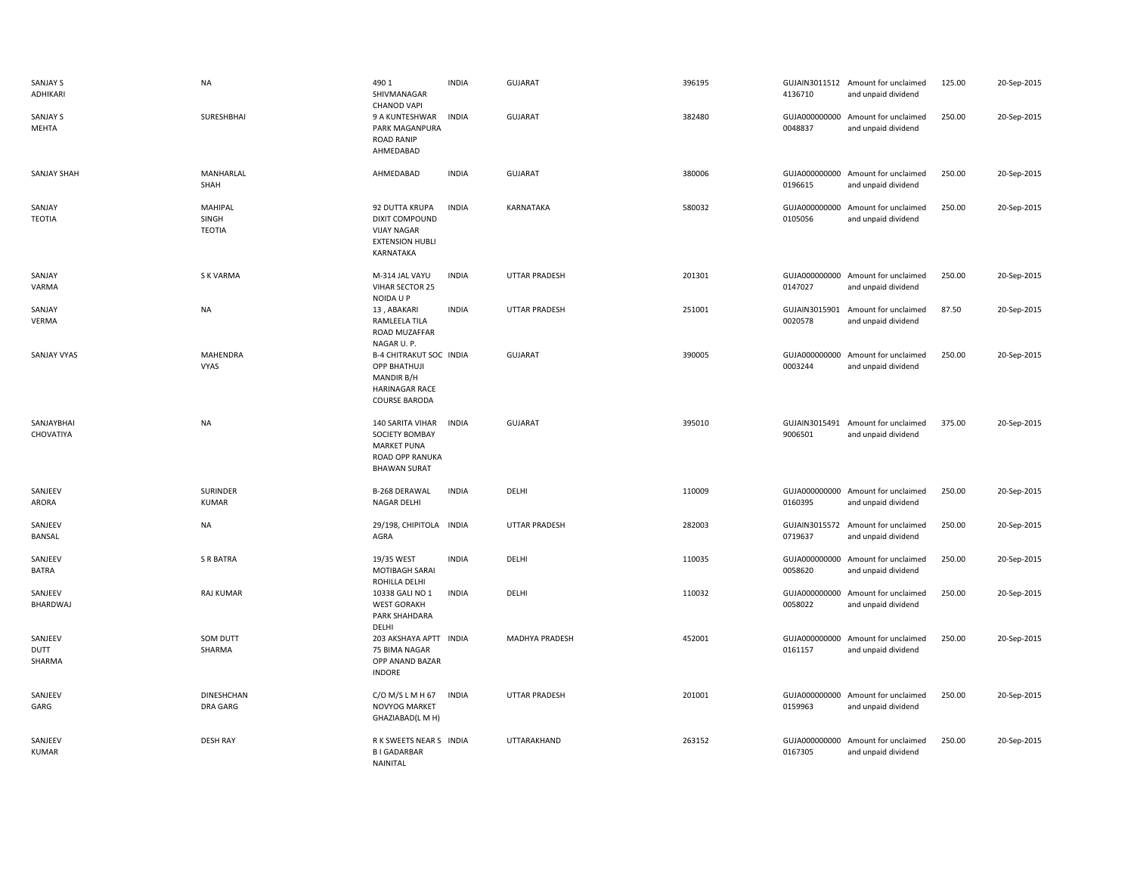| SANJAY S<br>ADHIKARI      | <b>NA</b>                         | 490 1<br>SHIVMANAGAR<br><b>CHANOD VAPI</b>                                                                    | <b>INDIA</b> | <b>GUJARAT</b>       | 396195 | 4136710                  | GUJAIN3011512 Amount for unclaimed<br>and unpaid dividend | 125.00 | 20-Sep-2015 |
|---------------------------|-----------------------------------|---------------------------------------------------------------------------------------------------------------|--------------|----------------------|--------|--------------------------|-----------------------------------------------------------|--------|-------------|
| <b>SANJAY S</b><br>MEHTA  | SURESHBHAI                        | 9 A KUNTESHWAR<br>PARK MAGANPURA<br><b>ROAD RANIP</b><br>AHMEDABAD                                            | <b>INDIA</b> | <b>GUJARAT</b>       | 382480 | 0048837                  | GUJA000000000 Amount for unclaimed<br>and unpaid dividend | 250.00 | 20-Sep-2015 |
| <b>SANJAY SHAH</b>        | MANHARLAL<br>SHAH                 | AHMEDABAD                                                                                                     | <b>INDIA</b> | <b>GUJARAT</b>       | 380006 | 0196615                  | GUJA000000000 Amount for unclaimed<br>and unpaid dividend | 250.00 | 20-Sep-2015 |
| SANJAY<br><b>TEOTIA</b>   | MAHIPAL<br>SINGH<br><b>TEOTIA</b> | 92 DUTTA KRUPA<br>DIXIT COMPOUND<br><b>VIJAY NAGAR</b><br><b>EXTENSION HUBLI</b><br>KARNATAKA                 | <b>INDIA</b> | KARNATAKA            | 580032 | 0105056                  | GUJA000000000 Amount for unclaimed<br>and unpaid dividend | 250.00 | 20-Sep-2015 |
| SANJAY<br>VARMA           | <b>SK VARMA</b>                   | M-314 JAL VAYU<br>VIHAR SECTOR 25<br>NOIDA U P                                                                | <b>INDIA</b> | <b>UTTAR PRADESH</b> | 201301 | 0147027                  | GUJA000000000 Amount for unclaimed<br>and unpaid dividend | 250.00 | 20-Sep-2015 |
| SANJAY<br>VERMA           | <b>NA</b>                         | 13, ABAKARI<br>RAMLEELA TILA<br>ROAD MUZAFFAR<br>NAGAR U.P.                                                   | <b>INDIA</b> | <b>UTTAR PRADESH</b> | 251001 | 0020578                  | GUJAIN3015901 Amount for unclaimed<br>and unpaid dividend | 87.50  | 20-Sep-2015 |
| <b>SANJAY VYAS</b>        | MAHENDRA<br>VYAS                  | <b>B-4 CHITRAKUT SOC INDIA</b><br><b>OPP BHATHUJI</b><br>MANDIR B/H<br><b>HARINAGAR RACE</b><br>COURSE BARODA |              | <b>GUJARAT</b>       | 390005 | 0003244                  | GUJA000000000 Amount for unclaimed<br>and unpaid dividend | 250.00 | 20-Sep-2015 |
| SANJAYBHAI<br>CHOVATIYA   | <b>NA</b>                         | 140 SARITA VIHAR<br><b>SOCIETY BOMBAY</b><br><b>MARKET PUNA</b><br>ROAD OPP RANUKA<br><b>BHAWAN SURAT</b>     | <b>INDIA</b> | <b>GUJARAT</b>       | 395010 | GUJAIN3015491<br>9006501 | Amount for unclaimed<br>and unpaid dividend               | 375.00 | 20-Sep-2015 |
| SANJEEV<br>ARORA          | SURINDER<br><b>KUMAR</b>          | <b>B-268 DERAWAL</b><br><b>NAGAR DELHI</b>                                                                    | <b>INDIA</b> | DELHI                | 110009 | 0160395                  | GUJA000000000 Amount for unclaimed<br>and unpaid dividend | 250.00 | 20-Sep-2015 |
| SANJEEV<br>BANSAL         | <b>NA</b>                         | 29/198, CHIPITOLA<br>AGRA                                                                                     | <b>INDIA</b> | <b>UTTAR PRADESH</b> | 282003 | 0719637                  | GUJAIN3015572 Amount for unclaimed<br>and unpaid dividend | 250.00 | 20-Sep-2015 |
| SANJEEV<br><b>BATRA</b>   | S R BATRA                         | 19/35 WEST<br>MOTIBAGH SARAI<br>ROHILLA DELHI                                                                 | <b>INDIA</b> | DELHI                | 110035 | 0058620                  | GUJA000000000 Amount for unclaimed<br>and unpaid dividend | 250.00 | 20-Sep-2015 |
| SANJEEV<br>BHARDWAJ       | RAJ KUMAR                         | 10338 GALI NO 1<br><b>WEST GORAKH</b><br>PARK SHAHDARA<br>DELHI                                               | <b>INDIA</b> | DELHI                | 110032 | GUJA000000000<br>0058022 | Amount for unclaimed<br>and unpaid dividend               | 250.00 | 20-Sep-2015 |
| SANJEEV<br>DUTT<br>SHARMA | <b>SOM DUTT</b><br>SHARMA         | 203 AKSHAYA APTT INDIA<br>75 BIMA NAGAR<br>OPP ANAND BAZAR<br><b>INDORE</b>                                   |              | MADHYA PRADESH       | 452001 | 0161157                  | GUJA000000000 Amount for unclaimed<br>and unpaid dividend | 250.00 | 20-Sep-2015 |
| SANJEEV<br>GARG           | <b>DINESHCHAN</b><br>DRA GARG     | $C/O$ M/S L M H 67<br>NOVYOG MARKET<br>GHAZIABAD(L M H)                                                       | <b>INDIA</b> | <b>UTTAR PRADESH</b> | 201001 | 0159963                  | GUJA000000000 Amount for unclaimed<br>and unpaid dividend | 250.00 | 20-Sep-2015 |
| SANJEEV<br>KUMAR          | <b>DESH RAY</b>                   | R K SWEETS NEAR S INDIA<br><b>BIGADARBAR</b><br>NAINITAL                                                      |              | UTTARAKHAND          | 263152 | GUJA000000000<br>0167305 | Amount for unclaimed<br>and unpaid dividend               | 250.00 | 20-Sep-2015 |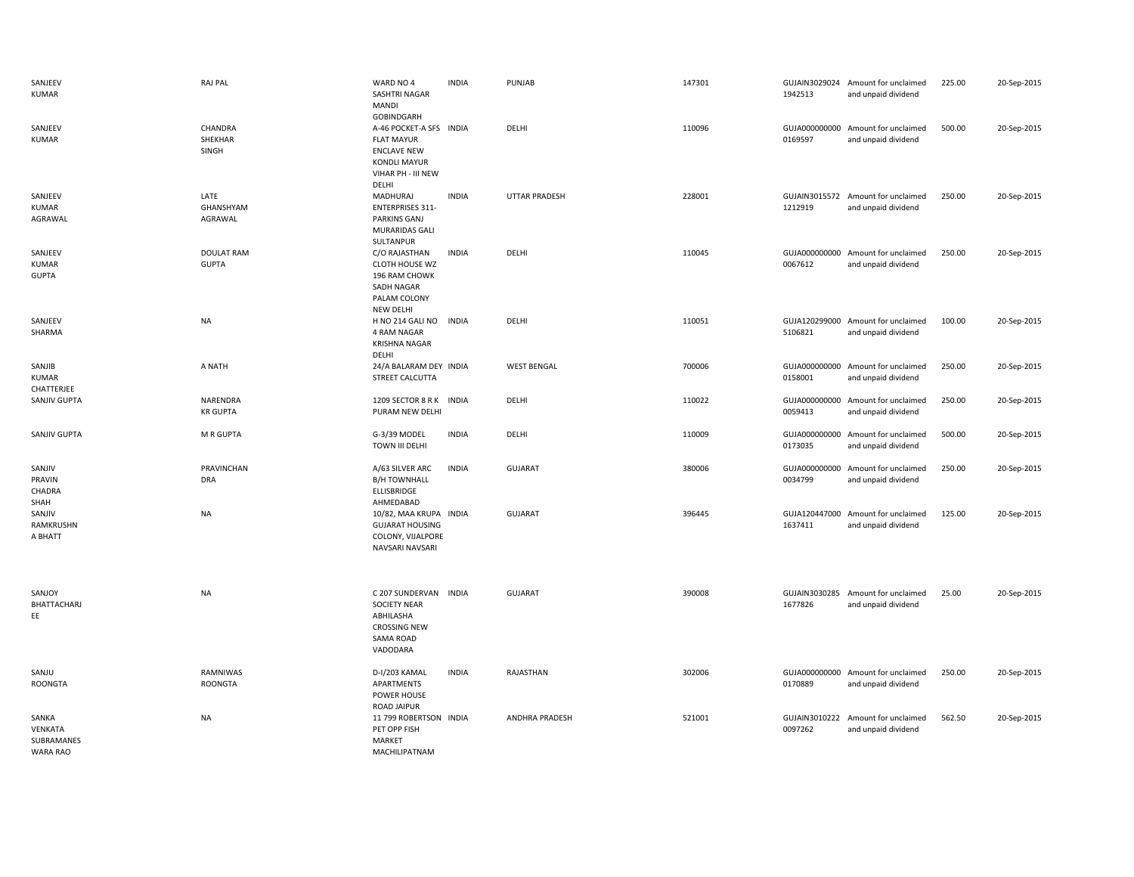| SANJEEV<br><b>KUMAR</b>                           | <b>RAJ PAL</b>                    | WARD NO 4<br>SASHTRI NAGAR<br><b>MANDI</b>                                                                                             | <b>INDIA</b> | PUNJAB               | 147301 | 1942513                  | GUJAIN3029024 Amount for unclaimed<br>and unpaid dividend | 225.00 | 20-Sep-2015 |
|---------------------------------------------------|-----------------------------------|----------------------------------------------------------------------------------------------------------------------------------------|--------------|----------------------|--------|--------------------------|-----------------------------------------------------------|--------|-------------|
| SANJEEV<br><b>KUMAR</b>                           | CHANDRA<br>SHEKHAR<br>SINGH       | GOBINDGARH<br>A-46 POCKET-A SFS INDIA<br><b>FLAT MAYUR</b><br><b>ENCLAVE NEW</b><br><b>KONDLI MAYUR</b><br>VIHAR PH - III NEW<br>DELHI |              | DELHI                | 110096 | GUJA000000000<br>0169597 | Amount for unclaimed<br>and unpaid dividend               | 500.00 | 20-Sep-2015 |
| SANJEEV<br><b>KUMAR</b><br>AGRAWAL                | LATE<br>GHANSHYAM<br>AGRAWAL      | MADHURAJ<br><b>ENTERPRISES 311-</b><br><b>PARKINS GANJ</b><br>MURARIDAS GALI<br>SULTANPUR                                              | <b>INDIA</b> | <b>UTTAR PRADESH</b> | 228001 | 1212919                  | GUJAIN3015572 Amount for unclaimed<br>and unpaid dividend | 250.00 | 20-Sep-2015 |
| SANJEEV<br><b>KUMAR</b><br><b>GUPTA</b>           | <b>DOULAT RAM</b><br><b>GUPTA</b> | C/O RAJASTHAN<br><b>CLOTH HOUSE WZ</b><br>196 RAM CHOWK<br>SADH NAGAR<br>PALAM COLONY<br><b>NEW DELHI</b>                              | <b>INDIA</b> | DELHI                | 110045 | GUJA000000000<br>0067612 | Amount for unclaimed<br>and unpaid dividend               | 250.00 | 20-Sep-2015 |
| SANJEEV<br>SHARMA                                 | <b>NA</b>                         | H NO 214 GALI NO<br>4 RAM NAGAR<br><b>KRISHNA NAGAR</b><br>DELHI                                                                       | <b>INDIA</b> | DELHI                | 110051 | 5106821                  | GUJA120299000 Amount for unclaimed<br>and unpaid dividend | 100.00 | 20-Sep-2015 |
| SANJIB<br><b>KUMAR</b><br>CHATTERJEE              | A NATH                            | 24/A BALARAM DEY INDIA<br>STREET CALCUTTA                                                                                              |              | <b>WEST BENGAL</b>   | 700006 | GUJA000000000<br>0158001 | Amount for unclaimed<br>and unpaid dividend               | 250.00 | 20-Sep-2015 |
| SANJIV GUPTA                                      | NARENDRA<br><b>KR GUPTA</b>       | 1209 SECTOR 8 R K INDIA<br>PURAM NEW DELHI                                                                                             |              | DELHI                | 110022 | GUJA000000000<br>0059413 | Amount for unclaimed<br>and unpaid dividend               | 250.00 | 20-Sep-2015 |
| SANJIV GUPTA                                      | M R GUPTA                         | G-3/39 MODEL<br><b>TOWN III DELHI</b>                                                                                                  | <b>INDIA</b> | DELHI                | 110009 | 0173035                  | GUJA000000000 Amount for unclaimed<br>and unpaid dividend | 500.00 | 20-Sep-2015 |
| SANJIV<br>PRAVIN<br>CHADRA<br>SHAH                | PRAVINCHAN<br><b>DRA</b>          | A/63 SILVER ARC<br><b>B/H TOWNHALL</b><br>ELLISBRIDGE<br>AHMEDABAD                                                                     | <b>INDIA</b> | <b>GUJARAT</b>       | 380006 | 0034799                  | GUJA000000000 Amount for unclaimed<br>and unpaid dividend | 250.00 | 20-Sep-2015 |
| SANJIV<br>RAMKRUSHN<br>A BHATT                    | <b>NA</b>                         | 10/82, MAA KRUPA INDIA<br><b>GUJARAT HOUSING</b><br>COLONY, VIJALPORE<br>NAVSARI NAVSARI                                               |              | <b>GUJARAT</b>       | 396445 | GUJA120447000<br>1637411 | Amount for unclaimed<br>and unpaid dividend               | 125.00 | 20-Sep-2015 |
| SANJOY<br>BHATTACHARJ<br>EE                       | <b>NA</b>                         | C 207 SUNDERVAN INDIA<br><b>SOCIETY NEAR</b><br>ABHILASHA<br><b>CROSSING NEW</b><br>SAMA ROAD<br>VADODARA                              |              | GUJARAT              | 390008 | 1677826                  | GUJAIN3030285 Amount for unclaimed<br>and unpaid dividend | 25.00  | 20-Sep-2015 |
| SANJU<br><b>ROONGTA</b>                           | RAMNIWAS<br><b>ROONGTA</b>        | D-I/203 KAMAL<br>APARTMENTS<br>POWER HOUSE<br><b>ROAD JAIPUR</b>                                                                       | <b>INDIA</b> | RAJASTHAN            | 302006 | 0170889                  | GUJA000000000 Amount for unclaimed<br>and unpaid dividend | 250.00 | 20-Sep-2015 |
| SANKA<br><b>VENKATA</b><br>SUBRAMANES<br>WARA RAO | <b>NA</b>                         | 11 799 ROBERTSON INDIA<br>PET OPP FISH<br>MARKET<br>MACHILIPATNAM                                                                      |              | ANDHRA PRADESH       | 521001 | 0097262                  | GUJAIN3010222 Amount for unclaimed<br>and unpaid dividend | 562.50 | 20-Sep-2015 |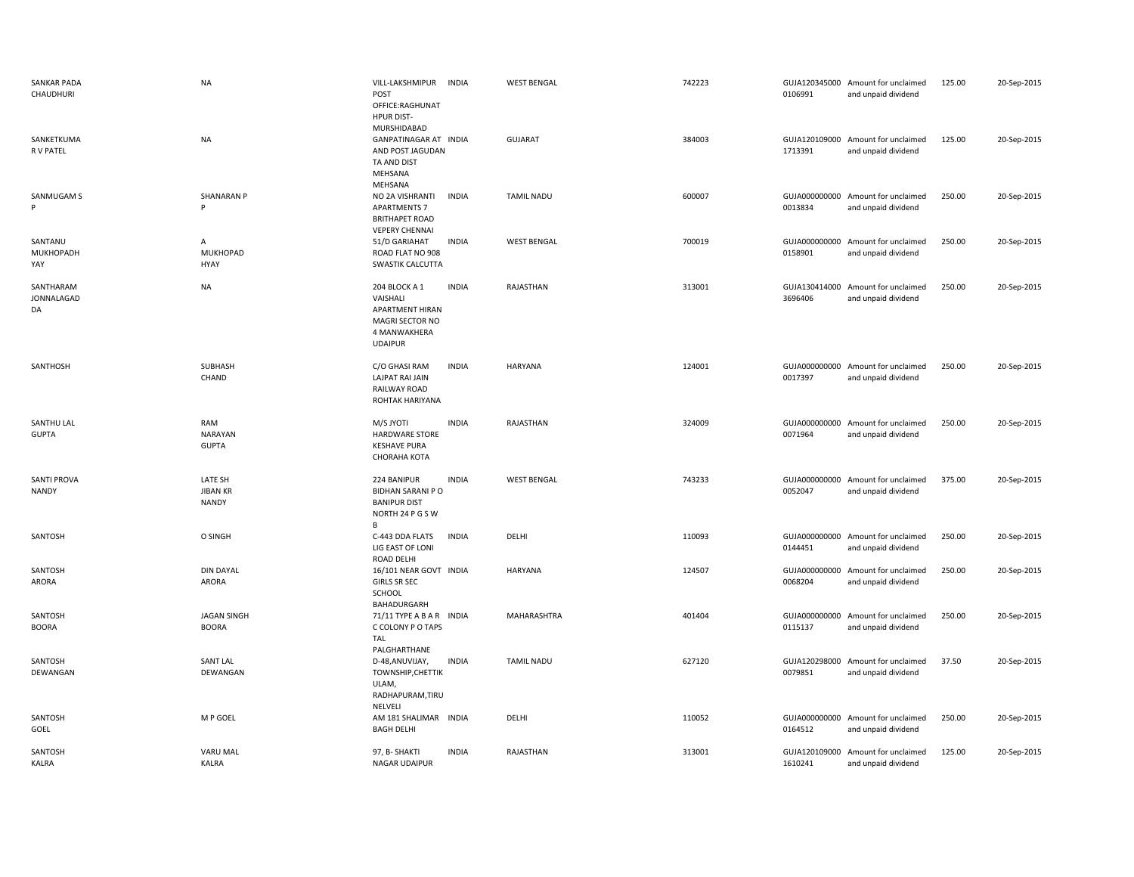| <b>SANKAR PADA</b><br>CHAUDHURI    | <b>NA</b>                                  | VILL-LAKSHMIPUR<br>POST<br>OFFICE:RAGHUNAT<br><b>HPUR DIST-</b><br>MURSHIDABAD                    | <b>INDIA</b> | <b>WEST BENGAL</b> | 742223 | 0106991                  | GUJA120345000 Amount for unclaimed<br>and unpaid dividend | 125.00 | 20-Sep-2015 |
|------------------------------------|--------------------------------------------|---------------------------------------------------------------------------------------------------|--------------|--------------------|--------|--------------------------|-----------------------------------------------------------|--------|-------------|
| SANKETKUMA<br>R V PATEL            | <b>NA</b>                                  | GANPATINAGAR AT INDIA<br>AND POST JAGUDAN<br>TA AND DIST<br>MEHSANA<br>MEHSANA                    |              | <b>GUJARAT</b>     | 384003 | 1713391                  | GUJA120109000 Amount for unclaimed<br>and unpaid dividend | 125.00 | 20-Sep-2015 |
| SANMUGAM S<br>Þ                    | <b>SHANARAN P</b><br>p                     | NO 2A VISHRANTI<br><b>APARTMENTS 7</b><br><b>BRITHAPET ROAD</b><br><b>VEPERY CHENNAI</b>          | <b>INDIA</b> | <b>TAMIL NADU</b>  | 600007 | 0013834                  | GUJA000000000 Amount for unclaimed<br>and unpaid dividend | 250.00 | 20-Sep-2015 |
| SANTANU<br>MUKHOPADH<br>YAY        | $\overline{A}$<br><b>MUKHOPAD</b><br>HYAY  | 51/D GARIAHAT<br>ROAD FLAT NO 908<br>SWASTIK CALCUTTA                                             | <b>INDIA</b> | <b>WEST BENGAL</b> | 700019 | GUJA000000000<br>0158901 | Amount for unclaimed<br>and unpaid dividend               | 250.00 | 20-Sep-2015 |
| SANTHARAM<br>JONNALAGAD<br>DA      | <b>NA</b>                                  | 204 BLOCK A 1<br>VAISHALI<br>APARTMENT HIRAN<br>MAGRI SECTOR NO<br>4 MANWAKHERA<br><b>UDAIPUR</b> | <b>INDIA</b> | RAJASTHAN          | 313001 | GUJA130414000<br>3696406 | Amount for unclaimed<br>and unpaid dividend               | 250.00 | 20-Sep-2015 |
| SANTHOSH                           | SUBHASH<br>CHAND                           | C/O GHASI RAM<br><b>LAJPAT RAI JAIN</b><br>RAILWAY ROAD<br>ROHTAK HARIYANA                        | <b>INDIA</b> | <b>HARYANA</b>     | 124001 | 0017397                  | GUJA000000000 Amount for unclaimed<br>and unpaid dividend | 250.00 | 20-Sep-2015 |
| SANTHU LAL<br><b>GUPTA</b>         | RAM<br>NARAYAN<br><b>GUPTA</b>             | <b>M/S JYOTI</b><br><b>HARDWARE STORE</b><br><b>KESHAVE PURA</b><br>CHORAHA KOTA                  | <b>INDIA</b> | RAJASTHAN          | 324009 | GUJA000000000<br>0071964 | Amount for unclaimed<br>and unpaid dividend               | 250.00 | 20-Sep-2015 |
| <b>SANTI PROVA</b><br><b>NANDY</b> | LATE SH<br><b>JIBAN KR</b><br><b>NANDY</b> | 224 BANIPUR<br><b>BIDHAN SARANI P O</b><br><b>BANIPUR DIST</b><br>NORTH 24 P G S W<br>B.          | <b>INDIA</b> | <b>WEST BENGAL</b> | 743233 | GUJA000000000<br>0052047 | Amount for unclaimed<br>and unpaid dividend               | 375.00 | 20-Sep-2015 |
| SANTOSH                            | O SINGH                                    | C-443 DDA FLATS<br>LIG EAST OF LONI<br>ROAD DELHI                                                 | <b>INDIA</b> | DELHI              | 110093 | GUJA000000000<br>0144451 | Amount for unclaimed<br>and unpaid dividend               | 250.00 | 20-Sep-2015 |
| SANTOSH<br>ARORA                   | <b>DIN DAYAL</b><br>ARORA                  | 16/101 NEAR GOVT INDIA<br><b>GIRLS SR SEC</b><br>SCHOOL<br>BAHADURGARH                            |              | <b>HARYANA</b>     | 124507 | GUJA000000000<br>0068204 | Amount for unclaimed<br>and unpaid dividend               | 250.00 | 20-Sep-2015 |
| SANTOSH<br><b>BOORA</b>            | <b>JAGAN SINGH</b><br><b>BOORA</b>         | 71/11 TYPE A B A R INDIA<br>C COLONY P O TAPS<br><b>TAL</b><br>PALGHARTHANE                       |              | MAHARASHTRA        | 401404 | 0115137                  | GUJA000000000 Amount for unclaimed<br>and unpaid dividend | 250.00 | 20-Sep-2015 |
| SANTOSH<br>DEWANGAN                | <b>SANT LAL</b><br>DEWANGAN                | D-48, ANUVIJAY,<br>TOWNSHIP, CHETTIK<br>ULAM,<br>RADHAPURAM, TIRU<br>NELVELI                      | <b>INDIA</b> | <b>TAMIL NADU</b>  | 627120 | 0079851                  | GUJA120298000 Amount for unclaimed<br>and unpaid dividend | 37.50  | 20-Sep-2015 |
| SANTOSH<br>GOEL                    | M P GOEL                                   | AM 181 SHALIMAR INDIA<br><b>BAGH DELHI</b>                                                        |              | DELHI              | 110052 | 0164512                  | GUJA000000000 Amount for unclaimed<br>and unpaid dividend | 250.00 | 20-Sep-2015 |
| SANTOSH<br><b>KALRA</b>            | <b>VARU MAL</b><br><b>KALRA</b>            | 97, B- SHAKTI<br><b>NAGAR UDAIPUR</b>                                                             | <b>INDIA</b> | RAJASTHAN          | 313001 | 1610241                  | GUJA120109000 Amount for unclaimed<br>and unpaid dividend | 125.00 | 20-Sep-2015 |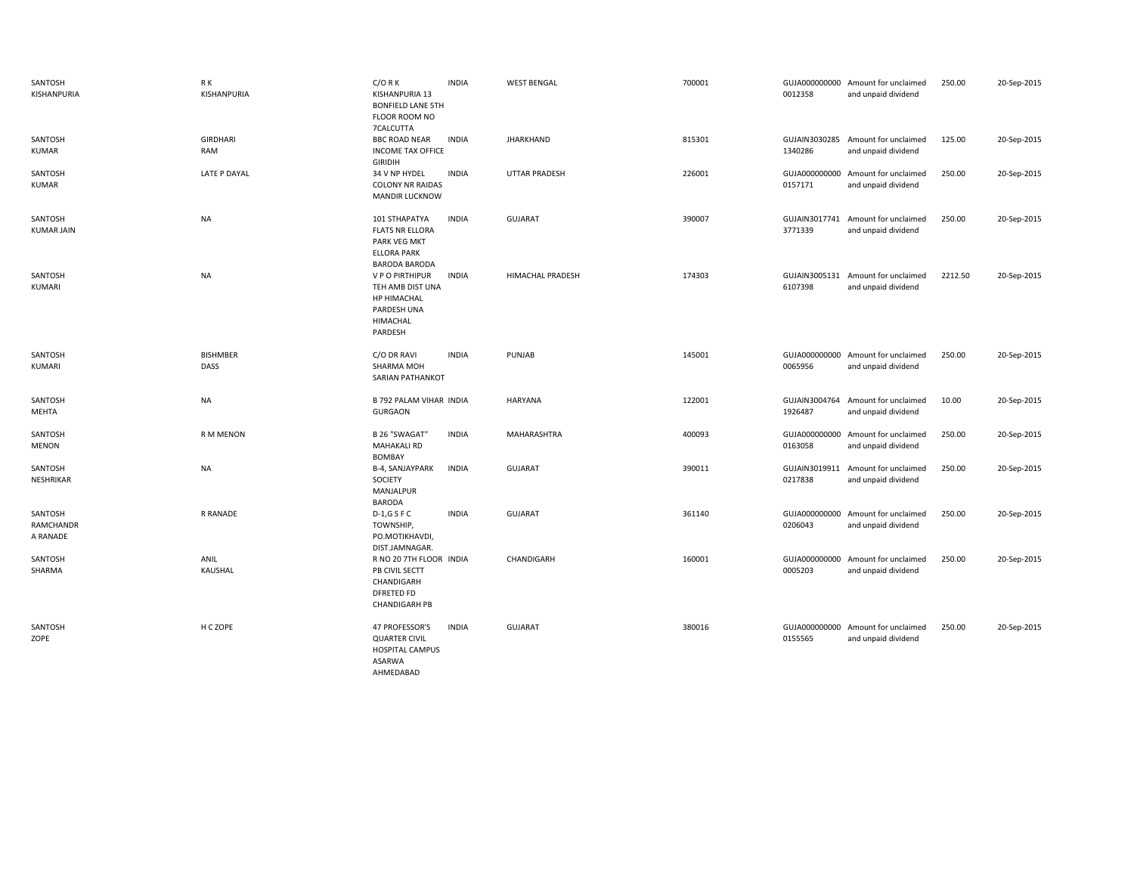| SANTOSH<br>KISHANPURIA           | R K<br>KISHANPURIA      | $C/O$ R K<br>KISHANPURIA 13<br><b>BONFIELD LANE 5TH</b><br>FLOOR ROOM NO<br>7CALCUTTA                  | <b>INDIA</b> | <b>WEST BENGAL</b> | 700001 | 0012358                  | GUJA000000000 Amount for unclaimed<br>and unpaid dividend | 250.00  | 20-Sep-2015 |
|----------------------------------|-------------------------|--------------------------------------------------------------------------------------------------------|--------------|--------------------|--------|--------------------------|-----------------------------------------------------------|---------|-------------|
| SANTOSH<br><b>KUMAR</b>          | <b>GIRDHARI</b><br>RAM  | <b>BBC ROAD NEAR</b><br><b>INCOME TAX OFFICE</b><br><b>GIRIDIH</b>                                     | <b>INDIA</b> | <b>JHARKHAND</b>   | 815301 | GUJAIN3030285<br>1340286 | Amount for unclaimed<br>and unpaid dividend               | 125.00  | 20-Sep-2015 |
| SANTOSH<br>KUMAR                 | LATE P DAYAL            | 34 V NP HYDEL<br><b>COLONY NR RAIDAS</b><br><b>MANDIR LUCKNOW</b>                                      | <b>INDIA</b> | UTTAR PRADESH      | 226001 | 0157171                  | GUJA000000000 Amount for unclaimed<br>and unpaid dividend | 250.00  | 20-Sep-2015 |
| SANTOSH<br><b>KUMAR JAIN</b>     | <b>NA</b>               | 101 STHAPATYA<br><b>FLATS NR ELLORA</b><br>PARK VEG MKT<br><b>ELLORA PARK</b><br><b>BARODA BARODA</b>  | <b>INDIA</b> | <b>GUJARAT</b>     | 390007 | GUJAIN3017741<br>3771339 | Amount for unclaimed<br>and unpaid dividend               | 250.00  | 20-Sep-2015 |
| SANTOSH<br>KUMARI                | <b>NA</b>               | V P O PIRTHIPUR<br>TEH AMB DIST UNA<br><b>HP HIMACHAL</b><br>PARDESH UNA<br><b>HIMACHAL</b><br>PARDESH | <b>INDIA</b> | HIMACHAL PRADESH   | 174303 | 6107398                  | GUJAIN3005131 Amount for unclaimed<br>and unpaid dividend | 2212.50 | 20-Sep-2015 |
| SANTOSH<br>KUMARI                | <b>BISHMBER</b><br>DASS | C/O DR RAVI<br>SHARMA MOH<br><b>SARIAN PATHANKOT</b>                                                   | <b>INDIA</b> | PUNJAB             | 145001 | 0065956                  | GUJA000000000 Amount for unclaimed<br>and unpaid dividend | 250.00  | 20-Sep-2015 |
| SANTOSH<br>MEHTA                 | NA                      | B 792 PALAM VIHAR INDIA<br><b>GURGAON</b>                                                              |              | HARYANA            | 122001 | 1926487                  | GUJAIN3004764 Amount for unclaimed<br>and unpaid dividend | 10.00   | 20-Sep-2015 |
| SANTOSH<br><b>MENON</b>          | <b>RMMENON</b>          | B 26 "SWAGAT"<br><b>MAHAKALI RD</b><br><b>BOMBAY</b>                                                   | <b>INDIA</b> | MAHARASHTRA        | 400093 | 0163058                  | GUJA000000000 Amount for unclaimed<br>and unpaid dividend | 250.00  | 20-Sep-2015 |
| SANTOSH<br>NESHRIKAR             | <b>NA</b>               | B-4, SANJAYPARK<br>SOCIETY<br>MANJALPUR<br><b>BARODA</b>                                               | <b>INDIA</b> | <b>GUJARAT</b>     | 390011 | GUJAIN3019911<br>0217838 | Amount for unclaimed<br>and unpaid dividend               | 250.00  | 20-Sep-2015 |
| SANTOSH<br>RAMCHANDR<br>A RANADE | R RANADE                | $D-1,GSFC$<br>TOWNSHIP,<br>PO.MOTIKHAVDI,<br>DIST.JAMNAGAR.                                            | <b>INDIA</b> | <b>GUJARAT</b>     | 361140 | 0206043                  | GUJA000000000 Amount for unclaimed<br>and unpaid dividend | 250.00  | 20-Sep-2015 |
| SANTOSH<br>SHARMA                | ANIL<br>KAUSHAL         | R NO 20 7TH FLOOR INDIA<br>PB CIVIL SECTT<br>CHANDIGARH<br>DFRETED FD<br><b>CHANDIGARH PB</b>          |              | CHANDIGARH         | 160001 | GUJA000000000<br>0005203 | Amount for unclaimed<br>and unpaid dividend               | 250.00  | 20-Sep-2015 |
| SANTOSH<br>ZOPE                  | H C ZOPE                | <b>47 PROFESSOR'S</b><br><b>QUARTER CIVIL</b><br>HOSPITAL CAMPUS<br>ASARWA<br>AHMEDABAD                | <b>INDIA</b> | GUJARAT            | 380016 | 0155565                  | GUJA000000000 Amount for unclaimed<br>and unpaid dividend | 250.00  | 20-Sep-2015 |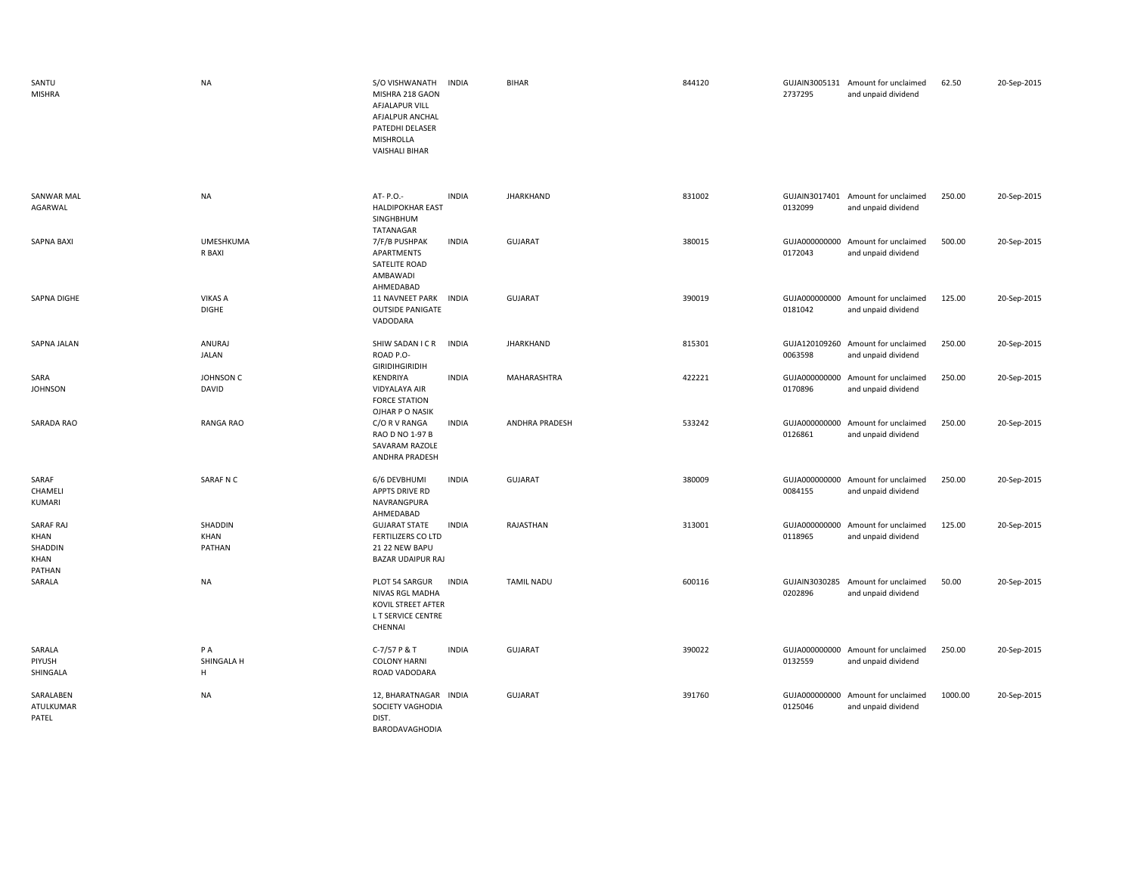| SANTU<br><b>MISHRA</b>                         | <b>NA</b>                      | S/O VISHWANATH<br><b>INDIA</b><br>MISHRA 218 GAON<br>AFJALAPUR VILL<br>AFJALPUR ANCHAL<br>PATEDHI DELASER<br>MISHROLLA<br><b>VAISHALI BIHAR</b> | <b>BIHAR</b>      | 844120 | 2737295 | GUJAIN3005131 Amount for unclaimed<br>and unpaid dividend | 62.50   | 20-Sep-2015 |
|------------------------------------------------|--------------------------------|-------------------------------------------------------------------------------------------------------------------------------------------------|-------------------|--------|---------|-----------------------------------------------------------|---------|-------------|
| SANWAR MAL<br>AGARWAL                          | <b>NA</b>                      | AT- P.O.-<br><b>INDIA</b><br><b>HALDIPOKHAR EAST</b><br>SINGHBHUM<br>TATANAGAR                                                                  | <b>JHARKHAND</b>  | 831002 | 0132099 | GUJAIN3017401 Amount for unclaimed<br>and unpaid dividend | 250.00  | 20-Sep-2015 |
| <b>SAPNA BAXI</b>                              | <b>UMESHKUMA</b><br>R BAXI     | <b>INDIA</b><br>7/F/B PUSHPAK<br>APARTMENTS<br>SATELITE ROAD<br>AMBAWADI<br>AHMEDABAD                                                           | <b>GUJARAT</b>    | 380015 | 0172043 | GUJA000000000 Amount for unclaimed<br>and unpaid dividend | 500.00  | 20-Sep-2015 |
| SAPNA DIGHE                                    | <b>VIKAS A</b><br><b>DIGHE</b> | 11 NAVNEET PARK INDIA<br><b>OUTSIDE PANIGATE</b><br>VADODARA                                                                                    | <b>GUJARAT</b>    | 390019 | 0181042 | GUJA000000000 Amount for unclaimed<br>and unpaid dividend | 125.00  | 20-Sep-2015 |
| SAPNA JALAN                                    | ANURAJ<br>JALAN                | SHIW SADAN I C R<br><b>INDIA</b><br>ROAD P.O-<br><b>GIRIDIHGIRIDIH</b>                                                                          | <b>JHARKHAND</b>  | 815301 | 0063598 | GUJA120109260 Amount for unclaimed<br>and unpaid dividend | 250.00  | 20-Sep-2015 |
| SARA<br><b>JOHNSON</b>                         | JOHNSON C<br>DAVID             | KENDRIYA<br><b>INDIA</b><br>VIDYALAYA AIR<br><b>FORCE STATION</b><br>OJHAR P O NASIK                                                            | MAHARASHTRA       | 422221 | 0170896 | GUJA000000000 Amount for unclaimed<br>and unpaid dividend | 250.00  | 20-Sep-2015 |
| SARADA RAO                                     | RANGA RAO                      | <b>INDIA</b><br>C/O R V RANGA<br>RAO D NO 1-97 B<br>SAVARAM RAZOLE<br>ANDHRA PRADESH                                                            | ANDHRA PRADESH    | 533242 | 0126861 | GUJA000000000 Amount for unclaimed<br>and unpaid dividend | 250.00  | 20-Sep-2015 |
| SARAF<br>CHAMELI<br>KUMARI                     | SARAF N C                      | 6/6 DEVBHUMI<br><b>INDIA</b><br>APPTS DRIVE RD<br>NAVRANGPURA<br>AHMEDABAD                                                                      | <b>GUJARAT</b>    | 380009 | 0084155 | GUJA000000000 Amount for unclaimed<br>and unpaid dividend | 250.00  | 20-Sep-2015 |
| SARAF RAJ<br>KHAN<br>SHADDIN<br>KHAN<br>PATHAN | SHADDIN<br>KHAN<br>PATHAN      | <b>GUJARAT STATE</b><br><b>INDIA</b><br>FERTILIZERS CO LTD<br>21 22 NEW BAPU<br><b>BAZAR UDAIPUR RAJ</b>                                        | RAJASTHAN         | 313001 | 0118965 | GUJA000000000 Amount for unclaimed<br>and unpaid dividend | 125.00  | 20-Sep-2015 |
| SARALA                                         | <b>NA</b>                      | PLOT 54 SARGUR<br><b>INDIA</b><br>NIVAS RGL MADHA<br>KOVIL STREET AFTER<br>L T SERVICE CENTRE<br>CHENNAI                                        | <b>TAMIL NADU</b> | 600116 | 0202896 | GUJAIN3030285 Amount for unclaimed<br>and unpaid dividend | 50.00   | 20-Sep-2015 |
| SARALA<br>PIYUSH<br>SHINGALA                   | PA<br>SHINGALA H<br>H          | C-7/57 P & T<br><b>INDIA</b><br><b>COLONY HARNI</b><br>ROAD VADODARA                                                                            | <b>GUJARAT</b>    | 390022 | 0132559 | GUJA000000000 Amount for unclaimed<br>and unpaid dividend | 250.00  | 20-Sep-2015 |
| SARALABEN<br>ATULKUMAR<br>PATEL                | <b>NA</b>                      | 12, BHARATNAGAR INDIA<br>SOCIETY VAGHODIA<br>DIST.<br>BARODAVAGHODIA                                                                            | <b>GUJARAT</b>    | 391760 | 0125046 | GUJA000000000 Amount for unclaimed<br>and unpaid dividend | 1000.00 | 20-Sep-2015 |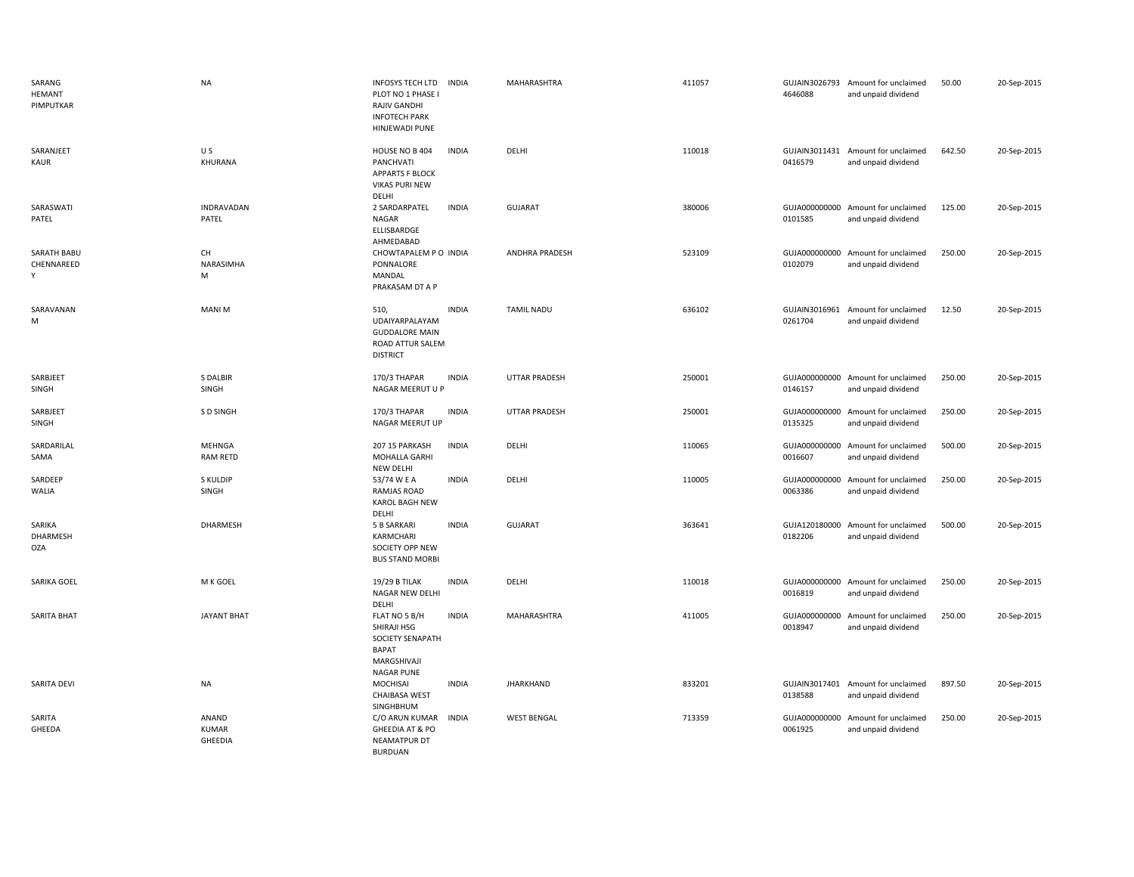| SARANG<br>HEMANT<br>PIMPUTKAR    | <b>NA</b>                        | <b>INFOSYS TECH LTD</b><br>PLOT NO 1 PHASE I<br><b>RAJIV GANDHI</b><br><b>INFOTECH PARK</b><br><b>HINJEWADI PUNE</b> | <b>INDIA</b> | MAHARASHTRA           | 411057 | 4646088                  | GUJAIN3026793 Amount for unclaimed<br>and unpaid dividend | 50.00  | 20-Sep-2015 |
|----------------------------------|----------------------------------|----------------------------------------------------------------------------------------------------------------------|--------------|-----------------------|--------|--------------------------|-----------------------------------------------------------|--------|-------------|
| SARANJEET<br>KAUR                | U S<br>KHURANA                   | HOUSE NO B 404<br>PANCHVATI<br><b>APPARTS F BLOCK</b><br><b>VIKAS PURI NEW</b><br>DELHI                              | <b>INDIA</b> | DELHI                 | 110018 | 0416579                  | GUJAIN3011431 Amount for unclaimed<br>and unpaid dividend | 642.50 | 20-Sep-2015 |
| SARASWATI<br>PATEL               | INDRAVADAN<br>PATEL              | 2 SARDARPATEL<br>NAGAR<br>ELLISBARDGE<br>AHMEDABAD                                                                   | <b>INDIA</b> | <b>GUJARAT</b>        | 380006 | 0101585                  | GUJA000000000 Amount for unclaimed<br>and unpaid dividend | 125.00 | 20-Sep-2015 |
| SARATH BABU<br>CHENNAREED<br>Y   | CH<br>NARASIMHA<br>M             | CHOWTAPALEM P O INDIA<br>PONNALORE<br>MANDAL<br>PRAKASAM DT A P                                                      |              | <b>ANDHRA PRADESH</b> | 523109 | 0102079                  | GUJA000000000 Amount for unclaimed<br>and unpaid dividend | 250.00 | 20-Sep-2015 |
| SARAVANAN<br>M                   | <b>MANIM</b>                     | 510,<br>UDAIYARPALAYAM<br><b>GUDDALORE MAIN</b><br>ROAD ATTUR SALEM<br><b>DISTRICT</b>                               | <b>INDIA</b> | <b>TAMIL NADU</b>     | 636102 | GUJAIN3016961<br>0261704 | Amount for unclaimed<br>and unpaid dividend               | 12.50  | 20-Sep-2015 |
| SARBJEET<br>SINGH                | S DALBIR<br>SINGH                | 170/3 THAPAR<br>NAGAR MEERUT U P                                                                                     | <b>INDIA</b> | <b>UTTAR PRADESH</b>  | 250001 | 0146157                  | GUJA000000000 Amount for unclaimed<br>and unpaid dividend | 250.00 | 20-Sep-2015 |
| SARBJEET<br>SINGH                | S D SINGH                        | 170/3 THAPAR<br>NAGAR MEERUT UP                                                                                      | <b>INDIA</b> | UTTAR PRADESH         | 250001 | 0135325                  | GUJA000000000 Amount for unclaimed<br>and unpaid dividend | 250.00 | 20-Sep-2015 |
| SARDARILAL<br>SAMA               | <b>MEHNGA</b><br><b>RAM RETD</b> | 207 15 PARKASH<br>MOHALLA GARHI<br>NEW DELHI                                                                         | <b>INDIA</b> | DELHI                 | 110065 | 0016607                  | GUJA000000000 Amount for unclaimed<br>and unpaid dividend | 500.00 | 20-Sep-2015 |
| SARDEEP<br>WALIA                 | S KULDIP<br>SINGH                | 53/74 W E A<br>RAMJAS ROAD<br><b>KAROL BAGH NEW</b><br>DELHI                                                         | <b>INDIA</b> | DELHI                 | 110005 | 0063386                  | GUJA000000000 Amount for unclaimed<br>and unpaid dividend | 250.00 | 20-Sep-2015 |
| SARIKA<br>DHARMESH<br><b>OZA</b> | DHARMESH                         | 5 B SARKARI<br>KARMCHARI<br>SOCIETY OPP NEW<br><b>BUS STAND MORBI</b>                                                | <b>INDIA</b> | GUJARAT               | 363641 | 0182206                  | GUJA120180000 Amount for unclaimed<br>and unpaid dividend | 500.00 | 20-Sep-2015 |
| SARIKA GOEL                      | M K GOEL                         | <b>19/29 B TILAK</b><br>NAGAR NEW DELHI<br>DELHI                                                                     | <b>INDIA</b> | DELHI                 | 110018 | 0016819                  | GUJA000000000 Amount for unclaimed<br>and unpaid dividend | 250.00 | 20-Sep-2015 |
| SARITA BHAT                      | <b>JAYANT BHAT</b>               | FLAT NO 5 B/H<br>SHIRAJI HSG<br>SOCIETY SENAPATH<br><b>BAPAT</b><br>MARGSHIVAJI<br><b>NAGAR PUNE</b>                 | <b>INDIA</b> | MAHARASHTRA           | 411005 | 0018947                  | GUJA000000000 Amount for unclaimed<br>and unpaid dividend | 250.00 | 20-Sep-2015 |
| SARITA DEVI                      | <b>NA</b>                        | MOCHISAI<br><b>CHAIBASA WEST</b><br>SINGHBHUM                                                                        | <b>INDIA</b> | <b>JHARKHAND</b>      | 833201 | 0138588                  | GUJAIN3017401 Amount for unclaimed<br>and unpaid dividend | 897.50 | 20-Sep-2015 |
| SARITA<br>GHEEDA                 | ANAND<br>KUMAR<br><b>GHEEDIA</b> | C/O ARUN KUMAR<br>GHEEDIA AT & PO<br><b>NEAMATPUR DT</b><br><b>BURDUAN</b>                                           | <b>INDIA</b> | <b>WEST BENGAL</b>    | 713359 | 0061925                  | GUJA000000000 Amount for unclaimed<br>and unpaid dividend | 250.00 | 20-Sep-2015 |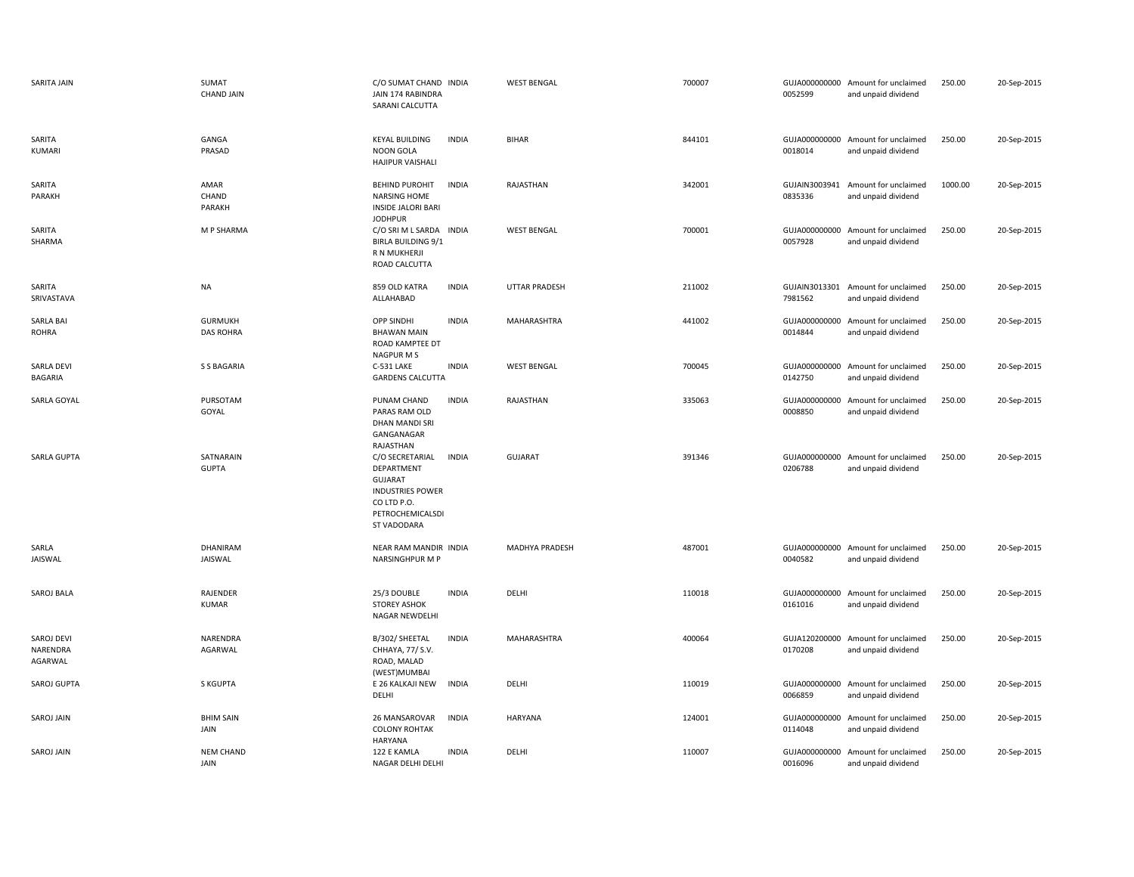| SARITA JAIN                         | <b>SUMAT</b><br><b>CHAND JAIN</b>  | C/O SUMAT CHAND INDIA<br>JAIN 174 RABINDRA<br>SARANI CALCUTTA                                                                                       | <b>WEST BENGAL</b> | 700007 | 0052599                  | GUJA000000000 Amount for unclaimed<br>and unpaid dividend | 250.00  | 20-Sep-2015 |
|-------------------------------------|------------------------------------|-----------------------------------------------------------------------------------------------------------------------------------------------------|--------------------|--------|--------------------------|-----------------------------------------------------------|---------|-------------|
| SARITA<br>KUMARI                    | GANGA<br>PRASAD                    | <b>KEYAL BUILDING</b><br><b>INDIA</b><br><b>NOON GOLA</b><br>HAJIPUR VAISHALI                                                                       | <b>BIHAR</b>       | 844101 | 0018014                  | GUJA000000000 Amount for unclaimed<br>and unpaid dividend | 250.00  | 20-Sep-2015 |
| SARITA<br>PARAKH                    | AMAR<br>CHAND<br>PARAKH            | <b>BEHIND PUROHIT</b><br><b>INDIA</b><br><b>NARSING HOME</b><br><b>INSIDE JALORI BARI</b><br><b>JODHPUR</b>                                         | RAJASTHAN          | 342001 | GUJAIN3003941<br>0835336 | Amount for unclaimed<br>and unpaid dividend               | 1000.00 | 20-Sep-2015 |
| SARITA<br>SHARMA                    | M P SHARMA                         | C/O SRI M L SARDA INDIA<br>BIRLA BUILDING 9/1<br>R N MUKHERJI<br>ROAD CALCUTTA                                                                      | <b>WEST BENGAL</b> | 700001 | GUJA000000000<br>0057928 | Amount for unclaimed<br>and unpaid dividend               | 250.00  | 20-Sep-2015 |
| SARITA<br>SRIVASTAVA                | <b>NA</b>                          | <b>INDIA</b><br>859 OLD KATRA<br>ALLAHABAD                                                                                                          | UTTAR PRADESH      | 211002 | 7981562                  | GUJAIN3013301 Amount for unclaimed<br>and unpaid dividend | 250.00  | 20-Sep-2015 |
| <b>SARLA BAI</b><br><b>ROHRA</b>    | <b>GURMUKH</b><br><b>DAS ROHRA</b> | OPP SINDHI<br><b>INDIA</b><br><b>BHAWAN MAIN</b><br>ROAD KAMPTEE DT<br>NAGPUR M S                                                                   | MAHARASHTRA        | 441002 | 0014844                  | GUJA000000000 Amount for unclaimed<br>and unpaid dividend | 250.00  | 20-Sep-2015 |
| <b>SARLA DEVI</b><br><b>BAGARIA</b> | <b>S S BAGARIA</b>                 | C-531 LAKE<br><b>INDIA</b><br><b>GARDENS CALCUTTA</b>                                                                                               | <b>WEST BENGAL</b> | 700045 | 0142750                  | GUJA000000000 Amount for unclaimed<br>and unpaid dividend | 250.00  | 20-Sep-2015 |
| SARLA GOYAL                         | PURSOTAM<br>GOYAL                  | PUNAM CHAND<br><b>INDIA</b><br>PARAS RAM OLD<br>DHAN MANDI SRI<br>GANGANAGAR<br>RAJASTHAN                                                           | RAJASTHAN          | 335063 | GUJA000000000<br>0008850 | Amount for unclaimed<br>and unpaid dividend               | 250.00  | 20-Sep-2015 |
| SARLA GUPTA                         | SATNARAIN<br><b>GUPTA</b>          | C/O SECRETARIAL<br><b>INDIA</b><br>DEPARTMENT<br><b>GUJARAT</b><br><b>INDUSTRIES POWER</b><br>CO LTD P.O.<br>PETROCHEMICALSDI<br><b>ST VADODARA</b> | <b>GUJARAT</b>     | 391346 | 0206788                  | GUJA000000000 Amount for unclaimed<br>and unpaid dividend | 250.00  | 20-Sep-2015 |
| SARLA<br>JAISWAL                    | <b>DHANIRAM</b><br><b>JAISWAL</b>  | NEAR RAM MANDIR INDIA<br><b>NARSINGHPUR M P</b>                                                                                                     | MADHYA PRADESH     | 487001 | 0040582                  | GUJA000000000 Amount for unclaimed<br>and unpaid dividend | 250.00  | 20-Sep-2015 |
| SAROJ BALA                          | RAJENDER<br><b>KUMAR</b>           | 25/3 DOUBLE<br><b>INDIA</b><br><b>STOREY ASHOK</b><br>NAGAR NEWDELHI                                                                                | DELHI              | 110018 | GUJA000000000<br>0161016 | Amount for unclaimed<br>and unpaid dividend               | 250.00  | 20-Sep-2015 |
| SAROJ DEVI<br>NARENDRA<br>AGARWAL   | NARENDRA<br>AGARWAL                | <b>INDIA</b><br>B/302/ SHEETAL<br>CHHAYA, 77/ S.V.<br>ROAD, MALAD<br>(WEST)MUMBAI                                                                   | MAHARASHTRA        | 400064 | 0170208                  | GUJA120200000 Amount for unclaimed<br>and unpaid dividend | 250.00  | 20-Sep-2015 |
| SAROJ GUPTA                         | S KGUPTA                           | E 26 KALKAJI NEW<br><b>INDIA</b><br>DELHI                                                                                                           | DELHI              | 110019 | 0066859                  | GUJA000000000 Amount for unclaimed<br>and unpaid dividend | 250.00  | 20-Sep-2015 |
| SAROJ JAIN                          | <b>BHIM SAIN</b><br>JAIN           | 26 MANSAROVAR<br><b>INDIA</b><br><b>COLONY ROHTAK</b><br><b>HARYANA</b>                                                                             | HARYANA            | 124001 | GUJA000000000<br>0114048 | Amount for unclaimed<br>and unpaid dividend               | 250.00  | 20-Sep-2015 |
| <b>SAROJ JAIN</b>                   | <b>NEM CHAND</b><br>JAIN           | 122 E KAMLA<br><b>INDIA</b><br>NAGAR DELHI DELHI                                                                                                    | DELHI              | 110007 | GUJA000000000<br>0016096 | Amount for unclaimed<br>and unpaid dividend               | 250.00  | 20-Sep-2015 |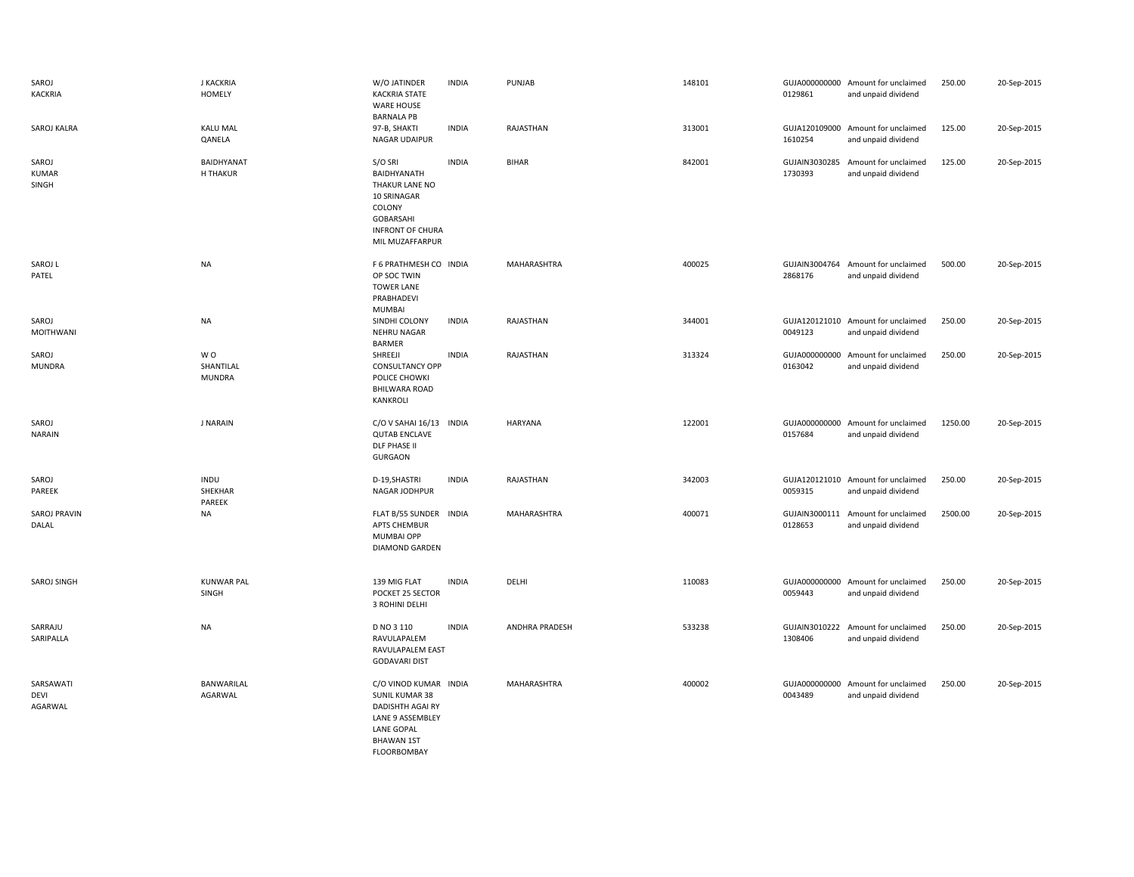| SAROJ<br><b>KACKRIA</b>             | <b>J KACKRIA</b><br><b>HOMELY</b> | W/O JATINDER<br><b>KACKRIA STATE</b><br><b>WARE HOUSE</b><br><b>BARNALA PB</b>                                                                  | <b>INDIA</b> | PUNJAB                | 148101 | 0129861                  | GUJA000000000 Amount for unclaimed<br>and unpaid dividend | 250.00  | 20-Sep-2015 |
|-------------------------------------|-----------------------------------|-------------------------------------------------------------------------------------------------------------------------------------------------|--------------|-----------------------|--------|--------------------------|-----------------------------------------------------------|---------|-------------|
| SAROJ KALRA                         | <b>KALU MAL</b><br>QANELA         | 97-B, SHAKTI<br>NAGAR UDAIPUR                                                                                                                   | <b>INDIA</b> | RAJASTHAN             | 313001 | GUJA120109000<br>1610254 | Amount for unclaimed<br>and unpaid dividend               | 125.00  | 20-Sep-2015 |
| SAROJ<br><b>KUMAR</b><br>SINGH      | BAIDHYANAT<br>H THAKUR            | S/O SRI<br>BAIDHYANATH<br>THAKUR LANE NO<br>10 SRINAGAR<br>COLONY<br><b>GOBARSAHI</b><br><b>INFRONT OF CHURA</b><br>MIL MUZAFFARPUR             | <b>INDIA</b> | <b>BIHAR</b>          | 842001 | GUJAIN3030285<br>1730393 | Amount for unclaimed<br>and unpaid dividend               | 125.00  | 20-Sep-2015 |
| SAROJ L<br>PATEL                    | <b>NA</b>                         | F 6 PRATHMESH CO INDIA<br>OP SOC TWIN<br><b>TOWER LANE</b><br>PRABHADEVI<br>MUMBAI                                                              |              | MAHARASHTRA           | 400025 | 2868176                  | GUJAIN3004764 Amount for unclaimed<br>and unpaid dividend | 500.00  | 20-Sep-2015 |
| SAROJ<br><b>MOITHWANI</b>           | <b>NA</b>                         | SINDHI COLONY<br>NEHRU NAGAR<br><b>BARMER</b>                                                                                                   | <b>INDIA</b> | RAJASTHAN             | 344001 | 0049123                  | GUJA120121010 Amount for unclaimed<br>and unpaid dividend | 250.00  | 20-Sep-2015 |
| SAROJ<br><b>MUNDRA</b>              | WO.<br>SHANTILAL<br><b>MUNDRA</b> | SHREEJI<br><b>CONSULTANCY OPP</b><br>POLICE CHOWKI<br><b>BHILWARA ROAD</b><br>KANKROLI                                                          | <b>INDIA</b> | RAJASTHAN             | 313324 | GUJA000000000<br>0163042 | Amount for unclaimed<br>and unpaid dividend               | 250.00  | 20-Sep-2015 |
| SAROJ<br><b>NARAIN</b>              | <b>J NARAIN</b>                   | C/O V SAHAI 16/13 INDIA<br><b>QUTAB ENCLAVE</b><br><b>DLF PHASE II</b><br><b>GURGAON</b>                                                        |              | <b>HARYANA</b>        | 122001 | 0157684                  | GUJA000000000 Amount for unclaimed<br>and unpaid dividend | 1250.00 | 20-Sep-2015 |
| SAROJ<br>PAREEK                     | INDU<br>SHEKHAR<br>PAREEK         | D-19, SHASTRI<br>NAGAR JODHPUR                                                                                                                  | <b>INDIA</b> | RAJASTHAN             | 342003 | 0059315                  | GUJA120121010 Amount for unclaimed<br>and unpaid dividend | 250.00  | 20-Sep-2015 |
| <b>SAROJ PRAVIN</b><br>DALAL        | NA                                | FLAT B/55 SUNDER INDIA<br>APTS CHEMBUR<br>MUMBAI OPP<br><b>DIAMOND GARDEN</b>                                                                   |              | MAHARASHTRA           | 400071 | GUJAIN3000111<br>0128653 | Amount for unclaimed<br>and unpaid dividend               | 2500.00 | 20-Sep-2015 |
| SAROJ SINGH                         | <b>KUNWAR PAL</b><br>SINGH        | 139 MIG FLAT<br>POCKET 25 SECTOR<br>3 ROHINI DELHI                                                                                              | <b>INDIA</b> | DELHI                 | 110083 | GUJA000000000<br>0059443 | Amount for unclaimed<br>and unpaid dividend               | 250.00  | 20-Sep-2015 |
| SARRAJU<br>SARIPALLA                | <b>NA</b>                         | D NO 3 110<br>RAVULAPALEM<br>RAVULAPALEM EAST<br><b>GODAVARI DIST</b>                                                                           | <b>INDIA</b> | <b>ANDHRA PRADESH</b> | 533238 | 1308406                  | GUJAIN3010222 Amount for unclaimed<br>and unpaid dividend | 250.00  | 20-Sep-2015 |
| SARSAWATI<br><b>DEVI</b><br>AGARWAL | BANWARILAL<br>AGARWAL             | C/O VINOD KUMAR INDIA<br><b>SUNIL KUMAR 38</b><br>DADISHTH AGAI RY<br>LANE 9 ASSEMBLEY<br><b>LANE GOPAL</b><br><b>BHAWAN 1ST</b><br>FLOORBOMBAY |              | MAHARASHTRA           | 400002 | 0043489                  | GUJA000000000 Amount for unclaimed<br>and unpaid dividend | 250.00  | 20-Sep-2015 |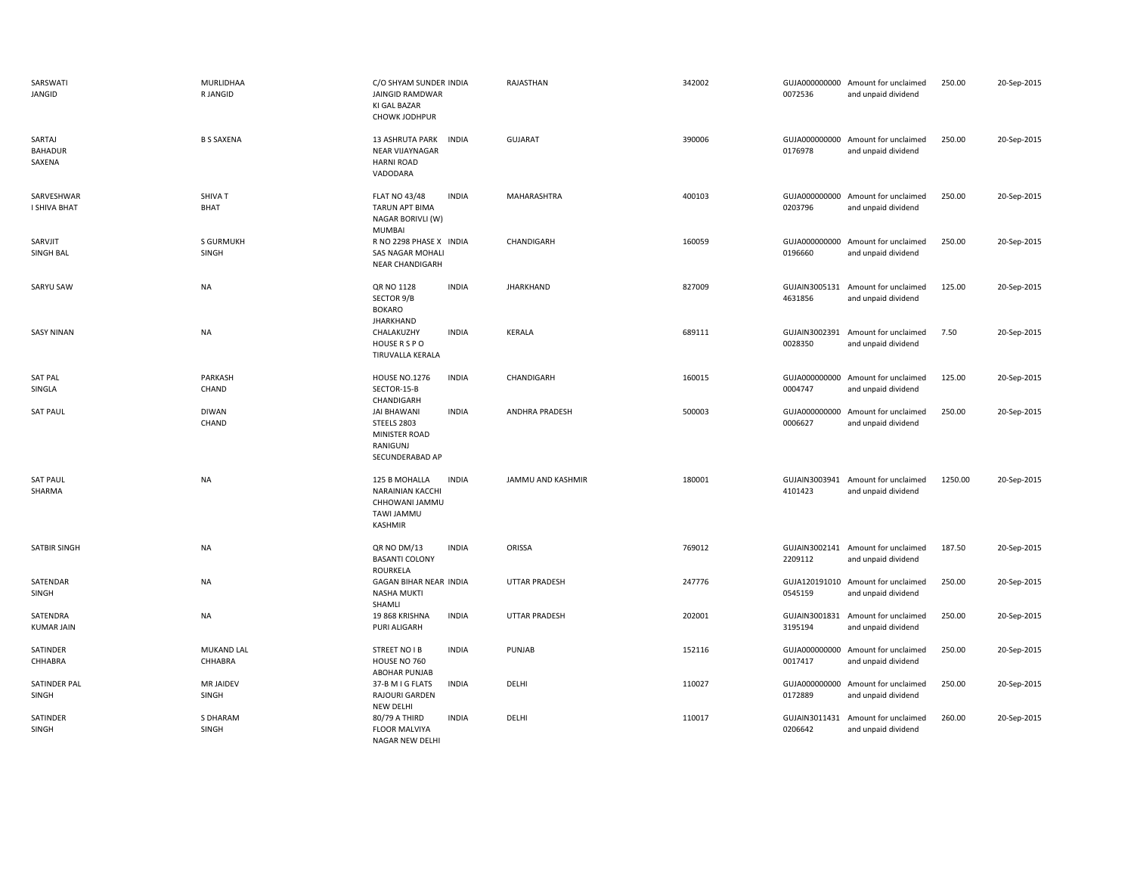| SARSWATI<br>JANGID                 | MURLIDHAA<br>R JANGID     | C/O SHYAM SUNDER INDIA<br>JAINGID RAMDWAR<br>KI GAL BAZAR<br>CHOWK JODHPUR                                 | RAJASTHAN             | 342002 | 0072536                  | GUJA000000000 Amount for unclaimed<br>and unpaid dividend | 250.00  | 20-Sep-2015 |
|------------------------------------|---------------------------|------------------------------------------------------------------------------------------------------------|-----------------------|--------|--------------------------|-----------------------------------------------------------|---------|-------------|
| SARTAJ<br><b>BAHADUR</b><br>SAXENA | <b>B S SAXENA</b>         | 13 ASHRUTA PARK INDIA<br>NEAR VIJAYNAGAR<br><b>HARNI ROAD</b><br>VADODARA                                  | <b>GUJARAT</b>        | 390006 | 0176978                  | GUJA000000000 Amount for unclaimed<br>and unpaid dividend | 250.00  | 20-Sep-2015 |
| SARVESHWAR<br>I SHIVA BHAT         | SHIVA T<br><b>BHAT</b>    | <b>INDIA</b><br><b>FLAT NO 43/48</b><br><b>TARUN APT BIMA</b><br>NAGAR BORIVLI (W)<br><b>MUMBAI</b>        | MAHARASHTRA           | 400103 | 0203796                  | GUJA000000000 Amount for unclaimed<br>and unpaid dividend | 250.00  | 20-Sep-2015 |
| SARVJIT<br>SINGH BAL               | <b>S GURMUKH</b><br>SINGH | R NO 2298 PHASE X INDIA<br>SAS NAGAR MOHALI<br><b>NEAR CHANDIGARH</b>                                      | CHANDIGARH            | 160059 | 0196660                  | GUJA000000000 Amount for unclaimed<br>and unpaid dividend | 250.00  | 20-Sep-2015 |
| SARYU SAW                          | <b>NA</b>                 | QR NO 1128<br><b>INDIA</b><br>SECTOR 9/B<br><b>BOKARO</b><br><b>JHARKHAND</b>                              | <b>JHARKHAND</b>      | 827009 | 4631856                  | GUJAIN3005131 Amount for unclaimed<br>and unpaid dividend | 125.00  | 20-Sep-2015 |
| <b>SASY NINAN</b>                  | <b>NA</b>                 | CHALAKUZHY<br><b>INDIA</b><br>HOUSE R S P O<br>TIRUVALLA KERALA                                            | <b>KERALA</b>         | 689111 | 0028350                  | GUJAIN3002391 Amount for unclaimed<br>and unpaid dividend | 7.50    | 20-Sep-2015 |
| <b>SAT PAL</b><br>SINGLA           | PARKASH<br>CHAND          | <b>HOUSE NO.1276</b><br><b>INDIA</b><br>SECTOR-15-B<br>CHANDIGARH                                          | CHANDIGARH            | 160015 | GUJA000000000<br>0004747 | Amount for unclaimed<br>and unpaid dividend               | 125.00  | 20-Sep-2015 |
| <b>SAT PAUL</b>                    | <b>DIWAN</b><br>CHAND     | <b>JAI BHAWANI</b><br><b>INDIA</b><br>STEELS 2803<br>MINISTER ROAD<br>RANIGUNJ<br>SECUNDERABAD AP          | <b>ANDHRA PRADESH</b> | 500003 | GUJA000000000<br>0006627 | Amount for unclaimed<br>and unpaid dividend               | 250.00  | 20-Sep-2015 |
| <b>SAT PAUL</b><br>SHARMA          | <b>NA</b>                 | <b>INDIA</b><br>125 B MOHALLA<br>NARAINIAN KACCHI<br>CHHOWANI JAMMU<br><b>TAWI JAMMU</b><br><b>KASHMIR</b> | JAMMU AND KASHMIR     | 180001 | 4101423                  | GUJAIN3003941 Amount for unclaimed<br>and unpaid dividend | 1250.00 | 20-Sep-2015 |
| <b>SATBIR SINGH</b>                | <b>NA</b>                 | QR NO DM/13<br><b>INDIA</b><br><b>BASANTI COLONY</b><br>ROURKELA                                           | ORISSA                | 769012 | 2209112                  | GUJAIN3002141 Amount for unclaimed<br>and unpaid dividend | 187.50  | 20-Sep-2015 |
| SATENDAR<br>SINGH                  | <b>NA</b>                 | <b>GAGAN BIHAR NEAR INDIA</b><br><b>NASHA MUKTI</b><br>SHAMLI                                              | <b>UTTAR PRADESH</b>  | 247776 | 0545159                  | GUJA120191010 Amount for unclaimed<br>and unpaid dividend | 250.00  | 20-Sep-2015 |
| SATENDRA<br><b>KUMAR JAIN</b>      | <b>NA</b>                 | <b>INDIA</b><br>19 868 KRISHNA<br>PURI ALIGARH                                                             | <b>UTTAR PRADESH</b>  | 202001 | 3195194                  | GUJAIN3001831 Amount for unclaimed<br>and unpaid dividend | 250.00  | 20-Sep-2015 |
| SATINDER<br>CHHABRA                | MUKAND LAL<br>CHHABRA     | STREET NO I B<br><b>INDIA</b><br>HOUSE NO 760<br>ABOHAR PUNJAB                                             | PUNJAB                | 152116 | 0017417                  | GUJA000000000 Amount for unclaimed<br>and unpaid dividend | 250.00  | 20-Sep-2015 |
| SATINDER PAL<br>SINGH              | <b>MR JAIDEV</b><br>SINGH | <b>INDIA</b><br>37-B M I G FLATS<br>RAJOURI GARDEN<br><b>NEW DELHI</b>                                     | DELHI                 | 110027 | GUJA000000000<br>0172889 | Amount for unclaimed<br>and unpaid dividend               | 250.00  | 20-Sep-2015 |
| SATINDER<br>SINGH                  | S DHARAM<br>SINGH         | 80/79 A THIRD<br><b>INDIA</b><br><b>FLOOR MALVIYA</b><br>NAGAR NEW DELHI                                   | DELHI                 | 110017 | GUJAIN3011431<br>0206642 | Amount for unclaimed<br>and unpaid dividend               | 260.00  | 20-Sep-2015 |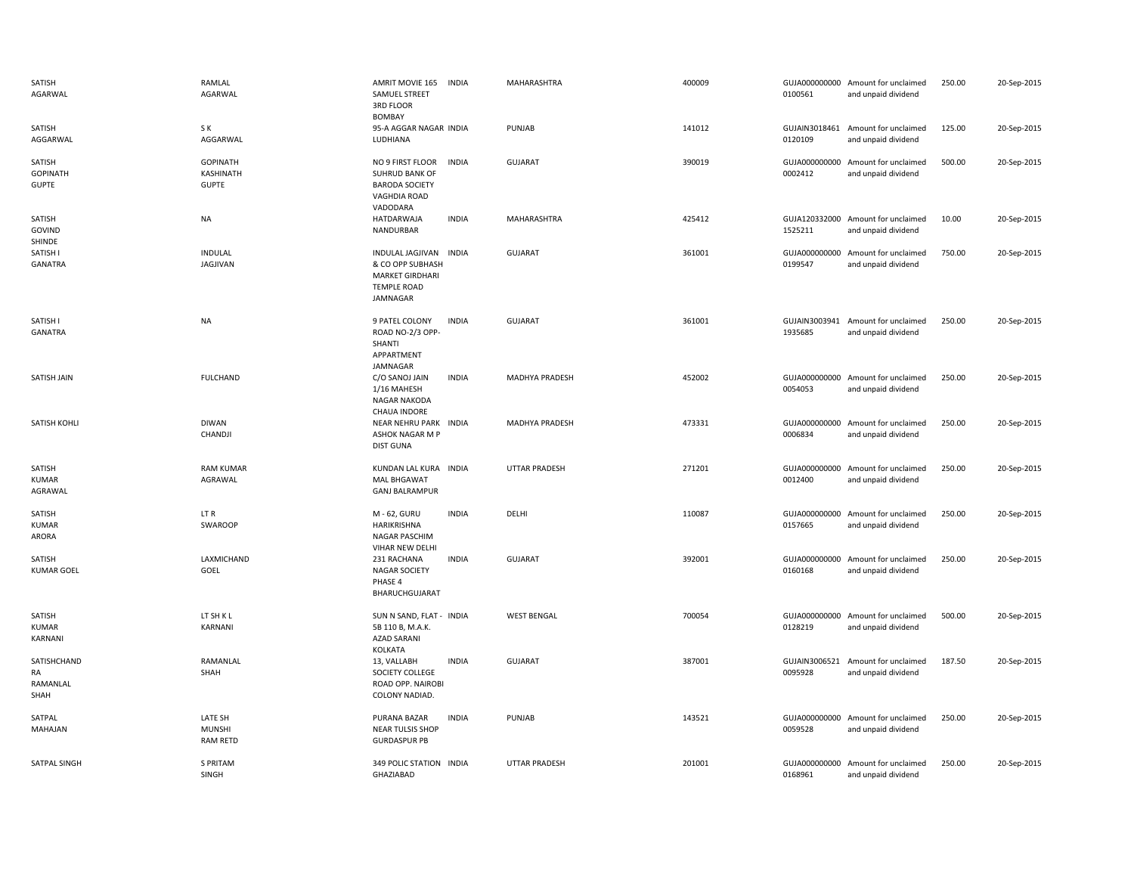| SATISH<br>AGARWAL                         | RAMLAL<br>AGARWAL                            | AMRIT MOVIE 165<br>SAMUEL STREET<br><b>3RD FLOOR</b><br><b>BOMBAY</b>                                  | <b>INDIA</b> | MAHARASHTRA          | 400009 | 0100561                  | GUJA000000000 Amount for unclaimed<br>and unpaid dividend | 250.00 | 20-Sep-2015 |
|-------------------------------------------|----------------------------------------------|--------------------------------------------------------------------------------------------------------|--------------|----------------------|--------|--------------------------|-----------------------------------------------------------|--------|-------------|
| SATISH<br>AGGARWAL                        | S K<br>AGGARWAL                              | 95-A AGGAR NAGAR INDIA<br>LUDHIANA                                                                     |              | PUNJAB               | 141012 | GUJAIN3018461<br>0120109 | Amount for unclaimed<br>and unpaid dividend               | 125.00 | 20-Sep-2015 |
| SATISH<br><b>GOPINATH</b><br><b>GUPTE</b> | <b>GOPINATH</b><br>KASHINATH<br><b>GUPTE</b> | NO 9 FIRST FLOOR<br><b>SUHRUD BANK OF</b><br><b>BARODA SOCIETY</b><br><b>VAGHDIA ROAD</b><br>VADODARA  | <b>INDIA</b> | <b>GUJARAT</b>       | 390019 | 0002412                  | GUJA000000000 Amount for unclaimed<br>and unpaid dividend | 500.00 | 20-Sep-2015 |
| SATISH<br>GOVIND<br>SHINDE                | <b>NA</b>                                    | <b>HATDARWAJA</b><br>NANDURBAR                                                                         | <b>INDIA</b> | MAHARASHTRA          | 425412 | 1525211                  | GUJA120332000 Amount for unclaimed<br>and unpaid dividend | 10.00  | 20-Sep-2015 |
| SATISH I<br>GANATRA                       | INDULAL<br><b>JAGJIVAN</b>                   | INDULAL JAGJIVAN INDIA<br>& CO OPP SUBHASH<br><b>MARKET GIRDHARI</b><br><b>TEMPLE ROAD</b><br>JAMNAGAR |              | <b>GUJARAT</b>       | 361001 | 0199547                  | GUJA000000000 Amount for unclaimed<br>and unpaid dividend | 750.00 | 20-Sep-2015 |
| SATISH I<br><b>GANATRA</b>                | <b>NA</b>                                    | 9 PATEL COLONY<br>ROAD NO-2/3 OPP-<br>SHANTI<br>APPARTMENT<br>JAMNAGAR                                 | <b>INDIA</b> | <b>GUJARAT</b>       | 361001 | 1935685                  | GUJAIN3003941 Amount for unclaimed<br>and unpaid dividend | 250.00 | 20-Sep-2015 |
| SATISH JAIN                               | <b>FULCHAND</b>                              | C/O SANOJ JAIN<br>1/16 MAHESH<br>NAGAR NAKODA<br>CHAUA INDORE                                          | <b>INDIA</b> | MADHYA PRADESH       | 452002 | 0054053                  | GUJA000000000 Amount for unclaimed<br>and unpaid dividend | 250.00 | 20-Sep-2015 |
| SATISH KOHLI                              | <b>DIWAN</b><br>CHANDJI                      | NEAR NEHRU PARK INDIA<br>ASHOK NAGAR M P<br><b>DIST GUNA</b>                                           |              | MADHYA PRADESH       | 473331 | 0006834                  | GUJA000000000 Amount for unclaimed<br>and unpaid dividend | 250.00 | 20-Sep-2015 |
| SATISH<br><b>KUMAR</b><br>AGRAWAL         | <b>RAM KUMAR</b><br>AGRAWAL                  | KUNDAN LAL KURA INDIA<br><b>MAL BHGAWAT</b><br><b>GANJ BALRAMPUR</b>                                   |              | <b>UTTAR PRADESH</b> | 271201 | GUJA000000000<br>0012400 | Amount for unclaimed<br>and unpaid dividend               | 250.00 | 20-Sep-2015 |
| SATISH<br>KUMAR<br>ARORA                  | LT R<br>SWAROOP                              | M - 62, GURU<br>HARIKRISHNA<br>NAGAR PASCHIM<br>VIHAR NEW DELHI                                        | <b>INDIA</b> | DELHI                | 110087 | 0157665                  | GUJA000000000 Amount for unclaimed<br>and unpaid dividend | 250.00 | 20-Sep-2015 |
| SATISH<br><b>KUMAR GOEL</b>               | LAXMICHAND<br>GOEL                           | 231 RACHANA<br><b>NAGAR SOCIETY</b><br>PHASE 4<br>BHARUCHGUJARAT                                       | <b>INDIA</b> | <b>GUJARAT</b>       | 392001 | 0160168                  | GUJA000000000 Amount for unclaimed<br>and unpaid dividend | 250.00 | 20-Sep-2015 |
| SATISH<br><b>KUMAR</b><br>KARNANI         | LT SH K L<br>KARNANI                         | SUN N SAND, FLAT - INDIA<br>5B 110 B, M.A.K.<br><b>AZAD SARANI</b><br>KOLKATA                          |              | <b>WEST BENGAL</b>   | 700054 | 0128219                  | GUJA000000000 Amount for unclaimed<br>and unpaid dividend | 500.00 | 20-Sep-2015 |
| SATISHCHAND<br>RA<br>RAMANLAL<br>SHAH     | RAMANLAL<br>SHAH                             | 13, VALLABH<br>SOCIETY COLLEGE<br>ROAD OPP. NAIROBI<br>COLONY NADIAD.                                  | <b>INDIA</b> | <b>GUJARAT</b>       | 387001 | 0095928                  | GUJAIN3006521 Amount for unclaimed<br>and unpaid dividend | 187.50 | 20-Sep-2015 |
| SATPAL<br>MAHAJAN                         | LATE SH<br><b>MUNSHI</b><br><b>RAM RETD</b>  | PURANA BAZAR<br><b>NEAR TULSIS SHOP</b><br><b>GURDASPUR PB</b>                                         | <b>INDIA</b> | PUNJAB               | 143521 | 0059528                  | GUJA000000000 Amount for unclaimed<br>and unpaid dividend | 250.00 | 20-Sep-2015 |
| SATPAL SINGH                              | S PRITAM<br>SINGH                            | 349 POLIC STATION INDIA<br>GHAZIABAD                                                                   |              | <b>UTTAR PRADESH</b> | 201001 | 0168961                  | GUJA000000000 Amount for unclaimed<br>and unpaid dividend | 250.00 | 20-Sep-2015 |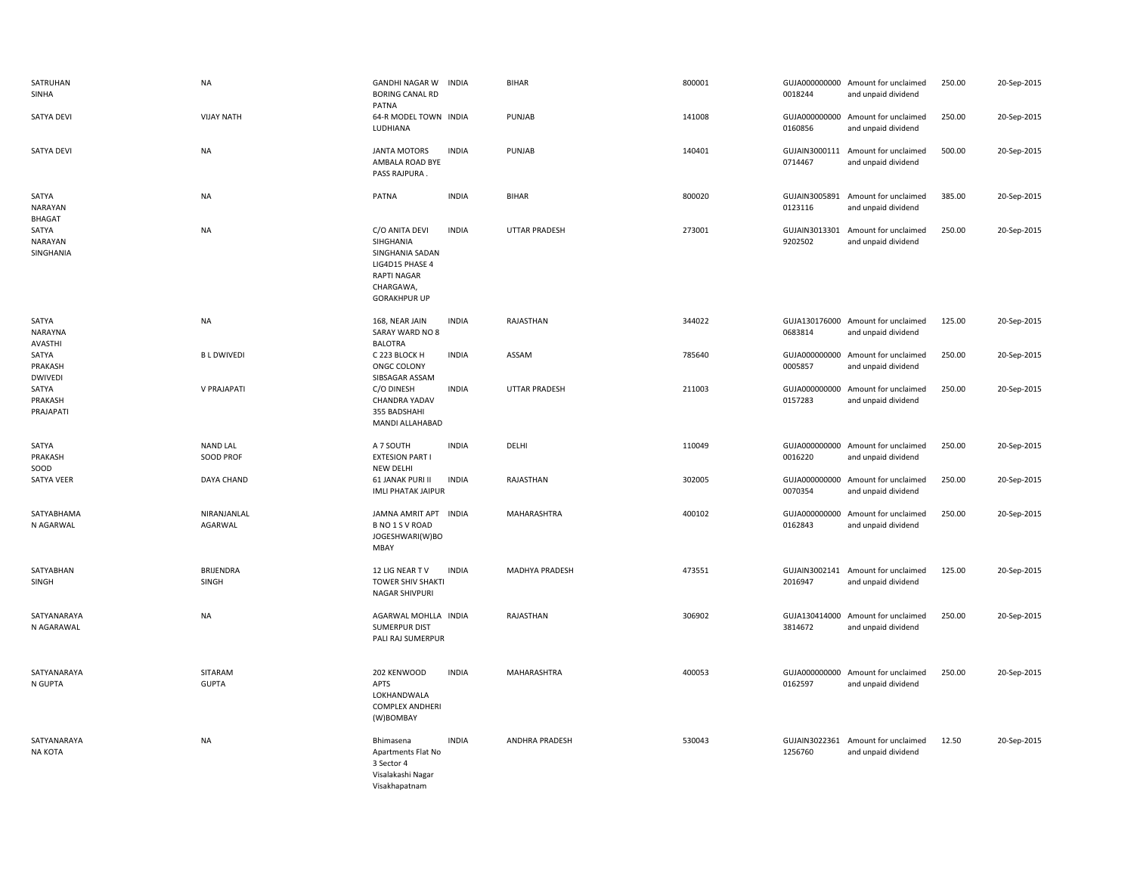| SATRUHAN<br>SINHA                  | <b>NA</b>                      | <b>GANDHI NAGAR W</b><br><b>BORING CANAL RD</b><br>PATNA                                                             | <b>INDIA</b> | <b>BIHAR</b>         | 800001 | 0018244                  | GUJA000000000 Amount for unclaimed<br>and unpaid dividend | 250.00 | 20-Sep-2015 |
|------------------------------------|--------------------------------|----------------------------------------------------------------------------------------------------------------------|--------------|----------------------|--------|--------------------------|-----------------------------------------------------------|--------|-------------|
| <b>SATYA DEVI</b>                  | <b>VIJAY NATH</b>              | 64-R MODEL TOWN INDIA<br>LUDHIANA                                                                                    |              | PUNJAB               | 141008 | 0160856                  | GUJA000000000 Amount for unclaimed<br>and unpaid dividend | 250.00 | 20-Sep-2015 |
| SATYA DEVI                         | <b>NA</b>                      | <b>JANTA MOTORS</b><br>AMBALA ROAD BYE<br>PASS RAJPURA                                                               | <b>INDIA</b> | PUNJAB               | 140401 | GUJAIN3000111<br>0714467 | Amount for unclaimed<br>and unpaid dividend               | 500.00 | 20-Sep-2015 |
| SATYA<br><b>NARAYAN</b><br>BHAGAT  | <b>NA</b>                      | PATNA                                                                                                                | <b>INDIA</b> | <b>BIHAR</b>         | 800020 | 0123116                  | GUJAIN3005891 Amount for unclaimed<br>and unpaid dividend | 385.00 | 20-Sep-2015 |
| SATYA<br>NARAYAN<br>SINGHANIA      | <b>NA</b>                      | C/O ANITA DEVI<br>SIHGHANIA<br>SINGHANIA SADAN<br>LIG4D15 PHASE 4<br>RAPTI NAGAR<br>CHARGAWA,<br><b>GORAKHPUR UP</b> | <b>INDIA</b> | <b>UTTAR PRADESH</b> | 273001 | GUJAIN3013301<br>9202502 | Amount for unclaimed<br>and unpaid dividend               | 250.00 | 20-Sep-2015 |
| SATYA<br>NARAYNA<br>AVASTHI        | <b>NA</b>                      | 168, NEAR JAIN<br>SARAY WARD NO 8<br><b>BALOTRA</b>                                                                  | <b>INDIA</b> | RAJASTHAN            | 344022 | 0683814                  | GUJA130176000 Amount for unclaimed<br>and unpaid dividend | 125.00 | 20-Sep-2015 |
| SATYA<br>PRAKASH<br><b>DWIVEDI</b> | <b>BLDWIVEDI</b>               | C 223 BLOCK H<br>ONGC COLONY<br>SIBSAGAR ASSAM                                                                       | <b>INDIA</b> | ASSAM                | 785640 | GUJA000000000<br>0005857 | Amount for unclaimed<br>and unpaid dividend               | 250.00 | 20-Sep-2015 |
| SATYA<br>PRAKASH<br>PRAJAPATI      | V PRAJAPATI                    | C/O DINESH<br>CHANDRA YADAV<br>355 BADSHAHI<br>MANDI ALLAHABAD                                                       | <b>INDIA</b> | <b>UTTAR PRADESH</b> | 211003 | GUJA000000000<br>0157283 | Amount for unclaimed<br>and unpaid dividend               | 250.00 | 20-Sep-2015 |
| SATYA<br>PRAKASH<br>SOOD           | <b>NAND LAL</b><br>SOOD PROF   | A 7 SOUTH<br><b>EXTESION PART I</b><br><b>NEW DELHI</b>                                                              | <b>INDIA</b> | DELHI                | 110049 | 0016220                  | GUJA000000000 Amount for unclaimed<br>and unpaid dividend | 250.00 | 20-Sep-2015 |
| SATYA VEER                         | DAYA CHAND                     | 61 JANAK PURI II<br><b>IMLI PHATAK JAIPUR</b>                                                                        | <b>INDIA</b> | RAJASTHAN            | 302005 | 0070354                  | GUJA000000000 Amount for unclaimed<br>and unpaid dividend | 250.00 | 20-Sep-2015 |
| SATYABHAMA<br>N AGARWAL            | NIRANJANLAL<br>AGARWAL         | JAMNA AMRIT APT INDIA<br>B NO 1 S V ROAD<br>JOGESHWARI(W)BO<br>MBAY                                                  |              | MAHARASHTRA          | 400102 | GUJA000000000<br>0162843 | Amount for unclaimed<br>and unpaid dividend               | 250.00 | 20-Sep-2015 |
| SATYABHAN<br>SINGH                 | BRIJENDRA<br>SINGH             | 12 LIG NEAR TV<br><b>TOWER SHIV SHAKTI</b><br><b>NAGAR SHIVPURI</b>                                                  | <b>INDIA</b> | MADHYA PRADESH       | 473551 | GUJAIN3002141<br>2016947 | Amount for unclaimed<br>and unpaid dividend               | 125.00 | 20-Sep-2015 |
| SATYANARAYA<br>N AGARAWAL          | <b>NA</b>                      | AGARWAL MOHLLA INDIA<br><b>SUMERPUR DIST</b><br>PALI RAJ SUMERPUR                                                    |              | RAJASTHAN            | 306902 | 3814672                  | GUJA130414000 Amount for unclaimed<br>and unpaid dividend | 250.00 | 20-Sep-2015 |
| SATYANARAYA<br>N GUPTA             | <b>SITARAM</b><br><b>GUPTA</b> | 202 KENWOOD<br>APTS<br>LOKHANDWALA<br><b>COMPLEX ANDHERI</b><br>(W)BOMBAY                                            | <b>INDIA</b> | MAHARASHTRA          | 400053 | 0162597                  | GUJA000000000 Amount for unclaimed<br>and unpaid dividend | 250.00 | 20-Sep-2015 |
| SATYANARAYA<br>NA KOTA             | <b>NA</b>                      | Bhimasena<br>Apartments Flat No<br>3 Sector 4<br>Visalakashi Nagar<br>Visakhapatnam                                  | <b>INDIA</b> | ANDHRA PRADESH       | 530043 | GUJAIN3022361<br>1256760 | Amount for unclaimed<br>and unpaid dividend               | 12.50  | 20-Sep-2015 |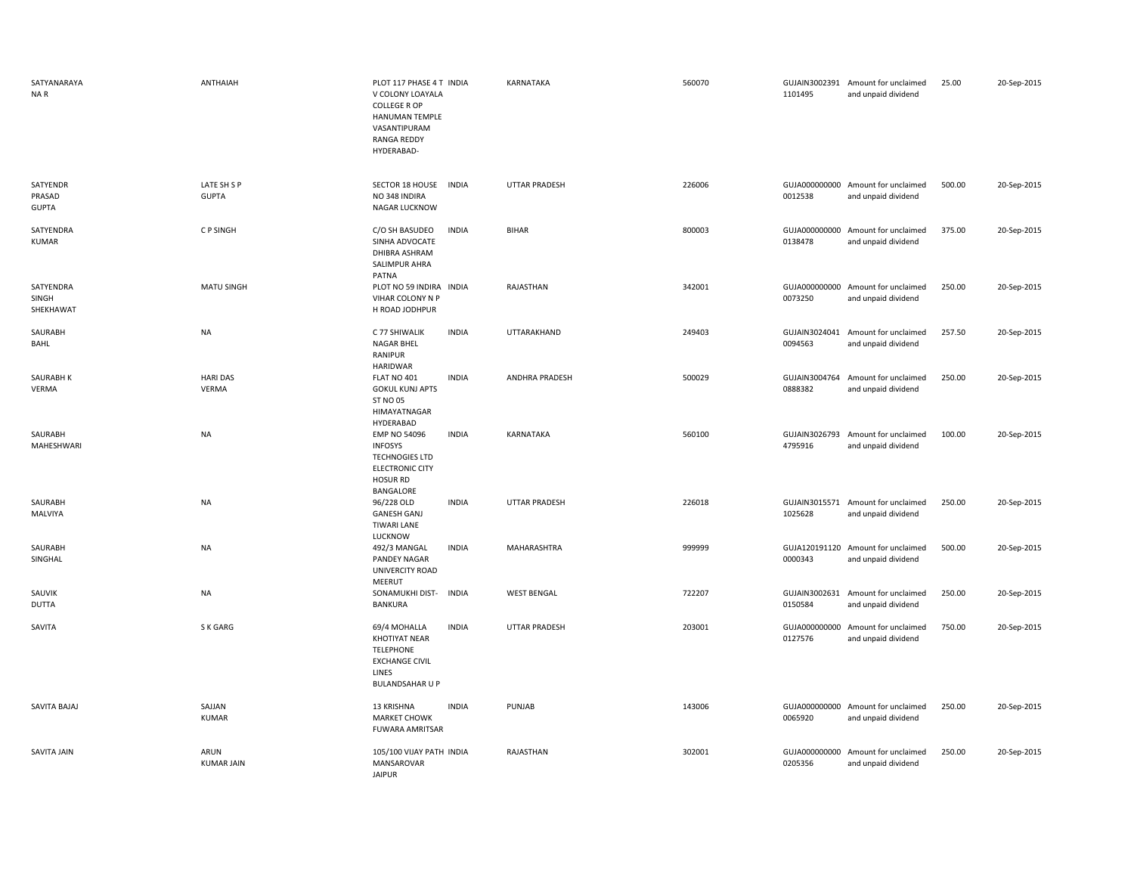| SATYANARAYA<br>NA R                | ANTHAIAH                    | PLOT 117 PHASE 4 T INDIA<br>V COLONY LOAYALA<br><b>COLLEGE R OP</b><br>HANUMAN TEMPLE<br>VASANTIPURAM<br><b>RANGA REDDY</b><br>HYDERABAD- | KARNATAKA            | 560070 | 1101495 | GUJAIN3002391 Amount for unclaimed<br>and unpaid dividend | 25.00  | 20-Sep-2015 |
|------------------------------------|-----------------------------|-------------------------------------------------------------------------------------------------------------------------------------------|----------------------|--------|---------|-----------------------------------------------------------|--------|-------------|
| SATYENDR<br>PRASAD<br><b>GUPTA</b> | LATE SH S P<br><b>GUPTA</b> | SECTOR 18 HOUSE<br><b>INDIA</b><br>NO 348 INDIRA<br>NAGAR LUCKNOW                                                                         | <b>UTTAR PRADESH</b> | 226006 | 0012538 | GUJA000000000 Amount for unclaimed<br>and unpaid dividend | 500.00 | 20-Sep-2015 |
| SATYENDRA<br>KUMAR                 | C P SINGH                   | <b>INDIA</b><br>C/O SH BASUDEO<br>SINHA ADVOCATE<br>DHIBRA ASHRAM<br>SALIMPUR AHRA<br>PATNA                                               | <b>BIHAR</b>         | 800003 | 0138478 | GUJA000000000 Amount for unclaimed<br>and unpaid dividend | 375.00 | 20-Sep-2015 |
| SATYENDRA<br>SINGH<br>SHEKHAWAT    | MATU SINGH                  | PLOT NO 59 INDIRA INDIA<br>VIHAR COLONY N P<br>H ROAD JODHPUR                                                                             | RAJASTHAN            | 342001 | 0073250 | GUJA000000000 Amount for unclaimed<br>and unpaid dividend | 250.00 | 20-Sep-2015 |
| SAURABH<br>BAHL                    | <b>NA</b>                   | C 77 SHIWALIK<br><b>INDIA</b><br><b>NAGAR BHEL</b><br>RANIPUR<br><b>HARIDWAR</b>                                                          | UTTARAKHAND          | 249403 | 0094563 | GUJAIN3024041 Amount for unclaimed<br>and unpaid dividend | 257.50 | 20-Sep-2015 |
| SAURABH K<br>VERMA                 | <b>HARI DAS</b><br>VERMA    | FLAT NO 401<br><b>INDIA</b><br><b>GOKUL KUNJ APTS</b><br><b>ST NO 05</b><br>HIMAYATNAGAR<br>HYDERABAD                                     | ANDHRA PRADESH       | 500029 | 0888382 | GUJAIN3004764 Amount for unclaimed<br>and unpaid dividend | 250.00 | 20-Sep-2015 |
| SAURABH<br>MAHESHWARI              | <b>NA</b>                   | <b>INDIA</b><br><b>EMP NO 54096</b><br><b>INFOSYS</b><br><b>TECHNOGIES LTD</b><br><b>ELECTRONIC CITY</b><br><b>HOSUR RD</b><br>BANGALORE  | KARNATAKA            | 560100 | 4795916 | GUJAIN3026793 Amount for unclaimed<br>and unpaid dividend | 100.00 | 20-Sep-2015 |
| SAURABH<br>MALVIYA                 | <b>NA</b>                   | <b>INDIA</b><br>96/228 OLD<br><b>GANESH GANJ</b><br><b>TIWARI LANE</b><br>LUCKNOW                                                         | <b>UTTAR PRADESH</b> | 226018 | 1025628 | GUJAIN3015571 Amount for unclaimed<br>and unpaid dividend | 250.00 | 20-Sep-2015 |
| SAURABH<br>SINGHAL                 | NA                          | <b>INDIA</b><br>492/3 MANGAL<br>PANDEY NAGAR<br>UNIVERCITY ROAD<br>MEERUT                                                                 | MAHARASHTRA          | 999999 | 0000343 | GUJA120191120 Amount for unclaimed<br>and unpaid dividend | 500.00 | 20-Sep-2015 |
| SAUVIK<br>DUTTA                    | NA                          | SONAMUKHI DIST-<br><b>INDIA</b><br><b>BANKURA</b>                                                                                         | <b>WEST BENGAL</b>   | 722207 | 0150584 | GUJAIN3002631 Amount for unclaimed<br>and unpaid dividend | 250.00 | 20-Sep-2015 |
| SAVITA                             | S K GARG                    | 69/4 MOHALLA<br><b>INDIA</b><br><b>KHOTIYAT NEAR</b><br><b>TELEPHONE</b><br><b>EXCHANGE CIVIL</b><br>LINES<br><b>BULANDSAHAR U P</b>      | <b>UTTAR PRADESH</b> | 203001 | 0127576 | GUJA000000000 Amount for unclaimed<br>and unpaid dividend | 750.00 | 20-Sep-2015 |
| SAVITA BAJAJ                       | SAJJAN<br><b>KUMAR</b>      | 13 KRISHNA<br><b>INDIA</b><br><b>MARKET CHOWK</b><br>FUWARA AMRITSAR                                                                      | PUNJAB               | 143006 | 0065920 | GUJA000000000 Amount for unclaimed<br>and unpaid dividend | 250.00 | 20-Sep-2015 |
| SAVITA JAIN                        | ARUN<br><b>KUMAR JAIN</b>   | 105/100 VIJAY PATH INDIA<br>MANSAROVAR<br><b>JAIPUR</b>                                                                                   | RAJASTHAN            | 302001 | 0205356 | GUJA000000000 Amount for unclaimed<br>and unpaid dividend | 250.00 | 20-Sep-2015 |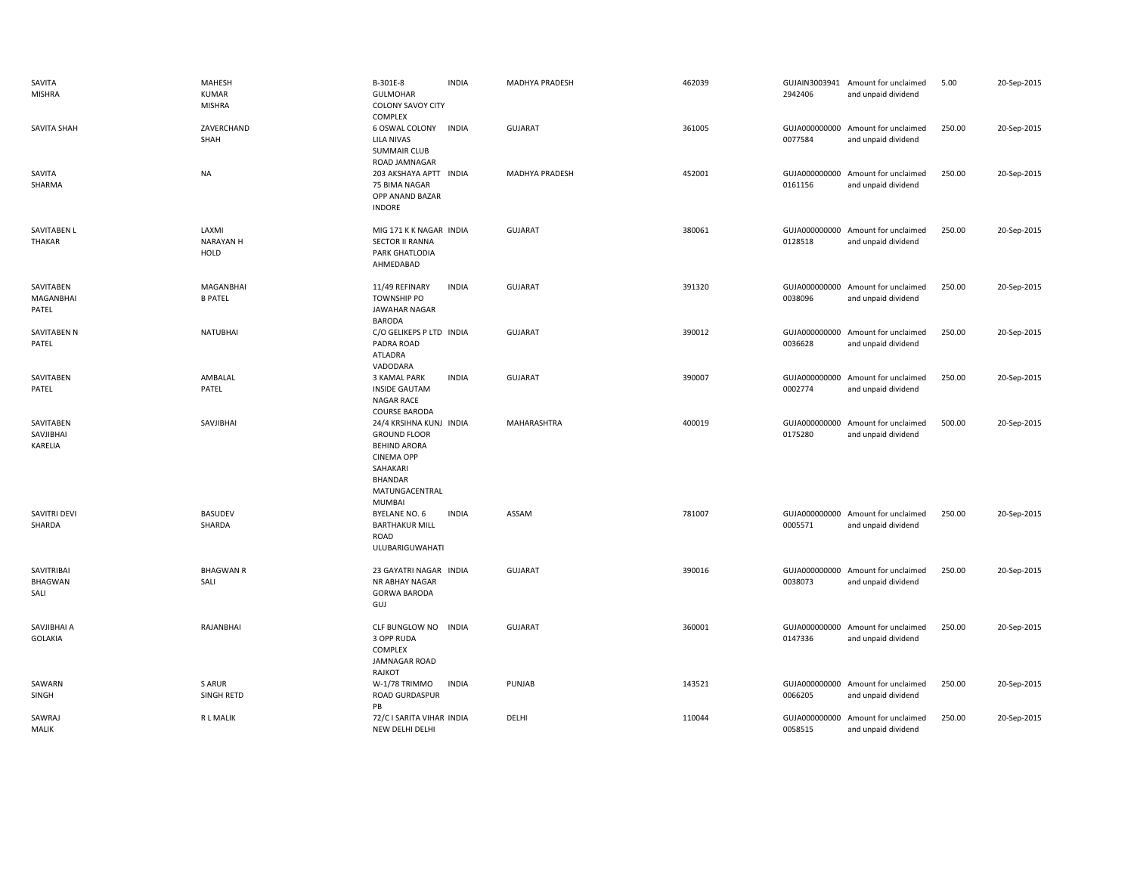|       | SAVITA<br><b>MISHRA</b>           | MAHESH<br><b>KUMAR</b><br><b>MISHRA</b> | B-301E-8<br><b>GULMOHAR</b><br><b>COLONY SAVOY CITY</b><br><b>COMPLEX</b>                                                                            | <b>INDIA</b> | MADHYA PRADESH | 462039 | 2942406                  | GUJAIN3003941 Amount for unclaimed<br>and unpaid dividend | 5.00   | 20-Sep-2015 |
|-------|-----------------------------------|-----------------------------------------|------------------------------------------------------------------------------------------------------------------------------------------------------|--------------|----------------|--------|--------------------------|-----------------------------------------------------------|--------|-------------|
|       | <b>SAVITA SHAH</b>                | ZAVERCHAND<br>SHAH                      | 6 OSWAL COLONY<br><b>LILA NIVAS</b><br><b>SUMMAIR CLUB</b><br>ROAD JAMNAGAR                                                                          | <b>INDIA</b> | <b>GUJARAT</b> | 361005 | GUJA000000000<br>0077584 | Amount for unclaimed<br>and unpaid dividend               | 250.00 | 20-Sep-2015 |
|       | SAVITA<br>SHARMA                  | <b>NA</b>                               | 203 AKSHAYA APTT INDIA<br>75 BIMA NAGAR<br>OPP ANAND BAZAR<br><b>INDORE</b>                                                                          |              | MADHYA PRADESH | 452001 | 0161156                  | GUJA000000000 Amount for unclaimed<br>and unpaid dividend | 250.00 | 20-Sep-2015 |
|       | SAVITABEN L<br><b>THAKAR</b>      | LAXMI<br><b>NARAYAN H</b><br>HOLD       | MIG 171 K K NAGAR INDIA<br><b>SECTOR II RANNA</b><br>PARK GHATLODIA<br>AHMEDABAD                                                                     |              | <b>GUJARAT</b> | 380061 | GUJA000000000<br>0128518 | Amount for unclaimed<br>and unpaid dividend               | 250.00 | 20-Sep-2015 |
|       | SAVITABEN<br>MAGANBHAI<br>PATEL   | <b>MAGANBHAI</b><br><b>B PATEL</b>      | 11/49 REFINARY<br><b>TOWNSHIP PO</b><br>JAWAHAR NAGAR<br><b>BARODA</b>                                                                               | <b>INDIA</b> | <b>GUJARAT</b> | 391320 | GUJA000000000<br>0038096 | Amount for unclaimed<br>and unpaid dividend               | 250.00 | 20-Sep-2015 |
| PATEL | SAVITABEN N                       | NATUBHAI                                | C/O GELIKEPS P LTD INDIA<br>PADRA ROAD<br><b>ATLADRA</b><br>VADODARA                                                                                 |              | <b>GUJARAT</b> | 390012 | 0036628                  | GUJA000000000 Amount for unclaimed<br>and unpaid dividend | 250.00 | 20-Sep-2015 |
|       | SAVITABEN<br>PATEL                | AMBALAL<br>PATEL                        | 3 KAMAL PARK<br><b>INSIDE GAUTAM</b><br>NAGAR RACE<br><b>COURSE BARODA</b>                                                                           | <b>INDIA</b> | <b>GUJARAT</b> | 390007 | 0002774                  | GUJA000000000 Amount for unclaimed<br>and unpaid dividend | 250.00 | 20-Sep-2015 |
|       | SAVITABEN<br>SAVJIBHAI<br>KARELIA | SAVJIBHAI                               | 24/4 KRSIHNA KUNJ INDIA<br><b>GROUND FLOOR</b><br><b>BEHIND ARORA</b><br><b>CINEMA OPP</b><br>SAHAKARI<br>BHANDAR<br>MATUNGACENTRAL<br><b>MUMBAI</b> |              | MAHARASHTRA    | 400019 | GUJA000000000<br>0175280 | Amount for unclaimed<br>and unpaid dividend               | 500.00 | 20-Sep-2015 |
|       | SAVITRI DEVI<br>SHARDA            | <b>BASUDEV</b><br>SHARDA                | <b>BYELANE NO. 6</b><br><b>BARTHAKUR MILL</b><br>ROAD<br>ULUBARIGUWAHATI                                                                             | <b>INDIA</b> | ASSAM          | 781007 | GUJA000000000<br>0005571 | Amount for unclaimed<br>and unpaid dividend               | 250.00 | 20-Sep-2015 |
| SALI  | SAVITRIBAI<br>BHAGWAN             | <b>BHAGWAN R</b><br>SALI                | 23 GAYATRI NAGAR INDIA<br>NR ABHAY NAGAR<br><b>GORWA BARODA</b><br>GUJ                                                                               |              | <b>GUJARAT</b> | 390016 | GUJA000000000<br>0038073 | Amount for unclaimed<br>and unpaid dividend               | 250.00 | 20-Sep-2015 |
|       | SAVJIBHAI A<br>GOLAKIA            | RAJANBHAI                               | CLF BUNGLOW NO<br>3 OPP RUDA<br>COMPLEX<br>JAMNAGAR ROAD<br>RAJKOT                                                                                   | <b>INDIA</b> | <b>GUJARAT</b> | 360001 | 0147336                  | GUJA000000000 Amount for unclaimed<br>and unpaid dividend | 250.00 | 20-Sep-2015 |
|       | SAWARN<br>SINGH                   | S ARUR<br>SINGH RETD                    | W-1/78 TRIMMO<br>ROAD GURDASPUR<br>PB                                                                                                                | <b>INDIA</b> | PUNJAB         | 143521 | 0066205                  | GUJA000000000 Amount for unclaimed<br>and unpaid dividend | 250.00 | 20-Sep-2015 |
| MALIK | SAWRAJ                            | R L MALIK                               | 72/C I SARITA VIHAR INDIA<br>NEW DELHI DELHI                                                                                                         |              | DELHI          | 110044 | GUJA000000000<br>0058515 | Amount for unclaimed<br>and unpaid dividend               | 250.00 | 20-Sep-2015 |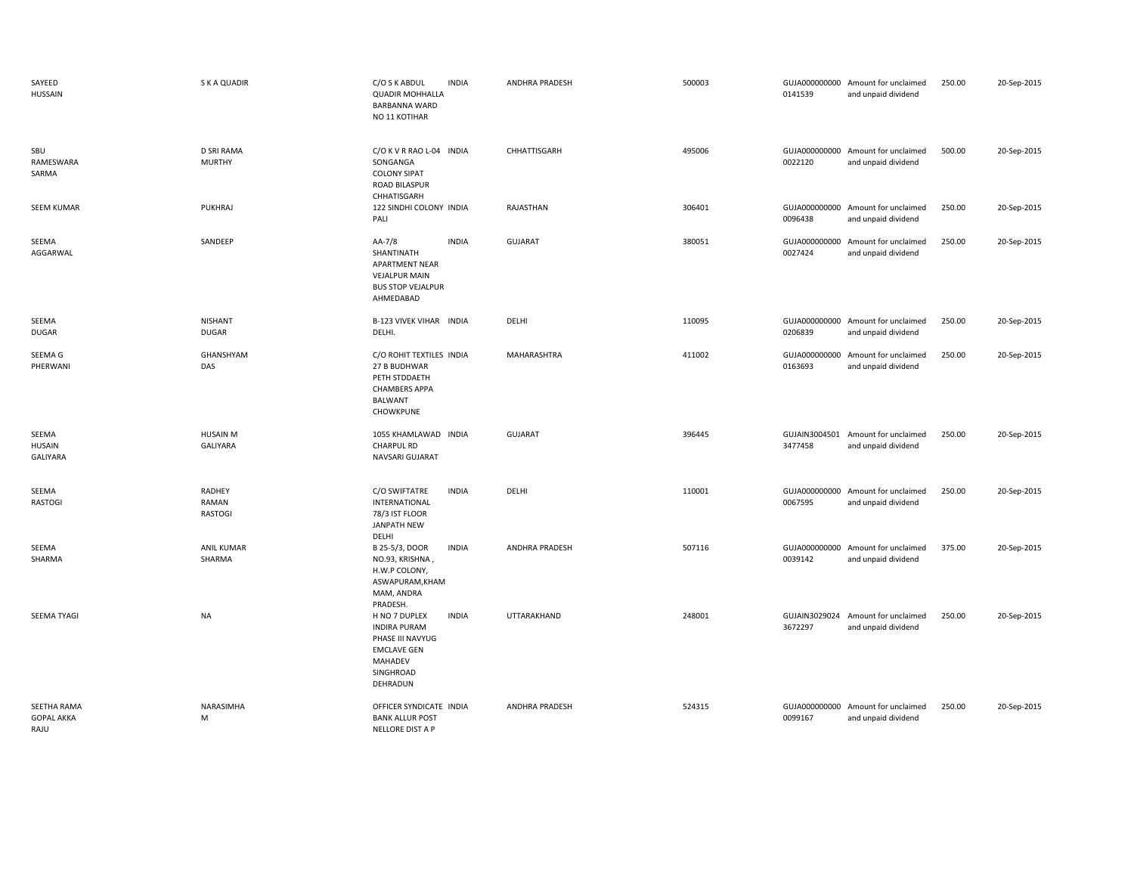| SAYEED<br><b>HUSSAIN</b>                 | S K A QUADIR                             | C/O S K ABDUL<br><b>INDIA</b><br><b>QUADIR MOHHALLA</b><br><b>BARBANNA WARD</b><br>NO 11 KOTIHAR                                          | <b>ANDHRA PRADESH</b> | 500003 | 0141539                  | GUJA000000000 Amount for unclaimed<br>and unpaid dividend | 250.00 | 20-Sep-2015 |
|------------------------------------------|------------------------------------------|-------------------------------------------------------------------------------------------------------------------------------------------|-----------------------|--------|--------------------------|-----------------------------------------------------------|--------|-------------|
| SBU<br>RAMESWARA<br>SARMA                | <b>D SRI RAMA</b><br><b>MURTHY</b>       | C/O K V R RAO L-04 INDIA<br>SONGANGA<br><b>COLONY SIPAT</b><br><b>ROAD BILASPUR</b><br>CHHATISGARH                                        | CHHATTISGARH          | 495006 | 0022120                  | GUJA000000000 Amount for unclaimed<br>and unpaid dividend | 500.00 | 20-Sep-2015 |
| <b>SEEM KUMAR</b>                        | <b>PUKHRAJ</b>                           | 122 SINDHI COLONY INDIA<br>PALI                                                                                                           | RAJASTHAN             | 306401 | 0096438                  | GUJA000000000 Amount for unclaimed<br>and unpaid dividend | 250.00 | 20-Sep-2015 |
| SEEMA<br>AGGARWAL                        | SANDEEP                                  | AA-7/8<br><b>INDIA</b><br>SHANTINATH<br><b>APARTMENT NEAR</b><br><b>VEJALPUR MAIN</b><br><b>BUS STOP VEJALPUR</b><br>AHMEDABAD            | GUJARAT               | 380051 | GUJA000000000<br>0027424 | Amount for unclaimed<br>and unpaid dividend               | 250.00 | 20-Sep-2015 |
| SEEMA<br><b>DUGAR</b>                    | <b>NISHANT</b><br><b>DUGAR</b>           | B-123 VIVEK VIHAR INDIA<br>DELHI.                                                                                                         | DELHI                 | 110095 | 0206839                  | GUJA000000000 Amount for unclaimed<br>and unpaid dividend | 250.00 | 20-Sep-2015 |
| SEEMA G<br>PHERWANI                      | GHANSHYAM<br>DAS                         | C/O ROHIT TEXTILES INDIA<br>27 B BUDHWAR<br>PETH STDDAETH<br><b>CHAMBERS APPA</b><br>BALWANT<br>CHOWKPUNE                                 | MAHARASHTRA           | 411002 | GUJA000000000<br>0163693 | Amount for unclaimed<br>and unpaid dividend               | 250.00 | 20-Sep-2015 |
| SEEMA<br>HUSAIN<br><b>GALIYARA</b>       | <b>HUSAIN M</b><br>GALIYARA              | 1055 KHAMLAWAD INDIA<br>CHARPUL RD<br>NAVSARI GUJARAT                                                                                     | GUJARAT               | 396445 | 3477458                  | GUJAIN3004501 Amount for unclaimed<br>and unpaid dividend | 250.00 | 20-Sep-2015 |
| SEEMA<br>RASTOGI                         | <b>RADHEY</b><br>RAMAN<br><b>RASTOGI</b> | C/O SWIFTATRE<br><b>INDIA</b><br>INTERNATIONAL<br>78/3 IST FLOOR<br>JANPATH NEW<br>DELHI                                                  | DELHI                 | 110001 | 0067595                  | GUJA000000000 Amount for unclaimed<br>and unpaid dividend | 250.00 | 20-Sep-2015 |
| SEEMA<br>SHARMA                          | <b>ANIL KUMAR</b><br>SHARMA              | B 25-5/3, DOOR<br><b>INDIA</b><br>NO.93, KRISHNA,<br>H.W.P COLONY,<br>ASWAPURAM, KHAM<br>MAM, ANDRA<br>PRADESH.                           | <b>ANDHRA PRADESH</b> | 507116 | GUJA000000000<br>0039142 | Amount for unclaimed<br>and unpaid dividend               | 375.00 | 20-Sep-2015 |
| SEEMA TYAGI                              | <b>NA</b>                                | <b>INDIA</b><br>H NO 7 DUPLEX<br><b>INDIRA PURAM</b><br>PHASE III NAVYUG<br><b>EMCLAVE GEN</b><br><b>MAHADEV</b><br>SINGHROAD<br>DEHRADUN | UTTARAKHAND           | 248001 | 3672297                  | GUJAIN3029024 Amount for unclaimed<br>and unpaid dividend | 250.00 | 20-Sep-2015 |
| SEETHA RAMA<br><b>GOPAL AKKA</b><br>RAJU | NARASIMHA<br>M                           | OFFICER SYNDICATE INDIA<br><b>BANK ALLUR POST</b><br>NELLORE DIST A P                                                                     | <b>ANDHRA PRADESH</b> | 524315 | GUJA000000000<br>0099167 | Amount for unclaimed<br>and unpaid dividend               | 250.00 | 20-Sep-2015 |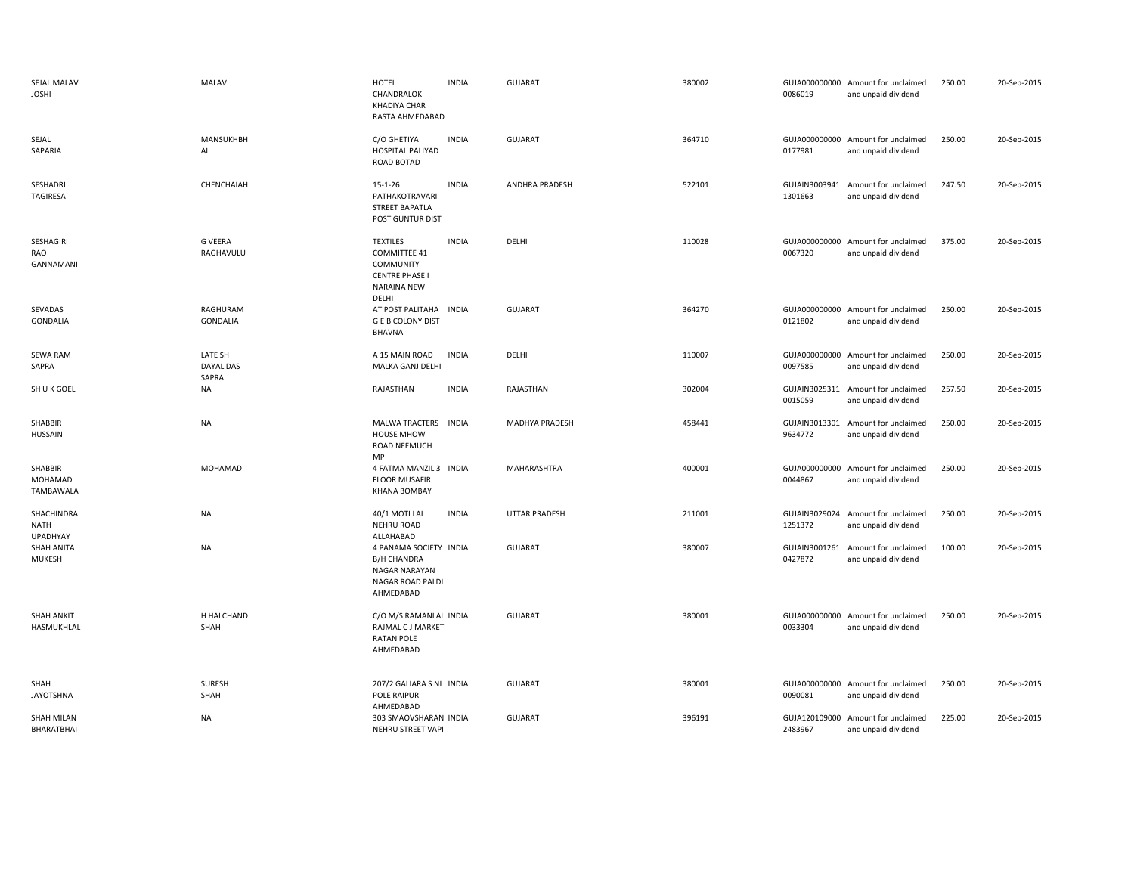| SEJAL MALAV<br><b>JOSHI</b>           | <b>MALAV</b>                  | <b>HOTEL</b><br>CHANDRALOK<br><b>KHADIYA CHAR</b><br>RASTA AHMEDABAD                                  | <b>INDIA</b> | GUJARAT               | 380002 | 0086019                  | GUJA000000000 Amount for unclaimed<br>and unpaid dividend | 250.00 | 20-Sep-2015 |
|---------------------------------------|-------------------------------|-------------------------------------------------------------------------------------------------------|--------------|-----------------------|--------|--------------------------|-----------------------------------------------------------|--------|-------------|
| SEJAL<br>SAPARIA                      | MANSUKHBH<br>AI               | C/O GHETIYA<br><b>HOSPITAL PALIYAD</b><br>ROAD BOTAD                                                  | <b>INDIA</b> | <b>GUJARAT</b>        | 364710 | 0177981                  | GUJA000000000 Amount for unclaimed<br>and unpaid dividend | 250.00 | 20-Sep-2015 |
| SESHADRI<br><b>TAGIRESA</b>           | CHENCHAIAH                    | $15 - 1 - 26$<br>PATHAKOTRAVARI<br>STREET BAPATLA<br>POST GUNTUR DIST                                 | <b>INDIA</b> | <b>ANDHRA PRADESH</b> | 522101 | 1301663                  | GUJAIN3003941 Amount for unclaimed<br>and unpaid dividend | 247.50 | 20-Sep-2015 |
| SESHAGIRI<br>RAO<br>GANNAMANI         | <b>G VEERA</b><br>RAGHAVULU   | <b>TEXTILES</b><br><b>COMMITTEE 41</b><br>COMMUNITY<br><b>CENTRE PHASE</b><br>NARAINA NEW<br>DELHI    | <b>INDIA</b> | DELHI                 | 110028 | 0067320                  | GUJA000000000 Amount for unclaimed<br>and unpaid dividend | 375.00 | 20-Sep-2015 |
| SEVADAS<br><b>GONDALIA</b>            | RAGHURAM<br><b>GONDALIA</b>   | AT POST PALITAHA<br><b>G E B COLONY DIST</b><br>BHAVNA                                                | <b>INDIA</b> | <b>GUJARAT</b>        | 364270 | 0121802                  | GUJA000000000 Amount for unclaimed<br>and unpaid dividend | 250.00 | 20-Sep-2015 |
| <b>SEWA RAM</b><br>SAPRA              | LATE SH<br>DAYAL DAS<br>SAPRA | A 15 MAIN ROAD<br>MALKA GANJ DELHI                                                                    | <b>INDIA</b> | DELHI                 | 110007 | 0097585                  | GUJA000000000 Amount for unclaimed<br>and unpaid dividend | 250.00 | 20-Sep-2015 |
| SH U K GOEL                           | NA                            | RAJASTHAN                                                                                             | <b>INDIA</b> | RAJASTHAN             | 302004 | GUJAIN3025311<br>0015059 | Amount for unclaimed<br>and unpaid dividend               | 257.50 | 20-Sep-2015 |
| SHABBIR<br><b>HUSSAIN</b>             | <b>NA</b>                     | MALWA TRACTERS INDIA<br><b>HOUSE MHOW</b><br>ROAD NEEMUCH<br><b>MP</b>                                |              | MADHYA PRADESH        | 458441 | 9634772                  | GUJAIN3013301 Amount for unclaimed<br>and unpaid dividend | 250.00 | 20-Sep-2015 |
| SHABBIR<br>MOHAMAD<br>TAMBAWALA       | MOHAMAD                       | 4 FATMA MANZIL 3 INDIA<br><b>FLOOR MUSAFIR</b><br><b>KHANA BOMBAY</b>                                 |              | MAHARASHTRA           | 400001 | 0044867                  | GUJA000000000 Amount for unclaimed<br>and unpaid dividend | 250.00 | 20-Sep-2015 |
| SHACHINDRA<br>NATH<br><b>UPADHYAY</b> | <b>NA</b>                     | 40/1 MOTI LAL<br><b>NEHRU ROAD</b><br>ALLAHABAD                                                       | <b>INDIA</b> | <b>UTTAR PRADESH</b>  | 211001 | GUJAIN3029024<br>1251372 | Amount for unclaimed<br>and unpaid dividend               | 250.00 | 20-Sep-2015 |
| SHAH ANITA<br>MUKESH                  | <b>NA</b>                     | 4 PANAMA SOCIETY INDIA<br><b>B/H CHANDRA</b><br><b>NAGAR NARAYAN</b><br>NAGAR ROAD PALDI<br>AHMEDABAD |              | <b>GUJARAT</b>        | 380007 | GUJAIN3001261<br>0427872 | Amount for unclaimed<br>and unpaid dividend               | 100.00 | 20-Sep-2015 |
| SHAH ANKIT<br>HASMUKHLAL              | H HALCHAND<br>SHAH            | C/O M/S RAMANLAL INDIA<br>RAJMAL C J MARKET<br><b>RATAN POLE</b><br>AHMEDABAD                         |              | <b>GUJARAT</b>        | 380001 | 0033304                  | GUJA000000000 Amount for unclaimed<br>and unpaid dividend | 250.00 | 20-Sep-2015 |
| SHAH<br><b>JAYOTSHNA</b>              | SURESH<br>SHAH                | 207/2 GALIARA S NI INDIA<br>POLE RAIPUR<br>AHMEDABAD                                                  |              | <b>GUJARAT</b>        | 380001 | 0090081                  | GUJA000000000 Amount for unclaimed<br>and unpaid dividend | 250.00 | 20-Sep-2015 |
| <b>SHAH MILAN</b><br>BHARATBHAI       | <b>NA</b>                     | 303 SMAOVSHARAN INDIA<br>NEHRU STREET VAPI                                                            |              | <b>GUJARAT</b>        | 396191 | 2483967                  | GUJA120109000 Amount for unclaimed<br>and unpaid dividend | 225.00 | 20-Sep-2015 |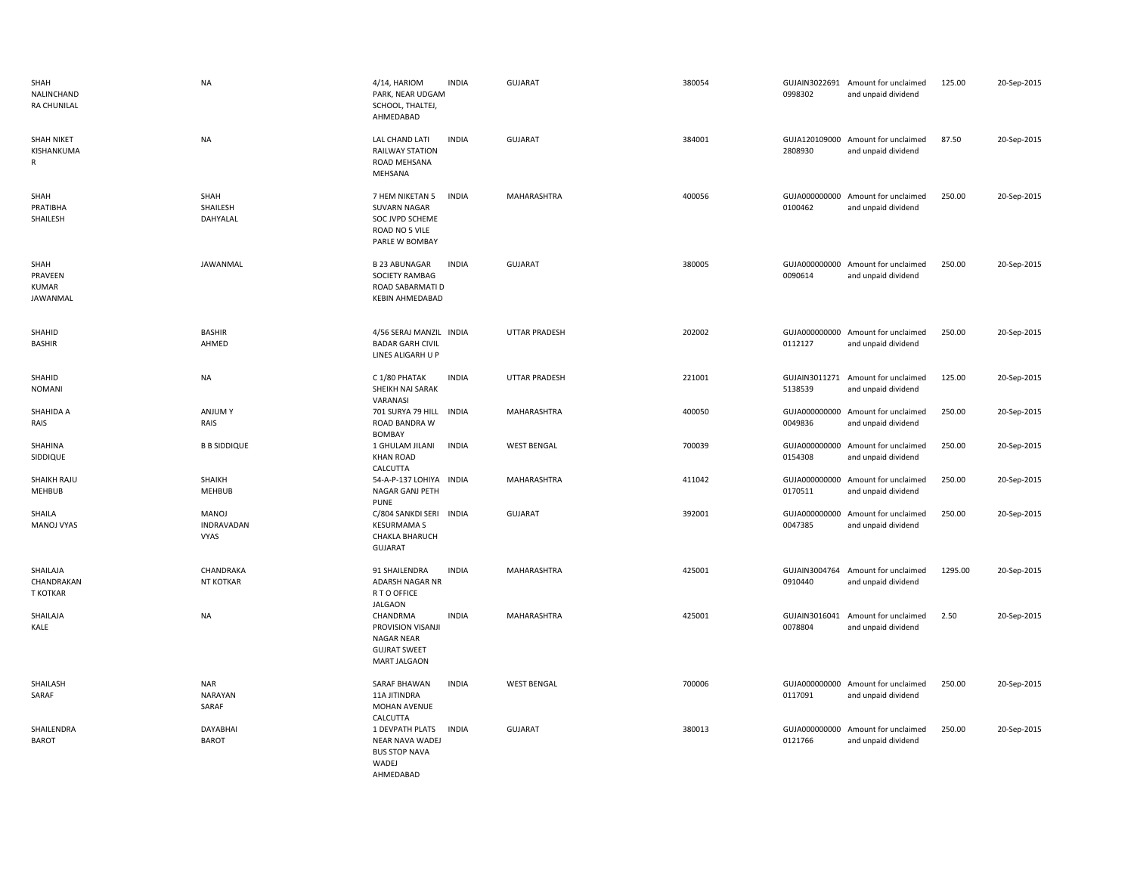| SHAH<br>NALINCHAND<br><b>RA CHUNILAL</b>        | <b>NA</b>                          | 4/14, HARIOM<br>PARK, NEAR UDGAM<br>SCHOOL, THALTEJ,<br>AHMEDABAD                                           | <b>INDIA</b> | <b>GUJARAT</b>       | 380054 | 0998302                  | GUJAIN3022691 Amount for unclaimed<br>and unpaid dividend | 125.00  | 20-Sep-2015 |
|-------------------------------------------------|------------------------------------|-------------------------------------------------------------------------------------------------------------|--------------|----------------------|--------|--------------------------|-----------------------------------------------------------|---------|-------------|
| <b>SHAH NIKET</b><br>KISHANKUMA<br>$\mathsf{R}$ | <b>NA</b>                          | LAL CHAND LATI<br><b>RAILWAY STATION</b><br>ROAD MEHSANA<br>MEHSANA                                         | <b>INDIA</b> | GUJARAT              | 384001 | 2808930                  | GUJA120109000 Amount for unclaimed<br>and unpaid dividend | 87.50   | 20-Sep-2015 |
| SHAH<br>PRATIBHA<br>SHAILESH                    | SHAH<br>SHAILESH<br>DAHYALAL       | 7 HEM NIKETAN 5<br><b>SUVARN NAGAR</b><br>SOC JVPD SCHEME<br>ROAD NO 5 VILE<br>PARLE W BOMBAY               | <b>INDIA</b> | MAHARASHTRA          | 400056 | 0100462                  | GUJA000000000 Amount for unclaimed<br>and unpaid dividend | 250.00  | 20-Sep-2015 |
| SHAH<br>PRAVEEN<br><b>KUMAR</b><br>JAWANMAL     | JAWANMAL                           | <b>B 23 ABUNAGAR</b><br>SOCIETY RAMBAG<br>ROAD SABARMATI D<br><b>KEBIN AHMEDABAD</b>                        | <b>INDIA</b> | <b>GUJARAT</b>       | 380005 | GUJA000000000<br>0090614 | Amount for unclaimed<br>and unpaid dividend               | 250.00  | 20-Sep-2015 |
| SHAHID<br><b>BASHIR</b>                         | <b>BASHIR</b><br>AHMED             | 4/56 SERAJ MANZIL INDIA<br><b>BADAR GARH CIVIL</b><br>LINES ALIGARH U P                                     |              | <b>UTTAR PRADESH</b> | 202002 | 0112127                  | GUJA000000000 Amount for unclaimed<br>and unpaid dividend | 250.00  | 20-Sep-2015 |
| SHAHID<br><b>NOMANI</b>                         | NA                                 | C 1/80 PHATAK<br>SHEIKH NAI SARAK<br>VARANASI                                                               | <b>INDIA</b> | <b>UTTAR PRADESH</b> | 221001 | GUJAIN3011271<br>5138539 | Amount for unclaimed<br>and unpaid dividend               | 125.00  | 20-Sep-2015 |
| SHAHIDA A<br>RAIS                               | <b>ANJUMY</b><br>RAIS              | 701 SURYA 79 HILL<br>ROAD BANDRA W<br>BOMBAY                                                                | INDIA        | MAHARASHTRA          | 400050 | GUJA000000000<br>0049836 | Amount for unclaimed<br>and unpaid dividend               | 250.00  | 20-Sep-2015 |
| SHAHINA<br>SIDDIQUE                             | <b>B B SIDDIQUE</b>                | 1 GHULAM JILANI<br><b>KHAN ROAD</b><br>CALCUTTA                                                             | <b>INDIA</b> | <b>WEST BENGAL</b>   | 700039 | GUJA000000000<br>0154308 | Amount for unclaimed<br>and unpaid dividend               | 250.00  | 20-Sep-2015 |
| SHAIKH RAJU<br>MEHBUB                           | SHAIKH<br><b>MEHBUB</b>            | 54-A-P-137 LOHIYA INDIA<br>NAGAR GANJ PETH<br><b>PUNE</b>                                                   |              | MAHARASHTRA          | 411042 | GUJA000000000<br>0170511 | Amount for unclaimed<br>and unpaid dividend               | 250.00  | 20-Sep-2015 |
| SHAILA<br>MANOJ VYAS                            | MANOJ<br>INDRAVADAN<br><b>VYAS</b> | C/804 SANKDI SERI<br><b>KESURMAMA S</b><br><b>CHAKLA BHARUCH</b><br><b>GUJARAT</b>                          | <b>INDIA</b> | GUJARAT              | 392001 | 0047385                  | GUJA000000000 Amount for unclaimed<br>and unpaid dividend | 250.00  | 20-Sep-2015 |
| SHAILAJA<br>CHANDRAKAN<br><b>T KOTKAR</b>       | CHANDRAKA<br><b>NT KOTKAR</b>      | 91 SHAILENDRA<br>ADARSH NAGAR NR<br>R T O OFFICE                                                            | <b>INDIA</b> | MAHARASHTRA          | 425001 | 0910440                  | GUJAIN3004764 Amount for unclaimed<br>and unpaid dividend | 1295.00 | 20-Sep-2015 |
| SHAILAJA<br>KALE                                | NA                                 | <b>JALGAON</b><br>CHANDRMA<br>PROVISION VISANJI<br>NAGAR NEAR<br><b>GUJRAT SWEET</b><br><b>MART JALGAON</b> | <b>INDIA</b> | MAHARASHTRA          | 425001 | GUJAIN3016041<br>0078804 | Amount for unclaimed<br>and unpaid dividend               | 2.50    | 20-Sep-2015 |
| SHAILASH<br>SARAF                               | <b>NAR</b><br>NARAYAN<br>SARAF     | SARAF BHAWAN<br>11A JITINDRA<br>MOHAN AVENUE                                                                | <b>INDIA</b> | <b>WEST BENGAL</b>   | 700006 | 0117091                  | GUJA000000000 Amount for unclaimed<br>and unpaid dividend | 250.00  | 20-Sep-2015 |
| SHAILENDRA<br><b>BAROT</b>                      | DAYABHAI<br><b>BAROT</b>           | CALCUTTA<br>1 DEVPATH PLATS<br>NEAR NAVA WADEJ<br><b>BUS STOP NAVA</b><br>WADEJ<br>AHMEDABAD                | <b>INDIA</b> | <b>GUJARAT</b>       | 380013 | 0121766                  | GUJA000000000 Amount for unclaimed<br>and unpaid dividend | 250.00  | 20-Sep-2015 |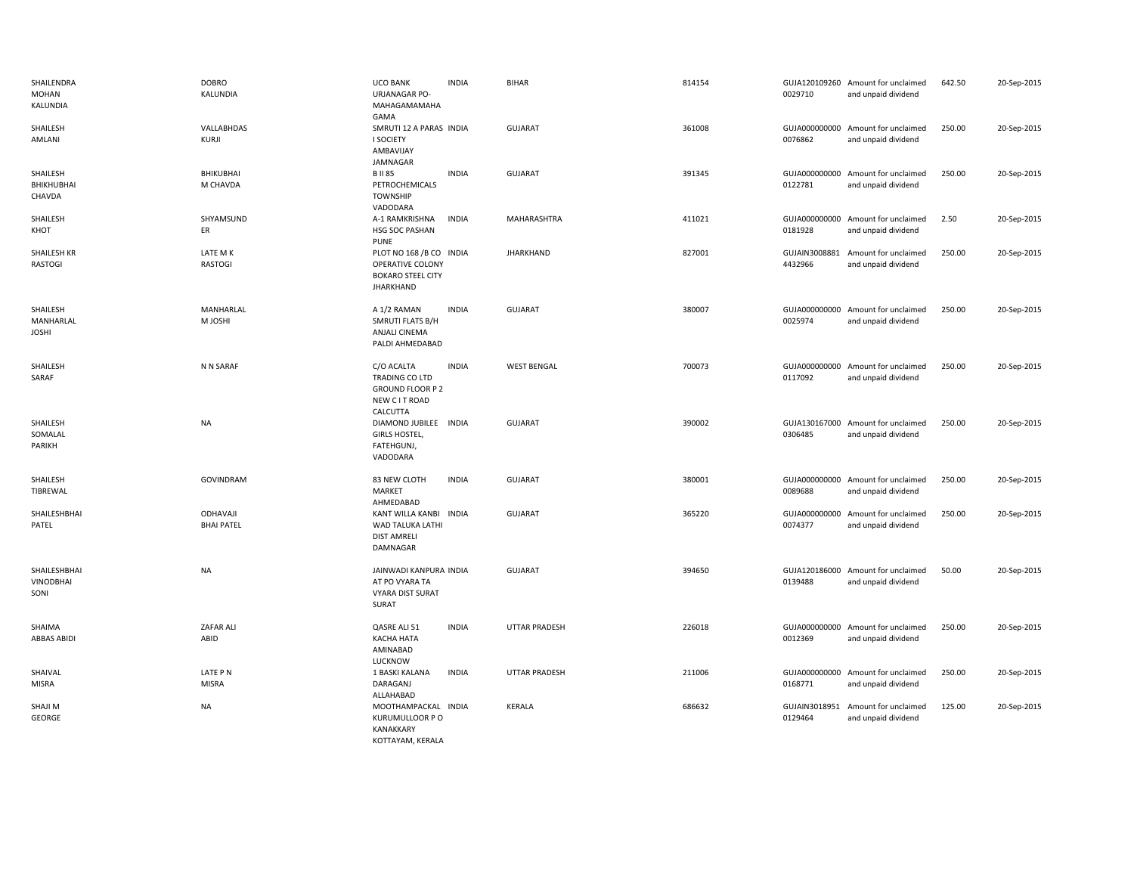| SHAILENDRA<br>MOHAN<br>KALUNDIA          | <b>DOBRO</b><br>KALUNDIA      | <b>UCO BANK</b><br>URJANAGAR PO-<br>MAHAGAMAMAHA<br>GAMA                                    | <b>INDIA</b> | <b>BIHAR</b>         | 814154 | 0029710                  | GUJA120109260 Amount for unclaimed<br>and unpaid dividend | 642.50 | 20-Sep-2015 |
|------------------------------------------|-------------------------------|---------------------------------------------------------------------------------------------|--------------|----------------------|--------|--------------------------|-----------------------------------------------------------|--------|-------------|
| SHAILESH<br>AMLANI                       | VALLABHDAS<br>KURJI           | SMRUTI 12 A PARAS INDIA<br>I SOCIETY<br>AMBAVIJAY<br>JAMNAGAR                               |              | GUJARAT              | 361008 | 0076862                  | GUJA000000000 Amount for unclaimed<br>and unpaid dividend | 250.00 | 20-Sep-2015 |
| SHAILESH<br>BHIKHUBHAI<br>CHAVDA         | BHIKUBHAI<br>M CHAVDA         | <b>BII85</b><br>PETROCHEMICALS<br><b>TOWNSHIP</b><br>VADODARA                               | <b>INDIA</b> | <b>GUJARAT</b>       | 391345 | 0122781                  | GUJA000000000 Amount for unclaimed<br>and unpaid dividend | 250.00 | 20-Sep-2015 |
| SHAILESH<br>KHOT                         | SHYAMSUND<br>ER               | A-1 RAMKRISHNA<br>HSG SOC PASHAN<br><b>PUNE</b>                                             | <b>INDIA</b> | MAHARASHTRA          | 411021 | 0181928                  | GUJA000000000 Amount for unclaimed<br>and unpaid dividend | 2.50   | 20-Sep-2015 |
| <b>SHAILESH KR</b><br>RASTOGI            | LATE M K<br>RASTOGI           | PLOT NO 168 /B CO INDIA<br>OPERATIVE COLONY<br><b>BOKARO STEEL CITY</b><br><b>JHARKHAND</b> |              | <b>JHARKHAND</b>     | 827001 | GUJAIN3008881<br>4432966 | Amount for unclaimed<br>and unpaid dividend               | 250.00 | 20-Sep-2015 |
| SHAILESH<br>MANHARLAL<br><b>JOSHI</b>    | MANHARLAL<br>M JOSHI          | A 1/2 RAMAN<br>SMRUTI FLATS B/H<br><b>ANJALI CINEMA</b><br>PALDI AHMEDABAD                  | <b>INDIA</b> | <b>GUJARAT</b>       | 380007 | 0025974                  | GUJA000000000 Amount for unclaimed<br>and unpaid dividend | 250.00 | 20-Sep-2015 |
| SHAILESH<br>SARAF                        | N N SARAF                     | C/O ACALTA<br><b>TRADING CO LTD</b><br><b>GROUND FLOOR P 2</b><br>NEW CIT ROAD<br>CALCUTTA  | <b>INDIA</b> | <b>WEST BENGAL</b>   | 700073 | 0117092                  | GUJA000000000 Amount for unclaimed<br>and unpaid dividend | 250.00 | 20-Sep-2015 |
| SHAILESH<br>SOMALAL<br>PARIKH            | <b>NA</b>                     | DIAMOND JUBILEE INDIA<br><b>GIRLS HOSTEL</b><br>FATEHGUNJ,<br>VADODARA                      |              | GUJARAT              | 390002 | 0306485                  | GUJA130167000 Amount for unclaimed<br>and unpaid dividend | 250.00 | 20-Sep-2015 |
| SHAILESH<br>TIBREWAL                     | GOVINDRAM                     | 83 NEW CLOTH<br>MARKET<br>AHMEDABAD                                                         | <b>INDIA</b> | <b>GUJARAT</b>       | 380001 | 0089688                  | GUJA000000000 Amount for unclaimed<br>and unpaid dividend | 250.00 | 20-Sep-2015 |
| SHAILESHBHAI<br>PATEL                    | ODHAVAJI<br><b>BHAI PATEL</b> | KANT WILLA KANBI INDIA<br>WAD TALUKA LATHI<br><b>DIST AMRELI</b><br>DAMNAGAR                |              | <b>GUJARAT</b>       | 365220 | 0074377                  | GUJA000000000 Amount for unclaimed<br>and unpaid dividend | 250.00 | 20-Sep-2015 |
| SHAILESHBHAI<br><b>VINODBHAI</b><br>SONI | <b>NA</b>                     | JAINWADI KANPURA INDIA<br>AT PO VYARA TA<br><b>VYARA DIST SURAT</b><br>SURAT                |              | <b>GUJARAT</b>       | 394650 | 0139488                  | GUJA120186000 Amount for unclaimed<br>and unpaid dividend | 50.00  | 20-Sep-2015 |
| SHAIMA<br>ABBAS ABIDI                    | ZAFAR ALI<br>ABID             | QASRE ALI 51<br><b>KACHA HATA</b><br>AMINABAD<br>LUCKNOW                                    | <b>INDIA</b> | <b>UTTAR PRADESH</b> | 226018 | 0012369                  | GUJA000000000 Amount for unclaimed<br>and unpaid dividend | 250.00 | 20-Sep-2015 |
| SHAIVAL<br>MISRA                         | LATE PN<br><b>MISRA</b>       | 1 BASKI KALANA<br>DARAGANJ<br>ALLAHABAD                                                     | <b>INDIA</b> | <b>UTTAR PRADESH</b> | 211006 | 0168771                  | GUJA000000000 Amount for unclaimed<br>and unpaid dividend | 250.00 | 20-Sep-2015 |
| SHAJI M<br>GEORGE                        | <b>NA</b>                     | MOOTHAMPACKAL INDIA<br>KURUMULLOOR P O<br><b>KANAKKARY</b><br>KOTTAYAM, KERALA              |              | <b>KERALA</b>        | 686632 | 0129464                  | GUJAIN3018951 Amount for unclaimed<br>and unpaid dividend | 125.00 | 20-Sep-2015 |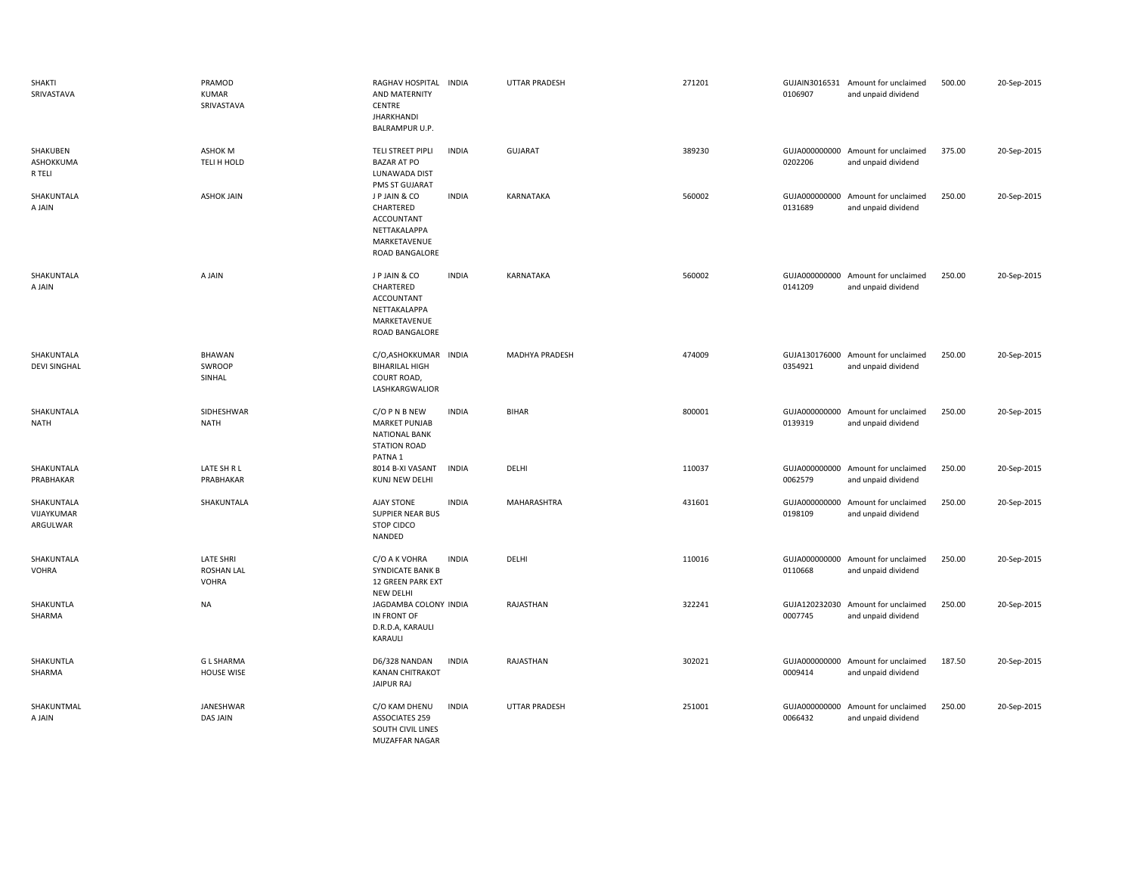| SHAKTI<br>SRIVASTAVA                 | PRAMOD<br><b>KUMAR</b><br>SRIVASTAVA                  | RAGHAV HOSPITAL INDIA<br>AND MATERNITY<br><b>CENTRE</b><br><b>JHARKHANDI</b><br>BALRAMPUR U.P.             |              | UTTAR PRADESH         | 271201 | 0106907                  | GUJAIN3016531 Amount for unclaimed<br>and unpaid dividend | 500.00 | 20-Sep-2015 |
|--------------------------------------|-------------------------------------------------------|------------------------------------------------------------------------------------------------------------|--------------|-----------------------|--------|--------------------------|-----------------------------------------------------------|--------|-------------|
| SHAKUBEN<br>ASHOKKUMA<br>R TELI      | ASHOK M<br>TELI H HOLD                                | TELI STREET PIPLI<br><b>BAZAR AT PO</b><br>LUNAWADA DIST<br>PMS ST GUJARAT                                 | <b>INDIA</b> | <b>GUJARAT</b>        | 389230 | 0202206                  | GUJA000000000 Amount for unclaimed<br>and unpaid dividend | 375.00 | 20-Sep-2015 |
| SHAKUNTALA<br>A JAIN                 | <b>ASHOK JAIN</b>                                     | J P JAIN & CO<br>CHARTERED<br>ACCOUNTANT<br>NETTAKALAPPA<br>MARKETAVENUE<br>ROAD BANGALORE                 | <b>INDIA</b> | <b>KARNATAKA</b>      | 560002 | GUJA000000000<br>0131689 | Amount for unclaimed<br>and unpaid dividend               | 250.00 | 20-Sep-2015 |
| SHAKUNTALA<br>A JAIN                 | A JAIN                                                | J P JAIN & CO<br>CHARTERED<br>ACCOUNTANT<br>NETTAKALAPPA<br>MARKETAVENUE<br>ROAD BANGALORE                 | <b>INDIA</b> | KARNATAKA             | 560002 | 0141209                  | GUJA000000000 Amount for unclaimed<br>and unpaid dividend | 250.00 | 20-Sep-2015 |
| SHAKUNTALA<br><b>DEVI SINGHAL</b>    | <b>BHAWAN</b><br>SWROOP<br>SINHAL                     | C/O,ASHOKKUMAR INDIA<br><b>BIHARILAL HIGH</b><br>COURT ROAD,<br>LASHKARGWALIOR                             |              | <b>MADHYA PRADESH</b> | 474009 | 0354921                  | GUJA130176000 Amount for unclaimed<br>and unpaid dividend | 250.00 | 20-Sep-2015 |
| SHAKUNTALA<br><b>NATH</b>            | SIDHESHWAR<br><b>NATH</b>                             | C/O P N B NEW<br><b>MARKET PUNJAB</b><br><b>NATIONAL BANK</b><br><b>STATION ROAD</b><br>PATNA <sub>1</sub> | <b>INDIA</b> | <b>BIHAR</b>          | 800001 | GUJA000000000<br>0139319 | Amount for unclaimed<br>and unpaid dividend               | 250.00 | 20-Sep-2015 |
| SHAKUNTALA<br>PRABHAKAR              | LATE SH R L<br>PRABHAKAR                              | 8014 B-XI VASANT<br>KUNJ NEW DELHI                                                                         | <b>INDIA</b> | DELHI                 | 110037 | GUJA000000000<br>0062579 | Amount for unclaimed<br>and unpaid dividend               | 250.00 | 20-Sep-2015 |
| SHAKUNTALA<br>VIJAYKUMAR<br>ARGULWAR | SHAKUNTALA                                            | <b>AJAY STONE</b><br><b>SUPPIER NEAR BUS</b><br>STOP CIDCO<br>NANDED                                       | <b>INDIA</b> | MAHARASHTRA           | 431601 | GUJA000000000<br>0198109 | Amount for unclaimed<br>and unpaid dividend               | 250.00 | 20-Sep-2015 |
| SHAKUNTALA<br>VOHRA                  | <b>LATE SHRI</b><br><b>ROSHAN LAL</b><br><b>VOHRA</b> | C/O A K VOHRA<br>SYNDICATE BANK B<br>12 GREEN PARK EXT<br>NEW DELHI                                        | <b>INDIA</b> | DELHI                 | 110016 | GUJA000000000<br>0110668 | Amount for unclaimed<br>and unpaid dividend               | 250.00 | 20-Sep-2015 |
| SHAKUNTLA<br>SHARMA                  | <b>NA</b>                                             | JAGDAMBA COLONY INDIA<br>IN FRONT OF<br>D.R.D.A, KARAULI<br>KARAULI                                        |              | RAJASTHAN             | 322241 | 0007745                  | GUJA120232030 Amount for unclaimed<br>and unpaid dividend | 250.00 | 20-Sep-2015 |
| SHAKUNTLA<br>SHARMA                  | <b>GL SHARMA</b><br>HOUSE WISE                        | D6/328 NANDAN<br><b>KANAN CHITRAKOT</b><br><b>JAIPUR RAJ</b>                                               | <b>INDIA</b> | RAJASTHAN             | 302021 | 0009414                  | GUJA000000000 Amount for unclaimed<br>and unpaid dividend | 187.50 | 20-Sep-2015 |
| SHAKUNTMAL<br>A JAIN                 | JANESHWAR<br><b>DAS JAIN</b>                          | C/O KAM DHENU<br><b>ASSOCIATES 259</b><br>SOUTH CIVIL LINES<br>MUZAFFAR NAGAR                              | <b>INDIA</b> | UTTAR PRADESH         | 251001 | GUJA000000000<br>0066432 | Amount for unclaimed<br>and unpaid dividend               | 250.00 | 20-Sep-2015 |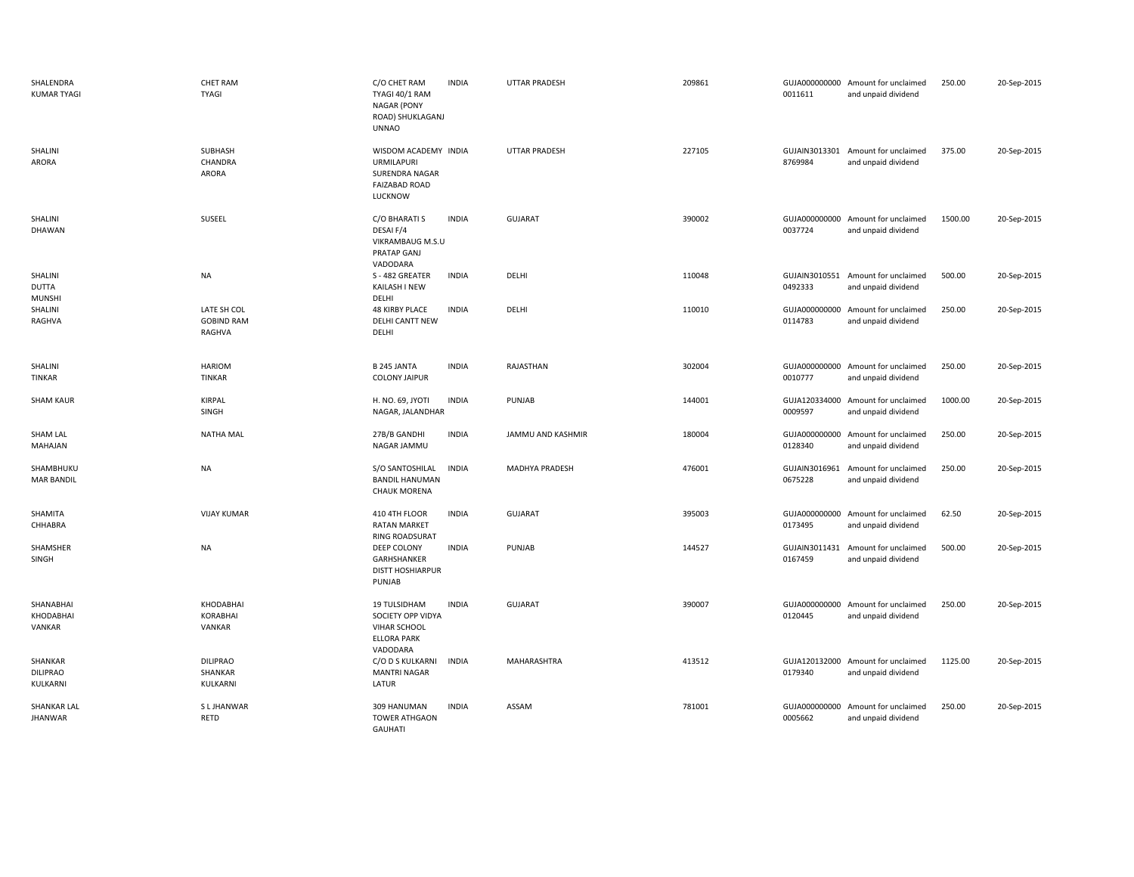| SHALENDRA<br><b>KUMAR TYAGI</b>          | <b>CHET RAM</b><br><b>TYAGI</b>            | C/O CHET RAM<br><b>INDIA</b><br>TYAGI 40/1 RAM<br><b>NAGAR (PONY</b><br>ROAD) SHUKLAGANJ<br><b>UNNAO</b>   | <b>UTTAR PRADESH</b> | 209861 | 0011611                  | GUJA000000000 Amount for unclaimed<br>and unpaid dividend | 250.00  | 20-Sep-2015 |
|------------------------------------------|--------------------------------------------|------------------------------------------------------------------------------------------------------------|----------------------|--------|--------------------------|-----------------------------------------------------------|---------|-------------|
| SHALINI<br>ARORA                         | SUBHASH<br>CHANDRA<br>ARORA                | WISDOM ACADEMY INDIA<br><b>URMILAPURI</b><br>SURENDRA NAGAR<br><b>FAIZABAD ROAD</b><br>LUCKNOW             | <b>UTTAR PRADESH</b> | 227105 | 8769984                  | GUJAIN3013301 Amount for unclaimed<br>and unpaid dividend | 375.00  | 20-Sep-2015 |
| SHALINI<br>DHAWAN                        | SUSEEL                                     | C/O BHARATI S<br><b>INDIA</b><br>DESAI F/4<br>VIKRAMBAUG M.S.U<br>PRATAP GANJ<br>VADODARA                  | <b>GUJARAT</b>       | 390002 | 0037724                  | GUJA000000000 Amount for unclaimed<br>and unpaid dividend | 1500.00 | 20-Sep-2015 |
| SHALINI<br><b>DUTTA</b><br><b>MUNSHI</b> | <b>NA</b>                                  | <b>INDIA</b><br>S-482 GREATER<br>KAILASH I NEW<br>DELHI                                                    | DELHI                | 110048 | 0492333                  | GUJAIN3010551 Amount for unclaimed<br>and unpaid dividend | 500.00  | 20-Sep-2015 |
| SHALINI<br>RAGHVA                        | LATE SH COL<br><b>GOBIND RAM</b><br>RAGHVA | <b>INDIA</b><br><b>48 KIRBY PLACE</b><br>DELHI CANTT NEW<br>DELHI                                          | DELHI                | 110010 | 0114783                  | GUJA000000000 Amount for unclaimed<br>and unpaid dividend | 250.00  | 20-Sep-2015 |
| SHALINI<br><b>TINKAR</b>                 | <b>HARIOM</b><br>TINKAR                    | <b>B 245 JANTA</b><br><b>INDIA</b><br><b>COLONY JAIPUR</b>                                                 | RAJASTHAN            | 302004 | 0010777                  | GUJA000000000 Amount for unclaimed<br>and unpaid dividend | 250.00  | 20-Sep-2015 |
| <b>SHAM KAUR</b>                         | <b>KIRPAL</b><br>SINGH                     | <b>INDIA</b><br>H. NO. 69, JYOTI<br>NAGAR, JALANDHAR                                                       | PUNJAB               | 144001 | 0009597                  | GUJA120334000 Amount for unclaimed<br>and unpaid dividend | 1000.00 | 20-Sep-2015 |
| <b>SHAM LAL</b><br>MAHAJAN               | <b>NATHA MAL</b>                           | 27B/B GANDHI<br><b>INDIA</b><br>NAGAR JAMMU                                                                | JAMMU AND KASHMIR    | 180004 | 0128340                  | GUJA000000000 Amount for unclaimed<br>and unpaid dividend | 250.00  | 20-Sep-2015 |
| SHAMBHUKU<br><b>MAR BANDIL</b>           | <b>NA</b>                                  | S/O SANTOSHILAL<br><b>INDIA</b><br><b>BANDIL HANUMAN</b><br><b>CHAUK MORENA</b>                            | MADHYA PRADESH       | 476001 | 0675228                  | GUJAIN3016961 Amount for unclaimed<br>and unpaid dividend | 250.00  | 20-Sep-2015 |
| SHAMITA<br>CHHABRA                       | <b>VIJAY KUMAR</b>                         | 410 4TH FLOOR<br><b>INDIA</b><br><b>RATAN MARKET</b><br>RING ROADSURAT                                     | <b>GUJARAT</b>       | 395003 | GUJA000000000<br>0173495 | Amount for unclaimed<br>and unpaid dividend               | 62.50   | 20-Sep-2015 |
| SHAMSHER<br>SINGH                        | <b>NA</b>                                  | DEEP COLONY<br><b>INDIA</b><br>GARHSHANKER<br><b>DISTT HOSHIARPUR</b><br>PUNJAB                            | PUNJAB               | 144527 | GUJAIN3011431<br>0167459 | Amount for unclaimed<br>and unpaid dividend               | 500.00  | 20-Sep-2015 |
| SHANABHAI<br>KHODABHAI<br>VANKAR         | KHODABHAI<br><b>KORABHAI</b><br>VANKAR     | 19 TULSIDHAM<br><b>INDIA</b><br>SOCIETY OPP VIDYA<br><b>VIHAR SCHOOL</b><br><b>ELLORA PARK</b><br>VADODARA | <b>GUJARAT</b>       | 390007 | 0120445                  | GUJA000000000 Amount for unclaimed<br>and unpaid dividend | 250.00  | 20-Sep-2015 |
| SHANKAR<br><b>DILIPRAO</b><br>KULKARNI   | <b>DILIPRAO</b><br>SHANKAR<br>KULKARNI     | C/O D S KULKARNI<br><b>INDIA</b><br><b>MANTRI NAGAR</b><br>LATUR                                           | <b>MAHARASHTRA</b>   | 413512 | 0179340                  | GUJA120132000 Amount for unclaimed<br>and unpaid dividend | 1125.00 | 20-Sep-2015 |
| <b>SHANKAR LAL</b><br><b>JHANWAR</b>     | S L JHANWAR<br><b>RETD</b>                 | 309 HANUMAN<br><b>INDIA</b><br><b>TOWER ATHGAON</b><br><b>GAUHATI</b>                                      | ASSAM                | 781001 | 0005662                  | GUJA000000000 Amount for unclaimed<br>and unpaid dividend | 250.00  | 20-Sep-2015 |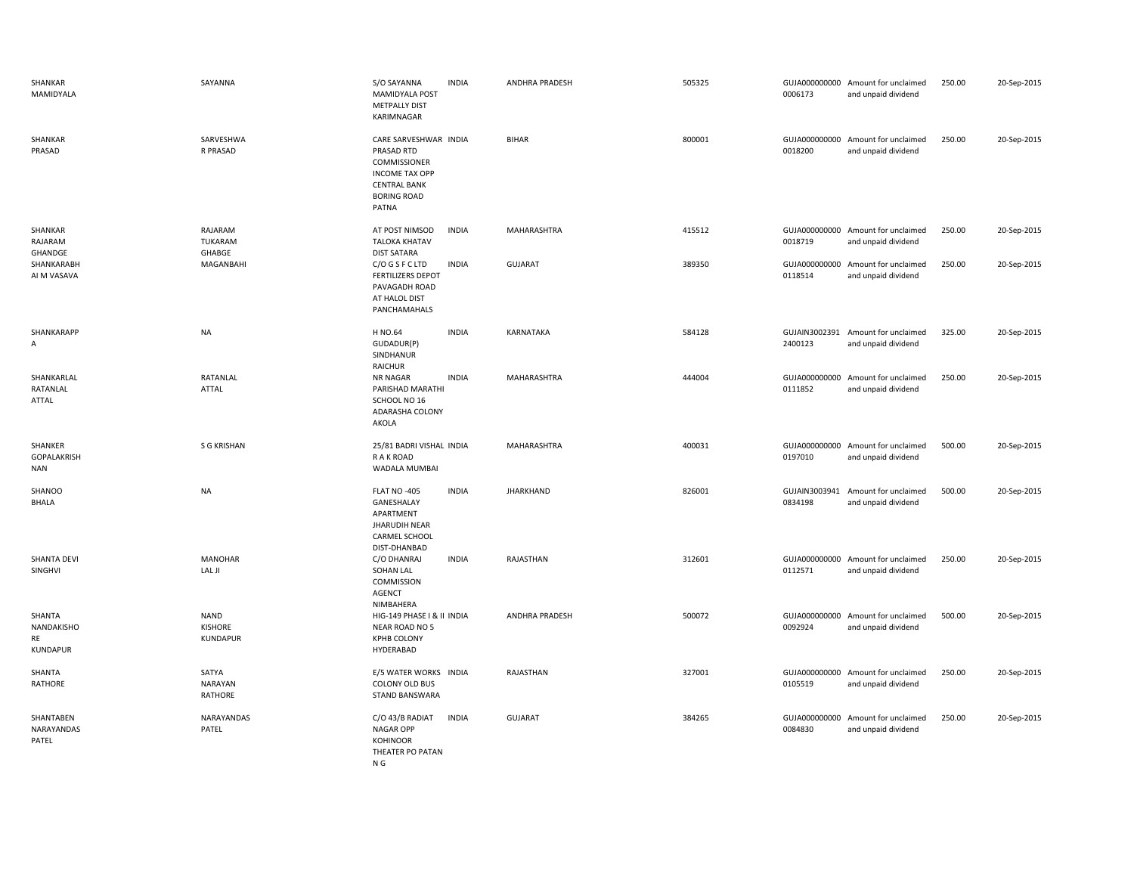| SHANKAR<br>MAMIDYALA                          | SAYANNA                                          | S/O SAYANNA<br><b>MAMIDYALA POST</b><br><b>METPALLY DIST</b><br>KARIMNAGAR                                                         | <b>INDIA</b> | ANDHRA PRADESH        | 505325 | 0006173                  | GUJA000000000 Amount for unclaimed<br>and unpaid dividend | 250.00 | 20-Sep-2015 |
|-----------------------------------------------|--------------------------------------------------|------------------------------------------------------------------------------------------------------------------------------------|--------------|-----------------------|--------|--------------------------|-----------------------------------------------------------|--------|-------------|
| SHANKAR<br>PRASAD                             | SARVESHWA<br>R PRASAD                            | CARE SARVESHWAR INDIA<br>PRASAD RTD<br>COMMISSIONER<br><b>INCOME TAX OPP</b><br><b>CENTRAL BANK</b><br><b>BORING ROAD</b><br>PATNA |              | <b>BIHAR</b>          | 800001 | 0018200                  | GUJA000000000 Amount for unclaimed<br>and unpaid dividend | 250.00 | 20-Sep-2015 |
| SHANKAR<br>RAJARAM<br>GHANDGE                 | RAJARAM<br><b>TUKARAM</b><br>GHABGE              | AT POST NIMSOD<br><b>TALOKA KHATAV</b><br><b>DIST SATARA</b>                                                                       | <b>INDIA</b> | MAHARASHTRA           | 415512 | 0018719                  | GUJA000000000 Amount for unclaimed<br>and unpaid dividend | 250.00 | 20-Sep-2015 |
| SHANKARABH<br>AI M VASAVA                     | MAGANBAHI                                        | C/O G S F C LTD<br><b>FERTILIZERS DEPOT</b><br>PAVAGADH ROAD<br>AT HALOL DIST<br>PANCHAMAHALS                                      | <b>INDIA</b> | GUJARAT               | 389350 | 0118514                  | GUJA000000000 Amount for unclaimed<br>and unpaid dividend | 250.00 | 20-Sep-2015 |
| SHANKARAPP<br>A                               | <b>NA</b>                                        | H NO.64<br>GUDADUR(P)<br>SINDHANUR<br>RAICHUR                                                                                      | <b>INDIA</b> | KARNATAKA             | 584128 | GUJAIN3002391<br>2400123 | Amount for unclaimed<br>and unpaid dividend               | 325.00 | 20-Sep-2015 |
| SHANKARLAL<br>RATANLAL<br>ATTAL               | RATANLAL<br><b>ATTAL</b>                         | <b>NR NAGAR</b><br>PARISHAD MARATHI<br>SCHOOL NO 16<br>ADARASHA COLONY<br>AKOLA                                                    | <b>INDIA</b> | MAHARASHTRA           | 444004 | GUJA000000000<br>0111852 | Amount for unclaimed<br>and unpaid dividend               | 250.00 | 20-Sep-2015 |
| SHANKER<br><b>GOPALAKRISH</b><br><b>NAN</b>   | <b>S G KRISHAN</b>                               | 25/81 BADRI VISHAL INDIA<br>R A K ROAD<br>WADALA MUMBAI                                                                            |              | MAHARASHTRA           | 400031 | GUJA000000000<br>0197010 | Amount for unclaimed<br>and unpaid dividend               | 500.00 | 20-Sep-2015 |
| SHANOO<br><b>BHALA</b>                        | <b>NA</b>                                        | <b>FLAT NO -405</b><br>GANESHALAY<br>APARTMENT<br><b>JHARUDIH NEAR</b><br>CARMEL SCHOOL<br>DIST-DHANBAD                            | <b>INDIA</b> | <b>JHARKHAND</b>      | 826001 | GUJAIN3003941<br>0834198 | Amount for unclaimed<br>and unpaid dividend               | 500.00 | 20-Sep-2015 |
| SHANTA DEVI<br>SINGHVI                        | <b>MANOHAR</b><br>LAL JI                         | C/O DHANRAJ<br>SOHAN LAL<br>COMMISSION<br><b>AGENCT</b><br>NIMBAHERA                                                               | <b>INDIA</b> | RAJASTHAN             | 312601 | 0112571                  | GUJA000000000 Amount for unclaimed<br>and unpaid dividend | 250.00 | 20-Sep-2015 |
| SHANTA<br>NANDAKISHO<br>RE<br><b>KUNDAPUR</b> | <b>NAND</b><br><b>KISHORE</b><br><b>KUNDAPUR</b> | HIG-149 PHASE I & II INDIA<br>NEAR ROAD NO 5<br><b>KPHB COLONY</b><br>HYDERABAD                                                    |              | <b>ANDHRA PRADESH</b> | 500072 | 0092924                  | GUJA000000000 Amount for unclaimed<br>and unpaid dividend | 500.00 | 20-Sep-2015 |
| SHANTA<br><b>RATHORE</b>                      | SATYA<br><b>NARAYAN</b><br><b>RATHORE</b>        | E/5 WATER WORKS INDIA<br>COLONY OLD BUS<br><b>STAND BANSWARA</b>                                                                   |              | RAJASTHAN             | 327001 | 0105519                  | GUJA000000000 Amount for unclaimed<br>and unpaid dividend | 250.00 | 20-Sep-2015 |
| SHANTABEN<br>NARAYANDAS<br>PATEL              | NARAYANDAS<br>PATEL                              | C/O 43/B RADIAT<br><b>NAGAR OPP</b><br><b>KOHINOOR</b><br>THEATER PO PATAN<br>N G                                                  | <b>INDIA</b> | <b>GUJARAT</b>        | 384265 | 0084830                  | GUJA000000000 Amount for unclaimed<br>and unpaid dividend | 250.00 | 20-Sep-2015 |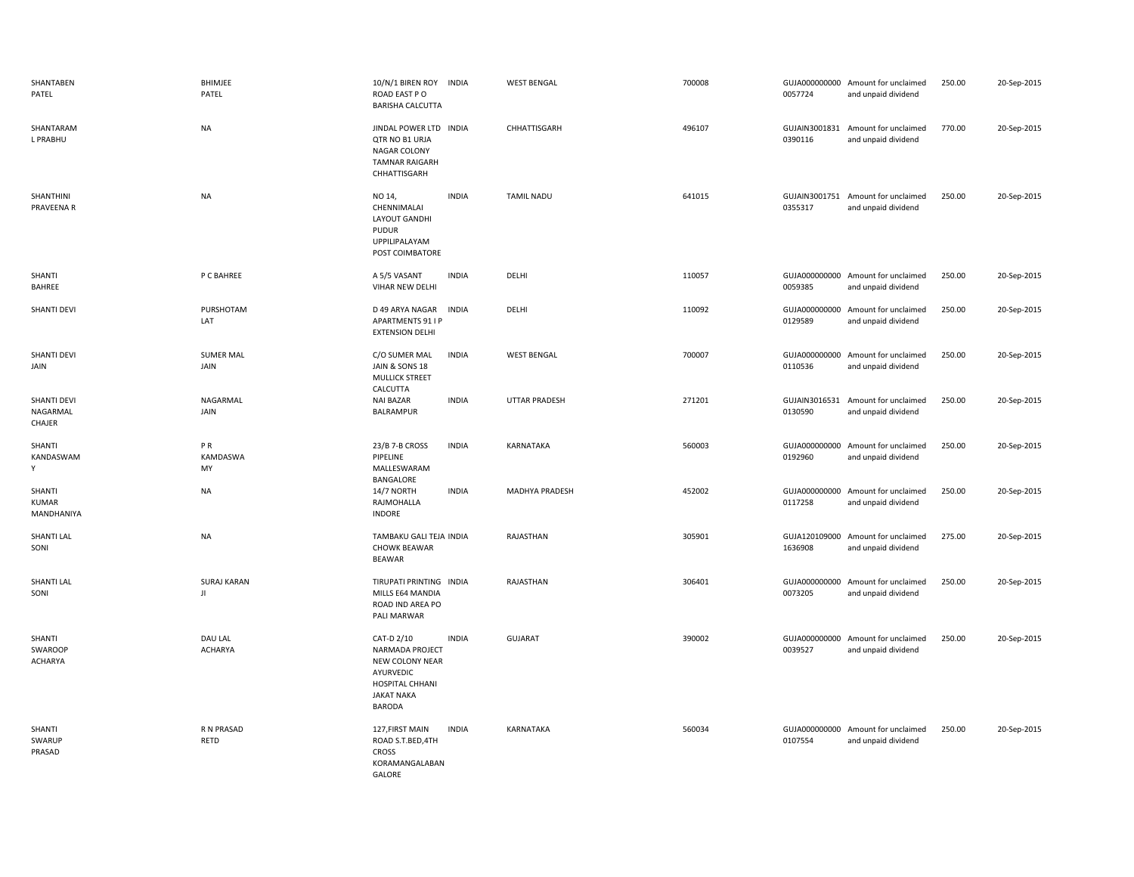| SHANTABEN<br>PATEL                       | BHIMJEE<br>PATEL          | 10/N/1 BIREN ROY INDIA<br>ROAD EAST PO<br><b>BARISHA CALCUTTA</b>                                                                      | <b>WEST BENGAL</b>    | 700008 | 0057724                  | GUJA000000000 Amount for unclaimed<br>and unpaid dividend | 250.00 | 20-Sep-2015 |
|------------------------------------------|---------------------------|----------------------------------------------------------------------------------------------------------------------------------------|-----------------------|--------|--------------------------|-----------------------------------------------------------|--------|-------------|
| SHANTARAM<br>L PRABHU                    | <b>NA</b>                 | JINDAL POWER LTD INDIA<br>QTR NO B1 URJA<br>NAGAR COLONY<br><b>TAMNAR RAIGARH</b><br>CHHATTISGARH                                      | CHHATTISGARH          | 496107 | GUJAIN3001831<br>0390116 | Amount for unclaimed<br>and unpaid dividend               | 770.00 | 20-Sep-2015 |
| SHANTHINI<br>PRAVEENA R                  | <b>NA</b>                 | NO 14,<br><b>INDIA</b><br>CHENNIMALAI<br>LAYOUT GANDHI<br><b>PUDUR</b><br>UPPILIPALAYAM<br>POST COIMBATORE                             | <b>TAMIL NADU</b>     | 641015 | 0355317                  | GUJAIN3001751 Amount for unclaimed<br>and unpaid dividend | 250.00 | 20-Sep-2015 |
| SHANTI<br>BAHREE                         | P C BAHREE                | <b>INDIA</b><br>A 5/5 VASANT<br>VIHAR NEW DELHI                                                                                        | DELHI                 | 110057 | 0059385                  | GUJA000000000 Amount for unclaimed<br>and unpaid dividend | 250.00 | 20-Sep-2015 |
| SHANTI DEVI                              | PURSHOTAM<br>LAT          | D 49 ARYA NAGAR<br>INDIA<br>APARTMENTS 91 I P<br><b>EXTENSION DELHI</b>                                                                | DELHI                 | 110092 | 0129589                  | GUJA000000000 Amount for unclaimed<br>and unpaid dividend | 250.00 | 20-Sep-2015 |
| <b>SHANTI DEVI</b><br>JAIN               | <b>SUMER MAL</b><br>JAIN  | C/O SUMER MAL<br><b>INDIA</b><br>JAIN & SONS 18<br><b>MULLICK STREET</b><br>CALCUTTA                                                   | <b>WEST BENGAL</b>    | 700007 | GUJA000000000<br>0110536 | Amount for unclaimed<br>and unpaid dividend               | 250.00 | 20-Sep-2015 |
| <b>SHANTI DEVI</b><br>NAGARMAL<br>CHAJER | NAGARMAL<br>JAIN          | <b>NAI BAZAR</b><br><b>INDIA</b><br>BALRAMPUR                                                                                          | UTTAR PRADESH         | 271201 | 0130590                  | GUJAIN3016531 Amount for unclaimed<br>and unpaid dividend | 250.00 | 20-Sep-2015 |
| SHANTI<br>KANDASWAM<br>Υ                 | PR<br>KAMDASWA<br>MY      | 23/B 7-B CROSS<br><b>INDIA</b><br>PIPELINE<br>MALLESWARAM<br>BANGALORE                                                                 | KARNATAKA             | 560003 | 0192960                  | GUJA000000000 Amount for unclaimed<br>and unpaid dividend | 250.00 | 20-Sep-2015 |
| SHANTI<br><b>KUMAR</b><br>MANDHANIYA     | <b>NA</b>                 | <b>INDIA</b><br>14/7 NORTH<br>RAJMOHALLA<br><b>INDORE</b>                                                                              | <b>MADHYA PRADESH</b> | 452002 | 0117258                  | GUJA000000000 Amount for unclaimed<br>and unpaid dividend | 250.00 | 20-Sep-2015 |
| SHANTI LAL<br>SONI                       | <b>NA</b>                 | TAMBAKU GALI TEJA INDIA<br><b>CHOWK BEAWAR</b><br>BEAWAR                                                                               | RAJASTHAN             | 305901 | 1636908                  | GUJA120109000 Amount for unclaimed<br>and unpaid dividend | 275.00 | 20-Sep-2015 |
| SHANTI LAL<br>SONI                       | <b>SURAJ KARAN</b><br>JI  | TIRUPATI PRINTING INDIA<br>MILLS E64 MANDIA<br>ROAD IND AREA PO<br>PALI MARWAR                                                         | RAJASTHAN             | 306401 | GUJA000000000<br>0073205 | Amount for unclaimed<br>and unpaid dividend               | 250.00 | 20-Sep-2015 |
| SHANTI<br>SWAROOP<br><b>ACHARYA</b>      | DAU LAL<br><b>ACHARYA</b> | CAT-D 2/10<br><b>INDIA</b><br>NARMADA PROJECT<br>NEW COLONY NEAR<br>AYURVEDIC<br>HOSPITAL CHHANI<br><b>JAKAT NAKA</b><br><b>BARODA</b> | <b>GUJARAT</b>        | 390002 | GUJA000000000<br>0039527 | Amount for unclaimed<br>and unpaid dividend               | 250.00 | 20-Sep-2015 |
| SHANTI<br>SWARUP<br>PRASAD               | R N PRASAD<br>RETD        | <b>INDIA</b><br>127, FIRST MAIN<br>ROAD S.T.BED,4TH<br><b>CROSS</b><br>KORAMANGALABAN<br>GALORE                                        | KARNATAKA             | 560034 | GUJA000000000<br>0107554 | Amount for unclaimed<br>and unpaid dividend               | 250.00 | 20-Sep-2015 |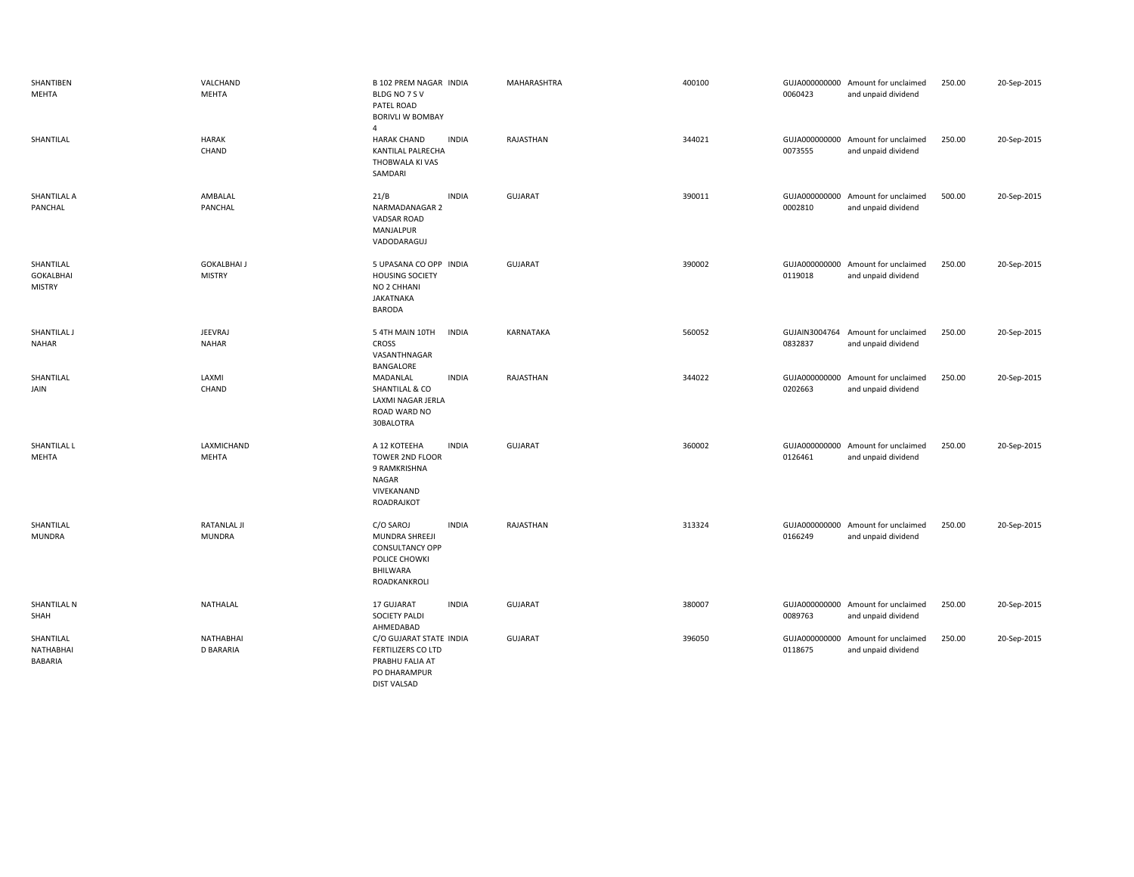| SHANTIBEN<br>MEHTA                             | VALCHAND<br>MEHTA                    | <b>B 102 PREM NAGAR INDIA</b><br>BLDG NO 7 S V<br>PATEL ROAD<br><b>BORIVLI W BOMBAY</b><br>$\overline{4}$          | <b>MAHARASHTRA</b> | 400100 | 0060423 | GUJA000000000 Amount for unclaimed<br>and unpaid dividend | 250.00 | 20-Sep-2015 |
|------------------------------------------------|--------------------------------------|--------------------------------------------------------------------------------------------------------------------|--------------------|--------|---------|-----------------------------------------------------------|--------|-------------|
| SHANTILAL                                      | <b>HARAK</b><br>CHAND                | <b>INDIA</b><br><b>HARAK CHAND</b><br>KANTILAL PALRECHA<br>THOBWALA KI VAS<br>SAMDARI                              | RAJASTHAN          | 344021 | 0073555 | GUJA000000000 Amount for unclaimed<br>and unpaid dividend | 250.00 | 20-Sep-2015 |
| SHANTILAL A<br>PANCHAL                         | AMBALAL<br>PANCHAL                   | <b>INDIA</b><br>21/B<br>NARMADANAGAR 2<br><b>VADSAR ROAD</b><br>MANJALPUR<br>VADODARAGUJ                           | <b>GUJARAT</b>     | 390011 | 0002810 | GUJA000000000 Amount for unclaimed<br>and unpaid dividend | 500.00 | 20-Sep-2015 |
| SHANTILAL<br><b>GOKALBHAI</b><br><b>MISTRY</b> | <b>GOKALBHAI J</b><br><b>MISTRY</b>  | 5 UPASANA CO OPP INDIA<br><b>HOUSING SOCIETY</b><br>NO 2 CHHANI<br><b>JAKATNAKA</b><br><b>BARODA</b>               | GUJARAT            | 390002 | 0119018 | GUJA000000000 Amount for unclaimed<br>and unpaid dividend | 250.00 | 20-Sep-2015 |
| SHANTILAL J<br>NAHAR                           | <b>JEEVRAJ</b><br><b>NAHAR</b>       | 5 4TH MAIN 10TH<br>INDIA<br><b>CROSS</b><br>VASANTHNAGAR<br>BANGALORE                                              | KARNATAKA          | 560052 | 0832837 | GUJAIN3004764 Amount for unclaimed<br>and unpaid dividend | 250.00 | 20-Sep-2015 |
| SHANTILAL<br>JAIN                              | LAXMI<br>CHAND                       | MADANLAL<br><b>INDIA</b><br>SHANTILAL & CO<br>LAXMI NAGAR JERLA<br>ROAD WARD NO<br>30BALOTRA                       | RAJASTHAN          | 344022 | 0202663 | GUJA000000000 Amount for unclaimed<br>and unpaid dividend | 250.00 | 20-Sep-2015 |
| SHANTILAL L<br>MEHTA                           | LAXMICHAND<br>MEHTA                  | A 12 KOTEEHA<br><b>INDIA</b><br><b>TOWER 2ND FLOOR</b><br>9 RAMKRISHNA<br>NAGAR<br>VIVEKANAND<br>ROADRAJKOT        | <b>GUJARAT</b>     | 360002 | 0126461 | GUJA000000000 Amount for unclaimed<br>and unpaid dividend | 250.00 | 20-Sep-2015 |
| SHANTILAL<br><b>MUNDRA</b>                     | RATANLAL JI<br><b>MUNDRA</b>         | C/O SAROJ<br><b>INDIA</b><br>MUNDRA SHREEJI<br><b>CONSULTANCY OPP</b><br>POLICE CHOWKI<br>BHILWARA<br>ROADKANKROLI | RAJASTHAN          | 313324 | 0166249 | GUJA000000000 Amount for unclaimed<br>and unpaid dividend | 250.00 | 20-Sep-2015 |
| SHANTILAL N<br>SHAH                            | <b>NATHALAL</b>                      | <b>INDIA</b><br>17 GUJARAT<br><b>SOCIETY PALDI</b><br>AHMEDABAD                                                    | <b>GUJARAT</b>     | 380007 | 0089763 | GUJA000000000 Amount for unclaimed<br>and unpaid dividend | 250.00 | 20-Sep-2015 |
| SHANTILAL<br>NATHABHAI<br>BABARIA              | <b>NATHABHAI</b><br><b>D BARARIA</b> | C/O GUJARAT STATE INDIA<br><b>FERTILIZERS CO LTD</b><br>PRABHU FALIA AT<br>PO DHARAMPUR<br><b>DIST VALSAD</b>      | <b>GUJARAT</b>     | 396050 | 0118675 | GUJA000000000 Amount for unclaimed<br>and unpaid dividend | 250.00 | 20-Sep-2015 |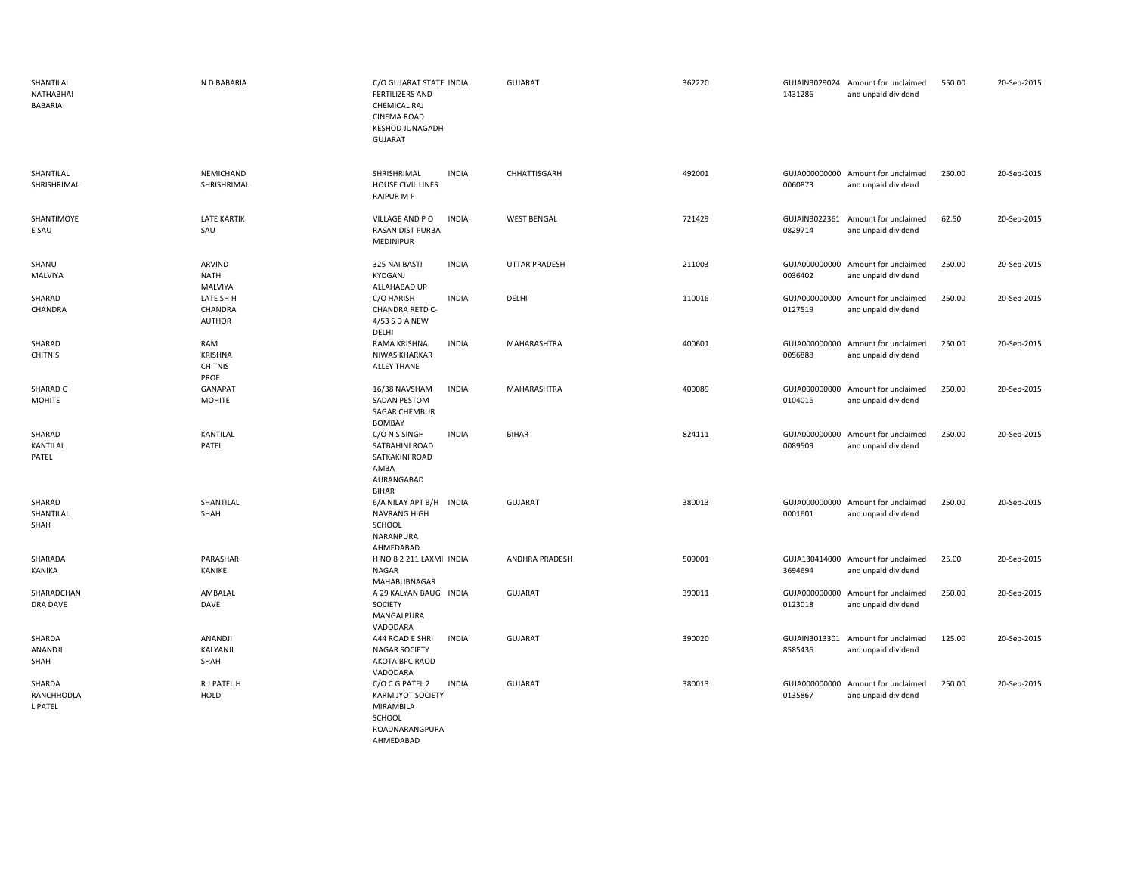| SHANTILAL<br>NATHABHAI<br>BABARIA | N D BABARIA                                     | C/O GUJARAT STATE INDIA<br><b>FERTILIZERS AND</b><br>CHEMICAL RAJ<br><b>CINEMA ROAD</b><br><b>KESHOD JUNAGADH</b><br><b>GUJARAT</b> | <b>GUJARAT</b>       | 362220 | 1431286                  | GUJAIN3029024 Amount for unclaimed<br>and unpaid dividend | 550.00 | 20-Sep-2015 |
|-----------------------------------|-------------------------------------------------|-------------------------------------------------------------------------------------------------------------------------------------|----------------------|--------|--------------------------|-----------------------------------------------------------|--------|-------------|
| SHANTILAL<br>SHRISHRIMAL          | NEMICHAND<br>SHRISHRIMAL                        | SHRISHRIMAL<br><b>INDIA</b><br><b>HOUSE CIVIL LINES</b><br><b>RAIPUR M P</b>                                                        | CHHATTISGARH         | 492001 | 0060873                  | GUJA000000000 Amount for unclaimed<br>and unpaid dividend | 250.00 | 20-Sep-2015 |
| SHANTIMOYE<br>E SAU               | <b>LATE KARTIK</b><br>SAU                       | <b>INDIA</b><br>VILLAGE AND PO<br>RASAN DIST PURBA<br>MEDINIPUR                                                                     | <b>WEST BENGAL</b>   | 721429 | GUJAIN3022361<br>0829714 | Amount for unclaimed<br>and unpaid dividend               | 62.50  | 20-Sep-2015 |
| SHANU<br>MALVIYA                  | ARVIND<br><b>NATH</b><br>MALVIYA                | 325 NAI BASTI<br><b>INDIA</b><br><b>KYDGANJ</b><br>ALLAHABAD UP                                                                     | <b>UTTAR PRADESH</b> | 211003 | 0036402                  | GUJA000000000 Amount for unclaimed<br>and unpaid dividend | 250.00 | 20-Sep-2015 |
| SHARAD<br>CHANDRA                 | LATE SH H<br>CHANDRA<br>AUTHOR                  | C/O HARISH<br><b>INDIA</b><br>CHANDRA RETD C-<br>4/53 S D A NEW<br>DELHI                                                            | DELHI                | 110016 | GUJA000000000<br>0127519 | Amount for unclaimed<br>and unpaid dividend               | 250.00 | 20-Sep-2015 |
| SHARAD<br><b>CHITNIS</b>          | RAM<br><b>KRISHNA</b><br><b>CHITNIS</b><br>PROF | <b>INDIA</b><br>RAMA KRISHNA<br>NIWAS KHARKAR<br><b>ALLEY THANE</b>                                                                 | MAHARASHTRA          | 400601 | 0056888                  | GUJA000000000 Amount for unclaimed<br>and unpaid dividend | 250.00 | 20-Sep-2015 |
| SHARAD G<br>MOHITE                | GANAPAT<br><b>MOHITE</b>                        | <b>INDIA</b><br>16/38 NAVSHAM<br>SADAN PESTOM<br><b>SAGAR CHEMBUR</b>                                                               | MAHARASHTRA          | 400089 | 0104016                  | GUJA000000000 Amount for unclaimed<br>and unpaid dividend | 250.00 | 20-Sep-2015 |
| SHARAD<br>KANTILAL<br>PATEL       | KANTILAL<br>PATEL                               | BOMBAY<br>C/O N S SINGH<br><b>INDIA</b><br>SATBAHINI ROAD<br>SATKAKINI ROAD<br>AMBA<br>AURANGABAD<br>BIHAR                          | <b>BIHAR</b>         | 824111 | GUJA000000000<br>0089509 | Amount for unclaimed<br>and unpaid dividend               | 250.00 | 20-Sep-2015 |
| SHARAD<br>SHANTILAL<br>SHAH       | SHANTILAL<br>SHAH                               | 6/A NILAY APT B/H<br><b>INDIA</b><br><b>NAVRANG HIGH</b><br>SCHOOL<br>NARANPURA<br>AHMEDABAD                                        | <b>GUJARAT</b>       | 380013 | 0001601                  | GUJA000000000 Amount for unclaimed<br>and unpaid dividend | 250.00 | 20-Sep-2015 |
| SHARADA<br>KANIKA                 | PARASHAR<br>KANIKE                              | H NO 8 2 211 LAXMI INDIA<br>NAGAR<br>MAHABUBNAGAR                                                                                   | ANDHRA PRADESH       | 509001 | 3694694                  | GUJA130414000 Amount for unclaimed<br>and unpaid dividend | 25.00  | 20-Sep-2015 |
| SHARADCHAN<br>DRA DAVE            | AMBALAL<br>DAVE                                 | A 29 KALYAN BAUG INDIA<br>SOCIETY<br>MANGALPURA<br>VADODARA                                                                         | <b>GUJARAT</b>       | 390011 | 0123018                  | GUJA000000000 Amount for unclaimed<br>and unpaid dividend | 250.00 | 20-Sep-2015 |
| SHARDA<br>ANANDJI<br>SHAH         | ANANDJI<br>KALYANJI<br>SHAH                     | A44 ROAD E SHRI<br><b>INDIA</b><br><b>NAGAR SOCIETY</b><br>AKOTA BPC RAOD<br>VADODARA                                               | <b>GUJARAT</b>       | 390020 | GUJAIN3013301<br>8585436 | Amount for unclaimed<br>and unpaid dividend               | 125.00 | 20-Sep-2015 |
| SHARDA<br>RANCHHODLA<br>L PATEL   | R J PATEL H<br>HOLD                             | C/O C G PATEL 2<br><b>INDIA</b><br>KARM JYOT SOCIETY<br>MIRAMBILA<br>SCHOOL<br>ROADNARANGPURA                                       | <b>GUJARAT</b>       | 380013 | GUJA000000000<br>0135867 | Amount for unclaimed<br>and unpaid dividend               | 250.00 | 20-Sep-2015 |

AHMEDABAD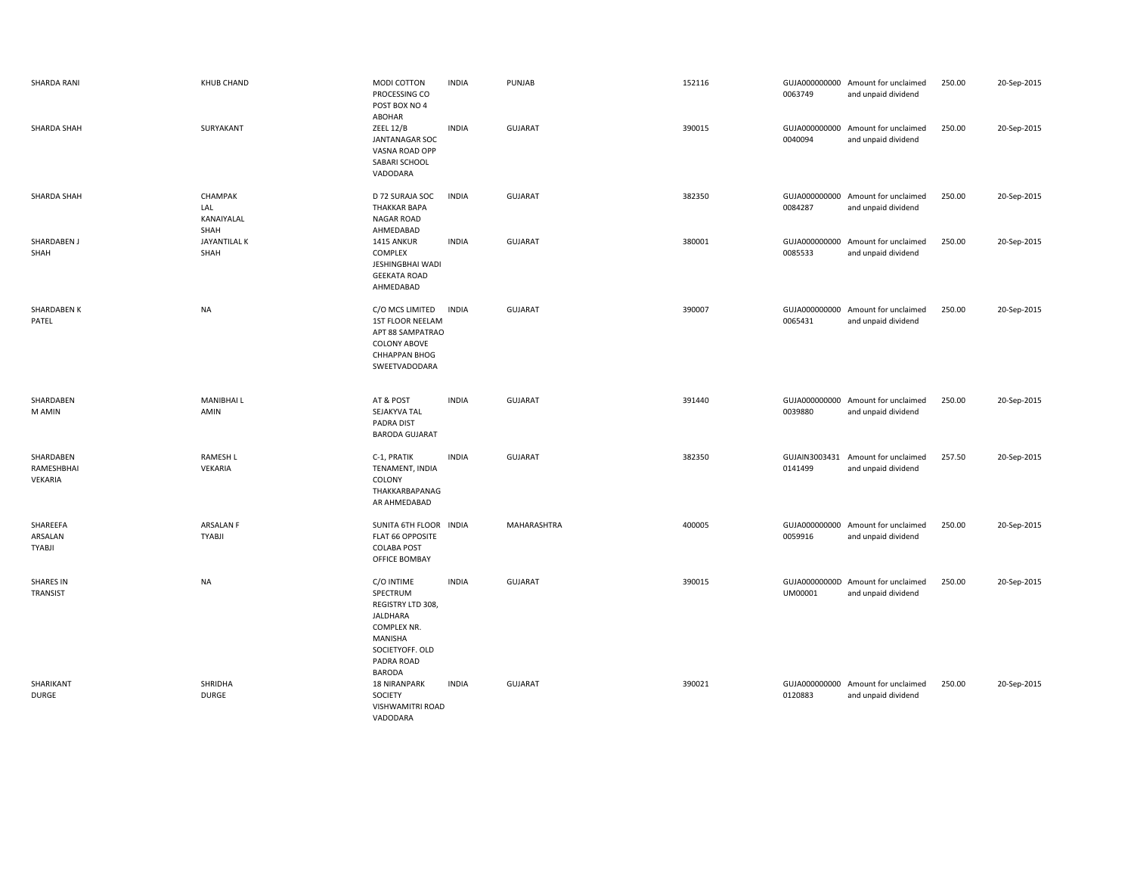| SHARDA RANI                          | <b>KHUB CHAND</b>                    | MODI COTTON<br>PROCESSING CO<br>POST BOX NO 4<br>ABOHAR                                                                                           | <b>INDIA</b> | PUNJAB         | 152116 | 0063749                  | GUJA000000000 Amount for unclaimed<br>and unpaid dividend | 250.00 | 20-Sep-2015 |
|--------------------------------------|--------------------------------------|---------------------------------------------------------------------------------------------------------------------------------------------------|--------------|----------------|--------|--------------------------|-----------------------------------------------------------|--------|-------------|
| SHARDA SHAH                          | SURYAKANT                            | ZEEL 12/B<br>JANTANAGAR SOC<br>VASNA ROAD OPP<br>SABARI SCHOOL<br>VADODARA                                                                        | <b>INDIA</b> | <b>GUJARAT</b> | 390015 | 0040094                  | GUJA000000000 Amount for unclaimed<br>and unpaid dividend | 250.00 | 20-Sep-2015 |
| SHARDA SHAH                          | CHAMPAK<br>LAL<br>KANAIYALAL<br>SHAH | D 72 SURAJA SOC<br><b>THAKKAR BAPA</b><br>NAGAR ROAD<br>AHMEDABAD                                                                                 | <b>INDIA</b> | GUJARAT        | 382350 | 0084287                  | GUJA000000000 Amount for unclaimed<br>and unpaid dividend | 250.00 | 20-Sep-2015 |
| SHARDABEN J<br>SHAH                  | JAYANTILAL K<br>SHAH                 | 1415 ANKUR<br>COMPLEX<br>JESHINGBHAI WADI<br><b>GEEKATA ROAD</b><br>AHMEDABAD                                                                     | <b>INDIA</b> | GUJARAT        | 380001 | GUJA000000000<br>0085533 | Amount for unclaimed<br>and unpaid dividend               | 250.00 | 20-Sep-2015 |
| SHARDABEN K<br>PATEL                 | <b>NA</b>                            | C/O MCS LIMITED<br>1ST FLOOR NEELAM<br>APT 88 SAMPATRAO<br><b>COLONY ABOVE</b><br><b>CHHAPPAN BHOG</b><br>SWEETVADODARA                           | <b>INDIA</b> | <b>GUJARAT</b> | 390007 | 0065431                  | GUJA000000000 Amount for unclaimed<br>and unpaid dividend | 250.00 | 20-Sep-2015 |
| SHARDABEN<br>M AMIN                  | <b>MANIBHAIL</b><br>AMIN             | AT & POST<br>SEJAKYVA TAL<br>PADRA DIST<br><b>BARODA GUJARAT</b>                                                                                  | <b>INDIA</b> | <b>GUJARAT</b> | 391440 | 0039880                  | GUJA000000000 Amount for unclaimed<br>and unpaid dividend | 250.00 | 20-Sep-2015 |
| SHARDABEN<br>RAMESHBHAI<br>VEKARIA   | <b>RAMESH L</b><br>VEKARIA           | C-1, PRATIK<br>TENAMENT, INDIA<br>COLONY<br>THAKKARBAPANAG<br>AR AHMEDABAD                                                                        | <b>INDIA</b> | GUJARAT        | 382350 | GUJAIN3003431<br>0141499 | Amount for unclaimed<br>and unpaid dividend               | 257.50 | 20-Sep-2015 |
| SHAREEFA<br>ARSALAN<br><b>TYABJI</b> | ARSALAN F<br><b>TYABJI</b>           | SUNITA 6TH FLOOR INDIA<br>FLAT 66 OPPOSITE<br><b>COLABA POST</b><br>OFFICE BOMBAY                                                                 |              | MAHARASHTRA    | 400005 | GUJA000000000<br>0059916 | Amount for unclaimed<br>and unpaid dividend               | 250.00 | 20-Sep-2015 |
| <b>SHARES IN</b><br>TRANSIST         | <b>NA</b>                            | C/O INTIME<br>SPECTRUM<br>REGISTRY LTD 308,<br><b>JALDHARA</b><br><b>COMPLEX NR.</b><br>MANISHA<br>SOCIETYOFF. OLD<br>PADRA ROAD<br><b>BARODA</b> | <b>INDIA</b> | <b>GUJARAT</b> | 390015 | UM00001                  | GUJA00000000D Amount for unclaimed<br>and unpaid dividend | 250.00 | 20-Sep-2015 |
| SHARIKANT<br><b>DURGE</b>            | SHRIDHA<br>DURGE                     | <b>18 NIRANPARK</b><br>SOCIETY<br>VISHWAMITRI ROAD<br>VADODARA                                                                                    | INDIA        | <b>GUJARAT</b> | 390021 | 0120883                  | GUJA000000000 Amount for unclaimed<br>and unpaid dividend | 250.00 | 20-Sep-2015 |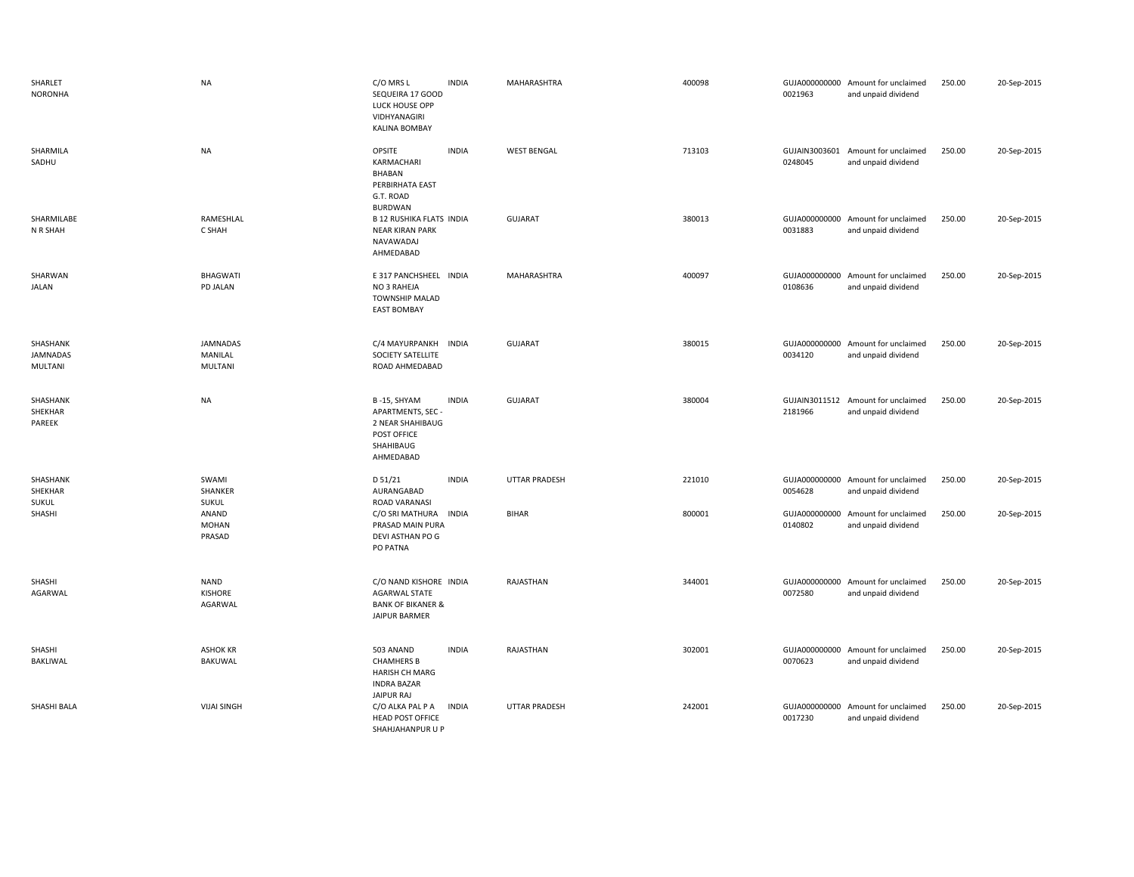| SHARLET<br><b>NORONHA</b>           | <b>NA</b>                                    | C/O MRS L<br><b>INDIA</b><br>SEQUEIRA 17 GOOD<br>LUCK HOUSE OPP<br>VIDHYANAGIRI<br><b>KALINA BOMBAY</b>      | MAHARASHTRA          | 400098 | 0021963                  | GUJA000000000 Amount for unclaimed<br>and unpaid dividend | 250.00 | 20-Sep-2015 |
|-------------------------------------|----------------------------------------------|--------------------------------------------------------------------------------------------------------------|----------------------|--------|--------------------------|-----------------------------------------------------------|--------|-------------|
| SHARMILA<br>SADHU                   | <b>NA</b>                                    | <b>INDIA</b><br>OPSITE<br>KARMACHARI<br>BHABAN<br>PERBIRHATA EAST<br>G.T. ROAD<br><b>BURDWAN</b>             | <b>WEST BENGAL</b>   | 713103 | 0248045                  | GUJAIN3003601 Amount for unclaimed<br>and unpaid dividend | 250.00 | 20-Sep-2015 |
| SHARMILABE<br>N R SHAH              | RAMESHLAL<br>C SHAH                          | <b>B 12 RUSHIKA FLATS INDIA</b><br><b>NEAR KIRAN PARK</b><br>NAVAWADAJ<br>AHMEDABAD                          | GUJARAT              | 380013 | 0031883                  | GUJA000000000 Amount for unclaimed<br>and unpaid dividend | 250.00 | 20-Sep-2015 |
| SHARWAN<br><b>JALAN</b>             | <b>BHAGWATI</b><br>PD JALAN                  | E 317 PANCHSHEEL INDIA<br>NO 3 RAHEJA<br>TOWNSHIP MALAD<br><b>EAST BOMBAY</b>                                | MAHARASHTRA          | 400097 | 0108636                  | GUJA000000000 Amount for unclaimed<br>and unpaid dividend | 250.00 | 20-Sep-2015 |
| SHASHANK<br>JAMNADAS<br>MULTANI     | <b>JAMNADAS</b><br>MANILAL<br><b>MULTANI</b> | C/4 MAYURPANKH<br><b>INDIA</b><br>SOCIETY SATELLITE<br>ROAD AHMEDABAD                                        | GUJARAT              | 380015 | 0034120                  | GUJA000000000 Amount for unclaimed<br>and unpaid dividend | 250.00 | 20-Sep-2015 |
| SHASHANK<br>SHEKHAR<br>PAREEK       | <b>NA</b>                                    | B-15, SHYAM<br><b>INDIA</b><br>APARTMENTS, SEC-<br>2 NEAR SHAHIBAUG<br>POST OFFICE<br>SHAHIBAUG<br>AHMEDABAD | GUJARAT              | 380004 | 2181966                  | GUJAIN3011512 Amount for unclaimed<br>and unpaid dividend | 250.00 | 20-Sep-2015 |
| SHASHANK<br>SHEKHAR<br><b>SUKUL</b> | SWAMI<br>SHANKER<br><b>SUKUL</b>             | D 51/21<br><b>INDIA</b><br>AURANGABAD<br>ROAD VARANASI                                                       | <b>UTTAR PRADESH</b> | 221010 | GUJA000000000<br>0054628 | Amount for unclaimed<br>and unpaid dividend               | 250.00 | 20-Sep-2015 |
| SHASHI                              | ANAND<br><b>MOHAN</b><br>PRASAD              | C/O SRI MATHURA<br><b>INDIA</b><br>PRASAD MAIN PURA<br>DEVI ASTHAN PO G<br>PO PATNA                          | <b>BIHAR</b>         | 800001 | GUJA000000000<br>0140802 | Amount for unclaimed<br>and unpaid dividend               | 250.00 | 20-Sep-2015 |
| SHASHI<br>AGARWAL                   | NAND<br>KISHORE<br>AGARWAL                   | C/O NAND KISHORE INDIA<br><b>AGARWAL STATE</b><br><b>BANK OF BIKANER &amp;</b><br>JAIPUR BARMER              | RAJASTHAN            | 344001 | GUJA000000000<br>0072580 | Amount for unclaimed<br>and unpaid dividend               | 250.00 | 20-Sep-2015 |
| SHASHI<br>BAKLIWAL                  | <b>ASHOK KR</b><br><b>BAKUWAL</b>            | 503 ANAND<br><b>INDIA</b><br><b>CHAMHERS B</b><br>HARISH CH MARG<br><b>INDRA BAZAR</b><br>JAIPUR RAJ         | RAJASTHAN            | 302001 | 0070623                  | GUJA000000000 Amount for unclaimed<br>and unpaid dividend | 250.00 | 20-Sep-2015 |
| SHASHI BALA                         | <b>VIJAI SINGH</b>                           | C/O ALKA PAL P A<br><b>INDIA</b><br><b>HEAD POST OFFICE</b><br>SHAHJAHANPUR U P                              | <b>UTTAR PRADESH</b> | 242001 | GUJA000000000<br>0017230 | Amount for unclaimed<br>and unpaid dividend               | 250.00 | 20-Sep-2015 |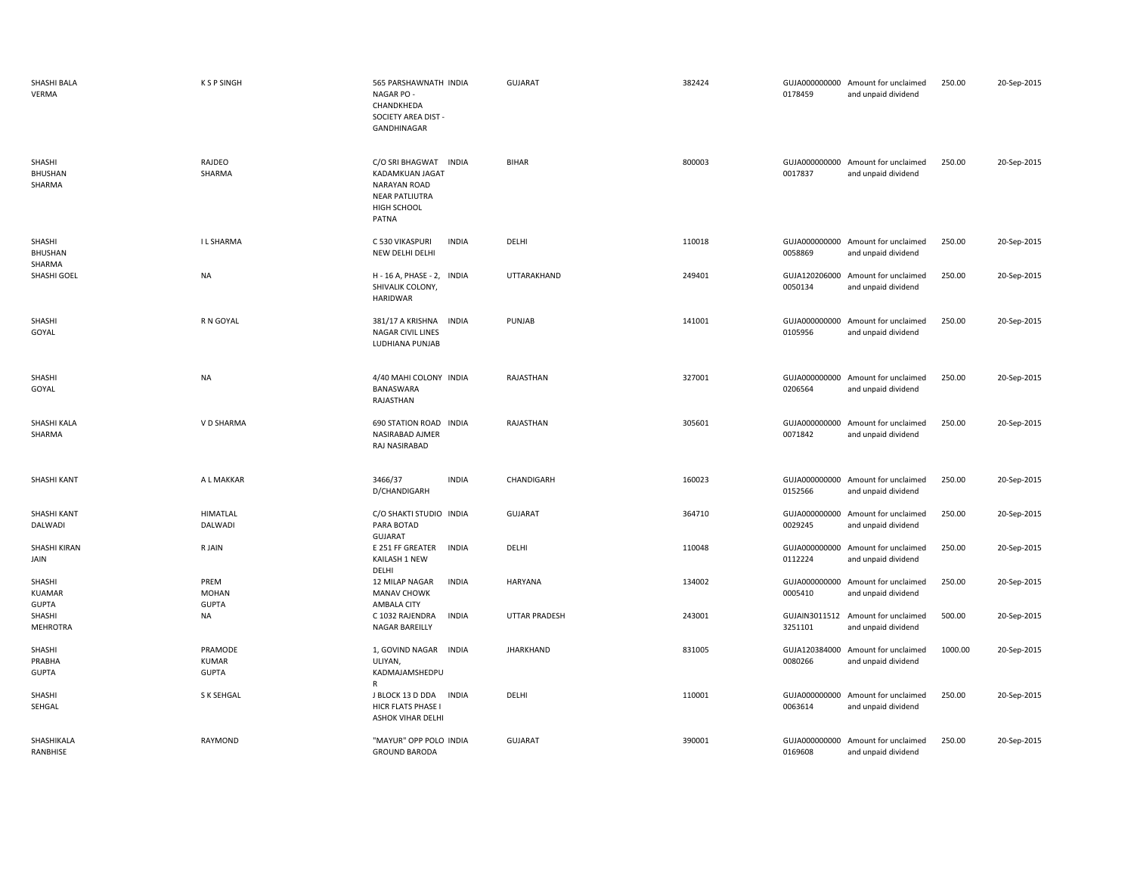| SHASHI BALA<br>VERMA               | <b>KSPSINGH</b>                         | 565 PARSHAWNATH INDIA<br>NAGAR PO -<br>CHANDKHEDA<br>SOCIETY AREA DIST -<br>GANDHINAGAR                          | <b>GUJARAT</b>       | 382424 | 0178459                  | GUJA000000000 Amount for unclaimed<br>and unpaid dividend | 250.00  | 20-Sep-2015 |
|------------------------------------|-----------------------------------------|------------------------------------------------------------------------------------------------------------------|----------------------|--------|--------------------------|-----------------------------------------------------------|---------|-------------|
| SHASHI<br><b>BHUSHAN</b><br>SHARMA | RAJDEO<br>SHARMA                        | C/O SRI BHAGWAT INDIA<br>KADAMKUAN JAGAT<br><b>NARAYAN ROAD</b><br><b>NEAR PATLIUTRA</b><br>HIGH SCHOOL<br>PATNA | <b>BIHAR</b>         | 800003 | 0017837                  | GUJA000000000 Amount for unclaimed<br>and unpaid dividend | 250.00  | 20-Sep-2015 |
| SHASHI<br>BHUSHAN<br>SHARMA        | I L SHARMA                              | <b>INDIA</b><br>C 530 VIKASPURI<br>NEW DELHI DELHI                                                               | DELHI                | 110018 | 0058869                  | GUJA000000000 Amount for unclaimed<br>and unpaid dividend | 250.00  | 20-Sep-2015 |
| SHASHI GOEL                        | <b>NA</b>                               | H - 16 A, PHASE - 2, INDIA<br>SHIVALIK COLONY,<br><b>HARIDWAR</b>                                                | UTTARAKHAND          | 249401 | 0050134                  | GUJA120206000 Amount for unclaimed<br>and unpaid dividend | 250.00  | 20-Sep-2015 |
| SHASHI<br>GOYAL                    | R N GOYAL                               | 381/17 A KRISHNA<br><b>INDIA</b><br><b>NAGAR CIVIL LINES</b><br>LUDHIANA PUNJAB                                  | PUNJAB               | 141001 | 0105956                  | GUJA000000000 Amount for unclaimed<br>and unpaid dividend | 250.00  | 20-Sep-2015 |
| SHASHI<br>GOYAL                    | NA                                      | 4/40 MAHI COLONY INDIA<br>BANASWARA<br>RAJASTHAN                                                                 | RAJASTHAN            | 327001 | 0206564                  | GUJA000000000 Amount for unclaimed<br>and unpaid dividend | 250.00  | 20-Sep-2015 |
| SHASHI KALA<br>SHARMA              | V D SHARMA                              | 690 STATION ROAD INDIA<br>NASIRABAD AJMER<br>RAJ NASIRABAD                                                       | RAJASTHAN            | 305601 | 0071842                  | GUJA000000000 Amount for unclaimed<br>and unpaid dividend | 250.00  | 20-Sep-2015 |
| SHASHI KANT                        | A L MAKKAR                              | 3466/37<br><b>INDIA</b><br>D/CHANDIGARH                                                                          | CHANDIGARH           | 160023 | 0152566                  | GUJA000000000 Amount for unclaimed<br>and unpaid dividend | 250.00  | 20-Sep-2015 |
| SHASHI KANT<br>DALWADI             | <b>HIMATLAL</b><br>DALWADI              | C/O SHAKTI STUDIO INDIA<br>PARA BOTAD<br><b>GUJARAT</b>                                                          | <b>GUJARAT</b>       | 364710 | 0029245                  | GUJA000000000 Amount for unclaimed<br>and unpaid dividend | 250.00  | 20-Sep-2015 |
| SHASHI KIRAN<br>JAIN               | R JAIN                                  | <b>INDIA</b><br>E 251 FF GREATER<br>KAILASH 1 NEW<br>DELHI                                                       | DELHI                | 110048 | GUJA000000000<br>0112224 | Amount for unclaimed<br>and unpaid dividend               | 250.00  | 20-Sep-2015 |
| SHASHI<br>KUAMAR<br><b>GUPTA</b>   | PREM<br><b>MOHAN</b><br><b>GUPTA</b>    | <b>INDIA</b><br><b>12 MILAP NAGAR</b><br><b>MANAV CHOWK</b><br>AMBALA CITY                                       | <b>HARYANA</b>       | 134002 | 0005410                  | GUJA000000000 Amount for unclaimed<br>and unpaid dividend | 250.00  | 20-Sep-2015 |
| SHASHI<br><b>MEHROTRA</b>          | NA                                      | C 1032 RAJENDRA<br><b>INDIA</b><br>NAGAR BAREILLY                                                                | <b>UTTAR PRADESH</b> | 243001 | 3251101                  | GUJAIN3011512 Amount for unclaimed<br>and unpaid dividend | 500.00  | 20-Sep-2015 |
| SHASHI<br>PRABHA<br><b>GUPTA</b>   | PRAMODE<br><b>KUMAR</b><br><b>GUPTA</b> | 1, GOVIND NAGAR<br><b>INDIA</b><br>ULIYAN,<br>KADMAJAMSHEDPU<br>R                                                | <b>JHARKHAND</b>     | 831005 | 0080266                  | GUJA120384000 Amount for unclaimed<br>and unpaid dividend | 1000.00 | 20-Sep-2015 |
| SHASHI<br>SEHGAL                   | S K SEHGAL                              | J BLOCK 13 D DDA<br><b>INDIA</b><br>HICR FLATS PHASE I<br>ASHOK VIHAR DELHI                                      | DELHI                | 110001 | 0063614                  | GUJA000000000 Amount for unclaimed<br>and unpaid dividend | 250.00  | 20-Sep-2015 |
| SHASHIKALA<br>RANBHISE             | RAYMOND                                 | "MAYUR" OPP POLO INDIA<br><b>GROUND BARODA</b>                                                                   | <b>GUJARAT</b>       | 390001 | 0169608                  | GUJA000000000 Amount for unclaimed<br>and unpaid dividend | 250.00  | 20-Sep-2015 |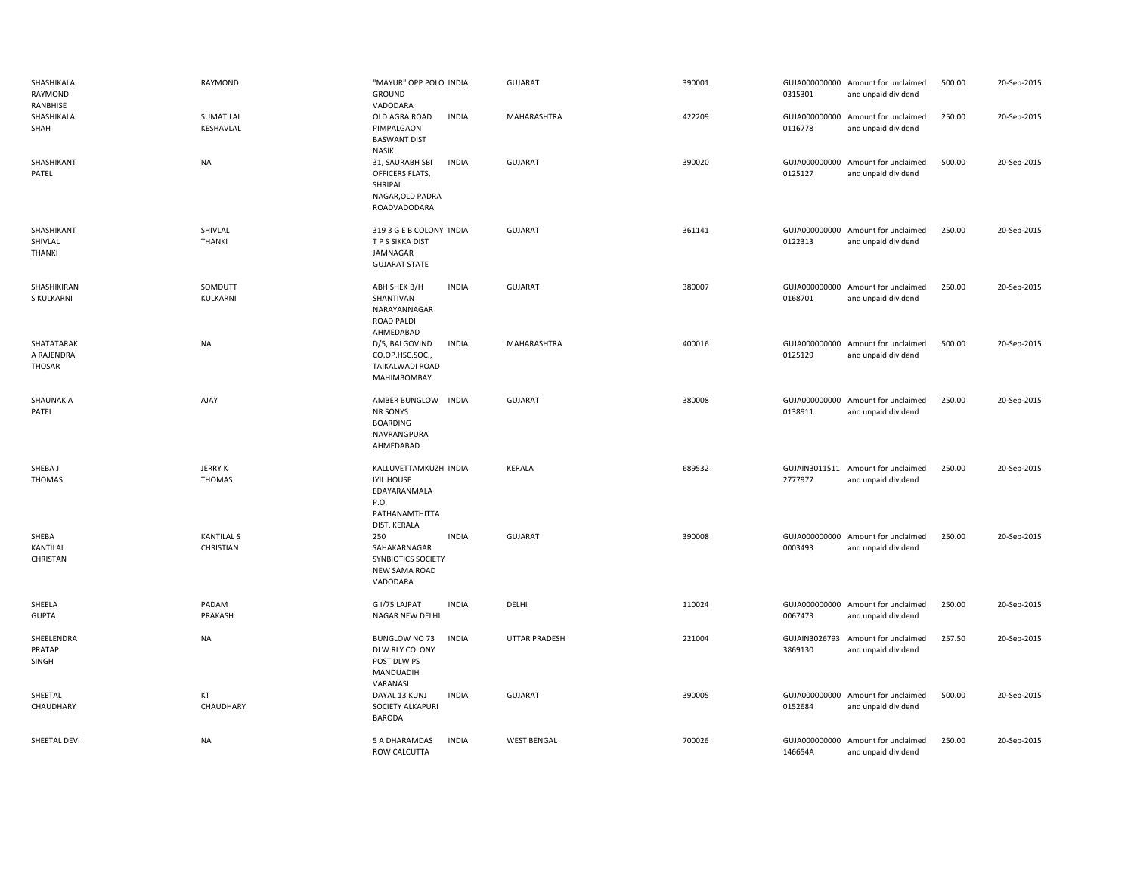| SHASHIKALA<br>RAYMOND<br>RANBHISE  | RAYMOND                         | "MAYUR" OPP POLO INDIA<br><b>GROUND</b><br>VADODARA                                                  | <b>GUJARAT</b>       | 390001 | 0315301                  | GUJA000000000 Amount for unclaimed<br>and unpaid dividend | 500.00 | 20-Sep-2015 |
|------------------------------------|---------------------------------|------------------------------------------------------------------------------------------------------|----------------------|--------|--------------------------|-----------------------------------------------------------|--------|-------------|
| SHASHIKALA<br>SHAH                 | SUMATILAL<br>KESHAVLAL          | OLD AGRA ROAD<br><b>INDIA</b><br>PIMPALGAON<br><b>BASWANT DIST</b><br><b>NASIK</b>                   | MAHARASHTRA          | 422209 | 0116778                  | GUJA000000000 Amount for unclaimed<br>and unpaid dividend | 250.00 | 20-Sep-2015 |
| SHASHIKANT<br>PATEL                | <b>NA</b>                       | 31, SAURABH SBI<br><b>INDIA</b><br>OFFICERS FLATS,<br>SHRIPAL<br>NAGAR, OLD PADRA<br>ROADVADODARA    | <b>GUJARAT</b>       | 390020 | GUJA000000000<br>0125127 | Amount for unclaimed<br>and unpaid dividend               | 500.00 | 20-Sep-2015 |
| SHASHIKANT<br>SHIVLAL<br>THANKI    | SHIVLAL<br><b>THANKI</b>        | 319 3 G E B COLONY INDIA<br>T P S SIKKA DIST<br>JAMNAGAR<br><b>GUJARAT STATE</b>                     | <b>GUJARAT</b>       | 361141 | 0122313                  | GUJA000000000 Amount for unclaimed<br>and unpaid dividend | 250.00 | 20-Sep-2015 |
| SHASHIKIRAN<br>S KULKARNI          | SOMDUTT<br>KULKARNI             | ABHISHEK B/H<br><b>INDIA</b><br>SHANTIVAN<br>NARAYANNAGAR<br><b>ROAD PALDI</b><br>AHMEDABAD          | <b>GUJARAT</b>       | 380007 | 0168701                  | GUJA000000000 Amount for unclaimed<br>and unpaid dividend | 250.00 | 20-Sep-2015 |
| SHATATARAK<br>A RAJENDRA<br>THOSAR | NA                              | D/5, BALGOVIND<br><b>INDIA</b><br>CO.OP.HSC.SOC.,<br>TAIKALWADI ROAD<br>MAHIMBOMBAY                  | MAHARASHTRA          | 400016 | 0125129                  | GUJA000000000 Amount for unclaimed<br>and unpaid dividend | 500.00 | 20-Sep-2015 |
| <b>SHAUNAK A</b><br>PATEL          | AJAY                            | AMBER BUNGLOW<br><b>INDIA</b><br>NR SONYS<br><b>BOARDING</b><br>NAVRANGPURA<br>AHMEDABAD             | <b>GUJARAT</b>       | 380008 | GUJA000000000<br>0138911 | Amount for unclaimed<br>and unpaid dividend               | 250.00 | 20-Sep-2015 |
| SHEBA J<br><b>THOMAS</b>           | <b>JERRY K</b><br><b>THOMAS</b> | KALLUVETTAMKUZH INDIA<br><b>IYIL HOUSE</b><br>EDAYARANMALA<br>P.O.<br>PATHANAMTHITTA<br>DIST. KERALA | <b>KERALA</b>        | 689532 | 2777977                  | GUJAIN3011511 Amount for unclaimed<br>and unpaid dividend | 250.00 | 20-Sep-2015 |
| SHEBA<br>KANTILAL<br>CHRISTAN      | <b>KANTILAL S</b><br>CHRISTIAN  | 250<br><b>INDIA</b><br>SAHAKARNAGAR<br>SYNBIOTICS SOCIETY<br>NEW SAMA ROAD<br>VADODARA               | <b>GUJARAT</b>       | 390008 | 0003493                  | GUJA000000000 Amount for unclaimed<br>and unpaid dividend | 250.00 | 20-Sep-2015 |
| SHEELA<br><b>GUPTA</b>             | PADAM<br>PRAKASH                | G I/75 LAJPAT<br><b>INDIA</b><br>NAGAR NEW DELHI                                                     | DELHI                | 110024 | 0067473                  | GUJA000000000 Amount for unclaimed<br>and unpaid dividend | 250.00 | 20-Sep-2015 |
| SHEELENDRA<br>PRATAP<br>SINGH      | <b>NA</b>                       | <b>BUNGLOW NO 73</b><br><b>INDIA</b><br>DLW RLY COLONY<br>POST DLW PS<br>MANDUADIH<br>VARANASI       | <b>UTTAR PRADESH</b> | 221004 | GUJAIN3026793<br>3869130 | Amount for unclaimed<br>and unpaid dividend               | 257.50 | 20-Sep-2015 |
| SHEETAL<br>CHAUDHARY               | KT<br>CHAUDHARY                 | <b>INDIA</b><br>DAYAL 13 KUNJ<br>SOCIETY ALKAPURI<br><b>BARODA</b>                                   | <b>GUJARAT</b>       | 390005 | GUJA000000000<br>0152684 | Amount for unclaimed<br>and unpaid dividend               | 500.00 | 20-Sep-2015 |
| SHEETAL DEVI                       | <b>NA</b>                       | 5 A DHARAMDAS<br><b>INDIA</b><br>ROW CALCUTTA                                                        | <b>WEST BENGAL</b>   | 700026 | GUJA000000000<br>146654A | Amount for unclaimed<br>and unpaid dividend               | 250.00 | 20-Sep-2015 |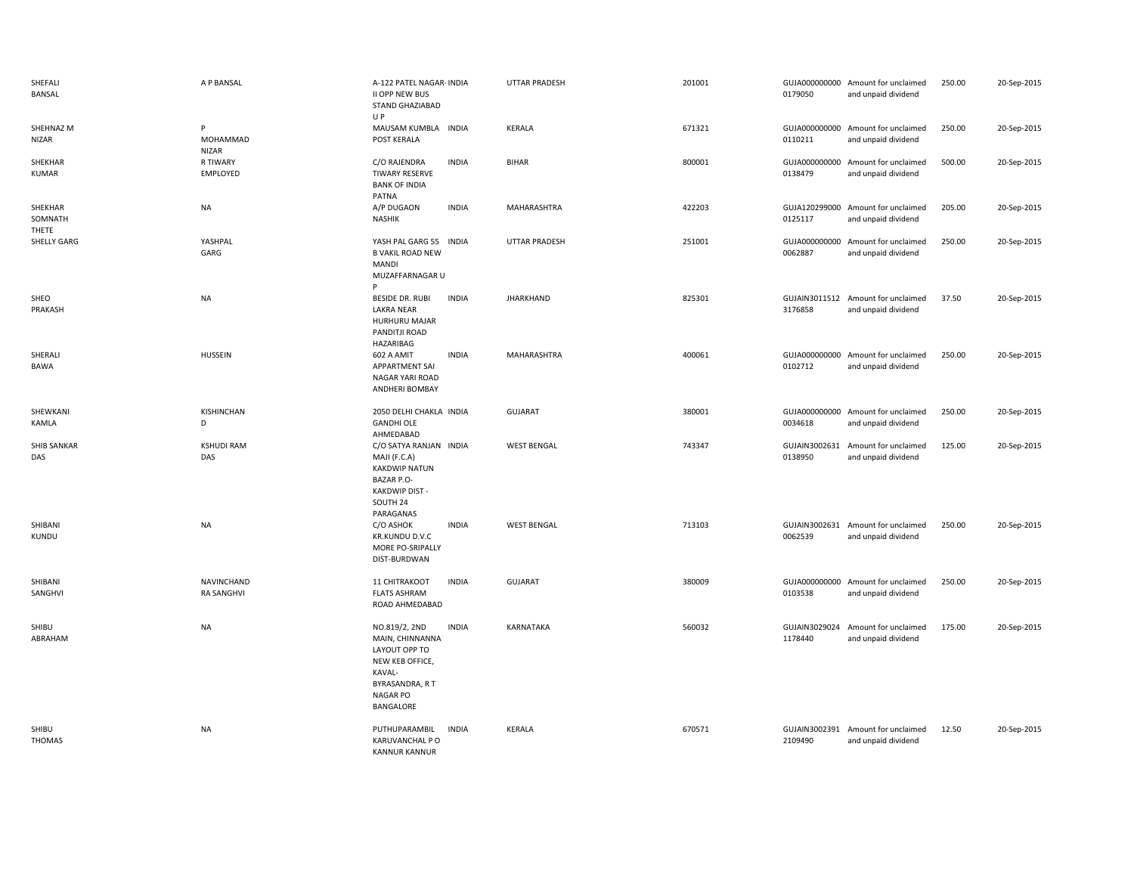| SHEFALI<br><b>BANSAL</b>    | A P BANSAL                             | A-122 PATEL NAGAR- INDIA<br>II OPP NEW BUS<br>STAND GHAZIABAD<br>U P                                                                             | <b>UTTAR PRADESH</b> | 201001 | 0179050                  | GUJA000000000 Amount for unclaimed<br>and unpaid dividend | 250.00 | 20-Sep-2015 |
|-----------------------------|----------------------------------------|--------------------------------------------------------------------------------------------------------------------------------------------------|----------------------|--------|--------------------------|-----------------------------------------------------------|--------|-------------|
| SHEHNAZ M<br><b>NIZAR</b>   | P<br>MOHAMMAD<br><b>NIZAR</b>          | MAUSAM KUMBLA INDIA<br>POST KERALA                                                                                                               | <b>KERALA</b>        | 671321 | GUJA000000000<br>0110211 | Amount for unclaimed<br>and unpaid dividend               | 250.00 | 20-Sep-2015 |
| SHEKHAR<br><b>KUMAR</b>     | <b>R TIWARY</b><br><b>EMPLOYED</b>     | C/O RAJENDRA<br><b>INDIA</b><br><b>TIWARY RESERVE</b><br><b>BANK OF INDIA</b><br>PATNA                                                           | <b>BIHAR</b>         | 800001 | GUJA000000000<br>0138479 | Amount for unclaimed<br>and unpaid dividend               | 500.00 | 20-Sep-2015 |
| SHEKHAR<br>SOMNATH<br>THETE | <b>NA</b>                              | A/P DUGAON<br><b>INDIA</b><br><b>NASHIK</b>                                                                                                      | MAHARASHTRA          | 422203 | 0125117                  | GUJA120299000 Amount for unclaimed<br>and unpaid dividend | 205.00 | 20-Sep-2015 |
| <b>SHELLY GARG</b>          | YASHPAL<br>GARG                        | YASH PAL GARG 55 INDIA<br><b>B VAKIL ROAD NEW</b><br>MANDI<br>MUZAFFARNAGAR U<br>Þ                                                               | UTTAR PRADESH        | 251001 | 0062887                  | GUJA000000000 Amount for unclaimed<br>and unpaid dividend | 250.00 | 20-Sep-2015 |
| SHEO<br>PRAKASH             | <b>NA</b>                              | <b>INDIA</b><br><b>BESIDE DR. RUBI</b><br><b>LAKRA NEAR</b><br>HURHURU MAJAR<br>PANDITJI ROAD<br>HAZARIBAG                                       | <b>JHARKHAND</b>     | 825301 | 3176858                  | GUJAIN3011512 Amount for unclaimed<br>and unpaid dividend | 37.50  | 20-Sep-2015 |
| SHERALI<br>BAWA             | <b>HUSSEIN</b>                         | <b>INDIA</b><br>602 A AMIT<br><b>APPARTMENT SAI</b><br>NAGAR YARI ROAD<br>ANDHERI BOMBAY                                                         | MAHARASHTRA          | 400061 | 0102712                  | GUJA000000000 Amount for unclaimed<br>and unpaid dividend | 250.00 | 20-Sep-2015 |
| SHEWKANI<br>KAMLA           | KISHINCHAN<br>D                        | 2050 DELHI CHAKLA INDIA<br><b>GANDHI OLE</b><br>AHMEDABAD                                                                                        | <b>GUJARAT</b>       | 380001 | 0034618                  | GUJA000000000 Amount for unclaimed<br>and unpaid dividend | 250.00 | 20-Sep-2015 |
| SHIB SANKAR<br>DAS          | <b>KSHUDI RAM</b><br>DAS               | C/O SATYA RANJAN INDIA<br>MAJI (F.C.A)<br><b>KAKDWIP NATUN</b><br>BAZAR P.O-<br>KAKDWIP DIST -<br>SOUTH 24<br>PARAGANAS                          | <b>WEST BENGAL</b>   | 743347 | 0138950                  | GUJAIN3002631 Amount for unclaimed<br>and unpaid dividend | 125.00 | 20-Sep-2015 |
| SHIBANI<br>KUNDU            | <b>NA</b>                              | C/O ASHOK<br><b>INDIA</b><br>KR.KUNDU D.V.C<br>MORE PO-SRIPALLY<br>DIST-BURDWAN                                                                  | <b>WEST BENGAL</b>   | 713103 | 0062539                  | GUJAIN3002631 Amount for unclaimed<br>and unpaid dividend | 250.00 | 20-Sep-2015 |
| SHIBANI<br>SANGHVI          | <b>NAVINCHAND</b><br><b>RA SANGHVI</b> | 11 CHITRAKOOT<br><b>INDIA</b><br><b>FLATS ASHRAM</b><br>ROAD AHMEDABAD                                                                           | <b>GUJARAT</b>       | 380009 | 0103538                  | GUJA000000000 Amount for unclaimed<br>and unpaid dividend | 250.00 | 20-Sep-2015 |
| SHIBU<br>ABRAHAM            | <b>NA</b>                              | <b>INDIA</b><br>NO.819/2, 2ND<br>MAIN, CHINNANNA<br>LAYOUT OPP TO<br>NEW KEB OFFICE,<br>KAVAL-<br>BYRASANDRA, RT<br><b>NAGAR PO</b><br>BANGALORE | <b>KARNATAKA</b>     | 560032 | GUJAIN3029024<br>1178440 | Amount for unclaimed<br>and unpaid dividend               | 175.00 | 20-Sep-2015 |
| SHIBU<br><b>THOMAS</b>      | <b>NA</b>                              | PUTHUPARAMBIL<br><b>INDIA</b><br>KARUVANCHAL PO<br><b>KANNUR KANNUR</b>                                                                          | <b>KERALA</b>        | 670571 | 2109490                  | GUJAIN3002391 Amount for unclaimed<br>and unpaid dividend | 12.50  | 20-Sep-2015 |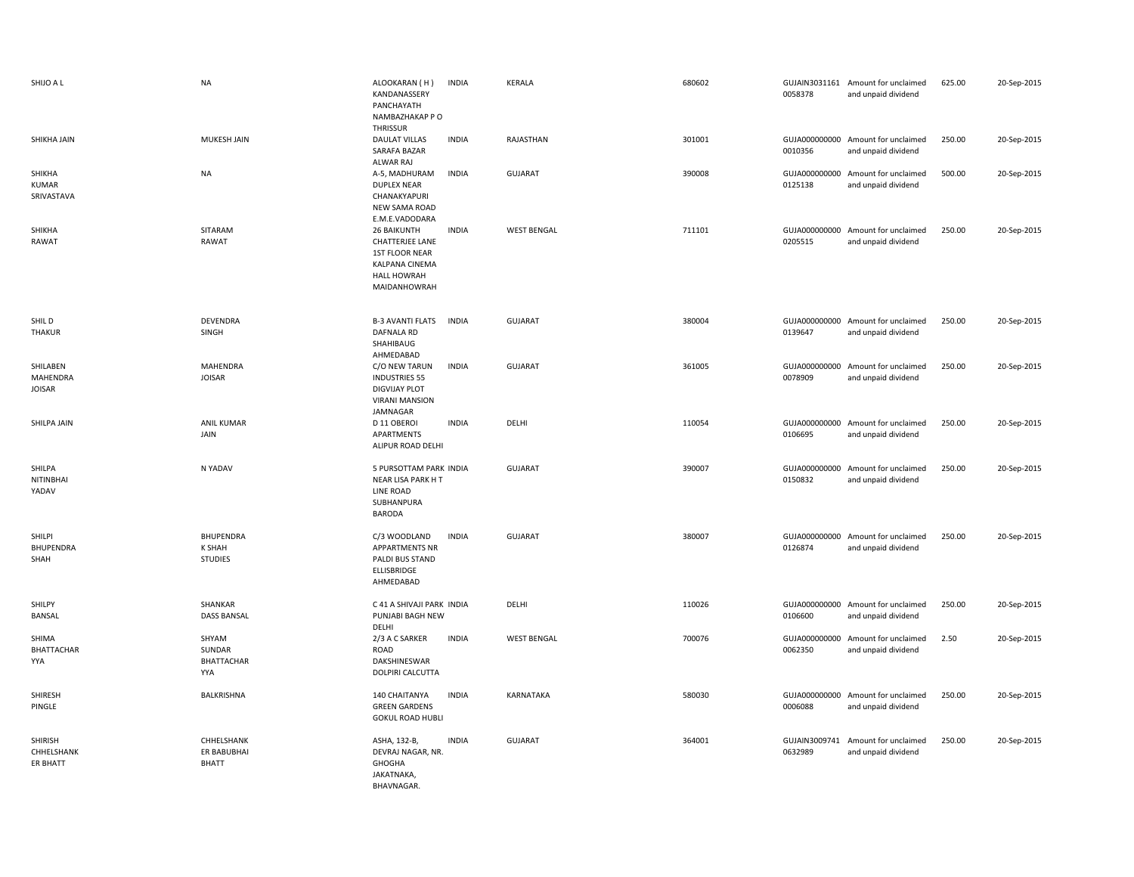| SHIJO A L                             | <b>NA</b>                                    | ALOOKARAN (H)<br>KANDANASSERY<br>PANCHAYATH<br>NAMBAZHAKAP P O<br>THRISSUR                                                    | <b>INDIA</b> | <b>KERALA</b>      | 680602 | 0058378                  | GUJAIN3031161 Amount for unclaimed<br>and unpaid dividend | 625.00 | 20-Sep-2015 |
|---------------------------------------|----------------------------------------------|-------------------------------------------------------------------------------------------------------------------------------|--------------|--------------------|--------|--------------------------|-----------------------------------------------------------|--------|-------------|
| SHIKHA JAIN                           | <b>MUKESH JAIN</b>                           | <b>DAULAT VILLAS</b><br>SARAFA BAZAR<br>ALWAR RAJ                                                                             | <b>INDIA</b> | RAJASTHAN          | 301001 | 0010356                  | GUJA000000000 Amount for unclaimed<br>and unpaid dividend | 250.00 | 20-Sep-2015 |
| SHIKHA<br><b>KUMAR</b><br>SRIVASTAVA  | <b>NA</b>                                    | A-5, MADHURAM<br><b>DUPLEX NEAR</b><br>CHANAKYAPURI<br>NEW SAMA ROAD<br>E.M.E.VADODARA                                        | <b>INDIA</b> | <b>GUJARAT</b>     | 390008 | 0125138                  | GUJA000000000 Amount for unclaimed<br>and unpaid dividend | 500.00 | 20-Sep-2015 |
| SHIKHA<br>RAWAT                       | SITARAM<br>RAWAT                             | <b>26 BAIKUNTH</b><br><b>CHATTERJEE LANE</b><br>1ST FLOOR NEAR<br><b>KALPANA CINEMA</b><br><b>HALL HOWRAH</b><br>MAIDANHOWRAH | <b>INDIA</b> | <b>WEST BENGAL</b> | 711101 | GUJA000000000<br>0205515 | Amount for unclaimed<br>and unpaid dividend               | 250.00 | 20-Sep-2015 |
| SHIL D<br><b>THAKUR</b>               | DEVENDRA<br>SINGH                            | <b>B-3 AVANTI FLATS</b><br><b>DAFNALA RD</b><br>SHAHIBAUG<br>AHMEDABAD                                                        | <b>INDIA</b> | GUJARAT            | 380004 | 0139647                  | GUJA000000000 Amount for unclaimed<br>and unpaid dividend | 250.00 | 20-Sep-2015 |
| SHILABEN<br>MAHENDRA<br><b>JOISAR</b> | <b>MAHENDRA</b><br><b>JOISAR</b>             | C/O NEW TARUN<br><b>INDUSTRIES 55</b><br><b>DIGVIJAY PLOT</b><br><b>VIRANI MANSION</b><br>JAMNAGAR                            | <b>INDIA</b> | <b>GUJARAT</b>     | 361005 | GUJA000000000<br>0078909 | Amount for unclaimed<br>and unpaid dividend               | 250.00 | 20-Sep-2015 |
| SHILPA JAIN                           | <b>ANIL KUMAR</b><br>JAIN                    | D 11 OBEROI<br>APARTMENTS<br>ALIPUR ROAD DELHI                                                                                | <b>INDIA</b> | DELHI              | 110054 | 0106695                  | GUJA000000000 Amount for unclaimed<br>and unpaid dividend | 250.00 | 20-Sep-2015 |
| SHILPA<br>NITINBHAI<br>YADAV          | N YADAV                                      | 5 PURSOTTAM PARK INDIA<br>NEAR LISA PARK H T<br>LINE ROAD<br>SUBHANPURA<br><b>BARODA</b>                                      |              | <b>GUJARAT</b>     | 390007 | 0150832                  | GUJA000000000 Amount for unclaimed<br>and unpaid dividend | 250.00 | 20-Sep-2015 |
| SHILPI<br><b>BHUPENDRA</b><br>SHAH    | <b>BHUPENDRA</b><br>K SHAH<br><b>STUDIES</b> | C/3 WOODLAND<br>APPARTMENTS NR<br>PALDI BUS STAND<br>ELLISBRIDGE<br>AHMEDABAD                                                 | <b>INDIA</b> | <b>GUJARAT</b>     | 380007 | 0126874                  | GUJA000000000 Amount for unclaimed<br>and unpaid dividend | 250.00 | 20-Sep-2015 |
| SHILPY<br>BANSAL                      | SHANKAR<br><b>DASS BANSAL</b>                | C 41 A SHIVAJI PARK INDIA<br>PUNJABI BAGH NEW<br>DELHI                                                                        |              | DELHI              | 110026 | 0106600                  | GUJA000000000 Amount for unclaimed<br>and unpaid dividend | 250.00 | 20-Sep-2015 |
| SHIMA<br><b>BHATTACHAR</b><br>YYA     | SHYAM<br>SUNDAR<br><b>BHATTACHAR</b><br>YYA  | 2/3 A C SARKER<br>ROAD<br>DAKSHINESWAR<br>DOLPIRI CALCUTTA                                                                    | <b>INDIA</b> | <b>WEST BENGAL</b> | 700076 | GUJA000000000<br>0062350 | Amount for unclaimed<br>and unpaid dividend               | 2.50   | 20-Sep-2015 |
| SHIRESH<br>PINGLE                     | <b>BALKRISHNA</b>                            | 140 CHAITANYA<br><b>GREEN GARDENS</b><br><b>GOKUL ROAD HUBLI</b>                                                              | <b>INDIA</b> | KARNATAKA          | 580030 | 0006088                  | GUJA000000000 Amount for unclaimed<br>and unpaid dividend | 250.00 | 20-Sep-2015 |
| SHIRISH<br>CHHELSHANK<br>ER BHATT     | CHHELSHANK<br>ER BABUBHAI<br><b>BHATT</b>    | ASHA, 132-B,<br>DEVRAJ NAGAR, NR.<br>GHOGHA<br>JAKATNAKA,<br>BHAVNAGAR.                                                       | <b>INDIA</b> | GUJARAT            | 364001 | GUJAIN3009741<br>0632989 | Amount for unclaimed<br>and unpaid dividend               | 250.00 | 20-Sep-2015 |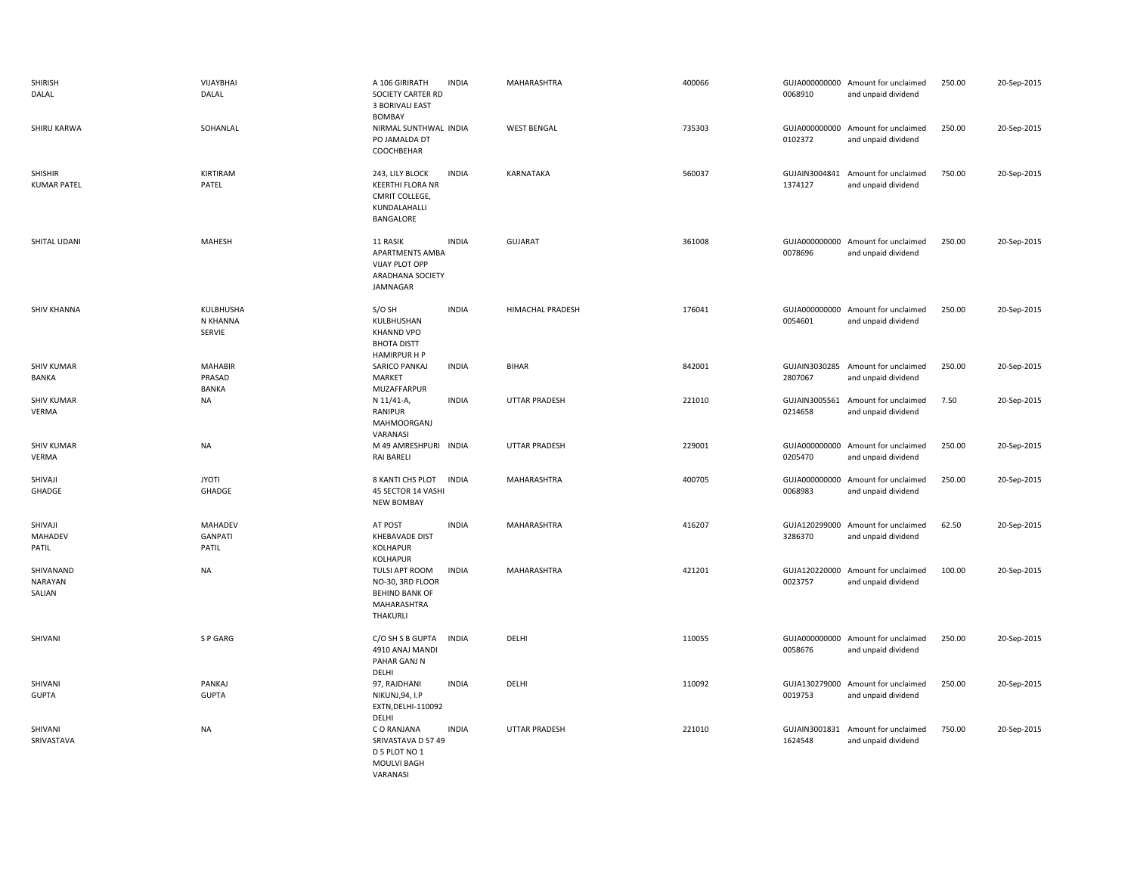| <b>SHIRISH</b><br>DALAL              | VIJAYBHAI<br>DALAL                        | A 106 GIRIRATH<br>SOCIETY CARTER RD<br><b>3 BORIVALI EAST</b><br><b>BOMBAY</b>                   | <b>INDIA</b> | MAHARASHTRA          | 400066 | 0068910 | GUJA000000000 Amount for unclaimed<br>and unpaid dividend | 250.00 | 20-Sep-2015 |
|--------------------------------------|-------------------------------------------|--------------------------------------------------------------------------------------------------|--------------|----------------------|--------|---------|-----------------------------------------------------------|--------|-------------|
| SHIRU KARWA                          | SOHANLAL                                  | NIRMAL SUNTHWAL INDIA<br>PO JAMALDA DT<br>COOCHBEHAR                                             |              | <b>WEST BENGAL</b>   | 735303 | 0102372 | GUJA000000000 Amount for unclaimed<br>and unpaid dividend | 250.00 | 20-Sep-2015 |
| <b>SHISHIR</b><br><b>KUMAR PATEL</b> | KIRTIRAM<br>PATEL                         | 243, LILY BLOCK<br><b>KEERTHI FLORA NR</b><br>CMRIT COLLEGE,<br>KUNDALAHALLI<br><b>BANGALORE</b> | <b>INDIA</b> | KARNATAKA            | 560037 | 1374127 | GUJAIN3004841 Amount for unclaimed<br>and unpaid dividend | 750.00 | 20-Sep-2015 |
| SHITAL UDANI                         | MAHESH                                    | 11 RASIK<br>APARTMENTS AMBA<br>VIJAY PLOT OPP<br>ARADHANA SOCIETY<br>JAMNAGAR                    | <b>INDIA</b> | <b>GUJARAT</b>       | 361008 | 0078696 | GUJA000000000 Amount for unclaimed<br>and unpaid dividend | 250.00 | 20-Sep-2015 |
| <b>SHIV KHANNA</b>                   | KULBHUSHA<br>N KHANNA<br>SERVIE           | S/O SH<br>KULBHUSHAN<br><b>KHANND VPO</b><br><b>BHOTA DISTT</b><br>HAMIRPUR H P                  | <b>INDIA</b> | HIMACHAL PRADESH     | 176041 | 0054601 | GUJA000000000 Amount for unclaimed<br>and unpaid dividend | 250.00 | 20-Sep-2015 |
| <b>SHIV KUMAR</b><br><b>BANKA</b>    | <b>MAHABIR</b><br>PRASAD<br><b>BANKA</b>  | SARICO PANKAJ<br>MARKET<br>MUZAFFARPUR                                                           | <b>INDIA</b> | <b>BIHAR</b>         | 842001 | 2807067 | GUJAIN3030285 Amount for unclaimed<br>and unpaid dividend | 250.00 | 20-Sep-2015 |
| <b>SHIV KUMAR</b><br>VERMA           | <b>NA</b>                                 | N 11/41-A,<br>RANIPUR<br>MAHMOORGANJ<br>VARANASI                                                 | <b>INDIA</b> | <b>UTTAR PRADESH</b> | 221010 | 0214658 | GUJAIN3005561 Amount for unclaimed<br>and unpaid dividend | 7.50   | 20-Sep-2015 |
| <b>SHIV KUMAR</b><br>VERMA           | <b>NA</b>                                 | M 49 AMRESHPURI INDIA<br><b>RAI BARELI</b>                                                       |              | <b>UTTAR PRADESH</b> | 229001 | 0205470 | GUJA000000000 Amount for unclaimed<br>and unpaid dividend | 250.00 | 20-Sep-2015 |
| SHIVAJI<br>GHADGE                    | <b>JYOTI</b><br>GHADGE                    | 8 KANTI CHS PLOT<br>45 SECTOR 14 VASHI<br><b>NEW BOMBAY</b>                                      | <b>INDIA</b> | MAHARASHTRA          | 400705 | 0068983 | GUJA000000000 Amount for unclaimed<br>and unpaid dividend | 250.00 | 20-Sep-2015 |
| SHIVAJI<br>MAHADEV<br>PATIL          | <b>MAHADEV</b><br><b>GANPATI</b><br>PATIL | AT POST<br>KHEBAVADE DIST<br>KOLHAPUR<br>KOLHAPUR                                                | <b>INDIA</b> | MAHARASHTRA          | 416207 | 3286370 | GUJA120299000 Amount for unclaimed<br>and unpaid dividend | 62.50  | 20-Sep-2015 |
| SHIVANAND<br>NARAYAN<br>SALIAN       | <b>NA</b>                                 | TULSI APT ROOM<br>NO-30, 3RD FLOOR<br><b>BEHIND BANK OF</b><br>MAHARASHTRA<br>THAKURLI           | <b>INDIA</b> | MAHARASHTRA          | 421201 | 0023757 | GUJA120220000 Amount for unclaimed<br>and unpaid dividend | 100.00 | 20-Sep-2015 |
| SHIVANI                              | S P GARG                                  | C/O SH S B GUPTA<br>4910 ANAJ MANDI<br>PAHAR GANJ N<br>DELHI                                     | <b>INDIA</b> | DELHI                | 110055 | 0058676 | GUJA000000000 Amount for unclaimed<br>and unpaid dividend | 250.00 | 20-Sep-2015 |
| SHIVANI<br><b>GUPTA</b>              | PANKAJ<br><b>GUPTA</b>                    | 97, RAJDHANI<br>NIKUNJ, 94, I.P<br>EXTN, DELHI-110092<br>DELHI                                   | <b>INDIA</b> | DELHI                | 110092 | 0019753 | GUJA130279000 Amount for unclaimed<br>and unpaid dividend | 250.00 | 20-Sep-2015 |
| SHIVANI<br>SRIVASTAVA                | <b>NA</b>                                 | C O RANJANA<br>SRIVASTAVA D 57 49<br>D 5 PLOT NO 1<br><b>MOULVI BAGH</b><br>VARANASI             | <b>INDIA</b> | UTTAR PRADESH        | 221010 | 1624548 | GUJAIN3001831 Amount for unclaimed<br>and unpaid dividend | 750.00 | 20-Sep-2015 |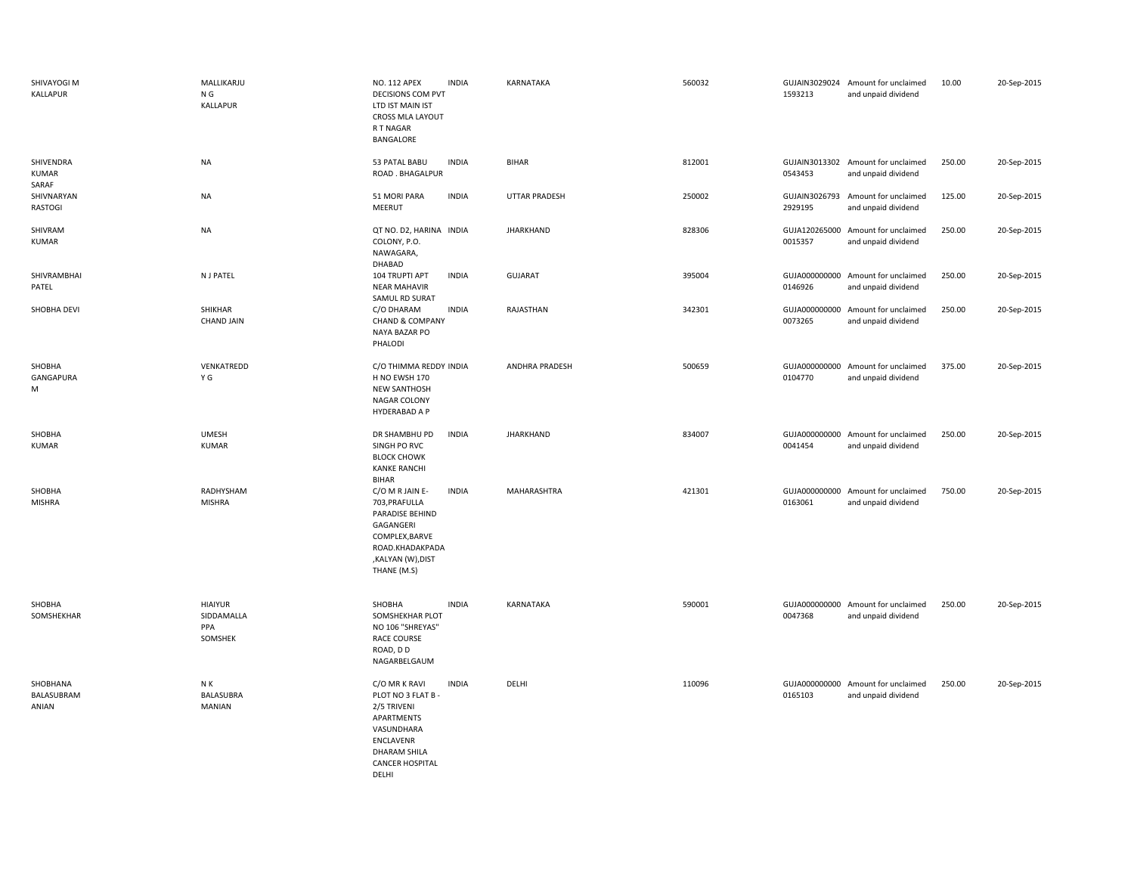| SHIVAYOGI M<br>KALLAPUR            | MALLIKARJU<br>N G<br>KALLAPUR                  | NO. 112 APEX<br><b>INDIA</b><br>DECISIONS COM PVT<br>LTD IST MAIN IST<br>CROSS MLA LAYOUT<br>R T NAGAR<br>BANGALORE                                                        | KARNATAKA            | 560032 | 1593213                  | GUJAIN3029024 Amount for unclaimed<br>and unpaid dividend | 10.00  | 20-Sep-2015 |
|------------------------------------|------------------------------------------------|----------------------------------------------------------------------------------------------------------------------------------------------------------------------------|----------------------|--------|--------------------------|-----------------------------------------------------------|--------|-------------|
| SHIVENDRA<br><b>KUMAR</b><br>SARAF | <b>NA</b>                                      | <b>INDIA</b><br>53 PATAL BABU<br>ROAD . BHAGALPUR                                                                                                                          | <b>BIHAR</b>         | 812001 | 0543453                  | GUJAIN3013302 Amount for unclaimed<br>and unpaid dividend | 250.00 | 20-Sep-2015 |
| SHIVNARYAN<br>RASTOGI              | <b>NA</b>                                      | 51 MORI PARA<br><b>INDIA</b><br>MEERUT                                                                                                                                     | <b>UTTAR PRADESH</b> | 250002 | GUJAIN3026793<br>2929195 | Amount for unclaimed<br>and unpaid dividend               | 125.00 | 20-Sep-2015 |
| SHIVRAM<br><b>KUMAR</b>            | <b>NA</b>                                      | QT NO. D2, HARINA INDIA<br>COLONY, P.O.<br>NAWAGARA,<br>DHABAD                                                                                                             | JHARKHAND            | 828306 | 0015357                  | GUJA120265000 Amount for unclaimed<br>and unpaid dividend | 250.00 | 20-Sep-2015 |
| SHIVRAMBHAI<br>PATEL               | N J PATEL                                      | 104 TRUPTI APT<br><b>INDIA</b><br><b>NEAR MAHAVIR</b><br>SAMUL RD SURAT                                                                                                    | <b>GUJARAT</b>       | 395004 | 0146926                  | GUJA000000000 Amount for unclaimed<br>and unpaid dividend | 250.00 | 20-Sep-2015 |
| SHOBHA DEVI                        | SHIKHAR<br><b>CHAND JAIN</b>                   | C/O DHARAM<br><b>INDIA</b><br><b>CHAND &amp; COMPANY</b><br>NAYA BAZAR PO<br>PHALODI                                                                                       | RAJASTHAN            | 342301 | 0073265                  | GUJA000000000 Amount for unclaimed<br>and unpaid dividend | 250.00 | 20-Sep-2015 |
| SHOBHA<br>GANGAPURA<br>М           | VENKATREDD<br>ΥG                               | C/O THIMMA REDDY INDIA<br>H NO EWSH 170<br><b>NEW SANTHOSH</b><br>NAGAR COLONY<br>HYDERABAD A P                                                                            | ANDHRA PRADESH       | 500659 | 0104770                  | GUJA000000000 Amount for unclaimed<br>and unpaid dividend | 375.00 | 20-Sep-2015 |
| SHOBHA<br><b>KUMAR</b>             | <b>UMESH</b><br><b>KUMAR</b>                   | <b>INDIA</b><br>DR SHAMBHU PD<br>SINGH PO RVC<br><b>BLOCK CHOWK</b><br><b>KANKE RANCHI</b><br><b>BIHAR</b>                                                                 | <b>JHARKHAND</b>     | 834007 | 0041454                  | GUJA000000000 Amount for unclaimed<br>and unpaid dividend | 250.00 | 20-Sep-2015 |
| SHOBHA<br><b>MISHRA</b>            | RADHYSHAM<br><b>MISHRA</b>                     | <b>INDIA</b><br>C/O M R JAIN E-<br>703, PRAFULLA<br>PARADISE BEHIND<br>GAGANGERI<br>COMPLEX, BARVE<br>ROAD.KHADAKPADA<br>,KALYAN (W),DIST<br>THANE (M.S)                   | MAHARASHTRA          | 421301 | 0163061                  | GUJA000000000 Amount for unclaimed<br>and unpaid dividend | 750.00 | 20-Sep-2015 |
| SHOBHA<br>SOMSHEKHAR               | <b>HIAIYUR</b><br>SIDDAMALLA<br>PPA<br>SOMSHEK | <b>INDIA</b><br>SHOBHA<br>SOMSHEKHAR PLOT<br>NO 106 "SHREYAS"<br><b>RACE COURSE</b><br>ROAD, DD<br>NAGARBELGAUM                                                            | KARNATAKA            | 590001 | 0047368                  | GUJA000000000 Amount for unclaimed<br>and unpaid dividend | 250.00 | 20-Sep-2015 |
| SHOBHANA<br>BALASUBRAM<br>ANIAN    | N K<br>BALASUBRA<br>MANIAN                     | <b>INDIA</b><br>C/O MR K RAVI<br>PLOT NO 3 FLAT B<br>2/5 TRIVENI<br>APARTMENTS<br>VASUNDHARA<br><b>ENCLAVENR</b><br><b>DHARAM SHILA</b><br><b>CANCER HOSPITAL</b><br>DFLHI | DELHI                | 110096 | 0165103                  | GUJA000000000 Amount for unclaimed<br>and unpaid dividend | 250.00 | 20-Sep-2015 |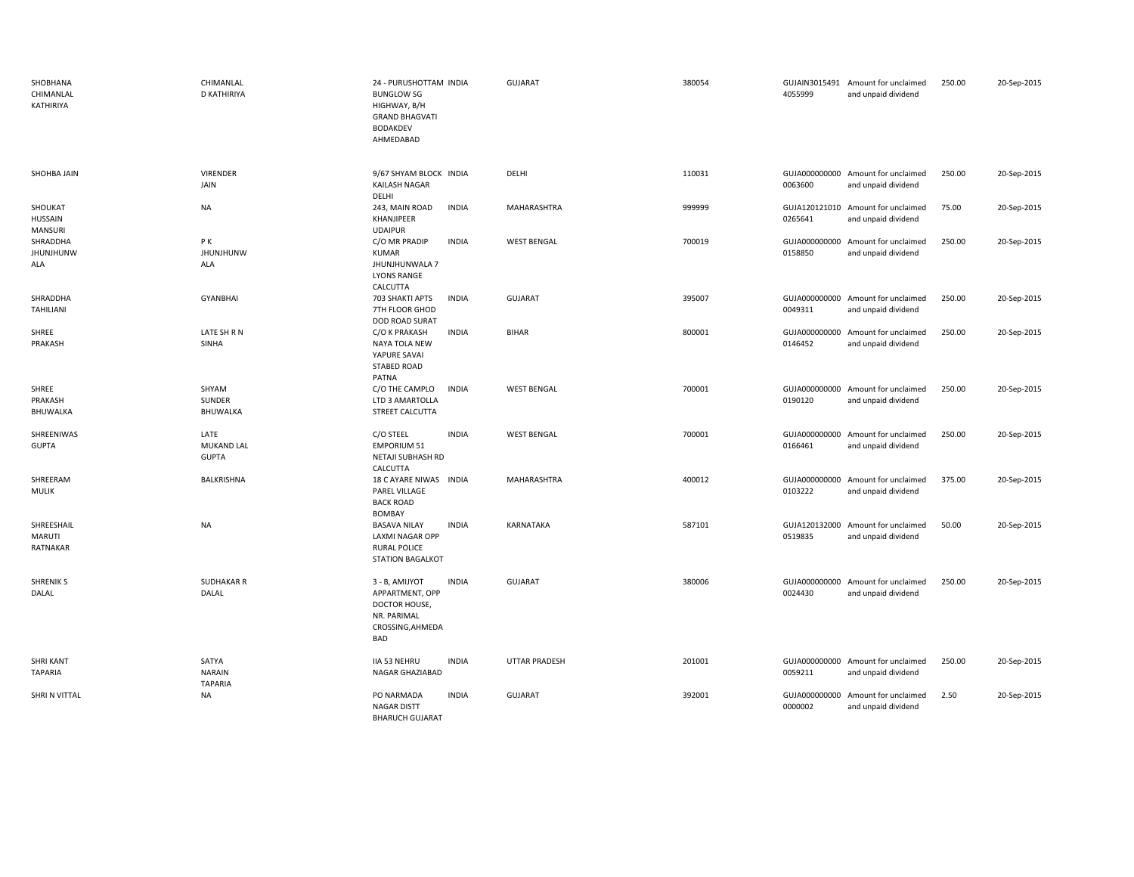| SHOBHANA<br>CHIMANLAL<br>KATHIRIYA          | CHIMANLAL<br><b>D KATHIRIYA</b>          | 24 - PURUSHOTTAM INDIA<br><b>BUNGLOW SG</b><br>HIGHWAY, B/H<br><b>GRAND BHAGVATI</b><br><b>BODAKDEV</b><br>AHMEDABAD | <b>GUJARAT</b>     | 380054 | 4055999                  | GUJAIN3015491 Amount for unclaimed<br>and unpaid dividend | 250.00 | 20-Sep-2015 |
|---------------------------------------------|------------------------------------------|----------------------------------------------------------------------------------------------------------------------|--------------------|--------|--------------------------|-----------------------------------------------------------|--------|-------------|
| SHOHBA JAIN                                 | <b>VIRENDER</b><br>JAIN                  | 9/67 SHYAM BLOCK INDIA<br><b>KAILASH NAGAR</b><br>DELHI                                                              | DELHI              | 110031 | 0063600                  | GUJA000000000 Amount for unclaimed<br>and unpaid dividend | 250.00 | 20-Sep-2015 |
| SHOUKAT<br><b>HUSSAIN</b><br><b>MANSURI</b> | <b>NA</b>                                | 243, MAIN ROAD<br><b>INDIA</b><br>KHANJIPEER<br><b>UDAIPUR</b>                                                       | MAHARASHTRA        | 999999 | 0265641                  | GUJA120121010 Amount for unclaimed<br>and unpaid dividend | 75.00  | 20-Sep-2015 |
| SHRADDHA<br><b>JHUNJHUNW</b><br>ALA         | P K<br><b>JHUNJHUNW</b><br>ALA           | <b>INDIA</b><br>C/O MR PRADIP<br><b>KUMAR</b><br>JHUNJHUNWALA 7<br><b>LYONS RANGE</b><br>CALCUTTA                    | <b>WEST BENGAL</b> | 700019 | 0158850                  | GUJA000000000 Amount for unclaimed<br>and unpaid dividend | 250.00 | 20-Sep-2015 |
| SHRADDHA<br>TAHILIANI                       | <b>GYANBHAI</b>                          | 703 SHAKTI APTS<br><b>INDIA</b><br>7TH FLOOR GHOD<br>DOD ROAD SURAT                                                  | <b>GUJARAT</b>     | 395007 | GUJA000000000<br>0049311 | Amount for unclaimed<br>and unpaid dividend               | 250.00 | 20-Sep-2015 |
| SHREE<br>PRAKASH                            | LATE SH R N<br>SINHA                     | C/O K PRAKASH<br><b>INDIA</b><br>NAYA TOLA NEW<br>YAPURE SAVAI<br>STABED ROAD<br>PATNA                               | <b>BIHAR</b>       | 800001 | GUJA000000000<br>0146452 | Amount for unclaimed<br>and unpaid dividend               | 250.00 | 20-Sep-2015 |
| SHREE<br>PRAKASH<br>BHUWALKA                | SHYAM<br>SUNDER<br>BHUWALKA              | C/O THE CAMPLO<br><b>INDIA</b><br>LTD 3 AMARTOLLA<br>STREET CALCUTTA                                                 | <b>WEST BENGAL</b> | 700001 | 0190120                  | GUJA000000000 Amount for unclaimed<br>and unpaid dividend | 250.00 | 20-Sep-2015 |
| SHREENIWAS<br><b>GUPTA</b>                  | LATE<br>MUKAND LAL<br><b>GUPTA</b>       | C/O STEEL<br><b>INDIA</b><br><b>EMPORIUM 51</b><br>NETAJI SUBHASH RD<br>CALCUTTA                                     | <b>WEST BENGAL</b> | 700001 | 0166461                  | GUJA000000000 Amount for unclaimed<br>and unpaid dividend | 250.00 | 20-Sep-2015 |
| SHREERAM<br><b>MULIK</b>                    | BALKRISHNA                               | 18 C AYARE NIWAS INDIA<br>PAREL VILLAGE<br><b>BACK ROAD</b><br>BOMBAY                                                | MAHARASHTRA        | 400012 | 0103222                  | GUJA000000000 Amount for unclaimed<br>and unpaid dividend | 375.00 | 20-Sep-2015 |
| SHREESHAIL<br><b>MARUTI</b><br>RATNAKAR     | <b>NA</b>                                | <b>INDIA</b><br><b>BASAVA NILAY</b><br><b>LAXMI NAGAR OPP</b><br><b>RURAL POLICE</b><br><b>STATION BAGALKOT</b>      | KARNATAKA          | 587101 | GUJA120132000<br>0519835 | Amount for unclaimed<br>and unpaid dividend               | 50.00  | 20-Sep-2015 |
| <b>SHRENIK S</b><br>DALAL                   | <b>SUDHAKAR R</b><br>DALAL               | <b>INDIA</b><br>3 - B, AMIJYOT<br>APPARTMENT, OPP<br>DOCTOR HOUSE,<br>NR. PARIMAL<br>CROSSING, AHMEDA<br><b>BAD</b>  | GUJARAT            | 380006 | 0024430                  | GUJA000000000 Amount for unclaimed<br>and unpaid dividend | 250.00 | 20-Sep-2015 |
| <b>SHRI KANT</b><br><b>TAPARIA</b>          | SATYA<br><b>NARAIN</b><br><b>TAPARIA</b> | <b>IIA 53 NEHRU</b><br><b>INDIA</b><br>NAGAR GHAZIABAD                                                               | UTTAR PRADESH      | 201001 | GUJA000000000<br>0059211 | Amount for unclaimed<br>and unpaid dividend               | 250.00 | 20-Sep-2015 |
| SHRI N VITTAL                               | <b>NA</b>                                | PO NARMADA<br><b>INDIA</b><br><b>NAGAR DISTT</b><br><b>BHARUCH GUJARAT</b>                                           | GUJARAT            | 392001 | GUJA000000000<br>0000002 | Amount for unclaimed<br>and unpaid dividend               | 2.50   | 20-Sep-2015 |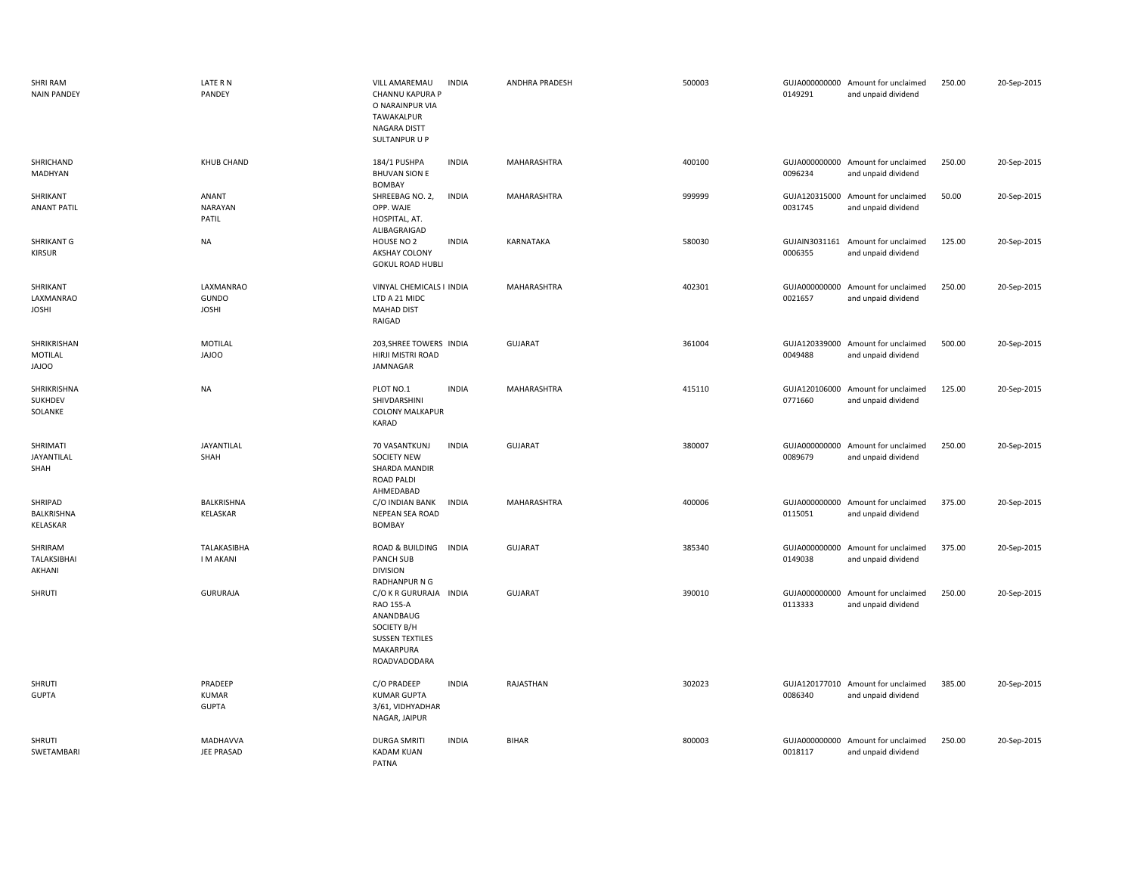| SHRI RAM<br><b>NAIN PANDEY</b>         | LATE R N<br>PANDEY                        | <b>VILL AMAREMAU</b><br><b>INDIA</b><br>CHANNU KAPURA P<br>O NARAINPUR VIA<br>TAWAKALPUR<br>NAGARA DISTT<br>SULTANPUR U P | ANDHRA PRADESH     | 500003 | 0149291                  | GUJA000000000 Amount for unclaimed<br>and unpaid dividend | 250.00 | 20-Sep-2015 |
|----------------------------------------|-------------------------------------------|---------------------------------------------------------------------------------------------------------------------------|--------------------|--------|--------------------------|-----------------------------------------------------------|--------|-------------|
| SHRICHAND<br>MADHYAN                   | <b>KHUB CHAND</b>                         | <b>INDIA</b><br>184/1 PUSHPA<br><b>BHUVAN SION E</b><br><b>BOMBAY</b>                                                     | MAHARASHTRA        | 400100 | 0096234                  | GUJA000000000 Amount for unclaimed<br>and unpaid dividend | 250.00 | 20-Sep-2015 |
| SHRIKANT<br><b>ANANT PATIL</b>         | ANANT<br>NARAYAN<br>PATIL                 | SHREEBAG NO. 2,<br><b>INDIA</b><br>OPP. WAJE<br>HOSPITAL, AT.<br>ALIBAGRAIGAD                                             | <b>MAHARASHTRA</b> | 999999 | 0031745                  | GUJA120315000 Amount for unclaimed<br>and unpaid dividend | 50.00  | 20-Sep-2015 |
| SHRIKANT G<br><b>KIRSUR</b>            | NA                                        | <b>INDIA</b><br>HOUSE NO 2<br>AKSHAY COLONY<br><b>GOKUL ROAD HUBLI</b>                                                    | KARNATAKA          | 580030 | GUJAIN3031161<br>0006355 | Amount for unclaimed<br>and unpaid dividend               | 125.00 | 20-Sep-2015 |
| SHRIKANT<br>LAXMANRAO<br><b>JOSHI</b>  | LAXMANRAO<br><b>GUNDO</b><br><b>JOSHI</b> | VINYAL CHEMICALS I INDIA<br>LTD A 21 MIDC<br><b>MAHAD DIST</b><br>RAIGAD                                                  | MAHARASHTRA        | 402301 | 0021657                  | GUJA000000000 Amount for unclaimed<br>and unpaid dividend | 250.00 | 20-Sep-2015 |
| SHRIKRISHAN<br>MOTILAL<br><b>JAJOO</b> | MOTILAL<br><b>JAJOO</b>                   | 203, SHREE TOWERS INDIA<br>HIRJI MISTRI ROAD<br>JAMNAGAR                                                                  | <b>GUJARAT</b>     | 361004 | 0049488                  | GUJA120339000 Amount for unclaimed<br>and unpaid dividend | 500.00 | 20-Sep-2015 |
| SHRIKRISHNA<br>SUKHDEV<br>SOLANKE      | <b>NA</b>                                 | PLOT NO.1<br><b>INDIA</b><br>SHIVDARSHINI<br><b>COLONY MALKAPUR</b><br><b>KARAD</b>                                       | MAHARASHTRA        | 415110 | GUJA120106000<br>0771660 | Amount for unclaimed<br>and unpaid dividend               | 125.00 | 20-Sep-2015 |
| SHRIMATI<br><b>JAYANTILAL</b><br>SHAH  | JAYANTILAL<br>SHAH                        | 70 VASANTKUNJ<br><b>INDIA</b><br><b>SOCIETY NEW</b><br>SHARDA MANDIR<br><b>ROAD PALDI</b><br>AHMEDABAD                    | <b>GUJARAT</b>     | 380007 | 0089679                  | GUJA000000000 Amount for unclaimed<br>and unpaid dividend | 250.00 | 20-Sep-2015 |
| SHRIPAD<br>BALKRISHNA<br>KELASKAR      | BALKRISHNA<br>KELASKAR                    | C/O INDIAN BANK<br><b>INDIA</b><br>NEPEAN SEA ROAD<br>BOMBAY                                                              | MAHARASHTRA        | 400006 | 0115051                  | GUJA000000000 Amount for unclaimed<br>and unpaid dividend | 375.00 | 20-Sep-2015 |
| SHRIRAM<br>TALAKSIBHAI<br>AKHANI       | TALAKASIBHA<br><b>IMAKANI</b>             | ROAD & BUILDING INDIA<br><b>PANCH SUB</b><br><b>DIVISION</b><br>RADHANPUR N G                                             | <b>GUJARAT</b>     | 385340 | 0149038                  | GUJA000000000 Amount for unclaimed<br>and unpaid dividend | 375.00 | 20-Sep-2015 |
| SHRUTI                                 | <b>GURURAJA</b>                           | C/O K R GURURAJA INDIA<br>RAO 155-A<br>ANANDBAUG<br>SOCIETY B/H<br><b>SUSSEN TEXTILES</b><br>MAKARPURA<br>ROADVADODARA    | <b>GUJARAT</b>     | 390010 | GUJA000000000<br>0113333 | Amount for unclaimed<br>and unpaid dividend               | 250.00 | 20-Sep-2015 |
| SHRUTI<br><b>GUPTA</b>                 | PRADEEP<br><b>KUMAR</b><br><b>GUPTA</b>   | <b>INDIA</b><br>C/O PRADEEP<br><b>KUMAR GUPTA</b><br>3/61, VIDHYADHAR<br>NAGAR, JAIPUR                                    | RAJASTHAN          | 302023 | 0086340                  | GUJA120177010 Amount for unclaimed<br>and unpaid dividend | 385.00 | 20-Sep-2015 |
| SHRUTI<br>SWETAMBARI                   | MADHAVVA<br>JEE PRASAD                    | <b>DURGA SMRITI</b><br><b>INDIA</b><br><b>KADAM KUAN</b><br>PATNA                                                         | <b>BIHAR</b>       | 800003 | GUJA000000000<br>0018117 | Amount for unclaimed<br>and unpaid dividend               | 250.00 | 20-Sep-2015 |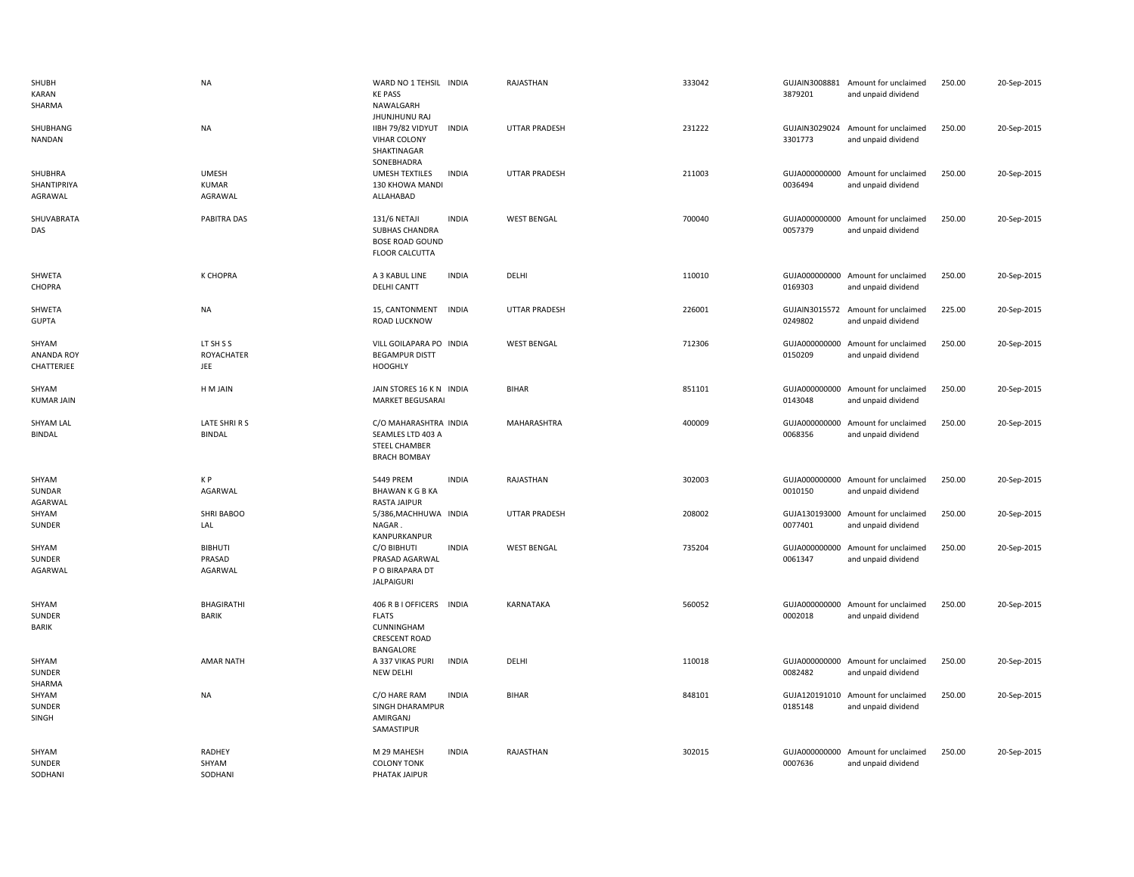| SHUBH<br>KARAN<br>SHARMA                 | <b>NA</b>                               | WARD NO 1 TEHSIL INDIA<br><b>KE PASS</b><br>NAWALGARH                                         |              | RAJASTHAN            | 333042 | 3879201 | GUJAIN3008881 Amount for unclaimed<br>and unpaid dividend | 250.00 | 20-Sep-2015 |
|------------------------------------------|-----------------------------------------|-----------------------------------------------------------------------------------------------|--------------|----------------------|--------|---------|-----------------------------------------------------------|--------|-------------|
| SHUBHANG<br>NANDAN                       | NA                                      | <b>JHUNJHUNU RAJ</b><br>IIBH 79/82 VIDYUT<br><b>VIHAR COLONY</b><br>SHAKTINAGAR<br>SONEBHADRA | <b>INDIA</b> | <b>UTTAR PRADESH</b> | 231222 | 3301773 | GUJAIN3029024 Amount for unclaimed<br>and unpaid dividend | 250.00 | 20-Sep-2015 |
| SHUBHRA<br>SHANTIPRIYA<br>AGRAWAL        | <b>UMESH</b><br><b>KUMAR</b><br>AGRAWAL | UMESH TEXTILES<br>130 KHOWA MANDI<br>ALLAHABAD                                                | <b>INDIA</b> | <b>UTTAR PRADESH</b> | 211003 | 0036494 | GUJA000000000 Amount for unclaimed<br>and unpaid dividend | 250.00 | 20-Sep-2015 |
| SHUVABRATA<br>DAS                        | PABITRA DAS                             | 131/6 NETAJI<br><b>SUBHAS CHANDRA</b><br><b>BOSE ROAD GOUND</b><br><b>FLOOR CALCUTTA</b>      | <b>INDIA</b> | <b>WEST BENGAL</b>   | 700040 | 0057379 | GUJA000000000 Amount for unclaimed<br>and unpaid dividend | 250.00 | 20-Sep-2015 |
| SHWETA<br>CHOPRA                         | K CHOPRA                                | A 3 KABUL LINE<br><b>DELHI CANTT</b>                                                          | <b>INDIA</b> | DELHI                | 110010 | 0169303 | GUJA000000000 Amount for unclaimed<br>and unpaid dividend | 250.00 | 20-Sep-2015 |
| SHWETA<br><b>GUPTA</b>                   | NA                                      | 15, CANTONMENT<br>ROAD LUCKNOW                                                                | INDIA        | UTTAR PRADESH        | 226001 | 0249802 | GUJAIN3015572 Amount for unclaimed<br>and unpaid dividend | 225.00 | 20-Sep-2015 |
| SHYAM<br><b>ANANDA ROY</b><br>CHATTERJEE | LT SH S S<br><b>ROYACHATER</b><br>JEE   | VILL GOILAPARA PO INDIA<br><b>BEGAMPUR DISTT</b><br><b>HOOGHLY</b>                            |              | <b>WEST BENGAL</b>   | 712306 | 0150209 | GUJA000000000 Amount for unclaimed<br>and unpaid dividend | 250.00 | 20-Sep-2015 |
| SHYAM<br><b>KUMAR JAIN</b>               | H M JAIN                                | JAIN STORES 16 K N INDIA<br><b>MARKET BEGUSARAI</b>                                           |              | <b>BIHAR</b>         | 851101 | 0143048 | GUJA000000000 Amount for unclaimed<br>and unpaid dividend | 250.00 | 20-Sep-2015 |
| SHYAM LAL<br><b>BINDAL</b>               | LATE SHRIRS<br><b>BINDAL</b>            | C/O MAHARASHTRA INDIA<br>SEAMLES LTD 403 A<br>STEEL CHAMBER<br><b>BRACH BOMBAY</b>            |              | <b>MAHARASHTRA</b>   | 400009 | 0068356 | GUJA000000000 Amount for unclaimed<br>and unpaid dividend | 250.00 | 20-Sep-2015 |
| SHYAM<br>SUNDAR<br>AGARWAL               | K P<br>AGARWAL                          | 5449 PREM<br><b>BHAWAN K G B KA</b><br>RASTA JAIPUR                                           | <b>INDIA</b> | RAJASTHAN            | 302003 | 0010150 | GUJA000000000 Amount for unclaimed<br>and unpaid dividend | 250.00 | 20-Sep-2015 |
| SHYAM<br>SUNDER                          | SHRI BABOO<br>LAL                       | 5/386, MACHHUWA INDIA<br>NAGAR.<br>KANPURKANPUR                                               |              | <b>UTTAR PRADESH</b> | 208002 | 0077401 | GUJA130193000 Amount for unclaimed<br>and unpaid dividend | 250.00 | 20-Sep-2015 |
| SHYAM<br>SUNDER<br>AGARWAL               | <b>BIBHUTI</b><br>PRASAD<br>AGARWAL     | C/O BIBHUTI<br>PRASAD AGARWAL<br>P O BIRAPARA DT<br><b>JALPAIGURI</b>                         | <b>INDIA</b> | <b>WEST BENGAL</b>   | 735204 | 0061347 | GUJA000000000 Amount for unclaimed<br>and unpaid dividend | 250.00 | 20-Sep-2015 |
| SHYAM<br>SUNDER<br>BARIK                 | BHAGIRATHI<br><b>BARIK</b>              | 406 R B I OFFICERS INDIA<br><b>FLATS</b><br>CUNNINGHAM<br><b>CRESCENT ROAD</b><br>BANGALORE   |              | KARNATAKA            | 560052 | 0002018 | GUJA000000000 Amount for unclaimed<br>and unpaid dividend | 250.00 | 20-Sep-2015 |
| SHYAM<br>SUNDER<br>SHARMA                | <b>AMAR NATH</b>                        | A 337 VIKAS PURI<br><b>NEW DELHI</b>                                                          | <b>INDIA</b> | DELHI                | 110018 | 0082482 | GUJA000000000 Amount for unclaimed<br>and unpaid dividend | 250.00 | 20-Sep-2015 |
| SHYAM<br>SUNDER<br>SINGH                 | <b>NA</b>                               | C/O HARE RAM<br>SINGH DHARAMPUR<br>AMIRGANJ<br>SAMASTIPUR                                     | <b>INDIA</b> | <b>BIHAR</b>         | 848101 | 0185148 | GUJA120191010 Amount for unclaimed<br>and unpaid dividend | 250.00 | 20-Sep-2015 |
| SHYAM<br>SUNDER<br>SODHANI               | RADHEY<br>SHYAM<br>SODHANI              | M 29 MAHESH<br><b>COLONY TONK</b><br>PHATAK JAIPUR                                            | <b>INDIA</b> | RAJASTHAN            | 302015 | 0007636 | GUJA000000000 Amount for unclaimed<br>and unpaid dividend | 250.00 | 20-Sep-2015 |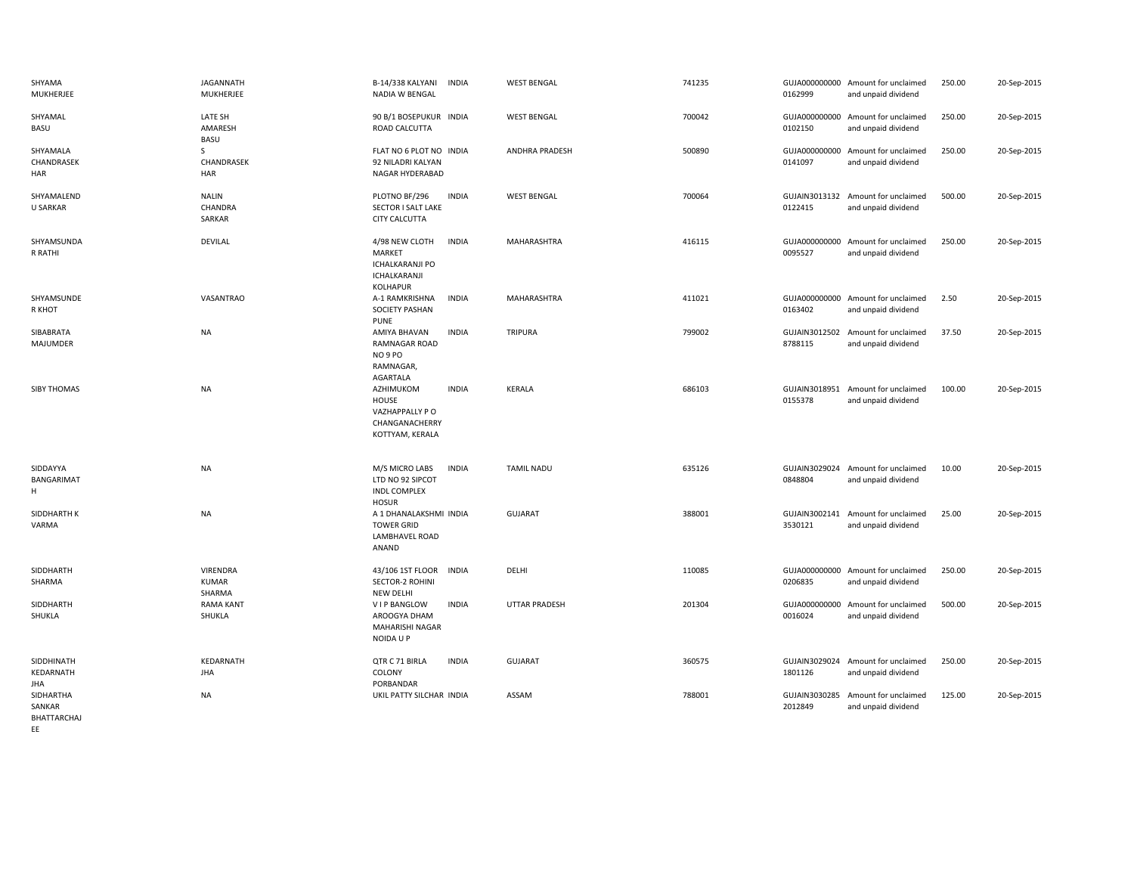| SHYAMA<br>MUKHERJEE                      | <b>JAGANNATH</b><br>MUKHERJEE             | B-14/338 KALYANI<br>INDIA<br>NADIA W BENGAL                                                                  | <b>WEST BENGAL</b>    | 741235 | 0162999                  | GUJA000000000 Amount for unclaimed<br>and unpaid dividend | 250.00 | 20-Sep-2015 |
|------------------------------------------|-------------------------------------------|--------------------------------------------------------------------------------------------------------------|-----------------------|--------|--------------------------|-----------------------------------------------------------|--------|-------------|
| SHYAMAL<br>BASU                          | LATE SH<br>AMARESH<br><b>BASU</b>         | 90 B/1 BOSEPUKUR INDIA<br>ROAD CALCUTTA                                                                      | <b>WEST BENGAL</b>    | 700042 | 0102150                  | GUJA000000000 Amount for unclaimed<br>and unpaid dividend | 250.00 | 20-Sep-2015 |
| SHYAMALA<br>CHANDRASEK<br>HAR            | S<br>CHANDRASEK<br><b>HAR</b>             | FLAT NO 6 PLOT NO INDIA<br>92 NILADRI KALYAN<br>NAGAR HYDERABAD                                              | <b>ANDHRA PRADESH</b> | 500890 | 0141097                  | GUJA000000000 Amount for unclaimed<br>and unpaid dividend | 250.00 | 20-Sep-2015 |
| SHYAMALEND<br><b>U SARKAR</b>            | <b>NALIN</b><br>CHANDRA<br>SARKAR         | PLOTNO BF/296<br><b>INDIA</b><br>SECTOR I SALT LAKE<br>CITY CALCUTTA                                         | <b>WEST BENGAL</b>    | 700064 | 0122415                  | GUJAIN3013132 Amount for unclaimed<br>and unpaid dividend | 500.00 | 20-Sep-2015 |
| SHYAMSUNDA<br>R RATHI                    | <b>DEVILAL</b>                            | 4/98 NEW CLOTH<br><b>INDIA</b><br><b>MARKET</b><br><b>ICHALKARANJI PO</b><br>ICHALKARANJI<br><b>KOLHAPUR</b> | <b>MAHARASHTRA</b>    | 416115 | 0095527                  | GUJA000000000 Amount for unclaimed<br>and unpaid dividend | 250.00 | 20-Sep-2015 |
| SHYAMSUNDE<br>R KHOT                     | VASANTRAO                                 | A-1 RAMKRISHNA<br><b>INDIA</b><br><b>SOCIETY PASHAN</b><br>PUNE                                              | MAHARASHTRA           | 411021 | 0163402                  | GUJA000000000 Amount for unclaimed<br>and unpaid dividend | 2.50   | 20-Sep-2015 |
| SIBABRATA<br>MAJUMDER                    | <b>NA</b>                                 | AMIYA BHAVAN<br><b>INDIA</b><br>RAMNAGAR ROAD<br>NO 9 PO<br>RAMNAGAR,<br>AGARTALA                            | TRIPURA               | 799002 | 8788115                  | GUJAIN3012502 Amount for unclaimed<br>and unpaid dividend | 37.50  | 20-Sep-2015 |
| <b>SIBY THOMAS</b>                       | <b>NA</b>                                 | AZHIMUKOM<br><b>INDIA</b><br>HOUSE<br>VAZHAPPALLY P O<br>CHANGANACHERRY<br>KOTTYAM, KERALA                   | <b>KERALA</b>         | 686103 | GUJAIN3018951<br>0155378 | Amount for unclaimed<br>and unpaid dividend               | 100.00 | 20-Sep-2015 |
| SIDDAYYA<br>BANGARIMAT<br>Н.             | <b>NA</b>                                 | M/S MICRO LABS<br><b>INDIA</b><br>LTD NO 92 SIPCOT<br><b>INDL COMPLEX</b><br><b>HOSUR</b>                    | <b>TAMIL NADU</b>     | 635126 | 0848804                  | GUJAIN3029024 Amount for unclaimed<br>and unpaid dividend | 10.00  | 20-Sep-2015 |
| SIDDHARTH K<br>VARMA                     | <b>NA</b>                                 | A 1 DHANALAKSHMI INDIA<br><b>TOWER GRID</b><br><b>LAMBHAVEL ROAD</b><br>ANAND                                | <b>GUJARAT</b>        | 388001 | GUJAIN3002141<br>3530121 | Amount for unclaimed<br>and unpaid dividend               | 25.00  | 20-Sep-2015 |
| SIDDHARTH<br>SHARMA                      | <b>VIRENDRA</b><br><b>KUMAR</b><br>SHARMA | 43/106 1ST FLOOR<br><b>INDIA</b><br>SECTOR-2 ROHINI<br><b>NEW DELHI</b>                                      | DELHI                 | 110085 | 0206835                  | GUJA000000000 Amount for unclaimed<br>and unpaid dividend | 250.00 | 20-Sep-2015 |
| SIDDHARTH<br>SHUKLA                      | <b>RAMA KANT</b><br>SHUKLA                | V I P BANGLOW<br><b>INDIA</b><br>AROOGYA DHAM<br>MAHARISHI NAGAR<br>NOIDA U P                                | <b>UTTAR PRADESH</b>  | 201304 | GUJA000000000<br>0016024 | Amount for unclaimed<br>and unpaid dividend               | 500.00 | 20-Sep-2015 |
| SIDDHINATH<br>KEDARNATH<br>JHA           | KEDARNATH<br><b>JHA</b>                   | QTR C 71 BIRLA<br><b>INDIA</b><br>COLONY<br>PORBANDAR                                                        | <b>GUJARAT</b>        | 360575 | 1801126                  | GUJAIN3029024 Amount for unclaimed<br>and unpaid dividend | 250.00 | 20-Sep-2015 |
| SIDHARTHA<br>SANKAR<br>BHATTARCHAJ<br>EE | <b>NA</b>                                 | UKIL PATTY SILCHAR INDIA                                                                                     | ASSAM                 | 788001 | 2012849                  | GUJAIN3030285 Amount for unclaimed<br>and unpaid dividend | 125.00 | 20-Sep-2015 |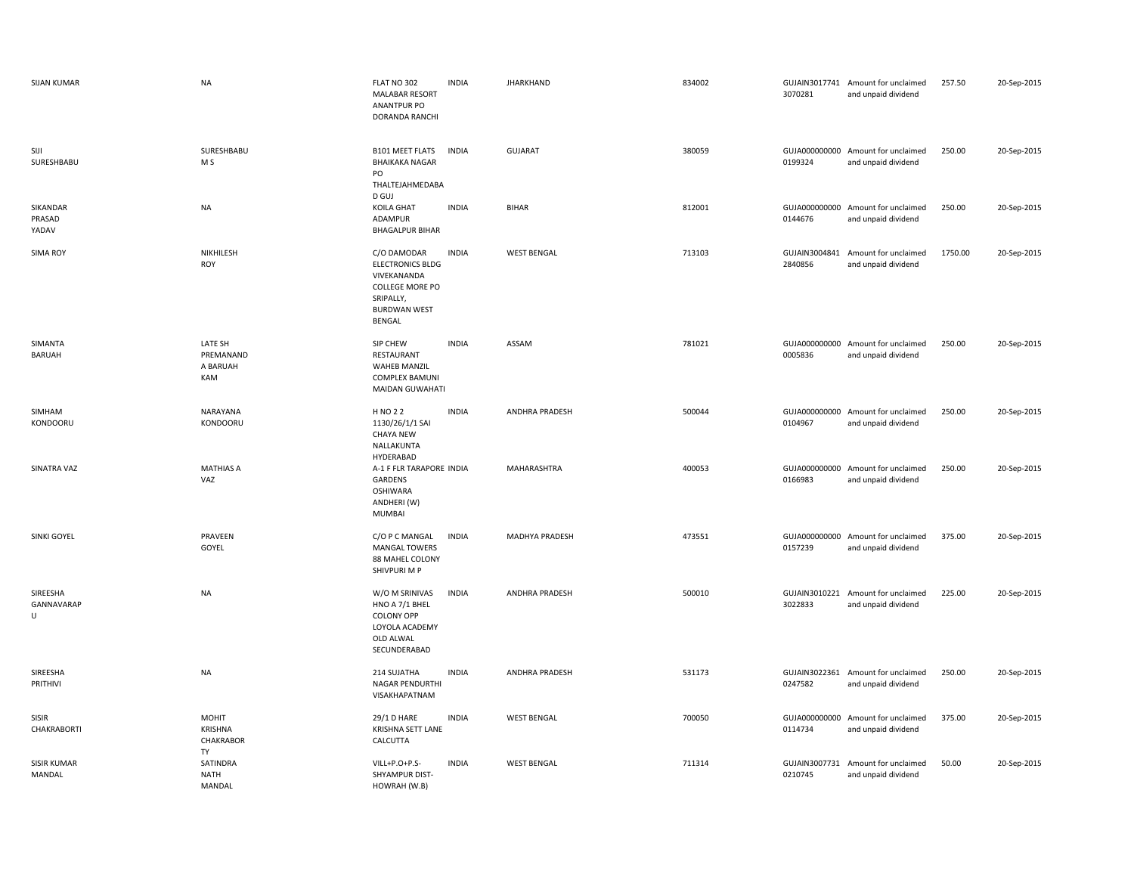| <b>SIJAN KUMAR</b>           | <b>NA</b>                               | FLAT NO 302<br><b>MALABAR RESORT</b><br>ANANTPUR PO<br>DORANDA RANCHI                                                  | <b>INDIA</b> | <b>JHARKHAND</b>      | 834002 | 3070281                  | GUJAIN3017741 Amount for unclaimed<br>and unpaid dividend | 257.50  | 20-Sep-2015 |
|------------------------------|-----------------------------------------|------------------------------------------------------------------------------------------------------------------------|--------------|-----------------------|--------|--------------------------|-----------------------------------------------------------|---------|-------------|
| SIJI<br>SURESHBABU           | SURESHBABU<br>M <sub>S</sub>            | <b>B101 MEET FLATS</b><br><b>BHAIKAKA NAGAR</b><br>PO<br>THALTEJAHMEDABA                                               | <b>INDIA</b> | <b>GUJARAT</b>        | 380059 | 0199324                  | GUJA000000000 Amount for unclaimed<br>and unpaid dividend | 250.00  | 20-Sep-2015 |
| SIKANDAR<br>PRASAD<br>YADAV  | <b>NA</b>                               | D GUJ<br><b>KOILA GHAT</b><br>ADAMPUR<br><b>BHAGALPUR BIHAR</b>                                                        | <b>INDIA</b> | <b>BIHAR</b>          | 812001 | GUJA000000000<br>0144676 | Amount for unclaimed<br>and unpaid dividend               | 250.00  | 20-Sep-2015 |
| <b>SIMA ROY</b>              | NIKHILESH<br><b>ROY</b>                 | C/O DAMODAR<br><b>ELECTRONICS BLDG</b><br>VIVEKANANDA<br>COLLEGE MORE PO<br>SRIPALLY,<br><b>BURDWAN WEST</b><br>BENGAL | <b>INDIA</b> | <b>WEST BENGAL</b>    | 713103 | GUJAIN3004841<br>2840856 | Amount for unclaimed<br>and unpaid dividend               | 1750.00 | 20-Sep-2015 |
| SIMANTA<br><b>BARUAH</b>     | LATE SH<br>PREMANAND<br>A BARUAH<br>KAM | SIP CHEW<br>RESTAURANT<br><b>WAHEB MANZIL</b><br><b>COMPLEX BAMUNI</b><br>MAIDAN GUWAHATI                              | <b>INDIA</b> | ASSAM                 | 781021 | 0005836                  | GUJA000000000 Amount for unclaimed<br>and unpaid dividend | 250.00  | 20-Sep-2015 |
| SIMHAM<br>KONDOORU           | NARAYANA<br>KONDOORU                    | H NO 2 2<br>1130/26/1/1 SAI<br><b>CHAYA NEW</b><br>NALLAKUNTA<br>HYDERABAD                                             | <b>INDIA</b> | ANDHRA PRADESH        | 500044 | 0104967                  | GUJA000000000 Amount for unclaimed<br>and unpaid dividend | 250.00  | 20-Sep-2015 |
| SINATRA VAZ                  | <b>MATHIAS A</b><br>VAZ                 | A-1 F FLR TARAPORE INDIA<br>GARDENS<br><b>OSHIWARA</b><br>ANDHERI (W)<br><b>MUMBAI</b>                                 |              | MAHARASHTRA           | 400053 | 0166983                  | GUJA000000000 Amount for unclaimed<br>and unpaid dividend | 250.00  | 20-Sep-2015 |
| SINKI GOYEL                  | PRAVEEN<br>GOYEL                        | C/O P C MANGAL<br><b>MANGAL TOWERS</b><br>88 MAHEL COLONY<br>SHIVPURI M P                                              | <b>INDIA</b> | <b>MADHYA PRADESH</b> | 473551 | 0157239                  | GUJA000000000 Amount for unclaimed<br>and unpaid dividend | 375.00  | 20-Sep-2015 |
| SIREESHA<br>GANNAVARAP<br>U  | <b>NA</b>                               | W/O M SRINIVAS<br>HNO A 7/1 BHEL<br><b>COLONY OPP</b><br>LOYOLA ACADEMY<br>OLD ALWAL<br>SECUNDERABAD                   | <b>INDIA</b> | <b>ANDHRA PRADESH</b> | 500010 | 3022833                  | GUJAIN3010221 Amount for unclaimed<br>and unpaid dividend | 225.00  | 20-Sep-2015 |
| SIREESHA<br>PRITHIVI         | <b>NA</b>                               | 214 SUJATHA<br>NAGAR PENDURTHI<br>VISAKHAPATNAM                                                                        | <b>INDIA</b> | <b>ANDHRA PRADESH</b> | 531173 | 0247582                  | GUJAIN3022361 Amount for unclaimed<br>and unpaid dividend | 250.00  | 20-Sep-2015 |
| SISIR<br>CHAKRABORTI         | MOHIT<br>KRISHNA<br>CHAKRABOR<br>TY     | 29/1 D HARE<br>KRISHNA SETT LANE<br>CALCUTTA                                                                           | <b>INDIA</b> | <b>WEST BENGAL</b>    | 700050 | 0114734                  | GUJA000000000 Amount for unclaimed<br>and unpaid dividend | 375.00  | 20-Sep-2015 |
| <b>SISIR KUMAR</b><br>MANDAL | SATINDRA<br><b>NATH</b><br>MANDAL       | VILL+P.O+P.S-<br>SHYAMPUR DIST-<br>HOWRAH (W.B)                                                                        | <b>INDIA</b> | <b>WEST BENGAL</b>    | 711314 | GUJAIN3007731<br>0210745 | Amount for unclaimed<br>and unpaid dividend               | 50.00   | 20-Sep-2015 |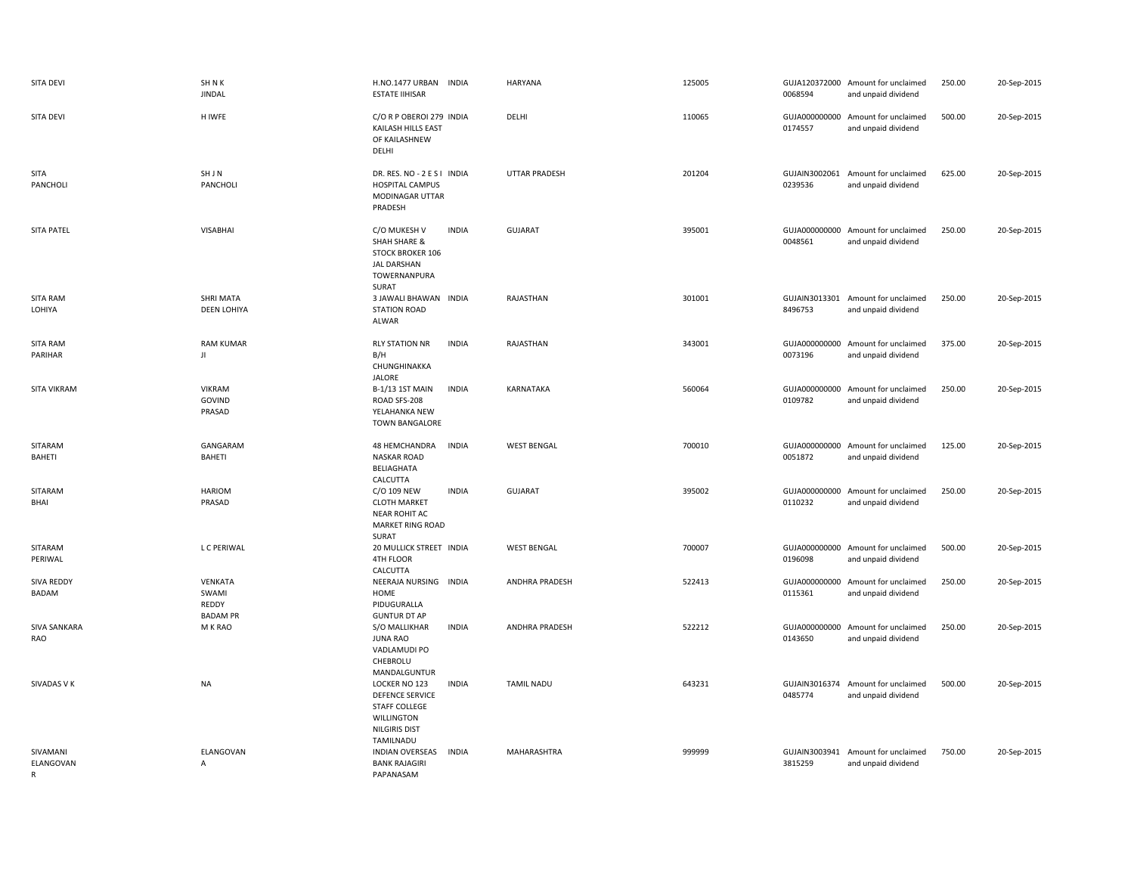| SITA DEVI                  | SH N K<br><b>JINDAL</b>                      | H.NO.1477 URBAN INDIA<br><b>ESTATE IIHISAR</b>                                                                     |              | <b>HARYANA</b>       | 125005 | 0068594                  | GUJA120372000 Amount for unclaimed<br>and unpaid dividend | 250.00 | 20-Sep-2015 |
|----------------------------|----------------------------------------------|--------------------------------------------------------------------------------------------------------------------|--------------|----------------------|--------|--------------------------|-----------------------------------------------------------|--------|-------------|
| <b>SITA DEVI</b>           | <b>HIWFE</b>                                 | C/O R P OBEROI 279 INDIA<br>KAILASH HILLS EAST<br>OF KAILASHNEW<br>DELHI                                           |              | DELHI                | 110065 | 0174557                  | GUJA000000000 Amount for unclaimed<br>and unpaid dividend | 500.00 | 20-Sep-2015 |
| SITA<br>PANCHOLI           | SHJN<br>PANCHOLI                             | DR. RES. NO - 2 E S I INDIA<br>HOSPITAL CAMPUS<br>MODINAGAR UTTAR<br>PRADESH                                       |              | <b>UTTAR PRADESH</b> | 201204 | 0239536                  | GUJAIN3002061 Amount for unclaimed<br>and unpaid dividend | 625.00 | 20-Sep-2015 |
| <b>SITA PATEL</b>          | <b>VISABHAI</b>                              | C/O MUKESH V<br><b>SHAH SHARE &amp;</b><br><b>STOCK BROKER 106</b><br><b>JAL DARSHAN</b><br>TOWERNANPURA<br>SURAT  | <b>INDIA</b> | <b>GUJARAT</b>       | 395001 | 0048561                  | GUJA000000000 Amount for unclaimed<br>and unpaid dividend | 250.00 | 20-Sep-2015 |
| SITA RAM<br>LOHIYA         | SHRI MATA<br><b>DEEN LOHIYA</b>              | 3 JAWALI BHAWAN INDIA<br><b>STATION ROAD</b><br>ALWAR                                                              |              | RAJASTHAN            | 301001 | 8496753                  | GUJAIN3013301 Amount for unclaimed<br>and unpaid dividend | 250.00 | 20-Sep-2015 |
| <b>SITA RAM</b><br>PARIHAR | <b>RAM KUMAR</b><br>JI                       | <b>RLY STATION NR</b><br>B/H<br>CHUNGHINAKKA<br>JALORE                                                             | <b>INDIA</b> | RAJASTHAN            | 343001 | 0073196                  | GUJA000000000 Amount for unclaimed<br>and unpaid dividend | 375.00 | 20-Sep-2015 |
| <b>SITA VIKRAM</b>         | <b>VIKRAM</b><br>GOVIND<br>PRASAD            | <b>B-1/13 1ST MAIN</b><br>ROAD SFS-208<br>YELAHANKA NEW<br><b>TOWN BANGALORE</b>                                   | <b>INDIA</b> | KARNATAKA            | 560064 | 0109782                  | GUJA000000000 Amount for unclaimed<br>and unpaid dividend | 250.00 | 20-Sep-2015 |
| SITARAM<br>BAHETI          | GANGARAM<br>BAHETI                           | 48 HEMCHANDRA<br>NASKAR ROAD<br>BELIAGHATA<br>CALCUTTA                                                             | <b>INDIA</b> | <b>WEST BENGAL</b>   | 700010 | 0051872                  | GUJA000000000 Amount for unclaimed<br>and unpaid dividend | 125.00 | 20-Sep-2015 |
| SITARAM<br>BHAI            | <b>HARIOM</b>                                | C/O 109 NEW                                                                                                        | <b>INDIA</b> |                      |        |                          |                                                           |        | 20-Sep-2015 |
|                            | PRASAD                                       | <b>CLOTH MARKET</b><br><b>NEAR ROHIT AC</b><br>MARKET RING ROAD<br>SURAT                                           |              | GUJARAT              | 395002 | 0110232                  | GUJA000000000 Amount for unclaimed<br>and unpaid dividend | 250.00 |             |
| SITARAM<br>PERIWAL         | L C PERIWAL                                  | 20 MULLICK STREET INDIA<br>4TH FLOOR<br>CALCUTTA                                                                   |              | <b>WEST BENGAL</b>   | 700007 | 0196098                  | GUJA000000000 Amount for unclaimed<br>and unpaid dividend | 500.00 | 20-Sep-2015 |
| <b>SIVA REDDY</b><br>BADAM | VENKATA<br>SWAMI<br>REDDY<br><b>BADAM PR</b> | NEERAJA NURSING INDIA<br>HOME<br>PIDUGURALLA                                                                       |              | ANDHRA PRADESH       | 522413 | GUJA000000000<br>0115361 | Amount for unclaimed<br>and unpaid dividend               | 250.00 | 20-Sep-2015 |
| SIVA SANKARA<br>RAO        | M K RAO                                      | <b>GUNTUR DT AP</b><br>S/O MALLIKHAR<br><b>JUNA RAO</b><br>VADLAMUDI PO<br>CHEBROLU<br>MANDALGUNTUR                | <b>INDIA</b> | ANDHRA PRADESH       | 522212 | 0143650                  | GUJA000000000 Amount for unclaimed<br>and unpaid dividend | 250.00 | 20-Sep-2015 |
| SIVADAS V K                | <b>NA</b>                                    | LOCKER NO 123<br><b>DEFENCE SERVICE</b><br>STAFF COLLEGE<br><b>WILLINGTON</b><br><b>NILGIRIS DIST</b><br>TAMILNADU | <b>INDIA</b> | <b>TAMIL NADU</b>    | 643231 | 0485774                  | GUJAIN3016374 Amount for unclaimed<br>and unpaid dividend | 500.00 | 20-Sep-2015 |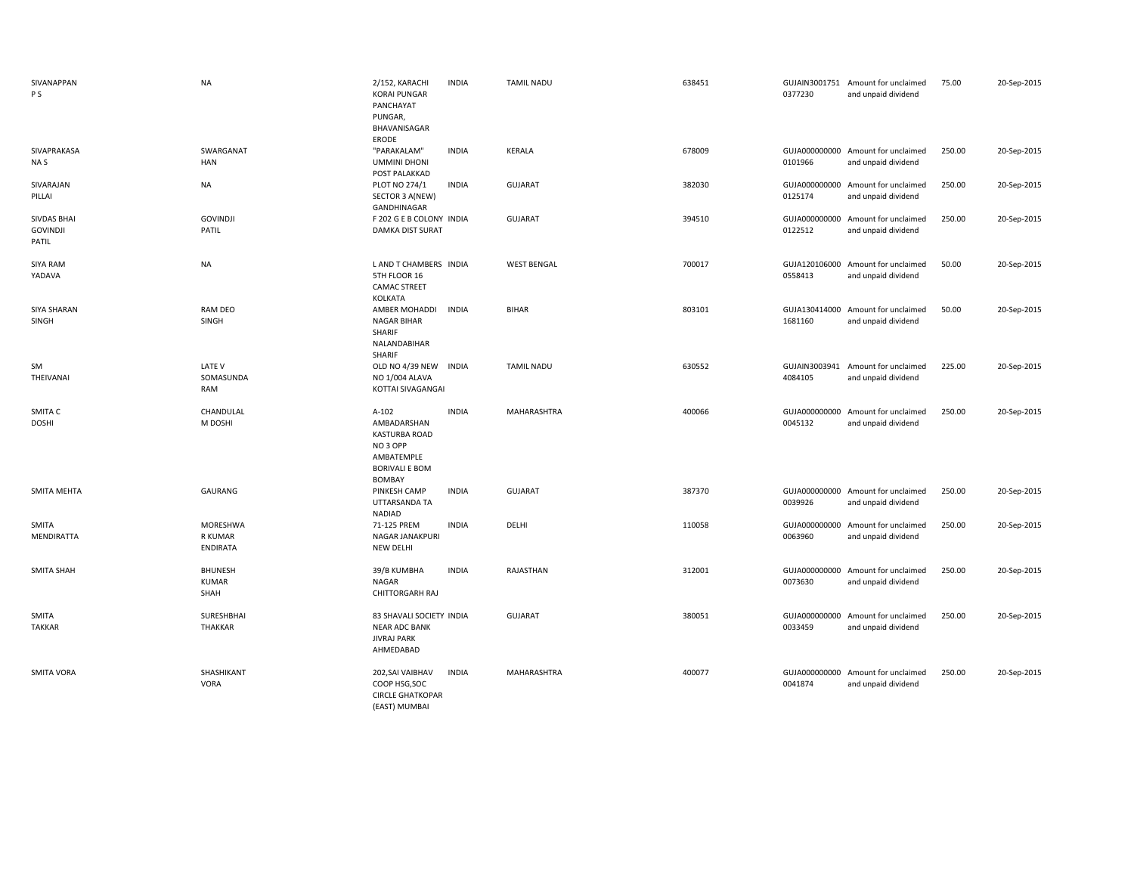| SIVANAPPAN<br>P S                              | <b>NA</b>                              | 2/152, KARACHI<br><b>KORAI PUNGAR</b><br>PANCHAYAT<br>PUNGAR,<br>BHAVANISAGAR                                          | <b>INDIA</b> | <b>TAMIL NADU</b>  | 638451 | 0377230                  | GUJAIN3001751 Amount for unclaimed<br>and unpaid dividend | 75.00  | 20-Sep-2015 |
|------------------------------------------------|----------------------------------------|------------------------------------------------------------------------------------------------------------------------|--------------|--------------------|--------|--------------------------|-----------------------------------------------------------|--------|-------------|
| SIVAPRAKASA<br>NA S                            | SWARGANAT<br><b>HAN</b>                | ERODE<br>"PARAKALAM"<br><b>UMMINI DHONI</b><br>POST PALAKKAD                                                           | <b>INDIA</b> | <b>KERALA</b>      | 678009 | 0101966                  | GUJA000000000 Amount for unclaimed<br>and unpaid dividend | 250.00 | 20-Sep-2015 |
| SIVARAJAN<br>PILLAI                            | <b>NA</b>                              | PLOT NO 274/1<br>SECTOR 3 A(NEW)<br>GANDHINAGAR                                                                        | <b>INDIA</b> | <b>GUJARAT</b>     | 382030 | 0125174                  | GUJA000000000 Amount for unclaimed<br>and unpaid dividend | 250.00 | 20-Sep-2015 |
| <b>SIVDAS BHAI</b><br><b>GOVINDJI</b><br>PATIL | <b>GOVINDJI</b><br>PATIL               | F 202 G E B COLONY INDIA<br><b>DAMKA DIST SURAT</b>                                                                    |              | <b>GUJARAT</b>     | 394510 | 0122512                  | GUJA000000000 Amount for unclaimed<br>and unpaid dividend | 250.00 | 20-Sep-2015 |
| SIYA RAM<br>YADAVA                             | <b>NA</b>                              | L AND T CHAMBERS INDIA<br>5TH FLOOR 16<br><b>CAMAC STREET</b><br>KOLKATA                                               |              | <b>WEST BENGAL</b> | 700017 | 0558413                  | GUJA120106000 Amount for unclaimed<br>and unpaid dividend | 50.00  | 20-Sep-2015 |
| SIYA SHARAN<br>SINGH                           | RAM DEO<br><b>SINGH</b>                | AMBER MOHADDI<br><b>NAGAR BIHAR</b><br>SHARIF<br>NALANDABIHAR<br>SHARIF                                                | <b>INDIA</b> | <b>BIHAR</b>       | 803101 | 1681160                  | GUJA130414000 Amount for unclaimed<br>and unpaid dividend | 50.00  | 20-Sep-2015 |
| SM<br>THEIVANAI                                | LATE V<br>SOMASUNDA<br>RAM             | OLD NO 4/39 NEW<br>NO 1/004 ALAVA<br>KOTTAI SIVAGANGAI                                                                 | <b>INDIA</b> | <b>TAMIL NADU</b>  | 630552 | 4084105                  | GUJAIN3003941 Amount for unclaimed<br>and unpaid dividend | 225.00 | 20-Sep-2015 |
| SMITA C<br><b>DOSHI</b>                        | CHANDULAL<br>M DOSHI                   | $A-102$<br>AMBADARSHAN<br><b>KASTURBA ROAD</b><br>NO <sub>3</sub> OPP<br>AMBATEMPLE<br><b>BORIVALI E BOM</b><br>BOMBAY | <b>INDIA</b> | MAHARASHTRA        | 400066 | 0045132                  | GUJA000000000 Amount for unclaimed<br>and unpaid dividend | 250.00 | 20-Sep-2015 |
| <b>SMITA MEHTA</b>                             | GAURANG                                | PINKESH CAMP<br>UTTARSANDA TA<br><b>NADIAD</b>                                                                         | <b>INDIA</b> | <b>GUJARAT</b>     | 387370 | 0039926                  | GUJA000000000 Amount for unclaimed<br>and unpaid dividend | 250.00 | 20-Sep-2015 |
| SMITA<br>MENDIRATTA                            | MORESHWA<br>R KUMAR<br>ENDIRATA        | 71-125 PREM<br>NAGAR JANAKPURI<br>NEW DELHI                                                                            | <b>INDIA</b> | DELHI              | 110058 | 0063960                  | GUJA000000000 Amount for unclaimed<br>and unpaid dividend | 250.00 | 20-Sep-2015 |
| <b>SMITA SHAH</b>                              | <b>BHUNESH</b><br><b>KUMAR</b><br>SHAH | 39/B KUMBHA<br>NAGAR<br>CHITTORGARH RAJ                                                                                | <b>INDIA</b> | RAJASTHAN          | 312001 | GUJA000000000<br>0073630 | Amount for unclaimed<br>and unpaid dividend               | 250.00 | 20-Sep-2015 |
| SMITA<br><b>TAKKAR</b>                         | SURESHBHAI<br>THAKKAR                  | 83 SHAVALI SOCIETY INDIA<br><b>NEAR ADC BANK</b><br><b>JIVRAJ PARK</b><br>AHMEDABAD                                    |              | GUJARAT            | 380051 | GUJA000000000<br>0033459 | Amount for unclaimed<br>and unpaid dividend               | 250.00 | 20-Sep-2015 |
| <b>SMITA VORA</b>                              | SHASHIKANT<br><b>VORA</b>              | 202, SAI VAIBHAV<br>COOP HSG, SOC<br><b>CIRCLE GHATKOPAR</b><br>(EAST) MUMBAI                                          | <b>INDIA</b> | MAHARASHTRA        | 400077 | GUJA000000000<br>0041874 | Amount for unclaimed<br>and unpaid dividend               | 250.00 | 20-Sep-2015 |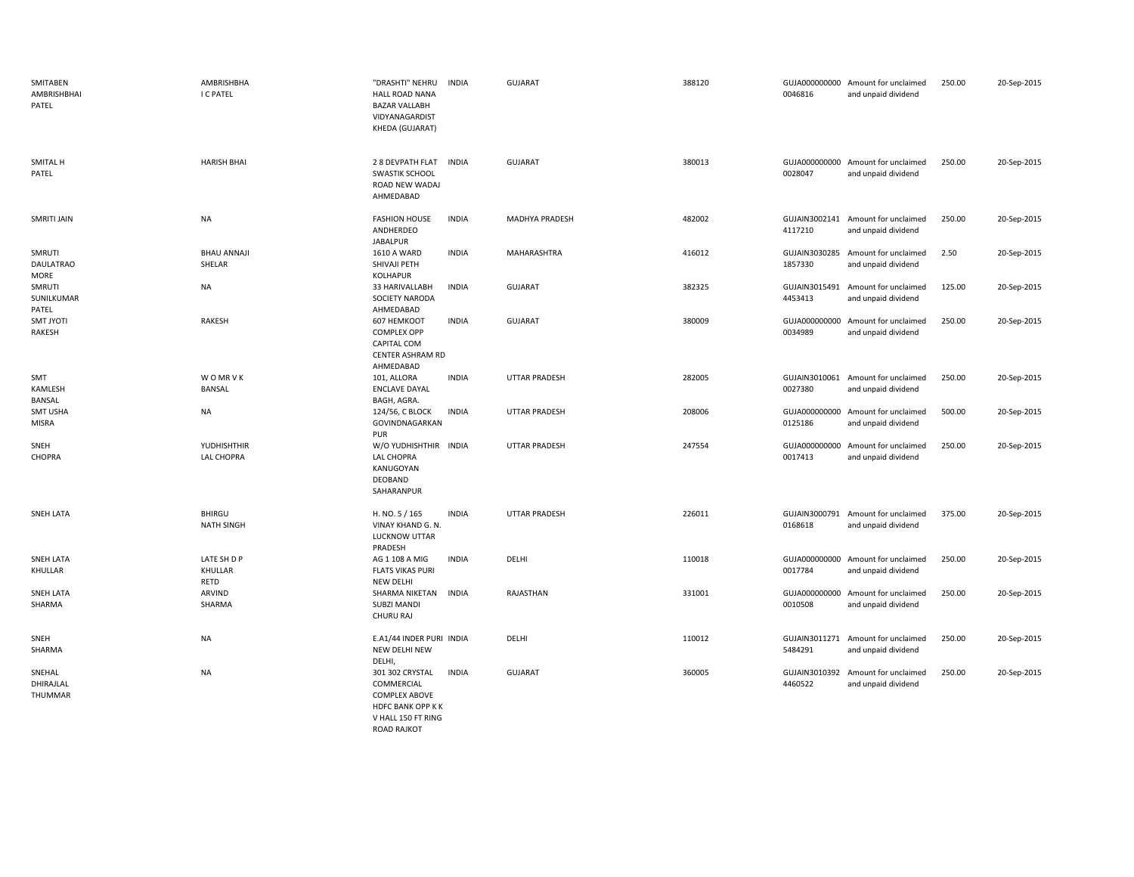| SMITABEN<br>AMBRISHBHAI<br>PATEL   | AMBRISHBHA<br>I C PATEL            | "DRASHTI" NEHRU<br><b>HALL ROAD NANA</b><br><b>BAZAR VALLABH</b><br>VIDYANAGARDIST<br>KHEDA (GUJARAT)  | INDIA        | <b>GUJARAT</b>       | 388120 | 0046816                  | GUJA000000000 Amount for unclaimed<br>and unpaid dividend | 250.00 | 20-Sep-2015 |
|------------------------------------|------------------------------------|--------------------------------------------------------------------------------------------------------|--------------|----------------------|--------|--------------------------|-----------------------------------------------------------|--------|-------------|
| SMITAL H<br>PATEL                  | <b>HARISH BHAI</b>                 | 2 8 DEVPATH FLAT<br><b>SWASTIK SCHOOL</b><br>ROAD NEW WADAJ<br>AHMEDABAD                               | <b>INDIA</b> | <b>GUJARAT</b>       | 380013 | 0028047                  | GUJA000000000 Amount for unclaimed<br>and unpaid dividend | 250.00 | 20-Sep-2015 |
| SMRITI JAIN                        | NA                                 | <b>FASHION HOUSE</b><br>ANDHERDEO<br><b>JABALPUR</b>                                                   | <b>INDIA</b> | MADHYA PRADESH       | 482002 | 4117210                  | GUJAIN3002141 Amount for unclaimed<br>and unpaid dividend | 250.00 | 20-Sep-2015 |
| SMRUTI<br><b>DAULATRAO</b><br>MORE | <b>BHAU ANNAJI</b><br>SHELAR       | <b>1610 A WARD</b><br>SHIVAJI PETH<br><b>KOLHAPUR</b>                                                  | <b>INDIA</b> | MAHARASHTRA          | 416012 | 1857330                  | GUJAIN3030285 Amount for unclaimed<br>and unpaid dividend | 2.50   | 20-Sep-2015 |
| SMRUTI<br>SUNILKUMAR<br>PATEL      | <b>NA</b>                          | 33 HARIVALLABH<br>SOCIETY NARODA<br>AHMEDABAD                                                          | <b>INDIA</b> | GUJARAT              | 382325 | 4453413                  | GUJAIN3015491 Amount for unclaimed<br>and unpaid dividend | 125.00 | 20-Sep-2015 |
| SMT JYOTI<br>RAKESH                | RAKESH                             | 607 HEMKOOT<br><b>COMPLEX OPP</b><br>CAPITAL COM<br>CENTER ASHRAM RD<br>AHMEDABAD                      | <b>INDIA</b> | <b>GUJARAT</b>       | 380009 | 0034989                  | GUJA000000000 Amount for unclaimed<br>and unpaid dividend | 250.00 | 20-Sep-2015 |
| SMT<br>KAMLESH<br>BANSAL           | <b>WOMRVK</b><br>BANSAL            | 101, ALLORA<br><b>ENCLAVE DAYAL</b><br>BAGH, AGRA.                                                     | <b>INDIA</b> | <b>UTTAR PRADESH</b> | 282005 | 0027380                  | GUJAIN3010061 Amount for unclaimed<br>and unpaid dividend | 250.00 | 20-Sep-2015 |
| SMT USHA<br>MISRA                  | <b>NA</b>                          | 124/56, C BLOCK<br>GOVINDNAGARKAN<br>PUR                                                               | <b>INDIA</b> | <b>UTTAR PRADESH</b> | 208006 | 0125186                  | GUJA000000000 Amount for unclaimed<br>and unpaid dividend | 500.00 | 20-Sep-2015 |
| SNEH<br>CHOPRA                     | YUDHISHTHIR<br>LAL CHOPRA          | W/O YUDHISHTHIR INDIA<br><b>LAL CHOPRA</b><br>KANUGOYAN<br>DEOBAND<br>SAHARANPUR                       |              | <b>UTTAR PRADESH</b> | 247554 | 0017413                  | GUJA000000000 Amount for unclaimed<br>and unpaid dividend | 250.00 | 20-Sep-2015 |
| <b>SNEH LATA</b>                   | <b>BHIRGU</b><br><b>NATH SINGH</b> | H. NO. 5 / 165<br>VINAY KHAND G. N.<br>LUCKNOW UTTAR<br>PRADESH                                        | <b>INDIA</b> | <b>UTTAR PRADESH</b> | 226011 | 0168618                  | GUJAIN3000791 Amount for unclaimed<br>and unpaid dividend | 375.00 | 20-Sep-2015 |
| <b>SNEH LATA</b><br>KHULLAR        | LATE SH D P<br>KHULLAR<br>RETD     | AG 1 108 A MIG<br><b>FLATS VIKAS PURI</b><br>NEW DELHI                                                 | <b>INDIA</b> | DELHI                | 110018 | 0017784                  | GUJA000000000 Amount for unclaimed<br>and unpaid dividend | 250.00 | 20-Sep-2015 |
| <b>SNEH LATA</b><br>SHARMA         | ARVIND<br>SHARMA                   | SHARMA NIKETAN<br><b>SUBZI MANDI</b><br>CHURU RAJ                                                      | <b>INDIA</b> | RAJASTHAN            | 331001 | GUJA000000000<br>0010508 | Amount for unclaimed<br>and unpaid dividend               | 250.00 | 20-Sep-2015 |
| SNEH<br>SHARMA                     | NA                                 | E.A1/44 INDER PURI INDIA<br>NEW DELHI NEW<br>DELHI,                                                    |              | DELHI                | 110012 | 5484291                  | GUJAIN3011271 Amount for unclaimed<br>and unpaid dividend | 250.00 | 20-Sep-2015 |
| SNEHAL<br>DHIRAJLAL<br>THUMMAR     | <b>NA</b>                          | 301 302 CRYSTAL<br>COMMERCIAL<br><b>COMPLEX ABOVE</b><br><b>HDFC BANK OPP KK</b><br>V HALL 150 FT RING | INDIA        | <b>GUJARAT</b>       | 360005 | 4460522                  | GUJAIN3010392 Amount for unclaimed<br>and unpaid dividend | 250.00 | 20-Sep-2015 |

ROAD RAJKOT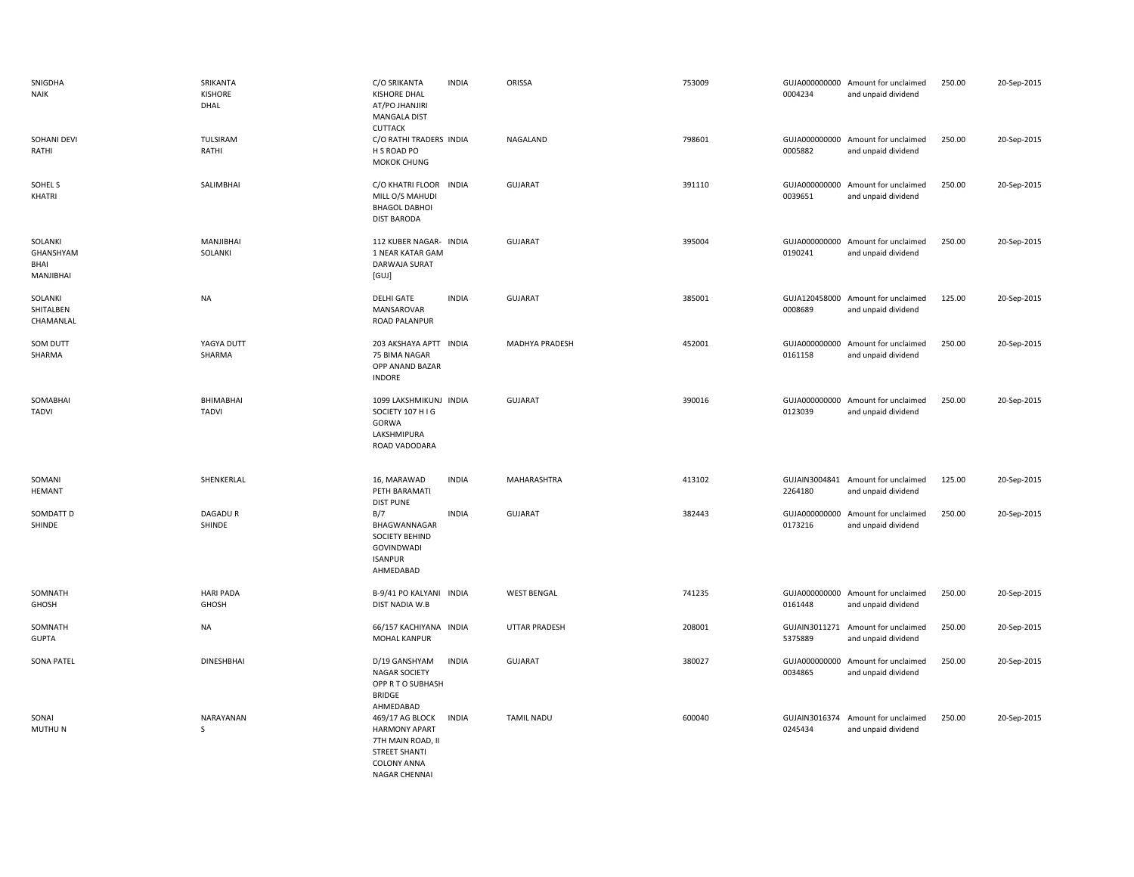| SNIGDHA<br><b>NAIK</b>                    | SRIKANTA<br>KISHORE<br>DHAL | C/O SRIKANTA<br><b>KISHORE DHAL</b><br>AT/PO JHANJIRI<br><b>MANGALA DIST</b><br><b>CUTTACK</b>                              | <b>INDIA</b> | ORISSA                | 753009 | 0004234                  | GUJA000000000 Amount for unclaimed<br>and unpaid dividend | 250.00 | 20-Sep-2015 |
|-------------------------------------------|-----------------------------|-----------------------------------------------------------------------------------------------------------------------------|--------------|-----------------------|--------|--------------------------|-----------------------------------------------------------|--------|-------------|
| SOHANI DEVI<br>RATHI                      | TULSIRAM<br>RATHI           | C/O RATHI TRADERS INDIA<br>H S ROAD PO<br>MOKOK CHUNG                                                                       |              | NAGALAND              | 798601 | 0005882                  | GUJA000000000 Amount for unclaimed<br>and unpaid dividend | 250.00 | 20-Sep-2015 |
| SOHEL S<br>KHATRI                         | SALIMBHAI                   | C/O KHATRI FLOOR<br>MILL O/S MAHUDI<br><b>BHAGOL DABHOI</b><br><b>DIST BARODA</b>                                           | <b>INDIA</b> | <b>GUJARAT</b>        | 391110 | GUJA000000000<br>0039651 | Amount for unclaimed<br>and unpaid dividend               | 250.00 | 20-Sep-2015 |
| SOLANKI<br>GHANSHYAM<br>BHAI<br>MANJIBHAI | MANJIBHAI<br>SOLANKI        | 112 KUBER NAGAR- INDIA<br>1 NEAR KATAR GAM<br>DARWAJA SURAT<br>[GUJ]                                                        |              | GUJARAT               | 395004 | GUJA000000000<br>0190241 | Amount for unclaimed<br>and unpaid dividend               | 250.00 | 20-Sep-2015 |
| SOLANKI<br>SHITALBEN<br>CHAMANLAL         | <b>NA</b>                   | <b>DELHI GATE</b><br>MANSAROVAR<br>ROAD PALANPUR                                                                            | <b>INDIA</b> | GUJARAT               | 385001 | 0008689                  | GUJA120458000 Amount for unclaimed<br>and unpaid dividend | 125.00 | 20-Sep-2015 |
| SOM DUTT<br>SHARMA                        | YAGYA DUTT<br>SHARMA        | 203 AKSHAYA APTT INDIA<br>75 BIMA NAGAR<br>OPP ANAND BAZAR<br><b>INDORE</b>                                                 |              | <b>MADHYA PRADESH</b> | 452001 | 0161158                  | GUJA000000000 Amount for unclaimed<br>and unpaid dividend | 250.00 | 20-Sep-2015 |
| SOMABHAI<br><b>TADVI</b>                  | BHIMABHAI<br><b>TADVI</b>   | 1099 LAKSHMIKUNJ INDIA<br>SOCIETY 107 H I G<br>GORWA<br>LAKSHMIPURA<br>ROAD VADODARA                                        |              | <b>GUJARAT</b>        | 390016 | 0123039                  | GUJA000000000 Amount for unclaimed<br>and unpaid dividend | 250.00 | 20-Sep-2015 |
| SOMANI<br>HEMANT                          | SHENKERLAL                  | 16, MARAWAD<br>PETH BARAMATI<br><b>DIST PUNE</b>                                                                            | <b>INDIA</b> | MAHARASHTRA           | 413102 | 2264180                  | GUJAIN3004841 Amount for unclaimed<br>and unpaid dividend | 125.00 | 20-Sep-2015 |
| SOMDATT D<br>SHINDE                       | DAGADU R<br>SHINDE          | B/7<br>BHAGWANNAGAR<br><b>SOCIETY BEHIND</b><br>GOVINDWADI<br><b>ISANPUR</b><br>AHMEDABAD                                   | <b>INDIA</b> | GUJARAT               | 382443 | 0173216                  | GUJA000000000 Amount for unclaimed<br>and unpaid dividend | 250.00 | 20-Sep-2015 |
| SOMNATH<br>GHOSH                          | <b>HARI PADA</b><br>GHOSH   | B-9/41 PO KALYANI INDIA<br>DIST NADIA W.B                                                                                   |              | <b>WEST BENGAL</b>    | 741235 | 0161448                  | GUJA000000000 Amount for unclaimed<br>and unpaid dividend | 250.00 | 20-Sep-2015 |
| SOMNATH<br><b>GUPTA</b>                   | <b>NA</b>                   | 66/157 KACHIYANA INDIA<br>MOHAL KANPUR                                                                                      |              | <b>UTTAR PRADESH</b>  | 208001 | 5375889                  | GUJAIN3011271 Amount for unclaimed<br>and unpaid dividend | 250.00 | 20-Sep-2015 |
| <b>SONA PATEL</b>                         | <b>DINESHBHAI</b>           | D/19 GANSHYAM<br><b>NAGAR SOCIETY</b><br>OPP R T O SUBHASH<br><b>BRIDGE</b><br>AHMEDABAD                                    | <b>INDIA</b> | <b>GUJARAT</b>        | 380027 | GUJA000000000<br>0034865 | Amount for unclaimed<br>and unpaid dividend               | 250.00 | 20-Sep-2015 |
| SONAI<br>MUTHU N                          | NARAYANAN<br>S              | 469/17 AG BLOCK<br><b>HARMONY APART</b><br>7TH MAIN ROAD, II<br><b>STREET SHANTI</b><br><b>COLONY ANNA</b><br>NAGAR CHENNAI | <b>INDIA</b> | <b>TAMIL NADU</b>     | 600040 | GUJAIN3016374<br>0245434 | Amount for unclaimed<br>and unpaid dividend               | 250.00 | 20-Sep-2015 |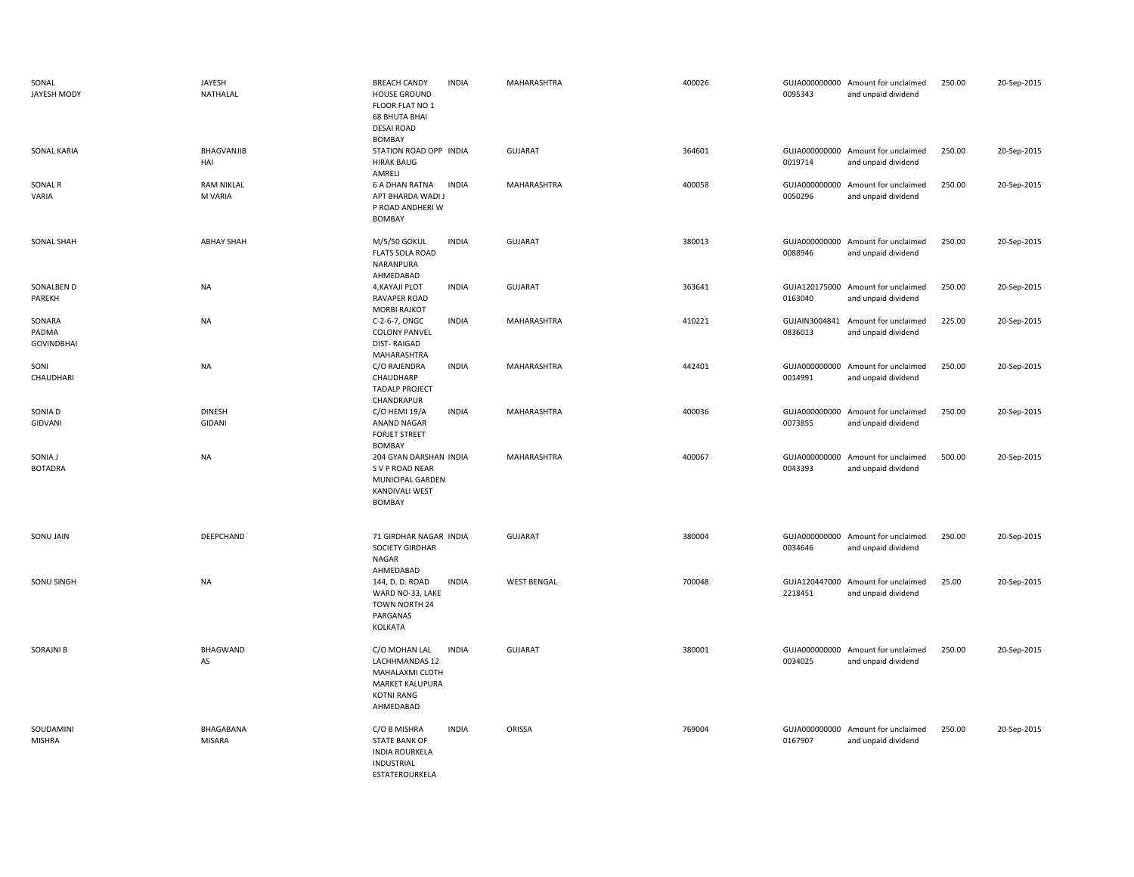| SONAL<br>JAYESH MODY                 | JAYESH<br>NATHALAL           | <b>BREACH CANDY</b><br><b>INDIA</b><br>HOUSE GROUND<br>FLOOR FLAT NO 1<br><b>68 BHUTA BHAI</b><br><b>DESAI ROAD</b>            | MAHARASHTRA        | 400026 | 0095343                  | GUJA000000000 Amount for unclaimed<br>and unpaid dividend | 250.00 | 20-Sep-2015 |
|--------------------------------------|------------------------------|--------------------------------------------------------------------------------------------------------------------------------|--------------------|--------|--------------------------|-----------------------------------------------------------|--------|-------------|
| SONAL KARIA                          | <b>BHAGVANJIB</b><br>HAI     | BOMBAY<br>STATION ROAD OPP INDIA<br><b>HIRAK BAUG</b><br>AMRELI                                                                | <b>GUJARAT</b>     | 364601 | 0019714                  | GUJA000000000 Amount for unclaimed<br>and unpaid dividend | 250.00 | 20-Sep-2015 |
| SONAL R<br>VARIA                     | <b>RAM NIKLAL</b><br>M VARIA | <b>6 A DHAN RATNA</b><br><b>INDIA</b><br>APT BHARDA WADI J<br>P ROAD ANDHERI W<br>BOMBAY                                       | MAHARASHTRA        | 400058 | GUJA000000000<br>0050296 | Amount for unclaimed<br>and unpaid dividend               | 250.00 | 20-Sep-2015 |
| <b>SONAL SHAH</b>                    | <b>ABHAY SHAH</b>            | M/5/50 GOKUL<br><b>INDIA</b><br><b>FLATS SOLA ROAD</b><br>NARANPURA<br>AHMEDABAD                                               | <b>GUJARAT</b>     | 380013 | GUJA000000000<br>0088946 | Amount for unclaimed<br>and unpaid dividend               | 250.00 | 20-Sep-2015 |
| SONALBEN D<br>PAREKH                 | <b>NA</b>                    | 4, KAYAJI PLOT<br><b>INDIA</b><br><b>RAVAPER ROAD</b><br><b>MORBI RAJKOT</b>                                                   | <b>GUJARAT</b>     | 363641 | 0163040                  | GUJA120175000 Amount for unclaimed<br>and unpaid dividend | 250.00 | 20-Sep-2015 |
| SONARA<br>PADMA<br><b>GOVINDBHAI</b> | <b>NA</b>                    | C-2-6-7, ONGC<br><b>INDIA</b><br><b>COLONY PANVEL</b><br><b>DIST-RAIGAD</b><br>MAHARASHTRA                                     | MAHARASHTRA        | 410221 | GUJAIN3004841<br>0836013 | Amount for unclaimed<br>and unpaid dividend               | 225.00 | 20-Sep-2015 |
| SONI<br>CHAUDHARI                    | <b>NA</b>                    | C/O RAJENDRA<br><b>INDIA</b><br>CHAUDHARP<br><b>TADALP PROJECT</b><br>CHANDRAPUR                                               | MAHARASHTRA        | 442401 | 0014991                  | GUJA000000000 Amount for unclaimed<br>and unpaid dividend | 250.00 | 20-Sep-2015 |
| SONIA D<br>GIDVANI                   | <b>DINESH</b><br>GIDANI      | C/O HEMI 19/A<br><b>INDIA</b><br><b>ANAND NAGAR</b><br><b>FORJET STREET</b><br><b>BOMBAY</b>                                   | MAHARASHTRA        | 400036 | GUJA000000000<br>0073855 | Amount for unclaimed<br>and unpaid dividend               | 250.00 | 20-Sep-2015 |
| SONIA J<br><b>BOTADRA</b>            | <b>NA</b>                    | 204 GYAN DARSHAN INDIA<br>S V P ROAD NEAR<br>MUNICIPAL GARDEN<br>KANDIVALI WEST<br>BOMBAY                                      | MAHARASHTRA        | 400067 | 0043393                  | GUJA000000000 Amount for unclaimed<br>and unpaid dividend | 500.00 | 20-Sep-2015 |
| SONU JAIN                            | DEEPCHAND                    | 71 GIRDHAR NAGAR INDIA<br><b>SOCIETY GIRDHAR</b><br>NAGAR<br>AHMEDABAD                                                         | <b>GUJARAT</b>     | 380004 | 0034646                  | GUJA000000000 Amount for unclaimed<br>and unpaid dividend | 250.00 | 20-Sep-2015 |
| SONU SINGH                           | <b>NA</b>                    | 144, D. D. ROAD<br><b>INDIA</b><br>WARD NO-33, LAKE<br>TOWN NORTH 24<br>PARGANAS<br>KOLKATA                                    | <b>WEST BENGAL</b> | 700048 | GUJA120447000<br>2218451 | Amount for unclaimed<br>and unpaid dividend               | 25.00  | 20-Sep-2015 |
| <b>SORAJNI B</b>                     | <b>BHAGWAND</b><br>AS        | C/O MOHAN LAL<br><b>INDIA</b><br>LACHHMANDAS 12<br>MAHALAXMI CLOTH<br><b>MARKET KALUPURA</b><br><b>KOTNI RANG</b><br>AHMEDABAD | <b>GUJARAT</b>     | 380001 | 0034025                  | GUJA000000000 Amount for unclaimed<br>and unpaid dividend | 250.00 | 20-Sep-2015 |
| SOUDAMINI<br><b>MISHRA</b>           | BHAGABANA<br><b>MISARA</b>   | C/O B MISHRA<br><b>INDIA</b><br><b>STATE BANK OF</b><br><b>INDIA ROURKELA</b><br>INDUSTRIAL<br><b>FSTATFROURKFLA</b>           | ORISSA             | 769004 | GUJA000000000<br>0167907 | Amount for unclaimed<br>and unpaid dividend               | 250.00 | 20-Sep-2015 |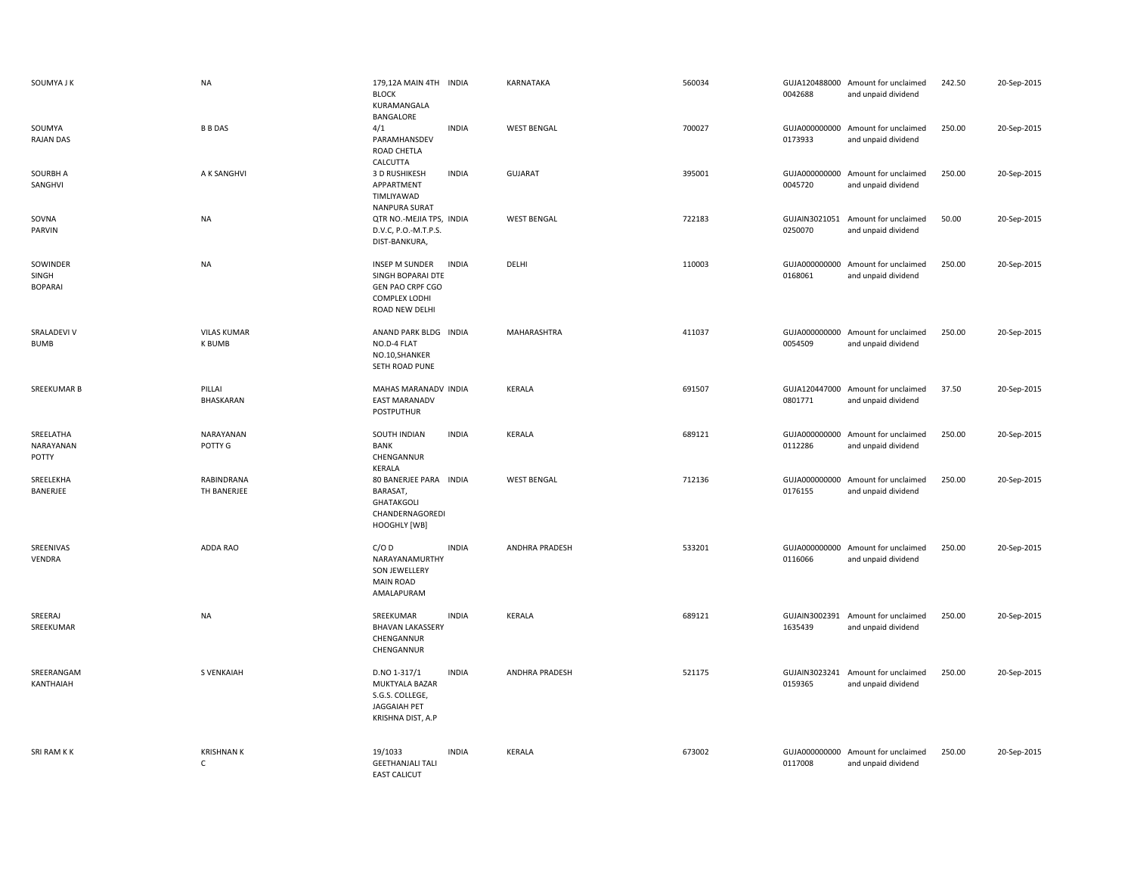| SOUMYA J K                          | <b>NA</b>                           | 179,12A MAIN 4TH INDIA<br><b>BLOCK</b><br>KURAMANGALA<br>BANGALORE                                            | KARNATAKA          | 560034 | 0042688 | GUJA120488000 Amount for unclaimed<br>and unpaid dividend | 242.50 | 20-Sep-2015 |
|-------------------------------------|-------------------------------------|---------------------------------------------------------------------------------------------------------------|--------------------|--------|---------|-----------------------------------------------------------|--------|-------------|
| SOUMYA<br>RAJAN DAS                 | <b>B B DAS</b>                      | <b>INDIA</b><br>4/1<br>PARAMHANSDEV<br><b>ROAD CHETLA</b><br>CALCUTTA                                         | <b>WEST BENGAL</b> | 700027 | 0173933 | GUJA000000000 Amount for unclaimed<br>and unpaid dividend | 250.00 | 20-Sep-2015 |
| SOURBH A<br>SANGHVI                 | A K SANGHVI                         | 3 D RUSHIKESH<br><b>INDIA</b><br>APPARTMENT<br>TIMLIYAWAD<br>NANPURA SURAT                                    | <b>GUJARAT</b>     | 395001 | 0045720 | GUJA000000000 Amount for unclaimed<br>and unpaid dividend | 250.00 | 20-Sep-2015 |
| SOVNA<br>PARVIN                     | <b>NA</b>                           | QTR NO.-MEJIA TPS, INDIA<br>D.V.C, P.O.-M.T.P.S.<br>DIST-BANKURA,                                             | <b>WEST BENGAL</b> | 722183 | 0250070 | GUJAIN3021051 Amount for unclaimed<br>and unpaid dividend | 50.00  | 20-Sep-2015 |
| SOWINDER<br>SINGH<br><b>BOPARAI</b> | <b>NA</b>                           | <b>INSEP M SUNDER</b><br>INDIA<br>SINGH BOPARAI DTE<br>GEN PAO CRPF CGO<br>COMPLEX LODHI<br>ROAD NEW DELHI    | DELHI              | 110003 | 0168061 | GUJA000000000 Amount for unclaimed<br>and unpaid dividend | 250.00 | 20-Sep-2015 |
| SRALADEVI V<br><b>BUMB</b>          | <b>VILAS KUMAR</b><br><b>K BUMB</b> | ANAND PARK BLDG INDIA<br>NO.D-4 FLAT<br>NO.10, SHANKER<br>SETH ROAD PUNE                                      | MAHARASHTRA        | 411037 | 0054509 | GUJA000000000 Amount for unclaimed<br>and unpaid dividend | 250.00 | 20-Sep-2015 |
| SREEKUMAR B                         | PILLAI<br>BHASKARAN                 | MAHAS MARANADV INDIA<br><b>EAST MARANADV</b><br><b>POSTPUTHUR</b>                                             | <b>KERALA</b>      | 691507 | 0801771 | GUJA120447000 Amount for unclaimed<br>and unpaid dividend | 37.50  | 20-Sep-2015 |
| SREELATHA<br>NARAYANAN<br>POTTY     | NARAYANAN<br>POTTY G                | SOUTH INDIAN<br><b>INDIA</b><br>BANK<br>CHENGANNUR<br>KERALA                                                  | <b>KERALA</b>      | 689121 | 0112286 | GUJA000000000 Amount for unclaimed<br>and unpaid dividend | 250.00 | 20-Sep-2015 |
| SREELEKHA<br>BANERJEE               | RABINDRANA<br>TH BANERJEE           | 80 BANERJEE PARA INDIA<br>BARASAT,<br>GHATAKGOLI<br>CHANDERNAGOREDI<br>HOOGHLY [WB]                           | <b>WEST BENGAL</b> | 712136 | 0176155 | GUJA000000000 Amount for unclaimed<br>and unpaid dividend | 250.00 | 20-Sep-2015 |
| SREENIVAS<br>VENDRA                 | ADDA RAO                            | C/OD<br><b>INDIA</b><br>NARAYANAMURTHY<br>SON JEWELLERY<br><b>MAIN ROAD</b><br>AMALAPURAM                     | ANDHRA PRADESH     | 533201 | 0116066 | GUJA000000000 Amount for unclaimed<br>and unpaid dividend | 250.00 | 20-Sep-2015 |
| SREERAJ<br>SREEKUMAR                | <b>NA</b>                           | <b>INDIA</b><br>SREEKUMAR<br><b>BHAVAN LAKASSERY</b><br>CHENGANNUR<br>CHENGANNUR                              | <b>KERALA</b>      | 689121 | 1635439 | GUJAIN3002391 Amount for unclaimed<br>and unpaid dividend | 250.00 | 20-Sep-2015 |
| SREERANGAM<br>KANTHAIAH             | <b>S VENKAIAH</b>                   | <b>INDIA</b><br>D.NO 1-317/1<br>MUKTYALA BAZAR<br>S.G.S. COLLEGE,<br><b>JAGGAIAH PET</b><br>KRISHNA DIST, A.P | ANDHRA PRADESH     | 521175 | 0159365 | GUJAIN3023241 Amount for unclaimed<br>and unpaid dividend | 250.00 | 20-Sep-2015 |
| SRI RAM K K                         |                                     |                                                                                                               |                    |        |         |                                                           |        |             |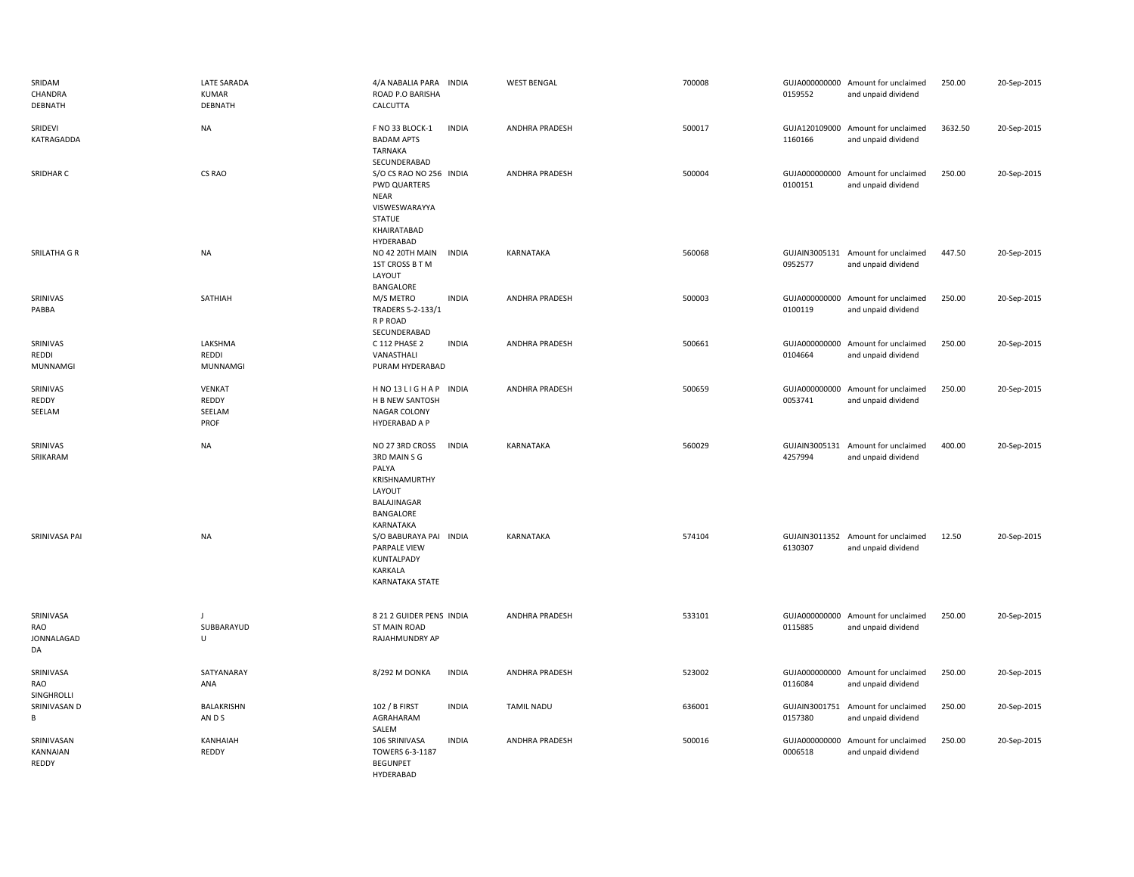| SRIDAM<br>CHANDRA<br>DEBNATH         | LATE SARADA<br><b>KUMAR</b><br>DEBNATH   | 4/A NABALIA PARA INDIA<br>ROAD P.O BARISHA<br>CALCUTTA                                                         |              | <b>WEST BENGAL</b>    | 700008 | 0159552                  | GUJA000000000 Amount for unclaimed<br>and unpaid dividend | 250.00  | 20-Sep-2015 |
|--------------------------------------|------------------------------------------|----------------------------------------------------------------------------------------------------------------|--------------|-----------------------|--------|--------------------------|-----------------------------------------------------------|---------|-------------|
| SRIDEVI<br>KATRAGADDA                | <b>NA</b>                                | F NO 33 BLOCK-1<br><b>BADAM APTS</b><br>TARNAKA<br>SECUNDERABAD                                                | <b>INDIA</b> | <b>ANDHRA PRADESH</b> | 500017 | 1160166                  | GUJA120109000 Amount for unclaimed<br>and unpaid dividend | 3632.50 | 20-Sep-2015 |
| SRIDHAR C                            | CS RAO                                   | S/O CS RAO NO 256 INDIA<br><b>PWD QUARTERS</b><br><b>NEAR</b><br>VISWESWARAYYA<br><b>STATUE</b><br>KHAIRATABAD |              | <b>ANDHRA PRADESH</b> | 500004 | 0100151                  | GUJA000000000 Amount for unclaimed<br>and unpaid dividend | 250.00  | 20-Sep-2015 |
| SRILATHA G R                         | <b>NA</b>                                | HYDERABAD<br>NO 42 20TH MAIN<br>1ST CROSS B T M<br>LAYOUT<br>BANGALORE                                         | <b>INDIA</b> | KARNATAKA             | 560068 | 0952577                  | GUJAIN3005131 Amount for unclaimed<br>and unpaid dividend | 447.50  | 20-Sep-2015 |
| SRINIVAS<br>PABBA                    | SATHIAH                                  | M/S METRO<br>TRADERS 5-2-133/1<br>R P ROAD<br>SECUNDERABAD                                                     | <b>INDIA</b> | <b>ANDHRA PRADESH</b> | 500003 | GUJA000000000<br>0100119 | Amount for unclaimed<br>and unpaid dividend               | 250.00  | 20-Sep-2015 |
| SRINIVAS<br>REDDI<br><b>MUNNAMGI</b> | LAKSHMA<br>REDDI<br><b>MUNNAMGI</b>      | C 112 PHASE 2<br>VANASTHALI<br>PURAM HYDERABAD                                                                 | <b>INDIA</b> | <b>ANDHRA PRADESH</b> | 500661 | 0104664                  | GUJA000000000 Amount for unclaimed<br>and unpaid dividend | 250.00  | 20-Sep-2015 |
| SRINIVAS<br>REDDY<br>SEELAM          | <b>VENKAT</b><br>REDDY<br>SEELAM<br>PROF | HNO13LIGHAP INDIA<br>H B NEW SANTOSH<br>NAGAR COLONY<br>HYDERABAD A P                                          |              | ANDHRA PRADESH        | 500659 | 0053741                  | GUJA000000000 Amount for unclaimed<br>and unpaid dividend | 250.00  | 20-Sep-2015 |
| SRINIVAS<br>SRIKARAM                 | <b>NA</b>                                | NO 27 3RD CROSS<br>3RD MAIN S G<br>PALYA<br>KRISHNAMURTHY<br>LAYOUT<br>BALAJINAGAR<br>BANGALORE<br>KARNATAKA   | <b>INDIA</b> | KARNATAKA             | 560029 | GUJAIN3005131<br>4257994 | Amount for unclaimed<br>and unpaid dividend               | 400.00  | 20-Sep-2015 |
| SRINIVASA PAI                        | <b>NA</b>                                | S/O BABURAYA PAI INDIA<br>PARPALE VIEW<br>KUNTALPADY<br>KARKALA<br><b>KARNATAKA STATE</b>                      |              | <b>KARNATAKA</b>      | 574104 | 6130307                  | GUJAIN3011352 Amount for unclaimed<br>and unpaid dividend | 12.50   | 20-Sep-2015 |
| SRINIVASA<br>RAO<br>JONNALAGAD<br>DA | J<br>SUBBARAYUD<br>U                     | 8 21 2 GUIDER PENS INDIA<br><b>ST MAIN ROAD</b><br>RAJAHMUNDRY AP                                              |              | <b>ANDHRA PRADESH</b> | 533101 | 0115885                  | GUJA000000000 Amount for unclaimed<br>and unpaid dividend | 250.00  | 20-Sep-2015 |
| SRINIVASA<br>RAO<br>SINGHROLLI       | SATYANARAY<br>ANA                        | 8/292 M DONKA                                                                                                  | <b>INDIA</b> | ANDHRA PRADESH        | 523002 | 0116084                  | GUJA000000000 Amount for unclaimed<br>and unpaid dividend | 250.00  | 20-Sep-2015 |
| SRINIVASAN D<br>B                    | <b>BALAKRISHN</b><br>ANDS                | 102 / B FIRST<br>AGRAHARAM<br>SALEM                                                                            | <b>INDIA</b> | <b>TAMIL NADU</b>     | 636001 | GUJAIN3001751<br>0157380 | Amount for unclaimed<br>and unpaid dividend               | 250.00  | 20-Sep-2015 |
| SRINIVASAN<br>KANNAIAN<br>REDDY      | KANHAIAH<br>REDDY                        | 106 SRINIVASA<br>TOWERS 6-3-1187<br><b>BEGUNPET</b><br>HYDERABAD                                               | <b>INDIA</b> | <b>ANDHRA PRADESH</b> | 500016 | GUJA000000000<br>0006518 | Amount for unclaimed<br>and unpaid dividend               | 250.00  | 20-Sep-2015 |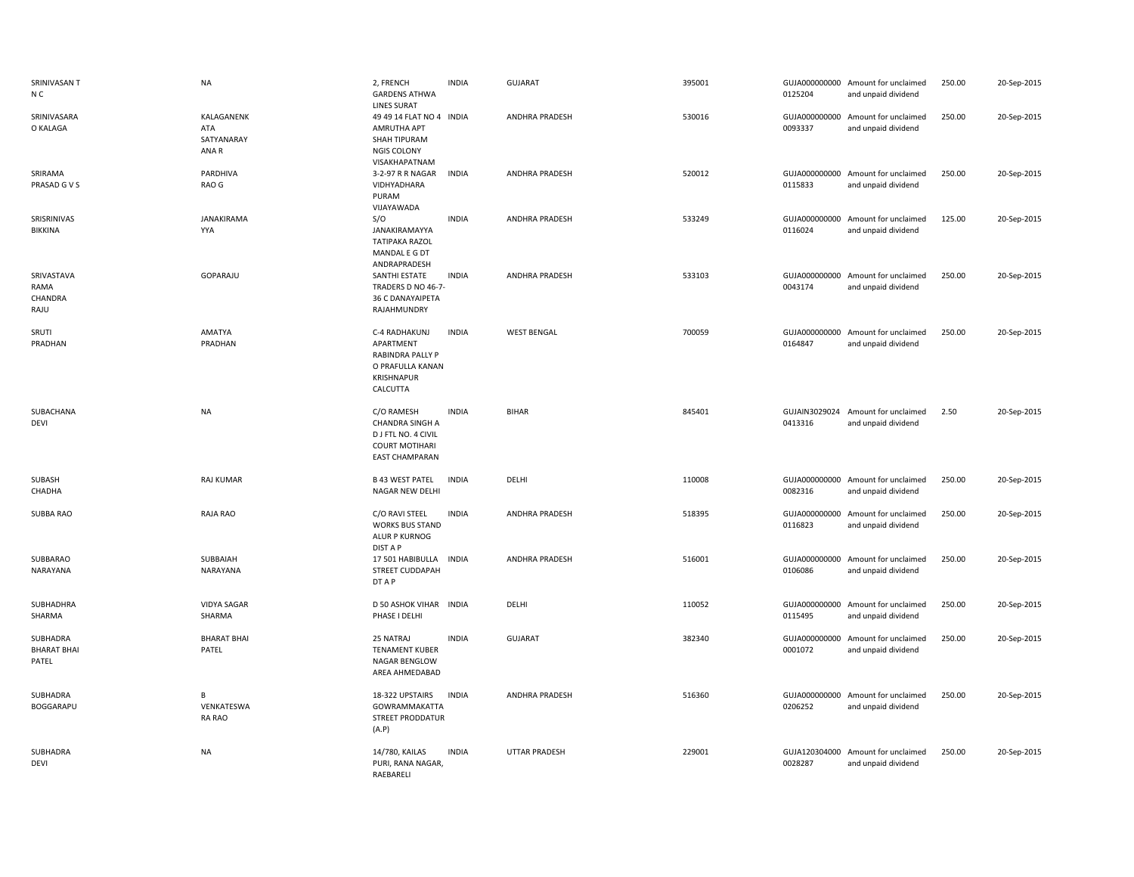| SRINIVASAN T<br>N C                     | <b>NA</b>                                | 2, FRENCH<br><b>GARDENS ATHWA</b><br><b>LINES SURAT</b>                                                       | <b>INDIA</b> | <b>GUJARAT</b>       | 395001 | 0125204                  | GUJA000000000 Amount for unclaimed<br>and unpaid dividend | 250.00 | 20-Sep-2015 |
|-----------------------------------------|------------------------------------------|---------------------------------------------------------------------------------------------------------------|--------------|----------------------|--------|--------------------------|-----------------------------------------------------------|--------|-------------|
| SRINIVASARA<br>O KALAGA                 | KALAGANENK<br>ATA<br>SATYANARAY<br>ANA R | 49 49 14 FLAT NO 4 INDIA<br>AMRUTHA APT<br>SHAH TIPURAM<br>NGIS COLONY<br>VISAKHAPATNAM                       |              | ANDHRA PRADESH       | 530016 | 0093337                  | GUJA000000000 Amount for unclaimed<br>and unpaid dividend | 250.00 | 20-Sep-2015 |
| SRIRAMA<br>PRASAD G V S                 | PARDHIVA<br>RAO G                        | 3-2-97 R R NAGAR<br>VIDHYADHARA<br>PURAM<br>VIJAYAWADA                                                        | <b>INDIA</b> | ANDHRA PRADESH       | 520012 | 0115833                  | GUJA000000000 Amount for unclaimed<br>and unpaid dividend | 250.00 | 20-Sep-2015 |
| SRISRINIVAS<br><b>BIKKINA</b>           | <b>JANAKIRAMA</b><br>YYA                 | S/O<br>JANAKIRAMAYYA<br><b>TATIPAKA RAZOL</b><br>MANDAL E G DT<br>ANDRAPRADESH                                | <b>INDIA</b> | ANDHRA PRADESH       | 533249 | 0116024                  | GUJA000000000 Amount for unclaimed<br>and unpaid dividend | 125.00 | 20-Sep-2015 |
| SRIVASTAVA<br>RAMA<br>CHANDRA<br>RAJU   | GOPARAJU                                 | SANTHI ESTATE<br>TRADERS D NO 46-7-<br>36 C DANAYAIPETA<br>RAJAHMUNDRY                                        | <b>INDIA</b> | ANDHRA PRADESH       | 533103 | 0043174                  | GUJA000000000 Amount for unclaimed<br>and unpaid dividend | 250.00 | 20-Sep-2015 |
| SRUTI<br>PRADHAN                        | AMATYA<br>PRADHAN                        | C-4 RADHAKUNJ<br>APARTMENT<br><b>RABINDRA PALLY P</b><br>O PRAFULLA KANAN<br><b>KRISHNAPUR</b><br>CALCUTTA    | <b>INDIA</b> | <b>WEST BENGAL</b>   | 700059 | 0164847                  | GUJA000000000 Amount for unclaimed<br>and unpaid dividend | 250.00 | 20-Sep-2015 |
| SUBACHANA<br><b>DEVI</b>                | <b>NA</b>                                | C/O RAMESH<br><b>CHANDRA SINGH A</b><br>D J FTL NO. 4 CIVIL<br><b>COURT MOTIHARI</b><br><b>EAST CHAMPARAN</b> | <b>INDIA</b> | <b>BIHAR</b>         | 845401 | 0413316                  | GUJAIN3029024 Amount for unclaimed<br>and unpaid dividend | 2.50   | 20-Sep-2015 |
| SUBASH<br>CHADHA                        | <b>RAJ KUMAR</b>                         | <b>B 43 WEST PATEL</b><br>NAGAR NEW DELHI                                                                     | <b>INDIA</b> | DELHI                | 110008 | 0082316                  | GUJA000000000 Amount for unclaimed<br>and unpaid dividend | 250.00 | 20-Sep-2015 |
| SUBBA RAO                               | RAJA RAO                                 | C/O RAVI STEEL<br><b>WORKS BUS STAND</b><br>ALUR P KURNOG<br><b>DIST A P</b>                                  | <b>INDIA</b> | ANDHRA PRADESH       | 518395 | 0116823                  | GUJA000000000 Amount for unclaimed<br>and unpaid dividend | 250.00 | 20-Sep-2015 |
| SUBBARAO<br>NARAYANA                    | SUBBAIAH<br>NARAYANA                     | 17 501 HABIBULLA<br>STREET CUDDAPAH<br>DT A P                                                                 | INDIA        | ANDHRA PRADESH       | 516001 | 0106086                  | GUJA000000000 Amount for unclaimed<br>and unpaid dividend | 250.00 | 20-Sep-2015 |
| SUBHADHRA<br>SHARMA                     | <b>VIDYA SAGAR</b><br>SHARMA             | D 50 ASHOK VIHAR INDIA<br>PHASE I DELHI                                                                       |              | DELHI                | 110052 | 0115495                  | GUJA000000000 Amount for unclaimed<br>and unpaid dividend | 250.00 | 20-Sep-2015 |
| SUBHADRA<br><b>BHARAT BHAI</b><br>PATEL | <b>BHARAT BHAI</b><br>PATEL              | 25 NATRAJ<br><b>TENAMENT KUBER</b><br>NAGAR BENGLOW<br>AREA AHMEDABAD                                         | <b>INDIA</b> | GUJARAT              | 382340 | GUJA000000000<br>0001072 | Amount for unclaimed<br>and unpaid dividend               | 250.00 | 20-Sep-2015 |
| SUBHADRA<br>BOGGARAPU                   | В<br>VENKATESWA<br>RA RAO                | 18-322 UPSTAIRS<br>GOWRAMMAKATTA<br><b>STREET PRODDATUR</b><br>(A.P)                                          | <b>INDIA</b> | ANDHRA PRADESH       | 516360 | 0206252                  | GUJA000000000 Amount for unclaimed<br>and unpaid dividend | 250.00 | 20-Sep-2015 |
| SUBHADRA<br>DEVI                        | <b>NA</b>                                | 14/780, KAILAS<br>PURI, RANA NAGAR,<br>RAEBARELI                                                              | <b>INDIA</b> | <b>UTTAR PRADESH</b> | 229001 | 0028287                  | GUJA120304000 Amount for unclaimed<br>and unpaid dividend | 250.00 | 20-Sep-2015 |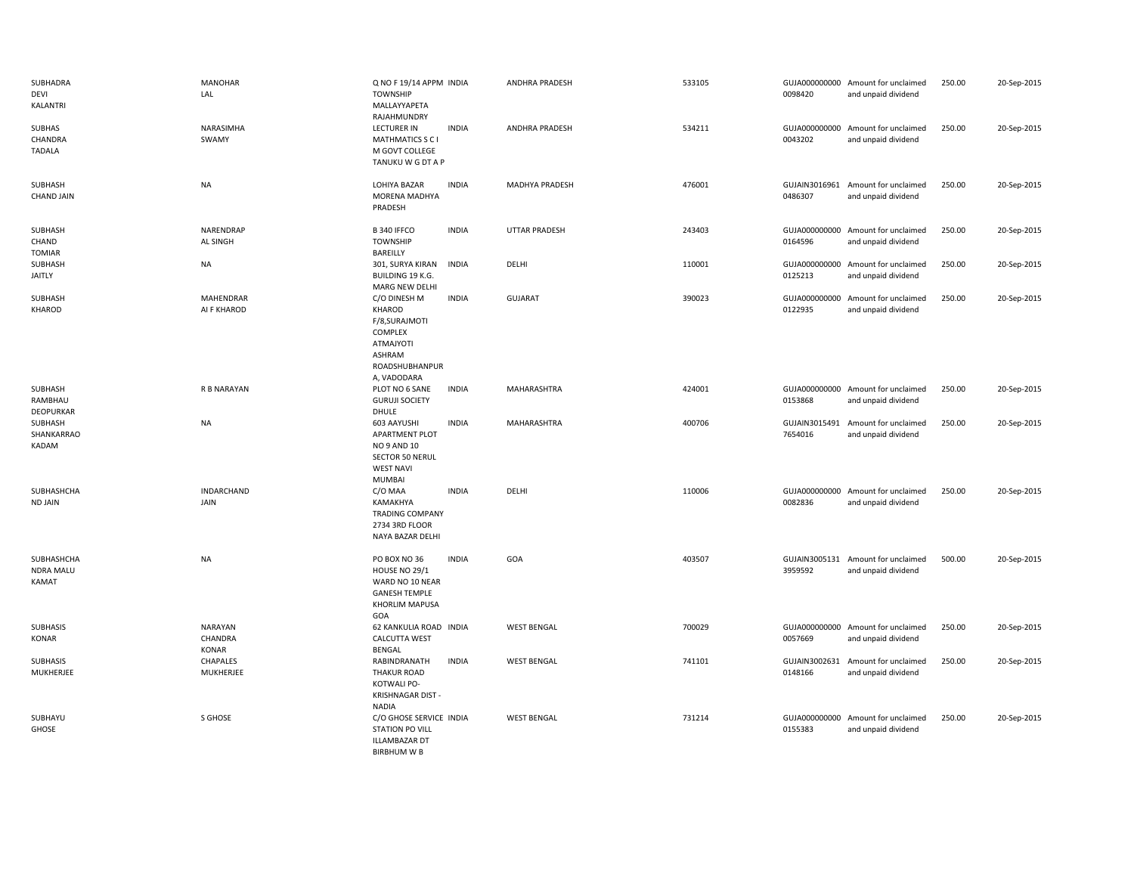| SUBHADRA<br>DEVI<br>KALANTRI            | <b>MANOHAR</b><br>LAL              | Q NO F 19/14 APPM INDIA<br><b>TOWNSHIP</b><br>MALLAYYAPETA<br>RAJAHMUNDRY                                          |              | <b>ANDHRA PRADESH</b> | 533105 | 0098420                  | GUJA000000000 Amount for unclaimed<br>and unpaid dividend | 250.00 | 20-Sep-2015 |
|-----------------------------------------|------------------------------------|--------------------------------------------------------------------------------------------------------------------|--------------|-----------------------|--------|--------------------------|-----------------------------------------------------------|--------|-------------|
| SUBHAS<br>CHANDRA<br><b>TADALA</b>      | NARASIMHA<br>SWAMY                 | <b>LECTURER IN</b><br><b>MATHMATICS S C I</b><br>M GOVT COLLEGE<br>TANUKU W G DT A P                               | <b>INDIA</b> | ANDHRA PRADESH        | 534211 | GUJA000000000<br>0043202 | Amount for unclaimed<br>and unpaid dividend               | 250.00 | 20-Sep-2015 |
| SUBHASH<br><b>CHAND JAIN</b>            | <b>NA</b>                          | LOHIYA BAZAR<br>MORENA MADHYA<br>PRADESH                                                                           | <b>INDIA</b> | MADHYA PRADESH        | 476001 | 0486307                  | GUJAIN3016961 Amount for unclaimed<br>and unpaid dividend | 250.00 | 20-Sep-2015 |
| SUBHASH<br>CHAND<br>TOMIAR              | NARENDRAP<br>AL SINGH              | B 340 IFFCO<br><b>TOWNSHIP</b><br>BAREILLY                                                                         | <b>INDIA</b> | <b>UTTAR PRADESH</b>  | 243403 | 0164596                  | GUJA000000000 Amount for unclaimed<br>and unpaid dividend | 250.00 | 20-Sep-2015 |
| SUBHASH<br>JAITLY                       | <b>NA</b>                          | 301, SURYA KIRAN<br><b>BUILDING 19 K.G.</b><br>MARG NEW DELHI                                                      | <b>INDIA</b> | DELHI                 | 110001 | GUJA000000000<br>0125213 | Amount for unclaimed<br>and unpaid dividend               | 250.00 | 20-Sep-2015 |
| SUBHASH<br>KHAROD                       | <b>MAHENDRAR</b><br>AI F KHAROD    | C/O DINESH M<br>KHAROD<br>F/8, SURAJMOTI<br>COMPLEX<br><b>ATMAJYOTI</b><br>ASHRAM<br>ROADSHUBHANPUR<br>A, VADODARA | <b>INDIA</b> | <b>GUJARAT</b>        | 390023 | 0122935                  | GUJA000000000 Amount for unclaimed<br>and unpaid dividend | 250.00 | 20-Sep-2015 |
| SUBHASH<br>RAMBHAU<br>DEOPURKAR         | R B NARAYAN                        | PLOT NO 6 SANE<br><b>GURUJI SOCIETY</b><br>DHULE                                                                   | <b>INDIA</b> | MAHARASHTRA           | 424001 | 0153868                  | GUJA000000000 Amount for unclaimed<br>and unpaid dividend | 250.00 | 20-Sep-2015 |
| SUBHASH<br>SHANKARRAO<br>KADAM          | <b>NA</b>                          | 603 AAYUSHI<br>APARTMENT PLOT<br>NO 9 AND 10<br><b>SECTOR 50 NERUL</b><br><b>WEST NAVI</b><br><b>MUMBAI</b>        | <b>INDIA</b> | MAHARASHTRA           | 400706 | GUJAIN3015491<br>7654016 | Amount for unclaimed<br>and unpaid dividend               | 250.00 | 20-Sep-2015 |
| SUBHASHCHA<br><b>ND JAIN</b>            | <b>INDARCHAND</b><br>JAIN          | C/O MAA<br>KAMAKHYA<br><b>TRADING COMPANY</b><br>2734 3RD FLOOR<br>NAYA BAZAR DELHI                                | <b>INDIA</b> | DELHI                 | 110006 | GUJA000000000<br>0082836 | Amount for unclaimed<br>and unpaid dividend               | 250.00 | 20-Sep-2015 |
| SUBHASHCHA<br><b>NDRA MALU</b><br>KAMAT | <b>NA</b>                          | PO BOX NO 36<br>HOUSE NO 29/1<br>WARD NO 10 NEAR<br><b>GANESH TEMPLE</b><br>KHORLIM MAPUSA<br>GOA                  | <b>INDIA</b> | GOA                   | 403507 | 3959592                  | GUJAIN3005131 Amount for unclaimed<br>and unpaid dividend | 500.00 | 20-Sep-2015 |
| <b>SUBHASIS</b><br>KONAR                | NARAYAN<br>CHANDRA<br><b>KONAR</b> | 62 KANKULIA ROAD INDIA<br><b>CALCUTTA WEST</b><br><b>BENGAL</b>                                                    |              | <b>WEST BENGAL</b>    | 700029 | 0057669                  | GUJA000000000 Amount for unclaimed<br>and unpaid dividend | 250.00 | 20-Sep-2015 |
| SUBHASIS<br>MUKHERJEE                   | CHAPALES<br>MUKHERJEE              | RABINDRANATH<br><b>THAKUR ROAD</b><br>KOTWALI PO-<br>KRISHNAGAR DIST -<br><b>NADIA</b>                             | <b>INDIA</b> | <b>WEST BENGAL</b>    | 741101 | 0148166                  | GUJAIN3002631 Amount for unclaimed<br>and unpaid dividend | 250.00 | 20-Sep-2015 |
| SUBHAYU<br>GHOSE                        | S GHOSE                            | C/O GHOSE SERVICE INDIA<br><b>STATION PO VILL</b><br><b>ILLAMBAZAR DT</b><br><b>BIRBHUM W B</b>                    |              | <b>WEST BENGAL</b>    | 731214 | 0155383                  | GUJA000000000 Amount for unclaimed<br>and unpaid dividend | 250.00 | 20-Sep-2015 |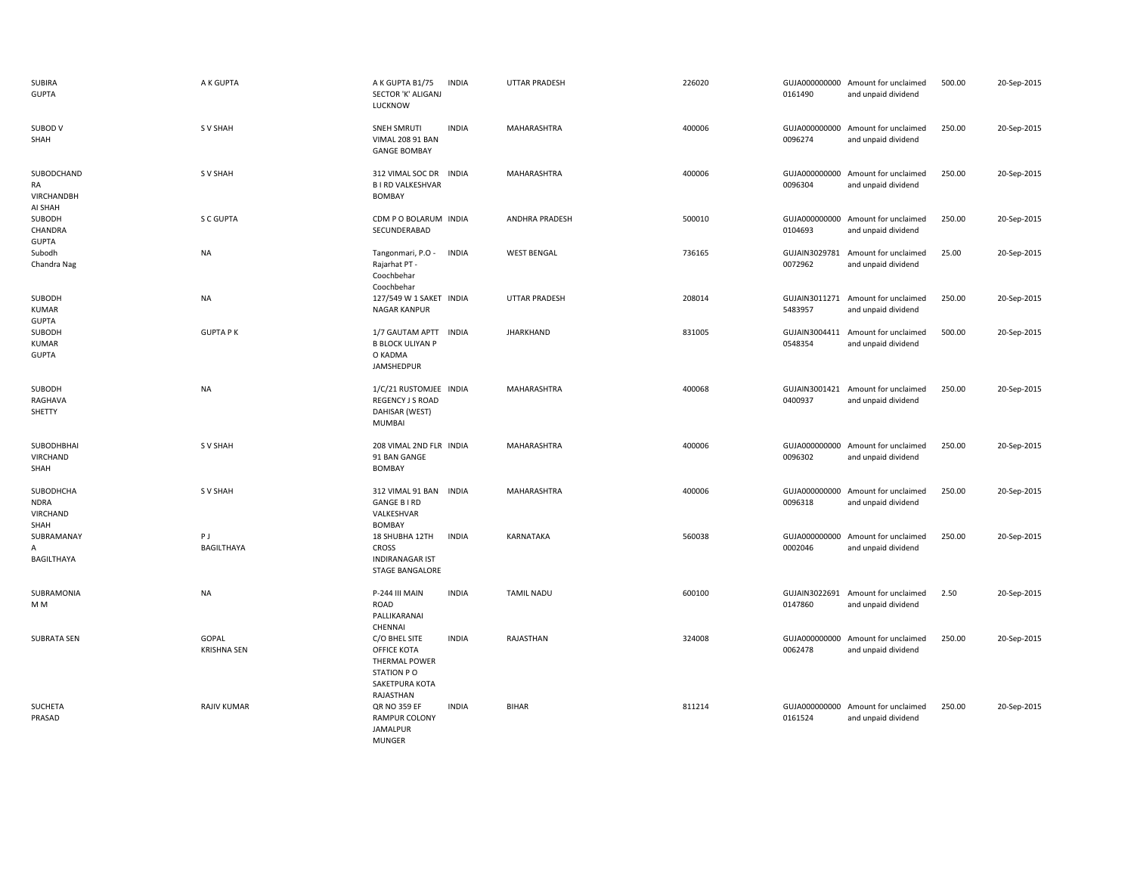| SUBIRA<br><b>GUPTA</b>                              | A K GUPTA                          | A K GUPTA B1/75<br><b>INDIA</b><br>SECTOR 'K' ALIGANJ<br>LUCKNOW                                                      | UTTAR PRADESH         | 226020 | 0161490                  | GUJA000000000 Amount for unclaimed<br>and unpaid dividend | 500.00 | 20-Sep-2015 |
|-----------------------------------------------------|------------------------------------|-----------------------------------------------------------------------------------------------------------------------|-----------------------|--------|--------------------------|-----------------------------------------------------------|--------|-------------|
| SUBOD V<br>SHAH                                     | S V SHAH                           | <b>SNEH SMRUTI</b><br><b>INDIA</b><br><b>VIMAL 208 91 BAN</b><br><b>GANGE BOMBAY</b>                                  | MAHARASHTRA           | 400006 | GUJA000000000<br>0096274 | Amount for unclaimed<br>and unpaid dividend               | 250.00 | 20-Sep-2015 |
| SUBODCHAND<br>RA<br><b>VIRCHANDBH</b><br>AI SHAH    | S V SHAH                           | 312 VIMAL SOC DR INDIA<br><b>BIRD VALKESHVAR</b><br>BOMBAY                                                            | <b>MAHARASHTRA</b>    | 400006 | GUJA000000000<br>0096304 | Amount for unclaimed<br>and unpaid dividend               | 250.00 | 20-Sep-2015 |
| SUBODH<br>CHANDRA<br><b>GUPTA</b>                   | S C GUPTA                          | CDM P O BOLARUM INDIA<br>SECUNDERABAD                                                                                 | <b>ANDHRA PRADESH</b> | 500010 | 0104693                  | GUJA000000000 Amount for unclaimed<br>and unpaid dividend | 250.00 | 20-Sep-2015 |
| Subodh<br>Chandra Nag                               | <b>NA</b>                          | Tangonmari, P.O -<br><b>INDIA</b><br>Rajarhat PT -<br>Coochbehar<br>Coochbehar                                        | <b>WEST BENGAL</b>    | 736165 | GUJAIN3029781<br>0072962 | Amount for unclaimed<br>and unpaid dividend               | 25.00  | 20-Sep-2015 |
| SUBODH<br><b>KUMAR</b><br><b>GUPTA</b>              | <b>NA</b>                          | 127/549 W 1 SAKET INDIA<br><b>NAGAR KANPUR</b>                                                                        | <b>UTTAR PRADESH</b>  | 208014 | 5483957                  | GUJAIN3011271 Amount for unclaimed<br>and unpaid dividend | 250.00 | 20-Sep-2015 |
| SUBODH<br><b>KUMAR</b><br><b>GUPTA</b>              | <b>GUPTA PK</b>                    | 1/7 GAUTAM APTT INDIA<br><b>B BLOCK ULIYAN P</b><br>O KADMA<br>JAMSHEDPUR                                             | <b>JHARKHAND</b>      | 831005 | 0548354                  | GUJAIN3004411 Amount for unclaimed<br>and unpaid dividend | 500.00 | 20-Sep-2015 |
| SUBODH<br>RAGHAVA<br>SHETTY                         | <b>NA</b>                          | 1/C/21 RUSTOMJEE INDIA<br>REGENCY J S ROAD<br>DAHISAR (WEST)<br><b>MUMBAI</b>                                         | MAHARASHTRA           | 400068 | 0400937                  | GUJAIN3001421 Amount for unclaimed<br>and unpaid dividend | 250.00 | 20-Sep-2015 |
| SUBODHBHAI<br>VIRCHAND<br>SHAH                      | S V SHAH                           | 208 VIMAL 2ND FLR INDIA<br>91 BAN GANGE<br><b>BOMBAY</b>                                                              | MAHARASHTRA           | 400006 | GUJA000000000<br>0096302 | Amount for unclaimed<br>and unpaid dividend               | 250.00 | 20-Sep-2015 |
| SUBODHCHA<br><b>NDRA</b><br><b>VIRCHAND</b><br>SHAH | S V SHAH                           | 312 VIMAL 91 BAN INDIA<br><b>GANGE B I RD</b><br>VALKESHVAR<br><b>BOMBAY</b>                                          | MAHARASHTRA           | 400006 | GUJA000000000<br>0096318 | Amount for unclaimed<br>and unpaid dividend               | 250.00 | 20-Sep-2015 |
| SUBRAMANAY<br>A<br>BAGILTHAYA                       | PJ<br><b>BAGILTHAYA</b>            | 18 SHUBHA 12TH<br><b>INDIA</b><br><b>CROSS</b><br><b>INDIRANAGAR IST</b><br><b>STAGE BANGALORE</b>                    | KARNATAKA             | 560038 | GUJA000000000<br>0002046 | Amount for unclaimed<br>and unpaid dividend               | 250.00 | 20-Sep-2015 |
| SUBRAMONIA<br>M M                                   | <b>NA</b>                          | <b>INDIA</b><br>P-244 III MAIN<br><b>ROAD</b><br>PALLIKARANAI                                                         | <b>TAMIL NADU</b>     | 600100 | 0147860                  | GUJAIN3022691 Amount for unclaimed<br>and unpaid dividend | 2.50   | 20-Sep-2015 |
| <b>SUBRATA SEN</b>                                  | <b>GOPAL</b><br><b>KRISHNA SEN</b> | CHENNAI<br>C/O BHEL SITE<br><b>INDIA</b><br>OFFICE KOTA<br>THERMAL POWER<br>STATION PO<br>SAKETPURA KOTA<br>RAJASTHAN | RAJASTHAN             | 324008 | GUJA000000000<br>0062478 | Amount for unclaimed<br>and unpaid dividend               | 250.00 | 20-Sep-2015 |
| SUCHETA<br>PRASAD                                   | <b>RAJIV KUMAR</b>                 | <b>QR NO 359 EF</b><br><b>INDIA</b><br><b>RAMPUR COLONY</b><br><b>JAMALPUR</b>                                        | BIHAR                 | 811214 | 0161524                  | GUJA000000000 Amount for unclaimed<br>and unpaid dividend | 250.00 | 20-Sep-2015 |

MUNGER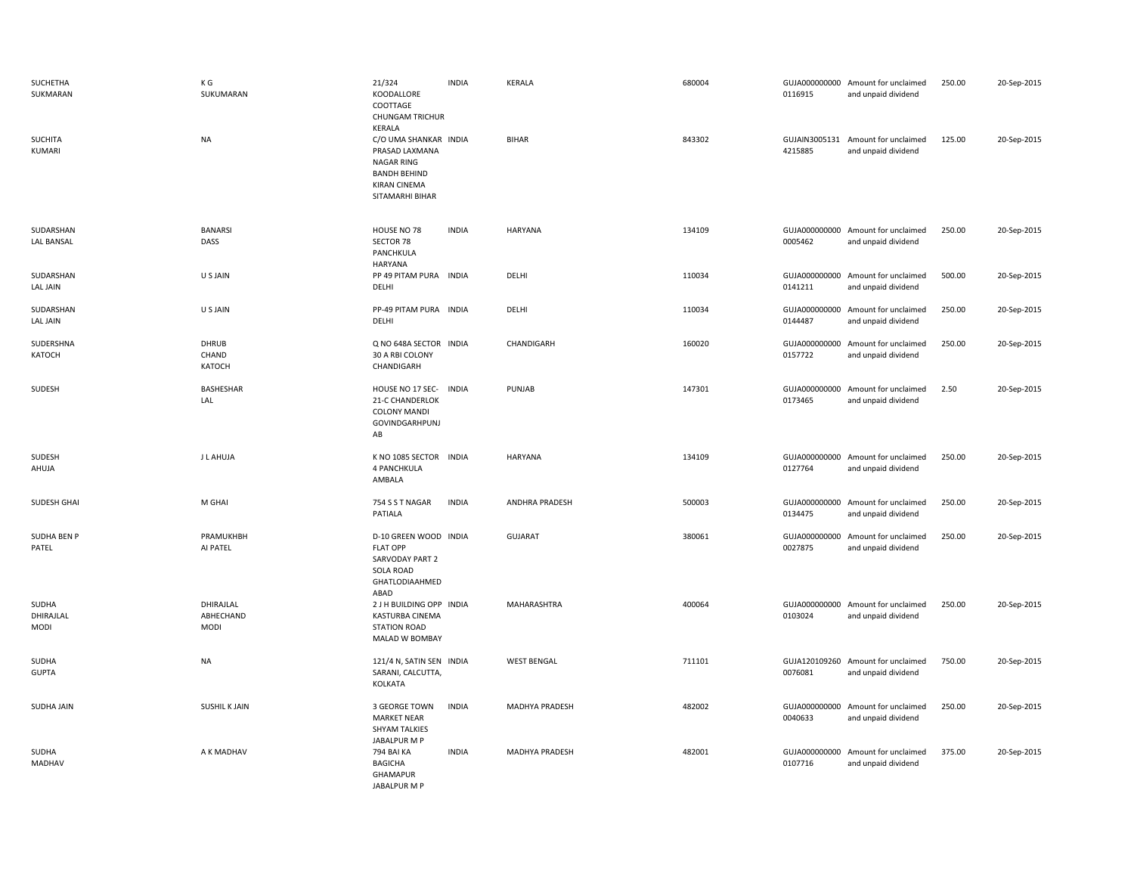| SUCHETHA<br>SUKMARAN              | ΚG<br>SUKUMARAN                       | 21/324<br>KOODALLORE<br>COOTTAGE<br><b>CHUNGAM TRICHUR</b><br>KERALA                                                          | <b>INDIA</b> | <b>KERALA</b>         | 680004 | 0116915                  | GUJA000000000 Amount for unclaimed<br>and unpaid dividend | 250.00 | 20-Sep-2015 |
|-----------------------------------|---------------------------------------|-------------------------------------------------------------------------------------------------------------------------------|--------------|-----------------------|--------|--------------------------|-----------------------------------------------------------|--------|-------------|
| <b>SUCHITA</b><br>KUMARI          | <b>NA</b>                             | C/O UMA SHANKAR INDIA<br>PRASAD LAXMANA<br><b>NAGAR RING</b><br><b>BANDH BEHIND</b><br><b>KIRAN CINEMA</b><br>SITAMARHI BIHAR |              | <b>BIHAR</b>          | 843302 | 4215885                  | GUJAIN3005131 Amount for unclaimed<br>and unpaid dividend | 125.00 | 20-Sep-2015 |
| SUDARSHAN<br><b>LAL BANSAL</b>    | <b>BANARSI</b><br>DASS                | HOUSE NO 78<br>SECTOR 78<br>PANCHKULA<br>HARYANA                                                                              | <b>INDIA</b> | <b>HARYANA</b>        | 134109 | 0005462                  | GUJA000000000 Amount for unclaimed<br>and unpaid dividend | 250.00 | 20-Sep-2015 |
| SUDARSHAN<br>LAL JAIN             | U S JAIN                              | PP 49 PITAM PURA INDIA<br>DELHI                                                                                               |              | DELHI                 | 110034 | GUJA000000000<br>0141211 | Amount for unclaimed<br>and unpaid dividend               | 500.00 | 20-Sep-2015 |
| SUDARSHAN<br>LAL JAIN             | U S JAIN                              | PP-49 PITAM PURA INDIA<br>DELHI                                                                                               |              | DELHI                 | 110034 | 0144487                  | GUJA000000000 Amount for unclaimed<br>and unpaid dividend | 250.00 | 20-Sep-2015 |
| SUDERSHNA<br>KATOCH               | <b>DHRUB</b><br>CHAND<br>KATOCH       | Q NO 648A SECTOR INDIA<br>30 A RBI COLONY<br>CHANDIGARH                                                                       |              | CHANDIGARH            | 160020 | GUJA000000000<br>0157722 | Amount for unclaimed<br>and unpaid dividend               | 250.00 | 20-Sep-2015 |
| SUDESH                            | BASHESHAR<br>LAL                      | HOUSE NO 17 SEC-<br><b>21-C CHANDERLOK</b><br><b>COLONY MANDI</b><br>GOVINDGARHPUNJ<br>AB                                     | <b>INDIA</b> | PUNJAB                | 147301 | GUJA000000000<br>0173465 | Amount for unclaimed<br>and unpaid dividend               | 2.50   | 20-Sep-2015 |
| SUDESH<br>AHUJA                   | J L AHUJA                             | K NO 1085 SECTOR INDIA<br>4 PANCHKULA<br>AMBALA                                                                               |              | <b>HARYANA</b>        | 134109 | GUJA000000000<br>0127764 | Amount for unclaimed<br>and unpaid dividend               | 250.00 | 20-Sep-2015 |
| SUDESH GHAI                       | M GHAI                                | 754 S S T NAGAR<br>PATIALA                                                                                                    | <b>INDIA</b> | <b>ANDHRA PRADESH</b> | 500003 | GUJA000000000<br>0134475 | Amount for unclaimed<br>and unpaid dividend               | 250.00 | 20-Sep-2015 |
| SUDHA BEN P<br>PATEL              | PRAMUKHBH<br>AI PATEL                 | D-10 GREEN WOOD INDIA<br><b>FLAT OPP</b><br>SARVODAY PART 2<br><b>SOLA ROAD</b><br>GHATLODIAAHMED<br>ABAD                     |              | <b>GUJARAT</b>        | 380061 | 0027875                  | GUJA000000000 Amount for unclaimed<br>and unpaid dividend | 250.00 | 20-Sep-2015 |
| SUDHA<br>DHIRAJLAL<br><b>MODI</b> | DHIRAJLAL<br>ABHECHAND<br><b>MODI</b> | 2 J H BUILDING OPP INDIA<br><b>KASTURBA CINEMA</b><br><b>STATION ROAD</b><br>MALAD W BOMBAY                                   |              | MAHARASHTRA           | 400064 | 0103024                  | GUJA000000000 Amount for unclaimed<br>and unpaid dividend | 250.00 | 20-Sep-2015 |
| SUDHA<br><b>GUPTA</b>             | <b>NA</b>                             | 121/4 N, SATIN SEN INDIA<br>SARANI, CALCUTTA,<br>KOLKATA                                                                      |              | <b>WEST BENGAL</b>    | 711101 | 0076081                  | GUJA120109260 Amount for unclaimed<br>and unpaid dividend | 750.00 | 20-Sep-2015 |
| SUDHA JAIN                        | <b>SUSHIL K JAIN</b>                  | 3 GEORGE TOWN<br><b>MARKET NEAR</b><br>SHYAM TALKIES<br>JABALPUR M P                                                          | <b>INDIA</b> | MADHYA PRADESH        | 482002 | GUJA000000000<br>0040633 | Amount for unclaimed<br>and unpaid dividend               | 250.00 | 20-Sep-2015 |
| SUDHA<br><b>MADHAV</b>            | A K MADHAV                            | 794 BAI KA<br><b>BAGICHA</b><br>GHAMAPUR<br>JABALPUR M P                                                                      | <b>INDIA</b> | MADHYA PRADESH        | 482001 | GUJA000000000<br>0107716 | Amount for unclaimed<br>and unpaid dividend               | 375.00 | 20-Sep-2015 |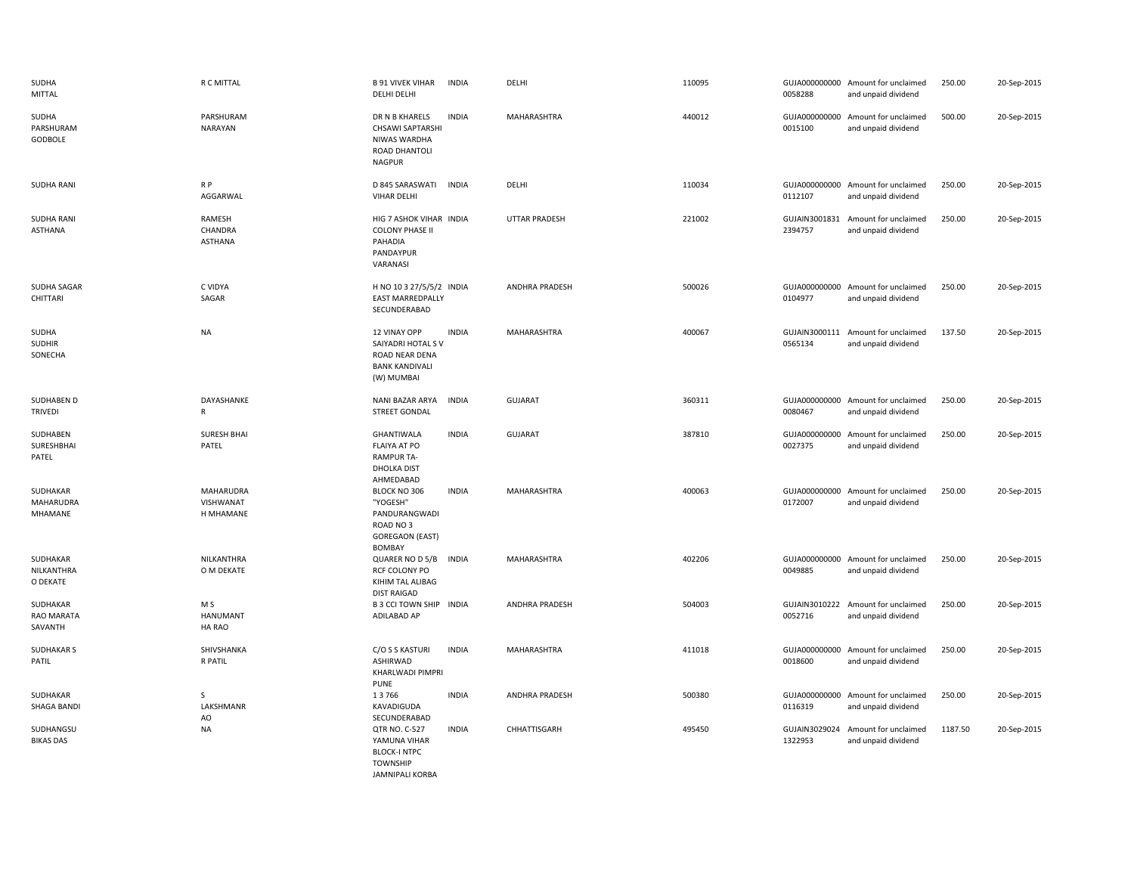| SUDHA<br><b>MITTAL</b>              | R C MITTAL                                 | <b>B 91 VIVEK VIHAR</b><br><b>INDIA</b><br><b>DELHI DELHI</b>                                                     | DELHI                 | 110095 | 0058288                  | GUJA000000000 Amount for unclaimed<br>and unpaid dividend | 250.00  | 20-Sep-2015 |
|-------------------------------------|--------------------------------------------|-------------------------------------------------------------------------------------------------------------------|-----------------------|--------|--------------------------|-----------------------------------------------------------|---------|-------------|
| SUDHA<br>PARSHURAM<br>GODBOLE       | PARSHURAM<br>NARAYAN                       | <b>INDIA</b><br>DR N B KHARELS<br><b>CHSAWI SAPTARSHI</b><br>NIWAS WARDHA<br>ROAD DHANTOLI<br><b>NAGPUR</b>       | MAHARASHTRA           | 440012 | 0015100                  | GUJA000000000 Amount for unclaimed<br>and unpaid dividend | 500.00  | 20-Sep-2015 |
| <b>SUDHA RANI</b>                   | $R$ $P$<br>AGGARWAL                        | D 845 SARASWATI<br><b>INDIA</b><br><b>VIHAR DELHI</b>                                                             | DELHI                 | 110034 | 0112107                  | GUJA000000000 Amount for unclaimed<br>and unpaid dividend | 250.00  | 20-Sep-2015 |
| <b>SUDHA RANI</b><br><b>ASTHANA</b> | RAMESH<br>CHANDRA<br><b>ASTHANA</b>        | HIG 7 ASHOK VIHAR INDIA<br><b>COLONY PHASE II</b><br>PAHADIA<br>PANDAYPUR<br>VARANASI                             | <b>UTTAR PRADESH</b>  | 221002 | GUJAIN3001831<br>2394757 | Amount for unclaimed<br>and unpaid dividend               | 250.00  | 20-Sep-2015 |
| SUDHA SAGAR<br>CHITTARI             | C VIDYA<br>SAGAR                           | H NO 10 3 27/5/5/2 INDIA<br><b>EAST MARREDPALLY</b><br>SECUNDERABAD                                               | ANDHRA PRADESH        | 500026 | 0104977                  | GUJA000000000 Amount for unclaimed<br>and unpaid dividend | 250.00  | 20-Sep-2015 |
| SUDHA<br><b>SUDHIR</b><br>SONECHA   | <b>NA</b>                                  | <b>INDIA</b><br>12 VINAY OPP<br>SAIYADRI HOTAL SV<br>ROAD NEAR DENA<br><b>BANK KANDIVALI</b><br>(W) MUMBAI        | MAHARASHTRA           | 400067 | 0565134                  | GUJAIN3000111 Amount for unclaimed<br>and unpaid dividend | 137.50  | 20-Sep-2015 |
| SUDHABEN D<br><b>TRIVEDI</b>        | DAYASHANKE<br>R                            | NANI BAZAR ARYA<br><b>INDIA</b><br><b>STREET GONDAL</b>                                                           | <b>GUJARAT</b>        | 360311 | 0080467                  | GUJA000000000 Amount for unclaimed<br>and unpaid dividend | 250.00  | 20-Sep-2015 |
| SUDHABEN<br>SURESHBHAI<br>PATEL     | <b>SURESH BHAI</b><br>PATEL                | <b>INDIA</b><br>GHANTIWALA<br>FLAIYA AT PO<br><b>RAMPUR TA-</b><br>DHOLKA DIST<br>AHMEDABAD                       | <b>GUJARAT</b>        | 387810 | 0027375                  | GUJA000000000 Amount for unclaimed<br>and unpaid dividend | 250.00  | 20-Sep-2015 |
| SUDHAKAR<br>MAHARUDRA<br>MHAMANE    | <b>MAHARUDRA</b><br>VISHWANAT<br>H MHAMANE | BLOCK NO 306<br><b>INDIA</b><br>"YOGESH"<br>PANDURANGWADI<br>ROAD NO3<br><b>GOREGAON (EAST)</b><br>BOMBAY         | MAHARASHTRA           | 400063 | 0172007                  | GUJA000000000 Amount for unclaimed<br>and unpaid dividend | 250.00  | 20-Sep-2015 |
| SUDHAKAR<br>NILKANTHRA<br>O DEKATE  | NILKANTHRA<br>O M DEKATE                   | QUARER NO D 5/B<br><b>INDIA</b><br>RCF COLONY PO<br>KIHIM TAL ALIBAG<br><b>DIST RAIGAD</b>                        | MAHARASHTRA           | 402206 | 0049885                  | GUJA000000000 Amount for unclaimed<br>and unpaid dividend | 250.00  | 20-Sep-2015 |
| SUDHAKAR<br>RAO MARATA<br>SAVANTH   | M S<br><b>HANUMANT</b><br>HA RAO           | B 3 CCI TOWN SHIP INDIA<br>ADILABAD AP                                                                            | ANDHRA PRADESH        | 504003 | 0052716                  | GUJAIN3010222 Amount for unclaimed<br>and unpaid dividend | 250.00  | 20-Sep-2015 |
| <b>SUDHAKAR S</b><br>PATIL          | SHIVSHANKA<br>R PATIL                      | <b>INDIA</b><br>C/O S S KASTURI<br>ASHIRWAD<br>KHARLWADI PIMPRI<br><b>PUNE</b>                                    | MAHARASHTRA           | 411018 | 0018600                  | GUJA000000000 Amount for unclaimed<br>and unpaid dividend | 250.00  | 20-Sep-2015 |
| SUDHAKAR<br><b>SHAGA BANDI</b>      | S<br>LAKSHMANR<br>AO                       | 13766<br><b>INDIA</b><br>KAVADIGUDA<br>SECUNDERABAD                                                               | <b>ANDHRA PRADESH</b> | 500380 | 0116319                  | GUJA000000000 Amount for unclaimed<br>and unpaid dividend | 250.00  | 20-Sep-2015 |
| SUDHANGSU<br><b>BIKAS DAS</b>       | <b>NA</b>                                  | <b>INDIA</b><br>QTR NO. C-527<br>YAMUNA VIHAR<br><b>BLOCK-I NTPC</b><br><b>TOWNSHIP</b><br><b>JAMNIPALI KORBA</b> | CHHATTISGARH          | 495450 | GUJAIN3029024<br>1322953 | Amount for unclaimed<br>and unpaid dividend               | 1187.50 | 20-Sep-2015 |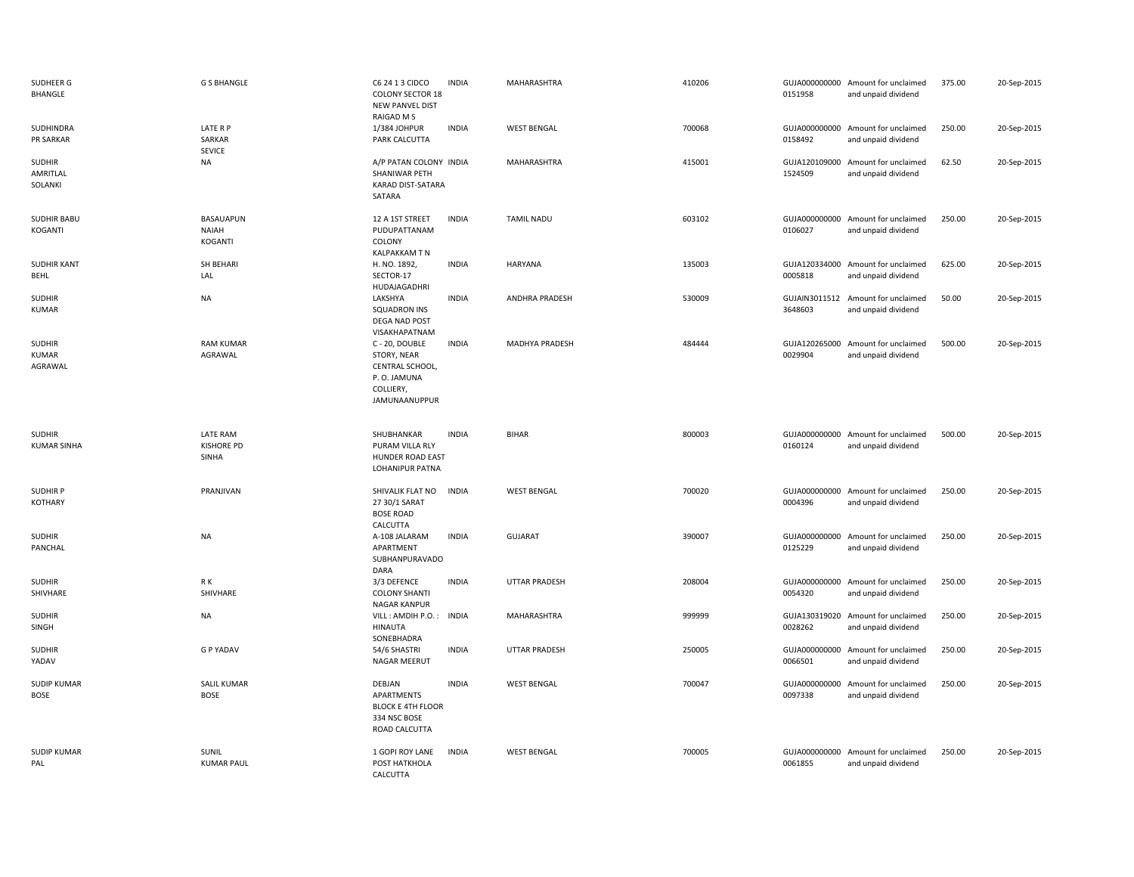| SUDHEER G<br>BHANGLE                 | <b>G S BHANGLE</b>                            | C6 24 1 3 CIDCO<br><b>COLONY SECTOR 18</b><br><b>NEW PANVEL DIST</b><br>RAIGAD M S            | <b>INDIA</b> | MAHARASHTRA           | 410206 | 0151958                  | GUJA000000000 Amount for unclaimed<br>and unpaid dividend | 375.00 | 20-Sep-2015 |
|--------------------------------------|-----------------------------------------------|-----------------------------------------------------------------------------------------------|--------------|-----------------------|--------|--------------------------|-----------------------------------------------------------|--------|-------------|
| SUDHINDRA<br>PR SARKAR               | LATE R P<br>SARKAR<br>SEVICE                  | 1/384 JOHPUR<br>PARK CALCUTTA                                                                 | <b>INDIA</b> | <b>WEST BENGAL</b>    | 700068 | 0158492                  | GUJA000000000 Amount for unclaimed<br>and unpaid dividend | 250.00 | 20-Sep-2015 |
| <b>SUDHIR</b><br>AMRITLAL<br>SOLANKI | NA                                            | A/P PATAN COLONY INDIA<br>SHANIWAR PETH<br>KARAD DIST-SATARA<br>SATARA                        |              | MAHARASHTRA           | 415001 | GUJA120109000<br>1524509 | Amount for unclaimed<br>and unpaid dividend               | 62.50  | 20-Sep-2015 |
| <b>SUDHIR BABU</b><br>KOGANTI        | BASAUAPUN<br><b>NAIAH</b><br><b>KOGANTI</b>   | 12 A 1ST STREET<br>PUDUPATTANAM<br>COLONY<br>KALPAKKAM T N                                    | <b>INDIA</b> | <b>TAMIL NADU</b>     | 603102 | 0106027                  | GUJA000000000 Amount for unclaimed<br>and unpaid dividend | 250.00 | 20-Sep-2015 |
| <b>SUDHIR KANT</b><br><b>BEHL</b>    | SH BEHARI<br>LAL                              | H. NO. 1892,<br>SECTOR-17<br>HUDAJAGADHRI                                                     | <b>INDIA</b> | <b>HARYANA</b>        | 135003 | GUJA120334000<br>0005818 | Amount for unclaimed<br>and unpaid dividend               | 625.00 | 20-Sep-2015 |
| <b>SUDHIR</b><br>KUMAR               | <b>NA</b>                                     | LAKSHYA<br><b>SQUADRON INS</b><br>DEGA NAD POST<br>VISAKHAPATNAM                              | <b>INDIA</b> | <b>ANDHRA PRADESH</b> | 530009 | GUJAIN3011512<br>3648603 | Amount for unclaimed<br>and unpaid dividend               | 50.00  | 20-Sep-2015 |
| <b>SUDHIR</b><br>KUMAR<br>AGRAWAL    | <b>RAM KUMAR</b><br>AGRAWAL                   | C - 20, DOUBLE<br>STORY, NEAR<br>CENTRAL SCHOOL,<br>P.O. JAMUNA<br>COLLIERY,<br>JAMUNAANUPPUR | <b>INDIA</b> | MADHYA PRADESH        | 484444 | 0029904                  | GUJA120265000 Amount for unclaimed<br>and unpaid dividend | 500.00 | 20-Sep-2015 |
|                                      |                                               |                                                                                               |              |                       |        |                          |                                                           |        |             |
| <b>SUDHIR</b><br><b>KUMAR SINHA</b>  | <b>LATE RAM</b><br><b>KISHORE PD</b><br>SINHA | SHUBHANKAR<br>PURAM VILLA RLY<br><b>HUNDER ROAD EAST</b><br>LOHANIPUR PATNA                   | <b>INDIA</b> | <b>BIHAR</b>          | 800003 | 0160124                  | GUJA000000000 Amount for unclaimed<br>and unpaid dividend | 500.00 | 20-Sep-2015 |
| <b>SUDHIR P</b><br><b>KOTHARY</b>    | PRANJIVAN                                     | SHIVALIK FLAT NO<br>27 30/1 SARAT<br><b>BOSE ROAD</b>                                         | <b>INDIA</b> | <b>WEST BENGAL</b>    | 700020 | 0004396                  | GUJA000000000 Amount for unclaimed<br>and unpaid dividend | 250.00 | 20-Sep-2015 |
| <b>SUDHIR</b><br>PANCHAL             | NA                                            | CALCUTTA<br>A-108 JALARAM<br>APARTMENT<br>SUBHANPURAVADO<br><b>DARA</b>                       | <b>INDIA</b> | <b>GUJARAT</b>        | 390007 | 0125229                  | GUJA000000000 Amount for unclaimed<br>and unpaid dividend | 250.00 | 20-Sep-2015 |
| <b>SUDHIR</b><br>SHIVHARE            | R K<br>SHIVHARE                               | 3/3 DEFENCE<br><b>COLONY SHANTI</b><br><b>NAGAR KANPUR</b>                                    | <b>INDIA</b> | <b>UTTAR PRADESH</b>  | 208004 | GUJA000000000<br>0054320 | Amount for unclaimed<br>and unpaid dividend               | 250.00 | 20-Sep-2015 |
| <b>SUDHIR</b><br><b>SINGH</b>        | NA                                            | VILL: AMDIH P.O.: INDIA<br>HINAUTA<br>SONEBHADRA                                              |              | MAHARASHTRA           | 999999 | 0028262                  | GUJA130319020 Amount for unclaimed<br>and unpaid dividend | 250.00 | 20-Sep-2015 |
| <b>SUDHIR</b><br>YADAV               | <b>G P YADAV</b>                              | 54/6 SHASTRI<br>NAGAR MEERUT                                                                  | <b>INDIA</b> | <b>UTTAR PRADESH</b>  | 250005 | 0066501                  | GUJA000000000 Amount for unclaimed<br>and unpaid dividend | 250.00 | 20-Sep-2015 |
| <b>SUDIP KUMAR</b><br><b>BOSE</b>    | <b>SALIL KUMAR</b><br><b>BOSE</b>             | DEBJAN<br><b>APARTMENTS</b><br><b>BLOCK E 4TH FLOOR</b><br>334 NSC BOSE<br>ROAD CALCUTTA      | <b>INDIA</b> | <b>WEST BENGAL</b>    | 700047 | 0097338                  | GUJA000000000 Amount for unclaimed<br>and unpaid dividend | 250.00 | 20-Sep-2015 |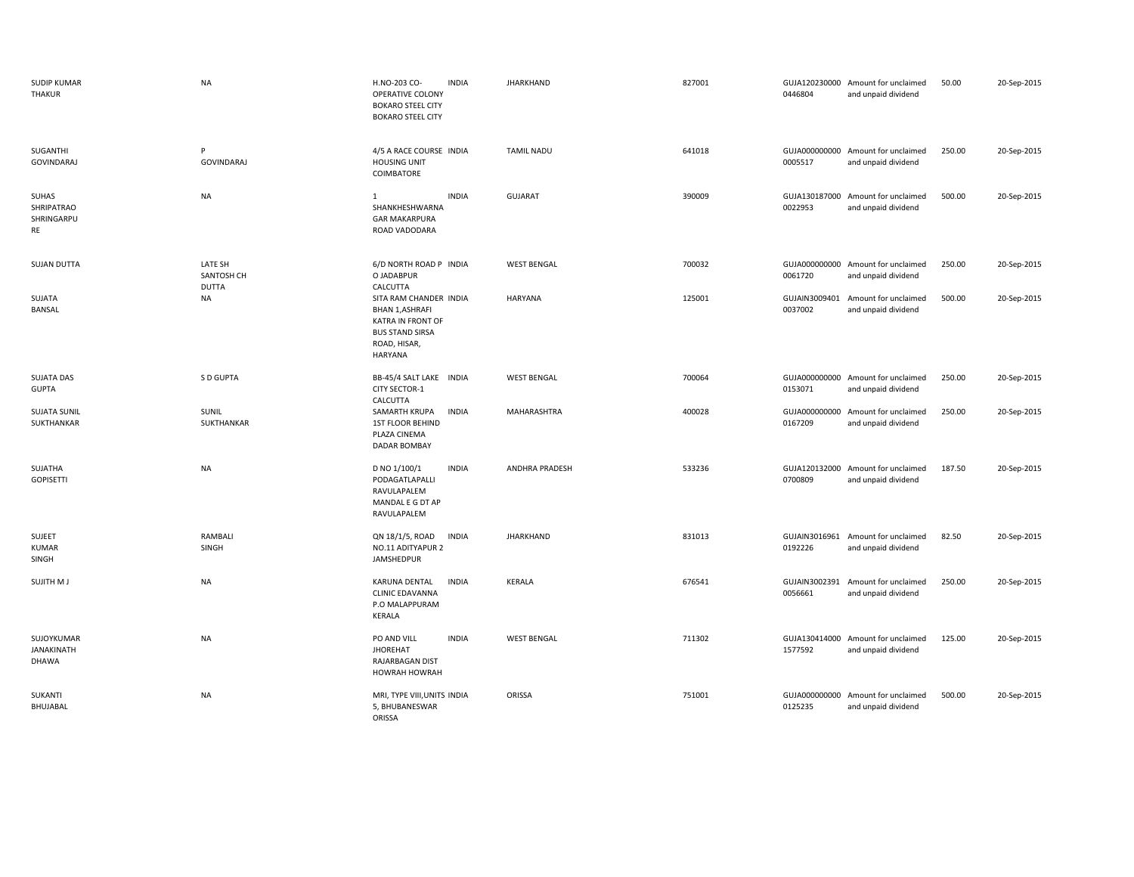| <b>SUDIP KUMAR</b><br>THAKUR             | <b>NA</b>                      | H.NO-203 CO-<br><b>INDIA</b><br>OPERATIVE COLONY<br><b>BOKARO STEEL CITY</b><br><b>BOKARO STEEL CITY</b>                          | <b>JHARKHAND</b>   | 827001 | 0446804                  | GUJA120230000 Amount for unclaimed<br>and unpaid dividend | 50.00  | 20-Sep-2015 |
|------------------------------------------|--------------------------------|-----------------------------------------------------------------------------------------------------------------------------------|--------------------|--------|--------------------------|-----------------------------------------------------------|--------|-------------|
| SUGANTHI<br><b>GOVINDARAJ</b>            | P<br><b>GOVINDARAJ</b>         | 4/5 A RACE COURSE INDIA<br><b>HOUSING UNIT</b><br>COIMBATORE                                                                      | <b>TAMIL NADU</b>  | 641018 | 0005517                  | GUJA000000000 Amount for unclaimed<br>and unpaid dividend | 250.00 | 20-Sep-2015 |
| SUHAS<br>SHRIPATRAO<br>SHRINGARPU<br>RE  | <b>NA</b>                      | <b>INDIA</b><br>$\mathbf{1}$<br>SHANKHESHWARNA<br><b>GAR MAKARPURA</b><br>ROAD VADODARA                                           | <b>GUJARAT</b>     | 390009 | GUJA130187000<br>0022953 | Amount for unclaimed<br>and unpaid dividend               | 500.00 | 20-Sep-2015 |
| <b>SUJAN DUTTA</b>                       | LATE SH<br>SANTOSH CH<br>DUTTA | 6/D NORTH ROAD P INDIA<br>O JADABPUR<br>CALCUTTA                                                                                  | <b>WEST BENGAL</b> | 700032 | GUJA000000000<br>0061720 | Amount for unclaimed<br>and unpaid dividend               | 250.00 | 20-Sep-2015 |
| SUJATA<br>BANSAL                         | NA                             | SITA RAM CHANDER INDIA<br><b>BHAN 1, ASHRAFI</b><br>KATRA IN FRONT OF<br><b>BUS STAND SIRSA</b><br>ROAD, HISAR,<br><b>HARYANA</b> | <b>HARYANA</b>     | 125001 | GUJAIN3009401<br>0037002 | Amount for unclaimed<br>and unpaid dividend               | 500.00 | 20-Sep-2015 |
| <b>SUJATA DAS</b><br><b>GUPTA</b>        | S D GUPTA                      | BB-45/4 SALT LAKE INDIA<br><b>CITY SECTOR-1</b><br>CALCUTTA                                                                       | <b>WEST BENGAL</b> | 700064 | 0153071                  | GUJA000000000 Amount for unclaimed<br>and unpaid dividend | 250.00 | 20-Sep-2015 |
| <b>SUJATA SUNIL</b><br>SUKTHANKAR        | SUNIL<br>SUKTHANKAR            | SAMARTH KRUPA<br><b>INDIA</b><br><b>1ST FLOOR BEHIND</b><br>PLAZA CINEMA<br><b>DADAR BOMBAY</b>                                   | MAHARASHTRA        | 400028 | 0167209                  | GUJA000000000 Amount for unclaimed<br>and unpaid dividend | 250.00 | 20-Sep-2015 |
| SUJATHA<br><b>GOPISETTI</b>              | NA                             | D NO 1/100/1<br><b>INDIA</b><br>PODAGATLAPALLI<br>RAVULAPALEM<br>MANDAL E G DT AP<br>RAVULAPALEM                                  | ANDHRA PRADESH     | 533236 | 0700809                  | GUJA120132000 Amount for unclaimed<br>and unpaid dividend | 187.50 | 20-Sep-2015 |
| SUJEET<br><b>KUMAR</b><br>SINGH          | RAMBALI<br>SINGH               | QN 18/1/5, ROAD<br><b>INDIA</b><br>NO.11 ADITYAPUR 2<br>JAMSHEDPUR                                                                | <b>JHARKHAND</b>   | 831013 | 0192226                  | GUJAIN3016961 Amount for unclaimed<br>and unpaid dividend | 82.50  | 20-Sep-2015 |
| <b>SUJITH MJ</b>                         | NA                             | KARUNA DENTAL<br><b>INDIA</b><br><b>CLINIC EDAVANNA</b><br>P.O MALAPPURAM<br>KERALA                                               | KERALA             | 676541 | 0056661                  | GUJAIN3002391 Amount for unclaimed<br>and unpaid dividend | 250.00 | 20-Sep-2015 |
| SUJOYKUMAR<br><b>JANAKINATH</b><br>DHAWA | <b>NA</b>                      | PO AND VILL<br><b>INDIA</b><br><b>JHOREHAT</b><br>RAJARBAGAN DIST<br><b>HOWRAH HOWRAH</b>                                         | <b>WEST BENGAL</b> | 711302 | 1577592                  | GUJA130414000 Amount for unclaimed<br>and unpaid dividend | 125.00 | 20-Sep-2015 |
| SUKANTI<br>BHUJABAL                      | <b>NA</b>                      | MRI, TYPE VIII, UNITS INDIA<br>5, BHUBANESWAR<br>ORISSA                                                                           | ORISSA             | 751001 | GUJA000000000<br>0125235 | Amount for unclaimed<br>and unpaid dividend               | 500.00 | 20-Sep-2015 |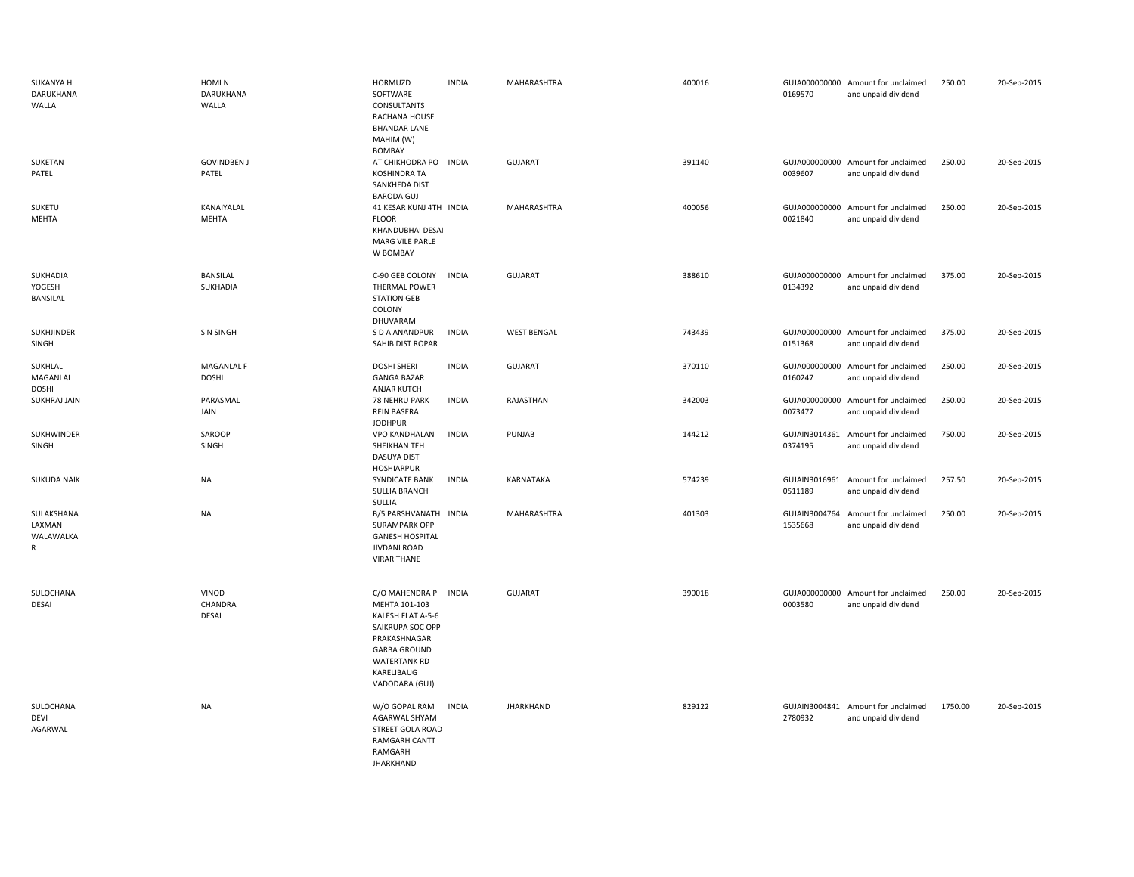| SUKANYA H<br>DARUKHANA<br>WALLA        | HOMI N<br>DARUKHANA<br>WALLA     | HORMUZD<br>SOFTWARE<br>CONSULTANTS<br>RACHANA HOUSE<br><b>BHANDAR LANE</b><br>MAHIM (W)<br>BOMBAY                                                                      | <b>INDIA</b> | MAHARASHTRA        | 400016 | 0169570                  | GUJA000000000 Amount for unclaimed<br>and unpaid dividend | 250.00  | 20-Sep-2015 |
|----------------------------------------|----------------------------------|------------------------------------------------------------------------------------------------------------------------------------------------------------------------|--------------|--------------------|--------|--------------------------|-----------------------------------------------------------|---------|-------------|
| SUKETAN<br>PATEL                       | <b>GOVINDBEN J</b><br>PATEL      | AT CHIKHODRA PO INDIA<br>KOSHINDRA TA<br>SANKHEDA DIST<br><b>BARODA GUJ</b>                                                                                            |              | <b>GUJARAT</b>     | 391140 | 0039607                  | GUJA000000000 Amount for unclaimed<br>and unpaid dividend | 250.00  | 20-Sep-2015 |
| SUKETU<br>MEHTA                        | KANAIYALAL<br>MEHTA              | 41 KESAR KUNJ 4TH INDIA<br><b>FLOOR</b><br>KHANDUBHAI DESAI<br>MARG VILE PARLE<br>W BOMBAY                                                                             |              | MAHARASHTRA        | 400056 | GUJA000000000<br>0021840 | Amount for unclaimed<br>and unpaid dividend               | 250.00  | 20-Sep-2015 |
| SUKHADIA<br>YOGESH<br>BANSILAL         | <b>BANSILAL</b><br>SUKHADIA      | C-90 GEB COLONY<br><b>THERMAL POWER</b><br><b>STATION GEB</b><br>COLONY<br>DHUVARAM                                                                                    | <b>INDIA</b> | GUJARAT            | 388610 | 0134392                  | GUJA000000000 Amount for unclaimed<br>and unpaid dividend | 375.00  | 20-Sep-2015 |
| SUKHJINDER<br>SINGH                    | <b>SN SINGH</b>                  | S D A ANANDPUR<br>SAHIB DIST ROPAR                                                                                                                                     | <b>INDIA</b> | <b>WEST BENGAL</b> | 743439 | GUJA000000000<br>0151368 | Amount for unclaimed<br>and unpaid dividend               | 375.00  | 20-Sep-2015 |
| SUKHLAL<br>MAGANLAL<br><b>DOSHI</b>    | MAGANLAL F<br><b>DOSHI</b>       | <b>DOSHI SHERI</b><br><b>GANGA BAZAR</b><br><b>ANJAR KUTCH</b>                                                                                                         | <b>INDIA</b> | <b>GUJARAT</b>     | 370110 | GUJA000000000<br>0160247 | Amount for unclaimed<br>and unpaid dividend               | 250.00  | 20-Sep-2015 |
| SUKHRAJ JAIN                           | PARASMAL<br>JAIN                 | 78 NEHRU PARK<br><b>REIN BASERA</b><br><b>JODHPUR</b>                                                                                                                  | <b>INDIA</b> | RAJASTHAN          | 342003 | 0073477                  | GUJA000000000 Amount for unclaimed<br>and unpaid dividend | 250.00  | 20-Sep-2015 |
| SUKHWINDER<br>SINGH                    | SAROOP<br>SINGH                  | <b>VPO KANDHALAN</b><br>SHEIKHAN TEH<br>DASUYA DIST<br><b>HOSHIARPUR</b>                                                                                               | <b>INDIA</b> | PUNJAB             | 144212 | 0374195                  | GUJAIN3014361 Amount for unclaimed<br>and unpaid dividend | 750.00  | 20-Sep-2015 |
| <b>SUKUDA NAIK</b>                     | <b>NA</b>                        | SYNDICATE BANK<br><b>SULLIA BRANCH</b><br>SULLIA                                                                                                                       | <b>INDIA</b> | KARNATAKA          | 574239 | GUJAIN3016961<br>0511189 | Amount for unclaimed<br>and unpaid dividend               | 257.50  | 20-Sep-2015 |
| SULAKSHANA<br>LAXMAN<br>WALAWALKA<br>R | <b>NA</b>                        | B/5 PARSHVANATH INDIA<br><b>SURAMPARK OPP</b><br><b>GANESH HOSPITAL</b><br><b>JIVDANI ROAD</b><br><b>VIRAR THANE</b>                                                   |              | MAHARASHTRA        | 401303 | GUJAIN3004764<br>1535668 | Amount for unclaimed<br>and unpaid dividend               | 250.00  | 20-Sep-2015 |
| SULOCHANA<br>DESAI                     | VINOD<br>CHANDRA<br><b>DESAI</b> | C/O MAHENDRA P<br>MEHTA 101-103<br>KALESH FLAT A-5-6<br>SAIKRUPA SOC OPP<br>PRAKASHNAGAR<br><b>GARBA GROUND</b><br><b>WATERTANK RD</b><br>KARELIBAUG<br>VADODARA (GUJ) | <b>INDIA</b> | <b>GUJARAT</b>     | 390018 | GUJA000000000<br>0003580 | Amount for unclaimed<br>and unpaid dividend               | 250.00  | 20-Sep-2015 |
| SULOCHANA<br>DEVI<br>AGARWAL           | <b>NA</b>                        | W/O GOPAL RAM<br>AGARWAL SHYAM<br>STREET GOLA ROAD<br><b>RAMGARH CANTT</b><br>RAMGARH<br><b>JHARKHAND</b>                                                              | <b>INDIA</b> | JHARKHAND          | 829122 | 2780932                  | GUJAIN3004841 Amount for unclaimed<br>and unpaid dividend | 1750.00 | 20-Sep-2015 |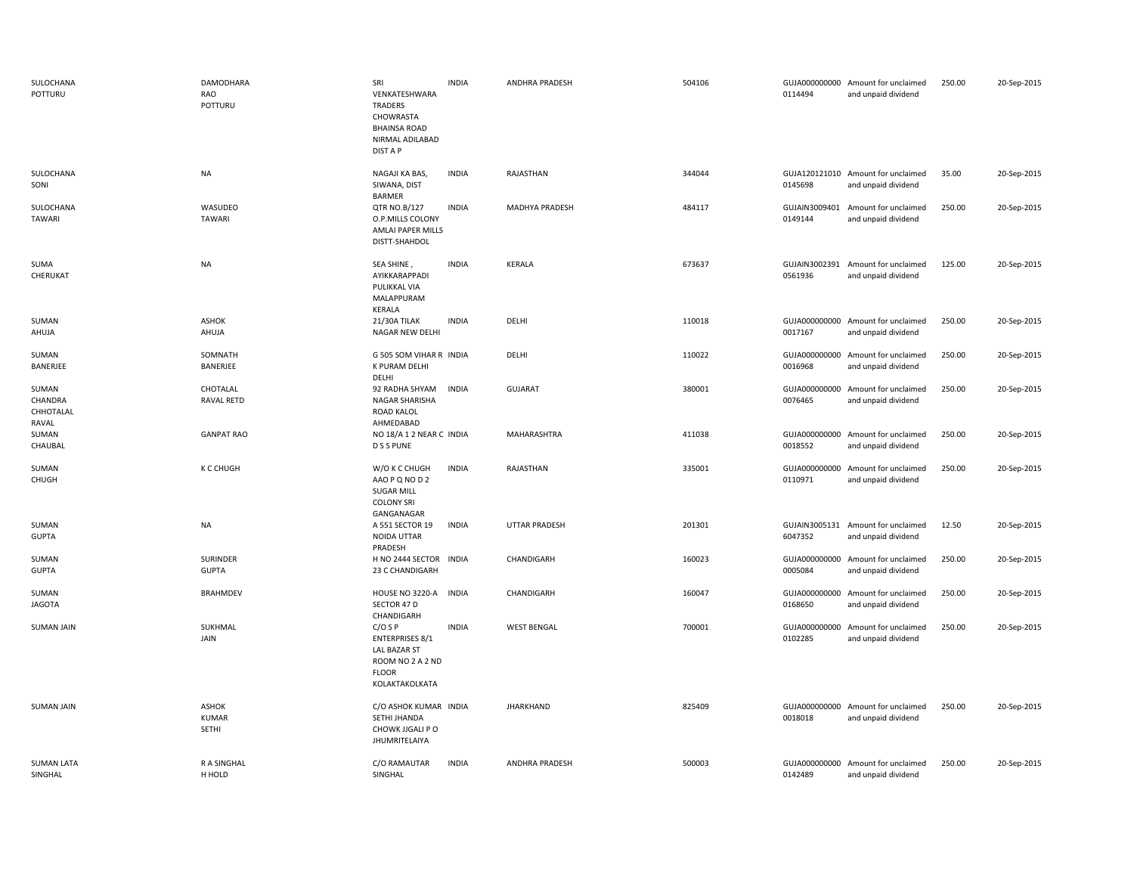| SULOCHANA<br>POTTURU                   | DAMODHARA<br>RAO<br>POTTURU           | SRI<br>VENKATESHWARA<br>TRADERS<br>CHOWRASTA<br><b>BHAINSA ROAD</b><br>NIRMAL ADILABAD<br>DIST A P               | <b>INDIA</b> | ANDHRA PRADESH        | 504106 | 0114494                  | GUJA000000000 Amount for unclaimed<br>and unpaid dividend | 250.00 | 20-Sep-2015 |
|----------------------------------------|---------------------------------------|------------------------------------------------------------------------------------------------------------------|--------------|-----------------------|--------|--------------------------|-----------------------------------------------------------|--------|-------------|
| SULOCHANA<br>SONI                      | <b>NA</b>                             | NAGAJI KA BAS,<br>SIWANA, DIST<br><b>BARMER</b>                                                                  | <b>INDIA</b> | RAJASTHAN             | 344044 | 0145698                  | GUJA120121010 Amount for unclaimed<br>and unpaid dividend | 35.00  | 20-Sep-2015 |
| SULOCHANA<br>TAWARI                    | WASUDEO<br><b>TAWARI</b>              | QTR NO.B/127<br>O.P.MILLS COLONY<br>AMLAI PAPER MILLS<br>DISTT-SHAHDOL                                           | <b>INDIA</b> | MADHYA PRADESH        | 484117 | GUJAIN3009401<br>0149144 | Amount for unclaimed<br>and unpaid dividend               | 250.00 | 20-Sep-2015 |
| SUMA<br>CHERUKAT                       | <b>NA</b>                             | SEA SHINE,<br>AYIKKARAPPADI<br>PULIKKAL VIA<br>MALAPPURAM<br>KERALA                                              | <b>INDIA</b> | <b>KERALA</b>         | 673637 | 0561936                  | GUJAIN3002391 Amount for unclaimed<br>and unpaid dividend | 125.00 | 20-Sep-2015 |
| SUMAN<br>AHUJA                         | ASHOK<br>AHUJA                        | 21/30A TILAK<br>NAGAR NEW DELHI                                                                                  | <b>INDIA</b> | DELHI                 | 110018 | GUJA000000000<br>0017167 | Amount for unclaimed<br>and unpaid dividend               | 250.00 | 20-Sep-2015 |
| SUMAN<br>BANERJEE                      | SOMNATH<br>BANERJEE                   | G 505 SOM VIHAR R INDIA<br>K PURAM DELHI<br>DELHI                                                                |              | DELHI                 | 110022 | GUJA000000000<br>0016968 | Amount for unclaimed<br>and unpaid dividend               | 250.00 | 20-Sep-2015 |
| SUMAN<br>CHANDRA<br>CHHOTALAL<br>RAVAL | CHOTALAL<br><b>RAVAL RETD</b>         | 92 RADHA SHYAM<br>NAGAR SHARISHA<br><b>ROAD KALOL</b><br>AHMEDABAD                                               | <b>INDIA</b> | <b>GUJARAT</b>        | 380001 | 0076465                  | GUJA000000000 Amount for unclaimed<br>and unpaid dividend | 250.00 | 20-Sep-2015 |
| SUMAN<br>CHAUBAL                       | <b>GANPAT RAO</b>                     | NO 18/A 1 2 NEAR C INDIA<br><b>D S S PUNE</b>                                                                    |              | MAHARASHTRA           | 411038 | GUJA000000000<br>0018552 | Amount for unclaimed<br>and unpaid dividend               | 250.00 | 20-Sep-2015 |
| SUMAN<br>CHUGH                         | K C CHUGH                             | W/O K C CHUGH<br>AAO P Q NO D 2<br><b>SUGAR MILL</b><br><b>COLONY SRI</b><br>GANGANAGAR                          | <b>INDIA</b> | RAJASTHAN             | 335001 | GUJA000000000<br>0110971 | Amount for unclaimed<br>and unpaid dividend               | 250.00 | 20-Sep-2015 |
| SUMAN<br><b>GUPTA</b>                  | <b>NA</b>                             | A 551 SECTOR 19<br>NOIDA UTTAR<br>PRADESH                                                                        | <b>INDIA</b> | <b>UTTAR PRADESH</b>  | 201301 | GUJAIN3005131<br>6047352 | Amount for unclaimed<br>and unpaid dividend               | 12.50  | 20-Sep-2015 |
| SUMAN<br><b>GUPTA</b>                  | <b>SURINDER</b><br><b>GUPTA</b>       | H NO 2444 SECTOR INDIA<br>23 C CHANDIGARH                                                                        |              | CHANDIGARH            | 160023 | GUJA000000000<br>0005084 | Amount for unclaimed<br>and unpaid dividend               | 250.00 | 20-Sep-2015 |
| SUMAN<br>JAGOTA                        | <b>BRAHMDEV</b>                       | HOUSE NO 3220-A<br>SECTOR 47 D<br>CHANDIGARH                                                                     | <b>INDIA</b> | CHANDIGARH            | 160047 | GUJA000000000<br>0168650 | Amount for unclaimed<br>and unpaid dividend               | 250.00 | 20-Sep-2015 |
| <b>SUMAN JAIN</b>                      | SUKHMAL<br>JAIN                       | $C/O$ S P<br><b>ENTERPRISES 8/1</b><br><b>LAL BAZAR ST</b><br>ROOM NO 2 A 2 ND<br><b>FLOOR</b><br>KOLAKTAKOLKATA | <b>INDIA</b> | <b>WEST BENGAL</b>    | 700001 | GUJA000000000<br>0102285 | Amount for unclaimed<br>and unpaid dividend               | 250.00 | 20-Sep-2015 |
| <b>SUMAN JAIN</b>                      | <b>ASHOK</b><br><b>KUMAR</b><br>SETHI | C/O ASHOK KUMAR INDIA<br>SETHI JHANDA<br>CHOWK JJGALI P O<br>JHUMRITELAIYA                                       |              | <b>JHARKHAND</b>      | 825409 | 0018018                  | GUJA000000000 Amount for unclaimed<br>and unpaid dividend | 250.00 | 20-Sep-2015 |
| <b>SUMAN LATA</b><br>SINGHAL           | <b>RASINGHAL</b><br>H HOLD            | C/O RAMAUTAR<br>SINGHAL                                                                                          | <b>INDIA</b> | <b>ANDHRA PRADESH</b> | 500003 | 0142489                  | GUJA000000000 Amount for unclaimed<br>and unpaid dividend | 250.00 | 20-Sep-2015 |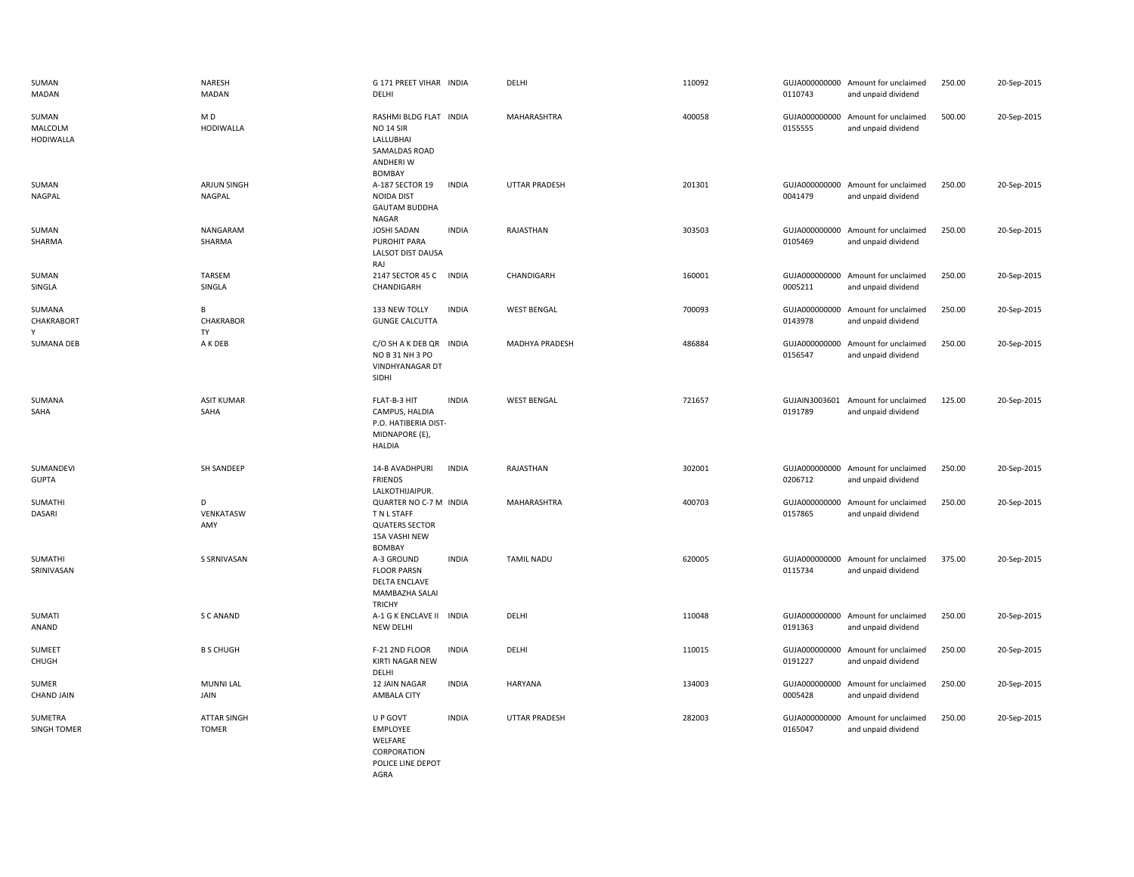| SUMAN<br>MADAN                       | <b>NARESH</b><br><b>MADAN</b>      | G 171 PREET VIHAR INDIA<br>DELHI                                                                       |              | DELHI                 | 110092 | 0110743 | GUJA000000000 Amount for unclaimed<br>and unpaid dividend | 250.00 | 20-Sep-2015 |
|--------------------------------------|------------------------------------|--------------------------------------------------------------------------------------------------------|--------------|-----------------------|--------|---------|-----------------------------------------------------------|--------|-------------|
| SUMAN<br>MALCOLM<br><b>HODIWALLA</b> | MD<br><b>HODIWALLA</b>             | RASHMI BLDG FLAT INDIA<br><b>NO 14 SIR</b><br>LALLUBHAI<br>SAMALDAS ROAD<br>ANDHERI W<br><b>BOMBAY</b> |              | MAHARASHTRA           | 400058 | 0155555 | GUJA000000000 Amount for unclaimed<br>and unpaid dividend | 500.00 | 20-Sep-2015 |
| SUMAN<br>NAGPAL                      | ARJUN SINGH<br><b>NAGPAL</b>       | A-187 SECTOR 19<br><b>NOIDA DIST</b><br><b>GAUTAM BUDDHA</b><br>NAGAR                                  | <b>INDIA</b> | <b>UTTAR PRADESH</b>  | 201301 | 0041479 | GUJA000000000 Amount for unclaimed<br>and unpaid dividend | 250.00 | 20-Sep-2015 |
| SUMAN<br>SHARMA                      | NANGARAM<br>SHARMA                 | <b>JOSHI SADAN</b><br>PUROHIT PARA<br>LALSOT DIST DAUSA<br>RAJ                                         | <b>INDIA</b> | RAJASTHAN             | 303503 | 0105469 | GUJA000000000 Amount for unclaimed<br>and unpaid dividend | 250.00 | 20-Sep-2015 |
| SUMAN<br>SINGLA                      | <b>TARSEM</b><br>SINGLA            | 2147 SECTOR 45 C INDIA<br>CHANDIGARH                                                                   |              | CHANDIGARH            | 160001 | 0005211 | GUJA000000000 Amount for unclaimed<br>and unpaid dividend | 250.00 | 20-Sep-2015 |
| SUMANA<br>CHAKRABORT<br>γ            | В<br>CHAKRABOR<br><b>TY</b>        | 133 NEW TOLLY<br><b>GUNGE CALCUTTA</b>                                                                 | <b>INDIA</b> | <b>WEST BENGAL</b>    | 700093 | 0143978 | GUJA000000000 Amount for unclaimed<br>and unpaid dividend | 250.00 | 20-Sep-2015 |
| <b>SUMANA DEB</b>                    | A K DEB                            | C/O SH A K DEB QR INDIA<br>NO B 31 NH 3 PO<br>VINDHYANAGAR DT<br>SIDHI                                 |              | <b>MADHYA PRADESH</b> | 486884 | 0156547 | GUJA000000000 Amount for unclaimed<br>and unpaid dividend | 250.00 | 20-Sep-2015 |
| SUMANA<br>SAHA                       | <b>ASIT KUMAR</b><br>SAHA          | FLAT-B-3 HIT<br>CAMPUS, HALDIA<br>P.O. HATIBERIA DIST-<br>MIDNAPORE (E),<br><b>HALDIA</b>              | <b>INDIA</b> | <b>WEST BENGAL</b>    | 721657 | 0191789 | GUJAIN3003601 Amount for unclaimed<br>and unpaid dividend | 125.00 | 20-Sep-2015 |
| SUMANDEVI<br><b>GUPTA</b>            | SH SANDEEP                         | 14-B AVADHPURI<br><b>FRIENDS</b><br>LALKOTHIJAIPUR.                                                    | <b>INDIA</b> | RAJASTHAN             | 302001 | 0206712 | GUJA000000000 Amount for unclaimed<br>and unpaid dividend | 250.00 | 20-Sep-2015 |
| SUMATHI<br>DASARI                    | D<br>VENKATASW<br>AMY              | QUARTER NO C-7 M INDIA<br>T N L STAFF<br><b>QUATERS SECTOR</b><br>15A VASHI NEW<br><b>BOMBAY</b>       |              | MAHARASHTRA           | 400703 | 0157865 | GUJA000000000 Amount for unclaimed<br>and unpaid dividend | 250.00 | 20-Sep-2015 |
| SUMATHI<br>SRINIVASAN                | S SRNIVASAN                        | A-3 GROUND<br><b>FLOOR PARSN</b><br><b>DELTA ENCLAVE</b><br>MAMBAZHA SALAI<br><b>TRICHY</b>            | <b>INDIA</b> | <b>TAMIL NADU</b>     | 620005 | 0115734 | GUJA000000000 Amount for unclaimed<br>and unpaid dividend | 375.00 | 20-Sep-2015 |
| SUMATI<br>ANAND                      | S C ANAND                          | A-1 G K ENCLAVE II INDIA<br>NEW DELHI                                                                  |              | DELHI                 | 110048 | 0191363 | GUJA000000000 Amount for unclaimed<br>and unpaid dividend | 250.00 | 20-Sep-2015 |
| SUMEET<br>CHUGH                      | <b>B S CHUGH</b>                   | F-21 2ND FLOOR<br>KIRTI NAGAR NEW<br>DELHI                                                             | <b>INDIA</b> | DELHI                 | 110015 | 0191227 | GUJA000000000 Amount for unclaimed<br>and unpaid dividend | 250.00 | 20-Sep-2015 |
| SUMER<br><b>CHAND JAIN</b>           | <b>MUNNI LAL</b><br>JAIN           | 12 JAIN NAGAR<br>AMBALA CITY                                                                           | <b>INDIA</b> | HARYANA               | 134003 | 0005428 | GUJA000000000 Amount for unclaimed<br>and unpaid dividend | 250.00 | 20-Sep-2015 |
| <b>SUMETRA</b><br><b>SINGH TOMER</b> | <b>ATTAR SINGH</b><br><b>TOMER</b> | U P GOVT<br><b>EMPLOYEE</b><br>WELFARE<br>CORPORATION<br>POLICE LINE DEPOT<br>AGRA                     | <b>INDIA</b> | <b>UTTAR PRADESH</b>  | 282003 | 0165047 | GUJA000000000 Amount for unclaimed<br>and unpaid dividend | 250.00 | 20-Sep-2015 |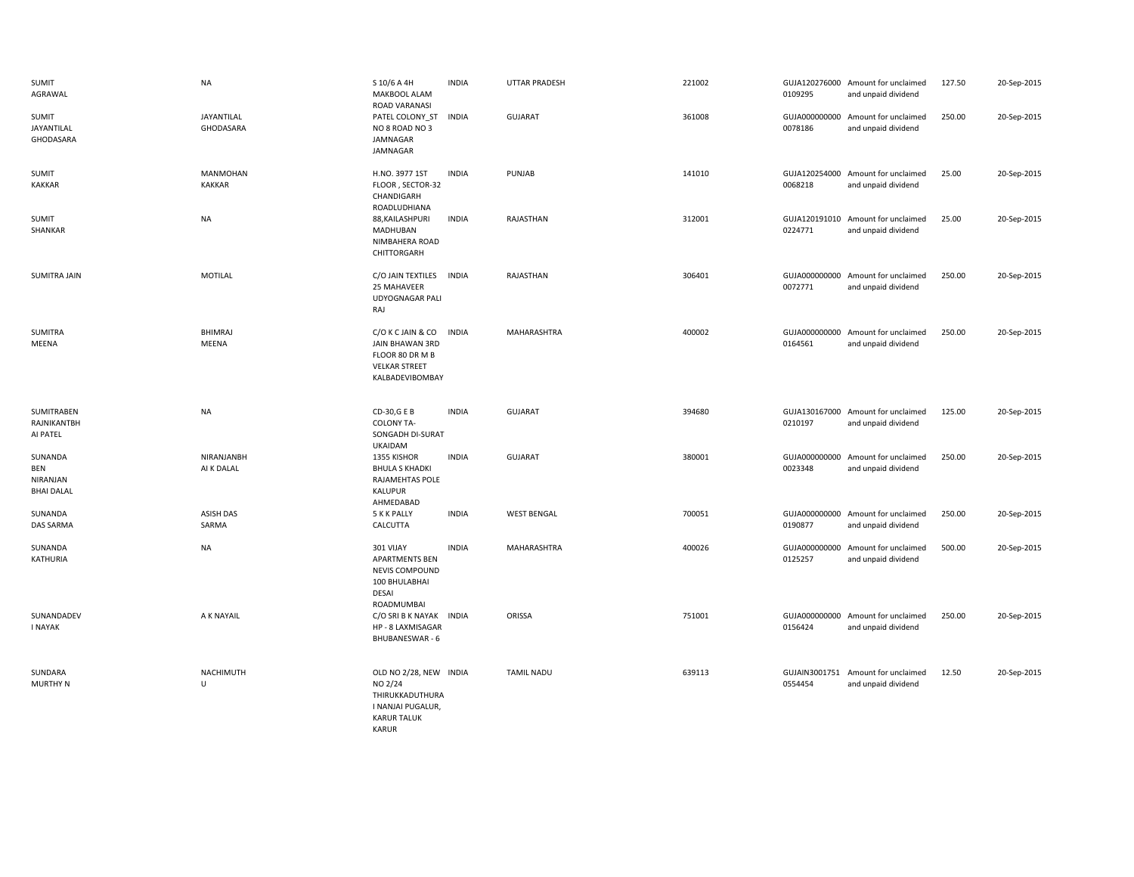| <b>SUMIT</b><br>AGRAWAL                                | <b>NA</b>                 | S 10/6 A 4H<br>MAKBOOL ALAM<br>ROAD VARANASI                                                                    | <b>INDIA</b> | <b>UTTAR PRADESH</b> | 221002 | 0109295                  | GUJA120276000 Amount for unclaimed<br>and unpaid dividend | 127.50 | 20-Sep-2015 |
|--------------------------------------------------------|---------------------------|-----------------------------------------------------------------------------------------------------------------|--------------|----------------------|--------|--------------------------|-----------------------------------------------------------|--------|-------------|
| SUMIT<br>JAYANTILAL<br>GHODASARA                       | JAYANTILAL<br>GHODASARA   | PATEL COLONY ST<br>NO 8 ROAD NO 3<br>JAMNAGAR<br>JAMNAGAR                                                       | <b>INDIA</b> | <b>GUJARAT</b>       | 361008 | 0078186                  | GUJA000000000 Amount for unclaimed<br>and unpaid dividend | 250.00 | 20-Sep-2015 |
| SUMIT<br><b>KAKKAR</b>                                 | MANMOHAN<br><b>KAKKAR</b> | H.NO. 3977 1ST<br>FLOOR, SECTOR-32<br>CHANDIGARH<br>ROADLUDHIANA                                                | <b>INDIA</b> | PUNJAB               | 141010 | 0068218                  | GUJA120254000 Amount for unclaimed<br>and unpaid dividend | 25.00  | 20-Sep-2015 |
| SUMIT<br>SHANKAR                                       | <b>NA</b>                 | 88, KAILASHPURI<br>MADHUBAN<br>NIMBAHERA ROAD<br>CHITTORGARH                                                    | <b>INDIA</b> | RAJASTHAN            | 312001 | 0224771                  | GUJA120191010 Amount for unclaimed<br>and unpaid dividend | 25.00  | 20-Sep-2015 |
| SUMITRA JAIN                                           | MOTILAL                   | C/O JAIN TEXTILES<br>25 MAHAVEER<br><b>UDYOGNAGAR PALI</b><br>RAJ                                               | <b>INDIA</b> | RAJASTHAN            | 306401 | 0072771                  | GUJA000000000 Amount for unclaimed<br>and unpaid dividend | 250.00 | 20-Sep-2015 |
| SUMITRA<br>MEENA                                       | <b>BHIMRAJ</b><br>MEENA   | C/O K C JAIN & CO<br>JAIN BHAWAN 3RD<br>FLOOR 80 DR M B<br><b>VELKAR STREET</b><br>KALBADEVIBOMBAY              | <b>INDIA</b> | MAHARASHTRA          | 400002 | 0164561                  | GUJA000000000 Amount for unclaimed<br>and unpaid dividend | 250.00 | 20-Sep-2015 |
| SUMITRABEN<br>RAJNIKANTBH<br>AI PATEL                  | <b>NA</b>                 | CD-30,G E B<br><b>COLONY TA-</b><br>SONGADH DI-SURAT<br><b>UKAIDAM</b>                                          | <b>INDIA</b> | <b>GUJARAT</b>       | 394680 | 0210197                  | GUJA130167000 Amount for unclaimed<br>and unpaid dividend | 125.00 | 20-Sep-2015 |
| SUNANDA<br><b>BEN</b><br>NIRANJAN<br><b>BHAI DALAL</b> | NIRANJANBH<br>AI K DALAL  | 1355 KISHOR<br><b>BHULA S KHADKI</b><br>RAJAMEHTAS POLE<br>KALUPUR<br>AHMEDABAD                                 | <b>INDIA</b> | <b>GUJARAT</b>       | 380001 | 0023348                  | GUJA000000000 Amount for unclaimed<br>and unpaid dividend | 250.00 | 20-Sep-2015 |
| SUNANDA<br>DAS SARMA                                   | <b>ASISH DAS</b><br>SARMA | 5 K K PALLY<br>CALCUTTA                                                                                         | <b>INDIA</b> | <b>WEST BENGAL</b>   | 700051 | GUJA000000000<br>0190877 | Amount for unclaimed<br>and unpaid dividend               | 250.00 | 20-Sep-2015 |
| SUNANDA<br>KATHURIA                                    | <b>NA</b>                 | 301 VIJAY<br><b>APARTMENTS BEN</b><br>NEVIS COMPOUND<br>100 BHULABHAI<br>DESAI<br>ROADMUMBAI                    | <b>INDIA</b> | MAHARASHTRA          | 400026 | GUJA000000000<br>0125257 | Amount for unclaimed<br>and unpaid dividend               | 500.00 | 20-Sep-2015 |
| SUNANDADEV<br><b>I NAYAK</b>                           | A K NAYAIL                | C/O SRI B K NAYAK INDIA<br>HP - 8 LAXMISAGAR<br><b>BHUBANESWAR - 6</b>                                          |              | ORISSA               | 751001 | 0156424                  | GUJA000000000 Amount for unclaimed<br>and unpaid dividend | 250.00 | 20-Sep-2015 |
| SUNDARA<br><b>MURTHY N</b>                             | NACHIMUTH<br>U            | OLD NO 2/28, NEW INDIA<br>NO 2/24<br>THIRUKKADUTHURA<br>I NANJAI PUGALUR,<br><b>KARUR TALUK</b><br><b>KARUR</b> |              | <b>TAMIL NADU</b>    | 639113 | GUJAIN3001751<br>0554454 | Amount for unclaimed<br>and unpaid dividend               | 12.50  | 20-Sep-2015 |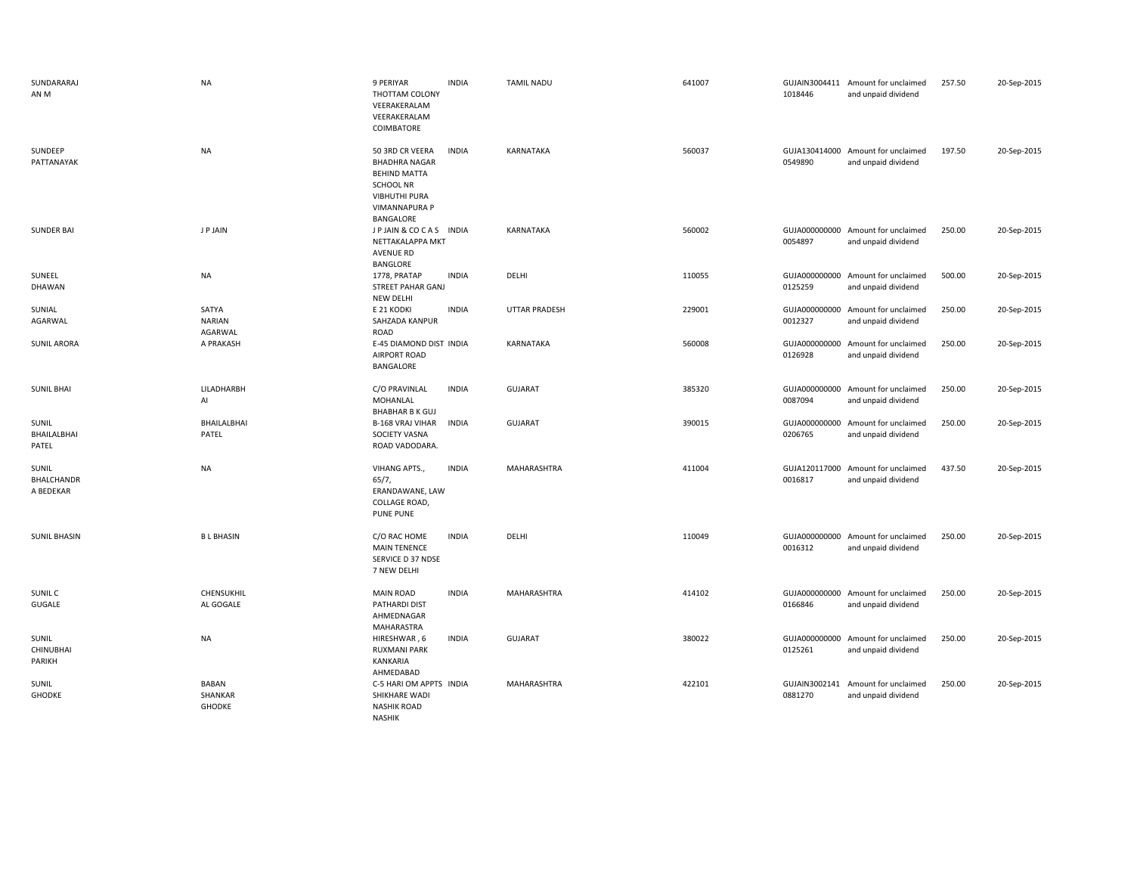| SUNDARARAJ<br>AN M               | <b>NA</b>                                | 9 PERIYAR<br>THOTTAM COLONY<br>VEERAKERALAM<br>VEERAKERALAM<br>COIMBATORE                                                                       | <b>INDIA</b> | <b>TAMIL NADU</b>    | 641007 | 1018446 | GUJAIN3004411 Amount for unclaimed<br>and unpaid dividend | 257.50 | 20-Sep-2015 |
|----------------------------------|------------------------------------------|-------------------------------------------------------------------------------------------------------------------------------------------------|--------------|----------------------|--------|---------|-----------------------------------------------------------|--------|-------------|
| SUNDEEP<br>PATTANAYAK            | <b>NA</b>                                | 50 3RD CR VEERA<br><b>BHADHRA NAGAR</b><br><b>BEHIND MATTA</b><br><b>SCHOOL NR</b><br><b>VIBHUTHI PURA</b><br><b>VIMANNAPURA P</b><br>BANGALORE | <b>INDIA</b> | <b>KARNATAKA</b>     | 560037 | 0549890 | GUJA130414000 Amount for unclaimed<br>and unpaid dividend | 197.50 | 20-Sep-2015 |
| <b>SUNDER BAI</b>                | J P JAIN                                 | JP JAIN & COCAS INDIA<br>NETTAKALAPPA MKT<br>AVENUE RD<br>BANGLORE                                                                              |              | KARNATAKA            | 560002 | 0054897 | GUJA000000000 Amount for unclaimed<br>and unpaid dividend | 250.00 | 20-Sep-2015 |
| SUNEEL<br><b>DHAWAN</b>          | <b>NA</b>                                | 1778, PRATAP<br><b>STREET PAHAR GANJ</b><br><b>NEW DELHI</b>                                                                                    | <b>INDIA</b> | DELHI                | 110055 | 0125259 | GUJA000000000 Amount for unclaimed<br>and unpaid dividend | 500.00 | 20-Sep-2015 |
| SUNIAL<br>AGARWAL                | SATYA<br><b>NARIAN</b><br>AGARWAL        | E 21 KODKI<br>SAHZADA KANPUR<br>ROAD                                                                                                            | <b>INDIA</b> | <b>UTTAR PRADESH</b> | 229001 | 0012327 | GUJA000000000 Amount for unclaimed<br>and unpaid dividend | 250.00 | 20-Sep-2015 |
| <b>SUNIL ARORA</b>               | A PRAKASH                                | E-45 DIAMOND DIST INDIA<br>AIRPORT ROAD<br>BANGALORE                                                                                            |              | KARNATAKA            | 560008 | 0126928 | GUJA000000000 Amount for unclaimed<br>and unpaid dividend | 250.00 | 20-Sep-2015 |
| <b>SUNIL BHAI</b>                | LILADHARBH<br>Al                         | C/O PRAVINLAL<br>MOHANLAL<br><b>BHABHAR B K GUJ</b>                                                                                             | <b>INDIA</b> | <b>GUJARAT</b>       | 385320 | 0087094 | GUJA000000000 Amount for unclaimed<br>and unpaid dividend | 250.00 | 20-Sep-2015 |
| SUNIL<br>BHAILALBHAI<br>PATEL    | BHAILALBHAI<br>PATEL                     | <b>B-168 VRAJ VIHAR</b><br>SOCIETY VASNA<br>ROAD VADODARA.                                                                                      | <b>INDIA</b> | <b>GUJARAT</b>       | 390015 | 0206765 | GUJA000000000 Amount for unclaimed<br>and unpaid dividend | 250.00 | 20-Sep-2015 |
| SUNIL<br>BHALCHANDR<br>A BEDEKAR | <b>NA</b>                                | VIHANG APTS.,<br>65/7,<br>ERANDAWANE, LAW<br>COLLAGE ROAD,<br><b>PUNE PUNE</b>                                                                  | <b>INDIA</b> | MAHARASHTRA          | 411004 | 0016817 | GUJA120117000 Amount for unclaimed<br>and unpaid dividend | 437.50 | 20-Sep-2015 |
| <b>SUNIL BHASIN</b>              | <b>BL BHASIN</b>                         | C/O RAC HOME<br><b>MAIN TENENCE</b><br>SERVICE D 37 NDSE<br>7 NEW DELHI                                                                         | <b>INDIA</b> | DELHI                | 110049 | 0016312 | GUJA000000000 Amount for unclaimed<br>and unpaid dividend | 250.00 | 20-Sep-2015 |
| SUNIL C<br>GUGALE                | CHENSUKHIL<br>AL GOGALE                  | <b>MAIN ROAD</b><br>PATHARDI DIST<br>AHMEDNAGAR<br>MAHARASTRA                                                                                   | <b>INDIA</b> | <b>MAHARASHTRA</b>   | 414102 | 0166846 | GUJA000000000 Amount for unclaimed<br>and unpaid dividend | 250.00 | 20-Sep-2015 |
| SUNIL<br>CHINUBHAI<br>PARIKH     | <b>NA</b>                                | HIRESHWAR, 6<br><b>RUXMANI PARK</b><br>KANKARIA<br>AHMEDABAD                                                                                    | <b>INDIA</b> | <b>GUJARAT</b>       | 380022 | 0125261 | GUJA000000000 Amount for unclaimed<br>and unpaid dividend | 250.00 | 20-Sep-2015 |
| SUNIL<br><b>GHODKE</b>           | <b>BABAN</b><br>SHANKAR<br><b>GHODKE</b> | C-5 HARI OM APPTS INDIA<br>SHIKHARE WADI<br><b>NASHIK ROAD</b><br><b>NASHIK</b>                                                                 |              | MAHARASHTRA          | 422101 | 0881270 | GUJAIN3002141 Amount for unclaimed<br>and unpaid dividend | 250.00 | 20-Sep-2015 |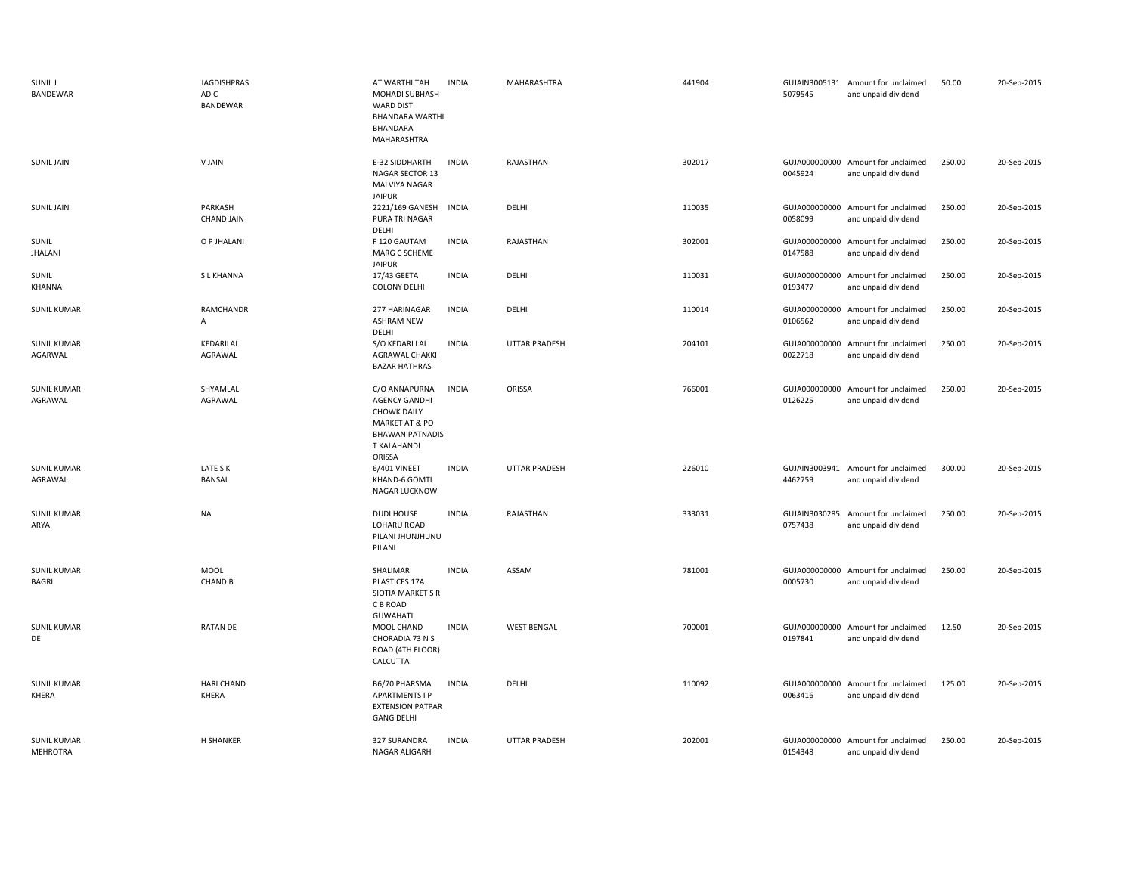| <b>SUNIL J</b><br><b>BANDEWAR</b>     | <b>JAGDISHPRAS</b><br>AD C<br>BANDEWAR | AT WARTHI TAH<br>MOHADI SUBHASH<br><b>WARD DIST</b><br><b>BHANDARA WARTHI</b><br>BHANDARA<br>MAHARASHTRA                                    | <b>INDIA</b> | MAHARASHTRA          | 441904 | 5079545                  | GUJAIN3005131 Amount for unclaimed<br>and unpaid dividend | 50.00  | 20-Sep-2015 |
|---------------------------------------|----------------------------------------|---------------------------------------------------------------------------------------------------------------------------------------------|--------------|----------------------|--------|--------------------------|-----------------------------------------------------------|--------|-------------|
| <b>SUNIL JAIN</b>                     | V JAIN                                 | E-32 SIDDHARTH<br>NAGAR SECTOR 13<br>MALVIYA NAGAR<br><b>JAIPUR</b>                                                                         | <b>INDIA</b> | RAJASTHAN            | 302017 | 0045924                  | GUJA000000000 Amount for unclaimed<br>and unpaid dividend | 250.00 | 20-Sep-2015 |
| <b>SUNIL JAIN</b>                     | PARKASH<br><b>CHAND JAIN</b>           | 2221/169 GANESH<br>PURA TRI NAGAR<br>DELHI                                                                                                  | <b>INDIA</b> | DELHI                | 110035 | 0058099                  | GUJA000000000 Amount for unclaimed<br>and unpaid dividend | 250.00 | 20-Sep-2015 |
| SUNIL<br><b>JHALANI</b>               | O P JHALANI                            | F 120 GAUTAM<br>MARG C SCHEME<br><b>JAIPUR</b>                                                                                              | <b>INDIA</b> | RAJASTHAN            | 302001 | 0147588                  | GUJA000000000 Amount for unclaimed<br>and unpaid dividend | 250.00 | 20-Sep-2015 |
| SUNIL<br>KHANNA                       | <b>SLKHANNA</b>                        | 17/43 GEETA<br><b>COLONY DELHI</b>                                                                                                          | <b>INDIA</b> | DELHI                | 110031 | 0193477                  | GUJA000000000 Amount for unclaimed<br>and unpaid dividend | 250.00 | 20-Sep-2015 |
| <b>SUNIL KUMAR</b>                    | RAMCHANDR<br>A                         | 277 HARINAGAR<br><b>ASHRAM NEW</b><br>DELHI                                                                                                 | <b>INDIA</b> | DELHI                | 110014 | 0106562                  | GUJA000000000 Amount for unclaimed<br>and unpaid dividend | 250.00 | 20-Sep-2015 |
| <b>SUNIL KUMAR</b><br>AGARWAL         | KEDARILAL<br>AGRAWAL                   | S/O KEDARI LAL<br>AGRAWAL CHAKKI<br><b>BAZAR HATHRAS</b>                                                                                    | <b>INDIA</b> | UTTAR PRADESH        | 204101 | 0022718                  | GUJA000000000 Amount for unclaimed<br>and unpaid dividend | 250.00 | 20-Sep-2015 |
| <b>SUNIL KUMAR</b><br>AGRAWAL         | SHYAMLAL<br>AGRAWAL                    | C/O ANNAPURNA<br><b>AGENCY GANDHI</b><br><b>CHOWK DAILY</b><br><b>MARKET AT &amp; PO</b><br><b>BHAWANIPATNADIS</b><br>T KALAHANDI<br>ORISSA | <b>INDIA</b> | ORISSA               | 766001 | 0126225                  | GUJA000000000 Amount for unclaimed<br>and unpaid dividend | 250.00 | 20-Sep-2015 |
| <b>SUNIL KUMAR</b><br>AGRAWAL         | LATE S K<br>BANSAL                     | 6/401 VINEET<br>KHAND-6 GOMTI<br>NAGAR LUCKNOW                                                                                              | <b>INDIA</b> | <b>UTTAR PRADESH</b> | 226010 | 4462759                  | GUJAIN3003941 Amount for unclaimed<br>and unpaid dividend | 300.00 | 20-Sep-2015 |
| <b>SUNIL KUMAR</b><br>ARYA            | <b>NA</b>                              | <b>DUDI HOUSE</b><br>LOHARU ROAD<br>PILANI JHUNJHUNU<br>PILANI                                                                              | <b>INDIA</b> | RAJASTHAN            | 333031 | GUJAIN3030285<br>0757438 | Amount for unclaimed<br>and unpaid dividend               | 250.00 | 20-Sep-2015 |
| <b>SUNIL KUMAR</b><br>BAGRI           | <b>MOOL</b><br><b>CHAND B</b>          | SHALIMAR<br>PLASTICES 17A<br>SIOTIA MARKET S R<br>C B ROAD<br><b>GUWAHATI</b>                                                               | <b>INDIA</b> | ASSAM                | 781001 | 0005730                  | GUJA000000000 Amount for unclaimed<br>and unpaid dividend | 250.00 | 20-Sep-2015 |
| <b>SUNIL KUMAR</b><br>DE              | RATAN DE                               | MOOL CHAND<br>CHORADIA 73 N S<br>ROAD (4TH FLOOR)<br>CALCUTTA                                                                               | <b>INDIA</b> | <b>WEST BENGAL</b>   | 700001 | 0197841                  | GUJA000000000 Amount for unclaimed<br>and unpaid dividend | 12.50  | 20-Sep-2015 |
| <b>SUNIL KUMAR</b><br><b>KHERA</b>    | <b>HARI CHAND</b><br>KHERA             | B6/70 PHARSMA<br><b>APARTMENTS I P</b><br><b>EXTENSION PATPAR</b><br><b>GANG DELHI</b>                                                      | <b>INDIA</b> | DELHI                | 110092 | 0063416                  | GUJA000000000 Amount for unclaimed<br>and unpaid dividend | 125.00 | 20-Sep-2015 |
| <b>SUNIL KUMAR</b><br><b>MEHROTRA</b> | <b>H SHANKER</b>                       | 327 SURANDRA<br>NAGAR ALIGARH                                                                                                               | <b>INDIA</b> | <b>UTTAR PRADESH</b> | 202001 | 0154348                  | GUJA000000000 Amount for unclaimed<br>and unpaid dividend | 250.00 | 20-Sep-2015 |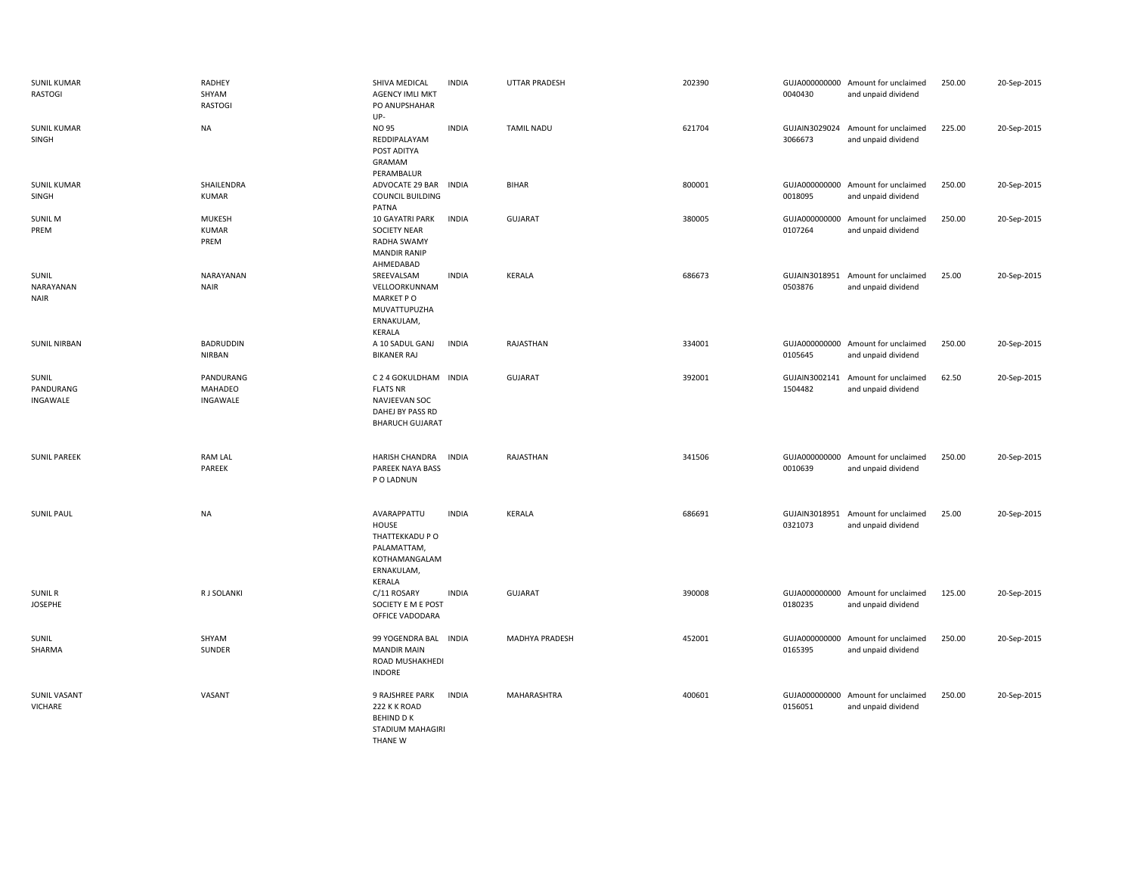| <b>SUNIL KUMAR</b><br>RASTOGI     | RADHEY<br>SHYAM<br><b>RASTOGI</b>     | SHIVA MEDICAL<br><b>AGENCY IMLI MKT</b><br>PO ANUPSHAHAR<br>UP-                                         | <b>INDIA</b> | UTTAR PRADESH     | 202390 | 0040430                  | GUJA000000000 Amount for unclaimed<br>and unpaid dividend | 250.00 | 20-Sep-2015 |
|-----------------------------------|---------------------------------------|---------------------------------------------------------------------------------------------------------|--------------|-------------------|--------|--------------------------|-----------------------------------------------------------|--------|-------------|
| <b>SUNIL KUMAR</b><br>SINGH       | <b>NA</b>                             | NO 95<br>REDDIPALAYAM<br>POST ADITYA<br>GRAMAM<br>PERAMBALUR                                            | <b>INDIA</b> | <b>TAMIL NADU</b> | 621704 | GUJAIN3029024<br>3066673 | Amount for unclaimed<br>and unpaid dividend               | 225.00 | 20-Sep-2015 |
| <b>SUNIL KUMAR</b><br>SINGH       | SHAILENDRA<br><b>KUMAR</b>            | ADVOCATE 29 BAR INDIA<br><b>COUNCIL BUILDING</b><br>PATNA                                               |              | <b>BIHAR</b>      | 800001 | 0018095                  | GUJA000000000 Amount for unclaimed<br>and unpaid dividend | 250.00 | 20-Sep-2015 |
| <b>SUNIL M</b><br>PREM            | <b>MUKESH</b><br><b>KUMAR</b><br>PREM | 10 GAYATRI PARK<br><b>SOCIETY NEAR</b><br>RADHA SWAMY<br><b>MANDIR RANIP</b><br>AHMEDABAD               | <b>INDIA</b> | <b>GUJARAT</b>    | 380005 | GUJA000000000<br>0107264 | Amount for unclaimed<br>and unpaid dividend               | 250.00 | 20-Sep-2015 |
| SUNIL<br>NARAYANAN<br><b>NAIR</b> | NARAYANAN<br><b>NAIR</b>              | SREEVALSAM<br>VELLOORKUNNAM<br>MARKET PO<br>MUVATTUPUZHA<br>ERNAKULAM,<br>KERALA                        | <b>INDIA</b> | KERALA            | 686673 | 0503876                  | GUJAIN3018951 Amount for unclaimed<br>and unpaid dividend | 25.00  | 20-Sep-2015 |
| <b>SUNIL NIRBAN</b>               | BADRUDDIN<br><b>NIRBAN</b>            | A 10 SADUL GANJ<br><b>BIKANER RAJ</b>                                                                   | INDIA        | RAJASTHAN         | 334001 | GUJA000000000<br>0105645 | Amount for unclaimed<br>and unpaid dividend               | 250.00 | 20-Sep-2015 |
| SUNIL<br>PANDURANG<br>INGAWALE    | PANDURANG<br>MAHADEO<br>INGAWALE      | C 2 4 GOKULDHAM INDIA<br><b>FLATS NR</b><br>NAVJEEVAN SOC<br>DAHEJ BY PASS RD<br><b>BHARUCH GUJARAT</b> |              | <b>GUJARAT</b>    | 392001 | GUJAIN3002141<br>1504482 | Amount for unclaimed<br>and unpaid dividend               | 62.50  | 20-Sep-2015 |
| <b>SUNIL PAREEK</b>               | <b>RAM LAL</b><br>PAREEK              | HARISH CHANDRA<br>PAREEK NAYA BASS<br>P O LADNUN                                                        | INDIA        | RAJASTHAN         | 341506 | 0010639                  | GUJA000000000 Amount for unclaimed<br>and unpaid dividend | 250.00 | 20-Sep-2015 |
| <b>SUNIL PAUL</b>                 | <b>NA</b>                             | AVARAPPATTU<br>HOUSE<br>THATTEKKADU P O<br>PALAMATTAM,<br>KOTHAMANGALAM<br>ERNAKULAM,<br>KERALA         | <b>INDIA</b> | KERALA            | 686691 | 0321073                  | GUJAIN3018951 Amount for unclaimed<br>and unpaid dividend | 25.00  | 20-Sep-2015 |
| <b>SUNIL R</b><br><b>JOSEPHE</b>  | R J SOLANKI                           | C/11 ROSARY<br>SOCIETY E M E POST<br>OFFICE VADODARA                                                    | <b>INDIA</b> | <b>GUJARAT</b>    | 390008 | GUJA000000000<br>0180235 | Amount for unclaimed<br>and unpaid dividend               | 125.00 | 20-Sep-2015 |
| SUNIL<br>SHARMA                   | SHYAM<br>SUNDER                       | 99 YOGENDRA BAL INDIA<br><b>MANDIR MAIN</b><br>ROAD MUSHAKHEDI<br><b>INDORE</b>                         |              | MADHYA PRADESH    | 452001 | GUJA000000000<br>0165395 | Amount for unclaimed<br>and unpaid dividend               | 250.00 | 20-Sep-2015 |
| <b>SUNIL VASANT</b><br>VICHARE    | VASANT                                | 9 RAJSHREE PARK<br>222 K K ROAD<br><b>BEHIND DK</b><br>STADIUM MAHAGIRI<br>THANE W                      | <b>INDIA</b> | MAHARASHTRA       | 400601 | 0156051                  | GUJA000000000 Amount for unclaimed<br>and unpaid dividend | 250.00 | 20-Sep-2015 |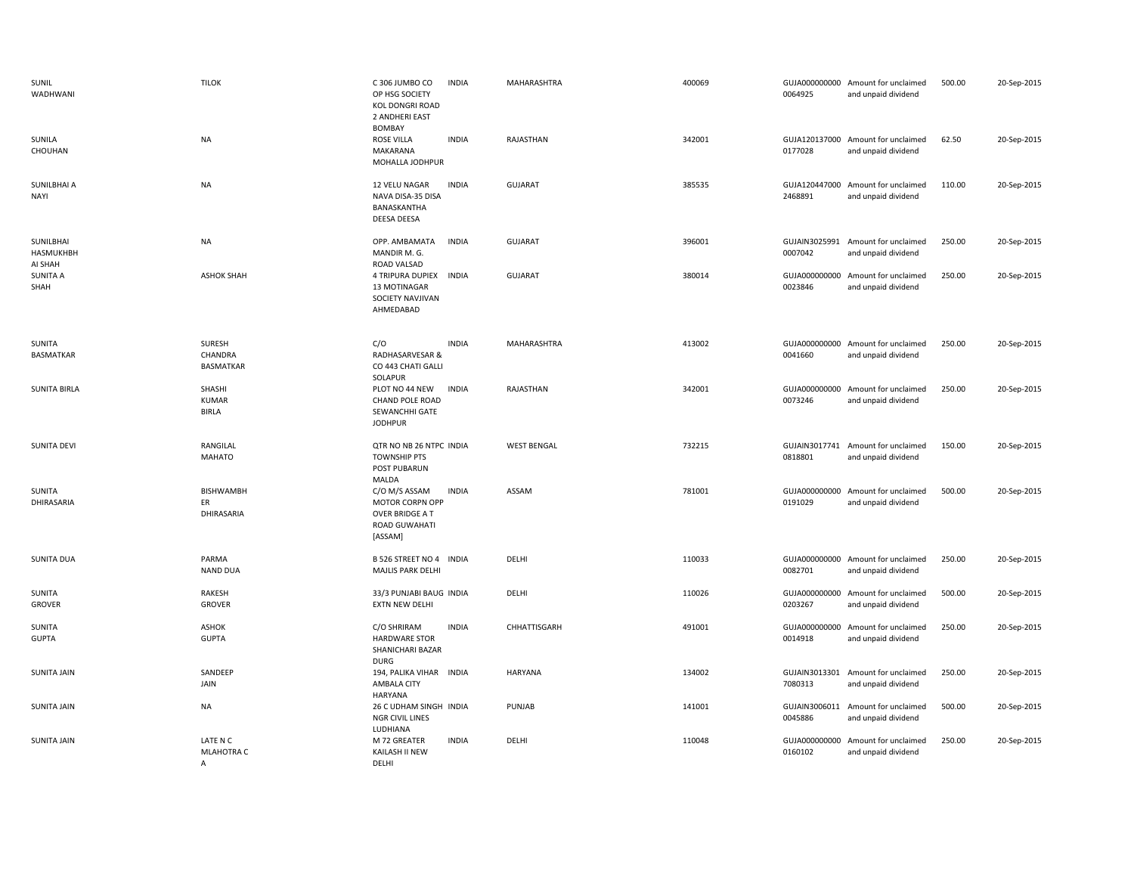| SUNIL<br>WADHWANI                 | <b>TILOK</b>                           | C 306 JUMBO CO<br><b>INDIA</b><br>OP HSG SOCIETY<br><b>KOL DONGRI ROAD</b><br>2 ANDHERI EAST<br><b>BOMBAY</b> | MAHARASHTRA        | 400069 | 0064925                  | GUJA000000000 Amount for unclaimed<br>and unpaid dividend | 500.00 | 20-Sep-2015 |
|-----------------------------------|----------------------------------------|---------------------------------------------------------------------------------------------------------------|--------------------|--------|--------------------------|-----------------------------------------------------------|--------|-------------|
| SUNILA<br>CHOUHAN                 | <b>NA</b>                              | <b>ROSE VILLA</b><br><b>INDIA</b><br>MAKARANA<br>MOHALLA JODHPUR                                              | RAJASTHAN          | 342001 | 0177028                  | GUJA120137000 Amount for unclaimed<br>and unpaid dividend | 62.50  | 20-Sep-2015 |
| SUNILBHAI A<br><b>NAYI</b>        | <b>NA</b>                              | <b>INDIA</b><br>12 VELU NAGAR<br>NAVA DISA-35 DISA<br>BANASKANTHA<br>DEESA DEESA                              | <b>GUJARAT</b>     | 385535 | GUJA120447000<br>2468891 | Amount for unclaimed<br>and unpaid dividend               | 110.00 | 20-Sep-2015 |
| SUNILBHAI<br>HASMUKHBH<br>AI SHAH | NA                                     | OPP. AMBAMATA<br><b>INDIA</b><br>MANDIR M. G.<br>ROAD VALSAD                                                  | <b>GUJARAT</b>     | 396001 | GUJAIN3025991<br>0007042 | Amount for unclaimed<br>and unpaid dividend               | 250.00 | 20-Sep-2015 |
| <b>SUNITA A</b><br>SHAH           | <b>ASHOK SHAH</b>                      | <b>4 TRIPURA DUPIEX</b><br>INDIA<br>13 MOTINAGAR<br>SOCIETY NAVJIVAN<br>AHMEDABAD                             | <b>GUJARAT</b>     | 380014 | GUJA000000000<br>0023846 | Amount for unclaimed<br>and unpaid dividend               | 250.00 | 20-Sep-2015 |
| SUNITA<br>BASMATKAR               | SURESH<br>CHANDRA<br><b>BASMATKAR</b>  | C/O<br><b>INDIA</b><br>RADHASARVESAR &<br>CO 443 CHATI GALLI<br>SOLAPUR                                       | MAHARASHTRA        | 413002 | 0041660                  | GUJA000000000 Amount for unclaimed<br>and unpaid dividend | 250.00 | 20-Sep-2015 |
| <b>SUNITA BIRLA</b>               | SHASHI<br><b>KUMAR</b><br><b>BIRLA</b> | PLOT NO 44 NEW<br><b>INDIA</b><br>CHAND POLE ROAD<br>SEWANCHHI GATE<br><b>JODHPUR</b>                         | RAJASTHAN          | 342001 | GUJA000000000<br>0073246 | Amount for unclaimed<br>and unpaid dividend               | 250.00 | 20-Sep-2015 |
| <b>SUNITA DEVI</b>                | RANGILAL<br><b>MAHATO</b>              | QTR NO NB 26 NTPC INDIA<br><b>TOWNSHIP PTS</b><br>POST PUBARUN<br>MALDA                                       | <b>WEST BENGAL</b> | 732215 | 0818801                  | GUJAIN3017741 Amount for unclaimed<br>and unpaid dividend | 150.00 | 20-Sep-2015 |
| SUNITA<br>DHIRASARIA              | <b>BISHWAMBH</b><br>ER<br>DHIRASARIA   | C/O M/S ASSAM<br><b>INDIA</b><br>MOTOR CORPN OPP<br>OVER BRIDGE A T<br>ROAD GUWAHATI<br>[ASSAM]               | ASSAM              | 781001 | GUJA000000000<br>0191029 | Amount for unclaimed<br>and unpaid dividend               | 500.00 | 20-Sep-2015 |
| <b>SUNITA DUA</b>                 | PARMA<br><b>NAND DUA</b>               | B 526 STREET NO 4 INDIA<br>MAJLIS PARK DELHI                                                                  | DELHI              | 110033 | 0082701                  | GUJA000000000 Amount for unclaimed<br>and unpaid dividend | 250.00 | 20-Sep-2015 |
| SUNITA<br>GROVER                  | RAKESH<br><b>GROVER</b>                | 33/3 PUNJABI BAUG INDIA<br>EXTN NEW DELHI                                                                     | DELHI              | 110026 | GUJA000000000<br>0203267 | Amount for unclaimed<br>and unpaid dividend               | 500.00 | 20-Sep-2015 |
| SUNITA<br><b>GUPTA</b>            | <b>ASHOK</b><br><b>GUPTA</b>           | <b>INDIA</b><br>C/O SHRIRAM<br><b>HARDWARE STOR</b><br>SHANICHARI BAZAR<br><b>DURG</b>                        | CHHATTISGARH       | 491001 | GUJA000000000<br>0014918 | Amount for unclaimed<br>and unpaid dividend               | 250.00 | 20-Sep-2015 |
| SUNITA JAIN                       | SANDEEP<br>JAIN                        | 194, PALIKA VIHAR INDIA<br>AMBALA CITY<br><b>HARYANA</b>                                                      | <b>HARYANA</b>     | 134002 | 7080313                  | GUJAIN3013301 Amount for unclaimed<br>and unpaid dividend | 250.00 | 20-Sep-2015 |
| <b>SUNITA JAIN</b>                | <b>NA</b>                              | 26 C UDHAM SINGH INDIA<br>NGR CIVIL LINES<br>LUDHIANA                                                         | PUNJAB             | 141001 | 0045886                  | GUJAIN3006011 Amount for unclaimed<br>and unpaid dividend | 500.00 | 20-Sep-2015 |
| <b>SUNITA JAIN</b>                | LATE N C<br>MLAHOTRA C<br>$\mathsf{A}$ | M 72 GREATER<br><b>INDIA</b><br>KAILASH II NEW<br>DFLHI                                                       | DELHI              | 110048 | GUJA000000000<br>0160102 | Amount for unclaimed<br>and unpaid dividend               | 250.00 | 20-Sep-2015 |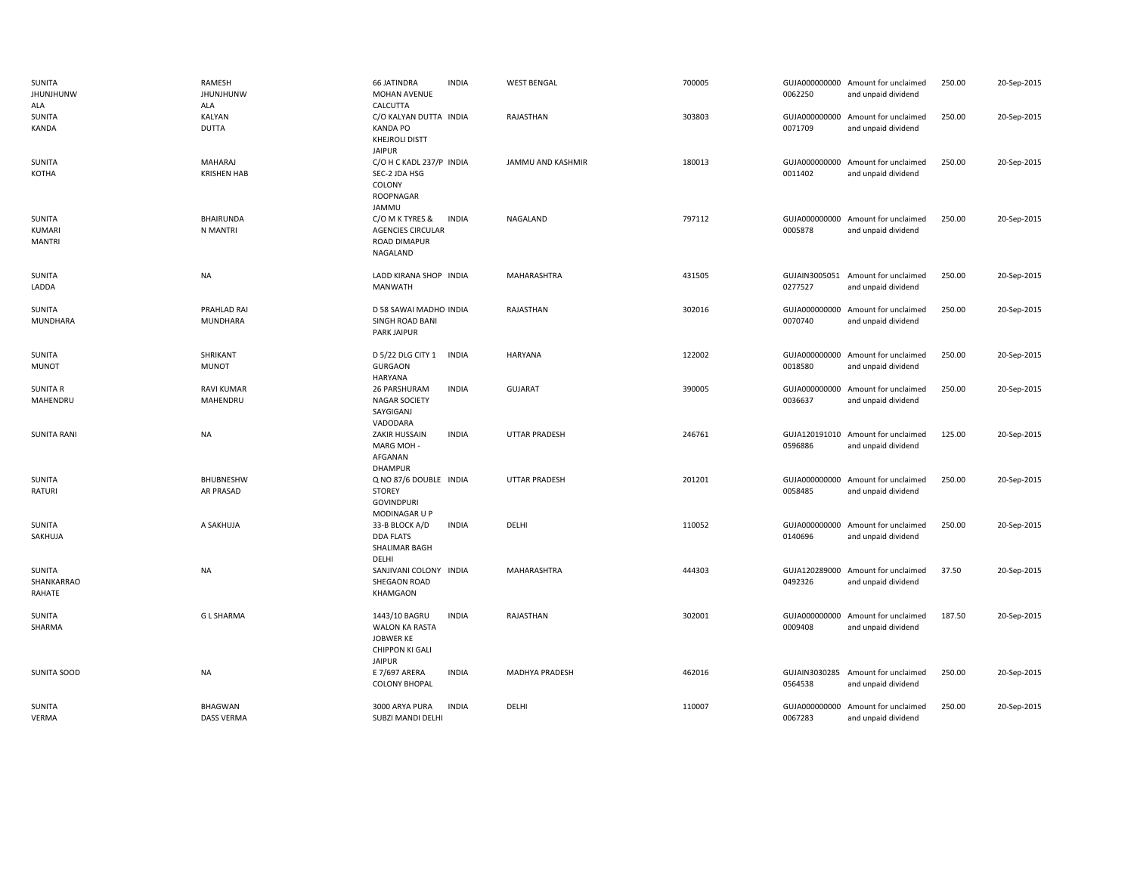| SUNITA<br><b>JHUNJHUNW</b><br>ALA        | RAMESH<br><b>JHUNJHUNW</b><br>ALA   | <b>66 JATINDRA</b><br><b>MOHAN AVENUE</b><br>CALCUTTA                                   | <b>INDIA</b> | <b>WEST BENGAL</b>   | 700005 | 0062250 | GUJA000000000 Amount for unclaimed<br>and unpaid dividend | 250.00 | 20-Sep-2015 |
|------------------------------------------|-------------------------------------|-----------------------------------------------------------------------------------------|--------------|----------------------|--------|---------|-----------------------------------------------------------|--------|-------------|
| SUNITA<br><b>KANDA</b>                   | KALYAN<br><b>DUTTA</b>              | C/O KALYAN DUTTA INDIA<br><b>KANDA PO</b><br><b>KHEJROLI DISTT</b><br><b>JAIPUR</b>     |              | RAJASTHAN            | 303803 | 0071709 | GUJA000000000 Amount for unclaimed<br>and unpaid dividend | 250.00 | 20-Sep-2015 |
| SUNITA<br>KOTHA                          | MAHARAJ<br><b>KRISHEN HAB</b>       | C/O H C KADL 237/P INDIA<br>SEC-2 JDA HSG<br>COLONY<br><b>ROOPNAGAR</b><br>JAMMU        |              | JAMMU AND KASHMIR    | 180013 | 0011402 | GUJA000000000 Amount for unclaimed<br>and unpaid dividend | 250.00 | 20-Sep-2015 |
| SUNITA<br><b>KUMARI</b><br><b>MANTRI</b> | BHAIRUNDA<br>N MANTRI               | C/O M K TYRES &<br><b>AGENCIES CIRCULAR</b><br>ROAD DIMAPUR<br>NAGALAND                 | <b>INDIA</b> | NAGALAND             | 797112 | 0005878 | GUJA000000000 Amount for unclaimed<br>and unpaid dividend | 250.00 | 20-Sep-2015 |
| <b>SUNITA</b><br>LADDA                   | NA                                  | LADD KIRANA SHOP INDIA<br>MANWATH                                                       |              | MAHARASHTRA          | 431505 | 0277527 | GUJAIN3005051 Amount for unclaimed<br>and unpaid dividend | 250.00 | 20-Sep-2015 |
| SUNITA<br>MUNDHARA                       | PRAHLAD RAI<br><b>MUNDHARA</b>      | D 58 SAWAI MADHO INDIA<br>SINGH ROAD BANI<br><b>PARK JAIPUR</b>                         |              | RAJASTHAN            | 302016 | 0070740 | GUJA000000000 Amount for unclaimed<br>and unpaid dividend | 250.00 | 20-Sep-2015 |
| SUNITA<br><b>MUNOT</b>                   | SHRIKANT<br><b>MUNOT</b>            | D 5/22 DLG CITY 1<br><b>GURGAON</b><br><b>HARYANA</b>                                   | <b>INDIA</b> | <b>HARYANA</b>       | 122002 | 0018580 | GUJA000000000 Amount for unclaimed<br>and unpaid dividend | 250.00 | 20-Sep-2015 |
| <b>SUNITA R</b><br>MAHENDRU              | <b>RAVI KUMAR</b><br>MAHENDRU       | 26 PARSHURAM<br><b>NAGAR SOCIETY</b><br>SAYGIGANJ<br>VADODARA                           | <b>INDIA</b> | <b>GUJARAT</b>       | 390005 | 0036637 | GUJA000000000 Amount for unclaimed<br>and unpaid dividend | 250.00 | 20-Sep-2015 |
| <b>SUNITA RANI</b>                       | NA                                  | ZAKIR HUSSAIN<br>MARG MOH-<br>AFGANAN<br><b>DHAMPUR</b>                                 | <b>INDIA</b> | <b>UTTAR PRADESH</b> | 246761 | 0596886 | GUJA120191010 Amount for unclaimed<br>and unpaid dividend | 125.00 | 20-Sep-2015 |
| SUNITA<br><b>RATURI</b>                  | <b>BHUBNESHW</b><br>AR PRASAD       | Q NO 87/6 DOUBLE INDIA<br><b>STOREY</b><br><b>GOVINDPURI</b><br>MODINAGAR U P           |              | <b>UTTAR PRADESH</b> | 201201 | 0058485 | GUJA000000000 Amount for unclaimed<br>and unpaid dividend | 250.00 | 20-Sep-2015 |
| SUNITA<br>SAKHUJA                        | A SAKHUJA                           | 33-B BLOCK A/D<br><b>DDA FLATS</b><br>SHALIMAR BAGH<br>DELHI                            | <b>INDIA</b> | DELHI                | 110052 | 0140696 | GUJA000000000 Amount for unclaimed<br>and unpaid dividend | 250.00 | 20-Sep-2015 |
| SUNITA<br>SHANKARRAO<br>RAHATE           | NA                                  | SANJIVANI COLONY INDIA<br>SHEGAON ROAD<br>KHAMGAON                                      |              | MAHARASHTRA          | 444303 | 0492326 | GUJA120289000 Amount for unclaimed<br>and unpaid dividend | 37.50  | 20-Sep-2015 |
| SUNITA<br>SHARMA                         | <b>GL SHARMA</b>                    | 1443/10 BAGRU<br>WALON KA RASTA<br>JOBWER KE<br><b>CHIPPON KI GALI</b><br><b>JAIPUR</b> | <b>INDIA</b> | RAJASTHAN            | 302001 | 0009408 | GUJA000000000 Amount for unclaimed<br>and unpaid dividend | 187.50 | 20-Sep-2015 |
| SUNITA SOOD                              | NA                                  | E 7/697 ARERA<br><b>COLONY BHOPAL</b>                                                   | <b>INDIA</b> | MADHYA PRADESH       | 462016 | 0564538 | GUJAIN3030285 Amount for unclaimed<br>and unpaid dividend | 250.00 | 20-Sep-2015 |
| SUNITA<br>VERMA                          | <b>BHAGWAN</b><br><b>DASS VERMA</b> | 3000 ARYA PURA<br>SUBZI MANDI DELHI                                                     | <b>INDIA</b> | DELHI                | 110007 | 0067283 | GUJA000000000 Amount for unclaimed<br>and unpaid dividend | 250.00 | 20-Sep-2015 |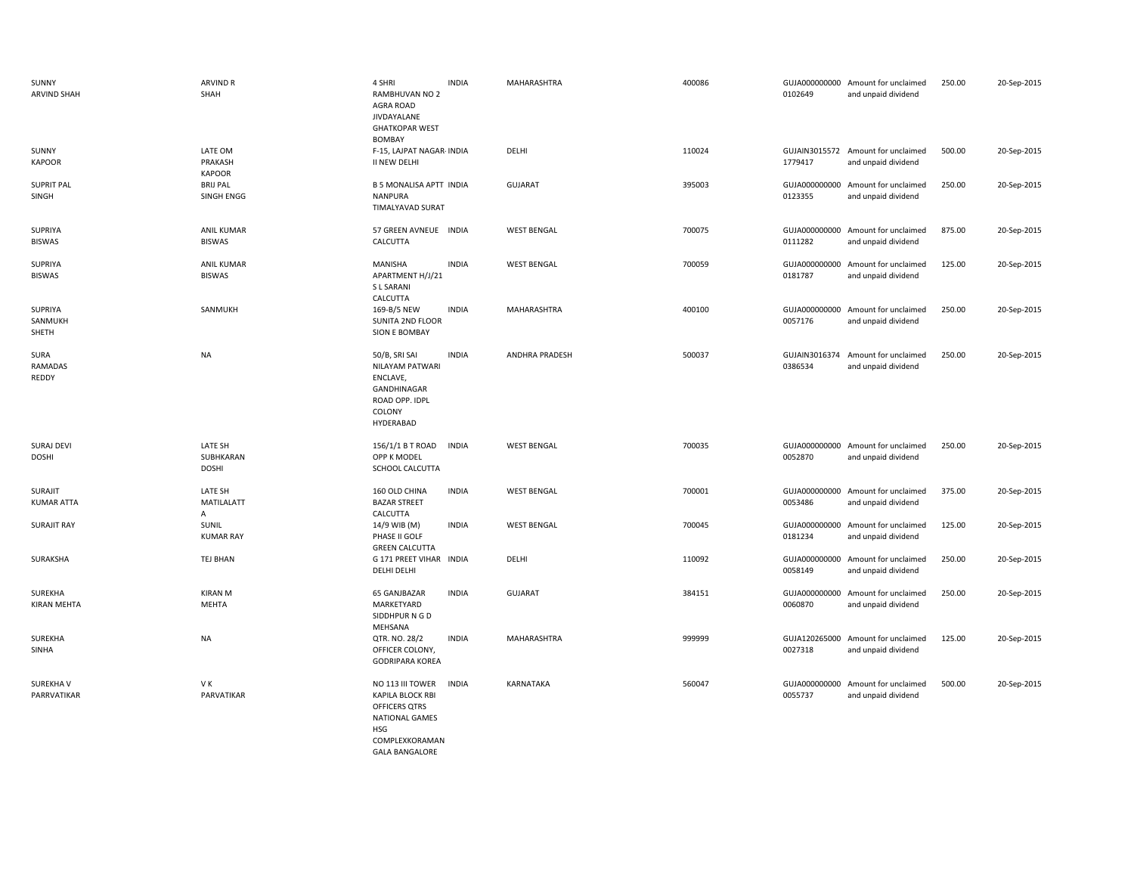| SUNNY<br><b>ARVIND SHAH</b>       | <b>ARVIND R</b><br>SHAH              | 4 SHRI<br>RAMBHUVAN NO 2<br>AGRA ROAD<br>JIVDAYALANE<br><b>GHATKOPAR WEST</b>                                                                  | <b>INDIA</b> | MAHARASHTRA        | 400086 | 0102649                  | GUJA000000000 Amount for unclaimed<br>and unpaid dividend | 250.00 | 20-Sep-2015 |
|-----------------------------------|--------------------------------------|------------------------------------------------------------------------------------------------------------------------------------------------|--------------|--------------------|--------|--------------------------|-----------------------------------------------------------|--------|-------------|
| SUNNY<br><b>KAPOOR</b>            | LATE OM<br>PRAKASH<br><b>KAPOOR</b>  | <b>BOMBAY</b><br>F-15, LAJPAT NAGAR- INDIA<br>II NEW DELHI                                                                                     |              | DELHI              | 110024 | 1779417                  | GUJAIN3015572 Amount for unclaimed<br>and unpaid dividend | 500.00 | 20-Sep-2015 |
| <b>SUPRIT PAL</b><br>SINGH        | <b>BRIJ PAL</b><br>SINGH ENGG        | <b>B 5 MONALISA APTT INDIA</b><br><b>NANPURA</b><br>TIMALYAVAD SURAT                                                                           |              | <b>GUJARAT</b>     | 395003 | GUJA000000000<br>0123355 | Amount for unclaimed<br>and unpaid dividend               | 250.00 | 20-Sep-2015 |
| SUPRIYA<br><b>BISWAS</b>          | <b>ANIL KUMAR</b><br><b>BISWAS</b>   | 57 GREEN AVNEUE INDIA<br>CALCUTTA                                                                                                              |              | <b>WEST BENGAL</b> | 700075 | 0111282                  | GUJA000000000 Amount for unclaimed<br>and unpaid dividend | 875.00 | 20-Sep-2015 |
| SUPRIYA<br><b>BISWAS</b>          | <b>ANIL KUMAR</b><br><b>BISWAS</b>   | MANISHA<br>APARTMENT H/J/21<br>S L SARANI<br>CALCUTTA                                                                                          | <b>INDIA</b> | <b>WEST BENGAL</b> | 700059 | 0181787                  | GUJA000000000 Amount for unclaimed<br>and unpaid dividend | 125.00 | 20-Sep-2015 |
| SUPRIYA<br>SANMUKH<br>SHETH       | SANMUKH                              | 169-B/5 NEW<br>SUNITA 2ND FLOOR<br>SION E BOMBAY                                                                                               | <b>INDIA</b> | <b>MAHARASHTRA</b> | 400100 | 0057176                  | GUJA000000000 Amount for unclaimed<br>and unpaid dividend | 250.00 | 20-Sep-2015 |
| SURA<br>RAMADAS<br>REDDY          | <b>NA</b>                            | 50/B, SRI SAI<br>NILAYAM PATWARI<br>ENCLAVE,<br>GANDHINAGAR<br>ROAD OPP. IDPL<br>COLONY<br>HYDERABAD                                           | <b>INDIA</b> | ANDHRA PRADESH     | 500037 | 0386534                  | GUJAIN3016374 Amount for unclaimed<br>and unpaid dividend | 250.00 | 20-Sep-2015 |
| <b>SURAJ DEVI</b><br><b>DOSHI</b> | LATE SH<br>SUBHKARAN<br><b>DOSHI</b> | 156/1/1 B T ROAD<br>OPP K MODEL<br>SCHOOL CALCUTTA                                                                                             | <b>INDIA</b> | <b>WEST BENGAL</b> | 700035 | 0052870                  | GUJA000000000 Amount for unclaimed<br>and unpaid dividend | 250.00 | 20-Sep-2015 |
| SURAJIT<br><b>KUMAR ATTA</b>      | LATE SH<br><b>MATILALATT</b><br>A    | 160 OLD CHINA<br><b>BAZAR STREET</b><br>CALCUTTA                                                                                               | <b>INDIA</b> | <b>WEST BENGAL</b> | 700001 | 0053486                  | GUJA000000000 Amount for unclaimed<br>and unpaid dividend | 375.00 | 20-Sep-2015 |
| <b>SURAJIT RAY</b>                | SUNIL<br><b>KUMAR RAY</b>            | 14/9 WIB (M)<br>PHASE II GOLF<br><b>GREEN CALCUTTA</b>                                                                                         | <b>INDIA</b> | <b>WEST BENGAL</b> | 700045 | 0181234                  | GUJA000000000 Amount for unclaimed<br>and unpaid dividend | 125.00 | 20-Sep-2015 |
| SURAKSHA                          | TEJ BHAN                             | G 171 PREET VIHAR INDIA<br>DELHI DELHI                                                                                                         |              | DELHI              | 110092 | 0058149                  | GUJA000000000 Amount for unclaimed<br>and unpaid dividend | 250.00 | 20-Sep-2015 |
| SUREKHA<br>KIRAN MEHTA            | <b>KIRAN M</b><br><b>MEHTA</b>       | 65 GANJBAZAR<br>MARKETYARD<br>SIDDHPUR N G D<br>MEHSANA                                                                                        | <b>INDIA</b> | <b>GUJARAT</b>     | 384151 | 0060870                  | GUJA000000000 Amount for unclaimed<br>and unpaid dividend | 250.00 | 20-Sep-2015 |
| SUREKHA<br>SINHA                  | <b>NA</b>                            | QTR. NO. 28/2<br>OFFICER COLONY,<br><b>GODRIPARA KOREA</b>                                                                                     | <b>INDIA</b> | MAHARASHTRA        | 999999 | 0027318                  | GUJA120265000 Amount for unclaimed<br>and unpaid dividend | 125.00 | 20-Sep-2015 |
| SUREKHA V<br>PARRVATIKAR          | VK<br>PARVATIKAR                     | NO 113 III TOWER<br><b>KAPILA BLOCK RBI</b><br>OFFICERS QTRS<br><b>NATIONAL GAMES</b><br><b>HSG</b><br>COMPLEXKORAMAN<br><b>GALA BANGALORE</b> | <b>INDIA</b> | KARNATAKA          | 560047 | 0055737                  | GUJA000000000 Amount for unclaimed<br>and unpaid dividend | 500.00 | 20-Sep-2015 |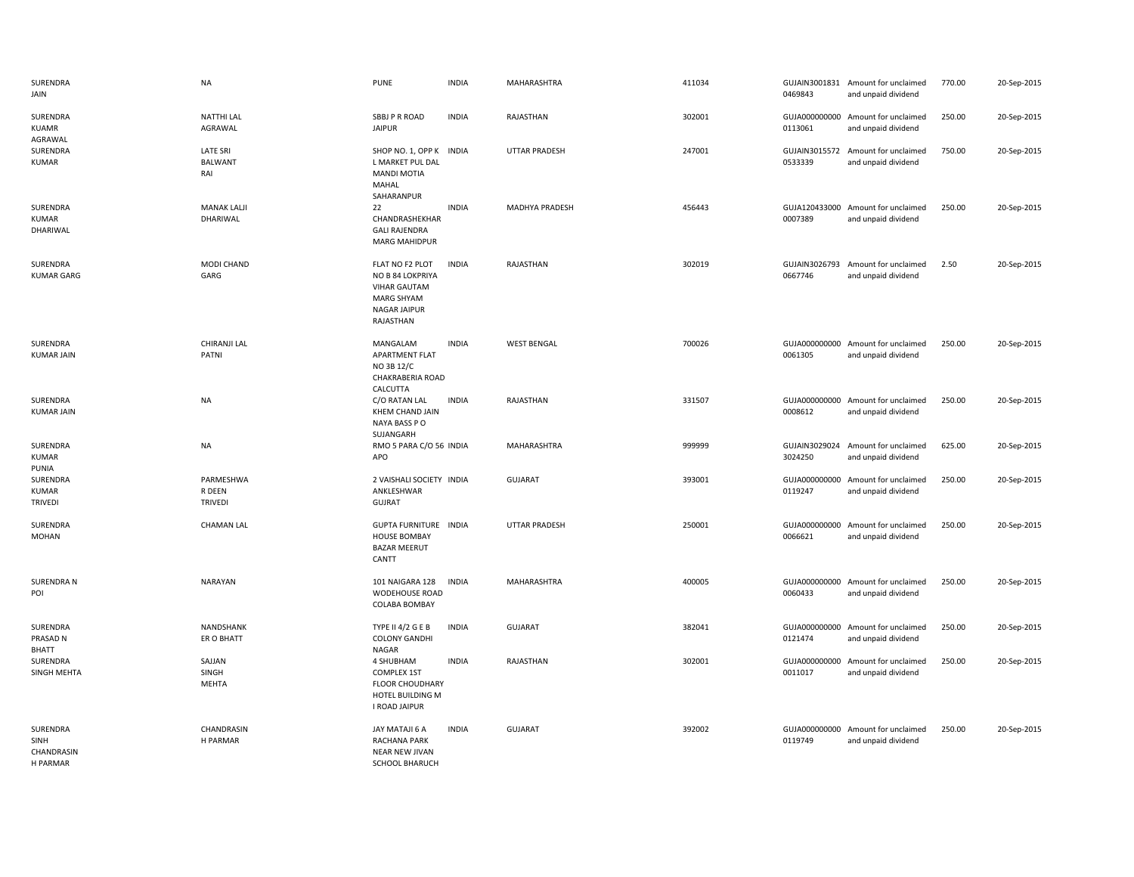| SURENDRA<br>JAIN                           | <b>NA</b>                                | <b>PUNE</b>                                                                                                         | <b>INDIA</b> | MAHARASHTRA          | 411034 | 0469843                  | GUJAIN3001831 Amount for unclaimed<br>and unpaid dividend | 770.00 | 20-Sep-2015 |
|--------------------------------------------|------------------------------------------|---------------------------------------------------------------------------------------------------------------------|--------------|----------------------|--------|--------------------------|-----------------------------------------------------------|--------|-------------|
| SURENDRA<br>KUAMR                          | <b>NATTHI LAL</b><br>AGRAWAL             | SBBJ P R ROAD<br><b>JAIPUR</b>                                                                                      | <b>INDIA</b> | RAJASTHAN            | 302001 | 0113061                  | GUJA000000000 Amount for unclaimed<br>and unpaid dividend | 250.00 | 20-Sep-2015 |
| AGRAWAL<br>SURENDRA<br><b>KUMAR</b>        | <b>LATE SRI</b><br><b>BALWANT</b><br>RAI | SHOP NO. 1, OPP K INDIA<br>L MARKET PUL DAL<br><b>MANDI MOTIA</b><br>MAHAL<br>SAHARANPUR                            |              | <b>UTTAR PRADESH</b> | 247001 | GUJAIN3015572<br>0533339 | Amount for unclaimed<br>and unpaid dividend               | 750.00 | 20-Sep-2015 |
| SURENDRA<br>KUMAR<br>DHARIWAL              | <b>MANAK LALJI</b><br>DHARIWAL           | 22<br>CHANDRASHEKHAR<br><b>GALI RAJENDRA</b><br><b>MARG MAHIDPUR</b>                                                | <b>INDIA</b> | MADHYA PRADESH       | 456443 | 0007389                  | GUJA120433000 Amount for unclaimed<br>and unpaid dividend | 250.00 | 20-Sep-2015 |
| SURENDRA<br><b>KUMAR GARG</b>              | MODI CHAND<br>GARG                       | FLAT NO F2 PLOT<br>NO B 84 LOKPRIYA<br><b>VIHAR GAUTAM</b><br><b>MARG SHYAM</b><br><b>NAGAR JAIPUR</b><br>RAJASTHAN | <b>INDIA</b> | RAJASTHAN            | 302019 | 0667746                  | GUJAIN3026793 Amount for unclaimed<br>and unpaid dividend | 2.50   | 20-Sep-2015 |
| SURENDRA<br><b>KUMAR JAIN</b>              | CHIRANJI LAL<br>PATNI                    | MANGALAM<br>APARTMENT FLAT<br>NO 3B 12/C<br>CHAKRABERIA ROAD<br>CALCUTTA                                            | <b>INDIA</b> | <b>WEST BENGAL</b>   | 700026 | 0061305                  | GUJA000000000 Amount for unclaimed<br>and unpaid dividend | 250.00 | 20-Sep-2015 |
| SURENDRA<br><b>KUMAR JAIN</b>              | <b>NA</b>                                | C/O RATAN LAL<br>KHEM CHAND JAIN<br>NAYA BASS PO<br>SUJANGARH                                                       | <b>INDIA</b> | RAJASTHAN            | 331507 | 0008612                  | GUJA000000000 Amount for unclaimed<br>and unpaid dividend | 250.00 | 20-Sep-2015 |
| SURENDRA<br>KUMAR<br>PUNIA                 | NA                                       | RMO 5 PARA C/O 56 INDIA<br>APO                                                                                      |              | MAHARASHTRA          | 999999 | GUJAIN3029024<br>3024250 | Amount for unclaimed<br>and unpaid dividend               | 625.00 | 20-Sep-2015 |
| SURENDRA<br><b>KUMAR</b><br><b>TRIVEDI</b> | PARMESHWA<br>R DEEN<br><b>TRIVEDI</b>    | 2 VAISHALI SOCIETY INDIA<br>ANKLESHWAR<br><b>GUJRAT</b>                                                             |              | GUJARAT              | 393001 | GUJA000000000<br>0119247 | Amount for unclaimed<br>and unpaid dividend               | 250.00 | 20-Sep-2015 |
| SURENDRA<br><b>MOHAN</b>                   | <b>CHAMAN LAL</b>                        | <b>GUPTA FURNITURE INDIA</b><br><b>HOUSE BOMBAY</b><br><b>BAZAR MEERUT</b><br>CANTT                                 |              | <b>UTTAR PRADESH</b> | 250001 | 0066621                  | GUJA000000000 Amount for unclaimed<br>and unpaid dividend | 250.00 | 20-Sep-2015 |
| <b>SURENDRA N</b><br>POI                   | NARAYAN                                  | 101 NAIGARA 128<br>WODEHOUSE ROAD<br>COLABA BOMBAY                                                                  | <b>INDIA</b> | MAHARASHTRA          | 400005 | 0060433                  | GUJA000000000 Amount for unclaimed<br>and unpaid dividend | 250.00 | 20-Sep-2015 |
| SURENDRA<br>PRASAD N<br>BHATT              | NANDSHANK<br>ER O BHATT                  | <b>TYPE II 4/2 G E B</b><br><b>COLONY GANDHI</b><br>NAGAR                                                           | <b>INDIA</b> | <b>GUJARAT</b>       | 382041 | 0121474                  | GUJA000000000 Amount for unclaimed<br>and unpaid dividend | 250.00 | 20-Sep-2015 |
| SURENDRA<br>SINGH MEHTA                    | SAJJAN<br>SINGH<br><b>MEHTA</b>          | 4 SHUBHAM<br><b>COMPLEX 1ST</b><br><b>FLOOR CHOUDHARY</b><br>HOTEL BUILDING M<br>I ROAD JAIPUR                      | <b>INDIA</b> | RAJASTHAN            | 302001 | GUJA000000000<br>0011017 | Amount for unclaimed<br>and unpaid dividend               | 250.00 | 20-Sep-2015 |
| SURENDRA<br>SINH<br>CHANDRASIN<br>H PARMAR | CHANDRASIN<br>H PARMAR                   | JAY MATAJI 6 A<br>RACHANA PARK<br>NEAR NEW JIVAN<br>SCHOOL BHARUCH                                                  | <b>INDIA</b> | <b>GUJARAT</b>       | 392002 | 0119749                  | GUJA000000000 Amount for unclaimed<br>and unpaid dividend | 250.00 | 20-Sep-2015 |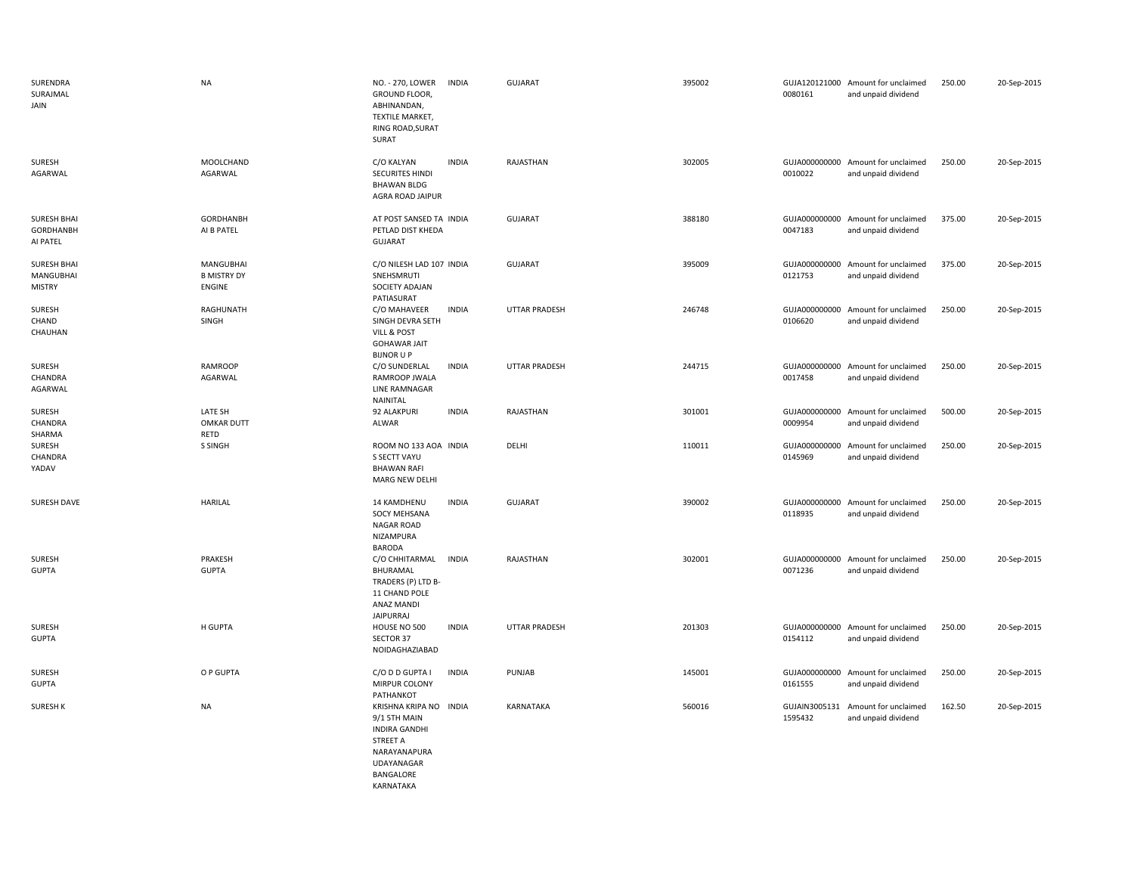| SURENDRA<br>SURAJMAL<br>JAIN                     | <b>NA</b>                                        | NO. - 270, LOWER<br><b>INDIA</b><br>GROUND FLOOR,<br>ABHINANDAN,<br>TEXTILE MARKET,<br>RING ROAD, SURAT<br>SURAT                   | <b>GUJARAT</b>       | 395002 | 0080161                  | GUJA120121000 Amount for unclaimed<br>and unpaid dividend | 250.00 | 20-Sep-2015 |
|--------------------------------------------------|--------------------------------------------------|------------------------------------------------------------------------------------------------------------------------------------|----------------------|--------|--------------------------|-----------------------------------------------------------|--------|-------------|
| SURESH<br>AGARWAL                                | <b>MOOLCHAND</b><br>AGARWAL                      | C/O KALYAN<br><b>INDIA</b><br><b>SECURITES HINDI</b><br><b>BHAWAN BLDG</b><br>AGRA ROAD JAIPUR                                     | RAJASTHAN            | 302005 | 0010022                  | GUJA000000000 Amount for unclaimed<br>and unpaid dividend | 250.00 | 20-Sep-2015 |
| <b>SURESH BHAI</b><br>GORDHANBH<br>AI PATEL      | <b>GORDHANBH</b><br>AI B PATEL                   | AT POST SANSED TA INDIA<br>PETLAD DIST KHEDA<br>GUJARAT                                                                            | GUJARAT              | 388180 | 0047183                  | GUJA000000000 Amount for unclaimed<br>and unpaid dividend | 375.00 | 20-Sep-2015 |
| <b>SURESH BHAI</b><br>MANGUBHAI<br><b>MISTRY</b> | MANGUBHAI<br><b>B MISTRY DY</b><br><b>ENGINE</b> | C/O NILESH LAD 107 INDIA<br>SNEHSMRUTI<br>SOCIETY ADAJAN<br>PATIASURAT                                                             | GUJARAT              | 395009 | GUJA000000000<br>0121753 | Amount for unclaimed<br>and unpaid dividend               | 375.00 | 20-Sep-2015 |
| SURESH<br>CHAND<br>CHAUHAN                       | RAGHUNATH<br>SINGH                               | <b>INDIA</b><br>C/O MAHAVEER<br>SINGH DEVRA SETH<br>VILL & POST<br><b>GOHAWAR JAIT</b><br><b>BIJNOR U P</b>                        | <b>UTTAR PRADESH</b> | 246748 | 0106620                  | GUJA000000000 Amount for unclaimed<br>and unpaid dividend | 250.00 | 20-Sep-2015 |
| SURESH<br>CHANDRA<br>AGARWAL                     | <b>RAMROOP</b><br>AGARWAL                        | C/O SUNDERLAL<br><b>INDIA</b><br>RAMROOP JWALA<br>LINE RAMNAGAR<br>NAINITAL                                                        | <b>UTTAR PRADESH</b> | 244715 | 0017458                  | GUJA000000000 Amount for unclaimed<br>and unpaid dividend | 250.00 | 20-Sep-2015 |
| SURESH<br>CHANDRA<br>SHARMA                      | LATE SH<br><b>OMKAR DUTT</b><br>RETD             | 92 ALAKPURI<br><b>INDIA</b><br>ALWAR                                                                                               | RAJASTHAN            | 301001 | 0009954                  | GUJA000000000 Amount for unclaimed<br>and unpaid dividend | 500.00 | 20-Sep-2015 |
| SURESH<br>CHANDRA<br>YADAV                       | S SINGH                                          | ROOM NO 133 AOA INDIA<br>S SECTT VAYU<br><b>BHAWAN RAFI</b><br>MARG NEW DELHI                                                      | DELHI                | 110011 | 0145969                  | GUJA000000000 Amount for unclaimed<br>and unpaid dividend | 250.00 | 20-Sep-2015 |
| SURESH DAVE                                      | <b>HARILAL</b>                                   | <b>INDIA</b><br>14 KAMDHENU<br><b>SOCY MEHSANA</b><br><b>NAGAR ROAD</b><br>NIZAMPURA<br><b>BARODA</b>                              | <b>GUJARAT</b>       | 390002 | 0118935                  | GUJA000000000 Amount for unclaimed<br>and unpaid dividend | 250.00 | 20-Sep-2015 |
| SURESH<br><b>GUPTA</b>                           | PRAKESH<br><b>GUPTA</b>                          | C/O CHHITARMAL<br><b>INDIA</b><br>BHURAMAL<br>TRADERS (P) LTD B-<br>11 CHAND POLE<br>ANAZ MANDI<br><b>JAIPURRAJ</b>                | RAJASTHAN            | 302001 | 0071236                  | GUJA000000000 Amount for unclaimed<br>and unpaid dividend | 250.00 | 20-Sep-2015 |
| SURESH<br><b>GUPTA</b>                           | H GUPTA                                          | <b>INDIA</b><br>HOUSE NO 500<br>SECTOR 37<br>NOIDAGHAZIABAD                                                                        | <b>UTTAR PRADESH</b> | 201303 | GUJA000000000<br>0154112 | Amount for unclaimed<br>and unpaid dividend               | 250.00 | 20-Sep-2015 |
| SURESH<br><b>GUPTA</b>                           | O P GUPTA                                        | C/O D D GUPTA I<br><b>INDIA</b><br>MIRPUR COLONY<br>PATHANKOT                                                                      | PUNJAB               | 145001 | 0161555                  | GUJA000000000 Amount for unclaimed<br>and unpaid dividend | 250.00 | 20-Sep-2015 |
| <b>SURESH K</b>                                  | <b>NA</b>                                        | KRISHNA KRIPA NO INDIA<br>9/1 5TH MAIN<br><b>INDIRA GANDHI</b><br>STREET A<br>NARAYANAPURA<br>UDAYANAGAR<br>BANGALORE<br>KARNATAKA | KARNATAKA            | 560016 | GUJAIN3005131<br>1595432 | Amount for unclaimed<br>and unpaid dividend               | 162.50 | 20-Sep-2015 |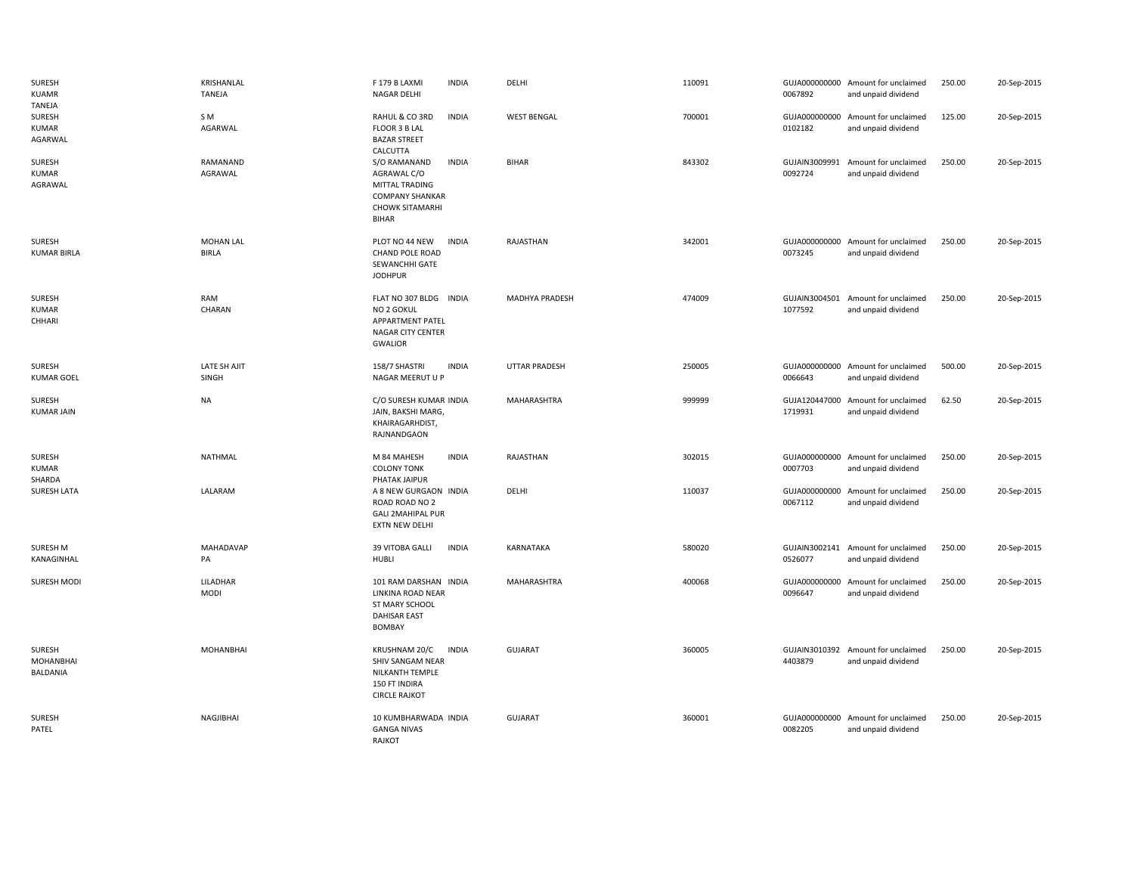| SURESH<br><b>KUAMR</b><br>TANEJA        | KRISHANLAL<br>TANEJA             | F 179 B LAXMI<br><b>INDIA</b><br>NAGAR DELHI                                                                               | DELHI                | 110091 | 0067892                  | GUJA000000000 Amount for unclaimed<br>and unpaid dividend | 250.00 | 20-Sep-2015 |
|-----------------------------------------|----------------------------------|----------------------------------------------------------------------------------------------------------------------------|----------------------|--------|--------------------------|-----------------------------------------------------------|--------|-------------|
| SURESH<br><b>KUMAR</b><br>AGARWAL       | S M<br>AGARWAL                   | RAHUL & CO 3RD<br><b>INDIA</b><br>FLOOR 3 B LAL<br><b>BAZAR STREET</b><br>CALCUTTA                                         | <b>WEST BENGAL</b>   | 700001 | 0102182                  | GUJA000000000 Amount for unclaimed<br>and unpaid dividend | 125.00 | 20-Sep-2015 |
| SURESH<br><b>KUMAR</b><br>AGRAWAL       | RAMANAND<br>AGRAWAL              | S/O RAMANAND<br><b>INDIA</b><br>AGRAWAL C/O<br>MITTAL TRADING<br><b>COMPANY SHANKAR</b><br><b>CHOWK SITAMARHI</b><br>BIHAR | <b>BIHAR</b>         | 843302 | GUJAIN3009991<br>0092724 | Amount for unclaimed<br>and unpaid dividend               | 250.00 | 20-Sep-2015 |
| SURESH<br><b>KUMAR BIRLA</b>            | <b>MOHAN LAL</b><br><b>BIRLA</b> | <b>INDIA</b><br>PLOT NO 44 NEW<br><b>CHAND POLE ROAD</b><br>SEWANCHHI GATE<br><b>JODHPUR</b>                               | RAJASTHAN            | 342001 | 0073245                  | GUJA000000000 Amount for unclaimed<br>and unpaid dividend | 250.00 | 20-Sep-2015 |
| SURESH<br><b>KUMAR</b><br>CHHARI        | RAM<br>CHARAN                    | FLAT NO 307 BLDG INDIA<br>NO 2 GOKUL<br>APPARTMENT PATEL<br>NAGAR CITY CENTER<br><b>GWALIOR</b>                            | MADHYA PRADESH       | 474009 | 1077592                  | GUJAIN3004501 Amount for unclaimed<br>and unpaid dividend | 250.00 | 20-Sep-2015 |
| SURESH<br><b>KUMAR GOEL</b>             | LATE SH AJIT<br>SINGH            | 158/7 SHASTRI<br><b>INDIA</b><br>NAGAR MEERUT U P                                                                          | <b>UTTAR PRADESH</b> | 250005 | 0066643                  | GUJA000000000 Amount for unclaimed<br>and unpaid dividend | 500.00 | 20-Sep-2015 |
| SURESH<br><b>KUMAR JAIN</b>             | <b>NA</b>                        | C/O SURESH KUMAR INDIA<br>JAIN, BAKSHI MARG,<br>KHAIRAGARHDIST,<br>RAJNANDGAON                                             | MAHARASHTRA          | 999999 | 1719931                  | GUJA120447000 Amount for unclaimed<br>and unpaid dividend | 62.50  | 20-Sep-2015 |
| <b>SURESH</b><br><b>KUMAR</b><br>SHARDA | NATHMAL                          | <b>INDIA</b><br>M 84 MAHESH<br><b>COLONY TONK</b><br>PHATAK JAIPUR                                                         | RAJASTHAN            | 302015 | 0007703                  | GUJA000000000 Amount for unclaimed<br>and unpaid dividend | 250.00 | 20-Sep-2015 |
| SURESH LATA                             | LALARAM                          | A 8 NEW GURGAON INDIA<br>ROAD ROAD NO 2<br><b>GALI 2MAHIPAL PUR</b><br>EXTN NEW DELHI                                      | DELHI                | 110037 | 0067112                  | GUJA000000000 Amount for unclaimed<br>and unpaid dividend | 250.00 | 20-Sep-2015 |
| SURESH M<br>KANAGINHAL                  | MAHADAVAP<br>PA                  | 39 VITOBA GALLI<br><b>INDIA</b><br><b>HUBLI</b>                                                                            | KARNATAKA            | 580020 | 0526077                  | GUJAIN3002141 Amount for unclaimed<br>and unpaid dividend | 250.00 | 20-Sep-2015 |
| <b>SURESH MODI</b>                      | LILADHAR<br><b>MODI</b>          | 101 RAM DARSHAN INDIA<br>LINKINA ROAD NEAR<br>ST MARY SCHOOL<br><b>DAHISAR EAST</b><br>BOMBAY                              | MAHARASHTRA          | 400068 | 0096647                  | GUJA000000000 Amount for unclaimed<br>and unpaid dividend | 250.00 | 20-Sep-2015 |
| SURESH<br><b>MOHANBHAI</b><br>BALDANIA  | <b>MOHANBHAI</b>                 | KRUSHNAM 20/C<br><b>INDIA</b><br>SHIV SANGAM NEAR<br>NILKANTH TEMPLE<br>150 FT INDIRA<br><b>CIRCLE RAJKOT</b>              | <b>GUJARAT</b>       | 360005 | 4403879                  | GUJAIN3010392 Amount for unclaimed<br>and unpaid dividend | 250.00 | 20-Sep-2015 |
| SURESH<br>PATEL                         | NAGJIBHAI                        | 10 KUMBHARWADA INDIA<br><b>GANGA NIVAS</b><br>RAJKOT                                                                       | GUJARAT              | 360001 | GUJA000000000<br>0082205 | Amount for unclaimed<br>and unpaid dividend               | 250.00 | 20-Sep-2015 |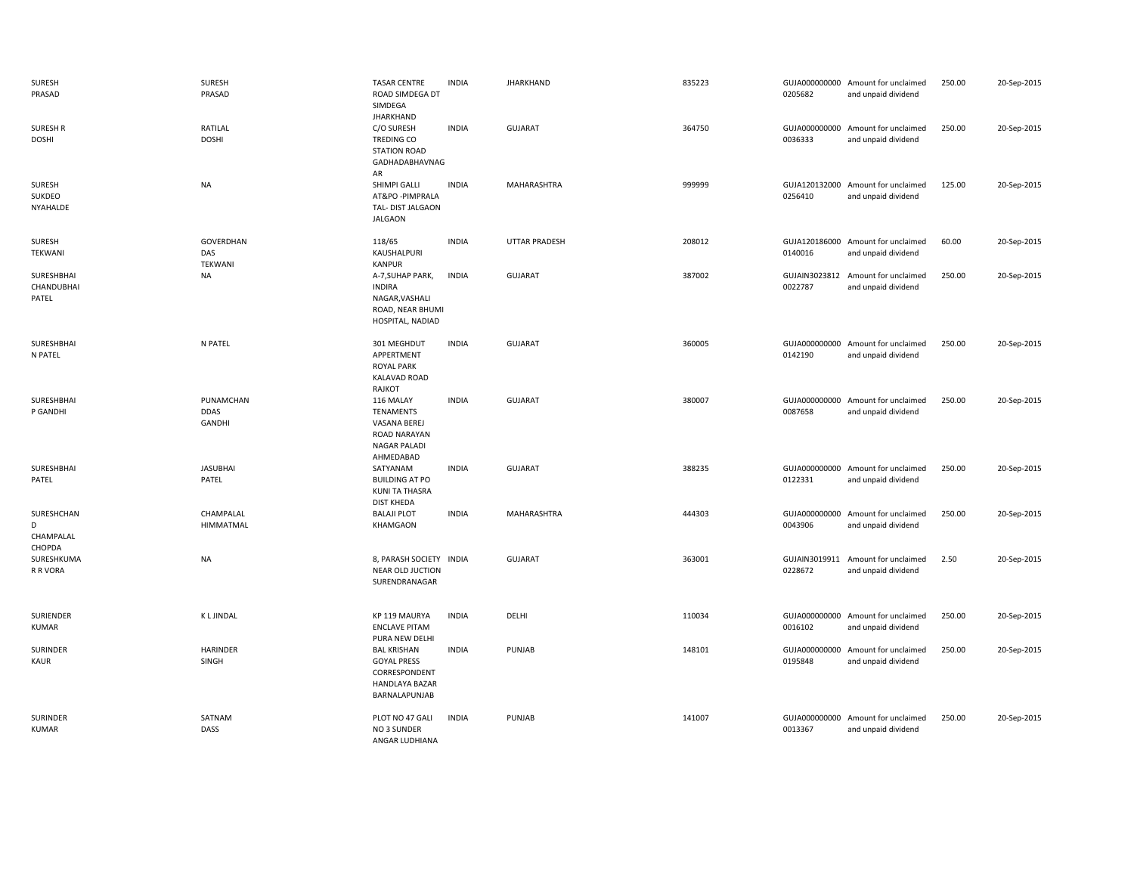| <b>SURESH</b><br>PRASAD                | <b>SURESH</b><br>PRASAD                   | <b>TASAR CENTRE</b><br>ROAD SIMDEGA DT<br>SIMDEGA                                                        | <b>INDIA</b> | <b>JHARKHAND</b> | 835223 | 0205682                  | GUJA000000000 Amount for unclaimed<br>and unpaid dividend | 250.00 | 20-Sep-2015 |
|----------------------------------------|-------------------------------------------|----------------------------------------------------------------------------------------------------------|--------------|------------------|--------|--------------------------|-----------------------------------------------------------|--------|-------------|
| <b>SURESH R</b><br><b>DOSHI</b>        | RATILAL<br><b>DOSHI</b>                   | <b>JHARKHAND</b><br>C/O SURESH<br>TREDING CO<br><b>STATION ROAD</b><br>GADHADABHAVNAG<br>AR              | <b>INDIA</b> | <b>GUJARAT</b>   | 364750 | GUJA000000000<br>0036333 | Amount for unclaimed<br>and unpaid dividend               | 250.00 | 20-Sep-2015 |
| SURESH<br>SUKDEO<br>NYAHALDE           | <b>NA</b>                                 | SHIMPI GALLI<br>AT&PO - PIMPRALA<br>TAL- DIST JALGAON<br><b>JALGAON</b>                                  | <b>INDIA</b> | MAHARASHTRA      | 999999 | 0256410                  | GUJA120132000 Amount for unclaimed<br>and unpaid dividend | 125.00 | 20-Sep-2015 |
| SURESH<br>TEKWANI                      | GOVERDHAN<br>DAS<br>TEKWANI               | 118/65<br>KAUSHALPURI<br><b>KANPUR</b>                                                                   | <b>INDIA</b> | UTTAR PRADESH    | 208012 | 0140016                  | GUJA120186000 Amount for unclaimed<br>and unpaid dividend | 60.00  | 20-Sep-2015 |
| SURESHBHAI<br>CHANDUBHAI<br>PATEL      | <b>NA</b>                                 | A-7, SUHAP PARK,<br>INDIRA<br>NAGAR, VASHALI<br>ROAD, NEAR BHUMI<br>HOSPITAL, NADIAD                     | <b>INDIA</b> | <b>GUJARAT</b>   | 387002 | 0022787                  | GUJAIN3023812 Amount for unclaimed<br>and unpaid dividend | 250.00 | 20-Sep-2015 |
| SURESHBHAI<br>N PATEL                  | N PATEL                                   | 301 MEGHDUT<br>APPERTMENT<br><b>ROYAL PARK</b><br><b>KALAVAD ROAD</b><br>RAJKOT                          | <b>INDIA</b> | <b>GUJARAT</b>   | 360005 | 0142190                  | GUJA000000000 Amount for unclaimed<br>and unpaid dividend | 250.00 | 20-Sep-2015 |
| SURESHBHAI<br>P GANDHI                 | PUNAMCHAN<br><b>DDAS</b><br><b>GANDHI</b> | 116 MALAY<br><b>TENAMENTS</b><br>VASANA BEREJ<br><b>ROAD NARAYAN</b><br><b>NAGAR PALADI</b><br>AHMEDABAD | <b>INDIA</b> | <b>GUJARAT</b>   | 380007 | 0087658                  | GUJA000000000 Amount for unclaimed<br>and unpaid dividend | 250.00 | 20-Sep-2015 |
| SURESHBHAI<br>PATEL                    | <b>JASUBHAI</b><br>PATEL                  | SATYANAM<br><b>BUILDING AT PO</b><br>KUNI TA THASRA<br><b>DIST KHEDA</b>                                 | <b>INDIA</b> | <b>GUJARAT</b>   | 388235 | GUJA000000000<br>0122331 | Amount for unclaimed<br>and unpaid dividend               | 250.00 | 20-Sep-2015 |
| SURESHCHAN<br>D<br>CHAMPALAL<br>CHOPDA | CHAMPALAL<br>HIMMATMAL                    | <b>BALAJI PLOT</b><br>KHAMGAON                                                                           | <b>INDIA</b> | MAHARASHTRA      | 444303 | 0043906                  | GUJA000000000 Amount for unclaimed<br>and unpaid dividend | 250.00 | 20-Sep-2015 |
| SURESHKUMA<br>R R VORA                 | <b>NA</b>                                 | 8, PARASH SOCIETY INDIA<br>NEAR OLD JUCTION<br>SURENDRANAGAR                                             |              | <b>GUJARAT</b>   | 363001 | GUJAIN3019911<br>0228672 | Amount for unclaimed<br>and unpaid dividend               | 2.50   | 20-Sep-2015 |
| SURIENDER<br><b>KUMAR</b>              | <b>KLJINDAL</b>                           | KP 119 MAURYA<br><b>ENCLAVE PITAM</b><br>PURA NEW DELHI                                                  | <b>INDIA</b> | DELHI            | 110034 | 0016102                  | GUJA000000000 Amount for unclaimed<br>and unpaid dividend | 250.00 | 20-Sep-2015 |
| SURINDER<br>KAUR                       | HARINDER<br>SINGH                         | <b>BAL KRISHAN</b><br><b>GOYAL PRESS</b><br>CORRESPONDENT<br>HANDLAYA BAZAR<br>BARNALAPUNJAB             | <b>INDIA</b> | PUNJAB           | 148101 | GUJA000000000<br>0195848 | Amount for unclaimed<br>and unpaid dividend               | 250.00 | 20-Sep-2015 |
| SURINDER<br><b>KUMAR</b>               | SATNAM<br>DASS                            | PLOT NO 47 GALI<br>NO 3 SUNDER<br>ANGAR LUDHIANA                                                         | <b>INDIA</b> | PUNJAB           | 141007 | GUJA000000000<br>0013367 | Amount for unclaimed<br>and unpaid dividend               | 250.00 | 20-Sep-2015 |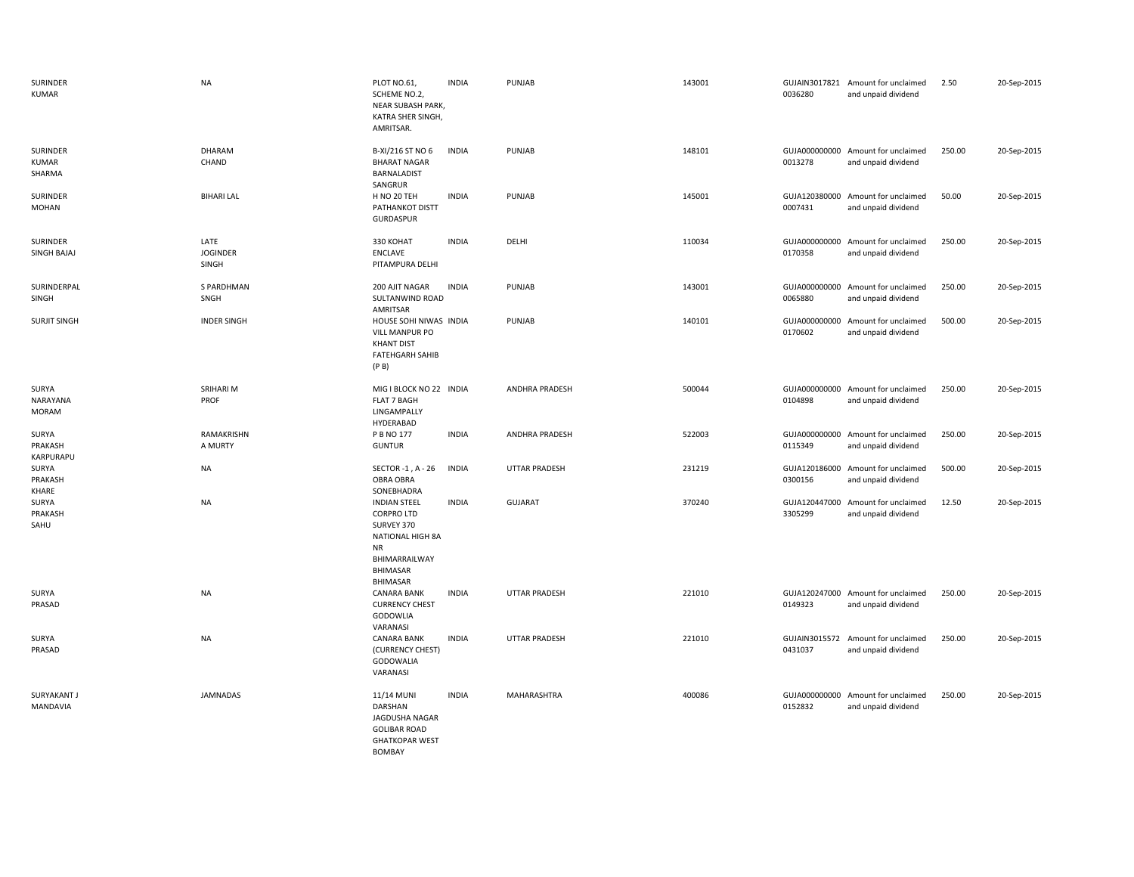| SURINDER<br><b>KUMAR</b>           | <b>NA</b>                        | PLOT NO.61,<br>SCHEME NO.2,<br>NEAR SUBASH PARK,<br>KATRA SHER SINGH,<br>AMRITSAR.                                                             | <b>INDIA</b> | PUNJAB                | 143001 | 0036280                  | GUJAIN3017821 Amount for unclaimed<br>and unpaid dividend | 2.50   | 20-Sep-2015 |
|------------------------------------|----------------------------------|------------------------------------------------------------------------------------------------------------------------------------------------|--------------|-----------------------|--------|--------------------------|-----------------------------------------------------------|--------|-------------|
| SURINDER<br><b>KUMAR</b><br>SHARMA | DHARAM<br>CHAND                  | B-XI/216 ST NO 6<br><b>BHARAT NAGAR</b><br>BARNALADIST<br>SANGRUR                                                                              | <b>INDIA</b> | PUNJAB                | 148101 | 0013278                  | GUJA000000000 Amount for unclaimed<br>and unpaid dividend | 250.00 | 20-Sep-2015 |
| SURINDER<br>MOHAN                  | <b>BIHARI LAL</b>                | H NO 20 TEH<br>PATHANKOT DISTT<br><b>GURDASPUR</b>                                                                                             | <b>INDIA</b> | PUNJAB                | 145001 | 0007431                  | GUJA120380000 Amount for unclaimed<br>and unpaid dividend | 50.00  | 20-Sep-2015 |
| SURINDER<br>SINGH BAJAJ            | LATE<br><b>JOGINDER</b><br>SINGH | 330 KOHAT<br>ENCLAVE<br>PITAMPURA DELHI                                                                                                        | <b>INDIA</b> | DELHI                 | 110034 | 0170358                  | GUJA000000000 Amount for unclaimed<br>and unpaid dividend | 250.00 | 20-Sep-2015 |
| SURINDERPAL<br>SINGH               | S PARDHMAN<br>SNGH               | 200 AJIT NAGAR<br>SULTANWIND ROAD<br>AMRITSAR                                                                                                  | <b>INDIA</b> | PUNJAB                | 143001 | 0065880                  | GUJA000000000 Amount for unclaimed<br>and unpaid dividend | 250.00 | 20-Sep-2015 |
| <b>SURJIT SINGH</b>                | <b>INDER SINGH</b>               | HOUSE SOHI NIWAS INDIA<br><b>VILL MANPUR PO</b><br><b>KHANT DIST</b><br><b>FATEHGARH SAHIB</b><br>(P B)                                        |              | PUNJAB                | 140101 | GUJA000000000<br>0170602 | Amount for unclaimed<br>and unpaid dividend               | 500.00 | 20-Sep-2015 |
| SURYA<br>NARAYANA<br><b>MORAM</b>  | SRIHARI M<br>PROF                | MIG I BLOCK NO 22 INDIA<br>FLAT 7 BAGH<br>LINGAMPALLY<br>HYDERABAD                                                                             |              | <b>ANDHRA PRADESH</b> | 500044 | 0104898                  | GUJA000000000 Amount for unclaimed<br>and unpaid dividend | 250.00 | 20-Sep-2015 |
| SURYA<br>PRAKASH<br>KARPURAPU      | RAMAKRISHN<br>A MURTY            | P B NO 177<br><b>GUNTUR</b>                                                                                                                    | <b>INDIA</b> | <b>ANDHRA PRADESH</b> | 522003 | 0115349                  | GUJA000000000 Amount for unclaimed<br>and unpaid dividend | 250.00 | 20-Sep-2015 |
| SURYA<br>PRAKASH<br>KHARE          | <b>NA</b>                        | SECTOR -1, A - 26<br>OBRA OBRA<br>SONEBHADRA                                                                                                   | <b>INDIA</b> | UTTAR PRADESH         | 231219 | 0300156                  | GUJA120186000 Amount for unclaimed<br>and unpaid dividend | 500.00 | 20-Sep-2015 |
| SURYA<br>PRAKASH<br>SAHU           | <b>NA</b>                        | <b>INDIAN STEEL</b><br><b>CORPRO LTD</b><br>SURVEY 370<br>NATIONAL HIGH 8A<br><b>NR</b><br>BHIMARRAILWAY<br><b>BHIMASAR</b><br><b>BHIMASAR</b> | <b>INDIA</b> | <b>GUJARAT</b>        | 370240 | GUJA120447000<br>3305299 | Amount for unclaimed<br>and unpaid dividend               | 12.50  | 20-Sep-2015 |
| SURYA<br>PRASAD                    | <b>NA</b>                        | <b>CANARA BANK</b><br><b>CURRENCY CHEST</b><br>GODOWLIA<br>VARANASI                                                                            | <b>INDIA</b> | UTTAR PRADESH         | 221010 | 0149323                  | GUJA120247000 Amount for unclaimed<br>and unpaid dividend | 250.00 | 20-Sep-2015 |
| SURYA<br>PRASAD                    | <b>NA</b>                        | <b>CANARA BANK</b><br>(CURRENCY CHEST)<br>GODOWALIA<br>VARANASI                                                                                | <b>INDIA</b> | UTTAR PRADESH         | 221010 | GUJAIN3015572<br>0431037 | Amount for unclaimed<br>and unpaid dividend               | 250.00 | 20-Sep-2015 |
| <b>SURYAKANT J</b><br>MANDAVIA     | <b>JAMNADAS</b>                  | 11/14 MUNI<br>DARSHAN<br>JAGDUSHA NAGAR<br><b>GOLIBAR ROAD</b><br><b>GHATKOPAR WEST</b><br><b>BOMBAY</b>                                       | <b>INDIA</b> | MAHARASHTRA           | 400086 | GUJA000000000<br>0152832 | Amount for unclaimed<br>and unpaid dividend               | 250.00 | 20-Sep-2015 |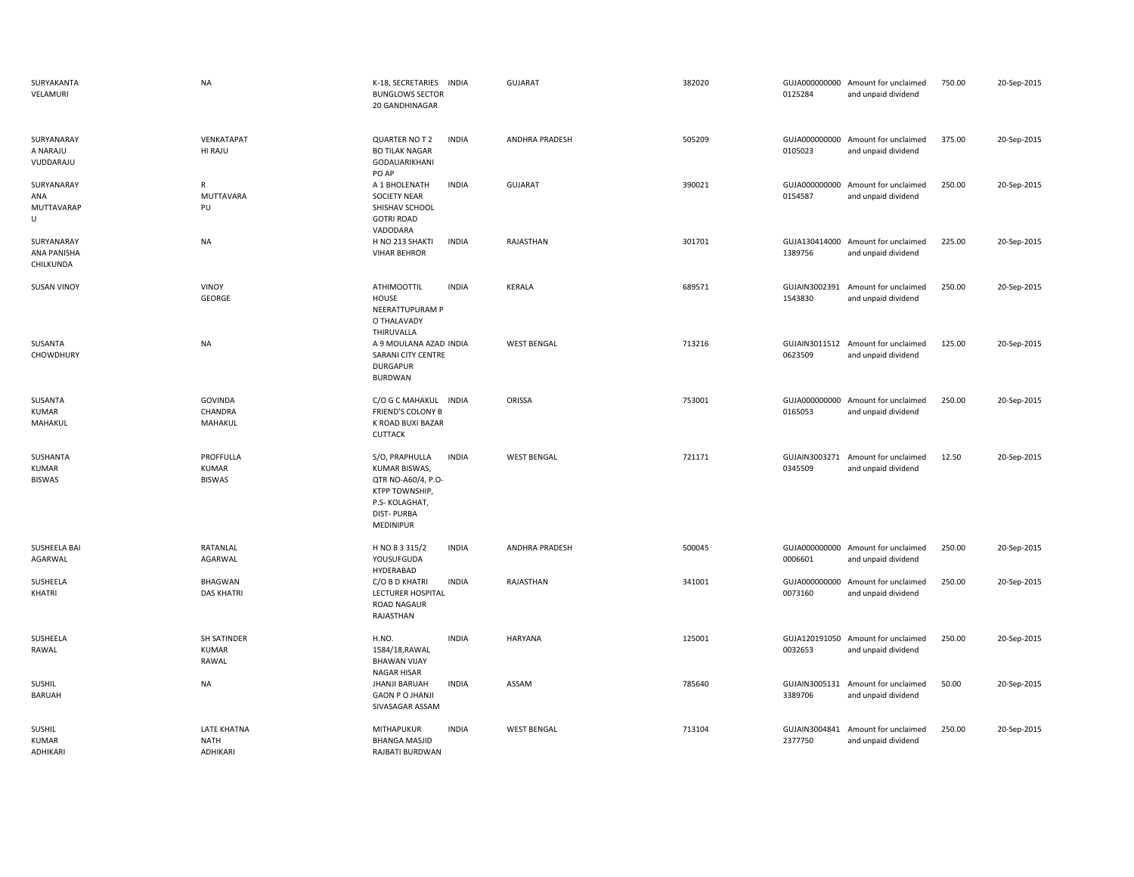| SURYAKANTA<br>VELAMURI                        | <b>NA</b>                                   | K-18, SECRETARIES<br><b>INDIA</b><br><b>BUNGLOWS SECTOR</b><br>20 GANDHINAGAR                                                                     | <b>GUJARAT</b>     | 382020 | 0125284                  | GUJA000000000 Amount for unclaimed<br>and unpaid dividend | 750.00 | 20-Sep-2015 |
|-----------------------------------------------|---------------------------------------------|---------------------------------------------------------------------------------------------------------------------------------------------------|--------------------|--------|--------------------------|-----------------------------------------------------------|--------|-------------|
| SURYANARAY<br>A NARAJU<br>VUDDARAJU           | VENKATAPAT<br>HI RAJU                       | <b>INDIA</b><br>QUARTER NO T 2<br><b>BO TILAK NAGAR</b><br>GODAUARIKHANI<br>PO AP                                                                 | ANDHRA PRADESH     | 505209 | 0105023                  | GUJA000000000 Amount for unclaimed<br>and unpaid dividend | 375.00 | 20-Sep-2015 |
| SURYANARAY<br>ANA<br>MUTTAVARAP<br>U          | R<br>MUTTAVARA<br>PU                        | A 1 BHOLENATH<br><b>INDIA</b><br>SOCIETY NEAR<br>SHISHAV SCHOOL<br><b>GOTRI ROAD</b><br>VADODARA                                                  | <b>GUJARAT</b>     | 390021 | GUJA000000000<br>0154587 | Amount for unclaimed<br>and unpaid dividend               | 250.00 | 20-Sep-2015 |
| SURYANARAY<br><b>ANA PANISHA</b><br>CHILKUNDA | <b>NA</b>                                   | H NO 213 SHAKTI<br><b>INDIA</b><br><b>VIHAR BEHROR</b>                                                                                            | RAJASTHAN          | 301701 | 1389756                  | GUJA130414000 Amount for unclaimed<br>and unpaid dividend | 225.00 | 20-Sep-2015 |
| <b>SUSAN VINOY</b>                            | <b>VINOY</b><br><b>GEORGE</b>               | <b>ATHIMOOTTIL</b><br><b>INDIA</b><br>HOUSE<br>NEERATTUPURAM P<br>O THALAVADY<br>THIRUVALLA                                                       | <b>KERALA</b>      | 689571 | 1543830                  | GUJAIN3002391 Amount for unclaimed<br>and unpaid dividend | 250.00 | 20-Sep-2015 |
| SUSANTA<br>CHOWDHURY                          | NA                                          | A 9 MOULANA AZAD INDIA<br>SARANI CITY CENTRE<br><b>DURGAPUR</b><br><b>BURDWAN</b>                                                                 | <b>WEST BENGAL</b> | 713216 | 0623509                  | GUJAIN3011512 Amount for unclaimed<br>and unpaid dividend | 125.00 | 20-Sep-2015 |
| SUSANTA<br>KUMAR<br>MAHAKUL                   | <b>GOVINDA</b><br>CHANDRA<br>MAHAKUL        | C/O G C MAHAKUL INDIA<br>FRIEND'S COLONY B<br>K ROAD BUXI BAZAR<br>CUTTACK                                                                        | ORISSA             | 753001 | GUJA000000000<br>0165053 | Amount for unclaimed<br>and unpaid dividend               | 250.00 | 20-Sep-2015 |
| SUSHANTA<br><b>KUMAR</b><br><b>BISWAS</b>     | PROFFULLA<br><b>KUMAR</b><br><b>BISWAS</b>  | <b>INDIA</b><br>S/O, PRAPHULLA<br>KUMAR BISWAS,<br>QTR NO-A60/4, P.O-<br>KTPP TOWNSHIP,<br>P.S-KOLAGHAT,<br><b>DIST-PURBA</b><br><b>MEDINIPUR</b> | <b>WEST BENGAL</b> | 721171 | GUJAIN3003271<br>0345509 | Amount for unclaimed<br>and unpaid dividend               | 12.50  | 20-Sep-2015 |
| SUSHEELA BAI<br>AGARWAL                       | RATANLAL<br>AGARWAL                         | H NO 8 3 315/2<br><b>INDIA</b><br>YOUSUFGUDA<br>HYDERABAD                                                                                         | ANDHRA PRADESH     | 500045 | GUJA000000000<br>0006601 | Amount for unclaimed<br>and unpaid dividend               | 250.00 | 20-Sep-2015 |
| SUSHEELA<br>KHATRI                            | <b>BHAGWAN</b><br><b>DAS KHATRI</b>         | C/O B D KHATRI<br><b>INDIA</b><br><b>LECTURER HOSPITAL</b><br>ROAD NAGAUR<br>RAJASTHAN                                                            | RAJASTHAN          | 341001 | GUJA000000000<br>0073160 | Amount for unclaimed<br>and unpaid dividend               | 250.00 | 20-Sep-2015 |
| SUSHEELA<br>RAWAL                             | <b>SH SATINDER</b><br><b>KUMAR</b><br>RAWAL | H.NO.<br><b>INDIA</b><br>1584/18, RAWAL<br><b>BHAWAN VIJAY</b><br><b>NAGAR HISAR</b>                                                              | <b>HARYANA</b>     | 125001 | GUJA120191050<br>0032653 | Amount for unclaimed<br>and unpaid dividend               | 250.00 | 20-Sep-2015 |
| <b>SUSHIL</b><br><b>BARUAH</b>                | <b>NA</b>                                   | <b>JHANJI BARUAH</b><br><b>INDIA</b><br><b>GAON P O JHANJI</b><br>SIVASAGAR ASSAM                                                                 | ASSAM              | 785640 | 3389706                  | GUJAIN3005131 Amount for unclaimed<br>and unpaid dividend | 50.00  | 20-Sep-2015 |
| <b>SUSHIL</b><br><b>KUMAR</b><br>ADHIKARI     | <b>LATE KHATNA</b><br>NATH<br>ADHIKARI      | <b>MITHAPUKUR</b><br><b>INDIA</b><br><b>BHANGA MASJID</b><br><b>RAIBATI BURDWAN</b>                                                               | <b>WEST BENGAL</b> | 713104 | GUJAIN3004841<br>2377750 | Amount for unclaimed<br>and unpaid dividend               | 250.00 | 20-Sep-2015 |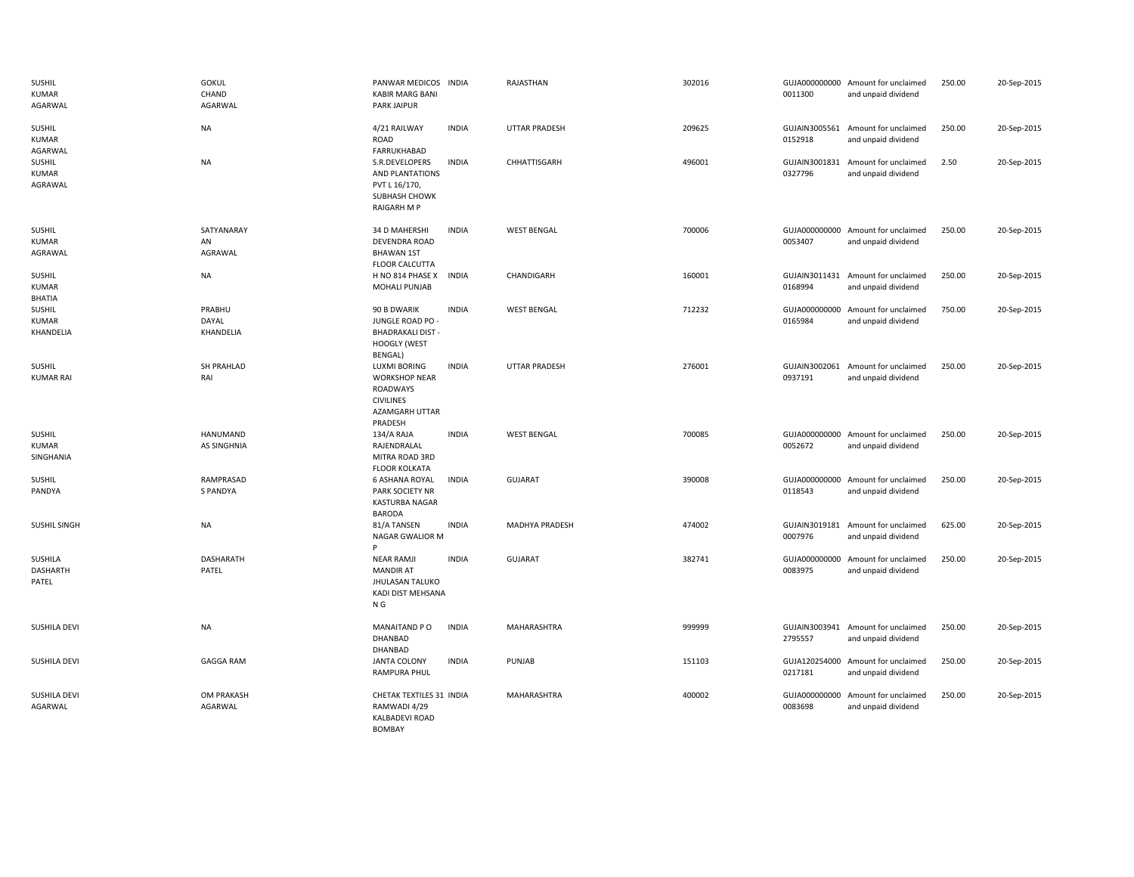| SUSHIL<br><b>KUMAR</b><br>AGARWAL        | <b>GOKUL</b><br>CHAND<br>AGARWAL | PANWAR MEDICOS INDIA<br><b>KABIR MARG BANI</b><br><b>PARK JAIPUR</b>                                            |              | RAJASTHAN            | 302016 | 0011300                  | GUJA000000000 Amount for unclaimed<br>and unpaid dividend | 250.00 | 20-Sep-2015 |
|------------------------------------------|----------------------------------|-----------------------------------------------------------------------------------------------------------------|--------------|----------------------|--------|--------------------------|-----------------------------------------------------------|--------|-------------|
| <b>SUSHIL</b><br><b>KUMAR</b><br>AGARWAL | <b>NA</b>                        | 4/21 RAILWAY<br>ROAD<br>FARRUKHABAD                                                                             | <b>INDIA</b> | <b>UTTAR PRADESH</b> | 209625 | GUJAIN3005561<br>0152918 | Amount for unclaimed<br>and unpaid dividend               | 250.00 | 20-Sep-2015 |
| SUSHIL<br><b>KUMAR</b><br>AGRAWAL        | <b>NA</b>                        | S.R.DEVELOPERS<br>AND PLANTATIONS<br>PVT L 16/170,<br>SUBHASH CHOWK<br><b>RAIGARH M P</b>                       | <b>INDIA</b> | CHHATTISGARH         | 496001 | GUJAIN3001831<br>0327796 | Amount for unclaimed<br>and unpaid dividend               | 2.50   | 20-Sep-2015 |
| SUSHIL<br><b>KUMAR</b><br>AGRAWAL        | SATYANARAY<br>AN<br>AGRAWAL      | 34 D MAHERSHI<br>DEVENDRA ROAD<br><b>BHAWAN 1ST</b><br><b>FLOOR CALCUTTA</b>                                    | <b>INDIA</b> | <b>WEST BENGAL</b>   | 700006 | 0053407                  | GUJA000000000 Amount for unclaimed<br>and unpaid dividend | 250.00 | 20-Sep-2015 |
| <b>SUSHIL</b><br><b>KUMAR</b><br>BHATIA  | <b>NA</b>                        | H NO 814 PHASE X<br>MOHALI PUNJAB                                                                               | <b>INDIA</b> | CHANDIGARH           | 160001 | GUJAIN3011431<br>0168994 | Amount for unclaimed<br>and unpaid dividend               | 250.00 | 20-Sep-2015 |
| SUSHIL<br><b>KUMAR</b><br>KHANDELIA      | PRABHU<br>DAYAL<br>KHANDELIA     | 90 B DWARIK<br>JUNGLE ROAD PO -<br><b>BHADRAKALI DIST -</b><br><b>HOOGLY (WEST</b><br>BENGAL)                   | <b>INDIA</b> | <b>WEST BENGAL</b>   | 712232 | 0165984                  | GUJA000000000 Amount for unclaimed<br>and unpaid dividend | 750.00 | 20-Sep-2015 |
| <b>SUSHIL</b><br><b>KUMAR RAI</b>        | SH PRAHLAD<br>RAI                | <b>LUXMI BORING</b><br><b>WORKSHOP NEAR</b><br><b>ROADWAYS</b><br><b>CIVILINES</b><br>AZAMGARH UTTAR<br>PRADESH | <b>INDIA</b> | <b>UTTAR PRADESH</b> | 276001 | 0937191                  | GUJAIN3002061 Amount for unclaimed<br>and unpaid dividend | 250.00 | 20-Sep-2015 |
| SUSHIL<br><b>KUMAR</b><br>SINGHANIA      | HANUMAND<br><b>AS SINGHNIA</b>   | 134/A RAJA<br>RAJENDRALAL<br>MITRA ROAD 3RD<br><b>FLOOR KOLKATA</b>                                             | <b>INDIA</b> | <b>WEST BENGAL</b>   | 700085 | 0052672                  | GUJA000000000 Amount for unclaimed<br>and unpaid dividend | 250.00 | 20-Sep-2015 |
| SUSHIL<br>PANDYA                         | RAMPRASAD<br><b>S PANDYA</b>     | <b>6 ASHANA ROYAL</b><br>PARK SOCIETY NR<br>KASTURBA NAGAR<br><b>BARODA</b>                                     | <b>INDIA</b> | <b>GUJARAT</b>       | 390008 | 0118543                  | GUJA000000000 Amount for unclaimed<br>and unpaid dividend | 250.00 | 20-Sep-2015 |
| <b>SUSHIL SINGH</b>                      | <b>NA</b>                        | 81/A TANSEN<br>NAGAR GWALIOR M<br>P                                                                             | <b>INDIA</b> | MADHYA PRADESH       | 474002 | 0007976                  | GUJAIN3019181 Amount for unclaimed<br>and unpaid dividend | 625.00 | 20-Sep-2015 |
| SUSHILA<br>DASHARTH<br>PATEL             | <b>DASHARATH</b><br>PATEL        | <b>NEAR RAMJI</b><br><b>MANDIR AT</b><br>JHULASAN TALUKO<br>KADI DIST MEHSANA<br>N <sub>G</sub>                 | <b>INDIA</b> | <b>GUJARAT</b>       | 382741 | 0083975                  | GUJA000000000 Amount for unclaimed<br>and unpaid dividend | 250.00 | 20-Sep-2015 |
| <b>SUSHILA DEVI</b>                      | <b>NA</b>                        | MANAITAND PO<br>DHANBAD<br>DHANBAD                                                                              | <b>INDIA</b> | MAHARASHTRA          | 999999 | 2795557                  | GUJAIN3003941 Amount for unclaimed<br>and unpaid dividend | 250.00 | 20-Sep-2015 |
| <b>SUSHILA DEVI</b>                      | <b>GAGGA RAM</b>                 | <b>JANTA COLONY</b><br>RAMPURA PHUL                                                                             | <b>INDIA</b> | PUNJAB               | 151103 | 0217181                  | GUJA120254000 Amount for unclaimed<br>and unpaid dividend | 250.00 | 20-Sep-2015 |
| <b>SUSHILA DEVI</b><br>AGARWAL           | OM PRAKASH<br>AGARWAL            | CHETAK TEXTILES 31 INDIA<br>RAMWADI 4/29<br>KALBADEVI ROAD<br>BOMBAY                                            |              | MAHARASHTRA          | 400002 | 0083698                  | GUJA000000000 Amount for unclaimed<br>and unpaid dividend | 250.00 | 20-Sep-2015 |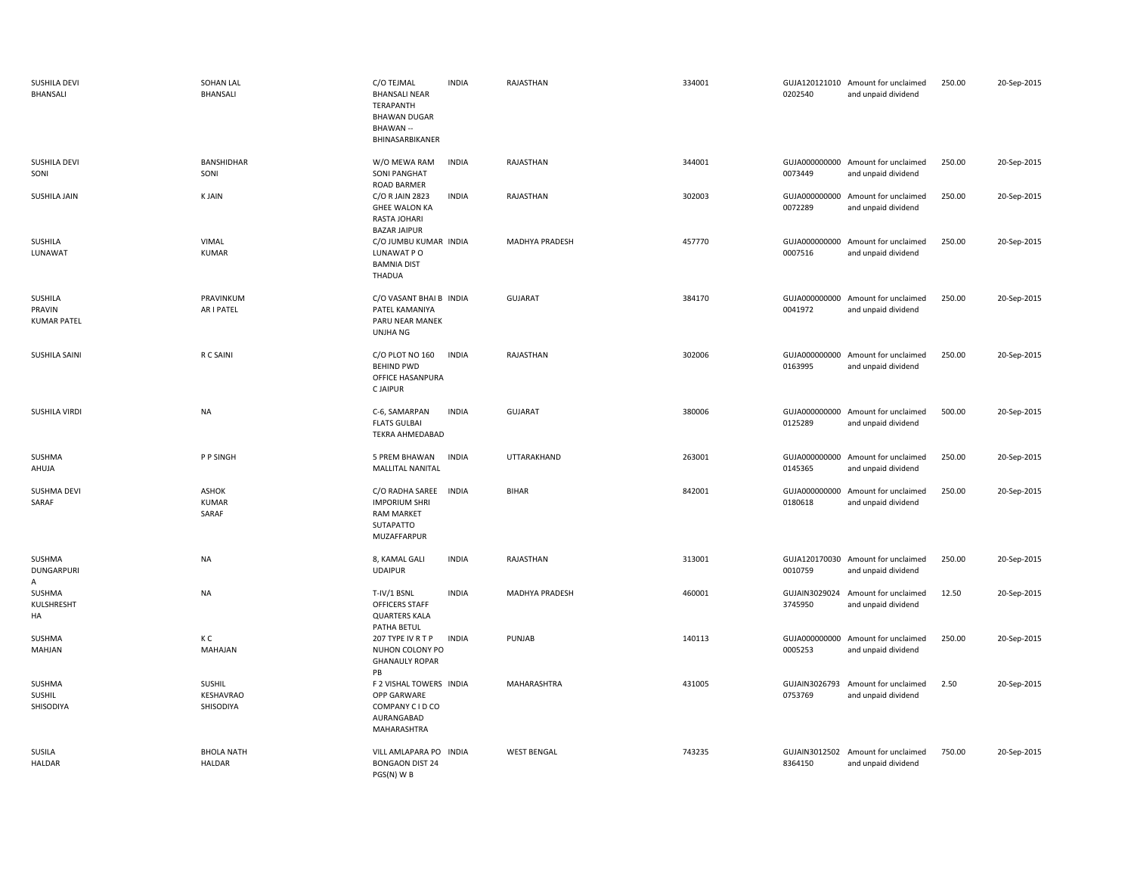| <b>SUSHILA DEVI</b><br><b>BHANSALI</b>  | SOHAN LAL<br><b>BHANSALI</b>       | C/O TEJMAL<br><b>BHANSALI NEAR</b><br>TERAPANTH<br><b>BHAWAN DUGAR</b><br>BHAWAN --<br>BHINASARBIKANER | <b>INDIA</b> | RAJASTHAN          | 334001 | 0202540                  | GUJA120121010 Amount for unclaimed<br>and unpaid dividend | 250.00 | 20-Sep-2015 |
|-----------------------------------------|------------------------------------|--------------------------------------------------------------------------------------------------------|--------------|--------------------|--------|--------------------------|-----------------------------------------------------------|--------|-------------|
| <b>SUSHILA DEVI</b><br>SONI             | BANSHIDHAR<br>SONI                 | W/O MEWA RAM<br><b>SONI PANGHAT</b><br>ROAD BARMER                                                     | <b>INDIA</b> | RAJASTHAN          | 344001 | 0073449                  | GUJA000000000 Amount for unclaimed<br>and unpaid dividend | 250.00 | 20-Sep-2015 |
| <b>SUSHILA JAIN</b>                     | <b>KJAIN</b>                       | C/O R JAIN 2823<br><b>GHEE WALON KA</b><br>RASTA JOHARI<br><b>BAZAR JAIPUR</b>                         | <b>INDIA</b> | RAJASTHAN          | 302003 | 0072289                  | GUJA000000000 Amount for unclaimed<br>and unpaid dividend | 250.00 | 20-Sep-2015 |
| SUSHILA<br>LUNAWAT                      | VIMAL<br><b>KUMAR</b>              | C/O JUMBU KUMAR INDIA<br>LUNAWAT PO<br><b>BAMNIA DIST</b><br>THADUA                                    |              | MADHYA PRADESH     | 457770 | GUJA000000000<br>0007516 | Amount for unclaimed<br>and unpaid dividend               | 250.00 | 20-Sep-2015 |
| SUSHILA<br>PRAVIN<br><b>KUMAR PATEL</b> | PRAVINKUM<br>AR I PATEL            | C/O VASANT BHAI B INDIA<br>PATEL KAMANIYA<br>PARU NEAR MANEK<br><b>UNJHA NG</b>                        |              | <b>GUJARAT</b>     | 384170 | GUJA000000000<br>0041972 | Amount for unclaimed<br>and unpaid dividend               | 250.00 | 20-Sep-2015 |
| <b>SUSHILA SAINI</b>                    | R C SAINI                          | C/O PLOT NO 160<br><b>BEHIND PWD</b><br>OFFICE HASANPURA<br><b>CJAIPUR</b>                             | <b>INDIA</b> | RAJASTHAN          | 302006 | GUJA000000000<br>0163995 | Amount for unclaimed<br>and unpaid dividend               | 250.00 | 20-Sep-2015 |
| <b>SUSHILA VIRDI</b>                    | <b>NA</b>                          | C-6, SAMARPAN<br><b>FLATS GULBAI</b><br>TEKRA AHMEDABAD                                                | <b>INDIA</b> | GUJARAT            | 380006 | 0125289                  | GUJA000000000 Amount for unclaimed<br>and unpaid dividend | 500.00 | 20-Sep-2015 |
| SUSHMA<br>AHUJA                         | P P SINGH                          | 5 PREM BHAWAN<br><b>MALLITAL NANITAL</b>                                                               | <b>INDIA</b> | UTTARAKHAND        | 263001 | 0145365                  | GUJA000000000 Amount for unclaimed<br>and unpaid dividend | 250.00 | 20-Sep-2015 |
| SUSHMA DEVI<br>SARAF                    | ASHOK<br><b>KUMAR</b><br>SARAF     | C/O RADHA SAREE INDIA<br><b>IMPORIUM SHRI</b><br><b>RAM MARKET</b><br>SUTAPATTO<br>MUZAFFARPUR         |              | <b>BIHAR</b>       | 842001 | 0180618                  | GUJA000000000 Amount for unclaimed<br>and unpaid dividend | 250.00 | 20-Sep-2015 |
| SUSHMA<br><b>DUNGARPURI</b><br>A        | <b>NA</b>                          | 8, KAMAL GALI<br><b>UDAIPUR</b>                                                                        | <b>INDIA</b> | RAJASTHAN          | 313001 | 0010759                  | GUJA120170030 Amount for unclaimed<br>and unpaid dividend | 250.00 | 20-Sep-2015 |
| SUSHMA<br>KULSHRESHT<br>HA              | <b>NA</b>                          | T-IV/1 BSNL<br>OFFICERS STAFF<br><b>QUARTERS KALA</b><br>PATHA BETUL                                   | <b>INDIA</b> | MADHYA PRADESH     | 460001 | GUJAIN3029024<br>3745950 | Amount for unclaimed<br>and unpaid dividend               | 12.50  | 20-Sep-2015 |
| SUSHMA<br>MAHJAN                        | кc<br>MAHAJAN                      | 207 TYPE IV R T P<br>NUHON COLONY PO<br><b>GHANAULY ROPAR</b><br>PB                                    | <b>INDIA</b> | PUNJAB             | 140113 | GUJA000000000<br>0005253 | Amount for unclaimed<br>and unpaid dividend               | 250.00 | 20-Sep-2015 |
| SUSHMA<br>SUSHIL<br>SHISODIYA           | SUSHIL<br>KESHAVRAO<br>SHISODIYA   | F 2 VISHAL TOWERS INDIA<br>OPP GARWARE<br>COMPANY C I D CO<br>AURANGABAD<br>MAHARASHTRA                |              | MAHARASHTRA        | 431005 | 0753769                  | GUJAIN3026793 Amount for unclaimed<br>and unpaid dividend | 2.50   | 20-Sep-2015 |
| SUSILA<br><b>HALDAR</b>                 | <b>BHOLA NATH</b><br><b>HALDAR</b> | VILL AMLAPARA PO INDIA<br><b>BONGAON DIST 24</b><br>PGS(N) W B                                         |              | <b>WEST BENGAL</b> | 743235 | 8364150                  | GUJAIN3012502 Amount for unclaimed<br>and unpaid dividend | 750.00 | 20-Sep-2015 |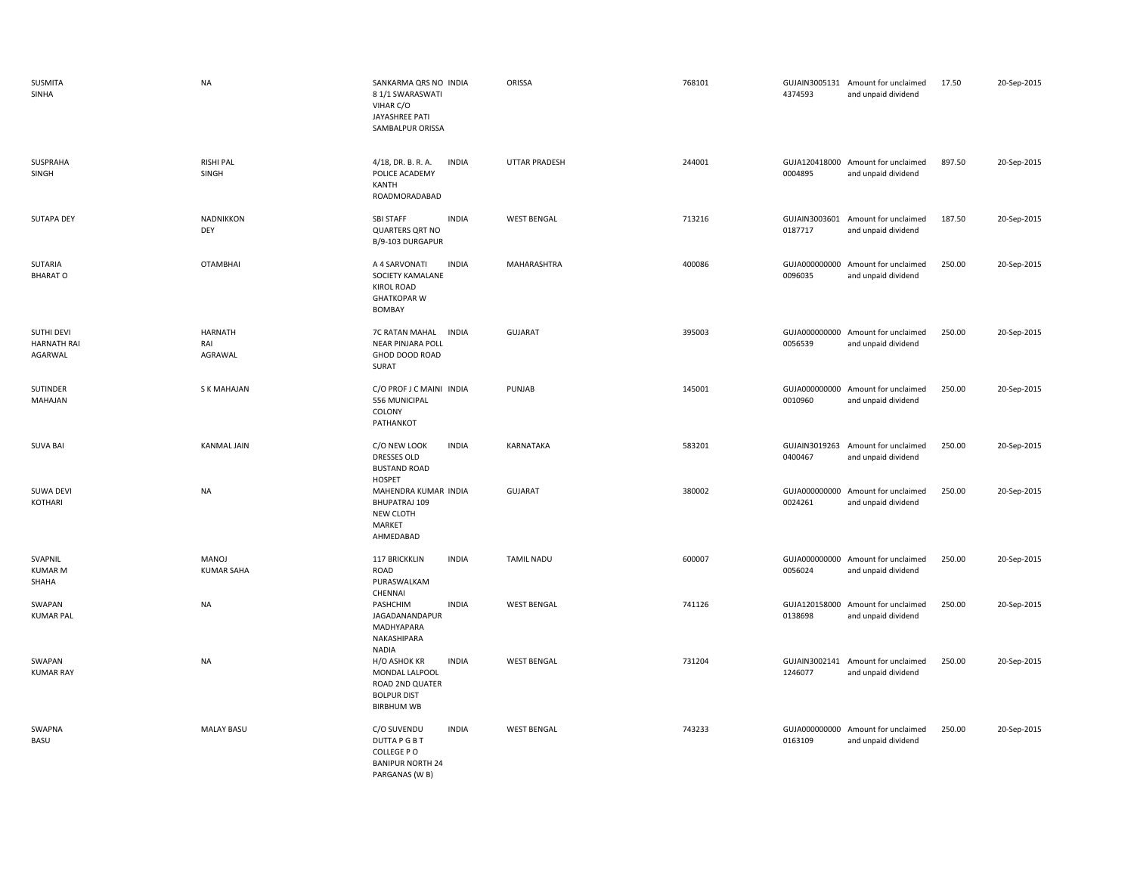| SUSMITA<br>SINHA                            | <b>NA</b>                        | SANKARMA QRS NO INDIA<br>81/1 SWARASWATI<br>VIHAR C/O<br>JAYASHREE PATI<br>SAMBALPUR ORISSA                   | ORISSA               | 768101 | 4374593                  | GUJAIN3005131 Amount for unclaimed<br>and unpaid dividend | 17.50  | 20-Sep-2015 |
|---------------------------------------------|----------------------------------|---------------------------------------------------------------------------------------------------------------|----------------------|--------|--------------------------|-----------------------------------------------------------|--------|-------------|
| SUSPRAHA<br>SINGH                           | <b>RISHI PAL</b><br>SINGH        | 4/18, DR. B. R. A.<br><b>INDIA</b><br>POLICE ACADEMY<br>KANTH<br>ROADMORADABAD                                | <b>UTTAR PRADESH</b> | 244001 | 0004895                  | GUJA120418000 Amount for unclaimed<br>and unpaid dividend | 897.50 | 20-Sep-2015 |
| <b>SUTAPA DEY</b>                           | NADNIKKON<br>DEY                 | <b>INDIA</b><br><b>SBI STAFF</b><br><b>QUARTERS QRT NO</b><br>B/9-103 DURGAPUR                                | <b>WEST BENGAL</b>   | 713216 | 0187717                  | GUJAIN3003601 Amount for unclaimed<br>and unpaid dividend | 187.50 | 20-Sep-2015 |
| SUTARIA<br><b>BHARAT O</b>                  | <b>OTAMBHAI</b>                  | A 4 SARVONATI<br><b>INDIA</b><br>SOCIETY KAMALANE<br><b>KIROL ROAD</b><br><b>GHATKOPAR W</b><br><b>BOMBAY</b> | MAHARASHTRA          | 400086 | GUJA000000000<br>0096035 | Amount for unclaimed<br>and unpaid dividend               | 250.00 | 20-Sep-2015 |
| SUTHI DEVI<br><b>HARNATH RAI</b><br>AGARWAL | <b>HARNATH</b><br>RAI<br>AGRAWAL | 7C RATAN MAHAL<br><b>INDIA</b><br><b>NEAR PINJARA POLL</b><br>GHOD DOOD ROAD<br>SURAT                         | GUJARAT              | 395003 | 0056539                  | GUJA000000000 Amount for unclaimed<br>and unpaid dividend | 250.00 | 20-Sep-2015 |
| SUTINDER<br>MAHAJAN                         | S K MAHAJAN                      | C/O PROF J C MAINI INDIA<br>556 MUNICIPAL<br>COLONY<br>PATHANKOT                                              | PUNJAB               | 145001 | 0010960                  | GUJA000000000 Amount for unclaimed<br>and unpaid dividend | 250.00 | 20-Sep-2015 |
| <b>SUVA BAI</b>                             | <b>KANMAL JAIN</b>               | <b>INDIA</b><br>C/O NEW LOOK<br><b>DRESSES OLD</b><br><b>BUSTAND ROAD</b><br><b>HOSPET</b>                    | KARNATAKA            | 583201 | GUJAIN3019263<br>0400467 | Amount for unclaimed<br>and unpaid dividend               | 250.00 | 20-Sep-2015 |
| SUWA DEVI<br>KOTHARI                        | <b>NA</b>                        | MAHENDRA KUMAR INDIA<br><b>BHUPATRAJ 109</b><br>NEW CLOTH<br>MARKET<br>AHMEDABAD                              | GUJARAT              | 380002 | 0024261                  | GUJA000000000 Amount for unclaimed<br>and unpaid dividend | 250.00 | 20-Sep-2015 |
| SVAPNIL<br><b>KUMAR M</b><br>SHAHA          | MANOJ<br><b>KUMAR SAHA</b>       | 117 BRICKKLIN<br><b>INDIA</b><br>ROAD<br>PURASWALKAM<br>CHENNAI                                               | <b>TAMIL NADU</b>    | 600007 | 0056024                  | GUJA000000000 Amount for unclaimed<br>and unpaid dividend | 250.00 | 20-Sep-2015 |
| SWAPAN<br><b>KUMAR PAL</b>                  | <b>NA</b>                        | PASHCHIM<br><b>INDIA</b><br>JAGADANANDAPUR<br>MADHYAPARA<br>NAKASHIPARA<br><b>NADIA</b>                       | <b>WEST BENGAL</b>   | 741126 | 0138698                  | GUJA120158000 Amount for unclaimed<br>and unpaid dividend | 250.00 | 20-Sep-2015 |
| SWAPAN<br><b>KUMAR RAY</b>                  | <b>NA</b>                        | H/O ASHOK KR<br><b>INDIA</b><br>MONDAL LALPOOL<br>ROAD 2ND QUATER<br><b>BOLPUR DIST</b><br><b>BIRBHUM WB</b>  | <b>WEST BENGAL</b>   | 731204 | 1246077                  | GUJAIN3002141 Amount for unclaimed<br>and unpaid dividend | 250.00 | 20-Sep-2015 |
| SWAPNA<br>BASU                              | <b>MALAY BASU</b>                | C/O SUVENDU<br><b>INDIA</b><br><b>DUTTAPGBT</b><br>COLLEGE PO<br><b>BANIPUR NORTH 24</b><br>PARGANAS (W B)    | <b>WEST BENGAL</b>   | 743233 | 0163109                  | GUJA000000000 Amount for unclaimed<br>and unpaid dividend | 250.00 | 20-Sep-2015 |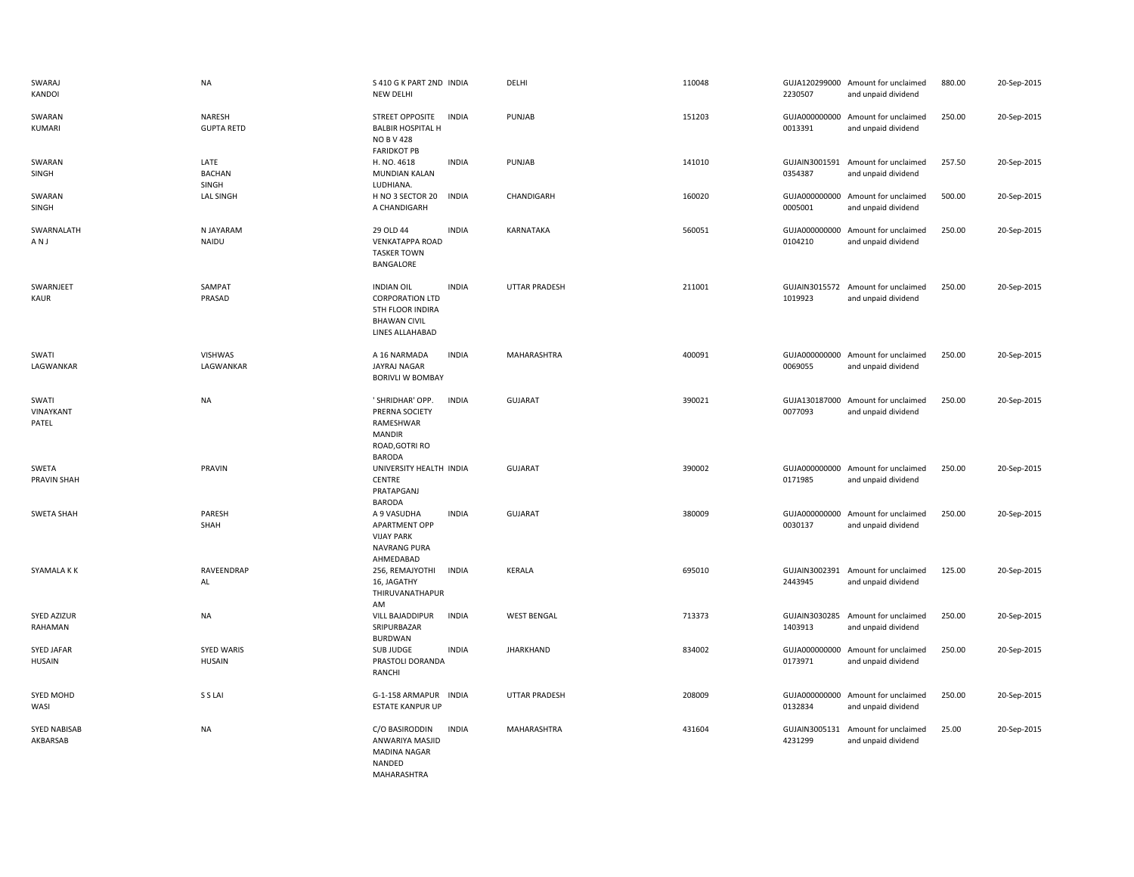| SWARAJ<br>KANDOI                | <b>NA</b>                          | S 410 G K PART 2ND INDIA<br><b>NEW DELHI</b>                                                                              | DELHI                | 110048 | 2230507                  | GUJA120299000 Amount for unclaimed<br>and unpaid dividend | 880.00 | 20-Sep-2015 |
|---------------------------------|------------------------------------|---------------------------------------------------------------------------------------------------------------------------|----------------------|--------|--------------------------|-----------------------------------------------------------|--------|-------------|
| SWARAN<br><b>KUMARI</b>         | NARESH<br><b>GUPTA RETD</b>        | STREET OPPOSITE<br><b>INDIA</b><br><b>BALBIR HOSPITAL H</b><br><b>NO B V 428</b><br><b>FARIDKOT PB</b>                    | PUNJAB               | 151203 | 0013391                  | GUJA000000000 Amount for unclaimed<br>and unpaid dividend | 250.00 | 20-Sep-2015 |
| SWARAN<br>SINGH                 | LATE<br><b>BACHAN</b><br>SINGH     | H. NO. 4618<br><b>INDIA</b><br>MUNDIAN KALAN<br>LUDHIANA.                                                                 | PUNJAB               | 141010 | 0354387                  | GUJAIN3001591 Amount for unclaimed<br>and unpaid dividend | 257.50 | 20-Sep-2015 |
| SWARAN<br>SINGH                 | <b>LAL SINGH</b>                   | H NO 3 SECTOR 20<br><b>INDIA</b><br>A CHANDIGARH                                                                          | CHANDIGARH           | 160020 | 0005001                  | GUJA000000000 Amount for unclaimed<br>and unpaid dividend | 500.00 | 20-Sep-2015 |
| SWARNALATH<br>AN J              | N JAYARAM<br>NAIDU                 | 29 OLD 44<br><b>INDIA</b><br><b>VENKATAPPA ROAD</b><br><b>TASKER TOWN</b><br>BANGALORE                                    | KARNATAKA            | 560051 | 0104210                  | GUJA000000000 Amount for unclaimed<br>and unpaid dividend | 250.00 | 20-Sep-2015 |
| SWARNJEET<br>KAUR               | SAMPAT<br>PRASAD                   | <b>INDIA</b><br><b>INDIAN OIL</b><br><b>CORPORATION LTD</b><br>5TH FLOOR INDIRA<br><b>BHAWAN CIVIL</b><br>LINES ALLAHABAD | UTTAR PRADESH        | 211001 | 1019923                  | GUJAIN3015572 Amount for unclaimed<br>and unpaid dividend | 250.00 | 20-Sep-2015 |
| SWATI<br>LAGWANKAR              | <b>VISHWAS</b><br>LAGWANKAR        | <b>INDIA</b><br>A 16 NARMADA<br><b>JAYRAJ NAGAR</b><br>BORIVLI W BOMBAY                                                   | MAHARASHTRA          | 400091 | 0069055                  | GUJA000000000 Amount for unclaimed<br>and unpaid dividend | 250.00 | 20-Sep-2015 |
| SWATI<br>VINAYKANT<br>PATEL     | <b>NA</b>                          | ' SHRIDHAR' OPP.<br><b>INDIA</b><br>PRERNA SOCIETY<br>RAMESHWAR<br>MANDIR<br>ROAD, GOTRI RO<br><b>BARODA</b>              | <b>GUJARAT</b>       | 390021 | 0077093                  | GUJA130187000 Amount for unclaimed<br>and unpaid dividend | 250.00 | 20-Sep-2015 |
| SWETA<br>PRAVIN SHAH            | PRAVIN                             | UNIVERSITY HEALTH INDIA<br><b>CENTRE</b><br>PRATAPGANJ<br><b>BARODA</b>                                                   | <b>GUJARAT</b>       | 390002 | 0171985                  | GUJA000000000 Amount for unclaimed<br>and unpaid dividend | 250.00 | 20-Sep-2015 |
| <b>SWETA SHAH</b>               | PARESH<br>SHAH                     | A 9 VASUDHA<br><b>INDIA</b><br>APARTMENT OPP<br><b>VIJAY PARK</b><br>NAVRANG PURA<br>AHMEDABAD                            | <b>GUJARAT</b>       | 380009 | 0030137                  | GUJA000000000 Amount for unclaimed<br>and unpaid dividend | 250.00 | 20-Sep-2015 |
| SYAMALA K K                     | RAVEENDRAP<br>AL                   | <b>INDIA</b><br>256, REMAJYOTHI<br>16, JAGATHY<br>THIRUVANATHAPUR<br>AM                                                   | <b>KERALA</b>        | 695010 | 2443945                  | GUJAIN3002391 Amount for unclaimed<br>and unpaid dividend | 125.00 | 20-Sep-2015 |
| <b>SYED AZIZUR</b><br>RAHAMAN   | <b>NA</b>                          | VILL BAJADDIPUR<br><b>INDIA</b><br>SRIPURBAZAR<br><b>BURDWAN</b>                                                          | <b>WEST BENGAL</b>   | 713373 | GUJAIN3030285<br>1403913 | Amount for unclaimed<br>and unpaid dividend               | 250.00 | 20-Sep-2015 |
| SYED JAFAR<br>HUSAIN            | <b>SYED WARIS</b><br><b>HUSAIN</b> | <b>INDIA</b><br>SUB JUDGE<br>PRASTOLI DORANDA<br>RANCHI                                                                   | JHARKHAND            | 834002 | 0173971                  | GUJA000000000 Amount for unclaimed<br>and unpaid dividend | 250.00 | 20-Sep-2015 |
| SYED MOHD<br>WASI               | S S LAI                            | G-1-158 ARMAPUR INDIA<br>ESTATE KANPUR UP                                                                                 | <b>UTTAR PRADESH</b> | 208009 | 0132834                  | GUJA000000000 Amount for unclaimed<br>and unpaid dividend | 250.00 | 20-Sep-2015 |
| <b>SYED NABISAB</b><br>AKBARSAB | <b>NA</b>                          | C/O BASIRODDIN<br><b>INDIA</b><br>ANWARIYA MASJID<br><b>MADINA NAGAR</b><br>NANDED<br><b>MAHARASHTRA</b>                  | MAHARASHTRA          | 431604 | GUJAIN3005131<br>4231299 | Amount for unclaimed<br>and unpaid dividend               | 25.00  | 20-Sep-2015 |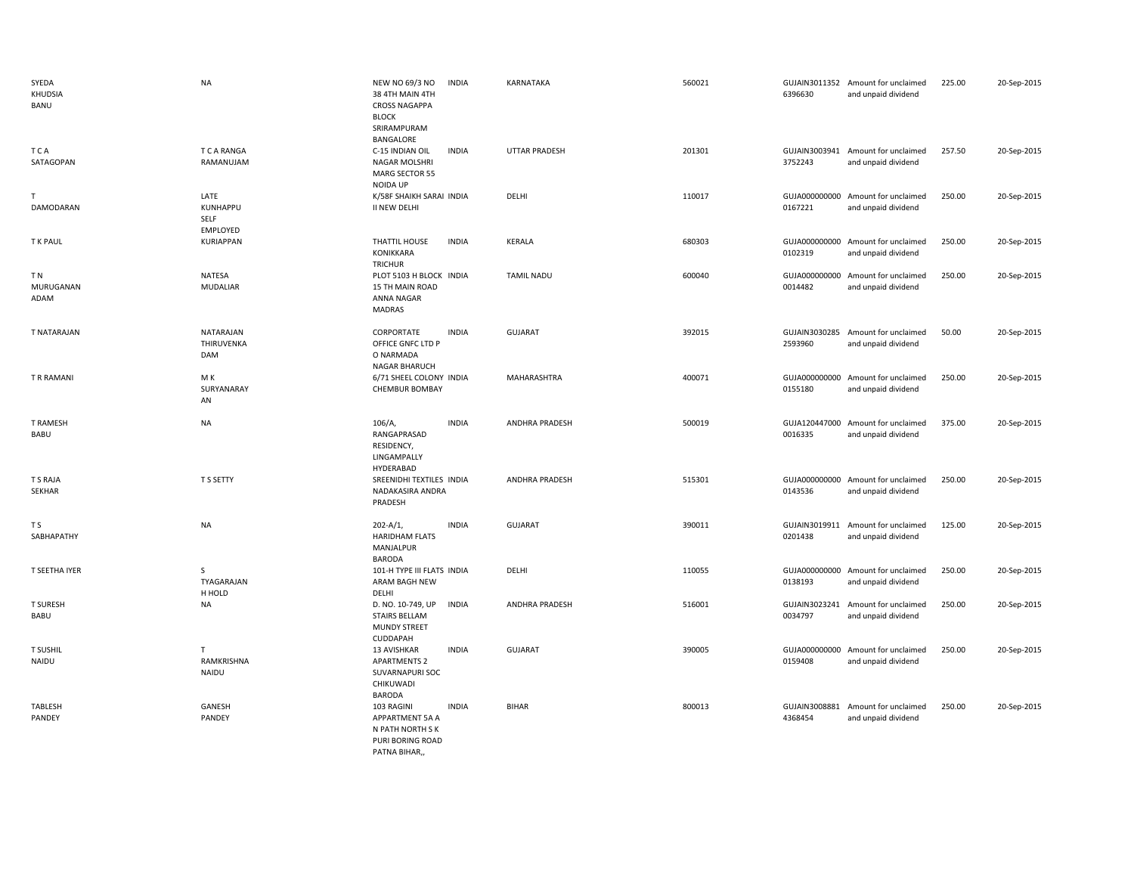| SYEDA<br>KHUDSIA<br>BANU | <b>NA</b>                            | NEW NO 69/3 NO<br><b>INDIA</b><br>38 4TH MAIN 4TH<br><b>CROSS NAGAPPA</b><br><b>BLOCK</b><br>SRIRAMPURAM<br>BANGALORE | KARNATAKA             | 560021 | 6396630                  | GUJAIN3011352 Amount for unclaimed<br>and unpaid dividend | 225.00 | 20-Sep-2015 |
|--------------------------|--------------------------------------|-----------------------------------------------------------------------------------------------------------------------|-----------------------|--------|--------------------------|-----------------------------------------------------------|--------|-------------|
| <b>TCA</b><br>SATAGOPAN  | T C A RANGA<br>RAMANUJAM             | <b>INDIA</b><br>C-15 INDIAN OIL<br>NAGAR MOLSHRI<br>MARG SECTOR 55<br>NOIDA UP                                        | <b>UTTAR PRADESH</b>  | 201301 | 3752243                  | GUJAIN3003941 Amount for unclaimed<br>and unpaid dividend | 257.50 | 20-Sep-2015 |
| Τ<br>DAMODARAN           | LATE<br>KUNHAPPU<br>SELF<br>EMPLOYED | K/58F SHAIKH SARAI INDIA<br>II NEW DELHI                                                                              | DELHI                 | 110017 | 0167221                  | GUJA000000000 Amount for unclaimed<br>and unpaid dividend | 250.00 | 20-Sep-2015 |
| T K PAUL                 | <b>KURIAPPAN</b>                     | THATTIL HOUSE<br><b>INDIA</b><br>KONIKKARA<br>TRICHUR                                                                 | KERALA                | 680303 | 0102319                  | GUJA000000000 Amount for unclaimed<br>and unpaid dividend | 250.00 | 20-Sep-2015 |
| ΤN<br>MURUGANAN<br>ADAM  | NATESA<br><b>MUDALIAR</b>            | PLOT 5103 H BLOCK INDIA<br><b>15 TH MAIN ROAD</b><br>ANNA NAGAR<br>MADRAS                                             | <b>TAMIL NADU</b>     | 600040 | GUJA000000000<br>0014482 | Amount for unclaimed<br>and unpaid dividend               | 250.00 | 20-Sep-2015 |
| T NATARAJAN              | NATARAJAN<br>THIRUVENKA<br>DAM       | CORPORTATE<br><b>INDIA</b><br>OFFICE GNFC LTD P<br>O NARMADA<br><b>NAGAR BHARUCH</b>                                  | <b>GUJARAT</b>        | 392015 | 2593960                  | GUJAIN3030285 Amount for unclaimed<br>and unpaid dividend | 50.00  | 20-Sep-2015 |
| T R RAMANI               | M K<br>SURYANARAY<br>AN              | 6/71 SHEEL COLONY INDIA<br>CHEMBUR BOMBAY                                                                             | MAHARASHTRA           | 400071 | 0155180                  | GUJA000000000 Amount for unclaimed<br>and unpaid dividend | 250.00 | 20-Sep-2015 |
| <b>T RAMESH</b><br>BABU  | <b>NA</b>                            | <b>INDIA</b><br>106/A<br>RANGAPRASAD<br>RESIDENCY,<br>LINGAMPALLY<br>HYDERABAD                                        | ANDHRA PRADESH        | 500019 | GUJA120447000<br>0016335 | Amount for unclaimed<br>and unpaid dividend               | 375.00 | 20-Sep-2015 |
| T S RAJA<br>SEKHAR       | T S SETTY                            | SREENIDHI TEXTILES INDIA<br>NADAKASIRA ANDRA<br>PRADESH                                                               | <b>ANDHRA PRADESH</b> | 515301 | 0143536                  | GUJA000000000 Amount for unclaimed<br>and unpaid dividend | 250.00 | 20-Sep-2015 |
| T S<br>SABHAPATHY        | <b>NA</b>                            | $202 - A/1$<br><b>INDIA</b><br><b>HARIDHAM FLATS</b><br>MANJALPUR<br><b>BARODA</b>                                    | GUJARAT               | 390011 | 0201438                  | GUJAIN3019911 Amount for unclaimed<br>and unpaid dividend | 125.00 | 20-Sep-2015 |
| T SEETHA IYER            | S<br>TYAGARAJAN<br>H HOLD            | 101-H TYPE III FLATS INDIA<br>ARAM BAGH NEW<br>DELHI                                                                  | DELHI                 | 110055 | 0138193                  | GUJA000000000 Amount for unclaimed<br>and unpaid dividend | 250.00 | 20-Sep-2015 |
| <b>T SURESH</b><br>BABU  | <b>NA</b>                            | D. NO. 10-749, UP<br><b>INDIA</b><br><b>STAIRS BELLAM</b><br><b>MUNDY STREET</b><br>CUDDAPAH                          | <b>ANDHRA PRADESH</b> | 516001 | 0034797                  | GUJAIN3023241 Amount for unclaimed<br>and unpaid dividend | 250.00 | 20-Sep-2015 |
| <b>T SUSHIL</b><br>NAIDU | $\mathsf{T}$<br>RAMKRISHNA<br>NAIDU  | 13 AVISHKAR<br><b>INDIA</b><br><b>APARTMENTS 2</b><br>SUVARNAPURI SOC<br>CHIKUWADI<br><b>BARODA</b>                   | <b>GUJARAT</b>        | 390005 | 0159408                  | GUJA000000000 Amount for unclaimed<br>and unpaid dividend | 250.00 | 20-Sep-2015 |
| TABLESH<br>PANDEY        | GANESH<br>PANDEY                     | 103 RAGINI<br><b>INDIA</b><br>APPARTMENT 5A A<br>N PATH NORTH S K<br>PURI BORING ROAD<br>PATNA BIHAR,                 | <b>BIHAR</b>          | 800013 | 4368454                  | GUJAIN3008881 Amount for unclaimed<br>and unpaid dividend | 250.00 | 20-Sep-2015 |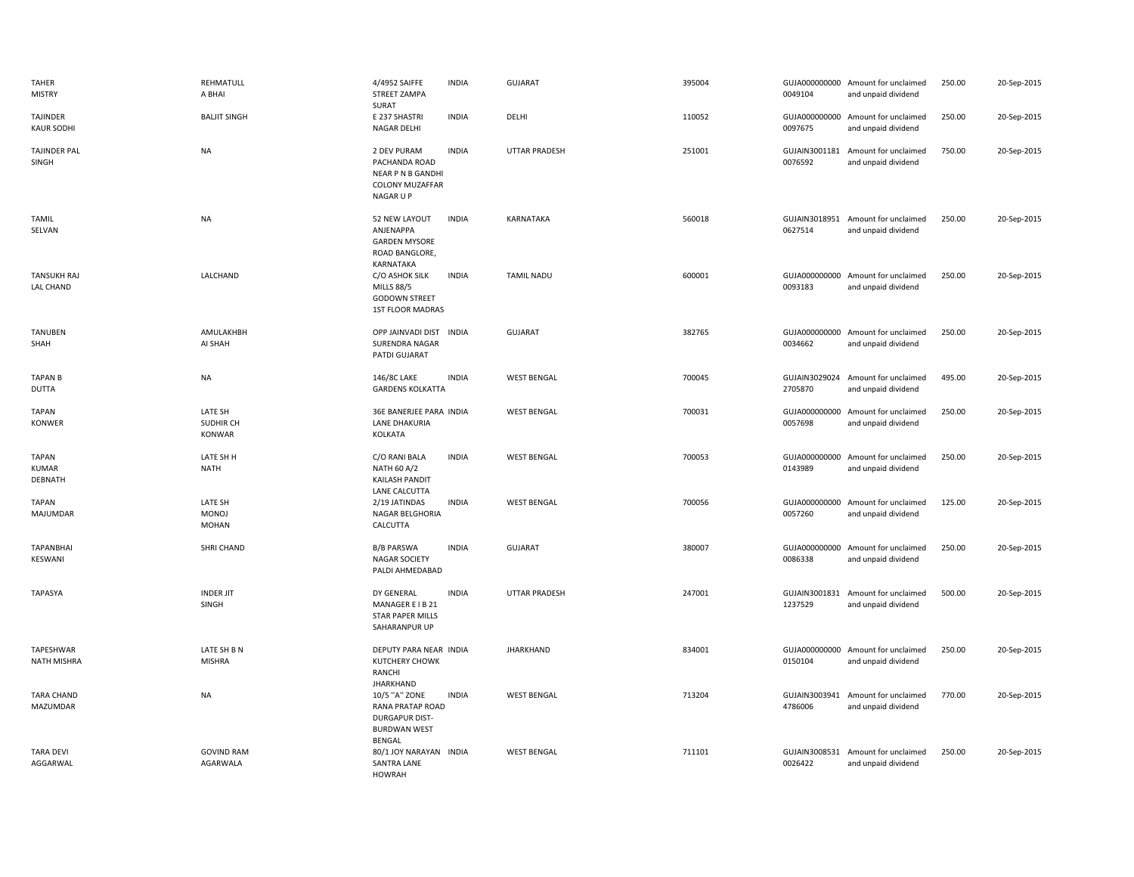| TAHER<br><b>MISTRY</b>                  | REHMATULL<br>A BHAI                     | 4/4952 SAIFFE<br>STREET ZAMPA<br>SURAT                                                   | <b>INDIA</b> | GUJARAT              | 395004 | 0049104                  | GUJA000000000 Amount for unclaimed<br>and unpaid dividend | 250.00 | 20-Sep-2015 |
|-----------------------------------------|-----------------------------------------|------------------------------------------------------------------------------------------|--------------|----------------------|--------|--------------------------|-----------------------------------------------------------|--------|-------------|
| TAJINDER<br><b>KAUR SODHI</b>           | <b>BALJIT SINGH</b>                     | E 237 SHASTRI<br>NAGAR DELHI                                                             | <b>INDIA</b> | DELHI                | 110052 | 0097675                  | GUJA000000000 Amount for unclaimed<br>and unpaid dividend | 250.00 | 20-Sep-2015 |
| <b>TAJINDER PAL</b><br>SINGH            | NA                                      | 2 DEV PURAM<br>PACHANDA ROAD<br>NEAR P N B GANDHI<br><b>COLONY MUZAFFAR</b><br>NAGAR U P | <b>INDIA</b> | <b>UTTAR PRADESH</b> | 251001 | GUJAIN3001181<br>0076592 | Amount for unclaimed<br>and unpaid dividend               | 750.00 | 20-Sep-2015 |
| <b>TAMIL</b><br>SELVAN                  | NA                                      | 52 NEW LAYOUT<br>ANJENAPPA<br><b>GARDEN MYSORE</b><br>ROAD BANGLORE,<br>KARNATAKA        | <b>INDIA</b> | KARNATAKA            | 560018 | 0627514                  | GUJAIN3018951 Amount for unclaimed<br>and unpaid dividend | 250.00 | 20-Sep-2015 |
| <b>TANSUKH RAJ</b><br><b>LAL CHAND</b>  | LALCHAND                                | C/O ASHOK SILK<br><b>MILLS 88/5</b><br><b>GODOWN STREET</b><br>1ST FLOOR MADRAS          | <b>INDIA</b> | <b>TAMIL NADU</b>    | 600001 | 0093183                  | GUJA000000000 Amount for unclaimed<br>and unpaid dividend | 250.00 | 20-Sep-2015 |
| <b>TANUBEN</b><br>SHAH                  | AMULAKHBH<br>AI SHAH                    | OPP JAINVADI DIST INDIA<br>SURENDRA NAGAR<br>PATDI GUJARAT                               |              | GUJARAT              | 382765 | 0034662                  | GUJA000000000 Amount for unclaimed<br>and unpaid dividend | 250.00 | 20-Sep-2015 |
| <b>TAPAN B</b><br><b>DUTTA</b>          | NA                                      | 146/8C LAKE<br><b>GARDENS KOLKATTA</b>                                                   | <b>INDIA</b> | <b>WEST BENGAL</b>   | 700045 | 2705870                  | GUJAIN3029024 Amount for unclaimed<br>and unpaid dividend | 495.00 | 20-Sep-2015 |
| <b>TAPAN</b><br><b>KONWER</b>           | LATE SH<br>SUDHIR CH<br><b>KONWAR</b>   | 36E BANERJEE PARA INDIA<br>LANE DHAKURIA<br>KOLKATA                                      |              | <b>WEST BENGAL</b>   | 700031 | 0057698                  | GUJA000000000 Amount for unclaimed<br>and unpaid dividend | 250.00 | 20-Sep-2015 |
| <b>TAPAN</b><br><b>KUMAR</b><br>DEBNATH | LATE SH H<br><b>NATH</b>                | C/O RANI BALA<br>NATH 60 A/2<br>KAILASH PANDIT                                           | <b>INDIA</b> | <b>WEST BENGAL</b>   | 700053 | 0143989                  | GUJA000000000 Amount for unclaimed<br>and unpaid dividend | 250.00 | 20-Sep-2015 |
| <b>TAPAN</b><br>MAJUMDAR                | LATE SH<br><b>MONOJ</b><br><b>MOHAN</b> | LANE CALCUTTA<br>2/19 JATINDAS<br>NAGAR BELGHORIA<br>CALCUTTA                            | <b>INDIA</b> | <b>WEST BENGAL</b>   | 700056 | 0057260                  | GUJA000000000 Amount for unclaimed<br>and unpaid dividend | 125.00 | 20-Sep-2015 |
| TAPANBHAI<br>KESWANI                    | SHRI CHAND                              | <b>B/B PARSWA</b><br><b>NAGAR SOCIETY</b><br>PALDI AHMEDABAD                             | <b>INDIA</b> | <b>GUJARAT</b>       | 380007 | 0086338                  | GUJA000000000 Amount for unclaimed<br>and unpaid dividend | 250.00 | 20-Sep-2015 |
| <b>TAPASYA</b>                          | <b>INDER JIT</b><br>SINGH               | DY GENERAL<br>MANAGER E I B 21<br><b>STAR PAPER MILLS</b><br>SAHARANPUR UP               | <b>INDIA</b> | <b>UTTAR PRADESH</b> | 247001 | 1237529                  | GUJAIN3001831 Amount for unclaimed<br>and unpaid dividend | 500.00 | 20-Sep-2015 |
| TAPESHWAR<br>NATH MISHRA                | LATE SH B N<br><b>MISHRA</b>            | DEPUTY PARA NEAR INDIA<br>KUTCHERY CHOWK<br><b>RANCHI</b><br><b>JHARKHAND</b>            |              | <b>JHARKHAND</b>     | 834001 | 0150104                  | GUJA000000000 Amount for unclaimed<br>and unpaid dividend | 250.00 | 20-Sep-2015 |
| <b>TARA CHAND</b><br>MAZUMDAR           | NA                                      | 10/5 "A" ZONE<br>RANA PRATAP ROAD<br><b>DURGAPUR DIST-</b><br><b>BURDWAN WEST</b>        | <b>INDIA</b> | <b>WEST BENGAL</b>   | 713204 | GUJAIN3003941<br>4786006 | Amount for unclaimed<br>and unpaid dividend               | 770.00 | 20-Sep-2015 |
| <b>TARA DEVI</b><br>AGGARWAL            | <b>GOVIND RAM</b><br>AGARWALA           | <b>BENGAL</b><br>80/1 JOY NARAYAN INDIA<br><b>SANTRA LANE</b><br><b>HOWRAH</b>           |              | <b>WEST BENGAL</b>   | 711101 | GUJAIN3008531<br>0026422 | Amount for unclaimed<br>and unpaid dividend               | 250.00 | 20-Sep-2015 |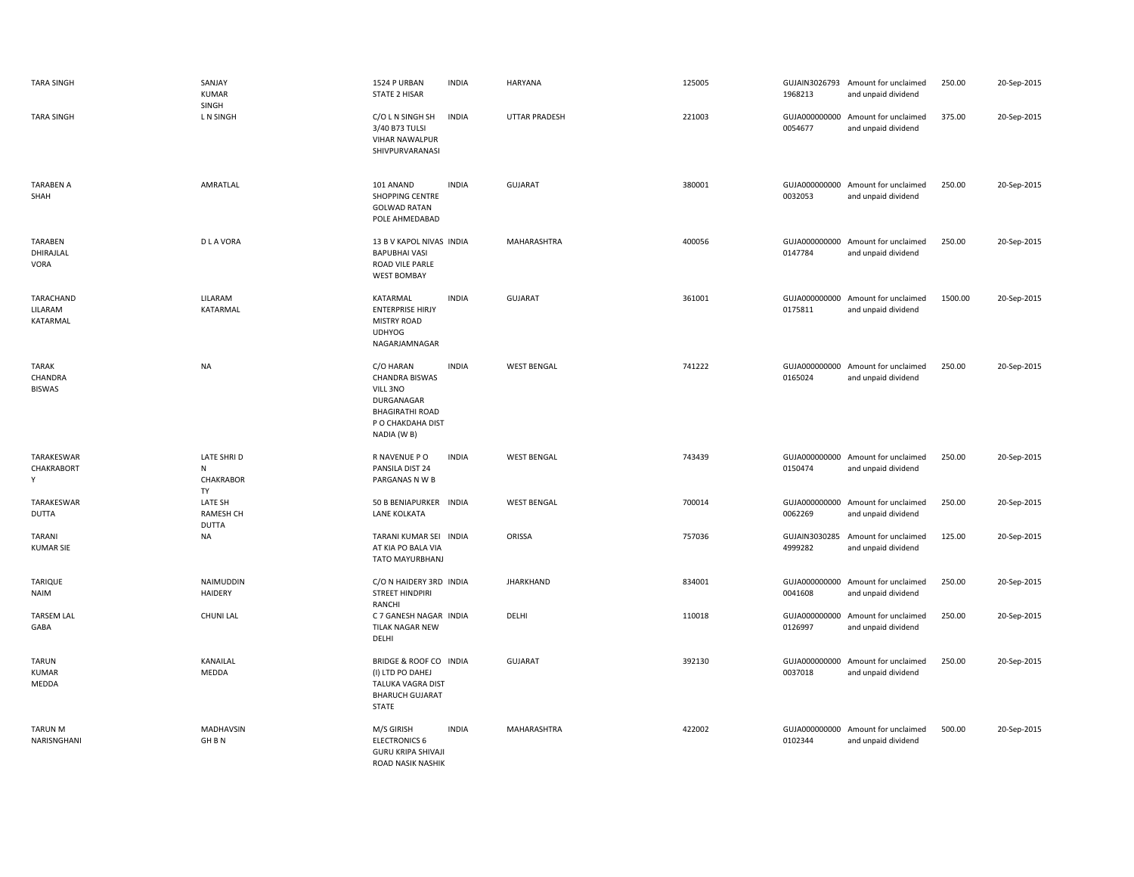| <b>TARA SINGH</b>                        | SANJAY<br><b>KUMAR</b>                      | 1524 P URBAN<br><b>STATE 2 HISAR</b>                                                                                       | <b>INDIA</b> | HARYANA              | 125005 | 1968213                  | GUJAIN3026793 Amount for unclaimed<br>and unpaid dividend | 250.00  | 20-Sep-2015 |
|------------------------------------------|---------------------------------------------|----------------------------------------------------------------------------------------------------------------------------|--------------|----------------------|--------|--------------------------|-----------------------------------------------------------|---------|-------------|
| <b>TARA SINGH</b>                        | SINGH<br>L N SINGH                          | C/O L N SINGH SH<br>3/40 B73 TULSI<br><b>VIHAR NAWALPUR</b><br>SHIVPURVARANASI                                             | <b>INDIA</b> | <b>UTTAR PRADESH</b> | 221003 | 0054677                  | GUJA000000000 Amount for unclaimed<br>and unpaid dividend | 375.00  | 20-Sep-2015 |
| <b>TARABEN A</b><br>SHAH                 | AMRATLAL                                    | 101 ANAND<br>SHOPPING CENTRE<br><b>GOLWAD RATAN</b><br>POLE AHMEDABAD                                                      | <b>INDIA</b> | <b>GUJARAT</b>       | 380001 | GUJA000000000<br>0032053 | Amount for unclaimed<br>and unpaid dividend               | 250.00  | 20-Sep-2015 |
| TARABEN<br>DHIRAJLAL<br>VORA             | <b>DLAVORA</b>                              | 13 B V KAPOL NIVAS INDIA<br><b>BAPUBHAI VASI</b><br>ROAD VILE PARLE<br><b>WEST BOMBAY</b>                                  |              | MAHARASHTRA          | 400056 | GUJA000000000<br>0147784 | Amount for unclaimed<br>and unpaid dividend               | 250.00  | 20-Sep-2015 |
| TARACHAND<br>LILARAM<br>KATARMAL         | LILARAM<br>KATARMAL                         | KATARMAL<br><b>ENTERPRISE HIRJY</b><br><b>MISTRY ROAD</b><br><b>UDHYOG</b><br>NAGARJAMNAGAR                                | <b>INDIA</b> | <b>GUJARAT</b>       | 361001 | 0175811                  | GUJA000000000 Amount for unclaimed<br>and unpaid dividend | 1500.00 | 20-Sep-2015 |
| <b>TARAK</b><br>CHANDRA<br><b>BISWAS</b> | <b>NA</b>                                   | C/O HARAN<br><b>CHANDRA BISWAS</b><br>VILL 3NO<br>DURGANAGAR<br><b>BHAGIRATHI ROAD</b><br>P O CHAKDAHA DIST<br>NADIA (W B) | <b>INDIA</b> | <b>WEST BENGAL</b>   | 741222 | GUJA000000000<br>0165024 | Amount for unclaimed<br>and unpaid dividend               | 250.00  | 20-Sep-2015 |
| TARAKESWAR<br>CHAKRABORT<br>Υ            | <b>LATE SHRID</b><br>N<br>CHAKRABOR<br>TY   | R NAVENUE P O<br>PANSILA DIST 24<br>PARGANAS N W B                                                                         | <b>INDIA</b> | <b>WEST BENGAL</b>   | 743439 | 0150474                  | GUJA000000000 Amount for unclaimed<br>and unpaid dividend | 250.00  | 20-Sep-2015 |
| TARAKESWAR<br><b>DUTTA</b>               | LATE SH<br><b>RAMESH CH</b><br><b>DUTTA</b> | 50 B BENIAPURKER INDIA<br>LANE KOLKATA                                                                                     |              | <b>WEST BENGAL</b>   | 700014 | GUJA000000000<br>0062269 | Amount for unclaimed<br>and unpaid dividend               | 250.00  | 20-Sep-2015 |
| TARANI<br><b>KUMAR SIE</b>               | <b>NA</b>                                   | TARANI KUMAR SEI INDIA<br>AT KIA PO BALA VIA<br>TATO MAYURBHANJ                                                            |              | ORISSA               | 757036 | GUJAIN3030285<br>4999282 | Amount for unclaimed<br>and unpaid dividend               | 125.00  | 20-Sep-2015 |
| TARIQUE<br>NAIM                          | NAIMUDDIN<br><b>HAIDERY</b>                 | C/O N HAIDERY 3RD INDIA<br><b>STREET HINDPIRI</b><br>RANCHI                                                                |              | <b>JHARKHAND</b>     | 834001 | GUJA000000000<br>0041608 | Amount for unclaimed<br>and unpaid dividend               | 250.00  | 20-Sep-2015 |
| <b>TARSEM LAL</b><br>GABA                | <b>CHUNI LAL</b>                            | C 7 GANESH NAGAR INDIA<br><b>TILAK NAGAR NEW</b><br>DELHI                                                                  |              | DELHI                | 110018 | 0126997                  | GUJA000000000 Amount for unclaimed<br>and unpaid dividend | 250.00  | 20-Sep-2015 |
| <b>TARUN</b><br>KUMAR<br>MEDDA           | KANAILAL<br>MEDDA                           | BRIDGE & ROOF CO INDIA<br>(I) LTD PO DAHEJ<br>TALUKA VAGRA DIST<br><b>BHARUCH GUJARAT</b><br>STATE                         |              | <b>GUJARAT</b>       | 392130 | 0037018                  | GUJA000000000 Amount for unclaimed<br>and unpaid dividend | 250.00  | 20-Sep-2015 |
| <b>TARUN M</b><br>NARISNGHANI            | MADHAVSIN<br>GH <sub>BN</sub>               | M/S GIRISH<br><b>ELECTRONICS 6</b><br><b>GURU KRIPA SHIVAJI</b><br>ROAD NASIK NASHIK                                       | <b>INDIA</b> | MAHARASHTRA          | 422002 | 0102344                  | GUJA000000000 Amount for unclaimed<br>and unpaid dividend | 500.00  | 20-Sep-2015 |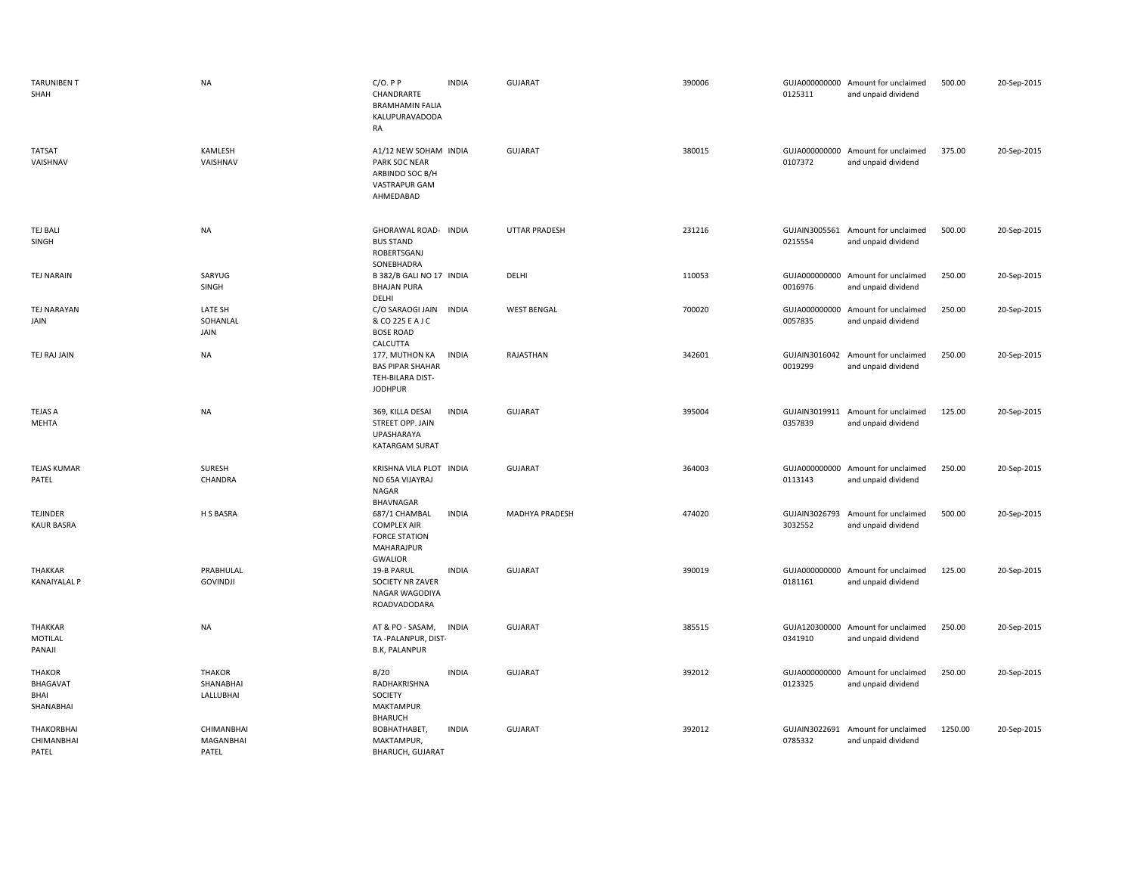| <b>TARUNIBEN T</b><br>SHAH                     | <b>NA</b>                               | $C/O.$ P P<br>CHANDRARTE<br><b>BRAMHAMIN FALIA</b><br>KALUPURAVADODA<br>RA                  | <b>INDIA</b> | <b>GUJARAT</b>       | 390006 | 0125311                  | GUJA000000000 Amount for unclaimed<br>and unpaid dividend | 500.00  | 20-Sep-2015 |
|------------------------------------------------|-----------------------------------------|---------------------------------------------------------------------------------------------|--------------|----------------------|--------|--------------------------|-----------------------------------------------------------|---------|-------------|
| <b>TATSAT</b><br>VAISHNAV                      | KAMLESH<br>VAISHNAV                     | A1/12 NEW SOHAM INDIA<br>PARK SOC NEAR<br>ARBINDO SOC B/H<br>VASTRAPUR GAM<br>AHMEDABAD     |              | <b>GUJARAT</b>       | 380015 | 0107372                  | GUJA000000000 Amount for unclaimed<br>and unpaid dividend | 375.00  | 20-Sep-2015 |
| <b>TEJ BALI</b><br>SINGH                       | <b>NA</b>                               | GHORAWAL ROAD- INDIA<br><b>BUS STAND</b><br>ROBERTSGANJ<br>SONEBHADRA                       |              | <b>UTTAR PRADESH</b> | 231216 | 0215554                  | GUJAIN3005561 Amount for unclaimed<br>and unpaid dividend | 500.00  | 20-Sep-2015 |
| <b>TEJ NARAIN</b>                              | SARYUG<br>SINGH                         | B 382/B GALI NO 17 INDIA<br><b>BHAJAN PURA</b><br>DELHI                                     |              | DELHI                | 110053 | GUJA000000000<br>0016976 | Amount for unclaimed<br>and unpaid dividend               | 250.00  | 20-Sep-2015 |
| <b>TEJ NARAYAN</b><br>JAIN                     | LATE SH<br>SOHANLAL<br>JAIN             | C/O SARAOGI JAIN<br>& CO 225 E A J C<br><b>BOSE ROAD</b><br><b>CALCUTTA</b>                 | <b>INDIA</b> | <b>WEST BENGAL</b>   | 700020 | GUJA000000000<br>0057835 | Amount for unclaimed<br>and unpaid dividend               | 250.00  | 20-Sep-2015 |
| TEJ RAJ JAIN                                   | <b>NA</b>                               | 177, MUTHON KA<br><b>BAS PIPAR SHAHAR</b><br>TEH-BILARA DIST-<br><b>JODHPUR</b>             | <b>INDIA</b> | RAJASTHAN            | 342601 | 0019299                  | GUJAIN3016042 Amount for unclaimed<br>and unpaid dividend | 250.00  | 20-Sep-2015 |
| <b>TEJAS A</b><br>MEHTA                        | <b>NA</b>                               | 369, KILLA DESAI<br>STREET OPP. JAIN<br><b>UPASHARAYA</b><br><b>KATARGAM SURAT</b>          | <b>INDIA</b> | GUJARAT              | 395004 | 0357839                  | GUJAIN3019911 Amount for unclaimed<br>and unpaid dividend | 125.00  | 20-Sep-2015 |
| <b>TEJAS KUMAR</b><br>PATEL                    | SURESH<br>CHANDRA                       | KRISHNA VILA PLOT INDIA<br>NO 65A VIJAYRAJ<br>NAGAR<br>BHAVNAGAR                            |              | GUJARAT              | 364003 | 0113143                  | GUJA000000000 Amount for unclaimed<br>and unpaid dividend | 250.00  | 20-Sep-2015 |
| <b>TEJINDER</b><br><b>KAUR BASRA</b>           | H S BASRA                               | 687/1 CHAMBAL<br><b>COMPLEX AIR</b><br><b>FORCE STATION</b><br>MAHARAJPUR<br><b>GWALIOR</b> | <b>INDIA</b> | MADHYA PRADESH       | 474020 | GUJAIN3026793<br>3032552 | Amount for unclaimed<br>and unpaid dividend               | 500.00  | 20-Sep-2015 |
| THAKKAR<br><b>KANAIYALAL P</b>                 | PRABHULAL<br><b>GOVINDJI</b>            | 19-B PARUL<br>SOCIETY NR ZAVER<br>NAGAR WAGODIYA<br>ROADVADODARA                            | <b>INDIA</b> | <b>GUJARAT</b>       | 390019 | 0181161                  | GUJA000000000 Amount for unclaimed<br>and unpaid dividend | 125.00  | 20-Sep-2015 |
| THAKKAR<br>MOTILAL<br>PANAJI                   | NA                                      | AT & PO - SASAM,<br>TA-PALANPUR, DIST-<br><b>B.K, PALANPUR</b>                              | <b>INDIA</b> | <b>GUJARAT</b>       | 385515 | 0341910                  | GUJA120300000 Amount for unclaimed<br>and unpaid dividend | 250.00  | 20-Sep-2015 |
| <b>THAKOR</b><br>BHAGAVAT<br>BHAI<br>SHANABHAI | <b>THAKOR</b><br>SHANABHAI<br>LALLUBHAI | B/20<br>RADHAKRISHNA<br>SOCIETY<br>MAKTAMPUR                                                | <b>INDIA</b> | <b>GUJARAT</b>       | 392012 | GUJA000000000<br>0123325 | Amount for unclaimed<br>and unpaid dividend               | 250.00  | 20-Sep-2015 |
| THAKORBHAI<br>CHIMANBHAI<br>PATEL              | CHIMANBHAI<br>MAGANBHAI<br>PATEL        | <b>BHARUCH</b><br>BOBHATHABET,<br>MAKTAMPUR,<br>BHARUCH, GUJARAT                            | <b>INDIA</b> | <b>GUJARAT</b>       | 392012 | GUJAIN3022691<br>0785332 | Amount for unclaimed<br>and unpaid dividend               | 1250.00 | 20-Sep-2015 |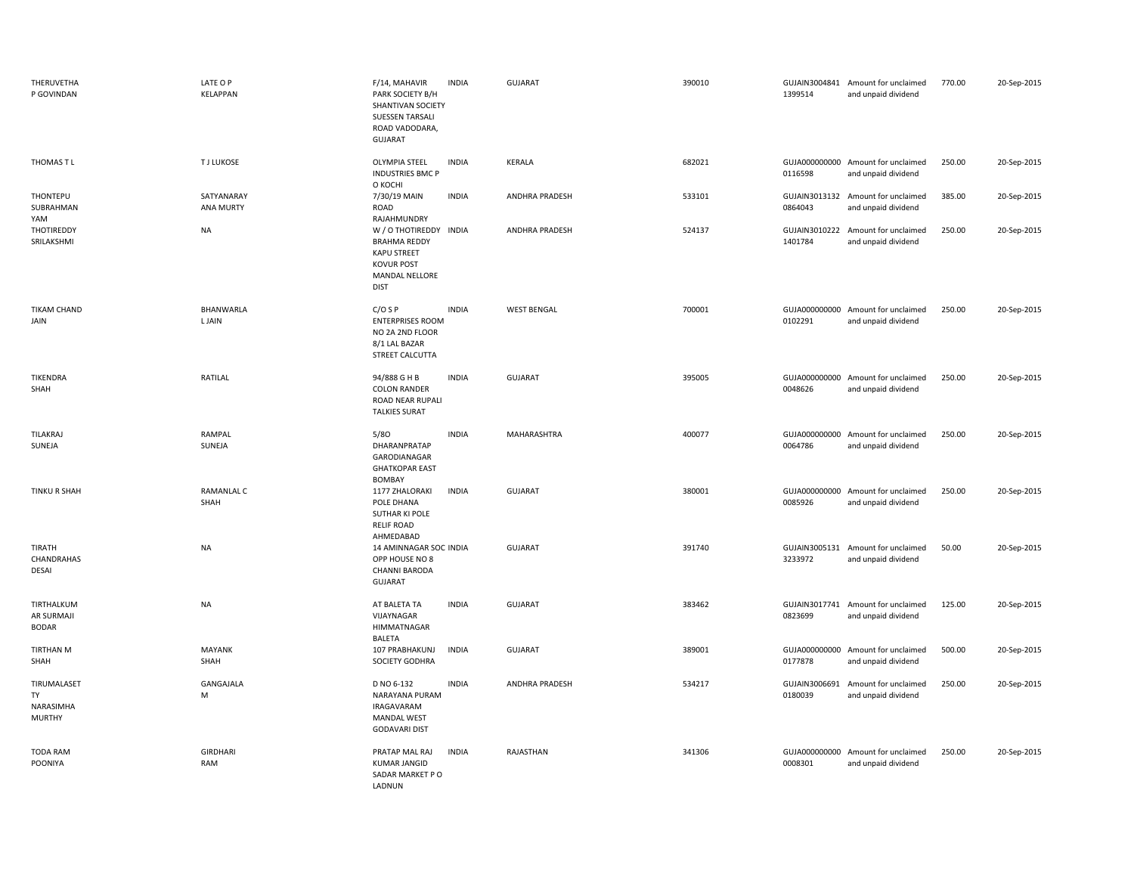| THERUVETHA<br>P GOVINDAN                        | LATE O P<br><b>KELAPPAN</b>    | F/14, MAHAVIR<br>PARK SOCIETY B/H<br>SHANTIVAN SOCIETY<br><b>SUESSEN TARSALI</b><br>ROAD VADODARA,<br><b>GUJARAT</b>      | <b>INDIA</b> | GUJARAT               | 390010 | 1399514                  | GUJAIN3004841 Amount for unclaimed<br>and unpaid dividend | 770.00 | 20-Sep-2015 |
|-------------------------------------------------|--------------------------------|---------------------------------------------------------------------------------------------------------------------------|--------------|-----------------------|--------|--------------------------|-----------------------------------------------------------|--------|-------------|
| THOMAS T L                                      | <b>TJ LUKOSE</b>               | <b>OLYMPIA STEEL</b><br><b>INDUSTRIES BMC P</b><br>О КОСНІ                                                                | <b>INDIA</b> | KERALA                | 682021 | 0116598                  | GUJA000000000 Amount for unclaimed<br>and unpaid dividend | 250.00 | 20-Sep-2015 |
| THONTEPU<br>SUBRAHMAN<br>YAM                    | SATYANARAY<br><b>ANA MURTY</b> | 7/30/19 MAIN<br>ROAD<br>RAJAHMUNDRY                                                                                       | <b>INDIA</b> | <b>ANDHRA PRADESH</b> | 533101 | 0864043                  | GUJAIN3013132 Amount for unclaimed<br>and unpaid dividend | 385.00 | 20-Sep-2015 |
| THOTIREDDY<br>SRILAKSHMI                        | <b>NA</b>                      | W / O THOTIREDDY INDIA<br><b>BRAHMA REDDY</b><br><b>KAPU STREET</b><br><b>KOVUR POST</b><br>MANDAL NELLORE<br><b>DIST</b> |              | ANDHRA PRADESH        | 524137 | GUJAIN3010222<br>1401784 | Amount for unclaimed<br>and unpaid dividend               | 250.00 | 20-Sep-2015 |
| <b>TIKAM CHAND</b><br>JAIN                      | BHANWARLA<br>L JAIN            | $C/O$ S P<br><b>ENTERPRISES ROOM</b><br>NO 2A 2ND FLOOR<br>8/1 LAL BAZAR<br>STREET CALCUTTA                               | <b>INDIA</b> | <b>WEST BENGAL</b>    | 700001 | 0102291                  | GUJA000000000 Amount for unclaimed<br>and unpaid dividend | 250.00 | 20-Sep-2015 |
| <b>TIKENDRA</b><br>SHAH                         | RATILAL                        | 94/888 G H B<br><b>COLON RANDER</b><br>ROAD NEAR RUPALI<br><b>TALKIES SURAT</b>                                           | <b>INDIA</b> | GUJARAT               | 395005 | 0048626                  | GUJA000000000 Amount for unclaimed<br>and unpaid dividend | 250.00 | 20-Sep-2015 |
| TILAKRAJ<br>SUNEJA                              | RAMPAL<br>SUNEJA               | 5/80<br>DHARANPRATAP<br>GARODIANAGAR<br><b>GHATKOPAR EAST</b><br>BOMBAY                                                   | <b>INDIA</b> | MAHARASHTRA           | 400077 | 0064786                  | GUJA000000000 Amount for unclaimed<br>and unpaid dividend | 250.00 | 20-Sep-2015 |
| <b>TINKU R SHAH</b>                             | RAMANLAL C<br>SHAH             | 1177 ZHALORAKI<br>POLE DHANA<br>SUTHAR KI POLE<br><b>RELIF ROAD</b><br>AHMEDABAD                                          | <b>INDIA</b> | <b>GUJARAT</b>        | 380001 | 0085926                  | GUJA000000000 Amount for unclaimed<br>and unpaid dividend | 250.00 | 20-Sep-2015 |
| TIRATH<br>CHANDRAHAS<br>DESAI                   | <b>NA</b>                      | 14 AMINNAGAR SOC INDIA<br>OPP HOUSE NO 8<br><b>CHANNI BARODA</b><br>GUJARAT                                               |              | GUJARAT               | 391740 | 3233972                  | GUJAIN3005131 Amount for unclaimed<br>and unpaid dividend | 50.00  | 20-Sep-2015 |
| TIRTHALKUM<br>AR SURMAJI<br><b>BODAR</b>        | <b>NA</b>                      | AT BALETA TA<br>VIJAYNAGAR<br><b>HIMMATNAGAR</b><br>BALETA                                                                | <b>INDIA</b> | GUJARAT               | 383462 | 0823699                  | GUJAIN3017741 Amount for unclaimed<br>and unpaid dividend | 125.00 | 20-Sep-2015 |
| <b>TIRTHAN M</b><br>SHAH                        | <b>MAYANK</b><br>SHAH          | 107 PRABHAKUNJ<br>SOCIETY GODHRA                                                                                          | <b>INDIA</b> | GUJARAT               | 389001 | GUJA000000000<br>0177878 | Amount for unclaimed<br>and unpaid dividend               | 500.00 | 20-Sep-2015 |
| TIRUMALASET<br>TY<br>NARASIMHA<br><b>MURTHY</b> | GANGAJALA<br>M                 | D NO 6-132<br>NARAYANA PURAM<br>IRAGAVARAM<br><b>MANDAL WEST</b><br><b>GODAVARI DIST</b>                                  | <b>INDIA</b> | ANDHRA PRADESH        | 534217 | GUJAIN3006691<br>0180039 | Amount for unclaimed<br>and unpaid dividend               | 250.00 | 20-Sep-2015 |
| <b>TODA RAM</b><br>POONIYA                      | <b>GIRDHARI</b><br>RAM         | PRATAP MAL RAJ<br><b>KUMAR JANGID</b><br>SADAR MARKET PO<br>LADNUN                                                        | <b>INDIA</b> | RAJASTHAN             | 341306 | 0008301                  | GUJA000000000 Amount for unclaimed<br>and unpaid dividend | 250.00 | 20-Sep-2015 |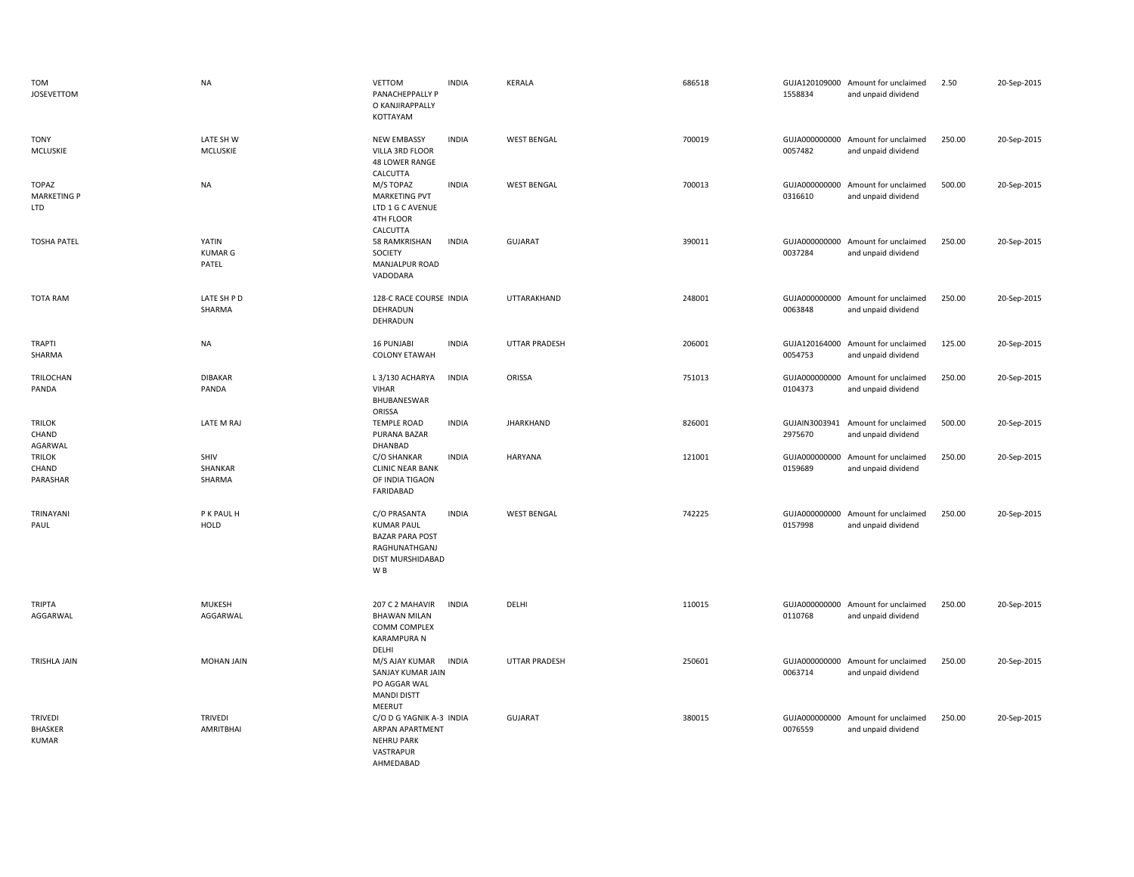| <b>TOM</b><br><b>JOSEVETTOM</b>                  | <b>NA</b>                        | <b>VETTOM</b><br>PANACHEPPALLY P<br>O KANJIRAPPALLY<br>KOTTAYAM                                                    | <b>INDIA</b> | KERALA               | 686518 | 1558834                  | GUJA120109000 Amount for unclaimed<br>and unpaid dividend | 2.50   | 20-Sep-2015 |
|--------------------------------------------------|----------------------------------|--------------------------------------------------------------------------------------------------------------------|--------------|----------------------|--------|--------------------------|-----------------------------------------------------------|--------|-------------|
| <b>TONY</b><br>MCLUSKIE                          | LATE SH W<br>MCLUSKIE            | <b>NEW EMBASSY</b><br>VILLA 3RD FLOOR<br><b>48 LOWER RANGE</b><br>CALCUTTA                                         | <b>INDIA</b> | <b>WEST BENGAL</b>   | 700019 | 0057482                  | GUJA000000000 Amount for unclaimed<br>and unpaid dividend | 250.00 | 20-Sep-2015 |
| <b>TOPAZ</b><br><b>MARKETING P</b><br>LTD        | <b>NA</b>                        | M/S TOPAZ<br><b>MARKETING PVT</b><br>LTD 1 G C AVENUE<br>4TH FLOOR<br>CALCUTTA                                     | <b>INDIA</b> | <b>WEST BENGAL</b>   | 700013 | GUJA000000000<br>0316610 | Amount for unclaimed<br>and unpaid dividend               | 500.00 | 20-Sep-2015 |
| <b>TOSHA PATEL</b>                               | YATIN<br><b>KUMAR G</b><br>PATEL | 58 RAMKRISHAN<br>SOCIETY<br>MANJALPUR ROAD<br>VADODARA                                                             | <b>INDIA</b> | <b>GUJARAT</b>       | 390011 | GUJA000000000<br>0037284 | Amount for unclaimed<br>and unpaid dividend               | 250.00 | 20-Sep-2015 |
| <b>TOTA RAM</b>                                  | LATE SH P D<br>SHARMA            | 128-C RACE COURSE INDIA<br>DEHRADUN<br>DEHRADUN                                                                    |              | UTTARAKHAND          | 248001 | GUJA000000000<br>0063848 | Amount for unclaimed<br>and unpaid dividend               | 250.00 | 20-Sep-2015 |
| TRAPTI<br>SHARMA                                 | <b>NA</b>                        | 16 PUNJABI<br><b>COLONY ETAWAH</b>                                                                                 | <b>INDIA</b> | <b>UTTAR PRADESH</b> | 206001 | 0054753                  | GUJA120164000 Amount for unclaimed<br>and unpaid dividend | 125.00 | 20-Sep-2015 |
| TRILOCHAN<br>PANDA                               | <b>DIBAKAR</b><br>PANDA          | L 3/130 ACHARYA<br><b>VIHAR</b><br>BHUBANESWAR<br>ORISSA                                                           | <b>INDIA</b> | ORISSA               | 751013 | 0104373                  | GUJA000000000 Amount for unclaimed<br>and unpaid dividend | 250.00 | 20-Sep-2015 |
| <b>TRILOK</b><br>CHAND<br>AGARWAL                | LATE M RAJ                       | <b>TEMPLE ROAD</b><br>PURANA BAZAR<br>DHANBAD                                                                      | <b>INDIA</b> | <b>JHARKHAND</b>     | 826001 | GUJAIN3003941<br>2975670 | Amount for unclaimed<br>and unpaid dividend               | 500.00 | 20-Sep-2015 |
| <b>TRILOK</b><br>CHAND<br>PARASHAR               | SHIV<br>SHANKAR<br>SHARMA        | C/O SHANKAR<br><b>CLINIC NEAR BANK</b><br>OF INDIA TIGAON<br>FARIDABAD                                             | <b>INDIA</b> | <b>HARYANA</b>       | 121001 | 0159689                  | GUJA000000000 Amount for unclaimed<br>and unpaid dividend | 250.00 | 20-Sep-2015 |
| TRINAYANI<br>PAUL                                | P K PAUL H<br><b>HOLD</b>        | C/O PRASANTA<br><b>KUMAR PAUL</b><br><b>BAZAR PARA POST</b><br>RAGHUNATHGANJ<br>DIST MURSHIDABAD<br>W <sub>B</sub> | <b>INDIA</b> | <b>WEST BENGAL</b>   | 742225 | GUJA000000000<br>0157998 | Amount for unclaimed<br>and unpaid dividend               | 250.00 | 20-Sep-2015 |
| TRIPTA<br>AGGARWAL                               | <b>MUKESH</b><br>AGGARWAL        | 207 C 2 MAHAVIR<br><b>BHAWAN MILAN</b><br>COMM COMPLEX<br><b>KARAMPURA N</b><br>DELHI                              | <b>INDIA</b> | DELHI                | 110015 | 0110768                  | GUJA000000000 Amount for unclaimed<br>and unpaid dividend | 250.00 | 20-Sep-2015 |
| TRISHLA JAIN                                     | <b>MOHAN JAIN</b>                | M/S AJAY KUMAR<br>SANJAY KUMAR JAIN<br>PO AGGAR WAL<br><b>MANDI DISTT</b><br>MEERUT                                | <b>INDIA</b> | <b>UTTAR PRADESH</b> | 250601 | 0063714                  | GUJA000000000 Amount for unclaimed<br>and unpaid dividend | 250.00 | 20-Sep-2015 |
| <b>TRIVEDI</b><br><b>BHASKER</b><br><b>KUMAR</b> | TRIVEDI<br>AMRITBHAI             | C/O D G YAGNIK A-3 INDIA<br>ARPAN APARTMENT<br><b>NEHRU PARK</b><br>VASTRAPUR<br>AHMFDARAD                         |              | GUJARAT              | 380015 | GUJA000000000<br>0076559 | Amount for unclaimed<br>and unpaid dividend               | 250.00 | 20-Sep-2015 |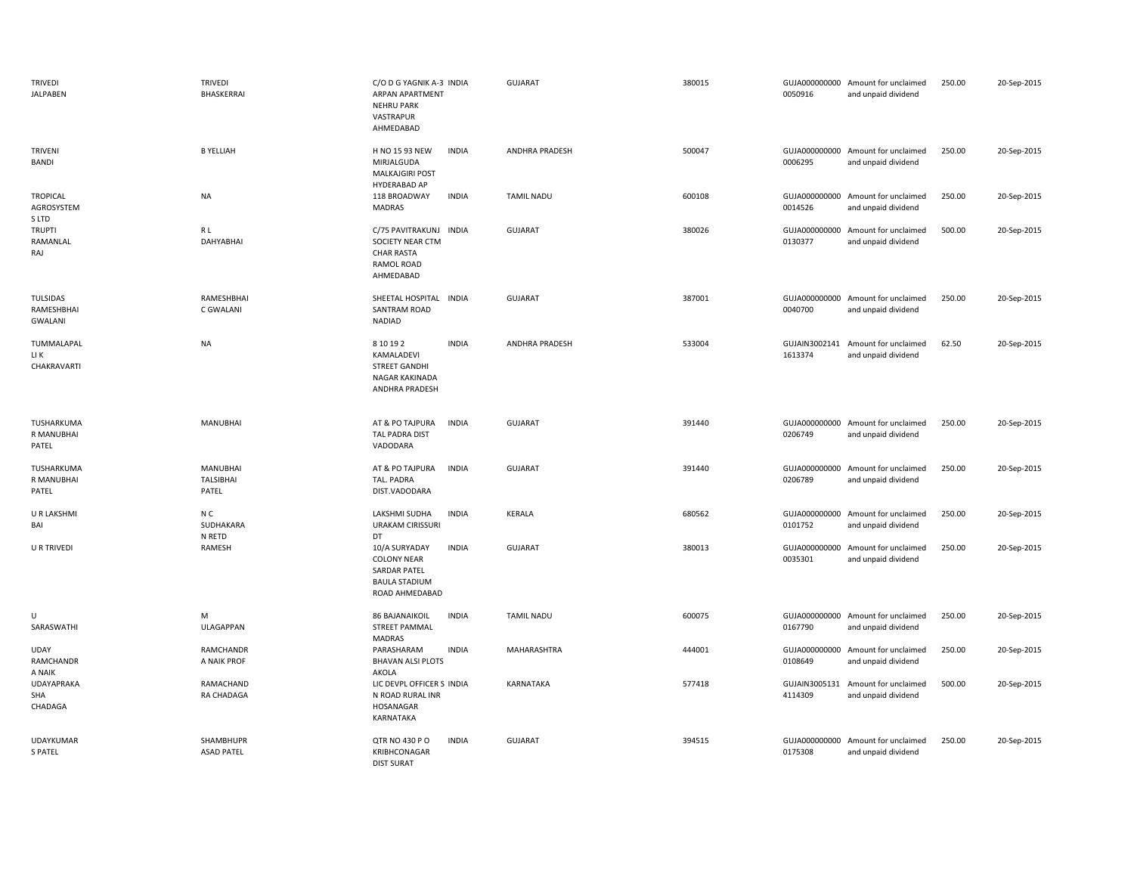| <b>TRIVEDI</b><br><b>JALPABEN</b>        | <b>TRIVEDI</b><br>BHASKERRAI   | C/O D G YAGNIK A-3 INDIA<br>ARPAN APARTMENT<br><b>NEHRU PARK</b><br>VASTRAPUR<br>AHMEDABAD                           | <b>GUJARAT</b>    | 380015 | 0050916                  | GUJA000000000 Amount for unclaimed<br>and unpaid dividend | 250.00 | 20-Sep-2015 |
|------------------------------------------|--------------------------------|----------------------------------------------------------------------------------------------------------------------|-------------------|--------|--------------------------|-----------------------------------------------------------|--------|-------------|
| <b>TRIVENI</b><br>BANDI                  | <b>B YELLIAH</b>               | <b>INDIA</b><br>H NO 15 93 NEW<br>MIRJALGUDA<br><b>MALKAJGIRI POST</b><br><b>HYDERABAD AP</b>                        | ANDHRA PRADESH    | 500047 | 0006295                  | GUJA000000000 Amount for unclaimed<br>and unpaid dividend | 250.00 | 20-Sep-2015 |
| <b>TROPICAL</b><br>AGROSYSTEM<br>S LTD   | <b>NA</b>                      | <b>INDIA</b><br>118 BROADWAY<br><b>MADRAS</b>                                                                        | <b>TAMIL NADU</b> | 600108 | 0014526                  | GUJA000000000 Amount for unclaimed<br>and unpaid dividend | 250.00 | 20-Sep-2015 |
| <b>TRUPTI</b><br>RAMANLAL<br>RAJ         | R L<br>DAHYABHAI               | C/75 PAVITRAKUNJ INDIA<br>SOCIETY NEAR CTM<br><b>CHAR RASTA</b><br>RAMOL ROAD<br>AHMEDABAD                           | <b>GUJARAT</b>    | 380026 | 0130377                  | GUJA000000000 Amount for unclaimed<br>and unpaid dividend | 500.00 | 20-Sep-2015 |
| <b>TULSIDAS</b><br>RAMESHBHAI<br>GWALANI | RAMESHBHAI<br>C GWALANI        | SHEETAL HOSPITAL INDIA<br>SANTRAM ROAD<br>NADIAD                                                                     | <b>GUJARAT</b>    | 387001 | 0040700                  | GUJA000000000 Amount for unclaimed<br>and unpaid dividend | 250.00 | 20-Sep-2015 |
| TUMMALAPAL<br>LI K<br>CHAKRAVARTI        | <b>NA</b>                      | 8 10 19 2<br><b>INDIA</b><br>KAMALADEVI<br><b>STREET GANDHI</b><br>NAGAR KAKINADA<br>ANDHRA PRADESH                  | ANDHRA PRADESH    | 533004 | 1613374                  | GUJAIN3002141 Amount for unclaimed<br>and unpaid dividend | 62.50  | 20-Sep-2015 |
| TUSHARKUMA<br>R MANUBHAI<br>PATEL        | <b>MANUBHAI</b>                | AT & PO TAJPURA<br><b>INDIA</b><br><b>TAL PADRA DIST</b><br>VADODARA                                                 | <b>GUJARAT</b>    | 391440 | 0206749                  | GUJA000000000 Amount for unclaimed<br>and unpaid dividend | 250.00 | 20-Sep-2015 |
| TUSHARKUMA<br>R MANUBHAI<br>PATEL        | MANUBHAI<br>TALSIBHAI<br>PATEL | <b>INDIA</b><br>AT & PO TAJPURA<br>TAL. PADRA<br>DIST.VADODARA                                                       | <b>GUJARAT</b>    | 391440 | 0206789                  | GUJA000000000 Amount for unclaimed<br>and unpaid dividend | 250.00 | 20-Sep-2015 |
| <b>U R LAKSHMI</b><br>BAI                | N C<br>SUDHAKARA<br>N RETD     | LAKSHMI SUDHA<br><b>INDIA</b><br><b>URAKAM CIRISSURI</b><br>DT                                                       | KERALA            | 680562 | 0101752                  | GUJA000000000 Amount for unclaimed<br>and unpaid dividend | 250.00 | 20-Sep-2015 |
| <b>U R TRIVEDI</b>                       | RAMESH                         | 10/A SURYADAY<br><b>INDIA</b><br><b>COLONY NEAR</b><br><b>SARDAR PATEL</b><br><b>BAULA STADIUM</b><br>ROAD AHMEDABAD | <b>GUJARAT</b>    | 380013 | GUJA000000000<br>0035301 | Amount for unclaimed<br>and unpaid dividend               | 250.00 | 20-Sep-2015 |
| U<br>SARASWATHI                          | M<br>ULAGAPPAN                 | <b>86 BAJANAIKOIL</b><br><b>INDIA</b><br><b>STREET PAMMAL</b><br>MADRAS                                              | <b>TAMIL NADU</b> | 600075 | 0167790                  | GUJA000000000 Amount for unclaimed<br>and unpaid dividend | 250.00 | 20-Sep-2015 |
| <b>UDAY</b><br>RAMCHANDR<br>A NAIK       | RAMCHANDR<br>A NAIK PROF       | <b>INDIA</b><br>PARASHARAM<br><b>BHAVAN ALSI PLOTS</b><br>AKOLA                                                      | MAHARASHTRA       | 444001 | GUJA000000000<br>0108649 | Amount for unclaimed<br>and unpaid dividend               | 250.00 | 20-Sep-2015 |
| <b>UDAYAPRAKA</b><br>SHA<br>CHADAGA      | RAMACHAND<br>RA CHADAGA        | LIC DEVPL OFFICER S INDIA<br>N ROAD RURAL INR<br>HOSANAGAR<br>KARNATAKA                                              | KARNATAKA         | 577418 | GUJAIN3005131<br>4114309 | Amount for unclaimed<br>and unpaid dividend               | 500.00 | 20-Sep-2015 |
| <b>UDAYKUMAR</b><br><b>S PATEL</b>       | SHAMBHUPR<br><b>ASAD PATEL</b> | QTR NO 430 P O<br><b>INDIA</b><br>KRIBHCONAGAR<br><b>DIST SURAT</b>                                                  | <b>GUJARAT</b>    | 394515 | GUJA000000000<br>0175308 | Amount for unclaimed<br>and unpaid dividend               | 250.00 | 20-Sep-2015 |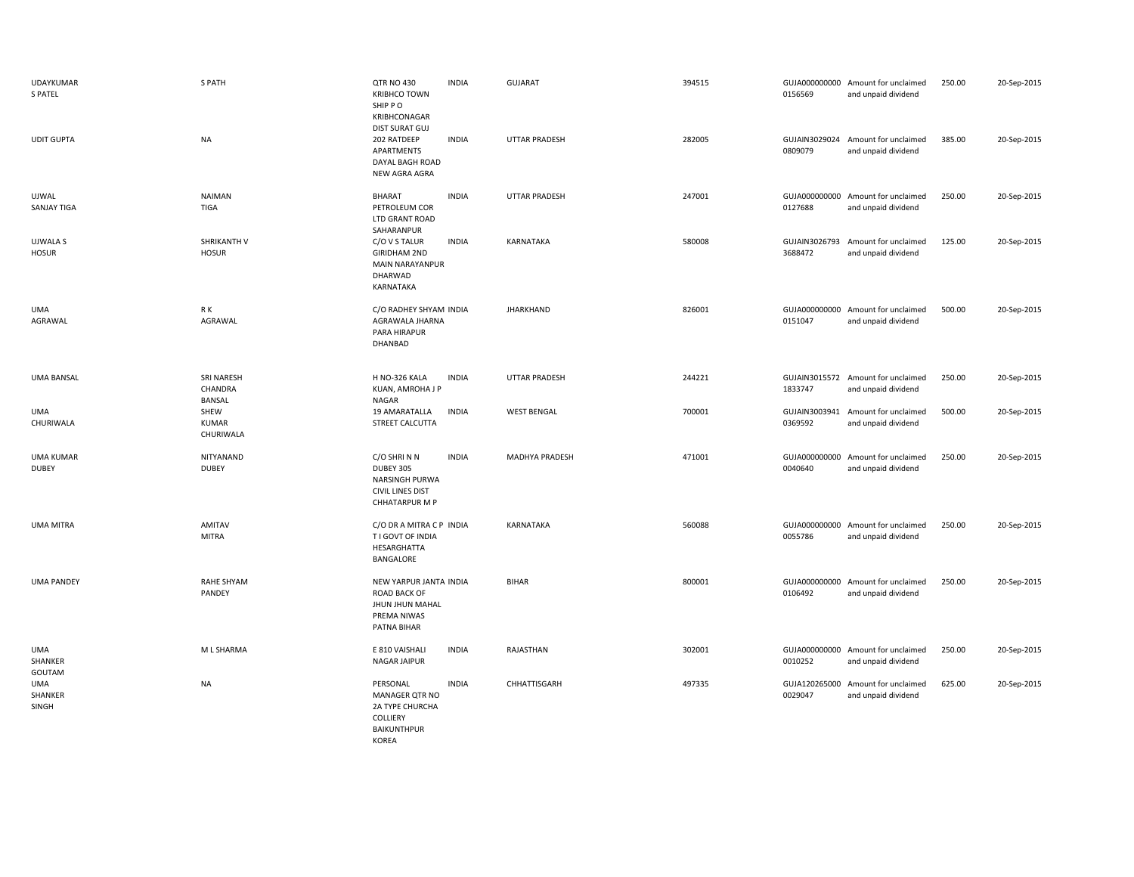| <b>UDAYKUMAR</b><br><b>S PATEL</b> | S PATH                                   | QTR NO 430<br><b>KRIBHCO TOWN</b><br>SHIP PO<br>KRIBHCONAGAR<br>DIST SURAT GUJ                | <b>INDIA</b> | <b>GUJARAT</b>       | 394515 | 0156569                  | GUJA000000000 Amount for unclaimed<br>and unpaid dividend | 250.00 | 20-Sep-2015 |
|------------------------------------|------------------------------------------|-----------------------------------------------------------------------------------------------|--------------|----------------------|--------|--------------------------|-----------------------------------------------------------|--------|-------------|
| <b>UDIT GUPTA</b>                  | <b>NA</b>                                | 202 RATDEEP<br>APARTMENTS<br>DAYAL BAGH ROAD<br>NEW AGRA AGRA                                 | <b>INDIA</b> | <b>UTTAR PRADESH</b> | 282005 | GUJAIN3029024<br>0809079 | Amount for unclaimed<br>and unpaid dividend               | 385.00 | 20-Sep-2015 |
| <b>UJWAL</b><br>SANJAY TIGA        | <b>NAIMAN</b><br><b>TIGA</b>             | <b>BHARAT</b><br>PETROLEUM COR<br>LTD GRANT ROAD<br>SAHARANPUR                                | <b>INDIA</b> | <b>UTTAR PRADESH</b> | 247001 | 0127688                  | GUJA000000000 Amount for unclaimed<br>and unpaid dividend | 250.00 | 20-Sep-2015 |
| <b>UJWALA S</b><br><b>HOSUR</b>    | SHRIKANTH V<br><b>HOSUR</b>              | C/O V S TALUR<br><b>GIRIDHAM 2ND</b><br>MAIN NARAYANPUR<br>DHARWAD<br>KARNATAKA               | <b>INDIA</b> | KARNATAKA            | 580008 | GUJAIN3026793<br>3688472 | Amount for unclaimed<br>and unpaid dividend               | 125.00 | 20-Sep-2015 |
| UMA<br>AGRAWAL                     | R K<br>AGRAWAL                           | C/O RADHEY SHYAM INDIA<br>AGRAWALA JHARNA<br>PARA HIRAPUR<br>DHANBAD                          |              | JHARKHAND            | 826001 | 0151047                  | GUJA000000000 Amount for unclaimed<br>and unpaid dividend | 500.00 | 20-Sep-2015 |
| <b>UMA BANSAL</b>                  | SRI NARESH<br>CHANDRA<br><b>BANSAL</b>   | H NO-326 KALA<br>KUAN, AMROHA J P<br>NAGAR                                                    | <b>INDIA</b> | <b>UTTAR PRADESH</b> | 244221 | 1833747                  | GUJAIN3015572 Amount for unclaimed<br>and unpaid dividend | 250.00 | 20-Sep-2015 |
| UMA<br>CHURIWALA                   | <b>SHEW</b><br><b>KUMAR</b><br>CHURIWALA | 19 AMARATALLA<br>STREET CALCUTTA                                                              | <b>INDIA</b> | <b>WEST BENGAL</b>   | 700001 | GUJAIN3003941<br>0369592 | Amount for unclaimed<br>and unpaid dividend               | 500.00 | 20-Sep-2015 |
| <b>UMA KUMAR</b><br><b>DUBEY</b>   | NITYANAND<br><b>DUBEY</b>                | C/O SHRINN<br>DUBEY 305<br>NARSINGH PURWA<br><b>CIVIL LINES DIST</b><br><b>CHHATARPUR M P</b> | <b>INDIA</b> | MADHYA PRADESH       | 471001 | 0040640                  | GUJA000000000 Amount for unclaimed<br>and unpaid dividend | 250.00 | 20-Sep-2015 |
| <b>UMA MITRA</b>                   | <b>AMITAV</b><br><b>MITRA</b>            | C/O DR A MITRA C P INDIA<br>T I GOVT OF INDIA<br>HESARGHATTA<br>BANGALORE                     |              | KARNATAKA            | 560088 | 0055786                  | GUJA000000000 Amount for unclaimed<br>and unpaid dividend | 250.00 | 20-Sep-2015 |
| <b>UMA PANDEY</b>                  | RAHE SHYAM<br>PANDEY                     | NEW YARPUR JANTA INDIA<br>ROAD BACK OF<br>JHUN JHUN MAHAL<br>PREMA NIWAS<br>PATNA BIHAR       |              | <b>BIHAR</b>         | 800001 | 0106492                  | GUJA000000000 Amount for unclaimed<br>and unpaid dividend | 250.00 | 20-Sep-2015 |
| UMA<br>SHANKER<br>GOUTAM           | M L SHARMA                               | E 810 VAISHALI<br>NAGAR JAIPUR                                                                | <b>INDIA</b> | RAJASTHAN            | 302001 | 0010252                  | GUJA000000000 Amount for unclaimed<br>and unpaid dividend | 250.00 | 20-Sep-2015 |
| UMA<br>SHANKER<br>SINGH            | <b>NA</b>                                | PERSONAL<br>MANAGER QTR NO<br>2A TYPE CHURCHA<br>COLLIERY<br>BAIKUNTHPUR<br>KOREA             | <b>INDIA</b> | CHHATTISGARH         | 497335 | GUJA120265000<br>0029047 | Amount for unclaimed<br>and unpaid dividend               | 625.00 | 20-Sep-2015 |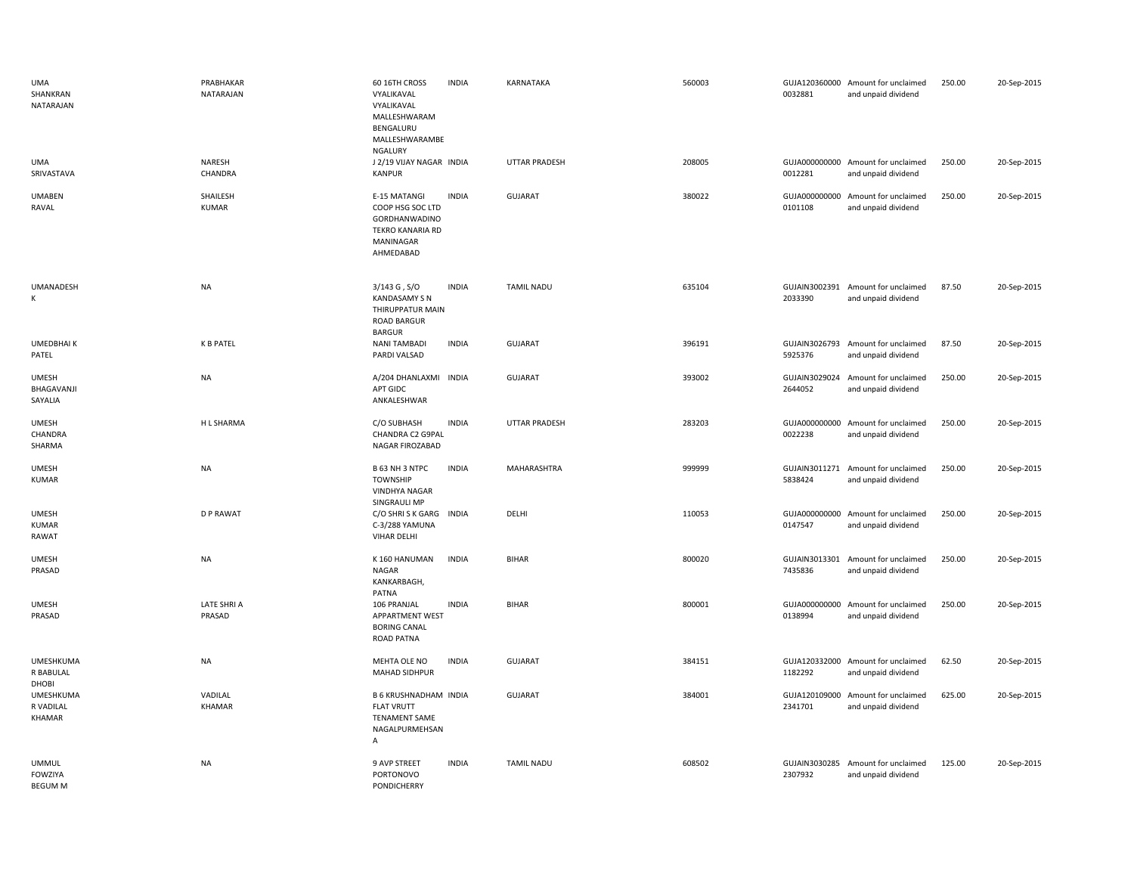| <b>UMA</b><br>SHANKRAN<br>NATARAJAN              | PRABHAKAR<br>NATARAJAN   | 60 16TH CROSS<br>VYALIKAVAL<br>VYALIKAVAL<br>MALLESHWARAM<br>BENGALURU<br>MALLESHWARAMBE<br><b>NGALURY</b> | <b>INDIA</b> | <b>KARNATAKA</b>     | 560003 | 0032881                  | GUJA120360000 Amount for unclaimed<br>and unpaid dividend | 250.00 | 20-Sep-2015 |
|--------------------------------------------------|--------------------------|------------------------------------------------------------------------------------------------------------|--------------|----------------------|--------|--------------------------|-----------------------------------------------------------|--------|-------------|
| <b>UMA</b><br>SRIVASTAVA                         | NARESH<br>CHANDRA        | J 2/19 VIJAY NAGAR INDIA<br><b>KANPUR</b>                                                                  |              | <b>UTTAR PRADESH</b> | 208005 | 0012281                  | GUJA000000000 Amount for unclaimed<br>and unpaid dividend | 250.00 | 20-Sep-2015 |
| <b>UMABEN</b><br>RAVAL                           | SHAILESH<br><b>KUMAR</b> | E-15 MATANGI<br>COOP HSG SOC LTD<br>GORDHANWADINO<br>TEKRO KANARIA RD<br>MANINAGAR<br>AHMEDABAD            | <b>INDIA</b> | <b>GUJARAT</b>       | 380022 | 0101108                  | GUJA000000000 Amount for unclaimed<br>and unpaid dividend | 250.00 | 20-Sep-2015 |
| <b>UMANADESH</b><br>К                            | <b>NA</b>                | $3/143$ G, $S/O$<br><b>KANDASAMY SN</b><br>THIRUPPATUR MAIN<br>ROAD BARGUR<br><b>BARGUR</b>                | <b>INDIA</b> | <b>TAMIL NADU</b>    | 635104 | 2033390                  | GUJAIN3002391 Amount for unclaimed<br>and unpaid dividend | 87.50  | 20-Sep-2015 |
| UMEDBHAI K<br>PATEL                              | <b>K B PATEL</b>         | <b>NANI TAMBADI</b><br>PARDI VALSAD                                                                        | <b>INDIA</b> | <b>GUJARAT</b>       | 396191 | GUJAIN3026793<br>5925376 | Amount for unclaimed<br>and unpaid dividend               | 87.50  | 20-Sep-2015 |
| <b>UMESH</b><br>BHAGAVANJI<br>SAYALIA            | <b>NA</b>                | A/204 DHANLAXMI INDIA<br>APT GIDC<br>ANKALESHWAR                                                           |              | <b>GUJARAT</b>       | 393002 | GUJAIN3029024<br>2644052 | Amount for unclaimed<br>and unpaid dividend               | 250.00 | 20-Sep-2015 |
| <b>UMESH</b><br>CHANDRA<br>SHARMA                | H L SHARMA               | C/O SUBHASH<br>CHANDRA C2 G9PAL<br>NAGAR FIROZABAD                                                         | <b>INDIA</b> | UTTAR PRADESH        | 283203 | GUJA000000000<br>0022238 | Amount for unclaimed<br>and unpaid dividend               | 250.00 | 20-Sep-2015 |
| <b>UMESH</b><br><b>KUMAR</b>                     | <b>NA</b>                | B 63 NH 3 NTPC<br><b>TOWNSHIP</b><br><b>VINDHYA NAGAR</b><br>SINGRAULI MP                                  | <b>INDIA</b> | MAHARASHTRA          | 999999 | 5838424                  | GUJAIN3011271 Amount for unclaimed<br>and unpaid dividend | 250.00 | 20-Sep-2015 |
| <b>UMESH</b><br><b>KUMAR</b><br>RAWAT            | <b>DP RAWAT</b>          | C/O SHRISK GARG<br>C-3/288 YAMUNA<br><b>VIHAR DELHI</b>                                                    | <b>INDIA</b> | DELHI                | 110053 | GUJA000000000<br>0147547 | Amount for unclaimed<br>and unpaid dividend               | 250.00 | 20-Sep-2015 |
| <b>UMESH</b><br>PRASAD                           | <b>NA</b>                | K160 HANUMAN<br><b>NAGAR</b><br>KANKARBAGH,<br>PATNA                                                       | <b>INDIA</b> | <b>BIHAR</b>         | 800020 | 7435836                  | GUJAIN3013301 Amount for unclaimed<br>and unpaid dividend | 250.00 | 20-Sep-2015 |
| <b>UMESH</b><br>PRASAD                           | LATE SHRI A<br>PRASAD    | 106 PRANJAL<br>APPARTMENT WEST<br><b>BORING CANAL</b><br>ROAD PATNA                                        | <b>INDIA</b> | <b>BIHAR</b>         | 800001 | 0138994                  | GUJA000000000 Amount for unclaimed<br>and unpaid dividend | 250.00 | 20-Sep-2015 |
| <b>UMESHKUMA</b><br>R BABULAL<br>DHOBI           | NA                       | MEHTA OLE NO<br><b>MAHAD SIDHPUR</b>                                                                       | <b>INDIA</b> | <b>GUJARAT</b>       | 384151 | 1182292                  | GUJA120332000 Amount for unclaimed<br>and unpaid dividend | 62.50  | 20-Sep-2015 |
| <b>UMESHKUMA</b><br>R VADILAL<br>KHAMAR          | VADILAL<br>KHAMAR        | <b>B 6 KRUSHNADHAM INDIA</b><br><b>FLAT VRUTT</b><br>TENAMENT SAME<br>NAGALPURMEHSAN<br>Α                  |              | <b>GUJARAT</b>       | 384001 | 2341701                  | GUJA120109000 Amount for unclaimed<br>and unpaid dividend | 625.00 | 20-Sep-2015 |
| <b>UMMUL</b><br><b>FOWZIYA</b><br><b>BEGUM M</b> | <b>NA</b>                | 9 AVP STREET<br><b>PORTONOVO</b><br>PONDICHERRY                                                            | <b>INDIA</b> | <b>TAMIL NADU</b>    | 608502 | GUJAIN3030285<br>2307932 | Amount for unclaimed<br>and unpaid dividend               | 125.00 | 20-Sep-2015 |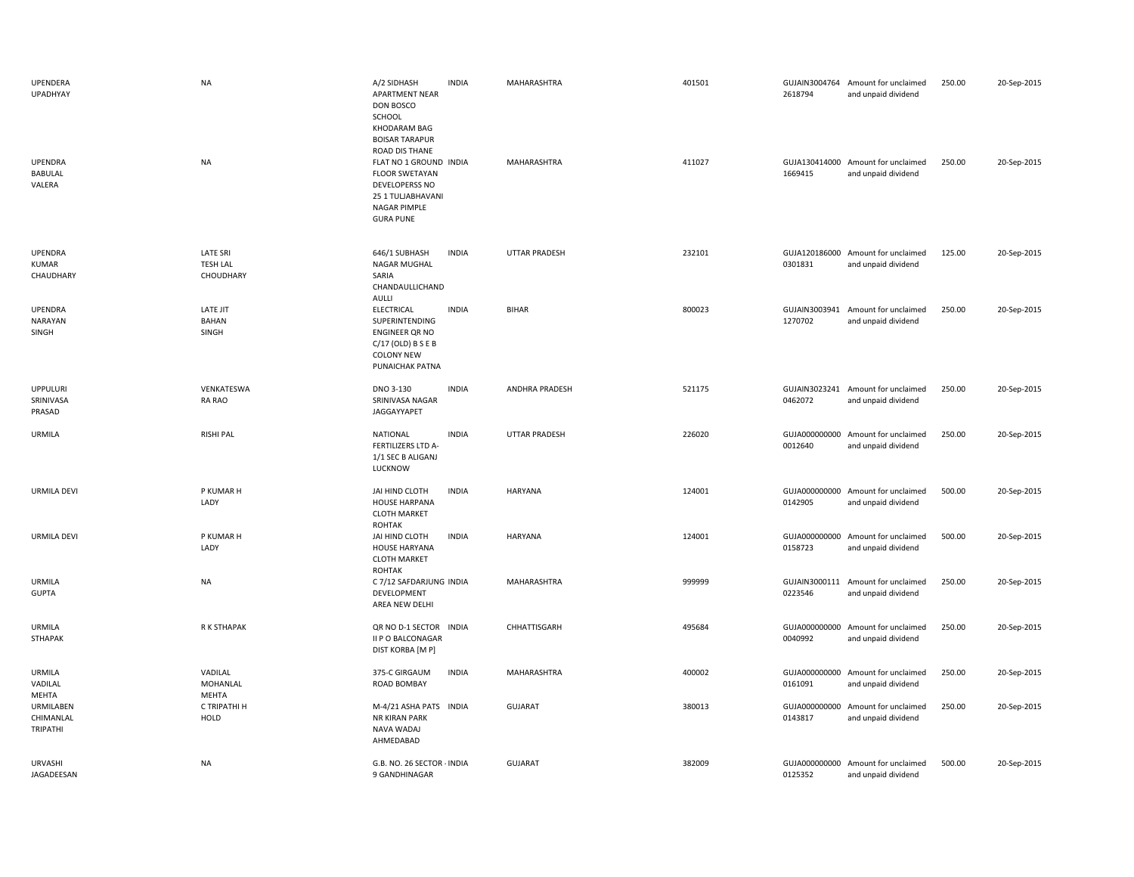| UPENDERA<br>UPADHYAY<br>UPENDRA<br>BABULAL<br>VALERA | <b>NA</b><br><b>NA</b>       | A/2 SIDHASH<br><b>APARTMENT NEAR</b><br>DON BOSCO<br>SCHOOL<br>KHODARAM BAG<br><b>BOISAR TARAPUR</b><br>ROAD DIS THANE<br>FLAT NO 1 GROUND INDIA<br><b>FLOOR SWETAYAN</b><br>DEVELOPERSS NO<br>25 1 TULJABHAVANI | <b>INDIA</b> | MAHARASHTRA<br>MAHARASHTRA | 401501<br>411027 | GUJAIN3004764<br>2618794<br>1669415 | Amount for unclaimed<br>and unpaid dividend<br>GUJA130414000 Amount for unclaimed<br>and unpaid dividend | 250.00<br>250.00 | 20-Sep-2015<br>20-Sep-2015 |
|------------------------------------------------------|------------------------------|------------------------------------------------------------------------------------------------------------------------------------------------------------------------------------------------------------------|--------------|----------------------------|------------------|-------------------------------------|----------------------------------------------------------------------------------------------------------|------------------|----------------------------|
| UPENDRA                                              | LATE SRI                     | <b>NAGAR PIMPLE</b><br><b>GURA PUNE</b><br>646/1 SUBHASH                                                                                                                                                         | <b>INDIA</b> | UTTAR PRADESH              | 232101           |                                     | GUJA120186000 Amount for unclaimed                                                                       | 125.00           | 20-Sep-2015                |
| KUMAR<br>CHAUDHARY                                   | <b>TESH LAL</b><br>CHOUDHARY | NAGAR MUGHAL<br>SARIA<br>CHANDAULLICHAND<br><b>AULLI</b>                                                                                                                                                         |              |                            |                  | 0301831                             | and unpaid dividend                                                                                      |                  |                            |
| <b>UPENDRA</b><br>NARAYAN<br>SINGH                   | LATE JIT<br>BAHAN<br>SINGH   | ELECTRICAL<br>SUPERINTENDING<br>ENGINEER QR NO<br>$C/17$ (OLD) B S E B<br><b>COLONY NEW</b><br><b>PUNAICHAK PATNA</b>                                                                                            | <b>INDIA</b> | <b>BIHAR</b>               | 800023           | 1270702                             | GUJAIN3003941 Amount for unclaimed<br>and unpaid dividend                                                | 250.00           | 20-Sep-2015                |
| <b>UPPULURI</b><br>SRINIVASA<br>PRASAD               | VENKATESWA<br>RA RAO         | DNO 3-130<br>SRINIVASA NAGAR<br>JAGGAYYAPET                                                                                                                                                                      | <b>INDIA</b> | ANDHRA PRADESH             | 521175           | 0462072                             | GUJAIN3023241 Amount for unclaimed<br>and unpaid dividend                                                | 250.00           | 20-Sep-2015                |
| <b>URMILA</b>                                        | <b>RISHI PAL</b>             | <b>NATIONAL</b><br>FERTILIZERS LTD A-<br>1/1 SEC B ALIGANJ<br>LUCKNOW                                                                                                                                            | <b>INDIA</b> | UTTAR PRADESH              | 226020           | GUJA000000000<br>0012640            | Amount for unclaimed<br>and unpaid dividend                                                              | 250.00           | 20-Sep-2015                |
| URMILA DEVI                                          | P KUMAR H<br>LADY            | JAI HIND CLOTH<br><b>HOUSE HARPANA</b><br><b>CLOTH MARKET</b><br><b>ROHTAK</b>                                                                                                                                   | <b>INDIA</b> | <b>HARYANA</b>             | 124001           | GUJA000000000<br>0142905            | Amount for unclaimed<br>and unpaid dividend                                                              | 500.00           | 20-Sep-2015                |
| <b>URMILA DEVI</b>                                   | P KUMAR H<br>LADY            | JAI HIND CLOTH<br><b>HOUSE HARYANA</b><br><b>CLOTH MARKET</b><br>ROHTAK                                                                                                                                          | <b>INDIA</b> | <b>HARYANA</b>             | 124001           | 0158723                             | GUJA000000000 Amount for unclaimed<br>and unpaid dividend                                                | 500.00           | 20-Sep-2015                |
| URMILA<br><b>GUPTA</b>                               | <b>NA</b>                    | C 7/12 SAFDARJUNG INDIA<br>DEVELOPMENT<br>AREA NEW DELHI                                                                                                                                                         |              | MAHARASHTRA                | 999999           | GUJAIN3000111<br>0223546            | Amount for unclaimed<br>and unpaid dividend                                                              | 250.00           | 20-Sep-2015                |
| URMILA<br>STHAPAK                                    | R K STHAPAK                  | QR NO D-1 SECTOR INDIA<br>II P O BALCONAGAR<br>DIST KORBA [M P]                                                                                                                                                  |              | CHHATTISGARH               | 495684           | 0040992                             | GUJA000000000 Amount for unclaimed<br>and unpaid dividend                                                | 250.00           | 20-Sep-2015                |
| URMILA<br>VADILAL<br>MEHTA                           | VADILAL<br>MOHANLAL<br>MEHTA | 375-C GIRGAUM<br>ROAD BOMBAY                                                                                                                                                                                     | <b>INDIA</b> | MAHARASHTRA                | 400002           | GUJA000000000<br>0161091            | Amount for unclaimed<br>and unpaid dividend                                                              | 250.00           | 20-Sep-2015                |
| <b>URMILABEN</b><br>CHIMANLAL<br><b>TRIPATHI</b>     | C TRIPATHI H<br><b>HOLD</b>  | M-4/21 ASHA PATS INDIA<br><b>NR KIRAN PARK</b><br>NAVA WADAJ<br>AHMEDABAD                                                                                                                                        |              | <b>GUJARAT</b>             | 380013           | GUJA000000000<br>0143817            | Amount for unclaimed<br>and unpaid dividend                                                              | 250.00           | 20-Sep-2015                |
| URVASHI<br>JAGADEESAN                                | <b>NA</b>                    | G.B. NO. 26 SECTOR - INDIA<br>9 GANDHINAGAR                                                                                                                                                                      |              | GUJARAT                    | 382009           | 0125352                             | GUJA000000000 Amount for unclaimed<br>and unpaid dividend                                                | 500.00           | 20-Sep-2015                |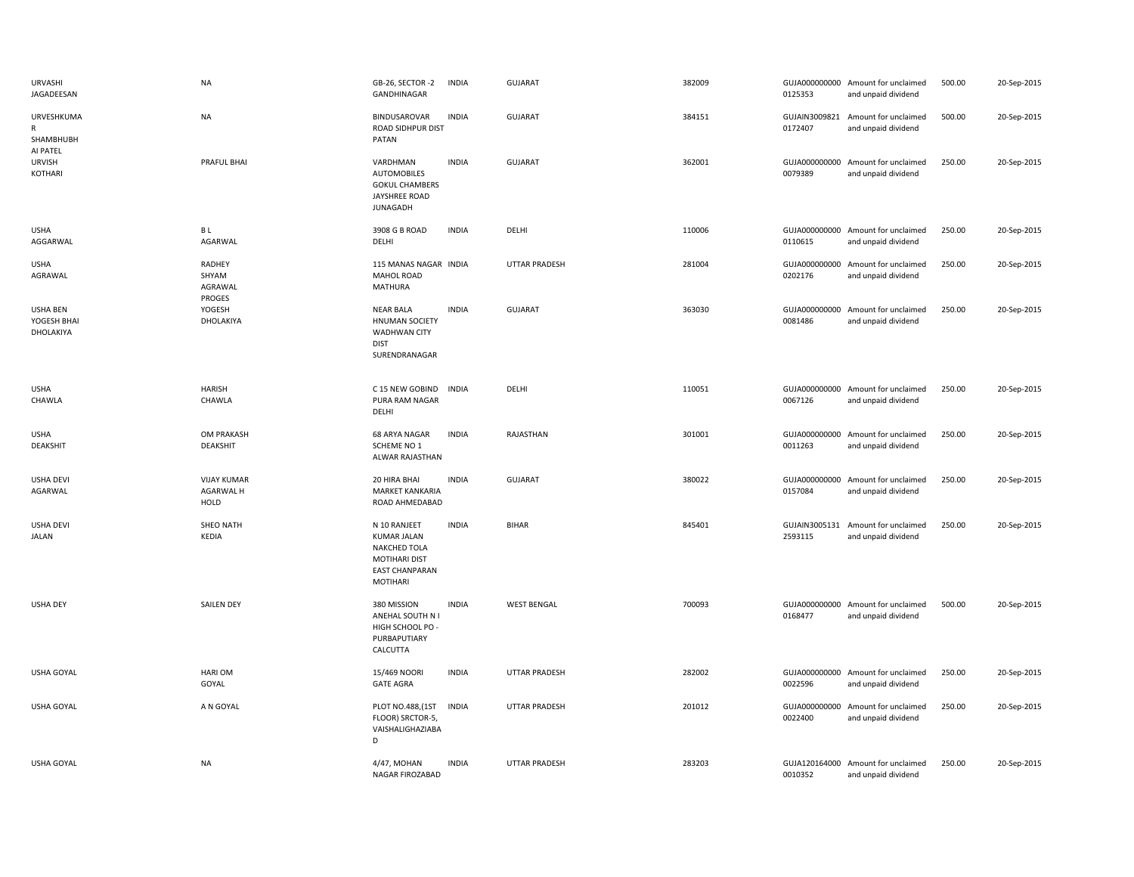| <b>URVASHI</b><br>JAGADEESAN                | NA                                      | GB-26, SECTOR-2<br>GANDHINAGAR                                                                                  | <b>INDIA</b> | GUJARAT              | 382009 | 0125353                  | GUJA000000000 Amount for unclaimed<br>and unpaid dividend | 500.00 | 20-Sep-2015 |
|---------------------------------------------|-----------------------------------------|-----------------------------------------------------------------------------------------------------------------|--------------|----------------------|--------|--------------------------|-----------------------------------------------------------|--------|-------------|
| URVESHKUMA<br>$\mathsf{R}$<br>SHAMBHUBH     | <b>NA</b>                               | <b>BINDUSAROVAR</b><br>ROAD SIDHPUR DIST<br>PATAN                                                               | <b>INDIA</b> | <b>GUJARAT</b>       | 384151 | 0172407                  | GUJAIN3009821 Amount for unclaimed<br>and unpaid dividend | 500.00 | 20-Sep-2015 |
| AI PATEL<br><b>URVISH</b><br><b>KOTHARI</b> | PRAFUL BHAI                             | VARDHMAN<br><b>AUTOMOBILES</b><br><b>GOKUL CHAMBERS</b><br><b>JAYSHREE ROAD</b><br><b>JUNAGADH</b>              | <b>INDIA</b> | GUJARAT              | 362001 | 0079389                  | GUJA000000000 Amount for unclaimed<br>and unpaid dividend | 250.00 | 20-Sep-2015 |
| <b>USHA</b><br>AGGARWAL                     | B L<br>AGARWAL                          | 3908 G B ROAD<br>DELHI                                                                                          | <b>INDIA</b> | DELHI                | 110006 | 0110615                  | GUJA000000000 Amount for unclaimed<br>and unpaid dividend | 250.00 | 20-Sep-2015 |
| <b>USHA</b><br>AGRAWAL                      | RADHEY<br>SHYAM<br>AGRAWAL<br>PROGES    | 115 MANAS NAGAR INDIA<br><b>MAHOL ROAD</b><br><b>MATHURA</b>                                                    |              | <b>UTTAR PRADESH</b> | 281004 | 0202176                  | GUJA000000000 Amount for unclaimed<br>and unpaid dividend | 250.00 | 20-Sep-2015 |
| <b>USHA BEN</b><br>YOGESH BHAI<br>DHOLAKIYA | YOGESH<br>DHOLAKIYA                     | <b>NEAR BALA</b><br><b>HNUMAN SOCIETY</b><br><b>WADHWAN CITY</b><br><b>DIST</b><br>SURENDRANAGAR                | <b>INDIA</b> | GUJARAT              | 363030 | 0081486                  | GUJA000000000 Amount for unclaimed<br>and unpaid dividend | 250.00 | 20-Sep-2015 |
| <b>USHA</b><br>CHAWLA                       | HARISH<br>CHAWLA                        | C 15 NEW GOBIND<br>PURA RAM NAGAR<br>DELHI                                                                      | <b>INDIA</b> | DELHI                | 110051 | 0067126                  | GUJA000000000 Amount for unclaimed<br>and unpaid dividend | 250.00 | 20-Sep-2015 |
| <b>USHA</b><br><b>DEAKSHIT</b>              | OM PRAKASH<br>DEAKSHIT                  | 68 ARYA NAGAR<br>SCHEME NO 1<br>ALWAR RAJASTHAN                                                                 | <b>INDIA</b> | RAJASTHAN            | 301001 | 0011263                  | GUJA000000000 Amount for unclaimed<br>and unpaid dividend | 250.00 | 20-Sep-2015 |
| <b>USHA DEVI</b><br>AGARWAL                 | <b>VIJAY KUMAR</b><br>AGARWAL H<br>HOLD | 20 HIRA BHAI<br>MARKET KANKARIA<br>ROAD AHMEDABAD                                                               | <b>INDIA</b> | GUJARAT              | 380022 | 0157084                  | GUJA000000000 Amount for unclaimed<br>and unpaid dividend | 250.00 | 20-Sep-2015 |
| <b>USHA DEVI</b><br><b>JALAN</b>            | SHEO NATH<br>KEDIA                      | N 10 RANJEET<br><b>KUMAR JALAN</b><br><b>NAKCHED TOLA</b><br>MOTIHARI DIST<br><b>EAST CHANPARAN</b><br>MOTIHARI | <b>INDIA</b> | <b>BIHAR</b>         | 845401 | GUJAIN3005131<br>2593115 | Amount for unclaimed<br>and unpaid dividend               | 250.00 | 20-Sep-2015 |
| <b>USHA DEY</b>                             | <b>SAILEN DEY</b>                       | 380 MISSION<br>ANEHAL SOUTH N I<br>HIGH SCHOOL PO<br>PURBAPUTIARY<br>CALCUTTA                                   | <b>INDIA</b> | <b>WEST BENGAL</b>   | 700093 | 0168477                  | GUJA000000000 Amount for unclaimed<br>and unpaid dividend | 500.00 | 20-Sep-2015 |
| USHA GOYAL                                  | <b>HARIOM</b><br>GOYAL                  | 15/469 NOORI<br><b>GATE AGRA</b>                                                                                | <b>INDIA</b> | UTTAR PRADESH        | 282002 | 0022596                  | GUJA000000000 Amount for unclaimed<br>and unpaid dividend | 250.00 | 20-Sep-2015 |
| <b>USHA GOYAL</b>                           | A N GOYAL                               | PLOT NO.488, (1ST<br>FLOOR) SRCTOR-5,<br>VAISHALIGHAZIABA<br>D                                                  | <b>INDIA</b> | <b>UTTAR PRADESH</b> | 201012 | 0022400                  | GUJA000000000 Amount for unclaimed<br>and unpaid dividend | 250.00 | 20-Sep-2015 |
| <b>USHA GOYAL</b>                           | <b>NA</b>                               | 4/47, MOHAN<br>NAGAR FIROZABAD                                                                                  | <b>INDIA</b> | <b>UTTAR PRADESH</b> | 283203 | 0010352                  | GUJA120164000 Amount for unclaimed<br>and unpaid dividend | 250.00 | 20-Sep-2015 |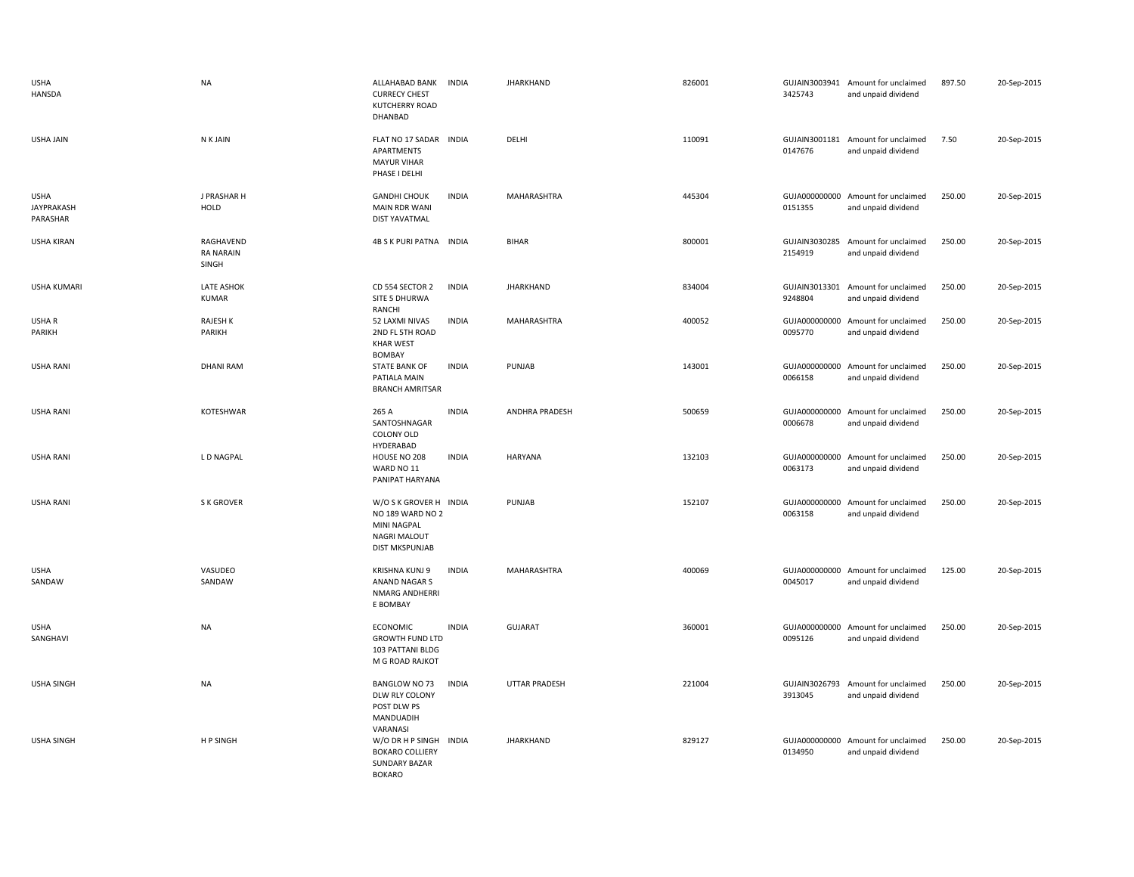| <b>USHA</b><br><b>HANSDA</b>                 | <b>NA</b>                              | ALLAHABAD BANK<br><b>CURRECY CHEST</b><br><b>KUTCHERRY ROAD</b><br>DHANBAD                         | <b>INDIA</b> | <b>JHARKHAND</b> | 826001 | 3425743                  | GUJAIN3003941 Amount for unclaimed<br>and unpaid dividend | 897.50 | 20-Sep-2015 |
|----------------------------------------------|----------------------------------------|----------------------------------------------------------------------------------------------------|--------------|------------------|--------|--------------------------|-----------------------------------------------------------|--------|-------------|
| <b>USHA JAIN</b>                             | N K JAIN                               | FLAT NO 17 SADAR INDIA<br>APARTMENTS<br><b>MAYUR VIHAR</b><br>PHASE I DELHI                        |              | DELHI            | 110091 | 0147676                  | GUJAIN3001181 Amount for unclaimed<br>and unpaid dividend | 7.50   | 20-Sep-2015 |
| <b>USHA</b><br><b>JAYPRAKASH</b><br>PARASHAR | J PRASHAR H<br><b>HOLD</b>             | <b>GANDHI CHOUK</b><br><b>MAIN RDR WANI</b><br><b>DIST YAVATMAL</b>                                | <b>INDIA</b> | MAHARASHTRA      | 445304 | GUJA000000000<br>0151355 | Amount for unclaimed<br>and unpaid dividend               | 250.00 | 20-Sep-2015 |
| <b>USHA KIRAN</b>                            | RAGHAVEND<br><b>RA NARAIN</b><br>SINGH | 4B S K PURI PATNA INDIA                                                                            |              | <b>BIHAR</b>     | 800001 | GUJAIN3030285<br>2154919 | Amount for unclaimed<br>and unpaid dividend               | 250.00 | 20-Sep-2015 |
| <b>USHA KUMARI</b>                           | LATE ASHOK<br><b>KUMAR</b>             | CD 554 SECTOR 2<br>SITE 5 DHURWA<br>RANCHI                                                         | <b>INDIA</b> | <b>JHARKHAND</b> | 834004 | GUJAIN3013301<br>9248804 | Amount for unclaimed<br>and unpaid dividend               | 250.00 | 20-Sep-2015 |
| USHA R<br>PARIKH                             | <b>RAJESH K</b><br>PARIKH              | 52 LAXMI NIVAS<br>2ND FL 5TH ROAD<br><b>KHAR WEST</b><br><b>BOMBAY</b>                             | <b>INDIA</b> | MAHARASHTRA      | 400052 | GUJA000000000<br>0095770 | Amount for unclaimed<br>and unpaid dividend               | 250.00 | 20-Sep-2015 |
| <b>USHA RANI</b>                             | <b>DHANI RAM</b>                       | <b>STATE BANK OF</b><br>PATIALA MAIN<br><b>BRANCH AMRITSAR</b>                                     | <b>INDIA</b> | PUNJAB           | 143001 | GUJA000000000<br>0066158 | Amount for unclaimed<br>and unpaid dividend               | 250.00 | 20-Sep-2015 |
| <b>USHA RANI</b>                             | KOTESHWAR                              | 265 A<br>SANTOSHNAGAR<br>COLONY OLD<br>HYDERABAD                                                   | <b>INDIA</b> | ANDHRA PRADESH   | 500659 | GUJA000000000<br>0006678 | Amount for unclaimed<br>and unpaid dividend               | 250.00 | 20-Sep-2015 |
| <b>USHA RANI</b>                             | L D NAGPAL                             | HOUSE NO 208<br>WARD NO 11<br>PANIPAT HARYANA                                                      | <b>INDIA</b> | HARYANA          | 132103 | 0063173                  | GUJA000000000 Amount for unclaimed<br>and unpaid dividend | 250.00 | 20-Sep-2015 |
| <b>USHA RANI</b>                             | S K GROVER                             | W/O S K GROVER H INDIA<br>NO 189 WARD NO 2<br>MINI NAGPAL<br>NAGRI MALOUT<br><b>DIST MKSPUNJAB</b> |              | PUNJAB           | 152107 | GUJA000000000<br>0063158 | Amount for unclaimed<br>and unpaid dividend               | 250.00 | 20-Sep-2015 |
| <b>USHA</b><br>SANDAW                        | VASUDEO<br>SANDAW                      | KRISHNA KUNJ 9<br>ANAND NAGAR S<br>NMARG ANDHERRI<br>E BOMBAY                                      | <b>INDIA</b> | MAHARASHTRA      | 400069 | 0045017                  | GUJA000000000 Amount for unclaimed<br>and unpaid dividend | 125.00 | 20-Sep-2015 |
| <b>USHA</b><br>SANGHAVI                      | <b>NA</b>                              | <b>ECONOMIC</b><br><b>GROWTH FUND LTD</b><br>103 PATTANI BLDG<br>M G ROAD RAJKOT                   | <b>INDIA</b> | <b>GUJARAT</b>   | 360001 | 0095126                  | GUJA000000000 Amount for unclaimed<br>and unpaid dividend | 250.00 | 20-Sep-2015 |
| <b>USHA SINGH</b>                            | <b>NA</b>                              | BANGLOW NO 73<br>DLW RLY COLONY<br>POST DLW PS<br>MANDUADIH                                        | <b>INDIA</b> | UTTAR PRADESH    | 221004 | GUJAIN3026793<br>3913045 | Amount for unclaimed<br>and unpaid dividend               | 250.00 | 20-Sep-2015 |
| <b>USHA SINGH</b>                            | H P SINGH                              | VARANASI<br>W/O DR H P SINGH<br><b>BOKARO COLLIERY</b><br><b>SUNDARY BAZAR</b><br><b>BOKARO</b>    | <b>INDIA</b> | <b>JHARKHAND</b> | 829127 | 0134950                  | GUJA000000000 Amount for unclaimed<br>and unpaid dividend | 250.00 | 20-Sep-2015 |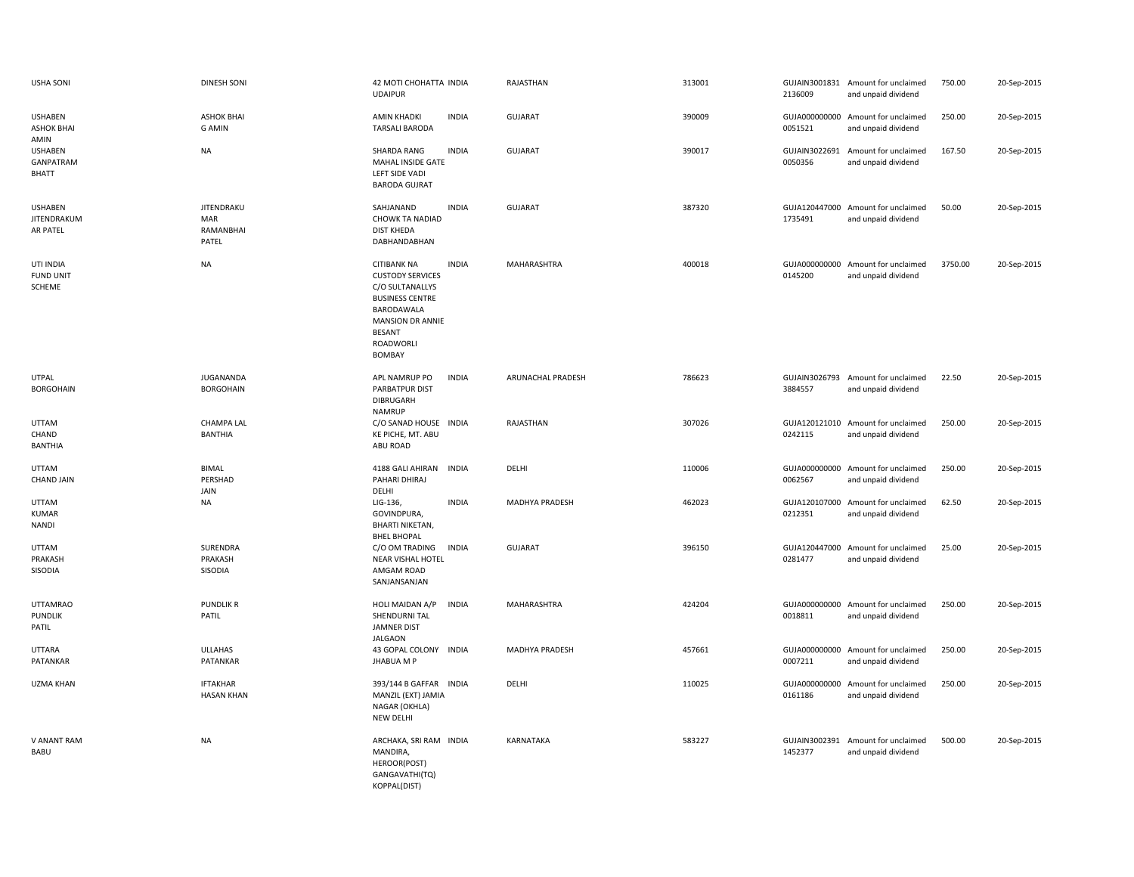| <b>USHA SONI</b>                             | <b>DINESH SONI</b>                             | 42 MOTI CHOHATTA INDIA<br><b>UDAIPUR</b>                                                                                                                                                    | RAJASTHAN                | 313001 | 2136009                  | GUJAIN3001831 Amount for unclaimed<br>and unpaid dividend | 750.00  | 20-Sep-2015 |
|----------------------------------------------|------------------------------------------------|---------------------------------------------------------------------------------------------------------------------------------------------------------------------------------------------|--------------------------|--------|--------------------------|-----------------------------------------------------------|---------|-------------|
| <b>USHABEN</b><br><b>ASHOK BHAI</b><br>AMIN  | <b>ASHOK BHAI</b><br><b>G AMIN</b>             | <b>AMIN KHADKI</b><br><b>INDIA</b><br><b>TARSALI BARODA</b>                                                                                                                                 | <b>GUJARAT</b>           | 390009 | 0051521                  | GUJA000000000 Amount for unclaimed<br>and unpaid dividend | 250.00  | 20-Sep-2015 |
| <b>USHABEN</b><br>GANPATRAM<br><b>BHATT</b>  | <b>NA</b>                                      | SHARDA RANG<br><b>INDIA</b><br>MAHAL INSIDE GATE<br>LEFT SIDE VADI<br><b>BARODA GUJRAT</b>                                                                                                  | <b>GUJARAT</b>           | 390017 | GUJAIN3022691<br>0050356 | Amount for unclaimed<br>and unpaid dividend               | 167.50  | 20-Sep-2015 |
| <b>USHABEN</b><br>JITENDRAKUM<br>AR PATEL    | <b>JITENDRAKU</b><br>MAR<br>RAMANBHAI<br>PATEL | SAHJANAND<br><b>INDIA</b><br><b>CHOWK TA NADIAD</b><br><b>DIST KHEDA</b><br>DABHANDABHAN                                                                                                    | <b>GUJARAT</b>           | 387320 | GUJA120447000<br>1735491 | Amount for unclaimed<br>and unpaid dividend               | 50.00   | 20-Sep-2015 |
| UTI INDIA<br><b>FUND UNIT</b><br>SCHEME      | <b>NA</b>                                      | <b>CITIBANK NA</b><br><b>INDIA</b><br><b>CUSTODY SERVICES</b><br>C/O SULTANALLYS<br><b>BUSINESS CENTRE</b><br>BARODAWALA<br><b>MANSION DR ANNIE</b><br><b>BESANT</b><br>ROADWORLI<br>BOMBAY | MAHARASHTRA              | 400018 | GUJA000000000<br>0145200 | Amount for unclaimed<br>and unpaid dividend               | 3750.00 | 20-Sep-2015 |
| <b>UTPAL</b><br><b>BORGOHAIN</b>             | <b>JUGANANDA</b><br><b>BORGOHAIN</b>           | <b>INDIA</b><br>APL NAMRUP PO<br>PARBATPUR DIST<br>DIBRUGARH<br><b>NAMRUP</b>                                                                                                               | <b>ARUNACHAL PRADESH</b> | 786623 | 3884557                  | GUJAIN3026793 Amount for unclaimed<br>and unpaid dividend | 22.50   | 20-Sep-2015 |
| <b>UTTAM</b><br>CHAND<br><b>BANTHIA</b>      | <b>CHAMPA LAL</b><br><b>BANTHIA</b>            | C/O SANAD HOUSE INDIA<br>KE PICHE, MT. ABU<br>ABU ROAD                                                                                                                                      | RAJASTHAN                | 307026 | 0242115                  | GUJA120121010 Amount for unclaimed<br>and unpaid dividend | 250.00  | 20-Sep-2015 |
| <b>UTTAM</b><br><b>CHAND JAIN</b>            | <b>BIMAL</b><br>PERSHAD<br>JAIN                | 4188 GALI AHIRAN INDIA<br>PAHARI DHIRAJ<br>DELHI                                                                                                                                            | DELHI                    | 110006 | 0062567                  | GUJA000000000 Amount for unclaimed<br>and unpaid dividend | 250.00  | 20-Sep-2015 |
| <b>UTTAM</b><br><b>KUMAR</b><br><b>NANDI</b> | <b>NA</b>                                      | <b>INDIA</b><br>LIG-136,<br>GOVINDPURA,<br><b>BHARTI NIKETAN,</b><br><b>BHEL BHOPAL</b>                                                                                                     | MADHYA PRADESH           | 462023 | 0212351                  | GUJA120107000 Amount for unclaimed<br>and unpaid dividend | 62.50   | 20-Sep-2015 |
| UTTAM<br>PRAKASH<br>SISODIA                  | SURENDRA<br>PRAKASH<br>SISODIA                 | C/O OM TRADING<br><b>INDIA</b><br>NEAR VISHAL HOTEL<br>AMGAM ROAD<br>SANJANSANJAN                                                                                                           | <b>GUJARAT</b>           | 396150 | 0281477                  | GUJA120447000 Amount for unclaimed<br>and unpaid dividend | 25.00   | 20-Sep-2015 |
| <b>UTTAMRAO</b><br><b>PUNDLIK</b><br>PATIL   | <b>PUNDLIK R</b><br>PATIL                      | <b>INDIA</b><br>HOLI MAIDAN A/P<br>SHENDURNI TAL<br><b>JAMNER DIST</b><br><b>JALGAON</b>                                                                                                    | MAHARASHTRA              | 424204 | 0018811                  | GUJA000000000 Amount for unclaimed<br>and unpaid dividend | 250.00  | 20-Sep-2015 |
| <b>UTTARA</b><br>PATANKAR                    | <b>ULLAHAS</b><br>PATANKAR                     | 43 GOPAL COLONY INDIA<br><b>JHABUA M P</b>                                                                                                                                                  | MADHYA PRADESH           | 457661 | GUJA000000000<br>0007211 | Amount for unclaimed<br>and unpaid dividend               | 250.00  | 20-Sep-2015 |
| <b>UZMA KHAN</b>                             | <b>IFTAKHAR</b><br><b>HASAN KHAN</b>           | 393/144 B GAFFAR INDIA<br>MANZIL (EXT) JAMIA<br>NAGAR (OKHLA)<br>NEW DELHI                                                                                                                  | DELHI                    | 110025 | GUJA000000000<br>0161186 | Amount for unclaimed<br>and unpaid dividend               | 250.00  | 20-Sep-2015 |
| V ANANT RAM<br>BABU                          | <b>NA</b>                                      | ARCHAKA, SRI RAM INDIA<br>MANDIRA,<br>HEROOR(POST)<br>GANGAVATHI(TQ)<br>KOPPAL(DIST)                                                                                                        | <b>KARNATAKA</b>         | 583227 | 1452377                  | GUJAIN3002391 Amount for unclaimed<br>and unpaid dividend | 500.00  | 20-Sep-2015 |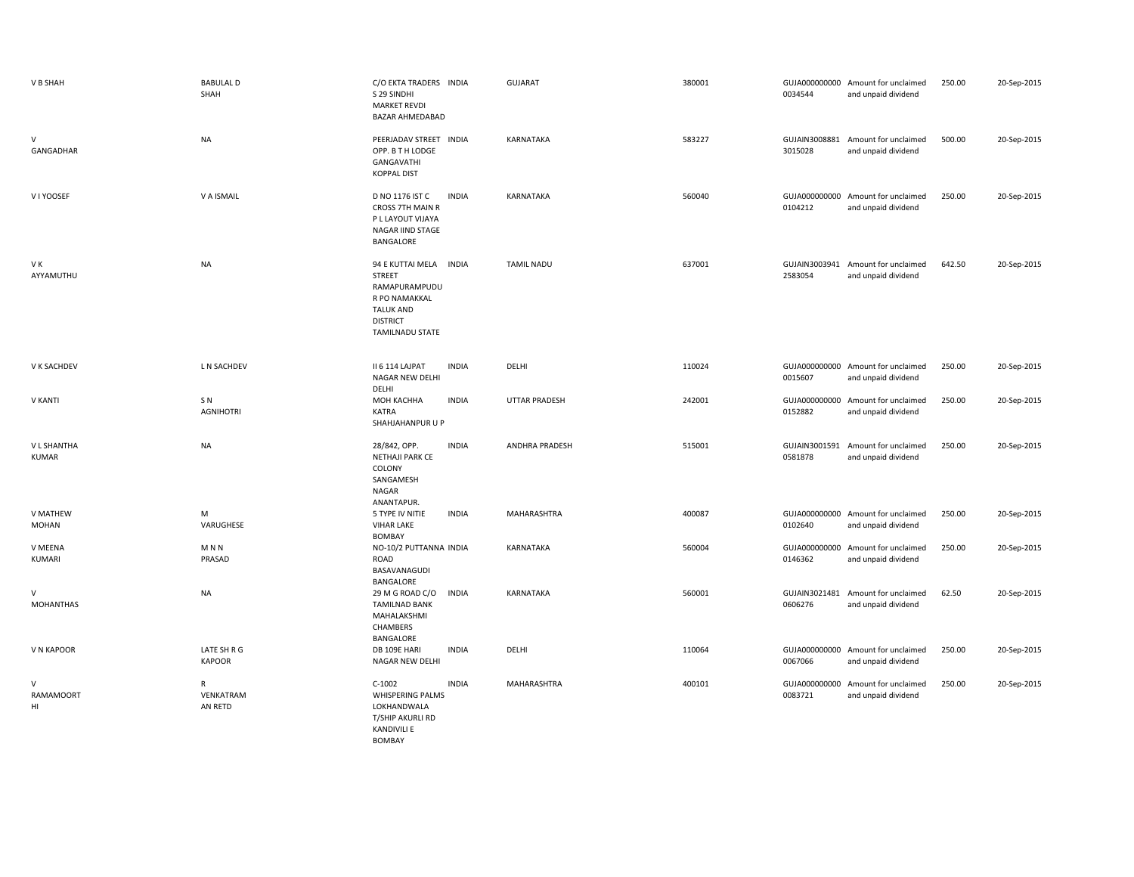| V B SHAH                               | <b>BABULAL D</b><br>SHAH           | C/O EKTA TRADERS INDIA<br>S 29 SINDHI<br><b>MARKET REVDI</b><br>BAZAR AHMEDABAD                                                            | <b>GUJARAT</b>       | 380001 | 0034544                  | GUJA000000000 Amount for unclaimed<br>and unpaid dividend | 250.00 | 20-Sep-2015 |
|----------------------------------------|------------------------------------|--------------------------------------------------------------------------------------------------------------------------------------------|----------------------|--------|--------------------------|-----------------------------------------------------------|--------|-------------|
| $\vee$<br>GANGADHAR                    | <b>NA</b>                          | PEERJADAV STREET INDIA<br>OPP. B T H LODGE<br>GANGAVATHI<br><b>KOPPAL DIST</b>                                                             | KARNATAKA            | 583227 | 3015028                  | GUJAIN3008881 Amount for unclaimed<br>and unpaid dividend | 500.00 | 20-Sep-2015 |
| V I YOOSEF                             | V A ISMAIL                         | D NO 1176 IST C<br><b>INDIA</b><br><b>CROSS 7TH MAIN R</b><br>P L LAYOUT VIJAYA<br>NAGAR IIND STAGE<br>BANGALORE                           | <b>KARNATAKA</b>     | 560040 | GUJA000000000<br>0104212 | Amount for unclaimed<br>and unpaid dividend               | 250.00 | 20-Sep-2015 |
| V K<br>AYYAMUTHU                       | <b>NA</b>                          | 94 E KUTTAI MELA INDIA<br><b>STREET</b><br>RAMAPURAMPUDU<br>R PO NAMAKKAL<br><b>TALUK AND</b><br><b>DISTRICT</b><br><b>TAMILNADU STATE</b> | <b>TAMIL NADU</b>    | 637001 | 2583054                  | GUJAIN3003941 Amount for unclaimed<br>and unpaid dividend | 642.50 | 20-Sep-2015 |
| V K SACHDEV                            | L N SACHDEV                        | II 6 114 LAJPAT<br><b>INDIA</b><br>NAGAR NEW DELHI<br>DELHI                                                                                | DELHI                | 110024 | 0015607                  | GUJA000000000 Amount for unclaimed<br>and unpaid dividend | 250.00 | 20-Sep-2015 |
| V KANTI                                | SN <sub></sub><br><b>AGNIHOTRI</b> | МОН КАСННА<br><b>INDIA</b><br><b>KATRA</b><br>SHAHJAHANPUR U P                                                                             | <b>UTTAR PRADESH</b> | 242001 | GUJA000000000<br>0152882 | Amount for unclaimed<br>and unpaid dividend               | 250.00 | 20-Sep-2015 |
| V L SHANTHA<br><b>KUMAR</b>            | <b>NA</b>                          | 28/842, OPP.<br><b>INDIA</b><br>NETHAJI PARK CE<br>COLONY<br>SANGAMESH<br>NAGAR<br>ANANTAPUR.                                              | ANDHRA PRADESH       | 515001 | GUJAIN3001591<br>0581878 | Amount for unclaimed<br>and unpaid dividend               | 250.00 | 20-Sep-2015 |
| V MATHEW<br><b>MOHAN</b>               | M<br>VARUGHESE                     | 5 TYPE IV NITIE<br><b>INDIA</b><br><b>VIHAR LAKE</b><br><b>BOMBAY</b>                                                                      | MAHARASHTRA          | 400087 | 0102640                  | GUJA000000000 Amount for unclaimed<br>and unpaid dividend | 250.00 | 20-Sep-2015 |
| V MEENA<br>KUMARI                      | M <sub>N</sub><br>PRASAD           | NO-10/2 PUTTANNA INDIA<br>ROAD<br>BASAVANAGUDI<br>BANGALORE                                                                                | KARNATAKA            | 560004 | GUJA000000000<br>0146362 | Amount for unclaimed<br>and unpaid dividend               | 250.00 | 20-Sep-2015 |
| V<br><b>MOHANTHAS</b>                  | <b>NA</b>                          | 29 M G ROAD C/O<br><b>INDIA</b><br><b>TAMILNAD BANK</b><br>MAHALAKSHMI<br>CHAMBERS<br>BANGALORE                                            | KARNATAKA            | 560001 | 0606276                  | GUJAIN3021481 Amount for unclaimed<br>and unpaid dividend | 62.50  | 20-Sep-2015 |
| V N KAPOOR                             | LATE SH R G<br><b>KAPOOR</b>       | DB 109E HARI<br><b>INDIA</b><br>NAGAR NEW DELHI                                                                                            | DELHI                | 110064 | 0067066                  | GUJA000000000 Amount for unclaimed<br>and unpaid dividend | 250.00 | 20-Sep-2015 |
| $\mathsf{V}$<br><b>RAMAMOORT</b><br>HI | R<br>VENKATRAM<br>AN RETD          | $C-1002$<br><b>INDIA</b><br><b>WHISPERING PALMS</b><br>LOKHANDWALA<br>T/SHIP AKURLI RD<br><b>KANDIVILI E</b>                               | MAHARASHTRA          | 400101 | GUJA000000000<br>0083721 | Amount for unclaimed<br>and unpaid dividend               | 250.00 | 20-Sep-2015 |

BOMBAY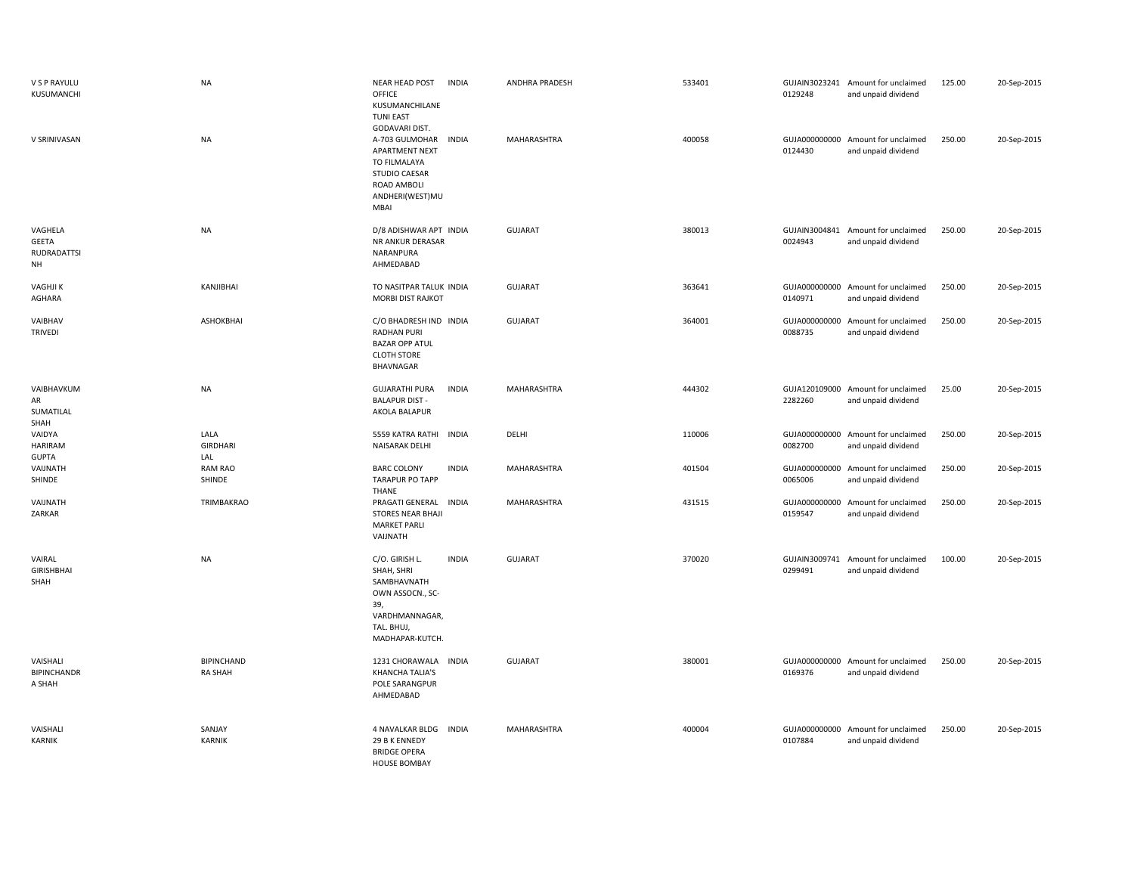| V S P RAYULU<br>KUSUMANCHI                          | <b>NA</b>                           | <b>NEAR HEAD POST</b><br><b>INDIA</b><br>OFFICE<br>KUSUMANCHILANE<br><b>TUNI EAST</b><br>GODAVARI DIST.                                   | ANDHRA PRADESH | 533401 | 0129248 | GUJAIN3023241 Amount for unclaimed<br>and unpaid dividend | 125.00 | 20-Sep-2015 |
|-----------------------------------------------------|-------------------------------------|-------------------------------------------------------------------------------------------------------------------------------------------|----------------|--------|---------|-----------------------------------------------------------|--------|-------------|
| V SRINIVASAN                                        | <b>NA</b>                           | A-703 GULMOHAR INDIA<br>APARTMENT NEXT<br>TO FILMALAYA<br><b>STUDIO CAESAR</b><br>ROAD AMBOLI<br>ANDHERI(WEST)MU<br>MBAI                  | MAHARASHTRA    | 400058 | 0124430 | GUJA000000000 Amount for unclaimed<br>and unpaid dividend | 250.00 | 20-Sep-2015 |
| VAGHELA<br>GEETA<br><b>RUDRADATTSI</b><br><b>NH</b> | <b>NA</b>                           | D/8 ADISHWAR APT INDIA<br>NR ANKUR DERASAR<br>NARANPURA<br>AHMEDABAD                                                                      | <b>GUJARAT</b> | 380013 | 0024943 | GUJAIN3004841 Amount for unclaimed<br>and unpaid dividend | 250.00 | 20-Sep-2015 |
| <b>VAGHJIK</b><br>AGHARA                            | KANJIBHAI                           | TO NASITPAR TALUK INDIA<br>MORBI DIST RAJKOT                                                                                              | GUJARAT        | 363641 | 0140971 | GUJA000000000 Amount for unclaimed<br>and unpaid dividend | 250.00 | 20-Sep-2015 |
| VAIBHAV<br><b>TRIVEDI</b>                           | ASHOKBHAI                           | C/O BHADRESH IND INDIA<br><b>RADHAN PURI</b><br><b>BAZAR OPP ATUL</b><br><b>CLOTH STORE</b><br><b>BHAVNAGAR</b>                           | GUJARAT        | 364001 | 0088735 | GUJA000000000 Amount for unclaimed<br>and unpaid dividend | 250.00 | 20-Sep-2015 |
| VAIBHAVKUM<br>AR<br>SUMATILAL<br>SHAH               | <b>NA</b>                           | <b>GUJARATHI PURA</b><br>INDIA<br><b>BALAPUR DIST-</b><br>AKOLA BALAPUR                                                                   | MAHARASHTRA    | 444302 | 2282260 | GUJA120109000 Amount for unclaimed<br>and unpaid dividend | 25.00  | 20-Sep-2015 |
| VAIDYA<br><b>HARIRAM</b><br><b>GUPTA</b>            | LALA<br><b>GIRDHARI</b><br>LAL      | 5559 KATRA RATHI<br><b>INDIA</b><br>NAISARAK DELHI                                                                                        | DELHI          | 110006 | 0082700 | GUJA000000000 Amount for unclaimed<br>and unpaid dividend | 250.00 | 20-Sep-2015 |
| VAIJNATH<br>SHINDE                                  | <b>RAM RAO</b><br>SHINDE            | <b>BARC COLONY</b><br><b>INDIA</b><br><b>TARAPUR PO TAPP</b><br>THANE                                                                     | MAHARASHTRA    | 401504 | 0065006 | GUJA000000000 Amount for unclaimed<br>and unpaid dividend | 250.00 | 20-Sep-2015 |
| VAIJNATH<br>ZARKAR                                  | TRIMBAKRAO                          | <b>INDIA</b><br>PRAGATI GENERAL<br><b>STORES NEAR BHAJI</b><br><b>MARKET PARLI</b><br>VAIJNATH                                            | MAHARASHTRA    | 431515 | 0159547 | GUJA000000000 Amount for unclaimed<br>and unpaid dividend | 250.00 | 20-Sep-2015 |
| VAIRAL<br><b>GIRISHBHAI</b><br>SHAH                 | <b>NA</b>                           | C/O. GIRISH L.<br><b>INDIA</b><br>SHAH, SHRI<br>SAMBHAVNATH<br>OWN ASSOCN., SC-<br>39,<br>VARDHMANNAGAR,<br>TAL. BHUJ,<br>MADHAPAR-KUTCH. | GUJARAT        | 370020 | 0299491 | GUJAIN3009741 Amount for unclaimed<br>and unpaid dividend | 100.00 | 20-Sep-2015 |
| VAISHALI<br><b>BIPINCHANDR</b><br>A SHAH            | <b>BIPINCHAND</b><br><b>RA SHAH</b> | 1231 CHORAWALA INDIA<br><b>KHANCHA TALIA'S</b><br>POLE SARANGPUR<br>AHMEDABAD                                                             | GUJARAT        | 380001 | 0169376 | GUJA000000000 Amount for unclaimed<br>and unpaid dividend | 250.00 | 20-Sep-2015 |
| VAISHALI<br>KARNIK                                  | SANJAY<br><b>KARNIK</b>             | 4 NAVALKAR BLDG<br><b>INDIA</b><br>29 B K ENNEDY<br><b>BRIDGE OPERA</b><br><b>HOUSE BOMBAY</b>                                            | MAHARASHTRA    | 400004 | 0107884 | GUJA000000000 Amount for unclaimed<br>and unpaid dividend | 250.00 | 20-Sep-2015 |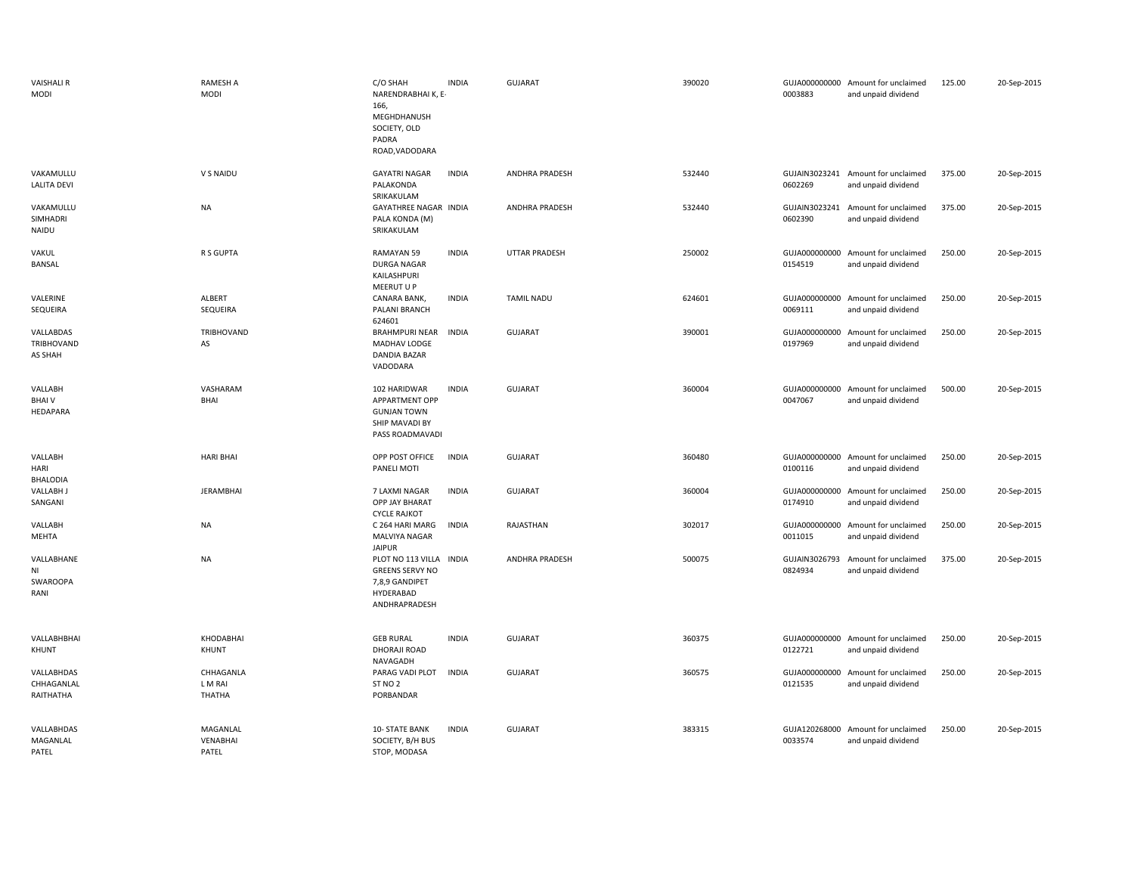| <b>VAISHALI R</b><br>MODI             | <b>RAMESH A</b><br><b>MODI</b>        | C/O SHAH<br>NARENDRABHAI K, E-<br>166,<br>MEGHDHANUSH<br>SOCIETY, OLD<br>PADRA<br>ROAD, VADODARA | <b>INDIA</b> | <b>GUJARAT</b>    | 390020 | 0003883                  | GUJA000000000 Amount for unclaimed<br>and unpaid dividend | 125.00 | 20-Sep-2015 |
|---------------------------------------|---------------------------------------|--------------------------------------------------------------------------------------------------|--------------|-------------------|--------|--------------------------|-----------------------------------------------------------|--------|-------------|
| VAKAMULLU<br><b>LALITA DEVI</b>       | V S NAIDU                             | <b>GAYATRI NAGAR</b><br>PALAKONDA<br>SRIKAKULAM                                                  | <b>INDIA</b> | ANDHRA PRADESH    | 532440 | 0602269                  | GUJAIN3023241 Amount for unclaimed<br>and unpaid dividend | 375.00 | 20-Sep-2015 |
| VAKAMULLU<br>SIMHADRI<br>NAIDU        | <b>NA</b>                             | GAYATHREE NAGAR INDIA<br>PALA KONDA (M)<br>SRIKAKULAM                                            |              | ANDHRA PRADESH    | 532440 | 0602390                  | GUJAIN3023241 Amount for unclaimed<br>and unpaid dividend | 375.00 | 20-Sep-2015 |
| VAKUL<br>BANSAL                       | R S GUPTA                             | RAMAYAN 59<br><b>DURGA NAGAR</b><br>KAILASHPURI<br>MEERUT U P                                    | <b>INDIA</b> | UTTAR PRADESH     | 250002 | 0154519                  | GUJA000000000 Amount for unclaimed<br>and unpaid dividend | 250.00 | 20-Sep-2015 |
| VALERINE<br><b>SEQUEIRA</b>           | ALBERT<br>SEQUEIRA                    | CANARA BANK,<br>PALANI BRANCH<br>624601                                                          | <b>INDIA</b> | <b>TAMIL NADU</b> | 624601 | GUJA000000000<br>0069111 | Amount for unclaimed<br>and unpaid dividend               | 250.00 | 20-Sep-2015 |
| VALLABDAS<br>TRIBHOVAND<br>AS SHAH    | TRIBHOVAND<br>AS                      | <b>BRAHMPURI NEAR</b><br>MADHAV LODGE<br>DANDIA BAZAR<br>VADODARA                                | <b>INDIA</b> | GUJARAT           | 390001 | GUJA000000000<br>0197969 | Amount for unclaimed<br>and unpaid dividend               | 250.00 | 20-Sep-2015 |
| VALLABH<br><b>BHAIV</b><br>HEDAPARA   | VASHARAM<br>BHAI                      | 102 HARIDWAR<br>APPARTMENT OPP<br><b>GUNJAN TOWN</b><br>SHIP MAVADI BY<br>PASS ROADMAVADI        | <b>INDIA</b> | GUJARAT           | 360004 | GUJA000000000<br>0047067 | Amount for unclaimed<br>and unpaid dividend               | 500.00 | 20-Sep-2015 |
| VALLABH<br>HARI<br><b>BHALODIA</b>    | <b>HARI BHAI</b>                      | OPP POST OFFICE<br>PANELI MOTI                                                                   | <b>INDIA</b> | GUJARAT           | 360480 | 0100116                  | GUJA000000000 Amount for unclaimed<br>and unpaid dividend | 250.00 | 20-Sep-2015 |
| <b>VALLABH J</b><br>SANGANI           | <b>JERAMBHAI</b>                      | 7 LAXMI NAGAR<br>OPP JAY BHARAT<br><b>CYCLE RAJKOT</b>                                           | <b>INDIA</b> | GUJARAT           | 360004 | 0174910                  | GUJA000000000 Amount for unclaimed<br>and unpaid dividend | 250.00 | 20-Sep-2015 |
| VALLABH<br>MEHTA                      | <b>NA</b>                             | C 264 HARI MARG<br>MALVIYA NAGAR<br><b>JAIPUR</b>                                                | <b>INDIA</b> | RAJASTHAN         | 302017 | 0011015                  | GUJA000000000 Amount for unclaimed<br>and unpaid dividend | 250.00 | 20-Sep-2015 |
| VALLABHANE<br>ΝI<br>SWAROOPA<br>RANI  | <b>NA</b>                             | PLOT NO 113 VILLA<br><b>GREENS SERVY NO</b><br>7,8,9 GANDIPET<br>HYDERABAD<br>ANDHRAPRADESH      | <b>INDIA</b> | ANDHRA PRADESH    | 500075 | GUJAIN3026793<br>0824934 | Amount for unclaimed<br>and unpaid dividend               | 375.00 | 20-Sep-2015 |
| VALLABHBHAI<br>KHUNT                  | KHODABHAI<br>KHUNT                    | <b>GEB RURAL</b><br>DHORAJI ROAD                                                                 | <b>INDIA</b> | GUJARAT           | 360375 | 0122721                  | GUJA000000000 Amount for unclaimed<br>and unpaid dividend | 250.00 | 20-Sep-2015 |
| VALLABHDAS<br>CHHAGANLAL<br>RAITHATHA | CHHAGANLA<br>L M RAI<br><b>THATHA</b> | NAVAGADH<br>PARAG VADI PLOT<br>ST <sub>NO</sub> 2<br>PORBANDAR                                   | <b>INDIA</b> | GUJARAT           | 360575 | GUJA000000000<br>0121535 | Amount for unclaimed<br>and unpaid dividend               | 250.00 | 20-Sep-2015 |
| VALLABHDAS<br>MAGANLAL<br>PATEL       | MAGANLAL<br>VENABHAI<br>PATEL         | 10- STATE BANK<br>SOCIETY, B/H BUS<br>STOP, MODASA                                               | <b>INDIA</b> | <b>GUJARAT</b>    | 383315 | 0033574                  | GUJA120268000 Amount for unclaimed<br>and unpaid dividend | 250.00 | 20-Sep-2015 |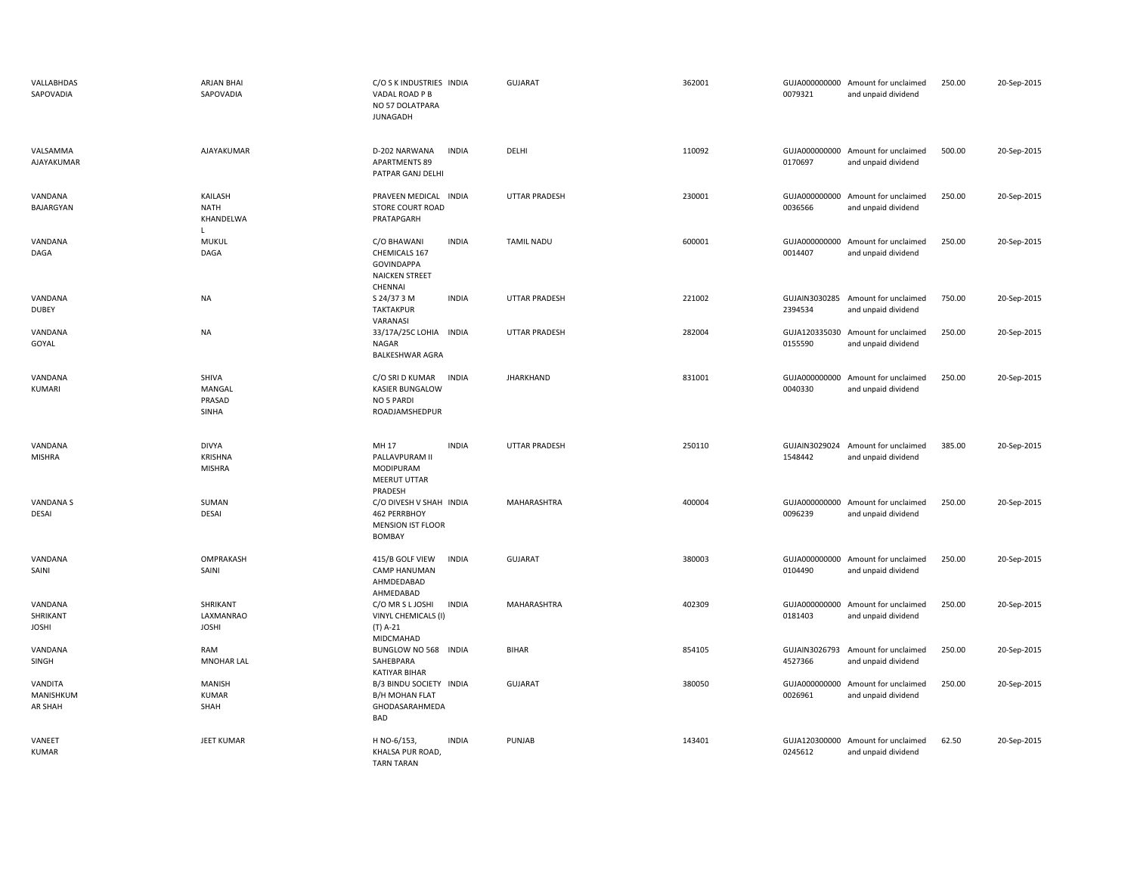| VALLABHDAS<br>SAPOVADIA             | <b>ARJAN BHAI</b><br>SAPOVADIA                  | C/O S K INDUSTRIES INDIA<br>VADAL ROAD P B<br>NO 57 DOLATPARA<br><b>JUNAGADH</b>                         | <b>GUJARAT</b>       | 362001 | 0079321                  | GUJA000000000 Amount for unclaimed<br>and unpaid dividend | 250.00 | 20-Sep-2015 |
|-------------------------------------|-------------------------------------------------|----------------------------------------------------------------------------------------------------------|----------------------|--------|--------------------------|-----------------------------------------------------------|--------|-------------|
| VALSAMMA<br>AJAYAKUMAR              | AJAYAKUMAR                                      | <b>INDIA</b><br>D-202 NARWANA<br><b>APARTMENTS 89</b><br>PATPAR GANJ DELHI                               | DELHI                | 110092 | 0170697                  | GUJA000000000 Amount for unclaimed<br>and unpaid dividend | 500.00 | 20-Sep-2015 |
| VANDANA<br>BAJARGYAN                | KAILASH<br><b>NATH</b><br>KHANDELWA<br>L.       | PRAVEEN MEDICAL INDIA<br><b>STORE COURT ROAD</b><br>PRATAPGARH                                           | <b>UTTAR PRADESH</b> | 230001 | 0036566                  | GUJA000000000 Amount for unclaimed<br>and unpaid dividend | 250.00 | 20-Sep-2015 |
| VANDANA<br>DAGA                     | <b>MUKUL</b><br>DAGA                            | C/O BHAWANI<br><b>INDIA</b><br>CHEMICALS 167<br><b>GOVINDAPPA</b><br><b>NAICKEN STREET</b><br>CHENNAI    | <b>TAMIL NADU</b>    | 600001 | 0014407                  | GUJA000000000 Amount for unclaimed<br>and unpaid dividend | 250.00 | 20-Sep-2015 |
| VANDANA<br><b>DUBEY</b>             | <b>NA</b>                                       | <b>INDIA</b><br>S 24/37 3 M<br><b>TAKTAKPUR</b><br>VARANASI                                              | <b>UTTAR PRADESH</b> | 221002 | 2394534                  | GUJAIN3030285 Amount for unclaimed<br>and unpaid dividend | 750.00 | 20-Sep-2015 |
| VANDANA<br>GOYAL                    | <b>NA</b>                                       | 33/17A/25C LOHIA INDIA<br>NAGAR<br><b>BALKESHWAR AGRA</b>                                                | <b>UTTAR PRADESH</b> | 282004 | GUJA120335030<br>0155590 | Amount for unclaimed<br>and unpaid dividend               | 250.00 | 20-Sep-2015 |
| VANDANA<br>KUMARI                   | SHIVA<br>MANGAL<br>PRASAD<br>SINHA              | <b>INDIA</b><br>C/O SRI D KUMAR<br><b>KASIER BUNGALOW</b><br>NO 5 PARDI<br>ROADJAMSHEDPUR                | <b>JHARKHAND</b>     | 831001 | 0040330                  | GUJA000000000 Amount for unclaimed<br>and unpaid dividend | 250.00 | 20-Sep-2015 |
| VANDANA<br><b>MISHRA</b>            | <b>DIVYA</b><br><b>KRISHNA</b><br><b>MISHRA</b> | MH 17<br><b>INDIA</b><br>PALLAVPURAM II<br><b>MODIPURAM</b><br><b>MEERUT UTTAR</b>                       | <b>UTTAR PRADESH</b> | 250110 | 1548442                  | GUJAIN3029024 Amount for unclaimed<br>and unpaid dividend | 385.00 | 20-Sep-2015 |
|                                     |                                                 |                                                                                                          |                      |        |                          |                                                           |        |             |
| VANDANA S<br>DESAI                  | SUMAN<br><b>DESAI</b>                           | PRADESH<br>C/O DIVESH V SHAH INDIA<br>462 PERRBHOY<br><b>MENSION IST FLOOR</b><br><b>BOMBAY</b>          | MAHARASHTRA          | 400004 | 0096239                  | GUJA000000000 Amount for unclaimed<br>and unpaid dividend | 250.00 | 20-Sep-2015 |
| VANDANA<br>SAINI                    | OMPRAKASH<br>SAINI                              | 415/B GOLF VIEW<br><b>INDIA</b><br><b>CAMP HANUMAN</b><br>AHMDEDABAD                                     | GUJARAT              | 380003 | 0104490                  | GUJA000000000 Amount for unclaimed<br>and unpaid dividend | 250.00 | 20-Sep-2015 |
| VANDANA<br>SHRIKANT<br><b>JOSHI</b> | SHRIKANT<br>LAXMANRAO<br><b>JOSHI</b>           | AHMEDABAD<br>C/O MR S L JOSHI<br><b>INDIA</b><br>VINYL CHEMICALS (I)<br>$(T)$ A-21                       | MAHARASHTRA          | 402309 | 0181403                  | GUJA000000000 Amount for unclaimed<br>and unpaid dividend | 250.00 | 20-Sep-2015 |
| VANDANA<br>SINGH                    | RAM<br><b>MNOHAR LAL</b>                        | MIDCMAHAD<br>BUNGLOW NO 568 INDIA<br>SAHEBPARA                                                           | <b>BIHAR</b>         | 854105 | GUJAIN3026793<br>4527366 | Amount for unclaimed<br>and unpaid dividend               | 250.00 | 20-Sep-2015 |
| VANDITA<br>MANISHKUM<br>AR SHAH     | MANISH<br><b>KUMAR</b><br>SHAH                  | <b>KATIYAR BIHAR</b><br>B/3 BINDU SOCIETY INDIA<br><b>B/H MOHAN FLAT</b><br>GHODASARAHMEDA<br><b>BAD</b> | <b>GUJARAT</b>       | 380050 | GUJA000000000<br>0026961 | Amount for unclaimed<br>and unpaid dividend               | 250.00 | 20-Sep-2015 |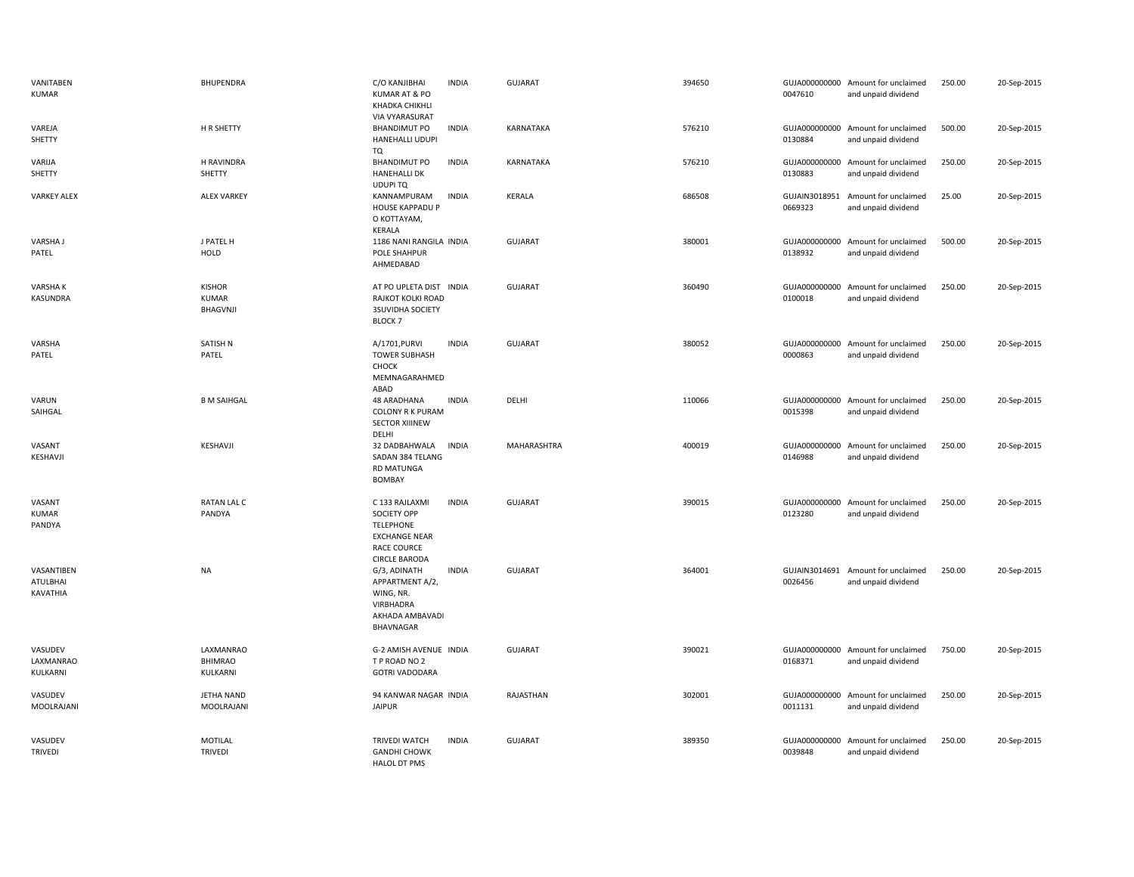| VANITABEN<br><b>KUMAR</b>          | <b>BHUPENDRA</b>                          | C/O KANJIBHAI<br>KUMAR AT & PO<br>KHADKA CHIKHLI<br>VIA VYARASURAT                                                             | <b>INDIA</b> | <b>GUJARAT</b> | 394650 | 0047610 | GUJA000000000 Amount for unclaimed<br>and unpaid dividend | 250.00 | 20-Sep-2015 |
|------------------------------------|-------------------------------------------|--------------------------------------------------------------------------------------------------------------------------------|--------------|----------------|--------|---------|-----------------------------------------------------------|--------|-------------|
| VAREJA<br>SHETTY                   | H R SHETTY                                | <b>BHANDIMUT PO</b><br>HANEHALLI UDUPI<br>TQ                                                                                   | <b>INDIA</b> | KARNATAKA      | 576210 | 0130884 | GUJA000000000 Amount for unclaimed<br>and unpaid dividend | 500.00 | 20-Sep-2015 |
| VARIJA<br>SHETTY                   | <b>H RAVINDRA</b><br>SHETTY               | <b>BHANDIMUT PO</b><br><b>HANEHALLI DK</b><br>UDUPI TQ                                                                         | <b>INDIA</b> | KARNATAKA      | 576210 | 0130883 | GUJA000000000 Amount for unclaimed<br>and unpaid dividend | 250.00 | 20-Sep-2015 |
| <b>VARKEY ALEX</b>                 | <b>ALEX VARKEY</b>                        | KANNAMPURAM<br><b>HOUSE KAPPADU P</b><br>O KOTTAYAM,<br>KERALA                                                                 | <b>INDIA</b> | KERALA         | 686508 | 0669323 | GUJAIN3018951 Amount for unclaimed<br>and unpaid dividend | 25.00  | 20-Sep-2015 |
| VARSHA J<br>PATEL                  | J PATEL H<br>HOLD                         | 1186 NANI RANGILA INDIA<br>POLE SHAHPUR<br>AHMEDABAD                                                                           |              | <b>GUJARAT</b> | 380001 | 0138932 | GUJA000000000 Amount for unclaimed<br>and unpaid dividend | 500.00 | 20-Sep-2015 |
| <b>VARSHAK</b><br>KASUNDRA         | <b>KISHOR</b><br><b>KUMAR</b><br>BHAGVNJI | AT PO UPLETA DIST<br>RAJKOT KOLKI ROAD<br><b>3SUVIDHA SOCIETY</b><br><b>BLOCK 7</b>                                            | <b>INDIA</b> | <b>GUJARAT</b> | 360490 | 0100018 | GUJA000000000 Amount for unclaimed<br>and unpaid dividend | 250.00 | 20-Sep-2015 |
| VARSHA<br>PATEL                    | SATISH N<br>PATEL                         | A/1701, PURVI<br><b>TOWER SUBHASH</b><br>CHOCK<br>MEMNAGARAHMED<br>ABAD                                                        | <b>INDIA</b> | <b>GUJARAT</b> | 380052 | 0000863 | GUJA000000000 Amount for unclaimed<br>and unpaid dividend | 250.00 | 20-Sep-2015 |
| VARUN<br>SAIHGAL                   | <b>B M SAIHGAL</b>                        | 48 ARADHANA<br>COLONY R K PURAM<br><b>SECTOR XIIINEW</b><br>DELHI                                                              | <b>INDIA</b> | DELHI          | 110066 | 0015398 | GUJA000000000 Amount for unclaimed<br>and unpaid dividend | 250.00 | 20-Sep-2015 |
| VASANT<br>KESHAVJI                 | KESHAVJI                                  | 32 DADBAHWALA<br>SADAN 384 TELANG<br><b>RD MATUNGA</b><br><b>BOMBAY</b>                                                        | <b>INDIA</b> | MAHARASHTRA    | 400019 | 0146988 | GUJA000000000 Amount for unclaimed<br>and unpaid dividend | 250.00 | 20-Sep-2015 |
| VASANT<br>KUMAR<br>PANDYA          | <b>RATAN LAL C</b><br>PANDYA              | C 133 RAJLAXMI<br><b>SOCIETY OPP</b><br><b>TELEPHONE</b><br><b>EXCHANGE NEAR</b><br><b>RACE COURCE</b><br><b>CIRCLE BARODA</b> | <b>INDIA</b> | <b>GUJARAT</b> | 390015 | 0123280 | GUJA000000000 Amount for unclaimed<br>and unpaid dividend | 250.00 | 20-Sep-2015 |
| VASANTIBEN<br>ATULBHAI<br>KAVATHIA | <b>NA</b>                                 | G/3, ADINATH<br>APPARTMENT A/2,<br>WING, NR.<br>VIRBHADRA<br>AKHADA AMBAVADI<br>BHAVNAGAR                                      | <b>INDIA</b> | <b>GUJARAT</b> | 364001 | 0026456 | GUJAIN3014691 Amount for unclaimed<br>and unpaid dividend | 250.00 | 20-Sep-2015 |
| VASUDEV<br>LAXMANRAO<br>KULKARNI   | LAXMANRAO<br><b>BHIMRAO</b><br>KULKARNI   | G-2 AMISH AVENUE INDIA<br>T P ROAD NO 2<br><b>GOTRI VADODARA</b>                                                               |              | <b>GUJARAT</b> | 390021 | 0168371 | GUJA000000000 Amount for unclaimed<br>and unpaid dividend | 750.00 | 20-Sep-2015 |
| VASUDEV<br>MOOLRAJANI              | <b>JETHA NAND</b><br>MOOLRAJANI           | 94 KANWAR NAGAR INDIA<br><b>JAIPUR</b>                                                                                         |              | RAJASTHAN      | 302001 | 0011131 | GUJA000000000 Amount for unclaimed<br>and unpaid dividend | 250.00 | 20-Sep-2015 |
| VASUDEV<br><b>TRIVEDI</b>          | MOTILAL<br><b>TRIVEDI</b>                 | <b>TRIVEDI WATCH</b><br><b>GANDHI CHOWK</b><br><b>HALOL DT PMS</b>                                                             | <b>INDIA</b> | <b>GUJARAT</b> | 389350 | 0039848 | GUJA000000000 Amount for unclaimed<br>and unpaid dividend | 250.00 | 20-Sep-2015 |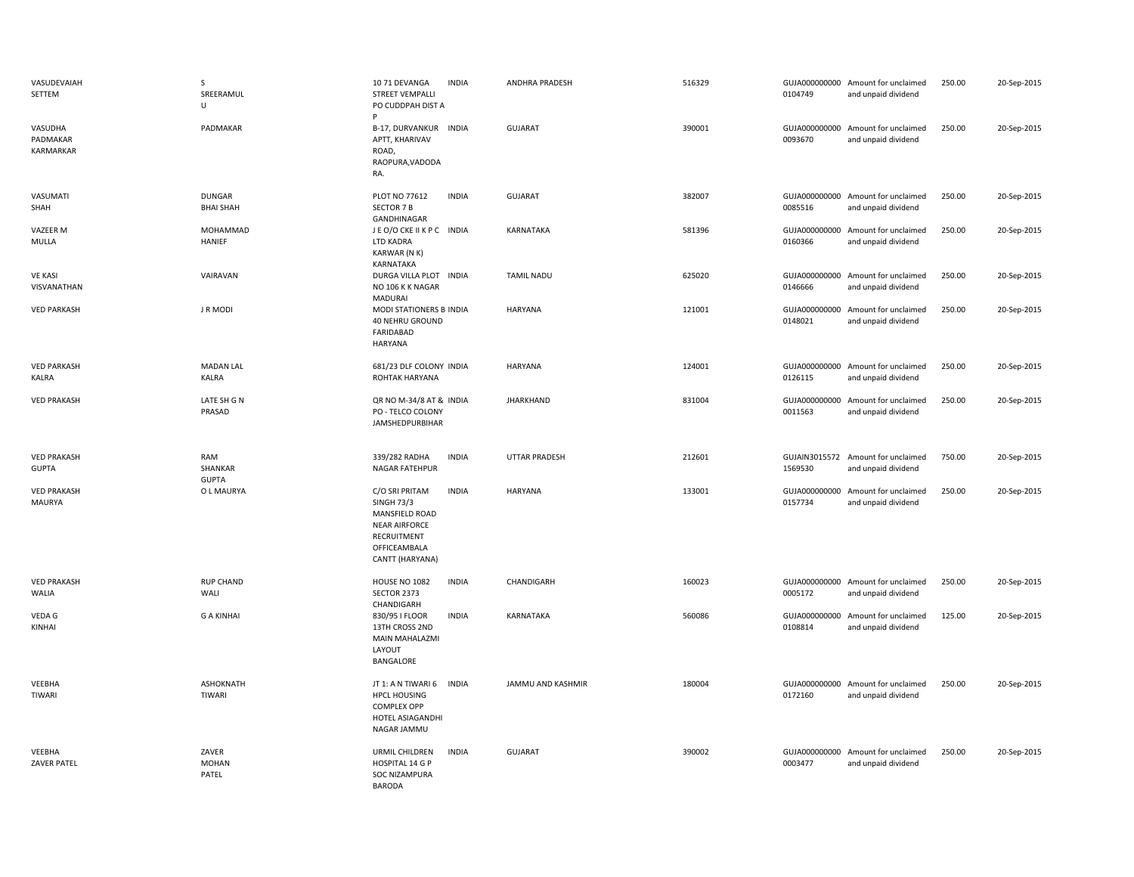| VASUDEVAIAH<br>SETTEM               | S<br>SREERAMUL<br>U               | 1071 DEVANGA<br><b>INDIA</b><br><b>STREET VEMPALLI</b><br>PO CUDDPAH DIST A                                                                     | <b>ANDHRA PRADESH</b> | 516329 | 0104749                  | GUJA000000000 Amount for unclaimed<br>and unpaid dividend | 250.00 | 20-Sep-2015 |
|-------------------------------------|-----------------------------------|-------------------------------------------------------------------------------------------------------------------------------------------------|-----------------------|--------|--------------------------|-----------------------------------------------------------|--------|-------------|
| VASUDHA<br>PADMAKAR<br>KARMARKAR    | PADMAKAR                          | B-17, DURVANKUR<br><b>INDIA</b><br>APTT, KHARIVAV<br>ROAD,<br>RAOPURA, VADODA<br>RA.                                                            | <b>GUJARAT</b>        | 390001 | GUJA000000000<br>0093670 | Amount for unclaimed<br>and unpaid dividend               | 250.00 | 20-Sep-2015 |
| VASUMATI<br>SHAH                    | <b>DUNGAR</b><br><b>BHAI SHAH</b> | PLOT NO 77612<br><b>INDIA</b><br><b>SECTOR 7 B</b><br>GANDHINAGAR                                                                               | <b>GUJARAT</b>        | 382007 | 0085516                  | GUJA000000000 Amount for unclaimed<br>and unpaid dividend | 250.00 | 20-Sep-2015 |
| VAZEER M<br>MULLA                   | MOHAMMAD<br>HANIEF                | JEO/OCKEIIKPC INDIA<br>LTD KADRA<br>KARWAR (N K)<br>KARNATAKA                                                                                   | KARNATAKA             | 581396 | 0160366                  | GUJA000000000 Amount for unclaimed<br>and unpaid dividend | 250.00 | 20-Sep-2015 |
| <b>VE KASI</b><br>VISVANATHAN       | VAIRAVAN                          | DURGA VILLA PLOT INDIA<br>NO 106 K K NAGAR<br><b>MADURAI</b>                                                                                    | <b>TAMIL NADU</b>     | 625020 | GUJA000000000<br>0146666 | Amount for unclaimed<br>and unpaid dividend               | 250.00 | 20-Sep-2015 |
| <b>VED PARKASH</b>                  | J R MODI                          | MODI STATIONERS B-INDIA<br>40 NEHRU GROUND<br>FARIDABAD<br>HARYANA                                                                              | <b>HARYANA</b>        | 121001 | 0148021                  | GUJA000000000 Amount for unclaimed<br>and unpaid dividend | 250.00 | 20-Sep-2015 |
| <b>VED PARKASH</b><br>KALRA         | <b>MADAN LAL</b><br><b>KALRA</b>  | 681/23 DLF COLONY INDIA<br>ROHTAK HARYANA                                                                                                       | <b>HARYANA</b>        | 124001 | 0126115                  | GUJA000000000 Amount for unclaimed<br>and unpaid dividend | 250.00 | 20-Sep-2015 |
| <b>VED PRAKASH</b>                  | LATE SH G N<br>PRASAD             | QR NO M-34/8 AT & INDIA<br>PO - TELCO COLONY<br><b>JAMSHEDPURBIHAR</b>                                                                          | <b>JHARKHAND</b>      | 831004 | GUJA000000000<br>0011563 | Amount for unclaimed<br>and unpaid dividend               | 250.00 | 20-Sep-2015 |
| <b>VED PRAKASH</b><br><b>GUPTA</b>  | RAM<br>SHANKAR<br><b>GUPTA</b>    | 339/282 RADHA<br><b>INDIA</b><br>NAGAR FATEHPUR                                                                                                 | <b>UTTAR PRADESH</b>  | 212601 | GUJAIN3015572<br>1569530 | Amount for unclaimed<br>and unpaid dividend               | 750.00 | 20-Sep-2015 |
| <b>VED PRAKASH</b><br><b>MAURYA</b> | O L MAURYA                        | C/O SRI PRITAM<br><b>INDIA</b><br><b>SINGH 73/3</b><br>MANSFIELD ROAD<br><b>NEAR AIRFORCE</b><br>RECRUITMENT<br>OFFICEAMBALA<br>CANTT (HARYANA) | <b>HARYANA</b>        | 133001 | GUJA000000000<br>0157734 | Amount for unclaimed<br>and unpaid dividend               | 250.00 | 20-Sep-2015 |
| <b>VED PRAKASH</b><br>WALIA         | <b>RUP CHAND</b><br>WALI          | HOUSE NO 1082<br><b>INDIA</b><br>SECTOR 2373<br>CHANDIGARH                                                                                      | CHANDIGARH            | 160023 | 0005172                  | GUJA000000000 Amount for unclaimed<br>and unpaid dividend | 250.00 | 20-Sep-2015 |
| VEDA G<br>KINHAI                    | <b>G A KINHAI</b>                 | 830/95   FLOOR<br><b>INDIA</b><br>13TH CROSS 2ND<br>MAIN MAHALAZMI<br>LAYOUT<br>BANGALORE                                                       | KARNATAKA             | 560086 | 0108814                  | GUJA000000000 Amount for unclaimed<br>and unpaid dividend | 125.00 | 20-Sep-2015 |
| VEEBHA<br>TIWARI                    | ASHOKNATH<br>TIWARI               | JT 1: A N TIWARI 6<br><b>INDIA</b><br><b>HPCL HOUSING</b><br><b>COMPLEX OPP</b><br>HOTEL ASIAGANDHI<br>NAGAR JAMMU                              | JAMMU AND KASHMIR     | 180004 | 0172160                  | GUJA000000000 Amount for unclaimed<br>and unpaid dividend | 250.00 | 20-Sep-2015 |
| VEEBHA<br><b>ZAVER PATEL</b>        | ZAVER<br><b>MOHAN</b><br>PATEL    | <b>INDIA</b><br>URMIL CHILDREN<br>HOSPITAL 14 G P<br><b>SOC NIZAMPURA</b><br><b>BARODA</b>                                                      | GUJARAT               | 390002 | 0003477                  | GUJA000000000 Amount for unclaimed<br>and unpaid dividend | 250.00 | 20-Sep-2015 |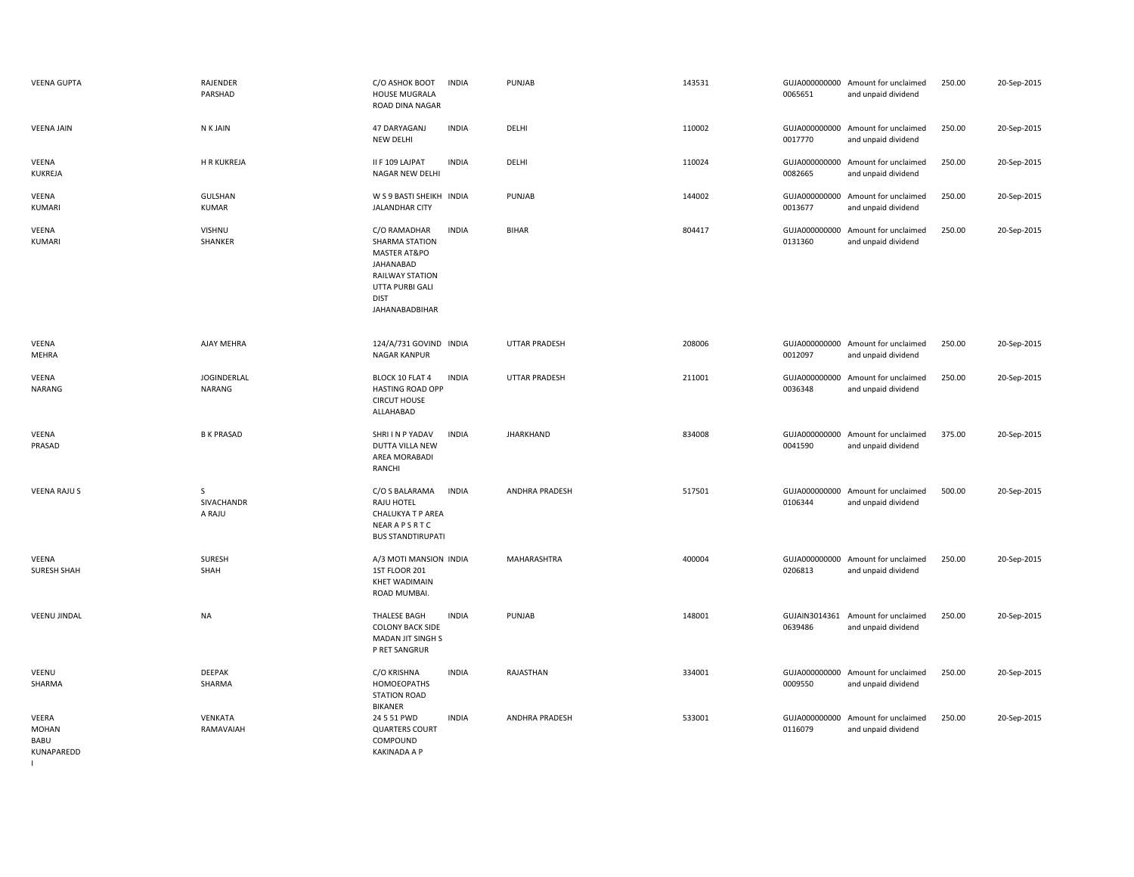| <b>VEENA GUPTA</b>                          | RAJENDER<br>PARSHAD       | C/O ASHOK BOOT<br><b>INDIA</b><br><b>HOUSE MUGRALA</b><br>ROAD DINA NAGAR                                                                                 | PUNJAB               | 143531 | 0065651                  | GUJA000000000 Amount for unclaimed<br>and unpaid dividend | 250.00 | 20-Sep-2015 |
|---------------------------------------------|---------------------------|-----------------------------------------------------------------------------------------------------------------------------------------------------------|----------------------|--------|--------------------------|-----------------------------------------------------------|--------|-------------|
| <b>VEENA JAIN</b>                           | <b>NKJAIN</b>             | 47 DARYAGANJ<br><b>INDIA</b><br>NEW DELHI                                                                                                                 | DELHI                | 110002 | 0017770                  | GUJA000000000 Amount for unclaimed<br>and unpaid dividend | 250.00 | 20-Sep-2015 |
| VEENA<br>KUKREJA                            | <b>H R KUKREJA</b>        | II F 109 LAJPAT<br><b>INDIA</b><br>NAGAR NEW DELHI                                                                                                        | DELHI                | 110024 | GUJA000000000<br>0082665 | Amount for unclaimed<br>and unpaid dividend               | 250.00 | 20-Sep-2015 |
| VEENA<br>KUMARI                             | GULSHAN<br>KUMAR          | W S 9 BASTI SHEIKH INDIA<br>JALANDHAR CITY                                                                                                                | PUNJAB               | 144002 | GUJA000000000<br>0013677 | Amount for unclaimed<br>and unpaid dividend               | 250.00 | 20-Sep-2015 |
| VEENA<br><b>KUMARI</b>                      | VISHNU<br>SHANKER         | C/O RAMADHAR<br><b>INDIA</b><br>SHARMA STATION<br>MASTER AT&PO<br>JAHANABAD<br><b>RAILWAY STATION</b><br>UTTA PURBI GALI<br><b>DIST</b><br>JAHANABADBIHAR | <b>BIHAR</b>         | 804417 | GUJA000000000<br>0131360 | Amount for unclaimed<br>and unpaid dividend               | 250.00 | 20-Sep-2015 |
| VEENA<br>MEHRA                              | AJAY MEHRA                | 124/A/731 GOVIND INDIA<br>NAGAR KANPUR                                                                                                                    | <b>UTTAR PRADESH</b> | 208006 | 0012097                  | GUJA000000000 Amount for unclaimed<br>and unpaid dividend | 250.00 | 20-Sep-2015 |
| VEENA<br><b>NARANG</b>                      | JOGINDERLAL<br>NARANG     | BLOCK 10 FLAT 4<br><b>INDIA</b><br><b>HASTING ROAD OPP</b><br><b>CIRCUT HOUSE</b><br>ALLAHABAD                                                            | <b>UTTAR PRADESH</b> | 211001 | 0036348                  | GUJA000000000 Amount for unclaimed<br>and unpaid dividend | 250.00 | 20-Sep-2015 |
| VEENA<br>PRASAD                             | <b>B K PRASAD</b>         | <b>INDIA</b><br>SHRI I N P YADAV<br>DUTTA VILLA NEW<br>AREA MORABADI<br><b>RANCHI</b>                                                                     | <b>JHARKHAND</b>     | 834008 | 0041590                  | GUJA000000000 Amount for unclaimed<br>and unpaid dividend | 375.00 | 20-Sep-2015 |
| <b>VEENA RAJU S</b>                         | S<br>SIVACHANDR<br>A RAJU | C/O S BALARAMA<br><b>INDIA</b><br>RAJU HOTEL<br>CHALUKYA T P AREA<br>NEARAPSRTC<br><b>BUS STANDTIRUPATI</b>                                               | ANDHRA PRADESH       | 517501 | GUJA000000000<br>0106344 | Amount for unclaimed<br>and unpaid dividend               | 500.00 | 20-Sep-2015 |
| VEENA<br>SURESH SHAH                        | SURESH<br>SHAH            | A/3 MOTI MANSION INDIA<br>1ST FLOOR 201<br><b>KHET WADIMAIN</b><br>ROAD MUMBAI.                                                                           | MAHARASHTRA          | 400004 | 0206813                  | GUJA000000000 Amount for unclaimed<br>and unpaid dividend | 250.00 | 20-Sep-2015 |
| <b>VEENU JINDAL</b>                         | NA                        | <b>INDIA</b><br>THALESE BAGH<br><b>COLONY BACK SIDE</b><br>MADAN JIT SINGH S<br>P RET SANGRUR                                                             | PUNJAB               | 148001 | 0639486                  | GUJAIN3014361 Amount for unclaimed<br>and unpaid dividend | 250.00 | 20-Sep-2015 |
| VEENU<br>SHARMA                             | DEEPAK<br>SHARMA          | C/O KRISHNA<br><b>INDIA</b><br>HOMOEOPATHS<br><b>STATION ROAD</b><br><b>BIKANER</b>                                                                       | RAJASTHAN            | 334001 | 0009550                  | GUJA000000000 Amount for unclaimed<br>and unpaid dividend | 250.00 | 20-Sep-2015 |
| VEERA<br><b>MOHAN</b><br>BABU<br>KUNAPAREDD | VENKATA<br>RAMAVAIAH      | 24 5 51 PWD<br><b>INDIA</b><br><b>QUARTERS COURT</b><br>COMPOUND<br><b>KAKINADA A P</b>                                                                   | ANDHRA PRADESH       | 533001 | GUJA000000000<br>0116079 | Amount for unclaimed<br>and unpaid dividend               | 250.00 | 20-Sep-2015 |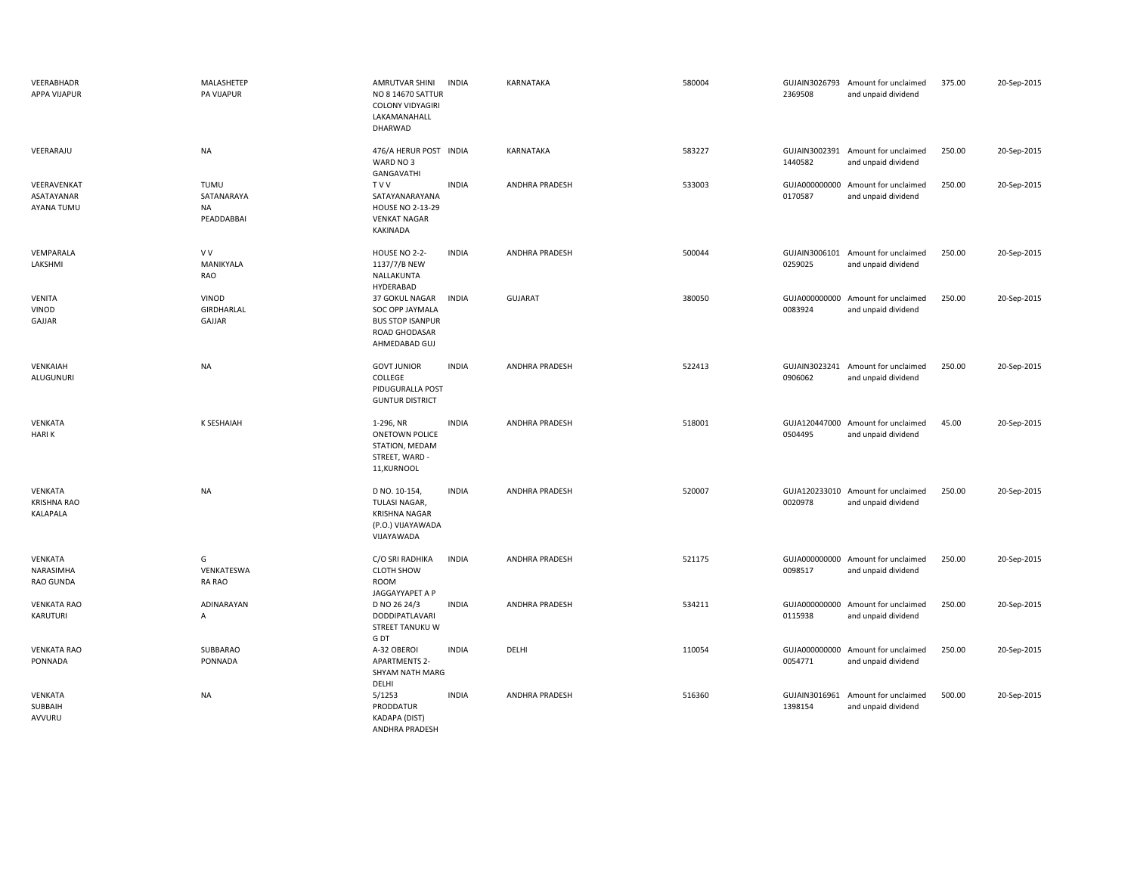| VEERABHADR<br><b>APPA VIJAPUR</b>         | MALASHETEP<br>PA VIJAPUR               | AMRUTVAR SHINI<br>NO 8 14670 SATTUR<br><b>COLONY VIDYAGIRI</b><br>LAKAMANAHALL<br>DHARWAD      | <b>INDIA</b> | KARNATAKA             | 580004 | 2369508                  | GUJAIN3026793 Amount for unclaimed<br>and unpaid dividend | 375.00 | 20-Sep-2015 |
|-------------------------------------------|----------------------------------------|------------------------------------------------------------------------------------------------|--------------|-----------------------|--------|--------------------------|-----------------------------------------------------------|--------|-------------|
| VEERARAJU                                 | <b>NA</b>                              | 476/A HERUR POST INDIA<br>WARD NO 3<br>GANGAVATHI                                              |              | <b>KARNATAKA</b>      | 583227 | 1440582                  | GUJAIN3002391 Amount for unclaimed<br>and unpaid dividend | 250.00 | 20-Sep-2015 |
| VEERAVENKAT<br>ASATAYANAR<br>AYANA TUMU   | TUMU<br>SATANARAYA<br>NA<br>PEADDABBAI | <b>TVV</b><br>SATAYANARAYANA<br><b>HOUSE NO 2-13-29</b><br><b>VENKAT NAGAR</b><br>KAKINADA     | <b>INDIA</b> | <b>ANDHRA PRADESH</b> | 533003 | 0170587                  | GUJA000000000 Amount for unclaimed<br>and unpaid dividend | 250.00 | 20-Sep-2015 |
| VEMPARALA<br>LAKSHMI                      | V V<br>MANIKYALA<br>RAO                | HOUSE NO 2-2-<br>1137/7/B NEW<br>NALLAKUNTA<br>HYDERABAD                                       | <b>INDIA</b> | <b>ANDHRA PRADESH</b> | 500044 | 0259025                  | GUJAIN3006101 Amount for unclaimed<br>and unpaid dividend | 250.00 | 20-Sep-2015 |
| <b>VENITA</b><br>VINOD<br>GAJJAR          | VINOD<br>GIRDHARLAL<br>GAJJAR          | 37 GOKUL NAGAR<br>SOC OPP JAYMALA<br><b>BUS STOP ISANPUR</b><br>ROAD GHODASAR<br>AHMEDABAD GUJ | <b>INDIA</b> | <b>GUJARAT</b>        | 380050 | 0083924                  | GUJA000000000 Amount for unclaimed<br>and unpaid dividend | 250.00 | 20-Sep-2015 |
| VENKAIAH<br>ALUGUNURI                     | <b>NA</b>                              | <b>GOVT JUNIOR</b><br>COLLEGE<br>PIDUGURALLA POST<br><b>GUNTUR DISTRICT</b>                    | <b>INDIA</b> | <b>ANDHRA PRADESH</b> | 522413 | 0906062                  | GUJAIN3023241 Amount for unclaimed<br>and unpaid dividend | 250.00 | 20-Sep-2015 |
| VENKATA<br><b>HARIK</b>                   | <b>K SESHAIAH</b>                      | 1-296, NR<br><b>ONETOWN POLICE</b><br>STATION, MEDAM<br>STREET, WARD -<br>11, KURNOOL          | <b>INDIA</b> | <b>ANDHRA PRADESH</b> | 518001 | 0504495                  | GUJA120447000 Amount for unclaimed<br>and unpaid dividend | 45.00  | 20-Sep-2015 |
| VENKATA<br><b>KRISHNA RAO</b><br>KALAPALA | <b>NA</b>                              | D NO. 10-154,<br>TULASI NAGAR,<br><b>KRISHNA NAGAR</b><br>(P.O.) VIJAYAWADA<br>VIJAYAWADA      | <b>INDIA</b> | <b>ANDHRA PRADESH</b> | 520007 | 0020978                  | GUJA120233010 Amount for unclaimed<br>and unpaid dividend | 250.00 | 20-Sep-2015 |
| VENKATA<br>NARASIMHA<br>RAO GUNDA         | G<br>VENKATESWA<br>RA RAO              | C/O SRI RADHIKA<br><b>CLOTH SHOW</b><br><b>ROOM</b><br>JAGGAYYAPET A P                         | <b>INDIA</b> | <b>ANDHRA PRADESH</b> | 521175 | 0098517                  | GUJA000000000 Amount for unclaimed<br>and unpaid dividend | 250.00 | 20-Sep-2015 |
| <b>VENKATA RAO</b><br>KARUTURI            | ADINARAYAN<br>A                        | D NO 26 24/3<br>DODDIPATLAVARI<br>STREET TANUKU W<br>G DT                                      | <b>INDIA</b> | <b>ANDHRA PRADESH</b> | 534211 | GUJA000000000<br>0115938 | Amount for unclaimed<br>and unpaid dividend               | 250.00 | 20-Sep-2015 |
| <b>VENKATA RAO</b><br>PONNADA             | SUBBARAO<br>PONNADA                    | A-32 OBEROI<br><b>APARTMENTS 2-</b><br>SHYAM NATH MARG<br>DELHI                                | <b>INDIA</b> | DELHI                 | 110054 | 0054771                  | GUJA000000000 Amount for unclaimed<br>and unpaid dividend | 250.00 | 20-Sep-2015 |
| VENKATA<br>SUBBAIH<br>AVVURU              | <b>NA</b>                              | 5/1253<br>PRODDATUR<br>KADAPA (DIST)<br>ANDHRA PRADESH                                         | <b>INDIA</b> | ANDHRA PRADESH        | 516360 | 1398154                  | GUJAIN3016961 Amount for unclaimed<br>and unpaid dividend | 500.00 | 20-Sep-2015 |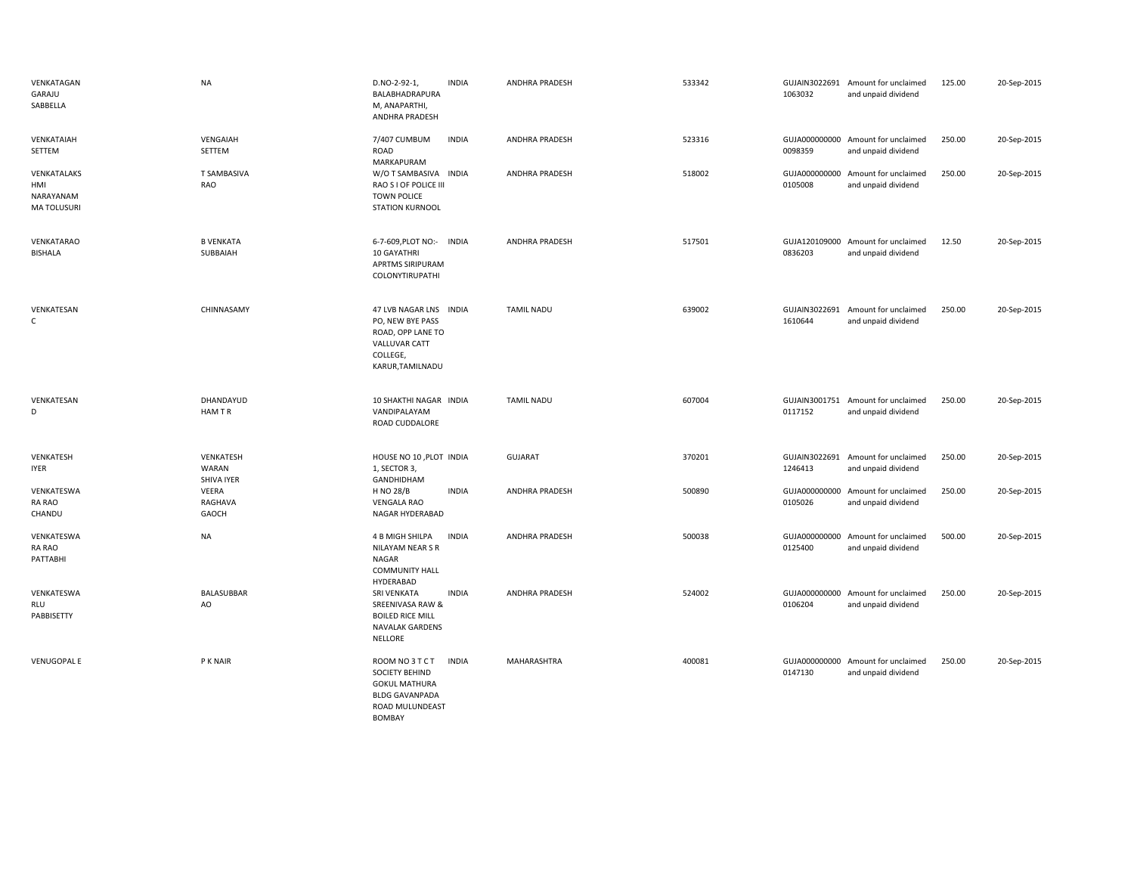| VENKATAGAN<br>GARAJU<br>SABBELLA                      | <b>NA</b>                        | D.NO-2-92-1,<br>BALABHADRAPURA<br>M, ANAPARTHI,<br>ANDHRA PRADESH                                                             | <b>INDIA</b> | <b>ANDHRA PRADESH</b> | 533342 | 1063032                  | GUJAIN3022691 Amount for unclaimed<br>and unpaid dividend | 125.00 | 20-Sep-2015 |
|-------------------------------------------------------|----------------------------------|-------------------------------------------------------------------------------------------------------------------------------|--------------|-----------------------|--------|--------------------------|-----------------------------------------------------------|--------|-------------|
| VENKATAIAH<br>SETTEM                                  | VENGAIAH<br>SETTEM               | 7/407 CUMBUM<br>ROAD<br>MARKAPURAM                                                                                            | <b>INDIA</b> | ANDHRA PRADESH        | 523316 | 0098359                  | GUJA000000000 Amount for unclaimed<br>and unpaid dividend | 250.00 | 20-Sep-2015 |
| VENKATALAKS<br>HMI<br>NARAYANAM<br><b>MA TOLUSURI</b> | T SAMBASIVA<br>RAO               | W/O T SAMBASIVA INDIA<br>RAO S I OF POLICE III<br><b>TOWN POLICE</b><br>STATION KURNOOL                                       |              | ANDHRA PRADESH        | 518002 | GUJA000000000<br>0105008 | Amount for unclaimed<br>and unpaid dividend               | 250.00 | 20-Sep-2015 |
| VENKATARAO<br><b>BISHALA</b>                          | <b>B VENKATA</b><br>SUBBAIAH     | 6-7-609, PLOT NO:- INDIA<br>10 GAYATHRI<br>APRTMS SIRIPURAM<br><b>COLONYTIRUPATHI</b>                                         |              | ANDHRA PRADESH        | 517501 | 0836203                  | GUJA120109000 Amount for unclaimed<br>and unpaid dividend | 12.50  | 20-Sep-2015 |
| VENKATESAN<br>$\mathsf C$                             | CHINNASAMY                       | 47 LVB NAGAR LNS INDIA<br>PO, NEW BYE PASS<br>ROAD, OPP LANE TO<br>VALLUVAR CATT<br>COLLEGE,<br>KARUR, TAMILNADU              |              | <b>TAMIL NADU</b>     | 639002 | 1610644                  | GUJAIN3022691 Amount for unclaimed<br>and unpaid dividend | 250.00 | 20-Sep-2015 |
| VENKATESAN<br>D                                       | DHANDAYUD<br>HAM T R             | 10 SHAKTHI NAGAR INDIA<br>VANDIPALAYAM<br>ROAD CUDDALORE                                                                      |              | <b>TAMIL NADU</b>     | 607004 | 0117152                  | GUJAIN3001751 Amount for unclaimed<br>and unpaid dividend | 250.00 | 20-Sep-2015 |
| VENKATESH<br><b>IYER</b>                              | VENKATESH<br>WARAN<br>SHIVA IYER | HOUSE NO 10, PLOT INDIA<br>1, SECTOR 3,                                                                                       |              | <b>GUJARAT</b>        | 370201 | 1246413                  | GUJAIN3022691 Amount for unclaimed<br>and unpaid dividend | 250.00 | 20-Sep-2015 |
| VENKATESWA<br>RA RAO<br>CHANDU                        | VEERA<br>RAGHAVA<br>GAOCH        | GANDHIDHAM<br>H NO 28/B<br><b>VENGALA RAO</b><br>NAGAR HYDERABAD                                                              | <b>INDIA</b> | ANDHRA PRADESH        | 500890 | GUJA000000000<br>0105026 | Amount for unclaimed<br>and unpaid dividend               | 250.00 | 20-Sep-2015 |
| VENKATESWA<br>RA RAO<br>PATTABHI                      | <b>NA</b>                        | 4 B MIGH SHILPA<br>NILAYAM NEAR S R<br>NAGAR<br><b>COMMUNITY HALL</b><br>HYDERABAD                                            | <b>INDIA</b> | ANDHRA PRADESH        | 500038 | GUJA000000000<br>0125400 | Amount for unclaimed<br>and unpaid dividend               | 500.00 | 20-Sep-2015 |
| VENKATESWA<br>RLU<br>PABBISETTY                       | <b>BALASUBBAR</b><br>AO          | SRI VENKATA<br>SREENIVASA RAW &<br><b>BOILED RICE MILL</b><br>NAVALAK GARDENS<br>NELLORE                                      | <b>INDIA</b> | <b>ANDHRA PRADESH</b> | 524002 | GUJA000000000<br>0106204 | Amount for unclaimed<br>and unpaid dividend               | 250.00 | 20-Sep-2015 |
| <b>VENUGOPAL E</b>                                    | P K NAIR                         | ROOM NO 3 T C T<br><b>SOCIETY BEHIND</b><br><b>GOKUL MATHURA</b><br><b>BLDG GAVANPADA</b><br>ROAD MULUNDEAST<br><b>BOMBAY</b> | <b>INDIA</b> | MAHARASHTRA           | 400081 | GUJA000000000<br>0147130 | Amount for unclaimed<br>and unpaid dividend               | 250.00 | 20-Sep-2015 |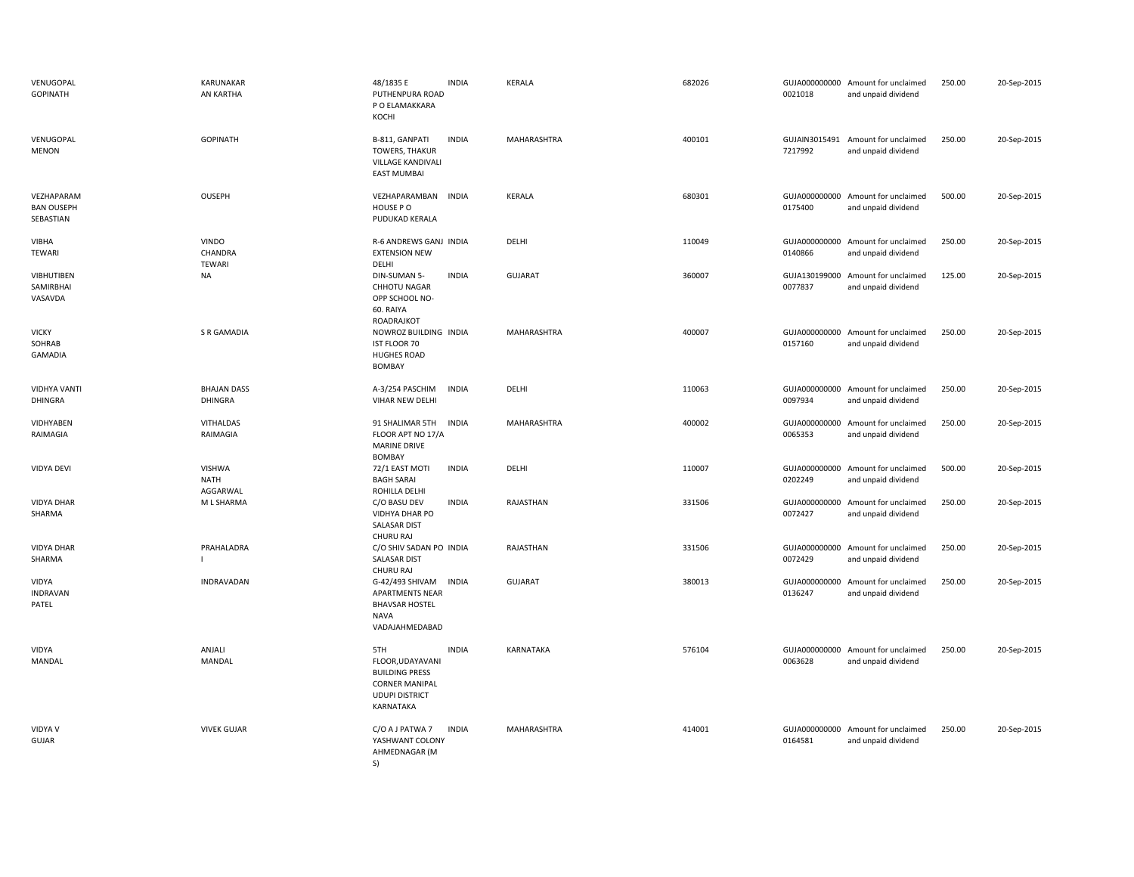| VENUGOPAL<br><b>GOPINATH</b>                 | <b>KARUNAKAR</b><br>AN KARTHA            | 48/1835 E<br><b>INDIA</b><br>PUTHENPURA ROAD<br>P O ELAMAKKARA<br>KOCHI                                                         | KERALA           | 682026 | 0021018                  | GUJA000000000 Amount for unclaimed<br>and unpaid dividend | 250.00 | 20-Sep-2015 |
|----------------------------------------------|------------------------------------------|---------------------------------------------------------------------------------------------------------------------------------|------------------|--------|--------------------------|-----------------------------------------------------------|--------|-------------|
| VENUGOPAL<br><b>MENON</b>                    | <b>GOPINATH</b>                          | B-811, GANPATI<br><b>INDIA</b><br><b>TOWERS, THAKUR</b><br>VILLAGE KANDIVALI<br><b>EAST MUMBAI</b>                              | MAHARASHTRA      | 400101 | 7217992                  | GUJAIN3015491 Amount for unclaimed<br>and unpaid dividend | 250.00 | 20-Sep-2015 |
| VEZHAPARAM<br><b>BAN OUSEPH</b><br>SEBASTIAN | <b>OUSEPH</b>                            | VEZHAPARAMBAN INDIA<br>HOUSE PO<br>PUDUKAD KERALA                                                                               | KERALA           | 680301 | 0175400                  | GUJA000000000 Amount for unclaimed<br>and unpaid dividend | 500.00 | 20-Sep-2015 |
| <b>VIBHA</b><br>TEWARI                       | <b>VINDO</b><br>CHANDRA<br><b>TEWARI</b> | R-6 ANDREWS GANJ INDIA<br><b>EXTENSION NEW</b><br>DELHI                                                                         | DELHI            | 110049 | GUJA000000000<br>0140866 | Amount for unclaimed<br>and unpaid dividend               | 250.00 | 20-Sep-2015 |
| <b>VIBHUTIBEN</b><br>SAMIRBHAI<br>VASAVDA    | <b>NA</b>                                | <b>INDIA</b><br>DIN-SUMAN 5-<br>CHHOTU NAGAR<br>OPP SCHOOL NO-<br>60. RAIYA<br>ROADRAJKOT                                       | <b>GUJARAT</b>   | 360007 | GUJA130199000<br>0077837 | Amount for unclaimed<br>and unpaid dividend               | 125.00 | 20-Sep-2015 |
| <b>VICKY</b><br>SOHRAB<br>GAMADIA            | <b>S R GAMADIA</b>                       | NOWROZ BUILDING INDIA<br><b>IST FLOOR 70</b><br><b>HUGHES ROAD</b><br>BOMBAY                                                    | MAHARASHTRA      | 400007 | GUJA000000000<br>0157160 | Amount for unclaimed<br>and unpaid dividend               | 250.00 | 20-Sep-2015 |
| <b>VIDHYA VANTI</b><br><b>DHINGRA</b>        | <b>BHAJAN DASS</b><br><b>DHINGRA</b>     | A-3/254 PASCHIM<br><b>INDIA</b><br>VIHAR NEW DELHI                                                                              | DELHI            | 110063 | GUJA000000000<br>0097934 | Amount for unclaimed<br>and unpaid dividend               | 250.00 | 20-Sep-2015 |
| VIDHYABEN<br>RAIMAGIA                        | VITHALDAS<br>RAIMAGIA                    | 91 SHALIMAR 5TH<br><b>INDIA</b><br>FLOOR APT NO 17/A<br><b>MARINE DRIVE</b><br><b>BOMBAY</b>                                    | MAHARASHTRA      | 400002 | GUJA000000000<br>0065353 | Amount for unclaimed<br>and unpaid dividend               | 250.00 | 20-Sep-2015 |
| <b>VIDYA DEVI</b>                            | <b>VISHWA</b><br><b>NATH</b><br>AGGARWAL | <b>INDIA</b><br>72/1 EAST MOTI<br><b>BAGH SARAI</b><br>ROHILLA DELHI                                                            | DELHI            | 110007 | GUJA000000000<br>0202249 | Amount for unclaimed<br>and unpaid dividend               | 500.00 | 20-Sep-2015 |
| VIDYA DHAR<br>SHARMA                         | M L SHARMA                               | <b>INDIA</b><br>C/O BASU DEV<br>VIDHYA DHAR PO<br>SALASAR DIST<br>CHURU RAJ                                                     | RAJASTHAN        | 331506 | GUJA000000000<br>0072427 | Amount for unclaimed<br>and unpaid dividend               | 250.00 | 20-Sep-2015 |
| <b>VIDYA DHAR</b><br>SHARMA                  | PRAHALADRA                               | C/O SHIV SADAN PO INDIA<br><b>SALASAR DIST</b><br><b>CHURU RAJ</b>                                                              | RAJASTHAN        | 331506 | GUJA000000000<br>0072429 | Amount for unclaimed<br>and unpaid dividend               | 250.00 | 20-Sep-2015 |
| VIDYA<br><b>INDRAVAN</b><br>PATEL            | INDRAVADAN                               | G-42/493 SHIVAM<br><b>INDIA</b><br><b>APARTMENTS NEAR</b><br><b>BHAVSAR HOSTEL</b><br>NAVA<br>VADAJAHMEDABAD                    | <b>GUJARAT</b>   | 380013 | GUJA000000000<br>0136247 | Amount for unclaimed<br>and unpaid dividend               | 250.00 | 20-Sep-2015 |
| VIDYA<br>MANDAL                              | ANJALI<br>MANDAL                         | <b>INDIA</b><br>5TH<br>FLOOR, UDAYAVANI<br><b>BUILDING PRESS</b><br><b>CORNER MANIPAL</b><br><b>UDUPI DISTRICT</b><br>KARNATAKA | <b>KARNATAKA</b> | 576104 | GUJA000000000<br>0063628 | Amount for unclaimed<br>and unpaid dividend               | 250.00 | 20-Sep-2015 |
| <b>VIDYA V</b><br>GUJAR                      | <b>VIVEK GUJAR</b>                       | C/O A J PATWA 7<br><b>INDIA</b><br>YASHWANT COLONY<br>AHMEDNAGAR (M<br>S)                                                       | MAHARASHTRA      | 414001 | 0164581                  | GUJA000000000 Amount for unclaimed<br>and unpaid dividend | 250.00 | 20-Sep-2015 |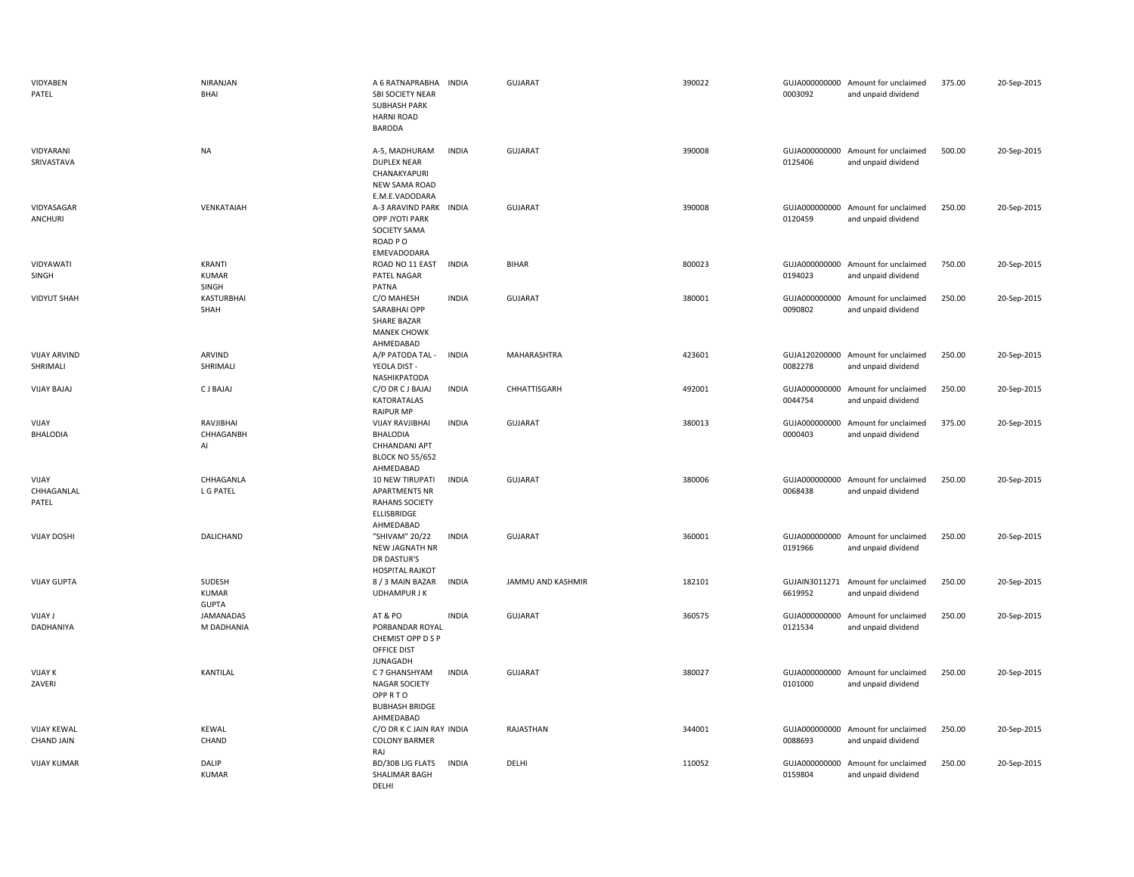| VIDYABEN<br>PATEL                       | NIRANJAN<br>BHAI                       | A 6 RATNAPRABHA<br>SBI SOCIETY NEAR<br><b>SUBHASH PARK</b><br><b>HARNI ROAD</b><br><b>BARODA</b>     | <b>INDIA</b> | <b>GUJARAT</b>    | 390022 | 0003092 | GUJA000000000 Amount for unclaimed<br>and unpaid dividend | 375.00 | 20-Sep-2015 |
|-----------------------------------------|----------------------------------------|------------------------------------------------------------------------------------------------------|--------------|-------------------|--------|---------|-----------------------------------------------------------|--------|-------------|
| VIDYARANI<br>SRIVASTAVA                 | <b>NA</b>                              | A-5, MADHURAM<br><b>DUPLEX NEAR</b><br>CHANAKYAPURI<br><b>NEW SAMA ROAD</b>                          | <b>INDIA</b> | <b>GUJARAT</b>    | 390008 | 0125406 | GUJA000000000 Amount for unclaimed<br>and unpaid dividend | 500.00 | 20-Sep-2015 |
| VIDYASAGAR<br><b>ANCHURI</b>            | VENKATAIAH                             | E.M.E.VADODARA<br>A-3 ARAVIND PARK INDIA<br>OPP JYOTI PARK<br>SOCIETY SAMA<br>ROAD PO<br>EMEVADODARA |              | <b>GUJARAT</b>    | 390008 | 0120459 | GUJA000000000 Amount for unclaimed<br>and unpaid dividend | 250.00 | 20-Sep-2015 |
| VIDYAWATI<br>SINGH                      | KRANTI<br><b>KUMAR</b><br>SINGH        | ROAD NO 11 EAST<br>PATEL NAGAR<br>PATNA                                                              | <b>INDIA</b> | <b>BIHAR</b>      | 800023 | 0194023 | GUJA000000000 Amount for unclaimed<br>and unpaid dividend | 750.00 | 20-Sep-2015 |
| <b>VIDYUT SHAH</b>                      | KASTURBHAI<br>SHAH                     | C/O MAHESH<br>SARABHAI OPP<br>SHARE BAZAR<br><b>MANEK CHOWK</b><br>AHMEDABAD                         | <b>INDIA</b> | GUJARAT           | 380001 | 0090802 | GUJA000000000 Amount for unclaimed<br>and unpaid dividend | 250.00 | 20-Sep-2015 |
| <b>VIJAY ARVIND</b><br>SHRIMALI         | ARVIND<br>SHRIMALI                     | A/P PATODA TAL -<br>YEOLA DIST -<br>NASHIKPATODA                                                     | <b>INDIA</b> | MAHARASHTRA       | 423601 | 0082278 | GUJA120200000 Amount for unclaimed<br>and unpaid dividend | 250.00 | 20-Sep-2015 |
| <b>VIJAY BAJAJ</b>                      | C J BAJAJ                              | C/O DR C J BAJAJ<br>KATORATALAS<br><b>RAIPUR MP</b>                                                  | <b>INDIA</b> | CHHATTISGARH      | 492001 | 0044754 | GUJA000000000 Amount for unclaimed<br>and unpaid dividend | 250.00 | 20-Sep-2015 |
| VIJAY<br><b>BHALODIA</b>                | RAVJIBHAI<br>CHHAGANBH<br>Al           | <b>VIJAY RAVJIBHAI</b><br><b>BHALODIA</b><br>CHHANDANI APT<br><b>BLOCK NO 55/652</b><br>AHMEDABAD    | <b>INDIA</b> | <b>GUJARAT</b>    | 380013 | 0000403 | GUJA000000000 Amount for unclaimed<br>and unpaid dividend | 375.00 | 20-Sep-2015 |
| VIJAY<br>CHHAGANLAL<br>PATEL            | CHHAGANLA<br>L G PATEL                 | 10 NEW TIRUPATI<br><b>APARTMENTS NR</b><br><b>RAHANS SOCIETY</b><br>ELLISBRIDGE<br>AHMEDABAD         | <b>INDIA</b> | <b>GUJARAT</b>    | 380006 | 0068438 | GUJA000000000 Amount for unclaimed<br>and unpaid dividend | 250.00 | 20-Sep-2015 |
| <b>VIJAY DOSHI</b>                      | DALICHAND                              | "SHIVAM" 20/22<br>NEW JAGNATH NR<br>DR DASTUR'S<br><b>HOSPITAL RAJKOT</b>                            | <b>INDIA</b> | <b>GUJARAT</b>    | 360001 | 0191966 | GUJA000000000 Amount for unclaimed<br>and unpaid dividend | 250.00 | 20-Sep-2015 |
| <b>VIJAY GUPTA</b>                      | SUDESH<br><b>KUMAR</b><br><b>GUPTA</b> | 8 / 3 MAIN BAZAR<br><b>UDHAMPUR JK</b>                                                               | <b>INDIA</b> | JAMMU AND KASHMIR | 182101 | 6619952 | GUJAIN3011271 Amount for unclaimed<br>and unpaid dividend | 250.00 | 20-Sep-2015 |
| <b>UJAY J</b><br>DADHANIYA              | JAMANADAS<br>M DADHANIA                | AT & PO<br>PORBANDAR ROYAL<br>CHEMIST OPP D S P<br>OFFICE DIST<br><b>JUNAGADH</b>                    | <b>INDIA</b> | <b>GUJARAT</b>    | 360575 | 0121534 | GUJA000000000 Amount for unclaimed<br>and unpaid dividend | 250.00 | 20-Sep-2015 |
| <b>VIJAY K</b><br>ZAVERI                | KANTILAL                               | C 7 GHANSHYAM<br><b>NAGAR SOCIETY</b><br><b>OPPRTO</b><br><b>BUBHASH BRIDGE</b>                      | <b>INDIA</b> | <b>GUJARAT</b>    | 380027 | 0101000 | GUJA000000000 Amount for unclaimed<br>and unpaid dividend | 250.00 | 20-Sep-2015 |
| <b>VIJAY KEWAL</b><br><b>CHAND JAIN</b> | <b>KEWAL</b><br>CHAND                  | AHMEDABAD<br>C/O DR K C JAIN RAY INDIA<br><b>COLONY BARMER</b><br>RAJ                                |              | RAJASTHAN         | 344001 | 0088693 | GUJA000000000 Amount for unclaimed<br>and unpaid dividend | 250.00 | 20-Sep-2015 |
| <b>VIJAY KUMAR</b>                      | DALIP<br><b>KUMAR</b>                  | BD/30B LIG FLATS<br>SHALIMAR BAGH<br>DFLHI                                                           | <b>INDIA</b> | DELHI             | 110052 | 0159804 | GUJA000000000 Amount for unclaimed<br>and unpaid dividend | 250.00 | 20-Sep-2015 |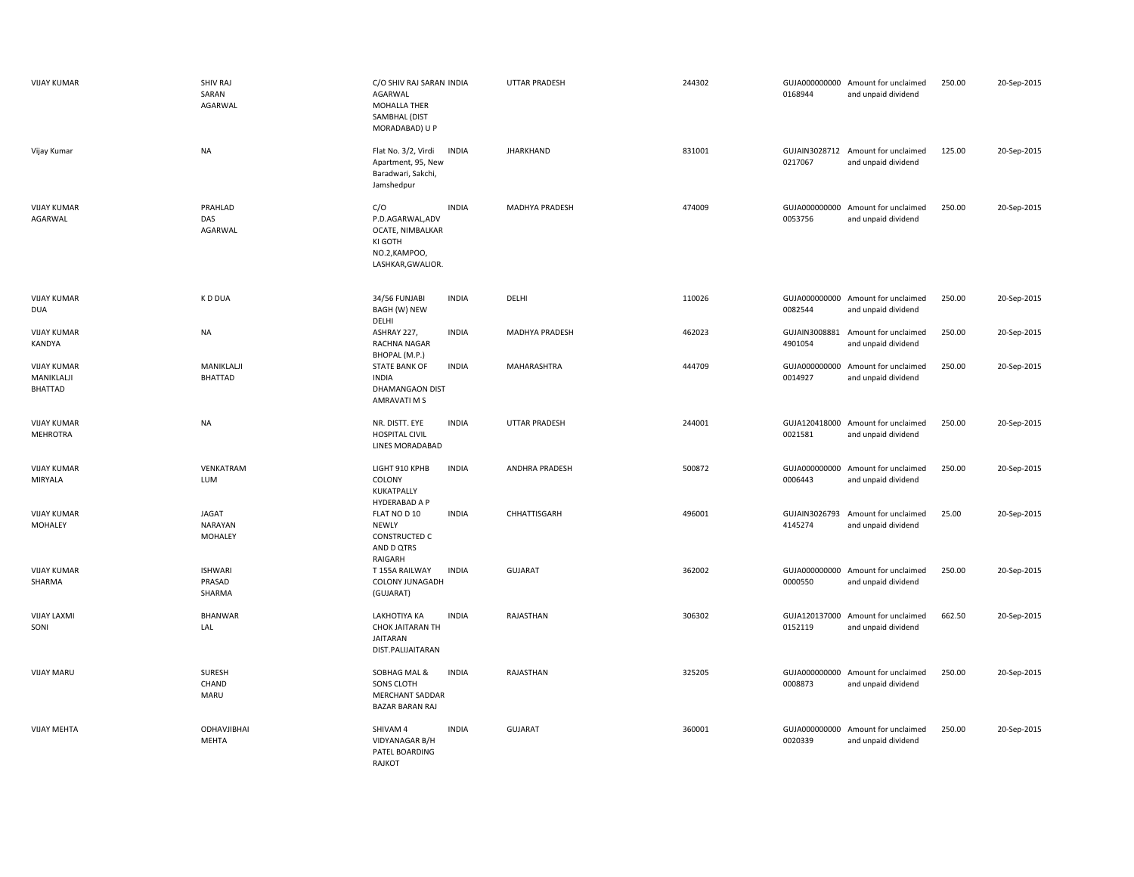| <b>VIJAY KUMAR</b>                          | <b>SHIV RAJ</b><br>SARAN<br>AGARWAL       | C/O SHIV RAJ SARAN INDIA<br>AGARWAL<br>MOHALLA THER<br>SAMBHAL (DIST<br>MORADABAD) U P      |              | <b>UTTAR PRADESH</b>  | 244302 | 0168944                  | GUJA000000000 Amount for unclaimed<br>and unpaid dividend | 250.00 | 20-Sep-2015 |
|---------------------------------------------|-------------------------------------------|---------------------------------------------------------------------------------------------|--------------|-----------------------|--------|--------------------------|-----------------------------------------------------------|--------|-------------|
| Vijay Kumar                                 | <b>NA</b>                                 | Flat No. 3/2, Virdi<br>Apartment, 95, New<br>Baradwari, Sakchi,<br>Jamshedpur               | <b>INDIA</b> | <b>JHARKHAND</b>      | 831001 | 0217067                  | GUJAIN3028712 Amount for unclaimed<br>and unpaid dividend | 125.00 | 20-Sep-2015 |
| <b>VIJAY KUMAR</b><br>AGARWAL               | PRAHLAD<br>DAS<br>AGARWAL                 | C/O<br>P.D.AGARWAL,ADV<br>OCATE, NIMBALKAR<br>KI GOTH<br>NO.2, KAMPOO,<br>LASHKAR, GWALIOR. | <b>INDIA</b> | <b>MADHYA PRADESH</b> | 474009 | 0053756                  | GUJA000000000 Amount for unclaimed<br>and unpaid dividend | 250.00 | 20-Sep-2015 |
| <b>VIJAY KUMAR</b><br><b>DUA</b>            | K D DUA                                   | 34/56 FUNJABI<br>BAGH (W) NEW<br>DELHI                                                      | <b>INDIA</b> | DELHI                 | 110026 | 0082544                  | GUJA000000000 Amount for unclaimed<br>and unpaid dividend | 250.00 | 20-Sep-2015 |
| <b>VIJAY KUMAR</b><br>KANDYA                | NA                                        | ASHRAY 227,<br>RACHNA NAGAR<br>BHOPAL (M.P.)                                                | <b>INDIA</b> | MADHYA PRADESH        | 462023 | GUJAIN3008881<br>4901054 | Amount for unclaimed<br>and unpaid dividend               | 250.00 | 20-Sep-2015 |
| <b>VIJAY KUMAR</b><br>MANIKLALJI<br>BHATTAD | MANIKLALJI<br><b>BHATTAD</b>              | <b>STATE BANK OF</b><br>INDIA<br>DHAMANGAON DIST<br>AMRAVATI M S                            | <b>INDIA</b> | <b>MAHARASHTRA</b>    | 444709 | GUJA000000000<br>0014927 | Amount for unclaimed<br>and unpaid dividend               | 250.00 | 20-Sep-2015 |
| <b>VIJAY KUMAR</b><br>MEHROTRA              | <b>NA</b>                                 | NR. DISTT. EYE<br><b>HOSPITAL CIVIL</b><br>LINES MORADABAD                                  | <b>INDIA</b> | UTTAR PRADESH         | 244001 | GUJA120418000<br>0021581 | Amount for unclaimed<br>and unpaid dividend               | 250.00 | 20-Sep-2015 |
| <b>VIJAY KUMAR</b><br>MIRYALA               | VENKATRAM<br>LUM                          | LIGHT 910 KPHB<br>COLONY<br>KUKATPALLY<br>HYDERABAD A P                                     | <b>INDIA</b> | ANDHRA PRADESH        | 500872 | GUJA000000000<br>0006443 | Amount for unclaimed<br>and unpaid dividend               | 250.00 | 20-Sep-2015 |
| <b>VIJAY KUMAR</b><br>MOHALEY               | <b>JAGAT</b><br><b>NARAYAN</b><br>MOHALEY | FLAT NO D 10<br><b>NEWLY</b><br><b>CONSTRUCTED C</b><br>AND D QTRS<br>RAIGARH               | <b>INDIA</b> | CHHATTISGARH          | 496001 | GUJAIN3026793<br>4145274 | Amount for unclaimed<br>and unpaid dividend               | 25.00  | 20-Sep-2015 |
| <b>VIJAY KUMAR</b><br>SHARMA                | <b>ISHWARI</b><br>PRASAD<br>SHARMA        | T 155A RAILWAY<br>COLONY JUNAGADH<br>(GUJARAT)                                              | <b>INDIA</b> | <b>GUJARAT</b>        | 362002 | GUJA000000000<br>0000550 | Amount for unclaimed<br>and unpaid dividend               | 250.00 | 20-Sep-2015 |
| <b>VIJAY LAXMI</b><br>SONI                  | <b>BHANWAR</b><br>LAL                     | LAKHOTIYA KA<br>CHOK JAITARAN TH<br>JAITARAN<br>DIST.PALIJAITARAN                           | <b>INDIA</b> | RAJASTHAN             | 306302 | 0152119                  | GUJA120137000 Amount for unclaimed<br>and unpaid dividend | 662.50 | 20-Sep-2015 |
| <b>VIJAY MARU</b>                           | <b>SURESH</b><br>CHAND<br>MARU            | SOBHAG MAL &<br>SONS CLOTH<br><b>MERCHANT SADDAR</b><br><b>BAZAR BARAN RAJ</b>              | <b>INDIA</b> | RAJASTHAN             | 325205 | 0008873                  | GUJA000000000 Amount for unclaimed<br>and unpaid dividend | 250.00 | 20-Sep-2015 |
| <b>VIJAY MEHTA</b>                          | <b>ODHAVJIBHAI</b><br><b>MEHTA</b>        | SHIVAM 4<br>VIDYANAGAR B/H<br>PATEL BOARDING<br>RAJKOT                                      | <b>INDIA</b> | GUJARAT               | 360001 | 0020339                  | GUJA000000000 Amount for unclaimed<br>and unpaid dividend | 250.00 | 20-Sep-2015 |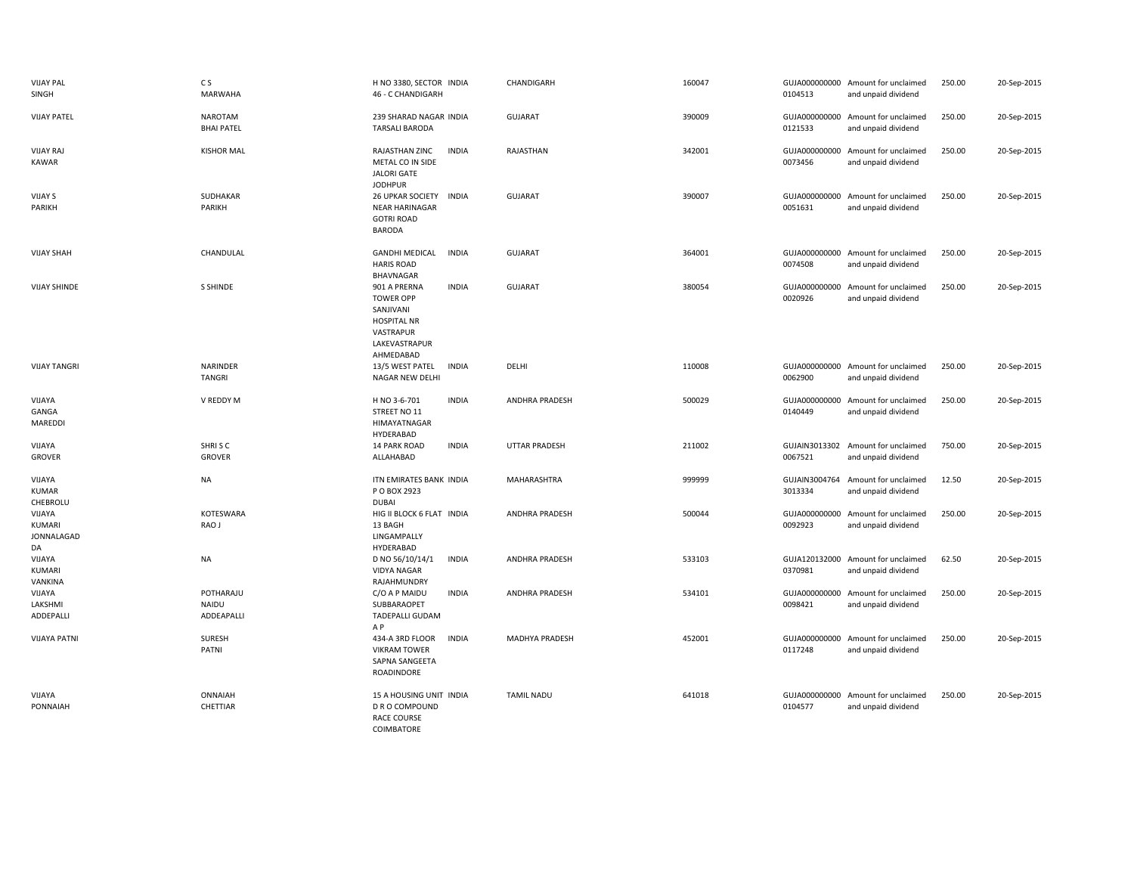| <b>VIJAY PAL</b><br>SINGH                   | C S<br><b>MARWAHA</b>            | H NO 3380, SECTOR INDIA<br>46 - C CHANDIGARH                                                                                   | CHANDIGARH            | 160047 | 0104513                  | GUJA000000000 Amount for unclaimed<br>and unpaid dividend | 250.00 | 20-Sep-2015 |
|---------------------------------------------|----------------------------------|--------------------------------------------------------------------------------------------------------------------------------|-----------------------|--------|--------------------------|-----------------------------------------------------------|--------|-------------|
| <b>VIJAY PATEL</b>                          | NAROTAM<br><b>BHAI PATEL</b>     | 239 SHARAD NAGAR INDIA<br><b>TARSALI BARODA</b>                                                                                | <b>GUJARAT</b>        | 390009 | 0121533                  | GUJA000000000 Amount for unclaimed<br>and unpaid dividend | 250.00 | 20-Sep-2015 |
| <b>VIJAY RAJ</b><br>KAWAR                   | <b>KISHOR MAL</b>                | RAJASTHAN ZINC<br><b>INDIA</b><br>METAL CO IN SIDE<br><b>JALORI GATE</b><br><b>JODHPUR</b>                                     | RAJASTHAN             | 342001 | 0073456                  | GUJA000000000 Amount for unclaimed<br>and unpaid dividend | 250.00 | 20-Sep-2015 |
| <b>VIJAY S</b><br>PARIKH                    | SUDHAKAR<br>PARIKH               | <b>26 UPKAR SOCIETY</b><br><b>INDIA</b><br><b>NEAR HARINAGAR</b><br><b>GOTRI ROAD</b><br><b>BARODA</b>                         | <b>GUJARAT</b>        | 390007 | 0051631                  | GUJA000000000 Amount for unclaimed<br>and unpaid dividend | 250.00 | 20-Sep-2015 |
| <b>VIJAY SHAH</b>                           | CHANDULAL                        | <b>GANDHI MEDICAL</b><br><b>INDIA</b><br><b>HARIS ROAD</b><br>BHAVNAGAR                                                        | <b>GUJARAT</b>        | 364001 | 0074508                  | GUJA000000000 Amount for unclaimed<br>and unpaid dividend | 250.00 | 20-Sep-2015 |
| <b>VIJAY SHINDE</b>                         | <b>S SHINDE</b>                  | 901 A PRERNA<br><b>INDIA</b><br><b>TOWER OPP</b><br>SANJIVANI<br><b>HOSPITAL NR</b><br>VASTRAPUR<br>LAKEVASTRAPUR<br>AHMEDABAD | <b>GUJARAT</b>        | 380054 | GUJA000000000<br>0020926 | Amount for unclaimed<br>and unpaid dividend               | 250.00 | 20-Sep-2015 |
| <b>VIJAY TANGRI</b>                         | NARINDER<br><b>TANGRI</b>        | 13/5 WEST PATEL<br>INDIA<br>NAGAR NEW DELHI                                                                                    | DELHI                 | 110008 | 0062900                  | GUJA000000000 Amount for unclaimed<br>and unpaid dividend | 250.00 | 20-Sep-2015 |
| VIJAYA<br>GANGA<br>MAREDDI                  | V REDDY M                        | H NO 3-6-701<br><b>INDIA</b><br>STREET NO 11<br>HIMAYATNAGAR<br>HYDERABAD                                                      | <b>ANDHRA PRADESH</b> | 500029 | 0140449                  | GUJA000000000 Amount for unclaimed<br>and unpaid dividend | 250.00 | 20-Sep-2015 |
| VIJAYA<br><b>GROVER</b>                     | SHRISC<br><b>GROVER</b>          | 14 PARK ROAD<br><b>INDIA</b><br>ALLAHABAD                                                                                      | <b>UTTAR PRADESH</b>  | 211002 | GUJAIN3013302<br>0067521 | Amount for unclaimed<br>and unpaid dividend               | 750.00 | 20-Sep-2015 |
| VIJAYA<br>KUMAR<br>CHEBROLU                 | <b>NA</b>                        | ITN EMIRATES BANK INDIA<br>P O BOX 2923<br><b>DUBAI</b>                                                                        | MAHARASHTRA           | 999999 | GUJAIN3004764<br>3013334 | Amount for unclaimed<br>and unpaid dividend               | 12.50  | 20-Sep-2015 |
| VIJAYA<br><b>KUMARI</b><br>JONNALAGAD<br>DA | KOTESWARA<br>RAO J               | HIG II BLOCK 6 FLAT INDIA<br>13 BAGH<br>LINGAMPALLY<br>HYDERABAD                                                               | ANDHRA PRADESH        | 500044 | GUJA000000000<br>0092923 | Amount for unclaimed<br>and unpaid dividend               | 250.00 | 20-Sep-2015 |
| VIJAYA<br><b>KUMARI</b><br>VANKINA          | <b>NA</b>                        | D NO 56/10/14/1<br><b>INDIA</b><br><b>VIDYA NAGAR</b><br>RAJAHMUNDRY                                                           | ANDHRA PRADESH        | 533103 | 0370981                  | GUJA120132000 Amount for unclaimed<br>and unpaid dividend | 62.50  | 20-Sep-2015 |
| VIJAYA<br>LAKSHMI<br>ADDEPALLI              | POTHARAJU<br>NAIDU<br>ADDEAPALLI | <b>INDIA</b><br>C/O A P MAIDU<br>SUBBARAOPET<br><b>TADEPALLI GUDAM</b><br>A P                                                  | ANDHRA PRADESH        | 534101 | 0098421                  | GUJA000000000 Amount for unclaimed<br>and unpaid dividend | 250.00 | 20-Sep-2015 |
| <b>VIJAYA PATNI</b>                         | SURESH<br>PATNI                  | <b>INDIA</b><br>434-A 3RD FLOOR<br><b>VIKRAM TOWER</b><br>SAPNA SANGEETA<br>ROADINDORE                                         | MADHYA PRADESH        | 452001 | GUJA000000000<br>0117248 | Amount for unclaimed<br>and unpaid dividend               | 250.00 | 20-Sep-2015 |
| VIJAYA<br>PONNAIAH                          | ONNAIAH<br>CHETTIAR              | 15 A HOUSING UNIT INDIA<br>D R O COMPOUND<br><b>RACE COURSE</b><br>COIMBATORE                                                  | <b>TAMIL NADU</b>     | 641018 | 0104577                  | GUJA000000000 Amount for unclaimed<br>and unpaid dividend | 250.00 | 20-Sep-2015 |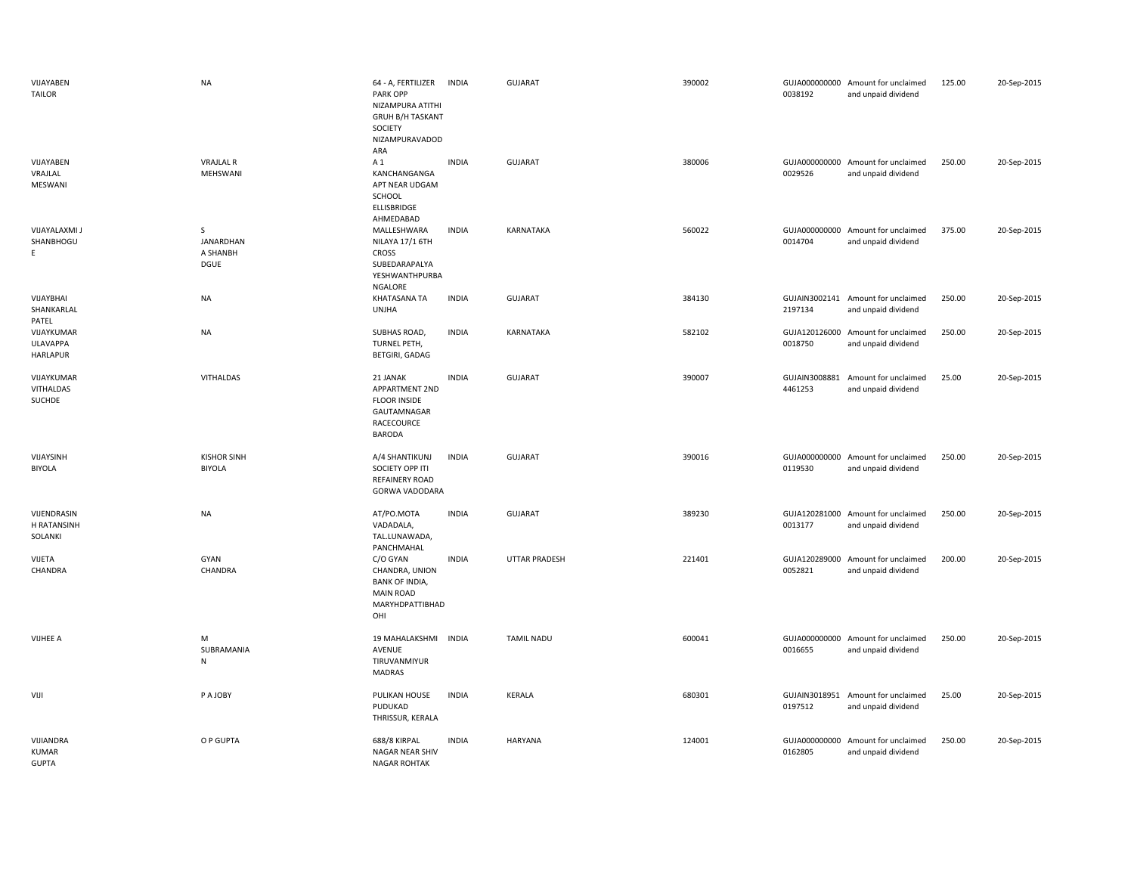| VIJAYABEN<br><b>TAILOR</b>                | <b>NA</b>                                            | 64 - A, FERTILIZER<br>PARK OPP<br>NIZAMPURA ATITHI<br><b>GRUH B/H TASKANT</b><br>SOCIETY<br>NIZAMPURAVADOD<br>ARA | <b>INDIA</b> | <b>GUJARAT</b>       | 390002 | 0038192                  | GUJA000000000 Amount for unclaimed<br>and unpaid dividend | 125.00 | 20-Sep-2015 |
|-------------------------------------------|------------------------------------------------------|-------------------------------------------------------------------------------------------------------------------|--------------|----------------------|--------|--------------------------|-----------------------------------------------------------|--------|-------------|
| VIJAYABEN<br>VRAJLAL<br>MESWANI           | <b>VRAJLAL R</b><br>MEHSWANI                         | A 1<br>KANCHANGANGA<br>APT NEAR UDGAM<br>SCHOOL<br>ELLISBRIDGE<br>AHMEDABAD                                       | <b>INDIA</b> | GUJARAT              | 380006 | 0029526                  | GUJA000000000 Amount for unclaimed<br>and unpaid dividend | 250.00 | 20-Sep-2015 |
| <b>VIJAYALAXMI J</b><br>SHANBHOGU<br>E.   | $\mathsf{S}$<br><b>JANARDHAN</b><br>A SHANBH<br>DGUE | MALLESHWARA<br>NILAYA 17/1 6TH<br>CROSS<br>SUBEDARAPALYA<br>YESHWANTHPURBA<br>NGALORE                             | <b>INDIA</b> | <b>KARNATAKA</b>     | 560022 | 0014704                  | GUJA000000000 Amount for unclaimed<br>and unpaid dividend | 375.00 | 20-Sep-2015 |
| VIJAYBHAI<br>SHANKARLAL<br>PATEL          | <b>NA</b>                                            | KHATASANA TA<br><b>UNJHA</b>                                                                                      | <b>INDIA</b> | <b>GUJARAT</b>       | 384130 | 2197134                  | GUJAIN3002141 Amount for unclaimed<br>and unpaid dividend | 250.00 | 20-Sep-2015 |
| VIJAYKUMAR<br>ULAVAPPA<br>HARLAPUR        | <b>NA</b>                                            | SUBHAS ROAD,<br>TURNEL PETH,<br><b>BETGIRI, GADAG</b>                                                             | <b>INDIA</b> | KARNATAKA            | 582102 | GUJA120126000<br>0018750 | Amount for unclaimed<br>and unpaid dividend               | 250.00 | 20-Sep-2015 |
| VIJAYKUMAR<br>VITHALDAS<br>SUCHDE         | <b>VITHALDAS</b>                                     | 21 JANAK<br>APPARTMENT 2ND<br><b>FLOOR INSIDE</b><br>GAUTAMNAGAR<br>RACECOURCE<br><b>BARODA</b>                   | <b>INDIA</b> | <b>GUJARAT</b>       | 390007 | 4461253                  | GUJAIN3008881 Amount for unclaimed<br>and unpaid dividend | 25.00  | 20-Sep-2015 |
| VIJAYSINH<br><b>BIYOLA</b>                | <b>KISHOR SINH</b><br><b>BIYOLA</b>                  | A/4 SHANTIKUNJ<br>SOCIETY OPP ITI<br><b>REFAINERY ROAD</b><br>GORWA VADODARA                                      | <b>INDIA</b> | <b>GUJARAT</b>       | 390016 | 0119530                  | GUJA000000000 Amount for unclaimed<br>and unpaid dividend | 250.00 | 20-Sep-2015 |
| VIJENDRASIN<br>H RATANSINH<br>SOLANKI     | <b>NA</b>                                            | AT/PO.MOTA<br>VADADALA,<br>TAL.LUNAWADA,<br>PANCHMAHAL                                                            | <b>INDIA</b> | GUJARAT              | 389230 | 0013177                  | GUJA120281000 Amount for unclaimed<br>and unpaid dividend | 250.00 | 20-Sep-2015 |
| VIJETA<br>CHANDRA                         | GYAN<br>CHANDRA                                      | C/O GYAN<br>CHANDRA, UNION<br><b>BANK OF INDIA,</b><br><b>MAIN ROAD</b><br>MARYHDPATTIBHAD<br>OHI                 | <b>INDIA</b> | <b>UTTAR PRADESH</b> | 221401 | GUJA120289000<br>0052821 | Amount for unclaimed<br>and unpaid dividend               | 200.00 | 20-Sep-2015 |
| VIJHEE A                                  | M<br>SUBRAMANIA<br>N                                 | 19 MAHALAKSHMI<br>AVENUE<br>TIRUVANMIYUR<br><b>MADRAS</b>                                                         | <b>INDIA</b> | <b>TAMIL NADU</b>    | 600041 | 0016655                  | GUJA000000000 Amount for unclaimed<br>and unpaid dividend | 250.00 | 20-Sep-2015 |
| VIJI                                      | P A JOBY                                             | PULIKAN HOUSE<br>PUDUKAD<br>THRISSUR, KERALA                                                                      | <b>INDIA</b> | KERALA               | 680301 | 0197512                  | GUJAIN3018951 Amount for unclaimed<br>and unpaid dividend | 25.00  | 20-Sep-2015 |
| VIJIANDRA<br><b>KUMAR</b><br><b>GUPTA</b> | O P GUPTA                                            | 688/8 KIRPAL<br>NAGAR NEAR SHIV<br><b>NAGAR ROHTAK</b>                                                            | <b>INDIA</b> | HARYANA              | 124001 | GUJA000000000<br>0162805 | Amount for unclaimed<br>and unpaid dividend               | 250.00 | 20-Sep-2015 |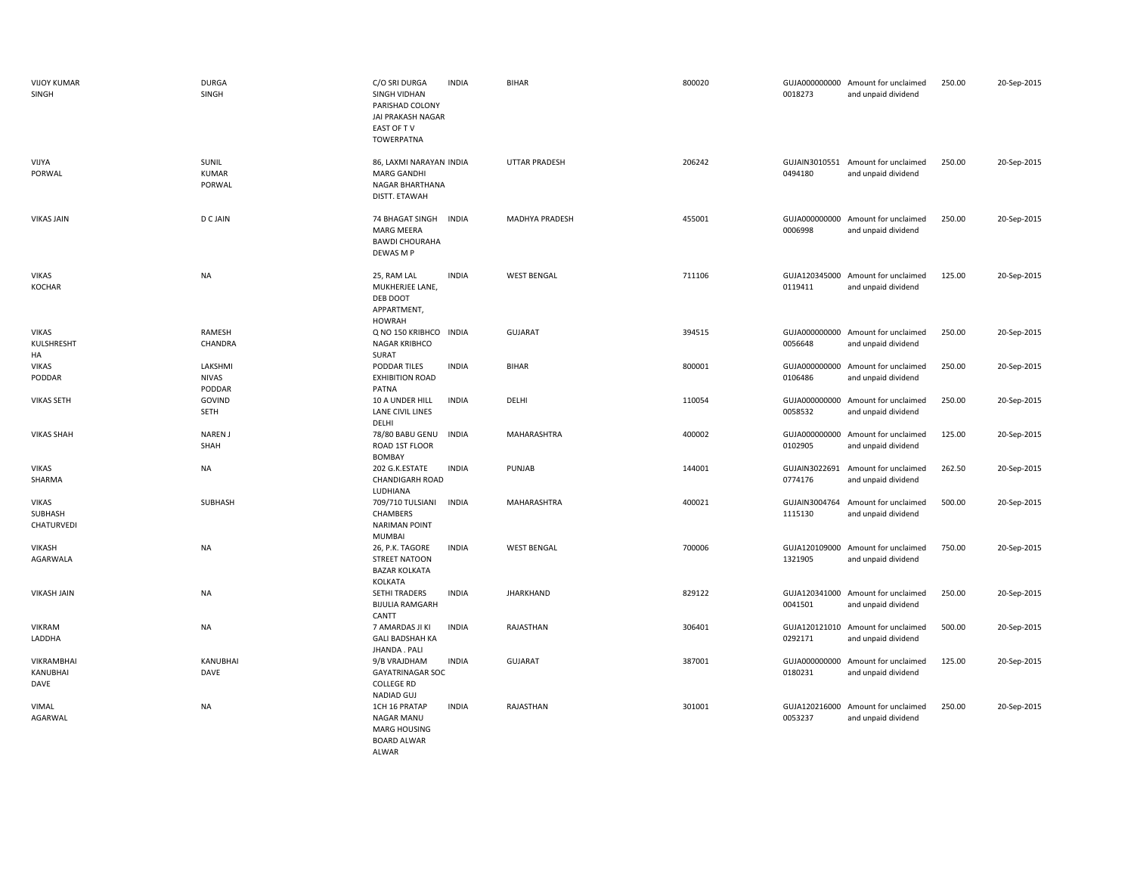| <b>VIJOY KUMAR</b><br>SINGH           | <b>DURGA</b><br>SINGH             | C/O SRI DURGA<br><b>INDIA</b><br><b>SINGH VIDHAN</b><br>PARISHAD COLONY<br>JAI PRAKASH NAGAR<br>EAST OF TV<br><b>TOWERPATNA</b> | <b>BIHAR</b>         | 800020 | 0018273                  | GUJA000000000 Amount for unclaimed<br>and unpaid dividend | 250.00 | 20-Sep-2015 |
|---------------------------------------|-----------------------------------|---------------------------------------------------------------------------------------------------------------------------------|----------------------|--------|--------------------------|-----------------------------------------------------------|--------|-------------|
| VIJYA<br>PORWAL                       | SUNIL<br><b>KUMAR</b><br>PORWAL   | 86, LAXMI NARAYAN INDIA<br><b>MARG GANDHI</b><br>NAGAR BHARTHANA<br>DISTT. ETAWAH                                               | <b>UTTAR PRADESH</b> | 206242 | GUJAIN3010551<br>0494180 | Amount for unclaimed<br>and unpaid dividend               | 250.00 | 20-Sep-2015 |
| <b>VIKAS JAIN</b>                     | <b>D C JAIN</b>                   | 74 BHAGAT SINGH INDIA<br>MARG MEERA<br><b>BAWDI CHOURAHA</b><br>DEWAS M P                                                       | MADHYA PRADESH       | 455001 | 0006998                  | GUJA000000000 Amount for unclaimed<br>and unpaid dividend | 250.00 | 20-Sep-2015 |
| <b>VIKAS</b><br><b>KOCHAR</b>         | <b>NA</b>                         | 25, RAM LAL<br><b>INDIA</b><br>MUKHERJEE LANE,<br>DEB DOOT<br>APPARTMENT,<br><b>HOWRAH</b>                                      | <b>WEST BENGAL</b>   | 711106 | 0119411                  | GUJA120345000 Amount for unclaimed<br>and unpaid dividend | 125.00 | 20-Sep-2015 |
| <b>VIKAS</b><br>KULSHRESHT<br>HA      | RAMESH<br>CHANDRA                 | Q NO 150 KRIBHCO<br><b>INDIA</b><br>NAGAR KRIBHCO<br>SURAT                                                                      | <b>GUJARAT</b>       | 394515 | 0056648                  | GUJA000000000 Amount for unclaimed<br>and unpaid dividend | 250.00 | 20-Sep-2015 |
| <b>VIKAS</b><br>PODDAR                | LAKSHMI<br><b>NIVAS</b><br>PODDAR | PODDAR TILES<br><b>INDIA</b><br><b>EXHIBITION ROAD</b><br>PATNA                                                                 | <b>BIHAR</b>         | 800001 | 0106486                  | GUJA000000000 Amount for unclaimed<br>and unpaid dividend | 250.00 | 20-Sep-2015 |
| <b>VIKAS SETH</b>                     | GOVIND<br>SETH                    | 10 A UNDER HILL<br><b>INDIA</b><br>LANE CIVIL LINES<br>DELHI                                                                    | DELHI                | 110054 | 0058532                  | GUJA000000000 Amount for unclaimed<br>and unpaid dividend | 250.00 | 20-Sep-2015 |
| <b>VIKAS SHAH</b>                     | NAREN J<br>SHAH                   | <b>INDIA</b><br>78/80 BABU GENU<br>ROAD 1ST FLOOR<br><b>BOMBAY</b>                                                              | MAHARASHTRA          | 400002 | 0102905                  | GUJA000000000 Amount for unclaimed<br>and unpaid dividend | 125.00 | 20-Sep-2015 |
| <b>VIKAS</b><br>SHARMA                | NA                                | 202 G.K.ESTATE<br><b>INDIA</b><br><b>CHANDIGARH ROAD</b><br>LUDHIANA                                                            | PUNJAB               | 144001 | GUJAIN3022691<br>0774176 | Amount for unclaimed<br>and unpaid dividend               | 262.50 | 20-Sep-2015 |
| <b>VIKAS</b><br>SUBHASH<br>CHATURVEDI | SUBHASH                           | <b>INDIA</b><br>709/710 TULSIANI<br>CHAMBERS<br><b>NARIMAN POINT</b><br><b>MUMBAI</b>                                           | MAHARASHTRA          | 400021 | GUJAIN3004764<br>1115130 | Amount for unclaimed<br>and unpaid dividend               | 500.00 | 20-Sep-2015 |
| VIKASH<br>AGARWALA                    | <b>NA</b>                         | 26, P.K. TAGORE<br><b>INDIA</b><br><b>STREET NATOON</b><br><b>BAZAR KOLKATA</b><br>KOLKATA                                      | <b>WEST BENGAL</b>   | 700006 | 1321905                  | GUJA120109000 Amount for unclaimed<br>and unpaid dividend | 750.00 | 20-Sep-2015 |
| <b>VIKASH JAIN</b>                    | <b>NA</b>                         | <b>INDIA</b><br>SETHI TRADERS<br><b>BIJULIA RAMGARH</b><br>CANTT                                                                | <b>JHARKHAND</b>     | 829122 | 0041501                  | GUJA120341000 Amount for unclaimed<br>and unpaid dividend | 250.00 | 20-Sep-2015 |
| <b>VIKRAM</b><br>LADDHA               | <b>NA</b>                         | <b>INDIA</b><br>7 AMARDAS JI KI<br><b>GALI BADSHAH KA</b><br>JHANDA . PALI                                                      | RAJASTHAN            | 306401 | 0292171                  | GUJA120121010 Amount for unclaimed<br>and unpaid dividend | 500.00 | 20-Sep-2015 |
| VIKRAMBHAI<br>KANUBHAI<br>DAVE        | KANUBHAI<br>DAVE                  | 9/B VRAJDHAM<br><b>INDIA</b><br><b>GAYATRINAGAR SOC</b><br><b>COLLEGE RD</b><br><b>NADIAD GUJ</b>                               | <b>GUJARAT</b>       | 387001 | 0180231                  | GUJA000000000 Amount for unclaimed<br>and unpaid dividend | 125.00 | 20-Sep-2015 |
| VIMAL<br>AGARWAL                      | <b>NA</b>                         | 1CH 16 PRATAP<br><b>INDIA</b><br>NAGAR MANU<br><b>MARG HOUSING</b><br><b>BOARD ALWAR</b>                                        | RAJASTHAN            | 301001 | 0053237                  | GUJA120216000 Amount for unclaimed<br>and unpaid dividend | 250.00 | 20-Sep-2015 |

ALWAR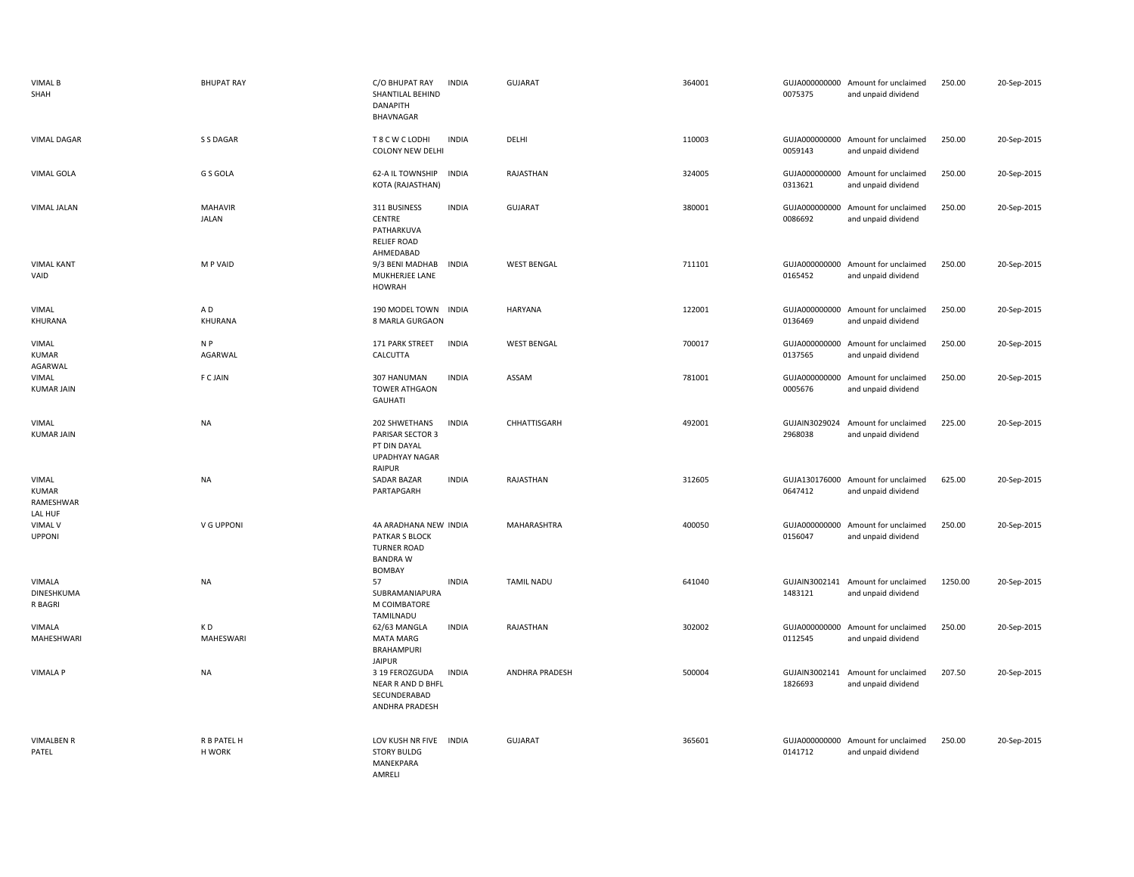| <b>VIMAL B</b><br>SHAH                        | <b>BHUPAT RAY</b>         | C/O BHUPAT RAY<br>SHANTILAL BEHIND<br><b>DANAPITH</b><br>BHAVNAGAR                                       | <b>INDIA</b> | <b>GUJARAT</b>        | 364001 | 0075375                  | GUJA000000000 Amount for unclaimed<br>and unpaid dividend | 250.00  | 20-Sep-2015 |
|-----------------------------------------------|---------------------------|----------------------------------------------------------------------------------------------------------|--------------|-----------------------|--------|--------------------------|-----------------------------------------------------------|---------|-------------|
| <b>VIMAL DAGAR</b>                            | S S DAGAR                 | T 8 C W C LODHI<br><b>COLONY NEW DELHI</b>                                                               | <b>INDIA</b> | DELHI                 | 110003 | 0059143                  | GUJA000000000 Amount for unclaimed<br>and unpaid dividend | 250.00  | 20-Sep-2015 |
| <b>VIMAL GOLA</b>                             | G S GOLA                  | 62-A IL TOWNSHIP<br>KOTA (RAJASTHAN)                                                                     | <b>INDIA</b> | RAJASTHAN             | 324005 | 0313621                  | GUJA000000000 Amount for unclaimed<br>and unpaid dividend | 250.00  | 20-Sep-2015 |
| <b>VIMAL JALAN</b>                            | MAHAVIR<br><b>JALAN</b>   | 311 BUSINESS<br><b>CENTRE</b><br>PATHARKUVA<br><b>RELIEF ROAD</b><br>AHMEDABAD                           | <b>INDIA</b> | GUJARAT               | 380001 | GUJA000000000<br>0086692 | Amount for unclaimed<br>and unpaid dividend               | 250.00  | 20-Sep-2015 |
| <b>VIMAL KANT</b><br>VAID                     | M P VAID                  | 9/3 BENI MADHAB<br>MUKHERJEE LANE<br><b>HOWRAH</b>                                                       | <b>INDIA</b> | <b>WEST BENGAL</b>    | 711101 | GUJA000000000<br>0165452 | Amount for unclaimed<br>and unpaid dividend               | 250.00  | 20-Sep-2015 |
| <b>VIMAL</b><br>KHURANA                       | A <sub>D</sub><br>KHURANA | 190 MODEL TOWN<br>8 MARLA GURGAON                                                                        | <b>INDIA</b> | <b>HARYANA</b>        | 122001 | GUJA000000000<br>0136469 | Amount for unclaimed<br>and unpaid dividend               | 250.00  | 20-Sep-2015 |
| VIMAL<br><b>KUMAR</b><br>AGARWAL              | N P<br>AGARWAL            | 171 PARK STREET<br>CALCUTTA                                                                              | <b>INDIA</b> | <b>WEST BENGAL</b>    | 700017 | 0137565                  | GUJA000000000 Amount for unclaimed<br>and unpaid dividend | 250.00  | 20-Sep-2015 |
| VIMAL<br><b>KUMAR JAIN</b>                    | <b>F C JAIN</b>           | 307 HANUMAN<br><b>TOWER ATHGAON</b><br><b>GAUHATI</b>                                                    | <b>INDIA</b> | ASSAM                 | 781001 | GUJA000000000<br>0005676 | Amount for unclaimed<br>and unpaid dividend               | 250.00  | 20-Sep-2015 |
| <b>VIMAL</b><br><b>KUMAR JAIN</b>             | <b>NA</b>                 | 202 SHWETHANS<br><b>PARISAR SECTOR 3</b><br>PT DIN DAYAL<br>UPADHYAY NAGAR<br>RAIPUR                     | <b>INDIA</b> | CHHATTISGARH          | 492001 | GUJAIN3029024<br>2968038 | Amount for unclaimed<br>and unpaid dividend               | 225.00  | 20-Sep-2015 |
| VIMAL<br><b>KUMAR</b><br>RAMESHWAR<br>LAL HUF | <b>NA</b>                 | SADAR BAZAR<br>PARTAPGARH                                                                                | <b>INDIA</b> | RAJASTHAN             | 312605 | 0647412                  | GUJA130176000 Amount for unclaimed<br>and unpaid dividend | 625.00  | 20-Sep-2015 |
| VIMAL V<br><b>UPPONI</b>                      | V G UPPONI                | 4A ARADHANA NEW INDIA<br><b>PATKAR S BLOCK</b><br><b>TURNER ROAD</b><br><b>BANDRA W</b><br><b>BOMBAY</b> |              | MAHARASHTRA           | 400050 | GUJA000000000<br>0156047 | Amount for unclaimed<br>and unpaid dividend               | 250.00  | 20-Sep-2015 |
| VIMALA<br>DINESHKUMA<br>R BAGRI               | <b>NA</b>                 | 57<br>SUBRAMANIAPURA<br>M COIMBATORE<br>TAMILNADU                                                        | <b>INDIA</b> | <b>TAMIL NADU</b>     | 641040 | GUJAIN3002141<br>1483121 | Amount for unclaimed<br>and unpaid dividend               | 1250.00 | 20-Sep-2015 |
| VIMALA<br>MAHESHWARI                          | KD<br>MAHESWARI           | 62/63 MANGLA<br><b>MATA MARG</b><br><b>BRAHAMPURI</b><br><b>JAIPUR</b>                                   | <b>INDIA</b> | RAJASTHAN             | 302002 | GUJA000000000<br>0112545 | Amount for unclaimed<br>and unpaid dividend               | 250.00  | 20-Sep-2015 |
| <b>VIMALA P</b>                               | <b>NA</b>                 | 3 19 FEROZGUDA<br>NEAR R AND D BHFL<br>SECUNDERABAD<br>ANDHRA PRADESH                                    | <b>INDIA</b> | <b>ANDHRA PRADESH</b> | 500004 | GUJAIN3002141<br>1826693 | Amount for unclaimed<br>and unpaid dividend               | 207.50  | 20-Sep-2015 |
| <b>VIMALBEN R</b><br>PATEL                    | R B PATEL H<br>H WORK     | LOV KUSH NR FIVE INDIA<br><b>STORY BULDG</b><br>MANEKPARA<br>AMRELI                                      |              | <b>GUJARAT</b>        | 365601 | 0141712                  | GUJA000000000 Amount for unclaimed<br>and unpaid dividend | 250.00  | 20-Sep-2015 |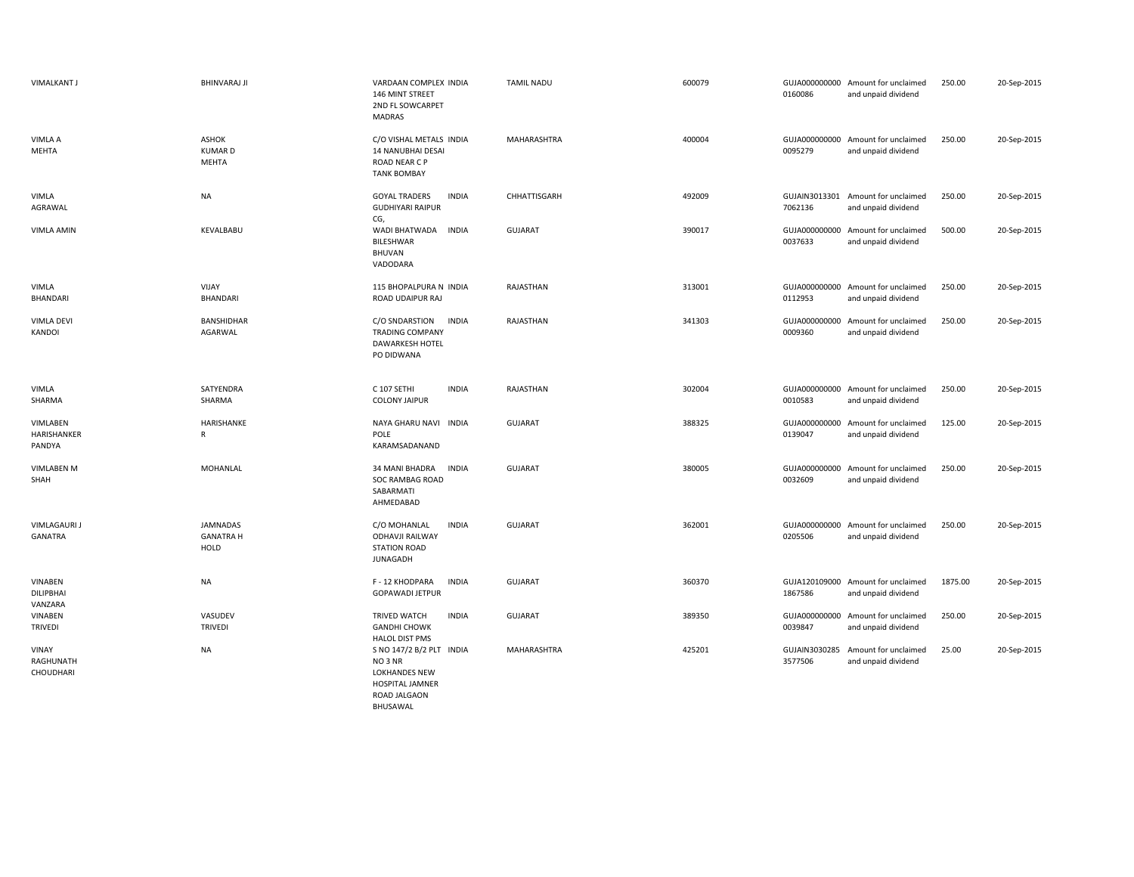| <b>VIMALKANT J</b>                | <b>BHINVARAJ JI</b>                    | VARDAAN COMPLEX INDIA<br>146 MINT STREET<br>2ND FL SOWCARPET<br>MADRAS                                            | <b>TAMIL NADU</b> | 600079 | 0160086                  | GUJA000000000 Amount for unclaimed<br>and unpaid dividend | 250.00  | 20-Sep-2015 |
|-----------------------------------|----------------------------------------|-------------------------------------------------------------------------------------------------------------------|-------------------|--------|--------------------------|-----------------------------------------------------------|---------|-------------|
| <b>VIMLA A</b><br>MEHTA           | <b>ASHOK</b><br><b>KUMARD</b><br>MEHTA | C/O VISHAL METALS INDIA<br>14 NANUBHAI DESAI<br>ROAD NEAR C P<br><b>TANK BOMBAY</b>                               | MAHARASHTRA       | 400004 | GUJA000000000<br>0095279 | Amount for unclaimed<br>and unpaid dividend               | 250.00  | 20-Sep-2015 |
| VIMLA<br>AGRAWAL                  | <b>NA</b>                              | <b>GOYAL TRADERS</b><br><b>INDIA</b><br><b>GUDHIYARI RAIPUR</b><br>CG,                                            | CHHATTISGARH      | 492009 | 7062136                  | GUJAIN3013301 Amount for unclaimed<br>and unpaid dividend | 250.00  | 20-Sep-2015 |
| <b>VIMLA AMIN</b>                 | KEVALBABU                              | WADI BHATWADA<br><b>INDIA</b><br><b>BILESHWAR</b><br>BHUVAN<br>VADODARA                                           | <b>GUJARAT</b>    | 390017 | GUJA000000000<br>0037633 | Amount for unclaimed<br>and unpaid dividend               | 500.00  | 20-Sep-2015 |
| VIMLA<br>BHANDARI                 | VIJAY<br>BHANDARI                      | 115 BHOPALPURA N INDIA<br>ROAD UDAIPUR RAJ                                                                        | RAJASTHAN         | 313001 | 0112953                  | GUJA000000000 Amount for unclaimed<br>and unpaid dividend | 250.00  | 20-Sep-2015 |
| <b>VIMLA DEVI</b><br>KANDOI       | BANSHIDHAR<br>AGARWAL                  | C/O SNDARSTION<br><b>INDIA</b><br><b>TRADING COMPANY</b><br><b>DAWARKESH HOTEL</b><br>PO DIDWANA                  | RAJASTHAN         | 341303 | GUJA000000000<br>0009360 | Amount for unclaimed<br>and unpaid dividend               | 250.00  | 20-Sep-2015 |
| VIMLA<br>SHARMA                   | SATYENDRA<br>SHARMA                    | C 107 SETHI<br><b>INDIA</b><br><b>COLONY JAIPUR</b>                                                               | RAJASTHAN         | 302004 | 0010583                  | GUJA000000000 Amount for unclaimed<br>and unpaid dividend | 250.00  | 20-Sep-2015 |
| VIMLABEN<br>HARISHANKER<br>PANDYA | HARISHANKE<br>R                        | NAYA GHARU NAVI INDIA<br>POLE<br>KARAMSADANAND                                                                    | <b>GUJARAT</b>    | 388325 | 0139047                  | GUJA000000000 Amount for unclaimed<br>and unpaid dividend | 125.00  | 20-Sep-2015 |
| VIMLABEN M<br>SHAH                | MOHANLAL                               | <b>INDIA</b><br>34 MANI BHADRA<br>SOC RAMBAG ROAD<br>SABARMATI<br>AHMEDABAD                                       | <b>GUJARAT</b>    | 380005 | 0032609                  | GUJA000000000 Amount for unclaimed<br>and unpaid dividend | 250.00  | 20-Sep-2015 |
| <b>VIMLAGAURI J</b><br>GANATRA    | JAMNADAS<br><b>GANATRA H</b><br>HOLD   | C/O MOHANLAL<br><b>INDIA</b><br><b>ODHAVJI RAILWAY</b><br><b>STATION ROAD</b><br><b>JUNAGADH</b>                  | <b>GUJARAT</b>    | 362001 | 0205506                  | GUJA000000000 Amount for unclaimed<br>and unpaid dividend | 250.00  | 20-Sep-2015 |
| VINABEN<br>DILIPBHAI<br>VANZARA   | NA                                     | F - 12 KHODPARA<br><b>INDIA</b><br><b>GOPAWADI JETPUR</b>                                                         | <b>GUJARAT</b>    | 360370 | GUJA120109000<br>1867586 | Amount for unclaimed<br>and unpaid dividend               | 1875.00 | 20-Sep-2015 |
| VINABEN<br><b>TRIVEDI</b>         | VASUDEV<br>TRIVEDI                     | TRIVED WATCH<br><b>INDIA</b><br><b>GANDHI CHOWK</b><br><b>HALOL DIST PMS</b>                                      | <b>GUJARAT</b>    | 389350 | GUJA000000000<br>0039847 | Amount for unclaimed<br>and unpaid dividend               | 250.00  | 20-Sep-2015 |
| VINAY<br>RAGHUNATH<br>CHOUDHARI   | NA                                     | S NO 147/2 B/2 PLT INDIA<br>NO 3 NR<br><b>LOKHANDES NEW</b><br><b>HOSPITAL JAMNER</b><br>ROAD JALGAON<br>BHUSAWAL | MAHARASHTRA       | 425201 | GUJAIN3030285<br>3577506 | Amount for unclaimed<br>and unpaid dividend               | 25.00   | 20-Sep-2015 |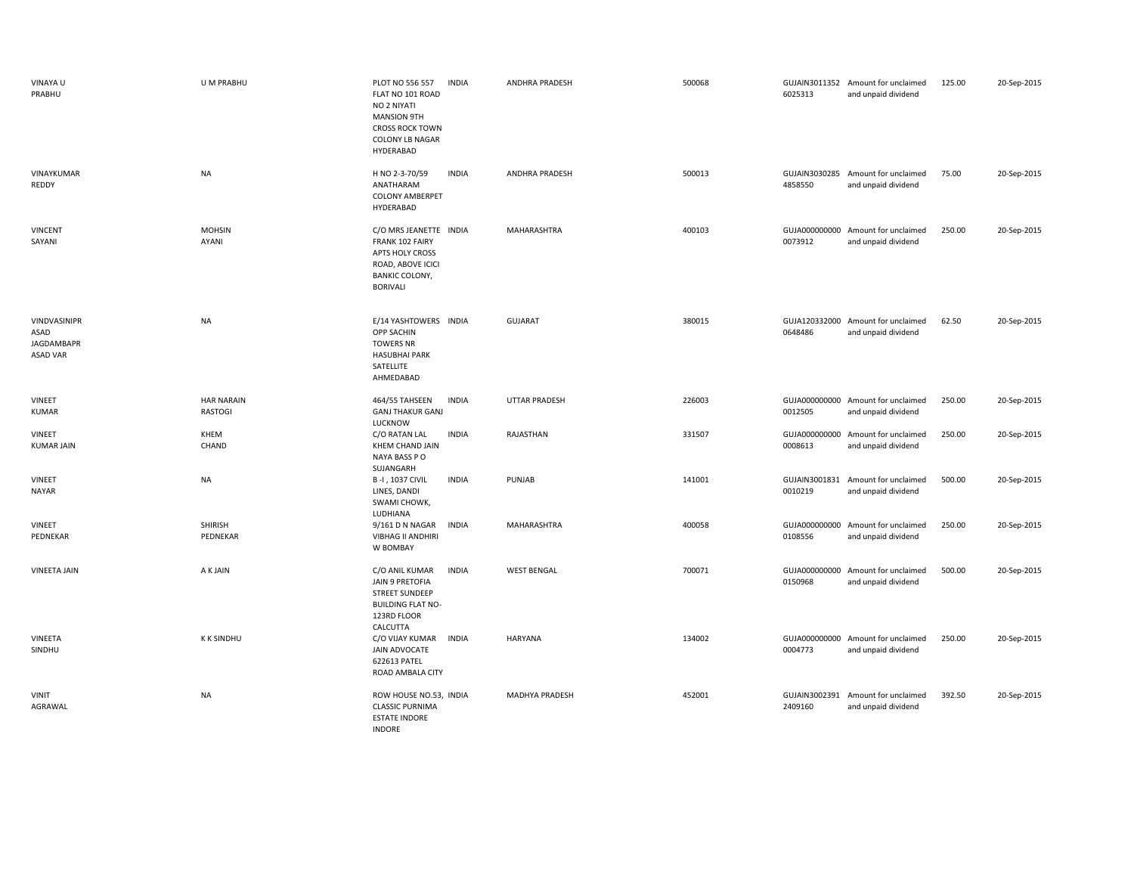| VINAYA U<br>PRABHU                                    | U M PRABHU                          | PLOT NO 556 557<br><b>INDIA</b><br>FLAT NO 101 ROAD<br>NO 2 NIYATI<br><b>MANSION 9TH</b><br><b>CROSS ROCK TOWN</b><br><b>COLONY LB NAGAR</b><br>HYDERABAD | <b>ANDHRA PRADESH</b> | 500068 | 6025313                  | GUJAIN3011352 Amount for unclaimed<br>and unpaid dividend | 125.00 | 20-Sep-2015 |
|-------------------------------------------------------|-------------------------------------|-----------------------------------------------------------------------------------------------------------------------------------------------------------|-----------------------|--------|--------------------------|-----------------------------------------------------------|--------|-------------|
| VINAYKUMAR<br>REDDY                                   | <b>NA</b>                           | H NO 2-3-70/59<br><b>INDIA</b><br>ANATHARAM<br><b>COLONY AMBERPET</b><br>HYDERABAD                                                                        | ANDHRA PRADESH        | 500013 | 4858550                  | GUJAIN3030285 Amount for unclaimed<br>and unpaid dividend | 75.00  | 20-Sep-2015 |
| <b>VINCENT</b><br>SAYANI                              | <b>MOHSIN</b><br>AYANI              | C/O MRS JEANETTE INDIA<br>FRANK 102 FAIRY<br>APTS HOLY CROSS<br>ROAD, ABOVE ICICI<br><b>BANKIC COLONY,</b><br><b>BORIVALI</b>                             | MAHARASHTRA           | 400103 | GUJA000000000<br>0073912 | Amount for unclaimed<br>and unpaid dividend               | 250.00 | 20-Sep-2015 |
| VINDVASINIPR<br>ASAD<br>JAGDAMBAPR<br><b>ASAD VAR</b> | <b>NA</b>                           | E/14 YASHTOWERS INDIA<br>OPP SACHIN<br><b>TOWERS NR</b><br><b>HASUBHAI PARK</b><br>SATELLITE<br>AHMEDABAD                                                 | <b>GUJARAT</b>        | 380015 | 0648486                  | GUJA120332000 Amount for unclaimed<br>and unpaid dividend | 62.50  | 20-Sep-2015 |
| VINEET<br>KUMAR                                       | <b>HAR NARAIN</b><br><b>RASTOGI</b> | 464/55 TAHSEEN<br><b>INDIA</b><br><b>GANJ THAKUR GANJ</b><br>LUCKNOW                                                                                      | <b>UTTAR PRADESH</b>  | 226003 | 0012505                  | GUJA000000000 Amount for unclaimed<br>and unpaid dividend | 250.00 | 20-Sep-2015 |
| VINEET<br><b>KUMAR JAIN</b>                           | KHEM<br>CHAND                       | C/O RATAN LAL<br><b>INDIA</b><br>KHEM CHAND JAIN<br>NAYA BASS PO<br>SUJANGARH                                                                             | RAJASTHAN             | 331507 | 0008613                  | GUJA000000000 Amount for unclaimed<br>and unpaid dividend | 250.00 | 20-Sep-2015 |
| VINEET<br>NAYAR                                       | <b>NA</b>                           | B-I, 1037 CIVIL<br><b>INDIA</b><br>LINES, DANDI<br>SWAMI CHOWK,<br>LUDHIANA                                                                               | PUNJAB                | 141001 | GUJAIN3001831<br>0010219 | Amount for unclaimed<br>and unpaid dividend               | 500.00 | 20-Sep-2015 |
| VINEET<br>PEDNEKAR                                    | <b>SHIRISH</b><br>PEDNEKAR          | 9/161 D N NAGAR<br><b>INDIA</b><br><b>VIBHAG II ANDHIRI</b><br>W BOMBAY                                                                                   | MAHARASHTRA           | 400058 | 0108556                  | GUJA000000000 Amount for unclaimed<br>and unpaid dividend | 250.00 | 20-Sep-2015 |
| <b>VINEETA JAIN</b>                                   | A K JAIN                            | <b>INDIA</b><br>C/O ANIL KUMAR<br>JAIN 9 PRETOFIA<br><b>STREET SUNDEEP</b><br><b>BUILDING FLAT NO-</b><br>123RD FLOOR<br>CALCUTTA                         | <b>WEST BENGAL</b>    | 700071 | 0150968                  | GUJA000000000 Amount for unclaimed<br>and unpaid dividend | 500.00 | 20-Sep-2015 |
| VINEETA<br>SINDHU                                     | <b>K K SINDHU</b>                   | C/O VIJAY KUMAR<br><b>INDIA</b><br>JAIN ADVOCATE<br>622613 PATEL<br>ROAD AMBALA CITY                                                                      | HARYANA               | 134002 | GUJA000000000<br>0004773 | Amount for unclaimed<br>and unpaid dividend               | 250.00 | 20-Sep-2015 |
| <b>VINIT</b><br>AGRAWAL                               | <b>NA</b>                           | ROW HOUSE NO.53, INDIA<br><b>CLASSIC PURNIMA</b><br><b>ESTATE INDORE</b><br><b>INDORE</b>                                                                 | <b>MADHYA PRADESH</b> | 452001 | 2409160                  | GUJAIN3002391 Amount for unclaimed<br>and unpaid dividend | 392.50 | 20-Sep-2015 |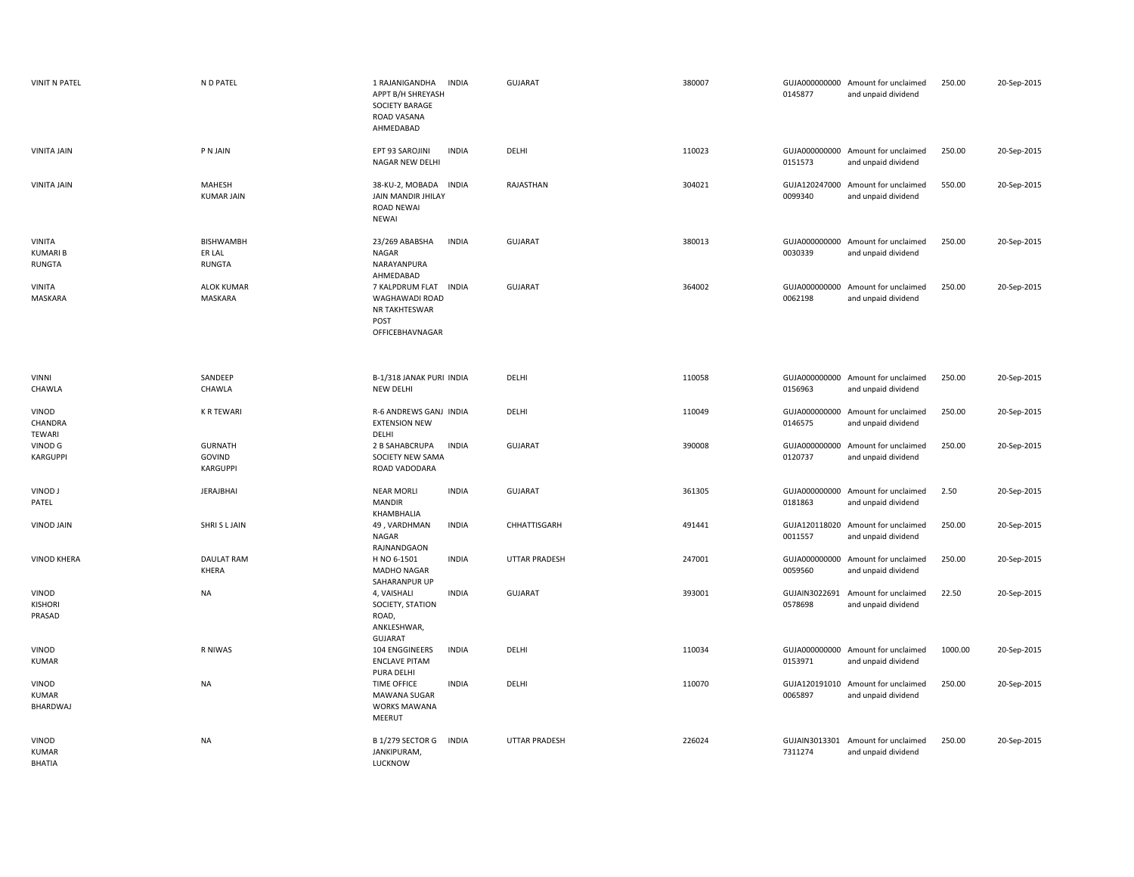| <b>VINIT N PATEL</b>                      | N D PATEL                                   | 1 RAJANIGANDHA<br><b>INDIA</b><br>APPT B/H SHREYASH<br>SOCIETY BARAGE<br>ROAD VASANA<br>AHMEDABAD | <b>GUJARAT</b>       | 380007 | 0145877                  | GUJA000000000 Amount for unclaimed<br>and unpaid dividend | 250.00  | 20-Sep-2015 |
|-------------------------------------------|---------------------------------------------|---------------------------------------------------------------------------------------------------|----------------------|--------|--------------------------|-----------------------------------------------------------|---------|-------------|
| <b>VINITA JAIN</b>                        | P N JAIN                                    | EPT 93 SAROJINI<br><b>INDIA</b><br>NAGAR NEW DELHI                                                | DELHI                | 110023 | 0151573                  | GUJA000000000 Amount for unclaimed<br>and unpaid dividend | 250.00  | 20-Sep-2015 |
| <b>VINITA JAIN</b>                        | MAHESH<br><b>KUMAR JAIN</b>                 | 38-KU-2, MOBADA<br><b>INDIA</b><br>JAIN MANDIR JHILAY<br><b>ROAD NEWAI</b><br><b>NEWAI</b>        | RAJASTHAN            | 304021 | GUJA120247000<br>0099340 | Amount for unclaimed<br>and unpaid dividend               | 550.00  | 20-Sep-2015 |
| VINITA<br><b>KUMARIB</b><br><b>RUNGTA</b> | <b>BISHWAMBH</b><br>ER LAL<br><b>RUNGTA</b> | 23/269 ABABSHA<br><b>INDIA</b><br>NAGAR<br>NARAYANPURA<br>AHMEDABAD                               | <b>GUJARAT</b>       | 380013 | 0030339                  | GUJA000000000 Amount for unclaimed<br>and unpaid dividend | 250.00  | 20-Sep-2015 |
| <b>VINITA</b><br>MASKARA                  | <b>ALOK KUMAR</b><br>MASKARA                | 7 KALPDRUM FLAT<br><b>INDIA</b><br>WAGHAWADI ROAD<br>NR TAKHTESWAR<br>POST<br>OFFICEBHAVNAGAR     | <b>GUJARAT</b>       | 364002 | 0062198                  | GUJA000000000 Amount for unclaimed<br>and unpaid dividend | 250.00  | 20-Sep-2015 |
| <b>VINNI</b>                              | SANDEEP                                     | B-1/318 JANAK PURI INDIA                                                                          | DELHI                | 110058 |                          | GUJA000000000 Amount for unclaimed                        | 250.00  | 20-Sep-2015 |
| CHAWLA                                    | CHAWLA                                      | NEW DELHI                                                                                         |                      |        | 0156963                  | and unpaid dividend                                       |         |             |
| VINOD<br>CHANDRA<br>TEWARI                | <b>K R TEWARI</b>                           | R-6 ANDREWS GANJ INDIA<br><b>EXTENSION NEW</b><br>DELHI                                           | DELHI                | 110049 | 0146575                  | GUJA000000000 Amount for unclaimed<br>and unpaid dividend | 250.00  | 20-Sep-2015 |
| VINOD G<br><b>KARGUPPI</b>                | <b>GURNATH</b><br>GOVIND<br><b>KARGUPPI</b> | 2 B SAHABCRUPA<br><b>INDIA</b><br>SOCIETY NEW SAMA<br>ROAD VADODARA                               | <b>GUJARAT</b>       | 390008 | 0120737                  | GUJA000000000 Amount for unclaimed<br>and unpaid dividend | 250.00  | 20-Sep-2015 |
| VINOD J<br>PATEL                          | <b>JERAJBHAI</b>                            | <b>INDIA</b><br><b>NEAR MORLI</b><br><b>MANDIR</b><br>KHAMBHALIA                                  | <b>GUJARAT</b>       | 361305 | 0181863                  | GUJA000000000 Amount for unclaimed<br>and unpaid dividend | 2.50    | 20-Sep-2015 |
| VINOD JAIN                                | SHRI S L JAIN                               | 49, VARDHMAN<br><b>INDIA</b><br>NAGAR<br>RAJNANDGAON                                              | CHHATTISGARH         | 491441 | 0011557                  | GUJA120118020 Amount for unclaimed<br>and unpaid dividend | 250.00  | 20-Sep-2015 |
| <b>VINOD KHERA</b>                        | DAULAT RAM<br>KHERA                         | <b>INDIA</b><br>H NO 6-1501<br>MADHO NAGAR<br>SAHARANPUR UP                                       | <b>UTTAR PRADESH</b> | 247001 | 0059560                  | GUJA000000000 Amount for unclaimed<br>and unpaid dividend | 250.00  | 20-Sep-2015 |
| VINOD<br>KISHORI<br>PRASAD                | <b>NA</b>                                   | <b>INDIA</b><br>4, VAISHALI<br>SOCIETY, STATION<br>ROAD,<br>ANKLESHWAR,<br><b>GUJARAT</b>         | <b>GUJARAT</b>       | 393001 | GUJAIN3022691<br>0578698 | Amount for unclaimed<br>and unpaid dividend               | 22.50   | 20-Sep-2015 |
| VINOD<br><b>KUMAR</b>                     | R NIWAS                                     | 104 ENGGINEERS<br><b>INDIA</b><br><b>ENCLAVE PITAM</b><br>PURA DELHI                              | DELHI                | 110034 | 0153971                  | GUJA000000000 Amount for unclaimed<br>and unpaid dividend | 1000.00 | 20-Sep-2015 |
| VINOD<br><b>KUMAR</b><br>BHARDWAJ         | <b>NA</b>                                   | <b>TIME OFFICE</b><br><b>INDIA</b><br>MAWANA SUGAR<br>WORKS MAWANA<br>MEERUT                      | DELHI                | 110070 | GUJA120191010<br>0065897 | Amount for unclaimed<br>and unpaid dividend               | 250.00  | 20-Sep-2015 |
| VINOD<br><b>KUMAR</b><br><b>BHATIA</b>    | <b>NA</b>                                   | B 1/279 SECTOR G<br><b>INDIA</b><br>JANKIPURAM,<br>LUCKNOW                                        | <b>UTTAR PRADESH</b> | 226024 | GUJAIN3013301<br>7311274 | Amount for unclaimed<br>and unpaid dividend               | 250.00  | 20-Sep-2015 |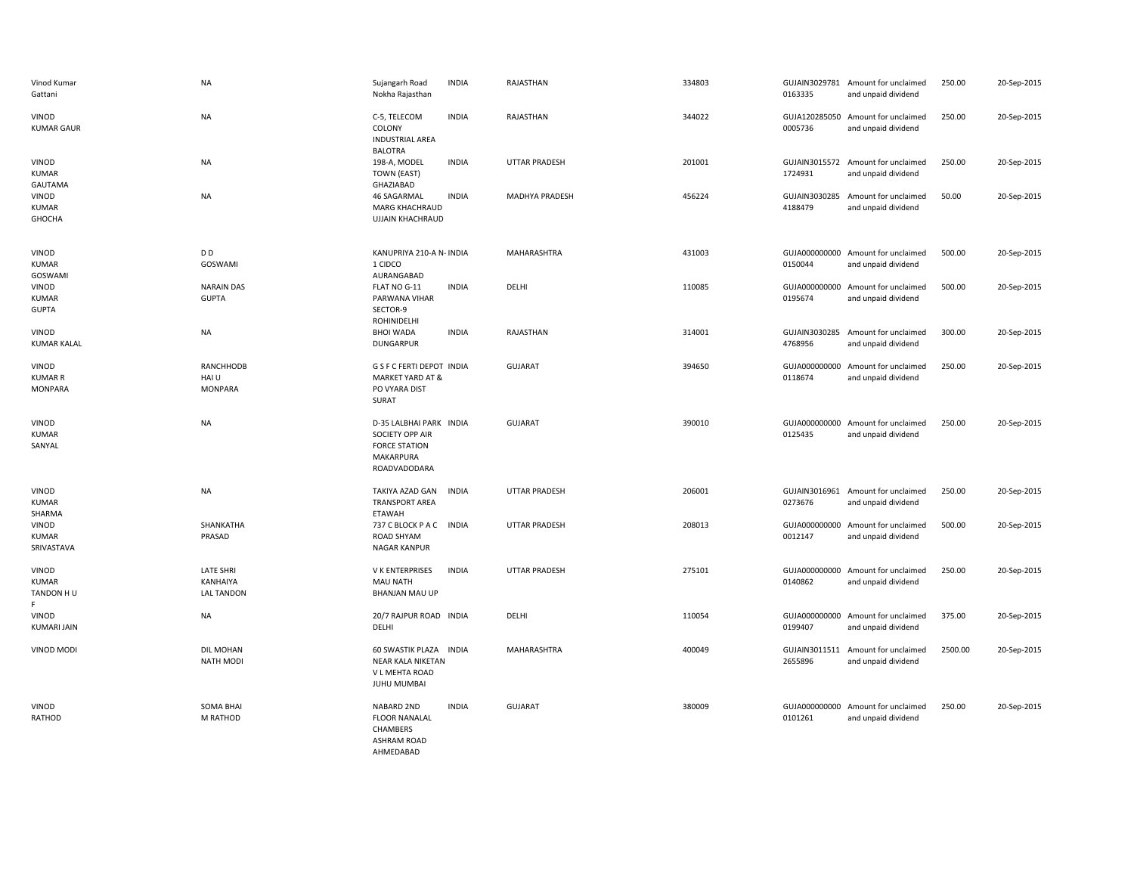| Vinod Kumar<br>Gattani                    | <b>NA</b>                                         | Sujangarh Road<br>Nokha Rajasthan                                                               | <b>INDIA</b> | RAJASTHAN            | 334803 | 0163335                  | GUJAIN3029781 Amount for unclaimed<br>and unpaid dividend | 250.00  | 20-Sep-2015 |
|-------------------------------------------|---------------------------------------------------|-------------------------------------------------------------------------------------------------|--------------|----------------------|--------|--------------------------|-----------------------------------------------------------|---------|-------------|
| VINOD<br><b>KUMAR GAUR</b>                | <b>NA</b>                                         | C-5, TELECOM<br>COLONY<br><b>INDUSTRIAL AREA</b><br><b>BALOTRA</b>                              | <b>INDIA</b> | RAJASTHAN            | 344022 | 0005736                  | GUJA120285050 Amount for unclaimed<br>and unpaid dividend | 250.00  | 20-Sep-2015 |
| VINOD<br><b>KUMAR</b><br>GAUTAMA          | NA                                                | 198-A, MODEL<br>TOWN (EAST)<br>GHAZIABAD                                                        | <b>INDIA</b> | <b>UTTAR PRADESH</b> | 201001 | 1724931                  | GUJAIN3015572 Amount for unclaimed<br>and unpaid dividend | 250.00  | 20-Sep-2015 |
| VINOD<br><b>KUMAR</b><br>GHOCHA           | NA                                                | 46 SAGARMAL<br>MARG KHACHRAUD<br><b>UJJAIN KHACHRAUD</b>                                        | <b>INDIA</b> | MADHYA PRADESH       | 456224 | 4188479                  | GUJAIN3030285 Amount for unclaimed<br>and unpaid dividend | 50.00   | 20-Sep-2015 |
| VINOD<br><b>KUMAR</b><br>GOSWAMI          | D D<br>GOSWAMI                                    | KANUPRIYA 210-A N- INDIA<br>1 CIDCO<br>AURANGABAD                                               |              | MAHARASHTRA          | 431003 | 0150044                  | GUJA000000000 Amount for unclaimed<br>and unpaid dividend | 500.00  | 20-Sep-2015 |
| VINOD<br><b>KUMAR</b><br><b>GUPTA</b>     | <b>NARAIN DAS</b><br><b>GUPTA</b>                 | FLAT NO G-11<br>PARWANA VIHAR<br>SECTOR-9<br>ROHINIDELHI                                        | <b>INDIA</b> | DELHI                | 110085 | 0195674                  | GUJA000000000 Amount for unclaimed<br>and unpaid dividend | 500.00  | 20-Sep-2015 |
| VINOD<br><b>KUMAR KALAL</b>               | <b>NA</b>                                         | <b>BHOI WADA</b><br><b>DUNGARPUR</b>                                                            | <b>INDIA</b> | RAJASTHAN            | 314001 | 4768956                  | GUJAIN3030285 Amount for unclaimed<br>and unpaid dividend | 300.00  | 20-Sep-2015 |
| VINOD<br><b>KUMAR R</b><br><b>MONPARA</b> | <b>RANCHHODB</b><br>HAI U<br><b>MONPARA</b>       | G S F C FERTI DEPOT INDIA<br>MARKET YARD AT &<br>PO VYARA DIST<br>SURAT                         |              | <b>GUJARAT</b>       | 394650 | GUJA000000000<br>0118674 | Amount for unclaimed<br>and unpaid dividend               | 250.00  | 20-Sep-2015 |
| VINOD<br><b>KUMAR</b><br>SANYAL           | <b>NA</b>                                         | D-35 LALBHAI PARK INDIA<br>SOCIETY OPP AIR<br><b>FORCE STATION</b><br>MAKARPURA<br>ROADVADODARA |              | <b>GUJARAT</b>       | 390010 | GUJA000000000<br>0125435 | Amount for unclaimed<br>and unpaid dividend               | 250.00  | 20-Sep-2015 |
| VINOD<br><b>KUMAR</b><br>SHARMA           | <b>NA</b>                                         | TAKIYA AZAD GAN<br><b>TRANSPORT AREA</b><br>ETAWAH                                              | <b>INDIA</b> | <b>UTTAR PRADESH</b> | 206001 | 0273676                  | GUJAIN3016961 Amount for unclaimed<br>and unpaid dividend | 250.00  | 20-Sep-2015 |
| VINOD<br><b>KUMAR</b><br>SRIVASTAVA       | SHANKATHA<br>PRASAD                               | 737 C BLOCK P A C INDIA<br>ROAD SHYAM<br><b>NAGAR KANPUR</b>                                    |              | <b>UTTAR PRADESH</b> | 208013 | 0012147                  | GUJA000000000 Amount for unclaimed<br>and unpaid dividend | 500.00  | 20-Sep-2015 |
| VINOD<br><b>KUMAR</b><br>TANDON HU        | <b>LATE SHRI</b><br>KANHAIYA<br><b>LAL TANDON</b> | V K ENTERPRISES<br>MAU NATH<br><b>BHANJAN MAU UP</b>                                            | <b>INDIA</b> | <b>UTTAR PRADESH</b> | 275101 | 0140862                  | GUJA000000000 Amount for unclaimed<br>and unpaid dividend | 250.00  | 20-Sep-2015 |
| VINOD<br><b>KUMARI JAIN</b>               | <b>NA</b>                                         | 20/7 RAJPUR ROAD INDIA<br>DELHI                                                                 |              | DELHI                | 110054 | 0199407                  | GUJA000000000 Amount for unclaimed<br>and unpaid dividend | 375.00  | 20-Sep-2015 |
| VINOD MODI                                | DIL MOHAN<br><b>NATH MODI</b>                     | 60 SWASTIK PLAZA INDIA<br>NEAR KALA NIKETAN<br>V L MEHTA ROAD<br>JUHU MUMBAI                    |              | MAHARASHTRA          | 400049 | 2655896                  | GUJAIN3011511 Amount for unclaimed<br>and unpaid dividend | 2500.00 | 20-Sep-2015 |
| VINOD<br>RATHOD                           | <b>SOMA BHAI</b><br>M RATHOD                      | NABARD 2ND<br><b>FLOOR NANALAL</b><br>CHAMBERS<br><b>ASHRAM ROAD</b><br>AHMEDABAD               | <b>INDIA</b> | <b>GUJARAT</b>       | 380009 | 0101261                  | GUJA000000000 Amount for unclaimed<br>and unpaid dividend | 250.00  | 20-Sep-2015 |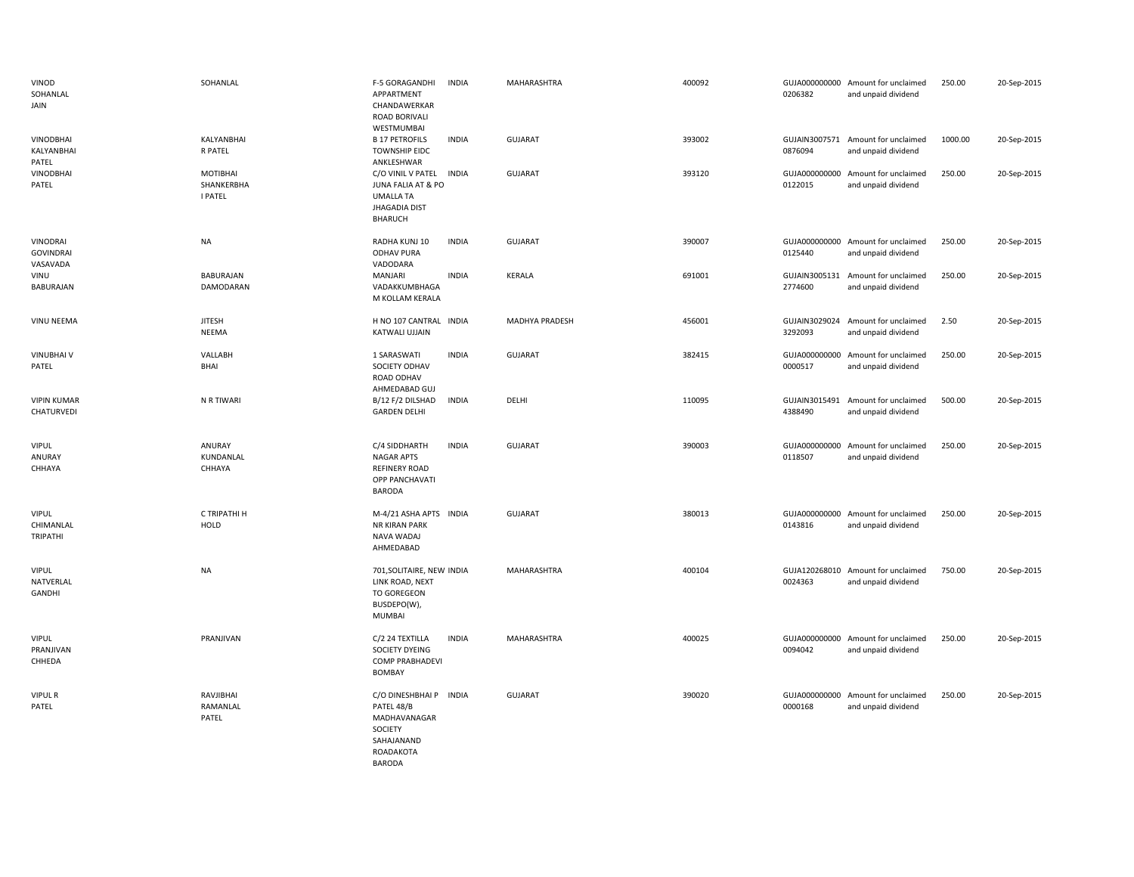| VINOD<br>SOHANLAL<br>JAIN                | SOHANLAL                                 | <b>INDIA</b><br>F-5 GORAGANDHI<br>APPARTMENT<br>CHANDAWERKAR<br>ROAD BORIVALI<br>WESTMUMBAI                           | MAHARASHTRA    | 400092 | 0206382                  | GUJA000000000 Amount for unclaimed<br>and unpaid dividend | 250.00  | 20-Sep-2015 |
|------------------------------------------|------------------------------------------|-----------------------------------------------------------------------------------------------------------------------|----------------|--------|--------------------------|-----------------------------------------------------------|---------|-------------|
| <b>VINODBHAI</b><br>KALYANBHAI<br>PATEL  | KALYANBHAI<br>R PATEL                    | <b>INDIA</b><br><b>B 17 PETROFILS</b><br><b>TOWNSHIP EIDC</b><br>ANKLESHWAR                                           | <b>GUJARAT</b> | 393002 | 0876094                  | GUJAIN3007571 Amount for unclaimed<br>and unpaid dividend | 1000.00 | 20-Sep-2015 |
| <b>VINODBHAI</b><br>PATEL                | MOTIBHAI<br>SHANKERBHA<br><b>I PATEL</b> | C/O VINIL V PATEL<br><b>INDIA</b><br>JUNA FALIA AT & PO<br><b>UMALLA TA</b><br><b>JHAGADIA DIST</b><br><b>BHARUCH</b> | GUJARAT        | 393120 | GUJA000000000<br>0122015 | Amount for unclaimed<br>and unpaid dividend               | 250.00  | 20-Sep-2015 |
| VINODRAI<br><b>GOVINDRAI</b><br>VASAVADA | <b>NA</b>                                | RADHA KUNJ 10<br><b>INDIA</b><br><b>ODHAV PURA</b><br>VADODARA                                                        | <b>GUJARAT</b> | 390007 | 0125440                  | GUJA000000000 Amount for unclaimed<br>and unpaid dividend | 250.00  | 20-Sep-2015 |
| VINU<br>BABURAJAN                        | BABURAJAN<br>DAMODARAN                   | MANJARI<br><b>INDIA</b><br>VADAKKUMBHAGA<br>M KOLLAM KERALA                                                           | <b>KERALA</b>  | 691001 | GUJAIN3005131<br>2774600 | Amount for unclaimed<br>and unpaid dividend               | 250.00  | 20-Sep-2015 |
| VINU NEEMA                               | <b>JITESH</b><br>NEEMA                   | H NO 107 CANTRAL INDIA<br>KATWALI UJJAIN                                                                              | MADHYA PRADESH | 456001 | 3292093                  | GUJAIN3029024 Amount for unclaimed<br>and unpaid dividend | 2.50    | 20-Sep-2015 |
| <b>VINUBHAIV</b><br>PATEL                | VALLABH<br>BHAI                          | <b>INDIA</b><br>1 SARASWATI<br>SOCIETY ODHAV<br>ROAD ODHAV<br>AHMEDABAD GUJ                                           | <b>GUJARAT</b> | 382415 | 0000517                  | GUJA000000000 Amount for unclaimed<br>and unpaid dividend | 250.00  | 20-Sep-2015 |
| <b>VIPIN KUMAR</b><br>CHATURVEDI         | N R TIWARI                               | B/12 F/2 DILSHAD<br><b>INDIA</b><br><b>GARDEN DELHI</b>                                                               | DELHI          | 110095 | 4388490                  | GUJAIN3015491 Amount for unclaimed<br>and unpaid dividend | 500.00  | 20-Sep-2015 |
| <b>VIPUL</b><br>ANURAY<br>CHHAYA         | ANURAY<br>KUNDANLAL<br>CHHAYA            | C/4 SIDDHARTH<br><b>INDIA</b><br><b>NAGAR APTS</b><br><b>REFINERY ROAD</b><br>OPP PANCHAVATI<br><b>BARODA</b>         | <b>GUJARAT</b> | 390003 | 0118507                  | GUJA000000000 Amount for unclaimed<br>and unpaid dividend | 250.00  | 20-Sep-2015 |
| <b>VIPUL</b><br>CHIMANLAL<br>TRIPATHI    | C TRIPATHI H<br><b>HOLD</b>              | M-4/21 ASHA APTS INDIA<br>NR KIRAN PARK<br>NAVA WADAJ<br>AHMEDABAD                                                    | <b>GUJARAT</b> | 380013 | GUJA000000000<br>0143816 | Amount for unclaimed<br>and unpaid dividend               | 250.00  | 20-Sep-2015 |
| <b>VIPUL</b><br>NATVERLAL<br>GANDHI      | <b>NA</b>                                | 701, SOLITAIRE, NEW INDIA<br>LINK ROAD, NEXT<br>TO GOREGEON<br>BUSDEPO(W),<br>MUMBAI                                  | MAHARASHTRA    | 400104 | 0024363                  | GUJA120268010 Amount for unclaimed<br>and unpaid dividend | 750.00  | 20-Sep-2015 |
| <b>VIPUL</b><br>PRANJIVAN<br>CHHEDA      | PRANJIVAN                                | C/2 24 TEXTILLA<br><b>INDIA</b><br>SOCIETY DYEING<br>COMP PRABHADEVI<br>BOMBAY                                        | MAHARASHTRA    | 400025 | GUJA000000000<br>0094042 | Amount for unclaimed<br>and unpaid dividend               | 250.00  | 20-Sep-2015 |
| <b>VIPUL R</b><br>PATEL                  | RAVJIBHAI<br>RAMANLAL<br>PATEL           | C/O DINESHBHAI P INDIA<br>PATEL 48/B<br>MADHAVANAGAR<br>SOCIETY<br>SAHAJANAND<br>ROADAKOTA                            | <b>GUJARAT</b> | 390020 | GUJA000000000<br>0000168 | Amount for unclaimed<br>and unpaid dividend               | 250.00  | 20-Sep-2015 |

BARODA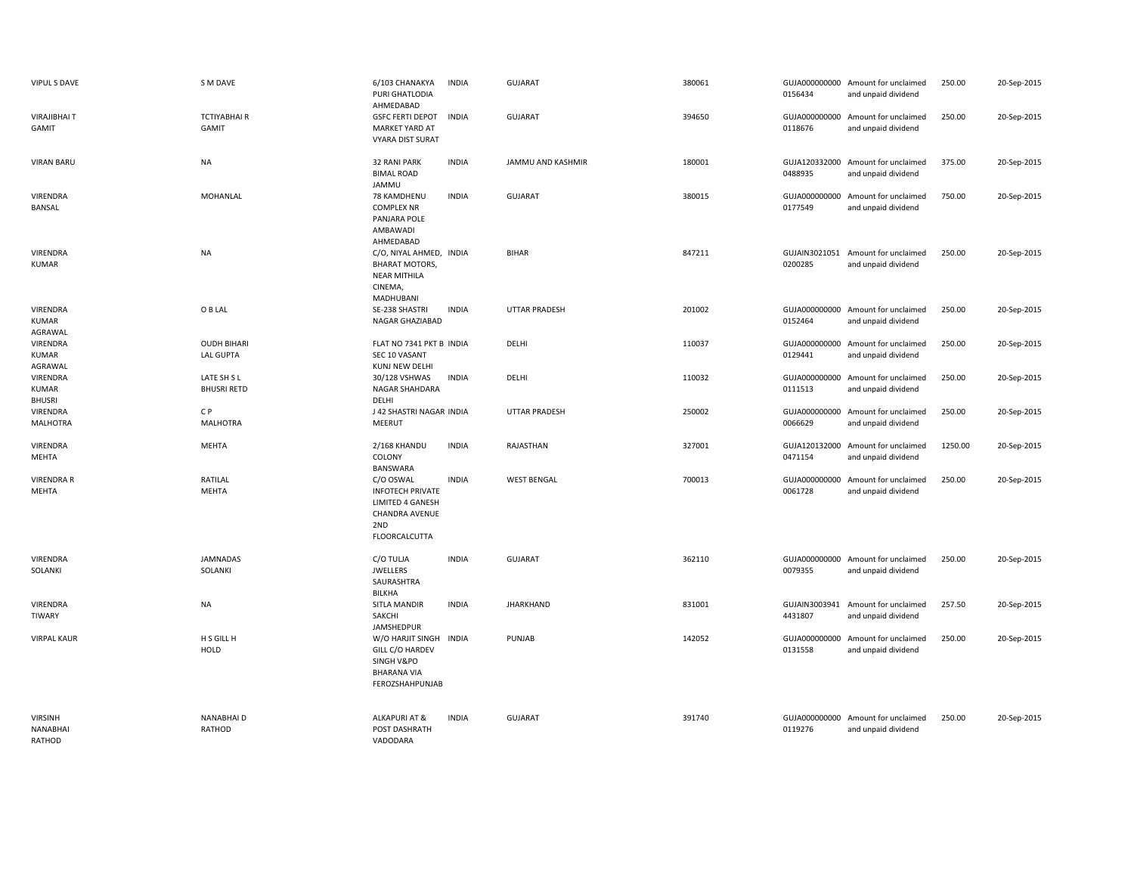| VIPUL S DAVE                         | S M DAVE                               | 6/103 CHANAKYA<br>PURI GHATLODIA<br>AHMEDABAD                                                      | <b>INDIA</b> | GUJARAT              | 380061 | 0156434                  | GUJA000000000 Amount for unclaimed<br>and unpaid dividend | 250.00  | 20-Sep-2015 |
|--------------------------------------|----------------------------------------|----------------------------------------------------------------------------------------------------|--------------|----------------------|--------|--------------------------|-----------------------------------------------------------|---------|-------------|
| <b>VIRAJIBHAIT</b><br>GAMIT          | <b>TCTIYABHAIR</b><br>GAMIT            | <b>GSFC FERTI DEPOT</b><br>MARKET YARD AT<br><b>VYARA DIST SURAT</b>                               | <b>INDIA</b> | <b>GUJARAT</b>       | 394650 | 0118676                  | GUJA000000000 Amount for unclaimed<br>and unpaid dividend | 250.00  | 20-Sep-2015 |
| <b>VIRAN BARU</b>                    | <b>NA</b>                              | <b>32 RANI PARK</b><br><b>BIMAL ROAD</b><br>JAMMU                                                  | <b>INDIA</b> | JAMMU AND KASHMIR    | 180001 | 0488935                  | GUJA120332000 Amount for unclaimed<br>and unpaid dividend | 375.00  | 20-Sep-2015 |
| VIRENDRA<br>BANSAL                   | MOHANLAL                               | 78 KAMDHENU<br><b>COMPLEX NR</b><br>PANJARA POLE<br>AMBAWADI<br>AHMEDABAD                          | <b>INDIA</b> | <b>GUJARAT</b>       | 380015 | GUJA000000000<br>0177549 | Amount for unclaimed<br>and unpaid dividend               | 750.00  | 20-Sep-2015 |
| <b>VIRENDRA</b><br>KUMAR             | <b>NA</b>                              | C/O, NIYAL AHMED, INDIA<br><b>BHARAT MOTORS,</b><br><b>NEAR MITHILA</b><br>CINEMA,<br>MADHUBANI    |              | <b>BIHAR</b>         | 847211 | 0200285                  | GUJAIN3021051 Amount for unclaimed<br>and unpaid dividend | 250.00  | 20-Sep-2015 |
| VIRENDRA<br>KUMAR<br>AGRAWAL         | O B LAL                                | SE-238 SHASTRI<br>NAGAR GHAZIABAD                                                                  | <b>INDIA</b> | <b>UTTAR PRADESH</b> | 201002 | 0152464                  | GUJA000000000 Amount for unclaimed<br>and unpaid dividend | 250.00  | 20-Sep-2015 |
| VIRENDRA<br>KUMAR<br>AGRAWAL         | <b>OUDH BIHARI</b><br><b>LAL GUPTA</b> | FLAT NO 7341 PKT B INDIA<br>SEC 10 VASANT<br>KUNJ NEW DELHI                                        |              | DELHI                | 110037 | GUJA000000000<br>0129441 | Amount for unclaimed<br>and unpaid dividend               | 250.00  | 20-Sep-2015 |
| VIRENDRA<br>KUMAR<br><b>BHUSRI</b>   | LATE SH S L<br><b>BHUSRI RETD</b>      | 30/128 VSHWAS<br>NAGAR SHAHDARA<br>DELHI                                                           | <b>INDIA</b> | DELHI                | 110032 | GUJA000000000<br>0111513 | Amount for unclaimed<br>and unpaid dividend               | 250.00  | 20-Sep-2015 |
| VIRENDRA<br><b>MALHOTRA</b>          | C P<br><b>MALHOTRA</b>                 | J 42 SHASTRI NAGAR INDIA<br>MEERUT                                                                 |              | <b>UTTAR PRADESH</b> | 250002 | GUJA000000000<br>0066629 | Amount for unclaimed<br>and unpaid dividend               | 250.00  | 20-Sep-2015 |
| VIRENDRA<br>MEHTA                    | <b>MEHTA</b>                           | 2/168 KHANDU<br>COLONY<br>BANSWARA                                                                 | <b>INDIA</b> | RAJASTHAN            | 327001 | 0471154                  | GUJA120132000 Amount for unclaimed<br>and unpaid dividend | 1250.00 | 20-Sep-2015 |
| <b>VIRENDRA R</b><br>MEHTA           | RATILAL<br>MEHTA                       | C/O OSWAL<br><b>INFOTECH PRIVATE</b><br>LIMITED 4 GANESH<br>CHANDRA AVENUE<br>2ND<br>FLOORCALCUTTA | <b>INDIA</b> | <b>WEST BENGAL</b>   | 700013 | 0061728                  | GUJA000000000 Amount for unclaimed<br>and unpaid dividend | 250.00  | 20-Sep-2015 |
| VIRENDRA<br>SOLANKI                  | <b>JAMNADAS</b><br>SOLANKI             | C/O TULJA<br><b>JWELLERS</b><br>SAURASHTRA<br>BILKHA                                               | <b>INDIA</b> | <b>GUJARAT</b>       | 362110 | 0079355                  | GUJA000000000 Amount for unclaimed<br>and unpaid dividend | 250.00  | 20-Sep-2015 |
| <b>VIRENDRA</b><br>TIWARY            | <b>NA</b>                              | SITLA MANDIR<br>SAKCHI<br>JAMSHEDPUR                                                               | <b>INDIA</b> | <b>JHARKHAND</b>     | 831001 | 4431807                  | GUJAIN3003941 Amount for unclaimed<br>and unpaid dividend | 257.50  | 20-Sep-2015 |
| <b>VIRPAL KAUR</b>                   | H S GILL H<br>HOLD                     | W/O HARJIT SINGH INDIA<br>GILL C/O HARDEV<br>SINGH V&PO<br><b>BHARANA VIA</b><br>FEROZSHAHPUNJAB   |              | PUNJAB               | 142052 | GUJA000000000<br>0131558 | Amount for unclaimed<br>and unpaid dividend               | 250.00  | 20-Sep-2015 |
| <b>VIRSINH</b><br>NANABHAI<br>RATHOD | NANABHAI D<br>RATHOD                   | ALKAPURI AT &<br>POST DASHRATH<br>VADODARA                                                         | <b>INDIA</b> | <b>GUJARAT</b>       | 391740 | 0119276                  | GUJA000000000 Amount for unclaimed<br>and unpaid dividend | 250.00  | 20-Sep-2015 |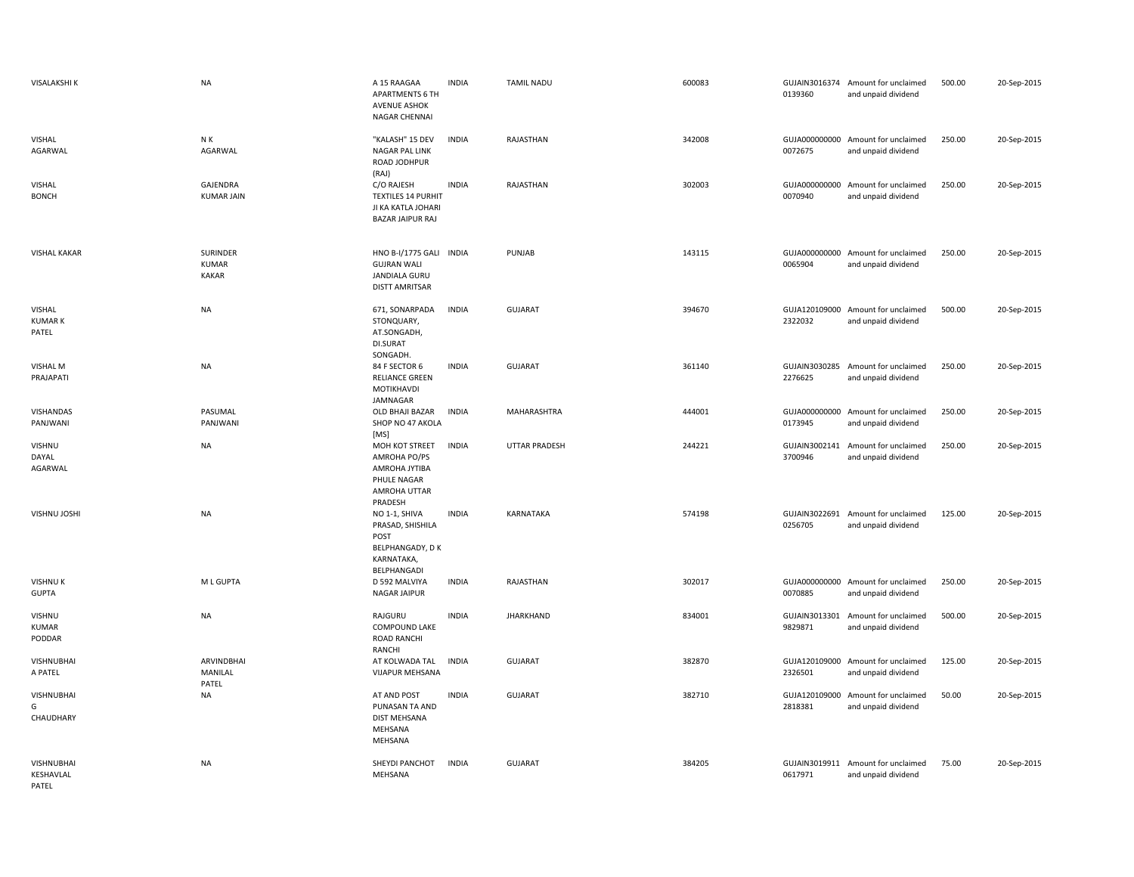| <b>VISALAKSHI K</b>                     | <b>NA</b>                                       | A 15 RAAGAA<br>APARTMENTS 6 TH<br><b>AVENUE ASHOK</b><br>NAGAR CHENNAI                         | <b>INDIA</b> | <b>TAMIL NADU</b>    | 600083 | 0139360                  | GUJAIN3016374 Amount for unclaimed<br>and unpaid dividend | 500.00 | 20-Sep-2015 |
|-----------------------------------------|-------------------------------------------------|------------------------------------------------------------------------------------------------|--------------|----------------------|--------|--------------------------|-----------------------------------------------------------|--------|-------------|
| <b>VISHAL</b><br>AGARWAL                | N K<br>AGARWAL                                  | "KALASH" 15 DEV<br><b>NAGAR PAL LINK</b><br>ROAD JODHPUR<br>(RAJ)                              | <b>INDIA</b> | RAJASTHAN            | 342008 | 0072675                  | GUJA000000000 Amount for unclaimed<br>and unpaid dividend | 250.00 | 20-Sep-2015 |
| <b>VISHAL</b><br><b>BONCH</b>           | GAJENDRA<br><b>KUMAR JAIN</b>                   | C/O RAJESH<br><b>TEXTILES 14 PURHIT</b><br>JI KA KATLA JOHARI<br><b>BAZAR JAIPUR RAJ</b>       | <b>INDIA</b> | RAJASTHAN            | 302003 | GUJA000000000<br>0070940 | Amount for unclaimed<br>and unpaid dividend               | 250.00 | 20-Sep-2015 |
| <b>VISHAL KAKAR</b>                     | <b>SURINDER</b><br><b>KUMAR</b><br><b>KAKAR</b> | HNO B-I/1775 GALI INDIA<br><b>GUJRAN WALI</b><br><b>JANDIALA GURU</b><br><b>DISTT AMRITSAR</b> |              | PUNJAB               | 143115 | 0065904                  | GUJA000000000 Amount for unclaimed<br>and unpaid dividend | 250.00 | 20-Sep-2015 |
| VISHAL<br><b>KUMARK</b><br>PATEL        | <b>NA</b>                                       | 671, SONARPADA<br>STONQUARY,<br>AT.SONGADH,<br>DI.SURAT<br>SONGADH.                            | <b>INDIA</b> | <b>GUJARAT</b>       | 394670 | 2322032                  | GUJA120109000 Amount for unclaimed<br>and unpaid dividend | 500.00 | 20-Sep-2015 |
| <b>VISHAL M</b><br>PRAJAPATI            | <b>NA</b>                                       | 84 F SECTOR 6<br><b>RELIANCE GREEN</b><br>MOTIKHAVDI<br>JAMNAGAR                               | <b>INDIA</b> | <b>GUJARAT</b>       | 361140 | 2276625                  | GUJAIN3030285 Amount for unclaimed<br>and unpaid dividend | 250.00 | 20-Sep-2015 |
| VISHANDAS<br>PANJWANI                   | PASUMAL<br>PANJWANI                             | OLD BHAJI BAZAR<br>SHOP NO 47 AKOLA<br>[MS]                                                    | <b>INDIA</b> | MAHARASHTRA          | 444001 | 0173945                  | GUJA000000000 Amount for unclaimed<br>and unpaid dividend | 250.00 | 20-Sep-2015 |
| <b>VISHNU</b><br>DAYAL<br>AGARWAL       | <b>NA</b>                                       | MOH KOT STREET<br>AMROHA PO/PS<br>AMROHA JYTIBA<br>PHULE NAGAR<br>AMROHA UTTAR<br>PRADESH      | <b>INDIA</b> | <b>UTTAR PRADESH</b> | 244221 | 3700946                  | GUJAIN3002141 Amount for unclaimed<br>and unpaid dividend | 250.00 | 20-Sep-2015 |
| VISHNU JOSHI                            | <b>NA</b>                                       | NO 1-1, SHIVA<br>PRASAD, SHISHILA<br>POST<br>BELPHANGADY, DK<br>KARNATAKA,<br>BELPHANGADI      | <b>INDIA</b> | KARNATAKA            | 574198 | GUJAIN3022691<br>0256705 | Amount for unclaimed<br>and unpaid dividend               | 125.00 | 20-Sep-2015 |
| <b>VISHNUK</b><br><b>GUPTA</b>          | M L GUPTA                                       | D 592 MALVIYA<br>NAGAR JAIPUR                                                                  | <b>INDIA</b> | RAJASTHAN            | 302017 | 0070885                  | GUJA000000000 Amount for unclaimed<br>and unpaid dividend | 250.00 | 20-Sep-2015 |
| <b>VISHNU</b><br><b>KUMAR</b><br>PODDAR | <b>NA</b>                                       | RAJGURU<br>COMPOUND LAKE<br>ROAD RANCHI<br>RANCHI                                              | <b>INDIA</b> | <b>JHARKHAND</b>     | 834001 | 9829871                  | GUJAIN3013301 Amount for unclaimed<br>and unpaid dividend | 500.00 | 20-Sep-2015 |
| <b>VISHNUBHAI</b><br>A PATEL            | ARVINDBHAI<br>MANILAL<br>PATEL                  | AT KOLWADA TAL<br><b>VIJAPUR MEHSANA</b>                                                       | <b>INDIA</b> | <b>GUJARAT</b>       | 382870 | 2326501                  | GUJA120109000 Amount for unclaimed<br>and unpaid dividend | 125.00 | 20-Sep-2015 |
| VISHNUBHAI<br>G<br>CHAUDHARY            | <b>NA</b>                                       | AT AND POST<br>PUNASAN TA AND<br>DIST MEHSANA<br>MEHSANA<br>MEHSANA                            | <b>INDIA</b> | <b>GUJARAT</b>       | 382710 | GUJA120109000<br>2818381 | Amount for unclaimed<br>and unpaid dividend               | 50.00  | 20-Sep-2015 |
| VISHNUBHAI<br>KESHAVLAL<br>PATEL        | NA                                              | SHEYDI PANCHOT<br>MEHSANA                                                                      | <b>INDIA</b> | <b>GUJARAT</b>       | 384205 | 0617971                  | GUJAIN3019911 Amount for unclaimed<br>and unpaid dividend | 75.00  | 20-Sep-2015 |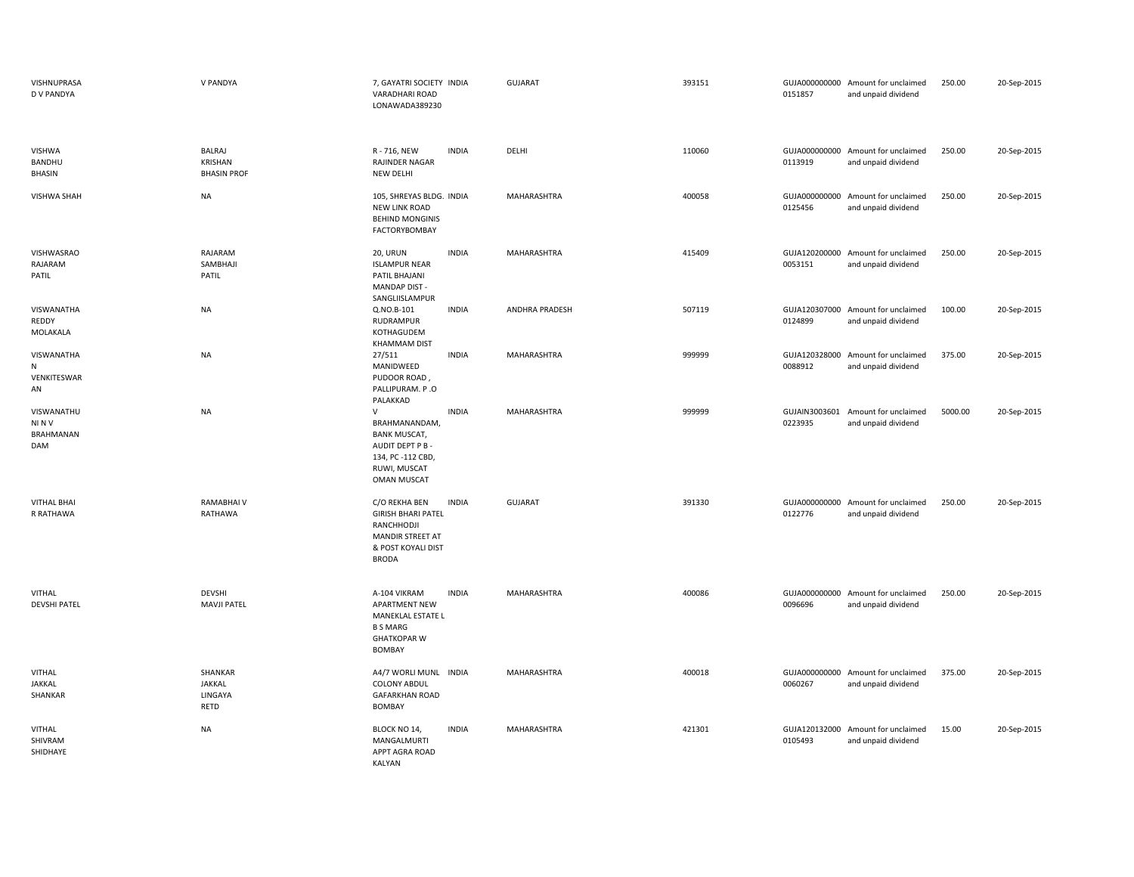| VISHNUPRASA<br>D V PANDYA                     | V PANDYA                                       | 7, GAYATRI SOCIETY INDIA<br>VARADHARI ROAD<br>LONAWADA389230                                                                                  | <b>GUJARAT</b> | 393151 | 0151857                  | GUJA000000000 Amount for unclaimed<br>and unpaid dividend | 250.00  | 20-Sep-2015 |
|-----------------------------------------------|------------------------------------------------|-----------------------------------------------------------------------------------------------------------------------------------------------|----------------|--------|--------------------------|-----------------------------------------------------------|---------|-------------|
| VISHWA<br><b>BANDHU</b><br><b>BHASIN</b>      | BALRAJ<br><b>KRISHAN</b><br><b>BHASIN PROF</b> | R - 716, NEW<br><b>INDIA</b><br>RAJINDER NAGAR<br><b>NEW DELHI</b>                                                                            | DELHI          | 110060 | 0113919                  | GUJA000000000 Amount for unclaimed<br>and unpaid dividend | 250.00  | 20-Sep-2015 |
| <b>VISHWA SHAH</b>                            | <b>NA</b>                                      | 105, SHREYAS BLDG. INDIA<br>NEW LINK ROAD<br><b>BEHIND MONGINIS</b><br><b>FACTORYBOMBAY</b>                                                   | MAHARASHTRA    | 400058 | 0125456                  | GUJA000000000 Amount for unclaimed<br>and unpaid dividend | 250.00  | 20-Sep-2015 |
| VISHWASRAO<br>RAJARAM<br>PATIL                | RAJARAM<br>SAMBHAJI<br>PATIL                   | 20, URUN<br><b>INDIA</b><br><b>ISLAMPUR NEAR</b><br>PATIL BHAJANI<br>MANDAP DIST -<br>SANGLIISLAMPUR                                          | MAHARASHTRA    | 415409 | 0053151                  | GUJA120200000 Amount for unclaimed<br>and unpaid dividend | 250.00  | 20-Sep-2015 |
| VISWANATHA<br>REDDY<br>MOLAKALA               | NA                                             | <b>INDIA</b><br>Q.NO.B-101<br>RUDRAMPUR<br>KOTHAGUDEM<br><b>KHAMMAM DIST</b>                                                                  | ANDHRA PRADESH | 507119 | 0124899                  | GUJA120307000 Amount for unclaimed<br>and unpaid dividend | 100.00  | 20-Sep-2015 |
| VISWANATHA<br>${\sf N}$<br>VENKITESWAR<br>AN  | NA                                             | <b>INDIA</b><br>27/511<br>MANIDWEED<br>PUDOOR ROAD,<br>PALLIPURAM. P.O<br>PALAKKAD                                                            | MAHARASHTRA    | 999999 | GUJA120328000<br>0088912 | Amount for unclaimed<br>and unpaid dividend               | 375.00  | 20-Sep-2015 |
| VISWANATHU<br>NINV<br><b>BRAHMANAN</b><br>DAM | <b>NA</b>                                      | $\vee$<br><b>INDIA</b><br>BRAHMANANDAM,<br><b>BANK MUSCAT,</b><br>AUDIT DEPT P B -<br>134, PC -112 CBD,<br>RUWI, MUSCAT<br><b>OMAN MUSCAT</b> | MAHARASHTRA    | 999999 | 0223935                  | GUJAIN3003601 Amount for unclaimed<br>and unpaid dividend | 5000.00 | 20-Sep-2015 |
| <b>VITHAL BHAI</b><br>R RATHAWA               | <b>RAMABHAIV</b><br>RATHAWA                    | C/O REKHA BEN<br><b>INDIA</b><br><b>GIRISH BHARI PATEL</b><br>RANCHHODJI<br><b>MANDIR STREET AT</b><br>& POST KOYALI DIST<br><b>BRODA</b>     | <b>GUJARAT</b> | 391330 | 0122776                  | GUJA000000000 Amount for unclaimed<br>and unpaid dividend | 250.00  | 20-Sep-2015 |
| <b>VITHAL</b><br><b>DEVSHI PATEL</b>          | <b>DEVSHI</b><br><b>MAVJI PATEL</b>            | A-104 VIKRAM<br><b>INDIA</b><br><b>APARTMENT NEW</b><br>MANEKLAL ESTATE L<br><b>B S MARG</b><br><b>GHATKOPAR W</b><br><b>BOMBAY</b>           | MAHARASHTRA    | 400086 | GUJA000000000<br>0096696 | Amount for unclaimed<br>and unpaid dividend               | 250.00  | 20-Sep-2015 |
| <b>VITHAL</b><br>JAKKAL<br>SHANKAR            | SHANKAR<br>JAKKAL<br>LINGAYA<br>RETD           | A4/7 WORLI MUNL INDIA<br><b>COLONY ABDUL</b><br><b>GAFARKHAN ROAD</b><br>BOMBAY                                                               | MAHARASHTRA    | 400018 | 0060267                  | GUJA000000000 Amount for unclaimed<br>and unpaid dividend | 375.00  | 20-Sep-2015 |
| <b>VITHAL</b><br>SHIVRAM<br>SHIDHAYE          | <b>NA</b>                                      | <b>INDIA</b><br>BLOCK NO 14,<br>MANGALMURTI<br>APPT AGRA ROAD<br>KALYAN                                                                       | MAHARASHTRA    | 421301 | 0105493                  | GUJA120132000 Amount for unclaimed<br>and unpaid dividend | 15.00   | 20-Sep-2015 |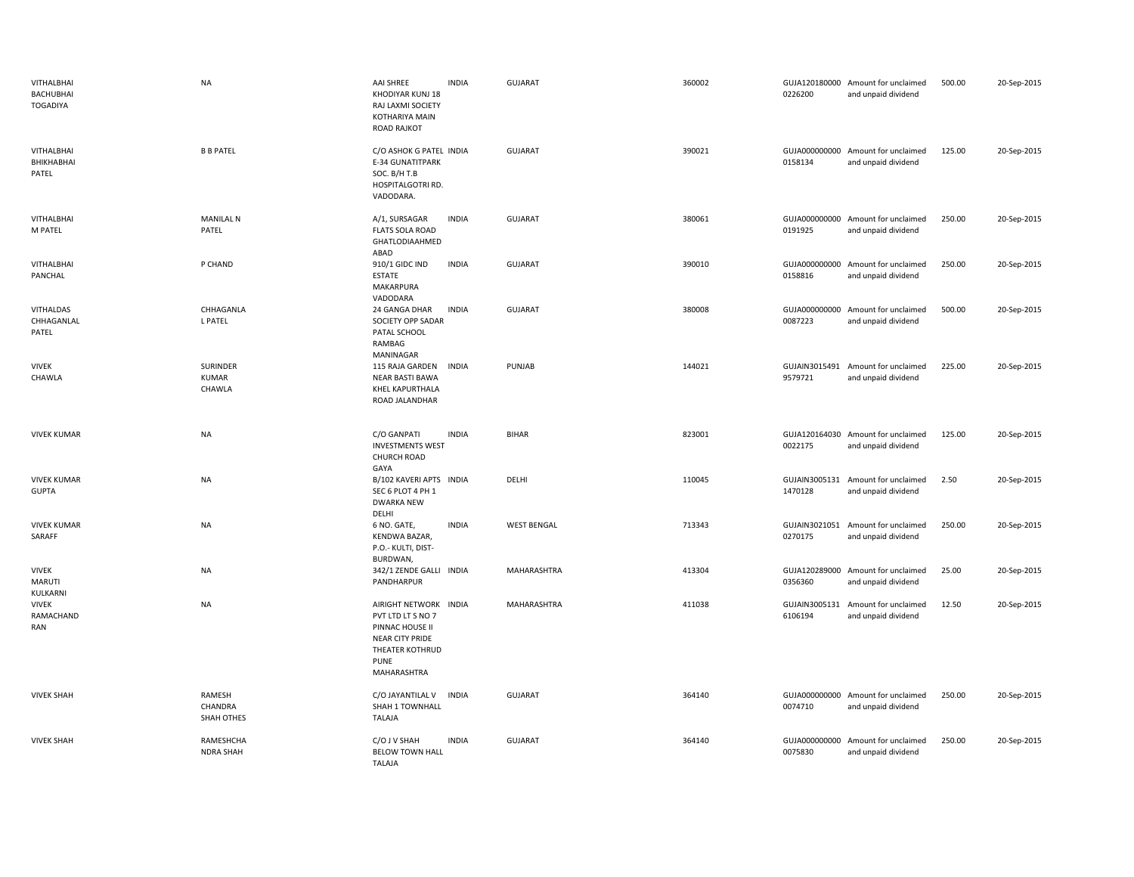| <b>VITHALBHAI</b><br><b>BACHUBHAI</b><br><b>TOGADIYA</b> | <b>NA</b>                          | <b>AAI SHREE</b><br><b>INDIA</b><br>KHODIYAR KUNJ 18<br>RAJ LAXMI SOCIETY<br>KOTHARIYA MAIN<br><b>ROAD RAJKOT</b>                 | <b>GUJARAT</b>     | 360002 | 0226200                  | GUJA120180000 Amount for unclaimed<br>and unpaid dividend | 500.00 | 20-Sep-2015 |
|----------------------------------------------------------|------------------------------------|-----------------------------------------------------------------------------------------------------------------------------------|--------------------|--------|--------------------------|-----------------------------------------------------------|--------|-------------|
| VITHALBHAI<br>BHIKHABHAI<br>PATEL                        | <b>B B PATEL</b>                   | C/O ASHOK G PATEL INDIA<br><b>E-34 GUNATITPARK</b><br>SOC. B/H T.B<br>HOSPITALGOTRI RD.<br>VADODARA.                              | GUJARAT            | 390021 | 0158134                  | GUJA000000000 Amount for unclaimed<br>and unpaid dividend | 125.00 | 20-Sep-2015 |
| VITHALBHAI<br>M PATEL                                    | <b>MANILAL N</b><br>PATEL          | <b>INDIA</b><br>A/1, SURSAGAR<br><b>FLATS SOLA ROAD</b><br>GHATLODIAAHMED<br>ABAD                                                 | <b>GUJARAT</b>     | 380061 | 0191925                  | GUJA000000000 Amount for unclaimed<br>and unpaid dividend | 250.00 | 20-Sep-2015 |
| VITHALBHAI<br>PANCHAL                                    | P CHAND                            | 910/1 GIDC IND<br><b>INDIA</b><br>ESTATE<br>MAKARPURA<br>VADODARA                                                                 | <b>GUJARAT</b>     | 390010 | 0158816                  | GUJA000000000 Amount for unclaimed<br>and unpaid dividend | 250.00 | 20-Sep-2015 |
| VITHALDAS<br>CHHAGANLAL<br>PATEL                         | CHHAGANLA<br>L PATEL               | 24 GANGA DHAR<br><b>INDIA</b><br>SOCIETY OPP SADAR<br>PATAL SCHOOL<br>RAMBAG<br>MANINAGAR                                         | <b>GUJARAT</b>     | 380008 | 0087223                  | GUJA000000000 Amount for unclaimed<br>and unpaid dividend | 500.00 | 20-Sep-2015 |
| <b>VIVEK</b><br>CHAWLA                                   | SURINDER<br><b>KUMAR</b><br>CHAWLA | 115 RAJA GARDEN<br><b>INDIA</b><br><b>NEAR BASTI BAWA</b><br>KHEL KAPURTHALA<br>ROAD JALANDHAR                                    | PUNJAB             | 144021 | GUJAIN3015491<br>9579721 | Amount for unclaimed<br>and unpaid dividend               | 225.00 | 20-Sep-2015 |
| <b>VIVEK KUMAR</b>                                       | <b>NA</b>                          | C/O GANPATI<br><b>INDIA</b><br><b>INVESTMENTS WEST</b><br>CHURCH ROAD<br>GAYA                                                     | <b>BIHAR</b>       | 823001 | 0022175                  | GUJA120164030 Amount for unclaimed<br>and unpaid dividend | 125.00 | 20-Sep-2015 |
| <b>VIVEK KUMAR</b><br><b>GUPTA</b>                       | <b>NA</b>                          | B/102 KAVERI APTS INDIA<br>SEC 6 PLOT 4 PH 1<br><b>DWARKA NEW</b><br>DELHI                                                        | DELHI              | 110045 | GUJAIN3005131<br>1470128 | Amount for unclaimed<br>and unpaid dividend               | 2.50   | 20-Sep-2015 |
| <b>VIVEK KUMAR</b><br>SARAFF                             | <b>NA</b>                          | <b>INDIA</b><br>6 NO. GATE,<br>KENDWA BAZAR,<br>P.O.- KULTI, DIST-<br>BURDWAN,                                                    | <b>WEST BENGAL</b> | 713343 | 0270175                  | GUJAIN3021051 Amount for unclaimed<br>and unpaid dividend | 250.00 | 20-Sep-2015 |
| <b>VIVEK</b><br><b>MARUTI</b><br>KULKARNI                | <b>NA</b>                          | 342/1 ZENDE GALLI INDIA<br>PANDHARPUR                                                                                             | <b>MAHARASHTRA</b> | 413304 | GUJA120289000<br>0356360 | Amount for unclaimed<br>and unpaid dividend               | 25.00  | 20-Sep-2015 |
| <b>VIVEK</b><br>RAMACHAND<br>RAN                         | <b>NA</b>                          | AIRIGHT NETWORK INDIA<br>PVT LTD LT S NO 7<br>PINNAC HOUSE II<br>NEAR CITY PRIDE<br>THEATER KOTHRUD<br><b>PUNE</b><br>MAHARASHTRA | MAHARASHTRA        | 411038 | GUJAIN3005131<br>6106194 | Amount for unclaimed<br>and unpaid dividend               | 12.50  | 20-Sep-2015 |
| <b>VIVEK SHAH</b>                                        | RAMESH<br>CHANDRA<br>SHAH OTHES    | C/O JAYANTILAL V<br>INDIA<br>SHAH 1 TOWNHALL<br><b>TALAJA</b>                                                                     | <b>GUJARAT</b>     | 364140 | 0074710                  | GUJA000000000 Amount for unclaimed<br>and unpaid dividend | 250.00 | 20-Sep-2015 |
| <b>VIVEK SHAH</b>                                        | RAMESHCHA<br><b>NDRA SHAH</b>      | C/O J V SHAH<br><b>INDIA</b><br><b>BELOW TOWN HALL</b><br><b>TALAJA</b>                                                           | <b>GUJARAT</b>     | 364140 | GUJA000000000<br>0075830 | Amount for unclaimed<br>and unpaid dividend               | 250.00 | 20-Sep-2015 |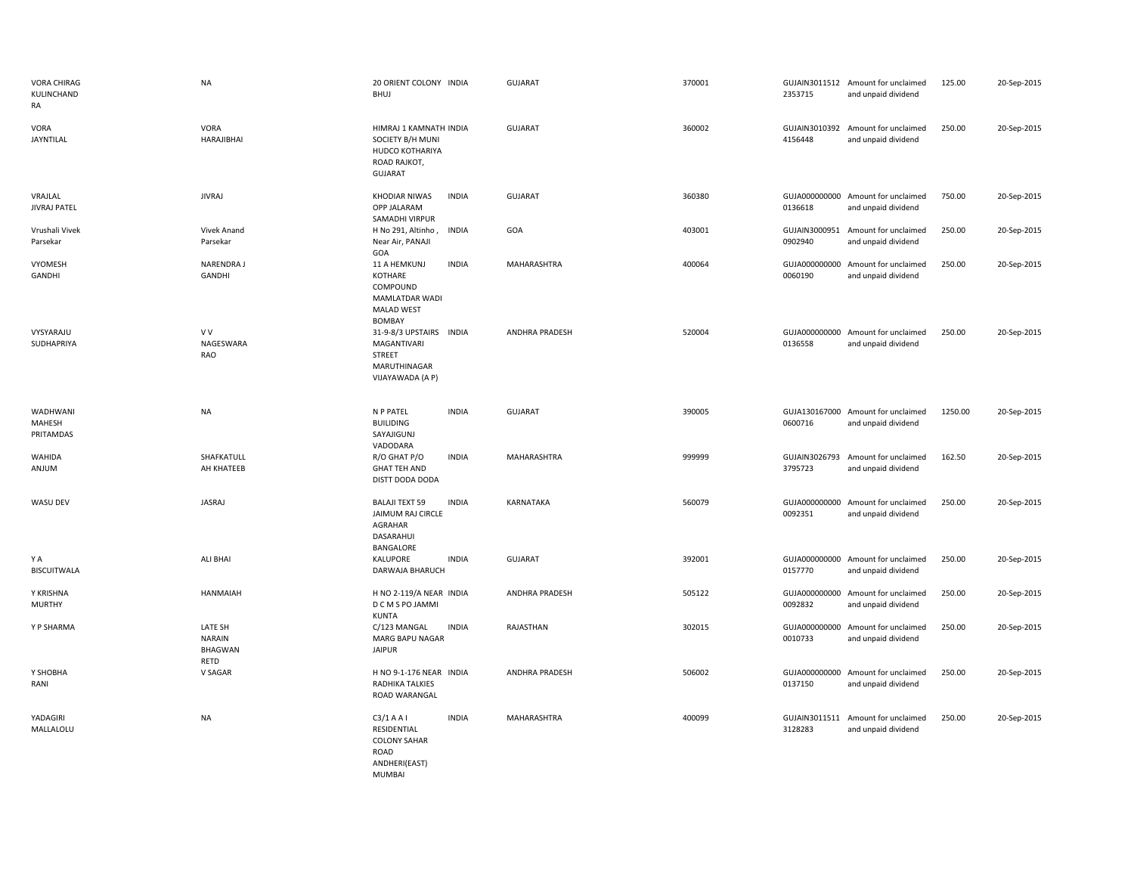| VORA CHIRAG<br>KULINCHAND<br>RA | <b>NA</b>                                          | 20 ORIENT COLONY INDIA<br><b>BHUJ</b>                                                                       | <b>GUJARAT</b>        | 370001 | 2353715 | GUJAIN3011512 Amount for unclaimed<br>and unpaid dividend | 125.00  | 20-Sep-2015 |
|---------------------------------|----------------------------------------------------|-------------------------------------------------------------------------------------------------------------|-----------------------|--------|---------|-----------------------------------------------------------|---------|-------------|
| VORA<br><b>JAYNTILAL</b>        | VORA<br>HARAJIBHAI                                 | HIMRAJ 1 KAMNATH INDIA<br>SOCIETY B/H MUNI<br>HUDCO KOTHARIYA<br>ROAD RAJKOT,<br><b>GUJARAT</b>             | <b>GUJARAT</b>        | 360002 | 4156448 | GUJAIN3010392 Amount for unclaimed<br>and unpaid dividend | 250.00  | 20-Sep-2015 |
| VRAJLAL<br><b>JIVRAJ PATEL</b>  | <b>JIVRAJ</b>                                      | KHODIAR NIWAS<br><b>INDIA</b><br>OPP JALARAM<br>SAMADHI VIRPUR                                              | <b>GUJARAT</b>        | 360380 | 0136618 | GUJA000000000 Amount for unclaimed<br>and unpaid dividend | 750.00  | 20-Sep-2015 |
| Vrushali Vivek<br>Parsekar      | <b>Vivek Anand</b><br>Parsekar                     | H No 291, Altinho,<br><b>INDIA</b><br>Near Air, PANAJI<br>GOA                                               | GOA                   | 403001 | 0902940 | GUJAIN3000951 Amount for unclaimed<br>and unpaid dividend | 250.00  | 20-Sep-2015 |
| VYOMESH<br>GANDHI               | NARENDRA J<br><b>GANDHI</b>                        | <b>INDIA</b><br>11 A HEMKUNJ<br>KOTHARE<br>COMPOUND<br>MAMLATDAR WADI<br><b>MALAD WEST</b><br><b>BOMBAY</b> | MAHARASHTRA           | 400064 | 0060190 | GUJA000000000 Amount for unclaimed<br>and unpaid dividend | 250.00  | 20-Sep-2015 |
| VYSYARAJU<br>SUDHAPRIYA         | V V<br>NAGESWARA<br><b>RAO</b>                     | 31-9-8/3 UPSTAIRS INDIA<br>MAGANTIVARI<br><b>STREET</b><br>MARUTHINAGAR<br>VIJAYAWADA (A P)                 | ANDHRA PRADESH        | 520004 | 0136558 | GUJA000000000 Amount for unclaimed<br>and unpaid dividend | 250.00  | 20-Sep-2015 |
| WADHWANI<br>MAHESH<br>PRITAMDAS | <b>NA</b>                                          | N P PATEL<br><b>INDIA</b><br><b>BUILIDING</b><br>SAYAJIGUNJ                                                 | <b>GUJARAT</b>        | 390005 | 0600716 | GUJA130167000 Amount for unclaimed<br>and unpaid dividend | 1250.00 | 20-Sep-2015 |
| WAHIDA<br>ANJUM                 | SHAFKATULL<br>AH KHATEEB                           | VADODARA<br>R/O GHAT P/O<br><b>INDIA</b><br><b>GHAT TEH AND</b><br>DISTT DODA DODA                          | MAHARASHTRA           | 999999 | 3795723 | GUJAIN3026793 Amount for unclaimed<br>and unpaid dividend | 162.50  | 20-Sep-2015 |
| WASU DEV                        | JASRAJ                                             | <b>BALAJI TEXT 59</b><br><b>INDIA</b><br>JAIMUM RAJ CIRCLE<br>AGRAHAR<br>DASARAHUI<br>BANGALORE             | KARNATAKA             | 560079 | 0092351 | GUJA000000000 Amount for unclaimed<br>and unpaid dividend | 250.00  | 20-Sep-2015 |
| ΥA<br><b>BISCUITWALA</b>        | ALI BHAI                                           | KALUPORE<br><b>INDIA</b><br>DARWAJA BHARUCH                                                                 | <b>GUJARAT</b>        | 392001 | 0157770 | GUJA000000000 Amount for unclaimed<br>and unpaid dividend | 250.00  | 20-Sep-2015 |
| Y KRISHNA<br><b>MURTHY</b>      | HANMAIAH                                           | H NO 2-119/A NEAR INDIA<br>D C M S PO JAMMI<br><b>KUNTA</b>                                                 | <b>ANDHRA PRADESH</b> | 505122 | 0092832 | GUJA000000000 Amount for unclaimed<br>and unpaid dividend | 250.00  | 20-Sep-2015 |
| Y P SHARMA                      | LATE SH<br><b>NARAIN</b><br><b>BHAGWAN</b><br>RETD | <b>INDIA</b><br>C/123 MANGAL<br>MARG BAPU NAGAR<br><b>JAIPUR</b>                                            | RAJASTHAN             | 302015 | 0010733 | GUJA000000000 Amount for unclaimed<br>and unpaid dividend | 250.00  | 20-Sep-2015 |
| Y SHOBHA<br>RANI                | V SAGAR                                            | H NO 9-1-176 NEAR INDIA<br>RADHIKA TALKIES<br>ROAD WARANGAL                                                 | <b>ANDHRA PRADESH</b> | 506002 | 0137150 | GUJA000000000 Amount for unclaimed<br>and unpaid dividend | 250.00  | 20-Sep-2015 |
| YADAGIRI<br>MALLALOLU           | <b>NA</b>                                          | C3/1AAI<br><b>INDIA</b><br>RESIDENTIAL<br><b>COLONY SAHAR</b><br>ROAD<br>ANDHERI(EAST)<br><b>MUMBAI</b>     | MAHARASHTRA           | 400099 | 3128283 | GUJAIN3011511 Amount for unclaimed<br>and unpaid dividend | 250.00  | 20-Sep-2015 |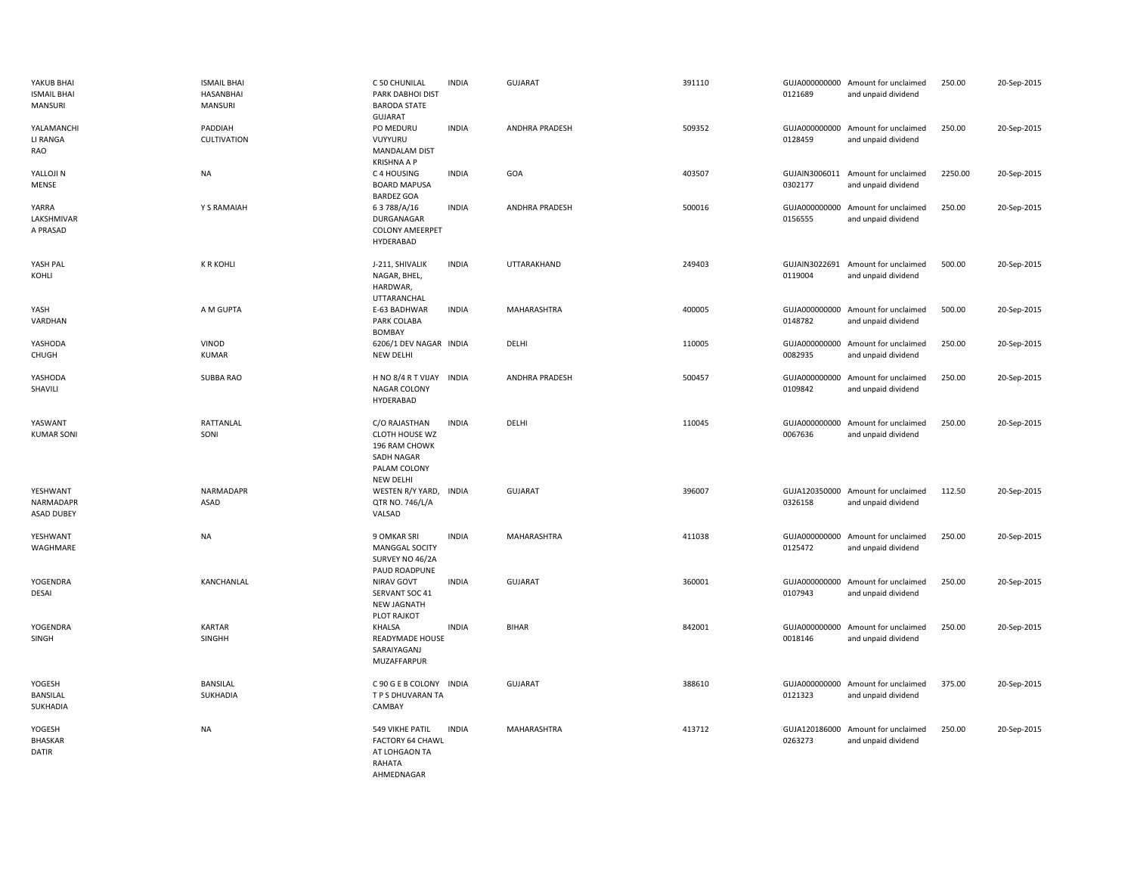| YAKUB BHAI<br><b>ISMAIL BHAI</b><br><b>MANSURI</b> | <b>ISMAIL BHAI</b><br>HASANBHAI<br><b>MANSURI</b> | C 50 CHUNILAL<br>PARK DABHOI DIST<br><b>BARODA STATE</b><br><b>GUJARAT</b>                         | <b>INDIA</b> | <b>GUJARAT</b>        | 391110 | 0121689 | GUJA000000000 Amount for unclaimed<br>and unpaid dividend | 250.00  | 20-Sep-2015 |
|----------------------------------------------------|---------------------------------------------------|----------------------------------------------------------------------------------------------------|--------------|-----------------------|--------|---------|-----------------------------------------------------------|---------|-------------|
| YALAMANCHI<br>LI RANGA<br>RAO                      | PADDIAH<br><b>CULTIVATION</b>                     | PO MEDURU<br>VUYYURU<br><b>MANDALAM DIST</b><br><b>KRISHNA A P</b>                                 | <b>INDIA</b> | <b>ANDHRA PRADESH</b> | 509352 | 0128459 | GUJA000000000 Amount for unclaimed<br>and unpaid dividend | 250.00  | 20-Sep-2015 |
| YALLOJI N<br>MENSE                                 | <b>NA</b>                                         | C 4 HOUSING<br><b>BOARD MAPUSA</b><br><b>BARDEZ GOA</b>                                            | <b>INDIA</b> | GOA                   | 403507 | 0302177 | GUJAIN3006011 Amount for unclaimed<br>and unpaid dividend | 2250.00 | 20-Sep-2015 |
| YARRA<br>LAKSHMIVAR<br>A PRASAD                    | Y S RAMAIAH                                       | 63788/A/16<br>DURGANAGAR<br><b>COLONY AMEERPET</b><br>HYDERABAD                                    | <b>INDIA</b> | <b>ANDHRA PRADESH</b> | 500016 | 0156555 | GUJA000000000 Amount for unclaimed<br>and unpaid dividend | 250.00  | 20-Sep-2015 |
| YASH PAL<br>KOHLI                                  | <b>K R KOHLI</b>                                  | J-211, SHIVALIK<br>NAGAR, BHEL,<br>HARDWAR,<br>UTTARANCHAL                                         | <b>INDIA</b> | UTTARAKHAND           | 249403 | 0119004 | GUJAIN3022691 Amount for unclaimed<br>and unpaid dividend | 500.00  | 20-Sep-2015 |
| YASH<br>VARDHAN                                    | A M GUPTA                                         | E-63 BADHWAR<br>PARK COLABA<br><b>BOMBAY</b>                                                       | <b>INDIA</b> | MAHARASHTRA           | 400005 | 0148782 | GUJA000000000 Amount for unclaimed<br>and unpaid dividend | 500.00  | 20-Sep-2015 |
| YASHODA<br>CHUGH                                   | <b>VINOD</b><br><b>KUMAR</b>                      | 6206/1 DEV NAGAR INDIA<br>NEW DELHI                                                                |              | DELHI                 | 110005 | 0082935 | GUJA000000000 Amount for unclaimed<br>and unpaid dividend | 250.00  | 20-Sep-2015 |
| YASHODA<br>SHAVILI                                 | SUBBA RAO                                         | H NO 8/4 R T VIJAY INDIA<br>NAGAR COLONY<br>HYDERABAD                                              |              | ANDHRA PRADESH        | 500457 | 0109842 | GUJA000000000 Amount for unclaimed<br>and unpaid dividend | 250.00  | 20-Sep-2015 |
| YASWANT<br><b>KUMAR SONI</b>                       | RATTANLAL<br>SONI                                 | C/O RAJASTHAN<br>CLOTH HOUSE WZ<br>196 RAM CHOWK<br>SADH NAGAR<br>PALAM COLONY<br><b>NEW DELHI</b> | <b>INDIA</b> | DELHI                 | 110045 | 0067636 | GUJA000000000 Amount for unclaimed<br>and unpaid dividend | 250.00  | 20-Sep-2015 |
| YESHWANT<br>NARMADAPR<br><b>ASAD DUBEY</b>         | NARMADAPR<br><b>ASAD</b>                          | WESTEN R/Y YARD, INDIA<br>QTR NO. 746/L/A<br>VALSAD                                                |              | <b>GUJARAT</b>        | 396007 | 0326158 | GUJA120350000 Amount for unclaimed<br>and unpaid dividend | 112.50  | 20-Sep-2015 |
| YESHWANT<br>WAGHMARE                               | <b>NA</b>                                         | 9 OMKAR SRI<br>MANGGAL SOCITY<br>SURVEY NO 46/2A<br>PAUD ROADPUNE                                  | <b>INDIA</b> | MAHARASHTRA           | 411038 | 0125472 | GUJA000000000 Amount for unclaimed<br>and unpaid dividend | 250.00  | 20-Sep-2015 |
| YOGENDRA<br>DESAI                                  | KANCHANLAL                                        | NIRAV GOVT<br>SERVANT SOC 41<br><b>NEW JAGNATH</b><br>PLOT RAJKOT                                  | <b>INDIA</b> | GUJARAT               | 360001 | 0107943 | GUJA000000000 Amount for unclaimed<br>and unpaid dividend | 250.00  | 20-Sep-2015 |
| YOGENDRA<br>SINGH                                  | <b>KARTAR</b><br>SINGHH                           | <b>KHALSA</b><br>READYMADE HOUSE<br>SARAIYAGANJ<br>MUZAFFARPUR                                     | <b>INDIA</b> | <b>BIHAR</b>          | 842001 | 0018146 | GUJA000000000 Amount for unclaimed<br>and unpaid dividend | 250.00  | 20-Sep-2015 |
| YOGESH<br>BANSILAL<br>SUKHADIA                     | <b>BANSILAL</b><br>SUKHADIA                       | C 90 G E B COLONY INDIA<br>T P S DHUVARAN TA<br>CAMBAY                                             |              | <b>GUJARAT</b>        | 388610 | 0121323 | GUJA000000000 Amount for unclaimed<br>and unpaid dividend | 375.00  | 20-Sep-2015 |
| YOGESH<br><b>BHASKAR</b><br><b>DATIR</b>           | <b>NA</b>                                         | 549 VIKHE PATIL<br><b>FACTORY 64 CHAWL</b><br>AT LOHGAON TA<br>RAHATA<br>AHMFDNAGAR                | <b>INDIA</b> | MAHARASHTRA           | 413712 | 0263273 | GUJA120186000 Amount for unclaimed<br>and unpaid dividend | 250.00  | 20-Sep-2015 |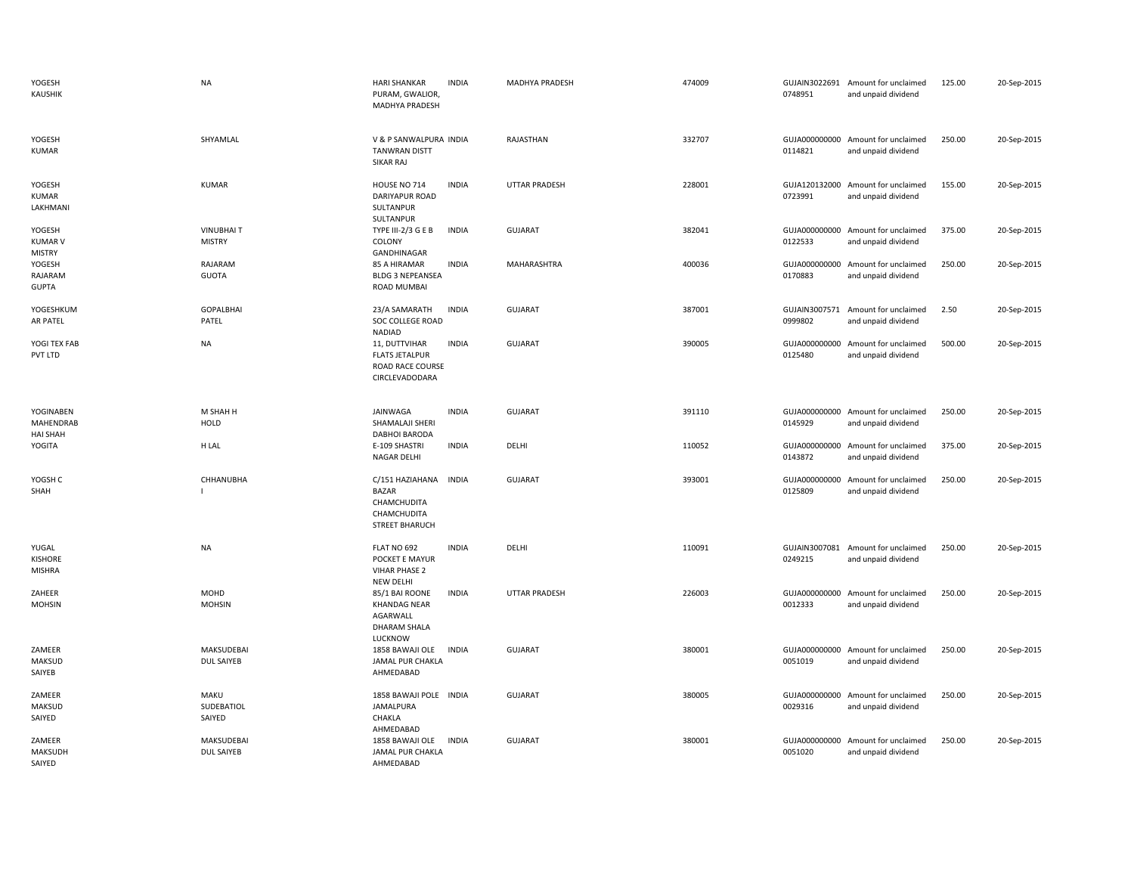| YOGESH<br><b>KAUSHIK</b>                         | <b>NA</b>                              | <b>HARI SHANKAR</b><br><b>INDIA</b><br>PURAM, GWALIOR,<br>MADHYA PRADESH                               | MADHYA PRADESH       | 474009 | 0748951                  | GUJAIN3022691 Amount for unclaimed<br>and unpaid dividend | 125.00 | 20-Sep-2015 |
|--------------------------------------------------|----------------------------------------|--------------------------------------------------------------------------------------------------------|----------------------|--------|--------------------------|-----------------------------------------------------------|--------|-------------|
| YOGESH<br><b>KUMAR</b>                           | SHYAMLAL                               | V & P SANWALPURA INDIA<br><b>TANWRAN DISTT</b><br><b>SIKAR RAJ</b>                                     | RAJASTHAN            | 332707 | 0114821                  | GUJA000000000 Amount for unclaimed<br>and unpaid dividend | 250.00 | 20-Sep-2015 |
| YOGESH<br><b>KUMAR</b><br>LAKHMANI               | <b>KUMAR</b>                           | HOUSE NO 714<br><b>INDIA</b><br>DARIYAPUR ROAD<br>SULTANPUR<br>SULTANPUR                               | <b>UTTAR PRADESH</b> | 228001 | 0723991                  | GUJA120132000 Amount for unclaimed<br>and unpaid dividend | 155.00 | 20-Sep-2015 |
| YOGESH<br><b>KUMAR V</b><br><b>MISTRY</b>        | <b>VINUBHAIT</b><br><b>MISTRY</b>      | TYPE III-2/3 G E B<br><b>INDIA</b><br>COLONY<br>GANDHINAGAR                                            | <b>GUJARAT</b>       | 382041 | 0122533                  | GUJA000000000 Amount for unclaimed<br>and unpaid dividend | 375.00 | 20-Sep-2015 |
| YOGESH<br>RAJARAM<br><b>GUPTA</b>                | RAJARAM<br><b>GUOTA</b>                | 85 A HIRAMAR<br><b>INDIA</b><br><b>BLDG 3 NEPEANSEA</b><br>ROAD MUMBAI                                 | MAHARASHTRA          | 400036 | 0170883                  | GUJA000000000 Amount for unclaimed<br>and unpaid dividend | 250.00 | 20-Sep-2015 |
| YOGESHKUM<br><b>AR PATEL</b>                     | <b>GOPALBHAI</b><br>PATEL              | <b>INDIA</b><br>23/A SAMARATH<br>SOC COLLEGE ROAD                                                      | <b>GUJARAT</b>       | 387001 | 0999802                  | GUJAIN3007571 Amount for unclaimed<br>and unpaid dividend | 2.50   | 20-Sep-2015 |
| YOGI TEX FAB<br>PVT LTD                          | <b>NA</b>                              | NADIAD<br><b>INDIA</b><br>11, DUTTVIHAR<br><b>FLATS JETALPUR</b><br>ROAD RACE COURSE<br>CIRCLEVADODARA | <b>GUJARAT</b>       | 390005 | GUJA000000000<br>0125480 | Amount for unclaimed<br>and unpaid dividend               | 500.00 | 20-Sep-2015 |
| YOGINABEN<br><b>MAHENDRAB</b><br><b>HAI SHAH</b> | M SHAH H<br>HOLD                       | JAINWAGA<br><b>INDIA</b><br>SHAMALAJI SHERI<br><b>DABHOI BARODA</b>                                    | <b>GUJARAT</b>       | 391110 | 0145929                  | GUJA000000000 Amount for unclaimed<br>and unpaid dividend | 250.00 | 20-Sep-2015 |
| YOGITA                                           | H LAL                                  | <b>INDIA</b><br>E-109 SHASTRI<br>NAGAR DELHI                                                           | DELHI                | 110052 | GUJA000000000<br>0143872 | Amount for unclaimed<br>and unpaid dividend               | 375.00 | 20-Sep-2015 |
| YOGSH C<br>SHAH                                  | CHHANUBHA                              | C/151 HAZIAHANA<br><b>INDIA</b><br><b>BAZAR</b><br>CHAMCHUDITA<br>CHAMCHUDITA<br><b>STREET BHARUCH</b> | <b>GUJARAT</b>       | 393001 | GUJA000000000<br>0125809 | Amount for unclaimed<br>and unpaid dividend               | 250.00 | 20-Sep-2015 |
| YUGAL<br><b>KISHORE</b><br>MISHRA                | NA                                     | FLAT NO 692<br><b>INDIA</b><br>POCKET E MAYUR<br><b>VIHAR PHASE 2</b><br>NEW DELHI                     | DELHI                | 110091 | 0249215                  | GUJAIN3007081 Amount for unclaimed<br>and unpaid dividend | 250.00 | 20-Sep-2015 |
| ZAHEER<br><b>MOHSIN</b>                          | <b>MOHD</b><br><b>MOHSIN</b>           | 85/1 BAI ROONE<br><b>INDIA</b><br><b>KHANDAG NEAR</b><br>AGARWALL<br><b>DHARAM SHALA</b><br>LUCKNOW    | <b>UTTAR PRADESH</b> | 226003 | GUJA000000000<br>0012333 | Amount for unclaimed<br>and unpaid dividend               | 250.00 | 20-Sep-2015 |
| ZAMEER<br><b>MAKSUD</b><br>SAIYEB                | MAKSUDEBAI<br>DUL SAIYEB               | 1858 BAWAJI OLE<br><b>INDIA</b><br>JAMAL PUR CHAKLA<br>AHMEDABAD                                       | <b>GUJARAT</b>       | 380001 | GUJA000000000<br>0051019 | Amount for unclaimed<br>and unpaid dividend               | 250.00 | 20-Sep-2015 |
| ZAMEER<br><b>MAKSUD</b><br>SAIYED                | MAKU<br>SUDEBATIOL<br>SAIYED           | 1858 BAWAJI POLE INDIA<br>JAMALPURA<br>CHAKLA<br>AHMEDABAD                                             | <b>GUJARAT</b>       | 380005 | GUJA000000000<br>0029316 | Amount for unclaimed<br>and unpaid dividend               | 250.00 | 20-Sep-2015 |
| ZAMEER<br>MAKSUDH<br>SAIYED                      | <b>MAKSUDEBAI</b><br><b>DUL SAIYEB</b> | <b>INDIA</b><br>1858 BAWAJI OLE<br>JAMAL PUR CHAKLA<br>AHMEDABAD                                       | <b>GUJARAT</b>       | 380001 | GUJA000000000<br>0051020 | Amount for unclaimed<br>and unpaid dividend               | 250.00 | 20-Sep-2015 |